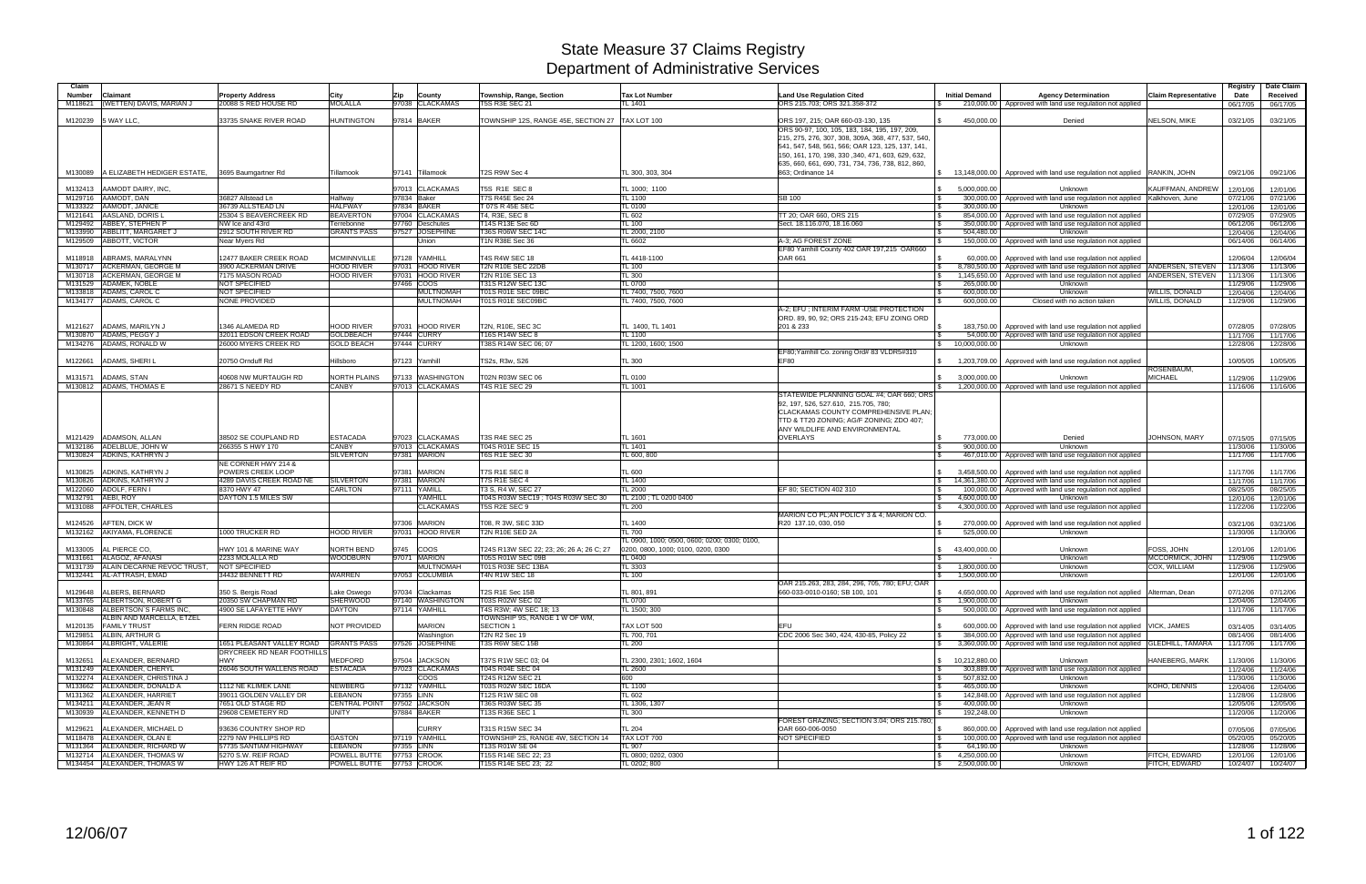| Claim   |                                                                |                                                                     |                                  |                                    |                                                          |                                              |                                                                                    |                                          |                                                                                                             |                             | Registry             | Date Claim           |
|---------|----------------------------------------------------------------|---------------------------------------------------------------------|----------------------------------|------------------------------------|----------------------------------------------------------|----------------------------------------------|------------------------------------------------------------------------------------|------------------------------------------|-------------------------------------------------------------------------------------------------------------|-----------------------------|----------------------|----------------------|
| Number  | Claimant                                                       | <b>Property Address</b>                                             | City                             | <b>Zip</b><br>County               | Township, Range, Section                                 | <b>Tax Lot Number</b>                        | <b>Land Use Regulation Cited</b>                                                   | <b>Initial Demand</b>                    | <b>Agency Determination</b>                                                                                 | <b>Claim Representative</b> | Date                 | Received             |
| M118621 | (WETTEN) DAVIS, MARIAN J                                       | 20088 S RED HOUSE RD                                                | <b>MOLALLA</b>                   | 97038 CLACKAMAS                    | <b>T5S R3E SEC 21</b>                                    | TL 1401                                      | ORS 215.703; ORS 321.358-372                                                       |                                          | 210,000.00   Approved with land use regulation not applied                                                  |                             | 06/17/05             | 06/17/05             |
|         |                                                                |                                                                     | <b>HUNTINGTON</b>                | 97814 BAKER                        | TOWNSHIP 12S, RANGE 45E, SECTION 27                      | TAX LOT 100                                  |                                                                                    | 450,000.00                               | Denied                                                                                                      | NELSON, MIKE                |                      |                      |
| M120239 | 5 WAY LLC,                                                     | 33735 SNAKE RIVER ROAD                                              |                                  |                                    |                                                          |                                              | ORS 197, 215; OAR 660-03-130, 135<br>ORS 90-97, 100, 105, 183, 184, 195, 197, 209, |                                          |                                                                                                             |                             | 03/21/05             | 03/21/05             |
|         |                                                                |                                                                     |                                  |                                    |                                                          |                                              | 215, 275, 276, 307, 308, 309A, 368, 477, 537, 540,                                 |                                          |                                                                                                             |                             |                      |                      |
|         |                                                                |                                                                     |                                  |                                    |                                                          |                                              | 541, 547, 548, 561, 566; OAR 123, 125, 137, 141,                                   |                                          |                                                                                                             |                             |                      |                      |
|         |                                                                |                                                                     |                                  |                                    |                                                          |                                              | 150, 161, 170, 198, 330, 340, 471, 603, 629, 632,                                  |                                          |                                                                                                             |                             |                      |                      |
| M130089 | A ELIZABETH HEDIGER ESTATE, 3695 Baumgartner Rd                |                                                                     | Tillamook                        | 97141 Tillamook                    | T2S R9W Sec 4                                            | TL 300, 303, 304                             | 635, 660, 661, 690, 731, 734, 736, 738, 812, 860,<br>863; Ordinance 14             |                                          | \$13,148,000.00 Approved with land use regulation not applied RANKIN, JOHN                                  |                             | 09/21/06             | 09/21/06             |
|         |                                                                |                                                                     |                                  |                                    |                                                          |                                              |                                                                                    |                                          |                                                                                                             |                             |                      |                      |
| M132413 | AAMODT DAIRY, INC.                                             |                                                                     |                                  | 97013 CLACKAMAS                    | T5S R1E SEC 8                                            | TL 1000; 1100                                |                                                                                    | 5,000,000.00                             | Unknown                                                                                                     | KAUFFMAN, ANDREW            | 12/01/06             | 12/01/06             |
|         | M129716 AAMODT, DAN<br>M133322 AAMODT, JANICE                  | 36827 Allstead Ln<br>36739 ALLSTEAD LN                              | Halfway<br><b>HALFWAY</b>        | 97834 Baker<br>97834 BAKER         | <b>T7S R45E Sec 24</b><br>T 07S R 45E SEC                | TL 1100<br><b>TL 0100</b>                    | <b>SB 100</b>                                                                      | 300,000.00<br>300.000.00<br>l \$         | Approved with land use regulation not applied Kalkhoven, June<br>Unknown                                    |                             | 07/21/06<br>12/01/06 | 07/21/06<br>12/01/06 |
|         | M121641 AASLAND, DORIS L                                       | 25304 S BEAVERCREEK RD                                              | <b>BEAVERTON</b>                 | 97004 CLACKAMAS                    | T4, R3E, SEC 8                                           | TL 602                                       | TT 20; OAR 660, ORS 215                                                            | 854,000.00<br>l \$                       | Approved with land use regulation not applied                                                               |                             | 07/29/05             | 07/29/05             |
|         | M129492 ABBEY, STEPHEN P                                       | NW Ice and 43rd                                                     | Terrebonne                       | 97760 Deschutes                    | T14S R13E Sec 6D                                         | <b>TL 100</b>                                | Sect. 18.116.070, 18.16.060                                                        | 350,000.00<br>l \$                       | Approved with land use regulation not applied                                                               |                             | 06/12/06             | 06/12/06             |
|         | M133990 ABBLITT, MARGARET J                                    | 2912 SOUTH RIVER RD                                                 | <b>GRANTS PASS</b>               | 97527 JOSEPHINE                    | <b>T36S R06W SEC 14C</b>                                 | TL 2000, 2100                                |                                                                                    | 504,480.00<br>l \$                       | Unknown                                                                                                     |                             | 12/04/06             | 12/04/06             |
|         | M129509 ABBOTT, VICTOR                                         | Near Myers Rd                                                       |                                  | Union                              | T1N R38E Sec 36                                          | TL 6602                                      | A-3; AG FOREST ZONE<br>EF80 Yamhill County 402 OAR 197,215 OAR660                  | 150,000.00                               | Approved with land use regulation not applied                                                               |                             | 06/14/06             | 06/14/06             |
|         | M118918 ABRAMS, MARALYNN                                       | 12477 BAKER CREEK ROAD                                              | <b>MCMINNVILLE</b>               | 97128 YAMHILL                      | T4S R4W SEC 18                                           | TL 4418-1100                                 | <b>OAR 661</b>                                                                     | 60.000.00                                | Approved with land use regulation not applied                                                               |                             | 12/06/04             | 12/06/04             |
|         | M130717 ACKERMAN, GEORGE M                                     | 3900 ACKERMAN DRIVE                                                 | <b>HOOD RIVER</b>                | 97031 HOOD RIVER                   | <b>T2N R10E SEC 22DB</b>                                 | <b>TL 100</b>                                |                                                                                    | l \$<br>8,780,500.00                     | Approved with land use regulation not applied   ANDERSEN, STEVEN                                            |                             | 11/13/06             | 11/13/06             |
|         | M130718 ACKERMAN, GEORGE M                                     | 7175 MASON ROAD                                                     | HOOD RIVER                       | 97031 HOOD RIVER<br>97466 COOS     | <b>T2N R10E SEC 13</b>                                   | <b>TL 300</b><br><b>TL 0700</b>              |                                                                                    | 1,145,650.00<br>l S                      | Approved with land use regulation not applied   ANDERSEN, STEVEN                                            |                             | 11/13/06             | 11/13/06             |
|         | M131529 ADAMEK, NOBLE<br>M133818 ADAMS, CAROL C                | <b>NOT SPECIFIED</b><br><b>NOT SPECIFIED</b>                        |                                  | <b>MULTNOMAH</b>                   | T31S R12W SEC 13C<br>T01S R01E SEC 09BC                  | TL 7400, 7500, 7600                          |                                                                                    | 265,000.00<br>l \$<br>600.000.00<br>l \$ | Unknown<br>Unknown                                                                                          | WILLIS, DONALD              | 11/29/06<br>12/04/06 | 11/29/06<br>12/04/06 |
|         | M134177 ADAMS, CAROL C                                         | <b>NONE PROVIDED</b>                                                |                                  | <b>MULTNOMAH</b>                   | T01S R01E SEC09BC                                        | TL 7400, 7500, 7600                          |                                                                                    | 600,000.00                               | Closed with no action taken                                                                                 | WILLIS, DONALD              | 11/29/06             | 11/29/06             |
|         |                                                                |                                                                     |                                  |                                    |                                                          |                                              | A-2; EFU ; INTERIM FARM -USE PROTECTION                                            |                                          |                                                                                                             |                             |                      |                      |
|         | M121627 ADAMS, MARILYN J                                       | 1346 ALAMEDA RD                                                     | <b>HOOD RIVER</b>                | 97031 HOOD RIVER                   | T2N, R10E, SEC 3C                                        | TL 1400, TL 1401                             | ORD. 89, 90, 92; ORS 215-243; EFU ZOING ORD<br>201 & 233                           |                                          |                                                                                                             |                             | 07/28/05             | 07/28/05             |
|         | M130870 ADAMS, PEGGY J                                         | 32011 EDSON CREEK ROAD                                              | <b>GOLDBEACH</b>                 | 97444 CURRY                        | T16S R14W SEC 8                                          | <b>TL 1100</b>                               |                                                                                    | 54,000.00                                | 183,750.00   Approved with land use regulation not applied<br>Approved with land use regulation not applied |                             | 11/17/06             | 11/17/06             |
|         | M134276 ADAMS, RONALD W                                        | 26000 MYERS CREEK RD                                                | <b>GOLD BEACH</b>                | 97444 CURRY                        | T38S R14W SEC 06; 07                                     | TL 1200, 1600; 1500                          |                                                                                    | $\sqrt{S}$<br>10,000,000.00              | Unknown                                                                                                     |                             | 12/28/06             | 12/28/06             |
|         |                                                                |                                                                     |                                  |                                    |                                                          |                                              | EF80; Yamhill Co. zoning Ord# 83 VLDR5#310                                         |                                          |                                                                                                             |                             |                      |                      |
| M122661 | <b>ADAMS, SHERIL</b>                                           | 20750 Ornduff Rd                                                    | Hillsboro                        | 97123 Yamhill                      | TS2s, R3w, S26                                           | TL 300                                       | <b>EF80</b>                                                                        | $\mathbb{S}$<br>1,203,709.00             | Approved with land use regulation not applied                                                               | ROSENBAUM,                  | 10/05/05             | 10/05/05             |
| M131571 | ADAMS, STAN                                                    | 40608 NW MURTAUGH RD                                                | <b>NORTH PLAINS</b>              | 97133 WASHINGTON                   | T02N R03W SEC 06                                         | <b>TL 0100</b>                               |                                                                                    | 3,000,000.00<br><b>S</b>                 | Unknown                                                                                                     | MICHAEL                     | 11/29/06             | 11/29/06             |
|         | M130812 ADAMS, THOMAS E                                        | 28671 S NEEDY RD                                                    | <b>CANBY</b>                     | 97013 CLACKAMAS                    | <b>T4S R1E SEC 29</b>                                    | <b>TL 1001</b>                               |                                                                                    |                                          | 1,200,000.00 Approved with land use regulation not applied                                                  |                             | 11/16/06             | 11/16/06             |
|         |                                                                |                                                                     |                                  |                                    |                                                          |                                              | STATEWIDE PLANNING GOAL #4: OAR 660: ORS                                           |                                          |                                                                                                             |                             |                      |                      |
|         |                                                                |                                                                     |                                  |                                    |                                                          |                                              | 92, 197, 526, 527.610, 215.705, 780;<br>CLACKAMAS COUNTY COMPREHENSIVE PLAN;       |                                          |                                                                                                             |                             |                      |                      |
|         |                                                                |                                                                     |                                  |                                    |                                                          |                                              | TTD & TT20 ZONING; AG/F ZONING; ZDO 407;                                           |                                          |                                                                                                             |                             |                      |                      |
|         |                                                                |                                                                     |                                  |                                    |                                                          |                                              | ANY WILDLIFE AND ENVIRONMENTAL                                                     |                                          |                                                                                                             |                             |                      |                      |
| M121429 | ADAMSON, ALLAN                                                 | 38502 SE COUPLAND RD                                                | <b>ESTACADA</b>                  | 97023 CLACKAMAS<br>97013 CLACKAMAS | <b>T3S R4E SEC 25</b>                                    | <b>TL 1601</b>                               | <b>OVERLAYS</b>                                                                    | 773,000.00                               | Denied                                                                                                      | JOHNSON, MARY               | 07/15/05             | 07/15/05             |
|         | M132186 ADELBLUE, JOHN W<br>M130824 ADKINS, KATHRYN J          | 266355 S HWY 170                                                    | CANBY<br><b>SILVERTON</b>        | 97381 MARION                       | T04S R01E SEC 15<br>T6S R1E SEC 30                       | TL 1401<br>TL 600, 800                       |                                                                                    | 900.000.00<br>IS.                        | Unknown<br>467,010.00   Approved with land use regulation not applied                                       |                             | 11/30/06<br>11/17/06 | 11/30/06<br>11/17/06 |
|         |                                                                | NE CORNER HWY 214 &                                                 |                                  |                                    |                                                          |                                              |                                                                                    |                                          |                                                                                                             |                             |                      |                      |
| M130825 | ADKINS, KATHRYN J                                              | POWERS CREEK LOOP                                                   |                                  | 97381 MARION                       | T7S R1E SEC 8                                            | <b>TL 600</b>                                |                                                                                    | 3.458.500.00                             | Approved with land use regulation not applied                                                               |                             | 11/17/06             | 11/17/06             |
|         | M130826 ADKINS, KATHRYN J                                      | 4289 DAVIS CREEK ROAD NE                                            | <b>SILVERTON</b>                 | 97381 MARION                       | T7S R1E SEC 4                                            | <b>TL 1400</b>                               |                                                                                    | $\mathbb{S}$                             | 14,361,380.00 Approved with land use regulation not applied                                                 |                             | 11/17/06             | 11/17/06             |
|         | M122060 ADOLF, FERN I<br>M132791 AEBI, ROY                     | 8370 HWY 47<br>DAYTON 1.5 MILES SW                                  | <b>CARLTON</b>                   | 97111 YAMILL<br>YAMHILL            | T3 S. R4 W. SEC 27<br>T04S R03W SEC19 ; T04S R03W SEC 30 | <b>TL 2000</b><br>TL 2100 ; TL 0200 0400     | EF 80: SECTION 402 310                                                             | 100.000.00<br>4.600.000.00<br><b>S</b>   | Approved with land use regulation not applied<br>Unknown                                                    |                             | 08/25/05<br>12/01/06 | 08/25/05<br>12/01/06 |
|         | M131088 AFFOLTER, CHARLES                                      |                                                                     |                                  | <b>CLACKAMAS</b>                   | T5S R2E SEC 9                                            | <b>TL 200</b>                                |                                                                                    | 4,300,000.00<br>$\mathbb{S}$             | Approved with land use regulation not applied                                                               |                             | 11/22/06             | 11/22/06             |
|         |                                                                |                                                                     |                                  |                                    |                                                          |                                              | MARION CO PL; AN POLICY 3 & 4; MARION CO.                                          |                                          |                                                                                                             |                             |                      |                      |
| M124526 | AFTEN, DICK W<br>M132162 AKIYAMA, FLORENCE                     | 1000 TRUCKER RD                                                     | <b>HOOD RIVER</b>                | 97306 MARION<br>97031 HOOD RIVER   | T08, R 3W, SEC 33D<br>T2N R10E SED 2A                    | TL 1400<br><b>TL 700</b>                     | R20 137.10, 030, 050                                                               | 270,000.00<br>l \$<br>525,000.00         | Approved with land use regulation not applied<br>Unknown                                                    |                             | 03/21/06             | 03/21/06<br>11/30/06 |
|         |                                                                |                                                                     |                                  |                                    |                                                          | TL 0900, 1000; 0500, 0600; 0200; 0300; 0100, |                                                                                    |                                          |                                                                                                             |                             | 11/30/06             |                      |
| M133005 | AL PIERCE CO.                                                  | HWY 101 & MARINE WAY                                                | <b>VORTH BEND</b>                | 9745 COOS                          | T24S R13W SEC 22; 23; 26; 26 A; 26 C; 27                 | 0200, 0800, 1000; 0100, 0200, 0300           |                                                                                    | 43.400.000.00                            | Unknown                                                                                                     | FOSS, JOHN                  | 12/01/06             | 12/01/06             |
|         | M131661 ALAGOZ, AFANASI                                        | 2233 MOLALLA RD                                                     | WOODBURN                         | 97071 MARION                       | T05S R01W SEC 09B                                        | TL 0400                                      |                                                                                    |                                          | Unknown                                                                                                     | MCCORMICK, JOHN             | 11/29/06             | 11/29/06             |
|         | M131739 ALAIN DECARNE REVOC TRUST.<br>M132441 AL-ATTRASH, EMAD | <b>NOT SPECIFIED</b><br>34432 BENNETT RD                            | <b>WARREN</b>                    | <b>MULTNOMAH</b><br>97053 COLUMBIA | T01S R03E SEC 13BA<br><b>T4N R1W SEC 18</b>              | TL 3303<br><b>TL 100</b>                     |                                                                                    | 1,800,000.00<br><b>S</b><br>1,500,000.00 | Unknown<br>Unknown                                                                                          | COX, WILLIAM                | 11/29/06<br>12/01/06 | 11/29/06<br>12/01/06 |
|         |                                                                |                                                                     |                                  |                                    |                                                          |                                              | OAR 215.263, 283, 284, 296, 705, 780; EFU; OAR                                     |                                          |                                                                                                             |                             |                      |                      |
|         | M129648 ALBERS, BERNARD                                        | 350 S. Bergis Road                                                  | Lake Oswego                      | 97034 Clackamas                    | T2S R1E Sec 15B                                          | TL 801, 891                                  | 660-033-0010-0160; SB 100, 101                                                     | 4,650,000.00<br><b>S</b>                 | Approved with land use regulation not applied Alterman, Dean                                                |                             | 07/12/06             | 07/12/06             |
|         | M133765 ALBERTSON, ROBERT G                                    | 20350 SW CHAPMAN RD                                                 | <b>SHERWOOD</b>                  | 97140 WASHINGTON                   | T03S R02W SEC 02                                         | <b>TL 0700</b>                               |                                                                                    | 1,900,000.00<br>$\mathbb{S}$             | Unknown                                                                                                     |                             | 12/04/06             | 12/04/06             |
|         | M130848 ALBERTSON'S FARMS INC.<br>ALBIN AND MARCELLA, ETZEL    | 4900 SE LAFAYETTE HWY                                               | <b>DAYTON</b>                    | 97114 YAMHILL                      | T4S R3W; 4W SEC 18; 13<br>TOWNSHIP 9S, RANGE 1 W OF WM,  | TL 1500; 300                                 |                                                                                    | IS.                                      | 500,000.00   Approved with land use regulation not applied                                                  |                             | 11/17/06             | 11/17/06             |
|         | M120135 FAMILY TRUST                                           | FERN RIDGE ROAD                                                     | NOT PROVIDED                     | <b>MARION</b>                      | SECTION 1                                                | TAX LOT 500                                  | <b>EFU</b>                                                                         | 600.000.00<br>$\mathbf{s}$               | Approved with land use regulation not applied                                                               | <b>VICK, JAMES</b>          | 03/14/05             | 03/14/05             |
|         | M129851 ALBIN, ARTHUR G                                        |                                                                     |                                  | Washington                         | T2N R2 Sec 19                                            | TL 700, 701                                  | CDC 2006 Sec 340, 424, 430-85, Policy 22                                           | l \$                                     | 384,000.00 Approved with land use regulation not applied                                                    |                             | 08/14/06             | 08/14/06             |
|         | M130864 ALBRIGHT, VALERIE                                      | 1651 PLEASANT VALLEY ROAD GRANTS PASS<br>DRYCREEK RD NEAR FOOTHILLS |                                  | 97526 JOSEPHINE                    | T3S R6W SEC 15B                                          | <b>TL 200</b>                                |                                                                                    | S.                                       | 3,360,000.00 Approved with land use regulation not applied GLEDHILL, TAMARA                                 |                             | 11/17/06             | 11/17/06             |
| M132651 | ALEXANDER, BERNARD                                             | <b>HWY</b>                                                          | MEDFORD                          | 97504 JACKSON                      | T37S R1W SEC 03; 04                                      | TL 2300, 2301; 1602, 1604                    |                                                                                    | $\mathcal{S}$<br>10,212,880.00           | Unknown                                                                                                     | HANEBERG. MARK              | 11/30/06             | 11/30/06             |
|         | M131249 ALEXANDER, CHERYL                                      | 26046 SOUTH WALLENS ROAD                                            | <b>ESTACADA</b>                  | 97023 CLACKAMAS                    | T04S R04E SEC 04                                         | <b>TL 2600</b>                               |                                                                                    | <b>S</b>                                 | 303,889.00 Approved with land use regulation not applied                                                    |                             | 11/24/06             | 11/24/06             |
|         | M132274 ALEXANDER, CHRISTINA J                                 |                                                                     |                                  | <b>COOS</b>                        | T24S R12W SEC 21                                         | 600                                          |                                                                                    | 507,832.00<br>l Si                       | Unknown                                                                                                     |                             | 11/30/06             | 11/30/06             |
|         | M133662 ALEXANDER, DONALD A<br>M131362 ALEXANDER, HARRIET      | 1112 NE KLIMEK LANE<br>39011 GOLDEN VALLEY DR                       | <b>NEWBERG</b><br><b>LEBANON</b> | 97132 YAMHILL<br>97355 LINN        | T03S R02W SEC 16DA<br>T12S R1W SEC 08                    | <b>TL 1100</b><br>TL 602                     |                                                                                    | 465,000.00<br>l \$                       | Unknown<br>142,848.00   Approved with land use regulation not applied                                       | KOHO, DENNIS                | 12/04/06<br>11/28/06 | 12/04/06<br>11/28/06 |
|         | M134211 ALEXANDER, JEAN R                                      | 7651 OLD STAGE RD                                                   |                                  | CENTRAL POINT 97502 JACKSON        | T36S R03W SEC 35                                         | TL 1306, 1307                                |                                                                                    | 400,000.00<br>l \$                       | Unknown                                                                                                     |                             | 12/05/06             | 12/05/06             |
|         | M130939 ALEXANDER, KENNETH D                                   | 29608 CEMETERY RD                                                   | UNITY                            | 97884 BAKER                        | T13S R36E SEC 1                                          | <b>TL 300</b>                                |                                                                                    | 192,248.00                               | Unknown                                                                                                     |                             | 11/20/06             | 11/20/06             |
|         |                                                                |                                                                     |                                  |                                    |                                                          |                                              | FOREST GRAZING: SECTION 3.04: ORS 215.780:                                         |                                          |                                                                                                             |                             |                      |                      |
| M129621 | ALEXANDER, MICHAEL D<br>M118478 ALEXANDER, OLAN E              | 93636 COUNTRY SHOP RD<br>2279 NW PHILLIPS RD                        | <b>GASTON</b>                    | <b>CURRY</b><br>97119 YAMHILL      | T31S R15W SEC 34<br>TOWNSHIP 2S, RANGE 4W, SECTION 14    | <b>TL 204</b><br>TAX LOT 700                 | OAR 660-006-0050<br><b>NOT SPECIFIED</b>                                           | 860,000.00<br>l \$                       | Approved with land use regulation not applied<br>100,000.00 Approved with land use regulation not applied   |                             | 07/05/06<br>05/20/05 | 07/05/06<br>05/20/05 |
|         | M131364 ALEXANDER, RICHARD W                                   | 57735 SANTIAM HIGHWAY                                               | <b>LEBANON</b>                   | 97355 LINN                         | T13S R01W SE 04                                          | TL 907                                       |                                                                                    | 64,190.00<br>l Si                        | Unknown                                                                                                     |                             | 11/28/06             | 11/28/06             |
|         | M132714 ALEXANDER, THOMAS W                                    | 5270 S.W. REIF ROAD                                                 | POWELL BUTTE 97753 CROOK         |                                    | T15S R14E SEC 22; 23                                     | TL 0800; 0202, 0300                          |                                                                                    | $\sqrt{3}$<br>4,250,000.00               | Unknown                                                                                                     | <b>FITCH, EDWARD</b>        | 12/01/06             | 12/01/06             |
|         | M134454 ALEXANDER, THOMAS W                                    | HWY 126 AT REIF RD                                                  | POWELL BUTTE 97753 CROOK         |                                    | T15S R14E SEC 23; 22                                     | TL 0202; 800                                 |                                                                                    | $\frac{1}{2}$ 2,500,000.00               | Unknown                                                                                                     | FITCH, EDWARD               | 10/24/07             | 10/24/07             |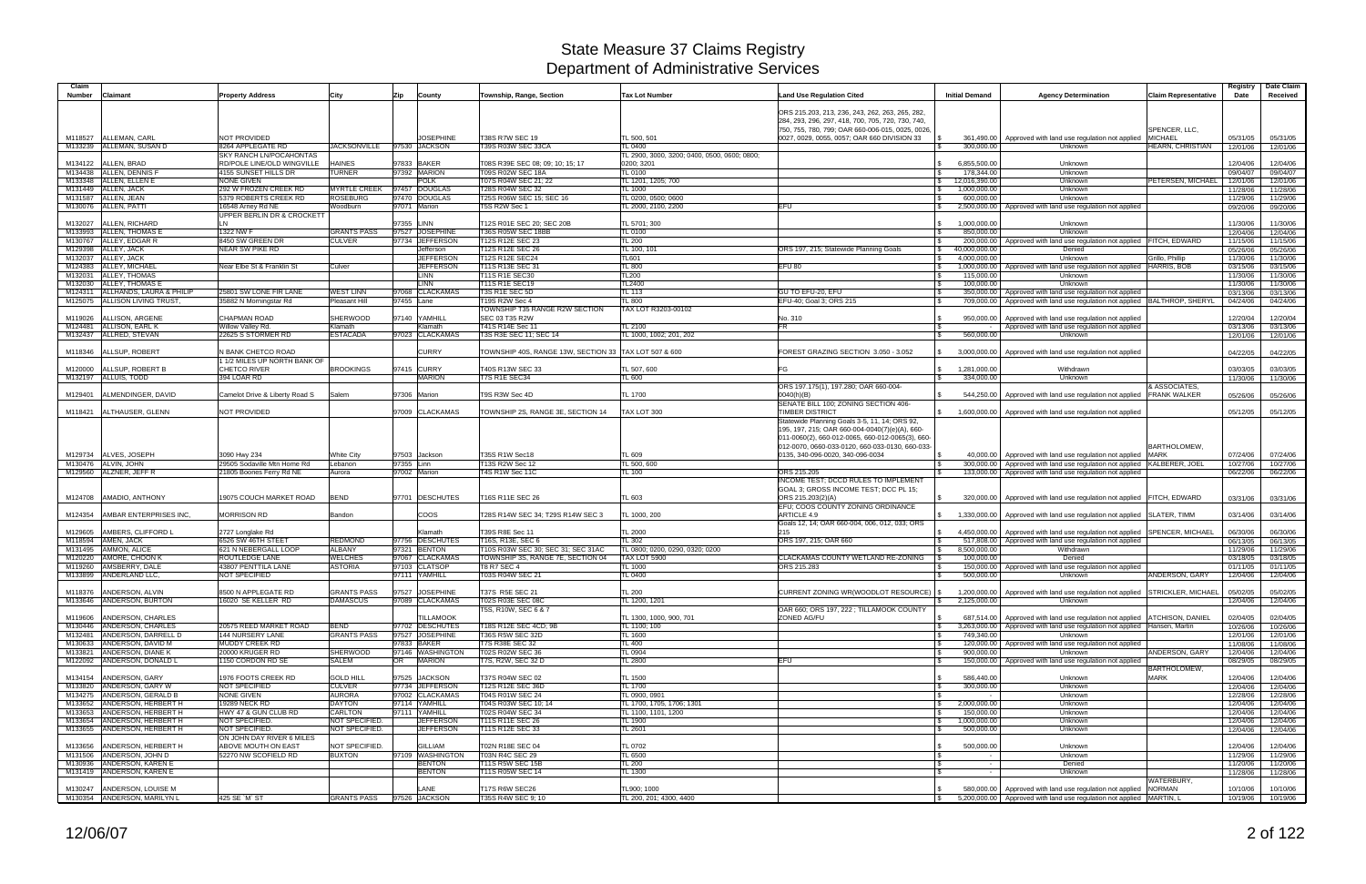| Claim              |                                                        |                                                    |                                  |                                     |                                                         |                                                         |                                                                                                                                                                                                        |                                |                                                                                                                                                                |                                      | Registry             | Date Claim           |
|--------------------|--------------------------------------------------------|----------------------------------------------------|----------------------------------|-------------------------------------|---------------------------------------------------------|---------------------------------------------------------|--------------------------------------------------------------------------------------------------------------------------------------------------------------------------------------------------------|--------------------------------|----------------------------------------------------------------------------------------------------------------------------------------------------------------|--------------------------------------|----------------------|----------------------|
| <b>Number</b>      | <b>Claimant</b>                                        | <b>Property Address</b>                            | City                             | Zip<br>County                       | Township, Range, Section                                | <b>Tax Lot Number</b>                                   | <b>Land Use Regulation Cited</b>                                                                                                                                                                       | <b>Initial Demand</b>          | <b>Agency Determination</b>                                                                                                                                    | <b>Claim Representative</b>          | Date                 | Received             |
|                    |                                                        |                                                    |                                  |                                     |                                                         |                                                         | ORS 215.203, 213, 236, 243, 262, 263, 265, 282,<br>284, 293, 296, 297, 418, 700, 705, 720, 730, 740,                                                                                                   |                                |                                                                                                                                                                |                                      |                      |                      |
|                    |                                                        |                                                    |                                  |                                     |                                                         |                                                         | 750, 755, 780, 799; OAR 660-006-015, 0025, 0026                                                                                                                                                        |                                |                                                                                                                                                                | SPENCER, LLC,                        |                      |                      |
|                    | M118527 ALLEMAN, CARL                                  | NOT PROVIDED                                       |                                  | <b>JOSEPHINE</b>                    | <b>T38S R7W SEC 19</b>                                  | TL 500, 501                                             | 0027, 0029, 0055, 0057; OAR 660 DIVISION 33                                                                                                                                                            |                                | 361,490.00   Approved with land use regulation not applied                                                                                                     | <b>MICHAEL</b>                       | 05/31/05             | 05/31/05             |
|                    | M133239 ALLEMAN, SUSAN D                               | 8264 APPLEGATE RD<br>SKY RANCH LN/POCAHONTAS       | <b>JACKSONVILLE</b>              | 97530 JACKSON                       | T39S R03W SEC 33CA                                      | TL 0400<br>TL 2900, 3000, 3200; 0400, 0500, 0600; 0800; |                                                                                                                                                                                                        | 300,000.00                     | Unknown                                                                                                                                                        | HEARN, CHRISTIAN                     | 12/01/06             | 12/01/06             |
| M134122            | ALLEN, BRAD                                            | RD/POLE LINE/OLD WINGVILLE                         | <b>HAINES</b>                    | 97833 BAKER                         | T08S R39E SEC 08; 09; 10; 15; 17                        | 0200; 3201                                              |                                                                                                                                                                                                        | 6,855,500.00                   | Unknown                                                                                                                                                        |                                      | 12/04/06             | 12/04/06             |
|                    | M134438 ALLEN, DENNIS                                  | 4155 SUNSET HILLS DR                               | <b>TURNER</b>                    | 97392 MARION                        | T09S R02W SEC 18A                                       | TL 0100                                                 |                                                                                                                                                                                                        | 178,344.00                     | Unknown                                                                                                                                                        |                                      | 09/04/07             | 09/04/07             |
|                    | M133348 ALLEN, ELLEN E                                 | <b>NONE GIVEN</b>                                  |                                  | <b>POLK</b>                         | T07S R04W SEC 21; 22                                    | FL 1201, 1205; 700                                      |                                                                                                                                                                                                        | 12,016,390.00                  | Unknown                                                                                                                                                        | PETERSEN, MICHAEL                    | 12/01/06             | 12/01/06             |
|                    | M131449 ALLEN, JACK                                    | 292 W FROZEN CREEK RD                              | <b>MYRTLE CREEK</b>              | 97457 DOUGLAS                       | T28S R04W SEC 32                                        | TL 1000                                                 |                                                                                                                                                                                                        | 1,000,000.00                   | Unknown                                                                                                                                                        |                                      | 11/28/06             | 11/28/06             |
|                    | M131587 ALLEN, JEAN                                    | 5379 ROBERTS CREEK RD                              | <b>ROSEBURG</b>                  | 97470 DOUGLAS                       | T25S R06W SEC 15; SEC 16                                | FL 0200, 0500; 0600                                     |                                                                                                                                                                                                        | 600,000.00                     | Unknown                                                                                                                                                        |                                      | 11/29/06             | 11/29/06             |
|                    | M130076 ALLEN, PATTI                                   | 16548 Arney Rd NE<br>UPPER BERLIN DR & CROCKETT    | Woodburn                         | 97071 Marion                        | T5S R2W Sec 1                                           | TL 2000, 2100, 2200                                     | EFU                                                                                                                                                                                                    |                                | 2,500,000.00   Approved with land use regulation not applied                                                                                                   |                                      | 09/20/06             | 09/20/06             |
| M132027            | ALLEN, RICHARD                                         |                                                    |                                  | 97355 LINN                          | T12S R01E SEC 20; SEC 20B                               | TL 5701; 300                                            |                                                                                                                                                                                                        | 1,000,000.00                   | Unknown                                                                                                                                                        |                                      | 11/30/06             | 11/30/06             |
|                    | M133993 ALLEN, THOMAS E                                | 1322 NW F                                          | <b>GRANTS PASS</b>               | 97527 JOSEPHINE                     | T36S R05W SEC 18BB                                      | TL 0100                                                 |                                                                                                                                                                                                        | 850,000.00                     | Unknown                                                                                                                                                        |                                      | 12/04/06             | 12/04/06             |
|                    | M130767 ALLEY, EDGAR R                                 | 8450 SW GREEN DR                                   | <b>CULVER</b>                    | 97734 JEFFERSON                     | T12S R12E SEC 23                                        | <b>TL 200</b>                                           |                                                                                                                                                                                                        |                                | 200,000.00   Approved with land use regulation not applied FITCH, EDWARD                                                                                       |                                      | 11/15/06             | 11/15/06             |
|                    | M129398 ALLEY, JACK                                    | NEAR SW PIKE RD                                    |                                  | Jefferson                           | T12S R12E SEC 26                                        | TL 100, 101                                             | ORS 197, 215; Statewide Planning Goals                                                                                                                                                                 | 40,000,000.00<br>$\mathcal{S}$ | Denied                                                                                                                                                         |                                      | 05/26/06             | 05/26/06             |
|                    | M132037 ALLEY, JACK                                    |                                                    |                                  | <b>JEFFERSON</b>                    | T12S R12E SEC24                                         | TL601                                                   |                                                                                                                                                                                                        | 4,000,000.00<br>l \$           | Unknown                                                                                                                                                        | Grillo, Phillip                      | 11/30/06             | 11/30/06             |
|                    | M124383 ALLEY, MICHAEL                                 | Near Elbe St & Franklin St                         | Culver                           | <b>JEFFERSON</b>                    | T11S R13E SEC 31                                        | TL 800                                                  | EFU 80                                                                                                                                                                                                 |                                | 1,000,000.00 Approved with land use regulation not applied                                                                                                     | <b>HARRIS, BOB</b>                   | 03/15/06             | 03/15/06             |
| M132031<br>M132030 | ALLEY, THOMAS<br>ALLEY, THOMAS E                       |                                                    |                                  | <b>LINN</b><br><b>LINN</b>          | T11S R1E SEC30<br>T11S R1E SEC19                        | TL200<br>TL2400                                         |                                                                                                                                                                                                        | 115,000.00<br>100,000.00       | Unknown<br>Unknown                                                                                                                                             |                                      | 11/30/06             | 11/30/06<br>11/30/06 |
|                    | M124311 ALLHANDS, LAURA & PHILIP                       | 25801 SW LONE FIR LANE                             | <b>WEST LINN</b>                 | 97068 CLACKAMAS                     | T3S R1E SEC 5D                                          | TL 113                                                  | GU TO EFU-20, EFU                                                                                                                                                                                      |                                | 350,000.00   Approved with land use regulation not applied                                                                                                     |                                      | 11/30/06<br>03/13/06 | 03/13/06             |
|                    | M125075 ALLISON LIVING TRUST,                          | 35882 N Morningstar Rd                             | Pleasant Hill                    | 97455 Lane                          | <b>T19S R2W Sec 4</b>                                   | TL 800                                                  | EFU-40; Goal 3; ORS 215                                                                                                                                                                                |                                | 709,000.00   Approved with land use regulation not applied   BALTHROP, SHERYL                                                                                  |                                      | 04/24/06             | 04/24/06             |
|                    |                                                        |                                                    |                                  |                                     | TOWNSHIP T35 RANGE R2W SECTION                          | TAX LOT R3203-00102                                     |                                                                                                                                                                                                        |                                |                                                                                                                                                                |                                      |                      |                      |
| M119026            | ALLISON, ARGENE                                        | <b>CHAPMAN ROAD</b>                                | <b>SHERWOOD</b>                  | 97140 YAMHILL                       | <b>SEC 03 T35 R2W</b>                                   |                                                         | No. 310                                                                                                                                                                                                |                                | 950,000.00   Approved with land use regulation not applied                                                                                                     |                                      | 12/20/04             | 12/20/04             |
|                    | M124481 ALLISON, EARL K                                | Willow Valley Rd.                                  | Klamath                          | Klamath                             | T41S R14E Sec 11                                        | TL 2100                                                 | FR.                                                                                                                                                                                                    | l \$                           | Approved with land use regulation not applied                                                                                                                  |                                      | 03/13/06             | 03/13/06             |
|                    | M132437 ALLRED, STEVAN                                 | 22625 S STORMER RD                                 | <b>ESTACADA</b>                  | 97023 CLACKAMAS                     | T3S R3E SEC 11; SEC 14                                  | FL 1000, 1002; 201, 202                                 |                                                                                                                                                                                                        | 560,000.00                     | Unknown                                                                                                                                                        |                                      | 12/01/06             | 12/01/06             |
| M118346            | ALLSUP, ROBERT                                         | N BANK CHETCO ROAD<br>1 1/2 MILES UP NORTH BANK OF |                                  | <b>CURRY</b>                        | TOWNSHIP 40S, RANGE 13W, SECTION 33  TAX LOT 507 & 600  |                                                         | FOREST GRAZING SECTION 3.050 - 3.052                                                                                                                                                                   | 3,000,000.00                   | Approved with land use regulation not applied                                                                                                                  |                                      | 04/22/05             | 04/22/05             |
| M120000            | ALLSUP, ROBERT B                                       | CHETCO RIVER                                       | <b>BROOKINGS</b>                 | 97415 CURRY                         | T40S R13W SEC 33                                        | TL 507, 600                                             | FG                                                                                                                                                                                                     | 1,281,000.00                   | Withdrawn                                                                                                                                                      |                                      | 03/03/05             | 03/03/05             |
|                    | M132197 ALLUIS, TODD                                   | 394 LOAR RD                                        |                                  | <b>MARION</b>                       | T7S R1E SEC34                                           | TL 600                                                  |                                                                                                                                                                                                        | 334,000.00                     | Unknown                                                                                                                                                        |                                      | 11/30/06             | 11/30/06             |
| M129401            | ALMENDINGER, DAVID                                     | Camelot Drive & Liberty Road S                     | Salem                            | 97306 Marion                        | T9S R3W Sec 4D                                          | TL 1700                                                 | ORS 197.175(1), 197.280; OAR 660-004-<br>0040(h)(B)<br>SENATE BILL 100; ZONING SECTION 406-                                                                                                            |                                | 544,250.00   Approved with land use regulation not applied                                                                                                     | & ASSOCIATES.<br><b>FRANK WALKER</b> | 05/26/06             | 05/26/06             |
|                    | M118421   ALTHAUSER, GLENN                             | NOT PROVIDED                                       |                                  | 97009 CLACKAMAS                     | TOWNSHIP 2S, RANGE 3E, SECTION 14                       | TAX LOT 300                                             | <b>TIMBER DISTRICT</b>                                                                                                                                                                                 |                                | 1,600,000.00   Approved with land use regulation not applied                                                                                                   |                                      | 05/12/05             | 05/12/05             |
|                    |                                                        |                                                    |                                  |                                     |                                                         |                                                         | Statewide Planning Goals 3-5, 11, 14; ORS 92,<br>195, 197, 215; OAR 660-004-0040(7)(e)(A), 660-<br>011-0060(2), 660-012-0065, 660-012-0065(3), 660-<br>012-0070, 0660-033-0120, 660-033-0130, 660-033- |                                |                                                                                                                                                                | <b>BARTHOLOMEW</b>                   |                      |                      |
| M129734            | ALVES, JOSEPH                                          | 3090 Hwy 234                                       | <b>White City</b>                | 97503 Jackson                       | T35S R1W Sec18                                          | TL 609                                                  | 0135, 340-096-0020, 340-096-0034                                                                                                                                                                       |                                | 40,000.00   Approved with land use regulation not applied                                                                                                      | <b>MARK</b>                          | 07/24/06             | 07/24/06             |
|                    | M130476 ALVIN, JOHN                                    | 29505 Sodaville Mtn Home Rd                        | Lebanon                          | 97355 Linn                          | T13S R2W Sec 12                                         | TL 500, 600                                             |                                                                                                                                                                                                        |                                | 300,000.00   Approved with land use regulation not applied KALBERER, JOEL                                                                                      |                                      | 10/27/06             | 10/27/06             |
|                    | M129560 ALZNER, JEFF R                                 | 21805 Boones Ferry Rd NE                           | Aurora                           | 97002 Marion                        | T4S R1W Sec 11C                                         | <b>TL 100</b>                                           | ORS 215.205<br>INCOME TEST; DCCD RULES TO IMPLEMENT                                                                                                                                                    |                                | 133,000.00   Approved with land use regulation not applied                                                                                                     |                                      | 06/22/06             | 06/22/06             |
| M124708            | AMADIO, ANTHONY                                        | 19075 COUCH MARKET ROAD                            | <b>BEND</b>                      | 97701 DESCHUTES                     | T16S R11E SEC 26                                        | TL 603                                                  | GOAL 3; GROSS INCOME TEST; DCC PL 15;<br>ORS 215.203(2)(A)                                                                                                                                             |                                | 320,000.00   Approved with land use regulation not applied   FITCH, EDWARD                                                                                     |                                      | 03/31/06             | 03/31/06             |
| M124354            | AMBAR ENTERPRISES INC.                                 | Morrison RD                                        | Bandon                           | <b>COOS</b>                         | T28S R14W SEC 34; T29S R14W SEC 3                       | TL 1000, 200                                            | EFU; COOS COUNTY ZONING ORDINANCE<br>ARTICLE 4.9                                                                                                                                                       |                                | 1,330,000.00   Approved with land use regulation not applied SLATER, TIMM                                                                                      |                                      | 03/14/06             | 03/14/06             |
| M129605            | AMBERS, CLIFFORD L                                     | 2727 Longlake Rd                                   |                                  | Klamath                             | T39S R8E Sec 11                                         | TL 2000                                                 | Goals 12, 14; OAR 660-004, 006, 012, 033; ORS<br>215                                                                                                                                                   |                                | 4,450,000.00   Approved with land use regulation not applied                                                                                                   | <b>SPENCER, MICHAEL</b>              | 06/30/06             | 06/30/06             |
|                    | M118594 AMEN, JACK                                     | 6526 SW 46TH STEET                                 | REDMOND                          | 97756 DESCHUTES                     | T16S, R13E, SEC 6                                       | TL 302                                                  | ORS 197, 215; OAR 660                                                                                                                                                                                  |                                | 517,808.00   Approved with land use regulation not applied                                                                                                     |                                      | 06/13/05             | 06/13/05             |
|                    | M131495 AMMON, ALICE                                   | 621 N NEBERGALL LOOP                               | <b>ALBANY</b>                    | 97321 BENTON                        | [10S R03W SEC 30; SEC 31; SEC 31AC                      | FL 0800: 0200, 0290, 0320: 0200                         |                                                                                                                                                                                                        | 8,500,000.00                   | Withdrawn                                                                                                                                                      |                                      | 11/29/06             | 11/29/06             |
| M120220            | AMORE, CHOON K<br>M119260 AMSBERRY, DALE               | ROUTLEDGE LANE<br>43807 PENTTILA LANE              | <b>WELCHES</b><br><b>ASTORIA</b> | 97067 CLACKAMAS<br>97103 CLATSOP    | TOWNSHIP 3S, RANGE 7E, SECTION 04<br><b>T8 R7 SEC 4</b> | TAX LOT 5900<br>TL 1000                                 | CLACKAMAS COUNTY WETLAND RE-ZONING<br>ORS 215.283                                                                                                                                                      | 100.000.00                     | Denied<br>150,000.00 Approved with land use regulation not applied                                                                                             |                                      | 03/18/05<br>01/11/05 | 03/18/05<br>01/11/05 |
|                    | M133899 ANDERLAND LLC,                                 | NOT SPECIFIED                                      |                                  | 97111 YAMHILL                       | T03S R04W SEC 21                                        | TL 0400                                                 |                                                                                                                                                                                                        | 500,000.00                     | Unknown                                                                                                                                                        | ANDERSON, GARY                       | 12/04/06             | 12/04/06             |
|                    |                                                        |                                                    |                                  |                                     |                                                         |                                                         |                                                                                                                                                                                                        |                                |                                                                                                                                                                |                                      |                      |                      |
|                    | M118376 ANDERSON, ALVIN                                | 8500 N APPLEGATE RD                                | <b>GRANTS PASS</b>               | 97527 JOSEPHINE                     | T37S R5E SEC 21                                         | <b>TL 200</b>                                           | CURRENT ZONING WR(WOODLOT RESOURCE)   \$                                                                                                                                                               |                                | 1,200,000.00   Approved with land use regulation not applied STRICKLER, MICHAEL                                                                                |                                      | 05/02/05             | 05/02/05             |
|                    | M133646 ANDERSON, BURTON                               | 16020 SE KELLER RD                                 | <b>DAMASCUS</b>                  | 97089 CLACKAMAS                     | T02S R03E SEC 08C                                       | <b>FL 1200, 1201</b>                                    |                                                                                                                                                                                                        | 2,125,000.00                   | Unknown                                                                                                                                                        |                                      | 12/04/06             | 12/04/06             |
|                    |                                                        |                                                    |                                  |                                     | T5S, R10W, SEC 6 & 7                                    |                                                         | OAR 660; ORS 197, 222 ; TILLAMOOK COUNTY                                                                                                                                                               |                                |                                                                                                                                                                |                                      |                      |                      |
|                    | M119606 ANDERSON, CHARLES<br>M130446 ANDERSON, CHARLES | 20575 REED MARKET ROAD                             | <b>BEND</b>                      | <b>TILLAMOOK</b><br>97702 DESCHUTES | T18S R12E SEC 4CD: 9B                                   | TL 1300, 1000, 900, 701                                 | ZONED AG/FU                                                                                                                                                                                            |                                | 687,514.00   Approved with land use regulation not applied   ATCHISON, DANIEL<br>3,263,000.00   Approved with land use regulation not applied   Hansen, Martin |                                      | 02/04/05             | 02/04/05             |
|                    | M132481 ANDERSON, DARRELL D                            | 144 NURSERY LANE                                   | <b>GRANTS PASS</b>               | 97527 JOSEPHINE                     | T36S R5W SEC 32D                                        | TL 1100; 100<br><b>TL 1600</b>                          |                                                                                                                                                                                                        | 749,340.00<br>l \$             | Unknown                                                                                                                                                        |                                      | 10/26/06<br>12/01/06 | 10/26/06<br>12/01/06 |
|                    | M130633 ANDERSON, DAVID M                              | <b>MUDDY CREEK RD</b>                              |                                  | 97833 BAKER                         | <b>T7S R38E SEC 32</b>                                  | <b>TL 400</b>                                           |                                                                                                                                                                                                        |                                | 120,000.00 Approved with land use regulation not applied                                                                                                       |                                      | 11/08/06             | 11/08/06             |
|                    | M133821 ANDERSON, DIANE K                              | 20000 KRUGER RD                                    | <b>SHERWOOD</b>                  | 97146 WASHINGTON                    | T02S R02W SEC 36                                        | TL 0904                                                 |                                                                                                                                                                                                        | 900.000.00                     | Unknown                                                                                                                                                        | ANDERSON, GARY                       | 12/04/06             | 12/04/06             |
|                    | M122092 ANDERSON, DONALD L                             | 1150 CORDON RD SE                                  | <b>SALEM</b>                     | OR MARION                           | T7S, R2W, SEC 32 D                                      | <b>TL 2800</b>                                          | <b>EFU</b>                                                                                                                                                                                             |                                | 150,000.00 Approved with land use regulation not applied                                                                                                       |                                      | 08/29/05             | 08/29/05             |
|                    | M134154 ANDERSON, GARY                                 | 1976 FOOTS CREEK RD                                | <b>GOLD HILL</b>                 | 97525 JACKSON                       | T37S R04W SEC 02                                        | <b>TL 1500</b>                                          |                                                                                                                                                                                                        | 586,440.00                     | Unknown                                                                                                                                                        | <b>BARTHOLOMEW,</b><br><b>MARK</b>   | 12/04/06             | 12/04/06             |
|                    | M133820 ANDERSON, GARY W                               | NOT SPECIFIED                                      | <b>CULVER</b>                    | 97734 JEFFERSON                     | T12S R12E SEC 36D                                       | TL 1700                                                 |                                                                                                                                                                                                        | 300,000.00                     | Unknown                                                                                                                                                        |                                      | 12/04/06             | 12/04/06             |
|                    | M134275 ANDERSON, GERALD B                             | NONE GIVEN                                         | <b>AURORA</b>                    | 97002 CLACKAMAS                     | T04S R01W SEC 24                                        | TL 0900, 0901                                           |                                                                                                                                                                                                        |                                | Unknown                                                                                                                                                        |                                      | 12/28/06             | 12/28/06             |
|                    | M133652 ANDERSON, HERBERT H                            | 19289 NECK RD                                      | <b>DAYTON</b>                    | 97114 YAMHILL                       | T04S R03W SEC 10: 14                                    | TL 1700, 1705, 1706; 1301                               |                                                                                                                                                                                                        | 2,000,000.00<br>-\$            | Unknown                                                                                                                                                        |                                      | 12/04/06             | 12/04/06             |
|                    | M133653 ANDERSON, HERBERT H                            | HWY 47 & GUN CLUB RD                               | <b>CARLTON</b>                   | 97111 YAMHILL                       | T02S R04W SEC 34                                        | TL 1100, 1101, 1200                                     |                                                                                                                                                                                                        | 150,000.00                     | Unknown                                                                                                                                                        |                                      | 12/04/06             | 12/04/06             |
|                    | M133654 ANDERSON, HERBERT H                            | NOT SPECIFIED.                                     | NOT SPECIFIED.<br>NOT SPECIFIED. | <b>JEFFERSON</b>                    | T11S R11E SEC 26                                        | TL 1900                                                 |                                                                                                                                                                                                        | 1,000,000.00                   | Unknown                                                                                                                                                        |                                      | 12/04/06             | 12/04/06             |
|                    | M133655 ANDERSON, HERBERT H                            | NOT SPECIFIED.<br>ON JOHN DAY RIVER 6 MILES        |                                  | <b>JEFFERSON</b>                    | T11S R12E SEC 33                                        | TL 2601                                                 |                                                                                                                                                                                                        | 500,000.00                     | Unknown                                                                                                                                                        |                                      | 12/04/06             | 12/04/06             |
|                    | M133656 ANDERSON, HERBERT H                            | ABOVE MOUTH ON EAST                                | NOT SPECIFIED.                   | <b>GILLIAM</b>                      | T02N R18E SEC 04                                        | <b>TL 0702</b>                                          |                                                                                                                                                                                                        | 500,000.00                     | Unknown                                                                                                                                                        |                                      | 12/04/06             | 12/04/06             |
|                    | M131506 ANDERSON, JOHN D                               | 52270 NW SCOFIELD RD                               | <b>BUXTON</b>                    | 97109 WASHINGTON                    | <b>T03N R4C SEC 29</b>                                  | TL 6500                                                 |                                                                                                                                                                                                        | l \$                           | Unknown                                                                                                                                                        |                                      | 11/29/06             | 11/29/06             |
|                    | M130936 ANDERSON, KAREN E                              |                                                    |                                  | <b>BENTON</b>                       | T11S R5W SEC 15B                                        | <b>TL 200</b>                                           |                                                                                                                                                                                                        | $\sim$ $ \sim$                 | Denied                                                                                                                                                         |                                      | 11/20/06             | 11/20/06             |
|                    | M131419 ANDERSON, KAREN E                              |                                                    |                                  | <b>BENTON</b>                       | T11S R05W SEC 14                                        | TL 1300                                                 |                                                                                                                                                                                                        | $\sim$                         | Unknown                                                                                                                                                        |                                      | 11/28/06             | 11/28/06             |
|                    |                                                        |                                                    |                                  |                                     |                                                         |                                                         |                                                                                                                                                                                                        |                                |                                                                                                                                                                | WATERBURY.                           |                      |                      |
|                    | M130247 ANDERSON, LOUISE M                             |                                                    |                                  | LANE                                | <b>T17S R6W SEC26</b>                                   | TL900; 1000                                             |                                                                                                                                                                                                        |                                | 580,000.00   Approved with land use regulation not applied NORMAN                                                                                              |                                      | 10/10/06             | 10/10/06             |
|                    | M130354 ANDERSON, MARILYN L                            | 425 SE `M` ST                                      | <b>GRANTS PASS</b>               | 97526 JACKSON                       | T35S R4W SEC 9; 10                                      | TL 200, 201; 4300, 4400                                 |                                                                                                                                                                                                        | $\mathsf{S}$                   | 5,200,000.00 Approved with land use regulation not applied MARTIN, L                                                                                           |                                      | 10/19/06             | 10/19/06             |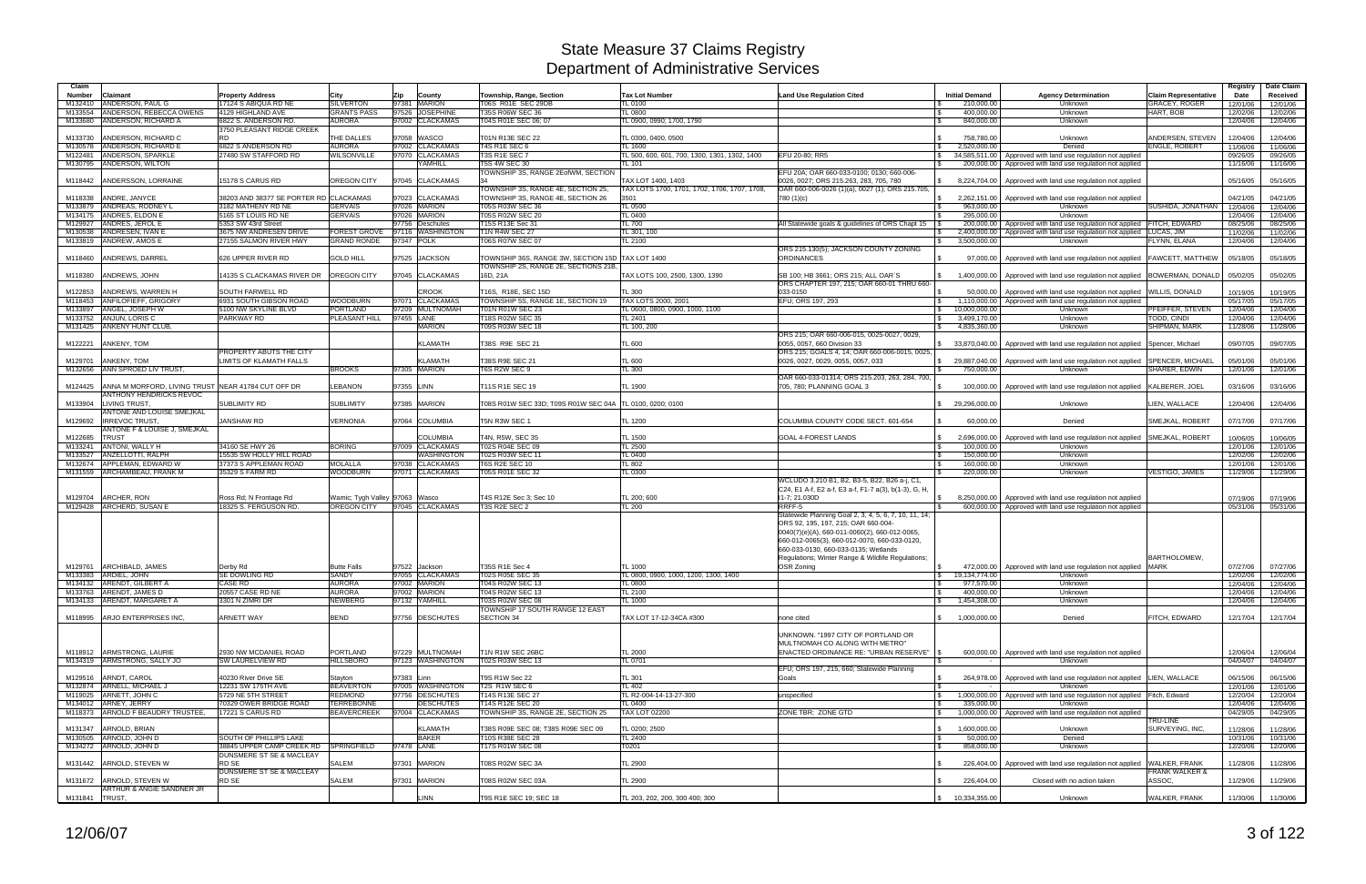| Claim            |                                                                                      |                                                      |                                    |                                                    |                                                       |                                                        |                                                                                      |                                            |                                                                                                                         |                                                   | Registry             | Date Claim           |
|------------------|--------------------------------------------------------------------------------------|------------------------------------------------------|------------------------------------|----------------------------------------------------|-------------------------------------------------------|--------------------------------------------------------|--------------------------------------------------------------------------------------|--------------------------------------------|-------------------------------------------------------------------------------------------------------------------------|---------------------------------------------------|----------------------|----------------------|
| <b>Number</b>    | <b>Claimant</b>                                                                      | <b>Property Address</b>                              | City                               | Zip<br>County                                      | Township, Range, Section                              | <b>Tax Lot Number</b>                                  | <b>Land Use Regulation Cited</b>                                                     | <b>Initial Demand</b>                      | <b>Agency Determination</b>                                                                                             | <b>Claim Representative</b>                       | Date                 | Received             |
| M132410          | ANDERSON, PAUL G                                                                     | 17124 S ABIQUA RD NE                                 | <b>SILVERTON</b>                   | 97381<br><b>MARION</b>                             | T06S R01E SEC 29DB                                    | <b>TL 0100</b>                                         |                                                                                      | 210,000.00                                 | Unknown                                                                                                                 | <b>GRACEY, ROGER</b>                              | 12/01/06             | 12/01/06             |
| M133554          | ANDERSON, REBECCA OWENS                                                              | 4129 HIGHLAND AVE                                    | <b>GRANTS PASS</b>                 | <b>JOSEPHINE</b><br>97526                          | T35S R06W SEC 36                                      | TL 0800                                                |                                                                                      | 400,000.00                                 | Unknown                                                                                                                 | HART, BOB                                         | 12/02/06             | 12/02/06             |
| M133680          | ANDERSON, RICHARD A                                                                  | 6822 S. ANDERSON RD.                                 | <b>AURORA</b>                      | 97002 CLACKAMAS                                    | T04S R01E SEC 06; 07                                  | L 0900, 0990; 1700, 1790                               |                                                                                      | 840,000.00                                 | Unknown                                                                                                                 |                                                   | 12/04/06             | 12/04/06             |
|                  |                                                                                      | 3750 PLEASANT RIDGE CREEK                            |                                    |                                                    |                                                       |                                                        |                                                                                      |                                            |                                                                                                                         |                                                   |                      |                      |
| M133730          | ANDERSON, RICHARD C<br>M130578 ANDERSON, RICHARD E                                   | RD.<br>6822 S ANDERSON RD                            | THE DALLES<br><b>AURORA</b>        | 97058<br><b>WASCO</b><br>97002<br><b>CLACKAMAS</b> | T01N R13E SEC 22<br><b>T4S R1E SEC 6</b>              | TL 0300, 0400, 0500<br><b>TL 1600</b>                  |                                                                                      | 758,780.00<br>2,520,000.00<br>$\mathbb{S}$ | Unknown<br>Denied                                                                                                       | ANDERSEN, STEVEN<br><b>ENGLE, ROBERT</b>          | 12/04/06<br>11/06/06 | 12/04/06<br>11/06/06 |
| M122481          | ANDERSON, SPARKLE                                                                    | 27480 SW STAFFORD RD                                 | <b>NILSONVILLE</b>                 | 97070<br><b>CLACKAMAS</b>                          | T3S R1E SEC 7                                         | TL 500, 600, 601, 700, 1300, 1301, 1302, 1400          | EFU 20-80: RR5                                                                       | 34.585.511.00<br>\$                        | Approved with land use regulation not applied                                                                           |                                                   | 09/26/05             | 09/26/05             |
|                  | M130795 ANDERSON, WILTON                                                             |                                                      |                                    | <b>AMHILL</b>                                      | <b>T5S 4W SEC 30</b>                                  | <b>TL 101</b>                                          |                                                                                      | 200,000.00                                 | Approved with land use regulation not applied                                                                           |                                                   | 11/16/06             | 11/16/06             |
|                  |                                                                                      |                                                      |                                    |                                                    | TOWNSHIP 3S, RANGE 2EofWM, SECTION                    |                                                        | EFU 20A: OAR 660-033-0100: 0130: 660-006-                                            |                                            |                                                                                                                         |                                                   |                      |                      |
| M118442          | ANDERSSON, LORRAINE                                                                  | 15178 S CARUS RD                                     | <b>OREGON CITY</b>                 | 97045 CLACKAMAS                                    |                                                       | TAX LOT 1400. 1403                                     | 0026, 0027; ORS 215.263, 283, 705, 780                                               | 8,224,704.00<br>$\mathcal{S}$              | Approved with land use regulation not applied                                                                           |                                                   | 05/16/05             | 05/16/05             |
|                  |                                                                                      |                                                      |                                    |                                                    | TOWNSHIP 3S, RANGE 4E, SECTION 25,                    | TAX LOTS 1700, 1701, 1702, 1706, 1707, 1708,           | OAR 660-006-0026 (1)(a), 0027 (1); ORS 215.705,                                      |                                            |                                                                                                                         |                                                   |                      |                      |
| M118338          | ANDRE, JANYCE                                                                        | 38203 AND 38377 SE PORTER RD CLACKAMAS               |                                    | 97023 CLACKAMAS                                    | TOWNSHIP 3S, RANGE 4E, SECTION 26                     | 3501                                                   | 780 (1)(c)                                                                           | 2,262,151.00                               | Approved with land use regulation not applied                                                                           |                                                   | 04/21/05             | 04/21/05             |
|                  | M133879 ANDREAS, RODNEY L                                                            | 3182 MATHENY RD NE                                   | <b>GERVAIS</b>                     | 97026 MARION                                       | T05S R03W SEC 36                                      | TL 0500                                                |                                                                                      | 963,000.00<br>$\mathfrak{L}$               | Unknown                                                                                                                 | SUSHIDA, JONATHAN                                 | 12/04/06             | 12/04/06             |
|                  | M134175 ANDRES, ELDON E                                                              | 5165 ST LOUIS RD NE                                  | <b>GERVAIS</b>                     | 97026 MARION                                       | T05S R02W SEC 20                                      | TL 0400                                                |                                                                                      | 295,000.00                                 | Unknown                                                                                                                 |                                                   | 12/04/06             | 12/04/06             |
| M129927          | ANDRES, JEROL E<br>M130538 ANDRESEN, IVAN E                                          | 5353 SW 43rd Street<br><b>3675 NW ANDRESEN DRIVE</b> | <b>FOREST GROVE</b>                | 97756<br>Deschutes<br>97116 WASHINGTON             | T15S R13E Sec 31<br><b>T1N R4W SEC 27</b>             | <b>TL 700</b><br>TL 301, 100                           | All Statewide goals & guidelines of ORS Chapt 15                                     | 200.000.00<br>2,400,000.00                 | Approved with land use regulation not applied FITCH, EDWARD<br>Approved with land use regulation not applied LUCAS, JIM |                                                   | 08/25/06<br>11/02/06 | 08/25/06<br>11/02/06 |
|                  | M133819 ANDREW, AMOS E                                                               | 27155 SALMON RIVER HWY                               | <b>GRAND RONDE</b>                 | 97347 POLK                                         | T06S R07W SEC 07                                      | TL 2100                                                |                                                                                      | 3,500,000.00<br>\$                         | Unknown                                                                                                                 | FLYNN, ELANA                                      | 12/04/06             | 12/04/06             |
|                  |                                                                                      |                                                      |                                    |                                                    |                                                       |                                                        | ORS 215.130(5); JACKSON COUNTY ZONING                                                |                                            |                                                                                                                         |                                                   |                      |                      |
|                  | M118460 ANDREWS, DARREL                                                              | 626 UPPER RIVER RD                                   | <b>GOLD HILL</b>                   | 97525 JACKSON                                      | TOWNSHIP 36S, RANGE 3W, SECTION 15D TAX LOT 1400      |                                                        | <b>ORDINANCES</b>                                                                    | 97.000.00                                  | Approved with land use regulation not applied FAWCETT, MATTHEW                                                          |                                                   | 05/18/05             | 05/18/05             |
|                  |                                                                                      |                                                      |                                    |                                                    | TOWNSHIP 2S, RANGE 2E, SECTIONS 21B.                  |                                                        |                                                                                      |                                            |                                                                                                                         |                                                   |                      |                      |
| M118380          | ANDREWS, JOHN                                                                        | 14135 S CLACKAMAS RIVER DR                           | <b>OREGON CITY</b>                 | 97045 CLACKAMAS                                    | 16D. 21A                                              | TAX LOTS 100, 2500, 1300, 1390                         | SB 100; HB 3661; ORS 215; ALL OAR`S                                                  | 1.400.000.00                               | Approved with land use regulation not applied   BOWERMAN, DONALD                                                        |                                                   | 05/02/05             | 05/02/05             |
|                  |                                                                                      |                                                      |                                    |                                                    |                                                       |                                                        | ORS CHAPTER 197, 215; OAR 660-01 THRU 660-                                           |                                            |                                                                                                                         |                                                   |                      |                      |
| M122853          | ANDREWS, WARREN H                                                                    | SOUTH FARWELL RD                                     |                                    | <b>CROOK</b>                                       | T16S. R18E. SEC 15D                                   | TL 300                                                 | 033-0150<br>EFU: ORS 197, 293                                                        | 50.000.00                                  | Approved with land use regulation not applied                                                                           | <b>WILLIS, DONALD</b>                             | 10/19/05             | 10/19/05             |
|                  | M118453 ANFILOFIEFF, GRIGORY<br>M133897 ANGEL, JOSEPH W                              | 6931 SOUTH GIBSON ROAD<br>5100 NW SKYLINE BLVD       | <b>WOODBURN</b><br><b>PORTLAND</b> | 97071 CLACKAMAS<br>97209 MULTNOMAH                 | TOWNSHIP 5S, RANGE 1E, SECTION 19<br>T01N R01W SEC 23 | TAX LOTS 2000, 2001<br>TL 0600, 0800, 0900, 1000, 1100 |                                                                                      | l \$<br>10.000.000.00<br>-SS               | 1,110,000.00 Approved with land use regulation not applied<br>Unknown                                                   | PFEIFFER, STEVEN                                  | 05/17/05<br>12/04/06 | 05/17/05<br>12/04/06 |
|                  | M133752 ANJUN, LORIS C                                                               | PARKWAY RD                                           | PLEASANT HILL                      | 97455 LANE                                         | T18S R02W SEC 35                                      | TL 2401                                                |                                                                                      | 3,499,170.00<br>\$                         | Unknown                                                                                                                 | TODD, CINDI                                       | 12/04/06             | 12/04/06             |
|                  | M131425 ANKENY HUNT CLUB,                                                            |                                                      |                                    | <b>MARION</b>                                      | T09S R03W SEC 18                                      | TL 100, 200                                            |                                                                                      | 4,835,360.00<br>\$                         | Unknown                                                                                                                 | <b>SHIPMAN, MARK</b>                              | 11/28/06             | 11/28/06             |
|                  |                                                                                      |                                                      |                                    |                                                    |                                                       |                                                        | ORS 215: OAR 660-006-015, 0025-0027, 0029.                                           |                                            |                                                                                                                         |                                                   |                      |                      |
| M122221          | ANKENY, TOM                                                                          |                                                      |                                    | <b>KLAMATH</b>                                     | T38S R9E SEC 21                                       | TL 600                                                 | 0055. 0057, 660 Division 33                                                          | 33,870,040.00                              | Approved with land use regulation not applied                                                                           | Spencer, Michael                                  | 09/07/05             | 09/07/05             |
|                  |                                                                                      | <b>PROPERTY ABUTS THE CITY</b>                       |                                    |                                                    |                                                       |                                                        | ORS 215; GOALS 4, 14; OAR 660-006-0015, 0025,                                        |                                            |                                                                                                                         |                                                   |                      |                      |
| M129701          | ANKENY, TOM                                                                          | LIMITS OF KLAMATH FALLS                              |                                    | <b>KLAMATH</b>                                     | T38S R9E SEC 21                                       | TL 600                                                 | 0026, 0027, 0029, 0055, 0057, 033                                                    | \$ 29,887,040.00                           | Approved with land use regulation not applied                                                                           | <b>SPENCER, MICHAEL</b>                           | 05/01/06             | 05/01/06             |
|                  | M132656 ANN SPROED LIV TRUST.                                                        |                                                      | <b>BROOKS</b>                      | 97305 MARION                                       | <b>T6S R2W SEC 9</b>                                  | TL300                                                  |                                                                                      | 750,000.00                                 | Unknown                                                                                                                 | SHARER, EDWIN                                     | 12/01/06             | 12/01/06             |
|                  |                                                                                      |                                                      | <b>EBANON</b>                      | 97355 LINN                                         |                                                       |                                                        | OAR 660-033-01314; ORS 215.203, 263, 284, 700.                                       |                                            |                                                                                                                         |                                                   |                      |                      |
| M124425          | ANNA M MORFORD, LIVING TRUST NEAR 41784 CUT OFF DR<br><b>ANTHONY HENDRICKS REVOC</b> |                                                      |                                    |                                                    | T11S R1E SEC 19                                       | TL 1900                                                | 705, 780; PLANNING GOAL 3                                                            | 100,000.00                                 | Approved with land use regulation not applied                                                                           | KALBERER, JOEI                                    | 03/16/06             | 03/16/06             |
| M133904          | <b>LIVING TRUST</b>                                                                  | <b>SUBLIMITY RD</b>                                  | <b>SUBLIMITY</b>                   | 97385 MARION                                       | T08S R01W SEC 33D; T09S R01W SEC 04A                  | TL 0100, 0200: 0100                                    |                                                                                      | \$ 29,296,000.00                           | Unknown                                                                                                                 | LIEN. WALLACE                                     | 12/04/06             | 12/04/06             |
|                  | <b>ANTONE AND LOUISE SMEJKAL</b>                                                     |                                                      |                                    |                                                    |                                                       |                                                        |                                                                                      |                                            |                                                                                                                         |                                                   |                      |                      |
|                  | M129692   IRREVOC TRUST                                                              | JANSHAW RD                                           | VERNONIA                           | 97064 COLUMBIA                                     | T5N R3W SEC 1                                         | TL 1200                                                | COLUMBIA COUNTY CODE SECT. 601-654                                                   | 60,000,00                                  | Denied                                                                                                                  | SMEJKAL, ROBERT                                   | 07/17/06             | 07/17/06             |
|                  | ANTONE F & LOUISE J, SMEJKAL                                                         |                                                      |                                    |                                                    |                                                       |                                                        |                                                                                      |                                            |                                                                                                                         |                                                   |                      |                      |
| M122685          | <b>TRUST</b>                                                                         |                                                      |                                    | <b>COLUMBIA</b>                                    | T4N, R5W, SEC 35                                      | TL 1500                                                | <b>GOAL 4-FOREST LANDS</b>                                                           | 2,696,000.00                               | Approved with land use regulation not applied                                                                           | SMEJKAL, ROBERT                                   | 10/06/05             | 10/06/05             |
|                  | M133241 ANTONI, WALLY H                                                              | 34160 SE HWY 26                                      | <b>BORING</b>                      | 97009<br><b>CLACKAMAS</b>                          | T02S R04E SEC 09                                      | <b>TL 2500</b>                                         |                                                                                      | 100,000.00                                 | Unknown                                                                                                                 |                                                   | 12/01/06             | 12/01/06             |
| M133527          | <b>ANZELLOTTI, RALPH</b>                                                             | 15535 SW HOLLY HILL ROAD                             |                                    | <b>WASHINGTON</b>                                  | T02S R03W SEC 11                                      | TL 0400                                                |                                                                                      | 150.000.00<br>l \$                         | Unknown                                                                                                                 |                                                   | 12/02/06             | 12/02/06             |
| M132674          | APPLEMAN, EDWARD W<br>M131559 ARCHAMBEAU, FRANK M                                    | 37373 S APPLEMAN ROAD<br>35329 S FARM RD             | <b>MOLALLA</b><br><b>WOODBURN</b>  | <b>CLACKAMAS</b><br>97038<br>97071 CLACKAMAS       | <b>T6S R2E SEC 10</b><br>T05S R01E SEC 32             | TL 802<br>TL 0300                                      |                                                                                      | 160,000,00<br>220,000.00                   | Unknown<br>Unknown                                                                                                      | <b>VESTIGO, JAMES</b>                             | 12/01/06<br>11/29/06 | 12/01/06<br>11/29/06 |
|                  |                                                                                      |                                                      |                                    |                                                    |                                                       |                                                        | WCLUDO 3.210 B1, B2, B3-5, B22, B26 a-i, C1,                                         |                                            |                                                                                                                         |                                                   |                      |                      |
|                  |                                                                                      |                                                      |                                    |                                                    |                                                       |                                                        | C24, E1 A-f, E2 a-f, E3 a-f, F1-7 a(3), b(1-3), G, H,                                |                                            |                                                                                                                         |                                                   |                      |                      |
| M129704          | ARCHER, RON                                                                          | Ross Rd; N Frontage Rd                               | Wamic; Tygh Valley 97063 Wasco     |                                                    | T4S R12E Sec 3; Sec 10                                | TL 200; 600                                            | I1-7; 21.030D                                                                        | 8,250,000.00                               | Approved with land use regulation not applied                                                                           |                                                   | 07/19/06             | 07/19/06             |
|                  | M129428 ARCHERD, SUSAN E                                                             | 18325 S. FERGUSON RD.                                | OREGON CITY                        | 97045 CLACKAMAS                                    | T3S R2E SEC 2                                         | <b>TL 200</b>                                          | RRFF-5                                                                               | 600.000.00<br>1.S                          | Approved with land use regulation not applied                                                                           |                                                   | 05/31/06             | 05/31/06             |
|                  |                                                                                      |                                                      |                                    |                                                    |                                                       |                                                        | Statewide Planning Goal 2, 3, 4, 5, 6, 7, 10, 11, 14;                                |                                            |                                                                                                                         |                                                   |                      |                      |
|                  |                                                                                      |                                                      |                                    |                                                    |                                                       |                                                        | ORS 92, 195, 197, 215; OAR 660-004-                                                  |                                            |                                                                                                                         |                                                   |                      |                      |
|                  |                                                                                      |                                                      |                                    |                                                    |                                                       |                                                        | 0040(7)(e)(A), 660-011-0060(2), 660-012-0065,                                        |                                            |                                                                                                                         |                                                   |                      |                      |
|                  |                                                                                      |                                                      |                                    |                                                    |                                                       |                                                        | 660-012-0065(3), 660-012-0070, 660-033-0120,<br>660-033-0130, 660-033-0135; Wetlands |                                            |                                                                                                                         |                                                   |                      |                      |
|                  |                                                                                      |                                                      |                                    |                                                    |                                                       |                                                        | Regulations; Winter Range & Wildlife Regulations                                     |                                            |                                                                                                                         | <b>BARTHOLOMEW</b>                                |                      |                      |
|                  | M129761 ARCHIBALD, JAMES                                                             | Derby Rd                                             | <b>Butte Falls</b>                 | 97522 Jackson                                      | T35S R1E Sec 4                                        | <b>TL 1000</b>                                         | OSR Zoning                                                                           |                                            | 472,000.00   Approved with land use regulation not applied MARK                                                         |                                                   | 07/27/06             | 07/27/06             |
|                  | M133383 ARDIEL, JOHN                                                                 | SE DOWLING RD                                        | <b>SANDY</b>                       | 97055 CLACKAMAS                                    | T02S R05E SEC 35                                      | TL 0800, 0900, 1000, 1200, 1300, 1400                  |                                                                                      | l \$<br>19,134,774.00                      | Unknown                                                                                                                 |                                                   | 12/02/06             | 12/02/06             |
|                  | M134132 ARENDT, GILBERT A                                                            | <b>CASE RD</b>                                       | <b>AURORA</b>                      | 97002 MARION                                       | T04S R02W SEC 13                                      | TL 0800                                                |                                                                                      | 977,570.00<br>-SS                          | Unknown                                                                                                                 |                                                   | 12/04/06             | 12/04/06             |
|                  | M133763 ARENDT, JAMES D                                                              | 20557 CASE RD NE                                     | <b>AURORA</b>                      | 97002 MARION                                       | T04S R02W SEC 13                                      | <b>TL 2100</b>                                         |                                                                                      | 400,000.00<br><b>S</b>                     | Unknown                                                                                                                 |                                                   | 12/04/06             | 12/04/06             |
|                  | M134133 ARENDT, MARGARET A                                                           | 3301 N ZIMRI DR                                      | <b>NEWBERG</b>                     | 97132 YAMHILL                                      | T03S R02W SEC 08<br>TOWNSHIP 17 SOUTH RANGE 12 EAST   | <b>TL 1000</b>                                         |                                                                                      | 1,454,308.00<br>\$                         | Unknown                                                                                                                 |                                                   | 12/04/06             | 12/04/06             |
|                  | M118995 ARJO ENTERPRISES INC.                                                        | ARNETT WAY                                           | <b>BEND</b>                        | 97756 DESCHUTES                                    | SECTION 34                                            | TAX LOT 17-12-34CA #300                                | none cited                                                                           | 1,000,000.00                               | Denied                                                                                                                  | FITCH, EDWARD                                     | 12/17/04             | 12/17/04             |
|                  |                                                                                      |                                                      |                                    |                                                    |                                                       |                                                        |                                                                                      |                                            |                                                                                                                         |                                                   |                      |                      |
|                  |                                                                                      |                                                      |                                    |                                                    |                                                       |                                                        | UNKNOWN. "1997 CITY OF PORTLAND OR                                                   |                                            |                                                                                                                         |                                                   |                      |                      |
|                  |                                                                                      |                                                      |                                    |                                                    |                                                       |                                                        | MULTNOMAH CO ALONG WITH METRO"                                                       |                                            |                                                                                                                         |                                                   |                      |                      |
|                  | M118912 ARMSTRONG, LAURIE                                                            | 2930 NW MCDANIEL ROAD                                | <b>PORTLAND</b>                    | 97229 MULTNOMAH                                    | T1N R1W SEC 26BC                                      | <b>TL 2000</b>                                         | ENACTED ORDINANCE RE: "URBAN RESERVE" S                                              |                                            | 600,000.00 Approved with land use regulation not applied                                                                |                                                   | 12/06/04             | 12/06/04             |
|                  | M134319 ARMSTRONG, SALLY JO                                                          | SW LAURELVIEW RD                                     | <b>HILLSBORO</b>                   | 97123 WASHINGTON                                   | T02S R03W SEC 13                                      | TL 0701                                                |                                                                                      |                                            | Unknown                                                                                                                 |                                                   | 04/04/07             | 04/04/07             |
|                  |                                                                                      |                                                      |                                    |                                                    |                                                       |                                                        | EFU; ORS 197, 215, 660; Statewide Planning                                           |                                            |                                                                                                                         |                                                   |                      |                      |
|                  | M129516 ARNDT, CAROL                                                                 | 40230 River Drive SE                                 | Stayton                            | 97383 Linn                                         | <b>T9S R1W Sec 22</b>                                 | TL 301                                                 | Goals                                                                                | 264,978.00                                 | Approved with land use regulation not applied LIEN, WALLACE                                                             |                                                   | 06/15/06             | 06/15/06             |
|                  | M132874 ARNELL, MICHAEL J<br>M119025 ARNETT, JOHN C                                  | 12231 SW 175TH AVE<br>5729 NE 5TH STREET             | <b>BEAVERTON</b><br><b>REDMOND</b> | 97005 WASHINGTON<br>97756 DESCHUTES                | T2S R1W SEC 6<br>T14S R13E SEC 27                     | TL 402<br>TL R2-004-14-13-27-300                       | unspecified                                                                          | l \$<br>\$                                 | Unknown<br>1,000,000.00 Approved with land use regulation not applied Fitch, Edward                                     |                                                   | 12/01/06<br>12/20/04 | 12/01/06<br>12/20/04 |
|                  | M134012 ARNEY, JERRY                                                                 | 70329 OWER BRIDGE ROAD                               | TERREBONNE                         | <b>DESCHUTES</b>                                   | T14S R12E SEC 20                                      | TL 0400                                                |                                                                                      | 335,000.00<br>-S                           | Unknown                                                                                                                 |                                                   | 12/04/06             | 12/04/06             |
|                  | M118373 ARNOLD F BEAUDRY TRUSTEE,                                                    | <b>17221 S CARUS RD</b>                              | <b>BEAVERCREEK</b>                 | 97004 CLACKAMAS                                    | TOWNSHIP 3S, RANGE 2E, SECTION 25                     | <b>TAX LOT 02200</b>                                   | ZONE TBR; ZONE GTD                                                                   | \$                                         | 1,000,000.00 Approved with land use regulation not applied                                                              |                                                   | 04/29/05             | 04/29/05             |
|                  |                                                                                      |                                                      |                                    |                                                    |                                                       |                                                        |                                                                                      |                                            |                                                                                                                         | TRU-LINE                                          |                      |                      |
|                  | M131347 ARNOLD, BRIAN                                                                |                                                      |                                    | <b>KLAMATH</b>                                     | T38S R09E SEC 08; T38S R09E SEC 09                    | TL 0200; 2500                                          |                                                                                      | 1,600,000.00<br>\$                         | Unknown                                                                                                                 | SURVEYING, INC.                                   | 11/28/06             | 11/28/06             |
|                  | M130505 ARNOLD, JOHN D                                                               | SOUTH OF PHILLIPS LAKE                               |                                    | <b>BAKER</b>                                       | T10S R38E SEC 28                                      | <b>TL 2400</b>                                         |                                                                                      | 50,000.00<br>l \$                          | Denied                                                                                                                  |                                                   | 10/31/06             | 10/31/06             |
|                  | M134272 ARNOLD, JOHN D                                                               | 38845 UPPER CAMP CREEK RD SPRINGFIELD                |                                    | 97478 LANE                                         | T17S R01W SEC 08                                      | Т0201                                                  |                                                                                      | 858,000.00<br><b>S</b>                     | Unknown                                                                                                                 |                                                   | 12/20/06             | 12/20/06             |
|                  |                                                                                      | DUNSMERE ST SE & MACLEAY                             |                                    |                                                    |                                                       |                                                        |                                                                                      |                                            |                                                                                                                         |                                                   |                      |                      |
|                  | M131442 ARNOLD, STEVEN W                                                             | RD SE<br>DUNSMERE ST SE & MACLEAY                    | <b>SALEM</b>                       | 97301 MARION                                       | T08S R02W SEC 3A                                      | TL 2900                                                |                                                                                      | -S                                         | 226,404.00   Approved with land use regulation not applied                                                              | <b>WALKER, FRANK</b><br><b>FRANK WALKER &amp;</b> | 11/28/06             | 11/28/06             |
|                  | M131672 ARNOLD, STEVEN W                                                             | RD SE                                                | <b>SALEM</b>                       | 97301 MARION                                       | T08S R02W SEC 03A                                     | TL 2900                                                |                                                                                      | 226,404.00                                 | Closed with no action taken                                                                                             | ASSOC,                                            | 11/29/06             | 11/29/06             |
|                  | ARTHUR & ANGIE SANDNER JR                                                            |                                                      |                                    |                                                    |                                                       |                                                        |                                                                                      |                                            |                                                                                                                         |                                                   |                      |                      |
| M131841   TRUST, |                                                                                      |                                                      |                                    | LINN                                               | T9S R1E SEC 19; SEC 18                                | TL 203, 202, 200, 300 400; 300                         |                                                                                      | 10,334,355.00<br>\$                        | Unknown                                                                                                                 | <b>WALKER, FRANK</b>                              | 11/30/06             | 11/30/06             |
|                  |                                                                                      |                                                      |                                    |                                                    |                                                       |                                                        |                                                                                      |                                            |                                                                                                                         |                                                   |                      |                      |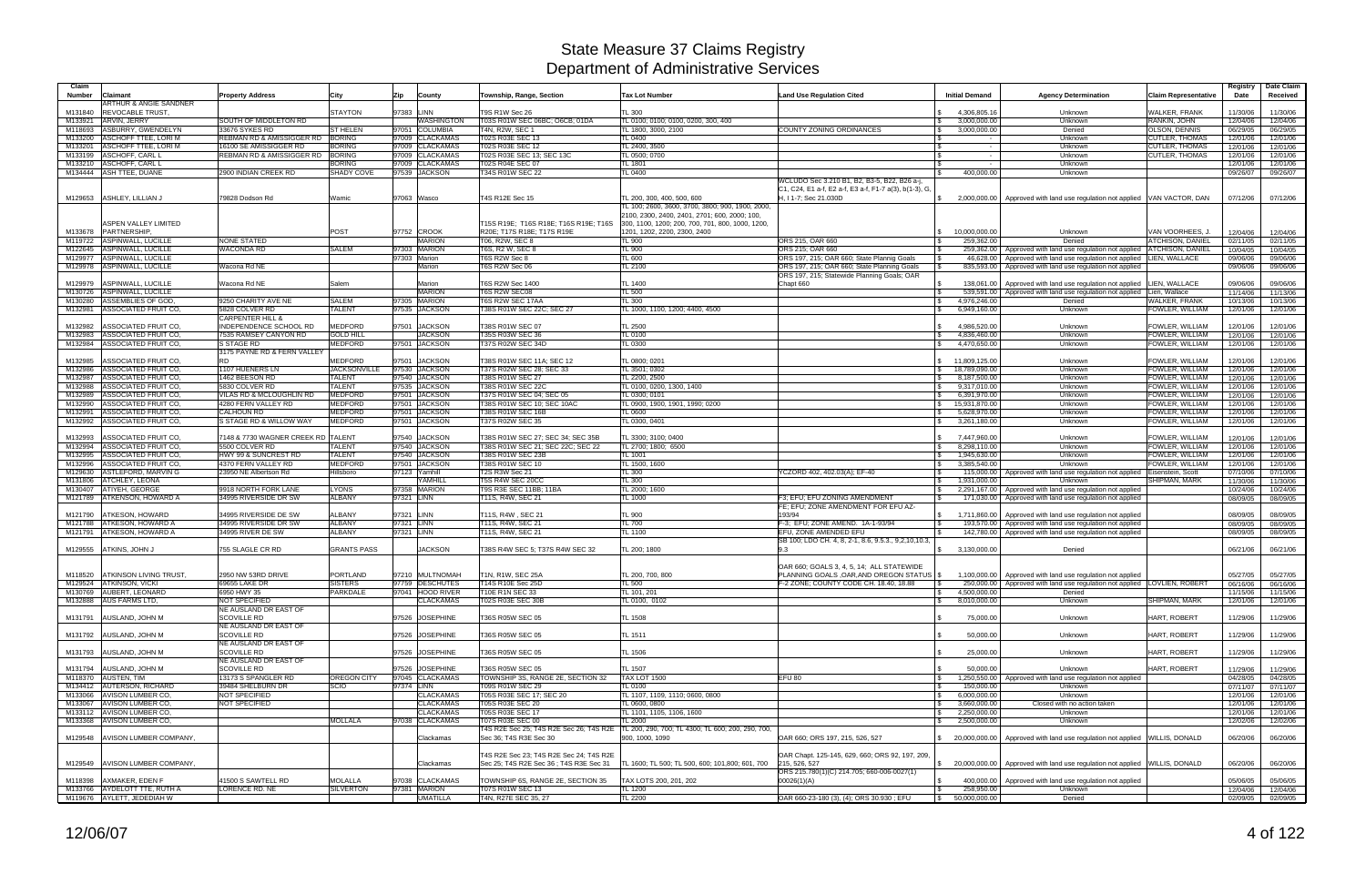| Claim<br><b>Number</b> | Claimant                                                 | <b>Property Address</b>                                | City                             | Zip        | County                              | Township, Range, Section                        | <b>Tax Lot Number</b>                                                                                         | <b>Land Use Regulation Cited</b>                                                | <b>Initial Demand</b>         | <b>Agency Determination</b>                                                                                                           | <b>Claim Representative</b>                    | Registry<br>Date     | Date Claim<br>Received |
|------------------------|----------------------------------------------------------|--------------------------------------------------------|----------------------------------|------------|-------------------------------------|-------------------------------------------------|---------------------------------------------------------------------------------------------------------------|---------------------------------------------------------------------------------|-------------------------------|---------------------------------------------------------------------------------------------------------------------------------------|------------------------------------------------|----------------------|------------------------|
| M131840                | ARTHUR & ANGIE SANDNER<br><b>REVOCABLE TRUST.</b>        |                                                        | <b>STAYTON</b>                   | 97383 LINN |                                     | T9S R1W Sec 26                                  | <b>TL 300</b>                                                                                                 |                                                                                 | 4,306,805.16                  | Unknown                                                                                                                               | <b>WALKER, FRANK</b>                           | 11/30/06             | 11/30/06               |
| M133921                | ARVIN, JERRY                                             | SOUTH OF MIDDLETON RD                                  |                                  |            | <b>NASHINGTON</b>                   | T03S R01W SEC 06BC: O6CB: 01DA                  | TL 0100; 0100; 0100, 0200, 300, 400                                                                           |                                                                                 | 3,000,000.00                  | Unknown                                                                                                                               | RANKIN, JOHN                                   | 12/04/06             | 12/04/06               |
| M118693                | ASBURRY, GWENDELYN                                       | 33676 SYKES RD                                         | <b>ST HELEN</b>                  |            | 97051 COLUMBIA                      | T4N, R2W, SEC 1                                 | TL 1800, 3000, 2100                                                                                           | <b>COUNTY ZONING ORDINANCES</b>                                                 | 3,000,000.00                  | Denied                                                                                                                                | OLSON, DENNIS                                  | 06/29/05             | 06/29/05               |
| M133200                | <b>ASCHOFF TTEE, LORI M</b>                              | REBMAN RD & AMISSIGGER RD BORING                       |                                  |            | 97009 CLACKAMAS                     | T02S R03E SEC 13                                | TL 0400                                                                                                       |                                                                                 |                               | Unknown                                                                                                                               | <b>CUTLER, THOMAS</b>                          | 12/01/06             | 12/01/06               |
| M133201<br>M133199     | <b>ASCHOFF TTEE, LORI M</b><br>ASCHOFF, CARL L           | 16100 SE AMISSIGGER RD<br>REBMAN RD & AMISSIGGER RD    | <b>BORING</b><br>BORING          |            | 97009 CLACKAMAS<br>97009 CLACKAMAS  | T02S R03E SEC 12<br>T02S R03E SEC 13; SEC 13C   | TL 2400, 3500<br>TL 0500; 0700                                                                                |                                                                                 | $\sim$                        | Unknown<br>Unknown                                                                                                                    | <b>CUTLER, THOMAS</b><br><b>CUTLER, THOMAS</b> | 12/01/06<br>12/01/06 | 12/01/06<br>12/01/06   |
|                        | M133210 ASCHOFF, CARL I                                  |                                                        | <b>BORING</b>                    |            | 97009 CLACKAMAS                     | T02S R04E SEC 07                                | TL 1801                                                                                                       |                                                                                 |                               | Unknown                                                                                                                               |                                                | 12/01/06             | 12/01/06               |
|                        | M134444 ASH TTEE, DUANE                                  | 2900 INDIAN CREEK RD                                   | SHADY COVE                       |            | 97539 JACKSON                       | T34S R01W SEC 22                                | TL 0400                                                                                                       |                                                                                 | 400,000.00                    | Unknown                                                                                                                               |                                                | 09/26/07             | 09/26/07               |
|                        |                                                          |                                                        |                                  |            |                                     |                                                 |                                                                                                               | WCLUDO Sec 3.210 B1, B2, B3-5, B22, B26 a-j,                                    |                               |                                                                                                                                       |                                                |                      |                        |
|                        | M129653 ASHLEY, LILLIAN J                                | 79828 Dodson Rd                                        |                                  |            |                                     | T4S R12E Sec 15                                 | TL 200, 300, 400, 500, 600                                                                                    | C1, C24, E1 a-f, E2 a-f, E3 a-f, F1-7 a(3), b(1-3), G,<br>H, I 1-7; Sec 21.030D |                               |                                                                                                                                       |                                                |                      |                        |
|                        |                                                          |                                                        | Wamic                            |            | 97063 Wasco                         |                                                 | TL 100; 2600, 3600, 3700, 3800; 900, 1900, 2000,                                                              |                                                                                 |                               | 2,000,000.00   Approved with land use regulation not applied VAN VACTOR, DAN                                                          |                                                | 07/12/06             | 07/12/06               |
|                        |                                                          |                                                        |                                  |            |                                     |                                                 | 2100, 2300, 2400, 2401, 2701; 600, 2000; 100,                                                                 |                                                                                 |                               |                                                                                                                                       |                                                |                      |                        |
|                        | ASPEN VALLEY LIMITED                                     |                                                        |                                  |            |                                     | T15S R19E; T16S R18E; T16S R19E; T16S           | 300, 1100, 1200; 200, 700, 701, 800, 1000, 1200,                                                              |                                                                                 |                               |                                                                                                                                       |                                                |                      |                        |
|                        | M133678 PARTNERSHIP                                      |                                                        | <b>POST</b>                      |            | 97752 CROOK                         | R20E; T17S R18E; T17S R19E                      | 1201, 1202, 2200, 2300, 2400                                                                                  |                                                                                 | 10,000,000.00                 | Unknown                                                                                                                               | VAN VOORHEES, J.                               | 12/04/06             | 12/04/06               |
|                        | M119722 ASPINWALL, LUCILLE<br>M122645 ASPINWALL, LUCILLE | <b>NONE STATED</b><br><b>WACONDA RD</b>                | SALEM                            |            | <b>MARION</b><br>97303 MARION       | T06, R2W, SEC 8<br>T6S, R2 W, SEC 8             | <b>TL 900</b><br><b>TL 900</b>                                                                                | ORS 215, OAR 660<br>ORS 215; OAR 660                                            | 259,362.00                    | Denied                                                                                                                                | ATCHISON, DANIEL<br><b>ATCHISON, DANIEL</b>    | 02/11/05             | 02/11/05               |
|                        | M129977 ASPINWALL, LUCILLE                               |                                                        |                                  |            | 97303 Marion                        | T6S R2W Sec 8                                   | <b>TL 600</b>                                                                                                 | ORS 197, 215; OAR 660; State Plannig Goals                                      |                               | 259,362.00 Approved with land use regulation not applied<br>46,628.00   Approved with land use regulation not applied   LIEN, WALLACE |                                                | 10/04/05<br>09/06/06 | 10/04/05<br>09/06/06   |
|                        | M129978 ASPINWALL, LUCILLE                               | Wacona Rd NE                                           |                                  |            | Marion                              | T6S R2W Sec 06                                  | TL 2100                                                                                                       | ORS 197, 215; OAR 660; State Planning Goals                                     |                               | 835,593.00   Approved with land use regulation not applied                                                                            |                                                | 09/06/06             | 09/06/06               |
|                        |                                                          |                                                        |                                  |            |                                     |                                                 |                                                                                                               | ORS 197, 215; Statewide Planning Goals; OAR                                     |                               |                                                                                                                                       |                                                |                      |                        |
| M129979                | ASPINWALL, LUCILLE                                       | Wacona Rd NE                                           | Salem                            |            | Marion                              | T6S R2W Sec 1400                                | TL 1400                                                                                                       | Chapt 660                                                                       |                               | 138,061.00   Approved with land use regulation not applied                                                                            | LIEN, WALLACE                                  | 09/06/06             | 09/06/06               |
|                        | M130726 ASPINWALL, LUCILLE                               |                                                        | <b>SALEM</b>                     |            | <b>MARION</b>                       | T6S R2W SEC08                                   | <b>TL 500</b>                                                                                                 |                                                                                 |                               | 539,591.00 Approved with land use regulation not applied                                                                              | Lien, Wallace                                  | 11/14/06             | 11/13/06               |
| M132981                | M130280 ASSEMBLIES OF GOD,<br>ASSOCIATED FRUIT CO.       | 9250 CHARITY AVE NE<br>5828 COLVER RD                  | <b>TALENT</b>                    |            | 97305 MARION<br>97535 JACKSON       | T6S R2W SEC 17AA<br>T38S R01W SEC 22C; SEC 27   | <b>TL 300</b><br>TL 1000, 1100, 1200; 4400, 4500                                                              |                                                                                 | 4,976,246.00<br>6,949,160.00  | Denied<br>Unknown                                                                                                                     | WALKER, FRANK<br>FOWLER, WILLIAM               | 10/13/06<br>12/01/06 | 10/13/06<br>12/01/06   |
|                        |                                                          | <b>CARPENTER HILL &amp;</b>                            |                                  |            |                                     |                                                 |                                                                                                               |                                                                                 |                               |                                                                                                                                       |                                                |                      |                        |
| M132982                | ASSOCIATED FRUIT CO,                                     | INDEPENDENCE SCHOOL RD                                 | <b>MEDFORD</b>                   | 97501      | <b>JACKSON</b>                      | T38S R01W SEC 07                                | <b>TL 2500</b>                                                                                                |                                                                                 | 4,986,520.00                  | Unknown                                                                                                                               | FOWLER, WILLIAM                                | 12/01/06             | 12/01/06               |
| M132983                | ASSOCIATED FRUIT CO.                                     | 7535 RAMSEY CANYON RD                                  | <b>GOLD HILL</b>                 |            | <b>JACKSON</b>                      | T35S R03W SEC 36                                | TL 0100                                                                                                       |                                                                                 | 4,836,460.00                  | Unknown                                                                                                                               | FOWLER, WILLIAM                                | 12/01/06             | 12/01/06               |
| M132984                | ASSOCIATED FRUIT CO,                                     | S STAGE RD                                             | MEDFORD                          |            | 97501 JACKSON                       | T37S R02W SEC 34D                               | TL 0300                                                                                                       |                                                                                 | 4,470,650.00                  | Unknown                                                                                                                               | FOWLER, WILLIAM                                | 12/01/06             | 12/01/06               |
| M132985                | ASSOCIATED FRUIT CO,                                     | 3175 PAYNE RD & FERN VALLEY<br><b>RD</b>               | <b>MEDFORD</b>                   | 97501      | <b>JACKSON</b>                      | T38S R01W SEC 11A; SEC 12                       | TL 0800; 0201                                                                                                 |                                                                                 | 11,809,125.00                 | Unknown                                                                                                                               | FOWLER, WILLIAM                                | 12/01/06             | 12/01/06               |
| M132986                | ASSOCIATED FRUIT CO.                                     | 1107 HUENERS LN                                        | <b>JACKSONVILLE</b>              |            | 97530 JACKSON                       | T37S R02W SEC 28; SEC 33                        | TL 3501; 0302                                                                                                 |                                                                                 | 18,789,090.00                 | Unknown                                                                                                                               | FOWLER, WILLIAM                                | 12/01/06             | 12/01/06               |
| M132987                | ASSOCIATED FRUIT CO.                                     | 1462 BEESON RD                                         | <b>TALENT</b>                    |            | 97540 JACKSON                       | T38S R01W SEC 27                                | TL 2200, 2500                                                                                                 |                                                                                 | 8,187,500.00                  | Unknown                                                                                                                               | FOWLER, WILLIAM                                | 12/01/06             | 12/01/06               |
| M132988                | ASSOCIATED FRUIT CO.                                     | 5830 COLVER RD                                         | <b>TALENT</b>                    |            | 97535 JACKSON                       | T38S R01W SEC 22C                               | TL 0100, 0200, 1300, 1400                                                                                     |                                                                                 | 9,317,010.00                  | Unknown                                                                                                                               | FOWLER, WILLIAM                                | 12/01/06             | 12/01/06               |
| M132989                | ASSOCIATED FRUIT CO.                                     | VILAS RD & MCLOUGHLIN RD                               | <b>MEDFORD</b>                   |            | 97501 JACKSON                       | T37S R01W SEC 04; SEC 05                        | TL 0300; 0101                                                                                                 |                                                                                 | 6,391,970.00                  | Unknown                                                                                                                               | FOWLER, WILLIAM                                | 12/01/06             | 12/01/06               |
| M132990<br>M132991     | ASSOCIATED FRUIT CO,<br>ASSOCIATED FRUIT CO.             | 4280 FERN VALLEY RD<br><b>CALHOUN RD</b>               | <b>MEDFORD</b><br><b>MEDFORD</b> |            | 97501 JACKSON<br>97501 JACKSON      | T38S R01W SEC 10; SEC 10AC<br>T38S R01W SEC 16B | TL 0900, 1900, 1901, 1990; 0200<br>TL 0600                                                                    |                                                                                 | 15,931,870.00<br>5,628,970.00 | Unknown<br>Unknown                                                                                                                    | FOWLER, WILLIAM<br>FOWLER, WILLIAM             | 12/01/06<br>12/01/06 | 12/01/06               |
| M132992                | ASSOCIATED FRUIT CO.                                     | S STAGE RD & WILLOW WAY                                | <b>MEDFORD</b>                   |            | 97501 JACKSON                       | T37S R02W SEC 35                                | TL 0300, 0401                                                                                                 |                                                                                 | 3,261,180.00                  | Unknown                                                                                                                               | FOWLER, WILLIAM                                | 12/01/06             | 12/01/06<br>12/01/06   |
|                        |                                                          |                                                        |                                  |            |                                     |                                                 |                                                                                                               |                                                                                 |                               |                                                                                                                                       |                                                |                      |                        |
| M132993                | ASSOCIATED FRUIT CO,                                     | 7148 & 7730 WAGNER CREEK RD TALENT                     |                                  |            | 97540 JACKSON                       | T38S R01W SEC 27; SEC 34; SEC 35B               | TL 3300; 3100; 0400                                                                                           |                                                                                 | 7,447,960.00                  | Unknown                                                                                                                               | FOWLER, WILLIAM                                | 12/01/06             | 12/01/06               |
| M132994                | ASSOCIATED FRUIT CO,                                     | 5500 COLVER RD                                         | <b>TALENT</b>                    |            | 97540 JACKSON                       | T38S R01W SEC 21; SEC 22C; SEC 22               | TL 2700; 1800; 6500                                                                                           |                                                                                 | 8,298,110.00                  | Unknown                                                                                                                               | FOWLER, WILLIAM                                | 12/01/06             | 12/01/06               |
| M132995<br>M132996     | ASSOCIATED FRUIT CO.<br>ASSOCIATED FRUIT CO,             | <b>HWY 99 &amp; SUNCREST RD</b><br>4370 FERN VALLEY RD | <b>TALENT</b><br><b>MEDFORD</b>  |            | 97540 JACKSON<br>97501 JACKSON      | T38S R01W SEC 23B<br>T38S R01W SEC 10           | <b>TL 1001</b><br>TL 1500, 1600                                                                               |                                                                                 | 1,945,630.00<br>3,385,540.00  | Unknown<br>Unknown                                                                                                                    | FOWLER, WILLIAM<br>FOWLER, WILLIAM             | 12/01/06<br>12/01/06 | 12/01/06               |
| M129630                | ASTLEFORD, MARVIN G                                      | 23950 NE Albertson Rd                                  | Hillsboro                        |            | 97123 Yamhill                       | T2S R3W Sec 21                                  | <b>TL 300</b>                                                                                                 | YCZORD 402, 402.03(A); EF-40                                                    |                               | 115,000.00   Approved with land use regulation not applied                                                                            | Eisenstein, Scott                              | 07/10/06             | 12/01/06<br>07/10/06   |
|                        | M131806 ATCHLEY, LEONA                                   |                                                        |                                  |            | YAMHILL                             | T5S R4W SEC 20CC                                | <b>TL 300</b>                                                                                                 |                                                                                 | 1,931,000.00                  | Unknown                                                                                                                               | SHIPMAN, MARK                                  | 11/30/06             | 11/30/06               |
|                        | M130407 ATIYEH, GEORGE                                   | 9918 NORTH FORK LANE                                   | <b>LYONS</b>                     |            | 97358 MARION                        | T9S R3E SEC 11BB; 11BA                          | TL 2000; 1600                                                                                                 |                                                                                 |                               | 2,291,167.00   Approved with land use regulation not applied                                                                          |                                                | 10/24/06             | 10/24/06               |
|                        | M121789 ATKENSON, HOWARD A                               | 34995 RIVERSIDE DR SW                                  | <b>ALBANY</b>                    | 97321 LINN |                                     | T11S, R4W, SEC 21                               | TL 1000                                                                                                       | F3; EFU; EFU ZONING AMENDMENT                                                   |                               | 171,030.00   Approved with land use regulation not applied                                                                            |                                                | 08/09/05             | 08/09/05               |
| M121790                | <b>ATKESON, HOWARD</b>                                   | 34995 RIVERSIDE DE SW                                  | <b>ALBANY</b>                    | 97321 LINN |                                     | T11S, R4W, SEC 21                               | <b>TL 900</b>                                                                                                 | FE: EFU: ZONE AMENDMENT FOR EFU AZ-<br>193/94                                   |                               |                                                                                                                                       |                                                |                      |                        |
|                        | M121788 ATKESON, HOWARD A                                | 34995 RIVERSIDE DR SW                                  | <b>ALBANY</b>                    | 97321 LINN |                                     | T11S, R4W, SEC 21                               | <b>TL 700</b>                                                                                                 | F-3; EFU; ZONE AMEND. 1A-1-93/94                                                |                               | 1,711,860.00   Approved with land use regulation not applied<br>193,570.00   Approved with land use regulation not applied            |                                                | 08/09/05<br>08/09/05 | 08/09/05<br>08/09/05   |
|                        | M121791 ATKESON, HOWARD A                                | 34995 RIVER DE SW                                      | <b>ALBANY</b>                    | 97321 LINN |                                     | T11S, R4W, SEC 21                               | TL 1100                                                                                                       | <b>EFU, ZONE AMENDED EFU</b>                                                    |                               | 142,780.00 Approved with land use regulation not applied                                                                              |                                                | 08/09/05             | 08/09/05               |
|                        |                                                          |                                                        |                                  |            |                                     |                                                 |                                                                                                               | SB 100; LDO CH. 4, 8, 2-1, 8.6, 9.5.3., 9,2,10,10.3,                            |                               |                                                                                                                                       |                                                |                      |                        |
| M129555                | ATKINS, JOHN J                                           | 755 SLAGLE CR RD                                       | <b>GRANTS PASS</b>               |            | <b>JACKSON</b>                      | T38S R4W SEC 5; T37S R4W SEC 32                 | TL 200; 1800                                                                                                  | 9.3                                                                             | 3,130,000.00                  | Denied                                                                                                                                |                                                | 06/21/06             | 06/21/06               |
|                        |                                                          |                                                        |                                  |            |                                     |                                                 |                                                                                                               | OAR 660: GOALS 3, 4, 5, 14: ALL STATEWIDE                                       |                               |                                                                                                                                       |                                                |                      |                        |
|                        | M118520 ATKINSON LIVING TRUST                            | 2950 NW 53RD DRIVE                                     | <b>PORTLAND</b>                  |            | 97210 MULTNOMAH                     | T1N, R1W, SEC 25A                               | TL 200, 700, 800                                                                                              | PLANNING GOALS, OAR, AND OREGON STATUS \$                                       |                               | 1,100,000.00 Approved with land use regulation not applied                                                                            |                                                | 05/27/05             | 05/27/05               |
|                        | M129524 ATKINSON, VICKI                                  | 69655 LAKE DR                                          | <b>SISTERS</b>                   |            | 97759 DESCHUTES                     | T14S R10E Sec 25D                               | TL 500                                                                                                        | F-2 ZONE; COUNTY CODE CH. 18.40, 18.88                                          |                               | 250,000.00   Approved with land use regulation not applied   LOVLIEN, ROBERT                                                          |                                                | 06/16/06             | 06/16/06               |
|                        | M130769 AUBERT, LEONARD                                  | 6950 HWY 35                                            | <b>PARKDALE</b>                  |            | 97041 HOOD RIVER                    | T10E R1N SEC 33                                 | TL 101, 201                                                                                                   |                                                                                 | 4,500,000.00                  | Denied                                                                                                                                |                                                | 11/15/06             | 11/15/06               |
|                        | M132888 AUS FARMS LTD.                                   | <b>NOT SPECIFIED</b><br>NE AUSLAND DR EAST OF          |                                  |            | <b>CLACKAMAS</b>                    | <b>T02S R03E SEC 30B</b>                        | TL 0100, 0102                                                                                                 |                                                                                 | 8,010,000.00                  | Unknown                                                                                                                               | SHIPMAN, MARK                                  | 12/01/06             | 12/01/06               |
|                        | M131791 AUSLAND, JOHN M                                  | <b>SCOVILLE RD</b>                                     |                                  |            | 97526 JOSEPHINE                     | T36S R05W SEC 05                                | TL 1508                                                                                                       |                                                                                 | 75,000.00                     | Unknown                                                                                                                               | HART, ROBERT                                   | 11/29/06             | 11/29/06               |
|                        |                                                          | NE AUSLAND DR EAST OF                                  |                                  |            |                                     |                                                 |                                                                                                               |                                                                                 |                               |                                                                                                                                       |                                                |                      |                        |
|                        | M131792 AUSLAND, JOHN M                                  | <b>SCOVILLE RD</b>                                     |                                  |            | 97526 JOSEPHINE                     | T36S R05W SEC 05                                | TL 1511                                                                                                       |                                                                                 | 50,000.00                     | Unknown                                                                                                                               | HART, ROBERT                                   | 11/29/06             | 11/29/06               |
|                        |                                                          | NE AUSLAND DR EAST OF                                  |                                  |            |                                     |                                                 |                                                                                                               |                                                                                 |                               |                                                                                                                                       |                                                |                      |                        |
|                        | M131793 AUSLAND, JOHN M                                  | <b>SCOVILLE RD</b>                                     |                                  |            | 97526 JOSEPHINE                     | T36S R05W SEC 05                                | TL 1506                                                                                                       |                                                                                 | 25,000.00                     | Unknown                                                                                                                               | HART, ROBERT                                   | 11/29/06             | 11/29/06               |
|                        | M131794 AUSLAND, JOHN M                                  | NE AUSLAND DR EAST OF<br><b>SCOVILLE RD</b>            |                                  |            | 97526 JOSEPHINE                     | T36S R05W SEC 05                                | TL 1507                                                                                                       |                                                                                 | 50,000.00                     | Unknown                                                                                                                               | HART. ROBERT                                   | 11/29/06             |                        |
|                        | M118370 AUSTEN, TIM                                      | 13173 S SPANGLER RD                                    | OREGON CITY                      |            | 97045 CLACKAMAS                     | TOWNSHIP 3S, RANGE 2E, SECTION 32               | TAX LOT 1500                                                                                                  | EFU <sub>80</sub>                                                               |                               | 1,250,550.00   Approved with land use regulation not applied                                                                          |                                                | 04/28/05             | 11/29/06<br>04/28/05   |
|                        | M134412 AUTERSON, RICHARD                                | 39484 SHELBURN DR                                      | SCIO                             | 97374 LINN |                                     | T09S R01W SEC 29                                | TL 0100                                                                                                       |                                                                                 | 150,000.00                    | Unknown                                                                                                                               |                                                | 07/11/07             | 07/11/07               |
|                        | M133066 AVISON LUMBER CO,                                | NOT SPECIFIED                                          |                                  |            | <b>CLACKAMAS</b>                    | T05S R03E SEC 17; SEC 20                        | TL 1107, 1109, 1110; 0600, 0800                                                                               |                                                                                 | 6,000,000.00                  | Unknown                                                                                                                               |                                                | 12/01/06             | 12/01/06               |
|                        | M133067 AVISON LUMBER CO.                                | NOT SPECIFIED                                          |                                  |            | <b>CLACKAMAS</b>                    | T05S R03E SEC 20                                | TL 0600, 0800                                                                                                 |                                                                                 | 3,660,000.00                  | Closed with no action taken                                                                                                           |                                                | 12/01/06             | 12/01/06               |
|                        | M133112 AVISON LUMBER CO.                                |                                                        | <b>MOLLALA</b>                   |            | <b>CLACKAMAS</b><br>97038 CLACKAMAS | T05S R03E SEC 17                                | TL 1101, 1105, 1106, 1600                                                                                     |                                                                                 | 2,250,000.00                  | Unknown                                                                                                                               |                                                | 12/01/06             | 12/01/06               |
|                        | M133368 AVISON LUMBER CO.                                |                                                        |                                  |            |                                     | T07S R03E SEC 00                                | <b>TL 2000</b><br>T4S R2E Sec 25; T4S R2E Sec 26; T4S R2E   TL 200, 290, 700; TL 4300; TL 600; 200, 290, 700, |                                                                                 | 2,500,000.00                  | Unknown                                                                                                                               |                                                | 12/02/06             | 12/02/06               |
|                        | M129548 AVISON LUMBER COMPANY.                           |                                                        |                                  |            | Clackamas                           | Sec 36; T4S R3E Sec 30                          | 900, 1000, 1090                                                                                               | OAR 660; ORS 197, 215, 526, 527                                                 |                               | 20,000,000.00   Approved with land use regulation not applied   WILLIS, DONALD                                                        |                                                | 06/20/06             | 06/20/06               |
|                        |                                                          |                                                        |                                  |            |                                     |                                                 |                                                                                                               |                                                                                 |                               |                                                                                                                                       |                                                |                      |                        |
|                        |                                                          |                                                        |                                  |            |                                     | T4S R2E Sec 23; T4S R2E Sec 24; T4S R2E         |                                                                                                               | OAR Chapt. 125-145, 629, 660; ORS 92, 197, 209,                                 |                               |                                                                                                                                       |                                                |                      |                        |
|                        | M129549 AVISON LUMBER COMPANY,                           |                                                        |                                  |            | Clackamas                           | Sec 25; T4S R2E Sec 36; T4S R3E Sec 31          | TL 1600; TL 500; TL 500, 600; 101,800; 601, 700 215, 526, 527                                                 |                                                                                 |                               | \$ 20,000,000.00 Approved with land use regulation not applied WILLIS, DONALD                                                         |                                                | 06/20/06             | 06/20/06               |
|                        | M118398 AXMAKER, EDEN F                                  | 41500 S SAWTELL RD                                     | MOLALLA                          |            | 97038 CLACKAMAS                     | TOWNSHIP 6S, RANGE 2E, SECTION 35               | TAX LOTS 200, 201, 202                                                                                        | ORS 215.780(1)(C) 214.705; 660-006-0027(1)<br>00026(1)(A)                       |                               | 400,000.00   Approved with land use regulation not applied                                                                            |                                                | 05/06/05             | 05/06/05               |
|                        | M133766 AYDELOTT TTE, RUTH A                             | LORENCE RD. NE                                         | <b>SILVERTON</b>                 |            | 97381 MARION                        | T07S R01W SEC 13                                | <b>TL 1200</b>                                                                                                |                                                                                 | 258,950.00                    | Unknown                                                                                                                               |                                                | 12/04/06             | 12/04/06               |
|                        | M119676 AYLETT, JEDEDIAH W                               |                                                        |                                  |            | <b>UMATILLA</b>                     | T4N, R27E SEC 35, 27                            | <b>TL 2200</b>                                                                                                | OAR 660-23-180 (3), (4); ORS 30.930; EFU                                        | \$50,000,000.00               | Denied                                                                                                                                |                                                |                      | 02/09/05 02/09/05      |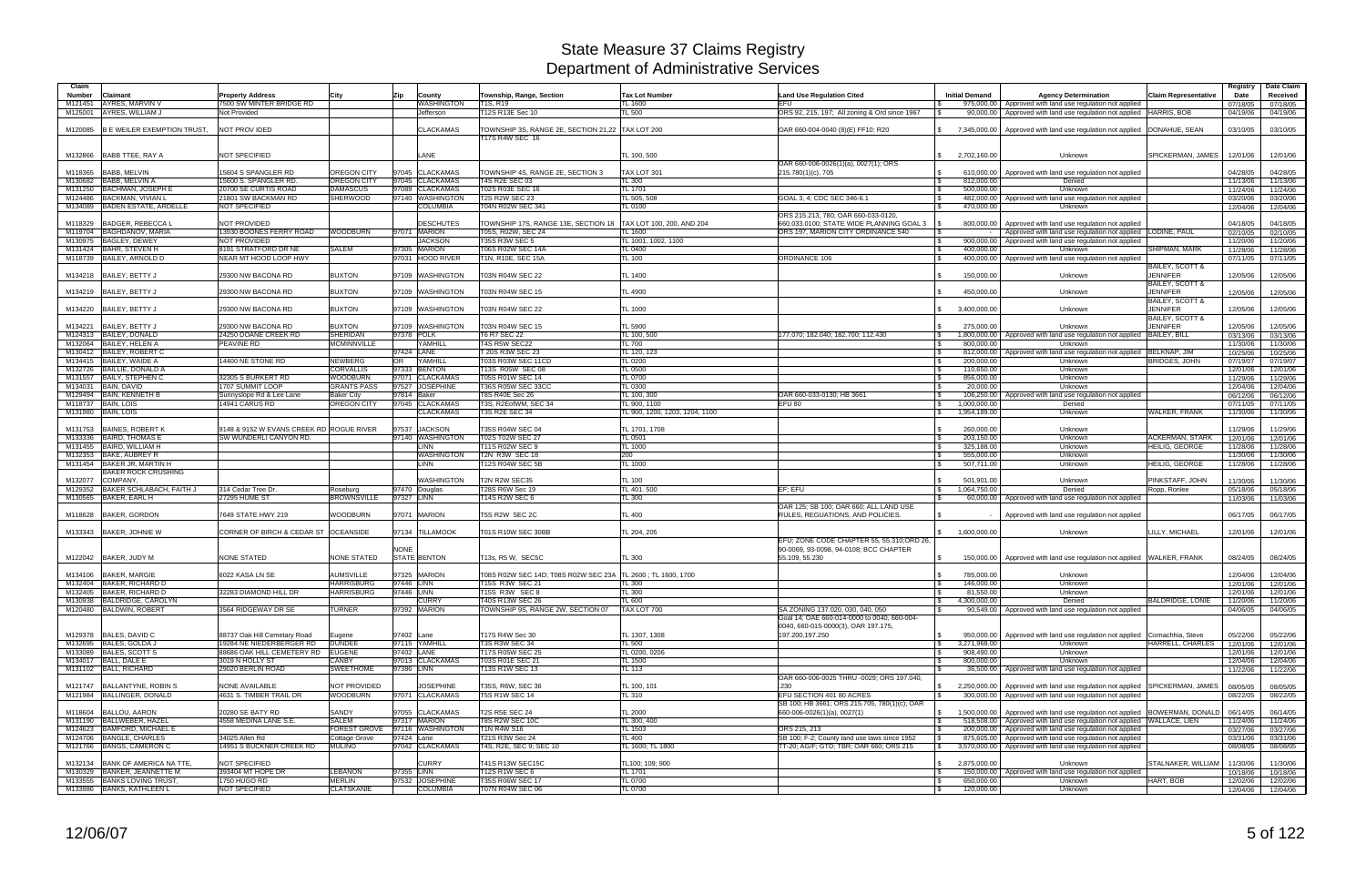| Claim              |                                                                |                                             |                                    |                                     |                                                              |                                   |                                                                           |                                          |                                                                                                                                                         |                                    | Registry             | Date Claim           |
|--------------------|----------------------------------------------------------------|---------------------------------------------|------------------------------------|-------------------------------------|--------------------------------------------------------------|-----------------------------------|---------------------------------------------------------------------------|------------------------------------------|---------------------------------------------------------------------------------------------------------------------------------------------------------|------------------------------------|----------------------|----------------------|
| Number             | Claimant                                                       | <b>Property Address</b>                     | City                               | Zip<br>County                       | Township, Range, Section                                     | <b>Tax Lot Number</b>             | <b>Land Use Regulation Cited</b>                                          | <b>Initial Demand</b>                    | <b>Agency Determination</b>                                                                                                                             | <b>Claim Representative</b>        | Date                 | Received             |
| M121451<br>M125001 | AYRES, MARVIN V<br>AYRES, WILLIAM J                            | 7500 SW MINTER BRIDGE RD<br>Not Provided    |                                    | WASHINGTON<br>Jefferson             | T1S, R19<br>T12S R13E Sec 10                                 | TL 1600<br><b>TL 500</b>          | EFU<br>ORS 92, 215, 197; All zoning & Ord since 1967                      | 975,000.00<br>90.000.00                  | Approved with land use regulation not applied<br>Approved with land use regulation not applied  HARRIS, BOB                                             |                                    | 07/18/05<br>04/19/06 | 07/18/05<br>04/19/06 |
|                    |                                                                |                                             |                                    |                                     |                                                              |                                   |                                                                           |                                          |                                                                                                                                                         |                                    |                      |                      |
| M120085            | <b>B E WEILER EXEMPTION TRUST.</b>                             | <b>NOT PROVIDED</b>                         |                                    | <b>CLACKAMAS</b>                    | TOWNSHIP 3S, RANGE 2E, SECTION 21,22 TAX LOT 200             |                                   | OAR 660-004-0040 (8)(E) FF10; R20                                         | 7,345,000.00                             | Approved with land use regulation not applied   DONAHUE, SEAN                                                                                           |                                    | 03/10/05             | 03/10/05             |
|                    |                                                                |                                             |                                    |                                     | T17S R4W SEC 16                                              |                                   |                                                                           |                                          |                                                                                                                                                         |                                    |                      |                      |
|                    | M132866 BABB TTEE, RAY A                                       | <b>NOT SPECIFIED</b>                        |                                    | LANE                                |                                                              | TL 100, 500                       |                                                                           | $^{\circ}$<br>2,702,160.00               | Unknown                                                                                                                                                 | SPICKERMAN, JAMES                  | 12/01/06             | 12/01/06             |
|                    |                                                                |                                             |                                    |                                     |                                                              |                                   | OAR 660-006-0026(1)(a), 0027(1); ORS                                      |                                          |                                                                                                                                                         |                                    |                      |                      |
|                    | M118365 BABB, MELVIN                                           | 15604 S SPANGLER RD                         | <b>OREGON CITY</b>                 | 97045 CLACKAMAS                     | TOWNSHIP 4S, RANGE 2E, SECTION 3                             | TAX LOT 301                       | 215.780(1)(c), 705                                                        | 610,000.00<br>- \$                       | Approved with land use regulation not applied                                                                                                           |                                    | 04/28/05             | 04/28/05             |
|                    | M130682 BABB, MELVIN A                                         | 15600 S. SPANGLER RD                        | <b>OREGON CITY</b>                 | 97045 CLACKAMAS                     | <b>T4S R2E SEC 03</b>                                        | TL 300                            |                                                                           | 812,000.00                               | Denied                                                                                                                                                  |                                    | 11/13/06             | 11/13/06             |
|                    | M131250 BACHMAN, JOSEPH E<br>M124486 BACKMAN, VIVIAN L         | 20700 SE CURTIS ROAD<br>21801 SW BACKMAN RD | <b>DAMASCUS</b><br><b>SHERWOOD</b> | 97089 CLACKAMAS<br>97140 WASHINGTON | T02S R03E SEC 16<br><b>T2S R2W SEC 23</b>                    | TL 1701<br>TL 505, 508            | GOAL 3. 4: CDC SEC 346-6.1                                                | 500,000.00<br>l \$<br>482,000.00         | Unknown<br>Approved with land use regulation not applied                                                                                                |                                    | 11/24/06             | 11/24/06             |
|                    | M134089 BADEN ESTATE, ARDELLE                                  | <b>NOT SPECIFIED</b>                        |                                    | <b>COLUMBIA</b>                     | T04N R02W SEC 341                                            | <b>TL 0100</b>                    |                                                                           | 470,000.00<br>- \$                       | Unknown                                                                                                                                                 |                                    | 03/20/06<br>12/04/06 | 03/20/06<br>12/04/06 |
|                    |                                                                |                                             |                                    |                                     |                                                              |                                   | ORS 215.213, 780; OAR 660-033-0120.                                       |                                          |                                                                                                                                                         |                                    |                      |                      |
| M118329            | BADGER, REBECCA L                                              | <b>NOT PROVIDED</b>                         |                                    | <b>DESCHUTES</b>                    | TOWNSHIP 17S, RANGE 13E, SECTION 18                          | TAX LOT 100, 200, AND 204         | 660.033.0100: STATE WIDE PLANNING GOAL 3 5                                | 800,000.00                               | Approved with land use regulation not applied                                                                                                           |                                    | 04/18/05             | 04/18/05             |
|                    | M119704 BAGHDANOV, MARIA                                       | 13930 BOONES FERRY ROAD                     | <b>WOODBURN</b>                    | 97071 MARION                        | T05S, R02W, SEC 24                                           | TL 1600                           | ORS 197, MARION CITY ORDINANCE 540                                        | l \$                                     | Approved with land use regulation not applied LODINE, PAUL                                                                                              |                                    | 02/10/05             | 02/10/05             |
|                    | M130975 BAGLEY, DEWEY<br>M131424 BAHR, STEVEN H                | <b>NOT PROVIDED</b><br>8191 STRATFORD DR NE | <b>SALEM</b>                       | <b>JACKSON</b><br>97305 MARION      | T35S R3W SEC 5<br>T06S R02W SEC 14A                          | TL 1001, 1002, 1100<br>TL 0400    |                                                                           | 900,000.00<br>400,000.00                 | Approved with land use regulation not applied<br><b>Unknown</b>                                                                                         | <b>SHIPMAN, MARK</b>               | 11/20/06<br>11/28/06 | 11/20/06<br>11/28/06 |
|                    | M118739 BAILEY, ARNOLD D                                       | NEAR MT HOOD LOOP HWY                       |                                    | 97031 HOOD RIVER                    | T1N, R10E, SEC 15A                                           | <b>TL 100</b>                     | ORDINANCE 106                                                             | 400.000.00<br>- \$                       | Approved with land use regulation not applied                                                                                                           |                                    | 07/11/05             | 07/11/05             |
|                    |                                                                |                                             |                                    |                                     |                                                              |                                   |                                                                           |                                          |                                                                                                                                                         | <b>BAILEY, SCOTT &amp;</b>         |                      |                      |
|                    | M134218   BAILEY, BETTY J                                      | 29300 NW BACONA RD                          | <b>BUXTON</b>                      | 97109 WASHINGTON                    | T03N R04W SEC 22                                             | <b>TL 1400</b>                    |                                                                           | 150,000.00                               | Unknown                                                                                                                                                 | <b>JENNIFER</b>                    | 12/05/06             | 12/05/06             |
|                    |                                                                |                                             |                                    |                                     |                                                              |                                   |                                                                           |                                          |                                                                                                                                                         | <b>BAILEY, SCOTT &amp;</b>         |                      |                      |
|                    | M134219 BAILEY, BETTY J                                        | 29300 NW BACONA RD                          | <b>BUXTON</b>                      | 97109 WASHINGTON                    | T03N R04W SEC 15                                             | TL 4900                           |                                                                           | 450,000.00                               | Unknown                                                                                                                                                 | <b>JENNIFER</b><br>BAILEY, SCOTT & | 12/05/06             | 12/05/06             |
|                    | M134220 BAILEY, BETTY J                                        | 29300 NW BACONA RD                          | <b>BUXTON</b>                      | 97109 WASHINGTON                    | T03N R04W SEC 22                                             | TL 1000                           |                                                                           | 3,400,000.00                             | Unknown                                                                                                                                                 | <b>JENNIFER</b>                    | 12/05/06             | 12/05/06             |
|                    |                                                                |                                             |                                    |                                     |                                                              |                                   |                                                                           |                                          |                                                                                                                                                         | <b>BAILEY, SCOTT &amp;</b>         |                      |                      |
| M134221            | BAILEY, BETTY J                                                | 29300 NW BACONA RD                          | <b>BUXTON</b>                      | 97109 WASHINGTON                    | T03N R04W SEC 15                                             | TL 5900                           |                                                                           | 275,000.00                               | Unknown                                                                                                                                                 | <b>JENNIFER</b>                    | 12/05/06             | 12/05/06             |
|                    | M124313 BAILEY, DONALD                                         | 24250 DOANE CREEK RD                        | <b>SHERIDAN</b>                    | 97378 POLK                          | <b>T6 R7 SEC 22</b>                                          | TL 100, 500                       | 177.070; 182.040; 182.700; 112.430                                        | 1,800,000.00<br>l \$                     | Approved with land use regulation not applied BAILEY, BILL                                                                                              |                                    | 03/13/06             | 03/13/06             |
|                    | M132064 BAILEY, HELEN A<br>M130412 BAILEY, ROBERT C            | PEAVINE RD                                  | <b>MCMINNVILLE</b>                 | YAMHILL<br>97424 LANE               | T4S R5W SEC22<br>T 20S R3W SEC 23                            | <b>TL 700</b><br>TL 120, 123      |                                                                           | 800.000.00<br>l \$<br>812,000.00         | Unknown<br>Approved with land use regulation not applied BELKNAP, JIM                                                                                   |                                    | 11/30/06             | 11/30/06             |
|                    | M134415 BAILEY, WAIDE A                                        | 14400 NE STONE RD                           | <b>NEWBERG</b>                     | OR<br>YAMHILL                       | T03S R03W SEC 11CD                                           | TL 0200                           |                                                                           | l \$<br>200,000.00                       | Unknown                                                                                                                                                 | <b>BRIDGES, JOHN</b>               | 10/25/06<br>07/19/07 | 10/25/06<br>07/19/07 |
|                    | M132726 BAILLIE, DONALD A                                      |                                             | <b>CORVALLIS</b>                   | 97333 BENTON                        | T13S R05W SEC 08                                             | TL 0500                           |                                                                           | 110,650.00                               | Unknown                                                                                                                                                 |                                    | 12/01/06             | 12/01/06             |
|                    | M131557 BAILY, STEPHEN C                                       | 32305 S BURKERT RD                          | <b>WOODBURN</b>                    | 97071 CLACKAMAS                     | T05S R01W SEC 14                                             | TL 0700                           |                                                                           | 856,000.00                               | Unknown                                                                                                                                                 |                                    | 11/29/06             | 11/29/06             |
|                    | M134031 BAIN, DAVID                                            | 1707 SUMMIT LOOP                            | <b>GRANTS PASS</b>                 | 97527 JOSEPHINE                     | T36S R05W SEC 33CC                                           | TL 0300                           |                                                                           | 20,000.00                                | Unknown                                                                                                                                                 |                                    | 12/04/06             | 12/04/06             |
|                    | M129494 BAIN, KENNETH B                                        | Sunnyslope Rd & Lee Lane                    | <b>Baker City</b>                  | 97814 Baker                         | <b>T8S R40E Sec 26</b>                                       | TL 100, 300<br>TL 900, 1100       | OAR 660-033-0130: HB 3661<br>EFU <sub>80</sub>                            | 106,250.00<br>$\mathfrak{L}$             | Approved with land use regulation not applied                                                                                                           |                                    | 06/12/06             | 06/12/06             |
|                    | M118737 BAIN, LOIS<br>M131980 BAIN, LOIS                       | 14941 CARUS RD                              | <b>OREGON CITY</b>                 | 97045 CLACKAMAS<br><b>CLACKAMAS</b> | T3S, R2EofWM, SEC 34<br><b>T3S R2E SEC 34</b>                | TL 900, 1200, 1203, 1204, 1100    |                                                                           | 1,000,000.00<br>1,954,189.00<br>S.       | Denied<br>Unknown                                                                                                                                       | <b>WALKER, FRANK</b>               | 07/11/05<br>11/30/06 | 07/11/05<br>11/30/06 |
|                    |                                                                |                                             |                                    |                                     |                                                              |                                   |                                                                           |                                          |                                                                                                                                                         |                                    |                      |                      |
| M131753            | <b>BAINES, ROBERT K</b>                                        | 9148 & 9152 W EVANS CREEK RD ROGUE RIVER    |                                    | 97537 JACKSON                       | T35S R04W SEC 04                                             | TL 1701, 1708                     |                                                                           | 260,000.00                               | Unknown                                                                                                                                                 |                                    | 11/29/06             | 11/29/06             |
|                    | M133336 BAIRD, THOMAS E                                        | SW WUNDERLI CANYON RD.                      |                                    | 97140 WASHINGTON                    | T02S T02W SEC 27                                             | TL 0501                           |                                                                           | 203,150.00                               | Unknown                                                                                                                                                 | ACKERMAN, STARK                    | 12/01/06             | 12/01/06             |
|                    | M131455 BAIRD, WILLIAM H                                       |                                             |                                    | <b>LINN</b>                         | T11S R02W SEC 9                                              | TL 1000                           |                                                                           | 325,188.00                               | Unknown                                                                                                                                                 | <b>HEILIG. GEORGE</b>              | 11/28/06             | 11/28/06             |
|                    | M132353 BAKE, AUBREY R<br>M131454 BAKER JR, MARTIN H           |                                             |                                    | WASHINGTON<br><b>LINN</b>           | T2N R3W SEC 18<br>T12S R04W SEC 5B                           | 200<br>TL 1000                    |                                                                           | 555,000.00<br>-S<br>507,711.00           | Unknown<br>Unknown                                                                                                                                      | <b>HEILIG, GEORGE</b>              | 11/30/06<br>11/28/06 | 11/30/06<br>11/28/06 |
|                    | <b>BAKER ROCK CRUSHING</b>                                     |                                             |                                    |                                     |                                                              |                                   |                                                                           |                                          |                                                                                                                                                         |                                    |                      |                      |
| M132077            | COMPANY.                                                       |                                             |                                    | <b>WASHINGTON</b>                   | T2N R2W SEC35                                                | <b>TL 100</b>                     |                                                                           | 501,901.00<br>- \$                       | Unknown                                                                                                                                                 | PINKSTAFF, JOHN                    | 11/30/06             | 11/30/06             |
| M129352            | BAKER SCHLABACH, FAITH J                                       | 314 Cedar Tree Dr.                          | Roseburg                           | 97470 Douglas                       | T28S R6W Sec 19                                              | TL 401, 500                       | EF: EFU                                                                   | 1.064.750.00<br>\$                       | Denied                                                                                                                                                  | Ropp, Ronlee                       | 05/18/06             | 05/18/06             |
|                    | M130565 BAKER, EARL H                                          | <b>27295 HUME ST</b>                        | <b>BROWNSVILLE</b>                 | 97327 LINN                          | <b>T14S R2W SEC 6</b>                                        | TL 300                            |                                                                           | 60,000.00                                | Approved with land use regulation not applied                                                                                                           |                                    | 11/03/06             | 11/03/06             |
|                    | M118628 BAKER, GORDON                                          | 7649 STATE HWY 219                          | <b>WOODBURN</b>                    | 97071 MARION                        | T5S R2W SEC 2C                                               | TL 400                            | OAR 125; SB 100; OAR 660; ALL LAND USE<br>RULES, REGUATIONS, AND POLICIES |                                          | Approved with land use regulation not applied                                                                                                           |                                    | 06/17/05             | 06/17/05             |
|                    |                                                                |                                             |                                    |                                     |                                                              |                                   |                                                                           |                                          |                                                                                                                                                         |                                    |                      |                      |
|                    | M133343 BAKER, JOHNIE W                                        | CORNER OF BIRCH & CEDAR ST OCEANSIDE        |                                    | 97134 TILLAMOOK                     | T01S R10W SEC 30BB                                           | TL 204, 205                       |                                                                           | 1,600,000.00                             | Unknown                                                                                                                                                 | LILLY, MICHAEL                     | 12/01/06             | 12/01/06             |
|                    |                                                                |                                             |                                    |                                     |                                                              |                                   | EFU; ZONE CODE CHAPTER 55, 55.310;ORD 26,                                 |                                          |                                                                                                                                                         |                                    |                      |                      |
|                    |                                                                | <b>NONE STATED</b>                          | <b>NONE STATED</b>                 | <b>NONE</b><br><b>STATE BENTON</b>  | T13s, R5 W, SEC5C                                            | TL 300                            | 90-0069, 93-0098, 94-0108; BCC CHAPTER<br>55.109, 55.230                  |                                          | 150,000.00 Approved with land use regulation not applied WALKER, FRANK                                                                                  |                                    |                      | 08/24/05             |
|                    | M122042 BAKER, JUDY M                                          |                                             |                                    |                                     |                                                              |                                   |                                                                           |                                          |                                                                                                                                                         |                                    | 08/24/05             |                      |
|                    | M134106 BAKER, MARGIE                                          | 6022 KASA LN SE                             | <b>AUMSVILLE</b>                   | 97325 MARION                        | T08S R02W SEC 14D; T08S R02W SEC 23A TL 2600 ; TL 1600, 1700 |                                   |                                                                           | 785,000.00                               | Unknown                                                                                                                                                 |                                    | 12/04/06             | 12/04/06             |
|                    | M132404 BAKER, RICHARD D                                       |                                             | <b>HARRISBURG</b>                  | 97446 LINN                          | T15S R3W SEC 21                                              | <b>TL 300</b>                     |                                                                           | 146,000.00<br>l \$                       | Unknown                                                                                                                                                 |                                    | 12/01/06             | 12/01/06             |
|                    | M132405 BAKER, RICHARD D                                       | 32283 DIAMOND HILL DR                       | <b>HARRISBURG</b>                  | 97446 LINN                          | <b>15S R3W SEC 8</b>                                         | TL 300                            |                                                                           | 81,550.00<br>- S                         | Unknown                                                                                                                                                 |                                    | 12/01/06             | 12/01/06             |
|                    | M130938 BALDRIDGE, CAROLYN<br>M120480 BALDWIN, ROBERT          | 3564 RIDGEWAY DR SE                         | <b>TURNER</b>                      | <b>CURRY</b><br>97392 MARION        | T40S R13W SEC 26<br>TOWNSHIP 9S, RANGE 2W, SECTION 07        | TL 600<br>TAX LOT 700             | SA ZONING 137.020, 030, 040, 050                                          | 4,300,000.00<br>\$<br>-SS                | Denied<br>90,549.00 Approved with land use regulation not applied                                                                                       | <b>BALDRIDGE, LONIE</b>            | 11/20/06<br>04/06/05 | 11/20/06             |
|                    |                                                                |                                             |                                    |                                     |                                                              |                                   | Goal 14; OAE 660-014-0000 to 0040, 660-004-                               |                                          |                                                                                                                                                         |                                    |                      | 04/06/05             |
|                    |                                                                |                                             |                                    |                                     |                                                              |                                   | 0040, 660-015-0000(3), OAR 197,175.                                       |                                          |                                                                                                                                                         |                                    |                      |                      |
|                    | M129378 BALES, DAVID C                                         | 88737 Oak Hill Cemetary Road                | Eugene                             | 97402 Lane                          | T17S R4W Sec 30                                              | TL 1307, 1308                     | 197.200.197.250                                                           | \$<br>950,000,00                         | Approved with land use regulation not applied Cornachhia, Steve                                                                                         |                                    | 05/22/06             | 05/22/06             |
|                    | M132695 BALES, GOLDA J                                         | 19284 NE NIEDERBERGER RD                    | <b>DUNDEE</b>                      | 97115 YAMHILL                       | T3S R3W SEC 34                                               | <b>TL 500</b>                     |                                                                           | 3,271,968.00<br><b>S</b>                 | Unknown                                                                                                                                                 | HARRELL, CHARLES                   | 12/01/06             | 12/01/06             |
|                    | M133089 BALES, SCOTT S<br>M134017 BALL, DALE E                 | 88686 OAK HILL CEMETERY RD EUGENE           |                                    | 97402 LANE<br>97013 CLACKAMAS       | T17S R05W SEC 25                                             | TL 0200, 0206                     |                                                                           | 908,490.00<br><b>S</b>                   | Unknown                                                                                                                                                 |                                    | 12/01/06             | 12/01/06             |
|                    | M131102 BALL, RICHARD                                          | 3019 N HOLLY ST<br>29020 BERLIN ROAD        | <b>CANBY</b><br><b>SWEETHOME</b>   | 97386 LINN                          | T03S R01E SEC 21<br>T13S R1W SEC 13                          | TL 1500<br>TL 113                 |                                                                           | 800,000.00<br>l \$<br>- \$               | Unknown<br>36,500.00 Approved with land use regulation not applied                                                                                      |                                    | 12/04/06<br>11/22/06 | 12/04/06<br>11/22/06 |
|                    |                                                                |                                             |                                    |                                     |                                                              |                                   | OAR 660-006-0025 THRU -0029; ORS 197.040,                                 |                                          |                                                                                                                                                         |                                    |                      |                      |
|                    | M121747 BALLANTYNE, ROBIN S                                    | NONE AVAILABLE                              | NOT PROVIDED                       | <b>JOSEPHINE</b>                    | T35S, R6W, SEC 36                                            | TL 100, 101                       | .230                                                                      | \$                                       | 2,250,000.00   Approved with land use regulation not applied SPICKERMAN, JAMES                                                                          |                                    | 08/05/05             | 08/05/05             |
|                    | M121984 BALLINGER, DONALD                                      | 4631 S. TIMBER TRAIL DR                     | <b>WOODBURN</b>                    | 97071 CLACKAMAS                     | <b>T5S R1W SEC 14</b>                                        | <b>TL 310</b>                     | EFU SECTION 401 80 ACRES                                                  | l \$                                     | 300,000,00 Approved with land use regulation not applied                                                                                                |                                    | 08/22/05             | 08/22/05             |
|                    |                                                                |                                             |                                    |                                     |                                                              |                                   | SB 100; HB 3661; ORS 215.705, 780(1)(c); OAR                              |                                          |                                                                                                                                                         |                                    |                      |                      |
|                    | M118604 BALLOU, AARON<br>M131190 BALLWEBER, HAZEL              | 20280 SE BATY RD<br>4558 MEDINA LANE S.E.   | SANDY<br><b>SALEM</b>              | 97055 CLACKAMAS<br>97317 MARION     | <b>T2S R5E SEC 24</b><br><b>T8S R2W SEC 10C</b>              | <b>TL 2000</b><br>TL 300, 400     | 660-006-0026(1)(a), 0027(1)                                               | I S<br>l \$                              | 1,500,000.00 Approved with land use regulation not applied BOWERMAN, DONALD<br>518,508.00   Approved with land use regulation not applied WALLACE, LIEN |                                    | 06/14/05<br>11/24/06 | 06/14/05<br>11/24/06 |
|                    | M124623 BAMFORD, MICHAEL E                                     |                                             |                                    | FOREST GROVE 97116 WASHINGTON       | T1N R4W S16                                                  | TL 1503                           | ORS 215, 213                                                              |                                          | 200,000.00 Approved with land use regulation not applied                                                                                                |                                    | 03/27/06             | 03/27/06             |
|                    | M124706 BANGLE, CHARLES                                        | 34025 Allen Rd                              | Cottage Grove                      | 97424 Lane                          | T21S R3W Sec 24                                              | TL 400                            | SB 100; F-2; County land use laws since 1952                              |                                          | 875,605.00 Approved with land use regulation not applied                                                                                                |                                    | 03/31/06             | 03/31/06             |
|                    | M121766 BANGS, CAMERON C                                       | 14951 S BUCKNER CREEK RD                    | <b>MULINO</b>                      | 97042 CLACKAMAS                     | T4S, R2E, SEC 9; SEC 10                                      | TL 1600; TL 1800                  | TT-20; AG/F; GTD; TBR; OAR 660; ORS 215                                   | 3,570,000.00                             | Approved with land use regulation not applied                                                                                                           |                                    | 08/08/05             | 08/08/05             |
|                    |                                                                |                                             |                                    |                                     |                                                              |                                   |                                                                           |                                          |                                                                                                                                                         |                                    |                      |                      |
|                    | M132134 BANK OF AMERICA NA TTE,<br>M130329 BANKER, JEANNETTE M | NOT SPECIFIED<br>393404 MT HOPE DR          | LEBANON                            | <b>CURRY</b><br>97355 LINN          | T41S R13W SEC15C<br><b>T12S R1W SEC 6</b>                    | TL100; 109; 900<br><b>TL 1701</b> |                                                                           | 2,875,000.00<br>$\mathbb{S}$<br><b>S</b> | Unknown<br>150,000.00 Approved with land use regulation not applied                                                                                     | STALNAKER, WILLIAM                 | 11/30/06<br>10/18/06 | 11/30/06<br>10/18/06 |
|                    | M133555 BANKS LOVING TRUST,                                    | 1750 HUGO RD                                | <b>MERLIN</b>                      | 97532 JOSEPHINE                     | T35S R06W SEC 17                                             | <b>TL 0700</b>                    |                                                                           | 650,000.00<br>l \$                       | <b>Unknown</b>                                                                                                                                          | HART, BOB                          | 12/02/06             | 12/02/06             |
|                    | M133986 BANKS, KATHLEEN L                                      | <b>NOT SPECIFIED</b>                        | <b>CLATSKANIE</b>                  | <b>COLUMBIA</b>                     | <b>T07N R04W SEC 06</b>                                      | <b>TL 0700</b>                    |                                                                           | 120,000.00<br>$\sqrt{3}$                 | Unknown                                                                                                                                                 |                                    |                      | 12/04/06 12/04/06    |
|                    |                                                                |                                             |                                    |                                     |                                                              |                                   |                                                                           |                                          |                                                                                                                                                         |                                    |                      |                      |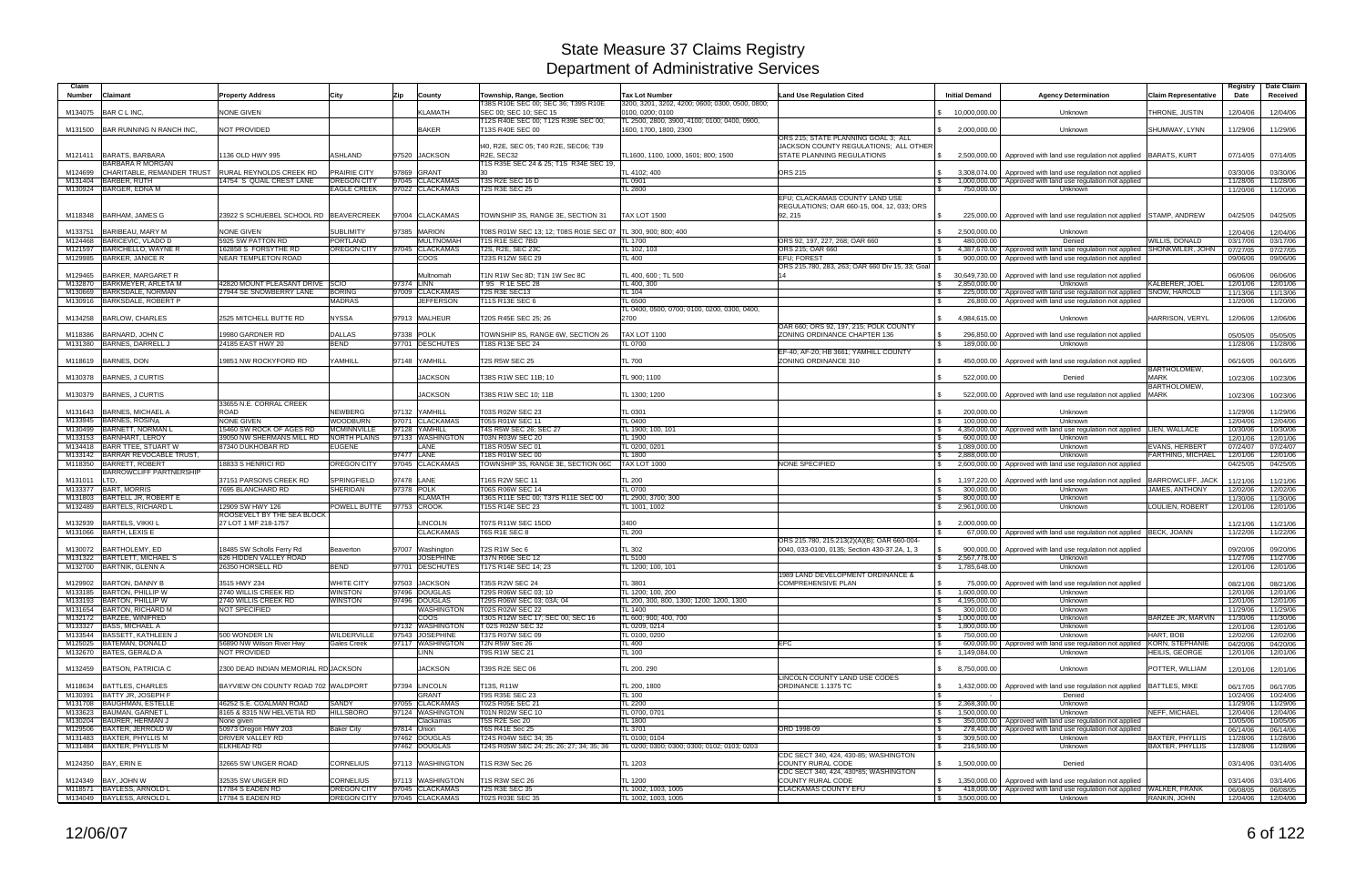| Claim         |                                                            |                                                            |                                      |                                            |                                                                               |                                                                          |                                                            |                                                               |                                                                                                                                |                             | Registry             | Date Claim           |
|---------------|------------------------------------------------------------|------------------------------------------------------------|--------------------------------------|--------------------------------------------|-------------------------------------------------------------------------------|--------------------------------------------------------------------------|------------------------------------------------------------|---------------------------------------------------------------|--------------------------------------------------------------------------------------------------------------------------------|-----------------------------|----------------------|----------------------|
| <b>Number</b> | <b>Claimant</b>                                            | <b>Property Address</b>                                    | City                                 | <b>Zip</b><br>County                       | Township, Range, Section<br>T38S R10E SEC 00; SEC 36; T39S R10E               | <b>Tax Lot Number</b><br>3200, 3201, 3202, 4200; 0600; 0300, 0500, 0800; | <b>Land Use Regulation Cited</b>                           | <b>Initial Demand</b>                                         | <b>Agency Determination</b>                                                                                                    | <b>Claim Representative</b> | Date                 | Received             |
| M134075       | BAR C L INC.                                               | <b>NONE GIVEN</b>                                          |                                      | <b>KLAMATH</b>                             | SEC 00: SEC 10: SEC 15                                                        | 0100, 0200: 0100                                                         |                                                            | 10.000.000.00                                                 | Unknown                                                                                                                        | THRONE, JUSTIN              | 12/04/06             | 12/04/06             |
| M131500       | BAR RUNNING N RANCH INC.                                   | <b>NOT PROVIDED</b>                                        |                                      | <b>BAKER</b>                               | T12S R40E SEC 00; T12S R39E SEC 00;<br>T13S R40E SEC 00                       | TL 2500, 2800, 3900, 4100; 0100; 0400, 0900,<br>1600, 1700, 1800, 2300   |                                                            | 2,000,000.00<br>$\mathcal{S}$                                 | Unknown                                                                                                                        | SHUMWAY, LYNN               | 11/29/06             | 11/29/06             |
|               |                                                            |                                                            |                                      |                                            |                                                                               |                                                                          | ORS 215; STATE PLANNING GOAL 3; ALL                        |                                                               |                                                                                                                                |                             |                      |                      |
|               |                                                            |                                                            |                                      |                                            | t40, R2E, SEC 05; T40 R2E, SEC06; T39                                         |                                                                          | JACKSON COUNTY REGULATIONS; ALL OTHER                      |                                                               |                                                                                                                                |                             |                      |                      |
|               | M121411 BARATS, BARBARA<br>BARBARA R MORGAN                | 1136 OLD HWY 995                                           | <b>ASHLAND</b>                       | 97520 JACKSON                              | R <sub>2</sub> E. SEC <sub>32</sub><br>T1S R35E SEC 24 & 25; T1S R34E SEC 19, | TL1600, 1100, 1000, 1601; 800; 1500                                      | <b>STATE PLANNING REGULATIONS</b>                          | 2,500,000.00<br>$\mathcal{S}$                                 | Approved with land use regulation not applied BARATS, KURT                                                                     |                             | 07/14/05             | 07/14/05             |
| M124699       | CHARITABLE, REMANDER TRUST RURAL REYNOLDS CREEK RD         |                                                            | <b>PRAIRIE CITY</b>                  | 97869 GRANT                                | 30                                                                            | TL 4102: 400                                                             | <b>ORS 215</b>                                             | 3.308.074.00                                                  | Approved with land use regulation not applied                                                                                  |                             | 03/30/06             | 03/30/06             |
|               | M131404 BARBER, RUTH<br>M130924 BARGER, EDNA M             | 14754 S QUAIL CREST LANE                                   | <b>OREGON CITY</b>                   | 97045 CLACKAMAS                            | T3S R2E SEC 16 D                                                              | TL 0901                                                                  |                                                            |                                                               | 1,000,000.00 Approved with land use regulation not applied                                                                     |                             | 11/28/06             | 11/28/06             |
|               |                                                            |                                                            | EAGLE CREEK                          | 97022 CLACKAMAS                            | <b>T2S R3E SEC 25</b>                                                         | <b>TL 2800</b>                                                           | EFU; CLACKAMAS COUNTY LAND USE                             | 750,000.00<br>$\mathbb{R}$                                    | Unknown                                                                                                                        |                             | 11/20/06             | 11/20/06             |
|               |                                                            |                                                            |                                      |                                            |                                                                               |                                                                          | REGULATIONS; OAR 660-15, 004, 12, 033; ORS                 |                                                               |                                                                                                                                |                             |                      |                      |
|               | M118348 BARHAM, JAMES G                                    | 23922 S SCHUEBEL SCHOOL RD BEAVERCREEK                     |                                      | 97004 CLACKAMAS                            | TOWNSHIP 3S, RANGE 3E, SECTION 31                                             | <b>TAX LOT 1500</b>                                                      | 92, 215                                                    |                                                               | 225,000.00   Approved with land use regulation not applied STAMP, ANDREW                                                       |                             | 04/25/05             | 04/25/05             |
| M133751       | BARIBEAU, MARY M                                           | <b>NONE GIVEN</b>                                          | <b>SUBLIMITY</b>                     | 97385 MARION                               | T08S R01W SEC 13; 12; T08S R01E SEC 07 TL 300, 900; 800; 400                  |                                                                          |                                                            | 2,500,000.00<br>$\mathbb{S}$                                  | Unknown                                                                                                                        |                             | 12/04/06             | 12/04/06             |
|               | M124468 BARICEVIC, VLADO D                                 | 5925 SW PATTON RD                                          | <b>PORTLAND</b>                      | <b>MULTNOMAH</b>                           | T1S R1E SEC 7BD                                                               | <b>TL 1700</b>                                                           | ORS 92, 197, 227, 268; OAR 660                             | 480.000.00                                                    | Denied                                                                                                                         | WILLIS, DONALD              | 03/17/06             | 03/17/06             |
| M121597       | BARICHELLO, WAYNE R<br>M129985 BARKER, JANICE R            | 162858 S FORSYTHE RD<br><b>NEAR TEMPLETON ROAD</b>         | <b>OREGON CITY</b>                   | 97045 CLACKAMAS<br><b>COOS</b>             | T2S, R2E, SEC 23C<br>T23S R12W SEC 29                                         | TL 102, 103<br><b>TL 400</b>                                             | ORS 215; OAR 660<br><b>EFU: FOREST</b>                     | 900,000.00                                                    | 4,387,670.00   Approved with land use regulation not applied SHONKWILER, JOHN<br>Approved with land use regulation not applied |                             | 07/27/05<br>09/06/06 | 07/27/05<br>09/06/06 |
|               |                                                            |                                                            |                                      |                                            |                                                                               |                                                                          | ORS 215.780, 283, 263; OAR 660 Div 15, 33; Goal            |                                                               |                                                                                                                                |                             |                      |                      |
| M129465       | <b>BARKER, MARGARET R</b>                                  |                                                            |                                      | Multnomah<br>97374 LINN                    | T1N R1W Sec 8D; T1N 1W Sec 8C                                                 | TL 400, 600; TL 500                                                      | 14                                                         | \$ 30,649,730.00                                              | Approved with land use regulation not applied                                                                                  | <b>KALBERER, JOEL</b>       | 06/06/06             | 06/06/06             |
| M132870       | BARKMEYER, ARLETA M<br>M130669 BARKSDALE, NORMAN           | 42820 MOUNT PLEASANT DRIVE SCIO<br>27944 SE SNOWBERRY LANE | <b>BORING</b>                        | 97009 CLACKAMAS                            | T 9S R 1E SEC 28<br>T2S R3E SEC13                                             | TL 400, 300<br><b>TL 104</b>                                             |                                                            | 2,850,000.00<br><b>S</b><br>225,000.00                        | Unknown<br>Approved with land use regulation not applied SNOW, HAROLD                                                          |                             | 12/01/06<br>11/13/06 | 12/01/06<br>11/13/06 |
|               | M130916 BARKSDALE, ROBERT P                                |                                                            | <b>MADRAS</b>                        | <b>JEFFERSON</b>                           | T11S R13E SEC 6                                                               | <b>TL 6500</b>                                                           |                                                            | 26,800.00                                                     | Approved with land use regulation not applied                                                                                  |                             | 11/20/06             | 11/20/06             |
| M134258       | <b>BARLOW, CHARLES</b>                                     | 2525 MITCHELL BUTTE RD                                     | <b>NYSSA</b>                         | 97913 MALHEUR                              | T20S R45E SEC 25; 26                                                          | TL 0400, 0500, 0700; 0100, 0200, 0300, 0400,<br>2700                     |                                                            | 4,984,615.00                                                  | Unknown                                                                                                                        | HARRISON, VERYL             | 12/06/06             | 12/06/06             |
|               |                                                            |                                                            |                                      |                                            |                                                                               |                                                                          | OAR 660; ORS 92, 197, 215; POLK COUNTY                     |                                                               |                                                                                                                                |                             |                      |                      |
| M118386       | BARNARD, JOHN C                                            | 19980 GARDNER RD                                           | <b>DALLAS</b>                        | 97338 POLK                                 | TOWNSHIP 8S, RANGE 6W, SECTION 26                                             | <b>TAX LOT 1100</b>                                                      | ZONING ORDINANCE CHAPTER 136                               | <b>S</b><br>296,850.00                                        | Approved with land use regulation not applied                                                                                  |                             | 05/05/05             | 05/05/05             |
| M131380       | BARNES, DARRELL J                                          | 24185 EAST HWY 20                                          | <b>BEND</b>                          | 97701 DESCHUTES                            | T18S R13E SEC 24                                                              | TL 0700                                                                  | EF-40: AF-20: HB 3661: YAMHILL COUNTY                      | 189,000.00<br>$\mathbb{R}$                                    | Unknown                                                                                                                        |                             | 11/28/06             | 11/28/06             |
| M118619       | <b>BARNES, DON</b>                                         | 19851 NW ROCKYFORD RD                                      | YAMHILL                              | 97148 YAMHILL                              | <b>T2S R5W SEC 25</b>                                                         | <b>TL 700</b>                                                            | ZONING ORDINANCE 310                                       | 450,000.00<br><b>S</b>                                        | Approved with land use regulation not applied                                                                                  |                             | 06/16/05             | 06/16/05             |
|               |                                                            |                                                            |                                      | <b>JACKSON</b>                             | T38S R1W SEC 11B; 10                                                          |                                                                          |                                                            | 522,000.00                                                    |                                                                                                                                | BARTHOLOMEW,<br><b>MARK</b> |                      |                      |
| M130378       | BARNES, J CURTIS                                           |                                                            |                                      |                                            |                                                                               | TL 900; 1100                                                             |                                                            |                                                               | Denied                                                                                                                         | <b>BARTHOLOMEW</b>          | 10/23/06             | 10/23/06             |
| M130379       | BARNES, J CURTIS                                           |                                                            |                                      | <b>JACKSON</b>                             | T38S R1W SEC 10; 11B                                                          | TL 1300; 1200                                                            |                                                            | 522,000.00                                                    | Approved with land use regulation not applied                                                                                  | <b>MARK</b>                 | 10/23/06             | 10/23/06             |
| M131643       | <b>BARNES, MICHAEL A</b>                                   | 33655 N.E. CORRAL CREEK<br><b>ROAD</b>                     | <b>NEWBERG</b>                       | 97132 YAMHILL                              | T03S R02W SEC 23                                                              | TL 0301                                                                  |                                                            | 200,000.00<br>IS.                                             | Unknown                                                                                                                        |                             | 11/29/06             | 11/29/06             |
|               | M133945 BARNES, ROSINA                                     | <b>NONE GIVEN</b>                                          | WOODBURN                             | 97071 CLACKAMAS                            | T05S R01W SEC 11                                                              | TL 0400                                                                  |                                                            | 100,000.00<br>$\mathbf{s}$                                    | Unknown                                                                                                                        |                             | 12/04/06             | 12/04/06             |
|               | M130499 BARNETT, NORMAN L                                  | 15460 SW ROCK OF AGES RD                                   | <b>MCMINNVILLE</b>                   | 97128 YAMHILL                              | T4S R5W SEC 26; SEC 27                                                        | TL 1900; 100, 101                                                        |                                                            |                                                               | 4,350,000.00   Approved with land use regulation not applied LIEN, WALLACE                                                     |                             | 10/30/06             | 10/30/06             |
|               | M133153 BARNHART, LEROY<br>M134418 BARR TTEE, STUART W     | 39050 NW SHERMANS MILL RD<br>87340 DUKHOBAR RD             | <b>NORTH PLAINS</b><br><b>EUGENE</b> | 97133 WASHINGTON<br>LANE                   | T03N R03W SEC 20<br>T18S R05W SEC 01                                          | TL 1900<br>TL 0200, 0201                                                 |                                                            | 600,000.00<br>l \$<br>1,089,000.00<br><b>S</b>                | Unknown<br>Unknown                                                                                                             | EVANS, HERBERT              | 12/01/06<br>07/24/07 | 12/01/06<br>07/24/07 |
|               | M133142 BARRAR REVOCABLE TRUST,                            |                                                            |                                      | 97477 LANE                                 | T18S R01W SEC 00                                                              | <b>TL 1800</b>                                                           |                                                            | 2.888.000.00<br>l \$                                          | Unknown                                                                                                                        | FARTHING, MICHAEL           | 12/01/06             | 12/01/06             |
|               | M118350 BARRETT, ROBERT<br><b>BARROWCLIFF PARTNERSHIP</b>  | 18833 S HENRICI RD                                         | <b>OREGON CITY</b>                   | 97045 CLACKAMAS                            | TOWNSHIP 3S, RANGE 3E, SECTION 06C                                            | <b>TAX LOT 1000</b>                                                      | <b>NONE SPECIFIED</b>                                      | IS.                                                           | 2,600,000.00 Approved with land use regulation not applied                                                                     |                             | 04/25/05             | 04/25/05             |
| M131011 LTD,  |                                                            | 37151 PARSONS CREEK RD                                     | SPRINGFIELD                          | 97478 LANE                                 | T16S R2W SEC 11                                                               | <b>TL 200</b>                                                            |                                                            | 1,197,220.00<br>$\mathbb{R}$                                  | Approved with land use regulation not applied                                                                                  | <b>BARROWCLIFF, JACK</b>    | 11/21/06             | 11/21/06             |
|               | M133377 BART, MORRIS                                       | 7695 BLANCHARD RD                                          | <b>SHERIDAN</b>                      | 97378 POLK                                 | T06S R06W SEC 14                                                              | <b>TL 0700</b>                                                           |                                                            | 300,000.00                                                    | Unknown                                                                                                                        | JAMES, ANTHONY              | 12/02/06             | 12/02/06             |
|               | M131803 BARTELL JR, ROBERT E<br>M132489 BARTELS, RICHARD L | 12909 SW HWY 126                                           |                                      | <b>KLAMATH</b><br>POWELL BUTTE 97753 CROOK | T36S R11E SEC 00; T37S R11E SEC 00<br>T15S R14E SEC 23                        | TL 2900, 3700; 300<br>TL 1001, 1002                                      |                                                            | 800,000.00<br>2,961,000.00<br>$\mathbb{S}$                    | Unknown<br>Unknown                                                                                                             | LOULIEN, ROBERT             | 11/30/06<br>12/01/06 | 11/30/06<br>12/01/06 |
|               |                                                            | ROOSEVELT BY THE SEA BLOCK                                 |                                      |                                            |                                                                               |                                                                          |                                                            |                                                               |                                                                                                                                |                             |                      |                      |
| M132939       | <b>BARTELS, VIKKI L</b><br>M131066 BARTH, LEXIS E          | 27 LOT 1 MF 218-1757                                       |                                      | <b>LINCOLN</b><br><b>CLACKAMAS</b>         | <b>T07S R11W SEC 15DD</b><br>T6S R1E SEC 8                                    | 3400<br><b>TL 200</b>                                                    |                                                            | 2.000.000.00<br>$\mathbb{S}$                                  |                                                                                                                                |                             | 11/21/06             | 11/21/06             |
|               |                                                            |                                                            |                                      |                                            |                                                                               |                                                                          | ORS 215.780, 215.213(2)(A)(B); OAR 660-004                 |                                                               | 67,000.00   Approved with land use regulation not applied   BECK, JOANN                                                        |                             | 11/22/06             | 11/22/06             |
| M130072       | BARTHOLEMY, ED                                             | 18485 SW Scholls Ferry Rd                                  | Beaverton                            | 97007 Washington                           | T2S R1W Sec 6                                                                 | TL 302                                                                   | 0040, 033-0100, 0135; Section 430-37.2A, 1, 3              | 900,000.00                                                    | Approved with land use regulation not applied                                                                                  |                             | 09/20/06             | 09/20/06             |
|               | M131322 BARTLETT, MICHAEL S<br>M132700 BARTNIK, GLENN A    | 626 HIDDEN VALLEY ROAD<br>26350 HORSELL RD                 | 3END                                 | <b>JOSEPHINE</b><br>97701 DESCHUTES        | T37N R06E SEC 12<br>T17S R14E SEC 14; 23                                      | TL 5100<br>TL 1200; 100, 101                                             |                                                            | <b>S</b><br>2,567,778.00<br>1,785,648.00                      | Unknown<br>Unknown                                                                                                             |                             | 11/27/06<br>12/01/06 | 11/27/06<br>12/01/06 |
|               |                                                            |                                                            |                                      |                                            |                                                                               |                                                                          | 1989 LAND DEVELOPMENT ORDINANCE &                          |                                                               |                                                                                                                                |                             |                      |                      |
|               | M129902 BARTON, DANNY B                                    | 3515 HWY 234<br>2740 WILLIS CREEK RD                       | <b>WHITE CITY</b>                    | 97503 JACKSON<br>97496 DOUGLAS             | T35S R2W SEC 24                                                               | <b>TL 3801</b>                                                           | <b>COMPREHENSIVE PLAN</b>                                  | l \$                                                          | 75,000.00 Approved with land use regulation not applied                                                                        |                             | 08/21/06             | 08/21/06             |
|               | M133185 BARTON, PHILLIP W<br>M133193 BARTON, PHILLIP W     | 2740 WILLIS CREEK RD                                       | <b>WINSTON</b><br>WINSTON            | 97496 DOUGLAS                              | T29S R06W SEC 03; 10<br>T29S R06W SEC 03; 03A; 04                             | TL 1200; 100, 200<br>TL 200, 300, 800, 1300; 1200; 1200, 1300            |                                                            | 1,600,000.00<br>I S<br>4,195,000.00<br>$\mathbb{S}$           | Unknown<br>Unknown                                                                                                             |                             | 12/01/06<br>12/01/06 | 12/01/06<br>12/01/06 |
|               | M131654 BARTON, RICHARD M                                  | NOT SPECIFIED                                              |                                      | <b>WASHINGTON</b>                          | <b>T02S R02W SEC 22</b>                                                       | TL 1400                                                                  |                                                            | 300,000.00<br><b>S</b>                                        | Unknown                                                                                                                        |                             | 11/29/06             | 11/29/06             |
|               | M132172 BARZEE, WINIFRED<br>M133327 BASS, MICHAEL A        |                                                            |                                      | <b>COOS</b><br>97132 WASHINGTON            | T30S R12W SEC 17; SEC 00; SEC 16<br>T 02S R02W SEC 32                         | TL 600; 900; 400, 700<br>TL 0209, 0214                                   |                                                            | 1,000,000.00<br>$\mathbb{S}$<br>1,800,000.00<br>$\mathfrak s$ | Unknown<br>Unknown                                                                                                             | BARZEE JR, MARVIN           | 11/30/06<br>12/01/06 | 11/30/06<br>12/01/06 |
|               | M133544 BASSETT, KATHLEEN J                                | 500 WONDER LN                                              | <b>NILDERVILLE</b>                   | 97543 JOSEPHINE                            | T37S R07W SEC 09                                                              | TL 0100, 0200                                                            |                                                            | 750,000.00<br>l \$                                            | Unknown                                                                                                                        | HART, BOB                   | 12/02/06             | 12/02/06             |
|               | M125025 BATEMAN, DONALD                                    | 56890 NW Wilson River Hwy                                  | <b>Gales Creek</b>                   | 97117 WASHINGTON                           | T2N R5W Sec 26                                                                | <b>TL 400</b>                                                            | <b>EFC</b>                                                 | IS.                                                           | 600,000.00   Approved with land use regulation not applied KORN, STEPHANIE                                                     |                             | 04/20/06             | 04/20/06             |
|               | M132670 BATES, GERALD A                                    | NOT PROVIDED                                               |                                      | LINN                                       | T9S R1W SEC 21                                                                | TL 100                                                                   |                                                            | 1,149,084.00<br><b>S</b>                                      | Unknown                                                                                                                        | HEILIS, GEORGE              | 12/01/06             | 12/01/06             |
|               | M132459 BATSON, PATRICIA C                                 | 2300 DEAD INDIAN MEMORIAL RD JACKSON                       |                                      | <b>JACKSON</b>                             | T39S R2E SEC 06                                                               | TL 200. 290                                                              |                                                            | \$8,750,000.00                                                | Unknown                                                                                                                        | POTTER, WILLIAM             | 12/01/06             | 12/01/06             |
|               | M118634 BATTLES, CHARLES                                   |                                                            |                                      |                                            |                                                                               |                                                                          | LINCOLN COUNTY LAND USE CODES<br>ORDINANCE 1.1375 TC       |                                                               |                                                                                                                                |                             |                      |                      |
|               | M130391 BATTY JR, JOSEPH F                                 | BAYVIEW ON COUNTY ROAD 702 WALDPORT                        |                                      | 97394 LINCOLN<br><b>GRANT</b>              | T13S, R11W<br><b>T9S R35E SEC 23</b>                                          | TL 200, 1800<br><b>TL 100</b>                                            |                                                            | 1,432,000.00<br>$\mathbb{S}$<br><b>S</b>                      | Approved with land use regulation not applied   BATTLES, MIKE<br>Denied                                                        |                             | 06/17/05<br>10/24/06 | 06/17/05<br>10/24/06 |
|               | M131708 BAUGHMAN, ESTELLE                                  | 46252 S.E. COALMAN ROAD                                    | SANDY                                | 97055 CLACKAMAS                            | T02S R05E SEC 21                                                              | <b>TL 2200</b>                                                           |                                                            | 2,368,300.00<br>$\mathbb{S}$                                  | Unknown                                                                                                                        |                             | 11/29/06             | 11/29/06             |
|               | M133623 BAUMAN, GARNET L<br>M130204 BAURER, HERMAN J       | 8165 & 8315 NW HELVETIA RD<br>None given                   | <b>HILLSBORO</b>                     | 97124 WASHINGTON<br>Clackamas              | T01N R02W SEC 10<br>T5S R2E Sec 20                                            | TL 0700, 0701<br><b>TL 1800</b>                                          |                                                            | 1,500,000.00<br><b>S</b>                                      | Unknown<br>350,000,00 Approved with land use regulation not applied                                                            | <b>NEFF, MICHAEL</b>        | 12/04/06<br>10/05/06 | 12/04/06<br>10/05/06 |
|               | M129506 BAXTER, JERROLD W                                  | 50973 Oregon HWY 203                                       | <b>Baker City</b>                    | 97814 Union                                | <b>T6S R41E Sec 25</b>                                                        | TL 3701                                                                  | ORD 1998-09                                                |                                                               | 278,400.00 Approved with land use regulation not applied                                                                       |                             | 06/14/06             | 06/14/06             |
|               | M131483 BAXTER, PHYLLIS M                                  | DRIVER VALLEY RD                                           |                                      | 97462 DOUGLAS                              | T24S R04W SEC 34; 35                                                          | TL 0100; 0104                                                            |                                                            | 309,500.00<br>l \$                                            | Unknown                                                                                                                        | <b>BAXTER, PHYLLIS</b>      | 11/28/06             | 11/28/06             |
|               | M131484 BAXTER, PHYLLIS M                                  | <b>ELKHEAD RD</b>                                          |                                      | 97462 DOUGLAS                              | T24S R05W SEC 24; 25; 26; 27; 34; 35; 36                                      | TL 0200; 0300; 0300; 0300; 0102; 0103; 0203                              | CDC SECT 340, 424, 430-85; WASHINGTON                      | 216,500.00<br><b>S</b>                                        | Unknown                                                                                                                        | <b>BAXTER, PHYLLIS</b>      | 11/28/06             | 11/28/06             |
|               | M124350 BAY, ERIN E                                        | 32665 SW UNGER ROAD                                        | CORNELIUS                            | 97113 WASHINGTON                           | T1S R3W Sec 26                                                                | TL 1203                                                                  | <b>COUNTY RURAL CODE</b>                                   | \$ 1,500,000.00                                               | Denied                                                                                                                         |                             | 03/14/06             | 03/14/06             |
|               | M124349 BAY, JOHN W                                        | 32535 SW UNGER RD                                          | <b>CORNELIUS</b>                     | 97113 WASHINGTON                           | <b>T1S R3W SEC 26</b>                                                         | <b>TL 1200</b>                                                           | CDC SECT 340, 424, 430*85; WASHINGTON<br>COUNTY RURAL CODE | $\mathbb{S}$                                                  | 1,350,000.00 Approved with land use regulation not applied                                                                     |                             | 03/14/06             | 03/14/06             |
|               | M118571 BAYLESS, ARNOLD L                                  | 17784 S EADEN RD                                           | <b>OREGON CITY</b>                   | 97045 CLACKAMAS                            | T2S R3E SEC 35                                                                | TL 1002, 1003, 1005                                                      | <b>CLACKAMAS COUNTY EFU</b>                                | $\sqrt{3}$                                                    | 418,000.00   Approved with land use regulation not applied WALKER, FRANK                                                       |                             | 06/08/05             | 06/08/05             |
|               | M134049 BAYLESS, ARNOLD L                                  | 17784 S EADEN RD                                           | OREGON CITY                          | 97045 CLACKAMAS                            | T02S R03E SEC 35                                                              | TL 1002, 1003, 1005                                                      |                                                            | $\frac{1}{2}$ 3,500,000.00                                    | Unknown                                                                                                                        | RANKIN, JOHN                | 12/04/06             | 12/04/06             |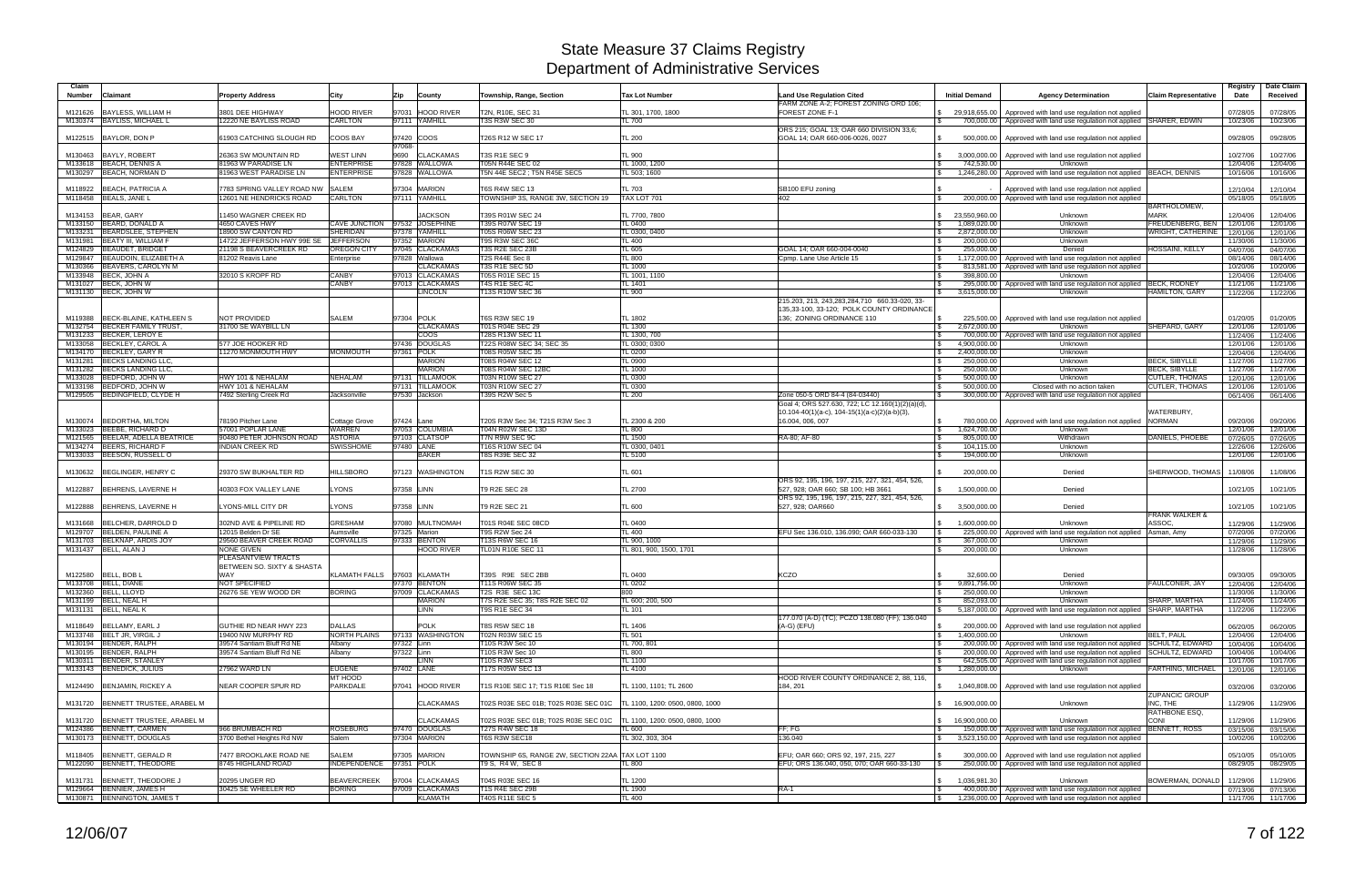| Claim<br><b>Number</b><br>Claimant                                 | <b>Property Address</b>                                | City                                      | Zip                      | County                              | Township, Range, Section                                               | <b>Tax Lot Number</b>           | <b>Land Use Regulation Cited</b><br>FARM ZONE A-2; FOREST ZONING ORD 106    | <b>Initial Demand</b>                                    | <b>Agency Determination</b>                                                                                                                            | <b>Claim Representative</b>                  | Registry<br>Date     | Date Claim<br>Received        |
|--------------------------------------------------------------------|--------------------------------------------------------|-------------------------------------------|--------------------------|-------------------------------------|------------------------------------------------------------------------|---------------------------------|-----------------------------------------------------------------------------|----------------------------------------------------------|--------------------------------------------------------------------------------------------------------------------------------------------------------|----------------------------------------------|----------------------|-------------------------------|
| BAYLESS, WILLIAM H<br>M121626                                      | 3801 DEE HIGHWAY                                       | <b>HOOD RIVER</b>                         | 97031                    | <b>HOOD RIVER</b>                   | T2N, R10E, SEC 31                                                      | TL 301, 1700, 1800              | FOREST ZONE F-1                                                             | \$29,918,655.00                                          | Approved with land use regulation not applied                                                                                                          |                                              | 07/28/05             | 07/28/05                      |
| M130374 BAYLISS, MICHAEL L                                         | 12220 NE BAYLISS ROAD                                  | <b>CARLTON</b>                            |                          | 97111 YAMHILL                       | <b>T3S R3W SEC 30</b>                                                  | TL 700                          |                                                                             | 700,000.00                                               | Approved with land use regulation not applied SHARER, EDWIN                                                                                            |                                              | 10/23/06             | 10/23/06                      |
| M122515 BAYLOR, DON P                                              | 61903 CATCHING SLOUGH RD                               | COOS BAY                                  |                          | 97420 COOS                          | T26S R12 W SEC 17                                                      | <b>TL 200</b>                   | ORS 215; GOAL 13; OAR 660 DIVISION 33,6;<br>GOAL 14; OAR 660-006-0026, 0027 | 500,000.00<br>IS.                                        | Approved with land use regulation not applied                                                                                                          |                                              | 09/28/05             | 09/28/05                      |
| M130463 BAYLY, ROBERT                                              | 26363 SW MOUNTAIN RD                                   | <b>WEST LINN</b>                          | 97068-                   | 9690 CLACKAMAS                      | T3S R1E SEC 9                                                          | <b>TL 900</b>                   |                                                                             | $\mathbb{S}$<br>3,000,000.00                             | Approved with land use regulation not applied                                                                                                          |                                              | 10/27/06             | 10/27/06                      |
| M133618 BEACH, DENNIS A                                            | 81963 W PARADISE LN                                    | <b>ENTERPRISE</b>                         |                          | 97828 WALLOWA                       | T05N R44E SEC 02                                                       | TL 1000, 1200                   |                                                                             | 742,530.00                                               | Unknown                                                                                                                                                |                                              | 12/04/06             | 12/04/06                      |
| M130297 BEACH, NORMAN D                                            | <b>31963 WEST PARADISE LN</b>                          | <b>ENTERPRISE</b>                         |                          | 97828 WALLOWA                       | T5N 44E SEC2 ; T5N R45E SEC5                                           | TL 503; 1600                    |                                                                             | 1,246,280.00<br>$\mathcal{S}$                            | Approved with land use regulation not applied   BEACH, DENNIS                                                                                          |                                              | 10/16/06             | 10/16/06                      |
| <b>BEACH, PATRICIA A</b><br>M118922                                | 7783 SPRING VALLEY ROAD NW                             | <b>SALEM</b>                              |                          | 97304 MARION                        | <b>T6S R4W SEC 13</b>                                                  | <b>TL 703</b>                   | SB100 EFU zoning                                                            |                                                          | Approved with land use regulation not applied                                                                                                          |                                              |                      |                               |
| M118458 BEALS, JANE L                                              | 2601 NE HENDRICKS ROAD                                 | <b>CARLTON</b>                            |                          | 97111 YAMHILL                       | TOWNSHIP 3S, RANGE 3W, SECTION 19                                      | TAX LOT 701                     | 402                                                                         | 200,000.00                                               | Approved with land use regulation not applied                                                                                                          |                                              | 12/10/04<br>05/18/05 | 12/10/04<br>05/18/05          |
|                                                                    |                                                        |                                           |                          |                                     |                                                                        |                                 |                                                                             |                                                          |                                                                                                                                                        | BARTHOLOMEW,                                 |                      |                               |
| M134153 BEAR, GARY                                                 | 11450 WAGNER CREEK RD                                  |                                           |                          | <b>JACKSON</b>                      | T39S R01W SEC 24                                                       | TL 7700, 7800                   |                                                                             | $\mathbb{S}$<br>23,550,960.00                            | Unknown                                                                                                                                                | <b>MARK</b>                                  | 12/04/06             | 12/04/06                      |
| BEARD, DONALD A<br>M133150<br><b>BEARDSLEE, STEPHEN</b><br>M133231 | 4650 CAVES HWY<br>18900 SW CANYON RD                   | CAVE JUNCTION 97532 JOSEPHINE<br>SHERIDAN |                          | 97378 YAMHILL                       | T39S R07W SEC 19<br>T05S R06W SEC 23                                   | <b>TL 0400</b><br>TL 0300, 0400 |                                                                             | $\sqrt{3}$<br>1,089,020.00<br>2,872,000.00<br>$\sqrt{3}$ | Unknown<br>Unknown                                                                                                                                     | FREUDENBERG, BEN<br><b>WRIGHT, CATHERINE</b> | 12/01/06<br>12/01/06 | 12/01/06<br>12/01/06          |
| <b>BEATY III. WILLIAM F</b><br>M131981                             | 14722 JEFFERSON HWY 99E SE JEFFERSON                   |                                           |                          | 97352 MARION                        | T9S R3W SEC 36C                                                        | <b>TL 400</b>                   |                                                                             | <b>S</b><br>200.000.00                                   | Unknown                                                                                                                                                |                                              | 11/30/06             | 11/30/06                      |
| <b>BEAUDET, BRIDGET</b><br>M124829                                 | 21198 S BEAVERCREEK RD                                 | <b>OREGON CITY</b>                        |                          | 97045 CLACKAMAS                     | T3S R2E SEC 23B                                                        | TL 605                          | GOAL 14: OAR 660-004-0040                                                   | 255,000.00                                               | Denied                                                                                                                                                 | <b>HOSSAINI, KELLY</b>                       | 04/07/06             | 04/07/06                      |
| BEAUDOIN, ELIZABETH A<br>M129847                                   | 81202 Reavis Lane                                      | Enterprise                                |                          | 97828 Wallowa                       | <b>T2S R44E Sec 8</b>                                                  | <b>TL 800</b>                   | Cpmp. Lane Use Article 15                                                   |                                                          | 1,172,000.00 Approved with land use regulation not applied                                                                                             |                                              | 08/14/06             | 08/14/06                      |
| <b>BEAVERS, CAROLYN M</b><br>M130366<br>BECK, JOHN A<br>M133948    | 32010 S KROPF RD                                       | CANBY                                     |                          | <b>CLACKAMAS</b><br>97013 CLACKAMAS | T3S R1E SEC 5D<br>T05S R01E SEC 15                                     | TL 1000<br>TL 1001, 1100        |                                                                             | 813,581.00<br>398,800.00<br>1 S.                         | Approved with land use regulation not applied<br>Unknown                                                                                               |                                              | 10/20/06<br>12/04/06 | 10/20/06<br>12/04/06          |
| M131027 BECK, JOHN W                                               |                                                        | <b>CANBY</b>                              |                          | 97013 CLACKAMAS                     | T4S R1E SEC 4C                                                         | TL 1401                         |                                                                             | 295,000.00                                               | Approved with land use regulation not applied  BECK, RODNEY                                                                                            |                                              | 11/21/06             | 11/21/06                      |
| M131130 BECK, JOHN W                                               |                                                        |                                           |                          | LINCOLN                             | T13S R10W SEC 36                                                       | <b>TL 900</b>                   |                                                                             | 3,615,000.00<br>IS.                                      | Unknown                                                                                                                                                | HAMILTON, GARY                               | 11/22/06             | 11/22/06                      |
|                                                                    |                                                        |                                           |                          |                                     |                                                                        |                                 | 215.203, 213, 243, 283, 284, 710 660. 33-020, 33-                           |                                                          |                                                                                                                                                        |                                              |                      |                               |
| M119388<br>BECK-BLAINE, KATHLEEN S                                 | NOT PROVIDED                                           | <b>SALEM</b>                              |                          | 97304 POLK                          | <b>T6S R3W SEC 19</b>                                                  | <b>TL 1802</b>                  | 135.33-100, 33-120; POLK COUNTY ORDINANCE<br>136; ZONING ORDINANCE 110      | 225.500.00                                               | Approved with land use regulation not applied                                                                                                          |                                              | 01/20/05             | 01/20/05                      |
| BECKER FAMILY TRUST.<br>M132754                                    | 31700 SE WAYBILL LN                                    |                                           |                          | <b>CLACKAMAS</b>                    | T01S R04E SEC 29                                                       | TL 1300                         |                                                                             | $\mathcal{S}$<br>2,672,000.00                            | Unknown                                                                                                                                                | SHEPARD, GARY                                | 12/01/06             | 12/01/06                      |
| M131233 BECKER, LEROY E                                            |                                                        |                                           |                          | coos                                | T28S R13W SEC 11                                                       | TL 1300, 700                    |                                                                             | 700,000.00                                               | Approved with land use regulation not applied                                                                                                          |                                              | 11/24/06             | 11/24/06                      |
| M133058 BECKLEY, CAROL A                                           | 577 JOE HOOKER RD                                      |                                           |                          | 97436 DOUGLAS                       | T22S R08W SEC 34; SEC 35                                               | TL 0300; 0300                   |                                                                             | 4,900,000.00<br>l \$                                     | Unknown                                                                                                                                                |                                              | 12/01/06             | 12/01/06                      |
| BECKLEY, GARY R<br>M134170<br><b>BECKS LANDING LLC</b><br>M131281  | 1270 MONMOUTH HWY                                      | <b>MONMOUTH</b>                           | 97361 POLK               | <b>MARION</b>                       | T08S R05W SEC 35<br><b>T08S R04W SEC 12</b>                            | TL 0200<br>TL 0900              |                                                                             | 2,400,000.00<br>IS.<br>250,000.00<br><b>S</b>            | Unknown<br>Unknown                                                                                                                                     | <b>BECK, SIBYLLE</b>                         | 12/04/06<br>11/27/06 | 12/04/06<br>11/27/06          |
| M131282 BECKS LANDING LLC.                                         |                                                        |                                           |                          | <b>MARION</b>                       | T08S R04W SEC 12BC                                                     | TL 1000                         |                                                                             | 250,000.00                                               | Unknown                                                                                                                                                | <b>BECK, SIBYLLE</b>                         | 11/27/06             | 11/27/06                      |
| M133028 BEDFORD, JOHN W                                            | HWY 101 & NEHALAM                                      | <b>NEHALAM</b>                            |                          | 97131 TILLAMOOK                     | T03N R10W SEC 27                                                       | TL 0300                         |                                                                             | 500,000.00<br><b>S</b>                                   | Unknown                                                                                                                                                | <b>CUTLER, THOMAS</b>                        | 12/01/06             | 12/01/06                      |
| M133198 BEDFORD, JOHN W<br>M129505 BEDINGFIELD, CLYDE H            | HWY 101 & NEHALAM<br>7492 Sterling Creek Rd            | Jacksonville                              | 97131                    | <b>TILLAMOOK</b><br>97530 Jackson   | <b>T03N R10W SEC 27</b><br>T39S R2W Sec 5                              | TL 0300<br>TL200                | Zone 050-5 ORD 84-4 (84-03440)                                              | 500.000.00<br>l \$                                       | Closed with no action taken                                                                                                                            | <b>CUTLER, THOMAS</b>                        | 12/01/06             | 12/01/06                      |
|                                                                    |                                                        |                                           |                          |                                     |                                                                        |                                 | Goal 4; ORS 527.630, 722; LC 12.160(1)(2)(a)(d),                            |                                                          | 300,000.00   Approved with land use regulation not applied                                                                                             |                                              | 06/14/06             | 06/14/06                      |
|                                                                    |                                                        |                                           |                          |                                     |                                                                        |                                 | 10.104-40(1)(a-c), 104-15(1)(a-c)(2)(a-b)(3),                               |                                                          |                                                                                                                                                        | WATERBURY,                                   |                      |                               |
| M130074 BEDORTHA, MILTON                                           | 78190 Pitcher Lane                                     | Cottage Grove                             | 97424 Lane               |                                     | T20S R3W Sec 34; T21S R3W Sec 3                                        | TL 2300 & 200                   | 16.004, 006, 007                                                            | 780,000.00<br>$\sqrt{3}$                                 | Approved with land use regulation not applied                                                                                                          | <b>NORMAN</b>                                | 09/20/06             | 09/20/06                      |
| M133023 BEEBE, RICHARD D<br>M121565 BEELAR, ADELLA BEATRICE        | 57001 POPLAR LANE<br>90480 PETER JOHNSON ROAD          | WARREN<br><b>ASTORIA</b>                  |                          | 97053 COLUMBIA<br>97103 CLATSOP     | T04N R02W SEC 13D<br>T7N R9W SEC 9C                                    | <b>TL 800</b><br><b>TL 1500</b> | RA-80; AF-80                                                                | 1,624,700.00<br><b>\$</b><br>$\sqrt{S}$<br>805,000.00    | Unknown<br>Withdrawn                                                                                                                                   | DANIELS, PHOEBE                              | 12/01/06<br>07/26/05 | 12/01/06<br>07/26/05          |
| M134274 BEERS, RICHARD F                                           | <b>INDIAN CREEK RD</b>                                 | <b>SWISSHOME</b>                          | 97480 LANE               |                                     | T16S R10W SEC 04                                                       | TL 0300, 040                    |                                                                             | 104,115.00<br><b>S</b>                                   | Unknown                                                                                                                                                |                                              | 12/26/06             | 12/26/06                      |
| M133033 BEESON, RUSSELL O                                          |                                                        |                                           |                          | <b>BAKER</b>                        | T8S R39E SEC 32                                                        | TL 5100                         |                                                                             | $\mathbf{s}$<br>194,000.00                               | Unknown                                                                                                                                                |                                              | 12/01/06             | 12/01/06                      |
|                                                                    |                                                        |                                           |                          |                                     |                                                                        |                                 |                                                                             |                                                          |                                                                                                                                                        |                                              |                      |                               |
| BEGLINGER, HENRY C<br>M130632                                      | 29370 SW BUKHALTER RD                                  | <b>HILLSBORO</b>                          |                          | 97123 WASHINGTON                    | T1S R2W SEC 30                                                         | TL 601                          | ORS 92, 195, 196, 197, 215, 227, 321, 454, 526,                             | 200,000.00                                               | Denied                                                                                                                                                 | SHERWOOD, THOMAS                             | 11/08/06             | 11/08/06                      |
| BEHRENS, LAVERNE H<br>M122887                                      | 40303 FOX VALLEY LANE                                  | LYONS                                     | 97358 LINN               |                                     | T9 R2E SEC 28                                                          | <b>TL 2700</b>                  | 527, 928; OAR 660; SB 100; HB 3661                                          | $\mathbb{S}$<br>1,500,000.00                             | Denied                                                                                                                                                 |                                              | 10/21/05             | 10/21/05                      |
|                                                                    |                                                        |                                           |                          |                                     |                                                                        |                                 | ORS 92, 195, 196, 197, 215, 227, 321, 454, 526,                             |                                                          |                                                                                                                                                        |                                              |                      |                               |
| BEHRENS, LAVERNE H<br>M122888                                      | YONS-MILL CITY DR                                      | LYONS                                     | 97358 LINN               |                                     | T9 R2E SEC 21                                                          | <b>TL 600</b>                   | 527, 928; OAR660                                                            | 3,500,000.00<br>S.                                       | Denied                                                                                                                                                 |                                              | 10/21/05             | 10/21/05                      |
| BELCHER, DARROLD D<br>M131668                                      | 302ND AVE & PIPELINE RD                                | <b>GRESHAM</b>                            |                          | 97080 MULTNOMAH                     | T01S R04E SEC 08CD                                                     | TL 0400                         |                                                                             | 1.600.000.00                                             | Unknown                                                                                                                                                | <b>FRANK WALKER &amp;</b><br>ASSOC           | 11/29/06             | 11/29/06                      |
| BELDEN, PAULINE A<br>M129707                                       | 12015 Belden Dr SE                                     |                                           |                          |                                     |                                                                        |                                 |                                                                             |                                                          |                                                                                                                                                        |                                              |                      |                               |
| BELKNAP, ARDIS JOY<br>M <sub>131703</sub>                          |                                                        | Aumsville                                 | 97325 Marion             |                                     | T9S R2W Sec 24                                                         | <b>TL 400</b>                   | EFU Sec 136,010, 136,090; OAR 660-033-130                                   |                                                          | 225,000.00 Approved with land use regulation not applied Asman, Amy                                                                                    |                                              | 07/20/06             | 07/20/06                      |
|                                                                    | 29560 BEAVER CREEK ROAD                                | <b>CORVALLIS</b>                          |                          | 97333 BENTON                        | T13S R6W SEC 16                                                        | TL 900, 1000                    |                                                                             | 367,000.00<br>IS.                                        | Unknown                                                                                                                                                |                                              | 11/29/06             | 11/29/06                      |
| M131437 BELL, ALAN J                                               | <b>VONE GIVEN</b>                                      |                                           |                          | <b>HOOD RIVER</b>                   | <b>TL01N R10E SEC 11</b>                                               | TL 801, 900, 1500, 1701         |                                                                             | 200,000.00                                               | Unknown                                                                                                                                                |                                              | 11/28/06             | 11/28/06                      |
|                                                                    | PLEASANTVIEW TRACTS                                    |                                           |                          |                                     |                                                                        |                                 |                                                                             |                                                          |                                                                                                                                                        |                                              |                      |                               |
| M122580 BELL, BOB I                                                | BETWEEN SO. SIXTY & SHASTA<br><b>WAY</b>               | KLAMATH FALLS 97603 KLAMATH               |                          |                                     | T39S R9E SEC 2BB                                                       | <b>TL 0400</b>                  | <b>KCZO</b>                                                                 | 32.600.00                                                | Denied                                                                                                                                                 |                                              | 09/30/05             | 09/30/05                      |
| M133708 BELL, DIANE                                                | NOT SPECIFIED                                          |                                           |                          | 97370 BENTON                        | T11S R06W SEC 35                                                       | <b>TL 0202</b>                  |                                                                             | \$9,891,756.00                                           | Unknown                                                                                                                                                | FAULCONER, JAY                               | 12/04/06             | 12/04/06                      |
| M132360 BELL, LLOYD                                                | 26276 SE YEW WOOD DR                                   | <b>BORING</b>                             |                          | 97009 CLACKAMAS                     | T2S R3E SEC 13C                                                        | 800                             |                                                                             | 250,000.00<br>$\sqrt{3}$                                 | Unknown                                                                                                                                                |                                              | 11/30/06             | 11/30/06                      |
| M131199 BELL, NEAL H<br>M131131 BELL, NEAL K                       |                                                        |                                           |                          | <b>MARION</b><br><b>LINN</b>        | T7S R2E SEC 35; T8S R2E SEC 02<br><b>T9S R1E SEC 34</b>                | TL 600; 200, 500<br>TL 101      |                                                                             | 852,093.00<br>$\sqrt{3}$<br>$\mathbb{S}$                 | Unknown<br>5,187,000.00 Approved with land use regulation not applied SHARP, MARTHA                                                                    | SHARP, MARTHA                                | 11/24/06<br>11/22/06 | 11/24/06<br>11/22/06          |
|                                                                    |                                                        |                                           |                          |                                     |                                                                        |                                 | 177.070 (A-D) (TC); PCZO 138.080 (FF); 136.040                              |                                                          |                                                                                                                                                        |                                              |                      |                               |
| M118649 BELLAMY, EARL J                                            | GUTHIE RD NEAR HWY 223                                 | <b>DALLAS</b>                             |                          | <b>POLK</b>                         | <b>T8S R5W SEC 18</b>                                                  | TL 1406                         | $(A-G)$ (EFU)                                                               | 200,000.00<br>$\sqrt{3}$                                 | Approved with land use regulation not applied                                                                                                          |                                              | 06/20/05             | 06/20/05                      |
| M133748 BELT JR, VIRGIL J                                          | 19400 NW MURPHY RD                                     | <b>NORTH PLAINS</b>                       |                          | 97133 WASHINGTON                    | T02N R03W SEC 15                                                       | <b>TL 501</b>                   |                                                                             | $\sqrt{S}$<br>1,400,000.00                               | Unknown                                                                                                                                                | BELT, PAUL                                   | 12/04/06             | 12/04/06                      |
| M130194 BENDER, RALPH<br>M130195 BENDER, RALPH                     | 39574 Santiam Bluff Rd NE<br>39574 Santiam Bluff Rd NE | Albany<br>Albany                          | 97322 Linn<br>97322 Linn |                                     | T10S R3W Sec 10<br>T10S R3W Sec 10                                     | TL 700, 801<br><b>TL 800</b>    |                                                                             | <b>S</b><br>$\sqrt{S}$                                   | 200,000.00 Approved with land use regulation not applied SCHULTZ, EDWARD<br>200,000.00   Approved with land use regulation not applied SCHULTZ, EDWARD |                                              | 10/04/06<br>10/04/06 | 10/04/06<br>10/04/06          |
| M130311 BENDER, STANLEY                                            |                                                        |                                           |                          | <b>LINN</b>                         | T10S R3W SEC3                                                          | <b>TL 1100</b>                  |                                                                             | <b>\$</b>                                                | 642,505.00 Approved with land use regulation not applied                                                                                               |                                              | 10/17/06             | 10/17/06                      |
| M133143 BENEDICK, JULIUS                                           | 27962 WARD LN                                          | <b>EUGENE</b>                             |                          | 97402 LANE                          | T17S R05W SEC 13                                                       | <b>TL 4100</b>                  |                                                                             | $\mathcal{S}$<br>1,280,000.00                            | Unknown                                                                                                                                                | FARTHING, MICHAEL                            | 12/01/06             | 12/01/06                      |
|                                                                    |                                                        | MT HOOD                                   |                          |                                     |                                                                        |                                 | HOOD RIVER COUNTY ORDINANCE 2, 88, 116,                                     |                                                          |                                                                                                                                                        |                                              |                      |                               |
| M124490 BENJAMIN, RICKEY A                                         | NEAR COOPER SPUR RD                                    | PARKDALE                                  |                          | 97041 HOOD RIVER                    | T1S R10E SEC 17; T1S R10E Sec 18                                       | TL 1100, 1101; TL 2600          | 184, 201                                                                    | $\mathbb{S}$                                             | 1,040,808.00 Approved with land use regulation not applied                                                                                             | <b>ZUPANCIC GROUP</b>                        | 03/20/06             | 03/20/06                      |
| M131720 BENNETT TRUSTEE, ARABEL M                                  |                                                        |                                           |                          | <b>CLACKAMAS</b>                    | T02S R03E SEC 01B; T02S R03E SEC 01C   TL 1100, 1200: 0500, 0800, 1000 |                                 |                                                                             | \$ 16,900,000.00                                         | Unknown                                                                                                                                                | INC, THE                                     | 11/29/06             | 11/29/06                      |
|                                                                    |                                                        |                                           |                          |                                     |                                                                        |                                 |                                                                             |                                                          |                                                                                                                                                        | <b>RATHBONE ESQ.</b>                         |                      |                               |
| M131720 BENNETT TRUSTEE, ARABEL M                                  |                                                        |                                           |                          | <b>CLACKAMAS</b>                    | T02S R03E SEC 01B: T02S R03E SEC 01C TL 1100, 1200: 0500, 0800, 1000   |                                 |                                                                             | \$ 16,900,000.00                                         | Unknown                                                                                                                                                | <b>CONI</b>                                  | 11/29/06             | 11/29/06                      |
| M124386 BENNETT, CARMEN<br>M130173 BENNETT, DOUGLAS                | 966 BRUMBACH RD<br>3700 Bethel Heights Rd NW           | <b>ROSEBURG</b><br>Salem                  |                          | 97470 DOUGLAS<br>97304 MARION       | <b>T27S R4W SEC 18</b><br>T6S R3W SEC18                                | TL 600<br>TL 302, 303, 304      | FF: FG<br>136.040                                                           | $\sqrt{3}$<br>$\mathbb{S}$                               | 150,000.00   Approved with land use regulation not applied   BENNETT, ROSS<br>3,523,150.00 Approved with land use regulation not applied               |                                              | 03/15/06<br>10/02/06 | 03/15/06<br>10/02/06          |
|                                                                    |                                                        |                                           |                          |                                     |                                                                        |                                 |                                                                             |                                                          |                                                                                                                                                        |                                              |                      |                               |
| M118405 BENNETT, GERALD R                                          | 7477 BROOKLAKE ROAD NE                                 | SALEM                                     |                          | 97305 MARION                        | TOWNSHIP 6S, RANGE 2W, SECTION 22AA TAX LOT 1100                       |                                 | EFU; OAR 660; ORS 92, 197, 215, 227                                         | $\mathfrak{S}$                                           | 300,000.00   Approved with land use regulation not applied                                                                                             |                                              | 05/10/05             | 05/10/05                      |
| M122090 BENNETT, THEODORE                                          | 8745 HIGHLAND ROAD                                     | INDEPENDENCE 97351 POLK                   |                          |                                     | T9 S, R4 W, SEC 8                                                      | <b>TL 800</b>                   | EFU; ORS 136.040, 050, 070; OAR 660-33-130                                  |                                                          | 250,000.00 Approved with land use regulation not applied                                                                                               |                                              | 08/29/05             | 08/29/05                      |
| M131731 BENNETT, THEODORE J                                        | 20295 UNGER RD                                         | BEAVERCREEK                               |                          | 97004 CLACKAMAS                     | T04S R03E SEC 16                                                       | TL 1200                         |                                                                             | 1,036,981.30<br>$\mathfrak{S}$                           | Unknown                                                                                                                                                | BOWERMAN, DONALD                             | 11/29/06             | 11/29/06                      |
| M129664 BENNIER, JAMES H<br>M130871 BENNINGTON, JAMES T            | 30425 SE WHEELER RD                                    | <b>BORING</b>                             |                          | 97009 CLACKAMAS<br><b>KLAMATH</b>   | T1S R4E SEC 29B<br>T40S R11E SEC 5                                     | <b>TL 1900</b><br><b>TL 400</b> | <b>RA-1</b>                                                                 | $\sqrt{S}$<br>$\sqrt{3}$                                 | 400,000.00 Approved with land use regulation not applied<br>1,236,000.00 Approved with land use regulation not applied                                 |                                              | 07/13/06             | 07/13/06<br>11/17/06 11/17/06 |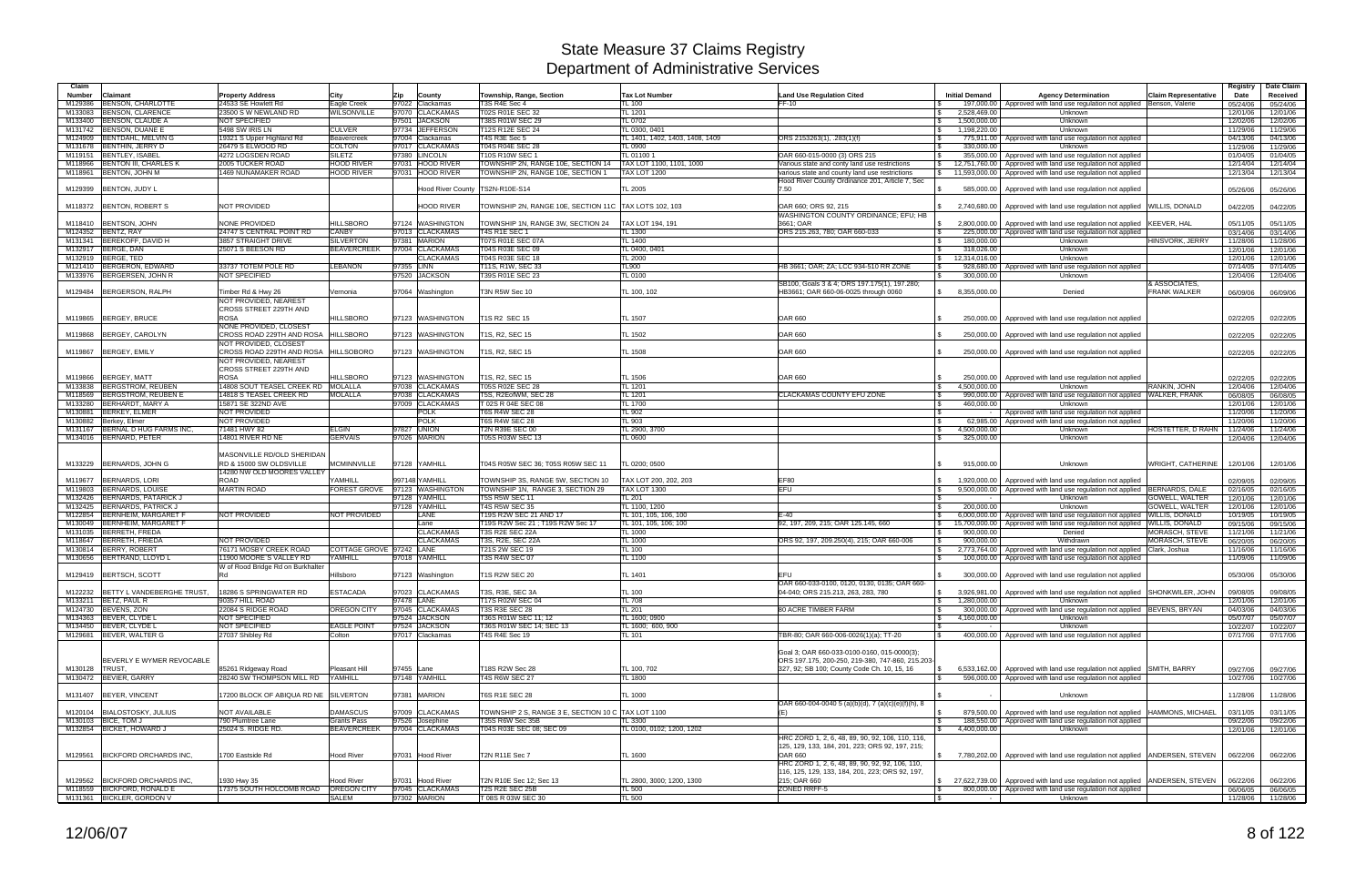| Claim              |                                                        |                                                               |                                        |            |                                      |                                                                         |                                                 |                                                                                                   |                                               |                                                                                                                                             |                                      | Registry             | Date Claim           |
|--------------------|--------------------------------------------------------|---------------------------------------------------------------|----------------------------------------|------------|--------------------------------------|-------------------------------------------------------------------------|-------------------------------------------------|---------------------------------------------------------------------------------------------------|-----------------------------------------------|---------------------------------------------------------------------------------------------------------------------------------------------|--------------------------------------|----------------------|----------------------|
| <b>Number</b>      | Claimant                                               | <b>Property Address</b>                                       | Citv                                   | Zip        | County                               | Township, Range, Section                                                | <b>Tax Lot Number</b>                           | <b>Land Use Regulation Cited</b>                                                                  | <b>Initial Demand</b>                         | <b>Agency Determination</b>                                                                                                                 | <b>Claim Representative</b>          | Date                 | Received             |
| M129386            | BENSON, CHARLOTTE                                      | 24533 SE Howlett Rd                                           | Eagle Creek                            |            | 97022 Clackamas                      | T3S R4E Sec 4                                                           | FL 100                                          | $FF-10$                                                                                           |                                               | 197,000.00   Approved with land use regulation not applied Benson, Valerie                                                                  |                                      | 05/24/06             | 05/24/06             |
| M133083            | <b>BENSON, CLARENCE</b><br>M133400 BENSON, CLAUDE A    | 23500 S W NEWLAND RD<br>NOT SPECIFIED                         | WILSONVILLE                            |            | 97070 CLACKAMAS<br>97501 JACKSON     | T02S R01E SEC 32<br>T38S R01W SEC 29                                    | <b>TL 1201</b><br>TL 0702                       |                                                                                                   | 2,528,469.00<br>$\mathcal{S}$<br>1,500,000.00 | Unknown<br>Unknown                                                                                                                          |                                      | 12/01/06<br>12/02/06 | 12/01/06<br>12/02/06 |
| M131742            | BENSON, DUANE E                                        | 5498 SW IRIS LN                                               | <b>CULVER</b>                          |            | 97734 JEFFERSON                      | T12S R12E SEC 24                                                        | TL 0300, 0401                                   |                                                                                                   | 1,198,220.00<br>$\sqrt{S}$                    | Unknown                                                                                                                                     |                                      | 11/29/06             | 11/29/06             |
| M124909            | BENTDAHL, MELVIN G                                     | 19321 S Upper Highland Rd                                     | Beavercreek                            |            | 97004 Clackamas                      | T4S R3E Sec 5                                                           | TL 1401, 1402, 1403, 1408, 1409                 | ORS 2153263(1), .283(1)(f)                                                                        | 775,911.00                                    | Approved with land use regulation not applied                                                                                               |                                      | 04/13/06             | 04/13/06             |
| M131678            | BENTHIN, JERRY D                                       | 26479 S ELWOOD RD                                             | <b>COLTON</b>                          |            | 97017 CLACKAMAS                      | T04S R04E SEC 28                                                        | TL 0900                                         |                                                                                                   | 330,000.00                                    | Unknown                                                                                                                                     |                                      | 11/29/06             | 11/29/06             |
| M119151            | <b>BENTLEY, ISABEL</b>                                 | 4272 LOGSDEN ROAD                                             | <b>SILETZ</b>                          |            | 97380 LINCOLN                        | T10S R10W SEC 1                                                         | TL 011001                                       | OAR 660-015-0000 (3) ORS 215                                                                      | 355,000.00                                    | Approved with land use regulation not applied                                                                                               |                                      | 01/04/05             | 01/04/05             |
| M118966            | <b>BENTON III, CHARLES K</b><br>M118961 BENTON, JOHN M | 2005 TUCKER ROAD<br>1469 NUNAMAKER ROAD                       | <b>HOOD RIVER</b><br><b>HOOD RIVER</b> |            | 97031 HOOD RIVER<br>97031 HOOD RIVER | TOWNSHIP 2N, RANGE 10E, SECTION 14<br>TOWNSHIP 2N, RANGE 10E, SECTION 1 | TAX LOT 1100, 1101, 1000<br><b>FAX LOT 1200</b> | Various state and conty land use restrictions                                                     | <b>\$</b><br>12,751,760.00                    | Approved with land use regulation not applied                                                                                               |                                      | 12/14/04             | 12/14/04             |
|                    |                                                        |                                                               |                                        |            |                                      |                                                                         |                                                 | various state and county land use restrictions<br>Hood River County Ordinance 201, Article 7, Sec | 11,593,000.00<br>$\mathbb{S}$                 | Approved with land use regulation not applied                                                                                               |                                      | 12/13/04             | 12/13/04             |
| M129399            | BENTON, JUDY L                                         |                                                               |                                        |            |                                      | Hood River County  TS2N-R10E-S14                                        | TL 2005                                         | 7.50                                                                                              | 585,000.00                                    | Approved with land use regulation not applied                                                                                               |                                      | 05/26/06             | 05/26/06             |
|                    |                                                        |                                                               |                                        |            |                                      |                                                                         |                                                 |                                                                                                   |                                               |                                                                                                                                             |                                      |                      |                      |
|                    | M118372 BENTON, ROBERT S                               | NOT PROVIDED                                                  |                                        |            | <b>HOOD RIVER</b>                    | TOWNSHIP 2N, RANGE 10E, SECTION 11C                                     | <b>TAX LOTS 102, 103</b>                        | OAR 660: ORS 92, 215                                                                              | 2,740,680.00                                  | Approved with land use regulation not applied                                                                                               | <b>WILLIS, DONALD</b>                | 04/22/05             | 04/22/05             |
|                    |                                                        |                                                               |                                        |            |                                      |                                                                         |                                                 | WASHINGTON COUNTY ORDINANCE; EFU; HB                                                              |                                               |                                                                                                                                             |                                      |                      |                      |
| M118410<br>M124352 | <b>BENTSON, JOHN</b><br>BENTZ, RAY                     | NONE PROVIDED<br>24747 S CENTRAL POINT RD                     | <b>HILLSBORO</b><br>CANBY              |            | 97124 WASHINGTON<br>97013 CLACKAMAS  | TOWNSHIP 1N, RANGE 3W, SECTION 24<br><b>T4S R1E SEC 1</b>               | TAX LOT 194, 191<br>TL 1300                     | 3661; OAR<br>ORS 215.263, 780; OAR 660-033                                                        | $\mathfrak s$<br>225,000.00<br><b>S</b>       | 2,800,000.00 Approved with land use regulation not applied<br>Approved with land use regulation not applied                                 | KEEVER, HAL                          | 05/11/05<br>03/14/06 | 05/11/05<br>03/14/06 |
| M131341            | BEREKOFF, DAVID H                                      | 3857 STRAIGHT DRIVE                                           | <b>SILVERTON</b>                       |            | 97381 MARION                         | <b>T07S R01E SEC 07A</b>                                                | TL 1400                                         |                                                                                                   | <b>S</b><br>180.000.00                        | Unknown                                                                                                                                     | HINSVORK, JERRY                      | 11/28/06             | 11/28/06             |
| M132917            | <b>BERGE, DAN</b>                                      | 25071 S BEESON RD                                             | <b>BEAVERCREEK</b>                     |            | 97004 CLACKAMAS                      | T04S R03E SEC 09                                                        | TL 0400, 0401                                   |                                                                                                   | 318.026.00<br>IS.                             | Unknown                                                                                                                                     |                                      | 12/01/06             | 12/01/06             |
|                    | M132919 BERGE. TED                                     |                                                               |                                        |            | <b>CLACKAMAS</b>                     | T04S R03E SEC 18                                                        | <b>TL 2000</b>                                  |                                                                                                   | 12.314.016.00<br>$\mathbb{S}$                 | Unknown                                                                                                                                     |                                      | 12/01/06             | 12/01/06             |
| M121410            | BERGERON, EDWARD                                       | 33737 TOTEM POLE RD                                           | <b>LEBANON</b>                         | 97355 LINN |                                      | T11S, R1W, SEC 33                                                       | TL900                                           | HB 3661: OAR: ZA: LCC 934-510 RR ZONE                                                             | 928,680.00                                    | Approved with land use regulation not applied                                                                                               |                                      | 07/14/05             | 07/14/05             |
|                    | M133976 BERGERSEN, JOHN R                              | NOT SPECIFIED                                                 |                                        |            | 97520 JACKSON                        | T39S R01E SEC 23                                                        | TL 0100                                         |                                                                                                   | 300,000.00<br>IS.                             | Unknown                                                                                                                                     |                                      | 12/04/06             | 12/04/06             |
|                    | M129484 BERGERSON, RALPH                               | Timber Rd & Hwy 26                                            | Vernonia                               |            | 97064 Washington                     | T3N R5W Sec 10                                                          | TL 100, 102                                     | SB100, Goals 3 & 4; ORS 197.175(1), 197.280;<br>HB3661; OAR 660-06-0025 through 0060              | 8,355,000.00<br>$\mathbb{S}$                  | Denied                                                                                                                                      | & ASSOCIATES,<br><b>FRANK WALKER</b> | 06/09/06             | 06/09/06             |
|                    |                                                        | NOT PROVIDED. NEAREST                                         |                                        |            |                                      |                                                                         |                                                 |                                                                                                   |                                               |                                                                                                                                             |                                      |                      |                      |
|                    |                                                        | <b>CROSS STREET 229TH AND</b>                                 |                                        |            |                                      |                                                                         |                                                 |                                                                                                   |                                               |                                                                                                                                             |                                      |                      |                      |
| M119865            | BERGEY, BRUCE                                          | <b>ROSA</b>                                                   | <b>HILLSBORO</b>                       |            | 97123 WASHINGTON                     | T1S R2 SEC 15                                                           | <b>TL 1507</b>                                  | <b>OAR 660</b>                                                                                    | <b>S</b><br>250,000.00                        | Approved with land use regulation not applied                                                                                               |                                      | 02/22/05             | 02/22/05             |
|                    |                                                        | NONE PROVIDED, CLOSEST                                        |                                        |            |                                      |                                                                         |                                                 |                                                                                                   |                                               |                                                                                                                                             |                                      |                      |                      |
| M119868            | BERGEY, CAROLYN                                        | CROSS ROAD 229TH AND ROSA HILLSBORO                           |                                        |            | 97123 WASHINGTON                     | T1S, R2, SEC 15                                                         | TL 1502                                         | <b>OAR 660</b>                                                                                    | 250,000.00                                    | Approved with land use regulation not applied                                                                                               |                                      | 02/22/05             | 02/22/05             |
|                    | M119867 BERGEY, EMILY                                  | NOT PROVIDED, CLOSEST<br>CROSS ROAD 229TH AND ROSA HILLSOBORO |                                        |            | 97123 WASHINGTON                     | T1S, R2, SEC 15                                                         | TL 1508                                         | <b>OAR 660</b>                                                                                    | 250,000.00                                    | Approved with land use regulation not applied                                                                                               |                                      | 02/22/05             | 02/22/05             |
|                    |                                                        | NOT PROVIDED, NEAREST                                         |                                        |            |                                      |                                                                         |                                                 |                                                                                                   |                                               |                                                                                                                                             |                                      |                      |                      |
|                    |                                                        | <b>CROSS STREET 229TH AND</b>                                 |                                        |            |                                      |                                                                         |                                                 |                                                                                                   |                                               |                                                                                                                                             |                                      |                      |                      |
| M119866            | BERGEY, MATT                                           | <b>ROSA</b>                                                   | <b>HILLSBORO</b>                       |            | 97123 WASHINGTON                     | T1S, R2, SEC 15                                                         | TL 1506                                         | <b>OAR 660</b>                                                                                    | 250,000.00                                    | Approved with land use regulation not applied                                                                                               |                                      | 02/22/05             | 02/22/05             |
|                    | M133838 BERGSTROM, REUBEN                              | 14808 SOUT TEASEL CREEK RD MOLALLA                            |                                        |            | 97038 CLACKAMAS                      | T05S R02E SEC 28                                                        | TL 1201                                         |                                                                                                   | 4.500.000.00<br>$\mathbb{S}$                  | Unknown                                                                                                                                     | RANKIN, JOHN                         | 12/04/06             | 12/04/06             |
| M118569            | BERGSTROM, REUBEN E                                    | 14818 S TEASEL CREEK RD                                       | <b>MOLALLA</b>                         |            | 97038 CLACKAMAS                      | T5S. R2EofWM, SEC 28                                                    | <b>TL 1201</b>                                  | <b>CLACKAMAS COUNTY EFU ZONE</b>                                                                  | 990,000.00                                    | Approved with land use regulation not applied WALKER, FRANK                                                                                 |                                      | 06/08/05             | 06/08/05             |
| M133280<br>M130881 | BERHARDT, MARY A<br>BERKEY, ELMER                      | 15871 SE 322ND AVE<br><b>NOT PROVIDED</b>                     |                                        |            | 97009 CLACKAMAS<br>POLK              | T 02S R 04E SEC 08<br><b>T6S R4W SEC 28</b>                             | TL 1700<br>TL 902                               |                                                                                                   | 460.000.00                                    | Unknown<br>Approved with land use regulation not applied                                                                                    |                                      | 12/01/06<br>11/20/06 | 12/01/06<br>11/20/06 |
| M130882            | Berkey, Elmer                                          | NOT PROVIDED                                                  |                                        |            | <b>POLK</b>                          | <b>T6S R4W SEC 28</b>                                                   | <b>TL 903</b>                                   |                                                                                                   | <b>S</b>                                      | 62,985.00   Approved with land use regulation not applied                                                                                   |                                      | 11/20/06             | 11/20/06             |
| M131167            | BERNAL D HUG FARMS INC.                                | 71481 HWY 82                                                  | ELGIN                                  |            | 97827 UNION                          | <b>T2N R39E SEC 00</b>                                                  | TL 2900, 3700                                   |                                                                                                   | 4,500,000.00<br>IS.                           | Unknown                                                                                                                                     | HOSTETTER, D RAHN                    | 11/24/06             | 11/24/06             |
|                    | M134016 BERNARD, PETER                                 | 14801 RIVER RD NE                                             | <b>GERVAIS</b>                         |            | 97026 MARION                         | T05S R03W SEC 13                                                        | <b>TL 0600</b>                                  |                                                                                                   | <b>S</b><br>325,000.00                        | Unknown                                                                                                                                     |                                      | 12/04/06             | 12/04/06             |
|                    |                                                        |                                                               |                                        |            |                                      |                                                                         |                                                 |                                                                                                   |                                               |                                                                                                                                             |                                      |                      |                      |
| M133229            | BERNARDS, JOHN G                                       | MASONVILLE RD/OLD SHERIDAN<br>RD & 15000 SW OLDSVILLE         | <b>MCMINNVILLE</b>                     |            | 97128 YAMHILL                        |                                                                         | TL 0200: 0500                                   |                                                                                                   | 915.000.00                                    | Unknown                                                                                                                                     | WRIGHT, CATHERINE                    |                      |                      |
|                    |                                                        | 14280 NW OLD MOORES VALLEY                                    |                                        |            |                                      | T04S R05W SEC 36; T05S R05W SEC 11                                      |                                                 |                                                                                                   |                                               |                                                                                                                                             |                                      | 12/01/06             | 12/01/06             |
| M119677            | BERNARDS, LORI                                         | <b>ROAD</b>                                                   | <b>AMHILL</b>                          |            | 997148 YAMHILL                       | TOWNSHIP 3S, RANGE 5W, SECTION 10                                       | TAX LOT 200, 202, 203                           | EF80                                                                                              | 1,920,000.00                                  | Approved with land use regulation not applied                                                                                               |                                      | 02/09/05             | 02/09/05             |
| M119803            | <b>BERNARDS, LOUISE</b>                                | <b>MARTIN ROAD</b>                                            | FOREST GROVE 97123 WASHINGTON          |            |                                      | TOWNSHIP 1N, RANGE 3, SECTION 29                                        | <b>TAX LOT 1300</b>                             | EFU                                                                                               | l \$                                          | 9,500,000.00   Approved with land use regulation not applied BERNARDS, DALE                                                                 |                                      | 02/16/05             | 02/16/05             |
| M132426            | BERNARDS, PATARICK J                                   |                                                               |                                        |            | 97128 YAMHILL                        | T5S R5W SEC 11                                                          | TL 201                                          |                                                                                                   | l \$                                          | Unknown                                                                                                                                     | GOWELL, WALTER                       | 12/01/06             | 12/01/06             |
| M132425            | BERNARDS, PATRICK J                                    |                                                               |                                        |            | 97128 YAMHILL                        | <b>T4S R5W SEC 35</b>                                                   | TL 1100, 1200                                   |                                                                                                   | 200.000.00<br><b>S</b>                        | Unknown                                                                                                                                     | <b>GOWELL, WALTER</b>                | 12/01/06             | 12/01/06             |
| M130049            | M122854 BERNHEIM, MARGARET F<br>BERNHEIM, MARGARET F   | NOT PROVIDED                                                  | NOT PROVIDED                           |            | <b>LANE</b><br>Lane                  | T19S R2W SEC 21 AND 17<br>T19S R2W Sec 21 ; T19S R2W Sec 17             | TL 101, 105, 106, 100<br>TL 101, 105, 106; 100  | $E-40$<br>92, 197, 209, 215; OAR 125.145, 660                                                     | $\mathcal{S}$<br>15.700.000.00                | 6,000,000.00   Approved with land use regulation not applied WILLIS, DONALD<br>Approved with land use regulation not applied WILLIS, DONALD |                                      | 10/19/05<br>09/15/06 | 10/19/05<br>09/15/06 |
|                    | M131035 BERRETH, FREDA                                 |                                                               |                                        |            | <b>CLACKAMAS</b>                     | T3S R2E SEC 22A                                                         | TL 1000                                         |                                                                                                   | IS.<br>900,000.00<br>IS.                      | Denied                                                                                                                                      | MORASCH, STEVE                       | 11/21/06             | 11/21/06             |
| M118647            | BERRETH, FRIEDA                                        | <b>NOT PROVIDED</b>                                           |                                        |            | <b>CLACKAMAS</b>                     | T3S, R2E, SEC 22A                                                       | <b>TL 1000</b>                                  | ORS 92, 197, 209.250(4), 215; OAR 660-006                                                         | 900,000.00<br>l \$                            | Withdrawn                                                                                                                                   | MORASCH, STEVE                       | 06/20/05             | 06/20/05             |
|                    | M130814 BERRY, ROBERT                                  | 76171 MOSBY CREEK ROAD                                        | COTTAGE GROVE 197242 LANE              |            |                                      | T21S 2W SEC 19                                                          | TL 100                                          |                                                                                                   | 2,773,764.00<br>IS.                           | Approved with land use regulation not applied Clark, Joshua                                                                                 |                                      | 11/16/06             | 11/16/06             |
|                    | M130656 BERTRAND, LLOYD L                              | 1900 MOORE'S VALLEY RD                                        | YAMHILL                                |            | 97018 YAMHILL                        | <b>T3S R4W SEC 07</b>                                                   | TL 1100                                         |                                                                                                   | l \$<br>100,000.00                            | Approved with land use regulation not applied                                                                                               |                                      | 11/09/06             | 11/09/06             |
|                    |                                                        | N of Rood Bridge Rd on Burkhalter                             |                                        |            |                                      |                                                                         |                                                 |                                                                                                   |                                               |                                                                                                                                             |                                      |                      |                      |
|                    | M129419 BERTSCH, SCOTT                                 | Rd                                                            | Hillsboro                              |            | 97123 Washington                     | <b>T1S R2W SEC 20</b>                                                   | TL 1401                                         | EFU<br>OAR 660-033-0100, 0120, 0130, 0135; OAR 660-                                               |                                               | 300,000.00   Approved with land use regulation not applied                                                                                  |                                      | 05/30/06             | 05/30/06             |
|                    | M122232 BETTY L VANDEBERGHE TRUST,                     | 18286 S SPRINGWATER RD                                        | <b>ESTACADA</b>                        |            | 97023 CLACKAMAS                      | T3S, R3E, SEC 3A                                                        | TL 100                                          | 04-040; ORS 215.213, 263, 283, 780                                                                | $\mathcal{S}$                                 | 3,926,981.00 Approved with land use regulation not applied SHONKWILER, JOHN                                                                 |                                      | 09/08/05             | 09/08/05             |
|                    | M133211 BETZ, PAUL R                                   | 90357 HILL ROAD                                               |                                        |            | 97478 LANE                           | T17S R02W SEC 04                                                        | <b>TL 708</b>                                   |                                                                                                   | 1.280.000.00<br>$\mathbb{S}$                  | Unknown                                                                                                                                     |                                      | 12/01/06             | 12/01/06             |
|                    | M124730 BEVENS, ZON                                    | 22084 S RIDGE ROAD                                            | OREGON CITY                            |            | 97045 CLACKAMAS                      | T3S R3E SEC 28                                                          | TL 201                                          | 80 ACRE TIMBER FARM                                                                               | <b>S</b>                                      | 300,000.00   Approved with land use regulation not applied BEVENS, BRYAN                                                                    |                                      | 04/03/06             | 04/03/06             |
|                    | M134363 BEVER, CLYDE L                                 | NOT SPECIFIED                                                 |                                        |            | 97524 JACKSON                        | T36S R01W SEC 11; 12                                                    | TL 1600; 0900                                   |                                                                                                   | 4,160,000.00                                  | Unknown                                                                                                                                     |                                      | 05/07/07             | 05/07/07             |
|                    | M134450 BEVER, CLYDE L                                 | NOT SPECIFIED                                                 | <b>EAGLE POINT</b>                     |            | 97524 JACKSON                        | T36S R01W SEC 14; SEC 13                                                | TL 1600; 600, 900                               |                                                                                                   |                                               | Unknown                                                                                                                                     |                                      | 10/22/07             | 10/22/07             |
|                    | M129681 BEVER, WALTER G                                | 27037 Shibley Rd                                              | Colton                                 |            | 97017 Clackamas                      | T4S R4E Sec 19                                                          | <b>TL 101</b>                                   | TBR-80: OAR 660-006-0026(1)(a): TT-20                                                             | $\mathbb{R}$                                  | 400,000.00 Approved with land use regulation not applied                                                                                    |                                      | 07/17/06             | 07/17/06             |
|                    |                                                        |                                                               |                                        |            |                                      |                                                                         |                                                 | Goal 3; OAR 660-033-0100-0160, 015-0000(3);                                                       |                                               |                                                                                                                                             |                                      |                      |                      |
|                    | BEVERLY E WYMER REVOCABLE                              |                                                               |                                        |            |                                      |                                                                         |                                                 | ORS 197.175, 200-250, 219-380, 747-860, 215.203-                                                  |                                               |                                                                                                                                             |                                      |                      |                      |
| M130128  TRUST.    |                                                        | 85261 Ridgeway Road                                           | Pleasant Hill                          | 97455 Lane |                                      | T18S R2W Sec 28                                                         | TL 100, 702                                     | 327, 92: SB 100: County Code Ch, 10, 15, 16                                                       | $\mathsf{S}$                                  | 6,533,162.00   Approved with land use regulation not applied SMITH, BARRY                                                                   |                                      | 09/27/06             | 09/27/06             |
|                    | M130472 BEVIER, GARRY                                  | 28240 SW THOMPSON MILL RD                                     | YAMHILL                                |            | 97148 YAMHILL                        | <b>T4S R6W SEC 27</b>                                                   | TL 1800                                         |                                                                                                   |                                               | 596,000,00 Approved with land use regulation not applied                                                                                    |                                      | 10/27/06             | 10/27/06             |
|                    |                                                        |                                                               |                                        |            |                                      |                                                                         |                                                 |                                                                                                   |                                               |                                                                                                                                             |                                      |                      |                      |
|                    | M131407 BEYER, VINCENT                                 | 7200 BLOCK OF ABIQUA RD NE SILVERTON                          |                                        |            | 97381 MARION                         | T6S R1E SEC 28                                                          | <b>TL 1000</b>                                  | OAR 660-004-0040 5 (a)(b)(d), 7 (a)(c)(e)(f)(h), 8                                                |                                               | Unknown                                                                                                                                     |                                      | 11/28/06             | 11/28/06             |
|                    | M120104 BIALOSTOSKY, JULIUS                            | NOT AVAILABLE                                                 | <b>DAMASCUS</b>                        |            | 97009 CLACKAMAS                      | TOWNSHIP 2 S, RANGE 3 E, SECTION 10 C TAX LOT 1100                      |                                                 | (E)                                                                                               | <b>S</b>                                      | 879,500.00   Approved with land use regulation not applied   HAMMONS, MICHAEL                                                               |                                      | 03/11/05             | 03/11/05             |
|                    | M130103 BICE, TOM J                                    | 790 Plumtree Lane                                             | Grants Pass                            |            | 97526 Josephine                      | T35S R6W Sec 35B                                                        | TL 3300                                         |                                                                                                   | l \$                                          | 188,550.00 Approved with land use regulation not applied                                                                                    |                                      | 09/22/06             | 09/22/06             |
|                    | M132854 BICKET, HOWARD J                               | 25024 S. RIDGE RD.                                            | <b>BEAVERCREEK</b>                     |            | 97004 CLACKAMAS                      | T04S R03E SEC 08; SEC 09                                                | TL 0100, 0102; 1200, 1202                       |                                                                                                   | 4,400,000.00<br>$\mathcal{S}$                 | Unknown                                                                                                                                     |                                      | 12/01/06             | 12/01/06             |
|                    |                                                        |                                                               |                                        |            |                                      |                                                                         |                                                 | HRC ZORD 1, 2, 6, 48, 89, 90, 92, 106, 110, 116,                                                  |                                               |                                                                                                                                             |                                      |                      |                      |
|                    |                                                        |                                                               |                                        |            |                                      |                                                                         |                                                 | 125, 129, 133, 184, 201, 223; ORS 92, 197, 215;                                                   |                                               |                                                                                                                                             |                                      |                      |                      |
|                    | M129561 BICKFORD ORCHARDS INC.                         | 700 Eastside Rd                                               | Hood River                             |            | 97031 Hood River                     | <b>T2N R11E Sec 7</b>                                                   | TL 1600                                         | OAR 660<br>HRC ZORD 1, 2, 6, 48, 89, 90, 92, 92, 106, 110,                                        |                                               | \$7,780,202.00 Approved with land use regulation not applied ANDERSEN, STEVEN                                                               |                                      | 06/22/06             | 06/22/06             |
|                    |                                                        |                                                               |                                        |            |                                      |                                                                         |                                                 | 116, 125, 129, 133, 184, 201, 223; ORS 92, 197,                                                   |                                               |                                                                                                                                             |                                      |                      |                      |
|                    | M129562 BICKFORD ORCHARDS INC.                         | 1930 Hwy 35                                                   | Hood River                             |            | 97031 Hood River                     | T2N R10E Sec 12; Sec 13                                                 | TL 2800, 3000; 1200, 1300                       | 215; OAR 660                                                                                      |                                               | \$ 27,622,739.00 Approved with land use regulation not applied ANDERSEN, STEVEN                                                             |                                      | 06/22/06             | 06/22/06             |
|                    | M118559 BICKFORD, RONALD E                             | 17375 SOUTH HOLCOMB ROAD OREGON CITY                          |                                        |            | 97045 CLACKAMAS                      | T2S R2E SEC 25B                                                         | <b>TL 500</b>                                   | ZONED RRFF-5                                                                                      | $\sqrt{3}$                                    | 800,000.00 Approved with land use regulation not applied                                                                                    |                                      | 06/06/05             | 06/06/05             |
|                    | M131361 BICKLER, GORDON V                              |                                                               | <b>SALEM</b>                           |            | 97302 MARION                         | T 08S R 03W SEC 30                                                      | <b>TL 500</b>                                   |                                                                                                   | $\sqrt{3}$<br>$\sim$ $-$                      | Unknown                                                                                                                                     |                                      |                      | 11/28/06 11/28/06    |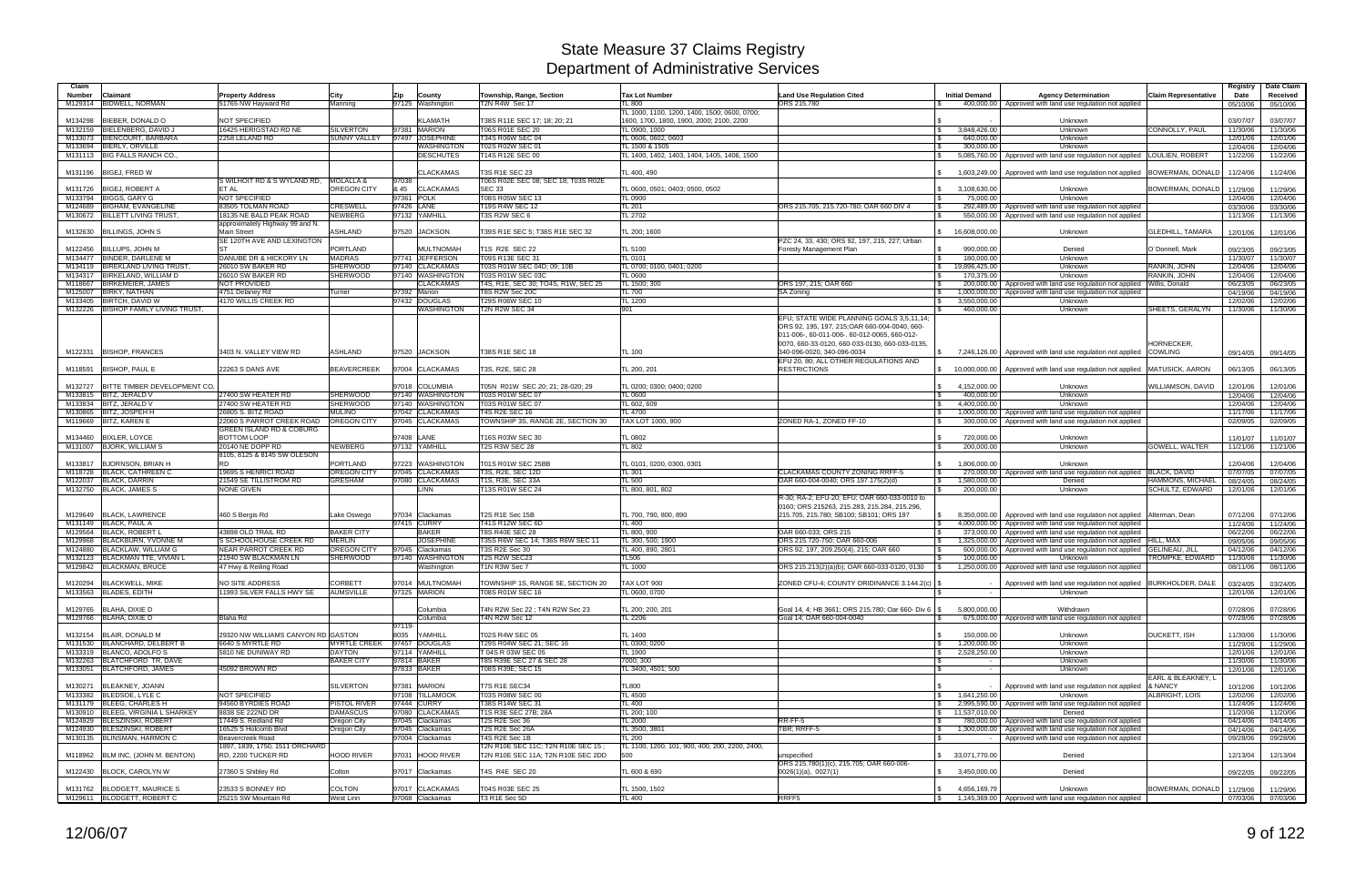| Claim              |                                                  |                                                            |                                         |                                           |                                                        |                                                |                                                       |                              |                                                                                                           |                               | Registry             | Date Claim                    |
|--------------------|--------------------------------------------------|------------------------------------------------------------|-----------------------------------------|-------------------------------------------|--------------------------------------------------------|------------------------------------------------|-------------------------------------------------------|------------------------------|-----------------------------------------------------------------------------------------------------------|-------------------------------|----------------------|-------------------------------|
| <b>Number</b>      | Claimant                                         | <b>Property Address</b>                                    | City                                    | Zip<br>County                             | Township, Range, Section                               | <b>Tax Lot Number</b>                          | <b>Land Use Regulation Cited</b>                      | <b>Initial Demand</b>        | <b>Agency Determination</b>                                                                               | <b>Claim Representative</b>   | Date                 | Received                      |
|                    | M129314 BIDWELL, NORMAN                          | 51765 NW Hayward Rd                                        | Manning                                 | 97125 Washington                          | T2N R4W Sec 17                                         | TL 800                                         | ORS 215,780                                           |                              | 400,000.00 Approved with land use regulation not applied                                                  |                               | 05/10/06             | 05/10/06                      |
|                    |                                                  |                                                            |                                         |                                           |                                                        | TL 1000, 1100, 1200, 1400, 1500; 0600, 0700;   |                                                       |                              |                                                                                                           |                               |                      |                               |
| M134298            | BIEBER, DONALD O                                 | NOT SPECIFIED                                              |                                         | <b>KLAMATH</b>                            | T38S R11E SEC 17; 18; 20; 21                           | 1600, 1700, 1800, 1900, 2000; 2100, 2200       |                                                       |                              | Unknown                                                                                                   |                               | 03/07/07             | 03/07/07                      |
| M132159<br>M133073 | BIELENBERG, DAVID J<br><b>BIENCOURT, BARBARA</b> | 16425 HERIGSTAD RD NE<br>2258 LELAND RD                    | <b>SILVERTON</b><br><b>SUNNY VALLEY</b> | 97381 MARION<br><b>JOSEPHINE</b><br>97497 | T06S R01E SEC 20<br>T34S R06W SEC 04                   | TL 0900, 1000<br>TL 0606, 0602, 0603           | - \$                                                  | 3,848,426.00<br>640,000.00   | Unknown<br>Unknown                                                                                        | CONNOLLY, PAUL                | 11/30/06<br>12/01/06 | 11/30/06<br>12/01/06          |
|                    | M133694 BIERLY, ORVILLE                          |                                                            |                                         | <b>WASHINGTON</b>                         | T02S R02W SEC 01                                       | TL 1500 & 1505                                 | \$                                                    | 300,000.00                   | Unknown                                                                                                   |                               | 12/04/06             | 12/04/06                      |
|                    | M131113 BIG FALLS RANCH CO.,                     |                                                            |                                         | <b>DESCHUTES</b>                          | T14S R12E SEC 00                                       | TL 1400, 1402, 1403, 1404, 1405, 1406, 1500    |                                                       | 5,085,760.00                 | Approved with land use regulation not applied   LOULIEN, ROBERT                                           |                               | 11/22/06             | 11/22/06                      |
|                    |                                                  |                                                            |                                         |                                           |                                                        |                                                |                                                       |                              |                                                                                                           |                               |                      |                               |
| M131196            | BIGEJ, FRED W                                    |                                                            |                                         | <b>CLACKAMAS</b>                          | T3S R1E SEC 23                                         | TL 400, 490                                    |                                                       | 1.603.249.00                 | Approved with land use regulation not applied   BOWERMAN, DONALD                                          |                               | 11/24/06             | 11/24/06                      |
|                    |                                                  | S WILHOIT RD & S WYLAND RD. MOLALLA &                      |                                         | 97038                                     | T06S R02E SEC 08: SEC 18: T03S R02E                    |                                                |                                                       |                              |                                                                                                           |                               |                      |                               |
| M131726            | <b>BIGEJ, ROBERT A</b>                           | ET AL                                                      | <b>OREGON CITY</b>                      | & 45<br><b>CLACKAMAS</b>                  | <b>SEC 33</b>                                          | TL 0600, 0501; 0403; 0500, 0502                |                                                       | 3,108,630.00                 | Unknown                                                                                                   | BOWERMAN, DONALD              | 11/29/06             | 11/29/06                      |
|                    | M133794 BIGGS, GARY G                            | <b>NOT SPECIFIED</b>                                       |                                         | 97361 POLK                                | T08S R05W SEC 13                                       | TL 0900                                        |                                                       | 75,000.00                    | Unknown                                                                                                   |                               | 12/04/06             | 12/04/06                      |
|                    | M124689 BIGHAM, EVANGELINE                       | 83505 TOLMAN ROAD                                          | CRESWELL<br><b>NEWBERG</b>              | 97426 LANE<br>97132 YAMHILL               | T19S R4W SEC 12<br>T3S R2W SEC 6                       | <b>TL 201</b>                                  | ORS 215.705, 215.720-780; OAR 660 DIV 4               | 292,489.00                   | Approved with land use regulation not applied                                                             |                               | 03/30/06             | 03/30/06                      |
|                    | M130672   BILLETT LIVING TRUST                   | 18135 NE BALD PEAK ROAD<br>approximately Highway 99 and N. |                                         |                                           |                                                        | TL 2702                                        |                                                       | 550,000.00                   | Approved with land use regulation not applied                                                             |                               | 11/13/06             | 11/13/06                      |
|                    | M132630 BILLINGS, JOHN S                         | <b>Main Street</b>                                         | <b>ASHLAND</b>                          | 97520 JACKSON                             | T39S R1E SEC 5; T38S R1E SEC 32                        | TL 200: 1600                                   | $\mathcal{L}$                                         | 16,608,000.00                | Unknown                                                                                                   | <b>GLEDHILL, TAMARA</b>       | 12/01/06             | 12/01/06                      |
|                    |                                                  | SE 120TH AVE AND LEXINGTON                                 |                                         |                                           |                                                        |                                                | PZC 24, 33, 430; ORS 92, 197, 215, 227; Urban         |                              |                                                                                                           |                               |                      |                               |
| M122456            | <b>BILLUPS, JOHN M</b>                           |                                                            | <b>PORTLAND</b>                         | <b>MULTNOMAH</b>                          | T1S R2E SEC 22                                         | TL 5100                                        | Foresty Management Plan                               | 990,000.00                   | Denied                                                                                                    | O'Donnell, Mark               | 09/23/05             | 09/23/05                      |
|                    | M134477 BINDER, DARLENE M                        | DANUBE DR & HICKORY LN                                     | <b>MADRAS</b>                           | 97741 JEFFERSON                           | T09S R13E SEC 31                                       | TL 0101                                        | \$                                                    | 180,000.00                   | Unknown                                                                                                   |                               | 11/30/07             | 11/30/07                      |
| M134119            | BIREKLAND LIVING TRUST.                          | 26010 SW BAKER RD                                          | <b>SHERWOOD</b>                         | 97140 CLACKAMAS                           | T03S R01W SEC 04D; 09; 10B                             | TL 0700; 0100, 0401; 0200                      | \$                                                    | 19,896,425.00                | Unknown                                                                                                   | RANKIN, JOHN                  | 12/04/06             | 12/04/06                      |
| M134317            | <b>BIRKELAND, WILLIAM D</b>                      | 26010 SW BAKER RD                                          | <b>SHERWOOD</b>                         | 97140 WASHINGTON                          | T03S R01W SEC 03C                                      | <b>TL 0600</b>                                 | - \$                                                  | 170,375.00                   | Unknown                                                                                                   | RANKIN, JOHN                  | 12/04/06             | 12/04/06                      |
| M118667            | <b>BIRKEMEIER, JAMES</b><br><b>BIRKY, NATHAN</b> | NOT PROVIDED                                               |                                         | <b>CLACKAMAS</b><br>97392 Marion          | T4S, R1E, SEC 30; TO4S, R1W, SEC 25<br>T8S R2W Sec 20C | TL 1500; 300<br><b>TL 700</b>                  | ORS 197, 215; OAR 660                                 | 200,000.00<br>1.000.000.00   | Approved with land use regulation not applied                                                             | Willis, Donald                | 06/23/05             | 06/23/05                      |
| M125007            | M133405 BIRTCH, DAVID W                          | 4751 Delaney Rd<br>4170 WILLIS CREEK RD                    | Turner                                  | 97432 DOUGLAS                             | T29S R06W SEC 10                                       | <b>TL 1200</b>                                 | SA Zoning                                             | 3,550,000.00                 | Approved with land use regulation not applied<br>Unknown                                                  |                               | 04/19/06<br>12/02/06 | 04/19/06<br>12/02/06          |
| M132226            | <b>BISHOP FAMILY LIVING TRUST</b>                |                                                            |                                         | WASHINGTON                                | T2N R2W SEC 34                                         | 901                                            |                                                       | 460.000.00                   | Unknown                                                                                                   | SHEETS, GERALYN               | 11/30/06             | 11/30/06                      |
|                    |                                                  |                                                            |                                         |                                           |                                                        |                                                | EFU; STATE WIDE PLANNING GOALS 3,5,11,14;             |                              |                                                                                                           |                               |                      |                               |
|                    |                                                  |                                                            |                                         |                                           |                                                        |                                                | ORS 92, 195, 197, 215; OAR 660-004-0040, 660-         |                              |                                                                                                           |                               |                      |                               |
|                    |                                                  |                                                            |                                         |                                           |                                                        |                                                | 011-006-, 60-011-006-. 60-012-0065, 660-012-          |                              |                                                                                                           |                               |                      |                               |
|                    |                                                  |                                                            |                                         |                                           |                                                        |                                                | 0070, 660-33-0120, 660-033-0130, 660-033-0135,        |                              |                                                                                                           | HORNECKER.                    |                      |                               |
|                    | M122331 BISHOP, FRANCES                          | 3403 N. VALLEY VIEW RD                                     | <b>ASHLAND</b>                          | 97520 JACKSON                             | T38S R1E SEC 18                                        | TL 100                                         | 340-096-0020, 340-096-0034                            | 7.246,126.00                 | Approved with land use regulation not applied                                                             | <b>COWLING</b>                | 09/14/05             | 09/14/05                      |
|                    |                                                  |                                                            |                                         |                                           |                                                        |                                                | EFU 20, 80; ALL OTHER REGULATIONS AND                 |                              |                                                                                                           |                               |                      |                               |
| M118591            | <b>BISHOP, PAUL E</b>                            | 22263 S DANS AVE                                           | <b>BEAVERCREEK</b>                      | 97004 CLACKAMAS                           | T3S, R2E, SEC 28                                       | TL 200, 201                                    | <b>RESTRICTIONS</b>                                   |                              | 10,000,000.00   Approved with land use regulation not applied   MATUSICK, AARON                           |                               | 06/13/05             | 06/13/05                      |
| M132727            | BITTE TIMBER DEVELOPMENT CO.                     |                                                            |                                         | 97018 COLUMBIA                            | T05N R01W SEC 20; 21; 28-020; 29                       | TL 0200: 0300: 0400: 0200                      | -SS                                                   | 4,152,000.00                 | Unknown                                                                                                   | WILLIAMSON, DAVID             | 12/01/06             | 12/01/06                      |
| M133815            | BITZ, JERALD V                                   | 27400 SW HEATER RD                                         | <b>SHERWOOD</b>                         | 97140 WASHINGTON                          | T03S R01W SEC 07                                       | TL 0600                                        |                                                       | 400,000.00                   | Unknown                                                                                                   |                               | 12/04/06             | 12/04/06                      |
|                    | M133834 BITZ, JERALD V                           | 27400 SW HEATER RD                                         | <b>SHERWOOD</b>                         | 97140 WASHINGTON                          | T03S R01W SEC 07                                       | TL 602, 609                                    |                                                       | 4.400.000.00                 | Unknown                                                                                                   |                               | 12/04/06             | 12/04/06                      |
|                    | M130865 BITZ, JOSPEH H                           | 26805 S. BITZ ROAD                                         | <b>MULINO</b>                           | 97042 CLACKAMAS                           | <b>T4S R2E SEC 16</b>                                  | <b>L4700</b>                                   |                                                       | 1,000,000.00                 | Approved with land use regulation not applied                                                             |                               | 11/17/06             | 11/17/06                      |
|                    | M119669 BITZ, KAREN E                            | 22060 S PARROT CREEK ROAD   OREGON CITY                    |                                         | 97045 CLACKAMAS                           | TOWNSHIP 3S, RANGE 2E, SECTION 30                      | TAX LOT 1000, 900                              | ZONED RA-1, ZONED FF-10                               | 300,000.00                   | Approved with land use regulation not applied                                                             |                               | 02/09/05             | 02/09/05                      |
|                    |                                                  | GREEN ISLAND RD & COBURG                                   |                                         |                                           |                                                        |                                                |                                                       |                              |                                                                                                           |                               |                      |                               |
| M134460            | <b>BIXLER, LOYCE</b>                             | <b>BOTTOM LOOP</b>                                         |                                         | 97408 LANE                                | T16S R03W SEC 30                                       | TL 0802                                        |                                                       | 720,000.00                   | Unknown                                                                                                   |                               | 11/01/07             | 11/01/07                      |
| M131007            | <b>BJORK, WILLIAM S</b>                          | 20140 NE DOPP RD<br>8105, 8125 & 8145 SW OLESON            | <b>NEWBERG</b>                          | 97132 YAMHILL                             | <b>T2S R3W SEC 28</b>                                  | TL 802                                         |                                                       | 200,000.00                   | Unknown                                                                                                   | <b>GOWELL, WALTER</b>         | 11/21/06             | 11/21/06                      |
| M133817            | <b>BJORNSON, BRIAN H</b>                         | RD.                                                        | <b>PORTLAND</b>                         | 97223 WASHINGTON                          | T01S R01W SEC 25BB                                     | TL 0101, 0200, 0300, 0301                      | \$                                                    | 1,806,000.00                 | Unknown                                                                                                   |                               | 12/04/06             | 12/04/06                      |
| M118728            | <b>BLACK, CATHREEN C</b>                         | 19695 S HENRICI ROAD                                       | <b>OREGON CITY</b>                      | 97045<br><b>CLACKAMAS</b>                 | T3S, R2E, SEC 12D                                      | TL 301                                         | <b>CLACKAMAS COUNTY ZONING RRFF-5</b>                 | 270,000.00                   | Approved with land use regulation not applied                                                             | <b>BLACK, DAVID</b>           | 07/07/05             | 07/07/05                      |
|                    | M122037 BLACK, DARRIN                            | 21549 SE TILLISTROM RD                                     | <b>GRESHAM</b>                          | 97080 CLACKAMAS                           | <b>T1S, R3E, SEC 33A</b>                               | TL 500                                         | OAR 660-004-0040; ORS 197.175(2)(d)<br>$\mathcal{L}$  | 1,580,000.00                 | Denied                                                                                                    | HAMMONS, MICHAEL              | 08/24/05             | 08/24/05                      |
|                    | M132750 BLACK, JAMES S                           | <b>NONE GIVEN</b>                                          |                                         | <b>LINN</b>                               | T13S R01W SEC 24                                       | TL 800, 801, 802                               |                                                       | 200,000.00                   | Unknown                                                                                                   | SCHULTZ, EDWARD               | 12/01/06             | 12/01/06                      |
|                    |                                                  |                                                            |                                         |                                           |                                                        |                                                | R-30; RA-2; EFU-20; EFU; OAR 660-033-0010 to          |                              |                                                                                                           |                               |                      |                               |
|                    |                                                  |                                                            |                                         |                                           |                                                        |                                                | 0160; ORS 215263, 215.283, 215.284, 215.296           |                              |                                                                                                           |                               |                      |                               |
|                    | M129649 BLACK, LAWRENCE                          | 460 S Bergis Rd                                            | Lake Oswego                             | 97034 Clackamas                           | T2S R1E Sec 15B                                        | TL 700, 790, 800, 890                          | 215.705, 215.780; SB100; SB101; ORS 197<br><b>S</b>   | 8,350,000.00                 | Approved with land use regulation not applied                                                             | Alterman, Dean                | 07/12/06             | 07/12/06                      |
|                    | M131149 BLACK, PAUL A<br><b>BLACK, ROBERT L</b>  | 43898 OLD TRAIL RD                                         | <b>BAKER CITY</b>                       | 97415 CURRY<br><b>BAKER</b>               | T41S R12W SEC 6D<br><b>T8S R40E SEC 28</b>             | <b>TL 400</b><br>TL 800, 900                   | l \$<br>OAR 660-033: ORS 215                          | 4.000.000.00                 | Approved with land use regulation not applied                                                             |                               | 11/24/06             | 11/24/06                      |
| M129564<br>M129968 | BLACKBURN, YVONNE M                              | S SCHOOLHOUSE CREEK RD                                     | <b>MERLIN</b>                           | <b>JOSEPHINE</b>                          | T35S R6W SEC 14: T36S R6W SEC 11                       | TL 300, 500; 1900                              | ORS 215.720-750; OAR 660-006                          | 373,000.00<br>1,325,000.00   | Approved with land use regulation not applied<br>Approved with land use regulation not applied  HILL, MAX |                               | 06/22/06<br>09/05/06 | 06/22/06<br>09/05/06          |
| M124880            | <b>BLACKLAW, WILLIAM G</b>                       | <b>NEAR PARROT CREEK RD</b>                                | <b>OREGON CITY</b>                      | 97045<br>Clackamas                        | T3S R2E Sec 30                                         | TL 400, 890, 2801                              | ORS 92, 197, 209.250(4), 215; OAR 660                 | 600.000.00                   | Approved with land use regulation not applied GELINEAU, JILL                                              |                               | 04/12/06             | 04/12/06                      |
| M132123            | <b>BLACKMAN TTE, VIVIAN L</b>                    | 21940 SW BLACKMAN LN                                       | <b>SHERWOOD</b>                         | <b>WASHINGTON</b><br>97140                | T2S R2W SEC23                                          | <b>TL506</b>                                   |                                                       | 100.000.00                   | Unknown                                                                                                   | TROMPKE, EDWARD               | 11/30/06             | 11/30/06                      |
|                    | M129842 BLACKMAN, BRUCE                          | 47 Hwy & Reiling Road                                      |                                         | Nashington                                | 1N R3W Sec 7                                           | TL 1000                                        | ORS 215.213(2)(a)(b); OAR 660-033-0120, 0130          | 1,250,000.00                 | Approved with land use regulation not applied                                                             |                               | 08/11/06             | 08/11/06                      |
|                    |                                                  |                                                            |                                         |                                           |                                                        |                                                |                                                       |                              |                                                                                                           |                               |                      |                               |
|                    | M120294 BLACKWELL, MIKE                          | NO SITE ADDRESS                                            | <b>CORBETT</b>                          | 97014 MULTNOMAH                           | TOWNSHIP 1S, RANGE 5E, SECTION 20                      | TAX LOT 900                                    | ZONED CFU-4: COUNTY ORIDINANCE 3.144.2(c) S           |                              | Approved with land use regulation not applied BURKHOLDER, DALE                                            |                               | 03/24/05             | 03/24/05                      |
|                    | M133563 BLADES, EDITH                            | 11993 SILVER FALLS HWY SE                                  | <b>AUMSVILLE</b>                        | 97325 MARION                              | T08S R01W SEC 16                                       | TL 0600, 0700                                  |                                                       |                              | Unknown                                                                                                   |                               | 12/01/06             | 12/01/06                      |
|                    | M129765 BLAHA, DIXIE D                           |                                                            |                                         | Columbia                                  | T4N R2W Sec 22 ; T4N R2W Sec 23                        | TL 200; 200, 201                               | Goal 14, 4: HB 3661: ORS 215,780: Oar 660- Div 6 \ \$ | 5.800.000.00                 | Withdrawn                                                                                                 |                               | 07/28/06             | 07/28/06                      |
|                    | M129766 BLAHA, DIXIE D                           | Blaha Rd                                                   |                                         | Columbia                                  | T4N R2W Sec 12                                         | TL 2206                                        | Goal 14: OAR 660-004-0040                             |                              | 675,000.00 Approved with land use regulation not applied                                                  |                               | 07/28/06             | 07/28/06                      |
|                    |                                                  |                                                            |                                         | 97119-                                    |                                                        |                                                |                                                       |                              |                                                                                                           |                               |                      |                               |
|                    | M132154 BLAIR, DONALD M                          | 29320 NW WILLIAMS CANYON RD GASTON                         |                                         | 8035<br>YAMHILL                           | T02S R4W SEC 05                                        | <b>TL 1400</b>                                 | \$                                                    | 150,000.00                   | Unknown                                                                                                   | <b>DUCKETT, ISH</b>           | 11/30/06             | 11/30/06                      |
|                    | M131530 BLANCHARD, DELBERT B                     | 6640 S MYRTLE RD                                           |                                         | MYRTLE CREEK 97457 DOUGLAS                | T29S R04W SEC 21; SEC 16                               | TL 0300; 0200                                  | \$                                                    | 1,200,000.00                 | Unknown                                                                                                   |                               | 11/29/06             | 11/29/06                      |
|                    | M133319 BLANCO, ADOLFO S                         | 5810 NE DUNIWAY RD                                         | <b>DAYTON</b>                           | 97114 YAMHILL                             | T 04S R 03W SEC 05                                     | <b>TL 1900</b>                                 |                                                       | 2,528,250.00<br>$\sqrt{S}$   | Unknown                                                                                                   |                               | 12/01/06             | 12/01/06                      |
|                    | M132263 BLATCHFORD TR, DAVE                      |                                                            | <b>BAKER CITY</b>                       | 97814 BAKER                               | T8S R39E SEC 27 & SEC 28                               | 7000; 300                                      |                                                       |                              | Unknown                                                                                                   |                               | 11/30/06             | 11/30/06                      |
|                    | M133051 BLATCHFORD, JAMES                        | 45092 BROWN RD                                             |                                         | 97833 BAKER                               | T08S R39E; SEC 15                                      | TL 3400, 4501; 500                             | \$                                                    | $\sim$ $-$                   | Unknown                                                                                                   |                               | 12/01/06             | 12/01/06                      |
|                    | M130271 BLEAKNEY, JOANN                          |                                                            | <b>SILVERTON</b>                        | 97381 MARION                              | T7S R1E SEC34                                          | TL800                                          |                                                       |                              |                                                                                                           | EARL & BLEAKNEY, L<br>& NANCY | 10/12/06             |                               |
|                    | M133382 BLEDSOE, LYLE C                          | NOT SPECIFIED                                              |                                         | 97108 TILLAMOOK                           | <b>T03S R08W SEC 00</b>                                | <b>TL 4500</b>                                 |                                                       | 1,641,250.00<br><b>S</b>     | Approved with land use regulation not applied<br><b>Unknown</b>                                           | <b>ALBRIGHT, LOIS</b>         | 12/02/06             | 10/12/06<br>12/02/06          |
|                    | M131179 BLEEG, CHARLES H                         | 94560 BYRDIES ROAD                                         | PISTOL RIVER                            | 97444 CURRY                               | T38S R14W SEC 31                                       | TL 400                                         |                                                       | 2,995,590.00<br>$\mathbb{S}$ | Approved with land use regulation not applied                                                             |                               | 11/24/06             | 11/24/06                      |
|                    | M130910 BLEEG, VIRGINIA L SHARKEY                | 8838 SE 222ND DR                                           | <b>DAMASCUS</b>                         | 97080 CLACKAMAS                           | T1S R3E SEC 27B; 28A                                   | TL 200; 100                                    |                                                       | $\frac{1}{2}$ 11,537,010.00  | Denied                                                                                                    |                               | 11/20/06             | 11/20/06                      |
|                    | M124929 BLESZINSKI, ROBERT                       | 17449 S. Redland Rd                                        | Oregon City                             | 97045 Clackamas                           | T2S R2E Sec 36                                         | <b>TL 2000</b>                                 | RR-FF-5<br>\$                                         |                              | 780,000,00 Approved with land use regulation not applied                                                  |                               | 04/14/06             | 04/14/06                      |
|                    | M124930 BLESZINSKI, ROBERT                       | 16525 S Holcomb Blvd                                       | Oregon City                             | 97045 Clackamas                           | T2S R2E Sec 26A                                        | TL 3500, 3801                                  | TBR; RRFF-5<br>\$                                     |                              | 1,300,000.00 Approved with land use regulation not applied                                                |                               | 04/14/06             | 04/14/06                      |
|                    | M130135 BLINSMAN, HARMON C                       | Beavercreek Road                                           |                                         | 97004 Clackamas                           | T4S R2E Sec 1B                                         | <b>TL 200</b>                                  | l S                                                   |                              | Approved with land use regulation not applied                                                             |                               | 09/28/06             | 09/28/06                      |
|                    |                                                  | 1897, 1839, 1750, 1511 ORCHARD                             |                                         |                                           | T2N R10E SEC 11C; T2N R10E SEC 15;                     | TL 1100, 1200, 101, 900, 400, 200, 2200, 2400, |                                                       |                              |                                                                                                           |                               |                      |                               |
|                    | M118962 BLM INC, (JOHN M. BENTON)                | RD, 2200 TUCKER RD                                         | <b>HOOD RIVER</b>                       | 97031 HOOD RIVER                          | T2N R10E SEC 11A; T2N R10E SEC 2DD                     | 500                                            | unspecified                                           | \$ 33,071,770.00             | Denied                                                                                                    |                               | 12/13/04             | 12/13/04                      |
|                    | M122430 BLOCK, CAROLYN W                         | 27360 S Shibley Rd                                         | Colton                                  | 97017 Clackamas                           | T4S R4E SEC 20                                         | TL 600 & 690                                   | ORS 215.780(1)(c), 215.705; OAR 660-006-              | \$3,450,000.00               | Denied                                                                                                    |                               | 09/22/05             | 09/22/05                      |
|                    |                                                  |                                                            |                                         |                                           |                                                        |                                                | 0026(1)(a), 0027(1)                                   |                              |                                                                                                           |                               |                      |                               |
|                    |                                                  |                                                            |                                         |                                           |                                                        |                                                |                                                       |                              |                                                                                                           |                               |                      |                               |
|                    | M131762 BLODGETT, MAURICE S                      | 23533 S BONNEY RD                                          |                                         | 97017 CLACKAMAS                           |                                                        |                                                |                                                       | $\mathbb{S}$<br>4,656,169.79 | Unknown                                                                                                   | BOWERMAN, DONALD              |                      |                               |
|                    | M129611 BLODGETT, ROBERT C                       | 25215 SW Mountain Rd                                       | <b>COLTON</b><br>West Linn              | 97068 Clackamas                           | T04S R03E SEC 25<br>T3 R1E Sec 5D                      | TL 1500, 1502<br><b>TL 400</b>                 | RRFF <sub>5</sub>                                     | $\sqrt{S}$                   | 1,145,369.00 Approved with land use regulation not applied                                                |                               | 11/29/06             | 11/29/06<br>07/03/06 07/03/06 |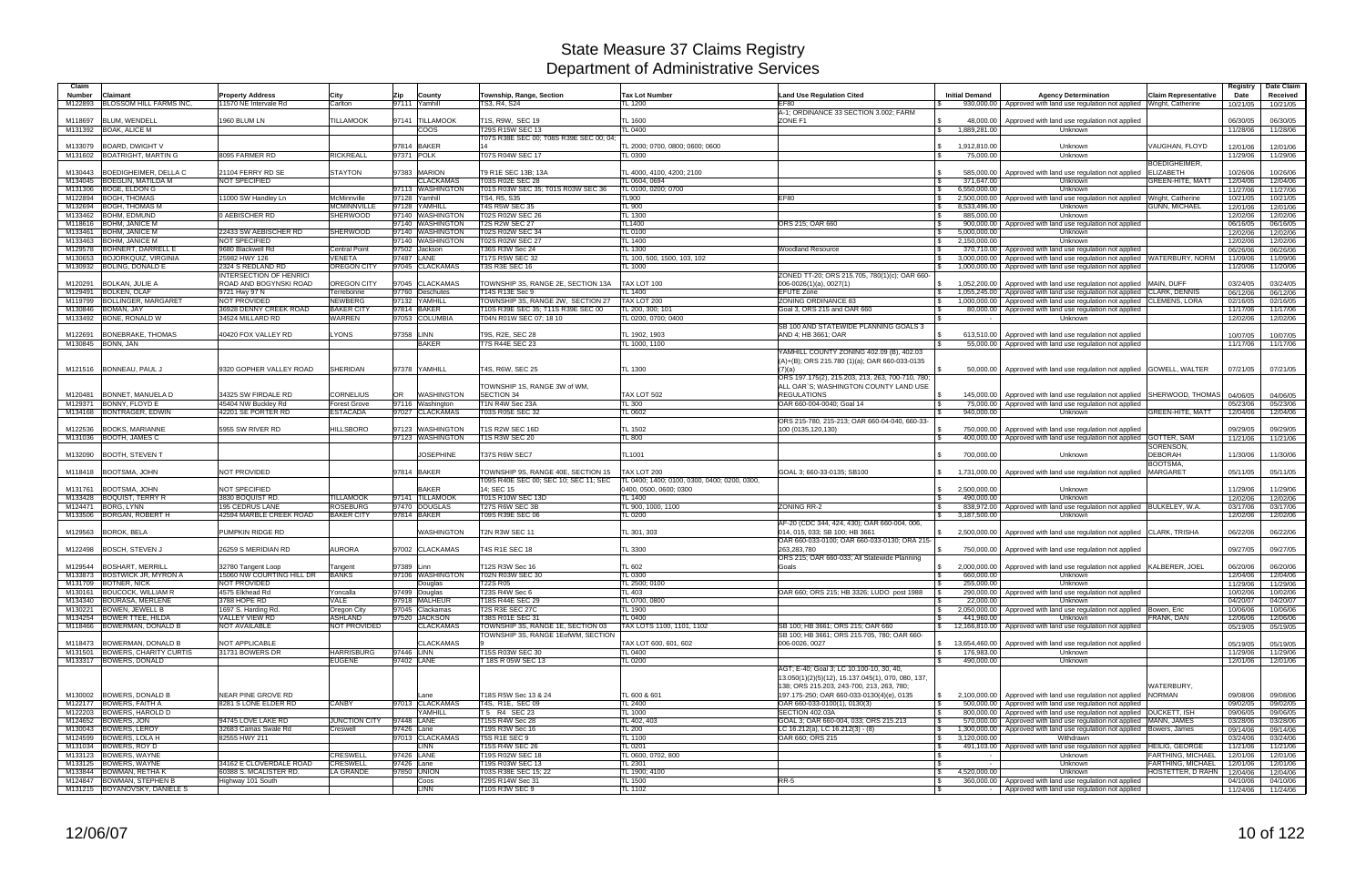| City<br>Township, Range, Section<br><b>Tax Lot Number</b><br><b>Initial Demand</b><br><b>Agency Determination</b><br><b>Claim Representative</b><br>Received<br>Number<br>Claimant<br><b>Property Address</b><br>Zip<br>County<br><b>Land Use Regulation Cited</b><br>Date<br><b>BLOSSOM HILL FARMS INC</b><br>M122893<br>11570 NE Intervale Rd<br>Carlton<br>97111 Yamhill<br>TS3, R4, S24<br>TL 1200<br>EF80<br>930,000.00   Approved with land use regulation not applied<br>Wright, Catherine<br>10/21/05<br>10/21/05<br>A-1: ORDINANCE 33 SECTION 3.002: FARM<br>BLUM, WENDELL<br>1960 BLUM LN<br><b>TILLAMOOK</b><br>97141 TILLAMOOK<br>T1S, R9W, SEC 19<br>ZONE F1<br>M118697<br>TL 1600<br>48.000.00<br>06/30/05<br>Approved with land use regulation not applied<br>06/30/05<br>M131392 BOAK, ALICE M<br><b>COOS</b><br>T29S R15W SEC 13<br>TL 0400<br>\$<br>1,889,281.00<br>11/28/06<br>Unknown<br>11/28/06<br>T07S R38E SEC 00; T08S R39E SEC 00; 04;<br>97814 BAKER<br>M133079<br>BOARD, DWIGHT V<br>TL 2000: 0700, 0800: 0600: 0600<br>1,912,810.00<br>VAUGHAN. FLOYD<br>Unknown<br>12/01/06<br>12/01/06<br><b>BOATRIGHT, MARTIN G</b><br>8095 FARMER RD<br><b>RICKREALL</b><br>97371 POLK<br>T07S R04W SEC 17<br>M131602<br>TL 0300<br>75,000.00<br>Unknown<br>11/29/06<br>11/29/06<br>BOEDIGHEIMER.<br>97383 MARION<br>ELIZABETH<br>M130443<br><b>BOEDIGHEIMER, DELLA C</b><br>21104 FERRY RD SE<br><b>STAYTON</b><br>T9 R1E SEC 13B; 13A<br>TL 4000, 4100, 4200; 2100<br>585,000.00<br>Approved with land use regulation not applied<br>10/26/06<br>10/26/06<br>- \$<br>M134045 BOEGLIN, MATILDA M<br><b>NOT SPECIFIED</b><br><b>CLACKAMAS</b><br>T03S R02E SEC 28<br>371,647.00<br>GREEN-HITE, MATT<br>L 0604, 0694<br>Unknown<br>12/04/06<br>12/04/06<br>M131306 BOGE, ELDON G<br>97113 WASHINGTON<br>T01S R03W SEC 35; T01S R03W SEC 36<br>6,550,000.00<br>TL 0100, 0200; 0700<br>Unknown<br>11/27/06<br>11/27/06<br>M122894 BOGH, THOMAS<br>97128 Yamhill<br>TS4, R5, S35<br><b>TL900</b><br>2,500,000.00<br>Approved with land use regulation not applied Wright, Catherine<br>11000 SW Handley Ln<br>McMinnville<br>EF80<br>10/21/05<br>10/21/05<br>97128 YAMHILL<br>T4S R5W SEC 35<br><b>BOGH, THOMAS M</b><br><b>MCMINNVILLE</b><br>TL 900<br>GUNN, MICHAEL<br>M132694<br>l \$<br>8,533,496.00<br>Unknown<br>12/01/06<br>12/01/06<br><b>BOHM, EDMUND</b><br>0 AEBISCHER RD<br><b>SHERWOOD</b><br>97140 WASHINGTON<br><b>T02S R02W SEC 26</b><br>M133462<br>TL 1300<br>885,000.00<br>Unknown<br>12/02/06<br>12/02/06<br>l S<br>97140 WASHINGTON<br><b>T2S R2W SEC 27</b><br>M118616 BOHM, JANICE M<br><b>TL1400</b><br>ORS 215; OAR 660<br>900,000.00<br>Approved with land use regulation not applied<br>06/16/05<br>06/16/05<br>l \$<br>M133461 BOHM, JANICE M<br>22433 SW AEBISCHER RD<br><b>SHERWOOD</b><br>97140 WASHINGTON<br>T02S R02W SEC 34<br>TL 0100<br>5,000,000.00<br>Unknown<br>12/02/06<br>\$<br>12/02/06<br><b>BOHM, JANICE M</b><br>NOT SPECIFIED<br>97140 WASHINGTON<br>T02S R02W SEC 27<br>TL 1400<br>M133463<br>2,150,000.00<br>Unknown<br>12/02/06<br>12/02/06<br>\$<br>M129578 BOHNERT, DARRELL E<br>9680 Blackwell Rd<br><b>Central Point</b><br>97502 Jackson<br>T36S R3W Sec 24<br>TL 1300<br><b>Woodland Resource</b><br>370,710.00 Approved with land use regulation not applied<br>06/26/06<br>06/26/06<br>M130653 BOJORKQUIZ, VIRGINIA<br><b>VENETA</b><br>97487 LANE<br>T17S R5W SEC 32<br>25982 HWY 126<br>TL 100, 500, 1500, 103, 102<br>3,000,000.00<br>Approved with land use regulation not applied WATERBURY, NORM<br>11/09/06<br>11/09/06<br>M130932 BOLING, DONALD E<br><b>OREGON CITY</b><br>97045 CLACKAMAS<br>T3S R3E SEC 16<br>2324 S REDLAND RD<br>TL 1000<br>1,000,000.00<br>Approved with land use regulation not applied<br>11/20/06<br>11/20/06<br><b>INTERSECTION OF HENRICI</b><br>ZONED TT-20; ORS 215.705, 780(1)(c); OAR 660-<br><b>OREGON CITY</b><br>97045 CLACKAMAS<br>TAX LOT 100<br><b>BOLKAN, JULIE A</b><br>ROAD AND BOGYNSKI ROAD<br>TOWNSHIP 3S, RANGE 2E, SECTION 13A<br>$006 - 0026(1)(a)$ , $0027(1)$<br>03/24/05<br>M120291<br>\$<br>1.052.200.00<br>Approved with land use regulation not applied MAIN, DUFF<br>03/24/05<br>97760 Deschutes<br>M129491<br><b>BOLKEN, OLAF</b><br>9721 Hwy 97 N<br>T14S R13E Sec 9<br>TL 1400<br><b>EFUTE Zone</b><br>Terrebonne<br>l \$<br>1,055,245.00<br>Approved with land use regulation not applied CLARK, DENNIS<br>06/12/06<br>06/12/06<br>NOT PROVIDED<br><b>NEWBERG</b><br>97132 YAMHILL<br>TOWNSHIP 3S, RANGE 2W, SECTION 27<br>BOLLINGER, MARGARET<br>TAX LOT 200<br><b>ZONING ORDINANCE 83</b><br>M119799<br>Approved with land use regulation not applied CLEMENS, LORA<br>1,000,000.00<br>02/16/05<br>02/16/05<br>-SS<br>36928 DENNY CREEK ROAD<br><b>BAKER CITY</b><br>97814 BAKER<br>T10S R39E SEC 35; T11S R39E SEC 00<br>TL 200, 300; 101<br>M130846<br>BOMAN, JAY<br>Goal 3, ORS 215 and OAR 660<br>Approved with land use regulation not applied<br>11/17/06<br>80,000.00<br>11/17/06<br>M133492 BONE, RONALD W<br>34524 MILLARD RD<br><b>WARREN</b><br>97053 COLUMBIA<br>TL 0200, 0700; 0400<br>T04N R01W SEC 07; 18 10<br>Unknown<br>12/02/06<br>12/02/06<br>SB 100 AND STATEWIDE PLANNING GOALS 3<br>LYONS<br>97358 LINN<br>T9S, R2E, SEC 28<br><b>BONEBRAKE, THOMAS</b><br>40420 FOX VALLEY RD<br>TL 1902, 1903<br>AND 4; HB 3661; OAR<br>613,510.00<br>M122691<br>Approved with land use regulation not applied<br>10/07/05<br>10/07/05<br>M130845 BONN, JAN<br><b>BAKER</b><br>T7S R44E SEC 23<br>TL 1000, 1100<br>l \$<br>55,000.00<br>Approved with land use regulation not applied<br>11/17/06<br>11/17/06<br>YAMHILL COUNTY ZONING 402.09 (B), 402.03<br>(A)+(B); ORS 215.780 (1)(a); OAR 660-033-0135<br><b>SHERIDAN</b><br>97378 YAMHILL<br>TL 1300<br>M121516 BONNEAU, PAUL J<br>9320 GOPHER VALLEY ROAD<br>T4S. R6W. SEC 25<br>50.000.00<br>Approved with land use regulation not applied GOWELL, WALTER<br>07/21/05<br>(7)(a)<br>07/21/05<br>ORS 197.175(2), 215.203, 213, 263, 700-710, 780;<br>TOWNSHIP 1S, RANGE 3W of WM,<br>ALL OAR`S; WASHINGTON COUNTY LAND USE<br><b>CORNELIUS</b><br><b>WASHINGTON</b><br>SECTION 34<br>TAX LOT 502<br><b>REGULATIONS</b><br>M120481 BONNET, MANUELA D<br>34325 SW FIRDALE RD<br>OR<br>145,000.00<br>Approved with land use regulation not applied SHERWOOD, THOMAS<br>04/06/05<br>04/06/05<br>97116 Washington<br>M129371 BONNY, FLOYD E<br>45404 NW Buckley Rd<br><b>Forest Grove</b><br>T1N R4W Sec 23A<br><b>TL 300</b><br>05/23/06<br>OAR 660-004-0040; Goal 14<br>l \$<br>75,000.00<br>Approved with land use regulation not applied<br>05/23/06<br><b>ESTACADA</b><br>97027 CLACKAMAS<br>M134168 BONTRAGER, EDWIN<br>42201 SE PORTER RD<br>T03S R05E SEC 32<br>TL 0602<br>940,000.00<br>Unknown<br>GREEN-HITE, MATT<br>12/04/06<br>12/04/06<br>ORS 215-780, 215-213; OAR 660-04-040, 660-33-<br><b>BOOKS, MARIANNE</b><br><b>HILLSBORO</b><br>97123 WASHINGTON<br><b>T1S R2W SEC 16D</b><br>5955 SW RIVER RD<br>TL 1502<br>750,000,00<br>09/29/05<br>M122536<br>100 (0135,120,130)<br>Approved with land use regulation not applied<br>09/29/05<br>M131036 BOOTH, JAMES C<br>97123 WASHINGTON<br>T1S R3W SEC 20<br>TL 800<br>400,000.00   Approved with land use regulation not applied GOTTER, SAM<br>11/21/06<br>11/21/06<br>SORENSON,<br><b>JOSEPHINE</b><br>TL1001<br><b>DEBORAH</b><br>M132090 BOOTH, STEVEN T<br>T37S R6W SEC7<br>700,000.00<br>11/30/06<br>11/30/06<br>Unknown<br>BOOTSMA,<br><b>NOT PROVIDED</b><br>97814 BAKER<br>05/11/05<br>M118418 BOOTSMA, JOHN<br>TOWNSHIP 9S, RANGE 40E, SECTION 15<br>TAX LOT 200<br>GOAL 3; 660-33-0135; SB100<br>1,731,000.00<br><b>MARGARET</b><br>05/11/05<br>Approved with land use regulation not applied<br>T09S R40E SEC 00; SEC 10; SEC 11; SEC<br>TL 0400; 1400; 0100, 0300, 0400; 0200, 0300,<br><b>BAKER</b><br>BOOTSMA, JOHN<br>NOT SPECIFIED<br>14: SEC 15<br>2,500,000.00<br>11/29/06<br>M131761<br>0400, 0500, 0600; 0300<br>Unknown<br>11/29/06<br>3830 BOQUIST RD.<br>M133428 BOQUIST, TERRY R<br><b>TILLAMOOK</b><br>97141 TILLAMOOK<br>T01S R10W SEC 13D<br>490,000.00<br>Unknown<br>TL 1400<br>12/02/06<br>12/02/06<br><b>ROSEBURG</b><br>97470 DOUGLAS<br>T27S R6W SEC 3B<br>M124471<br><b>BORG, LYNN</b><br>195 CEDRUS LANE<br>TL 900, 1000, 1100<br>ZONING RR-2<br>838,972.00<br>Approved with land use regulation not applied BULKELEY, W.A.<br>03/17/06<br>03/17/06<br>l \$<br><b>BAKER CITY</b><br>97814 BAKER<br>T09S R39E SEC 06<br>M133506 BORGAN, ROBERT H<br>42594 MARBLE CREEK ROAD<br>TL 0200<br>3,187,500.00<br>Unknown<br>12/02/06<br>12/02/06<br>\$<br>AF-20 (CDC 344, 424, 430); OAR 660-004, 006<br>T2N R3W SEC 11<br>M129563 BOROK, BELA<br>PUMPKIN RIDGE RD<br><b>WASHINGTON</b><br>TL 301, 303<br>014, 015, 033; SB 100; HB 3661<br>Approved with land use regulation not applied CLARK, TRISHA<br>06/22/06<br>06/22/06<br>2,500,000.00<br>OAR 660-033-0100; OAR 660-033-0130; ORA 215-<br><b>AURORA</b><br>97002 CLACKAMAS<br>T4S R1E SEC 18<br>TL 3300<br>263.283.780<br>M122498   BOSCH, STEVEN J<br>26259 S MERIDIAN RD<br>750,000.00<br>Approved with land use regulation not applied<br>09/27/05<br>09/27/05<br>ORS 215: OAR 660-033: All Statewide Planning<br>M129544 BOSHART, MERRILL<br>TL 602<br>97389 Linn<br>T12S R3W Sec 16<br>Goals<br>2,000,000.00   Approved with land use regulation not applied KALBERER, JOEL<br>32780 Tangent Loop<br>06/20/06<br>06/20/06<br>Tangent<br>M133873 BOSTWICK JR, MYRON A<br>15060 NW COURTING HILL DR BANKS<br>97106 WASHINGTON<br>T02N R03W SEC 30<br>TL 0300<br>660,000.00<br>Unknown<br>12/04/06<br>12/04/06<br>M131709 BOTNER, NICK<br>NOT PROVIDED<br><b>T22S R05</b><br>Douglas<br>TL 2500; 0100<br>255,000.00<br>Unknown<br>11/29/06<br>11/29/06<br>M130161 BOUCOCK, WILLIAM R<br>4575 Elkhead Rd<br>T23S R4W Sec 6<br>97499 Douglas<br>TL 403<br>OAR 660; ORS 215; HB 3326; LUDO post 1988<br>290,000.00<br>Approved with land use regulation not applied<br>Yoncalla<br>10/02/06<br>10/02/06<br>3788 HOPE RD<br>97918 MALHEUR<br>T18S R44E SEC 29<br>M134340 BOURASA, MERLENE<br>VALE<br>TL 0700, 0800<br>22,000.00<br>Unknown<br>04/20/07<br>04/20/07<br>T2S R3E SEC 27C<br>M130221 BOWEN, JEWELL B<br>1697 S. Harding Rd.<br>Oregon City<br>97045 Clackamas<br>TL 1900<br>2,050,000.00 Approved with land use regulation not applied Bowen, Eric<br>10/06/06<br>10/06/06<br>\$<br>97520 JACKSON<br>M134254 BOWER TTEE, HILDA<br>VALLEY VIEW RD<br><b>ASHLAND</b><br>T38S R01E SEC 31<br><b>TL 0400</b><br>441,960.00<br><b>Unknown</b><br><b>FRANK, DAN</b><br>l \$<br>12/06/06<br>12/06/06<br>M118466 BOWERMAN, DONALD B<br>NOT AVAILABLE<br>NOT PROVIDED<br><b>CLACKAMAS</b><br>TOWNSHIP 3S, RANGE 1E, SECTION 03<br>TAX LOTS 1100, 1101, 1102<br>SB 100; HB 3661; ORS 215; OAR 660<br>12,166,810.00<br>Approved with land use regulation not applied<br>05/19/05<br>05/19/05<br>S.<br>TOWNSHIP 3S, RANGE 1EofWM, SECTION<br>SB 100; HB 3661; ORS 215.705, 780; OAR 660-<br>NOT APPLICABLE<br><b>CLACKAMAS</b><br>M118473 BOWERMAN, DONALD B<br>TAX LOT 600, 601, 602<br>13,654,460.00<br>Approved with land use regulation not applied<br>05/19/05<br>006-0026, 0027<br>05/19/05<br>IS .<br>97446 LINN<br>M131501 BOWERS, CHARITY CURTIS<br>31731 BOWERS DR<br><b>HARRISBURG</b><br>T15S R03W SEC 30<br>176,983.00<br>Unknown<br><b>TL 0400</b><br><b>S</b><br>11/29/06<br>11/29/06<br><b>EUGENE</b><br>97402 LANE<br>M133317 BOWERS, DONALD<br>18S R 05W SEC 13<br>490,000.00<br>Unknown<br>TL 0200<br>12/01/06<br>\$<br>12/01/06<br>AGT; E-40; Goal 3; LC 10.100-10, 30, 40,<br>13.050(1)(2)(5)(12), 15.137.045(1), 070, 080, 137,<br>WATERBURY.<br>138; ORS 215.203, 243-700, 213, 263, 780;<br>M130002 BOWERS, DONALD B<br>NEAR PINE GROVE RD<br>TL 600 & 601<br>2,100,000.00   Approved with land use regulation not applied NORMAN<br>T18S R5W Sec 13 & 24<br>197.175-250; OAR 660-033-0130(4)(e), 0135<br>$\mathcal{S}$<br>09/08/06<br>Lane<br>09/08/06<br>M122177 BOWERS, FAITH A<br>8281 S LONE ELDER RD<br>97013 CLACKAMAS<br><b>CANBY</b><br>T4S, R1E, SEC 09<br><b>TL 2400</b><br>OAR 660-033-0100(1), 0130(3)<br>500,000,00 Approved with land use regulation not applied<br>09/02/05<br>09/02/05<br>$\sqrt{S}$<br>M122203 BOWERS, HAROLD D<br>T 5 R4 SEC 23<br>YAMHILL<br>TL 1000<br>SECTION 402.03A<br>$\sqrt{3}$<br>800,000.00   Approved with land use regulation not applied   DUCKETT, ISH<br>09/06/05<br>09/06/05<br>M124652 BOWERS, JON<br>97448 LANE<br>570,000.00   Approved with land use regulation not applied MANN, JAMES<br>94745 LOVE LAKE RD<br><b>JUNCTION CITY</b><br>T15S R4W Sec 28<br>TL 402, 403<br>GOAL 3; OAR 660-004, 033; ORS 215.213<br>03/28/06<br>03/28/06<br>l \$<br>M130043 BOWERS, LEROY<br>32683 Camas Swale Rd<br>97426 Lane<br>T19S R3W Sec 16<br>TL 200<br>LC 16.212(a), LC 16.212(3) - (8)<br>1,300,000.00   Approved with land use regulation not applied   Bowers, James<br>Creswell<br>09/14/06<br>09/14/06<br>-SS<br>97013 CLACKAMAS<br>M124599 BOWERS, LOLA H<br><b>T5S R1E SEC 9</b><br>OAR 660; ORS 215<br>3,120,000.00<br>82555 HWY 211<br>TL 1100<br>Withdrawn<br>03/24/06<br>03/24/06<br>I S<br>Approved with land use regulation not applied HEILIG, GEORGE<br>M131034 BOWERS, ROY D<br>T15S R4W SEC 26<br>491,103.00<br>LINN<br>TL 0201<br>11/21/06<br>11/21/06<br>l Si<br>M133123 BOWERS, WAYNE<br><b>CRESWELL</b><br>97426 LANE<br>T19S R02W SEC 18<br>$\sqrt{S}$<br>FARTHING, MICHAEL<br>TL 0600, 0702, 800<br>Unknown<br>12/01/06<br>12/01/06<br>M133125 BOWERS, WAYNE<br>34162 E CLOVERDALE ROAD<br><b>CRESWELL</b><br>97426 Lane<br>T19S R03W SEC 13<br>Unknown<br>FARTHING, MICHAEL<br>TL 2301<br>12/01/06<br>12/01/06<br>l S<br>60388 S. MCALISTER RD.<br>4,520,000.00<br>M133844 BOWMAN, RETHA K<br>LA GRANDE<br>97850 UNION<br>T03S R38E SEC 15; 22<br>TL 1900; 4100<br>$\sqrt{3}$<br>Unknown<br>HOSTETTER, D RAHN  <br>12/04/06<br>12/04/06<br>M124847 BOWMAN, STEPHEN B<br>Highway 101 South<br>T29S R14W Sec 31<br><b>TL 1500</b><br>$RR-5$<br>360,000.00 Approved with land use regulation not applied<br>Coos<br>l \$<br>04/10/06<br>04/10/06<br>M131215 BOYANOVSKY, DANIELE S<br><b>LINN</b><br>T10S R3W SEC 9<br><b>TL 1102</b><br>Approved with land use regulation not applied<br>11/24/06 11/24/06 | Claim |  |  |  |  |  | Registry | Date Claim |
|-------------------------------------------------------------------------------------------------------------------------------------------------------------------------------------------------------------------------------------------------------------------------------------------------------------------------------------------------------------------------------------------------------------------------------------------------------------------------------------------------------------------------------------------------------------------------------------------------------------------------------------------------------------------------------------------------------------------------------------------------------------------------------------------------------------------------------------------------------------------------------------------------------------------------------------------------------------------------------------------------------------------------------------------------------------------------------------------------------------------------------------------------------------------------------------------------------------------------------------------------------------------------------------------------------------------------------------------------------------------------------------------------------------------------------------------------------------------------------------------------------------------------------------------------------------------------------------------------------------------------------------------------------------------------------------------------------------------------------------------------------------------------------------------------------------------------------------------------------------------------------------------------------------------------------------------------------------------------------------------------------------------------------------------------------------------------------------------------------------------------------------------------------------------------------------------------------------------------------------------------------------------------------------------------------------------------------------------------------------------------------------------------------------------------------------------------------------------------------------------------------------------------------------------------------------------------------------------------------------------------------------------------------------------------------------------------------------------------------------------------------------------------------------------------------------------------------------------------------------------------------------------------------------------------------------------------------------------------------------------------------------------------------------------------------------------------------------------------------------------------------------------------------------------------------------------------------------------------------------------------------------------------------------------------------------------------------------------------------------------------------------------------------------------------------------------------------------------------------------------------------------------------------------------------------------------------------------------------------------------------------------------------------------------------------------------------------------------------------------------------------------------------------------------------------------------------------------------------------------------------------------------------------------------------------------------------------------------------------------------------------------------------------------------------------------------------------------------------------------------------------------------------------------------------------------------------------------------------------------------------------------------------------------------------------------------------------------------------------------------------------------------------------------------------------------------------------------------------------------------------------------------------------------------------------------------------------------------------------------------------------------------------------------------------------------------------------------------------------------------------------------------------------------------------------------------------------------------------------------------------------------------------------------------------------------------------------------------------------------------------------------------------------------------------------------------------------------------------------------------------------------------------------------------------------------------------------------------------------------------------------------------------------------------------------------------------------------------------------------------------------------------------------------------------------------------------------------------------------------------------------------------------------------------------------------------------------------------------------------------------------------------------------------------------------------------------------------------------------------------------------------------------------------------------------------------------------------------------------------------------------------------------------------------------------------------------------------------------------------------------------------------------------------------------------------------------------------------------------------------------------------------------------------------------------------------------------------------------------------------------------------------------------------------------------------------------------------------------------------------------------------------------------------------------------------------------------------------------------------------------------------------------------------------------------------------------------------------------------------------------------------------------------------------------------------------------------------------------------------------------------------------------------------------------------------------------------------------------------------------------------------------------------------------------------------------------------------------------------------------------------------------------------------------------------------------------------------------------------------------------------------------------------------------------------------------------------------------------------------------------------------------------------------------------------------------------------------------------------------------------------------------------------------------------------------------------------------------------------------------------------------------------------------------------------------------------------------------------------------------------------------------------------------------------------------------------------------------------------------------------------------------------------------------------------------------------------------------------------------------------------------------------------------------------------------------------------------------------------------------------------------------------------------------------------------------------------------------------------------------------------------------------------------------------------------------------------------------------------------------------------------------------------------------------------------------------------------------------------------------------------------------------------------------------------------------------------------------------------------------------------------------------------------------------------------------------------------------------------------------------------------------------------------------------------------------------------------------------------------------------------------------------------------------------------------------------------------------------------------------------------------------------------------------------------------------------------------------------------------------------------------------------------------------------------------------------------------------------------------------------------------------------------------------------------------------------------------------------------------------------------------------------------------------------------------------------------------------------------------------------------------------------------------------------------------------------------------------------------------------------------------------------------------------------------------------------------------------------------------------------------------------------------------------------------------------------------------------------------------------------------------------------------------------------------------------------------------------------------------------------------------------------------------------------------------------------------------------------------------------------------------------------------------------------------------------------------------------------------------------------------------------------------------------------------------------------------------------------------------------------------------------------------------------------------------------------------------------------------------------------------------------------------------------------------------------------------------------------------------------------------------------------------------------------------------------------------------------------------------------------------------------------------------------------------------------------------------------------------------------------------------------------------------------------------------------------------------------------------------------------------------------------------------------------------------------------------------------------------------------------------------------------------------------------------------------------------------------------------------------------------------------------------------------------------------------------------------------------------------------------------------------------------------------------------------------------------------------------------------------------------------------------------------------------------------------------------------------------------------------------------------------------------------------------------------------------------------------------------------------------------------------------------------------------------------------------------------------------------------------------------------------------------------------------------------------------------------------------------------------------------------------------------------------------------------------------------------------------------------------------------------------------------------------------------------------------------------------------------------------------------------------------------------------------------------------------------------------------------------------------------------------------------------------------------------------------------------------------------------------------------------------------------------------------------------------------------------------------------------------------------------------------------------------------------------------------------------------------------------------------------------------------------------------------------------------------------------------------------------------------------------------------------------------------------------------------------------------------------------------------------------------------------------------------------------------------------------------------------------------------------------------------------------------------------------------------------------------------------------------------------------------------------------------------------------------------------------------------------------------------------------------------------------------------------------------------------------------------------------------------------------------------------------------------------------------------------------------------------------------------------------------------------------------------------------------------------------------------------------------------------------------------------------------------------------------------------------------------------------------------------------------------------------------------------------------------------------------------------------------------------------------------------------------------------------------------------------------------------------------------------------------------------------------------------------------------------------------------------------------------------------------------------------------------------------------------------------------------------------------------------------------------------------------------------------------------------------------------------------|-------|--|--|--|--|--|----------|------------|
|                                                                                                                                                                                                                                                                                                                                                                                                                                                                                                                                                                                                                                                                                                                                                                                                                                                                                                                                                                                                                                                                                                                                                                                                                                                                                                                                                                                                                                                                                                                                                                                                                                                                                                                                                                                                                                                                                                                                                                                                                                                                                                                                                                                                                                                                                                                                                                                                                                                                                                                                                                                                                                                                                                                                                                                                                                                                                                                                                                                                                                                                                                                                                                                                                                                                                                                                                                                                                                                                                                                                                                                                                                                                                                                                                                                                                                                                                                                                                                                                                                                                                                                                                                                                                                                                                                                                                                                                                                                                                                                                                                                                                                                                                                                                                                                                                                                                                                                                                                                                                                                                                                                                                                                                                                                                                                                                                                                                                                                                                                                                                                                                                                                                                                                                                                                                                                                                                                                                                                                                                                                                                                                                                                                                                                                                                                                                                                                                                                                                                                                                                                                                                                                                                                                                                                                                                                                                                                                                                                                                                                                                                                                                                                                                                                                                                                                                                                                                                                                                                                                                                                                                                                                                                                                                                                                                                                                                                                                                                                                                                                                                                                                                                                                                                                                                                                                                                                                                                                                                                                                                                                                                                                                                                                                                                                                                                                                                                                                                                                                                                                                                                                                                                                                                                                                                                                                                                                                                                                                                                                                                                                                                                                                                                                                                                                                                                                                                                                                                                                                                                                                                                                                                                                                                                                                                                                                                                                                                                                                                                                                                                                                                                                                                                                                                                                                                                                                                                                                                                                                                                                                                                                                                                                                                                                                                                                                                                                                                                                                                                                                                                                                                                                                                                                                                                                                                                                                                                                                                                                                                                                                                                                                                                                                                                                                                                                                                                                                                                                                                                                                                                                                                                                                                                                                                                                                                                                                                                                                                                                                                                                                                                                                                                                                                                                                                                                                                                                                                                                                                                                                                                                                                                                                                                                                                                                                                                                                                                                                                                                                                                                                                                                                                                                                                                                                                                                                                                             |       |  |  |  |  |  |          |            |
|                                                                                                                                                                                                                                                                                                                                                                                                                                                                                                                                                                                                                                                                                                                                                                                                                                                                                                                                                                                                                                                                                                                                                                                                                                                                                                                                                                                                                                                                                                                                                                                                                                                                                                                                                                                                                                                                                                                                                                                                                                                                                                                                                                                                                                                                                                                                                                                                                                                                                                                                                                                                                                                                                                                                                                                                                                                                                                                                                                                                                                                                                                                                                                                                                                                                                                                                                                                                                                                                                                                                                                                                                                                                                                                                                                                                                                                                                                                                                                                                                                                                                                                                                                                                                                                                                                                                                                                                                                                                                                                                                                                                                                                                                                                                                                                                                                                                                                                                                                                                                                                                                                                                                                                                                                                                                                                                                                                                                                                                                                                                                                                                                                                                                                                                                                                                                                                                                                                                                                                                                                                                                                                                                                                                                                                                                                                                                                                                                                                                                                                                                                                                                                                                                                                                                                                                                                                                                                                                                                                                                                                                                                                                                                                                                                                                                                                                                                                                                                                                                                                                                                                                                                                                                                                                                                                                                                                                                                                                                                                                                                                                                                                                                                                                                                                                                                                                                                                                                                                                                                                                                                                                                                                                                                                                                                                                                                                                                                                                                                                                                                                                                                                                                                                                                                                                                                                                                                                                                                                                                                                                                                                                                                                                                                                                                                                                                                                                                                                                                                                                                                                                                                                                                                                                                                                                                                                                                                                                                                                                                                                                                                                                                                                                                                                                                                                                                                                                                                                                                                                                                                                                                                                                                                                                                                                                                                                                                                                                                                                                                                                                                                                                                                                                                                                                                                                                                                                                                                                                                                                                                                                                                                                                                                                                                                                                                                                                                                                                                                                                                                                                                                                                                                                                                                                                                                                                                                                                                                                                                                                                                                                                                                                                                                                                                                                                                                                                                                                                                                                                                                                                                                                                                                                                                                                                                                                                                                                                                                                                                                                                                                                                                                                                                                                                                                                                                                                                                             |       |  |  |  |  |  |          |            |
|                                                                                                                                                                                                                                                                                                                                                                                                                                                                                                                                                                                                                                                                                                                                                                                                                                                                                                                                                                                                                                                                                                                                                                                                                                                                                                                                                                                                                                                                                                                                                                                                                                                                                                                                                                                                                                                                                                                                                                                                                                                                                                                                                                                                                                                                                                                                                                                                                                                                                                                                                                                                                                                                                                                                                                                                                                                                                                                                                                                                                                                                                                                                                                                                                                                                                                                                                                                                                                                                                                                                                                                                                                                                                                                                                                                                                                                                                                                                                                                                                                                                                                                                                                                                                                                                                                                                                                                                                                                                                                                                                                                                                                                                                                                                                                                                                                                                                                                                                                                                                                                                                                                                                                                                                                                                                                                                                                                                                                                                                                                                                                                                                                                                                                                                                                                                                                                                                                                                                                                                                                                                                                                                                                                                                                                                                                                                                                                                                                                                                                                                                                                                                                                                                                                                                                                                                                                                                                                                                                                                                                                                                                                                                                                                                                                                                                                                                                                                                                                                                                                                                                                                                                                                                                                                                                                                                                                                                                                                                                                                                                                                                                                                                                                                                                                                                                                                                                                                                                                                                                                                                                                                                                                                                                                                                                                                                                                                                                                                                                                                                                                                                                                                                                                                                                                                                                                                                                                                                                                                                                                                                                                                                                                                                                                                                                                                                                                                                                                                                                                                                                                                                                                                                                                                                                                                                                                                                                                                                                                                                                                                                                                                                                                                                                                                                                                                                                                                                                                                                                                                                                                                                                                                                                                                                                                                                                                                                                                                                                                                                                                                                                                                                                                                                                                                                                                                                                                                                                                                                                                                                                                                                                                                                                                                                                                                                                                                                                                                                                                                                                                                                                                                                                                                                                                                                                                                                                                                                                                                                                                                                                                                                                                                                                                                                                                                                                                                                                                                                                                                                                                                                                                                                                                                                                                                                                                                                                                                                                                                                                                                                                                                                                                                                                                                                                                                                                                                                             |       |  |  |  |  |  |          |            |
|                                                                                                                                                                                                                                                                                                                                                                                                                                                                                                                                                                                                                                                                                                                                                                                                                                                                                                                                                                                                                                                                                                                                                                                                                                                                                                                                                                                                                                                                                                                                                                                                                                                                                                                                                                                                                                                                                                                                                                                                                                                                                                                                                                                                                                                                                                                                                                                                                                                                                                                                                                                                                                                                                                                                                                                                                                                                                                                                                                                                                                                                                                                                                                                                                                                                                                                                                                                                                                                                                                                                                                                                                                                                                                                                                                                                                                                                                                                                                                                                                                                                                                                                                                                                                                                                                                                                                                                                                                                                                                                                                                                                                                                                                                                                                                                                                                                                                                                                                                                                                                                                                                                                                                                                                                                                                                                                                                                                                                                                                                                                                                                                                                                                                                                                                                                                                                                                                                                                                                                                                                                                                                                                                                                                                                                                                                                                                                                                                                                                                                                                                                                                                                                                                                                                                                                                                                                                                                                                                                                                                                                                                                                                                                                                                                                                                                                                                                                                                                                                                                                                                                                                                                                                                                                                                                                                                                                                                                                                                                                                                                                                                                                                                                                                                                                                                                                                                                                                                                                                                                                                                                                                                                                                                                                                                                                                                                                                                                                                                                                                                                                                                                                                                                                                                                                                                                                                                                                                                                                                                                                                                                                                                                                                                                                                                                                                                                                                                                                                                                                                                                                                                                                                                                                                                                                                                                                                                                                                                                                                                                                                                                                                                                                                                                                                                                                                                                                                                                                                                                                                                                                                                                                                                                                                                                                                                                                                                                                                                                                                                                                                                                                                                                                                                                                                                                                                                                                                                                                                                                                                                                                                                                                                                                                                                                                                                                                                                                                                                                                                                                                                                                                                                                                                                                                                                                                                                                                                                                                                                                                                                                                                                                                                                                                                                                                                                                                                                                                                                                                                                                                                                                                                                                                                                                                                                                                                                                                                                                                                                                                                                                                                                                                                                                                                                                                                                                                                                             |       |  |  |  |  |  |          |            |
|                                                                                                                                                                                                                                                                                                                                                                                                                                                                                                                                                                                                                                                                                                                                                                                                                                                                                                                                                                                                                                                                                                                                                                                                                                                                                                                                                                                                                                                                                                                                                                                                                                                                                                                                                                                                                                                                                                                                                                                                                                                                                                                                                                                                                                                                                                                                                                                                                                                                                                                                                                                                                                                                                                                                                                                                                                                                                                                                                                                                                                                                                                                                                                                                                                                                                                                                                                                                                                                                                                                                                                                                                                                                                                                                                                                                                                                                                                                                                                                                                                                                                                                                                                                                                                                                                                                                                                                                                                                                                                                                                                                                                                                                                                                                                                                                                                                                                                                                                                                                                                                                                                                                                                                                                                                                                                                                                                                                                                                                                                                                                                                                                                                                                                                                                                                                                                                                                                                                                                                                                                                                                                                                                                                                                                                                                                                                                                                                                                                                                                                                                                                                                                                                                                                                                                                                                                                                                                                                                                                                                                                                                                                                                                                                                                                                                                                                                                                                                                                                                                                                                                                                                                                                                                                                                                                                                                                                                                                                                                                                                                                                                                                                                                                                                                                                                                                                                                                                                                                                                                                                                                                                                                                                                                                                                                                                                                                                                                                                                                                                                                                                                                                                                                                                                                                                                                                                                                                                                                                                                                                                                                                                                                                                                                                                                                                                                                                                                                                                                                                                                                                                                                                                                                                                                                                                                                                                                                                                                                                                                                                                                                                                                                                                                                                                                                                                                                                                                                                                                                                                                                                                                                                                                                                                                                                                                                                                                                                                                                                                                                                                                                                                                                                                                                                                                                                                                                                                                                                                                                                                                                                                                                                                                                                                                                                                                                                                                                                                                                                                                                                                                                                                                                                                                                                                                                                                                                                                                                                                                                                                                                                                                                                                                                                                                                                                                                                                                                                                                                                                                                                                                                                                                                                                                                                                                                                                                                                                                                                                                                                                                                                                                                                                                                                                                                                                                                                                                             |       |  |  |  |  |  |          |            |
|                                                                                                                                                                                                                                                                                                                                                                                                                                                                                                                                                                                                                                                                                                                                                                                                                                                                                                                                                                                                                                                                                                                                                                                                                                                                                                                                                                                                                                                                                                                                                                                                                                                                                                                                                                                                                                                                                                                                                                                                                                                                                                                                                                                                                                                                                                                                                                                                                                                                                                                                                                                                                                                                                                                                                                                                                                                                                                                                                                                                                                                                                                                                                                                                                                                                                                                                                                                                                                                                                                                                                                                                                                                                                                                                                                                                                                                                                                                                                                                                                                                                                                                                                                                                                                                                                                                                                                                                                                                                                                                                                                                                                                                                                                                                                                                                                                                                                                                                                                                                                                                                                                                                                                                                                                                                                                                                                                                                                                                                                                                                                                                                                                                                                                                                                                                                                                                                                                                                                                                                                                                                                                                                                                                                                                                                                                                                                                                                                                                                                                                                                                                                                                                                                                                                                                                                                                                                                                                                                                                                                                                                                                                                                                                                                                                                                                                                                                                                                                                                                                                                                                                                                                                                                                                                                                                                                                                                                                                                                                                                                                                                                                                                                                                                                                                                                                                                                                                                                                                                                                                                                                                                                                                                                                                                                                                                                                                                                                                                                                                                                                                                                                                                                                                                                                                                                                                                                                                                                                                                                                                                                                                                                                                                                                                                                                                                                                                                                                                                                                                                                                                                                                                                                                                                                                                                                                                                                                                                                                                                                                                                                                                                                                                                                                                                                                                                                                                                                                                                                                                                                                                                                                                                                                                                                                                                                                                                                                                                                                                                                                                                                                                                                                                                                                                                                                                                                                                                                                                                                                                                                                                                                                                                                                                                                                                                                                                                                                                                                                                                                                                                                                                                                                                                                                                                                                                                                                                                                                                                                                                                                                                                                                                                                                                                                                                                                                                                                                                                                                                                                                                                                                                                                                                                                                                                                                                                                                                                                                                                                                                                                                                                                                                                                                                                                                                                                                                                                             |       |  |  |  |  |  |          |            |
|                                                                                                                                                                                                                                                                                                                                                                                                                                                                                                                                                                                                                                                                                                                                                                                                                                                                                                                                                                                                                                                                                                                                                                                                                                                                                                                                                                                                                                                                                                                                                                                                                                                                                                                                                                                                                                                                                                                                                                                                                                                                                                                                                                                                                                                                                                                                                                                                                                                                                                                                                                                                                                                                                                                                                                                                                                                                                                                                                                                                                                                                                                                                                                                                                                                                                                                                                                                                                                                                                                                                                                                                                                                                                                                                                                                                                                                                                                                                                                                                                                                                                                                                                                                                                                                                                                                                                                                                                                                                                                                                                                                                                                                                                                                                                                                                                                                                                                                                                                                                                                                                                                                                                                                                                                                                                                                                                                                                                                                                                                                                                                                                                                                                                                                                                                                                                                                                                                                                                                                                                                                                                                                                                                                                                                                                                                                                                                                                                                                                                                                                                                                                                                                                                                                                                                                                                                                                                                                                                                                                                                                                                                                                                                                                                                                                                                                                                                                                                                                                                                                                                                                                                                                                                                                                                                                                                                                                                                                                                                                                                                                                                                                                                                                                                                                                                                                                                                                                                                                                                                                                                                                                                                                                                                                                                                                                                                                                                                                                                                                                                                                                                                                                                                                                                                                                                                                                                                                                                                                                                                                                                                                                                                                                                                                                                                                                                                                                                                                                                                                                                                                                                                                                                                                                                                                                                                                                                                                                                                                                                                                                                                                                                                                                                                                                                                                                                                                                                                                                                                                                                                                                                                                                                                                                                                                                                                                                                                                                                                                                                                                                                                                                                                                                                                                                                                                                                                                                                                                                                                                                                                                                                                                                                                                                                                                                                                                                                                                                                                                                                                                                                                                                                                                                                                                                                                                                                                                                                                                                                                                                                                                                                                                                                                                                                                                                                                                                                                                                                                                                                                                                                                                                                                                                                                                                                                                                                                                                                                                                                                                                                                                                                                                                                                                                                                                                                                                                                             |       |  |  |  |  |  |          |            |
|                                                                                                                                                                                                                                                                                                                                                                                                                                                                                                                                                                                                                                                                                                                                                                                                                                                                                                                                                                                                                                                                                                                                                                                                                                                                                                                                                                                                                                                                                                                                                                                                                                                                                                                                                                                                                                                                                                                                                                                                                                                                                                                                                                                                                                                                                                                                                                                                                                                                                                                                                                                                                                                                                                                                                                                                                                                                                                                                                                                                                                                                                                                                                                                                                                                                                                                                                                                                                                                                                                                                                                                                                                                                                                                                                                                                                                                                                                                                                                                                                                                                                                                                                                                                                                                                                                                                                                                                                                                                                                                                                                                                                                                                                                                                                                                                                                                                                                                                                                                                                                                                                                                                                                                                                                                                                                                                                                                                                                                                                                                                                                                                                                                                                                                                                                                                                                                                                                                                                                                                                                                                                                                                                                                                                                                                                                                                                                                                                                                                                                                                                                                                                                                                                                                                                                                                                                                                                                                                                                                                                                                                                                                                                                                                                                                                                                                                                                                                                                                                                                                                                                                                                                                                                                                                                                                                                                                                                                                                                                                                                                                                                                                                                                                                                                                                                                                                                                                                                                                                                                                                                                                                                                                                                                                                                                                                                                                                                                                                                                                                                                                                                                                                                                                                                                                                                                                                                                                                                                                                                                                                                                                                                                                                                                                                                                                                                                                                                                                                                                                                                                                                                                                                                                                                                                                                                                                                                                                                                                                                                                                                                                                                                                                                                                                                                                                                                                                                                                                                                                                                                                                                                                                                                                                                                                                                                                                                                                                                                                                                                                                                                                                                                                                                                                                                                                                                                                                                                                                                                                                                                                                                                                                                                                                                                                                                                                                                                                                                                                                                                                                                                                                                                                                                                                                                                                                                                                                                                                                                                                                                                                                                                                                                                                                                                                                                                                                                                                                                                                                                                                                                                                                                                                                                                                                                                                                                                                                                                                                                                                                                                                                                                                                                                                                                                                                                                                                                                             |       |  |  |  |  |  |          |            |
|                                                                                                                                                                                                                                                                                                                                                                                                                                                                                                                                                                                                                                                                                                                                                                                                                                                                                                                                                                                                                                                                                                                                                                                                                                                                                                                                                                                                                                                                                                                                                                                                                                                                                                                                                                                                                                                                                                                                                                                                                                                                                                                                                                                                                                                                                                                                                                                                                                                                                                                                                                                                                                                                                                                                                                                                                                                                                                                                                                                                                                                                                                                                                                                                                                                                                                                                                                                                                                                                                                                                                                                                                                                                                                                                                                                                                                                                                                                                                                                                                                                                                                                                                                                                                                                                                                                                                                                                                                                                                                                                                                                                                                                                                                                                                                                                                                                                                                                                                                                                                                                                                                                                                                                                                                                                                                                                                                                                                                                                                                                                                                                                                                                                                                                                                                                                                                                                                                                                                                                                                                                                                                                                                                                                                                                                                                                                                                                                                                                                                                                                                                                                                                                                                                                                                                                                                                                                                                                                                                                                                                                                                                                                                                                                                                                                                                                                                                                                                                                                                                                                                                                                                                                                                                                                                                                                                                                                                                                                                                                                                                                                                                                                                                                                                                                                                                                                                                                                                                                                                                                                                                                                                                                                                                                                                                                                                                                                                                                                                                                                                                                                                                                                                                                                                                                                                                                                                                                                                                                                                                                                                                                                                                                                                                                                                                                                                                                                                                                                                                                                                                                                                                                                                                                                                                                                                                                                                                                                                                                                                                                                                                                                                                                                                                                                                                                                                                                                                                                                                                                                                                                                                                                                                                                                                                                                                                                                                                                                                                                                                                                                                                                                                                                                                                                                                                                                                                                                                                                                                                                                                                                                                                                                                                                                                                                                                                                                                                                                                                                                                                                                                                                                                                                                                                                                                                                                                                                                                                                                                                                                                                                                                                                                                                                                                                                                                                                                                                                                                                                                                                                                                                                                                                                                                                                                                                                                                                                                                                                                                                                                                                                                                                                                                                                                                                                                                                                                                             |       |  |  |  |  |  |          |            |
|                                                                                                                                                                                                                                                                                                                                                                                                                                                                                                                                                                                                                                                                                                                                                                                                                                                                                                                                                                                                                                                                                                                                                                                                                                                                                                                                                                                                                                                                                                                                                                                                                                                                                                                                                                                                                                                                                                                                                                                                                                                                                                                                                                                                                                                                                                                                                                                                                                                                                                                                                                                                                                                                                                                                                                                                                                                                                                                                                                                                                                                                                                                                                                                                                                                                                                                                                                                                                                                                                                                                                                                                                                                                                                                                                                                                                                                                                                                                                                                                                                                                                                                                                                                                                                                                                                                                                                                                                                                                                                                                                                                                                                                                                                                                                                                                                                                                                                                                                                                                                                                                                                                                                                                                                                                                                                                                                                                                                                                                                                                                                                                                                                                                                                                                                                                                                                                                                                                                                                                                                                                                                                                                                                                                                                                                                                                                                                                                                                                                                                                                                                                                                                                                                                                                                                                                                                                                                                                                                                                                                                                                                                                                                                                                                                                                                                                                                                                                                                                                                                                                                                                                                                                                                                                                                                                                                                                                                                                                                                                                                                                                                                                                                                                                                                                                                                                                                                                                                                                                                                                                                                                                                                                                                                                                                                                                                                                                                                                                                                                                                                                                                                                                                                                                                                                                                                                                                                                                                                                                                                                                                                                                                                                                                                                                                                                                                                                                                                                                                                                                                                                                                                                                                                                                                                                                                                                                                                                                                                                                                                                                                                                                                                                                                                                                                                                                                                                                                                                                                                                                                                                                                                                                                                                                                                                                                                                                                                                                                                                                                                                                                                                                                                                                                                                                                                                                                                                                                                                                                                                                                                                                                                                                                                                                                                                                                                                                                                                                                                                                                                                                                                                                                                                                                                                                                                                                                                                                                                                                                                                                                                                                                                                                                                                                                                                                                                                                                                                                                                                                                                                                                                                                                                                                                                                                                                                                                                                                                                                                                                                                                                                                                                                                                                                                                                                                                                                                                             |       |  |  |  |  |  |          |            |
|                                                                                                                                                                                                                                                                                                                                                                                                                                                                                                                                                                                                                                                                                                                                                                                                                                                                                                                                                                                                                                                                                                                                                                                                                                                                                                                                                                                                                                                                                                                                                                                                                                                                                                                                                                                                                                                                                                                                                                                                                                                                                                                                                                                                                                                                                                                                                                                                                                                                                                                                                                                                                                                                                                                                                                                                                                                                                                                                                                                                                                                                                                                                                                                                                                                                                                                                                                                                                                                                                                                                                                                                                                                                                                                                                                                                                                                                                                                                                                                                                                                                                                                                                                                                                                                                                                                                                                                                                                                                                                                                                                                                                                                                                                                                                                                                                                                                                                                                                                                                                                                                                                                                                                                                                                                                                                                                                                                                                                                                                                                                                                                                                                                                                                                                                                                                                                                                                                                                                                                                                                                                                                                                                                                                                                                                                                                                                                                                                                                                                                                                                                                                                                                                                                                                                                                                                                                                                                                                                                                                                                                                                                                                                                                                                                                                                                                                                                                                                                                                                                                                                                                                                                                                                                                                                                                                                                                                                                                                                                                                                                                                                                                                                                                                                                                                                                                                                                                                                                                                                                                                                                                                                                                                                                                                                                                                                                                                                                                                                                                                                                                                                                                                                                                                                                                                                                                                                                                                                                                                                                                                                                                                                                                                                                                                                                                                                                                                                                                                                                                                                                                                                                                                                                                                                                                                                                                                                                                                                                                                                                                                                                                                                                                                                                                                                                                                                                                                                                                                                                                                                                                                                                                                                                                                                                                                                                                                                                                                                                                                                                                                                                                                                                                                                                                                                                                                                                                                                                                                                                                                                                                                                                                                                                                                                                                                                                                                                                                                                                                                                                                                                                                                                                                                                                                                                                                                                                                                                                                                                                                                                                                                                                                                                                                                                                                                                                                                                                                                                                                                                                                                                                                                                                                                                                                                                                                                                                                                                                                                                                                                                                                                                                                                                                                                                                                                                                                                                             |       |  |  |  |  |  |          |            |
|                                                                                                                                                                                                                                                                                                                                                                                                                                                                                                                                                                                                                                                                                                                                                                                                                                                                                                                                                                                                                                                                                                                                                                                                                                                                                                                                                                                                                                                                                                                                                                                                                                                                                                                                                                                                                                                                                                                                                                                                                                                                                                                                                                                                                                                                                                                                                                                                                                                                                                                                                                                                                                                                                                                                                                                                                                                                                                                                                                                                                                                                                                                                                                                                                                                                                                                                                                                                                                                                                                                                                                                                                                                                                                                                                                                                                                                                                                                                                                                                                                                                                                                                                                                                                                                                                                                                                                                                                                                                                                                                                                                                                                                                                                                                                                                                                                                                                                                                                                                                                                                                                                                                                                                                                                                                                                                                                                                                                                                                                                                                                                                                                                                                                                                                                                                                                                                                                                                                                                                                                                                                                                                                                                                                                                                                                                                                                                                                                                                                                                                                                                                                                                                                                                                                                                                                                                                                                                                                                                                                                                                                                                                                                                                                                                                                                                                                                                                                                                                                                                                                                                                                                                                                                                                                                                                                                                                                                                                                                                                                                                                                                                                                                                                                                                                                                                                                                                                                                                                                                                                                                                                                                                                                                                                                                                                                                                                                                                                                                                                                                                                                                                                                                                                                                                                                                                                                                                                                                                                                                                                                                                                                                                                                                                                                                                                                                                                                                                                                                                                                                                                                                                                                                                                                                                                                                                                                                                                                                                                                                                                                                                                                                                                                                                                                                                                                                                                                                                                                                                                                                                                                                                                                                                                                                                                                                                                                                                                                                                                                                                                                                                                                                                                                                                                                                                                                                                                                                                                                                                                                                                                                                                                                                                                                                                                                                                                                                                                                                                                                                                                                                                                                                                                                                                                                                                                                                                                                                                                                                                                                                                                                                                                                                                                                                                                                                                                                                                                                                                                                                                                                                                                                                                                                                                                                                                                                                                                                                                                                                                                                                                                                                                                                                                                                                                                                                                                                                             |       |  |  |  |  |  |          |            |
|                                                                                                                                                                                                                                                                                                                                                                                                                                                                                                                                                                                                                                                                                                                                                                                                                                                                                                                                                                                                                                                                                                                                                                                                                                                                                                                                                                                                                                                                                                                                                                                                                                                                                                                                                                                                                                                                                                                                                                                                                                                                                                                                                                                                                                                                                                                                                                                                                                                                                                                                                                                                                                                                                                                                                                                                                                                                                                                                                                                                                                                                                                                                                                                                                                                                                                                                                                                                                                                                                                                                                                                                                                                                                                                                                                                                                                                                                                                                                                                                                                                                                                                                                                                                                                                                                                                                                                                                                                                                                                                                                                                                                                                                                                                                                                                                                                                                                                                                                                                                                                                                                                                                                                                                                                                                                                                                                                                                                                                                                                                                                                                                                                                                                                                                                                                                                                                                                                                                                                                                                                                                                                                                                                                                                                                                                                                                                                                                                                                                                                                                                                                                                                                                                                                                                                                                                                                                                                                                                                                                                                                                                                                                                                                                                                                                                                                                                                                                                                                                                                                                                                                                                                                                                                                                                                                                                                                                                                                                                                                                                                                                                                                                                                                                                                                                                                                                                                                                                                                                                                                                                                                                                                                                                                                                                                                                                                                                                                                                                                                                                                                                                                                                                                                                                                                                                                                                                                                                                                                                                                                                                                                                                                                                                                                                                                                                                                                                                                                                                                                                                                                                                                                                                                                                                                                                                                                                                                                                                                                                                                                                                                                                                                                                                                                                                                                                                                                                                                                                                                                                                                                                                                                                                                                                                                                                                                                                                                                                                                                                                                                                                                                                                                                                                                                                                                                                                                                                                                                                                                                                                                                                                                                                                                                                                                                                                                                                                                                                                                                                                                                                                                                                                                                                                                                                                                                                                                                                                                                                                                                                                                                                                                                                                                                                                                                                                                                                                                                                                                                                                                                                                                                                                                                                                                                                                                                                                                                                                                                                                                                                                                                                                                                                                                                                                                                                                                                                                             |       |  |  |  |  |  |          |            |
|                                                                                                                                                                                                                                                                                                                                                                                                                                                                                                                                                                                                                                                                                                                                                                                                                                                                                                                                                                                                                                                                                                                                                                                                                                                                                                                                                                                                                                                                                                                                                                                                                                                                                                                                                                                                                                                                                                                                                                                                                                                                                                                                                                                                                                                                                                                                                                                                                                                                                                                                                                                                                                                                                                                                                                                                                                                                                                                                                                                                                                                                                                                                                                                                                                                                                                                                                                                                                                                                                                                                                                                                                                                                                                                                                                                                                                                                                                                                                                                                                                                                                                                                                                                                                                                                                                                                                                                                                                                                                                                                                                                                                                                                                                                                                                                                                                                                                                                                                                                                                                                                                                                                                                                                                                                                                                                                                                                                                                                                                                                                                                                                                                                                                                                                                                                                                                                                                                                                                                                                                                                                                                                                                                                                                                                                                                                                                                                                                                                                                                                                                                                                                                                                                                                                                                                                                                                                                                                                                                                                                                                                                                                                                                                                                                                                                                                                                                                                                                                                                                                                                                                                                                                                                                                                                                                                                                                                                                                                                                                                                                                                                                                                                                                                                                                                                                                                                                                                                                                                                                                                                                                                                                                                                                                                                                                                                                                                                                                                                                                                                                                                                                                                                                                                                                                                                                                                                                                                                                                                                                                                                                                                                                                                                                                                                                                                                                                                                                                                                                                                                                                                                                                                                                                                                                                                                                                                                                                                                                                                                                                                                                                                                                                                                                                                                                                                                                                                                                                                                                                                                                                                                                                                                                                                                                                                                                                                                                                                                                                                                                                                                                                                                                                                                                                                                                                                                                                                                                                                                                                                                                                                                                                                                                                                                                                                                                                                                                                                                                                                                                                                                                                                                                                                                                                                                                                                                                                                                                                                                                                                                                                                                                                                                                                                                                                                                                                                                                                                                                                                                                                                                                                                                                                                                                                                                                                                                                                                                                                                                                                                                                                                                                                                                                                                                                                                                                                                                             |       |  |  |  |  |  |          |            |
|                                                                                                                                                                                                                                                                                                                                                                                                                                                                                                                                                                                                                                                                                                                                                                                                                                                                                                                                                                                                                                                                                                                                                                                                                                                                                                                                                                                                                                                                                                                                                                                                                                                                                                                                                                                                                                                                                                                                                                                                                                                                                                                                                                                                                                                                                                                                                                                                                                                                                                                                                                                                                                                                                                                                                                                                                                                                                                                                                                                                                                                                                                                                                                                                                                                                                                                                                                                                                                                                                                                                                                                                                                                                                                                                                                                                                                                                                                                                                                                                                                                                                                                                                                                                                                                                                                                                                                                                                                                                                                                                                                                                                                                                                                                                                                                                                                                                                                                                                                                                                                                                                                                                                                                                                                                                                                                                                                                                                                                                                                                                                                                                                                                                                                                                                                                                                                                                                                                                                                                                                                                                                                                                                                                                                                                                                                                                                                                                                                                                                                                                                                                                                                                                                                                                                                                                                                                                                                                                                                                                                                                                                                                                                                                                                                                                                                                                                                                                                                                                                                                                                                                                                                                                                                                                                                                                                                                                                                                                                                                                                                                                                                                                                                                                                                                                                                                                                                                                                                                                                                                                                                                                                                                                                                                                                                                                                                                                                                                                                                                                                                                                                                                                                                                                                                                                                                                                                                                                                                                                                                                                                                                                                                                                                                                                                                                                                                                                                                                                                                                                                                                                                                                                                                                                                                                                                                                                                                                                                                                                                                                                                                                                                                                                                                                                                                                                                                                                                                                                                                                                                                                                                                                                                                                                                                                                                                                                                                                                                                                                                                                                                                                                                                                                                                                                                                                                                                                                                                                                                                                                                                                                                                                                                                                                                                                                                                                                                                                                                                                                                                                                                                                                                                                                                                                                                                                                                                                                                                                                                                                                                                                                                                                                                                                                                                                                                                                                                                                                                                                                                                                                                                                                                                                                                                                                                                                                                                                                                                                                                                                                                                                                                                                                                                                                                                                                                                                                                             |       |  |  |  |  |  |          |            |
|                                                                                                                                                                                                                                                                                                                                                                                                                                                                                                                                                                                                                                                                                                                                                                                                                                                                                                                                                                                                                                                                                                                                                                                                                                                                                                                                                                                                                                                                                                                                                                                                                                                                                                                                                                                                                                                                                                                                                                                                                                                                                                                                                                                                                                                                                                                                                                                                                                                                                                                                                                                                                                                                                                                                                                                                                                                                                                                                                                                                                                                                                                                                                                                                                                                                                                                                                                                                                                                                                                                                                                                                                                                                                                                                                                                                                                                                                                                                                                                                                                                                                                                                                                                                                                                                                                                                                                                                                                                                                                                                                                                                                                                                                                                                                                                                                                                                                                                                                                                                                                                                                                                                                                                                                                                                                                                                                                                                                                                                                                                                                                                                                                                                                                                                                                                                                                                                                                                                                                                                                                                                                                                                                                                                                                                                                                                                                                                                                                                                                                                                                                                                                                                                                                                                                                                                                                                                                                                                                                                                                                                                                                                                                                                                                                                                                                                                                                                                                                                                                                                                                                                                                                                                                                                                                                                                                                                                                                                                                                                                                                                                                                                                                                                                                                                                                                                                                                                                                                                                                                                                                                                                                                                                                                                                                                                                                                                                                                                                                                                                                                                                                                                                                                                                                                                                                                                                                                                                                                                                                                                                                                                                                                                                                                                                                                                                                                                                                                                                                                                                                                                                                                                                                                                                                                                                                                                                                                                                                                                                                                                                                                                                                                                                                                                                                                                                                                                                                                                                                                                                                                                                                                                                                                                                                                                                                                                                                                                                                                                                                                                                                                                                                                                                                                                                                                                                                                                                                                                                                                                                                                                                                                                                                                                                                                                                                                                                                                                                                                                                                                                                                                                                                                                                                                                                                                                                                                                                                                                                                                                                                                                                                                                                                                                                                                                                                                                                                                                                                                                                                                                                                                                                                                                                                                                                                                                                                                                                                                                                                                                                                                                                                                                                                                                                                                                                                                                                                             |       |  |  |  |  |  |          |            |
|                                                                                                                                                                                                                                                                                                                                                                                                                                                                                                                                                                                                                                                                                                                                                                                                                                                                                                                                                                                                                                                                                                                                                                                                                                                                                                                                                                                                                                                                                                                                                                                                                                                                                                                                                                                                                                                                                                                                                                                                                                                                                                                                                                                                                                                                                                                                                                                                                                                                                                                                                                                                                                                                                                                                                                                                                                                                                                                                                                                                                                                                                                                                                                                                                                                                                                                                                                                                                                                                                                                                                                                                                                                                                                                                                                                                                                                                                                                                                                                                                                                                                                                                                                                                                                                                                                                                                                                                                                                                                                                                                                                                                                                                                                                                                                                                                                                                                                                                                                                                                                                                                                                                                                                                                                                                                                                                                                                                                                                                                                                                                                                                                                                                                                                                                                                                                                                                                                                                                                                                                                                                                                                                                                                                                                                                                                                                                                                                                                                                                                                                                                                                                                                                                                                                                                                                                                                                                                                                                                                                                                                                                                                                                                                                                                                                                                                                                                                                                                                                                                                                                                                                                                                                                                                                                                                                                                                                                                                                                                                                                                                                                                                                                                                                                                                                                                                                                                                                                                                                                                                                                                                                                                                                                                                                                                                                                                                                                                                                                                                                                                                                                                                                                                                                                                                                                                                                                                                                                                                                                                                                                                                                                                                                                                                                                                                                                                                                                                                                                                                                                                                                                                                                                                                                                                                                                                                                                                                                                                                                                                                                                                                                                                                                                                                                                                                                                                                                                                                                                                                                                                                                                                                                                                                                                                                                                                                                                                                                                                                                                                                                                                                                                                                                                                                                                                                                                                                                                                                                                                                                                                                                                                                                                                                                                                                                                                                                                                                                                                                                                                                                                                                                                                                                                                                                                                                                                                                                                                                                                                                                                                                                                                                                                                                                                                                                                                                                                                                                                                                                                                                                                                                                                                                                                                                                                                                                                                                                                                                                                                                                                                                                                                                                                                                                                                                                                                                                                             |       |  |  |  |  |  |          |            |
|                                                                                                                                                                                                                                                                                                                                                                                                                                                                                                                                                                                                                                                                                                                                                                                                                                                                                                                                                                                                                                                                                                                                                                                                                                                                                                                                                                                                                                                                                                                                                                                                                                                                                                                                                                                                                                                                                                                                                                                                                                                                                                                                                                                                                                                                                                                                                                                                                                                                                                                                                                                                                                                                                                                                                                                                                                                                                                                                                                                                                                                                                                                                                                                                                                                                                                                                                                                                                                                                                                                                                                                                                                                                                                                                                                                                                                                                                                                                                                                                                                                                                                                                                                                                                                                                                                                                                                                                                                                                                                                                                                                                                                                                                                                                                                                                                                                                                                                                                                                                                                                                                                                                                                                                                                                                                                                                                                                                                                                                                                                                                                                                                                                                                                                                                                                                                                                                                                                                                                                                                                                                                                                                                                                                                                                                                                                                                                                                                                                                                                                                                                                                                                                                                                                                                                                                                                                                                                                                                                                                                                                                                                                                                                                                                                                                                                                                                                                                                                                                                                                                                                                                                                                                                                                                                                                                                                                                                                                                                                                                                                                                                                                                                                                                                                                                                                                                                                                                                                                                                                                                                                                                                                                                                                                                                                                                                                                                                                                                                                                                                                                                                                                                                                                                                                                                                                                                                                                                                                                                                                                                                                                                                                                                                                                                                                                                                                                                                                                                                                                                                                                                                                                                                                                                                                                                                                                                                                                                                                                                                                                                                                                                                                                                                                                                                                                                                                                                                                                                                                                                                                                                                                                                                                                                                                                                                                                                                                                                                                                                                                                                                                                                                                                                                                                                                                                                                                                                                                                                                                                                                                                                                                                                                                                                                                                                                                                                                                                                                                                                                                                                                                                                                                                                                                                                                                                                                                                                                                                                                                                                                                                                                                                                                                                                                                                                                                                                                                                                                                                                                                                                                                                                                                                                                                                                                                                                                                                                                                                                                                                                                                                                                                                                                                                                                                                                                                                                                             |       |  |  |  |  |  |          |            |
|                                                                                                                                                                                                                                                                                                                                                                                                                                                                                                                                                                                                                                                                                                                                                                                                                                                                                                                                                                                                                                                                                                                                                                                                                                                                                                                                                                                                                                                                                                                                                                                                                                                                                                                                                                                                                                                                                                                                                                                                                                                                                                                                                                                                                                                                                                                                                                                                                                                                                                                                                                                                                                                                                                                                                                                                                                                                                                                                                                                                                                                                                                                                                                                                                                                                                                                                                                                                                                                                                                                                                                                                                                                                                                                                                                                                                                                                                                                                                                                                                                                                                                                                                                                                                                                                                                                                                                                                                                                                                                                                                                                                                                                                                                                                                                                                                                                                                                                                                                                                                                                                                                                                                                                                                                                                                                                                                                                                                                                                                                                                                                                                                                                                                                                                                                                                                                                                                                                                                                                                                                                                                                                                                                                                                                                                                                                                                                                                                                                                                                                                                                                                                                                                                                                                                                                                                                                                                                                                                                                                                                                                                                                                                                                                                                                                                                                                                                                                                                                                                                                                                                                                                                                                                                                                                                                                                                                                                                                                                                                                                                                                                                                                                                                                                                                                                                                                                                                                                                                                                                                                                                                                                                                                                                                                                                                                                                                                                                                                                                                                                                                                                                                                                                                                                                                                                                                                                                                                                                                                                                                                                                                                                                                                                                                                                                                                                                                                                                                                                                                                                                                                                                                                                                                                                                                                                                                                                                                                                                                                                                                                                                                                                                                                                                                                                                                                                                                                                                                                                                                                                                                                                                                                                                                                                                                                                                                                                                                                                                                                                                                                                                                                                                                                                                                                                                                                                                                                                                                                                                                                                                                                                                                                                                                                                                                                                                                                                                                                                                                                                                                                                                                                                                                                                                                                                                                                                                                                                                                                                                                                                                                                                                                                                                                                                                                                                                                                                                                                                                                                                                                                                                                                                                                                                                                                                                                                                                                                                                                                                                                                                                                                                                                                                                                                                                                                                                                                                             |       |  |  |  |  |  |          |            |
|                                                                                                                                                                                                                                                                                                                                                                                                                                                                                                                                                                                                                                                                                                                                                                                                                                                                                                                                                                                                                                                                                                                                                                                                                                                                                                                                                                                                                                                                                                                                                                                                                                                                                                                                                                                                                                                                                                                                                                                                                                                                                                                                                                                                                                                                                                                                                                                                                                                                                                                                                                                                                                                                                                                                                                                                                                                                                                                                                                                                                                                                                                                                                                                                                                                                                                                                                                                                                                                                                                                                                                                                                                                                                                                                                                                                                                                                                                                                                                                                                                                                                                                                                                                                                                                                                                                                                                                                                                                                                                                                                                                                                                                                                                                                                                                                                                                                                                                                                                                                                                                                                                                                                                                                                                                                                                                                                                                                                                                                                                                                                                                                                                                                                                                                                                                                                                                                                                                                                                                                                                                                                                                                                                                                                                                                                                                                                                                                                                                                                                                                                                                                                                                                                                                                                                                                                                                                                                                                                                                                                                                                                                                                                                                                                                                                                                                                                                                                                                                                                                                                                                                                                                                                                                                                                                                                                                                                                                                                                                                                                                                                                                                                                                                                                                                                                                                                                                                                                                                                                                                                                                                                                                                                                                                                                                                                                                                                                                                                                                                                                                                                                                                                                                                                                                                                                                                                                                                                                                                                                                                                                                                                                                                                                                                                                                                                                                                                                                                                                                                                                                                                                                                                                                                                                                                                                                                                                                                                                                                                                                                                                                                                                                                                                                                                                                                                                                                                                                                                                                                                                                                                                                                                                                                                                                                                                                                                                                                                                                                                                                                                                                                                                                                                                                                                                                                                                                                                                                                                                                                                                                                                                                                                                                                                                                                                                                                                                                                                                                                                                                                                                                                                                                                                                                                                                                                                                                                                                                                                                                                                                                                                                                                                                                                                                                                                                                                                                                                                                                                                                                                                                                                                                                                                                                                                                                                                                                                                                                                                                                                                                                                                                                                                                                                                                                                                                                                                                             |       |  |  |  |  |  |          |            |
|                                                                                                                                                                                                                                                                                                                                                                                                                                                                                                                                                                                                                                                                                                                                                                                                                                                                                                                                                                                                                                                                                                                                                                                                                                                                                                                                                                                                                                                                                                                                                                                                                                                                                                                                                                                                                                                                                                                                                                                                                                                                                                                                                                                                                                                                                                                                                                                                                                                                                                                                                                                                                                                                                                                                                                                                                                                                                                                                                                                                                                                                                                                                                                                                                                                                                                                                                                                                                                                                                                                                                                                                                                                                                                                                                                                                                                                                                                                                                                                                                                                                                                                                                                                                                                                                                                                                                                                                                                                                                                                                                                                                                                                                                                                                                                                                                                                                                                                                                                                                                                                                                                                                                                                                                                                                                                                                                                                                                                                                                                                                                                                                                                                                                                                                                                                                                                                                                                                                                                                                                                                                                                                                                                                                                                                                                                                                                                                                                                                                                                                                                                                                                                                                                                                                                                                                                                                                                                                                                                                                                                                                                                                                                                                                                                                                                                                                                                                                                                                                                                                                                                                                                                                                                                                                                                                                                                                                                                                                                                                                                                                                                                                                                                                                                                                                                                                                                                                                                                                                                                                                                                                                                                                                                                                                                                                                                                                                                                                                                                                                                                                                                                                                                                                                                                                                                                                                                                                                                                                                                                                                                                                                                                                                                                                                                                                                                                                                                                                                                                                                                                                                                                                                                                                                                                                                                                                                                                                                                                                                                                                                                                                                                                                                                                                                                                                                                                                                                                                                                                                                                                                                                                                                                                                                                                                                                                                                                                                                                                                                                                                                                                                                                                                                                                                                                                                                                                                                                                                                                                                                                                                                                                                                                                                                                                                                                                                                                                                                                                                                                                                                                                                                                                                                                                                                                                                                                                                                                                                                                                                                                                                                                                                                                                                                                                                                                                                                                                                                                                                                                                                                                                                                                                                                                                                                                                                                                                                                                                                                                                                                                                                                                                                                                                                                                                                                                                                                                             |       |  |  |  |  |  |          |            |
|                                                                                                                                                                                                                                                                                                                                                                                                                                                                                                                                                                                                                                                                                                                                                                                                                                                                                                                                                                                                                                                                                                                                                                                                                                                                                                                                                                                                                                                                                                                                                                                                                                                                                                                                                                                                                                                                                                                                                                                                                                                                                                                                                                                                                                                                                                                                                                                                                                                                                                                                                                                                                                                                                                                                                                                                                                                                                                                                                                                                                                                                                                                                                                                                                                                                                                                                                                                                                                                                                                                                                                                                                                                                                                                                                                                                                                                                                                                                                                                                                                                                                                                                                                                                                                                                                                                                                                                                                                                                                                                                                                                                                                                                                                                                                                                                                                                                                                                                                                                                                                                                                                                                                                                                                                                                                                                                                                                                                                                                                                                                                                                                                                                                                                                                                                                                                                                                                                                                                                                                                                                                                                                                                                                                                                                                                                                                                                                                                                                                                                                                                                                                                                                                                                                                                                                                                                                                                                                                                                                                                                                                                                                                                                                                                                                                                                                                                                                                                                                                                                                                                                                                                                                                                                                                                                                                                                                                                                                                                                                                                                                                                                                                                                                                                                                                                                                                                                                                                                                                                                                                                                                                                                                                                                                                                                                                                                                                                                                                                                                                                                                                                                                                                                                                                                                                                                                                                                                                                                                                                                                                                                                                                                                                                                                                                                                                                                                                                                                                                                                                                                                                                                                                                                                                                                                                                                                                                                                                                                                                                                                                                                                                                                                                                                                                                                                                                                                                                                                                                                                                                                                                                                                                                                                                                                                                                                                                                                                                                                                                                                                                                                                                                                                                                                                                                                                                                                                                                                                                                                                                                                                                                                                                                                                                                                                                                                                                                                                                                                                                                                                                                                                                                                                                                                                                                                                                                                                                                                                                                                                                                                                                                                                                                                                                                                                                                                                                                                                                                                                                                                                                                                                                                                                                                                                                                                                                                                                                                                                                                                                                                                                                                                                                                                                                                                                                                                                                                             |       |  |  |  |  |  |          |            |
|                                                                                                                                                                                                                                                                                                                                                                                                                                                                                                                                                                                                                                                                                                                                                                                                                                                                                                                                                                                                                                                                                                                                                                                                                                                                                                                                                                                                                                                                                                                                                                                                                                                                                                                                                                                                                                                                                                                                                                                                                                                                                                                                                                                                                                                                                                                                                                                                                                                                                                                                                                                                                                                                                                                                                                                                                                                                                                                                                                                                                                                                                                                                                                                                                                                                                                                                                                                                                                                                                                                                                                                                                                                                                                                                                                                                                                                                                                                                                                                                                                                                                                                                                                                                                                                                                                                                                                                                                                                                                                                                                                                                                                                                                                                                                                                                                                                                                                                                                                                                                                                                                                                                                                                                                                                                                                                                                                                                                                                                                                                                                                                                                                                                                                                                                                                                                                                                                                                                                                                                                                                                                                                                                                                                                                                                                                                                                                                                                                                                                                                                                                                                                                                                                                                                                                                                                                                                                                                                                                                                                                                                                                                                                                                                                                                                                                                                                                                                                                                                                                                                                                                                                                                                                                                                                                                                                                                                                                                                                                                                                                                                                                                                                                                                                                                                                                                                                                                                                                                                                                                                                                                                                                                                                                                                                                                                                                                                                                                                                                                                                                                                                                                                                                                                                                                                                                                                                                                                                                                                                                                                                                                                                                                                                                                                                                                                                                                                                                                                                                                                                                                                                                                                                                                                                                                                                                                                                                                                                                                                                                                                                                                                                                                                                                                                                                                                                                                                                                                                                                                                                                                                                                                                                                                                                                                                                                                                                                                                                                                                                                                                                                                                                                                                                                                                                                                                                                                                                                                                                                                                                                                                                                                                                                                                                                                                                                                                                                                                                                                                                                                                                                                                                                                                                                                                                                                                                                                                                                                                                                                                                                                                                                                                                                                                                                                                                                                                                                                                                                                                                                                                                                                                                                                                                                                                                                                                                                                                                                                                                                                                                                                                                                                                                                                                                                                                                                                                                             |       |  |  |  |  |  |          |            |
|                                                                                                                                                                                                                                                                                                                                                                                                                                                                                                                                                                                                                                                                                                                                                                                                                                                                                                                                                                                                                                                                                                                                                                                                                                                                                                                                                                                                                                                                                                                                                                                                                                                                                                                                                                                                                                                                                                                                                                                                                                                                                                                                                                                                                                                                                                                                                                                                                                                                                                                                                                                                                                                                                                                                                                                                                                                                                                                                                                                                                                                                                                                                                                                                                                                                                                                                                                                                                                                                                                                                                                                                                                                                                                                                                                                                                                                                                                                                                                                                                                                                                                                                                                                                                                                                                                                                                                                                                                                                                                                                                                                                                                                                                                                                                                                                                                                                                                                                                                                                                                                                                                                                                                                                                                                                                                                                                                                                                                                                                                                                                                                                                                                                                                                                                                                                                                                                                                                                                                                                                                                                                                                                                                                                                                                                                                                                                                                                                                                                                                                                                                                                                                                                                                                                                                                                                                                                                                                                                                                                                                                                                                                                                                                                                                                                                                                                                                                                                                                                                                                                                                                                                                                                                                                                                                                                                                                                                                                                                                                                                                                                                                                                                                                                                                                                                                                                                                                                                                                                                                                                                                                                                                                                                                                                                                                                                                                                                                                                                                                                                                                                                                                                                                                                                                                                                                                                                                                                                                                                                                                                                                                                                                                                                                                                                                                                                                                                                                                                                                                                                                                                                                                                                                                                                                                                                                                                                                                                                                                                                                                                                                                                                                                                                                                                                                                                                                                                                                                                                                                                                                                                                                                                                                                                                                                                                                                                                                                                                                                                                                                                                                                                                                                                                                                                                                                                                                                                                                                                                                                                                                                                                                                                                                                                                                                                                                                                                                                                                                                                                                                                                                                                                                                                                                                                                                                                                                                                                                                                                                                                                                                                                                                                                                                                                                                                                                                                                                                                                                                                                                                                                                                                                                                                                                                                                                                                                                                                                                                                                                                                                                                                                                                                                                                                                                                                                                                                                             |       |  |  |  |  |  |          |            |
|                                                                                                                                                                                                                                                                                                                                                                                                                                                                                                                                                                                                                                                                                                                                                                                                                                                                                                                                                                                                                                                                                                                                                                                                                                                                                                                                                                                                                                                                                                                                                                                                                                                                                                                                                                                                                                                                                                                                                                                                                                                                                                                                                                                                                                                                                                                                                                                                                                                                                                                                                                                                                                                                                                                                                                                                                                                                                                                                                                                                                                                                                                                                                                                                                                                                                                                                                                                                                                                                                                                                                                                                                                                                                                                                                                                                                                                                                                                                                                                                                                                                                                                                                                                                                                                                                                                                                                                                                                                                                                                                                                                                                                                                                                                                                                                                                                                                                                                                                                                                                                                                                                                                                                                                                                                                                                                                                                                                                                                                                                                                                                                                                                                                                                                                                                                                                                                                                                                                                                                                                                                                                                                                                                                                                                                                                                                                                                                                                                                                                                                                                                                                                                                                                                                                                                                                                                                                                                                                                                                                                                                                                                                                                                                                                                                                                                                                                                                                                                                                                                                                                                                                                                                                                                                                                                                                                                                                                                                                                                                                                                                                                                                                                                                                                                                                                                                                                                                                                                                                                                                                                                                                                                                                                                                                                                                                                                                                                                                                                                                                                                                                                                                                                                                                                                                                                                                                                                                                                                                                                                                                                                                                                                                                                                                                                                                                                                                                                                                                                                                                                                                                                                                                                                                                                                                                                                                                                                                                                                                                                                                                                                                                                                                                                                                                                                                                                                                                                                                                                                                                                                                                                                                                                                                                                                                                                                                                                                                                                                                                                                                                                                                                                                                                                                                                                                                                                                                                                                                                                                                                                                                                                                                                                                                                                                                                                                                                                                                                                                                                                                                                                                                                                                                                                                                                                                                                                                                                                                                                                                                                                                                                                                                                                                                                                                                                                                                                                                                                                                                                                                                                                                                                                                                                                                                                                                                                                                                                                                                                                                                                                                                                                                                                                                                                                                                                                                                                                             |       |  |  |  |  |  |          |            |
|                                                                                                                                                                                                                                                                                                                                                                                                                                                                                                                                                                                                                                                                                                                                                                                                                                                                                                                                                                                                                                                                                                                                                                                                                                                                                                                                                                                                                                                                                                                                                                                                                                                                                                                                                                                                                                                                                                                                                                                                                                                                                                                                                                                                                                                                                                                                                                                                                                                                                                                                                                                                                                                                                                                                                                                                                                                                                                                                                                                                                                                                                                                                                                                                                                                                                                                                                                                                                                                                                                                                                                                                                                                                                                                                                                                                                                                                                                                                                                                                                                                                                                                                                                                                                                                                                                                                                                                                                                                                                                                                                                                                                                                                                                                                                                                                                                                                                                                                                                                                                                                                                                                                                                                                                                                                                                                                                                                                                                                                                                                                                                                                                                                                                                                                                                                                                                                                                                                                                                                                                                                                                                                                                                                                                                                                                                                                                                                                                                                                                                                                                                                                                                                                                                                                                                                                                                                                                                                                                                                                                                                                                                                                                                                                                                                                                                                                                                                                                                                                                                                                                                                                                                                                                                                                                                                                                                                                                                                                                                                                                                                                                                                                                                                                                                                                                                                                                                                                                                                                                                                                                                                                                                                                                                                                                                                                                                                                                                                                                                                                                                                                                                                                                                                                                                                                                                                                                                                                                                                                                                                                                                                                                                                                                                                                                                                                                                                                                                                                                                                                                                                                                                                                                                                                                                                                                                                                                                                                                                                                                                                                                                                                                                                                                                                                                                                                                                                                                                                                                                                                                                                                                                                                                                                                                                                                                                                                                                                                                                                                                                                                                                                                                                                                                                                                                                                                                                                                                                                                                                                                                                                                                                                                                                                                                                                                                                                                                                                                                                                                                                                                                                                                                                                                                                                                                                                                                                                                                                                                                                                                                                                                                                                                                                                                                                                                                                                                                                                                                                                                                                                                                                                                                                                                                                                                                                                                                                                                                                                                                                                                                                                                                                                                                                                                                                                                                                                                                             |       |  |  |  |  |  |          |            |
|                                                                                                                                                                                                                                                                                                                                                                                                                                                                                                                                                                                                                                                                                                                                                                                                                                                                                                                                                                                                                                                                                                                                                                                                                                                                                                                                                                                                                                                                                                                                                                                                                                                                                                                                                                                                                                                                                                                                                                                                                                                                                                                                                                                                                                                                                                                                                                                                                                                                                                                                                                                                                                                                                                                                                                                                                                                                                                                                                                                                                                                                                                                                                                                                                                                                                                                                                                                                                                                                                                                                                                                                                                                                                                                                                                                                                                                                                                                                                                                                                                                                                                                                                                                                                                                                                                                                                                                                                                                                                                                                                                                                                                                                                                                                                                                                                                                                                                                                                                                                                                                                                                                                                                                                                                                                                                                                                                                                                                                                                                                                                                                                                                                                                                                                                                                                                                                                                                                                                                                                                                                                                                                                                                                                                                                                                                                                                                                                                                                                                                                                                                                                                                                                                                                                                                                                                                                                                                                                                                                                                                                                                                                                                                                                                                                                                                                                                                                                                                                                                                                                                                                                                                                                                                                                                                                                                                                                                                                                                                                                                                                                                                                                                                                                                                                                                                                                                                                                                                                                                                                                                                                                                                                                                                                                                                                                                                                                                                                                                                                                                                                                                                                                                                                                                                                                                                                                                                                                                                                                                                                                                                                                                                                                                                                                                                                                                                                                                                                                                                                                                                                                                                                                                                                                                                                                                                                                                                                                                                                                                                                                                                                                                                                                                                                                                                                                                                                                                                                                                                                                                                                                                                                                                                                                                                                                                                                                                                                                                                                                                                                                                                                                                                                                                                                                                                                                                                                                                                                                                                                                                                                                                                                                                                                                                                                                                                                                                                                                                                                                                                                                                                                                                                                                                                                                                                                                                                                                                                                                                                                                                                                                                                                                                                                                                                                                                                                                                                                                                                                                                                                                                                                                                                                                                                                                                                                                                                                                                                                                                                                                                                                                                                                                                                                                                                                                                                                                                             |       |  |  |  |  |  |          |            |
|                                                                                                                                                                                                                                                                                                                                                                                                                                                                                                                                                                                                                                                                                                                                                                                                                                                                                                                                                                                                                                                                                                                                                                                                                                                                                                                                                                                                                                                                                                                                                                                                                                                                                                                                                                                                                                                                                                                                                                                                                                                                                                                                                                                                                                                                                                                                                                                                                                                                                                                                                                                                                                                                                                                                                                                                                                                                                                                                                                                                                                                                                                                                                                                                                                                                                                                                                                                                                                                                                                                                                                                                                                                                                                                                                                                                                                                                                                                                                                                                                                                                                                                                                                                                                                                                                                                                                                                                                                                                                                                                                                                                                                                                                                                                                                                                                                                                                                                                                                                                                                                                                                                                                                                                                                                                                                                                                                                                                                                                                                                                                                                                                                                                                                                                                                                                                                                                                                                                                                                                                                                                                                                                                                                                                                                                                                                                                                                                                                                                                                                                                                                                                                                                                                                                                                                                                                                                                                                                                                                                                                                                                                                                                                                                                                                                                                                                                                                                                                                                                                                                                                                                                                                                                                                                                                                                                                                                                                                                                                                                                                                                                                                                                                                                                                                                                                                                                                                                                                                                                                                                                                                                                                                                                                                                                                                                                                                                                                                                                                                                                                                                                                                                                                                                                                                                                                                                                                                                                                                                                                                                                                                                                                                                                                                                                                                                                                                                                                                                                                                                                                                                                                                                                                                                                                                                                                                                                                                                                                                                                                                                                                                                                                                                                                                                                                                                                                                                                                                                                                                                                                                                                                                                                                                                                                                                                                                                                                                                                                                                                                                                                                                                                                                                                                                                                                                                                                                                                                                                                                                                                                                                                                                                                                                                                                                                                                                                                                                                                                                                                                                                                                                                                                                                                                                                                                                                                                                                                                                                                                                                                                                                                                                                                                                                                                                                                                                                                                                                                                                                                                                                                                                                                                                                                                                                                                                                                                                                                                                                                                                                                                                                                                                                                                                                                                                                                                                                                             |       |  |  |  |  |  |          |            |
|                                                                                                                                                                                                                                                                                                                                                                                                                                                                                                                                                                                                                                                                                                                                                                                                                                                                                                                                                                                                                                                                                                                                                                                                                                                                                                                                                                                                                                                                                                                                                                                                                                                                                                                                                                                                                                                                                                                                                                                                                                                                                                                                                                                                                                                                                                                                                                                                                                                                                                                                                                                                                                                                                                                                                                                                                                                                                                                                                                                                                                                                                                                                                                                                                                                                                                                                                                                                                                                                                                                                                                                                                                                                                                                                                                                                                                                                                                                                                                                                                                                                                                                                                                                                                                                                                                                                                                                                                                                                                                                                                                                                                                                                                                                                                                                                                                                                                                                                                                                                                                                                                                                                                                                                                                                                                                                                                                                                                                                                                                                                                                                                                                                                                                                                                                                                                                                                                                                                                                                                                                                                                                                                                                                                                                                                                                                                                                                                                                                                                                                                                                                                                                                                                                                                                                                                                                                                                                                                                                                                                                                                                                                                                                                                                                                                                                                                                                                                                                                                                                                                                                                                                                                                                                                                                                                                                                                                                                                                                                                                                                                                                                                                                                                                                                                                                                                                                                                                                                                                                                                                                                                                                                                                                                                                                                                                                                                                                                                                                                                                                                                                                                                                                                                                                                                                                                                                                                                                                                                                                                                                                                                                                                                                                                                                                                                                                                                                                                                                                                                                                                                                                                                                                                                                                                                                                                                                                                                                                                                                                                                                                                                                                                                                                                                                                                                                                                                                                                                                                                                                                                                                                                                                                                                                                                                                                                                                                                                                                                                                                                                                                                                                                                                                                                                                                                                                                                                                                                                                                                                                                                                                                                                                                                                                                                                                                                                                                                                                                                                                                                                                                                                                                                                                                                                                                                                                                                                                                                                                                                                                                                                                                                                                                                                                                                                                                                                                                                                                                                                                                                                                                                                                                                                                                                                                                                                                                                                                                                                                                                                                                                                                                                                                                                                                                                                                                                                                                             |       |  |  |  |  |  |          |            |
|                                                                                                                                                                                                                                                                                                                                                                                                                                                                                                                                                                                                                                                                                                                                                                                                                                                                                                                                                                                                                                                                                                                                                                                                                                                                                                                                                                                                                                                                                                                                                                                                                                                                                                                                                                                                                                                                                                                                                                                                                                                                                                                                                                                                                                                                                                                                                                                                                                                                                                                                                                                                                                                                                                                                                                                                                                                                                                                                                                                                                                                                                                                                                                                                                                                                                                                                                                                                                                                                                                                                                                                                                                                                                                                                                                                                                                                                                                                                                                                                                                                                                                                                                                                                                                                                                                                                                                                                                                                                                                                                                                                                                                                                                                                                                                                                                                                                                                                                                                                                                                                                                                                                                                                                                                                                                                                                                                                                                                                                                                                                                                                                                                                                                                                                                                                                                                                                                                                                                                                                                                                                                                                                                                                                                                                                                                                                                                                                                                                                                                                                                                                                                                                                                                                                                                                                                                                                                                                                                                                                                                                                                                                                                                                                                                                                                                                                                                                                                                                                                                                                                                                                                                                                                                                                                                                                                                                                                                                                                                                                                                                                                                                                                                                                                                                                                                                                                                                                                                                                                                                                                                                                                                                                                                                                                                                                                                                                                                                                                                                                                                                                                                                                                                                                                                                                                                                                                                                                                                                                                                                                                                                                                                                                                                                                                                                                                                                                                                                                                                                                                                                                                                                                                                                                                                                                                                                                                                                                                                                                                                                                                                                                                                                                                                                                                                                                                                                                                                                                                                                                                                                                                                                                                                                                                                                                                                                                                                                                                                                                                                                                                                                                                                                                                                                                                                                                                                                                                                                                                                                                                                                                                                                                                                                                                                                                                                                                                                                                                                                                                                                                                                                                                                                                                                                                                                                                                                                                                                                                                                                                                                                                                                                                                                                                                                                                                                                                                                                                                                                                                                                                                                                                                                                                                                                                                                                                                                                                                                                                                                                                                                                                                                                                                                                                                                                                                                                                                             |       |  |  |  |  |  |          |            |
|                                                                                                                                                                                                                                                                                                                                                                                                                                                                                                                                                                                                                                                                                                                                                                                                                                                                                                                                                                                                                                                                                                                                                                                                                                                                                                                                                                                                                                                                                                                                                                                                                                                                                                                                                                                                                                                                                                                                                                                                                                                                                                                                                                                                                                                                                                                                                                                                                                                                                                                                                                                                                                                                                                                                                                                                                                                                                                                                                                                                                                                                                                                                                                                                                                                                                                                                                                                                                                                                                                                                                                                                                                                                                                                                                                                                                                                                                                                                                                                                                                                                                                                                                                                                                                                                                                                                                                                                                                                                                                                                                                                                                                                                                                                                                                                                                                                                                                                                                                                                                                                                                                                                                                                                                                                                                                                                                                                                                                                                                                                                                                                                                                                                                                                                                                                                                                                                                                                                                                                                                                                                                                                                                                                                                                                                                                                                                                                                                                                                                                                                                                                                                                                                                                                                                                                                                                                                                                                                                                                                                                                                                                                                                                                                                                                                                                                                                                                                                                                                                                                                                                                                                                                                                                                                                                                                                                                                                                                                                                                                                                                                                                                                                                                                                                                                                                                                                                                                                                                                                                                                                                                                                                                                                                                                                                                                                                                                                                                                                                                                                                                                                                                                                                                                                                                                                                                                                                                                                                                                                                                                                                                                                                                                                                                                                                                                                                                                                                                                                                                                                                                                                                                                                                                                                                                                                                                                                                                                                                                                                                                                                                                                                                                                                                                                                                                                                                                                                                                                                                                                                                                                                                                                                                                                                                                                                                                                                                                                                                                                                                                                                                                                                                                                                                                                                                                                                                                                                                                                                                                                                                                                                                                                                                                                                                                                                                                                                                                                                                                                                                                                                                                                                                                                                                                                                                                                                                                                                                                                                                                                                                                                                                                                                                                                                                                                                                                                                                                                                                                                                                                                                                                                                                                                                                                                                                                                                                                                                                                                                                                                                                                                                                                                                                                                                                                                                                                                                             |       |  |  |  |  |  |          |            |
|                                                                                                                                                                                                                                                                                                                                                                                                                                                                                                                                                                                                                                                                                                                                                                                                                                                                                                                                                                                                                                                                                                                                                                                                                                                                                                                                                                                                                                                                                                                                                                                                                                                                                                                                                                                                                                                                                                                                                                                                                                                                                                                                                                                                                                                                                                                                                                                                                                                                                                                                                                                                                                                                                                                                                                                                                                                                                                                                                                                                                                                                                                                                                                                                                                                                                                                                                                                                                                                                                                                                                                                                                                                                                                                                                                                                                                                                                                                                                                                                                                                                                                                                                                                                                                                                                                                                                                                                                                                                                                                                                                                                                                                                                                                                                                                                                                                                                                                                                                                                                                                                                                                                                                                                                                                                                                                                                                                                                                                                                                                                                                                                                                                                                                                                                                                                                                                                                                                                                                                                                                                                                                                                                                                                                                                                                                                                                                                                                                                                                                                                                                                                                                                                                                                                                                                                                                                                                                                                                                                                                                                                                                                                                                                                                                                                                                                                                                                                                                                                                                                                                                                                                                                                                                                                                                                                                                                                                                                                                                                                                                                                                                                                                                                                                                                                                                                                                                                                                                                                                                                                                                                                                                                                                                                                                                                                                                                                                                                                                                                                                                                                                                                                                                                                                                                                                                                                                                                                                                                                                                                                                                                                                                                                                                                                                                                                                                                                                                                                                                                                                                                                                                                                                                                                                                                                                                                                                                                                                                                                                                                                                                                                                                                                                                                                                                                                                                                                                                                                                                                                                                                                                                                                                                                                                                                                                                                                                                                                                                                                                                                                                                                                                                                                                                                                                                                                                                                                                                                                                                                                                                                                                                                                                                                                                                                                                                                                                                                                                                                                                                                                                                                                                                                                                                                                                                                                                                                                                                                                                                                                                                                                                                                                                                                                                                                                                                                                                                                                                                                                                                                                                                                                                                                                                                                                                                                                                                                                                                                                                                                                                                                                                                                                                                                                                                                                                                                                                             |       |  |  |  |  |  |          |            |
|                                                                                                                                                                                                                                                                                                                                                                                                                                                                                                                                                                                                                                                                                                                                                                                                                                                                                                                                                                                                                                                                                                                                                                                                                                                                                                                                                                                                                                                                                                                                                                                                                                                                                                                                                                                                                                                                                                                                                                                                                                                                                                                                                                                                                                                                                                                                                                                                                                                                                                                                                                                                                                                                                                                                                                                                                                                                                                                                                                                                                                                                                                                                                                                                                                                                                                                                                                                                                                                                                                                                                                                                                                                                                                                                                                                                                                                                                                                                                                                                                                                                                                                                                                                                                                                                                                                                                                                                                                                                                                                                                                                                                                                                                                                                                                                                                                                                                                                                                                                                                                                                                                                                                                                                                                                                                                                                                                                                                                                                                                                                                                                                                                                                                                                                                                                                                                                                                                                                                                                                                                                                                                                                                                                                                                                                                                                                                                                                                                                                                                                                                                                                                                                                                                                                                                                                                                                                                                                                                                                                                                                                                                                                                                                                                                                                                                                                                                                                                                                                                                                                                                                                                                                                                                                                                                                                                                                                                                                                                                                                                                                                                                                                                                                                                                                                                                                                                                                                                                                                                                                                                                                                                                                                                                                                                                                                                                                                                                                                                                                                                                                                                                                                                                                                                                                                                                                                                                                                                                                                                                                                                                                                                                                                                                                                                                                                                                                                                                                                                                                                                                                                                                                                                                                                                                                                                                                                                                                                                                                                                                                                                                                                                                                                                                                                                                                                                                                                                                                                                                                                                                                                                                                                                                                                                                                                                                                                                                                                                                                                                                                                                                                                                                                                                                                                                                                                                                                                                                                                                                                                                                                                                                                                                                                                                                                                                                                                                                                                                                                                                                                                                                                                                                                                                                                                                                                                                                                                                                                                                                                                                                                                                                                                                                                                                                                                                                                                                                                                                                                                                                                                                                                                                                                                                                                                                                                                                                                                                                                                                                                                                                                                                                                                                                                                                                                                                                                                                             |       |  |  |  |  |  |          |            |
|                                                                                                                                                                                                                                                                                                                                                                                                                                                                                                                                                                                                                                                                                                                                                                                                                                                                                                                                                                                                                                                                                                                                                                                                                                                                                                                                                                                                                                                                                                                                                                                                                                                                                                                                                                                                                                                                                                                                                                                                                                                                                                                                                                                                                                                                                                                                                                                                                                                                                                                                                                                                                                                                                                                                                                                                                                                                                                                                                                                                                                                                                                                                                                                                                                                                                                                                                                                                                                                                                                                                                                                                                                                                                                                                                                                                                                                                                                                                                                                                                                                                                                                                                                                                                                                                                                                                                                                                                                                                                                                                                                                                                                                                                                                                                                                                                                                                                                                                                                                                                                                                                                                                                                                                                                                                                                                                                                                                                                                                                                                                                                                                                                                                                                                                                                                                                                                                                                                                                                                                                                                                                                                                                                                                                                                                                                                                                                                                                                                                                                                                                                                                                                                                                                                                                                                                                                                                                                                                                                                                                                                                                                                                                                                                                                                                                                                                                                                                                                                                                                                                                                                                                                                                                                                                                                                                                                                                                                                                                                                                                                                                                                                                                                                                                                                                                                                                                                                                                                                                                                                                                                                                                                                                                                                                                                                                                                                                                                                                                                                                                                                                                                                                                                                                                                                                                                                                                                                                                                                                                                                                                                                                                                                                                                                                                                                                                                                                                                                                                                                                                                                                                                                                                                                                                                                                                                                                                                                                                                                                                                                                                                                                                                                                                                                                                                                                                                                                                                                                                                                                                                                                                                                                                                                                                                                                                                                                                                                                                                                                                                                                                                                                                                                                                                                                                                                                                                                                                                                                                                                                                                                                                                                                                                                                                                                                                                                                                                                                                                                                                                                                                                                                                                                                                                                                                                                                                                                                                                                                                                                                                                                                                                                                                                                                                                                                                                                                                                                                                                                                                                                                                                                                                                                                                                                                                                                                                                                                                                                                                                                                                                                                                                                                                                                                                                                                                                                                                             |       |  |  |  |  |  |          |            |
|                                                                                                                                                                                                                                                                                                                                                                                                                                                                                                                                                                                                                                                                                                                                                                                                                                                                                                                                                                                                                                                                                                                                                                                                                                                                                                                                                                                                                                                                                                                                                                                                                                                                                                                                                                                                                                                                                                                                                                                                                                                                                                                                                                                                                                                                                                                                                                                                                                                                                                                                                                                                                                                                                                                                                                                                                                                                                                                                                                                                                                                                                                                                                                                                                                                                                                                                                                                                                                                                                                                                                                                                                                                                                                                                                                                                                                                                                                                                                                                                                                                                                                                                                                                                                                                                                                                                                                                                                                                                                                                                                                                                                                                                                                                                                                                                                                                                                                                                                                                                                                                                                                                                                                                                                                                                                                                                                                                                                                                                                                                                                                                                                                                                                                                                                                                                                                                                                                                                                                                                                                                                                                                                                                                                                                                                                                                                                                                                                                                                                                                                                                                                                                                                                                                                                                                                                                                                                                                                                                                                                                                                                                                                                                                                                                                                                                                                                                                                                                                                                                                                                                                                                                                                                                                                                                                                                                                                                                                                                                                                                                                                                                                                                                                                                                                                                                                                                                                                                                                                                                                                                                                                                                                                                                                                                                                                                                                                                                                                                                                                                                                                                                                                                                                                                                                                                                                                                                                                                                                                                                                                                                                                                                                                                                                                                                                                                                                                                                                                                                                                                                                                                                                                                                                                                                                                                                                                                                                                                                                                                                                                                                                                                                                                                                                                                                                                                                                                                                                                                                                                                                                                                                                                                                                                                                                                                                                                                                                                                                                                                                                                                                                                                                                                                                                                                                                                                                                                                                                                                                                                                                                                                                                                                                                                                                                                                                                                                                                                                                                                                                                                                                                                                                                                                                                                                                                                                                                                                                                                                                                                                                                                                                                                                                                                                                                                                                                                                                                                                                                                                                                                                                                                                                                                                                                                                                                                                                                                                                                                                                                                                                                                                                                                                                                                                                                                                                                                                             |       |  |  |  |  |  |          |            |
|                                                                                                                                                                                                                                                                                                                                                                                                                                                                                                                                                                                                                                                                                                                                                                                                                                                                                                                                                                                                                                                                                                                                                                                                                                                                                                                                                                                                                                                                                                                                                                                                                                                                                                                                                                                                                                                                                                                                                                                                                                                                                                                                                                                                                                                                                                                                                                                                                                                                                                                                                                                                                                                                                                                                                                                                                                                                                                                                                                                                                                                                                                                                                                                                                                                                                                                                                                                                                                                                                                                                                                                                                                                                                                                                                                                                                                                                                                                                                                                                                                                                                                                                                                                                                                                                                                                                                                                                                                                                                                                                                                                                                                                                                                                                                                                                                                                                                                                                                                                                                                                                                                                                                                                                                                                                                                                                                                                                                                                                                                                                                                                                                                                                                                                                                                                                                                                                                                                                                                                                                                                                                                                                                                                                                                                                                                                                                                                                                                                                                                                                                                                                                                                                                                                                                                                                                                                                                                                                                                                                                                                                                                                                                                                                                                                                                                                                                                                                                                                                                                                                                                                                                                                                                                                                                                                                                                                                                                                                                                                                                                                                                                                                                                                                                                                                                                                                                                                                                                                                                                                                                                                                                                                                                                                                                                                                                                                                                                                                                                                                                                                                                                                                                                                                                                                                                                                                                                                                                                                                                                                                                                                                                                                                                                                                                                                                                                                                                                                                                                                                                                                                                                                                                                                                                                                                                                                                                                                                                                                                                                                                                                                                                                                                                                                                                                                                                                                                                                                                                                                                                                                                                                                                                                                                                                                                                                                                                                                                                                                                                                                                                                                                                                                                                                                                                                                                                                                                                                                                                                                                                                                                                                                                                                                                                                                                                                                                                                                                                                                                                                                                                                                                                                                                                                                                                                                                                                                                                                                                                                                                                                                                                                                                                                                                                                                                                                                                                                                                                                                                                                                                                                                                                                                                                                                                                                                                                                                                                                                                                                                                                                                                                                                                                                                                                                                                                                                                                             |       |  |  |  |  |  |          |            |
|                                                                                                                                                                                                                                                                                                                                                                                                                                                                                                                                                                                                                                                                                                                                                                                                                                                                                                                                                                                                                                                                                                                                                                                                                                                                                                                                                                                                                                                                                                                                                                                                                                                                                                                                                                                                                                                                                                                                                                                                                                                                                                                                                                                                                                                                                                                                                                                                                                                                                                                                                                                                                                                                                                                                                                                                                                                                                                                                                                                                                                                                                                                                                                                                                                                                                                                                                                                                                                                                                                                                                                                                                                                                                                                                                                                                                                                                                                                                                                                                                                                                                                                                                                                                                                                                                                                                                                                                                                                                                                                                                                                                                                                                                                                                                                                                                                                                                                                                                                                                                                                                                                                                                                                                                                                                                                                                                                                                                                                                                                                                                                                                                                                                                                                                                                                                                                                                                                                                                                                                                                                                                                                                                                                                                                                                                                                                                                                                                                                                                                                                                                                                                                                                                                                                                                                                                                                                                                                                                                                                                                                                                                                                                                                                                                                                                                                                                                                                                                                                                                                                                                                                                                                                                                                                                                                                                                                                                                                                                                                                                                                                                                                                                                                                                                                                                                                                                                                                                                                                                                                                                                                                                                                                                                                                                                                                                                                                                                                                                                                                                                                                                                                                                                                                                                                                                                                                                                                                                                                                                                                                                                                                                                                                                                                                                                                                                                                                                                                                                                                                                                                                                                                                                                                                                                                                                                                                                                                                                                                                                                                                                                                                                                                                                                                                                                                                                                                                                                                                                                                                                                                                                                                                                                                                                                                                                                                                                                                                                                                                                                                                                                                                                                                                                                                                                                                                                                                                                                                                                                                                                                                                                                                                                                                                                                                                                                                                                                                                                                                                                                                                                                                                                                                                                                                                                                                                                                                                                                                                                                                                                                                                                                                                                                                                                                                                                                                                                                                                                                                                                                                                                                                                                                                                                                                                                                                                                                                                                                                                                                                                                                                                                                                                                                                                                                                                                                                                                             |       |  |  |  |  |  |          |            |
|                                                                                                                                                                                                                                                                                                                                                                                                                                                                                                                                                                                                                                                                                                                                                                                                                                                                                                                                                                                                                                                                                                                                                                                                                                                                                                                                                                                                                                                                                                                                                                                                                                                                                                                                                                                                                                                                                                                                                                                                                                                                                                                                                                                                                                                                                                                                                                                                                                                                                                                                                                                                                                                                                                                                                                                                                                                                                                                                                                                                                                                                                                                                                                                                                                                                                                                                                                                                                                                                                                                                                                                                                                                                                                                                                                                                                                                                                                                                                                                                                                                                                                                                                                                                                                                                                                                                                                                                                                                                                                                                                                                                                                                                                                                                                                                                                                                                                                                                                                                                                                                                                                                                                                                                                                                                                                                                                                                                                                                                                                                                                                                                                                                                                                                                                                                                                                                                                                                                                                                                                                                                                                                                                                                                                                                                                                                                                                                                                                                                                                                                                                                                                                                                                                                                                                                                                                                                                                                                                                                                                                                                                                                                                                                                                                                                                                                                                                                                                                                                                                                                                                                                                                                                                                                                                                                                                                                                                                                                                                                                                                                                                                                                                                                                                                                                                                                                                                                                                                                                                                                                                                                                                                                                                                                                                                                                                                                                                                                                                                                                                                                                                                                                                                                                                                                                                                                                                                                                                                                                                                                                                                                                                                                                                                                                                                                                                                                                                                                                                                                                                                                                                                                                                                                                                                                                                                                                                                                                                                                                                                                                                                                                                                                                                                                                                                                                                                                                                                                                                                                                                                                                                                                                                                                                                                                                                                                                                                                                                                                                                                                                                                                                                                                                                                                                                                                                                                                                                                                                                                                                                                                                                                                                                                                                                                                                                                                                                                                                                                                                                                                                                                                                                                                                                                                                                                                                                                                                                                                                                                                                                                                                                                                                                                                                                                                                                                                                                                                                                                                                                                                                                                                                                                                                                                                                                                                                                                                                                                                                                                                                                                                                                                                                                                                                                                                                                                                                                             |       |  |  |  |  |  |          |            |
|                                                                                                                                                                                                                                                                                                                                                                                                                                                                                                                                                                                                                                                                                                                                                                                                                                                                                                                                                                                                                                                                                                                                                                                                                                                                                                                                                                                                                                                                                                                                                                                                                                                                                                                                                                                                                                                                                                                                                                                                                                                                                                                                                                                                                                                                                                                                                                                                                                                                                                                                                                                                                                                                                                                                                                                                                                                                                                                                                                                                                                                                                                                                                                                                                                                                                                                                                                                                                                                                                                                                                                                                                                                                                                                                                                                                                                                                                                                                                                                                                                                                                                                                                                                                                                                                                                                                                                                                                                                                                                                                                                                                                                                                                                                                                                                                                                                                                                                                                                                                                                                                                                                                                                                                                                                                                                                                                                                                                                                                                                                                                                                                                                                                                                                                                                                                                                                                                                                                                                                                                                                                                                                                                                                                                                                                                                                                                                                                                                                                                                                                                                                                                                                                                                                                                                                                                                                                                                                                                                                                                                                                                                                                                                                                                                                                                                                                                                                                                                                                                                                                                                                                                                                                                                                                                                                                                                                                                                                                                                                                                                                                                                                                                                                                                                                                                                                                                                                                                                                                                                                                                                                                                                                                                                                                                                                                                                                                                                                                                                                                                                                                                                                                                                                                                                                                                                                                                                                                                                                                                                                                                                                                                                                                                                                                                                                                                                                                                                                                                                                                                                                                                                                                                                                                                                                                                                                                                                                                                                                                                                                                                                                                                                                                                                                                                                                                                                                                                                                                                                                                                                                                                                                                                                                                                                                                                                                                                                                                                                                                                                                                                                                                                                                                                                                                                                                                                                                                                                                                                                                                                                                                                                                                                                                                                                                                                                                                                                                                                                                                                                                                                                                                                                                                                                                                                                                                                                                                                                                                                                                                                                                                                                                                                                                                                                                                                                                                                                                                                                                                                                                                                                                                                                                                                                                                                                                                                                                                                                                                                                                                                                                                                                                                                                                                                                                                                                                                                             |       |  |  |  |  |  |          |            |
|                                                                                                                                                                                                                                                                                                                                                                                                                                                                                                                                                                                                                                                                                                                                                                                                                                                                                                                                                                                                                                                                                                                                                                                                                                                                                                                                                                                                                                                                                                                                                                                                                                                                                                                                                                                                                                                                                                                                                                                                                                                                                                                                                                                                                                                                                                                                                                                                                                                                                                                                                                                                                                                                                                                                                                                                                                                                                                                                                                                                                                                                                                                                                                                                                                                                                                                                                                                                                                                                                                                                                                                                                                                                                                                                                                                                                                                                                                                                                                                                                                                                                                                                                                                                                                                                                                                                                                                                                                                                                                                                                                                                                                                                                                                                                                                                                                                                                                                                                                                                                                                                                                                                                                                                                                                                                                                                                                                                                                                                                                                                                                                                                                                                                                                                                                                                                                                                                                                                                                                                                                                                                                                                                                                                                                                                                                                                                                                                                                                                                                                                                                                                                                                                                                                                                                                                                                                                                                                                                                                                                                                                                                                                                                                                                                                                                                                                                                                                                                                                                                                                                                                                                                                                                                                                                                                                                                                                                                                                                                                                                                                                                                                                                                                                                                                                                                                                                                                                                                                                                                                                                                                                                                                                                                                                                                                                                                                                                                                                                                                                                                                                                                                                                                                                                                                                                                                                                                                                                                                                                                                                                                                                                                                                                                                                                                                                                                                                                                                                                                                                                                                                                                                                                                                                                                                                                                                                                                                                                                                                                                                                                                                                                                                                                                                                                                                                                                                                                                                                                                                                                                                                                                                                                                                                                                                                                                                                                                                                                                                                                                                                                                                                                                                                                                                                                                                                                                                                                                                                                                                                                                                                                                                                                                                                                                                                                                                                                                                                                                                                                                                                                                                                                                                                                                                                                                                                                                                                                                                                                                                                                                                                                                                                                                                                                                                                                                                                                                                                                                                                                                                                                                                                                                                                                                                                                                                                                                                                                                                                                                                                                                                                                                                                                                                                                                                                                                                                                             |       |  |  |  |  |  |          |            |
|                                                                                                                                                                                                                                                                                                                                                                                                                                                                                                                                                                                                                                                                                                                                                                                                                                                                                                                                                                                                                                                                                                                                                                                                                                                                                                                                                                                                                                                                                                                                                                                                                                                                                                                                                                                                                                                                                                                                                                                                                                                                                                                                                                                                                                                                                                                                                                                                                                                                                                                                                                                                                                                                                                                                                                                                                                                                                                                                                                                                                                                                                                                                                                                                                                                                                                                                                                                                                                                                                                                                                                                                                                                                                                                                                                                                                                                                                                                                                                                                                                                                                                                                                                                                                                                                                                                                                                                                                                                                                                                                                                                                                                                                                                                                                                                                                                                                                                                                                                                                                                                                                                                                                                                                                                                                                                                                                                                                                                                                                                                                                                                                                                                                                                                                                                                                                                                                                                                                                                                                                                                                                                                                                                                                                                                                                                                                                                                                                                                                                                                                                                                                                                                                                                                                                                                                                                                                                                                                                                                                                                                                                                                                                                                                                                                                                                                                                                                                                                                                                                                                                                                                                                                                                                                                                                                                                                                                                                                                                                                                                                                                                                                                                                                                                                                                                                                                                                                                                                                                                                                                                                                                                                                                                                                                                                                                                                                                                                                                                                                                                                                                                                                                                                                                                                                                                                                                                                                                                                                                                                                                                                                                                                                                                                                                                                                                                                                                                                                                                                                                                                                                                                                                                                                                                                                                                                                                                                                                                                                                                                                                                                                                                                                                                                                                                                                                                                                                                                                                                                                                                                                                                                                                                                                                                                                                                                                                                                                                                                                                                                                                                                                                                                                                                                                                                                                                                                                                                                                                                                                                                                                                                                                                                                                                                                                                                                                                                                                                                                                                                                                                                                                                                                                                                                                                                                                                                                                                                                                                                                                                                                                                                                                                                                                                                                                                                                                                                                                                                                                                                                                                                                                                                                                                                                                                                                                                                                                                                                                                                                                                                                                                                                                                                                                                                                                                                                                                                             |       |  |  |  |  |  |          |            |
|                                                                                                                                                                                                                                                                                                                                                                                                                                                                                                                                                                                                                                                                                                                                                                                                                                                                                                                                                                                                                                                                                                                                                                                                                                                                                                                                                                                                                                                                                                                                                                                                                                                                                                                                                                                                                                                                                                                                                                                                                                                                                                                                                                                                                                                                                                                                                                                                                                                                                                                                                                                                                                                                                                                                                                                                                                                                                                                                                                                                                                                                                                                                                                                                                                                                                                                                                                                                                                                                                                                                                                                                                                                                                                                                                                                                                                                                                                                                                                                                                                                                                                                                                                                                                                                                                                                                                                                                                                                                                                                                                                                                                                                                                                                                                                                                                                                                                                                                                                                                                                                                                                                                                                                                                                                                                                                                                                                                                                                                                                                                                                                                                                                                                                                                                                                                                                                                                                                                                                                                                                                                                                                                                                                                                                                                                                                                                                                                                                                                                                                                                                                                                                                                                                                                                                                                                                                                                                                                                                                                                                                                                                                                                                                                                                                                                                                                                                                                                                                                                                                                                                                                                                                                                                                                                                                                                                                                                                                                                                                                                                                                                                                                                                                                                                                                                                                                                                                                                                                                                                                                                                                                                                                                                                                                                                                                                                                                                                                                                                                                                                                                                                                                                                                                                                                                                                                                                                                                                                                                                                                                                                                                                                                                                                                                                                                                                                                                                                                                                                                                                                                                                                                                                                                                                                                                                                                                                                                                                                                                                                                                                                                                                                                                                                                                                                                                                                                                                                                                                                                                                                                                                                                                                                                                                                                                                                                                                                                                                                                                                                                                                                                                                                                                                                                                                                                                                                                                                                                                                                                                                                                                                                                                                                                                                                                                                                                                                                                                                                                                                                                                                                                                                                                                                                                                                                                                                                                                                                                                                                                                                                                                                                                                                                                                                                                                                                                                                                                                                                                                                                                                                                                                                                                                                                                                                                                                                                                                                                                                                                                                                                                                                                                                                                                                                                                                                                                                                             |       |  |  |  |  |  |          |            |
|                                                                                                                                                                                                                                                                                                                                                                                                                                                                                                                                                                                                                                                                                                                                                                                                                                                                                                                                                                                                                                                                                                                                                                                                                                                                                                                                                                                                                                                                                                                                                                                                                                                                                                                                                                                                                                                                                                                                                                                                                                                                                                                                                                                                                                                                                                                                                                                                                                                                                                                                                                                                                                                                                                                                                                                                                                                                                                                                                                                                                                                                                                                                                                                                                                                                                                                                                                                                                                                                                                                                                                                                                                                                                                                                                                                                                                                                                                                                                                                                                                                                                                                                                                                                                                                                                                                                                                                                                                                                                                                                                                                                                                                                                                                                                                                                                                                                                                                                                                                                                                                                                                                                                                                                                                                                                                                                                                                                                                                                                                                                                                                                                                                                                                                                                                                                                                                                                                                                                                                                                                                                                                                                                                                                                                                                                                                                                                                                                                                                                                                                                                                                                                                                                                                                                                                                                                                                                                                                                                                                                                                                                                                                                                                                                                                                                                                                                                                                                                                                                                                                                                                                                                                                                                                                                                                                                                                                                                                                                                                                                                                                                                                                                                                                                                                                                                                                                                                                                                                                                                                                                                                                                                                                                                                                                                                                                                                                                                                                                                                                                                                                                                                                                                                                                                                                                                                                                                                                                                                                                                                                                                                                                                                                                                                                                                                                                                                                                                                                                                                                                                                                                                                                                                                                                                                                                                                                                                                                                                                                                                                                                                                                                                                                                                                                                                                                                                                                                                                                                                                                                                                                                                                                                                                                                                                                                                                                                                                                                                                                                                                                                                                                                                                                                                                                                                                                                                                                                                                                                                                                                                                                                                                                                                                                                                                                                                                                                                                                                                                                                                                                                                                                                                                                                                                                                                                                                                                                                                                                                                                                                                                                                                                                                                                                                                                                                                                                                                                                                                                                                                                                                                                                                                                                                                                                                                                                                                                                                                                                                                                                                                                                                                                                                                                                                                                                                                                                                             |       |  |  |  |  |  |          |            |
|                                                                                                                                                                                                                                                                                                                                                                                                                                                                                                                                                                                                                                                                                                                                                                                                                                                                                                                                                                                                                                                                                                                                                                                                                                                                                                                                                                                                                                                                                                                                                                                                                                                                                                                                                                                                                                                                                                                                                                                                                                                                                                                                                                                                                                                                                                                                                                                                                                                                                                                                                                                                                                                                                                                                                                                                                                                                                                                                                                                                                                                                                                                                                                                                                                                                                                                                                                                                                                                                                                                                                                                                                                                                                                                                                                                                                                                                                                                                                                                                                                                                                                                                                                                                                                                                                                                                                                                                                                                                                                                                                                                                                                                                                                                                                                                                                                                                                                                                                                                                                                                                                                                                                                                                                                                                                                                                                                                                                                                                                                                                                                                                                                                                                                                                                                                                                                                                                                                                                                                                                                                                                                                                                                                                                                                                                                                                                                                                                                                                                                                                                                                                                                                                                                                                                                                                                                                                                                                                                                                                                                                                                                                                                                                                                                                                                                                                                                                                                                                                                                                                                                                                                                                                                                                                                                                                                                                                                                                                                                                                                                                                                                                                                                                                                                                                                                                                                                                                                                                                                                                                                                                                                                                                                                                                                                                                                                                                                                                                                                                                                                                                                                                                                                                                                                                                                                                                                                                                                                                                                                                                                                                                                                                                                                                                                                                                                                                                                                                                                                                                                                                                                                                                                                                                                                                                                                                                                                                                                                                                                                                                                                                                                                                                                                                                                                                                                                                                                                                                                                                                                                                                                                                                                                                                                                                                                                                                                                                                                                                                                                                                                                                                                                                                                                                                                                                                                                                                                                                                                                                                                                                                                                                                                                                                                                                                                                                                                                                                                                                                                                                                                                                                                                                                                                                                                                                                                                                                                                                                                                                                                                                                                                                                                                                                                                                                                                                                                                                                                                                                                                                                                                                                                                                                                                                                                                                                                                                                                                                                                                                                                                                                                                                                                                                                                                                                                                                                                             |       |  |  |  |  |  |          |            |
|                                                                                                                                                                                                                                                                                                                                                                                                                                                                                                                                                                                                                                                                                                                                                                                                                                                                                                                                                                                                                                                                                                                                                                                                                                                                                                                                                                                                                                                                                                                                                                                                                                                                                                                                                                                                                                                                                                                                                                                                                                                                                                                                                                                                                                                                                                                                                                                                                                                                                                                                                                                                                                                                                                                                                                                                                                                                                                                                                                                                                                                                                                                                                                                                                                                                                                                                                                                                                                                                                                                                                                                                                                                                                                                                                                                                                                                                                                                                                                                                                                                                                                                                                                                                                                                                                                                                                                                                                                                                                                                                                                                                                                                                                                                                                                                                                                                                                                                                                                                                                                                                                                                                                                                                                                                                                                                                                                                                                                                                                                                                                                                                                                                                                                                                                                                                                                                                                                                                                                                                                                                                                                                                                                                                                                                                                                                                                                                                                                                                                                                                                                                                                                                                                                                                                                                                                                                                                                                                                                                                                                                                                                                                                                                                                                                                                                                                                                                                                                                                                                                                                                                                                                                                                                                                                                                                                                                                                                                                                                                                                                                                                                                                                                                                                                                                                                                                                                                                                                                                                                                                                                                                                                                                                                                                                                                                                                                                                                                                                                                                                                                                                                                                                                                                                                                                                                                                                                                                                                                                                                                                                                                                                                                                                                                                                                                                                                                                                                                                                                                                                                                                                                                                                                                                                                                                                                                                                                                                                                                                                                                                                                                                                                                                                                                                                                                                                                                                                                                                                                                                                                                                                                                                                                                                                                                                                                                                                                                                                                                                                                                                                                                                                                                                                                                                                                                                                                                                                                                                                                                                                                                                                                                                                                                                                                                                                                                                                                                                                                                                                                                                                                                                                                                                                                                                                                                                                                                                                                                                                                                                                                                                                                                                                                                                                                                                                                                                                                                                                                                                                                                                                                                                                                                                                                                                                                                                                                                                                                                                                                                                                                                                                                                                                                                                                                                                                                                                                             |       |  |  |  |  |  |          |            |
|                                                                                                                                                                                                                                                                                                                                                                                                                                                                                                                                                                                                                                                                                                                                                                                                                                                                                                                                                                                                                                                                                                                                                                                                                                                                                                                                                                                                                                                                                                                                                                                                                                                                                                                                                                                                                                                                                                                                                                                                                                                                                                                                                                                                                                                                                                                                                                                                                                                                                                                                                                                                                                                                                                                                                                                                                                                                                                                                                                                                                                                                                                                                                                                                                                                                                                                                                                                                                                                                                                                                                                                                                                                                                                                                                                                                                                                                                                                                                                                                                                                                                                                                                                                                                                                                                                                                                                                                                                                                                                                                                                                                                                                                                                                                                                                                                                                                                                                                                                                                                                                                                                                                                                                                                                                                                                                                                                                                                                                                                                                                                                                                                                                                                                                                                                                                                                                                                                                                                                                                                                                                                                                                                                                                                                                                                                                                                                                                                                                                                                                                                                                                                                                                                                                                                                                                                                                                                                                                                                                                                                                                                                                                                                                                                                                                                                                                                                                                                                                                                                                                                                                                                                                                                                                                                                                                                                                                                                                                                                                                                                                                                                                                                                                                                                                                                                                                                                                                                                                                                                                                                                                                                                                                                                                                                                                                                                                                                                                                                                                                                                                                                                                                                                                                                                                                                                                                                                                                                                                                                                                                                                                                                                                                                                                                                                                                                                                                                                                                                                                                                                                                                                                                                                                                                                                                                                                                                                                                                                                                                                                                                                                                                                                                                                                                                                                                                                                                                                                                                                                                                                                                                                                                                                                                                                                                                                                                                                                                                                                                                                                                                                                                                                                                                                                                                                                                                                                                                                                                                                                                                                                                                                                                                                                                                                                                                                                                                                                                                                                                                                                                                                                                                                                                                                                                                                                                                                                                                                                                                                                                                                                                                                                                                                                                                                                                                                                                                                                                                                                                                                                                                                                                                                                                                                                                                                                                                                                                                                                                                                                                                                                                                                                                                                                                                                                                                                                                                             |       |  |  |  |  |  |          |            |
|                                                                                                                                                                                                                                                                                                                                                                                                                                                                                                                                                                                                                                                                                                                                                                                                                                                                                                                                                                                                                                                                                                                                                                                                                                                                                                                                                                                                                                                                                                                                                                                                                                                                                                                                                                                                                                                                                                                                                                                                                                                                                                                                                                                                                                                                                                                                                                                                                                                                                                                                                                                                                                                                                                                                                                                                                                                                                                                                                                                                                                                                                                                                                                                                                                                                                                                                                                                                                                                                                                                                                                                                                                                                                                                                                                                                                                                                                                                                                                                                                                                                                                                                                                                                                                                                                                                                                                                                                                                                                                                                                                                                                                                                                                                                                                                                                                                                                                                                                                                                                                                                                                                                                                                                                                                                                                                                                                                                                                                                                                                                                                                                                                                                                                                                                                                                                                                                                                                                                                                                                                                                                                                                                                                                                                                                                                                                                                                                                                                                                                                                                                                                                                                                                                                                                                                                                                                                                                                                                                                                                                                                                                                                                                                                                                                                                                                                                                                                                                                                                                                                                                                                                                                                                                                                                                                                                                                                                                                                                                                                                                                                                                                                                                                                                                                                                                                                                                                                                                                                                                                                                                                                                                                                                                                                                                                                                                                                                                                                                                                                                                                                                                                                                                                                                                                                                                                                                                                                                                                                                                                                                                                                                                                                                                                                                                                                                                                                                                                                                                                                                                                                                                                                                                                                                                                                                                                                                                                                                                                                                                                                                                                                                                                                                                                                                                                                                                                                                                                                                                                                                                                                                                                                                                                                                                                                                                                                                                                                                                                                                                                                                                                                                                                                                                                                                                                                                                                                                                                                                                                                                                                                                                                                                                                                                                                                                                                                                                                                                                                                                                                                                                                                                                                                                                                                                                                                                                                                                                                                                                                                                                                                                                                                                                                                                                                                                                                                                                                                                                                                                                                                                                                                                                                                                                                                                                                                                                                                                                                                                                                                                                                                                                                                                                                                                                                                                                                                                             |       |  |  |  |  |  |          |            |
|                                                                                                                                                                                                                                                                                                                                                                                                                                                                                                                                                                                                                                                                                                                                                                                                                                                                                                                                                                                                                                                                                                                                                                                                                                                                                                                                                                                                                                                                                                                                                                                                                                                                                                                                                                                                                                                                                                                                                                                                                                                                                                                                                                                                                                                                                                                                                                                                                                                                                                                                                                                                                                                                                                                                                                                                                                                                                                                                                                                                                                                                                                                                                                                                                                                                                                                                                                                                                                                                                                                                                                                                                                                                                                                                                                                                                                                                                                                                                                                                                                                                                                                                                                                                                                                                                                                                                                                                                                                                                                                                                                                                                                                                                                                                                                                                                                                                                                                                                                                                                                                                                                                                                                                                                                                                                                                                                                                                                                                                                                                                                                                                                                                                                                                                                                                                                                                                                                                                                                                                                                                                                                                                                                                                                                                                                                                                                                                                                                                                                                                                                                                                                                                                                                                                                                                                                                                                                                                                                                                                                                                                                                                                                                                                                                                                                                                                                                                                                                                                                                                                                                                                                                                                                                                                                                                                                                                                                                                                                                                                                                                                                                                                                                                                                                                                                                                                                                                                                                                                                                                                                                                                                                                                                                                                                                                                                                                                                                                                                                                                                                                                                                                                                                                                                                                                                                                                                                                                                                                                                                                                                                                                                                                                                                                                                                                                                                                                                                                                                                                                                                                                                                                                                                                                                                                                                                                                                                                                                                                                                                                                                                                                                                                                                                                                                                                                                                                                                                                                                                                                                                                                                                                                                                                                                                                                                                                                                                                                                                                                                                                                                                                                                                                                                                                                                                                                                                                                                                                                                                                                                                                                                                                                                                                                                                                                                                                                                                                                                                                                                                                                                                                                                                                                                                                                                                                                                                                                                                                                                                                                                                                                                                                                                                                                                                                                                                                                                                                                                                                                                                                                                                                                                                                                                                                                                                                                                                                                                                                                                                                                                                                                                                                                                                                                                                                                                                                                                             |       |  |  |  |  |  |          |            |
|                                                                                                                                                                                                                                                                                                                                                                                                                                                                                                                                                                                                                                                                                                                                                                                                                                                                                                                                                                                                                                                                                                                                                                                                                                                                                                                                                                                                                                                                                                                                                                                                                                                                                                                                                                                                                                                                                                                                                                                                                                                                                                                                                                                                                                                                                                                                                                                                                                                                                                                                                                                                                                                                                                                                                                                                                                                                                                                                                                                                                                                                                                                                                                                                                                                                                                                                                                                                                                                                                                                                                                                                                                                                                                                                                                                                                                                                                                                                                                                                                                                                                                                                                                                                                                                                                                                                                                                                                                                                                                                                                                                                                                                                                                                                                                                                                                                                                                                                                                                                                                                                                                                                                                                                                                                                                                                                                                                                                                                                                                                                                                                                                                                                                                                                                                                                                                                                                                                                                                                                                                                                                                                                                                                                                                                                                                                                                                                                                                                                                                                                                                                                                                                                                                                                                                                                                                                                                                                                                                                                                                                                                                                                                                                                                                                                                                                                                                                                                                                                                                                                                                                                                                                                                                                                                                                                                                                                                                                                                                                                                                                                                                                                                                                                                                                                                                                                                                                                                                                                                                                                                                                                                                                                                                                                                                                                                                                                                                                                                                                                                                                                                                                                                                                                                                                                                                                                                                                                                                                                                                                                                                                                                                                                                                                                                                                                                                                                                                                                                                                                                                                                                                                                                                                                                                                                                                                                                                                                                                                                                                                                                                                                                                                                                                                                                                                                                                                                                                                                                                                                                                                                                                                                                                                                                                                                                                                                                                                                                                                                                                                                                                                                                                                                                                                                                                                                                                                                                                                                                                                                                                                                                                                                                                                                                                                                                                                                                                                                                                                                                                                                                                                                                                                                                                                                                                                                                                                                                                                                                                                                                                                                                                                                                                                                                                                                                                                                                                                                                                                                                                                                                                                                                                                                                                                                                                                                                                                                                                                                                                                                                                                                                                                                                                                                                                                                                                                                                             |       |  |  |  |  |  |          |            |
|                                                                                                                                                                                                                                                                                                                                                                                                                                                                                                                                                                                                                                                                                                                                                                                                                                                                                                                                                                                                                                                                                                                                                                                                                                                                                                                                                                                                                                                                                                                                                                                                                                                                                                                                                                                                                                                                                                                                                                                                                                                                                                                                                                                                                                                                                                                                                                                                                                                                                                                                                                                                                                                                                                                                                                                                                                                                                                                                                                                                                                                                                                                                                                                                                                                                                                                                                                                                                                                                                                                                                                                                                                                                                                                                                                                                                                                                                                                                                                                                                                                                                                                                                                                                                                                                                                                                                                                                                                                                                                                                                                                                                                                                                                                                                                                                                                                                                                                                                                                                                                                                                                                                                                                                                                                                                                                                                                                                                                                                                                                                                                                                                                                                                                                                                                                                                                                                                                                                                                                                                                                                                                                                                                                                                                                                                                                                                                                                                                                                                                                                                                                                                                                                                                                                                                                                                                                                                                                                                                                                                                                                                                                                                                                                                                                                                                                                                                                                                                                                                                                                                                                                                                                                                                                                                                                                                                                                                                                                                                                                                                                                                                                                                                                                                                                                                                                                                                                                                                                                                                                                                                                                                                                                                                                                                                                                                                                                                                                                                                                                                                                                                                                                                                                                                                                                                                                                                                                                                                                                                                                                                                                                                                                                                                                                                                                                                                                                                                                                                                                                                                                                                                                                                                                                                                                                                                                                                                                                                                                                                                                                                                                                                                                                                                                                                                                                                                                                                                                                                                                                                                                                                                                                                                                                                                                                                                                                                                                                                                                                                                                                                                                                                                                                                                                                                                                                                                                                                                                                                                                                                                                                                                                                                                                                                                                                                                                                                                                                                                                                                                                                                                                                                                                                                                                                                                                                                                                                                                                                                                                                                                                                                                                                                                                                                                                                                                                                                                                                                                                                                                                                                                                                                                                                                                                                                                                                                                                                                                                                                                                                                                                                                                                                                                                                                                                                                                                                                             |       |  |  |  |  |  |          |            |
|                                                                                                                                                                                                                                                                                                                                                                                                                                                                                                                                                                                                                                                                                                                                                                                                                                                                                                                                                                                                                                                                                                                                                                                                                                                                                                                                                                                                                                                                                                                                                                                                                                                                                                                                                                                                                                                                                                                                                                                                                                                                                                                                                                                                                                                                                                                                                                                                                                                                                                                                                                                                                                                                                                                                                                                                                                                                                                                                                                                                                                                                                                                                                                                                                                                                                                                                                                                                                                                                                                                                                                                                                                                                                                                                                                                                                                                                                                                                                                                                                                                                                                                                                                                                                                                                                                                                                                                                                                                                                                                                                                                                                                                                                                                                                                                                                                                                                                                                                                                                                                                                                                                                                                                                                                                                                                                                                                                                                                                                                                                                                                                                                                                                                                                                                                                                                                                                                                                                                                                                                                                                                                                                                                                                                                                                                                                                                                                                                                                                                                                                                                                                                                                                                                                                                                                                                                                                                                                                                                                                                                                                                                                                                                                                                                                                                                                                                                                                                                                                                                                                                                                                                                                                                                                                                                                                                                                                                                                                                                                                                                                                                                                                                                                                                                                                                                                                                                                                                                                                                                                                                                                                                                                                                                                                                                                                                                                                                                                                                                                                                                                                                                                                                                                                                                                                                                                                                                                                                                                                                                                                                                                                                                                                                                                                                                                                                                                                                                                                                                                                                                                                                                                                                                                                                                                                                                                                                                                                                                                                                                                                                                                                                                                                                                                                                                                                                                                                                                                                                                                                                                                                                                                                                                                                                                                                                                                                                                                                                                                                                                                                                                                                                                                                                                                                                                                                                                                                                                                                                                                                                                                                                                                                                                                                                                                                                                                                                                                                                                                                                                                                                                                                                                                                                                                                                                                                                                                                                                                                                                                                                                                                                                                                                                                                                                                                                                                                                                                                                                                                                                                                                                                                                                                                                                                                                                                                                                                                                                                                                                                                                                                                                                                                                                                                                                                                                                                                                             |       |  |  |  |  |  |          |            |
|                                                                                                                                                                                                                                                                                                                                                                                                                                                                                                                                                                                                                                                                                                                                                                                                                                                                                                                                                                                                                                                                                                                                                                                                                                                                                                                                                                                                                                                                                                                                                                                                                                                                                                                                                                                                                                                                                                                                                                                                                                                                                                                                                                                                                                                                                                                                                                                                                                                                                                                                                                                                                                                                                                                                                                                                                                                                                                                                                                                                                                                                                                                                                                                                                                                                                                                                                                                                                                                                                                                                                                                                                                                                                                                                                                                                                                                                                                                                                                                                                                                                                                                                                                                                                                                                                                                                                                                                                                                                                                                                                                                                                                                                                                                                                                                                                                                                                                                                                                                                                                                                                                                                                                                                                                                                                                                                                                                                                                                                                                                                                                                                                                                                                                                                                                                                                                                                                                                                                                                                                                                                                                                                                                                                                                                                                                                                                                                                                                                                                                                                                                                                                                                                                                                                                                                                                                                                                                                                                                                                                                                                                                                                                                                                                                                                                                                                                                                                                                                                                                                                                                                                                                                                                                                                                                                                                                                                                                                                                                                                                                                                                                                                                                                                                                                                                                                                                                                                                                                                                                                                                                                                                                                                                                                                                                                                                                                                                                                                                                                                                                                                                                                                                                                                                                                                                                                                                                                                                                                                                                                                                                                                                                                                                                                                                                                                                                                                                                                                                                                                                                                                                                                                                                                                                                                                                                                                                                                                                                                                                                                                                                                                                                                                                                                                                                                                                                                                                                                                                                                                                                                                                                                                                                                                                                                                                                                                                                                                                                                                                                                                                                                                                                                                                                                                                                                                                                                                                                                                                                                                                                                                                                                                                                                                                                                                                                                                                                                                                                                                                                                                                                                                                                                                                                                                                                                                                                                                                                                                                                                                                                                                                                                                                                                                                                                                                                                                                                                                                                                                                                                                                                                                                                                                                                                                                                                                                                                                                                                                                                                                                                                                                                                                                                                                                                                                                                                                                             |       |  |  |  |  |  |          |            |
|                                                                                                                                                                                                                                                                                                                                                                                                                                                                                                                                                                                                                                                                                                                                                                                                                                                                                                                                                                                                                                                                                                                                                                                                                                                                                                                                                                                                                                                                                                                                                                                                                                                                                                                                                                                                                                                                                                                                                                                                                                                                                                                                                                                                                                                                                                                                                                                                                                                                                                                                                                                                                                                                                                                                                                                                                                                                                                                                                                                                                                                                                                                                                                                                                                                                                                                                                                                                                                                                                                                                                                                                                                                                                                                                                                                                                                                                                                                                                                                                                                                                                                                                                                                                                                                                                                                                                                                                                                                                                                                                                                                                                                                                                                                                                                                                                                                                                                                                                                                                                                                                                                                                                                                                                                                                                                                                                                                                                                                                                                                                                                                                                                                                                                                                                                                                                                                                                                                                                                                                                                                                                                                                                                                                                                                                                                                                                                                                                                                                                                                                                                                                                                                                                                                                                                                                                                                                                                                                                                                                                                                                                                                                                                                                                                                                                                                                                                                                                                                                                                                                                                                                                                                                                                                                                                                                                                                                                                                                                                                                                                                                                                                                                                                                                                                                                                                                                                                                                                                                                                                                                                                                                                                                                                                                                                                                                                                                                                                                                                                                                                                                                                                                                                                                                                                                                                                                                                                                                                                                                                                                                                                                                                                                                                                                                                                                                                                                                                                                                                                                                                                                                                                                                                                                                                                                                                                                                                                                                                                                                                                                                                                                                                                                                                                                                                                                                                                                                                                                                                                                                                                                                                                                                                                                                                                                                                                                                                                                                                                                                                                                                                                                                                                                                                                                                                                                                                                                                                                                                                                                                                                                                                                                                                                                                                                                                                                                                                                                                                                                                                                                                                                                                                                                                                                                                                                                                                                                                                                                                                                                                                                                                                                                                                                                                                                                                                                                                                                                                                                                                                                                                                                                                                                                                                                                                                                                                                                                                                                                                                                                                                                                                                                                                                                                                                                                                                                                                             |       |  |  |  |  |  |          |            |
|                                                                                                                                                                                                                                                                                                                                                                                                                                                                                                                                                                                                                                                                                                                                                                                                                                                                                                                                                                                                                                                                                                                                                                                                                                                                                                                                                                                                                                                                                                                                                                                                                                                                                                                                                                                                                                                                                                                                                                                                                                                                                                                                                                                                                                                                                                                                                                                                                                                                                                                                                                                                                                                                                                                                                                                                                                                                                                                                                                                                                                                                                                                                                                                                                                                                                                                                                                                                                                                                                                                                                                                                                                                                                                                                                                                                                                                                                                                                                                                                                                                                                                                                                                                                                                                                                                                                                                                                                                                                                                                                                                                                                                                                                                                                                                                                                                                                                                                                                                                                                                                                                                                                                                                                                                                                                                                                                                                                                                                                                                                                                                                                                                                                                                                                                                                                                                                                                                                                                                                                                                                                                                                                                                                                                                                                                                                                                                                                                                                                                                                                                                                                                                                                                                                                                                                                                                                                                                                                                                                                                                                                                                                                                                                                                                                                                                                                                                                                                                                                                                                                                                                                                                                                                                                                                                                                                                                                                                                                                                                                                                                                                                                                                                                                                                                                                                                                                                                                                                                                                                                                                                                                                                                                                                                                                                                                                                                                                                                                                                                                                                                                                                                                                                                                                                                                                                                                                                                                                                                                                                                                                                                                                                                                                                                                                                                                                                                                                                                                                                                                                                                                                                                                                                                                                                                                                                                                                                                                                                                                                                                                                                                                                                                                                                                                                                                                                                                                                                                                                                                                                                                                                                                                                                                                                                                                                                                                                                                                                                                                                                                                                                                                                                                                                                                                                                                                                                                                                                                                                                                                                                                                                                                                                                                                                                                                                                                                                                                                                                                                                                                                                                                                                                                                                                                                                                                                                                                                                                                                                                                                                                                                                                                                                                                                                                                                                                                                                                                                                                                                                                                                                                                                                                                                                                                                                                                                                                                                                                                                                                                                                                                                                                                                                                                                                                                                                                                                                             |       |  |  |  |  |  |          |            |
|                                                                                                                                                                                                                                                                                                                                                                                                                                                                                                                                                                                                                                                                                                                                                                                                                                                                                                                                                                                                                                                                                                                                                                                                                                                                                                                                                                                                                                                                                                                                                                                                                                                                                                                                                                                                                                                                                                                                                                                                                                                                                                                                                                                                                                                                                                                                                                                                                                                                                                                                                                                                                                                                                                                                                                                                                                                                                                                                                                                                                                                                                                                                                                                                                                                                                                                                                                                                                                                                                                                                                                                                                                                                                                                                                                                                                                                                                                                                                                                                                                                                                                                                                                                                                                                                                                                                                                                                                                                                                                                                                                                                                                                                                                                                                                                                                                                                                                                                                                                                                                                                                                                                                                                                                                                                                                                                                                                                                                                                                                                                                                                                                                                                                                                                                                                                                                                                                                                                                                                                                                                                                                                                                                                                                                                                                                                                                                                                                                                                                                                                                                                                                                                                                                                                                                                                                                                                                                                                                                                                                                                                                                                                                                                                                                                                                                                                                                                                                                                                                                                                                                                                                                                                                                                                                                                                                                                                                                                                                                                                                                                                                                                                                                                                                                                                                                                                                                                                                                                                                                                                                                                                                                                                                                                                                                                                                                                                                                                                                                                                                                                                                                                                                                                                                                                                                                                                                                                                                                                                                                                                                                                                                                                                                                                                                                                                                                                                                                                                                                                                                                                                                                                                                                                                                                                                                                                                                                                                                                                                                                                                                                                                                                                                                                                                                                                                                                                                                                                                                                                                                                                                                                                                                                                                                                                                                                                                                                                                                                                                                                                                                                                                                                                                                                                                                                                                                                                                                                                                                                                                                                                                                                                                                                                                                                                                                                                                                                                                                                                                                                                                                                                                                                                                                                                                                                                                                                                                                                                                                                                                                                                                                                                                                                                                                                                                                                                                                                                                                                                                                                                                                                                                                                                                                                                                                                                                                                                                                                                                                                                                                                                                                                                                                                                                                                                                                                                                                             |       |  |  |  |  |  |          |            |
|                                                                                                                                                                                                                                                                                                                                                                                                                                                                                                                                                                                                                                                                                                                                                                                                                                                                                                                                                                                                                                                                                                                                                                                                                                                                                                                                                                                                                                                                                                                                                                                                                                                                                                                                                                                                                                                                                                                                                                                                                                                                                                                                                                                                                                                                                                                                                                                                                                                                                                                                                                                                                                                                                                                                                                                                                                                                                                                                                                                                                                                                                                                                                                                                                                                                                                                                                                                                                                                                                                                                                                                                                                                                                                                                                                                                                                                                                                                                                                                                                                                                                                                                                                                                                                                                                                                                                                                                                                                                                                                                                                                                                                                                                                                                                                                                                                                                                                                                                                                                                                                                                                                                                                                                                                                                                                                                                                                                                                                                                                                                                                                                                                                                                                                                                                                                                                                                                                                                                                                                                                                                                                                                                                                                                                                                                                                                                                                                                                                                                                                                                                                                                                                                                                                                                                                                                                                                                                                                                                                                                                                                                                                                                                                                                                                                                                                                                                                                                                                                                                                                                                                                                                                                                                                                                                                                                                                                                                                                                                                                                                                                                                                                                                                                                                                                                                                                                                                                                                                                                                                                                                                                                                                                                                                                                                                                                                                                                                                                                                                                                                                                                                                                                                                                                                                                                                                                                                                                                                                                                                                                                                                                                                                                                                                                                                                                                                                                                                                                                                                                                                                                                                                                                                                                                                                                                                                                                                                                                                                                                                                                                                                                                                                                                                                                                                                                                                                                                                                                                                                                                                                                                                                                                                                                                                                                                                                                                                                                                                                                                                                                                                                                                                                                                                                                                                                                                                                                                                                                                                                                                                                                                                                                                                                                                                                                                                                                                                                                                                                                                                                                                                                                                                                                                                                                                                                                                                                                                                                                                                                                                                                                                                                                                                                                                                                                                                                                                                                                                                                                                                                                                                                                                                                                                                                                                                                                                                                                                                                                                                                                                                                                                                                                                                                                                                                                                                                                                             |       |  |  |  |  |  |          |            |
|                                                                                                                                                                                                                                                                                                                                                                                                                                                                                                                                                                                                                                                                                                                                                                                                                                                                                                                                                                                                                                                                                                                                                                                                                                                                                                                                                                                                                                                                                                                                                                                                                                                                                                                                                                                                                                                                                                                                                                                                                                                                                                                                                                                                                                                                                                                                                                                                                                                                                                                                                                                                                                                                                                                                                                                                                                                                                                                                                                                                                                                                                                                                                                                                                                                                                                                                                                                                                                                                                                                                                                                                                                                                                                                                                                                                                                                                                                                                                                                                                                                                                                                                                                                                                                                                                                                                                                                                                                                                                                                                                                                                                                                                                                                                                                                                                                                                                                                                                                                                                                                                                                                                                                                                                                                                                                                                                                                                                                                                                                                                                                                                                                                                                                                                                                                                                                                                                                                                                                                                                                                                                                                                                                                                                                                                                                                                                                                                                                                                                                                                                                                                                                                                                                                                                                                                                                                                                                                                                                                                                                                                                                                                                                                                                                                                                                                                                                                                                                                                                                                                                                                                                                                                                                                                                                                                                                                                                                                                                                                                                                                                                                                                                                                                                                                                                                                                                                                                                                                                                                                                                                                                                                                                                                                                                                                                                                                                                                                                                                                                                                                                                                                                                                                                                                                                                                                                                                                                                                                                                                                                                                                                                                                                                                                                                                                                                                                                                                                                                                                                                                                                                                                                                                                                                                                                                                                                                                                                                                                                                                                                                                                                                                                                                                                                                                                                                                                                                                                                                                                                                                                                                                                                                                                                                                                                                                                                                                                                                                                                                                                                                                                                                                                                                                                                                                                                                                                                                                                                                                                                                                                                                                                                                                                                                                                                                                                                                                                                                                                                                                                                                                                                                                                                                                                                                                                                                                                                                                                                                                                                                                                                                                                                                                                                                                                                                                                                                                                                                                                                                                                                                                                                                                                                                                                                                                                                                                                                                                                                                                                                                                                                                                                                                                                                                                                                                                                                                             |       |  |  |  |  |  |          |            |
|                                                                                                                                                                                                                                                                                                                                                                                                                                                                                                                                                                                                                                                                                                                                                                                                                                                                                                                                                                                                                                                                                                                                                                                                                                                                                                                                                                                                                                                                                                                                                                                                                                                                                                                                                                                                                                                                                                                                                                                                                                                                                                                                                                                                                                                                                                                                                                                                                                                                                                                                                                                                                                                                                                                                                                                                                                                                                                                                                                                                                                                                                                                                                                                                                                                                                                                                                                                                                                                                                                                                                                                                                                                                                                                                                                                                                                                                                                                                                                                                                                                                                                                                                                                                                                                                                                                                                                                                                                                                                                                                                                                                                                                                                                                                                                                                                                                                                                                                                                                                                                                                                                                                                                                                                                                                                                                                                                                                                                                                                                                                                                                                                                                                                                                                                                                                                                                                                                                                                                                                                                                                                                                                                                                                                                                                                                                                                                                                                                                                                                                                                                                                                                                                                                                                                                                                                                                                                                                                                                                                                                                                                                                                                                                                                                                                                                                                                                                                                                                                                                                                                                                                                                                                                                                                                                                                                                                                                                                                                                                                                                                                                                                                                                                                                                                                                                                                                                                                                                                                                                                                                                                                                                                                                                                                                                                                                                                                                                                                                                                                                                                                                                                                                                                                                                                                                                                                                                                                                                                                                                                                                                                                                                                                                                                                                                                                                                                                                                                                                                                                                                                                                                                                                                                                                                                                                                                                                                                                                                                                                                                                                                                                                                                                                                                                                                                                                                                                                                                                                                                                                                                                                                                                                                                                                                                                                                                                                                                                                                                                                                                                                                                                                                                                                                                                                                                                                                                                                                                                                                                                                                                                                                                                                                                                                                                                                                                                                                                                                                                                                                                                                                                                                                                                                                                                                                                                                                                                                                                                                                                                                                                                                                                                                                                                                                                                                                                                                                                                                                                                                                                                                                                                                                                                                                                                                                                                                                                                                                                                                                                                                                                                                                                                                                                                                                                                                                                                                             |       |  |  |  |  |  |          |            |
|                                                                                                                                                                                                                                                                                                                                                                                                                                                                                                                                                                                                                                                                                                                                                                                                                                                                                                                                                                                                                                                                                                                                                                                                                                                                                                                                                                                                                                                                                                                                                                                                                                                                                                                                                                                                                                                                                                                                                                                                                                                                                                                                                                                                                                                                                                                                                                                                                                                                                                                                                                                                                                                                                                                                                                                                                                                                                                                                                                                                                                                                                                                                                                                                                                                                                                                                                                                                                                                                                                                                                                                                                                                                                                                                                                                                                                                                                                                                                                                                                                                                                                                                                                                                                                                                                                                                                                                                                                                                                                                                                                                                                                                                                                                                                                                                                                                                                                                                                                                                                                                                                                                                                                                                                                                                                                                                                                                                                                                                                                                                                                                                                                                                                                                                                                                                                                                                                                                                                                                                                                                                                                                                                                                                                                                                                                                                                                                                                                                                                                                                                                                                                                                                                                                                                                                                                                                                                                                                                                                                                                                                                                                                                                                                                                                                                                                                                                                                                                                                                                                                                                                                                                                                                                                                                                                                                                                                                                                                                                                                                                                                                                                                                                                                                                                                                                                                                                                                                                                                                                                                                                                                                                                                                                                                                                                                                                                                                                                                                                                                                                                                                                                                                                                                                                                                                                                                                                                                                                                                                                                                                                                                                                                                                                                                                                                                                                                                                                                                                                                                                                                                                                                                                                                                                                                                                                                                                                                                                                                                                                                                                                                                                                                                                                                                                                                                                                                                                                                                                                                                                                                                                                                                                                                                                                                                                                                                                                                                                                                                                                                                                                                                                                                                                                                                                                                                                                                                                                                                                                                                                                                                                                                                                                                                                                                                                                                                                                                                                                                                                                                                                                                                                                                                                                                                                                                                                                                                                                                                                                                                                                                                                                                                                                                                                                                                                                                                                                                                                                                                                                                                                                                                                                                                                                                                                                                                                                                                                                                                                                                                                                                                                                                                                                                                                                                                                                                                                             |       |  |  |  |  |  |          |            |
|                                                                                                                                                                                                                                                                                                                                                                                                                                                                                                                                                                                                                                                                                                                                                                                                                                                                                                                                                                                                                                                                                                                                                                                                                                                                                                                                                                                                                                                                                                                                                                                                                                                                                                                                                                                                                                                                                                                                                                                                                                                                                                                                                                                                                                                                                                                                                                                                                                                                                                                                                                                                                                                                                                                                                                                                                                                                                                                                                                                                                                                                                                                                                                                                                                                                                                                                                                                                                                                                                                                                                                                                                                                                                                                                                                                                                                                                                                                                                                                                                                                                                                                                                                                                                                                                                                                                                                                                                                                                                                                                                                                                                                                                                                                                                                                                                                                                                                                                                                                                                                                                                                                                                                                                                                                                                                                                                                                                                                                                                                                                                                                                                                                                                                                                                                                                                                                                                                                                                                                                                                                                                                                                                                                                                                                                                                                                                                                                                                                                                                                                                                                                                                                                                                                                                                                                                                                                                                                                                                                                                                                                                                                                                                                                                                                                                                                                                                                                                                                                                                                                                                                                                                                                                                                                                                                                                                                                                                                                                                                                                                                                                                                                                                                                                                                                                                                                                                                                                                                                                                                                                                                                                                                                                                                                                                                                                                                                                                                                                                                                                                                                                                                                                                                                                                                                                                                                                                                                                                                                                                                                                                                                                                                                                                                                                                                                                                                                                                                                                                                                                                                                                                                                                                                                                                                                                                                                                                                                                                                                                                                                                                                                                                                                                                                                                                                                                                                                                                                                                                                                                                                                                                                                                                                                                                                                                                                                                                                                                                                                                                                                                                                                                                                                                                                                                                                                                                                                                                                                                                                                                                                                                                                                                                                                                                                                                                                                                                                                                                                                                                                                                                                                                                                                                                                                                                                                                                                                                                                                                                                                                                                                                                                                                                                                                                                                                                                                                                                                                                                                                                                                                                                                                                                                                                                                                                                                                                                                                                                                                                                                                                                                                                                                                                                                                                                                                                                                                             |       |  |  |  |  |  |          |            |
|                                                                                                                                                                                                                                                                                                                                                                                                                                                                                                                                                                                                                                                                                                                                                                                                                                                                                                                                                                                                                                                                                                                                                                                                                                                                                                                                                                                                                                                                                                                                                                                                                                                                                                                                                                                                                                                                                                                                                                                                                                                                                                                                                                                                                                                                                                                                                                                                                                                                                                                                                                                                                                                                                                                                                                                                                                                                                                                                                                                                                                                                                                                                                                                                                                                                                                                                                                                                                                                                                                                                                                                                                                                                                                                                                                                                                                                                                                                                                                                                                                                                                                                                                                                                                                                                                                                                                                                                                                                                                                                                                                                                                                                                                                                                                                                                                                                                                                                                                                                                                                                                                                                                                                                                                                                                                                                                                                                                                                                                                                                                                                                                                                                                                                                                                                                                                                                                                                                                                                                                                                                                                                                                                                                                                                                                                                                                                                                                                                                                                                                                                                                                                                                                                                                                                                                                                                                                                                                                                                                                                                                                                                                                                                                                                                                                                                                                                                                                                                                                                                                                                                                                                                                                                                                                                                                                                                                                                                                                                                                                                                                                                                                                                                                                                                                                                                                                                                                                                                                                                                                                                                                                                                                                                                                                                                                                                                                                                                                                                                                                                                                                                                                                                                                                                                                                                                                                                                                                                                                                                                                                                                                                                                                                                                                                                                                                                                                                                                                                                                                                                                                                                                                                                                                                                                                                                                                                                                                                                                                                                                                                                                                                                                                                                                                                                                                                                                                                                                                                                                                                                                                                                                                                                                                                                                                                                                                                                                                                                                                                                                                                                                                                                                                                                                                                                                                                                                                                                                                                                                                                                                                                                                                                                                                                                                                                                                                                                                                                                                                                                                                                                                                                                                                                                                                                                                                                                                                                                                                                                                                                                                                                                                                                                                                                                                                                                                                                                                                                                                                                                                                                                                                                                                                                                                                                                                                                                                                                                                                                                                                                                                                                                                                                                                                                                                                                                                                                                             |       |  |  |  |  |  |          |            |
|                                                                                                                                                                                                                                                                                                                                                                                                                                                                                                                                                                                                                                                                                                                                                                                                                                                                                                                                                                                                                                                                                                                                                                                                                                                                                                                                                                                                                                                                                                                                                                                                                                                                                                                                                                                                                                                                                                                                                                                                                                                                                                                                                                                                                                                                                                                                                                                                                                                                                                                                                                                                                                                                                                                                                                                                                                                                                                                                                                                                                                                                                                                                                                                                                                                                                                                                                                                                                                                                                                                                                                                                                                                                                                                                                                                                                                                                                                                                                                                                                                                                                                                                                                                                                                                                                                                                                                                                                                                                                                                                                                                                                                                                                                                                                                                                                                                                                                                                                                                                                                                                                                                                                                                                                                                                                                                                                                                                                                                                                                                                                                                                                                                                                                                                                                                                                                                                                                                                                                                                                                                                                                                                                                                                                                                                                                                                                                                                                                                                                                                                                                                                                                                                                                                                                                                                                                                                                                                                                                                                                                                                                                                                                                                                                                                                                                                                                                                                                                                                                                                                                                                                                                                                                                                                                                                                                                                                                                                                                                                                                                                                                                                                                                                                                                                                                                                                                                                                                                                                                                                                                                                                                                                                                                                                                                                                                                                                                                                                                                                                                                                                                                                                                                                                                                                                                                                                                                                                                                                                                                                                                                                                                                                                                                                                                                                                                                                                                                                                                                                                                                                                                                                                                                                                                                                                                                                                                                                                                                                                                                                                                                                                                                                                                                                                                                                                                                                                                                                                                                                                                                                                                                                                                                                                                                                                                                                                                                                                                                                                                                                                                                                                                                                                                                                                                                                                                                                                                                                                                                                                                                                                                                                                                                                                                                                                                                                                                                                                                                                                                                                                                                                                                                                                                                                                                                                                                                                                                                                                                                                                                                                                                                                                                                                                                                                                                                                                                                                                                                                                                                                                                                                                                                                                                                                                                                                                                                                                                                                                                                                                                                                                                                                                                                                                                                                                                                                                                             |       |  |  |  |  |  |          |            |
|                                                                                                                                                                                                                                                                                                                                                                                                                                                                                                                                                                                                                                                                                                                                                                                                                                                                                                                                                                                                                                                                                                                                                                                                                                                                                                                                                                                                                                                                                                                                                                                                                                                                                                                                                                                                                                                                                                                                                                                                                                                                                                                                                                                                                                                                                                                                                                                                                                                                                                                                                                                                                                                                                                                                                                                                                                                                                                                                                                                                                                                                                                                                                                                                                                                                                                                                                                                                                                                                                                                                                                                                                                                                                                                                                                                                                                                                                                                                                                                                                                                                                                                                                                                                                                                                                                                                                                                                                                                                                                                                                                                                                                                                                                                                                                                                                                                                                                                                                                                                                                                                                                                                                                                                                                                                                                                                                                                                                                                                                                                                                                                                                                                                                                                                                                                                                                                                                                                                                                                                                                                                                                                                                                                                                                                                                                                                                                                                                                                                                                                                                                                                                                                                                                                                                                                                                                                                                                                                                                                                                                                                                                                                                                                                                                                                                                                                                                                                                                                                                                                                                                                                                                                                                                                                                                                                                                                                                                                                                                                                                                                                                                                                                                                                                                                                                                                                                                                                                                                                                                                                                                                                                                                                                                                                                                                                                                                                                                                                                                                                                                                                                                                                                                                                                                                                                                                                                                                                                                                                                                                                                                                                                                                                                                                                                                                                                                                                                                                                                                                                                                                                                                                                                                                                                                                                                                                                                                                                                                                                                                                                                                                                                                                                                                                                                                                                                                                                                                                                                                                                                                                                                                                                                                                                                                                                                                                                                                                                                                                                                                                                                                                                                                                                                                                                                                                                                                                                                                                                                                                                                                                                                                                                                                                                                                                                                                                                                                                                                                                                                                                                                                                                                                                                                                                                                                                                                                                                                                                                                                                                                                                                                                                                                                                                                                                                                                                                                                                                                                                                                                                                                                                                                                                                                                                                                                                                                                                                                                                                                                                                                                                                                                                                                                                                                                                                                                                                                             |       |  |  |  |  |  |          |            |
|                                                                                                                                                                                                                                                                                                                                                                                                                                                                                                                                                                                                                                                                                                                                                                                                                                                                                                                                                                                                                                                                                                                                                                                                                                                                                                                                                                                                                                                                                                                                                                                                                                                                                                                                                                                                                                                                                                                                                                                                                                                                                                                                                                                                                                                                                                                                                                                                                                                                                                                                                                                                                                                                                                                                                                                                                                                                                                                                                                                                                                                                                                                                                                                                                                                                                                                                                                                                                                                                                                                                                                                                                                                                                                                                                                                                                                                                                                                                                                                                                                                                                                                                                                                                                                                                                                                                                                                                                                                                                                                                                                                                                                                                                                                                                                                                                                                                                                                                                                                                                                                                                                                                                                                                                                                                                                                                                                                                                                                                                                                                                                                                                                                                                                                                                                                                                                                                                                                                                                                                                                                                                                                                                                                                                                                                                                                                                                                                                                                                                                                                                                                                                                                                                                                                                                                                                                                                                                                                                                                                                                                                                                                                                                                                                                                                                                                                                                                                                                                                                                                                                                                                                                                                                                                                                                                                                                                                                                                                                                                                                                                                                                                                                                                                                                                                                                                                                                                                                                                                                                                                                                                                                                                                                                                                                                                                                                                                                                                                                                                                                                                                                                                                                                                                                                                                                                                                                                                                                                                                                                                                                                                                                                                                                                                                                                                                                                                                                                                                                                                                                                                                                                                                                                                                                                                                                                                                                                                                                                                                                                                                                                                                                                                                                                                                                                                                                                                                                                                                                                                                                                                                                                                                                                                                                                                                                                                                                                                                                                                                                                                                                                                                                                                                                                                                                                                                                                                                                                                                                                                                                                                                                                                                                                                                                                                                                                                                                                                                                                                                                                                                                                                                                                                                                                                                                                                                                                                                                                                                                                                                                                                                                                                                                                                                                                                                                                                                                                                                                                                                                                                                                                                                                                                                                                                                                                                                                                                                                                                                                                                                                                                                                                                                                                                                                                                                                                                                                             |       |  |  |  |  |  |          |            |
|                                                                                                                                                                                                                                                                                                                                                                                                                                                                                                                                                                                                                                                                                                                                                                                                                                                                                                                                                                                                                                                                                                                                                                                                                                                                                                                                                                                                                                                                                                                                                                                                                                                                                                                                                                                                                                                                                                                                                                                                                                                                                                                                                                                                                                                                                                                                                                                                                                                                                                                                                                                                                                                                                                                                                                                                                                                                                                                                                                                                                                                                                                                                                                                                                                                                                                                                                                                                                                                                                                                                                                                                                                                                                                                                                                                                                                                                                                                                                                                                                                                                                                                                                                                                                                                                                                                                                                                                                                                                                                                                                                                                                                                                                                                                                                                                                                                                                                                                                                                                                                                                                                                                                                                                                                                                                                                                                                                                                                                                                                                                                                                                                                                                                                                                                                                                                                                                                                                                                                                                                                                                                                                                                                                                                                                                                                                                                                                                                                                                                                                                                                                                                                                                                                                                                                                                                                                                                                                                                                                                                                                                                                                                                                                                                                                                                                                                                                                                                                                                                                                                                                                                                                                                                                                                                                                                                                                                                                                                                                                                                                                                                                                                                                                                                                                                                                                                                                                                                                                                                                                                                                                                                                                                                                                                                                                                                                                                                                                                                                                                                                                                                                                                                                                                                                                                                                                                                                                                                                                                                                                                                                                                                                                                                                                                                                                                                                                                                                                                                                                                                                                                                                                                                                                                                                                                                                                                                                                                                                                                                                                                                                                                                                                                                                                                                                                                                                                                                                                                                                                                                                                                                                                                                                                                                                                                                                                                                                                                                                                                                                                                                                                                                                                                                                                                                                                                                                                                                                                                                                                                                                                                                                                                                                                                                                                                                                                                                                                                                                                                                                                                                                                                                                                                                                                                                                                                                                                                                                                                                                                                                                                                                                                                                                                                                                                                                                                                                                                                                                                                                                                                                                                                                                                                                                                                                                                                                                                                                                                                                                                                                                                                                                                                                                                                                                                                                                                                                             |       |  |  |  |  |  |          |            |
|                                                                                                                                                                                                                                                                                                                                                                                                                                                                                                                                                                                                                                                                                                                                                                                                                                                                                                                                                                                                                                                                                                                                                                                                                                                                                                                                                                                                                                                                                                                                                                                                                                                                                                                                                                                                                                                                                                                                                                                                                                                                                                                                                                                                                                                                                                                                                                                                                                                                                                                                                                                                                                                                                                                                                                                                                                                                                                                                                                                                                                                                                                                                                                                                                                                                                                                                                                                                                                                                                                                                                                                                                                                                                                                                                                                                                                                                                                                                                                                                                                                                                                                                                                                                                                                                                                                                                                                                                                                                                                                                                                                                                                                                                                                                                                                                                                                                                                                                                                                                                                                                                                                                                                                                                                                                                                                                                                                                                                                                                                                                                                                                                                                                                                                                                                                                                                                                                                                                                                                                                                                                                                                                                                                                                                                                                                                                                                                                                                                                                                                                                                                                                                                                                                                                                                                                                                                                                                                                                                                                                                                                                                                                                                                                                                                                                                                                                                                                                                                                                                                                                                                                                                                                                                                                                                                                                                                                                                                                                                                                                                                                                                                                                                                                                                                                                                                                                                                                                                                                                                                                                                                                                                                                                                                                                                                                                                                                                                                                                                                                                                                                                                                                                                                                                                                                                                                                                                                                                                                                                                                                                                                                                                                                                                                                                                                                                                                                                                                                                                                                                                                                                                                                                                                                                                                                                                                                                                                                                                                                                                                                                                                                                                                                                                                                                                                                                                                                                                                                                                                                                                                                                                                                                                                                                                                                                                                                                                                                                                                                                                                                                                                                                                                                                                                                                                                                                                                                                                                                                                                                                                                                                                                                                                                                                                                                                                                                                                                                                                                                                                                                                                                                                                                                                                                                                                                                                                                                                                                                                                                                                                                                                                                                                                                                                                                                                                                                                                                                                                                                                                                                                                                                                                                                                                                                                                                                                                                                                                                                                                                                                                                                                                                                                                                                                                                                                                                                                             |       |  |  |  |  |  |          |            |
|                                                                                                                                                                                                                                                                                                                                                                                                                                                                                                                                                                                                                                                                                                                                                                                                                                                                                                                                                                                                                                                                                                                                                                                                                                                                                                                                                                                                                                                                                                                                                                                                                                                                                                                                                                                                                                                                                                                                                                                                                                                                                                                                                                                                                                                                                                                                                                                                                                                                                                                                                                                                                                                                                                                                                                                                                                                                                                                                                                                                                                                                                                                                                                                                                                                                                                                                                                                                                                                                                                                                                                                                                                                                                                                                                                                                                                                                                                                                                                                                                                                                                                                                                                                                                                                                                                                                                                                                                                                                                                                                                                                                                                                                                                                                                                                                                                                                                                                                                                                                                                                                                                                                                                                                                                                                                                                                                                                                                                                                                                                                                                                                                                                                                                                                                                                                                                                                                                                                                                                                                                                                                                                                                                                                                                                                                                                                                                                                                                                                                                                                                                                                                                                                                                                                                                                                                                                                                                                                                                                                                                                                                                                                                                                                                                                                                                                                                                                                                                                                                                                                                                                                                                                                                                                                                                                                                                                                                                                                                                                                                                                                                                                                                                                                                                                                                                                                                                                                                                                                                                                                                                                                                                                                                                                                                                                                                                                                                                                                                                                                                                                                                                                                                                                                                                                                                                                                                                                                                                                                                                                                                                                                                                                                                                                                                                                                                                                                                                                                                                                                                                                                                                                                                                                                                                                                                                                                                                                                                                                                                                                                                                                                                                                                                                                                                                                                                                                                                                                                                                                                                                                                                                                                                                                                                                                                                                                                                                                                                                                                                                                                                                                                                                                                                                                                                                                                                                                                                                                                                                                                                                                                                                                                                                                                                                                                                                                                                                                                                                                                                                                                                                                                                                                                                                                                                                                                                                                                                                                                                                                                                                                                                                                                                                                                                                                                                                                                                                                                                                                                                                                                                                                                                                                                                                                                                                                                                                                                                                                                                                                                                                                                                                                                                                                                                                                                                                                                                             |       |  |  |  |  |  |          |            |
|                                                                                                                                                                                                                                                                                                                                                                                                                                                                                                                                                                                                                                                                                                                                                                                                                                                                                                                                                                                                                                                                                                                                                                                                                                                                                                                                                                                                                                                                                                                                                                                                                                                                                                                                                                                                                                                                                                                                                                                                                                                                                                                                                                                                                                                                                                                                                                                                                                                                                                                                                                                                                                                                                                                                                                                                                                                                                                                                                                                                                                                                                                                                                                                                                                                                                                                                                                                                                                                                                                                                                                                                                                                                                                                                                                                                                                                                                                                                                                                                                                                                                                                                                                                                                                                                                                                                                                                                                                                                                                                                                                                                                                                                                                                                                                                                                                                                                                                                                                                                                                                                                                                                                                                                                                                                                                                                                                                                                                                                                                                                                                                                                                                                                                                                                                                                                                                                                                                                                                                                                                                                                                                                                                                                                                                                                                                                                                                                                                                                                                                                                                                                                                                                                                                                                                                                                                                                                                                                                                                                                                                                                                                                                                                                                                                                                                                                                                                                                                                                                                                                                                                                                                                                                                                                                                                                                                                                                                                                                                                                                                                                                                                                                                                                                                                                                                                                                                                                                                                                                                                                                                                                                                                                                                                                                                                                                                                                                                                                                                                                                                                                                                                                                                                                                                                                                                                                                                                                                                                                                                                                                                                                                                                                                                                                                                                                                                                                                                                                                                                                                                                                                                                                                                                                                                                                                                                                                                                                                                                                                                                                                                                                                                                                                                                                                                                                                                                                                                                                                                                                                                                                                                                                                                                                                                                                                                                                                                                                                                                                                                                                                                                                                                                                                                                                                                                                                                                                                                                                                                                                                                                                                                                                                                                                                                                                                                                                                                                                                                                                                                                                                                                                                                                                                                                                                                                                                                                                                                                                                                                                                                                                                                                                                                                                                                                                                                                                                                                                                                                                                                                                                                                                                                                                                                                                                                                                                                                                                                                                                                                                                                                                                                                                                                                                                                                                                                                                                             |       |  |  |  |  |  |          |            |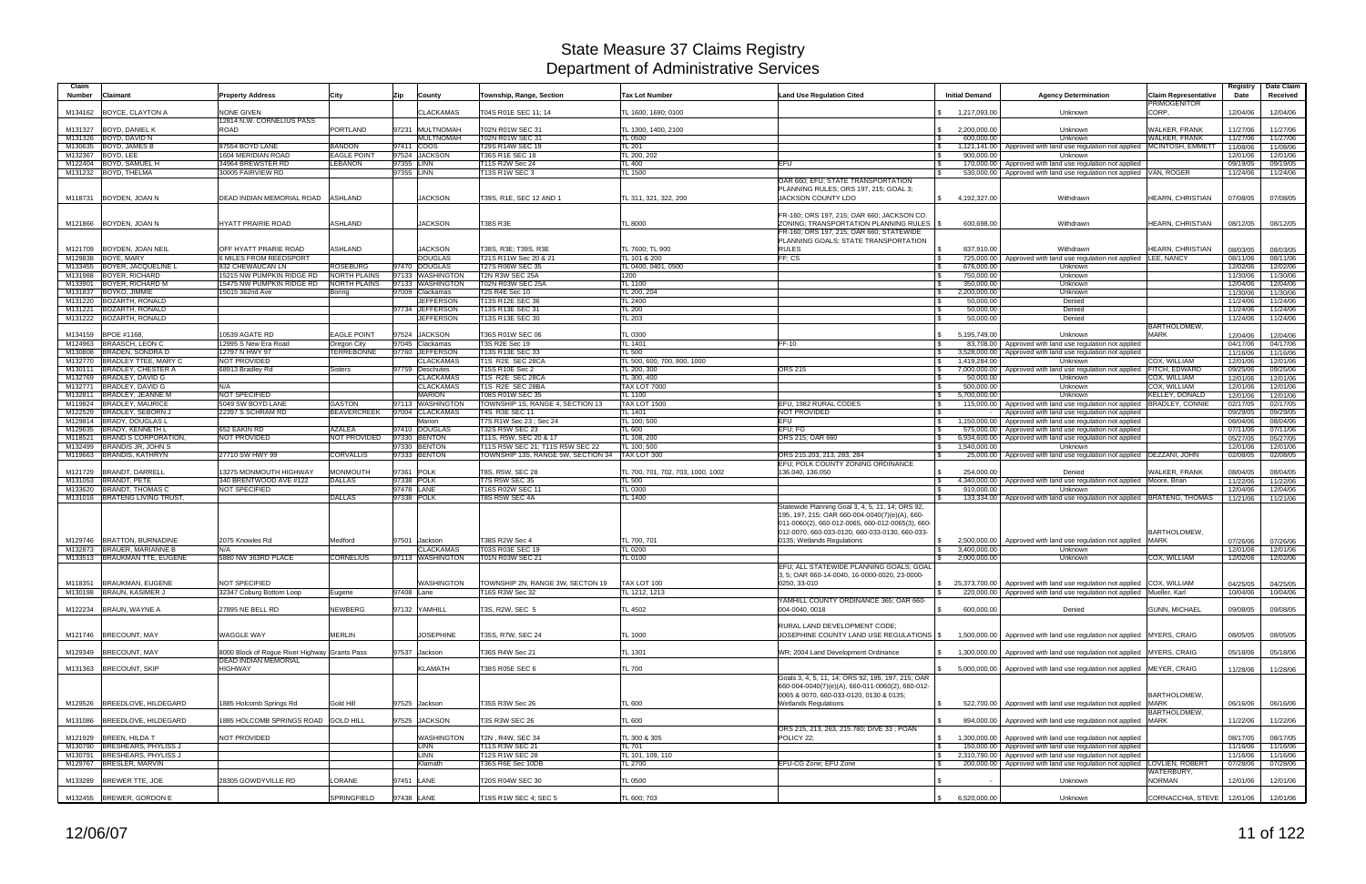| <b>PRIMOGENITOR</b><br>CORP.<br><b>CLACKAMAS</b><br>12/04/06<br>M134162 BOYCE, CLAYTON A<br><b>NONE GIVEN</b><br>T04S R01E SEC 11: 14<br>TL 1600, 1690; 0100<br>1,217,093.00<br>Unknown<br>12/04/06<br>12814 N.W. CORNELIUS PASS<br><b>WALKER, FRANK</b><br>M131327 BOYD, DANIEL K<br><b>ROAD</b><br><b>PORTLAND</b><br>97231 MULTNOMAH<br>T02N R01W SEC 31<br>11/27/06<br>TL 1300, 1400, 2100<br>2,200,000.00<br>Unknown<br>11/27/06<br>$\mathcal{S}$<br>M131326 BOYD, DAVID N<br><b>MULTNOMAH</b><br>T02N R01W SEC 31<br>600,000.00<br><b>WALKER, FRANK</b><br><b>TL 0500</b><br>Unknown<br>11/27/06<br>11/27/06<br>IS.<br>M130635 BOYD, JAMES B<br><b>BANDON</b><br>97411 COOS<br>T29S R14W SEC 19<br>1,121,141.00   Approved with land use regulation not applied   MCINTOSH, EMMETT<br>87554 BOYD LANE<br>TL 201<br>$\sqrt{3}$<br>11/08/06<br>11/08/06<br>97524 JACKSON<br>M132367 BOYD, LEE<br>1604 MERIDIAN ROAD<br><b>EAGLE POINT</b><br>T36S R1E SEC 18<br>TL 200, 202<br>900.000.00<br>Unknown<br>12/01/06<br>12/01/06<br>M122404 BOYD, SAMUEL H<br>34964 BREWSTER RD<br><b>LEBANON</b><br>97355 LINN<br>T11S R2W Sec 24<br>TL 400<br><b>EFU</b><br><b>S</b><br>170,000.00   Approved with land use regulation not applied<br>09/19/05<br>09/19/05<br>97355 LINN<br><b>T13S R1W SEC 3</b><br>TL 1500<br>M131232 BOYD, THELMA<br>30005 FAIRVIEW RD<br>Approved with land use regulation not applied VAN, ROGER<br>$\mathcal{S}$<br>530,000.00<br>11/24/06<br>11/24/06<br>OAR 660; EFU; STATE TRANSPORTATION<br>PLANNING RULES; ORS 197, 215; GOAL 3;<br><b>JACKSON</b><br>DEAD INDIAN MEMORIAL ROAD<br>JACKSON COUNTY LDO<br>\$4.192.327.00<br>M118731 BOYDEN, JOAN N<br><b>ASHLAND</b><br>T39S, R1E, SEC 12 AND<br>TL 311, 321, 322, 200<br>Withdrawn<br>HEARN, CHRISTIAN<br>07/08/05<br>07/08/05<br>FR-160; ORS 197, 215; OAR 660; JACKSON CO.<br>ASHLAND<br><b>JACKSON</b><br>ZONING: TRANSPORTATION PLANNING RULES   \$<br>600,698.00<br>08/12/05<br>M121866 BOYDEN, JOAN N<br><b>HYATT PRAIRIE ROAD</b><br><b>T38S R3E</b><br><b>TL 8000</b><br>HEARN, CHRISTIAN<br>08/12/05<br>Withdrawn<br>FR-160; ORS 197, 215; OAR 660; STATEWIDE<br>PLANNING GOALS; STATE TRANSPORTATION<br><b>ASHLAND</b><br><b>JACKSON</b><br><b>RULES</b><br>M121709 BOYDEN, JOAN NEIL<br>OFF HYATT PRARIE ROAD<br>T38S, R3E; T39S, R3E<br>TL 7600: TL 900<br>837.910.00<br>HEARN, CHRISTIAN<br>08/03/05<br>Withdrawn<br>08/03/05<br>M129838 BOYE, MARY<br><b>DOUGLAS</b><br>FF: CS<br><b>SMILES FROM REEDSPORT</b><br>T21S R11W Sec 20 & 21<br>TL 101 & 200<br>725,000.00<br>Approved with land use regulation not applied LEE, NANCY<br>08/11/06<br>08/11/06<br>97470 DOUGLAS<br>M133455 BOYER, JACQUELINE L<br>T27S R06W SEC 35<br>832 CHEWAUCAN LN<br>ROSEBURG<br>TL 0400, 0401, 0500<br>676,000.00<br>Unknown<br>12/02/06<br>12/02/06<br>M131988 BOYER, RICHARD<br><b>NORTH PLAINS</b><br>97133 WASHINGTON<br>T2N R3W SEC 25A<br>15215 NW PUMPKIN RIDGE RD<br>1200<br>750,000.00<br>Unknown<br>11/30/06<br>11/30/06<br>l \$<br>M133901 BOYER, RICHARD M<br>15475 NW PUMPKIN RIDGE RD<br><b>NORTH PLAINS</b><br>97133 WASHINGTON<br>T02N R03W SEC 25A<br><b>TL 1100</b><br>350,000.00<br>Unknown<br>12/04/06<br>l \$<br>12/04/06<br>BOYKO, JIMMIE<br>97009 Clackamas<br>T2S R4E Sec 10<br>TL 200, 204<br>2,200,000.00<br>11/30/06<br>M131837<br>15015 362nd Ave<br>Unknown<br>11/30/06<br>Boring<br>$\sqrt{S}$<br>M131220 BOZARTH, RONALD<br><b>JEFFERSON</b><br>T13S R12E SEC 36<br>TL 2400<br><b>S</b><br>50,000.00<br>Denied<br>11/24/06<br>11/24/06<br><b>BOZARTH, RONALD</b><br>97734 JEFFERSON<br>T13S R13E SEC 31<br>M131221<br><b>TL 200</b><br>50,000,00<br>Denied<br>11/24/06<br>11/24/06<br>l \$<br>M131222 BOZARTH, RONALD<br><b>JEFFERSON</b><br>T13S R13E SEC 30<br>TL 203<br>50,000.00<br>Denied<br>11/24/06<br>11/24/06<br><b>BARTHOLOMEW</b><br>97524<br>BPOE #1168,<br>0539 AGATE RD<br><b>EAGLE POINT</b><br><b>JACKSON</b><br>T36S R01W SEC 06<br>TL 0300<br>5,195,749.00<br><b>MARK</b><br>M134159<br>Unknown<br>12/04/06<br>12/04/06<br>M124963 BRAASCH, LEON C<br>97045 Clackamas<br>T3S R2E Sec 19<br>12995 S New Era Road<br>TL 1401<br>FF-10<br>83,708.00   Approved with land use regulation not applied<br>04/17/06<br>04/17/06<br>Oregon City<br>l \$<br><b>BRADEN, SONDRA D</b><br><b>TERREBONNE</b><br>97760 JEFFERSON<br>T13S R13E SEC 33<br>M130808<br>12797 N HWY 97<br>TL 500<br>3,528,000.00<br>Approved with land use regulation not applied<br>11/16/06<br>11/16/06<br>IS.<br>M132770 BRADLEY TTEE, MARY C<br><b>NOT PROVIDED</b><br><b>CLACKAMAS</b><br>T1S R2E SEC 28CA<br>TL 500, 600, 700, 800, 1000<br>$\sqrt{3}$<br>1,419,284.00<br>Unknown<br>COX, WILLIAM<br>12/01/06<br>12/01/06<br>M130111 BRADLEY, CHESTER A<br>68913 Bradley Rd<br>97759 Deschutes<br>T15S R10E Sec 2<br>TL 200, 300<br><b>ORS 215</b><br>7,000,000.00   Approved with land use regulation not applied FITCH, EDWARD<br>Sisters<br>$\mathbb{S}$<br>09/25/06<br>09/25/06<br>M132769 BRADLEY, DAVID G<br><b>CLACKAMAS</b><br>T1S R2E SEC 28CA<br>TL 300, 400<br>Unknown<br>COX, WILLIAM<br>50,000.00<br><b>S</b><br>12/01/06<br>12/01/06<br>M132771 BRADLEY, DAVID G<br><b>CLACKAMAS</b><br>T1S R2E SEC 28BA<br>TAX LOT 7000<br>COX. WILLIAM<br>500.000.00<br>Unknown<br>N/A<br>$\sqrt{S}$<br>12/01/06<br>12/01/06<br>M132811 BRADLEY, JEANNE M<br><b>NOT SPECIFIED</b><br><b>MARION</b><br>T08S R01W SEC 35<br><b>TL 1100</b><br>5,700,000.00<br><b>KELLEY, DONALD</b><br>$\mathfrak{S}$<br>Unknown<br>12/01/06<br>12/01/06<br><b>TAX LOT 1500</b><br>M119824 BRADLEY, MAURICE<br>5049 SW BOYD LANE<br>GASTON<br>97113 WASHINGTON<br>TOWNSHIP 1S, RANGE 4, SECTION 13<br>EFU. 1982 RURAL CODES<br><b>BRADLEY, CONNIE</b><br>115,000.00   Approved with land use regulation not applied<br>02/17/05<br>02/17/05<br>M122529 BRADLEY, SEBORN J<br><b>T4S R3E SEC 11</b><br><b>NOT PROVIDED</b><br>22397 S SCHRAM RD<br><b>BEAVERCREEK</b><br>97004 CLACKAMAS<br>TL 1401<br>Approved with land use regulation not applied<br>09/29/05<br>09/29/05<br>M129814 BRADY, DOUGLAS L<br><b>EFU</b><br>Marion<br>T7S R1W Sec 23; Sec 24<br>TL 100; 500<br>$\sqrt{3}$<br>08/04/06<br>08/04/06<br>1,150,000.00 Approved with land use regulation not applied<br>97410 DOUGLAS<br><b>T32S R5W SEC 23</b><br>M129635 BRADY, KENNETH L<br>652 EAKIN RD<br><b>AZALEA</b><br>EFU: FG<br>TL 600<br>575,000.00<br>07/11/06<br>Approved with land use regulation not applied<br>07/11/06<br>BRAND S CORPORATION,<br>NOT PROVIDED<br>NOT PROVIDED<br>97330 BENTON<br>T11S, R5W, SEC 20 & 17<br>TL 108, 200<br>ORS 215; OAR 660<br>05/27/05<br>$\sqrt{S}$<br>6,934,600.00<br>Approved with land use regulation not applied<br>05/27/05<br>M118521<br>M132499 BRANDIS JR, JOHN S<br>97330 BENTON<br>T11S R5W SEC 21; T11S R5W SEC 22<br>TL 100; 500<br>1,540,000.00<br>Unknown<br>12/01/06<br>$\mathfrak s$<br>12/01/06<br>97333 BENTON<br>M119663 BRANDIS, KATHRYN<br>27710 SW HWY 99<br><b>CORVALLIS</b><br>TOWNSHIP 13S, RANGE 5W, SECTION 34<br>TAX LOT 300<br>02/08/05<br>ORS 215.203, 213, 283, 284<br>$\mathbf{s}$<br>25,000.00   Approved with land use regulation not applied   DEZZANI, JOHN<br>02/08/05<br>EFU; POLK COUNTY ZONING ORDINANCE<br>97361 POLK<br><b>MONMOUTH</b><br>T8S, R5W, SEC 28<br>254.000.00<br><b>WALKER, FRANK</b><br>08/04/05<br><b>BRANDT, DARRELL</b><br>13275 MONMOUTH HIGHWAY<br>TL 700, 701, 702, 703, 1000, 1002<br>136.040, 136.050<br>Denied<br>08/04/05<br>M121729<br>97338 POLK<br>M131053 BRANDT, PETE<br><b>DALLAS</b><br><b>T7S R5W SEC 35</b><br>4,340,000.00 Approved with land use regulation not applied Moore, Brian<br>340 BRENTWOOD AVE #122<br>TL 500<br>$\mathbb{R}$<br>11/22/06<br>11/22/06<br><b>BRANDT, THOMAS C</b><br>NOT SPECIFIED<br>97478 LANE<br>M133620<br>T16S R02W SEC 11<br>TL 0300<br>910,000.00<br>12/04/06<br>12/04/06<br>Unknown<br>IS<br>M131016 BRATENG LIVING TRUST,<br>97338 POLK<br>T8S R5W SEC 4A<br>DALLAS<br>TL 1400<br>133,334.00   Approved with land use regulation not applied   BRATENG, THOMAS<br>11/21/06<br>11/21/06<br>Statewide Planning Goal 3, 4, 5, 11, 14; ORS 92,<br>195, 197, 215; OAR 660-004-0040(7)(e)(A), 660-<br>011-0060(2), 660-012-0065, 660-012-0065(3), 660-<br><b>BARTHOLOMEW</b><br>012-0070, 660-033-0120, 660-033-0130, 660-033-<br><b>MARK</b><br>M129746  BRATTON, BURNADINE<br>2075 Knowles Rd<br>Medford<br>97501<br>Jackson<br>T38S R2W Sec 4<br>TL 700, 701<br>0135; Wetlands Regulations<br>2,500,000.00 Approved with land use regulation not applied<br>07/26/06<br>07/26/06<br>$\mathbb{S}$<br>M132873 BRAUER, MARIANNE B<br><b>CLACKAMAS</b><br>T03S R03E SEC 19<br>TL 0200<br>3,400,000.00<br>Unknown<br>N/A<br>12/01/06<br>12/01/06<br>M133513 BRAUKMAN TTE, EUGENE<br>5880 NW 363RD PLACE<br><b>CORNELIUS</b><br>97113 WASHINGTON<br>T01N R03W SEC 21<br><b>TL 0100</b><br>2,000,000.00<br>Unknown<br>COX, WILLIAM<br>12/02/06<br>12/02/06<br>EFU: ALL STATEWIDE PLANNING GOALS: GOAL<br>3, 5; OAR 660-14-0040, 16-0000-0020, 23-0000-<br>M118351 BRAUKMAN, EUGENE<br>NOT SPECIFIED<br>TAX LOT 100<br>0250, 33-010<br>\$ 25,373,700.00 Approved with land use regulation not applied COX, WILLIAM<br>WASHINGTON<br>TOWNSHIP 2N, RANGE 3W, SECTON 19<br>04/25/05<br>04/25/05<br>M130198 BRAUN, KASIMER J<br>97408 Lane<br>220,000.00   Approved with land use regulation not applied Mueller, Karl<br>32347 Coburg Bottom Loop<br>T16S R3W Sec 32<br>TL 1212, 1213<br>10/04/06<br>Eugene<br>10/04/06<br>YAMHILL COUNTY ORDINANCE 365; OAR 660-<br>600,000.00<br>M122234 BRAUN, WAYNE A<br>27895 NE BELL RD<br>NEWBERG<br>97132 YAMHILL<br>T3S, R2W, SEC 5<br>TL 4502<br>004-0040, 0018<br>Denied<br><b>GUNN, MICHAEL</b><br>$\mathfrak{S}$<br>09/08/05<br>09/08/05<br>RURAL LAND DEVELOPMENT CODE;<br>M121746 BRECOUNT, MAY<br>WAGGLE WAY<br>MERLIN<br><b>JOSEPHINE</b><br>T35S, R7W, SEC 24<br>JOSEPHINE COUNTY LAND USE REGULATIONS   \$<br>1,500,000.00 Approved with land use regulation not applied MYERS, CRAIG<br>08/05/05<br>TL 1000<br>08/05/05<br>M129349 BRECOUNT, MAY<br>8000 Block of Rogue River Highway Grants Pass<br>97537 Jackson<br>T36S R4W Sec 21<br>TL 1301<br>WR; 2004 Land Development Ordinance<br>\$1,300,000.00 Approved with land use regulation not applied MYERS, CRAIG<br>05/18/06<br>05/18/06<br><b>DEAD INDIAN MEMORIAL</b><br><b>HIGHWAY</b><br><b>KLAMATH</b><br>M131363 BRECOUNT, SKIP<br>T38S R05E SEC 6<br><b>TL 700</b><br>5,000,000.00 Approved with land use regulation not applied MEYER, CRAIG<br>11/28/06<br>11/28/06<br>Goals 3, 4, 5, 11, 14; ORS 92, 195, 197, 215; OAR<br>660-004-0040(7)(e)(A), 660-011-0060(2), 660-012-<br>BARTHOLOMEW,<br>0065 & 0070, 660-033-0120, 0130 & 0135;<br>522,700.00   Approved with land use regulation not applied MARK<br>M129526 BREEDLOVE, HILDEGARD<br>1885 Holcomb Springs Rd<br>Gold Hill<br>97525 Jackson<br>T35S R3W Sec 26<br><b>TL 600</b><br><b>Wetlands Regulations</b><br>$\sqrt{3}$<br>06/16/06<br>06/16/06<br>BARTHOLOMEW,<br>885 HOLCOMB SPRINGS ROAD GOLD HILL<br>97525 JACKSON<br><b>T3S R3W SEC 26</b><br><b>TL 600</b><br>$\mathbb{R}$<br>894,000.00   Approved with land use regulation not applied MARK<br>11/22/06<br>M131086 BREEDLOVE, HILDEGARD<br>11/22/06<br>ORS 215, 213, 263, 215.780; DIVE 33; POAN<br>M121929 BREEN, HILDA T<br>NOT PROVIDED<br><b>WASHINGTON</b><br>T2N, R4W, SEC 34<br>1,300,000.00 Approved with land use regulation not applied<br>08/17/05<br>TL 300 & 305<br>POLICY 22:<br>08/17/05<br>$\mathbb{S}$<br><b>T11S R3W SEC 21</b><br>M130790 BRESHEARS, PHYLISS J<br><b>LINN</b><br>TL 701<br>150,000.00 Approved with land use regulation not applied<br><b>S</b><br>11/16/06<br>11/16/06<br>M130791 BRESHEARS, PHYLISS J<br><b>LINN</b><br>T12S R1W SEC 28<br>2,310,790.00 Approved with land use regulation not applied<br>TL 101, 109, 110<br>11/16/06<br>11/16/06<br>$\mathcal{S}$<br>M129767 BRESLER, MARVIN<br>T36S R6E Sec 10DB<br>EFU-CG Zone; EFU Zone<br>200,000.00   Approved with land use regulation not applied LOVLIEN, ROBERT<br>Klamath<br>TL 2700<br>07/28/06<br>07/28/06<br>WATERBURY,<br>M133289 BREWER TTE, JOE<br>28305 GOWDYVILLE RD<br>LORANE<br>97451 LANE<br><b>NORMAN</b><br>T20S R04W SEC 30<br>TL 0500<br>Unknown<br>12/01/06<br>12/01/06<br>M132455 BREWER, GORDON E<br>SPRINGFIELD<br>97438 LANE<br>T19S R1W SEC 4; SEC 5<br>TL 600; 703<br>6,520,000.00<br>CORNACCHIA, STEVE   12/01/06<br>$\mathbb{S}$<br>Unknown<br>12/01/06 | Claim<br>Number<br><b>Claimant</b> | <b>Property Address</b> | City | Zip | County | Township, Range, Section | <b>Tax Lot Number</b> | <b>Land Use Regulation Cited</b> | <b>Initial Demand</b> | <b>Agency Determination</b> | <b>Claim Representative</b> | Registry<br>Date | Date Claim<br>Received |
|-----------------------------------------------------------------------------------------------------------------------------------------------------------------------------------------------------------------------------------------------------------------------------------------------------------------------------------------------------------------------------------------------------------------------------------------------------------------------------------------------------------------------------------------------------------------------------------------------------------------------------------------------------------------------------------------------------------------------------------------------------------------------------------------------------------------------------------------------------------------------------------------------------------------------------------------------------------------------------------------------------------------------------------------------------------------------------------------------------------------------------------------------------------------------------------------------------------------------------------------------------------------------------------------------------------------------------------------------------------------------------------------------------------------------------------------------------------------------------------------------------------------------------------------------------------------------------------------------------------------------------------------------------------------------------------------------------------------------------------------------------------------------------------------------------------------------------------------------------------------------------------------------------------------------------------------------------------------------------------------------------------------------------------------------------------------------------------------------------------------------------------------------------------------------------------------------------------------------------------------------------------------------------------------------------------------------------------------------------------------------------------------------------------------------------------------------------------------------------------------------------------------------------------------------------------------------------------------------------------------------------------------------------------------------------------------------------------------------------------------------------------------------------------------------------------------------------------------------------------------------------------------------------------------------------------------------------------------------------------------------------------------------------------------------------------------------------------------------------------------------------------------------------------------------------------------------------------------------------------------------------------------------------------------------------------------------------------------------------------------------------------------------------------------------------------------------------------------------------------------------------------------------------------------------------------------------------------------------------------------------------------------------------------------------------------------------------------------------------------------------------------------------------------------------------------------------------------------------------------------------------------------------------------------------------------------------------------------------------------------------------------------------------------------------------------------------------------------------------------------------------------------------------------------------------------------------------------------------------------------------------------------------------------------------------------------------------------------------------------------------------------------------------------------------------------------------------------------------------------------------------------------------------------------------------------------------------------------------------------------------------------------------------------------------------------------------------------------------------------------------------------------------------------------------------------------------------------------------------------------------------------------------------------------------------------------------------------------------------------------------------------------------------------------------------------------------------------------------------------------------------------------------------------------------------------------------------------------------------------------------------------------------------------------------------------------------------------------------------------------------------------------------------------------------------------------------------------------------------------------------------------------------------------------------------------------------------------------------------------------------------------------------------------------------------------------------------------------------------------------------------------------------------------------------------------------------------------------------------------------------------------------------------------------------------------------------------------------------------------------------------------------------------------------------------------------------------------------------------------------------------------------------------------------------------------------------------------------------------------------------------------------------------------------------------------------------------------------------------------------------------------------------------------------------------------------------------------------------------------------------------------------------------------------------------------------------------------------------------------------------------------------------------------------------------------------------------------------------------------------------------------------------------------------------------------------------------------------------------------------------------------------------------------------------------------------------------------------------------------------------------------------------------------------------------------------------------------------------------------------------------------------------------------------------------------------------------------------------------------------------------------------------------------------------------------------------------------------------------------------------------------------------------------------------------------------------------------------------------------------------------------------------------------------------------------------------------------------------------------------------------------------------------------------------------------------------------------------------------------------------------------------------------------------------------------------------------------------------------------------------------------------------------------------------------------------------------------------------------------------------------------------------------------------------------------------------------------------------------------------------------------------------------------------------------------------------------------------------------------------------------------------------------------------------------------------------------------------------------------------------------------------------------------------------------------------------------------------------------------------------------------------------------------------------------------------------------------------------------------------------------------------------------------------------------------------------------------------------------------------------------------------------------------------------------------------------------------------------------------------------------------------------------------------------------------------------------------------------------------------------------------------------------------------------------------------------------------------------------------------------------------------------------------------------------------------------------------------------------------------------------------------------------------------------------------------------------------------------------------------------------------------------------------------------------------------------------------------------------------------------------------------------------------------------------------------------------------------------------------------------------------------------------------------------------------------------------------------------------------------------------------------------------------------------------------------------------------------------------------------------------------------------------------------------------------------------------------------------------------------------------------------------------------------------------------------------------------------------------------------------------------------------------------------------------------------------------------------------------------------------------------------------------------------------------------------------------------------------------------------------------------------------------------------------------------------------------------------------------------------------------------------------------------------------------------------------------------------------------------------------------------------------------------------------------------------------------------------------------------------------------------------------------------------------------------------------------------------------------------------------------------------------------------------------------------------------------------------------------------------------------------------------------------------------------------------------------------------------------------------------------------------------------------------------------------------------------------------------------------------------------------------------------------------------------------------------------------------------------------------------------------------------------------------------------------------------------------------------------------------------------------------------------------------------------------------------------------------------------------------------------------------------------------------------------------------------------------------------------------------------------------------------------------------------------------------------------------------------------------------------------------------------------------------------------------------------------------------------------------------------------------------------------------------------------------------------------------------------------------------------------------------------------------------------------------------------------------------------------------------------------------------------------------------------------------------------------------------------------------------------------------------------------------------------------------------------------------------------------------------------------------------|------------------------------------|-------------------------|------|-----|--------|--------------------------|-----------------------|----------------------------------|-----------------------|-----------------------------|-----------------------------|------------------|------------------------|
|                                                                                                                                                                                                                                                                                                                                                                                                                                                                                                                                                                                                                                                                                                                                                                                                                                                                                                                                                                                                                                                                                                                                                                                                                                                                                                                                                                                                                                                                                                                                                                                                                                                                                                                                                                                                                                                                                                                                                                                                                                                                                                                                                                                                                                                                                                                                                                                                                                                                                                                                                                                                                                                                                                                                                                                                                                                                                                                                                                                                                                                                                                                                                                                                                                                                                                                                                                                                                                                                                                                                                                                                                                                                                                                                                                                                                                                                                                                                                                                                                                                                                                                                                                                                                                                                                                                                                                                                                                                                                                                                                                                                                                                                                                                                                                                                                                                                                                                                                                                                                                                                                                                                                                                                                                                                                                                                                                                                                                                                                                                                                                                                                                                                                                                                                                                                                                                                                                                                                                                                                                                                                                                                                                                                                                                                                                                                                                                                                                                                                                                                                                                                                                                                                                                                                                                                                                                                                                                                                                                                                                                                                                                                                                                                                                                                                                                                                                                                                                                                                                                                                                                                                                                                                                                                                                                                                                                                                                                                                                                                                                                                                                                                                                                                                                                                                                                                                                                                                                                                                                                                                                                                                                                                                                                                                                                                                                                                                                                                                                                                                                                                                                                                                                                                                                                                                                                                                                                                                                                                                                                                                                                                                                                                                                                                                                                                                                                                                                                                                                                                                                                                                                                                                                                                                                                                                                                                                                                                                                                                                                                                                                                                                                                                                                                                                                                                                                                                                                                                                                                                                                                                                                                                                                                                                                                                                                                                                                                                                                                                                                                                                                                                                                                                                                                                                                                                                                                                                                                                                                                                                                                                                                                                                                                                                                                                                                                                                                                                                                                                                                                 |                                    |                         |      |     |        |                          |                       |                                  |                       |                             |                             |                  |                        |
|                                                                                                                                                                                                                                                                                                                                                                                                                                                                                                                                                                                                                                                                                                                                                                                                                                                                                                                                                                                                                                                                                                                                                                                                                                                                                                                                                                                                                                                                                                                                                                                                                                                                                                                                                                                                                                                                                                                                                                                                                                                                                                                                                                                                                                                                                                                                                                                                                                                                                                                                                                                                                                                                                                                                                                                                                                                                                                                                                                                                                                                                                                                                                                                                                                                                                                                                                                                                                                                                                                                                                                                                                                                                                                                                                                                                                                                                                                                                                                                                                                                                                                                                                                                                                                                                                                                                                                                                                                                                                                                                                                                                                                                                                                                                                                                                                                                                                                                                                                                                                                                                                                                                                                                                                                                                                                                                                                                                                                                                                                                                                                                                                                                                                                                                                                                                                                                                                                                                                                                                                                                                                                                                                                                                                                                                                                                                                                                                                                                                                                                                                                                                                                                                                                                                                                                                                                                                                                                                                                                                                                                                                                                                                                                                                                                                                                                                                                                                                                                                                                                                                                                                                                                                                                                                                                                                                                                                                                                                                                                                                                                                                                                                                                                                                                                                                                                                                                                                                                                                                                                                                                                                                                                                                                                                                                                                                                                                                                                                                                                                                                                                                                                                                                                                                                                                                                                                                                                                                                                                                                                                                                                                                                                                                                                                                                                                                                                                                                                                                                                                                                                                                                                                                                                                                                                                                                                                                                                                                                                                                                                                                                                                                                                                                                                                                                                                                                                                                                                                                                                                                                                                                                                                                                                                                                                                                                                                                                                                                                                                                                                                                                                                                                                                                                                                                                                                                                                                                                                                                                                                                                                                                                                                                                                                                                                                                                                                                                                                                                                                                                                 |                                    |                         |      |     |        |                          |                       |                                  |                       |                             |                             |                  |                        |
|                                                                                                                                                                                                                                                                                                                                                                                                                                                                                                                                                                                                                                                                                                                                                                                                                                                                                                                                                                                                                                                                                                                                                                                                                                                                                                                                                                                                                                                                                                                                                                                                                                                                                                                                                                                                                                                                                                                                                                                                                                                                                                                                                                                                                                                                                                                                                                                                                                                                                                                                                                                                                                                                                                                                                                                                                                                                                                                                                                                                                                                                                                                                                                                                                                                                                                                                                                                                                                                                                                                                                                                                                                                                                                                                                                                                                                                                                                                                                                                                                                                                                                                                                                                                                                                                                                                                                                                                                                                                                                                                                                                                                                                                                                                                                                                                                                                                                                                                                                                                                                                                                                                                                                                                                                                                                                                                                                                                                                                                                                                                                                                                                                                                                                                                                                                                                                                                                                                                                                                                                                                                                                                                                                                                                                                                                                                                                                                                                                                                                                                                                                                                                                                                                                                                                                                                                                                                                                                                                                                                                                                                                                                                                                                                                                                                                                                                                                                                                                                                                                                                                                                                                                                                                                                                                                                                                                                                                                                                                                                                                                                                                                                                                                                                                                                                                                                                                                                                                                                                                                                                                                                                                                                                                                                                                                                                                                                                                                                                                                                                                                                                                                                                                                                                                                                                                                                                                                                                                                                                                                                                                                                                                                                                                                                                                                                                                                                                                                                                                                                                                                                                                                                                                                                                                                                                                                                                                                                                                                                                                                                                                                                                                                                                                                                                                                                                                                                                                                                                                                                                                                                                                                                                                                                                                                                                                                                                                                                                                                                                                                                                                                                                                                                                                                                                                                                                                                                                                                                                                                                                                                                                                                                                                                                                                                                                                                                                                                                                                                                                                                                 |                                    |                         |      |     |        |                          |                       |                                  |                       |                             |                             |                  |                        |
|                                                                                                                                                                                                                                                                                                                                                                                                                                                                                                                                                                                                                                                                                                                                                                                                                                                                                                                                                                                                                                                                                                                                                                                                                                                                                                                                                                                                                                                                                                                                                                                                                                                                                                                                                                                                                                                                                                                                                                                                                                                                                                                                                                                                                                                                                                                                                                                                                                                                                                                                                                                                                                                                                                                                                                                                                                                                                                                                                                                                                                                                                                                                                                                                                                                                                                                                                                                                                                                                                                                                                                                                                                                                                                                                                                                                                                                                                                                                                                                                                                                                                                                                                                                                                                                                                                                                                                                                                                                                                                                                                                                                                                                                                                                                                                                                                                                                                                                                                                                                                                                                                                                                                                                                                                                                                                                                                                                                                                                                                                                                                                                                                                                                                                                                                                                                                                                                                                                                                                                                                                                                                                                                                                                                                                                                                                                                                                                                                                                                                                                                                                                                                                                                                                                                                                                                                                                                                                                                                                                                                                                                                                                                                                                                                                                                                                                                                                                                                                                                                                                                                                                                                                                                                                                                                                                                                                                                                                                                                                                                                                                                                                                                                                                                                                                                                                                                                                                                                                                                                                                                                                                                                                                                                                                                                                                                                                                                                                                                                                                                                                                                                                                                                                                                                                                                                                                                                                                                                                                                                                                                                                                                                                                                                                                                                                                                                                                                                                                                                                                                                                                                                                                                                                                                                                                                                                                                                                                                                                                                                                                                                                                                                                                                                                                                                                                                                                                                                                                                                                                                                                                                                                                                                                                                                                                                                                                                                                                                                                                                                                                                                                                                                                                                                                                                                                                                                                                                                                                                                                                                                                                                                                                                                                                                                                                                                                                                                                                                                                                                                                                 |                                    |                         |      |     |        |                          |                       |                                  |                       |                             |                             |                  |                        |
|                                                                                                                                                                                                                                                                                                                                                                                                                                                                                                                                                                                                                                                                                                                                                                                                                                                                                                                                                                                                                                                                                                                                                                                                                                                                                                                                                                                                                                                                                                                                                                                                                                                                                                                                                                                                                                                                                                                                                                                                                                                                                                                                                                                                                                                                                                                                                                                                                                                                                                                                                                                                                                                                                                                                                                                                                                                                                                                                                                                                                                                                                                                                                                                                                                                                                                                                                                                                                                                                                                                                                                                                                                                                                                                                                                                                                                                                                                                                                                                                                                                                                                                                                                                                                                                                                                                                                                                                                                                                                                                                                                                                                                                                                                                                                                                                                                                                                                                                                                                                                                                                                                                                                                                                                                                                                                                                                                                                                                                                                                                                                                                                                                                                                                                                                                                                                                                                                                                                                                                                                                                                                                                                                                                                                                                                                                                                                                                                                                                                                                                                                                                                                                                                                                                                                                                                                                                                                                                                                                                                                                                                                                                                                                                                                                                                                                                                                                                                                                                                                                                                                                                                                                                                                                                                                                                                                                                                                                                                                                                                                                                                                                                                                                                                                                                                                                                                                                                                                                                                                                                                                                                                                                                                                                                                                                                                                                                                                                                                                                                                                                                                                                                                                                                                                                                                                                                                                                                                                                                                                                                                                                                                                                                                                                                                                                                                                                                                                                                                                                                                                                                                                                                                                                                                                                                                                                                                                                                                                                                                                                                                                                                                                                                                                                                                                                                                                                                                                                                                                                                                                                                                                                                                                                                                                                                                                                                                                                                                                                                                                                                                                                                                                                                                                                                                                                                                                                                                                                                                                                                                                                                                                                                                                                                                                                                                                                                                                                                                                                                                                                                 |                                    |                         |      |     |        |                          |                       |                                  |                       |                             |                             |                  |                        |
|                                                                                                                                                                                                                                                                                                                                                                                                                                                                                                                                                                                                                                                                                                                                                                                                                                                                                                                                                                                                                                                                                                                                                                                                                                                                                                                                                                                                                                                                                                                                                                                                                                                                                                                                                                                                                                                                                                                                                                                                                                                                                                                                                                                                                                                                                                                                                                                                                                                                                                                                                                                                                                                                                                                                                                                                                                                                                                                                                                                                                                                                                                                                                                                                                                                                                                                                                                                                                                                                                                                                                                                                                                                                                                                                                                                                                                                                                                                                                                                                                                                                                                                                                                                                                                                                                                                                                                                                                                                                                                                                                                                                                                                                                                                                                                                                                                                                                                                                                                                                                                                                                                                                                                                                                                                                                                                                                                                                                                                                                                                                                                                                                                                                                                                                                                                                                                                                                                                                                                                                                                                                                                                                                                                                                                                                                                                                                                                                                                                                                                                                                                                                                                                                                                                                                                                                                                                                                                                                                                                                                                                                                                                                                                                                                                                                                                                                                                                                                                                                                                                                                                                                                                                                                                                                                                                                                                                                                                                                                                                                                                                                                                                                                                                                                                                                                                                                                                                                                                                                                                                                                                                                                                                                                                                                                                                                                                                                                                                                                                                                                                                                                                                                                                                                                                                                                                                                                                                                                                                                                                                                                                                                                                                                                                                                                                                                                                                                                                                                                                                                                                                                                                                                                                                                                                                                                                                                                                                                                                                                                                                                                                                                                                                                                                                                                                                                                                                                                                                                                                                                                                                                                                                                                                                                                                                                                                                                                                                                                                                                                                                                                                                                                                                                                                                                                                                                                                                                                                                                                                                                                                                                                                                                                                                                                                                                                                                                                                                                                                                                                                                 |                                    |                         |      |     |        |                          |                       |                                  |                       |                             |                             |                  |                        |
|                                                                                                                                                                                                                                                                                                                                                                                                                                                                                                                                                                                                                                                                                                                                                                                                                                                                                                                                                                                                                                                                                                                                                                                                                                                                                                                                                                                                                                                                                                                                                                                                                                                                                                                                                                                                                                                                                                                                                                                                                                                                                                                                                                                                                                                                                                                                                                                                                                                                                                                                                                                                                                                                                                                                                                                                                                                                                                                                                                                                                                                                                                                                                                                                                                                                                                                                                                                                                                                                                                                                                                                                                                                                                                                                                                                                                                                                                                                                                                                                                                                                                                                                                                                                                                                                                                                                                                                                                                                                                                                                                                                                                                                                                                                                                                                                                                                                                                                                                                                                                                                                                                                                                                                                                                                                                                                                                                                                                                                                                                                                                                                                                                                                                                                                                                                                                                                                                                                                                                                                                                                                                                                                                                                                                                                                                                                                                                                                                                                                                                                                                                                                                                                                                                                                                                                                                                                                                                                                                                                                                                                                                                                                                                                                                                                                                                                                                                                                                                                                                                                                                                                                                                                                                                                                                                                                                                                                                                                                                                                                                                                                                                                                                                                                                                                                                                                                                                                                                                                                                                                                                                                                                                                                                                                                                                                                                                                                                                                                                                                                                                                                                                                                                                                                                                                                                                                                                                                                                                                                                                                                                                                                                                                                                                                                                                                                                                                                                                                                                                                                                                                                                                                                                                                                                                                                                                                                                                                                                                                                                                                                                                                                                                                                                                                                                                                                                                                                                                                                                                                                                                                                                                                                                                                                                                                                                                                                                                                                                                                                                                                                                                                                                                                                                                                                                                                                                                                                                                                                                                                                                                                                                                                                                                                                                                                                                                                                                                                                                                                                                                                 |                                    |                         |      |     |        |                          |                       |                                  |                       |                             |                             |                  |                        |
|                                                                                                                                                                                                                                                                                                                                                                                                                                                                                                                                                                                                                                                                                                                                                                                                                                                                                                                                                                                                                                                                                                                                                                                                                                                                                                                                                                                                                                                                                                                                                                                                                                                                                                                                                                                                                                                                                                                                                                                                                                                                                                                                                                                                                                                                                                                                                                                                                                                                                                                                                                                                                                                                                                                                                                                                                                                                                                                                                                                                                                                                                                                                                                                                                                                                                                                                                                                                                                                                                                                                                                                                                                                                                                                                                                                                                                                                                                                                                                                                                                                                                                                                                                                                                                                                                                                                                                                                                                                                                                                                                                                                                                                                                                                                                                                                                                                                                                                                                                                                                                                                                                                                                                                                                                                                                                                                                                                                                                                                                                                                                                                                                                                                                                                                                                                                                                                                                                                                                                                                                                                                                                                                                                                                                                                                                                                                                                                                                                                                                                                                                                                                                                                                                                                                                                                                                                                                                                                                                                                                                                                                                                                                                                                                                                                                                                                                                                                                                                                                                                                                                                                                                                                                                                                                                                                                                                                                                                                                                                                                                                                                                                                                                                                                                                                                                                                                                                                                                                                                                                                                                                                                                                                                                                                                                                                                                                                                                                                                                                                                                                                                                                                                                                                                                                                                                                                                                                                                                                                                                                                                                                                                                                                                                                                                                                                                                                                                                                                                                                                                                                                                                                                                                                                                                                                                                                                                                                                                                                                                                                                                                                                                                                                                                                                                                                                                                                                                                                                                                                                                                                                                                                                                                                                                                                                                                                                                                                                                                                                                                                                                                                                                                                                                                                                                                                                                                                                                                                                                                                                                                                                                                                                                                                                                                                                                                                                                                                                                                                                                                                                 |                                    |                         |      |     |        |                          |                       |                                  |                       |                             |                             |                  |                        |
|                                                                                                                                                                                                                                                                                                                                                                                                                                                                                                                                                                                                                                                                                                                                                                                                                                                                                                                                                                                                                                                                                                                                                                                                                                                                                                                                                                                                                                                                                                                                                                                                                                                                                                                                                                                                                                                                                                                                                                                                                                                                                                                                                                                                                                                                                                                                                                                                                                                                                                                                                                                                                                                                                                                                                                                                                                                                                                                                                                                                                                                                                                                                                                                                                                                                                                                                                                                                                                                                                                                                                                                                                                                                                                                                                                                                                                                                                                                                                                                                                                                                                                                                                                                                                                                                                                                                                                                                                                                                                                                                                                                                                                                                                                                                                                                                                                                                                                                                                                                                                                                                                                                                                                                                                                                                                                                                                                                                                                                                                                                                                                                                                                                                                                                                                                                                                                                                                                                                                                                                                                                                                                                                                                                                                                                                                                                                                                                                                                                                                                                                                                                                                                                                                                                                                                                                                                                                                                                                                                                                                                                                                                                                                                                                                                                                                                                                                                                                                                                                                                                                                                                                                                                                                                                                                                                                                                                                                                                                                                                                                                                                                                                                                                                                                                                                                                                                                                                                                                                                                                                                                                                                                                                                                                                                                                                                                                                                                                                                                                                                                                                                                                                                                                                                                                                                                                                                                                                                                                                                                                                                                                                                                                                                                                                                                                                                                                                                                                                                                                                                                                                                                                                                                                                                                                                                                                                                                                                                                                                                                                                                                                                                                                                                                                                                                                                                                                                                                                                                                                                                                                                                                                                                                                                                                                                                                                                                                                                                                                                                                                                                                                                                                                                                                                                                                                                                                                                                                                                                                                                                                                                                                                                                                                                                                                                                                                                                                                                                                                                                                                                 |                                    |                         |      |     |        |                          |                       |                                  |                       |                             |                             |                  |                        |
|                                                                                                                                                                                                                                                                                                                                                                                                                                                                                                                                                                                                                                                                                                                                                                                                                                                                                                                                                                                                                                                                                                                                                                                                                                                                                                                                                                                                                                                                                                                                                                                                                                                                                                                                                                                                                                                                                                                                                                                                                                                                                                                                                                                                                                                                                                                                                                                                                                                                                                                                                                                                                                                                                                                                                                                                                                                                                                                                                                                                                                                                                                                                                                                                                                                                                                                                                                                                                                                                                                                                                                                                                                                                                                                                                                                                                                                                                                                                                                                                                                                                                                                                                                                                                                                                                                                                                                                                                                                                                                                                                                                                                                                                                                                                                                                                                                                                                                                                                                                                                                                                                                                                                                                                                                                                                                                                                                                                                                                                                                                                                                                                                                                                                                                                                                                                                                                                                                                                                                                                                                                                                                                                                                                                                                                                                                                                                                                                                                                                                                                                                                                                                                                                                                                                                                                                                                                                                                                                                                                                                                                                                                                                                                                                                                                                                                                                                                                                                                                                                                                                                                                                                                                                                                                                                                                                                                                                                                                                                                                                                                                                                                                                                                                                                                                                                                                                                                                                                                                                                                                                                                                                                                                                                                                                                                                                                                                                                                                                                                                                                                                                                                                                                                                                                                                                                                                                                                                                                                                                                                                                                                                                                                                                                                                                                                                                                                                                                                                                                                                                                                                                                                                                                                                                                                                                                                                                                                                                                                                                                                                                                                                                                                                                                                                                                                                                                                                                                                                                                                                                                                                                                                                                                                                                                                                                                                                                                                                                                                                                                                                                                                                                                                                                                                                                                                                                                                                                                                                                                                                                                                                                                                                                                                                                                                                                                                                                                                                                                                                                                                                 |                                    |                         |      |     |        |                          |                       |                                  |                       |                             |                             |                  |                        |
|                                                                                                                                                                                                                                                                                                                                                                                                                                                                                                                                                                                                                                                                                                                                                                                                                                                                                                                                                                                                                                                                                                                                                                                                                                                                                                                                                                                                                                                                                                                                                                                                                                                                                                                                                                                                                                                                                                                                                                                                                                                                                                                                                                                                                                                                                                                                                                                                                                                                                                                                                                                                                                                                                                                                                                                                                                                                                                                                                                                                                                                                                                                                                                                                                                                                                                                                                                                                                                                                                                                                                                                                                                                                                                                                                                                                                                                                                                                                                                                                                                                                                                                                                                                                                                                                                                                                                                                                                                                                                                                                                                                                                                                                                                                                                                                                                                                                                                                                                                                                                                                                                                                                                                                                                                                                                                                                                                                                                                                                                                                                                                                                                                                                                                                                                                                                                                                                                                                                                                                                                                                                                                                                                                                                                                                                                                                                                                                                                                                                                                                                                                                                                                                                                                                                                                                                                                                                                                                                                                                                                                                                                                                                                                                                                                                                                                                                                                                                                                                                                                                                                                                                                                                                                                                                                                                                                                                                                                                                                                                                                                                                                                                                                                                                                                                                                                                                                                                                                                                                                                                                                                                                                                                                                                                                                                                                                                                                                                                                                                                                                                                                                                                                                                                                                                                                                                                                                                                                                                                                                                                                                                                                                                                                                                                                                                                                                                                                                                                                                                                                                                                                                                                                                                                                                                                                                                                                                                                                                                                                                                                                                                                                                                                                                                                                                                                                                                                                                                                                                                                                                                                                                                                                                                                                                                                                                                                                                                                                                                                                                                                                                                                                                                                                                                                                                                                                                                                                                                                                                                                                                                                                                                                                                                                                                                                                                                                                                                                                                                                                                                                 |                                    |                         |      |     |        |                          |                       |                                  |                       |                             |                             |                  |                        |
|                                                                                                                                                                                                                                                                                                                                                                                                                                                                                                                                                                                                                                                                                                                                                                                                                                                                                                                                                                                                                                                                                                                                                                                                                                                                                                                                                                                                                                                                                                                                                                                                                                                                                                                                                                                                                                                                                                                                                                                                                                                                                                                                                                                                                                                                                                                                                                                                                                                                                                                                                                                                                                                                                                                                                                                                                                                                                                                                                                                                                                                                                                                                                                                                                                                                                                                                                                                                                                                                                                                                                                                                                                                                                                                                                                                                                                                                                                                                                                                                                                                                                                                                                                                                                                                                                                                                                                                                                                                                                                                                                                                                                                                                                                                                                                                                                                                                                                                                                                                                                                                                                                                                                                                                                                                                                                                                                                                                                                                                                                                                                                                                                                                                                                                                                                                                                                                                                                                                                                                                                                                                                                                                                                                                                                                                                                                                                                                                                                                                                                                                                                                                                                                                                                                                                                                                                                                                                                                                                                                                                                                                                                                                                                                                                                                                                                                                                                                                                                                                                                                                                                                                                                                                                                                                                                                                                                                                                                                                                                                                                                                                                                                                                                                                                                                                                                                                                                                                                                                                                                                                                                                                                                                                                                                                                                                                                                                                                                                                                                                                                                                                                                                                                                                                                                                                                                                                                                                                                                                                                                                                                                                                                                                                                                                                                                                                                                                                                                                                                                                                                                                                                                                                                                                                                                                                                                                                                                                                                                                                                                                                                                                                                                                                                                                                                                                                                                                                                                                                                                                                                                                                                                                                                                                                                                                                                                                                                                                                                                                                                                                                                                                                                                                                                                                                                                                                                                                                                                                                                                                                                                                                                                                                                                                                                                                                                                                                                                                                                                                                                                                 |                                    |                         |      |     |        |                          |                       |                                  |                       |                             |                             |                  |                        |
|                                                                                                                                                                                                                                                                                                                                                                                                                                                                                                                                                                                                                                                                                                                                                                                                                                                                                                                                                                                                                                                                                                                                                                                                                                                                                                                                                                                                                                                                                                                                                                                                                                                                                                                                                                                                                                                                                                                                                                                                                                                                                                                                                                                                                                                                                                                                                                                                                                                                                                                                                                                                                                                                                                                                                                                                                                                                                                                                                                                                                                                                                                                                                                                                                                                                                                                                                                                                                                                                                                                                                                                                                                                                                                                                                                                                                                                                                                                                                                                                                                                                                                                                                                                                                                                                                                                                                                                                                                                                                                                                                                                                                                                                                                                                                                                                                                                                                                                                                                                                                                                                                                                                                                                                                                                                                                                                                                                                                                                                                                                                                                                                                                                                                                                                                                                                                                                                                                                                                                                                                                                                                                                                                                                                                                                                                                                                                                                                                                                                                                                                                                                                                                                                                                                                                                                                                                                                                                                                                                                                                                                                                                                                                                                                                                                                                                                                                                                                                                                                                                                                                                                                                                                                                                                                                                                                                                                                                                                                                                                                                                                                                                                                                                                                                                                                                                                                                                                                                                                                                                                                                                                                                                                                                                                                                                                                                                                                                                                                                                                                                                                                                                                                                                                                                                                                                                                                                                                                                                                                                                                                                                                                                                                                                                                                                                                                                                                                                                                                                                                                                                                                                                                                                                                                                                                                                                                                                                                                                                                                                                                                                                                                                                                                                                                                                                                                                                                                                                                                                                                                                                                                                                                                                                                                                                                                                                                                                                                                                                                                                                                                                                                                                                                                                                                                                                                                                                                                                                                                                                                                                                                                                                                                                                                                                                                                                                                                                                                                                                                                                                                 |                                    |                         |      |     |        |                          |                       |                                  |                       |                             |                             |                  |                        |
|                                                                                                                                                                                                                                                                                                                                                                                                                                                                                                                                                                                                                                                                                                                                                                                                                                                                                                                                                                                                                                                                                                                                                                                                                                                                                                                                                                                                                                                                                                                                                                                                                                                                                                                                                                                                                                                                                                                                                                                                                                                                                                                                                                                                                                                                                                                                                                                                                                                                                                                                                                                                                                                                                                                                                                                                                                                                                                                                                                                                                                                                                                                                                                                                                                                                                                                                                                                                                                                                                                                                                                                                                                                                                                                                                                                                                                                                                                                                                                                                                                                                                                                                                                                                                                                                                                                                                                                                                                                                                                                                                                                                                                                                                                                                                                                                                                                                                                                                                                                                                                                                                                                                                                                                                                                                                                                                                                                                                                                                                                                                                                                                                                                                                                                                                                                                                                                                                                                                                                                                                                                                                                                                                                                                                                                                                                                                                                                                                                                                                                                                                                                                                                                                                                                                                                                                                                                                                                                                                                                                                                                                                                                                                                                                                                                                                                                                                                                                                                                                                                                                                                                                                                                                                                                                                                                                                                                                                                                                                                                                                                                                                                                                                                                                                                                                                                                                                                                                                                                                                                                                                                                                                                                                                                                                                                                                                                                                                                                                                                                                                                                                                                                                                                                                                                                                                                                                                                                                                                                                                                                                                                                                                                                                                                                                                                                                                                                                                                                                                                                                                                                                                                                                                                                                                                                                                                                                                                                                                                                                                                                                                                                                                                                                                                                                                                                                                                                                                                                                                                                                                                                                                                                                                                                                                                                                                                                                                                                                                                                                                                                                                                                                                                                                                                                                                                                                                                                                                                                                                                                                                                                                                                                                                                                                                                                                                                                                                                                                                                                                                                                 |                                    |                         |      |     |        |                          |                       |                                  |                       |                             |                             |                  |                        |
|                                                                                                                                                                                                                                                                                                                                                                                                                                                                                                                                                                                                                                                                                                                                                                                                                                                                                                                                                                                                                                                                                                                                                                                                                                                                                                                                                                                                                                                                                                                                                                                                                                                                                                                                                                                                                                                                                                                                                                                                                                                                                                                                                                                                                                                                                                                                                                                                                                                                                                                                                                                                                                                                                                                                                                                                                                                                                                                                                                                                                                                                                                                                                                                                                                                                                                                                                                                                                                                                                                                                                                                                                                                                                                                                                                                                                                                                                                                                                                                                                                                                                                                                                                                                                                                                                                                                                                                                                                                                                                                                                                                                                                                                                                                                                                                                                                                                                                                                                                                                                                                                                                                                                                                                                                                                                                                                                                                                                                                                                                                                                                                                                                                                                                                                                                                                                                                                                                                                                                                                                                                                                                                                                                                                                                                                                                                                                                                                                                                                                                                                                                                                                                                                                                                                                                                                                                                                                                                                                                                                                                                                                                                                                                                                                                                                                                                                                                                                                                                                                                                                                                                                                                                                                                                                                                                                                                                                                                                                                                                                                                                                                                                                                                                                                                                                                                                                                                                                                                                                                                                                                                                                                                                                                                                                                                                                                                                                                                                                                                                                                                                                                                                                                                                                                                                                                                                                                                                                                                                                                                                                                                                                                                                                                                                                                                                                                                                                                                                                                                                                                                                                                                                                                                                                                                                                                                                                                                                                                                                                                                                                                                                                                                                                                                                                                                                                                                                                                                                                                                                                                                                                                                                                                                                                                                                                                                                                                                                                                                                                                                                                                                                                                                                                                                                                                                                                                                                                                                                                                                                                                                                                                                                                                                                                                                                                                                                                                                                                                                                                                                                 |                                    |                         |      |     |        |                          |                       |                                  |                       |                             |                             |                  |                        |
|                                                                                                                                                                                                                                                                                                                                                                                                                                                                                                                                                                                                                                                                                                                                                                                                                                                                                                                                                                                                                                                                                                                                                                                                                                                                                                                                                                                                                                                                                                                                                                                                                                                                                                                                                                                                                                                                                                                                                                                                                                                                                                                                                                                                                                                                                                                                                                                                                                                                                                                                                                                                                                                                                                                                                                                                                                                                                                                                                                                                                                                                                                                                                                                                                                                                                                                                                                                                                                                                                                                                                                                                                                                                                                                                                                                                                                                                                                                                                                                                                                                                                                                                                                                                                                                                                                                                                                                                                                                                                                                                                                                                                                                                                                                                                                                                                                                                                                                                                                                                                                                                                                                                                                                                                                                                                                                                                                                                                                                                                                                                                                                                                                                                                                                                                                                                                                                                                                                                                                                                                                                                                                                                                                                                                                                                                                                                                                                                                                                                                                                                                                                                                                                                                                                                                                                                                                                                                                                                                                                                                                                                                                                                                                                                                                                                                                                                                                                                                                                                                                                                                                                                                                                                                                                                                                                                                                                                                                                                                                                                                                                                                                                                                                                                                                                                                                                                                                                                                                                                                                                                                                                                                                                                                                                                                                                                                                                                                                                                                                                                                                                                                                                                                                                                                                                                                                                                                                                                                                                                                                                                                                                                                                                                                                                                                                                                                                                                                                                                                                                                                                                                                                                                                                                                                                                                                                                                                                                                                                                                                                                                                                                                                                                                                                                                                                                                                                                                                                                                                                                                                                                                                                                                                                                                                                                                                                                                                                                                                                                                                                                                                                                                                                                                                                                                                                                                                                                                                                                                                                                                                                                                                                                                                                                                                                                                                                                                                                                                                                                                                                                 |                                    |                         |      |     |        |                          |                       |                                  |                       |                             |                             |                  |                        |
|                                                                                                                                                                                                                                                                                                                                                                                                                                                                                                                                                                                                                                                                                                                                                                                                                                                                                                                                                                                                                                                                                                                                                                                                                                                                                                                                                                                                                                                                                                                                                                                                                                                                                                                                                                                                                                                                                                                                                                                                                                                                                                                                                                                                                                                                                                                                                                                                                                                                                                                                                                                                                                                                                                                                                                                                                                                                                                                                                                                                                                                                                                                                                                                                                                                                                                                                                                                                                                                                                                                                                                                                                                                                                                                                                                                                                                                                                                                                                                                                                                                                                                                                                                                                                                                                                                                                                                                                                                                                                                                                                                                                                                                                                                                                                                                                                                                                                                                                                                                                                                                                                                                                                                                                                                                                                                                                                                                                                                                                                                                                                                                                                                                                                                                                                                                                                                                                                                                                                                                                                                                                                                                                                                                                                                                                                                                                                                                                                                                                                                                                                                                                                                                                                                                                                                                                                                                                                                                                                                                                                                                                                                                                                                                                                                                                                                                                                                                                                                                                                                                                                                                                                                                                                                                                                                                                                                                                                                                                                                                                                                                                                                                                                                                                                                                                                                                                                                                                                                                                                                                                                                                                                                                                                                                                                                                                                                                                                                                                                                                                                                                                                                                                                                                                                                                                                                                                                                                                                                                                                                                                                                                                                                                                                                                                                                                                                                                                                                                                                                                                                                                                                                                                                                                                                                                                                                                                                                                                                                                                                                                                                                                                                                                                                                                                                                                                                                                                                                                                                                                                                                                                                                                                                                                                                                                                                                                                                                                                                                                                                                                                                                                                                                                                                                                                                                                                                                                                                                                                                                                                                                                                                                                                                                                                                                                                                                                                                                                                                                                                                                                 |                                    |                         |      |     |        |                          |                       |                                  |                       |                             |                             |                  |                        |
|                                                                                                                                                                                                                                                                                                                                                                                                                                                                                                                                                                                                                                                                                                                                                                                                                                                                                                                                                                                                                                                                                                                                                                                                                                                                                                                                                                                                                                                                                                                                                                                                                                                                                                                                                                                                                                                                                                                                                                                                                                                                                                                                                                                                                                                                                                                                                                                                                                                                                                                                                                                                                                                                                                                                                                                                                                                                                                                                                                                                                                                                                                                                                                                                                                                                                                                                                                                                                                                                                                                                                                                                                                                                                                                                                                                                                                                                                                                                                                                                                                                                                                                                                                                                                                                                                                                                                                                                                                                                                                                                                                                                                                                                                                                                                                                                                                                                                                                                                                                                                                                                                                                                                                                                                                                                                                                                                                                                                                                                                                                                                                                                                                                                                                                                                                                                                                                                                                                                                                                                                                                                                                                                                                                                                                                                                                                                                                                                                                                                                                                                                                                                                                                                                                                                                                                                                                                                                                                                                                                                                                                                                                                                                                                                                                                                                                                                                                                                                                                                                                                                                                                                                                                                                                                                                                                                                                                                                                                                                                                                                                                                                                                                                                                                                                                                                                                                                                                                                                                                                                                                                                                                                                                                                                                                                                                                                                                                                                                                                                                                                                                                                                                                                                                                                                                                                                                                                                                                                                                                                                                                                                                                                                                                                                                                                                                                                                                                                                                                                                                                                                                                                                                                                                                                                                                                                                                                                                                                                                                                                                                                                                                                                                                                                                                                                                                                                                                                                                                                                                                                                                                                                                                                                                                                                                                                                                                                                                                                                                                                                                                                                                                                                                                                                                                                                                                                                                                                                                                                                                                                                                                                                                                                                                                                                                                                                                                                                                                                                                                                                                                 |                                    |                         |      |     |        |                          |                       |                                  |                       |                             |                             |                  |                        |
|                                                                                                                                                                                                                                                                                                                                                                                                                                                                                                                                                                                                                                                                                                                                                                                                                                                                                                                                                                                                                                                                                                                                                                                                                                                                                                                                                                                                                                                                                                                                                                                                                                                                                                                                                                                                                                                                                                                                                                                                                                                                                                                                                                                                                                                                                                                                                                                                                                                                                                                                                                                                                                                                                                                                                                                                                                                                                                                                                                                                                                                                                                                                                                                                                                                                                                                                                                                                                                                                                                                                                                                                                                                                                                                                                                                                                                                                                                                                                                                                                                                                                                                                                                                                                                                                                                                                                                                                                                                                                                                                                                                                                                                                                                                                                                                                                                                                                                                                                                                                                                                                                                                                                                                                                                                                                                                                                                                                                                                                                                                                                                                                                                                                                                                                                                                                                                                                                                                                                                                                                                                                                                                                                                                                                                                                                                                                                                                                                                                                                                                                                                                                                                                                                                                                                                                                                                                                                                                                                                                                                                                                                                                                                                                                                                                                                                                                                                                                                                                                                                                                                                                                                                                                                                                                                                                                                                                                                                                                                                                                                                                                                                                                                                                                                                                                                                                                                                                                                                                                                                                                                                                                                                                                                                                                                                                                                                                                                                                                                                                                                                                                                                                                                                                                                                                                                                                                                                                                                                                                                                                                                                                                                                                                                                                                                                                                                                                                                                                                                                                                                                                                                                                                                                                                                                                                                                                                                                                                                                                                                                                                                                                                                                                                                                                                                                                                                                                                                                                                                                                                                                                                                                                                                                                                                                                                                                                                                                                                                                                                                                                                                                                                                                                                                                                                                                                                                                                                                                                                                                                                                                                                                                                                                                                                                                                                                                                                                                                                                                                                                                                 |                                    |                         |      |     |        |                          |                       |                                  |                       |                             |                             |                  |                        |
|                                                                                                                                                                                                                                                                                                                                                                                                                                                                                                                                                                                                                                                                                                                                                                                                                                                                                                                                                                                                                                                                                                                                                                                                                                                                                                                                                                                                                                                                                                                                                                                                                                                                                                                                                                                                                                                                                                                                                                                                                                                                                                                                                                                                                                                                                                                                                                                                                                                                                                                                                                                                                                                                                                                                                                                                                                                                                                                                                                                                                                                                                                                                                                                                                                                                                                                                                                                                                                                                                                                                                                                                                                                                                                                                                                                                                                                                                                                                                                                                                                                                                                                                                                                                                                                                                                                                                                                                                                                                                                                                                                                                                                                                                                                                                                                                                                                                                                                                                                                                                                                                                                                                                                                                                                                                                                                                                                                                                                                                                                                                                                                                                                                                                                                                                                                                                                                                                                                                                                                                                                                                                                                                                                                                                                                                                                                                                                                                                                                                                                                                                                                                                                                                                                                                                                                                                                                                                                                                                                                                                                                                                                                                                                                                                                                                                                                                                                                                                                                                                                                                                                                                                                                                                                                                                                                                                                                                                                                                                                                                                                                                                                                                                                                                                                                                                                                                                                                                                                                                                                                                                                                                                                                                                                                                                                                                                                                                                                                                                                                                                                                                                                                                                                                                                                                                                                                                                                                                                                                                                                                                                                                                                                                                                                                                                                                                                                                                                                                                                                                                                                                                                                                                                                                                                                                                                                                                                                                                                                                                                                                                                                                                                                                                                                                                                                                                                                                                                                                                                                                                                                                                                                                                                                                                                                                                                                                                                                                                                                                                                                                                                                                                                                                                                                                                                                                                                                                                                                                                                                                                                                                                                                                                                                                                                                                                                                                                                                                                                                                                                                                 |                                    |                         |      |     |        |                          |                       |                                  |                       |                             |                             |                  |                        |
|                                                                                                                                                                                                                                                                                                                                                                                                                                                                                                                                                                                                                                                                                                                                                                                                                                                                                                                                                                                                                                                                                                                                                                                                                                                                                                                                                                                                                                                                                                                                                                                                                                                                                                                                                                                                                                                                                                                                                                                                                                                                                                                                                                                                                                                                                                                                                                                                                                                                                                                                                                                                                                                                                                                                                                                                                                                                                                                                                                                                                                                                                                                                                                                                                                                                                                                                                                                                                                                                                                                                                                                                                                                                                                                                                                                                                                                                                                                                                                                                                                                                                                                                                                                                                                                                                                                                                                                                                                                                                                                                                                                                                                                                                                                                                                                                                                                                                                                                                                                                                                                                                                                                                                                                                                                                                                                                                                                                                                                                                                                                                                                                                                                                                                                                                                                                                                                                                                                                                                                                                                                                                                                                                                                                                                                                                                                                                                                                                                                                                                                                                                                                                                                                                                                                                                                                                                                                                                                                                                                                                                                                                                                                                                                                                                                                                                                                                                                                                                                                                                                                                                                                                                                                                                                                                                                                                                                                                                                                                                                                                                                                                                                                                                                                                                                                                                                                                                                                                                                                                                                                                                                                                                                                                                                                                                                                                                                                                                                                                                                                                                                                                                                                                                                                                                                                                                                                                                                                                                                                                                                                                                                                                                                                                                                                                                                                                                                                                                                                                                                                                                                                                                                                                                                                                                                                                                                                                                                                                                                                                                                                                                                                                                                                                                                                                                                                                                                                                                                                                                                                                                                                                                                                                                                                                                                                                                                                                                                                                                                                                                                                                                                                                                                                                                                                                                                                                                                                                                                                                                                                                                                                                                                                                                                                                                                                                                                                                                                                                                                                                                                 |                                    |                         |      |     |        |                          |                       |                                  |                       |                             |                             |                  |                        |
|                                                                                                                                                                                                                                                                                                                                                                                                                                                                                                                                                                                                                                                                                                                                                                                                                                                                                                                                                                                                                                                                                                                                                                                                                                                                                                                                                                                                                                                                                                                                                                                                                                                                                                                                                                                                                                                                                                                                                                                                                                                                                                                                                                                                                                                                                                                                                                                                                                                                                                                                                                                                                                                                                                                                                                                                                                                                                                                                                                                                                                                                                                                                                                                                                                                                                                                                                                                                                                                                                                                                                                                                                                                                                                                                                                                                                                                                                                                                                                                                                                                                                                                                                                                                                                                                                                                                                                                                                                                                                                                                                                                                                                                                                                                                                                                                                                                                                                                                                                                                                                                                                                                                                                                                                                                                                                                                                                                                                                                                                                                                                                                                                                                                                                                                                                                                                                                                                                                                                                                                                                                                                                                                                                                                                                                                                                                                                                                                                                                                                                                                                                                                                                                                                                                                                                                                                                                                                                                                                                                                                                                                                                                                                                                                                                                                                                                                                                                                                                                                                                                                                                                                                                                                                                                                                                                                                                                                                                                                                                                                                                                                                                                                                                                                                                                                                                                                                                                                                                                                                                                                                                                                                                                                                                                                                                                                                                                                                                                                                                                                                                                                                                                                                                                                                                                                                                                                                                                                                                                                                                                                                                                                                                                                                                                                                                                                                                                                                                                                                                                                                                                                                                                                                                                                                                                                                                                                                                                                                                                                                                                                                                                                                                                                                                                                                                                                                                                                                                                                                                                                                                                                                                                                                                                                                                                                                                                                                                                                                                                                                                                                                                                                                                                                                                                                                                                                                                                                                                                                                                                                                                                                                                                                                                                                                                                                                                                                                                                                                                                                                                                 |                                    |                         |      |     |        |                          |                       |                                  |                       |                             |                             |                  |                        |
|                                                                                                                                                                                                                                                                                                                                                                                                                                                                                                                                                                                                                                                                                                                                                                                                                                                                                                                                                                                                                                                                                                                                                                                                                                                                                                                                                                                                                                                                                                                                                                                                                                                                                                                                                                                                                                                                                                                                                                                                                                                                                                                                                                                                                                                                                                                                                                                                                                                                                                                                                                                                                                                                                                                                                                                                                                                                                                                                                                                                                                                                                                                                                                                                                                                                                                                                                                                                                                                                                                                                                                                                                                                                                                                                                                                                                                                                                                                                                                                                                                                                                                                                                                                                                                                                                                                                                                                                                                                                                                                                                                                                                                                                                                                                                                                                                                                                                                                                                                                                                                                                                                                                                                                                                                                                                                                                                                                                                                                                                                                                                                                                                                                                                                                                                                                                                                                                                                                                                                                                                                                                                                                                                                                                                                                                                                                                                                                                                                                                                                                                                                                                                                                                                                                                                                                                                                                                                                                                                                                                                                                                                                                                                                                                                                                                                                                                                                                                                                                                                                                                                                                                                                                                                                                                                                                                                                                                                                                                                                                                                                                                                                                                                                                                                                                                                                                                                                                                                                                                                                                                                                                                                                                                                                                                                                                                                                                                                                                                                                                                                                                                                                                                                                                                                                                                                                                                                                                                                                                                                                                                                                                                                                                                                                                                                                                                                                                                                                                                                                                                                                                                                                                                                                                                                                                                                                                                                                                                                                                                                                                                                                                                                                                                                                                                                                                                                                                                                                                                                                                                                                                                                                                                                                                                                                                                                                                                                                                                                                                                                                                                                                                                                                                                                                                                                                                                                                                                                                                                                                                                                                                                                                                                                                                                                                                                                                                                                                                                                                                                                                                 |                                    |                         |      |     |        |                          |                       |                                  |                       |                             |                             |                  |                        |
|                                                                                                                                                                                                                                                                                                                                                                                                                                                                                                                                                                                                                                                                                                                                                                                                                                                                                                                                                                                                                                                                                                                                                                                                                                                                                                                                                                                                                                                                                                                                                                                                                                                                                                                                                                                                                                                                                                                                                                                                                                                                                                                                                                                                                                                                                                                                                                                                                                                                                                                                                                                                                                                                                                                                                                                                                                                                                                                                                                                                                                                                                                                                                                                                                                                                                                                                                                                                                                                                                                                                                                                                                                                                                                                                                                                                                                                                                                                                                                                                                                                                                                                                                                                                                                                                                                                                                                                                                                                                                                                                                                                                                                                                                                                                                                                                                                                                                                                                                                                                                                                                                                                                                                                                                                                                                                                                                                                                                                                                                                                                                                                                                                                                                                                                                                                                                                                                                                                                                                                                                                                                                                                                                                                                                                                                                                                                                                                                                                                                                                                                                                                                                                                                                                                                                                                                                                                                                                                                                                                                                                                                                                                                                                                                                                                                                                                                                                                                                                                                                                                                                                                                                                                                                                                                                                                                                                                                                                                                                                                                                                                                                                                                                                                                                                                                                                                                                                                                                                                                                                                                                                                                                                                                                                                                                                                                                                                                                                                                                                                                                                                                                                                                                                                                                                                                                                                                                                                                                                                                                                                                                                                                                                                                                                                                                                                                                                                                                                                                                                                                                                                                                                                                                                                                                                                                                                                                                                                                                                                                                                                                                                                                                                                                                                                                                                                                                                                                                                                                                                                                                                                                                                                                                                                                                                                                                                                                                                                                                                                                                                                                                                                                                                                                                                                                                                                                                                                                                                                                                                                                                                                                                                                                                                                                                                                                                                                                                                                                                                                                                                                 |                                    |                         |      |     |        |                          |                       |                                  |                       |                             |                             |                  |                        |
|                                                                                                                                                                                                                                                                                                                                                                                                                                                                                                                                                                                                                                                                                                                                                                                                                                                                                                                                                                                                                                                                                                                                                                                                                                                                                                                                                                                                                                                                                                                                                                                                                                                                                                                                                                                                                                                                                                                                                                                                                                                                                                                                                                                                                                                                                                                                                                                                                                                                                                                                                                                                                                                                                                                                                                                                                                                                                                                                                                                                                                                                                                                                                                                                                                                                                                                                                                                                                                                                                                                                                                                                                                                                                                                                                                                                                                                                                                                                                                                                                                                                                                                                                                                                                                                                                                                                                                                                                                                                                                                                                                                                                                                                                                                                                                                                                                                                                                                                                                                                                                                                                                                                                                                                                                                                                                                                                                                                                                                                                                                                                                                                                                                                                                                                                                                                                                                                                                                                                                                                                                                                                                                                                                                                                                                                                                                                                                                                                                                                                                                                                                                                                                                                                                                                                                                                                                                                                                                                                                                                                                                                                                                                                                                                                                                                                                                                                                                                                                                                                                                                                                                                                                                                                                                                                                                                                                                                                                                                                                                                                                                                                                                                                                                                                                                                                                                                                                                                                                                                                                                                                                                                                                                                                                                                                                                                                                                                                                                                                                                                                                                                                                                                                                                                                                                                                                                                                                                                                                                                                                                                                                                                                                                                                                                                                                                                                                                                                                                                                                                                                                                                                                                                                                                                                                                                                                                                                                                                                                                                                                                                                                                                                                                                                                                                                                                                                                                                                                                                                                                                                                                                                                                                                                                                                                                                                                                                                                                                                                                                                                                                                                                                                                                                                                                                                                                                                                                                                                                                                                                                                                                                                                                                                                                                                                                                                                                                                                                                                                                                                                                 |                                    |                         |      |     |        |                          |                       |                                  |                       |                             |                             |                  |                        |
|                                                                                                                                                                                                                                                                                                                                                                                                                                                                                                                                                                                                                                                                                                                                                                                                                                                                                                                                                                                                                                                                                                                                                                                                                                                                                                                                                                                                                                                                                                                                                                                                                                                                                                                                                                                                                                                                                                                                                                                                                                                                                                                                                                                                                                                                                                                                                                                                                                                                                                                                                                                                                                                                                                                                                                                                                                                                                                                                                                                                                                                                                                                                                                                                                                                                                                                                                                                                                                                                                                                                                                                                                                                                                                                                                                                                                                                                                                                                                                                                                                                                                                                                                                                                                                                                                                                                                                                                                                                                                                                                                                                                                                                                                                                                                                                                                                                                                                                                                                                                                                                                                                                                                                                                                                                                                                                                                                                                                                                                                                                                                                                                                                                                                                                                                                                                                                                                                                                                                                                                                                                                                                                                                                                                                                                                                                                                                                                                                                                                                                                                                                                                                                                                                                                                                                                                                                                                                                                                                                                                                                                                                                                                                                                                                                                                                                                                                                                                                                                                                                                                                                                                                                                                                                                                                                                                                                                                                                                                                                                                                                                                                                                                                                                                                                                                                                                                                                                                                                                                                                                                                                                                                                                                                                                                                                                                                                                                                                                                                                                                                                                                                                                                                                                                                                                                                                                                                                                                                                                                                                                                                                                                                                                                                                                                                                                                                                                                                                                                                                                                                                                                                                                                                                                                                                                                                                                                                                                                                                                                                                                                                                                                                                                                                                                                                                                                                                                                                                                                                                                                                                                                                                                                                                                                                                                                                                                                                                                                                                                                                                                                                                                                                                                                                                                                                                                                                                                                                                                                                                                                                                                                                                                                                                                                                                                                                                                                                                                                                                                                                                                 |                                    |                         |      |     |        |                          |                       |                                  |                       |                             |                             |                  |                        |
|                                                                                                                                                                                                                                                                                                                                                                                                                                                                                                                                                                                                                                                                                                                                                                                                                                                                                                                                                                                                                                                                                                                                                                                                                                                                                                                                                                                                                                                                                                                                                                                                                                                                                                                                                                                                                                                                                                                                                                                                                                                                                                                                                                                                                                                                                                                                                                                                                                                                                                                                                                                                                                                                                                                                                                                                                                                                                                                                                                                                                                                                                                                                                                                                                                                                                                                                                                                                                                                                                                                                                                                                                                                                                                                                                                                                                                                                                                                                                                                                                                                                                                                                                                                                                                                                                                                                                                                                                                                                                                                                                                                                                                                                                                                                                                                                                                                                                                                                                                                                                                                                                                                                                                                                                                                                                                                                                                                                                                                                                                                                                                                                                                                                                                                                                                                                                                                                                                                                                                                                                                                                                                                                                                                                                                                                                                                                                                                                                                                                                                                                                                                                                                                                                                                                                                                                                                                                                                                                                                                                                                                                                                                                                                                                                                                                                                                                                                                                                                                                                                                                                                                                                                                                                                                                                                                                                                                                                                                                                                                                                                                                                                                                                                                                                                                                                                                                                                                                                                                                                                                                                                                                                                                                                                                                                                                                                                                                                                                                                                                                                                                                                                                                                                                                                                                                                                                                                                                                                                                                                                                                                                                                                                                                                                                                                                                                                                                                                                                                                                                                                                                                                                                                                                                                                                                                                                                                                                                                                                                                                                                                                                                                                                                                                                                                                                                                                                                                                                                                                                                                                                                                                                                                                                                                                                                                                                                                                                                                                                                                                                                                                                                                                                                                                                                                                                                                                                                                                                                                                                                                                                                                                                                                                                                                                                                                                                                                                                                                                                                                                                                 |                                    |                         |      |     |        |                          |                       |                                  |                       |                             |                             |                  |                        |
|                                                                                                                                                                                                                                                                                                                                                                                                                                                                                                                                                                                                                                                                                                                                                                                                                                                                                                                                                                                                                                                                                                                                                                                                                                                                                                                                                                                                                                                                                                                                                                                                                                                                                                                                                                                                                                                                                                                                                                                                                                                                                                                                                                                                                                                                                                                                                                                                                                                                                                                                                                                                                                                                                                                                                                                                                                                                                                                                                                                                                                                                                                                                                                                                                                                                                                                                                                                                                                                                                                                                                                                                                                                                                                                                                                                                                                                                                                                                                                                                                                                                                                                                                                                                                                                                                                                                                                                                                                                                                                                                                                                                                                                                                                                                                                                                                                                                                                                                                                                                                                                                                                                                                                                                                                                                                                                                                                                                                                                                                                                                                                                                                                                                                                                                                                                                                                                                                                                                                                                                                                                                                                                                                                                                                                                                                                                                                                                                                                                                                                                                                                                                                                                                                                                                                                                                                                                                                                                                                                                                                                                                                                                                                                                                                                                                                                                                                                                                                                                                                                                                                                                                                                                                                                                                                                                                                                                                                                                                                                                                                                                                                                                                                                                                                                                                                                                                                                                                                                                                                                                                                                                                                                                                                                                                                                                                                                                                                                                                                                                                                                                                                                                                                                                                                                                                                                                                                                                                                                                                                                                                                                                                                                                                                                                                                                                                                                                                                                                                                                                                                                                                                                                                                                                                                                                                                                                                                                                                                                                                                                                                                                                                                                                                                                                                                                                                                                                                                                                                                                                                                                                                                                                                                                                                                                                                                                                                                                                                                                                                                                                                                                                                                                                                                                                                                                                                                                                                                                                                                                                                                                                                                                                                                                                                                                                                                                                                                                                                                                                                                                                 |                                    |                         |      |     |        |                          |                       |                                  |                       |                             |                             |                  |                        |
|                                                                                                                                                                                                                                                                                                                                                                                                                                                                                                                                                                                                                                                                                                                                                                                                                                                                                                                                                                                                                                                                                                                                                                                                                                                                                                                                                                                                                                                                                                                                                                                                                                                                                                                                                                                                                                                                                                                                                                                                                                                                                                                                                                                                                                                                                                                                                                                                                                                                                                                                                                                                                                                                                                                                                                                                                                                                                                                                                                                                                                                                                                                                                                                                                                                                                                                                                                                                                                                                                                                                                                                                                                                                                                                                                                                                                                                                                                                                                                                                                                                                                                                                                                                                                                                                                                                                                                                                                                                                                                                                                                                                                                                                                                                                                                                                                                                                                                                                                                                                                                                                                                                                                                                                                                                                                                                                                                                                                                                                                                                                                                                                                                                                                                                                                                                                                                                                                                                                                                                                                                                                                                                                                                                                                                                                                                                                                                                                                                                                                                                                                                                                                                                                                                                                                                                                                                                                                                                                                                                                                                                                                                                                                                                                                                                                                                                                                                                                                                                                                                                                                                                                                                                                                                                                                                                                                                                                                                                                                                                                                                                                                                                                                                                                                                                                                                                                                                                                                                                                                                                                                                                                                                                                                                                                                                                                                                                                                                                                                                                                                                                                                                                                                                                                                                                                                                                                                                                                                                                                                                                                                                                                                                                                                                                                                                                                                                                                                                                                                                                                                                                                                                                                                                                                                                                                                                                                                                                                                                                                                                                                                                                                                                                                                                                                                                                                                                                                                                                                                                                                                                                                                                                                                                                                                                                                                                                                                                                                                                                                                                                                                                                                                                                                                                                                                                                                                                                                                                                                                                                                                                                                                                                                                                                                                                                                                                                                                                                                                                                                                                                 |                                    |                         |      |     |        |                          |                       |                                  |                       |                             |                             |                  |                        |
|                                                                                                                                                                                                                                                                                                                                                                                                                                                                                                                                                                                                                                                                                                                                                                                                                                                                                                                                                                                                                                                                                                                                                                                                                                                                                                                                                                                                                                                                                                                                                                                                                                                                                                                                                                                                                                                                                                                                                                                                                                                                                                                                                                                                                                                                                                                                                                                                                                                                                                                                                                                                                                                                                                                                                                                                                                                                                                                                                                                                                                                                                                                                                                                                                                                                                                                                                                                                                                                                                                                                                                                                                                                                                                                                                                                                                                                                                                                                                                                                                                                                                                                                                                                                                                                                                                                                                                                                                                                                                                                                                                                                                                                                                                                                                                                                                                                                                                                                                                                                                                                                                                                                                                                                                                                                                                                                                                                                                                                                                                                                                                                                                                                                                                                                                                                                                                                                                                                                                                                                                                                                                                                                                                                                                                                                                                                                                                                                                                                                                                                                                                                                                                                                                                                                                                                                                                                                                                                                                                                                                                                                                                                                                                                                                                                                                                                                                                                                                                                                                                                                                                                                                                                                                                                                                                                                                                                                                                                                                                                                                                                                                                                                                                                                                                                                                                                                                                                                                                                                                                                                                                                                                                                                                                                                                                                                                                                                                                                                                                                                                                                                                                                                                                                                                                                                                                                                                                                                                                                                                                                                                                                                                                                                                                                                                                                                                                                                                                                                                                                                                                                                                                                                                                                                                                                                                                                                                                                                                                                                                                                                                                                                                                                                                                                                                                                                                                                                                                                                                                                                                                                                                                                                                                                                                                                                                                                                                                                                                                                                                                                                                                                                                                                                                                                                                                                                                                                                                                                                                                                                                                                                                                                                                                                                                                                                                                                                                                                                                                                                                                                 |                                    |                         |      |     |        |                          |                       |                                  |                       |                             |                             |                  |                        |
|                                                                                                                                                                                                                                                                                                                                                                                                                                                                                                                                                                                                                                                                                                                                                                                                                                                                                                                                                                                                                                                                                                                                                                                                                                                                                                                                                                                                                                                                                                                                                                                                                                                                                                                                                                                                                                                                                                                                                                                                                                                                                                                                                                                                                                                                                                                                                                                                                                                                                                                                                                                                                                                                                                                                                                                                                                                                                                                                                                                                                                                                                                                                                                                                                                                                                                                                                                                                                                                                                                                                                                                                                                                                                                                                                                                                                                                                                                                                                                                                                                                                                                                                                                                                                                                                                                                                                                                                                                                                                                                                                                                                                                                                                                                                                                                                                                                                                                                                                                                                                                                                                                                                                                                                                                                                                                                                                                                                                                                                                                                                                                                                                                                                                                                                                                                                                                                                                                                                                                                                                                                                                                                                                                                                                                                                                                                                                                                                                                                                                                                                                                                                                                                                                                                                                                                                                                                                                                                                                                                                                                                                                                                                                                                                                                                                                                                                                                                                                                                                                                                                                                                                                                                                                                                                                                                                                                                                                                                                                                                                                                                                                                                                                                                                                                                                                                                                                                                                                                                                                                                                                                                                                                                                                                                                                                                                                                                                                                                                                                                                                                                                                                                                                                                                                                                                                                                                                                                                                                                                                                                                                                                                                                                                                                                                                                                                                                                                                                                                                                                                                                                                                                                                                                                                                                                                                                                                                                                                                                                                                                                                                                                                                                                                                                                                                                                                                                                                                                                                                                                                                                                                                                                                                                                                                                                                                                                                                                                                                                                                                                                                                                                                                                                                                                                                                                                                                                                                                                                                                                                                                                                                                                                                                                                                                                                                                                                                                                                                                                                                                                                 |                                    |                         |      |     |        |                          |                       |                                  |                       |                             |                             |                  |                        |
|                                                                                                                                                                                                                                                                                                                                                                                                                                                                                                                                                                                                                                                                                                                                                                                                                                                                                                                                                                                                                                                                                                                                                                                                                                                                                                                                                                                                                                                                                                                                                                                                                                                                                                                                                                                                                                                                                                                                                                                                                                                                                                                                                                                                                                                                                                                                                                                                                                                                                                                                                                                                                                                                                                                                                                                                                                                                                                                                                                                                                                                                                                                                                                                                                                                                                                                                                                                                                                                                                                                                                                                                                                                                                                                                                                                                                                                                                                                                                                                                                                                                                                                                                                                                                                                                                                                                                                                                                                                                                                                                                                                                                                                                                                                                                                                                                                                                                                                                                                                                                                                                                                                                                                                                                                                                                                                                                                                                                                                                                                                                                                                                                                                                                                                                                                                                                                                                                                                                                                                                                                                                                                                                                                                                                                                                                                                                                                                                                                                                                                                                                                                                                                                                                                                                                                                                                                                                                                                                                                                                                                                                                                                                                                                                                                                                                                                                                                                                                                                                                                                                                                                                                                                                                                                                                                                                                                                                                                                                                                                                                                                                                                                                                                                                                                                                                                                                                                                                                                                                                                                                                                                                                                                                                                                                                                                                                                                                                                                                                                                                                                                                                                                                                                                                                                                                                                                                                                                                                                                                                                                                                                                                                                                                                                                                                                                                                                                                                                                                                                                                                                                                                                                                                                                                                                                                                                                                                                                                                                                                                                                                                                                                                                                                                                                                                                                                                                                                                                                                                                                                                                                                                                                                                                                                                                                                                                                                                                                                                                                                                                                                                                                                                                                                                                                                                                                                                                                                                                                                                                                                                                                                                                                                                                                                                                                                                                                                                                                                                                                                                                                 |                                    |                         |      |     |        |                          |                       |                                  |                       |                             |                             |                  |                        |
|                                                                                                                                                                                                                                                                                                                                                                                                                                                                                                                                                                                                                                                                                                                                                                                                                                                                                                                                                                                                                                                                                                                                                                                                                                                                                                                                                                                                                                                                                                                                                                                                                                                                                                                                                                                                                                                                                                                                                                                                                                                                                                                                                                                                                                                                                                                                                                                                                                                                                                                                                                                                                                                                                                                                                                                                                                                                                                                                                                                                                                                                                                                                                                                                                                                                                                                                                                                                                                                                                                                                                                                                                                                                                                                                                                                                                                                                                                                                                                                                                                                                                                                                                                                                                                                                                                                                                                                                                                                                                                                                                                                                                                                                                                                                                                                                                                                                                                                                                                                                                                                                                                                                                                                                                                                                                                                                                                                                                                                                                                                                                                                                                                                                                                                                                                                                                                                                                                                                                                                                                                                                                                                                                                                                                                                                                                                                                                                                                                                                                                                                                                                                                                                                                                                                                                                                                                                                                                                                                                                                                                                                                                                                                                                                                                                                                                                                                                                                                                                                                                                                                                                                                                                                                                                                                                                                                                                                                                                                                                                                                                                                                                                                                                                                                                                                                                                                                                                                                                                                                                                                                                                                                                                                                                                                                                                                                                                                                                                                                                                                                                                                                                                                                                                                                                                                                                                                                                                                                                                                                                                                                                                                                                                                                                                                                                                                                                                                                                                                                                                                                                                                                                                                                                                                                                                                                                                                                                                                                                                                                                                                                                                                                                                                                                                                                                                                                                                                                                                                                                                                                                                                                                                                                                                                                                                                                                                                                                                                                                                                                                                                                                                                                                                                                                                                                                                                                                                                                                                                                                                                                                                                                                                                                                                                                                                                                                                                                                                                                                                                                                                 |                                    |                         |      |     |        |                          |                       |                                  |                       |                             |                             |                  |                        |
|                                                                                                                                                                                                                                                                                                                                                                                                                                                                                                                                                                                                                                                                                                                                                                                                                                                                                                                                                                                                                                                                                                                                                                                                                                                                                                                                                                                                                                                                                                                                                                                                                                                                                                                                                                                                                                                                                                                                                                                                                                                                                                                                                                                                                                                                                                                                                                                                                                                                                                                                                                                                                                                                                                                                                                                                                                                                                                                                                                                                                                                                                                                                                                                                                                                                                                                                                                                                                                                                                                                                                                                                                                                                                                                                                                                                                                                                                                                                                                                                                                                                                                                                                                                                                                                                                                                                                                                                                                                                                                                                                                                                                                                                                                                                                                                                                                                                                                                                                                                                                                                                                                                                                                                                                                                                                                                                                                                                                                                                                                                                                                                                                                                                                                                                                                                                                                                                                                                                                                                                                                                                                                                                                                                                                                                                                                                                                                                                                                                                                                                                                                                                                                                                                                                                                                                                                                                                                                                                                                                                                                                                                                                                                                                                                                                                                                                                                                                                                                                                                                                                                                                                                                                                                                                                                                                                                                                                                                                                                                                                                                                                                                                                                                                                                                                                                                                                                                                                                                                                                                                                                                                                                                                                                                                                                                                                                                                                                                                                                                                                                                                                                                                                                                                                                                                                                                                                                                                                                                                                                                                                                                                                                                                                                                                                                                                                                                                                                                                                                                                                                                                                                                                                                                                                                                                                                                                                                                                                                                                                                                                                                                                                                                                                                                                                                                                                                                                                                                                                                                                                                                                                                                                                                                                                                                                                                                                                                                                                                                                                                                                                                                                                                                                                                                                                                                                                                                                                                                                                                                                                                                                                                                                                                                                                                                                                                                                                                                                                                                                                                                                 |                                    |                         |      |     |        |                          |                       |                                  |                       |                             |                             |                  |                        |
|                                                                                                                                                                                                                                                                                                                                                                                                                                                                                                                                                                                                                                                                                                                                                                                                                                                                                                                                                                                                                                                                                                                                                                                                                                                                                                                                                                                                                                                                                                                                                                                                                                                                                                                                                                                                                                                                                                                                                                                                                                                                                                                                                                                                                                                                                                                                                                                                                                                                                                                                                                                                                                                                                                                                                                                                                                                                                                                                                                                                                                                                                                                                                                                                                                                                                                                                                                                                                                                                                                                                                                                                                                                                                                                                                                                                                                                                                                                                                                                                                                                                                                                                                                                                                                                                                                                                                                                                                                                                                                                                                                                                                                                                                                                                                                                                                                                                                                                                                                                                                                                                                                                                                                                                                                                                                                                                                                                                                                                                                                                                                                                                                                                                                                                                                                                                                                                                                                                                                                                                                                                                                                                                                                                                                                                                                                                                                                                                                                                                                                                                                                                                                                                                                                                                                                                                                                                                                                                                                                                                                                                                                                                                                                                                                                                                                                                                                                                                                                                                                                                                                                                                                                                                                                                                                                                                                                                                                                                                                                                                                                                                                                                                                                                                                                                                                                                                                                                                                                                                                                                                                                                                                                                                                                                                                                                                                                                                                                                                                                                                                                                                                                                                                                                                                                                                                                                                                                                                                                                                                                                                                                                                                                                                                                                                                                                                                                                                                                                                                                                                                                                                                                                                                                                                                                                                                                                                                                                                                                                                                                                                                                                                                                                                                                                                                                                                                                                                                                                                                                                                                                                                                                                                                                                                                                                                                                                                                                                                                                                                                                                                                                                                                                                                                                                                                                                                                                                                                                                                                                                                                                                                                                                                                                                                                                                                                                                                                                                                                                                                                                                 |                                    |                         |      |     |        |                          |                       |                                  |                       |                             |                             |                  |                        |
|                                                                                                                                                                                                                                                                                                                                                                                                                                                                                                                                                                                                                                                                                                                                                                                                                                                                                                                                                                                                                                                                                                                                                                                                                                                                                                                                                                                                                                                                                                                                                                                                                                                                                                                                                                                                                                                                                                                                                                                                                                                                                                                                                                                                                                                                                                                                                                                                                                                                                                                                                                                                                                                                                                                                                                                                                                                                                                                                                                                                                                                                                                                                                                                                                                                                                                                                                                                                                                                                                                                                                                                                                                                                                                                                                                                                                                                                                                                                                                                                                                                                                                                                                                                                                                                                                                                                                                                                                                                                                                                                                                                                                                                                                                                                                                                                                                                                                                                                                                                                                                                                                                                                                                                                                                                                                                                                                                                                                                                                                                                                                                                                                                                                                                                                                                                                                                                                                                                                                                                                                                                                                                                                                                                                                                                                                                                                                                                                                                                                                                                                                                                                                                                                                                                                                                                                                                                                                                                                                                                                                                                                                                                                                                                                                                                                                                                                                                                                                                                                                                                                                                                                                                                                                                                                                                                                                                                                                                                                                                                                                                                                                                                                                                                                                                                                                                                                                                                                                                                                                                                                                                                                                                                                                                                                                                                                                                                                                                                                                                                                                                                                                                                                                                                                                                                                                                                                                                                                                                                                                                                                                                                                                                                                                                                                                                                                                                                                                                                                                                                                                                                                                                                                                                                                                                                                                                                                                                                                                                                                                                                                                                                                                                                                                                                                                                                                                                                                                                                                                                                                                                                                                                                                                                                                                                                                                                                                                                                                                                                                                                                                                                                                                                                                                                                                                                                                                                                                                                                                                                                                                                                                                                                                                                                                                                                                                                                                                                                                                                                                                                                 |                                    |                         |      |     |        |                          |                       |                                  |                       |                             |                             |                  |                        |
|                                                                                                                                                                                                                                                                                                                                                                                                                                                                                                                                                                                                                                                                                                                                                                                                                                                                                                                                                                                                                                                                                                                                                                                                                                                                                                                                                                                                                                                                                                                                                                                                                                                                                                                                                                                                                                                                                                                                                                                                                                                                                                                                                                                                                                                                                                                                                                                                                                                                                                                                                                                                                                                                                                                                                                                                                                                                                                                                                                                                                                                                                                                                                                                                                                                                                                                                                                                                                                                                                                                                                                                                                                                                                                                                                                                                                                                                                                                                                                                                                                                                                                                                                                                                                                                                                                                                                                                                                                                                                                                                                                                                                                                                                                                                                                                                                                                                                                                                                                                                                                                                                                                                                                                                                                                                                                                                                                                                                                                                                                                                                                                                                                                                                                                                                                                                                                                                                                                                                                                                                                                                                                                                                                                                                                                                                                                                                                                                                                                                                                                                                                                                                                                                                                                                                                                                                                                                                                                                                                                                                                                                                                                                                                                                                                                                                                                                                                                                                                                                                                                                                                                                                                                                                                                                                                                                                                                                                                                                                                                                                                                                                                                                                                                                                                                                                                                                                                                                                                                                                                                                                                                                                                                                                                                                                                                                                                                                                                                                                                                                                                                                                                                                                                                                                                                                                                                                                                                                                                                                                                                                                                                                                                                                                                                                                                                                                                                                                                                                                                                                                                                                                                                                                                                                                                                                                                                                                                                                                                                                                                                                                                                                                                                                                                                                                                                                                                                                                                                                                                                                                                                                                                                                                                                                                                                                                                                                                                                                                                                                                                                                                                                                                                                                                                                                                                                                                                                                                                                                                                                                                                                                                                                                                                                                                                                                                                                                                                                                                                                                                                                 |                                    |                         |      |     |        |                          |                       |                                  |                       |                             |                             |                  |                        |
|                                                                                                                                                                                                                                                                                                                                                                                                                                                                                                                                                                                                                                                                                                                                                                                                                                                                                                                                                                                                                                                                                                                                                                                                                                                                                                                                                                                                                                                                                                                                                                                                                                                                                                                                                                                                                                                                                                                                                                                                                                                                                                                                                                                                                                                                                                                                                                                                                                                                                                                                                                                                                                                                                                                                                                                                                                                                                                                                                                                                                                                                                                                                                                                                                                                                                                                                                                                                                                                                                                                                                                                                                                                                                                                                                                                                                                                                                                                                                                                                                                                                                                                                                                                                                                                                                                                                                                                                                                                                                                                                                                                                                                                                                                                                                                                                                                                                                                                                                                                                                                                                                                                                                                                                                                                                                                                                                                                                                                                                                                                                                                                                                                                                                                                                                                                                                                                                                                                                                                                                                                                                                                                                                                                                                                                                                                                                                                                                                                                                                                                                                                                                                                                                                                                                                                                                                                                                                                                                                                                                                                                                                                                                                                                                                                                                                                                                                                                                                                                                                                                                                                                                                                                                                                                                                                                                                                                                                                                                                                                                                                                                                                                                                                                                                                                                                                                                                                                                                                                                                                                                                                                                                                                                                                                                                                                                                                                                                                                                                                                                                                                                                                                                                                                                                                                                                                                                                                                                                                                                                                                                                                                                                                                                                                                                                                                                                                                                                                                                                                                                                                                                                                                                                                                                                                                                                                                                                                                                                                                                                                                                                                                                                                                                                                                                                                                                                                                                                                                                                                                                                                                                                                                                                                                                                                                                                                                                                                                                                                                                                                                                                                                                                                                                                                                                                                                                                                                                                                                                                                                                                                                                                                                                                                                                                                                                                                                                                                                                                                                                                                                 |                                    |                         |      |     |        |                          |                       |                                  |                       |                             |                             |                  |                        |
|                                                                                                                                                                                                                                                                                                                                                                                                                                                                                                                                                                                                                                                                                                                                                                                                                                                                                                                                                                                                                                                                                                                                                                                                                                                                                                                                                                                                                                                                                                                                                                                                                                                                                                                                                                                                                                                                                                                                                                                                                                                                                                                                                                                                                                                                                                                                                                                                                                                                                                                                                                                                                                                                                                                                                                                                                                                                                                                                                                                                                                                                                                                                                                                                                                                                                                                                                                                                                                                                                                                                                                                                                                                                                                                                                                                                                                                                                                                                                                                                                                                                                                                                                                                                                                                                                                                                                                                                                                                                                                                                                                                                                                                                                                                                                                                                                                                                                                                                                                                                                                                                                                                                                                                                                                                                                                                                                                                                                                                                                                                                                                                                                                                                                                                                                                                                                                                                                                                                                                                                                                                                                                                                                                                                                                                                                                                                                                                                                                                                                                                                                                                                                                                                                                                                                                                                                                                                                                                                                                                                                                                                                                                                                                                                                                                                                                                                                                                                                                                                                                                                                                                                                                                                                                                                                                                                                                                                                                                                                                                                                                                                                                                                                                                                                                                                                                                                                                                                                                                                                                                                                                                                                                                                                                                                                                                                                                                                                                                                                                                                                                                                                                                                                                                                                                                                                                                                                                                                                                                                                                                                                                                                                                                                                                                                                                                                                                                                                                                                                                                                                                                                                                                                                                                                                                                                                                                                                                                                                                                                                                                                                                                                                                                                                                                                                                                                                                                                                                                                                                                                                                                                                                                                                                                                                                                                                                                                                                                                                                                                                                                                                                                                                                                                                                                                                                                                                                                                                                                                                                                                                                                                                                                                                                                                                                                                                                                                                                                                                                                                                                                 |                                    |                         |      |     |        |                          |                       |                                  |                       |                             |                             |                  |                        |
|                                                                                                                                                                                                                                                                                                                                                                                                                                                                                                                                                                                                                                                                                                                                                                                                                                                                                                                                                                                                                                                                                                                                                                                                                                                                                                                                                                                                                                                                                                                                                                                                                                                                                                                                                                                                                                                                                                                                                                                                                                                                                                                                                                                                                                                                                                                                                                                                                                                                                                                                                                                                                                                                                                                                                                                                                                                                                                                                                                                                                                                                                                                                                                                                                                                                                                                                                                                                                                                                                                                                                                                                                                                                                                                                                                                                                                                                                                                                                                                                                                                                                                                                                                                                                                                                                                                                                                                                                                                                                                                                                                                                                                                                                                                                                                                                                                                                                                                                                                                                                                                                                                                                                                                                                                                                                                                                                                                                                                                                                                                                                                                                                                                                                                                                                                                                                                                                                                                                                                                                                                                                                                                                                                                                                                                                                                                                                                                                                                                                                                                                                                                                                                                                                                                                                                                                                                                                                                                                                                                                                                                                                                                                                                                                                                                                                                                                                                                                                                                                                                                                                                                                                                                                                                                                                                                                                                                                                                                                                                                                                                                                                                                                                                                                                                                                                                                                                                                                                                                                                                                                                                                                                                                                                                                                                                                                                                                                                                                                                                                                                                                                                                                                                                                                                                                                                                                                                                                                                                                                                                                                                                                                                                                                                                                                                                                                                                                                                                                                                                                                                                                                                                                                                                                                                                                                                                                                                                                                                                                                                                                                                                                                                                                                                                                                                                                                                                                                                                                                                                                                                                                                                                                                                                                                                                                                                                                                                                                                                                                                                                                                                                                                                                                                                                                                                                                                                                                                                                                                                                                                                                                                                                                                                                                                                                                                                                                                                                                                                                                                                                                 |                                    |                         |      |     |        |                          |                       |                                  |                       |                             |                             |                  |                        |
|                                                                                                                                                                                                                                                                                                                                                                                                                                                                                                                                                                                                                                                                                                                                                                                                                                                                                                                                                                                                                                                                                                                                                                                                                                                                                                                                                                                                                                                                                                                                                                                                                                                                                                                                                                                                                                                                                                                                                                                                                                                                                                                                                                                                                                                                                                                                                                                                                                                                                                                                                                                                                                                                                                                                                                                                                                                                                                                                                                                                                                                                                                                                                                                                                                                                                                                                                                                                                                                                                                                                                                                                                                                                                                                                                                                                                                                                                                                                                                                                                                                                                                                                                                                                                                                                                                                                                                                                                                                                                                                                                                                                                                                                                                                                                                                                                                                                                                                                                                                                                                                                                                                                                                                                                                                                                                                                                                                                                                                                                                                                                                                                                                                                                                                                                                                                                                                                                                                                                                                                                                                                                                                                                                                                                                                                                                                                                                                                                                                                                                                                                                                                                                                                                                                                                                                                                                                                                                                                                                                                                                                                                                                                                                                                                                                                                                                                                                                                                                                                                                                                                                                                                                                                                                                                                                                                                                                                                                                                                                                                                                                                                                                                                                                                                                                                                                                                                                                                                                                                                                                                                                                                                                                                                                                                                                                                                                                                                                                                                                                                                                                                                                                                                                                                                                                                                                                                                                                                                                                                                                                                                                                                                                                                                                                                                                                                                                                                                                                                                                                                                                                                                                                                                                                                                                                                                                                                                                                                                                                                                                                                                                                                                                                                                                                                                                                                                                                                                                                                                                                                                                                                                                                                                                                                                                                                                                                                                                                                                                                                                                                                                                                                                                                                                                                                                                                                                                                                                                                                                                                                                                                                                                                                                                                                                                                                                                                                                                                                                                                                                                                 |                                    |                         |      |     |        |                          |                       |                                  |                       |                             |                             |                  |                        |
|                                                                                                                                                                                                                                                                                                                                                                                                                                                                                                                                                                                                                                                                                                                                                                                                                                                                                                                                                                                                                                                                                                                                                                                                                                                                                                                                                                                                                                                                                                                                                                                                                                                                                                                                                                                                                                                                                                                                                                                                                                                                                                                                                                                                                                                                                                                                                                                                                                                                                                                                                                                                                                                                                                                                                                                                                                                                                                                                                                                                                                                                                                                                                                                                                                                                                                                                                                                                                                                                                                                                                                                                                                                                                                                                                                                                                                                                                                                                                                                                                                                                                                                                                                                                                                                                                                                                                                                                                                                                                                                                                                                                                                                                                                                                                                                                                                                                                                                                                                                                                                                                                                                                                                                                                                                                                                                                                                                                                                                                                                                                                                                                                                                                                                                                                                                                                                                                                                                                                                                                                                                                                                                                                                                                                                                                                                                                                                                                                                                                                                                                                                                                                                                                                                                                                                                                                                                                                                                                                                                                                                                                                                                                                                                                                                                                                                                                                                                                                                                                                                                                                                                                                                                                                                                                                                                                                                                                                                                                                                                                                                                                                                                                                                                                                                                                                                                                                                                                                                                                                                                                                                                                                                                                                                                                                                                                                                                                                                                                                                                                                                                                                                                                                                                                                                                                                                                                                                                                                                                                                                                                                                                                                                                                                                                                                                                                                                                                                                                                                                                                                                                                                                                                                                                                                                                                                                                                                                                                                                                                                                                                                                                                                                                                                                                                                                                                                                                                                                                                                                                                                                                                                                                                                                                                                                                                                                                                                                                                                                                                                                                                                                                                                                                                                                                                                                                                                                                                                                                                                                                                                                                                                                                                                                                                                                                                                                                                                                                                                                                                                                                 |                                    |                         |      |     |        |                          |                       |                                  |                       |                             |                             |                  |                        |
|                                                                                                                                                                                                                                                                                                                                                                                                                                                                                                                                                                                                                                                                                                                                                                                                                                                                                                                                                                                                                                                                                                                                                                                                                                                                                                                                                                                                                                                                                                                                                                                                                                                                                                                                                                                                                                                                                                                                                                                                                                                                                                                                                                                                                                                                                                                                                                                                                                                                                                                                                                                                                                                                                                                                                                                                                                                                                                                                                                                                                                                                                                                                                                                                                                                                                                                                                                                                                                                                                                                                                                                                                                                                                                                                                                                                                                                                                                                                                                                                                                                                                                                                                                                                                                                                                                                                                                                                                                                                                                                                                                                                                                                                                                                                                                                                                                                                                                                                                                                                                                                                                                                                                                                                                                                                                                                                                                                                                                                                                                                                                                                                                                                                                                                                                                                                                                                                                                                                                                                                                                                                                                                                                                                                                                                                                                                                                                                                                                                                                                                                                                                                                                                                                                                                                                                                                                                                                                                                                                                                                                                                                                                                                                                                                                                                                                                                                                                                                                                                                                                                                                                                                                                                                                                                                                                                                                                                                                                                                                                                                                                                                                                                                                                                                                                                                                                                                                                                                                                                                                                                                                                                                                                                                                                                                                                                                                                                                                                                                                                                                                                                                                                                                                                                                                                                                                                                                                                                                                                                                                                                                                                                                                                                                                                                                                                                                                                                                                                                                                                                                                                                                                                                                                                                                                                                                                                                                                                                                                                                                                                                                                                                                                                                                                                                                                                                                                                                                                                                                                                                                                                                                                                                                                                                                                                                                                                                                                                                                                                                                                                                                                                                                                                                                                                                                                                                                                                                                                                                                                                                                                                                                                                                                                                                                                                                                                                                                                                                                                                                                                                 |                                    |                         |      |     |        |                          |                       |                                  |                       |                             |                             |                  |                        |
|                                                                                                                                                                                                                                                                                                                                                                                                                                                                                                                                                                                                                                                                                                                                                                                                                                                                                                                                                                                                                                                                                                                                                                                                                                                                                                                                                                                                                                                                                                                                                                                                                                                                                                                                                                                                                                                                                                                                                                                                                                                                                                                                                                                                                                                                                                                                                                                                                                                                                                                                                                                                                                                                                                                                                                                                                                                                                                                                                                                                                                                                                                                                                                                                                                                                                                                                                                                                                                                                                                                                                                                                                                                                                                                                                                                                                                                                                                                                                                                                                                                                                                                                                                                                                                                                                                                                                                                                                                                                                                                                                                                                                                                                                                                                                                                                                                                                                                                                                                                                                                                                                                                                                                                                                                                                                                                                                                                                                                                                                                                                                                                                                                                                                                                                                                                                                                                                                                                                                                                                                                                                                                                                                                                                                                                                                                                                                                                                                                                                                                                                                                                                                                                                                                                                                                                                                                                                                                                                                                                                                                                                                                                                                                                                                                                                                                                                                                                                                                                                                                                                                                                                                                                                                                                                                                                                                                                                                                                                                                                                                                                                                                                                                                                                                                                                                                                                                                                                                                                                                                                                                                                                                                                                                                                                                                                                                                                                                                                                                                                                                                                                                                                                                                                                                                                                                                                                                                                                                                                                                                                                                                                                                                                                                                                                                                                                                                                                                                                                                                                                                                                                                                                                                                                                                                                                                                                                                                                                                                                                                                                                                                                                                                                                                                                                                                                                                                                                                                                                                                                                                                                                                                                                                                                                                                                                                                                                                                                                                                                                                                                                                                                                                                                                                                                                                                                                                                                                                                                                                                                                                                                                                                                                                                                                                                                                                                                                                                                                                                                                                                                 |                                    |                         |      |     |        |                          |                       |                                  |                       |                             |                             |                  |                        |
|                                                                                                                                                                                                                                                                                                                                                                                                                                                                                                                                                                                                                                                                                                                                                                                                                                                                                                                                                                                                                                                                                                                                                                                                                                                                                                                                                                                                                                                                                                                                                                                                                                                                                                                                                                                                                                                                                                                                                                                                                                                                                                                                                                                                                                                                                                                                                                                                                                                                                                                                                                                                                                                                                                                                                                                                                                                                                                                                                                                                                                                                                                                                                                                                                                                                                                                                                                                                                                                                                                                                                                                                                                                                                                                                                                                                                                                                                                                                                                                                                                                                                                                                                                                                                                                                                                                                                                                                                                                                                                                                                                                                                                                                                                                                                                                                                                                                                                                                                                                                                                                                                                                                                                                                                                                                                                                                                                                                                                                                                                                                                                                                                                                                                                                                                                                                                                                                                                                                                                                                                                                                                                                                                                                                                                                                                                                                                                                                                                                                                                                                                                                                                                                                                                                                                                                                                                                                                                                                                                                                                                                                                                                                                                                                                                                                                                                                                                                                                                                                                                                                                                                                                                                                                                                                                                                                                                                                                                                                                                                                                                                                                                                                                                                                                                                                                                                                                                                                                                                                                                                                                                                                                                                                                                                                                                                                                                                                                                                                                                                                                                                                                                                                                                                                                                                                                                                                                                                                                                                                                                                                                                                                                                                                                                                                                                                                                                                                                                                                                                                                                                                                                                                                                                                                                                                                                                                                                                                                                                                                                                                                                                                                                                                                                                                                                                                                                                                                                                                                                                                                                                                                                                                                                                                                                                                                                                                                                                                                                                                                                                                                                                                                                                                                                                                                                                                                                                                                                                                                                                                                                                                                                                                                                                                                                                                                                                                                                                                                                                                                                                                 |                                    |                         |      |     |        |                          |                       |                                  |                       |                             |                             |                  |                        |
|                                                                                                                                                                                                                                                                                                                                                                                                                                                                                                                                                                                                                                                                                                                                                                                                                                                                                                                                                                                                                                                                                                                                                                                                                                                                                                                                                                                                                                                                                                                                                                                                                                                                                                                                                                                                                                                                                                                                                                                                                                                                                                                                                                                                                                                                                                                                                                                                                                                                                                                                                                                                                                                                                                                                                                                                                                                                                                                                                                                                                                                                                                                                                                                                                                                                                                                                                                                                                                                                                                                                                                                                                                                                                                                                                                                                                                                                                                                                                                                                                                                                                                                                                                                                                                                                                                                                                                                                                                                                                                                                                                                                                                                                                                                                                                                                                                                                                                                                                                                                                                                                                                                                                                                                                                                                                                                                                                                                                                                                                                                                                                                                                                                                                                                                                                                                                                                                                                                                                                                                                                                                                                                                                                                                                                                                                                                                                                                                                                                                                                                                                                                                                                                                                                                                                                                                                                                                                                                                                                                                                                                                                                                                                                                                                                                                                                                                                                                                                                                                                                                                                                                                                                                                                                                                                                                                                                                                                                                                                                                                                                                                                                                                                                                                                                                                                                                                                                                                                                                                                                                                                                                                                                                                                                                                                                                                                                                                                                                                                                                                                                                                                                                                                                                                                                                                                                                                                                                                                                                                                                                                                                                                                                                                                                                                                                                                                                                                                                                                                                                                                                                                                                                                                                                                                                                                                                                                                                                                                                                                                                                                                                                                                                                                                                                                                                                                                                                                                                                                                                                                                                                                                                                                                                                                                                                                                                                                                                                                                                                                                                                                                                                                                                                                                                                                                                                                                                                                                                                                                                                                                                                                                                                                                                                                                                                                                                                                                                                                                                                                                                                 |                                    |                         |      |     |        |                          |                       |                                  |                       |                             |                             |                  |                        |
|                                                                                                                                                                                                                                                                                                                                                                                                                                                                                                                                                                                                                                                                                                                                                                                                                                                                                                                                                                                                                                                                                                                                                                                                                                                                                                                                                                                                                                                                                                                                                                                                                                                                                                                                                                                                                                                                                                                                                                                                                                                                                                                                                                                                                                                                                                                                                                                                                                                                                                                                                                                                                                                                                                                                                                                                                                                                                                                                                                                                                                                                                                                                                                                                                                                                                                                                                                                                                                                                                                                                                                                                                                                                                                                                                                                                                                                                                                                                                                                                                                                                                                                                                                                                                                                                                                                                                                                                                                                                                                                                                                                                                                                                                                                                                                                                                                                                                                                                                                                                                                                                                                                                                                                                                                                                                                                                                                                                                                                                                                                                                                                                                                                                                                                                                                                                                                                                                                                                                                                                                                                                                                                                                                                                                                                                                                                                                                                                                                                                                                                                                                                                                                                                                                                                                                                                                                                                                                                                                                                                                                                                                                                                                                                                                                                                                                                                                                                                                                                                                                                                                                                                                                                                                                                                                                                                                                                                                                                                                                                                                                                                                                                                                                                                                                                                                                                                                                                                                                                                                                                                                                                                                                                                                                                                                                                                                                                                                                                                                                                                                                                                                                                                                                                                                                                                                                                                                                                                                                                                                                                                                                                                                                                                                                                                                                                                                                                                                                                                                                                                                                                                                                                                                                                                                                                                                                                                                                                                                                                                                                                                                                                                                                                                                                                                                                                                                                                                                                                                                                                                                                                                                                                                                                                                                                                                                                                                                                                                                                                                                                                                                                                                                                                                                                                                                                                                                                                                                                                                                                                                                                                                                                                                                                                                                                                                                                                                                                                                                                                                                                                 |                                    |                         |      |     |        |                          |                       |                                  |                       |                             |                             |                  |                        |
|                                                                                                                                                                                                                                                                                                                                                                                                                                                                                                                                                                                                                                                                                                                                                                                                                                                                                                                                                                                                                                                                                                                                                                                                                                                                                                                                                                                                                                                                                                                                                                                                                                                                                                                                                                                                                                                                                                                                                                                                                                                                                                                                                                                                                                                                                                                                                                                                                                                                                                                                                                                                                                                                                                                                                                                                                                                                                                                                                                                                                                                                                                                                                                                                                                                                                                                                                                                                                                                                                                                                                                                                                                                                                                                                                                                                                                                                                                                                                                                                                                                                                                                                                                                                                                                                                                                                                                                                                                                                                                                                                                                                                                                                                                                                                                                                                                                                                                                                                                                                                                                                                                                                                                                                                                                                                                                                                                                                                                                                                                                                                                                                                                                                                                                                                                                                                                                                                                                                                                                                                                                                                                                                                                                                                                                                                                                                                                                                                                                                                                                                                                                                                                                                                                                                                                                                                                                                                                                                                                                                                                                                                                                                                                                                                                                                                                                                                                                                                                                                                                                                                                                                                                                                                                                                                                                                                                                                                                                                                                                                                                                                                                                                                                                                                                                                                                                                                                                                                                                                                                                                                                                                                                                                                                                                                                                                                                                                                                                                                                                                                                                                                                                                                                                                                                                                                                                                                                                                                                                                                                                                                                                                                                                                                                                                                                                                                                                                                                                                                                                                                                                                                                                                                                                                                                                                                                                                                                                                                                                                                                                                                                                                                                                                                                                                                                                                                                                                                                                                                                                                                                                                                                                                                                                                                                                                                                                                                                                                                                                                                                                                                                                                                                                                                                                                                                                                                                                                                                                                                                                                                                                                                                                                                                                                                                                                                                                                                                                                                                                                                                                 |                                    |                         |      |     |        |                          |                       |                                  |                       |                             |                             |                  |                        |
|                                                                                                                                                                                                                                                                                                                                                                                                                                                                                                                                                                                                                                                                                                                                                                                                                                                                                                                                                                                                                                                                                                                                                                                                                                                                                                                                                                                                                                                                                                                                                                                                                                                                                                                                                                                                                                                                                                                                                                                                                                                                                                                                                                                                                                                                                                                                                                                                                                                                                                                                                                                                                                                                                                                                                                                                                                                                                                                                                                                                                                                                                                                                                                                                                                                                                                                                                                                                                                                                                                                                                                                                                                                                                                                                                                                                                                                                                                                                                                                                                                                                                                                                                                                                                                                                                                                                                                                                                                                                                                                                                                                                                                                                                                                                                                                                                                                                                                                                                                                                                                                                                                                                                                                                                                                                                                                                                                                                                                                                                                                                                                                                                                                                                                                                                                                                                                                                                                                                                                                                                                                                                                                                                                                                                                                                                                                                                                                                                                                                                                                                                                                                                                                                                                                                                                                                                                                                                                                                                                                                                                                                                                                                                                                                                                                                                                                                                                                                                                                                                                                                                                                                                                                                                                                                                                                                                                                                                                                                                                                                                                                                                                                                                                                                                                                                                                                                                                                                                                                                                                                                                                                                                                                                                                                                                                                                                                                                                                                                                                                                                                                                                                                                                                                                                                                                                                                                                                                                                                                                                                                                                                                                                                                                                                                                                                                                                                                                                                                                                                                                                                                                                                                                                                                                                                                                                                                                                                                                                                                                                                                                                                                                                                                                                                                                                                                                                                                                                                                                                                                                                                                                                                                                                                                                                                                                                                                                                                                                                                                                                                                                                                                                                                                                                                                                                                                                                                                                                                                                                                                                                                                                                                                                                                                                                                                                                                                                                                                                                                                                                                                 |                                    |                         |      |     |        |                          |                       |                                  |                       |                             |                             |                  |                        |
|                                                                                                                                                                                                                                                                                                                                                                                                                                                                                                                                                                                                                                                                                                                                                                                                                                                                                                                                                                                                                                                                                                                                                                                                                                                                                                                                                                                                                                                                                                                                                                                                                                                                                                                                                                                                                                                                                                                                                                                                                                                                                                                                                                                                                                                                                                                                                                                                                                                                                                                                                                                                                                                                                                                                                                                                                                                                                                                                                                                                                                                                                                                                                                                                                                                                                                                                                                                                                                                                                                                                                                                                                                                                                                                                                                                                                                                                                                                                                                                                                                                                                                                                                                                                                                                                                                                                                                                                                                                                                                                                                                                                                                                                                                                                                                                                                                                                                                                                                                                                                                                                                                                                                                                                                                                                                                                                                                                                                                                                                                                                                                                                                                                                                                                                                                                                                                                                                                                                                                                                                                                                                                                                                                                                                                                                                                                                                                                                                                                                                                                                                                                                                                                                                                                                                                                                                                                                                                                                                                                                                                                                                                                                                                                                                                                                                                                                                                                                                                                                                                                                                                                                                                                                                                                                                                                                                                                                                                                                                                                                                                                                                                                                                                                                                                                                                                                                                                                                                                                                                                                                                                                                                                                                                                                                                                                                                                                                                                                                                                                                                                                                                                                                                                                                                                                                                                                                                                                                                                                                                                                                                                                                                                                                                                                                                                                                                                                                                                                                                                                                                                                                                                                                                                                                                                                                                                                                                                                                                                                                                                                                                                                                                                                                                                                                                                                                                                                                                                                                                                                                                                                                                                                                                                                                                                                                                                                                                                                                                                                                                                                                                                                                                                                                                                                                                                                                                                                                                                                                                                                                                                                                                                                                                                                                                                                                                                                                                                                                                                                                                                                 |                                    |                         |      |     |        |                          |                       |                                  |                       |                             |                             |                  |                        |
|                                                                                                                                                                                                                                                                                                                                                                                                                                                                                                                                                                                                                                                                                                                                                                                                                                                                                                                                                                                                                                                                                                                                                                                                                                                                                                                                                                                                                                                                                                                                                                                                                                                                                                                                                                                                                                                                                                                                                                                                                                                                                                                                                                                                                                                                                                                                                                                                                                                                                                                                                                                                                                                                                                                                                                                                                                                                                                                                                                                                                                                                                                                                                                                                                                                                                                                                                                                                                                                                                                                                                                                                                                                                                                                                                                                                                                                                                                                                                                                                                                                                                                                                                                                                                                                                                                                                                                                                                                                                                                                                                                                                                                                                                                                                                                                                                                                                                                                                                                                                                                                                                                                                                                                                                                                                                                                                                                                                                                                                                                                                                                                                                                                                                                                                                                                                                                                                                                                                                                                                                                                                                                                                                                                                                                                                                                                                                                                                                                                                                                                                                                                                                                                                                                                                                                                                                                                                                                                                                                                                                                                                                                                                                                                                                                                                                                                                                                                                                                                                                                                                                                                                                                                                                                                                                                                                                                                                                                                                                                                                                                                                                                                                                                                                                                                                                                                                                                                                                                                                                                                                                                                                                                                                                                                                                                                                                                                                                                                                                                                                                                                                                                                                                                                                                                                                                                                                                                                                                                                                                                                                                                                                                                                                                                                                                                                                                                                                                                                                                                                                                                                                                                                                                                                                                                                                                                                                                                                                                                                                                                                                                                                                                                                                                                                                                                                                                                                                                                                                                                                                                                                                                                                                                                                                                                                                                                                                                                                                                                                                                                                                                                                                                                                                                                                                                                                                                                                                                                                                                                                                                                                                                                                                                                                                                                                                                                                                                                                                                                                                                                                 |                                    |                         |      |     |        |                          |                       |                                  |                       |                             |                             |                  |                        |
|                                                                                                                                                                                                                                                                                                                                                                                                                                                                                                                                                                                                                                                                                                                                                                                                                                                                                                                                                                                                                                                                                                                                                                                                                                                                                                                                                                                                                                                                                                                                                                                                                                                                                                                                                                                                                                                                                                                                                                                                                                                                                                                                                                                                                                                                                                                                                                                                                                                                                                                                                                                                                                                                                                                                                                                                                                                                                                                                                                                                                                                                                                                                                                                                                                                                                                                                                                                                                                                                                                                                                                                                                                                                                                                                                                                                                                                                                                                                                                                                                                                                                                                                                                                                                                                                                                                                                                                                                                                                                                                                                                                                                                                                                                                                                                                                                                                                                                                                                                                                                                                                                                                                                                                                                                                                                                                                                                                                                                                                                                                                                                                                                                                                                                                                                                                                                                                                                                                                                                                                                                                                                                                                                                                                                                                                                                                                                                                                                                                                                                                                                                                                                                                                                                                                                                                                                                                                                                                                                                                                                                                                                                                                                                                                                                                                                                                                                                                                                                                                                                                                                                                                                                                                                                                                                                                                                                                                                                                                                                                                                                                                                                                                                                                                                                                                                                                                                                                                                                                                                                                                                                                                                                                                                                                                                                                                                                                                                                                                                                                                                                                                                                                                                                                                                                                                                                                                                                                                                                                                                                                                                                                                                                                                                                                                                                                                                                                                                                                                                                                                                                                                                                                                                                                                                                                                                                                                                                                                                                                                                                                                                                                                                                                                                                                                                                                                                                                                                                                                                                                                                                                                                                                                                                                                                                                                                                                                                                                                                                                                                                                                                                                                                                                                                                                                                                                                                                                                                                                                                                                                                                                                                                                                                                                                                                                                                                                                                                                                                                                                                                                 |                                    |                         |      |     |        |                          |                       |                                  |                       |                             |                             |                  |                        |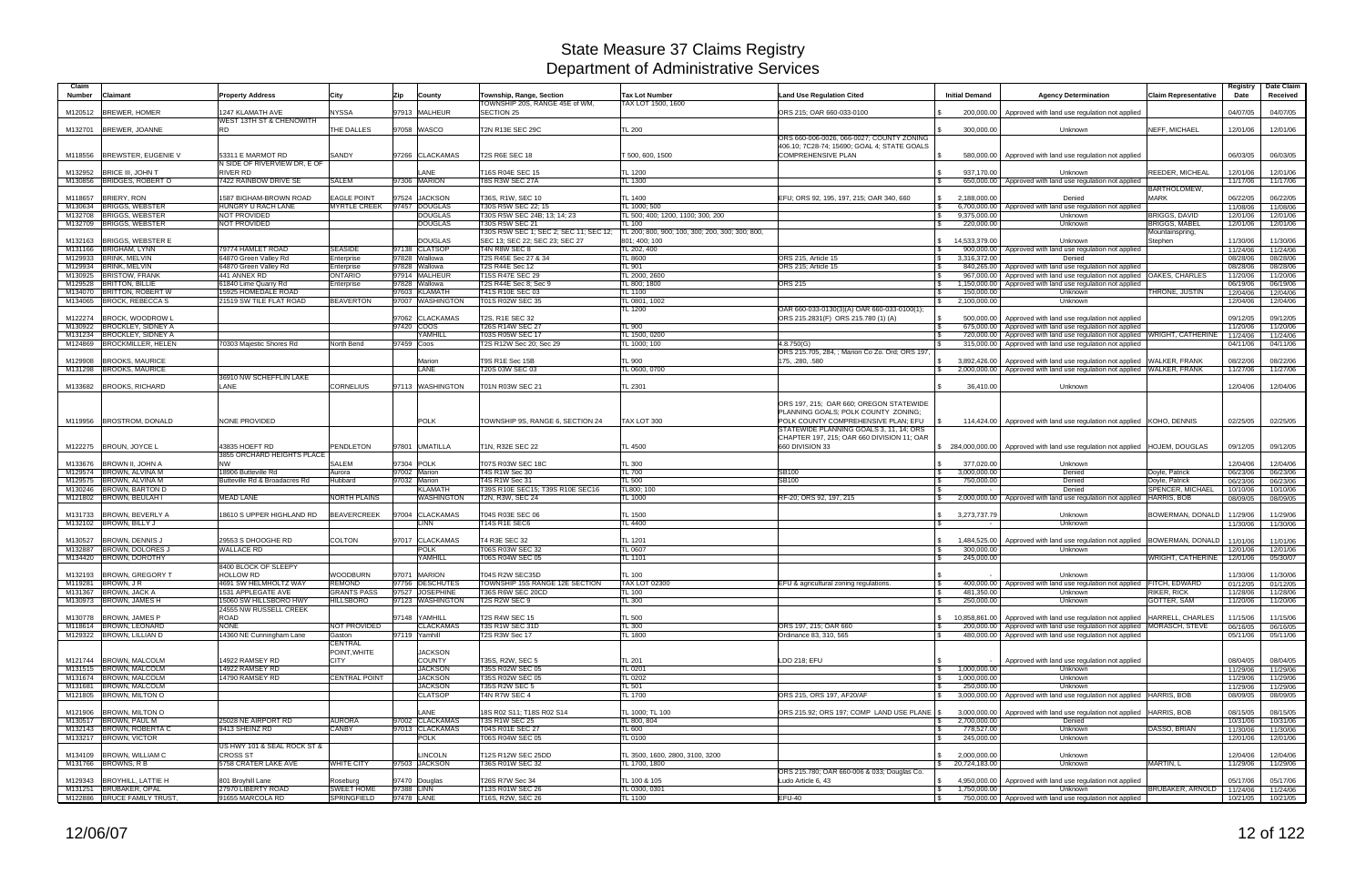| Claim              |                                                        |                                                      |                               |                                      |                                                                          |                                                                  |                                                                                |                                                    |                                                                                                                  |                                  | Registry             | Date Claim           |
|--------------------|--------------------------------------------------------|------------------------------------------------------|-------------------------------|--------------------------------------|--------------------------------------------------------------------------|------------------------------------------------------------------|--------------------------------------------------------------------------------|----------------------------------------------------|------------------------------------------------------------------------------------------------------------------|----------------------------------|----------------------|----------------------|
| <b>Number</b>      | Claimant                                               | <b>Property Address</b>                              | City                          | Zip<br>County                        | Township, Range, Section<br>TOWNSHIP 20S, RANGE 45E of WM,               | <b>Tax Lot Number</b><br>TAX LOT 1500, 1600                      | <b>Land Use Regulation Cited</b>                                               | <b>Initial Demand</b>                              | <b>Agency Determination</b>                                                                                      | <b>Claim Representative</b>      | Date                 | Received             |
| M120512            | <b>BREWER, HOMER</b>                                   | 1247 KLAMATH AVE                                     | <b>NYSSA</b>                  | 97913 MALHEUR                        | SECTION 25                                                               |                                                                  | ORS 215; OAR 660-033-0100                                                      | 200.000.00                                         | Approved with land use regulation not applied                                                                    |                                  | 04/07/05             | 04/07/05             |
|                    | M132701 BREWER, JOANNE                                 | WEST 13TH ST & CHENOWITH<br><b>RD</b>                | THE DALLES                    | 97058 WASCO                          | T2N R13E SEC 29C                                                         | <b>TL 200</b>                                                    |                                                                                | 300,000.00                                         | Unknown                                                                                                          | NEFF, MICHAEL                    | 12/01/06             | 12/01/06             |
|                    |                                                        |                                                      |                               |                                      |                                                                          |                                                                  | ORS 660-006-0026, 066-0027; COUNTY ZONING                                      |                                                    |                                                                                                                  |                                  |                      |                      |
|                    | M118556 BREWSTER, EUGENIE V                            | 53311 E MARMOT RD                                    | SANDY                         | 97266 CLACKAMAS                      | T2S R6E SEC 18                                                           | T 500, 600, 1500                                                 | 406.10; 7C28-74; 15690; GOAL 4; STATE GOALS<br>COMPREHENSIVE PLAN              | 580,000.00                                         | Approved with land use regulation not applied                                                                    |                                  | 06/03/05             | 06/03/05             |
|                    |                                                        | N SIDE OF RIVERVIEW DR, E OF                         |                               |                                      |                                                                          |                                                                  |                                                                                |                                                    |                                                                                                                  |                                  |                      |                      |
| M132952            | <b>BRICE III. JOHN T</b><br>M130856 BRIDGES, ROBERT O  | <b>RIVER RD</b><br>7422 RAINBOW DRIVE SE             | <b>SALEM</b>                  | LANE<br>97306 MARION                 | T16S R04E SEC 15<br>T8S R3W SEC 27A                                      | <b>TL 1200</b><br>TL 1300                                        |                                                                                | 937.170.00                                         | Unknown<br>650,000.00   Approved with land use regulation not applied                                            | REEDER, MICHEAL                  | 12/01/06<br>11/17/06 | 12/01/06<br>11/17/06 |
|                    |                                                        |                                                      |                               |                                      |                                                                          |                                                                  |                                                                                |                                                    |                                                                                                                  | <b>BARTHOLOMEW</b>               |                      |                      |
| M118657            | <b>BRIERY, RON</b>                                     | <b>1587 BIGHAM-BROWN ROAD</b>                        | <b>EAGLE POINT</b>            | 97524 JACKSON                        | T36S, R1W, SEC 10                                                        | TL 1400                                                          | EFU; ORS 92, 195, 197, 215; OAR 340, 660                                       | 2,188,000.00                                       | Denied                                                                                                           | <b>MARK</b>                      | 06/22/05             | 06/22/05             |
| M130634<br>M132708 | <b>BRIGGS, WEBSTER</b><br><b>BRIGGS, WEBSTER</b>       | HUNGRY U RACH LANE<br><b>NOT PROVIDED</b>            | <b>MYRTLE CREEK</b>           | 97457 DOUGLAS<br><b>DOUGLAS</b>      | T30S R5W SEC 22: 15<br>T30S R5W SEC 24B; 13; 14; 23                      | TL 1000; 500<br>TL 500: 400: 1200. 1100: 300. 200                |                                                                                | <b>S</b><br>6,700,000.00<br>9,375,000.00<br>\$     | Approved with land use regulation not applied<br>Unknown                                                         | BRIGGS, DAVID                    | 11/08/06<br>12/01/06 | 11/08/06<br>12/01/06 |
|                    | M132709 BRIGGS, WEBSTER                                | NOT PROVIDED                                         |                               | <b>DOUGLAS</b>                       | T30S R5W SEC 21                                                          | TL 100                                                           |                                                                                | l \$<br>220,000.00                                 | Unknown                                                                                                          | <b>BRIGGS, MABEL</b>             | 12/01/06             | 12/01/06             |
| M132163            | <b>BRIGGS, WEBSTER E</b>                               |                                                      |                               | <b>DOUGLAS</b>                       | T30S R5W SEC 1; SEC 2; SEC 11; SEC 12;<br>SEC 13; SEC 22; SEC 23; SEC 27 | TL 200: 800, 900: 100, 300: 200, 300: 300: 800,<br>801: 400: 100 |                                                                                | 14.533.379.00                                      | Unknown                                                                                                          | Mountainspring,<br>Stephen       | 11/30/06             | 11/30/06             |
|                    | M131166 BRIGHAM, LYNN                                  | 79774 HAMLET ROAD                                    | <b>SEASIDE</b>                | 97138 CLATSOP                        | T4N R8W SEC 8                                                            | TL 202, 400                                                      |                                                                                | 900,000.00                                         | Approved with land use regulation not applied                                                                    |                                  | 11/24/06             | 11/24/06             |
|                    | M129933 BRINK, MELVIN                                  | 64870 Green Vallev Rd                                | Enterprise                    | 97828 Wallowa                        | T2S R45E Sec 27 & 34                                                     | TL 8600                                                          | ORS 215, Article 15                                                            | 3,316,372.00<br>\$                                 | Denied                                                                                                           |                                  | 08/28/06             | 08/28/06             |
| M129934<br>M130925 | <b>BRINK, MELVIN</b><br><b>BRISTOW, FRANK</b>          | 64870 Green Valley Rd<br>441 ANNEX RD                | Enterprise<br><b>ONTARIO</b>  | 97828 Wallowa<br>97914 MALHEUR       | <b>T2S R44E Sec 12</b><br>T15S R47E SEC 29                               | TL 901<br>TL 2000, 2600                                          | ORS 215; Article 15                                                            | 840,265.00<br>- \$<br>967,000.00<br>-\$            | Approved with land use regulation not applied<br>Approved with land use regulation not applied   OAKES, CHARLES  |                                  | 08/28/06<br>11/20/06 | 08/28/06<br>11/20/06 |
| M129528            | <b>BRITTON, BILLIE</b>                                 | 61840 Lime Quarry Rd                                 | Enterprise                    | 97828<br>Wallowa                     | T2S R44E Sec 8; Sec 9                                                    | TL 800; 1800                                                     | <b>ORS 215</b>                                                                 | 1,150,000.00                                       | Approved with land use regulation not applied                                                                    |                                  | 06/19/06             | 06/19/06             |
|                    | M134070 BRITTON, ROBERT W                              | 15925 HOMEDALE ROAD                                  |                               | 97603 KLAMATH                        | T41S R10E SEC 03                                                         | TL 1100                                                          |                                                                                | 150,000.00                                         | Unknown                                                                                                          | THRONE, JUSTIN                   | 12/04/06             | 12/04/06             |
|                    | M134065 BROCK, REBECCA S                               | 21519 SW TILE FLAT ROAD                              | <b>BEAVERTON</b>              | 97007 WASHINGTON                     | T01S R02W SEC 35                                                         | TL 0801, 1002<br>TL 1200                                         | OAR 660-033-0130(3)(A) OAR 660-033-0100(1):                                    | 2,100,000.00<br>\$                                 | Unknown                                                                                                          |                                  | 12/04/06             | 12/04/06             |
| M122274            | <b>BROCK, WOODROW L</b>                                |                                                      |                               | 97062 CLACKAMAS                      | T2S, R1E SEC 32                                                          |                                                                  | ORS 215.2831(F) ORS 215.780 (1) (A)                                            | 500.000.00                                         | Approved with land use regulation not applied                                                                    |                                  | 09/12/05             | 09/12/05             |
| M130922            | <b>BROCKLEY, SIDNEY A</b>                              |                                                      |                               | 97420 COOS                           | T26S R14W SEC 27                                                         | <b>TL 900</b>                                                    |                                                                                | l \$<br>675,000.00                                 | Approved with land use regulation not applied                                                                    |                                  | 11/20/06             | 11/20/06             |
| M131234<br>M124869 | <b>BROCKLEY, SIDNEY A</b><br><b>BROCKMILLER, HELEN</b> | 70303 Majestic Shores Rd                             | North Bend                    | <b>AMHILL</b><br>97459 Coos          | T03S R05W SEC 17<br>T2S R12W Sec 20; Sec 29                              | TL 1500, 0200<br>TL 1000; 100                                    | 4.8.750(G)                                                                     | 720,000.00<br>315,000.00                           | Approved with land use regulation not applied WRIGHT, CATHERINE<br>Approved with land use regulation not applied |                                  | 11/24/06<br>04/11/06 | 11/24/06<br>04/11/06 |
|                    |                                                        |                                                      |                               |                                      |                                                                          |                                                                  | ORS 215,705, 284. : Marion Co Zo, Ord: ORS 197                                 |                                                    |                                                                                                                  |                                  |                      |                      |
| M129908            | <b>BROOKS, MAURICE</b>                                 |                                                      |                               | Marion                               | T9S R1E Sec 15B                                                          | TL 900                                                           | 175, .280, .580                                                                | 3,892,426.00                                       | Approved with land use regulation not applied                                                                    | <b>WALKER, FRANK</b>             | 08/22/06             | 08/22/06             |
|                    | M131298 BROOKS, MAURICE                                | 36910 NW SCHEFFLIN LAKE                              |                               | LANE                                 | T20S 03W SEC 03                                                          | TL 0600, 0700                                                    |                                                                                | 2.000.000.00                                       | Approved with land use regulation not applied WALKER, FRANK                                                      |                                  | 11/27/06             | 11/27/06             |
| M133682            | <b>BROOKS, RICHARD</b>                                 | <b>LANE</b>                                          | <b>CORNELIUS</b>              | 97113 WASHINGTON                     | T01N R03W SEC 21                                                         | TL 2301                                                          |                                                                                | 36,410.00                                          | Unknown                                                                                                          |                                  | 12/04/06             | 12/04/06             |
|                    |                                                        |                                                      |                               |                                      |                                                                          |                                                                  |                                                                                |                                                    |                                                                                                                  |                                  |                      |                      |
|                    |                                                        |                                                      |                               |                                      |                                                                          |                                                                  | ORS 197, 215; OAR 660; OREGON STATEWIDE<br>PLANNING GOALS; POLK COUNTY ZONING; |                                                    |                                                                                                                  |                                  |                      |                      |
|                    | M119956 BROSTROM, DONALD                               | <b>NONE PROVIDED</b>                                 |                               | <b>POLK</b>                          | TOWNSHIP 9S, RANGE 6, SECTION 24                                         | TAX LOT 300                                                      | POLK COUNTY COMPREHENSIVE PLAN; EFU                                            |                                                    | 114,424.00 Approved with land use regulation not applied KOHO, DENNIS                                            |                                  | 02/25/05             | 02/25/05             |
|                    |                                                        |                                                      |                               |                                      |                                                                          |                                                                  | STATEWIDE PLANNING GOALS 3, 11, 14; ORS                                        |                                                    |                                                                                                                  |                                  |                      |                      |
|                    | M122275  BROUN, JOYCE L                                | 43835 HOEFT RD                                       | <b>PENDLETON</b>              | 97801 UMATILLA                       | T1N, R32E SEC 22                                                         | TL 4500                                                          | CHAPTER 197, 215; OAR 660 DIVISION 11; OAR<br>660 DIVISION 33                  |                                                    | \$ 284,000,000.00   Approved with land use regulation not applied  HOJEM, DOUGLAS                                |                                  | 09/12/05             | 09/12/05             |
|                    |                                                        | 3855 ORCHARD HEIGHTS PLACE                           |                               |                                      |                                                                          |                                                                  |                                                                                |                                                    |                                                                                                                  |                                  |                      |                      |
|                    | M133676 BROWN II, JOHN A                               | <b>NW</b>                                            | <b>SALEM</b>                  | 97304 POLK                           | T07S R03W SEC 18C                                                        | <b>TL 300</b>                                                    |                                                                                | 377.020.00                                         | Unknown                                                                                                          |                                  | 12/04/06             | 12/04/06             |
|                    | M129574 BROWN, ALVINA M<br>M129575 BROWN, ALVINA M     | 18906 Butteville Rd<br>Butteville Rd & Broadacres Rd | Aurora<br>Hubbard             | 97002 Marion<br>97032 Marion         | T4S R1W Sec 30<br>T4S R1W Sec 31                                         | TL 700<br>TL 500                                                 | SB100<br>SB100                                                                 | 3,000,000.00<br>- \$<br>750,000.00                 | Denied<br>Denied                                                                                                 | Doyle, Patrick<br>Doyle, Patrick | 06/23/06<br>06/23/06 | 06/23/06<br>06/23/06 |
|                    | M130246 BROWN, BARTON D                                |                                                      |                               | <b>KLAMATH</b>                       | T39S R10E SEC15; T39S R10E SEC16                                         | TL800; 100                                                       |                                                                                |                                                    | Denied                                                                                                           | SPENCER, MICHAEL                 | 10/10/06             | 10/10/06             |
|                    | M121802 BROWN, BEULAH I                                | <b>MEAD LANE</b>                                     | <b>NORTH PLAINS</b>           | <b>WASHINGTON</b>                    | T2N, R3W, SEC 24                                                         | TL 1000                                                          | RF-20; ORS 92, 197, 215                                                        |                                                    | 2,000,000.00   Approved with land use regulation not applied HARRIS, BOB                                         |                                  | 08/09/05             | 08/09/05             |
| M131733            | <b>BROWN, BEVERLY A</b>                                | 18610 S UPPER HIGHLAND RD                            | <b>BEAVERCREEK</b>            | 97004 CLACKAMAS                      | T04S R03E SEC 06                                                         | TL 1500                                                          |                                                                                | 3,273,737.79<br>\$                                 | Unknown                                                                                                          | BOWERMAN, DONALD                 | 11/29/06             | 11/29/06             |
|                    | M132102 BROWN, BILLY J                                 |                                                      |                               | <b>LINN</b>                          | <b>T14S R1E SEC6</b>                                                     | TL 4400                                                          |                                                                                | $\mathcal{F}$                                      | Unknown                                                                                                          |                                  | 11/30/06             | 11/30/06             |
|                    |                                                        |                                                      |                               |                                      |                                                                          |                                                                  |                                                                                |                                                    |                                                                                                                  |                                  |                      |                      |
| M130527            | <b>BROWN, DENNIS J</b><br>M132887 BROWN, DOLORES J     | 29553 S DHOOGHE RD<br><b>WALLACE RD</b>              | <b>COLTON</b>                 | 97017 CLACKAMAS<br>$\overline{POLK}$ | T4 R3E SEC 32<br>T06S R03W SEC 32                                        | TL 1201<br>TL 0607                                               |                                                                                | 1,484,525.00<br>300,000.00                         | Approved with land use regulation not applied<br>Unknown                                                         | BOWERMAN, DONALD                 | 11/01/06<br>12/01/06 | 11/01/06<br>12/01/06 |
|                    | M134420 BROWN, DOROTHY                                 |                                                      |                               | YAMHILL                              | T06S R04W SEC 05                                                         | <b>TL 1101</b>                                                   |                                                                                | 245,000.00<br>$\mathcal{L}$                        |                                                                                                                  | WRIGHT, CATHERINE                | 12/01/06             | 05/30/07             |
|                    | M132193 BROWN, GREGORY T                               | 8400 BLOCK OF SLEEPY<br><b>HOLLOW RD</b>             | <b>WOODBURN</b>               | 97071 MARION                         | T04S R2W SEC35D                                                          | <b>TL 100</b>                                                    |                                                                                |                                                    | Unknown                                                                                                          |                                  | 11/30/06             | 11/30/06             |
|                    | M119281 BROWN, JR                                      | 4691 SW HELMHOLTZ WAY                                | <b>REMOND</b>                 | 97756 DESCHUTES                      | TOWNSHIP 15S RANGE 12E SECTION                                           | <b>TAX LOT 02300</b>                                             | EFU & agricultural zoning regulations.                                         |                                                    | 400,000.00   Approved with land use regulation not applied FITCH, EDWARD                                         |                                  | 01/12/05             | 01/12/05             |
|                    | M131367 BROWN, JACK A                                  | 1531 APPLEGATE AVE                                   | <b>GRANTS PASS</b>            | 97527 JOSEPHINE                      | T36S R6W SEC 20CD                                                        | <b>TL 100</b>                                                    |                                                                                | 481,350.00<br><b>S</b>                             | Unknown                                                                                                          | <b>RIKER, RICK</b>               | 11/28/06             | 11/28/06             |
|                    | M130973 BROWN, JAMES H                                 | 15060 SW HILLSBORO HWY<br>24555 NW RUSSELL CREEK     | <b>HILLSBORO</b>              | 97123 WASHINGTON                     | T2S R2W SEC 9                                                            | TL 300                                                           |                                                                                | 250,000.00<br>$\mathbb{S}$                         | Unknown                                                                                                          | <b>GOTTER, SAM</b>               | 11/20/06             | 11/20/06             |
|                    | M130778 BROWN, JAMES P                                 | ROAD                                                 |                               | 97148 YAMHILL                        | <b>T2S R4W SEC 15</b>                                                    | TL 500                                                           |                                                                                | \$                                                 | 10,858,861.00 Approved with land use regulation not applied HARRELL, CHARLES                                     |                                  | 11/15/06             | 11/15/06             |
|                    | M118614 BROWN, LEONARD                                 | <b>NONE</b>                                          | NOT PROVIDED                  | <b>CLACKAMAS</b>                     | T3S R1W SEC 31D                                                          | TL 300                                                           | ORS 197, 215; OAR 660                                                          |                                                    | 200,000.00   Approved with land use regulation not applied MORASCH, STEVE                                        |                                  | 06/16/05             | 06/16/05             |
|                    | M129322 BROWN, LILLIAN D                               | 14360 NE Cunningham Lane                             | Gaston<br><b>CENTRAL</b>      | 97119 Yamhill                        | T2S R3W Sec 17                                                           | <b>TL 1800</b>                                                   | Ordinance 83, 310, 565                                                         | l \$                                               | 480,000.00 Approved with land use regulation not applied                                                         |                                  | 05/11/06             | 05/11/06             |
|                    |                                                        |                                                      | POINT, WHITE                  | <b>JACKSON</b>                       |                                                                          |                                                                  |                                                                                |                                                    |                                                                                                                  |                                  |                      |                      |
|                    | M121744 BROWN, MALCOLM                                 | 14922 RAMSEY RD                                      | <b>CITY</b>                   | <b>COUNTY</b>                        | T35S, R2W, SEC 5                                                         | <b>TL 201</b>                                                    | LDO 218; EFU                                                                   | -SS                                                | Approved with land use regulation not applied                                                                    |                                  | 08/04/05             | 08/04/05             |
|                    | M131515 BROWN, MALCOLM<br>M131674 BROWN, MALCOLM       | 14922 RAMSEY RD<br>14790 RAMSEY RD                   | <b>CENTRAL POINT</b>          | <b>JACKSON</b><br><b>JACKSON</b>     | T35S R02W SEC 05<br>T35S R02W SEC 05                                     | TL 0201<br>TL 0202                                               |                                                                                | $\sqrt{3}$<br>1,000,000.00<br>1,000,000.00<br>I \$ | Unknown<br>Unknown                                                                                               |                                  | 11/29/06<br>11/29/06 | 11/29/06<br>11/29/06 |
|                    | M131681 BROWN, MALCOLM                                 |                                                      |                               | <b>JACKSON</b>                       | <b>T35S R2W SEC 5</b>                                                    | <b>TL 501</b>                                                    |                                                                                | 250,000.00<br>l \$                                 | Unknown                                                                                                          |                                  | 11/29/06             | 11/29/06             |
|                    | M121805 BROWN, MILTON O                                |                                                      |                               | <b>CLATSOP</b>                       | T4N R7W SEC 4                                                            | TL 1700                                                          | ORS 215, ORS 197, AF20/AF                                                      |                                                    | 3,000,000.00 Approved with land use regulation not applied HARRIS, BOB                                           |                                  | 08/09/05             | 08/09/05             |
|                    | M121906 BROWN, MILTON O                                |                                                      |                               | LANE                                 | 18S R02 S11; T18S R02 S14                                                | TL 1000; TL 100                                                  | ORS 215.92; ORS 197; COMP LAND USE PLANE   \$                                  | 3,000,000.00                                       | Approved with land use regulation not applied  HARRIS, BOB                                                       |                                  |                      | 08/15/05             |
|                    | M130517 BROWN, PAUL M                                  | 25028 NE AIRPORT RD                                  | <b>AURORA</b>                 | 97002 CLACKAMAS                      | <b>T3S R1W SEC 25</b>                                                    | TL 800, 804                                                      |                                                                                | 2,700,000.00<br>\$                                 | Denied                                                                                                           |                                  | 08/15/05<br>10/31/06 | 10/31/06             |
|                    | M132143 BROWN, ROBERTA C                               | 9413 SHEINZ RD                                       | <b>CANBY</b>                  | 97013 CLACKAMAS                      | <b>T04S R01E SEC 27</b>                                                  | TL 600                                                           |                                                                                | 778,527.00<br>l \$                                 | Unknown                                                                                                          | DASSO, BRIAN                     | 11/30/06             | 11/30/06             |
|                    | M133217 BROWN, VICTOR                                  | US HWY 101 & SEAL ROCK ST &                          |                               | <b>POLK</b>                          | T06S R04W SEC 05                                                         | <b>TL 0100</b>                                                   |                                                                                | 245,000.00<br>I S                                  | Unknown                                                                                                          |                                  | 12/01/06             | 12/01/06             |
|                    | M134109 BROWN, WILLIAM C                               | <b>CROSS ST</b>                                      |                               | <b>LINCOLN</b>                       | T12S R12W SEC 25DD                                                       | TL 3500, 1600, 2800, 3100, 3200                                  |                                                                                | \$ 2,000,000.00                                    | Unknown                                                                                                          |                                  | 12/04/06             | 12/04/06             |
|                    | M131766 BROWNS, R B                                    | 5758 CRATER LAKE AVE                                 | <b>WHITE CITY</b>             | 97503 JACKSON                        | T36S R01W SEC 32                                                         | TL 1700, 1800                                                    |                                                                                | \$20,724,183.00                                    | Unknown                                                                                                          | MARTIN, L                        | 11/29/06             | 11/29/06             |
|                    | M129343 BROYHILL, LATTIE H                             | 801 Broyhill Lane                                    |                               |                                      | T26S R7W Sec 34                                                          | TL 100 & 105                                                     | ORS 215.780; OAR 660-006 & 033; Douglas Co.                                    | $\frac{1}{2}$ 4,950,000.00                         |                                                                                                                  |                                  |                      |                      |
|                    | M131251 BRUBAKER, OPAL                                 | 27970 LIBERTY ROAD                                   | Roseburg<br><b>SWEET HOME</b> | 97470 Douglas<br>97388 LINN          | T13S R01W SEC 26                                                         | TL 0300, 0301                                                    | Ludo Article 6, 43                                                             | 1,750,000.00<br>$\frac{1}{2}$                      | Approved with land use regulation not applied<br><b>Unknown</b>                                                  | BRUBAKER, ARNOLD                 | 05/17/06<br>11/24/06 | 05/17/06<br>11/24/06 |
|                    | M122886 BRUCE FAMILY TRUST,                            | 91655 MARCOLA RD                                     | SPRINGFIELD                   | 97478 LANE                           | T16S, R2W, SEC 26                                                        | <b>TL 1100</b>                                                   | $EFU-40$                                                                       | $\sqrt{S}$                                         | 750,000.00 Approved with land use regulation not applied                                                         |                                  |                      | 10/21/05 10/21/05    |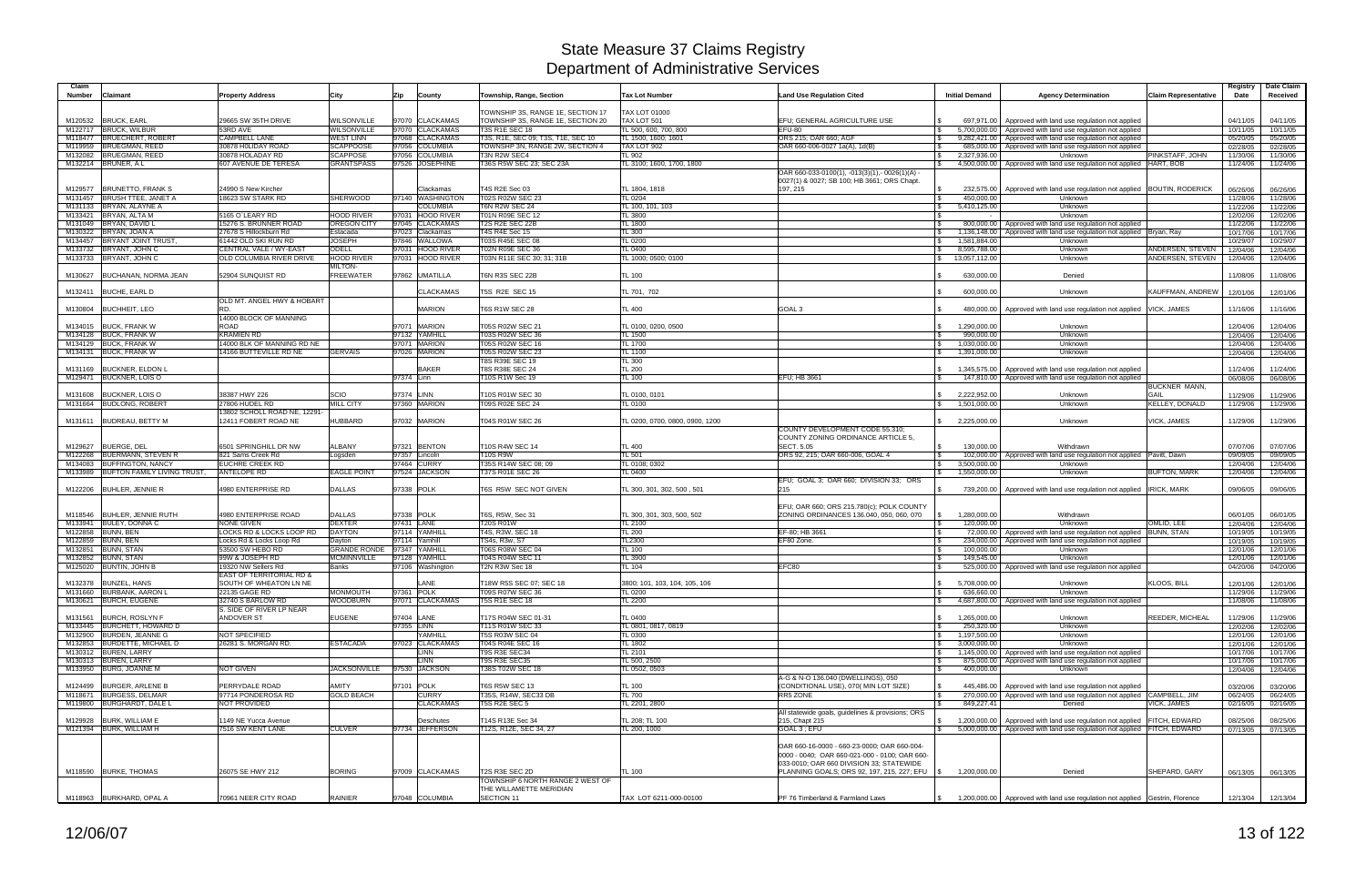| Claim<br><b>Claimant</b><br>Number                    | <b>Property Address</b>                                    | City                            | Zip        | County                     | Township, Range, Section             | <b>Tax Lot Number</b>           | <b>Land Use Regulation Cited</b>                                                           | <b>Initial Demand</b>               | <b>Agency Determination</b>                                                   | <b>Claim Representative</b> | Registry<br>Date | Date Claim<br>Received |
|-------------------------------------------------------|------------------------------------------------------------|---------------------------------|------------|----------------------------|--------------------------------------|---------------------------------|--------------------------------------------------------------------------------------------|-------------------------------------|-------------------------------------------------------------------------------|-----------------------------|------------------|------------------------|
|                                                       |                                                            |                                 |            |                            | TOWNSHIP 3S, RANGE 1E, SECTION 17    | <b>FAX LOT 01000</b>            |                                                                                            |                                     |                                                                               |                             |                  |                        |
| M120532<br><b>BRUCK, EARL</b>                         | 29665 SW 35TH DRIVE                                        | WILSONVILLE                     |            | 97070 CLACKAMAS            | TOWNSHIP 3S, RANGE 1E, SECTION 20    | TAX LOT 501                     | EFU; GENERAL AGRICULTURE USE                                                               |                                     | 697,971.00   Approved with land use regulation not applied                    |                             | 04/11/05         | 04/11/05               |
| <b>BRUCK, WILBUR</b><br>M122717                       | 53RD AVE                                                   | WILSONVILLE                     |            | 97070 CLACKAMAS            | T3S R1E SEC 18                       | TL 500, 600, 700, 800           | <b>EFU-80</b>                                                                              | <b>S</b>                            | 5,700,000.00 Approved with land use regulation not applied                    |                             | 10/11/05         | 10/11/05               |
| <b>BRUECHERT, ROBERT</b><br>M118477                   | <b>CAMPBELL LANE</b>                                       | <b>WEST LINN</b>                |            | 97068 CLACKAMAS            | T3S, R1E, SEC 09: T3S, T1E, SEC 10   | FL 1500, 1600; 1601             | ORS 215; OAR 660; AGF                                                                      | 9,282,421.00                        | Approved with land use regulation not applied                                 |                             | 05/20/05         | 05/20/05               |
| <b>BRUEGMAN, REED</b><br>M119959                      | 30878 H0LIDAY ROAD                                         | <b>SCAPPOOSE</b>                |            | 97056 COLUMBIA             | TOWNSHP 3N, RANGE 2W, SECTION 4      | TAX LOT 902                     | OAR 660-006-0027 1a(A), 1d(B)                                                              |                                     | 685,000.00 Approved with land use regulation not applied                      |                             | 02/28/05         | 02/28/05               |
| <b>BRUEGMAN, REED</b><br>M132082                      | 30878 HOLADAY RD                                           | <b>SCAPPOSE</b>                 |            | 97056 COLUMBIA             | T3N R2W SEC4                         | TL 902                          |                                                                                            | 2.327.936.00                        | Unknown                                                                       | PINKSTAFF, JOHN             | 11/30/06         | 11/30/06               |
| M132214 BRUNER, A L                                   | 607 AVENUE DE TERESA                                       | <b>GRANTSPASS</b>               |            | 97526 JOSEPHINE            | T36S R5W SEC 23; SEC 23A             | TL 3100; 1600, 1700, 1800       | OAR 660-033-0100(1), -013(3)(1),- 0026(1)(A)<br>0027(1) & 0027; SB 100; HB 3661; ORS Chapt | $\mathbb{S}$                        | 4,500,000.00   Approved with land use regulation not applied  HART, BOB       |                             | 11/24/06         | 11/24/06               |
| <b>BRUNETTO, FRANK S</b><br>M129577                   | 24990 S New Kircher                                        |                                 |            | <b>Clackamas</b>           | T4S R2E Sec 03                       | TL 1804, 1818                   | 197, 215                                                                                   |                                     | 232,575.00   Approved with land use regulation not applied   BOUTIN, RODERICK |                             | 06/26/06         | 06/26/06               |
| <b>BRUSH TTEE, JANET A</b><br>M131457                 | 18623 SW STARK RD                                          | SHERWOOD                        |            | 97140 WASHINGTON           | T02S R02W SEC 23                     | <b>TL 0204</b>                  |                                                                                            | 450,000.00                          | Unknown                                                                       |                             | 11/28/06         | 11/28/06               |
| BRYAN, ALAYNE A<br>M131133                            |                                                            |                                 |            | <b>COLUMBIA</b>            | <b>T6N R2W SEC 24</b>                | TL 100, 101, 103                |                                                                                            | 5,410,125.00<br>$\mathbb{S}$        | Unknown                                                                       |                             | 11/22/06         | 11/22/06               |
| BRYAN, ALTA M<br>M133421                              | 5165 O'LEARY RD                                            | <b>HOOD RIVER</b>               |            | 97031 HOOD RIVER           | <b>T01N R09E SEC 12</b>              | TL 3800                         |                                                                                            |                                     | Unknown                                                                       |                             | 12/02/06         | 12/02/06               |
| BRYAN, DAVID L<br>M131049                             | 15276 S. BRUNNER ROAD                                      | OREGON CITY                     |            | 97045 CLACKAMAS            | T2S R2E SEC 22B                      | <b>TL 1800</b>                  |                                                                                            | $\mathbf{\$}$                       | 800,000.00 Approved with land use regulation not applied                      |                             | 11/22/06         | 11/22/06               |
| BRYAN, JOAN A<br>M130322                              | 27678 S Hillockburn Rd                                     | Estacada                        |            | 97023 Clackamas            | <b>T4S R4E Sec 15</b>                | TL300                           |                                                                                            |                                     | 1,136,148.00   Approved with land use regulation not applied   Bryan, Ray     |                             | 10/17/06         | 10/17/06               |
| <b>BRYANT JOINT TRUST</b><br>M134457                  | 61442 OLD SKI RUN RD                                       | <b>JOSEPH</b>                   |            | 97846 WALLOWA              | T03S R45E SEC 08                     | <b>TL 0200</b>                  |                                                                                            | 1,581,884.00                        | Unknown                                                                       |                             | 10/29/07         | 10/29/07               |
| BRYANT, JOHN C<br>M133732                             | CENTRAL VALE / WY-EAST                                     | ODELL                           |            | 97031 HOOD RIVER           | T02N R09E SEC 36                     | <b>TL 0400</b>                  |                                                                                            | 8,595,788.00                        | Unknown                                                                       | ANDERSEN, STEVEN            | 12/04/06         | 12/04/06               |
| M133733 BRYANT, JOHN C                                | OLD COLUMBIA RIVER DRIVE                                   | <b>HOOD RIVER</b>               |            | 97031 HOOD RIVER           | T03N R11E SEC 30; 31; 31B            | TL 1000; 0500; 0100             |                                                                                            | 13,057,112.00<br>\$                 | Unknown                                                                       | ANDERSEN, STEVEN            | 12/04/06         | 12/04/06               |
| BUCHANAN, NORMA JEAN<br>M130627                       | 52904 SUNQUIST RD                                          | MILTON-<br><b>FREEWATER</b>     |            | 97862 UMATILLA             | T6N R3S SEC 22B                      | <b>TL 100</b>                   |                                                                                            | 630,000.00                          | Denied                                                                        |                             | 11/08/06         | 11/08/06               |
| M132411 BUCHE, EARL D                                 |                                                            |                                 |            | <b>CLACKAMAS</b>           | T5S R2E SEC 15                       | TL 701, 702                     |                                                                                            | 600,000.00                          | Unknown                                                                       | KAUFFMAN, ANDREW            | 12/01/06         | 12/01/06               |
|                                                       | OLD MT. ANGEL HWY & HOBART                                 |                                 |            |                            |                                      |                                 |                                                                                            |                                     |                                                                               |                             |                  |                        |
| <b>BUCHHEIT, LEO</b><br>M130804                       | <b>RD</b><br>14000 BLOCK OF MANNING                        |                                 |            | <b>MARION</b>              | <b>T6S R1W SEC 28</b>                | TL 400                          | GOAL 3                                                                                     |                                     | 480,000,00 Approved with land use regulation not applied                      | <b>VICK, JAMES</b>          | 11/16/06         | 11/16/06               |
| M134015<br><b>BUCK, FRANK W</b>                       | ROAD                                                       |                                 |            | 97071 MARION               | T05S R02W SEC 21                     | TL 0100, 0200, 0500             |                                                                                            | 1,290,000.00<br>-S                  | Unknown                                                                       |                             | 12/04/06         | 12/04/06               |
| M134128 BUCK, FRANK W                                 | <b>KRAMIEN RD</b>                                          |                                 |            | 97132 YAMHILL              | T03S R02W SEC 36                     | TL 1500                         |                                                                                            | 990,000.00                          | Unknown                                                                       |                             | 12/04/06         | 12/04/06               |
| <b>BUCK, FRANK W</b><br>M134129                       | 14000 BLK OF MANNING RD NE                                 |                                 |            | 97071 MARION               | T05S R02W SEC 16                     | <b>TL 1700</b>                  |                                                                                            | 1,030,000.00<br>$\hat{\mathcal{L}}$ | Unknown                                                                       |                             | 12/04/06         | 12/04/06               |
| M134131 BUCK, FRANK W                                 | 14166 BUTTEVILLE RD NE                                     | <b>GERVAIS</b>                  |            | 97026 MARION               | T05S R02W SEC 23                     | TL 1100                         |                                                                                            | 1,391,000.00                        | Unknown                                                                       |                             | 12/04/06         | 12/04/06               |
|                                                       |                                                            |                                 |            |                            | <b>T8S R39E SEC 19</b>               | TL 300                          |                                                                                            |                                     |                                                                               |                             |                  |                        |
| <b>BUCKNER, ELDON L</b><br>M131169                    |                                                            |                                 |            | <b>BAKER</b>               | T8S R38E SEC 24                      | <b>TL 200</b>                   |                                                                                            |                                     | 1,345,575.00 Approved with land use regulation not applied                    |                             | 11/24/06         | 11/24/06               |
| M129471 BUCKNER, LOIS O                               |                                                            |                                 | 97374 Linn |                            | T10S R1W Sec 19                      | $TL$ 100                        | EFU; HB 3661                                                                               |                                     | 147,810.00   Approved with land use regulation not applied                    |                             | 06/08/06         | 06/08/06               |
|                                                       |                                                            |                                 |            |                            |                                      |                                 |                                                                                            |                                     |                                                                               | BUCKNER MANN.<br>GAIL       |                  |                        |
| <b>BUCKNER, LOIS O</b><br>M131608                     | 38387 HWY 226<br>27806 HUDEL RD                            | <b>SCIO</b><br><b>MILL CITY</b> | 97374 LINN | 97360 MARION               | T10S R01W SEC 30<br>T09S R02E SEC 24 | TL 0100, 0101<br>TL 0100        |                                                                                            | 2,222,952.00                        | Unknown                                                                       | <b>KELLEY, DONALD</b>       | 11/29/06         | 11/29/06               |
| <b>BUDLONG, ROBERT</b><br>M131664                     | 13802 SCHOLL ROAD NE, 12291-                               |                                 |            |                            |                                      |                                 |                                                                                            | 1,501,000.00                        | Unknown                                                                       |                             | 11/29/06         | 11/29/06               |
| BUDREAU, BETTY M<br>M131611                           | 12411 FOBERT ROAD NE                                       | <b>HUBBARD</b>                  |            | 97032 MARION               | T04S R01W SEC 26                     | TL 0200, 0700, 0800, 0900, 1200 |                                                                                            | 2,225,000.00                        | Unknown                                                                       | VICK, JAMES                 | 11/29/06         | 11/29/06               |
|                                                       |                                                            |                                 |            |                            |                                      |                                 | COUNTY DEVELOPMENT CODE 55.310;                                                            |                                     |                                                                               |                             |                  |                        |
|                                                       |                                                            |                                 |            |                            |                                      |                                 | COUNTY ZONING ORDINANCE ARTICLE 5,                                                         |                                     |                                                                               |                             |                  |                        |
| <b>BUERGE, DEL</b><br>M129627                         | 6501 SPRINGHILL DR NW                                      | <b>ALBANY</b>                   |            | 97321 BENTON               | T10S R4W SEC 14                      | TL 400                          | <b>SECT. 5.05</b>                                                                          | 130,000.00                          | Withdrawn                                                                     |                             | 07/07/06         | 07/07/06               |
| <b>BUERMANN, STEVEN R</b><br>M122268                  | 821 Sams Creek Rd                                          | Logsden                         |            | 97357 Lincoln              | <b>T10S R9W</b>                      | <b>TL 501</b>                   | ORS 92, 215; OAR 660-006, GOAL 4                                                           | $\mathfrak{S}$                      | 102,000.00 Approved with land use regulation not applied Pavitt, Dawn         |                             | 09/09/05         | 09/09/05               |
| M134083<br><b>BUFFINGTON, NANCY</b>                   | <b>EUCHRE CREEK RD</b>                                     |                                 |            | 97464 CURRY                | T35S R14W SEC 08; 09                 | TL 0108; 0302                   |                                                                                            | 3,500,000.00<br>S.                  | Unknown                                                                       |                             | 12/04/06         | 12/04/06               |
| M133989<br><b>BUFTON FAMILY LIVING TRUST,</b>         | <b>ANTELOPE RD</b>                                         | <b>EAGLE POINT</b>              |            | 97524 JACKSON              | T37S R01E SEC 26                     | <b>L 0400</b>                   |                                                                                            | 1,550,000.00                        | Unknown                                                                       | <b>BUFTON, MARK</b>         | 12/04/06         | 12/04/06               |
|                                                       |                                                            |                                 |            |                            |                                      |                                 | EFU; GOAL 3; OAR 660; DIVISION 33; ORS                                                     |                                     |                                                                               |                             |                  |                        |
| <b>BUHLER, JENNIE R</b><br>M122206                    | 4980 ENTERPRISE RD                                         | <b>DALLAS</b>                   |            | 97338 POLK                 | T6S R5W SEC NOT GIVEN                | TL 300, 301, 302, 500, 501      | 215                                                                                        |                                     | 739,200.00   Approved with land use regulation not applied   IRICK, MARK      |                             | 09/06/05         | 09/06/05               |
|                                                       |                                                            |                                 |            |                            |                                      |                                 | EFU; OAR 660; ORS 215.780(c); POLK COUNTY                                                  |                                     |                                                                               |                             |                  |                        |
| <b>BUHLER, JENNIE RUTH</b><br>M118546                 | 4980 ENTERPRISE ROAD                                       | <b>DALLAS</b>                   |            | 97338 POLK                 | T6S, R5W, Sec 31                     | TL 300, 301, 303, 500, 502      | ZONING ORDINANCES 136.040, 050, 060, 070                                                   | 1,280,000.00<br>IS.                 | Withdrawn                                                                     |                             | 06/01/05         | 06/01/05               |
| <b>BULEY, DONNA C</b><br>M133941                      | <b>NONE GIVEN</b>                                          | <b>DEXTER</b>                   |            | 97431 LANE                 | <b>T20S R01W</b>                     | TL 2100                         |                                                                                            | 120.000.00                          | Unknown                                                                       | OMLID, LEE                  | 12/04/06         | 12/04/06               |
| <b>BUNN, BEN</b><br>M122858                           | LOCKS RD & LOCKS LOOP RD                                   | <b>DAYTON</b>                   |            | 97114 YAMHILL              | T4S, R3W, SEC 18                     | TL200                           | EF-80; HB 3661                                                                             |                                     | 72,000.00   Approved with land use regulation not applied   BUNN, STAN        |                             | 10/19/05         | 10/19/05               |
| <b>BUNN, BEN</b><br>M122859                           | Locks Rd & Locks Loop Rd                                   | Dayton                          |            | 97114 Yamhill              | <b>TS4s. R3w. S7</b>                 | <b>L2300</b>                    | EF80 Zone.                                                                                 | 234,000.00                          | Approved with land use regulation not applied                                 |                             | 10/19/05         | 10/19/05               |
| <b>BUNN, STAN</b><br>M132851                          | 53500 SW HEBO RD                                           | <b>GRANDE RONDE</b>             |            | 97347 YAMHILL              | T06S R08W SEC 04                     | $TL$ 100                        |                                                                                            | 100,000.00                          | Unknown                                                                       |                             | 12/01/06         | 12/01/06               |
| M132852<br><b>BUNN, STAN</b><br><b>BUNTIN, JOHN B</b> | 99W & JOSEPH RD                                            | <b>MCMINNVILLE</b><br>Banks     |            | 97128 YAMHILL              | T04S R04W SEC 11<br>T2N R3W Sec 18   | TL 3900<br>$TL$ 104             | EFC80                                                                                      | 149.545.00                          | Unknown                                                                       |                             | 12/01/06         | 12/01/06               |
| M125020                                               | 19320 NW Sellers Rd<br><b>EAST OF TERRITORIAL RD &amp;</b> |                                 |            | 97106 Washington           |                                      |                                 |                                                                                            |                                     | 525,000.00   Approved with land use regulation not applied                    |                             | 04/20/06         | 04/20/06               |
| M132378 BUNZEL, HANS                                  | SOUTH OF WHEATON LN NE                                     |                                 |            | LANE                       | T18W R5S SEC 07; SEC 18              | 3800; 101, 103, 104, 105, 106   |                                                                                            | $\mathcal{S}$<br>5,708,000.00       | Unknown                                                                       | <b>KLOOS, BILL</b>          | 12/01/06         | 12/01/06               |
| M131660 BURBANK, AARON L                              | 22135 GAGE RD                                              | <b>MONMOUTH</b>                 |            | 97361 POLK                 | T09S R07W SEC 36                     | TL 0200                         |                                                                                            | 636,660.00<br>$\mathfrak s$         | Unknown                                                                       |                             | 11/29/06         | 11/29/06               |
| M130621 BURCH, EUGENE                                 | 32740 S BARLOW RD                                          | <b>NOODBURN</b>                 |            | 97071 CLACKAMAS            | T5S R1E SEC 18                       | <b>TL 2200</b>                  |                                                                                            | $\mathcal{L}$                       | 4,687,800.00 Approved with land use regulation not applied                    |                             | 11/08/06         | 11/08/06               |
|                                                       | S. SIDE OF RIVER LP NEAR                                   |                                 |            |                            |                                      |                                 |                                                                                            |                                     |                                                                               |                             |                  |                        |
| M131561 BURCH, ROSLYN F                               | ANDOVER ST                                                 | <b>EUGENE</b>                   |            | 97404 LANE                 | T17S R04W SEC 01-31                  | TL 0400                         |                                                                                            | 1,265,000.00                        | Unknown                                                                       | REEDER, MICHEAL             | 11/29/06         | 11/29/06               |
| M133445 BURCHETT, HOWARD D                            |                                                            |                                 | 97355 LINN |                            | T11S R01W SEC 33                     | FL 0801, 0817, 0819             |                                                                                            | 250,320.00                          | Unknown                                                                       |                             | 12/02/06         | 12/02/06               |
| M132900 BURDEN, JEANNE G                              | NOT SPECIFIED                                              |                                 |            | YAMHILL                    | <b>T5S R03W SEC 04</b>               | <b>TL 0300</b>                  |                                                                                            | $\mathcal{S}$<br>1,197,500.00       | Unknown                                                                       |                             | 12/01/06         | 12/01/06               |
| M132853 BURDETTE, MICHAEL D                           | 26281 S. MORGAN RD.                                        | <b>ESTACADA</b>                 |            | 97023 CLACKAMAS            | T04S R04E SEC 16                     | TL 1802                         |                                                                                            | 3,000,000.00<br>\$                  | Unknown                                                                       |                             | 12/01/06         | 12/01/06               |
| M130312 BUREN, LARRY                                  |                                                            |                                 |            | <b>LINN</b>                | T9S R3E SEC34                        | <b>TL 2101</b>                  |                                                                                            | $\mathcal{S}$                       | 1,145,000.00 Approved with land use regulation not applied                    |                             | 10/17/06         | 10/17/06               |
| M130313 BUREN, LARRY                                  |                                                            |                                 |            | <b>LINN</b>                | T9S R3E SEC35                        | TL 500, 2500                    |                                                                                            |                                     | 875,000.00 Approved with land use regulation not applied                      |                             | 10/17/06         | 10/17/06               |
| M133950 BURG, JOANNE M                                | <b>NOT GIVEN</b>                                           | <b>JACKSONVILLE</b>             |            | 97530 JACKSON              | T38S T02W SEC 18                     | TL 0502, 0503                   | A-G & N-O 136.040 (DWELLINGS). 050                                                         | 400,000.00<br>\$                    | Unknown                                                                       |                             | 12/04/06         | 12/04/06               |
| M124499 BURGER, ARLENE B                              | PERRYDALE ROAD                                             | AMITY                           |            |                            | <b>T6S R5W SEC 13</b>                | TL 100                          | (CONDITIONAL USE), 070( MIN LOT SIZE)                                                      |                                     | 445,486.00 Approved with land use regulation not applied                      |                             | 03/20/06         |                        |
| M118671 BURGESS, DELMAR                               | 97714 PONDEROSA RD                                         | <b>GOLD BEACH</b>               |            | 97101 POLK<br><b>CURRY</b> | T35S, R14W, SEC33 DB                 | <b>TL 700</b>                   | RR5 ZONE                                                                                   | \$                                  | 270,000,00 Approved with land use regulation not applied CAMPBELL, JIM        |                             | 06/24/05         | 03/20/06<br>06/24/05   |
| M119800 BURGHARDT, DALE L                             | NOT PROVIDED                                               |                                 |            | <b>CLACKAMAS</b>           | <b>T5S R2E SEC 5</b>                 | TL 2201, 2800                   |                                                                                            | 849,227.41<br>\$                    | Denied                                                                        | VICK, JAMES                 | 02/16/05         | 02/16/05               |
|                                                       |                                                            |                                 |            |                            |                                      |                                 | All statewide goals, guidelines & provisions; ORS                                          |                                     |                                                                               |                             |                  |                        |
| M129928 BURK, WILLIAM E                               | 1149 NE Yucca Avenue                                       |                                 |            | Deschutes                  | T14S R13E Sec 34                     | TL 208; TL 100                  | 215, Chapt 215                                                                             |                                     | 1,200,000.00   Approved with land use regulation not applied FITCH, EDWARD    |                             | 08/25/06         | 08/25/06               |
| M121394 BURK, WILLIAM H                               | 7516 SW KENT LANE                                          | <b>CULVER</b>                   |            | 97734 JEFFERSON            | T12S, R12E, SEC 34, 27               | TL 200, 1000                    | GOAL 3 ; EFU                                                                               |                                     | 5,000,000.00 Approved with land use regulation not applied FITCH, EDWARD      |                             | 07/13/05         | 07/13/05               |
|                                                       |                                                            |                                 |            |                            |                                      |                                 |                                                                                            |                                     |                                                                               |                             |                  |                        |
|                                                       |                                                            |                                 |            |                            |                                      |                                 | OAR 660-16-0000 - 660-23-0000; OAR 660-004-                                                |                                     |                                                                               |                             |                  |                        |
|                                                       |                                                            |                                 |            |                            |                                      |                                 | 0000 - 0040; OAR 660-021-000 - 0100; OAR 660-                                              |                                     |                                                                               |                             |                  |                        |
|                                                       |                                                            |                                 |            |                            |                                      |                                 | 033-0010; OAR 660 DIVISION 33; STATEWIDE                                                   |                                     |                                                                               |                             |                  |                        |
| M118590 BURKE, THOMAS                                 | 26075 SE HWY 212                                           | <b>BORING</b>                   |            | 97009 CLACKAMAS            | T2S R3E SEC 2D                       | <b>TL 100</b>                   | PLANNING GOALS; ORS 92, 197, 215, 227; EFU S                                               | 1,200,000.00                        | Denied                                                                        | SHEPARD, GARY               | 06/13/05         | 06/13/05               |
|                                                       |                                                            |                                 |            |                            | TOWNSHIP 6 NORTH RANGE 2 WEST OF     |                                 |                                                                                            |                                     |                                                                               |                             |                  |                        |
|                                                       |                                                            |                                 |            |                            | THE WILLAMETTE MERIDIAN              |                                 |                                                                                            |                                     |                                                                               |                             |                  |                        |
| M118963 BURKHARD, OPAL A                              | 70961 NEER CITY ROAD                                       | RAINIER                         |            | 97048 COLUMBIA             | SECTION 11                           | TAX LOT 6211-000-00100          | PF 76 Timberland & Farmland Laws                                                           |                                     | 1,200,000.00 Approved with land use regulation not applied Gestrin, Florence  |                             |                  | 12/13/04 12/13/04      |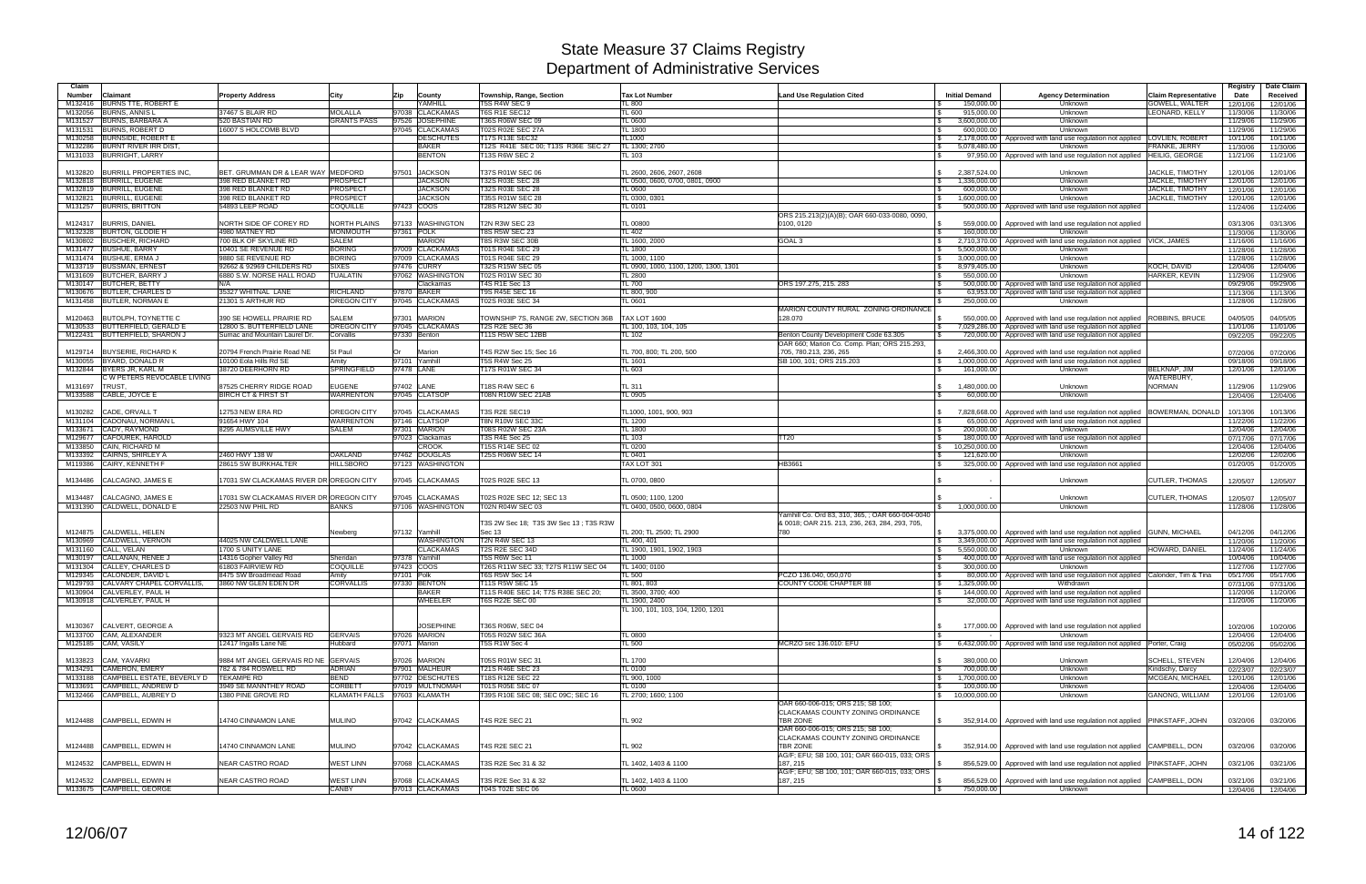| Claim   |                                                     |                                                 |                               |                                |                                                      |                                                        |                                                           |                                                            |                                                                                             |                             | Registry             | Date Claim           |
|---------|-----------------------------------------------------|-------------------------------------------------|-------------------------------|--------------------------------|------------------------------------------------------|--------------------------------------------------------|-----------------------------------------------------------|------------------------------------------------------------|---------------------------------------------------------------------------------------------|-----------------------------|----------------------|----------------------|
| Number  | Claimant                                            | <b>Property Address</b>                         | City                          | <b>Zip</b><br>County           | Township, Range, Section                             | <b>Tax Lot Number</b>                                  | <b>Land Use Regulation Cited</b>                          | <b>Initial Demand</b>                                      | <b>Agency Determination</b>                                                                 | <b>Claim Representative</b> | Date                 | Received             |
| M132416 | <b>BURNS TTE, ROBERT E</b>                          |                                                 |                               | YAMHILL                        | T5S R4W SEC 9                                        | <b>TL 800</b>                                          |                                                           | 150,000.00                                                 | Unknown                                                                                     | <b>GOWELL, WALTER</b>       | 12/01/06             | 12/01/06             |
| M132056 | <b>BURNS, ANNIS L</b>                               | 37467 S BLAIR RD                                | <b>MOLALLA</b>                | <b>CLACKAMAS</b><br>97038      | T6S R1E SEC12                                        | <b>TL 600</b>                                          |                                                           | 915,000.00                                                 | Unknown                                                                                     | LEONARD, KELLY              | 11/30/06             | 11/30/06             |
|         | M131527 BURNS, BARBARA A                            | 520 BASTIAN RD                                  | <b>GRANTS PASS</b>            | 97526 JOSEPHINE                | T36S R06W SEC 09                                     | TL 0600                                                |                                                           | 3,600,000.00<br>IS.                                        | Unknown                                                                                     |                             | 11/29/06             | 11/29/06             |
|         | M131531 BURNS, ROBERT D                             | 16007 S HOLCOMB BLVD                            |                               | 97045 CLACKAMAS                | T02S R02E SEC 27A                                    | <b>TL 1800</b>                                         |                                                           | 600.000.00                                                 | Unknown                                                                                     |                             | 11/29/06             | 11/29/06             |
|         | M130258 BURNSIDE, ROBERT                            |                                                 |                               | <b>DESCHUTES</b>               | T17S R13E SEC32                                      | <b>TL1000</b>                                          |                                                           | 2,178,000.00<br><b>S</b>                                   | Approved with land use regulation not applied   LOVLIEN, ROBERT                             |                             | 10/11/06             | 10/11/06             |
|         | M132286 BURNT RIVER IRR DIST                        |                                                 |                               | <b>BAKER</b><br><b>BENTON</b>  | T12S R41E SEC 00; T13S R36E SEC 27                   | TL 1300; 2700                                          |                                                           | 5,078,480.00<br>$\sqrt{3}$                                 | Unknown                                                                                     | FRANKE, JERRY               | 11/30/06             | 11/30/06             |
|         | M131033 BURRIGHT, LARRY                             |                                                 |                               |                                | <b>T13S R6W SEC 2</b>                                | TL 103                                                 |                                                           |                                                            | 97,950.00   Approved with land use regulation not applied   HEILIG, GEORGE                  |                             | 11/21/06             | 11/21/06             |
| M132820 | <b>BURRILL PROPERTIES INC.</b>                      | BET. GRUMMAN DR & LEAR WAY MEDFORD              |                               | 97501<br><b>JACKSON</b>        | T37S R01W SEC 06                                     | TL 2600, 2606, 2607, 2608                              |                                                           | 2,387,524.00<br>$\mathbb{S}$                               | Unknown                                                                                     | JACKLE, TIMOTHY             | 12/01/06             | 12/01/06             |
|         | M132818 BURRILL, EUGENE                             | 398 RED BLANKET RD                              | <b>PROSPECT</b>               | <b>JACKSON</b>                 | T32S R03E SEC 28                                     | TL 0500, 0600, 0700, 0801, 0900                        |                                                           | 1,336,000.00<br>IS.                                        | Unknown                                                                                     | <b>JACKLE, TIMOTHY</b>      | 12/01/06             | 12/01/06             |
|         | M132819 BURRILL, EUGENE                             | 398 RED BLANKET RD                              | <b>PROSPECT</b>               | <b>JACKSON</b>                 | T32S R03E SEC 28                                     | <b>TL 0600</b>                                         |                                                           | 600,000.00<br><b>S</b>                                     | Unknown                                                                                     | <b>JACKLE, TIMOTHY</b>      | 12/01/06             | 12/01/06             |
|         | M132821 BURRILL, EUGENE                             | 398 RED BLANKET RD                              | <b>PROSPECT</b>               | <b>JACKSON</b>                 | T35S R01W SEC 28                                     | TL 0300, 0301                                          |                                                           | 1,600,000.00<br>ISS.                                       | Unknown                                                                                     | <b>JACKLE, TIMOTHY</b>      | 12/01/06             | 12/01/06             |
|         | M131257 BURRIS, BRITTON                             | 54893 LEEP ROAD                                 | COQUILLE                      | 97423 COOS                     | T28S R12W SEC 30                                     | <b>TL 0101</b>                                         |                                                           | l \$                                                       | 500,000.00 Approved with land use regulation not applied                                    |                             | 11/24/06             | 11/24/06             |
|         |                                                     |                                                 |                               |                                |                                                      |                                                        | ORS 215.213(2)(A)(B): OAR 660-033-0080, 0090              |                                                            |                                                                                             |                             |                      |                      |
| M124317 | <b>BURRIS, DANIEL</b>                               | NORTH SIDE OF COREY RD                          | <b>NORTH PLAINS</b>           | 97133 WASHINGTON               | T2N R3W SEC 23                                       | <b>TL 00800</b>                                        | 0100.0120                                                 | 559,000.00<br>IS.                                          | Approved with land use regulation not applied                                               |                             | 03/13/06             | 03/13/06             |
|         | M132328 BURTON, GLODIE H                            | 4980 MATNEY RD                                  | <b>MONMOUTH</b>               | 97361 POLK                     | <b>T8S R5W SEC 23</b>                                | <b>TL 402</b>                                          |                                                           | 160,000.00<br>l \$                                         | Unknown                                                                                     |                             | 11/30/06             | 11/30/06             |
| M130802 | <b>BUSCHER, RICHARD</b>                             | 700 BLK OF SKYLINE RD                           | <b>SALEM</b>                  | <b>MARION</b>                  | T8S R3W SEC 30B                                      | TL 1600, 2000                                          | GOAL 3                                                    | 2,710,370.00<br><b>S</b>                                   | Approved with land use regulation not applied VICK, JAMES                                   |                             | 11/16/06             | 11/16/06             |
|         | M131477 BUSHUE, BARRY                               | 10401 SE REVENUE RD                             | <b>BORING</b>                 | 97009 CLACKAMAS                | T01S R04E SEC 29                                     | <b>TL 1800</b>                                         |                                                           | 5,500,000.00                                               | Unknown                                                                                     |                             | 11/28/06             | 11/28/06             |
|         | M131474 BUSHUE, ERMA J<br>M133719 BUSSMAN, ERNEST   | 9880 SE REVENUE RD<br>92662 & 92969 CHILDERS RD | <b>BORING</b><br><b>SIXES</b> | 97009 CLACKAMAS<br>97476 CURRY | T01S R04E SEC 29<br>T32S R15W SEC 05                 | TL 1000, 1100<br>TL 0900, 1000, 1100, 1200, 1300, 1301 |                                                           | 3,000,000.00<br><b>S</b><br>$\mathfrak{S}$<br>8,979,405.00 | Unknown<br>Unknown                                                                          | KOCH, DAVID                 | 11/28/06             | 11/28/06             |
| M131609 | <b>BUTCHER, BARRY J</b>                             | 6880 S.W. NORSE HALL ROAD                       | <b>TUALATIN</b>               | 97062 WASHINGTON               | T02S R01W SEC 30                                     | <b>TL 2800</b>                                         |                                                           | 550.000.00<br>l Si                                         | Unknown                                                                                     | HARKER, KEVIN               | 12/04/06<br>11/29/06 | 12/04/06<br>11/29/06 |
|         | M130147 BUTCHER, BETTY                              | N/A                                             |                               | Clackamas                      | T4S R1E Sec 13                                       | <b>TL 700</b>                                          | ORS 197.275, 215. 283                                     | l \$                                                       | 500,000.00   Approved with land use regulation not applied                                  |                             | 09/29/06             | 09/29/06             |
|         | M130676 BUTLER, CHARLES D                           | 35327 WHITNAL LANE                              | RICHLAND                      | 97870 BAKER                    | <b>T9S R45E SEC 16</b>                               | TL 800, 900                                            |                                                           | 63,953.00<br>l \$                                          | Approved with land use regulation not applied                                               |                             | 11/13/06             | 11/13/06             |
|         | M131458 BUTLER, NORMAN E                            | 21301 S ARTHUR RD                               | <b>OREGON CITY</b>            | 97045 CLACKAMAS                | <b>T02S R03E SEC 34</b>                              | TL 0601                                                |                                                           | 250,000.00                                                 | Unknown                                                                                     |                             | 11/28/06             | 11/28/06             |
|         |                                                     |                                                 |                               |                                |                                                      |                                                        | MARION COUNTY RURAL ZONING ORDINANCE                      |                                                            |                                                                                             |                             |                      |                      |
| M120463 | BUTOLPH, TOYNETTE C                                 | 390 SE HOWELL PRAIRIE RD                        | SALEM                         | 97301 MARION                   | TOWNSHIP 7S, RANGE 2W, SECTION 36B                   | <b>TAX LOT 1600</b>                                    | 128.070                                                   | 550.000.00                                                 | Approved with land use regulation not applied                                               | <b>ROBBINS, BRUCE</b>       | 04/05/05             | 04/05/05             |
|         | M130533 BUTTERFIELD, GERALD E                       | 12800 S. BUTTERFIELD LANE                       | OREGON CITY                   | 97045 CLACKAMAS                | <b>T2S R2E SEC 36</b>                                | TL 100, 103, 104, 105                                  |                                                           | l \$<br>7,029,286.00                                       | Approved with land use regulation not applied                                               |                             | 11/01/06             | 11/01/06             |
|         | M122431 BUTTERFIELD, SHARON J                       | Sumac and Mountain Laurel Dr.                   | Corvallis                     | 97330 Benton                   | <b>T11S R5W SEC 12BB</b>                             | TL 102                                                 | Benton County Development Code 63.305                     | 720,000.00                                                 | Approved with land use regulation not applied                                               |                             | 09/22/05             | 09/22/05             |
|         |                                                     |                                                 |                               |                                |                                                      |                                                        | OAR 660; Marion Co. Comp. Plan; ORS 215.293,              |                                                            |                                                                                             |                             |                      |                      |
|         | M129714 BUYSERIE, RICHARD K                         | 20794 French Prairie Road NE                    | St Paul                       | lOr<br>Marion                  | T4S R2W Sec 15; Sec 16                               | TL 700, 800; TL 200, 500                               | .705, 780.213, 236, 265                                   | 2,466,300.00<br><b>S</b>                                   | Approved with land use regulation not applied                                               |                             | 07/20/06             | 07/20/06             |
|         | M130055 BYARD, DONALD R<br>M132844 BYERS JR. KARL M | 10100 Eola Hills Rd SE<br>38720 DEERHORN RD     | Amity<br>SPRINGFIELD          | 97101 Yamhil<br>97478 LANE     | T5S R4W Sec 25<br>T17S R01W SEC 34                   | TL 1601<br>TL603                                       | SB 100, 101; ORS 215.203                                  | $\mathbf{s}$<br>1,000,000.00<br>161.000.00                 | Approved with land use regulation not applied<br>Unknown                                    | <b>BELKNAP, JIM</b>         | 09/18/06             | 09/18/06             |
|         | C W PETERS REVOCABLE LIVING                         |                                                 |                               |                                |                                                      |                                                        |                                                           |                                                            |                                                                                             | WATERBURY,                  | 12/01/06             | 12/01/06             |
| M131697 | TRUST.                                              | 87525 CHERRY RIDGE ROAD                         | <b>EUGENE</b>                 | 97402 LANE                     | T18S R4W SEC 6                                       | <b>TL 311</b>                                          |                                                           | 1,480,000.00                                               | Unknown                                                                                     | <b>NORMAN</b>               | 11/29/06             | 11/29/06             |
|         | M133588 CABLE, JOYCE E                              | <b>BIRCH CT &amp; FIRST ST</b>                  | <b>WARRENTON</b>              | 97045 CLATSOP                  | T08N R10W SEC 21AB                                   | TL 0905                                                |                                                           | 60,000,00                                                  | Unknown                                                                                     |                             | 12/04/06             | 12/04/06             |
|         |                                                     |                                                 |                               |                                |                                                      |                                                        |                                                           |                                                            |                                                                                             |                             |                      |                      |
| M130282 | CADE, ORVALL T                                      | 12753 NEW ERA RD                                | OREGON CITY                   | 97045 CLACKAMAS                | T3S R2E SEC19                                        | TL1000, 1001, 900, 903                                 |                                                           | 7.828.668.00                                               | Approved with land use regulation not applied   BOWERMAN, DONALD                            |                             | 10/13/06             | 10/13/06             |
| M131104 | CADONAU, NORMAN L                                   | 91654 HWY 104                                   | <b>WARRENTON</b>              | 97146 CLATSOP                  | <b>T8N R10W SEC 33C</b>                              | TL 1200                                                |                                                           | 65,000.00<br><b>S</b>                                      | Approved with land use regulation not applied                                               |                             | 11/22/06             | 11/22/06             |
| M133671 | CADY, RAYMOND                                       | 8295 AUMSVILLE HWY                              | SALEM                         | 97301 MARION                   | T08S R02W SEC 23A                                    | <b>TL 1800</b>                                         |                                                           | 200.000.00                                                 | Unknown                                                                                     |                             | 12/04/06             | 12/04/06             |
| M129677 | CAFOUREK, HAROLD                                    |                                                 |                               | 97023 Clackamas                | T3S R4E Sec 25                                       | TL 103                                                 | TT20                                                      | 180,000.00                                                 | Approved with land use regulation not applied                                               |                             | 07/17/06             | 07/17/06             |
| M133850 | CAIN, RICHARD M                                     |                                                 |                               | <b>CROOK</b>                   | T15S R14E SEC 02                                     | <b>TL 0200</b>                                         |                                                           | 10,250,000.00                                              | Unknown                                                                                     |                             | 12/04/06             | 12/04/06             |
| M133392 | CAIRNS, SHIRLEY A                                   | 2460 HWY 138 W                                  | OAKLAND                       | 97462 DOUGLAS                  | T25S R06W SEC 14                                     | TL 0401                                                |                                                           | 121,620.00<br>IS.                                          | Unknown                                                                                     |                             | 12/02/06             | 12/02/06             |
|         | M119386 CAIRY, KENNETH F                            | 28615 SW BURKHALTER                             | <b>HILLSBORO</b>              | 97123 WASHINGTON               |                                                      | TAX LOT 301                                            | HB3661                                                    |                                                            | 325,000.00   Approved with land use regulation not applied                                  |                             | 01/20/05             | 01/20/05             |
| M134486 | CALCAGNO, JAMES E                                   | 17031 SW CLACKAMAS RIVER DR OREGON CITY         |                               | 97045 CLACKAMAS                | T02S R02E SEC 13                                     | TL 0700, 0800                                          |                                                           |                                                            | Unknown                                                                                     | <b>CUTLER, THOMAS</b>       | 12/05/07             | 12/05/07             |
|         |                                                     |                                                 |                               |                                |                                                      |                                                        |                                                           |                                                            |                                                                                             |                             |                      |                      |
| M134487 | CALCAGNO, JAMES E                                   | 17031 SW CLACKAMAS RIVER DR OREGON CITY         |                               | 97045 CLACKAMAS                | T02S R02E SEC 12; SEC 13                             | TL 0500: 1100. 1200                                    |                                                           |                                                            | Unknown                                                                                     | <b>CUTLER, THOMAS</b>       | 12/05/07             | 12/05/07             |
| M131390 | CALDWELL, DONALD E                                  | 22503 NW PHIL RD                                | <b>BANKS</b>                  | 97106 WASHINGTON               | T02N R04W SEC 03                                     | TL 0400, 0500, 0600, 0804                              |                                                           | 1,000,000.00<br>$\mathcal{S}$                              | Unknown                                                                                     |                             | 11/28/06             | 11/28/06             |
|         |                                                     |                                                 |                               |                                |                                                      |                                                        | Yamhill Co. Ord 83, 310, 365, ; OAR 660-004-0040          |                                                            |                                                                                             |                             |                      |                      |
|         |                                                     |                                                 |                               |                                | T3S 2W Sec 18: T3S 3W Sec 13: T3S R3W                |                                                        | & 0018; OAR 215. 213, 236, 263, 284, 293, 705,            |                                                            |                                                                                             |                             |                      |                      |
| M124875 | CALDWELL, HELEN                                     |                                                 | Newberg                       | 97132 Yamhill                  | Sec 13                                               | TL 200: TL 2500: TL 2900                               | 780                                                       | 3,375,000.00                                               | Approved with land use regulation not applied GUNN, MICHAEL                                 |                             | 04/12/06             | 04/12/06             |
| M130969 | CALDWELL, VERNON                                    | 44025 NW CALDWELL LANE                          |                               | <b>WASHINGTON</b>              | T2N R4W SEC 13                                       | TL 400, 401                                            |                                                           | <b>S</b><br>3,349,000.00                                   | Approved with land use regulation not applied                                               |                             | 11/20/06             | 11/20/06             |
| M131160 | CALL, VELAN                                         | 1700 S UNITY LANE                               |                               | <b>CLACKAMAS</b>               | T2S R2E SEC 34D                                      | TL 1900, 1901, 1902, 1903                              |                                                           | 5,550,000.00                                               | Unknown                                                                                     | HOWARD, DANIEL              | 11/24/06             | 11/24/06             |
| M130197 | CALLANAN, RENEE J<br>M131304 CALLEY, CHARLES D      | 14316 Gopher Valley Rd<br>61803 FAIRVIEW RD     | Sheridan<br><b>COQUILLE</b>   | 97378 Yamhill<br>97423 COOS    | T5S R6W Sec 11                                       | <b>TL 1000</b><br>TL 1400; 0100                        |                                                           | 400,000.00                                                 | Approved with land use regulation not applied                                               |                             | 10/04/06             | 10/04/06             |
|         | M129345 CALONDER, DAVID L                           | 8475 SW Broadmead Road                          | Amity                         | 97101 Polk                     | T26S R11W SEC 33; T27S R11W SEC 04<br>T6S R5W Sec 14 | TL 500                                                 | PCZO 136.040, 050.070                                     | 300,000.00                                                 | Unknown<br>80,000.00   Approved with land use regulation not applied   Calonder, Tim & Tina |                             | 11/27/06<br>05/17/06 | 11/27/06<br>05/17/06 |
|         | M129793 CALVARY CHAPEL CORVALLIS,                   | 3860 NW GLEN EDEN DR                            | <b>CORVALLIS</b>              | 97330 BENTON                   | T11S R5W SEC 15                                      | TL 801, 803                                            | COUNTY CODE CHAPTER 88                                    | <b>S</b><br>1,325,000.00                                   | Withdrawn                                                                                   |                             | 07/31/06             | 07/31/06             |
|         | M130904 CALVERLEY, PAUL H                           |                                                 |                               | <b>BAKER</b>                   | T11S R40E SEC 14; T7S R38E SEC 20;                   | TL 3500, 3700: 400                                     |                                                           | 144,000.00<br>l \$                                         | Approved with land use regulation not applied                                               |                             | 11/20/06             | 11/20/06             |
|         | M130918 CALVERLEY, PAUL H                           |                                                 |                               | <b>WHEELER</b>                 | T6S R22E SEC 00                                      | TL 1900, 2400                                          |                                                           | l \$                                                       | 32,000.00 Approved with land use regulation not applied                                     |                             | 11/20/06             | 11/20/06             |
|         |                                                     |                                                 |                               |                                |                                                      | TL 100, 101, 103, 104, 1200, 1201                      |                                                           |                                                            |                                                                                             |                             |                      |                      |
|         |                                                     |                                                 |                               |                                |                                                      |                                                        |                                                           |                                                            |                                                                                             |                             |                      |                      |
|         | M130367 CALVERT, GEORGE A                           |                                                 |                               | <b>JOSEPHINE</b>               | T36S R06W, SEC 04                                    |                                                        |                                                           |                                                            | 177,000.00   Approved with land use regulation not applied                                  |                             | 10/20/06             | 10/20/06             |
|         | M133700 CAM, ALEXANDER                              | 9323 MT ANGEL GERVAIS RD                        | <b>GERVAIS</b>                | 97026 MARION                   | T05S R02W SEC 36A                                    | <b>TL 0800</b>                                         |                                                           | l \$                                                       | Unknown                                                                                     |                             | 12/04/06             | 12/04/06             |
|         | M125185 CAM, VASILY                                 | 12417 Ingalls Lane NE                           | Hubbard                       | 97071 Marion                   | T5S R1W Sec 4                                        | <b>TL 500</b>                                          | MCRZO sec 136.010: EFU                                    | IS.                                                        | 6,432,000.00   Approved with land use regulation not applied   Porter, Craig                |                             | 05/02/06             | 05/02/06             |
|         | M133823 CAM, YAVARKI                                | 9884 MT ANGEL GERVAIS RD NE GERVAIS             |                               | 97026 MARION                   | T05S R01W SEC 31                                     | TL 1700                                                |                                                           | 380,000.00<br>l \$                                         | Unknown                                                                                     | <b>SCHELL, STEVEN</b>       | 12/04/06             | 12/04/06             |
| M134291 | <b>CAMERON, EMERY</b>                               | 782 & 784 ROSWELL RD                            | ADRIAN                        | 97901 MALHEUR                  | T21S R46E SEC 23                                     | <b>TL 0100</b>                                         |                                                           | 700,000.00<br><b>S</b>                                     | Unknown                                                                                     | Kindschy, Darcy             | 02/23/07             | 02/23/07             |
|         | M133188 CAMPBELL ESTATE, BEVERLY D                  | <b>TEKAMPE RD</b>                               | BEND                          | 97702 DESCHUTES                | T18S R12E SEC 22                                     | TL 900, 1000                                           |                                                           | 1,700,000.00<br>$\mathcal{S}$                              | Unknown                                                                                     | MCGEAN, MICHAEL             | 12/01/06             | 12/01/06             |
|         | M133691 CAMPBELL, ANDREW D                          | 3949 SE MANNTHEY ROAD                           | <b>CORBETT</b>                | 97019 MULTNOMAH                | T01S R05E SEC 07                                     | <b>TL 0100</b>                                         |                                                           | 100,000.00<br>l \$                                         | Unknown                                                                                     |                             | 12/04/06             | 12/04/06             |
|         | M132466 CAMPBELL, AUBREY D                          | 1380 PINE GROVE RD                              |                               | KLAMATH FALLS 97603 KLAMATH    | T39S R10E SEC 08; SEC 09C; SEC 16                    | TL 2700; 1600; 1100                                    |                                                           | $\frac{1}{2}$ 10,000,000.00                                | Unknown                                                                                     | GANONG, WILLIAM             | 12/01/06             | 12/01/06             |
|         |                                                     |                                                 |                               |                                |                                                      |                                                        | OAR 660-006-015: ORS 215: SB 100:                         |                                                            |                                                                                             |                             |                      |                      |
|         |                                                     |                                                 |                               |                                |                                                      |                                                        | CLACKAMAS COUNTY ZONING ORDINANCE                         |                                                            |                                                                                             |                             |                      |                      |
|         | M124488 CAMPBELL, EDWIN H                           | 14740 CINNAMON LANE                             | MULINO                        | 97042 CLACKAMAS                | T4S R2E SEC 21                                       | <b>TL 902</b>                                          | <b>TBR ZONE</b>                                           | l \$                                                       | 352,914.00 Approved with land use requlation not applied PINKSTAFF, JOHN                    |                             | 03/20/06             | 03/20/06             |
|         |                                                     |                                                 |                               |                                |                                                      |                                                        | OAR 660-006-015; ORS 215; SB 100;                         |                                                            |                                                                                             |                             |                      |                      |
|         |                                                     |                                                 |                               |                                |                                                      |                                                        | CLACKAMAS COUNTY ZONING ORDINANCE                         |                                                            |                                                                                             |                             |                      |                      |
|         | M124488 CAMPBELL, EDWIN H                           | 14740 CINNAMON LANE                             | <b>MULINO</b>                 | 97042 CLACKAMAS                | <b>T4S R2E SEC 21</b>                                | <b>TL 902</b>                                          | TBR ZONE                                                  |                                                            | 352,914.00 Approved with land use regulation not applied CAMPBELL, DON                      |                             | 03/20/06             | 03/20/06             |
|         |                                                     |                                                 |                               |                                |                                                      |                                                        | AG/F; EFU; SB 100, 101; OAR 660-015, 033; ORS             |                                                            |                                                                                             |                             |                      |                      |
|         | M124532 CAMPBELL, EDWIN H                           | NEAR CASTRO ROAD                                | <b>WEST LINN</b>              | 97068 CLACKAMAS                | T3S R2E Sec 31 & 32                                  | TL 1402, 1403 & 1100                                   | 187, 215<br>AG/F; EFU; SB 100, 101; OAR 660-015, 033; ORS |                                                            | 856,529.00 Approved with land use regulation not applied PINKSTAFF, JOHN                    |                             | 03/21/06             | 03/21/06             |
|         | M124532 CAMPBELL, EDWIN H                           | NEAR CASTRO ROAD                                | <b>WEST LINN</b>              | 97068 CLACKAMAS                | T3S R2E Sec 31 & 32                                  | TL 1402, 1403 & 1100                                   | 187, 215                                                  | l S                                                        | 856,529.00   Approved with land use regulation not applied CAMPBELL, DON                    |                             | 03/21/06             | 03/21/06             |
|         | M133675 CAMPBELL, GEORGE                            |                                                 | CANBY                         | 97013 CLACKAMAS                | T04S T02E SEC 06                                     | <b>TL 0600</b>                                         |                                                           | $\sqrt{3}$<br>750,000.00                                   | Unknown                                                                                     |                             |                      | 12/04/06 12/04/06    |
|         |                                                     |                                                 |                               |                                |                                                      |                                                        |                                                           |                                                            |                                                                                             |                             |                      |                      |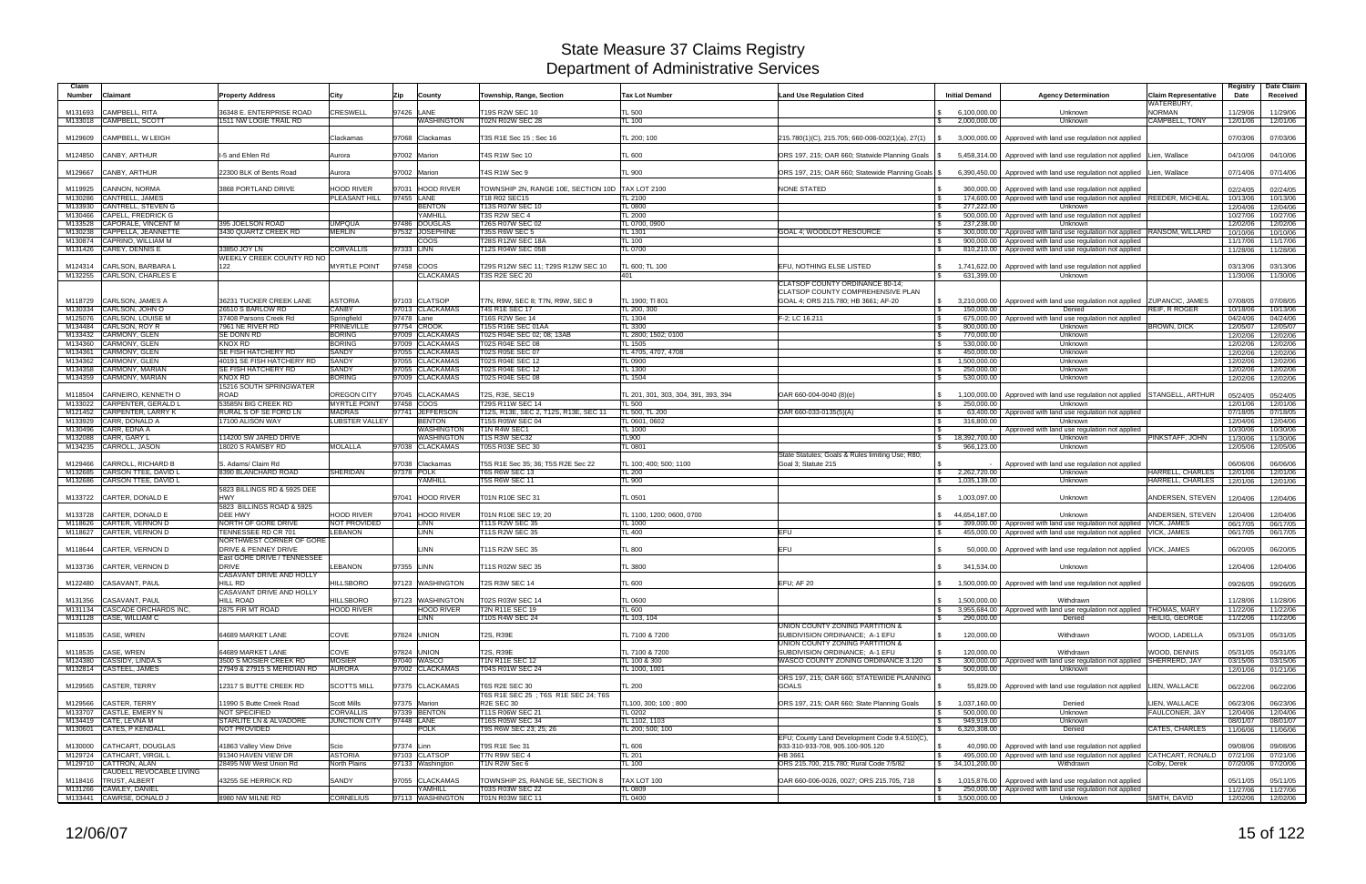| Claim<br><b>Number</b> | <b>Claimant</b>                                                            | <b>Property Address</b>                                                            | City                                 | <b>Zip</b><br>County                 | Township, Range, Section                                         | <b>Tax Lot Number</b>                | <b>Land Use Regulation Cited</b>                                         | <b>Initial Demand</b>                            | <b>Agency Determination</b>                                                                                            | <b>Claim Representative</b><br>WATERBURY, | Registry<br>Date     | Date Claim<br>Received |
|------------------------|----------------------------------------------------------------------------|------------------------------------------------------------------------------------|--------------------------------------|--------------------------------------|------------------------------------------------------------------|--------------------------------------|--------------------------------------------------------------------------|--------------------------------------------------|------------------------------------------------------------------------------------------------------------------------|-------------------------------------------|----------------------|------------------------|
| M131693                | <b>CAMPBELL, RITA</b>                                                      | 36348 E. ENTERPRISE ROAD                                                           | CRESWELL                             | 97426 LANE                           | T19S R2W SEC 10                                                  | <b>TL 500</b>                        |                                                                          | 6,100,000.00                                     | Unknown                                                                                                                | <b>NORMAN</b>                             | 11/29/06             | 11/29/06               |
|                        | M133018 CAMPBELL, SCOTT                                                    | 1511 NW LOGIE TRAIL RD                                                             |                                      | <b>WASHINGTON</b>                    | T02N R02W SEC 28                                                 | TL 100                               |                                                                          | 2,000,000.00                                     | Unknown                                                                                                                | CAMPBELL, TONY                            | 12/01/06             | 12/01/06               |
| M129609                | CAMPBELL, W LEIGH                                                          |                                                                                    | Clackamas                            | 97068 Clackamas                      | T3S R1E Sec 15; Sec 16                                           | TL 200; 100                          | $215.780(1)(C)$ , 215.705; 660-006-002(1)(a), 27(1)                      | 3,000,000.00                                     | Approved with land use regulation not applied                                                                          |                                           | 07/03/06             | 07/03/06               |
|                        | M124850 CANBY, ARTHUR                                                      | I-5 and Ehlen Rd                                                                   | Aurora                               | 97002 Marion                         | T4S R1W Sec 10                                                   | <b>TL 600</b>                        | ORS 197, 215; OAR 660; Statwide Planning Goals                           | 5,458,314.00                                     | Approved with land use regulation not applied Lien, Wallace                                                            |                                           | 04/10/06             | 04/10/06               |
| M129667                | CANBY, ARTHUR                                                              | 22300 BLK of Bents Road                                                            | Aurora                               | 97002 Marion                         | T4S R1W Sec 9                                                    | <b>TL 900</b>                        | ORS 197, 215; OAR 660; Statewide Planning Goals   \$                     | 6,390,450.00                                     | Approved with land use regulation not applied Lien, Wallace                                                            |                                           | 07/14/06             | 07/14/06               |
| M119925                | <b>CANNON, NORMA</b>                                                       | 3868 PORTLAND DRIVE                                                                | <b>HOOD RIVER</b>                    | 97031 HOOD RIVER                     | TOWNSHIP 2N, RANGE 10E, SECTION 10D                              | <b>TAX LOT 2100</b>                  | <b>NONE STATED</b>                                                       | 360,000.00                                       | Approved with land use regulation not applied                                                                          |                                           | 02/24/05             | 02/24/05               |
| M130286                | <b>CANTRELL, JAMES</b>                                                     |                                                                                    | <b>PLEASANT HILL</b>                 | 97455 LANE                           | [18 R02 SEC15]                                                   | TL 2100                              |                                                                          | 174,600.00                                       | Approved with land use regulation not applied REEDER, MICHEAL                                                          |                                           | 10/13/06             | 10/13/06               |
| M133930<br>M130466     | <b>CANTRELL, STEVEN G</b><br><b>CAPELL, FREDRICK G</b>                     |                                                                                    |                                      | <b>BENTON</b><br>YAMHILL             | T13S R07W SEC 10<br>T3S R2W SEC 4                                | <b>TL 0800</b><br><b>TL 2000</b>     |                                                                          | l \$<br>277,222.00<br>500,000.00                 | Unknown<br>Approved with land use regulation not applied                                                               |                                           | 12/04/06<br>10/27/06 | 12/04/06<br>10/27/06   |
| M133528                | CAPORALE, VINCENT M                                                        | 395 JOELSON ROAD                                                                   | <b>UMPQUA</b>                        | 97486 DOUGLAS                        | T26S R07W SEC 02                                                 | TL 0700, 0900                        |                                                                          | 237,238.00<br>l \$                               | Unknown                                                                                                                |                                           | 12/02/06             | 12/02/06               |
| M130238                | CAPPELLA, JEANNETTE                                                        | 3430 QUARTZ CREEK RD                                                               | <b>MERLIN</b>                        | 97532 JOSEPHINE                      | <b>T35S R6W SEC 5</b>                                            | TL 1301                              | <b>GOAL 4: WOODLOT RESOURCE</b>                                          | 300,000.00<br>IS.                                | Approved with land use regulation not applied RANSOM, WILLARD                                                          |                                           | 10/10/06             | 10/10/06               |
| M130874<br>M131426     | CAPRINO, WILLIAM M<br>CAREY, DENNIS E                                      | 33850 JOY LN                                                                       | <b>CORVALLIS</b>                     | <b>COOS</b><br>97333 LINN            | T28S R12W SEC 18A<br>T12S R04W SEC 05B                           | <b>TL 100</b><br><b>TL 0700</b>      |                                                                          | 900.000.00<br>810,210.00                         | Approved with land use regulation not applied<br>Approved with land use regulation not applied                         |                                           | 11/17/06<br>11/28/06 | 11/17/06<br>11/28/06   |
|                        |                                                                            | WEEKLY CREEK COUNTY RD NO                                                          |                                      |                                      |                                                                  |                                      |                                                                          |                                                  |                                                                                                                        |                                           |                      |                        |
| M124314                | CARLSON, BARBARA L                                                         | 122                                                                                | <b>MYRTLE POINT</b>                  | 97458 COOS                           | T29S R12W SEC 11; T29S R12W SEC 10                               | TL 600; TL 100                       | EFU, NOTHING ELSE LISTED                                                 | 1,741,622.00                                     | Approved with land use regulation not applied                                                                          |                                           | 03/13/06             | 03/13/06               |
|                        | M132255 CARLSON, CHARLES E                                                 |                                                                                    |                                      | <b>CLACKAMAS</b>                     | <b>T3S R2E SEC 20</b>                                            | 401                                  | CLATSOP COUNTY ORDINANCE 80-14;                                          | 631,399.00<br><b>S</b>                           | Unknown                                                                                                                |                                           | 11/30/06             | 11/30/06               |
| M118729                | CARLSON, JAMES A                                                           | 36231 TUCKER CREEK LANE                                                            | <b>ASTORIA</b>                       | 97103 CLATSOP                        | T7N, R9W, SEC 8; T7N, R9W, SEC 9                                 | TL 1900; TI 801                      | CLATSOP COUNTY COMPREHENSIVE PLAN<br>GOAL 4; ORS 215.780; HB 3661; AF-20 | 3,210,000.00<br>$\mathbb{S}$                     | Approved with land use regulation not applied  ZUPANCIC, JAMES                                                         |                                           | 07/08/05             | 07/08/05               |
| M130334                | CARLSON, JOHN O                                                            | 26510 S BARLOW RD                                                                  | CANBY                                | 97013 CLACKAMAS                      | <b>T4S R1E SEC 17</b>                                            | TL 200, 300                          |                                                                          | 150.000.00<br><b>S</b>                           | Denied                                                                                                                 | <b>REIF. R ROGER</b>                      | 10/18/06             | 10/13/06               |
| M125076                | <b>CARLSON, LOUISE M</b>                                                   | 37408 Parsons Creek Rd                                                             | Springfield                          | 97478 Lane                           | T16S R2W Sec 14                                                  | <b>TL 1304</b>                       | F-2; LC 16.211                                                           | 675,000.00<br>l \$                               | Approved with land use regulation not applied                                                                          |                                           | 04/24/06             | 04/24/06               |
| M134484<br>M133432     | CARLSON, ROY R<br>CARMONY, GLEN                                            | 7961 NE RIVER RD<br><b>SE DONN RD</b>                                              | <b>PRINEVILLE</b><br><b>BORING</b>   | 97754 CROOK<br>97009 CLACKAMAS       | T15S R16E SEC 01AA<br>T02S R04E SEC 02; 08; 13AB                 | TL 3300<br>TL 2800: 1502: 0100       |                                                                          | <b>S</b><br>800,000.00<br>770,000.00<br><b>S</b> | Unknown<br>Unknown                                                                                                     | BROWN, DICK                               | 12/05/07<br>12/02/06 | 12/05/07<br>12/02/06   |
| M134360                | <b>CARMONY, GLEN</b>                                                       | <b>KNOX RD</b>                                                                     | <b>BORING</b>                        | 97009 CLACKAMAS                      | T02S R04E SEC 08                                                 | TL 1505                              |                                                                          | 530,000.00<br>$\mathbf{s}$                       | Unknown                                                                                                                |                                           | 12/02/06             | 12/02/06               |
| M134361                | <b>CARMONY, GLEN</b>                                                       | SE FISH HATCHERY RD                                                                | SANDY                                | 97055 CLACKAMAS                      | T02S R05E SEC 07                                                 | TL 4705, 4707, 4708                  |                                                                          | 450,000.00                                       | Unknown                                                                                                                |                                           | 12/02/06             | 12/02/06               |
| M134362                | <b>CARMONY, GLEN</b>                                                       | 40191 SE FISH HATCHERY RD                                                          | <b>SANDY</b>                         | 97055 CLACKAMAS                      | T02S R04E SEC 12                                                 | TL 0900                              |                                                                          | 1,500,000.00<br>$\mathcal{S}$                    | Unknown                                                                                                                |                                           | 12/02/06             | 12/02/06               |
| M134358<br>M134359     | <b>CARMONY, MARIAN</b><br>CARMONY, MARIAN                                  | SE FISH HATCHERY RD<br><b>KNOX RD</b>                                              | SANDY<br><b>BORING</b>               | 97055 CLACKAMAS<br>97009 CLACKAMAS   | <b>T02S R04E SEC 12</b><br>T02S R04E SEC 08                      | TL 1300<br><b>TL 1504</b>            |                                                                          | 250,000.00<br>530,000.00<br>IS.                  | Unknown<br>Unknown                                                                                                     |                                           | 12/02/06<br>12/02/06 | 12/02/06<br>12/02/06   |
|                        |                                                                            | 15216 SOUTH SPRINGWATER                                                            |                                      |                                      |                                                                  |                                      |                                                                          |                                                  |                                                                                                                        |                                           |                      |                        |
| M118504                | CARNEIRO. KENNETH O                                                        | <b>ROAD</b>                                                                        | <b>OREGON CITY</b>                   | 97045 CLACKAMAS                      | T2S, R3E, SEC19                                                  | TL 201, 301, 303, 304, 391, 393, 394 | OAR 660-004-0040 (8)(e)                                                  | 1,100,000.00<br>$\mathbb{S}$                     | Approved with land use regulation not applied                                                                          | <b>STANGELL, ARTHUR</b>                   | 05/24/05             | 05/24/05               |
| M133022<br>M121452     | CARPENTER, GERALD L<br><b>CARPENTER, LARRY K</b>                           | 53585N BIG CREEK RD<br>RURAL S OF SE FORD LN                                       | <b>MYRTLE POINT</b><br><b>MADRAS</b> | 97458 COOS<br>97741 JEFFERSON        | <b>T29S R11W SEC 14</b><br>T12S, R13E, SEC 2, T12S, R13E, SEC 11 | TL 500<br>TL 500, TL 200             | OAR 660-033-0135(5)(A)                                                   | 250,000.00<br>63,400.00                          | Unknown<br>Approved with land use regulation not applied                                                               |                                           | 12/01/06             | 12/01/06               |
| M133929                | CARR, DONALD A                                                             | 17100 ALISON WAY                                                                   | LUBSTER VALLEY                       | <b>BENTON</b>                        | T15S R05W SEC 04                                                 | TL 0601, 0602                        |                                                                          | 316,800.00                                       | Unknowr                                                                                                                |                                           | 07/18/05<br>12/04/06 | 07/18/05<br>12/04/06   |
|                        | M130496 CARR, EDNA A                                                       |                                                                                    |                                      | <b>WASHINGTON</b>                    | T1N R4W SEC1                                                     | <b>TL 1000</b>                       |                                                                          |                                                  | Approved with land use regulation not applied                                                                          |                                           | 10/30/06             | 10/30/06               |
| M132088                | CARR, GARY L<br>CARROLL, JASON                                             | 114200 SW JARED DRIVE<br>18020 S RAMSBY RD                                         | MOLALLA                              | <b>WASHINGTON</b><br>97038 CLACKAMAS | T1S R3W SEC32<br>T05S R03E SEC 30                                | <b>TL900</b><br><b>TL 0801</b>       |                                                                          | 18,392,700.00<br><b>S</b><br>966,123.00          | Unknown<br>Unknown                                                                                                     | PINKSTAFF, JOHN                           | 11/30/06             | 11/30/06               |
| M134235                |                                                                            |                                                                                    |                                      |                                      |                                                                  |                                      | State Statutes; Goals & Rules limiting Use; R80;                         |                                                  |                                                                                                                        |                                           | 12/05/06             | 12/05/06               |
| M129466                | CARROLL, RICHARD B                                                         | S. Adams/ Claim Rd                                                                 |                                      | 97038 Clackamas                      | T5S R1E Sec 35; 36; T5S R2E Sec 22                               | TL 100; 400; 500; 1100               | Goal 3; Statute 215                                                      | l \$                                             | Approved with land use regulation not applied                                                                          |                                           | 06/06/06             | 06/06/06               |
| M132685                | CARSON TTEE, DAVID L                                                       | 8390 BLANCHARD ROAD                                                                | <b>SHERIDAN</b>                      | 97378 POLK                           | <b>T6S R6W SEC 13</b>                                            | <b>TL 200</b>                        |                                                                          | 2,262,720.00<br><b>S</b>                         | Unknown                                                                                                                | HARRELL, CHARLES                          | 12/01/06             | 12/01/06               |
|                        | M132686 CARSON TTEE, DAVID L                                               | 5823 BILLINGS RD & 5925 DEE                                                        |                                      | YAMHILL                              | <b>T5S R6W SEC 11</b>                                            | TL 900                               |                                                                          | 1,035,139.00                                     | Unknown                                                                                                                | HARRELL, CHARLES                          | 12/01/06             | 12/01/06               |
| M133722                | CARTER, DONALD E                                                           | <b>HWY</b><br>5823 BILLINGS ROAD & 5925                                            |                                      | 97041 HOOD RIVER                     | T01N R10E SEC 31                                                 | TL 0501                              |                                                                          | 1,003,097.00                                     | Unknown                                                                                                                | ANDERSEN, STEVEN                          | 12/04/06             | 12/04/06               |
| M133728                | CARTER, DONALD E                                                           | DEE HWY                                                                            | <b>HOOD RIVER</b>                    | 97041 HOOD RIVER                     | T01N R10E SEC 19; 20                                             | TL 1100, 1200; 0600, 0700            |                                                                          | 44,654,187.00<br>$\mathbb{S}$                    | Unknown                                                                                                                | ANDERSEN, STEVEN                          | 12/04/06             | 12/04/06               |
| M118626                | CARTER, VERNON D                                                           | NORTH OF GORE DRIVE                                                                | <b>NOT PROVIDED</b>                  | <b>LINN</b>                          | T11S R2W SEC 35                                                  | <b>TL 1000</b>                       |                                                                          | 399.000.00<br>l \$                               | Approved with land use regulation not applied VICK, JAMES                                                              |                                           | 06/17/05             | 06/17/05               |
|                        | M118627 CARTER, VERNON D<br>CARTER, VERNON D                               | TENNESSEE RD CR 701<br>NORTHWEST CORNER OF GORE<br><b>DRIVE &amp; PENNEY DRIVE</b> | <b>LEBANON</b>                       | <b>LINN</b><br>LINN                  | T11S R2W SEC 35<br>T11S R2W SEC 35                               | TL 400<br><b>TL 800</b>              | <b>EFU</b><br>EFU                                                        | IS.<br>50,000.00                                 | 455,000.00   Approved with land use regulation not applied   VICK, JAMES                                               |                                           | 06/17/05             | 06/17/05               |
| M118644                |                                                                            | East GORE DRIVE / TENNESSEE                                                        |                                      |                                      |                                                                  |                                      |                                                                          |                                                  | Approved with land use regulation not applied VICK, JAMES                                                              |                                           | 06/20/05             | 06/20/05               |
|                        | M133736 CARTER, VERNON D                                                   | <b>DRIVE</b><br>CASAVANT DRIVE AND HOLLY                                           | <b>EBANON</b>                        | 97355 LINN                           | T11S R02W SEC 35                                                 | <b>TL 3800</b>                       |                                                                          | 341,534.00                                       | Unknown                                                                                                                |                                           | 12/04/06             | 12/04/06               |
|                        | M122480 CASAVANT, PAUL<br>M131356 CASAVANT, PAUL                           | HILL RD<br>CASAVANT DRIVE AND HOLLY<br><b>HILL ROAD</b>                            | <b>HILLSBORO</b><br><b>HILLSBORO</b> | 97123 WASHINGTON<br>97123 WASHINGTON | T2S R3W SEC 14                                                   | <b>TL 600</b><br><b>TL 0600</b>      | EFU; AF 20                                                               | $\mathbb{S}$<br>1.500.000.00                     | 1,500,000.00 Approved with land use regulation not applied                                                             |                                           | 09/26/05             | 09/26/05               |
|                        | M131134 CASCADE ORCHARDS INC.                                              | 2875 FIR MT ROAD                                                                   | <b>HOOD RIVER</b>                    | <b>HOOD RIVER</b>                    | T02S R03W SEC 14<br><b>T2N R11E SEC 19</b>                       | TL 600                               |                                                                          | $\mathbb{S}$<br>$\sqrt{3}$                       | Withdrawn<br>3,955,684.00 Approved with land use regulation not applied THOMAS, MARY                                   |                                           | 11/28/06<br>11/22/06 | 11/28/06<br>11/22/06   |
|                        | M131128 CASE, WILLIAM C                                                    |                                                                                    |                                      | <b>LINN</b>                          | T10S R4W SEC 24                                                  | TL 103, 104                          |                                                                          | 290,000.00<br><b>S</b>                           | Denied                                                                                                                 | HEILIG, GEORGE                            | 11/22/06             | 11/22/06               |
|                        | M118535 CASE, WREN                                                         | 64689 MARKET LANE                                                                  | COVE                                 | 97824 UNION                          | <b>T2S, R39E</b>                                                 | TL 7100 & 7200                       | UNION COUNTY ZONING PARTITION &<br>SUBDIVISION ORDINANCE; A-1 EFU        | 120,000.00<br>$\mathsf{s}$                       | Withdrawn                                                                                                              | <b>WOOD, LADELLA</b>                      | 05/31/05             | 05/31/05               |
|                        | M118535 CASE, WREN                                                         | 64689 MARKET LANE                                                                  | COVE                                 | 97824 UNION                          | <b>T2S, R39E</b>                                                 | TL 7100 & 7200                       | UNION COUNTY ZONING PARTITION &<br>SUBDIVISION ORDINANCE: A-1 EFU        | 120,000.00                                       | Withdrawn                                                                                                              | WOOD, DENNIS                              | 05/31/05             | 05/31/05               |
|                        | M124380 CASSIDY, LINDA S                                                   | 3500 S MOSIER CREEK RD                                                             | <b>MOSIER</b>                        | 97040 WASCO<br>97002 CLACKAMAS       | <b>T1N R11E SEC 12</b>                                           | TL 100 & 300                         | WASCO COUNTY ZONING ORDINANCE 3.120                                      |                                                  | 300,000.00 Approved with land use regulation not applied SHERRERD, JAY                                                 |                                           | 03/15/06             | 03/15/06               |
|                        | M132814 CASTEEL, JAMES                                                     | 27949 & 27915 S MERIDIAN RD                                                        | <b>AURORA</b>                        |                                      | T04S R01W SEC 24                                                 | TL 1000, 1001                        | ORS 197, 215; OAR 660; STATEWIDE PLANNING                                | 500,000.00                                       | Unknown                                                                                                                |                                           | 12/01/06             | 01/21/06               |
|                        | M129565 CASTER, TERRY                                                      | 12317 S BUTTE CREEK RD                                                             | SCOTTS MILL                          | 97375 CLACKAMAS                      | T6S R2E SEC 30<br>T6S R1E SEC 25 ; T6S R1E SEC 24; T6S           | <b>TL 200</b>                        | <b>GOALS</b>                                                             | $\mathsf{s}$                                     | 55,829.00 Approved with land use regulation not applied LIEN, WALLACE                                                  |                                           | 06/22/06             | 06/22/06               |
|                        | M129566 CASTER, TERRY                                                      | 11990 S Butte Creek Road                                                           | <b>Scott Mills</b>                   | 97375 Marion                         | R2E SEC 30                                                       | TL100, 300; 100; 800                 | ORS 197, 215; OAR 660; State Planning Goals                              | 1,037,160.00                                     | Denied                                                                                                                 | LIEN, WALLACE                             | 06/23/06             | 06/23/06               |
|                        | M133707 CASTLE, EMERY N<br>M134419 CATE, LEVNA M                           | NOT SPECIFIED<br>STARLITE LN & ALVADORE                                            | <b>CORVALLIS</b><br>JUNCTION CITY    | 97339 BENTON                         | T11S R06W SEC 21<br>T16S R05W SEC 34                             | TL 0202<br>TL 1102, 1103             |                                                                          | 500,000.00<br>l \$<br>949,919.00                 | Unknown<br>Unknown                                                                                                     | <b>FAULCONER, JAY</b>                     | 12/04/06<br>08/01/07 | 12/04/06               |
|                        | M130601 CATES, P KENDALL                                                   | NOT PROVIDED                                                                       |                                      | 97448 LANE<br><b>POLK</b>            | T9S R6W SEC 23; 25; 26                                           | TL 200; 500; 100                     | EFU; County Land Development Code 9.4.510(C),                            | l \$<br>6,320,308.00<br>$\mathbb{S}$             | Denied                                                                                                                 | <b>CATES, CHARLES</b>                     | 11/06/06             | 08/01/07<br>11/06/06   |
|                        | M130000 CATHCART, DOUGLAS                                                  | 41863 Valley View Drive                                                            | Scio                                 | 97374 Linn                           | T9S R1E Sec 31                                                   | <b>TL 606</b>                        | 933-310-933-708, 905.100-905.120                                         | $\sqrt{3}$                                       | 40,090.00   Approved with land use regulation not applied                                                              |                                           | 09/08/06             | 09/08/06               |
|                        | M129724 CATHCART, VIRGIL L                                                 | 91340 HAVEN VIEW DR                                                                | <b>ASTORIA</b>                       | 97103 CLATSOP                        | T7N R9W SEC 4                                                    | TL 201                               | HB 3661                                                                  | <b>S</b>                                         | 495,000.00 Approved with land use regulation not applied CATHCART, RONALD                                              |                                           | 07/21/06             | 07/21/06               |
|                        | M129710 CATTRON, ALAN<br>CAUDELL REVOCABLE LIVING<br>M118416 TRUST, ALBERT | 28495 NW West Union Rd                                                             | <b>North Plains</b>                  | 97133 Washington<br>97055 CLACKAMAS  | T1N R2W Sec 6                                                    | <b>TL 100</b>                        | ORS 215.700, 215.780; Rural Code 7/5/82                                  | \$34,101,200.00                                  | Withdrawn                                                                                                              | Colby, Derek                              | 07/20/06             | 07/20/06               |
|                        | M131266 CAWLEY, DANIEL                                                     | 43255 SE HERRICK RD                                                                | <b>SANDY</b>                         | YAMHILL                              | TOWNSHIP 2S, RANGE 5E, SECTION 8<br>T03S R03W SEC 22             | TAX LOT 100<br><b>TL 0809</b>        | OAR 660-006-0026, 0027; ORS 215.705, 718                                 | $\mathbb{S}$<br>$\sqrt{3}$                       | 1,015,876.00 Approved with land use regulation not applied<br>250,000.00 Approved with land use regulation not applied |                                           | 05/11/05<br>11/27/06 | 05/11/05<br>11/27/06   |
|                        | M133441 CAWRSE, DONALD J                                                   | 8980 NW MILNE RD                                                                   | <b>CORNELIUS</b>                     | 97113 WASHINGTON                     | T01N R03W SEC 11                                                 | <b>TL 0400</b>                       |                                                                          | $\frac{1}{3}$ 3,500,000.00                       | Unknown                                                                                                                | SMITH, DAVID                              | 12/02/06             | 12/02/06               |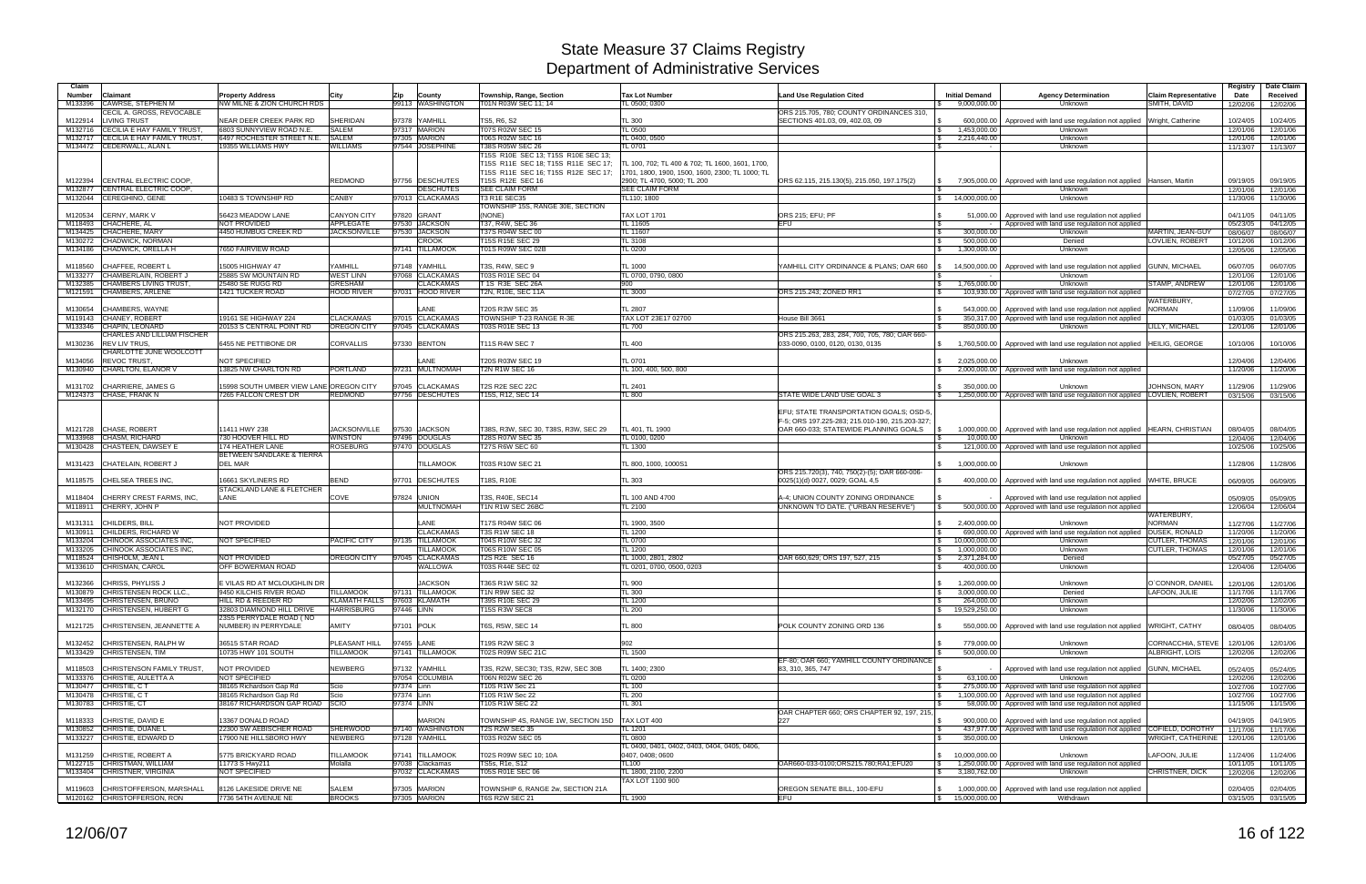| Claim              |                                                                 |                                                                 |                                       |                                    |                                                                 |                                                                  |                                                 |                                                |                                                                                                                       |                                       | Registry                      | Date Claim           |
|--------------------|-----------------------------------------------------------------|-----------------------------------------------------------------|---------------------------------------|------------------------------------|-----------------------------------------------------------------|------------------------------------------------------------------|-------------------------------------------------|------------------------------------------------|-----------------------------------------------------------------------------------------------------------------------|---------------------------------------|-------------------------------|----------------------|
| <b>Number</b>      | Claimant                                                        | <b>Property Address</b>                                         | City                                  | <b>Zip</b><br>County               | Township, Range, Section                                        | <b>Tax Lot Number</b>                                            | <b>Land Use Regulation Cited</b>                | <b>Initial Demand</b>                          | <b>Agency Determination</b>                                                                                           | <b>Claim Representative</b>           | Date                          | Received             |
| M133396            | <b>CAWRSE, STEPHEN M</b><br>CECIL A. GROSS, REVOCABLE           | NW MILNE & ZION CHURCH RDS                                      |                                       | 99113 WASHINGTON                   | T01N R03W SEC 11:14                                             | TL 0500: 0300                                                    | ORS 215.705, 780; COUNTY ORDINANCES 310,        | 9,000,000.00                                   | Unknown                                                                                                               | SMITH, DAVID                          | 12/02/06                      | 12/02/06             |
| M122914            | <b>LIVING TRUST</b>                                             | NEAR DEER CREEK PARK RD                                         | SHERIDAN                              | 97378 YAMHILL                      | TS5, R6, S2                                                     | <b>TL 300</b>                                                    | SECTIONS 401.03, 09, 402.03, 09                 | 600.000.00                                     | Approved with land use regulation not applied                                                                         | Wright, Catherine                     | 10/24/05                      | 10/24/05             |
| M132716            | <b>CECILIA E HAY FAMILY TRUST,</b>                              | 6803 SUNNYVIEW ROAD N.E.                                        | <b>SALEM</b>                          | 97317 MARION                       | T07S R02W SEC 15                                                | <b>TL 0500</b>                                                   |                                                 | l \$<br>1,453,000.00                           | Unknown                                                                                                               |                                       | 12/01/06                      | 12/01/06             |
| M132717            | CECILIA E HAY FAMILY TRUST,                                     | 6497 ROCHESTER STREET N.E.                                      | <b>SALEM</b>                          | 97305 MARION                       | T06S R02W SEC 16                                                | TL 0400, 0500                                                    |                                                 | 2,216,440.00<br>IS.                            | Unknown                                                                                                               |                                       | 12/01/06                      | 12/01/06             |
|                    | M134472 CEDERWALL, ALAN L                                       | 19355 WILLIAMS HWY                                              | <b>NILLIAMS</b>                       | 97544 JOSEPHINE                    | T38S R05W SEC 26<br>T15S R10E SEC 13: T15S R10E SEC 13:         | TL 0701                                                          |                                                 | <b>S</b>                                       | Unknown                                                                                                               |                                       | 11/13/07                      | 11/13/07             |
|                    |                                                                 |                                                                 |                                       |                                    | T15S R11E SEC 18; T15S R11E SEC 17;                             | TL 100, 702; TL 400 & 702; TL 1600, 1601, 1700.                  |                                                 |                                                |                                                                                                                       |                                       |                               |                      |
|                    |                                                                 |                                                                 |                                       |                                    | T15S R11E SEC 16: T15S R12E SEC 17:                             | 1701, 1800, 1900, 1500, 1600, 2300; TL 1000; TL                  |                                                 |                                                |                                                                                                                       |                                       |                               |                      |
| M122394            | <b>CENTRAL ELECTRIC COOP</b>                                    |                                                                 | <b>REDMOND</b>                        | 97756 DESCHUTES                    | T15S R12E SEC 16                                                | 2900; TL 4700, 5000; TL 200                                      | ORS 62.115, 215.130(5), 215.050, 197.175(2)     | 7,905,000.00                                   | Approved with land use regulation not applied   Hansen, Martin                                                        |                                       | 09/19/05                      | 09/19/05             |
| M132877            | <b>CENTRAL ELECTRIC COOP</b>                                    |                                                                 |                                       | <b>DESCHUTES</b>                   | SEE CLAIM FORM                                                  | <b>SEE CLAIM FORM</b>                                            |                                                 |                                                | Unknown                                                                                                               |                                       | 12/01/06                      | 12/01/06             |
| M132044            | CEREGHINO, GENE                                                 | 10483 S TOWNSHIP RD                                             | CANBY                                 | 97013 CLACKAMAS                    | T3 R1E SEC35<br>TOWNSHIP 15S, RANGE 30E, SECTION                | TL110; 1800                                                      |                                                 | 14,000,000.00                                  | Unknown                                                                                                               |                                       | 11/30/06                      | 11/30/06             |
| M120534            | <b>CERNY, MARK V</b>                                            | 56423 MEADOW LANE                                               | <b>CANYON CITY</b>                    | 97820 GRANT                        | (NONE)                                                          | <b>TAX LOT 1701</b>                                              | ORS 215; EFU; PF                                | 51,000.00                                      | Approved with land use regulation not applied                                                                         |                                       | 04/11/05                      | 04/11/05             |
| M118493            | CHACHERE, AL                                                    | <b>NOT PROVIDED</b>                                             | APPLEGATE                             | 97530 JACKSON                      | T37, R4W, SEC 36                                                | TL 11605                                                         | <b>EFU</b>                                      | $\mathbf{s}$                                   | Approved with land use regulation not applied                                                                         |                                       | 05/23/05                      | 04/12/05             |
|                    | M134425 CHACHERE, MARY                                          | 4450 HUMBUG CREEK RD                                            | <b>JACKSONVILLE</b>                   | 97530 JACKSON                      | T37S R04W SEC 00                                                | <b>TL 11607</b>                                                  |                                                 | 300,000.00                                     | Unknown                                                                                                               | <b>MARTIN, JEAN-GUY</b>               | 08/06/07                      | 08/06/07             |
| M130272            | <b>CHADWICK, NORMAN</b>                                         |                                                                 |                                       | <b>CROOK</b><br>97141 TILLAMOOK    | T15S R15E SEC 29<br><b>T01S R09W SEC 02B</b>                    | TL 3108<br>TL 0200                                               |                                                 | 500.000.00<br>1.300.000.00                     | Denied                                                                                                                | LOVLIEN, ROBERT                       | 10/12/06                      | 10/12/06             |
|                    | M134186 CHADWICK, ORELLA H                                      | 7650 FAIRVIEW ROAD                                              |                                       |                                    |                                                                 |                                                                  |                                                 |                                                | Unknown                                                                                                               |                                       | 12/05/06                      | 12/05/06             |
| M118560            | CHAFFEE, ROBERT L                                               | 15005 HIGHWAY 47                                                | YAMHILL                               | 97148 YAMHILL                      | T3S, R4W, SEC 9                                                 | <b>TL 1000</b>                                                   | YAMHILL CITY ORDINANCE & PLANS; OAR 660         | 14,500,000.00                                  | Approved with land use regulation not applied                                                                         | <b>GUNN, MICHAEL</b>                  | 06/07/05                      | 06/07/05             |
| M133277            | CHAMBERLAIN, ROBERT J                                           | 25885 SW MOUNTAIN RD                                            | <b>NEST LINN</b>                      | 97068 CLACKAMAS                    | T03S R01E SEC 04                                                | TL 0700, 0790, 0800                                              |                                                 |                                                | Unknown                                                                                                               |                                       | 12/01/06                      | 12/01/06             |
| M132385            | <b>CHAMBERS LIVING TRUST</b>                                    | 25480 SE RUGG RD                                                | <b>GRESHAM</b>                        | <b>CLACKAMAS</b>                   | T 1S R3E SEC 26A                                                | 900                                                              |                                                 | 1,765,000.00<br>$\mathbb{S}$                   | Unknown                                                                                                               | <b>STAMP, ANDREW</b>                  | 12/01/06                      | 12/01/06             |
| M121591            | <b>CHAMBERS, ARLENE</b>                                         | 1421 TUCKER ROAD                                                | <b>HOOD RIVER</b>                     | 97031 HOOD RIVER                   | T2N, R10E, SEC 11A                                              | <b>TL 3000</b>                                                   | ORS 215.243; ZONED RR1                          | 103,930.00                                     | Approved with land use regulation not applied                                                                         | WATERBURY,                            | 07/27/05                      | 07/27/05             |
| M130654            | CHAMBERS, WAYNE                                                 |                                                                 |                                       | LANE                               | <b>T20S R3W SEC 35</b>                                          | <b>TL 2807</b>                                                   |                                                 | 543.000.00                                     | Approved with land use regulation not applied                                                                         | <b>NORMAN</b>                         | 11/09/06                      | 11/09/06             |
|                    | M119143 CHANEY, ROBERT                                          | 19161 SE HIGHWAY 224                                            | <b>CLACKAMAS</b>                      | 97015 CLACKAMAS                    | TOWNSHIP T-23 RANGE R-3E                                        | TAX LOT 23E17 02700                                              | House Bill 3661                                 | 350,317.00<br><b>S</b>                         | Approved with land use regulation not applied                                                                         |                                       | 01/03/05                      | 01/03/05             |
| M133346            | CHAPIN, LEONARD                                                 | 20153 S CENTRAL POINT RD                                        | <b>OREGON CITY</b>                    | 97045 CLACKAMAS                    | T03S R01E SEC 13                                                | <b>TL 700</b>                                                    |                                                 | 850.000.00<br>l \$                             | Unknown                                                                                                               | LILLY, MICHAEL                        | 12/01/06                      | 12/01/06             |
| M130236            | CHARLES AND LILLIAM FISCHER<br><b>REV LIV TRUS.</b>             | 6455 NE PETTIBONE DR                                            | <b>CORVALLIS</b>                      | 97330 BENTON                       | <b>T11S R4W SEC 7</b>                                           | <b>TL 400</b>                                                    | ORS 215.263, 283, 284, 700, 705, 780; OAR 660-  | $\mathcal{S}$                                  | 1,760,500.00 Approved with land use regulation not applied                                                            |                                       | 10/10/06                      | 10/10/06             |
|                    | CHARLOTTE JUNE WOOLCOTT                                         |                                                                 |                                       |                                    |                                                                 |                                                                  | 033-0090, 0100, 0120, 0130, 0135                |                                                |                                                                                                                       | <b>HEILIG, GEORGE</b>                 |                               |                      |
| M134056            | <b>REVOC TRUST</b>                                              | <b>NOT SPECIFIED</b>                                            |                                       | LANE                               | T20S R03W SEC 19                                                | TL 0701                                                          |                                                 | 2,025,000.00<br>$\mathbb{S}$                   | Unknown                                                                                                               |                                       | 12/04/06                      | 12/04/06             |
|                    | M130940 CHARLTON, ELANOR V                                      | 13825 NW CHARLTON RD                                            | <b>PORTLAND</b>                       | 97231 MULTNOMAH                    | T2N R1W SEC 16                                                  | TL 100, 400, 500, 800                                            |                                                 |                                                | 2,000,000.00 Approved with land use regulation not applied                                                            |                                       | 11/20/06                      | 11/20/06             |
|                    |                                                                 |                                                                 |                                       |                                    |                                                                 |                                                                  |                                                 |                                                |                                                                                                                       |                                       |                               |                      |
| M131702            | CHARRIERE, JAMES G<br>M124373 CHASE, FRANK N                    | 15998 SOUTH UMBER VIEW LANE OREGON CITY<br>7265 FALCON CREST DR | REDMOND                               | 97045 CLACKAMAS<br>97756 DESCHUTES | <b>T2S R2E SEC 22C</b><br>T15S, R12, SEC 14                     | TL 2401<br><b>TL 800</b>                                         | STATE WIDE LAND USE GOAL 3                      | 350,000.00<br>$\mathbb{S}$                     | Unknown<br>1,250,000.00   Approved with land use regulation not applied   LOVLIEN, ROBERT                             | JOHNSON, MARY                         | 11/29/06<br>03/15/06          | 11/29/06<br>03/15/06 |
|                    |                                                                 |                                                                 |                                       |                                    |                                                                 |                                                                  |                                                 |                                                |                                                                                                                       |                                       |                               |                      |
|                    |                                                                 |                                                                 |                                       |                                    |                                                                 |                                                                  | EFU; STATE TRANSPORTATION GOALS; OSD-5,         |                                                |                                                                                                                       |                                       |                               |                      |
|                    |                                                                 |                                                                 |                                       |                                    |                                                                 |                                                                  | F-5; ORS 197.225-283; 215.010-190, 215.203-327; |                                                |                                                                                                                       |                                       |                               |                      |
| M133968            | M121728 CHASE, ROBERT<br>CHASM, RICHARD                         | 11411 HWY 238<br>730 HOOVER HILL RD                             | <b>JACKSONVILLE</b><br><b>WINSTON</b> | 97530 JACKSON<br>97496 DOUGLAS     | T38S, R3W, SEC 30, T38S, R3W, SEC 29<br><b>T28S R07W SEC 35</b> | TL 401, TL 1900<br>TL 0100, 0200                                 | OAR 660-033; STATEWIDE PLANNING GOALS           | 1,000,000.00<br>10.000.00                      | Approved with land use regulation not applied   HEARN, CHRISTIAN<br>Unknown                                           |                                       | 08/04/05                      | 08/04/05<br>12/04/06 |
| M130428            | CHASTEEN, DAWSEY E                                              | 174 HEATHER LANE                                                | <b>ROSEBURG</b>                       | 97470 DOUGLAS                      | <b>T27S R6W SEC 60</b>                                          | <b>TL 1300</b>                                                   |                                                 | 121,000.00                                     | Approved with land use regulation not applied                                                                         |                                       | 12/04/06<br>10/25/06          | 10/25/06             |
|                    |                                                                 | BETWEEN SANDLAKE & TIERRA                                       |                                       |                                    |                                                                 |                                                                  |                                                 |                                                |                                                                                                                       |                                       |                               |                      |
|                    | M131423 CHATELAIN, ROBERT J                                     | <b>DEL MAR</b>                                                  |                                       | <b>TILLAMOOK</b>                   | T03S R10W SEC 21                                                | TL 800, 1000, 1000S1                                             |                                                 | $\mathcal{S}$<br>1,000,000.00                  | Unknown                                                                                                               |                                       | 11/28/06                      | 11/28/06             |
|                    |                                                                 |                                                                 |                                       | 97701 DESCHUTES                    |                                                                 | <b>TL 303</b>                                                    | ORS 215.720(3), 740, 750(2)-(5); OAR 660-006-   | $\mathbb{R}$                                   |                                                                                                                       |                                       |                               |                      |
| M118575            | <b>CHELSEA TREES INC.</b>                                       | 16661 SKYLINERS RD<br>STACKLAND LANE & FLETCHER                 | BEND                                  |                                    | T18S, R10E                                                      |                                                                  | 0025(1)(d) 0027, 0029; GOAL 4,5                 | 400.000.00                                     | Approved with land use regulation not applied                                                                         | <b>WHITE, BRUCE</b>                   | 06/09/05                      | 06/09/05             |
| M118404            | CHERRY CREST FARMS, INC.                                        | LANE                                                            | COVE                                  | 97824 UNION                        | T3S, R40E, SEC14                                                | TL 100 AND 4700                                                  | A-4; UNION COUNTY ZONING ORDINANCE              |                                                | Approved with land use regulation not applied                                                                         |                                       | 05/09/05                      | 05/09/05             |
|                    | M118911 CHERRY, JOHN P                                          |                                                                 |                                       | <b>MULTNOMAH</b>                   | T1N R1W SEC 26BC                                                | TL 2100                                                          | UNKNOWN TO DATE. ("URBAN RESERVE")              | 500,000.00<br><b>S</b>                         | Approved with land use regulation not applied                                                                         |                                       | 12/06/04                      | 12/06/04             |
|                    |                                                                 |                                                                 |                                       |                                    |                                                                 |                                                                  |                                                 |                                                |                                                                                                                       | WATERBURY,                            |                               |                      |
| M131311<br>M130911 | <b>CHILDERS, BILL</b><br>CHILDERS, RICHARD W                    | <b>NOT PROVIDED</b>                                             |                                       | LANE<br><b>CLACKAMAS</b>           | T17S R04W SEC 06<br><b>T3S R1W SEC 18</b>                       | TL 1900, 3500<br><b>TL 1200</b>                                  |                                                 | 2.400.000.00<br>$\mathcal{S}$                  | Unknown<br>690,000.00   Approved with land use regulation not applied                                                 | <b>NORMAN</b><br><b>DUSEK, RONALD</b> | 11/27/06<br>11/20/06          | 11/27/06<br>11/20/06 |
| M133204            | CHINOOK ASSOCIATES INC                                          | <b>NOT SPECIFIED</b>                                            | PACIFIC CITY                          | <b>TILLAMOOK</b><br>97135          | T04S R10W SEC 32                                                | <b>TL 0700</b>                                                   |                                                 | 10,000,000.00<br>$\mathbb{S}$                  | Unknown                                                                                                               | <b>CUTLER, THOMAS</b>                 | 12/01/06                      | 12/01/06             |
| M133205            | CHINOOK ASSOCIATES INC                                          |                                                                 |                                       | <b>TILLAMOOK</b>                   | T06S R10W SEC 05                                                | <b>TL 1200</b>                                                   |                                                 | 1,000,000.00                                   | Unknown                                                                                                               | <b>CUTLER, THOMAS</b>                 | 12/01/06                      | 12/01/06             |
| M118524            | CHISHOLM, JEAN L                                                | <b>NOT PROVIDED</b>                                             | OREGON CITY                           | <b>CLACKAMAS</b><br>97045          | T2S R2E SEC 16                                                  | TL 1000, 2801, 2802                                              | OAR 660,629; ORS 197, 527, 215                  | 2,371,284.00<br>l \$                           | Denied                                                                                                                |                                       | 05/27/05                      | 05/27/05             |
|                    | M133610 CHRISMAN, CAROL                                         | OFF BOWERMAN ROAD                                               |                                       | WALLOWA                            | T03S R44E SEC 02                                                | TL 0201, 0700, 0500, 0203                                        |                                                 | 400,000.00                                     | Unknown                                                                                                               |                                       | 12/04/06                      | 12/04/06             |
|                    | M132366 CHRISS, PHYLISS J                                       | E VILAS RD AT MCLOUGHLIN DR                                     |                                       | <b>JACKSON</b>                     | T36S R1W SEC 32                                                 | <b>TL 900</b>                                                    |                                                 | $\frac{1}{2}$ 1,260,000.00                     | Unknown                                                                                                               | O'CONNOR, DANIEL                      | 12/01/06                      | 12/01/06             |
|                    | M130879 CHRISTENSEN ROCK LLC.,                                  | 9450 KILCHIS RIVER ROAD                                         | <b>TILLAMOOK</b>                      | 97131 TILLAMOOK                    | T1N R9W SEC 32                                                  | <b>TL 300</b>                                                    |                                                 | 3,000,000.00<br>$\mathcal{S}$                  | Denied                                                                                                                | LAFOON, JULIE                         | 11/17/06                      | 11/17/06             |
|                    | M133495 CHRISTENSEN, BRUNO                                      | HILL RD & REEDER RD                                             |                                       | KLAMATH FALLS 97603 KLAMATH        | T39S R10E SEC 29                                                | <b>TL 1200</b>                                                   |                                                 | 264,000.00<br>I S                              | Unknown                                                                                                               |                                       | 12/02/06                      | 12/02/06             |
|                    | M132170 CHRISTENSEN, HUBERT G                                   | 32803 DIAMNOND HILL DRIVE<br>23S5 PERRYDALE ROAD (NO            | <b>HARRISBURG</b>                     | 97446 LINN                         | T15S R3W SEC8                                                   | TL200                                                            |                                                 | $\frac{1}{3}$ 19,529,250.00                    | Unknown                                                                                                               |                                       | 11/30/06                      | 11/30/06             |
|                    | M121725 CHRISTENSEN, JEANNETTE A                                | NUMBER) IN PERRYDALE                                            | AMITY                                 | 97101 POLK                         | T6S, R5W, SEC 14                                                | <b>TL 800</b>                                                    | POLK COUNTY ZONING ORD 136                      | <b>S</b>                                       | 550,000.00   Approved with land use regulation not applied   WRIGHT, CATHY                                            |                                       | 08/04/05                      | 08/04/05             |
|                    |                                                                 |                                                                 |                                       |                                    |                                                                 |                                                                  |                                                 |                                                |                                                                                                                       |                                       |                               |                      |
|                    | M132452 CHRISTENSEN, RALPH W                                    | 36515 STAR ROAD                                                 | PLEASANT HILL                         | 97455 LANE                         | T19S R2W SEC 3                                                  | 902                                                              |                                                 | 779,000.00<br><b>S</b>                         | Unknown                                                                                                               | CORNACCHIA, STEVE                     | 12/01/06                      | 12/01/06             |
|                    | M133429 CHRISTENSEN, TIM                                        | 10735 HWY 101 SOUTH                                             | <b>TILLAMOOK</b>                      | 97141 TILLAMOOK                    | T02S R09W SEC 21C                                               | <b>TL 1500</b>                                                   | EF-80; OAR 660; YAMHILL COUNTY ORDINANCE        | l \$<br>500,000.00                             | Unknown                                                                                                               | ALBRIGHT, LOIS                        | 12/02/06                      | 12/02/06             |
|                    | M118503 CHRISTENSON FAMILY TRUST,                               | NOT PROVIDED                                                    | NEWBERG                               | 97132 YAMHILL                      | T3S, R2W, SEC30: T3S, R2W, SEC 30B                              | TL 1400; 2300                                                    | 83, 310, 365, 747                               |                                                | Approved with land use regulation not applied GUNN, MICHAEL                                                           |                                       | 05/24/05                      | 05/24/05             |
|                    | M133376 CHRISTIE, AULETTA A                                     | NOT SPECIFIED                                                   |                                       | 97054 COLUMBIA                     | <b>T06N R02W SEC 26</b>                                         | <b>TL 0200</b>                                                   |                                                 | 63,100.00<br>l \$                              | Unknown                                                                                                               |                                       | 12/02/06                      | 12/02/06             |
|                    | M130477 CHRISTIE, CT                                            | 38165 Richardson Gap Rd                                         | Scio                                  | 97374 Linn                         | T10S R1W Sec 21                                                 | <b>TL 100</b>                                                    |                                                 | l \$                                           | 275,000.00 Approved with land use regulation not applied                                                              |                                       | 10/27/06                      | 10/27/06             |
|                    | M130478 CHRISTIE, CT                                            | 38165 Richardson Gap Rd<br>38167 RICHARDSON GAP ROAD SCIO       | Scio                                  | 97374 Linn                         | T10S R1W Sec 22                                                 | <b>TL 200</b><br>TL 301                                          |                                                 | $\mathcal{S}$                                  | 1,100,000.00 Approved with land use regulation not applied<br>58,000.00 Approved with land use regulation not applied |                                       | 10/27/06                      | 10/27/06             |
|                    | M130783 CHRISTIE, CT                                            |                                                                 |                                       | 97374 LINN                         | T10S R1W SEC 22                                                 |                                                                  | OAR CHAPTER 660; ORS CHAPTER 92, 197, 215,      | IS.                                            |                                                                                                                       |                                       | 11/15/06                      | 11/15/06             |
|                    | M118333 CHRISTIE, DAVID E                                       | 13367 DONALD ROAD                                               |                                       | <b>MARION</b>                      | TOWNSHIP 4S, RANGE 1W, SECTION 15D                              | TAX LOT 400                                                      | 227                                             |                                                | 900,000.00   Approved with land use regulation not applied                                                            |                                       | 04/19/05                      | 04/19/05             |
|                    | M130852 CHRISTIE, DUANE L                                       | 22300 SW AEBISCHER ROAD                                         | <b>SHERWOOD</b>                       | 97140 WASHINGTON                   | T2S R2W SEC 35                                                  | TL 1201                                                          |                                                 |                                                | 437,977.00 Approved with land use regulation not applied COFIELD, DOROTHY                                             |                                       | 11/17/06                      | 11/17/06             |
|                    | M133227 CHRISTIE, EDWARD D                                      | 17900 NE HILLSBORO HWY                                          | <b>NEWBERG</b>                        | 97128 YAMHILL                      | T03S R02W SEC 05                                                | <b>TL 0800</b>                                                   |                                                 | 350,000.00<br>l S                              | Unknown                                                                                                               | WRIGHT, CATHERINE                     | 12/01/06                      | 12/01/06             |
|                    | M131259 CHRISTIE, ROBERT A                                      | 5775 BRICKYARD ROAD                                             | <b>TILLAMOOK</b>                      | 97141 TILLAMOOK                    | T02S R09W SEC 10; 10A                                           | TL 0400, 0401, 0402, 0403, 0404, 0405, 0406,<br>0407, 0408; 0600 |                                                 | \$ 10,000,000.00                               | Unknown                                                                                                               | LAFOON, JULIE                         | 11/24/06                      | 11/24/06             |
|                    | M122715 CHRISTMAN, WILLIAM                                      | 11773 S Hwy211                                                  | Molalla                               | 97038 Clackamas                    | TS5s, R1e, S12                                                  | <b>TL100</b>                                                     | OAR660-033-0100;ORS215.780;RA1;EFU20            | I S                                            | 1,250,000.00 Approved with land use regulation not applied                                                            |                                       | 10/11/05                      | 10/11/05             |
|                    | M133404 CHRISTNER, VIRGINIA                                     | NOT SPECIFIED                                                   |                                       | 97032 CLACKAMAS                    | T05S R01E SEC 06                                                | TL 1800, 2100, 2200                                              |                                                 | 3,180,762.00<br>$\mathcal{S}$                  | Unknown                                                                                                               | <b>CHRISTNER, DICK</b>                | 12/02/06                      | 12/02/06             |
|                    |                                                                 |                                                                 |                                       |                                    |                                                                 | TAX LOT 1100 900                                                 |                                                 |                                                |                                                                                                                       |                                       |                               |                      |
|                    | M119603 CHRISTOFFERSON, MARSHALL<br>M120162 CHRISTOFFERSON, RON | 8126 LAKESIDE DRIVE NE<br>7736 54TH AVENUE NE                   | SALEM<br><b>BROOKS</b>                | 97305 MARION<br>97305 MARION       | TOWNSHIP 6, RANGE 2w, SECTION 21A<br><b>T6S R2W SEC 21</b>      | <b>TL 1900</b>                                                   | OREGON SENATE BILL, 100-EFU<br><b>IEFU</b>      | \$ 1,000,000.00<br>$\frac{1}{3}$ 15,000,000.00 | Approved with land use regulation not applied<br>Withdrawn                                                            |                                       | 02/04/05<br>03/15/05 03/15/05 | 02/04/05             |
|                    |                                                                 |                                                                 |                                       |                                    |                                                                 |                                                                  |                                                 |                                                |                                                                                                                       |                                       |                               |                      |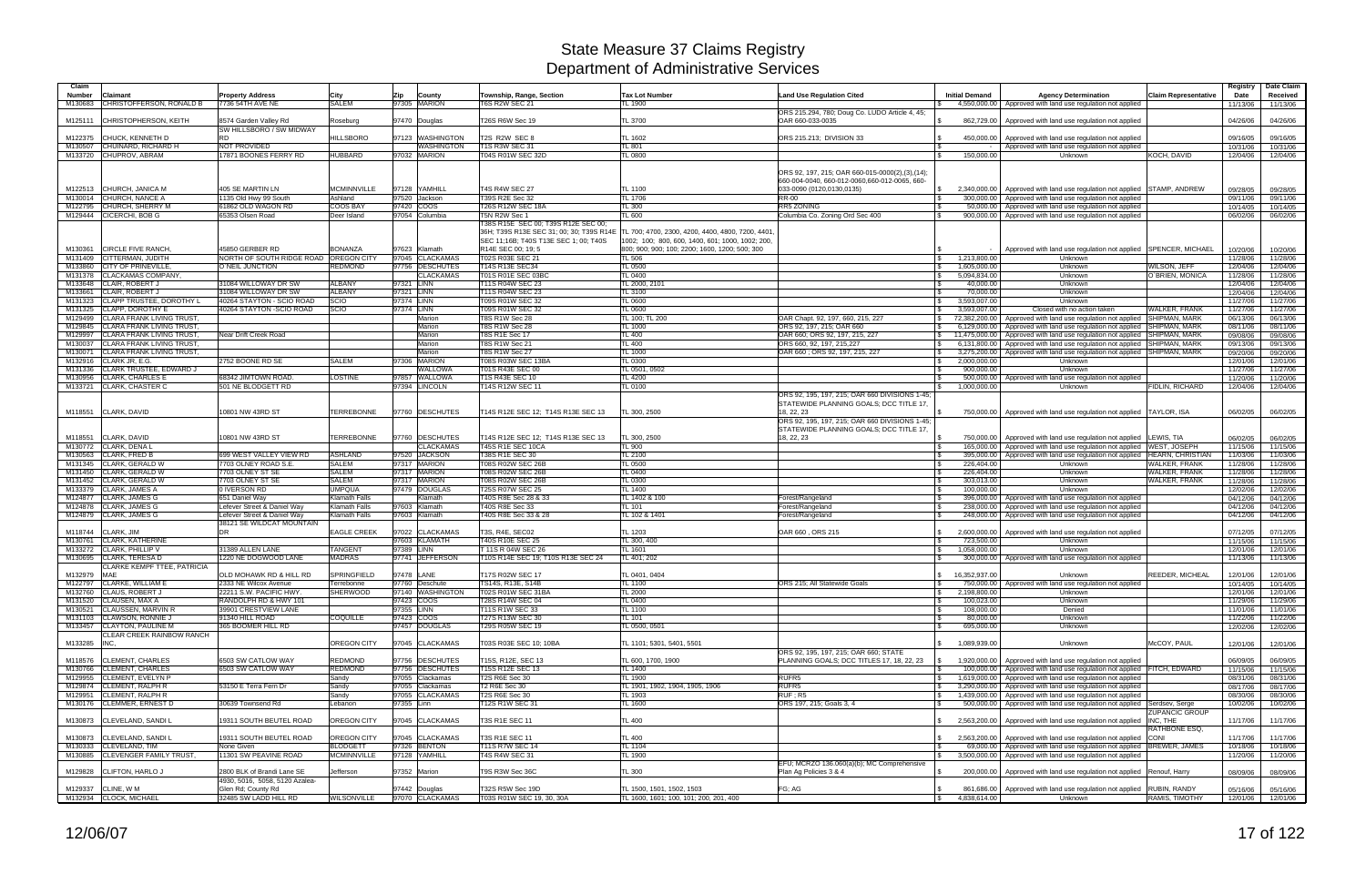| Claim              |                                                            |                                                            |                                       |                                    |                                                                                 |                                                  |                                                                             |                                                   |                                                                                                                          |                             | Registry             | Date Claim           |
|--------------------|------------------------------------------------------------|------------------------------------------------------------|---------------------------------------|------------------------------------|---------------------------------------------------------------------------------|--------------------------------------------------|-----------------------------------------------------------------------------|---------------------------------------------------|--------------------------------------------------------------------------------------------------------------------------|-----------------------------|----------------------|----------------------|
| <b>Number</b>      | Claimant<br>CHRISTOFFERSON, RONALD B                       | <b>Property Address</b><br>7736 54TH AVE NE                | City<br><b>SALEM</b>                  | Zip<br>County<br>97305 MARION      | Township, Range, Section<br><b>T6S R2W SEC 21</b>                               | <b>Tax Lot Number</b><br>TL 1900                 | <b>Land Use Regulation Cited</b>                                            | <b>Initial Demand</b>                             | <b>Agency Determination</b>                                                                                              | <b>Claim Representative</b> | Date                 | Received             |
| M130683            |                                                            |                                                            |                                       |                                    |                                                                                 |                                                  | ORS 215.294, 780; Doug Co. LUDO Article 4, 45;                              |                                                   | 4,550,000.00 Approved with land use regulation not applied                                                               |                             | 11/13/06             | 11/13/06             |
| M125111            | <b>CHRISTOPHERSON, KEITH</b>                               | 8574 Garden Valley Rd                                      | Roseburg                              | 97470 Douglas                      | T26S R6W Sec 19                                                                 | TL 3700                                          | OAR 660-033-0035                                                            | 862,729.00                                        | Approved with land use regulation not applied                                                                            |                             | 04/26/06             | 04/26/06             |
|                    | <b>CHUCK, KENNETH D</b>                                    | SW HILLSBORO / SW MIDWAY<br><b>RD</b>                      | <b>HILLSBORO</b>                      | 97123 WASHINGTON                   | T2S R2W SEC 8                                                                   | TL 1602                                          | ORS 215.213; DIVISION 33                                                    | 450,000.00                                        |                                                                                                                          |                             |                      |                      |
| M122375            | M130507 CHUINARD, RICHARD H                                | NOT PROVIDED                                               |                                       | WASHINGTON                         | <b>T1S R3W SEC 31</b>                                                           | TL 801                                           |                                                                             |                                                   | Approved with land use regulation not applied<br>Approved with land use regulation not applied                           |                             | 09/16/05<br>10/31/06 | 09/16/05<br>10/31/06 |
|                    | M133720 CHUPROV, ABRAM                                     | 17871 BOONES FERRY RD                                      | <b>HUBBARD</b>                        | 97032 MARION                       | T04S R01W SEC 32D                                                               | TL 0800                                          |                                                                             | 150,000.00                                        | Unknown                                                                                                                  | KOCH, DAVID                 | 12/04/06             | 12/04/06             |
|                    |                                                            |                                                            |                                       |                                    |                                                                                 |                                                  |                                                                             |                                                   |                                                                                                                          |                             |                      |                      |
|                    |                                                            |                                                            |                                       |                                    |                                                                                 |                                                  | ORS 92, 197, 215; OAR 660-015-0000(2),(3),(14);                             |                                                   |                                                                                                                          |                             |                      |                      |
|                    | M122513 CHURCH, JANICA M                                   | 405 SE MARTIN LN                                           | <b>MCMINNVILLE</b>                    | 97128 YAMHILL                      | <b>T4S R4W SEC 27</b>                                                           | <b>TL 1100</b>                                   | 660-004-0040, 660-012-0060, 660-012-0065, 660-<br>033-0090 (0120,0130,0135) | 2,340,000.00                                      | Approved with land use regulation not applied STAMP, ANDREW                                                              |                             | 09/28/05             | 09/28/05             |
|                    | M130014 CHURCH, NANCE A                                    | 1135 Old Hwy 99 South                                      | Ashland                               | 97520 Jackson                      | T39S R2E Sec 32                                                                 | TL 1706                                          | <b>RR-00</b>                                                                | 300,000.00                                        | Approved with land use regulation not applied                                                                            |                             | 09/11/06             | 09/11/06             |
| M122795            | CHURCH, SHERRY M                                           | 61862 OLD WAGON RD                                         | COOS BAY                              | 97420 COOS                         | <b>T26S R12W SEC 18A</b>                                                        | <b>TL 300</b>                                    | RR5 ZONING                                                                  | l \$<br>50,000.00                                 | Approved with land use regulation not applied                                                                            |                             | 10/14/05             | 10/14/05             |
|                    | M129444 CICERCHI, BOB G                                    | 65353 Olsen Road                                           | Deer Island                           | 97054 Columbia                     | T5N R2W Sec 1                                                                   | TL 600                                           | Columbia Co. Zoning Ord Sec 400                                             | 900,000.00                                        | Approved with land use regulation not applied                                                                            |                             | 06/02/06             | 06/02/06             |
|                    |                                                            |                                                            |                                       |                                    | T38S R15E SEC 00; T39S R12E SEC 00;<br>36H; T39S R13E SEC 31; 00; 30; T39S R14E | TL 700: 4700, 2300, 4200, 4400, 4800, 7200, 4401 |                                                                             |                                                   |                                                                                                                          |                             |                      |                      |
|                    |                                                            |                                                            |                                       |                                    | SEC 11:16B; T40S T13E SEC 1; 00; T40S                                           | 1002; 100; 800, 600, 1400, 601; 1000, 1002; 200, |                                                                             |                                                   |                                                                                                                          |                             |                      |                      |
| M130361            | <b>CIRCLE FIVE RANCH.</b>                                  | 45850 GERBER RD                                            | <b>BONANZA</b>                        | 97623 Klamath                      | R14E SEC 00; 19; 5                                                              | 800; 900; 900; 100; 2200; 1600, 1200; 500; 300   |                                                                             |                                                   | Approved with land use regulation not applied  SPENCER. MICHAEL                                                          |                             | 10/20/06             | 10/20/06             |
| M133860            | M131409 CITTERMAN, JUDITH<br><b>CITY OF PRINEVILLE</b>     | NORTH OF SOUTH RIDGE ROAD OREGON CITY<br>O'NEIL JUNCTION   | <b>REDMOND</b>                        | 97045 CLACKAMAS<br>97756 DESCHUTES | T02S R03E SEC 21<br>T14S R13E SEC34                                             | TL 506<br>TL 0500                                |                                                                             | 1,213,800.00<br>\$<br>1,605,000.00<br>\$          | Unknown<br>Unknown                                                                                                       | WILSON, JEFF                | 11/28/06<br>12/04/06 | 11/28/06<br>12/04/06 |
| M131378            | CLACKAMAS COMPANY,                                         |                                                            |                                       | <b>CLACKAMAS</b>                   | T01S R01E SEC 03BC                                                              | TL 0400                                          |                                                                             | \$<br>5,094,834.00                                | Unknown                                                                                                                  | O'BRIEN, MONICA             | 11/28/06             | 11/28/06             |
| M133648            | <b>CLAIR, ROBERT J</b>                                     | 31084 WILLOWAY DR SW                                       | <b>ALBANY</b>                         | 97321 LINN                         | T11S R04W SEC 23                                                                | TL 2000, 2101                                    |                                                                             | 40,000.00                                         | Unknown                                                                                                                  |                             | 12/04/06             | 12/04/06             |
| M133661            | CLAIR, ROBERT J                                            | 31084 WILLOWAY DR SW                                       | <b>ALBANY</b>                         | 97321 LINN                         | T11S R04W SEC 23                                                                | TL 3100                                          |                                                                             | 70,000.00                                         | Unknown                                                                                                                  |                             | 12/04/06             | 12/04/06             |
|                    | M131323 CLAPP TRUSTEE, DOROTHY L                           | 40264 STAYTON - SCIO ROAD                                  | <b>ISCIO</b>                          | 97374 LINN                         | T09S R01W SEC 32                                                                | TL 0600                                          |                                                                             | 3,593,007.00                                      | Unknown                                                                                                                  |                             | 11/27/06             | 11/27/06             |
| M131325<br>M129499 | <b>CLAPP, DOROTHY E</b><br><b>CLARA FRANK LIVING TRUST</b> | 40264 STAYTON - SCIO ROAD                                  | SCIO                                  | 97374 LINN<br>Marion               | T09S R01W SEC 32<br><b>T8S R1W Sec 28</b>                                       | TL 0600<br>TL 100; TL 200                        | OAR Chapt. 92, 197, 660, 215, 227                                           | 3,593,007.00<br>S.<br>\$<br>72,382,200.00         | Closed with no action taken<br>Approved with land use regulation not applied SHIPMAN, MARK                               | WALKER, FRANK               | 11/27/06<br>06/13/06 | 11/27/06<br>06/13/06 |
| M129845            | CLARA FRANK LIVING TRUST                                   |                                                            |                                       | Marion                             | <b>T8S R1W Sec 28</b>                                                           | <b>TL 1000</b>                                   | ORS 92, 197, 215; OAR 660                                                   | 6,129,000.00<br>I S                               | Approved with land use regulation not applied                                                                            | <b>SHIPMAN, MARK</b>        | 08/11/06             | 08/11/06             |
| M129997            | <b>CLARA FRANK LIVING TRUST</b>                            | Near Drift Creek Road                                      |                                       | Marion                             | <b>T8S R1E Sec 17</b>                                                           | TL 400                                           | OAR 660: ORS 92, 197, 215, 227                                              | \$<br>11,475,000.00                               | Approved with land use regulation not applied SHIPMAN, MARK                                                              |                             | 09/08/06             | 09/08/06             |
| M130037            | CLARA FRANK LIVING TRUST                                   |                                                            |                                       | Marion                             | T8S R1W Sec 21                                                                  | TL 400                                           | ORS 660, 92, 197, 215,227                                                   | 6,131,800.00<br>$\mathcal{L}$                     | Approved with land use regulation not applied SHIPMAN, MARK                                                              |                             | 09/13/06             | 09/13/06             |
| M130071            | <b>CLARA FRANK LIVING TRUST</b><br>M132916 CLARK JR, E.G.  | 2752 BOONE RD SE                                           | <b>SALEM</b>                          | Marion<br>97306 MARION             | T8S R1W Sec 27<br>T08S R03W SEC 13BA                                            | TL 1000<br>TL 0300                               | OAR 660; ORS 92, 197, 215, 227                                              | 3,275,200.00<br>-SS-<br>l \$<br>2,000,000.00      | Approved with land use regulation not applied SHIPMAN, MARK<br>Unknown                                                   |                             | 09/20/06             | 09/20/06             |
| M131336            | <b>CLARK TRUSTEE, EDWARD J</b>                             |                                                            |                                       | WALLOWA                            | T01S R43E SEC 00                                                                | TL 0501, 0502                                    |                                                                             | 900.000.00                                        | Unknown                                                                                                                  |                             | 12/01/06<br>11/27/06 | 12/01/06<br>11/27/06 |
|                    | M130956 CLARK, CHARLES E                                   | 68342 JIMTOWN ROAD                                         | <b>LOSTINE</b>                        | 97857 WALLOWA                      | T1S R43E SEC 10                                                                 | TL 4200                                          |                                                                             | 500,000.00                                        | Approved with land use regulation not applied                                                                            |                             | 11/20/06             | 11/20/06             |
|                    | M133721 CLARK, CHASTER C                                   | 501 NE BLODGETT RD                                         |                                       | 97394 LINCOLN                      | T14S R12W SEC 11                                                                | TL 0100                                          |                                                                             | 1,000,000.00                                      | Unknown                                                                                                                  | <b>FIDLIN, RICHARD</b>      | 12/04/06             | 12/04/06             |
|                    |                                                            |                                                            |                                       |                                    |                                                                                 |                                                  | ORS 92, 195, 197, 215; OAR 660 DIVISIONS 1-45;                              |                                                   |                                                                                                                          |                             |                      |                      |
|                    | M118551 CLARK, DAVID                                       | 10801 NW 43RD ST                                           | <b>TERREBONNE</b>                     | 97760 DESCHUTES                    | T14S R12E SEC 12; T14S R13E SEC 13                                              | TL 300, 2500                                     | STATEWIDE PLANNING GOALS; DCC TITLE 17,<br>18, 22, 23                       | 750,000.00                                        | Approved with land use regulation not applied   TAYLOR, ISA                                                              |                             | 06/02/05             | 06/02/05             |
|                    |                                                            |                                                            |                                       |                                    |                                                                                 |                                                  | ORS 92, 195, 197, 215; OAR 660 DIVISIONS 1-45;                              |                                                   |                                                                                                                          |                             |                      |                      |
|                    |                                                            |                                                            |                                       |                                    |                                                                                 |                                                  | STATEWIDE PLANNING GOALS; DCC TITLE 17,                                     |                                                   |                                                                                                                          |                             |                      |                      |
| M118551            | CLARK, DAVID                                               | 10801 NW 43RD ST                                           | <b>TERREBONNE</b>                     | 97760 DESCHUTES                    | T14S R12E SEC 12; T14S R13E SEC 13                                              | TL 300, 2500                                     | 18, 22, 23                                                                  | 750,000.00                                        | Approved with land use regulation not applied LEWIS, TIA                                                                 |                             | 06/02/05             | 06/02/05             |
|                    | M130772 CLARK, DENA L                                      |                                                            |                                       | <b>CLACKAMAS</b>                   | <b>T45S R1E SEC 10CA</b>                                                        | TL 900                                           |                                                                             | 165,000.00<br>l S                                 | Approved with land use regulation not applied WEST, JOSEPH                                                               |                             | 11/15/06             | 11/15/06             |
| M131345            | M130563 CLARK, FRED B<br><b>CLARK, GERALD W</b>            | 699 WEST VALLEY VIEW RD<br>7703 OLNEY ROAD S.E.            | <b>ASHLAND</b><br><b>SALEM</b>        | 97520 JACKSON<br>97317 MARION      | T38S R1E SEC 30<br><b>T08S R02W SEC 26B</b>                                     | TL 2100<br><b>TL 0500</b>                        |                                                                             | l \$<br>395,000.00<br>226,404.00<br>- \$          | Approved with land use regulation not applied   HEARN, CHRISTIAN<br>Unknown                                              | <b>WALKER, FRANK</b>        | 11/03/06<br>11/28/06 | 11/03/06<br>11/28/06 |
| M131450            | <b>CLARK, GERALD W</b>                                     | 7703 OLNEY ST SE                                           | <b>SALEM</b>                          | 97317 MARION                       | T08S R02W SEC 26B                                                               | TL 0400                                          |                                                                             | 226,404.00                                        | Unknown                                                                                                                  | <b>WALKER, FRANK</b>        | 11/28/06             | 11/28/06             |
| M131452            | CLARK, GERALD W                                            | 7703 OLNEY ST SE                                           | SALEM                                 | 97317 MARION                       | <b>T08S R02W SEC 26B</b>                                                        | TL 0300                                          |                                                                             | 303,013.00                                        | Unknown                                                                                                                  | <b>WALKER, FRANK</b>        | 11/28/06             | 11/28/06             |
| M133379            | <b>CLARK, JAMES A</b>                                      | 0 IVERSON RD                                               | <b>UMPQUA</b>                         | 97479 DOUGLAS                      | T25S R07W SEC 25                                                                | TL 1400                                          |                                                                             | 100,000.00                                        | Unknown                                                                                                                  |                             | 12/02/06             | 12/02/06             |
| M124877            | <b>CLARK, JAMES G</b>                                      | 651 Daniel Way                                             | <b>Klamath Falls</b>                  | Klamath                            | T40S R8E Sec 28 & 33<br>T40S R8E Sec 33                                         | TL 1402 & 100                                    | Forest/Rangeland                                                            | 396,000.00                                        | Approved with land use regulation not applied                                                                            |                             | 04/12/06             | 04/12/06             |
|                    | M124878 CLARK, JAMES G<br>M124879 CLARK, JAMES G           | Lefever Street & Daniel Way<br>Lefever Street & Daniel Way | Klamath Falls<br><b>Klamath Falls</b> | 97603 Klamath<br>97603 Klamath     | T40S R8E Sec 33 & 28                                                            | <b>TL 101</b><br>TL 102 & 1401                   | Forest/Rangeland<br>Forest/Rangeland                                        | 238,000.00<br>l S<br>$\mathfrak{L}$<br>248,000.00 | Approved with land use regulation not applied<br>Approved with land use regulation not applied                           |                             | 04/12/06<br>04/12/06 | 04/12/06<br>04/12/06 |
|                    |                                                            | 38121 SE WILDCAT MOUNTAIN                                  |                                       |                                    |                                                                                 |                                                  |                                                                             |                                                   |                                                                                                                          |                             |                      |                      |
| M118744            | <b>CLARK, JIM</b>                                          | DR.                                                        | <b>EAGLE CREEK</b>                    | 97022<br><b>CLACKAMAS</b>          | T3S, R4E, SEC02                                                                 | TL 1203                                          | OAR 660, ORS 215                                                            | 2,600,000.00                                      | Approved with land use regulation not applied                                                                            |                             | 07/12/05             | 07/12/05             |
| M130761            | <b>CLARK, KATHERINE</b><br><b>CLARK, PHILLIP V</b>         | <b>31389 ALLEN LANE</b>                                    |                                       | 97603 KLAMATH<br>97389 LINN        | T40S R10E SEC 25                                                                | TL 300, 400                                      |                                                                             | 723,500.00<br>- \$                                | Unknown                                                                                                                  |                             | 11/15/06             | 11/15/06             |
| M133272<br>M130695 | <b>CLARK, TERESA D</b>                                     | 1220 NE DOGWOOD LANE                                       | <b>TANGENT</b><br><b>MADRAS</b>       | 97741 JEFFERSON                    | 11S R 04W SEC 26<br>T10S R14E SEC 19; T10S R13E SEC 24                          | <b>L 1601</b><br>TL 401; 202                     |                                                                             | 1,058,000.00                                      | Unknown<br>300,000.00   Approved with land use regulation not applied                                                    |                             | 12/01/06<br>11/13/06 | 12/01/06<br>11/13/06 |
|                    | <b>CLARKE KEMPF TTEE, PATRICIA</b>                         |                                                            |                                       |                                    |                                                                                 |                                                  |                                                                             |                                                   |                                                                                                                          |                             |                      |                      |
| M132979            | MAE                                                        | OLD MOHAWK RD & HILL RD                                    | SPRINGFIELD                           | 97478 LANE                         | T17S R02W SEC 17                                                                | TL 0401, 0404                                    |                                                                             | 16,352,937.00                                     | Unknown                                                                                                                  | REEDER. MICHEAL             | 12/01/06             | 12/01/06             |
|                    | M122797 CLARKE, WILLIAM E<br>M132760 CLAUS, ROBERT J       | 2333 NE Wilcox Avenue<br>22211 S.W. PACIFIC HWY.           | <b>Ferrebonne</b><br><b>SHERWOOD</b>  | 97760 Deschute<br>97140 WASHINGTON | TS14S, R13E, S14B<br>T02S R01W SEC 31BA                                         | TL 1100<br><b>TL 2000</b>                        | ORS 215; All Statewide Goals                                                |                                                   | 750,000.00   Approved with land use regulation not applied<br>Unknown                                                    |                             | 10/14/05             | 10/14/05             |
|                    | M131520 CLAUSEN, MAX A                                     | RANDOLPH RD & HWY 101                                      |                                       | 97423 COOS                         | T28S R14W SEC 04                                                                | TL 0400                                          |                                                                             | 2,198,800.00<br>\$<br>100,023.00<br>\$            | Unknown                                                                                                                  |                             | 12/01/06<br>11/29/06 | 12/01/06<br>11/29/06 |
|                    | M130521 CLAUSSEN, MARVIN R                                 | 39901 CRESTVIEW LANE                                       |                                       | 97355 LINN                         | T11S R1W SEC 33                                                                 | TL 1100                                          |                                                                             | 108,000.00<br>\$                                  | Denied                                                                                                                   |                             | 11/01/06             | 11/01/06             |
|                    | M131103 CLAWSON, RONNIE J                                  | 91340 HILL ROAD                                            | <b>COQUILLE</b>                       | 97423 COOS                         | T27S R13W SEC 30                                                                | TL 101                                           |                                                                             | 80,000.00<br>- \$                                 | Unknown                                                                                                                  |                             | 11/22/06             | 11/22/06             |
|                    | M133457 CLAYTON, PAULINE M                                 | 365 BOOMER HILL RD                                         |                                       | 97457 DOUGLAS                      | T29S R05W SEC 19                                                                | TL 0500, 0501                                    |                                                                             | 695,000.00                                        | Unknown                                                                                                                  |                             | 12/02/06             | 12/02/06             |
| M133285 INC,       | CLEAR CREEK RAINBOW RANCH                                  |                                                            | OREGON CITY                           | 97045 CLACKAMAS                    | T03S R03E SEC 10; 10BA                                                          | TL 1101; 5301, 5401, 5501                        |                                                                             | \$ 1,089,939.00                                   | Unknown                                                                                                                  | McCOY, PAUL                 | 12/01/06             | 12/01/06             |
|                    |                                                            |                                                            |                                       |                                    |                                                                                 |                                                  | ORS 92, 195, 197, 215; OAR 660; STATE                                       |                                                   |                                                                                                                          |                             |                      |                      |
|                    | M118576 CLEMENT, CHARLES                                   | 6503 SW CATLOW WAY                                         | <b>REDMOND</b>                        | 97756 DESCHUTES                    | T15S, R12E, SEC 13                                                              | TL 600, 1700, 1900                               | PLANNING GOALS; DCC TITLES 17, 18, 22, 23                                   |                                                   | 1.920.000.00 Approved with land use regulation not applied                                                               |                             | 06/09/05             | 06/09/05             |
|                    | M130766 CLEMENT, CHARLES                                   | 6503 SW CATLOW WAY                                         | REDMOND                               | 97756 DESCHUTES                    | T15S R12E SEC 13                                                                | TL 1400                                          |                                                                             | - S                                               | 100,000.00   Approved with land use regulation not applied FITCH, EDWARD                                                 |                             | 11/15/06             | 11/15/06             |
|                    | M129955 CLEMENT, EVELYN P<br>M129874 CLEMENT, RALPH R      | 53150 E Terra Fern Dr                                      | Sandy<br>Sandy                        | 97055 Clackamas<br>97055 Clackamas | <b>T2S R6E Sec 30</b><br>T2 R6E Sec 30                                          | TL 1900<br>TL 1901, 1902, 1904, 1905, 1906       | RUFR <sub>5</sub><br>RUFR <sub>5</sub>                                      | IS.<br>I S                                        | 1,619,000.00 Approved with land use regulation not applied<br>3,290,000.00 Approved with land use regulation not applied |                             | 08/31/06<br>08/17/06 | 08/31/06<br>08/17/06 |
|                    | M129951 CLEMENT, RALPH R                                   |                                                            | Sandy                                 | 97055 CLACKAMAS                    | <b>T2S R6E Sec 30</b>                                                           | TL 1903                                          | RUF; R5                                                                     | 1,439,000.00<br>\$                                | Approved with land use regulation not applied                                                                            |                             | 08/30/06             | 08/30/06             |
|                    | M130176 CLEMMER, ERNEST D                                  | 30639 Townsend Rd                                          | Lebanon                               | 97355 Linn                         | T12S R1W SEC 31                                                                 | TL 1600                                          | ORS 197, 215; Goals 3, 4                                                    | 500,000.00<br>- \$                                | Approved with land use regulation not applied Serdsev, Serge                                                             |                             | 10/02/06             | 10/02/06             |
|                    |                                                            |                                                            |                                       |                                    |                                                                                 |                                                  |                                                                             |                                                   |                                                                                                                          | <b>ZUPANCIC GROUP</b>       |                      |                      |
|                    | M130873 CLEVELAND, SANDI L                                 | 19311 SOUTH BEUTEL ROAD                                    | <b>OREGON CITY</b>                    | 97045 CLACKAMAS                    | T3S R1E SEC 11                                                                  | TL 400                                           |                                                                             | 2,563,200.00                                      | Approved with land use regulation not applied INC. THE                                                                   | RATHBONE ESQ,               | 11/17/06             | 11/17/06             |
|                    | M130873 CLEVELAND, SANDIL                                  | 19311 SOUTH BEUTEL ROAD                                    | OREGON CITY                           | 97045 CLACKAMAS                    | T3S R1E SEC 11                                                                  | <b>TL 400</b>                                    |                                                                             | $\mathbb{S}$                                      | 2,563,200.00 Approved with land use regulation not applied CONI                                                          |                             | 11/17/06             | 11/17/06             |
|                    | M130333 CLEVELAND, TIM                                     | None Given                                                 | <b>BLODGETT</b>                       | 97326 BENTON                       | <b>T11S R7W SEC 14</b>                                                          | TL 1104                                          |                                                                             | I \$                                              | 69,000.00 Approved with land use regulation not applied BREWER, JAMES                                                    |                             | 10/18/06             | 10/18/06             |
|                    | M130885 CLEVENGER FAMILY TRUST                             | 11301 SW PEAVINE ROAD                                      | <b>MCMINNVILLE</b>                    | 97128 YAMHILL                      | T4S R4W SEC 31                                                                  | <b>TL 1900</b>                                   |                                                                             | <b>S</b>                                          | 3,500,000.00 Approved with land use regulation not applied                                                               |                             | 11/20/06             | 11/20/06             |
|                    | M129828 CLIFTON, HARLO J                                   | 2800 BLK of Brandi Lane SE                                 | Jefferson                             | 97352 Marion                       | T9S R3W Sec 36C                                                                 | <b>TL 300</b>                                    | EFU; MCRZO 136.060(a)(b); MC Comprehensive<br>Plan Ag Policies 3 & 4        | 200,000.00<br>- \$                                | Approved with land use regulation not applied Renouf, Harry                                                              |                             | 08/09/06             | 08/09/06             |
|                    |                                                            | 4930, 5016, 5058, 5120 Azalea-                             |                                       |                                    |                                                                                 |                                                  |                                                                             |                                                   |                                                                                                                          |                             |                      |                      |
|                    | M129337 CLINE, W M                                         | Glen Rd; County Rd                                         |                                       | 97442 Douglas                      | T32S R5W Sec 19D                                                                | TL 1500, 1501, 1502, 1503                        | FG; AG                                                                      | 861,686.00<br>\$                                  | Approved with land use regulation not applied RUBIN, RANDY                                                               |                             | 05/16/06             | 05/16/06             |
|                    | M132934 CLOCK, MICHAEL                                     | 32485 SW LADD HILL RD                                      | <b>WILSONVILLE</b>                    | 97070 CLACKAMAS                    | T03S R01W SEC 19, 30, 30A                                                       | TL 1600, 1601; 100, 101; 200, 201, 400           |                                                                             | 4,838,614.00<br>$\sqrt{S}$                        | Unknown                                                                                                                  | RAMIS, TIMOTHY              |                      | 12/01/06 12/01/06    |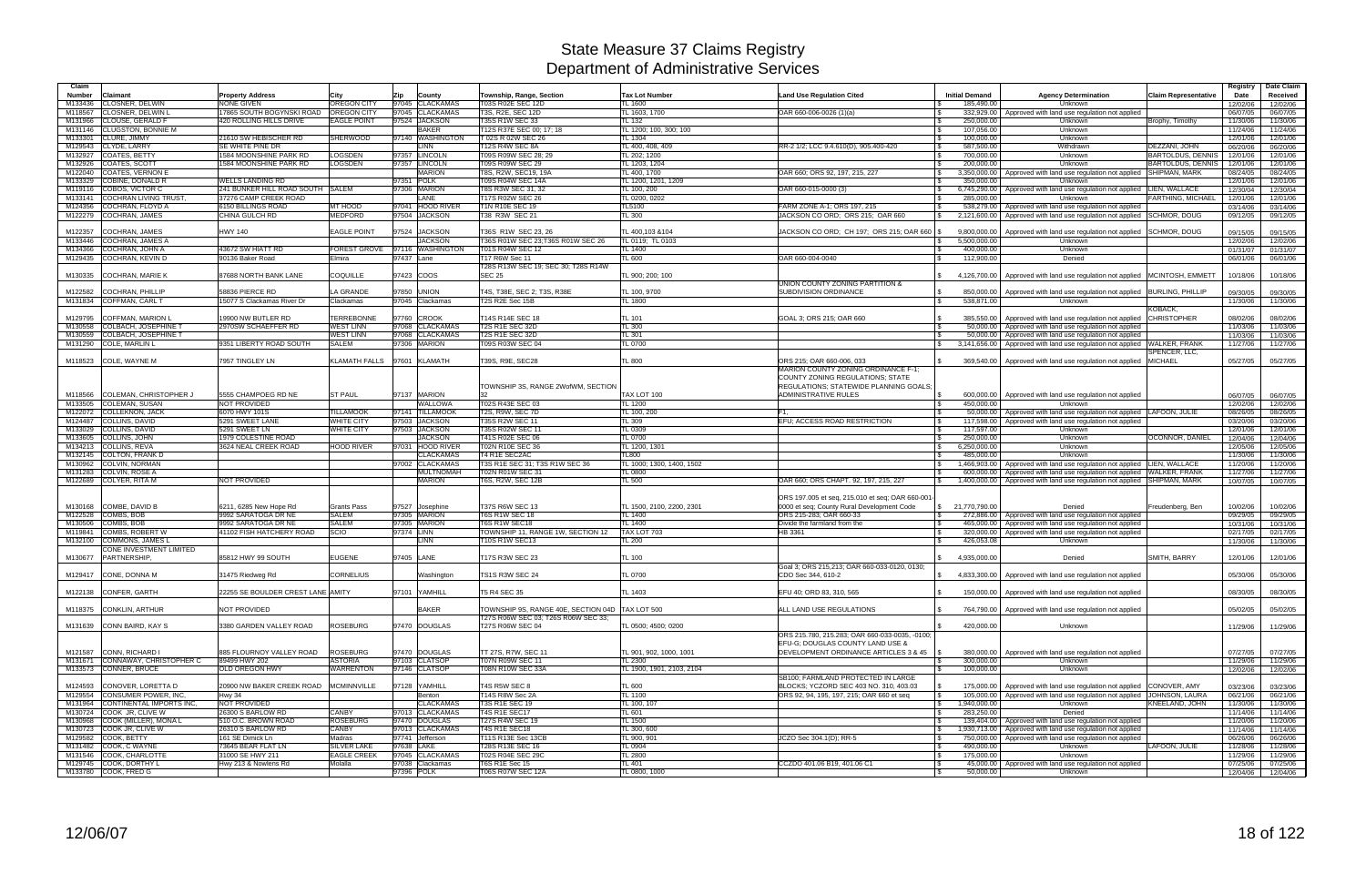| Claim              |                                                          |                                                 |                                          |            |                                    |                                                              |                                 |                                                                                 |                                              |                                                                                                             |                                                      | Registry             | Date Claim           |
|--------------------|----------------------------------------------------------|-------------------------------------------------|------------------------------------------|------------|------------------------------------|--------------------------------------------------------------|---------------------------------|---------------------------------------------------------------------------------|----------------------------------------------|-------------------------------------------------------------------------------------------------------------|------------------------------------------------------|----------------------|----------------------|
| <b>Number</b>      | Claimant                                                 | <b>Property Address</b>                         | Citv                                     | Zip        | County                             | Township, Range, Section                                     | <b>Tax Lot Number</b>           | <b>Land Use Regulation Cited</b>                                                | <b>Initial Demand</b>                        | <b>Agency Determination</b>                                                                                 | <b>Claim Representative</b>                          | Date                 | Received             |
| M133436<br>M118567 | <b>CLOSNER, DELWIN</b><br><b>CLOSNER, DELWIN I</b>       | <b>VONE GIVEN</b><br>7865 SOUTH BOGYNSKI ROAD   | <b>OREGON CITY</b><br><b>OREGON CITY</b> |            | 97045 CLACKAMAS<br>97045 CLACKAMAS | <b>T03S R02E SEC 12D</b><br>T3S, R2E, SEC 12D                | <b>FL 1600</b><br>TL 1603, 1700 |                                                                                 | 185,490.00<br>∣ \$                           | Unknown                                                                                                     |                                                      | 12/02/06             | 12/02/06             |
| M131966            | <b>CLOUSE, GERALD F</b>                                  | 420 ROLLING HILLS DRIVE                         | <b>EAGLE POINT</b>                       |            | 97524 JACKSON                      | <b>T35S R1W SEC 33</b>                                       | <b>TL 132</b>                   | OAR 660-006-0026 (1)(a)                                                         | 332,929.00<br>250,000.00                     | Approved with land use regulation not applied<br>Unknown                                                    | Brophy, Timothy                                      | 06/07/05<br>11/30/06 | 06/07/05<br>11/30/06 |
| M131146            | <b>CLUGSTON, BONNIE M</b>                                |                                                 |                                          |            | <b>BAKER</b>                       | T12S R37E SEC 00; 17; 18                                     | TL 1200; 100, 300; 100          |                                                                                 | 107,056.00<br>l \$                           | Unknown                                                                                                     |                                                      | 11/24/06             | 11/24/06             |
| M133301            | <b>CLURE, JIMMY</b>                                      | 21610 SW HEBISCHER RD                           | SHERWOOD                                 |            | 97140 WASHINGTON                   | T 02S R 02W SEC 26                                           | TL 1304                         |                                                                                 | 100,000.00<br>l Si                           | Unknown                                                                                                     |                                                      | 12/01/06             | 12/01/06             |
| M129543            | CLYDE, LARRY                                             | SE WHITE PINE DR                                |                                          |            | <b>LINN</b>                        | T12S R4W SEC 8A                                              | TL 400, 408, 409                | RR-2 1/2; LCC 9.4.610(D), 905.400-420                                           | 587,500.00<br><b>S</b>                       | Withdrawn                                                                                                   | DEZZANI, JOHN                                        | 06/20/06             | 06/20/06             |
| M132927<br>M132926 | COATES, BETTY<br>COATES, SCOTT                           | 1584 MOONSHINE PARK RD<br>584 MOONSHINE PARK RD | <b>LOGSDEN</b><br><b>LOGSDEN</b>         |            | 97357 LINCOLN<br>97357 LINCOLN     | T09S R09W SEC 28; 29<br>T09S R09W SEC 29                     | TL 202; 1200<br>TL 1203, 1204   |                                                                                 | 700,000.00<br>1 S.<br><b>S</b><br>200,000.00 | Unknown<br>Unknown                                                                                          | <b>BARTOLDUS, DENNIS</b><br><b>BARTOLDUS, DENNIS</b> | 12/01/06<br>12/01/06 | 12/01/06<br>12/01/06 |
|                    | M122040 COATES, VERNON E                                 |                                                 |                                          |            | <b>MARION</b>                      | T8S, R2W, SEC19, 19A                                         | TL 400, 1700                    | OAR 660: ORS 92, 197, 215, 227                                                  | 3.350.000.00<br>$\sqrt{S}$                   | Approved with land use regulation not applied SHIPMAN, MARK                                                 |                                                      | 08/24/05             | 08/24/05             |
|                    | M133329 COBINE, DONALD R                                 | <b><i>NELLS LANDING RD</i></b>                  |                                          |            | 97351 POLK                         | T09S R04W SEC 14A                                            | TL 1200, 1201, 1209             |                                                                                 | 350.000.00                                   | Unknown                                                                                                     |                                                      | 12/01/06             | 12/01/06             |
|                    | M119116 COBOS, VICTOR C                                  | 241 BUNKER HILL ROAD SOUTH SALEM                |                                          |            | 97306 MARION                       | T8S R3W SEC 31, 32                                           | TL 100, 200                     | OAR 660-015-0000 (3)                                                            | 6,745,290.00                                 | Approved with land use regulation not applied LIEN, WALLACE                                                 |                                                      | 12/30/04             | 12/30/04             |
| M133141            | <b>COCHRAN LIVING TRUST</b>                              | 37276 CAMP CREEK ROAD                           |                                          |            | LANE                               | T17S R02W SEC 26                                             | TL 0200, 0202                   |                                                                                 | 285,000.00                                   | Unknown                                                                                                     | FARTHING, MICHAEL                                    | 12/01/06             | 12/01/06             |
| M124356            | COCHRAN, FLOYD A<br>M122279 COCHRAN, JAMES               | 6150 BILLINGS ROAD<br>CHINA GULCH RD            | MT HOOD<br><b>MEDFORD</b>                |            | 97041 HOOD RIVER<br>97504 JACKSON  | T1N R10E SEC 19<br>T38 R3W SEC 21                            | TL5100<br>TL 300                | FARM ZONE A-1; ORS 197, 215<br>JACKSON CO ORD: ORS 215: OAR 660                 | 538,279.00<br>IS.<br>2,121,600.00            | Approved with land use regulation not applied<br>Approved with land use regulation not applied SCHMOR, DOUG |                                                      | 03/14/06<br>09/12/05 | 03/14/06<br>09/12/05 |
|                    |                                                          |                                                 |                                          |            |                                    |                                                              |                                 |                                                                                 |                                              |                                                                                                             |                                                      |                      |                      |
| M122357            | COCHRAN, JAMES                                           | <b>HWY 140</b>                                  | <b>EAGLE POINT</b>                       | 97524      | <b>JACKSON</b>                     | T36S R1W SEC 23, 26                                          | TL 400,103 &104                 | JACKSON CO ORD; CH 197; ORS 215; OAR 660   \$                                   | 9,800,000.00                                 | Approved with land use regulation not applied SCHMOR, DOUG                                                  |                                                      | 09/15/05             | 09/15/05             |
| M133446            | <b>COCHRAN, JAMES A</b>                                  |                                                 |                                          |            | <b>JACKSON</b>                     | T36S R01W SEC 23:T36S R01W SEC 26                            | TL 0119: TL 0103                |                                                                                 | 5.500.000.00<br><b>S</b>                     | Unknown                                                                                                     |                                                      | 12/02/06             | 12/02/06             |
| M134366            | COCHRAN, JOHN A                                          | 43672 SW HIATT RD                               | FOREST GROVE 97116 WASHINGTON            |            |                                    | T01S R04W SEC 12                                             | TL 1400                         |                                                                                 | 400.000.00<br>IS.                            | Unknown                                                                                                     |                                                      | 01/31/07             | 01/31/07             |
|                    | M129435 COCHRAN, KEVIN D                                 | 90136 Baker Road                                | Elmira                                   | 97437 Lane |                                    | <b>T17 R6W Sec 11</b><br>T28S R13W SEC 19; SEC 30; T28S R14W | <b>TL 600</b>                   | OAR 660-004-0040                                                                | 112,900.00                                   | Denied                                                                                                      |                                                      | 06/01/06             | 06/01/06             |
|                    | M130335 COCHRAN, MARIE K                                 | 87688 NORTH BANK LANE                           | COQUILLE                                 |            | 97423 COOS                         | <b>SEC 25</b>                                                | TL 900; 200; 100                |                                                                                 | 4,126,700.00<br>$\mathbb{S}$                 | Approved with land use regulation not applied MCINTOSH, EMMETT                                              |                                                      | 10/18/06             | 10/18/06             |
|                    |                                                          |                                                 |                                          |            |                                    |                                                              |                                 | UNION COUNTY ZONING PARTITION &                                                 |                                              |                                                                                                             |                                                      |                      |                      |
|                    | M122582 COCHRAN, PHILLIP                                 | 58836 PIERCE RD                                 | LA GRANDE                                |            | 97850 UNION                        | T4S, T38E, SEC 2; T3S, R38E                                  | TL 100, 9700                    | SUBDIVISION ORDINANCE                                                           | 850,000.00<br>IS.                            | Approved with land use regulation not applied   BURLING, PHILLIP                                            |                                                      | 09/30/05             | 09/30/05             |
|                    | M131834 COFFMAN, CARL T                                  | 15077 S Clackamas River Dr                      | Clackamas                                |            | 97045 Clackamas                    | T2S R2E Sec 15B                                              | TL 1800                         |                                                                                 | 538,871.00<br><b>S</b>                       | Unknown                                                                                                     |                                                      | 11/30/06             | 11/30/06             |
| M129795            | COFFMAN, MARION L                                        | 19900 NW BUTLER RD                              | <b>TERREBONNE</b>                        | 97760      | <b>CROOK</b>                       | T14S R14E SEC 18                                             | <b>TL 101</b>                   | GOAL 3; ORS 215; OAR 660                                                        | 385.550.00                                   | Approved with land use regulation not applied                                                               | KOBACK<br><b>CHRISTOPHER</b>                         | 08/02/06             | 08/02/06             |
| M130558            | COLBACH, JOSEPHINE                                       | 2970SW SCHAEFFER RD                             | <b>WEST LINN</b>                         | 97068      | <b>CLACKAMAS</b>                   | <b>T2S R1E SEC 32D</b>                                       | TL 300                          |                                                                                 | 50,000,00                                    | Approved with land use regulation not applied                                                               |                                                      | 11/03/06             | 11/03/06             |
| M130559            | COLBACH, JOSEPHINE T                                     |                                                 | <b>WEST LINN</b>                         |            | 97068 CLACKAMAS                    | <b>T2S R1E SEC 32D</b>                                       | TL 301                          |                                                                                 | 50,000,00                                    | Approved with land use regulation not applied                                                               |                                                      | 11/03/06             | 11/03/06             |
|                    | M131290 COLE, MARLIN L                                   | 9351 LIBERTY ROAD SOUTH                         | <b>SALEM</b>                             |            | 97306 MARION                       | T09S R03W SEC 04                                             | <b>TL 0700</b>                  |                                                                                 | $\sqrt{S}$<br>3,141,656.00                   | Approved with land use regulation not applied                                                               | <b>WALKER, FRANK</b>                                 | 11/27/06             | 11/27/06             |
|                    |                                                          |                                                 |                                          |            |                                    |                                                              |                                 | ORS 215: OAR 660-006, 033                                                       |                                              |                                                                                                             | SPENCER, LLC,                                        |                      |                      |
|                    | M118523 COLE, WAYNE M                                    | 7957 TINGLEY LN                                 | KLAMATH FALLS                            |            | 97601 KLAMATH                      | T39S, R9E, SEC28                                             | <b>TL 800</b>                   | MARION COUNTY ZONING ORDINANCE F-1;                                             | 369,540.00                                   | Approved with land use regulation not applied                                                               | <b>MICHAEL</b>                                       | 05/27/05             | 05/27/05             |
|                    |                                                          |                                                 |                                          |            |                                    |                                                              |                                 | COUNTY ZONING REGULATIONS; STATE                                                |                                              |                                                                                                             |                                                      |                      |                      |
|                    |                                                          |                                                 |                                          |            |                                    | TOWNSHIP 3S. RANGE 2WofWM, SECTION                           |                                 | REGULATIONS; STATEWIDE PLANNING GOALS;                                          |                                              |                                                                                                             |                                                      |                      |                      |
| M118566            | <b>COLEMAN, CHRISTOPHER,</b>                             | 5555 CHAMPOEG RD NE                             | <b>ST PAUL</b>                           |            | 97137 MARION                       |                                                              | TAX LOT 100                     | <b>ADMINISTRATIVE RULES</b>                                                     | 600,000.00                                   | Approved with land use regulation not applied                                                               |                                                      | 06/07/05             | 06/07/05             |
| M133505            | <b>COLEMAN, SUSAN</b>                                    | <b>NOT PROVIDED</b>                             |                                          |            | WALLOWA                            | T02S R43E SEC 03                                             | TL 1200                         |                                                                                 | 450.000.00                                   | Unknown                                                                                                     |                                                      | 12/02/06             | 12/02/06             |
| M122072            | <b>COLLEKNON, JACK</b>                                   | 6070 HWY 101S                                   | <b>TILLAMOOK</b>                         | 97141      | <b>TILLAMOOP</b>                   | <b>T2S, R9W, SEC 7D</b>                                      | TL 100, 200                     |                                                                                 | 50,000.00                                    | Approved with land use regulation not applied   LAFOON, JULIE                                               |                                                      | 08/26/05             | 08/26/05             |
| M124487<br>M133029 | COLLINS, DAVID<br><b>COLLINS, DAVID</b>                  | 5291 SWEET LANE<br>5291 SWEET LN                | WHITE CITY<br><b>WHITE CITY</b>          |            | 97503 JACKSON<br>97503 JACKSON     | T35S R2W SEC 11<br>T35S R02W SEC 11                          | <b>TL 309</b><br>TL 0309        | EFU; ACCESS ROAD RESTRICTION                                                    | l \$<br>117,598.00<br>117,597.00             | Approved with land use regulation not applied<br>Unknown                                                    |                                                      | 03/20/06<br>12/01/06 | 03/20/06<br>12/01/06 |
| M133605            | <b>COLLINS, JOHN</b>                                     | 1979 COLESTINE ROAD                             |                                          |            | <b>JACKSON</b>                     | T41S R02E SEC 06                                             | <b>TL 0700</b>                  |                                                                                 | <b>S</b><br>250,000.00                       | Unknown                                                                                                     | <b>OCONNOR, DANIEL</b>                               | 12/04/06             | 12/04/06             |
|                    | M134213 COLLINS, REVA                                    | 3624 NEAL CREEK ROAD                            | HOOD RIVER                               |            | 97031 HOOD RIVER                   | T02N R10E SEC 36                                             | TL 1200, 1301                   |                                                                                 | 6,250,000.00<br>$\mathcal{S}$                | Unknown                                                                                                     |                                                      | 12/05/06             | 12/05/06             |
|                    | M132145 COLTON, FRANK D                                  |                                                 |                                          |            | <b>CLACKAMAS</b>                   | T4 R1E SEC2AC                                                | TL800                           |                                                                                 | 485.000.00<br><b>S</b>                       | Unknown                                                                                                     |                                                      | 11/30/06             | 11/30/06             |
|                    | M130962 COLVIN, NORMAN                                   |                                                 |                                          |            | 97002 CLACKAMAS                    | T3S R1E SEC 31; T3S R1W SEC 36                               | TL 1000; 1300, 1400, 1502       |                                                                                 | IS.                                          | 1,466,903.00 Approved with land use regulation not applied LIEN, WALLACE                                    |                                                      | 11/20/06             | 11/20/06             |
|                    | M131283 COLVIN, ROSE A                                   |                                                 |                                          |            | <b>MULTNOMAH</b>                   | T02N R01W SEC 31                                             | TL 0800                         |                                                                                 | 600.000.00                                   | Approved with land use regulation not applied WALKER, FRANK                                                 |                                                      | 11/27/06             | 11/27/06             |
|                    | M122689 COLYER, RITA M                                   | <b>NOT PROVIDED</b>                             |                                          |            | <b>MARION</b>                      | <b>T6S, R2W, SEC 12B</b>                                     | TL 500                          | OAR 660; ORS CHAPT. 92, 197, 215, 227                                           | 1,400,000.00                                 | Approved with land use regulation not applied                                                               | <b>SHIPMAN, MARK</b>                                 | 10/07/05             | 10/07/05             |
|                    |                                                          |                                                 |                                          |            |                                    |                                                              |                                 | ORS 197.005 et seq, 215.010 et seq; OAR 660-001-                                |                                              |                                                                                                             |                                                      |                      |                      |
|                    | M130168 COMBE, DAVID B                                   | 6211, 6285 New Hope Rd                          | Grants Pass                              |            | 97527 Josephine                    | <b>T37S R6W SEC 13</b>                                       | TL 1500, 2100, 2200, 2301       | 0000 et seq; County Rural Development Code                                      | 21.770.790.00                                | Denied                                                                                                      | Freudenberg, Ben                                     | 10/02/06             | 10/02/06             |
|                    | M122528 COMBS, BOB                                       | 9992 SARATOGA DR NE                             | <b>SALEM</b>                             |            | 97305 MARION                       | <b>T6S R1W SEC 18</b>                                        | TL 1400                         | ORS 215-283; OAR 660-33                                                         | $\sqrt{3}$                                   | 272.886.00 Approved with land use regulation not applied                                                    |                                                      | 09/29/05             | 09/29/05             |
|                    | M130506 COMBS, BOB                                       | 9992 SARATOGA DR NE                             | <b>SALEM</b>                             |            | 97305 MARION                       | T6S R1W SEC18                                                | <b>TL 1400</b>                  | Divide the farmland from the                                                    | 465.000.00<br>$\mathbb{R}$                   | Approved with land use regulation not applied                                                               |                                                      | 10/31/06             | 10/31/06             |
|                    | M119841 COMBS, ROBERT W                                  | 41102 FISH HATCHERY ROAD                        | <b>SCIO</b>                              | 97374 LINN |                                    | TOWNSHIP 11, RANGE 1W, SECTION 12                            | TAX LOT 703                     | HB 3361                                                                         | 320,000.00                                   | Approved with land use regulation not applied                                                               |                                                      | 02/17/05             | 02/17/05             |
|                    | M132100 COMMONS, JAMES<br>CONE INVESTMENT LIMITED        |                                                 |                                          |            | LINN                               | T10S R1W SEC13                                               | TL 200                          |                                                                                 | 426,053.08                                   | Unknown                                                                                                     |                                                      | 11/30/06             | 11/30/06             |
| M130677            | <b>PARTNERSHIP</b>                                       | 85812 HWY 99 SOUTH                              | <b>EUGENE</b>                            | 97405 LANE |                                    | T17S R3W SEC 23                                              | <b>TL 100</b>                   |                                                                                 | 4,935,000.00                                 | Denied                                                                                                      | SMITH, BARRY                                         | 12/01/06             | 12/01/06             |
|                    |                                                          |                                                 |                                          |            |                                    |                                                              |                                 | Goal 3; ORS 215,213; OAR 660-033-0120, 0130                                     |                                              |                                                                                                             |                                                      |                      |                      |
|                    | M129417 CONE, DONNA M                                    | 31475 Riedweg Rd                                | <b>CORNELIUS</b>                         |            | Washington                         | TS1S R3W SEC 24                                              | <b>TL 0700</b>                  | CDO Sec 344, 610-2                                                              | 4.833.300.00<br>$\mathbb{S}$                 | Approved with land use regulation not applied                                                               |                                                      | 05/30/06             | 05/30/06             |
|                    | M122138 CONFER, GARTH                                    | 22255 SE BOULDER CREST LANE AMITY               |                                          |            | 97101 YAMHILL                      | T5 R4 SEC 35                                                 | TL 1403                         | EFU 40; ORD 83, 310, 565                                                        | $\mathbb{S}$                                 | 150,000.00   Approved with land use regulation not applied                                                  |                                                      | 08/30/05             |                      |
|                    |                                                          |                                                 |                                          |            |                                    |                                                              |                                 |                                                                                 |                                              |                                                                                                             |                                                      |                      | 08/30/05             |
|                    | M118375 CONKLIN, ARTHUR                                  | NOT PROVIDED                                    |                                          |            | <b>BAKER</b>                       | TOWNSHIP 9S, RANGE 40E, SECTION 04D TAX LOT 500              |                                 | ALL LAND USE REGULATIONS                                                        |                                              | 764,790.00   Approved with land use regulation not applied                                                  |                                                      | 05/02/05             | 05/02/05             |
|                    |                                                          |                                                 |                                          |            |                                    | T27S R06W SEC 03; T26S R06W SEC 33;                          |                                 |                                                                                 |                                              |                                                                                                             |                                                      |                      |                      |
|                    | M131639 CONN BAIRD, KAY S                                | 3380 GARDEN VALLEY ROAD                         | <b>ROSEBURG</b>                          |            | 97470 DOUGLAS                      | T27S R06W SEC 04                                             | TL 0500: 4500: 0200             |                                                                                 | 420,000.00                                   | Unknown                                                                                                     |                                                      | 11/29/06             | 11/29/06             |
|                    |                                                          |                                                 |                                          |            |                                    |                                                              |                                 | ORS 215.780, 215.283; OAR 660-033-0035, -0100;                                  |                                              |                                                                                                             |                                                      |                      |                      |
|                    | M121587 CONN, RICHARD I                                  | 885 FLOURNOY VALLEY ROAD                        | <b>ROSEBURG</b>                          |            | 97470 DOUGLAS                      | TT 27S, R7W, SEC 11                                          | TL 901, 902, 1000, 1001         | EFU-G; DOUGLAS COUNTY LAND USE &<br>DEVELOPMENT ORDINANCE ARTICLES 3 & 45 \  \$ |                                              | 380,000.00   Approved with land use regulation not applied                                                  |                                                      | 07/27/05             | 07/27/05             |
|                    | M131671 CONNAWAY, CHRISTOPHER C                          | 89499 HWY 202                                   | <b>ASTORIA</b>                           |            | 97103 CLATSOP                      | T07N R09W SEC 11                                             | TL 2300                         |                                                                                 | 300,000.00<br>l \$                           | Unknown                                                                                                     |                                                      | 11/29/06             | 11/29/06             |
|                    | M133573 CONNER, BRUCE                                    | <b>OLD OREGON HWY</b>                           | WARRENTON                                |            | 97146 CLATSOP                      | T08N R10W SEC 33A                                            | TL 1900, 1901, 2103, 2104       |                                                                                 | 100,000.00<br><b>S</b>                       | Unknown                                                                                                     |                                                      | 12/02/06             | 12/02/06             |
|                    |                                                          |                                                 |                                          |            |                                    |                                                              |                                 | SB100; FARMLAND PROTECTED IN LARGE                                              |                                              |                                                                                                             |                                                      |                      |                      |
|                    | M124593 CONOVER, LORETTA D                               | 20900 NW BAKER CREEK ROAD MCMINNVILLE           |                                          |            | 97128 YAMHILL                      | T4S R5W SEC 8                                                | <b>TL 600</b>                   | BLOCKS; YCZORD SEC 403 NO. 310, 403.03                                          | 175,000.00                                   | Approved with land use regulation not applied CONOVER, AMY                                                  |                                                      | 03/23/06             | 03/23/06             |
|                    | M129554 CONSUMER POWER, INC,                             | <b>Hwy 34</b>                                   |                                          |            | Benton                             | T14S R8W Sec 2A                                              | TL 1100                         | ORS 92, 94, 195, 197, 215; OAR 660 et seq                                       |                                              | 105,000.00   Approved with land use regulation not applied JOHNSON, LAURA                                   |                                                      | 06/21/06             | 06/21/06             |
|                    | M131964 CONTINENTAL IMPORTS INC,                         | NOT PROVIDED                                    |                                          |            | <b>CLACKAMAS</b>                   | T3S R1E SEC 19                                               | TL 100, 107                     |                                                                                 | 1,940,000.00<br>$\sqrt{3}$                   | Unknown                                                                                                     | KNEELAND, JOHN                                       | 11/30/06             | 11/30/06             |
|                    | M130724 COOK JR, CLIVE W<br>M130968 COOK (MILLER), MONAL | 26300 S BARLOW RD<br>510 O.C. BROWN ROAD        | CANBY<br>ROSEBURG                        |            | 97013 CLACKAMAS<br>97470 DOUGLAS   | <b>T4S R1E SEC17</b><br>T27S R4W SEC 19                      | TL 601<br><b>TL 1500</b>        |                                                                                 | 283,250.00<br>$\sqrt{3}$<br>$\sqrt{S}$       | Denied<br>139,404.00 Approved with land use regulation not applied                                          |                                                      | 11/14/06<br>11/20/06 | 11/14/06<br>11/20/06 |
|                    | M130723 COOK JR, CLIVE W                                 | 26310 S BARLOW RD                               | <b>CANBY</b>                             |            | 97013 CLACKAMAS                    | T4S R1E SEC18                                                | TL 300, 600                     |                                                                                 | $\mathsf{S}$                                 | 1,930,713.00 Approved with land use regulation not applied                                                  |                                                      | 11/14/06             | 11/14/06             |
|                    | M129582 COOK, BETTY                                      | 161 SE Dimick Ln                                | Madras                                   |            | 97741 Jefferson                    | T11S R13E Sec 13CB                                           | TL 900, 901                     | JCZO Sec 304.1(D); RR-5                                                         |                                              | 750,000.00 Approved with land use regulation not applied                                                    |                                                      | 06/26/06             | 06/26/06             |
|                    | M131482 COOK, C WAYNE                                    | 73645 BEAR FLAT LN                              | <b>SILVER LAKE</b>                       | 97638 LAKE |                                    | T28S R13E SEC 16                                             | TL 0904                         |                                                                                 | 490,000.00<br>l \$                           | Unknown                                                                                                     | LAFOON, JULIE                                        | 11/28/06             | 11/28/06             |
|                    | M131546 COOK, CHARLOTTE                                  | 31000 SE HWY 211                                | <b>EAGLE CREEK</b>                       |            | 97045 CLACKAMAS                    | T02S R04E SEC 29C                                            | TL 2800                         |                                                                                 | 175,000.00<br>$\sqrt{3}$                     | Unknown                                                                                                     |                                                      | 11/29/06             | 11/29/06             |
|                    | M129745 COOK, DORTHY L                                   | Hwy 213 & Nowlens Rd                            | Molalla                                  |            | 97038 Clackamas                    | <b>T6S R1E Sec 15</b>                                        | TL 401                          | CCZDO 401.06 B19, 401.06 C1                                                     | l \$                                         | 45,000.00   Approved with land use regulation not applied                                                   |                                                      | 07/25/06             | 07/25/06             |
|                    | M133780 COOK, FRED G                                     |                                                 |                                          | 97396 POLK |                                    | <b>T06S R07W SEC 12A</b>                                     | TL 0800, 1000                   |                                                                                 | $\sqrt{s}$<br>50,000.00                      | Unknown                                                                                                     |                                                      | 12/04/06             | 12/04/06             |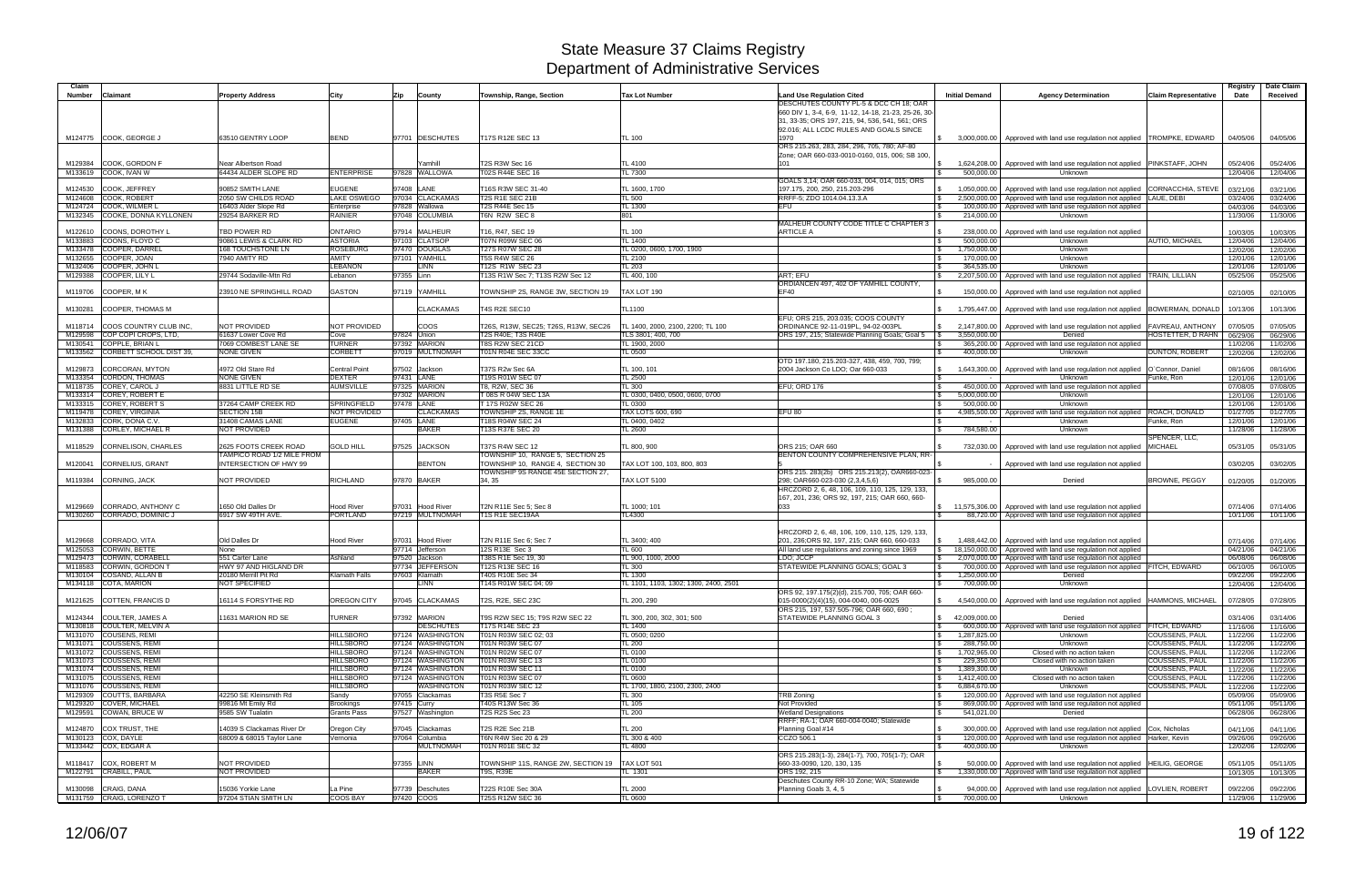| Claim<br>Number    | Claimant                                           | <b>Property Address</b>                            | City                                 | Zip<br>County                        | Township, Range, Section                                              | <b>Tax Lot Number</b>                             | <b>Land Use Regulation Cited</b>                                                                | <b>Initial Demand</b>        | <b>Agency Determination</b>                                                            | <b>Claim Representative</b>                    | Registry<br>Date     | Date Claim<br>Received        |
|--------------------|----------------------------------------------------|----------------------------------------------------|--------------------------------------|--------------------------------------|-----------------------------------------------------------------------|---------------------------------------------------|-------------------------------------------------------------------------------------------------|------------------------------|----------------------------------------------------------------------------------------|------------------------------------------------|----------------------|-------------------------------|
|                    |                                                    |                                                    |                                      |                                      |                                                                       |                                                   | DESCHUTES COUNTY PL-5 & DCC CH 18; OAR<br>660 DIV 1, 3-4, 6-9, 11-12, 14-18, 21-23, 25-26, 30-  |                              |                                                                                        |                                                |                      |                               |
|                    |                                                    |                                                    |                                      |                                      |                                                                       |                                                   | 31, 33-35; ORS 197, 215, 94, 536, 541, 561; ORS                                                 |                              |                                                                                        |                                                |                      |                               |
|                    |                                                    |                                                    |                                      |                                      |                                                                       |                                                   | 92.016; ALL LCDC RULES AND GOALS SINCE                                                          |                              |                                                                                        |                                                |                      |                               |
|                    | M124775 COOK, GEORGE J                             | 63510 GENTRY LOOP                                  | <b>BEND</b>                          | 97701 DESCHUTES                      | T17S R12E SEC 13                                                      | TL 100                                            | 1970<br>ORS 215.263, 283, 284, 296, 705, 780; AF-80                                             |                              | 3,000,000.00 Approved with land use regulation not applied TROMPKE, EDWARD             |                                                | 04/05/06             | 04/05/06                      |
|                    |                                                    |                                                    |                                      |                                      |                                                                       |                                                   | Zone; OAR 660-033-0010-0160, 015, 006; SB 100,                                                  |                              |                                                                                        |                                                |                      |                               |
| M129384            | <b>COOK, GORDON F</b>                              | Near Albertson Road                                |                                      | ramhill                              | T2S R3W Sec 16                                                        | TL 4100                                           | 101                                                                                             |                              | 1,624,208.00 Approved with land use regulation not applied                             | PINKSTAFF, JOHN                                | 05/24/06             | 05/24/06                      |
|                    | M133619 COOK, IVAN W                               | 64434 ALDER SLOPE RD                               | <b>ENTERPRISE</b>                    | 97828 WALLOWA                        | T02S R44E SEC 16                                                      | TL 7300                                           | GOALS 3,14; OAR 660-033, 004, 014, 015; ORS                                                     | 500,000.00                   | Unknown                                                                                |                                                | 12/04/06             | 12/04/06                      |
| M124530            | <b>COOK, JEFFREY</b>                               | 90852 SMITH LANE                                   | <b>EUGENE</b>                        | 97408 LANE                           | T16S R3W SEC 31-40                                                    | TL 1600, 1700                                     | 197.175, 200, 250, 215.203-296                                                                  |                              | 1,050,000.00   Approved with land use regulation not applied CORNACCHIA, STEVE         |                                                | 03/21/06             | 03/21/06                      |
| M124608            | <b>COOK, ROBERT</b>                                | 2050 SW CHILDS ROAD                                | LAKE OSWEGO                          | 97034 CLACKAMAS                      | T2S R1E SEC 21B                                                       | <b>TL 500</b>                                     | RRFF-5; ZDO 1014.04.13.3.A                                                                      |                              | 2,500,000.00 Approved with land use regulation not applied LAUE, DEBI                  |                                                | 03/24/06             | 03/24/06                      |
| M124724<br>M132345 | COOK, WILMER L<br>COOKE, DONNA KYLLONEN            | 16403 Alder Slope Rd<br>29254 BARKER RD            | Enterprise<br><b>RAINIER</b>         | 97828 Wallowa<br>97048 COLUMBIA      | <b>T2S R44E Sec 15</b><br>T6N R2W SEC 8                               | TL 1300<br>801                                    | <b>EFU</b>                                                                                      | 214.000.00                   | 100,000.00 Approved with land use regulation not applied<br>Unknown                    |                                                | 04/03/06<br>11/30/06 | 04/03/06<br>11/30/06          |
|                    |                                                    |                                                    |                                      |                                      |                                                                       |                                                   | MALHEUR COUNTY CODE TITLE C CHAPTER 3                                                           |                              |                                                                                        |                                                |                      |                               |
| M122610            | COONS, DOROTHY L                                   | TBD POWER RD                                       | <b>ONTARIO</b>                       | 97914 MALHEUR                        | T16, R47, SEC 19                                                      | TL 100                                            | <b>ARTICLE A</b>                                                                                |                              | 238,000.00   Approved with land use regulation not applied                             |                                                | 10/03/05             | 10/03/05                      |
| M133883<br>M133478 | COONS, FLOYD C<br>COOPER, DARREL                   | 90861 LEWIS & CLARK RD<br><b>168 TOUCHSTONE LN</b> | <b>ASTORIA</b><br><b>ROSEBURG</b>    | 97103 CLATSOP<br>97470 DOUGLAS       | T07N R09W SEC 06<br><b>T27S R07W SEC 28</b>                           | <b>TL 1400</b><br>TL 0200, 0600, 1700, 1900       |                                                                                                 | 500,000.00<br>1,750,000.00   | Unknown<br>Unknown                                                                     | AUTIO, MICHAEL                                 | 12/04/06<br>12/02/06 | 12/04/06<br>12/02/06          |
| M132655            | COOPER, JOAN                                       | 7940 AMITY RD                                      | <b>AMITY</b>                         | 97101 YAMHILL                        | <b>T5S R4W SEC 26</b>                                                 | TL 2100                                           |                                                                                                 | 170,000.00                   | Unknown                                                                                |                                                | 12/01/06             | 12/01/06                      |
| M132406            | COOPER, JOHN L                                     |                                                    | <b>LEBANON</b>                       | LINN                                 | T12S R1W SEC 23                                                       | <b>TL 203</b>                                     |                                                                                                 | 364,535.00                   | Unknown                                                                                |                                                | 12/01/06             | 12/01/06                      |
|                    | M129388 COOPER, LILY L                             | 29744 Sodaville-Mtn Rd                             | Lebanon                              | 97355 Linn                           | T13S R1W Sec 7; T13S R2W Sec 12                                       | TL 400, 100                                       | <b>ART: EFU</b>                                                                                 |                              | 2,207,500.00   Approved with land use regulation not applied   TRAIN, LILLIAN          |                                                | 05/25/06             | 05/25/06                      |
| M119706            | COOPER, MK                                         | 23910 NE SPRINGHILL ROAD                           | GASTON                               | 97119 YAMHILL                        | TOWNSHIP 2S, RANGE 3W, SECTION 19                                     | TAX LOT 190                                       | ORDIANCEN 497, 402 OF YAMHILL COUNTY,<br>EF40                                                   |                              | 150,000.00   Approved with land use regulation not applied                             |                                                | 02/10/05             | 02/10/05                      |
|                    |                                                    |                                                    |                                      |                                      |                                                                       |                                                   |                                                                                                 |                              |                                                                                        |                                                |                      |                               |
| M130281            | <b>COOPER. THOMAS M</b>                            |                                                    |                                      | <b>CLACKAMAS</b>                     | <b>T4S R2E SEC10</b>                                                  | <b>TL1100</b>                                     |                                                                                                 |                              | 1,795,447.00 Approved with land use regulation not applied BOWERMAN, DONALD            |                                                | 10/13/06             | 10/13/06                      |
| M118714            | <b>COOS COUNTRY CLUB INC.</b>                      | NOT PROVIDED                                       | <b>NOT PROVIDED</b>                  | <b>COOS</b>                          | T26S, R13W, SEC25; T26S, R13W, SEC26                                  | TL 1400, 2000, 2100, 2200; TL 100                 | EFU: ORS 215, 203.035; COOS COUNTY<br>ORDINANCE 92-11-019PL, 94-02-003PL                        | 2,147,800.00                 | Approved with land use regulation not applied                                          | <b>FAVREAU, ANTHONY</b>                        | 07/05/05             | 07/05/05                      |
|                    | M129598 COP COPI CROPS, LTD,                       | 61637 Lower Cove Rd                                | Cove                                 | 97824 Union                          | T2S R40E: T3S R40E                                                    | TLS 3801: 400, 700                                | ORS 197, 215; Statewide Planning Goals; Goal 5                                                  | 3,550,000.00                 | Denied                                                                                 | HOSTETTER, D RAHN                              | 06/29/06             | 06/29/06                      |
| M130541            | COPPLE, BRIAN L                                    | 7069 COMBEST LANE SE                               | <b>TURNER</b>                        | 97392 MARION                         | T8S R2W SEC 21CD                                                      | TL 1900, 2000                                     |                                                                                                 |                              | 365,200.00 Approved with land use regulation not applied                               |                                                | 11/02/06             | 11/02/06                      |
|                    | M133562 CORBETT SCHOOL DIST 39,                    | <b>NONE GIVEN</b>                                  | <b>CORBETT</b>                       | 97019 MULTNOMAH                      | T01N R04E SEC 33CC                                                    | <b>TL 0500</b>                                    | OTD 197.180, 215.203-327, 438, 459, 700, 799;                                                   | 400,000.00                   | Unknown                                                                                | DUNTON, ROBERT                                 | 12/02/06             | 12/02/06                      |
| M129873            | <b>CORCORAN, MYTON</b>                             | 4972 Old Stare Rd                                  | <b>Central Point</b>                 | 97502 Jackson                        | T37S R2w Sec 6A                                                       | TL 100, 101                                       | 2004 Jackson Co LDO: Oar 660-033                                                                |                              | 1,643,300.00 Approved with land use regulation not applied                             | O'Connor, Daniel                               | 08/16/06             | 08/16/06                      |
| M133354            | <b>CORDON, THOMAS</b>                              | <b>NONE GIVEN</b>                                  | <b>DEXTER</b>                        | 97431 LANE                           | T19S R01W SEC 07                                                      | <b>TL 2500</b>                                    |                                                                                                 |                              | Unknown                                                                                | Funke, Ron                                     | 12/01/06             | 12/01/06                      |
| M118735            | COREY, CAROL J<br>M133314 COREY, ROBERT E          | 8831 LITTLE RD SE                                  | <b>AUMSVILLE</b>                     | 97325 MARION<br>97302 MARION         | T8, R2W, SEC 36<br>T 08S R 04W SEC 13A                                | <b>TL 300</b><br>TL 0300, 0400, 0500, 0600, 0700  | EFU; ORD 176                                                                                    | 5,000,000.00                 | 450,000.00   Approved with land use regulation not applied<br>Unknown                  |                                                | 07/08/05             | 07/08/05                      |
|                    | M133315 COREY, ROBERT S                            | 37264 CAMP CREEK RD                                | <b>SPRINGFIELD</b>                   | 97478 LANE                           | T 17S R02W SEC 26                                                     | <b>TL 0300</b>                                    |                                                                                                 | 500,000.00                   | Unknown                                                                                |                                                | 12/01/06<br>12/01/06 | 12/01/06<br>12/01/06          |
|                    | M119478 COREY, VIRGINIA                            | <b>SECTION 15B</b>                                 | NOT PROVIDED                         | <b>CLACKAMAS</b>                     | TOWNSHIP 2S, RANGE 1E                                                 | TAX LOTS 600, 690                                 | EFU 80                                                                                          |                              | 4,985,500.00 Approved with land use regulation not applied                             | ROACH, DONALD                                  | 01/27/05             | 01/27/05                      |
| M132833            | CORK, DONA C.V                                     | 31408 CAMAS LANE                                   | <b>EUGENE</b>                        | 97405 LANE                           | T18S R04W SEC 24                                                      | TL 0400, 0402                                     |                                                                                                 |                              | Unknown                                                                                | Funke, Ron                                     | 12/01/06             | 12/01/06                      |
|                    | M131388 CORLEY, MICHAEL R                          | <b>NOT PROVIDED</b>                                |                                      | <b>BAKER</b>                         | T13S R37E SEC 20                                                      | <b>TL 2600</b>                                    |                                                                                                 | 784,580.00                   | Unknown                                                                                | SPENCER, LLC,                                  | 11/28/06             | 11/28/06                      |
| M118529            | CORNELISON, CHARLES                                | 2625 FOOTS CREEK ROAD                              | <b>GOLD HILL</b>                     | 97525 JACKSON                        | T37S R4W SEC 12                                                       | TL 800, 900                                       | ORS 215: OAR 660                                                                                |                              | 732,030.00   Approved with land use regulation not applied                             | <b>MICHAEL</b>                                 | 05/31/05             | 05/31/05                      |
|                    |                                                    | TAMPICO ROAD 1/2 MILE FROM                         |                                      |                                      | TOWNSHIP 10, RANGE 5, SECTION 25                                      |                                                   | BENTON COUNTY COMPREHENSIVE PLAN, RR-                                                           |                              |                                                                                        |                                                |                      |                               |
| M120041            | CORNELIUS, GRANT                                   | INTERSECTION OF HWY 99                             |                                      | <b>BENTON</b>                        | TOWNSHIP 10, RANGE 4, SECTION 30<br>TOWNSHIP 9S RANGE 45E SECTION 27, | TAX LOT 100, 103, 800, 803                        | ORS 215. 283(2b) ORS 215.213(2), OAR660-023-                                                    |                              | Approved with land use regulation not applied                                          |                                                | 03/02/05             | 03/02/05                      |
| M119384            | <b>CORNING, JACK</b>                               | NOT PROVIDED                                       | <b>RICHLAND</b>                      | 97870 BAKER                          | 34, 35                                                                | <b>TAX LOT 5100</b>                               | 298; OAR660-023-030 (2,3,4,5,6)                                                                 | 985.000.00                   | Denied                                                                                 | <b>BROWNE, PEGGY</b>                           | 01/20/05             | 01/20/05                      |
|                    |                                                    |                                                    |                                      |                                      |                                                                       |                                                   | HRCZORD 2, 6, 48, 106, 109, 110, 125, 129, 133,                                                 |                              |                                                                                        |                                                |                      |                               |
| M129669            | CORRADO, ANTHONY C                                 | 1650 Old Dalles Dr                                 | <b>Hood River</b>                    | 97031 Hood River                     | T2N R11E Sec 5; Sec 8                                                 | TL 1000; 101                                      | 167, 201, 236; ORS 92, 197, 215; OAR 660, 660-<br>033                                           |                              | \$11,575,306.00 Approved with land use regulation not applied                          |                                                | 07/14/06             | 07/14/06                      |
| M130260            | CORRADO, DOMINIC J                                 | 6917 SW 49TH AVE.                                  | <b>PORTLAND</b>                      | 97219 MULTNOMAH                      | T1S R1E SEC19AA                                                       | TL4300                                            |                                                                                                 |                              | 88,720.00 Approved with land use regulation not applied                                |                                                | 10/11/06             | 10/11/06                      |
|                    |                                                    |                                                    |                                      |                                      |                                                                       |                                                   |                                                                                                 |                              |                                                                                        |                                                |                      |                               |
| M129668            | CORRADO, VITA                                      | Old Dalles Dr                                      | <b>Hood River</b>                    | 97031 Hood River                     | T2N R11E Sec 6; Sec 7                                                 | TL 3400: 400                                      | HRCZORD 2, 6, 48, 106, 109, 110, 125, 129, 133,<br>201, 236; ORS 92, 197, 215; OAR 660, 660-033 |                              | 1.488.442.00 Approved with land use regulation not applied                             |                                                | 07/14/06             | 07/14/06                      |
| M125053            | CORWIN, BETTE                                      | None                                               |                                      | 97714 Jefferson                      | 12S R13E Sec 3                                                        | TL 600                                            | All land use regulations and zoning since 1969                                                  |                              | 18,150,000.00   Approved with land use regulation not applied                          |                                                | 04/21/06             | 04/21/06                      |
| M129473            | CORWIN, CORABELI                                   | 551 Carter Lane                                    | Ashland                              | 97520 Jackson                        | T38S R1E Sec 19, 30                                                   | TL 900, 1000, 2000                                | LDO: JCCP                                                                                       |                              | 2,070,000.00 Approved with land use regulation not applied                             |                                                | 06/08/06             | 06/08/06                      |
| M118583            | <b>CORWIN, GORDON 1</b><br>M130104 COSAND, ALLAN B | HWY 97 AND HIGLAND DR<br>20180 Merrill Pit Rd      | Klamath Falls                        | 97734 JEFFERSON<br>97603 Klamath     | T12S R13E SEC 16<br>T40S R10E Sec 34                                  | TL 300<br><b>TL 1300</b>                          | STATEWIDE PLANNING GOALS; GOAL 3                                                                | 1,250,000.00                 | 700,000.00   Approved with land use regulation not applied FITCH, EDWARD<br>Denied     |                                                | 06/10/05<br>09/22/06 | 06/10/05<br>09/22/06          |
|                    | M134118 COTA, MARION                               | NOT SPECIFIED                                      |                                      | <b>ILINN</b>                         | T14S R01W SEC 04; 09                                                  | TL 1101, 1103, 1302; 1300, 2400, 2501             |                                                                                                 | 700,000.00                   | Unknown                                                                                |                                                | 12/04/06             | 12/04/06                      |
|                    |                                                    |                                                    |                                      |                                      |                                                                       |                                                   | ORS 92, 197.175(2)(d), 215.700, 705; OAR 660-                                                   |                              |                                                                                        |                                                |                      |                               |
|                    | M121625 COTTEN, FRANCIS D                          | 16114 S FORSYTHE RD                                | OREGON CITY                          | 97045 CLACKAMAS                      | T2S, R2E, SEC 23C                                                     | TL 200, 290                                       | 015-0000(2)(4)(15), 004-0040, 006-0025<br>ORS 215, 197, 537.505-796; OAR 660, 690;              |                              | 4,540,000.00   Approved with land use regulation not applied   HAMMONS, MICHAEL        |                                                | 07/28/05             | 07/28/05                      |
|                    | M124344 COULTER, JAMES A                           | 11631 MARION RD SE                                 | <b>TURNER</b>                        | 97392 MARION                         | T9S R2W SEC 15; T9S R2W SEC 22                                        | TL 300, 200, 302, 301: 500                        | STATEWIDE PLANNING GOAL 3                                                                       | \$42,009,000.00              | Denied                                                                                 |                                                | 03/14/06             | 03/14/06                      |
|                    | M130818 COULTER, MELVIN A                          |                                                    |                                      | <b>DESCHUTES</b>                     | T17S R14E SEC 23                                                      | TL 1400                                           |                                                                                                 |                              | 600,000.00   Approved with land use regulation not applied FITCH, EDWARD               |                                                | 11/16/06             | 11/16/06                      |
|                    | M131070 COUSENS, REMI<br>M131071 COUSSENS, REMI    |                                                    | <b>HILLSBORO</b><br><b>HILLSBORO</b> | 97124 WASHINGTON<br>97124 WASHINGTON | T01N R03W SEC 02; 03<br>T01N R03W SEC 07                              | TL 0500; 0200<br><b>TL 200</b>                    |                                                                                                 | 1,287,825.00<br>288,750.00   | Unknown<br>Unknown                                                                     | COUSSENS, PAUL<br><b>COUSSENS, PAUL</b>        | 11/22/06             | 11/22/06                      |
|                    | M131072 COUSSENS, REMI                             |                                                    | <b>HILLSBORO</b>                     | 97124 WASHINGTON                     | T01N R02W SEC 07                                                      | <b>TL 0100</b>                                    |                                                                                                 | 1,702,965.00                 | Closed with no action taken                                                            | COUSSENS, PAUL                                 | 11/22/06<br>11/22/06 | 11/22/06<br>11/22/06          |
|                    | M131073 COUSSENS, REMI                             |                                                    | <b>HILLSBORO</b>                     | 97124 WASHINGTON                     | T01N R03W SEC 13                                                      | TL 0100                                           |                                                                                                 | 229,350.00                   | Closed with no action taken                                                            | COUSSENS, PAUL                                 | 11/22/06             | 11/22/06                      |
|                    | M131074 COUSSENS, REMI                             |                                                    | <b>HILLSBORO</b>                     | 97124 WASHINGTON                     | T01N R03W SEC 11                                                      | <b>TL 0100</b>                                    |                                                                                                 | 1,389,300.00                 | Unknown                                                                                | COUSSENS, PAUL                                 | 11/22/06             | 11/22/06                      |
|                    | M131075 COUSSENS, REMI<br>M131076 COUSSENS, REMI   |                                                    | <b>HILLSBORO</b><br><b>HILLSBORO</b> | 97124 WASHINGTON<br>WASHINGTON       | T01N R03W SEC 07<br>T01N R03W SEC 12                                  | <b>TL 0600</b><br>TL 1700, 1800, 2100, 2300, 2400 |                                                                                                 | 1,412,400.00<br>6,884,670.00 | Closed with no action taken<br>Unknown                                                 | <b>COUSSENS, PAUL</b><br><b>COUSSENS, PAUL</b> | 11/22/06<br>11/22/06 | 11/22/06<br>11/22/06          |
|                    | M129309 COUTTS, BARBARA                            | 42250 SE Kleinsmith Rd                             | Sandy                                | 97055 Clackamas                      | T3S R5E Sec 7                                                         | TL 300                                            | TRB Zoning                                                                                      |                              | 120,000.00 Approved with land use regulation not applied                               |                                                | 05/09/06             | 05/09/06                      |
|                    | M129320 COVER, MICHAEL                             | 99816 Mt Emily Rd                                  | Brookings                            | 97415 Curry                          | T40S R13W Sec 36                                                      | TL 105                                            | Not Provided                                                                                    |                              | 869,000.00   Approved with land use regulation not applied                             |                                                | 05/11/06             | 05/11/06                      |
|                    | M129591 COWAN, BRUCE W                             | 9585 SW Tualatin                                   | <b>Grants Pass</b>                   | 97527 Washington                     | T2S R2S Sec 23                                                        | <b>TL 200</b>                                     | <b>Wetland Designations</b><br>RRFF; RA-1; OAR 660-004-0040; Statewide                          | 541,021.00                   | Denied                                                                                 |                                                | 06/28/06             | 06/28/06                      |
|                    | M124870 COX TRUST, THE                             | 14039 S Clackamas River Dr                         | Oregon City                          | 97045 Clackamas                      | T2S R2E Sec 21B                                                       | <b>TL 200</b>                                     | Planning Goal #14                                                                               |                              | 300,000.00   Approved with land use regulation not applied Cox, Nicholas               |                                                | 04/11/06             | 04/11/06                      |
|                    | M130123 COX, DAYLE                                 | 68009 & 68015 Taylor Lane                          | Vernonia                             | 97064 Columbia                       | T6N R4W Sec 20 & 29                                                   | TL 300 & 400                                      | CCZO 506.1                                                                                      |                              | 120,000.00   Approved with land use regulation not applied   Harker, Kevin             |                                                | 09/26/06             | 09/26/06                      |
|                    | M133442 COX, EDGAR A                               |                                                    |                                      | <b>MULTNOMAH</b>                     | T01N R01E SEC 32                                                      | <b>TL 4800</b>                                    | ORS 215.283(1-3), 284(1-7), 700, 705(1-7); OAR                                                  | 400,000.00                   | Unknown                                                                                |                                                | 12/02/06             | 12/02/06                      |
|                    | M118417 COX, ROBERT M                              | NOT PROVIDED                                       |                                      | 97355 LINN                           | TOWNSHIP 11S, RANGE 2W, SECTION 19                                    | TAX LOT 501                                       | 660-33-0090, 120, 130, 135                                                                      |                              | 50,000.00   Approved with land use regulation not applied  HEILIG, GEORGE              |                                                | 05/11/05             | 05/11/05                      |
|                    | M122791 CRABILL, PAUL                              | NOT PROVIDED                                       |                                      | <b>BAKER</b>                         | <b>T9S, R39E</b>                                                      | TL 1301                                           | ORS 192, 215                                                                                    |                              | 1,330,000.00 Approved with land use regulation not applied                             |                                                | 10/13/05             | 10/13/05                      |
|                    |                                                    |                                                    |                                      |                                      |                                                                       |                                                   | Deschutes County RR-10 Zone; WA; Statewide                                                      |                              |                                                                                        |                                                |                      |                               |
|                    | M130098 CRAIG, DANA<br>M131759 CRAIG, LORENZO T    | 15036 Yorkie Lane<br>97204 STIAN SMITH LN          | La Pine<br><b>COOS BAY</b>           | 97739 Deschutes<br>97420 COOS        | T22S R10E Sec 30A<br>T25S R12W SEC 36                                 | TL 2000<br>TL 0600                                | Planning Goals 3, 4, 5                                                                          | 700,000.00                   | 94,000.00   Approved with land use regulation not applied   LOVLIEN, ROBERT<br>Unknown |                                                | 09/22/06             | 09/22/06<br>11/29/06 11/29/06 |
|                    |                                                    |                                                    |                                      |                                      |                                                                       |                                                   |                                                                                                 |                              |                                                                                        |                                                |                      |                               |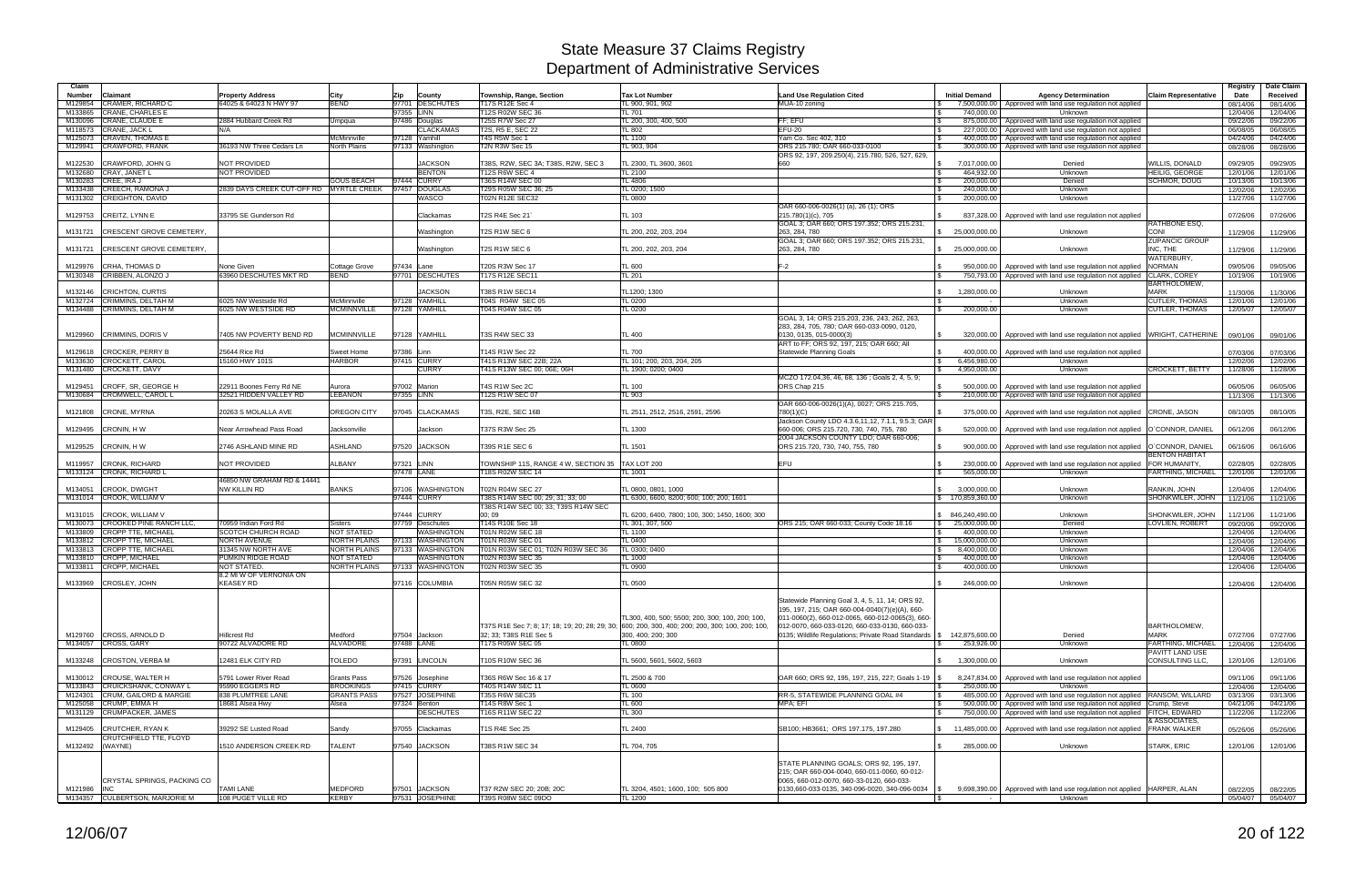| Claim              |                                                           |                                                   |                              |                                |                                             |                                                                                                                                                     |                                                                                                    |                                               |                                                                                                |                                              | Registry             | Date Claim           |
|--------------------|-----------------------------------------------------------|---------------------------------------------------|------------------------------|--------------------------------|---------------------------------------------|-----------------------------------------------------------------------------------------------------------------------------------------------------|----------------------------------------------------------------------------------------------------|-----------------------------------------------|------------------------------------------------------------------------------------------------|----------------------------------------------|----------------------|----------------------|
| <b>Number</b>      | Claimant                                                  | <b>Property Address</b>                           | City                         | <b>Zip</b><br>County           | Township, Range, Section                    | <b>Tax Lot Number</b>                                                                                                                               | <b>Land Use Regulation Cited</b>                                                                   | <b>Initial Demand</b>                         | <b>Agency Determination</b>                                                                    | <b>Claim Representative</b>                  | Date                 | Received             |
| M129854            | <b>CRAMER, RICHARD C</b>                                  | 64025 & 64023 N HWY 97                            | <b>BEND</b>                  | 97701 DESCHUTES                | T17S R12E Sec 4                             | TL 900, 901, 902                                                                                                                                    | MUA-10 zoning                                                                                      |                                               | 7,500,000.00 Approved with land use regulation not applied                                     |                                              | 08/14/06             | 08/14/06             |
| M133865            | <b>CRANE, CHARLES E</b>                                   |                                                   |                              | 97355 LINN<br>97486 Douglas    | T12S R02W SEC 36                            | <b>TL 701</b>                                                                                                                                       | FF: EFU                                                                                            | 740.000.00                                    | Unknown                                                                                        |                                              | 12/04/06             | 12/04/06             |
| M130096<br>M118573 | <b>CRANE, CLAUDE E</b><br>CRANE, JACK L                   | 2884 Hubbard Creek Rd<br>N/A                      | Umpqua                       | <b>CLACKAMAS</b>               | <b>T25S R7W Sec 27</b><br>T2S, R5 E, SEC 22 | TL 200, 300, 400, 500<br><b>TL 802</b>                                                                                                              | EFU-20                                                                                             | 875,000.00<br>227,000.00<br>l \$              | Approved with land use regulation not applied<br>Approved with land use regulation not applied |                                              | 09/22/06<br>06/08/05 | 09/22/06<br>06/08/05 |
| M125073            | <b>CRAVEN, THOMAS E</b>                                   |                                                   | McMinnville                  | 97128 Yamhill                  | T4S R5W Sec 1                               | TL 1100                                                                                                                                             | Yam Co. Sec 402, 310                                                                               | 400,000.00                                    | Approved with land use regulation not applied                                                  |                                              | 04/24/06             | 04/24/06             |
|                    | M129941 CRAWFORD, FRANK                                   | 36193 NW Three Cedars Ln                          | <b>North Plains</b>          | 97133 Washington               | T2N R3W Sec 15                              | TL 903, 904                                                                                                                                         | ORS 215.780; OAR 660-033-0100                                                                      | 300,000.00                                    | Approved with land use regulation not applied                                                  |                                              | 08/28/06             | 08/28/06             |
|                    |                                                           |                                                   |                              |                                |                                             |                                                                                                                                                     | ORS 92, 197, 209.250(4), 215.780, 526, 527, 629,                                                   |                                               |                                                                                                |                                              |                      |                      |
| M122530            | CRAWFORD, JOHN G                                          | NOT PROVIDED                                      |                              | <b>JACKSON</b>                 | T38S, R2W, SEC 3A; T38S, R2W, SEC 3         | TL 2300, TL 3600, 3601                                                                                                                              |                                                                                                    | 7,017,000.00<br>$\mathfrak s$                 | Denied                                                                                         | WILLIS, DONALD                               | 09/29/05             | 09/29/05             |
| M132680            | CRAY, JANET L<br>M130283 CREE, IRA J                      | <b>NOT PROVIDED</b>                               | <b>GOUS BEACH</b>            | <b>BENTON</b><br>97444 CURRY   | T12S R6W SEC 4<br>T36S R14W SEC 00          | <b>TL 2100</b><br>TL 4806                                                                                                                           |                                                                                                    | 464.932.00<br>$\mathbb{S}$<br>200,000.00      | Unknown<br>Denied                                                                              | <b>HEILIG, GEORGE</b><br><b>SCHMOR, DOUG</b> | 12/01/06<br>10/13/06 | 12/01/06<br>10/13/06 |
| M133438            | <b>CREECH, RAMONA J</b>                                   | 2839 DAYS CREEK CUT-OFF RD MYRTLE CREEK           |                              | 97457 DOUGLAS                  | T29S R05W SEC 36; 25                        | TL 0200; 1500                                                                                                                                       |                                                                                                    | 240,000.00<br><b>S</b>                        | Unknown                                                                                        |                                              | 12/02/06             | 12/02/06             |
|                    | M131302 CREIGHTON, DAVID                                  |                                                   |                              | WASCO                          | <b>T02N R12E SEC32</b>                      | TL 0800                                                                                                                                             |                                                                                                    | 200,000.00                                    | Unknown                                                                                        |                                              | 11/27/06             | 11/27/06             |
|                    |                                                           |                                                   |                              |                                |                                             |                                                                                                                                                     | OAR 660-006-0026(1) (a), 26 (1); ORS                                                               |                                               |                                                                                                |                                              |                      |                      |
|                    | M129753 CREITZ, LYNN E                                    | 33795 SE Gunderson Rd                             |                              | Clackamas                      | T2S R4E Sec 21                              | TL 103                                                                                                                                              | 215.780(1)(c), 705                                                                                 |                                               | 837,328.00 Approved with land use regulation not applied                                       |                                              | 07/26/06             | 07/26/06             |
| M131721            | <b>CRESCENT GROVE CEMETERY,</b>                           |                                                   |                              | Washington                     | T2S R1W SEC 6                               | TL 200, 202, 203, 204                                                                                                                               | GOAL 3; OAR 660; ORS 197.352; ORS 215.231<br>263, 284, 780                                         | \$25,000,000.00                               | Unknown                                                                                        | RATHBONE ESQ.<br>CONI                        | 11/29/06             | 11/29/06             |
|                    |                                                           |                                                   |                              |                                |                                             |                                                                                                                                                     | GOAL 3; OAR 660; ORS 197.352; ORS 215.231,                                                         |                                               |                                                                                                | <b>ZUPANCIC GROUP</b>                        |                      |                      |
| M131721            | <b>CRESCENT GROVE CEMETERY,</b>                           |                                                   |                              | Washington                     | T2S R1W SEC 6                               | TL 200, 202, 203, 204                                                                                                                               | 263, 284, 780                                                                                      | \$25,000,000.00                               | Unknown                                                                                        | INC. THE                                     | 11/29/06             | 11/29/06             |
|                    |                                                           |                                                   |                              |                                |                                             |                                                                                                                                                     |                                                                                                    |                                               |                                                                                                | WATERBURY,                                   |                      |                      |
| M129976            | <b>CRHA, THOMAS D</b>                                     | None Given                                        | Cottage Grove<br><b>BEND</b> | 97434 Lane<br>97701 DESCHUTES  | T20S R3W Sec 17                             | <b>TL 600</b>                                                                                                                                       | $F-2$                                                                                              | 950,000.00                                    | Approved with land use regulation not applied                                                  | <b>NORMAN</b>                                | 09/05/06             | 09/05/06             |
|                    | M130348 CRIBBEN, ALONZO J                                 | 63960 DESCHUTES MKT RD                            |                              |                                | T17S R12E SEC11                             | <b>TL 201</b>                                                                                                                                       |                                                                                                    | 750,793.00<br><b>S</b>                        | Approved with land use regulation not applied                                                  | CLARK, COREY<br><b>BARTHOLOMEW</b>           | 10/19/06             | 10/19/06             |
| M132146            | <b>CRICHTON, CURTIS</b>                                   |                                                   |                              | <b>JACKSON</b>                 | T38S R1W SEC14                              | TL1200; 1300                                                                                                                                        |                                                                                                    | 1,280,000.00                                  | Unknown                                                                                        | <b>MARK</b>                                  | 11/30/06             | 11/30/06             |
|                    | M132724 CRIMMINS, DELTAH M                                | 6025 NW Westside Rd                               | McMinnville                  | 97128 YAMHILL                  | T04S R04W SEC 05                            | <b>TL 0200</b>                                                                                                                                      |                                                                                                    |                                               | Unknown                                                                                        | <b>CUTLER, THOMAS</b>                        | 12/01/06             | 12/01/06             |
|                    | M134488 CRIMMINS, DELTAH M                                | 6025 NW WESTSIDE RD                               | <b>MCMINNVILLE</b>           | 97128 YAMHILL                  | T04S R04W SEC 05                            | <b>TL 0200</b>                                                                                                                                      |                                                                                                    | 200,000.00<br>$\mathbb{R}$                    | Unknown                                                                                        | <b>CUTLER, THOMAS</b>                        | 12/05/07             | 12/05/07             |
|                    |                                                           |                                                   |                              |                                |                                             |                                                                                                                                                     | GOAL 3, 14; ORS 215,203, 236, 243, 262, 263,                                                       |                                               |                                                                                                |                                              |                      |                      |
| M129960            | <b>CRIMMINS, DORIS V</b>                                  | 7405 NW POVERTY BEND RD                           | <b>MCMINNVILLE</b>           | 97128 YAMHILL                  | <b>T3S R4W SEC 33</b>                       | <b>TL 400</b>                                                                                                                                       | 283, 284, 705, 780; OAR 660-033-0090, 0120<br>0130, 0135, 015-0000(3)                              | l \$                                          | 320,000.00   Approved with land use regulation not applied   WRIGHT, CATHERINE                 |                                              | 09/01/06             | 09/01/06             |
|                    |                                                           |                                                   |                              |                                |                                             |                                                                                                                                                     | ART to FF; ORS 92, 197, 215; OAR 660; All                                                          |                                               |                                                                                                |                                              |                      |                      |
|                    | M129618 CROCKER, PERRY B                                  | 25644 Rice Rd                                     | <b>Sweet Home</b>            | 97386 Linn                     | T14S R1W Sec 22                             | <b>TL 700</b>                                                                                                                                       | <b>Statewide Planning Goals</b>                                                                    | 400,000.00<br><b>S</b>                        | Approved with land use regulation not applied                                                  |                                              | 07/03/06             | 07/03/06             |
|                    | M133630 CROCKETT, CAROL                                   | 15160 HWY 101S                                    | <b>HARBOR</b>                | 97415 CURRY                    | T41S R13W SEC 22B; 22A                      | TL 101; 200, 203, 204, 205                                                                                                                          |                                                                                                    | 6,456,980.00<br>l \$                          | Unknown                                                                                        |                                              | 12/02/06             | 12/02/06             |
|                    | M131480 CROCKETT, DAVY                                    |                                                   |                              | <b>CURRY</b>                   | T41S R13W SEC 00; 06E; 06H                  | TL 1900; 0200; 0400                                                                                                                                 | MCZO 172.04.36, 46, 68, 136 : Goals 2, 4, 5, 9;                                                    | 4,950,000.00<br>$\mathcal{S}$                 | Unknown                                                                                        | CROCKETT, BETTY                              | 11/28/06             | 11/28/06             |
| M129451            | CROFF, SR, GEORGE H                                       | 22911 Boones Ferry Rd NE                          | Aurora                       | 97002 Marion                   | T4S R1W Sec 2C                              | <b>TL 100</b>                                                                                                                                       | ORS Chap 215                                                                                       | 500.000.00<br>l \$                            | Approved with land use regulation not applied                                                  |                                              | 06/05/06             | 06/05/06             |
| M130684            | <b>CROMWELL, CAROL L</b>                                  | 32521 HIDDEN VALLEY RD                            | <b>LEBANON</b>               | 97355 LINN                     | <b>T12S R1W SEC 07</b>                      | TL 903                                                                                                                                              |                                                                                                    | 210,000.00<br>l \$                            | Approved with land use regulation not applied                                                  |                                              | 11/13/06             | 11/13/06             |
|                    |                                                           |                                                   |                              |                                |                                             |                                                                                                                                                     | OAR 660-006-0026(1)(A), 0027; ORS 215.705,                                                         |                                               |                                                                                                |                                              |                      |                      |
| M121808            | <b>CRONE, MYRNA</b>                                       | 20263 S MOLALLA AVE                               | <b>OREGON CITY</b>           | 97045 CLACKAMAS                | T3S, R2E, SEC 16B                           | TL 2511, 2512, 2516, 2591, 2596                                                                                                                     | 780(1)(C)                                                                                          | 375,000.00                                    | Approved with land use regulation not applied CRONE, JASON                                     |                                              | 08/10/05             | 08/10/05             |
| M129495            | CRONIN, HW                                                | Near Arrowhead Pass Road                          | Jacksonville                 | Jackson                        | T37S R3W Sec 25                             | <b>TL 1300</b>                                                                                                                                      | Jackson County LDO 4.3.6,11,12, 7.1.1, 9.5.3; OAR<br>660-006; ORS 215.720, 730, 740, 755, 780      | 520,000.00                                    | Approved with land use regulation not applied  O`CONNOR, DANIEL                                |                                              |                      |                      |
|                    |                                                           |                                                   |                              |                                |                                             |                                                                                                                                                     | 2004 JACKSON COUNTY LDO; OAR 660-006;                                                              |                                               |                                                                                                |                                              | 06/12/06             | 06/12/06             |
| M129525            | CRONIN, HW                                                | 2746 ASHLAND MINE RD                              | ASHLAND                      | 97520 JACKSON                  | T39S R1E SEC 6                              | TL 1501                                                                                                                                             | ORS 215.720, 730, 740, 755, 780                                                                    | 900,000.00                                    | Approved with land use regulation not applied  O`CONNOR, DANIEL                                |                                              | 06/16/06             | 06/16/06             |
|                    |                                                           |                                                   |                              |                                |                                             |                                                                                                                                                     |                                                                                                    |                                               |                                                                                                | <b>BENTON HABITAT</b>                        |                      |                      |
| M119957            | <b>CRONK, RICHARD</b>                                     | <b>NOT PROVIDED</b>                               | ALBANY                       | 97321 LINN                     | TOWNSHIP 11S, RANGE 4 W, SECTION 35         | TAX LOT 200                                                                                                                                         | EFU                                                                                                | 230,000.00<br>IS.                             | Approved with land use regulation not applied                                                  | FOR HUMANITY,                                | 02/28/05             | 02/28/05             |
|                    | M133124 CRONK, RICHARD L                                  | 46850 NW GRAHAM RD & 14441                        |                              | 97478 LANE                     | [18S R02W SEC 14                            | TL 1001                                                                                                                                             |                                                                                                    | 565,000.00                                    | Unknown                                                                                        | FARTHING, MICHAEL                            | 12/01/06             | 12/01/06             |
| M134051            | <b>CROOK, DWIGHT</b>                                      | NW KILLIN RD                                      | <b>BANKS</b>                 | 97106 WASHINGTON               | <b>T02N R04W SEC 27</b>                     | TL 0800, 0801, 1000                                                                                                                                 |                                                                                                    | 3,000,000.00                                  | Unknown                                                                                        | RANKIN, JOHN                                 | 12/04/06             | 12/04/06             |
|                    | M131014 CROOK, WILLIAM V                                  |                                                   |                              | 97444 CURRY                    | T38S R14W SEC 00; 29; 31; 33; 00            | TL 6300, 6600, 8200; 600; 100; 200; 1601                                                                                                            |                                                                                                    | \$ 170,859,360.00                             | Unknown                                                                                        | SHONKWILER, JOHN                             | 11/21/06             | 11/21/06             |
|                    |                                                           |                                                   |                              |                                | T38S R14W SEC 00; 33; T39S R14W SEC         |                                                                                                                                                     |                                                                                                    |                                               |                                                                                                |                                              |                      |                      |
| M131015            | <b>CROOK, WILLIAM V</b><br><b>CROOKED PINE RANCH LLC.</b> |                                                   |                              | 97444 CURRY<br>97759 Deschutes | 00;09                                       | TL 6200, 6400, 7800; 100, 300; 1450, 1600; 300                                                                                                      |                                                                                                    | \$ 846,240,490.00                             | Unknown<br>Denied                                                                              | SHONKWILER, JOHN                             | 11/21/06             | 11/21/06             |
| M130073<br>M133809 | <b>CROPP TTE, MICHAEL</b>                                 | 70959 Indian Ford Rd<br><b>SCOTCH CHURCH ROAD</b> | <b>Sisters</b><br>NOT STATED | <b>WASHINGTON</b>              | T14S R10E Sec 18<br>T01N R02W SEC 18        | TL 301, 307, 500<br><b>TL 1100</b>                                                                                                                  | ORS 215; OAR 660-033; County Code 18.16                                                            | \$25.000.000.00<br>400,000.00<br>$\mathbb{S}$ | Unknown                                                                                        | LOVLIEN, ROBERT                              | 09/20/06<br>12/04/06 | 09/20/06<br>12/04/06 |
| M133812            | <b>CROPP TTE, MICHAEL</b>                                 | <b>NORTH AVENUE</b>                               | <b>NORTH PLAINS</b>          | 97133 WASHINGTON               | T01N R03W SEC 01                            | <b>TL 0400</b>                                                                                                                                      |                                                                                                    | $\mathbb{S}$<br>15,000,000.00                 | Unknown                                                                                        |                                              | 12/04/06             | 12/04/06             |
| M133813            | <b>CROPP TTE, MICHAEL</b>                                 | 31345 NW NORTH AVE                                | <b>NORTH PLAINS</b>          | 97133 WASHINGTON               | T01N R03W SEC 01; T02N R03W SEC 36          | TL 0300; 0400                                                                                                                                       |                                                                                                    | 8,400,000.00                                  | Unknown                                                                                        |                                              | 12/04/06             | 12/04/06             |
| M133810            | <b>CROPP, MICHAEL</b>                                     | PUMKIN RIDGE ROAD                                 | NOT STATED                   | <b>WASHINGTON</b>              | T02N R03W SEC 35                            | <b>TL 1000</b>                                                                                                                                      |                                                                                                    | 400,000.00<br><b>S</b>                        | Unknown                                                                                        |                                              | 12/04/06             | 12/04/06             |
|                    | M133811 CROPP, MICHAEL                                    | <b>NOT STATED</b><br>8.2 MI W OF VERNONIA ON      | <b>NORTH PLAINS</b>          | 97133 WASHINGTON               | T02N R03W SEC 35                            | <b>TL 0900</b>                                                                                                                                      |                                                                                                    | 400,000.00                                    | Unknown                                                                                        |                                              | 12/04/06             | 12/04/06             |
|                    | M133969 CROSLEY, JOHN                                     | <b>KEASEY RD</b>                                  |                              | 97116 COLUMBIA                 | T05N R05W SEC 32                            | <b>TL 0500</b>                                                                                                                                      |                                                                                                    | l \$<br>246,000.00                            | Unknown                                                                                        |                                              | 12/04/06             | 12/04/06             |
|                    |                                                           |                                                   |                              |                                |                                             |                                                                                                                                                     |                                                                                                    |                                               |                                                                                                |                                              |                      |                      |
|                    |                                                           |                                                   |                              |                                |                                             |                                                                                                                                                     | Statewide Planning Goal 3, 4, 5, 11, 14; ORS 92,                                                   |                                               |                                                                                                |                                              |                      |                      |
|                    |                                                           |                                                   |                              |                                |                                             |                                                                                                                                                     | 195, 197, 215; OAR 660-004-0040(7)(e)(A), 660-                                                     |                                               |                                                                                                |                                              |                      |                      |
|                    |                                                           |                                                   |                              |                                |                                             | TL300, 400, 500; 5500; 200, 300; 100, 200; 100,<br>T37S R1E Sec 7; 8; 17; 18; 19; 20; 28; 29; 30; 600; 200, 300, 400; 200; 200, 300; 100, 200; 100, | 011-0060(2), 660-012-0065, 660-012-0065(3), 660-<br>012-0070, 660-033-0120, 660-033-0130, 660-033- |                                               |                                                                                                | <b>BARTHOLOMEW,</b>                          |                      |                      |
|                    | M129760 CROSS, ARNOLD D                                   | Hillcrest Rd                                      | Medford                      | 97504 Jackson                  | 32; 33; T38S R1E Sec 5                      | 300, 400; 200; 300                                                                                                                                  | 0135; Wildlife Regulations; Private Road Standards   \$ 142,875,600.00                             |                                               | Denied                                                                                         | <b>MARK</b>                                  | 07/27/06             | 07/27/06             |
|                    | M134057 CROSS, GARY                                       | 90722 ALVADORE RD                                 | <b>ALVADORE</b>              | 97488 LANE                     | T17S R05W SEC 05                            | <b>TL 0800</b>                                                                                                                                      |                                                                                                    | 253,926.00                                    | Unknown                                                                                        | FARTHING, MICHAEL                            | 12/04/06             | 12/04/06             |
|                    |                                                           |                                                   |                              |                                |                                             |                                                                                                                                                     |                                                                                                    |                                               |                                                                                                | <b>PAVITT LAND USE</b>                       |                      |                      |
|                    | M133248 CROSTON, VERBA M                                  | 12481 ELK CITY RD                                 | <b>TOLEDO</b>                | 97391 LINCOLN                  | T10S R10W SEC 36                            | TL 5600, 5601, 5602, 5603                                                                                                                           |                                                                                                    | 1,300,000.00<br>$\mathcal{S}$                 | Unknown                                                                                        | CONSULTING LLC.                              | 12/01/06             | 12/01/06             |
|                    | M130012 CROUSE, WALTER H                                  | 5791 Lower River Road                             | Grants Pass                  | 97526 Josephine                | T36S R6W Sec 16 & 17                        | TL 2500 & 700                                                                                                                                       | OAR 660; ORS 92, 195, 197, 215, 227; Goals 1-19 \\$                                                |                                               | 8,247,834.00 Approved with land use regulation not applied                                     |                                              | 09/11/06             | 09/11/06             |
|                    | M133843 CRUICKSHANK, CONWAY L                             | 95990 EGGERS RD                                   | <b>BROOKINGS</b>             | 97415 CURRY                    | T40S R14W SEC 11                            | <b>TL 0600</b>                                                                                                                                      |                                                                                                    | 250,000.00<br>I \$                            | Unknown                                                                                        |                                              | 12/04/06             | 12/04/06             |
|                    | M124301 CRUM, GAILORD & MARGIE                            | 838 PLUMTREE LANE                                 | <b>GRANTS PASS</b>           | 97527 JOSEPHINE                | T35S R6W SEC35                              | <b>TL 100</b>                                                                                                                                       | RR-5, STATEWIDE PLANNING GOAL #4                                                                   | <b>S</b>                                      | 485,000.00 Approved with land use regulation not applied RANSOM, WILLARD                       |                                              | 03/13/06             | 03/13/06             |
|                    | M125058 CRUMP, EMMA H                                     | 18681 Alsea Hwy                                   | Alsea                        | 97324 Benton                   | T14S R8W Sec 1                              | <b>TL 600</b>                                                                                                                                       | MPA; EFI                                                                                           | l \$<br>500,000.00                            | Approved with land use regulation not applied Crump, Steve                                     |                                              | 04/21/06             | 04/21/06             |
|                    | M131129 CRUMPACKER, JAMES                                 |                                                   |                              | <b>DESCHUTES</b>               | T16S R11W SEC 22                            | <b>TL 300</b>                                                                                                                                       |                                                                                                    | l \$                                          | 750,000.00 Approved with land use regulation not applied FITCH, EDWARD                         |                                              | 11/22/06             | 11/22/06             |
| M129405            | <b>CRUTCHER, RYAN K</b>                                   | 39292 SE Lusted Road                              | Sandy                        | 97055 Clackamas                | T1S R4E Sec 25                              | <b>TL 2400</b>                                                                                                                                      | SB100; HB3661; ORS 197.175, 197.280                                                                |                                               | \$11,485,000.00 Approved with land use regulation not applied                                  | & ASSOCIATES,<br><b>FRANK WALKER</b>         | 05/26/06             | 05/26/06             |
|                    | CRUTCHFIELD TTE, FLOYD                                    |                                                   |                              |                                |                                             |                                                                                                                                                     |                                                                                                    |                                               |                                                                                                |                                              |                      |                      |
| M132492 (WAYNE)    |                                                           | 1510 ANDERSON CREEK RD                            | TALENT                       | 97540 JACKSON                  | T38S R1W SEC 34                             | TL 704, 705                                                                                                                                         |                                                                                                    | $\mathfrak{S}$<br>285,000.00                  | Unknown                                                                                        | STARK, ERIC                                  | 12/01/06             | 12/01/06             |
|                    |                                                           |                                                   |                              |                                |                                             |                                                                                                                                                     |                                                                                                    |                                               |                                                                                                |                                              |                      |                      |
|                    |                                                           |                                                   |                              |                                |                                             |                                                                                                                                                     | STATE PLANNING GOALS; ORS 92, 195, 197,                                                            |                                               |                                                                                                |                                              |                      |                      |
|                    | CRYSTAL SPRINGS, PACKING CO                               |                                                   |                              |                                |                                             |                                                                                                                                                     | 215; OAR 660-004-0040, 660-011-0060, 60-012-<br>0065, 660-012-0070, 660-33-0120, 660-033-          |                                               |                                                                                                |                                              |                      |                      |
| M121986 INC        |                                                           | <b>TAMI LANE</b>                                  | MEDFORD                      | 97501 JACKSON                  | T37 R2W SEC 20; 20B; 20C                    | TL 3204, 4501; 1600, 100; 505 800                                                                                                                   | $0130,660-033-0135, 340-096-0020, 340-096-0034$ \\$                                                |                                               | 9,698,390.00   Approved with land use regulation not applied   HARPER, ALAN                    |                                              | 08/22/05             | 08/22/05             |
|                    | M134357 CULBERTSON, MARJORIE M                            | 108 PUGET VILLE RD                                | <b>KERBY</b>                 | 97531 JOSEPHINE                | T39S R08W SEC 09DO                          | TL 1200                                                                                                                                             |                                                                                                    | 15                                            | Unknown                                                                                        |                                              |                      | 05/04/07 05/04/07    |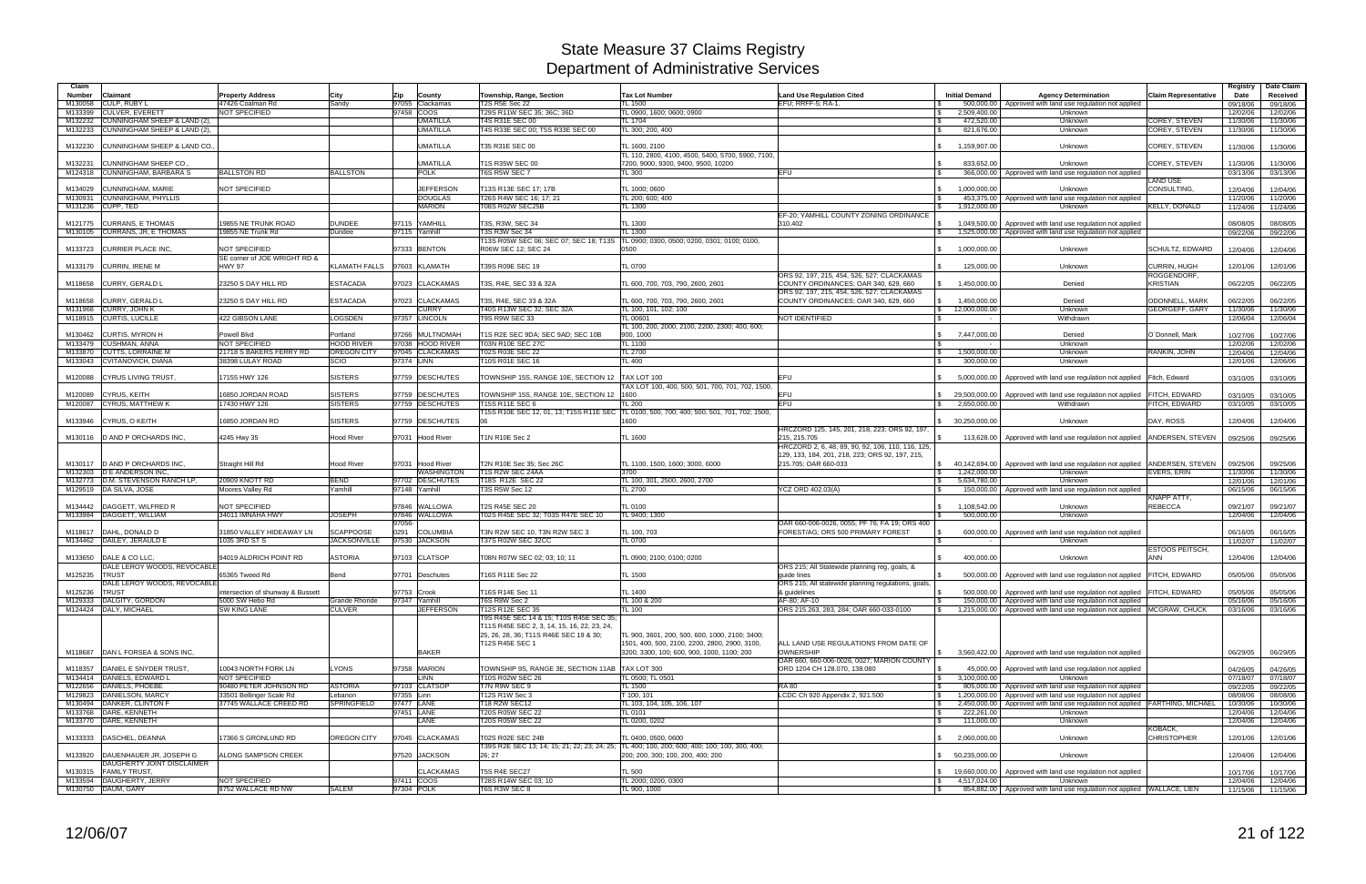| Claim              |                                                 |                                               |                               |                   |                                                        |                                                                                                     |                                                                    |                               |                                                                          |                               | Registry             | Date Claim           |
|--------------------|-------------------------------------------------|-----------------------------------------------|-------------------------------|-------------------|--------------------------------------------------------|-----------------------------------------------------------------------------------------------------|--------------------------------------------------------------------|-------------------------------|--------------------------------------------------------------------------|-------------------------------|----------------------|----------------------|
| Number             | Claimant                                        | <b>Property Address</b>                       | City                          | Zip<br>County     | Township, Range, Section                               | <b>Tax Lot Number</b>                                                                               | <b>Land Use Regulation Cited</b>                                   | <b>Initial Demand</b>         | <b>Agency Determination</b>                                              | <b>Claim Representative</b>   | Date                 | Received             |
| M130058            | <b>CULP, RUBY L</b>                             | 47426 Coalman Rd                              | Sandy                         | 97055 Clackamas   | <b>T2S R5E Sec 22</b>                                  | <b>TL 1500</b>                                                                                      | EFU: RRFF-5: RA-1                                                  | 500,000.00                    | Approved with land use regulation not applied                            |                               | 09/18/06             | 09/18/06             |
| M133399            | <b>CULVER, EVERETT</b>                          | <b>NOT SPECIFIED</b>                          |                               | 97458 COOS        | T29S R11W SEC 35; 36C; 36D                             | TL 0900, 1600; 0600; 0900                                                                           |                                                                    | 2,509,400.00<br>$\mathbb{S}$  | Unknown                                                                  |                               | 12/02/06             | 12/02/06             |
| M132232            | CUNNINGHAM SHEEP & LAND (2),                    |                                               |                               | <b>UMATILLA</b>   | T4S R31E SEC 00                                        | TL 1704                                                                                             |                                                                    | 472,520.00                    | Unknown                                                                  | COREY, STEVEN                 | 11/30/06             | 11/30/06             |
| M132233            | CUNNINGHAM SHEEP & LAND (2),                    |                                               |                               | <b>UMATILLA</b>   | T4S R33E SEC 00; T5S R33E SEC 00                       | TL 300; 200, 400                                                                                    |                                                                    | 821,676.00                    | Unknown                                                                  | COREY, STEVEN                 | 11/30/06             | 11/30/06             |
| M132230            | CUNNINGHAM SHEEP & LAND CO.                     |                                               |                               | <b>UMATILLA</b>   | T35 R31E SEC 00                                        | TL 1600, 2100                                                                                       |                                                                    | 1,159,907.00                  | Unknown                                                                  | COREY, STEVEN                 | 11/30/06             | 11/30/06             |
|                    |                                                 |                                               |                               |                   |                                                        | TL 110, 2800, 4100, 4500, 5400, 5700, 5900, 7100,                                                   |                                                                    |                               |                                                                          |                               |                      |                      |
| M132231            | CUNNINGHAM SHEEP CO.                            |                                               |                               | <b>UMATILLA</b>   | T1S R35W SEC 00                                        | 7200, 9000, 9300, 9400, 9500, 10200                                                                 |                                                                    | 833.652.00<br>IS.             | Unknown                                                                  | COREY, STEVEN                 | 11/30/06             | 11/30/06             |
| M124318            | <b>CUNNINGHAM, BARBARA S</b>                    | <b>BALLSTON RD</b>                            | <b>BALLSTON</b>               | <b>POLK</b>       | T6S R5W SEC 7                                          | <b>TL 300</b>                                                                                       | <b>EFU</b>                                                         | <b>S</b>                      | 366,000.00 Approved with land use regulation not applied                 |                               | 03/13/06             | 03/13/06             |
|                    |                                                 | <b>NOT SPECIFIED</b>                          |                               | <b>JEFFERSON</b>  |                                                        |                                                                                                     |                                                                    |                               |                                                                          | <b>LAND USE</b>               |                      |                      |
| M134029<br>M130931 | CUNNINGHAM, MARIE<br><b>CUNNINGHAM, PHYLLIS</b> |                                               |                               | <b>DOUGLAS</b>    | T13S R13E SEC 17; 17B<br>T26S R4W SEC 16; 17; 21       | TL 1000; 0600<br>TL 200; 600; 400                                                                   |                                                                    | 1.000.000.00<br>453,375.00    | Unknown<br>Approved with land use regulation not applied                 | CONSULTING.                   | 12/04/06<br>11/20/06 | 12/04/06<br>11/20/06 |
|                    | M131236 CUPP, TED                               |                                               |                               | <b>MARION</b>     | <b>T08S R02W SEC25B</b>                                | <b>TL 1300</b>                                                                                      |                                                                    | 1,912,000.00<br>l \$          | Unknown                                                                  | KELLY, DONALD                 | 11/24/06             | 11/24/06             |
|                    |                                                 |                                               |                               |                   |                                                        |                                                                                                     | EF-20; YAMHILL COUNTY ZONING ORDINANCE                             |                               |                                                                          |                               |                      |                      |
| M121775            | <b>CURRANS, E THOMAS</b>                        | 19855 NE TRUNK ROAD                           | <b>DUNDEE</b>                 | 97115 YAMHILL     | T3S, R3W, SEC 34                                       | <b>TL 1300</b>                                                                                      | 310.402                                                            | 1.049.500.00                  | Approved with land use regulation not applied                            |                               | 08/08/05             | 08/08/05             |
|                    | M130105 CURRANS, JR, E THOMAS                   | 19855 NE Trunk Rd                             | Dundee                        | 97115 Yamhill     | T3S R3W Sec 34                                         | TL 1300                                                                                             |                                                                    | 1.525.000.00<br>$\mathcal{S}$ | Approved with land use regulation not applied                            |                               | 09/22/06             | 09/22/06             |
|                    |                                                 |                                               |                               |                   | T13S R05W SEC 06; SEC 07; SEC 18; T13S                 | TL 0900; 0300, 0500; 0200, 0301; 0100; 0100,                                                        |                                                                    |                               |                                                                          |                               |                      |                      |
| M133723            | <b>CURRIER PLACE INC.</b>                       | <b>NOT SPECIFIED</b>                          |                               | 97333 BENTON      | R06W SEC 12; SEC 24                                    | 0500                                                                                                |                                                                    | 1,000,000.00<br>$\mathcal{S}$ | Unknown                                                                  | SCHULTZ, EDWARD               | 12/04/06             | 12/04/06             |
| M133179            | <b>CURRIN, IRENE M</b>                          | SE corner of JOE WRIGHT RD &<br><b>HWY 97</b> | <b>KLAMATH FALLS</b>          | 97603 KLAMATH     | T39S R09E SEC 19                                       | TL 0700                                                                                             |                                                                    | 125,000.00                    | Unknown                                                                  | CURRIN, HUGH                  | 12/01/06             | 12/01/06             |
|                    |                                                 |                                               |                               |                   |                                                        |                                                                                                     | ORS 92, 197, 215, 454, 526, 527; CLACKAMAS                         |                               |                                                                          | ROGGENDORF,                   |                      |                      |
|                    | M118658 CURRY, GERALD L                         | 23250 S DAY HILL RD                           | <b>ESTACADA</b>               | 97023 CLACKAMAS   | T3S, R4E, SEC 33 & 32A                                 | TL 600, 700, 703, 790, 2600, 2601                                                                   | COUNTY ORDINANCES; OAR 340, 629, 660                               | 1,450,000.00<br>$\mathcal{S}$ | Denied                                                                   | <b>KRISTIAN</b>               | 06/22/05             | 06/22/05             |
|                    |                                                 |                                               |                               |                   |                                                        |                                                                                                     | ORS 92, 197, 215, 454, 526, 527; CLACKAMAS                         |                               |                                                                          |                               |                      |                      |
| M118658            | <b>CURRY, GERALD L</b>                          | 23250 S DAY HILL RD                           | <b>ESTACADA</b>               | 97023 CLACKAMAS   | T3S, R4E, SEC 33 & 32A                                 | TL 600, 700, 703, 790, 2600, 2601                                                                   | COUNTY ORDINANCES: OAR 340, 629, 660                               | 1,450,000.00<br>l \$          | Denied                                                                   | <b>ODONNELL, MARK</b>         | 06/22/05             | 06/22/05             |
| M131968            | <b>CURRY, JOHN K</b>                            |                                               |                               | <b>CURRY</b>      | T40S R13W SEC 32; SEC 32A                              | TL 100, 101, 102; 100                                                                               |                                                                    | l \$<br>12,000,000.00         | Unknown                                                                  | <b>GEORGEFF, GARY</b>         | 11/30/06             | 11/30/06             |
|                    | M118915 CURTIS, LUCILLE                         | 422 GIBSON LANE                               | <b>LOGSDEN</b>                | 97357 LINCOLN     | T9S R9W SEC 33                                         | TL 00601                                                                                            | NOT IDENTIFIED                                                     |                               | Withdrawn                                                                |                               | 12/06/04             | 12/06/04             |
| M130462            | <b>CURTIS, MYRON H</b>                          | Powell Blvd                                   |                               | 97266 MULTNOMAH   |                                                        | TL 100, 200, 2000, 2100, 2200, 2300; 400, 600;                                                      |                                                                    | 7.447.000.00<br>$\mathbb{S}$  |                                                                          | O'Donnell, Mark               |                      |                      |
|                    | M133479 CUSHMAN, ANNA                           | <b>NOT SPECIFIED</b>                          | Portland<br><b>HOOD RIVER</b> | 97038 HOOD RIVER  | T1S R2E SEC 9DA; SEC 9AD; SEC 10B<br>T03N R10E SEC 27C | 900, 1000<br>TL 1100                                                                                |                                                                    | $\mathbf{s}$                  | Denied<br>Unknown                                                        |                               | 10/27/06<br>12/02/06 | 10/27/06<br>12/02/06 |
|                    | M133870 CUTTS. LORRAINE M                       | 21718 S BAKERS FERRY RD                       | <b>OREGON CITY</b>            | 97045 CLACKAMAS   | T02S R03E SEC 22                                       | <b>TL 2700</b>                                                                                      |                                                                    | 1,500,000.00<br>IS.           | Unknown                                                                  | RANKIN, JOHN                  | 12/04/06             | 12/04/06             |
|                    | M133043 CVITANOVICH, DIANA                      | 38398 LULAY ROAD                              | <b>SCIO</b>                   | 97374 LINN        | T10S R01E SEC 16                                       | <b>TL 400</b>                                                                                       |                                                                    | 300,000.00                    | Unknown                                                                  |                               | 12/01/06             | 12/06/06             |
|                    |                                                 |                                               |                               |                   |                                                        |                                                                                                     |                                                                    |                               |                                                                          |                               |                      |                      |
| M120088            | <b>CYRUS LIVING TRUST</b>                       | 17155 HWY 126                                 | <b>SISTERS</b>                | 97759 DESCHUTES   | TOWNSHIP 15S, RANGE 10E, SECTION 12   TAX LOT 100      |                                                                                                     | EFU                                                                | 5.000.000.00                  | Approved with land use regulation not applied                            | Fitch, Edward                 | 03/10/05             | 03/10/05             |
|                    |                                                 |                                               |                               |                   |                                                        | TAX LOT 100, 400, 500, 501, 700, 701, 702, 1500,                                                    |                                                                    |                               |                                                                          |                               |                      |                      |
| M120089            | <b>CYRUS, KEITH</b>                             | 16850 JORDAN ROAD                             | <b>SISTERS</b>                | 97759 DESCHUTES   | TOWNSHIP 15S, RANGE 10E, SECTION 12 1600               |                                                                                                     | EFU                                                                | \$29,500,000.00               | Approved with land use regulation not applied                            | <b>FITCH, EDWARD</b>          | 03/10/05             | 03/10/05             |
|                    | M120087 CYRUS, MATTHEW K                        | 17430 HWY 126                                 | <b>SISTERS</b>                | 97759 DESCHUTES   | <b>T15S R11E SEC 6</b>                                 | <b>TL 200</b>                                                                                       | <b>IEFU</b>                                                        | 2,650,000.00<br>$\mathbb{S}$  | Withdrawn                                                                | FITCH, EDWARD                 | 03/10/05             | 03/10/05             |
|                    |                                                 | 16850 JORDAN RD                               | <b>SISTERS</b>                | 97759 DESCHUTES   | 106                                                    | [15S R10E SEC 12, 01, 13; T15S R11E SEC   TL 0100, 500, 700; 400; 500, 501, 701, 702; 1500,<br>1600 |                                                                    |                               |                                                                          | DAY, ROSS                     | 12/04/06             | 12/04/06             |
| M133946            | <b>CYRUS, O KEITH</b>                           |                                               |                               |                   |                                                        |                                                                                                     | HRCZORD 125, 145, 201, 218, 223; ORS 92, 197,                      | \$30,250,000.00               | Unknown                                                                  |                               |                      |                      |
|                    | M130116  D AND P ORCHARDS INC,                  | 4245 Hwy 35                                   | <b>Hood River</b>             | 97031 Hood River  | T1N R10E Sec 2                                         | <b>TL 1600</b>                                                                                      | 215, 215.705                                                       | 113,628.00                    | Approved with land use regulation not applied                            | ANDERSEN, STEVEN              | 09/25/06             | 09/25/06             |
|                    |                                                 |                                               |                               |                   |                                                        |                                                                                                     | HRCZORD 2, 6, 48, 89, 90, 92, 106, 110, 116, 125,                  |                               |                                                                          |                               |                      |                      |
|                    |                                                 |                                               |                               |                   |                                                        |                                                                                                     | 129, 133, 184, 201, 218, 223; ORS 92, 197, 215,                    |                               |                                                                          |                               |                      |                      |
|                    | M130117  D AND P ORCHARDS INC,                  | Straight Hill Rd                              | <b>Hood River</b>             | 97031 Hood River  | T2N R10E Sec 35; Sec 26C                               | TL 1100, 1500, 1600; 3000, 6000                                                                     | 215.705; OAR 660-033                                               | 40,142,694.00<br>IS.          | Approved with land use regulation not applied                            | ANDERSEN, STEVEN              | 09/25/06             | 09/25/06             |
|                    | M132303 <b>DE ANDERSON INC.</b>                 |                                               |                               | <b>WASHINGTON</b> | T1S R2W SEC 24AA                                       | 3700                                                                                                |                                                                    | 1.242.000.00<br>l \$          | Unknown                                                                  | <b>EVERS, ERIN</b>            | 11/30/06             | 11/30/06             |
|                    | M132773 D.M. STEVENSON RANCH LP,                | 20909 KNOTT RD                                | <b>BEND</b>                   | 97702 DESCHUTES   | T18S R12E SEC 22                                       | TL 100, 301, 2500, 2600, 2700                                                                       |                                                                    | $\sqrt{3}$<br>5,634,780.00    | Unknown                                                                  |                               | 12/01/06             | 12/01/06             |
|                    | M129519 DA SILVA, JOSE                          | Moores Valley Rd                              | Yamhill                       | 97148 Yamhill     | <b>T3S R5W Sec 12</b>                                  | <b>TL 2700</b>                                                                                      | YCZ ORD 402.03(A)                                                  |                               | 150,000.00 Approved with land use regulation not applied                 |                               | 06/15/06             | 06/15/06             |
| M134442            | DAGGETT, WILFRED R                              | <b>NOT SPECIFIED</b>                          |                               | 97846 WALLOWA     | T2S R45E SEC 20                                        | <b>TL 0100</b>                                                                                      |                                                                    | 1,108,542.00<br>$\mathbb{S}$  | Unknown                                                                  | KNAPP ATTY,<br><b>REBECCA</b> | 09/21/07             |                      |
|                    | M133984 DAGGETT, WILLIAM                        | 34011 IMNAHA HWY                              | <b>JOSEPH</b>                 | 97846 WALLOWA     | T02S R45E SEC 32; T03S R47E SEC 10                     | TL 9400; 1300                                                                                       |                                                                    | 500,000.00                    | Unknown                                                                  |                               | 12/04/06             | 09/21/07<br>12/04/06 |
|                    |                                                 |                                               |                               | 97056-            |                                                        |                                                                                                     | OAR 660-006-0026, 0055; PF 76; FA 19; ORS 400                      |                               |                                                                          |                               |                      |                      |
| M118617            | DAHL, DONALD D                                  | 31850 VALLEY HIDEAWAY LN                      | <b>SCAPPOOSE</b>              | 0291 COLUMBIA     | T3N R2W SEC 10, T3N R2W SEC 3                          | TL 100, 703                                                                                         | FOREST/AG; ORS 500 PRIMARY FOREST                                  | 600,000.00                    | Approved with land use regulation not applied                            |                               | 06/16/05             | 06/16/05             |
|                    | M134462 DAILEY, JERAULD E                       | 1035 3RD ST S                                 | <b>JACKSONVILLE</b>           | 97530 JACKSON     | T37S R02W SEC 32CC                                     | <b>TL 0700</b>                                                                                      |                                                                    | $\mathbf{s}$                  | Unknown                                                                  |                               | 11/02/07             | 11/02/07             |
|                    |                                                 |                                               |                               |                   |                                                        |                                                                                                     |                                                                    |                               |                                                                          | <b>ESTOOS PEITSCH,</b>        |                      |                      |
| M133650            | DALE & CO LLC.                                  | 94019 ALDRICH POINT RD                        | ASTORIA                       | 97103 CLATSOP     | T08N R07W SEC 02; 03; 10; 11                           | TL 0900; 2100; 0100: 0200                                                                           |                                                                    | 400,000.00                    | Unknown                                                                  | ANN                           | 12/04/06             | 12/04/06             |
| M125235            | DALE LEROY WOODS, REVOCABLE<br><b>TRUST</b>     |                                               |                               | 97701 Deschutes   |                                                        |                                                                                                     | ORS 215; All Statewide planning reg, goals, &                      |                               |                                                                          | <b>FITCH, EDWARD</b>          |                      |                      |
|                    | DALE LEROY WOODS, REVOCABLE                     | 65365 Tweed Rd                                | Bend                          |                   | T16S R11E Sec 22                                       | <b>TL 1500</b>                                                                                      | quide lines<br>ORS 215; All statewide planning regulations, goals, | 500.000.00                    | Approved with land use regulation not applied                            |                               | 05/05/06             | 05/05/06             |
| M125236            | <b>TRUST</b>                                    | intersection of shunway & Bussett             |                               | 97753 Crook       | T16S R14E Sec 11                                       | TL 1400                                                                                             | & guidelines                                                       | IS.                           | 500,000.00   Approved with land use regulation not applied FITCH, EDWARD |                               | 05/05/06             | 05/05/06             |
|                    | M129333 DALGITY, GORDON                         | 5000 SW Hebo Rd                               | Grande Rhonde                 | 97347 Yamhill     | T6S R8W Sec 2                                          | TL 100 & 200                                                                                        | AF-80: AF-10                                                       | $\mathbb{S}$                  | 150,000.00   Approved with land use regulation not applied               |                               | 05/16/06             | 05/16/06             |
|                    | M124424 DALY, MICHAEL                           | <b>SW KING LANE</b>                           | <b>CULVER</b>                 | <b>JEFFERSON</b>  | T12S R12E SEC 35                                       | TL 100                                                                                              | ORS 215.263, 283, 284; OAR 660-033-0100                            | ISS.                          | 1.215.000.00 Approved with land use regulation not applied MCGRAW, CHUCK |                               | 03/16/06             | 03/16/06             |
|                    |                                                 |                                               |                               |                   | T9S R45E SEC 14 & 15; T10S R45E SEC 35;                |                                                                                                     |                                                                    |                               |                                                                          |                               |                      |                      |
|                    |                                                 |                                               |                               |                   | T11S R45E SEC 2, 3, 14, 15, 16, 22, 23, 24,            |                                                                                                     |                                                                    |                               |                                                                          |                               |                      |                      |
|                    |                                                 |                                               |                               |                   | 25, 26, 28, 36; T11S R46E SEC 19 & 30;                 | TL 900, 3601, 200, 500, 600, 1000, 2100; 3400;                                                      |                                                                    |                               |                                                                          |                               |                      |                      |
|                    |                                                 |                                               |                               |                   | T12S R45E SEC 1                                        | 1501, 400, 500, 2100, 2200, 2800, 2900, 3100,                                                       | ALL LAND USE REGULATIONS FROM DATE OF                              |                               |                                                                          |                               |                      |                      |
|                    | M118687 DAN L FORSEA & SONS INC.                |                                               |                               | <b>BAKER</b>      |                                                        | 3200, 3300, 100; 600, 900, 1000, 1100; 200                                                          | <b>OWNERSHIP</b><br>OAR 660, 660-006-0026, 0027; MARION COUNTY     |                               | 3,560,422.00 Approved with land use regulation not applied               |                               | 06/29/05             | 06/29/05             |
|                    | M118357 DANIEL E SNYDER TRUST,                  | 10043 NORTH FORK LN                           | YONS                          | 97358 MARION      | TOWNSHIP 9S, RANGE 3E, SECTION 11AB TAX LOT 300        |                                                                                                     | ORD 1204 CH 128.070, 138.080                                       | 45,000.00                     | Approved with land use regulation not applied                            |                               | 04/26/05             | 04/26/05             |
|                    | M134414 DANIELS, EDWARD L                       | NOT SPECIFIED                                 |                               | <b>LINN</b>       | T10S R02W SEC 26                                       | TL 0500; TL 0501                                                                                    |                                                                    | 3,100,000.00<br>$\mathbb{S}$  | Unknown                                                                  |                               | 07/18/07             | 07/18/07             |
|                    | M122656 DANIELS, PHOEBE                         | 90480 PETER JOHNSON RD                        | <b>ASTORIA</b>                | 97103 CLATSOP     | T7N R9W SEC 9                                          | TL 1500                                                                                             | <b>RA 80</b>                                                       | l \$                          | 805,000.00 Approved with land use regulation not applied                 |                               | 09/22/05             | 09/22/05             |
|                    | M129823 DANIELSON, MARCY                        | 33501 Bellinger Scale Rd                      | Lebanon                       | 97355 Linn        | T12S R1W Sec 3                                         | T 100, 101                                                                                          | LCDC Ch 920 Appendix 2, 921.500                                    | l \$                          | 1,200,000.00 Approved with land use regulation not applied               |                               | 08/08/06             | 08/08/06             |
|                    | M130494 DANKER, CLINTON F                       | 37745 WALLACE CREED RD                        | SPRINGFIELD                   | 97477 LANE        | T18 R2W SEC12                                          | TL 103, 104, 105, 106, 107                                                                          |                                                                    | 2,450,000.00<br>l \$          | Approved with land use regulation not applied FARTHING, MICHAEL          |                               | 10/30/06             | 10/30/06             |
|                    | M133768 DARE, KENNETH                           |                                               |                               | 97451 LANE        | T20S R05W SEC 22                                       | <b>TL 0101</b>                                                                                      |                                                                    | 222,261.00<br><b>S</b>        | Unknown                                                                  |                               | 12/04/06             | 12/04/06             |
|                    | M133770 DARE, KENNETH                           |                                               |                               | LANE              | <b>T20S R05W SEC 22</b>                                | TL 0200, 0202                                                                                       |                                                                    | 111,000.00<br>$\mathfrak{S}$  | Unknown                                                                  |                               | 12/04/06             | 12/04/06             |
|                    | M133333 DASCHEL, DEANNA                         | 17366 S GRONLUND RD                           | OREGON CITY                   | 97045 CLACKAMAS   | T02S R02E SEC 24B                                      | TL 0400, 0500, 0600                                                                                 |                                                                    | 2,060,000.00<br>$\mathcal{S}$ | Unknown                                                                  | KOBACK,<br><b>CHRISTOPHER</b> | 12/01/06             | 12/01/06             |
|                    |                                                 |                                               |                               |                   |                                                        | T39S R2E SEC 13; 14; 15; 21; 22; 23; 24; 25; TL 400; 100, 200; 600; 400; 100; 100, 300, 400;        |                                                                    |                               |                                                                          |                               |                      |                      |
|                    | M133920 DAUENHAUER JR, JOSEPH G                 | ALONG SAMPSON CREEK                           |                               | 97520 JACKSON     | 26; 27                                                 | 200; 200, 300; 100, 200, 400; 200                                                                   |                                                                    | \$50,235,000.00               | Unknown                                                                  |                               | 12/04/06             | 12/04/06             |
|                    | DAUGHERTY JOINT DISCLAIMER                      |                                               |                               |                   |                                                        |                                                                                                     |                                                                    |                               |                                                                          |                               |                      |                      |
|                    | M130315 FAMILY TRUST.                           |                                               |                               | <b>CLACKAMAS</b>  | T5S R4E SEC27                                          | <b>TL 500</b>                                                                                       |                                                                    |                               | \$19,660,000.00 Approved with land use regulation not applied            |                               | 10/17/06             | 10/17/06             |
|                    | M133594 DAUGHERTY, JERRY                        | <b>NOT SPECIFIED</b>                          |                               | 97411 COOS        | T28S R14W SEC 03; 10                                   | TL 2000; 0200, 0300                                                                                 |                                                                    | 4,517,024.00<br>$\mathcal{S}$ | Unknown                                                                  |                               | 12/04/06             | 12/04/06             |
|                    | M130750 DAUM, GARY                              | 8752 WALLACE RD NW                            | SALEM                         | 97304 POLK        | T6S R3W SEC 8                                          | TL 900, 1000                                                                                        |                                                                    | $\sqrt{3}$                    | 854,882.00 Approved with land use regulation not applied WALLACE, LIEN   |                               |                      | 11/15/06 11/15/06    |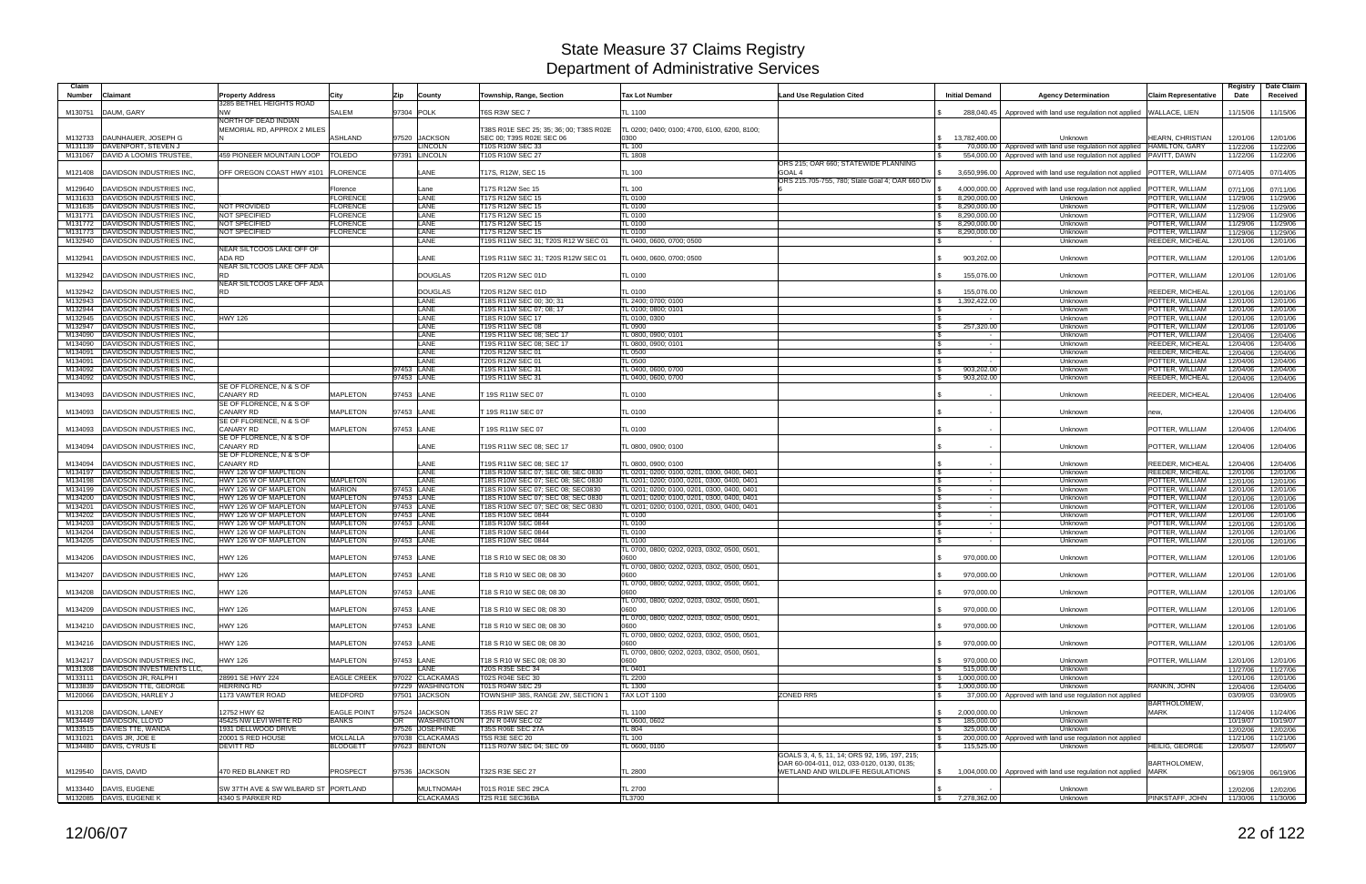| Claim<br><b>Number</b> | Claimant                                                         | <b>Property Address</b>                        | City                               | Zip                      | County                               | Township, Range, Section                                               | Tax Lot Number                                                                             | <b>Land Use Regulation Cited</b>                                               | <b>Initial Demand</b>                              | <b>Agency Determination</b>                                                                                                                             | <b>Claim Representative</b>        | Registry<br>Date     | Date Claim<br>Received |
|------------------------|------------------------------------------------------------------|------------------------------------------------|------------------------------------|--------------------------|--------------------------------------|------------------------------------------------------------------------|--------------------------------------------------------------------------------------------|--------------------------------------------------------------------------------|----------------------------------------------------|---------------------------------------------------------------------------------------------------------------------------------------------------------|------------------------------------|----------------------|------------------------|
|                        |                                                                  | 3285 BETHEL HEIGHTS ROAD                       |                                    |                          |                                      |                                                                        |                                                                                            |                                                                                |                                                    |                                                                                                                                                         |                                    |                      |                        |
| M130751                | DAUM, GARY                                                       | <b>NW</b><br>NORTH OF DEAD INDIAN              | SALEM                              | 97304 POLK               |                                      | T6S R3W SEC 7                                                          | TL 1100                                                                                    |                                                                                |                                                    | 288,040.45 Approved with land use regulation not applied                                                                                                | <b>WALLACE, LIEN</b>               | 11/15/06             | 11/15/06               |
|                        |                                                                  | MEMORIAL RD, APPROX 2 MILES                    |                                    |                          |                                      | T38S R01E SEC 25; 35; 36; 00; T38S R02E                                | TL 0200; 0400; 0100; 4700, 6100, 6200, 8100;                                               |                                                                                |                                                    |                                                                                                                                                         |                                    |                      |                        |
| M132733                | DAUNHAUER, JOSEPH G                                              |                                                | <b>ASHLAND</b>                     |                          | 97520 JACKSON                        | SEC 00; T39S R02E SEC 06                                               | 0300                                                                                       |                                                                                | 13,782,400.00                                      | Unknown                                                                                                                                                 | HEARN, CHRISTIAN                   | 12/01/06             | 12/01/06               |
| M131139<br>M131067     | DAVENPORT, STEVEN J<br>DAVID A LOOMIS TRUSTEE                    | 459 PIONEER MOUNTAIN LOOP   TOLEDO             |                                    |                          | <b>LINCOLN</b><br>97391 LINCOLN      | T10S R10W SEC 33<br>T10S R10W SEC 27                                   | <b>TL 100</b><br>$L$ 1808                                                                  |                                                                                |                                                    | 70,000.00   Approved with land use regulation not applied   HAMILTON, GARY<br>554,000.00   Approved with land use regulation not applied   PAVITT, DAWN |                                    | 11/22/06<br>11/22/06 | 11/22/06<br>11/22/06   |
|                        |                                                                  |                                                |                                    |                          |                                      |                                                                        |                                                                                            | ORS 215; OAR 660; STATEWIDE PLANNING                                           |                                                    |                                                                                                                                                         |                                    |                      |                        |
| M121408                | DAVIDSON INDUSTRIES INC                                          | OFF OREGON COAST HWY #101                      | <b>FLORENCE</b>                    |                          | LANE                                 | [17S, R12W, SEC 15                                                     | TL 100                                                                                     | GOAL <sub>4</sub>                                                              | 3,650,996.00                                       | Approved with land use regulation not applied   POTTER, WILLIAM                                                                                         |                                    | 07/14/05             | 07/14/05               |
| M129640                | DAVIDSON INDUSTRIES INC                                          |                                                | Florence                           |                          | Lane                                 | T17S R12W Sec 15                                                       | TL 100                                                                                     | ORS 215.705-755, 780; State Goal 4; OAR 660 Div                                | 4,000,000.00                                       | Approved with land use regulation not applied                                                                                                           | POTTER, WILLIAM                    | 07/11/06             | 07/11/06               |
| M131633                | <b>DAVIDSON INDUSTRIES INC</b>                                   |                                                | <b>FLORENCE</b>                    |                          | LANE                                 | 17S R12W SEC 15                                                        | TL 0100                                                                                    |                                                                                | 8,290,000.00                                       | Unknown                                                                                                                                                 | POTTER, WILLIAM                    | 11/29/06             | 11/29/06               |
| M131635                | DAVIDSON INDUSTRIES INC                                          | <b>NOT PROVIDED</b>                            | <b>FLORENCE</b>                    |                          | LANE                                 | T17S R12W SEC 15                                                       | TL 0100                                                                                    |                                                                                | $\sqrt{3}$<br>8,290,000.00                         | Unknown                                                                                                                                                 | POTTER, WILLIAM                    | 11/29/06             | 11/29/06               |
| M131771                | DAVIDSON INDUSTRIES INC<br>DAVIDSON INDUSTRIES INC               | <b>NOT SPECIFIED</b><br><b>NOT SPECIFIED</b>   | <b>FLORENCE</b><br><b>FLORENCE</b> |                          | LANE<br>LANE                         | T17S R12W SEC 15<br>T17S R12W SEC 15                                   | TL 0100<br>TL 0100                                                                         |                                                                                | 8,290,000.00<br>ISS.<br>8,290,000.00               | Unknown                                                                                                                                                 | POTTER, WILLIAM                    | 11/29/06<br>11/29/06 | 11/29/06<br>11/29/06   |
| M131772<br>M131773     | DAVIDSON INDUSTRIES INC                                          | <b>NOT SPECIFIED</b>                           | <b>FLORENCE</b>                    |                          | LANE                                 | T17S R12W SEC 15                                                       | TL 0100                                                                                    |                                                                                | $\sqrt{3}$<br>8,290,000.00<br><b>S</b>             | Unknown<br>Unknown                                                                                                                                      | POTTER, WILLIAM<br>POTTER, WILLIAM | 11/29/06             | 11/29/06               |
| M132940                | DAVIDSON INDUSTRIES INC                                          |                                                |                                    |                          | LANE                                 | T19S R11W SEC 31; T20S R12 W SEC 01                                    | TL 0400, 0600, 0700; 0500                                                                  |                                                                                | $\mathbf{s}$<br>$\sim$                             | Unknown                                                                                                                                                 | <b>REEDER, MICHEAL</b>             | 12/01/06             | 12/01/06               |
|                        |                                                                  | NEAR SILTCOOS LAKE OFF OF<br>ADA RD            |                                    |                          | LANE                                 |                                                                        |                                                                                            |                                                                                |                                                    |                                                                                                                                                         |                                    |                      |                        |
| M132941                | DAVIDSON INDUSTRIES INC                                          | NEAR SILTCOOS LAKE OFF ADA                     |                                    |                          |                                      | T19S R11W SEC 31; T20S R12W SEC 01                                     | L 0400, 0600, 0700; 0500                                                                   |                                                                                | 903,202.00                                         | Unknown                                                                                                                                                 | POTTER, WILLIAM                    | 12/01/06             | 12/01/06               |
| M132942                | DAVIDSON INDUSTRIES INC                                          | <b>RD</b>                                      |                                    |                          | <b>DOUGLAS</b>                       | T20S R12W SEC 01D                                                      | TL 0100                                                                                    |                                                                                | 155,076.00                                         | Unknown                                                                                                                                                 | POTTER, WILLIAM                    | 12/01/06             | 12/01/06               |
|                        |                                                                  | NEAR SILTCOOS LAKE OFF ADA<br><b>RD</b>        |                                    |                          |                                      |                                                                        |                                                                                            |                                                                                |                                                    |                                                                                                                                                         |                                    |                      |                        |
| M132942<br>M132943     | DAVIDSON INDUSTRIES INC<br>DAVIDSON INDUSTRIES INC               |                                                |                                    |                          | <b>DOUGLAS</b><br>LANE               | T20S R12W SEC 01D<br>T18S R11W SEC 00; 30; 31                          | TL 0100<br>TL 2400; 0700; 0100                                                             |                                                                                | 155,076.00<br>$\mathbb{S}$<br>1,392,422.00         | Unknown<br>Unknown                                                                                                                                      | REEDER, MICHEAL<br>POTTER, WILLIAM | 12/01/06<br>12/01/06 | 12/01/06<br>12/01/06   |
| M132944                | <b>DAVIDSON INDUSTRIES INC</b>                                   |                                                |                                    |                          | LANE                                 | T19S R11W SEC 07; 08; 17                                               | TL 0100; 0800; 0101                                                                        |                                                                                |                                                    | Unknown                                                                                                                                                 | POTTER, WILLIAM                    | 12/01/06             | 12/01/06               |
| M132945                | DAVIDSON INDUSTRIES INC                                          | <b>HWY 126</b>                                 |                                    |                          | LANE                                 | 18S R10W SEC 17                                                        | TL 0100, 0300                                                                              |                                                                                | $\sim$                                             | Unknown                                                                                                                                                 | POTTER, WILLIAM                    | 12/01/06             | 12/01/06               |
| M132947<br>M134090     | <b>DAVIDSON INDUSTRIES INC</b><br><b>DAVIDSON INDUSTRIES INC</b> |                                                |                                    |                          | LANE<br>LANE                         | <b>T19S R11W SEC 08</b><br>19S R11W SEC 08; SEC 17                     | TL 0900                                                                                    |                                                                                | 257,320.00                                         | Unknown                                                                                                                                                 | POTTER, WILLIAM<br>POTTER, WILLIAM | 12/01/06             | 12/01/06               |
| M134090                | DAVIDSON INDUSTRIES INC                                          |                                                |                                    |                          | LANE                                 | T19S R11W SEC 08; SEC 17                                               | TL 0800, 0900; 0101<br>TL 0800, 0900; 0101                                                 |                                                                                | $\sim$<br>IS.<br>$\sim$                            | Unknown<br>Unknown                                                                                                                                      | <b>REEDER, MICHEAL</b>             | 12/04/06<br>12/04/06 | 12/04/06<br>12/04/06   |
| M134091                | DAVIDSON INDUSTRIES INC                                          |                                                |                                    |                          | LANE                                 | <b>T20S R12W SEC 01</b>                                                | TL 0500                                                                                    |                                                                                | IS<br>$\sim$                                       | Unknown                                                                                                                                                 | REEDER, MICHEAL                    | 12/04/06             | 12/04/06               |
| M134091                | DAVIDSON INDUSTRIES INC                                          |                                                |                                    |                          | LANE                                 | T20S R12W SEC 01                                                       | TL 0500                                                                                    |                                                                                | $\sim$                                             | Unknown                                                                                                                                                 | POTTER, WILLIAM                    | 12/04/06             | 12/04/06               |
| M134092<br>M134092     | <b>DAVIDSON INDUSTRIES INC</b><br>DAVIDSON INDUSTRIES INC        |                                                |                                    | 97453 LANE<br>97453 LANE |                                      | <b>T19S R11W SEC 31</b><br>T19S R11W SEC 31                            | TL 0400, 0600, 0700<br>TL 0400, 0600, 0700                                                 |                                                                                | 903,202.00<br>903,202.00                           | Unknown<br>Unknown                                                                                                                                      | POTTER, WILLIAM<br>REEDER, MICHEAL | 12/04/06<br>12/04/06 | 12/04/06<br>12/04/06   |
|                        |                                                                  | SE OF FLORENCE, N & S OF                       |                                    |                          |                                      |                                                                        |                                                                                            |                                                                                |                                                    |                                                                                                                                                         |                                    |                      |                        |
| M134093                | DAVIDSON INDUSTRIES INC                                          | <b>CANARY RD</b>                               | <b>MAPLETON</b>                    | 97453 LANE               |                                      | 19S R11W SEC 07                                                        | TL 0100                                                                                    |                                                                                |                                                    | Unknown                                                                                                                                                 | REEDER, MICHEAL                    | 12/04/06             | 12/04/06               |
|                        |                                                                  | SE OF FLORENCE, N & S OF                       |                                    |                          |                                      |                                                                        |                                                                                            |                                                                                |                                                    |                                                                                                                                                         |                                    |                      |                        |
| M134093                | DAVIDSON INDUSTRIES INC                                          | <b>CANARY RD</b><br>SE OF FLORENCE, N & S OF   | <b>MAPLETON</b>                    | 97453 LANE               |                                      | 19S R11W SEC 07                                                        | TL 0100                                                                                    |                                                                                |                                                    | Unknown                                                                                                                                                 | new,                               | 12/04/06             | 12/04/06               |
| M134093                | <b>DAVIDSON INDUSTRIES INC</b>                                   | <b>CANARY RD</b>                               | <b>MAPLETON</b>                    | 97453 LANE               |                                      | T 19S R11W SEC 07                                                      | TL 0100                                                                                    |                                                                                | $\sim$                                             | Unknown                                                                                                                                                 | POTTER, WILLIAM                    | 12/04/06             | 12/04/06               |
|                        |                                                                  | SE OF FLORENCE, N & S OF                       |                                    |                          |                                      |                                                                        |                                                                                            |                                                                                |                                                    |                                                                                                                                                         |                                    |                      |                        |
| M134094                | DAVIDSON INDUSTRIES INC                                          | <b>CANARY RD</b><br>SE OF FLORENCE, N & S OF   |                                    |                          | LANE                                 | T19S R11W SEC 08; SEC 17                                               | TL 0800, 0900; 0100                                                                        |                                                                                |                                                    | Unknown                                                                                                                                                 | POTTER, WILLIAM                    | 12/04/06             | 12/04/06               |
| M134094                | DAVIDSON INDUSTRIES INC                                          | <b>CANARY RD</b>                               |                                    |                          | LANE                                 | T19S R11W SEC 08; SEC 17                                               | TL 0800, 0900; 0100                                                                        |                                                                                |                                                    | Unknown                                                                                                                                                 | REEDER, MICHEAL                    | 12/04/06             | 12/04/06               |
| M134197                | DAVIDSON INDUSTRIES INC                                          | HWY 126 W OF MAPLTEON                          |                                    |                          | LANE                                 | 18S R10W SEC 07; SEC 08; SEC 0830                                      | TL 0201; 0200; 0100, 0201, 0300, 0400, 0401                                                |                                                                                | $\sim$                                             | Unknown                                                                                                                                                 | REEDER, MICHEAL                    | 12/01/06             | 12/01/06               |
| M134198                | DAVIDSON INDUSTRIES INC                                          | HWY 126 W OF MAPLETON                          | <b>MAPLETON</b>                    |                          | LANE                                 | 18S R10W SEC 07; SEC 08; SEC 0830                                      | TL 0201; 0200; 0100, 0201, 0300, 0400, 0401                                                |                                                                                | $\sim$                                             | Unknown                                                                                                                                                 | POTTER, WILLIAM                    | 12/01/06             | 12/01/06               |
| M134199<br>M134200     | DAVIDSON INDUSTRIES INC<br>DAVIDSON INDUSTRIES INC               | HWY 126 W OF MAPLETON<br>HWY 126 W OF MAPLETON | <b>MARION</b><br><b>MAPLETON</b>   | 97453 LANE<br>97453 LANE |                                      | T18S R10W SEC 07; SEC 08; SEC0830<br>18S R10W SEC 07; SEC 08; SEC 0830 | TL 0201; 0200; 0100, 0201, 0300, 0400, 0401<br>TL 0201; 0200; 0100, 0201, 0300, 0400, 0401 |                                                                                | l Si<br>$\sim$ $-$<br>l \$<br>$\sim$               | Unknown<br>Unknown                                                                                                                                      | POTTER, WILLIAM<br>POTTER, WILLIAM | 12/01/06<br>12/01/06 | 12/01/06<br>12/01/06   |
| M134201                | <b>DAVIDSON INDUSTRIES INC</b>                                   | HWY 126 W OF MAPLETON                          | <b>MAPLETON</b>                    | 97453 LANE               |                                      | T18S R10W SEC 07; SEC 08; SEC 0830                                     | TL 0201; 0200; 0100, 0201, 0300, 0400, 0401                                                |                                                                                | IS.<br>$\sim$                                      | Unknown                                                                                                                                                 | POTTER, WILLIAM                    | 12/01/06             | 12/01/06               |
| M134202                | <b>DAVIDSON INDUSTRIES INC</b>                                   | HWY 126 W OF MAPLETON                          | <b>MAPLETON</b>                    | 97453 LANE               |                                      | T18S R10W SEC 0844                                                     | TL 0100                                                                                    |                                                                                | <b>S</b><br>$\sim$                                 | Unknown                                                                                                                                                 | POTTER, WILLIAM                    | 12/01/06             | 12/01/06               |
| M134203                | DAVIDSON INDUSTRIES INC                                          | HWY 126 W OF MAPLETON                          | <b>MAPLETON</b><br><b>MAPLETON</b> | 97453 LANE               |                                      | T18S R10W SEC 0844                                                     | TL 0100                                                                                    |                                                                                | IS.<br>$\sim$                                      | Unknown                                                                                                                                                 | POTTER, WILLIAM                    | 12/01/06             | 12/01/06               |
| M134204<br>M134205     | <b>DAVIDSON INDUSTRIES INC</b><br><b>DAVIDSON INDUSTRIES INC</b> | HWY 126 W OF MAPLETON<br>HWY 126 W OF MAPLETON | <b>MAPLETON</b>                    | 97453 LANE               | LANE                                 | 18S R10W SEC 0844<br>18S R10W SEC 0844                                 | L 0100<br>TL 0100                                                                          |                                                                                | $\sim$                                             | Unknown<br>Unknown                                                                                                                                      | POTTER, WILLIAM<br>POTTER, WILLIAM | 12/01/06<br>12/01/06 | 12/01/06<br>12/01/06   |
|                        |                                                                  |                                                |                                    |                          |                                      |                                                                        | TL 0700, 0800; 0202, 0203, 0302, 0500, 0501,                                               |                                                                                |                                                    |                                                                                                                                                         |                                    |                      |                        |
| M134206                | DAVIDSON INDUSTRIES INC                                          | <b>HWY 126</b>                                 | <b>MAPLETON</b>                    | 97453 LANE               |                                      | T18 S R10 W SEC 08; 08 30                                              | 0600                                                                                       |                                                                                | 970,000.00                                         | Unknown                                                                                                                                                 | POTTER, WILLIAM                    | 12/01/06             | 12/01/06               |
| M134207                | DAVIDSON INDUSTRIES INC                                          | <b>HWY 126</b>                                 | <b>MAPLETON</b>                    | 97453 LANE               |                                      | T18 S R10 W SEC 08: 08 30                                              | TL 0700, 0800; 0202, 0203, 0302, 0500, 0501,<br>0600                                       |                                                                                | 970,000.00                                         | Unknown                                                                                                                                                 | POTTER, WILLIAM                    | 12/01/06             | 12/01/06               |
|                        |                                                                  |                                                |                                    |                          |                                      |                                                                        | TL 0700, 0800; 0202, 0203, 0302, 0500, 0501,                                               |                                                                                |                                                    |                                                                                                                                                         |                                    |                      |                        |
|                        | M134208 DAVIDSON INDUSTRIES INC.                                 | <b>HWY 126</b>                                 | <b>MAPLETON</b>                    | 97453 LANE               |                                      | T18 S R10 W SEC 08; 08 30                                              | 0600                                                                                       |                                                                                | 970,000.00<br><b>S</b>                             | Unknown                                                                                                                                                 | POTTER, WILLIAM                    | 12/01/06             | 12/01/06               |
| M134209                | DAVIDSON INDUSTRIES INC.                                         | <b>HWY 126</b>                                 | <b>MAPLETON</b>                    | 97453 LANE               |                                      | T18 S R10 W SEC 08; 08 30                                              | TL 0700, 0800; 0202, 0203, 0302, 0500, 0501,<br>0600                                       |                                                                                | 970,000.00                                         | Unknown                                                                                                                                                 | POTTER, WILLIAM                    | 12/01/06             | 12/01/06               |
|                        |                                                                  |                                                |                                    |                          |                                      |                                                                        | TL 0700, 0800; 0202, 0203, 0302, 0500, 0501,                                               |                                                                                |                                                    |                                                                                                                                                         |                                    |                      |                        |
|                        | M134210   DAVIDSON INDUSTRIES INC.                               | <b>HWY 126</b>                                 | <b>MAPLETON</b>                    | 97453 LANE               |                                      | T18 S R10 W SEC 08; 08 30                                              | 0600                                                                                       |                                                                                | 970,000.00                                         | Unknown                                                                                                                                                 | POTTER, WILLIAM                    | 12/01/06             | 12/01/06               |
|                        |                                                                  |                                                |                                    |                          |                                      |                                                                        | TL 0700, 0800; 0202, 0203, 0302, 0500, 0501,                                               |                                                                                |                                                    |                                                                                                                                                         |                                    |                      |                        |
|                        | M134216 DAVIDSON INDUSTRIES INC.                                 | <b>HWY 126</b>                                 | <b>MAPLETON</b>                    | 97453 LANE               |                                      | T18 S R10 W SEC 08; 08 30                                              | 0600<br>TL 0700, 0800: 0202, 0203, 0302, 0500, 0501,                                       |                                                                                | 970,000.00                                         | Unknown                                                                                                                                                 | POTTER, WILLIAM                    | 12/01/06             | 12/01/06               |
|                        | M134217   DAVIDSON INDUSTRIES INC.                               | <b>HWY 126</b>                                 | <b>MAPLETON</b>                    | 97453 LANE               |                                      | T18 S R10 W SEC 08; 08 30                                              | 0600                                                                                       |                                                                                | 970,000.00<br>$\mathbf{s}$                         | Unknown                                                                                                                                                 | POTTER, WILLIAM                    | 12/01/06             | 12/01/06               |
| M131308                | DAVIDSON INVESTMENTS LLC,                                        |                                                |                                    |                          | <b>LANE</b>                          | T20S R35E SEC 34                                                       | TL 0401                                                                                    |                                                                                | 515,000.00<br><b>S</b>                             | Unknown                                                                                                                                                 |                                    | 11/27/06             | 11/27/06               |
| M133111<br>M133839     | DAVIDSON JR, RALPH I<br>DAVIDSON TTE, GEORGE                     | 28991 SE HWY 224<br><b>HERRING RD</b>          | <b>EAGLE CREEK</b>                 |                          | 97022 CLACKAMAS<br>97229 WASHINGTON  | T02S R04E SEC 30<br>T01S R04W SEC 29                                   | <b>TL 2200</b><br>L 1300                                                                   |                                                                                | 1,000,000.00<br>IS.<br>1,000,000.00                | Unknown<br>Unknown                                                                                                                                      | RANKIN, JOHN                       | 12/01/06             | 12/01/06               |
| M120066                | DAVIDSON, HARLEY J                                               | 1173 VAWTER ROAD                               | <b>MEDFORD</b>                     |                          | 97501 JACKSON                        | TOWNSHIP 38S, RANGE 2W, SECTION 1                                      | <b>TAX LOT 1100</b>                                                                        | <b>ZONED RR5</b>                                                               | <b>S</b>                                           | 37,000.00   Approved with land use regulation not applied                                                                                               |                                    | 12/04/06<br>03/09/05 | 12/04/06<br>03/09/05   |
|                        |                                                                  |                                                |                                    |                          |                                      |                                                                        |                                                                                            |                                                                                |                                                    |                                                                                                                                                         | BARTHOLOMEW,                       |                      |                        |
| M131208                | DAVIDSON, LANEY                                                  | 12752 HWY 62                                   | <b>EAGLE POINT</b>                 |                          | 97524 JACKSON                        | T35S R1W SEC 27                                                        | <b>TL 1100</b>                                                                             |                                                                                | $\mathfrak{S}$<br>2,000,000.00                     | Unknown                                                                                                                                                 | <b>MARK</b>                        | 11/24/06             | 11/24/06               |
|                        | M134449 DAVIDSON, LLOYD<br>M133515 DAVIES TTE, WANDA             | 45425 NW LEVI WHITE RD<br>1931 DELLWOOD DRIVE  | <b>BANKS</b>                       | <b>OR</b>                | <b>WASHINGTON</b><br>97526 JOSEPHINE | T 2N R 04W SEC 02<br>T35S R06E SEC 27A                                 | TL 0600, 0602<br>TL 804                                                                    |                                                                                | 185,000.00<br><b>S</b><br>325,000.00<br>$\sqrt{3}$ | Unknown<br>Unknown                                                                                                                                      |                                    | 10/19/07<br>12/02/06 | 10/19/07<br>12/02/06   |
|                        | M131021 DAVIS JR, JOE E                                          | 20001 S RED HOUSE                              | <b>MOLLALLA</b>                    |                          | 97038 CLACKAMAS                      | <b>T5S R3E SEC 20</b>                                                  | <b>TL 100</b>                                                                              |                                                                                |                                                    | 200,000.00 Approved with land use regulation not applied                                                                                                |                                    | 11/21/06             | 11/21/06               |
|                        | M134480 DAVIS, CYRUS E                                           | <b>DEVITT RD</b>                               | <b>BLODGETT</b>                    |                          | 97623 BENTON                         | T11S R07W SEC 04; SEC 09                                               | TL 0600, 0100                                                                              |                                                                                | 115,525.00                                         | Unknown                                                                                                                                                 | <b>HEILIG, GEORGE</b>              | 12/05/07             | 12/05/07               |
|                        |                                                                  |                                                |                                    |                          |                                      |                                                                        |                                                                                            | GOALS 3, 4, 5, 11, 14; ORS 92, 195, 197, 215;                                  |                                                    |                                                                                                                                                         |                                    |                      |                        |
|                        | M129540   DAVIS, DAVID                                           | 470 RED BLANKET RD                             | <b>PROSPECT</b>                    |                          | 97536 JACKSON                        | T32S R3E SEC 27                                                        | TL 2800                                                                                    | OAR 60-004-011, 012, 033-0120, 0130, 0135;<br>WETLAND AND WILDLIFE REGULATIONS | IS.                                                | 1,004,000.00   Approved with land use regulation not applied   MARK                                                                                     | BARTHOLOMEW,                       | 06/19/06             | 06/19/06               |
|                        |                                                                  |                                                |                                    |                          |                                      |                                                                        |                                                                                            |                                                                                |                                                    |                                                                                                                                                         |                                    |                      |                        |
|                        | M133440 DAVIS, EUGENE                                            | SW 37TH AVE & SW WILBARD ST PORTLAND           |                                    |                          | <b>MULTNOMAH</b>                     | T01S R01E SEC 29CA                                                     | <b>TL 2700</b>                                                                             |                                                                                |                                                    | Unknown                                                                                                                                                 |                                    | 12/02/06             | 12/02/06               |
|                        | M132085 DAVIS, EUGENE K                                          | 4340 S PARKER RD                               |                                    |                          | <b>CLACKAMAS</b>                     | T2S R1E SEC36BA                                                        | TL3700                                                                                     |                                                                                | \$7,278,362.00                                     | Unknown                                                                                                                                                 | PINKSTAFF, JOHN                    |                      | 11/30/06 11/30/06      |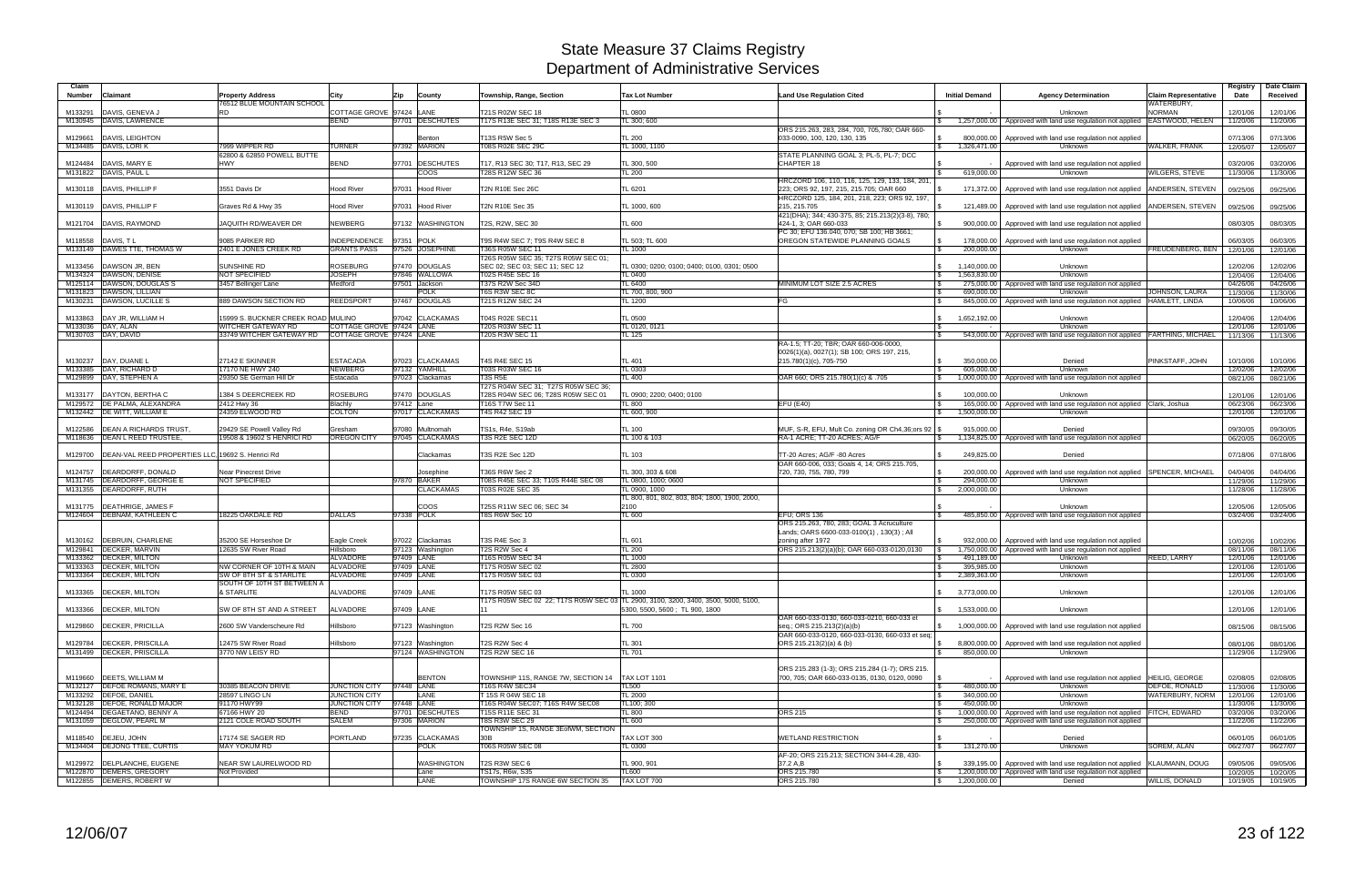| Claim<br><b>Number</b> | Claimant                                          | <b>Property Address</b><br>76512 BLUE MOUNTAIN SCHOOL | City                     | Zip<br>County                | Township, Range, Section                                    | <b>Tax Lot Number</b>                                                                                                | <b>Land Use Regulation Cited</b>                  | <b>Initial Demand</b>          | <b>Agency Determination</b>                                                            | <b>Claim Representative</b><br>WATERBURY. | Registry<br>Date     | Date Claim<br>Received |
|------------------------|---------------------------------------------------|-------------------------------------------------------|--------------------------|------------------------------|-------------------------------------------------------------|----------------------------------------------------------------------------------------------------------------------|---------------------------------------------------|--------------------------------|----------------------------------------------------------------------------------------|-------------------------------------------|----------------------|------------------------|
| M133291                | DAVIS, GENEVA J                                   | <b>RD</b>                                             | COTTAGE GROVE 97424 LANE |                              | T21S R02W SEC 18                                            | <b>TL 0800</b>                                                                                                       |                                                   |                                | Unknown                                                                                | <b>NORMAN</b>                             | 12/01/06             | 12/01/06               |
|                        | M130945 DAVIS, LAWRENCE                           |                                                       | <b>BEND</b>              | 97701 DESCHUTES              | T17S R13E SEC 31; T18S R13E SEC 3                           | TL 300; 600                                                                                                          |                                                   |                                | 1,257,000.00   Approved with land use regulation not applied   EASTWOOD, HELEN         |                                           | 11/20/06             | 11/20/06               |
|                        |                                                   |                                                       |                          |                              |                                                             |                                                                                                                      | ORS 215.263, 283, 284, 700, 705,780; OAR 660-     |                                |                                                                                        |                                           |                      |                        |
| M129661<br>M134485     | DAVIS, LEIGHTON<br>DAVIS, LORI K                  | 7999 WIPPER RD                                        | <b>TURNER</b>            | Benton<br>97392 MARION       | T13S R5W Sec 5<br>T08S R02E SEC 29C                         | <b>TL 200</b><br>TL 1000, 1100                                                                                       | 033-0090, 100, 120, 130, 135                      | 1,326,471.00<br>$\mathbb{S}$   | 800,000.00   Approved with land use regulation not applied<br>Unknown                  | <b>WALKER, FRANK</b>                      | 07/13/06<br>12/05/07 | 07/13/06<br>12/05/07   |
|                        |                                                   | 62800 & 62850 POWELL BUTTE                            |                          |                              |                                                             |                                                                                                                      | STATE PLANNING GOAL 3; PL-5, PL-7; DCC            |                                |                                                                                        |                                           |                      |                        |
| M124484                | DAVIS, MARY E                                     | <b>HWY</b>                                            | <b>BEND</b>              | 97701 DESCHUTES              | T17, R13 SEC 30; T17, R13, SEC 29                           | TL 300, 500                                                                                                          | CHAPTER 18                                        |                                | Approved with land use regulation not applied                                          |                                           | 03/20/06             | 03/20/06               |
| M131822                | DAVIS, PAUL L                                     |                                                       |                          | <b>COOS</b>                  | T28S R12W SEC 36                                            | <b>TL 200</b>                                                                                                        |                                                   | 619,000.00                     | Unknown                                                                                | <b>WILGERS, STEVE</b>                     | 11/30/06             | 11/30/06               |
|                        |                                                   |                                                       |                          |                              |                                                             |                                                                                                                      | HRCZORD 106, 110, 116, 125, 129, 133, 184, 201,   |                                |                                                                                        |                                           |                      |                        |
| M130118                | DAVIS, PHILLIP F                                  | 3551 Davis Dr                                         | <b>Hood River</b>        | 97031 Hood River             | T2N R10E Sec 26C                                            | TL 6201                                                                                                              | 223; ORS 92, 197, 215, 215.705; OAR 660           |                                | 171,372.00 Approved with land use regulation not applied ANDERSEN, STEVEN              |                                           | 09/25/06             | 09/25/06               |
|                        |                                                   |                                                       |                          |                              |                                                             |                                                                                                                      | HRCZORD 125, 184, 201, 218, 223; ORS 92, 197,     |                                |                                                                                        |                                           |                      |                        |
| M130119                | DAVIS, PHILLIP F                                  | Graves Rd & Hwy 35                                    | Hood River               | 97031 Hood River             | T2N R10E Sec 35                                             | TL 1000, 600                                                                                                         | 215, 215.705                                      |                                | 121,489.00   Approved with land use regulation not applied   ANDERSEN, STEVEN          |                                           | 09/25/06             | 09/25/06               |
|                        |                                                   |                                                       |                          |                              |                                                             |                                                                                                                      | 421(DHA); 344; 430-375, 85; 215.213(2)(3-8), 780; |                                |                                                                                        |                                           |                      |                        |
| M121704                | DAVIS, RAYMOND                                    | JAQUITH RD/WEAVER DR                                  | NEWBERG                  | 97132 WASHINGTON             | T2S, R2W, SEC 30                                            | <b>TL 600</b>                                                                                                        | 424-1, 3; OAR 660-033                             |                                | 900,000.00 Approved with land use regulation not applied                               |                                           | 08/03/05             | 08/03/05               |
|                        |                                                   |                                                       |                          |                              |                                                             |                                                                                                                      | PC 30: EFU 136.040, 070; SB 100; HB 3661          |                                |                                                                                        |                                           |                      |                        |
| M118558                | DAVIS, TL                                         | 9085 PARKER RD                                        | <b>INDEPENDENCE</b>      | 97351 POLK                   | T9S R4W SEC 7; T9S R4W SEC 8                                | TL 503: TL 600                                                                                                       | OREGON STATEWIDE PLANNING GOALS                   |                                | 178,000.00 Approved with land use regulation not applied                               |                                           | 06/03/05             | 06/03/05               |
| M133149                | DAWES TTE, THOMAS W                               | 2401 E JONES CREEK RD                                 | <b>GRANTS PASS</b>       | 97526 JOSEPHINE              | T36S R05W SEC 11                                            | TL 1000                                                                                                              |                                                   | 200,000.00                     | <b>Unknown</b>                                                                         | <b>FREUDENBERG, BEN</b>                   | 12/01/06             | 12/01/06               |
|                        |                                                   |                                                       |                          |                              | T26S R05W SEC 35; T27S R05W SEC 01;                         |                                                                                                                      |                                                   |                                |                                                                                        |                                           |                      |                        |
| M133456                | DAWSON JR, BEN                                    | <b>SUNSHINE RD</b>                                    | <b>ROSEBURG</b>          | 97470 DOUGLAS                | SEC 02; SEC 03; SEC 11; SEC 12                              | TL 0300; 0200; 0100; 0400; 0100, 0301; 0500                                                                          |                                                   | 1,140,000.00<br>\$.            | Unknown                                                                                |                                           | 12/02/06             | 12/02/06               |
| M134324                | DAWSON, DENISE                                    | <b>NOT SPECIFIED</b>                                  | <b>JOSEPH</b>            | 97846 WALLOWA                | T02S R45E SEC 16                                            | TL 0400                                                                                                              |                                                   | 1,563,830.00<br>$\mathfrak{L}$ | Unknown                                                                                |                                           | 12/04/06             | 12/04/06               |
| M125114                | DAWSON, DOUGLAS S                                 | 3457 Bellinger Lane                                   | Medford                  | 97501 Jackson                | T37S R2W Sec 34D                                            | <b>TL 6400</b>                                                                                                       | MINIMUM LOT SIZE 2.5 ACRES                        |                                | 275,000.00   Approved with land use regulation not applied                             |                                           | 04/26/06             | 04/26/06               |
| M131823                | DAWSON, LILLIAN<br>DAWSON, LUCILLE S              |                                                       |                          | <b>POLK</b><br>97467 DOUGLAS | T6S R3W SEC 8C<br><b>T21S R12W SEC 24</b>                   | TL 700, 800, 900                                                                                                     |                                                   | 690.000.00                     | Unknown                                                                                | JOHNSON, LAURA                            | 11/30/06             | 11/30/06               |
| M130231                |                                                   | 889 DAWSON SECTION RD                                 | REEDSPORT                |                              |                                                             | <b>TL 1200</b>                                                                                                       | FG                                                |                                | 845,000.00   Approved with land use regulation not applied HAMLETT, LINDA              |                                           | 10/06/06             | 10/06/06               |
| M133863                | DAY JR, WILLIAM H                                 | 15999 S. BUCKNER CREEK ROAD MULINO                    |                          | 97042 CLACKAMAS              | T04S R02E SEC11                                             | <b>TL 0500</b>                                                                                                       |                                                   | 1,652,192.00                   | Unknown                                                                                |                                           | 12/04/06             | 12/04/06               |
| M133036                | DAY, ALAN                                         | <b>WITCHER GATEWAY RD</b>                             | COTTAGE GROVE 97424 LANE |                              | T20S R03W SEC 11                                            | TL 0120, 0121                                                                                                        |                                                   | \$.                            | Unknown                                                                                |                                           | 12/01/06             | 12/01/06               |
|                        | M130703 DAY, DAVID                                | 33749 WITCHER GATEWAY RD                              | COTTAGE GROVE 97424 LANE |                              | <b>T20S R3W SEC 11</b>                                      | TL 125                                                                                                               |                                                   |                                | 543,000.00   Approved with land use regulation not applied FARTHING, MICHAEL           |                                           | 11/13/06             | 11/13/06               |
|                        |                                                   |                                                       |                          |                              |                                                             |                                                                                                                      | RA-1.5; TT-20; TBR; OAR 660-006-0000,             |                                |                                                                                        |                                           |                      |                        |
|                        |                                                   |                                                       |                          |                              |                                                             |                                                                                                                      | 0026(1)(a), 0027(1); SB 100; ORS 197, 215,        |                                |                                                                                        |                                           |                      |                        |
| M130237                | DAY, DUANE L                                      | 27142 E SKINNER                                       | <b>ESTACADA</b>          | 97023 CLACKAMAS              | <b>T4S R4E SEC 15</b>                                       | TL 401                                                                                                               | 215.780(1)(c), 705-750                            | 350,000.00<br>$\mathfrak{L}$   | Denied                                                                                 | PINKSTAFF, JOHN                           | 10/10/06             | 10/10/06               |
| M133385                | DAY, RICHARD D                                    | 17170 NE HWY 240                                      | <b>NEWBERG</b>           | 97132 YAMHILL                | T03S R03W SEC 16                                            | TL 0303                                                                                                              |                                                   | 605,000.00                     | Unknown                                                                                |                                           | 12/02/06             | 12/02/06               |
| M129899                | DAY, STEPHEN A                                    | 29350 SE German Hill Dr                               | Estacada                 | 97023 Clackamas              | T3S R5E                                                     | TL 400                                                                                                               | OAR 660; ORS 215.780(1)(c) & .705                 | \$                             | 1,000,000.00   Approved with land use regulation not applied                           |                                           | 08/21/06             | 08/21/06               |
|                        |                                                   |                                                       |                          |                              | T27S R04W SEC 31; T27S R05W SEC 36;                         |                                                                                                                      |                                                   |                                |                                                                                        |                                           |                      |                        |
| M133177                | DAYTON, BERTHA C                                  | 1384 S DEERCREEK RD                                   | <b>ROSEBURG</b>          | 97470 DOUGLAS                | T28S R04W SEC 06; T28S R05W SEC 01                          | TL 0900; 2200; 0400; 0100                                                                                            |                                                   | 100,000.00                     | Unknown                                                                                |                                           | 12/01/06             | 12/01/06               |
| M129572                | DE PALMA, ALEXANDRA                               | 2412 Hwy 36                                           | Blachly                  | 97412 Lane                   | <b>T16S T7W Sec 11</b>                                      | <b>TL 800</b>                                                                                                        | EFU(E40)                                          |                                | 165,000.00   Approved with land use regulation not applied Clark, Joshua               |                                           | 06/23/06             | 06/23/06               |
|                        | M132442 DE WITT, WILLIAM E                        | 24359 ELWOOD RD                                       | <b>COLTON</b>            | 97017 CLACKAMAS              | T4S R42 SEC 19                                              | TL 600, 900                                                                                                          |                                                   | 1,500,000.00                   | Unknown                                                                                |                                           | 12/01/06             | 12/01/06               |
|                        |                                                   |                                                       |                          |                              |                                                             |                                                                                                                      |                                                   |                                |                                                                                        |                                           |                      |                        |
| M122586                | <b>DEAN A RICHARDS TRUST.</b>                     | 29429 SE Powell Valley Rd                             | Gresham                  | 97080 Multnomah              | TS1s, R4e, S19ab                                            | <b>TL 100</b>                                                                                                        | MUF, S-R, EFU, Mult Co. zoning OR Ch4,36;ors 92   | 915,000.00                     | Denied                                                                                 |                                           | 09/30/05             | 09/30/05               |
| M118636                | DEAN L REED TRUSTEE,                              | 19508 & 19602 S HENRICI RD                            | OREGON CITY              | 97045 CLACKAMAS              | T3S R2E SEC 12D                                             | TL 100 & 103                                                                                                         | RA-1 ACRE; TT-20 ACRES; AG/F                      | \$                             | 1,134,825.00 Approved with land use regulation not applied                             |                                           | 06/20/05             | 06/20/05               |
|                        |                                                   |                                                       |                          |                              |                                                             |                                                                                                                      |                                                   |                                |                                                                                        |                                           |                      |                        |
| M129700                | DEAN-VAL REED PROPERTIES LLC, 19692 S. Henrici Rd |                                                       |                          | Clackamas                    | T3S R2E Sec 12D                                             | TL 103                                                                                                               | TT-20 Acres; AG/F -80 Acres                       | 249,825.00<br>\$.              | Denied                                                                                 |                                           | 07/18/06             | 07/18/06               |
|                        |                                                   |                                                       |                          |                              |                                                             |                                                                                                                      | OAR 660-006, 033; Goals 4, 14; ORS 215.705        |                                |                                                                                        |                                           |                      |                        |
| M124757<br>M131745     | DEARDORFF, DONALD<br>DEARDORFF, GEORGE E          | <b>Near Pinecrest Drive</b><br><b>NOT SPECIFIED</b>   |                          | Josephine<br>97870 BAKER     | <b>T36S R6W Sec 2</b><br>T08S R45E SEC 33; T10S R44E SEC 08 | TL 300, 303 & 608<br>TL 0800, 1000; 0600                                                                             | 720, 730, 755, 780, 799                           | 294,000.00                     | 200,000.00   Approved with land use regulation not applied SPENCER, MICHAEL<br>Unknown |                                           | 04/04/06             | 04/04/06               |
| M131355                | DEARDORFF, RUTH                                   |                                                       |                          | <b>CLACKAMAS</b>             | T03S R02E SEC 35                                            | TL 0900, 1000                                                                                                        |                                                   | 2,000,000.00<br>\$             | Unknown                                                                                |                                           | 11/29/06<br>11/28/06 | 11/29/06<br>11/28/06   |
|                        |                                                   |                                                       |                          |                              |                                                             | TL 800, 801, 802, 803, 804; 1800, 1900, 2000,                                                                        |                                                   |                                |                                                                                        |                                           |                      |                        |
| M131775                | <b>DEATHRIGE, JAMES F</b>                         |                                                       |                          | COOS                         | T25S R11W SEC 06; SEC 34                                    | 2100                                                                                                                 |                                                   |                                | Unknown                                                                                |                                           | 12/05/06             | 12/05/06               |
| M124604                | <b>DEBNAM, KATHLEEN C</b>                         | 18225 OAKDALE RD                                      | <b>DALLAS</b>            | 97338 POLK                   | T8S R6W Sec 10                                              | <b>TL 600</b>                                                                                                        | EFU: ORS 136                                      | $\mathfrak{L}$                 | 485,850.00 Approved with land use regulation not applied                               |                                           | 03/24/06             | 03/24/06               |
|                        |                                                   |                                                       |                          |                              |                                                             |                                                                                                                      | ORS 215.263, 780, 283; GOAL 3 Acruculture         |                                |                                                                                        |                                           |                      |                        |
|                        |                                                   |                                                       |                          |                              |                                                             |                                                                                                                      | Lands; OARS 6600-033-0100(1), 130(3); All         |                                |                                                                                        |                                           |                      |                        |
| M130162                | <b>DEBRUIN, CHARLENE</b>                          | 35200 SE Horseshoe Dr                                 | Eagle Creek              | 97022 Clackamas              | T3S R4E Sec 3                                               | TL 601                                                                                                               | zoning after 1972                                 |                                | 932,000.00   Approved with land use regulation not applied                             |                                           | 10/02/06             | 10/02/06               |
| M129841                | <b>DECKER, MARVIN</b>                             | 12635 SW River Road                                   | Hillsboro                | 97123 Washington             | T2S R2W Sec 4                                               | <b>TL 200</b>                                                                                                        | ORS 215.213(2)(a)(b); OAR 660-033-0120,0130       |                                | 1,750,000.00   Approved with land use regulation not applied                           |                                           | 08/11/06             | 08/11/06               |
| M133362                | <b>DECKER, MILTON</b>                             |                                                       | <b>ALVADORE</b>          | 97409 LANE                   | T16S R05W SEC 34                                            | <b>TL 1000</b>                                                                                                       |                                                   | 491,189.00                     | Unknown                                                                                | REED, LARRY                               | 12/01/06             | 12/01/06               |
| M133363                | <b>DECKER, MILTON</b>                             | NW CORNER OF 10TH & MAIN                              | <b>ALVADORE</b>          | 97409 LANE                   | T17S R05W SEC 02                                            | <b>TL 2800</b>                                                                                                       |                                                   | 395,985.00                     | Unknown                                                                                |                                           | 12/01/06             | 12/01/06               |
|                        | M133364 DECKER, MILTON                            | SW OF 8TH ST & STARLITE                               | <b>ALVADORE</b>          | 97409 LANE                   | T17S R05W SEC 03                                            | TL 0300                                                                                                              |                                                   | 2,389,363.00                   | Unknown                                                                                |                                           | 12/01/06             | 12/01/06               |
|                        |                                                   | SOUTH OF 10TH ST BETWEEN A                            |                          |                              |                                                             |                                                                                                                      |                                                   |                                |                                                                                        |                                           |                      |                        |
|                        | M133365 DECKER, MILTON                            | & STARLITE                                            | <b>ALVADORE</b>          | 97409 LANE                   | T17S R05W SEC 03                                            | <b>TL 1000</b>                                                                                                       |                                                   | \$3,773,000.00                 | Unknown                                                                                |                                           | 12/01/06             | 12/01/06               |
| M133366                | <b>DECKER, MILTON</b>                             | SW OF 8TH ST AND A STREET                             | <b>ALVADORE</b>          | 97409 LANE                   |                                                             | T17S R05W SEC 02 22; T17S R05W SEC 03 TL 2900, 3100, 3200, 3400, 3500, 5000, 5100,<br>5300, 5500, 5600; TL 900, 1800 |                                                   | \$<br>1,533,000.00             | Unknown                                                                                |                                           |                      |                        |
|                        |                                                   |                                                       |                          |                              |                                                             |                                                                                                                      | OAR 660-033-0130, 660-033-0210, 660-033 et        |                                |                                                                                        |                                           | 12/01/06             | 12/01/06               |
|                        | M129860 DECKER, PRICILLA                          | 2600 SW Vanderscheure Rd                              | Hillsboro                | 97123 Washington             | T2S R2W Sec 16                                              | <b>TL 700</b>                                                                                                        | seq.; ORS 215.213(2)(a)(b)                        |                                | 1,000,000.00   Approved with land use regulation not applied                           |                                           | 08/15/06             | 08/15/06               |
|                        |                                                   |                                                       |                          |                              |                                                             |                                                                                                                      | OAR 660-033-0120, 660-033-0130, 660-033 et seq;   |                                |                                                                                        |                                           |                      |                        |
|                        | M129784 DECKER, PRISCILLA                         | 12475 SW River Road                                   | Hillsboro                | 97123 Washington             | T2S R2W Sec 4                                               | TL 301                                                                                                               | ORS 215.213(2)(a) & (b)                           | \$                             | 8,800,000.00 Approved with land use regulation not applied                             |                                           | 08/01/06             | 08/01/06               |
|                        | M131499  DECKER, PRISCILLA                        | 3770 NW LEISY RD                                      |                          | 97124 WASHINGTON             | T2S R2W SEC 16                                              | <b>TL 701</b>                                                                                                        |                                                   | 850,000.00<br>\$               | Unknown                                                                                |                                           | 11/29/06             | 11/29/06               |
|                        |                                                   |                                                       |                          |                              |                                                             |                                                                                                                      |                                                   |                                |                                                                                        |                                           |                      |                        |
|                        |                                                   |                                                       |                          |                              |                                                             |                                                                                                                      | ORS 215.283 (1-3); ORS 215.284 (1-7); ORS 215.    |                                |                                                                                        |                                           |                      |                        |
|                        | M119660 DEETS, WILLIAM M                          |                                                       |                          | <b>BENTON</b>                | TOWNSHIP 11S, RANGE 7W, SECTION 14   TAX LOT 1101           |                                                                                                                      | 700, 705; OAR 660-033-0135, 0130, 0120, 0090      | $\sim$                         | Approved with land use regulation not applied HEILIG, GEORGE                           |                                           | 02/08/05             | 02/08/05               |
|                        | M132127 DEFOE ROMANS, MARY E                      | 30385 BEACON DRIVE                                    | JUNCTION CITY            | 97448 LANE                   | <b>T16S R4W SEC34</b>                                       | <b>TL500</b>                                                                                                         |                                                   | 480,000.00<br>\$               | Unknown                                                                                | DEFOE, RONALD                             | 11/30/06             | 11/30/06               |
|                        | M133292 DEFOE, DANIEL                             | 28597 LINGO LN                                        | <b>JUNCTION CITY</b>     | LANE                         | T 15S R 04W SEC 18                                          | <b>TL 2000</b>                                                                                                       |                                                   | 340,000.00<br>\$               | Unknown                                                                                | WATERBURY, NORM                           | 12/01/06             | 12/01/06               |
| M132128                | DEFOE, RONALD MAJOR                               | 91170 HWY99                                           | JUNCTION CITY            | 97448 LANE                   | T16S R04W SEC07; T16S R4W SEC08                             | TL100; 300                                                                                                           |                                                   | 450,000.00<br>$\mathfrak{L}$   | Unknown                                                                                |                                           | 11/30/06             | 11/30/06               |
|                        | M124494 DEGAETANO, BENNY A                        | 67166 HWY 20                                          | BEND                     | 97701 DESCHUTES              | T15S R11E SEC 31                                            | <b>TL 800</b>                                                                                                        | <b>ORS 215</b>                                    |                                | 1,000,000.00   Approved with land use regulation not applied FITCH, EDWARD             |                                           | 03/20/06             | 03/20/06               |
|                        | M131059 DEGLOW, PEARL M                           | 2121 COLE ROAD SOUTH                                  | SALEM                    | 97306 MARION                 | <b>T8S R3W SEC 29</b>                                       | <b>TL 600</b>                                                                                                        |                                                   |                                | 250,000.00 Approved with land use regulation not applied                               |                                           | 11/22/06             | 11/22/06               |
|                        |                                                   |                                                       |                          |                              | TOWNSHIP 1S, RANGE 3EofWM, SECTION                          |                                                                                                                      |                                                   |                                |                                                                                        |                                           |                      |                        |
|                        | M118540   DEJEU, JOHN                             | 17174 SE SAGER RD                                     | PORTLAND                 | 97235 CLACKAMAS              | 30 <sub>B</sub>                                             | TAX LOT 300                                                                                                          | <b>WETLAND RESTRICTION</b>                        |                                | Denied                                                                                 |                                           | 06/01/05             | 06/01/05               |
|                        | M134404 DEJONG TTEE, CURTIS                       | <b>MAY YOKUM RD</b>                                   |                          | <b>POLK</b>                  | T06S R05W SEC 08                                            | TL 0300                                                                                                              |                                                   | 131,270.00                     | Unknown                                                                                | SOREM, ALAN                               | 06/27/07             | 06/27/07               |
|                        |                                                   |                                                       |                          |                              |                                                             |                                                                                                                      | AF-20; ORS 215.213; SECTION 344-4.2B, 430-        |                                |                                                                                        |                                           |                      |                        |
|                        | M129972  DELPLANCHE, EUGENE                       | NEAR SW LAURELWOOD RD                                 |                          | WASHINGTON                   | T2S R3W SEC 6                                               | TL 900, 901                                                                                                          | 37.2 A,B                                          |                                | 339,195.00   Approved with land use regulation not applied KLAUMANN, DOUG              |                                           | 09/05/06             | 09/05/06               |
|                        | M122870 DEMERS, GREGORY                           | Not Provided                                          |                          | Lane<br>LANE                 | TS17s, R6w, S35                                             | TL600<br>TAX LOT 700                                                                                                 | ORS 215.780<br>ORS 215.780                        | $\mathbb{S}$                   | 1,200,000.00 Approved with land use regulation not applied<br>Denied                   |                                           | 10/20/05             | 10/20/05               |
|                        | M122855 DEMERS, ROBERT W                          |                                                       |                          |                              | TOWNSHIP 17S RANGE 6W SECTION 35                            |                                                                                                                      |                                                   | 1,200,000.00<br><b>S</b>       |                                                                                        | WILLIS, DONALD                            |                      | 10/19/05 10/19/05      |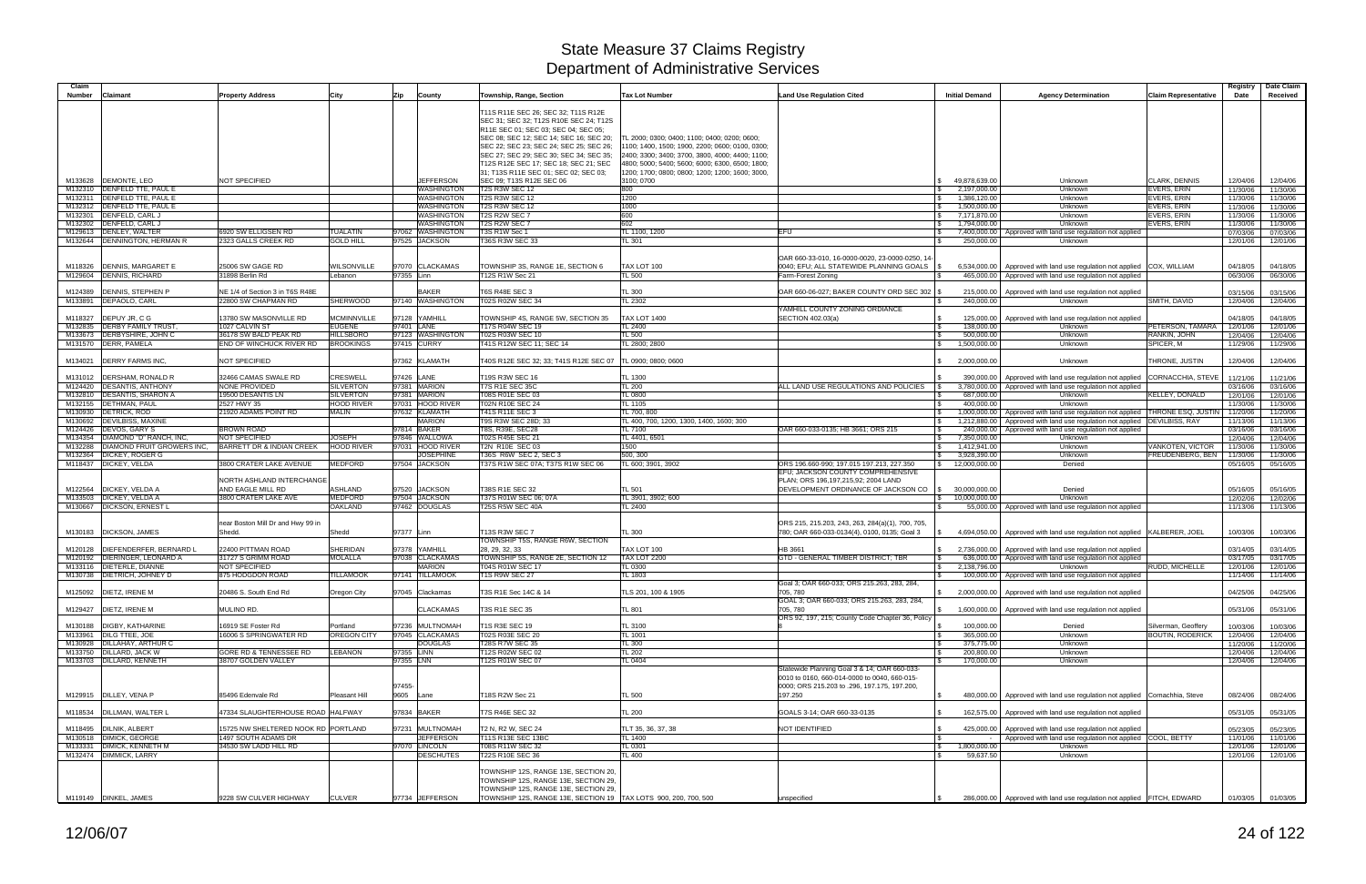| Claim         |                                                            |                                                        |                                      |            |                                   |                                                                                 |                                                               |                                                                                            |                              |                                                                                                                            |                                                | Registry             | Date Claim           |
|---------------|------------------------------------------------------------|--------------------------------------------------------|--------------------------------------|------------|-----------------------------------|---------------------------------------------------------------------------------|---------------------------------------------------------------|--------------------------------------------------------------------------------------------|------------------------------|----------------------------------------------------------------------------------------------------------------------------|------------------------------------------------|----------------------|----------------------|
| <b>Number</b> | <b>Claimant</b>                                            | Property Address                                       | City                                 | Zip        | County                            | Township, Range, Section                                                        | <b>Tax Lot Number</b>                                         | <b>Land Use Regulation Cited</b>                                                           | <b>Initial Demand</b>        | <b>Agency Determination</b>                                                                                                | <b>Claim Representative</b>                    | Date                 | Received             |
|               |                                                            |                                                        |                                      |            |                                   | T11S R11E SEC 26; SEC 32; T11S R12E                                             |                                                               |                                                                                            |                              |                                                                                                                            |                                                |                      |                      |
|               |                                                            |                                                        |                                      |            |                                   | SEC 31; SEC 32; T12S R10E SEC 24; T12S                                          |                                                               |                                                                                            |                              |                                                                                                                            |                                                |                      |                      |
|               |                                                            |                                                        |                                      |            |                                   | R11E SEC 01; SEC 03; SEC 04; SEC 05;<br>SEC 08; SEC 12; SEC 14; SEC 16; SEC 20; | TL 2000: 0300: 0400: 1100: 0400: 0200: 0600:                  |                                                                                            |                              |                                                                                                                            |                                                |                      |                      |
|               |                                                            |                                                        |                                      |            |                                   | SEC 22; SEC 23; SEC 24; SEC 25; SEC 26;                                         | 1100; 1400, 1500; 1900, 2200; 0600; 0100, 0300;               |                                                                                            |                              |                                                                                                                            |                                                |                      |                      |
|               |                                                            |                                                        |                                      |            |                                   | SEC 27; SEC 29; SEC 30; SEC 34; SEC 35;                                         | 2400; 3300; 3400; 3700, 3800, 4000; 4400; 1100;               |                                                                                            |                              |                                                                                                                            |                                                |                      |                      |
|               |                                                            |                                                        |                                      |            |                                   | T12S R12E SEC 17; SEC 18; SEC 21; SEC                                           | 4800; 5000; 5400; 5600; 6000; 6300, 6500; 1800;               |                                                                                            |                              |                                                                                                                            |                                                |                      |                      |
|               | M133628 DEMONTE, LEO                                       | NOT SPECIFIED                                          |                                      |            | <b>JEFFERSON</b>                  | 31; T13S R11E SEC 01; SEC 02; SEC 03;<br>SEC 09; T13S R12E SEC 06               | 1200; 1700; 0800; 0800; 1200; 1200; 1600; 3000,<br>3100; 0700 |                                                                                            | 49,878,639.00                | Unknown                                                                                                                    | <b>CLARK, DENNIS</b>                           | 12/04/06             | 12/04/06             |
|               | M132310   DENFELD TTE, PAUL E                              |                                                        |                                      |            | WASHINGTON                        | <b>T2S R3W SEC 12</b>                                                           | 800                                                           |                                                                                            | 2,197,000.00                 | Unknown                                                                                                                    | EVERS, ERIN                                    | 11/30/06             | 11/30/06             |
| M132311       | DENFELD TTE, PAUL E                                        |                                                        |                                      |            | WASHINGTON                        | <b>T2S R3W SEC 12</b>                                                           | 1200                                                          |                                                                                            | 1,386,120.00                 | Unknown                                                                                                                    | EVERS, ERIN                                    | 11/30/06             | 11/30/06             |
|               | M132312 <b>DENFELD TTE, PAUL E</b>                         |                                                        |                                      |            | WASHINGTON                        | <b>T2S R3W SEC 12</b>                                                           | 1000                                                          |                                                                                            | 1,500,000.00                 | Unknown                                                                                                                    | <b>EVERS, ERIN</b>                             | 11/30/06             | 11/30/06             |
|               | M132301  DENFELD, CARL J<br>M132302  DENFELD, CARL J       |                                                        |                                      |            | WASHINGTON<br>WASHINGTON          | T2S R2W SEC 7<br>T2S R2W SEC 7                                                  | 600<br>602                                                    |                                                                                            | 7,171,870.00<br>1,794,000.00 | Unknown<br>Unknown                                                                                                         | EVERS, ERIN<br>EVERS, ERIN                     | 11/30/06<br>11/30/06 | 11/30/06<br>11/30/06 |
|               | M129613  DENLEY, WALTER                                    | 6920 SW ELLIGSEN RD                                    | TUALATIN                             | 97062      | <b>WASHINGTON</b>                 | T3S R1W Sec 1                                                                   | TL 1100, 1200                                                 | EFU                                                                                        |                              | 7,400,000.00   Approved with land use regulation not applied                                                               |                                                | 07/03/06             | 07/03/06             |
|               | M132644   DENNINGTON, HERMAN R                             | 2323 GALLS CREEK RD                                    | <b>GOLD HILL</b>                     |            | 97525 JACKSON                     | T36S R3W SEC 33                                                                 | TL 301                                                        |                                                                                            | 250,000.00                   | Unknown                                                                                                                    |                                                | 12/01/06             | 12/01/06             |
|               |                                                            |                                                        |                                      |            |                                   |                                                                                 |                                                               |                                                                                            |                              |                                                                                                                            |                                                |                      |                      |
| M118326       | <b>DENNIS, MARGARET E</b>                                  | 25006 SW GAGE RD                                       | WILSONVILLE                          |            | 97070 CLACKAMAS                   | TOWNSHIP 3S, RANGE 1E, SECTION 6                                                | TAX LOT 100                                                   | OAR 660-33-010, 16-0000-0020, 23-0000-0250, 14-<br>0040; EFU; ALL STATEWIDE PLANNING GOALS |                              | 6,534,000.00   Approved with land use regulation not applied COX, WILLIAM                                                  |                                                | 04/18/05             | 04/18/05             |
|               | M129604 DENNIS, RICHARD                                    | 31898 Berlin Rd                                        | Lebanon                              | 97355 Linn |                                   | T12S R1W Sec 21                                                                 | <b>TL 500</b>                                                 | Farm-Forest Zoning                                                                         |                              | 465,000.00   Approved with land use regulation not applied                                                                 |                                                | 06/30/06             | 06/30/06             |
|               |                                                            |                                                        |                                      |            |                                   |                                                                                 |                                                               |                                                                                            |                              |                                                                                                                            |                                                |                      |                      |
| M124389       | <b>DENNIS, STEPHEN P</b><br>M133891  DEPAOLO, CARL         | NE 1/4 of Section 3 in T6S R48E<br>22800 SW CHAPMAN RD | SHERWOOD                             |            | <b>BAKER</b><br>97140 WASHINGTON  | <b>T6S R48E SEC 3</b><br>T02S R02W SEC 34                                       | <b>TL 300</b><br>TL 2302                                      | OAR 660-06-027; BAKER COUNTY ORD SEC 302                                                   | 215,000.00<br>240,000.00     | Approved with land use regulation not applied<br>Unknown                                                                   | SMITH, DAVID                                   | 03/15/06<br>12/04/06 | 03/15/06<br>12/04/06 |
|               |                                                            |                                                        |                                      |            |                                   |                                                                                 |                                                               | YAMHILL COUNTY ZONING ORDIANCE                                                             |                              |                                                                                                                            |                                                |                      |                      |
|               | M118327   DEPUY JR, C G                                    | 13780 SW MASONVILLE RD                                 | <b>MCMINNVILLE</b>                   |            | 97128 YAMHILL                     | TOWNSHIP 4S, RANGE 5W, SECTION 35                                               | <b>TAX LOT 1400</b>                                           | SECTION 402.03(a)                                                                          |                              | 125,000.00   Approved with land use regulation not applied                                                                 |                                                | 04/18/05             | 04/18/05             |
|               | M132835   DERBY FAMILY TRUST                               | 1027 CALVIN ST                                         | <b>EUGENE</b>                        | 97401 LANE |                                   | T17S R04W SEC 19                                                                | TL 2400                                                       |                                                                                            | 138,000.00                   | Unknown                                                                                                                    | PETERSON, TAMARA                               | 12/01/06             | 12/01/06             |
|               | M133673 DERBYSHIRE, JOHN C<br>M131570 DERR, PAMELA         | 36178 SW BALD PEAK RD<br>END OF WINCHUCK RIVER RD      | <b>HILLSBORO</b><br><b>BROOKINGS</b> |            | 97123 WASHINGTON<br>97415 CURRY   | T02S R03W SEC 10<br>T41S R12W SEC 11; SEC 14                                    | TL 500<br>TL 2800; 2800                                       |                                                                                            | 500,000.00<br>1,500,000.00   | Unknown<br>Unknown                                                                                                         | RANKIN, JOHN<br>SPICER, M                      | 12/04/06<br>11/29/06 | 12/04/06<br>11/29/06 |
|               |                                                            |                                                        |                                      |            |                                   |                                                                                 |                                                               |                                                                                            |                              |                                                                                                                            |                                                |                      |                      |
| M134021       | <b>DERRY FARMS INC,</b>                                    | NOT SPECIFIED                                          |                                      |            | 97362 KLAMATH                     | T40S R12E SEC 32; 33; T41S R12E SEC 07                                          | TL 0900; 0800; 0600                                           |                                                                                            | 2,000,000.00                 | Unknown                                                                                                                    | THRONE, JUSTIN                                 | 12/04/06             | 12/04/06             |
|               |                                                            |                                                        |                                      |            |                                   |                                                                                 |                                                               |                                                                                            |                              |                                                                                                                            |                                                |                      |                      |
|               | M131012   DERSHAM, RONALD R<br>M124420 DESANTIS, ANTHONY   | 32466 CAMAS SWALE RD<br>NONE PROVIDED                  | CRESWELL<br><b>SILVERTON</b>         | 97426 LANE | 97381 MARION                      | T19S R3W SEC 16<br><b>T7S R1E SEC 35C</b>                                       | TL 1300<br><b>TL 200</b>                                      | ALL LAND USE REGULATIONS AND POLICIES                                                      |                              | 390,000.00   Approved with land use regulation not applied<br>3,780,000.00   Approved with land use regulation not applied | CORNACCHIA, STEVE                              | 11/21/06<br>03/16/06 | 11/21/06<br>03/16/06 |
|               | M132810 DESANTIS, SHARON A                                 | 19500 DESANTIS LN                                      | <b>SILVERTON</b>                     |            | 97381 MARION                      | T08S R01E SEC 03                                                                | <b>TL 0800</b>                                                |                                                                                            | 687,000.00                   | Unknown                                                                                                                    | KELLEY, DONALD                                 | 12/01/06             | 12/01/06             |
|               | M132155 DETHMAN, PAUL                                      | 2527 HWY 35                                            | <b>HOOD RIVER</b>                    |            | 97031 HOOD RIVER                  | T02N R10E SEC 24                                                                | TL 1105                                                       |                                                                                            | 400,000.00                   | Unknown                                                                                                                    |                                                | 11/30/06             | 11/30/06             |
|               | M130930   DETRICK, ROD                                     | 21920 ADAMS POINT RD                                   | MALIN                                |            | 97632 KLAMATH                     | T41S R11E SEC 3                                                                 | TL 700, 800                                                   |                                                                                            |                              | 1,000,000.00   Approved with land use regulation not applied                                                               | THRONE ESQ, JUST                               | 11/20/06             | 11/20/06             |
|               | M130692   DEVILBISS, MAXINE<br>M124426 DEVOS, GARY S       | BROWN ROAD                                             |                                      |            | <b>MARION</b><br>97814 BAKER      | T9S R3W SEC 28D; 33<br>T8S, R39E, SEC28                                         | TL 400, 700, 1200, 1300, 1400, 1600; 300<br>TL 7100           | OAR 660-033-0135; HB 3661; ORS 215                                                         |                              | 1,212,880.00   Approved with land use regulation not applied<br>240,000.00   Approved with land use regulation not applied | <b>DEVILBISS, RAY</b>                          | 11/13/06<br>03/16/06 | 11/13/06<br>03/16/06 |
| M134354       | DIAMOND "D" RANCH, INC,                                    | NOT SPECIFIED                                          | <b>JOSEPH</b>                        |            | 97846 WALLOWA                     | T02S R45E SEC 21                                                                | TL 4401, 6501                                                 |                                                                                            | 7,350,000.00                 | Unknown                                                                                                                    |                                                | 12/04/06             | 12/04/06             |
| M132288       | DIAMOND FRUIT GROWERS INC,                                 | BARRETT DR & INDIAN CREEK                              | <b>HOOD RIVER</b>                    |            | 97031 HOOD RIVER                  | T2N R10E SEC 03                                                                 | 1500                                                          |                                                                                            | 1,412,941.00                 | Unknown                                                                                                                    | VANKOTEN, VICTOR                               | 11/30/06             | 11/30/06             |
|               | M132364 DICKEY, ROGER G                                    |                                                        |                                      |            | <b>JOSEPHINE</b>                  | T36S R6W SEC 2, SEC 3                                                           | 500, 300                                                      |                                                                                            | 3,928,390.00                 | Unknown                                                                                                                    | FREUDENBERG, BEN                               | 11/30/06             | 11/30/06             |
|               |                                                            |                                                        |                                      |            |                                   |                                                                                 |                                                               |                                                                                            |                              |                                                                                                                            |                                                |                      |                      |
|               | M118437 DICKEY, VELDA                                      | 3800 CRATER LAKE AVENUE                                | <b>MEDFORD</b>                       |            | 97504 JACKSON                     | T37S R1W SEC 07A; T37S R1W SEC 06                                               | TL 600; 3901, 3902                                            | ORS 196.660-990; 197.015 197.213, 227.350                                                  | 12,000,000.00                | Denied                                                                                                                     |                                                | 05/16/05             | 05/16/05             |
|               |                                                            | NORTH ASHLAND INTERCHANGE                              |                                      |            |                                   |                                                                                 |                                                               | EFU; JACKSON COUNTY COMPREHENSIVE<br>PLAN; ORS 196, 197, 215, 92; 2004 LAND                |                              |                                                                                                                            |                                                |                      |                      |
| M122564       | DICKEY, VELDA A                                            | AND EAGLE MILL RD                                      | ASHLAND                              |            | 97520 JACKSON                     | T38S R1E SEC 32                                                                 | TL 501                                                        | DEVELOPMENT ORDINANCE OF JACKSON CO                                                        | 30,000,000.00                | Denied                                                                                                                     |                                                | 05/16/05             | 05/16/05             |
| M133503       | <b>DICKEY, VELDA A</b>                                     | 3800 CRATER LAKE AVE                                   | <b>MEDFORD</b>                       |            | 97504 JACKSON                     | T37S R01W SEC 06; 07A                                                           | TL 3901, 3902; 600                                            |                                                                                            | \$ 10,000,000.00             | Unknown                                                                                                                    |                                                | 12/02/06             | 12/02/06             |
| M130667       | <b>DICKSON, ERNEST L</b>                                   |                                                        | OAKLAND                              |            | 97462 DOUGLAS                     | <b>T25S R5W SEC 40A</b>                                                         | TL 2400                                                       |                                                                                            |                              | 55,000.00   Approved with land use regulation not applied                                                                  |                                                | 11/13/06             | 11/13/06             |
|               |                                                            | near Boston Mill Dr and Hwy 99 in                      |                                      |            |                                   |                                                                                 |                                                               | ORS 215, 215.203, 243, 263, 284(a)(1), 700, 705,                                           |                              |                                                                                                                            |                                                |                      |                      |
|               | M130183   DICKSON, JAMES                                   | Shedd.                                                 | Shedd                                | 97377 Linn |                                   | T13S R3W SEC 7                                                                  | TL 300                                                        | 780; OAR 660-033-0134(4), 0100, 0135; Goal 3                                               |                              | 4,694,050.00   Approved with land use regulation not applied KALBERER, JOEL                                                |                                                | 10/03/06             | 10/03/06             |
|               |                                                            |                                                        |                                      |            |                                   | TOWNSHIP T5S, RANGE R6W, SECTION                                                |                                                               |                                                                                            |                              |                                                                                                                            |                                                |                      |                      |
| M120128       | DIEFENDERFER, BERNARD L<br>M120192   DIERINGER, LEONARD A  | 22400 PITTMAN ROAD<br>31727 S GRIMM ROAD               | SHERIDAN<br><b>MOLALLA</b>           |            | 97378 YAMHILL<br>97038 CLACKAMAS  | 28, 29, 32, 33<br>TOWNSHIP 5S, RANGE 2E, SECTION 12                             | TAX LOT 100<br><b>TAX LOT 2200</b>                            | HB 3661<br>GTD - GENERAL TIMBER DISTRICT; TBR                                              |                              | 2,736,000.00   Approved with land use regulation not applied<br>636,000.00   Approved with land use regulation not applied |                                                | 03/14/05<br>03/17/05 | 03/14/05<br>03/17/05 |
|               | M133116 DIETERLE, DIANNE                                   | NOT SPECIFIED                                          |                                      |            | <b>MARION</b>                     | T04S R01W SEC 17                                                                | TL 0300                                                       |                                                                                            | 2,138,796.00                 | Unknown                                                                                                                    | RUDD, MICHELLE                                 | 12/01/06             | 12/01/06             |
|               | M130738   DIETRICH, JOHNEY D                               | 875 HODGDON ROAD                                       | <b><i>FILLAMOOK</i></b>              |            | 97141 TILLAMOOK                   | <b>T1S R9W SEC 27</b>                                                           | TL 1803                                                       |                                                                                            |                              | 100,000.00   Approved with land use regulation not applied                                                                 |                                                | 11/14/06             | 11/14/06             |
|               | M125092 DIETZ, IRENE M                                     | 20486 S. South End Rd                                  | Oregon City                          |            | 97045 Clackamas                   | T3S R1E Sec 14C & 14                                                            | TLS 201, 100 & 1905                                           | Goal 3; OAR 660-033; ORS 215.263, 283, 284,<br>705, 780                                    |                              | 2,000,000.00 Approved with land use regulation not applied                                                                 |                                                | 04/25/06             | 04/25/06             |
|               |                                                            |                                                        |                                      |            |                                   |                                                                                 |                                                               | GOAL 3; OAR 660-033; ORS 215.263, 283, 284,                                                |                              |                                                                                                                            |                                                |                      |                      |
|               | M129427 DIETZ, IRENE M                                     | MULINO RD.                                             |                                      |            | <b>CLACKAMAS</b>                  | T3S R1E SEC 35                                                                  | <b>TL 801</b>                                                 | 705.780                                                                                    |                              | 1,600,000.00 Approved with land use regulation not applied                                                                 |                                                | 05/31/06             | 05/31/06             |
|               | M130188 DIGBY, KATHARINE                                   |                                                        |                                      |            | 97236 MULTNOMAH                   |                                                                                 |                                                               | ORS 92, 197, 215; County Code Chapter 36, Policy                                           |                              |                                                                                                                            |                                                |                      |                      |
|               | M133961 DILG TTEE, JOE                                     | 16919 SE Foster Rd<br>16006 S SPRINGWATER RD           | Portland<br>OREGON CITY              | 97045      | <b>CLACKAMAS</b>                  | T1S R3E SEC 19<br>T02S R03E SEC 20                                              | TL 3100<br>TL 1001                                            |                                                                                            | 100,000.00<br>365,000.00     | Denied<br>Unknown                                                                                                          | Silverman, Geoffery<br><b>BOUTIN, RODERICK</b> | 10/03/06<br>12/04/06 | 10/03/06<br>12/04/06 |
|               | M130928 DILLAHAY, ARTHUR C                                 |                                                        |                                      |            | <b>DOUGLAS</b>                    | <b>T28S R7W SEC 35</b>                                                          | <b>TL 300</b>                                                 |                                                                                            | 375,775.00                   | Unknown                                                                                                                    |                                                | 11/20/06             | 11/20/06             |
|               | M133750 DILLARD, JACK W                                    | GORE RD & TENNESSEE RD                                 | LEBANON                              | 97355 LINN |                                   | T12S R02W SEC 02                                                                | <b>TL 202</b>                                                 |                                                                                            | 200,800.00                   | Unknown                                                                                                                    |                                                | 12/04/06             | 12/04/06             |
|               | M133703 DILLARD, KENNETH                                   | 38707 GOLDEN VALLEY                                    |                                      | 97355 LNN  |                                   | T12S R01W SEC 07                                                                | TL 0404                                                       | Statewide Planning Goal 3 & 14: OAR 660-033-                                               | 170,000.00                   | Unknown                                                                                                                    |                                                | 12/04/06             | 12/04/06             |
|               |                                                            |                                                        |                                      |            |                                   |                                                                                 |                                                               | 0010 to 0160, 660-014-0000 to 0040, 660-015-                                               |                              |                                                                                                                            |                                                |                      |                      |
|               |                                                            |                                                        |                                      | 97455-     |                                   |                                                                                 |                                                               | 0000; ORS 215.203 to .296, 197.175, 197.200,                                               |                              |                                                                                                                            |                                                |                      |                      |
|               | M129915  DILLEY, VENA P                                    | 85496 Edenvale Rd                                      | Pleasant Hill                        | 9605 Lane  |                                   | T18S R2W Sec 21                                                                 | TL 500                                                        | 197.250                                                                                    |                              | 480,000.00   Approved with land use regulation not applied Cornachhia, Steve                                               |                                                | 08/24/06             | 08/24/06             |
|               | M118534   DILLMAN, WALTER L                                | 17334 SLAUGHTERHOUSE ROAD HALFWAY                      |                                      |            | 97834 BAKER                       | T7S R46E SEC 32                                                                 | <b>TL 200</b>                                                 | GOALS 3-14; OAR 660-33-0135                                                                |                              | 162,575.00 Approved with land use regulation not applied                                                                   |                                                | 05/31/05             | 05/31/05             |
|               |                                                            |                                                        |                                      |            |                                   |                                                                                 |                                                               |                                                                                            |                              |                                                                                                                            |                                                |                      |                      |
|               | M118495 DILNIK, ALBERT                                     | 15725 NW SHELTERED NOOK RD PORTLAND                    |                                      |            | 97231 MULTNOMAH                   | T2 N, R2 W, SEC 24                                                              | TLT 35, 36, 37, 38                                            | NOT IDENTIFIED                                                                             |                              | 425,000.00   Approved with land use regulation not applied                                                                 |                                                | 05/23/05             | 05/23/05             |
|               | M130518 DIMICK, GEORGE                                     | 1497 SOUTH ADAMS DR                                    |                                      |            | <b>JEFFERSON</b>                  | T11S R13E SEC 13BC                                                              | TL 1400                                                       |                                                                                            |                              | Approved with land use regulation not applied COOL, BETTY                                                                  |                                                | 11/01/06             | 11/01/06             |
|               | M133331 DIMICK, KENNETH M<br>M132474 <b>DIMMICK, LARRY</b> | 34530 SW LADD HILL RD                                  |                                      |            | 97070 LINCOLN<br><b>DESCHUTES</b> | T08S R11W SEC 32<br>T22S R10E SEC 36                                            | TL 0301<br>TL 400                                             |                                                                                            | 1,800,000.00<br>59,637.50    | Unknown<br>Unknown                                                                                                         |                                                | 12/01/06<br>12/01/06 | 12/01/06<br>12/01/06 |
|               |                                                            |                                                        |                                      |            |                                   |                                                                                 |                                                               |                                                                                            |                              |                                                                                                                            |                                                |                      |                      |
|               |                                                            |                                                        |                                      |            |                                   | TOWNSHIP 12S, RANGE 13E, SECTION 20,                                            |                                                               |                                                                                            |                              |                                                                                                                            |                                                |                      |                      |
|               |                                                            |                                                        |                                      |            |                                   | TOWNSHIP 12S, RANGE 13E, SECTION 29,<br>TOWNSHIP 12S, RANGE 13E, SECTION 29,    |                                                               |                                                                                            |                              |                                                                                                                            |                                                |                      |                      |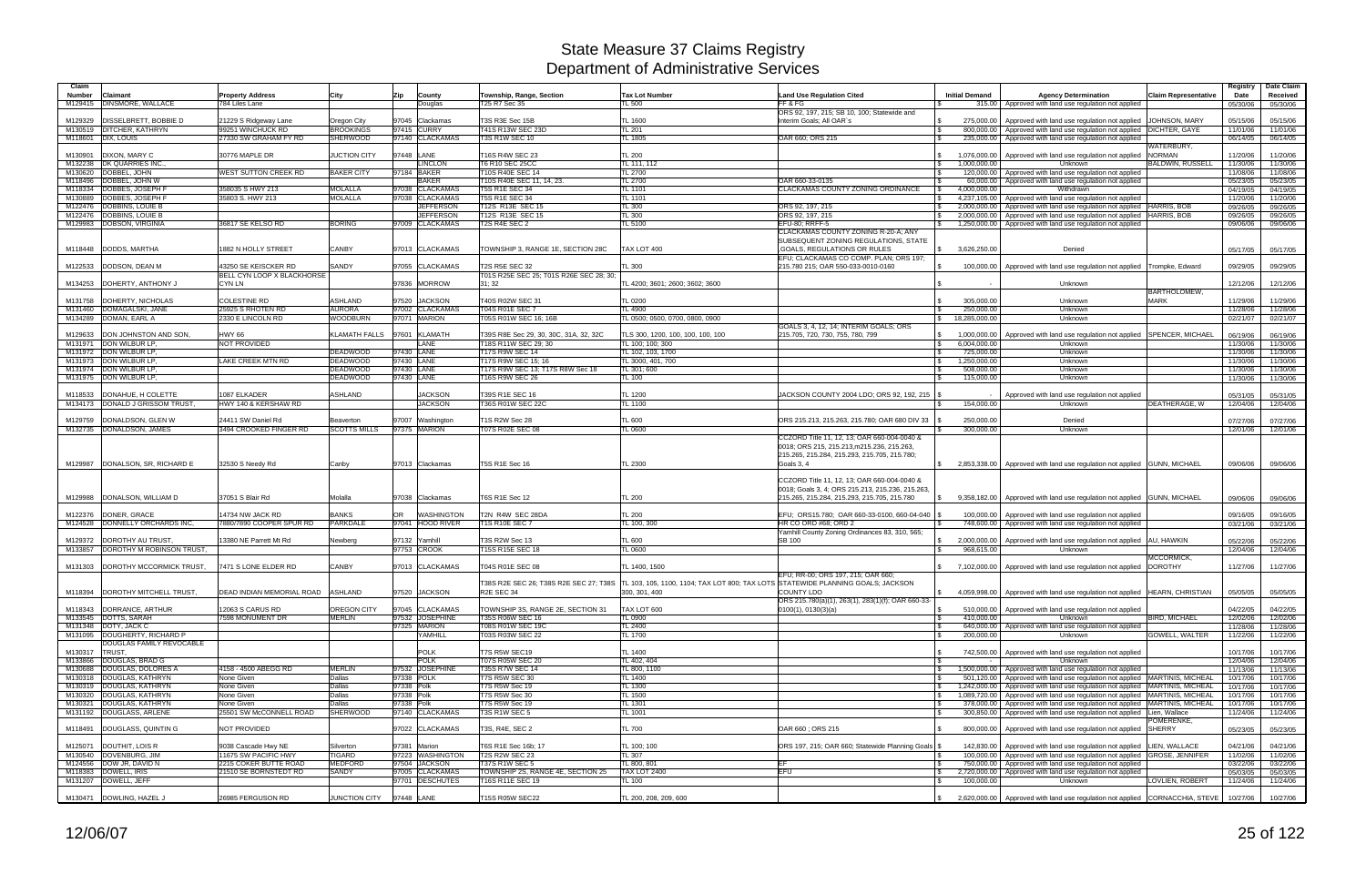| Claim              |                                                      |                                                    |                                     |                          |                                     |                                                                |                                                                                  |                                                                                                 |                                                |                                                                                                                                                                  |                             | Registry             | Date Claim           |
|--------------------|------------------------------------------------------|----------------------------------------------------|-------------------------------------|--------------------------|-------------------------------------|----------------------------------------------------------------|----------------------------------------------------------------------------------|-------------------------------------------------------------------------------------------------|------------------------------------------------|------------------------------------------------------------------------------------------------------------------------------------------------------------------|-----------------------------|----------------------|----------------------|
| <b>Number</b>      | Claimant                                             | <b>Property Address</b>                            | City                                | Zip                      | County                              | Township, Range, Section                                       | <b>Tax Lot Number</b>                                                            | <b>Land Use Regulation Cited</b>                                                                | <b>Initial Demand</b>                          | <b>Agency Determination</b>                                                                                                                                      | <b>Claim Representative</b> | Date                 | Received             |
|                    | M129415 DINSMORE, WALLACE                            | 784 Liles Lane                                     |                                     |                          | Douglas                             | T25 R7 Sec 35                                                  | FL 500                                                                           | FF&FG<br>ORS 92, 197, 215; SB 10, 100; Statewide and                                            |                                                | 315.00   Approved with land use regulation not applied                                                                                                           |                             | 05/30/06             | 05/30/06             |
| M129329            | <b>DISSELBRETT, BOBBIE D</b>                         | 21229 S Ridgeway Lane                              | Oregon City                         | 97045                    | Clackamas                           | T3S R3E Sec 15B                                                | TL 1600                                                                          | Interim Goals; All OAR's                                                                        | 275,000.00<br><b>S</b>                         | Approved with land use regulation not applied                                                                                                                    | JOHNSON, MARY               | 05/15/06             | 05/15/06             |
| M130519<br>M118601 | <b>DITCHER, KATHRYN</b><br>DIX, LOUIS                | 99251 WINCHUCK RD<br>27330 SW GRAHAM FY RD         | <b>BROOKINGS</b><br><b>SHERWOOD</b> |                          | 97415 CURRY<br>97140 CLACKAMAS      | T41S R13W SEC 23D<br><b>T3S R1W SEC 10</b>                     | TL 201<br>TL 1805                                                                | OAR 660; ORS 215                                                                                | l \$<br>235,000.00                             | 800,000.00 Approved with land use regulation not applied DICHTER, GAYE<br>Approved with land use regulation not applied                                          |                             | 11/01/06<br>06/14/05 | 11/01/06<br>06/14/05 |
|                    |                                                      |                                                    |                                     |                          |                                     |                                                                |                                                                                  |                                                                                                 |                                                |                                                                                                                                                                  | WATERBURY,                  |                      |                      |
| M130901            | DIXON, MARY C                                        | 30776 MAPLE DR                                     | <b>JUCTION CITY</b>                 | 97448 LANE               |                                     | T16S R4W SEC 23                                                | <b>TL 200</b>                                                                    |                                                                                                 | 1,076,000.00                                   | Approved with land use regulation not applied NORMAN                                                                                                             |                             | 11/20/06             | 11/20/06             |
|                    | M132238 DK QUARRIES INC.<br>M130620 DOBBEL, JOHN     | <b><i>NEST SUTTON CREEK RD</i></b>                 | <b>BAKER CITY</b>                   |                          | <b>LINCLON</b><br>97184 BAKER       | T6 R10 SEC 25CC<br>T10S R40E SEC 14                            | TL 111, 112<br>TL 2700                                                           |                                                                                                 | 1,000,000.00<br><b>\$</b><br>120,000.00<br>IS. | Unknown<br>Approved with land use regulation not applied                                                                                                         | BALDWIN, RUSSELL            | 11/30/06<br>11/08/06 | 11/30/06<br>11/08/06 |
|                    | M118496   DOBBEL, JOHN W                             |                                                    |                                     |                          | BAKER                               | T10S R40E SEC 11, 14, 23.                                      | TL 2700                                                                          | OAR 660-33-0135                                                                                 | 60,000.00                                      | Approved with land use regulation not applied                                                                                                                    |                             | 05/23/05             | 05/23/05             |
| M118334            | DOBBES, JOSEPH F                                     | 358035 S HWY 213                                   | <b>MOLALLA</b>                      |                          | 97038 CLACKAMAS                     | <b>T5S R1E SEC 34</b>                                          | TL 1101                                                                          | CLACKAMAS COUNTY ZONING ORDINANCE                                                               | 4.000.000.00                                   | Withdrawn                                                                                                                                                        |                             | 04/19/05             | 04/19/05             |
| M130889<br>M122476 | DOBBES, JOSEPH F<br>DOBBINS, LOUIE B                 | 35803 S. HWY 213                                   | <b>MOLALLA</b>                      |                          | 97038 CLACKAMAS<br><b>JEFFERSON</b> | <b>T5S R1E SEC 34</b><br>T12S R13E SEC 15                      | TL 1101<br><b>TL 300</b>                                                         | ORS 92, 197, 215                                                                                | 4,237,105.00<br><b>\$</b><br>2,000,000.00      | Approved with land use regulation not applied<br>Approved with land use regulation not applied   HARRIS, BOB                                                     |                             | 11/20/06<br>09/26/05 | 11/20/06<br>09/26/05 |
| M122476            | DOBBINS, LOUIE B                                     |                                                    |                                     |                          | <b>JEFFERSON</b>                    | T12S R13E SEC 15                                               | TL 300                                                                           | ORS 92, 197, 215                                                                                | 2,000,000.00                                   | Approved with land use regulation not applied HARRIS, BOB                                                                                                        |                             | 09/26/05             | 09/26/05             |
|                    | M129983  DOBSON, VIRGINIA                            | 36817 SE KELSO RD                                  | <b>BORING</b>                       |                          | 97009 CLACKAMAS                     | T2S R4E SEC 2                                                  | <b>TL 5100</b>                                                                   | EFU-80; RRFF-5                                                                                  | $\sqrt{3}$                                     | 1,250,000.00 Approved with land use regulation not applied                                                                                                       |                             | 09/06/06             | 09/06/06             |
|                    |                                                      |                                                    |                                     |                          |                                     |                                                                |                                                                                  | CLACKAMAS COUNTY ZONING R-20-A; ANY<br>SUBSEQUENT ZONING REGULATIONS, STATE                     |                                                |                                                                                                                                                                  |                             |                      |                      |
|                    | M118448   DODDS, MARTHA                              | 1882 N HOLLY STREET                                | <b>CANBY</b>                        |                          | 97013 CLACKAMAS                     | TOWNSHIP 3, RANGE 1E, SECTION 28C                              | TAX LOT 400                                                                      | GOALS, REGULATIONS OR RULES                                                                     | $\mathcal{S}$<br>3,626,250.00                  | Denied                                                                                                                                                           |                             | 05/17/05             | 05/17/05             |
|                    |                                                      |                                                    |                                     |                          |                                     |                                                                |                                                                                  | EFU; CLACKAMAS CO COMP. PLAN; ORS 197;                                                          |                                                |                                                                                                                                                                  |                             |                      |                      |
| M122533            | DODSON, DEAN M                                       | 43250 SE KEISCKER RD<br>BELL CYN LOOP X BLACKHORSE | SANDY                               |                          | 97055 CLACKAMAS                     | T2S R5E SEC 32<br>T01S R25E SEC 25; T01S R26E SEC 28; 30;      | TL 300                                                                           | 215.780 215; OAR 550-033-0010-0160                                                              | 100,000.00                                     | Approved with land use regulation not applied                                                                                                                    | Trompke, Edward             | 09/29/05             | 09/29/05             |
|                    | M134253   DOHERTY, ANTHONY J                         | <b>CYN LN</b>                                      |                                     |                          | 97836 MORROW                        | 31:32                                                          | TL 4200; 3601; 2600; 3602; 3600                                                  |                                                                                                 |                                                | Unknown                                                                                                                                                          |                             | 12/12/06             | 12/12/06             |
|                    |                                                      |                                                    |                                     |                          |                                     |                                                                |                                                                                  |                                                                                                 |                                                |                                                                                                                                                                  | <b>BARTHOLOMEW</b>          |                      |                      |
| M131758            | DOHERTY, NICHOLAS<br>M131460 DOMAGALSKI, JANE        | <b>COLESTINE RD</b><br>25925 S RHOTEN RD           | ASHLAND<br>AURORA                   |                          | 97520 JACKSON<br>97002 CLACKAMAS    | T40S R02W SEC 31<br><b>T04S R01E SEC 7</b>                     | <b>TL 0200</b><br><b>TL 4900</b>                                                 |                                                                                                 | 305,000.00<br>250.000.00<br>$\mathbb{R}$       | Unknown<br>Unknown                                                                                                                                               | <b>MARK</b>                 | 11/29/06<br>11/28/06 | 11/29/06<br>11/28/06 |
|                    | M134289 DOMAN, EARL A                                | 2330 E LINCOLN RD                                  | <b>WOODBURN</b>                     |                          | 97071 MARION                        | T05S R01W SEC 16; 16B                                          | FL 0500: 0500, 0700, 0800, 0900                                                  |                                                                                                 | 18,285,000.00<br>$\mathcal{S}$                 | Unknown                                                                                                                                                          |                             | 02/21/07             | 02/21/07             |
|                    |                                                      |                                                    |                                     |                          |                                     |                                                                |                                                                                  | GOALS 3, 4, 12, 14; INTERIM GOALS; ORS                                                          |                                                |                                                                                                                                                                  |                             |                      |                      |
| M129633            | DON JOHNSTON AND SON.<br>M131971   DON WILBUR LP.    | HWY 66<br><b>NOT PROVIDED</b>                      | KLAMATH FALLS                       |                          | 97601 KLAMATH<br>LANE               | T39S R8E Sec 29, 30, 30C, 31A, 32, 32C<br>T18S R11W SEC 29; 30 | TLS 300, 1200, 100, 100, 100, 100<br>TL 100; 100; 300                            | 215.705, 720, 730, 755, 780, 799                                                                | 1,000,000.00<br>$\sqrt{3}$<br>6,004,000.00     | Approved with land use regulation not applied  SPENCER, MICHAEL<br>Unknown                                                                                       |                             | 06/19/06<br>11/30/06 | 06/19/06<br>11/30/06 |
|                    | M131972 DON WILBUR LP.                               |                                                    | DEADWOOD                            | 97430 LANE               |                                     | <b>T17S R9W SEC 14</b>                                         | TL 102, 103, 1700                                                                |                                                                                                 | 725,000.00<br>IS                               | Unknown                                                                                                                                                          |                             | 11/30/06             | 11/30/06             |
|                    | M131973   DON WILBUR LP                              | AKE CREEK MTN RD                                   | <b>DEADWOOD</b>                     | 97430 LANE               |                                     | T17S R9W SEC 15; 16                                            | TL 3000, 401, 700                                                                |                                                                                                 | 1,250,000.00<br><b>\$</b>                      | Unknown                                                                                                                                                          |                             | 11/30/06             | 11/30/06             |
|                    | M131974 DON WILBUR LP.<br>M131975   DON WILBUR LP,   |                                                    | <b>DEADWOOD</b><br><b>DEADWOOD</b>  | 97430 LANE<br>97430 LANE |                                     | T17S R9W SEC 13; T17S R8W Sec 18<br>T16S R9W SEC 26            | TL 301; 600<br>TL 100                                                            |                                                                                                 | 508,000.00<br>115,000.00                       | Unknown<br>Unknown                                                                                                                                               |                             | 11/30/06             | 11/30/06<br>11/30/06 |
|                    |                                                      |                                                    |                                     |                          |                                     |                                                                |                                                                                  |                                                                                                 |                                                |                                                                                                                                                                  |                             | 11/30/06             |                      |
| M118533            | DONAHUE, H COLETTE                                   | 1087 ELKADER                                       | ASHLAND                             |                          | <b>JACKSON</b>                      | T39S R1E SEC 16                                                | TL 1200                                                                          | JACKSON COUNTY 2004 LDO: ORS 92. 192. 215 S                                                     |                                                | Approved with land use regulation not applied                                                                                                                    |                             | 05/31/05             | 05/31/05             |
| M134173            | DONALD J GRISSOM TRUST                               | HWY 140 & KERSHAW RD                               |                                     |                          | <b>JACKSON</b>                      | T36S R01W SEC 22C                                              | TL 1100                                                                          |                                                                                                 | 154,000.00                                     | Unknown                                                                                                                                                          | <b>DEATHERAGE, W</b>        | 12/04/06             | 12/04/06             |
|                    | M129759 DONALDSON, GLEN W                            | 24411 SW Daniel Rd                                 | Beaverton                           |                          | 97007 Washington                    | T1S R2W Sec 28                                                 | <b>TL 600</b>                                                                    | ORS 215.213, 215.263, 215.780; OAR 680 DIV 33                                                   | 250,000.00                                     | Denied                                                                                                                                                           |                             | 07/27/06             | 07/27/06             |
|                    | M132735 DONALDSON, JAMES                             | 3494 CROOKED FINGER RD                             | <b>SCOTTS MILLS</b>                 |                          | 97375 MARION                        | T07S R02E SEC 08                                               | TL 0600                                                                          |                                                                                                 | 300,000.00                                     | Unknown                                                                                                                                                          |                             | 12/01/06             | 12/01/06             |
|                    |                                                      |                                                    |                                     |                          |                                     |                                                                |                                                                                  | CCZORD Title 11, 12, 13; OAR 660-004-0040 &<br>0018; ORS 215, 215.213, m215.236, 215.263,       |                                                |                                                                                                                                                                  |                             |                      |                      |
|                    |                                                      |                                                    |                                     |                          |                                     |                                                                |                                                                                  | 215.265, 215.284, 215.293, 215.705, 215.780;                                                    |                                                |                                                                                                                                                                  |                             |                      |                      |
|                    | M129987 DONALSON, SR. RICHARD E                      | 32530 S Needy Rd                                   | Canby                               |                          | 97013 Clackamas                     | T5S R1E Sec 16                                                 | TL 2300                                                                          | Goals 3, 4                                                                                      |                                                | \$ 2,853,338.00 Approved with land use regulation not applied GUNN, MICHAEL                                                                                      |                             | 09/06/06             | 09/06/06             |
|                    |                                                      |                                                    |                                     |                          |                                     |                                                                |                                                                                  |                                                                                                 |                                                |                                                                                                                                                                  |                             |                      |                      |
|                    |                                                      |                                                    |                                     |                          |                                     |                                                                |                                                                                  | CCZORD Title 11, 12, 13; OAR 660-004-0040 &<br>0018; Goals 3, 4; ORS 215.213, 215.236, 215.263, |                                                |                                                                                                                                                                  |                             |                      |                      |
|                    | M129988 DONALSON, WILLIAM D                          | 37051 S Blair Rd                                   | Molalla                             |                          | 97038 Clackamas                     | <b>T6S R1E Sec 12</b>                                          | <b>TL 200</b>                                                                    | 215.265, 215.284, 215.293, 215.705, 215.780                                                     |                                                | 9,358,182.00 Approved with land use regulation not applied GUNN, MICHAEL                                                                                         |                             | 09/06/06             | 09/06/06             |
|                    |                                                      |                                                    |                                     | <b>OR</b>                | <b>WASHINGTON</b>                   |                                                                | <b>TL 200</b>                                                                    |                                                                                                 |                                                | 100,000,00 Approved with land use regulation not applied                                                                                                         |                             |                      |                      |
| M122376            | DONER, GRACE<br>M124528 DONNELLY ORCHARDS INC.       | 14734 NW JACK RD<br>7880/7890 COOPER SPUR RD       | <b>BANKS</b><br>PARKDALE            |                          | 97041 HOOD RIVER                    | T2N R4W SEC 28DA<br><b>T1S R10E SEC 7</b>                      | TL 100, 300                                                                      | EFU; ORS15.780; OAR 660-33-0100, 660-04-040   \$<br>HR CO ORD #68; ORD 2                        |                                                | 748,600.00 Approved with land use regulation not applied                                                                                                         |                             | 09/16/05<br>03/21/06 | 09/16/05<br>03/21/06 |
|                    |                                                      |                                                    |                                     |                          |                                     |                                                                |                                                                                  | Yamhill County Zoning Ordinances 83, 310, 565;                                                  |                                                |                                                                                                                                                                  |                             |                      |                      |
| M129372            | DOROTHY AU TRUST                                     | 3380 NE Parrett Mt Rd                              | Newberg                             |                          | 97132 Yamhill                       | T3S R2W Sec 13                                                 | TL 600                                                                           | SB 100                                                                                          | 2,000,000.00<br>$\mathbb{S}$                   | Approved with land use regulation not applied AU, HAWKIN                                                                                                         |                             | 05/22/06             | 05/22/06             |
| M133857            | DOROTHY M ROBINSON TRUST,                            |                                                    |                                     |                          | 97753 CROOK                         | <b>T15S R15E SEC 18</b>                                        | <b>TL 0600</b>                                                                   |                                                                                                 | 968,615.00                                     | Unknown                                                                                                                                                          | MCCORMICK,                  | 12/04/06             | 12/04/06             |
|                    | M131303 DOROTHY MCCORMICK TRUST,                     | 7471 S LONE ELDER RD                               | <b>CANBY</b>                        |                          | 97013 CLACKAMAS                     | T04S R01E SEC 08                                               | TL 1400, 1500                                                                    |                                                                                                 |                                                | 7,102,000.00 Approved with land use regulation not applied                                                                                                       | <b>DOROTHY</b>              | 11/27/06             | 11/27/06             |
|                    |                                                      |                                                    |                                     |                          |                                     | T38S R2E SEC 26; T38S R2E SEC 27; T38S                         | TL 103, 105, 1100, 1104; TAX LOT 800; TAX LOTS STATEWIDE PLANNING GOALS; JACKSON | EFU: RR-00: ORS 197, 215: OAR 660:                                                              |                                                |                                                                                                                                                                  |                             |                      |                      |
|                    | M118394   DOROTHY MITCHELL TRUST.                    | DEAD INDIAN MEMORIAL ROAD                          | ASHLAND                             |                          | 97520 JACKSON                       | R2E SEC 34                                                     | 300, 301, 400                                                                    | <b>COUNTY LDO</b>                                                                               | $\mathbb{S}$                                   | 4,059,998.00 Approved with land use regulation not applied HEARN, CHRISTIAN                                                                                      |                             | 05/05/05             | 05/05/05             |
|                    |                                                      |                                                    |                                     |                          |                                     |                                                                |                                                                                  | ORS 215.780(a)(1), 263(1), 283(1)(f); OAR 660-33-                                               |                                                |                                                                                                                                                                  |                             |                      |                      |
|                    | M118343 DORRANCE, ARTHUR<br>M133545 DOTTS, SARAH     | 12063 S CARUS RD<br>7598 MONUMENT DR               | OREGON CITY<br><b>MERLIN</b>        |                          | 97045 CLACKAMAS<br>97532 JOSEPHINE  | TOWNSHIP 3S, RANGE 2E, SECTION 31<br><b>T35S R06W SEC 16</b>   | TAX LOT 600<br>TL 0900                                                           | 0100(1), 0130(3)(a)                                                                             | 510,000.00<br><b>\$</b><br>410,000.00<br>l \$  | Approved with land use regulation not applied<br>Unknown                                                                                                         | <b>BIRD, MICHAEL</b>        | 04/22/05             | 04/22/05             |
|                    | M131348 DOTY, JACK C                                 |                                                    |                                     |                          | 97325 MARION                        | T08S R01W SEC 19C                                              | TL 2400                                                                          |                                                                                                 | l \$                                           | 640,000.00 Approved with land use regulation not applied                                                                                                         |                             | 12/02/06<br>11/28/06 | 12/02/06<br>11/28/06 |
|                    | M131095 DOUGHERTY, RICHARD P                         |                                                    |                                     |                          | YAMHILL                             | T03S R03W SEC 22                                               | TL 1700                                                                          |                                                                                                 | $\sqrt{3}$<br>200,000.00                       | Unknown                                                                                                                                                          | GOWELL, WALTER              | 11/22/06             | 11/22/06             |
| M130317   TRUST,   | DOUGLAS FAMILY REVOCABLE                             |                                                    |                                     |                          | <b>POLK</b>                         | T7S R5W SEC19                                                  | TL 1400                                                                          |                                                                                                 |                                                | 742,500.00 Approved with land use regulation not applied                                                                                                         |                             | 10/17/06             | 10/17/06             |
|                    | M133866 DOUGLAS, BRAD G                              |                                                    |                                     |                          | <b>POLK</b>                         | T07S R05W SEC 20                                               | TL 402, 404                                                                      |                                                                                                 | IS.                                            | Unknown                                                                                                                                                          |                             | 12/04/06             | 12/04/06             |
|                    | M130688 DOUGLAS, DOLORES A                           | 4158 - 4500 ABEGG RD                               | <b>MERLIN</b>                       |                          | 97532 JOSEPHINE                     | <b>T35S R7W SEC 14</b>                                         | TL 800, 1100                                                                     |                                                                                                 | $\mathfrak{S}$                                 | 1,500,000.00 Approved with land use regulation not applied                                                                                                       |                             | 11/13/06             | 11/13/06             |
|                    | M130318 DOUGLAS, KATHRYN                             | None Given                                         | <b>Dallas</b>                       | 97338 POLK               |                                     | <b>T7S R5W SEC 30</b>                                          | TL 1400                                                                          |                                                                                                 |                                                | 501,120.00 Approved with land use regulation not applied MARTINIS, MICHEAL                                                                                       |                             | 10/17/06             | 10/17/06             |
|                    | M130319 DOUGLAS, KATHRYN<br>M130320 DOUGLAS, KATHRYN | None Given<br>None Given                           | Dallas<br>Dallas                    | 97338 Polk<br>97338 Polk |                                     | T7S R5W Sec 19<br>T7S R5W Sec 30                               | <b>TL 1300</b><br>TL 1500                                                        |                                                                                                 | <b>S</b><br><b>S</b>                           | 1,242,000.00   Approved with land use regulation not applied   MARTINIS, MICHEAL<br>1,089,720.00 Approved with land use regulation not applied MARTINIS, MICHEAL |                             | 10/17/06<br>10/17/06 | 10/17/06<br>10/17/06 |
|                    | M130321 DOUGLAS, KATHRYN                             | None Given                                         | Dallas                              | 97338 Polk               |                                     | T7S R5W Sec 19                                                 | TL 1301                                                                          |                                                                                                 | <b>S</b>                                       | 378,000.00   Approved with land use regulation not applied   MARTINIS, MICHEAL                                                                                   |                             | 10/17/06             | 10/17/06             |
|                    | M131192 DOUGLASS, ARLENE                             | 25501 SW McCONNELL ROAD                            | <b>SHERWOOD</b>                     |                          | 97140 CLACKAMAS                     | <b>T3S R1W SEC 5</b>                                           | TL 1001                                                                          |                                                                                                 | <b>S</b>                                       | 300,850.00   Approved with land use regulation not applied   Lien, Wallace                                                                                       |                             | 11/24/06             | 11/24/06             |
|                    | M118491 DOUGLASS, QUINTIN G                          | <b>NOT PROVIDED</b>                                |                                     |                          | 97022 CLACKAMAS                     | T3S, R4E, SEC 2                                                | <b>TL 700</b>                                                                    | OAR 660 ; ORS 215                                                                               | $\mathbf{s}$                                   | 800,000.00   Approved with land use regulation not applied SHERRY                                                                                                | POMERENKE,                  | 05/23/05             | 05/23/05             |
|                    |                                                      |                                                    |                                     |                          |                                     |                                                                |                                                                                  |                                                                                                 |                                                |                                                                                                                                                                  |                             |                      |                      |
|                    | M125071   DOUTHIT, LOIS R                            | 9038 Cascade Hwy NE                                | Silverton                           |                          | 97381 Marion                        | T6S R1E Sec 16b; 17                                            | TL 100: 100                                                                      | ORS 197, 215; OAR 660; Statewide Planning Goals \$                                              |                                                | 142,830.00 Approved with land use regulation not applied  LIEN, WALLACE                                                                                          |                             | 04/21/06             | 04/21/06             |
|                    | M130540 DOVENBURG, JIM                               | 11675 SW PACIFIC HWY                               | TIGARD                              |                          | 97223 WASHINGTON                    | <b>T2S R2W SEC 23</b>                                          | TL 307                                                                           |                                                                                                 | <b>S</b>                                       | 100,000.00 Approved with land use regulation not applied GROSE, JENNIFER                                                                                         |                             | 11/02/06             | 11/02/06             |
|                    | M124556 DOW JR, DAVID N<br>M118383 DOWELL, IRIS      | 2215 COKER BUTTE ROAD<br>21510 SE BORNSTEDT RD     | <b>MEDFORD</b><br><b>SANDY</b>      |                          | 97504 JACKSON<br>97005 CLACKAMAS    | <b>T37S R1W SEC 5</b><br>TOWNSHIP 2S, RANGE 4E, SECTION 25     | TL 800, 801<br><b>TAX LOT 2400</b>                                               | EFU                                                                                             | $\sqrt{S}$                                     | 750,000.00   Approved with land use regulation not applied<br>2,720,000.00 Approved with land use regulation not applied                                         |                             | 03/22/06<br>05/03/05 | 03/22/06<br>05/03/05 |
|                    | M131207 DOWELL, JEFF                                 |                                                    |                                     |                          | 97701 DESCHUTES                     | T16S R11E SEC 19                                               | TL 100                                                                           |                                                                                                 | 100,000.00                                     | Unknown                                                                                                                                                          | LOVLIEN, ROBERT             | 11/24/06             | 11/24/06             |
|                    |                                                      |                                                    |                                     |                          |                                     |                                                                |                                                                                  |                                                                                                 |                                                |                                                                                                                                                                  |                             |                      |                      |
|                    | M130471   DOWLING, HAZEL J                           | 26985 FERGUSON RD                                  | JUNCTION CITY 97448 LANE            |                          |                                     | T15S R05W SEC22                                                | TL 200, 208, 209, 600                                                            |                                                                                                 |                                                | \$ 2,620,000.00   Approved with land use regulation not applied CORNACCHIA, STEVE   10/27/06                                                                     |                             |                      | 10/27/06             |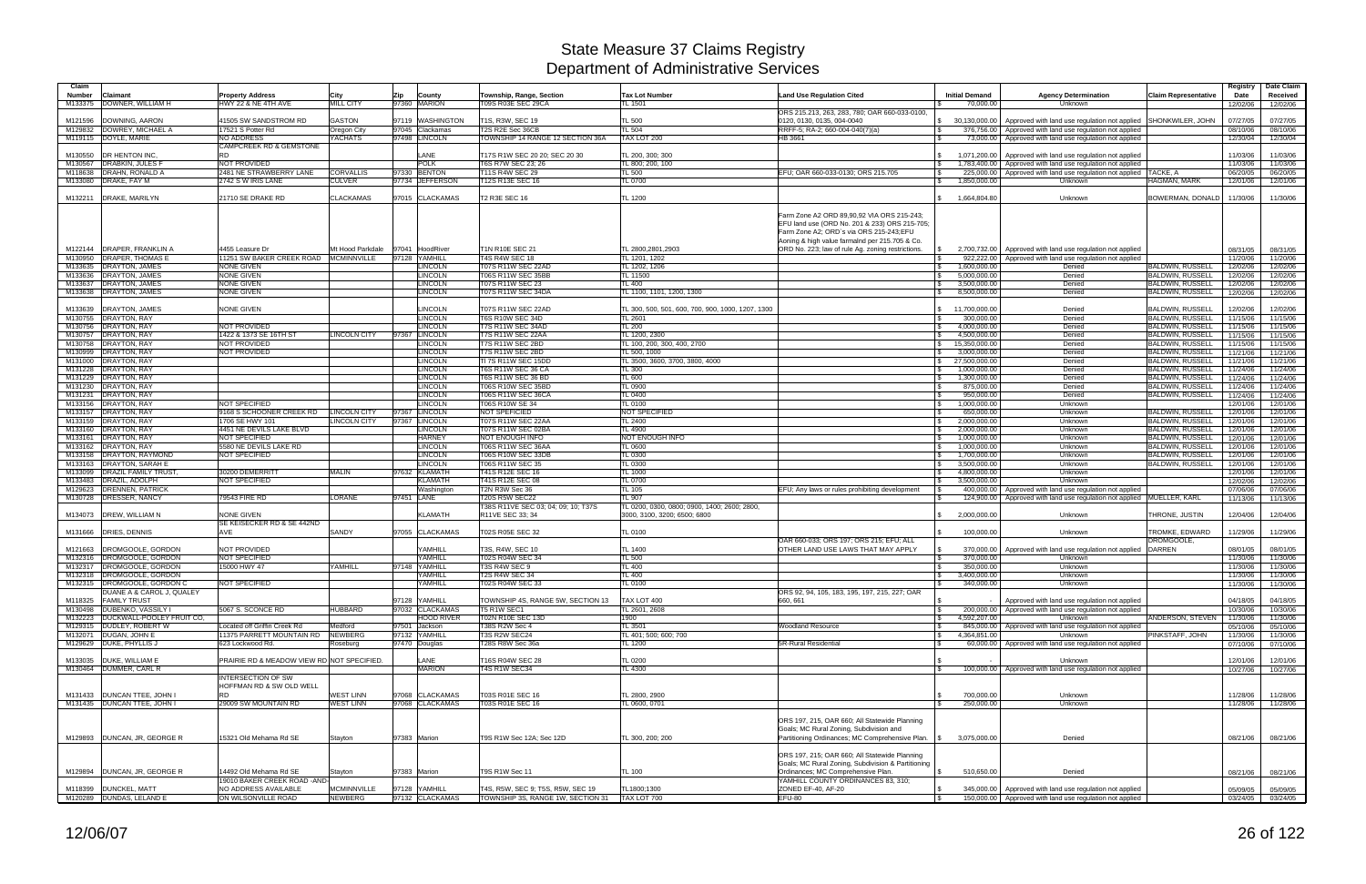| Claim<br>Number | Claimant                                                         | <b>Property Address</b>                               |                                   | Zip        | County                           | Township, Range, Section                                     | <b>Tax Lot Number</b>                                        | <b>Land Use Regulation Cited</b>                                                            | <b>Initial Demand</b>         | <b>Agency Determination</b>                                                                                             | <b>Claim Representative</b>                        | Registry<br>Date     | Date Claim<br>Received |
|-----------------|------------------------------------------------------------------|-------------------------------------------------------|-----------------------------------|------------|----------------------------------|--------------------------------------------------------------|--------------------------------------------------------------|---------------------------------------------------------------------------------------------|-------------------------------|-------------------------------------------------------------------------------------------------------------------------|----------------------------------------------------|----------------------|------------------------|
| M133375         | DOWNER, WILLIAM H                                                | HWY 22 & NE 4TH AVE                                   | City<br><b>MILL CITY</b>          |            | 97360 MARION                     | T09S R03E SEC 29CA                                           | TL 1501                                                      |                                                                                             | 70,000.00                     | Unknown                                                                                                                 |                                                    | 12/02/06             | 12/02/06               |
|                 |                                                                  |                                                       |                                   |            |                                  |                                                              |                                                              | ORS 215.213, 263, 283, 780; OAR 660-033-0100,                                               |                               |                                                                                                                         |                                                    |                      |                        |
| M121596         | DOWNING, AARON                                                   | <b>11505 SW SANDSTROM RD</b>                          | GASTON                            |            | 97119 WASHINGTON                 | T1S, R3W, SEC 19                                             | <b>TL 500</b>                                                | 0120, 0130, 0135, 004-0040                                                                  |                               | \$ 30,130,000.00   Approved with land use regulation not applied SHONKWILER, JOHN                                       |                                                    | 07/27/05             | 07/27/05               |
| M129832         | DOWREY, MICHAEL A<br>M119115 DOYLE, MARIE                        | 17521 S Potter Rd<br><b>NO ADDRESS</b>                | Oregon City<br><b>YACHATS</b>     |            | 97045 Clackamas<br>97498 LINCOLN | T2S R2E Sec 36CB<br>TOWNSHIP 14 RANGE 12 SECTION 36A         | <b>TL 504</b><br>TAX LOT 200                                 | RRFF-5; RA-2; 660-004-040(7)(a)<br>HB 3661                                                  |                               | 376,756.00   Approved with land use regulation not applied<br>73,000.00   Approved with land use regulation not applied |                                                    | 08/10/06<br>12/30/04 | 08/10/06<br>12/30/04   |
|                 |                                                                  | <b>CAMPCREEK RD &amp; GEMSTONE</b>                    |                                   |            |                                  |                                                              |                                                              |                                                                                             |                               |                                                                                                                         |                                                    |                      |                        |
| M130550         | <b>DR HENTON INC.</b>                                            | <b>RD</b>                                             |                                   |            | <b>ANE</b>                       | T17S R1W SEC 20 20; SEC 20 30                                | TL 200, 300; 300                                             |                                                                                             | 1,071,200.00                  | Approved with land use regulation not applied                                                                           |                                                    | 11/03/06             | 11/03/06               |
|                 | M130567 DRABKIN, JULES F                                         | NOT PROVIDED                                          |                                   |            | <b>POLK</b>                      | T6S R7W SEC 23; 26                                           | TL 800; 200, 100                                             |                                                                                             |                               | 1,783,400.00 Approved with land use regulation not applied                                                              |                                                    | 11/03/06             | 11/03/06               |
| M118638         | <b>DRAHN, RONALD A</b><br>M133080 DRAKE, FAY M                   | 2481 NE STRAWBERRY LANE<br>2742 S W IRIS LANE         | <b>CORVALLIS</b><br><b>CULVER</b> |            | 97330 BENTON<br>97734 JEFFERSON  | T11S R4W SEC 29<br>T12S R13E SEC 16                          | <b>TL 500</b><br><b>TL 0700</b>                              | EFU; OAR 660-033-0130; ORS 215.705                                                          | 1,850,000.00                  | 225,000.00 Approved with land use regulation not applied<br><b>Unknown</b>                                              | <b>TACKE, A</b><br>HAGMAN, MARK                    | 06/20/05<br>12/01/06 | 06/20/05<br>12/01/06   |
|                 |                                                                  |                                                       |                                   |            |                                  |                                                              |                                                              |                                                                                             |                               |                                                                                                                         |                                                    |                      |                        |
|                 | M132211   DRAKE, MARILYN                                         | 21710 SE DRAKE RD                                     | <b>CLACKAMAS</b>                  |            | 97015 CLACKAMAS                  | T2 R3E SEC 16                                                | <b>TL 1200</b>                                               |                                                                                             | 1,664,804.80                  | Unknown                                                                                                                 | BOWERMAN, DONALD                                   | 11/30/06             | 11/30/06               |
|                 |                                                                  |                                                       |                                   |            |                                  |                                                              |                                                              |                                                                                             |                               |                                                                                                                         |                                                    |                      |                        |
|                 |                                                                  |                                                       |                                   |            |                                  |                                                              |                                                              | Farm Zone A2 ORD 89.90.92 VIA ORS 215-243:<br>EFU land use (ORD No. 201 & 233) ORS 215-705; |                               |                                                                                                                         |                                                    |                      |                        |
|                 |                                                                  |                                                       |                                   |            |                                  |                                                              |                                                              | Farm Zone A2: ORD's via ORS 215-243:EFU                                                     |                               |                                                                                                                         |                                                    |                      |                        |
|                 |                                                                  |                                                       |                                   |            |                                  |                                                              |                                                              | Aoning & high value farmalnd per 215.705 & Co.                                              |                               |                                                                                                                         |                                                    |                      |                        |
|                 | M122144   DRAPER, FRANKLIN A                                     | 4455 Leasure Dr                                       | Mt Hood Parkdale                  |            | 97041 HoodRiver                  | T1N R10E SEC 21                                              | TL 2800,2801,2903                                            | ORD No. 223; law of rule Ag. zoning restrictions.                                           |                               | 2,700,732.00 Approved with land use regulation not applied                                                              |                                                    | 08/31/05             | 08/31/05               |
|                 | M130950 DRAPER, THOMAS E<br>M133635 DRAYTON, JAMES               | 11251 SW BAKER CREEK ROAD   MCMINNVILLE<br>NONE GIVEN |                                   |            | 97128 YAMHILL<br><b>INCOLN</b>   | <b>T4S R4W SEC 18</b><br>T07S R11W SEC 22AD                  | TL 1201, 1202<br>TL 1202, 1206                               |                                                                                             | 1,600,000.00                  | 922,222.00 Approved with land use regulation not applied<br>Denied                                                      | BALDWIN, RUSSELL                                   | 11/20/06<br>12/02/06 | 11/20/06<br>12/02/06   |
|                 | M133636 DRAYTON, JAMES                                           | NONE GIVEN                                            |                                   |            | <b>LINCOLN</b>                   | T06S R11W SEC 35BB                                           | TL 11500                                                     |                                                                                             | 5,000,000.00                  | Denied                                                                                                                  | <b>BALDWIN, RUSSELL</b>                            | 12/02/06             | 12/02/06               |
|                 | M133637 DRAYTON, JAMES                                           | <b>NONE GIVEN</b>                                     |                                   |            | <b>LINCOLN</b>                   | T07S R11W SEC 23                                             | TL 400                                                       |                                                                                             | 3,500,000.00                  | Denied                                                                                                                  | <b>BALDWIN, RUSSELL</b>                            | 12/02/06             | 12/02/06               |
|                 | M133638 DRAYTON, JAMES                                           | NONE GIVEN                                            |                                   |            | <b>LINCOLN</b>                   | T07S R11W SEC 34DA                                           | TL 1100, 1101, 1200, 1300                                    |                                                                                             | 8,500,000.00                  | Denied                                                                                                                  | <b>BALDWIN, RUSSELL</b>                            | 12/02/06             | 12/02/06               |
|                 |                                                                  |                                                       |                                   |            |                                  |                                                              |                                                              |                                                                                             |                               |                                                                                                                         |                                                    |                      |                        |
| M133639         | DRAYTON, JAMES<br>M130755 DRAYTON, RAY                           | <b>VONE GIVEN</b>                                     |                                   |            | <b>INCOLN</b><br><b>LINCOLN</b>  | T07S R11W SEC 22AD<br><b>T6S R10W SEC 34D</b>                | TL 300, 500, 501, 600, 700, 900, 1000, 1207, 1300<br>TL 2601 |                                                                                             | 11,700,000.00<br>300,000.00   | Denied<br>Denied                                                                                                        | <b>BALDWIN, RUSSELL</b><br><b>BALDWIN, RUSSELL</b> | 12/02/06<br>11/15/06 | 12/02/06<br>11/15/06   |
|                 | M130756 DRAYTON, RAY                                             | <b>NOT PROVIDED</b>                                   |                                   |            | <b>LINCOLN</b>                   | T7S R11W SEC 34AD                                            | <b>TL 200</b>                                                |                                                                                             | 4,000,000.00                  | Denied                                                                                                                  | <b>BALDWIN, RUSSELL</b>                            | 11/15/06             | 11/15/06               |
|                 | M130757 DRAYTON, RAY                                             | 1422 & 1373 SE 16TH ST                                | <b>LINCOLN CITY</b>               | 97367      | <b>LINCOLN</b>                   | <b>T7S R11W SEC 22AA</b>                                     | TL 1200, 2300                                                |                                                                                             | 4,500,000.00                  | Denied                                                                                                                  | <b>BALDWIN, RUSSELL</b>                            | 11/15/06             | 11/15/06               |
|                 | M130758 DRAYTON, RAY                                             | NOT PROVIDED                                          |                                   |            | <b>LINCOLN</b>                   | T7S R11W SEC 2BD                                             | TL 100, 200, 300, 400, 2700                                  |                                                                                             | 15,350,000.00                 | Denied                                                                                                                  | <b>BALDWIN, RUSSELL</b>                            | 11/15/06             | 11/15/06               |
|                 | M130999 DRAYTON, RAY<br>M131000 DRAYTON, RAY                     | NOT PROVIDED                                          |                                   |            | <b>LINCOLN</b><br><b>LINCOLN</b> | T7S R11W SEC 2BD<br>TI 7S R11W SEC 15DD                      | TL 500, 1000<br>TL 3500, 3600, 3700, 3800, 4000              |                                                                                             | 3,000,000.00<br>27,500,000.00 | Denied<br>Denied                                                                                                        | <b>BALDWIN, RUSSELL</b><br><b>BALDWIN, RUSSELL</b> | 11/21/06<br>11/21/06 | 11/21/06<br>11/21/06   |
|                 | M131228 DRAYTON, RAY                                             |                                                       |                                   |            | <b>LINCOLN</b>                   | <b>T6S R11W SEC 36 CA</b>                                    | <b>TL 300</b>                                                |                                                                                             | 1,000,000.00                  | Denied                                                                                                                  | <b>BALDWIN, RUSSELL</b>                            | 11/24/06             | 11/24/06               |
|                 | M131229 DRAYTON, RAY                                             |                                                       |                                   |            | <b>LINCOLN</b>                   | <b>T6S R11W SEC 36 BD</b>                                    | <b>TL 600</b>                                                |                                                                                             | 1,300,000.00                  | Denied                                                                                                                  | <b>BALDWIN, RUSSELL</b>                            | 11/24/06             | 11/24/06               |
|                 | M131230 DRAYTON, RAY                                             |                                                       |                                   |            | <b>LINCOLN</b>                   | <b>T06S R10W SEC 35BD</b>                                    | <b>TL 0900</b>                                               |                                                                                             | 875,000.00                    | Denied                                                                                                                  | <b>BALDWIN, RUSSELL</b>                            | 11/24/06             | 11/24/06               |
|                 | M131231 DRAYTON, RAY                                             |                                                       |                                   |            | <b>LINCOLN</b>                   | T06S R11W SEC 36CA                                           | <b>TL 0400</b>                                               |                                                                                             | 950,000.00                    | Denied                                                                                                                  | <b>BALDWIN, RUSSELL</b>                            | 11/24/06             | 11/24/06               |
|                 | M133156 DRAYTON, RAY<br>M133157 DRAYTON, RAY                     | NOT SPECIFIED<br>9168 S SCHOONER CREEK RD             | <b>LINCOLN CITY</b>               |            | <b>LINCOLN</b><br>97367 LINCOLN  | T06S R10W SE 34<br><b>NOT SPEFICIED</b>                      | <b>TL 0100</b><br><b>NOT SPECIFIED</b>                       |                                                                                             | 1,000,000.00<br>650,000.00    | Unknown<br>Unknown                                                                                                      | <b>BALDWIN, RUSSELL</b>                            | 12/01/06<br>12/01/06 | 12/01/06<br>12/01/06   |
|                 | M133159 DRAYTON, RAY                                             | 1706 SE HWY 101                                       | <b>LINCOLN CITY</b>               | 97367      | <b>LINCOLN</b>                   | T07S R11W SEC 22AA                                           | TL 2400                                                      |                                                                                             | 2,000,000.00                  | Unknown                                                                                                                 | <b>BALDWIN, RUSSELL</b>                            | 12/01/06             | 12/01/06               |
|                 | M133160 DRAYTON, RAY                                             | 4451 NE DEVILS LAKE BLVD                              |                                   |            | <b>LINCOLN</b>                   | T07S R11W SEC 02BA                                           | <b>TL 4900</b>                                               |                                                                                             | 2,000,000.00                  | Unknown                                                                                                                 | <b>BALDWIN, RUSSELL</b>                            | 12/01/06             | 12/01/06               |
|                 | M133161 DRAYTON, RAY                                             | <b>NOT SPECIFIED</b>                                  |                                   |            | <b>HARNEY</b>                    | NOT ENOUGH INFO                                              | NOT ENOUGH INFO                                              |                                                                                             | 1,000,000.00                  | Unknown                                                                                                                 | <b>BALDWIN, RUSSELL</b>                            | 12/01/06             | 12/01/06               |
|                 | M133162 DRAYTON, RAY                                             | 5580 NE DEVILS LAKE RD                                |                                   |            | <b>LINCOLN</b>                   | T06S R11W SEC 36AA                                           | <b>TL 0600</b>                                               |                                                                                             | 1,000,000.00                  | Unknown                                                                                                                 | <b>BALDWIN, RUSSELL</b>                            | 12/01/06             | 12/01/06               |
|                 | M133158 DRAYTON, RAYMOND<br>M133163 DRAYTON, SARAH E             | NOT SPECIFIED                                         |                                   |            | <b>LINCOLN</b><br><b>LINCOLN</b> | T06S R10W SEC 33DB<br>T06S R11W SEC 35                       | TL 0300<br>TL 0300                                           |                                                                                             | 1,700,000.00<br>3,500,000.00  | Unknown<br>Unknown                                                                                                      | <b>BALDWIN, RUSSELI</b><br><b>BALDWIN, RUSSELL</b> | 12/01/06<br>12/01/06 | 12/01/06<br>12/01/06   |
|                 | M133099 DRAZIL FAMILY TRUST                                      | 30200 DEMERRITT                                       | <b>MALIN</b>                      |            | 97632 KLAMATH                    | T41S R12E SEC 16                                             | <b>TL 1000</b>                                               |                                                                                             | 4,800,000.00                  | Unknown                                                                                                                 |                                                    | 12/01/06             | 12/01/06               |
|                 | M133483 DRAZIL, ADOLPH                                           | NOT SPECIFIED                                         |                                   |            | <b>KLAMATH</b>                   | T41S R12E SEC 08                                             | TL 0700                                                      |                                                                                             | 3,500,000.00                  | Unknown                                                                                                                 |                                                    | 12/02/06             | 12/02/06               |
|                 | M129623 DRENNEN, PATRICK                                         |                                                       |                                   |            | Washington                       | T2N R3W Sec 36                                               | <b>TL 105</b>                                                | EFU; Any laws or rules prohibiting development                                              |                               | 400,000.00   Approved with land use regulation not applied                                                              |                                                    | 07/06/06             | 07/06/06               |
|                 | M130728 DRESSER, NANCY                                           | 79543 FIRE RD                                         | <b>LORANE</b>                     | 97451 LANE |                                  | <b>T20S R5W SEC22</b><br>T38S R11VE SEC 03; 04; 09; 10; T37S | TL 907<br>TL 0200, 0300, 0800; 0900, 1400; 2600; 2800,       |                                                                                             |                               | 124,900.00   Approved with land use regulation not applied MUELLER, KARL                                                |                                                    | 11/13/06             | 11/13/06               |
|                 | M134073 DREW, WILLIAM N                                          | NONE GIVEN                                            |                                   |            | <b>KLAMATH</b>                   | R11VE SEC 33; 34                                             | 3000, 3100, 3200; 6500; 6800                                 |                                                                                             | 2.000.000.00                  | Unknown                                                                                                                 | THRONE, JUSTIN                                     | 12/04/06             | 12/04/06               |
|                 |                                                                  | SE KEISECKER RD & SE 442ND                            |                                   |            |                                  |                                                              |                                                              |                                                                                             |                               |                                                                                                                         |                                                    |                      |                        |
|                 | M131666 DRIES, DENNIS                                            | AVE                                                   | SANDY                             |            | 97055 CLACKAMAS                  | T02S R05E SEC 32                                             | <b>TL 0100</b>                                               |                                                                                             | 100,000.00                    | Unknown                                                                                                                 | TROMKE, EDWARD                                     | 11/29/06             | 11/29/06               |
|                 | DROMGOOLE, GORDON                                                | NOT PROVIDED                                          |                                   |            | YAMHILL                          | T3S, R4W, SEC 10                                             | <b>TL 1400</b>                                               | OAR 660-033; ORS 197; ORS 215; EFU; ALL<br>OTHER LAND USE LAWS THAT MAY APPLY               | 370,000.00                    | Approved with land use regulation not applied                                                                           | DROMGOOLE,<br><b>DARREN</b>                        |                      |                        |
| M121663         | M132316  DROMGOOLE, GORDON                                       | <b>NOT SPECIFIED</b>                                  |                                   |            | YAMHILL                          | T02S R04W SEC 34                                             | <b>TL 500</b>                                                |                                                                                             | 370,000.00                    | Unknown                                                                                                                 |                                                    | 08/01/05<br>11/30/06 | 08/01/05<br>11/30/06   |
|                 | M132317 DROMGOOLE, GORDON                                        | 15000 HWY 47                                          | YAMHILL                           |            | 97148 YAMHILL                    | T3S R4W SEC 9                                                | <b>TL 400</b>                                                |                                                                                             | 350,000.00                    | Unknown                                                                                                                 |                                                    | 11/30/06             | 11/30/06               |
|                 | M132318  DROMGOOLE, GORDON                                       |                                                       |                                   |            | <b>YAMHILL</b>                   | <b>T2S R4W SEC 34</b>                                        | <b>TL 400</b>                                                |                                                                                             | 3,400,000.00                  | Unknown                                                                                                                 |                                                    | 11/30/06             | 11/30/06               |
|                 | M132315 <b>IDROMGOOLE, GORDON C</b><br>DUANE A & CAROL J, QUALEY | NOT SPECIFIED                                         |                                   |            | YAMHILL                          | T02S R04W SEC 33                                             | TL 0100                                                      |                                                                                             | 340,000.00                    | Unknown                                                                                                                 |                                                    | 11/30/06             | 11/30/06               |
|                 | M118325 FAMILY TRUST                                             |                                                       |                                   |            | 97128 YAMHILL                    | TOWNSHIP 4S, RANGE 5W, SECTION 13                            | TAX LOT 400                                                  | ORS 92, 94, 105, 183, 195, 197, 215, 227; OAR<br>660, 661                                   |                               | Approved with land use regulation not applied                                                                           |                                                    | 04/18/05             | 04/18/05               |
|                 | M130498   DUBENKO, VASSILY I                                     | 5067 S. SCONCE RD                                     | <b>HUBBARD</b>                    |            | 97032 CLACKAMAS                  | T5 R1W SEC1                                                  | TL 2601, 2608                                                |                                                                                             |                               | 200,000.00   Approved with land use regulation not applied                                                              |                                                    | 10/30/06             | 10/30/06               |
|                 | M132223 DUCKWALL-POOLEY FRUIT CO,                                |                                                       |                                   |            | <b>HOOD RIVER</b>                | <b>T02N R10E SEC 13D</b>                                     | 1900                                                         |                                                                                             | 4,592,207.00                  | <b>Unknown</b>                                                                                                          | ANDERSON, STEVEN                                   | 11/30/06             | 11/30/06               |
|                 | M129315 DUDLEY, ROBERT W                                         | Located off Griffin Creek Rd                          | Medford                           |            | 97501 Jackson                    | T38S R2W Sec 4                                               | TL 3501                                                      | <b>Woodland Resource</b>                                                                    |                               | 845,000.00   Approved with land use regulation not applied                                                              |                                                    | 05/10/06             | 05/10/06               |
|                 | M132071 DUGAN, JOHN E<br>M129629 DUKE, PHYLLIS J                 | 11375 PARRETT MOUNTAIN RD<br>623 Lockwood Rd.         | <b>NEWBERG</b><br>Roseburg        |            | 97132 YAMHILL<br>97470 Douglas   | T3S R2W SEC24<br>T28S R8W Sec 36a                            | TL 401; 500; 600; 700<br><b>TL 1200</b>                      | 5R-Rural Residential                                                                        | 4,364,851.00                  | Unknown<br>60,000.00 Approved with land use regulation not applied                                                      | PINKSTAFF, JOHN                                    | 11/30/06<br>07/10/06 | 11/30/06<br>07/10/06   |
|                 |                                                                  |                                                       |                                   |            |                                  |                                                              |                                                              |                                                                                             |                               |                                                                                                                         |                                                    |                      |                        |
|                 | M133035 DUKE, WILLIAM E                                          | PRAIRIE RD & MEADOW VIEW RD NOT SPECIFIED.            |                                   |            | LANE                             | T16S R04W SEC 28                                             | <b>TL 0200</b>                                               |                                                                                             |                               | Unknown                                                                                                                 |                                                    | 12/01/06             | 12/01/06               |
|                 | M130464 DUMMER, CARL R                                           |                                                       |                                   |            | <b>MARION</b>                    | T4S R1W SEC34                                                | TL 4300                                                      |                                                                                             |                               | 100,000.00   Approved with land use regulation not applied                                                              |                                                    | 10/27/06             | 10/27/06               |
|                 |                                                                  | <b>INTERSECTION OF SW</b><br>HOFFMAN RD & SW OLD WELL |                                   |            |                                  |                                                              |                                                              |                                                                                             |                               |                                                                                                                         |                                                    |                      |                        |
|                 | M131433   DUNCAN TTEE, JOHN I                                    | <b>RD</b>                                             | <b>WEST LINN</b>                  |            | 97068 CLACKAMAS                  | T03S R01E SEC 16                                             | TL 2800, 2900                                                |                                                                                             | 700,000.00                    | Unknown                                                                                                                 |                                                    | 11/28/06             | 11/28/06               |
|                 | M131435   DUNCAN TTEE, JOHN I                                    | 29009 SW MOUNTAIN RD                                  | <b>WEST LINN</b>                  |            | 97068 CLACKAMAS                  | T03S R01E SEC 16                                             | TL 0600, 0701                                                |                                                                                             | 250,000.00                    | Unknown                                                                                                                 |                                                    | 11/28/06             | 11/28/06               |
|                 |                                                                  |                                                       |                                   |            |                                  |                                                              |                                                              |                                                                                             |                               |                                                                                                                         |                                                    |                      |                        |
|                 |                                                                  |                                                       |                                   |            |                                  |                                                              |                                                              | ORS 197, 215, OAR 660; All Statewide Planning                                               |                               |                                                                                                                         |                                                    |                      |                        |
|                 | M129893 DUNCAN, JR, GEORGE R                                     | 15321 Old Mehama Rd SE                                | Stayton                           |            | 97383 Marion                     | T9S R1W Sec 12A; Sec 12D                                     | TL 300, 200; 200                                             | Goals; MC Rural Zoning, Subdivision and<br>Partitioning Ordinances; MC Comprehensive Plan.  | 3,075,000.00                  | Denied                                                                                                                  |                                                    | 08/21/06             | 08/21/06               |
|                 |                                                                  |                                                       |                                   |            |                                  |                                                              |                                                              |                                                                                             |                               |                                                                                                                         |                                                    |                      |                        |
|                 |                                                                  |                                                       |                                   |            |                                  |                                                              |                                                              | ORS 197, 215; OAR 660; All Statewide Planning                                               |                               |                                                                                                                         |                                                    |                      |                        |
|                 |                                                                  |                                                       |                                   |            |                                  |                                                              |                                                              | Goals; MC Rural Zoning, Subdivision & Partitioning                                          |                               |                                                                                                                         |                                                    |                      |                        |
|                 | M129894   DUNCAN, JR, GEORGE R                                   | 14492 Old Mehama Rd SE                                | Stayton                           |            | 97383 Marion                     | T9S R1W Sec 11                                               | <b>TL 100</b>                                                | Ordinances; MC Comprehensive Plan.                                                          | 510,650.00                    | Denied                                                                                                                  |                                                    | 08/21/06             | 08/21/06               |
|                 | M118399 DUNCKEL, MATT                                            | 19010 BAKER CREEK ROAD - AND-<br>NO ADDRESS AVAILABLE | <b>MCMINNVILLE</b>                |            | 97128 YAMHILL                    | T4S, R5W, SEC 9; T5S, R5W, SEC 19                            | TL1800;1300                                                  | YAMHILL COUNTY ORDINANCES 83, 310;<br>ZONED EF-40, AF-20                                    |                               | 345,000.00   Approved with land use regulation not applied                                                              |                                                    | 05/09/05             | 05/09/05               |
|                 | M120289 DUNDAS, LELAND E                                         | ON WILSONVILLE ROAD                                   | <b>NEWBERG</b>                    |            | 97132 CLACKAMAS                  | TOWNSHIP 3S, RANGE 1W, SECTION 31                            | TAX LOT 700                                                  | EFU-80                                                                                      |                               | 150,000.00 Approved with land use regulation not applied                                                                |                                                    |                      | 03/24/05 03/24/05      |
|                 |                                                                  |                                                       |                                   |            |                                  |                                                              |                                                              |                                                                                             |                               |                                                                                                                         |                                                    |                      |                        |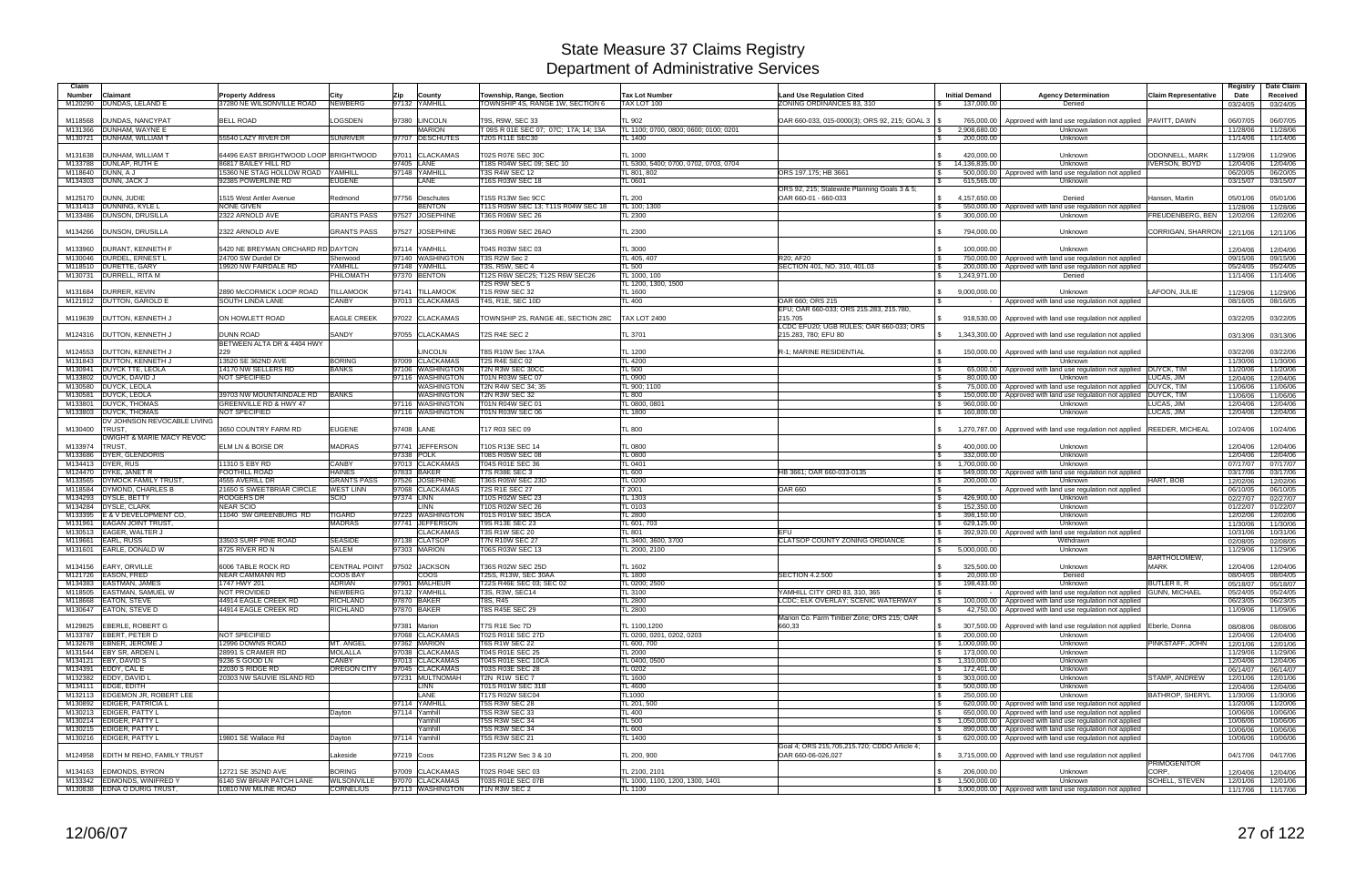| Claim<br>Number    | Claimant                                              | <b>Property Address</b>                                 | City                                | Zip           | County                             | Township, Range, Section                                  | <b>Tax Lot Number</b>                            | <b>Land Use Regulation Cited</b>                                | <b>Initial Demand</b>      | <b>Agency Determination</b>                                                                                              | <b>Claim Representative</b>        | Registry<br>Date     | Date Claim<br>Received        |
|--------------------|-------------------------------------------------------|---------------------------------------------------------|-------------------------------------|---------------|------------------------------------|-----------------------------------------------------------|--------------------------------------------------|-----------------------------------------------------------------|----------------------------|--------------------------------------------------------------------------------------------------------------------------|------------------------------------|----------------------|-------------------------------|
| M120290            | DUNDAS, LELAND E                                      | 37280 NE WILSONVILLE ROAD                               | <b>NEWBERG</b>                      |               | 97132 YAMHILL                      | TOWNSHIP 4S, RANGE 1W, SECTION 6                          | TAX LOT 100                                      | ZONING ORDINANCES 83, 310                                       | 137,000.00                 | Denied                                                                                                                   |                                    | 03/24/05             | 03/24/05                      |
|                    |                                                       |                                                         |                                     |               |                                    |                                                           |                                                  |                                                                 |                            |                                                                                                                          |                                    |                      |                               |
| M118568<br>M131366 | <b>DUNDAS, NANCYPAT</b><br>DUNHAM, WAYNE E            | <b>BELL ROAD</b>                                        | LOGSDEN                             | 97380         | LINCOLN<br><b>MARION</b>           | T9S, R9W, SEC 33<br>T 09S R 01E SEC 07; 07C; 17A; 14; 13A | TL 902<br>TL 1100; 0700, 0800; 0600; 0100; 0201  | OAR 660-033, 015-0000(3); ORS 92, 215; GOAL 3                   | 2,908,680.00               | 765,000.00   Approved with land use regulation not applied   PAVITT, DAWN<br>Unknown                                     |                                    | 06/07/05<br>11/28/06 | 06/07/05<br>11/28/06          |
|                    | M130721 DUNHAM, WILLIAM T                             | 55540 LAZY RIVER DR                                     | <b>SUNRIVER</b>                     |               | 97707 DESCHUTES                    | <b>T20S R11E SEC30</b>                                    | TL 1400                                          |                                                                 | 200,000.00                 | Unknown                                                                                                                  |                                    | 11/14/06             | 11/14/06                      |
|                    |                                                       |                                                         |                                     |               |                                    |                                                           |                                                  |                                                                 |                            |                                                                                                                          |                                    |                      |                               |
| M131638            | DUNHAM, WILLIAM T                                     | 64496 EAST BRIGHTWOOD LOOP BRIGHTWOOD                   |                                     |               | 97011 CLACKAMAS                    | <b>T02S R07E SEC 30C</b>                                  | <b>TL 1000</b>                                   |                                                                 | 420,000.00                 | <b>Unknown</b>                                                                                                           | ODONNELL, MARK                     | 11/29/06             | 11/29/06                      |
|                    | M133788 DUNLAP, RUTH E                                | 86817 BAILEY HILL RD                                    |                                     | 97405 LANE    |                                    | T18S R04W SEC 09; SEC 10                                  | TL 5300, 5400; 0700, 0702, 0703, 0704            |                                                                 | 14,136,835.00              | <b>Unknown</b>                                                                                                           | <b>VERSON, BOYD</b>                | 12/04/06             | 12/04/06                      |
| M118640            | DUNN, A J<br>M134303 DUNN, JACK J                     | 15360 NE STAG HOLLOW ROAD YAMHILL<br>92385 POWERLINE RD | <b>EUGENE</b>                       |               | 97148 YAMHILL<br><b>ANE</b>        | <b>T3S R4W SEC 12</b><br>T16S R03W SEC 18                 | TL 801, 802<br>TL 0601                           | ORS 197.175; HB 3661                                            | 615,565.00                 | 500,000.00   Approved with land use regulation not applied<br>Unknown                                                    |                                    | 06/20/05<br>03/15/07 | 06/20/05<br>03/15/07          |
|                    |                                                       |                                                         |                                     |               |                                    |                                                           |                                                  | ORS 92, 215; Statewide Planning Goals 3 & 5;                    |                            |                                                                                                                          |                                    |                      |                               |
| M125170            | DUNN, JUDIE                                           | 1515 West Antler Avenue                                 | Redmond                             |               | 97756 Deschutes                    | T15S R13W Sec 9CC                                         | <b>TL 200</b>                                    | OAR 660-01 - 660-033                                            | 4,157,650.00               | Denied                                                                                                                   | Hansen. Martin                     | 05/01/06             | 05/01/06                      |
|                    | M131413 DUNNING, KYLE L                               | <b>NONE GIVEN</b>                                       |                                     |               | <b>BENTON</b>                      | T11S R05W SEC 13; T11S R04W SEC 18                        | TL 100; 1300                                     |                                                                 |                            | 550,000.00   Approved with land use regulation not applied                                                               |                                    | 11/28/06             | 11/28/06                      |
|                    | M133486 DUNSON, DRUSILLA                              | 2322 ARNOLD AVE                                         | <b>GRANTS PASS</b>                  |               | 97527 JOSEPHINE                    | T36S R06W SEC 26                                          | TL 2300                                          |                                                                 | 300,000.00                 | Unknown                                                                                                                  | FREUDENBERG, BEN                   | 12/02/06             | 12/02/06                      |
|                    | M134266 <b>DUNSON, DRUSILLA</b>                       | 2322 ARNOLD AVE                                         | <b>GRANTS PASS</b>                  |               | 97527 JOSEPHINE                    | T36S R06W SEC 26AO                                        | TL 2300                                          |                                                                 | 794,000.00                 | Unknown                                                                                                                  | CORRIGAN, SHARRON                  | 12/11/06             | 12/11/06                      |
|                    |                                                       |                                                         |                                     |               |                                    |                                                           |                                                  |                                                                 |                            |                                                                                                                          |                                    |                      |                               |
| M133960            | <b>DURANT, KENNETH F</b>                              | 5420 NE BREYMAN ORCHARD RD DAYTON                       |                                     |               | 97114 YAMHILL                      | T04S R03W SEC 03                                          | TL 3000                                          |                                                                 | 100,000.00                 | Unknown                                                                                                                  |                                    | 12/04/06             | 12/04/06                      |
|                    | M130046 DURDEL, ERNEST L                              | 24700 SW Durdel Dr                                      | Sherwood                            |               | 97140 WASHINGTON                   | T3S R2W Sec 2                                             | TL 405, 407                                      | R20: AF20                                                       |                            | 750,000.00   Approved with land use regulation not applied                                                               |                                    | 09/15/06             | 09/15/06                      |
|                    | M118510 DURETTE, GARY                                 | 19920 NW FAIRDALE RD                                    | YAMHILL                             |               | 97148 YAMHILL                      | T3S, R5W, SEC 4                                           | <b>TL 500</b>                                    | SECTION 401, NO. 310, 401.03                                    |                            | 200,000.00 Approved with land use regulation not applied                                                                 |                                    | 05/24/05             | 05/24/05                      |
|                    | M130731 DURRELL, RITA M                               |                                                         | PHILOMATH                           |               | 97370 BENTON                       | T12S R6W SEC25; T12S R6W SEC26<br>T2S R9W SEC 5           | TL 1000, 100<br>TL 1200, 1300, 1500              |                                                                 | 1,243,971.00               | Denied                                                                                                                   |                                    | 11/14/06             | 11/14/06                      |
| M131684            | DURRER, KEVIN                                         | 2890 McCORMICK LOOP ROAD                                | <b>TILLAMOOK</b>                    |               | 97141 TILLAMOOK                    | <b>T1S R9W SEC 32</b>                                     | TL 1600                                          |                                                                 | 9,000,000.00               | Unknown                                                                                                                  | LAFOON, JULIE                      | 11/29/06             | 11/29/06                      |
|                    | M121912 DUTTON, GAROLD E                              | <b>SOUTH LINDA LANE</b>                                 | <b>CANBY</b>                        |               | 97013 CLACKAMAS                    | T4S, R1E, SEC 10D                                         | TL 400                                           | OAR 660: ORS 215                                                |                            | Approved with land use regulation not applied                                                                            |                                    | 08/16/05             | 08/16/05                      |
|                    |                                                       |                                                         |                                     |               |                                    |                                                           |                                                  | EFU; OAR 660-033; ORS 215.283, 215.780,                         |                            |                                                                                                                          |                                    |                      |                               |
|                    | M119639  DUTTON, KENNETH J                            | ON HOWLETT ROAD                                         | <b>EAGLE CREEK</b>                  |               | 97022 CLACKAMAS                    | TOWNSHIP 2S, RANGE 4E, SECTION 28C                        | <b>TAX LOT 2400</b>                              | 215.705                                                         |                            | 918,530.00   Approved with land use regulation not applied                                                               |                                    | 03/22/05             | 03/22/05                      |
|                    | M124316 DUTTON, KENNETH J                             |                                                         |                                     |               | 97055 CLACKAMAS                    |                                                           |                                                  | LCDC EFU20; UGB RULES; OAR 660-033; ORS<br>215.283, 780: EFU 80 |                            |                                                                                                                          |                                    |                      |                               |
|                    |                                                       | <b>DUNN ROAD</b>                                        | SANDY                               |               |                                    | T2S R4E SEC 2                                             | TL 3701                                          |                                                                 |                            | 1,343,300.00   Approved with land use regulation not applied                                                             |                                    | 03/13/06             | 03/13/06                      |
| M124553            | DUTTON, KENNETH J                                     | BETWEEN ALTA DR & 4404 HWY<br>229                       |                                     |               | <b>INCOLN</b>                      | T8S R10W Sec 17AA                                         | TL 1200                                          | <b>R-1: MARINE RESIDENTIAL</b>                                  | 150,000.00                 | Approved with land use regulation not applied                                                                            |                                    | 03/22/06             | 03/22/06                      |
|                    | M131843   DUTTON, KENNETH J                           | 13520 SE 362ND AVE                                      | <b>BORING</b>                       |               | 97009 CLACKAMAS                    | <b>T2S R4E SEC 02</b>                                     | <b>TL 4200</b>                                   |                                                                 |                            | Unknown                                                                                                                  |                                    | 11/30/06             | 11/30/06                      |
|                    | M130941   DUYCK TTE, LEOLA                            | 14170 NW SELLERS RD                                     | <b>BANKS</b>                        |               | 97106 WASHINGTON                   | T2N R3W SEC 30CC                                          | <b>TL 500</b>                                    |                                                                 |                            | 65,000.00 Approved with land use regulation not applied DUYCK, TIM                                                       |                                    | 11/20/06             | 11/20/06                      |
|                    | M133802 DUYCK, DAVID J                                | <b>NOT SPECIFIED</b>                                    |                                     |               | 97116 WASHINGTON                   | <b>T01N R03W SEC 07</b>                                   | TL 0900                                          |                                                                 | 80.000.00                  | Unknown                                                                                                                  | LUCAS, JIM                         | 12/04/06             | 12/04/06                      |
|                    | M130580 DUYCK, LEOLA<br><b>DUYCK, LEOLA</b>           |                                                         | <b>BANKS</b>                        |               | VASHINGTON<br>WASHINGTON           | T2N R4W SEC 34: 35<br>T2N R3W SEC 32                      | TL 900; 1100                                     |                                                                 |                            | 75,000.00   Approved with land use regulation not applied                                                                | <b>DUYCK, TIM</b>                  | 11/06/06             | 11/06/06                      |
| M130581<br>M133801 | <b>DUYCK, THOMAS</b>                                  | 39703 NW MOUNTAINDALE RD<br>GREENVILLE RD & HWY 47      |                                     |               | 97116 WASHINGTON                   | T01N R04W SEC 01                                          | <b>TL 800</b><br>TL 0800, 0801                   |                                                                 | 960,000.00                 | 150,000.00   Approved with land use regulation not applied<br>Unknown                                                    | <b>DUYCK, TIM</b><br>LUCAS, JIM    | 11/06/06<br>12/04/06 | 11/06/06<br>12/04/06          |
| M133803            | <b>DUYCK, THOMAS</b>                                  | <b>NOT SPECIFIED</b>                                    |                                     |               | 97116 WASHINGTON                   | T01N R03W SEC 06                                          | <b>TL 1800</b>                                   |                                                                 | 160,800.00                 | <b>Unknown</b>                                                                                                           | LUCAS, JIM                         | 12/04/06             | 12/04/06                      |
|                    | DV JOHNSON REVOCABLE LIVING                           |                                                         |                                     |               |                                    |                                                           |                                                  |                                                                 |                            |                                                                                                                          |                                    |                      |                               |
| M130400            | <b>TRUST.</b>                                         | 3650 COUNTRY FARM RD                                    | <b>EUGENE</b>                       | 97408         | LANE                               | T17 R03 SEC 09                                            | <b>TL 800</b>                                    |                                                                 |                            | 1,270,787.00 Approved with land use regulation not applied                                                               | <b>REEDER, MICHEAL</b>             | 10/24/06             | 10/24/06                      |
|                    | DWIGHT & MARIE MACY REVOC                             |                                                         |                                     |               |                                    |                                                           |                                                  |                                                                 |                            |                                                                                                                          |                                    |                      |                               |
| M133974<br>M133686 | <b>TRUST</b><br>DYER, GLENDORIS                       | <b>ELM LN &amp; BOISE DR</b>                            | <b>MADRAS</b>                       | 97338         | 97741 JEFFERSON<br><b>POLK</b>     | T10S R13E SEC 14<br><b>T08S R05W SEC 08</b>               | TL 0800<br><b>TL 0800</b>                        |                                                                 | 400,000.00<br>332,000.00   | Unknown<br><b>Unknown</b>                                                                                                |                                    | 12/04/06<br>12/04/06 | 12/04/06<br>12/04/06          |
|                    | M134413 <b>DYER, RUS</b>                              | 11310 S EBY RD                                          | <b>CANBY</b>                        |               | 97013 CLACKAMAS                    | T04S R01E SEC 36                                          | TL 0401                                          |                                                                 | 1,700,000.00               | Unknown                                                                                                                  |                                    | 07/17/07             | 07/17/07                      |
| M124470            | DYKE, JANET R                                         | <b>FOOTHILL ROAD</b>                                    | <b>HAINES</b>                       |               | 97833 BAKER                        | <b>T7S R38E SEC 3</b>                                     | <b>TL 600</b>                                    | HB 3661; OAR 660-033-0135                                       |                            | 549,000.00   Approved with land use regulation not applied                                                               |                                    | 03/17/06             | 03/17/06                      |
| M133565            | <b>DYMOCK FAMILY TRUST,</b>                           | 4555 AVERILL DR                                         | <b>GRANTS PASS</b>                  |               | 97526 JOSEPHINE                    | T36S R05W SEC 23D                                         | <b>TL 0200</b>                                   |                                                                 | 200,000.00                 | Unknown                                                                                                                  | HART, BOB                          | 12/02/06             | 12/02/06                      |
| M118584            | DYMOND, CHARLES B                                     | 21650 S SWEETBRIAR CIRCLE                               | <b>WEST LINN</b>                    |               | 97068 CLACKAMAS                    | <b>T2S R1E SEC 27</b>                                     | T 2001                                           | <b>OAR 660</b>                                                  |                            | Approved with land use regulation not applied                                                                            |                                    | 06/10/05             | 06/10/05                      |
| M134284            | M134293 DYSLE, BETTY                                  | <b>RODGERS DR</b><br><b>NEAR SCIO</b>                   | SCIO                                | 97374 LINN    | <b>LINN</b>                        | T10S R02W SEC 23<br>T10S R02W SEC 26                      | TL 1303                                          |                                                                 | 426,900.00<br>152,350.00   | Unknown                                                                                                                  |                                    | 02/27/07             | 02/27/07                      |
| M133395            | DYSLE, CLARK<br>E & V DEVELOPMENT CO.                 | 11040 SW GREENBURG RD                                   | <b>TIGARD</b>                       |               | 97223 WASHINGTON                   | T01S R01W SEC 35CA                                        | TL 0103<br><b>TL 2800</b>                        |                                                                 | 398.150.00                 | Unknown<br><b>Unknown</b>                                                                                                |                                    | 01/22/07<br>12/02/06 | 01/22/07<br>12/02/06          |
| M131961            | <b>EAGAN JOINT TRUST</b>                              |                                                         | <b>MADRAS</b>                       |               | 97741 JEFFERSON                    | T9S R13E SEC 23                                           | TL 601, 703                                      |                                                                 | 629,125.00                 | Unknown                                                                                                                  |                                    | 11/30/06             | 11/30/06                      |
| M130513            | <b>EAGER, WALTER J</b>                                |                                                         |                                     |               | CLACKAMAS                          | <b>T3S R1W SEC 20</b>                                     | <b>TL 801</b>                                    |                                                                 |                            | 392,920.00   Approved with land use regulation not applied                                                               |                                    | 10/31/06             | 10/31/06                      |
| M119661            | <b>EARL, RUSS</b>                                     | 33503 SURF PINE ROAD                                    | <b>SEASIDE</b>                      |               | 97138 CLATSOP                      | <b>T7N R10W SEC 27</b>                                    | TL 3400, 3600, 3700                              | CLATSOP COUNTY ZONING ORDIANCE                                  |                            | Withdrawn                                                                                                                |                                    | 02/08/05             | 02/08/05                      |
|                    | M131601 EARLE, DONALD W                               | 8725 RIVER RD N                                         | <b>SALEM</b>                        |               | 97303 MARION                       | T06S R03W SEC 13                                          | TL 2000, 2100                                    |                                                                 | 5,000,000.00               | Unknown                                                                                                                  |                                    | 11/29/06             | 11/29/06                      |
|                    | M134156 EARY, ORVILLE                                 | 6006 TABLE ROCK RD                                      | CENTRAL POINT 97502                 |               | <b>JACKSON</b>                     | T36S R02W SEC 25D                                         | TL 1602                                          |                                                                 | 325,500.00                 | Unknown                                                                                                                  | <b>BARTHOLOMEW,</b><br><b>MARK</b> | 12/04/06             | 12/04/06                      |
|                    | M121726 EASON, FRED                                   | NEAR CAMMANN RD                                         | <b>COOS BAY</b>                     |               | <b>COOS</b>                        | T25S, R13W, SEC 30AA                                      | <b>TL 1800</b>                                   | <b>SECTION 4.2.500</b>                                          | 20,000.00                  | Denied                                                                                                                   |                                    | 08/04/05             | 08/04/05                      |
|                    | M134383 EASTMAN, JAMES                                | 1747 HWY 201                                            | ADRIAN                              |               | 97901 MALHEUR                      | T22S R46E SEC 03; SEC 02                                  | TL 0200; 2500                                    |                                                                 | 198,433.00                 | Unknown                                                                                                                  | BUTLER II, R                       | 05/18/07             | 05/18/07                      |
|                    | M118505 EASTMAN, SAMUEL W                             | <b>NOT PROVIDED</b>                                     | <b>NEWBERG</b>                      |               | 97132 YAMHILL                      | T3S, R3W, SEC14                                           | TL 3100                                          | YAMHILL CITY ORD 83, 310, 365                                   |                            | - Approved with land use regulation not applied GUNN, MICHAEL                                                            |                                    | 05/24/05             | 05/24/05                      |
|                    | M118668 EATON, STEVE<br>M130647 EATON, STEVE D        | 44914 EAGLE CREEK RD<br>44914 EAGLE CREEK RD            | <b>RICHLAND</b><br><b>RICHLAND</b>  |               | 97870 BAKER<br>97870 BAKER         | <b>T8S, R45</b><br><b>T8S R45E SEC 29</b>                 | <b>TL 2800</b>                                   | LCDC; ELK OVERLAY; SCENIC WATERWAY                              |                            | 100,000.00 Approved with land use regulation not applied<br>42,750.00 Approved with land use regulation not applied      |                                    | 06/23/05             | 06/23/05                      |
|                    |                                                       |                                                         |                                     |               |                                    |                                                           | <b>TL 2800</b>                                   | Marion Co. Farm Timber Zone: ORS 215: OAR                       |                            |                                                                                                                          |                                    | 11/09/06             | 11/09/06                      |
|                    | M129825 EBERLE, ROBERT G                              |                                                         |                                     | 97381 Marion  |                                    | T7S R1E Sec 7D                                            | TL 1100,1200                                     | 660.33                                                          |                            | 307,500.00   Approved with land use regulation not applied Eberle, Donna                                                 |                                    | 08/08/06             | 08/08/06                      |
|                    | M133787 EBERT, PETER D                                | NOT SPECIFIED                                           |                                     |               | 97068 CLACKAMAS                    | T02S R01E SEC 27D                                         | TL 0200, 0201, 0202, 0203                        |                                                                 | 200,000.00                 | Unknown                                                                                                                  |                                    | 12/04/06             | 12/04/06                      |
|                    | M132678 EBNER, JEROME J                               | 12996 DOWNS ROAD                                        | MT. ANGEL                           |               | 97362 MARION                       | <b>T6S R1W SEC 22</b>                                     | TL 600, 700                                      |                                                                 | 1,000,000.00               | Unknown                                                                                                                  | PINKSTAFF, JOHN                    | 12/01/06             | 12/01/06                      |
|                    | M131544 EBY SR, ARDEN L                               | 28991 S CRAMER RD                                       | <b>MOLALLA</b>                      |               | 97038 CLACKAMAS                    | T04S R01E SEC 25                                          | <b>TL 2000</b>                                   |                                                                 | 173,000.00                 | Unknown                                                                                                                  |                                    | 11/29/06             | 11/29/06                      |
|                    | M134121 EBY, DAVID S<br>M134391 EDDY, CAL E           | 9236 S GOOD LN<br>22030 S RIDGE RD                      | <b>CANBY</b><br>OREGON CITY         |               | 97013 CLACKAMAS<br>97045 CLACKAMAS | T04S R01E SEC 10CA<br>T03S R03E SEC 28                    | TL 0400, 0500<br>TL 0202                         |                                                                 | 1,310,000.00<br>172,401.00 | Unknown<br>Unknown                                                                                                       |                                    | 12/04/06<br>06/14/07 | 12/04/06<br>06/14/07          |
|                    | M132382 EDDY, DAVID L                                 | 20303 NW SAUVIE ISLAND RD                               |                                     |               | 97231 MULTNOMAH                    | T2N R1W SEC 7                                             | TL 1600                                          |                                                                 | 303,000.00                 | Unknown                                                                                                                  | STAMP, ANDREW                      | 12/01/06             | 12/01/06                      |
|                    | M134111 EDGE, EDITH                                   |                                                         |                                     |               | LINN                               | T01S R01W SEC 31B                                         | TL 4600                                          |                                                                 | 500,000.00                 | Unknown                                                                                                                  |                                    | 12/04/06             | 12/04/06                      |
|                    | M132113 EDGEMON JR, ROBERT LEE                        |                                                         |                                     |               | LANE                               | <b>T17S R02W SEC04</b>                                    | <b>TL1000</b>                                    |                                                                 | 250,000.00                 | Unknown                                                                                                                  | <b>BATHROP, SHERYL</b>             | 11/30/06             | 11/30/06                      |
|                    | M130892 EDIGER, PATRICIA L                            |                                                         |                                     |               | 97114 YAMHILL                      | <b>T5S R3W SEC 28</b>                                     | TL 201, 500                                      |                                                                 |                            | 620,000.00 Approved with land use regulation not applied                                                                 |                                    | 11/20/06             | 11/20/06                      |
|                    | M130213 EDIGER, PATTY L                               |                                                         | Dayton                              |               | 97114 Yamhill                      | <b>T5S R3W SEC 33</b>                                     | TL 400                                           |                                                                 |                            | 650,000,00 Approved with land use regulation not applied                                                                 |                                    | 10/06/06             | 10/06/06                      |
|                    | M130214 EDIGER, PATTY L<br>M130215 EDIGER, PATTY L    |                                                         |                                     |               | Yamhill<br>Yamhill                 | <b>T5S R3W SEC 34</b><br>T5S R3W SEC 34                   | <b>TL 500</b><br>TL 600                          |                                                                 |                            | 1,050,000.00 Approved with land use regulation not applied<br>890,000.00   Approved with land use regulation not applied |                                    | 10/06/06<br>10/06/06 | 10/06/06<br>10/06/06          |
|                    | M130216 EDIGER, PATTY L                               | 19801 SE Wallace Rd                                     | Dayton                              | 97114 Yamhill |                                    | <b>T5S R3W SEC 21</b>                                     | TL 1400                                          |                                                                 |                            | 620,000.00 Approved with land use regulation not applied                                                                 |                                    | 10/06/06             | 10/06/06                      |
|                    |                                                       |                                                         |                                     |               |                                    |                                                           |                                                  | Goal 4; ORS 215,705,215.720; CDDO Article 4;                    |                            |                                                                                                                          |                                    |                      |                               |
|                    | M124958 EDITH M REHO, FAMILY TRUST                    |                                                         | Lakeside                            | 97219 Coos    |                                    | T23S R12W Sec 3 & 10                                      | TL 200, 900                                      | OAR 660-06-026,027                                              |                            | 3,715,000.00 Approved with land use regulation not applied                                                               |                                    | 04/17/06             | 04/17/06                      |
|                    |                                                       |                                                         |                                     |               |                                    |                                                           |                                                  |                                                                 |                            |                                                                                                                          | <b>PRIMOGENITOR</b>                |                      |                               |
|                    | M134163 EDMONDS, BYRON<br>M133342 EDMONDS, WINIFRED Y | 12721 SE 352ND AVE<br>6140 SW BRIAR PATCH LANE          | <b>BORING</b><br><b>WILSONVILLE</b> |               | 97009 CLACKAMAS<br>97070 CLACKAMAS | T02S R04E SEC 03<br>T03S R01E SEC 07B                     | TL 2100, 2101<br>TL 1000, 1100, 1200, 1300, 1401 |                                                                 | 206,000.00<br>1,500,000.00 | Unknown                                                                                                                  | CORP.                              | 12/04/06             | 12/04/06                      |
|                    | M130838 EDNA O DURIG TRUST,                           | 10810 NW MILINE ROAD                                    | <b>CORNELIUS</b>                    |               | 97113 WASHINGTON                   | T1N R3W SEC 2                                             | TL 1100                                          |                                                                 |                            | Unknown<br>3,000,000.00 Approved with land use regulation not applied                                                    | <b>SCHELL, STEVEN</b>              | 12/01/06             | 12/01/06<br>11/17/06 11/17/06 |
|                    |                                                       |                                                         |                                     |               |                                    |                                                           |                                                  |                                                                 |                            |                                                                                                                          |                                    |                      |                               |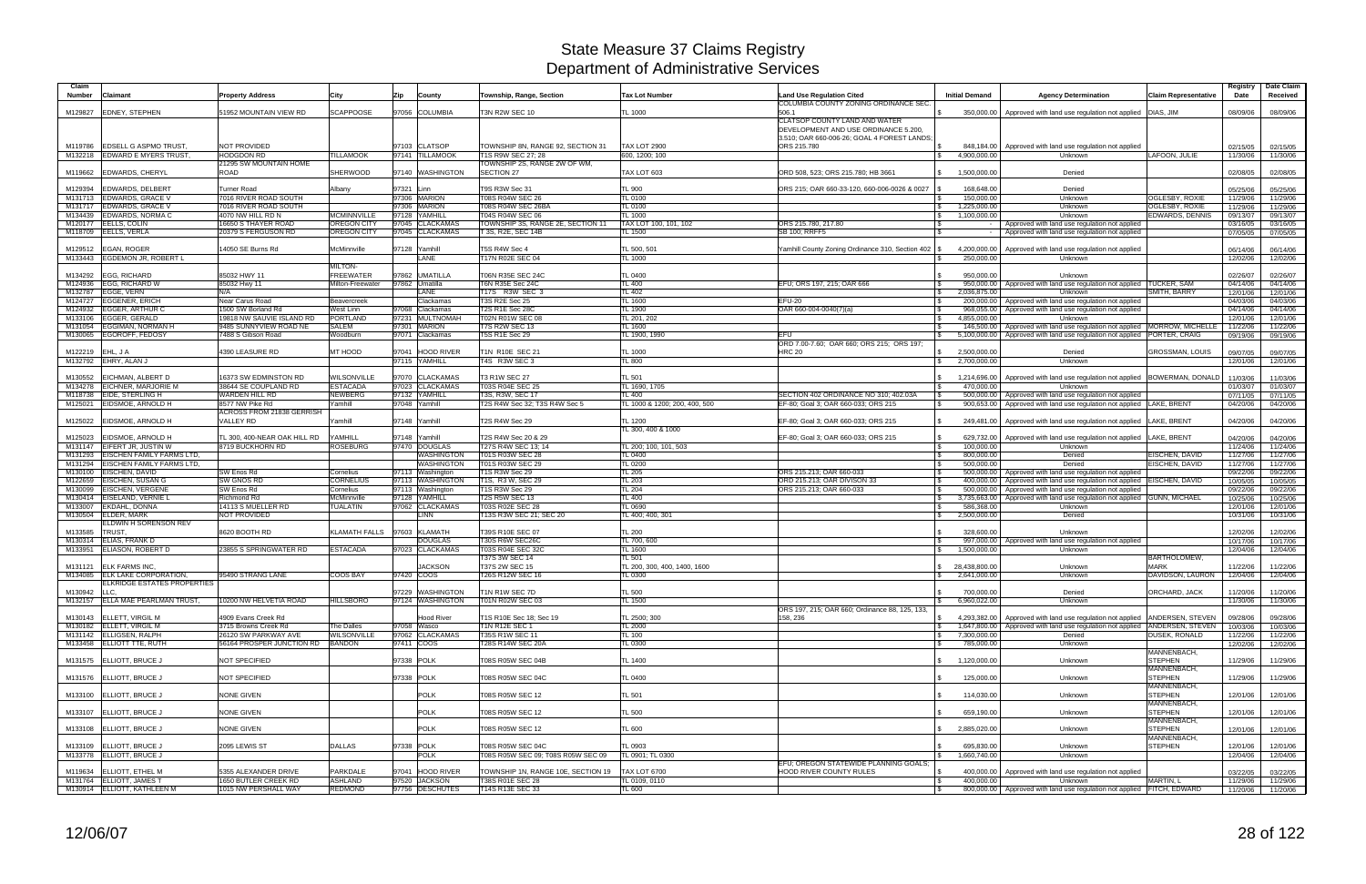| Claim              |                                                                      |                                                     |                                      |                                      |                                                        |                                         |                                                            |                                                    |                                                                                       |                                            | Registry             | Date Claim           |
|--------------------|----------------------------------------------------------------------|-----------------------------------------------------|--------------------------------------|--------------------------------------|--------------------------------------------------------|-----------------------------------------|------------------------------------------------------------|----------------------------------------------------|---------------------------------------------------------------------------------------|--------------------------------------------|----------------------|----------------------|
| Number             | Claimant                                                             | <b>Property Address</b>                             | City                                 | Zip<br>County                        | Township, Range, Section                               | <b>Tax Lot Number</b>                   | <b>Land Use Regulation Cited</b>                           | <b>Initial Demand</b>                              | <b>Agency Determination</b>                                                           | <b>Claim Representative</b>                | Date                 | Received             |
| M129827            | <b>EDNEY, STEPHEN</b>                                                | 51952 MOUNTAIN VIEW RD                              | <b>SCAPPOOSE</b>                     | 97056 COLUMBIA                       | T3N R2W SEC 10                                         | TL 1000                                 | COLUMBIA COUNTY ZONING ORDINANCE SEC.<br>506.1             | 350,000.00                                         | Approved with land use regulation not applied   DIAS, JIM                             |                                            | 08/09/06             | 08/09/06             |
|                    |                                                                      |                                                     |                                      |                                      |                                                        |                                         | CLATSOP COUNTY LAND AND WATER                              |                                                    |                                                                                       |                                            |                      |                      |
|                    |                                                                      |                                                     |                                      |                                      |                                                        |                                         | DEVELOPMENT AND USE ORDINANCE 5.200,                       |                                                    |                                                                                       |                                            |                      |                      |
|                    | <b>EDSELL G ASPMO TRUST.</b>                                         | <b>NOT PROVIDED</b>                                 |                                      | 97103 CLATSOP                        | TOWNSHIP 8N, RANGE 92, SECTION 31                      | <b>TAX LOT 2900</b>                     | 3.510; OAR 660-006-26; GOAL 4 FOREST LANDS;<br>ORS 215.780 |                                                    |                                                                                       |                                            |                      |                      |
| M119786            | M132218 EDWARD E MYERS TRUST,                                        | <b>HODGDON RD</b>                                   | <b>TILLAMOOK</b>                     | 97141 TILLAMOOK                      | T1S R9W SEC 27; 28                                     | 600, 1200; 100                          |                                                            | 848,184.00<br>4,900,000.00                         | Approved with land use regulation not applied<br>Unknown                              | LAFOON, JULIE                              | 02/15/05<br>11/30/06 | 02/15/05<br>11/30/06 |
|                    |                                                                      | 21295 SW MOUNTAIN HOME                              |                                      |                                      | TOWNSHIP 2S, RANGE 2W OF WM,                           |                                         |                                                            |                                                    |                                                                                       |                                            |                      |                      |
| M119662            | <b>EDWARDS, CHERYL</b>                                               | ROAD                                                | <b>SHERWOOD</b>                      | 97140 WASHINGTON                     | SECTION 27                                             | TAX LOT 603                             | ORD 508, 523; ORS 215.780; HB 3661                         | 1,500,000.00                                       | Denied                                                                                |                                            | 02/08/05             | 02/08/05             |
| M129394            | <b>EDWARDS, DELBERT</b>                                              | <b>Turner Road</b>                                  | Albany                               | 97321 Linn                           | T9S R3W Sec 31                                         | TL 900                                  | ORS 215; OAR 660-33-120, 660-006-0026 & 0027               | 168,648.00                                         | Denied                                                                                |                                            | 05/25/06             | 05/25/06             |
|                    | M131713 EDWARDS, GRACE V                                             | 7016 RIVER ROAD SOUTH                               |                                      | 97306 MARION                         | T08S R04W SEC 26                                       | TL 0100                                 |                                                            | 150,000.00                                         | Unknown                                                                               | OGLESBY, ROXIE                             | 11/29/06             | 11/29/06             |
| M131717<br>M134439 | <b>EDWARDS, GRACE V</b><br>EDWARDS, NORMA C                          | 7016 RIVER ROAD SOUTH                               | <b>MCMINNVILLE</b>                   | 97306 MARION<br>97128 YAMHILL        | T08S R04W SEC 26BA<br>T04S R04W SEC 06                 | <b>TL 0100</b>                          | l \$                                                       | 1,225,000.00<br>1,100,000.00                       | Unknown                                                                               | OGLESBY, ROXIE<br>EDWARDS, DENNIS          | 11/29/06             | 11/29/06             |
|                    | M120177 EELLS, COLIN                                                 | 4070 NW HILL RD N<br>16650 S THAYER ROAD            | <b>OREGON CITY</b>                   | 97045 CLACKAMAS                      | TOWNSHIP 3S, RANGE 2E, SECTION 11                      | TL 1000<br>TAX LOT 100, 101, 102        | \$<br>ORS 215.780, 217.80<br>\$                            |                                                    | Unknown<br>Approved with land use regulation not applied                              |                                            | 09/13/07<br>03/16/05 | 09/13/07<br>03/16/05 |
|                    | M118709 EELLS, VERLA                                                 | 20379 S FERGUSON RD                                 | <b>OREGON CITY</b>                   | 97045 CLACKAMAS                      | T 3S, R2E, SEC 14B                                     | TL 1500                                 | <b>SB 100; RRFF5</b>                                       |                                                    | Approved with land use regulation not applied                                         |                                            | 07/05/05             | 07/05/05             |
| M129512            | EGAN, ROGER                                                          | 14050 SE Burns Rd                                   | McMinnville                          | 97128 Yamhill                        | T5S R4W Sec 4                                          | TL 500, 501                             |                                                            | 4,200,000.00                                       |                                                                                       |                                            |                      |                      |
| M133443            | <b>EGDEMON JR, ROBERT L</b>                                          |                                                     |                                      | LANE                                 | T17N R02E SEC 04                                       | TL 1000                                 | Yamhill County Zoning Ordinance 310, Section 402           | 250,000.00                                         | Approved with land use regulation not applied<br>Unknown                              |                                            | 06/14/06<br>12/02/06 | 06/14/06<br>12/02/06 |
|                    |                                                                      |                                                     | <b>MILTON-</b>                       |                                      |                                                        |                                         |                                                            |                                                    |                                                                                       |                                            |                      |                      |
| M134292            | <b>EGG, RICHARD</b><br><b>EGG, RICHARD W</b>                         | 85032 HWY 11<br>85032 Hwy 11                        | <b>FREEWATER</b><br>Milton-Freewater | 97862 UMATILLA<br>97862 Umatilla     | T06N R35E SEC 24C<br>T6N R35E Sec 24C                  | <b>TL 0400</b><br>TL 400                | EFU; ORS 197, 215; OAR 666                                 | 950,000.00<br>950,000.00                           | Unknown<br>Approved with land use regulation not applied TUCKER, SAM                  |                                            | 02/26/07             | 02/26/07             |
| M124936<br>M132787 | EGGE, VERN                                                           | N/A                                                 |                                      | LANE                                 | T17S R3W SEC 3                                         | TL 402                                  | l \$<br>l \$                                               | 2,036,875.00                                       | Unknown                                                                               | SMITH, BARRY                               | 04/14/06<br>12/01/06 | 04/14/06<br>12/01/06 |
| M124727            | <b>EGGENER, ERICH</b>                                                | Near Carus Road                                     | Beavercreek                          | Clackamas                            | <b>T3S R2E Sec 25</b>                                  | TL 1600                                 | <b>EFU-20</b>                                              | 200,000.00                                         | Approved with land use regulation not applied                                         |                                            | 04/03/06             | 04/03/06             |
| M124932            | <b>EGGER, ARTHUR C</b>                                               | 1500 SW Borland Rd                                  | <b>West Linn</b>                     | Clackamas<br>97068                   | T2S R1E Sec 28C                                        | TL 1900                                 | OAR 660-004-0040(7)(a)                                     | 968,055.00                                         | Approved with land use regulation not applied                                         |                                            | 04/14/06             | 04/14/06             |
|                    | M133106 EGGER, GERALD<br>M131054 EGGIMAN, NORMAN H                   | 19818 NW SAUVIE ISLAND RD<br>9485 SUNNYVIEW ROAD NE | PORTLAND<br><b>SALEM</b>             | 97231 MULTNOMAH<br>97301 MARION      | T02N R01W SEC 08<br>T7S R2W SEC 13                     | TL 201, 202<br><b>TL 1600</b>           | l \$                                                       | 4,855,000.00<br>146,500.00                         | Unknown<br>Approved with land use regulation not applied MORROW, MICHELLE             |                                            | 12/01/06<br>11/22/06 | 12/01/06<br>11/22/06 |
| M130065            | EGOROFF, FEDOSY                                                      | 7488 S Gibson Road                                  | Woodburn                             | 97071 Clackamas                      | <b>T5S R1E Sec 29</b>                                  | TL 1900, 1990                           | EFU<br>S.                                                  | 5,100,000.00                                       | Approved with land use regulation not applied PORTER, CRAIG                           |                                            | 09/19/06             | 09/19/06             |
|                    |                                                                      |                                                     |                                      |                                      |                                                        |                                         | ORD 7.00-7.60; OAR 660; ORS 215; ORS 197;                  |                                                    |                                                                                       |                                            |                      |                      |
| M122219 EHL, J A   | M132792 EHRY, ALAN J                                                 | 4390 LEASURE RD                                     | MT HOOD                              | 97041 HOOD RIVER<br>97115 YAMHILL    | T1N R10E SEC 21<br>T4S R3W SEC 3                       | <b>TL 1000</b><br>TL 800                | HRC 20                                                     | \$<br>2,500,000.00<br>2,700,000.00<br>$\mathbb{S}$ | Denied<br>Unknown                                                                     | GROSSMAN, LOUIS                            | 09/07/05<br>12/01/06 | 09/07/05<br>12/01/06 |
|                    |                                                                      |                                                     |                                      |                                      |                                                        |                                         |                                                            |                                                    |                                                                                       |                                            |                      |                      |
| M130552            | <b>EICHMAN, ALBERT D</b>                                             | 16373 SW EDMINSTON RD                               | <b>WILSONVILLE</b>                   | 97070 CLACKAMAS                      | T3 R1W SEC 27                                          | TL 501                                  |                                                            | 1,214,696.00                                       | Approved with land use regulation not applied BOWERMAN, DONALD                        |                                            | 11/03/06             | 11/03/06             |
|                    | M134278 EICHNER, MARJORIE M<br>M118738 EIDE, STERLING H              | 38644 SE COUPLAND RD<br>WARDEN HILL RD              | <b>ESTACADA</b><br><b>NEWBERG</b>    | 97023 CLACKAMAS<br>97132 YAMHILL     | <b>T03S R04E SEC 25</b><br>T3S, R3W, SEC 17            | TL 1690, 1705<br>TL 400                 | $\mathfrak{L}$<br>SECTION 402 ORDINANCE NO 310; 402.03A    | 470,000.00<br>500,000.00                           | Unknown<br>Approved with land use regulation not applied                              |                                            | 01/03/07<br>07/11/05 | 01/03/07<br>07/11/05 |
|                    | M125021 EIDSMOE, ARNOLD H                                            | 8577 NW Pike Rd                                     | Yamhill                              | 97048 Yamhill                        | T2S R4W Sec 32; T3S R4W Sec 5                          | TL 1000 & 1200; 200, 400, 500           | EF-80; Goal 3; OAR 660-033; ORS 215<br>l \$                | 900,653.00                                         | Approved with land use regulation not applied LAKE, BRENT                             |                                            | 04/20/06             | 04/20/06             |
|                    |                                                                      | <b>ACROSS FROM 21838 GERRISH</b>                    |                                      |                                      |                                                        |                                         |                                                            |                                                    |                                                                                       |                                            |                      |                      |
|                    | M125022 EIDSMOE, ARNOLD H                                            | <b>VALLEY RD</b>                                    | Yamhill                              | 97148 Yamhill                        | T2S R4W Sec 29                                         | TL 1200<br>TL 300, 400 & 1000           | EF-80; Goal 3; OAR 660-033; ORS 215<br>\$                  | 249,481.00                                         | Approved with land use regulation not applied LAKE, BRENT                             |                                            | 04/20/06             | 04/20/06             |
| M125023            | EIDSMOE, ARNOLD H                                                    | TL 300, 400-NEAR OAK HILL RD                        | <b><i>CAMHILL</i></b>                | 97148 Yamhill                        | T2S R4W Sec 20 & 29                                    |                                         | EF-80; Goal 3; OAR 660-033; ORS 215                        | 629,732.00                                         | Approved with land use regulation not applied                                         | LAKE, BRENT                                | 04/20/06             | 04/20/06             |
|                    | M131147 EIFERT JR, JUSTIN W                                          | 8719 BUCKHORN RD                                    | <b>ROSEBURG</b>                      | 97470 DOUGLAS                        | T27S R4W SEC 13; 14                                    | TL 200; 100, 101, 503                   | - \$                                                       | 100,000.00                                         | Unknown                                                                               |                                            | 11/24/06             | 11/24/06             |
| M131293<br>M131294 | <b>EISCHEN FAMILY FARMS LTD,</b><br><b>EISCHEN FAMILY FARMS LTD.</b> |                                                     |                                      | WASHINGTON<br><b>WASHINGTON</b>      | T01S R03W SEC 28<br>T01S R03W SEC 29                   | TL 0400<br><b>TL 0200</b>               | l \$                                                       | 800,000.00<br>500,000.00                           | Denied<br>Denied                                                                      | EISCHEN, DAVID<br>EISCHEN, DAVID           | 11/27/06             | 11/27/06             |
| M130100            | EISCHEN, DAVID                                                       | SW Enos Rd                                          | Cornelius                            | 97113 Washington                     | T1S R3W Sec 29                                         | <b>TL 205</b>                           | ORS 215.213; OAR 660-033<br>IS.                            | 500,000.00                                         | Approved with land use regulation not applied                                         |                                            | 11/27/06<br>09/22/06 | 11/27/06<br>09/22/06 |
| M122659            | <b>EISCHEN, SUSAN G</b>                                              | <b>SW GNOS RD</b>                                   | <b>CORNELIUS</b>                     | 97113 WASHINGTON                     | T1S, R3 W, SEC 29                                      | <b>TL 203</b>                           | ORD 215.213; OAR DIVISON 33<br>l \$                        | 400,000.00                                         | Approved with land use regulation not applied   EISCHEN, DAVID                        |                                            | 10/05/05             | 10/05/05             |
| M130099            | <b>EISCHEN, VERGENE</b>                                              | SW Enos Rd                                          | Cornelius                            | 97113 Washington                     | T1S R3W Sec 29<br><b>T2S R5W SEC 13</b>                | TL 204                                  | ORS 215.213; OAR 660-033                                   | 500.000.00                                         | Approved with land use regulation not applied                                         |                                            | 09/22/06             | 09/22/06             |
| M133007            | M130414 EISELAND, VERNIE L<br><b>EKDAHL, DONNA</b>                   | Richmond Rd<br>14113 S MUELLER RD                   | McMinnville<br><b>TUALATIN</b>       | 97128 YAMHILL<br>97062 CLACKAMAS     | T03S R02E SEC 28                                       | TL 400<br><b>TL 0690</b>                | l \$                                                       | 3,735,663.00<br>586,368.00                         | Approved with land use regulation not applied GUNN, MICHAEL<br>Unknown                |                                            | 10/25/06<br>12/01/06 | 10/25/06<br>12/01/06 |
| M130504            | <b>ELDER, MARK</b>                                                   | <b>NOT PROVIDED</b>                                 |                                      | LINN                                 | T13S R3W SEC 21; SEC 20                                | L 400; 400, 301                         | \$                                                         | 2,500,000.00                                       | Denied                                                                                |                                            | 10/31/06             | 10/31/06             |
|                    | ELDWIN H SORENSON REV                                                | 8620 BOOTH RD                                       |                                      | KLAMATH FALLS 97603 KLAMATH          |                                                        |                                         |                                                            |                                                    |                                                                                       |                                            |                      |                      |
| M133585<br>M130314 | <b>TRUST</b><br>ELIAS, FRANK D                                       |                                                     |                                      | <b>DOUGLAS</b>                       | T39S R10E SEC 07<br>T30S R6W SEC26C                    | <b>TL 200</b><br>TL 700, 600            | $\mathbf{\$}$                                              | 328,600.00<br>997,000.00                           | Unknown<br>Approved with land use regulation not applied                              |                                            | 12/02/06<br>10/17/06 | 12/02/06<br>10/17/06 |
|                    | M133951 ELIASON, ROBERT D                                            | 23855 S SPRINGWATER RD                              | <b>ESTACADA</b>                      | 97023 CLACKAMAS                      | T03S R04E SEC 32C                                      | TL 1600                                 |                                                            | 1,500,000.00                                       | Unknown                                                                               |                                            | 12/04/06             | 12/04/06             |
|                    |                                                                      |                                                     |                                      |                                      | T37S 3W SEC 14                                         | TL 501                                  |                                                            |                                                    |                                                                                       | <b>BARTHOLOMEW</b>                         |                      |                      |
|                    | M131121 ELK FARMS INC.<br>M134085 ELK LAKE CORPORATION               | 95490 STRANG LANE                                   | COOS BAY                             | <b>JACKSON</b><br>97420 COOS         | T37S 2W SEC 15<br><b>T26S R12W SEC 16</b>              | TL 200, 300, 400, 1400, 1600<br>TL 0300 |                                                            | 28,438,800.00<br>2,641,000.00                      | Unknown<br>Unknown                                                                    | <b>MARK</b><br>DAVIDSON, LAURON   12/04/06 | 11/22/06             | 11/22/06<br>12/04/06 |
|                    | ELKRIDGE ESTATES PROPERTIES                                          |                                                     |                                      |                                      |                                                        |                                         |                                                            |                                                    |                                                                                       |                                            |                      |                      |
| M130942 LLC,       | M132157 ELLA MAE PEARLMAN TRUST                                      | 10200 NW HELVETIA ROAD                              | <b>HILLSBORO</b>                     | 97229 WASHINGTON<br>97124 WASHINGTON | T1N R1W SEC 7D<br>T01N R02W SEC 03                     | TL 500<br>TL 1500                       | $\mathcal{S}$                                              | 700,000.00<br>6,960,022.00                         | Denied<br>Unknown                                                                     | ORCHARD, JACK                              | 11/20/06             | 11/20/06             |
|                    |                                                                      |                                                     |                                      |                                      |                                                        |                                         | ORS 197, 215; OAR 660; Ordinance 88, 125, 133,             |                                                    |                                                                                       |                                            | 11/30/06             | 11/30/06             |
|                    | M130143 ELLETT, VIRGIL M                                             | 4909 Evans Creek Rd                                 |                                      | <b>Hood River</b>                    | T1S R10E Sec 18: Sec 19                                | TL 2500; 300                            | 158, 236                                                   |                                                    | 4.293.382.00 Approved with land use regulation not applied ANDERSEN, STEVEN           |                                            | 09/28/06             | 09/28/06             |
|                    | M130182 ELLETT, VIRGIL M                                             | 3715 Browns Creek Rd<br>26120 SW PARKWAY AVE        | The Dalles                           | 97058 Wasco                          | T1N R12E SEC 1<br>T35S R1W SEC 11                      | TL 2000                                 | IS .                                                       |                                                    | 1,647,800.00 Approved with land use regulation not applied ANDERSEN, STEVEN<br>Denied |                                            | 10/03/06             | 10/03/06             |
|                    | M131142 ELLIGSEN, RALPH<br>M133458 ELLIOTT TTE, RUTH                 | 56164 PROSPER JUNCTION RD BANDON                    | <b>WILSONVILLE</b>                   | 97062 CLACKAMAS<br>97411 COOS        | T28S R14W SEC 20A                                      | <b>TL 100</b><br>TL 0300                | IS.                                                        | 7,300,000.00<br>$\mathbb{S}$<br>785,000.00         | Unknown                                                                               | DUSEK, RONALD                              | 11/22/06<br>12/02/06 | 11/22/06<br>12/02/06 |
|                    |                                                                      |                                                     |                                      |                                      |                                                        |                                         |                                                            |                                                    |                                                                                       | MANNENBACH,                                |                      |                      |
|                    | M131575 ELLIOTT, BRUCE J                                             | NOT SPECIFIED                                       |                                      | 97338 POLK                           | T08S R05W SEC 04B                                      | <b>TL 1400</b>                          | \$                                                         | 1,120,000.00                                       | Unknown                                                                               | <b>STEPHEN</b><br>MANNENBACH,              | 11/29/06             | 11/29/06             |
|                    | M131576 ELLIOTT, BRUCE J                                             | NOT SPECIFIED                                       |                                      | 97338 POLK                           | T08S R05W SEC 04C                                      | <b>TL 0400</b>                          |                                                            | 125,000.00                                         | Unknown                                                                               | <b>STEPHEN</b>                             | 11/29/06             | 11/29/06             |
|                    |                                                                      |                                                     |                                      |                                      |                                                        |                                         |                                                            |                                                    |                                                                                       | MANNENBACH,                                |                      |                      |
|                    | M133100 ELLIOTT, BRUCE J                                             | <b>NONE GIVEN</b>                                   |                                      | <b>POLK</b>                          | T08S R05W SEC 12                                       | TL 501                                  |                                                            | 114,030.00                                         | Unknown                                                                               | <b>STEPHEN</b>                             | 12/01/06             | 12/01/06             |
|                    | M133107 ELLIOTT, BRUCE J                                             | <b>NONE GIVEN</b>                                   |                                      | <b>POLK</b>                          | T08S R05W SEC 12                                       | <b>TL 500</b>                           | - \$                                                       | 659,190.00                                         | Unknown                                                                               | MANNENBACH,<br><b>STEPHEN</b>              | 12/01/06             | 12/01/06             |
|                    |                                                                      |                                                     |                                      |                                      |                                                        |                                         |                                                            |                                                    |                                                                                       | MANNENBACH,                                |                      |                      |
|                    | M133108 ELLIOTT, BRUCE J                                             | <b>NONE GIVEN</b>                                   |                                      | <b>POLK</b>                          | T08S R05W SEC 12                                       | TL 600                                  |                                                            | 2,885,020.00<br>$\mathbb{S}$                       | Unknown                                                                               | <b>STEPHEN</b>                             | 12/01/06             | 12/01/06             |
|                    | M133109 ELLIOTT, BRUCE J                                             | 2095 LEWIS ST                                       | <b>DALLAS</b>                        | 97338 POLK                           | T08S R05W SEC 04C                                      | TL 0903                                 |                                                            | 695,830.00                                         | Unknown                                                                               | MANNENBACH,<br><b>STEPHEN</b>              | 12/01/06             | 12/01/06             |
|                    | M133778 ELLIOTT, BRUCE J                                             |                                                     |                                      | <b>POLK</b>                          | T08S R05W SEC 09; T08S R05W SEC 09                     | TL 0901; TL 0300                        | $\mathcal{S}$                                              | 1,660,740.00                                       | Unknown                                                                               |                                            | 12/04/06             | 12/04/06             |
|                    |                                                                      |                                                     |                                      |                                      |                                                        |                                         | EFU; OREGON STATEWIDE PLANNING GOALS;                      |                                                    |                                                                                       |                                            |                      |                      |
|                    | M119634 ELLIOTT, ETHEL M<br>M131764 ELLIOTT, JAMES T                 | 5355 ALEXANDER DRIVE<br><b>1650 BUTLER CREEK RD</b> | <b>PARKDALE</b><br><b>ASHLAND</b>    | 97041 HOOD RIVER<br>97520 JACKSON    | TOWNSHIP 1N, RANGE 10E, SECTION 19<br>T38S R01E SEC 28 | <b>TAX LOT 6700</b><br>TL 0109, 0110    | HOOD RIVER COUNTY RULES<br><b>S</b><br>$\sqrt{3}$          | 400,000.00<br>400,000.00                           | Approved with land use regulation not applied<br>Unknown                              | MARTIN, L                                  | 03/22/05<br>11/29/06 | 03/22/05<br>11/29/06 |
|                    | M130914 ELLIOTT, KATHLEEN M                                          | 1015 NW PERSHALL WAY                                | <b>REDMOND</b>                       | 97756 DESCHUTES                      | T14S R13E SEC 33                                       | TL 600                                  | $\sqrt{s}$                                                 |                                                    | 800,000.00 Approved with land use regulation not applied FITCH, EDWARD                |                                            |                      | 11/20/06 11/20/06    |
|                    |                                                                      |                                                     |                                      |                                      |                                                        |                                         |                                                            |                                                    |                                                                                       |                                            |                      |                      |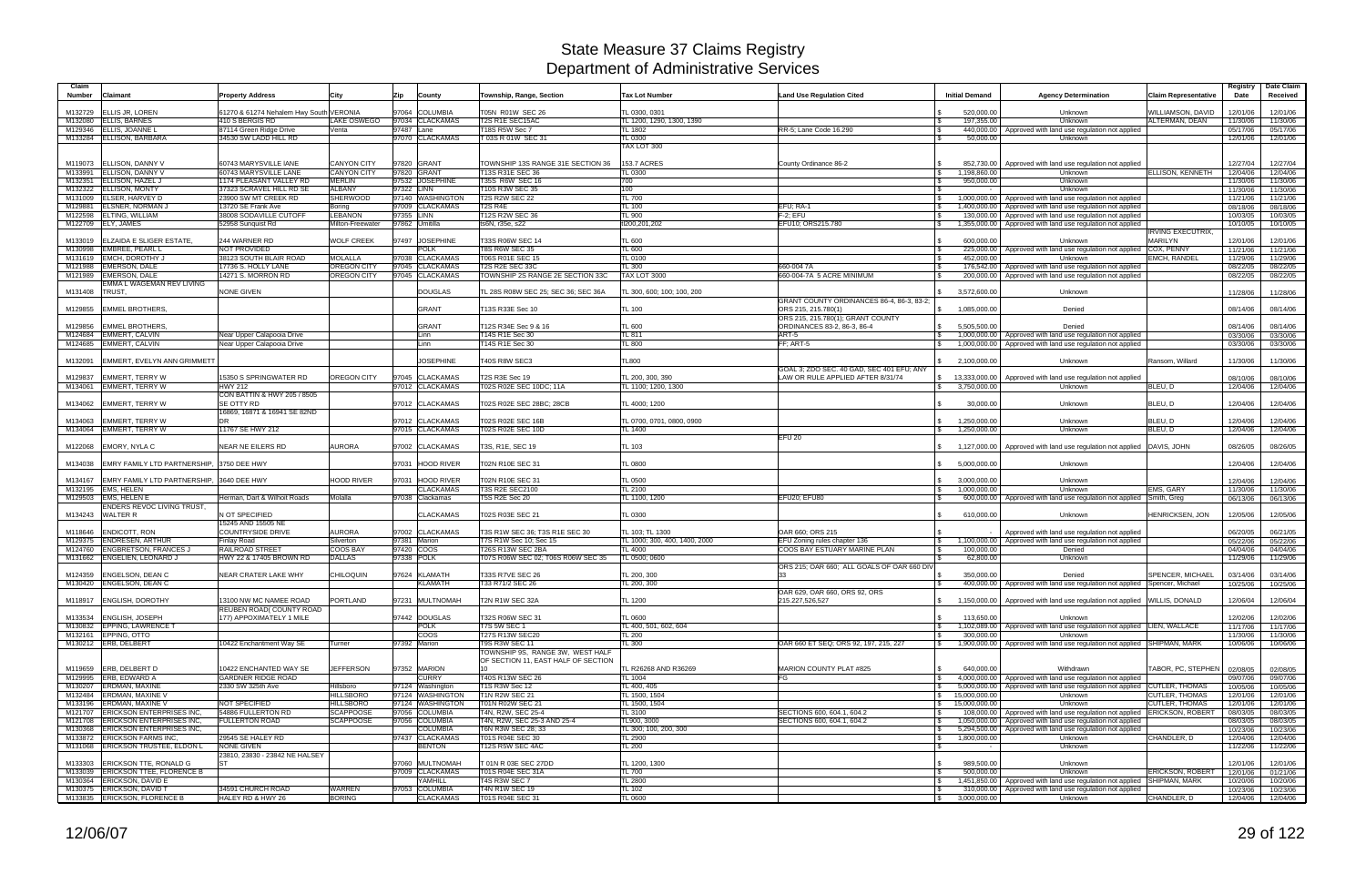| Claim<br><b>Number</b> | Claimant                                                               | <b>Property Address</b>                             | City                     | County<br>Zip                     | Township, Range, Section                                  | <b>Tax Lot Number</b>                          | <b>Land Use Regulation Cited</b>                                               | <b>Initial Demand</b>              | <b>Agency Determination</b>                                                                                                | <b>Claim Representative</b>                | Registry<br>Date     | Date Claim<br>Received |
|------------------------|------------------------------------------------------------------------|-----------------------------------------------------|--------------------------|-----------------------------------|-----------------------------------------------------------|------------------------------------------------|--------------------------------------------------------------------------------|------------------------------------|----------------------------------------------------------------------------------------------------------------------------|--------------------------------------------|----------------------|------------------------|
| M132729                | <b>ELLIS JR, LOREN</b>                                                 | 61270 & 61274 Nehalem Hwy South VERONIA             |                          | 97064 COLUMBIA                    | T05N R01W SEC 26                                          | TL 0300, 0301                                  |                                                                                | 520,000.00                         | Unknown                                                                                                                    | WILLIAMSON, DAVID                          | 12/01/06             | 12/01/06               |
| M132080                | <b>ELLIS, BARNES</b>                                                   | 410 S BERGIS RD                                     | LAKE OSWEGO              | 97034 CLACKAMAS                   | T2S R1E SEC15AC                                           | TL 1200, 1290, 1300, 1390                      |                                                                                | 197,355.00                         | Unknown                                                                                                                    | ALTERMAN, DEAN                             | 11/30/06             | 11/30/06               |
| M129346                | <b>ELLIS, JOANNE L</b><br>M133284 ELLISON, BARBARA                     | 87114 Green Ridge Drive<br>34530 SW LADD HILL RD    | Venta                    | 97487 Lane<br>97070 CLACKAMAS     | T18S R5W Sec 7<br>T 03S R 01W SEC 31                      | <b>TL 1802</b><br>TL 0300                      | RR-5; Lane Code 16.290                                                         | 440,000.00<br>l \$<br>50,000.00    | Approved with land use regulation not applied<br>Unknown                                                                   |                                            | 05/17/06<br>12/01/06 | 05/17/06<br>12/01/06   |
|                        |                                                                        |                                                     |                          |                                   |                                                           | TAX LOT 300                                    |                                                                                |                                    |                                                                                                                            |                                            |                      |                        |
| M119073                | <b>ELLISON, DANNY V</b>                                                | 60743 MARYSVILLE IANE                               | <b>CANYON CITY</b>       | 97820 GRANT                       | TOWNSHIP 13S RANGE 31E SECTION 36                         | 153.7 ACRES                                    | County Ordinance 86-2                                                          | 852,730.00                         | Approved with land use regulation not applied                                                                              |                                            | 12/27/04             | 12/27/04               |
| M133991                | ELLISON, DANNY V                                                       | 60743 MARYSVILLE LANE                               | <b>CANYON CITY</b>       | 97820 GRANT                       | T13S R31E SEC 36                                          | TL 0300                                        |                                                                                | 1.198.860.00<br>S.                 | Unknown                                                                                                                    | ELLISON, KENNETH                           | 12/04/06             | 12/04/06               |
| M132351                | <b>ELLISON, HAZEL J</b>                                                | 1174 PLEASANT VALLEY RD                             | <b>MERLIN</b>            | 97532 JOSEPHINE                   | <b>T35S R6W SEC 16</b>                                    | 700                                            |                                                                                | 950,000.00                         | Unknown                                                                                                                    |                                            | 11/30/06             | 11/30/06               |
| M132322                | <b>ELLISON, MONTY</b>                                                  | 37323 SCRAVEL HILL RD SE                            | <b>ALBANY</b>            | 97322 LINN                        | T10S R3W SEC 35                                           | 100                                            |                                                                                |                                    | Unknown                                                                                                                    |                                            | 11/30/06             | 11/30/06               |
| M131009                | ELSER, HARVEY D                                                        | 23900 SW MT CREEK RD                                | <b>SHERWOOD</b>          | 97140 WASHINGTON                  | <b>T2S R2W SEC 22</b>                                     | TL 700                                         |                                                                                | 1,000,000.00                       | Approved with land use regulation not applied                                                                              |                                            | 11/21/06             | 11/21/06               |
| M129881<br>M122598     | <b>ELSNER, NORMAN,</b><br><b>ELTING, WILLIAM</b>                       | 13720 SE Frank Ave<br><b>38008 SODAVILLE CUTOFF</b> | Boring<br><b>LEBANON</b> | 97009 CLACKAMAS<br>97355 LINN     | T <sub>2</sub> S R <sub>4E</sub><br>T12S R2W SEC 36       | <b>TL 100</b><br>TL 900                        | EFU; RA-1<br>$F-2$ ; EFU                                                       | 1,400,000.00<br>\$<br>130,000.00   | Approved with land use regulation not applied<br>Approved with land use regulation not applied                             |                                            | 08/18/06<br>10/03/05 | 08/18/06<br>10/03/05   |
|                        | M122709 ELY, JAMES                                                     | 52958 Sunquist Rd                                   | Milton-Freewater         | 97862 Umitilla                    | ts6N, r35e, s22                                           | tl200,201,202                                  | EFU10; ORS215.780                                                              | \$<br>1,355,000.00                 | Approved with land use regulation not applied                                                                              |                                            | 10/10/05             | 10/10/05               |
| M133019                | ELZAIDA E SLIGER ESTATE,                                               | 244 WARNER RD                                       | <b>WOLF CREEK</b>        | 97497 JOSEPHINE                   | T33S R06W SEC 14                                          | TL 600                                         |                                                                                | 600.000.00                         | Unknown                                                                                                                    | <b>IRVING EXECUTRIX,</b><br><b>MARILYN</b> | 12/01/06             | 12/01/06               |
| M130998                | <b>EMBREE, PEARL L</b>                                                 | <b>NOT PROVIDED</b>                                 |                          | POLK                              | <b>T8S R6W SEC 35</b>                                     | TL 600                                         |                                                                                | 225,000.00                         | Approved with land use regulation not applied COX, PENNY                                                                   |                                            | 11/21/06             | 11/21/06               |
|                        | M131619 EMCH, DOROTHY J                                                | 38123 SOUTH BLAIR ROAD                              | <b>MOLALLA</b>           | 97038 CLACKAMAS                   | T06S R01E SEC 15                                          | <b>TL 0100</b>                                 | \$                                                                             | 452,000.00                         | Unknown                                                                                                                    | EMCH, RANDEL                               | 11/29/06             | 11/29/06               |
| M121988                | <b>EMERSON, DALE</b>                                                   | 17736 S. HOLLY LANE                                 | <b>OREGON CITY</b>       | 97045 CLACKAMAS                   | T2S R2E SEC 33C                                           | TL 300                                         | 660-004 7A                                                                     | 176,542.00                         | Approved with land use regulation not applied                                                                              |                                            | 08/22/05             | 08/22/05               |
| M121989                | <b>EMERSON, DALE</b>                                                   | 14271 S. MORRON RD                                  | OREGON CITY              | 97045 CLACKAMAS                   | TOWNSHIP 2S RANGE 2E SECTION 33C                          | <b>TAX LOT 3000</b>                            | 660-004-7A 5 ACRE MINIMUM                                                      | 200,000.00                         | Approved with land use regulation not applied                                                                              |                                            | 08/22/05             | 08/22/05               |
| M131408                | EMMA L WAGEMAN REV LIVING<br><b>TRUST.</b>                             | <b>NONE GIVEN</b>                                   |                          | <b>DOUGLAS</b>                    | TL 28S R08W SEC 25; SEC 36; SEC 36A                       | TL 300, 600; 100; 100, 200                     |                                                                                | 3,572,600.00                       | Unknown                                                                                                                    |                                            | 11/28/06             | 11/28/06               |
| M129855                | <b>EMMEL BROTHERS,</b>                                                 |                                                     |                          | <b>GRANT</b>                      | T13S R33E Sec 10                                          | <b>TL 100</b>                                  | GRANT COUNTY ORDINANCES 86-4, 86-3, 83-2;<br>ORS 215, 215.780(1)               | 1,085,000.00                       | Denied                                                                                                                     |                                            | 08/14/06             | 08/14/06               |
| M129856                | <b>EMMEL BROTHERS</b>                                                  |                                                     |                          | <b>GRANT</b>                      | T12S R34E Sec 9 & 16                                      | TL 600                                         | ORS 215, 215.780(1); GRANT COUNTY<br>ORDINANCES 83-2, 86-3, 86-4               | 5,505,500.00<br>\$                 | Denied                                                                                                                     |                                            | 08/14/06             | 08/14/06               |
| M124684                | <b>EMMERT, CALVIN</b>                                                  | Near Upper Calapooia Drive                          |                          | Linn                              | T14S R1E Sec 30                                           | TL 811                                         | ART-5                                                                          | \$<br>1,000,000.00                 | Approved with land use regulation not applied                                                                              |                                            | 03/30/06             | 03/30/06               |
| M124685                | <b>EMMERT, CALVIN</b>                                                  | Near Upper Calapooia Drive                          |                          | Linn                              | T14S R1E Sec 30                                           | TL 800                                         | FF: ART-5                                                                      | 1,000,000.00<br>$\mathcal{L}$      | Approved with land use regulation not applied                                                                              |                                            | 03/30/06             | 03/30/06               |
| M132091                | EMMERT, EVELYN ANN GRIMMETT                                            |                                                     |                          | <b>JOSEPHINE</b>                  | T40S R8W SEC3                                             | <b>TL800</b>                                   |                                                                                | 2,100,000.00                       | Unknown                                                                                                                    | Ransom, Willard                            | 11/30/06             | 11/30/06               |
| M129837                | <b>EMMERT, TERRY W</b>                                                 | 15350 S SPRINGWATER RD                              | OREGON CITY              | 97045 CLACKAMAS                   | T2S R3E Sec 19                                            | TL 200, 300, 390                               | GOAL 3; ZDO SEC. 40 GAD, SEC 401 EFU; ANY<br>LAW OR RULE APPLIED AFTER 8/31/74 | 13,333,000.00                      | Approved with land use regulation not applied                                                                              |                                            | 08/10/06             | 08/10/06               |
|                        | M134061 EMMERT, TERRY W                                                | <b>HWY 212</b><br>CON BATTIN & HWY 205 / 8505       |                          | 97012 CLACKAMAS                   | T02S R02E SEC 10DC; 11A                                   | TL 1100; 1200, 1300                            |                                                                                | 3,750,000.00<br>\$                 | Unknown                                                                                                                    | BLEU, D                                    | 12/04/06             | 12/04/06               |
| M134062                | <b>EMMERT, TERRY W</b>                                                 | SE OTTY RD<br>16869, 16871 & 16941 SE 82ND          |                          | 97012 CLACKAMAS                   | T02S R02E SEC 28BC; 28CB                                  | TL 4000: 1200                                  |                                                                                | 30,000.00                          | Unknown                                                                                                                    | BLEU. D                                    | 12/04/06             | 12/04/06               |
| M134063                | <b>EMMERT, TERRY W</b>                                                 |                                                     |                          | 97012 CLACKAMAS                   | T02S R02E SEC 16B                                         | TL 0700, 0701, 0800, 0900                      |                                                                                | 1,250,000.00                       | Unknown                                                                                                                    | BLEU, D                                    | 12/04/06             | 12/04/06               |
|                        | M134064 EMMERT, TERRY W                                                | 11767 SE HWY 212                                    |                          | 97015 CLACKAMAS                   | T02S R02E SEC 10D                                         | TL 1400                                        |                                                                                | 1,250,000.00                       | Unknown                                                                                                                    | BLEU. D                                    | 12/04/06             | 12/04/06               |
|                        |                                                                        |                                                     |                          |                                   |                                                           |                                                | EFU <sub>20</sub>                                                              |                                    |                                                                                                                            |                                            |                      |                        |
| M122068                | EMORY, NYLA C                                                          | NEAR NE EILERS RD                                   | <b>AURORA</b>            | 97002 CLACKAMAS                   | T3S, R1E, SEC 19                                          | TL 103                                         |                                                                                | 1,127,000.00                       | Approved with land use regulation not applied   DAVIS, JOHN                                                                |                                            | 08/26/05             | 08/26/05               |
| M134038                | EMRY FAMILY LTD PARTNERSHIP, 3750 DEE HWY                              |                                                     |                          | 97031 HOOD RIVER                  | T02N R10E SEC 31                                          | TL 0800                                        |                                                                                | 5,000,000.00<br>$\mathcal{S}$      | Unknown                                                                                                                    |                                            | 12/04/06             | 12/04/06               |
| M134167                | <b>EMRY FAMILY LTD PARTNERSHIP,</b>                                    | 3640 DEE HWY                                        | <b>HOOD RIVER</b>        | 97031<br><b>HOOD RIVER</b>        | T02N R10E SEC 31                                          | TL 0500                                        |                                                                                | 3,000,000.00<br>$\mathcal{S}$      | Unknown                                                                                                                    |                                            | 12/04/06             | 12/04/06               |
|                        | M132195 EMS, HELEN                                                     |                                                     |                          | <b>CLACKAMAS</b>                  | T3S R2E SEC2100                                           | TL 2100                                        |                                                                                | 1,000,000.00                       | Unknown                                                                                                                    | EMS, GARY                                  | 11/30/06             | 11/30/06               |
| M129503                | <b>EMS, HELEN E</b><br>ENDERS REVOC LIVING TRUST,                      | Herman, Dart & Wilhoit Roads                        | Molalla                  | 97038 Clackamas                   | T5S R2E Sec 20                                            | TL 1100, 1200                                  | EFU20; EFU80                                                                   |                                    | 600,000.00 Approved with land use regulation not applied                                                                   | Smith, Greg                                | 06/13/06             | 06/13/06               |
| M134243                | <b>WALTER R</b>                                                        | N OT SPECIFIED<br>15245 AND 15505 NE                |                          | <b>CLACKAMAS</b>                  | T02S R03E SEC 21                                          | TL 0300                                        |                                                                                | 610,000.00                         | Unknown                                                                                                                    | HENRICKSEN, JON                            | 12/05/06             | 12/05/06               |
| M118646                | ENDICOTT, RON                                                          | <b>COUNTRYSIDE DRIVE</b>                            | <b>AURORA</b>            | 97002 CLACKAMAS                   | T3S R1W SEC 36; T3S R1E SEC 30                            | TL 103: TL 1300                                | OAR 660: ORS 215                                                               |                                    | Approved with land use regulation not applied                                                                              |                                            | 06/20/05             | 06/21/05               |
| M129375<br>M124760     | <b>ENDRESEN, ARTHUR</b><br><b>ENGBRETSON, FRANCES J</b>                | Finlay Road<br>RAILROAD STREET                      | Silverton<br>COOS BAY    | 97381 Marion<br>97420 COOS        | T7S R1W Sec 10; Sec 15<br>T26S R13W SEC 2BA               | TL 1000; 300, 400, 1400, 2000<br><b>L 4000</b> | EFU Zoning rules chapter 136<br>COOS BAY ESTUARY MARINE PLAN                   | - \$<br>1,100,000.00<br>100,000.00 | Approved with land use regulation not applied<br>Denied                                                                    |                                            | 05/22/06<br>04/04/06 | 05/22/06<br>04/04/06   |
| M131662                | <b>ENGELIEN, LEONARD J</b>                                             | HWY 22 & 17405 BROWN RD                             | <b>DALLAS</b>            | 97338 POLK                        | T07S R06W SEC 02; T06S R06W SEC 35                        | TL 0500; 0600                                  |                                                                                | 62,800.00                          | Unknown                                                                                                                    |                                            | 11/29/06             | 11/29/06               |
|                        |                                                                        |                                                     |                          |                                   |                                                           |                                                | ORS 215; OAR 660; ALL GOALS OF OAR 660 DIV                                     |                                    |                                                                                                                            |                                            |                      |                        |
|                        | M124359 ENGELSON, DEAN C<br>M130420 ENGELSON, DEAN C                   | NEAR CRATER LAKE WHY                                | <b>CHILOQUIN</b>         | 97624 KLAMATH<br><b>KLAMATH</b>   | T33S R7VE SEC 26<br>T33 R71/2 SEC 26                      | TL 200, 300<br>TL 200, 300                     | วว                                                                             | 350,000.00                         | Denied<br>400,000.00   Approved with land use regulation not applied   Spencer, Michael                                    | SPENCER. MICHAEL                           | 03/14/06             | 03/14/06               |
|                        |                                                                        |                                                     |                          |                                   |                                                           |                                                | OAR 629, OAR 660, ORS 92, ORS                                                  |                                    |                                                                                                                            |                                            | 10/25/06             | 10/25/06               |
|                        | M118917 ENGLISH, DOROTHY                                               | 13100 NW MC NAMEE ROAD<br>REUBEN ROAD(COUNTY ROAD   | PORTLAND                 | 97231 MULTNOMAH                   | T2N R1W SEC 32A                                           | TL 1200                                        | 215.227.526.527                                                                |                                    | 1,150,000.00 Approved with land use regulation not applied WILLIS, DONALD                                                  |                                            | 12/06/04             | 12/06/04               |
|                        | M133534 ENGLISH, JOSEPH                                                | 177) APPOXIMATELY 1 MILE                            |                          | 97442 DOUGLAS                     | T32S R06W SEC 31                                          | TL 0600                                        |                                                                                | 113,650.00                         | Unknown                                                                                                                    |                                            | 12/02/06             | 12/02/06               |
|                        | M130832 EPPING, LAWRENCE T                                             |                                                     |                          | <b>POLK</b>                       | <b>T7S 5W SEC 1</b>                                       | TL 400, 501, 602, 604                          |                                                                                | \$                                 | 1,102,089.00 Approved with land use regulation not applied LIEN, WALLACE                                                   |                                            | 11/17/06             | 11/17/06               |
|                        | M132161 EPPING, OTTO                                                   |                                                     |                          | <b>COOS</b>                       | T27S R13W SEC20                                           | <b>TL 200</b>                                  |                                                                                | 300,000.00<br>l \$                 | Unknown                                                                                                                    |                                            | 11/30/06             | 11/30/06               |
|                        | M130212 ERB, DELBERT                                                   | 10422 Enchantment Way SE                            | Turner                   | 97392 Marion                      | <b>T9S R3W SEC 11</b><br>TOWNSHIP 9S, RANGE 3W, WEST HALF | TL 300                                         | OAR 660 ET SEQ; ORS 92, 197, 215, 227                                          | \$                                 | 1,900,000.00   Approved with land use regulation not applied SHIPMAN, MARK                                                 |                                            | 10/06/06             | 10/06/06               |
|                        | M119659 ERB, DELBERT D                                                 | 10422 ENCHANTED WAY SE                              | <b>JEFFERSON</b>         | 97352 MARION                      | OF SECTION 11, EAST HALF OF SECTION<br>10                 | TL R26268 AND R36269                           | MARION COUNTY PLAT #825                                                        | 640.000.00<br>$\mathbb{S}$         | Withdrawn                                                                                                                  | TABOR, PC, STEPHEN                         | 02/08/05             | 02/08/05               |
|                        | M129995 ERB, EDWARD A                                                  | <b>GARDNER RIDGE ROAD</b>                           |                          | <b>CURRY</b>                      | T40S R13W SEC 26                                          | TL 1004                                        | FG                                                                             | \$                                 | 4,000,000.00 Approved with land use regulation not applied                                                                 |                                            | 09/07/06             | 09/07/06               |
|                        | M130207 ERDMAN, MAXINE                                                 | 2330 SW 325th Ave                                   | Hillsboro                | 97124 Washington                  | T1S R3W Sec 12                                            | TL 400, 405                                    |                                                                                | I S                                | 5,000,000.00   Approved with land use regulation not applied CUTLER, THOMAS                                                |                                            | 10/05/06             | 10/05/06               |
|                        | M132484 ERDMAN, MAXINE V                                               |                                                     | <b>HILLSBORO</b>         | 97124 WASHINGTON                  | <b>T1N R2W SEC 21</b>                                     | TL 1500, 1504                                  |                                                                                | 15,000,000.00<br>$\sqrt{S}$        | <b>Unknown</b>                                                                                                             | <b>CUTLER, THOMAS</b>                      | 12/01/06             | 12/01/06               |
|                        | M133196 ERDMAN, MAXINE V                                               | NOT SPECIFIED                                       | <b>HILLSBORO</b>         | 97124 WASHINGTON                  | T01N R02W SEC 21                                          | TL 1500, 1504                                  |                                                                                | 15,000,000.00<br>$\mathbb{S}$      | Unknown                                                                                                                    | <b>CUTLER, THOMAS</b>                      | 12/01/06             | 12/01/06               |
|                        | M121707 ERICKSON ENTERPRISES INC.                                      | 54886 FULLERTON RD                                  | <b>SCAPPOOSE</b>         | 97056 COLUMBIA                    | T4N, R2W, SEC 25-4                                        | TL 3100                                        | SECTIONS 600, 604.1, 604.2                                                     | l \$                               | 108,000.00   Approved with land use regulation not applied   ERICKSON, ROBERT                                              |                                            | 08/03/05             | 08/03/05               |
|                        | M121708 ERICKSON ENTERPRISES INC.<br>M130368 ERICKSON ENTERPRISES INC, | <b>FULLERTON ROAD</b>                               | <b>SCAPPOOSE</b>         | 97056 COLUMBIA<br><b>COLUMBIA</b> | T4N, R2W, SEC 25-3 AND 25-4<br>T6N R3W SEC 28; 33         | TL900, 3000<br>TL 300; 100, 200, 300           | SECTIONS 600, 604.1, 604.2                                                     |                                    | 1,050,000.00   Approved with land use regulation not applied<br>5,294,500.00 Approved with land use regulation not applied |                                            | 08/03/05<br>10/23/06 | 08/03/05<br>10/23/06   |
|                        | M133872 ERICKSON FARMS INC.                                            | 29545 SE HALEY RD                                   |                          | 97437 CLACKAMAS                   | T01S R04E SEC 30                                          | <b>TL 2900</b>                                 |                                                                                | 1,800,000.00<br>I S                | Unknown                                                                                                                    | CHANDLER, D                                | 12/04/06             | 12/04/06               |
|                        | M131068 ERICKSON TRUSTEE, ELDON L                                      | NONE GIVEN                                          |                          | <b>BENTON</b>                     | T12S R5W SEC 4AC                                          | TL 200                                         |                                                                                | l \$                               | Unknown                                                                                                                    |                                            | 11/22/06             | 11/22/06               |
|                        | M133303 ERICKSON TTE, RONALD G                                         | 23810, 23830 - 23842 NE HALSEY<br><b>ST</b>         |                          | 97060 MULTNOMAH                   | T 01N R 03E SEC 27DD                                      | TL 1200, 1300                                  |                                                                                | 989,500.00<br>\$                   | Unknown                                                                                                                    |                                            | 12/01/06             | 12/01/06               |
|                        | M133039 ERICKSON TTEE, FLORENCE B                                      |                                                     |                          | 97009 CLACKAMAS                   | T01S R04E SEC 31A                                         | <b>TL 700</b>                                  |                                                                                | 500,000.00<br>l \$                 | Unknown                                                                                                                    | ERICKSON, ROBERT                           | 12/01/06             | 01/21/06               |
|                        | M130364 ERICKSON, DAVID E                                              |                                                     |                          | YAMHILL                           | T4S R3W SEC 7                                             | TL 2800                                        |                                                                                | S.                                 | 1,451,850.00   Approved with land use regulation not applied SHIPMAN, MARK                                                 |                                            | 10/20/06             | 10/20/06               |
|                        | M130375 ERICKSON, DAVID T                                              | 34591 CHURCH ROAD                                   | <b>WARREN</b>            | 97053 COLUMBIA                    | <b>T4N R1W SEC 19</b>                                     | <b>TL 102</b>                                  |                                                                                | l \$                               | 310,000.00 Approved with land use regulation not applied                                                                   |                                            | 10/23/06             | 10/23/06               |
|                        | M133835 ERICKSON, FLORENCE B                                           | HALEY RD & HWY 26                                   | <b>BORING</b>            | <b>CLACKAMAS</b>                  | T01S R04E SEC 31                                          | <b>TL 0600</b>                                 |                                                                                | 3,000,000.00<br>$\sqrt{3}$         | Unknown                                                                                                                    | CHANDLER, D                                | 12/04/06             | 12/04/06               |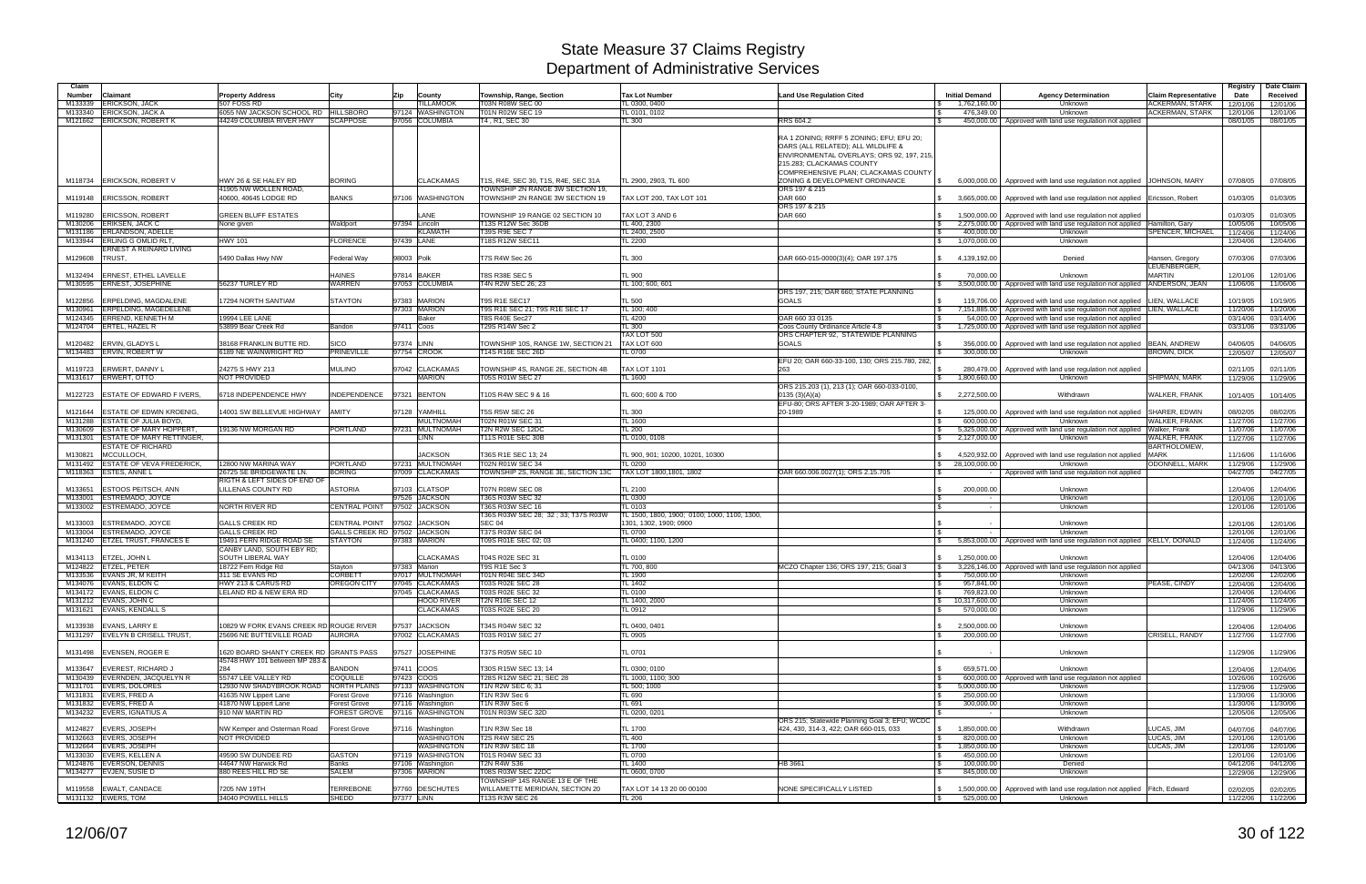| Claim                    |                                                             |                                                |                                  |                                               |                                                                         |                                              |                                                                                                                                                                                                  |                                                      |                                                                                                                | Claim Representative            | Registry             | Date Claim           |
|--------------------------|-------------------------------------------------------------|------------------------------------------------|----------------------------------|-----------------------------------------------|-------------------------------------------------------------------------|----------------------------------------------|--------------------------------------------------------------------------------------------------------------------------------------------------------------------------------------------------|------------------------------------------------------|----------------------------------------------------------------------------------------------------------------|---------------------------------|----------------------|----------------------|
| <b>Number</b><br>M133339 | Claimant<br><b>ERICKSON, JACK</b>                           | <b>Property Address</b><br>507 FOSS RD         | City                             | Zip<br>County<br><b>ILLAMOOK</b>              | Township, Range, Section<br>T03N R08W SEC 00                            | <b>Tax Lot Number</b><br>TL 0300, 0400       | <b>Land Use Regulation Cited</b>                                                                                                                                                                 | <b>Initial Demand</b><br>1,762,160.00                | <b>Agency Determination</b><br>Unknown                                                                         | ACKERMAN, STARK                 | Date<br>12/01/06     | Received<br>12/01/06 |
| M133340                  | <b>ERICKSON, JACK A</b>                                     | 6055 NW JACKSON SCHOOL RD HILLSBORO            |                                  | 97124 WASHINGTON                              | T01N R02W SEC 19                                                        | TL 0101, 0102                                |                                                                                                                                                                                                  | 476.349.00                                           | Unknown                                                                                                        | <b>ACKERMAN, STARK</b>          | 12/01/06             | 12/01/06             |
| M121662                  | <b>ERICKSON, ROBERT K</b>                                   | 44249 COLUMBIA RIVER HWY                       | <b>SCAPPOSE</b>                  | 97056 COLUMBIA                                | T4, R1, SEC 30                                                          | TL 300                                       | RRS 604.2                                                                                                                                                                                        | 450,000.00                                           | Approved with land use regulation not applied                                                                  |                                 | 08/01/05             | 08/01/05             |
|                          |                                                             |                                                |                                  |                                               |                                                                         |                                              | RA 1 ZONING; RRFF 5 ZONING; EFU; EFU 20;<br>OARS (ALL RELATED); ALL WILDLIFE &<br>ENVIRONMENTAL OVERLAYS; ORS 92, 197, 215,<br>215.283; CLACKAMAS COUNTY<br>COMPREHENSIVE PLAN; CLACKAMAS COUNTY |                                                      |                                                                                                                |                                 |                      |                      |
|                          | M118734 ERICKSON, ROBERT \                                  | HWY 26 & SE HALEY RD<br>41905 NW WOLLEN ROAD,  | <b>BORING</b>                    | <b>CLACKAMAS</b>                              | T1S, R4E, SEC 30, T1S, R4E, SEC 31A<br>TOWNSHIP 2N RANGE 3W SECTION 19, | TL 2900, 2903, TL 600                        | ZONING & DEVELOPMENT ORDINANCE<br>ORS 197 & 215                                                                                                                                                  | 6.000.000.00                                         | Approved with land use regulation not applied JOHNSON, MARY                                                    |                                 | 07/08/05             | 07/08/05             |
| M119148                  | <b>ERICSSON, ROBERT</b>                                     | 40600, 40645 LODGE RD                          | <b>BANKS</b>                     | 97106 WASHINGTON                              | TOWNSHIP 2N RANGE 3W SECTION 19                                         | TAX LOT 200, TAX LOT 101                     | <b>OAR 660</b><br>ORS 197 & 215                                                                                                                                                                  | 3,665,000.00                                         | Approved with land use regulation not applied   Ericsson, Robert                                               |                                 | 01/03/05             | 01/03/05             |
| M119280                  | <b>ERICSSON, ROBERT</b>                                     | <b>GREEN BLUFF ESTATES</b>                     |                                  | LANE                                          | TOWNSHIP 19 RANGE 02 SECTION 10                                         | TAX LOT 3 AND 6                              | <b>OAR 660</b>                                                                                                                                                                                   | 1,500,000.00                                         | Approved with land use regulation not applied                                                                  |                                 | 01/03/05             | 01/03/05             |
|                          | M130206 ERIKSEN, JACK C<br>M131186 ERLANDSON, ADELLE        | None given                                     | Waldport                         | 97394 Lincoln<br><b>KLAMATH</b>               | T13S R12W Sec 36DB<br>T39S R9E SEC 7                                    | TL 400, 2300<br>TL 2400, 2500                |                                                                                                                                                                                                  | 2,275,000.00<br>$\mathfrak{L}$<br>400,000.00         | Approved with land use regulation not applied Hamilton, Gary<br>Unknown                                        | SPENCER, MICHAEL                | 10/05/06<br>11/24/06 | 10/05/06<br>11/24/06 |
|                          | M133944 ERLING GOMLID RLT.                                  | <b>HWY 101</b>                                 | <b>FLORENCE</b>                  | 97439 LANE                                    | T18S R12W SEC11                                                         | TL 2200                                      |                                                                                                                                                                                                  | 1,070,000.00<br>\$                                   | Unknown                                                                                                        |                                 | 12/04/06             | 12/04/06             |
|                          | ERNEST A REINARD LIVING                                     |                                                |                                  |                                               |                                                                         |                                              |                                                                                                                                                                                                  |                                                      |                                                                                                                |                                 |                      |                      |
| M129608                  | TRUST.                                                      | 5490 Dallas Hwy NW                             | <b>Federal Way</b>               | 98003 Polk                                    | T7S R4W Sec 26                                                          | TL 300                                       | OAR 660-015-0000(3)(4); OAR 197.175                                                                                                                                                              | 4,139,192.00                                         | Denied                                                                                                         | Hansen, Gregory<br>LEUENBERGER. | 07/03/06             | 07/03/06             |
| M132494                  | <b>ERNEST, ETHEL LAVELLE</b><br>M130595 ERNEST, JOSEPHINE   | 56237 TURLEY RD                                | <b>HAINES</b><br><b>WARREN</b>   | 97814 BAKER<br>97053 COLUMBIA                 | T8S R38E SEC 5<br>T4N R2W SEC 26; 23                                    | TL 900<br>TL 100; 600, 601                   |                                                                                                                                                                                                  | 70.000.00<br>3,500,000.00<br>$\mathbb{S}$            | Unknown<br>Approved with land use regulation not applied                                                       | <b>MARTIN</b><br>ANDERSON, JEAN | 12/01/06<br>11/06/06 | 12/01/06<br>11/06/06 |
|                          |                                                             |                                                |                                  |                                               |                                                                         |                                              | ORS 197, 215; OAR 660; STATE PLANNING                                                                                                                                                            |                                                      |                                                                                                                |                                 |                      |                      |
| M122856                  | <b>ERPELDING, MAGDALENE</b><br><b>ERPELDING, MAGEDELENE</b> | 17294 NORTH SANTIAM                            | <b>STAYTON</b>                   | 97383 MARION<br>97303 MARION                  | T9S R1E SEC17                                                           | <b>TL 500</b>                                | <b>GOALS</b>                                                                                                                                                                                     | 119,706.00<br>- \$                                   | Approved with land use regulation not applied   LIEN, WALLACE                                                  |                                 | 10/19/05             | 10/19/05             |
| M130961<br>M124345       | <b>ERREND, KENNETH M</b>                                    | 19994 LEE LANE                                 |                                  | Baker                                         | T9S R1E SEC 21; T9S R1E SEC 17<br><b>T8S R40E Sec27</b>                 | TL 100; 400<br>TL 4200                       | OAR 660 33 0135                                                                                                                                                                                  | 7,151,885.00<br>I S<br>54,000,00                     | Approved with land use regulation not applied   LIEN, WALLACE<br>Approved with land use regulation not applied |                                 | 11/20/06<br>03/14/06 | 11/20/06<br>03/14/06 |
|                          | M124704 ERTEL, HAZEL R                                      | 53899 Bear Creek Rd                            | Bandon                           | 97411 Coos                                    | T29S R14W Sec 2                                                         | <b>TL 300</b>                                | Coos County Ordinance Article 4.8                                                                                                                                                                | 1,725,000.00<br>\$                                   | Approved with land use regulation not applied                                                                  |                                 | 03/31/06             | 03/31/06             |
|                          |                                                             |                                                |                                  |                                               |                                                                         | TAX LOT 500                                  | ORS CHAPTER 92, STATEWIDE PLANNING                                                                                                                                                               |                                                      |                                                                                                                |                                 |                      |                      |
| M120482                  | <b>ERVIN, GLADYS L</b>                                      | 38168 FRANKLIN BUTTE RD                        | <b>SICO</b>                      | 97374 LINN                                    | TOWNSHIP 10S, RANGE 1W, SECTION 21                                      | TAX LOT 600                                  | <b>GOALS</b>                                                                                                                                                                                     | 356,000.00                                           | Approved with land use regulation not applied                                                                  | <b>BEAN, ANDREW</b>             | 04/06/05             | 04/06/05             |
|                          | M134483 ERVIN, ROBERT W                                     | 6189 NE WAINWRIGHT RD                          | <b>PRINEVILLE</b>                | 97754 CROOK                                   | 14S R16E SEC 26D                                                        | TL 0700                                      |                                                                                                                                                                                                  | 300,000,00                                           | Unknown                                                                                                        | <b>BROWN, DICK</b>              | 12/05/07             | 12/05/07             |
|                          |                                                             |                                                |                                  |                                               |                                                                         |                                              | EFU 20; OAR 660-33-100, 130; ORS 215.780, 282,                                                                                                                                                   |                                                      |                                                                                                                |                                 |                      |                      |
| M119723                  | <b>ERWERT, DANNY L</b>                                      | 24275 S HWY 213                                | <b>MULINO</b>                    | 97042 CLACKAMAS                               | TOWNSHIP 4S, RANGE 2E, SECTION 4B                                       | <b>TAX LOT 1101</b>                          | 263                                                                                                                                                                                              | 280,479.00                                           | Approved with land use regulation not applied                                                                  |                                 | 02/11/05             | 02/11/05             |
|                          | M131617 ERWERT, OTTO                                        | <b>NOT PROVIDED</b>                            |                                  | <b>MARION</b>                                 | T05S R01W SEC 27                                                        | TL 1600                                      |                                                                                                                                                                                                  | 1,800,660.00                                         | <b>Unknown</b>                                                                                                 | <b>SHIPMAN, MARK</b>            | 11/29/06             | 11/29/06             |
| M122723                  | <b>ESTATE OF EDWARD F IVERS</b>                             | 6718 INDEPENDENCE HWY                          | <b>INDEPENDENCE</b>              | 97321 BENTON                                  | T10S R4W SEC 9 & 16                                                     | L 600; 600 & 700                             | ORS 215.203 (1), 213 (1); OAR 660-033-0100,<br>0135(3)(A)(a)<br>EFU-80; ORS AFTER 3-20-1989; OAR AFTER 3                                                                                         | \$2,272,500.00                                       | Withdrawn                                                                                                      | WALKER, FRANK                   | 10/14/05             | 10/14/05             |
| M121644                  | <b>ESTATE OF EDWIN KROENIG.</b>                             | <b>4001 SW BELLEVUE HIGHWAY</b>                | <b>AMITY</b>                     | 97128 YAMHILL                                 | <b>T5S R5W SEC 26</b>                                                   | <b>TL 300</b>                                | 20-1989                                                                                                                                                                                          | 125,000.00                                           | Approved with land use regulation not applied                                                                  | <b>SHARER, EDWIN</b>            | 08/02/05             | 08/02/05             |
| M131288                  | <b>ESTATE OF JULIA BOYD.</b>                                |                                                |                                  | <b>MULTNOMAH</b>                              | T02N R01W SEC 31                                                        | TL 1600                                      |                                                                                                                                                                                                  | 600.000.00<br>$\mathcal{L}$                          | Unknown                                                                                                        | <b>WALKER, FRANK</b>            | 11/27/06             | 11/27/06             |
| M130609                  | <b>ESTATE OF MARY HOPPERT</b>                               | 19136 NW MORGAN RD                             | <b>PORTLAND</b>                  | 97231 MULTNOMAH                               | T2N R2W SEC 12DC                                                        | <b>TL 200</b>                                |                                                                                                                                                                                                  | 5,325,000.00                                         | Approved with land use regulation not applied Walker, Frank                                                    |                                 | 11/07/06             | 11/07/06             |
| M131301                  | <b>ESTATE OF MARY RETTINGER.</b>                            |                                                |                                  | <b>LINN</b>                                   | T11S R01E SEC 30B                                                       | TL 0100, 0108                                |                                                                                                                                                                                                  | 2,127,000.00<br>\$                                   | Unknown                                                                                                        | WALKER, FRANK                   | 11/27/06             | 11/27/06             |
|                          | <b>ESTATE OF RICHARD</b>                                    |                                                |                                  |                                               |                                                                         |                                              |                                                                                                                                                                                                  |                                                      |                                                                                                                | <b>BARTHOLOMEW</b>              |                      |                      |
| M130821                  | <b>MCCULLOCH</b>                                            |                                                |                                  | <b>JACKSON</b>                                | T36S R1E SEC 13; 24                                                     | TL 900, 901: 10200, 10201, 10300             |                                                                                                                                                                                                  | 4.520.932.00                                         | Approved with land use regulation not applied                                                                  | <b>MARK</b>                     | 11/16/06             | 11/16/06             |
| M131492                  | <b>ESTATE OF VEVA FREDERICK,</b><br><b>ESTES, ANNE L</b>    | 12800 NW MARINA WAY<br>26725 SE BRIDGEWATE LN. | <b>PORTLAND</b><br><b>BORING</b> | 97231 MULTNOMAH<br>97009 CLACKAMAS            | T02N R01W SEC 34<br>TOWNSHIP 2S, RANGE 3E, SECTION 13C                  | TL 0200                                      |                                                                                                                                                                                                  | 28,100,000.00<br>\$                                  | Unknown                                                                                                        | <b>ODONNELL, MARK</b>           | 11/29/06             | 11/29/06             |
| M118363                  |                                                             | RIGTH & LEFT SIDES OF END OF                   |                                  |                                               |                                                                         | TAX LOT 1800,1801, 1802                      | OAR 660.006.0027(1); ORS 2.15.705                                                                                                                                                                |                                                      | Approved with land use regulation not applied                                                                  |                                 | 04/27/05             | 04/27/05             |
| M133651                  | ESTOOS PEITSCH, ANN                                         | <b>LILLENAS COUNTY RD</b>                      | <b>ASTORIA</b>                   | 97103 CLATSOP                                 | <b>T07N R08W SEC 08</b>                                                 | <b>TL 2100</b>                               |                                                                                                                                                                                                  | 200,000.00                                           | Unknown                                                                                                        |                                 | 12/04/06             | 12/04/06             |
| M133001                  | <b>ESTREMADO, JOYCE</b>                                     |                                                |                                  | 97526 JACKSON                                 | T36S R03W SEC 32                                                        | TL 0300                                      |                                                                                                                                                                                                  |                                                      | Unknown                                                                                                        |                                 | 12/01/06             | 12/01/06             |
| M133002                  | <b>ESTREMADO, JOYCE</b>                                     | NORTH RIVER RD                                 |                                  | CENTRAL POINT 97502 JACKSON                   | <b>T36S R03W SEC 16</b>                                                 | <b>TL 0103</b>                               |                                                                                                                                                                                                  | - \$                                                 | Unknown                                                                                                        |                                 | 12/01/06             | 12/01/06             |
|                          |                                                             |                                                |                                  |                                               | T36S R03W SEC 28; 32 ; 33; T37S R03W                                    | TL 1500, 1800, 1900; 0100; 1000, 1100, 1300, |                                                                                                                                                                                                  |                                                      |                                                                                                                |                                 |                      |                      |
| M133003                  | <b>ESTREMADO, JOYCE</b><br>ESTREMADO, JOYCE                 | <b>GALLS CREEK RD</b><br><b>GALLS CREEK RD</b> | <b>CENTRAL POINT</b>             | 97502 JACKSON<br>GALLS CREEK RD 97502 JACKSON | <b>SEC 04</b><br>T37S R03W SEC 04                                       | 1301, 1302, 1900; 0900<br><b>TL 0700</b>     |                                                                                                                                                                                                  |                                                      | Unknown                                                                                                        |                                 | 12/01/06             | 12/01/06             |
| M133004<br>M131240       | <b>ETZEL TRUST, FRANCES E</b>                               | 19491 FERN RIDGE ROAD SE                       | <b>STAYTON</b>                   | 97383 MARION                                  | T09S R01E SEC 02; 03                                                    | TL 0400; 1100, 1200                          |                                                                                                                                                                                                  | 5,853,000.00                                         | Unknown<br>Approved with land use regulation not applied KELLY, DONALD                                         |                                 | 12/01/06<br>11/24/06 | 12/01/06<br>11/24/06 |
| M134113                  | <b>ETZEL, JOHN L</b>                                        | CANBY LAND, SOUTH EBY RD;<br>SOUTH LIBERAL WAY |                                  | <b>CLACKAMAS</b>                              | T04S R02E SEC 31                                                        | <b>TL 0100</b>                               |                                                                                                                                                                                                  | 1,250,000.00                                         | Unknown                                                                                                        |                                 | 12/04/06             | 12/04/06             |
|                          | M124822 ETZEL, PETER                                        | 18722 Fern Ridge Rd                            | Stayton                          | 97383 Marion                                  | T9S R1E Sec 3                                                           | TL 700, 800                                  | MCZO Chapter 136: ORS 197, 215: Goal 3                                                                                                                                                           | 3,226,146.00<br>S.                                   | Approved with land use regulation not applied                                                                  |                                 | 04/13/06             | 04/13/06             |
|                          | M133536 EVANS JR, M KEITH                                   | 311 SE EVANS RD                                | <b>CORBETT</b>                   | 97017 MULTNOMAH                               | T01N R04E SEC 34D                                                       | <b>TL 1900</b>                               |                                                                                                                                                                                                  | 750,000.00                                           | Unknown                                                                                                        |                                 | 12/02/06             | 12/02/06             |
|                          | M134076 EVANS, ELDON C                                      | HWY 213 & CARUS RD                             | OREGON CITY                      | 97045 CLACKAMAS                               | T03S R02E SEC 28                                                        | TL 1402                                      |                                                                                                                                                                                                  | 957,841.00<br>-SS                                    | Unknown                                                                                                        | PEASE, CINDY                    | 12/04/06             | 12/04/06             |
|                          | M134172 EVANS, ELDON C                                      | LELAND RD & NEW ERA RD                         |                                  | 97045 CLACKAMAS                               | T03S R02E SEC 32                                                        | <b>TL 0100</b>                               |                                                                                                                                                                                                  | 769,823.00<br>l \$                                   | Unknown                                                                                                        |                                 | 12/04/06             | 12/04/06             |
|                          | M131212 EVANS, JOHN C<br>M131621 EVANS, KENDALL S           |                                                |                                  | <b>HOOD RIVER</b><br><b>CLACKAMAS</b>         | <b>T2N R10E SEC 12</b><br><b>T03S R02E SEC 20</b>                       | TL 1400, 2000<br>TL 0912                     |                                                                                                                                                                                                  | 10,317,600.00<br>\$<br>570,000.00<br>\$              | Unknown<br>Unknown                                                                                             |                                 | 11/24/06<br>11/29/06 | 11/24/06<br>11/29/06 |
|                          |                                                             |                                                |                                  |                                               |                                                                         |                                              |                                                                                                                                                                                                  |                                                      |                                                                                                                |                                 |                      |                      |
|                          | M133938 EVANS, LARRY E                                      | 10829 W FORK EVANS CREEK RD ROUGE RIVER        |                                  | 97537 JACKSON                                 | T34S R04W SEC 32                                                        | TL 0400, 0401                                |                                                                                                                                                                                                  | 2,500,000.00<br>\$                                   | Unknown                                                                                                        |                                 | 12/04/06             | 12/04/06             |
|                          | M131297 EVELYN B CRISELL TRUST,                             | 25696 NE BUTTEVILLE ROAD                       | <b>AURORA</b>                    | 97002 CLACKAMAS                               | T03S R01W SEC 27                                                        | TL 0905                                      |                                                                                                                                                                                                  | 200,000.00<br>l \$                                   | Unknown                                                                                                        | CRISELL, RANDY                  | 11/27/06             | 11/27/06             |
|                          | M131498 EVENSEN, ROGER E                                    | 1620 BOARD SHANTY CREEK RD GRANTS PASS         |                                  | 97527 JOSEPHINE                               | T37S R05W SEC 10                                                        | <b>TL 0701</b>                               |                                                                                                                                                                                                  |                                                      | Unknown                                                                                                        |                                 | 11/29/06             | 11/29/06             |
|                          | M133647 EVEREST, RICHARD J                                  | 45748 HWY 101 between MP 283 &<br>284          | <b>BANDON</b>                    |                                               | T30S R15W SEC 13: 14                                                    |                                              |                                                                                                                                                                                                  | 659.571.00                                           |                                                                                                                |                                 |                      | 12/04/06             |
|                          | M130439 EVERNDEN, JACQUELYN R                               | 55747 LEE VALLEY RD                            | <b>COQUILLE</b>                  | 97411 COOS<br>97423 COOS                      | T28S R12W SEC 21; SEC 28                                                | TL 0300; 0100<br>TL 1000, 1100; 300          |                                                                                                                                                                                                  | l \$                                                 | Unknown<br>600,000,00 Approved with land use regulation not applied                                            |                                 | 12/04/06             |                      |
|                          | M131701 EVERS, DOLORES                                      | 12930 NW SHADYBROOK ROAD NORTH PLAINS          |                                  | 97133 WASHINGTON                              | T1N R2W SEC 6; 31                                                       | TL 500; 1000                                 |                                                                                                                                                                                                  | 5,000,000.00<br><b>S</b>                             | Unknown                                                                                                        |                                 | 10/26/06<br>11/29/06 | 10/26/06<br>11/29/06 |
|                          | M131831 EVERS, FRED A                                       | 41635 NW Lippert Lane                          | <b>Forest Grove</b>              | 97116 Washington                              | T1N R3W Sec 6                                                           | TL 690                                       |                                                                                                                                                                                                  | 250,000.00<br>l \$                                   | Unknown                                                                                                        |                                 | 11/30/06             | 11/30/06             |
|                          | M131832 EVERS, FRED A                                       | 41870 NW Lippert Lane                          | <b>Forest Grove</b>              | 97116 Washington                              | T1N R3W Sec 6                                                           | TL 691                                       |                                                                                                                                                                                                  | 300,000.00<br>l \$                                   | Unknown                                                                                                        |                                 | 11/30/06             | 11/30/06             |
|                          | M134232 EVERS, IGNATIUS A                                   | 910 NW MARTIN RD                               |                                  | FOREST GROVE 97116 WASHINGTON                 | T01N R03W SEC 32D                                                       | TL 0200, 0201                                |                                                                                                                                                                                                  |                                                      | Unknown                                                                                                        |                                 | 12/05/06             | 12/05/06             |
|                          |                                                             |                                                |                                  |                                               |                                                                         |                                              | ORS 215; Statewide Planning Goal 3; EFU; WCDC                                                                                                                                                    |                                                      |                                                                                                                |                                 |                      |                      |
|                          | M124827 EVERS, JOSEPH                                       | NW Kemper and Osterman Road                    | <b>Forest Grove</b>              | 97116 Washington                              | T1N R3W Sec 18                                                          | TL 1700                                      | 424, 430, 314-3, 422; OAR 660-015, 033                                                                                                                                                           | \$ 1,850,000.00                                      | Withdrawn                                                                                                      | LUCAS, JIM                      | 04/07/06             | 04/07/06             |
|                          | M132663 EVERS, JOSEPH                                       | NOT PROVIDED                                   |                                  | <b>WASHINGTON</b>                             | T2S R4W SEC 25                                                          | <b>TL 400</b>                                |                                                                                                                                                                                                  | 820,000.00<br><b>S</b>                               | Unknown                                                                                                        | LUCAS, JIM                      | 12/01/06             | 12/01/06             |
|                          | M132664 EVERS, JOSEPH<br>M133030 EVERS, KELLEN A            | 49590 SW DUNDEE RD                             | <b>GASTON</b>                    | <b>WASHINGTON</b><br>97119 WASHINGTON         | T1N R3W SEC 18<br>T01S R04W SEC 33                                      | TL 1700<br><b>TL 0700</b>                    |                                                                                                                                                                                                  | $\sqrt{5}$<br>1,850,000.00<br>450,000.00<br><b>S</b> | Unknown<br>Unknown                                                                                             | LUCAS, JIM                      | 12/01/06<br>12/01/06 | 12/01/06<br>12/01/06 |
|                          | M124876 EVERSON, DENNIS                                     | 44647 NW Harwick Rd                            | <b>Banks</b>                     | 97106 Washington                              | T2N R4W S36                                                             | TL 1400                                      | HB 3661                                                                                                                                                                                          | 100,000.00<br>\$                                     | Denied                                                                                                         |                                 | 04/12/06             | 04/12/06             |
|                          | M134277 EVJEN, SUSIE D                                      | 880 REES HILL RD SE                            | <b>SALEM</b>                     | 97306 MARION                                  | T08S R03W SEC 22DC                                                      | TL 0600, 0700                                |                                                                                                                                                                                                  | $\mathfrak{L}$<br>845,000.00                         | Unknown                                                                                                        |                                 | 12/29/06             | 12/29/06             |
|                          |                                                             |                                                |                                  |                                               | TOWNSHIP 14S RANGE 13 E OF THE                                          |                                              |                                                                                                                                                                                                  |                                                      |                                                                                                                |                                 |                      |                      |
|                          | M119558 EWALT, CANDACE                                      | 7205 NW 19TH                                   | <b>TERREBONE</b>                 | 97760 DESCHUTES                               | WILLAMETTE MERIDIAN, SECTION 20                                         | TAX LOT 14 13 20 00 00100                    | NONE SPECIFICALLY LISTED                                                                                                                                                                         | 1,500,000.00<br>\$                                   | Approved with land use regulation not applied Fitch, Edward                                                    |                                 | 02/02/05             | 02/02/05             |
|                          | M131132 EWERS, TOM                                          | 34040 POWELL HILLS                             | <b>SHEDD</b>                     | 97377 LINN                                    | T13S R3W SEC 26                                                         | <b>TL 206</b>                                |                                                                                                                                                                                                  | 525,000.00<br>$\sqrt{S}$                             | Unknown                                                                                                        |                                 |                      | 11/22/06 11/22/06    |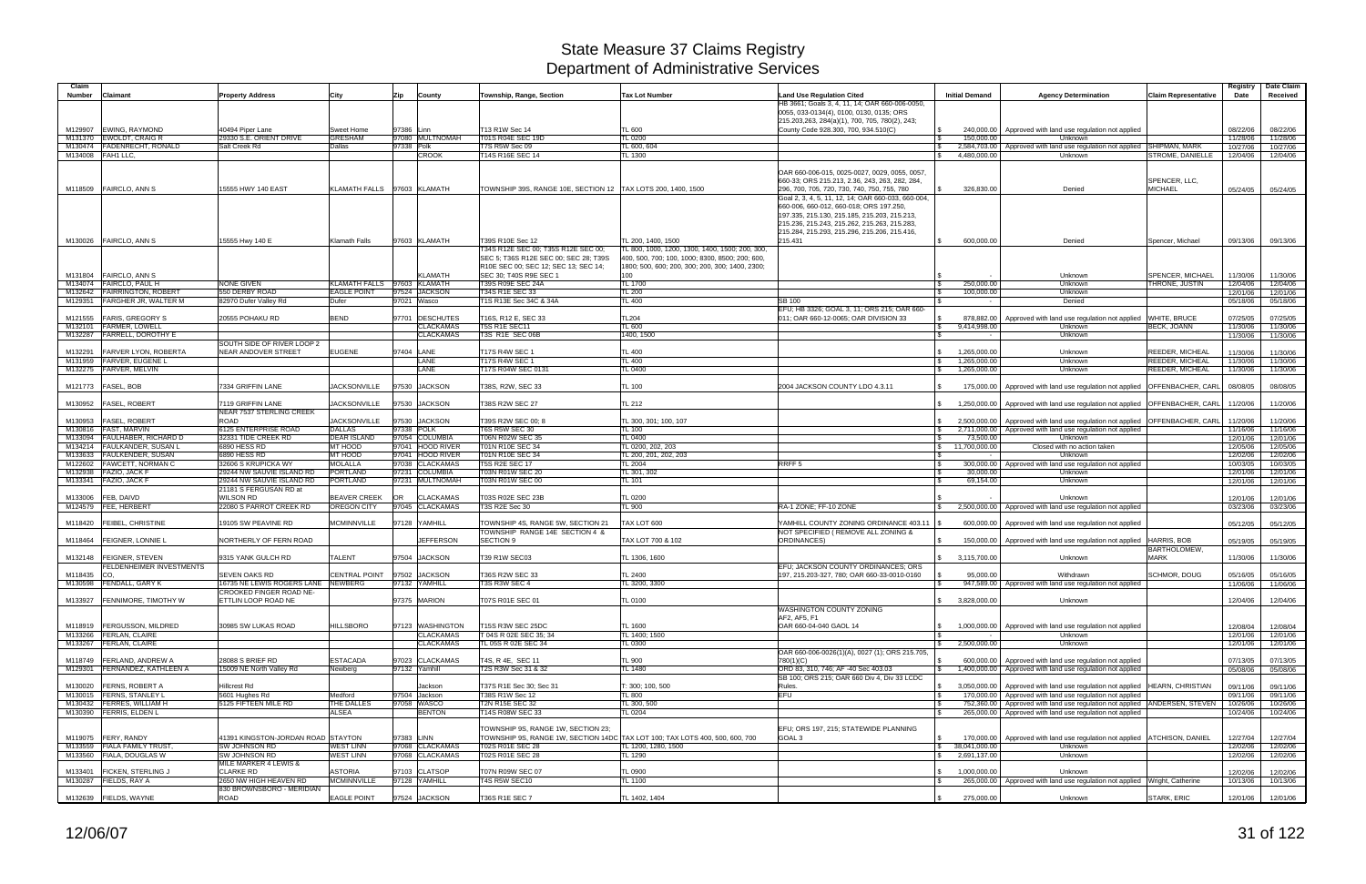| Claim              |                                                       |                                                |                      |                                                |                                         |                                                                              |                                                                                            |                              |                                                                                                                                                  |                                    | Registry             | Date Claim           |
|--------------------|-------------------------------------------------------|------------------------------------------------|----------------------|------------------------------------------------|-----------------------------------------|------------------------------------------------------------------------------|--------------------------------------------------------------------------------------------|------------------------------|--------------------------------------------------------------------------------------------------------------------------------------------------|------------------------------------|----------------------|----------------------|
| Number             | Claimant                                              | <b>Property Address</b>                        | City                 | Zip<br>County                                  | Township, Range, Section                | Tax Lot Number                                                               | Land Use Regulation Cited<br>HB 3661; Goals 3, 4, 11, 14; OAR 660-006-0050,                | <b>Initial Demand</b>        | <b>Agency Determination</b>                                                                                                                      | <b>Claim Representative</b>        | Date                 | Received             |
|                    |                                                       |                                                |                      |                                                |                                         |                                                                              | 0055, 033-0134(4), 0100, 0130, 0135; ORS                                                   |                              |                                                                                                                                                  |                                    |                      |                      |
|                    |                                                       |                                                |                      |                                                |                                         |                                                                              | 215.203,263, 284(a)(1), 700, 705, 780(2), 243;                                             |                              |                                                                                                                                                  |                                    |                      |                      |
| M129907            | <b>EWING, RAYMOND</b>                                 | 40494 Piper Lane                               | Sweet Home           | 97386 Linn                                     | T13 R1W Sec 14                          | TL 600                                                                       | County Code 928.300, 700, 934.510(C)                                                       |                              | 240,000.00   Approved with land use regulation not applied                                                                                       |                                    | 08/22/06             | 08/22/06             |
| M131370            | <b>EWOLDT, CRAIG R</b>                                | 29330 S.E. ORIENT DRIVE                        | <b>GRESHAM</b>       | 97080 MULTNOMAH                                | T01S R04E SEC 19D                       | <b>TL 0200</b>                                                               |                                                                                            | 150,000.00                   | Unknown                                                                                                                                          |                                    | 11/28/06             | 11/28/06             |
| M130474            | FADENRECHT, RONALD                                    | Salt Creek Rd                                  | Dallas               | 97338 Polk                                     | T7S R5W Sec 09                          | TL 600, 604                                                                  |                                                                                            |                              | 2,584,703.00 Approved with land use regulation not applied                                                                                       | <b>SHIPMAN, MARK</b>               | 10/27/06             | 10/27/06             |
| M134008 FAH1 LLC,  |                                                       |                                                |                      | <b>CROOK</b>                                   | T14S R16E SEC 14                        | TL 1300                                                                      |                                                                                            | 4,480,000.00                 | Unknown                                                                                                                                          | <b>STROME, DANIELLE</b>            | 12/04/06             | 12/04/06             |
|                    |                                                       |                                                |                      |                                                |                                         |                                                                              | OAR 660-006-015, 0025-0027, 0029, 0055, 0057.                                              |                              |                                                                                                                                                  |                                    |                      |                      |
|                    |                                                       |                                                |                      |                                                |                                         |                                                                              | 660-33; ORS 215.213, 2.36, 243, 263, 282, 284,                                             |                              |                                                                                                                                                  | SPENCER, LLC,                      |                      |                      |
|                    | M118509 FAIRCLO, ANN S                                | 15555 HWY 140 EAST                             |                      | KLAMATH FALLS 97603 KLAMATH                    |                                         |                                                                              | 296, 700, 705, 720, 730, 740, 750, 755, 780                                                | 326.830.00                   | Denied                                                                                                                                           | <b>MICHAEL</b>                     | 05/24/05             | 05/24/05             |
|                    |                                                       |                                                |                      |                                                |                                         |                                                                              | Goal 2, 3, 4, 5, 11, 12, 14; OAR 660-033, 660-004,                                         |                              |                                                                                                                                                  |                                    |                      |                      |
|                    |                                                       |                                                |                      |                                                |                                         |                                                                              | 660-006, 660-012, 660-018; ORS 197.250,                                                    |                              |                                                                                                                                                  |                                    |                      |                      |
|                    |                                                       |                                                |                      |                                                |                                         |                                                                              | 197.335, 215.130, 215.185, 215.203, 215.213                                                |                              |                                                                                                                                                  |                                    |                      |                      |
|                    |                                                       |                                                |                      |                                                |                                         |                                                                              | 215.236, 215.243, 215.262, 215.263, 215.283<br>215.284, 215.293, 215.296, 215.206, 215.416 |                              |                                                                                                                                                  |                                    |                      |                      |
|                    | M130026 FAIRCLO, ANN S                                | 15555 Hwy 140 E                                | Klamath Falls        | 97603 KLAMATH                                  | T39S R10E Sec 12                        | TL 200, 1400, 1500                                                           | 215.431                                                                                    | 600,000.00                   | Denied                                                                                                                                           | Spencer, Michae                    | 09/13/06             | 09/13/06             |
|                    |                                                       |                                                |                      |                                                | T34S R12E SEC 00; T35S R12E SEC 00;     | TL 800, 1000, 1200, 1300, 1400, 1500; 200, 300,                              |                                                                                            |                              |                                                                                                                                                  |                                    |                      |                      |
|                    |                                                       |                                                |                      |                                                | SEC 5; T36S R12E SEC 00; SEC 28; T39S   | 400, 500, 700; 100, 1000; 8300, 8500; 200; 600,                              |                                                                                            |                              |                                                                                                                                                  |                                    |                      |                      |
|                    |                                                       |                                                |                      |                                                | R10E SEC 00; SEC 12; SEC 13; SEC 14;    | 1800; 500, 600; 200, 300; 200, 300; 1400, 2300;                              |                                                                                            |                              |                                                                                                                                                  |                                    |                      |                      |
| M131804            | <b>FAIRCLO, ANN S</b>                                 |                                                |                      | <b>KLAMATH</b>                                 | SEC 30; T40S R9E SEC 1                  | 100                                                                          |                                                                                            |                              | Unknown                                                                                                                                          | SPENCER, MICHAEL                   | 11/30/06             | 11/30/06             |
| M132642            | M134074 FAIRCLO, PAUL H<br><b>FAIRRINGTON, ROBERT</b> | <b>NONE GIVEN</b><br>550 DERBY ROAD            | <b>EAGLE POINT</b>   | KLAMATH FALLS   97603 KLAMATH<br>97524 JACKSON | T39S R09E SEC 24A<br>T34S R1E SEC 33    | <b>TL 1700</b><br><b>TL 200</b>                                              |                                                                                            | 250,000.00<br>100,000.00     | Unknown                                                                                                                                          | THRONE, JUSTIN                     | 12/04/06<br>12/01/06 | 12/04/06             |
| M129351            | <b>FARGHER JR, WALTER M</b>                           | 82970 Dufer Valley Rd                          | Dufer                | 97021 Wasco                                    | T1S R13E Sec 34C & 34A                  | <b>TL 400</b>                                                                | <b>SB 100</b>                                                                              |                              | Unknown<br>Denied                                                                                                                                |                                    | 05/18/06             | 12/01/06<br>05/18/06 |
|                    |                                                       |                                                |                      |                                                |                                         |                                                                              | EFU; HB 3326; GOAL 3, 11; ORS 215; OAR 660-                                                |                              |                                                                                                                                                  |                                    |                      |                      |
| M121555            | <b>FARIS, GREGORY S</b>                               | 20555 POHAKU RD                                | BEND                 | 97701 DESCHUTES                                | T16S, R12 E, SEC 33                     | <b>TL204</b>                                                                 | 011: OAR 660-12-0065: OAR DIVISION 33                                                      |                              | 878,882.00 Approved with land use regulation not applied                                                                                         | WHITE, BRUCE                       | 07/25/05             | 07/25/05             |
| M132101            | <b>FARMER, LOWELL</b>                                 |                                                |                      | <b>CLACKAMAS</b>                               | <b>T5S R1E SEC11</b>                    | <b>TL 600</b>                                                                |                                                                                            | 9,414,998.00                 | Unknown                                                                                                                                          | BECK, JOANN                        | 11/30/06             | 11/30/06             |
|                    | M132287 FARRELL, DOROTHY E                            |                                                |                      | <b>CLACKAMAS</b>                               | T3S R1E SEC 06B                         | 1400, 1500                                                                   |                                                                                            |                              | Unknown                                                                                                                                          |                                    | 11/30/06             | 11/30/06             |
|                    |                                                       | SOUTH SIDE OF RIVER LOOP 2                     |                      |                                                |                                         |                                                                              |                                                                                            |                              |                                                                                                                                                  |                                    |                      |                      |
| M132291<br>M131959 | FARVER LYON, ROBERTA<br><b>FARVER, EUGENE L</b>       | <b>NEAR ANDOVER STREET</b>                     | <b>EUGENE</b>        | 97404 LANE<br>LANE                             | T17S R4W SEC 1<br><b>T17S R4W SEC 1</b> | <b>TL 400</b><br><b>TL 400</b>                                               |                                                                                            | 1,265,000.00<br>1,265,000.00 | Unknown<br>Unknown                                                                                                                               | REEDER, MICHEAL<br>REEDER, MICHEAL | 11/30/06<br>11/30/06 | 11/30/06<br>11/30/06 |
|                    | M132275 FARVER, MELVIN                                |                                                |                      | LANE                                           | T17S R04W SEC 0131                      | TL 0400                                                                      |                                                                                            | 1,265,000.00                 | Unknown                                                                                                                                          | REEDER, MICHEAL                    | 11/30/06             | 11/30/06             |
|                    |                                                       |                                                |                      |                                                |                                         |                                                                              |                                                                                            |                              |                                                                                                                                                  |                                    |                      |                      |
| M121773            | <b>FASEL, BOB</b>                                     | 7334 GRIFFIN LANE                              | JACKSONVILLE         | 97530 JACKSON                                  | T38S, R2W, SEC 33                       | <b>TL 100</b>                                                                | 2004 JACKSON COUNTY LDO 4.3.11                                                             |                              | 175,000.00 Approved with land use regulation not applied                                                                                         | <b>OFFENBACHER, CARL</b>           | 08/08/05             | 08/08/05             |
|                    |                                                       |                                                |                      |                                                |                                         |                                                                              |                                                                                            |                              |                                                                                                                                                  |                                    |                      |                      |
| M130952            | <b>FASEL, ROBERT</b>                                  | 7119 GRIFFIN LANE                              | JACKSONVILLE         | 97530 JACKSON                                  | T38S R2W SEC 27                         | TL 212                                                                       |                                                                                            |                              | 1,250,000.00   Approved with land use regulation not applied   OFFENBACHER, CARL                                                                 |                                    | 11/20/06             | 11/20/06             |
| M130953            | <b>FASEL, ROBERT</b>                                  | <b>NEAR 7537 STERLING CREEK</b><br><b>ROAD</b> | JACKSONVILLE         | 97530 JACKSON                                  | T39S R2W SEC 00; 8                      | TL 300, 301; 100, 107                                                        |                                                                                            |                              |                                                                                                                                                  |                                    | 11/20/06             | 11/20/06             |
| M130816            | <b>FAST, MARVIN</b>                                   | 6125 ENTERPRISE ROAD                           | <b>DALLAS</b>        | 97338 POLK                                     | <b>T6S R5W SEC 30</b>                   | TL 100                                                                       |                                                                                            |                              | 2,500,000.00   Approved with land use regulation not applied   OFFENBACHER, CARL<br>2,711,000.00   Approved with land use regulation not applied |                                    | 11/16/06             | 11/16/06             |
| M133094            | <b>FAULHABER, RICHARD D</b>                           | 32331 TIDE CREEK RD                            | <b>DEAR ISLAND</b>   | 97054 COLUMBIA                                 | T06N R02W SEC 35                        | <b>TL 0400</b>                                                               |                                                                                            | 73,500.00                    | Unknown                                                                                                                                          |                                    | 12/01/06             | 12/01/06             |
|                    | <b>FAULKANDER, SUSAN L</b>                            |                                                |                      |                                                |                                         |                                                                              |                                                                                            |                              |                                                                                                                                                  |                                    |                      |                      |
| M134214            |                                                       | 6890 HESS RD                                   | MT HOOD              | 97041 HOOD RIVER                               | T01N R10E SEC 34                        | TL 0200, 202, 203                                                            |                                                                                            | \$ 11,700,000.00             | Closed with no action taken                                                                                                                      |                                    | 12/05/06             |                      |
| M133633            | <b>FAULKENDER, SUSAN</b>                              | 6890 HESS RD                                   | MT HOOD              | 97041 HOOD RIVER                               | T01N R10E SEC 34                        | TL 200, 201, 202, 203                                                        |                                                                                            |                              | Unknown                                                                                                                                          |                                    | 12/02/06             | 12/05/06<br>12/02/06 |
| M122602            | <b>FAWCETT, NORMAN C</b>                              | 32606 S KRUPICKA WY                            | <b>MOLALLA</b>       | 97038 CLACKAMAS                                | <b>T5S R2E SEC 17</b>                   | <b>TL 2004</b>                                                               | RRFF <sub>5</sub>                                                                          |                              | 300,000.00   Approved with land use regulation not applied                                                                                       |                                    | 10/03/05             | 10/03/05             |
| M132938            | <b>FAZIO, JACK F</b>                                  | 29244 NW SAUVIE ISLAND RD                      | PORTLAND             | 97231 COLUMBIA                                 | T03N R01W SEC 20                        | TL 301, 302                                                                  |                                                                                            | 30,000.00                    | Unknown                                                                                                                                          |                                    | 12/01/06             | 12/01/06             |
|                    | M133341 FAZIO, JACK F                                 | 29244 NW SAUVIE ISLAND RD                      | <b>PORTLAND</b>      | 97231 MULTNOMAH                                | T03N R01W SEC 00                        | TL 101                                                                       |                                                                                            | 69,154.00                    | Unknown                                                                                                                                          |                                    | 12/01/06             | 12/01/06             |
|                    |                                                       | 21181 S FERGUSAN RD at                         |                      |                                                |                                         |                                                                              |                                                                                            |                              |                                                                                                                                                  |                                    |                      |                      |
| M133006            | FEB, DAIVD                                            | <b>WILSON RD</b>                               | <b>BEAVER CREEK</b>  | OR<br><b>CLACKAMAS</b>                         | T03S R02E SEC 23B                       | TL 0200                                                                      |                                                                                            |                              | Unknown                                                                                                                                          |                                    | 12/01/06             | 12/01/06             |
|                    | M124579 FEE, HERBERT                                  | 22080 S PARROT CREEK RD                        | OREGON CITY          | 97045 CLACKAMAS                                | T3S R2E Sec 30                          | TL 900                                                                       | RA-1 ZONE; FF-10 ZONE                                                                      |                              | 2,500,000.00 Approved with land use regulation not applied                                                                                       |                                    | 03/23/06             | 03/23/06             |
| M118420            | <b>FEIBEL, CHRISTINE</b>                              | 19105 SW PEAVINE RD                            | MCMINNVILLE          | 97128 YAMHILL                                  | TOWNSHIP 4S, RANGE 5W, SECTION 21       | TAX LOT 600                                                                  | YAMHILL COUNTY ZONING ORDINANCE 403.11                                                     |                              | 600,000.00   Approved with land use regulation not applied                                                                                       |                                    | 05/12/05             | 05/12/05             |
|                    |                                                       |                                                |                      |                                                | TOWNSHIP RANGE 14E SECTION 4 &          |                                                                              | NOT SPECIFIED ( REMOVE ALL ZONING &                                                        |                              |                                                                                                                                                  |                                    |                      |                      |
|                    | M118464 FEIGNER, LONNIE L                             | NORTHERLY OF FERN ROAD                         |                      | <b>JEFFERSON</b>                               | <b>SECTION 9</b>                        | TAX LOT 700 & 102                                                            | ORDINANCES)                                                                                |                              | 150,000.00 Approved with land use regulation not applied                                                                                         | <b>HARRIS, BOB</b>                 | 05/19/05             | 05/19/05             |
|                    | M132148   FEIGNER, STEVEN                             |                                                |                      |                                                |                                         |                                                                              |                                                                                            |                              |                                                                                                                                                  | BARTHOLOMEW,<br><b>MARK</b>        |                      |                      |
|                    | <b>FELDENHEIMER INVESTMENTS</b>                       | 9315 YANK GULCH RD                             | TALENT               | 97504 JACKSON                                  | T39 R1W SEC03                           | TL 1306, 1600                                                                | EFU; JACKSON COUNTY ORDINANCES; ORS                                                        | \$3,115,700.00               | Unknown                                                                                                                                          |                                    | 11/30/06             | 11/30/06             |
| M118435 CO.        |                                                       | <b>SEVEN OAKS RD</b>                           | <b>CENTRAL POINT</b> | 97502 JACKSON                                  | T36S R2W SEC 33                         | <b>TL 2400</b>                                                               | 197, 215.203-327, 780; OAR 660-33-0010-0160                                                | 95,000.00                    | Withdrawn                                                                                                                                        | <b>SCHMOR, DOUG</b>                | 05/16/05             | 05/16/05             |
|                    | M130598   FENDALL, GARY K                             | 16735 NE LEWIS ROGERS LANE NEWBERG             |                      | 97132  YAMHILL                                 | <b>13S R3W SEC 4</b>                    | TL 3200, 3300                                                                |                                                                                            |                              | 947,589.00   Approved with land use regulation not applied                                                                                       |                                    | 11/06/06             | 11/06/06             |
|                    |                                                       | CROOKED FINGER ROAD NE-                        |                      |                                                |                                         |                                                                              |                                                                                            |                              |                                                                                                                                                  |                                    |                      |                      |
|                    | M133927 FENNIMORE, TIMOTHY W                          | ETTLIN LOOP ROAD NE                            |                      | 97375 MARION                                   | T07S R01E SEC 01                        | <b>TL 0100</b>                                                               |                                                                                            | \$3,828,000.00               | Unknown                                                                                                                                          |                                    | 12/04/06             | 12/04/06             |
|                    |                                                       |                                                |                      |                                                |                                         |                                                                              | WASHINGTON COUNTY ZONING                                                                   |                              |                                                                                                                                                  |                                    |                      |                      |
|                    | M118919 FERGUSSON, MILDRED                            | 30985 SW LUKAS ROAD                            | <b>HILLSBORO</b>     | 97123 WASHINGTON                               | T15S R3W SEC 25DC                       | TL 1600                                                                      | AF2, AF5, F1<br>OAR 660-04-040 GAOL 14                                                     |                              | 1,000,000,00 Approved with land use regulation not applied                                                                                       |                                    | 12/08/04             |                      |
|                    | M133266 FERLAN, CLAIRE                                |                                                |                      | <b>CLACKAMAS</b>                               | T 04S R 02E SEC 35; 34                  | TL 1400; 1500                                                                |                                                                                            |                              | Unknown                                                                                                                                          |                                    | 12/01/06             | 12/08/04<br>12/01/06 |
|                    | M133267 FERLAN, CLAIRE                                |                                                |                      | <b>CLACKAMAS</b>                               | TL 05S R 02E SEC 34                     | TL 0300                                                                      |                                                                                            | 2,500,000.00                 | Unknown                                                                                                                                          |                                    | 12/01/06             | 12/01/06             |
|                    |                                                       |                                                |                      |                                                |                                         |                                                                              | OAR 660-006-0026(1)(A), 0027 (1); ORS 215.705,                                             |                              |                                                                                                                                                  |                                    |                      |                      |
|                    | M118749 FERLAND, ANDREW A                             | 28088 S BRIEF RD                               | <b>ESTACADA</b>      | 97023 CLACKAMAS                                | T4S, R 4E, SEC 11                       | <b>TL 900</b>                                                                | 780(1)(C)                                                                                  |                              | 600,000.00 Approved with land use regulation not applied                                                                                         |                                    | 07/13/05             | 07/13/05             |
|                    | M129301 FERNANDEZ, KATHLEEN A                         | 15009 NE North Valley Rd                       | Newberg              | 97132 Yamhill                                  | T2S R3W Sec 31 & 32                     | <b>TL 1480</b>                                                               | ORD 83, 310, 746; AF -40 Sec 403.03                                                        | $\mathfrak{L}$               | 1,400,000.00 Approved with land use regulation not applied                                                                                       |                                    | 05/08/06             | 05/08/06             |
|                    |                                                       |                                                |                      |                                                |                                         |                                                                              | SB 100; ORS 215; OAR 660 Div 4, Div 33 LCDC                                                |                              |                                                                                                                                                  |                                    |                      |                      |
|                    | M130020 FERNS, ROBERT A<br>M130015 FERNS, STANLEY L   | <b>Hillcrest Rd</b>                            | Medford              | Jackson<br>97504 Jackson                       | T37S R1E Sec 30; Sec 31                 | T: 300; 100, 500<br><b>TL 800</b>                                            | Rules.<br><b>EFU</b>                                                                       |                              | 3.050.000.00   Approved with land use regulation not applied HEARN, CHRISTIAN<br>170,000.00 Approved with land use regulation not applied        |                                    | 09/11/06             | 09/11/06             |
|                    | M130432 FERRES, WILLIAM H                             | 5601 Hughes Rd<br>5125 FIFTEEN MILE RD         | THE DALLES           | 97058 WASCO                                    | T38S R1W Sec 12<br>T2N R15E SEC 32      | TL 300, 500                                                                  |                                                                                            |                              | 752,360.00 Approved with land use regulation not applied   ANDERSEN, STEVEN                                                                      |                                    | 09/11/06<br>10/26/06 | 09/11/06<br>10/26/06 |
|                    | M130390 FERRIS, ELDEN L                               |                                                | <b>ALSEA</b>         | <b>BENTON</b>                                  | T14S R08W SEC 33                        | TL 0204                                                                      |                                                                                            |                              | 265,000.00 Approved with land use regulation not applied                                                                                         |                                    | 10/24/06             | 10/24/06             |
|                    |                                                       |                                                |                      |                                                |                                         |                                                                              |                                                                                            |                              |                                                                                                                                                  |                                    |                      |                      |
|                    |                                                       |                                                |                      |                                                | TOWNSHIP 9S, RANGE 1W, SECTION 23;      |                                                                              | EFU; ORS 197, 215; STATEWIDE PLANNING                                                      |                              |                                                                                                                                                  |                                    |                      |                      |
|                    | M119075 FERY, RANDY                                   | 41391 KINGSTON-JORDAN ROAD STAYTON             |                      | 97383 LINN                                     |                                         | TOWNSHIP 9S, RANGE 1W, SECTION 14DC TAX LOT 100; TAX LOTS 400, 500, 600, 700 | GOAL 3                                                                                     |                              | 170,000.00   Approved with land use regulation not applied   ATCHISON, DANIEL                                                                    |                                    | 12/27/04             | 12/27/04             |
|                    | M133559 FIALA FAMILY TRUST,                           | <b>SW JOHNSON RD</b>                           | <b>WEST LINN</b>     | 97068 CLACKAMAS                                | T02S R01E SEC 28                        | TL 1200, 1280, 1500                                                          |                                                                                            | $\frac{1}{2}$ 38,041,000.00  | Unknown                                                                                                                                          |                                    | 12/02/06             | 12/02/06             |
|                    | M133560 FIALA, DOUGLAS W                              | <b>SW JOHNSON RD</b><br>MILE MARKER 4 LEWIS &  | <b>WEST LINN</b>     | 97068 CLACKAMAS                                | T02S R01E SEC 28                        | TL 1290                                                                      |                                                                                            | 2,691,137.00                 | Unknown                                                                                                                                          |                                    | 12/02/06             | 12/02/06             |
|                    | M133401 FICKEN, STERLING J                            | <b>CLARKE RD</b>                               | <b>ASTORIA</b>       | 97103 CLATSOP                                  | T07N R09W SEC 07                        | <b>TL 0900</b>                                                               |                                                                                            | 1,000,000.00                 | Unknown                                                                                                                                          |                                    | 12/02/06             | 12/02/06             |
|                    | M130287 FIELDS, RAY A                                 | 2650 NW HIGH HEAVEN RD                         | <b>MCMINNVILLE</b>   | 97128 YAMHILL                                  | T4S R5W SEC10                           | <b>TL 1100</b>                                                               |                                                                                            |                              | 265,000.00 Approved with land use regulation not applied Wright, Catherine                                                                       |                                    | 10/13/06             | 10/13/06             |
|                    | M132639 FIELDS, WAYNE                                 | 830 BROWNSBORO - MERIDIAN<br>ROAD              | <b>EAGLE POINT</b>   | 97524 JACKSON                                  | T36S R1E SEC 7                          | TL 1402, 1404                                                                |                                                                                            | 275,000.00                   | Unknown                                                                                                                                          | STARK, ERIC                        | 12/01/06             | 12/01/06             |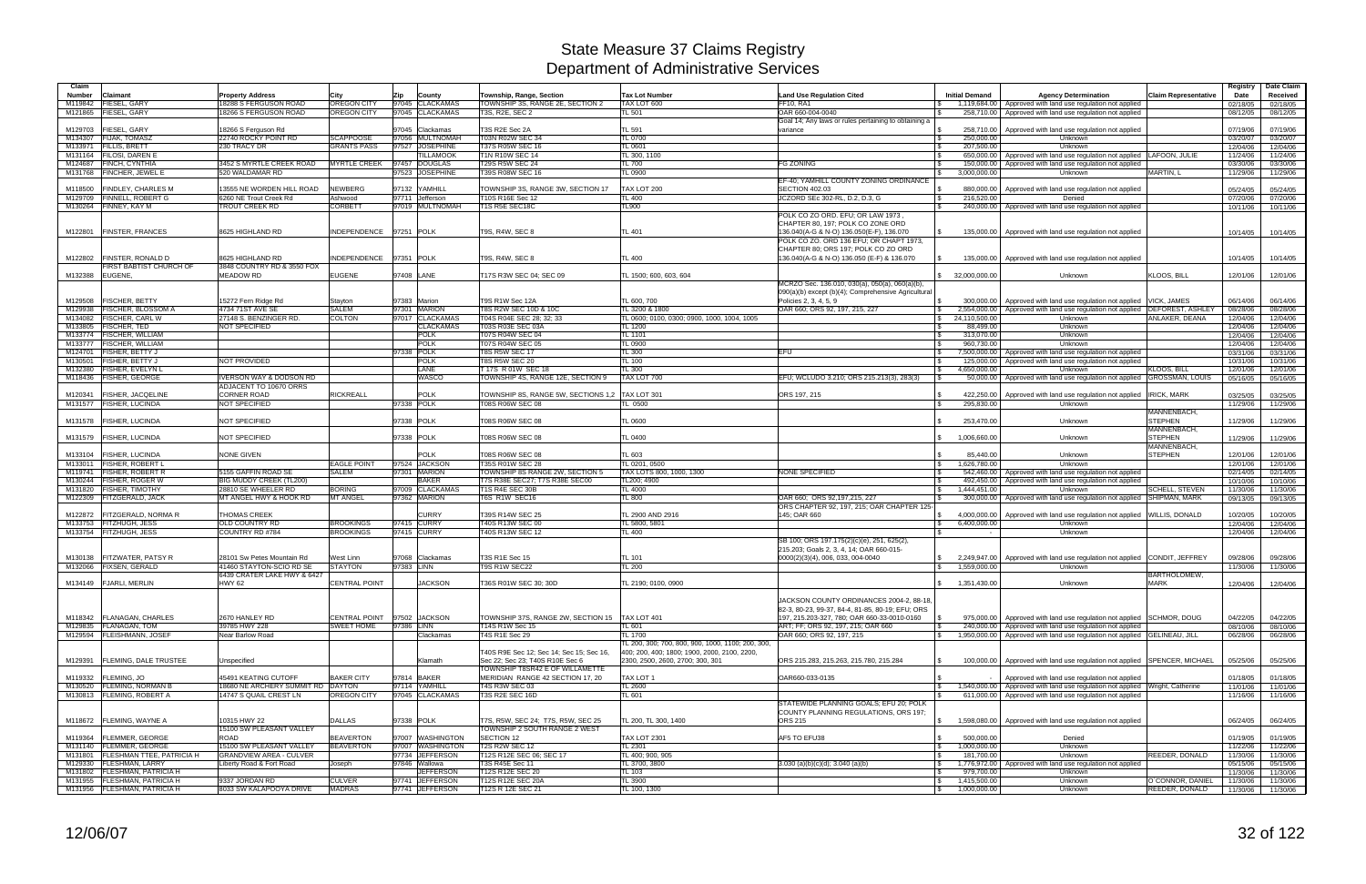| Claim              |                                                        |                                                             |                                        |                                    |                                                                     |                                                   |                                                           |                                  |                                                                                                                                            |                             | Registry             | Date Claim           |
|--------------------|--------------------------------------------------------|-------------------------------------------------------------|----------------------------------------|------------------------------------|---------------------------------------------------------------------|---------------------------------------------------|-----------------------------------------------------------|----------------------------------|--------------------------------------------------------------------------------------------------------------------------------------------|-----------------------------|----------------------|----------------------|
| Number             | Claimant                                               | <b>Property Address</b>                                     | City                                   | Zip<br>County                      | Township, Range, Section                                            | <b>Tax Lot Number</b>                             | <b>Land Use Regulation Cited</b>                          | <b>Initial Demand</b>            | <b>Agency Determination</b>                                                                                                                | <b>Claim Representative</b> | Date                 | Received             |
| M119842            | FIESEL, GARY                                           | 18288 S FERGUSON ROAD                                       | <b>OREGON CITY</b>                     | 97045 CLACKAMAS                    | TOWNSHIP 3S, RANGE 2E, SECTION 2                                    | TAX LOT 600                                       | <b>FF10, RA1</b>                                          | 1,119,684.00                     | Approved with land use regulation not applied                                                                                              |                             | 02/18/05             | 02/18/05             |
| M121865            | FIESEL, GARY                                           | 18266 S FERGUSON ROAD                                       | <b>OREGON CITY</b>                     | 97045 CLACKAMAS                    | T3S, R2E, SEC 2                                                     | TL 501                                            | OAR 660-004-0040                                          | 258.710.00                       | Approved with land use regulation not applied                                                                                              |                             | 08/12/05             | 08/12/05             |
|                    |                                                        |                                                             |                                        |                                    |                                                                     |                                                   | Goal 14; Any laws or rules pertaining to obtaining a      |                                  |                                                                                                                                            |                             |                      |                      |
| M129703            | FIESEL, GARY                                           | 18266 S Ferguson Rd                                         |                                        | 97045 Clackamas                    | T3S R2E Sec 2A                                                      | TL 591                                            | variance                                                  | 258,710.00                       | Approved with land use regulation not applied                                                                                              |                             | 07/19/06             | 07/19/06             |
| M134307<br>M133971 | <b>FIJAK, TOMASZ</b><br><b>FILLIS, BRETT</b>           | 22740 ROCKY POINT RD<br>230 TRACY DR                        | <b>SCAPPOOSE</b><br><b>GRANTS PASS</b> | 97056 MULTNOMAH<br>97527 JOSEPHINE | <b>T03N R02W SEC 34</b><br>T37S R05W SEC 16                         | <b>TL 0700</b><br>TL 0601                         | l \$                                                      | 250,000.00<br>207,500.00         | Unknown<br>Unknown                                                                                                                         |                             | 03/20/07             | 03/20/07             |
| M131164            | <b>FILOSI, DAREN E</b>                                 |                                                             |                                        | <b>TILLAMOOK</b>                   | <b>T1N R10W SEC 14</b>                                              | TL 300, 1100                                      |                                                           | 650,000.00                       | Approved with land use regulation not applied LAFOON, JULIE                                                                                |                             | 12/04/06<br>11/24/06 | 12/04/06<br>11/24/06 |
| M124687            | FINCH, CYNTHIA                                         | 3452 S MYRTLE CREEK ROAD                                    | <b>MYRTLE CREEK</b>                    | 97457 DOUGLAS                      | <b>T29S R5W SEC 24</b>                                              | TL 700                                            | <b>FG ZONING</b>                                          | 150,000.00                       | Approved with land use regulation not applied                                                                                              |                             | 03/30/06             | 03/30/06             |
|                    | M131768 FINCHER, JEWEL E                               | 520 WALDAMAR RD                                             |                                        | 97523 JOSEPHINE                    | T39S R08W SEC 16                                                    | TL 0900                                           |                                                           | 3,000,000.00                     | Unknown                                                                                                                                    | MARTIN, L                   | 11/29/06             | 11/29/06             |
|                    |                                                        |                                                             |                                        |                                    |                                                                     |                                                   | EF-40; YAMHILL COUNTY ZONING ORDINANCE                    |                                  |                                                                                                                                            |                             |                      |                      |
| M118500            | <b>FINDLEY, CHARLES M</b>                              | 13555 NE WORDEN HILL ROAD                                   | <b>NEWBERG</b>                         | 97132 YAMHILL                      | TOWNSHIP 3S, RANGE 3W, SECTION 17                                   | TAX LOT 200                                       | <b>SECTION 402.03</b>                                     | 880,000.00                       | Approved with land use regulation not applied                                                                                              |                             | 05/24/05             | 05/24/05             |
| M129709            | <b>FINNELL, ROBERT G</b>                               | 6260 NE Trout Creek Rd                                      | Ashwood                                | 97711 Jefferson                    | T10S R16E Sec 12                                                    | TL 400                                            | JCZORD SEc 302-RL, D.2, D.3, G<br>l \$                    | 216,520.00                       | Denied                                                                                                                                     |                             | 07/20/06             | 07/20/06             |
|                    | M130264 FINNEY, KAY M                                  | TROUT CREEK RD                                              | <b>CORBETT</b>                         | 97019 MULTNOMAH                    | T1S R5E SEC18C                                                      | TL900                                             | l \$                                                      |                                  | 240,000.00 Approved with land use regulation not applied                                                                                   |                             | 10/11/06             | 10/11/06             |
|                    |                                                        |                                                             |                                        |                                    |                                                                     |                                                   | POLK CO ZO ORD. EFU; OR LAW 1973                          |                                  |                                                                                                                                            |                             |                      |                      |
|                    |                                                        |                                                             |                                        |                                    |                                                                     |                                                   | CHAPTER 80, 197; POLK CO ZONE ORD                         |                                  |                                                                                                                                            |                             |                      |                      |
|                    | M122801   FINSTER, FRANCES                             | 8625 HIGHLAND RD                                            | INDEPENDENCE 97251 POLK                |                                    | T9S, R4W, SEC 8                                                     | <b>TL 401</b>                                     | 136.040(A-G & N-O) 136.050(E-F), 136.070<br>$\mathcal{L}$ | 135,000.00                       | Approved with land use regulation not applied                                                                                              |                             | 10/14/05             | 10/14/05             |
|                    |                                                        |                                                             |                                        |                                    |                                                                     |                                                   | POLK CO ZO. ORD 136 EFU; OR CHAPT 1973,                   |                                  |                                                                                                                                            |                             |                      |                      |
|                    |                                                        |                                                             |                                        |                                    |                                                                     |                                                   | CHAPTER 80; ORS 197; POLK CO ZO ORD                       |                                  |                                                                                                                                            |                             |                      |                      |
|                    | M122802 FINSTER, RONALD D                              | 8625 HIGHLAND RD                                            | INDEPENDENCE 97351 POLK                |                                    | T9S, R4W, SEC 8                                                     | TL 400                                            | 136.040(A-G & N-O) 136.050 (E-F) & 136.070                | 135.000.00                       | Approved with land use regulation not applied                                                                                              |                             | 10/14/05             | 10/14/05             |
|                    | <b>FIRST BABTIST CHURCH OF</b>                         | 3848 COUNTRY RD & 3550 FOX<br><b>MEADOW RD</b>              |                                        | 97408 LANE                         |                                                                     |                                                   |                                                           |                                  |                                                                                                                                            | KLOOS, BILL                 |                      | 12/01/06             |
| M132388            | EUGENE,                                                |                                                             | <b>EUGENE</b>                          |                                    | T17S R3W SEC 04; SEC 09                                             | TL 1500; 600, 603, 604                            | MCRZO Sec. 136.010, 030(a), 050(a), 060(a)(b),            | \$32,000,000.00                  | Unknown                                                                                                                                    |                             | 12/01/06             |                      |
|                    |                                                        |                                                             |                                        |                                    |                                                                     |                                                   | 090(a)(b) except (b)(4); Comprehensive Agricultural       |                                  |                                                                                                                                            |                             |                      |                      |
| M129508            | <b>FISCHER, BETTY</b>                                  | 15272 Fern Ridge Rd                                         | Stayton                                | 97383 Marion                       | T9S R1W Sec 12A                                                     | TL 600, 700                                       | Policies 2, 3, 4, 5, 9                                    | 300.000.00                       | Approved with land use regulation not applied                                                                                              | <b>VICK, JAMES</b>          | 06/14/06             | 06/14/06             |
| M129938            | <b>FISCHER, BLOSSOM A</b>                              | 4734 71ST AVE SE                                            | <b>SALEM</b>                           | 97301 MARION                       | T8S R2W SEC 10D & 10C                                               | TL 3200 & 1800                                    | OAR 660; ORS 92, 197, 215, 227                            | 2,554,000.00                     | Approved with land use regulation not applied                                                                                              | <b>DEFOREST, ASHLEY</b>     | 08/28/06             | 08/28/06             |
| M134082            | <b>FISCHER, CARL W</b>                                 | 27148 S. BENZINGER RD.                                      | <b>COLTON</b>                          | 97017 CLACKAMAS                    | T04S R04E SEC 28; 32; 33                                            | TL 0600; 0100, 0300; 0900, 1000, 1004, 1005       |                                                           | 24,110,500.00<br>S.              | Unknown                                                                                                                                    | ANLAKER, DEANA              | 12/04/06             | 12/04/06             |
| M133805            | <b>FISCHER, TED</b>                                    | NOT SPECIFIED                                               |                                        | <b>CLACKAMAS</b>                   | T03S R03E SEC 03A                                                   | <b>TL 1200</b>                                    | l \$                                                      | 88,499.00                        | Unknown                                                                                                                                    |                             | 12/04/06             | 12/04/06             |
| M133774            | <b>FISCHER, WILLIAM</b>                                |                                                             |                                        | <b>POLK</b>                        | T07S R04W SEC 04                                                    | TL 1101                                           |                                                           | 313,070.00                       | Unknown                                                                                                                                    |                             | 12/04/06             | 12/04/06             |
| M133777            | <b>FISCHER, WILLIAM</b>                                |                                                             |                                        | <b>POLK</b>                        | T07S R04W SEC 05                                                    | <b>TL 0900</b>                                    | l \$                                                      | 960.730.00                       | Unknown                                                                                                                                    |                             | 12/04/06             | 12/04/06             |
| M124701            | FISHER, BETTY J                                        |                                                             |                                        | 97338 POLK                         | <b>T8S R5W SEC 17</b>                                               | <b>TL 300</b>                                     | EFU<br>- \$                                               | 7.500.000.00                     | Approved with land use regulation not applied                                                                                              |                             | 03/31/06             | 03/31/06             |
| M130501            | <b>FISHER, BETTY J</b>                                 | NOT PROVIDED                                                |                                        | <b>POLK</b>                        | <b>T8S R5W SEC 20</b>                                               | TL 100                                            |                                                           | 125,000.00                       | Approved with land use regulation not applied                                                                                              |                             | 10/31/06             | 10/31/06             |
| M132380            | <b>FISHER, EVELYN L</b>                                |                                                             |                                        | LANE                               | T 17S R 01W SEC 18                                                  | TL 300                                            |                                                           | 4.650.000.00                     | Unknown                                                                                                                                    | <b>KLOOS, BILL</b>          | 12/01/06             | 12/01/06             |
| M118436            | <b>FISHER, GEORGE</b>                                  | VERSON WAY & DODSON RD                                      |                                        | WASCO                              | TOWNSHIP 4S, RANGE 12E, SECTION 9                                   | TAX LOT 700                                       | EFU; WCLUDO 3.210; ORS 215.213(3), 283(3)                 | 50,000.00                        | Approved with land use regulation not applied GROSSMAN, LOUIS                                                                              |                             | 05/16/05             | 05/16/05             |
|                    |                                                        | ADJACENT TO 10670 ORRS                                      |                                        |                                    |                                                                     |                                                   |                                                           |                                  |                                                                                                                                            |                             |                      |                      |
| M120341            | <b>FISHER, JACQELINE</b>                               | <b>CORNER ROAD</b>                                          | <b>RICKREALL</b>                       | <b>POLK</b>                        | TOWNSHIP 8S, RANGE 5W, SECTIONS 1,2 TAX LOT 301                     |                                                   | ORS 197, 215                                              | 422,250.00                       | Approved with land use regulation not applied                                                                                              | <b>IRICK, MARK</b>          | 03/25/05             | 03/25/05             |
|                    | M131577   FISHER, LUCINDA                              | NOT SPECIFIED                                               |                                        | 97338 POLK                         | T08S R06W SEC 08                                                    | TL 0500                                           | $\mathfrak{L}$                                            | 295,830.00                       | <b>Unknown</b>                                                                                                                             |                             | 11/29/06             | 11/29/06             |
|                    |                                                        |                                                             |                                        |                                    |                                                                     |                                                   |                                                           |                                  |                                                                                                                                            | MANNENBACH,                 |                      |                      |
| M131578            | <b>FISHER, LUCINDA</b>                                 | <b>NOT SPECIFIED</b>                                        |                                        | 97338 POLK                         | T08S R06W SEC 08                                                    | TL 0600                                           |                                                           | 253,470.00                       | Unknown                                                                                                                                    | <b>STEPHEN</b>              | 11/29/06             | 11/29/06             |
|                    |                                                        |                                                             |                                        |                                    |                                                                     |                                                   |                                                           |                                  |                                                                                                                                            | MANNENBACH.                 |                      |                      |
| M131579            | <b>FISHER, LUCINDA</b>                                 | <b>NOT SPECIFIED</b>                                        |                                        | 97338 POLK                         | T08S R06W SEC 08                                                    | TL 0400                                           |                                                           | 1,006,660.00                     | Unknown                                                                                                                                    | <b>STEPHEN</b>              | 11/29/06             | 11/29/06             |
|                    |                                                        |                                                             |                                        |                                    |                                                                     |                                                   |                                                           |                                  |                                                                                                                                            | MANNENBACH,                 |                      |                      |
|                    | M133104 FISHER, LUCINDA                                | <b>NONE GIVEN</b>                                           |                                        | <b>POLK</b>                        | T08S R06W SEC 08                                                    | TL 603                                            |                                                           | 85,440.00                        | Unknown                                                                                                                                    | <b>STEPHEN</b>              | 12/01/06             | 12/01/06             |
| M133011            | <b>FISHER, ROBERT L</b>                                |                                                             | <b>EAGLE POINT</b>                     | 97524 JACKSON                      | T35S R01W SEC 28                                                    | TL 0201, 0500                                     |                                                           | 1,626,780.00                     | Unknown                                                                                                                                    |                             | 12/01/06             | 12/01/06             |
| M119741            | <b>FISHER, ROBERT R</b>                                | 5155 GAFFIN ROAD SE                                         | <b>SALEM</b>                           | 97301 MARION                       | TOWNSHIP 8S RANGE 2W, SECTION 5                                     | TAX LOTS 800, 1000, 1300                          | <b>NONE SPECIFIED</b><br>- \$                             | 542,460.00                       | Approved with land use regulation not applied                                                                                              |                             | 02/14/05             | 02/14/05             |
|                    | M130244 FISHER, ROGER W                                | BIG MUDDY CREEK (TL200)                                     |                                        | <b>BAKER</b><br>97009 CLACKAMAS    | T7S R38E SEC27; T7S R38E SEC00<br>T1S R4E SEC 30B                   | TL200; 4900                                       |                                                           |                                  | 492,450.00   Approved with land use regulation not applied                                                                                 |                             | 10/10/06             | 10/10/06             |
| M131820            | <b>FISHER, TIMOTHY</b><br>M122309 FITZGERALD, JACK     | 28810 SE WHEELER RD<br>MT ANGEL HWY & HOOK RD               | <b>BORING</b><br><b>MT ANGEL</b>       | 97362 MARION                       | T6S R1W SEC16                                                       | TL 4000<br><b>TL 800</b>                          | OAR 660: ORS 92.197.215, 227                              | 1.444.451.00<br>S.<br>300,000.00 | Unknown<br>Approved with land use regulation not applied SHIPMAN, MARK                                                                     | <b>SCHELL, STEVEN</b>       | 11/30/06             | 11/30/06             |
|                    |                                                        |                                                             |                                        |                                    |                                                                     |                                                   | ORS CHAPTER 92, 197, 215; OAR CHAPTER 125-                |                                  |                                                                                                                                            |                             | 09/13/05             | 09/13/05             |
| M122872            | <b>FITZGERALD, NORMA R</b>                             | <b>THOMAS CREEK</b>                                         |                                        | <b>CURRY</b>                       | T39S R14W SEC 25                                                    | TL 2900 AND 2916                                  | 145; OAR 660                                              | 4,000,000.00                     | Approved with land use regulation not applied WILLIS, DONALD                                                                               |                             | 10/20/05             | 10/20/05             |
| M133753            | FITZHUGH, JESS                                         | OLD COUNTRY RD                                              | <b>BROOKINGS</b>                       | 97415 CURRY                        | T40S R13W SEC 00                                                    | TL 5800, 5801                                     |                                                           | 6,400,000.00<br>l \$             | Unknown                                                                                                                                    |                             | 12/04/06             | 12/04/06             |
|                    | M133754 FITZHUGH, JESS                                 | COUNTRY RD #784                                             | <b>BROOKINGS</b>                       | 97415 CURRY                        | 40S R13W SEC 12                                                     | TL 400                                            |                                                           |                                  | Unknown                                                                                                                                    |                             | 12/04/06             | 12/04/06             |
|                    |                                                        |                                                             |                                        |                                    |                                                                     |                                                   | SB 100; ORS 197.175(2)(c)(e), 251, 625(2),                |                                  |                                                                                                                                            |                             |                      |                      |
|                    |                                                        |                                                             |                                        |                                    |                                                                     |                                                   | 215.203; Goals 2, 3, 4, 14; OAR 660-015-                  |                                  |                                                                                                                                            |                             |                      |                      |
| M130138            | <b>FITZWATER, PATSY R</b>                              | 28101 Sw Petes Mountain Rd                                  | West Linn                              | 97068 Clackamas                    | T3S R1E Sec 15                                                      | <b>TL 101</b>                                     | 0000(2)(3)(4), 006, 033, 004-0040                         | 2,249,947.00                     | Approved with land use regulation not applied CONDIT, JEFFREY                                                                              |                             | 09/28/06             | 09/28/06             |
|                    | M132066 FIXSEN, GERALD                                 | 41460 STAYTON-SCIO RD SE                                    | <b>STAYTON</b>                         | 97383 LINN                         | T9S R1W SEC22                                                       | <b>TL 200</b>                                     |                                                           | 1,559,000.00                     | Unknown                                                                                                                                    |                             | 11/30/06             | 11/30/06             |
|                    |                                                        | 6439 CRATER LAKE HWY & 6427                                 |                                        |                                    |                                                                     |                                                   |                                                           |                                  |                                                                                                                                            | BARTHOLOMEW,                |                      |                      |
|                    | M134149 FJARLI, MERLIN                                 | <b>HWY 62</b>                                               | <b>CENTRAL POINT</b>                   | <b>JACKSON</b>                     | T36S R01W SEC 30; 30D                                               | TL 2190; 0100, 0900                               |                                                           | \$ 1,351,430.00                  | Unknown                                                                                                                                    | <b>MARK</b>                 |                      | 12/04/06 12/04/06    |
|                    |                                                        |                                                             |                                        |                                    |                                                                     |                                                   |                                                           |                                  |                                                                                                                                            |                             |                      |                      |
|                    |                                                        |                                                             |                                        |                                    |                                                                     |                                                   | JACKSON COUNTY ORDINANCES 2004-2, 88-18.                  |                                  |                                                                                                                                            |                             |                      |                      |
|                    |                                                        |                                                             |                                        |                                    |                                                                     |                                                   | 82-3, 80-23, 99-37, 84-4, 81-85, 80-19; EFU; ORS          |                                  |                                                                                                                                            |                             |                      |                      |
|                    | M118342 FLANAGAN, CHARLES                              | 2670 HANLEY RD                                              |                                        | CENTRAL POINT 97502 JACKSON        | TOWNSHIP 37S. RANGE 2W. SECTION 15   TAX LOT 401                    |                                                   | 197, 215.203-327, 780; OAR 660-33-0010-0160               |                                  | 975,000.00   Approved with land use regulation not applied SCHMOR, DOUG                                                                    |                             | 04/22/05             | 04/22/05             |
|                    | M129835 FLANAGAN, TOM                                  | 39785 HWY 228                                               | SWEET HOME                             | 97386 LINN                         | T14S R1W Sec 15                                                     | TL 601                                            | ART; FF; ORS 92, 197, 215; OAR 660                        | l S                              | 240,000,00 Approved with land use regulation not applied                                                                                   |                             | 08/10/06             | 08/10/06             |
|                    | M129594 FLEISHMANN, JOSEF                              | Near Barlow Road                                            |                                        | Clackamas                          | T4S R1E Sec 29                                                      | <b>TL 1700</b>                                    | OAR 660; ORS 92, 197, 215                                 | <b>S</b>                         | 1,950,000.00   Approved with land use regulation not applied GELINEAU, JILL                                                                |                             | 06/28/06             | 06/28/06             |
|                    |                                                        |                                                             |                                        |                                    |                                                                     | TL 200, 300; 700, 800, 900, 1000, 1100; 200, 300, |                                                           |                                  |                                                                                                                                            |                             |                      |                      |
|                    |                                                        |                                                             |                                        |                                    | T40S R9E Sec 12; Sec 14; Sec 15; Sec 16,                            | 400; 200, 400; 1800; 1900, 2000, 2100, 2200,      |                                                           |                                  |                                                                                                                                            |                             |                      |                      |
| M129391            | <b>FLEMING, DALE TRUSTEE</b>                           | Unspecified                                                 |                                        | Klamath                            | Sec 22; Sec 23; T40S R10E Sec 6                                     | 2300, 2500, 2600, 2700; 300, 301                  | ORS 215.283, 215.263, 215.780, 215.284                    | 100,000.00                       | Approved with land use regulation not applied SPENCER, MICHAEL                                                                             |                             | 05/25/06             | 05/25/06             |
|                    | M119332 FLEMING, JO                                    | 45491 KEATING CUTOFF                                        | <b>BAKER CITY</b>                      | 97814 BAKER                        | TOWNSHIP T8SR42 E OF WILLAMETTE                                     |                                                   | OAR660-033-0135<br>$\mathcal{L}$                          |                                  |                                                                                                                                            |                             |                      |                      |
|                    |                                                        |                                                             |                                        |                                    | MERIDIAN RANGE 42 SECTION 17, 20                                    | TAX LOT 1                                         |                                                           |                                  | Approved with land use regulation not applied                                                                                              |                             | 01/18/05             | 01/18/05             |
|                    | M130520 FLEMING, NORMAN B<br>M130813 FLEMING, ROBERT A | 18680 NE ARCHERY SUMMIT RD DAYTON<br>14747 S QUAIL CREST LN | <b>OREGON CITY</b>                     | 97114 YAMHILL<br>97045 CLACKAMAS   | T4S R3W SEC 03<br>T3S R2E SEC 16D                                   | <b>TL 2600</b><br>TL 601                          |                                                           | l \$                             | 1,540,000.00   Approved with land use regulation not applied Wright, Catherine<br>611,000.00 Approved with land use regulation not applied |                             | 11/01/06             | 11/01/06             |
|                    |                                                        |                                                             |                                        |                                    |                                                                     |                                                   | STATEWIDE PLANNING GOALS; EFU 20; POLK                    |                                  |                                                                                                                                            |                             | 11/16/06             | 11/16/06             |
|                    |                                                        |                                                             |                                        |                                    |                                                                     |                                                   | COUNTY PLANNING REGULATIONS, ORS 197;                     |                                  |                                                                                                                                            |                             |                      |                      |
|                    | M118672 FLEMING, WAYNE A                               | 10315 HWY 22                                                | <b>DALLAS</b>                          | 97338 POLK                         |                                                                     | TL 200, TL 300, 1400                              | ORS 215                                                   | \$                               | 1.598.080.00 Approved with land use regulation not applied                                                                                 |                             | 06/24/05             | 06/24/05             |
|                    |                                                        | 15100 SW PLEASANT VALLEY                                    |                                        |                                    | T7S, R5W, SEC 24; T7S, R5W, SEC 25<br>TOWNSHIP 2 SOUTH RANGE 2 WEST |                                                   |                                                           |                                  |                                                                                                                                            |                             |                      |                      |
|                    | M119364 FLEMMER, GEORGE                                | ROAD                                                        | <b>BEAVERTON</b>                       | 97007 WASHINGTON                   | <b>SECTION 12</b>                                                   | <b>TAX LOT 2301</b>                               | AF5 TO EFU38<br>$\mathcal{L}$                             | 500,000.00                       | Denied                                                                                                                                     |                             | 01/19/05             | 01/19/05             |
|                    | M131140   FLEMMER, GEORGE                              | 15100 SW PLEASANT VALLEY                                    | <b>BEAVERTON</b>                       | 97007 WASHINGTON                   | <b>T2S R2W SEC 12</b>                                               | <b>TL 2301</b>                                    |                                                           | 1,000,000.00<br>l S              | Unknown                                                                                                                                    |                             | 11/22/06             | 11/22/06             |
|                    | M131801 FLESHMAN TTEE, PATRICIA H                      | <b>GRANDVIEW AREA - CULVER</b>                              |                                        | 97734 JEFFERSON                    | T12S R12E SEC 06; SEC 17                                            | TL 400; 900, 905                                  |                                                           | 181,700.00<br>l \$               | Unknown                                                                                                                                    | REEDER, DONALD              | 11/30/06             | 11/30/06             |
|                    | M129330 FLESHMAN, LARRY                                | Liberty Road & Fort Road                                    | Joseph                                 | 97846 Wallowa                      | T3S R45E Sec 11                                                     | TL 3700, 3800                                     | $3.030$ (a)(b)(c)(d); $3.040$ (a)(b)                      | \$                               | 1,776,972.00 Approved with land use regulation not applied                                                                                 |                             | 05/15/06             | 05/15/06             |
|                    | M131802 FLESHMAN, PATRICIA H                           |                                                             |                                        | <b>JEFFERSON</b>                   | T12S R12E SEC 20                                                    | <b>TL 103</b>                                     | l \$                                                      | 979,700.00                       | Unknown                                                                                                                                    |                             | 11/30/06             | 11/30/06             |
|                    | M131955 FLESHMAN, PATRICIA H                           | 9337 JORDAN RD                                              | <b>CULVER</b>                          | 97741 JEFFERSON                    | T12S R12E SEC 20A                                                   | <b>TL 3900</b>                                    |                                                           | 1,415,500.00<br>$\sqrt{3}$       | Unknown                                                                                                                                    | O`CONNOR, DANIEL            | 11/30/06             | 11/30/06             |
|                    | M131956 FLESHMAN, PATRICIA H                           | 8033 SW KALAPOOYA DRIVE                                     | <b>MADRAS</b>                          | 97741 JEFFERSON                    | T12S R 12E SEC 21                                                   | TL 100, 1300                                      |                                                           | $\frac{1}{2}$ 1,000,000.00       | Unknown                                                                                                                                    | REEDER, DONALD              |                      | 11/30/06 11/30/06    |
|                    |                                                        |                                                             |                                        |                                    |                                                                     |                                                   |                                                           |                                  |                                                                                                                                            |                             |                      |                      |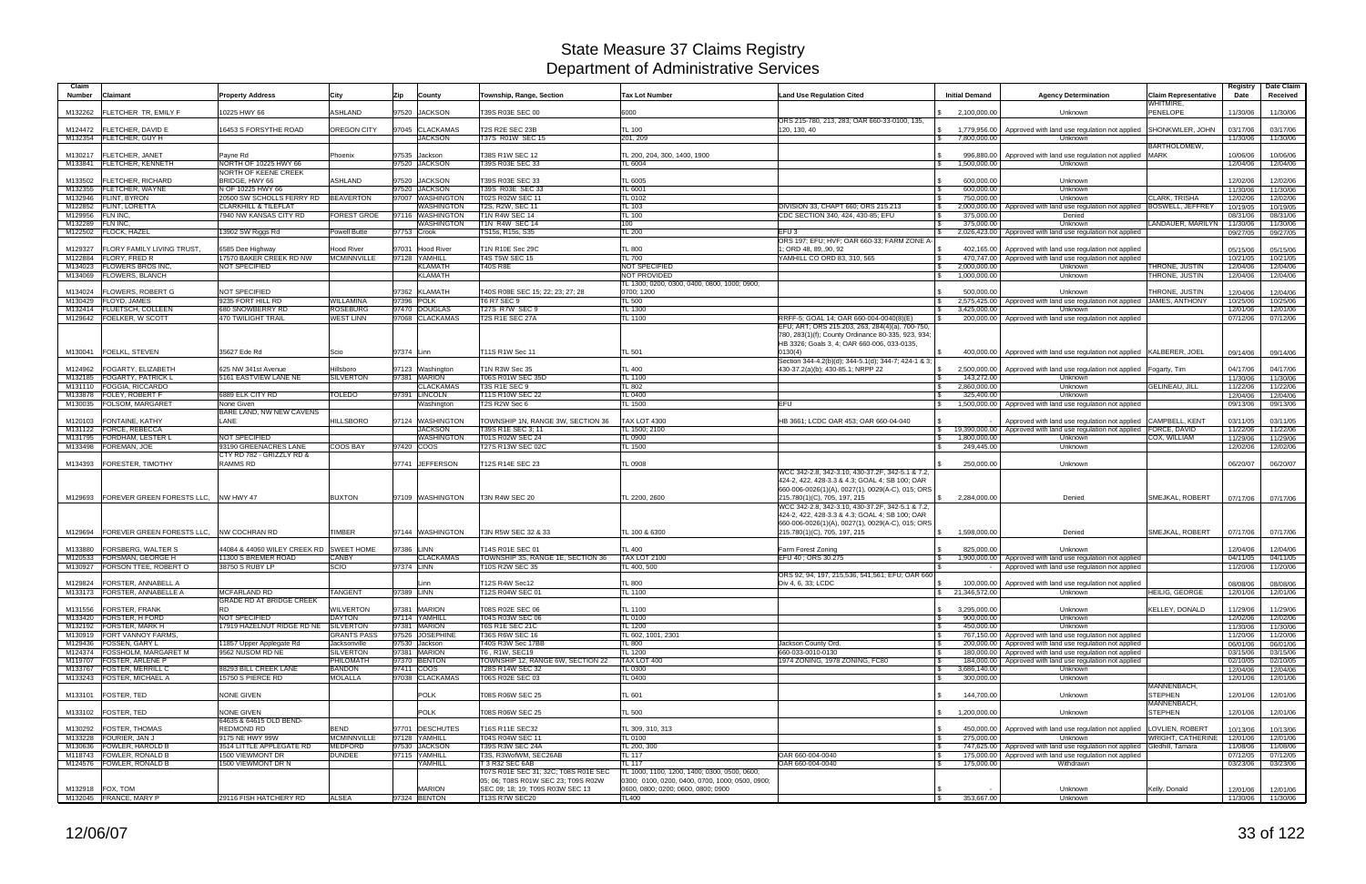| Claim<br>Claimant<br>Number                                  | <b>Property Address</b>                         | City                                 | Zip<br>County                     | Township, Range, Section                                                    | <b>Tax Lot Number</b>                                                                           | <b>Land Use Regulation Cited</b>                                                                  | <b>Initial Demand</b>      | <b>Agency Determination</b>                                                                                     | <b>Claim Representative</b>   | Registry<br>Date     | Date Claim<br>Received        |
|--------------------------------------------------------------|-------------------------------------------------|--------------------------------------|-----------------------------------|-----------------------------------------------------------------------------|-------------------------------------------------------------------------------------------------|---------------------------------------------------------------------------------------------------|----------------------------|-----------------------------------------------------------------------------------------------------------------|-------------------------------|----------------------|-------------------------------|
|                                                              |                                                 |                                      |                                   |                                                                             |                                                                                                 |                                                                                                   |                            |                                                                                                                 | WHITMIRE,                     |                      |                               |
| <b>IFLETCHER TR. EMILY F</b><br>M132262                      | 0225 HWY 66                                     | <b>ASHLAND</b>                       | 97520 JACKSON                     | T39S R03E SEC 00                                                            | 6000                                                                                            |                                                                                                   | 2.100.000.00               | Unknown                                                                                                         | <b>PENELOPE</b>               | 11/30/06             | 11/30/06                      |
| M124472   FLETCHER, DAVID E                                  | <b>16453 S FORSYTHE ROAD</b>                    | OREGON CITY                          | 97045 CLACKAMAS                   | T2S R2E SEC 23B                                                             | <b>TL 100</b>                                                                                   | ORS 215-780, 213, 283; OAR 660-33-0100, 135,<br>120, 130, 40                                      | 1,779,956.00               | Approved with land use regulation not applied                                                                   | SHONKWILER, JOHN              | 03/17/06             | 03/17/06                      |
| M132354   FLETCHER, GUY H                                    |                                                 |                                      | <b>JACKSON</b>                    | T37S R01W SEC 15                                                            | 201, 209                                                                                        |                                                                                                   | 7,800,000.00               | <b>Unknown</b>                                                                                                  |                               | 11/30/06             | 11/30/06                      |
|                                                              |                                                 |                                      |                                   |                                                                             |                                                                                                 |                                                                                                   |                            |                                                                                                                 | <b>BARTHOLOMEW.</b>           |                      |                               |
| M130217 FLETCHER, JANET<br>M133841 FLETCHER, KENNETH         | Payne Rd<br>NORTH OF 10225 HWY 66               | Phoenix                              | 97535 Jackson<br>97520 JACKSON    | T38S R1W SEC 12<br>T39S R03E SEC 33                                         | TL 200, 204, 300, 1400, 1900<br><b>TL 6004</b>                                                  |                                                                                                   | 1,500,000.00               | 996,880.00   Approved with land use regulation not applied<br><b>Unknown</b>                                    | <b>MARK</b>                   | 10/06/06<br>12/04/06 | 10/06/06<br>12/04/06          |
|                                                              | NORTH OF KEENE CREEK                            |                                      |                                   |                                                                             |                                                                                                 |                                                                                                   |                            |                                                                                                                 |                               |                      |                               |
| <b>FLETCHER, RICHARD</b><br>M133502                          | BRIDGE, HWY 66                                  | ASHLAND                              | 97520 JACKSON                     | T39S R03E SEC 33                                                            | <b>TL 6005</b>                                                                                  |                                                                                                   | 600,000.00                 | Unknown                                                                                                         |                               | 12/02/06             | 12/02/06                      |
| <b>FLETCHER, WAYNE</b><br>M132355<br>M132946 FLINT, BYRON    | N OF 10225 HWY 66<br>20500 SW SCHOLLS FERRY RD  | <b>BEAVERTON</b>                     | 97520 JACKSON<br>97007 WASHINGTON | T39S R03E SEC 33<br>T02S R02W SEC 11                                        | TL 6001<br><b>TL 0102</b>                                                                       |                                                                                                   | 600.000.00<br>750,000.00   | Unknown<br>Unknown                                                                                              | <b>CLARK, TRISHA</b>          | 11/30/06<br>12/02/06 | 11/30/06<br>12/02/06          |
| <b>FLINT, LORETTA</b><br>M122852                             | <b>CLARKHILL &amp; TILEFLAT</b>                 |                                      | WASHINGTON                        | T2S, R2W, SEC 11                                                            | <b>TL 103</b>                                                                                   | DIVISION 33, CHAPT 660; ORS 215.213                                                               |                            | 2,000,000.00 Approved with land use regulation not applied                                                      | <b>BOSWELL, JEFFREY</b>       | 10/19/05             | 10/19/05                      |
| FLN INC.<br>M129956                                          | 7940 NW KANSAS CITY RD                          | <b>FOREST GROE</b>                   | 97116 WASHINGTON                  | T1N R4W SEC 14                                                              | <b>TL 100</b>                                                                                   | CDC SECTION 340, 424, 430-85; EFU                                                                 | 375,000.00                 | Denied                                                                                                          |                               | 08/31/06             | 08/31/06                      |
| M132289<br>FLN INC.<br>M122502 FLOCK, HAZEL                  | 3902 SW Riggs Rd                                | Powell Butte                         | WASHINGTON<br>97753 Crook         | T1N R4W SEC 14<br>TS15s, R15s, S35                                          | 100<br><b>TL 200</b>                                                                            | EFU <sub>3</sub>                                                                                  | 375,000.00                 | Unknown<br>2,026,423.00 Approved with land use regulation not applied                                           | LANDAUER, MARILYN             | 11/30/06<br>09/27/05 | 11/30/06<br>09/27/05          |
|                                                              |                                                 |                                      |                                   |                                                                             |                                                                                                 | ORS 197; EFU; HVF; OAR 660-33; FARM ZONE A-                                                       |                            |                                                                                                                 |                               |                      |                               |
| <b>FLORY FAMILY LIVING TRUST.</b><br>M129327                 | 6585 Dee Highway                                | Hood River                           | 97031 Hood River                  | T1N R10E Sec 29C                                                            | <b>TL 800</b>                                                                                   | I: ORD 48, 89,,90, 92                                                                             |                            | 402,165.00   Approved with land use regulation not applied                                                      |                               | 05/15/06             | 05/15/06                      |
| M122884 FLORY, FRED R<br><b>FLOWERS BROS INC.</b><br>M134023 | 17570 BAKER CREEK RD NW<br>NOT SPECIFIED        | <b>MCMINNVILLE</b>                   | 97128 YAMHILL<br><b>KLAMATH</b>   | <b>T4S T5W SEC 15</b><br>T40S R8E                                           | <b>TL 700</b><br><b>NOT SPECIFIED</b>                                                           | YAMHILL CO ORD 83, 310, 565                                                                       | 2,000,000.00               | 470,747.00 Approved with land use regulation not applied<br>Unknown                                             | THRONE, JUSTIN                | 10/21/05<br>12/04/06 | 10/21/05<br>12/04/06          |
| M134069 FLOWERS, BLANCH                                      |                                                 |                                      | <b>KLAMATH</b>                    |                                                                             | <b>NOT PROVIDED</b>                                                                             |                                                                                                   | 1,000,000.00               | <b>Unknown</b>                                                                                                  | THRONE, JUSTIN                | 12/04/06             | 12/04/06                      |
|                                                              |                                                 |                                      |                                   |                                                                             | TL 1300; 0200, 0300, 0400, 0800, 1000; 0900;                                                    |                                                                                                   |                            |                                                                                                                 |                               |                      |                               |
| M134024 FLOWERS, ROBERT G                                    | NOT SPECIFIED                                   |                                      | 97362 KLAMATH                     | T40S R08E SEC 15; 22; 23; 27; 28                                            | 0700; 1200                                                                                      |                                                                                                   | 500,000.00                 | Unknown                                                                                                         | THRONE, JUSTIN                | 12/04/06             | 12/04/06                      |
| M130429 FLOYD, JAMES<br>M132414   FLUETSCH, COLLEEN          | 9235 FORT HILL RD<br>680 SNOWBERRY RD           | <b>WILLAMINA</b><br><b>ROSEBURG</b>  | 97396 POLK<br>97470 DOUGLAS       | T6 R7 SEC 9<br>T27S R7W SEC 9                                               | <b>TL 500</b><br><b>TL 1300</b>                                                                 |                                                                                                   | 3,425,000.00               | 2,575,425.00 Approved with land use regulation not applied<br><b>Unknown</b>                                    | <b>JAMES, ANTHONY</b>         | 10/25/06<br>12/01/06 | 10/25/06<br>12/01/06          |
| M129642 FOELKER, W SCOTT                                     | <b>470 TWILIGHT TRAIL</b>                       | <b>WEST LINN</b>                     | 97068 CLACKAMAS                   | T2S R1E SEC 27A                                                             | TL 1100                                                                                         | RRFF-5; GOAL 14; OAR 660-004-0040(8)(E)                                                           |                            | 200,000.00 Approved with land use regulation not applied                                                        |                               | 07/12/06             | 07/12/06                      |
|                                                              |                                                 |                                      |                                   |                                                                             |                                                                                                 | EFU; ART; ORS 215.203, 263, 284(4)(a), 700-750,                                                   |                            |                                                                                                                 |                               |                      |                               |
|                                                              |                                                 |                                      |                                   |                                                                             |                                                                                                 | 780, 283(1)(f); County Ordinance 80-335, 923, 934;<br>HB 3326; Goals 3, 4; OAR 660-006, 033-0135, |                            |                                                                                                                 |                               |                      |                               |
| M130041 FOELKL, STEVEN                                       | 35627 Ede Rd                                    | Scio                                 | 97374 Linn                        | T11S R1W Sec 11                                                             | TL 501                                                                                          | 0130(4)                                                                                           |                            | 400,000.00   Approved with land use regulation not applied KALBERER, JOEL                                       |                               | 09/14/06             | 09/14/06                      |
|                                                              |                                                 |                                      |                                   |                                                                             |                                                                                                 | Section 344-4.2(b)(d); 344-5.1(d); 344-7; 424-1 & 3;                                              |                            |                                                                                                                 |                               |                      |                               |
| M124962  FOGARTY, ELIZABETH<br>M132185 FOGARTY, PATRICK L    | 625 NW 341st Avenue<br>5161 EASTVIEW LANE NE    | Hillsboro<br><b>SILVERTON</b>        | 97123 Washington<br>97381 MARION  | T1N R3W Sec 35<br>T06S R01W SEC 35D                                         | <b>TL 400</b><br><b>TL 1100</b>                                                                 | 430-37.2(a)(b); 430-85.1; NRPP 22                                                                 | 143,272.00                 | 2,500,000.00   Approved with land use regulation not applied   Fogarty, Tim<br>Unknown                          |                               | 04/17/06<br>11/30/06 | 04/17/06<br>11/30/06          |
| M131110 FOGGIA, RICCARDO                                     |                                                 |                                      | <b>CLACKAMAS</b>                  | T3S R1E SEC 9                                                               | <b>TL 802</b>                                                                                   |                                                                                                   | 2,860,000.00               | Unknown                                                                                                         | <b>GELINEAU, JILL</b>         | 11/22/06             | 11/22/06                      |
| M133878 FOLEY, ROBERT F                                      | 6889 ELK CITY RD                                | <b>TOLEDO</b>                        | 97391 LINCOLN                     | T11S R10W SEC 22                                                            | <b>TL 0400</b>                                                                                  |                                                                                                   | 325,400.00                 | Unknown                                                                                                         |                               | 12/04/06             | 12/04/06                      |
| M130035 FOLSOM, MARGARET                                     | None Given                                      |                                      | Washington                        | T2S R2W Sec 6                                                               | <b>TL 1500</b>                                                                                  | EFU                                                                                               |                            | 1,500,000.00 Approved with land use regulation not applied                                                      |                               | 09/13/06             | 09/13/06                      |
| M120103 FONTAINE, KATHY                                      | BARE LAND, NW NEW CAVENS<br>LANE                | <b>HILLSBORO</b>                     | 97124 WASHINGTON                  | TOWNSHIP 1N, RANGE 3W, SECTION 36                                           | <b>TAX LOT 4300</b>                                                                             | HB 3661; LCDC OAR 453; OAR 660-04-040                                                             |                            | Approved with land use regulation not applied                                                                   | CAMPBELL, KENT                | 03/11/05             | 03/11/05                      |
| M131122 FORCE, REBECCA                                       |                                                 |                                      | <b>JACKSON</b>                    | T39S R1E SEC 3; 11                                                          | TL 1500; 2100                                                                                   |                                                                                                   |                            | 19,390,000.00 Approved with land use regulation not applied                                                     | FORCE, DAVID                  | 11/22/06             | 11/22/06                      |
|                                                              | NOT SPECIFIED                                   |                                      | WASHINGTON                        | T01S R02W SEC 24                                                            | <b>TL 0900</b>                                                                                  |                                                                                                   |                            | Unknown                                                                                                         | COX, WILLIAM                  | 11/29/06             | 11/29/06                      |
| M131795   FORDHAM, LESTER L                                  |                                                 |                                      |                                   |                                                                             |                                                                                                 |                                                                                                   | 1,800,000.00               |                                                                                                                 |                               |                      |                               |
| M133498 FOREMAN, JOE                                         | 93190 GREENACRES LANE                           | <b>COOS BAY</b>                      | 97420 COOS                        | T27S R13W SEC 02C                                                           | TL 1500                                                                                         |                                                                                                   | 249,445.00                 | Unknown                                                                                                         |                               | 12/02/06             | 12/02/06                      |
| M134393 FORESTER, TIMOTHY                                    | CTY RD 782 - GRIZZLY RD &<br><b>RAMMS RD</b>    |                                      | 97741 JEFFERSON                   | T12S R14E SEC 23                                                            | TL 0908                                                                                         |                                                                                                   | 250,000.00                 | Unknown                                                                                                         |                               | 06/20/07             | 06/20/07                      |
|                                                              |                                                 |                                      |                                   |                                                                             |                                                                                                 | WCC 342-2.8, 342-3.10, 430-37.2F, 342-5.1 & 7.2,                                                  |                            |                                                                                                                 |                               |                      |                               |
|                                                              |                                                 |                                      |                                   |                                                                             |                                                                                                 | 424-2, 422, 428-3.3 & 4.3; GOAL 4; SB 100; OAR                                                    |                            |                                                                                                                 |                               |                      |                               |
| M129693 FOREVER GREEN FORESTS LLC.                           | NW HWY 47                                       | <b>BUXTON</b>                        | 97109 WASHINGTON                  | <b>T3N R4W SEC 20</b>                                                       | TL 2200, 2600                                                                                   | 660-006-0026(1)(A), 0027(1), 0029(A-C), 015; ORS<br>215.780(1)(C), 705, 197, 215                  | 2.284.000.00               | Denied                                                                                                          | SMEJKAL, ROBERT               | 07/17/06             | 07/17/06                      |
|                                                              |                                                 |                                      |                                   |                                                                             |                                                                                                 | WCC 342-2.8, 342-3.10, 430-37.2F, 342-5.1 & 7.2,                                                  |                            |                                                                                                                 |                               |                      |                               |
|                                                              |                                                 |                                      |                                   |                                                                             |                                                                                                 | 424-2, 422, 428-3.3 & 4.3; GOAL 4; SB 100; OAR                                                    |                            |                                                                                                                 |                               |                      |                               |
| <b>FOREVER GREEN FORESTS LLC.</b><br>M129694                 | <b>NW COCHRAN RD</b>                            | <b>TIMBER</b>                        | 97144 WASHINGTON                  | T3N R5W SEC 32 & 33                                                         | TL 100 & 6300                                                                                   | 660-006-0026(1)(A), 0027(1), 0029(A-C), 015; ORS<br>215.780(1)(C), 705, 197, 215                  | 1,598,000.00               | Denied                                                                                                          | SMEJKAL, ROBERT               | 07/17/06             | 07/17/06                      |
|                                                              |                                                 |                                      |                                   |                                                                             |                                                                                                 |                                                                                                   |                            |                                                                                                                 |                               |                      |                               |
| <b>FORSBERG, WALTER S</b><br>M133880                         | 44084 & 44060 WILEY CREEK RD SWEET HOME         |                                      | 97386 LINN                        | T14S R01E SEC 01                                                            | TL 400                                                                                          | Farm Forest Zoning                                                                                | 825.000.00                 | <b>Unknown</b>                                                                                                  |                               | 12/04/06             | 12/04/06                      |
| M120533 FORSMAN, GEORGE H<br>M130927 FORSON TTEE, ROBERT O   | 11300 S BREMER ROAD<br>38750 S RUBY LP          | <b>CANBY</b><br><b>SCIO</b>          | <b>CLACKAMAS</b><br>97374 LINN    | TOWNSHIP 3S, RANGE 1E, SECTION 36<br>T10S R2W SEC 35                        | <b>TAX LOT 2100</b><br>TL 400, 500                                                              | EFU 40; ORS 30.275                                                                                |                            | 1,900,000.00 Approved with land use regulation not applied<br>-   Approved with land use regulation not applied |                               | 04/11/05<br>11/20/06 | 04/11/05<br>11/20/06          |
|                                                              |                                                 |                                      |                                   |                                                                             |                                                                                                 | ORS 92, 94, 197, 215,536, 541,561; EFU; OAR 660                                                   |                            |                                                                                                                 |                               |                      |                               |
| M129824 FORSTER, ANNABELL A                                  |                                                 |                                      | <b>ILINN</b>                      | T12S R4W Sec12                                                              | <b>TL 800</b>                                                                                   | Div 4, 6, 33; LCDC                                                                                |                            | 100,000.00 Approved with land use regulation not applied<br>Unknown                                             |                               | 08/08/06             | 08/08/06                      |
| M133173 FORSTER, ANNABELLE A                                 | MCFARLAND RD<br><b>GRADE RD AT BRIDGE CREEK</b> | <b>TANGENT</b>                       | 97389 LINN                        | T12S R04W SEC 01                                                            | <b>TL 1100</b>                                                                                  |                                                                                                   | \$21,346,572.00            |                                                                                                                 | <b>HEILIG, GEORGE</b>         | 12/01/06             | 12/01/06                      |
| M131556 FORSTER, FRANK                                       | <b>RD</b>                                       | <b>WILVERTON</b>                     | 97381 MARION                      | T08S R02E SEC 06                                                            | TL 1100                                                                                         |                                                                                                   | 3,295,000.00               | Unknown                                                                                                         | <b>KELLEY, DONALD</b>         | 11/29/06             | 11/29/06                      |
| M133420 FORSTER, H FORD                                      | NOT SPECIFIED                                   | <b>DAYTON</b>                        | 97114 YAMHILL                     | T04S R03W SEC 06                                                            | <b>TL 0100</b>                                                                                  |                                                                                                   | 900,000.00                 | <b>Unknown</b>                                                                                                  |                               | 12/02/06             | 12/02/06                      |
| M132192 FORSTER, MARK H<br>M130919 FORT VANNOY FARMS,        | 17919 HAZELNUT RIDGE RD NE SILVERTON            | <b>GRANTS PASS</b>                   | 97381 MARION<br>97526 JOSEPHINE   | <b>T6S R1E SEC 21C</b><br>T36S R6W SEC 16                                   | <b>TL 1200</b><br>TL 602, 1001, 2301                                                            |                                                                                                   | 450,000.00                 | Unknown<br>767,150.00 Approved with land use regulation not applied                                             |                               | 11/30/06<br>11/20/06 | 11/30/06<br>11/20/06          |
| M129436 FOSSEN, GARY L                                       | 11857 Upper Applegate Rd                        | Jacksonville                         | 97530 Jackson                     | T40S R3W Sec 17BB                                                           | TL 800                                                                                          | Jackson County Ord.                                                                               |                            | 200,000.00 Approved with land use regulation not applied                                                        |                               | 06/01/06             | 06/01/06                      |
| M124374 FOSSHOLM, MARGARET M                                 | 9562 NUSOM RD NE                                | <b>SILVERTON</b>                     | 97381 MARION                      | T6, R1W, SEC19                                                              | <b>TL 1200</b>                                                                                  | 660-033-0010-0130                                                                                 |                            | 180,000.00 Approved with land use regulation not applied                                                        |                               | 03/15/06             | 03/15/06                      |
| M119707 FOSTER, ARLENE P                                     | 88293 BILL CREEK LANE                           | PHILOMATH                            | 97370 BENTON                      | TOWNSHIP 12, RANGE 6W, SECTION 22                                           | TAX LOT 400                                                                                     | 1974 ZONING, 1978 ZONING, FC80                                                                    | -S                         | 184,000.00 Approved with land use regulation not applied                                                        |                               | 02/10/05             | 02/10/05                      |
| M133767 FOSTER, MERRILL C<br>M133243 FOSTER, MICHAEL A       | 15750 S PIERCE RD                               | <b>BANDON</b><br><b>MOLALLA</b>      | 97411 COOS<br>97038 CLACKAMAS     | T28S R14W SEC 32<br>T06S R02E SEC 03                                        | <b>TL 0300</b><br><b>TL 0400</b>                                                                |                                                                                                   | 3,686,140.00<br>300,000.00 | Unknown<br>Unknown                                                                                              |                               | 12/04/06<br>12/01/06 | 12/04/06<br>12/01/06          |
|                                                              |                                                 |                                      |                                   |                                                                             |                                                                                                 |                                                                                                   |                            |                                                                                                                 | MANNENBACH,                   |                      |                               |
| M133101 FOSTER, TED                                          | NONE GIVEN                                      |                                      | <b>POLK</b>                       | T08S R06W SEC 25                                                            | <b>TL 601</b>                                                                                   |                                                                                                   | 144,700.00                 | Unknown                                                                                                         | <b>STEPHEN</b><br>MANNENBACH, | 12/01/06             | 12/01/06                      |
| M133102 FOSTER, TED                                          | NONE GIVEN                                      |                                      | <b>POLK</b>                       | T08S R06W SEC 25                                                            | <b>TL 500</b>                                                                                   |                                                                                                   | 1,200,000.00               | Unknown                                                                                                         | <b>STEPHEN</b>                | 12/01/06             | 12/01/06                      |
|                                                              | 64635 & 64615 OLD BEND-                         |                                      |                                   |                                                                             |                                                                                                 |                                                                                                   |                            |                                                                                                                 |                               |                      |                               |
| M130292 FOSTER, THOMAS                                       | REDMOND RD                                      | <b>BEND</b>                          | 97701 DESCHUTES                   | T16S R11E SEC32                                                             | TL 309, 310, 313                                                                                |                                                                                                   |                            | 450,000.00   Approved with land use regulation not applied<br>Unknown                                           | <b>LOVLIEN, ROBERT</b>        | 10/13/06             | 10/13/06                      |
| M133228 FOURIER, JAN J<br>M130636 FOWLER, HAROLD B           | 9175 NE HWY 99W<br>3514 LITTLE APPLEGATE RD     | <b>MCMINNVILLE</b><br><b>MEDFORD</b> | 97128 YAMHILL<br>97530 JACKSON    | T04S R04W SEC 11<br>T39S R3W SEC 24A                                        | <b>TL 0100</b><br>TL 200, 300                                                                   |                                                                                                   | 275,000.00                 | 747,625.00   Approved with land use regulation not applied Gledhill, Tamara                                     | WRIGHT, CATHERINE             | 12/01/06<br>11/08/06 | 12/01/06<br>11/08/06          |
| M118743 FOWLER, RONALD B                                     | 1500 VIEWMONT DR                                | <b>DUNDEE</b>                        | 97115 YAMHILL                     | T3S, R3WofWM, SEC26AB                                                       | <b>TL 117</b>                                                                                   | OAR 660-004-0040                                                                                  |                            | 175,000.00 Approved with land use regulation not applied                                                        |                               | 07/12/05             | 07/12/05                      |
| M124576 FOWLER, RONALD B                                     | 1500 VIEWMONT DR N                              |                                      | YAMHILL                           | T 3 R32 SEC 6AB                                                             | <b>TL 117</b>                                                                                   | OAR 660-004-0040                                                                                  | 175,000.00                 | Withdrawn                                                                                                       |                               | 03/23/06             | 03/23/06                      |
|                                                              |                                                 |                                      |                                   | T07S R01E SEC 31; 32C; T08S R01E SEC<br>05; 06; T08S R01W SEC 23; T09S R02W | TL 1000, 1100, 1200, 1400; 0300, 0500, 0600;<br>0300; 0100, 0200, 0400, 0700, 1000; 0500, 0900; |                                                                                                   |                            |                                                                                                                 |                               |                      |                               |
| M132918 FOX, TOM<br>M132045 FRANCE, MARY P                   | 29116 FISH HATCHERY RD                          | <b>ALSEA</b>                         | <b>MARION</b><br>97324 BENTON     | SEC 09; 18; 19; T09S R03W SEC 13<br><b>T13S R7W SEC20</b>                   | 0600, 0800; 0200; 0600, 0800; 0900<br><b>TL400</b>                                              |                                                                                                   | 353,667.00                 | Unknown<br>Unknown                                                                                              | Kelly, Donald                 | 12/01/06             | 12/01/06<br>11/30/06 11/30/06 |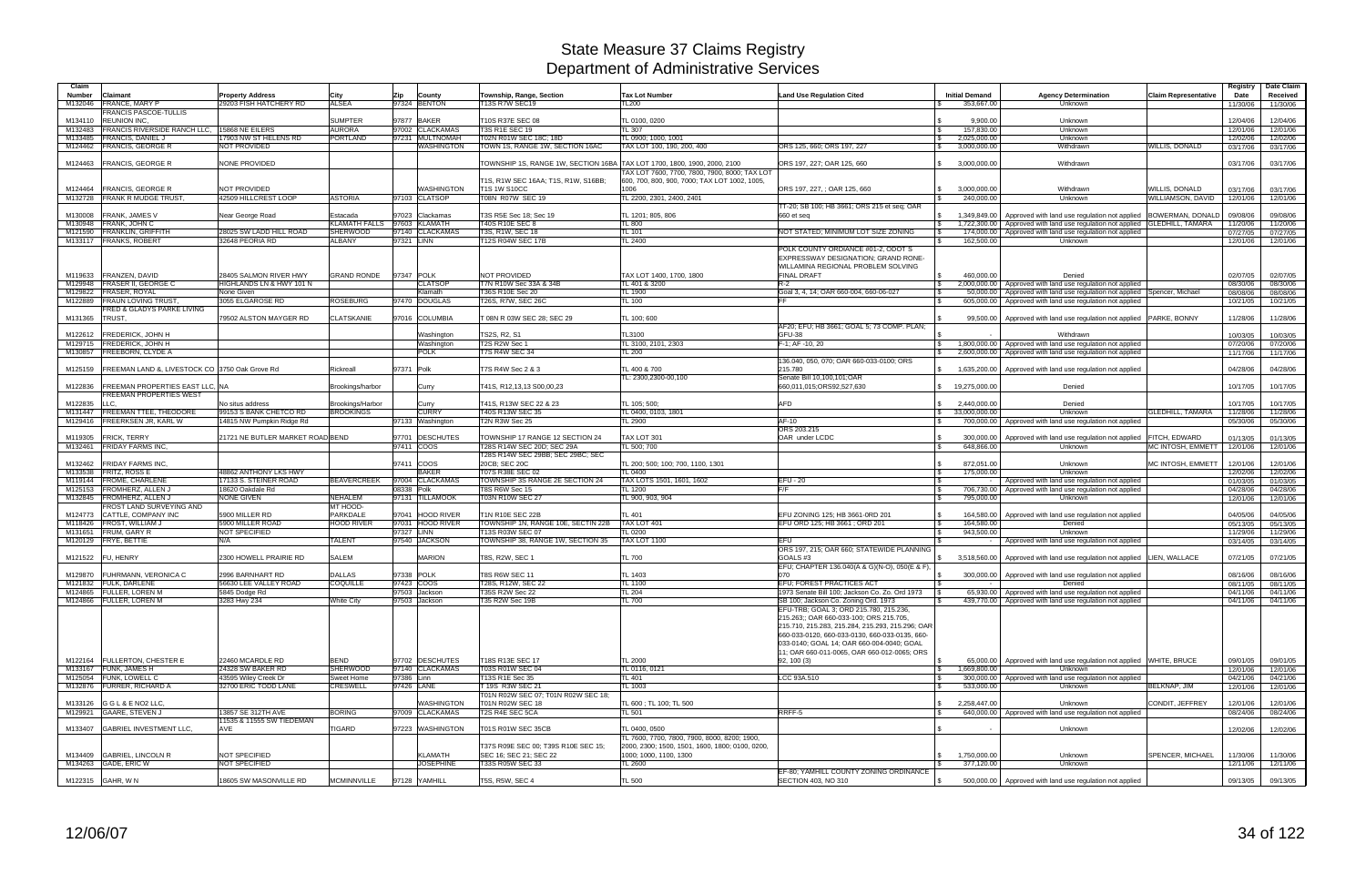| Claim<br><b>Number</b> | Claimant                                                          | <b>Property Address</b>                | City                                    | Zip        | County                             | Township, Range, Section                                                          | <b>Tax Lot Number</b>                                                                                                                | <b>Land Use Regulation Cited</b>                                                                                                                                                                                                                                                    | <b>Initial Demand</b>                          | <b>Agency Determination</b>                                                                                                                | <b>Claim Representative</b> | Registry<br>Date     | Date Claim<br>Received |
|------------------------|-------------------------------------------------------------------|----------------------------------------|-----------------------------------------|------------|------------------------------------|-----------------------------------------------------------------------------------|--------------------------------------------------------------------------------------------------------------------------------------|-------------------------------------------------------------------------------------------------------------------------------------------------------------------------------------------------------------------------------------------------------------------------------------|------------------------------------------------|--------------------------------------------------------------------------------------------------------------------------------------------|-----------------------------|----------------------|------------------------|
| M132046                | <b>FRANCE, MARY P</b><br>FRANCIS PASCOE-TULLIS                    | 29203 FISH HATCHERY RD                 | <b>ALSEA</b>                            |            | 97324 BENTON                       | 13S R7W SEC19                                                                     | <b>L200</b>                                                                                                                          |                                                                                                                                                                                                                                                                                     | 353,667.00                                     | <b>Unknown</b>                                                                                                                             |                             | 11/30/06             | 11/30/06               |
| M134110<br>M132483     | <b>REUNION INC.</b><br>FRANCIS RIVERSIDE RANCH LLC.               | 15868 NE EILERS                        | <b>SUMPTER</b><br><b>AURORA</b>         |            | 97877 BAKER<br>97002 CLACKAMAS     | T10S R37E SEC 08<br>T3S R1E SEC 19                                                | TL 0100, 0200<br>TL 307                                                                                                              | l \$                                                                                                                                                                                                                                                                                | 9.900.00<br>157,830.00                         | Unknown<br>Unknown                                                                                                                         |                             | 12/04/06<br>12/01/06 | 12/04/06<br>12/01/06   |
| M133485                | <b>FRANCIS, DANIEL,</b>                                           | 17903 NW ST HELENS RD                  | <b>PORTLAND</b>                         |            | 97231 MULTNOMAH                    | T02N R01W SEC 18C: 18D                                                            | TL 0900: 1000. 1001                                                                                                                  |                                                                                                                                                                                                                                                                                     | 2,025,000.00<br>l \$                           | Unknown                                                                                                                                    |                             | 12/02/06             | 12/02/06               |
| M124462                | <b>FRANCIS, GEORGE R</b>                                          | <b>NOT PROVIDED</b>                    |                                         |            | WASHINGTON                         | TOWN 1S, RANGE 1W, SECTION 16AC                                                   | TAX LOT 100, 190, 200, 400                                                                                                           | ORS 125, 660; ORS 197, 227                                                                                                                                                                                                                                                          | l \$<br>3,000,000.00                           | Withdrawn                                                                                                                                  | <b>WILLIS, DONALD</b>       | 03/17/06             | 03/17/06               |
| M124463                | <b>FRANCIS, GEORGE R</b>                                          | NONE PROVIDED                          |                                         |            |                                    | TOWNSHIP 1S, RANGE 1W, SECTION 16BA                                               | TAX LOT 1700, 1800, 1900, 2000, 2100<br>TAX LOT 7600, 7700, 7800, 7900, 8000; TAX LOT                                                | ORS 197, 227; OAR 125, 660                                                                                                                                                                                                                                                          | 3,000,000.00<br>$\mathbb{S}$                   | Withdrawn                                                                                                                                  |                             | 03/17/06             | 03/17/06               |
| M124464                | <b>FRANCIS, GEORGE R</b>                                          | <b>NOT PROVIDED</b>                    |                                         |            | WASHINGTON                         | T1S, R1W SEC 16AA; T1S, R1W, S16BB;<br>T1S 1W S10CC                               | 600, 700, 800, 900, 7000; TAX LOT 1002, 1005,<br>1006                                                                                | ORS 197, 227. : OAR 125, 660                                                                                                                                                                                                                                                        | \$<br>3,000,000.00                             | Withdrawn                                                                                                                                  | <b>WILLIS, DONALD</b>       | 03/17/06             | 03/17/06               |
|                        | M132728 FRANK R MUDGE TRUST.                                      | 42509 HILLCREST LOOP                   | <b>ASTORIA</b>                          |            | 97103 CLATSOP                      | <b>08N R07W SEC 19</b>                                                            | L 2200, 2301, 2400, 2401                                                                                                             |                                                                                                                                                                                                                                                                                     | 240,000.00                                     | Unknown                                                                                                                                    | WILLIAMSON, DAVID           | 12/01/06             | 12/01/06               |
|                        |                                                                   |                                        |                                         |            |                                    |                                                                                   |                                                                                                                                      | TT-20; SB 100; HB 3661; ORS 215 et seq; OAR                                                                                                                                                                                                                                         |                                                |                                                                                                                                            |                             |                      |                        |
| M130008                | FRANK, JAMES V                                                    | Near George Road                       | Estacada                                |            | 97023 Clackamas                    | T3S R5E Sec 18: Sec 19                                                            | TL 1201; 805, 806                                                                                                                    | 660 et seq                                                                                                                                                                                                                                                                          |                                                | 1,349,849.00   Approved with land use regulation not applied   BOWERMAN, DONALD                                                            |                             | 09/08/06             | 09/08/06               |
| M130948<br>M121590     | FRANK, JOHN C<br><b>FRANKLIN, GRIFFITH</b>                        | 28025 SW LADD HILL ROAD                | <b>KLAMATH FALLS</b><br><b>SHERWOOD</b> |            | 97603 KLAMATH<br>97140 CLACKAMAS   | T40S R10E SEC 8<br><b>T3S, R1W, SEC 18</b>                                        | TL 800<br>$L$ 101                                                                                                                    | NOT STATED: MINIMUM LOT SIZE ZONING                                                                                                                                                                                                                                                 | l \$                                           | 1.722.300.00 Approved with land use regulation not applied GLEDHILL. TAMARA<br>174,000.00 Approved with land use regulation not applied    |                             | 11/20/06<br>07/27/05 | 11/20/06<br>07/27/05   |
|                        | M133117 FRANKS, ROBERT                                            | 32648 PEORIA RD                        | <b>ALBANY</b>                           | 97321 LINN |                                    | T12S R04W SEC 17B                                                                 | <b>L 2400</b>                                                                                                                        |                                                                                                                                                                                                                                                                                     | 162,500.00                                     | Unknown                                                                                                                                    |                             | 12/01/06             | 12/01/06               |
|                        |                                                                   |                                        |                                         |            |                                    |                                                                                   |                                                                                                                                      | POLK COUNTY ORDIANCE #01-2, ODOT'S<br>EXPRESSWAY DESIGNATION; GRAND RONE-<br>WILLAMINA REGIONAL PROBLEM SOLVING                                                                                                                                                                     |                                                |                                                                                                                                            |                             |                      |                        |
|                        | M119633 FRANZEN, DAVID                                            | 28405 SALMON RIVER HWY                 | <b>GRAND RONDE</b>                      | 97347 POLK |                                    | <b>NOT PROVIDED</b>                                                               | TAX LOT 1400, 1700, 1800                                                                                                             | <b>FINAL DRAFT</b>                                                                                                                                                                                                                                                                  | 460.000.00                                     | Denied                                                                                                                                     |                             | 02/07/05             | 02/07/05               |
| M129948<br>M129822     | <b>FRASER II, GEORGE C</b><br><b>FRASER, ROYAL</b>                | HIGHLANDS LN & HWY 101 N<br>None Given |                                         |            | <b>CLATSOP</b><br>Klamath          | T7N R10W Sec 33A & 34B<br>T36S R10E Sec 20                                        | L 401 & 3200<br>TL 1900                                                                                                              | $R-2$<br>Goal 3, 4, 14; OAR 660-004, 660-06-027                                                                                                                                                                                                                                     | l \$                                           | 2,000,000.00   Approved with land use regulation not applied<br>50,000.00   Approved with land use regulation not applied Spencer, Michael |                             | 08/30/06<br>08/08/06 | 08/30/06<br>08/08/06   |
| M122889                | <b>FRAUN LOVING TRUST</b>                                         | 3055 ELGAROSE RD                       | ROSEBURG                                |            | 97470 DOUGLAS                      | <b>T26S, R7W, SEC 26C</b>                                                         | $L$ 100                                                                                                                              |                                                                                                                                                                                                                                                                                     |                                                | 605,000.00 Approved with land use regulation not applied                                                                                   |                             | 10/21/05             | 10/21/05               |
|                        | FRED & GLADYS PARKE LIVING                                        |                                        |                                         |            |                                    |                                                                                   |                                                                                                                                      |                                                                                                                                                                                                                                                                                     |                                                |                                                                                                                                            |                             |                      |                        |
| M131365                | TRUST.                                                            | 79502 ALSTON MAYGER RD                 | <b>CLATSKANIE</b>                       |            | 97016 COLUMBIA                     | T 08N R 03W SEC 28; SEC 29                                                        | TL 100; 600                                                                                                                          | AF20; EFU; HB 3661; GOAL 5; 73 COMP. PLAN;                                                                                                                                                                                                                                          |                                                | 99,500.00   Approved with land use regulation not applied   PARKE, BONNY                                                                   |                             | 11/28/06             | 11/28/06               |
| M122612                | <b>FREDERICK, JOHN H</b>                                          |                                        |                                         |            | Washington                         | TS2S, R2, S1                                                                      | TL3100                                                                                                                               | GFU-38                                                                                                                                                                                                                                                                              |                                                | Withdrawn                                                                                                                                  |                             | 10/03/05             | 10/03/05               |
| M129715                | <b>FREDERICK, JOHN H</b>                                          |                                        |                                         |            | Washington                         | T2S R2W Sec 1                                                                     | TL 3100, 2101, 2303                                                                                                                  | F-1; AF -10, 20                                                                                                                                                                                                                                                                     | $\mathbf{s}$                                   | 1,800,000.00 Approved with land use regulation not applied                                                                                 |                             | 07/20/06             | 07/20/06               |
| M130857                | <b>FREEBORN, CLYDE A</b>                                          |                                        |                                         |            | POLK                               | 7S R4W SEC 34                                                                     | L 200                                                                                                                                |                                                                                                                                                                                                                                                                                     |                                                | 2,600,000.00 Approved with land use regulation not applied                                                                                 |                             | 11/17/06             | 11/17/06               |
| M125159                | FREEMAN LAND &, LIVESTOCK CO 3750 Oak Grove Rd                    |                                        | Rickreall                               | 97371 Polk |                                    | T7S R4W Sec 2 & 3                                                                 | TL 400 & 700                                                                                                                         | 136.040, 050, 070; OAR 660-033-0100; ORS<br>215.780                                                                                                                                                                                                                                 | \$                                             | 1,635,200.00 Approved with land use regulation not applied                                                                                 |                             | 04/28/06             | 04/28/06               |
| M122836                | <b>FREEMAN PROPERTIES EAST LLC. NA</b><br>FREEMAN PROPERTIES WEST |                                        | Brookings/harbor                        |            | Curry                              | T41S, R12,13,13 S00,00,23                                                         | TL: 2300,2300-00,100                                                                                                                 | Senate Bill 10,100,101;OAR<br>660,011,015;ORS92,527,630                                                                                                                                                                                                                             | 19,275,000.00<br>\$                            | Denied                                                                                                                                     |                             | 10/17/05             | 10/17/05               |
| M122835                | LLC                                                               | No situs address                       | Brookings/Harbor                        |            | Curry                              | T41S, R13W SEC 22 & 23                                                            | TL 105: 500:                                                                                                                         | <b>AFD</b>                                                                                                                                                                                                                                                                          | $\mathcal{S}$<br>2.440.000.00                  | Denied                                                                                                                                     |                             | 10/17/05             | 10/17/05               |
| M131447                | <b>FREEMAN TTEE, THEODORE</b>                                     | 99153 S BANK CHETCO RD                 | <b>BROOKINGS</b>                        |            | <b>CURRY</b>                       | 40S R13W SEC 35                                                                   | L 0400, 0103, 1801                                                                                                                   |                                                                                                                                                                                                                                                                                     | 33.000.000.00<br>$\mathfrak s$                 | <b>Unknown</b>                                                                                                                             | <b>GLEDHILL, TAMARA</b>     | 11/28/06             | 11/28/06               |
| M129416                | FREERKSEN JR, KARL W                                              | 14815 NW Pumpkin Ridge Rd              |                                         |            | 97133 Washington                   | T2N R3W Sec 25                                                                    | TL 2900                                                                                                                              | $AF-10$                                                                                                                                                                                                                                                                             | $\mathbf{s}$                                   | 700,000.00   Approved with land use regulation not applied                                                                                 |                             | 05/30/06             | 05/30/06               |
| M119305                | <b>FRICK, TERRY</b>                                               | 21721 NE BUTLER MARKET ROAD BEND       |                                         |            | 97701 DESCHUTES                    | TOWNSHIP 17 RANGE 12 SECTION 24                                                   | TAX LOT 301                                                                                                                          | ORS 203.215<br>OAR under LCDC                                                                                                                                                                                                                                                       |                                                | 300,000.00   Approved with land use regulation not applied                                                                                 | FITCH, EDWARD               | 01/13/05             | 01/13/05               |
|                        | M132461 FRIDAY FARMS INC.                                         |                                        |                                         | 97411 COOS |                                    | T28S R14W SEC 20D; SEC 29A                                                        | <b>L 500: 700</b>                                                                                                                    |                                                                                                                                                                                                                                                                                     | 648,866.00                                     | Unknown                                                                                                                                    | MC INTOSH, EMMETT           | 12/01/06             | 12/01/06               |
|                        |                                                                   |                                        |                                         |            |                                    | T28S R14W SEC 29BB; SEC 29BC; SEC                                                 |                                                                                                                                      |                                                                                                                                                                                                                                                                                     |                                                |                                                                                                                                            |                             |                      |                        |
| M132462<br>M133538     | <b>FRIDAY FARMS INC.</b><br>FRITZ, ROSS E                         | 48862 ANTHONY LKS HWY                  |                                         | 97411 COOS | <b>BAKER</b>                       | 20CB; SEC 20C<br>T07S R38E SEC 02                                                 | TL 200; 500; 100; 700, 1100, 1301<br>TL 0400                                                                                         |                                                                                                                                                                                                                                                                                     | 872,051.00<br>175,000.00<br><b>S</b>           | Unknown<br>Unknown                                                                                                                         | MC INTOSH, EMMETT           | 12/01/06<br>12/02/06 | 12/01/06<br>12/02/06   |
|                        | M119144 FROME, CHARLENE                                           | 17133 S. STEINER ROAD                  | <b>BEAVERCREEK</b>                      |            | 97004 CLACKAMAS                    | OWNSHIP 3S RANGE 2E SECTION 24                                                    | TAX LOTS 1501, 1601, 1602                                                                                                            | $EFU - 20$<br>l \$                                                                                                                                                                                                                                                                  |                                                | Approved with land use regulation not applied                                                                                              |                             | 01/03/05             | 01/03/05               |
| M125153                | <b>FROMHERZ, ALLEN J</b>                                          | 18620 Oakdale Rd                       |                                         | 08338 Polk |                                    | T8S R6W Sec 15                                                                    | TL 1200                                                                                                                              | F/F                                                                                                                                                                                                                                                                                 | <b>S</b>                                       | 706,730.00   Approved with land use regulation not applied                                                                                 |                             | 04/28/06             | 04/28/06               |
| M132845                | FROMHERZ, ALLEN J                                                 | <b>NONE GIVEN</b>                      | <b>NEHALEM</b>                          |            | 97131 TILLAMOOK                    | <b>T03N R10W SEC 27</b>                                                           | TL 900, 903, 904                                                                                                                     |                                                                                                                                                                                                                                                                                     | 795,000.00                                     | <b>Unknown</b>                                                                                                                             |                             | 12/01/06             | 12/01/06               |
| M124773                | FROST LAND SURVEYING AND<br>CATTLE, COMPANY INC                   | 5900 MILLER RD                         | MT HOOD-<br>PARKDALE                    | 97041      | <b>HOOD RIVER</b>                  | T1N R10E SEC 22B                                                                  | TL 401                                                                                                                               | EFU ZONING 125: HB 3661-0RD 201<br>l \$                                                                                                                                                                                                                                             | 164,580.00                                     | Approved with land use regulation not applied                                                                                              |                             | 04/05/06             | 04/05/06               |
| M118426                | <b>FROST, WILLIAM J</b>                                           | 5900 MILLER ROAD                       | <b>HOOD RIVER</b>                       |            | 97031 HOOD RIVER                   | TOWNSHIP 1N, RANGE 10E, SECTIN 22B                                                | TAX LOT 401                                                                                                                          | EFU ORD 125; HB 3661; ORD 201<br>ا ۶.                                                                                                                                                                                                                                               | 164,580.00                                     | Denied                                                                                                                                     |                             | 05/13/05             | 05/13/05               |
| M131651                | FRUM, GARY R                                                      | NOT SPECIFIED                          |                                         | 97327 LINN |                                    | 13S R03W SEC 07                                                                   | L 0200                                                                                                                               |                                                                                                                                                                                                                                                                                     | 943,500.00<br><b>S</b>                         | <b>Unknown</b>                                                                                                                             |                             | 11/29/06             | 11/29/06               |
|                        | M120129 FRYE, BETTIE                                              | N/A                                    | <b>TALENT</b>                           |            | 97540 JACKSON                      | OWNSHIP 38, RANGE 1W, SECTION 35                                                  | TAX LOT 1100                                                                                                                         | <b>EFU</b><br>ORS 197, 215; OAR 660; STATEWIDE PLANNING                                                                                                                                                                                                                             | $\hat{A}$                                      | Approved with land use regulation not applied                                                                                              |                             | 03/14/05             | 03/14/05               |
| M121522                | <b>FU, HENRY</b>                                                  | 2300 HOWELL PRAIRIE RD                 | <b>SALEM</b>                            |            | <b>MARION</b>                      | T8S, R2W, SEC 1                                                                   | <b>TL 700</b>                                                                                                                        | GOALS <sub>#3</sub><br>EFU; CHAPTER 136.040(A & G)(N-O), 050(E & F),                                                                                                                                                                                                                |                                                | 3,518,560.00 Approved with land use regulation not applied LIEN, WALLACE                                                                   |                             | 07/21/05             | 07/21/05               |
| M129870                | FUHRMANN, VERONICA C                                              | 2996 BARNHART RD                       | <b>DALLAS</b>                           | 97338 POLK |                                    | <b>T8S R6W SEC 11</b>                                                             | TL 1403                                                                                                                              | 070                                                                                                                                                                                                                                                                                 |                                                | 300,000.00   Approved with land use regulation not applied                                                                                 |                             | 08/16/06             | 08/16/06               |
|                        | M121832 FULK, DARLENE<br>M124865 FULLER, LOREN M                  | 56630 LEE VALLEY ROAD<br>5845 Dodge Rd | <b>COQUILLE</b>                         | 97423 COOS | 97503 Jackson                      | T28S, R12W, SEC 22<br>T35S R2W Sec 22                                             | TL 1100<br><b>TL 204</b>                                                                                                             | EFU; FOREST PRACTICES ACT<br>1973 Senate Bill 100; Jackson Co. Zo. Ord 1973 \S                                                                                                                                                                                                      | l \$<br>$\sim$                                 | Denied<br>65,930.00 Approved with land use regulation not applied                                                                          |                             | 08/11/05<br>04/11/06 | 08/11/05<br>04/11/06   |
|                        | M124866 FULLER, LOREN M                                           | 3283 Hwy 234                           | White City                              |            | 97503 Jackson                      | T35 R2W Sec 19B                                                                   | TL 700                                                                                                                               | SB 100: Jackson Co. Zoning Ord. 1973                                                                                                                                                                                                                                                |                                                | 439,770.00 Approved with land use regulation not applied                                                                                   |                             | 04/11/06             | 04/11/06               |
|                        |                                                                   |                                        |                                         |            |                                    |                                                                                   |                                                                                                                                      | EFU-TRB; GOAL 3; ORD 215.780, 215.236,<br>215.263;; OAR 660-033-100; ORS 215.705,<br>215.710, 215.283, 215.284, 215.293, 215.296; OAR<br>660-033-0120, 660-033-0130, 660-033-0135, 660-<br>033-0140; GOAL 14; OAR 660-004-0040; GOAL<br>11: OAR 660-011-0065, OAR 660-012-0065; ORS |                                                |                                                                                                                                            |                             |                      |                        |
|                        | M122164 FULLERTON, CHESTER E<br>M133167 FUNK, JAMES H             | 22460 MCARDLE RD<br>24328 SW BAKER RD  | <b>BEND</b><br>SHERWOOD                 |            | 97702 DESCHUTES<br>97140 CLACKAMAS | T18S R13E SEC 17<br>T03S R01W SEC 04                                              | <b>TL 2000</b><br>TL 0116, 0121                                                                                                      | 92, 100 (3)                                                                                                                                                                                                                                                                         | <b>S</b><br>$\sqrt{3}$<br>1,669,800.00         | 65,000.00   Approved with land use regulation not applied WHITE, BRUCE<br>Unknown                                                          |                             | 09/01/05<br>12/01/06 | 09/01/05<br>12/01/06   |
|                        | M125054 FUNK, LOWELL C                                            | 43595 Wiley Creek Dr                   | <b>Sweet Home</b>                       | 97386 Linn |                                    | T13S R1E Sec 35                                                                   | TL 401                                                                                                                               | LCC 93A.510                                                                                                                                                                                                                                                                         | l \$                                           | 300,000.00 Approved with land use regulation not applied                                                                                   |                             | 04/21/06             | 04/21/06               |
|                        | M132876 FURRER, RICHARD A                                         | 32700 ERIC TODD LANE                   | CRESWELL                                | 97426 LANE |                                    | T 19S R3W SEC 21                                                                  | TL 1003                                                                                                                              |                                                                                                                                                                                                                                                                                     | 533,000.00<br>l \$                             | Unknown                                                                                                                                    | BELKNAP, JIM                | 12/01/06             | 12/01/06               |
|                        | M133126 GGL&ENO2 LLC,                                             |                                        |                                         |            | WASHINGTON                         | T01N R02W SEC 07; T01N R02W SEC 18;<br>T01N R02W SEC 18                           | TL 600 ; TL 100; TL 500                                                                                                              |                                                                                                                                                                                                                                                                                     | $\mathfrak{L}$<br>2,258,447.00                 | Unknown                                                                                                                                    | CONDIT, JEFFREY             | 12/01/06             | 12/01/06               |
|                        | M129921 GAARE, STEVEN J                                           | 13857 SE 312TH AVE                     | <b>BORING</b>                           |            | 97009 CLACKAMAS                    | T2S R4E SEC 5CA                                                                   | TL 501                                                                                                                               | RRFF-5                                                                                                                                                                                                                                                                              | <b>S</b>                                       | 640,000.00 Approved with land use regulation not applied                                                                                   |                             | 08/24/06             | 08/24/06               |
|                        |                                                                   | 1535 & 11555 SW TIEDEMAN               |                                         |            |                                    |                                                                                   |                                                                                                                                      |                                                                                                                                                                                                                                                                                     |                                                |                                                                                                                                            |                             |                      |                        |
|                        | M133407 GABRIEL INVESTMENT LLC,                                   | AVE                                    | TIGARD                                  |            | 97223 WASHINGTON                   | T01S R01W SEC 35CB                                                                | TL 0400, 0500                                                                                                                        |                                                                                                                                                                                                                                                                                     |                                                | Unknown                                                                                                                                    |                             | 12/02/06             | 12/02/06               |
|                        | M134409 GABRIEL, LINCOLN R<br>M134263 GADE, ERIC W                | NOT SPECIFIED<br>NOT SPECIFIED         |                                         |            | KLAMATH<br><b>JOSEPHINE</b>        | T37S R09E SEC 00; T39S R10E SEC 15;<br>SEC 16: SEC 21: SEC 22<br>T33S R05W SEC 33 | TL 7600, 7700, 7800, 7900, 8000, 8200; 1900,<br>2000, 2300; 1500, 1501, 1600, 1800; 0100, 0200,<br>1000; 1000, 1100, 1300<br>TL 2600 |                                                                                                                                                                                                                                                                                     | 1,750,000.00<br>l \$<br>377,120.00<br><b>S</b> | Unknown<br>Unknown                                                                                                                         | <b>SPENCER, MICHAEL</b>     | 11/30/06<br>12/11/06 | 11/30/06<br>12/11/06   |
|                        |                                                                   | 18605 SW MASONVILLE RD                 | <b>MCMINNVILLE</b>                      |            | 97128 YAMHILL                      |                                                                                   |                                                                                                                                      | EF-80; YAMHILL COUNTY ZONING ORDINANCE                                                                                                                                                                                                                                              |                                                |                                                                                                                                            |                             |                      |                        |
|                        | M122315 GAHR, W N                                                 |                                        |                                         |            |                                    | T5S, R5W, SEC 4                                                                   | <b>TL 500</b>                                                                                                                        | SECTION 403, NO 310                                                                                                                                                                                                                                                                 | l \$                                           | 500,000.00   Approved with land use regulation not applied                                                                                 |                             | 09/13/05             | 09/13/05               |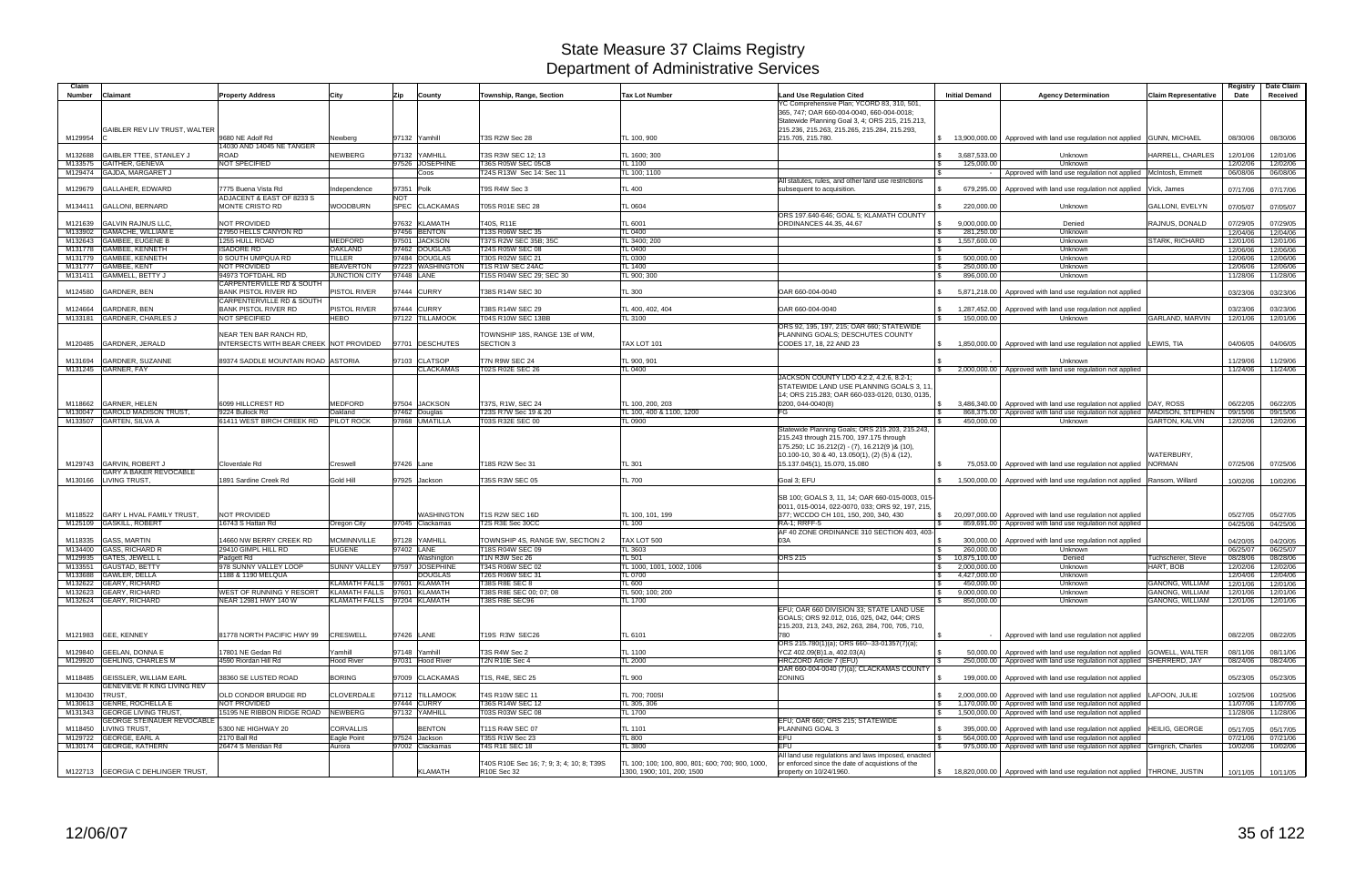| Claim<br><b>Number</b> | <b>Claimant</b>                                    | <b>Property Address</b>                                  | City                                | Zip<br>County                     | Township, Range, Section                             | <b>Tax Lot Number</b>                            | <b>Land Use Regulation Cited</b>                                                            | <b>Initial Demand</b>        | <b>Agency Determination</b>                                                                                                            | Claim Representative   | Registry<br>Date     | Date Claim<br>Received |
|------------------------|----------------------------------------------------|----------------------------------------------------------|-------------------------------------|-----------------------------------|------------------------------------------------------|--------------------------------------------------|---------------------------------------------------------------------------------------------|------------------------------|----------------------------------------------------------------------------------------------------------------------------------------|------------------------|----------------------|------------------------|
|                        |                                                    |                                                          |                                     |                                   |                                                      |                                                  | YC Comprehensive Plan; YCORD 83, 310, 501.                                                  |                              |                                                                                                                                        |                        |                      |                        |
|                        |                                                    |                                                          |                                     |                                   |                                                      |                                                  | 365, 747; OAR 660-004-0040, 660-004-0018;                                                   |                              |                                                                                                                                        |                        |                      |                        |
|                        |                                                    |                                                          |                                     |                                   |                                                      |                                                  | Statewide Planning Goal 3, 4; ORS 215, 215.213,                                             |                              |                                                                                                                                        |                        |                      |                        |
|                        | GAIBLER REV LIV TRUST, WALTER                      |                                                          |                                     |                                   |                                                      |                                                  | 215.236, 215.263, 215.265, 215.284, 215.293,                                                |                              |                                                                                                                                        |                        |                      |                        |
| M129954                |                                                    | 9680 NE Adolf Rd<br>14030 AND 14045 NE TANGER            | Newberg                             | 97132 Yamhill                     | <b>T3S R2W Sec 28</b>                                | TL 100, 900                                      | 215.705, 215.780.                                                                           | \$ 13,900,000.00             | Approved with land use regulation not applied GUNN, MICHAEL                                                                            |                        | 08/30/06             | 08/30/06               |
| M132688                | <b>GAIBLER TTEE, STANLEY J</b>                     | ROAD                                                     | <b>NEWBERG</b>                      | 97132 YAMHILL                     | T3S R3W SEC 12; 13                                   | TL 1600; 300                                     |                                                                                             | 3,687,533.00<br>$\mathbb{S}$ | Unknown                                                                                                                                | HARRELL, CHARLES       | 12/01/06             | 12/01/06               |
|                        | M133575 GAITHER, GENEVA                            | NOT SPECIFIED                                            |                                     | 97526 JOSEPHINE                   | T36S R05W SEC 05CB                                   | <b>TL 1100</b>                                   |                                                                                             | 125,000.00<br>l \$           | Unknown                                                                                                                                |                        | 12/02/06             | 12/02/06               |
|                        | M129474 GAJDA, MARGARET J                          |                                                          |                                     | Coos                              | T24S R13W Sec 14: Sec 11                             | TL 100; 1100                                     |                                                                                             | $\mathcal{L}$                | Approved with land use regulation not applied   McIntosh, Emmett                                                                       |                        | 06/08/06             | 06/08/06               |
|                        | M129679 GALLAHER, EDWARD                           |                                                          |                                     |                                   |                                                      |                                                  | All statutes, rules, and other land use restrictions                                        |                              |                                                                                                                                        |                        |                      |                        |
|                        |                                                    | 7775 Buena Vista Rd<br>ADJACENT & EAST OF 8233 S         | Independence                        | 97351 Polk<br>NOT                 | T9S R4W Sec 3                                        | TL 400                                           | subsequent to acquisition.                                                                  | 679,295.00                   | Approved with land use regulation not applied                                                                                          | Vick, James            | 07/17/06             | 07/17/06               |
| M134411                | <b>GALLONI, BERNARD</b>                            | MONTE CRISTO RD                                          | <b>WOODBURN</b>                     | SPEC CLACKAMAS                    | T05S R01E SEC 28                                     | TL 0604                                          |                                                                                             | 220,000.00<br>$\mathcal{L}$  | Unknown                                                                                                                                | GALLONI, EVELYN        | 07/05/07             | 07/05/07               |
|                        |                                                    |                                                          |                                     |                                   |                                                      |                                                  | ORS 197.640-646; GOAL 5; KLAMATH COUNTY                                                     |                              |                                                                                                                                        |                        |                      |                        |
| M121639                | <b>GALVIN RAJNUS LLC,</b>                          | NOT PROVIDED                                             |                                     | 97632 KLAMATH                     | T40S, R11E                                           | TL 6001                                          | ORDINANCES 44.35, 44.67                                                                     | 9,000,000.00<br>l \$         | Denied                                                                                                                                 | RAJNUS, DONALD         | 07/29/05             | 07/29/05               |
|                        | M133902 GAMACHE, WILLIAM E                         | 27950 HELLS CANYON RD                                    |                                     | 97456 BENTON                      | T13S R06W SEC 35                                     | TL 0400                                          |                                                                                             | 281,250.00<br>-SS            | Unknown                                                                                                                                |                        | 12/04/06             | 12/04/06               |
| M131778                | M132643 GAMBEE, EUGENE B<br><b>GAMBEE, KENNETH</b> | 1255 HULL ROAD<br><b>ISADORE RD</b>                      | <b>MEDFORD</b><br><b>OAKLAND</b>    | 97501 JACKSON<br>97462 DOUGLAS    | T37S R2W SEC 35B: 35C<br>T24S R05W SEC 08            | TL 3400; 200<br>TL 0400                          |                                                                                             | \$<br>1,557,600.00           | Unknown<br>Unknown                                                                                                                     | <b>STARK, RICHARD</b>  | 12/01/06             | 12/01/06               |
|                        | M131779 GAMBEE, KENNETH                            | <b>J SOUTH UMPQUA RD</b>                                 | <b>TILLER</b>                       | 97484 DOUGLAS                     | T30S R02W SEC 21                                     | TL 0300                                          |                                                                                             | 500,000.00<br>\$             | Unknown                                                                                                                                |                        | 12/06/06<br>12/06/06 | 12/06/06<br>12/06/06   |
| M131777                | <b>GAMBEE, KENT</b>                                | NOT PROVIDED                                             | <b>BEAVERTON</b>                    | 97223 WASHINGTON                  | T1S R1W SEC 24AC                                     | TL 1400                                          |                                                                                             | 250,000.00<br>\$             | Unknown                                                                                                                                |                        | 12/06/06             | 12/06/06               |
|                        | M131411 GAMMELL, BETTY J                           | 94973 TOFTDAHL RD                                        | <b>JUNCTION CITY</b>                | 97448 LANE                        | T15S R04W SEC 29; SEC 30                             | TL 900; 300                                      |                                                                                             | 896,000.00<br>- \$           | Unknown                                                                                                                                |                        | 11/28/06             | 11/28/06               |
|                        |                                                    | CARPENTERVILLE RD & SOUTH                                |                                     |                                   |                                                      |                                                  |                                                                                             |                              |                                                                                                                                        |                        |                      |                        |
| M124580                | GARDNER, BEN                                       | <b>BANK PISTOL RIVER RD</b>                              | PISTOL RIVER                        | 97444 CURRY                       | T38S R14W SEC 30                                     | TL 300                                           | OAR 660-004-0040                                                                            | 5,871,218.00                 | Approved with land use regulation not applied                                                                                          |                        | 03/23/06             | 03/23/06               |
|                        | <b>GARDNER, BEN</b>                                | CARPENTERVILLE RD & SOUTH<br><b>BANK PISTOL RIVER RD</b> | <b>PISTOL RIVER</b>                 | 97444 CURRY                       | T38S R14W SEC 29                                     | TL 400, 402, 404                                 | OAR 660-004-0040                                                                            | 1,287,452.00                 | Approved with land use regulation not applied                                                                                          |                        |                      |                        |
| M124664                | M133181 GARDNER, CHARLES J                         | NOT SPECIFIED                                            | <b>HEBO</b>                         | 97122 TILLAMOOK                   | T04S R10W SEC 13BB                                   | TL 3100                                          |                                                                                             | 150,000.00                   | Unknown                                                                                                                                | <b>GARLAND, MARVIN</b> | 03/23/06<br>12/01/06 | 03/23/06<br>12/01/06   |
|                        |                                                    |                                                          |                                     |                                   |                                                      |                                                  | ORS 92, 195, 197, 215; OAR 660; STATEWIDE                                                   |                              |                                                                                                                                        |                        |                      |                        |
|                        |                                                    | NEAR TEN BAR RANCH RD.                                   |                                     |                                   | TOWNSHIP 18S. RANGE 13E of WM.                       |                                                  | PLANNING GOALS; DESCHUTES COUNTY                                                            |                              |                                                                                                                                        |                        |                      |                        |
| M120485                | GARDNER, JERALD                                    | INTERSECTS WITH BEAR CREEK NOT PROVIDED                  |                                     | 97701 DESCHUTES                   | <b>SECTION 3</b>                                     | TAX LOT 101                                      | CODES 17, 18, 22 AND 23                                                                     | 1,850,000.00                 | Approved with land use regulation not applied  LEWIS, TIA                                                                              |                        | 04/06/05             | 04/06/05               |
|                        |                                                    |                                                          |                                     |                                   |                                                      |                                                  |                                                                                             |                              |                                                                                                                                        |                        |                      |                        |
| M131694                | GARDNER, SUZANNE<br>M131245 GARNER, FAY            | 89374 SADDLE MOUNTAIN ROAD ASTORIA                       |                                     | 97103 CLATSOP<br><b>CLACKAMAS</b> | T7N R9W SEC 24<br>T02S R02E SEC 26                   | TL 900, 901<br>TL 0400                           |                                                                                             |                              | Unknown<br>2,000,000.00 Approved with land use regulation not applied                                                                  |                        | 11/29/06             | 11/29/06               |
|                        |                                                    |                                                          |                                     |                                   |                                                      |                                                  | JACKSON COUNTY LDO 4.2.2, 4.2.6, 8.2-1;                                                     | S.                           |                                                                                                                                        |                        | 11/24/06             | 11/24/06               |
|                        |                                                    |                                                          |                                     |                                   |                                                      |                                                  | STATEWIDE LAND USE PLANNING GOALS 3, 11,                                                    |                              |                                                                                                                                        |                        |                      |                        |
|                        |                                                    |                                                          |                                     |                                   |                                                      |                                                  | 14; ORS 215.283; OAR 660-033-0120, 0130, 0135,                                              |                              |                                                                                                                                        |                        |                      |                        |
| M118662                | <b>GARNER, HELEN</b>                               | 6099 HILLCREST RD                                        | <b>MEDFORD</b>                      | 97504 JACKSON                     | T37S, R1W, SEC 24                                    | TL 100, 200, 203                                 | 0200.044-0040(8)                                                                            | 3,486,340.00                 | Approved with land use regulation not applied  DAY, ROSS                                                                               |                        | 06/22/05             | 06/22/05               |
| M130047                | <b>GAROLD MADISON TRUST.</b>                       | 9224 Bullock Rd                                          | Oakland                             | 97462 Douglas                     | T23S R7W Sec 19 & 20                                 | TL 100, 400 & 1100, 1200                         | FG                                                                                          | 868,375.00                   | Approved with land use regulation not applied MADISON, STEPHEN                                                                         |                        | 09/15/06             | 09/15/06               |
|                        | M133507 GARTEN, SILVA A                            | 61411 WEST BIRCH CREEK RD                                | <b>PILOT ROCK</b>                   | 97868 UMATILLA                    | T03S R32E SEC 00                                     | TL 0900                                          |                                                                                             | 450,000.00                   | Unknown                                                                                                                                | <b>GARTON, KALVIN</b>  | 12/02/06             | 12/02/06               |
|                        |                                                    |                                                          |                                     |                                   |                                                      |                                                  | Statewide Planning Goals; ORS 215.203, 215.243,<br>215.243 through 215.700, 197.175 through |                              |                                                                                                                                        |                        |                      |                        |
|                        |                                                    |                                                          |                                     |                                   |                                                      |                                                  | 175.250; LC 16.212(2) - (7), 16.212(9) & (10),                                              |                              |                                                                                                                                        |                        |                      |                        |
|                        |                                                    |                                                          |                                     |                                   |                                                      |                                                  | 10.100-10, 30 & 40, 13.050(1), (2) (5) & (12),                                              |                              |                                                                                                                                        | WATERBURY,             |                      |                        |
|                        | M129743 GARVIN, ROBERT J                           | Cloverdale Rd                                            | Creswell                            | 97426 Lane                        | T18S R2W Sec 31                                      | <b>TL 301</b>                                    | 15.137.045(1), 15.070, 15.080                                                               |                              | 75,053.00 Approved with land use regulation not applied                                                                                | <b>NORMAN</b>          | 07/25/06             | 07/25/06               |
|                        | GARY A BAKER REVOCABLE                             |                                                          |                                     |                                   |                                                      |                                                  |                                                                                             |                              |                                                                                                                                        |                        |                      |                        |
|                        | M130166 LIVING TRUST                               | 1891 Sardine Creek Rd                                    | Gold Hill                           | 97925 Jackson                     | T35S R3W SEC 05                                      | <b>TL 700</b>                                    | Goal 3: EFU                                                                                 | 1,500,000.00                 | Approved with land use regulation not applied                                                                                          | Ransom, Willard        | 10/02/06             | 10/02/06               |
|                        |                                                    |                                                          |                                     |                                   |                                                      |                                                  | SB 100; GOALS 3, 11, 14; OAR 660-015-0003, 015-                                             |                              |                                                                                                                                        |                        |                      |                        |
|                        |                                                    |                                                          |                                     |                                   |                                                      |                                                  | 0011, 015-0014, 022-0070, 033; ORS 92, 197, 215,                                            |                              |                                                                                                                                        |                        |                      |                        |
|                        | M118522 GARY L HVAL FAMILY TRUST.                  | NOT PROVIDED                                             |                                     | <b>WASHINGTON</b>                 | T1S R2W SEC 16D                                      | TL 100, 101, 199                                 | 377; WCCDO CH 101, 150, 200, 340, 430                                                       |                              | \$ 20,097,000.00   Approved with land use regulation not applied                                                                       |                        | 05/27/05             | 05/27/05               |
|                        | M125109 GASKILL, ROBERT                            | 16743 S Hattan Rd                                        | Oregon City                         | 97045 Clackamas                   | T2S R3E Sec 30CC                                     | TL 100                                           | <b>RA-1: RRFF-5</b>                                                                         | 859.691.00<br>l \$           | Approved with land use regulation not applied                                                                                          |                        | 04/25/06             | 04/25/06               |
|                        |                                                    |                                                          |                                     |                                   |                                                      |                                                  | AF 40 ZONE ORDINANCE 310 SECTION 403, 403-                                                  |                              |                                                                                                                                        |                        |                      |                        |
| M118335                | <b>GASS, MARTIN</b><br>M134400 GASS, RICHARD R     | 14660 NW BERRY CREEK RD<br>29410 GIMPL HILL RD           | <b>MCMINNVILLE</b><br><b>EUGENE</b> | 97128 YAMHILL<br>97402 LANE       | TOWNSHIP 4S, RANGE 5W, SECTION 2<br>T18S R04W SEC 09 | TAX LOT 500<br>TL 3603                           | 03A                                                                                         | 300,000.00<br>260,000.00     | Approved with land use regulation not applied<br>Unknown                                                                               |                        | 04/20/05             | 04/20/05               |
| M129935                | <b>GATES, JEWELL L</b>                             | Padgett Rd                                               |                                     | <b>Nashington</b>                 | T1N R3W Sec 26                                       | <b>TL 501</b>                                    | ORS 215                                                                                     | 10,875,100.00<br>\$          | Denied                                                                                                                                 | Tuchscherer, Steve     | 06/25/07<br>08/28/06 | 06/25/07<br>08/28/06   |
|                        | M133551 GAUSTAD, BETTY                             | 978 SUNNY VALLEY LOOP                                    | SUNNY VALLEY                        | 97597 JOSEPHINE                   | T34S R06W SEC 02                                     | TL 1000, 1001, 1002, 1006                        |                                                                                             | 2,000,000.00                 | Unknown                                                                                                                                | HART, BOB              | 12/02/06             | 12/02/06               |
|                        | M133688 GAWLER, DELLA                              | 1188 & 1190 MELQUA                                       |                                     | <b>DOUGLAS</b>                    | T26S R06W SEC 31                                     | <b>TL 0700</b>                                   |                                                                                             | 4,427,000.00<br>\$           | Unknown                                                                                                                                |                        | 12/04/06             | 12/04/06               |
|                        | M132622 GEARY, RICHARD                             |                                                          |                                     | KLAMATH FALLS 97601 KLAMATH       | <b>T38S R8E SEC 8</b>                                | TL 600                                           |                                                                                             | 450,000.00                   | Unknown                                                                                                                                | <b>GANONG, WILLIAM</b> | 12/01/06             | 12/01/06               |
|                        | M132623 GEARY, RICHARD                             | WEST OF RUNNING Y RESORT                                 |                                     | KLAMATH FALLS 97601 KLAMATH       | T38S R8E SEC 00; 07; 08                              | TL 500; 100; 200                                 |                                                                                             | 9,000,000.00<br><b>S</b>     | Unknown                                                                                                                                | <b>GANONG, WILLIAM</b> | 12/01/06             | 12/01/06               |
|                        | M132624 GEARY, RICHARD                             | NEAR 12981 HWY 140 W                                     |                                     | KLAMATH FALLS 97204 KLAMATH       | <b>T38S R8E SEC96</b>                                | TL 1700                                          | EFU; OAR 660 DIVISION 33; STATE LAND USE                                                    | 850,000.00<br>$\mathcal{S}$  | Unknown                                                                                                                                | GANONG, WILLIAM        | 12/01/06             | 12/01/06               |
|                        |                                                    |                                                          |                                     |                                   |                                                      |                                                  | GOALS; ORS 92.012, 016, 025, 042, 044; ORS                                                  |                              |                                                                                                                                        |                        |                      |                        |
|                        |                                                    |                                                          |                                     |                                   |                                                      |                                                  | 215.203, 213, 243, 262, 263, 284, 700, 705, 710,                                            |                              |                                                                                                                                        |                        |                      |                        |
|                        | M121983 GEE, KENNEY                                | 81778 NORTH PACIFIC HWY 99                               | <b>CRESWELL</b>                     | 97426 LANE                        | T19S R3W SEC26                                       | TL 6101                                          | 780                                                                                         | l \$                         | Approved with land use regulation not applied                                                                                          |                        | 08/22/05             | 08/22/05               |
|                        |                                                    |                                                          |                                     |                                   |                                                      |                                                  | ORS 215.780(1)(a); ORS 660--33-01357(7)(a);                                                 |                              |                                                                                                                                        |                        |                      |                        |
|                        | M129840 GEELAN, DONNA E                            | 17801 NE Gedan Rd                                        | Yamhill                             | 97148 Yamhill                     | T3S R4W Sec 2                                        | <b>TL 1100</b>                                   | YCZ 402.09(B)1.a, 402.03(A)                                                                 |                              | 50,000.00 Approved with land use regulation not applied GOWELL, WALTER                                                                 |                        | 08/11/06             | 08/11/06               |
|                        | M129920 GEHLING, CHARLES M                         | 4590 Riordan Hill Rd                                     | <b>Hood River</b>                   | 97031 Hood River                  | <b>T2N R10E Sec 4</b>                                | TL 2000                                          | <b>HRCZORD Article 7 (EFU)</b>                                                              | -SS                          | 250,000.00 Approved with land use regulation not applied SHERRERD, JAY                                                                 |                        | 08/24/06             | 08/24/06               |
|                        | M118485 GEISSLER, WILLIAM EARL                     | 38360 SE LUSTED ROAD                                     | <b>BORING</b>                       | 97009 CLACKAMAS                   | T1S, R4E, SEC 25                                     | TL 900                                           | OAR 660-004-0040 (7)(a); CLACKAMAS COUNTY<br>ZONING                                         |                              | 199,000.00   Approved with land use regulation not applied                                                                             |                        | 05/23/05             | 05/23/05               |
|                        | <b>GENEVIEVE R KING LIVING REV</b>                 |                                                          |                                     |                                   |                                                      |                                                  |                                                                                             |                              |                                                                                                                                        |                        |                      |                        |
| M130430 TRUST,         |                                                    | OLD CONDOR BRUDGE RD                                     | CLOVERDALE                          | 97112 TILLAMOOK                   | T4S R10W SEC 11                                      | TL 700; 700SI                                    |                                                                                             | \$                           | 2,000,000.00 Approved with land use regulation not applied                                                                             | <b>LAFOON, JULIE</b>   | 10/25/06             | 10/25/06               |
|                        | M130613 GENRE, ROCHELLA E                          | NOT PROVIDED                                             |                                     | 97444 CURRY                       | T36S R14W SEC 12                                     | TL 305, 306                                      |                                                                                             | \$                           | 1,170,000.00 Approved with land use regulation not applied                                                                             |                        | 11/07/06             | 11/07/06               |
|                        | M131343 GEORGE LIVING TRUST.                       | 15195 NE RIBBON RIDGE ROAD NEWBERG                       |                                     | 97132 YAMHILL                     | T03S R03W SEC 08                                     | TL 1700                                          |                                                                                             | \$                           | 1,500,000.00 Approved with land use regulation not applied                                                                             |                        | 11/28/06             | 11/28/06               |
|                        | <b>GEORGE STEINAUER REVOCABLE</b>                  |                                                          |                                     |                                   |                                                      |                                                  | EFU; OAR 660; ORS 215; STATEWIDE                                                            |                              |                                                                                                                                        |                        |                      |                        |
|                        | M118450 LIVING TRUST,<br>M129722 GEORGE, EARL A    | 5300 NE HIGHWAY 20<br>2170 Ball Rd                       | <b>CORVALLIS</b><br>Eagle Point     | <b>BENTON</b><br>97524 Jackson    | T11S R4W SEC 07<br><b>T35S R1W Sec 23</b>            | TL 1101<br><b>TL 800</b>                         | PLANNING GOAL 3<br>EFU                                                                      | $\mathfrak{L}$               | 395,000.00   Approved with land use regulation not applied  HEILIG, GEORGE<br>564,000.00 Approved with land use regulation not applied |                        | 05/17/05             | 05/17/05<br>07/21/06   |
|                        | M130174 GEORGE, KATHERN                            | 26474 S Meridian Rd                                      | Aurora                              | 97002 Clackamas                   | <b>T4S R1E SEC 18</b>                                | TL 3800                                          | <b>EFU</b>                                                                                  | l \$                         | 975,000.00   Approved with land use regulation not applied Girngrich, Charles                                                          |                        | 07/21/06<br>10/02/06 | 10/02/06               |
|                        |                                                    |                                                          |                                     |                                   |                                                      |                                                  | All land use regulations and laws imposed, enacted                                          |                              |                                                                                                                                        |                        |                      |                        |
|                        |                                                    |                                                          |                                     |                                   | T40S R10E Sec 16; 7; 9; 3; 4; 10; 8; T39S            | TL 100; 100; 100, 800, 801; 600; 700; 900, 1000, | or enforced since the date of acquistions of the                                            |                              |                                                                                                                                        |                        |                      |                        |
|                        | M122713 GEORGIA C DEHLINGER TRUST,                 |                                                          |                                     | <b>KLAMATH</b>                    | R10E Sec 32                                          | 1300, 1900; 101, 200; 1500                       | property on 10/24/1960.                                                                     |                              | \$18,820,000.00 Approved with land use regulation not applied THRONE, JUSTIN                                                           |                        | 10/11/05 10/11/05    |                        |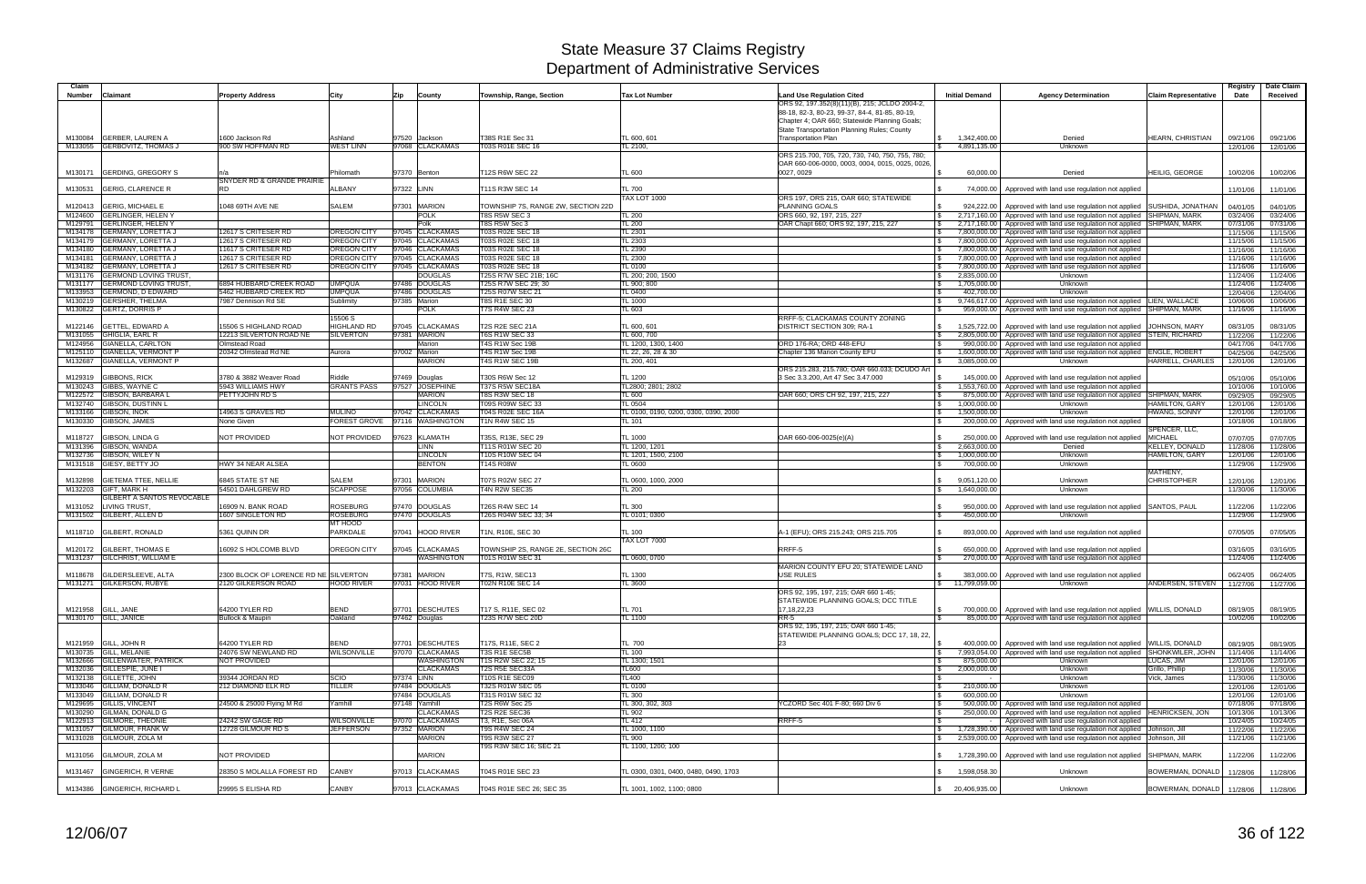| Claim   |                                                               |                                                              |                                   |                                                        |                                                |                                       |                                                                                   |                                              |                                                                                                                                                            |                                        | Registry             | Date Claim           |
|---------|---------------------------------------------------------------|--------------------------------------------------------------|-----------------------------------|--------------------------------------------------------|------------------------------------------------|---------------------------------------|-----------------------------------------------------------------------------------|----------------------------------------------|------------------------------------------------------------------------------------------------------------------------------------------------------------|----------------------------------------|----------------------|----------------------|
| Number  | <b>Claimant</b>                                               | <b>Property Address</b>                                      | City                              | County<br>Zip                                          | Township, Range, Section                       | <b>Tax Lot Number</b>                 | <b>Land Use Regulation Cited</b><br>ORS 92, 197.352(8)(11)(B), 215; JCLDO 2004-2, | <b>Initial Demand</b>                        | <b>Agency Determination</b>                                                                                                                                | <b>Claim Representative</b>            | Date                 | Received             |
|         |                                                               |                                                              |                                   |                                                        |                                                |                                       | 88-18, 82-3, 80-23, 99-37, 84-4, 81-85, 80-19,                                    |                                              |                                                                                                                                                            |                                        |                      |                      |
|         |                                                               |                                                              |                                   |                                                        |                                                |                                       | Chapter 4; OAR 660; Statewide Planning Goals;                                     |                                              |                                                                                                                                                            |                                        |                      |                      |
|         | M130084 GERBER, LAUREN A                                      | 1600 Jackson Rd                                              | Ashland                           | 97520 Jackson                                          | T38S R1E Sec 31                                | TL 600, 601                           | State Transportation Planning Rules; County<br><b>Transportation Plan</b>         | 1,342,400.00                                 | Denied                                                                                                                                                     | HEARN. CHRISTIAN                       | 09/21/06             | 09/21/06             |
|         | M133055 GERBOVITZ, THOMAS J                                   | 900 SW HOFFMAN RD                                            | <b>WEST LINN</b>                  | 97068 CLACKAMAS                                        | <b>T03S R01E SEC 16</b>                        | TL 2100,                              |                                                                                   | 4,891,135.00                                 | Unknown                                                                                                                                                    |                                        | 12/01/06             | 12/01/06             |
|         |                                                               |                                                              |                                   |                                                        |                                                |                                       | ORS 215.700, 705, 720, 730, 740, 750, 755, 780                                    |                                              |                                                                                                                                                            |                                        |                      |                      |
|         | M130171 GERDING, GREGORY S                                    |                                                              | Philomath                         | 97370 Benton                                           | T12S R6W SEC 22                                | TL 600                                | OAR 660-006-0000, 0003, 0004, 0015, 0025, 0026,<br>0027, 0029                     | 60,000.00                                    | Denied                                                                                                                                                     | <b>HEILIG, GEORGE</b>                  | 10/02/06             | 10/02/06             |
|         |                                                               | SNYDER RD & GRANDE PRAIRIE                                   |                                   |                                                        |                                                |                                       |                                                                                   |                                              |                                                                                                                                                            |                                        |                      |                      |
| M130531 | <b>GERIG, CLARENCE R</b>                                      | RD.                                                          | <b>ALBANY</b>                     | 97322 LINN                                             | T11S R3W SEC 14                                | <b>TL 700</b>                         |                                                                                   | 74,000.00                                    | Approved with land use regulation not applied                                                                                                              |                                        | 11/01/06             | 11/01/06             |
| M120413 | <b>GERIG, MICHAEL E</b>                                       | 1048 69TH AVE NE                                             | SALEM                             | 97301 MARION                                           | TOWNSHIP 7S, RANGE 2W, SECTION 22D             | <b>TAX LOT 1000</b>                   | ORS 197, ORS 215, OAR 660: STATEWIDE<br>PLANNING GOALS                            | 924,222.00                                   | Approved with land use regulation not applied SUSHIDA, JONATHAN                                                                                            |                                        | 04/01/05             | 04/01/05             |
|         | M124600 GERLINGER, HELEN Y                                    |                                                              |                                   | <b>POLK</b>                                            | T8S R5W SEC 3                                  | TL 200                                | ORS 660, 92, 197, 215, 227                                                        | \$<br>2,717,160.00                           | Approved with land use regulation not applied SHIPMAN, MARK                                                                                                |                                        | 03/24/06             | 03/24/06             |
| M129791 | <b>GERLINGER, HELEN Y</b>                                     |                                                              |                                   | Polk                                                   | T8S R5W Sec 3                                  | TL 200                                | OAR Chapt 660; ORS 92, 197, 215, 227                                              | 2,717,160.00<br>\$                           | Approved with land use regulation not applied SHIPMAN, MARK                                                                                                |                                        | 07/31/06             | 07/31/06             |
|         | M134178 GERMANY, LORETTA J<br><b>GERMANY, LORETTA J</b>       | 12617 S CRITESER RD<br>12617 S CRITESER RD                   | <b>OREGON CITY</b><br>OREGON CITY | <b>CLACKAMAS</b><br>97045<br>97045<br><b>CLACKAMAS</b> | T03S R02E SEC 18<br>T03S R02E SEC 18           | TL 2301<br>TL 2303                    |                                                                                   | 7,800,000.00<br>\$                           | Approved with land use regulation not applied                                                                                                              |                                        | 11/15/06             | 11/15/06             |
| M134179 | M134180 GERMANY, LORETTA J                                    | 11617 S CRITESER RD                                          | <b>OREGON CITY</b>                | 97046<br><b>CLACKAMAS</b>                              | T03S R02E SEC 18                               | <b>TL 2390</b>                        |                                                                                   | 7,800,000.00                                 | Approved with land use regulation not applied<br>7,800,000.00 Approved with land use regulation not applied                                                |                                        | 11/15/06<br>11/16/06 | 11/15/06<br>11/16/06 |
|         | M134181 GERMANY, LORETTA J                                    | 12617 S CRITESER RD                                          | OREGON CITY                       | 97045 CLACKAMAS                                        | T03S R02E SEC 18                               | TL 2300                               |                                                                                   | 7,800,000.00                                 | Approved with land use regulation not applied                                                                                                              |                                        | 11/16/06             | 11/16/06             |
|         | M134182 GERMANY, LORETTA J                                    | 12617 S CRITESER RD                                          | <b>OREGON CITY</b>                | 97045 CLACKAMAS                                        | T03S R02E SEC 18                               | TL 0100                               |                                                                                   | 7,800,000.00                                 | Approved with land use regulation not applied                                                                                                              |                                        | 11/16/06             | 11/16/06             |
| M131176 | <b>GERMOND LOVING TRUST,</b><br>M131177 GERMOND LOVING TRUST, | 6894 HUBBARD CREEK ROAD                                      | <b>UMPQUA</b>                     | <b>DOUGLAS</b><br><b>DOUGLAS</b><br>97486              | T25S R7W SEC 21B; 16C<br>T25S R7W SEC 29; 30   | TL 200; 200, 1500<br>TL 900; 800      |                                                                                   | 2,835,000.00<br>S.<br>1,705,000.00<br>\$     | Unknown<br>Unknown                                                                                                                                         |                                        | 11/24/06<br>11/24/06 | 11/24/06<br>11/24/06 |
| M133953 | <b>GERMOND, D EDWARD</b>                                      | 5462 HUBBARD CREEK RD                                        | <b>UMPQUA</b>                     | 97486<br><b>DOUGLAS</b>                                | T25S R07W SEC 21                               | TL 0400                               |                                                                                   | 402,700.00<br>-S                             | Unknown                                                                                                                                                    |                                        | 12/04/06             | 12/04/06             |
|         | M130219 GERSHER, THELMA                                       | 7987 Dennison Rd SE                                          | Sublimity                         | 97385 Marion                                           | <b>T8S R1E SEC 30</b>                          | TL 1000                               |                                                                                   |                                              | 9,746,617.00   Approved with land use regulation not applied LIEN, WALLACE                                                                                 |                                        | 10/06/06             | 10/06/06             |
|         | M130822 GERTZ, DORRIS P                                       |                                                              | 15506 S                           | <b>POLK</b>                                            | T7S R4W SEC 23                                 | TL 603                                | RRFF-5; CLACKAMAS COUNTY ZONING                                                   | 959,000.00                                   | Approved with land use regulation not applied SHIPMAN, MARK                                                                                                |                                        | 11/16/06             | 11/16/06             |
|         | M122146 GETTEL, EDWARD A                                      | 15506 S HIGHLAND ROAD                                        | HIGHLAND RD                       | 97045 CLACKAMAS                                        | T2S R2E SEC 21A                                | TL 600, 601                           | DISTRICT SECTION 309; RA-1                                                        | \$<br>1,525,722.00                           | Approved with land use regulation not applied   JOHNSON, MARY                                                                                              |                                        | 08/31/05             | 08/31/05             |
|         | M131055 GHIGLIA, EARL R                                       | 12213 SILVERTON ROAD NE                                      | <b>SILVERTON</b>                  | 97381 MARION                                           | <b>T6S R1W SEC 33</b>                          | TL 600, 700                           |                                                                                   | 2,805,000.00                                 | Approved with land use regulation not applied STEIN, RICHARD                                                                                               |                                        | 11/22/06             | 11/22/06             |
|         | M124956 GIANELLA, CARLTON                                     | <b>Olmstead Road</b>                                         |                                   | Marion                                                 | T4S R1W Sec 19B                                | TL 1200, 1300, 1400                   | ORD 176-RA: ORD 448-EFU                                                           | 990.000.00<br>1 S                            | Approved with land use regulation not applied                                                                                                              |                                        | 04/17/06             | 04/17/06             |
|         | M125110 GIANELLA, VERMONT P<br>M132687 GIANELLA, VERMONT P    | 20342 Olmstead Rd NE                                         | Aurora                            | 97002 Marion<br>Marion                                 | T4S R1W Sec 19B<br>T4S R1W SEC 19B             | TL 22, 26, 28 & 30<br>TL 200, 401     | Chapter 136 Marion County EFU                                                     | 1,600,000.00<br>\$<br>3,085,000.00           | Approved with land use regulation not applied   ENGLE, ROBERT<br>Unknown                                                                                   | HARRELL, CHARLES                       | 04/25/06<br>12/01/06 | 04/25/06<br>12/01/06 |
|         |                                                               |                                                              |                                   |                                                        |                                                |                                       | ORS 215.283, 215.780; OAR 660.033; DCUDO Art                                      |                                              |                                                                                                                                                            |                                        |                      |                      |
|         | M129319 GIBBONS, RICK                                         | 3780 & 3882 Weaver Road                                      | Riddle                            | 97469 Douglas                                          | T30S R6W Sec 12                                | TL 1200                               | 3 Sec 3.3.200, Art 47 Sec 3.47.000                                                | 145,000.00                                   | Approved with land use regulation not applied                                                                                                              |                                        | 05/10/06             | 05/10/06             |
|         | M130243 GIBBS, WAYNE C<br>M122572 GIBSON, BARBARA L           | 5943 WILLIAMS HWY<br>PETTYJOHN RD S                          | <b>GRANTS PASS</b>                | 97527<br><b>JOSEPHINE</b><br><b>MARION</b>             | T37S R5W SEC18A<br><b>T8S R3W SEC 18</b>       | TL2800; 2801; 2802<br>TL 600          | OAR 660; ORS CH 92, 197, 215, 227                                                 | $\mathfrak{L}$<br>1,553,760.00<br>875,000.00 | Approved with land use regulation not applied<br>Approved with land use regulation not applied SHIPMAN, MARK                                               |                                        | 10/10/06<br>09/29/05 | 10/10/06<br>09/29/05 |
|         | M132740 GIBSON, DUSTINN L                                     |                                                              |                                   | <b>LINCOLN</b>                                         | T09S R09W SEC 33                               | TL 0504                               |                                                                                   | 1,000,000.00<br>l \$                         | Unknown                                                                                                                                                    | <b>HAMILTON, GARY</b>                  | 12/01/06             | 12/01/06             |
|         | M133166 GIBSON, INOK                                          | 14963 S GRAVES RD                                            | <b>MULINO</b>                     | <b>CLACKAMAS</b><br>97042                              | T04S R02E SEC 16A                              | TL 0100, 0190, 0200, 0300, 0390, 2000 |                                                                                   | 1,500,000.00<br>\$                           | Unknown                                                                                                                                                    | HWANG, SONNY                           | 12/01/06             | 12/01/06             |
|         | M130330 GIBSON, JAMES                                         | None Given                                                   |                                   | FOREST GROVE 97116 WASHINGTON                          | T1N R4W SEC 15                                 | TL 101                                |                                                                                   | 200,000.00<br>$\mathfrak{L}$                 | Approved with land use regulation not applied                                                                                                              |                                        | 10/18/06             | 10/18/06             |
| M118727 | GIBSON, LINDA G                                               | NOT PROVIDED                                                 | NOT PROVIDED                      | 97623<br><b>KLAMATH</b>                                | T35S, R13E, SEC 29                             | <b>TL 1000</b>                        | OAR 660-006-0025(e)(A)                                                            | 250,000.00                                   | Approved with land use regulation not applied                                                                                                              | SPENCER, LLC.<br><b>MICHAEL</b>        | 07/07/05             | 07/07/05             |
|         | M131396 GIBSON, WANDA                                         |                                                              |                                   | <b>LINN</b>                                            | T11S R01W SEC 20                               | TL 1200, 1201                         |                                                                                   | 2,663,000.00                                 | Denied                                                                                                                                                     | KELLEY, DONALD                         | 11/28/06             | 11/28/06             |
|         | M132736 GIBSON, WILEY N                                       |                                                              |                                   | <b>LINCOLN</b>                                         | T10S R10W SEC 04                               | TL 1201, 1500, 2100                   |                                                                                   | 1,000,000.00                                 | Unknown                                                                                                                                                    | HAMILTON, GARY                         | 12/01/06             | 12/01/06             |
|         | M131518 GIESY, BETTY JO                                       | <b>HWY 34 NEAR ALSEA</b>                                     |                                   | <b>BENTON</b>                                          | T14S R08W                                      | TL 0600                               |                                                                                   | 700,000.00                                   | Unknown                                                                                                                                                    | MATHENY,                               | 11/29/06             | 11/29/06             |
| M132898 | <b>GIETEMA TTEE, NELLIE</b>                                   | 6845 STATE ST NE                                             | SALEM                             | 97301<br><b>MARION</b>                                 | T07S R02W SEC 27                               | TL 0600, 1000, 2000                   |                                                                                   | 9,051,120.00                                 | Unknown                                                                                                                                                    | <b>CHRISTOPHER</b>                     | 12/01/06             | 12/01/06             |
|         | M132203 GIFT, MARK H                                          | 54501 DAHLGREW RD                                            | <b>SCAPPOSE</b>                   | 97056 COLUMBIA                                         | T4N R2W SEC35                                  | TL 200                                |                                                                                   | 1,640,000.00                                 | Unknown                                                                                                                                                    |                                        | 11/30/06             | 11/30/06             |
|         | GILBERT A SANTOS REVOCABLE<br>M131052 LIVING TRUST            | 6909 N. BANK ROAD                                            | <b>ROSEBURG</b>                   | 97470 DOUGLAS                                          | T26S R4W SEC 14                                | TL 300                                |                                                                                   |                                              |                                                                                                                                                            |                                        | 11/22/06             | 11/22/06             |
|         | M131502 GILBERT, ALLEN D                                      | 1607 SINGLETON RD                                            | <b>ROSEBURG</b>                   | 97470 DOUGLAS                                          | T26S R04W SEC 33; 34                           | TL 0101; 0300                         |                                                                                   | 950,000.00<br>450,000.00                     | Approved with land use regulation not applied SANTOS, PAUL<br>Unknown                                                                                      |                                        | 11/29/06             | 11/29/06             |
|         |                                                               |                                                              | MT HOOD                           |                                                        |                                                |                                       |                                                                                   |                                              |                                                                                                                                                            |                                        |                      |                      |
|         | M118710 GILBERT, RONALD                                       | 5361 QUINN DR                                                | PARKDALE                          | 97041 HOOD RIVER                                       | T1N, R10E, SEC 30                              | TL 100                                | 4-1 (EFU); ORS 215.243; ORS 215.705                                               | 893,000.00                                   | Approved with land use regulation not applied                                                                                                              |                                        | 07/05/05             | 07/05/05             |
|         | M120172 GILBERT, THOMAS E                                     | 16092 S HOLCOMB BLVD                                         | OREGON CITY                       | 97045 CLACKAMAS                                        | TOWNSHIP 2S, RANGE 2E, SECTION 26C             | <b>TAX LOT 7000</b>                   | RRFF-5                                                                            | 650,000.00                                   | Approved with land use regulation not applied                                                                                                              |                                        | 03/16/05             | 03/16/05             |
|         | M131237 GILCHRIST, WILLIAM E                                  |                                                              |                                   | WASHINGTON                                             | T01S R01W SEC 31                               | TL 0600, 0700                         |                                                                                   |                                              | 270,000.00   Approved with land use regulation not applied                                                                                                 |                                        | 11/24/06             | 11/24/06             |
|         |                                                               |                                                              |                                   |                                                        |                                                |                                       | MARION COUNTY EFU 20: STATEWIDE LAND                                              |                                              |                                                                                                                                                            |                                        |                      |                      |
|         | M118678 GILDERSLEEVE, ALTA<br>M131271 GILKERSON, RUBYE        | 2300 BLOCK OF LORENCE RD NE SILVERTON<br>2120 GILKERSON ROAD | <b>HOOD RIVER</b>                 | 97381<br><b>MARION</b><br>97031 HOOD RIVER             | T7S, R1W, SEC13<br>T02N R10E SEC 14            | TL 1300<br>TL 3600                    | USE RULES                                                                         | \$ 11,799,059.00                             | 383,000.00   Approved with land use regulation not applied<br>Unknown                                                                                      | ANDERSEN, STEVEN   11/27/06   11/27/06 | 06/24/05             | 06/24/05             |
|         |                                                               |                                                              |                                   |                                                        |                                                |                                       | ORS 92, 195, 197, 215; OAR 660 1-45;                                              |                                              |                                                                                                                                                            |                                        |                      |                      |
|         |                                                               |                                                              |                                   |                                                        |                                                |                                       | STATEWIDE PLANNING GOALS; DCC TITLE                                               |                                              |                                                                                                                                                            |                                        |                      |                      |
|         | M121958 GILL, JANE<br>M130170 GILL, JANICE                    | 64200 TYLER RD<br><b>Bullock &amp; Maupin</b>                | <b>BEND</b><br>Oakland            | 97701 DESCHUTES<br>97462 Douglas                       | T17 S. R11E, SEC 02<br><b>T23S R7W SEC 20D</b> | <b>TL 701</b><br>TL 1100              | 17, 18, 22, 23<br>$RR-5$                                                          | <b>S</b>                                     | 700,000.00   Approved with land use regulation not applied WILLIS, DONALD<br>85,000.00 Approved with land use regulation not applied                       |                                        | 08/19/05<br>10/02/06 | 08/19/05<br>10/02/06 |
|         |                                                               |                                                              |                                   |                                                        |                                                |                                       | ORS 92, 195, 197, 215; OAR 660 1-45;                                              |                                              |                                                                                                                                                            |                                        |                      |                      |
|         |                                                               |                                                              |                                   |                                                        |                                                |                                       | STATEWIDE PLANNING GOALS; DCC 17, 18, 22,                                         |                                              |                                                                                                                                                            |                                        |                      |                      |
|         | M121959 GILL, JOHN R<br>M130735 GILL, MELANIE                 | 64200 TYLER RD<br>24076 SW NEWLAND RD                        | <b>BEND</b><br>WILSONVILLE        | 97701 DESCHUTES<br>97070 CLACKAMAS                     | T17S, R11E, SEC 2<br>T3S R1E SEC5B             | TL 700<br>TL 100                      |                                                                                   | <b>S</b>                                     | 400,000.00   Approved with land use regulation not applied   WILLIS, DONALD<br>7,993,054.00 Approved with land use regulation not applied SHONKWILER, JOHN |                                        | 08/19/05<br>11/14/06 | 08/19/05<br>11/14/06 |
|         | M132666 GILLENWATER, PATRICK                                  | <b>NOT PROVIDED</b>                                          |                                   | WASHINGTON                                             | T1S R2W SEC 22; 15                             | TL 1300; 1501                         |                                                                                   | 875,000.00<br>l S.                           | Unknown                                                                                                                                                    | LUCAS, JIM                             | 12/01/06             | 12/01/06             |
|         | M132036 GILLESPIE, JUNE I                                     |                                                              |                                   | <b>CLACKAMAS</b>                                       | T2S R5E SEC33A                                 | TL600                                 |                                                                                   | 2,000,000.00<br>-S                           | Unknown                                                                                                                                                    | Grillo, Phillip                        | 11/30/06             | 11/30/06             |
|         | M132138 GILLETTE, JOHN                                        | 39344 JORDAN RD                                              | SCIO                              | 97374 LINN                                             | <b>T10S R1E SEC09</b>                          | <b>TL400</b>                          |                                                                                   |                                              | Unknown                                                                                                                                                    | Vick, James                            | 11/30/06             | 11/30/06             |
|         | M133046 GILLIAM, DONALD R<br>M133049 GILLIAM, DONALD R        | 212 DIAMOND ELK RD                                           | TILLER                            | 97484 DOUGLAS<br>97484 DOUGLAS                         | T32S R01W SEC 05<br>T31S R01W SEC 32           | TL 0100<br><b>TL 300</b>              |                                                                                   | 210,000.00<br>-S<br>600,000.00               | Unknown<br>Unknown                                                                                                                                         |                                        | 12/01/06<br>12/01/06 | 12/01/06<br>12/01/06 |
|         | M129695 GILLIS, VINCENT                                       | 24500 & 25000 Flying M Rd                                    | Yamhill                           | 97148 Yamhill                                          | T2S R6W Sec 25                                 | TL 300, 302, 303                      | YCZORD Sec 401 F-80: 660 Div 6                                                    | l \$                                         | 500,000.00 Approved with land use regulation not applied                                                                                                   |                                        | 07/18/06             | 07/18/06             |
|         | M130290 GILMAN, DONALD G                                      |                                                              |                                   | <b>CLACKAMAS</b>                                       | T2S R2E SEC36                                  | TL 902                                |                                                                                   | <b>S</b>                                     | 250,000.00   Approved with land use regulation not applied  HENRICKSEN, JON                                                                                |                                        | 10/13/06             | 10/13/06             |
|         | M122913 GILMORE, THEONIE<br>M131057 GILMOUR, FRANK W          | 24242 SW GAGE RD<br>12728 GILMOUR RD S                       | WILSONVILLE<br><b>JEFFERSON</b>   | 97070 CLACKAMAS<br>97352 MARION                        | T3, R1E, Sec 06A<br><b>T9S R4W SEC 24</b>      | <b>TL 412</b><br>TL 1000, 1100        | RRFF-5                                                                            | <b>S</b>                                     | Approved with land use regulation not applied<br>1,728,390.00   Approved with land use regulation not applied   Johnson, Jill                              |                                        | 10/24/05<br>11/22/06 | 10/24/05             |
|         | M131028 GILMOUR, ZOLA M                                       |                                                              |                                   | <b>MARION</b>                                          | <b>T9S R3W SEC 27</b>                          | TL 900                                |                                                                                   |                                              | 2,539,000.00 Approved with land use regulation not applied Johnson, Jill                                                                                   |                                        | 11/21/06             | 11/22/06<br>11/21/06 |
|         |                                                               |                                                              |                                   |                                                        | T9S R3W SEC 16; SEC 21                         | TL 1100, 1200; 100                    |                                                                                   |                                              |                                                                                                                                                            |                                        |                      |                      |
|         | M131056 GILMOUR, ZOLA M                                       | NOT PROVIDED                                                 |                                   | <b>MARION</b>                                          |                                                |                                       |                                                                                   |                                              | 1,728,390.00 Approved with land use regulation not applied SHIPMAN, MARK                                                                                   |                                        | 11/22/06             | 11/22/06             |
|         | M131467 GINGERICH, R VERNE                                    | 28350 S MOLALLA FOREST RD                                    | <b>CANBY</b>                      | 97013 CLACKAMAS                                        | T04S R01E SEC 23                               | TL 0300, 0301, 0400, 0480, 0490, 1703 |                                                                                   | \$ 1,598,058.30                              | Unknown                                                                                                                                                    | BOWERMAN, DONALD 11/28/06              |                      | 11/28/06             |
|         |                                                               |                                                              |                                   |                                                        |                                                |                                       |                                                                                   |                                              |                                                                                                                                                            |                                        |                      |                      |
|         | M134386 GINGERICH, RICHARD L                                  | 29995 S ELISHA RD                                            | CANBY                             | 97013 CLACKAMAS                                        | T04S R01E SEC 26; SEC 35                       | TL 1001, 1002, 1100; 0800             |                                                                                   | \$20,406,935.00                              | Unknown                                                                                                                                                    | BOWERMAN, DONALD 11/28/06              |                      | 11/28/06             |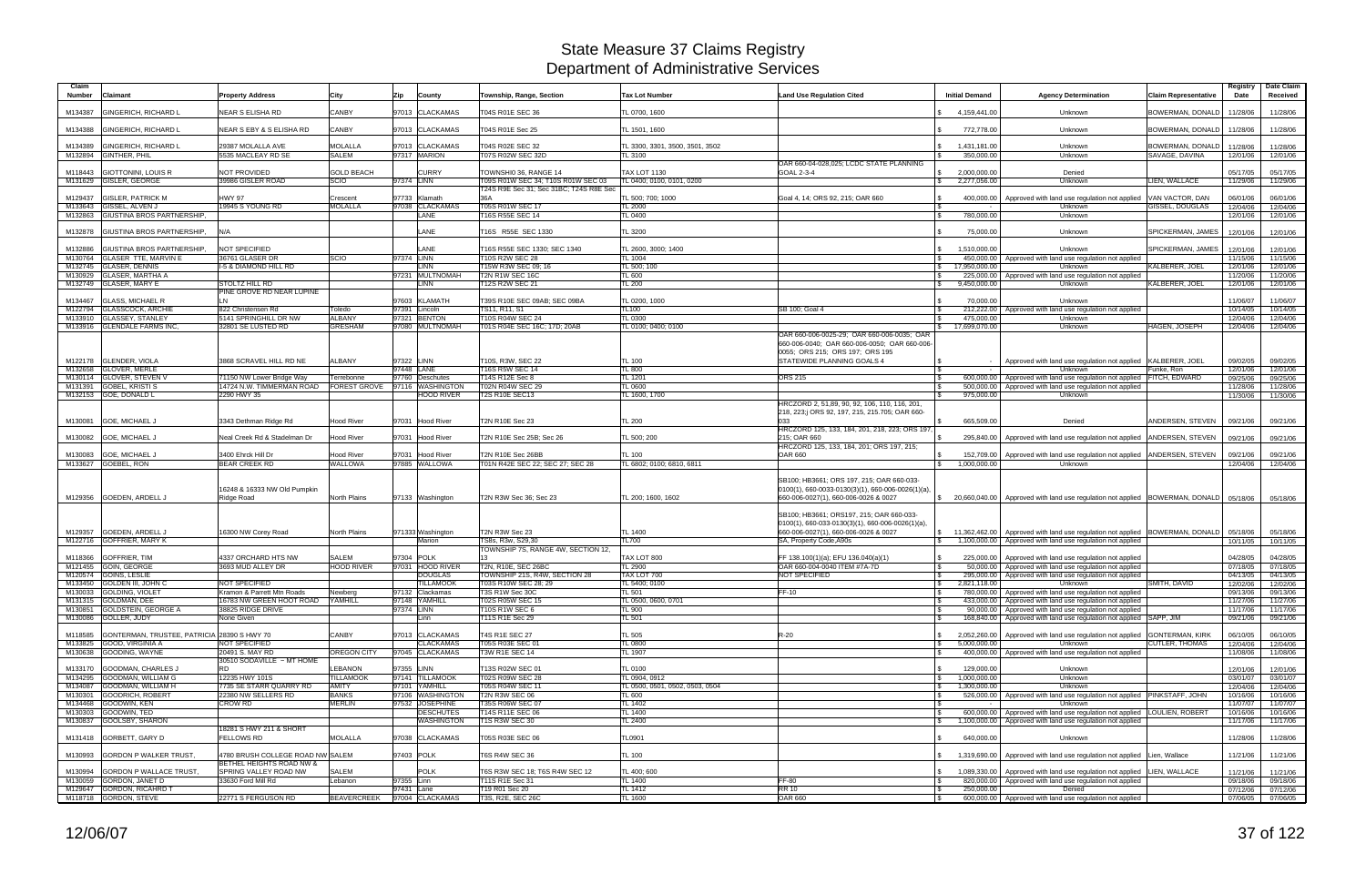| Claim<br><b>Number</b> | Claimant                                               | Property Address                                       | City                                | Zip           | County                              | Township, Range, Section                                | <b>Tax Lot Number</b>                      | Land Use Regulation Cited                                                                                                              | <b>Initial Demand</b>      | <b>Agency Determination</b>                                                                                              | <b>Claim Representative</b>        | Registry<br>Date     | Date Claim<br>Received |
|------------------------|--------------------------------------------------------|--------------------------------------------------------|-------------------------------------|---------------|-------------------------------------|---------------------------------------------------------|--------------------------------------------|----------------------------------------------------------------------------------------------------------------------------------------|----------------------------|--------------------------------------------------------------------------------------------------------------------------|------------------------------------|----------------------|------------------------|
| M134387                | <b>GINGERICH, RICHARD L</b>                            | <b>NEAR S ELISHA RD</b>                                | <b>CANBY</b>                        |               | 97013 CLACKAMAS                     | T04S R01E SEC 36                                        | TL 0700, 1600                              |                                                                                                                                        | 4,159,441.00               | Unknown                                                                                                                  | BOWERMAN, DONALD                   | 11/28/06             | 11/28/06               |
| M134388                | <b>GINGERICH, RICHARD L</b>                            | NEAR S EBY & S ELISHA RD                               | CANBY                               |               | 97013 CLACKAMAS                     | T04S R01E Sec 25                                        | TL 1501, 1600                              |                                                                                                                                        | 772,778.00                 | Unknown                                                                                                                  | BOWERMAN, DONALD 11/28/06          |                      | 11/28/06               |
|                        |                                                        |                                                        |                                     |               |                                     |                                                         |                                            |                                                                                                                                        |                            |                                                                                                                          |                                    |                      |                        |
| M134389                | <b>GINGERICH, RICHARD L</b><br>M132894 GINTHER, PHIL   | 29387 MOLALLA AVE<br>5535 MACLEAY RD SE                | <b>MOLALLA</b><br><b>SALEM</b>      |               | 97013 CLACKAMAS<br>97317 MARION     | T04S R02E SEC 32<br>T07S R02W SEC 32D                   | TL 3300, 3301, 3500, 3501, 3502<br>TL 3100 |                                                                                                                                        | 1,431,181.00<br>350,000.00 | Unknown<br>Unknown                                                                                                       | BOWERMAN, DONALD<br>SAVAGE, DAVINA | 11/28/06<br>12/01/06 | 11/28/06<br>12/01/06   |
|                        |                                                        |                                                        |                                     |               |                                     |                                                         |                                            | OAR 660-04-028.025: LCDC STATE PLANNING                                                                                                |                            |                                                                                                                          |                                    |                      |                        |
| M118443                | <b>GIOTTONINI, LOUIS R</b>                             | NOT PROVIDED                                           | <b>GOLD BEACH</b>                   |               | <b>CURRY</b>                        | TOWNSHI0 36, RANGE 14                                   | <b>TAX LOT 1130</b>                        | GOAL 2-3-4                                                                                                                             | 2,000,000.00               | Denied                                                                                                                   |                                    | 05/17/05             | 05/17/05               |
|                        | M131629 GISLER, GEORGE                                 | 39986 GISLER ROAD                                      | SCIO                                | 97374 LINN    |                                     | T09S R01W SEC 34; T10S R01W SEC 03                      | TL 0400; 0100, 0101, 0200                  |                                                                                                                                        | 2,277,056.00               | Unknown                                                                                                                  | LIEN, WALLACE                      | 11/29/06             | 11/29/06               |
| M129437                | <b>GISLER, PATRICK M</b>                               | <b>HWY 97</b>                                          | Crescent                            |               | 97733 Klamath                       | T24S R9E Sec 31; Sec 31BC; T24S R8E Sec                 | TL 500; 700; 1000                          | Goal 4, 14; ORS 92, 215; OAR 660                                                                                                       |                            | 400,000.00   Approved with land use regulation not applied                                                               | VAN VACTOR, DAN                    | 06/01/06             | 06/01/06               |
| M133643                | GISSEL, ALVEN J                                        | 19945 S YOUNG RD                                       | <b>MOLALLA</b>                      | 97038         | <b>CLACKAMAS</b>                    | T05S R01W SEC 17                                        | <b>TL 2000</b>                             |                                                                                                                                        |                            | Unknown                                                                                                                  | GISSEL, DOUGLAS                    | 12/04/06             | 12/04/06               |
|                        | M132863 GIUSTINA BROS PARTNERSHIP.                     |                                                        |                                     |               | <b>ANE</b>                          | T16S R55E SEC 14                                        | TL 0400                                    |                                                                                                                                        | 780,000.00                 | Unknown                                                                                                                  |                                    | 12/01/06             | 12/01/06               |
| M132878                | <b>GIUSTINA BROS PARTNERSHIP,</b>                      | N/A                                                    |                                     |               | <b>ANE</b>                          | T16S R55E SEC 1330                                      | TL 3200                                    |                                                                                                                                        | 75,000.00                  | Unknown                                                                                                                  | SPICKERMAN, JAMES                  | 12/01/06             | 12/01/06               |
| M132886                | <b>GIUSTINA BROS PARTNERSHIP,</b>                      | NOT SPECIFIED                                          |                                     |               | <b>ANE</b>                          | T16S R55E SEC 1330; SEC 1340                            | TL 2600, 3000; 1400                        |                                                                                                                                        | 1,510,000.00               | Unknown                                                                                                                  | SPICKERMAN, JAMES                  | 12/01/06             | 12/01/06               |
| M130764                | <b>GLASER TTE, MARVIN E</b>                            | 36761 GLASER DR                                        | SCIO                                | 97374 LINN    |                                     | T10S R2W SEC 28                                         | TL 1004                                    |                                                                                                                                        |                            | 450,000.00   Approved with land use regulation not applied                                                               |                                    | 11/15/06             | 11/15/06               |
| M132745                | <b>GLASER, DENNIS</b>                                  | I-5 & DIAMOND HILL RD                                  |                                     |               | LINN                                | T15W R3W SEC 09; 16                                     | TL 500; 100                                |                                                                                                                                        | 17,950,000.00              | Unknown                                                                                                                  | KALBERER, JOEL                     | 12/01/06             | 12/01/06               |
|                        | M130929 GLASER, MARTHA A                               |                                                        |                                     |               | 97231 MULTNOMAH                     | T2N R1W SEC 16C                                         | <b>TL 600</b>                              |                                                                                                                                        |                            | 225,000.00   Approved with land use regulation not applied                                                               |                                    | 11/20/06             | 11/20/06               |
|                        | M132749 GLASER, MARY E                                 | STOLTZ HILL RD<br>PINE GROVE RD NEAR LUPINE            |                                     |               | _INN                                | T12S R2W SEC 21                                         | <b>TL 200</b>                              |                                                                                                                                        | 9,450,000.00               | Unknown                                                                                                                  | KALBERER, JOEL                     | 12/01/06             | 12/01/06               |
| M134467                | <b>GLASS, MICHAEL R</b>                                | IN.                                                    |                                     |               | 97603 KLAMATH                       | T39S R10E SEC 09AB; SEC 09BA                            | TL 0200, 1000                              |                                                                                                                                        | 70,000.00                  | Unknown                                                                                                                  |                                    | 11/06/07             | 11/06/07               |
| M122794                | <b>GLASSCOCK, ARCHIE</b>                               | 822 Christensen Rd                                     | Toledo                              | 97391 Lincoln |                                     | TS11, R11, S1                                           | <b>TL100</b>                               | SB 100; Goal 4                                                                                                                         |                            | 212,222.00 Approved with land use regulation not applied                                                                 |                                    | 10/14/05             | 10/14/05               |
| M133910                | <b>GLASSEY, STANLEY</b>                                | 5141 SPRINGHILL DR NW                                  | <b>ALBANY</b>                       |               | 97321 BENTON                        | T10S R04W SEC 24                                        | TL 0300                                    |                                                                                                                                        | 475,000.00                 | Unknown                                                                                                                  |                                    | 12/04/06             | 12/04/06               |
| M133916                | <b>GLENDALE FARMS INC</b>                              | 32801 SE LUSTED RD                                     | <b>GRESHAM</b>                      |               | 97080 MULTNOMAH                     | T01S R04E SEC 16C; 17D; 20AB                            | TL 0100; 0400; 0100                        |                                                                                                                                        | 17,699,070.00              | Unknown                                                                                                                  | HAGEN, JOSEPH                      | 12/04/06             | 12/04/06               |
|                        |                                                        |                                                        |                                     |               |                                     |                                                         |                                            | OAR 660-006-0025-29; OAR 660-006-0035; OAR<br>660-006-0040; OAR 660-006-0050; OAR 660-006-<br>0055; ORS 215; ORS 197; ORS 195          |                            |                                                                                                                          |                                    |                      |                        |
|                        | M122178 GLENDER, VIOLA                                 | 3868 SCRAVEL HILL RD NE                                | <b>ALBANY</b>                       | 97322 LINN    |                                     | T10S, R3W, SEC 22                                       | <b>TL 100</b>                              | STATEWIDE PLANNING GOALS 4                                                                                                             |                            | Approved with land use regulation not applied                                                                            | KALBERER, JOEL                     | 09/02/05             | 09/02/05               |
|                        | M132658 GLOVER, MERLE                                  |                                                        |                                     | 97448 LANE    |                                     | T16S R5W SEC 14                                         | <b>TL 800</b>                              |                                                                                                                                        |                            | Unknown                                                                                                                  | Funke, Ron                         | 12/01/06             | 12/01/06               |
|                        | M130114 GLOVER, STEVEN V<br><b>GOBEL, KRISTI S</b>     | 71150 NW Lower Bridge Way<br>14724 N.W. TIMMERMAN ROAD | Ferrebonne<br><b>FOREST GROVE</b>   |               | 97760 Deschutes<br>97116 WASHINGTON | T14S R12E Sec 8<br>T02N R04W SEC 29                     | TL 1201<br><b>TL 0600</b>                  | <b>ORS 215</b>                                                                                                                         |                            | 600,000.00   Approved with land use regulation not applied<br>500,000.00 Approved with land use regulation not applied   | FITCH, EDWARD                      | 09/25/06             | 09/25/06               |
| M131391                | M132153 GOE, DONALD L                                  | 2290 HWY 35                                            |                                     |               | HOOD RIVER                          | <b>T2S R10E SEC13</b>                                   | TL 1600, 1700                              |                                                                                                                                        | 975,000.00                 | Unknown                                                                                                                  |                                    | 11/28/06<br>11/30/06 | 11/28/06<br>11/30/06   |
|                        |                                                        |                                                        |                                     |               |                                     |                                                         |                                            | HRCZORD 2, 51,89, 90, 92, 106, 110, 116, 201,                                                                                          |                            |                                                                                                                          |                                    |                      |                        |
|                        |                                                        |                                                        |                                     |               |                                     |                                                         |                                            | 218, 223;j ORS 92, 197, 215, 215.705; OAR 660-                                                                                         |                            |                                                                                                                          |                                    |                      |                        |
|                        | M130081 GOE, MICHAEL J                                 | 3343 Dethman Ridge Rd                                  | <b>Hood River</b>                   |               | 97031 Hood River                    | T2N R10E Sec 23                                         | <b>TL 200</b>                              | 033                                                                                                                                    | 665,509.00                 | Denied                                                                                                                   | ANDERSEN, STEVEN                   | 09/21/06             | 09/21/06               |
| M130082                | <b>GOE, MICHAEL J</b>                                  | Veal Creek Rd & Stadelman Dr                           | <b>Hood River</b>                   |               | 97031 Hood River                    | T2N R10E Sec 25B; Sec 26                                | TL 500; 200                                | HRCZORD 125, 133, 184, 201, 218, 223; ORS 197,<br>215: OAR 660                                                                         |                            | 295,840.00 Approved with land use regulation not applied                                                                 | ANDERSEN, STEVEN                   | 09/21/06             | 09/21/06               |
|                        |                                                        |                                                        |                                     |               |                                     |                                                         |                                            | HRCZORD 125, 133, 184, 201; ORS 197, 215;                                                                                              |                            |                                                                                                                          |                                    |                      |                        |
| M130083                | GOE, MICHAEL<br>M133627 GOEBEL, RON                    | 3400 Ehrck Hill Dr<br><b>BEAR CREEK RD</b>             | <b>Hood River</b><br><b>WALLOWA</b> |               | 97031 Hood River<br>97885 WALLOWA   | T2N R10E Sec 26BB<br>T01N R42E SEC 22; SEC 27; SEC 28   | TL 100                                     | <b>OAR 660</b>                                                                                                                         |                            | 152,709.00   Approved with land use regulation not applied   ANDERSEN, STEVEN                                            |                                    | 09/21/06             | 09/21/06               |
|                        |                                                        |                                                        |                                     |               |                                     |                                                         | TL 6802; 0100; 6810, 6811                  |                                                                                                                                        | 1,000,000.00               | Unknown                                                                                                                  |                                    | 12/04/06             | 12/04/06               |
|                        | M129356 GOEDEN, ARDELL J                               | 16248 & 16333 NW Old Pumpkin<br>Ridge Road             | North Plains                        |               | 97133 Washington                    | T2N R3W Sec 36; Sec 23                                  | TL 200; 1600, 1602                         | SB100; HB3661; ORS 197, 215; OAR 660-033-<br>0100(1), 660-0033-0130(3)(1), 660-006-0026(1)(a),<br>660-006-0027(1), 660-006-0026 & 0027 |                            | \$ 20,660,040.00   Approved with land use regulation not applied   BOWERMAN, DONALD   05/18/06                           |                                    |                      | 05/18/06               |
|                        |                                                        |                                                        |                                     |               |                                     |                                                         |                                            | SB100; HB3661; ORS197, 215; OAR 660-033-<br>0100(1), 660-033-0130(3)(1), 660-006-0026(1)(a),                                           |                            |                                                                                                                          |                                    |                      |                        |
| M129357                | <b>GOEDEN, ARDELL J</b>                                | 16300 NW Corev Road                                    | North Plains                        |               | 971333 Washington                   | T2N R3W Sec 23                                          | TL 1400                                    | 660-006-0027(1), 660-006-0026 & 0027                                                                                                   |                            | \$11,362,462.00   Approved with land use regulation not applied   BOWERMAN, DONALD   05/18/06                            |                                    |                      | 05/18/06               |
|                        | M122716 GOFFRIER, MARY K                               |                                                        |                                     |               | Marion                              | TS8s, R3w, S29,30<br>TOWNSHIP 7S, RANGE 4W, SECTION 12, | <b>TL700</b>                               | SA, Property Code, A90s                                                                                                                |                            | 1,100,000.00 Approved with land use regulation not applied                                                               |                                    | 10/11/05             | 10/11/05               |
| M118366                | <b>GOFFRIER, TIM</b>                                   | 4337 ORCHARD HTS NW                                    | SALEM                               | 97304         | <b>POLK</b>                         |                                                         | TAX LOT 800                                | FF 138.100(1)(a); EFU 136.040(a)(1)                                                                                                    |                            | 225,000.00 Approved with land use regulation not applied                                                                 |                                    | 04/28/05             | 04/28/05               |
|                        | M121455 GOIN, GEORGE                                   | 3693 MUD ALLEY DR                                      | <b>HOOD RIVER</b>                   |               | 97031 HOOD RIVER                    | T2N, R10E, SEC 26BC                                     | <b>TL 2900</b>                             | OAR 660-004-0040 ITEM #7A-7D                                                                                                           |                            | 50,000.00   Approved with land use regulation not applied                                                                |                                    | 07/18/05             | 07/18/05               |
|                        | M120574 GOINS, LESLIE                                  |                                                        |                                     |               | <b>DOUGLAS</b>                      | TOWNSHIP 21S, R4W, SECTION 28                           | TAX LOT 700                                | <b>NOT SPECIFIED</b>                                                                                                                   |                            | 295,000.00 Approved with land use regulation not applied                                                                 |                                    | 04/13/05             | 04/13/05               |
|                        | M133450 GOLDEN III, JOHN C                             | NOT SPECIFIED                                          |                                     |               | TILLAMOOK                           | T03S R10W SEC 28; 29                                    | TL 5400; 0100                              |                                                                                                                                        | l S<br>2,821,118.00        | Unknown                                                                                                                  | SMITH, DAVID                       | 12/02/06             | 12/02/06               |
|                        | M130033 GOLDING, VIOLET<br>M131315 GOLDMAN, DEE        | Kramon & Parrett Mtn Roads<br>16783 NW GREEN HOOT ROAD | Newberg<br>YAMHILL                  |               | 97132 Clackamas<br>97148 YAMHILL    | T3S R1W Sec 30C<br>T02S R05W SEC 15                     | TL 501<br>TL 0500, 0600, 0701              | $FF-10$                                                                                                                                |                            | 780,000.00   Approved with land use regulation not applied<br>433,000.00   Approved with land use regulation not applied |                                    | 09/13/06<br>11/27/06 | 09/13/06<br>11/27/06   |
|                        | M130851 GOLDSTEIN, GEORGE A                            | 38825 RIDGE DRIVE                                      |                                     | 97374 LINN    |                                     | <b>T10S R1W SEC 6</b>                                   | TL 900                                     |                                                                                                                                        |                            | 90,000.00 Approved with land use regulation not applied                                                                  |                                    | 11/17/06             | 11/17/06               |
|                        | M130086 GOLLER, JUDY                                   | None Given                                             |                                     |               | Linn                                | T11S R1E Sec 29                                         | <b>TL 501</b>                              |                                                                                                                                        |                            | 168,840.00   Approved with land use regulation not applied SAPP, JIM                                                     |                                    | 09/21/06             | 09/21/06               |
|                        |                                                        |                                                        |                                     |               |                                     |                                                         |                                            |                                                                                                                                        |                            |                                                                                                                          |                                    |                      |                        |
|                        | M118585 GONTERMAN, TRUSTEE, PATRICIA 28390 S HWY 70    |                                                        | <b>CANBY</b>                        |               | 97013 CLACKAMAS                     | <b>T4S R1E SEC 27</b><br>T05S R03E SEC 01               | TL 505                                     | $R-20$                                                                                                                                 |                            | 2,052,260.00   Approved with land use regulation not applied GONTERMAN, KIRK                                             |                                    | 06/10/05             | 06/10/05               |
|                        | M133825 GOOD, VIRGINIA A<br>M130638 GOODING, WAYNE     | <b>NOT SPECIFIED</b><br>20491 S. MAY RD                | OREGON CITY                         |               | <b>CLACKAMAS</b><br>97045 CLACKAMAS | <b>T3W R1E SEC 14</b>                                   | <b>TL 0800</b><br>TL 1907                  |                                                                                                                                        | 5,000,000.00               | Unknown<br>400,000.00   Approved with land use regulation not applied                                                    | <b>CUTLER, THOMAS</b>              | 12/04/06<br>11/08/06 | 12/04/06<br>11/08/06   |
|                        |                                                        | 30510 SODAVILLE ~ MT HOME                              |                                     |               |                                     |                                                         |                                            |                                                                                                                                        |                            |                                                                                                                          |                                    |                      |                        |
|                        | M133170 GOODMAN, CHARLES J                             | <b>RD</b>                                              | <b>LEBANON</b>                      | 97355 LINN    |                                     | T13S R02W SEC 01                                        | <b>TL 0100</b>                             |                                                                                                                                        | 129,000.00                 | Unknown                                                                                                                  |                                    | 12/01/06             | 12/01/06               |
|                        | M134295 GOODMAN, WILLIAM G                             | 12235 HWY 101S                                         | <b>TILLAMOOK</b>                    |               | 97141 TILLAMOOK                     | T02S R09W SEC 28                                        | TL 0904, 0912                              |                                                                                                                                        | 1,000,000.00               | Unknown                                                                                                                  |                                    | 03/01/07             | 03/01/07               |
|                        | M134087 GOODMAN, WILLIAM H<br>M130301 GOODRICH, ROBERT | 7735 SE STARR QUARRY RD                                | AMITY<br><b>BANKS</b>               |               | 97101 YAMHILL                       | T05S R04W SEC 11                                        | TL 0500, 0501, 0502, 0503, 0504            |                                                                                                                                        | 1,300,000.00               | Unknown                                                                                                                  |                                    | 12/04/06             | 12/04/06               |
|                        | M134468 GOODWIN, KEN                                   | 22380 NW SELLERS RD<br>CROW RD                         | <b>MERLIN</b>                       |               | 97106 WASHINGTON<br>97532 JOSEPHINE | T2N R3W SEC 06<br>T35S R06W SEC 07                      | TL 600<br>TL 1402                          |                                                                                                                                        |                            | 526,000.00   Approved with land use regulation not applied   PINKSTAFF, JOHN<br>Unknown                                  |                                    | 10/16/06<br>11/07/07 | 10/16/06<br>11/07/07   |
|                        | M130303 GOODWIN, TED                                   |                                                        |                                     |               | <b>DESCHUTES</b>                    | T14S R11E SEC 06                                        | TL 1400                                    |                                                                                                                                        |                            | 600,000.00   Approved with land use regulation not applied LOULIEN, ROBERT                                               |                                    | 10/16/06             | 10/16/06               |
|                        | M130837 GOOLSBY, SHARON                                |                                                        |                                     |               | WASHINGTON                          | T1S R3W SEC 30                                          | TL 2400                                    |                                                                                                                                        |                            | 1.100,000,00 Approved with land use regulation not applied                                                               |                                    | 11/17/06             | 11/17/06               |
|                        | M131418 GORBETT, GARY D                                | 18281 S HWY 211 & SHORT<br><b>FELLOWS RD</b>           | <b>MOLALLA</b>                      |               | 97038 CLACKAMAS                     | T05S R03E SEC 06                                        | TL0901                                     |                                                                                                                                        | 640.000.00                 | Unknown                                                                                                                  |                                    | 11/28/06             | 11/28/06               |
|                        | M130993 GORDON P WALKER TRUST,                         | 4780 BRUSH COLLEGE ROAD NW SALEM                       |                                     | 97403 POLK    |                                     | <b>T6S R4W SEC 36</b>                                   | <b>TL 100</b>                              |                                                                                                                                        |                            | 1,319,690.00   Approved with land use regulation not applied Lien, Wallace                                               |                                    | 11/21/06             | 11/21/06               |
|                        | M130994 GORDON P WALLACE TRUST,                        | BETHEL HEIGHTS ROAD NW &<br>SPRING VALLEY ROAD NW      | SALEM                               |               | <b>POLK</b>                         | T6S R3W SEC 18; T6S R4W SEC 12                          | TL 400; 600                                |                                                                                                                                        |                            | 1,089,330.00   Approved with land use regulation not applied   LIEN, WALLACE                                             |                                    | 11/21/06             | 11/21/06               |
|                        | M130059 GORDON, JANET D                                | 33630 Ford Mill Rd                                     | Lebanon                             | 97355 Linn    |                                     | T11S R1E Sec 31                                         | TL 1400                                    | <b>FF-80</b>                                                                                                                           |                            | 820,000.00 Approved with land use regulation not applied                                                                 |                                    | 09/18/06             | 09/18/06               |
|                        | M129647 GORDON, RICAHRD T<br>M118718 GORDON, STEVE     | 22771 S FERGUSON RD                                    | BEAVERCREEK 97004 CLACKAMAS         | 97431 Lane    |                                     | T19 R01 Sec 20<br><b>T3S, R2E, SEC 26C</b>              | TL 1412                                    | <b>RR 10</b><br><b>OAR 660</b>                                                                                                         | 250,000.00                 | Denied<br>600,000.00   Approved with land use regulation not applied                                                     |                                    | 07/12/06             | 07/12/06               |
|                        |                                                        |                                                        |                                     |               |                                     |                                                         | <b>TL 1600</b>                             |                                                                                                                                        |                            |                                                                                                                          |                                    | 07/06/05             | 07/06/05               |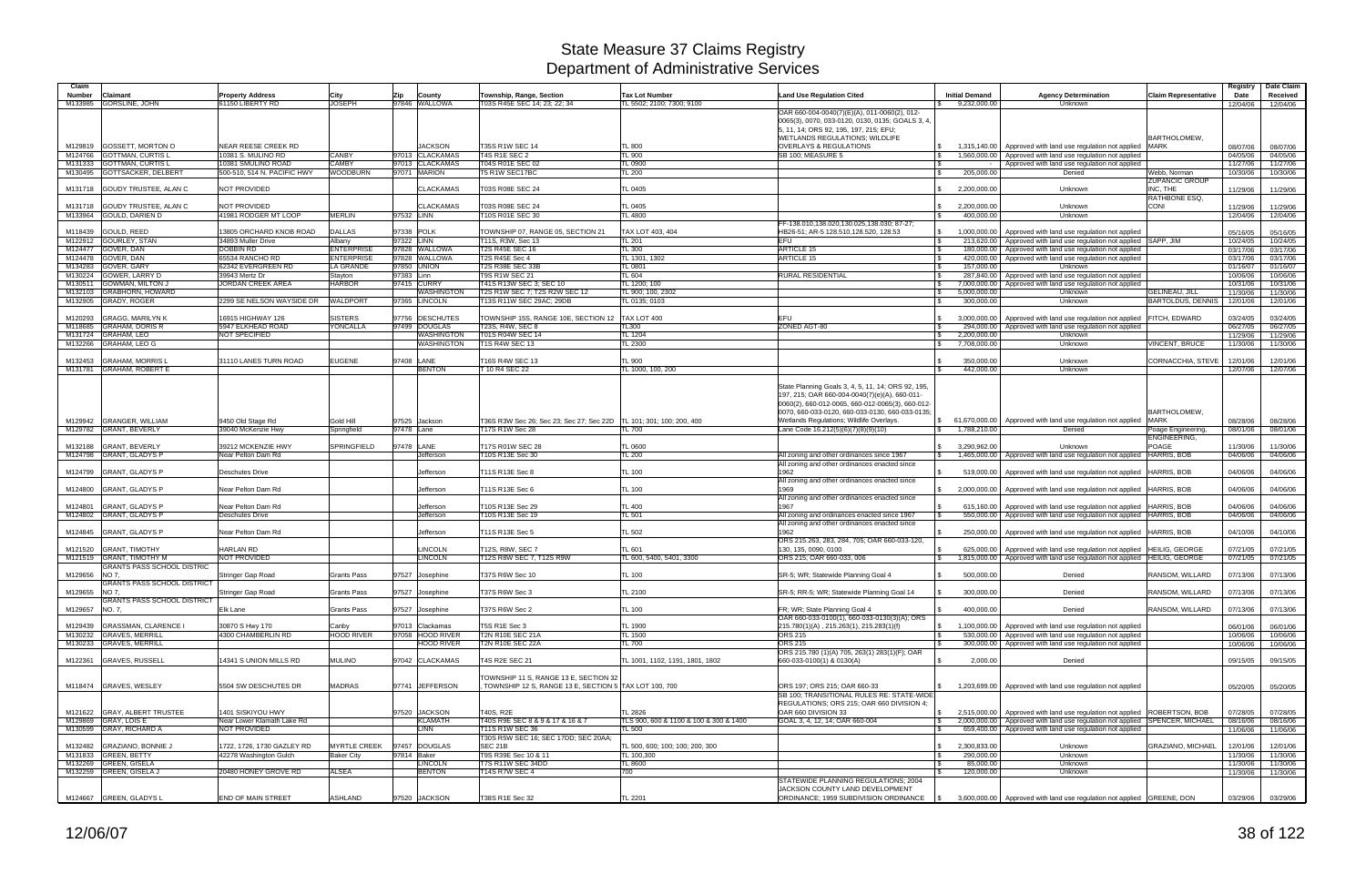| Claim              |                                                    |                                                      |                                          |                                               |                                                           |                                               |                                                                                                   |                                          |                                                                                                                                            |                                            | Registry             | Date Claim           |
|--------------------|----------------------------------------------------|------------------------------------------------------|------------------------------------------|-----------------------------------------------|-----------------------------------------------------------|-----------------------------------------------|---------------------------------------------------------------------------------------------------|------------------------------------------|--------------------------------------------------------------------------------------------------------------------------------------------|--------------------------------------------|----------------------|----------------------|
| <b>Number</b>      | Claimant                                           | <b>Property Address</b>                              | City                                     | County<br>Zip                                 | Township, Range, Section                                  | <b>Tax Lot Number</b>                         | <b>Land Use Regulation Cited</b>                                                                  | <b>Initial Demand</b>                    | <b>Agency Determination</b>                                                                                                                | <b>Claim Representative</b>                | Date                 | Received             |
|                    | M133985 GORSLINE, JOHN                             | 61150 LIBERTY RD                                     | <b>JOSEPH</b>                            | 97846 WALLOWA                                 | T03S R45E SEC 14: 23: 22: 34                              | TL 5502: 2100: 7300: 9100                     | OAR 660-004-0040(7)(E)(A), 011-0060(2), 012-                                                      | \$9,232,000.00                           | Unknown                                                                                                                                    |                                            | 12/04/06             | 12/04/06             |
|                    |                                                    |                                                      |                                          |                                               |                                                           |                                               | 0065(3), 0070, 033-0120, 0130, 0135; GOALS 3, 4,                                                  |                                          |                                                                                                                                            |                                            |                      |                      |
|                    |                                                    |                                                      |                                          |                                               |                                                           |                                               | 5, 11, 14; ORS 92, 195, 197, 215; EFU;                                                            |                                          |                                                                                                                                            |                                            |                      |                      |
|                    | M129819 GOSSETT, MORTON O                          | NEAR REESE CREEK RD                                  |                                          | <b>JACKSON</b>                                | T35S R1W SEC 14                                           | TL 800                                        | WETLANDS REGULATIONS; WILDLIFE<br><b>OVERLAYS &amp; REGULATIONS</b>                               | 1,315,140.00                             | Approved with land use regulation not applied                                                                                              | BARTHOLOMEW<br><b>MARK</b>                 | 08/07/06             | 08/07/06             |
|                    | M124766 GOTTMAN, CURTIS L                          | 10381 S. MULINO RD                                   | <b>CANBY</b>                             | 97013 CLACKAMAS                               | T4S R1E SEC 2                                             | TL 900                                        | SB 100; MEASURE 5                                                                                 | 1.560.000.00                             | Approved with land use regulation not applied                                                                                              |                                            | 04/05/06             | 04/05/06             |
|                    | M131333 GOTTMAN, CURTIS L                          | 10381 SMULINO ROAD                                   | <b>CAMBY</b>                             | 97013 CLACKAMAS                               | T04S R01E SEC 02                                          | TL 0900                                       |                                                                                                   |                                          | Approved with land use regulation not applied                                                                                              |                                            | 11/27/06             | 11/27/06             |
|                    | M130495 GOTTSACKER, DELBERT                        | 500-510, 514 N, PACIFIC HWY                          | <b>WOODBURN</b>                          | 97071 MARION                                  | T5 R1W SEC17BC                                            | TL200                                         |                                                                                                   | 205,000.00                               | Denied                                                                                                                                     | Webb. Norman                               | 10/30/06             | 10/30/06             |
|                    | M131718 GOUDY TRUSTEE, ALAN C                      | NOT PROVIDED                                         |                                          | <b>CLACKAMAS</b>                              | T03S R08E SEC 24                                          | TL 0405                                       |                                                                                                   | 2,200,000.00                             | Unknown                                                                                                                                    | <b>ZUPANCIC GROUP</b><br>INC. THE          | 11/29/06             | 11/29/06             |
|                    |                                                    |                                                      |                                          |                                               |                                                           |                                               |                                                                                                   |                                          |                                                                                                                                            | <b>RATHBONE ESQ</b>                        |                      |                      |
|                    | M131718 GOUDY TRUSTEE, ALAN C                      | NOT PROVIDED                                         |                                          | <b>CLACKAMAS</b>                              | T03S R08E SEC 24                                          | TL 0405                                       |                                                                                                   | 2,200,000.00<br>\$                       | Unknown                                                                                                                                    | <b>CONI</b>                                | 11/29/06             | 11/29/06             |
|                    | M133964 GOULD, DARIEN D                            | 41981 RODGER MT LOOP                                 | <b>MERLIN</b>                            | 97532 LINN                                    | T10S R01E SEC 30                                          | TL 4800                                       |                                                                                                   | 400,000.00                               | Unknown                                                                                                                                    |                                            | 12/04/06             | 12/04/06             |
|                    | M118439 GOULD, REED                                | 13805 ORCHARD KNOB ROAD                              | <b>DALLAS</b>                            | 97338 POLK                                    | TOWNSHIP 07. RANGE 05. SECTION 21                         | TAX LOT 403, 404                              | FF-138.010,138.020,130.025,138.030; 87-27;<br>HB26-51: AR-5 128.510.128.520. 128.53               | 1,000,000.00<br>\$                       | Approved with land use regulation not applied                                                                                              |                                            | 05/16/05             | 05/16/05             |
|                    | M122912 GOURLEY, STAN                              | 34893 Muller Drive                                   | Albany                                   | 97322 LINN                                    | T11S, R3W, Sec 13                                         | TL 201                                        | EFU                                                                                               | l \$<br>213.620.00                       | Approved with land use regulation not applied SAPP, JIM                                                                                    |                                            | 10/24/05             | 10/24/05             |
| M124477            | GOVER, DAN                                         | <b>DOBBIN RD</b>                                     | <b>ENTERPRISE</b>                        | 97828 WALLOWA                                 | <b>T2S R45E SEC 16</b>                                    | TL300                                         | <b>ARTICLE 15</b>                                                                                 | 180.000.00                               | Approved with land use regulation not applied                                                                                              |                                            | 03/17/06             | 03/17/06             |
| M134283            | M124478 GOVER, DAN<br>GOVER, GARY                  | 65534 RANCHO RD<br>62342 EVERGREEN RD                | <b>ENTERPRISE</b><br><b>LA GRANDE</b>    | 97828 WALLOWA<br>97850 UNION                  | T2S R45E Sec 4<br><b>T2S R38E SEC 33B</b>                 | TL 1301, 1302<br>TL 0801                      | ARTICLE 15                                                                                        | 420,000.00<br>\$<br>157.000.00<br>- \$   | Approved with land use regulation not applied<br>Unknown                                                                                   |                                            | 03/17/06<br>01/16/07 | 03/17/06<br>01/16/07 |
| M130224            | GOWER, LARRY D                                     | 39943 Mertz Dr                                       | Stayton                                  | 97383 Linn                                    | T9S R1W SEC 21                                            | TL 604                                        | RURAL RESIDENTIAL                                                                                 | 287,840.00                               | Approved with land use regulation not applied                                                                                              |                                            | 10/06/06             | 10/06/06             |
| M130511            | <b>GOWMAN, MILTON J</b>                            | <b>JORDAN CREEK AREA</b>                             | <b>HARBOR</b>                            | 97415 CURRY                                   | T41S R13W SEC 3; SEC 10                                   | TL 1200; 100                                  |                                                                                                   | 7,000,000.00                             | Approved with land use regulation not applied                                                                                              |                                            | 10/31/06             | 10/31/06             |
| M132103            | <b>GRABHORN, HOWARD</b><br>M132905 GRADY, ROGER    | 2299 SE NELSON WAYSIDE DR                            | <b>WALDPORT</b>                          | <b>WASHINGTON</b><br>97365 LINCOLN            | T2S R1W SEC 7; T2S R2W SEC 12<br>T13S R11W SEC 29AC; 29DB | TL 900; 100, 2302<br>TL 0135; 0103            |                                                                                                   | 5,000,000.00<br>300,000.00               | <b>Unknown</b><br>Unknown                                                                                                                  | GELINEAU, JILL<br><b>BARTOLDUS, DENNIS</b> | 11/30/06             | 11/30/06             |
|                    |                                                    |                                                      |                                          |                                               |                                                           |                                               |                                                                                                   |                                          |                                                                                                                                            |                                            | 12/01/06             | 12/01/06             |
| M120293            | <b>GRAGG, MARILYN K</b>                            | 16915 HIGHWAY 126                                    | <b>SISTERS</b>                           | 97756 DESCHUTES                               | TOWNSHIP 15S, RANGE 10E, SECTION 12                       | TAX LOT 400                                   | EFU                                                                                               | 3.000.000.00                             | Approved with land use regulation not applied                                                                                              | <b>FITCH, EDWARD</b>                       | 03/24/05             | 03/24/05             |
| M118685            | <b>GRAHAM, DORIS R</b>                             | 5947 ELKHEAD ROAD                                    | YONCALLA                                 | 97499<br><b>DOUGLAS</b>                       | T23S, R4W, SEC 8                                          | TL300                                         | ZONED AGT-80                                                                                      | l \$<br>294,000.00                       | Approved with land use regulation not applied                                                                                              |                                            | 06/27/05             | 06/27/05             |
| M132266            | M131724 GRAHAM, LEO<br><b>GRAHAM, LEO G</b>        | <b>NOT SPECIFIED</b>                                 |                                          | <b><i>NASHINGTON</i></b><br><b>WASHINGTON</b> | T01S R04W SEC 14<br><b>T1S R4W SEC 13</b>                 | <b>TL 1204</b><br>TL 2300                     |                                                                                                   | 2,200,000.00<br>\$<br>7,708,000.00<br>\$ | Unknown<br>Unknown                                                                                                                         | <b>VINCENT, BRUCE</b>                      | 11/29/06<br>11/30/06 | 11/29/06<br>11/30/06 |
|                    |                                                    |                                                      |                                          |                                               |                                                           |                                               |                                                                                                   |                                          |                                                                                                                                            |                                            |                      |                      |
| M132453            | <b>GRAHAM, MORRIS L</b>                            | 31110 LANES TURN ROAD                                | <b>EUGENE</b>                            | 97408 LANE                                    | T16S R4W SEC 13                                           | TL 900                                        |                                                                                                   | 350,000.00                               | Unknown                                                                                                                                    | CORNACCHIA, STEVE                          | 12/01/06             | 12/01/06             |
|                    | M131781 GRAHAM, ROBERT E                           |                                                      |                                          | <b>BENTON</b>                                 | 10 R4 SEC 22                                              | TL 1000, 100, 200                             |                                                                                                   | 442,000.00                               | Unknown                                                                                                                                    |                                            | 12/07/06             | 12/07/06             |
|                    |                                                    |                                                      |                                          |                                               |                                                           |                                               | State Planning Goals 3, 4, 5, 11, 14; ORS 92, 195,                                                |                                          |                                                                                                                                            |                                            |                      |                      |
|                    |                                                    |                                                      |                                          |                                               |                                                           |                                               | 197, 215; OAR 660-004-0040(7)(e)(A), 660-011-<br>0060(2), 660-012-0065, 660-012-0065(3), 660-012- |                                          |                                                                                                                                            |                                            |                      |                      |
|                    |                                                    |                                                      |                                          |                                               |                                                           |                                               | 0070, 660-033-0120, 660-033-0130, 660-033-0135;                                                   |                                          |                                                                                                                                            | <b>BARTHOLOMEW</b>                         |                      |                      |
|                    | M129942 GRANGER, WILLIAM                           | 9450 Old Stage Rd                                    | Gold Hill                                | 97525 Jackson                                 | T36S R3W Sec 26; Sec 23; Sec 27; Sec 22D                  | TL 101; 301; 100; 200, 400                    | Wetlands Regulations; Wildlife Overlays.                                                          | \$61,670,000.00                          | Approved with land use regulation not applied                                                                                              | <b>MARK</b>                                | 08/28/06             | 08/28/06             |
|                    | M129782 GRANT, BEVERLY                             | 39040 McKenzie Hwy                                   | Springfield                              | 97478 Lane                                    | T17S R1W Sec 28                                           | TL 700                                        | Lane Code 16.212(5)(6)(7)(8)(9)(10)                                                               | 1,788,210.00<br>S.                       | Denied                                                                                                                                     | Poage Engineering,                         | 08/01/06             | 08/01/06             |
|                    | M132188 GRANT, BEVERLY                             | 39212 MCKENZIE HWY                                   | SPRINGFIELD                              | 97478 LANE                                    | T17S R01W SEC 28                                          | <b>TL 0600</b>                                |                                                                                                   | 3,290,962.00<br>\$                       | Unknown                                                                                                                                    | ENGINEERING,<br>POAGE                      | 11/30/06             | 11/30/06             |
|                    | M124798 GRANT, GLADYS P                            | Near Pelton Dam Rd                                   |                                          | Jefferson                                     | T10S R13E Sec 30                                          | <b>TL 200</b>                                 | All zoning and other ordinances since 1967                                                        | 1,465,000.00<br>\$                       | Approved with land use regulation not applied HARRIS, BOB                                                                                  |                                            | 04/06/06             | 04/06/06             |
|                    |                                                    |                                                      |                                          |                                               |                                                           |                                               | All zoning and other ordinances enacted since                                                     |                                          |                                                                                                                                            |                                            |                      |                      |
|                    | M124799 GRANT, GLADYS P                            | <b>Deschutes Drive</b>                               |                                          | Jefferson                                     | T11S R13E Sec 8                                           | TL 100                                        | 1962                                                                                              | 519,000.00                               | Approved with land use regulation not applied                                                                                              | <b>HARRIS, BOB</b>                         | 04/06/06             | 04/06/06             |
|                    | M124800 GRANT, GLADYS P                            | Near Pelton Dam Rd                                   |                                          | Jefferson                                     | T11S R13E Sec 6                                           | TL 100                                        | All zoning and other ordinances enacted since<br>1969                                             | $\mathbb{S}$<br>2,000,000.00             | Approved with land use regulation not applied HARRIS, BOB                                                                                  |                                            | 04/06/06             | 04/06/06             |
|                    |                                                    |                                                      |                                          |                                               |                                                           |                                               | All zoning and other ordinances enacted since                                                     |                                          |                                                                                                                                            |                                            |                      |                      |
| M124801            | <b>GRANT, GLADYS P</b>                             | Near Pelton Dam Rd                                   |                                          | Jefferson                                     | T10S R13E Sec 29                                          | <b>TL 400</b>                                 | 1967                                                                                              | 615,160.00                               | Approved with land use regulation not applied HARRIS, BOB                                                                                  |                                            | 04/06/06             | 04/06/06             |
|                    | M124802 GRANT, GLADYS P                            | <b>Deschutes Drive</b>                               |                                          | Jefferson                                     | T10S R13E Sec 19                                          | <b>TL 501</b>                                 | All zoning and ordinances enacted since 1967<br>All zoning and other ordinances enacted since     | l \$<br>550,000.00                       | Approved with land use regulation not applied HARRIS, BOB                                                                                  |                                            | 04/06/06             | 04/06/06             |
| M124845            | <b>GRANT, GLADYS P</b>                             | Near Pelton Dam Rd                                   |                                          | Jefferson                                     | T11S R13E Sec 5                                           | <b>TL 502</b>                                 | 1962                                                                                              | 250,000.00                               | Approved with land use regulation not applied HARRIS, BOB                                                                                  |                                            | 04/10/06             | 04/10/06             |
|                    |                                                    |                                                      |                                          |                                               |                                                           |                                               | ORS 215.263, 283, 284, 705; OAR 660-033-120,                                                      |                                          |                                                                                                                                            |                                            |                      |                      |
| M121520<br>M121519 | <b>GRANT, TIMOTHY</b><br><b>GRANT, TIMOTHY M</b>   | <b>HARLAN RD</b><br>NOT PROVIDED                     |                                          | <b>LINCOLN</b><br><b>LINCOLN</b>              | T12S, R8W, SEC 7<br>T12S R8W SEC 7, T12S R9W              | TL 601<br>TL 600, 5400, 5401, 3300            | 130, 135, 0090, 0100<br>ORS 215; OAR 660-033, 006                                                 | 625,000.00<br>l \$                       | Approved with land use regulation not applied HEILIG, GEORGE<br>1,815,000.00 Approved with land use regulation not applied  HEILIG, GEORGE |                                            | 07/21/05<br>07/21/05 | 07/21/05<br>07/21/05 |
|                    | <b>GRANTS PASS SCHOOL DISTRIC</b>                  |                                                      |                                          |                                               |                                                           |                                               |                                                                                                   |                                          |                                                                                                                                            |                                            |                      |                      |
| M129656            | NO 7.                                              | Stringer Gap Road                                    | <b>Grants Pass</b>                       | 97527 Josephine                               | T37S R6W Sec 10                                           | <b>TL 100</b>                                 | SR-5; WR; Statewide Planning Goal 4                                                               | 500.000.00                               | Denied                                                                                                                                     | RANSOM, WILLARD                            | 07/13/06             | 07/13/06             |
| M129655 NO 7,      | <b>GRANTS PASS SCHOOL DISTRICT</b>                 | Stringer Gap Road                                    | <b>Grants Pass</b>                       | 97527 Josephine                               | T37S R6W Sec 3                                            | <b>TL 2100</b>                                | SR-5; RR-5; WR; Statewide Planning Goal 14                                                        | 300,000.00<br>-SS                        | Denied                                                                                                                                     | RANSOM, WILLARD                            | 07/13/06             | 07/13/06             |
|                    | <b>GRANTS PASS SCHOOL DISTRICT</b>                 |                                                      |                                          |                                               |                                                           |                                               |                                                                                                   |                                          |                                                                                                                                            |                                            |                      |                      |
| M129657 NO. 7.     |                                                    | Elk Lane                                             | <b>Grants Pass</b>                       | 97527 Josephine                               | T37S R6W Sec 2                                            | TL 100                                        | FR; WR; State Planning Goal 4                                                                     | 400,000.00<br>\$                         | Denied                                                                                                                                     | RANSOM, WILLARD                            | 07/13/06             | 07/13/06             |
|                    | M129439 GRASSMAN, CLARENCE I                       |                                                      |                                          |                                               | T5S R1E Sec 3                                             |                                               | OAR 660-033-0100(1), 660-033-0130(3)(A); ORS                                                      |                                          |                                                                                                                                            |                                            |                      |                      |
|                    | M130232 GRAVES, MERRILL                            | 30870 S Hwy 170<br>4300 CHAMBERLIN RD                | Canby<br><b>HOOD RIVER</b>               | 97013 Clackamas<br>97058 HOOD RIVER           | T2N R10E SEC 21A                                          | TL 1900<br><b>TL 1500</b>                     | 215.780(1)(A), 215.263(1), 215.283(1)(f)<br>ORS <sub>215</sub>                                    | \$<br>1,100,000.00<br>l \$<br>530,000.00 | Approved with land use regulation not applied<br>Approved with land use regulation not applied                                             |                                            | 06/01/06<br>10/06/06 | 06/01/06<br>10/06/06 |
|                    | M130233 GRAVES, MERRILL                            |                                                      |                                          | <b>HOOD RIVER</b>                             | <b>T2N R10E SEC 22A</b>                                   | TL 700                                        | <b>ORS 215</b>                                                                                    | - \$                                     | 300,000.00 Approved with land use regulation not applied                                                                                   |                                            | 10/06/06             | 10/06/06             |
|                    |                                                    |                                                      |                                          |                                               |                                                           |                                               | ORS 215.780 (1)(A) 705, 263(1) 283(1)(F); OAR                                                     |                                          |                                                                                                                                            |                                            |                      |                      |
|                    | M122361 GRAVES, RUSSELL                            | 14341 S UNION MILLS RD                               | <b>MULINO</b>                            | 97042 CLACKAMAS                               | T4S R2E SEC 21                                            | TL 1001, 1102, 1191, 1801, 1802               | 660-033-0100(1) & 0130(A)                                                                         | 2,000.00<br>- \$                         | Denied                                                                                                                                     |                                            | 09/15/05             | 09/15/05             |
|                    |                                                    |                                                      |                                          |                                               | TOWNSHIP 11 S. RANGE 13 E. SECTION 32                     |                                               |                                                                                                   |                                          |                                                                                                                                            |                                            |                      |                      |
|                    | M118474 GRAVES, WESLEY                             | 5504 SW DESCHUTES DR                                 | <b>MADRAS</b>                            | 97741 JEFFERSON                               | TOWNSHIP 12 S, RANGE 13 E, SECTION 5 TAX LOT 100, 700     |                                               | ORS 197: ORS 215: OAR 660-33                                                                      | \$                                       | 1,203,699.00 Approved with land use regulation not applied                                                                                 |                                            | 05/20/05             | 05/20/05             |
|                    |                                                    |                                                      |                                          |                                               |                                                           |                                               | SB 100; TRANSITIONAL RULES RE: STATE-WIDE                                                         |                                          |                                                                                                                                            |                                            |                      |                      |
|                    | M121622 GRAY, ALBERT TRUSTEE                       | 1401 SISKIYOU HWY                                    |                                          | 97520 JACKSON                                 | T40S, R2E                                                 | <b>TL 2826</b>                                | REGULATIONS; ORS 215; OAR 660 DIVISION 4;<br>OAR 660 DIVISION 33                                  |                                          | $\frac{1}{3}$ 2,515,000.00 Approved with land use regulation not applied ROBERTSON, BOB                                                    |                                            | 07/28/05             | 07/28/05             |
|                    | M129869 GRAY, LOIS E                               | Near Lower Klamath Lake Rd                           |                                          | <b>KLAMATH</b>                                | T40S R9E SEC 8 & 9 & 17 & 16 & 7                          | TLS 900, 600 & 1100 & 100 & 300 & 1400        | GOAL 3, 4, 12, 14; OAR 660-004                                                                    | <b>S</b>                                 | 2,000,000.00 Approved with land use regulation not applied SPENCER, MICHAEL                                                                |                                            | 08/16/06             | 08/16/06             |
|                    | M130599 GRAY, RICHARD A                            | NOT PROVIDED                                         |                                          | <b>LINN</b>                                   | T11S R1W SEC 36                                           | TL 500                                        |                                                                                                   |                                          | 659,400.00   Approved with land use regulation not applied                                                                                 |                                            | 11/06/06             | 11/06/06             |
|                    |                                                    |                                                      |                                          |                                               | T30S R5W SEC 16; SEC 17DD; SEC 20AA;                      |                                               |                                                                                                   |                                          |                                                                                                                                            |                                            |                      |                      |
|                    | M132482 GRAZIANO, BONNIE J<br>M131833 GREEN, BETTY | 1722, 1726, 1730 GAZLEY RD<br>42278 Washington Gulch | <b>MYRTLE CREEK</b><br><b>Baker City</b> | 97457 DOUGLAS<br>97814 Baker                  | <b>SEC 21B</b><br>T9S R39E Sec 10 & 11                    | TL 500, 600; 100; 100; 200, 300<br>TL 100,300 |                                                                                                   | 2,300,833.00<br>\$<br>290,000.00<br>l \$ | Unknown<br>Unknown                                                                                                                         | <b>GRAZIANO, MICHAEL</b>                   | 12/01/06<br>11/30/06 | 12/01/06<br>11/30/06 |
|                    | M132269 GREEN, GISELA                              |                                                      |                                          | <b>LINCOLN</b>                                | T7S R11W SEC 34DD                                         | TL 8600                                       |                                                                                                   | 85,000.00<br>\$                          | Unknown                                                                                                                                    |                                            | 11/30/06             | 11/30/06             |
|                    | M132259 GREEN, GISELA J                            | 20480 HONEY GROVE RD                                 | <b>ALSEA</b>                             | <b>BENTON</b>                                 | <b>T14S R7W SEC 4</b>                                     | 700                                           |                                                                                                   | 120,000.00                               | Unknown                                                                                                                                    |                                            | 11/30/06             | 11/30/06             |
|                    |                                                    |                                                      |                                          |                                               |                                                           |                                               | STATEWIDE PLANNING REGULATIONS; 2004                                                              |                                          |                                                                                                                                            |                                            |                      |                      |
|                    | M124667 GREEN, GLADYS L                            | END OF MAIN STREET                                   | <b>ASHLAND</b>                           | 97520 JACKSON                                 | T38S R1E Sec 32                                           | TL 2201                                       | JACKSON COUNTY LAND DEVELOPMENT<br>ORDINANCE; 1959 SUBDIVISION ORDINANCE                          |                                          | 3,600,000.00 Approved with land use regulation not applied GREENE, DON                                                                     |                                            |                      | 03/29/06 03/29/06    |
|                    |                                                    |                                                      |                                          |                                               |                                                           |                                               |                                                                                                   |                                          |                                                                                                                                            |                                            |                      |                      |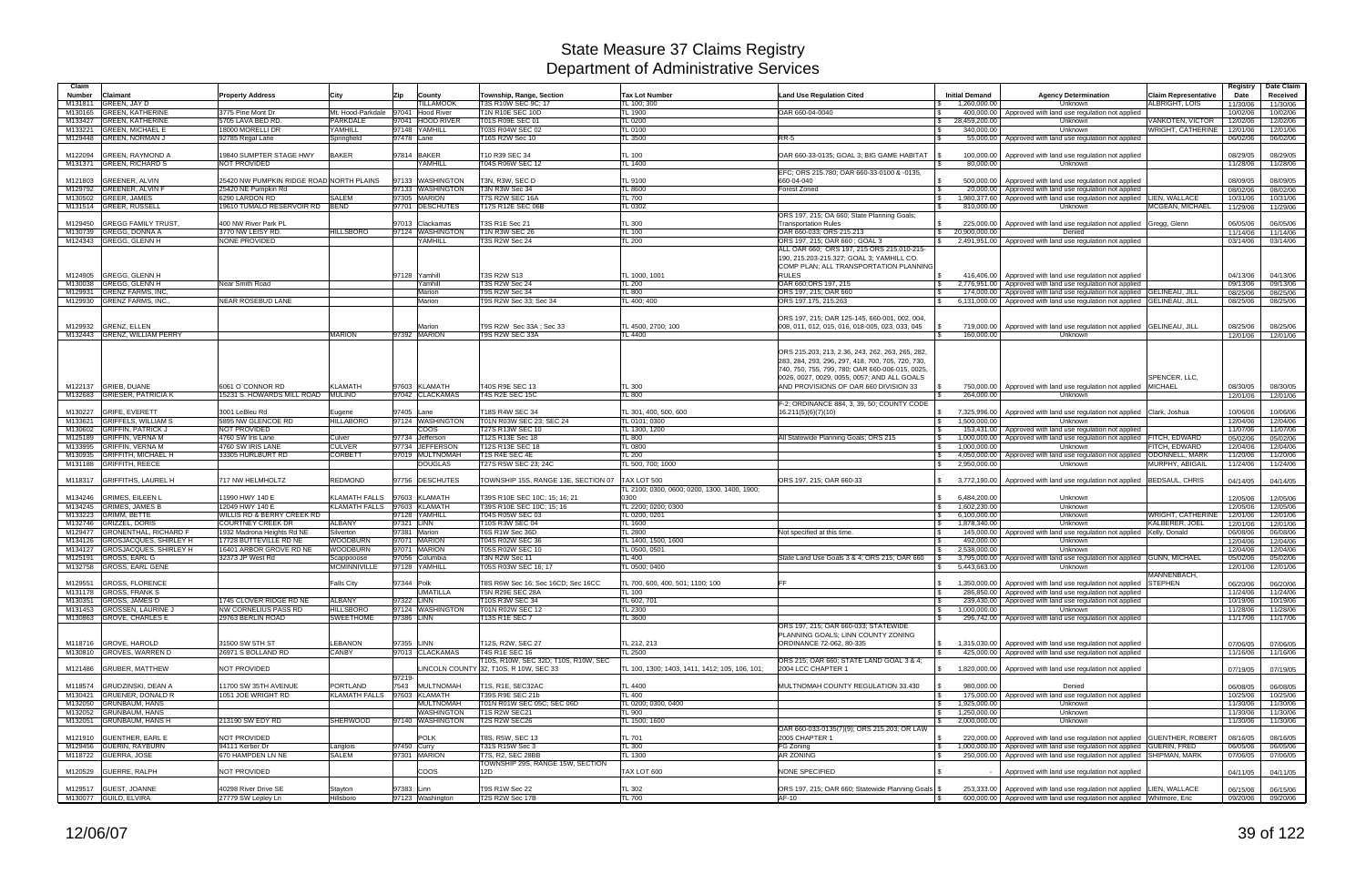| Claim                    |                                                       |                                                 |                               |                                    |                                                               |                                                      |                                                                                                  |                                             |                                                                             |                                                      | Registry             | Date Claim           |
|--------------------------|-------------------------------------------------------|-------------------------------------------------|-------------------------------|------------------------------------|---------------------------------------------------------------|------------------------------------------------------|--------------------------------------------------------------------------------------------------|---------------------------------------------|-----------------------------------------------------------------------------|------------------------------------------------------|----------------------|----------------------|
| <b>Number</b><br>M131811 | Claimant<br><b>GREEN, JAY D</b>                       | <b>Property Address</b>                         | City                          | Zip<br>County<br><b>ILLAMOOK</b>   | Township, Range, Section<br>T3S R10W SEC 9C: 17               | <b>Tax Lot Number</b><br>TL 100: 300                 | <b>Land Use Regulation Cited</b>                                                                 | <b>Initial Demand</b><br>1.260.000.00       | <b>Agency Determination</b><br>Unknown                                      | <b>Claim Representative</b><br><b>ALBRIGHT, LOIS</b> | Date<br>11/30/06     | Received<br>11/30/06 |
| M130165                  | <b>GREEN, KATHERINE</b>                               | 3775 Pine Mont Dr                               | Mt. Hood-Parkdale             | 97041 Hood River                   | <b>T1N R10E SEC 10D</b>                                       | <b>TL 1900</b>                                       | OAR 660-04-0040                                                                                  | 400,000.00<br>$\mathbb{R}$                  | Approved with land use regulation not applied                               |                                                      | 10/02/06             | 10/02/06             |
| M133427                  | <b>GREEN, KATHERINE</b>                               | 5705 LAVA BED RD.                               | <b>PARKDALE</b>               | 97041 HOOD RIVER                   | T01S R09E SEC 01                                              | TL 0200                                              |                                                                                                  | 28,459,200.00<br><b>S</b>                   | Unknown                                                                     | VANKOTEN, VICTOR                                     | 12/02/06             | 12/02/06             |
| M133221                  | <b>GREEN, MICHAEL E</b>                               | 18000 MORELLI DR                                | YAMHILL                       | 97148 YAMHILL                      | T03S R04W SEC 02                                              | <b>TL 0100</b>                                       |                                                                                                  | 340,000.00<br>l \$                          | Unknown                                                                     | WRIGHT, CATHERINE                                    | 12/01/06             | 12/01/06             |
| M129448                  | <b>GREEN, NORMAN J</b>                                | 92785 Regal Lane                                | Springfield                   | 97478 Lane                         | T16S R2W Sec 10                                               | TL 3500                                              | $RR-5$                                                                                           | 55,000.00                                   | Approved with land use regulation not applied                               |                                                      | 06/02/06             | 06/02/06             |
| M122094                  | <b>GREEN, RAYMOND A</b>                               | 19840 SUMPTER STAGE HWY                         | <b>BAKER</b>                  | 97814 BAKER                        | T10 R39 SEC 34                                                | TL 100                                               | OAR 660-33-0135; GOAL 3; BIG GAME HABITAT                                                        | 100,000.00                                  | Approved with land use regulation not applied                               |                                                      | 08/29/05             | 08/29/05             |
|                          | M131371 GREEN, RICHARD S                              | <b>NOT PROVIDED</b>                             |                               | YAMHILL                            | T04S R06W SEC 12                                              | TL 1400                                              |                                                                                                  | 80,000.00                                   | Unknown                                                                     |                                                      | 11/28/06             | 11/28/06             |
|                          |                                                       |                                                 |                               |                                    |                                                               |                                                      | EFC; ORS 215.780; OAR 660-33-0100 & -0135,                                                       |                                             |                                                                             |                                                      |                      |                      |
| M121803                  | <b>GREENER, ALVIN</b>                                 | 25420 NW PUMPKIN RIDGE ROAD NORTH PLAINS        |                               | 97133 WASHINGTON                   | T3N, R3W, SEC D                                               | TL 9100                                              | 660-04-040                                                                                       | 500.000.00<br>IS.                           | Approved with land use regulation not applied                               |                                                      | 08/09/05             | 08/09/05             |
| M129792                  | <b>GREENER, ALVIN F</b>                               | 25420 NE Pumpkin Rd                             |                               | 97133 WASHINGTON                   | T3N R3W Sec 34                                                | <b>TL 8600</b>                                       | <b>Forest Zoned</b>                                                                              | 20,000.00<br>l \$                           | Approved with land use regulation not applied                               |                                                      | 08/02/06             | 08/02/06             |
| M130502                  | <b>GREER, JAMES</b>                                   | 6290 LARDON RD                                  | SALEM                         | 97305 MARION                       | T7S R2W SEC 16A                                               | TL 700                                               |                                                                                                  | 1,980,377.60<br>IS.                         | Approved with land use regulation not applied LIEN, WALLACE                 |                                                      | 10/31/06             | 10/31/06             |
| M131514                  | <b>GREER, RUSSELL</b>                                 | 19610 TUMALO RESERVOIR RD BEND                  |                               | 97701 DESCHUTES                    | T17S R12E SEC 06B                                             | TL 0302                                              | ORS 197, 215; OA 660; State Planning Goals;                                                      | 810,000.00<br>l \$                          | Unknown                                                                     | MCGEAN, MICHAEL                                      | 11/29/06             | 11/29/06             |
| M129450                  | <b>GREGG FAMILY TRUST.</b>                            | 400 NW River Park PL                            |                               | 97013 Clackamas                    | T3S R1E Sec 21                                                | TL 300                                               | <b>Transportation Rules</b>                                                                      | 225,000.00<br><b>S</b>                      | Approved with land use regulation not applied Gregg, Glenn                  |                                                      | 06/05/06             | 06/05/06             |
|                          | M130739 GREGG, DONNA A                                | 3770 NW LEISY RD.                               | <b>HILLSBORO</b>              | 97124 WASHINGTON                   | <b>T1N R3W SEC 26</b>                                         | <b>TL 100</b>                                        | OAR 660-033: ORS 215.213                                                                         | 20,900,000.00<br>$\mathbb{S}$               | Denied                                                                      |                                                      | 11/14/06             | 11/14/06             |
|                          | M124343 GREGG, GLENN H                                | <b>NONE PROVIDED</b>                            |                               | YAMHILL                            | <b>T3S R2W Sec 24</b>                                         | <b>TL 200</b>                                        | ORS 197, 215; OAR 660 : GOAL 3                                                                   | $\mathbb{S}$                                | 2,491,951.00 Approved with land use regulation not applied                  |                                                      | 03/14/06             | 03/14/06             |
|                          |                                                       |                                                 |                               |                                    |                                                               |                                                      | ALL OAR 660; ORS 197, 215 ORS 215.010-215-                                                       |                                             |                                                                             |                                                      |                      |                      |
|                          |                                                       |                                                 |                               |                                    |                                                               |                                                      | 190, 215.203-215.327; GOAL 3; YAMHILL CO.<br>COMP PLAN; ALL TRANSPORTATION PLANNING              |                                             |                                                                             |                                                      |                      |                      |
|                          | M124905 GREGG, GLENN H                                |                                                 |                               | 97128 Yamhill                      | <b>T3S R2W S13</b>                                            | TL 1000, 1001                                        | <b>RULES</b>                                                                                     |                                             | 416,406.00   Approved with land use regulation not applied                  |                                                      | 04/13/06             | 04/13/06             |
|                          | M130038 GREGG, GLENN H                                | Near Smith Road                                 |                               | Yamhil                             | <b>T3S R2W Sec 24</b>                                         | <b>TL 200</b>                                        | OAR 660; ORS 197, 215                                                                            | l \$                                        | 2,776,951.00 Approved with land use regulation not applied                  |                                                      | 09/13/06             | 09/13/06             |
| M129931                  | <b>GRENZ FARMS, INC</b>                               |                                                 |                               | Marion                             | <b>T9S R2W Sec 34</b>                                         | <b>TL 800</b>                                        | ORS 197, 215; OAR 660                                                                            |                                             | 174,000.00   Approved with land use regulation not applied   GELINEAU, JILL |                                                      | 08/25/06             | 08/25/06             |
|                          | M129930 GRENZ FARMS, INC.                             | <b>NEAR ROSEBUD LANE</b>                        |                               | Marion                             | T9S R2W Sec 33: Sec 34                                        | TL 400; 400                                          | ORS 197.175, 215.263                                                                             | <b>S</b>                                    | 6,131,000.00   Approved with land use regulation not applied GELINEAU, JILL |                                                      | 08/25/06             | 08/25/06             |
|                          |                                                       |                                                 |                               |                                    |                                                               |                                                      |                                                                                                  |                                             |                                                                             |                                                      |                      |                      |
| M129932                  | <b>GRENZ, ELLEN</b>                                   |                                                 |                               | Marion                             | T9S R2W Sec 33A : Sec 33                                      | TL 4500, 2700; 100                                   | ORS 197, 215; OAR 125-145, 660-001, 002, 004.<br>008, 011, 012, 015, 016, 018-005, 023, 033, 045 | 719,000.00                                  | Approved with land use regulation not applied GELINEAU, JILL                |                                                      | 08/25/06             | 08/25/06             |
|                          | M132443 GRENZ, WILLIAM PERRY                          |                                                 | <b>MARION</b>                 | 97392 MARION                       | T9S R2W SEC 33A                                               | TL 4400                                              |                                                                                                  | 160.000.00                                  | Unknown                                                                     |                                                      | 12/01/06             | 12/01/06             |
|                          |                                                       |                                                 |                               |                                    |                                                               |                                                      |                                                                                                  |                                             |                                                                             |                                                      |                      |                      |
|                          |                                                       |                                                 |                               |                                    |                                                               |                                                      | ORS 215.203, 213, 2.36, 243, 262, 263, 265, 282,                                                 |                                             |                                                                             |                                                      |                      |                      |
|                          |                                                       |                                                 |                               |                                    |                                                               |                                                      | 283, 284, 293, 296, 297, 418, 700, 705, 720, 730,                                                |                                             |                                                                             |                                                      |                      |                      |
|                          |                                                       |                                                 |                               |                                    |                                                               |                                                      | 740, 750, 755, 799, 780; OAR 660-006-015, 0025,                                                  |                                             |                                                                             |                                                      |                      |                      |
|                          | M122137 GRIEB, DUANE                                  | 6061 O'CONNOR RD                                | <b>KLAMATH</b>                | 97603 KLAMATH                      | T40S R9E SEC 13                                               | <b>TL 300</b>                                        | 0026, 0027, 0029, 0055, 0057; AND ALL GOALS<br>AND PROVISIONS OF OAR 660 DIVISION 33             | 750.000.00                                  | Approved with land use regulation not applied                               | SPENCER, LLC,<br><b>MICHAEL</b>                      | 08/30/05             | 08/30/05             |
|                          | M132683 GRIESER, PATRICIA K                           | 15231 S. HOWARDS MILL ROAD MULINO               |                               | 97042 CLACKAMAS                    | T4S R2E SEC 15C                                               | <b>TL 800</b>                                        |                                                                                                  | 264,000.00                                  | Unknown                                                                     |                                                      | 12/01/06             | 12/01/06             |
|                          |                                                       |                                                 |                               |                                    |                                                               |                                                      | F-2; ORDINANCE 884, 3, 39, 50; COUNTY CODE                                                       |                                             |                                                                             |                                                      |                      |                      |
| M130227                  | <b>GRIFE, EVERETT</b>                                 | 3001 LeBleu Rd                                  | Eugene                        | 97405 Lane                         | T18S R4W SEC 34                                               | TL 301, 400, 500, 600                                | 16.211(5)(6)(7)(10)                                                                              | 7,325,996.00<br>IS.                         | Approved with land use regulation not applied Clark, Joshua                 |                                                      | 10/06/06             | 10/06/06             |
|                          | M133621 GRIFFELS, WILLIAM S                           | 5895 NW GLENCOE RD                              | <b>HILLABORO</b>              | 97124 WASHINGTON                   | T01N R03W SEC 23; SEC 24                                      | TL 0101; 0300                                        |                                                                                                  | l \$<br>1,500,000.00                        | Unknown                                                                     |                                                      | 12/04/06             | 12/04/06             |
|                          | M130602 GRIFFIN, PATRICK J                            | <b>NOT PROVIDED</b>                             |                               | <b>COOS</b>                        | T27S R13W SEC 10                                              | TL 1300, 1200                                        |                                                                                                  | 153,431.00                                  | Approved with land use regulation not applied                               |                                                      | 11/07/06             | 11/07/06             |
|                          | M125189 GRIFFIN, VERNA M<br>M133995 GRIFFIN, VERNA M  | 4760 SW Iris Lane<br>4760 SW IRIS LANE          | Culver<br><b>CULVER</b>       | 97734 Jefferson<br>97734 JEFFERSON | T12S R13E Sec 18<br>T12S R13E SEC 18                          | <b>TL 800</b><br><b>TL 0800</b>                      | All Statewide Planning Goals; ORS 215                                                            | l \$<br>1,000,000.00<br>1,000,000.00<br>IS. | Approved with land use regulation not applied FITCH, EDWARD<br>Unknown      | FITCH, EDWARD                                        | 05/02/06<br>12/04/06 | 05/02/06<br>12/04/06 |
|                          | M130935 GRIFFITH, MICHAEL H                           | 33305 HURLBURT RD                               | <b>CORBETT</b>                | 97019 MULTNOMAH                    | T1S R4E SEC 4E                                                | <b>TL 200</b>                                        |                                                                                                  | 4.050.000.00<br>l \$                        | Approved with land use regulation not applied   ODONNELL, MARK              |                                                      | 11/20/06             | 11/20/06             |
|                          | M131188 GRIFFITH, REECE                               |                                                 |                               | <b>DOUGLAS</b>                     | T27S R5W SEC 23; 24C                                          | TL 500, 700; 1000                                    |                                                                                                  | 2,950,000.00<br>S.                          | Unknown                                                                     | MURPHY, ABIGAIL                                      | 11/24/06             | 11/24/06             |
|                          |                                                       |                                                 |                               |                                    |                                                               |                                                      |                                                                                                  |                                             |                                                                             |                                                      |                      |                      |
| M118317                  | <b>GRIFFITHS, LAUREL H</b>                            | 717 NW HELMHOLTZ                                | REDMOND                       | 97756 DESCHUTES                    | TOWNSHIP 15S, RANGE 13E, SECTION 07                           | TAX LOT 500                                          | ORS 197, 215; OAR 660-33                                                                         | 3,772,190.00                                | Approved with land use regulation not applied                               | <b>BEDSAUL, CHRIS</b>                                | 04/14/05             | 04/14/05             |
| M134246                  | <b>GRIMES, EILEEN L</b>                               | 11990 HWY 140 E                                 | KLAMATH FALLS                 | 97603 KLAMATH                      | T39S R10E SEC 10C; 15; 16; 21                                 | TL 2100; 0300, 0600; 0200, 1300, 1400, 1900;<br>0300 |                                                                                                  | 6,484,200.00<br>$\mathcal{S}$               | Unknown                                                                     |                                                      | 12/05/06             | 12/05/06             |
|                          | M134245 GRIMES, JAMES B                               | 12049 HWY 140 E                                 |                               | KLAMATH FALLS 97603 KLAMATH        | T39S R10E SEC 10C; 15; 16                                     | TL 2200; 0200; 0300                                  |                                                                                                  | 1,602,230.00<br>l \$                        | Unknown                                                                     |                                                      | 12/05/06             | 12/05/06             |
|                          | M133223 GRIMM, BETTE                                  | WILLIS RD & BERRY CREEK RD                      |                               | 97128 YAMHILL                      | T04S R05W SEC 03                                              | TL 0200, 0201                                        |                                                                                                  | l \$<br>6,100,000.00                        | Unknown                                                                     | WRIGHT, CATHERINE                                    | 12/01/06             | 12/01/06             |
| M132746                  | <b>GRIZZEL, DORIS</b>                                 | <b>COURTNEY CREEK DR</b>                        | ALBANY                        | 97321 LINN                         | T10S R3W SEC 04                                               | <b>TL 1600</b>                                       |                                                                                                  | 1.878.340.00<br>$\mathbb{S}$                | Unknown                                                                     | KALBERER. JOEL                                       | 12/01/06             | 12/01/06             |
| M129477                  | <b>GRONENTHAL, RICHARD F</b>                          | 1932 Madrona Heights Rd NE                      | Silverton                     | 97381 Marion                       | T6S R1W Sec 36D                                               | TL 2800                                              | Not specified at this time.                                                                      | 145,000.00                                  | Approved with land use regulation not applied Kelly, Donald                 |                                                      | 06/08/06             | 06/08/06             |
| M134126                  | <b>GROSJACQUES, SHIRLEY H</b>                         | 17728 BUTTEVILLE RD NE                          | <b>NOODBURN</b>               | 97071 MARION                       | T04S R02W SEC 36                                              | TL 1400, 1500, 1600                                  |                                                                                                  | 492,000.00<br>$\mathbb{R}$                  | Unknown                                                                     |                                                      | 12/04/06             | 12/04/06             |
| M134127<br>M125191       | <b>GROSJACQUES, SHIRLEY H</b><br><b>GROSS, EARL G</b> | 16401 ARBOR GROVE RD NE<br>32373 JP West Rd     | <b>WOODBURN</b><br>Scappooose | 97071 MARION<br>97056 Columbia     | T05S R02W SEC 10<br>T3N R2W Sec 11                            | TL 0500, 0501<br><b>TL 400</b>                       | State Land Use Goals 3 & 4; ORS 215; OAR 660                                                     | 2,538,000.00<br>3,795,000.00                | Unknown<br>Approved with land use regulation not applied GUNN, MICHAEL      |                                                      | 12/04/06<br>05/02/06 | 12/04/06<br>05/02/06 |
|                          | M132758 GROSS, EARL GENE                              |                                                 | <b>MCMINNIVILLE</b>           | 97128 YAMHILL                      | T05S R03W SEC 16; 17                                          | TL 0500; 0400                                        |                                                                                                  | 5,443,663.00                                | Unknown                                                                     |                                                      | 12/01/06             | 12/01/06             |
|                          |                                                       |                                                 |                               |                                    |                                                               |                                                      |                                                                                                  |                                             |                                                                             | MANNENBACH.                                          |                      |                      |
|                          | M129551 GROSS, FLORENCE                               |                                                 | <b>Falls City</b>             | 97344 Polk                         | T8S R6W Sec 16; Sec 16CD; Sec 16CC                            | TL 700, 600, 400, 501; 1100; 100                     | <b>FF</b>                                                                                        |                                             | \$1,350,000.00 Approved with land use regulation not applied STEPHEN        |                                                      | 06/20/06             | 06/20/06             |
|                          | M131178 GROSS, FRANK S                                |                                                 |                               | <b>UMATILLA</b>                    | <b>T5N R29E SEC 28A</b>                                       | <b>TL 100</b>                                        |                                                                                                  | I S                                         | 286,850,00 Approved with land use regulation not applied                    |                                                      | 11/24/06             | 11/24/06             |
|                          | M130351 GROSS, JAMES D<br>M131453 GROSSEN, LAURINE J  | 1745 CLOVER RIDGE RD NE<br>NW CORNELIUS PASS RD | ALBANY<br><b>HILLSBORO</b>    | 97322 LINN<br>97124 WASHINGTON     | <b>T10S R3W SEC 34</b><br>T01N R02W SEC 12                    | TL 602, 701<br><b>TL 2300</b>                        |                                                                                                  | l \$<br>$\mathfrak{S}$<br>1,000,000.00      | 239,430.00 Approved with land use regulation not applied<br>Unknown         |                                                      | 10/19/06             | 10/19/06             |
|                          | M130863 GROVE, CHARLES E                              | 29763 BERLIN ROAD                               | <b>SWEETHOME</b>              | 97386 LINN                         | T13S R1E SEC 7                                                | TL 3600                                              |                                                                                                  | <b>S</b>                                    | 296,742.00 Approved with land use regulation not applied                    |                                                      | 11/28/06<br>11/17/06 | 11/28/06<br>11/17/06 |
|                          |                                                       |                                                 |                               |                                    |                                                               |                                                      | ORS 197, 215; OAR 660-033; STATEWIDE                                                             |                                             |                                                                             |                                                      |                      |                      |
|                          |                                                       |                                                 |                               |                                    |                                                               |                                                      | PLANNING GOALS; LINN COUNTY ZONING                                                               |                                             |                                                                             |                                                      |                      |                      |
|                          | M118716 GROVE, HAROLD                                 | 31500 SW 5TH ST                                 | LEBANON                       | 97355 LINN                         | T12S, R2W, SEC 27                                             | TL 212, 213                                          | ORDINANCE 72-062, 80-335                                                                         | $\mathsf{S}$                                | 1,315,030.00 Approved with land use regulation not applied                  |                                                      | 07/06/05             | 07/06/05             |
|                          | M130810 GROVES, WARREN D                              | 26971 S BOLLAND RD                              | CANBY                         | 97013 CLACKAMAS                    | <b>T4S R1E SEC 16</b><br>T10S, R10W, SEC 32D; T10S, R10W, SEC | <b>TL 2500</b>                                       | ORS 215: OAR 660: STATE LAND GOAL 3 & 4:                                                         | l \$                                        | 425,000,00 Approved with land use regulation not applied                    |                                                      | 11/16/06             | 11/16/06             |
|                          | M121486 GRUBER, MATTHEW                               | NOT PROVIDED                                    |                               |                                    | LINCOLN COUNTY 32, T10S, R 10W, SEC 33                        | TL 100, 1300; 1403, 1411, 1412; 105, 106, 101;       | 2004 LCC CHAPTER 1                                                                               | $\mathbb{S}$                                | 1,820,000.00   Approved with land use regulation not applied                |                                                      | 07/19/05             | 07/19/05             |
|                          |                                                       |                                                 |                               | 97219-                             |                                                               |                                                      |                                                                                                  |                                             |                                                                             |                                                      |                      |                      |
|                          | M118574 GRUDZINSKI, DEAN A                            | 11700 SW 35TH AVENUE                            | PORTLAND                      | 7543 MULTNOMAH                     | T1S, R1E, SEC32AC                                             | TL 4400                                              | MULTNOMAH COUNTY REGULATION 33.430                                                               | 980,000.00                                  | Denied                                                                      |                                                      | 06/08/05             | 06/08/05             |
|                          | M130421 GRUENER, DONALD R                             | 1051 JOE WRIGHT RD                              |                               | KLAMATH FALLS 97603 KLAMATH        | T39S R9E SEC 21b                                              | <b>TL 400</b>                                        |                                                                                                  | l \$                                        | 175,000.00 Approved with land use regulation not applied                    |                                                      | 10/25/06             | 10/25/06             |
|                          | M132050 GRUNBAUM, HANS                                |                                                 |                               | <b>MULTNOMAH</b>                   | T01N R01W SEC 05C; SEC 06D                                    | TL 0200; 0300, 0400                                  |                                                                                                  | 1,925,000.00<br><b>S</b>                    | Unknown                                                                     |                                                      | 11/30/06             | 11/30/06             |
|                          | M132052 GRUNBAUM, HANS                                |                                                 |                               | <b>WASHINGTON</b>                  | T1S R2W SEC21                                                 | TL 900                                               |                                                                                                  | 1,250,000.00<br>$\mathbb{S}$                | Unknown                                                                     |                                                      | 11/30/06             | 11/30/06             |
|                          | M132051 GRUNBAUM, HANS H                              | 213190 SW EDY RD                                | SHERWOOD                      | 97140 WASHINGTON                   | T2S R2W SEC26                                                 | TL 1500; 1600                                        | OAR 660-033-0135(7)(9); ORS 215.203; OR LAW                                                      | 2,000,000.00<br>$\mathbb{S}$                | Unknown                                                                     |                                                      | 11/30/06             | 11/30/06             |
|                          | M121910 GUENTHER, EARL E                              | NOT PROVIDED                                    |                               | <b>POLK</b>                        | T8S, R5W, SEC 13                                              | <b>TL 701</b>                                        | 2005 CHAPTER 1                                                                                   | l \$                                        | 220,000.00   Approved with land use regulation not applied GUENTHER, ROBERT |                                                      | 08/16/05             | 08/16/05             |
|                          | M129456 GUERIN, RAYBURN                               | 94111 Kerber Dr                                 | Langlois                      | 97450 Curry                        | T31S R15W Sec 3                                               | <b>TL 300</b>                                        | FG Zoning                                                                                        | $\sqrt{3}$                                  | 1,000,000.00   Approved with land use regulation not applied GUERIN, FRED   |                                                      | 06/05/06             | 06/05/06             |
|                          | M118722 GUERRA, JOSE                                  | 670 HAMPDEN LN NE                               | <b>SALEM</b>                  | 97301 MARION                       | T7S, R2, SEC 28BB                                             | <b>TL 1300</b>                                       | <b>AR ZONING</b>                                                                                 | l \$                                        | 250,000.00   Approved with land use regulation not applied SHIPMAN, MARK    |                                                      | 07/06/05             | 07/06/05             |
|                          |                                                       |                                                 |                               |                                    | TOWNSHIP 29S, RANGE 15W, SECTION                              |                                                      |                                                                                                  |                                             |                                                                             |                                                      |                      |                      |
|                          | M120529 GUERRE, RALPH                                 | NOT PROVIDED                                    |                               | <b>COOS</b>                        | 12D                                                           | TAX LOT 600                                          | <b>NONE SPECIFIED</b>                                                                            | $\mathbb{R}$                                | Approved with land use regulation not applied                               |                                                      | 04/11/05             | 04/11/05             |
|                          | M129517 GUEST, JOANNE                                 | 40298 River Drive SE                            | Stayton                       | 97383 Linn                         | T9S R1W Sec 22                                                | TL 302                                               | ORS 197, 215; OAR 660; Statewide Planning Goals \$                                               |                                             | 253,333.00   Approved with land use regulation not applied LIEN, WALLACE    |                                                      |                      | 06/15/06             |
|                          | M130077 GUILD, ELVIRA                                 | 27779 SW Lepley Ln                              | Hillsboro                     | 97123 Washington                   | T2S R2W Sec 17B                                               | <b>TL 700</b>                                        | AF-10                                                                                            | IS.                                         | 600,000.00 Approved with land use regulation not applied Whitmore, Eric     |                                                      | 06/15/06             | 09/20/06 09/20/06    |
|                          |                                                       |                                                 |                               |                                    |                                                               |                                                      |                                                                                                  |                                             |                                                                             |                                                      |                      |                      |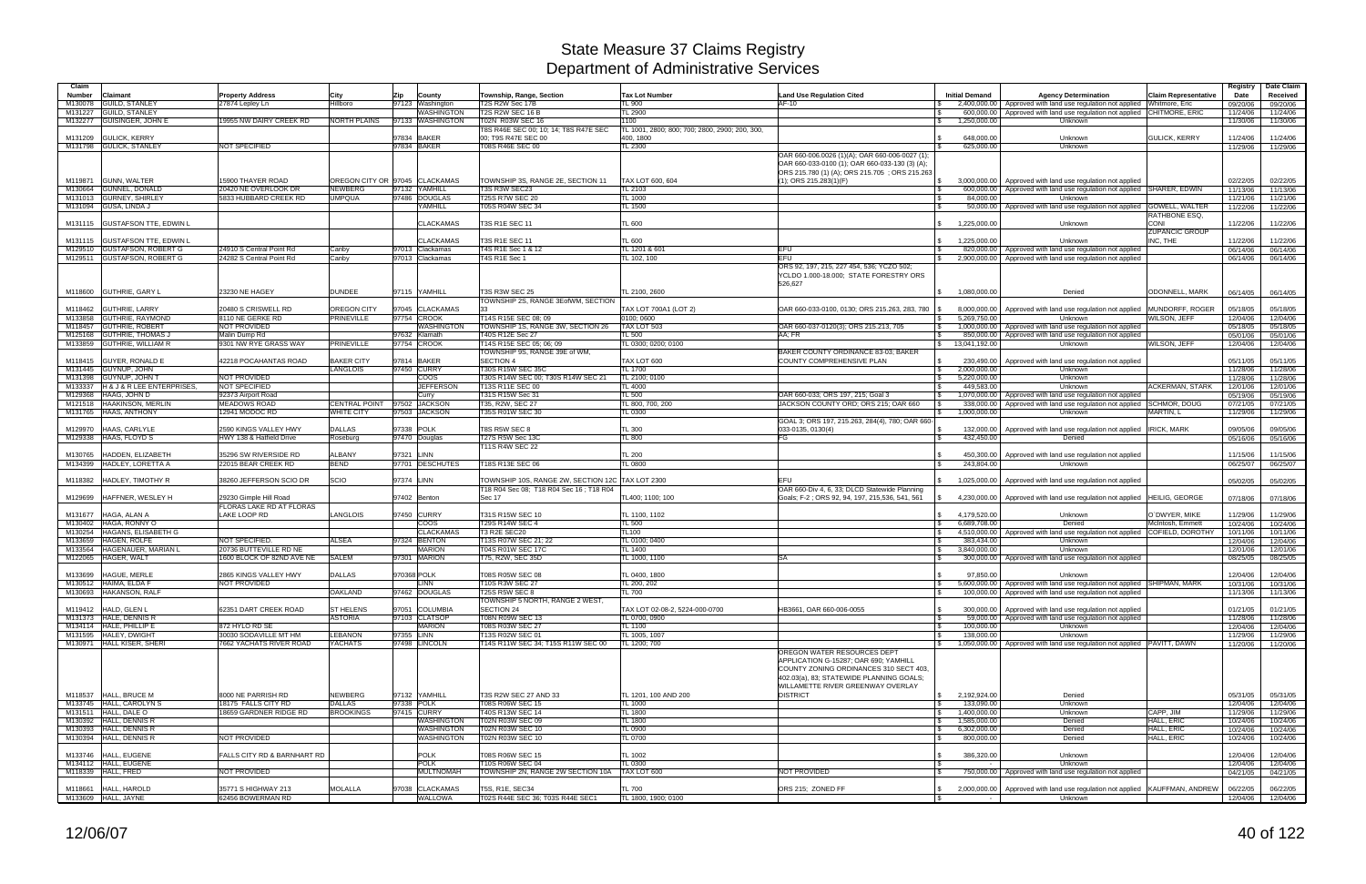| Claim         |                                                |                                                    |                                |             |                            |                                                  |                                                |                                                   |                                            |                                                                                 |                             | Registry             | Date Claim           |
|---------------|------------------------------------------------|----------------------------------------------------|--------------------------------|-------------|----------------------------|--------------------------------------------------|------------------------------------------------|---------------------------------------------------|--------------------------------------------|---------------------------------------------------------------------------------|-----------------------------|----------------------|----------------------|
| <b>Number</b> | <b>Claimant</b>                                | <b>Property Address</b>                            | City                           | Zip         | County                     | Township, Range, Section                         | <b>Tax Lot Number</b>                          | <b>Land Use Regulation Cited</b>                  | <b>Initial Demand</b>                      | <b>Agency Determination</b>                                                     | <b>Claim Representative</b> | Date                 | Received             |
|               | M130078 GUILD, STANLEY                         | 27874 Lepley Ln                                    | Hillboro                       |             | 97123 Washington           | T2S R2W Sec 17B                                  | L 900                                          | $AF-10$                                           |                                            | 2,400,000.00   Approved with land use regulation not applied Whitmore, Eric     |                             | 09/20/06             | 09/20/06             |
|               | M131227 GUILD, STANLEY                         |                                                    |                                |             | <b>WASHINGTON</b>          | <b>T2S R2W SEC 16 B</b>                          | TL 2900                                        |                                                   |                                            | 600,000.00 Approved with land use regulation not applied                        | CHITMORE, ERIC              | 11/24/06             | 11/24/06             |
|               | M132277 GUISINGER, JOHN E                      | 9955 NW DAIRY CREEK RD                             | NORTH PLAINS                   |             | 97133 WASHINGTON           | T02N R03W SEC 16                                 | 1100                                           |                                                   | 1,250,000.00<br>IS.                        | Unknown                                                                         |                             | 11/30/06             | 11/30/06             |
|               |                                                |                                                    |                                |             |                            | T8S R46E SEC 00; 10; 14; T8S R47E SEC            | TL 1001, 2800; 800; 700; 2800, 2900; 200, 300, |                                                   |                                            |                                                                                 |                             |                      |                      |
|               | M131209 GULICK, KERRY                          | <b>NOT SPECIFIED</b>                               |                                |             | 97834 BAKER<br>97834 BAKER | 00: T9S R47E SEC 00<br>T08S R46E SEC 00          | 400, 1800<br><b>TL 2300</b>                    |                                                   | 648.000.00                                 | Unknown<br>Unknown                                                              | <b>GULICK, KERRY</b>        | 11/24/06             | 11/24/06             |
|               | M131798 GULICK, STANLEY                        |                                                    |                                |             |                            |                                                  |                                                | OAR 660-006.0026 (1)(A); OAR 660-006-0027 (1)     | 625,000.00                                 |                                                                                 |                             | 11/29/06             | 11/29/06             |
|               |                                                |                                                    |                                |             |                            |                                                  |                                                | OAR 660-033-0100 (1); OAR 660-033-130 (3) (A);    |                                            |                                                                                 |                             |                      |                      |
|               |                                                |                                                    |                                |             |                            |                                                  |                                                | ORS 215.780 (1) (A); ORS 215.705; ORS 215.263     |                                            |                                                                                 |                             |                      |                      |
|               | M119871 GUNN, WALTER                           | 15900 THAYER ROAD                                  | OREGON CITY OR 97045 CLACKAMAS |             |                            | TOWNSHIP 3S, RANGE 2E, SECTION 11                | TAX LOT 600, 604                               | $(1)$ ; ORS 215.283 $(1)$ (F)                     | $\sqrt{S}$                                 | 3,000,000.00 Approved with land use regulation not applied                      |                             | 02/22/05             | 02/22/05             |
| M130664       | <b>GUNNEL, DONALD</b>                          | 20420 NE OVERLOOK DR                               | NEWBERG                        |             | 97132 YAMHILL              | T3S R3W SEC23                                    | TL 2103                                        |                                                   | 600.000.00                                 | Approved with land use regulation not applied SHARER, EDWIN                     |                             | 11/13/06             | 11/13/06             |
|               | M131013 GURNEY, SHIRLEY                        | 5833 HUBBARD CREEK RD                              | <b>UMPQUA</b>                  |             | 97486 DOUGLAS              | <b>T25S R7W SEC 20</b>                           | TL 1000                                        |                                                   | 84.000.00                                  | Unknown                                                                         |                             | 11/21/06             | 11/21/06             |
|               | M131094 GUSA, LINDA J                          |                                                    |                                |             | YAMHILL                    | T05S R04W SEC 34                                 | TL 1500                                        |                                                   | $\mathbb{R}$                               | 50,000.00   Approved with land use regulation not applied   GOWELL, WALTER      |                             | 11/22/06             | 11/22/06             |
|               |                                                |                                                    |                                |             |                            |                                                  |                                                |                                                   |                                            |                                                                                 | RATHBONE ESQ.               |                      |                      |
|               | M131115 GUSTAFSON TTE, EDWIN L                 |                                                    |                                |             | <b>CLACKAMAS</b>           | T3S R1E SEC 11                                   | <b>TL 600</b>                                  |                                                   | 1,225,000.00<br>$\mathcal{S}$              | Unknown                                                                         | CONI                        | 11/22/06             | 11/22/06             |
|               |                                                |                                                    |                                |             |                            |                                                  |                                                |                                                   |                                            |                                                                                 | <b>ZUPANCIC GROUP</b>       |                      |                      |
| M131115       | <b>GUSTAFSON TTE, EDWIN L</b>                  |                                                    |                                |             | <b>CLACKAMAS</b>           | <b>T3S R1E SEC 11</b>                            | <b>TL 600</b>                                  |                                                   | 1.225.000.00<br>$\mathcal{S}$              | Unknown                                                                         | INC. THE                    | 11/22/06             | 11/22/06             |
|               | M129510 GUSTAFSON, ROBERT G                    | 24910 S Central Point Rd                           | Canbv                          |             | 97013 Clackamas            | T4S R1E Sec 1 & 12                               | TL 1201 & 601                                  | EFU                                               |                                            | 820,000.00   Approved with land use regulation not applied                      |                             | 06/14/06             | 06/14/06             |
|               | M129511 GUSTAFSON, ROBERT G                    | 24282 S Central Point Rd                           | Canby                          |             | 97013 Clackamas            | T4S R1E Sec 1                                    | TL 102, 100                                    | <b>EFU</b>                                        |                                            | 2,900,000.00 Approved with land use regulation not applied                      |                             | 06/14/06             | 06/14/06             |
|               |                                                |                                                    |                                |             |                            |                                                  |                                                | ORS 92, 197, 215, 227 454, 536; YCZO 502;         |                                            |                                                                                 |                             |                      |                      |
|               |                                                |                                                    |                                |             |                            |                                                  |                                                | YCLDO 1.000-18.000; STATE FORESTRY ORS<br>526,627 |                                            |                                                                                 |                             |                      |                      |
|               | M118600 GUTHRIE, GARY L                        | 23230 NE HAGEY                                     | <b>DUNDEE</b>                  |             | 97115 YAMHILL              | <b>T3S R3W SEC 25</b>                            | TL 2100, 2600                                  |                                                   | $\mathcal{S}$<br>1,080,000.00              | Denied                                                                          | <b>ODONNELL, MARK</b>       | 06/14/05             | 06/14/05             |
|               |                                                |                                                    |                                |             |                            | TOWNSHIP 2S, RANGE 3EofWM, SECTION               |                                                |                                                   |                                            |                                                                                 |                             |                      |                      |
|               | M118462 GUTHRIE, LARRY                         | 20480 S CRISWELL RD                                | OREGON CITY                    |             | 97045 CLACKAMAS            |                                                  | TAX LOT 700A1 (LOT 2)                          | OAR 660-033-0100, 0130; ORS 215.263, 283, 780     | 8.000.000.00                               | Approved with land use regulation not applied                                   | MUNDORFF, ROGER             | 05/18/05             | 05/18/05             |
|               | M133858 GUTHRIE, RAYMOND                       | 8110 NE GERKE RD                                   | <b>PRINEVILLE</b>              |             | 97754 CROOK                | T14S R15E SEC 08: 09                             | 0100: 0600                                     |                                                   | 5.269.750.00<br><b>\$</b>                  | Unknown                                                                         | WILSON, JEFF                | 12/04/06             | 12/04/06             |
|               | M118457 GUTHRIE, ROBERT                        | <b>NOT PROVIDED</b>                                |                                |             | <b>WASHINGTON</b>          | TOWNSHIP 1S, RANGE 3W, SECTION 26                | TAX LOT 503                                    | OAR 660-037-0120(3); ORS 215.213, 705             | $\sqrt{S}$                                 | 1,000,000.00   Approved with land use regulation not applied                    |                             | 05/18/05             | 05/18/05             |
|               | M125168 GUTHRIE, THOMAS J                      | Malin Dump Rd                                      |                                |             | 97632 Klamath              | T40S R12E Sec 27                                 | <b>TL 500</b>                                  | AA: FR                                            | 850,000.00                                 | Approved with land use regulation not applied                                   |                             | 05/01/06             | 05/01/06             |
|               | M133859 GUTHRIE, WILLIAM R                     | 9301 NW RYE GRASS WAY                              | PRINEVILLE                     |             | 97754 CROOK                | T14S R15E SEC 05: 06: 09                         | TL 0300; 0200; 0100                            |                                                   | $\mathbb{S}$<br>13,041,192.00              | Unknown                                                                         | WILSON, JEFF                | 12/04/06             | 12/04/06             |
|               |                                                |                                                    |                                |             |                            | TOWNSHIP 9S, RANGE 39E of WM,                    |                                                | BAKER COUNTY ORDINANCE 83-03; BAKER               |                                            |                                                                                 |                             |                      |                      |
|               | M118415 GUYER, RONALD E                        | 42218 POCAHANTAS ROAD                              | <b>BAKER CITY</b>              |             | 97814 BAKER                | <b>SECTION 4</b>                                 | TAX LOT 600                                    | COUNTY COMPREHENSIVE PLAN                         | <b>S</b><br>230,490.00                     | Approved with land use regulation not applied                                   |                             | 05/11/05             | 05/11/05             |
|               | M131445 GUYNUP, JOHN                           |                                                    | <b>LANGLOIS</b>                |             | 97450 CURRY                | T30S R15W SEC 35C                                | TL 1700                                        |                                                   | 2,000,000.00<br>$\mathsf{S}$               | Unknown                                                                         |                             | 11/28/06             | 11/28/06             |
|               | M131398 GUYNUP, JOHN T                         | <b>NOT PROVIDED</b>                                |                                |             | <b>COOS</b>                | T30S R14W SEC 00; T30S R14W SEC 21               | TL 2100; 0100                                  |                                                   | 5,220,000.00<br>$\mathcal{S}$              | Unknown                                                                         |                             | 11/28/06             | 11/28/06             |
|               | M133337 H& J& R LEE ENTERPRISES.               | NOT SPECIFIED                                      |                                |             | <b>JEFFERSON</b>           | T13S R11E SEC 00                                 | TL 4000                                        |                                                   | 449.583.00<br>$\mathbb{S}$                 | Unknown                                                                         | <b>ACKERMAN, STARK</b>      | 12/01/06             | 12/01/06             |
|               | M129368 HAAG, JOHN D                           | 92373 Airport Road                                 |                                |             | Curry                      | T31S R15W Sec 31                                 | TL 500                                         | OAR 660-033; ORS 197, 215; Goal 3                 | $\mathbb{S}$                               | 1,070,000.00 Approved with land use regulation not applied                      |                             | 05/19/06             | 05/19/06             |
|               | M121518 HAAKINSON, MERLIN                      | <b>MEADOWS ROAD</b>                                | CENTRAL POINT 97502 JACKSON    |             |                            | T35, R2W, SEC 27                                 | TL 800, 700, 200                               | JACKSON COUNTY ORD; ORS 215; OAR 660              | 338,000.00                                 | Approved with land use regulation not applied SCHMOR, DOUG                      |                             | 07/21/05             | 07/21/05             |
|               | M131765 HAAS, ANTHONY                          | 12941 MODOC RD                                     | <b>WHITE CITY</b>              |             | 97503 JACKSON              | T35S R01W SEC 30                                 | TL 0300                                        |                                                   | 1,000,000.00                               | Unknown                                                                         | MARTIN, L                   | 11/29/06             | 11/29/06             |
|               |                                                |                                                    |                                |             |                            |                                                  |                                                | GOAL 3; ORS 197, 215.263, 284(4), 780; OAR 660-   |                                            |                                                                                 |                             |                      |                      |
|               | M129970 HAAS, CARLYLE                          | 2590 KINGS VALLEY HWY                              | <b>DALLAS</b>                  | 97338 POLK  |                            | T8S R5W SEC 8                                    | <b>TL 300</b>                                  | 033-0135, 0130(4)                                 | 132,000.00                                 | Approved with land use regulation not applied   IRICK, MARK                     |                             | 09/05/06             | 09/05/06             |
|               | M129338 HAAS, FLOYD S                          | HWY 138 & Hatfield Drive                           | Roseburg                       |             | 97470 Douglas              | T27S R5W Sec 13C                                 | <b>TL 800</b>                                  | FG                                                | $\sqrt{S}$<br>432,450.00                   | Denied                                                                          |                             | 05/16/06             | 05/16/06             |
|               |                                                |                                                    |                                |             |                            | T11S R4W SEC 22                                  |                                                |                                                   |                                            |                                                                                 |                             |                      |                      |
| M130765       | HADDEN, ELIZABETH                              | 35296 SW RIVERSIDE RD                              | ALBANY                         | 97321 LINN  |                            |                                                  | <b>TL 200</b>                                  |                                                   | 450.300.00                                 | Approved with land use regulation not applied                                   |                             | 11/15/06             | 11/15/06             |
|               | M134399 HADLEY, LORETTA A                      | 22015 BEAR CREEK RD                                | <b>BEND</b>                    |             | 97701 DESCHUTES            | T18S R13E SEC 06                                 | <b>L 0800</b>                                  |                                                   | 243,804.00                                 | Unknown                                                                         |                             | 06/25/07             | 06/25/07             |
|               |                                                |                                                    |                                |             |                            |                                                  |                                                |                                                   |                                            |                                                                                 |                             |                      |                      |
| M118382       | HADLEY, TIMOTHY R                              | 38260 JEFFERSON SCIO DR                            | SCIO                           | 97374 LINN  |                            | TOWNSHIP 10S, RANGE 2W, SECTION 12C TAX LOT 2300 |                                                | EFU                                               | 1,025,000.00                               | Approved with land use regulation not applied                                   |                             | 05/02/05             | 05/02/05             |
|               |                                                |                                                    |                                |             |                            | T18 R04 Sec 08; T18 R04 Sec 16; T18 R04          |                                                | OAR 660-Div 4, 6, 33; DLCD Statewide Planning     |                                            |                                                                                 |                             |                      |                      |
|               | M129699 HAFFNER, WESLEY H                      | 29230 Gimple Hill Road<br>FLORAS LAKE RD AT FLORAS |                                |             | 97402 Benton               | Sec 17                                           | TL400; 1100; 100                               | Goals; F-2; ORS 92, 94, 197, 215,536, 541, 561    |                                            | 4,230,000.00   Approved with land use regulation not applied   HEILIG, GEORGE   |                             | 07/18/06             | 07/18/06             |
|               | M131677 HAGA, ALAN A                           | LAKE LOOP RD                                       | LANGLOIS                       |             | 97450 CURRY                | T31S R15W SEC 10                                 | TL 1100, 1102                                  |                                                   | \$4,179,520.00                             | Unknown                                                                         | O`DWYER, MIKE               | 11/29/06             | 11/29/06             |
|               | M130402 HAGA, RONNY O                          |                                                    |                                |             | $\overline{COOS}$          | T29S R14W SEC 4                                  | <b>TL 500</b>                                  |                                                   | 6.689.708.00<br>$\sqrt{S}$                 | Denied                                                                          | McIntosh, Emmett            | 10/24/06             | 10/24/06             |
|               | M130254 HAGANS, ELISABETH G                    |                                                    |                                |             | <b>CLACKAMAS</b>           | T3 R2E SEC20                                     | TL100                                          |                                                   |                                            | 4,510,000.00   Approved with land use regulation not applied COFIELD, DOROTHY   |                             | 10/11/06             | 10/11/06             |
|               | M133659 HAGEN, ROLFE                           | NOT SPECIFIED.                                     | ALSEA                          |             | 97324 BENTON               | T13S R07W SEC 21; 22                             | TL 0100; 0400                                  |                                                   | 383,434.00<br><b>S</b>                     | Unknown                                                                         |                             | 12/04/06             | 12/04/06             |
|               | M133564 HAGENAUER, MARIAN L                    | 20736 BUTTEVILLE RD NE                             |                                |             | <b>MARION</b>              | T04S R01W SEC 17C                                | TL 1400                                        |                                                   | 3.840.000.00<br>IS.                        | Unknown                                                                         |                             | 12/01/06             | 12/01/06             |
|               | M122065 HAGER, WALT                            | 1600 BLOCK OF 82ND AVE NE                          | <b>SALEM</b>                   |             | 97301 MARION               | T75, R2W, SEC 35D                                | TL 1000, 1100                                  | <b>SA</b>                                         | l \$                                       | 300,000.00   Approved with land use regulation not applied                      |                             | 08/25/05             | 08/25/05             |
|               |                                                |                                                    |                                |             |                            |                                                  |                                                |                                                   |                                            |                                                                                 |                             |                      |                      |
|               | M133699 HAGUE, MERLE                           | 2865 KINGS VALLEY HWY                              | <b>DALLAS</b>                  | 970368 POLK |                            | T08S R05W SEC 08                                 | TL 0400, 1800                                  |                                                   | 97,850.00                                  | Unknown                                                                         |                             | 12/04/06             | 12/04/06             |
|               | M130512 HAIMA, ELDA F                          | NOT PROVIDED                                       |                                |             | <b>LINN</b>                | T10S R3W SEC 27                                  | TL 200, 202                                    |                                                   |                                            | 5,600,000.00 Approved with land use regulation not applied SHIPMAN, MARK        |                             | 10/31/06             | 10/31/06             |
|               | M130693 HAKANSON, RALF                         |                                                    | <b>OAKLAND</b>                 |             | 97462 DOUGLAS              | <b>T25S R5W SEC 8</b>                            | <b>TL 700</b>                                  |                                                   | $\sqrt{3}$                                 | 100,000.00   Approved with land use regulation not applied                      |                             | 11/13/06             | 11/13/06             |
|               |                                                |                                                    |                                |             |                            | TOWNSHIP 5 NORTH, RANGE 2 WEST,                  |                                                |                                                   |                                            |                                                                                 |                             |                      |                      |
|               | M119412 HALD, GLEN L                           | 62351 DART CREEK ROAD                              | <b>ST HELENS</b>               |             | 97051 COLUMBIA             | SECTION 24                                       | TAX LOT 02-08-2, 5224-000-0700                 | HB3661, OAR 660-006-0055                          | $\mathfrak{S}$                             | 300,000.00 Approved with land use regulation not applied                        |                             | 01/21/05             | 01/21/05             |
|               | M131373 HALE, DENNIS R                         |                                                    | <b>ASTORIA</b>                 |             | 97103 CLATSOP              | T08N R09W SEC 13                                 | TL 0700, 0900                                  |                                                   | l \$                                       | 59,000.00 Approved with land use regulation not applied                         |                             | 11/28/06             | 11/28/06             |
|               | M134114 HALE, PHILLIP E                        | 872 HYLO RD SE                                     |                                |             | <b>MARION</b>              | T08S R03W SEC 27                                 | TL 1100                                        |                                                   | 100,000.00<br>l \$                         | Unknown                                                                         |                             | 12/04/06             | 12/04/06             |
|               | M131595 HALEY, DWIGHT                          | 30030 SODAVILLE MT HM                              | LEBANON                        | 97355 LINN  |                            | T13S R02W SEC 01                                 | TL 1005, 1007                                  |                                                   | 138,000.00<br>$\sqrt{3}$                   | Unknown                                                                         |                             | 11/29/06             | 11/29/06             |
|               | M130971 HALL KISER, SHERI                      | <b>7662 YACHATS RIVER ROAD</b>                     | <b>YACHATS</b>                 |             | 97498 LINCOLN              | T14S R11W SEC 34; T15S R11W SEC 00               | TL 1200; 700                                   |                                                   | $\sqrt{3}$                                 | 1,050,000.00   Approved with land use regulation not applied   PAVITT, DAWN     |                             | 11/20/06             | 11/20/06             |
|               |                                                |                                                    |                                |             |                            |                                                  |                                                | OREGON WATER RESOURCES DEPT                       |                                            |                                                                                 |                             |                      |                      |
|               |                                                |                                                    |                                |             |                            |                                                  |                                                | APPLICATION G-15287; OAR 690; YAMHILL             |                                            |                                                                                 |                             |                      |                      |
|               |                                                |                                                    |                                |             |                            |                                                  |                                                | COUNTY ZONING ORDINANCES 310 SECT 403,            |                                            |                                                                                 |                             |                      |                      |
|               |                                                |                                                    |                                |             |                            |                                                  |                                                | 402.03(a), 83; STATEWIDE PLANNING GOALS;          |                                            |                                                                                 |                             |                      |                      |
|               |                                                |                                                    |                                |             |                            |                                                  |                                                | WILLAMETTE RIVER GREENWAY OVERLAY                 |                                            |                                                                                 |                             |                      |                      |
|               | M118537 HALL, BRUCE M                          | 8000 NE PARRISH RD                                 | <b>NEWBERG</b>                 |             | 97132 YAMHILL              | T3S R2W SEC 27 AND 33                            | TL 1201, 100 AND 200                           | <b>DISTRICT</b>                                   | $\frac{1}{2}$ 2,192,924.00                 | Denied                                                                          |                             | 05/31/05             | 05/31/05             |
|               | M133745 HALL, CAROLYN S                        | 18175 FALLS CITY RD                                | <b>DALLAS</b>                  |             | 97338 POLK                 | T08S R06W SEC 15                                 | <b>TL 1000</b>                                 |                                                   | $\sqrt{S}$<br>133,090.00                   | Unknown                                                                         |                             | 12/04/06             | 12/04/06             |
|               | M131511 HALL, DALE O<br>M130392 HALL, DENNIS R | 8659 GARDNER RIDGE RD                              | <b>BROOKINGS</b>               |             | 97415 CURRY<br>WASHINGTON  | T40S R13W SEC 14<br>T02N R03W SEC 09             | TL 1800<br><b>TL 1800</b>                      |                                                   | 1,400,000.00<br>$\sqrt{3}$<br>1,585,000.00 | Unknown<br>Denied                                                               | CAPP, JIM<br>HALL, ERIC     | 11/29/06<br>10/24/06 | 11/29/06<br>10/24/06 |
|               | M130393 HALL, DENNIS R                         |                                                    |                                |             | <b>WASHINGTON</b>          | T02N R03W SEC 10                                 | <b>TL 0900</b>                                 |                                                   | $\sqrt{3}$<br>$\sqrt{3}$<br>6,302,000.00   | Denied                                                                          | <b>HALL, ERIC</b>           |                      |                      |
|               | M130394 HALL, DENNIS R                         | NOT PROVIDED                                       |                                |             | WASHINGTON                 | <b>T02N R03W SEC 10</b>                          | <b>TL 0700</b>                                 |                                                   | 800,000.00<br>$\sqrt{S}$                   | Denied                                                                          | HALL, ERIC                  | 10/24/06<br>10/24/06 | 10/24/06<br>10/24/06 |
|               |                                                |                                                    |                                |             |                            |                                                  |                                                |                                                   |                                            |                                                                                 |                             |                      |                      |
|               | M133746 HALL, EUGENE                           | FALLS CITY RD & BARNHART RD                        |                                |             | <b>POLK</b>                | T08S R06W SEC 15                                 | TL 1002                                        |                                                   | 386,320.00<br><b>S</b>                     | Unknown                                                                         |                             | 12/04/06             | 12/04/06             |
|               | M134112 HALL, EUGENE                           |                                                    |                                |             | <b>POLK</b>                | T10S R06W SEC 04                                 | TL 0300                                        |                                                   |                                            | Unknown                                                                         |                             | 12/04/06             | 12/04/06             |
|               | M118339 HALL, FRED                             | NOT PROVIDED                                       |                                |             | <b>MULTNOMAH</b>           | TOWNSHIP 2N, RANGE 2W SECTION 10A                | TAX LOT 600                                    | NOT PROVIDED                                      | $\sqrt{3}$                                 | 750,000.00 Approved with land use regulation not applied                        |                             | 04/21/05             | 04/21/05             |
|               |                                                |                                                    |                                |             |                            |                                                  |                                                |                                                   |                                            |                                                                                 |                             |                      |                      |
|               | M118661 HALL, HAROLD                           | 35771 S HIGHWAY 213                                | MOLALLA                        |             | 97038 CLACKAMAS            | T5S, R1E, SEC34                                  | <b>TL 700</b>                                  | ORS 215; ZONED FF                                 | $\sqrt{S}$                                 | 2,000,000.00   Approved with land use regulation not applied   KAUFFMAN, ANDREW |                             | 06/22/05             | 06/22/05             |
|               | M133609 HALL, JAYNE                            | 62456 BOWERMAN RD                                  |                                |             | <b>WALLOWA</b>             | T02S R44E SEC 36; T03S R44E SEC1                 | TL 1800, 1900; 0100                            |                                                   | <b>S</b><br>$\sim$ 100 $\mu$               | Unknown                                                                         |                             |                      | 12/04/06 12/04/06    |
|               |                                                |                                                    |                                |             |                            |                                                  |                                                |                                                   |                                            |                                                                                 |                             |                      |                      |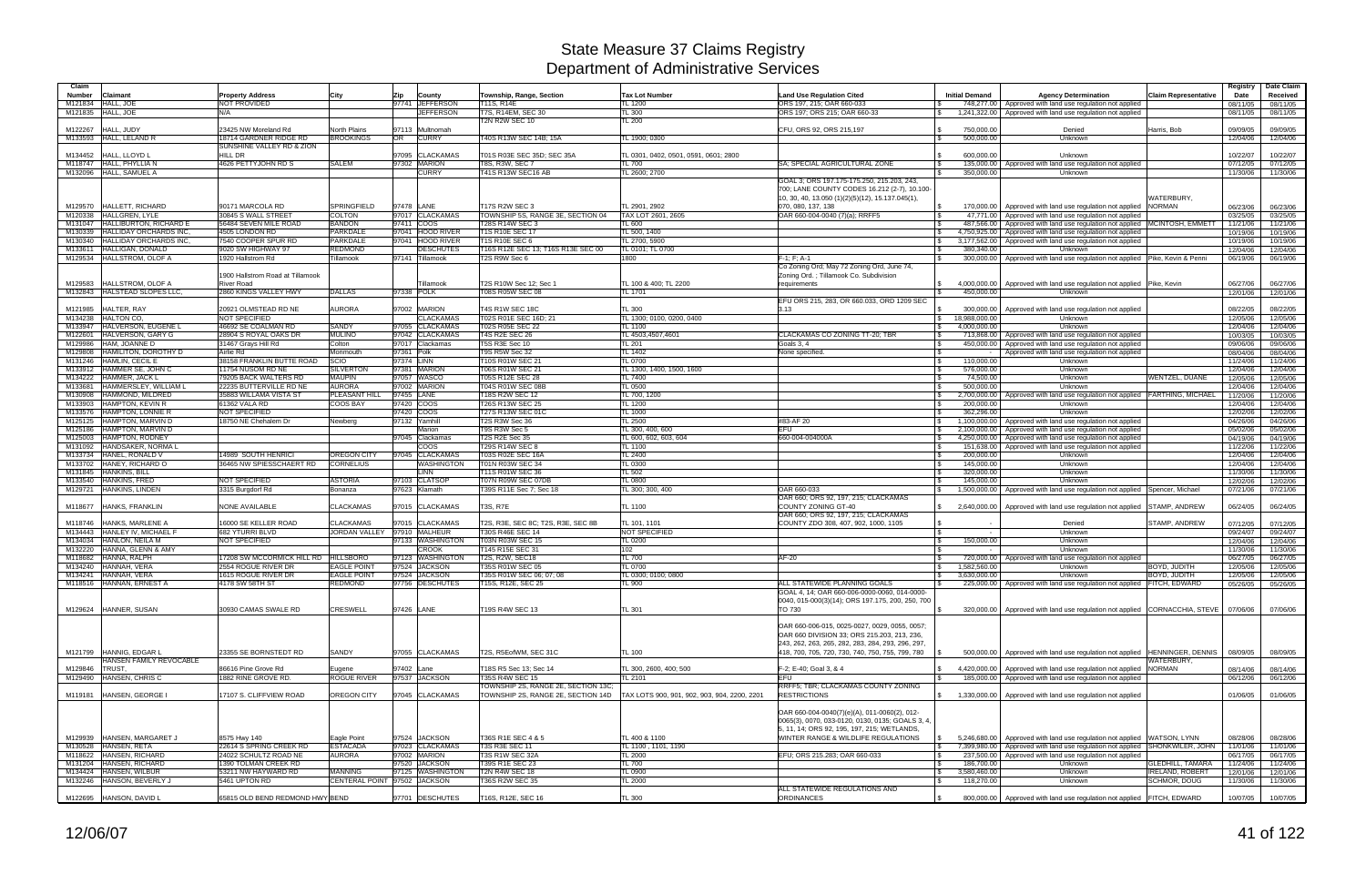| Claim   |                                                       |                                            |                                          |                          |                                      |                                                        |                                                        |                                                      |                                                 |                                                                                           |                              | Registry             | Date Claim                    |
|---------|-------------------------------------------------------|--------------------------------------------|------------------------------------------|--------------------------|--------------------------------------|--------------------------------------------------------|--------------------------------------------------------|------------------------------------------------------|-------------------------------------------------|-------------------------------------------------------------------------------------------|------------------------------|----------------------|-------------------------------|
| Number  | Claimant                                              | <b>Property Address</b>                    | City                                     | Zip                      | County                               | Township, Range, Section                               | <b>Tax Lot Number</b>                                  | <b>Land Use Regulation Cited</b>                     | <b>Initial Demand</b>                           | <b>Agency Determination</b>                                                               | <b>Claim Representative</b>  | Date                 | Received                      |
| M121834 | <b>HALL, JOE</b>                                      | NOT PROVIDED                               |                                          |                          | 97741 JEFFERSON                      | T11S, R14E                                             | TL 1200                                                | ORS 197, 215; OAR 660-033                            |                                                 | 748,277.00 Approved with land use regulation not applied                                  |                              | 08/11/05             | 08/11/05                      |
|         | M121835 HALL, JOE                                     | N/A                                        |                                          |                          | <b>JEFFERSON</b>                     | T7S, R14EM, SEC 30                                     | <b>TL 300</b>                                          | ORS 197; ORS 215; OAR 660-33                         | $\mathbb{S}$<br>1,241,322.00                    | Approved with land use regulation not applied                                             |                              | 08/11/05             | 08/11/05                      |
|         |                                                       |                                            |                                          |                          |                                      | <b>T2N R2W SEC 10</b>                                  | TL200                                                  |                                                      |                                                 |                                                                                           |                              |                      |                               |
| M122267 | HALL, JUDY                                            | 23425 NW Moreland Rd                       | <b>North Plains</b>                      |                          | 97113 Multnomah                      |                                                        |                                                        | CFU, ORS 92, ORS 215,197                             | 750,000.00                                      | Denied                                                                                    | Harris, Bob                  | 09/09/05             | 09/09/05                      |
|         | M133593 HALL, LELAND R                                | 18714 GARDNER RIDGE RD                     | <b>BROOKINGS</b>                         | OR                       | <b>CURRY</b>                         | T40S R13W SEC 14B; 15A                                 | TL 1900: 0300                                          |                                                      | 500.000.00                                      | Unknown                                                                                   |                              | 12/04/06             | 12/04/06                      |
|         |                                                       | SUNSHINE VALLEY RD & ZION<br>HILL DR       |                                          |                          | 97095 CLACKAMAS                      |                                                        |                                                        |                                                      |                                                 |                                                                                           |                              |                      |                               |
| M134452 | HALL, LLOYD L<br>M118747 HALL, PHYLLIA N              | 4626 PETTYJOHN RD S                        | SALEM                                    |                          | 97302 MARION                         | T01S R03E SEC 35D; SEC 35A<br><b>T8S, R3W, SEC 7</b>   | TL 0301, 0402, 0501, 0591, 0601; 2800<br><b>TL 700</b> | SA: SPECIAL AGRICULTURAL ZONE                        | 600.000.00<br>135,000.00                        | Unknown<br>Approved with land use regulation not applied                                  |                              | 10/22/07<br>07/12/05 | 10/22/07<br>07/12/05          |
|         | M132096 HALL, SAMUEL A                                |                                            |                                          |                          | <b>CURRY</b>                         | T41S R13W SEC16 AB                                     | TL 2600; 2700                                          |                                                      | 350,000.00                                      | Unknown                                                                                   |                              | 11/30/06             | 11/30/06                      |
|         |                                                       |                                            |                                          |                          |                                      |                                                        |                                                        | GOAL 3; ORS 197.175-175.250, 215.203, 243,           |                                                 |                                                                                           |                              |                      |                               |
|         |                                                       |                                            |                                          |                          |                                      |                                                        |                                                        | 700; LANE COUNTY CODES 16.212 (2-7), 10.100-         |                                                 |                                                                                           |                              |                      |                               |
|         |                                                       |                                            |                                          |                          |                                      |                                                        |                                                        | 10, 30, 40, 13.050 (1)(2)(5)(12), 15.137.045(1),     |                                                 |                                                                                           | WATERBURY.                   |                      |                               |
|         | M129570 HALLETT, RICHARD                              | 90171 MARCOLA RD                           | <b>SPRINGFIELD</b>                       | 97478 LANE               |                                      | <b>T17S R2W SEC 3</b>                                  | TL 2901, 2902                                          | 070, 080, 137, 138                                   | 170.000.00                                      | Approved with land use regulation not applied                                             | <b>NORMAN</b>                | 06/23/06             | 06/23/06                      |
|         | M120338 HALLGREN, LYLE                                | 30845 S WALL STREET                        | <b>COLTON</b>                            |                          | 97017 CLACKAMAS                      | TOWNSHIP 5S, RANGE 3E, SECTION 04                      | TAX LOT 2601, 2605                                     | OAR 660-004-0040 (7)(a); RRFF5                       |                                                 | 47,771.00 Approved with land use regulation not applied                                   |                              | 03/25/05             | 03/25/05                      |
|         | M131047 HALLIBURTON, RICHARD E                        | 56484 SEVEN MILE ROAD                      | <b>BANDON</b>                            | 97411 COOS               |                                      | T28S R14W SEC 3                                        | TL 600                                                 |                                                      | 487.566.00<br>l S                               | Approved with land use regulation not applied   MCINTOSH, EMMETT                          |                              | 11/21/06             | 11/21/06                      |
| M130339 | HALLIDAY ORCHARDS INC                                 | 4505 LONDON RD                             | <b>PARKDALE</b>                          |                          | 97041 HOOD RIVER                     | T1S R10E SEC 17                                        | TL 500, 1400                                           |                                                      | 4,750,925.00<br><b>S</b>                        | Approved with land use regulation not applied                                             |                              | 10/19/06             | 10/19/06                      |
| M130340 | HALLIDAY ORCHARDS INC.                                | 7540 COOPER SPUR RD<br>9020 SW HIGHWAY 97  | PARKDALE<br><b>REDMOND</b>               |                          | 97041 HOOD RIVER<br><b>DESCHUTES</b> | T1S R10E SEC 6                                         | TL 2700, 5900                                          |                                                      | 3,177,562.00<br><b>\$</b><br>380,340.00<br>l \$ | Approved with land use regulation not applied<br>Unknown                                  |                              | 10/19/06             | 10/19/06                      |
| M133611 | HALLIGAN, DONALD<br>M129534 HALLSTROM, OLOF A         | 920 Hallstrom Rd                           | Tillamook                                |                          | 97141 Tillamook                      | T16S R12E SEC 13; T16S R13E SEC 00<br>T2S R9W Sec 6    | TL 0101; TL 0700<br>1800                               | $F-1$ : $F$ : A-1                                    | 300,000.00<br>l \$                              | Approved with land use regulation not applied   Pike, Kevin & Penni                       |                              | 12/04/06<br>06/19/06 | 12/04/06<br>06/19/06          |
|         |                                                       |                                            |                                          |                          |                                      |                                                        |                                                        | Co Zoning Ord; May 72 Zoning Ord, June 74,           |                                                 |                                                                                           |                              |                      |                               |
|         |                                                       | 1900 Hallstrom Road at Tillamook           |                                          |                          |                                      |                                                        |                                                        | Zoning Ord.; Tillamook Co. Subdivision               |                                                 |                                                                                           |                              |                      |                               |
| M129583 | HALLSTROM, OLOF A                                     | <b>River Road</b>                          |                                          |                          | <b>Fillamook</b>                     | T2S R10W Sec 12; Sec 1                                 | TL 100 & 400; TL 2200                                  | requirements                                         | 4.000.000.00                                    | Approved with land use regulation not applied Pike, Kevin                                 |                              | 06/27/06             | 06/27/06                      |
|         | M132843 HALSTEAD SLOPES LLC                           | 2860 KINGS VALLEY HWY                      | <b>DALLAS</b>                            |                          | 97338 POLK                           | <b>T08S R05W SEC 08</b>                                | TL 1701                                                |                                                      | 450,000.00<br>$\sqrt{s}$                        | Unknown                                                                                   |                              | 12/01/06             | 12/01/06                      |
|         |                                                       |                                            |                                          |                          |                                      |                                                        |                                                        | EFU ORS 215, 283, OR 660.033, ORD 1209 SEC           |                                                 |                                                                                           |                              |                      |                               |
| M121985 | HALTER, RAY                                           | 20921 OLMSTEAD RD NE                       | AURORA                                   |                          | 97002 MARION                         | <b>T4S R1W SEC 18C</b>                                 | <b>TL 300</b>                                          | 3.13                                                 | 300,000.00                                      | Approved with land use regulation not applied                                             |                              | 08/22/05             | 08/22/05                      |
| M134238 | HALTON CO.                                            | NOT SPECIFIED                              |                                          |                          | <b>CLACKAMAS</b>                     | T02S R01E SEC 16D; 21                                  | TL 1300; 0100, 0200, 0400                              |                                                      | $\mathcal{S}$<br>18,988,000.00                  | Unknown                                                                                   |                              | 12/05/06             | 12/05/06                      |
| M133947 | HALVERSON, EUGENE L                                   | 46692 SE COALMAN RD                        | SANDY                                    |                          | 97055 CLACKAMAS                      | <b>T02S R05E SEC 22</b>                                | TL 1100                                                |                                                      | 4.000.000.00<br>$\sqrt{3}$                      | Unknown                                                                                   |                              | 12/04/06             | 12/04/06                      |
|         | M122601 HALVERSON, GARY G                             | 28904 S ROYAL OAKS DR                      | <b>MULINO</b>                            |                          | 97042 CLACKAMAS                      | <b>T4S R2E SEC 26</b>                                  | TL 4503,4507,4601                                      | CLACKAMAS CO ZONING TT-20; TBR                       |                                                 | 713,868.00   Approved with land use regulation not applied                                |                              | 10/03/05             | 10/03/05                      |
|         | M129986 HAM, JOANNE D<br>M129808 HAMILITON, DOROTHY D | 31467 Grays Hill Rd                        | Colton                                   |                          | 97017 Clackamas                      | T5S R3E Sec 10<br>T9S R5W Sec 32                       | TL 201<br>TL 1402                                      | Goals 3.4                                            | IS.                                             | 450,000.00 Approved with land use regulation not applied                                  |                              | 09/06/06             | 09/06/06                      |
|         | M131246 HAMLIN, CECIL E                               | Airlie Rd<br>38158 FRANKLIN BUTTE ROAD     | Monmouth<br><b>SCIO</b>                  | 97361 Polk<br>97374 LINN |                                      | T10S R01W SEC 21                                       | TL 0700                                                | None specified.                                      | <b>S</b><br>110,000.00                          | Approved with land use regulation not applied<br>Unknown                                  |                              | 08/04/06<br>11/24/06 | 08/04/06<br>11/24/06          |
|         | M133912 HAMMER SE, JOHN C                             | 11754 NUSOM RD NE                          | <b>SILVERTON</b>                         |                          | 97381 MARION                         | T06S R01W SEC 21                                       | TL 1300, 1400, 1500, 1600                              |                                                      | 576,000.00<br>l \$                              | Unknown                                                                                   |                              | 12/04/06             | 12/04/06                      |
| M134222 | HAMMER, JACK L                                        | 79205 BACK WALTERS RD                      | <b>MAUPIN</b>                            |                          | 97057 WASCO                          | T05S R12E SEC 28                                       | TL 7400                                                |                                                      | 74,500.00<br>l SS                               | Unknown                                                                                   | WENTZEL, DUANE               | 12/05/06             | 12/05/06                      |
|         | M133681 HAMMERSLEY, WILLIAM L                         | 22235 BUTTERVILLE RD NE                    | <b>AURORA</b>                            |                          | 97002 MARION                         | T04S R01W SEC 08B                                      | TL 0500                                                |                                                      | 500,000.00<br><b>S</b>                          | Unknown                                                                                   |                              | 12/04/06             | 12/04/06                      |
|         | M130908 HAMMOND, MILDRED                              | 35883 WILLAMA VISTA ST                     | PLEASANT HILL                            | 97455 LANE               |                                      | <b>T18S R2W SEC 12</b>                                 | TL 700, 1200                                           |                                                      | 2,700,000.00<br>$\mathbb{S}$                    | Approved with land use regulation not applied FARTHING, MICHAEL                           |                              | 11/20/06             | 11/20/06                      |
|         | M133903 HAMPTON, KEVIN R                              | 61362 VALA RD                              | COOS BAY                                 | 97420 COOS               |                                      | T26S R13W SEC 25                                       | <b>TL 1200</b>                                         |                                                      | 200,000.00                                      | Unknown                                                                                   |                              | 12/04/06             | 12/04/06                      |
|         | M133576 HAMPTON, LONNIE R                             | NOT SPECIFIED                              |                                          |                          | 97420 COOS                           | T27S R13W SEC 01C                                      | TL 1000                                                |                                                      | 362,296.00                                      | Unknown                                                                                   |                              | 12/02/06             | 12/02/06                      |
|         | M125125 HAMPTON, MARVIN D                             | 18750 NE Chehalem Dr                       | Newberg                                  |                          | 97132 Yamhill                        | T2S R3W Sec 36                                         | TL 2500                                                | #83-AF 20                                            | $\mathbb{S}$<br>1.100.000.00                    | Approved with land use regulation not applied                                             |                              | 04/26/06             | 04/26/06                      |
|         | M125186 HAMPTON, MARVIN D                             |                                            |                                          |                          | Marion                               | T9S R3W Sec 5                                          | TL 300, 400, 600                                       | EFU                                                  | 2.100.000.00                                    | Approved with land use regulation not applied                                             |                              | 05/02/06             | 05/02/06                      |
|         | M125003 HAMPTON, RODNEY                               |                                            |                                          |                          | 97045 Clackamas                      | T2S R2E Sec 35                                         | TL 600, 602, 603, 604                                  | 660-004-004000A                                      | <b>\$</b><br>4,250,000.00                       | Approved with land use regulation not applied                                             |                              | 04/19/06             | 04/19/06                      |
|         | M131092 HANDSAKER, NORMA I                            |                                            |                                          |                          | $\overline{{\rm{coos}}}$             | <b>T29S R14W SEC 8</b>                                 | TL 1100                                                |                                                      | 151,638.00<br><b>S</b>                          | Approved with land use regulation not applied                                             |                              | 11/22/06             | 11/22/06                      |
|         | M133734 HANEL, RONALD \                               | 4989 SOUTH HENRICI                         | OREGON CITY                              |                          | 97045 CLACKAMAS                      | T03S R02E SEC 16A                                      | TL 2400                                                |                                                      | <b>S</b><br>200,000.00                          | Unknown                                                                                   |                              | 12/04/06             | 12/04/06                      |
|         | M133702 HANEY, RICHARD O<br>M131845 HANKINS, BILL     | 36465 NW SPIESSCHAERT RD                   | <b>CORNELIUS</b>                         |                          | <b>WASHINGTON</b><br><b>LINN</b>     | T01N R03W SEC 34<br>T11S R01W SEC 36                   | <b>TL 0300</b><br>TL 502                               |                                                      | 145,000.00<br>l \$<br>320,000.00                | Unknown<br>Unknown                                                                        |                              | 12/04/06<br>11/30/06 | 12/04/06<br>11/30/06          |
|         | M133540 HANKINS, FRED                                 | NOT SPECIFIED                              | <b>ASTORIA</b>                           |                          | 97103 CLATSOP                        | T07N R09W SEC 07DB                                     | <b>TL 0800</b>                                         |                                                      | 145.000.00                                      | Unknown                                                                                   |                              | 12/02/06             | 12/02/06                      |
|         | M129721 HANKINS, LINDEN                               | 3315 Burgdorf Rd                           | Bonanza                                  |                          | 97623 Klamath                        | T39S R11E Sec 7; Sec 18                                | TL 300; 300, 400                                       | OAR 660-033                                          | IS.                                             | 1,500,000.00   Approved with land use regulation not applied Spencer, Michael             |                              | 07/21/06             | 07/21/06                      |
|         |                                                       |                                            |                                          |                          |                                      |                                                        |                                                        | OAR 660; ORS 92, 197, 215; CLACKAMAS                 |                                                 |                                                                                           |                              |                      |                               |
|         | M118677 HANKS, FRANKLIN                               | NONE AVAILABLE                             | CLACKAMAS                                |                          | 97015 CLACKAMAS                      | <b>T3S, R7E</b>                                        | TL 1100                                                | COUNTY ZONING GT-40                                  | $\mathbb{S}$<br>2,640,000.00                    | Approved with land use regulation not applied                                             | <b>STAMP, ANDREW</b>         | 06/24/05             | 06/24/05                      |
|         |                                                       |                                            |                                          |                          |                                      |                                                        |                                                        | OAR 660; ORS 92, 197, 215; CLACKAMAS                 |                                                 |                                                                                           |                              |                      |                               |
| M118746 | HANKS, MARLENE A                                      | 16000 SE KELLER ROAD                       | <b>CLACKAMAS</b>                         |                          | 97015 CLACKAMAS                      | T2S, R3E, SEC 8C; T2S, R3E, SEC 8B                     | TL 101, 1101                                           | COUNTY ZDO 308, 407, 902, 1000, 1105                 | $\mathbb{R}$                                    | Denied                                                                                    | STAMP, ANDREW                | 07/12/05             | 07/12/05                      |
| M134443 | HANLEY IV, MICHAEL                                    | 682 YTURRI BLVD                            | JORDAN VALLEY   97910 MALHEUR            |                          |                                      | T30S R46E SEC 14                                       | <b>NOT SPECIFIED</b>                                   |                                                      |                                                 | Unknown                                                                                   |                              | 09/24/07             | 09/24/07                      |
| M134034 | HANLON, NEILA M                                       | NOT SPECIFIED                              |                                          |                          | 97133 WASHINGTON                     | T03N R03W SEC 15                                       | TL 0200                                                |                                                      | $\mathbf{s}$<br>150,000.00                      | Unknown                                                                                   |                              | 12/04/06             | 12/04/06                      |
|         | M132220 HANNA, GLENN & AMY                            |                                            |                                          |                          | <b>CROOK</b>                         | T145 R15E SEC 31                                       | 102                                                    |                                                      |                                                 | Unknown                                                                                   |                              | 11/30/06             | 11/30/06                      |
|         | M118682 HANNA, RALPH                                  | 7208 SW MCCORMICK HILL RD   HILLSBORO      |                                          |                          | 97123 WASHINGTON<br>97524 JACKSON    | <b>T2S. R2W. SEC18</b>                                 | TL 700                                                 | AF-20                                                |                                                 | 720,000.00   Approved with land use regulation not applied                                |                              | 06/27/05             | 06/27/05                      |
|         | M134240 HANNAH, VERA<br>M134241 HANNAH, VERA          | 2554 ROGUE RIVER DR<br>1615 ROGUE RIVER DR | <b>EAGLE POINT</b><br><b>EAGLE POINT</b> |                          | 97524 JACKSON                        | <b>T35S R01W SEC 05</b><br>T35S R01W SEC 06; 07; 08    | TL 0700<br>TL 0300; 0100; 0800                         |                                                      | 1,582,560.00<br>IS.                             | Unknown<br><b>Unknown</b>                                                                 | BOYD, JUDITH<br>BOYD, JUDITH | 12/05/06             | 12/05/06                      |
|         | M118516 HANNAN, ERNEST A                              | 4178 SW 58TH ST                            | <b>REDMOND</b>                           |                          | 97756 DESCHUTES                      | T15S, R12E, SEC 25                                     | TL 900                                                 | ALL STATEWIDE PLANNING GOALS                         | 3,630,000.00                                    | 225,000.00 Approved with land use regulation not applied FITCH, EDWARD                    |                              | 12/05/06             | 12/05/06<br>05/26/05 05/26/05 |
|         |                                                       |                                            |                                          |                          |                                      |                                                        |                                                        | GOAL 4, 14; OAR 660-006-0000-0060, 014-0000-         |                                                 |                                                                                           |                              |                      |                               |
|         |                                                       |                                            |                                          |                          |                                      |                                                        |                                                        | 0040, 015-000(3)(14); ORS 197.175, 200, 250, 700     |                                                 |                                                                                           |                              |                      |                               |
|         | M129624 HANNER, SUSAN                                 | 30930 CAMAS SWALE RD                       | CRESWELL                                 | 97426 LANE               |                                      | T19S R4W SEC 13                                        | TL 301                                                 | TO 730                                               | <b>S</b>                                        | 320,000.00 Approved with land use regulation not applied CORNACCHIA, STEVE   07/06/06     |                              |                      | 07/06/06                      |
|         |                                                       |                                            |                                          |                          |                                      |                                                        |                                                        |                                                      |                                                 |                                                                                           |                              |                      |                               |
|         |                                                       |                                            |                                          |                          |                                      |                                                        |                                                        | OAR 660-006-015, 0025-0027, 0029, 0055, 0057;        |                                                 |                                                                                           |                              |                      |                               |
|         |                                                       |                                            |                                          |                          |                                      |                                                        |                                                        | OAR 660 DIVISION 33; ORS 215.203, 213, 236,          |                                                 |                                                                                           |                              |                      |                               |
|         |                                                       |                                            |                                          |                          |                                      |                                                        |                                                        | 243, 262, 263, 265, 282, 283, 284, 293, 296, 297,    |                                                 |                                                                                           |                              |                      |                               |
|         | M121799 HANNIG, EDGAR L                               | 23355 SE BORNSTEDT RD                      | SANDY                                    |                          | 97055 CLACKAMAS                      | T2S, R5EofWM, SEC 31C                                  | <b>TL 100</b>                                          | 418, 700, 705, 720, 730, 740, 750, 755, 799, 780 \\$ |                                                 | 500,000.00   Approved with land use regulation not applied   HENNINGER, DENNIS   08/09/05 |                              |                      | 08/09/05                      |
|         | HANSEN FAMILY REVOCABLE                               |                                            |                                          |                          |                                      |                                                        |                                                        |                                                      |                                                 |                                                                                           | WATERBURY,                   |                      |                               |
| M129846 | TRUST.                                                | 86616 Pine Grove Rd                        | Eugene                                   | 97402 Lane               |                                      | T18S R5 Sec 13; Sec 14                                 | TL 300, 2600, 400; 500                                 | F-2; E-40; Goal 3, & 4                               | $\mathbb{S}$                                    | 4,420,000.00 Approved with land use regulation not applied NORMAN                         |                              | 08/14/06             | 08/14/06                      |
|         | M129490 HANSEN, CHRIS C                               | 1882 RINE GROVE RD.                        | <b>ROGUE RIVER</b>                       |                          | 97537 JACKSON                        | T35S R4W SEC 15<br>TOWNSHIP 2S, RANGE 2E, SECTION 13C; | <b>TL 2101</b>                                         | <b>EFU</b><br>RRFF5; TBR; CLACKAMAS COUNTY ZONING    |                                                 | 185,000.00   Approved with land use regulation not applied                                |                              | 06/12/06             | 06/12/06                      |
|         | M119181 HANSEN, GEORGE I                              | 17107 S. CLIFFVIEW ROAD                    | OREGON CITY                              |                          | 97045 CLACKAMAS                      | TOWNSHIP 2S, RANGE 2E, SECTION 14D                     | TAX LOTS 900, 901, 902, 903, 904, 2200, 2201           | <b>RESTRICTIONS</b>                                  | $\mathbb{S}$                                    | 1,330,000.00 Approved with land use regulation not applied                                |                              | 01/06/05             | 01/06/05                      |
|         |                                                       |                                            |                                          |                          |                                      |                                                        |                                                        |                                                      |                                                 |                                                                                           |                              |                      |                               |
|         |                                                       |                                            |                                          |                          |                                      |                                                        |                                                        | OAR 660-004-0040(7)(e)(A), 011-0060(2), 012-         |                                                 |                                                                                           |                              |                      |                               |
|         |                                                       |                                            |                                          |                          |                                      |                                                        |                                                        | 0065(3), 0070, 033-0120, 0130, 0135; GOALS 3, 4,     |                                                 |                                                                                           |                              |                      |                               |
|         |                                                       |                                            |                                          |                          |                                      |                                                        |                                                        | 5, 11, 14; ORS 92, 195, 197, 215; WETLANDS,          |                                                 |                                                                                           |                              |                      |                               |
|         | M129939 HANSEN, MARGARET J                            | 8575 Hwy 140                               | Eagle Point                              |                          | 97524 JACKSON                        | T36S R1E SEC 4 & 5                                     | TL 400 & 1100                                          | WINTER RANGE & WILDLIFE REGULATIONS                  | IS                                              | 5,246,680.00 Approved with land use regulation not applied WATSON, LYNN                   |                              | 08/28/06             | 08/28/06                      |
|         | M130528 HANSEN, RETA                                  | 22614 S SPRING CREEK RD                    | <b>ESTACADA</b>                          |                          | 97023 CLACKAMAS                      | <b>T3S R3E SEC 11</b>                                  | TL 1100, 1101, 1190                                    |                                                      | <b>S</b>                                        | 7,399,980.00 Approved with land use regulation not applied SHONKWILER, JOHN               |                              | 11/01/06             | 11/01/06                      |
|         | M118622 HANSEN, RICHARD                               | 24022 SCHULTZ ROAD NE                      | <b>AURORA</b>                            |                          | 97002 MARION                         | T3S R1W SEC 32A                                        | <b>TL 2000</b>                                         | EFU; ORS 215.283; OAR 660-033                        | $\sqrt{3}$                                      | 237,500.00 Approved with land use regulation not applied                                  |                              | 06/17/05             | 06/17/05                      |
|         | M131204 HANSEN, RICHARD                               | 1390 TOLMAN CREEK RD                       |                                          |                          | 97520 JACKSON                        | T39S R1E SEC 23                                        | <b>TL 700</b>                                          |                                                      | 186,700.00                                      | Unknown                                                                                   | <b>GLEDHILL, TAMARA</b>      | 11/24/06             | 11/24/06                      |
|         | M134424 HANSEN, WILBUR                                | 53211 NW HAYWARD RD                        | <b>MANNING</b>                           |                          | 97125 WASHINGTON                     | T2N R4W SEC 18                                         | TL 0900                                                |                                                      | 3,580,460.00<br>$\sqrt{3}$                      | Unknown                                                                                   | IRELAND, ROBERT              | 12/01/06             | 12/01/06                      |
|         | M132246 HANSON, BEVERLY J                             | 5461 UPTON RD                              | CENTERAL POINT 97502 JACKSON             |                          |                                      | T36S R2W SEC 35                                        | TL 2000                                                |                                                      | 118,270.00<br><b>\$</b>                         | Unknown                                                                                   | <b>SCHMOR, DOUG</b>          | 11/30/06             | 11/30/06                      |
|         |                                                       |                                            |                                          |                          |                                      |                                                        |                                                        | ALL STATEWIDE REGULATIONS AND                        |                                                 |                                                                                           |                              |                      |                               |
|         | M122695 HANSON, DAVID L                               | 65815 OLD BEND REDMOND HWY BEND            |                                          |                          | 97701 DESCHUTES                      | T16S, R12E, SEC 16                                     | <b>TL 300</b>                                          | <b>ORDINANCES</b>                                    | <b>S</b>                                        | 800,000.00   Approved with land use regulation not applied FITCH, EDWARD                  |                              | 10/07/05             | 10/07/05                      |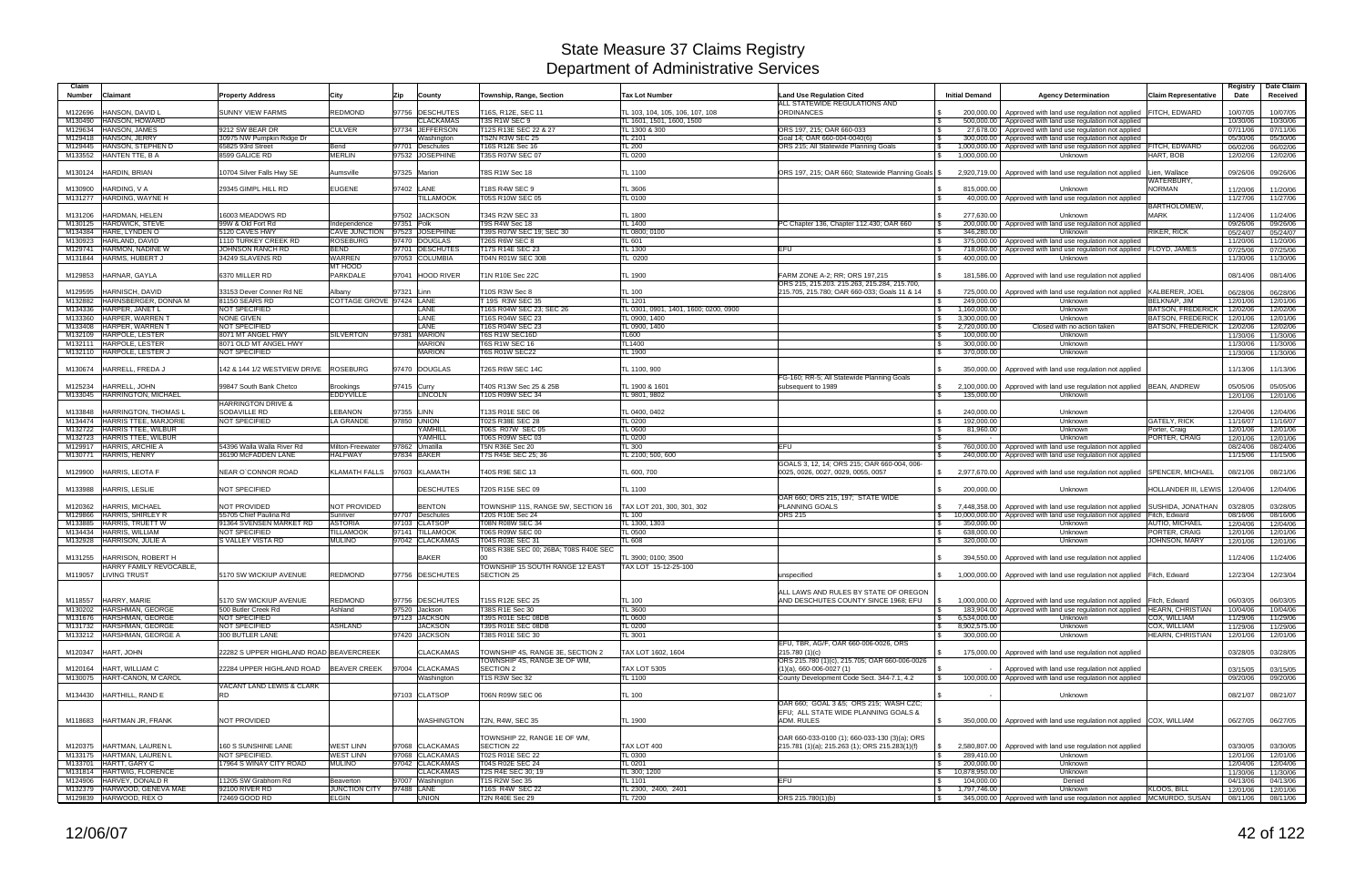| Claim<br><b>Number</b> | <b>Claimant</b>                                                      | <b>Property Address</b>                              | City                                 | <b>Zip</b><br>County                | Township, Range, Section                               | <b>Tax Lot Number</b>                       | <b>Land Use Regulation Cited</b><br>ALL STATEWIDE REGULATIONS AND                               | <b>Initial Demand</b>                              | <b>Agency Determination</b>                                                                                              | Claim Representative             | Registry<br>Date     | Date Claim<br>Received |
|------------------------|----------------------------------------------------------------------|------------------------------------------------------|--------------------------------------|-------------------------------------|--------------------------------------------------------|---------------------------------------------|-------------------------------------------------------------------------------------------------|----------------------------------------------------|--------------------------------------------------------------------------------------------------------------------------|----------------------------------|----------------------|------------------------|
| M122696                | HANSON, DAVID L                                                      | <b>SUNNY VIEW FARMS</b>                              | <b>REDMOND</b>                       | 97756 DESCHUTES                     | T16S, R12E, SEC 11                                     | TL 103, 104, 105, 106, 107, 108             | <b>ORDINANCES</b>                                                                               | 200.000.00                                         | Approved with land use regulation not applied                                                                            | <b>FITCH, EDWARD</b>             | 10/07/05             | 10/07/05               |
| M130490                | HANSON, HOWARD<br>HANSON, JAMES                                      |                                                      |                                      | <b>CLACKAMAS</b>                    | T3S R1W SEC 9                                          | TL 1601, 1501, 1600, 1500                   |                                                                                                 | 500,000.00<br>l \$                                 | Approved with land use regulation not applied                                                                            |                                  | 10/30/06             | 10/30/06               |
| M129634<br>M129418     | HANSON, JERRY                                                        | 9212 SW BEAR DR<br>30975 NW Pumpkin Ridge Dr         | <b>CULVER</b>                        | 97734 JEFFERSON<br>Washington       | T12S R13E SEC 22 & 27<br>TS2N R3W SEC 25               | TL 1300 & 300<br>TL 2101                    | ORS 197, 215; OAR 660-033<br>Goal 14: OAR 660-004-0040(6)                                       | 27,678.00<br>300,000.00                            | Approved with land use regulation not applied<br>Approved with land use regulation not applied                           |                                  | 07/11/06<br>05/30/06 | 07/11/06<br>05/30/06   |
| M129445                | HANSON, STEPHEN D                                                    | 65825 93rd Street                                    | Bend                                 | 97701 Deschutes                     | T16S R12E Sec 16                                       | <b>TL 200</b>                               | ORS 215; All Statewide Planning Goals                                                           | 1,000,000.00<br><b>S</b>                           | Approved with land use regulation not applied FITCH, EDWARD                                                              |                                  | 06/02/06             | 06/02/06               |
| M133552                | <b>HANTEN TTE, B A</b>                                               | 8599 GALICE RD                                       | MERLIN                               | 97532 JOSEPHINE                     | T35S R07W SEC 07                                       | <b>TL 0200</b>                              |                                                                                                 | 1,000,000.00<br>IS.                                | Unknown                                                                                                                  | HART, BOB                        | 12/02/06             | 12/02/06               |
| M130124                | <b>HARDIN, BRIAN</b>                                                 | 10704 Silver Falls Hwy SE                            | Aumsville                            | 97325 Marion                        | T8S R1W Sec 18                                         | TL 1100                                     | ORS 197, 215; OAR 660; Statewide Planning Goals \$                                              | 2,920,719.00                                       | Approved with land use regulation not applied                                                                            | Lien. Wallace<br>WATERBURY,      | 09/26/06             | 09/26/06               |
| M130900                | HARDING, V A                                                         | 29345 GIMPL HILL RD                                  | <b>EUGENE</b>                        | 97402 LANE                          | T18S R4W SEC 9                                         | <b>TL 3606</b>                              |                                                                                                 | 815,000.00                                         | Unknown                                                                                                                  | <b>NORMAN</b>                    | 11/20/06             | 11/20/06               |
|                        | M131277 HARDING, WAYNE H                                             |                                                      |                                      | <b>TILLAMOOK</b>                    | T05S R10W SEC 05                                       | TL 0100                                     |                                                                                                 | 40,000.00                                          | Approved with land use regulation not applied                                                                            |                                  | 11/27/06             | 11/27/06               |
|                        |                                                                      |                                                      |                                      |                                     |                                                        |                                             |                                                                                                 |                                                    |                                                                                                                          | <b>BARTHOLOMEW</b>               |                      |                        |
| M131206<br>M130125     | HARDMAN, HELEN<br>HARDWICK, STEVE                                    | 16003 MEADOWS RD<br>99W & Old Fort Rd                | Independence                         | 97502 JACKSON<br>97351 Polk         | T34S R2W SEC 33<br>T9S R4W Sec 18                      | <b>TL 1800</b><br><b>TL 1400</b>            | PC Chapter 136, Chapter 112,430; OAR 660                                                        | 277,630.00<br>l \$<br>200,000.00                   | Unknown<br>Approved with land use regulation not applied                                                                 | <b>MARK</b>                      | 11/24/06<br>09/26/06 | 11/24/06<br>09/26/06   |
|                        | M134384 HARE, LYNDEN O                                               | 5120 CAVES HWY                                       | <b>CAVE JUNCTION</b>                 | 97523 JOSEPHINE                     | T39S R07W SEC 19; SEC 30                               | TL 0800; 0100                               |                                                                                                 | 346,280.00<br>IS.                                  | Unknown                                                                                                                  | RIKER, RICK                      | 05/24/07             | 05/24/07               |
|                        | M130923 HARLAND, DAVID                                               | 1110 TURKEY CREEK RD                                 | <b>ROSEBURG</b>                      | 97470 DOUGLAS                       | <b>T26S R6W SEC 8</b>                                  | TL 601                                      |                                                                                                 | l \$<br>375,000.00                                 | Approved with land use regulation not applied                                                                            |                                  | 11/20/06             | 11/20/06               |
|                        | M129741 HARMON, NADINE W                                             | JOHNSON RANCH RD                                     | <b>BEND</b>                          | 97701 DESCHUTES                     | T17S R14E SEC 23                                       | <b>TL 1300</b>                              | EFU                                                                                             | 718,060.00                                         | Approved with land use regulation not applied FLOYD, JAMES                                                               |                                  | 07/25/06             | 07/25/06               |
|                        | M131844 HARMS, HUBERT J                                              | 34249 SLAVENS RD                                     | <b>WARREN</b>                        | 97053 COLUMBIA                      | T04N R01W SEC 30B                                      | TL 0200                                     |                                                                                                 | 400,000.00<br><b>S</b>                             | Unknown                                                                                                                  |                                  | 11/30/06             | 11/30/06               |
| M129853                | HARNAR, GAYLA                                                        | 6370 MILLER RD                                       | MT HOOD<br>PARKDALE                  | 97041 HOOD RIVER                    | T1N R10E Sec 22C                                       | <b>TL 1900</b>                              | FARM ZONE A-2; RR; ORS 197,215<br>ORS 215, 215.203. 215.263, 215.284, 215.700,                  | $\mathbf{s}$<br>181,586.00                         | Approved with land use regulation not applied                                                                            |                                  | 08/14/06             | 08/14/06               |
| M129595                | <b>HARNISCH, DAVID</b>                                               | 33153 Dever Conner Rd NE                             | Albany                               | 97321 Linn                          | T10S R3W Sec 8                                         | <b>TL 100</b>                               | 215.705, 215.780; OAR 660-033; Goals 11 & 14                                                    | 725,000.00                                         | Approved with land use regulation not applied                                                                            | KALBERER, JOEL                   | 06/28/06             | 06/28/06               |
|                        | M132882 HARNSBERGER, DONNA M                                         | 81150 SEARS RD                                       | COTTAGE GROVE 97424 LANE             |                                     | T 19S R3W SEC 35                                       | <b>TL 1201</b>                              |                                                                                                 | 249,000.00                                         | Unknown                                                                                                                  | <b>BELKNAP, JIM</b>              | 12/01/06             | 12/01/06               |
|                        | M134336 HARPER, JANET L                                              | <b>NOT SPECIFIED</b>                                 |                                      | LANE                                | T16S R04W SEC 23; SEC 26                               | TL 0301, 0901, 1401, 1600; 0200, 0900       |                                                                                                 | 1,160,000.00<br>l \$                               | Unknown                                                                                                                  | <b>BATSON, FREDERICK</b>         | 12/02/06             | 12/02/06               |
|                        | M133360 HARPER, WARREN                                               | <b>NONE GIVEN</b>                                    |                                      | LANE                                | T16S R04W SEC 23                                       | TL 0900, 1400                               |                                                                                                 | 3,300,000.00<br><b>S</b>                           | <b>Unknown</b>                                                                                                           | <b>BATSON, FREDERICK</b>         | 12/01/06             | 12/01/06               |
|                        | M133408 HARPER, WARREN 1<br>M132109 HARPOLE, LESTER                  | <b>NOT SPECIFIED</b><br>8071 MT ANGEL HWY            |                                      | LANE<br>97381 MARION                | T16S R04W SEC 23<br>T6S R1W SEC16D                     | TL 0900, 1400                               |                                                                                                 | 2,720,000.00<br>I S                                | Closed with no action taken<br>Unknown                                                                                   | <b>BATSON, FREDERICK</b>         | 12/02/06             | 12/02/06               |
|                        | M132111 HARPOLE, LESTER                                              | 8071 OLD MT ANGEL HWY                                | SILVERTON                            | <b>MARION</b>                       | T6S R1W SEC 16                                         | TL600<br>TL1400                             |                                                                                                 | 100,000.00<br>300,000.00<br>$\mathbb{R}$           | Unknown                                                                                                                  |                                  | 11/30/06<br>11/30/06 | 11/30/06<br>11/30/06   |
|                        | M132110 HARPOLE, LESTER J                                            | <b>NOT SPECIFIED</b>                                 |                                      | <b>MARION</b>                       | <b>T6S R01W SEC22</b>                                  | TL 1900                                     |                                                                                                 | 370,000.00                                         | Unknown                                                                                                                  |                                  | 11/30/06             | 11/30/06               |
|                        | M130674 HARRELL, FREDA J                                             | 142 & 144 1/2 WESTVIEW DRIVE                         | <b>ROSEBURG</b>                      | 97470 DOUGLAS                       | <b>T26S R6W SEC 14C</b>                                | TL 1100, 900                                |                                                                                                 | 350,000.00                                         | Approved with land use regulation not applied                                                                            |                                  | 11/13/06             | 11/13/06               |
| M125234                | HARRELL, JOHN<br>M133045 HARRINGTON, MICHAEL                         | 99847 South Bank Chetco                              | <b>Brookings</b><br><b>EDDYVILLE</b> | 97415 Curry<br><b>LINCOLN</b>       | T40S R13W Sec 25 & 25B<br>T10S R09W SEC 34             | TL 1900 & 1601<br>TL 9801, 9802             | FG-160; RR-5; All Statewide Planning Goals<br>subsequent to 1989                                | 2,100,000.00<br><b>S</b><br>135,000.00<br><b>S</b> | Approved with land use regulation not applied  BEAN, ANDREW<br>Unknown                                                   |                                  | 05/05/06<br>12/01/06 | 05/05/06<br>12/01/06   |
| M133848                | HARRINGTON, THOMAS L                                                 | <b>HARRINGTON DRIVE &amp;</b><br><b>SODAVILLE RD</b> | <b>EBANON</b>                        | 97355 LINN                          | T13S R01E SEC 06                                       | TL 0400, 0402                               |                                                                                                 | 240,000.00<br><b>S</b>                             | Unknown                                                                                                                  |                                  | 12/04/06             | 12/04/06               |
|                        | M134474 HARRIS TTEE, MARJORIE                                        | <b>NOT SPECIFIED</b>                                 | <b>LA GRANDE</b>                     | 97850 UNION                         | T02S R38E SEC 28                                       | TL 0200                                     |                                                                                                 | 192,000.00<br><b>S</b>                             | Unknown                                                                                                                  | <b>GATELY, RICK</b>              | 11/16/07             | 11/16/07               |
|                        | M132722 HARRIS TTEE, WILBUR                                          |                                                      |                                      | YAMHILL                             | T06S R07W SEC 05                                       | TL 0600                                     |                                                                                                 | 81,960.00                                          | Unknown                                                                                                                  | Porter, Craig                    | 12/01/06             | 12/01/06               |
|                        | M132723 HARRIS TTEE, WILBUR                                          |                                                      |                                      | YAMHILL                             | T06S R09W SEC 03                                       | <b>TL 0200</b>                              |                                                                                                 | l \$                                               | Unknown                                                                                                                  | PORTER, CRAIG                    | 12/01/06             | 12/01/06               |
|                        | M129917 HARRIS, ARCHIE A<br>M130771 HARRIS, HENRY                    | 54396 Walla Walla River Rd<br>36190 McFADDEN LANE    | Milton-Freewater<br><b>HALFWAY</b>   | 97862 Umatilla<br>97834 BAKER       | <b>T5N R36E Sec 20</b><br>T7S R45E SEC 25; 36          | <b>TL 300</b><br>TL 2100; 500, 600          | EFU                                                                                             | 760,000.00<br>IS.<br>l \$<br>240,000.00            | Approved with land use regulation not applied<br>Approved with land use regulation not applied                           |                                  | 08/24/06<br>11/15/06 | 08/24/06<br>11/15/06   |
| M129900                | HARRIS, LEOTA F                                                      | <b>NEAR O'CONNOR ROAD</b>                            | KLAMATH FALLS                        | 97603 KLAMATH                       | T40S R9E SEC 13                                        | TL 600, 700                                 | GOALS 3, 12, 14; ORS 215; OAR 660-004, 006-<br>0025, 0026, 0027, 0029, 0055, 0057               | 2,977,670.00<br>IS.                                | Approved with land use regulation not applied SPENCER, MICHAEL                                                           |                                  | 08/21/06             | 08/21/06               |
| M133988                | <b>HARRIS, LESLIE</b>                                                | NOT SPECIFIED                                        |                                      | <b>DESCHUTES</b>                    | T20S R15E SEC 09                                       | <b>TL 1100</b>                              |                                                                                                 | 200,000.00<br><b>S</b>                             | Unknown                                                                                                                  | HOLLANDER III, LEWIS 12/04/06    |                      | 12/04/06               |
|                        |                                                                      |                                                      |                                      |                                     |                                                        |                                             | OAR 660; ORS 215, 197; STATE WIDE                                                               |                                                    |                                                                                                                          |                                  |                      |                        |
| M120362                | <b>HARRIS, MICHAEL</b><br>HARRIS, SHIRLEY R                          | <b>NOT PROVIDED</b><br>55705 Chief Paulina Rd        | NOT PROVIDED<br>Sunriver             | <b>BENTON</b><br>97707 Deschutes    | TOWNSHIP 11S, RANGE 5W, SECTION 16<br>T20S R10E Sec 24 | TAX LOT 201, 300, 301, 302<br><b>TL 100</b> | <b>PLANNING GOALS</b><br><b>ORS 215</b>                                                         | 7,448,358.00                                       | Approved with land use regulation not applied                                                                            | <b>SUSHIDA, JONATHAN</b>         | 03/28/05             | 03/28/05               |
| M129866<br>M133885     | HARRIS, TRUETT W                                                     | 91364 SVENSEN MARKET RD                              | <b>ASTORIA</b>                       | 97103 CLATSOP                       | T08N R08W SEC 34                                       | TL 1300, 1303                               |                                                                                                 | $\sqrt{S}$<br>350,000.00<br>l \$                   | 10,000,000.00   Approved with land use regulation not applied Fitch, Edward<br>Unknown                                   | <b>AUTIO, MICHAEL</b>            | 08/16/06<br>12/04/06 | 08/16/06<br>12/04/06   |
|                        | M134434 HARRIS, WILLIAM                                              | NOT SPECIFIED                                        | <b>TILLAMOOK</b>                     | 97141 TILLAMOOK                     | <b>T06S R09W SEC 00</b>                                | <b>TL 0500</b>                              |                                                                                                 | 638,000.00<br><b>S</b>                             | Unknown                                                                                                                  | PORTER, CRAIG                    | 12/01/06             | 12/01/06               |
|                        | M132928 HARRISON, JULIE A                                            | S VALLEY VISTA RD                                    | <b>MULINO</b>                        | 97042 CLACKAMAS                     | T04S R03E SEC 31                                       | <b>TL 608</b>                               |                                                                                                 | 320,000.00                                         | Unknown                                                                                                                  | JOHNSON, MARY                    | 12/01/06             | 12/01/06               |
|                        |                                                                      |                                                      |                                      |                                     | T08S R38E SEC 00; 26BA; T08S R40E SEC                  |                                             |                                                                                                 |                                                    |                                                                                                                          |                                  |                      |                        |
| M131255<br>M119057     | HARRISON, ROBERT H<br>HARRY FAMILY REVOCABLE,<br><b>LIVING TRUST</b> | 5170 SW WICKIUP AVENUE                               | REDMOND                              | <b>BAKER</b><br>97756 DESCHUTES     | TOWNSHIP 15 SOUTH RANGE 12 EAST<br><b>SECTION 25</b>   | TL 3900: 0100: 3500<br>TAX LOT 15-12-25-100 |                                                                                                 |                                                    | 394,550.00   Approved with land use regulation not applied<br>1,000,000.00 Approved with land use regulation not applied |                                  | 11/24/06<br>12/23/04 | 11/24/06<br>12/23/04   |
|                        |                                                                      |                                                      |                                      |                                     |                                                        |                                             | unspecified<br>ALL LAWS AND RULES BY STATE OF OREGON                                            |                                                    |                                                                                                                          | Fitch, Edward                    |                      |                        |
|                        | M118557 HARRY, MARIE                                                 | 5170 SW WICKIUP AVENUE                               | <b>REDMOND</b>                       | 97756 DESCHUTES                     | T15S R12E SEC 25                                       | <b>TL 100</b>                               | AND DESCHUTES COUNTY SINCE 1968; EFU                                                            |                                                    | 1,000,000.00   Approved with land use regulation not applied Fitch, Edward                                               |                                  | 06/03/05             | 06/03/05               |
|                        | M130202 HARSHMAN, GEORGE                                             | 500 Butler Creek Rd                                  | Ashland                              | 97520 Jackson                       | T38S R1E Sec 30                                        | <b>TL 3600</b>                              |                                                                                                 |                                                    | 183,904.00 Approved with land use regulation not applied HEARN, CHRISTIAN                                                |                                  | 10/04/06             | 10/04/06               |
|                        | M131676 HARSHMAN, GEORGE                                             | <b>NOT SPECIFIED</b>                                 |                                      | 97123 JACKSON                       | T39S R01E SEC 08DB                                     | TL 0600                                     |                                                                                                 | 6,534,000.00<br>$\mathbb{S}$                       | Unknown                                                                                                                  | COX, WILLIAM                     | 11/29/06             | 11/29/06               |
|                        | M131732 HARSHMAN, GEORGE<br>M133212 HARSHMAN, GEORGE A               | NOT SPECIFIED<br>300 BUTLER LANE                     | <b>ASHLAND</b>                       | <b>JACKSON</b><br>97420 JACKSON     | T39S R01E SEC 08DB<br>T38S R01E SEC 30                 | <b>TL 0200</b><br>TL 3001                   |                                                                                                 | 8,902,575.00<br>I \$<br>300,000.00<br>l \$         | Unknown<br>Unknown                                                                                                       | COX, WILLIAM<br>HEARN, CHRISTIAN | 11/29/06             | 11/29/06               |
|                        | M120347 HART, JOHN                                                   | 22282 S UPPER HIGHLAND ROAD BEAVERCREEK              |                                      | <b>CLACKAMAS</b>                    | TOWNSHIP 4S, RANGE 3E, SECTION 2                       | TAX LOT 1602, 1604                          | EFU, TBR, AG/F, OAR 660-006-0026, ORS<br>215.780 (1)(c)                                         |                                                    | 175,000.00   Approved with land use regulation not applied                                                               |                                  | 12/01/06<br>03/28/05 | 12/01/06<br>03/28/05   |
| M120164                | HART, WILLIAM C                                                      | 22284 UPPER HIGHLAND ROAD                            | <b>BEAVER CREEK</b>                  | 97004 CLACKAMAS                     | TOWNSHIP 4S. RANGE 3E OF WM.<br>SECTION 2              | <b>TAX LOT 5305</b>                         | ORS 215.780 (1)(c), 215.705; OAR 660-006-0026<br>$(1)(a)$ , 660-006-0027 $(1)$                  |                                                    | Approved with land use regulation not applied                                                                            |                                  | 03/15/05             | 03/15/05               |
|                        | M130075 HART-CANON, M CAROL                                          |                                                      |                                      | Washington                          | T1S R3W Sec 32                                         | <b>TL 1100</b>                              | County Development Code Sect. 344-7.1, 4.2                                                      |                                                    | 100,000,00 Approved with land use regulation not applied                                                                 |                                  | 09/20/06             | 09/20/06               |
|                        |                                                                      | VACANT LAND LEWIS & CLARK                            |                                      |                                     |                                                        |                                             |                                                                                                 |                                                    |                                                                                                                          |                                  |                      |                        |
|                        | M134430 HARTHILL, RAND E                                             | <b>RD</b>                                            |                                      | 97103 CLATSOP                       | T06N R09W SEC 06                                       | <b>TL 100</b>                               | OAR 660: GOAL 3 &5: ORS 215: WASH CZC:                                                          |                                                    | Unknown                                                                                                                  |                                  | 08/21/07             | 08/21/07               |
|                        | M118683 HARTMAN JR, FRANK                                            | NOT PROVIDED                                         |                                      | WASHINGTON                          | T2N, R4W, SEC 35                                       | <b>TL 1900</b>                              | EFU; ALL STATE WIDE PLANNING GOALS &<br>ADM. RULES                                              | $\mathbb{S}$                                       | 350,000.00   Approved with land use regulation not applied COX, WILLIAM                                                  |                                  | 06/27/05             | 06/27/05               |
|                        | M120375 HARTMAN, LAUREN L                                            | 160 S SUNSHINE LANE                                  | <b>WEST LINN</b>                     | 97068 CLACKAMAS                     | TOWNSHIP 22, RANGE 1E OF WM,<br>SECTION 22             | TAX LOT 400                                 | OAR 660-033-0100 (1); 660-033-130 (3)(a); ORS<br>215.781 (1)(a); 215.263 (1); ORS 215.283(1)(f) | I \$                                               | 2,580,807.00 Approved with land use regulation not applied                                                               |                                  | 03/30/05             | 03/30/05               |
|                        | M133175 HARTMAN, LAUREN L                                            | NOT SPECIFIED.                                       | <b>WEST LINN</b>                     | 97068 CLACKAMAS                     | T02S R01E SEC 22                                       | <b>TL 0300</b>                              |                                                                                                 | 289,410.00<br>$\sqrt{3}$                           | Unknown                                                                                                                  |                                  | 12/01/06             | 12/01/06               |
|                        | M133701 HARTT, GARY C<br>M131814 HARTWIG, FLORENCE                   | 17964 S WINAY CITY ROAD                              | <b>MULINO</b>                        | 97042 CLACKAMAS<br><b>CLACKAMAS</b> | T04S R02E SEC 24<br>T2S R4E SEC 30; 19                 | TL 0201<br>TL 300; 1200                     |                                                                                                 | $\mathsf{s}$<br>200,000.00<br>10,878,950.00<br>IS  | Unknown<br>Unknown                                                                                                       |                                  | 12/04/06<br>11/30/06 | 12/04/06<br>11/30/06   |
|                        | M124906 HARVEY, DONALD R                                             | 11205 SW Grabhorn Rd                                 | Beaverton                            | 97007 Washington                    | <b>T1S R2W Sec 35</b>                                  | TL 1101                                     | <b>EFU</b>                                                                                      | 104,000.00<br>l Si                                 | Denied                                                                                                                   |                                  | 04/13/06             | 04/13/06               |
|                        | M132379 HARWOOD, GENEVA MAE                                          | 92100 RIVER RD                                       | JUNCTION CITY                        | 97488 LANE                          | T16S R4W SEC 22                                        | TL 2300, 2400, 2401                         |                                                                                                 | 1,797,746.00<br><b>S</b>                           | Unknown                                                                                                                  | <b>KLOOS, BILL</b>               | 12/01/06             | 12/01/06               |
|                        | M129839 HARWOOD, REX O                                               | 72469 GOOD RD                                        | <b>ELGIN</b>                         | <b>UNION</b>                        | T2N R40E Sec 29                                        | <b>TL 7200</b>                              | ORS 215.780(1)(b)                                                                               | <b>S</b>                                           | 345,000.00 Approved with land use regulation not applied MCMURDO, SUSAN                                                  |                                  | 08/11/06             | 08/11/06               |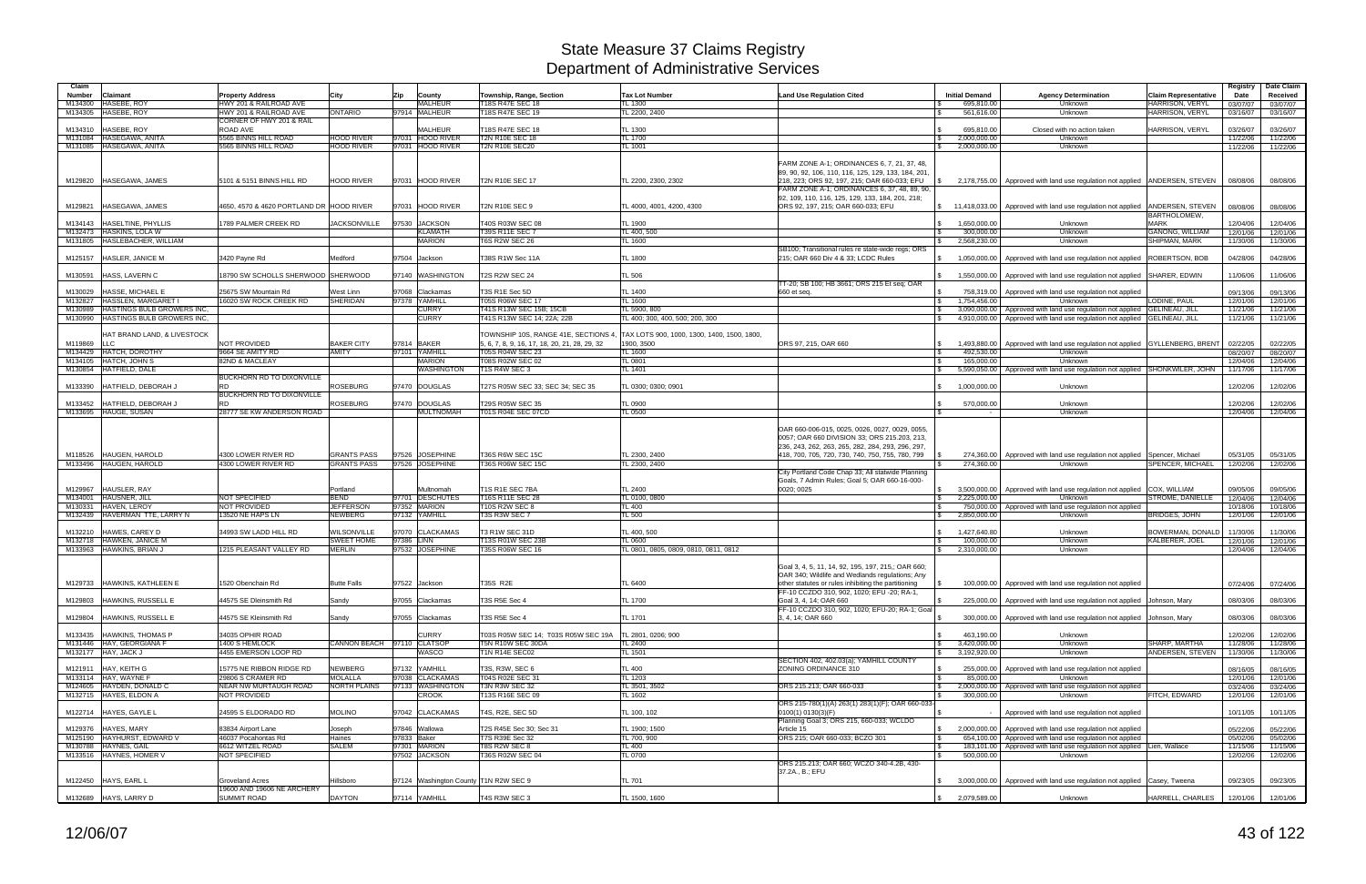| Claim                    |                                                      |                                                   |                                          |                                       |                                                          |                                                         |                                                                                                                                                                                                                                                             |                                                   |                                                                                                                                        |                                                       | Registry             | Date Claim           |
|--------------------------|------------------------------------------------------|---------------------------------------------------|------------------------------------------|---------------------------------------|----------------------------------------------------------|---------------------------------------------------------|-------------------------------------------------------------------------------------------------------------------------------------------------------------------------------------------------------------------------------------------------------------|---------------------------------------------------|----------------------------------------------------------------------------------------------------------------------------------------|-------------------------------------------------------|----------------------|----------------------|
| <b>Number</b><br>M134300 | Claimant<br>HASEBE, ROY                              | <b>Property Address</b><br>HWY 201 & RAILROAD AVE | City                                     | Zip<br>County<br>MALHEUR              | Township, Range, Section<br><b>18S R47E SEC 18</b>       | <b>Tax Lot Number</b><br>TL 1300                        | <b>Land Use Regulation Cited</b>                                                                                                                                                                                                                            | <b>Initial Demand</b><br>695,810.00               | <b>Agency Determination</b><br>Unknown                                                                                                 | <b>Claim Representative</b><br><b>HARRISON, VERYL</b> | Date                 | Received             |
|                          | M134305 HASEBE, ROY                                  | HWY 201 & RAILROAD AVE                            | <b>ONTARIO</b>                           | 97914 MALHEUR                         | T18S R47E SEC 19                                         | TL 2200, 2400                                           |                                                                                                                                                                                                                                                             | 561.616.00                                        | Unknown                                                                                                                                | HARRISON, VERYL                                       | 03/07/07<br>03/16/07 | 03/07/07<br>03/16/07 |
|                          |                                                      | CORNER OF HWY 201 & RAIL                          |                                          |                                       |                                                          |                                                         |                                                                                                                                                                                                                                                             |                                                   |                                                                                                                                        |                                                       |                      |                      |
| M134310                  | HASEBE, ROY                                          | ROAD AVE                                          |                                          | <b>MALHEUR</b>                        | T18S R47E SEC 18                                         | TL 1300                                                 |                                                                                                                                                                                                                                                             | 695,810.00                                        | Closed with no action taken                                                                                                            | HARRISON, VERYL                                       | 03/26/07             | 03/26/07             |
|                          | M131084 HASEGAWA, ANITA                              | 5565 BINNS HILL ROAD                              | <b>HOOD RIVER</b>                        | 97031 HOOD RIVER                      | <b>T2N R10E SEC 18</b><br><b>T2N R10E SEC20</b>          | TL 1700                                                 |                                                                                                                                                                                                                                                             | 2,000,000.00<br>IS.                               | Unknown<br>Unknown                                                                                                                     |                                                       | 11/22/06             | 11/22/06             |
|                          | M131085 HASEGAWA, ANITA                              | 5565 BINNS HILL ROAD                              | <b>HOOD RIVER</b>                        | 97031 HOOD RIVER                      |                                                          | TL 1001                                                 |                                                                                                                                                                                                                                                             | 2,000,000.00<br>$\mathbb{S}$                      |                                                                                                                                        |                                                       | 11/22/06             | 11/22/06             |
|                          | M129820 HASEGAWA, JAMES                              | 5101 & 5151 BINNS HILL RD                         | <b>HOOD RIVER</b>                        | 97031 HOOD RIVER                      | <b>T2N R10E SEC 17</b>                                   | TL 2200, 2300, 2302                                     | FARM ZONE A-1; ORDINANCES 6, 7, 21, 37, 48,<br>89, 90, 92, 106, 110, 116, 125, 129, 133, 184, 201<br>218, 223; ORS 92, 197, 215; OAR 660-033; EFU                                                                                                           |                                                   | 2,178,755.00 Approved with land use regulation not applied ANDERSEN, STEVEN                                                            |                                                       | 08/08/06             | 08/08/06             |
|                          |                                                      |                                                   |                                          |                                       |                                                          |                                                         | FARM ZONE A-1; ORDINANCES 6, 37, 48, 89, 90,<br>92, 109, 110, 116, 125, 129, 133, 184, 201, 218;                                                                                                                                                            |                                                   |                                                                                                                                        |                                                       |                      |                      |
| M129821                  | HASEGAWA, JAMES                                      | 4650, 4570 & 4620 PORTLAND DR HOOD RIVER          |                                          | 97031 HOOD RIVER                      | <b>T2N R10E SEC 9</b>                                    | TL 4000, 4001, 4200, 4300                               | ORS 92, 197, 215; OAR 660-033; EFU                                                                                                                                                                                                                          |                                                   | $\frac{1}{3}$ 11,418,033.00 Approved with land use regulation not applied ANDERSEN, STEVEN                                             | <b>BARTHOLOMEW</b>                                    | 08/08/06             | 08/08/06             |
| M134143                  | HASELTINE, PHYLLIS<br>M132473 HASKINS, LOLA W        | 1789 PALMER CREEK RD                              | <b>JACKSONVILLE</b>                      | 97530 JACKSON<br><b>KLAMATH</b>       | T40S R03W SEC 08<br>T39S R11E SEC 7                      | <b>TL 1900</b><br>TL 400, 500                           |                                                                                                                                                                                                                                                             | 1,650,000.00<br>$\mathbb{S}$<br>300,000.00<br>IS. | Unknown<br>Unknown                                                                                                                     | MARK<br><b>GANONG, WILLIAM</b>                        | 12/04/06<br>12/01/06 | 12/04/06<br>12/01/06 |
|                          | M131805 HASLEBACHER, WILLIAM                         |                                                   |                                          | <b>MARION</b>                         | <b>T6S R2W SEC 26</b>                                    | TL 1600                                                 |                                                                                                                                                                                                                                                             | $\mathbb{S}$<br>2,568,230.00                      | Unknown                                                                                                                                | <b>SHIPMAN, MARK</b>                                  | 11/30/06             | 11/30/06             |
|                          |                                                      |                                                   |                                          |                                       |                                                          |                                                         | SB100; Transitional rules re state-wide regs; ORS                                                                                                                                                                                                           |                                                   |                                                                                                                                        |                                                       |                      |                      |
|                          | M125157 HASLER, JANICE M                             | 3420 Payne Rd                                     | Medford                                  | 97504 Jackson                         | T38S R1W Sec 11A                                         | <b>TL 1800</b>                                          | 215; OAR 660 Div 4 & 33; LCDC Rules                                                                                                                                                                                                                         | $\mathbb{S}$<br>1,050,000.00                      | Approved with land use regulation not applied   ROBERTSON, BOB                                                                         |                                                       | 04/28/06             | 04/28/06             |
| M130591                  | HASS, LAVERN C                                       | 18790 SW SCHOLLS SHERWOOD SHERWOOD                |                                          | 97140 WASHINGTON                      | <b>T2S R2W SEC 24</b>                                    | <b>TL 506</b>                                           | TT-20; SB 100; HB 3661; ORS 215 Et seq; OAR                                                                                                                                                                                                                 | $\mathbb{S}$<br>1.550.000.00                      | Approved with land use regulation not applied SHARER, EDWIN                                                                            |                                                       | 11/06/06             | 11/06/06             |
| M130029                  | <b>HASSE, MICHAEL E</b>                              | 25675 SW Mountain Rd                              | West Linn                                | 97068 Clackamas                       | T3S R1E Sec 5D                                           | TL 1400                                                 | 660 et seq.                                                                                                                                                                                                                                                 | 758.319.00                                        | Approved with land use regulation not applied                                                                                          |                                                       | 09/13/06             | 09/13/06             |
|                          | M132827 HASSLEN, MARGARET I                          | 16020 SW ROCK CREEK RD                            | <b>SHERIDAN</b>                          | 97378 YAMHILL                         | <b>T05S R06W SEC 17</b>                                  | <b>TL 1600</b>                                          |                                                                                                                                                                                                                                                             | 1,754,456.00<br><b>S</b>                          | Unknown                                                                                                                                | LODINE, PAUL                                          | 12/01/06             | 12/01/06             |
| M130989                  | HASTINGS BULB GROWERS INC.                           |                                                   |                                          | <b>CURRY</b>                          | T41S R13W SEC 15B; 15CB                                  | TL 5900, 800                                            |                                                                                                                                                                                                                                                             | 3.090.000.00<br>l \$                              | Approved with land use regulation not applied GELINEAU, JILL                                                                           |                                                       | 11/21/06             | 11/21/06             |
|                          | M130990 HASTINGS BULB GROWERS INC.                   |                                                   |                                          | <b>CURRY</b>                          | T41S R13W SEC 14; 22A; 22B                               | TL 400: 300, 400, 500: 200, 300                         |                                                                                                                                                                                                                                                             | <b>S</b>                                          | 4,910,000.00 Approved with land use regulation not applied GELINEAU, JILL                                                              |                                                       | 11/21/06             | 11/21/06             |
|                          | <b>HAT BRAND LAND, &amp; LIVESTOCK</b>               |                                                   |                                          |                                       | TOWNSHIP 10S. RANGE 41E, SECTIONS 4.                     | TAX LOTS 900, 1000, 1300, 1400, 1500, 1800,             |                                                                                                                                                                                                                                                             |                                                   |                                                                                                                                        |                                                       |                      |                      |
| M119869                  | <b>LLC</b>                                           | <b>NOT PROVIDED</b>                               | <b>BAKER CITY</b>                        | 97814 BAKER                           | 5, 6, 7, 8, 9, 16, 17, 18, 20, 21, 28, 29, 32            | 1900, 3500                                              | ORS 97, 215, OAR 660                                                                                                                                                                                                                                        | $\mathcal{S}$<br>1,493,880.00                     | Approved with land use regulation not applied GYLLENBERG, BRENT                                                                        |                                                       | 02/22/05             | 02/22/05             |
|                          | M134429 HATCH, DOROTHY                               | 9664 SE AMITY RD                                  | AMITY                                    | 97101 YAMHILL                         | T05S R04W SEC 23                                         | TL 1600                                                 |                                                                                                                                                                                                                                                             | 492.530.00                                        | Unknown                                                                                                                                |                                                       | 08/20/07             | 08/20/07             |
|                          | M134105 HATCH, JOHN S                                | 82ND & MACLEAY                                    |                                          | <b>MARION</b>                         | <b>T08S R02W SEC 02</b>                                  | <b>TL 0801</b>                                          |                                                                                                                                                                                                                                                             | 165,000.00<br>IS.                                 | Unknown                                                                                                                                |                                                       | 12/04/06             | 12/04/06             |
|                          | M130854 HATFIELD, DALE                               |                                                   |                                          | <b>WASHINGTON</b>                     | T1S R4W SEC 3                                            | <b>TL 1401</b>                                          |                                                                                                                                                                                                                                                             |                                                   | 5,590,050.00 Approved with land use regulation not applied SHONKWILER, JOHN                                                            |                                                       | 11/17/06             | 11/17/06             |
| M133390                  | HATFIELD, DEBORAH J                                  | <b>BUCKHORN RD TO DIXONVILLE</b><br><b>RD</b>     | ROSEBURG                                 | 97470 DOUGLAS                         | T27S R05W SEC 33; SEC 34; SEC 35                         | TL 0300: 0300: 0901                                     |                                                                                                                                                                                                                                                             | 1.000.000.00                                      | Unknown                                                                                                                                |                                                       | 12/02/06             | 12/02/06             |
|                          |                                                      | BUCKHORN RD TO DIXONVILLE                         |                                          |                                       |                                                          |                                                         |                                                                                                                                                                                                                                                             |                                                   |                                                                                                                                        |                                                       |                      |                      |
| M133452                  | HATFIELD, DEBORAH J                                  | RD.                                               | <b>ROSEBURG</b>                          | 97470 DOUGLAS                         | T29S R05W SEC 35                                         | <b>TL 0900</b>                                          |                                                                                                                                                                                                                                                             | 570,000.00                                        | Unknown                                                                                                                                |                                                       | 12/02/06             | 12/02/06             |
|                          | M133695 HAUGE, SUSAN                                 | 28777 SE KW ANDERSON ROAD                         |                                          | <b>MULTNOMAH</b>                      | <b>T01S R04E SEC 07CD</b>                                | TL 0500                                                 |                                                                                                                                                                                                                                                             |                                                   | Unknown                                                                                                                                |                                                       | 12/04/06             | 12/04/06             |
| M118526                  | HAUGEN, HAROLD<br>M133496 HAUGEN, HAROLD             | 4300 LOWER RIVER RD<br>4300 LOWER RIVER RD        | <b>GRANTS PASS</b><br><b>GRANTS PASS</b> | 97526 JOSEPHINE<br>97526 JOSEPHINE    | T36S R6W SEC 15C<br><b>T36S R06W SEC 15C</b>             | TL 2300, 2400<br>TL 2300, 2400                          | OAR 660-006-015, 0025, 0026, 0027, 0029, 0055,<br>0057; OAR 660 DIVISION 33; ORS 215.203, 213,<br>236, 243, 262, 263, 265, 282, 284, 293, 296, 297<br>418, 700, 705, 720, 730, 740, 750, 755, 780, 799<br>City Portland Code Chap 33; All statwide Planning | 274,360.00<br>274.360.00                          | Approved with land use regulation not applied Spencer, Michael<br><b>Unknown</b>                                                       | SPENCER, MICHAEL                                      | 05/31/05<br>12/02/06 | 05/31/05<br>12/02/06 |
|                          |                                                      |                                                   |                                          |                                       |                                                          |                                                         | Goals, 7 Admin Rules; Goal 5; OAR 660-16-000-                                                                                                                                                                                                               |                                                   |                                                                                                                                        |                                                       |                      |                      |
| M129967                  | <b>HAUSLER, RAY</b>                                  |                                                   | Portland                                 | Multnomah                             | T1S R1E SEC 7BA                                          | <b>TL 2400</b>                                          | 0020; 0025                                                                                                                                                                                                                                                  | $\mathbb{S}$<br>3,500,000.00                      | Approved with land use regulation not applied COX, WILLIAM                                                                             |                                                       | 09/05/06             | 09/05/06             |
| M134001<br>M130331       | HAUSNER, JILL<br><b>HAVEN, LEROY</b>                 | <b>NOT SPECIFIED</b><br><b>NOT PROVIDED</b>       | <b>BEND</b><br><b>JEFFERSON</b>          | 97701 DESCHUTES<br>97352 MARION       | T16S R11E SEC 28<br><b>T10S R2W SEC 8</b>                | TL 0100, 0800<br><b>TL 400</b>                          |                                                                                                                                                                                                                                                             | 2,225,000.00<br>l \$<br>750,000.00<br>l \$        | Unknown<br>Approved with land use regulation not applied                                                                               | STROME, DANIELLE                                      | 12/04/06<br>10/18/06 | 12/04/06<br>10/18/06 |
|                          | M132439 HAVERMAN TTE, LARRY N                        | 13520 NE HAPS LN                                  | <b>NEWBERG</b>                           | 97132 YAMHILL                         | T3S R3W SEC 7                                            | <b>TL 500</b>                                           |                                                                                                                                                                                                                                                             | 2,850,000.00<br>$\mathbb{S}$                      | Unknown                                                                                                                                | <b>BRIDGES, JOHN</b>                                  | 12/01/06             | 12/01/06             |
|                          |                                                      |                                                   |                                          |                                       |                                                          |                                                         |                                                                                                                                                                                                                                                             |                                                   |                                                                                                                                        |                                                       |                      |                      |
| M132210                  | <b>HAWES, CAREY D</b>                                | 34993 SW LADD HILL RD                             | <b><i>NILSONVILLE</i></b>                | 97070 CLACKAMAS                       | T3 R1W SEC 31D                                           | TL 400, 500                                             |                                                                                                                                                                                                                                                             | 1,427,640.80                                      | Unknown                                                                                                                                | BOWERMAN, DONALD                                      | 11/30/06             | 11/30/06             |
|                          | M132718 HAWKEN, JANICE M<br>M133963 HAWKINS, BRIAN J | 1215 PLEASANT VALLEY RD                           | <b>SWEET HOME</b><br><b>MERLIN</b>       | 97386 LINN<br>97532 JOSEPHINE         | T13S R01W SEC 23B<br>T35S R06W SEC 16                    | <b>TL 0600</b><br>TL 0801, 0805, 0809, 0810, 0811, 0812 |                                                                                                                                                                                                                                                             | 100,000.00<br>$\mathbb{R}$<br>2,310,000.00        | Unknown<br>Unknown                                                                                                                     | KALBERER. JOEL                                        | 12/01/06             | 12/01/06             |
|                          |                                                      |                                                   |                                          |                                       |                                                          |                                                         | Goal 3, 4, 5, 11, 14, 92, 195, 197, 215,; OAR 660;<br>OAR 340: Wildlife and Wedlands regulations: Any                                                                                                                                                       |                                                   |                                                                                                                                        |                                                       | 12/04/06             | 12/04/06             |
|                          | M129733 HAWKINS, KATHLEEN E                          | 1520 Obenchain Rd                                 | <b>Butte Falls</b>                       | 97522 Jackson                         | T35S R2E                                                 | <b>TL 6400</b>                                          | other statutes or rules inhibiting the partitioning                                                                                                                                                                                                         | $\sqrt{S}$                                        | 100,000.00 Approved with land use regulation not applied                                                                               |                                                       | 07/24/06             | 07/24/06             |
|                          |                                                      |                                                   |                                          |                                       |                                                          |                                                         | FF-10 CCZDO 310, 902, 1020; EFU -20; RA-1,                                                                                                                                                                                                                  |                                                   |                                                                                                                                        |                                                       |                      |                      |
|                          | M129803 HAWKINS, RUSSELL E                           | 44575 SE Dleinsmith Rd                            | Sandy                                    | 97055 Clackamas                       | T3S R5E Sec 4                                            | <b>TL 1700</b>                                          | Goal 3, 4, 14; OAR 660<br>FF-10 CCZDO 310, 902, 1020; EFU-20; RA-1; Goal                                                                                                                                                                                    | l \$                                              | 225,000.00 Approved with land use regulation not applied Johnson, Mary                                                                 |                                                       | 08/03/06             | 08/03/06             |
|                          | M129804 HAWKINS, RUSSELL E                           | 44575 SE Kleinsmith Rd                            | Sandy                                    | 97055 Clackamas                       | T3S R5E Sec 4                                            | TL 1701                                                 | 3, 4, 14; OAR 660                                                                                                                                                                                                                                           |                                                   | 300,000.00   Approved with land use regulation not applied   Johnson, Mary                                                             |                                                       | 08/03/06             | 08/03/06             |
|                          | M133435 HAWKINS, THOMAS P                            | 34035 OPHIR ROAD                                  |                                          | <b>CURRY</b>                          | T03S R05W SEC 14; T03S R05W SEC 19A   TL 2801, 0206; 900 |                                                         |                                                                                                                                                                                                                                                             | l \$<br>463,190.00                                | Unknown                                                                                                                                |                                                       | 12/02/06             | 12/02/06             |
|                          | M131446 HAY, GEORGIANA F                             | 1400 S HEMLOCK                                    |                                          | CANNON BEACH 97110 CLATSOP            | T5N R10W SEC 30DA                                        | <b>TL 2400</b>                                          |                                                                                                                                                                                                                                                             | 3,420,000.00<br>$\mathbb{S}$                      | Unknown                                                                                                                                | SHARP, MARTHA                                         | 11/28/06             | 11/28/06             |
|                          | M132177 HAY, JACK J                                  | 4455 EMERSON LOOP RD                              |                                          | WASCO                                 | <b>T1N R14E SEC02</b>                                    | TL 1501                                                 |                                                                                                                                                                                                                                                             | 3,192,920.00<br>$\mathcal{S}$                     | Unknown                                                                                                                                | ANDERSEN, STEVEN                                      | 11/30/06             | 11/30/06             |
|                          | M121911 HAY, KEITH G                                 | 15775 NE RIBBON RIDGE RD                          | <b>NEWBERG</b>                           | 97132 YAMHILL                         | T3S, R3W, SEC 6                                          | <b>TL 400</b>                                           | SECTION 402, 402.03(a); YAMHILL COUNTY<br>ZONING ORDINANCE 310                                                                                                                                                                                              | 255,000.00<br><b>S</b>                            | Approved with land use regulation not applied                                                                                          |                                                       | 08/16/05             | 08/16/05             |
|                          | M133114 HAY, WAYNE F                                 | 29806 S CRAMER RD                                 | MOLALLA                                  | 97038 CLACKAMAS                       | T04S R02E SEC 31                                         | <b>TL 1203</b>                                          |                                                                                                                                                                                                                                                             | 85,000.00<br>l \$                                 | <b>Unknown</b>                                                                                                                         |                                                       | 12/01/06             | 12/01/06             |
|                          | M124605 HAYDEN, DONALD C                             | NEAR NW MURTAUGH ROAD                             | <b>NORTH PLAINS</b>                      | 97133 WASHINGTON                      | T3N R3W SEC 32                                           | TL 3501, 3502                                           | ORS 215.213; OAR 660-033                                                                                                                                                                                                                                    | $\sqrt{S}$                                        | 2,000,000.00 Approved with land use regulation not applied                                                                             |                                                       | 03/24/06             | 03/24/06             |
|                          | M132715 HAYES, ELDON A<br>M122714 HAYES, GAYLE L     | NOT PROVIDED<br>24595 S ELDORADO RD               | <b>MOLINO</b>                            | <b>CROOK</b><br>97042 CLACKAMAS       | T13S R16E SEC 09<br>T4S, R2E, SEC 5D                     | TL 1602<br>TL 100, 102                                  | ORS 215-780(1)(A) 263(1) 283(1)(F); OAR 660-033-<br>0100(1) 0130(3)(F)                                                                                                                                                                                      | 300,000.00<br>$\mathcal{S}$<br>l \$               | Unknown<br>Approved with land use regulation not applied                                                                               | FITCH, EDWARD                                         | 12/01/06<br>10/11/05 | 12/01/06             |
|                          |                                                      |                                                   |                                          |                                       |                                                          |                                                         | Planning Goal 3; ORS 215, 660-033; WCLDO                                                                                                                                                                                                                    |                                                   |                                                                                                                                        |                                                       |                      | 10/11/05             |
|                          | M129376 HAYES, MARY                                  | 83834 Airport Lane                                | Joseph                                   | 97846 Wallowa                         | T2S R45E Sec 30; Sec 31                                  | TL 1900; 1500                                           | Article 15                                                                                                                                                                                                                                                  | $\mathcal{S}$                                     | 2,000,000.00 Approved with land use regulation not applied                                                                             |                                                       | 05/22/06             | 05/22/06             |
|                          | M125190 HAYHURST, EDWARD V<br>M130788 HAYNES, GAIL   | 46037 Pocahontas Rd<br>6612 WITZEL ROAD           | Haines<br><b>SALEM</b>                   | 97833 Baker<br>97301 MARION           | T7S R39E Sec 32<br>T8S R2W SEC 8                         | TL 700, 900<br><b>TL 400</b>                            | ORS 215; OAR 660-033; BCZO 301                                                                                                                                                                                                                              | <b>S</b><br>$\sqrt{3}$                            | 654,100.00 Approved with land use regulation not applied<br>183,101.00   Approved with land use regulation not applied   Lien, Wallace |                                                       | 05/02/06<br>11/15/06 | 05/02/06<br>11/15/06 |
|                          | M133516 HAYNES, HOMER V                              | NOT SPECIFIED                                     |                                          | 97502 JACKSON                         | T36S R02W SEC 04                                         | <b>TL 0700</b>                                          |                                                                                                                                                                                                                                                             | 500,000.00<br>$\sqrt{3}$                          | Unknown                                                                                                                                |                                                       | 12/02/06             | 12/02/06             |
|                          |                                                      |                                                   |                                          |                                       |                                                          |                                                         | ORS 215.213; OAR 660; WCZO 340-4.2B, 430-                                                                                                                                                                                                                   |                                                   |                                                                                                                                        |                                                       |                      |                      |
|                          | M122450 HAYS, EARL L                                 | <b>Groveland Acres</b>                            | Hillsboro                                | 97124 Washington County T1N R2W SEC 9 |                                                          | <b>TL 701</b>                                           | 37.2A., B.; EFU                                                                                                                                                                                                                                             | $\mathbb{S}$                                      | 3,000,000.00 Approved with land use regulation not applied Casey, Tweena                                                               |                                                       | 09/23/05             | 09/23/05             |
|                          |                                                      | 19600 AND 19606 NE ARCHERY                        |                                          |                                       |                                                          |                                                         |                                                                                                                                                                                                                                                             |                                                   |                                                                                                                                        |                                                       |                      |                      |
|                          | M132689 HAYS, LARRY D                                | <b>SUMMIT ROAD</b>                                | <b>DAYTON</b>                            | 97114 YAMHILL                         | T4S R3W SEC 3                                            | TL 1500, 1600                                           |                                                                                                                                                                                                                                                             | \$2,079,589.00                                    | Unknown                                                                                                                                | HARRELL, CHARLES                                      |                      | 12/01/06 12/01/06    |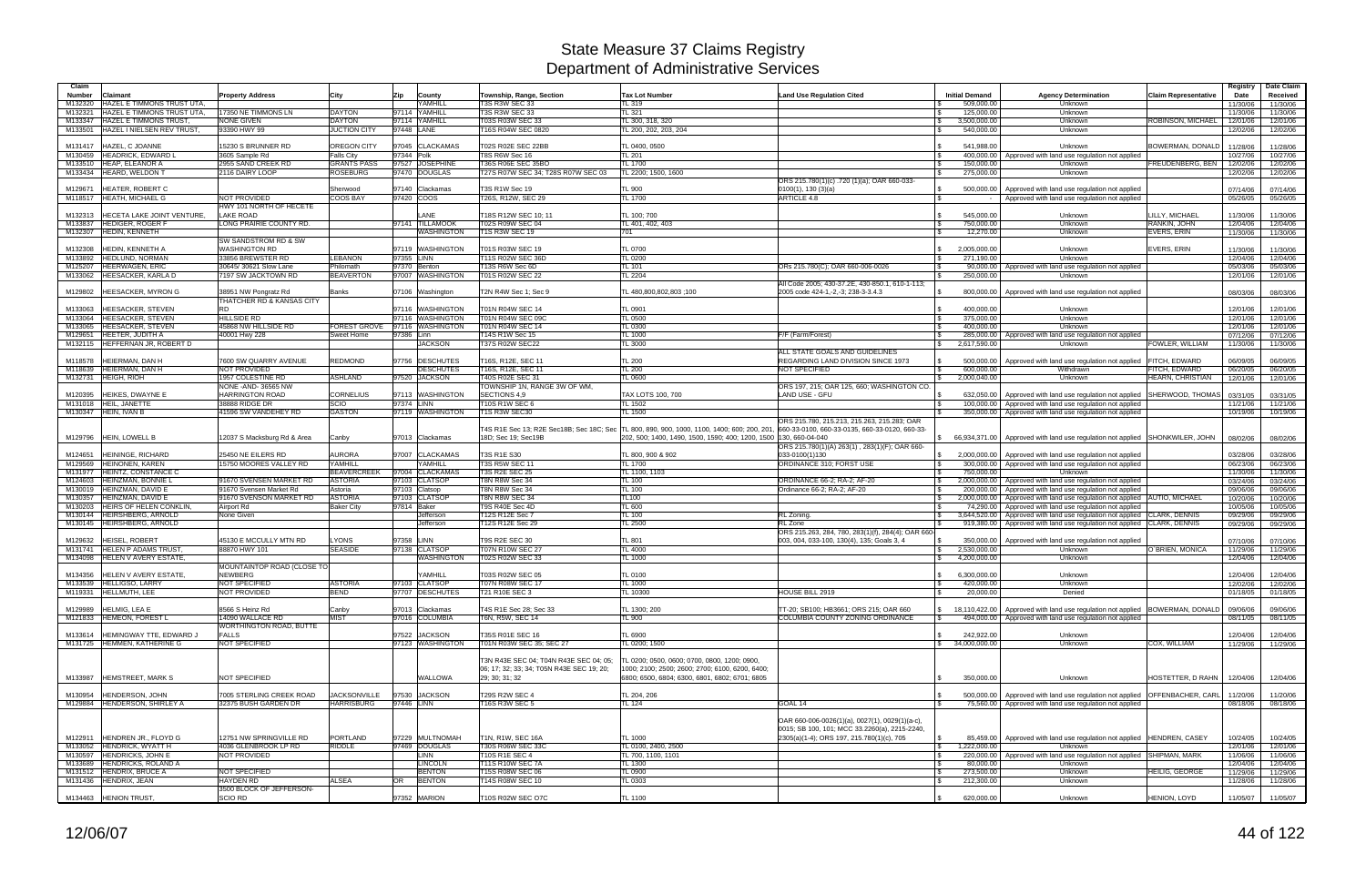| Claim              |                                                            |                                                    |                                         |              |                                      |                                                                 |                                                                                                                         |                                                                                                  |                              |                                                                                                                              |                                   | Registry             | Date Claim           |
|--------------------|------------------------------------------------------------|----------------------------------------------------|-----------------------------------------|--------------|--------------------------------------|-----------------------------------------------------------------|-------------------------------------------------------------------------------------------------------------------------|--------------------------------------------------------------------------------------------------|------------------------------|------------------------------------------------------------------------------------------------------------------------------|-----------------------------------|----------------------|----------------------|
| <b>Number</b>      | Claimant                                                   | <b>Property Address</b>                            | City                                    | Zip          | County                               | Township, Range, Section                                        | <b>Tax Lot Number</b>                                                                                                   | <b>Land Use Regulation Cited</b>                                                                 | <b>Initial Demand</b>        | <b>Agency Determination</b>                                                                                                  | <b>Claim Representative</b>       | Date                 | Received             |
| M132320            | HAZEL E TIMMONS TRUST UTA,                                 |                                                    |                                         |              | <b>AMHILL</b><br>YAMHILL             | 3S R3W SEC 33<br><b>T3S R3W SEC 33</b>                          | L 319                                                                                                                   |                                                                                                  | 509,000.00                   | Unknown                                                                                                                      |                                   | 11/30/06             | 11/30/06             |
| M132321<br>M133347 | HAZEL E TIMMONS TRUST UTA.<br><b>HAZEL E TIMMONS TRUST</b> | 17350 NE TIMMONS LN<br><b>NONE GIVEN</b>           | <b>DAYTON</b><br><b>DAYTON</b>          | 97114        | 97114 YAMHILL                        | 03S R03W SEC 33                                                 | <b>TL 321</b><br>L 300, 318, 320                                                                                        |                                                                                                  | 125,000.00<br>3,500,000.00   | Unknown<br>Unknown                                                                                                           | ROBINSON, MICHAEL                 | 11/30/06<br>12/01/06 | 11/30/06<br>12/01/06 |
| M133501            | HAZEL I NIELSEN REV TRUST.                                 | 93390 HWY 99                                       | <b>JUCTION CITY</b>                     | 97448 LANE   |                                      | 16S R04W SEC 0820                                               | TL 200, 202, 203, 204                                                                                                   |                                                                                                  | 540,000.00                   | Unknown                                                                                                                      |                                   | 12/02/06             | 12/02/06             |
|                    |                                                            |                                                    |                                         |              |                                      |                                                                 |                                                                                                                         |                                                                                                  |                              |                                                                                                                              |                                   |                      |                      |
| M131417<br>M130459 | HAZEL, C JOANNE<br><b>HEADRICK, EDWARD L</b>               | 15230 S BRUNNER RD<br>3605 Sample Rd               | <b>OREGON CITY</b><br><b>Falls City</b> | 97344 Polk   | 97045 CLACKAMAS                      | T02S R02E SEC 22BB<br>T8S R6W Sec 16                            | TL 0400, 0500<br>TL201                                                                                                  |                                                                                                  | 541,988.00                   | Unknown<br>400,000.00 Approved with land use regulation not applied                                                          | BOWERMAN, DONALD                  | 11/28/06<br>10/27/06 | 11/28/06<br>10/27/06 |
| M133510            | <b>HEAP, ELEANOR A</b>                                     | 2955 SAND CREEK RD                                 | <b>GRANTS PASS</b>                      |              | 97527 JOSEPHINE                      | T36S R06E SEC 35BO                                              | L 1700                                                                                                                  |                                                                                                  | 150,000.00                   | Unknown                                                                                                                      | FREUDENBERG, BEN                  | 12/02/06             | 12/02/06             |
| M133434            | HEARD, WELDON 1                                            | 2116 DAIRY LOOP                                    | ROSEBURG                                |              | 97470 DOUGLAS                        | 27S R07W SEC 34: T28S R07W SEC 03                               | L 2200; 1500, 1600                                                                                                      |                                                                                                  | 275,000.00                   | Unknown                                                                                                                      |                                   | 12/02/06             | 12/02/06             |
|                    |                                                            |                                                    |                                         |              |                                      |                                                                 |                                                                                                                         | ORS 215.780(1)(c) .720 (1)(a); OAR 660-033-                                                      |                              |                                                                                                                              |                                   |                      |                      |
| M129671<br>M118517 | <b>HEATER, ROBERT C</b><br><b>HEATH, MICHAEL G</b>         | NOT PROVIDED                                       | Sherwood<br><b>COOS BAY</b>             | 97420 COOS   | 97140 Clackamas                      | <b>T3S R1W Sec 19</b><br>26S, R12W, SEC 29                      | TL 900<br>L 1700                                                                                                        | 0100(1), 130(3)(a)<br>ARTICLE 4.8                                                                | 500.000.00                   | Approved with land use regulation not applied<br>Approved with land use regulation not applied                               |                                   | 07/14/06<br>05/26/05 | 07/14/06<br>05/26/05 |
|                    |                                                            | HWY 101 NORTH OF HECETE                            |                                         |              |                                      |                                                                 |                                                                                                                         |                                                                                                  |                              |                                                                                                                              |                                   |                      |                      |
| M132313            | HECETA LAKE JOINT VENTURE                                  | <b>LAKE ROAD</b>                                   |                                         |              | <b>ANE</b>                           | T18S R12W SEC 10; 11                                            | TL 100; 700                                                                                                             |                                                                                                  | 545,000.00                   | Unknown                                                                                                                      | LILLY, MICHAEL                    | 11/30/06             | 11/30/06             |
| M133837            | <b>HEDIGER, ROGER F</b>                                    | LONG PRAIRIE COUNTY RD.                            |                                         |              | 97141 TILLAMOOK                      | <b>T02S R09W SEC 04</b>                                         | TL 401, 402, 403                                                                                                        |                                                                                                  | 750,000.00<br><b>S</b>       | Unknown                                                                                                                      | RANKIN, JOHN                      | 12/04/06             | 12/04/06             |
| M132307            | <b>HEDIN, KENNETH</b>                                      | SW SANDSTROM RD & SW                               |                                         |              | WASHINGTON                           | <b>T1S R3W SEC 19</b>                                           | 701                                                                                                                     |                                                                                                  | 12,270.00                    | Unknown                                                                                                                      | <b>EVERS, ERIN</b>                | 11/30/06             | 11/30/06             |
| M132308            | HEDIN, KENNETH A                                           | <b>WASHINGTON RD</b>                               |                                         |              | 97119 WASHINGTON                     | T01S R03W SEC 19                                                | <b>TL 0700</b>                                                                                                          |                                                                                                  | 2,005,000.00<br>$\mathbf{s}$ | Unknown                                                                                                                      | <b>EVERS, ERIN</b>                | 11/30/06             | 11/30/06             |
| M133892            | <b>HEDLUND, NORMAN</b>                                     | 33856 BREWSTER RD                                  | <b>LEBANON</b>                          | 97355 LINN   |                                      | 11S R02W SEC 36D                                                | L 0200                                                                                                                  |                                                                                                  | 271,190.00                   | Unknown                                                                                                                      |                                   | 12/04/06             | 12/04/06             |
| M125207            | <b>HEERWAGEN, ERIC</b>                                     | 30645/30621 Slow Lane                              | Philomath                               | 97370 Benton |                                      | 13S R6W Sec 6D                                                  | TL 101                                                                                                                  | ORs 215.780(C); OAR 660-006-0026                                                                 | 90,000.00                    | Approved with land use regulation not applied                                                                                |                                   | 05/03/06             | 05/03/06             |
| M133062            | HEESACKER, KARLA D                                         | 7197 SW JACKTOWN RD                                | <b>BEAVERTON</b>                        |              | 97007 WASHINGTON                     | T01S R02W SEC 22                                                | L 2204                                                                                                                  |                                                                                                  | 250,000.00                   | Unknown                                                                                                                      |                                   | 12/01/06             | 12/01/06             |
| M129802            | HEESACKER, MYRON G                                         | 38951 NW Pongratz Rd                               | Banks                                   |              | 07106 Washington                     | T2N R4W Sec 1; Sec 9                                            | 100 1: 480,800,802,803                                                                                                  | All Code 2005; 430-37.2E, 430-850.1, 610-1-113;<br>2005 code 424-1,-2,-3; 238-3-3.4.3            | 800,000.00                   | Approved with land use regulation not applied                                                                                |                                   | 08/03/06             | 08/03/06             |
|                    |                                                            | THATCHER RD & KANSAS CITY                          |                                         |              |                                      |                                                                 |                                                                                                                         |                                                                                                  |                              |                                                                                                                              |                                   |                      |                      |
| M133063            | HEESACKER, STEVEN                                          | RD.                                                |                                         |              | 97116 WASHINGTON                     | T01N R04W SEC 14                                                | TL 0901                                                                                                                 |                                                                                                  | 400.000.00                   | Unknown                                                                                                                      |                                   | 12/01/06             | 12/01/06             |
| M133064<br>M133065 | <b>HEESACKER, STEVEN</b><br><b>HEESACKER, STEVEN</b>       | <b>HILLSIDE RD</b>                                 |                                         |              | 97116 WASHINGTON<br>97116 WASHINGTON | T01N R04W SEC 09C<br>01N R04W SEC 14                            | $L_{0500}$<br>TL 0300                                                                                                   |                                                                                                  | 375,000.00<br>400.000.00     | Unknown                                                                                                                      |                                   | 12/01/06             | 12/01/06             |
| M129651            | <b>HEETER, JUDITH A</b>                                    | 45868 NW HILLSIDE RD<br>40001 Hwy 228              | FOREST GROVE<br>Sweet Home              | 97386 Linn   |                                      | 14S R1W Sec 15                                                  | L 1000                                                                                                                  | F/F (Farm/Forest)                                                                                | 285,000.00                   | Unknown<br>Approved with land use regulation not applied                                                                     |                                   | 12/01/06<br>07/12/06 | 12/01/06<br>07/12/06 |
| M132115            | HEFFERNAN JR, ROBERT D                                     |                                                    |                                         |              | <b>JACKSON</b>                       | T37S R02W SEC22                                                 | TL 3000                                                                                                                 |                                                                                                  | 2,617,590.00<br><b>S</b>     | Unknown                                                                                                                      | FOWLER, WILLIAM                   | 11/30/06             | 11/30/06             |
|                    |                                                            |                                                    |                                         |              |                                      |                                                                 |                                                                                                                         | ALL STATE GOALS AND GUIDELINES                                                                   |                              |                                                                                                                              |                                   |                      |                      |
| M118578            | HEIERMAN, DAN H                                            | 7600 SW QUARRY AVENUE<br><b>NOT PROVIDED</b>       | REDMOND                                 |              | 97756 DESCHUTES                      | [16S, R12E, SEC 11                                              | TL 200<br>$L_{200}$                                                                                                     | REGARDING LAND DIVISION SINCE 1973                                                               | 500,000.00<br>600.000.00     | Approved with land use regulation not applied                                                                                | <b>FITCH, EDWARD</b>              | 06/09/05             | 06/09/05             |
| M118639<br>M132731 | HEIERMAN, DAN H<br><b>HEIGH, RIOH</b>                      | 1957 COLESTINE RD                                  | <b>ASHLAND</b>                          |              | <b>DESCHUTES</b><br>97520 JACKSON    | [16S, R12E, SEC 11<br>T40S R02E SEC 31                          | L 0600                                                                                                                  | <b>NOT SPECIFIED</b>                                                                             | 2,000,040.00                 | Withdrawn<br>Unknown                                                                                                         | FITCH, EDWARD<br>HEARN, CHRISTIAN | 06/20/05<br>12/01/06 | 06/20/05<br>12/01/06 |
|                    |                                                            | NONE - AND- 36565 NW                               |                                         |              |                                      | TOWNSHIP 1N, RANGE 3W OF WM.                                    |                                                                                                                         | ORS 197, 215; OAR 125, 660; WASHINGTON CO.                                                       |                              |                                                                                                                              |                                   |                      |                      |
| M120395            | HEIKES, DWAYNE E                                           | <b>HARRINGTON ROAD</b>                             | <b>CORNELIUS</b>                        |              | 97113 WASHINGTON                     | SECTIONS 4,9                                                    | TAX LOTS 100, 700                                                                                                       | LAND USE - GFU                                                                                   | 632.050.00                   | Approved with land use regulation not applied                                                                                | SHERWOOD, THOMAS                  | 03/31/05             | 03/31/05             |
| M131018            | HEIL, JANETTE                                              | 38888 RIDGE DR                                     | SCIO                                    | 97374 LINN   |                                      | <b>10S R1W SEC 6</b>                                            | L 1502                                                                                                                  |                                                                                                  | 100,000.00                   | Approved with land use regulation not applied                                                                                |                                   | 11/21/06             | 11/21/06             |
| M130347            | HEIN, IVAN B                                               | 41596 SW VANDEHEY RD                               | <b>GASTON</b>                           |              | 97119 WASHINGTON                     | <b>1S R3W SEC30</b>                                             | L 1500                                                                                                                  | ORS 215.780, 215.213, 215.263, 215.283; OAR                                                      | 350,000.00                   | Approved with land use regulation not applied                                                                                |                                   | 10/19/06             | 10/19/06             |
| M129796            | HEIN, LOWELL B                                             | 12037 S Macksburg Rd & Area                        | Canby                                   |              | 97013 Clackamas                      | T4S R1E Sec 13; R2E Sec18B; Sec 18C; Sec<br>18D; Sec 19; Sec19B | TL 800, 890, 900, 1000, 1100, 1400; 600; 200, 201<br>202, 500; 1400, 1490, 1500, 1590; 400; 1200, 1500  130, 660-04-040 | 660-33-0100, 660-33-0135, 660-33-0120, 660-33-<br>ORS 215.780(1)(A) 263(1), 283(1)(F); OAR 660-  |                              | \$ 66,934,371.00 Approved with land use regulation not applied SHONKWILER, JOHN                                              |                                   | 08/02/06             | 08/02/06             |
| M124651            | HEININGE, RICHARD                                          | 25450 NE EILERS RD                                 | AURORA                                  |              | 97007 CLACKAMAS                      | T3S R1E S30                                                     | TL 800, 900 & 902                                                                                                       | 033-0100(1)130                                                                                   | 2.000.000.00                 | Approved with land use regulation not applied                                                                                |                                   | 03/28/06             | 03/28/06             |
| M129569            | HEINONEN, KAREN                                            | 15750 MOORES VALLEY RD                             | YAMHILL                                 |              | <b>AMHILL</b>                        | <b>T3S R5W SEC 11</b>                                           | $-L$ 1700                                                                                                               | ORDINANCE 310: FORST USE                                                                         |                              | 300,000.00 Approved with land use regulation not applied                                                                     |                                   | 06/23/06             | 06/23/06             |
| M131977            | HEINTZ, CONSTANCE C                                        |                                                    | <b>BEAVERCREEK</b>                      |              | 97004 CLACKAMAS                      | T3S R2E SEC 25                                                  | L 1100, 1103                                                                                                            |                                                                                                  | 750,000.00                   | Unknown                                                                                                                      |                                   | 11/30/06             | 11/30/06             |
| M124603            | HEINZMAN, BONNIE L                                         | 91670 SVENSEN MARKET RD                            | <b>ASTORIA</b>                          |              | 97103 CLATSOP                        | F8N R8W Sec 34                                                  | TL 100                                                                                                                  | ORDINANCE 66-2; RA-2; AF-20                                                                      |                              | 2,000,000.00 Approved with land use regulation not applied                                                                   |                                   | 03/24/06             | 03/24/06             |
| M130019<br>M130357 | HEINZMAN, DAVID E<br>HEINZMAN, DAVID E                     | 91670 Svensen Market Rd<br>91670 SVENSON MARKET RD | Astoria<br><b>ASTORIA</b>               |              | 97103 Clatsop<br>97103 CLATSOP       | T8N R8W Sec 34<br><b>T8N R8W SEC 34</b>                         | TL 100<br>TL100                                                                                                         | Ordinance 66-2; RA-2; AF-20                                                                      | 200,000.00                   | Approved with land use regulation not applied<br>2,000,000.00   Approved with land use regulation not applied AUTIO, MICHAEL |                                   | 09/06/06<br>10/20/06 | 09/06/06<br>10/20/06 |
| M130203            | HEIRS OF HELEN CONKLIN                                     | Airport Rd                                         | <b>Baker City</b>                       | 97814 Baker  |                                      | T9S R40E Sec 4D                                                 | TL 600                                                                                                                  |                                                                                                  | 74.290.00                    | Approved with land use regulation not applied                                                                                |                                   | 10/05/06             | 10/05/06             |
| M130144            | HEIRSHBERG, ARNOLD                                         | None Given                                         |                                         |              | Jefferson                            | 12S R12E Sec 7                                                  | $L$ 100                                                                                                                 | RL Zoning.                                                                                       | $\mathsf{S}$<br>3,644,520.00 | Approved with land use regulation not applied CLARK, DENNIS                                                                  |                                   | 09/29/06             | 09/29/06             |
| M130145            | <b>HEIRSHBERG, ARNOLD</b>                                  |                                                    |                                         |              | Jefferson                            | 12S R12E Sec 29                                                 | L 2500                                                                                                                  | RL Zone                                                                                          | 919.380.00                   | Approved with land use regulation not applied CLARK, DENNIS                                                                  |                                   | 09/29/06             | 09/29/06             |
| M129632            | HEISEL, ROBERT                                             | 45130 E MCCULLY MTN RD                             | YONS.                                   | 97358        | LINN                                 | <b>T9S R2E SEC 30</b>                                           | TL 801                                                                                                                  | ORS 215.263, 284, 780, 283(1)(f), 284(4); OAR 660-<br>003, 004, 033-100, 130(4), 135; Goals 3, 4 | 350,000.00                   | Approved with land use regulation not applied                                                                                |                                   | 07/10/06             | 07/10/06             |
| M131741            | <b>HELEN P ADAMS TRUST</b>                                 | 88870 HWY 101                                      | <b>SEASIDE</b>                          |              | 97138 CLATSOP                        | <b>T07N R10W SEC 27</b>                                         | L 4000                                                                                                                  |                                                                                                  | 2,530,000.00<br>-SS          | Unknown                                                                                                                      | O'BRIEN, MONICA                   | 11/29/06             | 11/29/06             |
| M134098            | HELEN V AVERY ESTATE,                                      |                                                    |                                         |              | WASHINGTON                           | T02S R02W SEC 33                                                | TL 1000                                                                                                                 |                                                                                                  | 4,200,000.00<br><b>S</b>     | Unknown                                                                                                                      |                                   | 12/04/06             | 12/04/06             |
|                    |                                                            | MOUNTAINTOP ROAD (CLOSE TO                         |                                         |              |                                      |                                                                 |                                                                                                                         |                                                                                                  |                              |                                                                                                                              |                                   |                      |                      |
| M134356            | <b>HELEN V AVERY ESTATE,</b><br>M133539 HELLIGSO, LARRY    | NEWBERG<br>NOT SPECIFIED                           | <b>ASTORIA</b>                          |              | YAMHILL<br>97103 CLATSOP             | T03S R02W SEC 05<br><b>T07N R08W SEC 17</b>                     | <b>TL 0100</b><br>TL 1000                                                                                               |                                                                                                  | 6.300.000.00<br>420,000.00   | Unknown<br>Unknown                                                                                                           |                                   | 12/04/06             | 12/04/06             |
|                    | M119331 HELLMUTH, LEE                                      | NOT PROVIDED                                       | <b>BEND</b>                             |              | 97707 DESCHUTES                      | T21 R10E SEC 3                                                  | TL 10300                                                                                                                | HOUSE BILL 2919                                                                                  | 20,000.00<br>$\sqrt{3}$      | Denied                                                                                                                       |                                   | 12/02/06<br>01/18/05 | 12/02/06<br>01/18/05 |
|                    |                                                            |                                                    |                                         |              |                                      |                                                                 |                                                                                                                         |                                                                                                  |                              |                                                                                                                              |                                   |                      |                      |
| M129989            | <b>HELMIG, LEA E</b>                                       | 8566 S Heinz Rd                                    | Canby                                   |              | 97013 Clackamas                      | T4S R1E Sec 28; Sec 33                                          | TL 1300; 200                                                                                                            | TT-20; SB100; HB3661; ORS 215; OAR 660                                                           | $\mathbb{S}$                 | 18,110,422.00 Approved with land use regulation not applied BOWERMAN, DONALD                                                 |                                   | 09/06/06             | 09/06/06             |
|                    | M121833 HEMEON, FOREST L                                   | 14090 WALLACE RD<br><b>WORTHINGTON ROAD, BUTTE</b> | <b>MIST</b>                             |              | 97016 COLUMBIA                       | T6N, R5W, SEC 14                                                | TL 900                                                                                                                  | COLUMBIA COUNTY ZONING ORDINANCE                                                                 |                              | 494,000,00 Approved with land use regulation not applied                                                                     |                                   | 08/11/05             | 08/11/05             |
| M133614            | HEMINGWAY TTE, EDWARD J                                    | <b>FALLS</b>                                       |                                         |              | 97522 JACKSON                        | T35S R01E SEC 16                                                | TL 6900                                                                                                                 |                                                                                                  | $\mathbb{S}$<br>242,922.00   | Unknown                                                                                                                      |                                   | 12/04/06             | 12/04/06             |
|                    | M131725 HEMMEN, KATHERINE G                                | NOT SPECIFIED                                      |                                         |              | 97123 WASHINGTON                     | T01N R03W SEC 35; SEC 27                                        | TL 0200; 1500                                                                                                           |                                                                                                  | \$34,000,000.00              | Unknown                                                                                                                      | COX, WILLIAM                      | 11/29/06             | 11/29/06             |
|                    |                                                            |                                                    |                                         |              |                                      |                                                                 |                                                                                                                         |                                                                                                  |                              |                                                                                                                              |                                   |                      |                      |
|                    |                                                            |                                                    |                                         |              |                                      | T3N R43E SEC 04: T04N R43E SEC 04: 05:                          | TL 0200: 0500, 0600: 0700, 0800, 1200: 0900,                                                                            |                                                                                                  |                              |                                                                                                                              |                                   |                      |                      |
| M133987            | <b>HEMSTREET, MARK S</b>                                   | NOT SPECIFIED                                      |                                         |              | WALLOWA                              | 06: 17: 32: 33: 34: T05N R43E SEC 19: 20:<br>29: 30: 31: 32     | 1000; 2100; 2500; 2600; 2700; 6100, 6200, 6400;<br>6800; 6500, 6804; 6300, 6801, 6802; 6701; 6805                       |                                                                                                  | 350.000.00                   | Unknown                                                                                                                      | HOSTETTER, D RAHN                 | 12/04/06             | 12/04/06             |
|                    |                                                            |                                                    |                                         |              |                                      |                                                                 |                                                                                                                         |                                                                                                  |                              |                                                                                                                              |                                   |                      |                      |
| M130954            | HENDERSON, JOHN                                            | 7005 STERLING CREEK ROAD                           | <b>JACKSONVILLE</b>                     |              | 97530 JACKSON                        | T29S R2W SEC 4                                                  | TL 204, 206                                                                                                             |                                                                                                  |                              | 500,000.00 Approved with land use regulation not applied                                                                     | <b>OFFENBACHER, CARL</b>          | 11/20/06             | 11/20/06             |
|                    | M129884 HENDERSON, SHIRLEY A                               | 32375 BUSH GARDEN DR                               | <b>HARRISBURG</b>                       | 97446 LINN   |                                      | T16S R3W SEC 5                                                  | TL 124                                                                                                                  | GOAL 14                                                                                          | IS.                          | 75,560.00 Approved with land use regulation not applied                                                                      |                                   | 08/18/06             | 08/18/06             |
|                    |                                                            |                                                    |                                         |              |                                      |                                                                 |                                                                                                                         |                                                                                                  |                              |                                                                                                                              |                                   |                      |                      |
|                    |                                                            |                                                    |                                         |              |                                      |                                                                 |                                                                                                                         | OAR 660-006-0026(1)(a), 0027(1), 0029(1)(a-c),                                                   |                              |                                                                                                                              |                                   |                      |                      |
|                    | M122911 HENDREN JR., FLOYD G                               | 12751 NW SPRINGVILLE RD                            | PORTLAND                                |              | 97229 MULTNOMAH                      | T1N, R1W, SEC 16A                                               | <b>TL 1000</b>                                                                                                          | 0015; SB 100, 101; MCC 33.2260(a), 2215-2240,<br>2305(a)(1-4); ORS 197, 215.780(1)(c), 705       | $\mathbf{s}$                 | 85,459.00 Approved with land use regulation not applied HENDREN, CASEY                                                       |                                   | 10/24/05             | 10/24/05             |
|                    | M133052 HENDRICK, WYATT H                                  | 4036 GLENBROOK LP RD                               | <b>RIDDLE</b>                           |              | 97469 DOUGLAS                        | T30S R06W SEC 33C                                               | TL 0100, 2400, 2500                                                                                                     |                                                                                                  | 1,222,000.00<br>$\sqrt{ }$   | Unknown                                                                                                                      |                                   | 12/01/06             | 12/01/06             |
|                    | M130597 HENDRICKS, JOHN E                                  | NOT PROVIDED                                       |                                         |              | <b>LINN</b>                          | T10S R1E SEC 4                                                  | TL 700, 1100, 1101                                                                                                      |                                                                                                  | $\sqrt{3}$                   | 220,000.00   Approved with land use regulation not applied SHIPMAN, MARK                                                     |                                   | 11/06/06             | 11/06/06             |
| M133689            | <b>HENDRICKS, ROLAND A</b>                                 |                                                    |                                         |              | <b>LINCOLN</b>                       | <b>T11S R10W SEC 7A</b>                                         | L 1300                                                                                                                  |                                                                                                  | 80,000.00<br>l Si            | Unknown                                                                                                                      |                                   | 12/04/06             | 12/04/06             |
|                    | M131512 HENDRIX, BRUCE A                                   | NOT SPECIFIED<br><b>HAYDEN RD</b>                  | <b>ALSEA</b>                            |              | <b>BENTON</b>                        | T15S R08W SEC 06                                                | TL 0900                                                                                                                 |                                                                                                  | $\sqrt{3}$<br>273,500.00     | Unknown                                                                                                                      | <b>HEILIG, GEORGE</b>             | 11/29/06             | 11/29/06             |
|                    | M131436 HENDRIX, JEAN                                      | 3500 BLOCK OF JEFFERSON-                           |                                         | OR           | <b>BENTON</b>                        | 14S R08W SEC 10                                                 | TL 0303                                                                                                                 |                                                                                                  | 212,300.00                   | Unknown                                                                                                                      |                                   | 11/28/06             | 11/28/06             |
|                    | M134463 HENION TRUST,                                      | <b>SCIO RD</b>                                     |                                         |              | 97352 MARION                         | T10S R02W SEC O7C                                               | TL 1100                                                                                                                 |                                                                                                  | 620,000.00                   | Unknown                                                                                                                      | HENION, LOYD                      | 11/05/07             | 11/05/07             |
|                    |                                                            |                                                    |                                         |              |                                      |                                                                 |                                                                                                                         |                                                                                                  |                              |                                                                                                                              |                                   |                      |                      |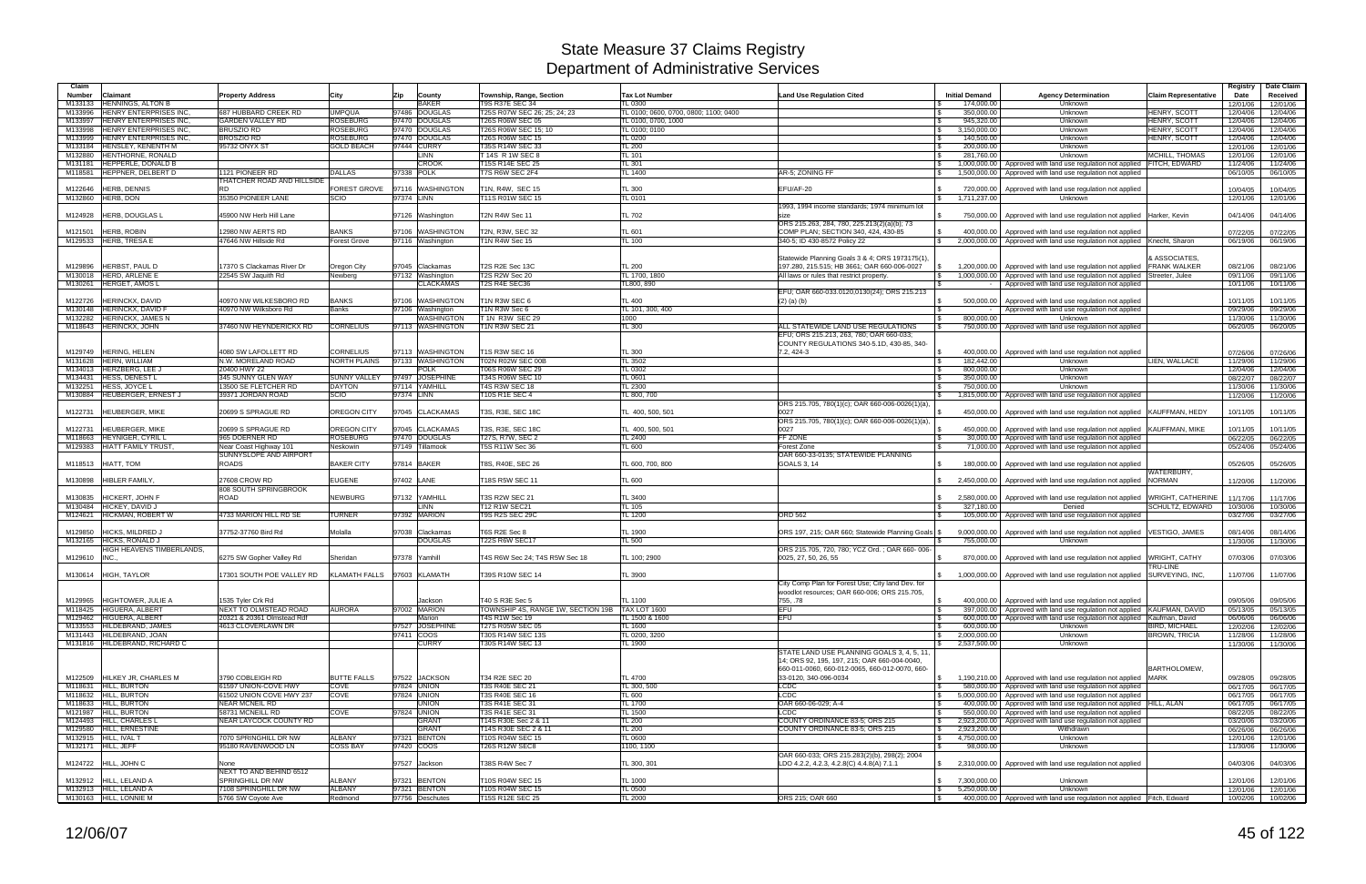| Claim<br><b>Number</b> | Claimant                                               | <b>Property Address</b>                                    | City                                    | Zip        | County                               | Township, Range, Section                         | <b>Tax Lot Number</b>                 | <b>Land Use Regulation Cited</b>                                                               | <b>Initial Demand</b>                       | <b>Agency Determination</b>                                                                                    | <b>Claim Representative</b>                 | Registry<br>Date     | Date Claim<br>Received |
|------------------------|--------------------------------------------------------|------------------------------------------------------------|-----------------------------------------|------------|--------------------------------------|--------------------------------------------------|---------------------------------------|------------------------------------------------------------------------------------------------|---------------------------------------------|----------------------------------------------------------------------------------------------------------------|---------------------------------------------|----------------------|------------------------|
| M133133                | <b>HENNINGS, ALTON B</b>                               |                                                            |                                         |            | <b>BAKER</b>                         | <b>T9S R37E SEC 34</b>                           | <b>FL 0300</b>                        |                                                                                                | 174.000.00                                  | Unknown                                                                                                        |                                             | 12/01/06             | 12/01/06               |
| M133996                | HENRY ENTERPRISES INC                                  | 687 HUBBARD CREEK RD                                       | <b>UMPQUA</b>                           |            | 97486 DOUGLAS                        | T25S R07W SEC 26; 25; 24; 23                     | TL 0100; 0600, 0700, 0800; 1100; 0400 |                                                                                                | 350,000.00                                  | Unknown                                                                                                        | <b>HENRY, SCOTT</b>                         | 12/04/06             | 12/04/06               |
| M133997                | <b>HENRY ENTERPRISES INC</b>                           | <b>GARDEN VALLEY RD</b>                                    | ROSEBURG                                |            | 97470 DOUGLAS                        | <b>T26S R06W SEC 05</b>                          | TL 0100, 0700, 1000                   |                                                                                                | 945,320.00                                  | Unknown                                                                                                        | <b>HENRY, SCOTT</b>                         | 12/04/06             | 12/04/06               |
| M133998<br>M133999     | HENRY ENTERPRISES INC.<br><b>HENRY ENTERPRISES INC</b> | <b>BRUSZIO RD</b><br><b>BROSZIO RD</b>                     | ROSEBURG<br>ROSEBURG                    |            | 97470 DOUGLAS<br>97470 DOUGLAS       | T26S R06W SEC 15; 10<br>T26S R06W SEC 15         | TL 0100; 0100<br><b>TL 0200</b>       |                                                                                                | 3,150,000.00<br><b>S</b><br>140,500.00      | Unknown<br>Unknown                                                                                             | HENRY, SCOTT<br>HENRY, SCOTT                | 12/04/06<br>12/04/06 | 12/04/06<br>12/04/06   |
| M133184                | <b>HENSLEY, KENENTH M</b>                              | 95732 ONYX ST                                              | <b>GOLD BEACH</b>                       |            | 97444 CURRY                          | T35S R14W SEC 33                                 | <b>TL 200</b>                         |                                                                                                | 200,000.00<br><b>S</b>                      | Unknown                                                                                                        |                                             | 12/01/06             | 12/01/06               |
| M132880                | HENTHORNE, RONALD                                      |                                                            |                                         |            | LINN                                 | <b>T14S R1W SEC 8</b>                            | <b>TL 101</b>                         |                                                                                                | 281,760.00                                  | Unknown                                                                                                        | MCHILL, THOMAS                              | 12/01/06             | 12/01/06               |
| M131181                | <b>HEPPERLE, DONALD B</b>                              |                                                            |                                         |            | <b>CROOK</b>                         | T15S R14E SEC 25                                 | <b>TL 301</b>                         |                                                                                                | 1,000,000.00                                | Approved with land use regulation not applied                                                                  | <b>FITCH, EDWARD</b>                        | 11/24/06             | 11/24/06               |
| M118581                | <b>HEPPNER, DELBERT D</b>                              | 121 PIONEER RD<br><b>THATCHER ROAD AND HILLSIDE</b>        | <b>DALLAS</b>                           |            | 97338 POLK                           | T7S R6W SEC 2F4                                  | TL 1400                               | AR-5: ZONING FF                                                                                | 1,500,000.00<br>IS.                         | Approved with land use regulation not applied                                                                  |                                             | 06/10/05             | 06/10/05               |
| M122646                | <b>HERB, DENNIS</b>                                    | <b>RD</b>                                                  | <b>FOREST GROVE</b>                     |            | 97116 WASHINGTON                     | T1N, R4W, SEC 15                                 | <b>TL 300</b>                         | EFU/AF-20                                                                                      | 720,000.00                                  | Approved with land use regulation not applied                                                                  |                                             | 10/04/05             | 10/04/05               |
|                        | M132860 HERB, DON                                      | 35350 PIONEER LANE                                         | SCIO                                    | 97374 LINN |                                      | 11S R01W SEC 15                                  | TL 0101                               |                                                                                                | 1,711,237.00                                | Unknown                                                                                                        |                                             | 12/01/06             | 12/01/06               |
|                        |                                                        |                                                            |                                         |            |                                      |                                                  |                                       | 1993, 1994 income standards; 1974 minimum lot                                                  |                                             |                                                                                                                |                                             |                      |                        |
| M124928                | <b>HERB, DOUGLAS L</b>                                 | 45900 NW Herb Hill Lane                                    |                                         |            | 97126 Washington                     | T2N R4W Sec 11                                   | TL 702                                | Sİ76<br>ORS 215.263, 284, 780, 225.213(2)(a)(b); 73                                            | 750,000.00                                  | Approved with land use regulation not applied   Harker, Kevin                                                  |                                             | 04/14/06             | 04/14/06               |
| M121501                | <b>HERB, ROBIN</b>                                     | 12980 NW AERTS RD                                          | <b>BANKS</b>                            |            | 97106 WASHINGTON                     | T2N, R3W, SEC 32                                 | <b>TL 601</b>                         | COMP PLAN; SECTION 340, 424, 430-85                                                            | 400,000.00                                  | Approved with land use regulation not applied                                                                  |                                             | 07/22/05             | 07/22/05               |
|                        | M129533 HERB. TRESA E                                  | 47646 NW Hillside Rd                                       | Forest Grove                            |            | 97116 Washington                     | <b>T1N R4W Sec 15</b>                            | <b>TL 100</b>                         | 340-5; ID 430-8572 Policy 22                                                                   | $\mathsf{S}$<br>2,000,000.00                | Approved with land use regulation not applied   Knecht, Sharon                                                 |                                             | 06/19/06             | 06/19/06               |
|                        |                                                        |                                                            |                                         |            |                                      |                                                  |                                       |                                                                                                |                                             |                                                                                                                |                                             |                      |                        |
|                        | M129896 HERBST, PAUL D                                 | 7370 S Clackamas River Dr                                  |                                         |            | 97045 Clackamas                      | T2S R2E Sec 13C                                  | <b>TL 200</b>                         | Statewide Planning Goals 3 & 4; ORS 1973175(1)<br>197.280, 215.515; HB 3661; OAR 660-006-0027  |                                             |                                                                                                                | <b>ASSOCIATES</b><br><b>FRANK WALKER</b>    |                      |                        |
|                        | M130018 HERD, ARLENE                                   | 22545 SW Jaquith Rd                                        | Oregon City<br>Newberg                  |            | 97132 Washington                     | <b>T2S R2W Sec 20</b>                            | TL 1700, 1800                         | All laws or rules that restrict property.                                                      | 1,200,000.00<br>1,000,000.00                | Approved with land use regulation not applied<br>Approved with land use regulation not applied Streeter, Julee |                                             | 08/21/06<br>09/11/06 | 08/21/06<br>09/11/06   |
|                        | M130261 HERGET, AMOS L                                 |                                                            |                                         |            | <b>CLACKAMAS</b>                     | T2S R4E SEC36                                    | TL800, 890                            |                                                                                                |                                             | Approved with land use regulation not applied                                                                  |                                             | 10/11/06             | 10/11/06               |
|                        |                                                        |                                                            |                                         |            |                                      |                                                  |                                       | EFU; OAR 660-033.0120,0130(24); ORS 215.213                                                    |                                             |                                                                                                                |                                             |                      |                        |
| M122726                | <b>HERINCKX, DAVID</b>                                 | 40970 NW WILKESBORO RD                                     | <b>BANKS</b>                            |            | 97106 WASHINGTON                     | T1N R3W SEC 6                                    | <b>TL 400</b>                         | $(2)$ (a) (b)                                                                                  | 500,000.00                                  | Approved with land use regulation not applied                                                                  |                                             | 10/11/05             | 10/11/05               |
| M132282                | M130148 HERINCKX, DAVID F<br><b>HERINCKX, JAMES N</b>  | 40970 NW Wilksboro Rd                                      | <b>Banks</b>                            |            | 97106 Washington<br>WASHINGTON       | T1N R3W Sec 6<br>T 1N R3W SEC 29                 | TL 101, 300, 400<br>1000              |                                                                                                | 1 S<br>800.000.00                           | Approved with land use regulation not applied<br>Unknown                                                       |                                             | 09/29/06<br>11/30/06 | 09/29/06<br>11/30/06   |
|                        | M118643 HERINCKX, JOHN                                 | 37460 NW HEYNDERICKX RD                                    | CORNELIUS                               |            | 97113 WASHINGTON                     | <b>T1N R3W SEC 21</b>                            | TL 300                                | ALL STATEWIDE LAND USE REGULATIONS                                                             |                                             | 750,000.00 Approved with land use regulation not applied                                                       |                                             | 06/20/05             | 06/20/05               |
|                        |                                                        |                                                            |                                         |            |                                      |                                                  |                                       | EFU; ORS 215.213, 263, 780; OAR 660-033;                                                       |                                             |                                                                                                                |                                             |                      |                        |
|                        |                                                        |                                                            |                                         |            |                                      |                                                  |                                       | COUNTY REGULATIONS 340-5.1D, 430-85, 340-                                                      |                                             |                                                                                                                |                                             |                      |                        |
|                        | M129749 HERING, HELEN<br>M131628 HERN, WILLIAM         | 4080 SW LAFOLLETT RD<br>N.W. MORELAND ROAD                 | <b>CORNELIUS</b><br><b>NORTH PLAINS</b> |            | 97113 WASHINGTON<br>97133 WASHINGTON | T1S R3W SEC 16<br><b>T02N R02W SEC 00B</b>       | TL 300                                | 7.2, 424-3                                                                                     | 400,000.00                                  | Approved with land use regulation not applied                                                                  | LIEN, WALLACE                               | 07/26/06             | 07/26/06               |
|                        | M134013 HERZBERG, LEE,                                 | 20400 HWY 22                                               |                                         |            | <b>POLK</b>                          | T06S R06W SEC 29                                 | TL 3502<br><b>TL 0302</b>             |                                                                                                | <b>S</b><br>182,442.00<br>800,000.00<br>IS. | Unknown<br>Unknown                                                                                             |                                             | 11/29/06<br>12/04/06 | 11/29/06<br>12/04/06   |
| M134431                | <b>HESS, DENEST L</b>                                  | 345 SUNNY GLEN WAY                                         | <b>SUNNY VALLEY</b>                     |            | 97497 JOSEPHINE                      | T34S R06W SEC 10                                 | TL 0601                               |                                                                                                | <b>S</b><br>350,000.00                      | Unknown                                                                                                        |                                             | 08/22/07             | 08/22/07               |
| M132251                | <b>HESS, JOYCE L</b>                                   | 13500 SE FLETCHER RD                                       | <b>DAYTON</b>                           |            | 97114 YAMHILL                        | <b>T4S R3W SEC 18</b>                            | TL 2300                               |                                                                                                | 750.000.00<br><b>S</b>                      | Unknown                                                                                                        |                                             | 11/30/06             | 11/30/06               |
|                        | M130884 HEUBERGER, ERNEST J                            | 39371 JORDAN ROAD                                          | SCIO                                    | 97374 LINN |                                      | <b>T10S R1E SEC 4</b>                            | TL 800, 700                           |                                                                                                |                                             | 1,815,000.00   Approved with land use regulation not applied                                                   |                                             | 11/20/06             | 11/20/06               |
| M122731                | <b>HEUBERGER, MIKE</b>                                 | 20699 S SPRAGUE RD                                         | <b>OREGON CITY</b>                      |            | 97045 CLACKAMAS                      | T3S, R3E, SEC 18C                                | TL 400, 500, 501                      | ORS 215.705, 780(1)(c); OAR 660-006-0026(1)(a)<br>0027                                         | 450,000.00                                  | Approved with land use regulation not applied   KAUFFMAN, HEDY                                                 |                                             | 10/11/05             | 10/11/05               |
|                        |                                                        |                                                            |                                         |            |                                      |                                                  |                                       | ORS 215.705, 780(1)(c); OAR 660-006-0026(1)(a)                                                 |                                             |                                                                                                                |                                             |                      |                        |
| M122731                | <b>HEUBERGER, MIKE</b>                                 | 20699 S SPRAGUE RD                                         | OREGON CITY                             |            | 97045 CLACKAMAS                      | T3S, R3E, SEC 18C                                | TL 400, 500, 501                      | 0027                                                                                           | 450,000.00                                  | Approved with land use regulation not applied KAUFFMAN, MIKE                                                   |                                             | 10/11/05             | 10/11/05               |
| M118663                | HEYNIGER, CYRIL L                                      | 965 DOERNER RD                                             | <b>ROSEBURG</b>                         |            | 97470 DOUGLAS                        | T27S, R7W, SEC 2                                 | <b>TL 2400</b>                        | FF ZONE                                                                                        | $\sqrt{S}$<br>30,000.00                     | Approved with land use regulation not applied                                                                  |                                             | 06/22/05             | 06/22/05               |
| M129383                | <b>HIATT FAMILY TRUST</b>                              | Near Coast Highway 101                                     | Neskowin                                |            | 97149 Tillamook                      | T5S R11W Sec 36                                  | TL 600                                | Forest Zone<br>OAR 660-33-0135; STATEWIDE PLANNING                                             | 71,000.00<br>IS.                            | Approved with land use regulation not applied                                                                  |                                             | 05/24/06             | 05/24/06               |
| M118513                | HIATT, TOM                                             | SUNNYSLOPE AND AIRPORT<br><b>ROADS</b>                     | <b>BAKER CITY</b>                       |            | 97814 BAKER                          | T8S, R40E, SEC 26                                | TL 600, 700, 800                      | GOALS 3, 14                                                                                    | 180,000.00                                  | Approved with land use regulation not applied                                                                  |                                             | 05/26/05             | 05/26/05               |
|                        |                                                        |                                                            |                                         |            |                                      |                                                  |                                       |                                                                                                |                                             |                                                                                                                | WATERBURY,                                  |                      |                        |
| M130898                | <b>HIBLER FAMILY</b>                                   | 27608 CROW RD                                              | <b>EUGENE</b>                           | 97402 LANE |                                      | T18S R5W SEC 11                                  | TL 600                                |                                                                                                | 2,450,000.00                                | Approved with land use regulation not applied                                                                  | <b>NORMAN</b>                               | 11/20/06             | 11/20/06               |
|                        |                                                        | 808 SOUTH SPRINGBROOK                                      |                                         |            |                                      |                                                  |                                       |                                                                                                |                                             |                                                                                                                |                                             |                      |                        |
| M130835                | HICKERT, JOHN F<br>M130484 HICKEY, DAVID J             | <b>ROAD</b>                                                | <b>NEWBURG</b>                          |            | 97132 YAMHILL<br><b>LINN</b>         | <b>T3S R2W SEC 21</b><br>T12 R1W SEC21           | TL 3400<br><b>TL 105</b>              |                                                                                                | 2,580,000.00<br>327,180.00<br>l \$          | Approved with land use regulation not applied<br>Denied                                                        | <b>WRIGHT, CATHERINE</b><br>SCHULTZ, EDWARD | 11/17/06<br>10/30/06 | 11/17/06<br>10/30/06   |
|                        | M124621 HICKMAN, ROBERT W                              | 4733 MARION HILL RD SE                                     | <b>TURNER</b>                           |            | 97392 MARION                         | <b>T9S R2S SEC 29C</b>                           | <b>TL 1200</b>                        | <b>ORD 562</b>                                                                                 | $\mathbf{s}$                                | 105,000.00 Approved with land use regulation not applied                                                       |                                             | 03/27/06             | 03/27/06               |
|                        |                                                        |                                                            |                                         |            |                                      |                                                  |                                       |                                                                                                |                                             |                                                                                                                |                                             |                      |                        |
| M129850                | <b>HICKS, MILDRED J</b><br>M132165 HICKS, RONALD J     | 37752-37760 Bird Rd                                        | Molalla                                 | 97038      | Clackamas<br><b>DOUGLAS</b>          | T6S R2E Sec 8<br><b>T22S R6W SEC17</b>           | <b>TL 1900</b><br>TL 500              | ORS 197, 215; OAR 660; Statewide Planning Goals   \$                                           | 9,000,000.00<br>755,000.00                  | Approved with land use regulation not applied  VESTIGO, JAMES<br>Unknown                                       |                                             | 08/14/06<br>11/30/06 | 08/14/06               |
|                        | HIGH HEAVENS TIMBERLANDS.                              |                                                            |                                         |            |                                      |                                                  |                                       | ORS 215.705, 720, 780; YCZ Ord.; OAR 660-006-                                                  |                                             |                                                                                                                |                                             |                      | 11/30/06               |
| M129610                | INC.                                                   | 6275 SW Gopher Valley Rd                                   | Sheridan                                |            | 97378 Yamhill                        | T4S R6W Sec 24; T4S R5W Sec 18                   | TL 100; 2900                          | 0025, 27, 50, 26, 55                                                                           |                                             | 870,000.00   Approved with land use regulation not applied                                                     | <b>WRIGHT, CATHY</b>                        | 07/03/06             | 07/03/06               |
|                        | M130614 HIGH, TAYLOR                                   | 17301 SOUTH POE VALLEY RD                                  | KLAMATH FALLS                           |            | 97603 KLAMATH                        | T39S R10W SEC 14                                 | <b>TL 3900</b>                        |                                                                                                |                                             | 1,000,000.00 Approved with land use regulation not applied                                                     | TRU-LINE<br>SURVEYING, INC.                 |                      | 11/07/06               |
|                        |                                                        |                                                            |                                         |            |                                      |                                                  |                                       | City Comp Plan for Forest Use; City land Dev. for                                              |                                             |                                                                                                                |                                             | 11/07/06             |                        |
|                        |                                                        |                                                            |                                         |            |                                      |                                                  |                                       | woodlot resources: OAR 660-006: ORS 215.705.                                                   |                                             |                                                                                                                |                                             |                      |                        |
|                        | M129965 HIGHTOWER, JULIE A                             | 1535 Tvler Crk Rd                                          |                                         |            | Jackson                              | T40 S R3E Sec 5                                  | TL 1100                               | 75578                                                                                          | <b>\$</b>                                   | 400,000,00 Approved with land use regulation not applied                                                       |                                             | 09/05/06             | 09/05/06               |
|                        | M118425 HIGUERA, ALBERT<br>M129462 HIGUERA, ALBERT     | <b>NEXT TO OLMSTEAD ROAD</b><br>20321 & 20361 Olmstead Rdf | <b>AURORA</b>                           |            | 97002 MARION<br>Marion               | TOWNSHIP 4S, RANGE 1W, SECTION 19B TAX LOT 1600  |                                       | <b>EFU</b><br><b>EFU</b>                                                                       | $\sqrt{3}$                                  | 397,000.00   Approved with land use regulation not applied KAUFMAN, DAVID                                      |                                             | 05/13/05             | 05/13/05               |
|                        | M133553 HILDEBRAND, JAMES                              | 4613 CLOVERLAWN DR                                         |                                         |            | 97527 JOSEPHINE                      | <b>T4S R1W Sec 19</b><br><b>T27S R05W SEC 05</b> | TL 1500 & 1600<br>TL 1600             |                                                                                                | $\overline{\mathbf{S}}$<br>600,000.00       | 600,000.00 Approved with land use regulation not applied   Kaufman, David<br>Unknown                           | <b>BIRD, MICHAEL</b>                        | 06/06/06<br>12/02/06 | 06/06/06<br>12/02/06   |
|                        | M131443 HILDEBRAND, JOAN                               |                                                            |                                         | 97411 COOS |                                      | T30S R14W SEC 13S                                | TL 0200, 3200                         |                                                                                                | $\sqrt{3}$<br>2,000,000.00                  | Unknown                                                                                                        | <b>BROWN, TRICIA</b>                        | 11/28/06             | 11/28/06               |
|                        | M131816 HILDEBRAND, RICHARD C                          |                                                            |                                         |            | <b>CURRY</b>                         | T30S R14W SEC 13                                 | TL 1900                               |                                                                                                | 2,537,500.00<br>IS.                         | Unknown                                                                                                        |                                             | 11/30/06             | 11/30/06               |
|                        |                                                        |                                                            |                                         |            |                                      |                                                  |                                       | STATE LAND USE PLANNING GOALS 3, 4, 5, 11                                                      |                                             |                                                                                                                |                                             |                      |                        |
|                        |                                                        |                                                            |                                         |            |                                      |                                                  |                                       | 14; ORS 92, 195, 197, 215; OAR 660-004-0040,<br>660-011-0060, 660-012-0065, 660-012-0070, 660- |                                             |                                                                                                                | <b>BARTHOLOMEW</b>                          |                      |                        |
|                        | M122509 HILKEY JR, CHARLES M                           | 3790 COBLEIGH RD                                           | <b>BUTTE FALLS</b>                      |            | 97522 JACKSON                        | T34 R2E SEC 20                                   | TL 4700                               | 33-0120, 340-096-0034                                                                          | $\mathbb{S}$                                | 1,190,210.00   Approved with land use regulation not applied MARK                                              |                                             | 09/28/05             | 09/28/05               |
|                        | M118631 HILL, BURTON                                   | 61597 UNION-COVE HWY                                       | COVE                                    |            | 97824 UNION                          | T3S R40E SEC 21                                  | TL 300, 500                           | <b>LCDC</b>                                                                                    | <b>S</b>                                    | 580,000.00 Approved with land use regulation not applied                                                       |                                             | 06/17/05             | 06/17/05               |
|                        | M118632 HILL, BURTON                                   | 61502 UNION COVE HWY 237                                   | <b>COVE</b>                             |            | 97824 UNION                          | <b>T3S R40E SEC 16</b>                           | TL 600                                | <b>LCDC</b>                                                                                    | <b>\$</b>                                   | 5,000,000.00 Approved with land use regulation not applied                                                     |                                             | 06/17/05             | 06/17/05               |
|                        | M118633 HILL, BURTON<br>M121987 HILL, BURTON           | <b>NEAR MCNEIL RD</b><br>58731 MCNEILL RD                  | <b>COVE</b>                             |            | union<br>97824 UNION                 | T3S R41E SEC 31<br>T3S R41E SEC 31               | <b>TL 1700</b><br><b>TL 1500</b>      | OAR 660-06-029; A-4<br><b>LCDC</b>                                                             | <b>S</b><br>l \$                            | 400,000.00   Approved with land use regulation not applied HILL, ALAN                                          |                                             | 06/17/05             | 06/17/05               |
|                        | M124493 HILL, CHARLES L                                | NEAR LAYCOCK COUNTY RD                                     |                                         |            | <b>GRANT</b>                         | T14S R30E Sec 2 & 11                             | <b>TL 200</b>                         | COUNTY ORDINANCE 83-5; ORS 215                                                                 | 2,923,200.00<br>$\mathsf{S}$                | 550,000.00   Approved with land use regulation not applied<br>Approved with land use regulation not applied    |                                             | 08/22/05<br>03/20/06 | 08/22/05<br>03/20/06   |
|                        | M129580 HILL, ERNESTINE                                |                                                            |                                         |            | <b>GRANT</b>                         | T14S R30E SEC 2 & 11                             | <b>TL 200</b>                         | COUNTY ORDINANCE 83-5; ORS 215                                                                 | $\sqrt{3}$<br>2,923,200.00                  | Withdrawn                                                                                                      |                                             | 06/26/06             | 06/26/06               |
|                        | M132915 HILL, IVAL T                                   | 7070 SPRINGHILL DR NW                                      | ALBANY                                  |            | 97321 BENTON                         | T10S R04W SEC 15                                 | TL 0600                               |                                                                                                | 4,750,000.00<br>$\mathcal{S}$               | Unknown                                                                                                        |                                             | 12/01/06             | 12/01/06               |
|                        | M132171 HILL, JEFF                                     | 95180 RAVENWOOD LN                                         | <b>COSS BAY</b>                         | 97420 COOS |                                      | <b>T26S R12W SEC8</b>                            | 1100, 1100                            |                                                                                                | 98,000.00<br><b>\$</b>                      | Unknown                                                                                                        |                                             | 11/30/06             | 11/30/06               |
|                        | M124722 HILL, JOHN C                                   | None                                                       |                                         |            | 97527 Jackson                        | T38S R4W Sec 7                                   | TL 300, 301                           | OAR 660-033; ORS 215.283(2)(b), 298(2); 2004<br>LDO 4.2.2, 4.2.3, 4.2.8(C) 4.4.8(A) 7.1.1      |                                             | \$ 2,310,000.00 Approved with land use regulation not applied                                                  |                                             | 04/03/06             | 04/03/06               |
|                        |                                                        | NEXT TO AND BEHIND 6512                                    |                                         |            |                                      |                                                  |                                       |                                                                                                |                                             |                                                                                                                |                                             |                      |                        |
|                        | M132912 HILL, LELAND A                                 | SPRINGHILL DR NW                                           | ALBANY                                  |            | 97321 BENTON                         | T10S R04W SEC 15                                 | <b>TL 1000</b>                        |                                                                                                | 7,300,000.00<br>$\mathbb{S}$                | Unknown                                                                                                        |                                             | 12/01/06             | 12/01/06               |
|                        | M132913 HILL, LELAND A                                 | 7108 SPRINGHILL DR NW                                      | <b>ALBANY</b>                           |            | 97321 BENTON                         | T10S R04W SEC 15                                 | TL 0500                               |                                                                                                | 5,250,000.00<br>$\sqrt{3}$                  | Unknown                                                                                                        |                                             | 12/01/06             | 12/01/06               |
|                        | M130163 HILL, LONNIE M                                 | 5766 SW Coyote Ave                                         | Redmond                                 |            | 97756 Deschutes                      | T15S R12E SEC 25                                 | <b>TL 2000</b>                        | ORS 215; OAR 660                                                                               | IS                                          | 400,000.00 Approved with land use regulation not applied Fitch, Edward                                         |                                             | 10/02/06             | 10/02/06               |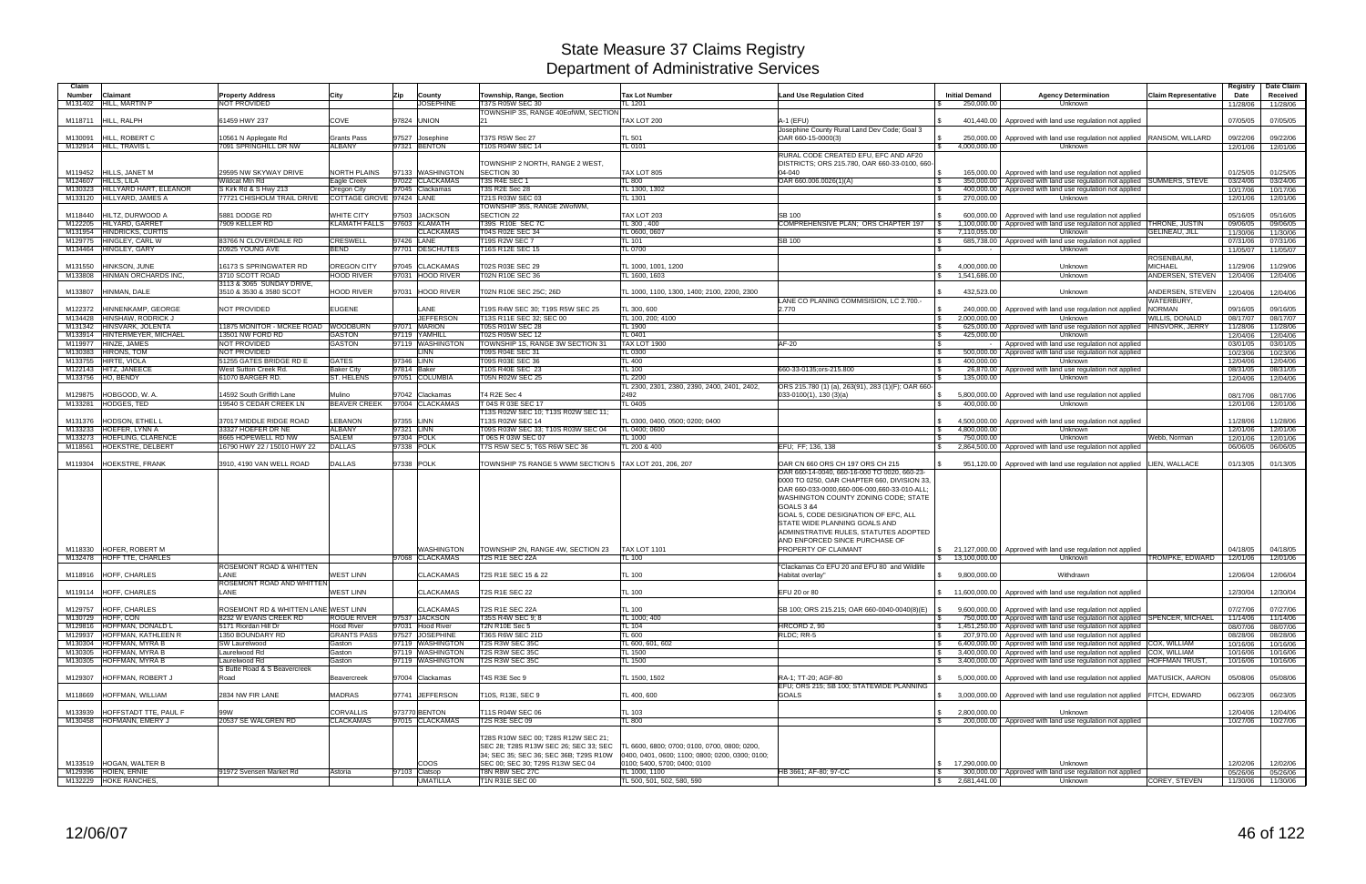| Claim   |                                               |                                      |                             |               |                  |                                                         |                                                 |                                                    |                       |                                                                                |                             | Registry             | Date Claim           |
|---------|-----------------------------------------------|--------------------------------------|-----------------------------|---------------|------------------|---------------------------------------------------------|-------------------------------------------------|----------------------------------------------------|-----------------------|--------------------------------------------------------------------------------|-----------------------------|----------------------|----------------------|
| Number  | Claimant                                      | Property Address                     | City                        | Zip           | County           | Township, Range, Section                                | <b>Tax Lot Number</b>                           | <b>Land Use Regulation Cited</b>                   | <b>Initial Demand</b> | <b>Agency Determination</b>                                                    | <b>Claim Representative</b> | Date                 | Received             |
| M131402 | HILL, MARTIN P                                | <b>NOT PROVIDED</b>                  |                             |               | <b>JOSEPHINE</b> | T37S R05W SEC 30                                        | TL 1201                                         |                                                    | 250,000.00            | Unknown                                                                        |                             | 11/28/06             | 11/28/06             |
|         |                                               |                                      |                             |               |                  | TOWNSHIP 3S, RANGE 40EofWM, SECTION                     |                                                 |                                                    |                       |                                                                                |                             |                      |                      |
| M118711 | HILL, RALPH                                   | 61459 HWY 237                        | COVE                        | 97824 UNION   |                  | 21                                                      | TAX LOT 200                                     | A-1 (EFU)                                          |                       | 401,440.00   Approved with land use regulation not applied                     |                             | 07/05/05             | 07/05/05             |
|         |                                               |                                      |                             |               |                  |                                                         |                                                 | Josephine County Rural Land Dev Code; Goal 3       |                       |                                                                                |                             |                      |                      |
| M130091 | HILL, ROBERT C                                | 10561 N Applegate Rd                 | <b>Grants Pass</b>          | 97527         | Josephine        | T37S R5W Sec 27                                         | <b>TL 501</b>                                   | OAR 660-15-0000(3)                                 | 250,000.00            | Approved with land use regulation not applied RANSOM, WILLARD                  |                             | 09/22/06             | 09/22/06             |
|         | M132914 HILL, TRAVIS L                        | 7091 SPRINGHILL DR NW                | <b>ALBANY</b>               |               | 97321 BENTON     | T10S R04W SEC 14                                        | <b>TL 0101</b>                                  |                                                    | 4,000,000.00          | Unknown                                                                        |                             | 12/01/06             | 12/01/06             |
|         |                                               |                                      |                             |               |                  |                                                         |                                                 | RURAL CODE CREATED EFU. EFC AND AF20               |                       |                                                                                |                             |                      |                      |
|         |                                               |                                      |                             |               |                  | TOWNSHIP 2 NORTH, RANGE 2 WEST,                         |                                                 | DISTRICTS; ORS 215.780, OAR 660-33-0100, 660-      |                       |                                                                                |                             |                      |                      |
| M119452 | HILLS, JANET M                                | 29595 NW SKYWAY DRIVE                | <b>NORTH PLAINS</b>         |               | 97133 WASHINGTON | <b>SECTION 30</b>                                       | TAX LOT 805                                     | $04 - 040$                                         |                       | 165,000.00   Approved with land use regulation not applied                     |                             | 01/25/05             | 01/25/05             |
|         | M124607 HILLS, LILA                           | Wildcat Mtn Rd                       | Eagle Creek                 |               | 97022 CLACKAMAS  | T3S R4E SEC 1                                           | <b>TL 800</b>                                   | OAR 660.006.0026(1)(A)                             |                       | 350,000.00 Approved with land use regulation not applied                       | <b>SUMMERS, STEVE</b>       | 03/24/06             | 03/24/06             |
| M130323 | HILLYARD HART, ELEANOR                        | S Kirk Rd & S Hwy 213                | Oregon City                 |               | 97045 Clackamas  | <b>T3S R2E Sec 28</b>                                   | TL 1300, 1302                                   |                                                    |                       | 400,000.00   Approved with land use regulation not applied                     |                             | 10/17/06             | 10/17/06             |
|         | M133120 HILLYARD, JAMES A                     | 77721 CHISHOLM TRAIL DRIVE           | COTTAGE GROVE 97424 LANE    |               |                  | T21S R03W SEC 03                                        | TL 1301                                         |                                                    | 270,000.00            | Unknown                                                                        |                             | 12/01/06             | 12/01/06             |
|         |                                               |                                      |                             |               |                  | TOWNSHIP 35S, RANGE 2WofWM,                             |                                                 |                                                    |                       |                                                                                |                             |                      |                      |
| M118440 | HILTZ, DURWOOD A                              | 5881 DODGE RD                        | <b>WHITE CITY</b>           | 97503         | <b>JACKSON</b>   | <b>SECTION 22</b>                                       | TAX LOT 203                                     | <b>SB 100</b>                                      | 600.000.00            | Approved with land use regulation not applied                                  |                             | 05/16/05             | 05/16/05             |
|         | M122205 HILYARD, GARRET                       | 7909 KELLER RD                       | KLAMATH FALLS 97603 KLAMATH |               |                  | T39S R10E SEC 7C                                        | TL 300, 400                                     | COMPREHENSIVE PLAN; ORS CHAPTER 197                |                       | 1,100,000.00 Approved with land use regulation not applied THRONE, JUSTIN      |                             | 09/06/05             | 09/06/05             |
|         | M131954 HINDRICKS, CURTIS                     |                                      |                             |               | <b>CLACKAMAS</b> | T04S R02E SEC 34                                        | TL 0600, 0607                                   |                                                    | 7,110,055.00          | Unknown                                                                        | <b>GELINEAU, JILL</b>       | 11/30/06             | 11/30/06             |
|         | M129775 HINGLEY, CARL W                       | 83766 N CLOVERDALE RD                | <b>CRESWELL</b>             | 97426         | LANE             | T19S R2W SEC 7                                          | TL 101                                          | <b>SB 100</b>                                      |                       | 685,738.00   Approved with land use regulation not applied                     |                             | 07/31/06             | 07/31/06             |
|         | M134464 HINGLEY, GARY                         | 20925 YOUNG AVE                      | <b>BEND</b>                 |               | 97701 DESCHUTES  | T16S R12E SEC 15                                        | <b>TL 0700</b>                                  |                                                    |                       | Unknown                                                                        |                             | 11/05/07             | 11/05/07             |
|         |                                               |                                      |                             |               |                  |                                                         |                                                 |                                                    |                       |                                                                                | ROSENBAUM,                  |                      |                      |
| M131550 | HINKSON, JUNE                                 | 16173 S SPRINGWATER RD               | OREGON CITY                 | 97045         | <b>CLACKAMAS</b> | T02S R03E SEC 29                                        | TL 1000, 1001, 1200                             |                                                    | 4,000,000.00          | Unknown                                                                        | <b>MICHAEL</b>              | 11/29/06             | 11/29/06             |
| M133808 | HINMAN ORCHARDS INC.                          | 3710 SCOTT ROAD                      | <b>HOOD RIVER</b>           |               | 97031 HOOD RIVER | T02N R10E SEC 36                                        | TL 1600, 1603                                   |                                                    | 1,541,686.00          | Unknown                                                                        | ANDERSEN, STEVEN            | 12/04/06             | 12/04/06             |
|         |                                               | 3113 & 3065 SUNDAY DRIVE,            |                             |               |                  |                                                         |                                                 |                                                    |                       |                                                                                |                             |                      |                      |
| M133807 | HINMAN, DALE                                  | 3510 & 3530 & 3580 SCOT              | <b>HOOD RIVER</b>           |               | 97031 HOOD RIVER | T02N R10E SEC 25C; 26D                                  | TL 1000, 1100, 1300, 1400; 2100, 2200, 2300     |                                                    | 432,523.00            | Unknown                                                                        | ANDERSEN, STEVEN            | 12/04/06             | 12/04/06             |
|         |                                               |                                      |                             |               |                  |                                                         |                                                 | LANE CO PLANING COMMISISION, LC 2.700.-            |                       |                                                                                | WATERBURY,                  |                      |                      |
| M122372 | HINNENKAMP, GEORGE                            | NOT PROVIDED                         | <b>EUGENE</b>               |               | LANE             | T19S R4W SEC 30: T19S R5W SEC 25                        | TL 300, 600                                     | 2.770                                              | 240,000.00            | Approved with land use regulation not applied                                  | <b>NORMAN</b>               | 09/16/05             | 09/16/05             |
| M134428 | <b>HINSHAW, RODRICK J</b>                     |                                      |                             |               | <b>JEFFERSON</b> | T13S R11E SEC 32; SEC 00                                | TL 100, 200; 4100                               |                                                    | 2,000,000.00          | Unknown                                                                        | WILLIS, DONALD              | 08/17/07             | 08/17/07             |
| M131342 | HINSVARK, JOLENTA                             | 11875 MONITOR - MCKEE ROAD WOODBURN  |                             |               | 97071 MARION     | T05S R01W SEC 28                                        | TL 1900                                         |                                                    |                       | 625,000.00   Approved with land use regulation not applied                     | HINSVORK, JERRY             | 11/28/06             | 11/28/06             |
| M133914 | HINTERMEYER, MICHAEL                          | 13501 NW FORD RD                     | <b>GASTON</b>               |               | 97119 YAMHILL    | T02S R05W SEC 12                                        | TL 0401                                         |                                                    | 425,000.00            | Unknown                                                                        |                             | 12/04/06             | 12/04/06             |
| M119977 | HINZE, JAMES                                  | <b>NOT PROVIDED</b>                  | <b>GASTON</b>               |               | 97119 WASHINGTON | TOWNSHIP 1S, RANGE 3W SECTION 31                        | <b>TAX LOT 1900</b>                             | AF-20                                              |                       | Approved with land use regulation not applied                                  |                             | 03/01/05             | 03/01/05             |
|         | M130383 HIRONS, TOM                           | NOT PROVIDED                         |                             |               | _INN             | <b>T09S R04E SEC 31</b>                                 | <b>TL 0300</b>                                  |                                                    |                       | 500,000.00   Approved with land use regulation not applied                     |                             | 10/23/06             | 10/23/06             |
|         | M133755 HIRTE, VIOLA                          | 51255 GATES BRIDGE RD E              | <b>GATES</b>                | 97346 LINN    |                  | T09S R03E SEC 36                                        | <b>TL 400</b>                                   |                                                    | 400.000.00            | Unknown                                                                        |                             | 12/04/06             | 12/04/06             |
|         | M122143 HITZ, JANEECE                         | West Sutton Creek Rd.                | <b>Baker City</b>           | 97814 Baker   |                  | T10S R40E SEC 23                                        | <b>TL 100</b>                                   | 660-33-0135:ors-215.800                            |                       | 26,870.00 Approved with land use regulation not applied                        |                             | 08/31/05             | 08/31/05             |
|         | M133756 HO. BENDY                             | 61070 BARGER RD.                     | <b>ST. HELENS</b>           |               | 97051 COLUMBIA   | <b>T05N R02W SEC 25</b>                                 | TL 2200                                         |                                                    | 135,000.00            | Unknown                                                                        |                             | 12/04/06             | 12/04/06             |
|         |                                               |                                      |                             |               |                  |                                                         | TL 2300, 2301, 2380, 2390, 2400, 2401, 2402,    | ORS 215.780 (1) (a), 263(91), 283 (1)(F); OAR 660- |                       |                                                                                |                             |                      |                      |
| M129875 | HOBGOOD, W. A                                 | 14592 South Griffith Lane            | Mulino                      |               | 97042 Clackamas  | T4 R2E Sec 4                                            | 2492                                            | $033-0100(1)$ , 130 (3)(a)                         |                       | 5,800,000.00 Approved with land use regulation not applied                     |                             | 08/17/06             | 08/17/06             |
|         | M133281 HODGES, TED                           | 19540 S CEDAR CREEK LN               | <b>BEAVER CREEK</b>         |               | 97004 CLACKAMAS  | T 04S R 03E SEC 17                                      | TL 0405                                         |                                                    | 400,000.00            | Unknown                                                                        |                             | 12/01/06             | 12/01/06             |
|         |                                               |                                      |                             |               |                  | T13S R02W SEC 10; T13S R02W SEC 11;                     |                                                 |                                                    |                       |                                                                                |                             |                      |                      |
| M131376 | HODSON, ETHEL L                               | 37017 MIDDLE RIDGE ROAD              | <b>LEBANON</b>              | 97355 LINN    |                  | T13S R02W SEC 14                                        | TL 0300, 0400, 0500; 0200; 0400                 |                                                    |                       | 4,500,000.00 Approved with land use regulation not applied                     |                             | 11/28/06             | 11/28/06             |
|         | M133233 HOEFER, LYNN A                        | 33327 HOEFER DR NE                   | <b>ALBANY</b>               | 97321 LINN    |                  | T09S R03W SEC 33; T10S R03W SEC 04                      | TL 0400; 0600                                   |                                                    | 4,800,000.00          | Unknown                                                                        |                             | 12/01/06             | 12/01/06             |
| M133273 | HOEFLING, CLARENCE                            | 8665 HOPEWELL RD NW                  | SALEM                       | 97304 POLK    |                  | T 06S R 03W SEC 07                                      | TL 1000                                         |                                                    | 750.000.00            | Unknown                                                                        | Webb, Norman                | 12/01/06             | 12/01/06             |
|         | M118561 HOEKSTRE, DELBERT                     | 16790 HWY 22 / 15010 HWY 22          | <b>DALLAS</b>               | 97338 POLK    |                  | T7S R5W SEC 5; T6S R6W SEC 36                           | TL 200 & 400                                    | EFU: FF: 136, 138                                  |                       | 2,864,500.00 Approved with land use regulation not applied                     |                             | 06/06/05             | 06/06/05             |
|         |                                               |                                      |                             |               |                  |                                                         |                                                 |                                                    |                       |                                                                                |                             |                      |                      |
| M119304 | HOEKSTRE, FRANK                               | 3910, 4190 VAN WELL ROAD             | <b>DALLAS</b>               | 97338 POLK    |                  | TOWNSHIP 7S RANGE 5 WWM SECTION 5 TAX LOT 201, 206, 207 |                                                 | OAR CN 660 ORS CH 197 ORS CH 215                   |                       | 951,120.00   Approved with land use regulation not applied LIEN, WALLACE       |                             | 01/13/05             | 01/13/05             |
|         |                                               |                                      |                             |               |                  |                                                         |                                                 | OAR 660-14-0040, 660-16-000 TO 0020, 660-23-       |                       |                                                                                |                             |                      |                      |
|         |                                               |                                      |                             |               |                  |                                                         |                                                 |                                                    |                       |                                                                                |                             |                      |                      |
|         |                                               |                                      |                             |               |                  |                                                         |                                                 |                                                    |                       |                                                                                |                             |                      |                      |
|         |                                               |                                      |                             |               |                  |                                                         |                                                 | 0000 TO 0250, OAR CHAPTER 660, DIVISION 33,        |                       |                                                                                |                             |                      |                      |
|         |                                               |                                      |                             |               |                  |                                                         |                                                 | OAR 660-033-0000,660-006-000,660-33-010-ALL        |                       |                                                                                |                             |                      |                      |
|         |                                               |                                      |                             |               |                  |                                                         |                                                 | WASHINGTON COUNTY ZONING CODE; STATE               |                       |                                                                                |                             |                      |                      |
|         |                                               |                                      |                             |               |                  |                                                         |                                                 | <b>GOALS 3 &amp;4</b>                              |                       |                                                                                |                             |                      |                      |
|         |                                               |                                      |                             |               |                  |                                                         |                                                 | GOAL 5, CODE DESIGNATION OF EFC, ALL               |                       |                                                                                |                             |                      |                      |
|         |                                               |                                      |                             |               |                  |                                                         |                                                 | STATE WIDE PLANNING GOALS AND                      |                       |                                                                                |                             |                      |                      |
|         |                                               |                                      |                             |               |                  |                                                         |                                                 | ADMINSTRATIVE RULES, STATUTES ADOPTED              |                       |                                                                                |                             |                      |                      |
|         |                                               |                                      |                             |               |                  |                                                         |                                                 | AND ENFORCED SINCE PURCHASE OF                     |                       |                                                                                |                             |                      |                      |
|         | M118330 HOFER, ROBERT M                       |                                      |                             |               | WASHINGTON       | TOWNSHIP 2N, RANGE 4W, SECTION 23                       | <b>TAX LOT 1101</b>                             | PROPERTY OF CLAIMANT                               |                       | \$ 21,127,000.00   Approved with land use regulation not applied               |                             | 04/18/05             | 04/18/05             |
|         | M132478 HOFF TTE, CHARLES                     |                                      |                             |               | 97068 CLACKAMAS  | <b>T2S R1E SEC 22A</b>                                  | <b>TL 100</b>                                   |                                                    | \$ 13,100,000.00      | Unknown                                                                        | TROMPKE, EDWARD             | 12/01/06             | 12/01/06             |
|         |                                               | ROSEMONT ROAD & WHITTEN<br>LANE      |                             |               |                  |                                                         |                                                 | "Clackamas Co EFU 20 and EFU 80 and Wildlife       |                       |                                                                                |                             |                      |                      |
|         | M118916 HOFF, CHARLES                         |                                      | <b>WEST LINN</b>            |               | <b>CLACKAMAS</b> | T2S R1E SEC 15 & 22                                     | <b>TL 100</b>                                   | Habitat overlay"                                   | 9,800,000.00          | Withdrawn                                                                      |                             | 12/06/04             | 12/06/04             |
|         |                                               | ROSEMONT ROAD AND WHITTEN<br>LANE    |                             |               |                  |                                                         |                                                 |                                                    |                       |                                                                                |                             |                      |                      |
|         | M119114 HOFF, CHARLES                         |                                      | <b>WEST LINN</b>            |               | <b>CLACKAMAS</b> | T2S R1E SEC 22                                          | <b>TL 100</b>                                   | EFU 20 or 80                                       |                       | 11,600,000.00 Approved with land use regulation not applied                    |                             | 12/30/04             | 12/30/04             |
|         |                                               |                                      |                             |               |                  |                                                         |                                                 |                                                    |                       |                                                                                |                             |                      |                      |
|         | M129757 HOFF, CHARLES                         | ROSEMONT RD & WHITTEN LANE WEST LINN |                             |               | <b>CLACKAMAS</b> | <b>T2S R1E SEC 22A</b>                                  | TL 100                                          | SB 100; ORS 215.215; OAR 660-0040-0040(8)(E)       |                       | 9,600,000.00 Approved with land use regulation not applied                     |                             | 07/27/06             | 07/27/06             |
|         | M130729 HOFF, CON                             | 8232 W EVANS CREEK RD                | <b>ROGUE RIVER</b>          |               | 97537 JACKSON    | T35S R4W SEC 9: 8                                       | TL 1000; 400                                    |                                                    |                       | 750,000.00   Approved with land use regulation not applied SPENCER, MICHAEL    |                             | 11/14/06             | 11/14/06             |
|         | M129816 HOFFMAN, DONALD L                     | 5171 Riordan Hill Dr                 | Hood River                  |               | 97031 Hood River | <b>T2N R10E Sec 5</b>                                   | TL 104                                          | HRCORD 2, 90                                       |                       | 1,451,250.00 Approved with land use regulation not applied                     |                             | 08/07/06             | 08/07/06             |
|         | M129937 HOFFMAN, KATHLEEN R                   | 1350 BOUNDARY RD<br>SW Laurelwood    | <b>GRANTS PASS</b>          |               | 97527 JOSEPHINE  | <b>T36S R6W SEC 21D</b>                                 | TL 600                                          | RLDC; RR-5                                         |                       | 207,970.00 Approved with land use regulation not applied                       |                             | 08/28/06             | 08/28/06             |
|         | M130304 HOFFMAN, MYRA B                       |                                      | Gaston                      |               | 97119 WASHINGTON | T2S R3W SEC 35C                                         | TL 600, 601, 602                                |                                                    | $\mathcal{L}$         | 6,400,000.00   Approved with land use regulation not applied COX, WILLIAM      |                             | 10/16/06             | 10/16/06             |
|         | M130305 HOFFMAN, MYRA B                       | Laurelwood Rd                        | Gaston                      |               | 97119 WASHINGTON | T2S R3W SEC 35C                                         | <b>TL 1500</b>                                  |                                                    |                       | 3,400,000.00   Approved with land use regulation not applied COX, WILLIAM      |                             | 10/16/06             | 10/16/06             |
|         | M130305 HOFFMAN, MYRA B                       | Laurelwood Rd                        | Gaston                      |               | 97119 WASHINGTON | T2S R3W SEC 35C                                         | TL 1500                                         |                                                    |                       | 3.400.000.00 Approved with land use regulation not applied HOFFMAN TRUST.      |                             | 10/16/06             | 10/16/06             |
|         |                                               | S Butte Road & S Beavercreek<br>Road |                             |               |                  |                                                         |                                                 |                                                    |                       |                                                                                |                             |                      |                      |
|         | M129307 HOFFMAN, ROBERT J                     |                                      | Beavercreek                 |               | 97004 Clackamas  | T4S R3E Sec 9                                           | TL 1500, 1502                                   | RA-1; TT-20; AGF-80                                |                       | 5,000,000.00   Approved with land use regulation not applied   MATUSICK, AARON |                             | 05/08/06             | 05/08/06             |
|         |                                               |                                      |                             |               |                  |                                                         |                                                 | EFU; ORS 215; SB 100; STATEWIDE PLANNING           |                       |                                                                                |                             |                      |                      |
|         | M118669 HOFFMAN, WILLIAM                      | 2834 NW FIR LANE                     | <b>MADRAS</b>               |               | 97741 JEFFERSON  | T10S, R13E, SEC 9                                       | TL 400, 600                                     | <b>GOALS</b>                                       |                       | 3,000,000.00   Approved with land use regulation not applied FITCH, EDWARD     |                             | 06/23/05             | 06/23/05             |
|         |                                               |                                      |                             |               |                  |                                                         |                                                 |                                                    |                       |                                                                                |                             |                      |                      |
| M133939 | HOFFSTADT TTE, PAUL F                         | 99W                                  | <b>CORVALLIS</b>            |               | 973770 BENTON    | T11S R04W SEC 06                                        | TL 103                                          |                                                    | 2,800,000.00          | Unknown                                                                        |                             | 12/04/06             | 12/04/06             |
|         | M130458 HOFMANN, EMERY J                      | 20537 SE WALGREN RD                  | <b>CLACKAMAS</b>            |               | 97015 CLACKAMAS  | <b>T2S R3E SEC 09</b>                                   | <b>TL 800</b>                                   |                                                    |                       | 200,000.00 Approved with land use regulation not applied                       |                             | 10/27/06             | 10/27/06             |
|         |                                               |                                      |                             |               |                  |                                                         |                                                 |                                                    |                       |                                                                                |                             |                      |                      |
|         |                                               |                                      |                             |               |                  | T28S R10W SEC 00; T28S R12W SEC 21;                     |                                                 |                                                    |                       |                                                                                |                             |                      |                      |
|         |                                               |                                      |                             |               |                  | SEC 28; T28S R13W SEC 26; SEC 33; SEC                   | TL 6600, 6800; 0700; 0100, 0700, 0800; 0200,    |                                                    |                       |                                                                                |                             |                      |                      |
|         |                                               |                                      |                             |               |                  | 34; SEC 35; SEC 36; SEC 36B; T29S R10W                  | 0400, 0401, 0600; 1100; 0800; 0200, 0300; 0100; |                                                    |                       |                                                                                |                             |                      |                      |
|         | M133519 HOGAN, WALTER B                       |                                      |                             |               | <b>COOS</b>      | SEC 00; SEC 30; T29S R13W SEC 04                        | 0100; 5400, 5700; 0400; 0100                    |                                                    | 17,290,000.00         | Unknown                                                                        |                             | 12/02/06             | 12/02/06             |
|         | M129396 HOIEN, ERNIE<br>M132229 HOKE RANCHES, | 91972 Svensen Market Rd              | Astoria                     | 97103 Clatsop | <b>UMATILLA</b>  | T8N R8W SEC 27C<br>T1N R31E SEC 00                      | TL 1000, 1100<br>TL 500, 501, 502, 580, 590     | HB 3661; AF-80; 97-CC                              | 2,681,441.00          | 300,000.00 Approved with land use regulation not applied<br>Unknown            | COREY, STEVEN               | 05/26/06<br>11/30/06 | 05/26/06<br>11/30/06 |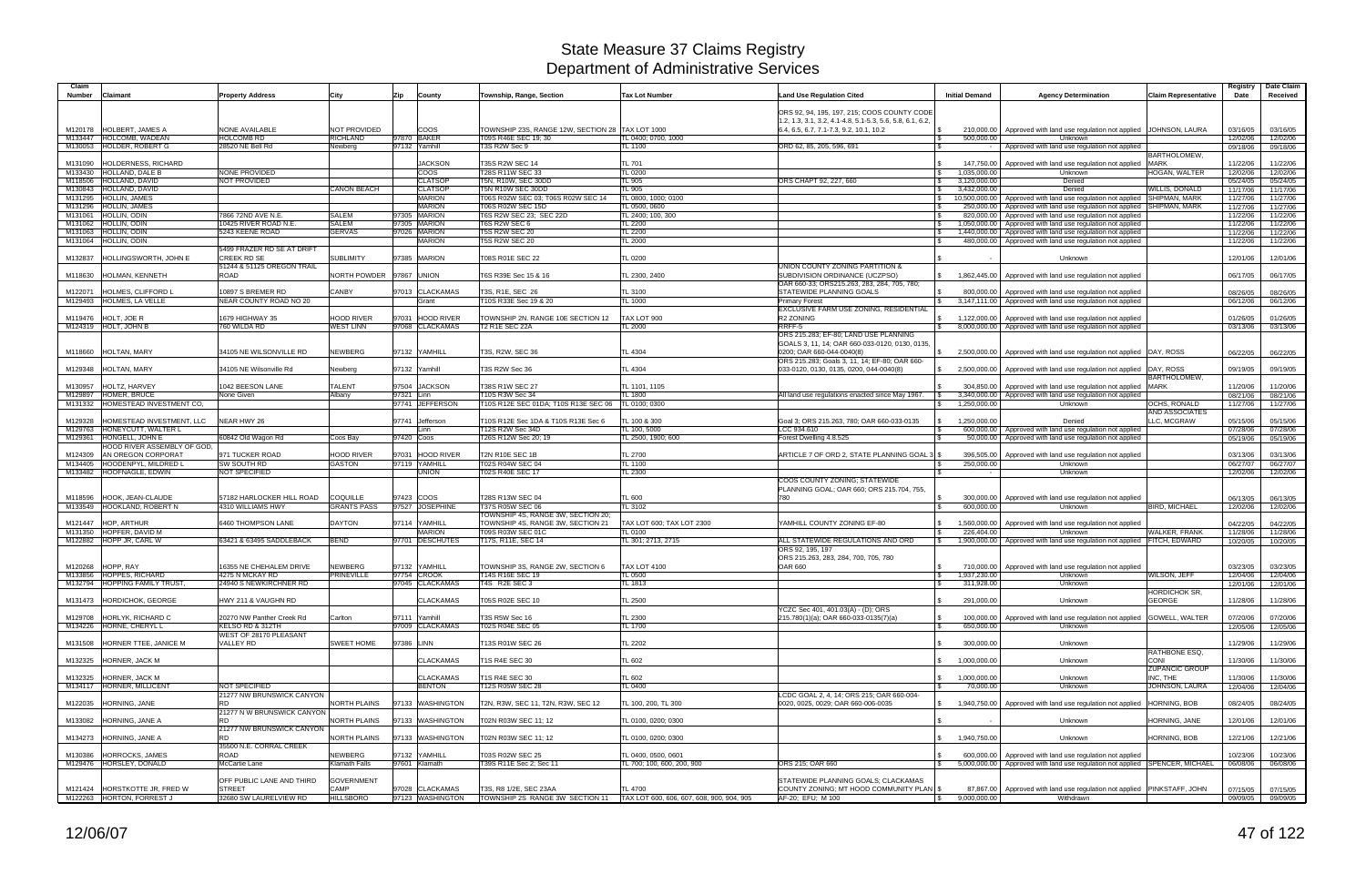| Claim                                                     |                                               |                                     |                                   |                                                        |                                           |                                                                                                          |                                                  |                                                                                                |                              | Registry             | Date Claim           |
|-----------------------------------------------------------|-----------------------------------------------|-------------------------------------|-----------------------------------|--------------------------------------------------------|-------------------------------------------|----------------------------------------------------------------------------------------------------------|--------------------------------------------------|------------------------------------------------------------------------------------------------|------------------------------|----------------------|----------------------|
| Number<br><b>Claimant</b>                                 | <b>Property Address</b>                       | City                                | County<br>Zip                     | Township, Range, Section                               | <b>Tax Lot Number</b>                     | <b>Land Use Regulation Cited</b>                                                                         | <b>Initial Demand</b>                            | <b>Agency Determination</b>                                                                    | <b>Claim Representative</b>  | Date                 | Received             |
|                                                           |                                               |                                     |                                   |                                                        |                                           | ORS 92, 94, 195, 197, 215; COOS COUNTY CODE<br>1.2, 1.3, 3.1, 3.2, 4.1-4.8, 5.1-5.3, 5.6, 5.8, 6.1, 6.2, |                                                  |                                                                                                |                              |                      |                      |
| M120178  HOLBERT, JAMES A                                 | <b>NONE AVAILABLE</b>                         | <b>NOT PROVIDED</b>                 | <b>COOS</b>                       | TOWNSHIP 23S, RANGE 12W, SECTION 28 TAX LOT 1000       |                                           | 6.4, 6.5, 6.7, 7.1-7.3, 9.2, 10.1, 10.2                                                                  | 210,000.00                                       | Approved with land use regulation not applied   JOHNSON, LAURA                                 |                              | 03/16/05             | 03/16/05             |
| M133447 HOLCOMB, WADEAN<br>M130053 HOLDER, ROBERT G       | <b>HOLCOMB RD</b><br>28520 NE Bell Rd         | <b>RICHLAND</b><br>Newberg          | 97870 BAKER<br>97132 Yamhill      | T09S R46E SEC 19; 30<br>T3S R2W Sec 9                  | TL 0400; 0700, 1000<br>TL 1100            | ORD 62, 85, 205, 596, 691<br>-S                                                                          | 500,000.00                                       | Unknown<br>Approved with land use regulation not applied                                       |                              | 12/02/06<br>09/18/06 | 12/02/06<br>09/18/06 |
|                                                           |                                               |                                     |                                   |                                                        |                                           |                                                                                                          |                                                  |                                                                                                | <b>BARTHOLOMEW</b>           |                      |                      |
| <b>HOLDERNESS, RICHARD</b><br>M131090                     |                                               |                                     | <b>JACKSON</b>                    | T35S R2W SEC 14                                        | TL 701                                    |                                                                                                          | 147,750.00                                       | Approved with land use regulation not applied                                                  | <b>MARK</b>                  | 11/22/06             | 11/22/06             |
| M133430 HOLLAND, DALE B                                   | <b>NONE PROVIDED</b>                          |                                     | COOS                              | T28S R11W SEC 33                                       | <b>TL 0200</b>                            |                                                                                                          | \$<br>1,035,000.00                               | Unknown                                                                                        | <b>HOGAN, WALTER</b>         | 12/02/06             | 12/02/06             |
| M118506 HOLLAND, DAVID<br>M130843 HOLLAND, DAVID          | NOT PROVIDED                                  | <b>CANON BEACH</b>                  | <b>CLATSOP</b><br><b>CLATSOP</b>  | <b>F5N, R10W, SEC 30DD</b><br>T5N R10W SEC 30DD        | TL 905<br>TL 905                          | ORS CHAPT 92, 227, 660                                                                                   | 3,120,000.00<br>3,432,000.00                     | Denied<br>Denied                                                                               | WILLIS, DONALD               | 05/24/05<br>11/17/06 | 05/24/05<br>11/17/06 |
| M131295 HOLLIN, JAMES                                     |                                               |                                     | <b>MARION</b>                     | T06S R02W SEC 03; T06S R02W SEC 14                     | TL 0800, 1000; 0100                       |                                                                                                          | 10,500,000.00                                    | Approved with land use regulation not applied                                                  | <b>SHIPMAN, MARK</b>         | 11/27/06             | 11/27/06             |
| M131296 HOLLIN, JAMES                                     |                                               |                                     | <b>MARION</b>                     | T06S R02W SEC 15D                                      | TL 0500, 0600                             |                                                                                                          | 250,000.00                                       | Approved with land use regulation not applied SHIPMAN, MARK                                    |                              | 11/27/06             | 11/27/06             |
| M131061 HOLLIN, ODIN                                      | 7866 72ND AVE N.E                             | <b>SALEM</b>                        | 97305 MARION                      | T6S R2W SEC 23; SEC 22D                                | TL 2400; 100, 300                         |                                                                                                          | 820,000.00                                       | Approved with land use regulation not applied                                                  |                              | 11/22/06             | 11/22/06             |
| M131062 HOLLIN, ODIN<br>M131063 HOLLIN, ODIN              | 10425 RIVER ROAD N.E.<br>5243 KEENE ROAD      | SALEM<br><b>GERVAS</b>              | 97305 MARION<br>97026 MARION      | <b>T6S R2W SEC 6</b><br><b>T5S R2W SEC 20</b>          | TL 2200<br>TL 2200                        |                                                                                                          | \$<br>1,050,000.00<br>1,440,000.00               | Approved with land use regulation not applied<br>Approved with land use regulation not applied |                              | 11/22/06<br>11/22/06 | 11/22/06<br>11/22/06 |
| M131064 HOLLIN, ODIN                                      |                                               |                                     | <b>MARION</b>                     | T5S R2W SEC 20                                         | TL 2000                                   |                                                                                                          | 480,000.00                                       | Approved with land use regulation not applied                                                  |                              | 11/22/06             | 11/22/06             |
|                                                           | 5499 FRAZER RD SE AT DRIFT                    |                                     |                                   |                                                        |                                           |                                                                                                          |                                                  |                                                                                                |                              |                      |                      |
| HOLLINGSWORTH, JOHN E<br>M132837                          | <b>CREEK RD SE</b>                            | <b>SUBLIMITY</b>                    | 97385 MARION                      | T08S R01E SEC 22                                       | TL 0200                                   |                                                                                                          |                                                  | Unknown                                                                                        |                              | 12/01/06             | 12/01/06             |
| HOLMAN, KENNETH<br>M118630                                | 51244 & 51125 OREGON TRAIL<br>ROAD            | NORTH POWDER 97867 UNION            |                                   | T6S R39E Sec 15 & 16                                   | TL 2300, 2400                             | UNION COUNTY ZONING PARTITION &<br>SUBDIVISION ORDINANCE (UCZPSO)                                        | 1,862,445.00                                     | Approved with land use regulation not applied                                                  |                              | 06/17/05             | 06/17/05             |
|                                                           |                                               |                                     |                                   |                                                        |                                           | OAR 660-33; ORS215.263, 283, 284, 705, 780;                                                              |                                                  |                                                                                                |                              |                      |                      |
| HOLMES, CLIFFORD L<br>M122071                             | 0897 S BREMER RD                              | CANBY                               | 97013 CLACKAMAS                   | T3S, R1E, SEC 26                                       | TL 3100                                   | STATEWIDE PLANNING GOALS                                                                                 | 800,000.00<br>-SS                                | Approved with land use regulation not applied                                                  |                              | 08/26/05             | 08/26/05             |
| M129493 HOLMES, LA VELLE                                  | NEAR COUNTY ROAD NO 20                        |                                     | Grant                             | T10S R33E Sec 19 & 20                                  | L 1000                                    | <b>Primary Forest</b><br>EXCLUSIVE FARM USE ZONING, RESIDENTIAL                                          | \$                                               | 3,147,111.00 Approved with land use regulation not applied                                     |                              | 06/12/06             | 06/12/06             |
| M119476 HOLT, JOE R                                       | 1679 HIGHWAY 35                               | <b>HOOD RIVER</b>                   | <b>HOOD RIVER</b><br>97031        | TOWNSHIP 2N. RANGE 10E SECTION 12                      | TAX LOT 900                               | R2 ZONING                                                                                                | 1,122,000.00                                     | Approved with land use regulation not applied                                                  |                              | 01/26/05             | 01/26/05             |
| M124319 HOLT, JOHN B                                      | 760 WILDA RD                                  | <b>WEST LINN</b>                    | 97068 CLACKAMAS                   | T2 R1E SEC 22A                                         | TL 2000                                   | RRFF-5                                                                                                   | $\mathcal{S}$                                    | 8,000,000.00 Approved with land use regulation not applied                                     |                              | 03/13/06             | 03/13/06             |
|                                                           |                                               |                                     |                                   |                                                        |                                           | ORS 215.283; EF-80; LAND USE PLANNING                                                                    |                                                  |                                                                                                |                              |                      |                      |
| M118660 HOLTAN, MARY                                      | 34105 NE WILSONVILLE RD                       | <b>NEWBERG</b>                      | 97132 YAMHILL                     | T3S, R2W, SEC 36                                       | <b>TL 4304</b>                            | GOALS 3, 11, 14; OAR 660-033-0120, 0130, 0135,<br>0200; OAR 660-044-0040(8)                              | \$2,500,000.00                                   | Approved with land use regulation not applied DAY, ROSS                                        |                              | 06/22/05             | 06/22/05             |
|                                                           |                                               |                                     |                                   |                                                        |                                           | ORS 215.283; Goals 3, 11, 14; EF-80; OAR 660-                                                            |                                                  |                                                                                                |                              |                      |                      |
| M129348<br>HOLTAN, MARY                                   | 34105 NE Wilsonville Rd                       | Newberg                             | 97132 Yamhill                     | T3S R2W Sec 36                                         | TL 4304                                   | 033-0120, 0130, 0135, 0200, 044-0040(8)                                                                  | 2,500,000.00                                     | Approved with land use regulation not applied  DAY, ROSS                                       |                              | 09/19/05             | 09/19/05             |
|                                                           |                                               |                                     |                                   |                                                        |                                           |                                                                                                          |                                                  |                                                                                                | <b>BARTHOLOMEW</b>           |                      |                      |
| HOLTZ, HARVEY<br>M130957<br>M129897 HOMER, BRUCE          | 1042 BEESON LANE                              | <b>TALENT</b>                       | 97504 JACKSON<br>97321 Linn       | T38S R1W SEC 27<br>T10S R3W Sec 34                     | TL 1101, 1105<br>L 1800                   |                                                                                                          | 304,850.00                                       | Approved with land use regulation not applied   MARK                                           |                              | 11/20/06             | 11/20/06             |
| M131332 HOMESTEAD INVESTMENT CO,                          | None Given                                    | Albany                              | 97741 JEFFERSON                   | T10S R12E SEC 01DA; T10S R13E SEC 06   TL 0100; 0300   |                                           | All land use regulations enacted since May 1967.                                                         | 3,340,000.00<br>1,250,000.00<br>\$               | Approved with land use regulation not applied<br>Unknown                                       | <b>OCHS, RONALD</b>          | 08/21/06<br>11/27/06 | 08/21/06<br>11/27/06 |
|                                                           |                                               |                                     |                                   |                                                        |                                           |                                                                                                          |                                                  |                                                                                                | <b>AND ASSOCIATES</b>        |                      |                      |
| HOMESTEAD INVESTMENT, LLC<br>M129328                      | NEAR HWY 26                                   |                                     | 97741 Jefferson                   | T10S R12E Sec 1DA & T10S R13E Sec 6                    | TL 100 & 300                              | Goal 3; ORS 215.263, 780; OAR 660-033-0135                                                               | 1,250,000.00                                     | Denied                                                                                         | LLC, MCGRAW                  | 05/15/06             | 05/15/06             |
| M129763 HONEYCUTT, WALTER L                               |                                               |                                     | Linn                              | F12S R2W Sec 34D                                       | TL 100, 5000                              | LCC 934.610                                                                                              | 600,000.00<br>-SS                                | Approved with land use regulation not applied                                                  |                              | 07/28/06             | 07/28/06             |
| HONGELL, JOHN E<br>M129361<br>HOOD RIVER ASSEMBLY OF GOD, | 60842 Old Wagon Rd                            | Coos Bay                            | 97420 Coos                        | T26S R12W Sec 20; 19                                   | TL 2500, 1900; 600                        | Forest Dwelling 4.8.525                                                                                  | 50,000.00                                        | Approved with land use regulation not applied                                                  |                              | 05/19/06             | 05/19/06             |
| AN OREGON CORPORAT<br>M124309                             | 971 TUCKER ROAD                               | <b>HOOD RIVER</b>                   | 97031 HOOD RIVER                  | T2N R10E SEC 1B                                        | TL 2700                                   | ARTICLE 7 OF ORD 2, STATE PLANNING GOAL 3 {                                                              | 396,505.00                                       | Approved with land use regulation not applied                                                  |                              | 03/13/06             | 03/13/06             |
| M134405 HOODENPYL, MILDRED L                              | SW SOUTH RD                                   | <b>GASTON</b>                       | 97119 YAMHILL                     | T02S R04W SEC 04                                       | TL 1100                                   |                                                                                                          | 250,000.00                                       | Unknown                                                                                        |                              | 06/27/07             | 06/27/07             |
| M133482 HOOFNAGLE, EDWIN                                  | NOT SPECIFIED                                 |                                     | UNION                             | T02S R40E SEC 17                                       | TL 2300                                   | - \$                                                                                                     |                                                  | Unknown                                                                                        |                              | 12/02/06             | 12/02/06             |
|                                                           |                                               |                                     |                                   |                                                        |                                           | COOS COUNTY ZONING; STATEWIDE                                                                            |                                                  |                                                                                                |                              |                      |                      |
| HOOK, JEAN-CLAUDE<br>M118596                              | 57182 HARLOCKER HILL ROAD                     | <b>COQUILLE</b>                     | 97423 COOS                        | T28S R13W SEC 04                                       | TL 600                                    | PLANNING GOAL; OAR 660; ORS 215.704, 755,<br>780                                                         | 300,000.00                                       | Approved with land use regulation not applied                                                  |                              | 06/13/05             | 06/13/05             |
| M133549 HOOKLAND, ROBERT N                                | 4310 WILLIAMS HWY                             | <b>GRANTS PASS</b>                  | 97527 JOSEPHINE                   | T37S R05W SEC 06                                       | TL 3102                                   | l \$                                                                                                     | 600,000.00                                       | Unknown                                                                                        | <b>BIRD, MICHAEL</b>         | 12/02/06             | 12/02/06             |
|                                                           |                                               |                                     |                                   | TOWNSHIP 4S, RANGE 3W, SECTION 20;                     |                                           |                                                                                                          |                                                  |                                                                                                |                              |                      |                      |
| HOP, ARTHUR<br>M121447<br>M131350 HOPFER, DAVID M         | 6460 THOMPSON LANE                            | <b>DAYTON</b>                       | 97114 YAMHILL<br><b>MARION</b>    | TOWNSHIP 4S, RANGE 3W, SECTION 21<br>T09S R03W SEC 01C | TAX LOT 600; TAX LOT 2300<br>TL 0100      | YAMHILL COUNTY ZONING EF-80                                                                              | 1,560,000.00<br>226,404.00                       | Approved with land use regulation not applied<br>Unknown                                       | <b>WALKER, FRANK</b>         | 04/22/05             | 04/22/05             |
| M122882 HOPP JR, CARL W                                   | 63421 & 63495 SADDLEBACK                      | <b>BEND</b>                         | 97701 DESCHUTES                   | T17S, R11E, SEC 14                                     | TL 301; 2713, 2715                        | ALL STATEWIDE REGULATIONS AND ORD                                                                        | \$                                               | 1,900,000.00 Approved with land use regulation not applied                                     | <b>FITCH, EDWARD</b>         | 11/28/06<br>10/20/05 | 11/28/06<br>10/20/05 |
|                                                           |                                               |                                     |                                   |                                                        |                                           | ORS 92, 195, 197                                                                                         |                                                  |                                                                                                |                              |                      |                      |
|                                                           |                                               |                                     |                                   |                                                        |                                           | ORS 215.263, 283, 284, 700, 705, 780                                                                     |                                                  |                                                                                                |                              |                      |                      |
| M120268 HOPP, RAY                                         | 16355 NE CHEHALEM DRIVE                       | <b>NEWBERG</b><br><b>PRINEVILLE</b> | 97132 YAMHILL                     | TOWNSHIP 3S, RANGE 2W, SECTION 6                       | <b>TAX LOT 4100</b>                       | OAR 660                                                                                                  |                                                  | 710,000,00 Approved with land use regulation not applied                                       |                              | 03/23/05             | 03/23/05             |
| M133856 HOPPES, RICHARD<br>M132794 HOPPING FAMILY TRUST   | 4275 N MCKAY RD<br>24940 S NEWKIRCHNER RD     |                                     | 97754 CROOK<br>97045 CLACKAMAS    | T14S R16E SEC 19<br>T4S R2E SEC 3                      | TL 0500<br>TL 1813                        |                                                                                                          | 1,937,230.00<br>311,928.00<br>-S                 | Unknown<br>Unknown                                                                             | <b>WILSON, JEFF</b>          | 12/04/06<br>12/01/06 | 12/04/06<br>12/01/06 |
|                                                           |                                               |                                     |                                   |                                                        |                                           |                                                                                                          |                                                  |                                                                                                | <b>HORDICHOK SR.</b>         |                      |                      |
| M131473 HORDICHOK, GEORGE                                 | HWY 211 & VAUGHN RD                           |                                     | <b>CLACKAMAS</b>                  | T05S R02E SEC 10                                       | TL 2500                                   |                                                                                                          | 291,000.00<br>$\mathbf{R}$                       | Unknown                                                                                        | <b>GEORGE</b>                | 11/28/06             | 11/28/06             |
|                                                           |                                               |                                     |                                   |                                                        |                                           | YCZC Sec 401, 401.03(A) - (D); ORS                                                                       |                                                  |                                                                                                |                              |                      |                      |
| M129708 HORLYK, RICHARD C<br>M134226 HORNE, CHERYL L      | 20270 NW Panther Creek Rd<br>KELSO RD & 312TH | Carlton                             | 97111 Yamhill<br>97009 CLACKAMAS  | T3S R5W Sec 16<br>T02S R04E SEC 05                     | TL 2300<br>TL 1700                        | 215.780(1)(a); OAR 660-033-0135(7)(a)                                                                    | 100,000.00<br>650,000.00                         | Approved with land use regulation not applied GOWELL, WALTER<br>Unknown                        |                              | 07/20/06<br>12/05/06 | 07/20/06<br>12/05/06 |
|                                                           | WEST OF 28170 PLEASANT                        |                                     |                                   |                                                        |                                           |                                                                                                          |                                                  |                                                                                                |                              |                      |                      |
| M131508 HORNER TTEE, JANICE M                             | VALLEY RD                                     | <b>SWEET HOME</b>                   | 97386 LINN                        | T13S R01W SEC 26                                       | TL 2202                                   |                                                                                                          | 300,000.00                                       | Unknown                                                                                        |                              | 11/29/06             | 11/29/06             |
| M132325 HORNER, JACK M                                    |                                               |                                     | <b>CLACKAMAS</b>                  | T1S R4E SEC 30                                         | TL 602                                    |                                                                                                          | 1,000,000.00                                     | Unknown                                                                                        | RATHBONE ESQ,<br><b>CONI</b> | 11/30/06             | 11/30/06             |
|                                                           |                                               |                                     |                                   |                                                        |                                           |                                                                                                          |                                                  |                                                                                                | <b>ZUPANCIC GROUP</b>        |                      |                      |
| M132325 HORNER, JACK M<br>M134117 HORNER, MILLICENT       | NOT SPECIFIED                                 |                                     | <b>CLACKAMAS</b><br><b>BENTON</b> | T1S R4E SEC 30<br>T12S R05W SEC 28                     | TL 602<br>TL 0400                         |                                                                                                          | 1,000,000.00<br>$\mathcal{S}$<br>70,000.00<br>-S | Unknown<br>Unknown                                                                             | INC, THE<br>JOHNSON, LAURA   | 11/30/06<br>12/04/06 | 11/30/06<br>12/04/06 |
|                                                           | 21277 NW BRUNSWICK CANYON                     |                                     |                                   |                                                        |                                           | LCDC GOAL 2, 4, 14; ORS 215; OAR 660-004-                                                                |                                                  |                                                                                                |                              |                      |                      |
| M122035 HORNING, JANE                                     | <b>RD</b>                                     | <b>NORTH PLAINS</b>                 | 97133 WASHINGTON                  | T2N, R3W, SEC 11, T2N, R3W, SEC 12                     | TL 100, 200, TL 300                       | 0020, 0025, 0029; OAR 660-006-0035                                                                       |                                                  | 1,940,750.00 Approved with land use regulation not applied                                     | HORNING, BOB                 | 08/24/05             | 08/24/05             |
| M133082 HORNING, JANE A                                   | 21277 N W BRUNSWICK CANYON<br>RD.             | <b>NORTH PLAINS</b>                 | 97133 WASHINGTON                  | T02N R03W SEC 11; 12                                   | TL 0100, 0200; 0300                       |                                                                                                          |                                                  | Unknown                                                                                        | HORNING, JANE                | 12/01/06             | 12/01/06             |
| M134273 HORNING, JANE A                                   | 21277 NW BRUNSWICK CANYON<br>RD.              | <b>NORTH PLAINS</b>                 | 97133 WASHINGTON                  | T02N R03W SEC 11; 12                                   | TL 0100, 0200; 0300                       |                                                                                                          | 1,940,750.00                                     | Unknown                                                                                        | HORNING, BOB                 | 12/21/06             | 12/21/06             |
|                                                           | 35500 N.E. CORRAL CREEK                       |                                     |                                   |                                                        |                                           |                                                                                                          |                                                  |                                                                                                |                              |                      |                      |
| M130386 HORROCKS, JAMES                                   | ROAD                                          | NEWBERG                             | 97132 YAMHILL                     | T03S R02W SEC 25                                       | TL 0400, 0500, 0601                       |                                                                                                          |                                                  | 600,000.00 Approved with land use regulation not applied                                       |                              | 10/23/06             | 10/23/06             |
| M129476 HORSLEY, DONALD                                   | McCartie Lane                                 | <b>Klamath Falls</b>                | 97601 Klamath                     | T39S R11E Sec 2; Sec 11                                | TL 700; 100, 600, 200, 900                | ORS 215; OAR 660                                                                                         | I S                                              | 5,000,000.00   Approved with land use regulation not applied SPENCER, MICHAEL                  |                              | 06/08/06             | 06/08/06             |
|                                                           | OFF PUBLIC LANE AND THIRD                     | <b>GOVERNMENT</b>                   |                                   |                                                        |                                           | STATEWIDE PLANNING GOALS; CLACKAMAS                                                                      |                                                  |                                                                                                |                              |                      |                      |
| M121424 HORSTKOTTE JR, FRED W                             | <b>STREET</b>                                 | CAMP                                | 97028 CLACKAMAS                   | T3S, R8 1/2E, SEC 23AA                                 | TL 4700                                   | COUNTY ZONING; MT HOOD COMMUNITY PLAN   \$                                                               |                                                  | 87,867.00 Approved with land use regulation not applied PINKSTAFF, JOHN                        |                              | 07/15/05             | 07/15/05             |
| M122263 HORTON, FORREST J                                 | 32680 SW LAURELVIEW RD                        | <b>HILLSBORO</b>                    | 97123 WASHINGTON                  | TOWNSHIP 2S RANGE 3W SECTION 11                        | TAX LOT 600, 606, 607, 608, 900, 904, 905 | AF-20; EFU; M 100                                                                                        | 9,000,000.00                                     | Withdrawn                                                                                      |                              |                      | 09/09/05 09/09/05    |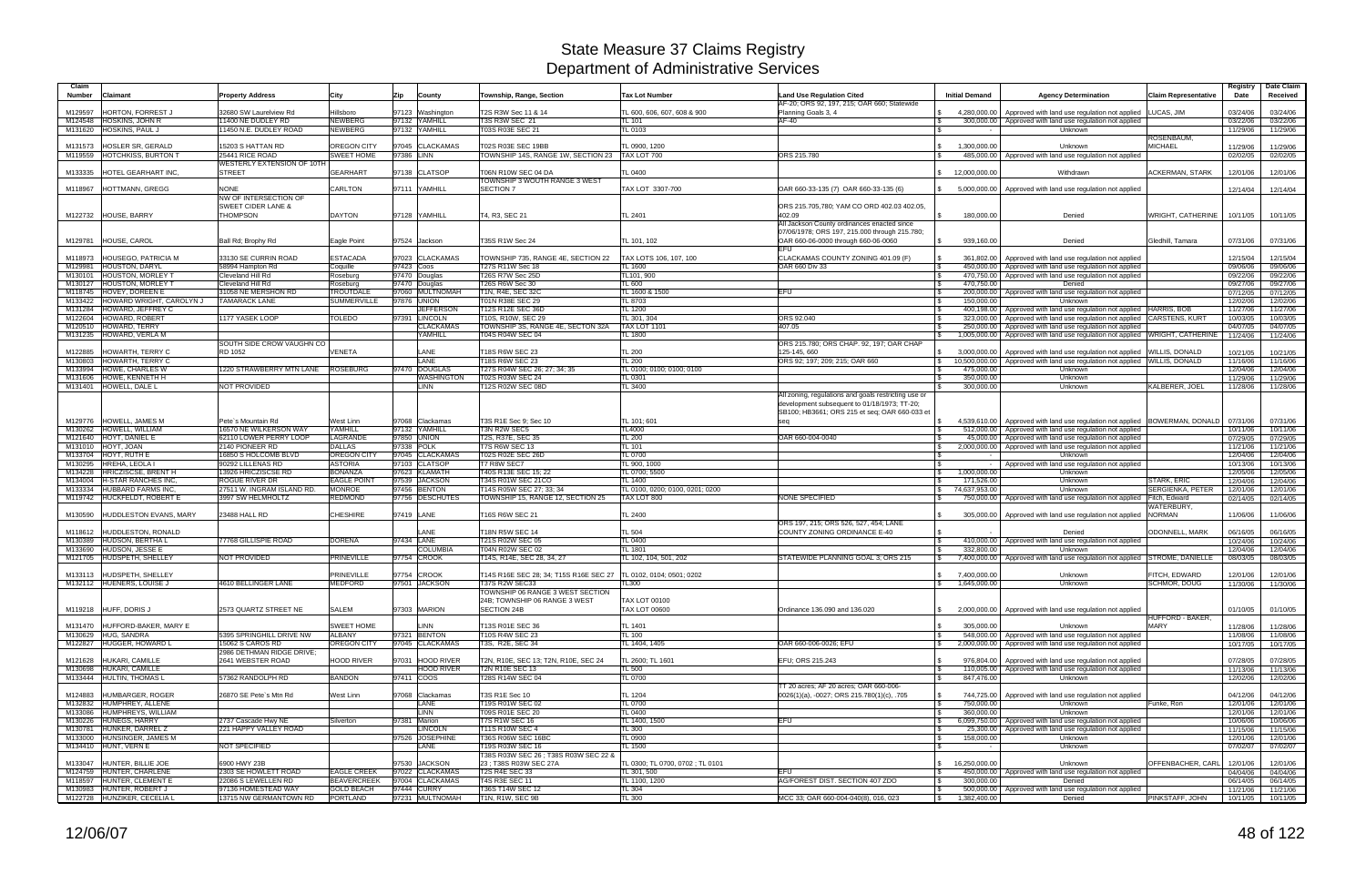| Claim<br><b>Number</b><br>Claimant                               | <b>Property Address</b>                                       | City                                | Zip        | County                           | Township, Range, Section                                           | <b>Tax Lot Number</b>                           | <b>Land Use Regulation Cited</b><br>AF-20; ORS 92, 197, 215; OAR 660; Statewide               | <b>Initial Demand</b>                        | <b>Agency Determination</b>                                                                                               | <b>Claim Representative</b>     | Registry<br>Date     | Date Claim<br>Received |
|------------------------------------------------------------------|---------------------------------------------------------------|-------------------------------------|------------|----------------------------------|--------------------------------------------------------------------|-------------------------------------------------|-----------------------------------------------------------------------------------------------|----------------------------------------------|---------------------------------------------------------------------------------------------------------------------------|---------------------------------|----------------------|------------------------|
| HORTON, FORREST J<br>M129597                                     | 32680 SW Laurelview Rd                                        | Hillsboro                           |            | 97123 Washington                 | T2S R3W Sec 11 & 14                                                | TL 600, 606, 607, 608 & 900                     | Planning Goals 3, 4                                                                           | 4,280,000.00                                 | Approved with land use regulation not applied                                                                             | LUCAS, JIM                      | 03/24/06             | 03/24/06               |
| <b>HOSKINS, JOHN R</b><br>M124548                                | 1400 NE DUDLEY RD                                             | <b>NEWBERG</b>                      |            | 97132 YAMHILL                    | <b>T3S R3W SEC 21</b>                                              | TL 101                                          | AF-40                                                                                         |                                              | 300,000.00   Approved with land use regulation not applied                                                                |                                 | 03/22/06             | 03/22/06               |
| HOSKINS, PAUL J<br>M131620                                       | 1450 N.E. DUDLEY ROAD                                         | <b>NEWBERG</b>                      |            | 97132 YAMHILL                    | T03S R03E SEC 21                                                   | TL 0103                                         |                                                                                               | ∣ \$                                         | Unknown                                                                                                                   | ROSENBAUM,                      | 11/29/06             | 11/29/06               |
| HOSLER SR, GERALD<br>M131573                                     | 15203 S HATTAN RD                                             | <b>OREGON CITY</b>                  |            | 97045 CLACKAMAS                  | T02S R03E SEC 19BB                                                 | TL 0900, 1200                                   |                                                                                               | 1,300,000.00<br>$\mathbb{R}$                 | Unknown                                                                                                                   | <b>MICHAEL</b>                  | 11/29/06             | 11/29/06               |
| M119559 HOTCHKISS, BURTON T                                      | 25441 RICE ROAD                                               | <b>SWEET HOME</b>                   | 97386 LINN |                                  | TOWNSHIP 14S, RANGE 1W, SECTION 23                                 | TAX LOT 700                                     | ORS 215.780                                                                                   |                                              | 485,000.00 Approved with land use regulation not applied                                                                  |                                 | 02/02/05             | 02/02/05               |
| M133335<br>HOTEL GEARHART INC.                                   | WESTERLY EXTENSION OF 10TH<br><b>STREET</b>                   | <b>GEARHART</b>                     |            | 97138 CLATSOP                    | T06N R10W SEC 04 DA                                                | TL 0400                                         |                                                                                               | 12,000,000.00<br>$\mathbb{S}$                | Withdrawn                                                                                                                 | ACKERMAN, STARK                 | 12/01/06             | 12/01/06               |
|                                                                  |                                                               |                                     |            |                                  | TOWNSHIP 3 WOUTH RANGE 3 WEST                                      |                                                 |                                                                                               |                                              |                                                                                                                           |                                 |                      |                        |
| <b>HOTTMANN, GREGG</b><br>M118967                                | <b>NONE</b>                                                   | CARLTON                             |            | 97111 YAMHILL                    | <b>SECTION 7</b>                                                   | TAX LOT 3307-700                                | OAR 660-33-135 (7) OAR 660-33-135 (6)                                                         | 5,000,000.00                                 | Approved with land use regulation not applied                                                                             |                                 | 12/14/04             | 12/14/04               |
|                                                                  | <b>NW OF INTERSECTION OF</b><br><b>SWEET CIDER LANE &amp;</b> |                                     |            |                                  |                                                                    |                                                 | ORS 215.705,780; YAM CO ORD 402.03 402.05,                                                    |                                              |                                                                                                                           |                                 |                      |                        |
| M122732 HOUSE, BARRY                                             | <b>THOMPSON</b>                                               | <b>DAYTON</b>                       |            | 97128 YAMHILL                    | T4, R3, SEC 21                                                     | TL 2401                                         | 402.09                                                                                        | 180,000.00                                   | Denied                                                                                                                    | WRIGHT, CATHERINE               | 10/11/05             | 10/11/05               |
|                                                                  |                                                               |                                     |            |                                  |                                                                    |                                                 | All Jackson County ordinances enacted since                                                   |                                              |                                                                                                                           |                                 |                      |                        |
| M129781 HOUSE, CAROL                                             | Ball Rd; Brophy Rd                                            | Eagle Point                         |            | 97524 Jackson                    | T35S R1W Sec 24                                                    | TL 101, 102                                     | 07/06/1978; ORS 197, 215.000 through 215.780;<br>OAR 660-06-0000 through 660-06-0060          | 939,160.00<br>$\mathbb{S}$                   | Denied                                                                                                                    | Gledhill, Tamara                | 07/31/06             | 07/31/06               |
|                                                                  |                                                               |                                     |            |                                  |                                                                    |                                                 |                                                                                               |                                              |                                                                                                                           |                                 |                      |                        |
| <b>HOUSEGO, PATRICIA M</b><br>M118973                            | 33130 SE CURRIN ROAD                                          | <b>ESTACADA</b>                     |            | 97023 CLACKAMAS                  | TOWNSHIP 735, RANGE 4E, SECTION 22                                 | TAX LOTS 106, 107, 100                          | CLACKAMAS COUNTY ZONING 401.09 (F)                                                            | 361,802.00                                   | Approved with land use regulation not applied                                                                             |                                 | 12/15/04             | 12/15/04               |
| M129981 HOUSTON, DARYL<br>M130101 HOUSTON, MORLEY 1              | 58994 Hampton Rd<br>Cleveland Hill Rd                         | Coquille<br>Roseburg                | 97423 Coos | 97470 Douglas                    | T27S R11W Sec 18<br>T26S R7W Sec 25D                               | TL 1600<br>TL101, 900                           | <b>OAR 660 Div 33</b>                                                                         | l \$<br>470,750.00<br>l \$                   | 450,000.00 Approved with land use regulation not applied<br>Approved with land use regulation not applied                 |                                 | 09/06/06<br>09/22/06 | 09/06/06<br>09/22/06   |
| M130127 HOUSTON, MORLEY 1                                        | Cleveland Hill Rd                                             | Roseburg                            |            | 97470 Douglas                    | T26S R6W Sec 30                                                    | TL 600                                          |                                                                                               | 470,750.00<br>l \$                           | Denied                                                                                                                    |                                 | 09/27/06             | 09/27/06               |
| M118745 HOVEY, DOREEN E                                          | 31058 NE MERSHON RD                                           | TROUTDALE                           |            | 97060 MULTNOMAH                  | T1N, R4E, SEC 32C                                                  | TL 1600 & 1500                                  | EFU                                                                                           | 200,000.00<br><b>S</b>                       | Approved with land use regulation not applied                                                                             |                                 | 07/12/05             | 07/12/05               |
| M133422 HOWARD WRIGHT, CAROLYN J<br>HOWARD, JEFFREY C<br>M131284 | <b>TAMARACK LANE</b>                                          | <b>SUMMERVILLE</b>                  |            | 97876 UNION<br><b>JEFFERSON</b>  | T01N R38E SEC 29<br>T12S R12E SEC 36D                              | TL 8703<br><b>TL 1200</b>                       |                                                                                               | <b>S</b><br>150,000.00<br>400.198.00<br>l \$ | Unknown                                                                                                                   |                                 | 12/02/06<br>11/27/06 | 12/02/06<br>11/27/06   |
| M122604 HOWARD, ROBERT                                           | 1177 YASEK LOOP                                               | <b>TOLEDO</b>                       |            | 97391 LINCOLN                    | [10S, R10W, SEC 29                                                 | <b>TL 301, 304</b>                              | ORS 92.040                                                                                    | 323,000.00                                   | Approved with land use regulation not applied HARRIS, BOB<br>Approved with land use regulation not applied CARSTENS, KURT |                                 | 10/03/05             | 10/03/05               |
| M120510 HOWARD, TERRY                                            |                                                               |                                     |            | <b>CLACKAMAS</b>                 | TOWNSHIP 3S, RANGE 4E, SECTON 32A                                  | <b>TAX LOT 1101</b>                             | 407.05                                                                                        | 250,000.00                                   | Approved with land use regulation not applied                                                                             |                                 | 04/07/05             | 04/07/05               |
| M131235 HOWARD, VERLA M                                          |                                                               |                                     |            | YAMHILL                          | T04S R04W SEC 04                                                   | <b>FL 1800</b>                                  |                                                                                               | 1,005,000.00                                 | Approved with land use regulation not applied WRIGHT, CATHERINE                                                           |                                 | 11/24/06             | 11/24/06               |
| HOWARTH, TERRY C<br>M122885                                      | SOUTH SIDE CROW VAUGHN CO<br>RD 1052                          | VENETA                              |            | LANE                             | T18S R6W SEC 23                                                    | <b>TL 200</b>                                   | ORS 215.780; ORS CHAP. 92, 197; OAR CHAP<br>125-145, 660                                      | 3,000,000.00                                 | Approved with land use regulation not applied WILLIS, DONALD                                                              |                                 | 10/21/05             | 10/21/05               |
| M130803<br>HOWARTH, TERRY C                                      |                                                               |                                     |            | LANE                             | T18S R6W SEC 23                                                    | <b>TL 200</b>                                   | ORS 92; 197; 209; 215; OAR 660                                                                | $\sqrt{3}$<br>10,500,000.00                  | Approved with land use regulation not applied WILLIS, DONALD                                                              |                                 | 11/16/06             | 11/16/06               |
| <b>HOWE, CHARLES W</b><br>M133994                                | 220 STRAWBERRY MTN LANE                                       | <b>ROSEBURG</b>                     |            | 97470 DOUGLAS                    | T27S R04W SEC 26; 27; 34; 35                                       | TL 0100; 0100; 0100; 0100                       |                                                                                               | 475,000.00                                   | Unknown                                                                                                                   |                                 | 12/04/06             | 12/04/06               |
| M131606 HOWE, KENNETH H                                          |                                                               |                                     |            | <b>WASHINGTON</b>                | T02S R03W SEC 24                                                   | TL 0301                                         |                                                                                               | <b>S</b><br>350,000.00                       | Unknown                                                                                                                   |                                 | 11/29/06             | 11/29/06               |
| M131401 HOWELL, DALE L                                           | NOT PROVIDED                                                  |                                     |            | <b>LINN</b>                      | <b>T12S R02W SEC 08D</b>                                           | TL 3400                                         | All zoning, regulations and goals restricting use or                                          | 300,000.00                                   | Unknown                                                                                                                   | KALBERER, JOEI                  | 11/28/06             | 11/28/06               |
|                                                                  |                                                               |                                     |            |                                  |                                                                    |                                                 | development subsequent to 01/18/1973; TT-20;<br>SB100; HB3661; ORS 215 et seq; OAR 660-033 et |                                              |                                                                                                                           |                                 |                      |                        |
| M129776 HOWELL, JAMES M                                          | Pete's Mountain Rd                                            | West Linn                           |            | 97068 Clackamas                  | T3S R1E Sec 9; Sec 10                                              | TL 101; 601                                     | seq                                                                                           | <b>S</b>                                     | 4,539,610.00   Approved with land use regulation not applied   BOWERMAN, DONALD                                           |                                 | 07/31/06             | 07/31/06               |
| HOWELL, WILLIAM<br>M130262                                       | 16570 NE WILKERSON WAY                                        | YAMHILL                             |            | 97132 YAMHILL                    | T3N R2W SEC5                                                       | TL4000                                          |                                                                                               | 512,000.00                                   | Approved with land use regulation not applied                                                                             |                                 | 10/11/06             | 10/11/06               |
| HOYT, DANIEL E<br>M121640<br>M131010 HOYT, JOAN                  | 62110 LOWER PERRY LOOP<br>2140 PIONEER RD                     | LAGRANDE<br><b>DALLAS</b>           |            | 97850 UNION<br>97338 POLK        | T2S, R37E, SEC 35<br><b>T7S R6W SEC 13</b>                         | <b>TL 200</b><br><b>TL 101</b>                  | OAR 660-004-0040                                                                              | <b>S</b><br>45,000.00<br>2,000,000.00        | Approved with land use regulation not applied<br>Approved with land use regulation not applied                            |                                 | 07/29/05<br>11/21/06 | 07/29/05               |
| M133704 HOYT, RUTH E                                             | 16850 S HOLCOMB BLVD                                          | <b>OREGON CITY</b>                  |            | 97045 CLACKAMAS                  | <b>T02S R02E SEC 26D</b>                                           | <b>TL 0700</b>                                  |                                                                                               | <b>S</b><br><b>S</b><br>$\sim$               | Unknown                                                                                                                   |                                 | 12/04/06             | 11/21/06<br>12/04/06   |
| M130295 HREHA, LEOLA I                                           | 90292 LILLENAS RD                                             | <b>ASTORIA</b>                      |            | 97103 CLATSOP                    | T7 R8W SEC7                                                        | TL 900, 1000                                    |                                                                                               |                                              | Approved with land use regulation not applied                                                                             |                                 | 10/13/06             | 10/13/06               |
| M134228 HRICZISCSE, BRENT H                                      | 13926 HRICZISCSE RD                                           | <b>BONANZA</b>                      |            | 97623 KLAMATH                    | T40S R13E SEC 15; 22                                               | TL 0700; 5500                                   |                                                                                               | 1,000,000.00                                 | Unknown                                                                                                                   |                                 | 12/05/06             | 12/05/06               |
| M134004   H-STAR RANCHES INC<br>M133334 HUBBARD FARMS INC        | ROGUE RIVER DR<br>27511 W. INGRAM ISLAND RD.                  | <b>EAGLE POINT</b><br><b>MONROE</b> |            | 97539 JACKSON<br>97456 BENTON    | T34S R01W SEC 21CO<br>T14S R05W SEC 27; 33; 34                     | TL 1400<br>TL 0100, 0200; 0100, 0201; 0200      |                                                                                               | 171,526.00<br>74,637,953.00                  | Unknown                                                                                                                   | STARK, ERIC<br>SERGIENKA, PETER | 12/04/06             | 12/04/06               |
| M119742 HUCKFELDT, ROBERT E                                      | 3997 SW HELMHOLTZ                                             | <b>REDMOND</b>                      |            | 97756 DESCHUTES                  | TOWNSHIP 15, RANGE 12, SECTION 25                                  | TAX LOT 800                                     | <b>NONE SPECIFIED</b>                                                                         | $\sqrt{3}$<br><b>S</b>                       | Unknown<br>750,000.00   Approved with land use regulation not applied                                                     | Fitch, Edward                   | 12/01/06<br>02/14/05 | 12/01/06<br>02/14/05   |
|                                                                  |                                                               |                                     |            |                                  |                                                                    |                                                 |                                                                                               |                                              |                                                                                                                           | WATERBURY,                      |                      |                        |
| <b>HUDDLESTON EVANS, MARY</b><br>M130590                         | 23488 HALL RD                                                 | <b>CHESHIRE</b>                     |            | 97419 LANE                       | T16S R6W SEC 21                                                    | TL 2400                                         |                                                                                               | $\mathfrak{S}$                               | 305,000.00 Approved with land use regulation not applied                                                                  | <b>NORMAN</b>                   | 11/06/06             | 11/06/06               |
| HUDDLESTON, RONALD<br>M118612                                    |                                                               |                                     |            | LANE                             | T18N R5W SEC 14                                                    | <b>TL 504</b>                                   | ORS 197, 215; ORS 526, 527, 454; LANE<br>COUNTY ZONING ORDINANCE E-40                         |                                              | Denied                                                                                                                    | <b>ODONNELL, MARK</b>           | 06/16/05             | 06/16/05               |
| M130389 HUDSON, BERTHA L                                         | 77768 GILLISPIE ROAD                                          | <b>DORENA</b>                       | 97434 LANE |                                  | T21S R02W SEC 05                                                   | TL 0400                                         |                                                                                               | <b>S</b>                                     | 410,000.00   Approved with land use regulation not applied                                                                |                                 | 10/24/06             | 10/24/06               |
| M133690 HUDSON, JESSE E                                          |                                                               |                                     |            | <b>COLUMBIA</b>                  | T04N R02W SEC 02                                                   | <b>TL 1801</b>                                  |                                                                                               | 332,800.00                                   | Unknown                                                                                                                   |                                 | 12/04/06             | 12/04/06               |
| M121705 HUDSPETH, SHELLEY                                        | NOT PROVIDED                                                  | PRINEVILLE                          |            | 97754 CROOK                      | T14S, R14E, SEC 28, 34, 27                                         | TL 102. 104. 501. 202                           | STATEWIDE PLANNING GOAL 3; ORS 215                                                            | <b>S</b>                                     | 7,400,000.00 Approved with land use regulation not applied STROME, DANIELLE                                               |                                 | 08/03/05             | 08/03/05               |
| M133113 HUDSPETH, SHELLEY                                        |                                                               | PRINEVILLE                          | 97754      | <b>CROOK</b>                     | T14S R16E SEC 28; 34; T15S R16E SEC 27   TL 0102, 0104; 0501; 0202 |                                                 |                                                                                               | 7,400,000.00<br>$\mathcal{S}$                | Unknown                                                                                                                   | FITCH, EDWARD                   | 12/01/06             | 12/01/06               |
| M132112 HUENERS, LOUISE J                                        | 4610 BELLINGER LANE                                           | <b>MEDFORD</b>                      |            | 97501 JACKSON                    | <b>T37S R2W SEC33</b>                                              | TL300                                           |                                                                                               | \$ 1,645,000.00                              | Unknown                                                                                                                   | <b>SCHMOR, DOUG</b>             |                      | 11/30/06 11/30/06      |
|                                                                  |                                                               |                                     |            |                                  | TOWNSHIP 06 RANGE 3 WEST SECTION                                   |                                                 |                                                                                               |                                              |                                                                                                                           |                                 |                      |                        |
| M119218 HUFF, DORIS J                                            | 2573 QUARTZ STREET NE                                         | <b>SALEM</b>                        |            | 97303 MARION                     | 24B; TOWNSHIP 06 RANGE 3 WEST<br>SECTION 24B                       | <b>TAX LOT 00100</b><br><b>TAX LOT 00600</b>    | Ordinance 136.090 and 136.020                                                                 | $\mathbb{S}$                                 | 2,000,000.00 Approved with land use regulation not applied                                                                |                                 | 01/10/05             | 01/10/05               |
|                                                                  |                                                               |                                     |            |                                  |                                                                    |                                                 |                                                                                               |                                              |                                                                                                                           | HUFFORD - BAKER.                |                      |                        |
| M131470 HUFFORD-BAKER, MARY E                                    |                                                               | <b>SWEET HOME</b>                   |            | LINN                             | T13S R01E SEC 36                                                   | TL 1401                                         |                                                                                               | 305,000.00<br>$\mathfrak{S}$                 | Unknown                                                                                                                   | <b>MARY</b>                     | 11/28/06             | 11/28/06               |
| M130629 HUG, SANDRA<br>M122827 HUGGER, HOWARD L                  | 5395 SPRINGHILL DRIVE NW<br>15062 S CAROS RD                  | ALBANY<br>OREGON CITY               |            | 97321 BENTON<br>97045 CLACKAMAS  | T10S R4W SEC 23<br>T3S, R2E, SEC 34                                | <b>TL 100</b><br>TL 1404, 1405                  | OAR 660-006-0026; EFU                                                                         | $\sqrt{3}$<br>$\mathfrak s$                  | 548,000.00   Approved with land use regulation not applied<br>2,000,000.00 Approved with land use regulation not applied  |                                 | 11/08/06<br>10/17/05 | 11/08/06<br>10/17/05   |
|                                                                  | 2986 DETHMAN RIDGE DRIVE;                                     |                                     |            |                                  |                                                                    |                                                 |                                                                                               |                                              |                                                                                                                           |                                 |                      |                        |
| M121628 HUKARI, CAMILLE                                          | 2641 WEBSTER ROAD                                             | HOOD RIVER                          |            | 97031 HOOD RIVER                 | T2N, R10E, SEC 13: T2N, R10E, SEC 24                               | TL 2600; TL 1601                                | EFU: ORS 215.243                                                                              | $\mathbf{s}$                                 | 976,804.00   Approved with land use regulation not applied                                                                |                                 | 07/28/05             | 07/28/05               |
| M130698 HUKARI, CAMILLE                                          |                                                               |                                     |            | <b>HOOD RIVER</b>                | <b>T2N R10E SEC 13</b>                                             | TL 500                                          |                                                                                               | $\sqrt{3}$                                   | 110,005.00 Approved with land use regulation not applied                                                                  |                                 | 11/13/06             | 11/13/06               |
| M133444 HULTIN, THOMAS L                                         | 57362 RANDOLPH RD                                             | <b>BANDON</b>                       |            | 97411 COOS                       | T28S R14W SEC 04                                                   | <b>TL 0700</b>                                  | TT 20 acres; AF 20 acres; OAR 660-006-                                                        | 847,476.00<br>$\mathcal{S}$                  | Unknown                                                                                                                   |                                 | 12/02/06             | 12/02/06               |
| M124883 HUMBARGER, ROGER                                         | 26870 SE Pete's Mtn Rd                                        | West Linn                           |            | 97068 Clackamas                  | T3S R1E Sec 10                                                     | TL 1204                                         | 0026(1)(a), -0027; ORS 215.780(1)(c), .705                                                    | <b>S</b>                                     | 744,725.00   Approved with land use regulation not applied                                                                |                                 | 04/12/06             | 04/12/06               |
| M132832 HUMPHREY, ALLENE                                         |                                                               |                                     |            | LANE                             | T19S R01W SEC 02                                                   | <b>TL 0700</b>                                  |                                                                                               | 750,000.00<br>$\sqrt{3}$                     | Unknown                                                                                                                   | Funke, Ron                      | 12/01/06             | 12/01/06               |
| M133086 HUMPHREYS, WILLIAM                                       |                                                               |                                     |            | <b>LINN</b>                      | T09S R01E SEC 20                                                   | <b>TL 0400</b>                                  |                                                                                               | 360,000.00<br>$\sqrt{3}$                     | Unknown                                                                                                                   |                                 | 12/01/06             | 12/01/06               |
| M130226 HUNEGS, HARRY<br>M130781 HUNKER, DARREL Z                | 2737 Cascade Hwy NE<br>221 HAPPY VALLEY ROAD                  | Silverton                           |            | 97381 Marion<br><b>LINCOLN</b>   | <b>T7S R1W SEC 16</b><br><b>T11S R10W SEC 4</b>                    | TL 1400, 1500<br><b>TL 300</b>                  | EFU                                                                                           | $\sqrt{3}$<br>$\sqrt{3}$                     | 6,099,750.00 Approved with land use regulation not applied<br>25,300.00 Approved with land use regulation not applied     |                                 | 10/06/06<br>11/15/06 | 10/06/06<br>11/15/06   |
| M133000 HUNSINGER, JAMES M                                       |                                                               |                                     |            | 97526 JOSEPHINE                  | T36S R06W SEC 16BC                                                 | TL 0900                                         |                                                                                               | 158,000.00<br>l \$                           | Unknown                                                                                                                   |                                 | 12/01/06             | 12/01/06               |
| M134410 HUNT, VERN E                                             | NOT SPECIFIED                                                 |                                     |            | LANE                             | T19S R03W SEC 16                                                   | TL 1500                                         |                                                                                               | l \$<br>$\sim$ $-$                           | Unknown                                                                                                                   |                                 | 07/02/07             | 07/02/07               |
|                                                                  |                                                               |                                     |            |                                  | T38S R03W SEC 26 ; T38S R03W SEC 22 &                              |                                                 |                                                                                               |                                              |                                                                                                                           |                                 |                      |                        |
| M133047 HUNTER, BILLIE JOE<br>M124759 HUNTER, CHARLENE           | 6900 HWY 23B<br>2303 SE HOWLETT ROAD                          | <b>EAGLE CREEK</b>                  |            | 97530 JACKSON<br>97022 CLACKAMAS | 23; T38S R03W SEC 27A<br>T2S R4E SEC 33                            | TL 0300; TL 0700, 0702 ; TL 0101<br>TL 301, 500 | <b>EFU</b>                                                                                    | 16,250,000.00<br>$\mathbb{S}$<br>$\sqrt{3}$  | Unknown<br>450,000.00 Approved with land use regulation not applied                                                       | OFFENBACHER, CARL               | 12/01/06<br>04/04/06 | 12/01/06<br>04/04/06   |
| M118597 HUNTER, CLEMENT E                                        | 22086 S LEWELLEN RD                                           | <b>BEAVERCREEK</b>                  |            | 97004 CLACKAMAS                  | T4S R3E SEC 11                                                     | TL 1100, 1200                                   | AG/FOREST DIST. SECTION 407 ZDO                                                               | 300,000.00<br><b>S</b>                       | Denied                                                                                                                    |                                 | 06/14/05             | 06/14/05               |
| M130983 HUNTER, ROBERT J                                         | 97136 HOMESTEAD WAY                                           | <b>GOLD BEACH</b>                   |            | 97444 CURRY                      | T36S T14W SEC 12                                                   | <b>TL 304</b>                                   |                                                                                               | $\sqrt{3}$                                   | 500,000.00   Approved with land use regulation not applied                                                                |                                 | 11/21/06             | 11/21/06               |
| M122728 HUNZIKER, CECELIA L                                      | 13715 NW GERMANTOWN RD                                        | PORTLAND                            |            | 97231 MULTNOMAH                  | T1N, R1W, SEC 9B                                                   | TL 300                                          | MCC 33; OAR 660-004-040(8), 016, 023                                                          | 1,382,400.00<br>$\mathbb{S}$                 | Denied                                                                                                                    | PINKSTAFF, JOHN                 |                      | 10/11/05 10/11/05      |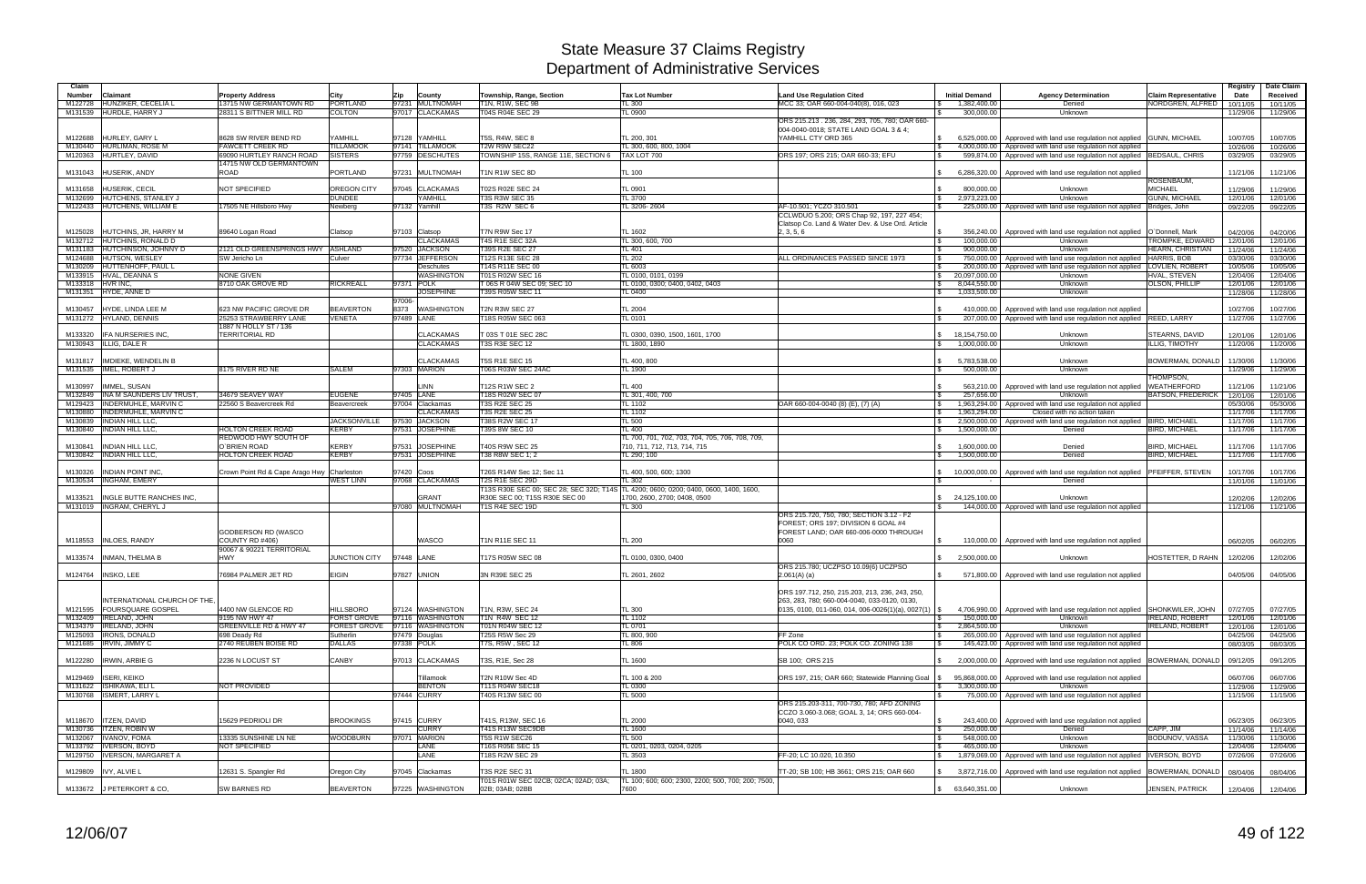| Claim            |                                                          |                                                |                              |                                      |                                           |                                                    |                                                                                                |                                |                                                                                                                                         |                                                | Registry             | Date Claim           |
|------------------|----------------------------------------------------------|------------------------------------------------|------------------------------|--------------------------------------|-------------------------------------------|----------------------------------------------------|------------------------------------------------------------------------------------------------|--------------------------------|-----------------------------------------------------------------------------------------------------------------------------------------|------------------------------------------------|----------------------|----------------------|
| Number           | Claimant                                                 | <b>Property Address</b>                        | City                         | Zip<br>County                        | Township, Range, Section                  | <b>Tax Lot Number</b>                              | <b>Land Use Regulation Cited</b>                                                               | <b>Initial Demand</b>          | <b>Agency Determination</b>                                                                                                             | <b>Claim Representative</b>                    | Date                 | Received             |
| M122728          | HUNZIKER, CECELIA I                                      | 13715 NW GERMANTOWN RD                         | <b>PORTLAND</b>              | 97231 MULTNOMAH                      | T1N, R1W, SEC 9B                          | TL 300                                             | MCC 33; OAR 660-004-040(8), 016, 023                                                           | 1,382,400.00                   | Denied                                                                                                                                  | NORDGREN, ALFRED                               | 10/11/05             | 10/11/05             |
|                  | M131539 HURDLE, HARRY J                                  | 28311 S BITTNER MILL RD                        | <b>COLTON</b>                | 97017 CLACKAMAS                      | T04S R04E SEC 29                          | TL 0900                                            |                                                                                                | 300,000,00                     | Unknown                                                                                                                                 |                                                | 11/29/06             | 11/29/06             |
|                  |                                                          |                                                |                              |                                      |                                           |                                                    | ORS 215.213 . 236, 284, 293, 705, 780; OAR 660-<br>004-0040-0018; STATE LAND GOAL 3 & 4;       |                                |                                                                                                                                         |                                                |                      |                      |
| M122688          | HURLEY, GARY I                                           | 8628 SW RIVER BEND RD                          | YAMHILL                      | 97128 YAMHILL                        | T5S, R4W, SEC 8                           | TL 200, 301                                        | YAMHILL CTY ORD 365                                                                            | 6.525.000.00<br>I \$           | Approved with land use regulation not applied GUNN, MICHAEL                                                                             |                                                | 10/07/05             | 10/07/05             |
|                  | M130440 HURLIMAN, ROSE M                                 | <b>FAWCETT CREEK RD</b>                        | <b>TILLAMOOK</b>             | 97141 TILLAMOOK                      | T2W R9W SEC22                             | TL 300, 600, 800, 1004                             |                                                                                                | \$<br>4.000.000.00             | Approved with land use regulation not applied                                                                                           |                                                | 10/26/06             | 10/26/06             |
|                  | M120363 HURTLEY, DAVID                                   | 69090 HURTLEY RANCH ROAD                       | <b>SISTERS</b>               | 97759<br><b>DESCHUTES</b>            | TOWNSHIP 15S, RANGE 11E, SECTION 6        | TAX LOT 700                                        | ORS 197; ORS 215; OAR 660-33; EFU                                                              | 599.874.00<br>$\mathbf{R}$     | Approved with land use regulation not applied BEDSAUL, CHRIS                                                                            |                                                | 03/29/05             | 03/29/05             |
|                  |                                                          | 14715 NW OLD GERMANTOWN                        |                              |                                      |                                           |                                                    |                                                                                                |                                |                                                                                                                                         |                                                |                      |                      |
| M131043          | HUSERIK, ANDY                                            | ROAD                                           | <b>PORTLAND</b>              | 97231 MULTNOMAH                      | <b>T1N R1W SEC 8D</b>                     | <b>TL 100</b>                                      |                                                                                                | 6,286,320.00                   | Approved with land use regulation not applied                                                                                           |                                                | 11/21/06             | 11/21/06             |
|                  |                                                          |                                                |                              |                                      |                                           |                                                    |                                                                                                |                                |                                                                                                                                         | ROSENBAUM.                                     |                      |                      |
| M131658          | HUSERIK, CECIL<br>M132699 HUTCHENS, STANLEY J            | <b>NOT SPECIFIED</b>                           | OREGON CITY<br><b>DUNDEE</b> | 97045<br><b>CLACKAMAS</b><br>YAMHILL | T02S R02E SEC 24<br><b>T3S R3W SEC 35</b> | TL 0901<br><b>TL 3700</b>                          |                                                                                                | 800,000.00<br>2,973,223.00     | Unknown<br>Unknown                                                                                                                      | <b>MICHAEL</b><br><b>GUNN, MICHAEL</b>         | 11/29/06<br>12/01/06 | 11/29/06<br>12/01/06 |
|                  | M122433 HUTCHENS, WILLIAM E                              | 17505 NE Hillsboro Hwy                         | Newberg                      | 97132 Yamhill                        | T3S R2W SEC 6                             | TL 3206-2604                                       | AF-10.501: YCZO 310.501                                                                        |                                | 225,000.00   Approved with land use regulation not applied   Bridges, John                                                              |                                                | 09/22/05             | 09/22/05             |
|                  |                                                          |                                                |                              |                                      |                                           |                                                    | CCLWDUO 5.200; ORS Chap 92, 197, 227 454;                                                      |                                |                                                                                                                                         |                                                |                      |                      |
|                  |                                                          |                                                |                              |                                      |                                           |                                                    | Clatsop Co. Land & Water Dev. & Use Ord. Article                                               |                                |                                                                                                                                         |                                                |                      |                      |
|                  | M125028 HUTCHINS, JR. HARRY M                            | 89640 Logan Road                               | Clatsop                      | 97103 Clatsop                        | T7N R9W Sec 17                            | TL 1602                                            | 2, 3, 5, 6                                                                                     | 356,240.00<br>-S               | Approved with land use regulation not applied                                                                                           | O'Donnell, Mark                                | 04/20/06             | 04/20/06             |
|                  | M132712 HUTCHINS, RONALD D                               |                                                |                              | <b>CLACKAMAS</b>                     | T4S R1E SEC 32A                           | TL 300, 600, 700                                   |                                                                                                | 100,000.00                     | Unknown                                                                                                                                 | TROMPKE. EDWARD                                | 12/01/06             | 12/01/06             |
|                  | M131183 HUTCHINSON, JOHNNY D                             | 2121 OLD GREENSPRINGS HWY ASHLAND              |                              | 97520 JACKSON                        | <b>T39S R2E SEC 27</b>                    | <b>TL 401</b>                                      |                                                                                                | 900,000.00                     | Unknown                                                                                                                                 | <b>HEARN, CHRISTIAN</b>                        | 11/24/06             | 11/24/06             |
|                  | M124688 HUTSON, WESLEY<br>M130209 HUTTENHOFF, PAUL L     | SW Jericho Ln                                  | Culver                       | 97734 JEFFERSON<br>Deschutes         | T12S R13E SEC 28<br>T14S R11E SEC 00      | <b>TL 202</b><br>TL 6003                           | ALL ORDINANCES PASSED SINCE 1973                                                               | 750,000.00                     | Approved with land use regulation not applied HARRIS, BOB<br>200,000.00   Approved with land use regulation not applied LOVLIEN, ROBERT |                                                | 03/30/06<br>10/05/06 | 03/30/06<br>10/05/06 |
|                  | M133915 HVAL, DEANNA S                                   | <b>NONE GIVEN</b>                              |                              | <b>WASHINGTON</b>                    | T01S R02W SEC 16                          | TL 0100, 0101, 0199                                |                                                                                                | 20,097,000.00<br>IS.           | Unknown                                                                                                                                 | HVAL, STEVEN                                   | 12/04/06             | 12/04/06             |
| M133318 HVR INC. |                                                          | 8710 OAK GROVE RD                              | <b>RICKREALL</b>             | <b>POLK</b><br>97371                 | T 06S R 04W SEC 09; SEC 10                | TL 0100, 0300; 0400, 0402, 0403                    |                                                                                                | 8,044,550.00<br>\$             | Unknown                                                                                                                                 | <b>OLSON, PHILLIP</b>                          | 12/01/06             | 12/01/06             |
|                  | M131351 HYDE, ANNE D                                     |                                                |                              | <b>JOSEPHINE</b>                     | T39S R05W SEC 11                          | TL 0400                                            |                                                                                                | 1,033,500.00<br>\$             | Unknown                                                                                                                                 |                                                | 11/28/06             | 11/28/06             |
|                  |                                                          |                                                |                              | 97006-                               |                                           |                                                    |                                                                                                |                                |                                                                                                                                         |                                                |                      |                      |
| M130457          | HYDE, LINDA LEE M                                        | 623 NW PACIFIC GROVE DR                        | <b>BEAVERTON</b>             | 8373<br><b>WASHINGTON</b>            | <b>T2N R3W SEC 27</b>                     | TL 2004                                            |                                                                                                | 410,000.00                     | Approved with land use regulation not applied                                                                                           |                                                | 10/27/06             | 10/27/06             |
|                  | M131272 HYLAND, DENNIS                                   | 25253 STRAWBERRY LANE<br>1887 N HOLLY ST / 136 | VENETA                       | 97489 LANE                           | T18S R05W SEC 063                         | TL 0101                                            |                                                                                                | 207,000.00                     | Approved with land use regulation not applied REED, LARRY                                                                               |                                                | 11/27/06             | 11/27/06             |
|                  | M133320   IFA NURSERIES INC.                             | <b>TERRITORIAL RD</b>                          |                              | <b>CLACKAMAS</b>                     | T 03S T 01E SEC 28C                       | TL 0300, 0390, 1500, 1601, 1700                    |                                                                                                | 18,154,750.00                  | Unknown                                                                                                                                 | STEARNS, DAVID                                 | 12/01/06             | 12/01/06             |
|                  | M130943  ILLIG, DALE R                                   |                                                |                              | <b>CLACKAMAS</b>                     | T3S R3E SEC 12                            | TL 1800, 1890                                      |                                                                                                | 1,000,000.00<br>\$             | Unknown                                                                                                                                 | ILLIG, TIMOTHY                                 | 11/20/06             | 11/20/06             |
|                  |                                                          |                                                |                              |                                      |                                           |                                                    |                                                                                                |                                |                                                                                                                                         |                                                |                      |                      |
| M131817          | IMDIEKE, WENDELIN B                                      |                                                |                              | <b>CLACKAMAS</b>                     | T5S R1E SEC 15                            | TL 400, 800                                        |                                                                                                | 5,783,538.00                   | Unknown                                                                                                                                 | BOWERMAN, DONALD                               | 11/30/06             | 11/30/06             |
|                  | M131535   IMEL, ROBERT J                                 | 8175 RIVER RD NE                               | <b>SALEM</b>                 | 97303 MARION                         | T06S R03W SEC 24AC                        | $-L$ 1900                                          |                                                                                                | 500.000.00                     | Unknown                                                                                                                                 |                                                | 11/29/06             | 11/29/06             |
|                  |                                                          |                                                |                              |                                      |                                           |                                                    |                                                                                                |                                |                                                                                                                                         | THOMPSON.                                      |                      |                      |
| M130997          | <b>IMMEL, SUSAN</b><br>M132849 INA M SAUNDERS LIV TRUST. | 34679 SEAVEY WAY                               | <b>EUGENE</b>                | <b>LINN</b><br>97405 LANE            | T12S R1W SEC 2<br>T18S R02W SEC 07        | TL 400<br>TL 301, 400, 700                         |                                                                                                | 563,210.00<br>257,656.00       | Approved with land use regulation not applied<br>Unknown                                                                                | <b>WEATHERFORD</b><br><b>BATSON, FREDERICK</b> | 11/21/06<br>12/01/06 | 11/21/06<br>12/01/06 |
|                  | M129423 INDERMUHLE, MARVIN C                             | 22560 S Beavercreek Rd                         | Beavercreek                  | 97004<br>Clackamas                   | <b>T3S R2E SEC 25</b>                     | <b>TL 1102</b>                                     | OAR 660-004-0040 (8) (E), (7) (A)                                                              | l \$                           | 1,963,294.00 Approved with land use regulation not applied                                                                              |                                                | 05/30/06             | 05/30/06             |
| M130880          | <b>INDERMUHLE, MARVIN C</b>                              |                                                |                              | <b>CLACKAMAS</b>                     | T3S R2E SEC 25                            | TL 1102                                            |                                                                                                | 1,963,294.00<br>S.             | Closed with no action taken                                                                                                             |                                                | 11/17/06             | 11/17/06             |
| M130839          | INDIAN HILL LLC.                                         |                                                | <b>JACKSONVILLE</b>          | 97530<br><b>JACKSON</b>              | <b>T38S R2W SEC 17</b>                    | <b>TL 500</b>                                      |                                                                                                | $\mathfrak{L}$                 | 2,500,000.00   Approved with land use regulation not applied   BIRD, MICHAEL                                                            |                                                | 11/17/06             | 11/17/06             |
|                  | M130840  INDIAN HILL LLC,                                | <b>HOLTON CREEK ROAD</b>                       | <b>KERBY</b>                 | 97531 JOSEPHINE                      | T39S 8W SEC 10                            | TL400                                              |                                                                                                | 1.500.000.00                   | Denied                                                                                                                                  | <b>BIRD, MICHAEL</b>                           | 11/17/06             | 11/17/06             |
|                  |                                                          | REDWOOD HWY SOUTH OF                           |                              |                                      |                                           | TL 700, 701, 702, 703, 704, 705, 706, 708, 709,    |                                                                                                |                                |                                                                                                                                         |                                                |                      |                      |
| M130841          | <b>INDIAN HILL LLC.</b>                                  | O`BRIEN ROAD                                   | <b>KERBY</b>                 | 97531 JOSEPHINE                      | T40S R9W SEC 25                           | 710, 711, 712, 713, 714, 715                       |                                                                                                | 1,600,000.00                   | Denied                                                                                                                                  | <b>BIRD, MICHAEL</b>                           | 11/17/06             | 11/17/06             |
|                  | M130842  INDIAN HILL LLC,                                | <b>HOLTON CREEK ROAD</b>                       | <b>KERBY</b>                 | 97531 JOSEPHINE                      | T38 R8W SEC 1:2                           | TL 290; 100                                        |                                                                                                | 1,500,000.00<br>\$             | Denied                                                                                                                                  | <b>BIRD, MICHAEL</b>                           | 11/17/06             | 11/17/06             |
|                  | M130326  INDIAN POINT INC                                | Crown Point Rd & Cape Arago Hwy Charleston     |                              | 97420 Coos                           | T26S R14W Sec 12; Sec 11                  | TL 400, 500, 600; 1300                             |                                                                                                | 10,000,000.00                  | Approved with land use regulation not applied PFEIFFER, STEVEN                                                                          |                                                | 10/17/06             | 10/17/06             |
|                  | M130534  INGHAM, EMERY                                   |                                                | <b>WEST LINN</b>             | 97068 CLACKAMAS                      | T2S R1E SEC 29D                           | TL302                                              |                                                                                                |                                | Denied                                                                                                                                  |                                                | 11/01/06             | 11/01/06             |
|                  |                                                          |                                                |                              |                                      | T13S R30E SEC 00; SEC 28; SEC 32D; T14S   | TL 4200; 0600; 0200; 0400, 0600, 1400, 1600,       |                                                                                                |                                |                                                                                                                                         |                                                |                      |                      |
| M133521          | <b>INGLE BUTTE RANCHES INC.</b>                          |                                                |                              | <b>GRANT</b>                         | R30E SEC 00; T15S R30E SEC 00             | 1700, 2600, 2700; 0408, 0500                       |                                                                                                | \$24.125.100.00                | Unknown                                                                                                                                 |                                                | 12/02/06             | 12/02/06             |
|                  | M131019  INGRAM, CHERYL J                                |                                                |                              | 97080 MULTNOMAH                      | T1S R4E SEC 19D                           | TL 300                                             |                                                                                                | 144.000.00<br>$\mathbf{R}$     | Approved with land use regulation not applied                                                                                           |                                                | 11/21/06             | 11/21/06             |
|                  |                                                          |                                                |                              |                                      |                                           |                                                    | ORS 215.720, 750, 780; SECTION 3.12 - F2                                                       |                                |                                                                                                                                         |                                                |                      |                      |
|                  |                                                          | GODBERSON RD (WASCO                            |                              |                                      |                                           |                                                    | FOREST; ORS 197; DIVISION 6 GOAL #4<br>FOREST LAND: OAR 660-006-0000 THROUGH                   |                                |                                                                                                                                         |                                                |                      |                      |
|                  | M118553  INLOES, RANDY                                   | COUNTY RD #406)                                |                              | WASCO                                | T1N R11E SEC 11                           | TL 200                                             | 0060                                                                                           |                                | 110,000.00 Approved with land use regulation not applied                                                                                |                                                | 06/02/05             | 06/02/05             |
|                  |                                                          | 90067 & 90221 TERRITORIAL                      |                              |                                      |                                           |                                                    |                                                                                                |                                |                                                                                                                                         |                                                |                      |                      |
|                  | M133574 INMAN, THELMA B                                  | HWY                                            | <b>JUNCTION CITY</b>         | 97448 LANE                           | T17S R05W SEC 08                          | TL 0100, 0300, 0400                                |                                                                                                | 2,500,000.00                   | Unknown                                                                                                                                 | HOSTETTER, D RAHN                              | 12/02/06             | 12/02/06             |
|                  |                                                          |                                                |                              |                                      |                                           |                                                    | ORS 215.780; UCZPSO 10.09(6) UCZPSO                                                            |                                |                                                                                                                                         |                                                |                      |                      |
|                  | M124764   INSKO, LEE                                     | 76984 PALMER JET RD                            | <b>EIGIN</b>                 | 97827 UNION                          | 3N R39E SEC 25                            | TL 2601, 2602                                      | $2.061(A)$ (a)                                                                                 |                                | 571,800.00 Approved with land use regulation not applied                                                                                |                                                | 04/05/06             | 04/05/06             |
|                  |                                                          |                                                |                              |                                      |                                           |                                                    |                                                                                                |                                |                                                                                                                                         |                                                |                      |                      |
|                  | INTERNATIONAL CHURCH OF THE.                             |                                                |                              |                                      |                                           |                                                    | ORS 197.712, 250, 215.203, 213, 236, 243, 250,<br>263, 283, 780; 660-004-0040, 033-0120, 0130, |                                |                                                                                                                                         |                                                |                      |                      |
|                  | M121595 FOURSQUARE GOSPEL                                | 4400 NW GLENCOE RD                             | <b>HILLSBORO</b>             | 97124 WASHINGTON                     | T1N, R3W, SEC 24                          | <b>TL 300</b>                                      | 0135, 0100, 011-060, 014, 006-0026(1)(a), 0027(1) $\frac{1}{3}$                                |                                | 4,706,990.00   Approved with land use regulation not applied SHONKWILER, JOHN                                                           |                                                | 07/27/05             | 07/27/05             |
|                  | M132409 IRELAND, JOHN                                    | 9195 NW HWY 47                                 | <b>FORST GROVE</b>           | 97116 WASHINGTON                     | T1N R4W SEC 12                            | <b>TL 1102</b>                                     |                                                                                                | 150,000.00                     | Unknown                                                                                                                                 | <b>IRELAND, ROBERT</b>                         | 12/01/06             | 12/01/06             |
|                  | M134379   IRELAND, JOHN                                  | GREENVILLE RD & HWY 47                         | <b>FOREST GROVE</b>          | 97116 WASHINGTON                     | T01N R04W SEC 12                          | TL 0701                                            |                                                                                                | 2,864,500.00<br>S.             | Unknown                                                                                                                                 | <b>IRELAND, ROBERT</b>                         | 12/01/06             | 12/01/06             |
|                  | M125093  IRONS, DONALD                                   | 698 Deady Rd                                   | Sutherlin                    | 97479 Douglas                        | T25S R5W Sec 29                           | TL 800, 900                                        | FF Zone                                                                                        | 265,000.00<br>l \$             | Approved with land use regulation not applied                                                                                           |                                                | 04/25/06             | 04/25/06             |
|                  | M121685  IRVIN, JIMMY C                                  | 2740 REUBEN BOISE RD                           | <b>DALLAS</b>                | 97338 POLK                           | T7S, R5W, SEC 12                          | TL 806                                             | POLK CO ORD. 23; POLK CO. ZONING 138                                                           | 145,423.00<br>IS.              | Approved with land use regulation not applied                                                                                           |                                                | 08/03/05             | 08/03/05             |
|                  | M122280  IRWIN, ARBIE G                                  | 2236 N LOCUST ST                               | CANBY                        | 97013 CLACKAMAS                      | T3S, R1E, Sec 28                          | TL 1600                                            | SB 100; ORS 215                                                                                | 2,000,000.00                   | Approved with land use regulation not applied BOWERMAN, DONALD                                                                          |                                                | 09/12/05             | 09/12/05             |
|                  |                                                          |                                                |                              |                                      |                                           |                                                    |                                                                                                |                                |                                                                                                                                         |                                                |                      |                      |
|                  | M129469 ISERI, KEIKO                                     |                                                |                              | Tillamook                            | T2N R10W Sec 4D                           | TL 100 & 200                                       | ORS 197, 215; OAR 660; Statewide Planning Goal                                                 | 95,868,000.00<br>IS.           | Approved with land use regulation not applied                                                                                           |                                                | 06/07/06             | 06/07/06             |
|                  | M131622 ISHIKAWA, ELI L                                  | NOT PROVIDED                                   |                              | <b>BENTON</b>                        | <b>T11S R04W SEC18</b>                    | TL 0300                                            |                                                                                                | 3,300,000.00<br>S.             | Unknown                                                                                                                                 |                                                | 11/29/06             | 11/29/06             |
|                  | M130768 ISMERT, LARRY L                                  |                                                |                              | 97444 CURRY                          | T40S R13W SEC 00                          | TL 5000                                            |                                                                                                |                                | 75,000.00 Approved with land use regulation not applied                                                                                 |                                                | 11/15/06             | 11/15/06             |
|                  |                                                          |                                                |                              |                                      |                                           |                                                    | ORS 215.203-311, 700-730, 780; AFD ZONING                                                      |                                |                                                                                                                                         |                                                |                      |                      |
|                  |                                                          |                                                |                              |                                      |                                           |                                                    | CCZO 3.060-3.068: GOAL 3. 14: ORS 660-004-                                                     |                                |                                                                                                                                         |                                                |                      |                      |
|                  | M118670   ITZEN, DAVID                                   | 15629 PEDRIOLI DR                              | <b>BROOKINGS</b>             | 97415 CURRY                          | T41S, R13W, SEC 16                        | TL 2000                                            | 0040.033                                                                                       | 243,400.00<br>l \$             | Approved with land use regulation not applied                                                                                           |                                                | 06/23/05             | 06/23/05             |
|                  | M130736 ITZEN, ROBIN W<br>M132067  IVANOV, FOMA          | 13335 SUNSHINE LN NE                           | <b>WOODBURN</b>              | <b>CURRY</b><br>97071 MARION         | T41S R13W SEC9DB<br><b>T5S R1W SEC26</b>  | <b>TL 1600</b><br>TL 500                           |                                                                                                | 250,000.00<br>548,000.00<br>-S | Denied<br>Unknown                                                                                                                       | CAPP, JIM<br>BODUNOV, VASSA                    | 11/14/06<br>11/30/06 | 11/14/06<br>11/30/06 |
|                  | M133792  IVERSON, BOYD                                   | <b>NOT SPECIFIED</b>                           |                              | LANE                                 | T16S R05E SEC 15                          | TL 0201, 0203, 0204, 0205                          |                                                                                                | 465,000.00<br>S.               | Unknown                                                                                                                                 |                                                | 12/04/06             | 12/04/06             |
|                  | M129750  IVERSON, MARGARET A                             |                                                |                              | LANE                                 | T18S R2W SEC 29                           | TL 3503                                            | FF-20; LC 10.020, 10.350                                                                       | I S                            | 1,879,069.00   Approved with land use regulation not applied  IVERSON, BOYD                                                             |                                                | 07/26/06             | 07/26/06             |
|                  |                                                          |                                                |                              |                                      |                                           |                                                    |                                                                                                |                                |                                                                                                                                         |                                                |                      |                      |
|                  | M129809 IVY, ALVIE L                                     | 12631 S. Spangler Rd                           | Oregon City                  | 97045 Clackamas                      | T3S R2E SEC 31                            | TL 1800                                            | TT-20; SB 100; HB 3661; ORS 215; OAR 660                                                       | 3,872,716.00                   | Approved with land use regulation not applied   BOWERMAN, DONALD                                                                        |                                                | 08/04/06             | 08/04/06             |
|                  |                                                          |                                                |                              |                                      | T01S R01W SEC 02CB; 02CA; 02AD; 03A;      | TL 100; 600; 600; 2300, 2200; 500, 700; 200; 7500, |                                                                                                |                                |                                                                                                                                         |                                                |                      |                      |
|                  | M133672 J PETERKORT & CO,                                | SW BARNES RD                                   | <b>BEAVERTON</b>             | 97225 WASHINGTON                     | 02B; 03AB; 02BB                           | 7600                                               |                                                                                                | \$63,640,351.00                | Unknown                                                                                                                                 | JENSEN, PATRICK                                | 12/04/06             | 12/04/06             |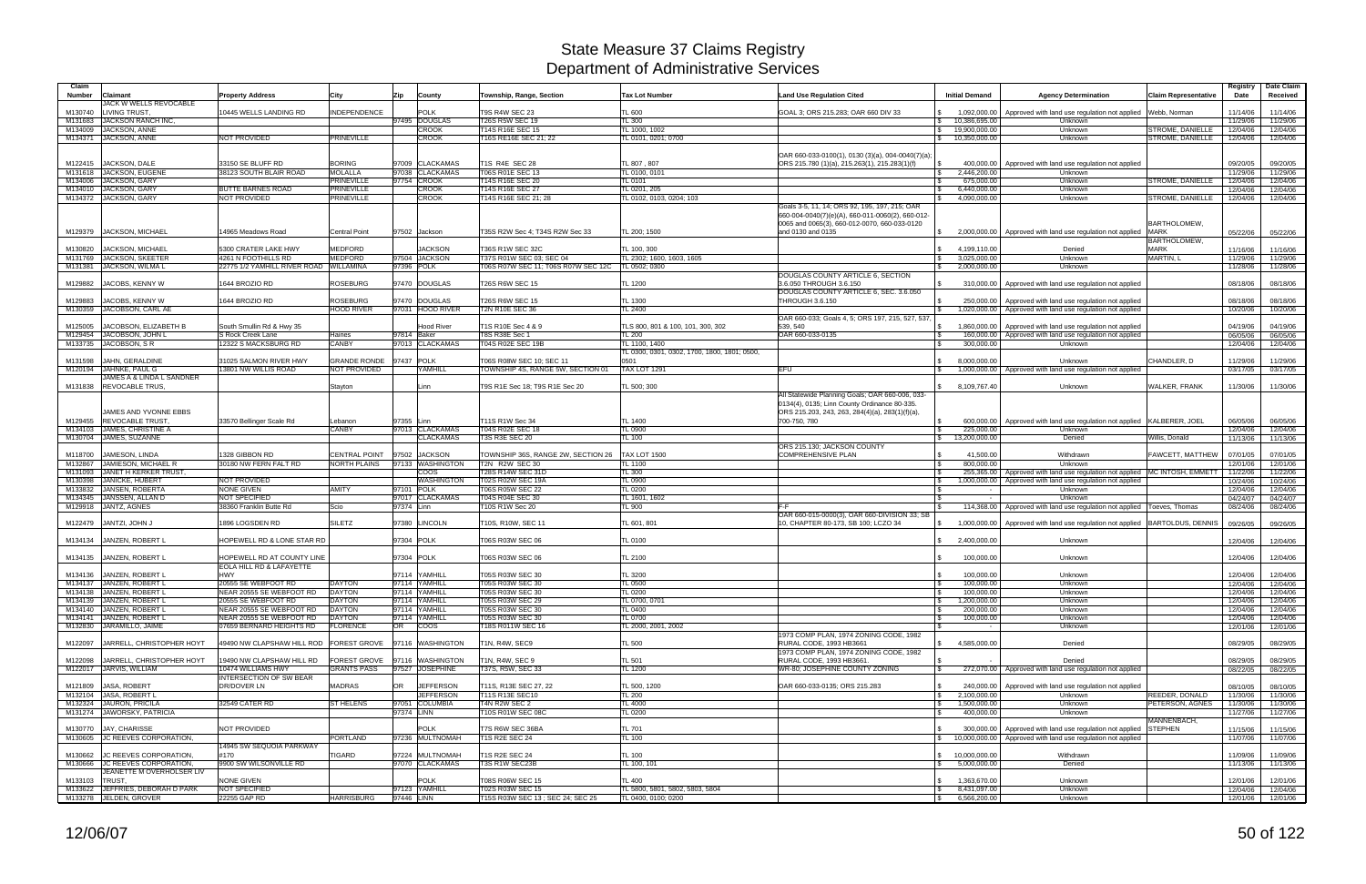| Claim<br><b>Number</b><br><b>Claimant</b>                     | <b>Property Address</b>                                                                    | City                          | Zip         | County                              | Township, Range, Section                    | <b>Tax Lot Number</b>                              | <b>Land Use Regulation Cited</b>                                                                                      | <b>Initial Demand</b>                         | <b>Agency Determination</b>                                                      | <b>Claim Representative</b>       | Registry<br>Date     | Date Claim<br>Received |
|---------------------------------------------------------------|--------------------------------------------------------------------------------------------|-------------------------------|-------------|-------------------------------------|---------------------------------------------|----------------------------------------------------|-----------------------------------------------------------------------------------------------------------------------|-----------------------------------------------|----------------------------------------------------------------------------------|-----------------------------------|----------------------|------------------------|
| JACK W WELLS REVOCABLE<br><b>LIVING TRUST</b><br>M130740      | 10445 WELLS LANDING RD                                                                     | <b>NDEPENDENCE</b>            |             | <b>POLK</b>                         | <b>T9S R4W SEC 23</b>                       | <b>TL 600</b>                                      | GOAL 3; ORS 215.283; OAR 660 DIV 33                                                                                   | 1,092,000.00                                  | Approved with land use regulation not applied                                    | Webb, Norman                      | 11/14/06             | 11/14/06               |
| JACKSON RANCH INC.<br>M131683                                 |                                                                                            |                               |             | 97495 DOUGLAS                       | <b>T26S R5W SEC 19</b>                      | TL300                                              |                                                                                                                       | 10,386,695.00                                 | Unknown                                                                          |                                   | 11/29/06             | 11/29/06               |
| <b>JACKSON, ANNE</b><br>M134009                               |                                                                                            |                               |             | <b>CROOK</b>                        | T14S R16E SEC 15                            | TL 1000, 1002                                      |                                                                                                                       | 19,900,000.00<br>$\mathsf{S}$                 | Unknown                                                                          | STROME, DANIELLE                  | 12/04/06             | 12/04/06               |
| M134371 JACKSON, ANNE                                         | NOT PROVIDED                                                                               | <b>PRINEVILLE</b>             |             | <b>CROOK</b>                        | T16S RE16E SEC 21; 22                       | TL 0101, 0201; 0700                                |                                                                                                                       | 10,350,000.00<br><b>S</b>                     | Unknown                                                                          | STROME, DANIELLE                  | 12/04/06             | 12/04/06               |
| JACKSON, DALE<br>M122415                                      | 33150 SE BLUFF RD                                                                          | <b>BORING</b>                 |             | 97009 CLACKAMAS                     | T1S R4E SEC 28                              | TL 807, 807                                        | OAR 660-033-0100(1), 0130 (3)(a), 004-0040(7)(a);<br>ORS 215.780 (1)(a), 215.263(1), 215.283(1)(f)                    | $\sqrt{3}$<br>400,000.00                      | Approved with land use regulation not applied                                    |                                   | 09/20/05             | 09/20/05               |
| M131618 JACKSON, EUGENE                                       | 38123 SOUTH BLAIR ROAD                                                                     | <b>MOLALLA</b>                |             | 97038 CLACKAMAS                     | T06S R01E SEC 13                            | TL 0100, 0101                                      |                                                                                                                       | 2.446.200.00<br>$\mathcal{S}$                 | Unknown                                                                          |                                   | 11/29/06             | 11/29/06               |
| M134006 JACKSON, GARY<br>M134010 JACKSON, GARY                | <b>BUTTE BARNES ROAD</b>                                                                   | PRINEVILLE<br>PRINEVILLE      |             | 97754 CROOK<br><b>CROOK</b>         | T14S R16E SEC 20<br>T14S R16E SEC 27        | TL 0101<br>TL 0201, 205                            |                                                                                                                       | 675,000.00<br>6,440,000.00                    | Unknown<br>Unknown                                                               | STROME, DANIELLE                  | 12/04/06<br>12/04/06 | 12/04/06               |
| M134372 JACKSON, GARY                                         | NOT PROVIDED                                                                               | PRINEVILLE                    |             | <b>CROOK</b>                        | 14S R16E SEC 21; 28                         | TL 0102, 0103, 0204; 103                           |                                                                                                                       | 4,090,000.00                                  | Unknown                                                                          | STROME, DANIELLE                  | 12/04/06             | 12/04/06<br>12/04/06   |
|                                                               |                                                                                            |                               |             |                                     |                                             |                                                    | Goals 3-5, 11, 14; ORS 92, 195, 197, 215; OAR                                                                         |                                               |                                                                                  |                                   |                      |                        |
| M129379 JACKSON, MICHAEL                                      | 14965 Meadows Road                                                                         | <b>Central Point</b>          |             | 97502 Jackson                       | T35S R2W Sec 4; T34S R2W Sec 33             | TL 200: 1500                                       | 660-004-0040(7)(e)(A), 660-011-0060(2), 660-012-<br>0065 and 0065(3), 660-012-0070, 660-033-0120<br>and 0130 and 0135 | IS.                                           | 2,000,000.00 Approved with land use regulation not applied                       | <b>BARTHOLOMEW</b><br><b>MARK</b> | 05/22/06             | 05/22/06               |
|                                                               |                                                                                            |                               |             |                                     |                                             |                                                    |                                                                                                                       |                                               |                                                                                  | <b>BARTHOLOMEW</b>                |                      |                        |
| M130820<br><b>JACKSON, MICHAEL</b>                            | 5300 CRATER LAKE HWY                                                                       | <b>MEDFORD</b>                |             | <b>JACKSON</b>                      | T36S R1W SEC 32C                            | TL 100, 300                                        |                                                                                                                       | $\mathbb{S}$<br>4,199,110.00                  | Denied                                                                           | <b>MARK</b>                       | 11/16/06             | 11/16/06               |
| JACKSON, SKEETER<br>M131769                                   | 4261 N FOOTHILLS RD                                                                        | <b>MEDFORD</b>                |             | 97504 JACKSON                       | T37S R01W SEC 03; SEC 04                    | TL 2302; 1600, 1603, 1605                          |                                                                                                                       | 3,025,000.00<br>$\mathfrak s$                 | Unknown                                                                          | MARTIN, L                         | 11/29/06             | 11/29/06               |
| <b>JACKSON, WILMA L</b><br>M131381                            | 22775 1/2 YAMHILL RIVER ROAD                                                               | WILLAMINA                     |             | 97396 POLK                          | T06S R07W SEC 11; T06S R07W SEC 12C         | TL 0502; 0300                                      |                                                                                                                       | 2,000,000.00                                  | Unknown                                                                          |                                   | 11/28/06             | 11/28/06               |
| JACOBS, KENNY W<br>M129882                                    | 1644 BROZIO RD                                                                             | <b>ROSEBURG</b>               |             | 97470 DOUGLAS                       | T26S R6W SEC 15                             | TL 1200                                            | DOUGLAS COUNTY ARTICLE 6, SECTION<br>3.6.050 THROUGH 3.6.150<br>DOUGLAS COUNTY ARTICLE 6, SEC. 3.6.050                |                                               | 310,000.00   Approved with land use regulation not applied                       |                                   | 08/18/06             | 08/18/06               |
| JACOBS, KENNY W<br>M129883                                    | 1644 BROZIO RD                                                                             | <b>ROSEBURG</b>               |             | 97470 DOUGLAS                       | T26S R6W SEC 15                             | <b>TL 1300</b>                                     | <b>THROUGH 3.6.150</b>                                                                                                | 250,000.00<br><b>\$</b>                       | Approved with land use regulation not applied                                    |                                   | 08/18/06             | 08/18/06               |
| M130359 JACOBSON, CARL AE                                     |                                                                                            | <b>HOOD RIVER</b>             |             | 97031 HOOD RIVER                    | <b>T2N R10E SEC 36</b>                      | TL 2400                                            |                                                                                                                       | 1.020.000.00<br>$\mathcal{S}$                 | Approved with land use regulation not applied                                    |                                   | 10/20/06             | 10/20/06               |
|                                                               |                                                                                            |                               |             |                                     |                                             |                                                    | OAR 660-033; Goals 4, 5; ORS 197, 215, 527, 537,                                                                      |                                               |                                                                                  |                                   |                      |                        |
| JACOBSON. ELIZABETH B<br>M125005<br>M129454 JACOBSON, JOHN L  | South Smullin Rd & Hwy 35<br>S Rock Creek Lane                                             | Haines                        | 97814 Baker | <b>Hood River</b>                   | T1S R10E Sec 4 & 9<br><b>T8S R38E Sec 1</b> | TLS 800, 801 & 100, 101, 300, 302<br><b>TL 200</b> | 539.540<br>OAR 660-033-0135                                                                                           | 1,860,000.00                                  | Approved with land use regulation not applied                                    |                                   | 04/19/06             | 04/19/06               |
| JACOBSON, SR<br>M133735                                       | 12322 S MACKSBURG RD                                                                       | <b>CANBY</b>                  |             | 97013 CLACKAMAS                     | T04S R02E SEC 19B                           | TL 1100, 1400                                      |                                                                                                                       | 160,000.00<br>300,000.00<br>l \$              | Approved with land use regulation not applied<br>Unknown                         |                                   | 06/05/06<br>12/04/06 | 06/05/06<br>12/04/06   |
|                                                               |                                                                                            |                               |             |                                     |                                             | TL 0300, 0301, 0302, 1700, 1800, 1801; 0500,       |                                                                                                                       |                                               |                                                                                  |                                   |                      |                        |
| JAHN, GERALDINE<br>M131598                                    | 31025 SALMON RIVER HWY                                                                     | <b>GRANDE RONDE</b>           | 97437       | <b>POLK</b>                         | T06S R08W SEC 10; SEC 11                    | 0501                                               |                                                                                                                       | $\mathbf{s}$<br>8,000,000.00                  | Unknown                                                                          | CHANDLER, D                       | 11/29/06             | 11/29/06               |
| M120194 JAHNKE, PAUL G                                        | 3801 NW WILLIS ROAD                                                                        | NOT PROVIDED                  |             | <b><i>KAMHILL</i></b>               | TOWNSHIP 4S, RANGE 5W, SECTION 01           | <b>TAX LOT 1291</b>                                | EFU                                                                                                                   |                                               | 1,000,000.00   Approved with land use regulation not applied                     |                                   | 03/17/05             | 03/17/05               |
| JAMES A & LINDA L SANDNER                                     |                                                                                            |                               |             |                                     |                                             |                                                    |                                                                                                                       |                                               |                                                                                  |                                   |                      |                        |
| <b>REVOCABLE TRUS.</b><br>M131838                             |                                                                                            | Stayton                       |             | Linn                                | T9S R1E Sec 18; T9S R1E Sec 20              | TL 500; 300                                        | All Statewide Planning Goals; OAR 660-006, 033-                                                                       | 8,109,767.40<br>$\mathcal{S}$                 | Unknown                                                                          | <b>WALKER, FRANK</b>              | 11/30/06             | 11/30/06               |
| JAMES AND YVONNE EBBS                                         |                                                                                            |                               |             |                                     |                                             |                                                    | 0134(4), 0135; Linn County Ordinance 80-335.<br>ORS 215.203, 243, 263, 284(4)(a), 283(1)(f)(a)                        |                                               |                                                                                  |                                   |                      |                        |
| M129455 REVOCABLE TRUST                                       | 33570 Bellinger Scale Rd                                                                   | Lebanon                       | 97355 Linn  |                                     | T11S R1W Sec 34                             | TL 1400                                            | 700-750, 780                                                                                                          | <b>S</b>                                      | 600,000.00   Approved with land use regulation not applied KALBERER, JOEI        |                                   | 06/05/06             | 06/05/06               |
| M134103 JAMES, CHRISTINE A<br>M130704 JAMES, SUZANNE          |                                                                                            | CANBY                         |             | 97013 CLACKAMAS<br><b>CLACKAMAS</b> | T04S R02E SEC 18<br>T3S R3E SEC 20          | TL 0900<br>TL 100                                  |                                                                                                                       | 225,000.00<br>$\sqrt{3}$<br>13,200,000.00     | Unknown<br>Denied                                                                | Willis, Donald                    | 12/04/06<br>11/13/06 | 12/04/06<br>11/13/06   |
|                                                               |                                                                                            |                               |             |                                     |                                             |                                                    | ORS 215.130; JACKSON COUNTY                                                                                           |                                               |                                                                                  |                                   |                      |                        |
| M118700<br>JAMESON, LINDA                                     | 1328 GIBBON RD                                                                             | <b>CENTRAL POINT</b>          | 97502       | <b>JACKSON</b>                      | TOWNSHIP 36S, RANGE 2W, SECTION 26          | <b>TAX LOT 1500</b>                                | <b>COMPREHENSIVE PLAN</b>                                                                                             | 41.500.00<br><b>S</b>                         | Withdrawn                                                                        | FAWCETT, MATTHEW                  | 07/01/05             | 07/01/05               |
| M132867 JAMIESON, MICHAEL R                                   | 30180 NW FERN FALT RD                                                                      | NORTH PLAINS                  |             | 97133 WASHINGTON                    | T2N R2W SEC 30                              | TL 1100                                            |                                                                                                                       | 800.000.00                                    | Unknown                                                                          |                                   | 12/01/06             | 12/01/06               |
| M131093 JANET H KERKER TRUST                                  |                                                                                            |                               |             | coos                                | T28S R14W SEC 31D                           | TL 300                                             |                                                                                                                       | 255,365.00                                    | Approved with land use regulation not applied MC INTOSH, EMMETT                  |                                   | 11/22/06             | 11/22/06               |
| M130398 JANICKE, HUBERT                                       | <b>NOT PROVIDED</b>                                                                        |                               |             | <b>WASHINGTON</b>                   | T02S R02W SEC 19A                           | TL 0900                                            |                                                                                                                       | 1,000,000.00                                  | Approved with land use regulation not applied                                    |                                   | 10/24/06             | 10/24/06               |
| M133832<br>JANSEN, ROBERTA<br>M134345 JANSSEN, ALLAN D        | <b>NONE GIVEN</b><br>NOT SPECIFIED                                                         | <b>AMITY</b>                  | 97101 POLK  | 97017 CLACKAMAS                     | T06S R05W SEC 22<br>T04S R04E SEC 30        | TL 0200<br>TL 1601, 1602                           |                                                                                                                       | l SS<br>$\sim$                                | Unknown<br>Unknown                                                               |                                   | 12/04/06<br>04/24/07 | 12/04/06<br>04/24/07   |
| M129918 JANTZ, AGNES                                          | 38360 Franklin Butte Rd                                                                    | Scio                          | 97374 Linn  |                                     | T10S R1W Sec 20                             | <b>TL 900</b>                                      | F-F                                                                                                                   | 114,368.00<br>l \$                            | Approved with land use regulation not applied   Toeves, Thomas                   |                                   | 08/24/06             | 08/24/06               |
| M122479 JANTZI, JOHN J                                        | 1896 LOGSDEN RD                                                                            | <b>SILETZ</b>                 |             | 97380 LINCOLN                       | T10S, R10W, SEC 11                          | TL 601, 801                                        | OAR 660-015-0000(3), OAR 660-DIVISION 33; SB<br>10. CHAPTER 80-173. SB 100: LCZO 34                                   | $\mathbb{R}$                                  | 1,000,000.00   Approved with land use regulation not applied   BARTOLDUS, DENNIS |                                   | 09/26/05             | 09/26/05               |
| M134134<br>JANZEN, ROBERT L                                   | HOPEWELL RD & LONE STAR RD                                                                 |                               | 97304 POLK  |                                     | T06S R03W SEC 06                            | TL 0100                                            |                                                                                                                       | 2,400,000.00                                  | Unknown                                                                          |                                   | 12/04/06             | 12/04/06               |
| M134135<br>JANZEN, ROBERT L                                   | HOPEWELL RD AT COUNTY LINE<br>EOLA HILL RD & LAFAYETTE                                     |                               | 97304 POLK  |                                     | T06S R03W SEC 06                            | TL 2100                                            |                                                                                                                       | 100,000.00                                    | Unknown                                                                          |                                   | 12/04/06             | 12/04/06               |
| M134136 JANZEN, ROBERT L                                      | <b>HWY</b>                                                                                 |                               |             | 97114 YAMHILL                       | T05S R03W SEC 30                            | <b>TL 3200</b>                                     |                                                                                                                       | 100,000.00                                    | Unknown                                                                          |                                   | 12/04/06             | 12/04/06               |
| M134137 JANZEN, ROBERT L<br>M134138 JANZEN, ROBERT L          | 20555 SE WEBFOOT RD<br>NEAR 20555 SE WEBFOOT RD                                            | <b>DAYTON</b><br>DAYTON       |             | 97114 YAMHILL<br>97114 YAMHILL      | T05S R03W SEC 30<br>T05S R03W SEC 30        | TL 0500<br><b>TL 0200</b>                          |                                                                                                                       | 100,000.00<br>IS.<br>100,000.00<br>$\sqrt{3}$ | Unknown<br>Unknown                                                               |                                   | 12/04/06<br>12/04/06 | 12/04/06<br>12/04/06   |
| M134139 JANZEN, ROBERT L                                      | 20555 SE WEBFOOT RD                                                                        | <b>DAYTON</b>                 |             | 97114 YAMHILL                       | T05S R03W SEC 29                            | TL 0700, 0701                                      |                                                                                                                       | 1,200,000.00<br>$\mathcal{S}$                 | Unknown                                                                          |                                   | 12/04/06             | 12/04/06               |
| M134140 JANZEN, ROBERT L                                      | NEAR 20555 SE WEBFOOT RD                                                                   | DAYTON                        |             | 97114 YAMHILL                       | T05S R03W SEC 30                            | <b>TL 0400</b>                                     |                                                                                                                       | 200,000.00<br>$\sqrt{3}$                      | Unknown                                                                          |                                   | 12/04/06             | 12/04/06               |
| M134141 JANZEN, ROBERT L                                      | NEAR 20555 SE WEBFOOT RD                                                                   | DAYTON                        |             | 97114 YAMHILL                       | T05S R03W SEC 30                            | TL 0700                                            |                                                                                                                       | 100,000.00                                    | Unknown                                                                          |                                   | 12/04/06             | 12/04/06               |
| M132830 JARAMILLO, JAIME<br>M122097 JARRELL, CHRISTOPHER HOYT | 07659 BERNARD HEIGHTS RD<br>49490 NW CLAPSHAW HILL ROD   FOREST GROVE   97116   WASHINGTON | <b>FLORENCE</b>               | <b>OR</b>   | <b>COOS</b>                         | T18S R011W SEC 16<br>T1N, R4W, SEC9         | TL 2000, 2001, 2002<br><b>TL 500</b>               | 1973 COMP PLAN, 1974 ZONING CODE, 1982<br>RURAL CODE, 1993 HB3661                                                     | $\sim$<br>\$4,585,000.00                      | Unknown<br>Denied                                                                |                                   | 12/01/06<br>08/29/05 | 12/01/06<br>08/29/05   |
| M122098 JARRELL, CHRISTOPHER HOYT                             | 19490 NW CLAPSHAW HILL RD                                                                  | FOREST GROVE 97116 WASHINGTON |             |                                     | T1N, R4W, SEC 9                             | <b>TL 501</b>                                      | 1973 COMP PLAN, 1974 ZONING CODE, 1982<br>RURAL CODE, 1993 HB3661.                                                    |                                               | Denied                                                                           |                                   | 08/29/05             | 08/29/05               |
| M122017 JARVIS, WILLIAM                                       | 10474 WILLIAMS HWY                                                                         | <b>GRANTS PASS</b>            |             | 97527 JOSEPHINE                     | T37S, R5W, SEC 33                           | TL 1200                                            | WR-80; JOSEPHINE COUNTY ZONING                                                                                        | $\sqrt{3}$                                    | 272,070.00 Approved with land use regulation not applied                         |                                   | 08/22/05             | 08/22/05               |
| M121809 JASA, ROBERT                                          | <b>INTERSECTION OF SW BEAR</b><br><b>DR/DOVER LN</b>                                       | <b>MADRAS</b>                 | OR          | <b>JEFFERSON</b>                    | T11S, R13E SEC 27, 22                       | TL 500, 1200                                       | OAR 660-033-0135; ORS 215.283                                                                                         | 240,000.00                                    | Approved with land use regulation not applied                                    |                                   | 08/10/05             | 08/10/05               |
| M132104 JASA, ROBERT L                                        |                                                                                            |                               |             | <b>JEFFERSON</b>                    | T11S R13E SEC10                             | <b>TL 200</b>                                      |                                                                                                                       | $\sqrt{3}$<br>2,100,000.00                    | Unknown                                                                          | REEDER, DONALD                    | 11/30/06             | 11/30/06               |
| M132324 JAURON, PRICILA                                       | 32549 CATER RD                                                                             | <b>ST HELENS</b>              |             | 97051 COLUMBIA                      | T4N R2W SEC 2                               | <b>TL 4000</b>                                     |                                                                                                                       | $\sqrt{S}$<br>1,500,000.00                    | Unknown                                                                          | PETERSON, AGNES                   | 11/30/06             | 11/30/06               |
| M131274 JAWORSKY, PATRICIA                                    |                                                                                            |                               | 97374 LINN  |                                     | T10S R01W SEC 08C                           | TL 0200                                            |                                                                                                                       | 400,000.00<br>$\sqrt{3}$                      | Unknown                                                                          |                                   | 11/27/06             | 11/27/06               |
|                                                               |                                                                                            |                               |             |                                     |                                             |                                                    |                                                                                                                       |                                               |                                                                                  | MANNENBACH.                       |                      |                        |
| M130770 JAY, CHARISSE                                         | NOT PROVIDED                                                                               |                               |             | <b>POLK</b>                         | T7S R6W SEC 36BA                            | <b>TL 701</b>                                      |                                                                                                                       | $\mathbb{S}$                                  | 300,000.00   Approved with land use regulation not applied STEPHEN               |                                   | 11/15/06             | 11/15/06               |
| M130605 JC REEVES CORPORATION,                                | 14945 SW SEQUOIA PARKWAY                                                                   | <b>PORTLAND</b>               |             | 97236 MULTNOMAH                     | T1S R2E SEC 24                              | <b>TL 100</b>                                      |                                                                                                                       | $\mathcal{S}$                                 | 10,000,000.00 Approved with land use regulation not applied                      |                                   | 11/07/06             | 11/07/06               |
| M130662 UC REEVES CORPORATION,                                | #170                                                                                       | TIGARD                        |             | 97224 MULTNOMAH                     | T1S R2E SEC 24                              | TL 100                                             |                                                                                                                       | \$ 10,000,000.00                              | Withdrawn                                                                        |                                   | 11/09/06             | 11/09/06               |
| M130666 JC REEVES CORPORATION,                                | 9900 SW WILSONVILLE RD                                                                     |                               |             | 97070 CLACKAMAS                     | T3S R1W SEC23B                              | TL 100, 101                                        |                                                                                                                       | 5,000,000.00<br>$\mathbb{S}$                  | Denied                                                                           |                                   | 11/13/06             | 11/13/06               |
| JEANETTE M OVERHOLSER LIV                                     |                                                                                            |                               |             |                                     |                                             |                                                    |                                                                                                                       |                                               |                                                                                  |                                   |                      |                        |
| M133103 TRUST,                                                | NONE GIVEN                                                                                 |                               |             | <b>POLK</b>                         | T08S R06W SEC 15                            | <b>TL 400</b>                                      |                                                                                                                       | 1,363,670.00<br>$\mathbb{S}$                  | Unknown                                                                          |                                   | 12/01/06             | 12/01/06               |
| M133622 JEFFRIES, DEBORAH D PARK                              | NOT SPECIFIED                                                                              |                               |             | 97123 YAMHILL                       | T02S R03W SEC 15                            | TL 5800, 5801, 5802, 5803, 5804                    |                                                                                                                       | 8,431,097.00<br>$\sqrt{3}$                    | Unknown                                                                          |                                   | 12/04/06             | 12/04/06               |
| M133278 JELDEN, GROVER                                        | 22255 GAP RD                                                                               | <b>HARRISBURG</b>             | 97446 LINN  |                                     | T15S R03W SEC 13; SEC 24; SEC 25            | TL 0400, 0100; 0200                                |                                                                                                                       | $\frac{1}{5}$ 6,566,200.00                    | Unknown                                                                          |                                   | 12/01/06             | 12/01/06               |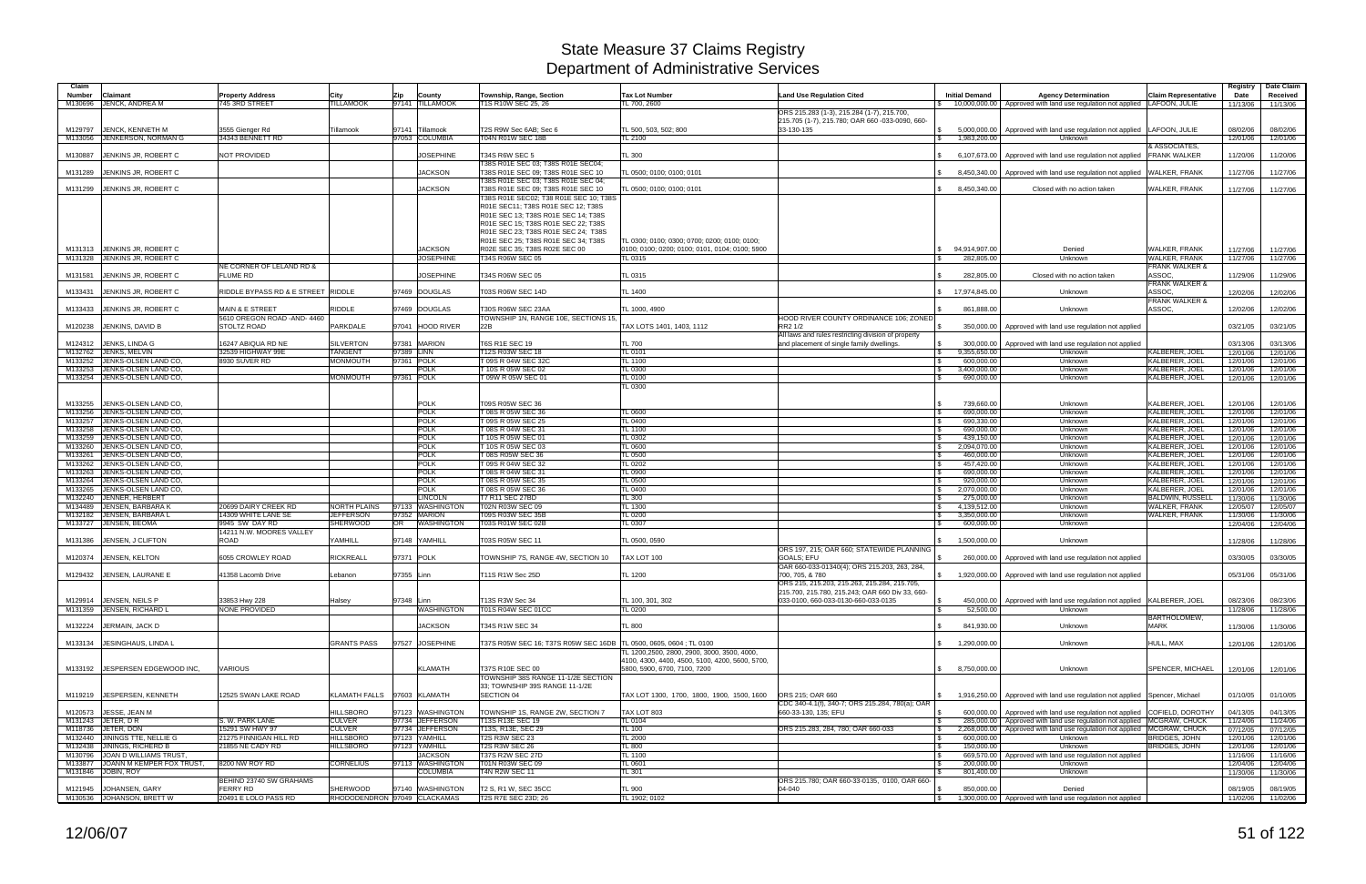| Claim   |                                 |                                    |                              |                  |                  |                                                                    |                                                 |                                                     |                              |                                                                               |                             | Registry | Date Claim |
|---------|---------------------------------|------------------------------------|------------------------------|------------------|------------------|--------------------------------------------------------------------|-------------------------------------------------|-----------------------------------------------------|------------------------------|-------------------------------------------------------------------------------|-----------------------------|----------|------------|
| Number  | Claimant                        | <b>Property Address</b>            | City                         | Zip              | County           | Township, Range, Section                                           | <b>Tax Lot Number</b>                           | <b>Land Use Regulation Cited</b>                    | <b>Initial Demand</b>        | <b>Agency Determination</b>                                                   | <b>Claim Representative</b> | Date     | Received   |
|         |                                 |                                    |                              |                  |                  |                                                                    |                                                 |                                                     |                              |                                                                               |                             |          |            |
| M130696 | JENCK, ANDREA M                 | 745 3RD STREET                     | <b>TILLAMOOK</b>             | 97141 TILLAMOOK  |                  | T1S R10W SEC 25, 26                                                | TL 700, 2600                                    |                                                     |                              | \$ 10,000,000.00 Approved with land use regulation not applied                | <b>LAFOON, JULIE</b>        | 11/13/06 | 11/13/06   |
|         |                                 |                                    |                              |                  |                  |                                                                    |                                                 | ORS 215.283 (1-3), 215.284 (1-7), 215.700,          |                              |                                                                               |                             |          |            |
|         |                                 |                                    |                              |                  |                  |                                                                    |                                                 | 215.705 (1-7), 215.780; OAR 660 -033-0090, 660-     |                              |                                                                               |                             |          |            |
| M129797 | JENCK, KENNETH M                | 3555 Gienger Rd                    | Tillamook                    | 97141 Tillamook  |                  | T2S R9W Sec 6AB; Sec 6                                             | TL 500, 503, 502; 800                           | 33-130-135                                          | S.<br>5,000,000.00           | Approved with land use regulation not applied   LAFOON, JULIE                 |                             | 08/02/06 | 08/02/06   |
| M133056 | JENKERSON, NORMAN G             | 34343 BENNETT RD                   |                              | 97053 COLUMBIA   |                  | T04N R01W SEC 18B                                                  | TL 2100                                         |                                                     | 1,983,200.00<br>\$           | Unknown                                                                       |                             | 12/01/06 | 12/01/06   |
|         |                                 |                                    |                              |                  |                  |                                                                    |                                                 |                                                     |                              |                                                                               | & ASSOCIATES,               |          |            |
|         |                                 |                                    |                              |                  |                  |                                                                    |                                                 |                                                     |                              |                                                                               |                             |          |            |
| M130887 | JENKINS JR, ROBERT C            | <b>NOT PROVIDED</b>                |                              |                  | <b>JOSEPHINE</b> | T34S R6W SEC 5                                                     | <b>TL 300</b>                                   |                                                     | 6,107,673.00                 | Approved with land use regulation not applied                                 | <b>FRANK WALKER</b>         | 11/20/06 | 11/20/06   |
|         |                                 |                                    |                              |                  |                  | T38S R01E SEC 03: T38S R01E SEC04:                                 |                                                 |                                                     |                              |                                                                               |                             |          |            |
| M131289 | JENKINS JR, ROBERT C            |                                    |                              |                  | <b>JACKSON</b>   | T38S R01E SEC 09; T38S R01E SEC 10                                 | TL 0500; 0100; 0100; 0101                       |                                                     | 8,450,340.00                 | Approved with land use regulation not applied                                 | <b>WALKER, FRANK</b>        | 11/27/06 | 11/27/06   |
|         |                                 |                                    |                              |                  |                  | T38S R01E SEC 03; T38S R01E SEC 04;                                |                                                 |                                                     |                              |                                                                               |                             |          |            |
|         |                                 |                                    |                              |                  |                  |                                                                    |                                                 |                                                     |                              |                                                                               |                             |          |            |
| M131299 | JENKINS JR, ROBERT C            |                                    |                              |                  | <b>JACKSON</b>   | T38S R01E SEC 09; T38S R01E SEC 10                                 | TL 0500; 0100; 0100; 0101                       |                                                     | 8,450,340.00                 | Closed with no action taken                                                   | WALKER, FRANK               | 11/27/06 | 11/27/06   |
|         |                                 |                                    |                              |                  |                  | T38S R01E SEC02: T38 R01E SEC 10: T38S                             |                                                 |                                                     |                              |                                                                               |                             |          |            |
|         |                                 |                                    |                              |                  |                  | R01E SEC11; T38S R01E SEC 12; T38S                                 |                                                 |                                                     |                              |                                                                               |                             |          |            |
|         |                                 |                                    |                              |                  |                  | R01E SEC 13; T38S R01E SEC 14; T38S                                |                                                 |                                                     |                              |                                                                               |                             |          |            |
|         |                                 |                                    |                              |                  |                  |                                                                    |                                                 |                                                     |                              |                                                                               |                             |          |            |
|         |                                 |                                    |                              |                  |                  | R01E SEC 15; T38S R01E SEC 22; T38S                                |                                                 |                                                     |                              |                                                                               |                             |          |            |
|         |                                 |                                    |                              |                  |                  | R01E SEC 23; T38S R01E SEC 24; T38S                                |                                                 |                                                     |                              |                                                                               |                             |          |            |
|         |                                 |                                    |                              |                  |                  | R01E SEC 25; T38S R01E SEC 34; T38S                                | TL 0300; 0100; 0300; 0700; 0200; 0100; 0100;    |                                                     |                              |                                                                               |                             |          |            |
| M131313 | JENKINS JR, ROBERT C            |                                    |                              |                  | <b>JACKSON</b>   | R02E SEC 35; T38S R02E SEC 00                                      | 0100; 0100; 0200; 0100; 0101, 0104; 0100; 5900  |                                                     | \$94,914,907.00              | Denied                                                                        | <b>WALKER, FRANK</b>        | 11/27/06 |            |
|         |                                 |                                    |                              |                  |                  |                                                                    |                                                 |                                                     |                              |                                                                               |                             |          | 11/27/06   |
| M131328 | JENKINS JR, ROBERT C            |                                    |                              |                  | <b>JOSEPHINE</b> | T34S R06W SEC 05                                                   | TL 0315                                         |                                                     | 282,805.00                   | Unknown                                                                       | <b>WALKER, FRANK</b>        | 11/27/06 | 11/27/06   |
|         |                                 | NE CORNER OF LELAND RD &           |                              |                  |                  |                                                                    |                                                 |                                                     |                              |                                                                               | <b>FRANK WALKER &amp;</b>   |          |            |
| M131581 | JENKINS JR, ROBERT C            | <b>FLUME RD</b>                    |                              |                  | <b>JOSEPHINE</b> | T34S R06W SEC 05                                                   | TL 0315                                         |                                                     | 282,805.00                   | Closed with no action taken                                                   | ASSOC.                      | 11/29/06 | 11/29/06   |
|         |                                 |                                    |                              |                  |                  |                                                                    |                                                 |                                                     |                              |                                                                               | <b>FRANK WALKER &amp;</b>   |          |            |
|         |                                 |                                    |                              |                  |                  |                                                                    |                                                 |                                                     |                              |                                                                               |                             |          |            |
| M133431 | JENKINS JR, ROBERT C            | RIDDLE BYPASS RD & E STREET RIDDLE |                              | 97469 DOUGLAS    |                  | T03S R06W SEC 14D                                                  | <b>TL 1400</b>                                  |                                                     | \$ 17,974,845.00             | Unknown                                                                       | ASSOC.                      | 12/02/06 | 12/02/06   |
|         |                                 |                                    |                              |                  |                  |                                                                    |                                                 |                                                     |                              |                                                                               | <b>FRANK WALKER &amp;</b>   |          |            |
| M133433 | JENKINS JR. ROBERT C            | <b>MAIN &amp; E STREET</b>         | <b>RIDDLE</b>                | 97469 DOUGLAS    |                  | T30S R06W SEC 23AA                                                 | TL 1000, 4900                                   |                                                     | 861,888.00                   | Unknown                                                                       | ASSOC.                      | 12/02/06 | 12/02/06   |
|         |                                 | 5610 OREGON ROAD - AND- 4460       |                              |                  |                  | TOWNSHIP 1N, RANGE 10E, SECTIONS 15,                               |                                                 | HOOD RIVER COUNTY ORDINANCE 106: ZONED              |                              |                                                                               |                             |          |            |
|         |                                 |                                    |                              |                  |                  |                                                                    |                                                 |                                                     |                              |                                                                               |                             |          |            |
| M120238 | JENKINS, DAVID B                | <b>STOLTZ ROAD</b>                 | PARKDALE                     | 97041 HOOD RIVER |                  | 22B                                                                | TAX LOTS 1401, 1403, 1112                       | RR2 1/2                                             |                              | 350,000.00 Approved with land use regulation not applied                      |                             | 03/21/05 | 03/21/05   |
|         |                                 |                                    |                              |                  |                  |                                                                    |                                                 | All laws and rules restricting division of property |                              |                                                                               |                             |          |            |
| M124312 | JENKS, LINDA G                  | 16247 ABIQUA RD NE                 | <b>SILVERTON</b>             | 97381 MARION     |                  | T6S R1E SEC 19                                                     | <b>TL 700</b>                                   | and placement of single family dwellings            | 300,000.00                   | Approved with land use regulation not applied                                 |                             | 03/13/06 | 03/13/06   |
| M132762 | JENKS, MELVIN                   | 32539 HIGHWAY 99E                  | <b>TANGENT</b>               | 97389 LINN       |                  | T12S R03W SEC 18                                                   | <b>TL 0101</b>                                  |                                                     | 9,355,650.00                 | Unknown                                                                       | KALBERER, JOEL              |          |            |
|         |                                 |                                    |                              |                  |                  |                                                                    |                                                 |                                                     |                              |                                                                               |                             | 12/01/06 | 12/01/06   |
| M133252 | JENKS-OLSEN LAND CO.            | 8930 SUVER RD                      | <b>MONMOUTH</b>              | 97361 POLK       |                  | T 09S R 04W SEC 32C                                                | <b>TL 1100</b>                                  |                                                     | 600,000.00                   | Unknown                                                                       | KALBERER, JOEL              | 12/01/06 | 12/01/06   |
| M133253 | JENKS-OLSEN LAND CO,            |                                    |                              | <b>POLK</b>      |                  | T 10S R 05W SEC 02                                                 | <b>TL 0300</b>                                  |                                                     | 3,400,000.00<br>l \$         | Unknown                                                                       | KALBERER, JOEL              | 12/01/06 | 12/01/06   |
| M133254 | JENKS-OLSEN LAND CO.            |                                    | <b>MONMOUTH</b>              | 97361 POLK       |                  | 09W R 05W SEC 01                                                   | <b>TL 0100</b>                                  |                                                     | 690,000.00                   | Unknown                                                                       | KALBERER, JOEL              | 12/01/06 | 12/01/06   |
|         |                                 |                                    |                              |                  |                  |                                                                    |                                                 |                                                     |                              |                                                                               |                             |          |            |
|         |                                 |                                    |                              |                  |                  |                                                                    | <b>TL 0300</b>                                  |                                                     |                              |                                                                               |                             |          |            |
|         |                                 |                                    |                              |                  |                  |                                                                    |                                                 |                                                     |                              |                                                                               |                             |          |            |
| M133255 | JENKS-OLSEN LAND CO,            |                                    |                              | <b>POLK</b>      |                  | T09S R05W SEC 36                                                   |                                                 |                                                     | 739,660.00                   | Unknown                                                                       | <b>KALBERER, JOEL</b>       | 12/01/06 | 12/01/06   |
| M133256 | JENKS-OLSEN LAND CO,            |                                    |                              | <b>POLK</b>      |                  | 08S R 05W SEC 36                                                   | <b>TL 0600</b>                                  |                                                     | 690,000.00                   | Unknown                                                                       | KALBERER, JOEL              | 12/01/06 | 12/01/06   |
| M133257 | JENKS-OLSEN LAND CO,            |                                    |                              | <b>POLK</b>      |                  | 09S R 05W SEC 25                                                   | <b>TL 0400</b>                                  |                                                     | 690,330.00                   | Unknown                                                                       | KALBERER, JOEL              | 12/01/06 | 12/01/06   |
|         |                                 |                                    |                              |                  |                  |                                                                    |                                                 |                                                     |                              |                                                                               |                             |          |            |
| M133258 | JENKS-OLSEN LAND CO,            |                                    |                              | <b>POLK</b>      |                  | 08S R 04W SEC 31                                                   | <b>TL 1100</b>                                  |                                                     | 690,000.00                   | Unknown                                                                       | KALBERER, JOEL              | 12/01/06 | 12/01/06   |
| M133259 | JENKS-OLSEN LAND CO,            |                                    |                              | <b>POLK</b>      |                  | T 10S R 05W SEC 01                                                 | TL 0302                                         |                                                     | 439,150.00<br>l \$           | Unknown                                                                       | KALBERER, JOEL              | 12/01/06 | 12/01/06   |
| M133260 | JENKS-OLSEN LAND CO,            |                                    |                              | <b>POLK</b>      |                  | T 10S R 05W SEC 03                                                 | <b>TL 0600</b>                                  |                                                     | 2,094,070.00<br>IS.          | Unknown                                                                       | KALBERER, JOEL              | 12/01/06 | 12/01/06   |
| M133261 | JENKS-OLSEN LAND CO,            |                                    |                              | <b>POLK</b>      |                  | 08S R05W SEC 36                                                    | <b>TL 0500</b>                                  |                                                     | 460,000.00                   | Unknown                                                                       | KALBERER, JOEL              | 12/01/06 | 12/01/06   |
|         |                                 |                                    |                              |                  |                  |                                                                    |                                                 |                                                     |                              |                                                                               |                             |          |            |
| M133262 | JENKS-OLSEN LAND CO,            |                                    |                              | <b>POLK</b>      |                  | 09S R 04W SEC 32                                                   | <b>TL 0202</b>                                  |                                                     | 457,420.00                   | Unknown                                                                       | KALBERER, JOEL              | 12/01/06 | 12/01/06   |
| M133263 | JENKS-OLSEN LAND CO,            |                                    |                              | <b>POLK</b>      |                  | T 08S R 04W SEC 31                                                 | <b>TL 0900</b>                                  |                                                     | 690,000.00                   | Unknown                                                                       | KALBERER, JOEL              | 12/01/06 | 12/01/06   |
| M133264 | JENKS-OLSEN LAND CO,            |                                    |                              | <b>POLK</b>      |                  | T 08S R 05W SEC 35                                                 | <b>TL 0500</b>                                  |                                                     | 920,000.00                   | Unknown                                                                       | KALBERER, JOEL              | 12/01/06 | 12/01/06   |
| M133265 | JENKS-OLSEN LAND CO,            |                                    |                              | <b>POLK</b>      |                  | T 08S R 05W SEC 36                                                 |                                                 |                                                     | 2,070,000.00                 |                                                                               | KALBERER, JOEL              |          |            |
|         |                                 |                                    |                              |                  |                  |                                                                    | <b>TL 0400</b>                                  |                                                     | l Si                         | Unknown                                                                       |                             | 12/01/06 | 12/01/06   |
| M132240 | <b>JENNER, HERBERT</b>          |                                    |                              |                  | <b>LINCOLN</b>   | T7 R11 SEC 27BD                                                    | <b>TL 300</b>                                   |                                                     | 275,000.00                   | Unknown                                                                       | <b>BALDWIN, RUSSELL</b>     | 11/30/06 | 11/30/06   |
| M134489 | JENSEN, BARBARA K               | 20699 DAIRY CREEK RD               | <b>NORTH PLAINS</b>          | 97133 WASHINGTON |                  | T02N R03W SEC 09                                                   | <b>TL 1300</b>                                  |                                                     | 4,139,512.00                 | Unknown                                                                       | WALKER, FRANK               | 12/05/07 | 12/05/07   |
| M132182 | JENSEN, BARBARA L               | 14309 WHITE LANE SE                | <b>JEFFERSON</b>             | 97352 MARION     |                  | T09S R03W SEC 35B                                                  | <b>TL 0200</b>                                  |                                                     | 3,350,000.00                 | Unknown                                                                       | <b>WALKER, FRANK</b>        | 11/30/06 | 11/30/06   |
| M133727 | JENSEN, BEOMA                   | 9945 SW DAY RD                     | SHERWOOD                     | OR WASHINGTON    |                  | T03S R01W SEC 02B                                                  | <b>TL 0307</b>                                  |                                                     | 600,000.00<br>$\mathbb{R}$   | Unknown                                                                       |                             | 12/04/06 | 12/04/06   |
|         |                                 |                                    |                              |                  |                  |                                                                    |                                                 |                                                     |                              |                                                                               |                             |          |            |
|         |                                 | 14211 N.W. MOORES VALLEY           |                              |                  |                  |                                                                    |                                                 |                                                     |                              |                                                                               |                             |          |            |
| M131386 | JENSEN, J CLIFTON               | <b>ROAD</b>                        | YAMHILL                      | 97148 YAMHILL    |                  | T03S R05W SEC 11                                                   | TL 0500, 0590                                   |                                                     | 1,500,000.00                 | Unknown                                                                       |                             | 11/28/06 | 11/28/06   |
|         |                                 |                                    |                              |                  |                  |                                                                    |                                                 | ORS 197, 215; OAR 660; STATEWIDE PLANNING           |                              |                                                                               |                             |          |            |
| M120374 | <b>JENSEN, KELTON</b>           | 6055 CROWLEY ROAD                  | <b>RICKREALL</b>             | 97371 POLK       |                  | TOWNSHIP 7S, RANGE 4W, SECTION 10                                  | TAX LOT 100                                     | <b>GOALS: EFU</b>                                   |                              | 260,000.00   Approved with land use regulation not applied                    |                             | 03/30/05 | 03/30/05   |
|         |                                 |                                    |                              |                  |                  |                                                                    |                                                 |                                                     |                              |                                                                               |                             |          |            |
|         |                                 |                                    |                              |                  |                  |                                                                    |                                                 | OAR 660-033-01340(4); ORS 215.203, 263, 284,        |                              |                                                                               |                             |          |            |
| M129432 | JENSEN, LAURANE E               | 41358 Lacomb Drive                 | Lebanon                      | 97355 Linn       |                  | T11S R1W Sec 25D                                                   | <b>TL 1200</b>                                  | 700, 705, & 780                                     |                              | 1,920,000.00 Approved with land use regulation not applied                    |                             | 05/31/06 | 05/31/06   |
|         |                                 |                                    |                              |                  |                  |                                                                    |                                                 | ORS 215, 215.203, 215.263, 215.284, 215.705,        |                              |                                                                               |                             |          |            |
|         |                                 |                                    |                              |                  |                  |                                                                    |                                                 | 215.700, 215.780, 215.243; OAR 660 Div 33, 660-     |                              |                                                                               |                             |          |            |
| M129914 | JENSEN, NEILS P                 | 33853 Hwy 228                      | Halsey                       | 97348 Linn       |                  | T13S R3W Sec 34                                                    | TL 100, 301, 302                                | 033-0100, 660-033-0130-660-033-0135                 |                              | 450,000.00   Approved with land use regulation not applied KALBERER, JOEL     |                             | 08/23/06 | 08/23/06   |
|         |                                 |                                    |                              |                  |                  |                                                                    |                                                 |                                                     |                              |                                                                               |                             |          |            |
|         | M131359 JENSEN, RICHARD L       | <b>NONE PROVIDED</b>               |                              |                  | WASHINGTON       | T01S R04W SEC 01CC                                                 | <b>TL 0200</b>                                  |                                                     | 52,500.00                    | Unknown                                                                       |                             | 11/28/06 | 11/28/06   |
|         |                                 |                                    |                              |                  |                  |                                                                    |                                                 |                                                     |                              |                                                                               | <b>BARTHOLOMEW,</b>         |          |            |
| M132224 | JERMAIN, JACK D                 |                                    |                              |                  | <b>JACKSON</b>   | T34S R1W SEC 34                                                    | <b>TL 800</b>                                   |                                                     | 841,930.00                   | Unknown                                                                       | <b>MARK</b>                 | 11/30/06 | 11/30/06   |
|         |                                 |                                    |                              |                  |                  |                                                                    |                                                 |                                                     |                              |                                                                               |                             |          |            |
|         |                                 |                                    |                              |                  |                  |                                                                    |                                                 |                                                     |                              |                                                                               |                             |          |            |
|         | M133134 JESINGHAUS, LINDA L     |                                    | <b>GRANTS PASS</b>           | 97527 JOSEPHINE  |                  | T37S R05W SEC 16; T37S R05W SEC 16DB TL 0500, 0605, 0604 ; TL 0100 |                                                 |                                                     | 1,290,000.00                 | Unknown                                                                       | HULL, MAX                   | 12/01/06 | 12/01/06   |
|         |                                 |                                    |                              |                  |                  |                                                                    | TL 1200,2500, 2800, 2900, 3000, 3500, 4000,     |                                                     |                              |                                                                               |                             |          |            |
|         |                                 |                                    |                              |                  |                  |                                                                    | 4100, 4300, 4400, 4500, 5100, 4200, 5600, 5700, |                                                     |                              |                                                                               |                             |          |            |
|         | M133192 JESPERSEN EDGEWOOD INC. | <b>VARIOUS</b>                     |                              |                  | <b>KLAMATH</b>   | T37S R10E SEC 00                                                   |                                                 |                                                     | 8,750,000.00<br>$\mathbb{S}$ |                                                                               | SPENCER, MICHAEL            |          |            |
|         |                                 |                                    |                              |                  |                  |                                                                    | 5800, 5900, 6700, 7100, 7200                    |                                                     |                              | Unknown                                                                       |                             | 12/01/06 | 12/01/06   |
|         |                                 |                                    |                              |                  |                  | TOWNSHIP 38S RANGE 11-1/2E SECTION                                 |                                                 |                                                     |                              |                                                                               |                             |          |            |
|         |                                 |                                    |                              |                  |                  | 33: TOWNSHIP 39S RANGE 11-1/2E                                     |                                                 |                                                     |                              |                                                                               |                             |          |            |
| M119219 | JESPERSEN, KENNETH              | 12525 SWAN LAKE ROAD               | KLAMATH FALLS 97603 KLAMATH  |                  |                  | SECTION 04                                                         | TAX LOT 1300, 1700, 1800, 1900, 1500, 1600      | ORS 215; OAR 660                                    |                              | 1,916,250.00   Approved with land use regulation not applied Spencer, Michael |                             | 01/10/05 | 01/10/05   |
|         |                                 |                                    |                              |                  |                  |                                                                    |                                                 | CDC 340-4.1(f), 340-7; ORS 215.284, 780(a); OAR     |                              |                                                                               |                             |          |            |
|         |                                 |                                    |                              |                  |                  |                                                                    |                                                 |                                                     |                              |                                                                               |                             |          |            |
| M120573 | JESSE, JEAN M                   |                                    | <b>HILLSBORO</b>             | 97123 WASHINGTON |                  | TOWNSHIP 1S. RANGE 2W. SECTION 7                                   | TAX LOT 803                                     | 660-33-130, 135; EFU                                |                              | 600,000.00   Approved with land use regulation not applied COFIELD, DOROTHY   |                             | 04/13/05 | 04/13/05   |
|         | M131243 JETER, DR               | S. W. PARK LANE                    | <b>CULVER</b>                | 97734 JEFFERSON  |                  | T13S R13E SEC 19                                                   | <b>TL 0104</b>                                  |                                                     | l \$                         | 285,000.00   Approved with land use regulation not applied MCGRAW, CHUCK      |                             | 11/24/06 | 11/24/06   |
|         | M118736 JETER, DON              | 15291 SW HWY 97                    | <b>CULVER</b>                | 97734 JEFFERSON  |                  | T13S, R13E, SEC 29                                                 | <b>TL 100</b>                                   | ORS 215.283, 284, 780; OAR 660-033                  | $\sqrt{3}$                   | 2,268,000.00   Approved with land use regulation not applied MCGRAW, CHUCK    |                             | 07/12/05 | 07/12/05   |
|         |                                 |                                    |                              |                  |                  |                                                                    |                                                 |                                                     |                              |                                                                               |                             |          |            |
| M132440 | JININGS TTE, NELLIE G           | 21275 FINNIGAN HILL RD             | <b>HILLSBORO</b>             | 97123 YAMHILL    |                  | <b>T2S R3W SEC 23</b>                                              | <b>TL 2000</b>                                  |                                                     | 600,000.00<br>l \$           | Unknown                                                                       | BRIDGES, JOHN               | 12/01/06 | 12/01/06   |
| M132438 | <b>JININGS, RICHERD B</b>       | 21855 NE CADY RD                   | <b>HILLSBORO</b>             | 97123 YAMHILL    |                  | <b>T2S R3W SEC 26</b>                                              | <b>TL 800</b>                                   |                                                     | 150,000.00                   | Unknown                                                                       | <b>BRIDGES, JOHN</b>        | 12/01/06 | 12/01/06   |
| M130796 | JOAN D WILLIAMS TRUST.          |                                    |                              |                  | <b>JACKSON</b>   | T37S R2W SEC 27D                                                   | TL 1100                                         |                                                     |                              | 669,570.00   Approved with land use regulation not applied                    |                             | 11/16/06 | 11/16/06   |
| M133877 | JOANN M KEMPER FOX TRUST,       | 8200 NW ROY RD                     | <b>CORNELIUS</b>             | 97113 WASHINGTON |                  | T01N R03W SEC 09                                                   | <b>TL 0601</b>                                  |                                                     | 200,000.00                   | Unknown                                                                       |                             | 12/04/06 | 12/04/06   |
|         |                                 |                                    |                              |                  |                  |                                                                    |                                                 |                                                     |                              |                                                                               |                             |          |            |
| M131846 | JOBIN, ROY                      |                                    |                              |                  | <b>COLUMBIA</b>  | T4N R2W SEC 11                                                     | <b>TL 301</b>                                   |                                                     | 801,400.00<br>l \$           | Unknown                                                                       |                             | 11/30/06 | 11/30/06   |
|         |                                 | BEHIND 23740 SW GRAHAMS            |                              |                  |                  |                                                                    |                                                 | ORS 215.780; OAR 660-33-0135, 0100, OAR 660-        |                              |                                                                               |                             |          |            |
| M121945 | JOHANSEN, GARY                  | <b>FERRY RD</b>                    | <b>SHERWOOD</b>              | 97140 WASHINGTON |                  | T2 S, R1 W, SEC 35CC                                               | <b>TL 900</b>                                   | 04-040                                              | 850,000.00                   | Denied                                                                        |                             | 08/19/05 | 08/19/05   |
|         | M130536 JOHANSON, BRETT W       | 20491 E LOLO PASS RD               | RHODODENDRON 97049 CLACKAMAS |                  |                  | T2S R7E SEC 23D; 26                                                | TL 1902; 0102                                   |                                                     | l \$                         | 1,300,000.00 Approved with land use regulation not applied                    |                             | 11/02/06 | 11/02/06   |
|         |                                 |                                    |                              |                  |                  |                                                                    |                                                 |                                                     |                              |                                                                               |                             |          |            |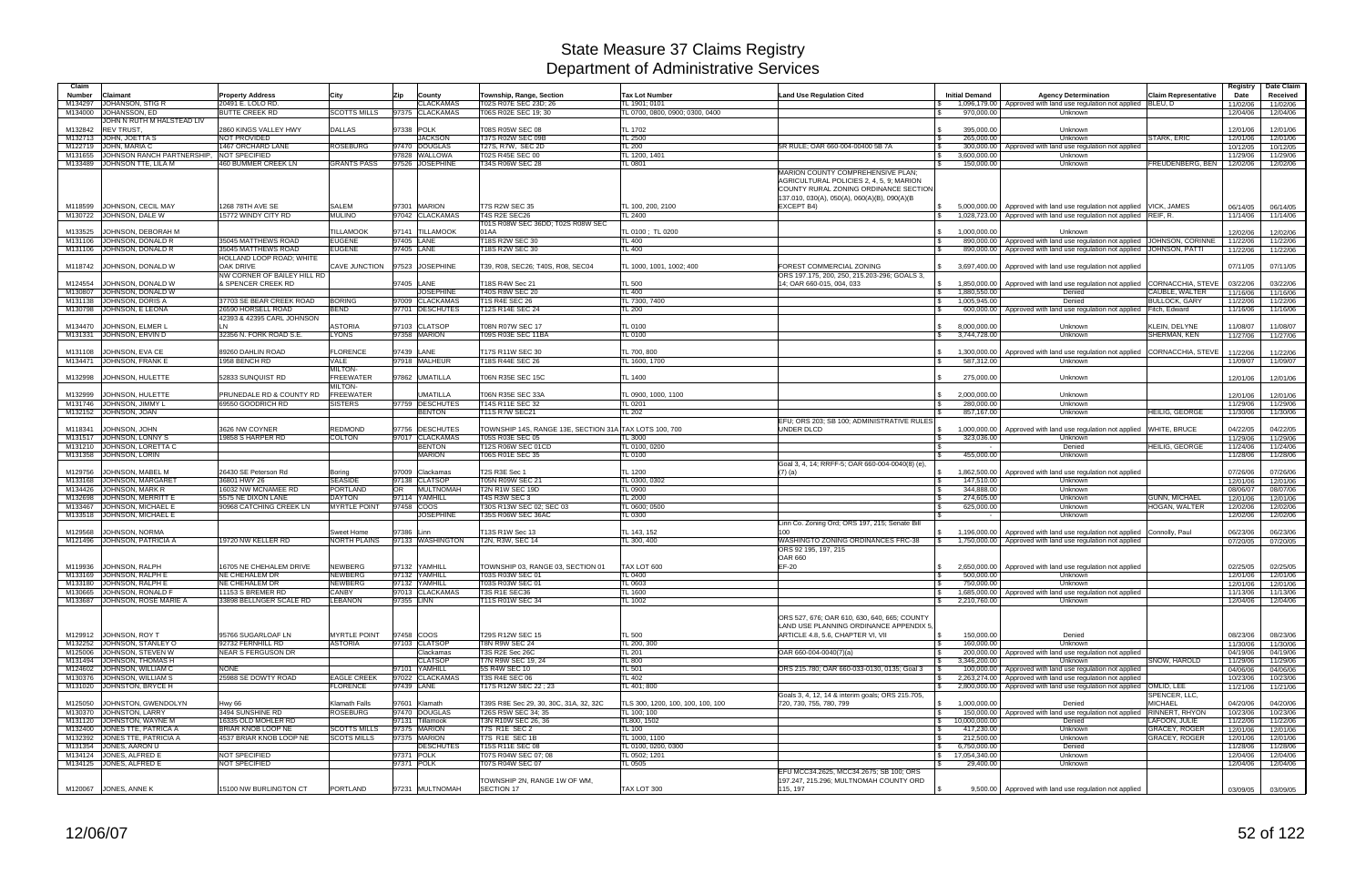| Claim                                                          |                                                  |                                    |            |                                    |                                                                                   |                                      |                                                                                                                                                                        |                                                              |                                                                                       |                                       | Registry             | Date Claim           |
|----------------------------------------------------------------|--------------------------------------------------|------------------------------------|------------|------------------------------------|-----------------------------------------------------------------------------------|--------------------------------------|------------------------------------------------------------------------------------------------------------------------------------------------------------------------|--------------------------------------------------------------|---------------------------------------------------------------------------------------|---------------------------------------|----------------------|----------------------|
| Claimant<br>Number                                             | <b>Property Address</b>                          | City                               | Zip        | County                             | Township, Range, Section                                                          | <b>Tax Lot Number</b>                | <b>Land Use Regulation Cited</b>                                                                                                                                       | <b>Initial Demand</b>                                        | <b>Agency Determination</b>                                                           | <b>Claim Representative</b>           | Date                 | Received             |
| JOHANSON, STIG R<br>M134297                                    | 20491 E. LOLO RD                                 |                                    |            | <b>CLACKAMAS</b>                   | T02S R07E SEC 23D; 26                                                             | TL 1901; 0101                        |                                                                                                                                                                        |                                                              | 1,096,179.00   Approved with land use regulation not applied BLEU, D                  |                                       | 11/02/06             | 11/02/06             |
| JOHANSSON, ED<br>M134000<br>JOHN N RUTH M HALSTEAD LIV         | <b>BUTTE CREEK RD</b>                            | <b>SCOTTS MILLS</b>                |            | 97375 CLACKAMAS                    | T06S R02E SEC 19; 30                                                              | TL 0700, 0800, 0900; 0300, 0400      |                                                                                                                                                                        | $\mathbf{s}$<br>970,000.00                                   | Unknown                                                                               |                                       | 12/04/06             | 12/04/06             |
| <b>REV TRUST.</b><br>M132842                                   | 2860 KINGS VALLEY HWY                            | <b>DALLAS</b>                      | 97338 POLK |                                    | T08S R05W SEC 08                                                                  | TL 1702                              |                                                                                                                                                                        | 395,000.00                                                   | Unknown                                                                               |                                       | 12/01/06             | 12/01/06             |
| M132713 JOHN, JOETTA S                                         | <b>NOT PROVIDED</b>                              |                                    |            | <b>JACKSON</b>                     | <b>T37S R02W SEC 09B</b>                                                          | TL 2500                              |                                                                                                                                                                        | 265.000.00                                                   | Unknown                                                                               | <b>STARK, ERIC</b>                    | 12/01/06             | 12/01/06             |
| M122719 JOHN, MARIA C<br>JOHNSON RANCH PARTNERSHIP,<br>M131655 | 1467 ORCHARD LANE<br><b>NOT SPECIFIED</b>        | ROSEBURG                           |            | 97470 DOUGLAS<br>97828 WALLOWA     | T27S, R7W, SEC 2D<br>T02S R45E SEC 00                                             | TL200<br>TL 1200, 1401               | 5R RULE: OAR 660-004-00400 5B 7A                                                                                                                                       | 300,000.00<br>3,600,000.00<br>$\mathbb{R}$                   | Approved with land use regulation not applied<br>Unknown                              |                                       | 10/12/05<br>11/29/06 | 10/12/05<br>11/29/06 |
| JOHNSON TTE, LILA M<br>M133489                                 | 460 BUMMER CREEK LN                              | <b>GRANTS PASS</b>                 |            | 97526 JOSEPHINE                    | T34S R06W SEC 28                                                                  | TL 0801                              |                                                                                                                                                                        | 150,000.00                                                   | Unknown                                                                               | FREUDENBERG, BEN                      | 12/02/06             | 12/02/06             |
|                                                                |                                                  |                                    |            |                                    |                                                                                   |                                      | MARION COUNTY COMPREHENSIVE PLAN;<br>AGRICULTURAL POLICIES 2, 4, 5, 9; MARION<br>COUNTY RURAL ZONING ORDINANCE SECTION<br>137.010, 030(A), 050(A), 060(A)(B), 090(A)(B |                                                              |                                                                                       |                                       |                      |                      |
| JOHNSON, CECIL MAY<br>M118599                                  | 1268 78TH AVE SE                                 | <b>SALEM</b>                       |            | 97301 MARION                       | <b>T7S R2W SEC 35</b><br>T4S R2E SEC26                                            | TL 100, 200, 2100                    | EXCEPT B4)                                                                                                                                                             | 5.000.000.00                                                 | Approved with land use regulation not applied VICK, JAMES                             |                                       | 06/14/05             | 06/14/05             |
| M130722 JOHNSON, DALE W                                        | 15772 WINDY CITY RD                              | <b>MULINO</b>                      |            | 97042 CLACKAMAS                    | T01S R08W SEC 36DD; T02S R08W SEC                                                 | TL 2400                              |                                                                                                                                                                        | $\mathbb{R}$                                                 | 1,028,723.00 Approved with land use regulation not applied REIF, R.                   |                                       | 11/14/06             | 11/14/06             |
| JOHNSON, DEBORAH M<br>M133525                                  |                                                  | TILLAMOOK                          |            | 97141 TILLAMOOK                    | 01AA                                                                              | TL 0100; TL 0200                     |                                                                                                                                                                        | 1,000,000.00<br>$\mathbb{S}$                                 | Unknown                                                                               |                                       | 12/02/06             | 12/02/06             |
| M131106 JOHNSON, DONALD R                                      | 35045 MATTHEWS ROAD                              | <b>EUGENE</b>                      | 97405 LANE |                                    | T18S R2W SEC 30                                                                   | TL 400                               |                                                                                                                                                                        | 890,000.00<br><b>S</b>                                       | Approved with land use regulation not applied JOHNSON, CORINNE                        |                                       | 11/22/06             | 11/22/06             |
| M131106 JOHNSON, DONALD R                                      | 35045 MATTHEWS ROAD                              | <b>EUGENE</b>                      | 97405 LANE |                                    | T18S R2W SEC 30                                                                   | TL 400                               |                                                                                                                                                                        | $\mathbb{R}$                                                 | 890,000.00   Approved with land use regulation not applied   JOHNSON, PATTI           |                                       | 11/22/06             | 11/22/06             |
| M118742<br>JOHNSON, DONALD W                                   | HOLLAND LOOP ROAD; WHITE<br><b>OAK DRIVE</b>     | CAVE JUNCTION                      |            | 97523 JOSEPHINE                    | T39, R08, SEC26; T40S, R08, SEC04                                                 | TL 1000, 1001, 1002: 400             | FOREST COMMERCIAL ZONING                                                                                                                                               | $\mathcal{S}$<br>3,697,400.00                                | Approved with land use regulation not applied                                         |                                       | 07/11/05             | 07/11/05             |
|                                                                | NW CORNER OF BAILEY HILL RD                      |                                    |            |                                    |                                                                                   |                                      | ORS 197.175, 200, 250, 215.203-296; GOALS 3,                                                                                                                           |                                                              |                                                                                       |                                       |                      |                      |
| JOHNSON, DONALD W<br>M124554                                   | & SPENCER CREEK RD                               |                                    | 97405 LANE |                                    | T18S R4W Sec 21                                                                   | <b>TL 500</b>                        | 14; OAR 660-015, 004, 033                                                                                                                                              | $\sqrt{3}$<br>1.850.000.00                                   | Approved with land use regulation not applied                                         | CORNACCHIA, STEVE                     | 03/22/06             | 03/22/06             |
| M130807 JOHNSON, DONALD W                                      |                                                  | <b>BORING</b>                      |            | <b>JOSEPHINE</b>                   | T40S R8W SEC 20                                                                   | <b>TL 400</b>                        |                                                                                                                                                                        | $\sqrt{3}$<br>1,880,550.00                                   | Denied                                                                                | CAUBLE, WALTER                        | 11/16/06             | 11/16/06             |
| JOHNSON, DORIS A<br>M131138<br>JOHNSON, E LEONA<br>M130798     | 37703 SE BEAR CREEK ROAD<br>26590 HORSELL ROAD   | <b>BEND</b>                        |            | 97009 CLACKAMAS<br>97701 DESCHUTES | <b>T1S R4E SEC 26</b><br>T12S R14E SEC 24                                         | TL 7300, 7400<br><b>TL 200</b>       |                                                                                                                                                                        | 1,005,945.00<br>IS.<br><b>S</b>                              | Denied<br>600,000.00   Approved with land use regulation not applied                  | <b>BULLOCK, GARY</b><br>Fitch, Edward | 11/22/06<br>11/16/06 | 11/22/06<br>11/16/06 |
|                                                                | 42393 & 42395 CARL JOHNSON                       |                                    |            |                                    |                                                                                   |                                      |                                                                                                                                                                        |                                                              |                                                                                       |                                       |                      |                      |
| JOHNSON, ELMER L<br>M134470                                    | LN                                               | ASTORIA                            |            | 97103 CLATSOP                      | T08N R07W SEC 17                                                                  | TL 0100                              |                                                                                                                                                                        | 8,000,000.00<br>$\mathcal{S}$                                | Unknown                                                                               | KLEIN, DELYNE                         | 11/08/07             | 11/08/07             |
| M131331 JOHNSON, ERVIN D                                       | 32356 N. FORK ROAD S.E.                          | <b>LYONS</b>                       |            | 97358 MARION                       | T09S R03E SEC 11BA                                                                | TL 0100                              |                                                                                                                                                                        | 3.744.728.00<br>S.                                           | Unknown                                                                               | SHERMAN, KEN                          | 11/27/06             | 11/27/06             |
| M131108 JOHNSON, EVA CE                                        | 89260 DAHLIN ROAD                                | <b>FLORENCE</b>                    | 97439 LANE |                                    | T17S R11W SEC 30                                                                  | TL 700, 800                          |                                                                                                                                                                        | 1,300,000.00                                                 | Approved with land use regulation not applied CORNACCHIA, STEVE                       |                                       | 11/22/06             | 11/22/06             |
| M134471 JOHNSON, FRANK E                                       | 1958 BENCH RD                                    | VALE                               |            | 97918 MALHEUR                      | T18S R44E SEC 26                                                                  | TL 1600, 1700                        |                                                                                                                                                                        | 587,312.00                                                   | Unknown                                                                               |                                       | 11/09/07             | 11/09/07             |
|                                                                |                                                  | <b>MILTON-</b>                     |            |                                    |                                                                                   |                                      |                                                                                                                                                                        |                                                              |                                                                                       |                                       |                      |                      |
| JOHNSON, HULETTE<br>M132998                                    | 52833 SUNQUIST RD                                | <b>FREEWATER</b>                   |            | 97862 UMATILLA                     | T06N R35E SEC 15C                                                                 | TL 1400                              |                                                                                                                                                                        | 275,000.00                                                   | Unknown                                                                               |                                       | 12/01/06             | 12/01/06             |
| M132999<br>JOHNSON, HULETTE                                    | <b>PRUNEDALE RD &amp; COUNTY RD</b>              | <b>MILTON-</b><br><b>FREEWATER</b> |            | <b>JMATILLA</b>                    | T06N R35E SEC 33A                                                                 | TL 0900, 1000, 1100                  |                                                                                                                                                                        | 2,000,000.00<br>$\mathbb{S}$                                 | Unknown                                                                               |                                       | 12/01/06             | 12/01/06             |
| M131746 JOHNSON, JIMMY L                                       | 69550 GOODRICH RD                                | <b>SISTERS</b>                     |            | 97759 DESCHUTES                    | T14S R11E SEC 32                                                                  | TL 0201                              |                                                                                                                                                                        | 280,000.00                                                   | Unknown                                                                               |                                       | 11/29/06             | 11/29/06             |
| M132152 JOHNSON, JOAN                                          |                                                  |                                    |            | <b>BENTON</b>                      | <b>T11S R7W SEC21</b>                                                             | <b>TL 202</b>                        |                                                                                                                                                                        | 857,167.00                                                   | Unknown                                                                               | <b>HEILIG, GEORGE</b>                 | 11/30/06             | 11/30/06             |
|                                                                |                                                  |                                    |            |                                    |                                                                                   |                                      | EFU; ORS 203; SB 100; ADMINISTRATIVE RULES                                                                                                                             |                                                              |                                                                                       |                                       |                      |                      |
| JOHNSON, JOHN<br>M118341                                       | 3626 NW COYNER                                   | <b>REDMOND</b>                     |            | 97756 DESCHUTES<br>97017 CLACKAMAS | TOWNSHIP 14S, RANGE 13E, SECTION 31A TAX LOTS 100, 700<br><b>T05S R03E SEC 05</b> |                                      | UNDER DLCD                                                                                                                                                             | 1,000,000.00                                                 | Approved with land use regulation not applied<br>Unknown                              | <b>WHITE, BRUCE</b>                   | 04/22/05             | 04/22/05             |
| M131517 JOHNSON, LONNY S<br>JOHNSON, LORETTA C<br>M131210      | 9858 S HARPER RD                                 | <b>COLTON</b>                      |            | <b>BENTON</b>                      | T12S R06W SEC 01CD                                                                | TL 3000<br>TL 0100, 0200             |                                                                                                                                                                        | 323,036.00<br>$\sqrt{3}$<br><b>S</b>                         | Denied                                                                                | <b>HEILIG, GEORGE</b>                 | 11/29/06<br>11/24/06 | 11/29/06<br>11/24/06 |
| M131358 JOHNSON, LORIN                                         |                                                  |                                    |            | <b>MARION</b>                      | T06S R01E SEC 35                                                                  | TL 0100                              |                                                                                                                                                                        | 455,000.00<br><b>S</b>                                       | Unknown                                                                               |                                       | 11/28/06             | 11/28/06             |
|                                                                |                                                  |                                    |            |                                    |                                                                                   |                                      | Goal 3, 4, 14; RRFF-5; OAR 660-004-0040(8) (e)                                                                                                                         |                                                              |                                                                                       |                                       |                      |                      |
| M129756<br>JOHNSON, MABEL M                                    | 26430 SE Peterson Rd                             | Boring<br><b>SEASIDE</b>           |            | 97009 Clackamas                    | T2S R3E Sec 1                                                                     | <b>TL 1200</b>                       | $(7)$ (a)                                                                                                                                                              | 1,862,500.00<br>IS.                                          | Approved with land use regulation not applied                                         |                                       | 07/26/06             | 07/26/06             |
| M133168 JOHNSON, MARGARET<br>M134426 JOHNSON, MARK R           | 36801 HWY 26<br>16032 NW MCNAMEE RD              | <b>PORTLAND</b>                    | <b>OR</b>  | 97138 CLATSOP<br><b>MULTNOMAH</b>  | T05N R09W SEC 21<br>T2N R1W SEC 19D                                               | TL 0300, 0302<br>TL 0900             |                                                                                                                                                                        | <b>S</b><br>147,510.00<br>344.888.00<br>l \$                 | Unknown<br>Unknown                                                                    |                                       | 12/01/06<br>08/06/07 | 12/01/06<br>08/07/06 |
| M132698 JOHNSON, MERRITT E                                     | 5575 NE DIXON LANE                               | <b>DAYTON</b>                      |            | 97114 YAMHILL                      | T4S R3W SEC 3                                                                     | <b>TL 2000</b>                       |                                                                                                                                                                        | 274,605.00                                                   | Unknown                                                                               | <b>GUNN, MICHAEL</b>                  | 12/01/06             | 12/01/06             |
| M133467 JOHNSON, MICHAEL I                                     | 90968 CATCHING CREEK LN                          | <b>MYRTLE POINT</b>                | 97458 COOS |                                    | T30S R13W SEC 02; SEC 03                                                          | TL 0600; 0500                        |                                                                                                                                                                        | 625,000.00<br><b>\$</b>                                      | Unknown                                                                               | HOGAN, WALTER                         | 12/02/06             | 12/02/06             |
| M133518 JOHNSON, MICHAEL I                                     |                                                  |                                    |            | <b>JOSEPHINE</b>                   | T35S R06W SEC 36AC                                                                | TL 0300                              |                                                                                                                                                                        | $\sim$                                                       | Unknown                                                                               |                                       | 12/02/06             | 12/02/06             |
| JOHNSON, NORMA<br>M129568                                      |                                                  | Sweet Home                         | 97386 Linn |                                    | T13S R1W Sec 13                                                                   | TL 143, 152                          | Linn Co. Zoning Ord; ORS 197, 215; Senate Bil<br>100                                                                                                                   | 1,196,000.00                                                 | Approved with land use regulation not applied Connolly, Paul                          |                                       | 06/23/06             | 06/23/06             |
| M121496 JOHNSON, PATRICIA A                                    | 19720 NW KELLER RD                               | NORTH PLAINS                       |            | 97133 WASHINGTON                   | T2N, R3W, SEC 14                                                                  | TL 300, 400                          | WASHINGTO ZONING ORDINANCES FRC-38                                                                                                                                     |                                                              | 1,750,000.00 Approved with land use regulation not applied                            |                                       | 07/20/05             | 07/20/05             |
|                                                                |                                                  |                                    |            |                                    |                                                                                   |                                      | ORS 92 195, 197, 215                                                                                                                                                   |                                                              |                                                                                       |                                       |                      |                      |
|                                                                |                                                  |                                    |            |                                    |                                                                                   |                                      | <b>OAR 660</b>                                                                                                                                                         |                                                              |                                                                                       |                                       |                      |                      |
| M119936 JOHNSON, RALPH<br>M133169 JOHNSON, RALPH E             | 16705 NE CHEHALEM DRIVE<br><b>NE CHEHALEM DR</b> | <b>NEWBERG</b><br><b>NEWBERG</b>   |            | 97132 YAMHILL<br>97132 YAMHILL     | TOWNSHIP 03, RANGE 03, SECTION 01<br>T03S R03W SEC 01                             | TAX LOT 600<br>TL 0400               | EF-20                                                                                                                                                                  | 500,000.00                                                   | 2.650,000,00 Approved with land use regulation not applied<br>Unknown                 |                                       | 02/25/05<br>12/01/06 | 02/25/05<br>12/01/06 |
| M133180 JOHNSON, RALPH E                                       | <b>NE CHEHALEM DR</b>                            | <b>NEWBERG</b>                     |            | 97132 YAMHILL                      | T03S R03W SEC 01                                                                  | TL 0603                              |                                                                                                                                                                        | 750,000.00<br><b>S</b>                                       | Unknown                                                                               |                                       | 12/01/06             | 12/01/06             |
| M130665 JOHNSON, RONALD F                                      | 11153 S BREMER RD                                | CANBY                              |            | 97013 CLACKAMAS                    | T3S R1E SEC36                                                                     | TL 1600                              |                                                                                                                                                                        | 1,685,000.00<br><b>\$</b>                                    | Approved with land use regulation not applied                                         |                                       | 11/13/06             | 11/13/06             |
| M133687 JOHNSON, ROSE MARIE A                                  | 33898 BELLNGER SCALE RD                          | <b>LEBANON</b>                     | 97355 LINN |                                    | T11S R01W SEC 34                                                                  | TL 1002                              |                                                                                                                                                                        | 2,210,760.00<br>$\mathbb{S}$                                 | Unknown                                                                               |                                       | 12/04/06             | 12/04/06             |
|                                                                |                                                  |                                    |            |                                    |                                                                                   |                                      | ORS 527, 676; OAR 610, 630, 640, 665; COUNTY<br>LAND USE PLANNING ORDINANCE APPENDIX 5,                                                                                |                                                              |                                                                                       |                                       |                      |                      |
| M129912 JOHNSON, ROY T                                         | 95766 SUGARLOAF LN                               | <b>MYRTLE POINT</b>                | 97458 COOS |                                    | T29S R12W SEC 15                                                                  | <b>TL 500</b>                        | ARTICLE 4.8, 5.6, CHAPTER VI, VII                                                                                                                                      | 150,000.00<br><b>S</b>                                       | Denied                                                                                |                                       | 08/23/06             | 08/23/06             |
| M132252 JOHNSON, STANLEY O                                     | 92732 FERNHILL RD                                | <b>ASTORIA</b>                     |            | 97103 CLATSOP                      | T8N R9W SEC 24                                                                    | TL 200, 300                          |                                                                                                                                                                        | 160,000.00<br><b>S</b>                                       | Unknown                                                                               |                                       | 11/30/06             | 11/30/06             |
| M125006 JOHNSON, STEVEN W<br>M131494 JOHNSON, THOMAS H         | <b>NEAR S FERGUSON DR</b>                        |                                    |            | Clackamas<br><b>CLATSOP</b>        | T3S R2E Sec 26C<br>T7N R9W SEC 19, 24                                             | TL 201<br><b>TL 800</b>              | OAR 660-004-0040(7)(a)                                                                                                                                                 | $\sqrt{3}$<br>3,346,200.00<br>$\mathbb{S}$                   | 200,000.00   Approved with land use regulation not applied<br>Unknown                 | SNOW. HAROLD                          | 04/19/06<br>11/29/06 | 04/19/06<br>11/29/06 |
| M124602 JOHNSON, WILLIAM C                                     | <b>NONE</b>                                      |                                    |            | 97101 YAMHILL                      | 5S R4W SEC 10                                                                     | <b>TL 501</b>                        | ORS 215.780; OAR 660-033-0130, 0135; Goal 3                                                                                                                            |                                                              | 100,000.00 Approved with land use regulation not applied                              |                                       | 04/06/06             | 04/06/06             |
| M130376 JOHNSON, WILLIAM S                                     | 25988 SE DOWTY ROAD                              | <b>EAGLE CREEK</b>                 |            | 97022 CLACKAMAS                    | <b>T3S R4E SEC 06</b>                                                             | TL 402                               |                                                                                                                                                                        | $\mathcal{S}$                                                | 2,263,274.00 Approved with land use regulation not applied                            |                                       | 10/23/06             | 10/23/06             |
| M131020 JOHNSTON, BRYCE H                                      |                                                  | <b>FLORENCE</b>                    | 97439 LANE |                                    | T17S R12W SEC 22:23                                                               | TL 401; 800                          |                                                                                                                                                                        |                                                              | 2,800,000.00 Approved with land use regulation not applied OMLID, LEE                 |                                       | 11/21/06             | 11/21/06             |
|                                                                | <b>Hwv 66</b>                                    | Klamath Falls                      |            | 97601 Klamath                      |                                                                                   | TLS 300, 1200, 100, 100, 100, 100    | Goals 3, 4, 12, 14 & interim goals; ORS 215.705,                                                                                                                       |                                                              |                                                                                       | SPENCER, LLC,<br><b>MICHAEL</b>       |                      |                      |
| M125050 JOHNSTON, GWENDOLYN<br>M130370 JOHNSTON, LARRY         | 3494 SUNSHINE RD                                 | <b>ROSEBURG</b>                    |            | 97470 DOUGLAS                      | T39S R8E Sec 29, 30, 30C, 31A, 32, 32C<br>T26S R5W SEC 34: 35                     | TL 100; 100                          | 720, 730, 755, 780, 799                                                                                                                                                | 1,000,000.00<br>$\sqrt{3}$<br>$\sqrt{3}$                     | Denied<br>150,000.00   Approved with land use regulation not applied   RINNERT, RHYON |                                       | 04/20/06<br>10/23/06 | 04/20/06<br>10/23/06 |
| M131120 JOHNSTON, WAYNE M                                      | 16335 OLD MOHLER RD                              |                                    |            | 97131 Tillamook                    | T3N R10W SEC 26, 36                                                               | TL800, 1502                          |                                                                                                                                                                        | $\sqrt{5}$<br>10,000,000.00                                  | Denied                                                                                | LAFOON, JULIE                         | 11/22/06             | 11/22/06             |
| M132400 JONES TTE, PATRICA A                                   | BRIAR KNOB LOOP NE                               | <b>SCOTTS MILLS</b>                |            | 97375 MARION                       | T7S R1E SEC 2                                                                     | TL 100                               |                                                                                                                                                                        | 417,230.00<br><b>S</b>                                       | Unknown                                                                               | <b>GRACEY, ROGER</b>                  | 12/01/06             | 12/01/06             |
| M132392 JONES TTE, PATRICIA A                                  | 4537 BRIAR KNOB LOOP NE                          | <b>SCOTS MILLS</b>                 |            | 97375 MARION                       | T7S R1E SEC 1B                                                                    | TL 1000, 1100                        |                                                                                                                                                                        | 212,500.00<br>$\mathbf{\hat{s}}$                             | Unknown                                                                               | GRACEY, ROGER                         | 12/01/06             | 12/01/06             |
| M131354 JONES, AARON U<br>M134124 JONES, ALFRED E              | NOT SPECIFIED                                    |                                    | 97371 POLK | <b>DESCHUTES</b>                   | T15S R11E SEC 08<br>T07S R04W SEC 07; 08                                          | TL 0100, 0200, 0300<br>TL 0502; 1201 |                                                                                                                                                                        | 6,750,000.00<br>$\mathcal{S}$<br>$\frac{1}{2}$ 17,054,340.00 | Denied                                                                                |                                       | 11/28/06             | 11/28/06             |
| M134125 JONES, ALFRED E                                        | NOT SPECIFIED                                    |                                    |            | 97371 POLK                         | T07S R04W SEC 07                                                                  | <b>TL 0505</b>                       |                                                                                                                                                                        | 29,400.00                                                    | Unknown<br>Unknown                                                                    |                                       | 12/04/06<br>12/04/06 | 12/04/06<br>12/04/06 |
|                                                                |                                                  |                                    |            |                                    |                                                                                   |                                      | EFU MCC34.2625, MCC34.2675; SB 100; ORS                                                                                                                                |                                                              |                                                                                       |                                       |                      |                      |
|                                                                |                                                  |                                    |            |                                    | TOWNSHIP 2N, RANGE 1W OF WM,                                                      |                                      | 197.247, 215.296; MULTNOMAH COUNTY ORD                                                                                                                                 |                                                              |                                                                                       |                                       |                      |                      |
| M120067 JONES, ANNE K                                          | 15100 NW BURLINGTON CT                           | <b>PORTLAND</b>                    |            | 97231 MULTNOMAH                    | <b>SECTION 17</b>                                                                 | TAX LOT 300                          | 115, 197                                                                                                                                                               |                                                              | 9,500.00 Approved with land use regulation not applied                                |                                       | 03/09/05             | 03/09/05             |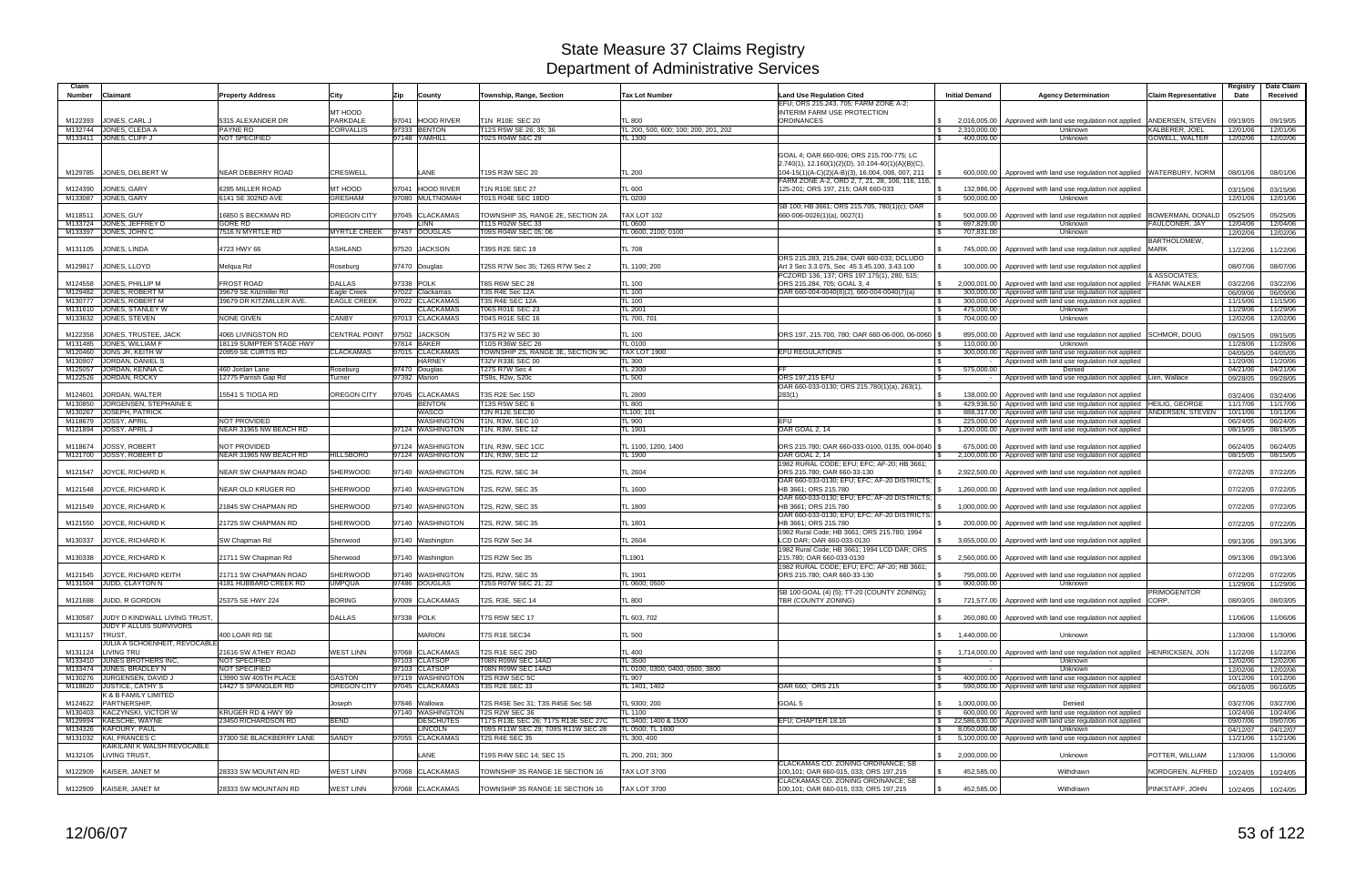| Claim          |                                                          |                                               |                              |                                                         |                                                                           |                                          |                                                                                               |                                      |                                                                                                | <b>Claim Representative</b> | Registry             | Date Claim           |
|----------------|----------------------------------------------------------|-----------------------------------------------|------------------------------|---------------------------------------------------------|---------------------------------------------------------------------------|------------------------------------------|-----------------------------------------------------------------------------------------------|--------------------------------------|------------------------------------------------------------------------------------------------|-----------------------------|----------------------|----------------------|
| Number         | <b>Claimant</b>                                          | <b>Property Address</b>                       | City                         | Zip<br>County                                           | Township, Range, Section                                                  | <b>Tax Lot Number</b>                    | <b>Land Use Regulation Cited</b><br>EFU; ORS 215.243, 705; FARM ZONE A-2;                     | <b>Initial Demand</b>                | <b>Agency Determination</b>                                                                    |                             | Date                 | Received             |
| M122393        | JONES, CARL J                                            | 5315 ALEXANDER DR                             | MT HOOD<br>PARKDALE          | 97041 HOOD RIVER                                        | T1N R10E SEC 20                                                           | <b>TL 800</b>                            | INTERIM FARM USE PROTECTION<br><b>ORDINANCES</b>                                              | 2,016,005.00                         | Approved with land use regulation not applied                                                  | ANDERSEN, STEVEN            | 09/19/05             | 09/19/05             |
|                | M132744 JONES, CLEDA A                                   | PAYNE RD                                      | <b>CORVALLIS</b>             | 97333 BENTON                                            | T12S R5W SE 26; 35; 36                                                    | L 200, 500, 600; 100; 200, 201, 202      |                                                                                               | 2,310,000.00<br>I \$                 | Unknown                                                                                        | KALBERER, JOEL              | 12/01/06             | 12/01/06             |
|                | M133411 JONES, CLIFF J                                   | <b>NOT SPECIFIED</b>                          |                              | 97148 YAMHILL                                           | T02S R04W SEC 29                                                          | L 1300                                   |                                                                                               | 400,000.00                           | Unknown                                                                                        | <b>GOWELL, WALTER</b>       | 12/02/06             | 12/02/06             |
|                |                                                          |                                               |                              |                                                         |                                                                           |                                          | GOAL 4; OAR 660-006; ORS 215.700-775; LC<br>2.740(1), 12.160(1)(2)(D), 10.104-40(1)(A)(B)(C), |                                      |                                                                                                |                             |                      |                      |
|                | M129785 JONES, DELBERT W                                 | NEAR DEBERRY ROAD                             | <b>CRESWELL</b>              | LANE                                                    | T19S R3W SEC 20                                                           | TL 200                                   | 104-15(1)(A-C)(2)(A-B)(3), 16.004, 006, 007, 211                                              |                                      | 600,000.00   Approved with land use regulation not applied   WATERBURY, NORM                   |                             | 08/01/06             | 08/01/06             |
|                |                                                          |                                               |                              |                                                         |                                                                           |                                          | FARM ZONE A-2, ORD 2, 7, 21, 28, 106, 116, 116,                                               |                                      |                                                                                                |                             |                      |                      |
|                | M124390 JONES, GARY<br>M133087 JONES, GARY               | 6285 MILLER ROAD<br>6141 SE 302ND AVE         | MT HOOD<br><b>GRESHAM</b>    | 97041<br><b>HOOD RIVER</b><br>97080<br><b>MULTNOMAH</b> | T1N R10E SEC 27<br>T01S R04E SEC 18DD                                     | TL 600<br>TL 0200                        | 125-201: ORS 197, 215: OAR 660-033                                                            | 132,986.00<br>500,000.00             | Approved with land use regulation not applied<br>Unknown                                       |                             | 03/15/06<br>12/01/06 | 03/15/06<br>12/01/06 |
|                |                                                          |                                               |                              |                                                         |                                                                           |                                          | SB 100; HB 3661; ORS 215.705, 780(1)(c); OAR                                                  |                                      |                                                                                                |                             |                      |                      |
| M118511        | JONES, GUY                                               | 16850 S BECKMAN RD                            | OREGON CITY                  | 97045 CLACKAMAS                                         | TOWNSHIP 3S, RANGE 2E, SECTION 2A                                         | TAX LOT 102                              | 660-006-0026(1)(a), 0027(1)                                                                   | 500,000.00                           | Approved with land use regulation not applied                                                  | BOWERMAN, DONALD            | 05/25/05             | 05/25/05             |
|                | M133724 JONES, JEFFREY D<br>M133397 JONES, JOHN C        | <b>GORE RD</b><br>7516 N MYRTLE RD            |                              | <b>LINN</b><br>MYRTLE CREEK 97457 DOUGLAS               | T11S R02W SEC 33<br>T09S R04W SEC 05; 06                                  | TL 0600<br>TL 0600, 2100; 0100           |                                                                                               | <b>S</b><br>697,829.00<br>707,831.00 | Unknown<br>Unknown                                                                             | FAULCONER, JAY              | 12/04/06<br>12/02/06 | 12/04/06<br>12/02/06 |
|                |                                                          |                                               |                              |                                                         |                                                                           |                                          |                                                                                               |                                      |                                                                                                | <b>BARTHOLOMEW</b>          |                      |                      |
|                | M131105 JONES, LINDA                                     | 4723 HWY 66                                   | <b>ASHLAND</b>               | 97520 JACKSON                                           | T39S R2E SEC 19                                                           | <b>TL 708</b>                            |                                                                                               | 745,000.00                           | Approved with land use regulation not applied                                                  | <b>MARK</b>                 | 11/22/06             | 11/22/06             |
| M129817        | JONES, LLOYD                                             | Melqua Rd                                     | Roseburg                     | 97470 Douglas                                           | T25S R7W Sec 35; T26S R7W Sec 2                                           | TL 1100; 200                             | ORS 215.283, 215.284; OAR 660-033; DCLUDO<br>Art 3 Sec 3.3.075, Sec 45 3.45.100, 3.43.100     | 100,000.00<br>-SS                    | Approved with land use regulation not applied                                                  |                             | 08/07/06             | 08/07/06             |
|                |                                                          |                                               |                              |                                                         |                                                                           |                                          | PCZORD 136, 137; ORS 197.175(1), 280, 515;                                                    |                                      |                                                                                                | & ASSOCIATES,               |                      |                      |
| M124558        | JONES, PHILLIP M<br>M129482 JONES, ROBERT M              | <b>FROST ROAD</b><br>39679 SE Kitzmiller Rd   | <b>DALLAS</b><br>Eagle Creek | 97338 POLK<br>97022<br>Clackamas                        | <b>T8S R6W SEC 28</b><br>T3S R4E Sec 12A                                  | TL 100<br>TL 100                         | ORS 215.284, 705; GOAL 3, 4<br>OAR 660-004-0040(8)(2), 660-004-0040(7)(a)                     | 2,000,001.00<br>300,000.00<br>l \$   | Approved with land use regulation not applied<br>Approved with land use regulation not applied | <b>FRANK WALKER</b>         | 03/22/06<br>06/09/06 | 03/22/06<br>06/09/06 |
|                | M130777 JONES, ROBERT M                                  | 39679 DR KITZMILLER AVE.                      | <b>EAGLE CREEK</b>           | 97022 CLACKAMAS                                         | T3S R4E SEC 12A                                                           | TL 100                                   |                                                                                               | 300,000.00                           | Approved with land use regulation not applied                                                  |                             | 11/15/06             | 11/15/06             |
|                | M131610 JONES, STANLEY W                                 |                                               |                              | <b>CLACKAMAS</b>                                        | T06S R01E SEC 23                                                          | TL 2001                                  |                                                                                               | 475,000.00                           | Unknown                                                                                        |                             | 11/29/06             | 11/29/06             |
|                | M133632 JONES, STEVEN                                    | NONE GIVEN                                    | <b>CANBY</b>                 | 97013 CLACKAMAS                                         | T04S R01E SEC 16                                                          | TL 700, 701                              |                                                                                               | 704,000.00                           | Unknown                                                                                        |                             | 12/02/06             | 12/02/06             |
| M122358        | JONES, TRUSTEE, JACK                                     | 4065 LIVINGSTON RD                            | <b>CENTRAL POINT</b>         | 97502 JACKSON                                           | T37S R2 W SEC 30                                                          | TL 100                                   | ORS 197, 215.700, 780; OAR 660-06-000, 06-0060                                                | 895,000.00                           | Approved with land use regulation not applied SCHMOR, DOUG                                     |                             | 09/15/05             | 09/15/05             |
|                | M131485 JONES, WILLIAM F                                 | 18119 SUMPTER STAGE HWY                       |                              | 97814 BAKER                                             | T10S R36W SEC 26                                                          | TL 0100                                  |                                                                                               | 110.000.00<br>- \$                   | Unknown                                                                                        |                             | 11/28/06             | 11/28/06             |
|                | M120460 JONS JR. KEITH W<br>M130907 JORDAN, DANIEL S     | 20959 SE CURTIS RD                            | <b>CLACKAMAS</b>             | 97015 CLACKAMAS<br><b>HARNEY</b>                        | TOWNSHIP 2S, RANGE 3E, SECTION 9C<br>T32V R33E SEC 00                     | TAX LOT 1900<br><b>TL 300</b>            | <b>EFU REGULATIONS</b>                                                                        | 300,000.00                           | Approved with land use regulation not applied<br>Approved with land use regulation not applied |                             | 04/05/05<br>11/20/06 | 04/05/05<br>11/20/06 |
|                | M125057 JORDAN, KENNA C                                  | 460 Jordan Lane                               | Roseburg                     | 97470 Douglas                                           | T27S R7W Sec 4                                                            | <b>TL 2300</b>                           |                                                                                               | 575,000.00                           | Denied                                                                                         |                             | 04/21/06             | 04/21/06             |
|                | M122526 JORDAN, ROCKY                                    | 12775 Parrish Gap Rd                          | Turner                       | 97392 Marion                                            | <b>FS9s, R2w, S20c</b>                                                    | TL 500                                   | ORS 197.215 EFU                                                                               |                                      | Approved with land use regulation not applied Lien, Wallace                                    |                             | 09/28/05             | 09/28/05             |
| M124601        | JORDAN, WALTER                                           | 15541 S TIOGA RD                              | OREGON CITY                  | 97045 CLACKAMAS                                         | T3S R2E Sec 15D                                                           | TL 2800                                  | OAR 660-033-0130; ORS 215.780(1)(a), 263(1),<br>283(1)                                        | 138,000.00                           | Approved with land use regulation not applied                                                  |                             | 03/24/06             | 03/24/06             |
|                | M130850 JORGENSEN, STEPHAINE E                           |                                               |                              | <b>BENTON</b>                                           | <b>T13S R5W SEC 6</b>                                                     | <b>TL 800</b>                            |                                                                                               | l \$                                 | 429,936.50 Approved with land use regulation not applied HEILIG, GEORGE                        |                             | 11/17/06             | 11/17/06             |
|                | M130267 JOSEPH, PATRICK                                  |                                               |                              | WASCO                                                   | <b>T2N R12E SEC30</b>                                                     | TL100; 101                               |                                                                                               | 888,317.00                           | Approved with land use regulation not applied ANDERSEN, STEVEN                                 |                             | 10/11/06             | 10/11/06             |
|                | M118679 JOSSY, APRIL<br>M121894 JOSSY, APRIL J           | <b>NOT PROVIDED</b><br>NEAR 31965 NW BEACH RD |                              | WASHINGTON<br>97124 WASHINGTON                          | T1N, R3W, SEC 10<br>T1N, R3W, SEC 12                                      | TL 900<br><b>TL 1901</b>                 | EFU<br><b>OAR GOAL 2, 14</b>                                                                  | 225,000.00<br>1,200,000.00           | Approved with land use regulation not applied<br>Approved with land use regulation not applied |                             | 06/24/05<br>08/15/05 | 06/24/05<br>08/15/05 |
|                |                                                          |                                               |                              |                                                         |                                                                           |                                          |                                                                                               |                                      |                                                                                                |                             |                      |                      |
| M118674        | JOSSY, ROBERT                                            | NOT PROVIDED                                  |                              | 97124 WASHINGTON                                        | 1N, R3W, SEC 1CC                                                          | TL 1100, 1200, 1400                      | ORS 215.780; OAR 660-033-0100, 0135, 004-0040                                                 | 675,000.00                           | Approved with land use regulation not applied                                                  |                             | 06/24/05             | 06/24/05             |
|                | M121700 JOSSY, ROBERT D                                  | NEAR 31965 NW BEACH RD                        | <b>HILLSBORO</b>             | 97124 WASHINGTON                                        | T1N, R3W, SEC 12                                                          | TL 1900                                  | OAR GOAL 2, 14<br>1982 RURAL CODE; EFU; EFC; AF-20; HB 3661                                   | 2,100,000.00                         | Approved with land use regulation not applied                                                  |                             | 08/15/05             | 08/15/05             |
|                | M121547 JOYCE, RICHARD K                                 | NEAR SW CHAPMAN ROAD                          | SHERWOOD                     | 97140 WASHINGTON                                        | T2S, R2W, SEC 34                                                          | TL 2604                                  | ORS 215.780; OAR 660-33-130                                                                   | 2,922,500.00                         | Approved with land use regulation not applied                                                  |                             | 07/22/05             | 07/22/05             |
|                |                                                          |                                               |                              |                                                         |                                                                           |                                          | OAR 660-033-0130; EFU; EFC; AF-20 DISTRICTS;                                                  |                                      |                                                                                                |                             |                      |                      |
|                | M121548 JOYCE, RICHARD K                                 | NEAR OLD KRUGER RD                            | <b>SHERWOOD</b>              | 97140 WASHINGTON                                        | T2S, R2W, SEC 35                                                          | TL 1600                                  | HB 3661; ORS 215.780<br>OAR 660-033-0130; EFU; EFC; AF-20 DISTRICTS;                          |                                      | 1,260,000.00 Approved with land use regulation not applied                                     |                             | 07/22/05             | 07/22/05             |
|                | M121549 JOYCE, RICHARD K                                 | 1845 SW CHAPMAN RD                            | SHERWOOD                     | 97140 WASHINGTON                                        | T2S, R2W, SEC 35                                                          | TL 1800                                  | HB 3661; ORS 215.780                                                                          |                                      | 1,000,000.00 Approved with land use regulation not applied                                     |                             | 07/22/05             | 07/22/05             |
|                | M121550 JOYCE, RICHARD K                                 | 21725 SW CHAPMAN RD                           | SHERWOOD                     | 97140 WASHINGTON                                        | T2S, R2W, SEC 35                                                          | TL 1801                                  | OAR 660-033-0130; EFU; EFC; AF-20 DISTRICTS;<br>HB 3661; ORS 215.780                          | 200,000.00                           | Approved with land use regulation not applied                                                  |                             | 07/22/05             | 07/22/05             |
|                |                                                          |                                               |                              |                                                         |                                                                           |                                          | 1982 Rural Code; HB 3661; ORS 215.780; 1994                                                   |                                      |                                                                                                |                             |                      |                      |
| M130337        | JOYCE, RICHARD K                                         | SW Chapman Rd                                 | Sherwood                     | 97140 Washington                                        | <b>T2S R2W Sec 34</b>                                                     | TL 2604                                  | LCD DAR; OAR 660-033-0130                                                                     |                                      | 3,655,000.00 Approved with land use regulation not applied                                     |                             | 09/13/06             | 09/13/06             |
|                | M130338 JOYCE, RICHARD K                                 | 21711 SW Chapman Rd                           | Sherwood                     | 97140 Washington                                        | <b>T2S R2W Sec 35</b>                                                     | TL1901                                   | 1982 Rural Code; HB 3661; 1994 LCD DAR; ORS<br>215.780; OAR 660-033-0130                      |                                      | 2,560,000.00 Approved with land use regulation not applied                                     |                             | 09/13/06             | 09/13/06             |
|                |                                                          |                                               |                              |                                                         |                                                                           |                                          | 1982 RURAL CODE; EFU; EFC; AF-20; HB 3661;                                                    |                                      |                                                                                                |                             |                      |                      |
|                | M121545 JOYCE, RICHARD KEITH                             | 21711 SW CHAPMAN ROAD                         | <b>SHERWOOD</b>              | 97140 WASHINGTON                                        | T2S, R2W, SEC 35                                                          | TL 1901                                  | ORS 215.780; OAR 660-33-130                                                                   |                                      | 795,000.00   Approved with land use regulation not applied                                     |                             | 07/22/05             | 07/22/05             |
|                | M131504 JUDD, CLAYTON N                                  | 4181 HUBBARD CREEK RD                         | <b>UMPQUA</b>                | 97486 DOUGLAS                                           | T25S R07W SEC 21; 22                                                      | TL 0600; 0500                            | SB 100 GOAL (4) (5); TT-20 (COUNTY ZONING);                                                   | 900,000.00                           | Unknown                                                                                        | <b>PRIMOGENITOR</b>         | 11/29/06             | 11/29/06             |
|                | M121688 JUDD, R GORDON                                   | 25375 SE HWY 224                              | <b>BORING</b>                | 97009 CLACKAMAS                                         | T2S, R3E, SEC 14                                                          | <b>TL 800</b>                            | TBR (COUNTY ZONING)                                                                           | \$                                   | 721,577.00 Approved with land use regulation not applied CORP,                                 |                             | 08/03/05             | 08/03/05             |
|                |                                                          |                                               |                              |                                                         |                                                                           |                                          |                                                                                               |                                      |                                                                                                |                             |                      |                      |
| M130587        | JUDY D KINDWALL LIVING TRUST,<br>JUDY F ALLUIS SURVIVORS |                                               | <b>DALLAS</b>                | 97338 POLK                                              | <b>T7S R5W SEC 17</b>                                                     | TL 603, 702                              |                                                                                               |                                      | 260,080.00 Approved with land use regulation not applied                                       |                             | 11/06/06             | 11/06/06             |
| M131157 TRUST, |                                                          | 400 LOAR RD SE                                |                              | <b>MARION</b>                                           | T7S R1E SEC34                                                             | TL 500                                   |                                                                                               | 1,440,000.00<br>\$                   | Unknown                                                                                        |                             | 11/30/06             | 11/30/06             |
|                | <b>JULIA A SCHOENHEIT, REVOCABLE</b>                     |                                               |                              |                                                         |                                                                           |                                          |                                                                                               |                                      |                                                                                                |                             |                      |                      |
|                | M131124 LIVING TRU<br>M133410 JUNES BROTHERS INC.        | 21616 SW ATHEY ROAD<br>NOT SPECIFIED          | <b>WEST LINN</b>             | 97068<br><b>CLACKAMAS</b><br>97103 CLATSOP              | T2S R1E SEC 29D<br>T08N R09W SEC 14AD                                     | TL 400<br>TL 3500                        |                                                                                               | 1,714,000.00<br>\$<br>-S             | Approved with land use regulation not applied  HENRICKSEN, JON<br>Unknown                      |                             | 11/22/06<br>12/02/06 | 11/22/06<br>12/02/06 |
|                | M133474 JUNES, BRADLEY N                                 | NOT SPECIFIED                                 |                              | 97103 CLATSOP                                           | T08N R09W SEC 14AD                                                        | TL 0100, 0300, 0400, 0500, 3800          |                                                                                               |                                      | Unknown                                                                                        |                             | 12/02/06             | 12/02/06             |
|                | M130276 JURGENSEN, DAVID J                               | 13990 SW 405TH PLACE                          | <b>GASTON</b>                | 97119 WASHINGTON                                        | T2S R3W SEC 5C                                                            | TL 907                                   |                                                                                               |                                      | 400,000.00   Approved with land use regulation not applied                                     |                             | 10/12/06             | 10/12/06             |
|                | M118620 JUSTICE, CATHY S<br>K & B FAMILY LIMITED         | 14427 S SPANGLER RD                           | OREGON CITY                  | 97045 CLACKAMAS                                         | T3S R2E SEC 33                                                            | TL 1401, 1402                            | OAR 660; ORS 215                                                                              | 590,000.00<br>-SS                    | Approved with land use regulation not applied                                                  |                             | 06/16/05             | 06/16/05             |
|                | M124622 PARTNERSHIP.                                     |                                               | Joseph                       | 97846 Wallowa                                           | T2S R45E Sec 31; T3S R45E Sec 5B                                          | TL 9300; 200                             | GOAL 5                                                                                        | 1,000,000.00<br>\$                   | Denied                                                                                         |                             | 03/27/06             | 03/27/06             |
|                | M130403 KACZYNSKI, VICTOR W                              | KRUGER RD & HWY 99                            |                              | 97140 WASHINGTON                                        | T2S R2W SEC 36                                                            | TL 1100                                  |                                                                                               |                                      | 600,000.00 Approved with land use regulation not applied                                       |                             | 10/24/06             | 10/24/06             |
|                | M129994 KAESCHE, WAYNE<br>M134326 KAFOURY, PAUL          | 23450 RICHARDSON RD                           | <b>BEND</b>                  | <b>DESCHUTES</b><br><b>LINCOLN</b>                      | T17S R13E SEC 26; T17S R13E SEC 27C<br>T09S R11W SEC 29; T09S R11W SEC 28 | TL 3400; 1400 & 1500<br>TL 0500; TL 1600 | EFU; CHAPTER 18.16                                                                            | 8,050,000.00                         | \$22.586.630.00 Approved with land use regulation not applied<br>Unknown                       |                             | 09/07/06<br>04/12/07 | 09/07/06<br>04/12/07 |
|                | M131032 KAI, FRANCES C                                   | 37300 SE BLACKBERRY LANE                      | SANDY                        | 97055 CLACKAMAS                                         | <b>T2S R4E SEC 35</b>                                                     | TL 300, 400                              |                                                                                               | \$                                   | 5,100,000.00 Approved with land use regulation not applied                                     |                             | 11/21/06             | 11/21/06             |
|                | KAIKILANI K WALSH REVOCABLE                              |                                               |                              |                                                         |                                                                           |                                          |                                                                                               |                                      |                                                                                                |                             |                      |                      |
|                | M132105 LIVING TRUST,                                    |                                               |                              | LANE                                                    | T19S R4W SEC 14; SEC 15                                                   | TL 200, 201; 300                         | CLACKAMAS CO. ZONING ORDINANCE; SB                                                            | \$ 2,000,000.00                      | Unknown                                                                                        | POTTER, WILLIAM             | 11/30/06             | 11/30/06             |
|                | M122909 KAISER, JANET M                                  | 28333 SW MOUNTAIN RD                          | <b>WEST LINN</b>             | 97068 CLACKAMAS                                         | TOWNSHIP 3S RANGE 1E SECTION 16                                           | <b>TAX LOT 3700</b>                      | 100,101; OAR 660-015, 033; ORS 197,215                                                        | 452,585.00<br>\$                     | Withdrawn                                                                                      | NORDGREN, ALFRED            | 10/24/05             | 10/24/05             |
|                |                                                          |                                               |                              |                                                         |                                                                           |                                          | CLACKAMAS CO. ZONING ORDINANCE; SB                                                            |                                      |                                                                                                |                             |                      |                      |
|                | M122909 KAISER, JANET M                                  | 28333 SW MOUNTAIN RD                          | <b>WEST LINN</b>             | 97068 CLACKAMAS                                         | TOWNSHIP 3S RANGE 1E SECTION 16                                           | <b>TAX LOT 3700</b>                      | 100,101; OAR 660-015, 033; ORS 197,215                                                        | 452,585.00<br>$\mathbb{S}$           | Withdrawn                                                                                      | PINKSTAFF, JOHN             | 10/24/05             | 10/24/05             |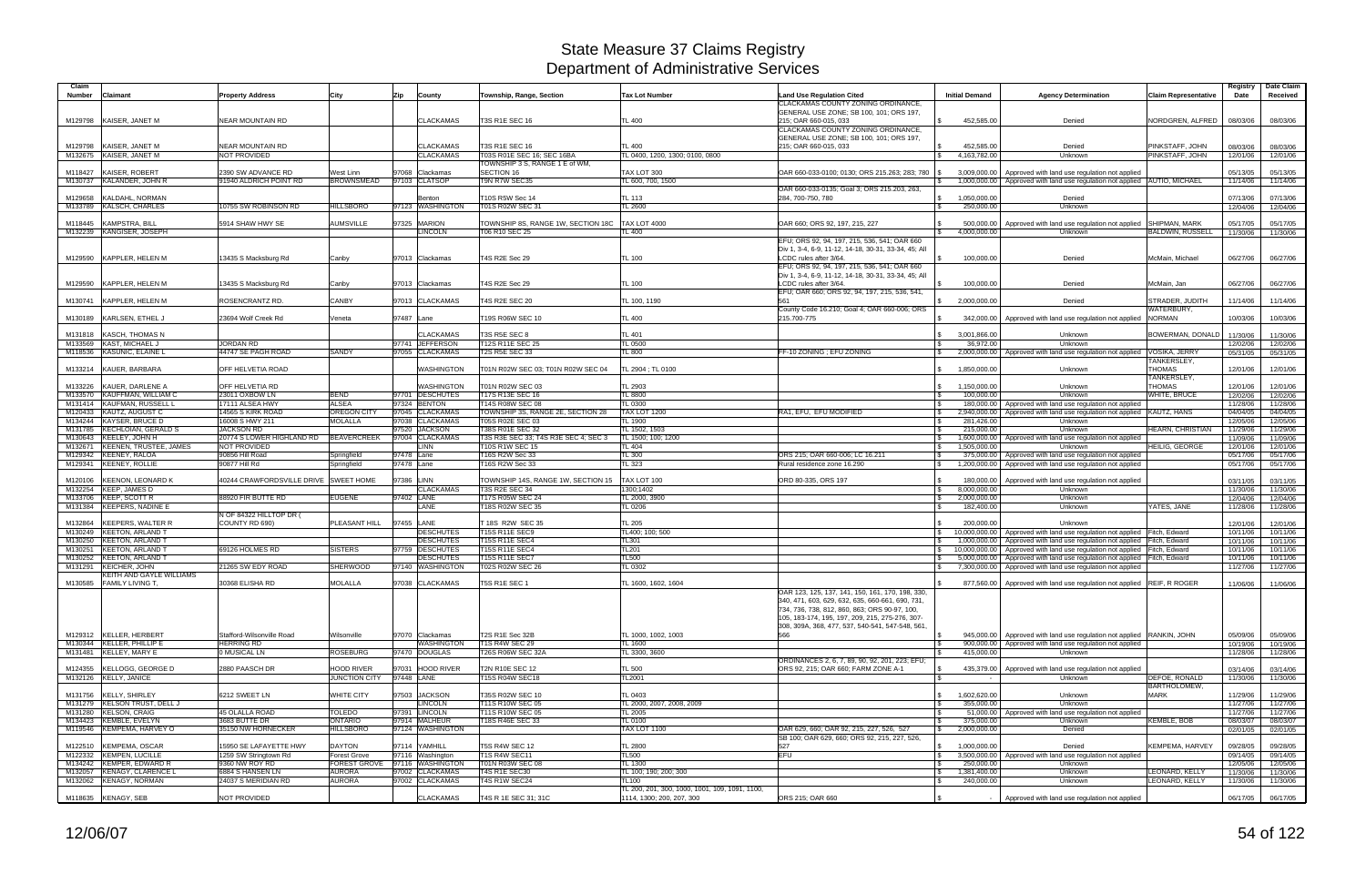| Claim   |                                                      |                                              |                                |                                  |                                                   |                                                |                                                      |                               |                                                                                                                                |                             |                  | Date Claim        |
|---------|------------------------------------------------------|----------------------------------------------|--------------------------------|----------------------------------|---------------------------------------------------|------------------------------------------------|------------------------------------------------------|-------------------------------|--------------------------------------------------------------------------------------------------------------------------------|-----------------------------|------------------|-------------------|
| Number  | Claimant                                             | <b>Property Address</b>                      | City                           | Zip<br>County                    | Township, Range, Section                          | <b>Tax Lot Number</b>                          | <b>Land Use Regulation Cited</b>                     | <b>Initial Demand</b>         | <b>Agency Determination</b>                                                                                                    | <b>Claim Representative</b> | Registry<br>Date | Received          |
|         |                                                      |                                              |                                |                                  |                                                   |                                                | CLACKAMAS COUNTY ZONING ORDINANCE.                   |                               |                                                                                                                                |                             |                  |                   |
|         |                                                      |                                              |                                |                                  |                                                   |                                                | GENERAL USE ZONE; SB 100, 101; ORS 197,              |                               |                                                                                                                                |                             |                  |                   |
|         | M129798 KAISER, JANET M                              | <b>NEAR MOUNTAIN RD</b>                      |                                | <b>CLACKAMAS</b>                 | T3S R1E SEC 16                                    | TL 400                                         | 215; OAR 660-015, 033                                | 452.585.00                    | Denied                                                                                                                         | NORDGREN, ALFRED            | 08/03/06         | 08/03/06          |
|         |                                                      |                                              |                                |                                  |                                                   |                                                | CLACKAMAS COUNTY ZONING ORDINANCE                    |                               |                                                                                                                                |                             |                  |                   |
|         |                                                      |                                              |                                |                                  |                                                   |                                                | GENERAL USE ZONE; SB 100, 101; ORS 197,              |                               |                                                                                                                                |                             |                  |                   |
| M129798 | KAISER, JANET M                                      | <b>NEAR MOUNTAIN RD</b>                      |                                | <b>CLACKAMAS</b>                 | T3S R1E SEC 16                                    | <b>TL 400</b>                                  | 215; OAR 660-015, 033                                | 452,585.00                    | Denied                                                                                                                         | PINKSTAFF, JOHN             | 08/03/06         | 08/03/06          |
|         | M132675 KAISER, JANET M                              | <b>NOT PROVIDED</b>                          |                                | <b>CLACKAMAS</b>                 | T03S R01E SEC 16; SEC 16BA                        | TL 0400, 1200, 1300; 0100, 0800                |                                                      | 4,163,782.00                  | Unknown                                                                                                                        | PINKSTAFF, JOHN             | 12/01/06         | 12/01/06          |
|         |                                                      |                                              |                                |                                  | TOWNSHIP 3 S, RANGE 1 E of WM,                    |                                                |                                                      |                               |                                                                                                                                |                             |                  |                   |
| M118427 | KAISER, ROBERT<br>M130737 KALANDER, JOHN R           | 2390 SW ADVANCE RD<br>91940 ALDRICH POINT RD | West Linn<br><b>BROWNSMEAD</b> | 97068 Clackamas<br>97103 CLATSOP | SECTION 16<br>T9N R7W SEC35                       | TAX LOT 300<br>TL 600, 700, 1500               | OAR 660-033-0100; 0130; ORS 215.263; 283; 780        | 3,009,000.00<br>l S           | Approved with land use regulation not applied<br>1,000,000.00   Approved with land use regulation not applied   AUTIO, MICHAEL |                             | 05/13/05         | 05/13/05          |
|         |                                                      |                                              |                                |                                  |                                                   |                                                | OAR 660-033-0135; Goal 3; ORS 215.203, 263           |                               |                                                                                                                                |                             | 11/14/06         | 11/14/06          |
| M129658 | KALDAHL, NORMAN                                      |                                              |                                | Benton                           | T10S R5W Sec 14                                   | <b>TL 113</b>                                  | 284, 700-750, 780                                    | 1,050,000.00<br>\$            | Denied                                                                                                                         |                             | 07/13/06         | 07/13/06          |
|         | M133789 KALSCH, CHARLES                              | 10755 SW ROBINSON RD                         | <b>HILLSBORO</b>               | 97123 WASHINGTON                 | T01S R02W SEC 31                                  | TL 2600                                        |                                                      | 250,000.00<br>l \$            | Unknown                                                                                                                        |                             | 12/04/06         | 12/04/06          |
|         |                                                      |                                              |                                |                                  |                                                   |                                                |                                                      |                               |                                                                                                                                |                             |                  |                   |
| M118445 | <b>KAMPSTRA, BILL</b>                                | 5914 SHAW HWY SE                             | <b>AUMSVILLE</b>               | 97325 MARION                     | TOWNSHIP 8S, RANGE 1W, SECTION 18C                | <b>TAX LOT 4000</b>                            | OAR 660; ORS 92, 197, 215, 227                       | 500,000.00<br>$\mathcal{S}$   | Approved with land use regulation not applied                                                                                  | <b>SHIPMAN, MARK</b>        | 05/17/05         | 05/17/05          |
|         | M132239 KANGISER, JOSEPH                             |                                              |                                | <b>LINCOLN</b>                   | T06 R10 SEC 25                                    | TL 400                                         |                                                      | 4,000,000.00<br>$\mathcal{S}$ | Unknown                                                                                                                        | <b>BALDWIN, RUSSELL</b>     | 11/30/06         | 11/30/06          |
|         |                                                      |                                              |                                |                                  |                                                   |                                                | EFU; ORS 92, 94, 197, 215, 536, 541; OAR 660         |                               |                                                                                                                                |                             |                  |                   |
|         |                                                      |                                              |                                |                                  |                                                   |                                                | Div 1, 3-4, 6-9, 11-12, 14-18, 30-31, 33-34, 45; All |                               |                                                                                                                                |                             |                  |                   |
|         | M129590 KAPPLER, HELEN M                             | 13435 S Macksburg Rd                         | Canby                          | 97013 Clackamas                  | T4S R2E Sec 29                                    | TL 100                                         | LCDC rules after 3/64.                               | 100.000.00                    | Denied                                                                                                                         | McMain, Michael             | 06/27/06         | 06/27/06          |
|         |                                                      |                                              |                                |                                  |                                                   |                                                | EFU; ORS 92, 94, 197, 215, 536, 541; OAR 660         |                               |                                                                                                                                |                             |                  |                   |
|         |                                                      |                                              |                                |                                  |                                                   |                                                | Div 1, 3-4, 6-9, 11-12, 14-18, 30-31, 33-34, 45; All |                               |                                                                                                                                |                             |                  |                   |
|         | M129590 KAPPLER, HELEN M                             | 13435 S Macksburg Rd                         | Canby                          | 97013 Clackamas                  | T4S R2E Sec 29                                    | <b>TL 100</b>                                  | LCDC rules after 3/64.                               | 100.000.00                    | Denied                                                                                                                         | McMain, Jan                 | 06/27/06         | 06/27/06          |
|         | M130741 KAPPLER, HELEN M                             | ROSENCRANTZ RD.                              | <b>CANBY</b>                   | 97013 CLACKAMAS                  | T4S R2E SEC 20                                    | TL 100, 1190                                   | EFU; OAR 660; ORS 92, 94, 197, 215, 536, 541,<br>561 | \$ 2,000,000.00               | Denied                                                                                                                         | STRADER, JUDITH             |                  | 11/14/06          |
|         |                                                      |                                              |                                |                                  |                                                   |                                                | County Code 16.210; Goal 4; OAR 660-006; ORS         |                               |                                                                                                                                | WATERBURY,                  | 11/14/06         |                   |
|         | M130189 KARLSEN, ETHEL J                             | 23694 Wolf Creek Rd                          | Veneta                         | 97487 Lane                       | T19S R06W SEC 10                                  | TL 400                                         | 215.700-775                                          | 342,000.00                    | Approved with land use regulation not applied                                                                                  | <b>NORMAN</b>               | 10/03/06         | 10/03/06          |
|         |                                                      |                                              |                                |                                  |                                                   |                                                |                                                      |                               |                                                                                                                                |                             |                  |                   |
|         | M131818 KASCH, THOMAS N                              |                                              |                                | <b>CLACKAMAS</b>                 | T3S R5E SEC 8                                     | <b>TL 401</b>                                  |                                                      | 3,001,866.00<br>S.            | Unknown                                                                                                                        | BOWERMAN, DONALD            | 11/30/06         | 11/30/06          |
|         | M133569 KAST, MICHAEL J                              | <b>JORDAN RD</b>                             |                                | 97741 JEFFERSON                  | T12S R11E SEC 25                                  | <b>TL 0500</b>                                 |                                                      | 36.972.00<br>l \$             | Unknown                                                                                                                        |                             | 12/02/06         | 12/02/06          |
|         | M118536 KASUNIC, ELAINE L                            | 44747 SE PAGH ROAD                           | <b>SANDY</b>                   | 97055 CLACKAMAS                  | <b>T2S R5E SEC 33</b>                             | <b>TL 800</b>                                  | FF-10 ZONING: EFU ZONING                             | 2,000,000.00                  | Approved with land use regulation not applied                                                                                  | <b>VOSIKA, JERRY</b>        | 05/31/05         | 05/31/05          |
|         |                                                      |                                              |                                |                                  |                                                   |                                                |                                                      |                               |                                                                                                                                | TANKERSLEY,                 |                  |                   |
| M133214 | KAUER, BARBARA                                       | OFF HELVETIA ROAD                            |                                | <b>WASHINGTON</b>                | T01N R02W SEC 03: T01N R02W SEC 04                | TL 2904 ; TL 0100                              |                                                      | 1,850,000.00                  | Unknown                                                                                                                        | <b>THOMAS</b>               | 12/01/06         | 12/01/06          |
|         |                                                      |                                              |                                |                                  |                                                   |                                                |                                                      |                               |                                                                                                                                | TANKERSLEY,                 |                  |                   |
| M133226 | KAUER, DARLENE A                                     | OFF HELVETIA RD                              |                                | WASHINGTON                       | T01N R02W SEC 03                                  | TL 2903                                        |                                                      | 1,150,000.00                  | Unknown                                                                                                                        | <b>THOMAS</b>               | 12/01/06         | 12/01/06          |
|         | M133570 KAUFFMAN, WILLIAM C                          | 23011 OXBOW LN                               | <b>BEND</b>                    | 97701 DESCHUTES                  | T17S R13E SEC 16                                  | TL 8800                                        |                                                      | 100,000.00                    | Unknown                                                                                                                        | <b>WHITE, BRUCE</b>         | 12/02/06         | 12/02/06          |
|         | M131414 KAUFMAN, RUSSELL L                           | 17111 ALSEA HWY                              | <b>ALSEA</b>                   | 97324 BENTON                     | T14S R08W SEC 08                                  | TL 0300                                        |                                                      |                               | 180,000.00 Approved with land use regulation not applied                                                                       |                             | 11/28/06         | 11/28/06          |
|         | M120433 KAUTZ, AUGUST C                              | 14565 S KIRK ROAD                            | <b>OREGON CITY</b>             | 97045 CLACKAMAS                  | TOWNSHIP 3S, RANGE 2E, SECTION 28                 | <b>TAX LOT 1200</b>                            | RA1, EFU, EFU MODIFIED                               | 2,940,000.00                  | Approved with land use regulation not applied   KAUTZ, HANS                                                                    |                             | 04/04/05         | 04/04/05          |
|         | M134244 KAYSER, BRUCE D                              | 16008 S HWY 211                              | <b>MOLALLA</b>                 | 97038 CLACKAMAS                  | T05S R02E SEC 03                                  | TL 1900                                        |                                                      | 281.426.00<br>$\mathbf{\$}$   | Unknown                                                                                                                        |                             | 12/05/06         | 12/05/06          |
| M131785 | <b>KECHLOIAN, GERALD S</b>                           | <b>JACKSON RD</b>                            |                                | 97520 JACKSON                    | <b>T38S R01E SEC 32</b>                           | TL 1502, 1503                                  |                                                      | 215,000.00                    | Unknown                                                                                                                        | <b>HEARN, CHRISTIAN</b>     | 11/29/06         | 11/29/06          |
|         | M130643 KEELEY, JOHN H                               | 20774 S LOWER HIGHLAND RD                    | BEAVERCREEK                    | 97004 CLACKAMAS                  | T3S R3E SEC 33; T4S R3E SEC 4; SEC 3              | TL 1500; 100; 1200                             |                                                      | 1,600,000.00                  | Approved with land use regulation not applied                                                                                  |                             | 11/09/06         | 11/09/06          |
|         | M132671 KEENEN, TRUSTEE, JAMES                       | NOT PROVIDED                                 |                                | <b>LINN</b>                      | T10S R1W SEC 15                                   | TL 404                                         |                                                      | 1,505,000.00                  | Unknown                                                                                                                        | <b>HEILIG, GEORGE</b>       | 12/01/06         | 12/01/06          |
|         | M129342 KEENEY, RALOA                                | 90856 Hill Road                              | Springfield                    | 97478 Lane                       | T16S R2W Sec 33                                   | <b>TL 300</b>                                  | ORS 215; OAR 660-006; LC 16.211                      | 375,000.00<br>- \$            | Approved with land use regulation not applied                                                                                  |                             | 05/17/06         | 05/17/06          |
|         | M129341 KEENEY, ROLLIE                               | 90877 Hill Rd                                | Springfield                    | 97478 Lane                       | T16S R2W Sec 33                                   | TL 323                                         | Rural residence zone 16.290                          | 1,200,000.00                  | Approved with land use regulation not applied                                                                                  |                             | 05/17/06         | 05/17/06          |
| M120106 | <b>KEENON, LEONARD K</b>                             | 40244 CRAWFORDSVILLE DRIVE SWEET HOME        |                                | 97386 LINN                       | TOWNSHIP 14S, RANGE 1W, SECTION 15                | TAX LOT 100                                    | ORD 80-335, ORS 197                                  | 180,000.00<br>- \$            | Approved with land use regulation not applied                                                                                  |                             | 03/11/05         | 03/11/05          |
|         | M132254 KEEP, JAMES D                                |                                              |                                | <b>CLACKAMAS</b>                 | T3S R2E SEC 34                                    | 1300:1402                                      |                                                      | 8.000.000.00<br>- \$          | Unknown                                                                                                                        |                             | 11/30/06         | 11/30/06          |
|         | M133706 KEEP, SCOTT R                                | 88920 FIR BUTTE RD                           | <b>EUGENE</b>                  | 97402 LANE                       | T17S R05W SEC 24                                  | TL 2000, 3900                                  |                                                      | 2,000,000.00<br>- S           | Unknown                                                                                                                        |                             | 12/04/06         | 12/04/06          |
|         | M131384 KEEPERS, NADINE E                            |                                              |                                | LANE                             | T18S R02W SEC 35                                  | TL 0206                                        |                                                      | 182,400.00<br>- \$            | Unknown                                                                                                                        | YATES, JANE                 | 11/28/06         | 11/28/06          |
|         |                                                      | N OF 84322 HILLTOP DR (                      |                                |                                  |                                                   |                                                |                                                      |                               |                                                                                                                                |                             |                  |                   |
| M132864 | <b>KEEPERS, WALTER R</b>                             | COUNTY RD 690)                               | PLEASANT HILL                  | 97455 LANE                       | T 18S R2W SEC 35                                  | <b>TL 205</b>                                  |                                                      | 200,000.00                    | Unknown                                                                                                                        |                             | 12/01/06         | 12/01/06          |
|         | M130249 KEETON, ARLAND T                             |                                              |                                | <b>DESCHUTES</b>                 | <b>T15S R11E SEC9</b>                             | TL400; 100; 500                                |                                                      |                               | 10,000,000.00   Approved with land use regulation not applied Fitch, Edward                                                    |                             | 10/11/06         | 10/11/06          |
| M130250 | <b>KEETON, ARLAND T</b>                              |                                              |                                | <b>DESCHUTES</b>                 | T15S R11E SEC4                                    | TL301                                          |                                                      | \$<br>1,000,000.00            | Approved with land use regulation not applied Fitch, Edward                                                                    |                             | 10/11/06         | 10/11/06          |
|         | M130251 KEETON, ARLAND T                             | 69126 HOLMES RD                              | <b>SISTERS</b>                 | 97759 DESCHUTES                  | <b>T15S R11E SEC4</b>                             | TL201                                          |                                                      | 10.000.000.00                 | Approved with land use regulation not applied Fitch, Edward                                                                    |                             | 10/11/06         | 10/11/06          |
|         | M130252 KEETON, ARLAND T                             |                                              |                                | <b>DESCHUTES</b>                 | T15S R11E SEC7                                    | TL500                                          |                                                      | 5.000.000.00                  | Approved with land use regulation not applied Fitch, Edward                                                                    |                             | 10/11/06         | 10/11/06          |
|         | M131291 KEICHER, JOHN                                | 21265 SW EDY ROAD                            | <b>SHERWOOD</b>                | 97140 WASHINGTON                 | T02S R02W SEC 26                                  | TL 0302                                        |                                                      | 7,300,000.00                  | Approved with land use regulation not applied                                                                                  |                             | 11/27/06         | 11/27/06          |
|         | KEITH AND GAYLE WILLIAMS                             |                                              |                                |                                  |                                                   |                                                |                                                      |                               |                                                                                                                                |                             |                  |                   |
|         | M130585 FAMILY LIVING T,                             | 30368 ELISHA RD                              | <b>MOLALLA</b>                 | 97038 CLACKAMAS                  | T5S R1E SEC 1                                     | TL 1600, 1602, 1604                            |                                                      | l \$                          | 877,560.00 Approved with land use regulation not applied REIF, R ROGER                                                         |                             |                  | 11/06/06 11/06/06 |
|         |                                                      |                                              |                                |                                  |                                                   |                                                | OAR 123, 125, 137, 141, 150, 161, 170, 198, 330,     |                               |                                                                                                                                |                             |                  |                   |
|         |                                                      |                                              |                                |                                  |                                                   |                                                | 340, 471, 603, 629, 632, 635, 660-661, 690, 731,     |                               |                                                                                                                                |                             |                  |                   |
|         |                                                      |                                              |                                |                                  |                                                   |                                                | 734, 736, 738, 812, 860, 863; ORS 90-97, 100,        |                               |                                                                                                                                |                             |                  |                   |
|         |                                                      |                                              |                                |                                  |                                                   |                                                | 105, 183-174, 195, 197, 209, 215, 275-276, 307-      |                               |                                                                                                                                |                             |                  |                   |
|         |                                                      |                                              |                                |                                  |                                                   |                                                | 308, 309A, 368, 477, 537, 540-541, 547-548, 561,     |                               |                                                                                                                                |                             |                  |                   |
|         | M129312 KELLER, HERBERT<br>M130344 KELLER. PHILLIP E | Stafford-Wilsonville Road                    | Wilsonville                    | 97070 Clackamas                  | T2S R1E Sec 32B                                   | TL 1000, 1002, 1003                            | 566                                                  |                               | 945,000.00 Approved with land use regulation not applied RANKIN, JOHN                                                          |                             | 05/09/06         | 05/09/06          |
|         |                                                      | <b>HERRING RD</b>                            |                                | <b>WASHINGTON</b>                | <b>T1S R4W SEC 29</b><br><b>T26S R06W SEC 32A</b> | TL 1600                                        |                                                      | <b>S</b>                      | 900,000,00 Approved with land use regulation not applied                                                                       |                             | 10/19/06         | 10/19/06          |
|         | M131481 KELLEY, MARY E                               | 0 MUSICAL LN                                 | <b>ROSEBURG</b>                | 97470 DOUGLAS                    |                                                   | TL 3300, 3600                                  | ORDINANCES 2, 6, 7, 89, 90, 92, 201, 223: EFU:       | 415,000.00<br>l \$            | Unknown                                                                                                                        |                             | 11/28/06         | 11/28/06          |
|         | M124355 KELLOGG, GEORGE D                            | 2880 PAASCH DR                               | <b>HOOD RIVER</b>              | 97031 HOOD RIVER                 | T2N R10E SEC 12                                   | TL 500                                         | ORS 92, 215; OAR 660; FARM ZONE A-1                  | 435,379.00<br>- \$            | Approved with land use regulation not applied                                                                                  |                             | 03/14/06         | 03/14/06          |
|         | M132126 KELLY, JANICE                                |                                              | <b>JUNCTION CITY</b>           | 97448 LANE                       | T15S R04W SEC18                                   | TL2001                                         |                                                      |                               | <b>Unknown</b>                                                                                                                 | DEFOE, RONALD               | 11/30/06         | 11/30/06          |
|         |                                                      |                                              |                                |                                  |                                                   |                                                |                                                      |                               |                                                                                                                                | <b>BARTHOLOMEW,</b>         |                  |                   |
|         | M131756 KELLY, SHIRLEY                               | 6212 SWEET LN                                | <b>WHITE CITY</b>              | 97503 JACKSON                    | T35S R02W SEC 10                                  | TL 0403                                        |                                                      | 1,602,620.00<br>$\mathbb{S}$  | Unknown                                                                                                                        | <b>MARK</b>                 | 11/29/06         | 11/29/06          |
|         | M131279 KELSON TRUST, DELL J                         |                                              |                                | <b>LINCOLN</b>                   | T11S R10W SEC 05                                  | TL 2000, 2007, 2008, 2009                      |                                                      | 355,000.00<br>l \$            | Unknown                                                                                                                        |                             | 11/27/06         | 11/27/06          |
|         | M131280 KELSON, CRAIG                                | 45 OLALLA ROAD                               | <b>TOLEDO</b>                  | 97391 LINCOLN                    | T11S R10W SEC 05                                  | TL 2005                                        |                                                      | <b>S</b><br>51,000.00         | Approved with land use regulation not applied                                                                                  |                             | 11/27/06         | 11/27/06          |
|         | M134423 KEMBLE, EVELYN                               | 3683 BUTTE DR                                | <b>ONTARIO</b>                 | 97914 MALHEUR                    | T18S R46E SEC 33                                  | <b>TL 0100</b>                                 |                                                      | 375,000.00<br>l \$            | Unknown                                                                                                                        | KEMBLE, BOB                 | 08/03/07         | 08/03/07          |
|         | M119546 KEMPEMA, HARVEY O                            | 35150 NW HORNECKER                           | <b>HILLSBORO</b>               | 97124 WASHINGTON                 |                                                   | TAX LOT 1100                                   | OAR 629, 660; OAR 92, 215, 227, 526, 527             | 2,000,000.00<br>\$            | Denied                                                                                                                         |                             | 02/01/05         | 02/01/05          |
|         |                                                      |                                              |                                |                                  |                                                   |                                                | SB 100; OAR 629, 660; ORS 92, 215, 227, 526          |                               |                                                                                                                                |                             |                  |                   |
|         | M122510 KEMPEMA, OSCAR                               | 15950 SE LAFAYETTE HWY                       | <b>DAYTON</b>                  | 97114 YAMHILL                    | <b>T5S R4W SEC 12</b>                             | <b>TL 2800</b>                                 | 527                                                  | 1,000,000.00<br>\$            | Denied                                                                                                                         | KEMPEMA, HARVEY             | 09/28/05         | 09/28/05          |
|         | M122332 KEMPEN, LUCILLE                              | 1259 SW Stringtown Rd                        | <b>Forest Grove</b>            | 97116 Washington                 | T1S R4W SEC11                                     | <b>TL500</b>                                   | <b>EFU</b>                                           | $\mathcal{S}$                 | 3,500,000.00 Approved with land use regulation not applied                                                                     |                             | 09/14/05         | 09/14/05          |
|         | M134242 KEMPER, EDWARD R                             | 9360 NW ROY RD                               |                                | FOREST GROVE 97116 WASHINGTON    | T01N R03W SEC 08                                  | TL 1300                                        |                                                      | 250,000.00<br>IS.             | Unknown                                                                                                                        |                             | 12/05/06         | 12/05/06          |
|         | M132057 KENAGY, CLARENCE L                           | 6884 S HANSEN LN                             | <b>AURORA</b>                  | 97002 CLACKAMAS                  | <b>T4S R1E SEC30</b>                              | TL 100; 190; 200; 300                          |                                                      | 1,381,400.00<br>$\mathcal{S}$ | Unknown                                                                                                                        | LEONARD, KELLY              | 11/30/06         | 11/30/06          |
|         | M132062 KENAGY, NORMAN                               | 24037 S MERIDIAN RD                          | <b>AURORA</b>                  | 97002 CLACKAMAS                  | T4S R1W SEC24                                     | TL100                                          |                                                      | 240,000.00<br>- \$            | Unknown                                                                                                                        | LEONARD, KELLY              | 11/30/06         | 11/30/06          |
|         |                                                      |                                              |                                |                                  |                                                   | TL 200, 201, 300, 1000, 1001, 109, 1091, 1100, |                                                      |                               |                                                                                                                                |                             |                  |                   |
|         | M118635 KENAGY, SEB                                  | NOT PROVIDED                                 |                                | <b>CLACKAMAS</b>                 | T4S R 1E SEC 31; 31C                              | 1114, 1300; 200, 207, 300                      | ORS 215; OAR 660                                     |                               | Approved with land use regulation not applied                                                                                  |                             | 06/17/05         | 06/17/05          |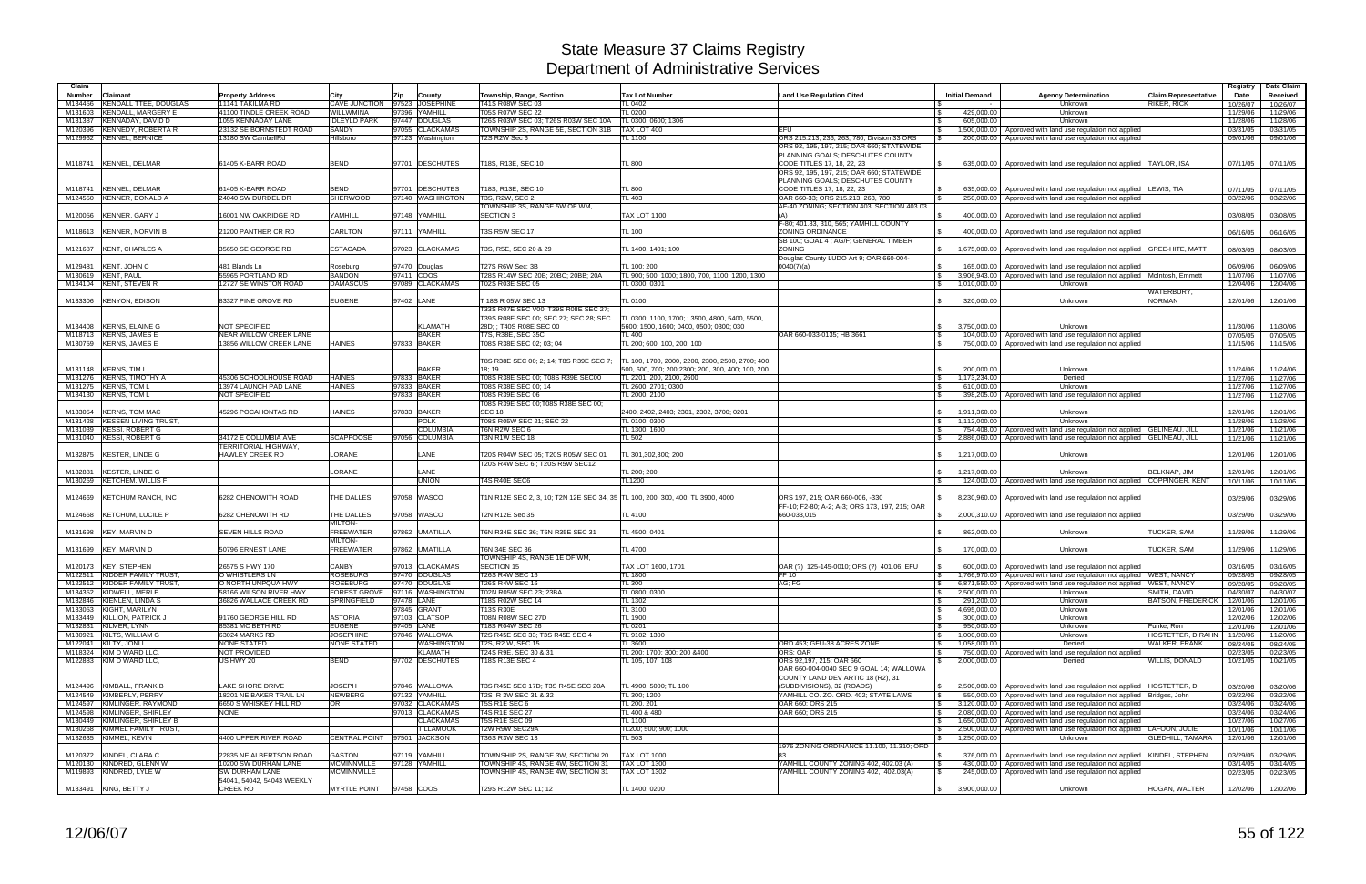| Claim             |                                                       |                                                     |                                       |            |                                     |                                                                                |                                                                              |                                                                               |                                                               |                                                                                                                                                     |                                                   | Registry             | Date Claim           |
|-------------------|-------------------------------------------------------|-----------------------------------------------------|---------------------------------------|------------|-------------------------------------|--------------------------------------------------------------------------------|------------------------------------------------------------------------------|-------------------------------------------------------------------------------|---------------------------------------------------------------|-----------------------------------------------------------------------------------------------------------------------------------------------------|---------------------------------------------------|----------------------|----------------------|
| Number<br>M134456 | Claimant<br><b>KENDALL TTEE, DOUGLAS</b>              | <b>Property Address</b><br>11141 TAKILMA RD         | City<br>CAVE JUNCTION 97523 JOSEPHINE | Zip        | County                              | Township, Range, Section<br>T41S R08W SEC 03                                   | <b>Tax Lot Number</b><br>TL 0402                                             | <b>Land Use Regulation Cited</b>                                              | <b>Initial Demand</b>                                         | <b>Agency Determination</b><br>Unknown                                                                                                              | <b>Claim Representative</b><br><b>RIKER, RICK</b> | Date<br>10/26/07     | Received<br>10/26/07 |
| M131603           | <b>KENDALL, MARGERY E</b>                             | 41100 TINDLE CREEK ROAD                             | WILLWMINA                             |            | 97396 YAMHILL                       | T05S R07W SEC 22                                                               | <b>TL 0200</b>                                                               |                                                                               | $\mathbf{s}$<br>429,000.00                                    | Unknown                                                                                                                                             |                                                   | 11/29/06             | 11/29/06             |
| M131387           | KENNADAY, DAVID D                                     | 1055 KENNADAY LANE                                  | <b>IDLEYLD PARK</b>                   |            | 97447 DOUGLAS                       | T26S R03W SEC 03; T26S R03W SEC 10A                                            | TL 0300, 0600; 1306                                                          |                                                                               | 605.000.00                                                    | Unknown                                                                                                                                             |                                                   | 11/28/06             | 11/28/06             |
| M120396           | <b>KENNEDY, ROBERTA R</b><br>M129962 KENNEL, BERNICE  | 23132 SE BORNSTEDT ROAD<br>13180 SW CambellRd       | <b>SANDY</b><br>Hillsboro             |            | 97055 CLACKAMAS<br>97123 Washington | TOWNSHIP 2S. RANGE 5E, SECTION 31B<br>T2S R2W Sec 6                            | TAX LOT 400<br><b>TL 1100</b>                                                | <b>EFU</b><br>ORS 215.213, 236, 263, 780; Division 33 ORS                     | $\mathfrak s$<br>200,000.00                                   | 1,500,000.00   Approved with land use regulation not applied<br>Approved with land use regulation not applied                                       |                                                   | 03/31/05<br>09/01/06 | 03/31/05<br>09/01/06 |
|                   |                                                       |                                                     |                                       |            |                                     |                                                                                |                                                                              | ORS 92, 195, 197, 215; OAR 660; STATEWIDE                                     |                                                               |                                                                                                                                                     |                                                   |                      |                      |
|                   |                                                       |                                                     |                                       |            |                                     |                                                                                |                                                                              | PLANNING GOALS; DESCHUTES COUNTY                                              |                                                               |                                                                                                                                                     |                                                   |                      |                      |
|                   | M118741 KENNEL, DELMAR                                | 61405 K-BARR ROAD                                   | <b>BEND</b>                           |            | 97701 DESCHUTES                     | T18S, R13E, SEC 10                                                             | TL 800                                                                       | CODE TITLES 17, 18, 22, 23                                                    | 635,000.00                                                    | Approved with land use regulation not applied TAYLOR, ISA                                                                                           |                                                   | 07/11/05             | 07/11/05             |
|                   |                                                       |                                                     |                                       |            |                                     |                                                                                |                                                                              | ORS 92, 195, 197, 215; OAR 660; STATEWIDE<br>PLANNING GOALS; DESCHUTES COUNTY |                                                               |                                                                                                                                                     |                                                   |                      |                      |
| M118741           | <b>KENNEL, DELMAR</b>                                 | 61405 K-BARR ROAD                                   | <b>BEND</b>                           |            | 97701 DESCHUTES                     | T18S, R13E, SEC 10                                                             | <b>TL 800</b>                                                                | CODE TITLES 17, 18, 22, 23                                                    |                                                               | 635,000.00   Approved with land use regulation not applied LEWIS, TIA                                                                               |                                                   | 07/11/05             | 07/11/05             |
|                   | M124550 KENNER, DONALD A                              | 24040 SW DURDEL DR                                  | <b>SHERWOOD</b>                       |            | 97140 WASHINGTON                    | <b>T3S, R2W, SEC 2</b>                                                         | TL 403                                                                       | OAR 660-33; ORS 215.213, 263, 780                                             |                                                               | 250,000.00   Approved with land use regulation not applied                                                                                          |                                                   | 03/22/06             | 03/22/06             |
| M120056           | KENNER, GARY J                                        | 16001 NW OAKRIDGE RD                                | YAMHILL                               |            | 97148 YAMHILL                       | TOWNSHIP 3S, RANGE 5W OF WM,<br><b>SECTION 3</b>                               | <b>TAX LOT 1100</b>                                                          | AF-40 ZONING; SECTION 403; SECTION 403.03                                     | 400.000.00                                                    | Approved with land use regulation not applied                                                                                                       |                                                   |                      |                      |
|                   |                                                       |                                                     |                                       |            |                                     |                                                                                |                                                                              | F-80; 401.83, 310, 565; YAMHILL COUNTY                                        |                                                               |                                                                                                                                                     |                                                   | 03/08/05             | 03/08/05             |
|                   | M118613 KENNER, NORVIN B                              | 21200 PANTHER CR RD                                 | <b>CARLTON</b>                        |            | 97111 YAMHILL                       | <b>T3S R5W SEC 17</b>                                                          | TL 100                                                                       | ZONING ORDINANCE                                                              | 400,000.00                                                    | Approved with land use regulation not applied                                                                                                       |                                                   | 06/16/05             | 06/16/05             |
|                   |                                                       |                                                     |                                       |            |                                     |                                                                                |                                                                              | SB 100; GOAL 4; AG/F; GENERAL TIMBER                                          |                                                               |                                                                                                                                                     |                                                   |                      |                      |
| M121687           | <b>KENT, CHARLES A</b>                                | 35650 SE GEORGE RD                                  | <b>ESTACADA</b>                       |            | 97023 CLACKAMAS                     | T3S, R5E, SEC 20 & 29                                                          | TL 1400, 1401; 100                                                           | <b>ZONING</b><br>Douglas County LUDO Art 9; OAR 660-004-                      | $\mathbb{S}$                                                  | 1,675,000.00   Approved with land use regulation not applied GREE-HITE, MATT                                                                        |                                                   | 08/03/05             | 08/03/05             |
| M129481           | KENT, JOHN C                                          | 481 Blands Ln                                       | Roseburg                              |            | 97470 Douglas                       | T27S R6W Sec; 3B                                                               | TL 100; 200                                                                  | 0040(7)(a)                                                                    | $\sqrt{3}$<br>165.000.00                                      | Approved with land use regulation not applied                                                                                                       |                                                   | 06/09/06             | 06/09/06             |
|                   | M130619 KENT, PAUL                                    | 55965 PORTLAND RD                                   | <b>BANDON</b>                         |            | 97411 COOS                          | T28S R14W SEC 20B; 20BC; 20BB; 20A                                             | TL 900; 500, 1000; 1800, 700, 1100; 1200, 1300                               |                                                                               | $\mathsf{S}$                                                  | 3,906,943.00 Approved with land use regulation not applied McIntosh, Emmett                                                                         |                                                   | 11/07/06             | 11/07/06             |
|                   | M134104 KENT, STEVEN R                                | 12727 SE WINSTON ROAD                               | <b>DAMASCUS</b>                       |            | 97089 CLACKAMAS                     | T02S R03E SEC 05                                                               | FL 0300, 0301                                                                |                                                                               | 1,010,000.00                                                  | Unknown                                                                                                                                             |                                                   | 12/04/06             | 12/04/06             |
|                   | M133306 KENYON, EDISON                                | 83327 PINE GROVE RD                                 | <b>EUGENE</b>                         | 97402 LANE |                                     | T 18S R 05W SEC 13                                                             | TL 0100                                                                      |                                                                               | 320,000.00                                                    | Unknown                                                                                                                                             | WATERBURY,<br><b>NORMAN</b>                       | 12/01/06             | 12/01/06             |
|                   |                                                       |                                                     |                                       |            |                                     | T33S R07E SEC V00; T39S R08E SEC 27;                                           |                                                                              |                                                                               |                                                               |                                                                                                                                                     |                                                   |                      |                      |
|                   |                                                       |                                                     |                                       |            |                                     | T39S R08E SEC 00; SEC 27; SEC 28; SEC                                          | TL 0300: 1100. 1700: : 3500. 4800. 5400. 5500.                               |                                                                               |                                                               |                                                                                                                                                     |                                                   |                      |                      |
|                   | M134408 KERNS, ELAINE G<br>M118713 KERNS, JAMES E     | NOT SPECIFIED<br><b>NEAR WILLOW CREEK LANE</b>      |                                       |            | <b>KLAMATH</b><br><b>BAKER</b>      | 28D; ; T40S R08E SEC 00                                                        | 5600; 1500, 1600; 0400, 0500; 0300; 030<br>TL 400                            |                                                                               | 3.750.000.00<br>$\mathbb{S}$                                  | Unknown                                                                                                                                             |                                                   | 11/30/06             | 11/30/06             |
|                   | M130759 KERNS, JAMES E                                | 13856 WILLOW CREEK LANE                             | <b>HAINES</b>                         |            | 97833 BAKER                         | T7S, R38E, SEC 35C<br>T08S R38E SEC 02: 03: 04                                 | TL 200; 600; 100, 200; 100                                                   | OAR 660-033-0135; HB 3661                                                     |                                                               | 104,000.00 Approved with land use regulation not applied<br>750,000,00 Approved with land use regulation not applied                                |                                                   | 07/05/05<br>11/15/06 | 07/05/05<br>11/15/06 |
|                   |                                                       |                                                     |                                       |            |                                     |                                                                                |                                                                              |                                                                               |                                                               |                                                                                                                                                     |                                                   |                      |                      |
|                   |                                                       |                                                     |                                       |            |                                     | T8S R38E SEC 00; 2; 14; T8S R39E SEC 7;                                        | TL 100, 1700, 2000, 2200, 2300, 2500, 2700; 400,                             |                                                                               |                                                               |                                                                                                                                                     |                                                   |                      |                      |
|                   | M131148 KERNS, TIM L<br>M131276 KERNS, TIMOTHY A      | 45306 SCHOOLHOUSE ROAD                              | <b>HAINES</b>                         |            | <b>BAKER</b><br>97833 BAKER         | 18:19<br>T08S R38E SEC 00; T08S R39E SEC00                                     | 500, 600, 700; 200;2300; 200, 300, 400; 100, 200<br>TL 2201; 200, 2100, 2600 |                                                                               | 200,000.00<br>1,173,234.00<br>IS.                             | Unknown<br>Denied                                                                                                                                   |                                                   | 11/24/06<br>11/27/06 | 11/24/06<br>11/27/06 |
|                   | M131275 KERNS, TOM L                                  | 13974 LAUNCH PAD LANE                               | <b>HAINES</b>                         |            | 97833 BAKER                         | T08S R38E SEC 00; 14                                                           | TL 2600, 2701; 0300                                                          |                                                                               | 610,000.00<br><b>\$</b>                                       | Unknown                                                                                                                                             |                                                   | 11/27/06             | 11/27/06             |
|                   | M134130 KERNS, TOM L                                  | NOT SPECIFIED                                       |                                       |            | 97833 BAKER                         | T08S R39E SEC 06                                                               | TL 2000, 2100                                                                |                                                                               |                                                               | 398,205.00   Approved with land use regulation not applied                                                                                          |                                                   | 11/27/06             | 11/27/06             |
|                   |                                                       |                                                     |                                       |            |                                     | T08S R39E SEC 00;T08S R38E SEC 00;                                             |                                                                              |                                                                               |                                                               |                                                                                                                                                     |                                                   |                      |                      |
| M133054           | <b>KERNS, TOM MAC</b><br>M131428 KESSEN LIVING TRUST, | 45296 POCAHONTAS RD                                 | <b>HAINES</b>                         |            | 97833 BAKER<br><b>POLK</b>          | <b>SEC 18</b><br>T08S R05W SEC 21; SEC 22                                      | 2400, 2402, 2403; 2301, 2302, 3700; 0201<br>TL 0100; 0300                    |                                                                               | 1,911,360.00<br>$\mathbb{S}$<br>$\mathcal{S}$<br>1.112.000.00 | Unknown<br>Unknown                                                                                                                                  |                                                   | 12/01/06<br>11/28/06 | 12/01/06<br>11/28/06 |
|                   | M131039 KESSI, ROBERT G                               |                                                     |                                       |            | <b>COLUMBIA</b>                     | T6N R2W SEC 6                                                                  | TL 1300, 1600                                                                |                                                                               |                                                               | 754,408.00   Approved with land use regulation not applied GELINEAU, JILL                                                                           |                                                   | 11/21/06             | 11/21/06             |
|                   | M131040 KESSI, ROBERT G                               | 34172 E COLUMBIA AVE                                | <b>SCAPPOOSE</b>                      |            | 97056 COLUMBIA                      | <b>T3N R1W SEC 18</b>                                                          | TL 502                                                                       |                                                                               | $\mathfrak s$                                                 | 2,886,060.00   Approved with land use regulation not applied GELINEAU, JILL                                                                         |                                                   | 11/21/06             | 11/21/06             |
|                   |                                                       | <b>TERRITORIAL HIGHWAY,</b>                         |                                       |            |                                     |                                                                                |                                                                              |                                                                               |                                                               |                                                                                                                                                     |                                                   |                      |                      |
|                   | M132875 KESTER, LINDE G                               | <b>HAWLEY CREEK RD</b>                              | LORANE                                |            | LANE                                | T20S R04W SEC 05; T20S R05W SEC 01<br>T20S R4W SEC 6; T20S R5W SEC12           | TL 301,302,300; 200                                                          |                                                                               | $$^{\circ}$<br>1,217,000.00                                   | Unknown                                                                                                                                             |                                                   | 12/01/06             | 12/01/06             |
| M132881           | <b>KESTER, LINDE G</b>                                |                                                     | LORANE                                |            | LANE                                |                                                                                | TL 200; 200                                                                  |                                                                               | 1.217.000.00<br>$\mathbb{S}$                                  | Unknown                                                                                                                                             | <b>BELKNAP, JIM</b>                               | 12/01/06             | 12/01/06             |
|                   | M130259 KETCHEM, WILLIS F                             |                                                     |                                       |            | <b>UNION</b>                        | <b>T4S R40E SEC6</b>                                                           | TL1200                                                                       |                                                                               |                                                               | 124,000.00   Approved with land use regulation not applied COPPINGER, KENT                                                                          |                                                   | 10/11/06             | 10/11/06             |
| M124669           | <b>KETCHUM RANCH, INC</b>                             | 6282 CHENOWITH ROAD                                 | THE DALLES                            |            | 97058 WASCO                         | T1N R12E SEC 2, 3, 10; T2N 12E SEC 34, 35 TL 100, 200, 300, 400; TL 3900, 4000 |                                                                              | ORS 197, 215; OAR 660-006, -330                                               |                                                               | 8,230,960.00 Approved with land use regulation not applied                                                                                          |                                                   |                      |                      |
|                   |                                                       |                                                     |                                       |            |                                     |                                                                                |                                                                              | FF-10; F2-80; A-2; A-3; ORS 173, 197, 215; OAR                                |                                                               |                                                                                                                                                     |                                                   | 03/29/06             | 03/29/06             |
|                   | M124668 KETCHUM, LUCILE P                             | 6282 CHENOWITH RD                                   | THE DALLES                            |            | 97058 WASCO                         | T2N R12E Sec 35                                                                | TL 4100                                                                      | 660-033,015                                                                   |                                                               | \$ 2,000,310.00 Approved with land use regulation not applied                                                                                       |                                                   | 03/29/06             | 03/29/06             |
|                   |                                                       |                                                     | MILTON-                               |            |                                     |                                                                                |                                                                              |                                                                               |                                                               |                                                                                                                                                     |                                                   |                      |                      |
|                   | M131698 KEY, MARVIN D                                 | <b>SEVEN HILLS ROAD</b>                             | <b>FREEWATER</b><br>MILTON-           |            | 97862 UMATILLA                      | T6N R34E SEC 36; T6N R35E SEC 31                                               | TL 4500; 0401                                                                |                                                                               | 862,000.00                                                    | Unknown                                                                                                                                             | <b>TUCKER, SAM</b>                                | 11/29/06             | 11/29/06             |
|                   | M131699 KEY, MARVIN D                                 | 50796 ERNEST LANE                                   | <b>FREEWATER</b>                      |            | 97862 UMATILLA                      | T6N 34E SEC 36                                                                 | TL 4700                                                                      |                                                                               | 170.000.00                                                    | Unknown                                                                                                                                             | TUCKER, SAM                                       | 11/29/06             | 11/29/06             |
|                   |                                                       |                                                     |                                       |            |                                     | TOWNSHIP 4S, RANGE 1E OF WM,                                                   |                                                                              |                                                                               |                                                               |                                                                                                                                                     |                                                   |                      |                      |
|                   | M120173 KEY, STEPHEN<br>M122511 KIDDER FAMILY TRUST,  | 26575 S HWY 170<br>O WHISTLERS LN                   | <b>CANBY</b><br><b>ROSEBURG</b>       |            | 97013 CLACKAMAS<br>97470 DOUGLAS    | <b>SECTION 15</b><br><b>T26S R4W SEC 16</b>                                    | TAX LOT 1600, 1701<br>TL 1800                                                | OAR (?) 125-145-0010; ORS (?) 401.06; EFU<br>FF 10                            |                                                               | 600,000.00   Approved with land use regulation not applied<br>1,766,970.00   Approved with land use regulation not applied WEST, NANCY              |                                                   | 03/16/05             | 03/16/05             |
|                   | M122512 KIDDER FAMILY TRUST,                          | O NORTH UNPQUA HWY                                  | <b>ROSEBURG</b>                       |            | 97470 DOUGLAS                       | T26S R4W SEC 16                                                                | TL 300                                                                       | AG; FG                                                                        | <b>S</b>                                                      | 6,871,550.00 Approved with land use regulation not applied WEST, NANCY                                                                              |                                                   | 09/28/05<br>09/28/05 | 09/28/05<br>09/28/05 |
|                   | M134352 KIDWELL, MERLE                                | 58166 WILSON RIVER HWY                              | <b>FOREST GROVE</b>                   |            | 97116 WASHINGTON                    | T02N R05W SEC 23; 23BA                                                         | TL 0800; 0300                                                                |                                                                               | 2,500,000.00<br>$\sqrt{5}$                                    | Unknown                                                                                                                                             | SMITH, DAVID                                      | 04/30/07             | 04/30/07             |
|                   | M132846 KIENLEN, LINDA S                              | 36826 WALLACE CREEK RD                              | SPRINGFIELD                           | 97478 LANE |                                     | T18S R02W SEC 14                                                               | <b>TL 1302</b>                                                               |                                                                               | 291,200.00<br>$\sqrt{3}$                                      | Unknown                                                                                                                                             | <b>BATSON, FREDERICK</b>                          | 12/01/06             | 12/01/06             |
|                   | M133053 KIGHT, MARILYN<br>M133449 KILLION, PATRICK J  | 91760 GEORGE HILL RD                                | <b>ASTORIA</b>                        |            | 97845 GRANT<br>97103 CLATSOP        | <b>T13S R30E</b><br><b>T08N R08W SEC 27D</b>                                   | <b>TL 3100</b><br><b>TL 1900</b>                                             |                                                                               | 4,695,000.00<br>$\mathcal{S}$<br>300,000.00<br>$\sqrt{3}$     | Unknown<br>Unknown                                                                                                                                  |                                                   | 12/01/06<br>12/02/06 | 12/01/06<br>12/02/06 |
|                   | M132831 KILMER, LYNN                                  | 85381 MC BETH RD                                    | <b>EUGENE</b>                         |            | 97405 LANE                          | T18S R04W SEC 26                                                               | TL 0201                                                                      |                                                                               | 950,000.00<br>IS.                                             | Unknown                                                                                                                                             | Funke, Ron                                        | 12/01/06             | 12/01/06             |
|                   | M130921 KILTS, WILLIAM G                              | 63024 MARKS RD                                      | <b>JOSEPHINE</b>                      |            | 97846 WALLOWA                       | T2S R45E SEC 33: T3S R45E SEC 4                                                | TL 9102; 1300                                                                |                                                                               | $\sqrt{3}$<br>1,000,000.00                                    | Unknown                                                                                                                                             | HOSTETTER, D RAHN                                 | 11/20/06             | 11/20/06             |
|                   | M122041 KILTY, JONI L                                 | NONE STATED                                         | <b>NONE STATED</b>                    |            | <b>WASHINGTON</b>                   | T2S, R2 W, SEC 15                                                              | TL 3600                                                                      | ORD 453: GFU-38 ACRES ZONE                                                    | 1,058,000.00<br>IS.                                           | Denied                                                                                                                                              | <b>WALKER, FRANK</b>                              | 08/24/05             | 08/24/05             |
|                   | M118324 KIM D WARD LLC,<br>M122883 KIM D WARD LLC,    | NOT PROVIDED<br>US HWY 20                           | BEND                                  |            | <b>KLAMATH</b><br>97702 DESCHUTES   | T24S R9E, SEC 30 & 31<br>T18S R13E SEC 4                                       | TL 200; 1700; 300; 200 &400<br>TL 105, 107, 108                              | ORS: OAR<br>ORS 92,197, 215; OAR 660                                          | $\sqrt{3}$<br>2,000,000.00<br>$\mathcal{S}$                   | 750,000.00 Approved with land use regulation not applied<br>Denied                                                                                  | WILLIS, DONALD                                    | 02/23/05<br>10/21/05 | 02/23/05<br>10/21/05 |
|                   |                                                       |                                                     |                                       |            |                                     |                                                                                |                                                                              | OAR 660-004-0040 SEC 9 GOAL 14; WALLOWA                                       |                                                               |                                                                                                                                                     |                                                   |                      |                      |
|                   |                                                       |                                                     |                                       |            |                                     |                                                                                |                                                                              | COUNTY LAND DEV ARTIC 18 (R2), 31                                             |                                                               |                                                                                                                                                     |                                                   |                      |                      |
|                   | M124496 KIMBALL, FRANK B<br>M124549 KIMBERLY, PERRY   | LAKE SHORE DRIVE<br>18201 NE BAKER TRAIL LN         | <b>JOSEPH</b><br><b>NEWBERG</b>       |            | 97846 WALLOWA<br>97132 YAMHILL      | T3S R45E SEC 17D; T3S R45E SEC 20A<br>T2S R 3W SEC 31 & 32                     | TL 4900, 5000; TL 100<br>TL 300; 1200                                        | (SUBDIVISIONS), 32 (ROADS)<br>YAMHILL CO. ZO. ORD. 402; STATE LAWS            | $\mathbb{S}$<br>$\sqrt{S}$                                    | 2,500,000.00   Approved with land use regulation not applied HOSTETTER, D<br>550,000.00 Approved with land use regulation not applied Bridges, John |                                                   | 03/20/06             | 03/20/06             |
|                   | M124597 KIMLINGER, RAYMOND                            | 6650 S WHISKEY HILL RD                              | OR.                                   |            | 97032 CLACKAMAS                     | <b>T5S R1E SEC 6</b>                                                           | TL 200, 201                                                                  | OAR 660; ORS 215                                                              | $\sqrt{3}$                                                    | 3,120,000.00 Approved with land use regulation not applied                                                                                          |                                                   | 03/22/06<br>03/24/06 | 03/22/06<br>03/24/06 |
|                   | M124598 KIMLINGER, SHIRLEY                            | <b>NONE</b>                                         |                                       |            | 97013 CLACKAMAS                     | <b>T4S R1E SEC 27</b>                                                          | TL 400 & 480                                                                 | OAR 660; ORS 215                                                              | $\sqrt{3}$                                                    | 2,080,000.00   Approved with land use regulation not applied                                                                                        |                                                   | 03/24/06             | 03/24/06             |
|                   | M130449 KIMLINGER, SHIRLEY B                          |                                                     |                                       |            | <b>CLACKAMAS</b>                    | T5S R1E SEC 09                                                                 | TL 1100                                                                      |                                                                               | $\sqrt{3}$                                                    | 1,650,000.00 Approved with land use regulation not applied                                                                                          |                                                   | 10/27/06             | 10/27/06             |
|                   | M130268 KIMMEL FAMILY TRUST,<br>M132635 KIMMEL, KEVIN | 4400 UPPER RIVER ROAD                               | CENTRAL POINT 97501 JACKSON           |            | <b><i>FILLAMOOK</i></b>             | T2W R9W SEC29A<br>T36S R3W SEC 13                                              | TL200; 500; 900; 1000<br>TL 503                                              |                                                                               | $\mathbb{S}$<br>1,250,000.00<br>$\mathcal{S}$                 | 2,500,000.00   Approved with land use regulation not applied   LAFOON, JULIE<br>Unknown                                                             | <b>GLEDHILL, TAMARA</b>                           | 10/11/06<br>12/01/06 | 10/11/06<br>12/01/06 |
|                   |                                                       |                                                     |                                       |            |                                     |                                                                                |                                                                              | 1976 ZONING ORDINANCE 11.100, 11.310; ORD                                     |                                                               |                                                                                                                                                     |                                                   |                      |                      |
|                   | M120372 KINDEL, CLARA C                               | 22835 NE ALBERTSON ROAD                             | GASTON                                |            | 97119 YAMHILL                       | TOWNSHIP 2S, RANGE 3W, SECTION 20                                              | <b>TAX LOT 1000</b>                                                          | R٩                                                                            |                                                               | 376,000.00   Approved with land use regulation not applied   KINDEL, STEPHEN                                                                        |                                                   | 03/29/05             | 03/29/05             |
|                   | M120130 KINDRED, GLENN W                              | 10200 SW DURHAM LANE                                | MCMINNVILLE                           |            | 97128 YAMHILL                       | TOWNSHIP 4S, RANGE 4W, SECTION 31                                              | <b>TAX LOT 1300</b>                                                          | YAMHILL COUNTY ZONING 402, 402.03 (A)                                         | IS.                                                           | 430,000.00   Approved with land use regulation not applied                                                                                          |                                                   | 03/14/05             | 03/14/05             |
|                   | M119893 KINDRED, LYLE W                               | <b>SW DURHAM LANE</b><br>54041, 54042, 54043 WEEKLY | <b>MCMINNVILLE</b>                    |            |                                     | TOWNSHIP 4S, RANGE 4W, SECTION 31                                              | <b>TAX LOT 1302</b>                                                          | YAMHILL COUNTY ZONING 402, 402.03(A)                                          | $\sqrt{S}$                                                    | 245,000.00 Approved with land use regulation not applied                                                                                            |                                                   | 02/23/05             | 02/23/05             |
|                   | M133491 KING, BETTY J                                 | <b>CREEK RD</b>                                     | <b>MYRTLE POINT</b>                   | 97458 COOS |                                     | T29S R12W SEC 11; 12                                                           | TL 1400; 0200                                                                |                                                                               | \$3,900,000.00                                                | Unknown                                                                                                                                             | HOGAN, WALTER                                     | 12/02/06             | 12/02/06             |
|                   |                                                       |                                                     |                                       |            |                                     |                                                                                |                                                                              |                                                                               |                                                               |                                                                                                                                                     |                                                   |                      |                      |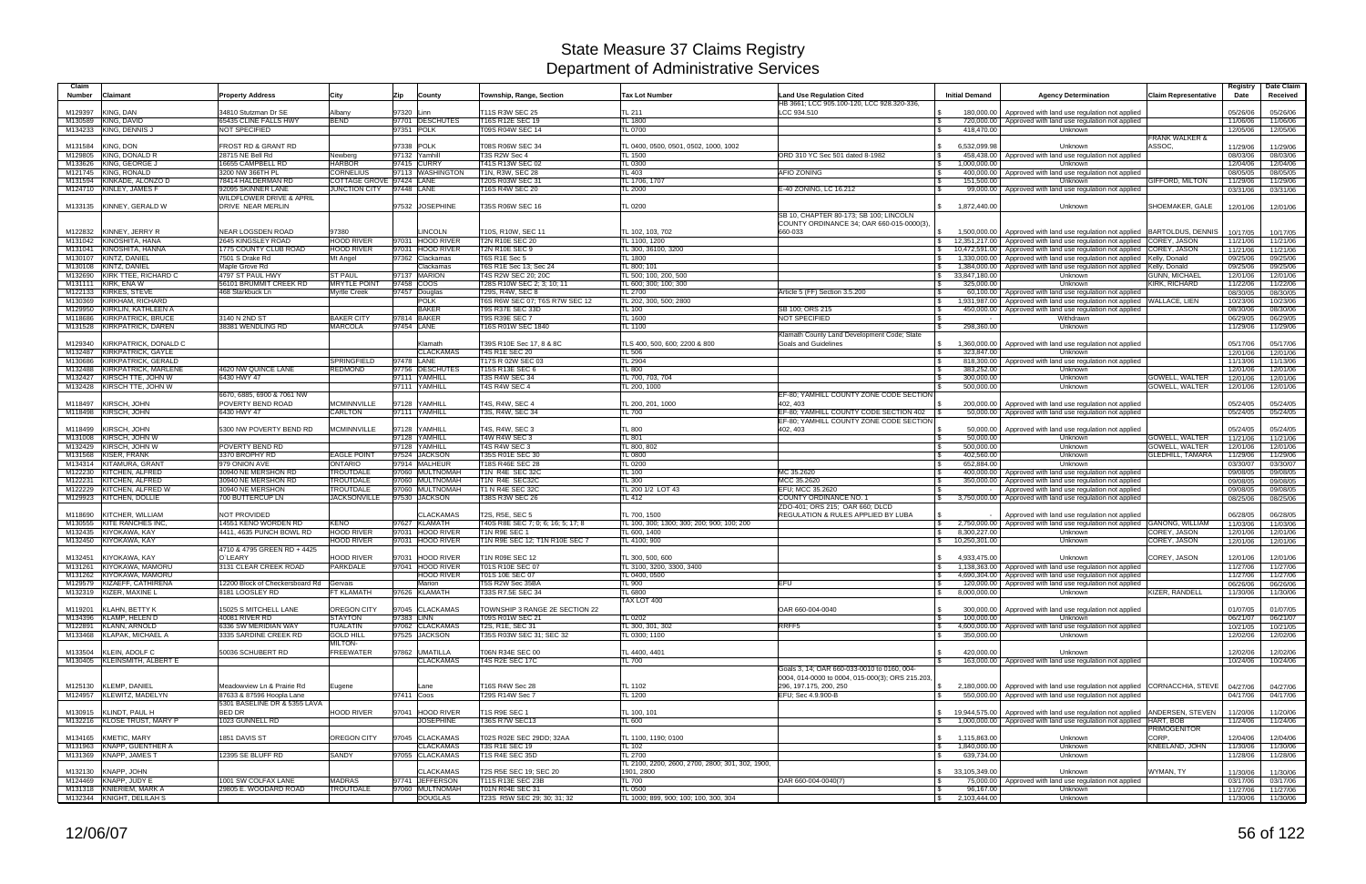| Claim<br><b>Number</b> | Claimant                                                   | <b>Property Address</b>                          | City                                 | Zip<br>County                         | Township, Range, Section                            | <b>Tax Lot Number</b>                                              | <b>Land Use Regulation Cited</b><br>HB 3661; LCC 905.100-120, LCC 928.320-336.     | <b>Initial Demand</b>                    | <b>Agency Determination</b>                                                                                                 | <b>Claim Representative</b> | Registry<br>Date     | Date Claim<br>Received |
|------------------------|------------------------------------------------------------|--------------------------------------------------|--------------------------------------|---------------------------------------|-----------------------------------------------------|--------------------------------------------------------------------|------------------------------------------------------------------------------------|------------------------------------------|-----------------------------------------------------------------------------------------------------------------------------|-----------------------------|----------------------|------------------------|
| M129397                | KING, DAN                                                  | 34810 Stutzman Dr SE                             | Albany                               | 97320 Linn                            | T11S R3W SEC 25                                     | TL 211                                                             | LCC 934.510                                                                        | 180.000.00                               | Approved with land use regulation not applied                                                                               |                             | 05/26/06             | 05/26/06               |
| M130589                | KING, DAVID                                                | 65435 CLINE FALLS HWY                            | <b>BEND</b>                          | 97701 DESCHUTES                       | T16S R12E SEC 19                                    | TL 1800                                                            |                                                                                    |                                          | 720,000.00 Approved with land use regulation not applied                                                                    |                             | 11/06/06             | 11/06/06               |
| M134233                | KING, DENNIS J                                             | NOT SPECIFIED                                    |                                      | 97351 POLK                            | T09S R04W SEC 14                                    | <b>TL 0700</b>                                                     | - \$                                                                               | 418,470.00                               | Unknown                                                                                                                     | <b>FRANK WALKER &amp;</b>   | 12/05/06             | 12/05/06               |
| M131584                | KING, DON                                                  | FROST RD & GRANT RD                              |                                      | 97338 POLK                            | T08S R06W SEC 34                                    | TL 0400, 0500, 0501, 0502, 1000, 1002                              |                                                                                    | 6,532,099.98                             | Unknown                                                                                                                     | ASSOC.                      | 11/29/06             | 11/29/06               |
| M129805                | KING, DONALD R                                             | 28715 NE Bell Rd                                 | Newberg                              | 97132 Yamhill                         | T3S R2W Sec 4                                       | TL 1500                                                            | ORD 310 YC Sec 501 dated 8-1982                                                    | 458.438.00                               | Approved with land use regulation not applied                                                                               |                             | 08/03/06             | 08/03/06               |
| M133626                | KING, GEORGE J<br>M121745 KING, RONALD                     | 16655 CAMPBELL RD<br>3200 NW 366TH PL            | <b>HARBOR</b><br><b>CORNELIUS</b>    | 97415 CURRY<br>97113 WASHINGTON       | T41S R13W SEC 02<br>T1N, R3W, SEC 28                | TL 0300<br>TL403                                                   | \$<br><b>AFIO ZONING</b><br>- \$                                                   | 000,000.00<br>400,000.00                 | Unknown<br>Approved with land use regulation not applied                                                                    |                             | 12/04/06             | 12/04/06               |
|                        | M131594 KINKADE, ALONZO D                                  | 78414 HALDERMAN RD                               | COTTAGE GROVE 97424 LANE             |                                       | T20S R03W SEC 31                                    | TL 1706, 1707                                                      |                                                                                    | 151.500.00                               | Unknown                                                                                                                     | <b>GIFFORD, MILTON</b>      | 08/05/05<br>11/29/06 | 08/05/05<br>11/29/06   |
|                        | M124710 KINLEY, JAMES F                                    | 92095 SKINNER LANE                               | <b>JUNCTION CITY</b>                 | 97448 LANE                            | T16S R4W SEC 20                                     | TL 2000                                                            | E-40 ZONING, LC 16.212<br>$\mathcal{L}$                                            | 99,000.00                                | Approved with land use regulation not applied                                                                               |                             | 03/31/06             | 03/31/06               |
|                        |                                                            | WILDFLOWER DRIVE & APRIL                         |                                      |                                       |                                                     |                                                                    |                                                                                    |                                          |                                                                                                                             |                             |                      |                        |
|                        | M133135 KINNEY, GERALD W                                   | DRIVE NEAR MERLIN                                |                                      | 97532 JOSEPHINE                       | T35S R06W SEC 16                                    | TL 0200                                                            | SB 10, CHAPTER 80-173; SB 100; LINCOLN<br>COUNTY ORDINANCE 34: OAR 660-015-0000(3) | 1,872,440.00<br>$\mathcal{S}$            | Unknown                                                                                                                     | SHOEMAKER, GALE             | 12/01/06             | 12/01/06               |
| M122832                | KINNEY, JERRY R                                            | <b>NEAR LOGSDEN ROAD</b>                         | 97380                                | <b>LINCOLN</b>                        | T10S, R10W, SEC 11                                  | TL 102, 103, 702                                                   | 660-033                                                                            | 1.500.000.00<br>S.                       | Approved with land use regulation not applied BARTOLDUS, DENNIS                                                             |                             | 10/17/05             | 10/17/05               |
|                        | M131042 KINOSHITA, HANA                                    | 2645 KINGSLEY ROAD                               | <b>HOOD RIVER</b>                    | 97031 HOOD RIVER                      | <b>T2N R10E SEC 20</b>                              | TL 1100, 1200                                                      |                                                                                    | <b>S</b><br>12.351.217.00                | Approved with land use regulation not applied COREY, JASON                                                                  |                             | 11/21/06             | 11/21/06               |
|                        | M131041 KINOSHITA, HANNA                                   | 1775 COUNTY CLUB ROAD                            | <b>HOOD RIVER</b>                    | 97031 HOOD RIVER                      | <b>T2N R10E SEC 9</b>                               | TL 300, 36100, 3200                                                |                                                                                    | 10,472,591.00                            | Approved with land use regulation not applied COREY, JASON                                                                  |                             | 11/21/06             | 11/21/06               |
| M130108                | M130107 KINTZ, DANIEL<br>KINTZ, DANIEL                     | 7501 S Drake Rd<br>Maple Grove Rd                | Mt Angel                             | 97362 Clackamas<br>Clackamas          | T6S R1E Sec 5<br>T6S R1E Sec 13; Sec 24             | TL 1800<br>TL 800; 101                                             |                                                                                    | 1,330,000.00<br>\$<br>1,384,000.00<br>\$ | Approved with land use regulation not applied Kelly, Donald<br>Approved with land use regulation not applied  Kelly, Donald |                             | 09/25/06<br>09/25/06 | 09/25/06<br>09/25/06   |
| M132690                | KIRK TTEE, RICHARD C                                       | 4797 ST PAUL HWY                                 | <b>ST PAUL</b>                       | 97137 MARION                          | T4S R2W SEC 20; 20C                                 | TL 500; 100, 200, 500                                              |                                                                                    | 33.847.180.00<br>$\mathbb{S}$            | Unknown                                                                                                                     | <b>GUNN, MICHAEL</b>        | 12/01/06             | 12/01/06               |
|                        | M131111 KIRK, ENA W                                        | 56101 BRUMMIT CREEK RD                           | <b>MRYTLE POINT</b>                  | 97458 COOS                            | T28S R10W SEC 2; 3; 10; 11                          | TL 600; 300; 100; 300                                              | - \$                                                                               | 325,000.00                               | Unknown                                                                                                                     | KIRK, RICHARD               | 11/22/06             | 11/22/06               |
|                        | M122133 KIRKES, STEVE<br>M130369 KIRKHAM, RICHARD          | 468 Starkbuck Ln                                 | <b>Myrtle Creek</b>                  | 97457 Douglas<br><b>POLK</b>          | T29S, R4W, SEC 8<br>T6S R6W SEC 07; T6S R7W SEC 12  | TL 2700<br>TL 202, 300, 500; 2800                                  | Article 5 (FF) Section 3.5.200                                                     | 60.100.00<br>1,931,987.00                | Approved with land use regulation not applied<br>Approved with land use regulation not applied WALLACE, LIEN                |                             | 08/30/05<br>10/23/06 | 08/30/05<br>10/23/06   |
| M129950                | KIRKLIN, KATHLEEN A                                        |                                                  |                                      | <b>BAKER</b>                          | T9S R37E SEC 33D                                    | <b>TL 100</b>                                                      | SB 100; ORS 215                                                                    | 450,000.00                               | Approved with land use regulation not applied                                                                               |                             | 08/30/06             | 08/30/06               |
|                        | M118686 KIRKPATRICK, BRUCE                                 | 3140 N 2ND ST                                    | <b>BAKER CITY</b>                    | 97814 BAKER                           | <b>T9S R39E SEC 7</b>                               | TL 1600                                                            | NOT SPECIFIED<br>\$                                                                |                                          | Withdrawn                                                                                                                   |                             | 06/29/05             | 06/29/05               |
|                        | M131528 KIRKPATRICK, DAREN                                 | 38381 WENDLING RD                                | <b>MARCOLA</b>                       | 97454 LANE                            | T16S R01W SEC 1840                                  | <b>TL 1100</b>                                                     |                                                                                    | 298,360.00<br>$\mathbb{S}$               | Unknown                                                                                                                     |                             | 11/29/06             | 11/29/06               |
| M129340                | KIRKPATRICK, DONALD C                                      |                                                  |                                      | Klamath                               | T39S R10E Sec 17, 8 & 8C                            | TLS 400, 500, 600; 2200 & 800                                      | Klamath County Land Development Code; State<br>Goals and Guidelines<br>- \$        | 1,360,000.00                             | Approved with land use regulation not applied                                                                               |                             | 05/17/06             | 05/17/06               |
|                        | M132487 KIRKPATRICK, GAYLE                                 |                                                  |                                      | <b>CLACKAMAS</b>                      | <b>T4S R1E SEC 20</b>                               | TL 506                                                             |                                                                                    | 323,847.00                               | Unknown                                                                                                                     |                             | 12/01/06             | 12/01/06               |
|                        | M130686 KIRKPATRICK, GERALD                                |                                                  | <b>SPRINGFIELD</b>                   | 97478 LANE                            | T17S R 02W SEC 03                                   | <b>TL 2904</b>                                                     | - \$                                                                               | 818,300.00                               | Approved with land use regulation not applied                                                                               |                             | 11/13/06             | 11/13/06               |
|                        | M132488 KIRKPATRICK, MARLENE<br>M132427 KIRSCH TTE, JOHN W | 4620 NW QUINCE LANE<br>6430 HWY 47               | REDMOND                              | 97756 DESCHUTES<br>97111 YAMHILL      | T15S R13E SEC 6<br><b>T3S R4W SEC 34</b>            | TL 800<br>TL 700, 703, 704                                         |                                                                                    | 383,252.00<br>300,000.00                 | Unknown<br>Unknown                                                                                                          | <b>GOWELL, WALTER</b>       | 12/01/06<br>12/01/06 | 12/01/06<br>12/01/06   |
|                        | M132428 KIRSCH TTE, JOHN W                                 |                                                  |                                      | 97111 YAMHILL                         | T4S R4W SEC 4                                       | TL 200, 1000                                                       |                                                                                    | 500,000.00                               | Unknown                                                                                                                     | <b>GOWELL, WALTER</b>       | 12/01/06             | 12/01/06               |
|                        |                                                            | 6670, 6885, 6900 & 7061 NW                       |                                      |                                       |                                                     |                                                                    | EF-80: YAMHILL COUNTY ZONE CODE SECTION                                            |                                          |                                                                                                                             |                             |                      |                        |
| M118497                | KIRSCH, JOHN                                               | POVERTY BEND ROAD                                | <b>MCMINNVILLE</b>                   | 97128 YAMHILL                         | T4S, R4W, SEC 4                                     | TL 200, 201, 1000                                                  | 402.403                                                                            | 200,000.00                               | Approved with land use regulation not applied                                                                               |                             | 05/24/05             | 05/24/05               |
|                        | M118498 KIRSCH, JOHN                                       | 6430 HWY 47                                      | <b>CARLTON</b>                       | 97111 YAMHILL                         | T3S, R4W, SEC 34                                    | TL 700                                                             | EF-80: YAMHILL COUNTY CODE SECTION 402<br>EF-80; YAMHILL COUNTY ZONE CODE SECTION  | 50,000.00                                | Approved with land use regulation not applied                                                                               |                             | 05/24/05             | 05/24/05               |
| M118499                | KIRSCH, JOHN                                               | 5300 NW POVERTY BEND RD                          | <b>MCMINNVILLE</b>                   | 97128 YAMHILL                         | T4S, R4W, SEC 3                                     | <b>TL 800</b>                                                      | 402, 403                                                                           | 50,000.00                                | Approved with land use regulation not applied                                                                               |                             | 05/24/05             | 05/24/05               |
|                        | M131008 KIRSCH, JOHN W                                     |                                                  |                                      | 97128 YAMHILL                         | T4W R4W SEC 3                                       | <b>TL 801</b>                                                      | l \$                                                                               | 50,000.00                                | Unknown                                                                                                                     | <b>GOWELL, WALTER</b>       | 11/21/06             | 11/21/06               |
|                        | M132429 KIRSCH, JOHN W                                     | POVERTY BEND RD                                  |                                      | 97128 YAMHILL                         | T4S R4W SEC 3                                       | TL 800, 802                                                        | l S                                                                                | 500,000.00                               | Unknown                                                                                                                     | <b>GOWELL, WALTER</b>       | 12/01/06             | 12/01/06               |
|                        | M131568 KISER, FRANK<br>M134314 KITAMURA, GRANT            | 3370 BROPHY RD<br>979 ONION AVE                  | <b>EAGLE POINT</b><br><b>ONTARIO</b> | 97524 JACKSON<br>97914 MALHEUR        | T35S R01E SEC 30<br>T18S R46E SEC 28                | <b>TL 0800</b><br><b>TL 0200</b>                                   | l \$                                                                               | 402.560.00<br>652.884.00                 | Unknown<br>Unknown                                                                                                          | <b>GLEDHILL, TAMARA</b>     | 11/29/06<br>03/30/07 | 11/29/06<br>03/30/07   |
|                        | M122230 KITCHEN, ALFRED                                    | 30940 NE MERSHON RD                              | <b>TROUTDALE</b>                     | 97060 MULTNOMAH                       | T1N R4E SEC 32C                                     | TL 100                                                             | MC 35.2620                                                                         | 400,000.00                               | Approved with land use regulation not applied                                                                               |                             | 09/08/05             | 09/08/05               |
|                        | M122231 KITCHEN, ALFRED                                    | 30940 NE MERSHON RD                              | <b>TROUTDALE</b>                     | 97060 MULTNOMAH                       | T1N R4E SEC32C                                      | TL 300                                                             | MCC 35.2620                                                                        | 350,000.00                               | Approved with land use regulation not applied                                                                               |                             | 09/08/05             | 09/08/05               |
|                        | M122229 KITCHEN, ALFRED W<br>M129923 KITCHEN, DOLLIE       | 30940 NE MERSHON<br>700 BUTTERCUP LN             | TROUTDALE<br><b>JACKSONVILLE</b>     | 97060 MULTNOMAH<br>97530 JACKSON      | T1 N R4E SEC 32C<br><b>T38S R3W SEC 26</b>          | TL 200 1/2 LOT 43<br>TL 412                                        | EFU; MCC 35.2620<br><b>COUNTY ORDINANCE NO. 1</b>                                  | 3,750,000.00                             | Approved with land use regulation not applied<br>Approved with land use regulation not applied                              |                             | 09/08/05<br>08/25/06 | 09/08/05<br>08/25/06   |
|                        |                                                            |                                                  |                                      |                                       |                                                     |                                                                    | ZDO-401; ORS 215; OAR 660; DLCD                                                    |                                          |                                                                                                                             |                             |                      |                        |
| M118690                | KITCHER, WILLIAM                                           | NOT PROVIDED                                     |                                      | <b>CLACKAMAS</b>                      | T2S, R5E, SEC 5                                     | TL 700, 1500                                                       | <b>REGULATION &amp; RULES APPLIED BY LUBA</b>                                      |                                          | Approved with land use regulation not applied                                                                               |                             | 06/28/05             | 06/28/05               |
| M130555                | <b>KITE RANCHES INC</b><br>M132435 KIYOKAWA, KAY           | 14551 KENO WORDEN RD<br>4411, 4635 PUNCH BOWL RD | <b>KENO</b><br><b>HOOD RIVER</b>     | 97627 KLAMATH<br>97031 HOOD RIVER     | T40S R8E SEC 7; 0; 6; 16; 5; 17; 8<br>T1N R9E SEC 1 | TL 100, 300; 1300; 300; 200; 900; 100; 200<br>TL 600, 1400         | l \$                                                                               | 2.750.000.00<br>8,300,227.00             | Approved with land use regulation not applied GANONG, WILLIAM                                                               | <b>COREY, JASON</b>         | 11/03/06             | 11/03/06               |
|                        | M132450 KIYOKAWA, KAY                                      |                                                  | <b>HOOD RIVER</b>                    | 97031 HOOD RIVER                      | T1N R9E SEC 12; T1N R10E SEC 7                      | TL 4100; 900                                                       |                                                                                    | \$<br>10,250,301.00<br>$\mathcal{S}$     | Unknown<br>Unknown                                                                                                          | COREY, JASON                | 12/01/06<br>12/01/06 | 12/01/06<br>12/01/06   |
|                        |                                                            | 4710 & 4795 GREEN RD + 4425                      |                                      |                                       |                                                     |                                                                    |                                                                                    |                                          |                                                                                                                             |                             |                      |                        |
| M132451                | KIYOKAWA, KAY                                              | O`LEARY                                          | <b>HOOD RIVER</b><br><b>PARKDALE</b> | <b>HOOD RIVER</b><br>97031            | T1N R09E SEC 12                                     | TL 300, 500, 600<br>TL 3100. 3200. 3300. 3400                      |                                                                                    | 4,933,475.00                             | Unknown                                                                                                                     | COREY, JASON                | 12/01/06             | 12/01/06               |
|                        | M131261 KIYOKAWA, MAMORU<br>M131262 KIYOKAWA, MAMORU       | 3131 CLEAR CREEK ROAD                            |                                      | 97041 HOOD RIVER<br><b>HOOD RIVER</b> | T01S R10E SEC 07<br>T01S 10E SEC 07                 | TL 0400, 0500                                                      |                                                                                    |                                          | 1,138,363.00 Approved with land use regulation not applied<br>4,690,304.00 Approved with land use regulation not applied    |                             | 11/27/06<br>11/27/06 | 11/27/06<br>11/27/06   |
|                        | M129579 KIZAEFF, CATHIRENA                                 | 12200 Block of Checkersboard Rd Gervais          |                                      | Marion                                | T5S R2W Sec 35BA                                    | TL 900                                                             | <b>EFU</b>                                                                         |                                          | 120,000.00   Approved with land use regulation not applied                                                                  |                             | 06/26/06             | 06/26/06               |
|                        | M132319 KIZER, MAXINE L                                    | 8181 LOOSLEY RD                                  | <b>FT KLAMATH</b>                    | 97626 KLAMATH                         | T33S R7.5E SEC 34                                   | TL 6800                                                            |                                                                                    | $\mathbb{S}$<br>8,000,000.00             | Unknown                                                                                                                     | <b>KIZER, RANDELL</b>       | 11/30/06             | 11/30/06               |
|                        | M119201 KLAHN, BETTY K                                     | 15025 S MITCHELL LANE                            | OREGON CITY                          | 97045 CLACKAMAS                       | TOWNSHIP 3 RANGE 2E SECTION 22                      | TAX LOT 400                                                        | OAR 660-004-0040<br>$\mathfrak{L}$                                                 | 300.000.00                               | Approved with land use regulation not applied                                                                               |                             | 01/07/05             | 01/07/05               |
|                        | M134396 KLAMP, HELEN D                                     | 40081 RIVER RD                                   | <b>STAYTON</b>                       | 97383 LINN                            | T09S R01W SEC 21                                    | <b>TL 0202</b>                                                     |                                                                                    | 100,000.00                               | <b>Unknown</b>                                                                                                              |                             | 06/21/07             | 06/21/07               |
|                        | M122891 KLANN, ARNOLD                                      | 6336 SW MERIDIAN WAY                             | <b>TUALATIN</b>                      | 97062 CLACKAMAS                       | T2S, R1E, SEC 31                                    | TL 300, 301, 302                                                   | RRFF <sub>5</sub><br>\$                                                            | 4,600,000.00                             | Approved with land use regulation not applied                                                                               |                             | 10/21/05             | 10/21/05               |
|                        | M133468 KLAPAK, MICHAEL A                                  | 3335 SARDINE CREEK RD                            | <b>GOLD HILL</b><br><b>MILTON-</b>   | 97525 JACKSON                         | T35S R03W SEC 31; SEC 32                            | TL 0300; 1100                                                      | l \$                                                                               | 350,000.00                               | Unknown                                                                                                                     |                             | 12/02/06             | 12/02/06               |
|                        | M133504 KLEIN, ADOLF C                                     | 50036 SCHUBERT RD                                | <b>FREEWATER</b>                     | 97862 UMATILLA                        | T06N R34E SEC 00                                    | TL 4400, 4401                                                      | - \$                                                                               | 420,000.00                               | Unknown                                                                                                                     |                             | 12/02/06             | 12/02/06               |
|                        | M130405 KLEINSMITH, ALBERT E                               |                                                  |                                      | <b>CLACKAMAS</b>                      | T4S R2E SEC 17C                                     | TL 700                                                             |                                                                                    |                                          | 163,000.00 Approved with land use regulation not applied                                                                    |                             | 10/24/06             | 10/24/06               |
|                        |                                                            |                                                  |                                      |                                       |                                                     |                                                                    | Goals 3, 14: OAR 660-033-0010 to 0160, 004-                                        |                                          |                                                                                                                             |                             |                      |                        |
|                        | M125130 KLEMP, DANIEL                                      | Meadowview Ln & Prairie Rd                       | Eugene                               | Lane                                  | T16S R4W Sec 28                                     | TL 1102                                                            | 0004, 014-0000 to 0004, 015-000(3); ORS 215.203,<br>296, 197.175, 200, 250         | \$                                       | 2,180,000.00   Approved with land use regulation not applied CORNACCHIA, STEVE   04/27/06                                   |                             |                      | 04/27/06               |
|                        | M124957 KLEWITZ, MADELYN                                   | 87633 & 87596 Hoopla Lane                        |                                      | 97411 Coos                            | T29S R14W Sec 7                                     | TL 1200                                                            | EFU; Sec 4.9.900-B                                                                 |                                          | 550,000.00 Approved with land use regulation not applied                                                                    |                             | 04/17/06             | 04/17/06               |
|                        |                                                            | 5301 BASELINE DR & 5355 LAVA                     |                                      |                                       |                                                     |                                                                    |                                                                                    |                                          |                                                                                                                             |                             |                      |                        |
|                        | M130915 KLINDT, PAUL H                                     | BED DR                                           | <b>HOOD RIVER</b>                    | 97041 HOOD RIVER                      | T1S R9E SEC 1                                       | TL 100, 101                                                        |                                                                                    |                                          | \$19,944,575.00 Approved with land use regulation not applied ANDERSEN, STEVEN                                              |                             | 11/20/06             | 11/20/06               |
|                        | M132216 KLOSE TRUST, MARY P                                | 1023 GUNNELL RD                                  |                                      | <b>JOSEPHINE</b>                      | T36S R7W SEC13                                      | TL 600                                                             |                                                                                    | \$                                       | 1,000,000.00 Approved with land use regulation not applied HART, BOB                                                        | <b>PRIMOGENITOR</b>         | 11/24/06             | 11/24/06               |
|                        | M134165 KMETIC, MARY                                       | 1851 DAVIS ST                                    | OREGON CITY                          | 97045 CLACKAMAS                       | T02S R02E SEC 29DD; 32AA                            | TL 1100, 1190; 0100                                                |                                                                                    | $\mathbb{S}$<br>1,115,863.00             | Unknown                                                                                                                     | CORP.                       | 12/04/06             | 12/04/06               |
|                        | M131963 KNAPP, GUENTHER A                                  |                                                  |                                      | <b>CLACKAMAS</b>                      | <b>T3S R1E SEC 19</b>                               | TL 102                                                             |                                                                                    | 1,840,000.00<br><b>S</b>                 | Unknown                                                                                                                     | KNEELAND, JOHN              | 11/30/06             | 11/30/06               |
|                        | M131369 KNAPP, JAMES T                                     | 12395 SE BLUFF RD                                | SANDY                                | 97055 CLACKAMAS                       | T1S R4E SEC 35D                                     | <b>TL 2700</b><br>TL 2100, 2200, 2600, 2700, 2800; 301, 302, 1900, |                                                                                    | 639,734.00<br>\$                         | Unknown                                                                                                                     |                             | 11/28/06             | 11/28/06               |
|                        | M132130 KNAPP, JOHN                                        |                                                  |                                      | <b>CLACKAMAS</b>                      | T2S R5E SEC 19; SEC 20                              | 1901, 2800                                                         |                                                                                    | \$33,105,349.00                          | Unknown                                                                                                                     | WYMAN, TY                   | 11/30/06             | 11/30/06               |
|                        | M124469 KNAPP, JUDY E                                      | 1001 SW COLFAX LANE                              | <b>MADRAS</b>                        | 97741 JEFFERSON                       | T11S R13E SEC 23B                                   | <b>TL 700</b>                                                      | OAR 660-004-0040(7)                                                                |                                          | 75,000.00 Approved with land use regulation not applied                                                                     |                             | 03/17/06             | 03/17/06               |
|                        | M131318 KNIERIEM, MARK A                                   | 29805 E. WOODARD ROAD                            | <b>TROUTDALE</b>                     | 97060 MULTNOMAH<br><b>DOUGLAS</b>     | T01N R04E SEC 31                                    | TL 0500                                                            | l \$                                                                               | 96,167.00                                | Unknown                                                                                                                     |                             | 11/27/06             | 11/27/06               |
|                        | M132344 KNIGHT, DELILAH S                                  |                                                  |                                      |                                       | T23S R5W SEC 29; 30; 31; 32                         | TL 1000; 899, 900; 100; 100, 300, 304                              |                                                                                    | $\frac{1}{2}$ 2,103,444.00               | Unknown                                                                                                                     |                             | 11/30/06             | 11/30/06               |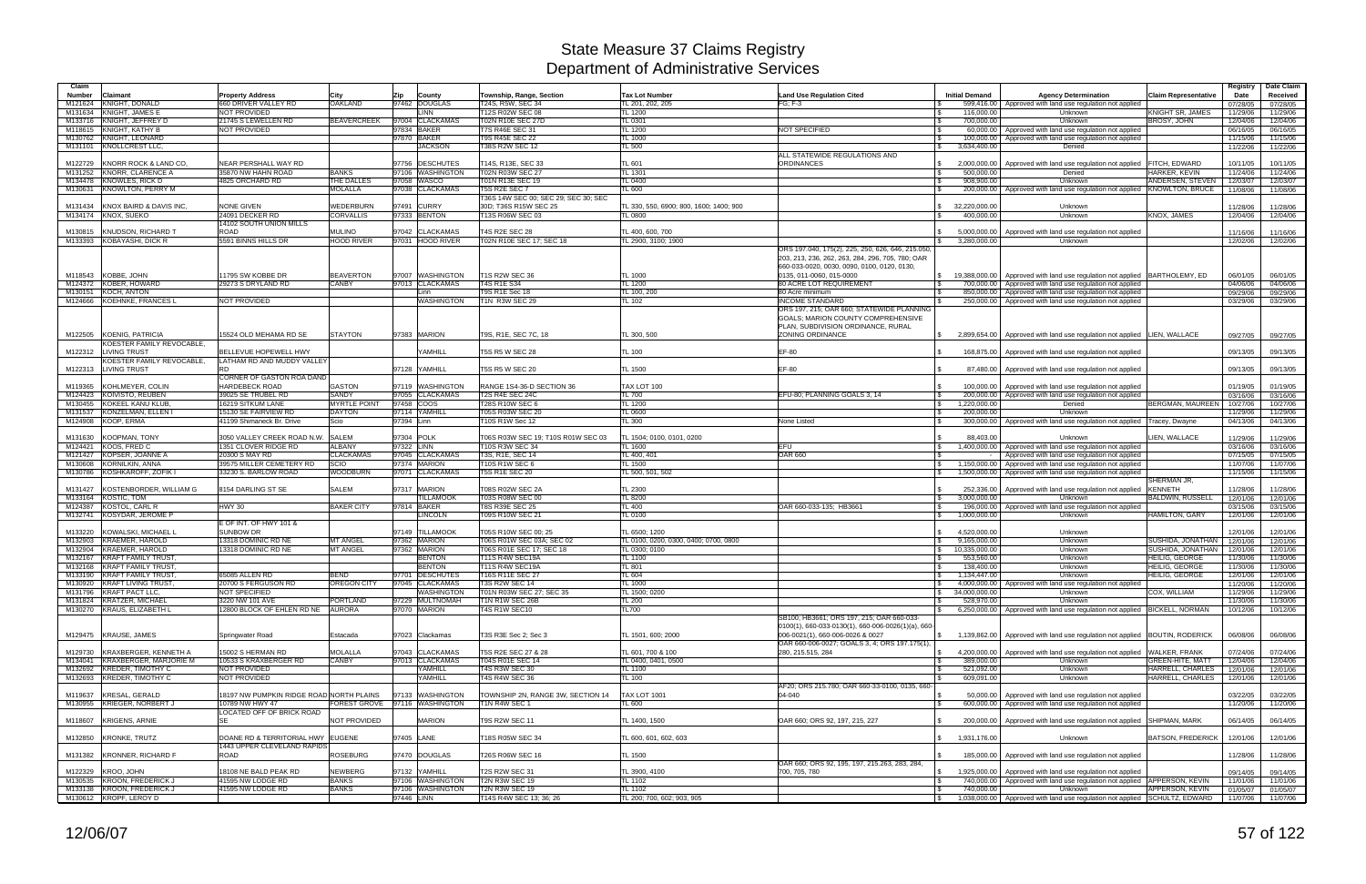| Claim         |                                                       |                                                             |                                      |                                                   |                                                    |                                                        |                                                                                                 |                                     |                                                                                                                       |                               | Registry             | Date Claim           |
|---------------|-------------------------------------------------------|-------------------------------------------------------------|--------------------------------------|---------------------------------------------------|----------------------------------------------------|--------------------------------------------------------|-------------------------------------------------------------------------------------------------|-------------------------------------|-----------------------------------------------------------------------------------------------------------------------|-------------------------------|----------------------|----------------------|
| <b>Number</b> | Claimant<br><b>KNIGHT, DONALD</b>                     | <b>Property Address</b><br>660 DRIVER VALLEY RD             | City<br><b>OAKLAND</b>               | Zip<br>County<br>97462 DOUGLAS                    | Township, Range, Section<br>T24S, R5W, SEC 34      | <b>Tax Lot Number</b><br>TL 201, 202, 205              | <b>Land Use Regulation Cited</b><br>$FG: F-3$                                                   | <b>Initial Demand</b>               | <b>Agency Determination</b><br>599,416.00 Approved with land use regulation not applied                               | Claim Representative          | Date                 | Received             |
| M121624       | M131634 KNIGHT, JAMES B                               | NOT PROVIDED                                                |                                      | <b>LINN</b>                                       | T12S R02W SEC 08                                   | TL 1200                                                |                                                                                                 | 116.000.00                          | Unknown                                                                                                               | KNIGHT SR. JAMES              | 07/28/05<br>11/29/06 | 07/28/05<br>11/29/06 |
|               | M133716 KNIGHT, JEFFREY D                             | 21745 S LEWELLEN RD                                         | <b>BEAVERCREEK</b>                   | 97004 CLACKAMAS                                   | <b>T02N R10E SEC 27D</b>                           | TL 0301                                                |                                                                                                 | 700,000.00                          | Unknown                                                                                                               | <b>BROSY, JOHN</b>            | 12/04/06             | 12/04/06             |
|               | M118615 KNIGHT, KATHY B                               | NOT PROVIDED                                                |                                      | 97834 BAKER                                       | T7S R46E SEC 31                                    | <b>TL 1200</b>                                         | NOT SPECIFIED                                                                                   | l \$<br>60,000.00                   | Approved with land use regulation not applied                                                                         |                               | 06/16/05             | 06/16/05             |
|               | M130762 KNIGHT, LEONARD                               |                                                             |                                      | 97870 BAKER                                       | <b>T9S R45E SEC 22</b>                             | TL 1000                                                |                                                                                                 | 100,000.00                          | Approved with land use regulation not applied                                                                         |                               | 11/15/06             | 11/15/06             |
|               | M131101 KNOLLCREST LLC,                               |                                                             |                                      | <b>JACKSON</b>                                    | <b>T38S R2W SEC 12</b>                             | TL 500                                                 | ALL STATEWIDE REGULATIONS AND                                                                   | \$<br>3,634,400.00                  | Denied                                                                                                                |                               | 11/22/06             | 11/22/06             |
| M122729       | KNORR ROCK & LAND CO.                                 | NEAR PERSHALL WAY RD                                        |                                      | 97756 DESCHUTES                                   | T14S, R13E, SEC 33                                 | TL 601                                                 | <b>ORDINANCES</b>                                                                               | 2,000,000.00                        | Approved with land use regulation not applied                                                                         | <b>FITCH, EDWARD</b>          | 10/11/05             | 10/11/05             |
|               | M131252 KNORR, CLARENCE A                             | 35870 NW HAHN ROAD                                          | <b>BANKS</b>                         | 97106 WASHINGTON                                  | T02N R03W SEC 27                                   | TL 1301                                                |                                                                                                 | 500.000.00<br>\$                    | Denied                                                                                                                | <b>HARKER, KEVIN</b>          | 11/24/06             | 11/24/06             |
|               | M134478 KNOWLES, RICK D                               | 4825 ORCHARD RD                                             | THE DALLES                           | 97058 WASCO                                       | T01N R13E SEC 19                                   | TL 0400                                                |                                                                                                 | 908.900.00                          | Unknown                                                                                                               | ANDERSEN, STEVEN              | 12/03/07             | 12/03/07             |
|               | M130631 KNOWLTON, PERRY M                             |                                                             | <b>MOLALLA</b>                       | 97038 CLACKAMAS                                   | <b>T5S R2E SEC 7</b>                               | TL 600                                                 |                                                                                                 | 200,000.00                          | Approved with land use regulation not applied KNOWLTON, BRUCE                                                         |                               | 11/08/06             | 11/08/06             |
|               |                                                       |                                                             |                                      |                                                   | T36S 14W SEC 00; SEC 29; SEC 30; SEC               |                                                        |                                                                                                 |                                     |                                                                                                                       |                               |                      |                      |
| M131434       | KNOX BAIRD & DAVIS INC.<br>M134174 KNOX, SUEKO        | <b>NONE GIVEN</b><br>24091 DECKER RD                        | <b>WEDERBURN</b><br><b>CORVALLIS</b> | 97491 CURRY<br>97333 BENTON                       | 30D; T36S R15W SEC 25<br>T13S R06W SEC 03          | TL 330, 550, 6900; 800, 1600; 1400; 900<br>TL 0800     |                                                                                                 | 32,220,000.00<br>\$<br>400.000.00   | Unknown<br>Unknown                                                                                                    | KNOX, JAMES                   | 11/28/06<br>12/04/06 | 11/28/06<br>12/04/06 |
|               |                                                       | 14102 SOUTH UNION MILLS                                     |                                      |                                                   |                                                    |                                                        |                                                                                                 |                                     |                                                                                                                       |                               |                      |                      |
| M130815       | KNUDSON, RICHARD T                                    | ROAD                                                        | <b>MULINO</b>                        | 97042 CLACKAMAS                                   | T4S R2E SEC 28                                     | TL 400, 600, 700                                       |                                                                                                 | 5,000,000.00                        | Approved with land use regulation not applied                                                                         |                               | 11/16/06             | 11/16/06             |
|               | M133393 KOBAYASHI, DICK R                             | 5591 BINNS HILLS DR                                         | <b>HOOD RIVER</b>                    | 97031 HOOD RIVER                                  | T02N R10E SEC 17; SEC 18                           | TL 2900, 3100; 1900                                    |                                                                                                 | 3,280,000.00                        | Unknown                                                                                                               |                               | 12/02/06             | 12/02/06             |
|               |                                                       |                                                             |                                      |                                                   |                                                    |                                                        | ORS 197.040, 175(2), 225, 250, 626, 646, 215.050,                                               |                                     |                                                                                                                       |                               |                      |                      |
|               |                                                       |                                                             |                                      |                                                   |                                                    |                                                        | 203, 213, 236, 262, 263, 284, 296, 705, 780; OAR<br>660-033-0020, 0030, 0090, 0100, 0120, 0130, |                                     |                                                                                                                       |                               |                      |                      |
|               | M118543 KOBBE, JOHN                                   | 11795 SW KOBBE DR                                           | <b>BEAVERTON</b>                     | 97007 WASHINGTON                                  | T1S R2W SEC 36                                     | <b>TL 1000</b>                                         | 0135, 011-0060, 015-0000                                                                        | 19,388,000.00<br>IS.                | Approved with land use regulation not applied BARTHOLEMY, ED                                                          |                               | 06/01/05             | 06/01/05             |
|               | M124372 KOBER, HOWARD                                 | 29273 S DRYLAND RD                                          | <b>CANBY</b>                         | 97013 CLACKAMAS                                   | <b>T4S R1E S34</b>                                 | <b>TL 1200</b>                                         | 80 ACRE LOT REQUIREMENT                                                                         | 700,000.00<br>l \$                  | Approved with land use regulation not applied                                                                         |                               | 04/06/06             | 04/06/06             |
|               | M130151 KOCH, ANTON                                   |                                                             |                                      | Linn                                              | T9S R1E Sec 18                                     | TL 100, 200                                            | 80 Acre minimum                                                                                 | 850.000.00                          | Approved with land use regulation not applied                                                                         |                               | 09/29/06             | 09/29/06             |
|               | M124666 KOEHNKE, FRANCES L                            | NOT PROVIDED                                                |                                      | <b>WASHINGTON</b>                                 | <b>T1N R3W SEC 29</b>                              | TL 102                                                 | <b>INCOME STANDARD</b>                                                                          |                                     | 250,000,00 Approved with land use regulation not applied                                                              |                               | 03/29/06             | 03/29/06             |
|               |                                                       |                                                             |                                      |                                                   |                                                    |                                                        | ORS 197, 215; OAR 660; STATEWIDE PLANNING                                                       |                                     |                                                                                                                       |                               |                      |                      |
|               |                                                       |                                                             |                                      |                                                   |                                                    |                                                        | GOALS; MARION COUNTY COMPREHENSIVE<br>PLAN, SUBDIVISION ORDINANCE, RURAL                        |                                     |                                                                                                                       |                               |                      |                      |
|               | M122505 KOENIG, PATRICIA                              | 5524 OLD MEHAMA RD SE                                       | <b>STAYTON</b>                       | 97383 MARION                                      | T9S, R1E, SEC 7C, 18                               | TL 300, 500                                            | ZONING ORDINANCE                                                                                | 2,899,654.00<br>\$                  | Approved with land use regulation not applied   LIEN, WALLACE                                                         |                               | 09/27/05             | 09/27/05             |
|               | KOESTER FAMILY REVOCABLE,                             |                                                             |                                      |                                                   |                                                    |                                                        |                                                                                                 |                                     |                                                                                                                       |                               |                      |                      |
|               | M122312 LIVING TRUST                                  | <b>BELLEVUE HOPEWELL HWY</b>                                |                                      | YAMHILL                                           | T5S R5 W SEC 28                                    | <b>TL 100</b>                                          | EF-80                                                                                           | 168.875.00<br>$\mathcal{F}$         | Approved with land use regulation not applied                                                                         |                               | 09/13/05             | 09/13/05             |
|               | KOESTER FAMILY REVOCABLE.                             | LATHAM RD AND MUDDY VALLEY                                  |                                      |                                                   |                                                    |                                                        |                                                                                                 |                                     |                                                                                                                       |                               |                      |                      |
|               | M122313 LIVING TRUST                                  | RD.<br>CORNER OF GASTON ROA DAND                            |                                      | 97128 YAMHILL                                     | T5S R5 W SEC 20                                    | <b>TL 1500</b>                                         | EF-80                                                                                           | 87,480.00                           | Approved with land use regulation not applied                                                                         |                               | 09/13/05             | 09/13/05             |
| M119365       | KOHLMEYER, COLIN                                      | <b>HARDEBECK ROAD</b>                                       | <b>GASTON</b>                        | 97119 WASHINGTON                                  | RANGE 1S4-36-D SECTION 36                          | TAX LOT 100                                            |                                                                                                 | 100,000.00                          | Approved with land use regulation not applied                                                                         |                               | 01/19/05             | 01/19/05             |
|               | M124423 KOIVISTO, REUBEN                              | 39025 SE TRUBEL RD                                          | <b>SANDY</b>                         | 97055 CLACKAMAS                                   | T2S R4E SEC 24C                                    | TL 700                                                 | EFU-80: PLANNING GOALS 3, 14                                                                    | 200,000.00<br>\$                    | Approved with land use regulation not applied                                                                         |                               | 03/16/06             | 03/16/06             |
| M130455       | <b>KOKEEL KANU KLUB</b>                               | 16219 SITKUM LANE                                           | <b>MYRTLE POINT</b>                  | 97458 COOS                                        | <b>T28S R10W SEC 6</b>                             | TL 1200                                                |                                                                                                 | 1,220,000.00<br>\$                  | Denied                                                                                                                | <b>BERGMAN, MAUREEN</b>       | 10/27/06             | 10/27/06             |
| M131537       | KONZELMAN, ELLEN I                                    | 15130 SE FAIRVIEW RD                                        | <b>DAYTON</b>                        | 97114 YAMHILL                                     | T05S R03W SEC 20                                   | <b>TL 0600</b>                                         |                                                                                                 | 200,000.00                          | Unknown                                                                                                               |                               | 11/29/06             | 11/29/06             |
|               | M124908 KOOP, ERMA                                    | 41199 Shimaneck Br. Drive                                   | Scio                                 | 97394 Linn                                        | T10S R1W Sec 12                                    | TL 300                                                 | None Listed                                                                                     | 300,000.00                          | Approved with land use regulation not applied                                                                         | Tracey, Dwayne                | 04/13/06             | 04/13/06             |
| M131630       | <b>KOOPMAN, TONY</b>                                  | 3050 VALLEY CREEK ROAD N.W. SALEM                           |                                      | 97304 POLK                                        | T06S R03W SEC 19; T10S R01W SEC 03                 | TL 1504; 0100, 0101, 0200                              |                                                                                                 | 88,403.00                           | Unknown                                                                                                               | LIEN, WALLACE                 | 11/29/06             | 11/29/06             |
|               | M124421 KOOS, FRED C                                  | 1351 CLOVER RIDGE RD                                        | <b>ALBANY</b>                        | 97322 LINN                                        | T10S R3W SEC 34                                    | TL 1600                                                | EFU                                                                                             | 1,400,000.00<br>- S                 | Approved with land use regulation not applied                                                                         |                               | 03/16/06             | 03/16/06             |
| M121427       | KOPSER, JOANNE A                                      | 20300 S MAY RD                                              | <b>CLACKAMAS</b>                     | 97045 CLACKAMAS                                   | T3S, R1E, SEC 14                                   | TL 400, 401                                            | <b>OAR 660</b>                                                                                  | -\$                                 | Approved with land use regulation not applied                                                                         |                               | 07/15/05             | 07/15/05             |
| M130608       | <b>KORNILKIN, ANNA</b>                                | 39575 MILLER CEMETERY RD                                    | <b>SCIO</b>                          | 97374 MARION                                      | T10S R1W SEC 6                                     | <b>TL 1500</b>                                         |                                                                                                 | 1.150.000.00                        | Approved with land use regulation not applied                                                                         |                               | 11/07/06             | 11/07/06             |
|               | M130786 KOSHKAROFF, ZOFIK I                           | 33230 S. BARLOW ROAD                                        | <b>WOODBURN</b>                      | 97071 CLACKAMAS                                   | <b>T5S R1E SEC 20</b>                              | TL 500, 501, 502                                       |                                                                                                 | 1,500,000.00                        | Approved with land use regulation not applied                                                                         |                               | 11/15/06             | 11/15/06             |
|               | M131427 KOSTENBORDER, WILLIAM G                       | 8154 DARLING ST SE                                          | <b>SALEM</b>                         | 97317 MARION                                      | <b>T08S R02W SEC 2A</b>                            | TL 2300                                                |                                                                                                 | 252,336.00                          | Approved with land use regulation not applied                                                                         | SHERMAN JR.<br><b>KENNETH</b> | 11/28/06             | 11/28/06             |
|               | M133164 KOSTIC, TOM                                   |                                                             |                                      | <b>ILLAMOOK</b>                                   | T03S R08W SEC 00                                   | <b>TL 8200</b>                                         |                                                                                                 | 3,000,000.00                        | Unknown                                                                                                               | <b>BALDWIN, RUSSELL</b>       | 12/01/06             | 12/01/06             |
|               | M124387 KOSTOL, CARL R                                | <b>HWY 30</b>                                               | <b>BAKER CITY</b>                    | 97814 BAKER                                       | T8S R39E SEC 25                                    | <b>TL 400</b>                                          | OAR 660-033-135; HB3661                                                                         | 196,000.00<br>IS.                   | Approved with land use regulation not applied                                                                         |                               | 03/15/06             | 03/15/06             |
|               | M132741 KOSYDAR, JEROME P                             |                                                             |                                      | <b>LINCOLN</b>                                    | T09S R10W SEC 21                                   | TL 0100                                                |                                                                                                 | 1,000,000.00<br>\$                  | Unknown                                                                                                               | <b>HAMILTON, GARY</b>         | 12/01/06             | 12/01/06             |
|               |                                                       | E OF INT. OF HWY 101 &                                      |                                      |                                                   |                                                    |                                                        |                                                                                                 |                                     |                                                                                                                       |                               |                      |                      |
| M133220       | KOWALSKI, MICHAEL<br>M132903 KRAEMER, HAROLD          | <b>SUNBOW DR</b><br>13318 DOMINIC RD NE                     | <b>MT ANGEL</b>                      | 97149 TILLAMOOK<br>97362 MARION                   | T05S R10W SEC 00; 25<br>T06S R01W SEC 03A: SEC 02  | TL 6500: 1200                                          |                                                                                                 | 4,520,000.00<br>\$                  | Unknown<br>Unknown                                                                                                    | SUSHIDA, JONATHAN             | 12/01/06<br>12/01/06 | 12/01/06             |
|               | M132904 KRAEMER, HAROLD                               | 13318 DOMINIC RD NE                                         | <b>MT ANGEL</b>                      | 97362 MARION                                      | T06S R01E SEC 17; SEC 18                           | TL 0100, 0200, 0300, 0400; 0700, 0800<br>TL 0300; 0100 |                                                                                                 | 9,165,000.00<br>10,335,000.00       | Unknown                                                                                                               | SUSHIDA, JONATHAN             | 12/01/06             | 12/01/06<br>12/01/06 |
|               | M132167 KRAFT FAMILY TRUST                            |                                                             |                                      | <b>BENTON</b>                                     | T11S R4W SEC19A                                    | TL 1100                                                |                                                                                                 | 553,560.00                          | Unknown                                                                                                               | <b>HEILIG, GEORGE</b>         | 11/30/06             | 11/30/06             |
|               | M132168 KRAFT FAMILY TRUST                            |                                                             |                                      | <b>BENTON</b>                                     | T11S R4W SEC19A                                    | TL 801                                                 |                                                                                                 | 138,400.00                          | Unknown                                                                                                               | <b>HEILIG, GEORGE</b>         | 11/30/06             | 11/30/06             |
|               | M133190 KRAFT FAMILY TRUST                            | 65085 ALLEN RD                                              | <b>BEND</b>                          | 97701 DESCHUTES                                   | T16S R11E SEC 27                                   | <b>TL 604</b>                                          |                                                                                                 | 1,134,447.00<br>- \$                | Unknown                                                                                                               | <b>HEILIG, GEORGE</b>         | 12/01/06             | 12/01/06             |
|               | M130920 KRAFT LIVING TRUST<br>M131796 KRAFT PACT LLC, | 20700 S FERGUSON RD<br>NOT SPECIFIED                        | OREGON CITY                          | 97045 CLACKAMAS<br><b>WASHINGTON</b>              | <b>T3S R2W SEC 14</b><br>T01N R03W SEC 27; SEC 35  | <b>TL 1000</b><br>TL 1500; 0200                        |                                                                                                 |                                     | 4,000,000.00 Approved with land use regulation not applied                                                            |                               | 11/20/06             | 11/20/06             |
|               | M131824 KRATZER, MICHAEL                              | 3220 NW 101 AVE                                             | <b>PORTLAND</b>                      | 97229 MULTNOMAH                                   | T1N R1W SEC 26B                                    | <b>TL 200</b>                                          |                                                                                                 | \$34,000,000.00<br>528,970.00<br>S. | Unknown<br>Unknown                                                                                                    | COX, WILLIAM                  | 11/29/06<br>11/30/06 | 11/29/06<br>11/30/06 |
|               | M130270 KRAUS, ELIZABETH L                            | 12800 BLOCK OF EHLEN RD NE AURORA                           |                                      | 97070 MARION                                      | T4S R1W SEC10                                      | <b>TL700</b>                                           |                                                                                                 | \$                                  | 6,250,000.00 Approved with land use regulation not applied BICKELL, NORMAN                                            |                               | 10/12/06             | 10/12/06             |
|               |                                                       |                                                             |                                      |                                                   |                                                    |                                                        | SB100; HB3661; ORS 197, 215; OAR 660-033-                                                       |                                     |                                                                                                                       |                               |                      |                      |
|               |                                                       |                                                             |                                      |                                                   |                                                    |                                                        | 0100(1), 660-033-0130(1), 660-006-0026(1)(a), 660-                                              |                                     |                                                                                                                       |                               |                      |                      |
|               | M129475 KRAUSE, JAMES                                 | Springwater Road                                            | Estacada                             | 97023 Clackamas                                   | T3S R3E Sec 2; Sec 3                               | TL 1501, 600; 2000                                     | 006-0021(1), 660-006-0026 & 0027                                                                |                                     | \$1,139,862.00 Approved with land use regulation not applied BOUTIN, RODERICK                                         |                               | 06/08/06             | 06/08/06             |
|               | M129730 KRAXBERGER, KENNETH A                         | 15002 S HERMAN RD                                           | <b>MOLALLA</b>                       | 97043 CLACKAMAS                                   | T5S R2E SEC 27 & 28                                | TL 601, 700 & 100                                      | OAR 660-006-0027; GOALS 3, 4; ORS 197.175(1),<br>280, 215.515, 284                              | <b>S</b><br>4,200,000.00            | Approved with land use regulation not applied                                                                         | <b>WALKER, FRANK</b>          | 07/24/06             | 07/24/06             |
|               | M134041 KRAXBERGER, MARJORIE M                        | 10533 S KRAXBERGER RD                                       | <b>CANBY</b>                         | 97013 CLACKAMAS                                   | T04S R01E SEC 14                                   | TL 0400, 0401, 0500                                    |                                                                                                 | 389,000.00<br>\$                    | Unknown                                                                                                               | GREEN-HITE, MATT              | 12/04/06             | 12/04/06             |
|               | M132692 KREDER, TIMOTHY C                             | NOT PROVIDED                                                |                                      | YAMHILL                                           | T4S R3W SEC 30                                     | TL 1100                                                |                                                                                                 | $\mathfrak{L}$<br>521,092.00        | Unknown                                                                                                               | HARRELL, CHARLES              | 12/01/06             | 12/01/06             |
|               | M132693 KREDER, TIMOTHY C                             | NOT PROVIDED                                                |                                      | YAMHILL                                           | T4S R4W SEC 36                                     | TL 100                                                 |                                                                                                 | 609,091.00                          | Unknown                                                                                                               | HARRELL, CHARLES              | 12/01/06             | 12/01/06             |
|               |                                                       |                                                             |                                      |                                                   |                                                    |                                                        | AF20; ORS 215.780; OAR 660-33-0100, 0135, 660-                                                  |                                     |                                                                                                                       |                               |                      |                      |
|               | M119637 KRESAL, GERALD<br>M130955 KRIEGER, NORBERT J  | 18197 NW PUMPKIN RIDGE ROAD NORTH PLAINS<br>10789 NW HWY 47 |                                      | 97133 WASHINGTON<br>FOREST GROVE 97116 WASHINGTON | TOWNSHIP 2N, RANGE 3W, SECTION 14<br>T1N R4W SEC 1 | <b>TAX LOT 1001</b><br>TL 600                          | $04 - 040$                                                                                      | - S<br>l \$                         | 50,000.00 Approved with land use regulation not applied<br>600,000.00   Approved with land use regulation not applied |                               | 03/22/05<br>11/20/06 | 03/22/05<br>11/20/06 |
|               |                                                       | LOCATED OFF OF BRICK ROAD                                   |                                      |                                                   |                                                    |                                                        |                                                                                                 |                                     |                                                                                                                       |                               |                      |                      |
|               | M118607 KRIGENS, ARNIE                                | <b>SE</b>                                                   | NOT PROVIDED                         | <b>MARION</b>                                     | T9S R2W SEC 11                                     | TL 1400, 1500                                          | OAR 660; ORS 92, 197, 215, 227                                                                  | $\mathcal{L}$                       | 200,000.00   Approved with land use regulation not applied   SHIPMAN, MARK                                            |                               | 06/14/05             | 06/14/05             |
|               |                                                       |                                                             |                                      |                                                   |                                                    |                                                        |                                                                                                 |                                     |                                                                                                                       |                               |                      |                      |
|               | M132850 KRONKE, TRUTZ                                 | DOANE RD & TERRITORIAL HWY EUGENE                           |                                      | 97405 LANE                                        | T18S R05W SEC 34                                   | TL 600, 601, 602, 603                                  |                                                                                                 | $\mathbb{S}$<br>1,931,176.00        | Unknown                                                                                                               | <b>BATSON, FREDERICK</b>      | 12/01/06             | 12/01/06             |
|               | M131382 KRONNER, RICHARD F                            | 1443 UPPER CLEVELAND RAPIDS<br>ROAD                         | <b>ROSEBURG</b>                      | 97470 DOUGLAS                                     |                                                    | <b>TL 1500</b>                                         |                                                                                                 | 185,000.00<br>$\mathcal{L}$         | Approved with land use regulation not applied                                                                         |                               | 11/28/06             |                      |
|               |                                                       |                                                             |                                      |                                                   | T26S R06W SEC 16                                   |                                                        | OAR 660; ORS 92, 195, 197, 215.263, 283, 284,                                                   |                                     |                                                                                                                       |                               |                      | 11/28/06             |
|               | M122329 KROO, JOHN                                    | 18108 NE BALD PEAK RD                                       | <b>NEWBERG</b>                       | 97132 YAMHILL                                     | T2S R2W SEC 31                                     | TL 3900, 4100                                          | 700, 705, 780                                                                                   | <b>S</b>                            | 1,925,000.00 Approved with land use regulation not applied                                                            |                               | 09/14/05             | 09/14/05             |
|               | M130535 KROON, FREDERICK J                            | 41595 NW LODGE RD                                           | <b>BANKS</b>                         | 97106 WASHINGTON                                  | T2N R3W SEC 19                                     | TL 1102                                                |                                                                                                 | l \$                                | 740,000.00 Approved with land use regulation not applied APPERSON, KEVIN                                              |                               | 11/01/06             | 11/01/06             |
|               | M133138 KROON, FREDERICK J                            | 41595 NW LODGE RD                                           | <b>BANKS</b>                         | 97106 WASHINGTON                                  | T2N R3W SEC 19                                     | TL 1102                                                |                                                                                                 | 740,000.00<br>l \$                  | Unknown                                                                                                               | APPERSON, KEVIN               | 01/05/07             | 01/05/07             |
|               | M130612 KROPF, LEROY D                                |                                                             |                                      | 97446 LINN                                        | T14S R4W SEC 13; 36; 26                            | TL 200; 700, 602; 903, 905                             |                                                                                                 | $\sqrt{3}$                          | 1,038,000.00 Approved with land use regulation not applied SCHULTZ, EDWARD                                            |                               | 11/07/06             | 11/07/06             |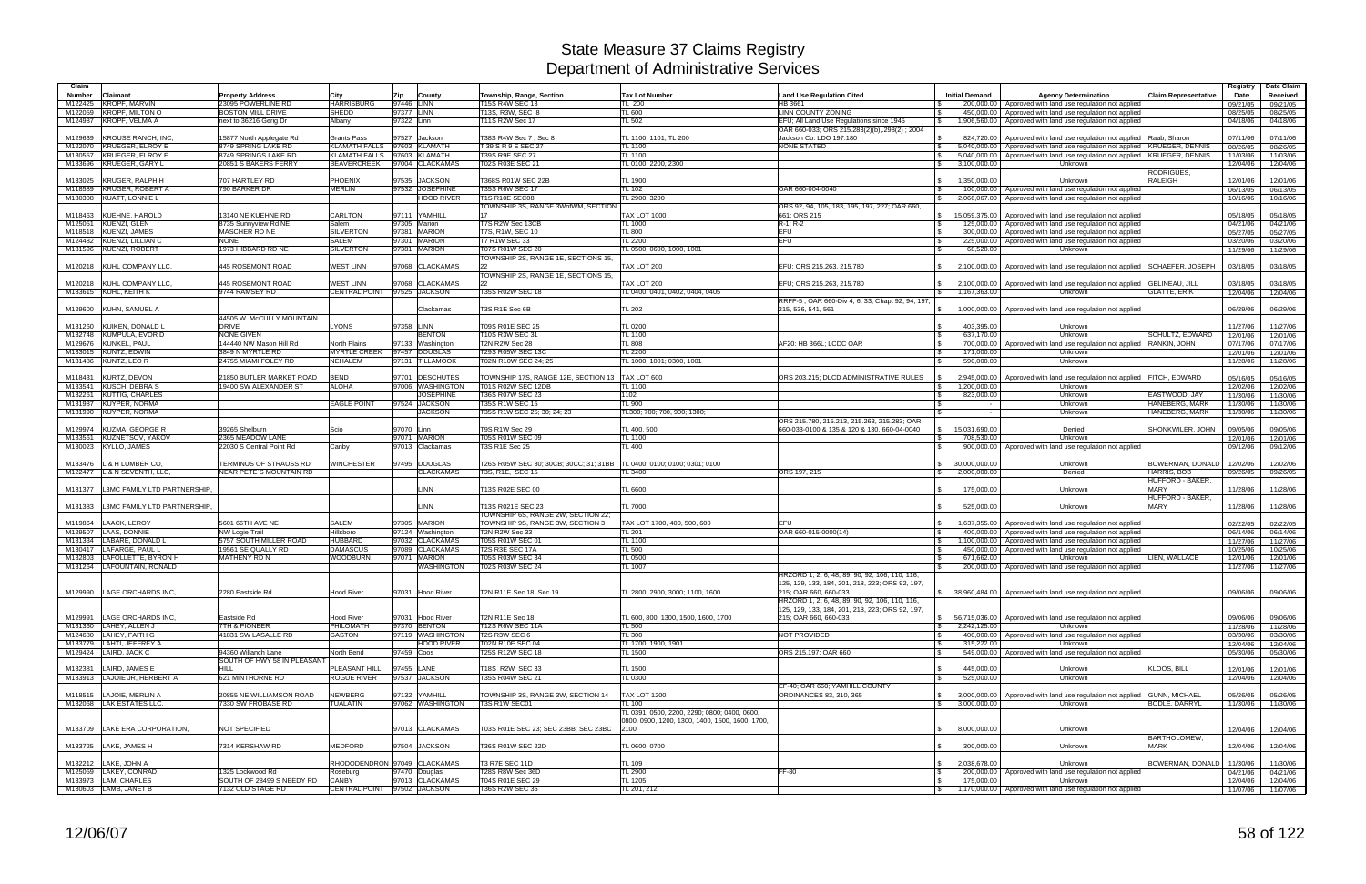| Claim                                                  |                                                   |                                |                                               |                                                           |                                                                                                 |                                                                                          |                                        |                                                                                                |                                 | Registry             | Date Claim           |
|--------------------------------------------------------|---------------------------------------------------|--------------------------------|-----------------------------------------------|-----------------------------------------------------------|-------------------------------------------------------------------------------------------------|------------------------------------------------------------------------------------------|----------------------------------------|------------------------------------------------------------------------------------------------|---------------------------------|----------------------|----------------------|
| Claimant<br>Number                                     | <b>Property Address</b>                           | City                           | Zip<br>County                                 | Township, Range, Section                                  | <b>Tax Lot Number</b>                                                                           | <b>Land Use Regulation Cited</b>                                                         | <b>Initial Demand</b>                  | <b>Agency Determination</b>                                                                    | <b>Claim Representative</b>     | Date                 | Received             |
| <b>KROPF, MARVIN</b><br>M122425                        | 23095 POWERLINE RD                                | <b>HARRISBURG</b>              | 97446 LINN                                    | T15S R4W SEC 13                                           | TL 200                                                                                          | HB 3661                                                                                  |                                        | 200,000.00 Approved with land use regulation not applied                                       |                                 | 09/21/05             | 09/21/05             |
| M122059 KROPF, MILTON O<br>M124987 KROPF, VELMA A      | <b>BOSTON MILL DRIVE</b>                          | <b>SHEDD</b>                   | 97377 LINN<br>97322 Linn                      | T13S, R3W, SEC 8<br><b>T11S R2W Sec 17</b>                | TL 600<br>$L_{502}$                                                                             | LINN COUNTY ZONING                                                                       | 450.000.00                             | Approved with land use regulation not applied                                                  |                                 | 08/25/05             | 08/25/05             |
|                                                        | next to 36216 Gerig Dr                            | Albany                         |                                               |                                                           |                                                                                                 | EFU; All Land Use Regulations since 1945<br>OAR 660-033; ORS 215.283(2)(b),.298(2); 2004 | 1,906,560.00                           | Approved with land use regulation not applied                                                  |                                 | 04/18/06             | 04/18/06             |
| <b>KROUSE RANCH, INC</b><br>M129639                    | 15877 North Applegate Rd                          | <b>Grants Pass</b>             | 97527<br>Jackson                              | T38S R4W Sec 7 ; Sec 8                                    | TL 1100, 1101; TL 200                                                                           | Jackson Co. LDO 197.180                                                                  | 824.720.00<br>-SS                      | Approved with land use regulation not applied                                                  | Raab, Sharon                    | 07/11/06             | 07/11/06             |
| M122070 KRUEGER, ELROY E                               | 8749 SPRING LAKE RD                               |                                | KLAMATH FALLS 97603 KLAMATH                   | T 39 S R 9 E SEC 27                                       | <b>TL 1100</b>                                                                                  | <b>NONE STATED</b>                                                                       | 5.040.000.00                           | Approved with land use regulation not applied KRUEGER, DENNIS                                  |                                 | 08/26/05             | 08/26/05             |
| M130557 KRUEGER, ELROY E                               | 8749 SPRINGS LAKE RD                              | KLAMATH FALLS 97603            | KLAMATH                                       | <b>T39S R9E SEC 27</b>                                    | <b>TL 1100</b>                                                                                  |                                                                                          | 5,040,000.00                           | Approved with land use regulation not applied KRUEGER, DENNIS                                  |                                 | 11/03/06             | 11/03/06             |
| M133696 KRUEGER, GARY L                                | 20851 S BAKERS FERRY                              | <b>BEAVERCREEK</b>             | 97004 CLACKAMAS                               | T02S R03E SEC 21                                          | TL 0100, 2200, 2300                                                                             |                                                                                          | 3,100,000.00                           | Unknown                                                                                        |                                 | 12/04/06             | 12/04/06             |
| M133025 KRUGER, RALPH H                                | 707 HARTLEY RD                                    | PHOENIX                        | 97535<br><b>JACKSON</b>                       | T368S R01W SEC 22B                                        | TL 1900                                                                                         |                                                                                          | 1,350,000.00<br>\$                     | Unknown                                                                                        | RODRIGUES,<br><b>RALEIGH</b>    | 12/01/06             | 12/01/06             |
| M118589 KRUGER, ROBERT A                               | 790 BARKER DR                                     | <b>MERLIN</b>                  | <b>JOSEPHINE</b><br>97532                     | T35S R6W SEC 17                                           | <b>TL 102</b>                                                                                   | OAR 660-004-0040                                                                         |                                        | 100,000,00 Approved with land use regulation not applied                                       |                                 | 06/13/05             | 06/13/05             |
| M130308 KUATT, LONNIE L                                |                                                   |                                | <b>HOOD RIVER</b>                             | <b>T1S R10E SEC08</b>                                     | TL 2900, 3200                                                                                   |                                                                                          | 2,066,067.00                           | Approved with land use regulation not applied                                                  |                                 | 10/16/06             | 10/16/06             |
|                                                        |                                                   |                                |                                               | TOWNSHIP 3S, RANGE 3WofWM, SECTION                        |                                                                                                 | ORS 92, 94, 105, 183, 195, 197, 227; OAR 660,                                            |                                        |                                                                                                |                                 |                      |                      |
| M118463 KUEHNE, HAROLD                                 | 13140 NE KUEHNE RD                                | <b>CARLTON</b>                 | 97111 YAMHILL                                 |                                                           | <b>TAX LOT 1000</b>                                                                             | 661; ORS 215                                                                             | 15,059,375.00<br>-S                    | Approved with land use regulation not applied                                                  |                                 | 05/18/05             | 05/18/05             |
| M125051 KUENZI, GLEN<br>M118518 KUENZI, JAMES          | 8735 Sunnvview Rd NE<br>MASCHER RD NE             | Salem<br><b>SILVERTON</b>      | 97305 Marion<br>97381 MARION                  | T7S R2W Sec 13CB<br>T7S, R1W, SEC 10                      | <b>TL 1000</b><br>TL 800                                                                        | R-1; R-2<br><b>EFU</b>                                                                   | l \$<br>125,000.00<br>300,000.00<br>\$ | Approved with land use regulation not applied<br>Approved with land use regulation not applied |                                 | 04/21/06<br>05/27/05 | 04/21/06<br>05/27/05 |
| M124482 KUENZI, LILLIAN C                              | <b>NONE</b>                                       | SALEM                          | 97301 MARION                                  | T7 R1W SEC 33                                             | TL 2200                                                                                         | EFU                                                                                      | 225,000.00                             | Approved with land use regulation not applied                                                  |                                 | 03/20/06             | 03/20/06             |
| M131596 KUENZI, ROBERT                                 | 1973 HIBBARD RD NE                                | <b>SILVERTON</b>               | 97381 MARION                                  | T07S R01W SEC 20                                          | TL 0500, 0600, 1000, 1001                                                                       |                                                                                          | 68,520.00                              | Unknown                                                                                        |                                 | 11/29/06             | 11/29/06             |
|                                                        |                                                   |                                |                                               | TOWNSHIP 2S, RANGE 1E, SECTIONS 15.                       |                                                                                                 |                                                                                          |                                        |                                                                                                |                                 |                      |                      |
| M120218 KUHL COMPANY LLC,                              | 445 ROSEMONT ROAD                                 | <b>WEST LINN</b>               | 97068<br><b>CLACKAMAS</b>                     |                                                           | TAX LOT 200                                                                                     | EFU; ORS 215.263, 215.780                                                                | 2,100,000.00                           | Approved with land use regulation not applied SCHAEFER, JOSEPH                                 |                                 | 03/18/05             | 03/18/05             |
| M120218 KUHL COMPANY LLC,                              | 445 ROSEMONT ROAD                                 | <b>WEST LINN</b>               | 97068<br><b>CLACKAMAS</b>                     | TOWNSHIP 2S, RANGE 1E, SECTIONS 15,                       | TAX LOT 200                                                                                     | EFU; ORS 215.263, 215.780                                                                | 2,100,000.00                           | Approved with land use regulation not applied                                                  | <b>GELINEAU, JILL</b>           | 03/18/05             | 03/18/05             |
| M133615 KUHL, KEITH K                                  | 9744 RAMSEY RD                                    | CENTRAL POINT 97525            | <b>JACKSON</b>                                | T35S R02W SEC 18                                          | TL 0400, 0401, 0402, 0404, 0405                                                                 |                                                                                          | 1,167,363.00<br>$\mathcal{S}$          | Unknown                                                                                        | <b>GLATTE, ERIK</b>             | 12/04/06             | 12/04/06             |
|                                                        |                                                   |                                |                                               |                                                           |                                                                                                 | RRFF-5; OAR 660-Div 4, 6, 33; Chapt 92, 94, 197                                          |                                        |                                                                                                |                                 |                      |                      |
| M129600 KUHN, SAMUEL A                                 |                                                   |                                | Clackamas                                     | T3S R1E Sec 6B                                            | <b>TL 202</b>                                                                                   | 215, 536, 541, 561                                                                       | 1,000,000.00                           | Approved with land use regulation not applied                                                  |                                 | 06/29/06             | 06/29/06             |
| M131260<br>KUIKEN, DONALD L                            | 44505 W. McCULLY MOUNTAIN<br><b>DRIVE</b>         | LYONS                          | 97358 LINN                                    | T09S R01E SEC 25                                          | TL 0200                                                                                         |                                                                                          | 403,395.00                             |                                                                                                |                                 | 11/27/06             | 11/27/06             |
| M132748 KUMPULA, EVOR D                                | <b>NONE GIVEN</b>                                 |                                | <b>BENTON</b>                                 | <b>T10S R3W SEC 31</b>                                    | TL 1100                                                                                         |                                                                                          | 637,170.00                             | Unknown<br>Unknown                                                                             | <b>SCHULTZ, EDWARD</b>          | 12/01/06             | 12/01/06             |
| M129676 KUNKEL, PAUL                                   | 144440 NW Mason Hill Rd                           | North Plains                   | 97133<br>Washington                           | T2N R2W Sec 28                                            | <b>TL 808</b>                                                                                   | AF20: HB 366L: LCDC OAR                                                                  | 700,000.00<br>l \$                     | Approved with land use regulation not applied  RANKIN, JOHN                                    |                                 | 07/17/06             | 07/17/06             |
| M133015 KUNTZ, EDWIN                                   | 3849 N MYRTLE RD                                  | <b>MYRTLE CREEK</b>            | 97457<br><b>DOUGLAS</b>                       | <b>T29S R05W SEC 13C</b>                                  | <b>TL 2200</b>                                                                                  |                                                                                          | 171,000.00<br>- \$                     | Unknown                                                                                        |                                 | 12/01/06             | 12/01/06             |
| M131486 KUNTZ, LEOR                                    | 24755 MIAMI FOLEY RD                              | <b>NEHALEM</b>                 | 97131 TILLAMOOK                               | T02N R10W SEC 24; 25                                      | L 1000, 1001; 0300, 1001                                                                        |                                                                                          | 590,000.00                             | Unknown                                                                                        |                                 | 11/28/06             | 11/28/06             |
|                                                        |                                                   | <b>BEND</b>                    |                                               |                                                           |                                                                                                 |                                                                                          |                                        |                                                                                                |                                 |                      |                      |
| M118431 KURTZ, DEVON<br>M133541 KUSCH, DEBRA S         | 21850 BUTLER MARKET ROAD<br>19400 SW ALEXANDER ST | <b>ALOHA</b>                   | 97701 DESCHUTES<br>97006 WASHINGTON           | TOWNSHIP 17S, RANGE 12E, SECTION 13<br>T01S R02W SEC 12DB | TAX LOT 600<br><b>TL 1100</b>                                                                   | ORS 203.215; DLCD ADMINISTRATIVE RULES                                                   | 2,945,000.00<br>1,200,000.00           | Approved with land use regulation not applied<br>Unknown                                       | <b>FITCH, EDWARD</b>            | 05/16/05<br>12/02/06 | 05/16/05<br>12/02/06 |
| M132261 KUTTIG, CHARLES                                |                                                   |                                | <b>JOSEPHINE</b>                              | T36S R07W SEC 23                                          | 1102                                                                                            |                                                                                          | 823,000.00                             | Unknown                                                                                        | EASTWOOD, JAY                   | 11/30/06             | 11/30/06             |
| M131987 KUYPER, NORMA                                  |                                                   | <b>EAGLE POINT</b>             | 97524 JACKSON                                 | <b>T35S R1W SEC 15</b>                                    | TL 900                                                                                          |                                                                                          |                                        | Unknown                                                                                        | HANEBERG, MARK                  | 11/30/06             | 11/30/06             |
| M131990 KUYPER, NORMA                                  |                                                   |                                | <b>JACKSON</b>                                | T35S R1W SEC 25; 30; 24; 23                               | TL300; 700; 700, 900; 1300;                                                                     |                                                                                          |                                        | Unknown                                                                                        | <b>HANEBERG, MARK</b>           | 11/30/06             | 11/30/06             |
|                                                        |                                                   |                                |                                               |                                                           |                                                                                                 | ORS 215.780, 215.213, 215.263, 215.283; OAR                                              |                                        |                                                                                                |                                 |                      |                      |
| KUZMA, GEORGE R<br>M129974<br>M133561 KUZNETSOV, YAKOV | 39265 Shelburn<br>2365 MEADOW LANE                | Scio                           | 97070 Linn<br>97071 MARION                    | T9S R1W Sec 29<br>T05S R01W SEC 09                        | TL 400, 500<br>L 1100                                                                           | 660-033-0100 & 135 & 120 & 130, 660-04-0040                                              | 15,031,690.00<br>IS.<br>708.530.00     | Denied<br>Unknown                                                                              | SHONKWILER, JOHN                | 09/05/06<br>12/01/06 | 09/05/06<br>12/01/06 |
| M130023 KYLLO, JAMES                                   | 22030 S Central Point Rd                          | Canby                          | 97013 Clackamas                               | <b>T3S R1E Sec 25</b>                                     | TL 400                                                                                          |                                                                                          |                                        | 900,000.00   Approved with land use regulation not applied                                     |                                 | 09/12/06             | 09/12/06             |
|                                                        |                                                   |                                |                                               |                                                           |                                                                                                 |                                                                                          |                                        |                                                                                                |                                 |                      |                      |
| M133476 L & H LUMBER CO,                               | TERMINUS OF STRAUSS RD                            | <b>WINCHESTER</b>              | 97495<br><b>DOUGLAS</b>                       | T26S R05W SEC 30; 30CB; 30CC; 31; 31BB                    | TL 0400; 0100; 0100; 0301; 0100                                                                 |                                                                                          | 30,000,000.00                          | Unknown                                                                                        | BOWERMAN, DONALD                | 12/02/06             | 12/02/06             |
| M122477  L & N SEVENTH, LLC,                           | NEAR PETE`S MOUNTAIN RD                           |                                | <b>CLACKAMAS</b>                              | T3S, R1E, SEC 15                                          | TL 3400                                                                                         | ORS 197, 215                                                                             | 2,000,000.00<br>S.                     | Denied                                                                                         | HARRIS, BOB<br>HUFFORD - BAKER, | 09/26/05             | 09/26/05             |
| M131377<br>L3MC FAMILY LTD PARTNERSHIP                 |                                                   |                                | <b>LINN</b>                                   | T13S R02E SEC 00                                          | TL 6600                                                                                         |                                                                                          | 175,000.00                             | Unknown                                                                                        | <b>MARY</b>                     | 11/28/06             | 11/28/06             |
|                                                        |                                                   |                                |                                               |                                                           |                                                                                                 |                                                                                          |                                        |                                                                                                | <b>HUFFORD - BAKER</b>          |                      |                      |
| L3MC FAMILY LTD PARTNERSHIP<br>M131383                 |                                                   |                                | <b>LINN</b>                                   | T13S R021E SEC 23                                         | TL 7000                                                                                         |                                                                                          | 525,000.00                             | Unknown                                                                                        | <b>MARY</b>                     | 11/28/06             | 11/28/06             |
|                                                        |                                                   |                                |                                               | TOWNSHIP 6S, RANGE 2W, SECTION 22;                        |                                                                                                 |                                                                                          |                                        |                                                                                                |                                 |                      |                      |
| M119864<br>LAACK, LEROY<br>M129507 LAAS, DONNIE        | 5601 66TH AVE NE<br>NW Logie Trail                | <b>SALEM</b><br>Hillsboro      | 97305 MARION<br>97124 Washington              | TOWNSHIP 9S, RANGE 3W, SECTION 3<br>T2N R2W Sec 33        | TAX LOT 1700, 400, 500, 600<br>TL 201                                                           | EFU<br>OAR 660-015-0000(14)                                                              | 1,637,355.00<br>400,000.00             | Approved with land use regulation not applied<br>Approved with land use regulation not applied |                                 | 02/22/05<br>06/14/06 | 02/22/05<br>06/14/06 |
| M131334  LABARE, DONALD L                              | 5757 SOUTH MILLER ROAD                            | HUBBARD                        | 97032<br><b>CLACKAMAS</b>                     | T05S R01W SEC 01                                          | TL 1100                                                                                         |                                                                                          | $\mathfrak{L}$<br>1,100,000.00         | Approved with land use regulation not applied                                                  |                                 | 11/27/06             | 11/27/06             |
| M130417 LAFARGE, PAUL L                                | 19561 SE QUALLY RD                                | <b>DAMASCUS</b>                | 97089 CLACKAMAS                               | T2S R3E SEC 17A                                           | TL 500                                                                                          |                                                                                          | 450,000.00                             | Approved with land use regulation not applied                                                  |                                 | 10/25/06             | 10/25/06             |
| M132803 LAFOLLETTE, BYRON H                            | MATHENY RD N                                      | WOODBURN                       | 97071 MARION                                  | T05S R03W SEC 34                                          | TL 0500                                                                                         |                                                                                          | 671.662.00                             | Unknown                                                                                        | LIEN, WALLACE                   | 12/01/06             | 12/01/06             |
| M131264   LAFOUNTAIN, RONALD                           |                                                   |                                | WASHINGTON                                    | T02S R03W SEC 24                                          | <b>TL 1007</b>                                                                                  | HRZORD 1, 2, 6, 48, 89, 90, 92, 106, 110, 116                                            | 200,000.00                             | Approved with land use regulation not applied                                                  |                                 | 11/27/06             | 11/27/06             |
|                                                        |                                                   |                                |                                               |                                                           |                                                                                                 | 125, 129, 133, 184, 201, 218, 223; ORS 92, 197,                                          |                                        |                                                                                                |                                 |                      |                      |
| M129990 LAGE ORCHARDS INC.                             | 2280 Eastside Rd                                  | <b>Hood River</b>              | 97031 Hood River                              | T2N R11E Sec 18; Sec 19                                   | TL 2800, 2900, 3000; 1100, 1600                                                                 | 215; OAR 660, 660-033                                                                    |                                        | \$ 38,960,484.00   Approved with land use regulation not applied                               |                                 | 09/06/06             | 09/06/06             |
|                                                        |                                                   |                                |                                               |                                                           |                                                                                                 | HRZORD 1, 2, 6, 48, 89, 90, 92, 106, 110, 116,                                           |                                        |                                                                                                |                                 |                      |                      |
|                                                        |                                                   |                                |                                               |                                                           |                                                                                                 | 125, 129, 133, 184, 201, 218, 223; ORS 92, 197,                                          |                                        |                                                                                                |                                 |                      |                      |
| M129991 LAGE ORCHARDS INC.<br>M131360 LAHEY, ALLEN J   | Eastside Rd<br><b>7TH &amp; PIONEER</b>           | <b>Hood River</b><br>PHILOMATH | 97031 Hood River<br>97370 BENTON              | T2N R11E Sec 18<br><b>T12S R6W SEC 11A</b>                | TL 600, 800, 1300, 1500, 1600, 1700<br>TL 500                                                   | 215; OAR 660, 660-033                                                                    | 2,242,125.00<br>$\mathbb{S}$           | \$ 56,715,036.00 Approved with land use regulation not applied<br>Unknown                      |                                 | 09/06/06<br>11/28/06 | 09/06/06<br>11/28/06 |
| M124680 LAHEY, FAITH G                                 | 41831 SW LASALLE RD                               | GASTON                         | 97119 WASHINGTON                              | T2S R3W SEC 6                                             | TL 300                                                                                          | NOT PROVIDED                                                                             | <b>S</b>                               | 400,000.00 Approved with land use regulation not applied                                       |                                 | 03/30/06             | 03/30/06             |
| M133779 LAHTI, JEFFREY A                               |                                                   |                                | <b>HOOD RIVER</b>                             | T02N R10E SEC 04                                          | TL 1700, 1900, 1901                                                                             |                                                                                          | 315,222.00<br>l S                      | Unknown                                                                                        |                                 | 12/04/06             | 12/04/06             |
| M129424 LAIRD, JACK C                                  | 94360 Willanch Lane                               | North Bend                     | 97459 Coos                                    | T25S R12W SEC 18                                          | TL 1500                                                                                         | ORS 215,197: OAR 660                                                                     | I \$                                   | 549,000.00   Approved with land use regulation not applied                                     |                                 | 05/30/06             | 05/30/06             |
| M132381 LAIRD, JAMES E                                 | SOUTH OF HWY 58 IN PLEASANT<br>HILL               | PLEASANT HILL                  | 97455 LANE                                    | T18S R2W SEC 33                                           |                                                                                                 |                                                                                          | 445,000.00                             |                                                                                                | KLOOS, BILL                     | 12/01/06             |                      |
| M133913 LAJOIE JR, HERBERT A                           | 621 MINTHORNE RD                                  | <b>ROGUE RIVER</b>             | 97537 JACKSON                                 | T35S R04W SEC 21                                          | TL 1500<br><b>TL 0300</b>                                                                       |                                                                                          | 525,000.00                             | Unknown<br>Unknown                                                                             |                                 | 12/04/06             | 12/01/06<br>12/04/06 |
|                                                        |                                                   |                                |                                               |                                                           |                                                                                                 | EF-40: OAR 660: YAMHILL COUNTY                                                           |                                        |                                                                                                |                                 |                      |                      |
| M118515 LAJOIE, MERLIN A                               | 20855 NE WILLIAMSON ROAD                          | NEWBERG                        | 97132 YAMHILL                                 | TOWNSHIP 3S, RANGE 3W, SECTION 14                         | <b>TAX LOT 1200</b>                                                                             | ORDINANCES 83, 310, 365                                                                  | 3,000,000.00                           | Approved with land use regulation not applied                                                  | <b>GUNN, MICHAEL</b>            | 05/26/05             | 05/26/05             |
| M132068 LAK ESTATES LLC,                               | 7330 SW FROBASE RD                                | TUALATIN                       | 97062 WASHINGTON                              | T3S R1W SEC01                                             | TL 100                                                                                          |                                                                                          | 3,000,000.00<br>IS.                    | Unknown                                                                                        | <b>BODLE, DARRYL</b>            | 11/30/06             | 11/30/06             |
|                                                        |                                                   |                                |                                               |                                                           | TL 0391, 0500, 2200, 2290; 0800; 0400, 0600,<br>0800, 0900, 1200, 1300, 1400, 1500, 1600, 1700, |                                                                                          |                                        |                                                                                                |                                 |                      |                      |
| M133709 LAKE ERA CORPORATION,                          | NOT SPECIFIED                                     |                                | 97013 CLACKAMAS                               | T03S R01E SEC 23; SEC 23BB; SEC 23BC                      | 2100                                                                                            |                                                                                          | 8,000,000.00<br>$\mathbb{S}$           | Unknown                                                                                        |                                 | 12/04/06             | 12/04/06             |
|                                                        |                                                   |                                |                                               |                                                           |                                                                                                 |                                                                                          |                                        |                                                                                                | BARTHOLOMEW,                    |                      |                      |
| M133725   LAKE, JAMES H                                | 7314 KERSHAW RD                                   | MEDFORD                        | 97504 JACKSON                                 | T36S R01W SEC 22D                                         | TL 0600, 0700                                                                                   |                                                                                          | 300,000.00                             | Unknown                                                                                        | <b>MARK</b>                     | 12/04/06             | 12/04/06             |
|                                                        |                                                   |                                |                                               |                                                           |                                                                                                 |                                                                                          |                                        |                                                                                                |                                 |                      |                      |
| M132212 LAKE, JOHN A<br>M125059 LAKEY, CONRAD          |                                                   |                                | RHODODENDRON 97049 CLACKAMAS<br>97470 Douglas | T3 R7E SEC 11D<br>T28S R8W Sec 36D                        | TL 109<br><b>TL 2900</b>                                                                        | FF-80                                                                                    | 2,038,678.00<br>\$                     | Unknown<br>200,000.00 Approved with land use regulation not applied                            | BOWERMAN, DONALD                | 11/30/06             | 11/30/06             |
| M133973 LAM, CHARLES                                   | 1325 Lockwood Rd<br>SOUTH OF 28499 S NEEDY RD     | Roseburg<br><b>CANBY</b>       | 97013 CLACKAMAS                               | T04S R01E SEC 29                                          | TL 1205                                                                                         |                                                                                          | l \$<br>175,000.00<br>l \$             | Unknown                                                                                        |                                 | 04/21/06<br>12/04/06 | 04/21/06<br>12/04/06 |
| M130603 LAMB, JANET B                                  | 7132 OLD STAGE RD                                 |                                | CENTRAL POINT 97502 JACKSON                   | <b>T36S R2W SEC 35</b>                                    | TL 201, 212                                                                                     |                                                                                          | $\sqrt{ }$                             | 1,170,000.00 Approved with land use regulation not applied                                     |                                 | 11/07/06 11/07/06    |                      |
|                                                        |                                                   |                                |                                               |                                                           |                                                                                                 |                                                                                          |                                        |                                                                                                |                                 |                      |                      |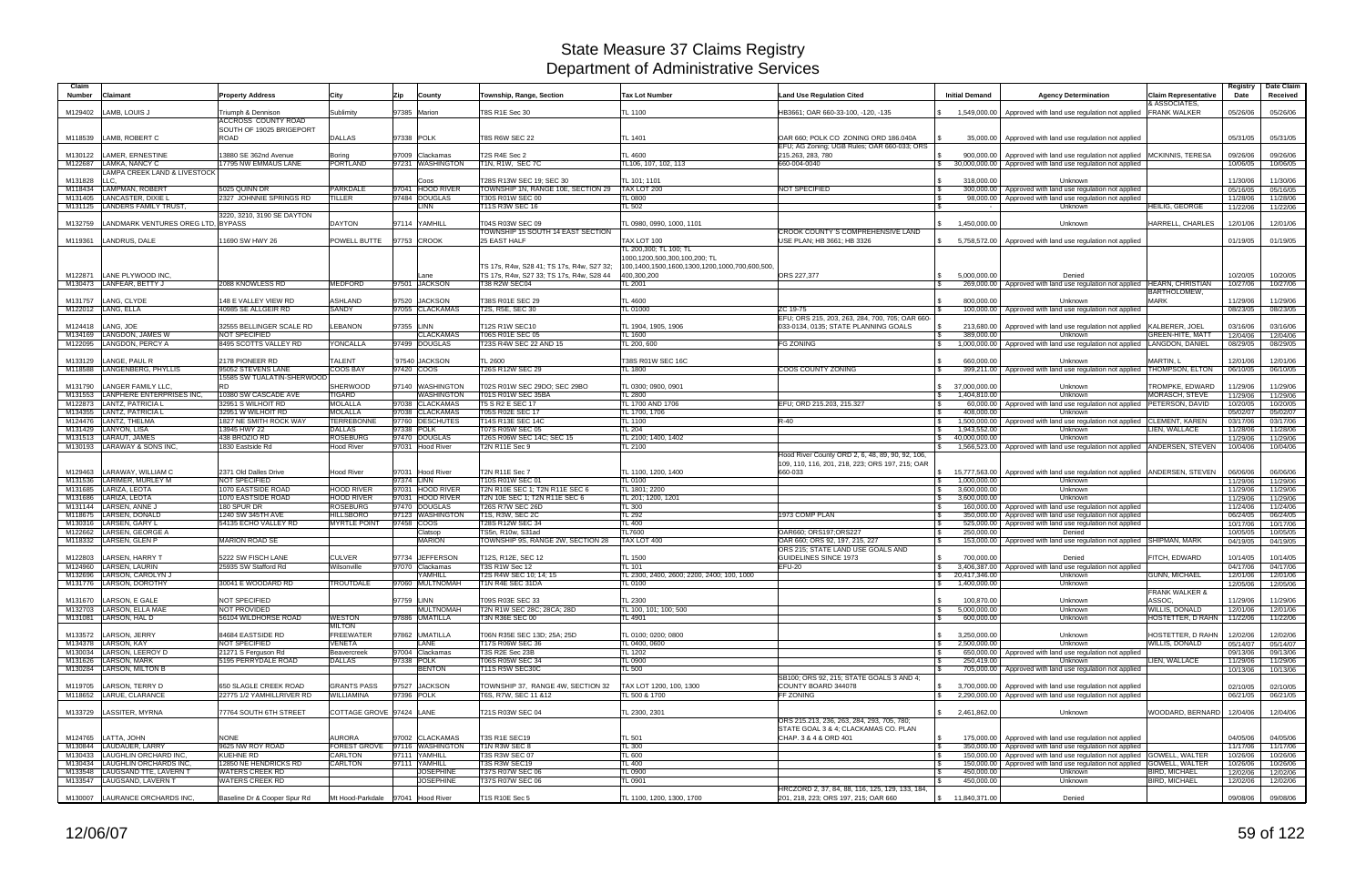| Claim              |                                                   |                                                        |                                                 |            |                                     |                                                                |                                                         |                                                                   |                                                            |                                                                                                                                              |                                              | Registry             | Date Claim           |
|--------------------|---------------------------------------------------|--------------------------------------------------------|-------------------------------------------------|------------|-------------------------------------|----------------------------------------------------------------|---------------------------------------------------------|-------------------------------------------------------------------|------------------------------------------------------------|----------------------------------------------------------------------------------------------------------------------------------------------|----------------------------------------------|----------------------|----------------------|
| <b>Number</b>      | Claimant                                          | <b>Property Address</b>                                | City                                            | Zip        | County                              | Township, Range, Section                                       | <b>Tax Lot Number</b>                                   | <b>Land Use Regulation Cited</b>                                  | <b>Initial Demand</b>                                      | <b>Agency Determination</b>                                                                                                                  | <b>Claim Representative</b><br>& ASSOCIATES. | Date                 | Received             |
| M129402            | LAMB, LOUIS J                                     | Triumph & Dennison                                     | Sublimity                                       |            | 97385 Marion                        | T8S R1E Sec 30                                                 | TL 1100                                                 | HB3661; OAR 660-33-100, -120, -135                                | 1.549.000.00                                               | Approved with land use regulation not applied                                                                                                | <b>FRANK WALKER</b>                          | 05/26/06             | 05/26/06             |
|                    |                                                   | <b>ACCROSS COUNTY ROAD</b><br>SOUTH OF 19025 BRIGEPORT |                                                 |            |                                     |                                                                |                                                         |                                                                   |                                                            |                                                                                                                                              |                                              |                      |                      |
| M118539            | LAMB, ROBERT C                                    | ROAD                                                   | <b>DALLAS</b>                                   | 97338 POLK |                                     | <b>T8S R6W SEC 22</b>                                          | TL 1401                                                 | OAR 660: POLK CO ZONING ORD 186,040A                              |                                                            | 35,000.00 Approved with land use regulation not applied                                                                                      |                                              | 05/31/05             | 05/31/05             |
|                    |                                                   |                                                        |                                                 |            |                                     |                                                                | TL 4600                                                 | EFU; AG Zoning; UGB Rules; OAR 660-033; ORS                       |                                                            |                                                                                                                                              |                                              |                      |                      |
| M130122<br>M122687 | LAMER, ERNESTINE<br>LAMKA, NANCY C                | 13880 SE 362nd Avenue<br>17795 NW EMMAUS LANE          | Boring<br><b>PORTLAND</b>                       |            | 97009 Clackamas<br>97231 WASHINGTON | T2S R4E Sec 2<br>T1N, R1W, SEC 7C                              | TL106, 107, 102, 113                                    | 215.263, 283, 780<br>660-004-0040                                 | $\sqrt{3}$                                                 | 900,000.00   Approved with land use regulation not applied   MCKINNIS, TERESA<br>30,000,000.00 Approved with land use regulation not applied |                                              | 09/26/06<br>10/06/05 | 09/26/06<br>10/06/05 |
|                    | <b>LAMPA CREEK LAND &amp; LIVESTOCK</b>           |                                                        |                                                 |            |                                     |                                                                |                                                         |                                                                   |                                                            |                                                                                                                                              |                                              |                      |                      |
| M131828<br>M118434 | LLC.<br><b>LAMPMAN, ROBERT</b>                    | 5025 QUINN DR                                          | PARKDALE                                        |            | Coos<br>97041 HOOD RIVER            | T28S R13W SEC 19; SEC 30<br>TOWNSHIP 1N, RANGE 10E, SECTION 29 | TL 101; 1101<br>TAX LOT 200                             | NOT SPECIFIED                                                     | 318,000.00<br>$\mathbf{s}$                                 | Unknown<br>300,000.00   Approved with land use regulation not applied                                                                        |                                              | 11/30/06             | 11/30/06             |
| M131405            | LANCASTER, DIXIE L                                | 2327 JOHNNIE SPRINGS RD                                | TILLER                                          |            | 97484 DOUGLAS                       | 30S R01W SEC 00                                                | L 0800                                                  |                                                                   | 98,000.00                                                  | Approved with land use regulation not applied                                                                                                |                                              | 05/16/05<br>11/28/06 | 05/16/05<br>11/28/06 |
| M131125            | LANDERS FAMILY TRUST.                             |                                                        |                                                 |            | <b>LINN</b>                         | T11S R3W SEC 16                                                | TL 502                                                  |                                                                   |                                                            | Unknown                                                                                                                                      | <b>HEILIG, GEORGE</b>                        | 11/22/06             | 11/22/06             |
| M132759            | <b>LANDMARK VENTURES OREG LTD. BYPASS</b>         | 3220, 3210, 3190 SE DAYTON                             | <b>DAYTON</b>                                   |            | 97114 YAMHILL                       | T04S R03W SEC 09                                               | TL 0980, 0990, 1000, 1101                               |                                                                   | $\mathbb{S}$<br>1,450,000.00                               | Unknown                                                                                                                                      | HARRELL, CHARLES                             | 12/01/06             | 12/01/06             |
|                    |                                                   |                                                        |                                                 |            |                                     | TOWNSHIP 15 SOUTH 14 EAST SECTION                              |                                                         | CROOK COUNTY'S COMPREHENSIVE LAND                                 |                                                            |                                                                                                                                              |                                              |                      |                      |
| M119361            | LANDRUS, DALE                                     | 1690 SW HWY 26                                         | <b>POWELL BUTTE</b>                             |            | 97753 CROOK                         | 25 EAST HALF                                                   | TAX LOT 100                                             | USE PLAN; HB 3661; HB 3326                                        |                                                            | \$ 5,758,572.00 Approved with land use regulation not applied                                                                                |                                              | 01/19/05             | 01/19/05             |
|                    |                                                   |                                                        |                                                 |            |                                     |                                                                | TL 200,300; TL 100; TL<br>1000,1200,500,300,100,200; TL |                                                                   |                                                            |                                                                                                                                              |                                              |                      |                      |
|                    |                                                   |                                                        |                                                 |            |                                     | TS 17s, R4w, S28 41; TS 17s, R4w, S27 32;                      | 100,1400,1500,1600,1300,1200,1000,700,600,500,          |                                                                   |                                                            |                                                                                                                                              |                                              |                      |                      |
| M122871            | LANE PLYWOOD INC,                                 |                                                        |                                                 |            |                                     | TS 17s, R4w, S27 33; TS 17s, R4w, S28 44                       | 400,300,200                                             | ORS 227,377                                                       | 5.000.000.00                                               | Denied                                                                                                                                       |                                              | 10/20/05             | 10/20/05             |
| M130473            | LANFEAR, BETTY J                                  | 2088 KNOWLESS RD                                       | <b>MEDFORD</b>                                  |            | 97501 JACKSON                       | <b>T38 R2W SEC04</b>                                           | L 2001                                                  |                                                                   |                                                            | 269,000.00   Approved with land use regulation not applied  HEARN, CHRISTIAN                                                                 | BARTHOLOMEW,                                 | 10/27/06             | 10/27/06             |
| M131757            | LANG, CLYDE                                       | 148 E VALLEY VIEW RD                                   | <b>ASHLAND</b>                                  |            | 97520 JACKSON                       | T38S R01E SEC 29                                               | TL 4600                                                 |                                                                   | 800,000.00                                                 | Unknown                                                                                                                                      | <b>MARK</b>                                  | 11/29/06             | 11/29/06             |
| M122012            | LANG, ELLA                                        | 40985 SE ALLGEIR RD                                    | SANDY                                           |            | 97055 CLACKAMAS                     | T2S, R5E, SEC 30                                               | TL 01000                                                | ZC 19-75<br>EFU; ORS 215, 203, 263, 284, 700, 705; OAR 660-       |                                                            | 100,000.00   Approved with land use regulation not applied                                                                                   |                                              | 08/23/05             | 08/23/05             |
| M124418            | LANG, JOE                                         | 32555 BELLINGER SCALE RD                               | <b>EBANON</b>                                   | 97355 LINN |                                     | T12S R1W SEC10                                                 | TL 1904, 1905, 1906                                     | 033-0134, 0135: STATE PLANNING GOALS                              | 213,680.00                                                 | Approved with land use regulation not applied                                                                                                | KALBERER, JOEI                               | 03/16/06             | 03/16/06             |
| M134169            | <b>LANGDON, JAMES W</b>                           | NOT SPECIFIED                                          |                                                 |            | <b>CLACKAMAS</b>                    | <b>T06S R01E SEC 05</b>                                        | L 1600                                                  |                                                                   | 389.000.00                                                 | Unknown                                                                                                                                      | <b>GREEN-HITE, MATT</b>                      | 12/04/06             | 12/04/06             |
| M122095            | LANGDON, PERCY A                                  | 8495 SCOTTS VALLEY RD                                  | YONCALLA                                        |            | 97499 DOUGLAS                       | T23S R4W SEC 22 AND 15                                         | TL 200, 600                                             | FG ZONING                                                         |                                                            | 1,000,000.00   Approved with land use regulation not applied   LANGDON, DANIEL                                                               |                                              | 08/29/05             | 08/29/05             |
| M133129            | LANGE, PAUL R                                     | 2178 PIONEER RD                                        | <b>TALENT</b>                                   |            | 97540 JACKSON                       | TL 2600                                                        | T38S R01W SEC 16C                                       |                                                                   | 660,000.00                                                 | Unknown                                                                                                                                      | MARTIN, L                                    | 12/01/06             | 12/01/06             |
| M118588            | LANGENBERG, PHYLLIS                               | 95052 STEVENS LANE                                     | <b>COOS BAY</b>                                 | 97420 COOS |                                     | <b>T26S R12W SEC 29</b>                                        | $-L$ 1800                                               | <b>COOS COUNTY ZONING</b>                                         |                                                            | 399,211.00   Approved with land use regulation not applied   THOMPSON, ELTON                                                                 |                                              | 06/10/05             | 06/10/05             |
| M131790            | LANGER FAMILY LLC.                                | 15585 SW TUALATIN-SHERWOOD<br><b>RD</b>                | <b>SHERWOOD</b>                                 |            | 97140 WASHINGTON                    | T02S R01W SEC 29DO; SEC 29BO                                   | TL 0300: 0900. 0901                                     |                                                                   | 37,000,000.00<br>$\mathcal{S}$                             | Unknown                                                                                                                                      | TROMPKE, EDWARD                              | 11/29/06             |                      |
| M131553            | LANPHERE ENTERPRISES INC.                         | 10380 SW CASCADE AVE                                   | <b>TIGARD</b>                                   |            | VASHINGTON                          | T01S R01W SEC 35BA                                             | $-L2800$                                                |                                                                   | 1,404,810.00<br>$\mathbb{S}$                               | <b>Unknown</b>                                                                                                                               | MORASCH, STEVE                               | 11/29/06             | 11/29/06<br>11/29/06 |
| M122873            | <b>LANTZ, PATRICIA L</b>                          | 32951 S WILHOIT RD                                     | <b>MOLALLA</b>                                  |            | 97038 CLACKAMAS                     | T5 S R2 E SEC 17                                               | TL 1700 AND 1706                                        | EFU; ORD 215.203, 215.327                                         |                                                            | 60,000.00   Approved with land use regulation not applied   PETERSON, DAVID                                                                  |                                              | 10/20/05             | 10/20/05             |
| M134355<br>M124476 | <b>LANTZ, PATRICIA L</b><br>LANTZ, THELMA         | 32951 W WILHOIT RD<br>1827 NE SMITH ROCK WAY           | <b>MOLALLA</b><br><b>TERREBONNE</b>             |            | 97038 CLACKAMAS<br>97760 DESCHUTES  | <b>T05S R02E SEC 17</b><br><b>T14S R13E SEC 14C</b>            | TL 1700, 1706<br>TL 1100                                | R-40                                                              | 408,000.00<br>$\sqrt{3}$                                   | Unknown<br>1,500,000.00 Approved with land use regulation not applied CLEMENT, KAREN                                                         |                                              | 05/02/07<br>03/17/06 | 05/02/07<br>03/17/06 |
| M131429            | LANYON, LISA                                      | 13945 HWY 22                                           | <b>DALLAS</b>                                   | 97338 POLK |                                     | T07S R05W SEC 05                                               | L 204                                                   |                                                                   | 1,943,552.00                                               | Unknown                                                                                                                                      | LIEN. WALLACE                                | 11/28/06             | 11/28/06             |
| M131513            | LARAUT, JAMES                                     | 438 BROZIO RD                                          | <b>ROSEBURG</b>                                 |            | 97470 DOUGLAS                       | T26S R06W SEC 14C; SEC 15                                      | TL 2100; 1400, 1402                                     |                                                                   | 40,000,000.00<br>$\mathsf{S}$                              | Unknown                                                                                                                                      |                                              | 11/29/06             | 11/29/06             |
| M130193            | <b>LARAWAY &amp; SONS INC.</b>                    | 1830 Eastside Rd                                       | <b>Hood River</b>                               |            | 97031 Hood River                    | <b>T2N R11E Sec 9</b>                                          | L2100                                                   | Hood River County ORD 2, 6, 48, 89, 90, 92, 106,                  |                                                            | 1,566,523.00 Approved with land use regulation not applied ANDERSEN, STEVEN                                                                  |                                              | 10/04/06             | 10/04/06             |
|                    |                                                   |                                                        |                                                 |            |                                     |                                                                |                                                         | 109, 110, 116, 201, 218, 223; ORS 197, 215; OAR                   |                                                            |                                                                                                                                              |                                              |                      |                      |
| M129463            | LARAWAY, WILLIAM C                                | 2371 Old Dalles Drive                                  | <b>Hood River</b>                               |            | 97031 Hood River                    | <b>T2N R11E Sec 7</b>                                          | TL 1100. 1200. 1400                                     | 660-033                                                           | 15,777,563.00                                              | Approved with land use regulation not applied   ANDERSEN, STEVEN                                                                             |                                              | 06/06/06             | 06/06/06             |
| M131536<br>M131685 | LARIMER, MURLEY M<br>LARIZA, LEOTA                | <b>NOT SPECIFIED</b><br>1070 EASTSIDE ROAD             | HOOD RIVER                                      | 97374 LINN | 97031 HOOD RIVER                    | T10S R01W SEC 01<br>T2N R10E SEC 1; T2N R11E SEC 6             | TL 0100<br>TL 1801; 2200                                |                                                                   | 1,000,000.00<br>$\mathbf{s}$<br>3,600,000.00<br>$\sqrt{3}$ | Unknown<br>Unknown                                                                                                                           |                                              | 11/29/06<br>11/29/06 | 11/29/06<br>11/29/06 |
| M131686            | LARIZA, LEOTA                                     | 1070 EASTSIDE ROAD                                     | <b>HOOD RIVER</b>                               |            | 97031 HOOD RIVER                    | T2N 10E SEC 1; T2N R11E SEC 6                                  | TL 201; 1200, 1201                                      |                                                                   | 3,600,000.00<br>$\sqrt{3}$                                 | Unknown                                                                                                                                      |                                              | 11/29/06             | 11/29/06             |
| M131144            | LARSEN, ANNE J                                    | 180 SPUR DR                                            | <b>ROSEBURG</b>                                 |            | 97470 DOUGLAS                       | T26S R7W SEC 26D                                               | TL 300                                                  |                                                                   | 160,000.00<br>l \$                                         | Approved with land use regulation not applied                                                                                                |                                              | 11/24/06             | 11/24/06             |
| M118675<br>M130316 | LARSEN, DONALD<br>LARSEN, GARY L                  | 1240 SW 345TH AVE<br>54135 ECHO VALLEY RD              | <b>HILLSBORO</b><br><b>MYRTLE POINT</b>         | 97458 COOS | 97123 WASHINGTON                    | T1S, R3W, SEC 2C<br>T28S R12W SEC 34                           | TL292<br><b>TL 400</b>                                  | 1973 COMP PLAN                                                    | $\sqrt{3}$<br>350,000.00<br>525.000.00                     | Approved with land use regulation not applied<br>Approved with land use regulation not applied                                               |                                              | 06/24/05<br>10/17/06 | 06/24/05<br>10/17/06 |
| M122662            | LARSEN, GEORGE A                                  |                                                        |                                                 |            | Clatsop                             | S5n. R10w. S31ad                                               | L7600                                                   | OAR660: ORS197:ORS227                                             | 250.000.00                                                 | Denied                                                                                                                                       |                                              | 10/05/05             | 10/05/05             |
| M118332            | LARSEN, GLEN P                                    | <b>MARION ROAD SE</b>                                  |                                                 |            | <b>MARION</b>                       | TOWNSHIP 9S, RANGE 2W, SECTION 28                              | TAX LOT 400                                             | OAR 660; ORS 92, 197, 215, 227                                    |                                                            | 153,000.00 Approved with land use regulation not applied SHIPMAN, MARK                                                                       |                                              | 04/19/05             | 04/19/05             |
| M122803            | LARSEN, HARRY T                                   | 5222 SW FISCH LANE                                     | <b>CULVER</b>                                   | 97734      | <b>JEFFERSON</b>                    | T12S, R12E, SEC 12                                             | <b>TL 1500</b>                                          | ORS 215; STATE LAND USE GOALS AND<br><b>GUIDELINES SINCE 1973</b> | 700,000.00                                                 | Denied                                                                                                                                       | FITCH, EDWARD                                | 10/14/05             | 10/14/05             |
| M124960            | LARSEN, LAURIN                                    | 25935 SW Stafford Rd                                   | Wilsonville                                     |            | 97070 Clackamas                     | T3S R1W Sec 12                                                 | <b>TL 101</b>                                           | EFU-20                                                            | 3,406,387.00<br>$\mathcal{S}$                              | Approved with land use regulation not applied                                                                                                |                                              | 04/17/06             | 04/17/06             |
|                    | M132696 LARSON, CAROLYN J                         |                                                        |                                                 |            | YAMHILL                             | T2S R4W SEC 10; 14; 15                                         | TL 2300, 2400, 2600; 2200, 2400; 100, 1000              |                                                                   | $\mathcal{S}$<br>20,417,346.00                             | Unknown                                                                                                                                      | GUNN, MICHAEL                                | 12/01/06             | 12/01/06             |
|                    | M131776 LARSON, DOROTHY                           | 30041 E WOODARD RD                                     | <b>TROUTDALE</b>                                |            | 97060 MULTNOMAH                     | T1N R4E SEC 31DA                                               | TL 0100                                                 |                                                                   | 1,400,000.00<br>\$                                         | Unknown                                                                                                                                      | <b>FRANK WALKER &amp;</b>                    | 12/05/06             | 12/05/06             |
|                    | M131670 LARSON, E GALE                            | <b>NOT SPECIFIED</b>                                   |                                                 | 97759 LINN |                                     | T09S R03E SEC 33                                               | TL 2300                                                 |                                                                   | 100.870.00                                                 | Unknown                                                                                                                                      | ASSOC.                                       | 11/29/06             | 11/29/06             |
|                    | M132703 LARSON, ELLA MAE<br>M131081 LARSON, HAL D | NOT PROVIDED<br>56104 WILDHORSE ROAD                   | <b>WESTON</b>                                   |            | <b>MULTNOMAH</b><br>97886 UMATILLA  | T2N R1W SEC 28C; 28CA; 28D<br>T3N R36E SEC 00                  | TL 100, 101: 100: 500<br>TL 4901                        |                                                                   | 5,000,000.00<br>$\mathfrak{S}$<br>600,000.00               | Unknown<br>Unknown                                                                                                                           | <b>WILLIS, DONALD</b><br>HOSTETTER, D RAHN   | 12/01/06<br>11/22/06 | 12/01/06             |
|                    |                                                   |                                                        | <b>MILTON</b>                                   |            |                                     |                                                                |                                                         |                                                                   |                                                            |                                                                                                                                              |                                              |                      | 11/22/06             |
| M133572            | LARSON, JERRY                                     | 84684 EASTSIDE RD                                      | <b>FREEWATER</b>                                |            | 97862 UMATILLA                      | T06N R35E SEC 13D; 25A; 25D                                    | TL 0100; 0200; 0800                                     |                                                                   | 3,250,000.00<br>$\mathbb{S}$                               | Unknown                                                                                                                                      | HOSTETTER, D RAHN                            | 12/02/06             | 12/02/06             |
| M134378<br>M130034 | LARSON, KAY<br>LARSON, LEEROY D                   | NOT SPECIFIED<br>21271 S Ferguson Rd                   | VENETA<br>Beavercreek                           |            | LANE<br>97004 Clackamas             | T17S R06W SEC 36<br>T3S R2E Sec 23B                            | TL 0400, 0600<br>TL 1202                                |                                                                   | 2,500,000.00<br>$\sqrt{3}$<br>$\vert$ \$                   | Unknown<br>650,000.00 Approved with land use regulation not applied                                                                          | <b>WILLIS, DONALD</b>                        | 05/14/07<br>09/13/06 | 05/14/07<br>09/13/06 |
| M131626            | LARSON, MARK                                      | 5195 PERRYDALE ROAD                                    | <b>DALLAS</b>                                   | 97338 POLK |                                     | T06S R05W SEC 34                                               | TL 0900                                                 |                                                                   | 250,419.00<br>$\sqrt{3}$                                   | Unknown                                                                                                                                      | LIEN, WALLACE                                | 11/29/06             | 11/29/06             |
| M130284            | <b>LARSON, MILTON B</b>                           |                                                        |                                                 |            | <b>BENTON</b>                       | T11S R5W SEC30C                                                | <b>TL 500</b>                                           |                                                                   | $\mathbf{s}$                                               | 705,000.00 Approved with land use regulation not applied                                                                                     |                                              | 10/13/06             | 10/13/06             |
| M119705            | LARSON, TERRY D                                   | 650 SLAGLE CREEK ROAD                                  | <b>GRANTS PASS</b>                              |            | 97527 JACKSON                       | TOWNSHIP 37, RANGE 4W, SECTION 32                              | TAX LOT 1200, 100, 1300                                 | SB100: ORS 92, 215: STATE GOALS 3 AND 4:<br>COUNTY BOARD 344078   | $\mathbb{S}$                                               | 3,700,000.00 Approved with land use regulation not applied                                                                                   |                                              | 02/10/05             | 02/10/05             |
|                    | M118652 LARUE, CLARANCE                           | 22775 1/2 YAMHILLRIVER RD                              | <b>WILLIAMINA</b>                               | 97396 POLK |                                     | T6S, R7W, SEC 11 &12                                           | L 500 & 1700                                            | FF ZONING                                                         |                                                            | 2,290,000.00 Approved with land use regulation not applied                                                                                   |                                              | 06/21/05             | 06/21/05             |
|                    |                                                   |                                                        |                                                 |            |                                     |                                                                |                                                         |                                                                   |                                                            |                                                                                                                                              |                                              |                      |                      |
| M133729            | LASSITER, MYRNA                                   | 77764 SOUTH 6TH STREET                                 | COTTAGE GROVE 97424 LANE                        |            |                                     | T21S R03W SEC 04                                               | TL 2300, 2301                                           | ORS 215.213, 236, 263, 284, 293, 705, 780;                        | \$2,461,862.00                                             | Unknown                                                                                                                                      | WOODARD, BERNARD                             | 12/04/06             | 12/04/06             |
|                    |                                                   |                                                        |                                                 |            |                                     |                                                                |                                                         | STATE GOAL 3 & 4; CLACKAMAS CO. PLAN                              |                                                            |                                                                                                                                              |                                              |                      |                      |
|                    | M124765 LATTA, JOHN                               | <b>NONE</b>                                            | <b>AURORA</b>                                   |            | 97002 CLACKAMAS                     | T3S R1E SEC19                                                  | <b>TL 501</b>                                           | CHAP. 3 & 4 & ORD 401                                             | $\mathbf{s}$                                               | 175,000.00   Approved with land use regulation not applied                                                                                   |                                              | 04/05/06             | 04/05/06             |
| M130433            | M130844 LAUDAUER, LARRY<br>LAUGHLIN ORCHARD INC.  | 9625 NW ROY ROAD<br><b>KUEHNE RD</b>                   | FOREST GROVE 97116 WASHINGTON<br><b>CARLTON</b> |            | 97111 YAMHILL                       | T1N R3W SEC 8<br>T3S R3W SEC 07                                | $-L300$<br>TL 600                                       |                                                                   | <b>S</b><br><b>S</b>                                       | 350,000.00 Approved with land use regulation not applied<br>150,000.00   Approved with land use regulation not applied   GOWELL, WALTER      |                                              | 11/17/06<br>10/26/06 | 11/17/06<br>10/26/06 |
| M130434            | <b>LAUGHLIN ORCHARDS INC.</b>                     | 12850 NE HENDRICKS RD                                  | <b>CARLTON</b>                                  |            | 97111 YAMHILL                       | T3S R3W SEC19                                                  | L 400                                                   |                                                                   |                                                            | 150,000.00   Approved with land use regulation not applied   GOWELL, WALTER                                                                  |                                              | 10/26/06             | 10/26/06             |
| M133548            | LAUGSAND TTE, LAVERN T                            | WATERS CREEK RD                                        |                                                 |            | <b>JOSEPHINE</b>                    | T37S R07W SEC 06                                               | TL 0900                                                 |                                                                   | 450,000.00<br><b>S</b>                                     | Unknown                                                                                                                                      | BIRD, MICHAEL                                | 12/02/06             | 12/02/06             |
| M133547            | LAUGSAND, LAVERN T                                | <b>WATERS CREEK RD</b>                                 |                                                 |            | <b>JOSEPHINE</b>                    | T37S R07W SEC 06                                               | L 0901                                                  | HRCZORD 2, 37, 84, 88, 116, 125, 129, 133, 184,                   | 450,000.00                                                 | Unknown                                                                                                                                      | <b>BIRD, MICHAEL</b>                         | 12/02/06             | 12/02/06             |
|                    | M130007 LAURANCE ORCHARDS INC.                    | Baseline Dr & Cooper Spur Rd                           | Mt Hood-Parkdale 97041 Hood River               |            |                                     | T1S R10E Sec 5                                                 | TL 1100, 1200, 1300, 1700                               | 201, 218, 223; ORS 197, 215; OAR 660                              | $\frac{1}{2}$ 11,840,371.00                                | Denied                                                                                                                                       |                                              | 09/08/06             | 09/08/06             |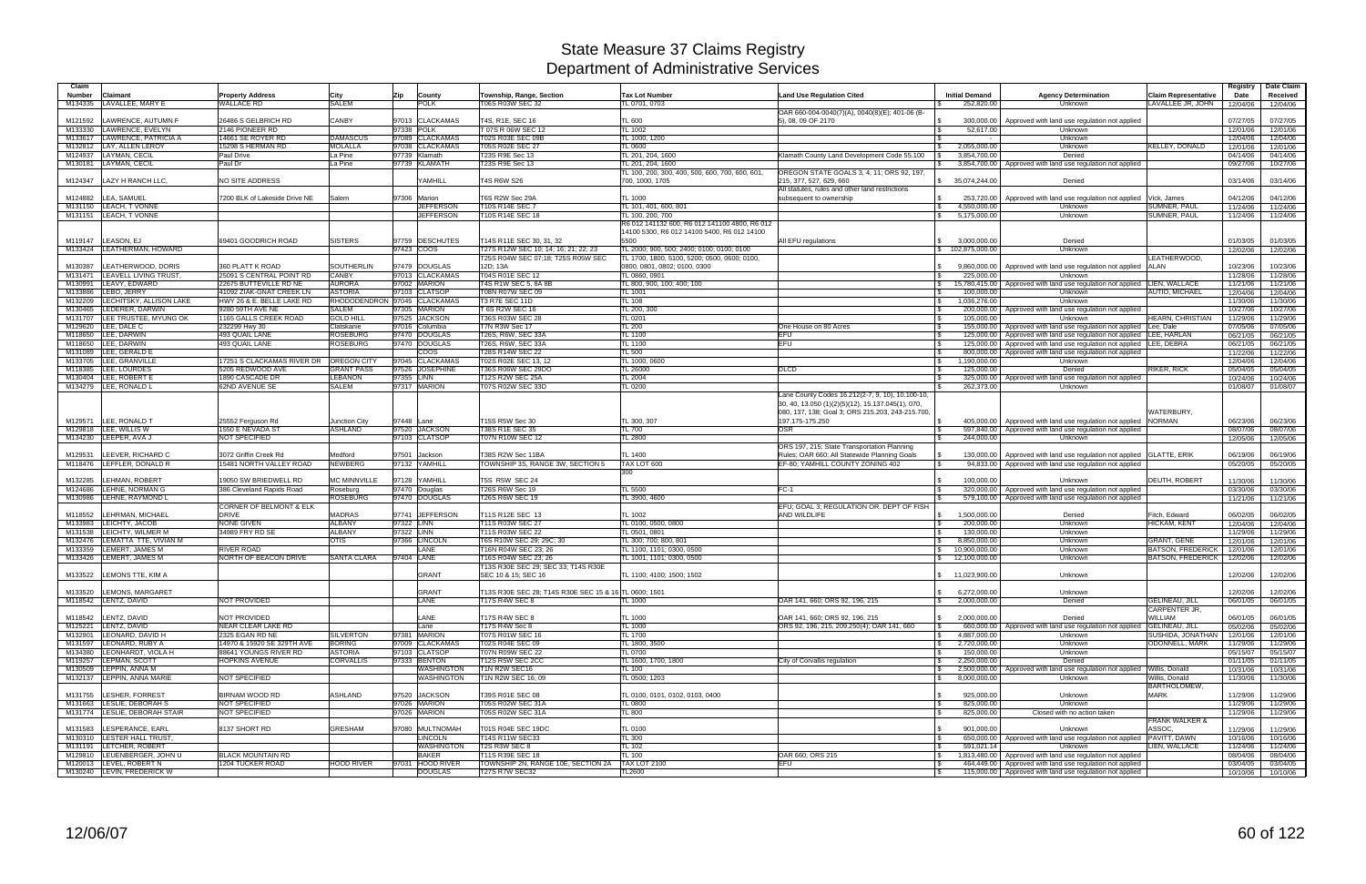| Claim         |                               |                               |                              |            |                  |                                                            |                                                |                                                                                                       |                       |                                                                             |                             | <b>Registry</b> | Date Claim |
|---------------|-------------------------------|-------------------------------|------------------------------|------------|------------------|------------------------------------------------------------|------------------------------------------------|-------------------------------------------------------------------------------------------------------|-----------------------|-----------------------------------------------------------------------------|-----------------------------|-----------------|------------|
| <b>Number</b> | Claimant                      | <b>Property Address</b>       | City                         | Zip        | County           | Township, Range, Section                                   | <b>Tax Lot Number</b>                          | Land Use Regulation Cited                                                                             | <b>Initial Demand</b> | <b>Agency Determination</b>                                                 | <b>Claim Representative</b> | Date            | Received   |
| M134335       | LAVALLEE, MARY E              | <b>WALLACE RD</b>             | <b>SALEM</b>                 |            | <b>POLK</b>      | T06S R03W SEC 32                                           | TL 0701, 0703                                  |                                                                                                       | 252,820.00            | Unknown                                                                     | LAVALLEE JR, JOHN           | 12/04/06        | 12/04/06   |
|               |                               |                               |                              |            |                  |                                                            |                                                |                                                                                                       |                       |                                                                             |                             |                 |            |
|               |                               |                               |                              |            |                  |                                                            |                                                | OAR 660-004-0040(7)(A), 0040(8)(E); 401-06 (B-                                                        |                       |                                                                             |                             |                 |            |
| M121592       | LAWRENCE, AUTUMN F            | 26486 S GELBRICH RD           | <b>CANBY</b>                 |            | 97013 CLACKAMAS  | T4S, R1E, SEC 16                                           | <b>TL 600</b>                                  | 5), 08, 09 OF 2170                                                                                    |                       | 300,000.00   Approved with land use regulation not applied                  |                             | 07/27/05        | 07/27/05   |
| M133330       | LAWRENCE, EVELYN              | 2146 PIONEER RD               |                              |            | 97338 POLK       | T 07S R 06W SEC 12                                         | <b>TL 1002</b>                                 |                                                                                                       | 52,617.00             | <b>Unknown</b>                                                              |                             | 12/01/06        | 12/01/06   |
| M133617       | LAWRENCE, PATRICIA A          | 14661 SE ROYER RD             | <b>DAMASCUS</b>              |            | 97089 CLACKAMAS  | T02S R03E SEC 09B                                          | TL 1000, 1200                                  |                                                                                                       |                       | Unknown                                                                     |                             | 12/04/06        | 12/04/06   |
| M132812       | LAY, ALLEN LEROY              | 15298 S HERMAN RD             | <b>MOLALLA</b>               |            | 97038 CLACKAMAS  | <b>T05S R02E SEC 27</b>                                    | <b>TL 0600</b>                                 |                                                                                                       | 2,055,000.00          | Unknown                                                                     | <b>KELLEY, DONALD</b>       | 12/01/06        | 12/01/06   |
| M124937       | LAYMAN, CECIL                 | Paul Drive                    | La Pine                      |            | 97739 Klamath    | <b>T23S R9E Sec 13</b>                                     | TL 201, 204, 1600                              | Klamath County Land Development Code 55.100                                                           | 3,854,700.00          | Denied                                                                      |                             | 04/14/06        | 04/14/06   |
| M130181       | LAYMAN, CECIL                 | Paul Dr                       | La Pine                      |            | 97739 KLAMATH    | <b>T23S R9E Sec 13</b>                                     | TL 201, 204, 1600                              |                                                                                                       |                       | 3,854,700.00 Approved with land use regulation not applied                  |                             | 09/27/06        | 10/27/06   |
|               |                               |                               |                              |            |                  |                                                            |                                                |                                                                                                       |                       |                                                                             |                             |                 |            |
|               |                               |                               |                              |            |                  |                                                            | TL 100, 200, 300, 400, 500, 600, 700, 600, 601 | OREGON STATE GOALS 3, 4, 11; ORS 92, 197,                                                             |                       |                                                                             |                             |                 |            |
| M124347       | LAZY H RANCH LLC,             | <b>NO SITE ADDRESS</b>        |                              |            | YAMHILL          | <b>T4S R6W S26</b>                                         | 700, 1000, 1705                                | 215, 377, 527, 629, 660                                                                               | \$35,074,244.00       | Denied                                                                      |                             | 03/14/06        | 03/14/06   |
|               |                               |                               |                              |            |                  |                                                            |                                                | All statutes, rules and other land restrictions                                                       |                       |                                                                             |                             |                 |            |
| M124882       | LEA, SAMUEL                   | 7200 BLK of Lakeside Drive NE | Salem                        |            | 97306 Marion     | T6S R2W Sec 29A                                            | <b>TL 1000</b>                                 | subsequent to ownership                                                                               |                       | 253,720.00 Approved with land use regulation not applied                    | Vick, James                 | 04/12/06        | 04/12/06   |
| M131150       | LEACH, T VONNE                |                               |                              |            | <b>JEFFERSON</b> | T10S R14E SEC 7                                            | TL 101, 401, 600, 801                          |                                                                                                       | 4,550,000.00          | Unknown                                                                     | SUMNER, PAUL                | 11/24/06        | 11/24/06   |
| M131151       | LEACH. T VONNE                |                               |                              |            | <b>JEFFERSON</b> | T10S R14E SEC 18                                           | TL 100, 200, 700                               |                                                                                                       | 5,175,000.00          | <b>Unknown</b>                                                              | <b>SUMNER, PAUL</b>         | 11/24/06        | 11/24/06   |
|               |                               |                               |                              |            |                  |                                                            | R6 012 141132 600, R6 012 141100 4800, R6 012  |                                                                                                       |                       |                                                                             |                             |                 |            |
|               |                               |                               |                              |            |                  |                                                            | 14100 5300, R6 012 14100 5400, R6 012 14100    |                                                                                                       |                       |                                                                             |                             |                 |            |
|               |                               |                               |                              |            |                  |                                                            |                                                |                                                                                                       |                       |                                                                             |                             |                 |            |
| M119147       | LEASON, EJ                    | 69401 GOODRICH ROAD           | <b>SISTERS</b>               |            | 97759 DESCHUTES  | T14S R11E SEC 30, 31, 32                                   | 5500                                           | All EFU regulations                                                                                   | 3,000,000.00          | Denied                                                                      |                             | 01/03/05        | 01/03/05   |
| M133424       | LEATHERMAN, HOWARD            |                               |                              |            | 97423 COOS       | T27S R12W SEC 10; 14; 16; 21; 22; 23                       | TL 2000; 900, 500; 2400; 0100; 0100; 0100      |                                                                                                       | \$102,875,000.00      | <b>Unknown</b>                                                              |                             | 12/02/06        | 12/02/06   |
|               |                               |                               |                              |            |                  | T25S R04W SEC 07:18; T25S R05W SEC                         | TL 1700, 1800, 5100, 5200; 0500, 0600; 0100,   |                                                                                                       |                       |                                                                             | EATHERWOOD,                 |                 |            |
| M130387       | LEATHERWOOD, DORIS            | 360 PLATT K ROAD              | SOUTHERLIN                   |            | 97479 DOUGLAS    | 12D: 13A                                                   | 0800, 0801, 0802; 0100, 0300                   |                                                                                                       |                       | 9,860,000.00 Approved with land use regulation not applied                  | <b>ALAN</b>                 | 10/23/06        | 10/23/06   |
| M131471       | <b>LEAVELL LIVING TRUST</b>   | 25091 S CENTRAL POINT RD      | <b>CANBY</b>                 |            | 97013 CLACKAMAS  | T04S R01E SEC 12                                           | TL 0860, 0901                                  |                                                                                                       | 225,000.00            | Unknown                                                                     |                             | 11/28/06        | 11/28/06   |
|               |                               |                               | <b>AURORA</b>                |            |                  |                                                            |                                                |                                                                                                       |                       |                                                                             |                             |                 |            |
| M130991       | LEAVY, EDWARD                 | 22675 BUTTEVILLE RD NE        |                              |            | 97002 MARION     | T4S R1W SEC 5, 8A 8B                                       | TL 800, 900, 100; 400; 100                     |                                                                                                       |                       | 15,780,415.00 Approved with land use regulation not applied                 | LIEN, WALLACE               | 11/21/06        | 11/21/06   |
| M133886       | LEBO, JERRY                   | 41092 ZIAK-GNAT CREEK LN      | <b>ASTORIA</b>               |            | 97103 CLATSOP    | T08N R07W SEC 09                                           | <b>TL 1001</b>                                 |                                                                                                       | 100,000.00            | <b>Unknown</b>                                                              | AUTIO, MICHAEL              | 12/04/06        | 12/04/06   |
| M132209       | LECHITSKY, ALLISON LAKE       | HWY 26 & E. BELLE LAKE RD     | RHODODENDRON 97045 CLACKAMAS |            |                  | T3 R7E SEC 11D                                             | <b>TL 108</b>                                  |                                                                                                       | 1,036,276.00          | Unknown                                                                     |                             | 11/30/06        | 11/30/06   |
| M130465       | LEDERER, DARWIN               | 9280 59TH AVE NE              | <b>SALEM</b>                 |            | 97305 MARION     | T 6S R2W SEC 16                                            | TL 200, 300                                    |                                                                                                       |                       | 200,000,00 Approved with land use regulation not applied                    |                             | 10/27/06        | 10/27/06   |
| M131707       | LEE TRUSTEE, MYUNG OK         | 1165 GALLS CREEK ROAD         | <b>GOLD HILL</b>             |            | 97525 JACKSON    | T36S R03W SEC 28                                           | <b>TL 0201</b>                                 |                                                                                                       | 105.000.00            | Unknown                                                                     | <b>HEARN, CHRISTIAN</b>     | 11/29/06        | 11/29/06   |
| M129620       | LEE, DALE C                   | 232299 Hwy 30                 | Clatskanie                   |            | 97016 Columbia   | T7N R3W Sec 17                                             | <b>TL 200</b>                                  | One House on 80 Acres                                                                                 |                       | 155,000.00 Approved with land use regulation not applied                    | Lee, Dale                   | 07/05/06        | 07/05/06   |
|               |                               |                               |                              |            |                  |                                                            |                                                |                                                                                                       |                       |                                                                             |                             |                 |            |
| M118650       | LEE, DARWIN                   | 493 QUAIL LANE                | <b>ROSEBURG</b>              |            | 97470 DOUGLAS    | T26S, R6W, SEC 33A                                         | <b>TL 1100</b>                                 |                                                                                                       |                       | 125,000.00 Approved with land use regulation not applied                    | LEE, HARLAN                 | 06/21/05        | 06/21/05   |
| M118650       | LEE, DARWIN                   | 493 QUAIL LANE                | <b>ROSEBURG</b>              |            | 97470 DOUGLAS    | T26S, R6W, SEC 33A                                         | <b>TL 1100</b>                                 | EFU                                                                                                   |                       | 125,000.00 Approved with land use regulation not applied                    | LEE, DEBRA                  | 06/21/05        | 06/21/05   |
| M131089       | LEE, GERALD E                 |                               |                              |            | <b>COOS</b>      | T28S R14W SEC 22                                           | <b>TL 500</b>                                  |                                                                                                       |                       | 800,000.00 Approved with land use regulation not applied                    |                             | 11/22/06        | 11/22/06   |
| M133705       | LEE, GRANVILLE                | 17251 S CLACKAMAS RIVER DR    | OREGON CITY                  |            | 97045 CLACKAMAS  | T02S R02E SEC 13, 12                                       | TL 1000, 0600                                  |                                                                                                       | 1,190,000.00          | <b>Unknown</b>                                                              |                             | 12/04/06        | 12/04/06   |
| M118385       | LEE, LOURDES                  | 5205 REDWOOD AVE              | <b>GRANT PASS</b>            |            | 97526 JOSEPHINE  | T36S R06W SEC 29DO                                         | TL 26000                                       | <b>DLCD</b>                                                                                           | 125,000.00            | Denied                                                                      | RIKER, RICK                 | 05/04/05        | 05/04/05   |
| M130404       | LEE, ROBERT E                 | 1890 CASCADE DR               | <b>LEBANON</b>               | 97355 LINN |                  | <b>T12S R2W SEC 25A</b>                                    | <b>TL 2004</b>                                 |                                                                                                       |                       | 325,000.00 Approved with land use regulation not applied                    |                             | 10/24/06        | 10/24/06   |
| M134279       | LEE, RONALD L                 | 62ND AVENUE SE                | <b>SALEM</b>                 |            | 97317 MARION     | T07S R02W SEC 33D                                          | <b>TL 0200</b>                                 |                                                                                                       | 262.373.00            | <b>Unknown</b>                                                              |                             |                 |            |
|               |                               |                               |                              |            |                  |                                                            |                                                |                                                                                                       |                       |                                                                             |                             | 01/08/07        | 01/08/07   |
|               |                               |                               |                              |            |                  |                                                            |                                                | Lane County Codes 16.212(2-7, 9, 10), 10.100-10,<br>30, 40, 13.050 (1)(2)(5)(12), 15.137.045(1), 070, |                       |                                                                             |                             |                 |            |
|               |                               |                               |                              |            |                  |                                                            |                                                | 080, 137, 138; Goal 3; ORS 215.203, 243-215.700,                                                      |                       |                                                                             | WATERBURY,                  |                 |            |
| M129571       | LEE, RONALD T                 | 25552 Ferguson Rd             | Junction City                | 97448 Lane |                  | T15S R5W Sec 30                                            | TL 300, 307                                    | 197.175-175.250                                                                                       |                       | 405,000.00   Approved with land use regulation not applied                  | <b>NORMAN</b>               | 06/23/06        | 06/23/06   |
| M129818       | LEE, WILLIS W                 | <b>1550 E NEVADA ST</b>       | <b>ASHLAND</b>               |            | 97520 JACKSON    | <b>T38S R1E SEC 35</b>                                     | <b>TL 700</b>                                  | <b>OSR</b>                                                                                            |                       | 597,840.00   Approved with land use regulation not applied                  |                             | 08/07/06        | 08/07/06   |
| M134230       | LEEPER, AVA J                 | <b>NOT SPECIFIED</b>          |                              |            | 97103 CLATSOP    | T07N R10W SEC 12                                           | <b>TL 2800</b>                                 |                                                                                                       | 244,000.00            | <b>Unknown</b>                                                              |                             | 12/05/06        | 12/05/06   |
|               |                               |                               |                              |            |                  |                                                            |                                                |                                                                                                       |                       |                                                                             |                             |                 |            |
|               |                               |                               |                              |            |                  |                                                            |                                                | ORS 197, 215; State Transportation Planning                                                           |                       |                                                                             |                             |                 |            |
| M129531       | LEEVER, RICHARD C             | 3072 Griffin Creek Rd         | Medford                      |            | 97501 Jackson    | T38S R2W Sec 11BA                                          | <b>TL 1400</b>                                 | Rules; OAR 660; All Statewide Planning Goals                                                          |                       | 130,000.00   Approved with land use regulation not applied GLATTE, ERIK     |                             | 06/19/06        | 06/19/06   |
| M118476       | LEFFLER, DONALD R             | 15481 NORTH VALLEY ROAD       | <b>NEWBERG</b>               |            | 97132 YAMHILL    | TOWNSHIP 3S, RANGE 3W, SECTION 5                           | TAX LOT 600                                    | EF-80; YAMHILL COUNTY ZONING 402                                                                      |                       | 94,833.00 Approved with land use regulation not applied                     |                             | 05/20/05        | 05/20/05   |
|               |                               |                               |                              |            |                  |                                                            | 300                                            |                                                                                                       |                       |                                                                             |                             |                 |            |
| M132285       | LEHMAN, ROBERT                | 19050 SW BRIEDWELL RD         | <b>MC MINNVILLE</b>          |            | 97128 YAMHILL    | T5S R5W SEC 24                                             |                                                |                                                                                                       | 100.000.00            | <b>Unknown</b>                                                              | <b>DEUTH, ROBERT</b>        | 11/30/06        | 11/30/06   |
| M124686       | LEHNE, NORMAN G               | 386 Cleveland Rapids Road     | Roseburg                     |            | 97470 Douglas    | T26S R6W Sec 19                                            | <b>TL 5500</b>                                 | FC-1                                                                                                  |                       | 320,000.00   Approved with land use regulation not applied                  |                             | 03/30/06        | 03/30/06   |
|               |                               |                               |                              |            |                  |                                                            |                                                |                                                                                                       |                       |                                                                             |                             |                 |            |
| M130986       | LEHNE, RAYMOND L              |                               | <b>ROSEBURG</b>              |            | 97470 DOUGLAS    | <b>T26S R6W SEC 19</b>                                     | TL 3900, 4600                                  |                                                                                                       |                       | 579,100.00   Approved with land use regulation not applied                  |                             | 11/21/06        | 11/21/06   |
|               |                               | CORNER OF BELMONT & ELK       |                              |            |                  |                                                            |                                                | EFU; GOAL 3; REGULATION OR. DEPT OF FISH                                                              |                       |                                                                             |                             |                 |            |
| M118552       | LEHRMAN, MICHAEL              | DRIVE                         | <b>MADRAS</b>                |            | 97741 JEFFERSON  | T11S R12E SEC 13                                           | <b>TL 1002</b>                                 | AND WILDLIFE                                                                                          | 1,500,000.00          | Denied                                                                      | Fitch, Edward               | 06/02/05        | 06/02/05   |
| M133983       | LEICHTY, JACOB                | NONE GIVEN                    | <b>ALBANY</b>                | 97322 LINN |                  | T11S R03W SEC 27                                           | TL 0100, 0500, 0800                            |                                                                                                       | 200,000.00            | <b>Unknown</b>                                                              | HICKAM, KENT                | 12/04/06        | 12/04/06   |
| M131538       | LEICHTY, WILMER M             | 34989 FRY RD SE               | <b>ALBANY</b>                | 97322 LINN |                  | T11S R03W SEC 22                                           | TL 0501, 0801                                  |                                                                                                       | 130,000.00            | <b>Unknown</b>                                                              |                             | 11/29/06        | 11/29/06   |
| M132476       | LEMATTA TTE. VIVIAN M         |                               | <b>OTIS</b>                  |            | 97366 LINCOLN    | T6S R10W SEC 29; 29C; 30                                   | TL 300; 700; 800, 801                          |                                                                                                       | 8,850,000.00          | Unknown                                                                     | <b>GRANT, GENE</b>          | 12/01/06        | 12/01/06   |
| M133359       | <b>LEMERT, JAMES M</b>        | <b>RIVER ROAD</b>             |                              |            | LANE             | T16N R04W SEC 23; 26                                       | TL 1100, 1101; 0300, 0500                      |                                                                                                       | 10,900,000.00         | <b>Unknown</b>                                                              | <b>BATSON, FREDERICK</b>    | 12/01/06        | 12/01/06   |
|               |                               |                               |                              |            |                  |                                                            |                                                |                                                                                                       |                       |                                                                             |                             |                 |            |
| M133426       | LEMERT, JAMES M               | NORTH OF BEACON DRIVE         | <b>SANTA CLARA</b>           | 97404 LANE |                  | T16S R04W SEC 23; 26                                       | TL 1001, 1101; 0300, 0500                      |                                                                                                       | 12,100,000.00         | Unknown                                                                     | <b>BATSON, FREDERICK</b>    | 12/02/06        | 12/02/06   |
| M133522       | LEMONS TTE, KIM A             |                               |                              |            | <b>GRANT</b>     | T13S R30E SEC 29; SEC 33; T14S R30E<br>SEC 10 & 15; SEC 16 | TL 1100; 4100; 1500; 1502                      |                                                                                                       | \$11,023,900.00       | Unknown                                                                     |                             | 12/02/06        | 12/02/06   |
|               |                               |                               |                              |            |                  |                                                            |                                                |                                                                                                       |                       |                                                                             |                             |                 |            |
| M133520       | LEMONS, MARGARET              |                               |                              |            | <b>GRANT</b>     | T13S R30E SEC 28; T14S R30E SEC 15 & 16 TL 0600; 1501      |                                                |                                                                                                       | 6,272,000.00          | Unknown                                                                     |                             | 12/02/06        | 12/02/06   |
|               | M118542 LENTZ, DAVID          | NOT PROVIDED                  |                              |            | LANE             | <b>T17S R4W SEC 8</b>                                      | <b>TL 1000</b>                                 | OAR 141, 660; ORS 92, 196, 215                                                                        | 2,000,000.00          | Denied                                                                      | <b>GELINEAU, JILL</b>       | 06/01/05        |            |
|               |                               |                               |                              |            |                  |                                                            |                                                |                                                                                                       |                       |                                                                             |                             |                 | 06/01/05   |
|               |                               |                               |                              |            |                  |                                                            |                                                |                                                                                                       |                       |                                                                             | <b>CARPENTER JR.</b>        |                 |            |
| M118542       | LENTZ, DAVID                  | NOT PROVIDED                  |                              |            | LANE             | T17S R4W SEC 8                                             | <b>TL 1000</b>                                 | OAR 141, 660; ORS 92, 196, 215                                                                        | 2,000,000.00          | Denied                                                                      | WILLIAM                     | 06/01/05        | 06/01/05   |
| M125221       | LENTZ, DAVID                  | NEAR CLEAR LAKE RD            |                              |            | Lane             | T17S R4W Sec 8                                             | <b>TL 1000</b>                                 | ORS 92, 196, 215, 209.250(4); OAR 141, 660                                                            |                       | 660,000.00 Approved with land use regulation not applied GELINEAU, JILL     |                             | 05/02/06        | 05/02/06   |
| M132901       | LEONARD, DAVID H              | 2325 EGAN RD NE               | <b>SILVERTON</b>             |            | 97381 MARION     | T07S R01W SEC 16                                           | <b>TL 1700</b>                                 |                                                                                                       | 4,887,000.00          | Unknown                                                                     | SUSHIDA, JONATHAN           | 12/01/06        | 12/01/06   |
| M131597       | LEONARD, RUBY A               | 14970 & 15920 SE 329TH AVE    | <b>BORING</b>                |            | 97009 CLACKAMAS  | T02S R04E SEC 09                                           | TL 1800, 3500                                  |                                                                                                       | 2,720,000.00          | Unknown                                                                     | <b>ODONNELL, MARK</b>       | 11/29/06        | 11/29/06   |
| M134380       | LEONHARDT, VIOLA H            | 88641 YOUNGS RIVER RD         | <b>ASTORIA</b>               |            | 97103 CLATSOP    | T07N R09W SEC 22                                           | <b>TL 0700</b>                                 |                                                                                                       | 150,000.00            | Unknown                                                                     |                             |                 | 05/15/07   |
|               |                               |                               |                              |            |                  |                                                            |                                                |                                                                                                       |                       |                                                                             |                             | 05/15/07        |            |
| M119257       | LEPMAN, SCOTT                 | <b>HOPKINS AVENUE</b>         | <b>CORVALLIS</b>             |            | 97333 BENTON     | T12S R5W SEC 2CC                                           | TL 1600, 1700, 1800                            | City of Corvallis regulation                                                                          | 2,250,000.00          | Denied                                                                      |                             | 01/11/05        | 01/11/05   |
|               | M130509 LEPPIN, ANNA M        |                               |                              |            | WASHINGTON       | T <sub>1</sub> N R <sub>2</sub> W SEC <sub>16</sub>        | <b>TL 100</b>                                  |                                                                                                       |                       | 2,500,000.00   Approved with land use regulation not applied Willis, Donald |                             | 10/31/06        | 10/31/06   |
|               | M132137 LEPPIN, ANNA MARIE    | NOT SPECIFIED                 |                              |            | WASHINGTON       | T1N R2W SEC 16; 09                                         | TL 0500; 1203                                  |                                                                                                       | 8,000,000.00          | Unknown                                                                     | Willis, Donald              | 11/30/06        | 11/30/06   |
|               |                               |                               |                              |            |                  |                                                            |                                                |                                                                                                       |                       |                                                                             | BARTHOLOMEW,                |                 |            |
| M131755       | LESHER, FORREST               | <b>BIRNAM WOOD RD</b>         | ASHLAND                      |            | 97520 JACKSON    | T39S R01E SEC 08                                           | TL 0100, 0101, 0102, 0103, 0400                |                                                                                                       | 925,000.00            | Unknown                                                                     | <b>MARK</b>                 | 11/29/06        | 11/29/06   |
|               |                               |                               |                              |            |                  |                                                            |                                                |                                                                                                       |                       |                                                                             |                             |                 |            |
|               | M131663 LESLIE, DEBORAH S     | NOT SPECIFIED                 |                              |            | 97026 MARION     | T05S R02W SEC 31A                                          | <b>TL 0800</b>                                 |                                                                                                       | 825,000.00            | Unknown                                                                     |                             | 11/29/06        | 11/29/06   |
|               | M131774 LESLIE, DEBORAH STAIR | NOT SPECIFIED                 |                              |            | 97026 MARION     | T05S R02W SEC 31A                                          | <b>TL 800</b>                                  |                                                                                                       | 825,000.00            | Closed with no action taken                                                 |                             | 11/29/06        | 11/29/06   |
|               |                               |                               |                              |            |                  |                                                            |                                                |                                                                                                       |                       |                                                                             | <b>FRANK WALKER &amp;</b>   |                 |            |
| M131583       | LESPERANCE, EARL              | 8137 SHORT RD                 | <b>GRESHAM</b>               |            | 97080 MULTNOMAH  | T01S R04E SEC 19DC                                         | <b>TL 0100</b>                                 |                                                                                                       | 901,000.00            | Unknown                                                                     | ASSOC.                      | 11/29/06        | 11/29/06   |
|               | M130310 LESTER HALL TRUST,    |                               |                              |            | <b>LINCOLN</b>   | T14S R11W SEC33                                            | <b>TL 300</b>                                  |                                                                                                       |                       | 650,000.00   Approved with land use regulation not applied   PAVITT, DAWN   |                             | 10/16/06        | 10/16/06   |
|               | M131191 LETCHER, ROBERT       |                               |                              |            | WASHINGTON       | T2S R3W SEC 8                                              |                                                |                                                                                                       | 591,021.14            | <b>Unknown</b>                                                              | LIEN, WALLACE               |                 |            |
|               |                               |                               |                              |            |                  |                                                            | <b>TL 102</b>                                  |                                                                                                       |                       |                                                                             |                             | 11/24/06        | 11/24/06   |
|               | M129810 LEUENBERGER, JOHN U   | <b>BLACK MOUNTAIN RD</b>      |                              |            | <b>BAKER</b>     | T11S R39E SEC 18                                           | <b>TL 100</b>                                  | OAR 660; ORS 215                                                                                      |                       | 1,813,480.00 Approved with land use regulation not applied                  |                             | 08/04/06        | 08/04/06   |
|               | M120013 LEVEL, ROBERT N       | 1204 TUCKER ROAD              | <b>HOOD RIVER</b>            |            | 97031 HOOD RIVER | TOWNSHIP 2N, RANGE 10E, SECTION 2A                         | <b>TAX LOT 2100</b>                            | EFU                                                                                                   |                       | 464,449.00 Approved with land use regulation not applied                    |                             | 03/04/05        | 03/04/05   |
|               | M130240 LEVIN, FREDERICK W    |                               |                              |            | <b>DOUGLAS</b>   | T27S R7W SEC32                                             | <b>TL2600</b>                                  |                                                                                                       |                       | 115,000.00 Approved with land use regulation not applied                    |                             | 10/10/06        | 10/10/06   |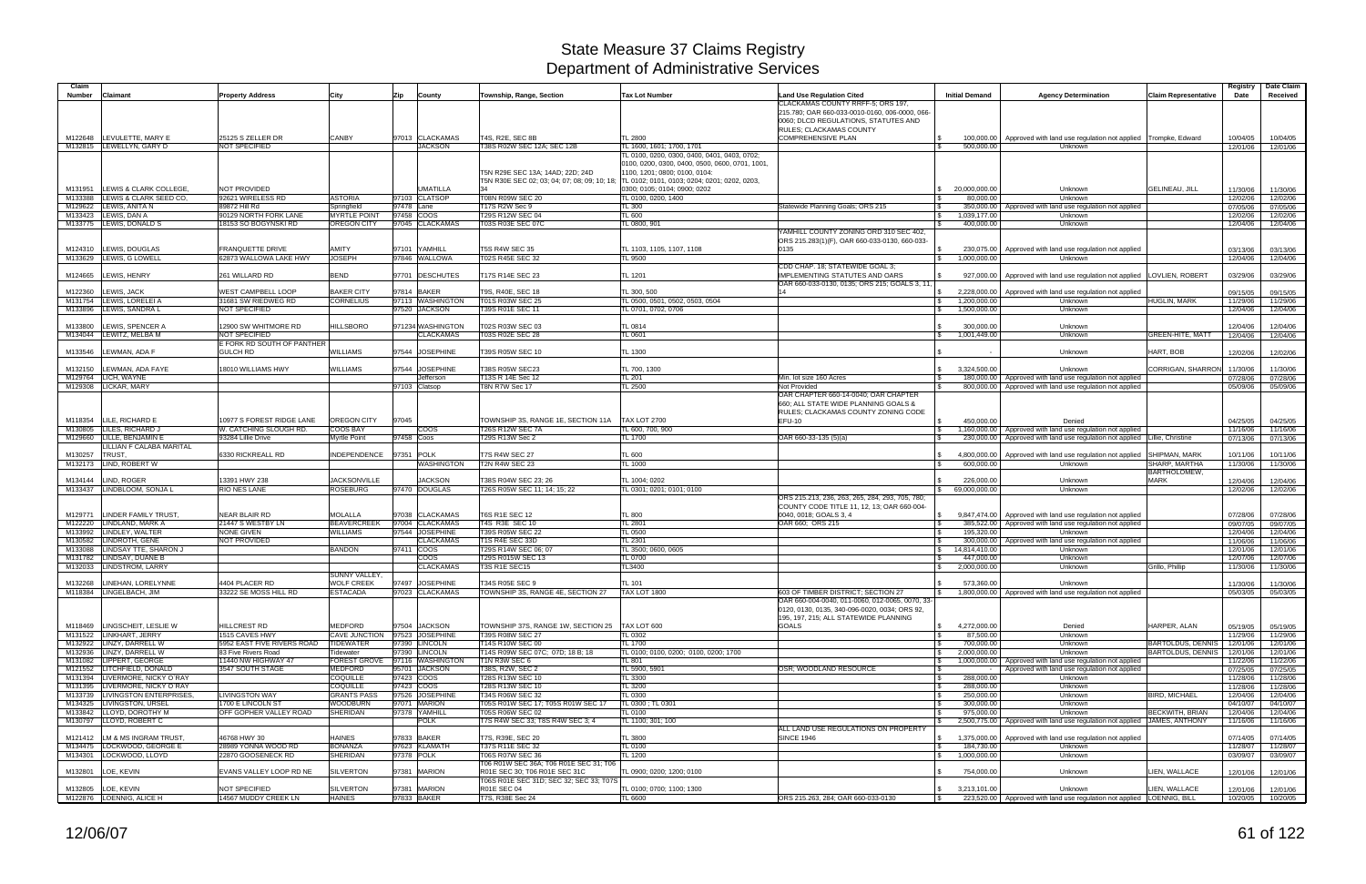| Claim<br><b>Number</b> | Claimant                                                     |                                                     |                                                       |            |                                       |                                                                         | <b>Tax Lot Number</b>                                                                                                            |                                                                                                                         | <b>Initial Demand</b>                                    |                                                                                                                                              |                                            | Registry             | Date Claim<br>Received |
|------------------------|--------------------------------------------------------------|-----------------------------------------------------|-------------------------------------------------------|------------|---------------------------------------|-------------------------------------------------------------------------|----------------------------------------------------------------------------------------------------------------------------------|-------------------------------------------------------------------------------------------------------------------------|----------------------------------------------------------|----------------------------------------------------------------------------------------------------------------------------------------------|--------------------------------------------|----------------------|------------------------|
|                        |                                                              | <b>Property Address</b>                             | City                                                  | Zip        | County                                | Township, Range, Section                                                |                                                                                                                                  | <b>Land Use Regulation Cited</b><br>CLACKAMAS COUNTY RRFF-5; ORS 197.                                                   |                                                          | <b>Agency Determination</b>                                                                                                                  | <b>Claim Representative</b>                | Date                 |                        |
|                        |                                                              |                                                     |                                                       |            |                                       |                                                                         |                                                                                                                                  | 215.780: OAR 660-033-0010-0160, 006-0000, 066-<br>0060; DLCD REGULATIONS, STATUTES AND<br>RULES; CLACKAMAS COUNTY       |                                                          |                                                                                                                                              |                                            |                      |                        |
|                        | M122648 LEVULETTE, MARY E<br>M132815 LEWELLYN, GARY D        | 25125 S ZELLER DR<br>NOT SPECIFIED                  | CANBY                                                 |            | 97013 CLACKAMAS<br><b>JACKSON</b>     | T4S, R2E, SEC 8B<br>T38S R02W SEC 12A; SEC 12B                          | <b>TL 2800</b><br>TL 1600, 1601; 1700, 1701                                                                                      | <b>COMPREHENSIVE PLAN</b>                                                                                               | 100,000.00<br>500,000.00                                 | Approved with land use regulation not applied Trompke, Edward<br>Unknown                                                                     |                                            | 10/04/05<br>12/01/06 | 10/04/05<br>12/01/06   |
|                        |                                                              |                                                     |                                                       |            |                                       | T5N R29E SEC 13A; 14AD; 22D; 24D                                        | TL 0100, 0200, 0300, 0400, 0401, 0403, 0702;<br>0100, 0200, 0300, 0400, 0500, 0600, 0701, 1001,<br>1100. 1201: 0800: 0100. 0104: |                                                                                                                         |                                                          |                                                                                                                                              |                                            |                      |                        |
|                        |                                                              |                                                     |                                                       |            |                                       | T5N R30E SEC 02; 03; 04; 07; 08; 09; 10; 18;                            | TL 0102; 0101, 0103; 0204; 0201; 0202, 0203,                                                                                     |                                                                                                                         |                                                          |                                                                                                                                              |                                            |                      |                        |
| M131951                | LEWIS & CLARK COLLEGE                                        | <b>NOT PROVIDED</b>                                 |                                                       |            | UMATILLA                              |                                                                         | 0300: 0105: 0104: 0900: 0202                                                                                                     |                                                                                                                         | 20,000,000.00                                            | Unknown                                                                                                                                      | <b>GELINEAU, JILL</b>                      | 11/30/06             | 11/30/06               |
| M133388<br>M129622     | LEWIS & CLARK SEED CO.<br>LEWIS, ANITA N                     | 92621 WIRELESS RD<br>89872 Hill Rd                  | <b>ASTORIA</b><br>Springfield                         | 97478 Lane | 97103 CLATSOP                         | T08N R09W SEC 20<br>T17S R2W Sec 9                                      | TL 0100, 0200, 1400<br><b>TL 300</b>                                                                                             | Statewide Planning Goals; ORS 215                                                                                       | 80.000.00<br>l \$                                        | Unknown<br>350,000.00   Approved with land use regulation not applied                                                                        |                                            | 12/02/06<br>07/05/06 | 12/02/06<br>07/05/06   |
|                        | M133423 LEWIS, DAN A                                         | 90129 NORTH FORK LANE                               | <b>MYRTLE POINT</b>                                   | 97458 COOS |                                       | T29S R12W SEC 04                                                        | TL 600                                                                                                                           |                                                                                                                         | 1,039,177.00                                             | Unknown                                                                                                                                      |                                            | 12/02/06             | 12/02/06               |
|                        | M133775 LEWIS, DONALD S                                      | 18153 SO BOGYNSKI RD                                | <b>OREGON CITY</b>                                    |            | 97045 CLACKAMAS                       | T03S R03E SEC 07C                                                       | TL 0800, 901                                                                                                                     |                                                                                                                         | <b>S</b><br>400,000.00                                   | Unknown                                                                                                                                      |                                            | 12/04/06             | 12/04/06               |
|                        |                                                              |                                                     |                                                       |            |                                       |                                                                         |                                                                                                                                  | YAMHILL COUNTY ZONING ORD 310 SEC 402.<br>ORS 215.283(1)(F), OAR 660-033-0130, 660-033-                                 |                                                          |                                                                                                                                              |                                            |                      |                        |
|                        | M124310 LEWIS, DOUGLAS<br>M133629 LEWIS, G LOWELL            | FRANQUETTE DRIVE<br>62873 WALLOWA LAKE HWY          | AMITY<br><b>JOSEPH</b>                                |            | 97101 YAMHILL<br>97846 WALLOWA        | <b>T5S R4W SEC 35</b><br>T02S R45E SEC 32                               | TL 1103, 1105, 1107, 1108<br>TL 9500                                                                                             | 0135                                                                                                                    | 230,075.00<br>1,000,000.00<br><b>S</b>                   | Approved with land use regulation not applied<br>Unknown                                                                                     |                                            | 03/13/06<br>12/04/06 | 03/13/06<br>12/04/06   |
|                        | M124665 LEWIS, HENRY                                         | 261 WILLARD RD                                      | BEND                                                  |            | 97701 DESCHUTES                       | T17S R14E SEC 23                                                        | TL 1201                                                                                                                          | CDD CHAP. 18; STATEWIDE GOAL 3;<br><b>IMPLEMENTING STATUTES AND OARS</b>                                                |                                                          | 927,000.00   Approved with land use regulation not applied   LOVLIEN, ROBERT                                                                 |                                            | 03/29/06             | 03/29/06               |
|                        |                                                              |                                                     |                                                       |            |                                       |                                                                         |                                                                                                                                  | OAR 660-033-0130, 0135; ORS 215; GOALS 3, 11,                                                                           |                                                          |                                                                                                                                              |                                            |                      |                        |
| M122360                | LEWIS, JACK<br>M131754 LEWIS, LORELEI A                      | <b>WEST CAMPBELL LOOP</b><br>31681 SW RIEDWEG RD    | <b>BAKER CITY</b><br><b>CORNELIUS</b>                 |            | 97814 BAKER<br>97113 WASHINGTON       | T9S, R40E, SEC 18<br><b>T01S R03W SEC 25</b>                            | TL 300, 500<br>TL 0500, 0501, 0502, 0503, 0504                                                                                   | 14                                                                                                                      | 2,228,000.00<br>IS.<br>$\sqrt{3}$<br>1,200,000.00        | Approved with land use regulation not applied<br>Unknown                                                                                     | <b>HUGLIN, MARK</b>                        | 09/15/05<br>11/29/06 | 09/15/05<br>11/29/06   |
|                        | M133896 LEWIS, SANDRA L                                      | NOT SPECIFIED                                       |                                                       |            | 97520 JACKSON                         | T39S R01E SEC 11                                                        | TL 0701, 0702, 0706                                                                                                              |                                                                                                                         | 1,500,000.00<br>$\mathbb{S}$                             | Unknown                                                                                                                                      |                                            | 12/04/06             | 12/04/06               |
|                        |                                                              |                                                     |                                                       |            |                                       |                                                                         |                                                                                                                                  |                                                                                                                         |                                                          |                                                                                                                                              |                                            |                      |                        |
| M133800                | LEWIS, SPENCER A<br>M134044 LEWITZ, MELBA M                  | 12900 SW WHITMORE RD<br>NOT SPECIFIED               | <b>IILLSBORO</b>                                      |            | 971234 WASHINGTON<br><b>CLACKAMAS</b> | T02S R03W SEC 03<br>T03S R02E SEC 28                                    | TL 0814<br><b>TL 0601</b>                                                                                                        |                                                                                                                         | 300,000.00<br>1,001,449.00                               | Unknown<br>Unknown                                                                                                                           | GREEN-HITE, MATT                           | 12/04/06<br>12/04/06 | 12/04/06<br>12/04/06   |
|                        |                                                              | E FORK RD SOUTH OF PANTHER                          |                                                       |            |                                       |                                                                         |                                                                                                                                  |                                                                                                                         |                                                          |                                                                                                                                              |                                            |                      |                        |
| M133546                | LEWMAN, ADA F                                                | <b>GULCH RD</b>                                     | WILLIAMS                                              |            | 97544 JOSEPHINE                       | T39S R05W SEC 10                                                        | TL 1300                                                                                                                          |                                                                                                                         |                                                          | Unknown                                                                                                                                      | HART. BOB                                  | 12/02/06             | 12/02/06               |
|                        | M132150 LEWMAN, ADA FAYE                                     | 18010 WILLIAMS HWY                                  | WILLIAMS                                              |            | 97544 JOSEPHINE                       | <b>T38S R05W SEC23</b>                                                  | TL 700, 1300                                                                                                                     |                                                                                                                         | 3.324.500.00<br>$\mathbb{S}$                             | Unknown                                                                                                                                      | CORRIGAN, SHARRON                          | 11/30/06             | 11/30/06               |
|                        | M129764 LICH, WAYNE<br>M129308 LICKAR, MARY                  |                                                     |                                                       |            | Jefferson<br>97103 Clatsop            | T13S R 14E Sec 12<br>T8N R7W Sec 17                                     | <b>TL 201</b><br>TL 2500                                                                                                         | Min. lot size 160 Acres<br><b>Not Provided</b>                                                                          | <b>S</b><br>$\mathbb{R}$<br>800,000.00                   | 180,000.00 Approved with land use regulation not applied<br>Approved with land use regulation not applied                                    |                                            | 07/28/06<br>05/09/06 | 07/28/06<br>05/09/06   |
|                        |                                                              |                                                     |                                                       |            |                                       |                                                                         |                                                                                                                                  | OAR CHAPTER 660-14-0040; OAR CHAPTER                                                                                    |                                                          |                                                                                                                                              |                                            |                      |                        |
|                        |                                                              |                                                     |                                                       |            |                                       |                                                                         |                                                                                                                                  | 660; ALL STATE WIDE PLANNING GOALS &<br>RULES; CLACKAMAS COUNTY ZONING CODE                                             |                                                          |                                                                                                                                              |                                            |                      |                        |
|                        | M118354 LILE, RICHARD E<br>M130805 LILES, RICHARD J          | 10977 S FOREST RIDGE LANE<br>W. CATCHING SLOUGH RD. | OREGON CITY<br><b>COOS BAY</b>                        | 97045      | <b>COOS</b>                           | TOWNSHIP 3S, RANGE 1E, SECTION 11A                                      | <b>TAX LOT 2700</b>                                                                                                              | <b>EFU-10</b>                                                                                                           | 450.000.00<br><b>S</b>                                   | Denied                                                                                                                                       |                                            | 04/25/05             | 04/25/05               |
| M129660                | LILLE, BENJAMIN E                                            | 93284 Lillie Drive                                  | <b>Myrtle Point</b>                                   | 97458 Coos |                                       | <b>T26S R12W SEC 7A</b><br>T29S R13W Sec 2                              | TL 600, 700, 900<br><b>TL 1700</b>                                                                                               | OAR 660-33-135 (5)(a)                                                                                                   | l \$<br>$\sqrt{S}$                                       | 1,160,000.00   Approved with land use regulation not applied<br>230,000.00   Approved with land use regulation not applied Lillie, Christine |                                            | 11/16/06<br>07/13/06 | 11/16/06<br>07/13/06   |
|                        | LILLIAN F CALABA MARITAL                                     |                                                     |                                                       |            |                                       |                                                                         |                                                                                                                                  |                                                                                                                         |                                                          |                                                                                                                                              |                                            |                      |                        |
| M130257                | <b>TRUST</b>                                                 | 6330 RICKREALL RD                                   | <b>INDEPENDENCE</b>                                   | 97351 POLK |                                       | <b>T7S R4W SEC 27</b>                                                   | TL 600                                                                                                                           |                                                                                                                         | 4.800.000.00                                             | Approved with land use regulation not applied                                                                                                | <b>SHIPMAN, MARK</b>                       | 10/11/06             | 10/11/06               |
|                        | M132173 LIND, ROBERT W                                       |                                                     |                                                       |            | <b>WASHINGTON</b>                     | T2N R4W SEC 23                                                          | <b>TL 1000</b>                                                                                                                   |                                                                                                                         | 600,000.00                                               | Unknown                                                                                                                                      | <b>SHARP, MARTHA</b><br><b>BARTHOLOMEW</b> | 11/30/06             | 11/30/06               |
| M134144                | LIND, ROGER                                                  | 13391 HWY 238                                       | <b>JACKSONVILLE</b>                                   |            | <b>JACKSON</b>                        | T38S R04W SEC 23; 26                                                    | TL 1004; 0202                                                                                                                    |                                                                                                                         | 226,000.00                                               | Unknown                                                                                                                                      | <b>MARK</b>                                | 12/04/06             | 12/04/06               |
|                        | M133437 LINDBLOOM, SONJA L                                   | RIO NES LANE                                        | ROSEBURG                                              |            | 97470 DOUGLAS                         | T26S R05W SEC 11; 14; 15; 22                                            | TL 0301; 0201; 0101; 0100                                                                                                        |                                                                                                                         | 69,000,000.00<br>$\mathcal{S}$                           | Unknown                                                                                                                                      |                                            | 12/02/06             | 12/02/06               |
| M129771                | LINDER FAMILY TRUST.                                         | NEAR BLAIR RD                                       | MOLALLA                                               |            | 97038 CLACKAMAS                       | <b>T6S R1E SEC 12</b>                                                   | <b>TL 800</b>                                                                                                                    | ORS 215.213, 236, 263, 265, 284, 293, 705, 780;<br>COUNTY CODE TITLE 11, 12, 13; OAR 660-004-<br>0040, 0018; GOALS 3, 4 |                                                          | \$9,847,474.00   Approved with land use regulation not applied                                                                               |                                            | 07/28/06             | 07/28/06               |
|                        | M122220 LINDLAND, MARK A                                     | 21447 S WESTBY LN                                   | <b>BEAVERCREEK</b>                                    |            | 97004 CLACKAMAS                       | T4S R3E SEC 10                                                          | <b>TL 2801</b>                                                                                                                   | OAR 660; ORS 215                                                                                                        | 385.522.00<br>$\mathbb{R}$                               | Approved with land use regulation not applied                                                                                                |                                            | 09/07/05             | 09/07/05               |
|                        | M133992 LINDLEY, WALTER                                      | NONE GIVEN                                          | <b>WILLIAMS</b>                                       |            | 97544 JOSEPHINE                       | T39S R05W SEC 22                                                        | <b>TL 0500</b>                                                                                                                   |                                                                                                                         | 195,320.00                                               | Unknown                                                                                                                                      |                                            | 12/04/06             | 12/04/06               |
|                        | M130582 LINDROTH, GENE<br>M133088 LINDSAY TTE, SHARON J      | NOT PROVIDED                                        | <b>BANDON</b>                                         | 97411 COOS | <b>CLACKAMAS</b>                      | T1S R4E SEC 33D<br>T29S R14W SEC 06; 07                                 | TL 2301<br>TL 3500; 0600, 0605                                                                                                   |                                                                                                                         | 300,000.00<br>l \$<br>14,814,410.00                      | Approved with land use regulation not applied<br>Unknown                                                                                     |                                            | 11/06/06<br>12/01/06 | 11/06/06<br>12/01/06   |
|                        | M131782 LINDSAY, DUANE B                                     |                                                     |                                                       |            | COOS                                  | T29S R015W SEC 13                                                       | TL 0700                                                                                                                          |                                                                                                                         | 447,000.00<br>l \$                                       | Unknown                                                                                                                                      |                                            | 12/07/06             | 12/07/06               |
|                        | M132033 LINDSTROM, LARRY                                     |                                                     |                                                       |            | <b>CLACKAMAS</b>                      | T3S R1E SEC15                                                           | TL3400                                                                                                                           |                                                                                                                         | 2,000,000.00                                             | Unknown                                                                                                                                      | Grillo, Phillip                            | 11/30/06             | 11/30/06               |
|                        | M132268 LINEHAN, LORELYNNE<br>M118384 LINGELBACH, JIM        | 4404 PLACER RD<br>33222 SE MOSS HILL RD             | SUNNY VALLEY,<br><b>WOLF CREEK</b><br><b>ESTACADA</b> |            | 97497 JOSEPHINE<br>97023 CLACKAMAS    | T34S R05E SEC 9<br>TOWNSHIP 3S, RANGE 4E, SECTION 27                    | <b>TL 101</b><br>TAX LOT 1800                                                                                                    | 603 OF TIMBER DISTRICT; SECTION 27                                                                                      | $\sqrt{3}$<br>573,360.00<br>$\mathcal{S}$                | Unknown<br>1,800,000.00 Approved with land use regulation not applied                                                                        |                                            | 11/30/06<br>05/03/05 | 11/30/06<br>05/03/05   |
|                        |                                                              |                                                     |                                                       |            |                                       |                                                                         |                                                                                                                                  | OAR 660-004-0040, 011-0060, 012-0065, 0070, 33-<br>0120, 0130, 0135, 340-096-0020, 0034; ORS 92,                        |                                                          |                                                                                                                                              |                                            |                      |                        |
|                        |                                                              |                                                     |                                                       |            |                                       |                                                                         |                                                                                                                                  | 195, 197, 215; ALL STATEWIDE PLANNING                                                                                   |                                                          |                                                                                                                                              |                                            |                      |                        |
|                        | M118469 LINGSCHEIT, LESLIE W<br>M131522 LINKHART, JERRY      | HILLCREST RD<br>1515 CAVES HWY                      | <b>MEDFORD</b><br>CAVE JUNCTION 97523 JOSEPHINE       |            | 97504 JACKSON                         | TOWNSHIP 37S, RANGE 1W, SECTION 25<br>T39S R08W SEC 27                  | TAX LOT 600<br>TL 0302                                                                                                           | <b>GOALS</b>                                                                                                            | 4,272,000.00<br>$\mathcal{S}$<br>$\sqrt{3}$<br>87,500.00 | Denied<br>Unknown                                                                                                                            | HARPER, ALAN                               | 05/19/05<br>11/29/06 | 05/19/05<br>11/29/06   |
|                        | M132922 LINZY, DARRELL W                                     | 5952 EAST FIVE RIVERS ROAD                          | <b>TIDEWATER</b>                                      |            | 97390 LINCOLN                         | T14S R10W SEC 00                                                        | <b>TL 1700</b>                                                                                                                   |                                                                                                                         | 700,000.00<br><b>S</b>                                   | Unknown                                                                                                                                      | BARTOLDUS, DENNIS                          | 12/01/06             | 12/01/06               |
|                        | M132936 LINZY, DARRELL W                                     | 83 Five Rivers Road                                 | Tidewater                                             |            | 97390 LINCOLN                         | T14S R09W SEC 07C; 07D; 18 B; 18                                        | TL 0100; 0100, 0200; 0100, 0200; 1700                                                                                            |                                                                                                                         | 2,000,000.00<br>$\mathcal{S}$                            | Unknown                                                                                                                                      | <b>BARTOLDUS, DENNIS</b>                   | 12/01/06             | 12/01/06               |
|                        | M131082 LIPPERT, GEORGE                                      | 11440 NW HIGHWAY 47                                 | FOREST GROVE 97116 WASHINGTON                         |            |                                       | T1N R3W SEC 6                                                           | TL 801                                                                                                                           |                                                                                                                         | <b>S</b>                                                 | 1,000,000.00 Approved with land use regulation not applied                                                                                   |                                            | 11/22/06             | 11/22/06               |
|                        | M121552 LITCHFIELD, DONALD<br>M131394 LIVERMORE, NICKY O'RAY | 3547 SOUTH STAGE                                    | MEDFORD<br><b>COQUILLE</b>                            |            | 95701 JACKSON<br>97423 COOS           | T38S, R2W, SEC 2<br>T28S R13W SEC 10                                    | TL 5900, 5901<br>TL 3300                                                                                                         | OSR; WOODLAND RESOURCE                                                                                                  | <b>S</b><br>288,000.00<br>IS.                            | Approved with land use regulation not applied<br>Unknown                                                                                     |                                            | 07/25/05<br>11/28/06 | 07/25/05<br>11/28/06   |
|                        | M131395 LIVERMORE, NICKY O'RAY                               |                                                     | <b>COQUILLE</b>                                       | 97423 COOS |                                       | T28S R13W SEC 10                                                        | TL 3200                                                                                                                          |                                                                                                                         | 288,000.00<br><b>S</b>                                   | Unknown                                                                                                                                      |                                            | 11/28/06             | 11/28/06               |
|                        | M133739 LIVINGSTON ENTERPRISES,                              | <b>LIVINGSTON WAY</b>                               | <b>GRANTS PASS</b>                                    |            | 97526 JOSEPHINE                       | T34S R06W SEC 32                                                        | TL 0300                                                                                                                          |                                                                                                                         | 250,000.00<br><b>S</b>                                   | Unknown                                                                                                                                      | <b>BIRD, MICHAEL</b>                       | 12/04/06             | 12/04/06               |
|                        | M134325 LIVINGSTON, URSEL<br>M133842  LLOYD, DOROTHY M       | 1700 E LINCOLN ST<br>OFF GOPHER VALLEY ROAD         | <b>WOODBURN</b><br><b>SHERIDAN</b>                    |            | 97071 MARION<br>97378 YAMHILL         | T05S R01W SEC 17; T05S R01W SEC 17<br>T05S R06W SEC 02                  | TL 0300 : TL 0301<br><b>TL 0100</b>                                                                                              |                                                                                                                         | 300,000.00<br><b>S</b><br>975,000.00<br><b>S</b>         | Unknown<br>Unknown                                                                                                                           | BECKWITH, BRIAN                            | 04/10/07             | 04/10/07               |
|                        | M130797 LLOYD, ROBERT C                                      |                                                     |                                                       |            | POLK                                  | T7S R4W SEC 33: T8S R4W SEC 3: 4                                        | TL 1100; 301; 100                                                                                                                |                                                                                                                         | $\sqrt{S}$                                               | 2,500,775.00 Approved with land use regulation not applied JAMES, ANTHONY                                                                    |                                            | 12/04/06<br>11/16/06 | 12/04/06<br>11/16/06   |
|                        |                                                              |                                                     |                                                       |            |                                       |                                                                         |                                                                                                                                  | ALL LAND USE REGULATIONS ON PROPERTY                                                                                    |                                                          |                                                                                                                                              |                                            |                      |                        |
|                        | M121412 LM & MS INGRAM TRUST.                                | 46768 HWY 30                                        | <b>HAINES</b>                                         |            | 97833 BAKER                           | T7S, R39E, SEC 20                                                       | <b>TL 3800</b>                                                                                                                   | <b>SINCE 1946</b>                                                                                                       | $\mathsf{S}$                                             | 1,375,000.00   Approved with land use regulation not applied                                                                                 |                                            | 07/14/05             | 07/14/05               |
|                        | M134475 LOCKWOOD, GEORGE E<br>M134301 LOCKWOOD, LLOYD        | 28989 YONNA WOOD RD<br>22870 GOOSENECK RD           | <b>BONANZA</b><br>SHERIDAN                            | 97378 POLK | 97623 KLAMATH                         | T37S R11E SEC 32<br><b>T06S R07W SEC 36</b>                             | TL 0100<br><b>TL 1200</b>                                                                                                        |                                                                                                                         | $\sqrt{3}$<br>184,730.00<br>1,000,000.00<br>$\sqrt{3}$   | Unknown<br>Unknown                                                                                                                           |                                            | 11/28/07<br>03/09/07 | 11/28/07<br>03/09/07   |
|                        | M132801 LOE, KEVIN                                           | EVANS VALLEY LOOP RD NE                             | <b>SILVERTON</b>                                      |            | 97381 MARION                          | T06 R01W SEC 36A; T06 R01E SEC 31; T06<br>R01E SEC 30; T06 R01E SEC 31C | TL 0900; 0200; 1200; 0100                                                                                                        |                                                                                                                         | 754,000.00<br>$\mathbf{s}$                               | Unknown                                                                                                                                      | LIEN, WALLACE                              | 12/01/06             | 12/01/06               |
|                        | M132805 LOE, KEVIN                                           | NOT SPECIFIED                                       | <b>SILVERTON</b>                                      |            | 97381 MARION                          | T06S R01E SEC 31D; SEC 32; SEC 33; T07S<br>R01E SEC 04                  | TL 0100; 0700; 1100; 1300                                                                                                        |                                                                                                                         | $\mathbb{S}$<br>3,213,101.00                             | Unknown                                                                                                                                      | LIEN, WALLACE                              | 12/01/06             | 12/01/06               |
|                        | M122876   LOENNIG, ALICE H                                   | 14567 MUDDY CREEK LN                                | <b>HAINES</b>                                         |            | 97833 BAKER                           | T7S, R38E Sec 24                                                        | TL 6600                                                                                                                          | ORS 215.263, 284; OAR 660-033-0130                                                                                      | $\sqrt{3}$                                               | 223,520.00 Approved with land use regulation not applied LOENNIG, BILL                                                                       |                                            |                      | 10/20/05 10/20/05      |
|                        |                                                              |                                                     |                                                       |            |                                       |                                                                         |                                                                                                                                  |                                                                                                                         |                                                          |                                                                                                                                              |                                            |                      |                        |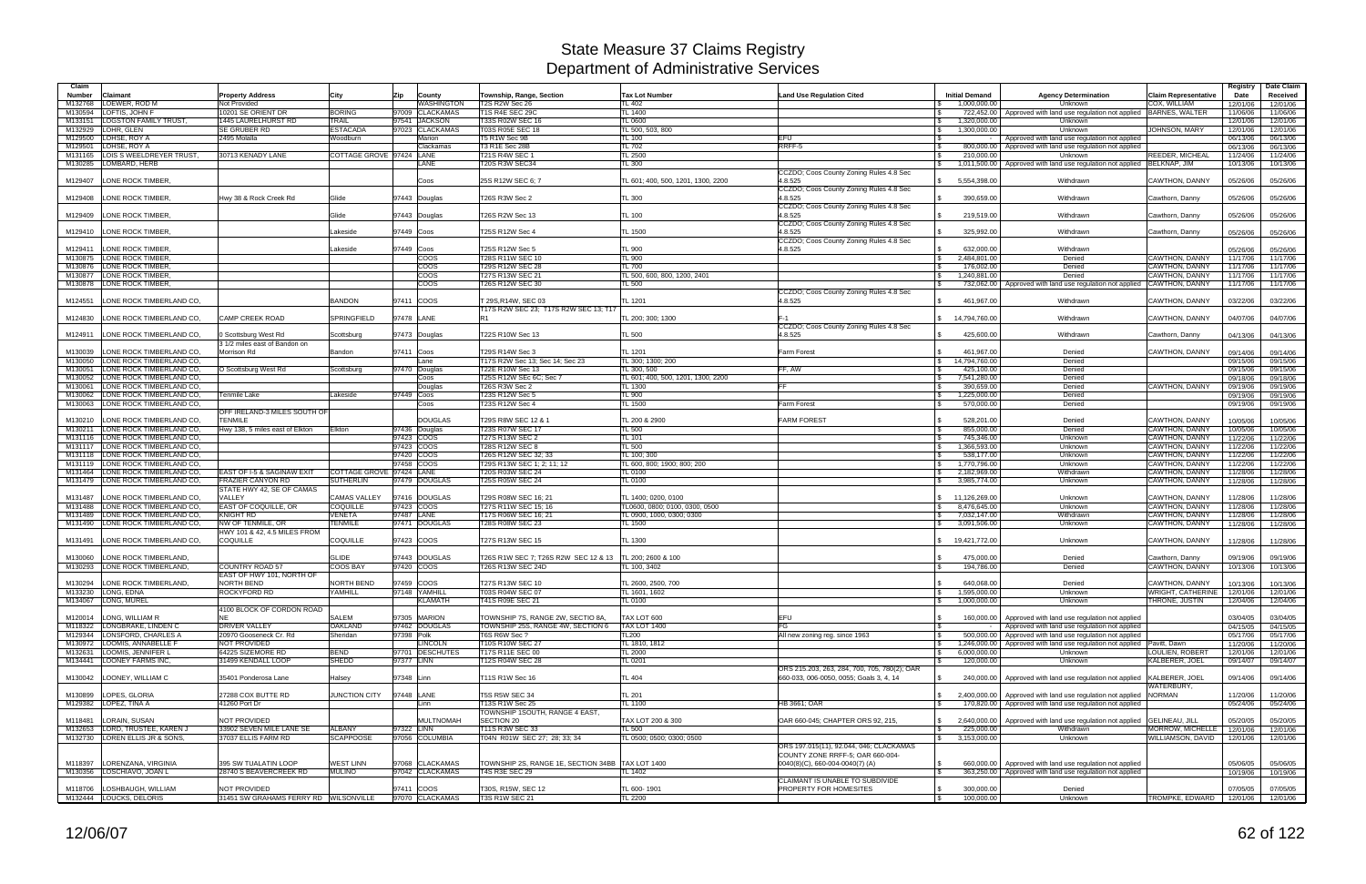| Claim                    |                                                            |                                                       |                          |            |                                    |                                                             |                                        |                                                                                               |                                                               |                                                                                                                                       |                                             | Registry             | Date Claim           |
|--------------------------|------------------------------------------------------------|-------------------------------------------------------|--------------------------|------------|------------------------------------|-------------------------------------------------------------|----------------------------------------|-----------------------------------------------------------------------------------------------|---------------------------------------------------------------|---------------------------------------------------------------------------------------------------------------------------------------|---------------------------------------------|----------------------|----------------------|
| <b>Number</b><br>M132768 | Claimant<br>LOEWER, ROD M                                  | <b>Property Address</b><br>Not Provided               | City                     | Zip        | County<br><b><i>NASHINGTON</i></b> | Township, Range, Section<br>T2S R2W Sec 26                  | <b>Tax Lot Number</b><br><b>TL 402</b> | <b>Land Use Regulation Cited</b>                                                              | <b>Initial Demand</b><br>1.000.000.00                         | <b>Agency Determination</b><br>Unknown                                                                                                | <b>Claim Representative</b><br>COX, WILLIAM | Date<br>12/01/06     | Received<br>12/01/06 |
| M130594                  | LOFTIS, JOHN F                                             | 10201 SE ORIENT DR                                    | <b>BORING</b>            |            | 97009 CLACKAMAS                    | <b>T1S R4E SEC 29C</b>                                      | <b>TL 1400</b>                         |                                                                                               | 722,452.00                                                    | Approved with land use regulation not applied                                                                                         | BARNES, WALTER                              | 11/06/06             | 11/06/06             |
| M133151                  | <b>LOGSTON FAMILY TRUST</b>                                | 1445 LAURELHURST RD                                   | TRAIL                    |            | 97541 JACKSON                      | T33S R02W SEC 16                                            | <b>TL 0600</b>                         |                                                                                               | 1,320,000.00                                                  | Unknown                                                                                                                               |                                             | 12/01/06             | 12/01/06             |
| M132929                  | LOHR, GLEN                                                 | SE GRUBER RD                                          | <b>ESTACADA</b>          |            | 97023 CLACKAMAS                    | T03S R05E SEC 18                                            | TL 500, 503, 800                       |                                                                                               | 1,300,000.00<br>IS.                                           | Unknown                                                                                                                               | JOHNSON, MARY                               | 12/01/06             | 12/01/06             |
| M129500<br>M129501       | LOHSE, ROY A<br>LOHSE, ROY A                               | 2495 Molalla                                          | Woodburn                 |            | Marion<br>Clackamas                | T5 R1W Sec 9B<br>T3 R1E Sec 28B                             | TL 100<br>TL 702                       | EFU<br>RRFF-5                                                                                 | l \$                                                          | Approved with land use regulation not applied<br>800,000.00   Approved with land use regulation not applied                           |                                             | 06/13/06             | 06/13/06             |
| M131165                  | LOIS S WEELDREYER TRUST.                                   | 30713 KENADY LANE                                     | COTTAGE GROVE 97424 LANE |            |                                    | T21S R4W SEC                                                | <b>TL 2500</b>                         |                                                                                               | 210.000.00                                                    | Unknown                                                                                                                               | REEDER, MICHEAL                             | 06/13/06<br>11/24/06 | 06/13/06<br>11/24/06 |
| M130285                  | LOMBARD, HERB                                              |                                                       |                          |            | LANE                               | <b>T20S R3W SEC34</b>                                       | TL 300                                 |                                                                                               | $\mathfrak{S}$                                                | 1,011,500.00   Approved with land use regulation not applied   BELKNAP, JIM                                                           |                                             | 10/13/06             | 10/13/06             |
| M129407                  | <b>LONE ROCK TIMBER.</b>                                   |                                                       |                          |            | Coos                               | 25S R12W SEC 6; 7                                           | TL 601; 400, 500, 1201, 1300, 2200     | CCZDO; Coos County Zoning Rules 4.8 Sec<br>4.8.525                                            | \$5,554,398.00                                                | Withdrawn                                                                                                                             | CAWTHON, DANNY                              | 05/26/06             | 05/26/06             |
| M129408                  | <b>LONE ROCK TIMBER</b>                                    | Hwy 38 & Rock Creek Rd                                | Glide                    |            | 97443 Douglas                      | T26S R3W Sec 2                                              | TL 300                                 | CCZDO; Coos County Zoning Rules 4.8 Sec<br>4.8.525                                            | 390,659.00                                                    | Withdrawn                                                                                                                             | Cawthorn, Danny                             | 05/26/06             | 05/26/06             |
|                          | M129409 LONE ROCK TIMBER,                                  |                                                       | Glide                    |            | 97443 Douglas                      | T26S R2W Sec 13                                             | TL 100                                 | CCZDO; Coos County Zoning Rules 4.8 Sec<br>4.8.525                                            | 219,519.00                                                    | Withdrawn                                                                                                                             | Cawthorn, Danny                             | 05/26/06             | 05/26/06             |
|                          | M129410 LONE ROCK TIMBER.                                  |                                                       | Lakeside                 | 97449 Coos |                                    | T25S R12W Sec 4                                             | <b>TL 1500</b>                         | CCZDO; Coos County Zoning Rules 4.8 Sec<br>4.8.525<br>CCZDO; Coos County Zoning Rules 4.8 Sec | 325,992.00                                                    | Withdrawn                                                                                                                             | Cawthorn, Danny                             | 05/26/06             | 05/26/06             |
| M129411                  | <b>LONE ROCK TIMBER.</b>                                   |                                                       | Lakeside                 | 97449 Coos |                                    | T25S R12W Sec 5                                             | <b>TL 900</b>                          | 4.8.525                                                                                       | 632.000.00<br>IS.                                             | Withdrawn                                                                                                                             |                                             | 05/26/06             | 05/26/06             |
| M130875                  | LONE ROCK TIMBER,                                          |                                                       |                          |            | coos                               | T28S R11W SEC 10                                            | <b>TL 900</b>                          |                                                                                               | 2.484.801.00<br>$\mathfrak s$                                 | Denied                                                                                                                                | CAWTHON, DANNY                              | 11/17/06             | 11/17/06             |
|                          | M130876 LONE ROCK TIMBER                                   |                                                       |                          |            | coos                               | T29S R12W SEC 28                                            | TL 700                                 |                                                                                               | 176,002.00                                                    | Denied                                                                                                                                | CAWTHON, DANNY                              | 11/17/06             | 11/17/06             |
| M130877                  | <b>LONE ROCK TIMBER.</b>                                   |                                                       |                          |            | coos                               | T27S R13W SEC 21                                            | TL 500, 600, 800, 1200, 2401           |                                                                                               | 1,240,881.00<br>IS.                                           | Denied                                                                                                                                | CAWTHON, DANNY                              | 11/17/06             | 11/17/06             |
|                          | M130878 LONE ROCK TIMBER.                                  |                                                       |                          |            | <b>COOS</b>                        | T26S R12W SEC 30                                            | <b>TL 500</b>                          | CCZDO; Coos County Zoning Rules 4.8 Sec                                                       |                                                               | 732,062.00 Approved with land use regulation not applied                                                                              | <b>CAWTHON, DANNY</b>                       | 11/17/06             | 11/17/06             |
| M124551                  | LONE ROCK TIMBERLAND CO.                                   |                                                       | <b>BANDON</b>            | 97411 COOS |                                    | T 29S.R14W. SEC 03<br>T17S R2W SEC 23; T17S R2W SEC 13; T17 | TL 1201                                | 4.8.525                                                                                       | $\mathbb{S}$<br>461,967.00                                    | Withdrawn                                                                                                                             | CAWTHON, DANNY                              | 03/22/06             | 03/22/06             |
| M124830                  | LONE ROCK TIMBERLAND CO.                                   | <b>CAMP CREEK ROAD</b>                                | SPRINGFIELD              | 97478 LANE |                                    |                                                             | TL 200; 300; 1300                      | $F-1$<br>CCZDO; Coos County Zoning Rules 4.8 Sec                                              | \$ 14,794,760.00                                              | Withdrawr                                                                                                                             | <b>CAWTHON, DANNY</b>                       | 04/07/06             | 04/07/06             |
| M124911                  | LONE ROCK TIMBERLAND CO.                                   | 3 Scottsburg West Rd<br>3 1/2 miles east of Bandon on | Scottsburg               |            | 97473 Douglas                      | T22S R10W Sec 13                                            | <b>TL 500</b>                          | 4.8.525                                                                                       | 425,600.00                                                    | Withdrawn                                                                                                                             | Cawthorn, Danny                             | 04/13/06             | 04/13/06             |
| M130039                  | LONE ROCK TIMBERLAND CO.                                   | Morrison Rd                                           | Bandon                   | 97411 Coos |                                    | T29S R14W Sec 3                                             | TL 1201                                | Farm Forest                                                                                   | 461,967.00                                                    | Denied                                                                                                                                | <b>CAWTHON, DANNY</b>                       | 09/14/06             | 09/14/06             |
| M130050                  | LONE ROCK TIMBERLAND CO                                    |                                                       |                          |            | Lane                               | T17S R2W Sec 13; Sec 14; Sec 23                             | TL 300; 1300; 200                      |                                                                                               | $\mathcal{S}$<br>14,794,760.00                                | Denied                                                                                                                                |                                             | 09/15/06             | 09/15/06             |
| M130051                  | LONE ROCK TIMBERLAND CO.                                   | O Scottsburg West Rd                                  | Scottsburg               |            | 97470 Douglas                      | T22E R10W Sec 13                                            | TL 300, 500                            | FF. AW                                                                                        | 425,100.00                                                    | Denied                                                                                                                                |                                             | 09/15/06             | 09/15/06             |
| M130052                  | LONE ROCK TIMBERLAND CO,                                   |                                                       |                          |            | Coos                               | T25S R12W SEc 6C: Sec 7                                     | TL 601: 400, 500, 1201, 1300, 2200     |                                                                                               | 7,541,280.00<br>$\mathbb{S}$                                  | Denied                                                                                                                                |                                             | 09/18/06             | 09/18/06             |
| M130061                  | LONE ROCK TIMBERLAND CO.                                   |                                                       |                          |            | Douglas                            | T26S R3W Sec 2                                              | TL 1300                                |                                                                                               | 390.659.00<br>IS.                                             | Denied                                                                                                                                | CAWTHON, DANNY                              | 09/19/06             | 09/19/06             |
| M130062                  | LONE ROCK TIMBERLAND CO,                                   | <sup>r</sup> enmile Lake                              | Lakeside                 | 97449 Coos |                                    | T23S R12W Sec 5                                             | TL 900                                 |                                                                                               | 1,225,000.00<br>$\mathfrak s$                                 | Denied                                                                                                                                |                                             | 09/19/06             | 09/19/06             |
| M130063                  | LONE ROCK TIMBERLAND CO,                                   | OFF IRELAND-3 MILES SOUTH OF                          |                          |            | Coos                               | <b>T23S R12W Sec 4</b>                                      | TL 1500                                | Farm Forest                                                                                   | 570,000.00                                                    | Denied                                                                                                                                |                                             | 09/19/06             | 09/19/06             |
| M130210<br>M130211       | LONE ROCK TIMBERLAND CO.<br>LONE ROCK TIMBERLAND CO.       | <b>TENMILE</b><br>Hwy 138, 5 miles east of Elkton     | Elkton                   |            | <b>DOUGLAS</b>                     | T29S R8W SEC 12 & 1<br>T23S R07W SEC 17                     | TL 200 & 2900<br>TL 500                | <b>FARM FOREST</b>                                                                            | 528,201.00<br><b>S</b><br>855,000.00                          | Denied<br>Denied                                                                                                                      | CAWTHON, DANNY<br><b>CAWTHON, DANNY</b>     | 10/05/06<br>10/05/06 | 10/05/06             |
| M131116                  | LONE ROCK TIMBERLAND CO.                                   |                                                       |                          | 97423 COOS | 97436 Douglas                      | T27S R13W SEC 2                                             | TL 101                                 |                                                                                               | 745,346.00<br><b>S</b>                                        | Unknown                                                                                                                               | CAWTHON, DANNY                              | 11/22/06             | 10/05/06<br>11/22/06 |
| M131117                  | LONE ROCK TIMBERLAND CO,                                   |                                                       |                          | 97423 COOS |                                    | <b>T28S R12W SEC 8</b>                                      | <b>TL 500</b>                          |                                                                                               | 1,366,593.00<br>$\mathfrak s$                                 | Unknown                                                                                                                               | CAWTHON, DANNY                              | 11/22/06             | 11/22/06             |
| M131118                  | LONE ROCK TIMBERLAND CO.                                   |                                                       |                          | 97420 COOS |                                    | T26S R12W SEC 32; 33                                        | TL 100: 300                            |                                                                                               | 538,177.00<br>$\mathbf{s}$                                    | Unknown                                                                                                                               | <b>CAWTHON, DANNY</b>                       | 11/22/06             | 11/22/06             |
| M131119                  | LONE ROCK TIMBERLAND CO.                                   |                                                       |                          | 97458 COOS |                                    | T29S R13W SEC 1; 2; 11; 12                                  | TL 600, 800; 1900; 800; 200            |                                                                                               | 1,770,796.00<br>$\mathcal{S}$                                 | Unknown                                                                                                                               | CAWTHON, DANNY                              | 11/22/06             | 11/22/06             |
| M131464                  | LONE ROCK TIMBERLAND CO                                    | EAST OF I-5 & SAGINAW EXIT                            | <b>COTTAGE GROVE</b>     | 97424 LANE |                                    | T20S R03W SEC 24                                            | TL 0100                                |                                                                                               | 2,182,969.00<br>IS.                                           | Withdrawn                                                                                                                             | CAWTHON, DANNY                              | 11/28/06             | 11/28/06             |
| M131479                  | LONE ROCK TIMBERLAND CO                                    | <b>FRAZIER CANYON RD</b><br>STATE HWY 42, SE OF CAMAS | <b>SUTHERLIN</b>         |            | 97479 DOUGLAS                      | <b>T25S R05W SEC 24</b>                                     | TL 0100                                |                                                                                               | 3,985,774.00                                                  | Unknown                                                                                                                               | CAWTHON, DANNY                              | 11/28/06             | 11/28/06             |
| M131487                  | LONE ROCK TIMBERLAND CO                                    | <b>VALLEY</b>                                         | <b>CAMAS VALLEY</b>      |            | 97416 DOUGLAS                      | T29S R08W SEC 16; 21                                        | TL 1400; 0200, 0100                    |                                                                                               | \$ 11,126,269.00                                              | Unknown                                                                                                                               | CAWTHON, DANNY                              | 11/28/06             | 11/28/06             |
| M131488                  | LONE ROCK TIMBERLAND CO                                    | EAST OF COQUILLE, OR                                  | <b>COQUILLE</b>          | 97423 COOS |                                    | T27S R11W SEC 15; 16                                        | TL0600. 0800; 0100, 0300, 0500         |                                                                                               | 8,476,645.00<br>$\mathbb{S}$                                  | Unknown                                                                                                                               | CAWTHON, DANNY                              | 11/28/06             | 11/28/06             |
| M131489<br>M131490       | LONE ROCK TIMBERLAND CO.<br>LONE ROCK TIMBERLAND CO        | KNIGHT RD<br>NW OF TENMILE, OR                        | VENETA<br><b>TENMILE</b> | 97487 LANE | 97471 DOUGLAS                      | T17S R06W SEC 16; 21<br>T28S R08W SEC 23                    | TL 0900, 1000, 0300; 0300<br>TL 1500   |                                                                                               | $\mathbb{S}$<br>7,032,147.00<br>3,091,506.00<br>$\mathcal{S}$ | Withdrawn<br>Unknown                                                                                                                  | CAWTHON, DANNY<br>CAWTHON, DANNY            | 11/28/06<br>11/28/06 | 11/28/06<br>11/28/06 |
|                          |                                                            | HWY 101 & 42, 4.5 MILES FROM                          |                          |            |                                    |                                                             |                                        |                                                                                               |                                                               |                                                                                                                                       |                                             |                      |                      |
| M131491                  | LONE ROCK TIMBERLAND CO,                                   | COQUILLE                                              | COQUILLE                 | 97423 COOS |                                    | T27S R13W SEC 15                                            | TL 1300                                |                                                                                               | 19,421,772.00                                                 | Unknown                                                                                                                               | <b>CAWTHON, DANNY</b>                       | 11/28/06             | 11/28/06             |
| M130060                  | LONE ROCK TIMBERLAND.                                      |                                                       | <b>GLIDE</b>             |            | 97443 DOUGLAS                      | T26S R1W SEC 7; T26S R2W SEC 12 & 13                        | TL 200; 2600 & 100                     |                                                                                               | 475,000.00                                                    | Denied                                                                                                                                | Cawthorn, Danny                             | 09/19/06             | 09/19/06             |
|                          | M130293 LONE ROCK TIMBERLAND,                              | COUNTRY ROAD 57<br>EAST OF HWY 101, NORTH OF          | <b>COOS BAY</b>          | 97420 COOS |                                    | T26S R13W SEC 24D                                           | FL 100, 3402                           |                                                                                               | 194,786.00                                                    | Denied                                                                                                                                | CAWTHON, DANNY                              | 10/13/06             | 10/13/06             |
|                          | M130294 LONE ROCK TIMBERLAND,                              | NORTH BEND                                            | NORTH BEND               | 97459 COOS |                                    | T27S R13W SEC 10                                            | TL 2600, 2500, 700                     |                                                                                               | $\sqrt{3}$<br>640,068.00                                      | Denied                                                                                                                                | CAWTHON, DANNY                              | 10/13/06             | 10/13/06             |
|                          | M133230 LONG, EDNA                                         | ROCKYFORD RD                                          | YAMHILL                  |            | 97148 YAMHILL                      | T03S R04W SEC 07                                            | TL 1601, 1602                          |                                                                                               | 1,595,000.00<br>$\sqrt{5}$                                    | Unknown                                                                                                                               | <b>WRIGHT, CATHERINE</b>                    | 12/01/06             | 12/01/06             |
|                          | M134067 LONG, MUREL                                        |                                                       |                          |            | <b>KLAMATH</b>                     | T41S R09E SEC 21                                            | TL 0100                                |                                                                                               | 1,000,000.00<br>$\mathbb{S}$                                  | Unknown                                                                                                                               | THRONE, JUSTIN                              | 12/04/06             | 12/04/06             |
|                          |                                                            | 4100 BLOCK OF CORDON ROAD                             |                          |            |                                    |                                                             |                                        |                                                                                               |                                                               |                                                                                                                                       |                                             |                      |                      |
|                          | M120014 LONG, WILLIAM R                                    |                                                       | <b>SALEM</b>             |            | 97305 MARION                       | TOWNSHIP 7S, RANGE 2W, SECTIO 8A,                           | TAX LOT 600                            | <b>EFU</b>                                                                                    |                                                               | 160,000.00 Approved with land use regulation not applied                                                                              |                                             | 03/04/05             | 03/04/05             |
|                          | M118322 LONGBRAKE, LINDEN C<br>M129344 LONSFORD, CHARLES A | <b>DRIVER VALLEY</b>                                  | <b>OAKLAND</b>           |            | 97462 DOUGLAS                      | TOWNSHIP 25S, RANGE 4W, SECTION 6                           | <b>TAX LOT 1400</b>                    | FG                                                                                            | IS.                                                           | Approved with land use regulation not applied                                                                                         |                                             | 04/15/05             | 04/15/05             |
|                          | M130972 LOOMIS, ANNABELLE F                                | 20970 Gooseneck Cr. Rd<br>NOT PROVIDED                | Sheridan                 | 97398 Polk | <b>LINCOLN</b>                     | T6S R6W Sec ?<br>T10S R10W SEC 27                           | TL200<br>TL 1810, 1812                 | All new zoning reg. since 1963                                                                | $\sqrt{3}$<br><b>\$</b>                                       | 500,000.00   Approved with land use regulation not applied<br>1,246,000.00 Approved with land use regulation not applied Pavitt, Dawn |                                             | 05/17/06<br>11/20/06 | 05/17/06<br>11/20/06 |
|                          | M132631 LOOMIS, JENNIFER L                                 | 64225 SIZEMORE RD                                     | <b>BEND</b>              |            | 97701 DESCHUTES                    | T17S R11E SEC 00                                            | <b>TL 2000</b>                         |                                                                                               | 6,000,000.00<br>$\sqrt{3}$                                    | Unknown                                                                                                                               | LOULIEN, ROBERT                             | 12/01/06             | 12/01/06             |
|                          | M134441 LOONEY FARMS INC,                                  | 31499 KENDALL LOOP                                    | SHEDD                    | 97377 LINN |                                    | T12S R04W SEC 28                                            | TL 0201                                |                                                                                               | 120,000.00<br>$\mathcal{S}$                                   | Unknown                                                                                                                               | KALBERER, JOEL                              | 09/14/07             | 09/14/07             |
|                          | M130042 LOONEY, WILLIAM C                                  | 35401 Ponderosa Lane                                  | Halsey                   | 97348 Linn |                                    | T11S R1W Sec 16                                             | <b>TL 404</b>                          | ORS 215.203, 263, 284, 700, 705, 780(2); OAR<br>660-033, 006-0050, 0055; Goals 3, 4, 14       |                                                               | 240,000,00 Approved with land use regulation not applied                                                                              | KALBERER, JOEL                              | 09/14/06             | 09/14/06             |
|                          | M130899  LOPES, GLORIA                                     | 27288 COX BUTTE RD                                    | JUNCTION CITY            | 97448 LANE |                                    | T5S R5W SEC 34                                              | <b>TL 201</b>                          |                                                                                               | $\mathbb{S}$                                                  | 2,400,000.00   Approved with land use regulation not applied NORMAN                                                                   | WATERBURY,                                  | 11/20/06             | 11/20/06             |
|                          | M129382 LOPEZ, TINA A                                      | 41260 Port Dr                                         |                          |            | Linn                               | T13S R1W Sec 25                                             | TL 1100                                | HB 3661; OAR                                                                                  | <b>S</b>                                                      | 170,820.00 Approved with land use regulation not applied                                                                              |                                             | 05/24/06             | 05/24/06             |
|                          | M118481 LORAIN, SUSAN                                      | NOT PROVIDED                                          |                          |            | <b>MULTNOMAH</b>                   | TOWNSHIP 1SOUTH, RANGE 4 EAST,<br><b>SECTION 20</b>         | TAX LOT 200 & 300                      | OAR 660-045; CHAPTER ORS 92, 215,                                                             | $\mathbb{S}$                                                  | 2,640,000.00 Approved with land use regulation not applied                                                                            | <b>GELINEAU, JILL</b>                       | 05/20/05             | 05/20/05             |
|                          | M132653 LORD, TRUSTEE, KAREN J                             | 33902 SEVEN MILE LANE SE                              | ALBANY                   | 97322 LINN |                                    | T11S R3W SEC 33                                             | <b>TL 500</b>                          |                                                                                               | $\sqrt{s}$<br>225,000.00                                      | Withdrawn                                                                                                                             | MORROW, MICHELLE                            | 12/01/06             | 12/01/06             |
|                          | M132730 LOREN ELLIS JR & SONS,                             | 37037 ELLIS FARM RD                                   | <b>SCAPPOOSE</b>         |            | 97056 COLUMBIA                     | T04N R01W SEC 27; 28; 33; 34                                | TL 0500; 0500; 0300; 0500              |                                                                                               | 3,153,000.00<br>$\mathbb{S}$                                  | Unknown                                                                                                                               | WILLIAMSON, DAVID                           | 12/01/06             | 12/01/06             |
|                          |                                                            |                                                       |                          |            |                                    |                                                             |                                        | ORS 197.015(11), 92.044, 046; CLACKAMAS<br>COUNTY ZONE RRFF-5; OAR 660-004-                   |                                                               |                                                                                                                                       |                                             |                      |                      |
| M118397                  | LORENZANA, VIRGINIA                                        | 395 SW TUALATIN LOOP                                  | <b>WEST LINN</b>         |            | 97068 CLACKAMAS                    | TOWNSHIP 2S, RANGE 1E, SECTION 34BB TAX LOT 1400            |                                        | 0040(8)(C), 660-004-0040(7)(A)                                                                | $\mathbf{s}$                                                  | 660,000.00   Approved with land use regulation not applied                                                                            |                                             | 05/06/05             | 05/06/05             |
|                          | M130356 LOSCHIAVO, JOAN L                                  | 28740 S BEAVERCREEK RD                                | <b>MULINO</b>            |            | 97042 CLACKAMAS                    | T4S R3E SEC 29                                              | <b>TL 1402</b>                         |                                                                                               | $\sqrt{3}$                                                    | 363,250.00 Approved with land use regulation not applied                                                                              |                                             | 10/19/06             | 10/19/06             |
|                          | M118706 LOSHBAUGH, WILLIAM                                 | NOT PROVIDED                                          |                          | 97411 COOS |                                    | T30S, R15W, SEC 12                                          | TL 600-1901                            | CLAIMANT IS UNABLE TO SUBDIVIDE<br>PROPERTY FOR HOMESITES                                     | 300,000.00<br>$\sqrt{3}$                                      | Denied                                                                                                                                |                                             | 07/05/05             | 07/05/05             |
|                          | M132444 LOUCKS, DELORIS                                    | 31451 SW GRAHAMS FERRY RD WILSONVILLE                 |                          |            | 97070 CLACKAMAS                    | <b>T3S R1W SEC 21</b>                                       | <b>TL 2200</b>                         |                                                                                               | $\sqrt{3}$<br>100,000.00                                      | Unknown                                                                                                                               | TROMPKE, EDWARD                             |                      | 12/01/06 12/01/06    |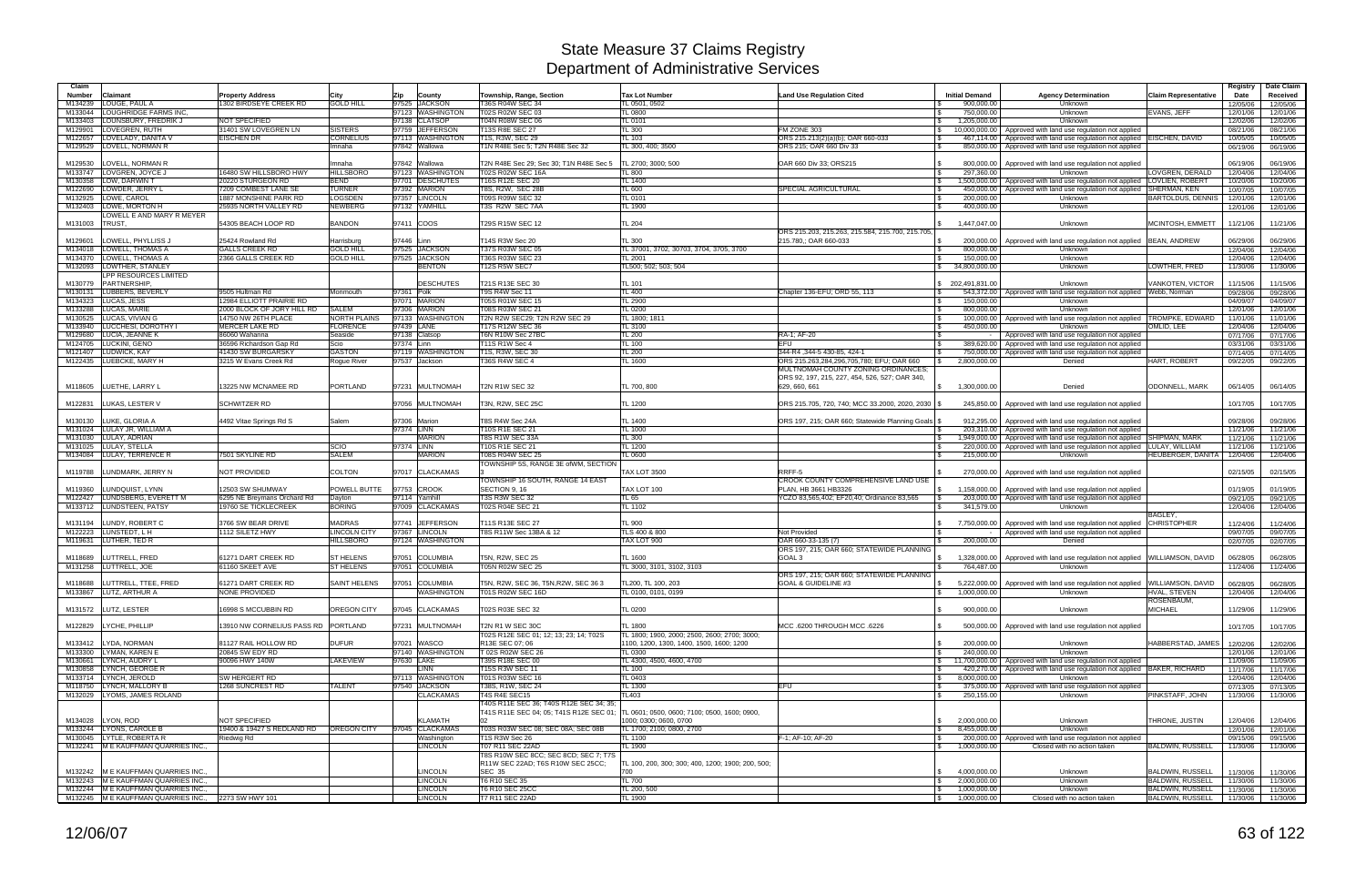| Claim                    |                                                     |                                                   |                                      |              |                                     |                                                                                    |                                                   |                                                                                      |                                        |                                                                                                                               |                               | Registry             | Date Claim           |
|--------------------------|-----------------------------------------------------|---------------------------------------------------|--------------------------------------|--------------|-------------------------------------|------------------------------------------------------------------------------------|---------------------------------------------------|--------------------------------------------------------------------------------------|----------------------------------------|-------------------------------------------------------------------------------------------------------------------------------|-------------------------------|----------------------|----------------------|
| <b>Number</b><br>M134239 | <b>Claimant</b><br>LOUGE, PAUL A                    | <b>Property Address</b><br>1302 BIRDSEYE CREEK RD | Citv<br><b>GOLD HILL</b>             | Zip          | County<br>97525 JACKSON             | Township, Range, Section<br>T36S R04W SEC 34                                       | <b>Tax Lot Number</b><br>TL 0501, 0502            | <b>Land Use Regulation Cited</b>                                                     | <b>Initial Demand</b><br>900,000.00    | <b>Agency Determination</b><br>Unknown                                                                                        | <b>Claim Representative</b>   | Date<br>12/05/06     | Received<br>12/05/06 |
| M133044                  | <b>LOUGHRIDGE FARMS INC</b>                         |                                                   |                                      |              | 97123 WASHINGTON                    | T02S R02W SEC 03                                                                   | TL 0800                                           |                                                                                      | 750,000.00                             | Unknown                                                                                                                       | <b>EVANS, JEFF</b>            | 12/01/06             | 12/01/06             |
| M133403                  | LOUNSBURY, FREDRIK J                                | NOT SPECIFIED                                     |                                      |              | 97138 CLATSOP                       | <b>T04N R08W SEC 06</b>                                                            | TL 0101                                           |                                                                                      | 1,205,000.00                           | Unknown                                                                                                                       |                               | 12/02/06             | 12/02/06             |
| M129901                  | LOVEGREN, RUTH                                      | 31401 SW LOVEGREN LN                              | <b>SISTERS</b>                       |              | 97759 JEFFERSON                     | T13S R8E SEC 27                                                                    | <b>TL 300</b>                                     | FM ZONE 303                                                                          | $\sqrt{S}$                             | 10,000,000.00   Approved with land use regulation not applied                                                                 |                               | 08/21/06             | 08/21/06             |
| M122657                  | LOVELADY, DANITA \<br>M129529 LOVELL, NORMAN R      | <b>EISCHEN DR</b>                                 | <b>CORNELIUS</b><br>Imnaha           |              | 97113 WASHINGTON<br>97842 Wallowa   | T1S, R3W, SEC 29<br>T1N R48E Sec 5; T2N R48E Sec 32                                | TL 103<br>TL 300, 400; 3500                       | ORS 215.213(2)(a)(b); OAR 660-033<br>ORS 215: OAR 660 Div 33                         | 467,114.00<br>850,000.00<br><b>S</b>   | Approved with land use regulation not applied EISCHEN, DAVID<br>Approved with land use regulation not applied                 |                               | 10/05/05<br>06/19/06 | 10/05/05<br>06/19/06 |
|                          |                                                     |                                                   |                                      |              |                                     |                                                                                    |                                                   |                                                                                      |                                        |                                                                                                                               |                               |                      |                      |
| M129530                  | LOVELL, NORMAN R                                    |                                                   | lmnaha                               | 97842        | Wallowa                             | T2N R48E Sec 29; Sec 30; T1N R48E Sec 5                                            | TL 2700; 3000; 500                                | OAR 660 Div 33; ORS215                                                               | 800,000.00                             | Approved with land use regulation not applied                                                                                 |                               | 06/19/06             | 06/19/06             |
|                          | M133747 LOVGREN, JOYCE J<br>M130358 LOW, DARWIN T   | 6480 SW HILLSBORO HWY<br>20220 STURGEON RD        | <b>HILLSBORO</b><br><b>BEND</b>      |              | 97123 WASHINGTON<br>97701 DESCHUTES | <b>T02S R02W SEC 16A</b><br>T16S R12E SEC 20                                       | <b>TL 800</b><br>TL 1400                          |                                                                                      | 297.360.00<br>l \$                     | Unknown                                                                                                                       | LOVGREN, DERALD               | 12/04/06             | 12/04/06             |
|                          | M122690 LOWDER, JERRY L                             | 7209 COMBEST LANE SE                              | <b>TURNER</b>                        |              | 97392 MARION                        | T8S, R2W, SEC 28B                                                                  | TL 600                                            | SPECIAL AGRICULTURAL                                                                 | $\sqrt{3}$<br>450,000.00               | 1,500,000.00   Approved with land use regulation not applied LOVLIEN, ROBERT<br>Approved with land use regulation not applied | SHERMAN, KEN                  | 10/20/06<br>10/07/05 | 10/20/06<br>10/07/05 |
|                          | M132925 LOWE, CAROL                                 | 887 MONSHINE PARK RD                              | <b>LOGSDEN</b>                       |              | 97357 LINCOLN                       | T09S R09W SEC 32                                                                   | TL 0101                                           |                                                                                      | 200,000.00                             | Unknown                                                                                                                       | <b>BARTOLDUS, DENNIS</b>      | 12/01/06             | 12/01/06             |
|                          | M132403 LOWE, MORTON H                              | 25935 NORTH VALLEY RD                             | <b>NEWBERG</b>                       |              | 97132 YAMHILL                       | T3S R2W SEC 7AA                                                                    | TL 1900                                           |                                                                                      | 400,000.00                             | Unknown                                                                                                                       |                               | 12/01/06             | 12/01/06             |
|                          | LOWELL E AND MARY R MEYER                           |                                                   |                                      |              |                                     |                                                                                    |                                                   |                                                                                      |                                        |                                                                                                                               |                               |                      |                      |
| M131003                  | TRUST.                                              | 54305 BEACH LOOP RD                               | <b>BANDON</b>                        | 97411 COOS   |                                     | T29S R15W SEC 12                                                                   | <b>TL 204</b>                                     | ORS 215.203, 215.263, 215.584, 215.700, 215.705,                                     | 1,447,047.00                           | Unknown                                                                                                                       | MCINTOSH, EMMETT              | 11/21/06             | 11/21/06             |
| M129601                  | LOWELL, PHYLLISS J                                  | 25424 Rowland Rd                                  | Harrisburg                           | 97446 Linn   |                                     | T14S R3W Sec 20                                                                    | TL 300                                            | 215.780,; OAR 660-033                                                                | 200.000.00                             | Approved with land use regulation not applied  BEAN, ANDREW                                                                   |                               | 06/29/06             | 06/29/06             |
|                          | M134018 LOWELL, THOMAS A                            | <b>GALLS CREEK RD</b>                             | <b>GOLD HILL</b>                     |              | 97525 JACKSON                       | T37S R03W SEC 05                                                                   | TL 37001, 3702, 30703, 3704, 3705, 3700           |                                                                                      | 800.000.00                             | Unknown                                                                                                                       |                               | 12/04/06             | 12/04/06             |
|                          | M134370 LOWELL, THOMAS A                            | 2366 GALLS CREEK RD                               | <b>GOLD HILL</b>                     |              | 97525 JACKSON                       | T36S R03W SEC 23                                                                   | <b>TL 2001</b>                                    |                                                                                      | 150,000.00                             | Unknown                                                                                                                       |                               | 12/04/06             | 12/04/06             |
|                          | M132093 LOWTHER, STANLEY<br>LPP RESOURCES LIMITED   |                                                   |                                      |              | <b>BENTON</b>                       | T12S R5W SEC7                                                                      | FL500; 502; 503; 504                              |                                                                                      | 34,800,000.00                          | Unknown                                                                                                                       | LOWTHER, FRED                 | 11/30/06             | 11/30/06             |
| M130779                  | PARTNERSHIP,                                        |                                                   |                                      |              | <b>DESCHUTES</b>                    | T21S R13E SEC 30                                                                   | <b>TL 101</b>                                     |                                                                                      | \$ 202,491,831.00                      | Unknown                                                                                                                       | <b>VANKOTEN, VICTOR</b>       | 11/15/06             | 11/15/06             |
| M130131                  | LUBBERS, BEVERLY                                    | 9505 Hultman Rd                                   | Monmouth                             | 97361 Polk   |                                     | T9S R4W Sec 11                                                                     | <b>TL 400</b>                                     | Chapter 136-EFU; ORD 55, 113                                                         | 543,372.00<br><b>S</b>                 | Approved with land use regulation not applied                                                                                 | Webb, Norman                  | 09/28/06             | 09/28/06             |
| M134323                  | LUCAS, JESS                                         | 12984 ELLIOTT PRAIRIE RD                          |                                      |              | 97071 MARION                        | T05S R01W SEC 15                                                                   | <b>TL 2900</b>                                    |                                                                                      | 150,000.00<br><b>S</b>                 | Unknown                                                                                                                       |                               | 04/09/07             | 04/09/07             |
|                          | M133288 LUCAS, MARIE                                | 2000 BLOCK OF JORY HILL RD<br>14750 NW 26TH PLACE | <b>SALEM</b><br><b>NORTH PLAINS</b>  |              | 97306 MARION<br>97133 WASHINGTON    | T08S R03W SEC 21<br>T2N R2W SEC29; T2N R2W SEC 29                                  | <b>TL 0200</b><br>TL 1800: 1811                   |                                                                                      | 800.000.00<br>l \$                     | Unknown                                                                                                                       |                               | 12/01/06             | 12/01/06             |
| M130525<br>M133940       | LUCAS, VIVIAN G<br>LUCCHESI, DOROTHY I              | MERCER LAKE RD                                    | <b>FLORENCE</b>                      | 97439 LANE   |                                     | T17S R12W SEC 36                                                                   | TL 3100                                           |                                                                                      | 100,000.00<br>450,000.00               | Approved with land use regulation not applied   TROMPKE, EDWARD<br>Unknown                                                    | OMLID. LEE                    | 11/01/06<br>12/04/06 | 11/01/06<br>12/04/06 |
|                          | M129680 LUCIA, JEANNE K                             | 86060 Wahanna                                     | Seaside                              |              | 97138 Clatsop                       | T6N R10W Sec 27BC                                                                  | <b>TL 200</b>                                     | RA-1: AF-20                                                                          |                                        | Approved with land use regulation not applied                                                                                 |                               | 07/17/06             | 07/17/06             |
|                          | M124705 LUCKINI, GENO                               | 36596 Richardson Gap Rd                           | Scio                                 | 97374 Linn   |                                     | T11S R1W Sec 4                                                                     | <b>TL 100</b>                                     | EFU                                                                                  | 389,620.00<br>l \$                     | Approved with land use regulation not applied                                                                                 |                               | 03/31/06             | 03/31/06             |
|                          | M121407  LUDWICK, KAY                               | 41430 SW BURGARSKY                                | <b>GASTON</b>                        |              | 97119 WASHINGTON                    | T1S, R3W, SEC 30                                                                   | <b>TL 200</b>                                     | 344-R4, 344-5 430-85, 424-1                                                          | 750,000.00                             | Approved with land use regulation not applied                                                                                 |                               | 07/14/05             | 07/14/05             |
|                          | M122435 LUEBCKE, MARY H                             | 3215 W Evans Creek Rd                             | Rogue River                          |              | 97537 Jackson                       | T36S R4W SEC 4                                                                     | TL 1600                                           | ORS 215.263,284,296,705,780; EFU; OAR 660                                            | 2,800,000.00                           | Denied                                                                                                                        | HART, ROBERT                  | 09/22/05             | 09/22/05             |
|                          |                                                     |                                                   |                                      |              |                                     |                                                                                    |                                                   | MULTNOMAH COUNTY ZONING ORDINANCES;<br>ORS 92, 197, 215, 227, 454, 526, 527; OAR 340 |                                        |                                                                                                                               |                               |                      |                      |
| M118605                  | LUETHE, LARRY L                                     | 3225 NW MCNAMEE RD                                | <b>PORTLAND</b>                      |              | 97231 MULTNOMAH                     | <b>T2N R1W SEC 32</b>                                                              | TL 700, 800                                       | 629, 660, 661                                                                        | 1,300,000.00<br>$\mathbb{S}$           | Denied                                                                                                                        | <b>ODONNELL, MARK</b>         | 06/14/05             | 06/14/05             |
|                          |                                                     |                                                   |                                      |              |                                     |                                                                                    |                                                   |                                                                                      |                                        |                                                                                                                               |                               |                      |                      |
| M122831                  | LUKAS, LESTER V                                     | <b>SCHWITZER RD</b>                               |                                      |              | 97056 MULTNOMAH                     | T3N, R2W, SEC 25C                                                                  | <b>TL 1200</b>                                    | ORS 215.705, 720, 740; MCC 33.2000, 2020, 2030                                       |                                        | 245,850.00   Approved with land use regulation not applied                                                                    |                               | 10/17/05             | 10/17/05             |
| M130130                  | LUKE, GLORIA A                                      |                                                   |                                      | 97306 Marion |                                     | T8S R4W Sec 24A                                                                    | <b>TL 1400</b>                                    |                                                                                      |                                        |                                                                                                                               |                               | 09/28/06             | 09/28/06             |
|                          | M131024 LULAY JR, WILLIAM A                         | 4492 Vitae Springs Rd S                           | Salem                                | 97374 LINN   |                                     | T10S R1E SEC 21                                                                    | TL 1000                                           | ORS 197, 215; OAR 660; Statewide Planning Goals \$                                   | 203,310.00                             | 912,295.00   Approved with land use regulation not applied<br>Approved with land use regulation not applied                   |                               | 11/21/06             | 11/21/06             |
|                          | M131030 LULAY, ADRIAN                               |                                                   |                                      |              | <b>MARION</b>                       | T8S R1W SEC 33A                                                                    | <b>TL 300</b>                                     |                                                                                      | <b>S</b>                               | 1,949,000.00   Approved with land use regulation not applied SHIPMAN, MARK                                                    |                               | 11/21/06             | 11/21/06             |
|                          | M131025 LULAY, STELLA                               |                                                   | SCIO                                 | 97374 LINN   |                                     | T10S R1E SEC 21                                                                    | <b>TL 1200</b>                                    |                                                                                      | 220,000.00<br>IS.                      | Approved with land use regulation not applied LULAY, WILLIAM                                                                  |                               | 11/21/06             | 11/21/06             |
|                          | M134084 LULAY, TERRENCE R                           | 7501 SKYLINE RD                                   | <b>SALEM</b>                         |              | <b>MARION</b>                       | T08S R04W SEC 25                                                                   | TL 0600                                           |                                                                                      | 215,000.00<br>$\mathbf{s}$             | Unknown                                                                                                                       | HEUBERGER, DANITA             | 12/04/06             | 12/04/06             |
| M119788                  | LUNDMARK, JERRY N                                   | <b>NOT PROVIDED</b>                               | COLTON                               |              | 97017 CLACKAMAS                     | TOWNSHIP 5S, RANGE 3E ofWM, SECTION                                                | TAX LOT 3500                                      | RRFF-5                                                                               | 270,000.00                             | Approved with land use regulation not applied                                                                                 |                               | 02/15/05             | 02/15/05             |
|                          |                                                     |                                                   |                                      |              |                                     | TOWNSHIP 16 SOUTH, RANGE 14 EAST                                                   |                                                   | CROOK COUNTY COMPREHENSIVE LAND USE                                                  |                                        |                                                                                                                               |                               |                      |                      |
| M119360                  | LUNDQUIST, LYNN                                     | 12503 SW SHUMWAY                                  | POWELL BUTTE                         |              | 97753 CROOK                         | SECTION 9, 16                                                                      | TAX LOT 100                                       | PLAN, HB 3661 HB3326                                                                 | 1,158,000.00                           | Approved with land use regulation not applied                                                                                 |                               | 01/19/05             | 01/19/05             |
| M122427                  | LUNDSBERG, EVERETT M                                | 6295 NE Breymans Orchard Rd                       | Dayton                               |              | 97114 Yamhill                       | <b>T3S R3W SEC 32</b>                                                              | TL 65                                             | YCZO 83,565,402; EF20,40; Ordinance 83,565                                           |                                        | 203,000.00   Approved with land use regulation not applied                                                                    |                               | 09/21/05             | 09/21/05             |
|                          | M133712 LUNDSTEEN, PATSY                            | 19760 SE TICKLECREEK                              | <b>BORING</b>                        |              | 97009 CLACKAMAS                     | T02S R04E SEC 21                                                                   | TL 1102                                           |                                                                                      | 341,579.00<br>IS.                      | Unknown                                                                                                                       |                               | 12/04/06             | 12/04/06             |
| M131194                  | LUNDY, ROBERT C                                     | 3766 SW BEAR DRIVE                                | <b>MADRAS</b>                        |              | 97741 JEFFERSON                     | T11S R13E SEC 27                                                                   | <b>TL 900</b>                                     |                                                                                      | 7.750.000.00                           | Approved with land use regulation not applied                                                                                 | BAGLEY,<br><b>CHRISTOPHER</b> | 11/24/06             | 11/24/06             |
|                          | M122223 LUNSTEDT, L H                               | 1112 SILETZ HWY                                   | <b>LINCOLN CITY</b>                  |              | 97367 LINCOLN                       | T8S R11W Sec 13BA & 12                                                             | <b>TLS 400 &amp; 800</b>                          | Not Provided                                                                         |                                        | Approved with land use regulation not applied                                                                                 |                               | 09/07/05             | 09/07/05             |
|                          | M119631 LUTHER, TED R                               |                                                   | <b>HILLSBORO</b>                     |              | 97124 WASHINGTON                    |                                                                                    | TAX LOT 900                                       | OAR 660-33-135 (7)                                                                   | 200,000.00                             | Denied                                                                                                                        |                               | 02/07/05             | 02/07/05             |
|                          |                                                     |                                                   |                                      |              |                                     |                                                                                    |                                                   | ORS 197, 215; OAR 660; STATEWIDE PLANNING                                            |                                        |                                                                                                                               |                               |                      |                      |
| M118689                  | LUTTRELL, FRED<br>M131258 LUTTRELL, JOE             | 61271 DART CREEK RD<br>61160 SKEET AVE            | <b>ST HELENS</b><br><b>ST HELENS</b> |              | 97051 COLUMBIA<br>97051 COLUMBIA    | T5N, R2W, SEC 25<br>T05N R02W SEC 25                                               | <b>TL 1600</b><br>TL 3000, 3101, 3102, 3103       | GOAL <sub>3</sub>                                                                    | 1,328,000.00<br>764,487.00             | Approved with land use regulation not applied   WILLIAMSON, DAVID<br>Unknown                                                  |                               | 06/28/05<br>11/24/06 | 06/28/05<br>11/24/06 |
|                          |                                                     |                                                   |                                      |              |                                     |                                                                                    |                                                   | ORS 197, 215; OAR 660; STATEWIDE PLANNING                                            |                                        |                                                                                                                               |                               |                      |                      |
|                          | M118688 LUTTRELL, TTEE, FRED                        | 61271 DART CREEK RD                               | <b>SAINT HELENS</b>                  |              | 97051 COLUMBIA                      | T5N, R2W, SEC 36, T5N, R2W, SEC 36 3                                               | TL200, TL 100, 203                                | GOAL & GUIDELINE #3                                                                  | $\mathbb{S}$                           | 5.222.000.00 Approved with land use regulation not applied WILLIAMSON, DAVID                                                  |                               | 06/28/05             | 06/28/05             |
|                          | M133867 LUTZ, ARTHUR A                              | NONE PROVIDED                                     |                                      |              | <b>WASHINGTON</b>                   | T01S R02W SEC 16D                                                                  | TL 0100, 0101, 0199                               |                                                                                      | $\mathcal{S}$<br>1,000,000.00          | Unknown                                                                                                                       | HVAL, STEVEN                  | 12/04/06             | 12/04/06             |
|                          | M131572 LUTZ, LESTER                                | 6998 S MCCUBBIN RD                                | OREGON CITY                          |              | 97045 CLACKAMAS                     | T02S R03E SEC 32                                                                   | TL 0200                                           |                                                                                      | $\mathbb{S}$<br>900,000.00             | Unknown                                                                                                                       | ROSENBAUM.<br><b>MICHAEL</b>  |                      | 11/29/06             |
|                          |                                                     |                                                   |                                      |              |                                     |                                                                                    |                                                   |                                                                                      |                                        |                                                                                                                               |                               | 11/29/06             |                      |
|                          | M122829 LYCHE, PHILLIP                              | 13910 NW CORNELIUS PASS RD PORTLAND               |                                      |              | 97231 MULTNOMAH                     | <b>T2N R1 W SEC 30C</b>                                                            | <b>TL 1800</b>                                    | MCC .6200 THROUGH MCC .6226                                                          | $\mathbf{s}$                           | 500,000.00   Approved with land use regulation not applied                                                                    |                               | 10/17/05             | 10/17/05             |
|                          |                                                     |                                                   |                                      |              |                                     | T02S R12E SEC 01; 12; 13; 23; 14; T02S                                             | TL 1800; 1900, 2000; 2500, 2600; 2700; 3000;      |                                                                                      |                                        |                                                                                                                               |                               |                      |                      |
|                          | M133412 LYDA, NORMAN                                | 81127 RAIL HOLLOW RD                              | <b>DUFUR</b>                         |              | 97021 WASCO                         | R13E SEC 07; 06                                                                    | 1100, 1200, 1300, 1400, 1500, 1600; 1200          |                                                                                      | 200,000.00<br>$\mathfrak{S}$           | Unknown                                                                                                                       | HABBERSTAD, JAMES             | 12/02/06             | 12/02/06             |
|                          | M133300 LYMAN, KAREN E<br>M130661 LYNCH, AUDRY L    | 20845 SW EDY RD<br>90096 HWY 140W                 | <b>LAKEVIEW</b>                      | 97630 LAKE   | 97140 WASHINGTON                    | T 02S R02W SEC 26<br>T39S R18E SEC 00                                              | <b>TL 0300</b><br>TL 4300, 4500, 4600, 4700       |                                                                                      | $\sqrt{3}$<br>240,000.00<br>$\sqrt{3}$ | Unknown<br>11,700,000.00 Approved with land use regulation not applied                                                        |                               | 12/01/06<br>11/09/06 | 12/01/06<br>11/09/06 |
|                          | M130858 LYNCH, GEORGE R                             |                                                   |                                      |              | <b>LINN</b>                         | T15S R3W SEC 11                                                                    | TL 100                                            |                                                                                      | $\sqrt{3}$                             | 420.270.00 Approved with land use regulation not applied BAKER, RICHARD                                                       |                               | 11/17/06             | 11/17/06             |
|                          | M133714 LYNCH, JEROLD                               | SW HERGERT RD                                     |                                      |              | 97113 WASHINGTON                    | T01S R03W SEC 16                                                                   | TL 0403                                           |                                                                                      | 8,000,000.00<br>$\mathbb{S}$           | Unknown                                                                                                                       |                               | 12/04/06             | 12/04/06             |
|                          | M118750 LYNCH, MALLORY B                            | 1268 SUNCREST RD                                  | TALENT                               |              | 97540 JACKSON                       | T38S, R1W, SEC 24                                                                  | <b>TL 1300</b>                                    | EFU                                                                                  | <b>S</b>                               | 375,000.00 Approved with land use regulation not applied                                                                      |                               | 07/13/05             | 07/13/05             |
|                          | M132029 LYOMS, JAMES ROLAND                         |                                                   |                                      |              | <b>CLACKAMAS</b>                    | T4S R4E SEC15                                                                      | TL403                                             |                                                                                      | 250,155.00                             | Unknown                                                                                                                       | PINKSTAFF, JOHN               | 11/30/06             | 11/30/06             |
|                          |                                                     |                                                   |                                      |              |                                     | T40S R11E SEC 36; T40S R12E SEC 34; 35;<br>T41S R11E SEC 04; 05; T41S R12E SEC 01; | TL 0601; 0500, 0600; 7100; 0500, 1600; 0900,      |                                                                                      |                                        |                                                                                                                               |                               |                      |                      |
|                          | M134028 LYON, ROD                                   | NOT SPECIFIED                                     |                                      |              | KLAMATH                             | 02 <sup>2</sup>                                                                    | 1000; 0300; 0600, 0700                            |                                                                                      | 2,000,000.00<br>$\mathbb{S}$           | Unknown                                                                                                                       | THRONE, JUSTIN                | 12/04/06             | 12/04/06             |
|                          | M133244 LYONS, CAROLE B                             | 19400 & 19427 S REDLAND RD                        | OREGON CITY                          |              | 97045 CLACKAMAS                     | T03S R03W SEC 08; SEC 08A; SEC 08B                                                 | TL 1700; 2100; 0800, 2700                         |                                                                                      | $\sqrt{3}$<br>8,455,000.00             | Unknown                                                                                                                       |                               | 12/01/06             | 12/01/06             |
|                          | M130045 LYTLE, ROBERTA R                            | Riedwig Rd                                        |                                      |              | Washington                          | T1S R3W Sec 26                                                                     | TL 1100                                           | F-1; AF-10; AF-20                                                                    | l \$                                   | 200,000.00 Approved with land use regulation not applied                                                                      |                               | 09/15/06             | 09/15/06             |
|                          | M132241 M E KAUFFMAN QUARRIES INC.,                 |                                                   |                                      |              | <b>LINCOLN</b>                      | <b>T07 R11 SEC 22AD</b>                                                            | TL 1900                                           |                                                                                      | 1,000,000.00<br>$\sqrt{3}$             | Closed with no action taken                                                                                                   | <b>BALDWIN, RUSSELL</b>       | 11/30/06             | 11/30/06             |
|                          |                                                     |                                                   |                                      |              |                                     | T8S R10W SEC 8CC; SEC 8CD; SEC 7; T7S<br>R11W SEC 22AD; T6S R10W SEC 25CC;         | TL 100, 200, 300; 300; 400, 1200; 1900; 200, 500; |                                                                                      |                                        |                                                                                                                               |                               |                      |                      |
|                          | M132242 M E KAUFFMAN QUARRIES INC.,                 |                                                   |                                      |              | LINCOLN                             | SEC 35                                                                             | 700                                               |                                                                                      | $\$\$$ 4,000,000.00                    | Unknown                                                                                                                       | <b>BALDWIN, RUSSELL</b>       | 11/30/06             | 11/30/06             |
|                          | M132243 M E KAUFFMAN QUARRIES INC.,                 |                                                   |                                      |              | <b>LINCOLN</b>                      | T6 R10 SEC 35                                                                      | <b>TL 700</b>                                     |                                                                                      | 2,000,000.00<br>$\mathcal{S}$          | Unknown                                                                                                                       | BALDWIN, RUSSELL              | 11/30/06             | 11/30/06             |
|                          | M132244   M E KAUFFMAN QUARRIES INC.,               |                                                   |                                      |              | <b>LINCOLN</b>                      | T6 R10 SEC 25CC                                                                    | TL 200, 500                                       |                                                                                      | 1,000,000.00<br>$\sqrt{3}$             | Unknown                                                                                                                       | <b>BALDWIN, RUSSELL</b>       | 11/30/06             | 11/30/06             |
|                          | M132245 M E KAUFFMAN QUARRIES INC., 2273 SW HWY 101 |                                                   |                                      |              | <b>LINCOLN</b>                      | T7 R11 SEC 22AD                                                                    | <b>TL 1900</b>                                    |                                                                                      | $\frac{1}{2}$ 1,000,000.00             | Closed with no action taken                                                                                                   | BALDWIN, RUSSELL              |                      | 11/30/06 11/30/06    |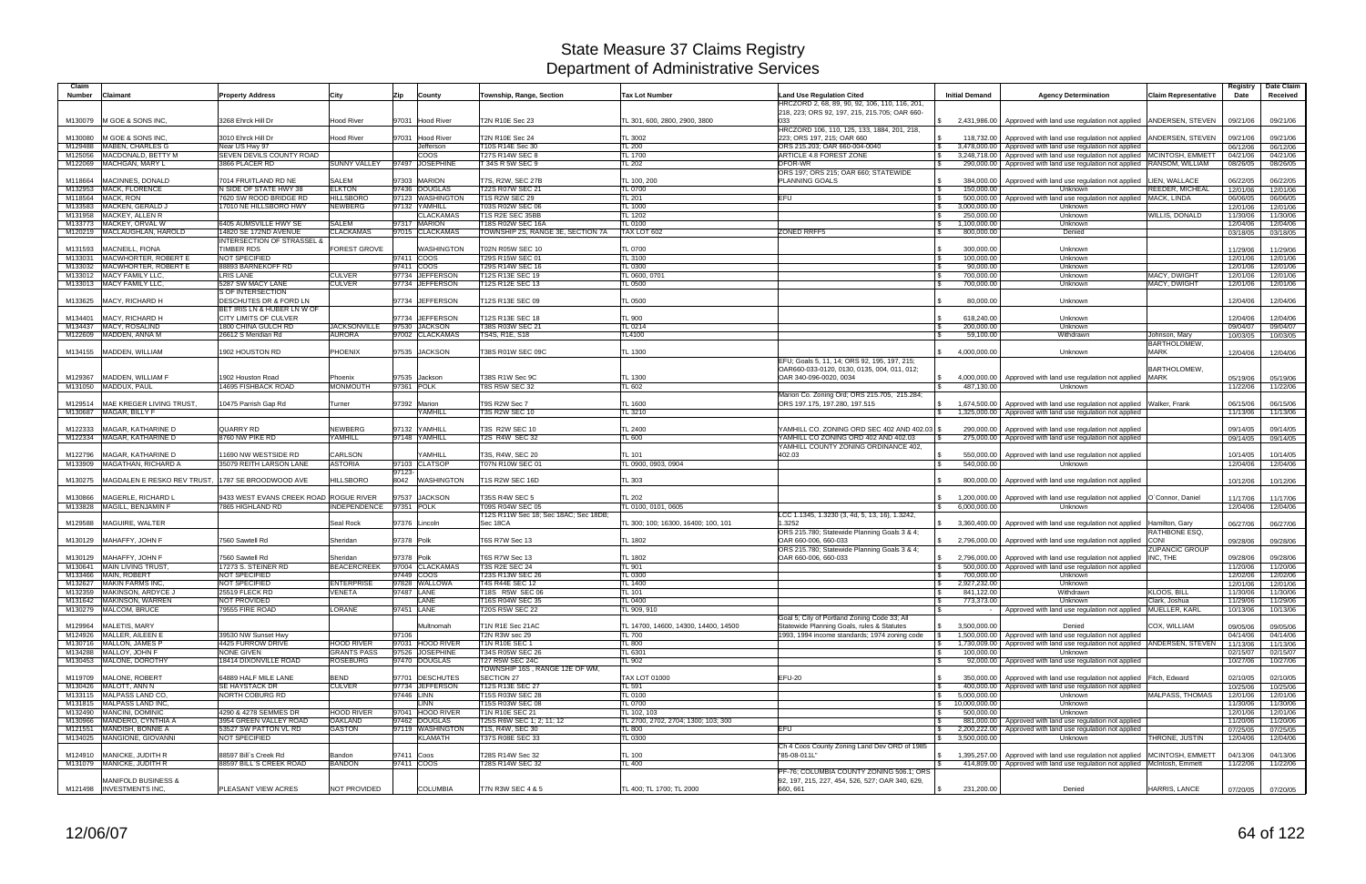| Claim              |                                                       |                                                                |                            |                             |                                                          |                                      |                                                                                    |                               |                                                                                                                              |                                      | Registry             | Date Claim           |
|--------------------|-------------------------------------------------------|----------------------------------------------------------------|----------------------------|-----------------------------|----------------------------------------------------------|--------------------------------------|------------------------------------------------------------------------------------|-------------------------------|------------------------------------------------------------------------------------------------------------------------------|--------------------------------------|----------------------|----------------------|
| <b>Number</b>      | Claimant                                              | <b>Property Address</b>                                        | City                       | Zip<br>County               | Township, Range, Section                                 | <b>Tax Lot Number</b>                | <b>Land Use Regulation Cited</b><br>HRCZORD 2, 68, 89, 90, 92, 106, 110, 116, 201, | <b>Initial Demand</b>         | <b>Agency Determination</b>                                                                                                  | <b>Claim Representative</b>          | Date                 | Received             |
|                    | M130079 M GOE & SONS INC.                             | 3268 Ehrck Hill Dr                                             | <b>Hood River</b>          | 97031 Hood River            | T2N R10E Sec 23                                          | TL 301, 600, 2800, 2900, 3800        | 218, 223; ORS 92, 197, 215, 215.705; OAR 660-<br>033                               |                               |                                                                                                                              |                                      |                      |                      |
|                    |                                                       |                                                                |                            |                             |                                                          |                                      | HRCZORD 106, 110, 125, 133, 1884, 201, 218,                                        |                               | 2,431,986.00 Approved with land use regulation not applied ANDERSEN, STEVEN                                                  |                                      | 09/21/06             | 09/21/06             |
| M130080            | M GOE & SONS INC.                                     | 3010 Ehrck Hill Dr                                             | <b>Hood River</b>          | 97031 Hood River            | T2N R10E Sec 24                                          | TL 3002                              | 223: ORS 197, 215: OAR 660                                                         |                               | 118,732.00 Approved with land use regulation not applied                                                                     | ANDERSEN, STEVEN                     | 09/21/06             | 09/21/06             |
| M129488<br>M125056 | <b>MABEN, CHARLES G</b><br>MACDONALD, BETTY M         | Near US Hwy 97<br>SEVEN DEVILS COUNTY ROAD                     |                            | Jefferson<br><b>COOS</b>    | T10S R14E Sec 30<br><b>T27S R14W SEC 8</b>               | <b>TL 200</b><br><b>TL 1700</b>      | ORS 215.203: OAR 660-004-0040<br>ARTICLE 4.8 FOREST ZONE                           |                               | 3,478,000.00   Approved with land use regulation not applied<br>3,248,718.00   Approved with land use regulation not applied | MCINTOSH, EMMETT                     | 06/12/06<br>04/21/06 | 06/12/06<br>04/21/06 |
|                    | M122069 MACHGAN, MARY L                               | 3866 PLACER RD                                                 | <b>SUNNY VALLEY</b>        | 97497 JOSEPHINE             | T 34S R 5W SEC 9                                         | <b>TL 202</b>                        | DFOR-WR                                                                            |                               | 290,000.00   Approved with land use regulation not applied                                                                   | RANSOM, WILLIAM                      | 08/26/05             | 08/26/05             |
| M118664            | MACINNES, DONALD                                      | 7014 FRUITLAND RD NE                                           | <b>SALEM</b>               | 97303 MARION                | T7S, R2W, SEC 27B                                        | TL 100, 200                          | ORS 197; ORS 215; OAR 660; STATEWIDE<br><b>PLANNING GOALS</b>                      |                               | 384,000.00 Approved with land use regulation not applied                                                                     | LIEN, WALLACE                        |                      | 06/22/05             |
| M132953            | <b>MACK, FLORENCE</b>                                 | N SIDE OF STATE HWY 38                                         | <b>ELKTON</b>              | 97436 DOUGLAS               | T22S R07W SEC 21                                         | <b>TL 0700</b>                       |                                                                                    | 150,000.00                    | Unknown                                                                                                                      | REEDER, MICHEAL                      | 06/22/05<br>12/01/06 | 12/01/06             |
| M118564            | <b>MACK, RON</b>                                      | 7620 SW ROOD BRIDGE RD                                         | <b>HILLSBORO</b>           | 97123 WASHINGTON            | <b>T1S R2W SEC 29</b>                                    | <b>TL 201</b>                        | <b>EFU</b>                                                                         |                               | 500,000.00   Approved with land use regulation not applied MACK, LINDA                                                       |                                      | 06/06/05             | 06/06/05             |
| M133583            | MACKEN, GERALD J                                      | 17010 NE HILLSBORO HWY                                         | <b>NEWBERG</b>             | 97132 YAMHILL               | T03S R02W SEC 06                                         | TL 1000                              |                                                                                    | 3,000,000.00                  | Unknown                                                                                                                      |                                      | 12/01/06             | 12/01/06             |
|                    | M131958 MACKEY, ALLEN R                               |                                                                |                            | <b>CLACKAMAS</b>            | T1S R2E SEC 35BB                                         | <b>TL 1202</b>                       |                                                                                    | 250,000.00                    | Unknown                                                                                                                      | WILLIS, DONALD                       | 11/30/06             | 11/30/06             |
|                    | M133773 MACKEY, ORVAL W                               | 6405 AUMSVILLE HWY SE                                          | SALEM                      | 97317 MARION                | T18S R02W SEC 16A                                        | <b>TL 0100</b>                       |                                                                                    | 1,100,000.00                  | Unknown                                                                                                                      |                                      | 12/04/06             | 12/04/06             |
|                    | M120219   MACLAUGHLAN, HAROLD                         | 14820 SE 172ND AVENUE<br><b>INTERSECTION OF STRASSEL &amp;</b> | <b>CLACKAMAS</b>           | 97015 CLACKAMAS             | TOWNSHIP 2S, RANGE 3E, SECTION 7A                        | TAX LOT 602                          | <b>ZONED RRFF5</b>                                                                 | 800,000.00                    | Denied                                                                                                                       |                                      | 03/18/05             | 03/18/05             |
| M131593            | MACNEILL, FIONA                                       | <b>TIMBER RDS</b>                                              | <b>FOREST GROVE</b>        | <b>NASHINGTON</b>           | T02N R05W SEC 10                                         | TL 0700                              |                                                                                    | 300,000.00                    | Unknown                                                                                                                      |                                      | 11/29/06             | 11/29/06             |
| M133031            | MACWHORTER, ROBERT E                                  | <b>NOT SPECIFIED</b>                                           |                            | 97411 COOS                  | T29S R15W SEC 01                                         | TL 3100                              |                                                                                    | 100,000.00                    | Unknown                                                                                                                      |                                      | 12/01/06             | 12/01/06             |
| M133032            | MACWHORTER, ROBERT E                                  | 88893 BARNEKOFF RD                                             |                            | 97411 COOS                  | T29S R14W SEC 16                                         | <b>TL 0300</b>                       |                                                                                    | 90,000.00                     | Unknown                                                                                                                      |                                      | 12/01/06             | 12/01/06             |
|                    | M133012 MACY FAMILY LLC,                              | <b>LRIS LANE</b>                                               | <b>CULVER</b>              | 97734 JEFFERSON             | T12S R13E SEC 19                                         | TL 0600, 0701                        |                                                                                    | 700,000.00                    | Unknown                                                                                                                      | MACY, DWIGHT                         | 12/01/06             | 12/01/06             |
|                    | M133013 MACY FAMILY LLC,                              | 5287 SW MACY LANE                                              | <b>CULVER</b>              | 97734 JEFFERSON             | T12S R12E SEC 13                                         | <b>TL 0500</b>                       |                                                                                    | 700,000.00                    | Unknown                                                                                                                      | MACY, DWIGHT                         | 12/01/06             | 12/01/06             |
| M133625            | MACY, RICHARD H                                       | <b>S OF INTERSECTION</b><br><b>DESCHUTES DR &amp; FORD LN</b>  |                            | 97734 JEFFERSON             | T12S R13E SEC 09                                         | <b>TL 0500</b>                       |                                                                                    | 80,000.00                     | Unknown                                                                                                                      |                                      | 12/04/06             | 12/04/06             |
| M134401            | <b>MACY, RICHARD H</b>                                | BET IRIS LN & HUBER LN W OF<br><b>CITY LIMITS OF CULVER</b>    |                            | 97734 JEFFERSON             | T12S R13E SEC 18                                         | <b>TL 900</b>                        |                                                                                    | 618,240.00                    | Unknown                                                                                                                      |                                      | 12/04/06             | 12/04/06             |
|                    | M134437 MACY, ROSALIND                                | 1800 CHINA GULCH RD                                            | <b>JACKSONVILLE</b>        | 97530 JACKSON               | T38S R03W SEC 21                                         | TL 0214                              |                                                                                    | 200,000.00                    | Unknown                                                                                                                      |                                      | 09/04/07             | 09/04/07             |
|                    | M122609 MADDEN, ANNA M                                | 26612 S Meridian Rd                                            | <b>AURORA</b>              | 97002 CLACKAMAS             | TS4S, R1E, S18                                           | TL4100                               |                                                                                    | 59,100.00                     | Withdrawn                                                                                                                    | Johnson, Mary<br><b>BARTHOLOMEW.</b> | 10/03/05             | 10/03/05             |
| M134155            | MADDEN, WILLIAM                                       | 1902 HOUSTON RD                                                | PHOENIX                    | 97535 JACKSON               | T38S R01W SEC 09C                                        | TL 1300                              |                                                                                    | 4.000.000.00                  | Unknown                                                                                                                      | <b>MARK</b>                          | 12/04/06             | 12/04/06             |
|                    |                                                       |                                                                |                            |                             |                                                          |                                      | EFU; Goals 5, 11, 14; ORS 92, 195, 197, 215;                                       |                               |                                                                                                                              |                                      |                      |                      |
|                    |                                                       |                                                                |                            |                             |                                                          |                                      | OAR660-033-0120, 0130, 0135, 004, 011, 012;<br>OAR 340-096-0020, 0034              |                               |                                                                                                                              | BARTHOLOMEW.                         |                      |                      |
| M129367<br>M131050 | MADDEN, WILLIAM F<br>MADDUX, PAUL                     | 1902 Houston Road<br>14695 FISHBACK ROAD                       | Phoenix<br><b>MONMOUTH</b> | 97535 Jackson<br>97361 POLK | T38S R1W Sec 9C<br><b>T8S R5W SEC 32</b>                 | TL 1300<br>TL 602                    |                                                                                    | 487.130.00                    | 4,000,000.00 Approved with land use regulation not applied<br>Unknown                                                        | <b>MARK</b>                          | 05/19/06<br>11/22/06 | 05/19/06<br>11/22/06 |
|                    |                                                       |                                                                |                            |                             |                                                          |                                      | Marion Co. Zoning Ord; ORS 215.705, 215.284;                                       |                               |                                                                                                                              |                                      |                      |                      |
| M129514            | MAE KREGER LIVING TRUST,                              | 10475 Parrish Gap Rd                                           | Turner                     | 97392 Marion                | T9S R2W Sec 7                                            | TL 1600                              | ORS 197.175, 197.280, 197.515                                                      | 1,674,500.00                  | Approved with land use regulation not applied                                                                                | Walker, Frank                        | 06/15/06             | 06/15/06             |
|                    | M130687 MAGAR, BILLY F                                |                                                                |                            | <b>YAMHILL</b>              | <b>T3S R2W SEC 10</b>                                    | TL 3210                              |                                                                                    |                               | 1,325,000.00   Approved with land use regulation not applied                                                                 |                                      | 11/13/06             | 11/13/06             |
|                    |                                                       |                                                                |                            |                             |                                                          |                                      |                                                                                    |                               |                                                                                                                              |                                      |                      |                      |
| M122333            | MAGAR, KATHARINE D                                    | <b>QUARRY RD</b>                                               | NEWBERG                    | 97132 YAMHILL               | T3S R2W SEC 10                                           | TL 2400                              | YAMHILL CO. ZONING ORD SEC 402 AND 402.03                                          |                               | 290,000.00   Approved with land use regulation not applied                                                                   |                                      | 09/14/05             | 09/14/05             |
|                    | M122334   MAGAR, KATHARINE D                          | 8760 NW PIKE RD                                                | YAMHILL                    | 97148 YAMHILL               | T2S R4W SEC 32                                           | <b>TL 600</b>                        | YAMHILL CO ZONING ORD 402 AND 402.03<br>YAMHILL COUNTY ZONING ORDINANCE 402,       |                               | 275,000.00   Approved with land use regulation not applied                                                                   |                                      | 09/14/05             | 09/14/05             |
| M122796            | <b>MAGAR, KATHARINE D</b>                             | 11690 NW WESTSIDE RD                                           | CARLSON                    | YAMHILL                     | T3S, R4W, SEC 20                                         | TL 101                               | 402.03                                                                             |                               | 550,000.00   Approved with land use regulation not applied                                                                   |                                      | 10/14/05             | 10/14/05             |
| M133909            | <b>MAGATHAN, RICHARD A</b>                            | 35079 REITH LARSON LANE                                        | <b>ASTORIA</b>             | 97103 CLATSOP               | <b>T07N R10W SEC 01</b>                                  | TL 0900, 0903, 0904                  |                                                                                    | 540,000.00                    | Unknown                                                                                                                      |                                      | 12/04/06             | 12/04/06             |
|                    |                                                       |                                                                |                            | 97123-                      |                                                          |                                      |                                                                                    |                               |                                                                                                                              |                                      |                      |                      |
| M130275            | MAGDALEN E RESKO REV TRUST, 1787 SE BROODWOOD AVE     |                                                                | <b>HILLSBORO</b>           | 8042<br><b>WASHINGTON</b>   | T1S R2W SEC 16D                                          | TL 303                               |                                                                                    |                               | 800,000.00   Approved with land use regulation not applied                                                                   |                                      | 10/12/06             | 10/12/06             |
| M130866            | MAGERLE, RICHARD I                                    | 9433 WEST EVANS CREEK ROAD ROGUE RIVER                         |                            | 97537 JACKSON               | <b>T35S R4W SEC 5</b>                                    | <b>TL 202</b>                        |                                                                                    |                               | 1,200,000.00 Approved with land use regulation not applied                                                                   | O'Connor, Daniel                     | 11/17/06             | 11/17/06             |
|                    | M133828 MAGILL, BENJAMIN F                            | 7865 HIGHLAND RD                                               | INDEPENDENCE               | 97351 POLK                  | T09S R04W SEC 05                                         | TL 0100, 0101, 0605                  |                                                                                    | 6,000,000.00                  | Unknown                                                                                                                      |                                      | 12/04/06             | 12/04/06             |
| M129588            | <b>MAGUIRE, WALTER</b>                                |                                                                | Seal Rock                  | 97376 Lincoln               | T12S R11W Sec 18: Sec 18AC: Sec 18DB:<br>Sec 18CA        | TL 300; 100; 16300, 16400; 100, 101  | LCC 1.1345, 1.3230 (3, 4d, 5, 13, 16), 1.3242,<br>1.3252                           |                               | 3,360,400.00 Approved with land use regulation not applied                                                                   | Hamilton, Gary                       | 06/27/06             | 06/27/06             |
|                    |                                                       |                                                                |                            |                             |                                                          |                                      | ORS 215.780; Statewide Planning Goals 3 & 4;                                       |                               |                                                                                                                              | RATHBONE ESQ.                        |                      |                      |
|                    | M130129 MAHAFFY, JOHN F                               | 7560 Sawtell Rd                                                | Sheridan                   | 97378 Polk                  | T6S R7W Sec 13                                           | TL 1802                              | OAR 660-006, 660-033                                                               |                               | 2,796,000.00 Approved with land use regulation not applied                                                                   | <b>CONI</b>                          | 09/28/06             | 09/28/06             |
|                    | M130129 MAHAFFY, JOHN F                               | 7560 Sawtell Rd                                                | Sheridan                   | 97378 Polk                  | T6S R7W Sec 13                                           | TL 1802                              | ORS 215.780; Statewide Planning Goals 3 & 4;<br>OAR 660-006, 660-033               |                               | 2,796,000.00 Approved with land use regulation not applied                                                                   | <b>ZUPANCIC GROUP</b><br>INC, THE    | 09/28/06             | 09/28/06             |
|                    | M130641 MAIN LIVING TRUST                             | 17273 S. STEINER RD                                            | <b>BEACERCREEK</b>         | 97004 CLACKAMAS             | <b>T3S R2E SEC 24</b>                                    | <b>TL 901</b>                        |                                                                                    |                               | 500,000.00   Approved with land use regulation not applied                                                                   |                                      | 11/20/06             | 11/20/06             |
|                    | M133466 MAIN, ROBERT                                  | NOT SPECIFIED                                                  |                            | 97449 COOS                  | T23S R13W SEC 26                                         | <b>TL 0300</b>                       |                                                                                    | 700,000.00                    | Unknown                                                                                                                      |                                      | 12/02/06             | 12/02/06             |
|                    | M132627 MAKIN FARMS INC.                              | <b>NOT SPECIFIED</b>                                           | <b>ENTERPRISE</b>          | 97828 WALLOWA               | T4S R44E SEC 12                                          | TL 1400                              |                                                                                    | 2,927,232.00                  | Unknown                                                                                                                      |                                      | 12/01/06             | 12/01/06             |
|                    | M132359 MAKINSON, ARDYCE J                            | 25519 FLECK RD                                                 | <b>VENETA</b>              | 97487 LANE                  | T18S R5W SEC 06                                          | <b>TL 101</b>                        |                                                                                    | 841,122.00                    | Withdrawn                                                                                                                    | KLOOS, BILL                          | 11/30/06             | 11/30/06             |
|                    | M131642 MAKINSON, WARREN<br>M130279 MALCOM, BRUCE     | NOT PROVIDED<br>79555 FIRE ROAD                                | <b>LORANE</b>              | LANE<br>97451 LANE          | T16S R04W SEC 35<br><b>T20S R5W SEC 22</b>               | <b>TL 0400</b><br>TL 909, 910        |                                                                                    | 773,373.00                    | Unknown<br>Approved with land use regulation not applied                                                                     | Clark, Joshua<br>MUELLER, KARL       | 11/29/06<br>10/13/06 | 11/29/06<br>10/13/06 |
|                    |                                                       |                                                                |                            |                             |                                                          |                                      | Goal 5; City of Portland Zoning Code 33; All                                       |                               |                                                                                                                              |                                      |                      |                      |
|                    | M129964 MALETIS, MARY                                 |                                                                |                            | Multnomah                   | T1N R1E Sec 21AC                                         | TL 14700, 14600, 14300, 14400, 14500 | Statewide Planning Goals, rules & Statutes                                         | 3,500,000.00                  | Denied                                                                                                                       | COX. WILLIAM                         | 09/05/06             | 09/05/06             |
|                    | M124926 MALLER, AILEEN E                              | 39530 NW Sunset Hwy                                            |                            | 97106                       | T2N R3W sec 29                                           | TL 700                               | 1993, 1994 income standards: 1974 zoning code                                      |                               | 1.500,000,00 Approved with land use regulation not applied                                                                   |                                      | 04/14/06             | 04/14/06             |
|                    | M130716 MALLON, JAMES P                               | 4425 FURROW DRIVE                                              | <b>HOOD RIVER</b>          | 97031 HOOD RIVER            | <b>T1N R10E SEC 1</b>                                    | <b>TL 800</b>                        |                                                                                    |                               | 1,730,009.00 Approved with land use regulation not applied ANDERSEN, STEVEN                                                  |                                      | 11/13/06             | 11/13/06             |
|                    | M134288 MALLOY, JOHN F                                | <b>NONE GIVEN</b><br>18414 DIXONVILLE ROAD                     | <b>GRANTS PASS</b>         | 97526 JOSEPHINE             | T34S R05W SEC 26                                         | TL 6301                              |                                                                                    | 100.000.00                    | Unknown                                                                                                                      |                                      | 02/15/07             | 02/15/07             |
|                    | M130453 MALONE, DOROTHY                               |                                                                | <b>ROSEBURG</b>            | 97470 DOUGLAS               | <b>T27 R5W SEC 24C</b><br>TOWNSHIP 16S, RANGE 12E OF WM, | <b>TL 902</b>                        |                                                                                    |                               | 92,000.00 Approved with land use regulation not applied                                                                      |                                      | 10/27/06             | 10/27/06             |
|                    | M119709 MALONE, ROBERT                                | 64889 HALF MILE LANE                                           | <b>BEND</b>                | 97701 DESCHUTES             | SECTION 27                                               | TAX LOT 01000                        | <b>EFU-20</b>                                                                      |                               | 350,000.00 Approved with land use regulation not applied                                                                     | Fitch, Edward                        | 02/10/05             | 02/10/05             |
|                    | M130426 MALOTT, ANN N                                 | SE HAYSTACK DR                                                 | <b>CULVER</b>              | 97734 JEFFERSON             | T12S R13E SEC 27                                         | TL 591                               |                                                                                    |                               | 400,000.00 Approved with land use regulation not applied                                                                     | <b>MALPASS, THOMAS</b>               | 10/25/06             | 10/25/06             |
|                    | M133115 MALPASS LAND CO,<br>M131815 MALPASS LAND INC, | NORTH COBURG RD                                                |                            | 97446 LINN<br><b>LINN</b>   | T15S R03W SEC 28<br>T15S R03W SEC 08                     | <b>TL 0100</b><br>TL 0700            |                                                                                    | 5,000,000.00<br>10,000,000.00 | Unknown<br>Unknown                                                                                                           |                                      | 12/01/06<br>11/30/06 | 12/01/06<br>11/30/06 |
|                    | M132490 MANCINI, DOMINIC                              | 4290 & 4278 SEMMES DR                                          | <b>HOOD RIVER</b>          | 97041 HOOD RIVER            | <b>T1N R10E SEC 21</b>                                   | TL 102, 103                          |                                                                                    | 500,000.00                    | Unknown                                                                                                                      |                                      | 12/01/06             | 12/01/06             |
|                    | M130966 MANDERO, CYNTHIA A                            | 3954 GREEN VALLEY ROAD                                         | <b>OAKLAND</b>             | 97462 DOUGLAS               | T25S R6W SEC 1; 2; 11; 12                                | TL 2700, 2702, 2704; 1300; 103; 300  |                                                                                    |                               | 881,000.00 Approved with land use regulation not applied                                                                     |                                      | 11/20/06             | 11/20/06             |
|                    | M121551 MANDISH, BONNIE A                             | 53527 SW PATTON VL RD                                          | <b>GASTON</b>              | 97119 WASHINGTON            | T1S, R4W, SEC 30                                         | <b>TL 800</b>                        | <b>EFU</b>                                                                         |                               | 2,200,222.00 Approved with land use regulation not applied                                                                   |                                      | 07/25/05             | 07/25/05             |
|                    | M134025 MANGIONE, GIOVANNI                            | NOT SPECIFIED                                                  |                            | <b>KLAMATH</b>              | T37S R08E SEC 33                                         | TL 0300                              |                                                                                    | 3,500,000.00                  | Unknown                                                                                                                      | <b>FHRONE, JUSTIN</b>                | 12/04/06             | 12/04/06             |
|                    | M124910 MANICKE, JUDITH R                             | 88597 Bill's Creek Rd                                          | Bandon                     | 97411 Coos                  | T28S R14W Sec 32                                         | TL 100                               | Ch 4 Coos County Zoning Land Dev ORD of 1985<br>"85-08-011L"                       |                               | 1,395,257.00 Approved with land use regulation not applied MCINTOSH, EMMETT                                                  |                                      | 04/13/06             | 04/13/06             |
|                    | M131079 MANICKE, JUDITH R                             | 88597 BILL`S CREEK ROAD                                        | <b>BANDON</b>              | 97411 COOS                  | T28S R14W SEC 32                                         | <b>TL 400</b>                        |                                                                                    |                               | 414,809.00 Approved with land use regulation not applied McIntosh, Emmett                                                    |                                      | 11/22/06             | 11/22/06             |
|                    |                                                       |                                                                |                            |                             |                                                          |                                      | PF-76; COLUMBIA COUNTY ZONING 506.1; ORS                                           |                               |                                                                                                                              |                                      |                      |                      |
|                    | <b>MANIFOLD BUSINESS &amp;</b>                        |                                                                |                            |                             |                                                          |                                      | 92, 197, 215, 227, 454, 526, 527; OAR 340, 629,                                    |                               |                                                                                                                              |                                      |                      |                      |
|                    | M121498  INVESTMENTS INC,                             | PLEASANT VIEW ACRES                                            | NOT PROVIDED               | <b>COLUMBIA</b>             | T7N R3W SEC 4 & 5                                        | TL 400; TL 1700; TL 2000             | 660, 661                                                                           | 231,200.00                    | Denied                                                                                                                       | HARRIS, LANCE                        | 07/20/05             | 07/20/05             |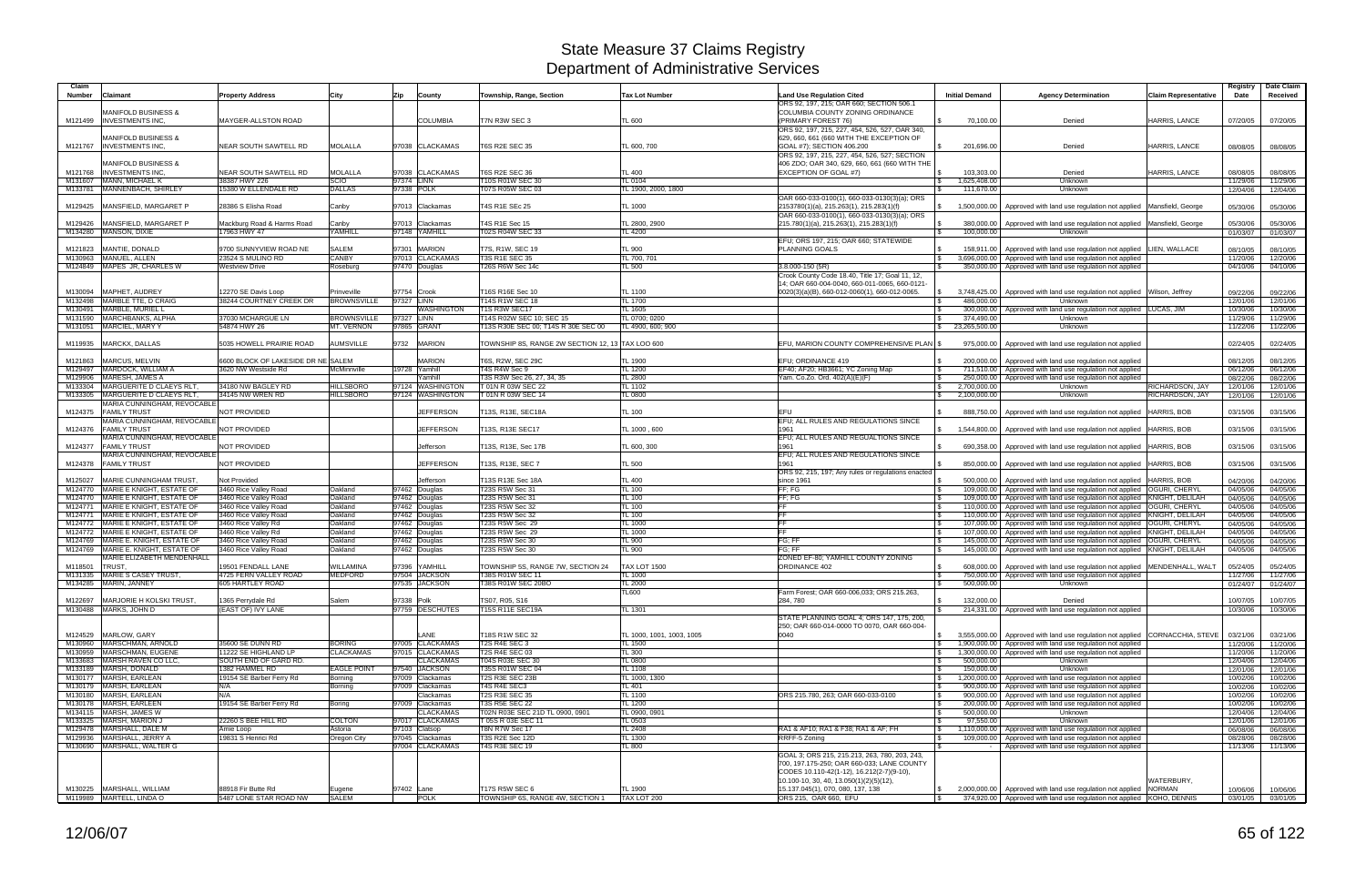| Claim              |                                                                  |                                                     |                        |                                     |                                                  |                                 |                                                                                                |                       |                                                                                                                                        |                             | Registry             | Date Claim           |
|--------------------|------------------------------------------------------------------|-----------------------------------------------------|------------------------|-------------------------------------|--------------------------------------------------|---------------------------------|------------------------------------------------------------------------------------------------|-----------------------|----------------------------------------------------------------------------------------------------------------------------------------|-----------------------------|----------------------|----------------------|
| Number             | Claimant                                                         | <b>Property Address</b>                             | City                   | Zip<br>County                       | Township, Range, Section                         | <b>Tax Lot Number</b>           | <b>Land Use Regulation Cited</b><br>ORS 92, 197, 215; OAR 660; SECTION 506.1                   | <b>Initial Demand</b> | <b>Agency Determination</b>                                                                                                            | <b>Claim Representative</b> | Date                 | Received             |
|                    | <b>MANIFOLD BUSINESS &amp;</b>                                   |                                                     |                        |                                     |                                                  |                                 | COLUMBIA COUNTY ZONING ORDINANCE                                                               |                       |                                                                                                                                        |                             |                      |                      |
|                    | M121499  INVESTMENTS INC.                                        | <b>MAYGER-ALLSTON ROAD</b>                          |                        | <b>COLUMBIA</b>                     | T7N R3W SEC 3                                    | TL 600                          | (PRIMARY FOREST 76)                                                                            | 70,100.00             | Denied                                                                                                                                 | HARRIS, LANCE               | 07/20/05             | 07/20/05             |
|                    | MANIFOLD BUSINESS &                                              |                                                     |                        |                                     |                                                  |                                 | ORS 92, 197, 215, 227, 454, 526, 527, OAR 340,<br>629, 660, 661 (660 WITH THE EXCEPTION OF     |                       |                                                                                                                                        |                             |                      |                      |
| M121767            | <b>INVESTMENTS INC.</b>                                          | NEAR SOUTH SAWTELL RD                               | MOLALLA                | 97038 CLACKAMAS                     | <b>T6S R2E SEC 35</b>                            | TL 600, 700                     | GOAL #7); SECTION 406.200                                                                      | 201,696.00            | Denied                                                                                                                                 | HARRIS, LANCE               | 08/08/05             | 08/08/05             |
|                    | <b>MANIFOLD BUSINESS &amp;</b>                                   |                                                     |                        |                                     |                                                  |                                 | ORS 92, 197, 215, 227, 454, 526, 527; SECTION<br>406 ZDO; OAR 340, 629, 660, 661 (660 WITH THE |                       |                                                                                                                                        |                             |                      |                      |
| M121768            | <b>INVESTMENTS INC.</b>                                          | NEAR SOUTH SAWTELL RD                               | <b>MOLALLA</b>         | 97038 CLACKAMAS                     | <b>T6S R2E SEC 36</b>                            | <b>TL 400</b>                   | <b>EXCEPTION OF GOAL #7)</b>                                                                   | 103,303.00            | Denied                                                                                                                                 | HARRIS, LANCE               | 08/08/05             | 08/08/05             |
| M131607            | <b>MANN, MICHAEL K</b>                                           | 38387 HWY 226                                       | <b>SCIO</b>            | 97374 LINN                          | T10S R01W SEC 30                                 | <b>TL 0104</b>                  |                                                                                                | 1,625,408.00          | Unknown                                                                                                                                |                             | 11/29/06             | 11/29/06             |
| M133781            | MANNENBACH, SHIRLEY                                              | 15380 W ELLENDALE RD                                | <b>DALLAS</b>          | 97338 POLK                          | T07S R05W SEC 03                                 | TL 1900, 2000, 1800             | OAR 660-033-0100(1), 660-033-0130(3)(a); ORS                                                   | 111,670.00            | Unknown                                                                                                                                |                             | 12/04/06             | 12/04/06             |
| M129425            | MANSFIELD, MARGARET P                                            | 28386 S Elisha Road                                 | Canby                  | 97013 Clackamas                     | T4S R1E SEc 25                                   | TL 1000                         | 2153780(1)(a), 215.263(1), 215.283(1)(f)                                                       |                       | 1,500,000.00   Approved with land use regulation not applied   Mansfield, George                                                       |                             | 05/30/06             | 05/30/06             |
|                    |                                                                  |                                                     |                        |                                     |                                                  |                                 | OAR 660-033-0100(1), 660-033-0130(3)(a); ORS                                                   |                       |                                                                                                                                        |                             |                      |                      |
| M129426<br>M134280 | MANSFIELD, MARGARET P<br>MANSON, DIXIE                           | Mackburg Road & Harms Road<br>17963 HWY 47          | Canby<br>YAMHILL       | 97013 Clackamas<br>97148 YAMHILL    | T4S R1E Sec 15<br>T02S R04W SEC 33               | TL 2800, 2900<br><b>TL 4200</b> | 215.780(1)(a), 215.263(1), 215.283(1)(f)                                                       | 100,000.00            | 380,000.00   Approved with land use regulation not applied Mansfield, George<br>Unknown                                                |                             | 05/30/06<br>01/03/07 | 05/30/06             |
|                    |                                                                  |                                                     |                        |                                     |                                                  |                                 | EFU; ORS 197, 215; OAR 660; STATEWIDE                                                          |                       |                                                                                                                                        |                             |                      | 01/03/07             |
| M121823            | MANTIE, DONALD                                                   | 9700 SUNNYVIEW ROAD NE                              | <b>SALEM</b>           | 97301 MARION                        | T7S, R1W, SEC 19                                 | TL 900                          | <b>PLANNING GOALS</b>                                                                          |                       | 158,911.00   Approved with land use regulation not applied                                                                             | LIEN, WALLACE               | 08/10/05             | 08/10/05             |
|                    | M130963 MANUEL, ALLEN<br>M124849 MAPES JR, CHARLES W             | 23524 S MULINO RD<br><b>Westview Drive</b>          | CANBY                  | 97013 CLACKAMAS                     | T3S R1E SEC 35<br>T26S R6W Sec 14c               | TL 700, 701<br><b>TL 500</b>    |                                                                                                |                       | 3,696,000.00 Approved with land use regulation not applied                                                                             |                             | 11/20/06             | 12/20/06             |
|                    |                                                                  |                                                     | Roseburg               | 97470 Douglas                       |                                                  |                                 | 3.8.000-150 (5R)<br>Crook County Code 18.40, Title 17; Goal 11, 12,                            |                       | 350,000.00   Approved with land use regulation not applied                                                                             |                             | 04/10/06             | 04/10/06             |
|                    |                                                                  |                                                     |                        |                                     |                                                  |                                 | 14; OAR 660-004-0040, 660-011-0065, 660-0121-                                                  |                       |                                                                                                                                        |                             |                      |                      |
| M130094            | MAPHET, AUDREY                                                   | 12270 SE Davis Loop                                 | Prinveville            | 97754 Crook                         | T16S R16E Sec 10<br>T14S R1W SEC 18              | <b>TL 1100</b>                  | 0020(3)(a)(B), 660-012-0060(1), 660-012-0065.                                                  |                       | 3,748,425.00 Approved with land use regulation not applied Wilson, Jeffrey                                                             |                             | 09/22/06             | 09/22/06             |
| M132498<br>M130491 | MARBLE TTE, D CRAIG<br>MARBLE, MURIEL L                          | 38244 COURTNEY CREEK DR                             | <b>BROWNSVILLE</b>     | 97327 LINN<br>WASHINGTON            | T1S R3W SEC17                                    | TL 1700<br>TL 1605              |                                                                                                | 486.000.00            | Unknown<br>300,000.00 Approved with land use regulation not applied                                                                    | LUCAS, JIM                  | 12/01/06<br>10/30/06 | 12/01/06<br>10/30/06 |
| M131590            | <b>MARCHBANKS, ALPHA</b>                                         | 37030 MCHARGUE LN                                   | <b>BROWNSVILLE</b>     | 97327 LINN                          | T14S R02W SEC 10; SEC 15                         | TL 0700; 0200                   |                                                                                                | 374,490.00            | Unknown                                                                                                                                |                             | 11/29/06             | 11/29/06             |
| M131051            | MARCIEL, MARY Y                                                  | 54874 HWY 26                                        | MT. VERNON             | 97865 GRANT                         | T13S R30E SEC 00: T14S R 30E SEC 00              | TL 4900, 600; 900               |                                                                                                | 23,265,500.00         | <b>Unknown</b>                                                                                                                         |                             | 11/22/06             | 11/22/06             |
| M119935            | <b>MARCKX, DALLAS</b>                                            | 5035 HOWELL PRAIRIE ROAD                            | <b>AUMSVILLE</b>       | 9732 MARION                         | TOWNSHIP 8S, RANGE 2W SECTION 12, 13 TAX LOO 600 |                                 | EFU, MARION COUNTY COMPREHENSIVE PLAN                                                          |                       | 975,000.00   Approved with land use regulation not applied                                                                             |                             | 02/24/05             | 02/24/05             |
|                    |                                                                  |                                                     |                        |                                     |                                                  |                                 |                                                                                                |                       |                                                                                                                                        |                             |                      |                      |
| M121863<br>M129497 | MARCUS, MELVIN<br>MARDOCK, WILLIAM A                             | 6600 BLOCK OF LAKESIDE DR NE<br>3620 NW Westside Rd | SALEM<br>McMinnville   | <b>MARION</b><br>19728 Yamhill      | T6S, R2W, SEC 29C<br>T4S R4W Sec 9               | TL 1900<br><b>TL 1200</b>       | EFU: ORDINANCE 419                                                                             |                       | 200,000.00   Approved with land use regulation not applied<br>711,510.00 Approved with land use regulation not applied                 |                             | 08/12/05             | 08/12/05             |
| M129906            | MARESH, JAMES A                                                  |                                                     |                        | <b>Yamhill</b>                      | T3S R3W Sec 26, 27, 34, 35                       | TL 2800                         | EF40; AF20; HB3661; YC Zoning Map<br>Yam. Co.Zo. Ord. 402(A)(E)(F)                             |                       | 250,000.00 Approved with land use regulation not applied                                                                               |                             | 06/12/06<br>08/22/06 | 06/12/06<br>08/22/06 |
| M133304            | MARGUERITE D CLAEYS RLT                                          | 34180 NW BAGLEY RD                                  | <b>HILLSBORO</b>       | 97124 WASHINGTON                    | T 01N R 03W SEC 22                               | <b>TL 1102</b>                  |                                                                                                | 2,700,000.00          | Unknown                                                                                                                                | RICHARDSON, JAY             | 12/01/06             | 12/01/06             |
| M133305            | MARGUERITE D CLAEYS RLT                                          | 34145 NW WREN RD                                    | <b>HILLSBORO</b>       | 97124 WASHINGTON                    | T 01N R 03W SEC 14                               | <b>TL 0800</b>                  |                                                                                                | 2,100,000.00          | Unknown                                                                                                                                | RICHARDSON, JAY             | 12/01/06             | 12/01/06             |
| M124375            | <b>MARIA CUNNINGHAM, REVOCABLE</b><br><b>FAMILY TRUST</b>        | NOT PROVIDED                                        |                        | <b>JEFFERSON</b>                    | T13S, R13E, SEC18A                               | <b>TL 100</b>                   | EFU                                                                                            |                       | 888,750.00   Approved with land use regulation not applied                                                                             | <b>HARRIS, BOB</b>          | 03/15/06             | 03/15/06             |
|                    | MARIA CUNNINGHAM, REVOCABLE                                      |                                                     |                        |                                     |                                                  |                                 | EFU; ALL RULES AND REGULATIONS SINCE                                                           |                       |                                                                                                                                        |                             |                      |                      |
| M124376            | <b>FAMILY TRUST</b>                                              | <b>NOT PROVIDED</b>                                 |                        | <b>JEFFERSON</b>                    | T13S, R13E SEC17                                 | TL 1000, 600                    | 1961                                                                                           |                       | 1,544,800.00   Approved with land use regulation not applied                                                                           | <b>HARRIS, BOB</b>          | 03/15/06             | 03/15/06             |
| M124377            | MARIA CUNNINGHAM, REVOCABLE<br><b>FAMILY TRUST</b>               | <b>NOT PROVIDED</b>                                 |                        | Jefferson                           | T13S, R13E, Sec 17B                              | TL 600, 300                     | EFU; ALL RULES AND REGUALTIONS SINCE<br>1961                                                   |                       | 690,358.00 Approved with land use regulation not applied                                                                               | HARRIS, BOB                 | 03/15/06             | 03/15/06             |
|                    | MARIA CUNNINGHAM, REVOCABLE                                      |                                                     |                        |                                     |                                                  |                                 | EFU; ALL RULES AND REGULATIONS SINCE                                                           |                       |                                                                                                                                        |                             |                      |                      |
| M124378            | <b>FAMILY TRUST</b>                                              | NOT PROVIDED                                        |                        | <b>JEFFERSON</b>                    | T13S, R13E, SEC 7                                | <b>TL 500</b>                   | 1961                                                                                           |                       | 850,000.00   Approved with land use regulation not applied                                                                             | <b>HARRIS, BOB</b>          | 03/15/06             | 03/15/06             |
| M125027            | MARIE CUNNINGHAM TRUST.                                          | Not Provided                                        |                        | Jefferson                           | T13S R13E Sec 18A                                | <b>TL 400</b>                   | ORS 92, 215, 197; Any rules or regulations enacted<br>since 1961                               |                       | 500,000.00   Approved with land use regulation not applied                                                                             | HARRIS, BOB                 | 04/20/06             | 04/20/06             |
| M124770            | MARIE E KNIGHT, ESTATE OF                                        | 3460 Rice Valley Road                               | Oakland                | 97462 Douglas                       | T23S R5W Sec 31                                  | <b>TL 100</b>                   | FF: FG                                                                                         |                       | 109,000.00   Approved with land use regulation not applied                                                                             | <b>OGURI, CHERYL</b>        | 04/05/06             | 04/05/06             |
| M124770            | MARIE E KNIGHT, ESTATE OF                                        | 3460 Rice Valley Road                               | Oakland                | 37462 Douglas                       | <b>T23S R5W Sec 31</b>                           | <b>TL 100</b>                   | FF: FG                                                                                         |                       | 109,000.00   Approved with land use regulation not applied KNIGHT, DELILAH                                                             |                             | 04/05/06             | 04/05/06             |
| M124771<br>M124771 | MARIE E KNIGHT, ESTATE OF<br>MARIE E KNIGHT, ESTATE OF           | 3460 Rice Valley Road<br>3460 Rice Valley Road      | Oakland<br>Oakland     | 97462 Douglas<br>97462 Douglas      | T23S R5W Sec 32<br>T23S R5W Sec 32               | TL 100<br>TL 100                | <b>FF</b><br>FF                                                                                |                       | 110,000.00 Approved with land use regulation not applied<br>110,000.00   Approved with land use regulation not applied KNIGHT, DELILAH | OGURI, CHERYL               | 04/05/06<br>04/05/06 | 04/05/06<br>04/05/06 |
| M124772            | MARIE E KNIGHT, ESTATE OF                                        | 3460 Rice Valley Rd                                 | Oakland                | 97462 Douglas                       | <b>T23S R5W Sec 29</b>                           | <b>TL 1000</b>                  | FF                                                                                             |                       | 107,000.00 Approved with land use regulation not applied                                                                               | <b>OGURI, CHERYL</b>        | 04/05/06             | 04/05/06             |
|                    | M124772 MARIE E KNIGHT, ESTATE OF                                | 3460 Rice Valley Rd                                 | Oakland                | 97462 Douglas                       | T23S R5W Sec 29                                  | <b>TL 1000</b>                  | <b>FF</b>                                                                                      |                       | 107,000.00   Approved with land use regulation not applied KNIGHT, DELILAH                                                             |                             | 04/05/06             | 04/05/06             |
|                    | M124769 MARIE E. KNIGHT, ESTATE OF                               | 3460 Rice Valley Road                               | Oakland                | 97462 Douglas                       | T23S R5W Sec 30                                  | TL 900                          | FG: FF                                                                                         |                       | 145,000.00   Approved with land use regulation not applied   OGURI, CHERYL                                                             |                             | 04/05/06             | 04/05/06             |
|                    | M124769 MARIE E. KNIGHT, ESTATE OF<br>MARIE ELIZABETH MENDENHALL | 3460 Rice Valley Road                               | Oakland                | 97462 Douglas                       | T23S R5W Sec 30                                  | <b>TL 900</b>                   | FG:FI<br>ZONED EF-80: YAMHILL COUNTY ZONING                                                    |                       | 145,000.00   Approved with land use regulation not applied KNIGHT, DELILAH                                                             |                             | 04/05/06             | 04/05/06             |
| M118501            | <b>TRUST.</b>                                                    | 19501 FENDALL LANE                                  | WILLAMINA              | 97396 YAMHILL                       | TOWNSHIP 5S, RANGE 7W, SECTION 24                | <b>TAX LOT 1500</b>             | ORDINANCE 402                                                                                  |                       | 608,000.00   Approved with land use regulation not applied                                                                             | MENDENHALL, WALT            | 05/24/05             | 05/24/05             |
|                    | M131335 MARIE S CASEY TRUST,                                     | 4725 FERN VALLEY ROAD                               | <b>MEDFORD</b>         | 97504 JACKSON                       | T38S R01W SEC 11                                 | <b>TL 1000</b>                  |                                                                                                |                       | 750,000,00 Approved with land use regulation not applied                                                                               |                             | 11/27/06             | 11/27/06             |
|                    | M134285 MARIN, JANNEY                                            | 605 HARTLEY ROAD                                    |                        | 97535 JACKSON                       | T38S R01W SEC 20BO                               | TL 2000<br>TL600                | Farm Forest; OAR 660-006,033; ORS 215.263,                                                     | 500,000.00            | Unknown                                                                                                                                |                             | 01/24/07             | 01/24/07             |
|                    | M122697 MARJORIE H KOLSKI TRUST.                                 | 1365 Perrydale Rd                                   | Salem                  | 97338 Polk                          | TS07, R05, S16                                   |                                 | 284, 780                                                                                       | 132,000.00            | Denied                                                                                                                                 |                             | 10/07/05             | 10/07/05             |
|                    | M130488 MARKS, JOHN D                                            | (EAST OF) IVY LANE                                  |                        | 97759 DESCHUTES                     | <b>T15S R11E SEC19A</b>                          | TL 1301                         |                                                                                                |                       | 214,331.00 Approved with land use regulation not applied                                                                               |                             | 10/30/06             | 10/30/06             |
|                    |                                                                  |                                                     |                        |                                     |                                                  |                                 | STATE PLANNING GOAL 4; ORS 147, 175, 200,<br>250: OAR 660-014-0000 TO 0070, OAR 660-004-       |                       |                                                                                                                                        |                             |                      |                      |
|                    | M124529 MARLOW, GARY                                             |                                                     |                        | LANE                                | T18S R1W SEC 32                                  | TL 1000, 1001, 1003, 1005       | 0040                                                                                           |                       | 3,555,000.00   Approved with land use regulation not applied CORNACCHIA, STEVE                                                         |                             | 03/21/06             | 03/21/06             |
|                    | M130960 MARSCHMAN, ARNOLD                                        | 35600 SE DUNN RD                                    | <b>BORING</b>          | 97005 CLACKAMAS                     | T2S R4E SEC 3                                    | <b>TL 1500</b>                  |                                                                                                |                       | 1.900,000,00 Approved with land use regulation not applied                                                                             |                             | 11/20/06             | 11/20/06             |
|                    | M130959 MARSCHMAN, EUGENE<br>M133683 MARSH RAVEN CO LLC,         | 11222 SE HIGHLAND LP<br>SOUTH END OF GARD RD.       | <b>CLACKAMAS</b>       | 97015 CLACKAMAS<br><b>CLACKAMAS</b> | T2S R4E SEC 03<br>T04S R03E SEC 30               | <b>TL 300</b><br><b>TL 0800</b> |                                                                                                | 500,000.00            | 1,300,000.00   Approved with land use regulation not applied<br>Unknown                                                                |                             | 11/20/06<br>12/04/06 | 11/20/06<br>12/04/06 |
|                    | M133189 MARSH, DONALD                                            | 1382 HAMMEL RD                                      | <b>EAGLE POINT</b>     | 97540 JACKSON                       | T35S R01W SEC 04                                 | TL 1108                         |                                                                                                | 150,000.00            | Unknown                                                                                                                                |                             | 12/01/06             | 12/01/06             |
|                    | M130177 MARSH, EARLEAN                                           | 19154 SE Barber Ferry Rd                            | Borning                | 97009 Clackamas                     | T2S R3E SEC 23B                                  | TL 1000, 1300                   |                                                                                                |                       | 1,200,000.00   Approved with land use regulation not applied                                                                           |                             | 10/02/06             | 10/02/06             |
|                    | M130179 MARSH, EARLEAN                                           | N/A                                                 | Borning                | 97009 Clackamas                     | T4S R4E SEC3                                     | TL 401                          |                                                                                                |                       | 900,000.00 Approved with land use regulation not applied                                                                               |                             | 10/02/06             | 10/02/06             |
|                    | M130180 MARSH, EARLEAN<br>M130178 MARSH, EARLEEN                 | N/A<br>19154 SE Barber Ferry Rd                     | Boring                 | Clackamas<br>97009 Clackamas        | T2S R3E SEC 35<br><b>T3S R5E SEC 22</b>          | <b>TL 1100</b><br>TL 1200       | ORS 215.780, 263; OAR 660-033-0100                                                             |                       | 900,000.00   Approved with land use regulation not applied<br>200,000.00   Approved with land use regulation not applied               |                             | 10/02/06<br>10/02/06 | 10/02/06<br>10/02/06 |
|                    | M134115 MARSH, JAMES W                                           |                                                     |                        | <b>CLACKAMAS</b>                    | T02N R03E SEC 21D TL 0900, 0901                  | TL 0900, 0901                   |                                                                                                | 500,000.00            | Unknown                                                                                                                                |                             | 12/04/06             | 12/04/06             |
|                    | M133325 MARSH, MARION J                                          | 22260 S BEE HILL RD                                 | COLTON                 | 97017 CLACKAMAS                     | T 05S R 03E SEC 11                               | TL 0503                         |                                                                                                | 97,550.00             | Unknown                                                                                                                                |                             | 12/01/06             | 12/01/06             |
|                    | M129478 MARSHALL, DALE M<br>M129936 MARSHALL, JERRY A            | Amie Loop<br>19831 S Henrici Rd                     | Astoria<br>Oregon City | 97103 Clatsop<br>97045 Clackamas    | T8N R7W Sec 17<br>T3S R2E Sec 12D                | TL 2408<br>TL 1300              | RA1 & AF10; RA1 & F38; RA1 & AF; FH<br>RRFF-5 Zoning                                           |                       | 1,110,000.00 Approved with land use regulation not applied<br>109,000.00   Approved with land use regulation not applied               |                             | 06/08/06<br>08/28/06 | 06/08/06<br>08/28/06 |
|                    | M130690 MARSHALL, WALTER G                                       |                                                     |                        | 97004 CLACKAMAS                     | T4S R3E SEC 19                                   | <b>TL 800</b>                   |                                                                                                |                       | - Approved with land use regulation not applied                                                                                        |                             | 11/13/06             | 11/13/06             |
|                    |                                                                  |                                                     |                        |                                     |                                                  |                                 | GOAL 3; ORS 215, 215.213, 263, 780, 203, 243,                                                  |                       |                                                                                                                                        |                             |                      |                      |
|                    |                                                                  |                                                     |                        |                                     |                                                  |                                 | 700, 197.175-250; OAR 660-033; LANE COUNTY                                                     |                       |                                                                                                                                        |                             |                      |                      |
|                    |                                                                  |                                                     |                        |                                     |                                                  |                                 | CODES 10.110-42(1-12), 16.212(2-7)(9-10),<br>10.100-10, 30, 40, 13.050(1)(2)(5)(12),           |                       |                                                                                                                                        | WATERBURY,                  |                      |                      |
|                    | M130225 MARSHALL, WILLIAM                                        | 88918 Fir Butte Rd                                  | Eugene                 | 97402 Lane                          | <b>T17S R5W SEC 6</b>                            | TL 1900                         | 15.137.045(1), 070, 080, 137, 138                                                              |                       | 2,000,000.00 Approved with land use regulation not applied                                                                             | <b>NORMAN</b>               | 10/06/06             | 10/06/06             |
|                    | M119989 MARTELL, LINDA O                                         | 5487 LONE STAR ROAD NW                              | <b>SALEM</b>           | <b>POLK</b>                         | TOWNSHIP 6S, RANGE 4W, SECTION 1                 | TAX LOT 200                     | ORS 215, OAR 660, EFU                                                                          |                       | 374,920.00   Approved with land use regulation not applied KOHO, DENNIS                                                                |                             | 03/01/05             | 03/01/05             |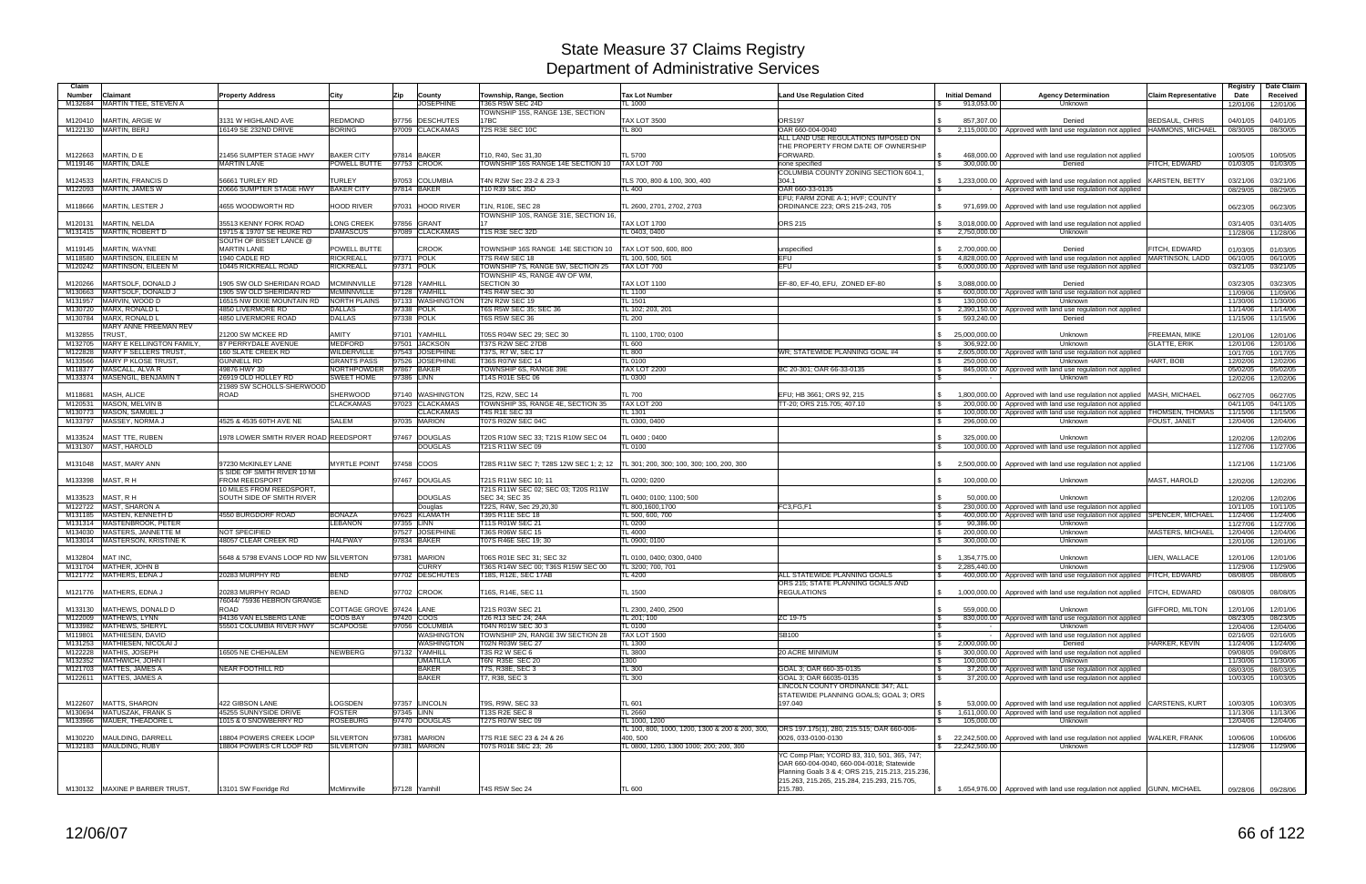| Claim<br><b>Number</b> | Claimant                                             | <b>Property Address</b>                            | City                       | Zip        | County                       | Township, Range, Section                                                           | <b>Tax Lot Number</b>                           | Land Use Regulation Cited                                                  | <b>Initial Demand</b> | <b>Agency Determination</b>                                                                                        | <b>Claim Representative</b>   | Registry<br>Date | Date Claim<br>Received |
|------------------------|------------------------------------------------------|----------------------------------------------------|----------------------------|------------|------------------------------|------------------------------------------------------------------------------------|-------------------------------------------------|----------------------------------------------------------------------------|-----------------------|--------------------------------------------------------------------------------------------------------------------|-------------------------------|------------------|------------------------|
| M132684                | MARTIN TTEE, STEVEN A                                |                                                    |                            |            | <b>JOSEPHINE</b>             | <b>T36S R5W SEC 24D</b>                                                            | TL 1000                                         |                                                                            | 913,053.00            | Unknown                                                                                                            |                               | 12/01/06         | 12/01/06               |
|                        |                                                      |                                                    |                            |            |                              | <b>TOWNSHIP 15S, RANGE 13E, SECTION</b>                                            |                                                 |                                                                            |                       |                                                                                                                    |                               |                  |                        |
| M120410                | <b>MARTIN, ARGIE W</b>                               | 3131 W HIGHLAND AVE                                | <b>REDMOND</b>             |            | 97756 DESCHUTES              | 17BC                                                                               | <b>TAX LOT 3500</b>                             | <b>ORS197</b>                                                              | 857.307.00            | Denied                                                                                                             | BEDSAUL, CHRIS                | 04/01/05         | 04/01/05               |
| M122130                | MARTIN, BERJ                                         | 16149 SE 232ND DRIVE                               | <b>BORING</b>              |            | 97009 CLACKAMAS              | T2S R3E SEC 10C                                                                    | <b>TL 800</b>                                   | OAR 660-004-0040                                                           |                       | 2,115,000.00 Approved with land use regulation not applied                                                         | <b>HAMMONS, MICHAEL</b>       | 08/30/05         | 08/30/05               |
|                        |                                                      |                                                    |                            |            |                              |                                                                                    |                                                 | ALL LAND USE REGULATIONS IMPOSED ON                                        |                       |                                                                                                                    |                               |                  |                        |
|                        |                                                      |                                                    |                            |            |                              |                                                                                    |                                                 | THE PROPERTY FROM DATE OF OWNERSHIP                                        |                       |                                                                                                                    |                               |                  |                        |
| M122663                | MARTIN, D E                                          | 21456 SUMPTER STAGE HWY                            | <b>BAKER CITY</b>          |            | 97814 BAKER                  | T10, R40, Sec 31.30                                                                | <b>TL 5700</b>                                  | FORWARD.                                                                   |                       | 468,000.00 Approved with land use regulation not applied                                                           |                               | 10/05/05         | 10/05/05               |
| M119146 MARTIN, DALE   |                                                      | <b>MARTIN LANE</b>                                 | POWELL BUTTE   97753 CROOK |            |                              | TOWNSHIP 16S RANGE 14E SECTION 10                                                  | TAX LOT 700                                     | none specified                                                             | 300,000.00            | Denied                                                                                                             | FITCH, EDWARD                 | 01/03/05         | 01/03/05               |
|                        |                                                      |                                                    |                            |            |                              |                                                                                    |                                                 | COLUMBIA COUNTY ZONING SECTION 604.1.                                      |                       |                                                                                                                    |                               |                  |                        |
| M124533                | <b>MARTIN, FRANCIS D</b>                             | 56661 TURLEY RD                                    | <b>TURLEY</b>              |            | 97053 COLUMBIA               | T4N R2W Sec 23-2 & 23-3                                                            | TLS 700, 800 & 100, 300, 400                    | 304.1                                                                      |                       | 1,233,000.00 Approved with land use regulation not applied                                                         | <b>KARSTEN, BETTY</b>         | 03/21/06         | 03/21/06               |
| M122093                | MARTIN, JAMES W                                      | 20666 SUMPTER STAGE HWY                            | <b>BAKER CITY</b>          |            | 97814 BAKER                  | T10 R39 SEC 35D                                                                    | <b>TL 400</b>                                   | OAR 660-33-0135                                                            |                       | Approved with land use regulation not applied                                                                      |                               | 08/29/05         | 08/29/05               |
|                        |                                                      |                                                    |                            |            |                              |                                                                                    | TL 2600, 2701, 2702, 2703                       | EFU; FARM ZONE A-1; HVF; COUNTY                                            |                       |                                                                                                                    |                               |                  |                        |
| M118666                | MARTIN, LESTER J                                     | 4655 WOODWORTH RD                                  | <b>HOOD RIVER</b>          |            | 97031 HOOD RIVER             | T1N, R10E, SEC 28<br>TOWNSHIP 10S, RANGE 31E, SECTION 16                           |                                                 | ORDINANCE 223; ORS 215-243, 705                                            |                       | 971,699.00   Approved with land use regulation not applied                                                         |                               | 06/23/05         | 06/23/05               |
|                        | MARTIN, NELDA                                        |                                                    | ONG CREEK                  |            | 97856 GRANT                  |                                                                                    | <b>TAX LOT 1700</b>                             | <b>ORS 215</b>                                                             |                       |                                                                                                                    |                               | 03/14/05         | 03/14/05               |
| M120131<br>M131415     | MARTIN, ROBERT D                                     | 35513 KENNY FORK ROAD<br>19715 & 19707 SE HEUKE RD | <b>DAMASCUS</b>            |            | 97089 CLACKAMAS              | <b>T1S R3E SEC 32D</b>                                                             | TL 0403, 0400                                   |                                                                            | 2,750,000.00          | 3,018,000.00 Approved with land use regulation not applied<br><b>Unknown</b>                                       |                               | 11/28/06         | 11/28/06               |
|                        |                                                      | SOUTH OF BISSET LANCE @                            |                            |            |                              |                                                                                    |                                                 |                                                                            |                       |                                                                                                                    |                               |                  |                        |
| M119145                | MARTIN, WAYNE                                        | <b>MARTIN LANE</b>                                 | <b>POWELL BUTTE</b>        |            | <b>CROOK</b>                 | TOWNSHIP 16S RANGE 14E SECTION 10   TAX LOT 500, 600, 800                          |                                                 | unspecified                                                                | 2,700,000.00          | Denied                                                                                                             | FITCH, EDWARD                 | 01/03/05         | 01/03/05               |
| M118580                | MARTINSON, EILEEN M                                  | 1940 CADLE RD                                      | <b>RICKREALL</b>           |            | 97371 POLK                   | <b>T7S R4W SEC 18</b>                                                              | TL 100, 500, 501                                | EFU.                                                                       |                       | 4,828,000.00   Approved with land use regulation not applied   MARTINSON, LADD                                     |                               | 06/10/05         | 06/10/05               |
| M120242                | <b>MARTINSON, EILEEN M</b>                           | 10445 RICKREALL ROAD                               | <b>RICKREALL</b>           |            | 97371 POLK                   | TOWNSHIP 7S, RANGE 5W, SECTION 25                                                  | TAX LOT 700                                     | EFU                                                                        |                       | 6,000,000.00   Approved with land use regulation not applied                                                       |                               | 03/21/05         | 03/21/05               |
|                        |                                                      |                                                    |                            |            |                              | TOWNSHIP 4S, RANGE 4W OF WM,                                                       |                                                 |                                                                            |                       |                                                                                                                    |                               |                  |                        |
| M120266                | MARTSOLF, DONALD J                                   | 1905 SW OLD SHERIDAN ROAD                          | <b>MCMINNVILLE</b>         |            | 97128 YAMHILL                | SECTION 30                                                                         | <b>TAX LOT 1100</b>                             | EF-80, EF-40, EFU, ZONED EF-80                                             | 3,088,000.00          | Denied                                                                                                             |                               | 03/23/05         | 03/23/05               |
| M130663                | MARTSOLF, DONALD J                                   | 1905 SW OLD SHERIDAN RD                            | McMINNVILLE                |            | 97128 YAMHILL                | <b>T4S R4W SEC 30</b>                                                              | <b>TL 1100</b>                                  |                                                                            |                       | 600,000.00 Approved with land use regulation not applied                                                           |                               | 11/09/06         | 11/09/06               |
| M131957                | MARVIN, WOOD D                                       | 16515 NW DIXIE MOUNTAIN RD                         | <b>NORTH PLAINS</b>        |            | 97133 WASHINGTON             | T2N R2W SEC 19                                                                     | <b>TL 1501</b>                                  |                                                                            | 130,000.00            | <b>Unknown</b>                                                                                                     |                               | 11/30/06         | 11/30/06               |
| M130720                | MARX, RONALD L                                       | 4850 LIVERMORE RD                                  | <b>DALLAS</b>              |            | 97338 POLK                   | T6S R5W SEC 35; SEC 36                                                             | TL 102; 203, 201                                |                                                                            |                       | 2,390,150.00 Approved with land use regulation not applied                                                         |                               | 11/14/06         | 11/14/06               |
| M130784                | MARX, RONALD L                                       | 4850 LIVERMORE ROAD                                | <b>DALLAS</b>              |            | 97338 POLK                   | T6S R5W SEC 36                                                                     | <b>TL 200</b>                                   |                                                                            | 593,240.00            | Denied                                                                                                             |                               | 11/15/06         | 11/15/06               |
|                        | MARY ANNE FREEMAN REV                                |                                                    |                            |            |                              |                                                                                    |                                                 |                                                                            |                       |                                                                                                                    |                               |                  |                        |
| M132855                | TRUST,                                               | 21200 SW MCKEE RD                                  | <b>AMITY</b>               |            | 97101 YAMHILL                | T05S R04W SEC 29; SEC 30                                                           | TL 1100, 1700; 0100                             |                                                                            | 25,000,000.00         | Unknown                                                                                                            | <b>FREEMAN, MIKE</b>          | 12/01/06         | 12/01/06               |
| M132705                | MARY E KELLINGTON FAMILY                             | 87 PERRYDALE AVENUE                                | <b>MEDFORD</b>             |            | 97501 JACKSON                | T37S R2W SEC 27DB                                                                  | <b>TL 600</b>                                   |                                                                            | 306,922.00            | Unknown                                                                                                            | <b>GLATTE, ERIK</b>           | 12/01/06         | 12/01/06               |
| M122828                | <b>MARY F SELLERS TRUST</b>                          | <b>160 SLATE CREEK RD</b>                          | WILDERVILLE                |            | 97543 JOSEPHINE              | T37S, R7 W, SEC 17                                                                 | <b>TL 800</b>                                   | WR: STATEWIDE PLANNING GOAL #4                                             |                       | 2,605,000.00 Approved with land use regulation not applied                                                         |                               | 10/17/05         | 10/17/05               |
| M133566                | <b>MARY P KLOSE TRUST</b>                            | <b>GUNNELL RD</b>                                  | <b>GRANTS PASS</b>         |            | 97526 JOSEPHINE              | T36S R07W SEC 14                                                                   | <b>TL 0100</b>                                  |                                                                            | 250,000.00            | Unknown                                                                                                            | HART, BOB                     | 12/02/06         | 12/02/06               |
| M118377                | MASCALL, ALVA R                                      | 49876 HWY 30                                       | NORTHPOWDER                |            | 97867 BAKER                  | TOWNSHIP 6S, RANGE 39E                                                             | <b>TAX LOT 2200</b>                             | BC 20-301; OAR 66-33-0135                                                  |                       | 845,000,00 Approved with land use regulation not applied                                                           |                               | 05/02/05         | 05/02/05               |
| M133374                | MASENGIL, BENJAMIN T                                 | 26919 OLD HOLLEY RD                                | <b>SWEET HOME</b>          | 97386 LINN |                              | T14S R01E SEC 06                                                                   | <b>TL 0300</b>                                  |                                                                            |                       | Unknown                                                                                                            |                               | 12/02/06         | 12/02/06               |
|                        |                                                      | 21989 SW SCHOLLS-SHERWOOD                          |                            |            |                              |                                                                                    |                                                 |                                                                            |                       |                                                                                                                    |                               |                  |                        |
| M118681                | MASH, ALICE                                          | <b>ROAD</b>                                        | <b>SHERWOOD</b>            |            | 97140 WASHINGTON             | <b>T2S. R2W. SEC 14</b>                                                            | <b>TL 700</b>                                   | EFU; HB 3661; ORS 92, 215                                                  |                       | 1,800,000.00 Approved with land use regulation not applied                                                         | <b>MASH, MICHAEL</b>          | 06/27/05         | 06/27/05               |
| M120531                | MASON, MELVIN B                                      |                                                    | <b>CLACKAMAS</b>           |            | 97023 CLACKAMAS              | TOWNSHIP 3S, RANGE 4E, SECTION 35                                                  | TAX LOT 200                                     | TT-20; ORS 215.705; 407.10                                                 |                       | 200,000.00   Approved with land use regulation not applied                                                         |                               | 04/11/05         | 04/11/05               |
| M130773                | MASON, SAMUEL J                                      |                                                    |                            |            | <b>CLACKAMAS</b>             | <b>T4S R1E SEC 33</b>                                                              | <b>TL 1301</b>                                  |                                                                            |                       | 100,000.00 Approved with land use regulation not applied                                                           | <b><i>FHOMSEN, THOMAS</i></b> | 11/15/06         | 11/15/06               |
| M133797                | MASSEY, NORMA J                                      | 4525 & 4535 60TH AVE NE                            | <b>SALEM</b>               |            | 97035 MARION                 | T07S R02W SEC 04C                                                                  | TL 0300, 0400                                   |                                                                            | 296,000.00            | <b>Unknown</b>                                                                                                     | FOUST, JANET                  | 12/04/06         | 12/04/06               |
|                        |                                                      |                                                    |                            |            |                              |                                                                                    |                                                 |                                                                            |                       |                                                                                                                    |                               |                  |                        |
| M133524                | <b>MAST TTE, RUBEN</b>                               | 1978 LOWER SMITH RIVER ROAD REEDSPORT              |                            |            | 97467 DOUGLAS                | T20S R10W SEC 33; T21S R10W SEC 04                                                 | TL 0400 ; 0400                                  |                                                                            | 325.000.00            | Unknown                                                                                                            |                               | 12/02/06         | 12/02/06               |
|                        | M131307 MAST, HAROLD                                 |                                                    |                            |            | <b>DOUGLAS</b>               | T21S R11W SEC 09                                                                   | <b>TL 0100</b>                                  |                                                                            |                       | 100,000.00   Approved with land use regulation not applied                                                         |                               | 11/27/06         | 11/27/06               |
|                        |                                                      |                                                    | <b>MYRTLE POINT</b>        |            |                              |                                                                                    |                                                 |                                                                            |                       | 2,500,000.00 Approved with land use regulation not applied                                                         |                               |                  |                        |
| M131048                | MAST, MARY ANN                                       | 97230 McKINLEY LANE<br>S SIDE OF SMITH RIVER 10 MI |                            |            | 97458 COOS                   | T28S R11W SEC 7; T28S 12W SEC 1; 2; 12   TL 301; 200, 300; 100, 300; 100, 200, 300 |                                                 |                                                                            |                       |                                                                                                                    |                               | 11/21/06         | 11/21/06               |
|                        |                                                      | <b>FROM REEDSPORT</b>                              |                            |            | 97467 DOUGLAS                |                                                                                    |                                                 |                                                                            | 100.000.00            | Unknown                                                                                                            | <b>MAST, HAROLD</b>           |                  |                        |
| M133398                | MAST, RH                                             | 10 MILES FROM REEDSPORT,                           |                            |            |                              | T21S R11W SEC 10; 11<br>T21S R11W SEC 02; SEC 03; T20S R11W                        | TL 0200; 0200                                   |                                                                            |                       |                                                                                                                    |                               | 12/02/06         | 12/02/06               |
| M133523                | MAST, RH                                             | SOUTH SIDE OF SMITH RIVER                          |                            |            | <b>DOUGLAS</b>               | SEC 34; SEC 35                                                                     | TL 0400; 0100; 1100; 500                        |                                                                            | 50,000.00             | Unknown                                                                                                            |                               | 12/02/06         | 12/02/06               |
| M122722                | <b>MAST, SHARON A</b>                                |                                                    |                            |            | Douglas                      | T22S, R4W, Sec 29,20,30                                                            | TL 800,1600,1700                                | FC3,FG,F1                                                                  |                       | 230,000.00   Approved with land use regulation not applied                                                         |                               | 10/11/05         | 10/11/05               |
| M131185                | MASTEN, KENNETH D                                    | 4550 BURGDORF ROAD                                 | <b>BONAZA</b>              |            | 97623 KLAMATH                | T39S R11E SEC 18                                                                   | TL 500, 600, 700                                |                                                                            |                       | 400,000,00   Approved with land use regulation not applied SPENCER, MICHAEL                                        |                               | 11/24/06         | 11/24/06               |
| M131314                | MASTENBROOK, PETER                                   |                                                    | <b>LEBANON</b>             |            | 97355 LINN                   | T11S R01W SEC 21                                                                   | <b>TL 0200</b>                                  |                                                                            | 90,386.00             | Unknown                                                                                                            |                               | 11/27/06         | 11/27/06               |
| M134030                | MASTERS, JANNETTE M                                  | <b>NOT SPECIFIED</b>                               |                            |            | 97527 JOSEPHINE              | T36S R06W SEC 15                                                                   | <b>TL 4000</b>                                  |                                                                            | 200,000.00            | Unknown                                                                                                            | <b>MASTERS, MICHAEL</b>       | 12/04/06         | 12/04/06               |
| M133014                | <b>MASTERSON, KRISTINE K</b>                         | 48057 CLEAR CREEK RD                               | <b>HALFWAY</b>             |            | 97834 BAKER                  | T07S R46E SEC 19: 30                                                               | TL 0900; 0100                                   |                                                                            | 300,000.00            | <b>Unknown</b>                                                                                                     |                               | 12/01/06         | 12/01/06               |
|                        |                                                      |                                                    |                            |            |                              |                                                                                    |                                                 |                                                                            |                       |                                                                                                                    |                               |                  |                        |
| M132804                | MAT INC.                                             | 5648 & 5798 EVANS LOOP RD NW SILVERTON             |                            |            | 97381 MARION                 | T06S R01E SEC 31; SEC 32                                                           | TL 0100, 0400; 0300, 0400                       |                                                                            | 1,354,775.00          | Unknown                                                                                                            | LIEN. WALLACE                 | 12/01/06         | 12/01/06               |
|                        | M131704 MATHER, JOHN B                               |                                                    |                            |            | <b>CURRY</b>                 | T36S R14W SEC 00; T36S R15W SEC 00                                                 | TL 3200; 700, 701                               |                                                                            | 2,285,440.00          | <b>Unknown</b>                                                                                                     |                               | 11/29/06         | 11/29/06               |
|                        | M121772 MATHERS, EDNA J                              | 20283 MURPHY RD                                    | <b>BEND</b>                |            | 97702 DESCHUTES              | T18S, R12E, SEC 17AB                                                               | <b>TL 4200</b>                                  | ALL STATEWIDE PLANNING GOALS                                               |                       | 400,000.00   Approved with land use regulation not applied FITCH, EDWARD                                           |                               | 08/08/05         | 08/08/05               |
|                        |                                                      |                                                    |                            |            |                              |                                                                                    |                                                 | ORS 215; STATE PLANNING GOALS AND                                          |                       |                                                                                                                    |                               |                  |                        |
|                        | M121776 MATHERS, EDNA J                              | 20283 MURPHY ROAD                                  | <b>BEND</b>                |            | 97702 CROOK                  | T16S, R14E, SEC 11                                                                 | <b>TL 1500</b>                                  | <b>REGULATIONS</b>                                                         |                       | 1,000,000.00 Approved with land use regulation not applied                                                         | FITCH, EDWARD                 | 08/08/05         | 08/08/05               |
|                        |                                                      | 76044/ 75936 HEBRON GRANGE                         |                            |            |                              |                                                                                    |                                                 |                                                                            |                       |                                                                                                                    |                               |                  |                        |
| M133130                | MATHEWS, DONALD D                                    | ROAD                                               | COTTAGE GROVE 97424 LANE   |            |                              | T21S R03W SEC 21                                                                   | TL 2300, 2400, 2500                             |                                                                            | 559.000.00            | <b>Unknown</b>                                                                                                     | <b>GIFFORD, MILTON</b>        | 12/01/06         | 12/01/06               |
|                        | M122009 MATHEWS, LYNN                                | 94136 VAN ELSBERG LANE                             | <b>COOS BAY</b>            |            | 97420 COOS                   | T26 R13 SEC 24; 24A                                                                | TL 201; 100                                     | ZC 19-75                                                                   |                       | 830,000.00   Approved with land use regulation not applied                                                         |                               | 08/23/05         | 08/23/05               |
| M133982                | MATHEWS, SHERYL                                      | 55501 COLUMBIA RIVER HWY                           | <b>SCAPOOSE</b>            |            | 97056 COLUMBIA               | T04N R01W SEC 303                                                                  | <b>TL 0100</b>                                  |                                                                            |                       | Unknown                                                                                                            |                               | 12/04/06         | 12/04/06               |
| M119801                | MATHIESEN, DAVID                                     |                                                    |                            |            | WASHINGTON                   | TOWNSHIP 2N, RANGE 3W SECTION 28                                                   | <b>TAX LOT 1500</b>                             | SB100                                                                      |                       | Approved with land use regulation not applied                                                                      |                               | 02/16/05         | 02/16/05               |
|                        | M131253 MATHIESEN, NICOLAI J                         |                                                    |                            |            | WASHINGTON                   | T02N R03W SEC 27                                                                   | <b>TL 1300</b>                                  |                                                                            | 2,000,000.00          | Denied                                                                                                             | HARKER, KEVIN                 | 11/24/06         | 11/24/06               |
|                        | M122228 MATHIS, JOSEPH                               | 16505 NE CHEHALEM                                  | <b>NEWBERG</b>             |            | 97132 YAMHILL                | T3S R2 W SEC 6                                                                     | <b>TL 3800</b>                                  | <b>20 ACRE MINIMUM</b>                                                     |                       | 300,000,00 Approved with land use regulation not applied                                                           |                               | 09/08/05         | 09/08/05               |
|                        | M132352 MATHWICH, JOHN I                             |                                                    |                            |            | <b>UMATILLA</b>              | T6N R35E SEC 20                                                                    | 1300                                            |                                                                            | 100,000.00            | <b>Unknown</b>                                                                                                     |                               | 11/30/06         | 11/30/06               |
|                        | M121703   MATTES, JAMES A<br>M122611 MATTES, JAMES A | NEAR FOOTHILL RD                                   |                            |            | <b>BAKER</b><br><b>BAKER</b> | T7S, R38E, SEC 3<br>T7, R38, SEC 3                                                 | <b>TL 300</b><br><b>TL 300</b>                  | GOAL 3; OAR 660-35-0135<br>GOAL 3; OAR 66035-0135                          |                       | 37,200.00 Approved with land use regulation not applied<br>37,200.00 Approved with land use regulation not applied |                               | 08/03/05         | 08/03/05               |
|                        |                                                      |                                                    |                            |            |                              |                                                                                    |                                                 |                                                                            |                       |                                                                                                                    |                               | 10/03/05         | 10/03/05               |
|                        |                                                      |                                                    |                            |            |                              |                                                                                    |                                                 | LINCOLN COUNTY ORDINANCE 347; ALL<br>STATEWIDE PLANNING GOALS; GOAL 3; ORS |                       |                                                                                                                    |                               |                  |                        |
| M122607                | <b>MATTS, SHARON</b>                                 | 422 GIBSON LANE                                    | LOGSDEN                    |            | 97357 LINCOLN                | T9S, R9W, SEC 33                                                                   | <b>TL 601</b>                                   | 197.040                                                                    |                       | 53,000.00 Approved with land use regulation not applied CARSTENS, KURT                                             |                               | 10/03/05         | 10/03/05               |
| M130694                | MATUSZAK, FRANK S                                    | 45255 SUNNYSIDE DRIVE                              | <b>FOSTER</b>              |            | 97345 LINN                   | T13S R2E SEC 8                                                                     | <b>TL 2660</b>                                  |                                                                            |                       | 1,611,000.00   Approved with land use regulation not applied                                                       |                               | 11/13/06         | 11/13/06               |
|                        | M133966 MAUER, THEADORE L                            | 1015 & 0 SNOWBERRY RD                              | <b>ROSEBURG</b>            |            | 97470 DOUGLAS                | T27S R07W SEC 09                                                                   | TL 1000, 1200                                   |                                                                            | 105,000.00            | Unknown                                                                                                            |                               | 12/04/06         | 12/04/06               |
|                        |                                                      |                                                    |                            |            |                              |                                                                                    | TL 100, 800, 1000, 1200, 1300 & 200 & 200, 300, | ORS 197.175(1), 280, 215.515; OAR 660-006-                                 |                       |                                                                                                                    |                               |                  |                        |
| M130220                | MAULDING, DARRELL                                    | 18804 POWERS CREEK LOOP                            | <b>SILVERTON</b>           |            | 97381 MARION                 | T7S R1E SEC 23 & 24 & 26                                                           | 400.500                                         | 0026, 033-0100-0130                                                        |                       | \$ 22,242,500.00   Approved with land use regulation not applied WALKER, FRANK                                     |                               | 10/06/06         | 10/06/06               |
|                        | M132183 MAULDING, RUBY                               | 18804 POWERS CR LOOP RD                            | <b>SILVERTON</b>           |            | 97381 MARION                 | T07S R01E SEC 23; 26                                                               | TL 0800, 1200, 1300 1000; 200; 200, 300         |                                                                            | \$22,242,500.00       | Unknown                                                                                                            |                               | 11/29/06         | 11/29/06               |
|                        |                                                      |                                                    |                            |            |                              |                                                                                    |                                                 | YC Comp Plan; YCORD 83, 310, 501, 365, 747;                                |                       |                                                                                                                    |                               |                  |                        |
|                        |                                                      |                                                    |                            |            |                              |                                                                                    |                                                 | OAR 660-004-0040, 660-004-0018; Statewide                                  |                       |                                                                                                                    |                               |                  |                        |
|                        |                                                      |                                                    |                            |            |                              |                                                                                    |                                                 | Planning Goals 3 & 4; ORS 215, 215.213, 215.236,                           |                       |                                                                                                                    |                               |                  |                        |
|                        |                                                      |                                                    |                            |            |                              |                                                                                    |                                                 | 215.263, 215.265, 215.284, 215.293, 215.705,                               |                       |                                                                                                                    |                               |                  |                        |
|                        | M130132 MAXINE P BARBER TRUST,                       | 13101 SW Foxridge Rd                               | McMinnville                |            | 97128 Yamhill                | T4S R5W Sec 24                                                                     | <b>TL 600</b>                                   | 215.780.                                                                   |                       | 1,654,976.00 Approved with land use regulation not applied GUNN, MICHAEL                                           |                               |                  | 09/28/06 09/28/06      |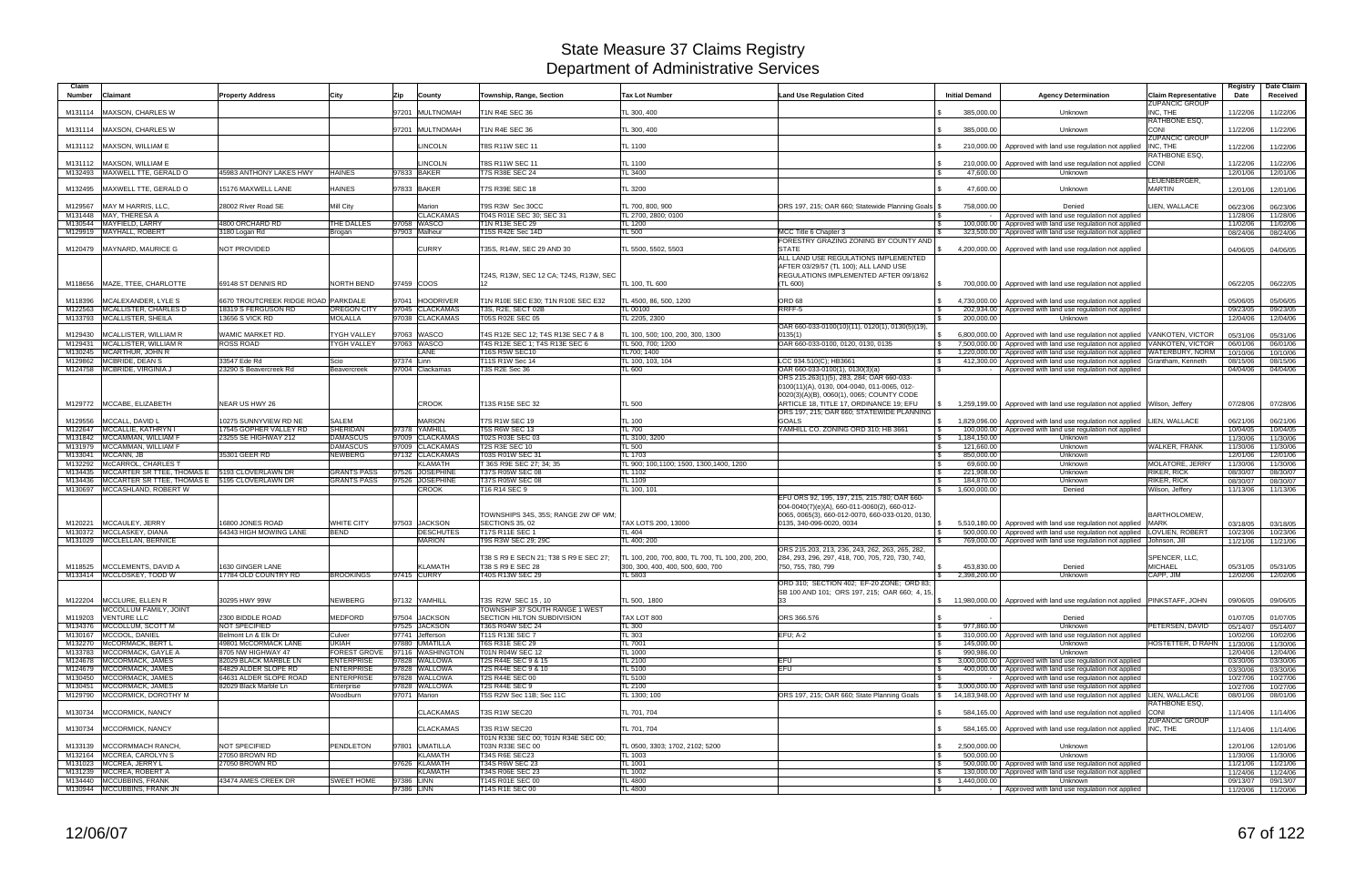| Claim              |                                                                      |                                             |                                     |                                             |                                                                          |                                                                                       |                                                                                                                                                                                                                                        |                              |                                                                                                                                                 |                                                      | Registry             | Date Claim           |
|--------------------|----------------------------------------------------------------------|---------------------------------------------|-------------------------------------|---------------------------------------------|--------------------------------------------------------------------------|---------------------------------------------------------------------------------------|----------------------------------------------------------------------------------------------------------------------------------------------------------------------------------------------------------------------------------------|------------------------------|-------------------------------------------------------------------------------------------------------------------------------------------------|------------------------------------------------------|----------------------|----------------------|
| Number             | <b>Claimant</b>                                                      | <b>Property Address</b>                     | City                                | Zip<br>County                               | Township, Range, Section                                                 | <b>Tax Lot Number</b>                                                                 | <b>Land Use Regulation Cited</b>                                                                                                                                                                                                       | <b>Initial Demand</b>        | <b>Agency Determination</b>                                                                                                                     | <b>Claim Representative</b><br><b>ZUPANCIC GROUP</b> | Date                 | Received             |
| M131114            | MAXSON, CHARLES W                                                    |                                             |                                     | 97201 MULTNOMAH                             | <b>T1N R4E SEC 36</b>                                                    | TL 300, 400                                                                           |                                                                                                                                                                                                                                        | 385,000.00                   | Unknown                                                                                                                                         | INC. THE<br>RATHBONE ESQ.                            | 11/22/06             | 11/22/06             |
|                    | M131114 MAXSON, CHARLES W                                            |                                             |                                     | 97201 MULTNOMAH                             | T1N R4E SEC 36                                                           | TL 300, 400                                                                           |                                                                                                                                                                                                                                        | 385,000.00                   | Unknown                                                                                                                                         | CONI<br><b>ZUPANCIC GROUP</b>                        | 11/22/06             | 11/22/06             |
|                    | M131112 MAXSON, WILLIAM E                                            |                                             |                                     | <b>LINCOLN</b>                              | T8S R11W SEC 11                                                          | TL 1100                                                                               |                                                                                                                                                                                                                                        | 210,000.00                   | Approved with land use regulation not applied                                                                                                   | INC. THE<br>RATHBONE ESQ,                            | 11/22/06             | 11/22/06             |
|                    | M131112   MAXSON, WILLIAM E                                          |                                             |                                     | LINCOLN                                     | T8S R11W SEC 11                                                          | TL 1100                                                                               |                                                                                                                                                                                                                                        | 210,000.00                   | Approved with land use regulation not applied                                                                                                   | <b>CONI</b>                                          | 11/22/06             | 11/22/06             |
|                    | M132493 MAXWELL TTE, GERALD O                                        | 45983 ANTHONY LAKES HWY                     | <b>HAINES</b>                       | 97833 BAKER                                 | <b>T7S R38E SEC 24</b>                                                   | <b>TL 3400</b>                                                                        |                                                                                                                                                                                                                                        | 47,600.00                    | Unknown                                                                                                                                         | LEUENBERGER,                                         | 12/01/06             | 12/01/06             |
|                    | M132495 MAXWELL TTE, GERALD O                                        | 15176 MAXWELL LANE                          | <b>HAINES</b>                       | 97833 BAKER                                 | <b>T7S R39E SEC 18</b>                                                   | TL 3200                                                                               |                                                                                                                                                                                                                                        | 47,600.00                    | Unknown                                                                                                                                         | MARTIN                                               | 12/01/06             | 12/01/06             |
|                    | M129567 MAY M HARRIS, LLC,                                           | 28002 River Road SE                         | Mill City                           | Marion<br><b>CLACKAMAS</b>                  | T9S R3W Sec 30CC<br>T04S R01E SEC 30; SEC 31                             | TL 700, 800, 900                                                                      | ORS 197, 215; OAR 660; Statewide Planning Goals   \$                                                                                                                                                                                   | 758,000.00                   | Denied                                                                                                                                          | LIEN, WALLACE                                        | 06/23/06             | 06/23/06             |
|                    | M131448 MAY, THERESA A<br>M130544 MAYFIELD, LARRY                    | 4800 ORCHARD RD                             | THE DALLES                          | 97058 WASCO                                 | T1N R13E SEC 29                                                          | TL 2700, 2800; 0100<br>TL 1200                                                        | l \$                                                                                                                                                                                                                                   | 100,000.00                   | Approved with land use regulation not applied<br>Approved with land use regulation not applied                                                  |                                                      | 11/28/06<br>11/02/06 | 11/28/06<br>11/02/06 |
|                    | M129919 MAYHALL, ROBERT                                              | 3180 Logan Rd                               | Brogan                              | 97903 Malheur                               | T15S R42E Sec 14D                                                        | TL 500                                                                                | MCC Title 6 Chapter 3                                                                                                                                                                                                                  | 323.500.00                   | Approved with land use regulation not applied                                                                                                   |                                                      | 08/24/06             | 08/24/06             |
|                    |                                                                      |                                             |                                     |                                             |                                                                          |                                                                                       | FORESTRY GRAZING ZONING BY COUNTY AND                                                                                                                                                                                                  |                              |                                                                                                                                                 |                                                      |                      |                      |
|                    | M120479 MAYNARD, MAURICE G                                           | NOT PROVIDED                                |                                     | <b>CURRY</b>                                | T35S, R14W, SEC 29 AND 30                                                | TL 5500, 5502, 5503                                                                   | <b>STATE</b><br>ALL LAND USE REGULATIONS IMPLEMENTED                                                                                                                                                                                   |                              | 4,200,000.00 Approved with land use regulation not applied                                                                                      |                                                      | 04/06/05             | 04/06/05             |
|                    | M118656   MAZE, TTEE, CHARLOTTE                                      | 69148 ST DENNIS RD                          | NORTH BEND                          | 97459 COOS                                  | T24S, R13W, SEC 12 CA; T24S, R13W, SEC                                   | TL 100, TL 600                                                                        | AFTER 03/29/57 (TL 100); ALL LAND USE<br>REGULATIONS IMPLEMENTED AFTER 09/18/62<br>(TL 600)                                                                                                                                            |                              | 700,000.00   Approved with land use regulation not applied                                                                                      |                                                      | 06/22/05             | 06/22/05             |
| M118396            | MCALEXANDER, LYLE S                                                  | 6670 TROUTCREEK RIDGE ROAD PARKDALE         |                                     | 97041 HOODRIVER                             | T1N R10E SEC E30; T1N R10E SEC E32                                       | TL 4500, 86, 500, 1200                                                                | ORD <sub>68</sub>                                                                                                                                                                                                                      | 4,730,000.00                 | Approved with land use regulation not applied                                                                                                   |                                                      | 05/06/05             | 05/06/05             |
|                    | M122563 MCALLISTER, CHARLES D                                        | 18319 S FERGUSON RD                         | OREGON CITY                         | 97045<br><b>CLACKAMAS</b>                   | T3S, R2E, SECT 02B                                                       | TL 00100                                                                              | RRFF-5                                                                                                                                                                                                                                 | 202,934.00                   | Approved with land use regulation not applied                                                                                                   |                                                      | 09/23/05             | 09/23/05             |
|                    | M133793 MCALLISTER, SHEILA                                           | 13656 S VICK RD                             | <b>MOLALLA</b>                      | 97038 CLACKAMAS                             | T05S R02E SEC 05                                                         | TL 2205, 2300                                                                         |                                                                                                                                                                                                                                        | 200,000.00                   | Unknown                                                                                                                                         |                                                      | 12/04/06             | 12/04/06             |
|                    |                                                                      |                                             | <b>TYGH VALLEY</b>                  | 97063 WASCO                                 | T4S R12E SEC 12; T4S R13E SEC 7 & 8                                      |                                                                                       | OAR 660-033-0100(10)(11), 0120(1), 0130(5)(19),                                                                                                                                                                                        |                              |                                                                                                                                                 |                                                      |                      |                      |
| M129430<br>M129431 | MCALLISTER, WILLIAM R<br>MCALLISTER, WILLIAM R                       | WAMIC MARKET RD.<br><b>ROSS ROAD</b>        | <b>TYGH VALLEY</b>                  | <b>WASCO</b><br>97063                       | T4S R12E SEC 1; T4S R13E SEC 6                                           | TL 100, 500; 100, 200, 300, 1300<br>TL 500, 700: 1200                                 | 0135(1)<br>OAR 660-033-0100, 0120, 0130, 0135<br><b>S</b>                                                                                                                                                                              | 6,800,000.00<br>7.500.000.00 | Approved with land use regulation not applied VANKOTEN, VICTOR<br>Approved with land use regulation not applied VANKOTEN, VICTOR                |                                                      | 05/31/06<br>06/01/06 | 05/31/06<br>06/01/06 |
|                    | M130245 MCARTHUR, JOHN R                                             |                                             |                                     | LANE                                        | <b>T16S R5W SEC10</b>                                                    | TL700; 1400                                                                           | -SS                                                                                                                                                                                                                                    | 1,220,000.00                 | Approved with land use regulation not applied                                                                                                   | WATERBURY, NORM                                      | 10/10/06             | 10/10/06             |
|                    | M129862 MCBRIDE, DEAN S                                              | 33547 Ede Rd                                | Scio                                | 97374 Linn                                  | T11S R1W Sec 14                                                          | TL 100, 103, 104                                                                      | LCC 934.510(C): HB3661                                                                                                                                                                                                                 | 412,300.00                   | Approved with land use regulation not applied Grantham, Kenneth                                                                                 |                                                      | 08/15/06             | 08/15/06             |
|                    | M124758 MCBRIDE, VIRGINIA J                                          | 23290 S Beavercreek Rd                      | Beavercreek                         | 97004 Clackamas                             | T3S R2E Sec 36                                                           | TL 600                                                                                | OAR 660-033-0100(1), 0130(3)(a)                                                                                                                                                                                                        |                              | Approved with land use regulation not applied                                                                                                   |                                                      | 04/04/06             | 04/04/06             |
| M129556            | M129772 MCCABE, ELIZABETH<br>MCCALL, DAVID L                         | NEAR US HWY 26<br>10275 SUNNYVIEW RD NE     | <b>SALEM</b>                        | <b>CROOK</b><br><b>MARION</b>               | T13S R15E SEC 32                                                         | <b>TL 500</b><br>TL 100                                                               | ORS 215.263(1)(5), 283, 284; OAR 660-033-<br>0100(11)(A), 0130, 004-0040, 011-0065, 012-<br>0020(3)(A)(B), 0060(1), 0065; COUNTY CODE<br>ARTICLE 18, TITLE 17, ORDINANCE 19; EFU<br>ORS 197, 215; OAR 660; STATEWIDE PLANNING<br>GOALS |                              | 1,259,199.00   Approved with land use regulation not applied Wilson, Jeffery                                                                    |                                                      | 07/28/06<br>06/21/06 | 07/28/06<br>06/21/06 |
| M122647            | MCCALLIE, KATHRYN I                                                  | 17545 GOPHER VALLEY RD                      | <b>SHERIDAN</b>                     | 97378 YAMHILL                               | T7S R1W SEC 19<br><b>T5S R6W SEC 13</b>                                  | <b>TL 700</b>                                                                         | YAMHILL CO. ZONING ORD 310; HB 3661                                                                                                                                                                                                    | 1,829,096.00                 | Approved with land use regulation not applied   LIEN, WALLACE<br>100,000.00 Approved with land use regulation not applied                       |                                                      | 10/04/05             | 10/04/05             |
| M131842            | <b>IMCCAMMAN, WILLIAM I</b>                                          | 23255 SE HIGHWAY 212                        | <b>DAMASCUS</b>                     | <b>CLACKAMAS</b><br>97009                   | T02S R03E SEC 03                                                         | TL 3100, 3200                                                                         |                                                                                                                                                                                                                                        | 1,184,150.00                 | Unknown                                                                                                                                         |                                                      | 11/30/06             | 11/30/06             |
|                    | M131979 MCCAMMAN, WILLIAM F                                          |                                             | <b>DAMASCUS</b>                     | 97009<br><b>CLACKAMAS</b>                   | <b>T2S R3E SEC 10</b>                                                    | TL 500                                                                                |                                                                                                                                                                                                                                        | 121,660.00                   | Unknown                                                                                                                                         | <b>WALKER, FRANK</b>                                 | 11/30/06             | 11/30/06             |
| M133041            | MCCANN, JB                                                           | 35301 GEER RD                               | <b>NEWBERG</b>                      | 97132 CLACKAMAS                             | T03S R01W SEC 31                                                         | TL 1703                                                                               | -S                                                                                                                                                                                                                                     | 850,000.00                   | Unknown                                                                                                                                         |                                                      | 12/01/06             | 12/01/06             |
| M132292<br>M134435 | McCARROL, CHARLES T<br>MCCARTER SR TTEE, THOMAS E 5193 CLOVERLAWN DR |                                             | <b>GRANTS PASS</b>                  | KLAMATH<br><b>JOSEPHINE</b><br>97526        | T 36S R9E SEC 27; 34; 35<br>T37S R05W SEC 08                             | TL 900; 100,1100; 1500, 1300,1400, 1200<br>TL 1102                                    | - \$                                                                                                                                                                                                                                   | 69,600.00<br>221,908.00      | Unknown<br>Unknown                                                                                                                              | MOLATORE, JERRY<br>RIKER, RICK                       | 11/30/06<br>08/30/07 | 11/30/06<br>08/30/07 |
| M134436            | MCCARTER SR TTEE, THOMAS E 5195 CLOVERLAWN DR                        |                                             | <b>GRANTS PASS</b>                  | 97526 JOSEPHINE                             | T37S R05W SEC 08                                                         | TL 1109                                                                               |                                                                                                                                                                                                                                        | 184,870.00                   | Unknown                                                                                                                                         | <b>RIKER, RICK</b>                                   | 08/30/07             | 08/30/07             |
| M130697            | MCCASHLAND, ROBERT W                                                 |                                             |                                     | <b>CROOK</b>                                | T16 R14 SEC 9                                                            | TL 100, 101                                                                           |                                                                                                                                                                                                                                        | 1,600,000.00                 | Denied                                                                                                                                          | Wilson, Jeffery                                      | 11/13/06             | 11/13/06             |
| M120221            | MCCAULEY, JERRY<br>M130372 MCCLASKEY, DIANA                          | 16800 JONES ROAD<br>64343 HIGH MOWING LANE  | <b>WHITE CITY</b><br><b>BEND</b>    | 97503 JACKSON<br><b>DESCHUTES</b>           | TOWNSHIPS 34S, 35S; RANGE 2W OF WM<br>SECTIONS 35, 02<br>T17S R11E SEC 1 | TAX LOTS 200, 13000<br>TL 404                                                         | EFU ORS 92, 195, 197, 215, 215.780; OAR 660-<br>004-0040(7)(e)(A), 660-011-0060(2), 660-012-<br>0065, 0065(3), 660-012-0070, 660-033-0120, 0130,<br>0135, 340-096-0020, 0034                                                           |                              | 5,510,180.00   Approved with land use regulation not applied MARK<br>500,000.00   Approved with land use regulation not applied LOVLIEN, ROBERT | BARTHOLOMEW                                          | 03/18/05<br>10/23/06 | 03/18/05<br>10/23/06 |
|                    | M131029 MCCLELLAN, BERNICE                                           |                                             |                                     | <b>MARION</b>                               | T9S R3W SEC 29; 29C                                                      | TL 400; 200                                                                           |                                                                                                                                                                                                                                        |                              | 769,000,00 Approved with land use regulation not applied Johnson, Jill                                                                          |                                                      | 11/21/06             | 11/21/06             |
|                    | M118525 MCCLEMENTS, DAVID A                                          | 1630 GINGER LANE                            |                                     | <b>KLAMATH</b>                              | T38 S R9 E SECN 21; T38 S R9 E SEC 27;<br>T38 S R9 E SEC 28              | TL 100, 200, 700, 800, TL 700, TL 100, 200, 200,<br>300, 300, 400, 400, 500, 600, 700 | ORS 215.203, 213, 236, 243, 262, 263, 265, 282.<br>284, 293, 296, 297, 418, 700, 705, 720, 730, 740,<br>750, 755, 780, 799                                                                                                             | 453,830.00                   | Denied                                                                                                                                          | SPENCER, LLC,<br><b>MICHAEL</b>                      | 05/31/05             | 05/31/05             |
|                    | M133414 MCCLOSKEY, TODD W                                            | 17784 OLD COUNTRY RD                        | <b>BROOKINGS</b>                    | 97415 CURRY                                 | T40S R13W SEC 29                                                         | TL 5803                                                                               |                                                                                                                                                                                                                                        | 2,398,200.00                 | Unknown                                                                                                                                         | CAPP. JIM                                            | 12/02/06             | 12/02/06             |
|                    |                                                                      |                                             |                                     |                                             |                                                                          |                                                                                       | ORD 310; SECTION 402; EF-20 ZONE; ORD 83;                                                                                                                                                                                              |                              |                                                                                                                                                 |                                                      |                      |                      |
|                    | M122204 MCCLURE, ELLEN R                                             | 30295 HWY 99W                               | NEWBERG                             | 97132 YAMHILL                               | T3S R2W SEC 15, 10<br>TOWNSHIP 37 SOUTH RANGE 1 WEST                     | TL 500, 1800                                                                          | SB 100 AND 101; ORS 197, 215; OAR 660; 4, 15,<br>33                                                                                                                                                                                    |                              | \$ 11,980,000.00   Approved with land use regulation not applied   PINKSTAFF, JOHN                                                              |                                                      | 09/06/05             | 09/06/05             |
|                    | MCCOLLUM FAMILY, JOINT<br>M119203 VENTURE LLC                        | 2300 BIDDLE ROAD                            | <b>MEDFORD</b>                      | 97504 JACKSON                               | SECTION HILTON SUBDIVISION                                               | TAX LOT 800                                                                           | ORS 366.576                                                                                                                                                                                                                            |                              | Denied                                                                                                                                          |                                                      | 01/07/05             | 01/07/05             |
|                    | M134376 MCCOLLUM, SCOTT M                                            | NOT SPECIFIED                               |                                     | 97525 JACKSON                               | T36S R04W SEC 24                                                         | TL300                                                                                 | -S                                                                                                                                                                                                                                     | 977,860.00                   | Unknown                                                                                                                                         | PETERSEN. DAVID                                      | 05/14/07             | 05/14/07             |
|                    | M130167 MCCOOL, DANIEL                                               | Belmont Ln & Elk Dr                         | Culver                              | 97741 Jefferson                             | T11S R13E SEC 7                                                          | TL 303                                                                                | <b>EFU; A-2</b><br>l \$                                                                                                                                                                                                                |                              | 310,000.00   Approved with land use regulation not applied                                                                                      |                                                      | 10/02/06             | 10/02/06             |
|                    | M132270 McCORMACK, BERT L                                            | 49801 McCORMACK LANE                        | <b>JKIAH</b><br><b>FOREST GROVE</b> | <b>UMATILLA</b><br>97880                    | <b>T6S R31E SEC 29</b>                                                   | TL 7001                                                                               | l \$                                                                                                                                                                                                                                   | 145,000.00                   | Unknown                                                                                                                                         | HOSTETTER, D RAHN                                    | 11/30/06             | 11/30/06             |
|                    | M133783 MCCORMACK, GAYLE A<br>M124678 MCCORMACK, JAMES               | 8705 NW HIGHWAY 47<br>82029 BLACK MARBLE LN | <b>ENTERPRISE</b>                   | 97116 WASHINGTON<br><b>WALLOWA</b><br>97828 | T01N R04W SEC 12<br>T2S R44E SEC 9 & 15                                  | TL 1000<br>TL 2100                                                                    | <b>S</b><br><b>EFU</b><br>\$                                                                                                                                                                                                           | 990,986.00                   | Unknown<br>3,000,000.00   Approved with land use regulation not applied                                                                         |                                                      | 12/04/06<br>03/30/06 | 12/04/06<br>03/30/06 |
|                    | M124679 MCCORMACK, JAMES                                             | 64829 ALDER SLOPE RD                        | <b>ENTERPRISE</b>                   | 97828 WALLOWA                               | T2S R44E SEC 9 & 10                                                      | TL 5100                                                                               | EFU                                                                                                                                                                                                                                    | 400,000.00                   | Approved with land use regulation not applied                                                                                                   |                                                      | 03/30/06             | 03/30/06             |
|                    | M130450 MCCORMACK, JAMES                                             | 64631 ALDER SLOPE ROAD                      | <b>ENTERPRISE</b>                   | 97828 WALLOWA                               | <b>T2S R44E SEC 00</b>                                                   | TL 5100                                                                               |                                                                                                                                                                                                                                        |                              | Approved with land use regulation not applied                                                                                                   |                                                      | 10/27/06             | 10/27/06             |
|                    | M130451 MCCORMACK, JAMES<br>M129790 MCCORMICK, DOROTHY M             | 82029 Black Marble Ln                       | Enterprise<br>Woodburn              | 97828 WALLOWA<br>97071 Marion               | <b>T2S R44E SEC 9</b><br>T5S R2W Sec 11B; Sec 11C                        | TL 2100<br>TL 1300; 100                                                               | \$<br>ORS 197, 215; OAR 660; State Planning Goals                                                                                                                                                                                      |                              | 3.000.000.00 Approved with land use regulation not applied<br>14,183,948.00   Approved with land use regulation not applied   LIEN, WALLACE     | RATHBONE ESQ.                                        | 10/27/06<br>08/01/06 | 10/27/06<br>08/01/06 |
|                    | M130734 MCCORMICK, NANCY                                             |                                             |                                     | <b>CLACKAMAS</b>                            | T3S R1W SEC20                                                            | TL 701, 704                                                                           | $\mathbb{S}$                                                                                                                                                                                                                           |                              | 584,165.00 Approved with land use regulation not applied                                                                                        | <b>CONI</b><br><b>ZUPANCIC GROUP</b>                 | 11/14/06             | 11/14/06             |
|                    | M130734 MCCORMICK, NANCY                                             |                                             |                                     | <b>CLACKAMAS</b>                            | T3S R1W SEC20<br>T01N R33E SEC 00; T01N R34E SEC 00;                     | TL 701, 704                                                                           |                                                                                                                                                                                                                                        |                              | 584,165.00   Approved with land use regulation not applied INC, THE                                                                             |                                                      | 11/14/06             | 11/14/06             |
|                    | M133139   MCCORMMACH RANCH,                                          | NOT SPECIFIED                               | <b>PENDLETON</b>                    | 97801 UMATILLA                              | T03N R33E SEC 00                                                         | TL 0500, 3303; 1702, 2102; 5200                                                       | $\mathbb{S}$                                                                                                                                                                                                                           | 2,500,000.00                 | Unknown                                                                                                                                         |                                                      | 12/01/06             | 12/01/06             |
|                    | M132164 MCCREA, CAROLYN S                                            | 27050 BROWN RD                              |                                     | <b>KLAMATH</b>                              | T34S R6E SEC23                                                           | <b>TL 1003</b>                                                                        | <b>S</b>                                                                                                                                                                                                                               | 500,000.00                   | Unknown                                                                                                                                         |                                                      | 11/30/06             | 11/30/06             |
|                    | M131023 MCCREA, JERRY L<br>M131239 MCCREA, ROBERT A                  | 27050 BROWN RD                              |                                     | 97626 KLAMATH<br>KLAMATH                    | T34S R6W SEC 23<br>T34S R06E SEC 23                                      | TL 1001                                                                               |                                                                                                                                                                                                                                        |                              | 500,000.00 Approved with land use regulation not applied<br>Approved with land use regulation not applied                                       |                                                      | 11/21/06             | 11/21/06             |
|                    | M134440 MCCUBBINS, FRANK                                             | 43474 AMES CREEK DR                         | <b>SWEET HOME</b>                   | 97386 LINN                                  | T14S R01E SEC 00                                                         | TL 1002<br>TL 4800                                                                    | l \$<br><b>S</b>                                                                                                                                                                                                                       | 130,000.00<br>1,440,000.00   | Unknown                                                                                                                                         |                                                      | 11/24/06<br>09/13/07 | 11/24/06<br>09/13/07 |
|                    | M130944 MCCUBBINS, FRANK JN                                          |                                             |                                     | 97386 LINN                                  | T14S R1E SEC 00                                                          | TL 4800                                                                               | $\sqrt{s}$                                                                                                                                                                                                                             |                              | - Approved with land use regulation not applied                                                                                                 |                                                      |                      | 11/20/06 11/20/06    |
|                    |                                                                      |                                             |                                     |                                             |                                                                          |                                                                                       |                                                                                                                                                                                                                                        |                              |                                                                                                                                                 |                                                      |                      |                      |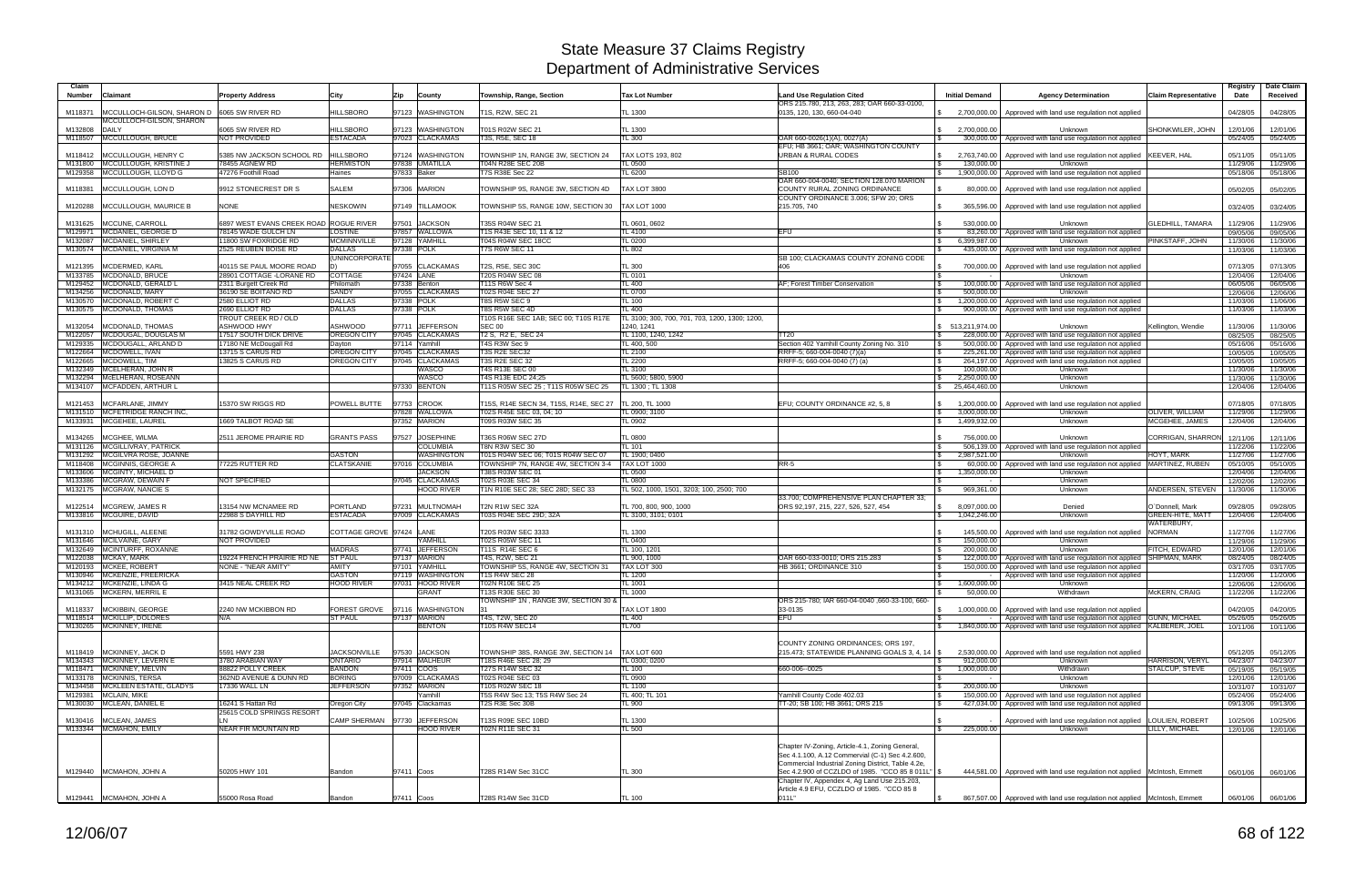| Claim<br><b>Number</b> | Claimant                                                 | <b>Property Address</b>                            | City                                | Zip<br>County                          | Township, Range, Section                                           | <b>Tax Lot Number</b>                                           | <b>Land Use Regulation Cited</b>                                                                  | <b>Initial Demand</b>                              | <b>Agency Determination</b>                                                                    | <b>Claim Representative</b>                | Registry<br>Date     | Date Claim<br>Received |
|------------------------|----------------------------------------------------------|----------------------------------------------------|-------------------------------------|----------------------------------------|--------------------------------------------------------------------|-----------------------------------------------------------------|---------------------------------------------------------------------------------------------------|----------------------------------------------------|------------------------------------------------------------------------------------------------|--------------------------------------------|----------------------|------------------------|
|                        |                                                          |                                                    |                                     |                                        |                                                                    |                                                                 | ORS 215.780, 213, 263, 283; OAR 660-33-0100,                                                      |                                                    |                                                                                                |                                            |                      |                        |
| M118371                | MCCULLOCH-GILSON, SHARON D<br>MCCULLOCH-GILSON, SHARON   | 6065 SW RIVER RD                                   | <b>HILLSBORO</b>                    | 97123 WASHINGTON                       | T1S. R2W. SEC 21                                                   | TL 1300                                                         | 0135, 120, 130, 660-04-040                                                                        | 2.700.000.00                                       | Approved with land use regulation not applied                                                  |                                            | 04/28/05             | 04/28/05               |
| M132808                | DAILY                                                    | 6065 SW RIVER RD                                   | <b>HILLSBORO</b>                    | 97123 WASHINGTON                       | T01S R02W SEC 21                                                   | TL 1300                                                         |                                                                                                   | 2,700,000.00<br>\$                                 | Unknown                                                                                        | SHONKWILER, JOHN                           | 12/01/06             | 12/01/06               |
|                        | M118507 MCCULLOUGH, BRUCE                                | NOT PROVIDED                                       | <b>ESTACADA</b>                     | 97023 CLACKAMAS                        | T3S, R5E, SEC 18                                                   | TL 300                                                          | OAR 660-0026(1)(A), 0027(A)<br>EFU; HB 3661; OAR; WASHINGTON COUNTY                               | 300,000.00                                         | Approved with land use regulation not applied                                                  |                                            | 05/24/05             | 05/24/05               |
|                        | M118412 MCCULLOUGH, HENRY C                              | 5385 NW JACKSON SCHOOL RD   HILLSBORO              |                                     | 97124 WASHINGTON                       | TOWNSHIP 1N, RANGE 3W, SECTION 24                                  | TAX LOTS 193, 802                                               | <b>URBAN &amp; RURAL CODES</b>                                                                    | 2,763,740.00<br>I S                                | Approved with land use regulation not applied KEEVER, HAL                                      |                                            | 05/11/05             | 05/11/05               |
|                        | M131800 MCCULLOUGH, KRISTINE J                           | 78455 AGNEW RD                                     | <b>HERMISTON</b>                    | 97838 UMATILLA                         | T04N R28E SEC 20B                                                  | TL 0500                                                         |                                                                                                   | 130,000.00<br>l \$                                 | Unknown                                                                                        |                                            | 11/29/06             | 11/29/06               |
|                        | M129358 MCCULLOUGH, LLOYD G                              | 47276 Foothill Road                                | Haines                              | 97833 Baker                            | <b>T7S R38E Sec 22</b>                                             | TL 6200                                                         | <b>SB100</b><br>OAR 660-004-0040; SECTION 128.070 MARION                                          | 1,900,000.00<br>$\mathcal{S}$                      | Approved with land use regulation not applied                                                  |                                            | 05/18/06             | 05/18/06               |
| M118381                | MCCULLOUGH, LON D                                        | 9912 STONECREST DR S                               | <b>SALEM</b>                        | 97306 MARION                           | TOWNSHIP 9S, RANGE 3W, SECTION 4D                                  | <b>TAX LOT 3800</b>                                             | COUNTY RURAL ZONING ORDINANCE                                                                     | 80,000.00                                          | Approved with land use regulation not applied                                                  |                                            | 05/02/05             | 05/02/05               |
|                        |                                                          |                                                    |                                     |                                        |                                                                    |                                                                 | COUNTY ORDINANCE 3.006; SFW 20; ORS                                                               |                                                    |                                                                                                |                                            |                      |                        |
| M120288                | MCCULLOUGH, MAURICE B                                    | <b>NONE</b>                                        | <b>NESKOWIN</b>                     | 97149 TILLAMOOK                        | TOWNSHIP 5S, RANGE 10W, SECTION 30                                 | <b>TAX LOT 1000</b>                                             | 215.705, 740                                                                                      | 365,596.00<br>- \$                                 | Approved with land use regulation not applied                                                  |                                            | 03/24/05             | 03/24/05               |
| M131625                | MCCUNE, CARROLL                                          | 6897 WEST EVANS CREEK ROAD ROGUE RIVER             |                                     | 97501<br><b>JACKSON</b>                | T35S R04W SEC 21                                                   | TL 0601, 0602                                                   |                                                                                                   | 530,000.00                                         | Unknown                                                                                        | <b>GLEDHILL, TAMARA</b>                    | 11/29/06             | 11/29/06               |
|                        | M129971 MCDANIEL, GEORGE D                               | 78145 WADE GULCH LN                                | <b>LOSTINE</b>                      | 97857 WALLOWA                          | T1S R43E SEC 10, 11 & 12                                           | TL 4100                                                         | EFU                                                                                               | 83,260.00                                          | Approved with land use regulation not applied                                                  |                                            | 09/05/06             | 09/05/06               |
| M132087                | MCDANIEL, SHIRLEY<br>M130574 MCDANIEL, VIRGINIA M        | 11800 SW FOXRIDGE RD<br>2525 REUBEN BOISE RD       | <b>MCMINNVILLE</b><br><b>DALLAS</b> | 97128 YAMHILL<br>97338 POLK            | T04S R04W SEC 18CC<br><b>T7S R6W SEC 11</b>                        | TL 0200<br>TL 802                                               |                                                                                                   | 6.399.987.00<br>- \$<br>435,000.00                 | Unknown<br>Approved with land use regulation not applied                                       | PINKSTAFF, JOHN                            | 11/30/06<br>11/03/06 | 11/30/06<br>11/03/06   |
|                        |                                                          |                                                    | (UNINCORPORATE)                     |                                        |                                                                    |                                                                 | SB 100; CLACKAMAS COUNTY ZONING CODE                                                              |                                                    |                                                                                                |                                            |                      |                        |
| M121395                | MCDERMED, KARL                                           | 40115 SE PAUL MOORE ROAD                           |                                     | 97055 CLACKAMAS                        | T2S, R5E, SEC 30C                                                  | TL 300                                                          | 406                                                                                               | 700,000.00                                         | Approved with land use regulation not applied                                                  |                                            | 07/13/05             | 07/13/05               |
| M133785<br>M129452     | MCDONALD, BRUCE<br>MCDONALD, GERALD L                    | 28901 COTTAGE - LORANE RD<br>2311 Burgett Creek Rd | COTTAGE<br>Philomath                | 97424 LANE<br>97338 Benton             | T20S R04W SEC 08<br>T11S R6W Sec 4                                 | TL 0101<br><b>TL 400</b>                                        | AF; Forest Timber Conservation                                                                    | \$<br>100,000.00<br>l \$                           | Unknown<br>Approved with land use regulation not applied                                       |                                            | 12/04/06<br>06/05/06 | 12/04/06<br>06/05/06   |
|                        | M134256 MCDONALD, MARY                                   | 36190 SE BOITANO RD                                | <b>SANDY</b>                        | 97055 CLACKAMAS                        | T02S R04E SEC 27                                                   | TL 0700                                                         |                                                                                                   | 500.000.00                                         | Unknown                                                                                        |                                            | 12/06/06             | 12/06/06               |
|                        | M130570 MCDONALD, ROBERT C                               | 2580 ELLIOT RD                                     | <b>DALLAS</b>                       | 97338 POLK                             | T8S R5W SEC 9                                                      | <b>TL 100</b>                                                   |                                                                                                   | 1,200,000.00                                       | Approved with land use regulation not applied                                                  |                                            | 11/03/06             | 11/06/06               |
|                        | M130575 MCDONALD, THOMAS                                 | 2690 ELLIOT RD<br>TROUT CREEK RD / OLD             | <b>DALLAS</b>                       | 97338 POLK                             | T8S R5W SEC 4D<br>T10S R16E SEC 1AB: SEC 00: T10S R17E             | <b>TL 400</b><br>TL 3100; 300, 700, 701, 703, 1200, 1300; 1200, |                                                                                                   | 900,000.00                                         | Approved with land use regulation not applied                                                  |                                            | 11/03/06             | 11/03/06               |
| M132054                | MCDONALD, THOMAS                                         | <b>ASHWOOD HWY</b>                                 | <b>ASHWOOD</b>                      | 97711 JEFFERSON                        | <b>SEC 00</b>                                                      | 1240, 1241                                                      |                                                                                                   | \$ 513,211,974.00                                  | Unknown                                                                                        | Kellington, Wendie                         | 11/30/06             | 11/30/06               |
| M122057                | MCDOUGAL, DOUGLAS M                                      | 17517 SOUTH DICK DRIVE                             | <b>OREGON CITY</b>                  | 97045 CLACKAMAS                        | T2 S, R2 E, SEC 24                                                 | TL 1100, 1240, 1242                                             | TT20                                                                                              | 228,000.00                                         | Approved with land use regulation not applied                                                  |                                            | 08/25/05             | 08/25/05               |
| M129335<br>M122664     | MCDOUGALL, ARLAND D<br>MCDOWELL, IVAN                    | 17180 NE McDougall Rd<br>13715 S CARUS RD          | Davton<br><b>OREGON CITY</b>        | 97114 Yamhill<br>97045 CLACKAMAS       | T4S R3W Sec 9<br>T3S R2E SEC32                                     | TL 400, 500<br>TL 2100                                          | Section 402 Yamhill County Zoning No. 310<br>RRFF-5; 660-004-0040 (7)(a)                          | l \$<br>500,000.00<br>225,261.00<br>- S            | Approved with land use regulation not applied<br>Approved with land use regulation not applied |                                            | 05/16/06<br>10/05/05 | 05/16/06<br>10/05/05   |
|                        | M122665 MCDOWELL, TIM                                    | 13825 S CARUS RD                                   | <b>OREGON CITY</b>                  | 97045 CLACKAMAS                        | <b>T3S R2E SEC 32</b>                                              | <b>TL 2200</b>                                                  | RRFF-5; 660-004-0040 (7) (a)                                                                      | 264,197.00<br>- \$                                 | Approved with land use regulation not applied                                                  |                                            | 10/05/05             | 10/05/05               |
|                        | M132349 MCELHERAN, JOHN R<br>M132294 McELHERAN, ROSEANN  |                                                    |                                     | <b>WASCO</b>                           | T4S R13E SEC 00                                                    | TL 3100<br>TL 5600: 5800, 5900                                  |                                                                                                   | 100.000.00                                         | Unknown                                                                                        |                                            | 11/30/06             | 11/30/06               |
|                        | M134107 MCFADDEN, ARTHUR L                               |                                                    |                                     | <b>WASCO</b><br>97330 BENTON           | T4S R13E EDC 24;25<br>T11S R05W SEC 25 ; T11S R05W SEC 25          | TL 1300 ; TL 1308                                               |                                                                                                   | 2,250,000.00<br>25,464,460.00<br>S.                | Unknown<br>Unknown                                                                             |                                            | 11/30/06<br>12/04/06 | 11/30/06<br>12/04/06   |
|                        |                                                          |                                                    |                                     |                                        |                                                                    |                                                                 |                                                                                                   |                                                    |                                                                                                |                                            |                      |                        |
| M121453                | MCFARLANE, JIMMY<br><b>MCFETRIDGE RANCH INC</b>          | 15370 SW RIGGS RD                                  | <b>POWELL BUTTE</b>                 | 97753<br><b>CROOK</b><br>97828 WALLOWA | T15S, R14E SECN 34, T15S, R14E, SEC 27<br>T02S R45E SEC 03, 04: 10 | TL 200, TL 1000<br>TL 0900: 3100                                | EFU; COUNTY ORDINANCE #2, 5, 8                                                                    | 1,200,000.00                                       | Approved with land use regulation not applied<br>Unknown                                       | <b>OLIVER, WILLIAM</b>                     | 07/18/05             | 07/18/05               |
| M131510                | M133931 MCGEHEE, LAUREL                                  | 1669 TALBOT ROAD SE                                |                                     | 97352 MARION                           | T09S R03W SEC 35                                                   | TL 0902                                                         |                                                                                                   | 3,000,000.00<br>\$<br>1,499,932.00<br>$\mathbb{S}$ | Unknown                                                                                        | MCGEHEE, JAMES                             | 11/29/06<br>12/04/06 | 11/29/06<br>12/04/06   |
|                        |                                                          |                                                    |                                     |                                        |                                                                    |                                                                 |                                                                                                   |                                                    |                                                                                                |                                            |                      |                        |
| M134265                | MCGHEE, WILMA<br>M131126   MCGILLIVRAY, PATRICK          | 2511 JEROME PRAIRIE RD                             | <b>GRANTS PASS</b>                  | 97527 JOSEPHINE<br><b>COLUMBIA</b>     | T36S R06W SEC 27D<br>T8N R3W SEC 30                                | <b>TL 0800</b><br>TL 101                                        |                                                                                                   | 756,000.00<br>506,139.00<br>-S                     | Unknown<br>Approved with land use regulation not applied                                       | CORRIGAN, SHARRON                          | 12/11/06<br>11/22/06 | 12/11/06<br>11/22/06   |
| M131292                | MCGILVRA ROSE, JOANNE                                    |                                                    | <b>GASTON</b>                       | <b>WASHINGTON</b>                      | T01S R04W SEC 06; T01S R04W SEC 07                                 | TL 1900: 0400                                                   |                                                                                                   | 2.987.521.00<br>l \$                               | Unknown                                                                                        | HOYT. MARK                                 | 11/27/06             | 11/27/06               |
|                        | M118408 MCGINNIS, GEORGE A                               | 77225 RUTTER RD                                    | <b>CLATSKANIE</b>                   | 97016 COLUMBIA                         | TOWNSHIP 7N, RANGE 4W, SECTION 3-4                                 | TAX LOT 1000                                                    | $RR-5$                                                                                            | 60.000.00                                          | Approved with land use regulation not applied   MARTINEZ, RUBEN                                |                                            | 05/10/05             | 05/10/05               |
|                        | M133606 MCGINTY, MICHAEL D<br>M133386 MCGRAW, DEWAIN F   | <b>NOT SPECIFIED</b>                               |                                     | <b>JACKSON</b><br>97045 CLACKAMAS      | T38S R03W SEC 01<br>T02S R03E SEC 34                               | TL 0500<br>TL 0800                                              |                                                                                                   | 1,350,000.00<br>- \$                               | Unknown<br>Unknown                                                                             |                                            | 12/04/06<br>12/02/06 | 12/04/06<br>12/02/06   |
|                        | M132175 MCGRAW, NANCIE S                                 |                                                    |                                     | <b>HOOD RIVER</b>                      | T1N R10E SEC 28; SEC 28D; SEC 33                                   | TL 502, 1000, 1501, 3203; 100, 2500; 700                        |                                                                                                   | 969,361.00                                         | Unknown                                                                                        | ANDERSEN, STEVEN                           | 11/30/06             | 11/30/06               |
|                        |                                                          |                                                    |                                     |                                        |                                                                    |                                                                 | 33.700; COMPREHENSIVE PLAN CHAPTER 33:                                                            |                                                    |                                                                                                |                                            |                      |                        |
|                        | M122514   MCGREW, JAMES R<br>M133816 MCGUIRE, DAVID      | 13154 NW MCNAMEE RD<br>22988 S DAYHILL RD          | <b>PORTLAND</b><br><b>ESTACADA</b>  | 97231 MULTNOMAH<br>97009 CLACKAMAS     | T2N R1W SEC 32A<br>T03S R04E SEC 29D: 32A                          | TL 700, 800, 900, 1000<br>TL 3100, 3101: 0101                   | ORS 92,197, 215, 227, 526, 527, 454                                                               | 8,097,000.00<br>S.<br>$\bullet$<br>1,042,246.00    | Denied<br><b>Unknown</b>                                                                       | O`Donnell, Mark<br><b>GREEN-HITE, MATT</b> | 09/28/05<br>12/04/06 | 09/28/05<br>12/04/06   |
|                        |                                                          |                                                    |                                     |                                        |                                                                    |                                                                 |                                                                                                   |                                                    |                                                                                                | WATERBURY.                                 |                      |                        |
| M131310                | MCHUGILL, ALEENE                                         | 31782 GOWDYVILLE ROAD                              | COTTAGE GROVE 97424 LANE            |                                        | T20S R03W SEC 3333                                                 | <b>TL 1300</b>                                                  |                                                                                                   | 145,500.00                                         | Approved with land use regulation not applied                                                  | <b>NORMAN</b>                              | 11/27/06             | 11/27/06               |
|                        | M131646 MCILVAINE, GARY<br>M132649 MCINTURFF, ROXANNE    | NOT PROVIDED                                       | <b>MADRAS</b>                       | YAMHILL<br>97741 JEFFERSON             | T02S R05W SEC 11<br>T11S R14E SEC 6                                | TL 0400<br>TL 100, 1201                                         |                                                                                                   | 150,000.00<br>-\$<br>200,000.00                    | Unknown<br>Unknown                                                                             | FITCH, EDWARD                              | 11/29/06<br>12/01/06 | 11/29/06<br>12/01/06   |
|                        | M122038 MCKAY, MARK                                      | 19224 FRENCH PRAIRIE RD NE                         | <b>ST PAUL</b>                      | 97137 MARION                           | T4S, R2W, SEC 21                                                   | TL 900, 1000                                                    | OAR 660-033-0010; ORS 215.283                                                                     | 122,000.00<br>l \$                                 | Approved with land use regulation not applied                                                  | <b>SHIPMAN, MARK</b>                       | 08/24/05             | 08/24/05               |
|                        | M120193 MCKEE, ROBERT                                    | <b>NONE - "NEAR AMITY"</b>                         | <b>AMITY</b>                        | 97101 YAMHILL                          | TOWNSHIP 5S, RANGE 4W, SECTION 31                                  | TAX LOT 300                                                     | HB 3661; ORDINANCE 310                                                                            | 150,000.00                                         | Approved with land use regulation not applied                                                  |                                            | 03/17/05             | 03/17/05               |
|                        | M130946 MCKENZIE, FREERICKA<br>M134212 MCKENZIE, LINDA G | 3415 NEAL CREEK RD                                 | <b>GASTON</b><br><b>HOOD RIVER</b>  | 97119 WASHINGTON<br>97031 HOOD RIVER   | <b>T1S R4W SEC 28</b><br><b>T02N R10E SEC 25</b>                   | TL 1200<br>TL 1001                                              |                                                                                                   | 1,600,000.00<br>\$                                 | Approved with land use regulation not applied<br>Unknown                                       |                                            | 11/20/06<br>12/06/06 | 11/20/06<br>12/06/06   |
|                        | M131065 MCKERN, MERRIL E                                 |                                                    |                                     | <b>GRANT</b>                           | T13S R30E SEC 30                                                   | TL 1000                                                         |                                                                                                   | 50,000.00                                          | Withdrawn                                                                                      | McKERN, CRAIG                              | 11/22/06             | 11/22/06               |
|                        | M118337 MCKIBBIN, GEORGE                                 | 2240 NW MCKIBBON RD                                |                                     | FOREST GROVE 97116 WASHINGTON          | OWNSHIP 1N, RANGE 3W, SECTION 30 &                                 | <b>TAX LOT 1800</b>                                             | ORS 215-780: IAR 660-04-0040 .660-33-100, 660-<br>33-0135                                         | 1,000,000.00                                       | Approved with land use regulation not applied                                                  |                                            | 04/20/05             |                        |
|                        | M118514 MCKILLIP, DOLORES                                | N/A                                                | <b>ST PAUL</b>                      | 97137 MARION                           | T4S, T2W, SEC 20                                                   | TL 400                                                          | <b>EFU</b>                                                                                        |                                                    | Approved with land use regulation not applied GUNN, MICHAEL                                    |                                            | 05/26/05             | 04/20/05<br>05/26/05   |
|                        | M130265 MCKINNEY, IRENE                                  |                                                    |                                     | <b>BENTON</b>                          | T10S R4W SEC14                                                     | TL700                                                           |                                                                                                   |                                                    | 1,840,000.00   Approved with land use regulation not applied KALBERER, JOEL                    |                                            | 10/11/06             | 10/11/06               |
|                        |                                                          |                                                    |                                     |                                        |                                                                    |                                                                 | COUNTY ZONING ORDINANCES; ORS 197,                                                                |                                                    |                                                                                                |                                            |                      |                        |
|                        | M118419 MCKINNEY, JACK D                                 | 5591 HWY 238                                       | <b>JACKSONVILLE</b>                 | 97530 JACKSON                          | TOWNSHIP 38S, RANGE 3W, SECTION 14   TAX LOT 600                   |                                                                 | 215.473; STATEWIDE PLANNING GOALS 3, 4, 14   \$                                                   |                                                    | 2,530,000.00 Approved with land use regulation not applied                                     |                                            | 05/12/05             | 05/12/05               |
|                        | M134343 MCKINNEY, LEVERN E                               | 3780 ARABIAN WAY                                   | <b>ONTARIO</b>                      | 97914 MALHEUR                          | T18S R46E SEC 28; 29                                               | TL 0300; 0200                                                   |                                                                                                   | 912,000.00<br>S.                                   | Unknown                                                                                        | <b>HARRISON, VERYL</b>                     | 04/23/07             | 04/23/07               |
|                        | M118471 MCKINNEY, MELVIN<br>M133178 MCKINNIS, TERSA      | 88822 POLLY CREEK<br>362ND AVENUE & DUNN RD        | <b>BANDON</b><br><b>BORING</b>      | 97411 COOS<br>97009 CLACKAMAS          | T27S R14W SEC 32<br>T02S R04E SEC 03                               | TL 100<br><b>TL 0900</b>                                        | 660-006--0025                                                                                     | <b>S</b><br>1,000,000.00<br>-S                     | Withdrawn<br>Unknown                                                                           | <b>STALCUP, STEVE</b>                      | 05/19/05<br>12/01/06 | 05/19/05<br>12/01/06   |
|                        | M134458 MCKLEEN ESTATE, GLADYS                           | 17336 WALL LN                                      | <b>JEFFERSON</b>                    | 97352 MARION                           | T10S R02W SEC 18                                                   | TL 1100                                                         |                                                                                                   | 200,000.00<br><b>S</b>                             | Unknown                                                                                        |                                            | 10/31/07             | 10/31/07               |
|                        | M129381 MCLAIN, MIKE                                     |                                                    |                                     | Yamhill                                | T5S R4W Sec 13; T5S R4W Sec 24                                     | TL 400; TL 101                                                  | Yamhill County Code 402.03                                                                        | 150,000.00<br>\$                                   | Approved with land use regulation not applied                                                  |                                            | 05/24/06             | 05/24/06               |
|                        | M130030 MCLEAN, DANIEL E                                 | 16241 S Hattan Rd<br>25615 COLD SPRINGS RESORT     | Oregon City                         | 97045 Clackamas                        | T2S R3E Sec 30B                                                    | TL 900                                                          | TT-20; SB 100; HB 3661; ORS 215                                                                   | 427,034.00<br>- \$                                 | Approved with land use regulation not applied                                                  |                                            | 09/13/06             | 09/13/06               |
|                        | M130416 MCLEAN, JAMES                                    | LN                                                 |                                     | CAMP SHERMAN 97730 JJEFFERSON          | T13S R09E SEC 10BD                                                 | <b>TL 1300</b>                                                  |                                                                                                   |                                                    | Approved with land use regulation not applied                                                  | LOULIEN, ROBERT                            | 10/25/06             | 10/25/06               |
|                        | M133344 MCMAHON, EMILY                                   | NEAR FIR MOUNTAIN RD                               |                                     | <b>HOOD RIVER</b>                      | T02N R11E SEC 31                                                   | TL 500                                                          |                                                                                                   | 225,000.00                                         | Unknown                                                                                        | LILLY, MICHAEL                             | 12/01/06             | 12/01/06               |
|                        |                                                          |                                                    |                                     |                                        |                                                                    |                                                                 | Chapter IV-Zoning, Article-4.1, Zoning General,                                                   |                                                    |                                                                                                |                                            |                      |                        |
|                        |                                                          |                                                    |                                     |                                        |                                                                    |                                                                 | Sec 4.1.100, A.12 Commervial (C-1) Sec 4.2.600,                                                   |                                                    |                                                                                                |                                            |                      |                        |
|                        |                                                          |                                                    |                                     |                                        |                                                                    |                                                                 | Commercial Industrial Zoning District, Table 4.2e,                                                |                                                    |                                                                                                |                                            |                      |                        |
|                        | M129440 MCMAHON, JOHN A                                  | 50205 HWY 101                                      | Bandon                              | 97411 Coos                             | T28S R14W Sec 31CC                                                 | <b>TL 300</b>                                                   | Sec 4.2.900 of CCZLDO of 1985. "CCO 85 8 011L" \$<br>Chapter IV, Appendex 4, Ag Land Use 215.203, |                                                    | 444,581.00   Approved with land use regulation not applied McIntosh, Emmett                    |                                            | 06/01/06             | 06/01/06               |
|                        |                                                          |                                                    |                                     |                                        |                                                                    |                                                                 | Article 4.9 EFU, CCZLDO of 1985. "CCO 85 8                                                        |                                                    |                                                                                                |                                            |                      |                        |
|                        | M129441 MCMAHON, JOHN A                                  | 55000 Rosa Road                                    | Bandon                              | 97411 Coos                             | T28S R14W Sec 31CD                                                 | <b>TL 100</b>                                                   | 011L"                                                                                             | <b>S</b>                                           | 867,507.00 Approved with land use regulation not applied McIntosh, Emmett                      |                                            |                      | 06/01/06 06/01/06      |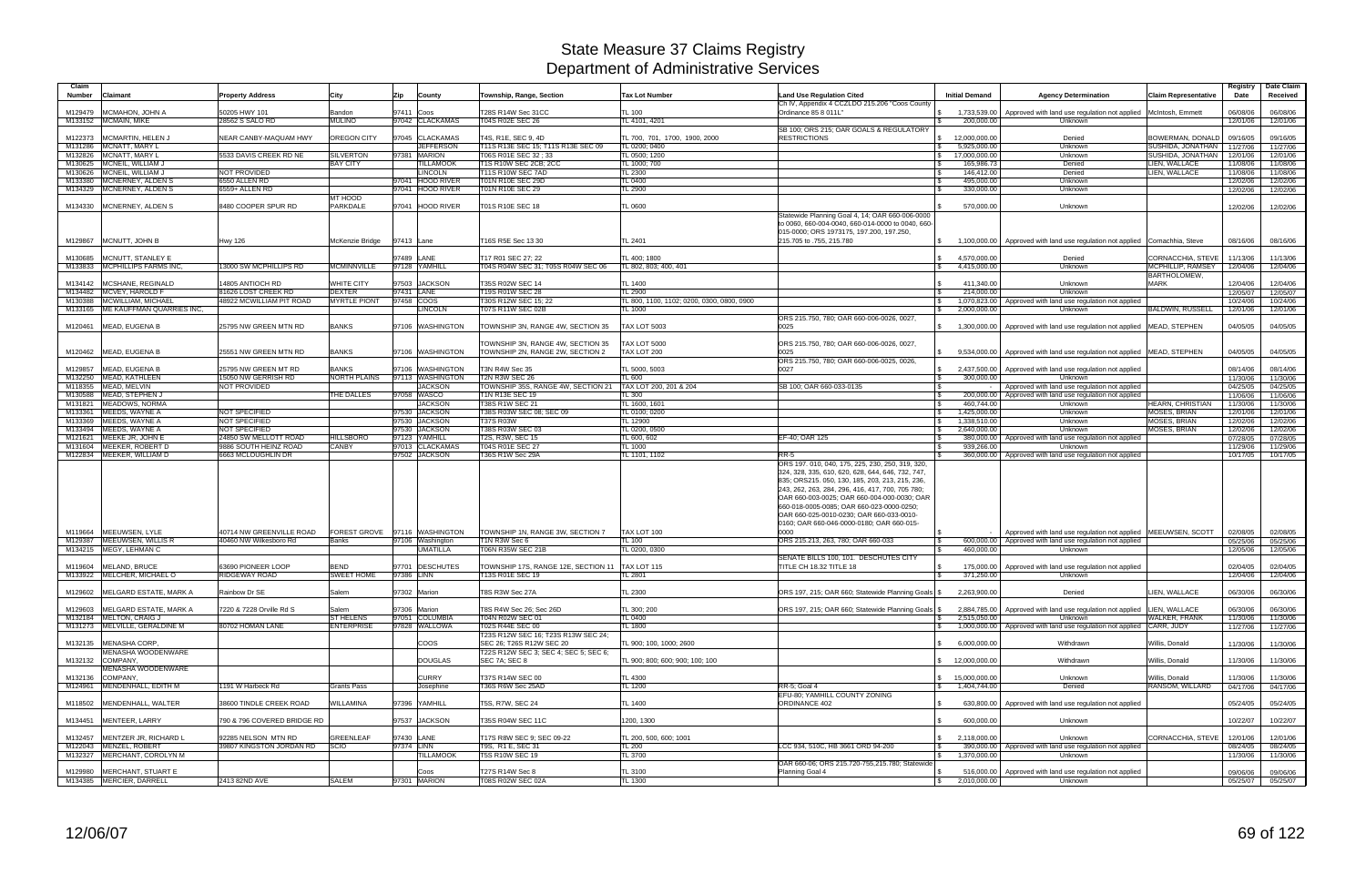| Claim<br>Number | <b>Claimant</b>                                        | <b>Property Address</b>          | City                          | Zip        | County               | Township, Range, Section                                              | <b>Tax Lot Number</b>                      | <b>Land Use Regulation Cited</b>                                                                    | <b>Initial Demand</b> | <b>Agency Determination</b>                                                                                 | <b>Claim Representative</b> | Registry<br>Date     | Date Claim<br>Received |
|-----------------|--------------------------------------------------------|----------------------------------|-------------------------------|------------|----------------------|-----------------------------------------------------------------------|--------------------------------------------|-----------------------------------------------------------------------------------------------------|-----------------------|-------------------------------------------------------------------------------------------------------------|-----------------------------|----------------------|------------------------|
|                 |                                                        |                                  |                               |            |                      |                                                                       |                                            | Ch IV, Appendix 4 CCZLDO 215.206 "Coos County                                                       |                       |                                                                                                             |                             |                      |                        |
| M129479         | MCMAHON, JOHN A<br>M133152 MCMAIN, MIKE                | 50205 HWY 101<br>28562 S SALO RD | Bandon<br><b>MULINO</b>       | 97411 Coos | 97042 CLACKAMAS      | T28S R14W Sec 31CC<br>T04S R02E SEC 26                                | <b>TL 100</b><br>TL 4101, 4201             | Ordinance 85 8 011L"                                                                                | 200,000.00            | 1,733,539.00   Approved with land use regulation not applied   McIntosh, Emmett<br>Unknown                  |                             | 06/08/06<br>12/01/06 | 06/08/06<br>12/01/06   |
|                 |                                                        |                                  |                               |            |                      |                                                                       |                                            | SB 100; ORS 215; OAR GOALS & REGULATORY                                                             |                       |                                                                                                             |                             |                      |                        |
| M122373         | MCMARTIN, HELEN J                                      | NEAR CANBY-MAQUAM HWY            | OREGON CITY                   |            | 97045 CLACKAMAS      | T4S, R1E, SEC 9, 4D                                                   | TL 700, 701, 1700, 1900, 2000              | <b>RESTRICTIONS</b>                                                                                 | 12,000,000.00         | Denied                                                                                                      | BOWERMAN, DONALD            | 09/16/05             | 09/16/05               |
| M131286         | MCNATT, MARY L                                         |                                  |                               |            | <b>JEFFERSON</b>     | T11S R13E SEC 15; T11S R13E SEC 09                                    | TL 0200; 0400                              |                                                                                                     | 5,925,000.00          | Unknown                                                                                                     | SUSHIDA, JONATHAN           | 11/27/06             | 11/27/06               |
|                 | M132826 MCNATT, MARY L                                 | 5533 DAVIS CREEK RD NE           | <b>SILVERTON</b>              |            | 97381 MARION         | T06S R01E SEC 32 ; 33                                                 | TL 0500; 1200                              |                                                                                                     | 17,000,000.00         | Unknown                                                                                                     | SUSHIDA, JONATHAN           | 12/01/06             | 12/01/06               |
|                 | M130625 MCNEIL, WILLIAM J                              |                                  | <b>BAY CITY</b>               |            | <b>ILLAMOOK</b>      | T1S R10W SEC 2CB; 2CC                                                 | TL 1000; 700                               |                                                                                                     | 165,986.73            | Denied                                                                                                      | LIEN, WALLACE               | 11/08/06             | 11/08/06               |
|                 | M130626 MCNEIL, WILLIAM J                              | NOT PROVIDED                     |                               |            | <b>INCOLN</b>        | T11S R10W SEC 7AD                                                     | TL 2300                                    |                                                                                                     | 146,412.00            | Denied                                                                                                      | LIEN, WALLACE               | 11/08/06             | 11/08/06               |
|                 | M133380 MCNERNEY, ALDEN S                              | 6550 ALLEN RD                    |                               |            | 97041 HOOD RIVER     | T01N R10E SEC 29D                                                     | TL 0400                                    |                                                                                                     | 495,000.00            | Unknown                                                                                                     |                             | 12/02/06             | 12/02/06               |
|                 | M134329 MCNERNEY, ALDEN S                              | 6559+ ALLEN RD                   |                               |            | 97041 HOOD RIVER     | T01N R10E SEC 29                                                      | <b>TL 2900</b>                             |                                                                                                     | 330,000.00            | <b>Unknown</b>                                                                                              |                             | 12/02/06             | 12/02/06               |
|                 |                                                        |                                  | MT HOOD                       |            |                      |                                                                       |                                            |                                                                                                     |                       |                                                                                                             |                             |                      |                        |
|                 | M134330 MCNERNEY, ALDEN S                              | 8480 COOPER SPUR RD              | PARKDALE                      |            | 97041 HOOD RIVER     | T01S R10E SEC 18                                                      | <b>TL 0600</b>                             |                                                                                                     | 570,000.00            | Unknown                                                                                                     |                             | 12/02/06             | 12/02/06               |
|                 |                                                        |                                  |                               |            |                      |                                                                       |                                            | Statewide Planning Goal 4, 14; OAR 660-006-0000                                                     |                       |                                                                                                             |                             |                      |                        |
|                 |                                                        |                                  |                               |            |                      |                                                                       |                                            | to 0060, 660-004-0040, 660-014-0000 to 0040, 660-                                                   |                       |                                                                                                             |                             |                      |                        |
|                 |                                                        |                                  |                               |            |                      |                                                                       |                                            | 015-0000; ORS 1973175, 197.200, 197.250,                                                            |                       |                                                                                                             |                             |                      |                        |
|                 | M129867 MCNUTT, JOHN B                                 | Hwy 126                          | McKenzie Bridge               | 97413 Lane |                      | T16S R5E Sec 13 30                                                    | TL 2401                                    | 215.705 to .755, 215.780                                                                            |                       | 1,100,000.00   Approved with land use regulation not applied Cornachhia, Steve                              |                             | 08/16/06             | 08/16/06               |
|                 |                                                        |                                  |                               |            |                      |                                                                       |                                            |                                                                                                     |                       |                                                                                                             |                             |                      |                        |
| M130685         | MCNUTT, STANLEY E                                      |                                  |                               | 97489 LANE |                      | T17 R01 SEC 27; 22                                                    | TL 400: 1800                               |                                                                                                     | 4,570,000.00          | Denied                                                                                                      | CORNACCHIA, STEVE           | 11/13/06             | 11/13/06               |
|                 | M133833 MCPHILLIPS FARMS INC.                          | 13000 SW MCPHILLIPS RD           | <b>MCMINNVILLE</b>            |            | 97128 YAMHILL        | T04S R04W SEC 31; T05S R04W SEC 06                                    | TL 802, 803; 400, 401                      |                                                                                                     | 4,415,000.00          | <b>Unknown</b>                                                                                              | MCPHILLIP, RAMSEY           | 12/04/06             | 12/04/06               |
|                 |                                                        |                                  |                               |            |                      |                                                                       |                                            |                                                                                                     |                       |                                                                                                             | BARTHOLOMEW,                |                      |                        |
| M134142         | MCSHANE, REGINALD                                      | 14805 ANTIOCH RD                 | <b>WHITE CITY</b>             |            | 97503 JACKSON        | T35S R02W SEC 14                                                      | TL 1400                                    |                                                                                                     | 411,340.00            | Unknown                                                                                                     | <b>MARK</b>                 | 12/04/06             | 12/04/06               |
|                 | M134482 MCVEY, HAROLD F                                | 81626 LOST CREEK RD              | <b>DEXTER</b>                 | 97431 LANE |                      | <b>T19S R01W SEC 28</b>                                               | TL 2900                                    |                                                                                                     | 214.000.00            | Unknown                                                                                                     |                             | 12/05/07             | 12/05/07               |
|                 | M130388 MCWILLIAM, MICHAEL                             | 48922 MCWILLIAM PIT ROAD         | <b>MYRTLE PIONT</b>           | 97458 COOS |                      | T30S R12W SEC 15; 22                                                  | TL 800, 1100, 1102; 0200, 0300, 0800, 0900 |                                                                                                     |                       | 1,070,823.00 Approved with land use regulation not applied                                                  |                             | 10/24/06             | 10/24/06               |
|                 | M133165 ME KAUFFMAN QUARRIES INC.                      |                                  |                               |            | <b>INCOLN</b>        | T07S R11W SEC 02B                                                     | TL 1000                                    |                                                                                                     | 2,000,000.00          | Unknown                                                                                                     | <b>BALDWIN, RUSSELI</b>     | 12/01/06             | 12/01/06               |
|                 |                                                        |                                  |                               |            |                      |                                                                       |                                            | ORS 215.750, 780; OAR 660-006-0026, 0027                                                            |                       |                                                                                                             |                             |                      |                        |
| M120461         | MEAD, EUGENA B                                         | 25795 NW GREEN MTN RD            | <b>BANKS</b>                  |            | 97106 WASHINGTON     | TOWNSHIP 3N, RANGE 4W, SECTION 35                                     | <b>TAX LOT 5003</b>                        | 0025                                                                                                |                       | 1,300,000.00   Approved with land use regulation not applied   MEAD, STEPHEN                                |                             | 04/05/05             | 04/05/05               |
|                 |                                                        |                                  |                               |            |                      |                                                                       |                                            |                                                                                                     |                       |                                                                                                             |                             |                      |                        |
|                 | M120462 MEAD, EUGENA B                                 | 25551 NW GREEN MTN RD            | <b>BANKS</b>                  |            | 97106 WASHINGTON     | TOWNSHIP 3N, RANGE 4W, SECTION 35<br>TOWNSHIP 2N, RANGE 2W, SECTION 2 | <b>TAX LOT 5000</b><br>TAX LOT 200         | ORS 215.750, 780; OAR 660-006-0026, 0027,<br>0025                                                   |                       |                                                                                                             |                             |                      |                        |
|                 |                                                        |                                  |                               |            |                      |                                                                       |                                            | ORS 215.750, 780; OAR 660-006-0025, 0026,                                                           |                       | 9,534,000.00   Approved with land use regulation not applied   MEAD, STEPHEN                                |                             | 04/05/05             | 04/05/05               |
| M129857         | MEAD, EUGENA B                                         | 25795 NW GREEN MT RD             | <b>BANKS</b>                  |            | 97106 WASHINGTON     | T3N R4W Sec 35                                                        | TL 5000, 5003                              | 0027                                                                                                | 2,437,500.00          |                                                                                                             |                             | 08/14/06             |                        |
|                 | M132250 MEAD, KATHLEEN                                 | 15050 NW GERRISH RD              | <b>NORTH PLAINS</b>           |            | 97113 WASHINGTON     | T2N R3W SEC 26                                                        | TL 600                                     |                                                                                                     | 300,000.00            | Approved with land use regulation not applied<br>Unknown                                                    |                             |                      | 08/14/06               |
|                 | M118355 MEAD, MELVIN                                   | NOT PROVIDED                     |                               |            | <b>JACKSON</b>       | TOWNSHIP 35S, RANGE 4W, SECTION 21                                    | TAX LOT 200, 201 & 204                     | SB 100; OAR 660-033-0135                                                                            |                       |                                                                                                             |                             | 11/30/06             | 11/30/06<br>04/25/05   |
|                 | M130588 MEAD, STEPHEN J                                |                                  | THE DALLES                    |            | 97058 WASCO          | T1N R13E SEC 19                                                       | <b>TL 300</b>                              |                                                                                                     |                       | Approved with land use regulation not applied<br>200,000.00   Approved with land use regulation not applied |                             | 04/25/05<br>11/06/06 | 11/06/06               |
| M131821         | <b>MEADOWS, NORMA</b>                                  |                                  |                               |            | <b>JACKSON</b>       | T38S R1W SEC 21                                                       | TL 1600, 1601                              |                                                                                                     | 460,744.00            | Unknown                                                                                                     | HEARN, CHRISTIAN            | 11/30/06             | 11/30/06               |
| M133361         | MEEDS, WAYNE A                                         | NOT SPECIFIED                    |                               |            | 97530 JACKSON        | T38S R03W SEC 08; SEC 09                                              | TL 0100; 0200                              |                                                                                                     | 1,425,000.00          | Unknown                                                                                                     | <b>MOSES, BRIAN</b>         | 12/01/06             | 12/01/06               |
|                 | M133369 MEEDS, WAYNE A                                 | NOT SPECIFIED                    |                               |            | 97530 JACKSON        | <b>T37S R03W</b>                                                      | TL 12900                                   |                                                                                                     | 1,338,510.00          | <b>Unknown</b>                                                                                              | MOSES, BRIAN                | 12/02/06             | 12/02/06               |
|                 | M133494 MEEDS, WAYNE A                                 | NOT SPECIFIED                    |                               |            | 97530 JACKSON        | T38S R03W SEC 03                                                      | TL 0200, 0500                              |                                                                                                     | 2,640,000.00          | <b>Unknown</b>                                                                                              | <b>MOSES, BRIAN</b>         | 12/02/06             | 12/02/06               |
| M121621         | MEEKE JR, JOHN E                                       | 24850 SW MELLOTT ROAD            | <b>HILLSBORO</b>              |            | 97123 YAMHILL        | T2S, R3W, SEC 15                                                      | TL 600, 602                                | EF-40: OAR 125                                                                                      |                       | 380,000.00 Approved with land use regulation not applied                                                    |                             | 07/28/05             | 07/28/05               |
| M131604         | MEEKER, ROBERT D                                       | 9886 SOUTH HEINZ ROAD            | <b>CANBY</b>                  |            | 97013 CLACKAMAS      | T04S R01E SEC 27                                                      | TL 1000                                    |                                                                                                     |                       | Unknown                                                                                                     |                             | 11/29/06             | 11/29/06               |
|                 |                                                        |                                  |                               |            |                      |                                                                       |                                            |                                                                                                     |                       |                                                                                                             |                             |                      |                        |
|                 |                                                        |                                  |                               |            |                      |                                                                       |                                            |                                                                                                     | 939,266.00            |                                                                                                             |                             |                      |                        |
|                 | M122834   MEEKER, WILLIAM D                            | 6663 MCLOUGHLIN DR               |                               |            | 97502 JACKSON        | T36S R1W Sec 29A                                                      | TL 1101, 1102                              | <b>RR-5</b>                                                                                         |                       | 360,000.00   Approved with land use regulation not applied                                                  |                             | 10/17/05             | 10/17/05               |
|                 |                                                        |                                  |                               |            |                      |                                                                       |                                            | ORS 197. 010, 040, 175, 225, 230, 250, 319, 320,                                                    |                       |                                                                                                             |                             |                      |                        |
|                 |                                                        |                                  |                               |            |                      |                                                                       |                                            | 324, 328, 335, 610, 620, 628, 644, 646, 732, 747.                                                   |                       |                                                                                                             |                             |                      |                        |
|                 |                                                        |                                  |                               |            |                      |                                                                       |                                            | 835; ORS215. 050, 130, 185, 203, 213, 215, 236,<br>243, 262, 263, 284, 296, 416, 417, 700, 705 780; |                       |                                                                                                             |                             |                      |                        |
|                 |                                                        |                                  |                               |            |                      |                                                                       |                                            | OAR 660-003-0025; OAR 660-004-000-0030; OAR                                                         |                       |                                                                                                             |                             |                      |                        |
|                 |                                                        |                                  |                               |            |                      |                                                                       |                                            | 660-018-0005-0085; OAR 660-023-0000-0250;                                                           |                       |                                                                                                             |                             |                      |                        |
|                 |                                                        |                                  |                               |            |                      |                                                                       |                                            | OAR 660-025-0010-0230; OAR 660-033-0010-                                                            |                       |                                                                                                             |                             |                      |                        |
|                 |                                                        |                                  |                               |            |                      |                                                                       |                                            | 0160; OAR 660-046-0000-0180; OAR 660-015-                                                           |                       |                                                                                                             |                             |                      |                        |
|                 | M119664   MEEUWSEN, LYLE                               | 40714 NW GREENVILLE ROAD         | FOREST GROVE 97116 WASHINGTON |            |                      | TOWNSHIP 1N, RANGE 3W, SECTION 7                                      | TAX LOT 100                                | 0000                                                                                                |                       | Approved with land use regulation not applied   MEEUWSEN, SCOTT                                             |                             | 02/08/05             | 02/08/05               |
|                 | M129387 MEEUWSEN, WILLIS R                             | 40460 NW Wilkesboro Rd           | Banks                         |            | 97106 Washington     | T1N R3W Sec 6                                                         | <b>TL 100</b>                              | ORS 215.213, 263, 780; OAR 660-033                                                                  |                       | 600,000.00   Approved with land use regulation not applied                                                  |                             | 05/25/06             | 05/25/06               |
|                 | M134215  MEGY, LEHMAN C                                |                                  |                               |            | UMATILLA             | <b>T06N R35W SEC 21B</b>                                              | TL 0200, 0300                              |                                                                                                     | 460,000.00            | Unknown                                                                                                     |                             | 12/05/06             | 12/05/06               |
|                 |                                                        |                                  |                               |            |                      |                                                                       |                                            | SENATE BILLS 100, 101. DESCHUTES CITY                                                               |                       |                                                                                                             |                             |                      |                        |
|                 | M119604 MELAND, BRUCE                                  | 63690 PIONEER LOOP               | <b>BEND</b>                   |            | 97701 DESCHUTES      | TOWNSHIP 17S, RANGE 12E, SECTION 11                                   | TAX LOT 115                                | TITLE CH 18.32 TITLE 18                                                                             |                       | 175,000.00   Approved with land use regulation not applied                                                  |                             | 02/04/05             | 02/04/05               |
|                 | M133922  MELCHER, MICHAEL O                            | <b>RIDGEWAY ROAD</b>             | <b>SWEET HOME</b>             | 97386 LINN |                      | T13S R01E SEC 19                                                      | <b>TL 2801</b>                             |                                                                                                     | 371,250.00            | Unknown                                                                                                     |                             | 12/04/06             | 12/04/06               |
|                 |                                                        |                                  |                               |            |                      |                                                                       |                                            |                                                                                                     |                       |                                                                                                             |                             |                      |                        |
|                 | M129602   MELGARD ESTATE, MARK A                       | Rainbow Dr SE                    | Salem                         |            | 97302 Marion         | T8S R3W Sec 27A                                                       | TL 2300                                    | ORS 197, 215; OAR 660; Statewide Planning Goals \$                                                  | 2,263,900.00          | Denied                                                                                                      | <b>LIEN, WALLACE</b>        | 06/30/06             | 06/30/06               |
|                 |                                                        |                                  |                               |            |                      |                                                                       |                                            |                                                                                                     |                       |                                                                                                             |                             |                      |                        |
|                 | M129603 MELGARD ESTATE, MARK A                         | 7220 & 7228 Orville Rd S         | Salem                         |            | 97306 Marion         | T8S R4W Sec 26: Sec 26D                                               | TL 300; 200                                | ORS 197, 215; OAR 660; Statewide Planning Goals                                                     |                       | 2,884,785.00   Approved with land use regulation not applied LIEN, WALLACE                                  |                             | 06/30/06             | 06/30/06               |
|                 | M132184 MELTON, CRAIG J                                |                                  | <b>ST HELENS</b>              |            | 97051 COLUMBIA       | T04N R02W SEC 01                                                      | <b>TL 0400</b>                             |                                                                                                     | 2,515,050.00          | Unknown                                                                                                     | <b>WALKER, FRANK</b>        | 11/30/06             | 11/30/06               |
|                 | M131273 MELVILLE, GERALDINE M                          | 80702 HOMAN LANE                 | <b>ENTERPRISE</b>             |            | 97828 WALLOWA        | T02S R44E SEC 00                                                      | <b>TL 1800</b>                             |                                                                                                     |                       | 1,000,000.00   Approved with land use regulation not applied CARR, JUDY                                     |                             | 11/27/06             | 11/27/06               |
|                 |                                                        |                                  |                               |            |                      | T23S R12W SEC 16; T23S R13W SEC 24;                                   |                                            |                                                                                                     |                       |                                                                                                             |                             |                      |                        |
|                 | M132135 MENASHA CORP.                                  |                                  |                               |            | COOS                 | SEC 26; T26S R12W SEC 20                                              | TL 900; 100, 1000; 2600                    |                                                                                                     | 6,000,000.00          | Withdrawn                                                                                                   | Willis, Donald              | 11/30/06             | 11/30/06               |
|                 | MENASHA WOODENWARE                                     |                                  |                               |            |                      | T22S R12W SEC 3; SEC 4; SEC 5; SEC 6;                                 |                                            |                                                                                                     |                       |                                                                                                             |                             |                      |                        |
|                 | M132132 COMPANY,                                       |                                  |                               |            | <b>DOUGLAS</b>       | SEC 7A; SEC 8                                                         | TL 900; 800; 600; 900; 100; 100            |                                                                                                     | 12,000,000.00         | Withdrawn                                                                                                   | Willis, Donald              | 11/30/06             | 11/30/06               |
|                 | MENASHA WOODENWARE                                     |                                  |                               |            |                      |                                                                       |                                            |                                                                                                     |                       |                                                                                                             |                             |                      |                        |
|                 | M132136 COMPANY,                                       |                                  |                               |            | <b>CURRY</b>         | T37S R14W SEC 00                                                      | TL 4300                                    |                                                                                                     | 15,000,000.00         | Unknown                                                                                                     | Willis, Donald              | 11/30/06             | 11/30/06               |
|                 | M124961 MENDENHALL, EDITH M                            | 1191 W Harbeck Rd                | <b>Grants Pass</b>            |            | Josephine            | T36S R6W Sec 25AD                                                     | <b>TL 1200</b>                             | RR-5: Goal 4                                                                                        | 1,404,744.00          | Denied                                                                                                      | RANSOM, WILLARD             | 04/17/06             | 04/17/06               |
|                 |                                                        |                                  |                               |            |                      |                                                                       |                                            | EFU-80; YAMHILL COUNTY ZONING                                                                       |                       |                                                                                                             |                             |                      |                        |
|                 | M118502 MENDENHALL, WALTER                             | 38600 TINDLE CREEK ROAD          | WILLAMINA                     |            | 97396 YAMHILL        | T5S, R7W, SEC 24                                                      | TL 1400                                    | ORDINANCE 402                                                                                       |                       | 630,800,00 Approved with land use regulation not applied                                                    |                             | 05/24/05             | 05/24/05               |
|                 |                                                        |                                  |                               |            |                      |                                                                       |                                            |                                                                                                     |                       |                                                                                                             |                             |                      |                        |
|                 | M134451 MENTEER, LARRY                                 | 790 & 796 COVERED BRIDGE RD      |                               |            | 97537 JACKSON        | T35S R04W SEC 11C                                                     | 1200, 1300                                 |                                                                                                     | 600,000.00            | Unknown                                                                                                     |                             | 10/22/07             | 10/22/07               |
|                 |                                                        |                                  |                               |            |                      |                                                                       |                                            |                                                                                                     |                       |                                                                                                             |                             |                      |                        |
|                 | M132457 MENTZER JR, RICHARD L                          | 92285 NELSON MTN RD              | GREENLEAF                     | 97430 LANE |                      | T17S R8W SEC 9; SEC 09-22                                             | TL 200, 500, 600; 1001                     |                                                                                                     | 2,118,000.00          | Unknown                                                                                                     | CORNACCHIA, STEVE           | 12/01/06             | 12/01/06               |
|                 | M122043 MENZEL, ROBERT                                 | 39807 KINGSTON JORDAN RD         | <b>SCIO</b>                   | 97374 LINN |                      | T9S, R1 E, SEC 31                                                     | <b>TL 200</b>                              | LCC 934, 510C, HB 3661 ORD 94-200                                                                   |                       | 390,000.00 Approved with land use regulation not applied                                                    |                             | 08/24/05             | 08/24/05               |
|                 | M132327 MERCHANT, COROLYN M                            |                                  |                               |            | <b>TILLAMOOK</b>     | T5S R10W SEC 19                                                       | TL 3700                                    |                                                                                                     | 1,370,000.00          | Unknown                                                                                                     |                             | 11/30/06             | 11/30/06               |
|                 |                                                        |                                  |                               |            |                      |                                                                       |                                            | OAR 660-06; ORS 215.720-755,215.780; Statewide                                                      |                       |                                                                                                             |                             |                      |                        |
|                 | M129980 MERCHANT, STUART E<br>M134385 MERCIER, DARRELL | 2413 82ND AVE                    | <b>SALEM</b>                  |            | Coos<br>97301 MARION | T27S R14W Sec 8<br>T08S R02W SEC 02A                                  | TL 3100<br>TL 1300                         | Planning Goal 4<br>$\frac{1}{2}$                                                                    | 2,010,000.00          | 516,000.00   Approved with land use regulation not applied<br>Unknown                                       |                             | 09/06/06<br>05/25/07 | 09/06/06<br>05/25/07   |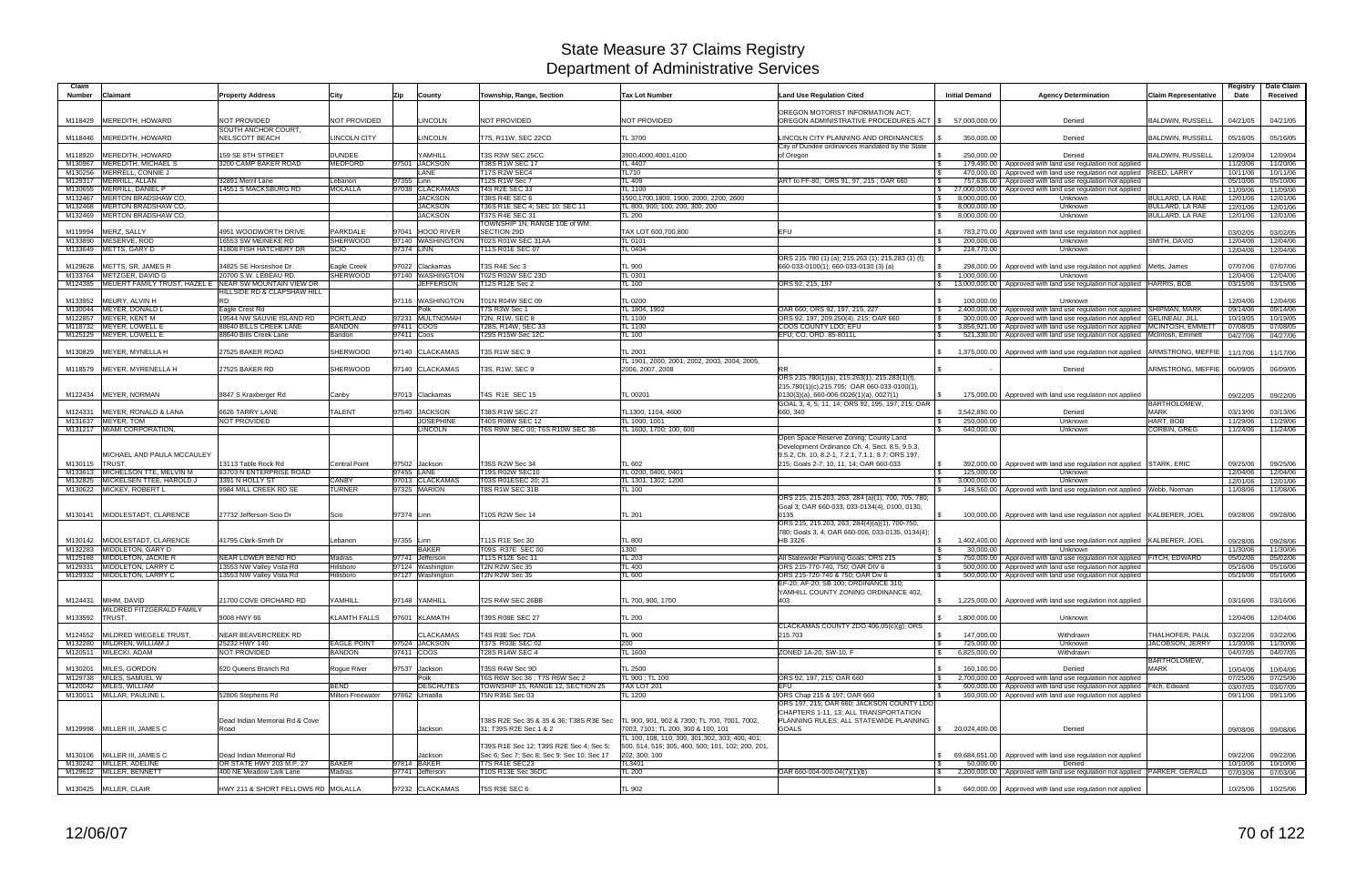| Claim<br><b>Number</b> | Claimant                                                      | <b>Property Address</b>                             | City                            | Zip        | County                             | Township, Range, Section                                          | <b>Tax Lot Number</b>                                                                                                                | <b>Land Use Regulation Cited</b>                                                                                                               | <b>Initial Demand</b>      | <b>Agency Determination</b>                                                                                              | <b>Claim Representative</b>                   | Registry<br>Date     | Date Claim<br>Received |
|------------------------|---------------------------------------------------------------|-----------------------------------------------------|---------------------------------|------------|------------------------------------|-------------------------------------------------------------------|--------------------------------------------------------------------------------------------------------------------------------------|------------------------------------------------------------------------------------------------------------------------------------------------|----------------------------|--------------------------------------------------------------------------------------------------------------------------|-----------------------------------------------|----------------------|------------------------|
|                        | M118429 MEREDITH, HOWARD                                      | NOT PROVIDED                                        | NOT PROVIDED                    |            | <b>LINCOLN</b>                     | <b>NOT PROVIDED</b>                                               | NOT PROVIDED                                                                                                                         | OREGON MOTORIST INFORMATION ACT;<br>OREGON ADMINISTRATIVE PROCEDURES ACT   \$                                                                  | 57,000,000.00              | Denied                                                                                                                   | <b>BALDWIN, RUSSELL</b>                       | 04/21/05             | 04/21/05               |
|                        | M118446 MEREDITH, HOWARD                                      | SOUTH ANCHOR COURT,<br>NELSCOTT BEACH               | <b>LINCOLN CITY</b>             |            | <b>LINCOLN</b>                     | T7S, R11W, SEC 22CD                                               | TL 3700                                                                                                                              | LINCOLN CITY PLANNING AND ORDINANCES                                                                                                           | 350,000.00                 | Denied                                                                                                                   | <b>BALDWIN, RUSSELL</b>                       | 05/16/05             | 05/16/05               |
| M118920                | MEREDITH, HOWARD                                              | 159 SE 8TH STREET                                   | <b>DUNDEE</b>                   |            | YAMHILL                            | T3S R3W SEC 25CC                                                  | 3900.4000.4001.4100                                                                                                                  | City of Dundee ordinances mandated by the State<br>of Oregon                                                                                   | 250.000.00                 | Denied                                                                                                                   | <b>BALDWIN, RUSSELL</b>                       | 12/09/04             | 12/09/04               |
| M130967                | MEREDITH, MICHAEL S                                           | 3200 CAMP BAKER ROAD                                | <b>MEDFORD</b>                  |            | 97501 JACKSON                      | <b>T38S R1W SEC 17</b>                                            | TL 4407                                                                                                                              |                                                                                                                                                |                            | 179,490.00   Approved with land use regulation not applied                                                               |                                               | 11/20/06             | 11/20/06               |
| M130256                | MERRELL, CONNIE J                                             |                                                     |                                 |            | ANE                                | T17S R2W SEC4                                                     | <b>TL710</b>                                                                                                                         |                                                                                                                                                |                            | 470,000.00   Approved with land use regulation not applied                                                               | REED, LARRY                                   | 10/11/06             | 10/11/06               |
|                        | M129317 MERRILL, ALLAN                                        | 32891 Merril Lane                                   | Lebanon                         | 97355 Linn | <b>CLACKAMAS</b>                   | T12S R1W Sec 7<br>T4S R2E SEC 33                                  | TL 409                                                                                                                               | ART to FF-80; ORS 91, 97, 215; OAR 660                                                                                                         |                            | 757,636.00   Approved with land use regulation not applied                                                               |                                               | 05/10/06             | 05/10/06               |
| M130655<br>M132467     | MERRILL, DANIEL P<br><b>MERTON BRADSHAW CO.</b>               | 14551 S MACKSBURG RD                                | <b>MOLALLA</b>                  | 97038      | <b>JACKSON</b>                     | <b>T38S R4E SEC 6</b>                                             | TL 1100<br>1500.1700.1800. 1900. 2000. 2200. 2600                                                                                    |                                                                                                                                                | 8,000,000.00               | 27,000,000.00 Approved with land use regulation not applied<br>Unknown                                                   | BULLARD, LA RAE                               | 11/09/06<br>12/01/06 | 11/09/06<br>12/01/06   |
| M132468                | MERTON BRADSHAW CO.                                           |                                                     |                                 |            | <b>JACKSON</b>                     | T36S R1E SEC 4; SEC 10; SEC 11                                    | TL 800, 900; 100, 200, 300; 200                                                                                                      |                                                                                                                                                | 8,000,000.00               | Unknown                                                                                                                  | <b>BULLARD, LA RAE</b>                        | 12/01/06             | 12/01/06               |
|                        | M132469 MERTON BRADSHAW CO,                                   |                                                     |                                 |            | <b>JACKSON</b>                     | T37S R4E SEC 31<br>TOWNSHIP 1N, RANGE 10E of WM,                  | <b>TL 200</b>                                                                                                                        |                                                                                                                                                | 8,000,000.00               | Unknown                                                                                                                  | <b>BULLARD, LA RAE</b>                        | 12/01/06             | 12/01/06               |
| M119994                | MERZ, SALLY                                                   | 4951 WOODWORTH DRIVE                                | <b>PARKDALE</b>                 | 97041      | <b>HOOD RIVER</b>                  | SECTION 29D                                                       | TAX LOT 600,700,800                                                                                                                  | <b>EFU</b>                                                                                                                                     |                            | 783,270.00 Approved with land use regulation not applied                                                                 |                                               | 03/02/05             | 03/02/05               |
| M133890                | MESERVE, ROD<br>M133649 METTS, GARY D                         | 16553 SW MEINEKE RD<br>41808 FISH HATCHERY DR       | <b>SHERWOOD</b><br><b>SCIO</b>  | 97374 LINN | 97140 WASHINGTON                   | <b>T02S R01W SEC 31AA</b><br>T11S R01E SEC 07                     | <b>TL 0101</b><br>TL 0404                                                                                                            |                                                                                                                                                | 200,000.00<br>218,770.00   | <b>Unknown</b><br>Unknown                                                                                                | SMITH, DAVID                                  | 12/04/06             | 12/04/06               |
|                        |                                                               |                                                     |                                 |            |                                    |                                                                   |                                                                                                                                      | ORS 215.780 (1) (a); 215.263 (1); 215.283 (1) (f);                                                                                             |                            |                                                                                                                          |                                               | 12/04/06             | 12/04/06               |
| M129628                | METTS, SR, JAMES R                                            | 34825 SE Horseshoe Dr.                              | Eagle Creek                     |            | 97022 Clackamas                    | T3S R4E Sec 3                                                     | TL 900                                                                                                                               | 660-033-0100(1); 660-033-0130 (3) (a)                                                                                                          |                            | 298,000.00   Approved with land use regulation not applied   Metts, James                                                |                                               | 07/07/06             | 07/07/06               |
|                        | M133764 METZGER, DAVID G                                      | 20700 S.W. LEBEAU RD.                               | <b>SHERWOOD</b>                 | 97140      | <b>WASHINGTON</b>                  | T02S R02W SEC 23D                                                 | TL 0301                                                                                                                              |                                                                                                                                                | 1,000,000.00               | Unknown                                                                                                                  |                                               | 12/04/06             | 12/04/06               |
|                        | M124385 MEUERT FAMILY TRUST, HAZEL E NEAR SW MOUNTAIN VIEW DR |                                                     |                                 |            | <b>JEFFERSON</b>                   | T12S R12E Sec 2                                                   | TL 100                                                                                                                               | ORS 92, 215, 197                                                                                                                               |                            | 13,000,000.00 Approved with land use regulation not applied                                                              | HARRIS, BOB                                   | 03/15/06             | 03/15/06               |
|                        |                                                               | HILLSIDE RD & CLAPSHAW HILL                         |                                 |            |                                    |                                                                   |                                                                                                                                      |                                                                                                                                                |                            |                                                                                                                          |                                               |                      |                        |
| M133952                | MEURY, ALVIN H                                                | <b>RD</b>                                           |                                 |            | 97116 WASHINGTON                   | T01N R04W SEC 09                                                  | <b>TL 0200</b>                                                                                                                       |                                                                                                                                                | 100.000.00                 | Unknown                                                                                                                  |                                               | 12/04/06             | 12/04/06               |
|                        | M130044 MEYER, DONALD L<br>M122857 MEYER, KENT M              | Eagle Crest Rd<br>19544 NW SAUVIE ISLAND RD         | <b>PORTLAND</b>                 |            | Polk<br>97231 MULTNOMAH            | T7S R3W Sec 1<br><b>T2N, R1W, SEC 8</b>                           | TL 1804, 1902<br>TL 1100                                                                                                             | OAR 660: ORS 92, 197, 215, 227<br>ORS 92, 197, 209.250(4), 215; OAR 660                                                                        |                            | 2,400,000.00 Approved with land use regulation not applied<br>300,000.00   Approved with land use regulation not applied | <b>SHIPMAN, MARK</b><br><b>GELINEAU, JILL</b> | 09/14/06<br>10/19/05 | 09/14/06<br>10/19/05   |
|                        | M118732  MEYER, LOWELL E                                      | 88640 BILLS CREEK LANE                              | <b>BANDON</b>                   | 97411 COOS |                                    | T28S, R14W, SEC 33                                                | TL 1100                                                                                                                              | COOS COUNTY LDO: EFU                                                                                                                           |                            | 3,856,921.00 Approved with land use regulation not applied                                                               | MCINTOSH, EMMET                               | 07/08/05             | 07/08/05               |
|                        | M125129 MEYER, LOWELL E                                       | 88640 Bills Creek Lane                              | Bandon                          | 97411 Coos |                                    | T29S R15W Sec 12C                                                 | <b>TL 100</b>                                                                                                                        | EFU; CO. ORD. 85-8011L                                                                                                                         |                            | 521,330.00 Approved with land use regulation not applied                                                                 | McIntosh, Emmett                              | 04/27/06             | 04/27/06               |
|                        | M130829 MEYER, MYNELLA H                                      | 27525 BAKER ROAD                                    | SHERWOOD                        |            | 97140 CLACKAMAS                    | T3S R1W SEC 9                                                     | TL 2001<br>TL 1901, 2000, 2001, 2002, 2003, 2004, 2005,                                                                              |                                                                                                                                                |                            | 1,375,000.00 Approved with land use regulation not applied                                                               | ARMSTRONG, MEFFIE                             | 11/17/06             | 11/17/06               |
|                        | M118579 MEYER, MYRENELLA H                                    | 27525 BAKER RD                                      | SHERWOOD                        |            | 97140 CLACKAMAS                    | T3S, R1W, SEC 9                                                   | 2006, 2007, 2008                                                                                                                     |                                                                                                                                                |                            | Denied                                                                                                                   | ARMSTRONG, MEFFIE                             | 06/09/05             | 06/09/05               |
|                        |                                                               |                                                     |                                 |            |                                    |                                                                   |                                                                                                                                      | ORS 215.780(1)(a), 215.263(1), 215.283(1)(f)                                                                                                   |                            |                                                                                                                          |                                               |                      |                        |
| M122434                | MEYER, NORMAN                                                 | 9847 S Kraxberger Rd                                | Canby                           |            | 97013 Clackamas                    | T4S R1E SEC 15                                                    | TL 00201                                                                                                                             | 215.780(1)(c),215.705; OAR 660-033-0100(1),<br>0130(3)(a), 660-006-0026(1)(a), 0027(1)                                                         |                            | 175,000.00   Approved with land use regulation not applied                                                               |                                               | 09/22/05             | 09/22/05               |
|                        |                                                               |                                                     |                                 |            |                                    |                                                                   |                                                                                                                                      | GOAL 3, 4, 5, 11, 14; ORS 92, 195, 197, 215; OAR                                                                                               |                            |                                                                                                                          | BARTHOLOMEW,                                  |                      |                        |
| M124331                | MEYER, RONALD & LANA<br>M131637 MEYER, TOM                    | 6626 TARRY LANE<br>NOT PROVIDED                     | <b>TALENT</b>                   |            | 97540 JACKSON<br><b>JOSEPHINE</b>  | T38S R1W SEC 27<br>T40S R08W SEC 12                               | TL1300, 1104, 4600<br>TL 1000, 1001                                                                                                  | 660, 340                                                                                                                                       | 3,542,890.00<br>250,000.00 | Denied<br>Unknown                                                                                                        | <b>MARK</b><br>HART, BOB                      | 03/13/06<br>11/29/06 | 03/13/06<br>11/29/06   |
|                        | M131217 MIAMI CORPORATION                                     |                                                     |                                 |            | <b>LINCOLN</b>                     | T6S R9W SEC 00; T6S R10W SEC 36                                   | TL 1600, 1700; 100, 600                                                                                                              |                                                                                                                                                | 640,000.00                 | Unknown                                                                                                                  | <b>CORBIN, GREG</b>                           | 11/24/06             | 11/24/06               |
|                        |                                                               |                                                     |                                 |            |                                    |                                                                   |                                                                                                                                      | Open Space Reserve Zoning; County Land                                                                                                         |                            |                                                                                                                          |                                               |                      |                        |
| M130115                | MICHAEL AND PAULA MCCAULEY<br><b>TRUST</b>                    | 13113 Table Rock Rd                                 | <b>Central Point</b>            | 97502      | Jackson                            | T35S R2W Sec 34                                                   | TL 602                                                                                                                               | Development Ordinance Ch. 4, Sect. 8.5, 9.5.3,<br>9.5.2, Ch. 10, 8.2-1, 7.2.1, 7.1.1, 8.7; ORS 197,<br>215; Goals 2-7, 10, 11, 14; OAR 660-033 | 392,000.00                 | Approved with land use regulation not applied STARK, ERIC                                                                |                                               | 09/25/06             | 09/25/06               |
| M133613                | MICHELSON TTE, MELVIN M                                       | 83703 N ENTERPRISE ROAD                             |                                 | 97455 LANE |                                    | T19S R02W SEC10                                                   | TL 0200, 0400, 0401                                                                                                                  |                                                                                                                                                | 125,000.00                 | Unknown                                                                                                                  |                                               | 12/04/06             | 12/04/06               |
| M132825                | MICKELSEN TTEE, HAROLD J                                      | 3391 N HOLLY ST                                     | <b>CANBY</b>                    |            | 97013 CLACKAMAS                    | T03S R01ESEC 20; 21                                               | TL 1301, 1302; 1200                                                                                                                  |                                                                                                                                                | 3,000,000.00               | Unknown                                                                                                                  |                                               | 12/01/06             | 12/01/06               |
|                        | M130622 MICKEY, ROBERT L                                      | 9984 MILL CREEK RD SE                               | <b>TURNER</b>                   |            | 97325 MARION                       | T8S R1W SEC 31B                                                   | TL 100                                                                                                                               |                                                                                                                                                |                            | 148,560.00 Approved with land use regulation not applied Webb, Norman                                                    |                                               | 11/08/06             | 11/08/06               |
|                        |                                                               |                                                     |                                 |            |                                    |                                                                   |                                                                                                                                      | ORS 215, 215.203, 263, 284 (a)(1), 700, 705, 780;<br>Goal 3; OAR 660-033, 033-0134(4), 0100, 0130,                                             |                            |                                                                                                                          |                                               |                      |                        |
|                        | M130141 MIDDLESTADT, CLARENCE                                 | 27732 Jefferson-Scio Dr                             | Scio                            | 97374 Linn |                                    | T10S R2W Sec 14                                                   | <b>TL 201</b>                                                                                                                        | 0135<br>ORS 215, 215.203, 263, 284(4)(a)(1), 700-750,                                                                                          |                            | 100,000.00   Approved with land use regulation not applied   KALBERER, JOEL                                              |                                               | 09/28/06             | 09/28/06               |
| M130142                | MIDDLESTADT, CLARENCE                                         | 41795 Clark-Smith Dr                                | Lebanon                         | 97355 Linn |                                    | T11S R1E Sec 30                                                   | <b>TL 800</b>                                                                                                                        | 780; Goals 3, 4; OAR 660-006, 033-0135, 0134(4);<br>HB 3326                                                                                    |                            | 1,402,400.00   Approved with land use regulation not applied   KALBERER, JOEL                                            |                                               | 09/28/06             | 09/28/06               |
|                        | M132283 MIDDLETON, GARY D                                     |                                                     |                                 |            | <b>BAKER</b>                       | T09S R37E SEC 00                                                  | 1300                                                                                                                                 |                                                                                                                                                | 30,000.00                  | Unknown                                                                                                                  |                                               | 11/30/06             | 11/30/06               |
|                        | M125188 MIDDLETON, JACKIE R                                   | NEAR LOWER BEND RD                                  | Madras                          |            | 97741 Jefferson                    | T11S R12E Sec 11                                                  | <b>TL 203</b>                                                                                                                        | All Statewide Planning Goals; ORS 215                                                                                                          |                            | 750,000.00 Approved with land use regulation not applied                                                                 | <b>FITCH, EDWARD</b>                          | 05/02/06             | 05/02/06               |
| M129331                | MIDDLETON, LARRY C                                            | 13553 NW Valley Vista Rd                            | Hillsboro                       |            | 97124 Washington                   | T2N R2W Sec 35                                                    | <b>TL 400</b>                                                                                                                        | ORS 215-770-740, 750; OAR DIV 6                                                                                                                |                            | 500,000.00   Approved with land use regulation not applied                                                               |                                               | 05/16/06             | 05/16/06               |
|                        | M129332 MIDDLETON, LARRY C                                    | 13553 NW Valley Vista Rd                            | Hillsboro                       |            | 97127 Washington                   | T2N R2W Sec 35                                                    | <b>TL 600</b>                                                                                                                        | ORS 215-720-740 & 750; OAR Div 6<br>EF-20; AF-20; SB 100; ORDINANCE 310;<br>YAMHILL COUNTY ZONING ORDINANCE 402,                               |                            | 500,000.00   Approved with land use regulation not applied                                                               |                                               | 05/16/06             | 05/16/06               |
|                        | M124431 MIHM, DAVID                                           | 21700 COVE ORCHARD RD                               | YAMHILL                         |            | 97148 YAMHILL                      | T2S R4W SEC 26BB                                                  | TL 700, 900, 1700                                                                                                                    | 403                                                                                                                                            |                            | 1,225,000.00   Approved with land use regulation not applied                                                             |                                               | 03/16/06             | 03/16/06               |
| M133592                | MILDRED FITZGERALD FAMILY<br>TRUST,                           | 9008 HWY 66                                         | <b>KLAMTH FALLS</b>             |            | 97601 KLAMATH                      | T39S R08E SEC 27                                                  | <b>TL 200</b>                                                                                                                        |                                                                                                                                                | 1,800,000.00               | Unknown                                                                                                                  |                                               | 12/04/06             | 12/04/06               |
|                        | M124552 MILDRED WIEGELE TRUST,                                | NEAR BEAVERCREEK RD                                 |                                 |            | <b>CLACKAMAS</b>                   | T4S R3E Sec 7DA                                                   | <b>TL 900</b>                                                                                                                        | CLACKAMAS COUNTY ZDO 406.05(c)(q); ORS<br>215.703                                                                                              | 147,000.00                 | Withdrawn                                                                                                                | THALHOFER, PAUL                               | 03/22/06             | 03/22/06               |
|                        | M132280 MILDREN, WILLIAM J                                    | 25232 HWY 140                                       | <b>EAGLE POINT</b>              |            | 97524 JACKSON                      | T37S R03E SEC 02                                                  | 200                                                                                                                                  |                                                                                                                                                | 725,000.00                 | Unknown                                                                                                                  | <b>JACOBSON, JERRY</b>                        | 11/30/06             | 11/30/06               |
|                        | M120511 MILECKI, ADAM                                         | NOT PROVIDED                                        | <b>BANDON</b>                   | 97411 COOS |                                    | T28S R14W SEC 4                                                   | <b>TL 1600</b>                                                                                                                       | ZONED 1A-20, SW-10, F                                                                                                                          | 6,825,000.00               | Withdrawn                                                                                                                |                                               | 04/07/05             | 04/07/05               |
|                        |                                                               |                                                     |                                 |            |                                    |                                                                   |                                                                                                                                      |                                                                                                                                                |                            |                                                                                                                          | <b>BARTHOLOMEW,</b>                           |                      |                        |
|                        | M130201 MILES, GORDON                                         | 620 Queens Branch Rd                                | Rogue River                     |            | 97537 Jackson                      | T35S R4W Sec 9D                                                   | TL 2500                                                                                                                              |                                                                                                                                                | 160,100.00                 | Denied                                                                                                                   | <b>MARK</b>                                   | 10/04/06             | 10/04/06               |
|                        | M129738 MILES, SAMUEL W                                       |                                                     |                                 |            | Polk                               | T6S R6W Sec 36 ; T7S R6W Sec 2                                    | TL 900; TL 100                                                                                                                       | ORS 92, 197, 215; OAR 660                                                                                                                      |                            | 2,700,000.00 Approved with land use regulation not applied                                                               |                                               | 07/25/06             | 07/25/06               |
|                        | M120042 MILES, WILLIAM<br>M130011 MILLAR, PAULINE L           | 52806 Stephens Rd                                   | <b>BEND</b><br>Milton-Freewater |            | <b>DESCHUTES</b><br>97862 Umatilla | TOWNSHIP 15, RANGE 12, SECTION 25                                 | TAX LOT 201                                                                                                                          | EFU                                                                                                                                            |                            | 600,000.00 Approved with land use regulation not applied                                                                 | Fitch, Edward                                 | 03/07/05             | 03/07/05               |
|                        |                                                               |                                                     |                                 |            |                                    | T5N R35E Sec 03                                                   | <b>TL 1200</b>                                                                                                                       | ORS Chap 215 & 197; OAR 660<br>ORS 197, 215; OAR 660; JACKSON COUNTY LDO<br>CHAPTERS 1-11, 13; ALL TRANSPORTATION                              |                            | 160,000.00 Approved with land use regulation not applied                                                                 |                                               | 09/11/06             | 09/11/06               |
|                        | M129998 MILLER III, JAMES C                                   | Dead Indian Memorial Rd & Cove<br>Road              |                                 |            | Jackson                            | T38S R2E Sec 35 & 35 & 36; T38S R3E Sec<br>31; T39S R2E Sec 1 & 2 | TL 900, 901, 902 & 7300; TL 700, 7001, 7002,<br>7003, 7101; TL 200, 300 & 100, 101<br>TL 100, 108, 110; 300, 301,302, 303; 400, 401; | PLANNING RULES; ALL STATEWIDE PLANNING<br><b>GOALS</b>                                                                                         | \$20,024,400.00            | Denied                                                                                                                   |                                               | 09/08/06             | 09/08/06               |
|                        |                                                               |                                                     |                                 |            |                                    | T39S R1E Sec 12; T39S R2E Sec 4; Sec 5;                           | 500, 514, 516; 305, 400, 500; 101, 102; 200, 201,                                                                                    |                                                                                                                                                |                            |                                                                                                                          |                                               |                      |                        |
|                        | M130106 MILLER III, JAMES C                                   | Dead Indian Memorial Rd                             |                                 |            | Jackson                            | Sec 6; Sec 7; Sec 8; Sec 9; Sec 10; Sec 17                        | 202; 300; 100                                                                                                                        |                                                                                                                                                |                            | 69,684,651.00 Approved with land use regulation not applied                                                              |                                               | 09/22/06             | 09/22/06               |
|                        | M130242 MILLER, ADELINE<br>M129612 MILLER, BENNETT            | OR STATE HWY 203 M.P, 27<br>400 NE Meadow Lark Lane | <b>BAKER</b><br>Madras          |            | 97814 BAKER<br>97741 Jefferson     | <b>T7S R41E SEC23</b><br>T10S R13E Sec 36DC                       | TL3401<br><b>TL 200</b>                                                                                                              | OAR 660-004-000-04(7)(1)(b)                                                                                                                    | 50,000.00                  | Denied<br>2,200,000.00 Approved with land use regulation not applied                                                     | PARKER, GERALD                                | 10/10/06<br>07/03/06 | 10/10/06<br>07/03/06   |
|                        |                                                               |                                                     |                                 |            |                                    |                                                                   |                                                                                                                                      |                                                                                                                                                |                            |                                                                                                                          |                                               |                      |                        |
|                        | M130425 MILLER, CLAIR                                         | HWY 211 & SHORT FELLOWS RD MOLALLA                  |                                 |            | 97232 CLACKAMAS                    | T5S R3E SEC 6                                                     | TL 902                                                                                                                               |                                                                                                                                                |                            | 640,000.00   Approved with land use regulation not applied                                                               |                                               | 10/25/06             | 10/25/06               |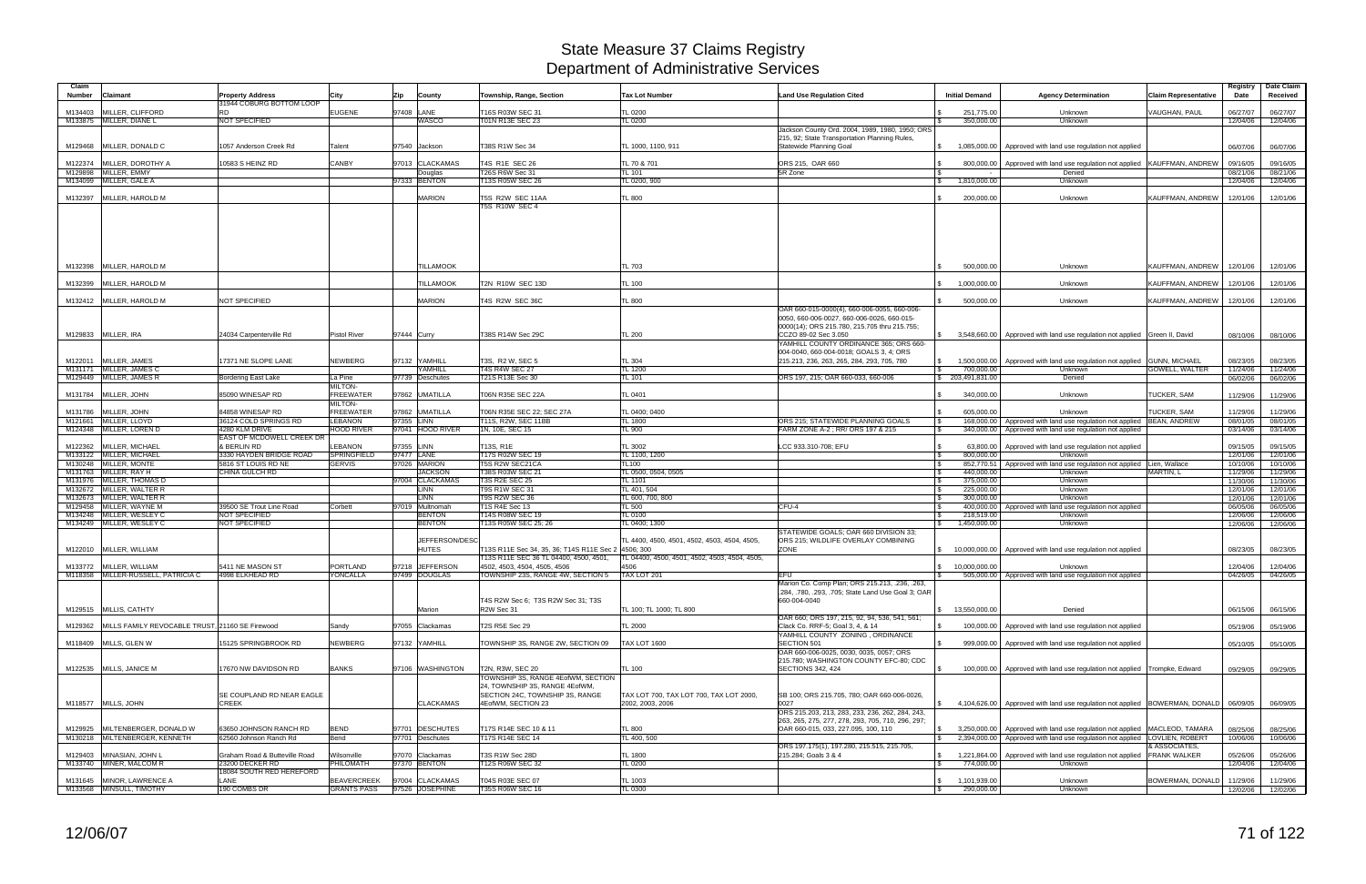| Claim<br>Number | Claimant                                                | <b>Property Address</b>                          | City                                     | Zip         | County                               | Township, Range, Section                                                                      | <b>Tax Lot Number</b>                                       | <b>Land Use Regulation Cited</b>                                                                                                                                  | <b>Initial Demand</b>                                      | <b>Agency Determination</b>                                                                                                | <b>Claim Representative</b>          | Registry<br>Date     | Date Claim<br>Received        |
|-----------------|---------------------------------------------------------|--------------------------------------------------|------------------------------------------|-------------|--------------------------------------|-----------------------------------------------------------------------------------------------|-------------------------------------------------------------|-------------------------------------------------------------------------------------------------------------------------------------------------------------------|------------------------------------------------------------|----------------------------------------------------------------------------------------------------------------------------|--------------------------------------|----------------------|-------------------------------|
| M134403         | MILLER, CLIFFORD                                        | 31944 COBURG BOTTOM LOOP<br><b>RD</b>            | <b>EUGENE</b>                            |             | 97408 LANE                           | T16S R03W SEC 31                                                                              | <b>TL 0200</b>                                              |                                                                                                                                                                   | 251,775.00                                                 | Unknown                                                                                                                    | <b>VAUGHAN, PAUL</b>                 | 06/27/07             | 06/27/07                      |
|                 | M133875 MILLER, DIANE L                                 | NOT SPECIFIED                                    |                                          |             | WASCO                                | T01N R13E SEC 23                                                                              | TL 0200                                                     |                                                                                                                                                                   | 350,000.00                                                 | Unknown                                                                                                                    |                                      | 12/04/06             | 12/04/06                      |
|                 | M129468 MILLER, DONALD C                                | 057 Anderson Creek Rd                            | Talent                                   |             | 97540 Jackson                        | T38S R1W Sec 34                                                                               | TL 1000. 1100. 911                                          | Jackson County Ord. 2004, 1989, 1980, 1950; ORS<br>215, 92; State Transportation Planning Rules,<br>Statewide Planning Goal                                       | 1,085,000.00<br>$\mathbb{S}$                               | Approved with land use regulation not applied                                                                              |                                      | 06/07/06             | 06/07/06                      |
|                 | M122374 MILLER, DOROTHY A                               | 10583 S HEINZ RD                                 | CANBY                                    |             | 97013 CLACKAMAS                      | T4S R1E SEC 26                                                                                |                                                             | ORS 215, OAR 660                                                                                                                                                  |                                                            | Approved with land use regulation not applied KAUFFMAN, ANDREW                                                             |                                      |                      |                               |
|                 | M129898 MILLER, EMMY                                    |                                                  |                                          |             | Douglas                              | T26S R6W Sec 31                                                                               | TL 70 & 701<br><b>TL 101</b>                                | 5R Zone                                                                                                                                                           | 800,000.00                                                 | Denied                                                                                                                     |                                      | 09/16/05<br>08/21/06 | 09/16/05<br>08/21/06          |
|                 | M134099 MILLER, GALE A                                  |                                                  |                                          |             | 97333 BENTON                         | T13S R05W SEC 26                                                                              | TL 0200, 900                                                |                                                                                                                                                                   | 1,810,000.00<br>IS.                                        | Unknown                                                                                                                    |                                      | 12/04/06             | 12/04/06                      |
|                 | M132397 MILLER, HAROLD M                                |                                                  |                                          |             | <b>MARION</b>                        | T5S R2W SEC 11AA<br><b>T5S R10W SEC 4</b>                                                     | <b>TL 800</b>                                               |                                                                                                                                                                   | 200,000.00                                                 | Unknown                                                                                                                    | KAUFFMAN, ANDREW                     | 12/01/06             | 12/01/06                      |
|                 | M132398 MILLER, HAROLD M<br>M132399 MILLER, HAROLD M    |                                                  |                                          |             | <b>TILLAMOOK</b><br><b>TILLAMOOK</b> | T2N R10W SEC 13D                                                                              | <b>TL 703</b><br><b>TL 100</b>                              |                                                                                                                                                                   | 500,000.00<br>1,000,000.00                                 | Unknown<br>Unknown                                                                                                         | KAUFFMAN, ANDREW<br>KAUFFMAN, ANDREW | 12/01/06<br>12/01/06 | 12/01/06<br>12/01/06          |
|                 |                                                         |                                                  |                                          |             | <b>MARION</b>                        |                                                                                               |                                                             |                                                                                                                                                                   |                                                            |                                                                                                                            |                                      |                      |                               |
|                 | M132412 MILLER, HAROLD M<br>M129833 MILLER, IRA         | NOT SPECIFIED<br>24034 Carpenterville Rd         | <b>Pistol River</b>                      | 97444 Curry |                                      | T4S R2W SEC 36C<br>T38S R14W Sec 29C                                                          | TL 800<br><b>TL 200</b>                                     | OAR 660-015-0000(4), 660-006-0055, 660-006-<br>0050, 660-006-0027, 660-006-0026, 660-015-<br>0000(14); ORS 215.780, 215.705 thru 215.755;<br>CCZO 89-02 Sec 3.050 | 500,000.00<br>$\mathbb{S}$                                 | Unknown<br>3,548,660.00 Approved with land use regulation not applied Green II, David                                      | KAUFFMAN, ANDREW                     | 12/01/06<br>08/10/06 | 12/01/06<br>08/10/06          |
|                 |                                                         |                                                  |                                          |             |                                      |                                                                                               |                                                             | YAMHILL COUNTY ORDINANCE 365; ORS 660-<br>004-0040, 660-004-0018; GOALS 3, 4; ORS                                                                                 |                                                            |                                                                                                                            |                                      |                      |                               |
| M122011         | MILLER, JAMES                                           | 7371 NE SLOPE LANE                               | NEWBERG                                  |             | 97132 YAMHILL                        | T3S, R2 W, SEC 5                                                                              | <b>TL 304</b>                                               | 215.213, 236, 263, 265, 284, 293, 705, 780                                                                                                                        | 1,500,000.00<br>IS.                                        | Approved with land use regulation not applied                                                                              | <b>GUNN, MICHAEL</b>                 | 08/23/05             | 08/23/05                      |
| M131171         | MILLER, JAMES C                                         |                                                  |                                          |             | YAMHILL                              | T4S R4W SEC 27                                                                                | TL 1200                                                     |                                                                                                                                                                   | 700,000.00<br>l \$                                         | <b>Unknown</b>                                                                                                             | <b>GOWELL, WALTER</b>                | 11/24/06             | 11/24/06                      |
|                 | M129449 MILLER, JAMES R                                 | Bordering East Lake                              | La Pine<br><b>MILTON-</b>                |             | 97739 Deschutes                      | T21S R13E Sec 30                                                                              | TL 101                                                      | ORS 197, 215; OAR 660-033, 660-006                                                                                                                                | \$ 203,491,831.00                                          | Denied                                                                                                                     |                                      | 06/02/06             | 06/02/06                      |
|                 | M131784 MILLER, JOHN                                    | 85090 WINESAP RD                                 | <b>FREEWATER</b><br><b>MILTON-</b>       |             | 97862 UMATILLA                       | T06N R35E SEC 22A                                                                             | TL 0401                                                     |                                                                                                                                                                   | 340,000.00<br>$\mathbb{S}$                                 | Unknown                                                                                                                    | TUCKER, SAM                          | 11/29/06             | 11/29/06                      |
|                 | M131786 MILLER, JOHN                                    | 84858 WINESAP RD                                 | <b>FREEWATER</b>                         |             | 97862 UMATILLA                       | T06N R35E SEC 22; SEC 27A                                                                     | TL 0400; 0400                                               |                                                                                                                                                                   | 605,000.00                                                 | Unknown                                                                                                                    | TUCKER, SAM                          | 11/29/06             | 11/29/06                      |
|                 | M121661 MILLER, LLOYD<br>M124348 MILLER, LOREN D        | 36124 COLD SPRINGS RD<br>4280 KLM DRIVE          | <b>LEBANON</b><br><b>HOOD RIVER</b>      | 97355 LINN  | 97041 HOOD RIVER                     | T11S, R2W, SEC 11BB<br>1N, 10E, SEC 15                                                        | TL 1800<br>TL 900                                           | ORS 215; STATEWIDE PLANNING GOALS<br>FARM ZONE A-2 ; RR/ ORS 197 & 215                                                                                            | <b>S</b><br>340,000.00<br>$\overline{\mathbf{S}}$          | 168,000.00   Approved with land use regulation not applied   BEAN, ANDREW<br>Approved with land use regulation not applied |                                      | 08/01/05             | 08/01/05                      |
|                 |                                                         | EAST OF MCDOWELL CREEK DR                        |                                          |             |                                      |                                                                                               |                                                             |                                                                                                                                                                   |                                                            |                                                                                                                            |                                      | 03/14/06             | 03/14/06                      |
|                 | M122362 MILLER, MICHAEL                                 | & BERLIN RD                                      | LEBANON                                  | 97355 LINN  |                                      | T13S, R1E                                                                                     | TL 3002                                                     | LCC 933.310-708; EFU                                                                                                                                              | 63,800.00<br><b>S</b>                                      | Approved with land use regulation not applied                                                                              |                                      | 09/15/05             | 09/15/05                      |
|                 | M133122 MILLER, MICHAEL                                 | 3330 HAYDEN BRIDGE ROAD                          | SPRINGFIELD                              | 97477 LANE  |                                      | T17S R02W SEC 19                                                                              | TL 1100, 1200                                               |                                                                                                                                                                   | 800,000.00<br><b>S</b>                                     | Unknown                                                                                                                    |                                      | 12/01/06             | 12/01/06                      |
|                 | M130248 MILLER, MONTE<br>M131763 MILLER, RAY H          | 5816 ST LOUIS RD NE<br>CHINA GULCH RD            | <b>GERVIS</b>                            |             | 97026 MARION<br><b>JACKSON</b>       | T5S R2W SEC21CA<br>T38S R03W SEC 21                                                           | <b>TL100</b><br>TL 0500, 0504, 0505                         |                                                                                                                                                                   | 852,770.51<br>l \$<br>440,000.00<br>IS.                    | Approved with land use regulation not applied Lien, Wallace<br>Unknown                                                     | MARTIN, L                            | 10/10/06<br>11/29/06 | 10/10/06                      |
|                 | M131976 MILLER, THOMAS D                                |                                                  |                                          |             | 97004 CLACKAMAS                      | T3S R2E SEC 25                                                                                | TL 1101                                                     |                                                                                                                                                                   | 375,000.00<br><b>S</b>                                     | Unknown                                                                                                                    |                                      | 11/30/06             | 11/29/06<br>11/30/06          |
|                 | M132672 MILLER, WALTER R                                |                                                  |                                          |             | LINN                                 | T9S R1W SEC 31                                                                                | TL 401, 504                                                 |                                                                                                                                                                   | 225,000.00<br>l S                                          | Unknown                                                                                                                    |                                      | 12/01/06             | 12/01/06                      |
|                 | M132673 MILLER, WALTER R                                |                                                  |                                          |             | <b>LINN</b>                          | <b>T9S R2W SEC 36</b>                                                                         | TL 600, 700, 800                                            |                                                                                                                                                                   | 300,000.00                                                 | Unknown                                                                                                                    |                                      | 12/01/06             | 12/01/06                      |
|                 | M129458 MILLER, WAYNE M<br>M134248 MILLER, WESLEY C     | 39500 SE Trout Line Road<br>NOT SPECIFIED        | Corbett                                  |             | 97019 Multnomah<br><b>BENTON</b>     | T1S R4E Sec 13<br>T14S R08W SEC 19                                                            | <b>TL 500</b><br>TL 0100                                    | CFU-4                                                                                                                                                             | 400,000.00<br><b>S</b><br>218,519.00                       | Approved with land use regulation not applied<br>Unknown                                                                   |                                      | 06/05/06<br>12/06/06 | 06/05/06<br>12/06/06          |
|                 | M134249 MILLER, WESLEY C                                | NOT SPECIFIED                                    |                                          |             | <b>BENTON</b>                        | T13S R05W SEC 25: 26                                                                          | TL 0400; 1300                                               |                                                                                                                                                                   | 1,450,000.00<br>$\mathsf{S}$                               | Unknown                                                                                                                    |                                      | 12/06/06             | 12/06/06                      |
|                 |                                                         |                                                  |                                          |             | JEFFERSON/DESC                       |                                                                                               | TL 4400, 4500, 4501, 4502, 4503, 4504, 4505,                | STATEWIDE GOALS; OAR 660 DIVISION 33:<br>ORS 215; WILDLIFE OVERLAY COMBINING                                                                                      |                                                            |                                                                                                                            |                                      |                      |                               |
|                 | M122010 MILLER, WILLIAM                                 |                                                  |                                          |             | <b>HUTES</b>                         | T13S R11E Sec 34, 35, 36; T14S R11E Sec 2 4506; 300<br>T13S R11E SEC 36 TL 04400, 4500, 4501, | TL 04400, 4500, 4501, 4502, 4503, 4504, 4505,               | <b>ZONE</b>                                                                                                                                                       |                                                            | \$ 10,000,000.00 Approved with land use regulation not applied                                                             |                                      | 08/23/05             | 08/23/05                      |
|                 | M133772 MILLER, WILLIAM                                 | 5411 NE MASON ST                                 | PORTLAND                                 |             | 97218 JEFFERSON                      | 4502, 4503, 4504, 4505, 4506                                                                  | 4506                                                        |                                                                                                                                                                   | 10,000,000.00                                              | Unknown                                                                                                                    |                                      | 12/04/06             | 12/04/06                      |
|                 | M118358 MILLER-RUSSELL, PATRICIA C                      | 4998 ELKHEAD RD                                  | YONCALLA                                 |             | 97499 DOUGLAS                        | TOWNSHIP 23S, RANGE 4W, SECTION 5                                                             | TAX LOT 201                                                 | EFU<br>Marion Co. Comp Plan; ORS 215.213, .236, .263,                                                                                                             |                                                            | 505,000.00   Approved with land use regulation not applied                                                                 |                                      | 04/26/05             | 04/26/05                      |
|                 |                                                         |                                                  |                                          |             |                                      | T4S R2W Sec 6; T3S R2W Sec 31; T3S                                                            |                                                             | .284, .780, .293, .705; State Land Use Goal 3; OAR<br>660-004-0040                                                                                                |                                                            |                                                                                                                            |                                      |                      |                               |
|                 | M129515 MILLIS, CATHTY                                  |                                                  |                                          |             | Marion                               | R2W Sec 31                                                                                    | TL 100; TL 1000; TL 800                                     | OAR 660; ORS 197, 215, 92, 94, 536, 541, 561;                                                                                                                     | \$ 13,550,000.00                                           | Denied                                                                                                                     |                                      | 06/15/06             | 06/15/06                      |
|                 | M129362 MILLS FAMILY REVOCABLE TRUST. 21160 SE Firewood |                                                  | Sandy                                    |             | 97055 Clackamas                      | <b>T2S R5E Sec 29</b>                                                                         | <b>TL 2000</b>                                              | Clack Co. RRF-5; Goal 3, 4, & 14                                                                                                                                  | 100,000.00<br>$\mathbb{S}$                                 | Approved with land use regulation not applied                                                                              |                                      | 05/19/06             | 05/19/06                      |
|                 | M118409 MILLS, GLEN W                                   | 15125 SPRINGBROOK RD                             | NEWBERG                                  |             | 97132 YAMHILL                        | TOWNSHIP 3S, RANGE 2W, SECTION 09                                                             | <b>TAX LOT 1600</b>                                         | YAMHILL COUNTY ZONING, ORDINANCE<br>SECTION 501<br>OAR 660-006-0025, 0030, 0035, 0057; ORS                                                                        | $\mathbb{R}$                                               | 999,000.00   Approved with land use regulation not applied                                                                 |                                      | 05/10/05             | 05/10/05                      |
|                 | M122535 MILLS, JANICE M                                 | 7670 NW DAVIDSON RD                              | <b>BANKS</b>                             |             | 97106 WASHINGTON                     | T2N, R3W, SEC 20                                                                              | <b>TL 100</b>                                               | 215.780; WASHINGTON COUNTY EFC-80; CDC<br>SECTIONS 342, 424                                                                                                       | $\mathcal{S}$                                              | 100,000.00   Approved with land use regulation not applied   Trompke, Edward                                               |                                      | 09/29/05             | 09/29/05                      |
|                 |                                                         |                                                  |                                          |             |                                      | TOWNSHIP 3S, RANGE 4EofWM, SECTION                                                            |                                                             |                                                                                                                                                                   |                                                            |                                                                                                                            |                                      |                      |                               |
|                 | M118577 MILLS, JOHN                                     | SE COUPLAND RD NEAR EAGLE<br><b>CREEK</b>        |                                          |             | <b>CLACKAMAS</b>                     | 24, TOWNSHIP 3S, RANGE 4EofWM,<br>SECTION 24C, TOWNSHIP 3S, RANGE<br>4EofWM, SECTION 23       | TAX LOT 700, TAX LOT 700, TAX LOT 2000,<br>2002, 2003, 2006 | SB 100; ORS 215.705, 780; OAR 660-006-0026,<br>0027<br>ORS 215.203, 213, 283, 233, 236, 262, 284, 243,                                                            |                                                            | 4,104,626.00 Approved with land use regulation not applied BOWERMAN, DONALD 06/09/05                                       |                                      |                      | 06/09/05                      |
|                 | M129925 MILTENBERGER, DONALD W                          | 63650 JOHNSON RANCH RD                           | <b>BEND</b>                              |             | 97701 DESCHUTES                      | T17S R14E SEC 10 & 11                                                                         | <b>TL 800</b>                                               | 263, 265, 275, 277, 278, 293, 705, 710, 296, 297;<br>OAR 660-015, 033, 227.095, 100, 110                                                                          |                                                            | \$ 3,250,000.00   Approved with land use regulation not applied MACLEOD, TAMARA                                            |                                      | 08/25/06             | 08/25/06                      |
|                 | M130218 MILTENBERGER, KENNETH                           | 62560 Johnson Ranch Rd                           | Bend                                     |             | 97701 Deschutes                      | T17S R14E SEC 14                                                                              | TL 400, 500                                                 |                                                                                                                                                                   | $\mathbb{S}$                                               | 2,394,000.00 Approved with land use regulation not applied LOVLIEN, ROBERT                                                 |                                      | 10/06/06             | 10/06/06                      |
|                 | M129403 MINASIAN, JOHN L<br>M133740 MINER, MALCOM R     | Graham Road & Butteville Road<br>23200 DECKER RD | Vilsonville<br>PHILOMATH                 |             | 97070 Clackamas<br>97370 BENTON      | T3S R1W Sec 28D<br>T12S R06W SEC 32                                                           | <b>TL 1800</b><br>TL 0200                                   | ORS 197.175(1), 197.280, 215.515, 215.705,<br>215.284; Goals 3 & 4                                                                                                | $\mathbb{S}$<br>1,221,864.00<br>774,000.00                 | Approved with land use regulation not applied FRANK WALKER<br>Unknown                                                      | & ASSOCIATES,                        | 05/26/06<br>12/04/06 | 05/26/06<br>12/04/06          |
|                 |                                                         | 18084 SOUTH RED HEREFORD                         |                                          |             |                                      |                                                                                               |                                                             |                                                                                                                                                                   |                                                            |                                                                                                                            |                                      |                      |                               |
|                 | M131645 MINOR, LAWRENCE A<br>M133568 MINSULL, TIMOTHY   | LANE<br>190 COMBS DR                             | <b>BEAVERCREEK</b><br><b>GRANTS PASS</b> |             | 97004 CLACKAMAS<br>97526 JOSEPHINE   | T04S R03E SEC 07<br>T35S R06W SEC 16                                                          | TL 1003<br>TL 0300                                          |                                                                                                                                                                   | $\mathfrak{S}$<br>1,101,939.00<br>290,000.00<br>$\sqrt{3}$ | Unknown<br>Unknown                                                                                                         | BOWERMAN, DONALD                     | 11/29/06             | 11/29/06<br>12/02/06 12/02/06 |
|                 |                                                         |                                                  |                                          |             |                                      |                                                                                               |                                                             |                                                                                                                                                                   |                                                            |                                                                                                                            |                                      |                      |                               |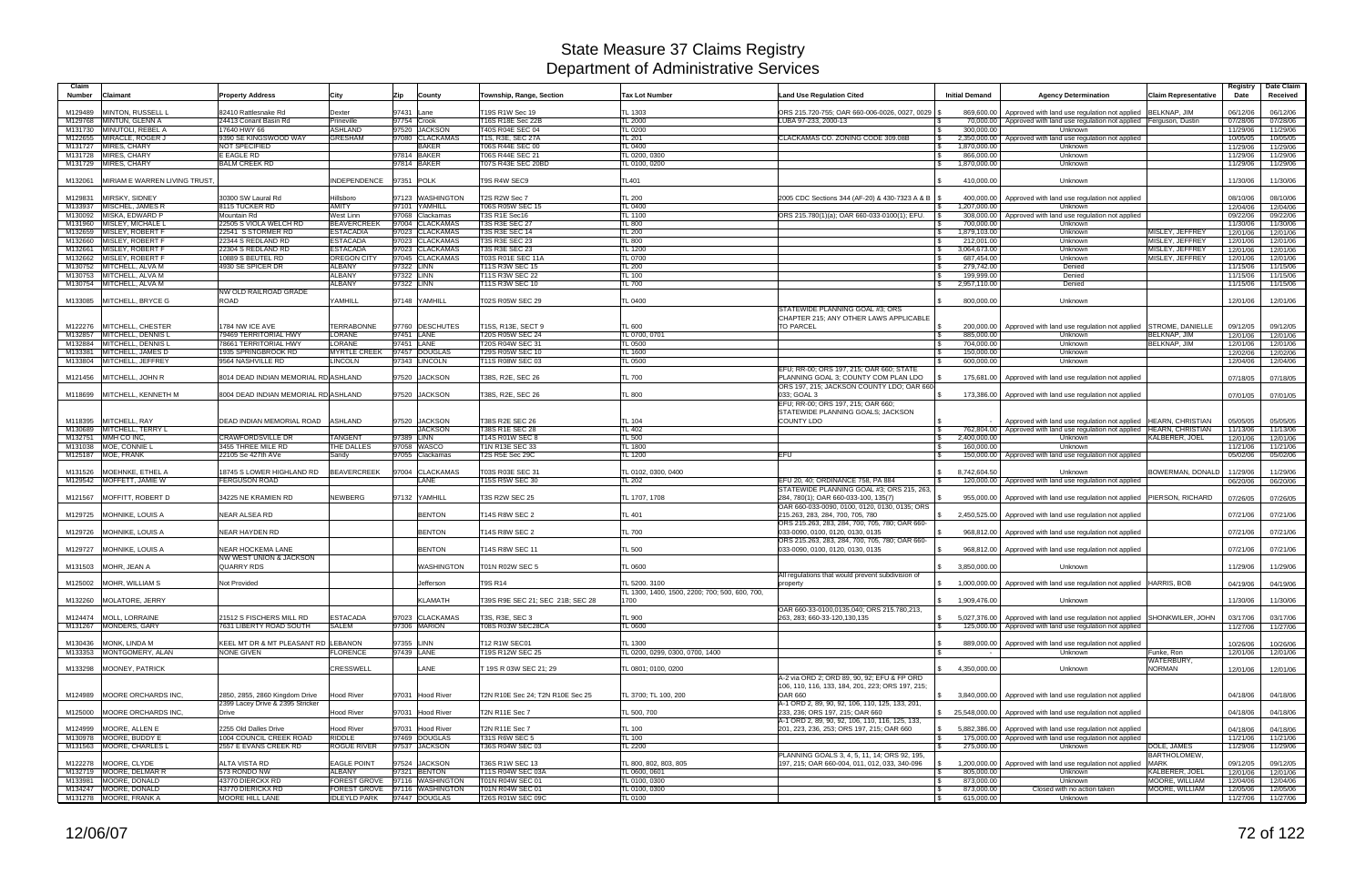| Claim<br>Number | Claimant                                              | <b>Property Address</b>                                            | City                               | Zip         | County                             | Township, Range, Section              | <b>Tax Lot Number</b>                                           | <b>Land Use Regulation Cited</b>                                                                                                    | <b>Initial Demand</b>      | <b>Agency Determination</b>                                                   | <b>Claim Representative</b>        | Registry<br>Date     | Date Claim<br>Received |
|-----------------|-------------------------------------------------------|--------------------------------------------------------------------|------------------------------------|-------------|------------------------------------|---------------------------------------|-----------------------------------------------------------------|-------------------------------------------------------------------------------------------------------------------------------------|----------------------------|-------------------------------------------------------------------------------|------------------------------------|----------------------|------------------------|
| M129489         | MINTON, RUSSELL L                                     | 82410 Rattlesnake Rd                                               | Dexter                             | 97431 Lane  |                                    | T19S R1W Sec 19                       | TL 1303                                                         | ORS 215,720-755; OAR 660-006-0026, 0027, 0029                                                                                       |                            | 869,600,00 Approved with land use regulation not applied                      | <b>BELKNAP, JIM</b>                | 06/12/06             | 06/12/06               |
|                 | M129768 MINTUN, GLENN A                               | 24413 Conant Basin Rd                                              | Prineville                         | 97754 Crook |                                    | T16S R18E Sec 22B                     | <b>TL 2000</b>                                                  | LUBA 97-233, 2000-13                                                                                                                |                            | 70,000,00 Approved with land use regulation not applied                       | Ferguson, Dustin                   | 07/28/06             | 07/28/06               |
|                 | M131730 MINUTOLI, REBEL A<br>M122655 MIRACLE, ROGER J | 17640 HWY 66<br>9390 SE KINGSWOOD WAY                              | <b>ASHLAND</b><br><b>GRESHAM</b>   |             | 97520 JACKSON<br>97080 CLACKAMAS   | T40S R04E SEC 04<br>T1S, R3E, SEC 27A | <b>TL 0200</b><br><b>TL 201</b>                                 | CLACKAMAS CO. ZONING CODE 309.08B<br>l \$                                                                                           | 300,000.00                 | Unknown<br>2,350,000.00 Approved with land use regulation not applied         |                                    | 11/29/06<br>10/05/05 | 11/29/06               |
|                 | M131727 MIRES, CHARY                                  | NOT SPECIFIED                                                      |                                    |             | <b>BAKER</b>                       | <b>T06S R44E SEC 00</b>               | <b>TL 0400</b>                                                  |                                                                                                                                     | 1,870,000.00               | Unknown                                                                       |                                    | 11/29/06             | 10/05/05<br>11/29/06   |
|                 | M131728 MIRES, CHARY                                  | E EAGLE RD                                                         |                                    |             | 97814 BAKER                        | T06S R44E SEC 21                      | TL 0200, 0300                                                   |                                                                                                                                     | 866,000.00                 | Unknown                                                                       |                                    | 11/29/06             | 11/29/06               |
|                 | M131729 MIRES, CHARY                                  | <b>BALM CREEK RD</b>                                               |                                    |             | 97814 BAKER                        | <b>T07S R43E SEC 20BD</b>             | TL 0100, 0200                                                   |                                                                                                                                     | 1,870,000.00               | Unknown                                                                       |                                    | 11/29/06             | 11/29/06               |
| M132061         | MIRIAM E WARREN LIVING TRUST                          |                                                                    | INDEPENDENCE 97351 POLK            |             |                                    | T9S R4W SEC9                          | <b>TL401</b>                                                    |                                                                                                                                     | 410,000.00                 | Unknown                                                                       |                                    | 11/30/06             | 11/30/06               |
| M129831         | MIRSKY, SIDNEY                                        | 30300 SW Laural Rd                                                 | Hillsboro                          |             | 97123 WASHINGTON                   | T2S R2W Sec 7                         | <b>TL 200</b>                                                   | 2005 CDC Sections 344 (AF-20) & 430-7323 A & B                                                                                      |                            | 400,000.00   Approved with land use regulation not applied                    |                                    | 08/10/06             | 08/10/06               |
|                 | M133937 MISCHEL, JAMES R                              | 8115 TUCKER RD                                                     | AMITY                              |             | 97101 YAMHILL                      | T06S R05W SEC 15                      | <b>TL 0400</b>                                                  |                                                                                                                                     | 1,207,000.00               | Unknown                                                                       |                                    | 12/04/06             | 12/04/06               |
|                 | M130092 MISKA, EDWARD P                               | Mountain Rd                                                        | West Linn                          |             | 97068 Clackamas                    | T3S R1E Sec16                         | <b>TL 1100</b>                                                  | ORS 215.780(1)(a); OAR 660-033-0100(1); EFU.                                                                                        | 308,000.00                 | Approved with land use regulation not applied                                 |                                    | 09/22/06             | 09/22/06               |
|                 | M131960 MISLEY, MICHALE L                             | 22505 S VIOLA WELCH RD                                             | <b>BEAVERCREEK</b>                 |             | 97004 CLACKAMAS                    | <b>T3S R3E SEC 27</b>                 | <b>TL 800</b>                                                   |                                                                                                                                     | 700,000.00                 | Unknown                                                                       |                                    | 11/30/06             | 11/30/06               |
|                 | M132659 MISLEY, ROBERT F                              | 22541 S STORMER RD                                                 | <b>ESTACADIA</b>                   |             | 97023 CLACKAMAS                    | T3S R3E SEC 14                        | <b>TL 200</b>                                                   |                                                                                                                                     | 1,879,103.00               | Unknown                                                                       | MISLEY, JEFFREY                    | 12/01/06             | 12/01/06               |
| M132661         | M132660 MISLEY, ROBERT F<br>MISLEY, ROBERT F          | 22344 S REDLAND RD<br>22304 S REDLAND RD                           | <b>ESTACADA</b><br><b>ESTACADA</b> |             | 97023 CLACKAMAS<br>97023 CLACKAMAS | T3S R3E SEC 23<br>T3S R3E SEC 23      | <b>TL 800</b><br><b>TL 1200</b>                                 |                                                                                                                                     | 212,001.00<br>3,064,673.00 | Unknown<br>Unknown                                                            | MISLEY, JEFFREY<br>MISLEY, JEFFREY | 12/01/06<br>12/01/06 | 12/01/06<br>12/01/06   |
|                 | M132662 MISLEY, ROBERT F                              | 10889 S BEUTEL RD                                                  | <b>OREGON CITY</b>                 |             | 97045 CLACKAMAS                    | T03S R01E SEC 11A                     | <b>TL 0700</b>                                                  |                                                                                                                                     | 687,454.00                 | Unknown                                                                       | MISLEY, JEFFREY                    | 12/01/06             | 12/01/06               |
|                 | M130752 MITCHELL, ALVA M                              | 4930 SE SPICER DR                                                  | <b>ALBANY</b>                      | 97322 LINN  |                                    | <b>T11S R3W SEC 15</b>                | <b>TL 200</b>                                                   |                                                                                                                                     | 279,742.00                 | Denied                                                                        |                                    | 11/15/06             | 11/15/06               |
|                 | M130753 MITCHELL, ALVA M                              |                                                                    | <b>ALBANY</b>                      | 97322 LINN  |                                    | T11S R3W SEC 22                       | <b>TL 100</b>                                                   |                                                                                                                                     | 199,999.00                 | Denied                                                                        |                                    | 11/15/06             | 11/15/06               |
|                 | M130754 MITCHELL, ALVA M                              |                                                                    | <b>ALBANY</b>                      | 97322 LINN  |                                    | T11S R3W SEC 10                       | <b>TL 700</b>                                                   |                                                                                                                                     | 2,957,110.00<br>l \$       | Denied                                                                        |                                    | 11/15/06             | 11/15/06               |
|                 |                                                       | NW OLD RAILROAD GRADE                                              |                                    |             |                                    |                                       |                                                                 |                                                                                                                                     |                            |                                                                               |                                    |                      |                        |
|                 | M133085 MITCHELL, BRYCE G                             | ROAD                                                               | YAMHILL                            |             | 97148 YAMHILL                      | T02S R05W SEC 29                      | <b>TL 0400</b>                                                  |                                                                                                                                     | 800,000.00                 | Unknown                                                                       |                                    | 12/01/06             | 12/01/06               |
| M122276         | MITCHELL, CHESTER                                     | 1784 NW ICE AVE                                                    | <b>TERRABONNE</b>                  |             | 97760 DESCHUTES                    | T15S, R13E, SECT 9                    | <b>TL 600</b>                                                   | STATEWIDE PLANNING GOAL #3: ORS<br>CHAPTER 215: ANY OTHER LAWS APPLICABLE<br><b>TO PARCEL</b>                                       |                            | 200,000.00   Approved with land use regulation not applied                    | STROME, DANIELLE                   | 09/12/05             | 09/12/05               |
|                 | M132857 MITCHELL, DENNIS L                            | 79469 TERRITORIAL HWY                                              | LORANE                             | 97451 LANE  |                                    | T20S R05W SEC 24                      | TL 0700, 0701                                                   |                                                                                                                                     | 885,000.00                 | Unknown                                                                       | <b>BELKNAP, JIM</b>                | 12/01/06             | 12/01/06               |
| M132884         | MITCHELL, DENNIS L                                    | 78661 TERRITORIAL HWY                                              | <b>LORANE</b>                      | 97451 LANE  |                                    | T20S R04W SEC 31                      | <b>TL 0500</b>                                                  |                                                                                                                                     | 704,000.00                 | Unknown                                                                       | BELKNAP, JIM                       | 12/01/06             | 12/01/06               |
|                 | M133381 MITCHELL, JAMES D                             | 1935 SPRINGBROOK RD                                                | <b>MYRTLE CREEK</b>                |             | 97457 DOUGLAS                      | T29S R05W SEC 10                      | <b>TL 1600</b>                                                  |                                                                                                                                     | 150,000.00                 | Unknown                                                                       |                                    | 12/02/06             | 12/02/06               |
|                 | M133804 MITCHELL, JEFFREY                             | 9564 NASHVILLE RD                                                  | <b>LINCOLN</b>                     |             | 97343 LINCOLN                      | T11S R08W SEC 03                      | <b>TL 0500</b>                                                  |                                                                                                                                     | 600,000.00                 | Unknown                                                                       |                                    | 12/04/06             | 12/04/06               |
|                 | M121456 MITCHELL, JOHN R                              | 8014 DEAD INDIAN MEMORIAL RD ASHLAND                               |                                    |             | 97520 JACKSON                      | T38S, R2E, SEC 26                     | <b>TL 700</b>                                                   | EFU; RR-00; ORS 197, 215; OAR 660; STATE<br>PLANNING GOAL 3; COUNTY COM PLAN LDO                                                    |                            | 175,681.00   Approved with land use regulation not applied                    |                                    | 07/18/05             | 07/18/05               |
|                 | M118699 MITCHELL, KENNETH M                           | 8004 DEAD INDIAN MEMORIAL RD ASHLAND                               |                                    |             | 97520 JACKSON                      | T38S, R2E, SEC 26                     | <b>TL 800</b>                                                   | ORS 197, 215; JACKSON COUNTY LDO; OAR 660<br>033; GOAL 3<br>EFU: RR-00; ORS 197, 215; OAR 660;                                      |                            | 173,386.00   Approved with land use regulation not applied                    |                                    | 07/01/05             | 07/01/05               |
| M118395         | MITCHELL, RAY                                         | DEAD INDIAN MEMORIAL ROAD ASHLAND                                  |                                    |             | 97520 JACKSON                      | T38S R2E SEC 26                       | <b>TL 104</b>                                                   | STATEWIDE PLANNING GOALS; JACKSON<br><b>COUNTY LDO</b>                                                                              |                            | Approved with land use regulation not applied                                 | <b>HEARN, CHRISTIAN</b>            | 05/05/05             | 05/05/05               |
|                 | M130689 MITCHELL, TERRY L                             |                                                                    |                                    |             | <b>JACKSON</b>                     | T38S R1E SEC 28                       | <b>TL 402</b>                                                   |                                                                                                                                     |                            | 762,804.00 Approved with land use regulation not applied                      | <b>HEARN, CHRISTIAN</b>            | 11/13/06             | 11/13/06               |
|                 | M132751 MMH CO INC,                                   | <b>CRAWFORDSVILLE DR</b>                                           | <b>TANGENT</b>                     | 97389 LINN  |                                    | T14S R01W SEC 8                       | <b>TL 500</b>                                                   | l \$                                                                                                                                | 2,400,000.00               | Unknown                                                                       | KALBERER, JOEL                     | 12/01/06             | 12/01/06               |
|                 | M131038 MOE, CONNIE L<br>M125187 MOE, FRANK           | 3455 THREE MILE RD                                                 | THE DALLES                         |             | 97058 WASCO                        | T1N R13E SEC 33                       | <b>TL 1800</b>                                                  | EFU                                                                                                                                 | 160,000.00                 | Unknown                                                                       |                                    | 11/21/06             | 11/21/06               |
|                 |                                                       | 22105 Se 427th AVe                                                 | Sandy                              |             | 97055 Clackamas                    | T2S R5E Sec 29C                       | <b>TL 1200</b>                                                  |                                                                                                                                     |                            | 150,000.00   Approved with land use regulation not applied                    |                                    | 05/02/06             | 05/02/06               |
|                 | M131526 MOEHNKE, ETHEL A                              | 18745 S LOWER HIGHLAND RD                                          | <b>BEAVERCREEK</b>                 |             | 97004 CLACKAMAS                    | T03S R03E SEC 31                      | TL 0102, 0300, 0400                                             |                                                                                                                                     | 8,742,604.50               | Unknown                                                                       | BOWERMAN, DONALD 11/29/06          |                      | 11/29/06               |
|                 | M129542 MOFFETT, JAMIE W                              | FERGUSON ROAD                                                      |                                    |             | <b>LANE</b>                        | T15S R5W SEC 30                       | <b>TL 202</b>                                                   | EFU 20, 40; ORDINANCE 758, PA 884                                                                                                   |                            | 120,000.00   Approved with land use regulation not applied                    |                                    | 06/20/06             | 06/20/06               |
| M121567         | MOFFITT, ROBERT D                                     | 34225 NE KRAMIEN RD                                                | <b>NEWBERG</b>                     |             | 97132 YAMHILL                      | <b>T3S R2W SEC 25</b>                 | TL 1707, 1708                                                   | STATEWIDE PLANNING GOAL #3; ORS 215, 263,<br>284, 780(1); OAR 660-033-100, 135(7)                                                   |                            | 955,000.00   Approved with land use regulation not applied                    | <b>PIERSON, RICHARD</b>            | 07/26/05             | 07/26/05               |
|                 | M129725 MOHNIKE, LOUIS A                              | <b>NEAR ALSEA RD</b>                                               |                                    |             | <b>BENTON</b>                      | <b>T14S R8W SEC 2</b>                 | <b>TL 401</b>                                                   | OAR 660-033-0090, 0100, 0120, 0130, 0135; ORS<br>215.263, 283, 284, 700, 705, 780<br>ORS 215.263, 283, 284, 700, 705, 780; OAR 660- | \$                         | 2,450,525.00 Approved with land use regulation not applied                    |                                    | 07/21/06             | 07/21/06               |
|                 | M129726 MOHNIKE, LOUIS A                              | NEAR HAYDEN RD                                                     |                                    |             | <b>BENTON</b>                      | T14S R8W SEC 2                        | <b>TL 700</b>                                                   | 033-0090, 0100, 0120, 0130, 0135<br>ORS 215.263, 283, 284, 700, 705, 780; OAR 660-                                                  |                            | 968,812.00 Approved with land use regulation not applied                      |                                    | 07/21/06             | 07/21/06               |
|                 | M129727 MOHNIKE, LOUIS A                              | <b>NEAR HOCKEMA LANE</b><br><b>NW WEST UNION &amp; JACKSON</b>     |                                    |             | <b>BENTON</b>                      | T14S R8W SEC 11                       | <b>TL 500</b>                                                   | 033-0090, 0100, 0120, 0130, 0135                                                                                                    |                            | 968,812.00   Approved with land use regulation not applied                    |                                    | 07/21/06             | 07/21/06               |
|                 | M131503 MOHR, JEAN A                                  | <b>QUARRY RDS</b>                                                  |                                    |             | WASHINGTON                         | <b>T01N R02W SEC 5</b>                | <b>TL 0600</b>                                                  | All regulations that would prevent subdivision of                                                                                   | 3.850.000.00               | Unknown                                                                       |                                    | 11/29/06             | 11/29/06               |
|                 | M125002 MOHR, WILLIAM S                               | Not Provided                                                       |                                    |             | Jefferson                          | <b>T9S R14</b>                        | TL 5200. 3100<br>TL 1300, 1400, 1500, 2200; 700; 500, 600, 700, | property                                                                                                                            |                            | 1,000,000.00   Approved with land use regulation not applied   HARRIS, BOB    |                                    | 04/19/06             | 04/19/06               |
|                 | M132260 MOLATORE, JERRY                               |                                                                    |                                    |             | <b>KLAMATH</b>                     | T39S R9E SEC 21; SEC 21B; SEC 28      | 1700                                                            | OAR 660-33-0100,0135,040; ORS 215.780,213,                                                                                          | 1,909,476.00               | Unknown                                                                       |                                    | 11/30/06             | 11/30/06               |
|                 | M124474 MOLL, LORRAINE                                | 21512 S FISCHERS MILL RD                                           | <b>ESTACADA</b>                    |             | 97023 CLACKAMAS                    | T3S, R3E, SEC 3                       | <b>TL 900</b>                                                   | 263, 283; 660-33-120, 130, 135                                                                                                      | $\mathbb{S}$               | 5,027,376.00   Approved with land use regulation not applied SHONKWILER, JOHN |                                    | 03/17/06             | 03/17/06               |
|                 | M131267 MONDERS, GARY                                 | 7631 LIBERTY ROAD SOUTH                                            | <b>SALEM</b>                       |             | 97306 MARION                       | T08S R03W SEC28CA                     | <b>TL 0600</b>                                                  |                                                                                                                                     |                            | 125,000.00 Approved with land use regulation not applied                      |                                    | 11/27/06             | 11/27/06               |
|                 |                                                       |                                                                    |                                    |             |                                    |                                       |                                                                 |                                                                                                                                     |                            |                                                                               |                                    |                      |                        |
|                 | M130436 MONK, LINDA M                                 | KEEL MT DR & MT PLEASANT RD LEBANON                                |                                    | 97355 LINN  |                                    | T12 R1W SEC01                         | <b>TL 1300</b>                                                  |                                                                                                                                     | 889,000.00                 | Approved with land use regulation not applied                                 |                                    | 10/26/06             | 10/26/06               |
|                 | M133353 MONTGOMERY, ALAN                              | <b>NONE GIVEN</b>                                                  | <b>FLORENCE</b>                    | 97439 LANE  |                                    | T19S R12W SEC 25                      | TL 0200, 0299, 0300, 0700, 1400                                 |                                                                                                                                     |                            | Unknown                                                                       | Funke, Ron                         | 12/01/06             | 12/01/06               |
|                 | M133298 MOONEY, PATRICK                               |                                                                    | <b>CRESSWELL</b>                   |             | LANE                               | T 19S R 03W SEC 21; 29                | TL 0801; 0100, 0200                                             |                                                                                                                                     | \$4,350,000.00             | Unknown                                                                       | WATERBURY,<br><b>NORMAN</b>        | 12/01/06             | 12/01/06               |
|                 |                                                       |                                                                    |                                    |             |                                    |                                       |                                                                 | A-2 via ORD 2; ORD 89, 90, 92; EFU & FP ORD<br>106, 110, 116, 133, 184, 201, 223; ORS 197, 215;                                     |                            |                                                                               |                                    |                      |                        |
|                 | M124989 MOORE ORCHARDS INC,                           | 2850, 2855, 2860 Kingdom Drive<br>2399 Lacey Drive & 2395 Stricker | <b>Hood River</b>                  |             | 97031 Hood River                   | T2N R10E Sec 24; T2N R10E Sec 25      | TL 3700; TL 100, 200                                            | <b>OAR 660</b><br>A-1 ORD 2, 89, 90, 92, 106, 110, 125, 133, 201,                                                                   |                            | 3,840,000.00 Approved with land use regulation not applied                    |                                    | 04/18/06             | 04/18/06               |
|                 | M125000 MOORE ORCHARDS INC.                           | Drive                                                              | <b>Hood River</b>                  |             | 97031 Hood River                   | T2N R11E Sec 7                        | TL 500, 700                                                     | 233, 236; ORS 197, 215; OAR 660<br>A-1 ORD 2, 89, 90, 92, 106, 110, 116, 125, 133,                                                  |                            | \$ 25,548,000.00 Approved with land use regulation not applied                |                                    | 04/18/06             | 04/18/06               |
|                 | M124999 MOORE, ALLEN E                                | 2255 Old Dalles Drive                                              | <b>Hood River</b>                  |             | 97031 Hood River                   | T2N R11E Sec 7                        | <b>TL 100</b>                                                   | 201, 223, 236, 253; ORS 197, 215; OAR 660                                                                                           |                            | 5,882,386.00 Approved with land use regulation not applied                    |                                    | 04/18/06             | 04/18/06               |
|                 | M130978 MOORE, BUDDY E                                | 1004 COUNCIL CREEK ROAD                                            | <b>RIDDLE</b>                      |             | 97469 DOUGLAS                      | <b>T31S R6W SEC 5</b>                 | <b>TL 100</b>                                                   |                                                                                                                                     |                            | 175,000.00   Approved with land use regulation not applied                    |                                    | 11/21/06             | 11/21/06               |
|                 | M131563 MOORE, CHARLES L                              | 2557 E EVANS CREEK RD                                              | <b>ROGUE RIVER</b>                 |             | 97537 JACKSON                      | T36S R04W SEC 03                      | <b>TL 2200</b>                                                  | PLANNING GOALS 3, 4, 5, 11, 14; ORS 92, 195,                                                                                        | 275,000.00                 | Unknown                                                                       | DOLE, JAMES<br>BARTHOLOMEW,        | 11/29/06             | 11/29/06               |
|                 | M122278 MOORE, CLYDE                                  | ALTA VISTA RD                                                      | <b>EAGLE POINT</b>                 |             | 97524 JACKSON                      | T36S R1W SEC 13                       | TL 800, 802, 803, 805                                           | 197, 215; OAR 660-004, 011, 012, 033, 340-096                                                                                       | 1,200,000.00               | Approved with land use regulation not applied                                 | <b>MARK</b>                        | 09/12/05             | 09/12/05               |
|                 | M132719 MOORE, DELMAR R                               | 573 RONDO NW                                                       | <b>ALBANY</b>                      |             | 97321 BENTON                       | T11S R04W SEC 03A                     | TL 0600, 0601                                                   | l \$                                                                                                                                | 805,000.00                 | Unknown                                                                       | KALBERER, JOEL                     | 12/01/06             | 12/01/06               |
|                 | M133981 MOORE, DONALD                                 | 43770 DIERCKX RD                                                   | FOREST GROVE 97116 WASHINGTON      |             |                                    | T01N R04W SEC 01                      | TL 0100, 0300                                                   |                                                                                                                                     | 873,000.00                 | Unknown                                                                       | MOORE, WILLIAM                     | 12/04/06             | 12/04/06               |
|                 | M134247 MOORE, DONALD                                 | 43770 DIERICKX RD                                                  | FOREST GROVE 97116 WASHINGTON      |             |                                    | T01N R04W SEC 01                      | TL 0100, 0300                                                   |                                                                                                                                     | 873,000.00                 | Closed with no action taken                                                   | MOORE, WILLIAM                     | 12/05/06             | 12/05/06               |
|                 | M131278 MOORE, FRANK A                                | MOORE HILL LANE                                                    | IDLEYLD PARK 97447 DOUGLAS         |             |                                    | T26S R01W SEC 09C                     | <b>TL 0100</b>                                                  |                                                                                                                                     | 615,000.00                 | Unknown                                                                       |                                    | 11/27/06             | 11/27/06               |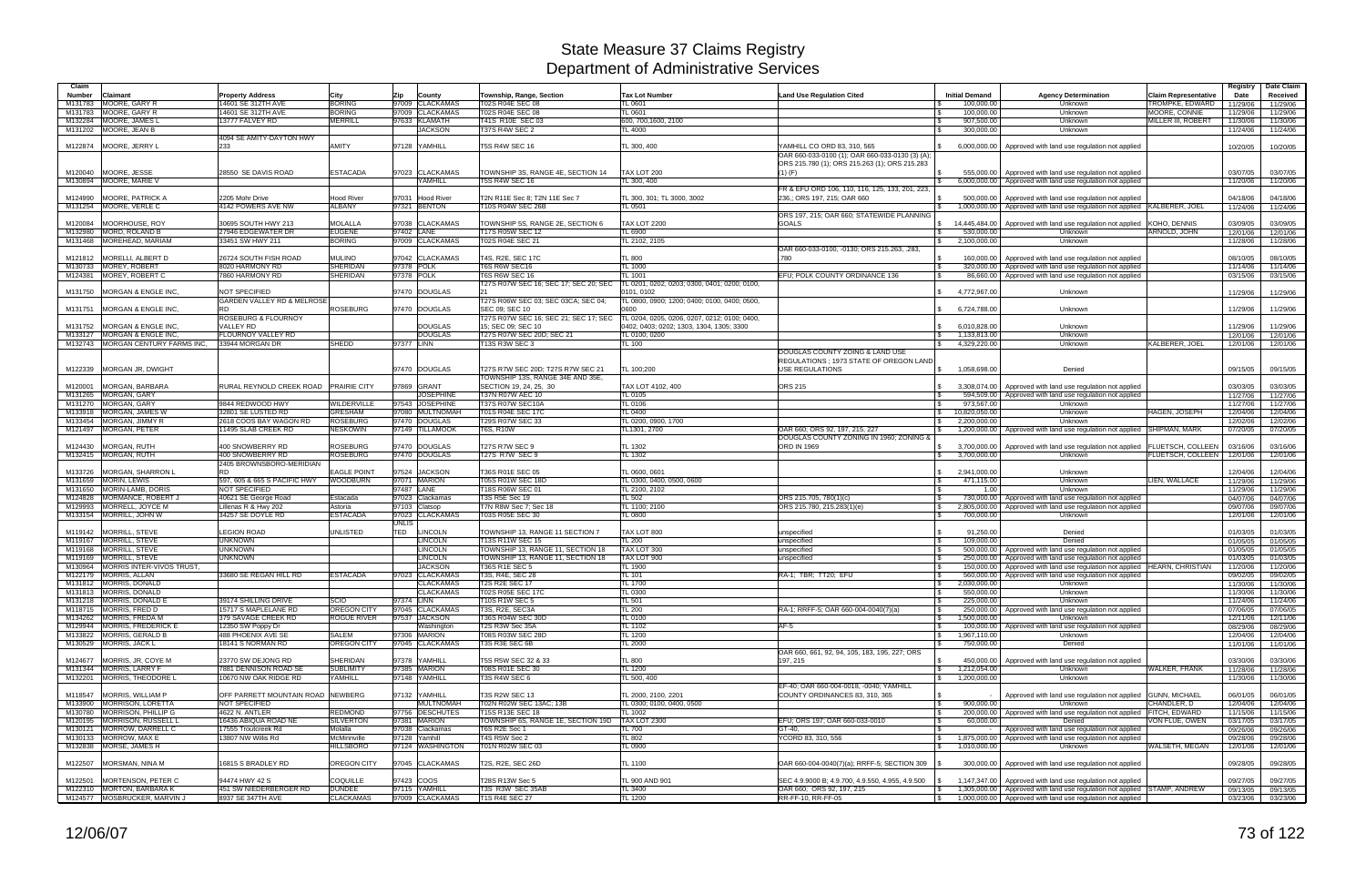| Claim                    |                                                        |                                               |                                             |                                         |                                                                 |                                                      |                                                                            |                                                        |                                                                                                             |                                                       | Registry             | Date Claim           |
|--------------------------|--------------------------------------------------------|-----------------------------------------------|---------------------------------------------|-----------------------------------------|-----------------------------------------------------------------|------------------------------------------------------|----------------------------------------------------------------------------|--------------------------------------------------------|-------------------------------------------------------------------------------------------------------------|-------------------------------------------------------|----------------------|----------------------|
| <b>Number</b><br>M131783 | Claimant<br>MOORE, GARY R                              | <b>Property Address</b><br>14601 SE 312TH AVE | City<br><b>BORING</b>                       | <b>Zip</b><br>County<br>97009 CLACKAMAS | Township, Range, Section<br><b>T02S R04E SEC 08</b>             | <b>Tax Lot Number</b><br>TL 0601                     | <b>Land Use Regulation Cited</b>                                           | <b>Initial Demand</b><br>100,000.00                    | <b>Agency Determination</b><br>Unknown                                                                      | <b>Claim Representative</b><br><b>TROMPKE, EDWARD</b> | Date                 | Received             |
| M131783                  | MOORE, GARY R                                          | 14601 SE 312TH AVE                            | <b>BORING</b>                               | 97009 CLACKAMAS                         | T02S R04E SEC 08                                                | TL 0601                                              |                                                                            | 100,000.00                                             | Unknown                                                                                                     | MOORE, CONNIE                                         | 11/29/06<br>11/29/06 | 11/29/06<br>11/29/06 |
|                          | M132284 MOORE, JAMES I                                 | 13777 FALVEY RD                               | <b>MERRILL</b>                              | 97633 KLAMATH                           | T41S R10E SEC 03                                                | 600, 700, 1600, 2100                                 |                                                                            | 907,500.00                                             | Unknown                                                                                                     | MILLER III, ROBERT                                    | 11/30/06             | 11/30/06             |
|                          | M131202 MOORE, JEAN B                                  |                                               |                                             | <b>JACKSON</b>                          | T37S R4W SEC 2                                                  | <b>TL 4000</b>                                       |                                                                            | 300,000.00                                             | Unknown                                                                                                     |                                                       | 11/24/06             | 11/24/06             |
|                          | M122874 MOORE, JERRY L                                 | 4094 SE AMITY-DAYTON HWY<br>233               | AMITY                                       | 97128 YAMHILL                           | T5S R4W SEC 16                                                  | TL 300, 400                                          | YAMHILL CO ORD 83, 310, 565                                                | 6,000,000.00                                           | Approved with land use regulation not applied                                                               |                                                       | 10/20/05             | 10/20/05             |
|                          |                                                        |                                               |                                             |                                         |                                                                 |                                                      | OAR 660-033-0100 (1); OAR 660-033-0130 (3) (A);                            |                                                        |                                                                                                             |                                                       |                      |                      |
|                          |                                                        |                                               |                                             |                                         |                                                                 |                                                      | ORS 215.780 (1); ORS 215.263 (1); ORS 215.283                              |                                                        |                                                                                                             |                                                       |                      |                      |
|                          | M120040 MOORE, JESSE                                   | 28550 SE DAVIS ROAD                           | <b>ESTACADA</b>                             | 97023 CLACKAMAS                         | TOWNSHIP 3S. RANGE 4E. SECTION 14                               | TAX LOT 200                                          | $(1)$ (F)                                                                  | 555.000.00<br>IS.                                      | Approved with land use regulation not applied                                                               |                                                       | 03/07/05             | 03/07/05             |
|                          | M130894 MOORE, MARIE V                                 |                                               |                                             | YAMHILL                                 | <b>T5S R4W SEC 16</b>                                           | TL 300, 400                                          | FR & EFU ORD 106, 110, 116, 125, 133, 201, 223.                            |                                                        | 6,000,000.00 Approved with land use regulation not applied                                                  |                                                       | 11/20/06             | 11/20/06             |
| M124990                  | <b>MOORE, PATRICK</b>                                  | 2205 Mohr Drive                               | <b>Hood River</b>                           | 97031 Hood River                        | T2N R11E Sec 8: T2N 11E Sec 7                                   | TL 300, 301: TL 3000, 3002                           | 236,; ORS 197, 215; OAR 660                                                | 500,000.00                                             | Approved with land use regulation not applied                                                               |                                                       | 04/18/06             | 04/18/06             |
|                          | M131254 MOORE, VERLE C                                 | 4142 POWERS AVE NW                            | ALBANY                                      | 97321 BENTON                            | T10S R04W SEC 26B                                               | TL 0501                                              |                                                                            | $\mathbb{R}$<br>1,000,000.00                           | Approved with land use regulation not applied   KALBERER, JOEI                                              |                                                       | 11/24/06             | 11/24/06             |
|                          |                                                        |                                               |                                             |                                         |                                                                 |                                                      | ORS 197, 215; OAR 660; STATEWIDE PLANNING                                  |                                                        |                                                                                                             |                                                       |                      |                      |
| M120084                  | MOORHOUSE, ROY<br>M132980 MORD, ROLAND B               | 30695 SOUTH HWY 213<br>27946 EDGEWATER DR     | <b>MOLALLA</b><br><b>EUGENE</b>             | 97038 CLACKAMAS<br>97402 LANE           | TOWNSHIP 5S, RANGE 2E, SECTION 6<br>T17S R05W SEC 12            | <b>TAX LOT 2200</b><br>TL 6900                       | <b>GOALS</b>                                                               | 14,445,484.00<br>IS.<br>530,000.00                     | Approved with land use regulation not applied<br>Unknown                                                    | KOHO, DENNIS<br><b>ARNOLD, JOHN</b>                   | 03/09/05<br>12/01/06 | 03/09/05<br>12/01/06 |
|                          | M131468 MOREHEAD, MARIAM                               | 33451 SW HWY 211                              | <b>BORING</b>                               | 97009 CLACKAMAS                         | T02S R04E SEC 21                                                | TL 2102, 2105                                        |                                                                            | $\mathbb{S}$<br>2,100,000.00                           | Unknown                                                                                                     |                                                       | 11/28/06             | 11/28/06             |
|                          |                                                        |                                               |                                             |                                         |                                                                 |                                                      | OAR 660-033-0100, -0130; ORS 215.263, .283,                                |                                                        |                                                                                                             |                                                       |                      |                      |
|                          | M121812 MORELLI, ALBERT D                              | 26724 SOUTH FISH ROAD                         | <b>MULINO</b>                               | 97042 CLACKAMAS                         | T4S, R2E, SEC 17C                                               | <b>TL 800</b>                                        | .780                                                                       | 160,000.00                                             | Approved with land use regulation not applied                                                               |                                                       | 08/10/05             | 08/10/05             |
|                          | M130733 MOREY, ROBERT<br>M124381 MOREY, ROBERT C       | 8020 HARMONY RD<br>7860 HARMONY RD            | <b>SHERIDAN</b><br>SHERIDAN                 | 97378 POLK<br>97378 POLK                | T6S R6W SEC16<br><b>T6S R6W SEC 16</b>                          | <b>TL 1000</b><br><b>TL 1001</b>                     | EFU; POLK COUNTY ORDINANCE 136                                             | 320,000.00<br><b>S</b><br>86,660.00<br><b>S</b>        | Approved with land use regulation not applied<br>Approved with land use regulation not applied              |                                                       | 11/14/06<br>03/15/06 | 11/14/06<br>03/15/06 |
|                          |                                                        |                                               |                                             |                                         | T27S R07W SEC 16; SEC 17; SEC 20; SEC                           | TL 0201, 0202, 0203; 0300, 0401; 0200; 0100,         |                                                                            |                                                        |                                                                                                             |                                                       |                      |                      |
| M131750                  | <b>MORGAN &amp; ENGLE INC</b>                          | <b>NOT SPECIFIED</b>                          |                                             | 97470 DOUGLAS                           |                                                                 | 0101, 0102                                           |                                                                            | 4,772,967.00                                           | Unknown                                                                                                     |                                                       | 11/29/06             | 11/29/06             |
|                          |                                                        | <b>GARDEN VALLEY RD &amp; MELROSE</b>         |                                             |                                         | T27S R06W SEC 03; SEC 03CA; SEC 04;                             | TL 0800, 0900; 1200; 0400; 0100, 0400; 0500,         |                                                                            |                                                        |                                                                                                             |                                                       |                      |                      |
| M131751                  | MORGAN & ENGLE INC.                                    | RD.<br><b>ROSEBURG &amp; FLOURNOY</b>         | <b>ROSEBURG</b>                             | 97470 DOUGLAS                           | <b>ISEC 09; SEC 10</b><br>T27S R07W SEC 16; SEC 21; SEC 17; SEC | 0600<br>TL 0204, 0205, 0206, 0207, 0212; 0100; 0400, |                                                                            | 6,724,788.00                                           | Unknown                                                                                                     |                                                       | 11/29/06             | 11/29/06             |
| M131752                  | <b>MORGAN &amp; ENGLE INC</b>                          | <b>VALLEY RD</b>                              |                                             | <b>DOUGLAS</b>                          | 15; SEC 09; SEC 10                                              | 0402, 0403; 0202; 1303, 1304, 1305; 3300             |                                                                            | 6,010,828.00<br><b>S</b>                               | Unknown                                                                                                     |                                                       | 11/29/06             | 11/29/06             |
|                          | M133127 MORGAN & ENGLE INC                             | <b>FLOURNOY VALLEY RD</b>                     |                                             | <b>DOUGLAS</b>                          | T27S R07W SEC 20D; SEC 21                                       | TL 0100; 0200                                        |                                                                            | 1,133,813.00<br>$\mathbb{S}$                           | Unknown                                                                                                     |                                                       | 12/01/06             | 12/01/06             |
|                          | M132743 MORGAN CENTURY FARMS INC.                      | 33944 MORGAN DR                               | <b>SHEDD</b>                                | 97377 LINN                              | T13S R3W SEC 3                                                  | <b>TL 100</b>                                        |                                                                            | 4,329,220.00<br>$\mathcal{S}$                          | Unknown                                                                                                     | KALBERER, JOEL                                        | 12/01/06             | 12/01/06             |
|                          |                                                        |                                               |                                             |                                         |                                                                 |                                                      | DOUGLAS COUNTY ZOING & LAND USE<br>REGULATIONS : 1973 STATE OF OREGON LAND |                                                        |                                                                                                             |                                                       |                      |                      |
|                          | M122339 MORGAN JR, DWIGHT                              |                                               |                                             | 97470 DOUGLAS                           | T27S R7W SEC 20D; T27S R7W SEC 21                               | TL 100;200                                           | <b>USE REGULATIONS</b>                                                     | 1,058,698.00                                           | Denied                                                                                                      |                                                       | 09/15/05             | 09/15/05             |
|                          |                                                        |                                               |                                             |                                         | TOWNSHIP 13S, RANGE 34E AND 35E,                                |                                                      |                                                                            |                                                        |                                                                                                             |                                                       |                      |                      |
| M120001                  | <b>MORGAN, BARBARA</b>                                 | RURAL REYNOLD CREEK ROAD   PRAIRIE CITY       |                                             | 97869<br><b>GRANT</b>                   | SECTION 19, 24, 25, 30                                          | TAX LOT 4102, 400                                    | <b>ORS 215</b>                                                             | 3.308.074.00                                           | Approved with land use regulation not applied                                                               |                                                       | 03/03/05             | 03/03/05             |
|                          | M131265 MORGAN, GARY                                   |                                               |                                             | <b>JOSEPHINE</b>                        | T37N R07W AEC 10                                                | TL 0105                                              |                                                                            | 594,509.00                                             | Approved with land use regulation not applied                                                               |                                                       | 11/27/06             | 11/27/06             |
|                          | M131270 MORGAN, GARY<br>M133918 MORGAN, JAMES W        | 9844 REDWOOD HWY<br>32801 SE LUSTED RD        | <b><i>NILDERVILLE</i></b><br><b>GRESHAM</b> | 97543 JOSEPHINE<br>97080 MULTNOMAH      | T37S R07W SEC10A<br><b>T01S R04E SEC 17C</b>                    | TL 0106<br>TL 0400                                   |                                                                            | 973,567.00<br>10,820,050.00<br><b>S</b>                | Unknown<br>Unknown                                                                                          | <b>HAGEN, JOSEPH</b>                                  | 11/27/06<br>12/04/06 | 11/27/06<br>12/04/06 |
|                          | M133454 MORGAN, JIMMY R                                | 2618 COOS BAY WAGON RD                        | ROSEBURG                                    | 97470 DOUGLAS                           | T29S R07W SEC 33                                                | TL 0200, 0900, 1700                                  |                                                                            | 2,200,000.00<br>$\mathbb{S}$                           | Unknown                                                                                                     |                                                       | 12/02/06             | 12/02/06             |
|                          | M121497 MORGAN, PETER                                  | 11495 SLAB CREEK RD                           | <b>NESKOWIN</b>                             | 97149 TILLAMOOK                         | <b>T6S, R10W</b>                                                | TL1301, 2700                                         | OAR 660; ORS 92, 197, 215, 227                                             | 1,200,000.00                                           | Approved with land use regulation not applied SHIPMAN, MARK                                                 |                                                       | 07/20/05             | 07/20/05             |
|                          |                                                        |                                               |                                             |                                         |                                                                 |                                                      | DOUGLAS COUNTY ZONING IN 1960; ZONING &                                    |                                                        |                                                                                                             |                                                       |                      |                      |
|                          | M124430 MORGAN, RUTH<br>M132415 MORGAN, RUTH           | 400 SNOWBERRY RD<br>400 SNOWBERRY RD          | ROSEBURG<br><b>ROSEBURG</b>                 | 97470 DOUGLAS<br>97470 DOUGLAS          | T27S R7W SEC 9<br><b>T27S R7W SEC 9</b>                         | TL 1302<br>TL 1302                                   | <b>ORD IN 1969</b>                                                         | 3,700,000.00<br><b>S</b><br>3,700,000.00<br>$\sqrt{S}$ | Approved with land use regulation not applied<br>Unknown                                                    | <b>FLUETSCH, COLLEEN</b><br>FLUETSCH, COLLEEN         | 03/16/06<br>12/01/06 | 03/16/06<br>12/01/06 |
|                          |                                                        | 2405 BROWNSBORO-MERIDIAN                      |                                             |                                         |                                                                 |                                                      |                                                                            |                                                        |                                                                                                             |                                                       |                      |                      |
| M133726                  | <b>MORGAN, SHARRON L</b>                               | <b>RD</b>                                     | <b>EAGLE POINT</b>                          | 97524 JACKSON                           | T36S R01E SEC 05                                                | TL 0600, 0601                                        |                                                                            | 2,941,000.00                                           | Unknown                                                                                                     |                                                       | 12/04/06             | 12/04/06             |
|                          | M131659 MORIN, LEWIS                                   | 597, 605 & 665 S PACIFIC HWY                  | <b>WOODBURN</b>                             | 97071 MARION                            | <b>T05S R01W SEC 18D</b>                                        | TL 0300, 0400, 0500, 0600                            |                                                                            | 471,115.00                                             | Unknown                                                                                                     | LIEN. WALLACE                                         | 11/29/06             | 11/29/06             |
|                          | M131650 MORIN-LAMB, DORIS                              | <b>NOT SPECIFIED</b>                          |                                             | 97487 LANE                              | T18S R06W SEC 01                                                | TL 2100, 2102                                        |                                                                            | 1.00                                                   | Unknown                                                                                                     |                                                       | 11/29/06             | 11/29/06             |
|                          | M124828 MORMANCE, ROBERT J<br>M129993 MORRELL, JOYCE M | 40621 SE George Road<br>Lillenas R & Hwy 202  | Estacada<br>Astoria                         | 97023 Clackamas<br>97103 Clatsop        | T3S R5E Sec 19<br>T7N R8W Sec 7; Sec 18                         | <b>TL 502</b><br>TL 1100; 2100                       | ORS 215.705, 780(1)(c)<br>ORS 215.780, 215.283(1)(e)                       | 2,805,000.00<br>l \$                                   | 730,000.00 Approved with land use regulation not applied<br>Approved with land use regulation not applied   |                                                       | 04/07/06<br>09/07/06 | 04/07/06<br>09/07/06 |
|                          | M133154 MORRILL, JOHN W                                | 34257 SE DOYLE RD                             | <b>ESTACADA</b>                             | 97023 CLACKAMAS                         | <b>T03S R05E SEC 30</b>                                         | <b>TL 0800</b>                                       |                                                                            | $\mathbf{s}$<br>700,000.00                             | Unknown                                                                                                     |                                                       | 12/01/06             | 12/01/06             |
|                          |                                                        |                                               |                                             | <b>UNLIS</b>                            |                                                                 |                                                      |                                                                            |                                                        |                                                                                                             |                                                       |                      |                      |
| M119142                  | <b>MORRILL, STEVE</b>                                  | <b>LEGION ROAD</b>                            | UNLISTED                                    | <b>TED</b><br><b>LINCOLN</b>            | TOWNSHIP 13, RANGE 11 SECTION 7                                 | TAX LOT 800                                          | unspecified                                                                | 91,250.00                                              | Denied                                                                                                      |                                                       | 01/03/05             | 01/03/05             |
|                          | M119167 MORRILL, STEVE<br>M119168 MORRILL, STEVE       | <b>UNKNOWN</b><br>UNKNOWN                     |                                             | <b>LINCOLN</b><br>LINCOLN               | T13S R11W SEC 15<br>TOWNSHIP 13, RANGE 11, SECTION 18           | TL 200<br>TAX LOT 300                                | unspecified<br>unspecified                                                 | 109.000.00<br><b>S</b><br>500,000.00                   | Denied<br>Approved with land use regulation not applied                                                     |                                                       | 01/05/05<br>01/05/05 | 01/05/05<br>01/05/05 |
|                          | M119169 MORRILL, STEVE                                 | <b>UNKNOWN</b>                                |                                             | <b>LINCOLN</b>                          | TOWNSHIP 13, RANGE 11, SECTION 18                               | TAX LOT 900                                          | unspecified                                                                | 250,000.00                                             | Approved with land use regulation not applied                                                               |                                                       | 01/03/05             | 01/03/05             |
|                          | M130964 MORRIS INTER-VIVOS TRUST                       |                                               |                                             | <b>JACKSON</b>                          | T36S R1E SEC 5                                                  | <b>TL 1900</b>                                       |                                                                            | 150,000.00                                             | Approved with land use regulation not applied   HEARN, CHRISTIAN                                            |                                                       | 11/20/06             | 11/20/06             |
|                          | M122179 MORRIS, ALLAN                                  | 33680 SE REGAN HILL RD                        | <b>ESTACADA</b>                             | <b>CLACKAMAS</b><br>97023               | T3S, R4E, SEC 28                                                | TL 101                                               | RA-1; TBR; TT20; EFU                                                       | 560,000.00                                             | Approved with land use regulation not applied                                                               |                                                       | 09/02/05             | 09/02/05             |
|                          | M131812 MORRIS, DONALD<br>M131813 MORRIS, DONALD       |                                               |                                             | <b>CLACKAMAS</b><br><b>CLACKAMAS</b>    | <b>T2S R2E SEC 17</b><br><b>T02S R05E SEC 17C</b>               | TL 1700<br><b>TL 0300</b>                            |                                                                            | 2,030,000.00<br>$\mathbb{S}$<br>550,000.00             | Unknown<br>Unknown                                                                                          |                                                       | 11/30/06             | 11/30/06             |
|                          | M131218 MORRIS, DONALD E                               | 39174 SHILLING DRIVE                          | $\overline{SCIO}$                           | 97374 LINN                              | <b>T10S R1W SEC 5</b>                                           | <b>TL 501</b>                                        |                                                                            | <b>S</b><br>225,000.00<br>$\mathfrak s$                | Unknown                                                                                                     |                                                       | 11/30/06<br>11/24/06 | 11/30/06<br>11/24/06 |
|                          | M118715 MORRIS, FRED D                                 | 15717 S MAPLELANE RD                          | <b>OREGON CITY</b>                          | 97045 CLACKAMAS                         | T3S, R2E, SEC3A                                                 | <b>TL 200</b>                                        | RA-1: RRFF-5: OAR 660-004-0040(7)(a)                                       |                                                        | 250,000.00   Approved with land use regulation not applied                                                  |                                                       | 07/06/05             | 07/06/05             |
|                          | M134262 MORRIS, FREDA M                                | 379 SAVAGE CREEK RD                           | ROGUE RIVER                                 | 97537 JACKSON                           | T36S R04W SEC 30D                                               | TL 0100                                              |                                                                            | 1,500,000.00<br>$\mathbb{S}$                           | Unknown                                                                                                     |                                                       | 12/11/06             | 12/11/06             |
|                          | M129944 MORRIS, FREDERICK E                            | 12350 SW Poppy Dr                             |                                             | Washington                              | T2S R3W Sec 35A                                                 | TL 1102                                              | $AF-5$                                                                     | 100,000.00<br>l \$                                     | Approved with land use regulation not applied                                                               |                                                       | 08/29/06             | 08/29/06             |
|                          | M133822 MORRIS, GERALD B<br>M130529 MORRIS, JACK L     | 488 PHOENIX AVE SE<br>18141 S NORMAN RD       | <b>SALEM</b><br>OREGON CITY                 | 97306 MARION<br>97045 CLACKAMAS         | T08S R03W SEC 28D<br>T3S R3E SEC 6B                             | <b>TL 1200</b><br>TL 2000                            |                                                                            | $\sqrt{S}$<br>1,967,110.00<br>750,000.00<br>IS.        | Unknown<br>Denied                                                                                           |                                                       | 12/04/06<br>11/01/06 | 12/04/06<br>11/01/06 |
|                          |                                                        |                                               |                                             |                                         |                                                                 |                                                      | OAR 660, 661, 92, 94, 105, 183, 195, 227; ORS                              |                                                        |                                                                                                             |                                                       |                      |                      |
|                          | M124677 MORRIS, JR, COYE M                             | 23770 SW DEJONG RD                            | SHERIDAN                                    | 97378 YAMHILL                           | T5S R5W SEC 32 & 33                                             | <b>TL 800</b>                                        | 197, 215                                                                   | 450,000.00<br>IS.                                      | Approved with land use regulation not applied                                                               |                                                       | 03/30/06             | 03/30/06             |
|                          | M131344 MORRIS, LARRY F                                | 7881 DENNISON ROAD SE                         | <b>SUBLIMITY</b>                            | 97385 MARION                            | T08S R01E SEC 30                                                | <b>TL 1200</b>                                       |                                                                            | <b>S</b><br>1,212,054.00                               | Unknown                                                                                                     | WALKER, FRANK                                         | 11/28/06             | 11/28/06             |
|                          | M132201 MORRIS, THEODORE L                             | 10670 NW OAK RIDGE RD                         | YAMHILL                                     | 97148 YAMHILL                           | T3S R4W SEC 6                                                   | TL 500, 400                                          | EF-40; OAR 660-004-0018, -0040; YAMHILL                                    | 1,200,000.00<br>S.                                     | Unknown                                                                                                     |                                                       | 11/30/06             | 11/30/06             |
|                          | M118547 MORRIS, WILLIAM P                              | OFF PARRETT MOUNTAIN ROAD NEWBERG             |                                             | 97132 YAMHILL                           | T3S R2W SEC 13                                                  | TL 2000, 2100, 2201                                  | COUNTY ORDINANCES 83, 310, 365                                             | IS.                                                    | Approved with land use regulation not applied GUNN, MICHAEL                                                 |                                                       | 06/01/05             | 06/01/05             |
|                          | M133900 MORRISON, LORETTA                              | NOT SPECIFIED                                 |                                             | <b>MULTNOMAH</b>                        | T02N R02W SEC 13AC; 13B                                         | TL 0300; 0100, 0400, 0500                            |                                                                            | 900,000.00<br>l \$                                     | Unknown                                                                                                     | CHANDLER, D                                           | 12/04/06             | 12/04/06             |
|                          | M130780 MORRISON, PHILLIP G                            | 4622 N. ANTLER                                | REDMOND                                     | 97756 DESCHUTES                         | T15S R13E SEC 18                                                | <b>TL 1002</b>                                       |                                                                            | l \$                                                   | 200,000.00   Approved with land use regulation not applied FITCH, EDWARD                                    |                                                       | 11/15/06             | 11/15/06             |
|                          | M120195 MORRISON, RUSSELL L                            | 16436 ABIQUA ROAD NE                          | <b>SILVERTON</b>                            | 97381 MARION                            | TOWNSHIP 6S, RANGE 1E, SECTION 19D                              | <b>TAX LOT 2300</b>                                  | EFU: ORS 197: OAR 660-033-0010                                             | 60,000.00                                              | Denied                                                                                                      | VON FLUE, OWEN                                        | 03/17/05             | 03/17/05             |
|                          | M130121 MORROW, DARRELL C<br>M130133 MORROW, MAX E     | 17555 Troutcreek Rd<br>13807 NW Willis Rd     | Molalla<br>McMinnville                      | 97038 Clackamas<br>97128 Yamhill        | T6S R2E Sec 1<br>T4S R5W Sec 2                                  | <b>TL 700</b><br><b>TL 802</b>                       | GT-40,<br>YCORD 83, 310, 556                                               | l S                                                    | Approved with land use regulation not applied<br>1,875,000.00 Approved with land use regulation not applied |                                                       | 09/26/06<br>09/28/06 | 09/26/06<br>09/28/06 |
|                          | M132838 MORSE, JAMES H                                 |                                               | <b>HILLSBORO</b>                            | 97124 WASHINGTON                        | T01N R02W SEC 03                                                | TL 0900                                              |                                                                            | 1,010,000.00<br><b>\$</b>                              | Unknown                                                                                                     | WALSETH, MEGAN                                        | 12/01/06             | 12/01/06             |
|                          |                                                        |                                               |                                             |                                         |                                                                 |                                                      |                                                                            |                                                        |                                                                                                             |                                                       |                      |                      |
|                          | M122507 MORSMAN, NINA M                                | 16815 S BRADLEY RD                            | OREGON CITY                                 | 97045 CLACKAMAS                         | T2S, R2E, SEC 26D                                               | <b>TL 1100</b>                                       | OAR 660-004-0040(7)(a); RRFF-5; SECTION 309 \\$                            |                                                        | 300,000.00   Approved with land use regulation not applied                                                  |                                                       | 09/28/05             | 09/28/05             |
|                          | M122501 MORTENSON, PETER C                             | 94474 HWY 42 S                                | <b>COQUILLE</b>                             | 97423 COOS                              | T28S R13W Sec 5                                                 | TL 900 AND 901                                       | SEC 4.9.9000 B; 4.9.700, 4.9.550, 4.955, 4.9.500                           |                                                        | 1,147,347.00 Approved with land use regulation not applied                                                  |                                                       | 09/27/05             | 09/27/05             |
|                          | M122310 MORTON, BARBARA K                              | 451 SW NIEDERBERGER RD                        | <b>DUNDEE</b>                               | 97115 YAMHILL                           | T3S R3W SEC 35AB                                                | <b>TL 3400</b>                                       | OAR 660; ORS 92, 197, 215                                                  | $\sqrt{S}$                                             | 1,305,000.00 Approved with land use regulation not applied STAMP, ANDREW                                    |                                                       | 09/13/05             | 09/13/05             |
|                          | M124577 MOSBRUCKER, MARVIN J                           | 8937 SE 347TH AVE                             | <b>CLACKAMAS</b>                            | 97009 CLACKAMAS                         | T1S R4E SEC 27                                                  | <b>TL 1200</b>                                       | RR-FF-10, RR-FF-05                                                         | $\sqrt{S}$                                             | 1,000,000.00 Approved with land use regulation not applied                                                  |                                                       |                      | 03/23/06 03/23/06    |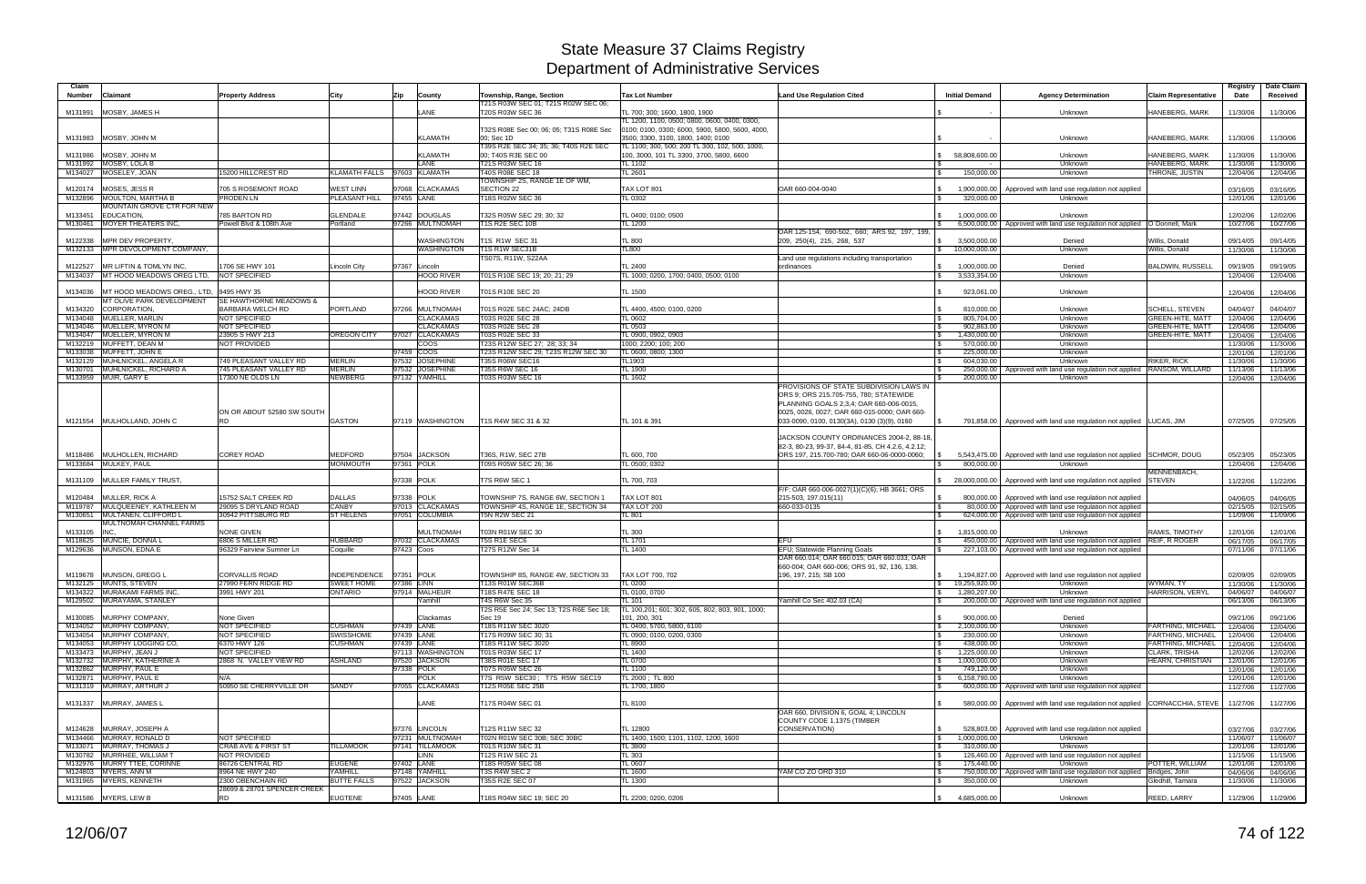| Claim<br>Number    | Claimant                                                  | <b>Property Address</b>                          | City                              | Zip        | County                          | Township, Range, Section                                              | <b>Tax Lot Number</b>                                                                      | <b>Land Use Regulation Cited</b>                                                                                                              | <b>Initial Demand</b>                                         | <b>Agency Determination</b>                                                                                 | <b>Claim Representative</b>      | Registry<br>Date     | Date Claim<br>Received |
|--------------------|-----------------------------------------------------------|--------------------------------------------------|-----------------------------------|------------|---------------------------------|-----------------------------------------------------------------------|--------------------------------------------------------------------------------------------|-----------------------------------------------------------------------------------------------------------------------------------------------|---------------------------------------------------------------|-------------------------------------------------------------------------------------------------------------|----------------------------------|----------------------|------------------------|
| M131991            | MOSBY, JAMES H                                            |                                                  |                                   |            | LANE                            | T21S R03W SEC 01; T21S R02W SEC 06<br>T20S R03W SEC 36                | TL 700; 300; 1600, 1800, 1900                                                              |                                                                                                                                               |                                                               | Unknown                                                                                                     | HANEBERG, MARK                   | 11/30/06             | 11/30/06               |
|                    |                                                           |                                                  |                                   |            |                                 |                                                                       | FL 1200, 1100, 0500; 0800, 0600, 0400, 0300,                                               |                                                                                                                                               |                                                               |                                                                                                             |                                  |                      |                        |
|                    | M131983   MOSBY, JOHN M                                   |                                                  |                                   |            | <b>KLAMATH</b>                  | T32S R08E Sec 00; 06; 05; T31S R08E Sec<br>00; Sec 1D                 | 0100; 0100, 0300; 6000, 5900, 5800, 5600, 4000,<br>3500, 3300, 3100, 1800, 1400; 0100      |                                                                                                                                               |                                                               | Unknown                                                                                                     | HANEBERG, MARK                   | 11/30/06             | 11/30/06               |
|                    | M131986 MOSBY, JOHN M                                     |                                                  |                                   |            | <b>KLAMATH</b>                  | T39S R2E SEC 34; 35; 36; T40S R2E SEC<br>00; T40S R3E SEC 00          | TL 1100; 300, 500; 200 TL 300, 102, 500, 1000,<br>100, 3000, 101 TL 3300, 3700, 5800, 6600 |                                                                                                                                               | 58,808,600.00<br>S.                                           |                                                                                                             | HANEBERG, MARK                   | 11/30/06             |                        |
|                    | M131992 MOSBY, LOLA B                                     |                                                  |                                   |            | LANE                            | T21S R03W SEC 16                                                      | TL 1102                                                                                    |                                                                                                                                               |                                                               | Unknown<br>Unknown                                                                                          | HANEBERG, MARK                   | 11/30/06             | 11/30/06<br>11/30/06   |
|                    | M134027 MOSELEY, JOAN                                     | 5200 HILLCREST RD                                | KLAMATH FALLS 97603 KLAMATH       |            |                                 | T40S R08E SEC 18                                                      | TL 2601                                                                                    |                                                                                                                                               | 150,000.00                                                    | Unknown                                                                                                     | THRONE, JUSTIN                   | 12/04/06             | 12/04/06               |
|                    |                                                           |                                                  |                                   |            |                                 | TOWNSHIP 2S, RANGE 1E OF WM,                                          |                                                                                            |                                                                                                                                               |                                                               |                                                                                                             |                                  |                      |                        |
| M120174            | MOSES, JESS R<br>M132896 MOULTON, MARTHA B                | 705 S ROSEMONT ROAD<br><b>PRODEN LN</b>          | <b>WEST LINN</b><br>PLEASANT HILL | 97455 LANE | 97068 CLACKAMAS                 | <b>SECTION 22</b><br>T18S R02W SEC 36                                 | TAX LOT 801<br>TL 0302                                                                     | OAR 660-004-0040                                                                                                                              | 1,900,000.00<br>320,000.00                                    | Approved with land use regulation not applied<br>Unknown                                                    |                                  | 03/16/05             | 03/16/05               |
|                    | MOUNTAIN GROVE CTR FOR NEW                                |                                                  |                                   |            |                                 |                                                                       |                                                                                            |                                                                                                                                               |                                                               |                                                                                                             |                                  | 12/01/06             | 12/01/06               |
| M133451            | <b>EDUCATION</b>                                          | 785 BARTON RD                                    | GLENDALE                          |            | 97442 DOUGLAS                   | T32S R05W SEC 29; 30; 32                                              | TL 0400; 0100; 0500                                                                        |                                                                                                                                               | 1,000,000.00                                                  | Unknown                                                                                                     |                                  | 12/02/06             | 12/02/06               |
| M130461            | <b>MOYER THEATERS INC.</b>                                | Powell Blvd & 108th Ave                          | Portland                          |            | 97266 MULTNOMAH                 | T1S R2E SEC 10B                                                       | TL 1200                                                                                    |                                                                                                                                               | $\mathbb{R}$                                                  | 6,500,000.00   Approved with land use regulation not applied   O`Donnell, Mark                              |                                  | 10/27/06             | 10/27/06               |
|                    |                                                           |                                                  |                                   |            |                                 |                                                                       |                                                                                            | OAR 125-154, 690-502, 660; ARS 92, 197, 199,                                                                                                  |                                                               |                                                                                                             |                                  |                      |                        |
| M122338            | MPR DEV PROPERTY.<br>M132133 MPR DEVOLOPMENT COMPANY,     |                                                  |                                   |            | <b>NASHINGTON</b><br>WASHINGTON | T1S R1W SEC 31<br>T1S R1W SEC31B                                      | <b>TL 800</b><br>TL800                                                                     | 209, 250(4), 215, 268, 537                                                                                                                    | 3,500,000.00<br>$\mathbb{S}$<br>10,000,000.00<br>$\mathbb{S}$ | Denied<br>Unknown                                                                                           | Willis, Donald<br>Willis, Donald | 09/14/05<br>11/30/06 | 09/14/05<br>11/30/06   |
|                    |                                                           |                                                  |                                   |            |                                 | TS07S, R11W, S22AA                                                    |                                                                                            | Land use regulations including transportation                                                                                                 |                                                               |                                                                                                             |                                  |                      |                        |
| M122527            | <b>IMR LIFTIN &amp; TOMLYN INC.</b>                       | 706 SE HWY 101                                   | Lincoln City                      |            | 97367 Lincoln                   |                                                                       | TL 2400                                                                                    | ordinances                                                                                                                                    | 1,000,000.00                                                  | Denied                                                                                                      | <b>BALDWIN, RUSSELL</b>          | 09/19/05             | 09/19/05               |
|                    | M134037 MT HOOD MEADOWS OREG LTD, NOT SPECIFIED           |                                                  |                                   |            | <b>HOOD RIVER</b>               | T01S R10E SEC 19; 20; 21; 29                                          | TL 1000; 0200, 1700; 0400, 0500; 0100                                                      |                                                                                                                                               | 3,533,354.00<br><b>S</b>                                      | Unknown                                                                                                     |                                  | 12/04/06             | 12/04/06               |
|                    |                                                           |                                                  |                                   |            |                                 |                                                                       |                                                                                            |                                                                                                                                               |                                                               |                                                                                                             |                                  |                      |                        |
| M134036            | MT HOOD MEADOWS OREG., LTD,<br>MT OLIVE PARK DEVELOPMENT  | 9495 HWY 35<br><b>SE HAWTHORNE MEADOWS &amp;</b> |                                   |            | <b>HOOD RIVER</b>               | T01S R10E SEC 20                                                      | TL 1500                                                                                    |                                                                                                                                               | 923,061.00                                                    | Unknown                                                                                                     |                                  | 12/04/06             | 12/04/06               |
| M134320            | <b>CORPORATION</b>                                        | BARBARA WELCH RD                                 | <b>PORTLAND</b>                   |            | 97266 MULTNOMAH                 | T01S R02E SEC 24AC; 24DB                                              | TL 4400, 4500; 0100, 0200                                                                  |                                                                                                                                               | 810.000.00                                                    | Unknown                                                                                                     | <b>SCHELL, STEVEN</b>            | 04/04/07             | 04/04/07               |
| M134048            | MUELLER, MARLIN                                           | NOT SPECIFIED                                    |                                   |            | <b>CLACKAMAS</b>                | T03S R02E SEC 28                                                      | <b>FL 0602</b>                                                                             |                                                                                                                                               | 805,704.00                                                    | Unknown                                                                                                     | <b>GREEN-HITE, MATT</b>          | 12/04/06             | 12/04/06               |
| M134046            | <b>MUELLER, MYRON M</b>                                   | NOT SPECIFIED                                    |                                   |            | <b>CLACKAMAS</b>                | <b>T03S R02E SEC 28</b>                                               | TL 0503                                                                                    |                                                                                                                                               | 902,863.00                                                    | Unknown                                                                                                     | <b>GREEN-HITE, MATT</b>          | 12/04/06             | 12/04/06               |
| M134047            | MUELLER, MYRON M<br>M132219 MUFFETT, DEAN M               | 23905 S HWY 213<br>NOT PROVIDED                  | OREGON CITY                       |            | 97027 CLACKAMAS<br><b>COOS</b>  | T03S R02E SEC 33<br>T23S R12W SEC 27; 28; 33; 34                      | FL 0900, 0902, 0903<br>1000; 2200; 100; 200                                                |                                                                                                                                               | 1,430,000.00<br>570,000.00<br><b>S</b>                        | Unknown<br>Unknown                                                                                          | GREEN-HITE, MATT                 | 12/04/06<br>11/30/06 | 12/04/06<br>11/30/06   |
|                    | M133038 MUFFETT, JOHN E                                   |                                                  |                                   | 97459 COOS |                                 | T23S R12W SEC 29; T23S R12W SEC 30                                    | TL 0600, 0800; 1300                                                                        |                                                                                                                                               | 225,000.00                                                    | Unknown                                                                                                     |                                  | 12/01/06             | 12/01/06               |
|                    | M132129 MUHLNICKEL, ANGELA R                              | 749 PLEASANT VALLEY RD                           | <b>MERLIN</b>                     |            | 97532 JOSEPHINE                 | T35S R06W SEC16                                                       | TL1903                                                                                     |                                                                                                                                               | 604,030.00                                                    | Unknown                                                                                                     | RIKER, RICK                      | 11/30/06             | 11/30/06               |
|                    | M130701 MUHLNICKEL, RICHARD A                             | 745 PLEASANT VALLEY RD                           | <b>MERLIN</b>                     |            | 97532 JOSEPHINE                 | <b>T35S R6W SEC 16</b>                                                | TL 1900                                                                                    |                                                                                                                                               | 250,000.00                                                    | Approved with land use regulation not applied   RANSOM, WILLARD                                             |                                  | 11/13/06             | 11/13/06               |
|                    | M133959 MUIR, GARY E                                      | 17300 NE OLDS LN                                 | <b>NEWBERG</b>                    |            | 97132 YAMHILL                   | T03S R03W SEC 16                                                      | TL 1602                                                                                    | PROVISIONS OF STATE SUBDIVISION LAWS IN                                                                                                       | 200,000.00                                                    | Unknown                                                                                                     |                                  | 12/04/06             | 12/04/06               |
|                    |                                                           | ON OR ABOUT 52580 SW SOUTH                       |                                   |            |                                 |                                                                       |                                                                                            | ORS 9; ORS 215.705-755, 780; STATEWIDE<br>PLANNING GOALS 2,3,4; OAR 660-006-0015,<br>0025, 0026, 0027; OAR 660-015-0000; OAR 660-             |                                                               |                                                                                                             |                                  |                      |                        |
|                    | M121554 MULHOLLAND, JOHN C                                | <b>RD</b>                                        | <b>GASTON</b>                     |            | 97119 WASHINGTON                | T1S R4W SEC 31 & 32                                                   | TL 101 & 391                                                                               | 033-0090, 0100, 0130(3A), 0130 (3)(9), 0160                                                                                                   | l S                                                           | 791,858.00   Approved with land use regulation not applied   LUCAS, JIM                                     |                                  | 07/25/05             | 07/25/05               |
| M118486            | <b>MULHOLLEN, RICHARD</b>                                 | <b>COREY ROAD</b>                                | <b>MEDFORD</b>                    | 97504      | <b>JACKSON</b>                  | T36S, R1W, SEC 27B                                                    | TL 600, 700                                                                                | JACKSON COUNTY ORDINANCES 2004-2, 88-18,<br>82-3, 80-23, 99-37, 84-4, 81-85, CH 4.2.6, 4.2.12;<br>ORS 197, 215.700-780; OAR 660-06-0000-0060; | 5,543,475.00                                                  | Approved with land use regulation not applied SCHMOR, DOUG                                                  |                                  | 05/23/05             | 05/23/05               |
|                    | M133684 MULKEY, PAUL                                      |                                                  | <b>MONMOUTH</b>                   | 97361 POLK |                                 | T09S R05W SEC 26; 36                                                  | TL 0500: 0302                                                                              |                                                                                                                                               | 800,000.00                                                    | Unknown                                                                                                     |                                  | 12/04/06             | 12/04/06               |
|                    |                                                           |                                                  |                                   |            |                                 |                                                                       |                                                                                            |                                                                                                                                               |                                                               |                                                                                                             | MENNENBACH.                      |                      |                        |
| M131109            | MULLER FAMILY TRUST,                                      |                                                  |                                   |            | 97338 POLK                      | T7S R6W SEC 1                                                         | TL 700, 703                                                                                |                                                                                                                                               | 28,000,000.00                                                 | Approved with land use regulation not applied                                                               | <b>STEVEN</b>                    | 11/22/06             | 11/22/06               |
|                    |                                                           |                                                  |                                   |            |                                 |                                                                       |                                                                                            | F/F; OAR 660-006-0027(1)(C)(6); HB 3661; ORS                                                                                                  |                                                               |                                                                                                             |                                  |                      |                        |
| M120484<br>M119787 | MULLER, RICK A<br>MULQUEENEY, KATHLEEN M                  | 15752 SALT CREEK RD<br>29095 S DRYLAND ROAD      | <b>DALLAS</b><br>CANBY            | 97338 POLK | 97013 CLACKAMAS                 | TOWNSHIP 7S, RANGE 6W, SECTION 1<br>TOWNSHIP 4S, RANGE 1E, SECTION 34 | TAX LOT 801<br>TAX LOT 200                                                                 | 215-503, 197.015(11)<br>660-033-0135                                                                                                          | 800,000.00<br><b>S</b>                                        | Approved with land use regulation not applied<br>80,000.00 Approved with land use regulation not applied    |                                  | 04/06/05<br>02/15/05 | 04/06/05<br>02/15/05   |
| M130651            | MULTANEN, CLIFFORD L                                      | 30942 PITTSBURG RD                               | <b>ST HELENS</b>                  |            | 97051 COLUMBIA                  | <b>T5N R2W SEC 21</b>                                                 | TL 801                                                                                     |                                                                                                                                               | <b>S</b>                                                      | 624,000.00   Approved with land use regulation not applied                                                  |                                  | 11/09/06             | 11/09/06               |
|                    | MULTNOMAH CHANNEL FARMS                                   |                                                  |                                   |            |                                 |                                                                       |                                                                                            |                                                                                                                                               |                                                               |                                                                                                             |                                  |                      |                        |
| M133105            | INC.                                                      | <b>NONE GIVEN</b>                                |                                   |            | <b>MULTNOMAH</b>                | T03N R01W SEC 30                                                      | <b>TL 300</b>                                                                              |                                                                                                                                               | 1,815,000.00<br>$\mathbb{S}$                                  | Unknown                                                                                                     | <b>RAMIS, TIMOTHY</b>            | 12/01/06             | 12/01/06               |
|                    | M118625 MUNCIE, DONNA L<br>M129636 MUNSON, EDNA E         | 6806 S MILLER RD<br>96329 Fairview Sumner Ln     | HUBBARD<br>Coquille               | 97423 Coos | 97032 CLACKAMAS                 | T5S R1E SEC6<br>T27S R12W Sec 14                                      | TL 1701<br><b>TL 1400</b>                                                                  | EFU<br>EFU; Statewide Planning Goals                                                                                                          | <b>S</b><br>227,103.00                                        | 450,000.00   Approved with land use regulation not applied<br>Approved with land use regulation not applied | <b>REIF, R ROGER</b>             | 06/17/05<br>07/11/06 | 06/17/05<br>07/11/06   |
|                    | M119678 MUNSON, GREGG L                                   | <b>CORVALLIS ROAD</b>                            | <b>INDEPENDENCE</b>               | 97351 POLK |                                 | TOWNSHIP 8S, RANGE 4W, SECTION 33                                     | <b>TAX LOT 700, 702</b>                                                                    | OAR 660.014; OAR 660.015; OAR 660.033; OAR<br>660-004; OAR 660-006; ORS 91, 92, 136, 138,                                                     |                                                               |                                                                                                             |                                  | 02/09/05             |                        |
|                    | M132125 MUNTS, STEVEN                                     | 27990 FERN RIDGE RD                              | SWEET HOME                        | 97386 LINN |                                 | T13S R01W SEC36B                                                      | <b>TL 0200</b>                                                                             | 196, 197, 215; SB 100                                                                                                                         | $\frac{1}{2}$ 19,255,920.00                                   | 1,194,827.00   Approved with land use regulation not applied<br>Unknown                                     | WYMAN, TY                        | 11/30/06             | 02/09/05<br>11/30/06   |
|                    | M134322 MURAKAMI FARMS INC,                               | 3991 HWY 201                                     | <b>ONTARIO</b>                    |            | 97914 MALHEUR                   | T18S R47E SEC 18                                                      | TL 0100, 0700                                                                              |                                                                                                                                               | 1,280,207.00<br>$\sqrt{3}$                                    | Unknown                                                                                                     | HARRISON, VERYL                  | 04/06/07             | 04/06/07               |
|                    | M129502 MURAYAMA, STANLEY                                 |                                                  |                                   |            | ramhill                         | T4S R6W Sec 35                                                        | TL 101                                                                                     | Yamhill Co Sec 402.03 (CA)                                                                                                                    | $\mathbb{S}$                                                  | 200,000.00 Approved with land use regulation not applied                                                    |                                  | 06/13/06             | 06/13/06               |
|                    |                                                           |                                                  |                                   |            |                                 | T2S R5E Sec 24; Sec 13; T2S R6E Sec 18;                               | TL 100,201; 601; 302, 605, 802, 803, 901, 1000;                                            |                                                                                                                                               |                                                               |                                                                                                             |                                  |                      |                        |
|                    | M130085 MURPHY COMPANY,<br>M134052 MURPHY COMPANY,        | None Given<br>NOT SPECIFIED                      | <b>CUSHMAN</b>                    | 97439 LANE | Clackamas                       | Sec 19<br>T18S R11W SEC 3020                                          | 101, 200, 301<br>TL 0400, 5700, 5800, 6100                                                 |                                                                                                                                               | 900,000.00<br>2,100,000.00<br>$\sqrt{3}$                      | Denied<br>Unknown                                                                                           | FARTHING, MICHAEL                | 09/21/06<br>12/04/06 | 09/21/06<br>12/04/06   |
|                    | M134054 MURPHY COMPANY,                                   | NOT SPECIFIED                                    | SWISSHOME                         | 97439 LANE |                                 | T17S R09W SEC 30; 31                                                  | TL 0900; 0100, 0200, 0300                                                                  |                                                                                                                                               | $\sqrt{3}$<br>230,000.00                                      | Unknown                                                                                                     | FARTHING, MICHAEL                | 12/04/06             | 12/04/06               |
|                    | M134053 MURPHY LOGGING CO,                                | 6370 HWY 126                                     | <b>CUSHMAN</b>                    | 97439 LANE |                                 | T18S R11W SEC 3020                                                    | TL 8900                                                                                    |                                                                                                                                               | 438,000.00<br><b>S</b>                                        | Unknown                                                                                                     | FARTHING, MICHAEL                | 12/04/06             | 12/04/06               |
|                    | M133473 MURPHY, JEAN J                                    | NOT SPECIFIED                                    |                                   |            | 97113 WASHINGTON                | T01S R03W SEC 17                                                      | TL 1400                                                                                    |                                                                                                                                               | 1,225,000.00<br>$\sqrt{3}$                                    | Unknown                                                                                                     | <b>CLARK, TRISHA</b>             | 12/02/06             | 12/02/06               |
|                    | M132732 MURPHY, KATHERINE A                               | 2868 N. VALLEY VIEW RD                           | ASHLAND                           |            | 97520 JACKSON                   | T38S R01E SEC 17                                                      | <b>TL 0700</b>                                                                             |                                                                                                                                               | 1,000,000.00<br>$\mathcal{S}$                                 | Unknown                                                                                                     | <b>HEARN, CHRISTIAN</b>          | 12/01/06             | 12/01/06               |
|                    | M132862 MURPHY, PAUL E<br>M132871 MURPHY, PAUL E          | N/A                                              |                                   | 97338 POLK | <b>POLK</b>                     | T07S R05W SEC 26<br>T7S R5W SEC30; T7S R5W SEC19                      | TL 1100<br>TL 2000 : TL 800                                                                |                                                                                                                                               | 749,120.00<br>$\sqrt{3}$<br>6,158,790.00<br>$\mathbb{S}$      | Unknown<br>Unknown                                                                                          |                                  | 12/01/06             | 12/01/06               |
|                    | M131319 MURRAY, ARTHUR J                                  | 50950 SE CHERRYVILLE DR                          | <b>SANDY</b>                      |            | 97055 CLACKAMAS                 | T12S R05E SEC 25B                                                     | TL 1700, 1800                                                                              |                                                                                                                                               | <b>S</b>                                                      | 600,000.00 Approved with land use regulation not applied                                                    |                                  | 12/01/06<br>11/27/06 | 12/01/06<br>11/27/06   |
|                    |                                                           |                                                  |                                   |            |                                 |                                                                       |                                                                                            |                                                                                                                                               |                                                               |                                                                                                             |                                  |                      |                        |
|                    | M131337 MURRAY, JAMES L                                   |                                                  |                                   |            | LANE                            | T17S R04W SEC 01                                                      | TL 8100                                                                                    | OAR 660, DIVISION 6, GOAL 4; LINCOLN<br>COUNTY CODE 1.1375 (TIMBER                                                                            | $\mathfrak{S}$                                                | 580,000.00   Approved with land use regulation not applied CORNACCHIA, STEVE                                |                                  | 11/27/06             | 11/27/06               |
|                    | M124628 MURRAY, JOSEPH A                                  |                                                  |                                   |            | 97376 LINCOLN                   | T12S R11W SEC 32                                                      | TL 12800                                                                                   | CONSERVATION)                                                                                                                                 | $\mathcal{S}$                                                 | 528,803.00   Approved with land use regulation not applied                                                  |                                  | 03/27/06             | 03/27/06               |
|                    | M134466 MURRAY, RONALD D                                  | NOT SPECIFIED                                    |                                   |            | 97231 MULTNOMAH                 | T02N R01W SEC 30B; SEC 30BC                                           | TL 1400, 1500; 1101, 1102, 1200, 1600                                                      |                                                                                                                                               | 1,000,000.00<br>$\sqrt{3}$                                    | Unknown                                                                                                     |                                  | 11/06/07             | 11/06/07               |
|                    | M133071 MURRAY, THOMAS J                                  | CRAB AVE & FIRST ST                              | <b>TILLAMOOK</b>                  |            | 97141 TILLAMOOK                 | T01S R10W SEC 31                                                      | TL 3800                                                                                    |                                                                                                                                               | 310,000.00<br>$\sqrt{3}$                                      | Unknown                                                                                                     |                                  | 12/01/06             | 12/01/06               |
|                    | M130782 MURRHEE, WILLIAM T<br>M132976 MURRY TTEE, CORINNE | NOT PROVIDED<br>86726 CENTRAL RD                 | <b>EUGENE</b>                     | 97402 LANE | <b>LINN</b>                     | T12S R1W SEC 21<br>T18S R05W SEC 08                                   | <b>TL 303</b><br>TL 0607                                                                   |                                                                                                                                               | $\sqrt{3}$<br>175,440.00                                      | 126,460.00 Approved with land use regulation not applied<br>Unknown                                         | POTTER, WILLIAM                  | 11/15/06             | 11/15/06               |
|                    | M124803 MYERS, ANN M                                      | 8964 NE HWY 240                                  | YAMHILL                           |            | 97148 YAMHILL                   | T3S R4W SEC 2                                                         | <b>TL 1600</b>                                                                             | YAM CO ZO ORD 310                                                                                                                             | l \$<br>$\sqrt{3}$                                            | 750,000.00 Approved with land use regulation not applied                                                    | Bridges, John                    | 12/01/06<br>04/06/06 | 12/01/06<br>04/06/06   |
|                    | M131965 MYERS, KENNETH                                    | 2300 OBENCHAIN RD                                | <b>BUTTE FALLS</b>                |            | 97522 JACKSON                   | T35S R2E SEC 07                                                       | <b>TL 1300</b>                                                                             |                                                                                                                                               | 350,000.00                                                    | Unknown                                                                                                     | Gledhill, Tamara                 | 11/30/06             | 11/30/06               |
|                    |                                                           | 28699 & 28701 SPENCER CREEK                      |                                   |            |                                 |                                                                       |                                                                                            |                                                                                                                                               |                                                               |                                                                                                             |                                  |                      |                        |
|                    | M131586 MYERS, LEW B                                      | <b>RD</b>                                        | <b>EUGTENE</b>                    | 97405 LANE |                                 | T18S R04W SEC 19; SEC 20                                              | TL 2200; 0200, 0206                                                                        |                                                                                                                                               | 4,685,000.00<br>$\mathbb{S}$                                  | Unknown                                                                                                     | REED, LARRY                      | 11/29/06             | 11/29/06               |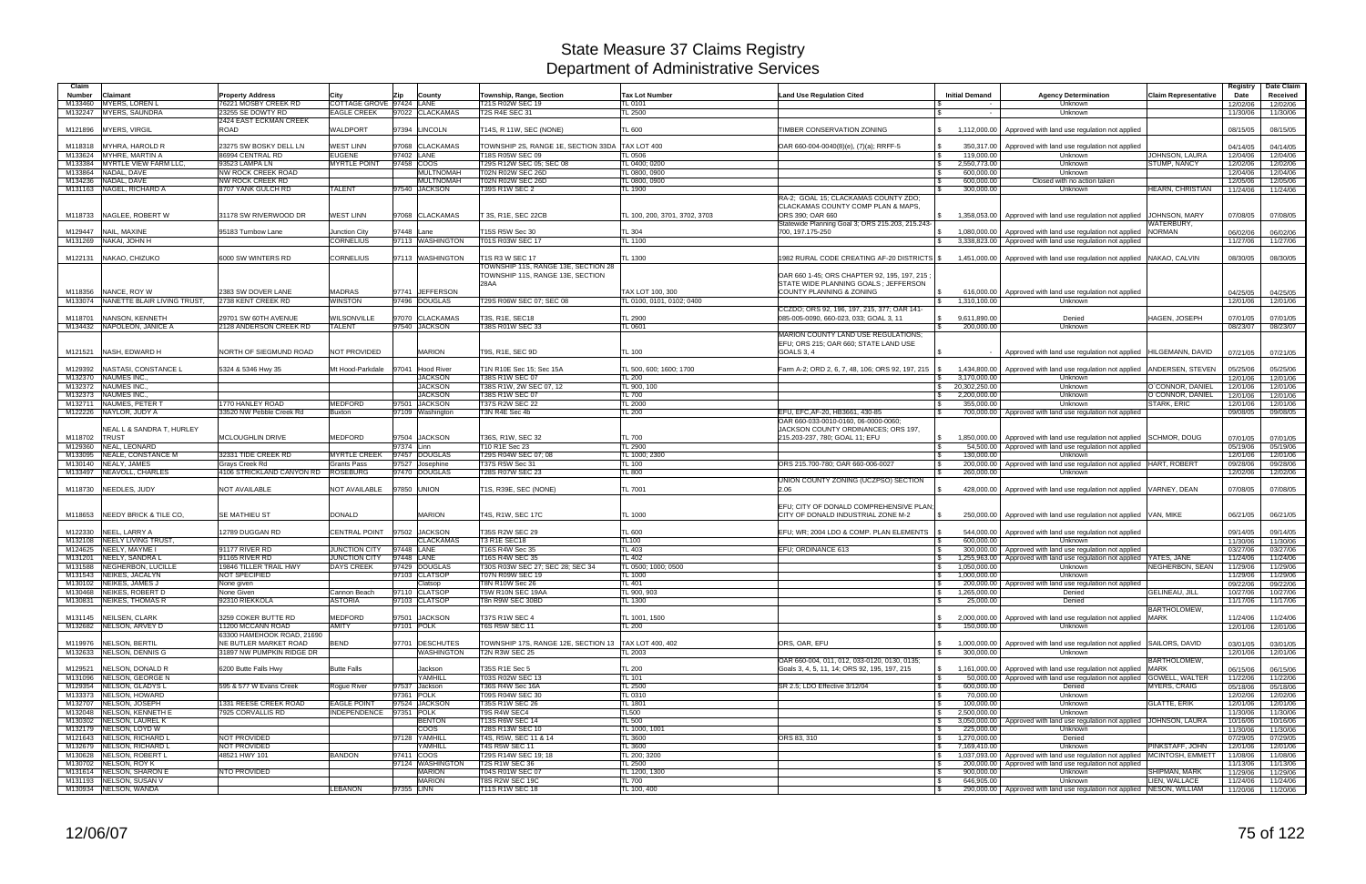| Claim              |                                                       |                                             |                                           |                                  |                                                        |                                |                                                                                                          |                                              |                                                                                                                                  |                                       | Registry             | Date Claim           |
|--------------------|-------------------------------------------------------|---------------------------------------------|-------------------------------------------|----------------------------------|--------------------------------------------------------|--------------------------------|----------------------------------------------------------------------------------------------------------|----------------------------------------------|----------------------------------------------------------------------------------------------------------------------------------|---------------------------------------|----------------------|----------------------|
| Number             | Claimant                                              | <b>Property Address</b>                     | City                                      | Zip<br>County                    | Township, Range, Section                               | <b>Tax Lot Number</b>          | <b>Land Use Regulation Cited</b>                                                                         | <b>Initial Demand</b>                        | <b>Agency Determination</b>                                                                                                      | <b>Claim Representative</b>           | Date                 | Received             |
| M133460            | <b>MYERS, LOREN L</b>                                 | 76221 MOSBY CREEK RD                        | COTTAGE GROVE 97424 LANE                  |                                  | T21S R02W SEC 19                                       | TL 0101                        |                                                                                                          |                                              | Unknown                                                                                                                          |                                       | 12/02/06             | 12/02/06             |
|                    | M132247 MYERS, SAUNDRA                                | 23255 SE DOWTY RD<br>2424 EAST ECKMAN CREEK | <b>EAGLE CREEK</b>                        | 97022 CLACKAMAS                  | <b>T2S R4E SEC 31</b>                                  | TL 2500                        |                                                                                                          |                                              | Unknown                                                                                                                          |                                       | 11/30/06             | 11/30/06             |
| M121896            | <b>MYERS, VIRGIL</b>                                  | ROAD                                        | <b>WALDPORT</b>                           | 97394 LINCOLN                    | T14S, R 11W, SEC (NONE)                                | TL 600                         | TIMBER CONSERVATION ZONING                                                                               | 1,112,000.00                                 | Approved with land use regulation not applied                                                                                    |                                       | 08/15/05             | 08/15/05             |
|                    |                                                       |                                             |                                           |                                  |                                                        |                                |                                                                                                          |                                              |                                                                                                                                  |                                       |                      |                      |
| M118318            | MYHRA, HAROLD R                                       | 23275 SW BOSKY DELL LN                      | <b>WEST LINN</b>                          | 97068 CLACKAMAS                  | TOWNSHIP 2S, RANGE 1E, SECTION 33DA                    | TAX LOT 400                    | OAR 660-004-0040(8)(e), (7)(a); RRFF-5                                                                   | 350,317.00                                   | Approved with land use regulation not applied                                                                                    |                                       | 04/14/05             | 04/14/05             |
|                    | M133624 MYHRE, MARTIN A                               | 86994 CENTRAL RD                            | <b>EUGENE</b><br><b>MYRTLE POINT</b>      | 97402 LANE<br>97458 COOS         | T18S R05W SEC 09<br>T29S R12W SEC 05; SEC 08           | TL0506                         | - \$                                                                                                     | 119,000.00                                   | Unknown<br>Unknown                                                                                                               | JOHNSON, LAURA<br><b>STUMP, NANCY</b> | 12/04/06             | 12/04/06             |
| M133384            | MYRTLE VIEW FARM LLC,<br>M133864 NADAL, DAVE          | 93523 LAMPA LN<br>NW ROCK CREEK ROAD        |                                           | <b>MULTNOMAH</b>                 | <b>T02N R02W SEC 26D</b>                               | TL 0400; 0200<br>TL 0800, 0900 | \$<br>- \$                                                                                               | 2,550,773.00<br>600,000.00                   | Unknown                                                                                                                          |                                       | 12/02/06<br>12/04/06 | 12/02/06<br>12/04/06 |
|                    | M134236 NADAL, DAVE                                   | <b>NW ROCK CREEK RD</b>                     |                                           | <b>MULTNOMAH</b>                 | T02N R02W SEC 26D                                      | TL 0800, 0900                  |                                                                                                          | 600,000.00                                   | Closed with no action taken                                                                                                      |                                       | 12/05/06             | 12/05/06             |
|                    | M131163 NAGEL, RICHARD A                              | 8707 YANK GULCH RD                          | <b>TALENT</b>                             | 97540 JACKSON                    | <b>T39S R1W SEC 2</b>                                  | TL 1900                        |                                                                                                          | 300,000.00                                   | Unknown                                                                                                                          | HEARN, CHRISTIAN                      | 11/24/06             | 11/24/06             |
|                    |                                                       |                                             |                                           |                                  |                                                        |                                | RA-2: GOAL 15: CLACKAMAS COUNTY ZDO:                                                                     |                                              |                                                                                                                                  |                                       |                      |                      |
|                    |                                                       |                                             |                                           |                                  |                                                        |                                | CLACKAMAS COUNTY COMP PLAN & MAPS.                                                                       |                                              |                                                                                                                                  |                                       |                      |                      |
|                    | M118733 NAGLEE, ROBERT W                              | 31178 SW RIVERWOOD DR                       | <b>WEST LINN</b>                          | 97068 CLACKAMAS                  | T 3S, R1E, SEC 22CB                                    | TL 100, 200, 3701, 3702, 3703  | ORS 390; OAR 660<br>Statewide Planning Goal 3; ORS 215.203, 215.243-                                     | 1,358,053.00                                 | Approved with land use regulation not applied   JOHNSON, MARY                                                                    | WATERBURY,                            | 07/08/05             | 07/08/05             |
| M129447            | NAIL, MAXINE                                          | 95183 Turnbow Lane                          | Junction City                             | 97448 Lane                       | T15S R5W Sec 30                                        | <b>TL 304</b>                  | 700, 197.175-250                                                                                         | \$<br>1,080,000.00                           | Approved with land use regulation not applied                                                                                    | <b>NORMAN</b>                         | 06/02/06             | 06/02/06             |
|                    | M131269 NAKAI, JOHN H                                 |                                             | <b>CORNELIUS</b>                          | 97113 WASHINGTON                 | T01S R03W SEC 17                                       | TL 1100                        | \$                                                                                                       | 3,338,823.00                                 | Approved with land use regulation not applied                                                                                    |                                       | 11/27/06             | 11/27/06             |
|                    |                                                       |                                             |                                           |                                  |                                                        |                                |                                                                                                          |                                              |                                                                                                                                  |                                       |                      |                      |
|                    | M122131 NAKAO, CHIZUKO                                | 6000 SW WINTERS RD                          | <b>CORNELIUS</b>                          | 97113 WASHINGTON                 | T1S R3 W SEC 17<br>TOWNSHIP 11S, RANGE 13E, SECTION 28 | TL 1300                        | 1982 RURAL CODE CREATING AF-20 DISTRICTS \$                                                              | 1,451,000.00                                 | Approved with land use regulation not applied NAKAO, CALVIN                                                                      |                                       | 08/30/05             | 08/30/05             |
|                    |                                                       |                                             |                                           |                                  | TOWNSHIP 11S, RANGE 13E, SECTION                       |                                | OAR 660 1-45; ORS CHAPTER 92, 195, 197, 215                                                              |                                              |                                                                                                                                  |                                       |                      |                      |
|                    |                                                       |                                             |                                           |                                  | 28AA                                                   |                                | STATE WIDE PLANNING GOALS ; JEFFERSON                                                                    |                                              |                                                                                                                                  |                                       |                      |                      |
|                    | M118356 NANCE, ROY W                                  | 2383 SW DOVER LANE                          | <b>MADRAS</b>                             | 97741 JEFFERSON                  |                                                        | TAX LOT 100, 300               | <b>COUNTY PLANNING &amp; ZONING</b><br>$\mathcal{L}$                                                     | 616,000.00                                   | Approved with land use regulation not applied                                                                                    |                                       | 04/25/05             | 04/25/05             |
|                    | M133074 NANETTE BLAIR LIVING TRUST,                   | 2738 KENT CREEK RD                          | <b>WINSTON</b>                            | 97496 DOUGLAS                    | T29S R06W SEC 07; SEC 08                               | TL 0100, 0101, 0102: 0400      |                                                                                                          | 1,310,100.00<br>\$                           | Unknown                                                                                                                          |                                       | 12/01/06             | 12/01/06             |
|                    | M118701 NANSON, KENNETH                               | 29701 SW 60TH AVENUE                        | <b>WILSONVILLE</b>                        | 97070 CLACKAMAS                  | T3S, R1E, SEC18                                        | <b>TL 2900</b>                 | CCZDO; ORS 92, 196, 197, 215, 377; OAR 141-<br>085-005-0090, 660-023, 033; GOAL 3, 11                    | 9,611,890.00<br>\$                           | Denied                                                                                                                           | HAGEN, JOSEPH                         |                      |                      |
|                    | M134432 NAPOLEON, JANICE A                            | 2128 ANDERSON CREEK RD                      | <b>TALENT</b>                             | 97540 JACKSON                    | T38S R01W SEC 33                                       | TL 0601                        | <b>S</b>                                                                                                 | 200,000.00                                   | Unknown                                                                                                                          |                                       | 07/01/05<br>08/23/07 | 07/01/05<br>08/23/07 |
|                    |                                                       |                                             |                                           |                                  |                                                        |                                | MARION COUNTY LAND USE REGULATIONS;                                                                      |                                              |                                                                                                                                  |                                       |                      |                      |
|                    |                                                       |                                             |                                           |                                  |                                                        |                                | EFU: ORS 215; OAR 660; STATE LAND USE                                                                    |                                              |                                                                                                                                  |                                       |                      |                      |
| M121521            | NASH, EDWARD H                                        | NORTH OF SIEGMUND ROAD                      | <b>NOT PROVIDED</b>                       | <b>MARION</b>                    | T9S, R1E, SEC 9D                                       | <b>TL 100</b>                  | <b>GOALS 3, 4</b>                                                                                        |                                              | Approved with land use regulation not applied                                                                                    | HILGEMANN, DAVID                      | 07/21/05             | 07/21/05             |
| M129392            | NASTASI, CONSTANCE L                                  | 5324 & 5346 Hwy 35                          | Mt Hood-Parkdale                          | 97041<br><b>Hood River</b>       | T1N R10E Sec 15: Sec 15A                               | TL 500, 600; 1600; 1700        | Farm A-2; ORD 2, 6, 7, 48, 106; ORS 92, 197, 215                                                         | 1,434,800.00                                 |                                                                                                                                  | ANDERSEN, STEVEN                      |                      |                      |
|                    | M132370 NAUMES INC.                                   |                                             |                                           | <b>JACKSON</b>                   | 38S R1W SEC 07                                         | TL 200                         |                                                                                                          | 3,170,000.00                                 | Approved with land use regulation not applied<br>Unknown                                                                         |                                       | 05/25/06<br>12/01/06 | 05/25/06<br>12/01/06 |
|                    | M132372 NAUMES INC.                                   |                                             |                                           | <b>JACKSON</b>                   | T38S R1W, 2W SEC 07, 12                                | TL 900, 100                    |                                                                                                          | $\mathcal{S}$<br>20,302,250.00               | Unknown                                                                                                                          | O'CONNOR, DANIEL                      | 12/01/06             | 12/01/06             |
|                    | M132373 NAUMES INC.                                   |                                             |                                           | <b>JACKSON</b>                   | T38S R1W SEC 07                                        | TL 700                         |                                                                                                          | 2,200,000.00                                 | Unknown                                                                                                                          | O'CONNOR, DANIEL                      | 12/01/06             | 12/01/06             |
|                    | M132711 NAUMES, PETER 1                               | 1770 HANLEY ROAD                            | <b>MEDFORD</b>                            | 97501 JACKSON                    | <b>T37S R2W SEC 22</b>                                 | <b>TL 2000</b>                 | $\mathfrak{L}$                                                                                           | 355,000.00                                   | Unknown                                                                                                                          | <b>STARK, ERIC</b>                    | 12/01/06             | 12/01/06             |
|                    | M122226 NAYLOR, JUDY A                                | 33520 NW Pebble Creek Rd                    | Buxton                                    | 97109 Washington                 | T3N R4E Sec 4b                                         | <b>TL 200</b>                  | EFU, EFC, AF-20, HB3661, 430-85<br>- \$                                                                  | 700,000.00                                   | Approved with land use regulation not applied                                                                                    |                                       | 09/08/05             | 09/08/05             |
|                    | NEAL L & SANDRA T. HURLEY                             |                                             |                                           |                                  |                                                        |                                | OAR 660-033-0010-0160, 06-0000-0060;<br>JACKSON COUNTY ORDINANCES; ORS 197,                              |                                              |                                                                                                                                  |                                       |                      |                      |
| M118702            | <b>TRUST</b>                                          | <b>MCLOUGHLIN DRIVE</b>                     | <b>MEDFORD</b>                            | 97504 JACKSON                    | T36S, R1W, SEC 32                                      | <b>TL 700</b>                  | 215.203-237, 780; GOAL 11; EFU                                                                           | 1,850,000.00                                 | Approved with land use regulation not applied SCHMOR, DOUG                                                                       |                                       | 07/01/05             | 07/01/05             |
| M129360            | NEAL, LEONARD                                         |                                             |                                           | 97374 Linn                       | T10 R1E Sec 23                                         | TL 2900                        |                                                                                                          | 54,500.00                                    | Approved with land use regulation not applied                                                                                    |                                       | 05/19/06             | 05/19/06             |
| M133095            | NEALE, CONSTANCE M                                    | 32331 TIDE CREEK RD                         | <b>MYRTLE CREEK</b>                       | 97457 DOUGLAS                    | T29S R04W SEC 07; 08                                   | TL 1000; 2300                  | l S                                                                                                      | 130,000.00                                   | Unknown                                                                                                                          |                                       | 12/01/06             | 12/01/06             |
| M130140<br>M133497 | NEALY, JAMES<br>NEAVOLL, CHARLES                      | Grays Creek Rd<br>4106 STRICKLAND CANYON RD | <b>Grants Pass</b><br><b>ROSEBURG</b>     | 97527 Josephine<br>97470 DOUGLAS | T37S R5W Sec 31<br>T28S R07W SEC 23                    | TL 100<br><b>TL 800</b>        | ORS 215.700-780; OAR 660-006-0027<br>l \$<br>$\mathcal{F}$                                               | 200,000.00<br>260,000.00                     | Approved with land use regulation not applied  HART, ROBERT<br>Unknown                                                           |                                       | 09/28/06<br>12/02/06 | 09/28/06<br>12/02/06 |
|                    |                                                       |                                             |                                           |                                  |                                                        |                                | UNION COUNTY ZONING (UCZPSO) SECTION                                                                     |                                              |                                                                                                                                  |                                       |                      |                      |
| M118730            | NEEDLES, JUDY                                         | NOT AVAILABLE                               | <b>NOT AVAILABLE</b>                      | 97850 UNION                      | T1S, R39E, SEC (NONE)                                  | TL 7001                        | 2.06                                                                                                     | 428,000.00                                   | Approved with land use regulation not applied VARNEY, DEAN                                                                       |                                       | 07/08/05             | 07/08/05             |
|                    |                                                       |                                             |                                           |                                  |                                                        |                                |                                                                                                          |                                              |                                                                                                                                  |                                       |                      |                      |
|                    |                                                       | SE MATHIEU ST                               |                                           | <b>MARION</b>                    | T4S, R1W, SEC 17C                                      |                                | EFU; CITY OF DONALD COMPREHENSIVE PLAN;                                                                  |                                              |                                                                                                                                  |                                       |                      |                      |
|                    | M118653 NEEDY BRICK & TILE CO.                        |                                             | <b>DONALD</b>                             |                                  |                                                        | TL 1000                        | CITY OF DONALD INDUSTRIAL ZONE M-2                                                                       | 250,000.00                                   | Approved with land use regulation not applied VAN, MIKE                                                                          |                                       | 06/21/05             | 06/21/05             |
| M122330            | NEEL, LARRY A                                         | 12789 DUGGAN RD                             |                                           | CENTRAL POINT 97502 JACKSON      | T35S R2W SEC 29                                        | TL 600                         | EFU; WR; 2004 LDO & COMP. PLAN ELEMENTS                                                                  | 544,000.00                                   | Approved with land use regulation not applied                                                                                    |                                       | 09/14/05             | 09/14/05             |
|                    | M132108 NEELY LIVING TRUST,                           |                                             |                                           | <b>CLACKAMAS</b>                 | T3 R1E SEC18                                           | <b>TL100</b>                   |                                                                                                          | 600.000.00                                   | Unknown                                                                                                                          |                                       | 11/30/06             | 11/30/06             |
|                    | M124625 NEELY, MAYME I                                | 91177 RIVER RD                              | <b>JUNCTION CITY</b>                      | 97448 LANE                       | T16S R4W Sec 35                                        | TL 403                         | EFU; ORDINANCE 613                                                                                       | 300,000.00                                   | Approved with land use regulation not applied                                                                                    |                                       | 03/27/06             | 03/27/06             |
|                    | M131201 NEELY, SANDRAL<br>M131588 NEGHERBON, LUCILLE  | 91165 RIVER RD<br>19846 TILLER TRAIL HWY    | <b>JUNCTION CITY</b><br><b>DAYS CREEK</b> | 97448 LANE<br>97429 DOUGLAS      | T16S R4W SEC 35<br>T30S R03W SEC 27; SEC 28; SEC 34    | TL 402<br>TL 0500; 1000; 0500  |                                                                                                          | 1,255,963.00<br>1,050,000.00                 | Approved with land use regulation not applied   YATES, JANE<br>Unknown                                                           | NEGHERBON, SEAN                       | 11/24/06             | 11/24/06             |
|                    | M131543 NEIKES, JACALYN                               | NOT SPECIFIED                               |                                           | 97103 CLATSOP                    | T07N R09W SEC 19                                       | TL 1000                        |                                                                                                          | 1,000,000.00                                 | <b>Unknown</b>                                                                                                                   |                                       | 11/29/06<br>11/29/06 | 11/29/06<br>11/29/06 |
|                    | M130102 NEIKES, JAMES J                               | None given                                  |                                           | Clatsop                          | T8N R10W Sec 26                                        | TL 401                         | - \$                                                                                                     |                                              | 200,000.00 Approved with land use regulation not applied                                                                         |                                       | 09/22/06             | 09/22/06             |
|                    | M130468 NEIKES, ROBERT D                              | None Given                                  | Cannon Beach                              | 97110 CLATSOP                    | T5W R10N SEC 19AA                                      | TL 900, 903                    | \$                                                                                                       | 1,265,000.00                                 | Denied                                                                                                                           | GELINEAU, JILL                        | 10/27/06             | 10/27/06             |
|                    | M130831 NEIKES, THOMAS R                              | 92310 RIEKKOLA                              | <b>ASTORIA</b>                            | 97103 CLATSOP                    | T8n R9W SEC 30BD                                       | TL 1300                        | l \$                                                                                                     | 25,000.00                                    | Denied                                                                                                                           | BARTHOLOMEW,                          | 11/17/06             | 11/17/06             |
|                    | M131145 NEILSEN, CLARK                                | 3259 COKER BUTTE RD                         | <b>MEDFORD</b>                            | 97501 JACKSON                    | <b>T37S R1W SEC 4</b>                                  | TL 1001, 1500                  |                                                                                                          | 2,000,000.00<br>\$                           | Approved with land use regulation not applied MARK                                                                               |                                       | 11/24/06             | 11/24/06             |
|                    | M132682 NELSON, ARVEY D                               | 11200 MCCANN ROAD                           | <b>AMITY</b>                              | 97101 POLK                       | <b>T6S R5W SEC 11</b>                                  | TL 200                         |                                                                                                          | 150,000.00                                   | Unknown                                                                                                                          |                                       | 12/01/06             | 12/01/06             |
|                    |                                                       | 63300 HAMEHOOK ROAD, 21690                  |                                           |                                  |                                                        |                                |                                                                                                          |                                              |                                                                                                                                  |                                       |                      |                      |
|                    | M119976 NELSON, BERTIL                                | NE BUTLER MARKET ROAD                       | <b>BEND</b>                               | 97701 DESCHUTES                  | TOWNSHIP 17S, RANGE 12E, SECTION 13                    | TAX LOT 400, 402               | ORS, OAR, EFU                                                                                            | $\mathbb{S}$<br>1,000,000.00                 | Approved with land use regulation not applied SAILORS, DAVID                                                                     |                                       | 03/01/05             | 03/01/05             |
|                    | M132633 NELSON, DENNIS G                              | 31897 NW PUMPKIN RIDGE DR                   |                                           | <b>WASHINGTON</b>                | T2N R3W SEC 25                                         | TL 2003                        | - \$                                                                                                     | 300,000.00                                   | Unknown                                                                                                                          |                                       | 12/01/06             | 12/01/06             |
|                    | M129521 NELSON, DONALD R                              | 6200 Butte Falls Hwy                        | <b>Butte Falls</b>                        | Jackson                          | T35S R1E Sec 5                                         | <b>TL 200</b>                  | OAR 660-004, 011, 012, 033-0120, 0130, 0135;<br>Goals 3, 4, 5, 11, 14; ORS 92, 195, 197, 215<br><b>S</b> |                                              | 1,161,000.00 Approved with land use regulation not applied MARK                                                                  | BARTHOLOMEW,                          | 06/15/06             | 06/15/06             |
|                    | M131096 NELSON, GEORGEN                               |                                             |                                           | YAMHILL                          | T03S R02W SEC 13                                       | TL 101                         | <b>S</b>                                                                                                 |                                              | 50,000.00   Approved with land use regulation not applied GOWELL, WALTER                                                         |                                       | 11/22/06             | 11/22/06             |
|                    | M129354 NELSON, GLADYS L                              | 595 & 577 W Evans Creek                     | Roque River                               | 97537 Jackson                    | T36S R4W Sec 16A                                       | <b>TL 2500</b>                 | SR 2.5; LDO Effective 3/12/04<br>l \$                                                                    | 600,000.00                                   | Denied                                                                                                                           | <b>MYERS, CRAIG</b>                   | 05/18/06             | 05/18/06             |
|                    | M133373 NELSON, HOWARD                                |                                             |                                           | 97361 POLK                       | T09S R04W SEC 30                                       | TL 0310                        | l \$                                                                                                     | 70,000.00                                    | Unknown                                                                                                                          |                                       | 12/02/06             | 12/02/06             |
|                    | M132707 NELSON, JOSEPH                                | 1331 REESE CREEK ROAD                       | <b>EAGLE POINT</b>                        | 97524 JACKSON                    | T35S R1W SEC 26                                        | <b>TL 1801</b>                 | l \$                                                                                                     | 100,000.00                                   | Unknown<br>Unknown                                                                                                               | GLATTE, ERIK                          | 12/01/06             | 12/01/06             |
|                    | M132048 NELSON, KENNETH E<br>M130302 NELSON, LAUREL K | 7925 CORVALLIS RD                           | INDEPENDENCE 97351 POLK                   | <b>BENTON</b>                    | T9S R4W SEC4<br>T13S R6W SEC 14                        | <b>TL500</b><br><b>TL 500</b>  | \$                                                                                                       | 2,500,000.00<br>$\mathbb{S}$<br>3,050,000.00 | Approved with land use regulation not applied JOHNSON, LAURA                                                                     |                                       | 11/30/06<br>10/16/06 | 11/30/06<br>10/16/06 |
|                    | M132179 NELSON, LOYD W                                |                                             |                                           | <b>COOS</b>                      | T28S R13W SEC 10                                       | TL 1000, 1001                  |                                                                                                          | 225,000.00                                   | Unknown                                                                                                                          |                                       | 11/30/06             | 11/30/06             |
|                    | M121643 NELSON, RICHARD L                             | <b>NOT PROVIDED</b>                         |                                           | 97128 YAMHILL                    | T4S, R5W, SEC 11 & 14                                  | <b>TL 3600</b>                 | ORS 83, 310<br>\$                                                                                        | 1,270,000.00                                 | Denied                                                                                                                           |                                       | 07/29/05             | 07/29/05             |
|                    | M132679 NELSON, RICHARD L                             | NOT PROVIDED                                |                                           | YAMHILL                          | <b>T4S R5W SEC 11</b>                                  | <b>TL 3600</b>                 |                                                                                                          | 7,169,410.00<br>\$                           | Unknown                                                                                                                          | PINKSTAFF, JOHN                       | 12/01/06             | 12/01/06             |
|                    | M130628 NELSON, ROBERT L<br>M130702 NELSON, ROY K     | 48521 HWY 101                               | <b>BANDON</b>                             | 97411 COOS<br>97124 WASHINGTON   | T29S R14W SEC 19; 18<br><b>T2S R1W SEC 36</b>          | TL 200; 3200<br>TL 2500        |                                                                                                          | <b>S</b><br>200,000.00                       | 1,037,093.00   Approved with land use regulation not applied   MCINTOSH, EMMETT<br>Approved with land use regulation not applied |                                       | 11/08/06             | 11/08/06             |
|                    | M131614 NELSON, SHARON E                              | NTO PROVIDED                                |                                           | <b>MARION</b>                    | T04S R01W SEC 07                                       | TL 1200, 1300                  | $\sqrt{3}$                                                                                               | 900,000.00                                   | Unknown                                                                                                                          | SHIPMAN, MARK                         | 11/13/06<br>11/29/06 | 11/13/06<br>11/29/06 |
|                    | M131193 NELSON, SUSAN V                               |                                             |                                           | <b>MARION</b>                    | T8S R2W SEC 19C                                        | <b>TL 700</b>                  | $\sqrt{s}$                                                                                               | 646,905.00                                   | Unknown                                                                                                                          | LIEN, WALLACE                         | 11/24/06             | 11/24/06             |
|                    | M130934 NELSON, WANDA                                 |                                             | <b>LEBANON</b>                            | 97355 LINN                       | <b>T11S R1W SEC 18</b>                                 | TL 100, 400                    | $\sqrt{s}$                                                                                               |                                              | 290,000.00 Approved with land use regulation not applied NESON, WILLIAM                                                          |                                       |                      | 11/20/06 11/20/06    |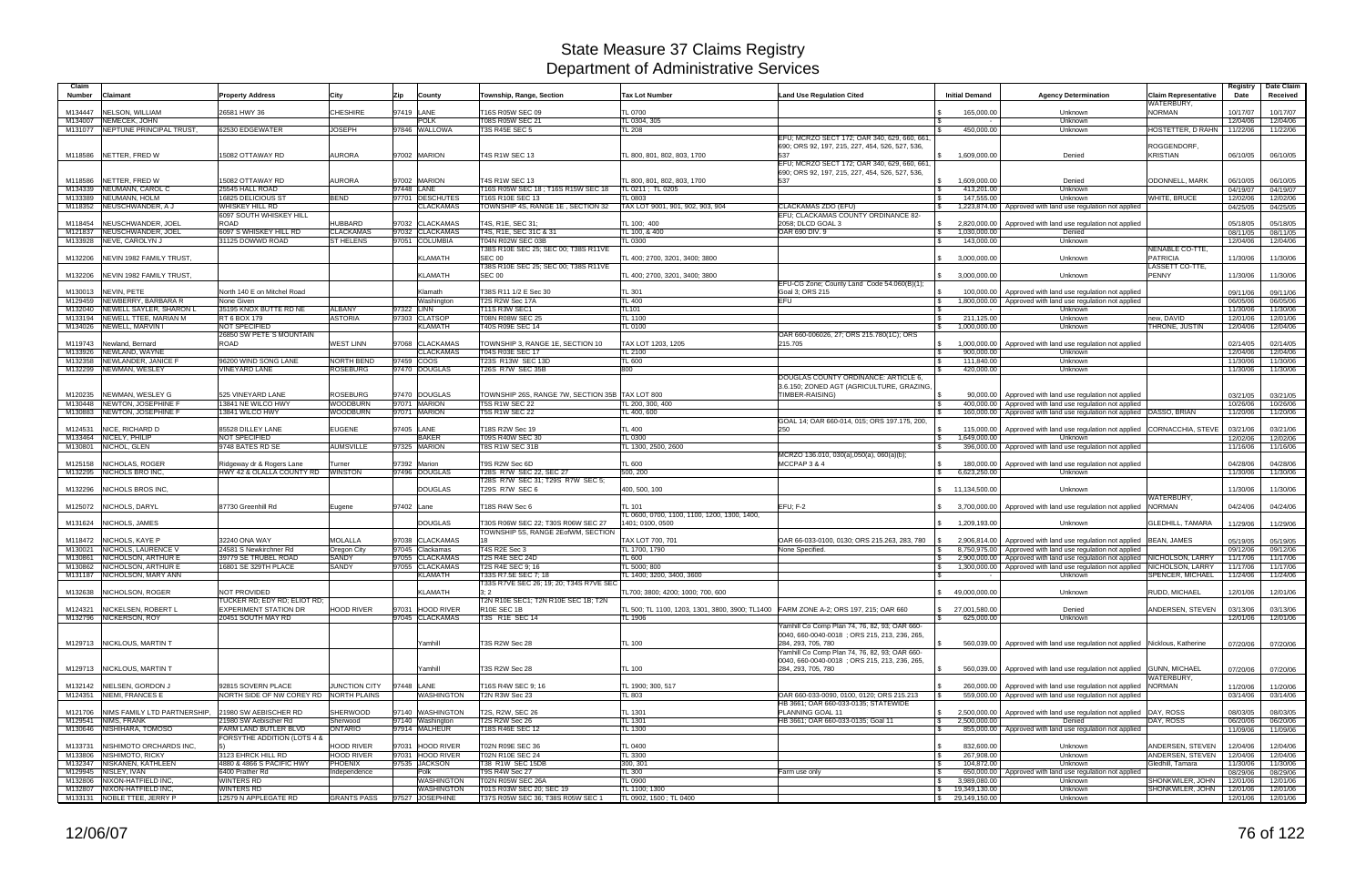| Claim<br><b>Number</b> | Claimant                                                   | <b>Property Address</b>                                      | City                   | Zip        | County                               | Township, Range, Section                                      | <b>Tax Lot Number</b>                                                                | <b>Land Use Regulation Cited</b>                                                               | <b>Initial Demand</b>                                      | <b>Agency Determination</b>                                                                                              | <b>Claim Representative</b>        | Registry<br>Date     | Date Claim<br>Received |
|------------------------|------------------------------------------------------------|--------------------------------------------------------------|------------------------|------------|--------------------------------------|---------------------------------------------------------------|--------------------------------------------------------------------------------------|------------------------------------------------------------------------------------------------|------------------------------------------------------------|--------------------------------------------------------------------------------------------------------------------------|------------------------------------|----------------------|------------------------|
| M134447                | NELSON, WILLIAM                                            | 26581 HWY 36                                                 | CHESHIRE               | 97419 LANE |                                      | T16S R05W SEC 09                                              | <b>TL 0700</b>                                                                       |                                                                                                | 165,000.00                                                 | Unknown                                                                                                                  | WATERBURY,<br><b>NORMAN</b>        | 10/17/07             | 10/17/07               |
| M134007                | NEMECEK, JOHN                                              |                                                              |                        |            | POLK                                 | T08S R05W SEC 21                                              | TL 0304, 305                                                                         |                                                                                                |                                                            | Unknown                                                                                                                  |                                    | 12/04/06             | 12/04/06               |
|                        | M131077 NEPTUNE PRINCIPAL TRUST,                           | 62530 EDGEWATER                                              | <b>JOSEPH</b>          |            | 97846 WALLOWA                        | T3S R45E SEC 5                                                | TL 208                                                                               |                                                                                                | 450,000.00                                                 | Unknown                                                                                                                  | HOSTETTER, D RAHN                  | 11/22/06             | 11/22/06               |
|                        | M118586 NETTER, FRED W                                     | 15082 OTTAWAY RD                                             | AURORA                 |            | 97002 MARION                         | <b>T4S R1W SEC 13</b>                                         | TL 800, 801, 802, 803, 1700                                                          | EFU; MCRZO SECT 172; OAR 340, 629, 660, 661<br>690; ORS 92, 197, 215, 227, 454, 526, 527, 536, | 1,609,000.00                                               | Denied                                                                                                                   | ROGGENDORF,<br><b>KRISTIAN</b>     | 06/10/05             | 06/10/05               |
|                        |                                                            |                                                              |                        |            |                                      |                                                               |                                                                                      | EFU; MCRZO SECT 172; OAR 340, 629, 660, 661<br>690; ORS 92, 197, 215, 227, 454, 526, 527, 536, |                                                            |                                                                                                                          |                                    |                      |                        |
| M118586                | NETTER, FRED W                                             | 15082 OTTAWAY RD                                             | AURORA                 |            | 97002 MARION                         | T4S R1W SEC 13                                                | TL 800, 801, 802, 803, 1700                                                          | 537                                                                                            | 1,609,000.00<br>$\mathsf{S}$                               | Denied                                                                                                                   | ODONNELL, MARK                     | 06/10/05             | 06/10/05               |
|                        | M134339 NEUMANN, CAROL C                                   | 25545 HALL ROAD                                              |                        | 97448 LANE |                                      | T16S R05W SEC 18 : T16S R15W SEC 18                           | TL 0211 ; TL 0205                                                                    |                                                                                                | 413,201.00                                                 | Unknown                                                                                                                  |                                    | 04/19/07             | 04/19/07               |
|                        | M133389 NEUMANN, HOLM                                      | <b>16825 DELICIOUS ST</b>                                    | BEND                   |            | 97701 DESCHUTES                      | <b>T16S R10E SEC 13</b>                                       | L 0803                                                                               |                                                                                                | 147,555.00                                                 | Unknown                                                                                                                  | <b>WHITE, BRUCE</b>                | 12/02/06             | 12/02/06               |
|                        | M118352 NEUSCHWANDER, A J                                  | WHISKEY HILL RD                                              |                        |            | <b>CLACKAMAS</b>                     | TOWNSHIP 4S, RANGE 1E, SECTION 32                             | TAX LOT 9001, 901, 902, 903, 904                                                     | CLACKAMAS ZDO (EFU)                                                                            | $\mathbb{S}$                                               | 1,223,874.00 Approved with land use regulation not applied                                                               |                                    | 04/25/05             | 04/25/05               |
|                        |                                                            | 6097 SOUTH WHISKEY HILL                                      |                        |            |                                      |                                                               |                                                                                      | EFU; CLACKAMAS COUNTY ORDINANCE 82-                                                            |                                                            |                                                                                                                          |                                    |                      |                        |
| M118454                | NEUSCHWANDER, JOEL                                         | <b>ROAD</b>                                                  | HUBBARD                |            | 97032 CLACKAMAS                      | T4S, R1E, SEC 31                                              | TL 100; 400                                                                          | 2058; DLCD GOAL 3                                                                              | <b>S</b>                                                   | 2,820,000.00   Approved with land use regulation not applied                                                             |                                    | 05/18/05             | 05/18/05               |
|                        | M121837 NEUSCHWANDER, JOEL                                 | 6097 S WHISKEY HILL RD                                       | <b>CLACKAMAS</b>       |            | 97032 CLACKAMAS                      | T4S, R1E, SEC 31C & 31                                        | TL 100, & 400                                                                        | OAR 690 DIV. 9                                                                                 | 1,030,000.00<br>$\mathfrak s$                              | Denied                                                                                                                   |                                    | 08/11/05             | 08/11/05               |
|                        | M133928 NEVE, CAROLYN J                                    | 31125 DOWWD ROAD                                             | <b>ST HELENS</b>       |            | 97051 COLUMBIA                       | T04N R02W SEC 03B<br>T38S R10E SEC 25; SEC 00; T38S R11VE     | TL 0300                                                                              |                                                                                                | 143,000.00<br><b>S</b>                                     | Unknown                                                                                                                  | NENABLE CO-TTE,                    | 12/04/06             | 12/04/06               |
|                        | M132206 NEVIN 1982 FAMILY TRUST.                           |                                                              |                        |            | <b>KLAMATH</b>                       | <b>SEC 00</b><br>T38S R10E SEC 25; SEC 00; T38S R11VE         | TL 400; 2700, 3201, 3400; 3800                                                       |                                                                                                | 3,000,000.00                                               | Unknown                                                                                                                  | <b>PATRICIA</b><br>LASSETT CO-TTE, | 11/30/06             | 11/30/06               |
|                        | M132206 NEVIN 1982 FAMILY TRUST,                           |                                                              |                        |            | KLAMATH                              | <b>SEC 00</b>                                                 | TL 400; 2700, 3201, 3400; 3800                                                       | EFU-CG Zone; County Land Code 54.060(B)(1)                                                     | $\mathbb{S}$<br>3,000,000.00                               | Unknown                                                                                                                  | PENNY                              | 11/30/06             | 11/30/06               |
| M130013                | NEVIN, PETE                                                | North 140 E on Mitchel Road                                  |                        |            | Klamath                              | T38S R11 1/2 E Sec 30                                         | TL 301                                                                               | Goal 3; ORS 215                                                                                | 100,000.00                                                 | Approved with land use regulation not applied                                                                            |                                    | 09/11/06             | 09/11/06               |
|                        | M129459 NEWBERRY, BARBARA R                                | None Given                                                   |                        |            | Washington                           | T2S R2W Sec 17A                                               | <b>TL 400</b>                                                                        | <b>EFU</b>                                                                                     | $\sqrt{3}$                                                 | 1,800,000.00 Approved with land use regulation not applied                                                               |                                    | 06/05/06             | 06/05/06               |
| M132040                | NEWELL SAYLER, SHARON L                                    | 35195 KNOX BUTTE RD NE                                       | <b>ALBANY</b>          | 97322 LINN |                                      | T11S R3W SEC1                                                 | <b>TL101</b>                                                                         |                                                                                                | $\mathbb{R}$                                               | Unknown                                                                                                                  |                                    | 11/30/06             | 11/30/06               |
|                        | M133194 NEWELL TTEE, MARIAN M                              | RT 6 BOX 179                                                 | <b>ASTORIA</b>         |            | 97303 CLATSOP                        | <b>T08N R08W SEC 25</b>                                       | TL 1100                                                                              |                                                                                                | 211,125.00                                                 | Unknown                                                                                                                  | new. DAVID                         | 12/01/06             | 12/01/06               |
|                        | M134026 NEWELL, MARVIN I                                   | <b>NOT SPECIFIED</b>                                         |                        |            | KLAMATH                              | T40S R09E SEC 14                                              | TL 0100                                                                              |                                                                                                | 1,000,000.00<br>$\mathcal{S}$                              | Unknown                                                                                                                  | THRONE, JUSTIN                     | 12/04/06             | 12/04/06               |
|                        |                                                            | 26850 SW PETE'S MOUNTAIN                                     |                        |            |                                      |                                                               |                                                                                      | OAR 660-006026, 27; ORS 215.780(1C); ORS                                                       |                                                            |                                                                                                                          |                                    |                      |                        |
| M119743                | Newland, Bernard<br>M133926 NEWLAND, WAYNE                 | <b>ROAD</b>                                                  | <b>WEST LINN</b>       | 97068      | <b>CLACKAMAS</b><br><b>CLACKAMAS</b> | TOWNSHIP 3, RANGE 1E, SECTION 10<br>T04S R03E SEC 17          | TAX LOT 1203, 1205<br>TL 2100                                                        | 215.705                                                                                        | 1,000,000.00<br>900,000.00                                 | Approved with land use regulation not applied<br>Unknown                                                                 |                                    | 02/14/05             | 02/14/05               |
|                        | M132358 NEWLANDER, JANICE                                  | 96200 WIND SONG LANE                                         | <b>NORTH BEND</b>      | 97459 COOS |                                      | T23S R13W SEC 13D                                             | TL 600                                                                               |                                                                                                | l \$<br>111,840.00                                         | Unknown                                                                                                                  |                                    | 12/04/06<br>11/30/06 | 12/04/06<br>11/30/06   |
|                        | M132299 NEWMAN, WESLEY                                     | <b>INEYARD LANE</b>                                          | <b>ROSEBURG</b>        |            | 97470 DOUGLAS                        | <b>T26S R7W SEC 35B</b>                                       | 800                                                                                  |                                                                                                | 420,000.00                                                 | Unknown                                                                                                                  |                                    | 11/30/06             | 11/30/06               |
|                        |                                                            |                                                              |                        |            |                                      |                                                               |                                                                                      | DOUGLAS COUNTY ORDINANCE: ARTICLE 6                                                            |                                                            |                                                                                                                          |                                    |                      |                        |
|                        |                                                            |                                                              |                        |            |                                      |                                                               |                                                                                      | 3.6.150; ZONED AGT (AGRICULTURE, GRAZING,                                                      |                                                            |                                                                                                                          |                                    |                      |                        |
| M120235                | NEWMAN, WESLEY G                                           | 525 VINEYARD LANE                                            | ROSEBURG               |            | 97470 DOUGLAS                        | TOWNSHIP 26S, RANGE 7W, SECTION 35B TAX LOT 800               |                                                                                      | TIMBER-RAISING)                                                                                | 90.000.00                                                  | Approved with land use regulation not applied                                                                            |                                    | 03/21/05             | 03/21/05               |
| M130448                | NEWTON, JOSEPHINE F                                        | 13841 NE WILCO HWY                                           | WOODBURN               |            | 97071 MARION                         | <b>T5S R1W SEC 22</b>                                         | TL 200, 300, 400                                                                     |                                                                                                | 400,000.00                                                 | Approved with land use regulation not applied                                                                            |                                    | 10/26/06             | 10/26/06               |
|                        | M130883 NEWTON, JOSEPHINE F                                | 3841 WILCO HWY                                               | WOODBURN               |            | 97071 MARION                         | <b>T5S R1W SEC 22</b>                                         | TL 400, 600                                                                          |                                                                                                | 160,000.00                                                 | Approved with land use regulation not applied   DASSO, BRIAN                                                             |                                    | 11/20/06             | 11/20/06               |
|                        |                                                            |                                                              |                        |            |                                      |                                                               |                                                                                      | GOAL 14; OAR 660-014, 015; ORS 197.175, 200,                                                   |                                                            |                                                                                                                          |                                    |                      |                        |
| M124531                | NICE, RICHARD D<br>M133464 NICELY, PHILIP                  | 85528 DILLEY LANE<br>NOT SPECIFIED                           | <b>EUGENE</b>          | 97405 LANE | <b>BAKER</b>                         | T18S R2W Sec 19<br>T09S R40W SEC 30                           | <b>TL 400</b><br><b>TL 0300</b>                                                      | 250                                                                                            | 115,000.00<br>1,649,000.00<br>$\sqrt{3}$                   | Approved with land use regulation not applied CORNACCHIA, STEVE<br>Unknown                                               |                                    | 03/21/06<br>12/02/06 | 03/21/06<br>12/02/06   |
|                        |                                                            |                                                              |                        |            |                                      |                                                               |                                                                                      |                                                                                                |                                                            |                                                                                                                          |                                    |                      |                        |
|                        |                                                            |                                                              |                        |            |                                      |                                                               |                                                                                      |                                                                                                |                                                            |                                                                                                                          |                                    |                      |                        |
|                        | M130801 NICHOL, GLEN                                       | 9748 BATES RD SE                                             | <b>AUMSVILLE</b>       |            | 97325 MARION                         | T8S R1W SEC 31B                                               | TL 1300, 2500, 2600                                                                  |                                                                                                | IS.                                                        | 396,000.00   Approved with land use regulation not applied                                                               |                                    | 11/16/06             | 11/16/06               |
| M125158                | NICHOLAS, ROGER                                            |                                                              |                        |            | 97392 Marion                         | T9S R2W Sec 6D                                                | TL 600                                                                               | MCRZO 136.010, 030(a),050(a), 060(a)(b);<br>MCCPAP 3 & 4                                       | 180,000.00                                                 |                                                                                                                          |                                    |                      |                        |
|                        | M132295 NICHOLS BRO INC,                                   | Ridgeway dr & Rogers Lane<br>HWY 42 & OLALLA COUNTY RD       | Turner<br>WINSTON      |            | 97496 DOUGLAS                        | T28S R7W SEC 22, SEC 27                                       | 500, 200                                                                             |                                                                                                | 6,623,250.00<br>$\mathcal{S}$                              | Approved with land use regulation not applied<br>Unknown                                                                 |                                    | 04/28/06<br>11/30/06 | 04/28/06<br>11/30/06   |
|                        |                                                            |                                                              |                        |            |                                      | T28S R7W SEC 31; T29S R7W SEC 5;                              |                                                                                      |                                                                                                |                                                            |                                                                                                                          |                                    |                      |                        |
|                        | M132296 NICHOLS BROS INC.                                  |                                                              |                        |            | <b>DOUGLAS</b>                       | T29S R7W SEC 6                                                | 400, 500, 100                                                                        |                                                                                                | \$ 11,134,500.00                                           | Unknown                                                                                                                  |                                    | 11/30/06             | 11/30/06               |
|                        |                                                            |                                                              |                        |            |                                      |                                                               |                                                                                      |                                                                                                |                                                            |                                                                                                                          | WATERBURY,                         |                      |                        |
|                        | M125072 NICHOLS, DARYL                                     | 87730 Greenhill Rd                                           | Eugene                 | 97402 Lane |                                      | T18S R4W Sec 6                                                | TL 101                                                                               | <b>EFU: F-2</b>                                                                                | 3,700,000.00                                               | Approved with land use regulation not applied                                                                            | <b>NORMAN</b>                      | 04/24/06             | 04/24/06               |
|                        |                                                            |                                                              |                        |            |                                      |                                                               | TL 0600, 0700, 1100, 1100, 1200, 1300, 1400,                                         |                                                                                                |                                                            |                                                                                                                          |                                    |                      |                        |
| M131624                | NICHOLS, JAMES                                             |                                                              |                        |            | <b>DOUGLAS</b>                       | T30S R06W SEC 22: T30S R06W SEC 27                            | 1401: 0100. 0500                                                                     |                                                                                                | 1,209,193.00                                               | Unknown                                                                                                                  | <b>GLEDHILL, TAMARA</b>            | 11/29/06             | 11/29/06               |
|                        |                                                            |                                                              |                        |            |                                      | TOWNSHIP 5S, RANGE 2EofWM, SECTION                            |                                                                                      |                                                                                                |                                                            |                                                                                                                          |                                    |                      |                        |
|                        | M118472 NICHOLS, KAYE P<br>M130021 NICHOLS, LAURENCE V     | 32240 ONA WAY<br>24581 S Newkirchner Rd                      | MOLALLA<br>Oregon City | 97038      | <b>CLACKAMAS</b><br>97045 Clackamas  | T4S R2E Sec 3                                                 | TAX LOT 700, 701<br>TL 1700, 1790                                                    | OAR 66-033-0100, 0130; ORS 215.263, 283, 780<br>None Specified.                                |                                                            | 2,906,814.00 Approved with land use regulation not applied<br>8,750,975.00 Approved with land use regulation not applied | BEAN, JAMES                        | 05/19/05<br>09/12/06 | 05/19/05<br>09/12/06   |
| M130861                | NICHOLSON, ARTHUR E                                        | 39779 SE TRUBEL ROAD                                         | SANDY                  | 97055      | <b>CLACKAMAS</b>                     | T2S R4E SEC 24D                                               | TL 600                                                                               |                                                                                                | 2,900,000.00                                               | Approved with land use regulation not applied NICHOLSON, LARRY                                                           |                                    | 11/17/06             | 11/17/06               |
|                        | M130862 NICHOLSON, ARTHUR E                                | 16801 SE 329TH PLACE                                         | SANDY                  |            | 97055 CLACKAMAS                      | T2S R4E SEC 9: 16                                             | TL 5000; 800                                                                         |                                                                                                | 1,300,000.00                                               | Approved with land use regulation not applied NICHOLSON, LARRY                                                           |                                    | 11/17/06             | 11/17/06               |
|                        | M131187 NICHOLSON, MARY ANN                                |                                                              |                        |            | KLAMATH                              | T33S R7.5E SEC 7; 18                                          | TL 1400: 3200. 3400. 3600                                                            |                                                                                                |                                                            | Unknown                                                                                                                  | <b>SPENCER, MICHAEL</b>            | 11/24/06             | 11/24/06               |
|                        |                                                            |                                                              |                        |            |                                      | T33S R7VE SEC 26; 19; 20; T34S R7VE SEC                       |                                                                                      |                                                                                                |                                                            |                                                                                                                          |                                    |                      |                        |
|                        | M132638 NICHOLSON, ROGER                                   | NOT PROVIDED                                                 |                        |            | <b>KLAMATH</b>                       | 3:2                                                           | TL700: 3800: 4200: 1000: 700, 600                                                    |                                                                                                | \$49,000,000.00                                            | Unknown                                                                                                                  | RUDD, MICHAEL                      | 12/01/06             | 12/01/06               |
|                        | M124321 NICKELSEN, ROBERT L                                | TUCKER RD: EDY RD: ELIOT RD:<br><b>EXPERIMENT STATION DR</b> | HOOD RIVER             |            | 97031 HOOD RIVER                     | T2N R10E SEC1: T2N R10E SEC 1B: T2N<br>R10E SEC 1B            | TL 500; TL 1100, 1203, 1301, 3800, 3900; TL1400 FARM ZONE A-2; ORS 197, 215; OAR 660 |                                                                                                | \$ 27,001,580.00                                           | Denied                                                                                                                   |                                    |                      |                        |
|                        | M132796 NICKERSON, ROY                                     | 20451 SOUTH MAY RD                                           |                        |            | 97045 CLACKAMAS                      | T3S R1E SEC 14                                                | TL 1906                                                                              |                                                                                                | 625,000.00                                                 | Unknown                                                                                                                  | ANDERSEN, STEVEN                   | 03/13/06             | 03/13/06               |
|                        |                                                            |                                                              |                        |            |                                      |                                                               |                                                                                      | Yamhill Co Comp Plan 74, 76, 82, 93; OAR 660-<br>0040, 660-0040-0018; ORS 215, 213, 236, 265,  |                                                            |                                                                                                                          |                                    | 12/01/06             | 12/01/06               |
|                        | M129713 NICKLOUS, MARTIN T                                 |                                                              |                        |            | Yamhill                              | T3S R2W Sec 28                                                | <b>TL 100</b>                                                                        | 284, 293, 705, 780                                                                             |                                                            | 560,039.00   Approved with land use regulation not applied Nicklous, Katherine                                           |                                    | 07/20/06             | 07/20/06               |
|                        |                                                            |                                                              |                        |            |                                      |                                                               |                                                                                      | Yamhill Co Comp Plan 74, 76, 82, 93; OAR 660-                                                  |                                                            |                                                                                                                          |                                    |                      |                        |
|                        |                                                            |                                                              |                        |            |                                      |                                                               |                                                                                      | 0040, 660-0040-0018 : ORS 215, 213, 236, 265,                                                  |                                                            |                                                                                                                          |                                    |                      |                        |
|                        | M129713   NICKLOUS, MARTIN T                               |                                                              |                        |            | <b>Yamhill</b>                       | T3S R2W Sec 28                                                | TL 100                                                                               | 284, 293, 705, 780                                                                             | <b>S</b>                                                   | 560,039.00   Approved with land use regulation not applied GUNN, MICHAEL                                                 |                                    | 07/20/06             | 07/20/06               |
|                        |                                                            |                                                              |                        |            |                                      |                                                               |                                                                                      |                                                                                                |                                                            |                                                                                                                          | WATERBURY.                         |                      |                        |
|                        | M132142 NIELSEN, GORDON J<br>M124351 NIEMI, FRANCES E      | 92815 SOVERN PLACE<br>NORTH SIDE OF NW COREY RD NORTH PLAINS | JUNCTION CITY          | 97448 LANE | <b>WASHINGTON</b>                    | T16S R4W SEC 9; 16                                            | TL 1900: 300, 517<br>TL 803                                                          | OAR 660-033-0090, 0100, 0120; ORS 215.213                                                      |                                                            | 260,000.00   Approved with land use regulation not applied<br>559,000,00 Approved with land use regulation not applied   | <b>NORMAN</b>                      | 11/20/06             | 11/20/06               |
|                        |                                                            |                                                              |                        |            |                                      | T2N R3W Sec 23                                                |                                                                                      | HB 3661; OAR 660-033-0135; STATEWIDE                                                           |                                                            |                                                                                                                          |                                    | 03/14/06             | 03/14/06               |
|                        | M121706 NIMS FAMILY LTD PARTNERSHIP,                       | 21980 SW AEBISCHER RD                                        | SHERWOOD               |            | 97140 WASHINGTON                     | T2S, R2W, SEC 26                                              | TL 1301                                                                              | PLANNING GOAL 11                                                                               | $\mathcal{S}$                                              | 2,500,000.00   Approved with land use regulation not applied DAY, ROSS                                                   |                                    | 08/03/05             | 08/03/05               |
|                        | M129541 NIMS, FRANK                                        | 21980 SW Aebischer Rd                                        | Sherwood               |            | 97140 Washington                     | <b>T2S R2W Sec 26</b>                                         | TL 1301                                                                              | HB 3661; OAR 660-033-0135; Goal 11                                                             | 2,500,000.00<br>$\sqrt{3}$                                 | Denied                                                                                                                   | DAY, ROSS                          | 06/20/06             | 06/20/06               |
|                        | M130646 NISHIHARA, TOMOSO                                  | FARM LAND BUTLER BLVD                                        | <b>ONTARIO</b>         |            | 97914 MALHEUR                        | T18S R46E SEC 12                                              | TL 1300                                                                              |                                                                                                | $\sqrt{3}$                                                 | 855,000.00   Approved with land use regulation not applied                                                               |                                    | 11/09/06             | 11/09/06               |
|                        |                                                            | FORSYTHE ADDITION (LOTS 4 &                                  |                        |            |                                      |                                                               |                                                                                      |                                                                                                |                                                            |                                                                                                                          |                                    |                      |                        |
|                        | M133731 NISHIMOTO ORCHARDS INC.                            |                                                              | <b>HOOD RIVER</b>      |            | 97031 HOOD RIVER                     | T02N R09E SEC 36                                              | <b>TL 0400</b>                                                                       |                                                                                                | 832,600.00<br>$\mathbf{s}$                                 | Unknown                                                                                                                  | ANDERSEN, STEVEN                   | 12/04/06             | 12/04/06               |
|                        | M133806 NISHIMOTO, RICKY                                   | 3123 EHRCK HILL RD                                           | <b>HOOD RIVER</b>      |            | 97031 HOOD RIVER                     | T02N R10E SEC 24                                              | TL 3300                                                                              |                                                                                                | 267,908.00<br>$\sqrt{3}$                                   | Unknown                                                                                                                  | ANDERSEN, STEVEN                   | 12/04/06             | 12/04/06               |
|                        | M132347 NISKANEN, KATHLEEN                                 | 4880 & 4866 S PACIFIC HWY                                    | PHOENIX                |            | 97535 JACKSON                        | T38 R1W SEC 15DB                                              | 300, 301                                                                             |                                                                                                | 104,872.00                                                 | Unknown                                                                                                                  | Gledhill, Tamara                   | 11/30/06             | 11/30/06               |
|                        | M129945 NISLEY, IVAN<br>M132806 NIXON-HATFIELD INC.        | 6400 Prather Rd<br><b>WINTERS RD</b>                         | Independence           |            | Polk<br><b>WASHINGTON</b>            | T9S R4W Sec 27<br>T02N R05W SEC 26A                           | <b>TL 300</b><br>TL 0900                                                             | Farm use only                                                                                  | $\sqrt{3}$<br>3,989,080.00<br>$\sqrt{3}$                   | 650,000.00   Approved with land use regulation not applied<br>Unknown                                                    | SHONKWILER, JOHN                   | 08/29/06<br>12/01/06 | 08/29/06<br>12/01/06   |
|                        | M132807 NIXON-HATFIELD INC,<br>M133131 NOBLE TTEE, JERRY P | <b>WINTERS RD</b><br>12579 N APPLEGATE RD                    | <b>GRANTS PASS</b>     |            | <b>WASHINGTON</b><br>97527 JOSEPHINE | T01S R03W SEC 20; SEC 19<br>T37S R05W SEC 36; T38S R05W SEC 1 | TL 1100; 1300<br>TL 0902, 1500; TL 0400                                              |                                                                                                | $\frac{1}{3}$ 19,349,130.00<br>$\frac{1}{2}$ 29,149,150.00 | Unknown                                                                                                                  | SHONKWILER, JOHN                   | 12/01/06             | 12/01/06               |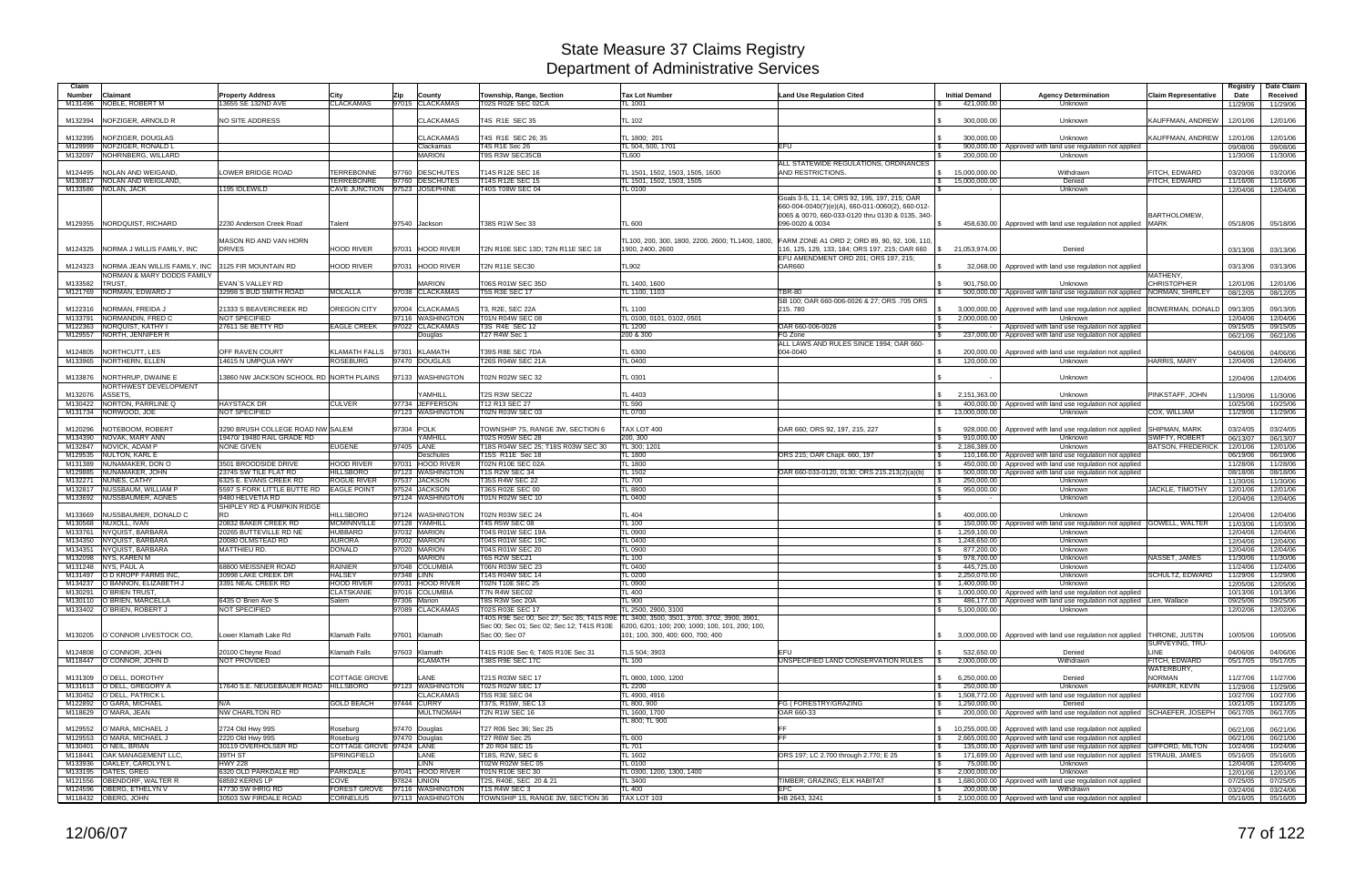| Claim<br>Number    | Claimant                                                 | Property Address                                | City                                               | Zip                            | County                              | Township, Range, Section                               | <b>Tax Lot Number</b>                                                                     | <b>Land Use Regulation Cited</b>                                                       | <b>Initial Demand</b>      | <b>Agency Determination</b>                                                                                               | <b>Claim Representative</b>                       | Registry<br>Date     | Date Claim<br>Received |
|--------------------|----------------------------------------------------------|-------------------------------------------------|----------------------------------------------------|--------------------------------|-------------------------------------|--------------------------------------------------------|-------------------------------------------------------------------------------------------|----------------------------------------------------------------------------------------|----------------------------|---------------------------------------------------------------------------------------------------------------------------|---------------------------------------------------|----------------------|------------------------|
| M131496            | NOBLE, ROBERT M                                          | 13655 SE 132ND AVE                              | <b>CLACKAMAS</b>                                   |                                | 97015 CLACKAMAS                     | T02S R02E SEC 02CA                                     | TL 1001                                                                                   |                                                                                        | 421,000.00                 | Unknown                                                                                                                   |                                                   | 11/29/06             | 11/29/06               |
| M132394            | NOFZIGER, ARNOLD R                                       | NO SITE ADDRESS                                 |                                                    |                                | <b>CLACKAMAS</b>                    | T4S R1E SEC 35                                         | <b>TL 102</b>                                                                             |                                                                                        | 300,000.00                 | Unknown                                                                                                                   | KAUFFMAN, ANDREW                                  | 12/01/06             | 12/01/06               |
| M132395            | NOFZIGER, DOUGLAS                                        |                                                 |                                                    |                                | <b>CLACKAMAS</b>                    | T4S R1E SEC 26; 35                                     | TL 1800; 201                                                                              |                                                                                        | 300.000.00                 | Unknown                                                                                                                   | KAUFFMAN, ANDREW                                  | 12/01/06             | 12/01/06               |
| M132097            | M129999 NOFZIGER, RONALD L<br>NOHRNBERG, WILLARD         |                                                 |                                                    |                                | Clackamas<br><b>MARION</b>          | <b>T4S R1E Sec 26</b><br><b>T9S R3W SEC35CB</b>        | TL 504, 500, 1701<br>TL600                                                                | EFU                                                                                    | 200,000.00                 | 900,000.00   Approved with land use regulation not applied<br>Unknown                                                     |                                                   | 09/08/06<br>11/30/06 | 09/08/06<br>11/30/06   |
|                    |                                                          |                                                 |                                                    |                                |                                     |                                                        |                                                                                           | ALL STATEWIDE REGULATIONS, ORDINANCES                                                  |                            |                                                                                                                           |                                                   |                      |                        |
| M124495            | NOLAN AND WEIGAND,                                       | OWER BRIDGE ROAD                                | <b>TERREBONNE</b>                                  | 97760                          | <b>DESCHUTES</b>                    | T14S R12E SEC 16                                       | TL 1501, 1502, 1503, 1505, 1600                                                           | AND RESTRICTIONS.                                                                      | 15,000,000.00              | Withdrawn                                                                                                                 | FITCH, EDWARD                                     | 03/20/06             | 03/20/06               |
|                    | M130817 NOLAN AND WEIGLAND,<br>M133586 NOLAN, JACK       | 1195 IDLEWILD                                   | <b>TERREBONRE</b><br>CAVE JUNCTION 97523 JOSEPHINE |                                | 97760 DESCHUTES                     | T14S R12E SEC 15<br>T40S T08W SEC 04                   | TL 1501, 1502, 1503, 1505<br><b>TL 0100</b>                                               |                                                                                        | 15,000,000.00              | Denied<br>Unknown                                                                                                         | FITCH, EDWARD                                     | 11/16/06<br>12/04/06 | 11/16/06<br>12/04/06   |
|                    |                                                          |                                                 |                                                    |                                |                                     |                                                        |                                                                                           | Goals 3-5, 11, 14; ORS 92, 195, 197, 215; OAR                                          |                            |                                                                                                                           |                                                   |                      |                        |
|                    |                                                          |                                                 |                                                    |                                |                                     |                                                        |                                                                                           | 660-004-0040(7)(e)(A), 660-011-0060(2), 660-012-                                       |                            |                                                                                                                           |                                                   |                      |                        |
|                    | M129355 NORDQUIST, RICHARD                               | 2230 Anderson Creek Road                        | Talent                                             | 97540 Jackson                  |                                     | T38S R1W Sec 33                                        | TL 600                                                                                    | 0065 & 0070, 660-033-0120 thru 0130 & 0135, 340-<br>096-0020 & 0034                    |                            |                                                                                                                           | <b>BARTHOLOMEW.</b>                               | 05/18/06             | 05/18/06               |
|                    |                                                          |                                                 |                                                    |                                |                                     |                                                        |                                                                                           |                                                                                        |                            | 458,630.00   Approved with land use regulation not applied MARK                                                           |                                                   |                      |                        |
|                    |                                                          | MASON RD AND VAN HORN                           |                                                    |                                |                                     |                                                        | TL100, 200, 300, 1800, 2200, 2600; TL1400, 1800,                                          | FARM ZONE A1 ORD 2; ORD 89, 90, 92, 106, 110.                                          |                            |                                                                                                                           |                                                   |                      |                        |
| M124325            | NORMA J WILLIS FAMILY, INC                               | <b>DRIVES</b>                                   | <b>HOOD RIVER</b>                                  | 97031                          | <b>HOOD RIVER</b>                   | T2N R10E SEC 13D; T2N R11E SEC 18                      | 1900, 2400, 2600                                                                          | 116, 125, 129, 133, 184; ORS 197, 215; OAR 660<br>EFU AMENDMENT ORD 201; ORS 197, 215; | 21,053,974.00              | Denied                                                                                                                    |                                                   | 03/13/06             | 03/13/06               |
| M124323            | NORMA JEAN WILLIS FAMILY, INC                            | 3125 FIR MOUNTAIN RD                            | <b>HOOD RIVER</b>                                  |                                | 97031 HOOD RIVER                    | <b>T2N R11E SEC30</b>                                  | <b>TL902</b>                                                                              | <b>OAR660</b>                                                                          |                            | 32,068.00   Approved with land use regulation not applied                                                                 |                                                   | 03/13/06             | 03/13/06               |
|                    | <b>VORMAN &amp; MARY DODDS FAMILY</b>                    |                                                 |                                                    |                                |                                     |                                                        |                                                                                           |                                                                                        |                            |                                                                                                                           | MATHENY,                                          |                      |                        |
| M133582            | <b>TRUST.</b><br>M121769 NORMAN, EDWARD J                | EVAN'S VALLEY RD<br>32998 S BUD SMITH ROAD      | MOLALLA                                            |                                | MARION<br>97038 CLACKAMAS           | T06S R01W SEC 35D<br><b>T5S R3E SEC 17</b>             | TL 1400, 1600<br>TL 1100, 1103                                                            | <b>TBR-80</b>                                                                          | 901,750.00                 | Unknown<br>500,000.00 Approved with land use regulation not applied                                                       | <b>CHRISTOPHER</b><br>NORMAN, SHIRLEY             | 12/01/06<br>08/12/05 | 12/01/06<br>08/12/05   |
|                    |                                                          |                                                 |                                                    |                                |                                     |                                                        |                                                                                           | SB 100; OAR 660-006-0026 & 27; ORS .705 ORS                                            |                            |                                                                                                                           |                                                   |                      |                        |
| M122316            | NORMAN, FREIDA J                                         | 21333 S BEAVERCREEK RD                          | <b>OREGON CITY</b>                                 |                                | 97004 CLACKAMAS                     | T3, R2E, SEC 22A                                       | TL 1100                                                                                   | 215, 780                                                                               | 3,000,000.00               | Approved with land use regulation not applied                                                                             | BOWERMAN, DONALD                                  | 09/13/05             | 09/13/05               |
| M133791<br>M122363 | NORMANDIN, FRED C<br>NORQUIST, KATHY I                   | <b>NOT SPECIFIED</b><br>27611 SE BETTY RD       | <b>EAGLE CREEK</b>                                 |                                | 97116 WASHINGTON<br>97022 CLACKAMAS | <b>T01N R04W SEC 08</b><br>T3S R4E SEC 12              | TL 0100, 0101, 0102, 0501<br>TL 1200                                                      | OAR 660-006-0026                                                                       | 2,000,000.00               | Unknown<br>Approved with land use regulation not applied                                                                  |                                                   | 12/04/06<br>09/15/05 | 12/04/06<br>09/15/05   |
|                    | M129557 NORTH, JENNIFER R                                |                                                 |                                                    |                                | Douglas                             | T27 R4W Sec 1                                          | 200 & 300                                                                                 | FG Zone                                                                                |                            | 237,000.00   Approved with land use regulation not applied                                                                |                                                   | 06/21/06             | 06/21/06               |
|                    |                                                          |                                                 | KLAMATH FALLS                                      |                                | <b>KLAMATH</b>                      |                                                        |                                                                                           | ALL LAWS AND RULES SINCE 1994; OAR 660-                                                |                            |                                                                                                                           |                                                   |                      |                        |
| M124805            | NORTHCUTT, LES<br>M133965 NORTHERN, ELLEN                | <b>OFF RAVEN COURT</b><br>14615 N UMPQUA HWY    | <b>ROSEBURG</b>                                    | 97301                          | 97470 DOUGLAS                       | T39S R8E SEC 7DA<br>T26S R04W SEC 21A                  | TL 6300<br>TL 0400                                                                        | 004-0040                                                                               | 200,000.00<br>120,000.00   | Approved with land use regulation not applied<br>Unknown                                                                  | <b>HARRIS, MARY</b>                               | 04/06/06<br>12/04/06 | 04/06/06<br>12/04/06   |
|                    |                                                          |                                                 |                                                    |                                |                                     |                                                        |                                                                                           |                                                                                        |                            |                                                                                                                           |                                                   |                      |                        |
| M133876            | NORTHRUP, DWAINE E<br><b>NORTHWEST DEVELOPMENT</b>       | 13860 NW JACKSON SCHOOL RD NORTH PLAINS         |                                                    |                                | 97133 WASHINGTON                    | T02N R02W SEC 32                                       | TL 0301                                                                                   |                                                                                        |                            | Unknown                                                                                                                   |                                                   | 12/04/06             | 12/04/06               |
| M132076            | ASSETS,                                                  |                                                 |                                                    |                                | <b>AMHILL</b>                       | T2S R3W SEC22                                          | TL 4403                                                                                   |                                                                                        | 2,151,363.00               | Unknown                                                                                                                   | PINKSTAFF, JOHN                                   | 11/30/06             | 11/30/06               |
|                    | M130422 NORTON, PARRLINE Q                               | <b>HAYSTACK DR</b>                              | <b>CULVER</b>                                      |                                | 97734 JEFFERSON                     | T12 R13 SEC 27                                         | TL 590                                                                                    |                                                                                        |                            | 400,000.00   Approved with land use regulation not applied                                                                |                                                   | 10/25/06             | 10/25/06               |
|                    | M131734 NORWOOD, JOE                                     | <b>NOT SPECIFIED</b>                            |                                                    |                                | 97123 WASHINGTON                    | T02N R03W SEC 03                                       | <b>TL 0700</b>                                                                            |                                                                                        | 13,000,000.00<br>\$        | Unknown                                                                                                                   | COX, WILLIAM                                      | 11/29/06             | 11/29/06               |
| M120296            | NOTEBOOM, ROBERT                                         | 3290 BRUSH COLLEGE ROAD NW SALEM                |                                                    | 97304 POLK                     |                                     | TOWNSHIP 7S, RANGE 3W, SECTION 6                       | TAX LOT 400                                                                               | OAR 660; ORS 92, 197, 215, 227                                                         | 928,000.00                 | Approved with land use regulation not applied                                                                             | <b>SHIPMAN, MARK</b>                              | 03/24/05             | 03/24/05               |
|                    | M134390 NOVAK, MARY ANN                                  | 19470/19480 RAIL GRADE RD<br><b>NONE GIVEN</b>  | <b>EUGENE</b>                                      | 97405 LANE                     | <b>AMHILL</b>                       | T02S R05W SEC 28<br>T18S R04W SEC 25; T18S R03W SEC 30 | 200, 300<br>TL 300; 1201                                                                  |                                                                                        | 910,000.00<br>2,186,389.00 | Unknown<br>Unknown                                                                                                        | <b>SWIFTY, ROBERT</b><br><b>BATSON, FREDERICK</b> | 06/13/07             | 06/13/07               |
|                    | M132847 NOVICK, ADAM P<br>M129535 NULTON, KARL E         |                                                 |                                                    |                                | Deschutes                           | T15S R11E Sec 18                                       | <b>TL 1800</b>                                                                            | ORS 215; OAR Chapt. 660, 197                                                           |                            | 110,166.00   Approved with land use regulation not applied                                                                |                                                   | 12/01/06<br>06/19/06 | 12/01/06<br>06/19/06   |
|                    | M131389 NUNAMAKER, DON O                                 | 3501 BROODSIDE DRIVE                            | <b>HOOD RIVER</b>                                  |                                | 97031 HOOD RIVER                    | T02N R10E SEC 02A                                      | <b>TL 1800</b>                                                                            |                                                                                        |                            | 450,000.00   Approved with land use regulation not applied                                                                |                                                   | 11/28/06             | 11/28/06               |
|                    | M129885 NUNAMAKER, JOHN<br>M132271 NUNES, CATHY          | 23745 SW TILE FLAT RD<br>6325 E. EVANS CREEK RD | <b>HILLSBORO</b><br><b>ROGUE RIVER</b>             |                                | 97123 WASHINGTON<br>97537 JACKSON   | <b>T1S R2W SEC 34</b><br><b>T35S R4W SEC 22</b>        | TL 1502<br><b>TL 700</b>                                                                  | OAR 660-033-0120, 0130; ORS 215.213(2)(a)(b)                                           | 250,000.00                 | 500,000.00 Approved with land use regulation not applied<br>Unknown                                                       |                                                   | 08/18/06<br>11/30/06 | 08/18/06<br>11/30/06   |
|                    | M132817 NUSSBAUM, WILLIAM P                              | 5597 S FORK LITTLE BUTTE RD                     | <b>EAGLE POINT</b>                                 |                                | 97524 JACKSON                       | T36S R02E SEC 00                                       | <b>TL 8800</b>                                                                            |                                                                                        | 950,000.00                 | Unknown                                                                                                                   | JACKLE, TIMOTHY                                   | 12/01/06             | 12/01/06               |
| M133692            | NUSSBAUMER, AGNES                                        | 9480 HELVETIA RD                                |                                                    |                                | 97124 WASHINGTON                    | T01N R02W SEC 10                                       | <b>TL 0400</b>                                                                            |                                                                                        |                            | Unknown                                                                                                                   |                                                   | 12/04/06             | 12/04/06               |
| M133669            | NUSSBAUMER, DONALD C                                     | SHIPLEY RD & PUMPKIN RIDGE<br>RD.               | <b>HILLSBORO</b>                                   |                                | 97124 WASHINGTON                    | T02N R03W SEC 24                                       | <b>TL 404</b>                                                                             |                                                                                        | 400.000.00                 | Unknown                                                                                                                   |                                                   | 12/04/06             | 12/04/06               |
| M130568            | NUXOLL, IVAN                                             | 20832 BAKER CREEK RD                            | <b>MCMINNVILLE</b>                                 |                                | 97128 YAMHILL                       | <b>T4S R5W SEC 08</b>                                  | <b>TL 100</b>                                                                             |                                                                                        |                            | 150,000.00 Approved with land use regulation not applied                                                                  | GOWELL, WALTER                                    | 11/03/06             | 11/03/06               |
| M133761            | NYQUIST, BARBARA                                         | 20265 BUTTEVILLE RD NE                          | <b>HUBBARD</b>                                     |                                | 97032 MARION                        | T04S R01W SEC 19A                                      | TL 0900                                                                                   |                                                                                        | 1,259,100.00               | Unknown                                                                                                                   |                                                   | 12/04/06             | 12/04/06               |
| M134350            | NYQUIST, BARBARA<br>M134351 NYQUIST, BARBARA             | 20080 OLMSTEAD RD<br>MATTHIEU RD.               | <b>AURORA</b><br><b>DONALD</b>                     |                                | 97002 MARION<br>97020 MARION        | T04S R01W SEC 19C<br>T04S R01W SEC 20                  | TL 0400<br><b>TL 0900</b>                                                                 |                                                                                        | 1,248,650.00<br>877,200.00 | Unknown<br>Unknown                                                                                                        |                                                   | 12/04/06<br>12/04/06 | 12/04/06<br>12/04/06   |
|                    | M132098 NYS, KAREN M                                     |                                                 |                                                    |                                | <b>MARION</b>                       | T6S R2W SEC21                                          | <b>TL 100</b>                                                                             |                                                                                        | 978,700.00                 | Unknown                                                                                                                   | NASSET, JAMES                                     | 11/30/06             | 11/30/06               |
|                    | M131248 NYS, PAUL A<br>M131497 O D KROPF FARMS INC.      | 68800 MEISSNER ROAD<br>30998 LAKE CREEK DR      | <b>RAINIER</b><br><b>HALSEY</b>                    | 97348 LINN                     | 97048 COLUMBIA                      | T06N R03W SEC 23<br>T14S R04W SEC 14                   | TL 0400<br><b>TL 0200</b>                                                                 |                                                                                        | 445,725.00<br>2,250,070.00 | Unknown<br>Unknown                                                                                                        | SCHULTZ, EDWARD                                   | 11/24/06             | 11/24/06<br>11/29/06   |
|                    | M134237 O`BANNON, ELIZABETH J                            | 3391 NEAL CREEK RD                              | <b>HOOD RIVER</b>                                  |                                | 97031 HOOD RIVER                    | T02N T10E SEC 25                                       | TL 0900                                                                                   |                                                                                        | 1.400.000.00               | Unknown                                                                                                                   |                                                   | 11/29/06<br>12/05/06 | 12/05/06               |
|                    | M130291 O'BRIEN TRUST.                                   |                                                 | <b>CLATSKANIE</b>                                  |                                | 97016 COLUMBIA                      | T7N R4W SEC02                                          | TL 400                                                                                    |                                                                                        |                            | 1,000,000.00 Approved with land use regulation not applied                                                                |                                                   | 10/13/06             | 10/13/06               |
|                    | M130110 O`BRIEN, MARCELLA<br>M133402 O`BRIEN, ROBERT J   | 6435 O'Brien Ave S<br>NOT SPECIFIED             | Salem                                              | 97306 Marion                   | 97089 CLACKAMAS                     | T8S R3W Sec 20A<br>T02S R03E SEC 17                    | TL 900<br>TL 2500, 2900, 3100                                                             |                                                                                        | 5,100,000.00               | 486,177.00   Approved with land use regulation not applied Lien, Wallace<br>Unknown                                       |                                                   | 09/25/06<br>12/02/06 | 09/25/06<br>12/02/06   |
|                    |                                                          |                                                 |                                                    |                                |                                     |                                                        | T40S R9E Sec 00; Sec 27; Sec 35; T41S R9E TL 3400, 3500, 3501, 3700, 3702, 3900, 3901,    |                                                                                        |                            |                                                                                                                           |                                                   |                      |                        |
|                    |                                                          |                                                 |                                                    |                                |                                     |                                                        | Sec 00; Sec 01; Sec 02; Sec 12; T41S R10E 6200, 6201; 100; 200; 1000; 100, 101, 200; 100, |                                                                                        |                            |                                                                                                                           |                                                   |                      |                        |
|                    | M130205 O`CONNOR LIVESTOCK CO,                           | Lower Klamath Lake Rd                           | Klamath Falls                                      | 97601 Klamath                  |                                     | Sec 00; Sec 07                                         | 101: 100, 300, 400: 600, 700: 400                                                         |                                                                                        |                            | 3,000,000.00   Approved with land use regulation not applied THRONE, JUSTIN                                               | SURVEYING, TRU-                                   | 10/05/06             | 10/05/06               |
|                    | M124808 O'CONNOR, JOHN                                   | 20100 Cheyne Road                               | Klamath Falls                                      | 97603 Klamath                  |                                     | T41S R10E Sec 6; T40S R10E Sec 31                      | TLS 504; 3903                                                                             |                                                                                        | 532,650.00                 | Denied                                                                                                                    | LINE                                              | 04/06/06             | 04/06/06               |
|                    | M118447 O'CONNOR, JOHN D                                 | NOT PROVIDED                                    |                                                    |                                | <b>KLAMATH</b>                      | T38S R9E SEC 17C                                       | <b>TL 100</b>                                                                             | UNSPECIFIED LAND CONSERVATION RULES                                                    | 2,000,000.00               | Withdrawn                                                                                                                 | FITCH, EDWARD                                     | 05/17/05             | 05/17/05               |
|                    | M131309 O`DELL, DOROTHY                                  |                                                 | <b>COTTAGE GROVE</b>                               |                                | LANE                                | T21S R03W SEC 17                                       | TL 0800, 1000, 1200                                                                       |                                                                                        | 6,250,000.00               | Denied                                                                                                                    | WATERBURY,<br><b>NORMAN</b>                       | 11/27/06             | 11/27/06               |
|                    | M131613 O`DELL, GREGORY A                                | 17640 S.E. NEUGEBAUER ROAD HILLSBORO            |                                                    |                                | 97123 WASHINGTON                    | T02S R02W SEC 17                                       | <b>TL 2200</b>                                                                            |                                                                                        | 250,000.00                 | Unknown                                                                                                                   | HARKER, KEVIN                                     | 11/29/06             | 11/29/06               |
|                    | M130452 O`DELL, PATRICK L                                |                                                 |                                                    | 97444 CURRY                    | <b>CLACKAMAS</b>                    | T5S R3E SEC 04                                         | TL 4900, 4916                                                                             |                                                                                        |                            | 1,508,772.00 Approved with land use regulation not applied                                                                |                                                   | 10/27/06             | 10/27/06               |
|                    | M122892 O`GARA, MICHAEL<br>M118629 O`MARA, JEAN          | N/A<br><b>NW CHARLTON RD</b>                    | <b>GOLD BEACH</b>                                  |                                | <b>MULTNOMAH</b>                    | T37S, R15W, SEC 13<br>T2N R1W SEC 16                   | TL 800, 900<br>TL 1600, 1700                                                              | FG ( FORESTRY/GRAZING<br>OAR 660-33                                                    | 1,250,000.00               | Denied<br>200,000.00 Approved with land use regulation not applied                                                        | SCHAEFER, JOSEPH                                  | 10/21/05<br>06/17/05 | 10/21/05<br>06/17/05   |
|                    |                                                          |                                                 |                                                    |                                |                                     |                                                        | TL 800; TL 900                                                                            |                                                                                        |                            |                                                                                                                           |                                                   |                      |                        |
|                    | M129552   O'MARA, MICHAEL J<br>M129553 O`MARA, MICHAEL J | 2724 Old Hwy 99S<br>2220 Old Hwy 99S            | Roseburg<br>Rosebura                               | 97470 Douglas<br>97470 Douglas |                                     | T27 R06 Sec 36; Sec 25<br>T27 R6W Sec 25               | TL 600                                                                                    | FF<br>F                                                                                |                            | 10,255,000.00 Approved with land use regulation not applied<br>2,665,000.00 Approved with land use regulation not applied |                                                   | 06/21/06<br>06/21/06 | 06/21/06<br>06/21/06   |
|                    | M130401 O'NEIL, BRIAN                                    | 30119 OVERHOLSER RD                             | COTTAGE GROVE 97424 LANE                           |                                |                                     | T 20 R04 SEC 15                                        | <b>TL 701</b>                                                                             |                                                                                        |                            | 135,000.00   Approved with land use regulation not applied GIFFORD, MILTON                                                |                                                   | 10/24/06             | 10/24/06               |
|                    | M118441 OAK MANAGEMENT LLC,                              | 39TH ST                                         | SPRINGFIELD                                        |                                | LANE                                | T18S, R2W, SEC 6                                       | TL 1602                                                                                   | ORS 197; LC 2.700 through 2.770; E 25                                                  |                            | 171,699.00   Approved with land use regulation not applied                                                                | <b>STRAUB, JAMES</b>                              | 05/16/05             | 05/16/05               |
|                    | M133936 OAKLEY, CAROLYN L<br>M133195 OATES, GREG         | HWY 228<br>6320 OLD PARKDALE RD                 | PARKDALE                                           |                                | <b>_INN</b><br>97041 HOOD RIVER     | T02W R02W SEC 05<br>T01N R10E SEC 30                   | <b>TL 0100</b><br>TL 0300, 1200, 1300, 1400                                               |                                                                                        | 75,000.00<br>2,000,000.00  | Unknown<br>Unknown                                                                                                        |                                                   | 12/04/06<br>12/01/06 | 12/04/06<br>12/01/06   |
|                    | M121556 OBENDORF, WALTER R                               | 68592 KERNS LP                                  | <b>COVE</b>                                        | 97824 UNION                    |                                     | T2S, R40E, SEC 20 & 21                                 | TL 3400                                                                                   | TIMBER; GRAZING; ELK HABITAT                                                           |                            | 1,680,000.00 Approved with land use regulation not applied                                                                |                                                   | 07/25/05             | 07/25/05               |
|                    | M124596 OBERG, ETHELYN V                                 | 47730 SW IHRIG RD                               | <b>FOREST GROVE</b>                                |                                | 97116 WASHINGTON                    | T1S R4W SEC 3                                          | TL 400                                                                                    | EFC                                                                                    | 200,000.00                 | Withdrawn                                                                                                                 |                                                   | 03/24/06             | 03/24/06               |
|                    | M118432 OBERG, JOHN                                      | 30503 SW FIRDALE ROAD                           | <b>CORNELIUS</b>                                   |                                | 97113 WASHINGTON                    | TOWNSHIP 1S, RANGE 3W, SECTION 36                      | TAX LOT 103                                                                               | HB 2643, 3241                                                                          |                            | 2,100,000.00 Approved with land use regulation not applied                                                                |                                                   | 05/16/05             | 05/16/05               |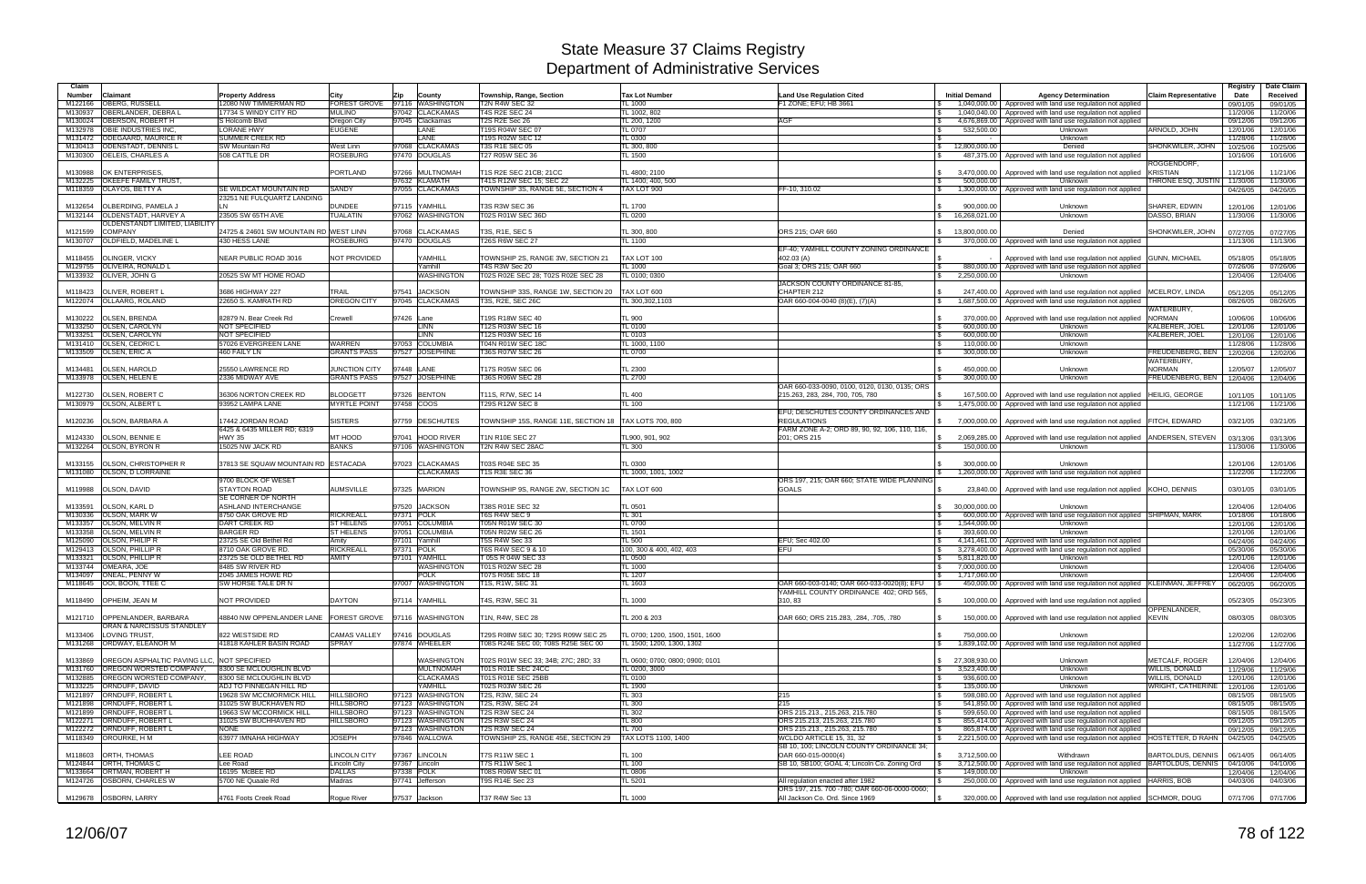| Claim              |                                                      |                                                         |                                     |            |                                    |                                                                          |                                                             |                                                                                      |                                                |                                                                                                                                            |                                            | Registry             | Date Claim           |
|--------------------|------------------------------------------------------|---------------------------------------------------------|-------------------------------------|------------|------------------------------------|--------------------------------------------------------------------------|-------------------------------------------------------------|--------------------------------------------------------------------------------------|------------------------------------------------|--------------------------------------------------------------------------------------------------------------------------------------------|--------------------------------------------|----------------------|----------------------|
| <b>Number</b>      | Claimant                                             | <b>Property Address</b>                                 | Citv                                | Zip        | County                             | <b>Township, Range, Section</b>                                          | <b>Tax Lot Number</b>                                       | <b>Land Use Regulation Cited</b>                                                     | <b>Initial Demand</b>                          | <b>Agency Determination</b>                                                                                                                | <b>Claim Representative</b>                | Date                 | Received             |
| M122166            | <b>OBERG, RUSSELL</b>                                | 12080 NW TIMMERMAN RD                                   | <b>FOREST GROVE</b>                 |            | 97116 WASHINGTON                   | T2N R4W SEC 32                                                           | $L_{1000}$                                                  | F1 ZONE: EFU: HB 3661                                                                |                                                | 1,040,000.00 Approved with land use regulation not applied                                                                                 |                                            | 09/01/05             | 09/01/05             |
| M130937<br>M130024 | OBERLANDER, DEBRA L<br>OBERSON, ROBERT H             | 17734 S WINDY CITY RD<br>S Holcomb Blvd                 | <b>MULINO</b><br>Oregon City        |            | 97042 CLACKAMAS<br>97045 Clackamas | <b>T4S R2E SEC 24</b><br>T2S R2E Sec 26                                  | TL 1002, 802<br>L 200, 1200                                 | AGF                                                                                  |                                                | 1,040,040.00 Approved with land use regulation not applied<br>4,676,869.00   Approved with land use regulation not applied                 |                                            | 11/20/06<br>09/12/06 | 11/20/06<br>09/12/06 |
| M132978            | <b>OBIE INDUSTRIES INC</b>                           | <b>LORANE HWY</b>                                       | <b>EUGENE</b>                       |            | LANE                               | T19S R04W SEC 07                                                         | TL 0707                                                     |                                                                                      | 532,500.00                                     | Unknown                                                                                                                                    | ARNOLD, JOHN                               | 12/01/06             | 12/01/06             |
| M131472            | <b>ODEGAARD, MAURICE R</b>                           | <b>SUMMER CREEK RD</b>                                  |                                     |            | LANE                               | 19S R02W SEC 12                                                          | TL 0300                                                     |                                                                                      |                                                | Unknown                                                                                                                                    |                                            | 11/28/06             | 11/28/06             |
| M130413            | <b>ODENSTADT, DENNIS L</b>                           | <b>SW Mountain Rd</b>                                   | West Linn                           |            | 97068 CLACKAMAS                    | <b>T3S R1E SEC 05</b>                                                    | TL 300, 800                                                 |                                                                                      | 12,800,000.00<br>$\mathfrak s$                 | Denied                                                                                                                                     | SHONKWILER, JOHN                           | 10/25/06             | 10/25/06             |
| M130300            | <b>OELEIS, CHARLES A</b>                             | 508 CATTLE DR                                           | ROSEBURG                            |            | 97470 DOUGLAS                      | <b>T27 R05W SEC 36</b>                                                   | $-L$ 1500                                                   |                                                                                      |                                                | 487,375.00   Approved with land use regulation not applied                                                                                 | ROGGENDORF,                                | 10/16/06             | 10/16/06             |
| M130988            | OK ENTERPRISES.                                      |                                                         | <b>PORTLAND</b>                     |            | 97266 MULTNOMAH                    | T1S R2E SEC 21CB; 21CC                                                   | TL 4800: 2100                                               |                                                                                      | 3.470.000.00                                   | Approved with land use regulation not applied                                                                                              | <b>KRISTIAN</b>                            | 11/21/06             | 11/21/06             |
| M132225            | OKEEFE FAMILY TRUST.                                 |                                                         |                                     |            | 97632 KLAMATH                      | <b>T41S R12W SEC 15: SEC 22</b>                                          | L 1400: 400, 500                                            |                                                                                      | 500.000.00                                     | Unknown                                                                                                                                    | THRONE ESQ, JUSTIN                         | 11/30/06             | 11/30/06             |
| M118359            | OLAYOS, BETTY A                                      | SE WILDCAT MOUNTAIN RD<br>23251 NE FULQUARTZ LANDING    | <b>SANDY</b>                        |            | 97055 CLACKAMAS                    | <b>TOWNSHIP 3S, RANGE 5E, SECTION 4</b>                                  | TAX LOT 900                                                 | FF-10, 310.02                                                                        |                                                | 1.300,000,00 Approved with land use regulation not applied                                                                                 |                                            | 04/26/05             | 04/26/05             |
| M132654            | OLBERDING, PAMELA J                                  |                                                         | <b>DUNDEE</b>                       |            | 97115 YAMHILL                      | T3S R3W SEC 36                                                           | TL 1700                                                     |                                                                                      | 900,000.00                                     | Unknown                                                                                                                                    | SHARER, EDWIN                              | 12/01/06             | 12/01/06             |
| M132144            | <b>OLDENSTADT, HARVEY A</b>                          | 23505 SW 65TH AVE                                       | <b>TUALATIN</b>                     |            | 97062 WASHINGTON                   | T02S R01W SEC 36D                                                        | <b>TL 0200</b>                                              |                                                                                      | 16,268,021.00<br>$\mathbb{S}$                  | Unknown                                                                                                                                    | DASSO, BRIAN                               | 11/30/06             | 11/30/06             |
|                    | OLDENSTANDT LIMITED, LIABILITY                       |                                                         |                                     |            |                                    |                                                                          |                                                             |                                                                                      |                                                |                                                                                                                                            |                                            |                      |                      |
| M121599            | <b>COMPANY</b>                                       | 24725 & 24601 SW MOUNTAIN RD WEST LINN                  |                                     |            | 97068 CLACKAMAS                    | T3S, R1E, SEC 5                                                          | TL 300, 800                                                 | ORS 215; OAR 660                                                                     | 13.800.000.00<br>$\mathbb{S}$                  | Denied                                                                                                                                     | SHONKWILER, JOHN                           | 07/27/05             | 07/27/05             |
| M130707            | OLDFIELD, MADELINE L                                 | 430 HESS LANE                                           | <b>ROSEBURG</b>                     |            | 97470 DOUGLAS                      | <b>T26S R6W SEC 27</b>                                                   | TL 1100                                                     | EF-40; YAMHILL COUNTY ZONING ORDINANCE                                               |                                                | 370,000.00   Approved with land use regulation not applied                                                                                 |                                            | 11/13/06             | 11/13/06             |
| M118455            | <b>OLINGER, VICKY</b>                                | <b>NEAR PUBLIC ROAD 3016</b>                            | <b>NOT PROVIDED</b>                 |            | YAMHILL                            | TOWNSHIP 2S, RANGE 3W, SECTION 21                                        | TAX LOT 100                                                 | 402.03 (A)                                                                           |                                                | Approved with land use regulation not applied GUNN, MICHAEL                                                                                |                                            | 05/18/05             | 05/18/05             |
| M129755            | <b>OLIVEIRA, RONALD L</b>                            |                                                         |                                     |            | Yamhill                            | <b>T4S R3W Sec 20</b>                                                    | $L_{1000}$                                                  | Goal 3; ORS 215; OAR 660                                                             |                                                | 880,000.00 Approved with land use regulation not applied                                                                                   |                                            | 07/26/06             | 07/26/06             |
| M133932            | OLIVER, JOHN G                                       | 20525 SW MT HOME ROAD                                   |                                     |            | <b>WASHINGTON</b>                  | T02S R02E SEC 28; T02S R02E SEC 28                                       | TL 0100; 0300                                               |                                                                                      | 2,250,000.00<br><b>S</b>                       | Unknown                                                                                                                                    |                                            | 12/04/06             | 12/04/06             |
| M118423            | <b>OLIVER, ROBERT L</b>                              | 3686 HIGHWAY 227                                        | <b>TRAIL</b>                        | 97541      | <b>JACKSON</b>                     | TOWNSHIP 33S, RANGE 1W, SECTION 20                                       | TAX LOT 600                                                 | JACKSON COUNTY ORDINANCE 81-85,<br>CHAPTER 212                                       | 247.400.00                                     | Approved with land use regulation not applied MCELROY, LINDA                                                                               |                                            | 05/12/05             | 05/12/05             |
| M122074            | <b>OLLAARG, ROLAND</b>                               | 22650 S. KAMRATH RD                                     | OREGON CITY                         |            | 97045 CLACKAMAS                    | T3S, R2E, SEC 26C                                                        | L 300,302,1103                                              | OAR 660-004-0040 (8)(E), (7)(A)                                                      | $\mathsf{s}$                                   | 1.687,500.00 Approved with land use regulation not applied                                                                                 |                                            | 08/26/05             | 08/26/05             |
|                    |                                                      |                                                         |                                     |            |                                    |                                                                          |                                                             |                                                                                      |                                                |                                                                                                                                            | WATERBURY.                                 |                      |                      |
| M130222            | <b>OLSEN, BRENDA</b>                                 | 82879 N. Bear Creek Rd                                  | Crewell                             | 97426 Lane |                                    | T19S R18W SEC 40                                                         | TL 900                                                      |                                                                                      | 370,000.00                                     | Approved with land use regulation not applied                                                                                              | <b>NORMAN</b>                              | 10/06/06             | 10/06/06             |
| M133250<br>M133251 | OLSEN, CAROLYN<br><b>OLSEN, CAROLYN</b>              | NOT SPECIFIED<br>NOT SPECIFIED                          |                                     |            | <b>LINN</b><br><b>LINN</b>         | 12S R03W SEC 16<br>12S R03W SEC 16                                       | TL 0100<br>$L_{0103}$                                       |                                                                                      | 600.000.00<br>600,000.00                       | Unknown<br>Unknown                                                                                                                         | KALBERER, JOEL<br>KALBERER, JOEL           | 12/01/06<br>12/01/06 | 12/01/06             |
| M131410            | <b>OLSEN, CEDRIC L</b>                               | 57026 EVERGREEN LANE                                    | WARREN                              |            | 97053 COLUMBIA                     | <b>T04N R01W SEC 18C</b>                                                 | TL 1000, 1100                                               |                                                                                      | 110,000.00<br>l \$                             | Unknown                                                                                                                                    |                                            | 11/28/06             | 12/01/06<br>11/28/06 |
| M133509            | <b>OLSEN, ERIC A</b>                                 | 460 FAILY LN                                            | <b>GRANTS PASS</b>                  |            | 97527 JOSEPHINE                    | <b>T36S R07W SEC 26</b>                                                  | TL 0700                                                     |                                                                                      | 300,000.00                                     | Unknown                                                                                                                                    | FREUDENBERG, BEN                           | 12/02/06             | 12/02/06             |
|                    |                                                      |                                                         |                                     |            |                                    |                                                                          |                                                             |                                                                                      |                                                |                                                                                                                                            | WATERBURY,                                 |                      |                      |
| M134481<br>M133978 | <b>OLSEN, HAROLD</b><br>OLSEN, HELEN E               | 25550 LAWRENCE RD<br>2336 MIDWAY AVE                    | JUNCTION CITY<br><b>GRANTS PASS</b> | 97448 LANE | 97527 JOSEPHINE                    | T17S R05W SEC 06<br>T36S R06W SEC 28                                     | TL 2300<br>$L_{2700}$                                       |                                                                                      | 450,000.00<br>300,000.00                       | Unknown<br>Unknown                                                                                                                         | <b>NORMAN</b><br><b>FREUDENBERG, BEN</b>   | 12/05/07<br>12/04/06 | 12/05/07<br>12/04/06 |
|                    |                                                      |                                                         |                                     |            |                                    |                                                                          |                                                             | OAR 660-033-0090, 0100, 0120, 0130, 0135; ORS                                        |                                                |                                                                                                                                            |                                            |                      |                      |
| M122730            | <b>OLSEN, ROBERT C</b>                               | 36306 NORTON CREEK RD                                   | <b>BLODGETT</b>                     |            | 97326 BENTON                       | T11S, R7W, SEC 14                                                        | TL 400                                                      | 215.263, 283, 284, 700, 705, 780                                                     | 167.500.00                                     | Approved with land use regulation not applied                                                                                              | <b>HEILIG, GEORGE</b>                      | 10/11/05             | 10/11/05             |
| M130979            | <b>OLSON, ALBERT L</b>                               | 93952 LAMPA LANE                                        | <b>MYRTLE POINT</b>                 | 97458 COOS |                                    | <b>T29S R12W SEC 8</b>                                                   | T 100                                                       |                                                                                      |                                                | 1,475,000.00   Approved with land use regulation not applied                                                                               |                                            | 11/21/06             | 11/21/06             |
|                    | <b>OLSON, BARBARA A</b>                              |                                                         | <b>SISTERS</b>                      |            | 97759 DESCHUTES                    | TOWNSHIP 15S, RANGE 11E, SECTION 18                                      |                                                             | EFU; DESCHUTES COUNTY ORDINANCES AND<br><b>REGULATIONS</b>                           |                                                |                                                                                                                                            |                                            |                      |                      |
| M120236            |                                                      | 17442 JORDAN ROAD<br>6425 & 6435 MILLER RD: 6319        |                                     |            |                                    |                                                                          | TAX LOTS 700, 800                                           | FARM ZONE A-2; ORD 89, 90, 92, 106, 110, 116,                                        |                                                | 7,000,000.00   Approved with land use regulation not applied FITCH, EDWARD                                                                 |                                            | 03/21/05             | 03/21/05             |
| M124330            | OLSON, BENNIE E                                      | <b>HWY 35</b>                                           | MT HOOD                             | 97041      | <b>HOOD RIVER</b>                  | T1N R10E SEC 27                                                          | TL900, 901, 902                                             | 201; ORS 215                                                                         | 2,069,285.00<br>S.                             | Approved with land use regulation not applied ANDERSEN, STEVEN                                                                             |                                            | 03/13/06             | 03/13/06             |
| M132264            | <b>OLSON, BYRON R</b>                                | 15025 NW JACK RD                                        | <b>BANKS</b>                        |            | 97106 WASHINGTON                   | <b>T2N R4W SEC 28AC</b>                                                  | $L_{300}$                                                   |                                                                                      | 150,000.00                                     | Unknown                                                                                                                                    |                                            | 11/30/06             | 11/30/06             |
|                    | <b>OLSON, CHRISTOPHER R</b>                          | 37813 SE SQUAW MOUNTAIN RD ESTACADA                     |                                     |            | 97023 CLACKAMAS                    |                                                                          | TL 0300                                                     |                                                                                      |                                                |                                                                                                                                            |                                            |                      |                      |
| M133155<br>M131080 | <b>OLSON, D LORRAINE</b>                             |                                                         |                                     |            | <b>CLACKAMAS</b>                   | T03S R04E SEC 35<br><b>T1S R3E SEC 36</b>                                | L 1000, 1001, 1002                                          |                                                                                      | 300.000.00                                     | Unknown<br>1,260,000.00 Approved with land use regulation not applied                                                                      |                                            | 12/01/06<br>11/22/06 | 12/01/06<br>11/22/06 |
|                    |                                                      | 9700 BLOCK OF WESET                                     |                                     |            |                                    |                                                                          |                                                             | ORS 197, 215; OAR 660; STATE WIDE PLANNING                                           |                                                |                                                                                                                                            |                                            |                      |                      |
| M119988            | OLSON, DAVID                                         | <b>STAYTON ROAD</b>                                     | <b>AUMSVILLE</b>                    |            | 97325 MARION                       | TOWNSHIP 9S, RANGE 2W, SECTION 1C                                        | TAX LOT 600                                                 | <b>GOALS</b>                                                                         |                                                | 23,840.00   Approved with land use regulation not applied KOHO, DENNIS                                                                     |                                            | 03/01/05             | 03/01/05             |
|                    |                                                      | <b>SE CORNER OF NORTH</b>                               |                                     |            |                                    |                                                                          |                                                             |                                                                                      |                                                |                                                                                                                                            |                                            |                      |                      |
| M133591<br>M130336 | <b>OLSON, KARL D</b><br><b>OLSON, MARK W</b>         | <b>ASHLAND INTERCHANGE</b><br>8750 OAK GROVE RD         | <b>RICKREALL</b>                    | 97371 POLK | 97520 JACKSON                      | T38S R01E SEC 32<br>T6S R4W SEC 9                                        | TL 0501<br><b>TL 301</b>                                    |                                                                                      | 30.000.000.00<br>$\mathcal{L}$<br>$\mathsf{s}$ | Unknown<br>600,000,00 Approved with land use regulation not applied SHIPMAN, MARK                                                          |                                            | 12/04/06<br>10/18/06 | 12/04/06<br>10/18/06 |
| M133357            | <b>OLSON, MELVIN R</b>                               | <b>DART CREEK RD</b>                                    | <b>ST HELENS</b>                    |            | 97051 COLUMBIA                     | <b>T05N R01W SEC 30</b>                                                  | TL 0700                                                     |                                                                                      | 1.544.000.00<br>$\mathbf{s}$                   | Unknown                                                                                                                                    |                                            | 12/01/06             | 12/01/06             |
| M133358            | <b>OLSON, MELVIN R</b>                               | <b>BARGER RD</b>                                        | <b>ST HELENS</b>                    |            | 97051 COLUMBIA                     | <b>T05N R02W SEC 26</b>                                                  | $L$ 1501                                                    |                                                                                      | 393.600.00                                     | Unknown                                                                                                                                    |                                            | 12/01/06             | 12/01/06             |
| M125090            | OLSON, PHILIP R                                      | 23725 SE Old Bethel Rd<br>8710 OAK GROVE RD.            | Amity<br><b>RICKREALL</b>           | 97371 POLK | 97101 Yamhill                      | <b>F5S R4W Sec 33</b><br>T6S R4W SEC 9 & 10                              | TL 500                                                      | EFU; Sec 402.00<br><b>EFU</b>                                                        | $\mathcal{F}$                                  | 4,141,461.00 Approved with land use regulation not applied                                                                                 |                                            | 04/24/06             | 04/24/06             |
| M129413<br>M133321 | <b>OLSON, PHILLIP R</b><br>OLSON, PHILLIP R          | 23725 SE OLD BETHEL RD                                  | <b>AMITY</b>                        | 97101      | YAMHILL                            | T 05S R 04W SEC 33                                                       | 100, 300 & 400, 402, 403<br>TL 0500                         |                                                                                      | 5,811,820.00<br>$\sqrt{S}$                     | 3,278,400.00   Approved with land use regulation not applied<br>Unknown                                                                    |                                            | 05/30/06<br>12/01/06 | 05/30/06<br>12/01/06 |
| M133744            | OMEARA, JOE                                          | 8485 SW RIVER RD                                        |                                     |            | WASHINGTON                         | T01S R02W SEC 28                                                         | <b>TL 1000</b>                                              |                                                                                      | 7,000,000.00<br><b>S</b>                       | Unknown                                                                                                                                    |                                            | 12/04/06             | 12/04/06             |
|                    | M134097 ONEAL, PENNY W                               | 2045 JAMES HOWE RD                                      |                                     |            | <b>POLK</b>                        | T07S R05E SEC 18                                                         | <b>TL 1207</b>                                              |                                                                                      | 1,717,060.00<br>$\sqrt{3}$                     | Unknown                                                                                                                                    |                                            | 12/04/06             | 12/04/06             |
|                    | M118645   OOI, BOON, TTEE C                          | SW HORSE TALE DR N                                      |                                     |            | 97007 WASHINGTON                   | T1S, R1W, SEC 31                                                         | $L$ 1603                                                    | OAR 660-003-0140: OAR 660-033-0020(8): EFU<br>YAMHILL COUNTY ORDINANCE 402; ORD 565, |                                                | 450,000.00   Approved with land use regulation not applied KLEINMAN, JEFFREY                                                               |                                            | 06/20/05             | 06/20/05             |
|                    | M118490 OPHEIM, JEAN M                               | NOT PROVIDED                                            | <b>DAYTON</b>                       |            | 97114 YAMHILL                      | T4S, R3W, SEC 31                                                         | TL 1000                                                     | 310.83                                                                               |                                                | 100,000,00 Approved with land use regulation not applied                                                                                   |                                            | 05/23/05             | 05/23/05             |
|                    |                                                      |                                                         |                                     |            |                                    |                                                                          |                                                             |                                                                                      |                                                |                                                                                                                                            | OPPENLANDER.                               |                      |                      |
| M121710            | OPPENLANDER, BARBARA                                 | 48840 NW OPPENLANDER LANE FOREST GROVE 97116 WASHINGTON |                                     |            |                                    | T1N, R4W, SEC 28                                                         | TL 200 & 203                                                | OAR 660; ORS 215.283, .284, .705, .780                                               |                                                | 150,000.00   Approved with land use regulation not applied KEVIN                                                                           |                                            | 08/03/05             | 08/03/05             |
|                    | ORAN & NARCISSUS STANDLEY                            |                                                         |                                     |            |                                    |                                                                          |                                                             |                                                                                      |                                                |                                                                                                                                            |                                            |                      |                      |
| M133406            | LOVING TRUST.<br>M131268 ORDWAY, ELEANOR M           | 822 WESTSIDE RD<br>41818 KAHLER BASIN ROAD              | <b>CAMAS VALLEY</b><br><b>SPRAY</b> |            | 97416 DOUGLAS<br>97874 WHEELER     | T29S R08W SEC 30; T29S R09W SEC 25<br>T08S R24E SEC 00; T08S R25E SEC 00 | TL 0700; 1200, 1500, 1501, 1600<br>L 1500; 1200, 1300, 1302 |                                                                                      | $\mathbb{S}$<br>750,000.00<br>$\mathfrak s$    | Unknown<br>1,839,102.00 Approved with land use regulation not applied                                                                      |                                            | 12/02/06<br>11/27/06 | 12/02/06<br>11/27/06 |
|                    |                                                      |                                                         |                                     |            |                                    |                                                                          |                                                             |                                                                                      |                                                |                                                                                                                                            |                                            |                      |                      |
| M133869            | OREGON ASPHALTIC PAVING LLC, NOT SPECIFIED           |                                                         |                                     |            | WASHINGTON                         | T02S R01W SEC 33; 34B; 27C; 28D; 33                                      | TL 0600: 0700: 0800: 0900: 0101                             |                                                                                      | \$ 27,308,930.00                               | Unknown                                                                                                                                    | METCALF, ROGER                             | 12/04/06             | 12/04/06             |
| M131760            | <b>OREGON WORSTED COMPANY,</b>                       | 8300 SE MCLOUGHLIN BLVD                                 |                                     |            | <b>MULTNOMAH</b>                   | T01S R01E SEC 24CC                                                       | TL 0200, 3000                                               |                                                                                      | $\sqrt{3}$<br>3,523,400.00                     | Unknown                                                                                                                                    | <b>WILLIS, DONALD</b>                      | 11/29/06             | 11/29/06             |
| M132885<br>M133225 | OREGON WORSTED COMPANY,<br>ORNDUFF, DAVID            | 8300 SE MCLOUGHLIN BLVD<br>ADJ TO FINNEGAN HILL RD      |                                     |            | <b>CLACKAMAS</b><br>YAMHILL        | T01S R01E SEC 25BB<br>T02S R03W SEC 26                                   | TL 0100<br>TL 1900                                          |                                                                                      | 936,600.00<br>IS.<br>135,000.00<br><b>S</b>    | Unknown<br>Unknown                                                                                                                         | <b>WILLIS, DONALD</b><br>WRIGHT, CATHERINE | 12/01/06<br>12/01/06 | 12/01/06<br>12/01/06 |
| M121897            | ORNDUFF, ROBERT L                                    | 19628 SW MCCMORMICK HILL                                | <b>HILLSBORO</b>                    |            | 97123 WASHINGTON                   | T2S, R3W, SEC 24                                                         | TL 303                                                      | 215                                                                                  |                                                | 598,080.00 Approved with land use regulation not applied                                                                                   |                                            | 08/15/05             | 08/15/05             |
| M121898            | ORNDUFF, ROBERT L                                    | 31025 SW BUCKHAVEN RD                                   | <b>HILLSBORO</b>                    |            | 97123 WASHINGTON                   | T2S, R3W, SEC 24                                                         | TL 300                                                      | 215                                                                                  | 541,850.00<br><b>S</b>                         | Approved with land use regulation not applied                                                                                              |                                            | 08/15/05             | 08/15/05             |
| M121899            | ORNDUFF, ROBERT L                                    | 19663 SW MCCORMICK HILL                                 | <b>HILLSBORO</b>                    |            | 97123 WASHINGTON                   | T2S R3W SEC 24                                                           | TL 302                                                      | ORS 215.213., 215.263, 215.780                                                       | <b>S</b>                                       | 599,650.00   Approved with land use regulation not applied                                                                                 |                                            | 08/15/05             | 08/15/05             |
| M122271            | ORNDUFF, ROBERT L<br>M122272 ORNDUFF, ROBERT L       | 31025 SW BUCHHAVEN RD<br><b>NONE</b>                    | <b>HILLSBORO</b>                    |            | 97123 WASHINGTON                   | <b>T2S R3W SEC 24</b><br><b>T2S R3W SEC 24</b>                           | <b>TL 800</b><br><b>TL 700</b>                              | ORS 215.213, 215.263, 215.780<br>ORS 215.213., 215.263, 215.780                      | l \$<br>$\mathsf{s}$                           | 855,414.00 Approved with land use regulation not applied                                                                                   |                                            | 09/12/05             | 09/12/05             |
|                    | M118349 OROURKE, H M                                 | 63977 IMNAHA HIGHWAY                                    | <b>JOSEPH</b>                       |            | 97123 WASHINGTON<br>97846 WALLOWA  | TOWNSHIP 2S, RANGE 45E, SECTION 29                                       | TAX LOTS 1100, 1400                                         | WCLDO ARTICLE 15, 31, 32                                                             |                                                | 865,874.00   Approved with land use regulation not applied<br>2,221,500.00 Approved with land use regulation not applied HOSTETTER, D RAHN |                                            | 09/12/05<br>04/25/05 | 09/12/05<br>04/25/05 |
|                    |                                                      |                                                         |                                     |            |                                    |                                                                          |                                                             | SB 10, 100; LINCOLN COUNTY ORDINANCE 34;                                             |                                                |                                                                                                                                            |                                            |                      |                      |
| M118603            | <b>ORTH. THOMAS</b>                                  | LEE ROAD                                                | <b>LINCOLN CITY</b>                 |            | 97367 LINCOLN                      | T7S R11W SEC 1                                                           | TL 100                                                      | OAR 660-015-0000(4)                                                                  | \$3,712,500.00                                 | Withdrawn                                                                                                                                  | BARTOLDUS, DENNIS                          | 06/14/05             | 06/14/05             |
|                    | M124844 ORTH, THOMAS C                               | Lee Road                                                | Lincoln City                        |            | 97367 Lincoln                      | T7S R11W Sec 1                                                           | L 100                                                       | SB 10, SB100; GOAL 4; Lincoln Co. Zoning Ord                                         |                                                | 3,712,500.00 Approved with land use regulation not applied BARTOLDUS, DENNIS   04/10/06                                                    |                                            |                      | 04/10/06             |
| M133664            | <b>ORTMAN, ROBERT H</b><br>M124726 OSBORN, CHARLES W | 16195 McBEE RD<br>5700 NE Quaale Rd                     | <b>DALLAS</b><br>Madras             | 97338 POLK | 97741 Jefferson                    | T08S R06W SEC 01<br>T9S R14E Sec 23                                      | TL 0806<br>L 5201                                           | All regulation enacted after 1982                                                    | 149,000.00                                     | Unknown<br>250,000.00   Approved with land use regulation not applied   HARRIS, BOB                                                        |                                            | 12/04/06<br>04/03/06 | 12/04/06<br>04/03/06 |
|                    |                                                      |                                                         |                                     |            |                                    |                                                                          |                                                             | ORS 197, 215. 700 -780; OAR 660-06-0000-0060;                                        |                                                |                                                                                                                                            |                                            |                      |                      |
|                    | M129678 OSBORN, LARRY                                | 4761 Foots Creek Road                                   | Roque River                         |            | 97537 Jackson                      | T37 R4W Sec 13                                                           | <b>TL 1000</b>                                              | All Jackson Co. Ord. Since 1969                                                      | $\mathsf{s}$                                   | 320,000.00 Approved with land use regulation not applied SCHMOR, DOUG                                                                      |                                            | 07/17/06             | 07/17/06             |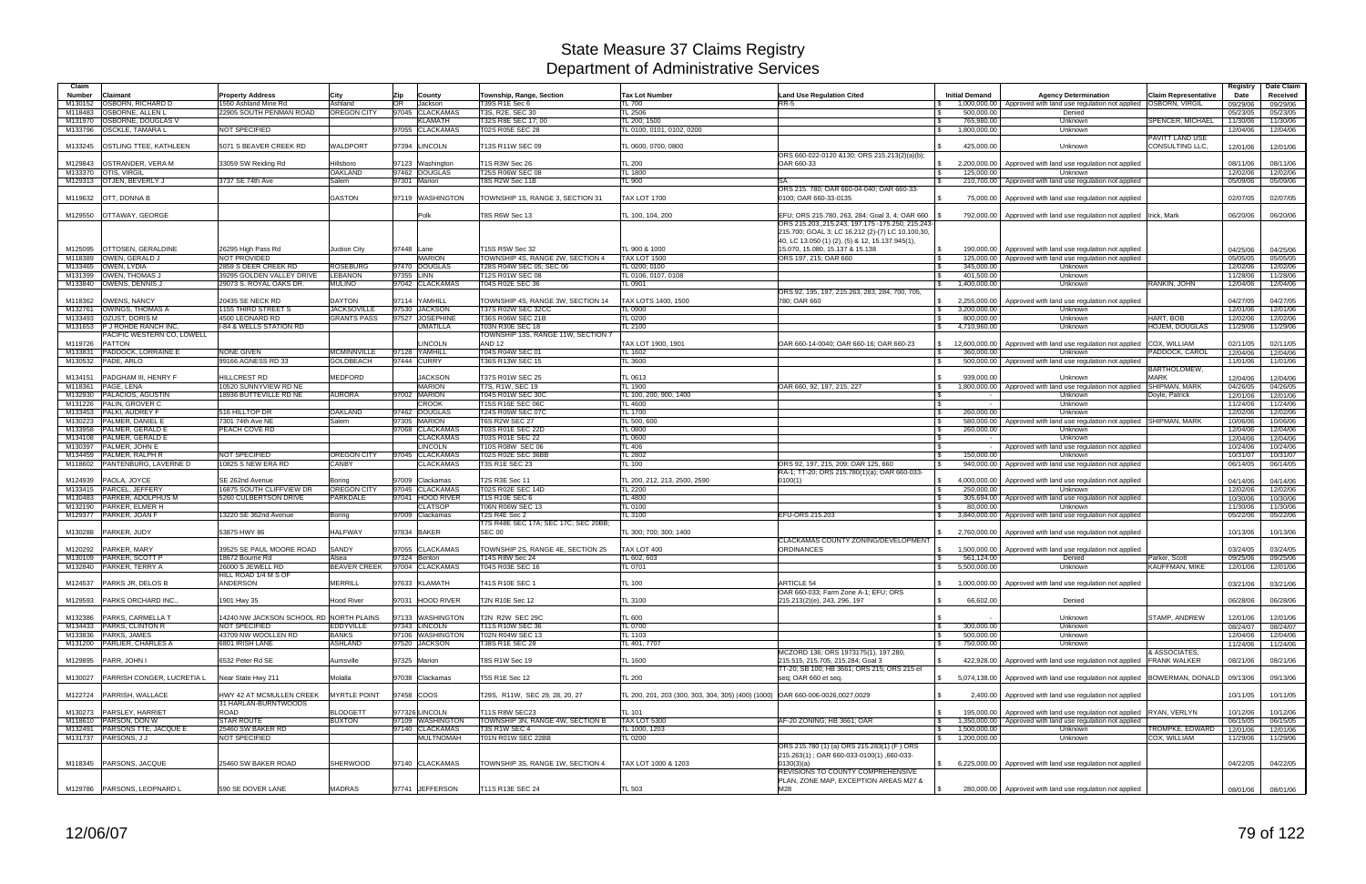| Claim                                 |                               |                                         |                                |               |                  |                                                         |                                                                               |                                                                |                               |                                                                               |                             | Registry | Date Claim        |
|---------------------------------------|-------------------------------|-----------------------------------------|--------------------------------|---------------|------------------|---------------------------------------------------------|-------------------------------------------------------------------------------|----------------------------------------------------------------|-------------------------------|-------------------------------------------------------------------------------|-----------------------------|----------|-------------------|
| Number<br>Claimant                    |                               | <b>Property Address</b>                 | City                           | Zip           | County           | Township, Range, Section                                | <b>Tax Lot Number</b>                                                         | <b>Land Use Regulation Cited</b>                               | <b>Initial Demand</b>         | <b>Agency Determination</b>                                                   | <b>Claim Representative</b> | Date     | Received          |
| <b>OSBORN, RICHARD D</b><br>M130152   |                               | 1550 Ashland Mine Rd                    | Ashland                        | OR            | Jackson          | T39S R1E Sec 6                                          | <b>TL 700</b>                                                                 | <b>RR-5</b>                                                    |                               | 1,000,000.00   Approved with land use regulation not applied   OSBORN, VIRGIL |                             | 09/29/06 | 09/29/06          |
| OSBORNE, ALLEN L<br>M118483           |                               | 22905 SOUTH PENMAN ROAD                 | <b>OREGON CITY</b>             | 97045         | <b>CLACKAMAS</b> | T3S, R2E, SEC 30                                        | <b>TL 2506</b>                                                                |                                                                | 500,000.00                    | Denied                                                                        |                             | 05/23/05 | 05/23/05          |
| M131970 OSBORNE, DOUGLAS V            |                               |                                         |                                |               | KLAMATH          | T32S R8E SEC 17:00                                      | TL 200: 1500                                                                  |                                                                | 765,980.00                    | Unknown                                                                       | <b>SPENCER, MICHAEL</b>     | 11/30/06 | 11/30/06          |
| M133796 OSCKLE, TAMARA L              |                               | <b>NOT SPECIFIED</b>                    |                                |               | 97055 CLACKAMAS  | T02S R05E SEC 28                                        | TL 0100, 0101, 0102, 0200                                                     |                                                                | 1,800,000.00                  | Unknown                                                                       |                             | 12/04/06 | 12/04/06          |
|                                       |                               |                                         |                                |               |                  |                                                         |                                                                               |                                                                |                               |                                                                               | PAVITT LAND USE             |          |                   |
| M133245                               | <b>OSTLING TTEE, KATHLEEN</b> | 5071 S BEAVER CREEK RD                  | WALDPORT                       |               | 97394 LINCOLN    | T13S R11W SEC 09                                        | TL 0600, 0700, 0800                                                           |                                                                | 425,000.00                    | Unknown                                                                       | <b>CONSULTING LLC.</b>      | 12/01/06 | 12/01/06          |
|                                       |                               |                                         |                                |               |                  |                                                         |                                                                               | ORS 660-022-0120 &130; ORS 215.213(2)(a)(b);                   |                               |                                                                               |                             |          |                   |
| M129843<br><b>OSTRANDER, VERA M</b>   |                               | 33059 SW Reiding Rd                     | Hillsboro                      |               | 97123 Washington | T1S R3W Sec 26                                          | <b>TL 200</b>                                                                 | OAR 660-33                                                     | 2,200,000.00                  | Approved with land use regulation not applied                                 |                             | 08/11/06 | 08/11/06          |
| M133370 OTIS, VIRGIL                  |                               |                                         | <b>OAKLAND</b>                 |               | 97462 DOUGLAS    | T25S R06W SEC 08                                        | <b>TL 1800</b>                                                                |                                                                | 125,000.00                    | Unknown                                                                       |                             | 12/02/06 | 12/02/06          |
| M129313   OTJEN, BEVERLY J            |                               | 3737 SE 74th Ave                        | Salem                          |               | 97301 Marion     | T8S R2W Sec 11B                                         | <b>TL 900</b>                                                                 | SA                                                             |                               | 210,700.00   Approved with land use regulation not applied                    |                             | 05/09/06 | 05/09/06          |
|                                       |                               |                                         |                                |               |                  |                                                         |                                                                               | ORS 215. 780; OAR 660-04-040; OAR 660-33-                      |                               |                                                                               |                             |          |                   |
| M119632 OTT, DONNA B                  |                               |                                         | <b>GASTON</b>                  |               | 97119 WASHINGTON | TOWNSHIP 1S, RANGE 3, SECTION 31                        | <b>TAX LOT 1700</b>                                                           | 0100: OAR 660-33-0135                                          |                               | 75,000.00 Approved with land use regulation not applied                       |                             | 02/07/05 | 02/07/05          |
|                                       |                               |                                         |                                |               |                  |                                                         |                                                                               |                                                                |                               |                                                                               |                             |          |                   |
| M129550 OTTAWAY, GEORGE               |                               |                                         |                                |               | Polk             | T8S R6W Sec 13                                          | TL 100, 104, 200                                                              | EFU; ORS 215.780, 263, 284; Goal 3, 4; OAR 660                 |                               | 792,000.00   Approved with land use regulation not applied   Irick, Mark      |                             | 06/20/06 | 06/20/06          |
|                                       |                               |                                         |                                |               |                  |                                                         |                                                                               | ORS 215.203,,215.243, 197.175 -175.250, 215.243-               |                               |                                                                               |                             |          |                   |
|                                       |                               |                                         |                                |               |                  |                                                         |                                                                               | 215.700; GOAL 3; LC 16.212 (2)-(7) LC 10.100,30,               |                               |                                                                               |                             |          |                   |
|                                       |                               |                                         |                                |               |                  |                                                         |                                                                               | 40, LC 13.050 (1) (2), (5) & 12, 15.137.945(1).                |                               |                                                                               |                             |          |                   |
| OTTOSEN, GERALDINE<br>M125095         |                               | 26295 High Pass Rd                      | Juction City                   | 97448 Lane    |                  | T15S R5W Sec 32                                         | TL 900 & 1000                                                                 | 15.070, 15.080, 15.137 & 15.138                                |                               | 190,000.00   Approved with land use regulation not applied                    |                             | 04/25/06 | 04/25/06          |
| M118389 OWEN, GERALD J                |                               | <b>NOT PROVIDED</b>                     |                                |               | <b>MARION</b>    | TOWNSHIP 4S, RANGE 2W, SECTION 4                        | <b>TAX LOT 1500</b>                                                           | ORS 197, 215; OAR 660                                          |                               | 125,000.00   Approved with land use regulation not applied                    |                             | 05/05/05 | 05/05/05          |
| M133465 OWEN, LYDIA                   |                               | 2859 S DEER CREEK RD                    | <b>ROSEBURG</b>                |               | 97470 DOUGLAS    | T28S R04W SEC 05; SEC 06                                | TL 0200; 0100                                                                 |                                                                | 345,000.00                    | Unknown                                                                       |                             | 12/02/06 | 12/02/06          |
| M131399 OWEN, THOMAS J                |                               | 39295 GOLDEN VALLEY DRIVE               | <b>LEBANON</b>                 | 97355 LINN    |                  | T12S R01W SEC 08                                        | TL 0106, 0107, 0108                                                           |                                                                | 401,500.00                    | Unknown                                                                       |                             | 11/28/06 | 11/28/06          |
| M133840 OWENS, DENNIS J               |                               | 29073 S. ROYAL OAKS DR.                 | <b>MULINO</b>                  |               | 97042 CLACKAMAS  | T04S R02E SEC 36                                        | TL 0901                                                                       |                                                                | 1.400.000.00                  | Unknown                                                                       | RANKIN, JOHN                | 12/04/06 | 12/04/06          |
|                                       |                               |                                         |                                |               |                  |                                                         |                                                                               |                                                                |                               |                                                                               |                             |          |                   |
| M118362                               |                               | 20435 SE NECK RD                        | <b>DAYTON</b>                  |               | 97114 YAMHILL    |                                                         | TAX LOTS 1400, 1500                                                           | ORS 92, 195, 197, 215.263, 283, 284, 700, 705,<br>780; OAR 660 |                               |                                                                               |                             | 04/27/05 | 04/27/05          |
| OWENS, NANCY<br>OWINGS, THOMAS A      |                               | 1155 THIRD STREET S                     | <b>JACKSOVILLE</b>             |               | 97530 JACKSON    | TOWNSHIP 4S, RANGE 3W, SECTION 14<br>T37S R02W SEC 32CC |                                                                               |                                                                | 3,200,000.00                  | 2,255,000.00 Approved with land use regulation not applied<br>Unknown         |                             | 12/01/06 | 12/01/06          |
| M132761<br><b>OZUST, DORIS M</b>      |                               | 4500 LEONARD RD                         | <b>GRANTS PASS</b>             |               | 97527 JOSEPHINE  | T36S R06W SEC 21B                                       | <b>TL 0900</b><br><b>TL 0200</b>                                              |                                                                | 800,000.00                    | Unknown                                                                       | HART, BOB                   |          |                   |
| M133493                               |                               |                                         |                                |               |                  |                                                         |                                                                               |                                                                |                               |                                                                               |                             | 12/02/06 | 12/02/06          |
| M131653 P J ROHDE RANCH INC.          |                               | I-84 & WELLS STATION RD                 |                                |               | <b>UMATILLA</b>  | T03N R30E SEC 18                                        | TL 2100                                                                       |                                                                | 4,710,960.00<br>$\mathbb{S}$  | Unknown                                                                       | HOJEM, DOUGLAS              | 11/29/06 | 11/29/06          |
|                                       | PACIFIC WESTERN CO, LOWELL    |                                         |                                |               |                  | TOWNSHIP 13S, RANGE 11W, SECTION 7                      |                                                                               |                                                                |                               |                                                                               |                             |          |                   |
| <b>PATTON</b><br>M119726              |                               |                                         |                                |               | <b>LINCOLN</b>   | <b>AND 12</b>                                           | TAX LOT 1900, 1901                                                            | OAR 660-14-0040: OAR 660-16: OAR 660-23                        | 12,600,000.00                 | Approved with land use regulation not applied                                 | COX, WILLIAM                | 02/11/05 | 02/11/05          |
| <b>PADDOCK, LORRAINE E</b><br>M133831 |                               | <b>NONE GIVEN</b>                       | <b>MCMINNVILLE</b>             |               | 97128 YAMHILL    | T04S R04W SEC 01                                        | TL 1602                                                                       |                                                                | 360.000.00                    | Unknown                                                                       | PADDOCK, CAROL              | 12/04/06 | 12/04/06          |
| M130532 PADE, ARLO                    |                               | 99166 AGNESS RD 33                      | <b>GOLDBEACH</b>               |               | 97444 CURRY      | T36S R13W SEC 15                                        | <b>TL 3600</b>                                                                |                                                                |                               | 500,000.00 Approved with land use regulation not applied                      |                             | 11/01/06 | 11/01/06          |
|                                       |                               |                                         |                                |               |                  |                                                         |                                                                               |                                                                |                               |                                                                               | BARTHOLOMEW.                |          |                   |
| M134151<br>PADGHAM III, HENRY F       |                               | <b>HILLCREST RD</b>                     | MEDFORD                        |               | <b>JACKSON</b>   | T37S R01W SEC 25                                        | TL 0613                                                                       |                                                                | 939,000.00                    | Unknown                                                                       | <b>MARK</b>                 | 12/04/06 | 12/04/06          |
| PAGE, LENA<br>M118361                 |                               | 10520 SUNNYVIEW RD NE                   |                                |               | <b>MARION</b>    | T7S, R1W, SEC 19                                        | <b>TL 1900</b>                                                                | OAR 660, 92, 197, 215, 227                                     |                               | 1.800,000,00 Approved with land use regulation not applied                    | <b>SHIPMAN, MARK</b>        | 04/26/05 | 04/26/05          |
| M132930 PALACIOS, AGUSTIN             |                               | 18936 BUTTEVILLE RD NE                  | <b>AURORA</b>                  |               | 97002 MARION     | T04S R01W SEC 30C                                       | TL 100, 200, 900, 1400                                                        |                                                                |                               | Unknown                                                                       | Doyle, Patrick              | 12/01/06 | 12/01/06          |
| M131226 PALIN, GROVER C               |                               |                                         |                                |               | <b>CROOK</b>     | T15S R16E SEC 06C                                       | <b>TL 4600</b>                                                                |                                                                |                               | Unknown                                                                       |                             | 11/24/06 | 11/24/06          |
| M133453 PALKI, AUDREY F               |                               | 516 HILLTOP DR                          | <b>OAKLAND</b>                 |               | 97462 DOUGLAS    | T24S R05W SEC 07C                                       | <b>TL 1700</b>                                                                |                                                                | 260,000.00                    | Unknown                                                                       |                             | 12/02/06 | 12/02/06          |
| PALMER, DANIEL E<br>M130223           |                               | 7301 74th Ave NE                        | Salem                          |               | 97305 MARION     | <b>T6S R2W SEC 27</b>                                   | TL 500, 600                                                                   |                                                                | 580,000.00                    | Approved with land use regulation not applied                                 | <b>SHIPMAN, MARK</b>        | 10/06/06 | 10/06/06          |
| PALMER, GERALD E<br>M133958           |                               | PEACH COVE RD                           |                                |               | 97068 CLACKAMAS  | <b>T03S R01E SEC 22D</b>                                | <b>TL 0800</b>                                                                |                                                                | 260,000.00                    | Unknown                                                                       |                             | 12/04/06 | 12/04/06          |
| M134108 PALMER, GERALD E              |                               |                                         |                                |               | <b>CLACKAMAS</b> | T03S R01E SEC 22                                        | <b>TL 0600</b>                                                                |                                                                |                               | Unknown                                                                       |                             | 12/04/06 | 12/04/06          |
| M130397<br>PALMER, JOHN E             |                               |                                         |                                |               | <b>LINCOLN</b>   | T10S R08W SEC 06                                        | <b>TL 406</b>                                                                 |                                                                |                               | Approved with land use regulation not applied                                 |                             | 10/24/06 | 10/24/06          |
| PALMER, RALPH R<br>M134459            |                               | <b>NOT SPECIFIED</b>                    | OREGON CITY                    |               | 97045 CLACKAMAS  | T02S R02E SEC 36BB                                      | <b>TL 2802</b>                                                                |                                                                | 150.000.00                    | Unknown                                                                       |                             | 10/31/07 | 10/31/07          |
| M118602                               | PANTENBURG, LAVERNE D         | 10825 S NEW ERA RD                      | <b>CANBY</b>                   |               | <b>CLACKAMAS</b> | T3S R1E SEC 23                                          | <b>TL 100</b>                                                                 | ORS 92, 197, 215, 209; OAR 125, 660                            |                               | 940,000.00 Approved with land use regulation not applied                      |                             | 06/14/05 | 06/14/05          |
|                                       |                               |                                         |                                |               |                  |                                                         |                                                                               | RA-1; TT-20; ORS 215.780(1)(a); OAR 660-033-                   |                               |                                                                               |                             |          |                   |
| PAOLA, JOYCE<br>M124939               |                               | SE 262nd Avenue                         | Boring                         |               | 97009 Clackamas  | T2S R3E Sec 11                                          | TL 200, 212, 213, 2500, 2590                                                  | 0100(1)                                                        | 4,000,000.00                  | Approved with land use regulation not applied                                 |                             | 04/14/06 | 04/14/06          |
| M133415 PARCEL, JEFFERY               |                               | 16875 SOUTH CLIFFVIEW DR                | <b>OREGON CITY</b>             |               | 97045 CLACKAMAS  | T02S R02E SEC 14D                                       | <b>TL 2200</b>                                                                |                                                                | 250,000.00                    | Unknown                                                                       |                             | 12/02/06 | 12/02/06          |
| M130483 PARKER, ADOLPHUS M            |                               | 5260 CULBERTSON DRIVE                   | <b>PARKDALE</b>                |               | 97041 HOOD RIVER | T1S R10E SEC 6                                          | <b>TL 4800</b>                                                                |                                                                | 305,694.00                    | Approved with land use regulation not applied                                 |                             | 10/30/06 | 10/30/06          |
| M132190 PARKER, ELMER H               |                               |                                         |                                |               | <b>CLATSOP</b>   | T06N R06W SEC 13                                        | <b>TL 0100</b>                                                                |                                                                | 80,000.00                     | Unknown                                                                       |                             | 11/30/06 | 11/30/06          |
| M129377 PARKER, JOAN F                |                               | 13220 SE 362nd Avenue                   | Boring                         |               | 97009 Clackamas  | T2S R4E Sec 2                                           | TL 3100                                                                       | EFU-ORS 215.203                                                |                               | 3,840,000.00 Approved with land use regulation not applied                    |                             | 05/22/06 | 05/22/06          |
|                                       |                               |                                         |                                |               |                  | T7S R48E SEC 17A: SEC 17C: SEC 20BB:                    |                                                                               |                                                                |                               |                                                                               |                             |          |                   |
| PARKER, JUDY<br>M130288               |                               | 53875 HWY 86                            | <b>HALFWAY</b>                 |               | 97834 BAKER      | SEC 00                                                  | TL 300; 700; 300; 1400                                                        |                                                                |                               | 2,760,000.00 Approved with land use regulation not applied                    |                             | 10/13/06 | 10/13/06          |
|                                       |                               |                                         |                                |               |                  |                                                         |                                                                               | CLACKAMAS COUNTY ZONING/DEVELOPMENT                            |                               |                                                                               |                             |          |                   |
| PARKER, MARY<br>M120292               |                               | 39525 SE PAUL MOORE ROAD                | <b>SANDY</b>                   |               | 97055 CLACKAMAS  | TOWNSHIP 2S, RANGE 4E, SECTION 25                       | TAX LOT 400                                                                   | <b>ORDINANCES</b>                                              |                               | 1,500,000.00   Approved with land use regulation not applied                  |                             | 03/24/05 | 03/24/05          |
| M130109 PARKER, SCOTT P               |                               | 18672 Bourne Rd                         | Alsea                          | 97324 Benton  |                  | T14S R8W Sec 24                                         | TL 602, 603                                                                   |                                                                | 561,124.00                    | Denied                                                                        | Parker, Scott               | 09/25/06 | 09/25/06          |
| M132840 PARKER, TERRY A               |                               | 26000 S JEWELL RD                       | BEAVER CREEK   97004 CLACKAMAS |               |                  | T04S R03E SEC 16                                        | <b>TL 0701</b>                                                                |                                                                | 5,500,000.00<br>$\mathfrak s$ | Unknown                                                                       | <b>KAUFFMAN, MIKE</b>       | 12/01/06 | 12/01/06          |
|                                       |                               | HILL ROAD 1/4 M S OF                    |                                |               |                  |                                                         |                                                                               |                                                                |                               |                                                                               |                             |          |                   |
| M124537 PARKS JR, DELOS B             |                               | ANDERSON                                | <b>MERRILL</b>                 |               | 97633 KLAMATH    | T41S R10E SEC 1                                         | <b>TL 100</b>                                                                 | <b>ARTICLE 54</b>                                              |                               | 1,000,000.00 Approved with land use regulation not applied                    |                             | 03/21/06 | 03/21/06          |
|                                       |                               |                                         |                                |               |                  |                                                         |                                                                               | OAR 660-033; Farm Zone A-1; EFU; ORS                           |                               |                                                                               |                             |          |                   |
| M129593 PARKS ORCHARD INC.,           |                               | 1901 Hwy 35                             | <b>Hood River</b>              |               | 97031 HOOD RIVER | T2N R10E Sec 12                                         | TL 3100                                                                       | 215.213(2)(e), 243, 296, 197                                   | 66,602.00                     | Denied                                                                        |                             | 06/28/06 | 06/28/06          |
|                                       |                               |                                         |                                |               |                  |                                                         |                                                                               |                                                                |                               |                                                                               |                             |          |                   |
| M132386 PARKS, CARMELLA T             |                               | 14240 NW JACKSON SCHOOL RD NORTH PLAINS |                                |               | 97133 WASHINGTON | T2N R2W SEC 29C                                         | <b>TL 600</b>                                                                 |                                                                |                               | Unknown                                                                       | STAMP, ANDREW               | 12/01/06 | 12/01/06          |
| M134433 PARKS, CLINTON R              |                               |                                         |                                |               |                  | T11S R10W SEC 36                                        | TL 0700                                                                       |                                                                | 300,000.00                    | Unknown                                                                       |                             | 08/24/07 | 08/24/07          |
| M133836 PARKS, JAMES                  |                               |                                         |                                |               |                  |                                                         |                                                                               |                                                                |                               |                                                                               |                             |          | 12/04/06          |
|                                       |                               | NOT SPECIFIED                           | <b>EDDYVILLE</b>               | 97343 LINCOLN |                  |                                                         |                                                                               |                                                                |                               |                                                                               |                             |          |                   |
|                                       |                               | 43709 NW WOOLLEN RD                     | <b>BANKS</b>                   |               | 97106 WASHINGTON | T02N R04W SEC 13                                        | TL 1103                                                                       |                                                                | 500,000.00                    | Unknown                                                                       |                             | 12/04/06 |                   |
| M131200 PARLIER, CHARLES A            |                               | 6801 IRISH LANE                         | <b>ASHLAND</b>                 |               | 97520 JACKSON    | T38S R1E SEC 28                                         | TL 401, 7707                                                                  |                                                                | 750,000.00                    | Unknown                                                                       |                             | 11/24/06 | 11/24/06          |
|                                       |                               |                                         |                                |               |                  |                                                         |                                                                               | MCZORD 136; ORS 1973175(1), 197.280,                           |                               |                                                                               | & ASSOCIATES,               |          |                   |
| M129895 PARR, JOHN I                  |                               | 6532 Peter Rd SE                        | Aumsville                      |               | 97325 Marion     | T8S R1W Sec 19                                          | TL 1600                                                                       | 215.515, 215.705, 215.284; Goal 3                              |                               | 422,928.00 Approved with land use regulation not applied                      | <b>FRANK WALKER</b>         | 08/21/06 | 08/21/06          |
|                                       |                               |                                         |                                |               |                  |                                                         |                                                                               | TT-20; SB 100; HB 3661; ORS 215; ORS 215 et                    |                               |                                                                               |                             |          |                   |
| M130027 PARRISH CONGER, LUCRETIA L    |                               | Near State Hwy 211                      | Molalla                        |               | 97038 Clackamas  | T5S R1E Sec 12                                          | <b>TL 200</b>                                                                 | seq; OAR 660 et seq.                                           |                               | 5,074,138.00 Approved with land use regulation not applied BOWERMAN, DONALD   |                             | 09/13/06 | 09/13/06          |
|                                       |                               |                                         |                                |               |                  |                                                         |                                                                               |                                                                |                               |                                                                               |                             |          |                   |
| M122724   PARRISH, WALLACE            |                               | HWY 42 AT MCMULLEN CREEK                | <b>MYRTLE POINT</b>            | 97458 COOS    |                  | T29S, R11W, SEC 29, 28, 20, 27                          | TL 200, 201, 203 (300, 303, 304, 305) (400) (1000) OAR 660-006-0026,0027,0029 |                                                                |                               | 2,400.00 Approved with land use regulation not applied                        |                             | 10/11/05 | 10/11/05          |
|                                       |                               | 31 HARLAN-BURNTWOODS                    |                                |               |                  |                                                         |                                                                               |                                                                |                               |                                                                               |                             |          |                   |
| M130273 PARSLEY, HARRIET              |                               | <b>ROAD</b>                             | <b>BLODGETT</b>                |               | 977326 LINCOLN   | <b>T11S R8W SEC23</b>                                   | <b>TL 101</b>                                                                 |                                                                |                               | 195,000.00   Approved with land use regulation not applied  RYAN, VERLYN      |                             | 10/12/06 | 10/12/06          |
| M118610 PARSON, DON W                 |                               | <b>STAR ROUTE</b>                       | <b>BUXTON</b>                  |               | 97109 WASHINGTON | TOWNSHIP 3N, RANGE 4W, SECTION B                        | <b>TAX LOT 5300</b>                                                           | AF-20 ZONING; HB 3661; OAR                                     |                               | 1,350,000.00   Approved with land use regulation not applied                  |                             | 06/15/05 | 06/15/05          |
| M132491 PARSONS TTE, JACQUE E         |                               | 25460 SW BAKER RD                       |                                |               | 97140 CLACKAMAS  | T3S R1W SEC 4                                           | TL 1000, 1203                                                                 |                                                                | 1,500,000.00                  | Unknown                                                                       | TROMPKE, EDWARD             | 12/01/06 | 12/01/06          |
| M131737 PARSONS, JJ                   |                               | NOT SPECIFIED                           |                                |               | <b>MULTNOMAH</b> | T01N R01W SEC 22BB                                      | <b>TL 0200</b>                                                                |                                                                | 1,200,000.00<br>IS.           | Unknown                                                                       | COX, WILLIAM                | 11/29/06 | 11/29/06          |
|                                       |                               |                                         |                                |               |                  |                                                         |                                                                               | ORS 215.780 (1) (a) ORS 215.283(1) (F) ORS                     |                               |                                                                               |                             |          |                   |
|                                       |                               |                                         |                                |               |                  |                                                         |                                                                               | 215.263(1); OAR 660-033-0100(1), 660-033-                      |                               |                                                                               |                             |          |                   |
| M118345 PARSONS, JACQUE               |                               | 25460 SW BAKER ROAD                     | <b>SHERWOOD</b>                |               | 97140 CLACKAMAS  | TOWNSHIP 3S, RANGE 1W, SECTION 4                        | TAX LOT 1000 & 1203                                                           | 0130(3)(a)                                                     |                               | 6,225,000.00 Approved with land use regulation not applied                    |                             | 04/22/05 | 04/22/05          |
|                                       |                               |                                         |                                |               |                  |                                                         |                                                                               | REVISIONS TO COUNTY COMPREHENSIVE                              |                               |                                                                               |                             |          |                   |
| M129786 PARSONS, LEOPNARD L           |                               | 590 SE DOVER LANE                       | <b>MADRAS</b>                  |               | 97741 JEFFERSON  | T11S R13E SEC 24                                        | <b>TL 503</b>                                                                 | PLAN, ZONE MAP, EXCEPTION AREAS M27 &<br>M28                   |                               | 280,000.00 Approved with land use regulation not applied                      |                             |          | 08/01/06 08/01/06 |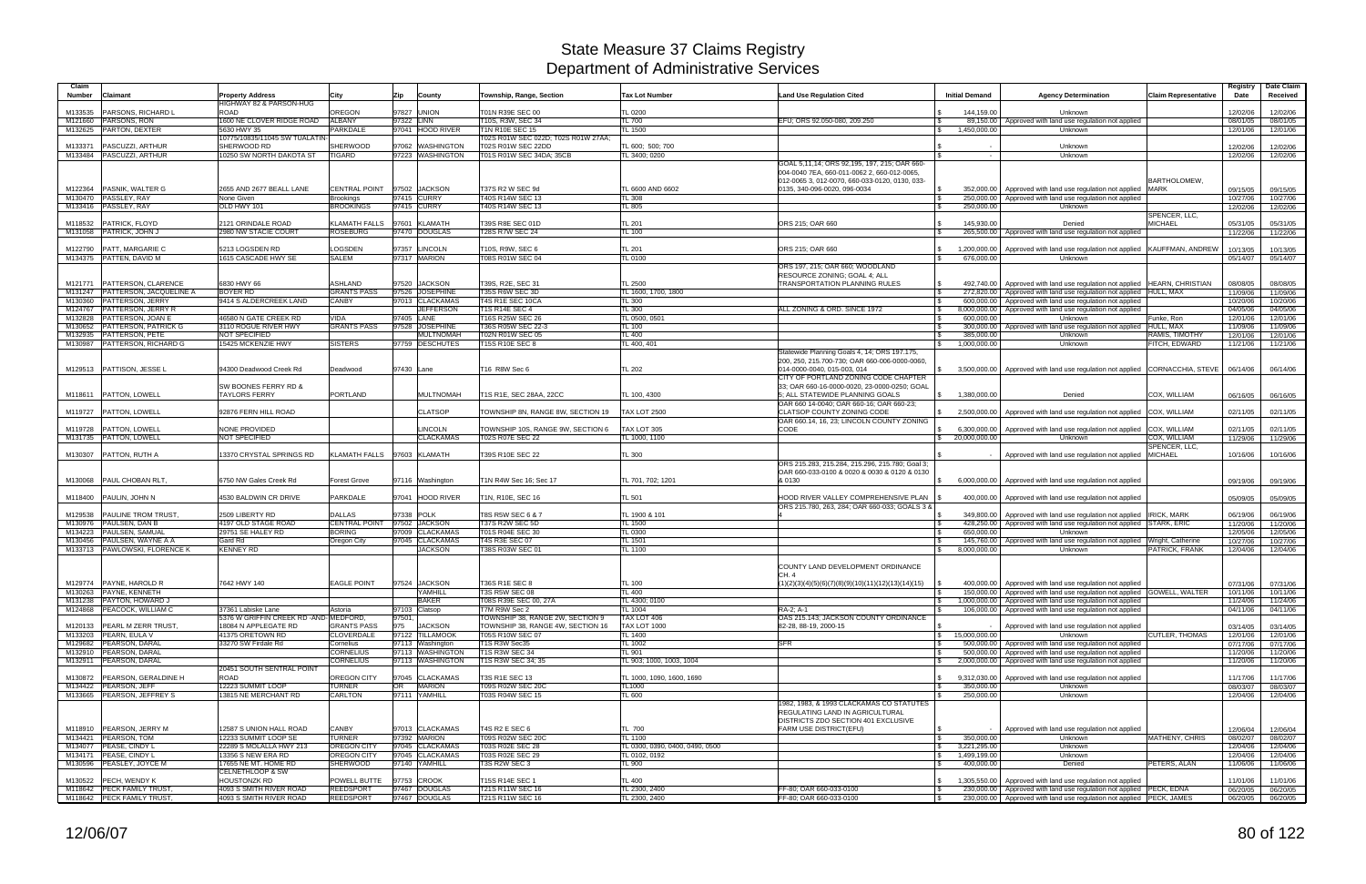| Claim<br><b>Number</b><br><b>Claimant</b>                    | <b>Property Address</b>                                    | City                                 | Zip        | County                               | Township, Range, Section                                     | <b>Tax Lot Number</b>                     | <b>Land Use Regulation Cited</b>                                                                                                              | <b>Initial Demand</b>                                       | <b>Agency Determination</b>                                                                                                             | <b>Claim Representative</b>         | Registry<br>Date     | Date Claim<br>Received |
|--------------------------------------------------------------|------------------------------------------------------------|--------------------------------------|------------|--------------------------------------|--------------------------------------------------------------|-------------------------------------------|-----------------------------------------------------------------------------------------------------------------------------------------------|-------------------------------------------------------------|-----------------------------------------------------------------------------------------------------------------------------------------|-------------------------------------|----------------------|------------------------|
|                                                              | <b>HIGHWAY 82 &amp; PARSON-HUG</b>                         |                                      |            |                                      |                                                              |                                           |                                                                                                                                               |                                                             |                                                                                                                                         |                                     |                      |                        |
| <b>PARSONS, RICHARD L</b><br>M133535<br>M121660 PARSONS, RON | ROAD<br>1600 NE CLOVER RIDGE ROAD                          | OREGON<br><b>ALBANY</b>              | 97322 LINN | 97827 UNION                          | T01N R39E SEC 00<br>T10S, R3W, SEC 34                        | TL 0200<br><b>TL 700</b>                  | EFU: ORS 92.050-080, 209.250                                                                                                                  | 144.159.00                                                  | Unknown                                                                                                                                 |                                     | 12/02/06             | 12/02/06               |
| PARTON, DEXTER<br>M132625                                    | 5630 HWY 35                                                | PARKDALE                             |            | 97041 HOOD RIVER                     | T1N R10E SEC 15                                              | TL 1500                                   |                                                                                                                                               | 1,450,000.00<br>$\mathbb{S}$                                | 89,150.00   Approved with land use regulation not applied<br>Unknown                                                                    |                                     | 08/01/05<br>12/01/06 | 08/01/05<br>12/01/06   |
|                                                              | 10775/10835/11045 SW TUALATIN-                             |                                      |            |                                      | T02S R01W SEC 022D: T02S R01W 27AA:                          |                                           |                                                                                                                                               |                                                             |                                                                                                                                         |                                     |                      |                        |
| M133371<br>PASCUZZI, ARTHUR                                  | SHERWOOD RD                                                | <b>SHERWOOD</b>                      |            | 97062 WASHINGTON                     | T02S R01W SEC 22DD                                           | TL 600; 500; 700                          |                                                                                                                                               |                                                             | Unknown                                                                                                                                 |                                     | 12/02/06             | 12/02/06               |
| M133484 PASCUZZI, ARTHUR                                     | 10250 SW NORTH DAKOTA ST                                   | <b>TIGARD</b>                        |            | 97223 WASHINGTON                     | T01S R01W SEC 34DA; 35CB                                     | TL 3400; 0200                             |                                                                                                                                               |                                                             | Unknown                                                                                                                                 |                                     | 12/02/06             | 12/02/06               |
|                                                              |                                                            |                                      |            |                                      |                                                              |                                           | GOAL 5,11,14; ORS 92,195, 197, 215; OAR 660-<br>004-0040 7EA, 660-011-0062 2, 660-012-0065.<br>012-0065 3, 012-0070, 660-033-0120, 0130, 033- |                                                             |                                                                                                                                         | <b>BARTHOLOMEW</b>                  |                      |                        |
| PASNIK, WALTER G<br>M122364                                  | 2655 AND 2677 BEALL LANE                                   | <b>CENTRAL POINT</b>                 |            | 97502 JACKSON                        | T37S R2 W SEC 9d                                             | TL 6600 AND 6602                          | 0135, 340-096-0020, 096-0034                                                                                                                  |                                                             | 352,000.00 Approved with land use regulation not applied                                                                                | <b>MARK</b>                         | 09/15/05             | 09/15/05               |
| M130470 PASSLEY, RAY                                         | None Given                                                 | Brookings                            |            | 97415 CURRY                          | T40S R14W SEC 13                                             | <b>TL 308</b>                             |                                                                                                                                               | 250,000.00                                                  | Approved with land use regulation not applied                                                                                           |                                     | 10/27/06             | 10/27/06               |
| M133416 PASSLEY, RAY                                         | OLD HWY 101                                                | <b>BROOKINGS</b>                     |            | 97415 CURRY                          | T40S R14W SEC 13                                             | TL 805                                    |                                                                                                                                               | 250,000.00<br>IS.                                           | Unknown                                                                                                                                 |                                     | 12/02/06             | 12/02/06               |
|                                                              | 2121 ORINDALE ROAD                                         | KLAMATH FALLS                        |            | 97601 KLAMATH                        | T39S R8E SEC 01D                                             | <b>TL 201</b>                             | ORS 215; OAR 660                                                                                                                              | 145,930.00                                                  |                                                                                                                                         | SPENCER, LLC,<br><b>MICHAEL</b>     |                      | 05/31/05               |
| M118532 PATRICK, FLOYD<br>M131058 PATRICK, JOHN J            | 2980 NW STACIE COURT                                       | <b>ROSEBURG</b>                      |            | 97470 DOUGLAS                        | <b>T28S R7W SEC 24</b>                                       | <b>TL 100</b>                             |                                                                                                                                               | 265,500.00                                                  | Denied<br>Approved with land use regulation not applied                                                                                 |                                     | 05/31/05<br>11/22/06 | 11/22/06               |
| M122790 PATT, MARGARIE C                                     | 5213 LOGSDEN RD                                            | LOGSDEN                              |            | 97357 LINCOLN                        | T10S, R9W, SEC 6                                             | <b>TL 201</b>                             | ORS 215: OAR 660                                                                                                                              | $\mathbb{S}$<br>1,200,000.00                                | Approved with land use regulation not applied   KAUFFMAN, ANDREW                                                                        |                                     | 10/13/05             | 10/13/05               |
| M134375 PATTEN, DAVID M                                      | 1615 CASCADE HWY SE                                        | SALEM                                |            | 97317 MARION                         | T08S R01W SEC 04                                             | TL 0100                                   |                                                                                                                                               | 676,000.00                                                  | Unknown                                                                                                                                 |                                     | 05/14/07             | 05/14/07               |
|                                                              |                                                            |                                      |            |                                      |                                                              |                                           | ORS 197, 215; OAR 660; WOODLAND                                                                                                               |                                                             |                                                                                                                                         |                                     |                      |                        |
| PATTERSON, CLARENCE<br>M121771                               | 6830 HWY 66                                                | <b>ASHLAND</b>                       |            | 97520 JACKSON                        | T39S, R2E, SEC 31                                            | <b>TL 2500</b>                            | RESOURCE ZONING; GOAL 4; ALL<br>TRANSPORTATION PLANNING RULES                                                                                 |                                                             | 492,740.00   Approved with land use regulation not applied  HEARN, CHRISTIAN                                                            |                                     | 08/08/05             | 08/08/05               |
| M131247 PATTERSON, JACQUELINE A                              | <b>BOYER RD</b>                                            | <b>GRANTS PASS</b>                   |            | 97526 JOSEPHINE                      | T35S R6W SEC 3D                                              | TL 1600, 1700, 1800                       |                                                                                                                                               | $\sqrt{3}$<br>272,820.00                                    | Approved with land use regulation not applied   HULL, MAX                                                                               |                                     | 11/09/06             | 11/09/06               |
| M130360 PATTERSON, JERRY                                     | 9414 S ALDERCREEK LAND                                     | <b>CANBY</b>                         |            | 97013 CLACKAMAS                      | T4S R1E SEC 10CA                                             | <b>TL 300</b>                             |                                                                                                                                               | $\sqrt{3}$                                                  | 600,000,00 Approved with land use regulation not applied                                                                                |                                     | 10/20/06             | 10/20/06               |
| M124767 PATTERSON, JERRY R                                   |                                                            |                                      |            | <b>JEFFERSON</b>                     | <b>T1S R14E SEC 4</b>                                        | <b>TL 300</b>                             | ALL ZONING & ORD, SINCE 1972                                                                                                                  | 8.000.000.00<br><b>S</b>                                    | Approved with land use regulation not applied                                                                                           |                                     | 04/05/06             | 04/05/06               |
| M132828 PATTERSON, JOAN E                                    | 46580 N GATE CREEK RD                                      | VIDA                                 | 97405 LANE |                                      | T16S R25W SEC 26                                             | TL 0500, 0501                             |                                                                                                                                               | 600.000.00<br>IS.                                           | <b>Unknown</b>                                                                                                                          | Funke, Ron                          | 12/01/06             | 12/01/06               |
| M130652 PATTERSON, PATRICK G                                 | 3110 ROGUE RIVER HWY<br>NOT SPECIFIED                      | <b>GRANTS PASS</b>                   |            | 97528 JOSEPHINE                      | T36S R05W SEC 22-3<br><b>T02N R01W SEC 05</b>                | TL 100                                    |                                                                                                                                               | 300,000.00<br>$\mathbb{R}$                                  | Approved with land use regulation not applied                                                                                           | HULL, MAX                           | 11/09/06             | 11/09/06               |
| M132935 PATTERSON, PETE<br>M130987 PATTERSON, RICHARD G      | 15425 MCKENZIE HWY                                         | <b>SISTERS</b>                       |            | <b>MULTNOMAH</b><br>97759 DESCHUTES  | T15S R10E SEC 8                                              | <b>TL 400</b><br>TL 400, 401              |                                                                                                                                               | 385,000.00<br>1,000,000.00<br>$\sqrt{S}$                    | Unknown<br>Unknown                                                                                                                      | RAMIS, TIMOTHY<br>FITCH, EDWARD     | 12/01/06<br>11/21/06 | 12/01/06<br>11/21/06   |
|                                                              |                                                            |                                      |            |                                      |                                                              |                                           | Statewide Planning Goals 4, 14; ORS 197.175,<br>200, 250, 215.700-730; OAR 660-006-0000-0060,                                                 |                                                             |                                                                                                                                         |                                     |                      |                        |
| M129513 PATTISON, JESSE L                                    | 94300 Deadwood Creek Rd<br><b>SW BOONES FERRY RD &amp;</b> | Deadwood                             | 97430 Lane |                                      | T16 R8W Sec 6                                                | <b>TL 202</b>                             | 014-0000-0040, 015-003, 014<br>CITY OF PORTLAND ZONING CODE CHAPTER<br>33: OAR 660-16-0000-0020, 23-0000-0250; GOAL                           |                                                             | \$3,500,000.00   Approved with land use regulation not applied CORNACCHIA, STEVE                                                        |                                     | 06/14/06             | 06/14/06               |
| M118611   PATTON, LOWELL                                     | <b>TAYLORS FERRY</b>                                       | <b>PORTLAND</b>                      |            | <b>MULTNOMAH</b>                     | T1S R1E, SEC 28AA, 22CC                                      | TL 100, 4300                              | 5: ALL STATEWIDE PLANNING GOALS<br>OAR 660 14-0040; OAR 660-16; OAR 660-23;                                                                   | \$ 1.380.000.00                                             | Denied                                                                                                                                  | COX. WILLIAM                        | 06/16/05             | 06/16/05               |
| PATTON, LOWELL<br>M119727                                    | 92876 FERN HILL ROAD                                       |                                      |            | <b>CLATSOP</b>                       | TOWNSHIP 8N, RANGE 8W, SECTION 19                            | <b>TAX LOT 2500</b>                       | CLATSOP COUNTY ZONING CODE<br>OAR 660.14, 16, 23; LINCOLN COUNTY ZONING                                                                       | 2,500,000.00                                                | Approved with land use regulation not applied                                                                                           | COX, WILLIAM                        | 02/11/05             | 02/11/05               |
| M119728   PATTON, LOWELL<br>M131735 PATTON, LOWELL           | NONE PROVIDED<br><b>NOT SPECIFIED</b>                      |                                      |            | LINCOLN<br><b>CLACKAMAS</b>          | TOWNSHIP 10S, RANGE 9W, SECTION 6<br><b>T02S R07E SEC 22</b> | TAX LOT 305<br>TL 1000, 1100              | CODE                                                                                                                                          | 6,300,000.00<br>$\mathbb{S}$<br>$\frac{1}{2}$ 20,000,000.00 | Approved with land use regulation not applied COX, WILLIAM<br>Unknown                                                                   | COX, WILLIAM                        | 02/11/05<br>11/29/06 | 02/11/05<br>11/29/06   |
|                                                              |                                                            |                                      |            |                                      |                                                              |                                           |                                                                                                                                               |                                                             |                                                                                                                                         | SPENCER, LLC,                       |                      |                        |
| M130307 PATTON, RUTH A                                       | 13370 CRYSTAL SPRINGS RD                                   | KLAMATH FALLS 97603 KLAMATH          |            |                                      | T39S R10E SEC 22                                             | TL 300                                    |                                                                                                                                               |                                                             | Approved with land use regulation not applied                                                                                           | MICHAEL                             | 10/16/06             | 10/16/06               |
|                                                              |                                                            |                                      |            |                                      |                                                              |                                           | ORS 215.283, 215.284, 215.296, 215.780; Goal 3:                                                                                               |                                                             |                                                                                                                                         |                                     |                      |                        |
| <b>PAUL CHOBAN RLT</b><br>M130068                            | 6750 NW Gales Creek Rd                                     | Forest Grove                         |            | 97116 Washington                     | T1N R4W Sec 16; Sec 17                                       | TL 701, 702; 1201                         | OAR 660-033-0100 & 0020 & 0030 & 0120 & 0130<br>& 0130                                                                                        | 6,000,000.00                                                | Approved with land use regulation not applied                                                                                           |                                     | 09/19/06             | 09/19/06               |
|                                                              |                                                            |                                      |            |                                      |                                                              |                                           |                                                                                                                                               |                                                             |                                                                                                                                         |                                     |                      |                        |
| M118400 PAULIN, JOHN N                                       | 4530 BALDWIN CR DRIVE                                      | PARKDALE                             |            | 97041 HOOD RIVER                     | T1N, R10E, SEC 16                                            | TL 501                                    | HOOD RIVER VALLEY COMPREHENSIVE PLAN<br>ORS 215.780, 263, 284; OAR 660-033; GOALS 3 &                                                         |                                                             | 400,000.00   Approved with land use regulation not applied                                                                              |                                     | 05/09/05             | 05/09/05               |
| M129538<br><b>PAULINE TROM TRUST,</b>                        | 2509 LIBERTY RD                                            | <b>DALLAS</b>                        |            | 97338 POLK                           | T8S R5W SEC 6 & 7                                            | TL 1900 & 101                             |                                                                                                                                               | <b>S</b>                                                    | 349,800,00   Approved with land use regulation not applied IRICK, MARK                                                                  |                                     | 06/19/06             | 06/19/06               |
| M130976 PAULSEN, DAN B                                       | 4197 OLD STAGE ROAD                                        | CENTRAL POINT 97502 JACKSON          |            |                                      | T37S R2W SEC 5D                                              | <b>TL 1500</b>                            |                                                                                                                                               | 428.250.00<br>1 S                                           | Approved with land use regulation not applied STARK, ERIC                                                                               |                                     | 11/20/06             | 11/20/06               |
| M134223 PAULSEN, SAMUAL                                      | 29751 SE HALEY RD<br>Gard Rd                               | <b>BORING</b>                        |            | 97009 CLACKAMAS<br>97045 CLACKAMAS   | T01S R04E SEC 30                                             | TL 0300                                   |                                                                                                                                               | 650,000,00                                                  | Unknown                                                                                                                                 |                                     | 12/05/06             | 12/05/06               |
| M130456 PAULSEN, WAYNE A A<br>M133713 PAWLOWSKI, FLORENCE K  | <b>KENNEY RD</b>                                           | Oregon City                          |            | <b>JACKSON</b>                       | <b>T4S R3E SEC 07</b><br>T38S R03W SEC 01                    | TL 1501<br>TL 1100                        |                                                                                                                                               | 145,760.00<br>l \$<br>8,000,000.00<br>IS.                   | Approved with land use regulation not applied<br>Unknown                                                                                | Wright, Catherine<br>PATRICK, FRANK | 10/27/06<br>12/04/06 | 10/27/06<br>12/04/06   |
|                                                              |                                                            |                                      |            |                                      |                                                              |                                           | COUNTY LAND DEVELOPMENT ORDINANCE<br>CH. 4                                                                                                    |                                                             |                                                                                                                                         |                                     |                      |                        |
| M129774 PAYNE, HAROLD R                                      | 7642 HWY 140                                               | <b>EAGLE POINT</b>                   |            | 97524 JACKSON                        | T36S R1E SEC 8                                               | <b>TL 100</b>                             | $(1)(2)(3)(4)(5)(6)(7)(8)(9)(10)(11)(12)(13)(14)(15)$                                                                                         | $\sqrt{3}$                                                  | 400,000.00 Approved with land use regulation not applied                                                                                |                                     | 07/31/06             | 07/31/06               |
| M130263 PAYNE, KENNETH<br>M131238 PAYTON, HOWARD J           |                                                            |                                      |            | YAMHILL<br><b>BAKER</b>              | <b>T3S R5W SEC 08</b><br>T08S R39E SEC 00, 27A               | TL 400<br>TL 4300; 0100                   |                                                                                                                                               | <b>\$</b><br>$\mathcal{S}$                                  | 150,000.00   Approved with land use regulation not applied GOWELL, WALTER<br>1,000,000.00 Approved with land use regulation not applied |                                     | 10/11/06             | 10/11/06               |
| M124868 PEACOCK, WILLIAM C                                   | 37361 Labiske Lane                                         | Astoria                              |            | 97103 Clatsop                        | T7M R9W Sec 2                                                | <b>TL 1004</b>                            | RA-2: A-1                                                                                                                                     |                                                             | 106,000.00 Approved with land use regulation not applied                                                                                |                                     | 11/24/06<br>04/11/06 | 11/24/06<br>04/11/06   |
|                                                              | 5376 W GRIFFIN CREEK RD - AND-MEDFORD.                     |                                      | 97501,     |                                      | TOWNSHIP 38, RANGE 2W, SECTION 9                             | TAX LOT 406                               | OAS 215.143: JACKSON COUNTY ORDINANCE                                                                                                         |                                                             |                                                                                                                                         |                                     |                      |                        |
| M120133   PEARL M ZERR TRUST,                                | 18084 N APPLEGATE RD                                       | <b>GRANTS PASS</b>                   | 975        | <b>JACKSON</b>                       | TOWNSHIP 38, RANGE 4W, SECTION 16                            | <b>TAX LOT 1000</b>                       | 82-28, 88-19, 2000-15                                                                                                                         |                                                             | Approved with land use regulation not applied                                                                                           |                                     | 03/14/05             | 03/14/05               |
| M133203 PEARN, EULA V                                        | 41375 ORETOWN RD                                           | <b>CLOVERDALE</b>                    |            | 97122 TILLAMOOK                      | <b>T05S R10W SEC 07</b>                                      | <b>TL 1400</b>                            |                                                                                                                                               | $\frac{1}{3}$ 15,000,000.00                                 | Unknown                                                                                                                                 | <b>CUTLER, THOMAS</b>               | 12/01/06             | 12/01/06               |
| M129682 PEARSON, DARAL                                       | 33270 SW Firdale Rd                                        | Cornelius                            |            | 97113 Washington                     | T1S R3W Sec35                                                | <b>TL 1002</b>                            | <b>SFR</b>                                                                                                                                    | <b>S</b>                                                    | 500,000.00 Approved with land use regulation not applied                                                                                |                                     | 07/17/06             | 07/17/06               |
| M132910 PEARSON, DARAL<br>M132911 PEARSON, DARAL             |                                                            | <b>CORNELIUS</b><br><b>CORNELIUS</b> |            | 97113 WASHINGTON<br>97113 WASHINGTON | T1S R3W SEC 34<br>T1S R3W SEC 34; 35                         | <b>TL 901</b><br>TL 903; 1000, 1003, 1004 |                                                                                                                                               | $\sqrt{3}$<br>$\mathbb{S}$                                  | 500,000,00 Approved with land use regulation not applied<br>2,000,000.00 Approved with land use regulation not applied                  |                                     | 11/20/06<br>11/20/06 | 11/20/06<br>11/20/06   |
|                                                              | 20451 SOUTH SENTRAL POINT                                  |                                      |            |                                      |                                                              |                                           |                                                                                                                                               |                                                             |                                                                                                                                         |                                     |                      |                        |
| M130872 PEARSON, GERALDINE H                                 | ROAD                                                       | OREGON CITY                          |            | 97045 CLACKAMAS                      | T3S R1E SEC 13                                               | TL 1000, 1090, 1600, 1690                 |                                                                                                                                               | $\mathcal{S}$                                               | 9.312.030.00 Approved with land use regulation not applied                                                                              |                                     | 11/17/06             | 11/17/06               |
| M134422 PEARSON, JEFF                                        | 12223 SUMMIT LOOP                                          | <b>TURNER</b>                        | OR         | <b>MARION</b>                        | <b>T09S R02W SEC 20C</b>                                     | TL1000                                    |                                                                                                                                               | 350,000.00<br>IS.                                           | Unknown                                                                                                                                 |                                     | 08/03/07             | 08/03/07               |
| M133665 PEARSON, JEFFREY S                                   | 13815 NE MERCHANT RD                                       | <b>CARLTON</b>                       |            | 97111 YAMHILL                        | T03S R04W SEC 15                                             | TL 600                                    |                                                                                                                                               | 250,000.00                                                  | Unknown                                                                                                                                 |                                     | 12/04/06             | 12/04/06               |
|                                                              |                                                            |                                      |            |                                      |                                                              |                                           | 1982, 1983, & 1993 CLACKAMAS CO STATUTES<br>REGULATING LAND IN AGRICULTURAL<br>DISTRICTS ZDO SECTION 401 EXCLUSIVE                            |                                                             |                                                                                                                                         |                                     |                      |                        |
| M118910 PEARSON, JERRY M                                     | 12587 S UNION HALL ROAD                                    | CANBY                                |            | 97013 CLACKAMAS                      | <b>T4S R2 E SEC 6</b>                                        | TL 700                                    | FARM USE DISTRICT(EFU)                                                                                                                        | $\sqrt{3}$                                                  | Approved with land use regulation not applied                                                                                           |                                     | 12/06/04             | 12/06/04               |
| M134421 PEARSON, TOM                                         | 12233 SUMMIT LOOP SE                                       | <b>TURNER</b>                        |            | 97392 MARION                         | <b>T09S R02W SEC 20C</b>                                     | <b>TL 1100</b>                            |                                                                                                                                               | 350,000.00<br>l \$                                          | Unknown                                                                                                                                 | <b>MATHENY, CHRIS</b>               | 08/02/07             | 08/02/07               |
| M134077 PEASE, CINDY L                                       | 22289 S MOLALLA HWY 213                                    | <b>OREGON CITY</b>                   |            | 97045 CLACKAMAS                      | T03S R02E SEC 28                                             | TL 0300, 0390, 0400, 0490, 0500           |                                                                                                                                               | 3,221,295.00<br>$\sqrt{5}$                                  | Unknown                                                                                                                                 |                                     | 12/04/06             | 12/04/06               |
| M134171 PEASE, CINDY L                                       | 13356 S NEW ERA RD                                         | OREGON CITY                          |            | 97045 CLACKAMAS                      | T03S R02E SEC 29                                             | TL 0102, 0192                             |                                                                                                                                               | 1,499,199.00<br>$\sqrt{3}$                                  | Unknown                                                                                                                                 |                                     | 12/04/06             | 12/04/06               |
| M130596 PEASLEY, JOYCE M                                     | 17655 NE MT. HOME RD<br>CELNETHLOOP & SW                   | SHERWOOD                             |            | 97140 YAMHILL                        | T3S R2W SEC 3                                                | FL 900                                    |                                                                                                                                               | 400,000.00<br>IS.                                           | Denied                                                                                                                                  | PETERS, ALAN                        | 11/06/06             | 11/06/06               |
| M130522 PECH, WENDY K                                        | <b>HOUSTONZK RD</b>                                        | POWELL BUTTE                         |            | 97753 CROOK                          | T15S R14E SEC 1                                              | <b>TL 400</b>                             |                                                                                                                                               | $\mathfrak s$                                               | 1,305,550.00   Approved with land use regulation not applied                                                                            |                                     | 11/01/06             | 11/01/06               |
| M118642 PECK FAMILY TRUST,                                   | 4093 S SMITH RIVER ROAD                                    | <b>REEDSPORT</b>                     |            | 97467 DOUGLAS                        | T21S R11W SEC 16                                             | TL 2300, 2400                             | FF-80; OAR 660-033-0100                                                                                                                       | <b>\$</b>                                                   | 230,000.00   Approved with land use regulation not applied   PECK, EDNA                                                                 |                                     | 06/20/05             | 06/20/05               |
| M118642 PECK FAMILY TRUST,                                   | 4093 S SMITH RIVER ROAD                                    | <b>REEDSPORT</b>                     |            | 97467 DOUGLAS                        | T21S R11W SEC 16                                             | TL 2300, 2400                             | FF-80; OAR 660-033-0100                                                                                                                       | <b>S</b>                                                    | 230,000.00   Approved with land use regulation not applied   PECK, JAMES                                                                |                                     |                      | 06/20/05 06/20/05      |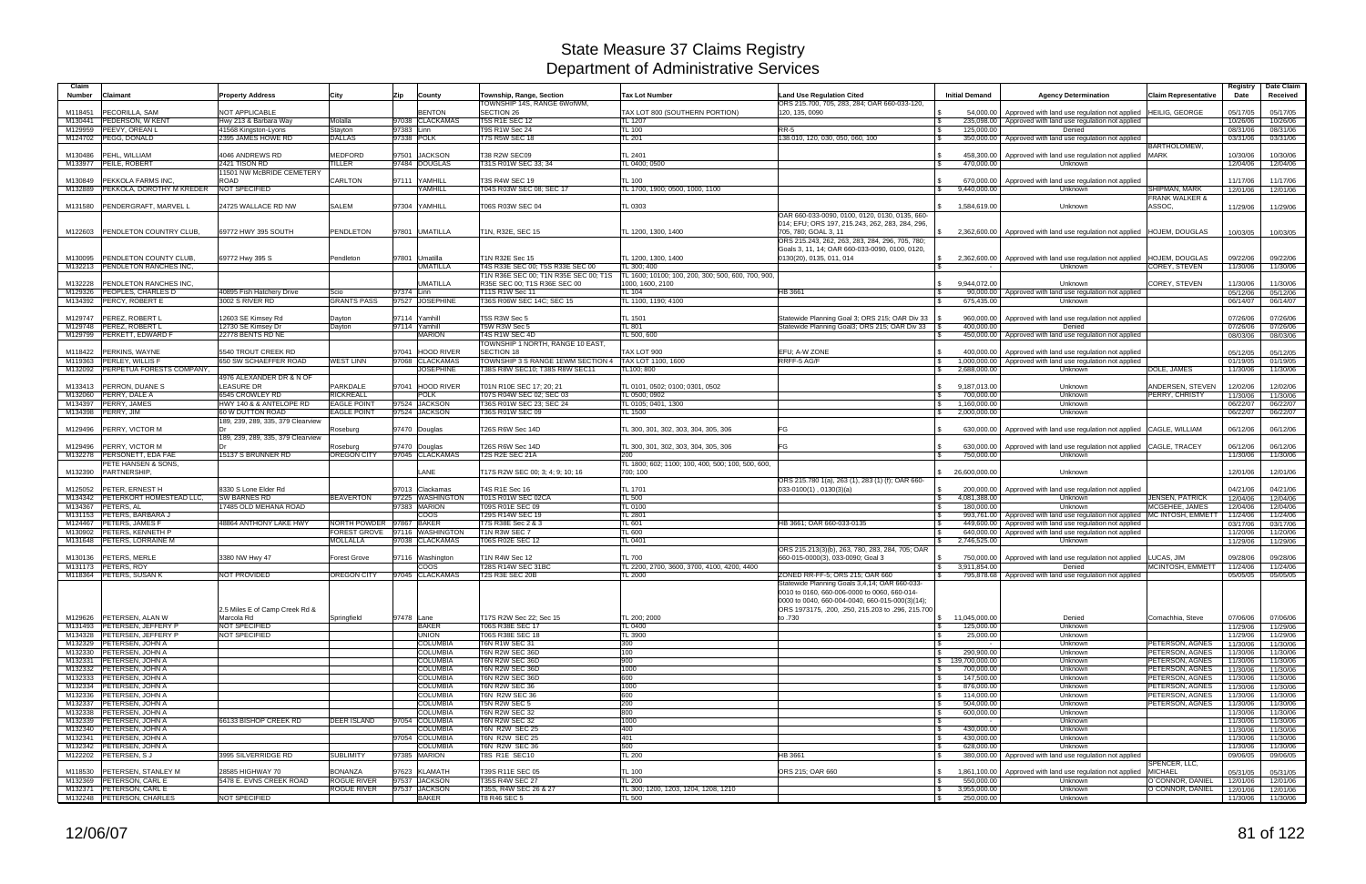| Claim<br><b>Number</b> | Claimant                                                      | <b>Property Address</b>                     | City                                     | Zip<br>County                       | Township, Range, Section                                            | <b>Tax Lot Number</b>                                 | <b>Land Use Regulation Cited</b>                                                                                                                                                                      | <b>Initial Demand</b>                               | <b>Agency Determination</b>                                                                    | Claim Representative               | Registry<br>Date     | Date Claim<br>Received |
|------------------------|---------------------------------------------------------------|---------------------------------------------|------------------------------------------|-------------------------------------|---------------------------------------------------------------------|-------------------------------------------------------|-------------------------------------------------------------------------------------------------------------------------------------------------------------------------------------------------------|-----------------------------------------------------|------------------------------------------------------------------------------------------------|------------------------------------|----------------------|------------------------|
|                        |                                                               |                                             |                                          |                                     | TOWNSHIP 14S. RANGE 6WofWM.                                         |                                                       | ORS 215.700, 705, 283, 284; OAR 660-033-120.                                                                                                                                                          |                                                     |                                                                                                |                                    |                      |                        |
| M118451                | <b>PECORILLA, SAM</b>                                         | <b>NOT APPLICABLE</b>                       |                                          | <b>BENTON</b>                       | SECTION 26                                                          | TAX LOT 800 (SOUTHERN PORTION)                        | 120, 135, 0090                                                                                                                                                                                        | 54.000.00                                           | Approved with land use regulation not applied                                                  | HEILIG. GEORGE                     | 05/17/05             | 05/17/05               |
| M130441                | <b>PEDERSON, W KENT</b>                                       | Hwy 213 & Barbara Way                       | Molalla                                  | 97038 CLACKAMAS                     | <b>T5S R1E SEC 12</b>                                               | TL 1207                                               |                                                                                                                                                                                                       | 235,098.00                                          | Approved with land use regulation not applied                                                  |                                    | 10/26/06             | 10/26/06               |
| M129959                | <b>PEEVY, OREAN L</b><br>M124702 PEGG, DONALD                 | 41568 Kingston-Lyons<br>2395 JAMES HOWE RD  | Stayton<br><b>DALLAS</b>                 | 97383 Linn<br>97338 POLK            | T9S R1W Sec 24<br>T7S R5W SEC 18                                    | <b>TL 100</b><br>TL 201                               | <b>RR-5</b><br>l \$<br>138.010, 120, 030, 050, 060, 100<br>- S                                                                                                                                        | 125,000.00<br>350,000.00                            | Denied<br>Approved with land use regulation not applied                                        |                                    | 08/31/06<br>03/31/06 | 08/31/06<br>03/31/06   |
|                        |                                                               |                                             |                                          |                                     |                                                                     |                                                       |                                                                                                                                                                                                       |                                                     |                                                                                                | BARTHOLOMEW,                       |                      |                        |
|                        | M130486 PEHL, WILLIAM                                         | 4046 ANDREWS RD                             | <b>MEDFORD</b>                           | 97501 JACKSON                       | T38 R2W SEC09                                                       | TL 2401                                               |                                                                                                                                                                                                       | 458,300.00                                          | Approved with land use regulation not applied MARK                                             |                                    | 10/30/06             | 10/30/06               |
|                        | M133977 PEILE, ROBERT                                         | 2421 TISON RD<br>11501 NW McBRIDE CEMETERY  | TILLER                                   | 97484 DOUGLAS                       | T31S R01W SEC 33; 34                                                | TL 0400; 0500                                         | - \$                                                                                                                                                                                                  | 470,000.00                                          | Unknown                                                                                        |                                    | 12/04/06             | 12/04/06               |
| M130849                | <b>PEKKOLA FARMS INC.</b>                                     | ROAD                                        | <b>CARLTON</b>                           | 97111 YAMHILL                       | T3S R4W SEC 19                                                      | <b>TL 100</b>                                         |                                                                                                                                                                                                       | 670,000.00                                          | Approved with land use regulation not applied                                                  |                                    | 11/17/06             | 11/17/06               |
| M132889                | PEKKOLA, DOROTHY M KREDER                                     | <b>NOT SPECIFIED</b>                        |                                          | YAMHILL                             | T04S R03W SEC 08; SEC 17                                            | TL 1700, 1900; 0500, 1000, 1100                       |                                                                                                                                                                                                       | 9,440,000.00                                        | Unknown                                                                                        | SHIPMAN, MARK                      | 12/01/06             | 12/01/06               |
|                        |                                                               |                                             |                                          | 97304 YAMHILL                       |                                                                     |                                                       |                                                                                                                                                                                                       |                                                     |                                                                                                | <b>FRANK WALKER &amp;</b>          |                      |                        |
|                        | M131580 PENDERGRAFT, MARVEL L                                 | 24725 WALLACE RD NW                         | <b>SALEM</b>                             |                                     | T06S R03W SEC 04                                                    | TL 0303                                               | OAR 660-033-0090, 0100, 0120, 0130, 0135, 660-                                                                                                                                                        | 1,584,619.00                                        | Unknown                                                                                        | ASSOC.                             | 11/29/06             | 11/29/06               |
|                        |                                                               |                                             |                                          |                                     |                                                                     |                                                       | 014; EFU; ORS 197, 215.243, 262, 283, 284, 296,                                                                                                                                                       |                                                     |                                                                                                |                                    |                      |                        |
|                        | M122603 PENDLETON COUNTRY CLUB.                               | 69772 HWY 395 SOUTH                         | <b>PENDLETON</b>                         | 97801 UMATILLA                      | T1N, R32E, SEC 15                                                   | TL 1200, 1300, 1400                                   | 705, 780; GOAL 3, 11                                                                                                                                                                                  | \$2.362.600.00                                      | Approved with land use regulation not applied HOJEM, DOUGLAS                                   |                                    | 10/03/05             | 10/03/05               |
|                        |                                                               |                                             |                                          |                                     |                                                                     |                                                       | ORS 215.243, 262, 263, 283, 284, 296, 705, 780;                                                                                                                                                       |                                                     |                                                                                                |                                    |                      |                        |
|                        | M130095 PENDLETON COUNTY CLUB,                                | 69772 Hwy 395 S                             | Pendleton                                | 97801 Umatilla                      | T1N R32E Sec 15                                                     | TL 1200, 1300, 1400                                   | Goals 3, 11, 14; OAR 660-033-0090, 0100, 0120<br>0130(20), 0135, 011, 014                                                                                                                             | 2,362,600.00                                        | Approved with land use regulation not applied HOJEM, DOUGLAS                                   |                                    | 09/22/06             | 09/22/06               |
|                        | M132213 PENDLETON RANCHES INC.                                |                                             |                                          | <b>UMATILLA</b>                     | T4S R33E SEC 00; T5S R33E SEC 00                                    | TL 300; 400                                           |                                                                                                                                                                                                       |                                                     | Unknown                                                                                        | <b>COREY, STEVEN</b>               | 11/30/06             | 11/30/06               |
|                        |                                                               |                                             |                                          |                                     | T1N R36E SEC 00; T1N R35E SEC 00; T1S                               | TL 1600; 10100; 100, 200, 300; 500, 600, 700, 900,    |                                                                                                                                                                                                       |                                                     |                                                                                                |                                    |                      |                        |
| M132228                | <b>PENDLETON RANCHES INC.</b><br>M129326 PEOPLES, CHARLES D   | 40895 Fish Hatchery Drive                   | Scio                                     | <b>UMATILLA</b><br>97374 Linn       | R35E SEC 00; T1S R36E SEC 00<br>T11S R1W Sec 11                     | 1000, 1600, 2100<br>TL 104                            | HB 3661                                                                                                                                                                                               | 9,944,072.00<br>\$<br>90,000.00                     | Unknown<br>Approved with land use regulation not applied                                       | COREY, STEVEN                      | 11/30/06<br>05/12/06 | 11/30/06<br>05/12/06   |
|                        | M134392 PERCY, ROBERT E                                       | 3002 S RIVER RD                             | <b>GRANTS PASS</b>                       | 97527 JOSEPHINE                     | T36S R06W SEC 14C; SEC 15                                           | TL 1100, 1190; 4100                                   |                                                                                                                                                                                                       | 675,435.00                                          | Unknown                                                                                        |                                    | 06/14/07             | 06/14/07               |
|                        |                                                               |                                             |                                          |                                     |                                                                     |                                                       |                                                                                                                                                                                                       |                                                     |                                                                                                |                                    |                      |                        |
| M129747                | <b>PEREZ, ROBERT L</b><br>M129748 PEREZ, ROBERT L             | 12603 SE Kimsey Rd<br>12730 SE Kimsey Dr    | Dayton<br>Davton                         | 97114 Yamhill<br>97114 Yamhill      | <b>T5S R3W Sec 5</b><br>T5W R3W Sec 5                               | TL 1501<br><b>TL 801</b>                              | Statewide Planning Goal 3: ORS 215: OAR Div 33                                                                                                                                                        | 960,000.00<br>400,000.00                            | Approved with land use regulation not applied<br>Denied                                        |                                    | 07/26/06             | 07/26/06               |
|                        | M129799 PERKETT, EDWARD F                                     | 22778 BENTS RD NE                           |                                          | <b>MARION</b>                       | T4S R1W SEC 4D                                                      | TL 500, 600                                           | Statewide Planning Goal3; ORS 215; OAR Div 33 \\$                                                                                                                                                     | 450,000.00                                          | Approved with land use regulation not applied                                                  |                                    | 07/26/06<br>08/03/06 | 07/26/06<br>08/03/06   |
|                        |                                                               |                                             |                                          |                                     | TOWNSHIP 1 NORTH, RANGE 10 EAST,                                    |                                                       |                                                                                                                                                                                                       |                                                     |                                                                                                |                                    |                      |                        |
|                        | M118422 PERKINS, WAYNE                                        | 5540 TROUT CREEK RD                         |                                          | 97041 HOOD RIVER                    | <b>SECTION 18</b>                                                   | TAX LOT 900                                           | EFU; A-W ZONE                                                                                                                                                                                         | 400.000.00                                          | Approved with land use regulation not applied                                                  |                                    | 05/12/05             | 05/12/05               |
|                        | M119363 PERLEY, WILLIS I<br>M132092 PERPETUA FORESTS COMPANY, | 650 SW SCHAEFFER ROAD                       | <b>WEST LINN</b>                         | 97068 CLACKAMAS<br><b>JOSEPHINE</b> | TOWNSHIP 3 S RANGE 1EWM SECTION 4<br>T38S R8W SEC10; T38S R8W SEC11 | TAX LOT 1100, 1600<br>TL100: 800                      | RRFF-5 AG/F<br>- \$                                                                                                                                                                                   | 1,000,000.00<br>2.688,000.00                        | Approved with land use regulation not applied<br>Unknown                                       | DOLE, JAMES                        | 01/19/05<br>11/30/06 | 01/19/05<br>11/30/06   |
|                        |                                                               | 4976 ALEXANDER DR & N OF                    |                                          |                                     |                                                                     |                                                       |                                                                                                                                                                                                       |                                                     |                                                                                                |                                    |                      |                        |
| M133413                | <b>PERRON, DUANE S</b>                                        | <b>LEASURE DR</b>                           | <b>PARKDALE</b>                          | 97041 HOOD RIVER                    | T01N R10E SEC 17; 20; 21                                            | TL 0101. 0502: 0100: 0301. 0502                       |                                                                                                                                                                                                       | 9,187,013.00                                        | Unknown                                                                                        | ANDERSEN, STEVEN                   | 12/02/06             | 12/02/06               |
| M132060                | <b>PERRY, DALE A</b>                                          | 6545 CROWLEY RD                             | <b>RICKREALL</b>                         | <b>POLK</b>                         | T07S R04W SEC 02; SEC 03                                            | TL 0500: 0902                                         |                                                                                                                                                                                                       | 700,000.00                                          | Unknown                                                                                        | PERRY, CHRISTY                     | 11/30/06             | 11/30/06               |
| M134397                | <b>PERRY, JAMES</b><br>M134398 PERRY, JIM                     | HWY 140 & & ANTELOPE RD<br>60 W DUTTON ROAD | <b>EAGLE POINT</b><br><b>EAGLE POINT</b> | 97524 JACKSON<br>97524 JACKSON      | T36S R01W SEC 23; SEC 24<br>T36S R01W SEC 09                        | TL 0105; 0401, 1300<br>TL 1500                        |                                                                                                                                                                                                       | 1,160,000.00<br>$\mathcal{S}$<br>2,000,000.00<br>\$ | Unknown<br>Unknown                                                                             |                                    | 06/22/07<br>06/22/07 | 06/22/07<br>06/22/07   |
|                        |                                                               | 189, 239, 289, 335, 379 Clearview           |                                          |                                     |                                                                     |                                                       |                                                                                                                                                                                                       |                                                     |                                                                                                |                                    |                      |                        |
| M129496                | PERRY, VICTOR M                                               |                                             | Roseburg                                 | 97470 Douglas                       | T26S R6W Sec 14D                                                    | TL 300, 301, 302, 303, 304, 305, 306                  | FG                                                                                                                                                                                                    | 630.000.00                                          | Approved with land use regulation not applied CAGLE, WILLIAM                                   |                                    | 06/12/06             | 06/12/06               |
|                        | <b>PERRY, VICTOR M</b>                                        | 189, 239, 289, 335, 379 Clearview           |                                          |                                     |                                                                     |                                                       | FG                                                                                                                                                                                                    | 630,000.00                                          | Approved with land use regulation not applied CAGLE, TRACEY                                    |                                    |                      |                        |
| M129496                | M132278 PERSONETT, EDA FAE                                    | 15137 S BRUNNER RD                          | Roseburg<br>OREGON CITY                  | 97470 Douglas<br>97045 CLACKAMAS    | T26S R6W Sec 14D<br><b>T2S R2E SEC 21A</b>                          | TL 300, 301, 302, 303, 304, 305, 306<br>200           | $\mathfrak{L}$                                                                                                                                                                                        | 750,000.00                                          | Unknown                                                                                        |                                    | 06/12/06<br>11/30/06 | 06/12/06<br>11/30/06   |
|                        | PETE HANSEN & SONS,                                           |                                             |                                          |                                     |                                                                     | TL 1800; 602; 1100; 100, 400, 500; 100, 500, 600,     |                                                                                                                                                                                                       |                                                     |                                                                                                |                                    |                      |                        |
| M132390                | PARTNERSHIP.                                                  |                                             |                                          | LANE                                | T17S R2W SEC 00; 3; 4; 9; 10; 16                                    | 700; 100                                              |                                                                                                                                                                                                       | 26,600,000.00                                       | Unknown                                                                                        |                                    | 12/01/06             | 12/01/06               |
| M125052                | PETER, ERNEST H                                               | 8330 S Lone Elder Rd                        |                                          | 97013 Clackamas                     | T4S R1E Sec 16                                                      | <b>TL 1701</b>                                        | ORS 215.780 1(a), 263 (1), 283 (1) (f); OAR 660-<br>$033-0100(1)$ , $0130(3)(a)$                                                                                                                      | 200,000.00                                          | Approved with land use regulation not applied                                                  |                                    | 04/21/06             | 04/21/06               |
| M134342                | <b>PETERKORT HOMESTEAD LLC,</b>                               | <b>SW BARNES RD</b>                         | <b>BEAVERTON</b>                         | 97225 WASHINGTON                    | T01S R01W SEC 02CA                                                  | TL 500                                                | - \$                                                                                                                                                                                                  | 4,081,388.00                                        | Unknown                                                                                        | <b>JENSEN, PATRICK</b>             | 12/04/06             | 12/04/06               |
| M134367                | PETERS, AL                                                    | 17485 OLD MEHANA ROAD                       |                                          | 97383 MARION                        | T09S R01E SEC 09                                                    | <b>TL 0100</b>                                        | l S                                                                                                                                                                                                   | 180,000.00                                          | Unknown                                                                                        | MCGEHEE, JAMES                     | 12/04/06             | 12/04/06               |
| M131153                | <b>PETERS, BARBARA J</b><br><b>PETERS, JAMES F</b>            |                                             | NORTH POWDER 97867 BAKER                 | <b>COOS</b>                         | T29S R14W SEC 19<br>T7S R38E Sec 2 & 3                              | <b>TL 2801</b><br>TL 601                              |                                                                                                                                                                                                       | 993,761.00<br>449.600.00                            | Approved with land use regulation not applied   MC INTOSH, EMMETT                              |                                    | 11/24/06             | 11/24/06               |
| M124467<br>M130902     | <b>PETERS, KENNETH P</b>                                      | 48864 ANTHONY LAKE HWY                      |                                          | FOREST GROVE 97116 WASHINGTON       | T1N R3W SEC 7                                                       | TL 600                                                | HB 3661: OAR 660-033-0135                                                                                                                                                                             | 640.000.00                                          | Approved with land use regulation not applied<br>Approved with land use regulation not applied |                                    | 03/17/06<br>11/20/06 | 03/17/06<br>11/20/06   |
|                        | M131648 PETERS, LORRAINE M                                    |                                             | <b>MOLLALLA</b>                          | 97038 CLACKAMAS                     | T06S R02E SEC 12                                                    | TL 0401                                               |                                                                                                                                                                                                       | 2,746,525.00                                        | Unknown                                                                                        |                                    | 11/29/06             | 11/29/06               |
|                        |                                                               |                                             |                                          |                                     |                                                                     |                                                       | ORS 215.213(3)(b), 263, 780, 283, 284, 705; OAR                                                                                                                                                       |                                                     |                                                                                                |                                    |                      |                        |
|                        | M130136 PETERS, MERLE<br>M131173 PETERS, ROY                  | 3380 NW Hwy 47                              | <b>Forest Grove</b>                      | 97116 Washington<br>COOS            | T1N R4W Sec 12<br><b>T28S R14W SEC 31BC</b>                         | TL 700<br>TL 2200, 2700, 3600, 3700, 4100, 4200, 4400 | 660-015-0000(3), 033-0090; Goal 3<br>- S                                                                                                                                                              | 750,000.00<br>3.911.854.00                          | Approved with land use regulation not applied<br>Denied                                        | LUCAS, JIM<br>MCINTOSH, EMMETT     | 09/28/06<br>11/24/06 | 09/28/06<br>11/24/06   |
|                        | M118364 PETERS, SUSAN K                                       | <b>NOT PROVIDED</b>                         | OREGON CITY                              | 97045 CLACKAMAS                     | T2S R3E SEC 20B                                                     | <b>TL 2000</b>                                        | ZONED RR-FF-5; ORS 215; OAR 660                                                                                                                                                                       | 795,878.68                                          | Approved with land use regulation not applied                                                  |                                    | 05/05/05             | 05/05/05               |
|                        |                                                               | 2.5 Miles E of Camp Creek Rd &              |                                          |                                     |                                                                     |                                                       | Statewide Planning Goals 3,4,14; OAR 660-033-<br>0010 to 0160, 660-006-0000 to 0060, 660-014-<br>0000 to 0040, 660-004-0040, 660-015-000(3)(14);<br>ORS 1973175, .200, .250, 215.203 to .296, 215.700 |                                                     |                                                                                                |                                    |                      |                        |
|                        | M129626 PETERSEN, ALAN W                                      | Marcola Rd                                  | Springfield                              | 97478 Lane                          | T17S R2W Sec 22; Sec 15                                             | TL 200; 2000                                          | to .730                                                                                                                                                                                               | 11,045,000.00                                       | Denied                                                                                         | Cornachhia, Steve                  | 07/06/06             | 07/06/06               |
|                        | M131493 PETERSEN, JEFFERY P                                   | NOT SPECIFIED                               |                                          | <b>BAKER</b>                        | T06S R38E SEC 17                                                    | TL 0400                                               | - S                                                                                                                                                                                                   | 125,000.00                                          | Unknown                                                                                        |                                    | 11/29/06             | 11/29/06               |
|                        | M134328 PETERSEN, JEFFERY P<br>M132329 PETERSEN, JOHN A       | NOT SPECIFIED                               |                                          | <b>UNION</b><br><b>COLUMBIA</b>     | T06S R38E SEC 18<br><b>T6N R1W SEC 31</b>                           | <b>TL 3900</b><br>300                                 | l \$                                                                                                                                                                                                  | 25,000.00<br>$\sim$                                 | Unknown<br>Unknown                                                                             | PETERSON, AGNES                    | 11/29/06<br>11/30/06 | 11/29/06<br>11/30/06   |
|                        | M132330 PETERSEN, JOHN A                                      |                                             |                                          | <b>COLUMBIA</b>                     | T6N R2W SEC 36D                                                     | 100                                                   | $\mathfrak{L}$                                                                                                                                                                                        | 290,900.00                                          | Unknown                                                                                        | PETERSON, AGNES                    | 11/30/06             | 11/30/06               |
|                        | M132331 PETERSEN, JOHN A                                      |                                             |                                          | <b>COLUMBIA</b>                     | T6N R2W SEC 36D                                                     | 900                                                   |                                                                                                                                                                                                       | \$ 139,700,000.00                                   | Unknown                                                                                        | PETERSON, AGNES                    | 11/30/06             | 11/30/06               |
|                        | M132332 PETERSEN, JOHN A                                      |                                             |                                          | COLUMBIA                            | T6N R2W SEC 36D                                                     | 1000                                                  | \$                                                                                                                                                                                                    | 700,000.00                                          | Unknown                                                                                        | PETERSON, AGNES                    | 11/30/06             | 11/30/06               |
|                        | M132333 PETERSEN, JOHN A<br>M132334 PETERSEN, JOHN A          |                                             |                                          | <b>COLUMBIA</b><br><b>COLUMBIA</b>  | T6N R2W SEC 36D<br><b>T6N R2W SEC 36</b>                            | 600<br>1000                                           | - S<br>l \$                                                                                                                                                                                           | 147,500.00<br>876,000.00                            | Unknown<br>Unknown                                                                             | PETERSON, AGNES<br>PETERSON, AGNES | 11/30/06<br>11/30/06 | 11/30/06<br>11/30/06   |
|                        | M132336 PETERSEN, JOHN A                                      |                                             |                                          | <b>COLUMBIA</b>                     | T6N R2W SEC 36                                                      | 600                                                   | l \$                                                                                                                                                                                                  | 114,000.00                                          | Unknown                                                                                        | PETERSON, AGNES                    | 11/30/06             | 11/30/06               |
|                        | M132337 PETERSEN, JOHN A                                      |                                             |                                          | <b>COLUMBIA</b>                     | T5N R2W SEC 5                                                       | 200                                                   | l \$                                                                                                                                                                                                  | 504,000.00                                          | Unknown                                                                                        | PETERSON, AGNES                    | 11/30/06             | 11/30/06               |
|                        | M132338 PETERSEN, JOHN A                                      |                                             |                                          | <b>COLUMBIA</b>                     | <b>T6N R2W SEC 32</b>                                               | 800                                                   | l \$                                                                                                                                                                                                  | 600,000.00                                          | Unknown                                                                                        |                                    | 11/30/06             | 11/30/06               |
|                        | M132339 PETERSEN, JOHN A<br>M132340 PETERSEN, JOHN A          | 66133 BISHOP CREEK RD                       | <b>DEER ISLAND</b>                       | 97054 COLUMBIA<br><b>COLUMBIA</b>   | T6N R2W SEC 32<br><b>T6N R2W SEC 25</b>                             | 1000<br>400                                           |                                                                                                                                                                                                       | 430,000.00                                          | Unknown<br>Unknown                                                                             |                                    | 11/30/06<br>11/30/06 | 11/30/06<br>11/30/06   |
|                        | M132341 PETERSEN, JOHN A                                      |                                             |                                          | 97054 COLUMBIA                      | <b>T6N R2W SEC 25</b>                                               | 401                                                   | l \$                                                                                                                                                                                                  | 430,000.00                                          | Unknown                                                                                        |                                    | 11/30/06             | 11/30/06               |
|                        | M132342 PETERSEN, JOHN A                                      |                                             |                                          | COLUMBIA                            | T6N R2W SEC 36                                                      | 500                                                   | l \$                                                                                                                                                                                                  | 628,000.00                                          | Unknown                                                                                        |                                    | 11/30/06             | 11/30/06               |
|                        | M122202 PETERSEN, S J                                         | 3995 SILVERRIDGE RD                         | <b>SUBLIMITY</b>                         | 97385 MARION                        | T8S R1E SEC10                                                       | <b>TL 200</b>                                         | HB 3661<br>l \$                                                                                                                                                                                       | 380,000.00                                          | Approved with land use regulation not applied                                                  |                                    | 09/06/05             | 09/06/05               |
|                        | M118530 PETERSEN, STANLEY M                                   | 28585 HIGHWAY 70                            | <b>BONANZA</b>                           | 97623 KLAMATH                       | T39S R11E SEC 05                                                    | <b>TL 100</b>                                         | ORS 215; OAR 660                                                                                                                                                                                      | $\mathbb{S}$<br>1,861,100.00                        | Approved with land use regulation not applied                                                  | SPENCER, LLC,<br><b>MICHAEL</b>    | 05/31/05             | 05/31/05               |
|                        | M132369 PETERSON, CARL E                                      | 5478 E. EVNS CREEK ROAD                     | <b>ROGUE RIVER</b>                       | 97537 JACKSON                       | T35S R4W SEC 27                                                     | TL 200                                                |                                                                                                                                                                                                       | 550,000.00                                          | Unknown                                                                                        | O'CONNOR, DANIEL                   | 12/01/06             | 12/01/06               |
|                        | M132371 PETERSON, CARL E                                      |                                             | <b>ROGUE RIVER</b>                       | 97537 JACKSON                       | T35S, R4W SEC 26 & 27                                               | TL 300; 1200, 1203, 1204, 1208, 1210                  |                                                                                                                                                                                                       | 3,955,000.00<br>$\sqrt{S}$                          | Unknown                                                                                        | O`CONNOR, DANIEL                   | 12/01/06             | 12/01/06               |
|                        | M132248 PETERSON, CHARLES                                     | NOT SPECIFIED                               |                                          | <b>BAKER</b>                        | T8 R46 SEC 5                                                        | <b>TL 500</b>                                         | $\sqrt{S}$                                                                                                                                                                                            | 250,000.00                                          | Unknown                                                                                        |                                    | 11/30/06             | 11/30/06               |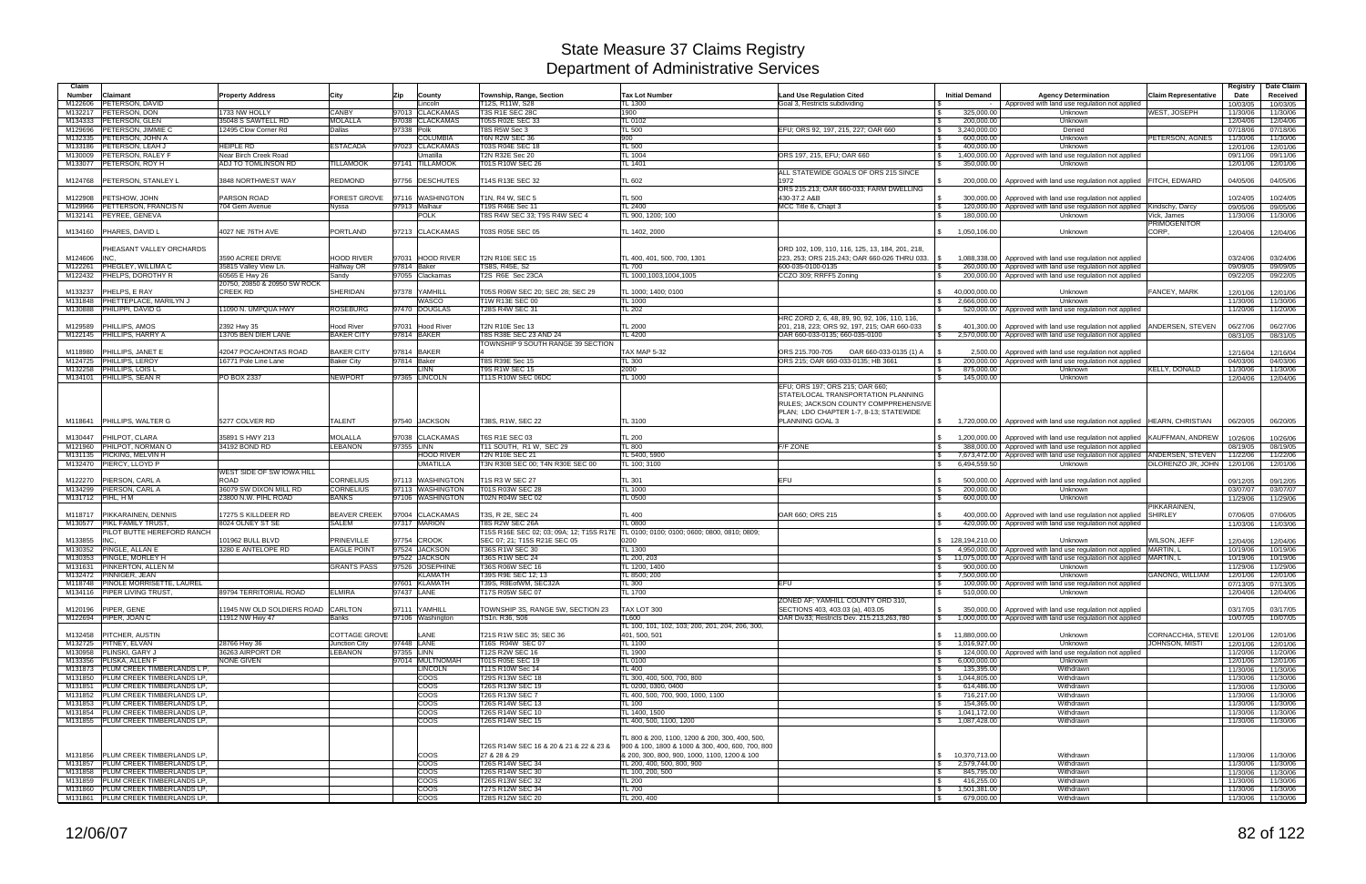| Claim              |                                                                          |                                           |                                  |               |                                    |                                                                           |                                                          |                                                                                                                       |                                                  |                                                                                                                          |                                | Registry             | Date Claim           |
|--------------------|--------------------------------------------------------------------------|-------------------------------------------|----------------------------------|---------------|------------------------------------|---------------------------------------------------------------------------|----------------------------------------------------------|-----------------------------------------------------------------------------------------------------------------------|--------------------------------------------------|--------------------------------------------------------------------------------------------------------------------------|--------------------------------|----------------------|----------------------|
| <b>Number</b>      | <b>Claimant</b>                                                          | <b>Property Address</b>                   | City                             | Zip           | County                             | Township, Range, Section                                                  | <b>Tax Lot Number</b>                                    | <b>Land Use Regulation Cited</b>                                                                                      | <b>Initial Demand</b>                            | <b>Agency Determination</b>                                                                                              | <b>Claim Representative</b>    | Date                 | Received             |
| M122606<br>M132217 | <b>PETERSON, DAVID</b><br>PETERSON, DON                                  | 1733 NW HOLLY                             | <b>CANBY</b>                     | 97013         | Lincoln<br><b>CLACKAMAS</b>        | 12S. R11W. S28<br><b>T3S R1E SEC 28C</b>                                  | L 1300<br>1900                                           | Goal 3, Restricts subdividing                                                                                         | 325,000.00<br>$\mathbb{R}$                       | Approved with land use regulation not applied<br>Unknown                                                                 | WEST, JOSEPH                   | 10/03/05<br>11/30/06 | 10/03/05<br>11/30/06 |
| M134333            | <b>PETERSON, GLEN</b>                                                    | 35048 S SAWTELL RD                        | <b>MOLALLA</b>                   |               | 97038 CLACKAMAS                    | T05S R02E SEC 33                                                          | <b>L0102</b>                                             |                                                                                                                       | 200,000.00                                       | Unknown                                                                                                                  |                                | 12/04/06             | 12/04/06             |
| M129696            | PETERSON, JIMMIE C                                                       | 12495 Clow Corner Rd                      | Dallas                           | 97338 Polk    |                                    | T8S R5W Sec 3                                                             | TL 500                                                   | EFU; ORS 92, 197, 215, 227; OAR 660                                                                                   | $\sqrt{3}$<br>3,240,000.00                       | Denied                                                                                                                   |                                | 07/18/06             | 07/18/06             |
| M132335            | <b>PETERSON, JOHN A</b><br>M133186   PETERSON, LEAH J                    | <b>HEIPLE RD</b>                          | <b>ESTACADA</b>                  |               | <b>COLUMBIA</b><br>97023 CLACKAMAS | T6N R2W SEC 36<br>T03S R04E SEC 18                                        | 900<br><b>TL 500</b>                                     |                                                                                                                       | 600,000.00<br>l \$<br>l \$<br>400,000.00         | Unknown<br>Unknown                                                                                                       | PETERSON, AGNES                | 11/30/06             | 11/30/06             |
| M130009            | <b>PETERSON, RALEY</b>                                                   | Near Birch Creek Road                     |                                  |               | Jmatilla                           | <b>T2N R32E Sec 20</b>                                                    | <b>L</b> 1004                                            | ORS 197, 215, EFU; OAR 660                                                                                            | l \$                                             | 1,400,000.00 Approved with land use regulation not applied                                                               |                                | 12/01/06<br>09/11/06 | 12/01/06<br>09/11/06 |
|                    | M133077 PETERSON, ROY H                                                  | ADJ TO TOMLINSON RD                       | <b>TILLAMOOK</b>                 |               | 97141 TILLAMOOK                    | T01S R10W SEC 26                                                          | <b>L</b> 1401                                            |                                                                                                                       | <b>S</b><br>350,000.00                           | Unknown                                                                                                                  |                                | 12/01/06             | 12/01/06             |
| M124768            | PETERSON, STANLEY L                                                      | 3848 NORTHWEST WAY                        | <b>REDMOND</b>                   |               | 97756 DESCHUTES                    | T14S R13E SEC 32                                                          | TL 602                                                   | ALL STATEWIDE GOALS OF ORS 215 SINCE<br>1972                                                                          | \$                                               | 200,000.00   Approved with land use regulation not applied FITCH, EDWARD                                                 |                                | 04/05/06             | 04/05/06             |
| M122908            | PETSHOW, JOHN                                                            | PARSON ROAD                               | FOREST GROVE                     |               | 97116 WASHINGTON                   | <b>T1N, R4 W, SEC 5</b>                                                   | <b>L 500</b>                                             | ORS 215.213; OAR 660-033; FARM DWELLING<br>430-37.2 A&B                                                               |                                                  | 300,000.00   Approved with land use regulation not applied                                                               |                                | 10/24/05             | 10/24/05             |
| M129966<br>M132141 | PETTERSON, FRANCIS N<br>PEYREE, GENEVA                                   | 704 Gem Avenue                            | Nvssa                            | 97913 Malhaur | <b>POLK</b>                        | T19S R46E Sec 11<br>8S R4W SEC 33; T9S R4W SEC 4                          | TL 2400<br>L 900, 1200; 100                              | MCC Title 6, Chapt 3                                                                                                  | l \$<br>180,000.00                               | 120,000.00   Approved with land use regulation not applied Kindschy, Darcy<br>Unknown                                    | Vick, James                    | 09/05/06<br>11/30/06 | 09/05/06<br>11/30/06 |
|                    |                                                                          |                                           |                                  |               |                                    |                                                                           |                                                          |                                                                                                                       |                                                  |                                                                                                                          | <b>PRIMOGENITOR</b>            |                      |                      |
|                    | M134160 PHARES, DAVID L                                                  | 4027 NE 76TH AVE                          | <b>PORTLAND</b>                  |               | 97213 CLACKAMAS                    | T03S R05E SEC 05                                                          | TL 1402, 2000                                            |                                                                                                                       | 1,050,106.00                                     | Unknown                                                                                                                  | CORP.                          | 12/04/06             | 12/04/06             |
|                    | PHEASANT VALLEY ORCHARDS                                                 |                                           |                                  |               |                                    |                                                                           |                                                          | ORD 102, 109, 110, 116, 125, 13, 184, 201, 218                                                                        |                                                  |                                                                                                                          |                                |                      |                      |
| M124606<br>M122261 | <b>INC</b><br>PHEGLEY, WILLIMA C                                         | 3590 ACREE DRIVE<br>35815 Valley View Ln. | <b>HOOD RIVER</b><br>Halfway OR  | 97814 Baker   | 97031 HOOD RIVER                   | <b>T2N R10E SEC 15</b><br><b>TS8S. R45E. S2</b>                           | L 400, 401, 500, 700, 1301<br>TL 700                     | 223, 253; ORS 215.243; OAR 660-026 THRU 033. \\$<br>600-035-0100-0135                                                 | l \$                                             | 1,088,338.00 Approved with land use regulation not applied<br>260,000.00   Approved with land use regulation not applied |                                | 03/24/06<br>09/09/05 | 03/24/06<br>09/09/05 |
| M122432            | PHELPS, DOROTHY R                                                        | 60565 E Hwy 26                            | Sandy                            |               | 97055 Clackamas                    | T2S R6E Sec 23CA                                                          | TL 1000,1003,1004,1005                                   | CCZO 309; RRFF5 Zoning                                                                                                | l \$                                             | 200,000.00   Approved with land use regulation not applied                                                               |                                | 09/22/05             | 09/22/05             |
|                    |                                                                          | 20750, 20850 & 20950 SW ROCK              |                                  |               |                                    |                                                                           |                                                          |                                                                                                                       |                                                  |                                                                                                                          |                                |                      |                      |
| M133237            | <b>PHELPS, E RAY</b><br>M131848 PHETTEPLACE, MARILYN J                   | <b>CREEK RD</b>                           | <b>SHERIDAN</b>                  | 97378         | YAMHILL<br>WASCO                   | T05S R06W SEC 20; SEC 28; SEC 29<br><b>T1W R13E SEC 00</b>                | TL 1000; 1400; 0100<br>TL 1000                           |                                                                                                                       | 40.000.000.00                                    | Unknown                                                                                                                  | FANCEY, MARK                   | 12/01/06             | 12/01/06             |
|                    | M130888 PHILIPPI, DAVID G                                                | 11090 N. UMPQUA HWY                       | <b>ROSEBURG</b>                  |               | 97470 DOUGLAS                      | T28S R4W SEC 31                                                           | <b>TL 202</b>                                            |                                                                                                                       | l \$<br>2,666,000.00<br>l Si                     | Unknown<br>520,000.00 Approved with land use regulation not applied                                                      |                                | 11/30/06<br>11/20/06 | 11/30/06<br>11/20/06 |
|                    |                                                                          |                                           |                                  |               |                                    |                                                                           |                                                          | HRC ZORD 2, 6, 48, 89, 90, 92, 106, 110, 116,                                                                         |                                                  |                                                                                                                          |                                |                      |                      |
| M129589            | <b>PHILLIPS, AMOS</b>                                                    | 2392 Hwy 35                               | Hood River                       |               | 97031 Hood River                   | T2N R10E Sec 13                                                           | TL 2000                                                  | 201, 218, 223; ORS 92, 197, 215; OAR 660-033                                                                          |                                                  | 401,300.00   Approved with land use regulation not applied                                                               | ANDERSEN, STEVEN               | 06/27/06             | 06/27/06             |
|                    | M122145 PHILLIPS, HARRY A                                                | 13705 BEN DIER LANE                       | <b>BAKER CITY</b>                | 97814 BAKER   |                                    | <b>T8S R38E SEC 23 AND 24</b><br><b>TOWNSHIP 9 SOUTH RANGE 39 SECTION</b> | L 4200                                                   | OAR 660-033-0135; 660-035-0100                                                                                        | I S                                              | 2,570,000.00 Approved with land use regulation not applied                                                               |                                | 08/31/05             | 08/31/05             |
|                    | M118980 PHILLIPS, JANET E                                                | 42047 POCAHONTAS ROAD                     | <b>BAKER CITY</b>                | 97814 BAKER   |                                    |                                                                           | TAX MAP 5-32                                             | ORS 215.700-705<br>OAR 660-033-0135 (1) A                                                                             |                                                  | 2,500.00 Approved with land use regulation not applied                                                                   |                                | 12/16/04             | 12/16/04             |
|                    | M124725 PHILLIPS, LEROY                                                  | 16771 Pole Line Lane                      | <b>Baker City</b>                | 97814 Baker   |                                    | <b>F8S R39E Sec 15</b>                                                    | TL300                                                    | ORS 215; OAR 660-033-0135; HB 3661                                                                                    | <b>S</b>                                         | 200,000.00   Approved with land use regulation not applied                                                               |                                | 04/03/06             | 04/03/06             |
|                    | M132258 PHILLIPS, LOIS L<br>M134101 PHILLIPS, SEAN R                     | PO BOX 2337                               | <b>NEWPORT</b>                   |               | <b>LINN</b><br>97365 LINCOLN       | <b>T9S R1W SEC 15</b><br>T11S R10W SEC 06DC                               | 2000<br>TL 1000                                          |                                                                                                                       | 875,000.00<br>l \$                               | Unknown                                                                                                                  | <b>KELLY, DONALD</b>           | 11/30/06             | 11/30/06             |
|                    |                                                                          |                                           |                                  |               |                                    |                                                                           |                                                          | EFU; ORS 197; ORS 215; OAR 660;                                                                                       | 145,000.00                                       | Unknown                                                                                                                  |                                | 12/04/06             | 12/04/06             |
|                    |                                                                          |                                           |                                  |               |                                    |                                                                           |                                                          | STATE/LOCAL TRANSPORTATION PLANNING<br>RULES; JACKSON COUNTY COMPPREHENSIVE<br>PLAN; LDO CHAPTER 1-7, 8-13; STATEWIDE |                                                  |                                                                                                                          |                                |                      |                      |
|                    | M118641 PHILLIPS, WALTER G                                               | 5277 COLVER RD                            | <b>TALENT</b>                    |               | 97540 JACKSON                      | T38S, R1W, SEC 22                                                         | TL 3100                                                  | PLANNING GOAL 3                                                                                                       |                                                  | 1,720,000.00   Approved with land use regulation not applied   HEARN, CHRISTIAN                                          |                                | 06/20/05             | 06/20/05             |
| M130447            | PHILPOT, CLARA                                                           | 35891 S HWY 213                           | <b>MOLALLA</b>                   | 97038         | <b>CLACKAMAS</b>                   | T6S R1E SEC 03                                                            | <b>TL 200</b>                                            |                                                                                                                       |                                                  | 1,200,000.00   Approved with land use regulation not applied KAUFFMAN, ANDREW                                            |                                | 10/26/06             | 10/26/06             |
|                    | M121960 PHILPOT, NORMAN O                                                | 34192 BOND RD                             | <b>LEBANON</b>                   | 97355 LINN    |                                    | T11 SOUTH, R1 W, SEC 29                                                   | TL 800                                                   | <b>F/F ZONE</b>                                                                                                       |                                                  | 388,000.00   Approved with land use regulation not applied                                                               |                                | 08/19/05             | 08/19/05             |
|                    | M131135 PICKING, MELVIN H                                                |                                           |                                  |               | <b>HOOD RIVER</b>                  | T2N R10E SEC 21                                                           | TL 5400, 5900                                            |                                                                                                                       | <b>S</b>                                         | 7,673,472.00 Approved with land use regulation not applied ANDERSEN, STEVEN                                              |                                | 11/22/06             | 11/22/06             |
|                    | M132470 PIERCY, LLOYD P                                                  | WEST SIDE OF SW IOWA HILL                 |                                  |               | UMATILLA                           | T3N R30B SEC 00; T4N R30E SEC 00                                          | <b>L 100; 3100</b>                                       |                                                                                                                       | 6,494,559.50<br>$\mathbb{S}$                     | <b>Unknown</b>                                                                                                           | DILORENZO JR, JOHN             | 12/01/06             | 12/01/06             |
| M122270            | PIERSON, CARL A                                                          | ROAD                                      | <b>CORNELIUS</b>                 | 97113         | <b>WASHINGTON</b>                  | 1S R3 W SEC 27                                                            | TL 301                                                   | EFU                                                                                                                   | 500,000.00                                       | Approved with land use regulation not applied                                                                            |                                | 09/12/05             | 09/12/05             |
|                    | M134299 PIERSON, CARL A                                                  | 36079 SW DIXON MILL RD                    | <b>CORNELIUS</b>                 |               | 97113 WASHINGTON                   | T01S R03W SEC 28                                                          | TL 1000                                                  |                                                                                                                       | 200,000.00<br><b>S</b>                           | Unknown                                                                                                                  |                                | 03/07/07             | 03/07/07             |
| M131712 PIHL, H M  |                                                                          | 23800 N.W. PIHL ROAD                      | <b>BANKS</b>                     |               | 97106 WASHINGTON                   | T02N R04W SEC 02                                                          | TL 0500                                                  |                                                                                                                       | 600,000.00                                       | Unknown                                                                                                                  |                                | 11/29/06             | 11/29/06             |
| M118717            | <b>PIKKARAINEN, DENNIS</b>                                               | 17275 S KILLDEER RD                       | <b>BEAVER CREEK</b>              |               | 97004 CLACKAMAS                    | T3S, R 2E, SEC 24                                                         | <b>TL 400</b>                                            | OAR 660; ORS 215                                                                                                      |                                                  | 400,000.00   Approved with land use regulation not applied                                                               | PIKKARAINEN.<br><b>SHIRLEY</b> | 07/06/05             | 07/06/05             |
| M130577            | <b>PIKL FAMILY TRUST</b>                                                 | 8024 OLNEY ST SE                          | <b>SALEM</b>                     |               | 97317 MARION                       | T8S R2W SEC 26A                                                           | TL 0800                                                  |                                                                                                                       |                                                  | 420,000.00 Approved with land use regulation not applied                                                                 |                                | 11/03/06             | 11/03/06             |
|                    | PILOT BUTTE HEREFORD RANCH                                               |                                           |                                  |               |                                    | 15S R16E SEC 02; 03; 09A; 12; T15S R17E                                   | TL 0100; 0100; 0100; 0600; 0800, 0810; 0809;             |                                                                                                                       |                                                  |                                                                                                                          |                                |                      |                      |
| M133855<br>M130352 | INC.<br><b>PINGLE, ALLAN E</b>                                           | 101962 BULL BLVD<br>3280 E ANTELOPE RD    | PRINEVILLE<br><b>EAGLE POINT</b> | 97754         | <b>CROOK</b><br>97524 JACKSON      | SEC 07; 21; T15S R21E SEC 05<br>36S R1W SEC 30                            | 0200<br>$TL$ 1300                                        |                                                                                                                       | \$ 128,194,210.00                                | Unknown<br>4,950,000.00   Approved with land use regulation not applied MARTIN, L                                        | WILSON, JEFF                   | 12/04/06<br>10/19/06 | 12/04/06<br>10/19/06 |
| M130353            | PINGLE, MORLEY H                                                         |                                           |                                  |               | 97522 JACKSON                      | <b>T36S R1W SEC 24</b>                                                    | TL 200, 203                                              |                                                                                                                       | $\mathbb{S}$                                     | 11,075,000.00 Approved with land use regulation not applied MARTIN, L                                                    |                                | 10/19/06             | 10/19/06             |
| M131631            | <b>PINKERTON, ALLEN M</b>                                                |                                           | <b>GRANTS PASS</b>               |               | 97526 JOSEPHINE                    | T36S R06W SEC 16                                                          | TL 1200, 1400                                            |                                                                                                                       | 900,000.00                                       | Unknown                                                                                                                  |                                | 11/29/06             | 11/29/06             |
|                    | M132472 PINNIGER, JEAN                                                   |                                           |                                  |               | <b>KLAMATH</b>                     | T39S R9E SEC 12; 13                                                       | TL 8500; 200                                             |                                                                                                                       | $\mathsf{s}$<br>7,500,000.00                     | Unknown                                                                                                                  | <b>GANONG, WILLIAM</b>         | 12/01/06             | 12/01/06             |
|                    | M118748 PINOLE MORRISETTE, LAUREL<br>M134116 PIPER LIVING TRUST,         | 89794 TERRITORIAL ROAD                    | <b>ELMIRA</b>                    | 97437 LANE    | 97601 KLAMATH                      | T39S, R8EofWM, SEC32A<br>T17S R05W SEC 07                                 | TL300<br>TL 1700                                         | <b>EFU</b>                                                                                                            | <b>S</b><br>510,000.00                           | 100,000.00   Approved with land use regulation not applied<br>Unknown                                                    |                                | 07/13/05<br>12/04/06 | 07/13/05<br>12/04/06 |
|                    |                                                                          |                                           |                                  |               |                                    |                                                                           |                                                          | ZONED AF: YAMHILL COUNTY ORD 310.                                                                                     |                                                  |                                                                                                                          |                                |                      |                      |
|                    | M120196 PIPER, GENE                                                      | 1945 NW OLD SOLDIERS ROAD CARLTON         |                                  |               | 97111 YAMHILL                      | TOWNSHIP 3S, RANGE 5W, SECTION 23                                         | TAX LOT 300                                              | SECTIONS 403, 403,03 (a), 403,05                                                                                      | \$                                               | 350,000.00   Approved with land use regulation not applied                                                               |                                | 03/17/05             | 03/17/05             |
|                    | M122694 PIPER, JOAN C                                                    | 11912 NW Hwy 47                           | Banks                            |               | 97106 Washington                   | TS1n. R36, S06                                                            | TL600<br>TL 100, 101, 102, 103; 200, 201, 204, 206, 300, | OAR Div33; Restricts Dev. 215.213,263,780                                                                             | l \$                                             | 1,000,000.00 Approved with land use regulation not applied                                                               |                                | 10/07/05             | 10/07/05             |
|                    | M132458   PITCHER, AUSTIN                                                |                                           | <b>COTTAGE GROVE</b>             |               | LANE                               | T21S R1W SEC 35; SEC 36                                                   | 401, 500, 501                                            |                                                                                                                       | \$ 11,880,000.00                                 | Unknown                                                                                                                  | CORNACCHIA, STEVE              | 12/01/06             | 12/01/06             |
|                    | M132725 PITNEY, ELVAN                                                    | 28766 Hwy 36                              | Junction City                    | 97448 LANE    |                                    | T16S R04W SEC 07                                                          | TL 1100                                                  |                                                                                                                       | 1,016,927.00<br><b>S</b>                         | Unknown                                                                                                                  | <b>JOHNSON, MISTI</b>          | 12/01/06             | 12/01/06             |
|                    | M130958 PLINSKI, GARY J<br>M133356 PLISKA, ALLEN F                       | 36263 AIRPORT DR<br><b>NONE GIVEN</b>     | <b>LEBANON</b>                   | 97355 LINN    | 97014 MULTNOMAH                    | T12S R2W SEC 16<br>T01S R05E SEC 19                                       | <b>TL 1900</b><br>TL 0100                                |                                                                                                                       | l \$<br>6,000,000.00<br><b>S</b>                 | 124,000.00   Approved with land use regulation not applied<br>Unknown                                                    |                                | 11/20/06<br>12/01/06 | 11/20/06<br>12/01/06 |
|                    | M131873 PLUM CREEK TIMBERLANDS L P.                                      |                                           |                                  |               | <b>LINCOLN</b>                     | T11S R10W Sec 14                                                          | <b>TL 400</b>                                            |                                                                                                                       | $\sqrt{S}$<br>135,395.00                         | Withdrawn                                                                                                                |                                | 11/30/06             | 11/30/06             |
|                    | M131850 PLUM CREEK TIMBERLANDS LP,                                       |                                           |                                  |               | <b>COOS</b>                        | T29S R13W SEC 18                                                          | TL 300, 400, 500, 700, 800                               |                                                                                                                       | 1,044,805.00<br>I S                              | Withdrawn                                                                                                                |                                | 11/30/06             | 11/30/06             |
|                    | M131851 PLUM CREEK TIMBERLANDS LP,                                       |                                           |                                  |               | <b>COOS</b>                        | T26S R13W SEC 19                                                          | TL 0200, 0300, 0400                                      |                                                                                                                       | 614,486.00<br>$\sqrt{3}$                         | Withdrawn                                                                                                                |                                | 11/30/06             | 11/30/06             |
| M131853            | M131852 PLUM CREEK TIMBERLANDS LP.<br>PLUM CREEK TIMBERLANDS LP.         |                                           |                                  |               | <b>COOS</b><br>coos                | T26S R13W SEC 7<br>T26S R14W SEC 13                                       | TL 400, 500, 700, 900, 1000, 1100<br>TL 100              |                                                                                                                       | 716,217.00<br>l \$<br>l \$<br>154,365.00         | Withdrawn<br>Withdrawn                                                                                                   |                                | 11/30/06<br>11/30/06 | 11/30/06<br>11/30/06 |
|                    | M131854 PLUM CREEK TIMBERLANDS LP,                                       |                                           |                                  |               | <b>COOS</b>                        | T26S R14W SEC 10                                                          | TL 1400, 1500                                            |                                                                                                                       | 1,041,172.00<br>I S                              | Withdrawn                                                                                                                |                                | 11/30/06             | 11/30/06             |
|                    | M131855 PLUM CREEK TIMBERLANDS LP.                                       |                                           |                                  |               | <b>COOS</b>                        | T26S R14W SEC 15                                                          | L 400, 500, 1100, 1200                                   |                                                                                                                       | 1,087,428.00<br>S.                               | Withdrawn                                                                                                                |                                | 11/30/06             | 11/30/06             |
|                    |                                                                          |                                           |                                  |               |                                    |                                                                           | TL 800 & 200, 1100, 1200 & 200, 300, 400, 500,           |                                                                                                                       |                                                  |                                                                                                                          |                                |                      |                      |
|                    |                                                                          |                                           |                                  |               |                                    | T26S R14W SEC 16 & 20 & 21 & 22 & 23 &                                    | 900 & 100, 1800 & 1000 & 300, 400, 600, 700, 800         |                                                                                                                       |                                                  |                                                                                                                          |                                |                      |                      |
|                    | M131856 PLUM CREEK TIMBERLANDS LP.<br>M131857 PLUM CREEK TIMBERLANDS LP. |                                           |                                  |               | <b>COOS</b><br><b>COOS</b>         | 27 & 28 & 29<br>T26S R14W SEC 34                                          | 8 200, 300, 800, 900, 1000, 1100, 1200 & 100             |                                                                                                                       | $\frac{1}{2}$ 10,370,713.00                      | Withdrawn                                                                                                                |                                | 11/30/06             | 11/30/06             |
|                    | M131858 PLUM CREEK TIMBERLANDS LP,                                       |                                           |                                  |               | coos                               | T26S R14W SEC 30                                                          | TL 200, 400, 500, 800, 900<br>TL 100, 200, 500           |                                                                                                                       | 2,579,744.00<br>$\sqrt{S}$<br>845,795.00<br>l \$ | Withdrawn<br>Withdrawn                                                                                                   |                                | 11/30/06<br>11/30/06 | 11/30/06<br>11/30/06 |
|                    | M131859 PLUM CREEK TIMBERLANDS LP.                                       |                                           |                                  |               | <b>COOS</b>                        | <b>T26S R13W SEC 32</b>                                                   | TL 200                                                   |                                                                                                                       | 416,255.00<br>l \$                               | Withdrawn                                                                                                                |                                | 11/30/06             | 11/30/06             |
|                    | M131860 PLUM CREEK TIMBERLANDS LP,                                       |                                           |                                  |               | <b>COOS</b>                        | T27S R12W SEC 34                                                          | <b>TL 700</b>                                            |                                                                                                                       | $\sqrt{3}$<br>1,501,381.00                       | Withdrawn                                                                                                                |                                | 11/30/06             | 11/30/06             |
|                    | M131861 PLUM CREEK TIMBERLANDS LP,                                       |                                           |                                  |               | <b>COOS</b>                        | T28S R12W SEC 20                                                          | TL 200, 400                                              |                                                                                                                       | 679,000.00<br>$\sqrt{3}$                         | Withdrawn                                                                                                                |                                | 11/30/06             | 11/30/06             |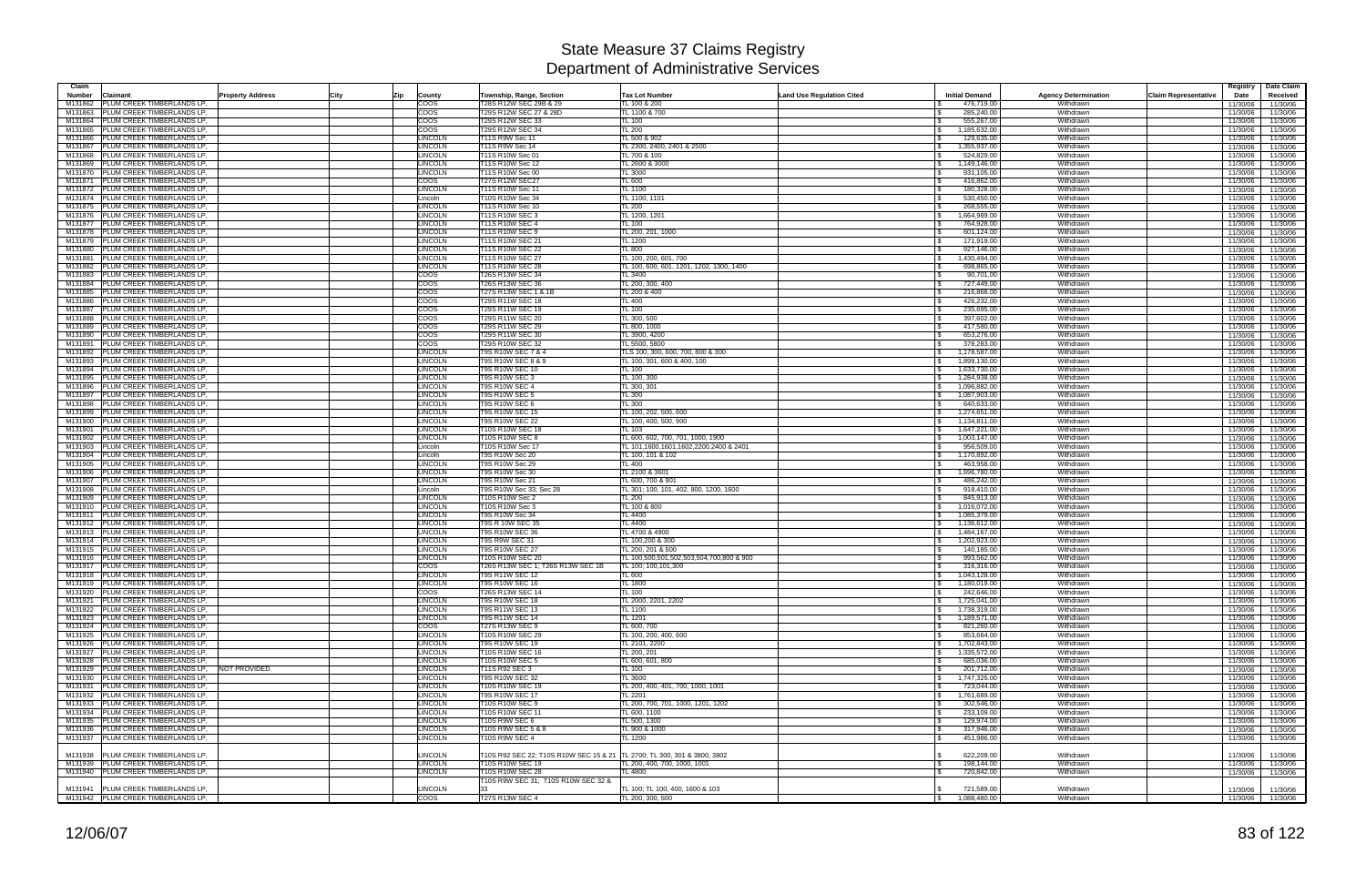| Claim<br>Number    | <b>Property Address</b><br>City<br>Claimant                              | Zip<br>County                    | Township, Range, Section                                                  | Land Use Regulation Cited<br><b>Tax Lot Number</b>  | <b>Initial Demand</b>                         | <b>Agency Determination</b> | <b>Claim Representative</b> | Date Claim<br>Registry<br>Date<br>Received   |
|--------------------|--------------------------------------------------------------------------|----------------------------------|---------------------------------------------------------------------------|-----------------------------------------------------|-----------------------------------------------|-----------------------------|-----------------------------|----------------------------------------------|
| M131862            | PLUM CREEK TIMBERLANDS LP.                                               | $\overline{\text{coos}}$         | T28S R12W SEC 29B & 29                                                    | TL 100 & 200                                        | 476,719.00                                    | Withdrawn                   |                             | 11/30/06<br>11/30/06                         |
| M131863            | PLUM CREEK TIMBERLANDS LP.                                               | COOS                             | T29S R12W SEC 27 & 28D                                                    | TL 1100 & 700                                       | 285,240.00                                    | Withdrawn                   |                             | 11/30/06<br>11/30/06                         |
| M131864            | PLUM CREEK TIMBERLANDS LP.                                               | $\overline{\text{coos}}$         | T29S R12W SEC 33                                                          | <b>TL 100</b>                                       | 555,267.00                                    | Withdrawn                   |                             | 11/30/06<br>11/30/06                         |
| M131865            | PLUM CREEK TIMBERLANDS LP,                                               | $\overline{{\rm{coos}}}$         | T29S R12W SEC 34                                                          | <b>TL 200</b>                                       | 1,185,632.00                                  | Withdrawn                   |                             | 11/30/06<br>11/30/06                         |
| M131866            | PLUM CREEK TIMBERLANDS LP,                                               | <b>LINCOLN</b>                   | T11S R9W Sec 11                                                           | TL 500 & 902                                        | 129,635.00                                    | Withdrawn                   |                             | 11/30/06<br>11/30/06                         |
| M131867<br>M131868 | PLUM CREEK TIMBERLANDS LP,<br>PLUM CREEK TIMBERLANDS LP,                 | LINCOLN<br><b>LINCOLN</b>        | T11S R9W Sec 14<br>T11S R10W Sec 01                                       | TL 2300, 2400, 2401 & 2500<br>TL 700 & 100          | 1,355,937.00<br>524,829.00                    | Withdrawn<br>Withdrawn      |                             | 11/30/06<br>11/30/06<br>11/30/06<br>11/30/06 |
| M131869            | PLUM CREEK TIMBERLANDS LP,                                               | <b>LINCOLN</b>                   | T11S R10W Sec 12                                                          | TL 2600 & 3000                                      | 1,149,146.00<br><b>S</b>                      | Withdrawn                   |                             | 11/30/06<br>11/30/06                         |
| M131870            | PLUM CREEK TIMBERLANDS LP.                                               | <b>LINCOLN</b>                   | T11S R10W Sec 00                                                          | <b>TL 3000</b>                                      | 931,105.00                                    | Withdrawn                   |                             | 11/30/06<br>11/30/06                         |
| M131871            | PLUM CREEK TIMBERLANDS LP,                                               | COOS                             | <b>T27S R12W SEC27</b>                                                    | <b>TL 600</b>                                       | 416,862.00                                    | Withdrawn                   |                             | 11/30/06<br>11/30/06                         |
| M131872            | PLUM CREEK TIMBERLANDS LP,                                               | <b>LINCOLN</b>                   | T11S R10W Sec 11                                                          | TL 1100                                             | 180,328.00                                    | Withdrawn                   |                             | 11/30/06<br>11/30/06                         |
| M131874            | PLUM CREEK TIMBERLANDS LP,                                               | Lincoln                          | T10S R10W Sec 34                                                          | TL 1100, 1101                                       | 530,450.00                                    | Withdrawn                   |                             | 11/30/06<br>11/30/06                         |
| M131875<br>M131876 | PLUM CREEK TIMBERLANDS LP.<br><b>PLUM CREEK TIMBERLANDS LP.</b>          | LINCOLN<br><b>LINCOLN</b>        | T11S R10W Sec 10<br><b>T11S R10W SEC 3</b>                                | <b>TL 200</b><br>TL 1200, 1201                      | 268,555.00<br>1,664,989.00                    | Withdrawn<br>Withdrawn      |                             | 11/30/06<br>11/30/06                         |
| M131877            | PLUM CREEK TIMBERLANDS LP,                                               | <b>LINCOLN</b>                   | <b>T11S R10W SEC 4</b>                                                    | <b>TL 100</b>                                       | 764,928.00                                    | Withdrawn                   |                             | 11/30/06<br>11/30/06<br>11/30/06<br>11/30/06 |
| M131878            | PLUM CREEK TIMBERLANDS LP,                                               | <b>LINCOLN</b>                   | T11S R10W SEC 9                                                           | TL 200, 201, 1000                                   | 601,124.00                                    | Withdrawn                   |                             | 11/30/06<br>11/30/06                         |
| M131879            | PLUM CREEK TIMBERLANDS LP,                                               | LINCOLN                          | T11S R10W SEC 21                                                          | <b>TL 1200</b>                                      | 171,919.00                                    | Withdrawn                   |                             | 11/30/06<br>11/30/06                         |
| M131880            | PLUM CREEK TIMBERLANDS LP,                                               | <b>LINCOLN</b>                   | T11S R10W SEC 22                                                          | <b>TL 800</b>                                       | 927,146.00                                    | Withdrawn                   |                             | 11/30/06<br>11/30/06                         |
| M131881            | PLUM CREEK TIMBERLANDS LP,                                               | LINCOLN                          | T11S R10W SEC 27                                                          | TL 100, 200, 601, 700                               | 1,430,494.00<br>l \$                          | Withdrawn                   |                             | 11/30/06<br>11/30/06                         |
| M131882<br>M131883 | PLUM CREEK TIMBERLANDS LP,<br><b>PLUM CREEK TIMBERLANDS LP.</b>          | <b>LINCOLN</b><br>COOS           | T11S R10W SEC 28<br>T26S R13W SEC 34                                      | TL 100, 600, 601, 1201, 1202, 1300, 1400<br>TL 3400 | 698,865.00<br>90,701.00                       | Withdrawn<br>Withdrawn      |                             | 11/30/06<br>11/30/06<br>11/30/06<br>11/30/06 |
| M131884            | PLUM CREEK TIMBERLANDS LP.                                               | COOS                             | T26S R13W SEC 36                                                          | TL 200, 300, 400                                    | 727,449.00                                    | Withdrawn                   |                             | 11/30/06<br>11/30/06                         |
| M131885            | PLUM CREEK TIMBERLANDS LP,                                               | COOS                             | T27S R13W SEC 1 & 1B                                                      | TL 200 & 400                                        | 216,868.00                                    | Withdrawn                   |                             | 11/30/06<br>11/30/06                         |
| M131886            | <b>PLUM CREEK TIMBERLANDS LP.</b>                                        | COOS                             | T29S R11W SEC 18                                                          | <b>TL 400</b>                                       | 426,232.00                                    | Withdrawn                   |                             | 11/30/06<br>11/30/06                         |
| M131887            | PLUM CREEK TIMBERLANDS LP,                                               | coos                             | T29S R11W SEC 19                                                          | <b>TL 100</b>                                       | 235,695.00                                    | Withdrawn                   |                             | 11/30/06<br>11/30/06                         |
| M131888            | PLUM CREEK TIMBERLANDS LP,                                               | COOS                             | T29S R11W SEC 20                                                          | TL 300, 500                                         | 397,602.00                                    | Withdrawn                   |                             | 11/30/06<br>11/30/06                         |
| M131889            | PLUM CREEK TIMBERLANDS LP.                                               | COOS<br>$\overline{\text{coos}}$ | T29S R11W SEC 29<br>T29S R11W SEC 30                                      | TL 800, 1000                                        | 417,580.00<br>653,276.00                      | Withdrawn                   |                             | 11/30/06<br>11/30/06                         |
| M131890<br>M131891 | PLUM CREEK TIMBERLANDS LP,<br>PLUM CREEK TIMBERLANDS LP,                 | COOS                             | T29S R10W SEC 32                                                          | TL 3900, 4200<br>TL 5500, 5800                      | 378,283.00                                    | Withdrawn<br>Withdrawn      |                             | 11/30/06<br>11/30/06<br>11/30/06<br>11/30/06 |
| M131892            | PLUM CREEK TIMBERLANDS LP,                                               | LINCOLN                          | T9S R10W SEC 7 & 4                                                        | TLS 100, 300, 600, 700, 800 & 300                   | 1,178,587.00<br><b>S</b>                      | Withdrawn                   |                             | 11/30/06<br>11/30/06                         |
| M131893            | PLUM CREEK TIMBERLANDS LP,                                               | LINCOLN                          | T9S R10W SEC 8 & 9                                                        | TL 100, 301, 600 & 400, 100                         | 1,899,130.00                                  | Withdrawn                   |                             | 11/30/06<br>11/30/06                         |
| M131894            | PLUM CREEK TIMBERLANDS LP,                                               | <b>LINCOLN</b>                   | <b>T9S R10W SEC 10</b>                                                    | <b>TL 100</b>                                       | 1,633,730.00                                  | Withdrawn                   |                             | 11/30/06<br>11/30/06                         |
| M131895            | PLUM CREEK TIMBERLANDS LP,                                               | <b>LINCOLN</b>                   | <b>T9S R10W SEC 3</b>                                                     | TL 100, 300                                         | 1,284,938.00                                  | Withdrawn                   |                             | 11/30/06<br>11/30/06                         |
| M131896            | PLUM CREEK TIMBERLANDS LP,                                               | <b>LINCOLN</b>                   | <b>T9S R10W SEC 4</b>                                                     | TL 300, 301                                         | 1,096,882.00                                  | Withdrawn                   |                             | 11/30/06<br>11/30/06                         |
| M131897<br>M131898 | PLUM CREEK TIMBERLANDS LP.<br>PLUM CREEK TIMBERLANDS LP.                 | <b>LINCOLN</b><br>LINCOLN        | <b>T9S R10W SEC 5</b><br><b>T9S R10W SEC 6</b>                            | <b>TL 300</b><br><b>TL 300</b>                      | 1,087,903.00<br>l \$<br>640,633.00            | Withdrawn<br>Withdrawn      |                             | 11/30/06<br>11/30/06<br>11/30/06             |
| M131899            | PLUM CREEK TIMBERLANDS LP,                                               | <b>LINCOLN</b>                   | <b>T9S R10W SEC 15</b>                                                    | TL 100, 202, 500, 600                               | l \$<br>1,274,651.00                          | Withdrawn                   |                             | 11/30/06<br>11/30/06<br>11/30/06             |
| M131900            | PLUM CREEK TIMBERLANDS LP.                                               | LINCOLN                          | <b>T9S R10W SEC 22</b>                                                    | TL 100, 400, 500, 900                               | 1,134,811.00                                  | Withdrawn                   |                             | 11/30/06<br>11/30/06                         |
| M131901            | <b>PLUM CREEK TIMBERLANDS LP.</b>                                        | <b>LINCOLN</b>                   | T10S R10W SEC 18                                                          | TL 103                                              | 1,647,221.00                                  | Withdrawn                   |                             | 11/30/06<br>11/30/06                         |
| M131902            | PLUM CREEK TIMBERLANDS LP,                                               | LINCOLN                          | <b>T10S R10W SEC 8</b>                                                    | TL 600, 602, 700, 701, 1000, 1900                   | l \$<br>1,003,147.00                          | Withdrawn                   |                             | 11/30/06<br>11/30/06                         |
| M131903            | PLUM CREEK TIMBERLANDS LP,                                               | Lincoln                          | T10S R10W Sec 17                                                          | TL 101,1600,1601,1602,2200,2400 & 2401              | 956,509.00                                    | Withdrawn                   |                             | 11/30/06<br>11/30/06                         |
| M131904            | PLUM CREEK TIMBERLANDS LP,                                               | Lincoln<br><b>LINCOLN</b>        | T9S R10W Sec 20<br><b>T9S R10W Sec 29</b>                                 | TL 100, 101 & 102                                   | 1,170,892.00<br>463,958.00                    | Withdrawn                   |                             | 11/30/06<br>11/30/06                         |
| M131905<br>M131906 | PLUM CREEK TIMBERLANDS LP,<br><b>PLUM CREEK TIMBERLANDS LP.</b>          | LINCOLN                          | T9S R10W Sec 30                                                           | <b>TL 400</b><br>TL 2100 & 3601                     | 1,696,780.00<br><b>S</b>                      | Withdrawn<br>Withdrawn      |                             | 11/30/06<br>11/30/06<br>11/30/06<br>11/30/06 |
| M131907            | PLUM CREEK TIMBERLANDS LP,                                               | <b>LINCOLN</b>                   | T9S R10W Sec 21                                                           | TL 600, 700 & 901                                   | 486,242.00                                    | Withdrawn                   |                             | 11/30/06<br>11/30/06                         |
| M131908            | <b>PLUM CREEK TIMBERLANDS LP,</b>                                        | Lincoln                          | T9S R10W Sec 33; Sec 28                                                   | TL 301; 100, 101, 402, 800, 1200, 1600              | 918,410.00                                    | Withdrawn                   |                             | 11/30/06<br>11/30/06                         |
| M131909            | PLUM CREEK TIMBERLANDS LP.                                               | <b>LINCOLN</b>                   | T10S R10W Sec 2                                                           | <b>TL 200</b>                                       | 845,913.00                                    | Withdrawn                   |                             | 11/30/06<br>11/30/06                         |
| M131910            | PLUM CREEK TIMBERLANDS LP,                                               | LINCOLN                          | T10S R10W Sec 3                                                           | TL 100 & 800                                        | 1,016,072.00<br>IS.                           | Withdrawn                   |                             | 11/30/06<br>11/30/06                         |
| M131911            | PLUM CREEK TIMBERLANDS LP,                                               | LINCOLN                          | T9S R10W Sec 34                                                           | <b>TL 4400</b>                                      | 1,085,379.00                                  | Withdrawn                   |                             | 11/30/06<br>11/30/06                         |
| M131912<br>M131913 | PLUM CREEK TIMBERLANDS LP,<br><b>PLUM CREEK TIMBERLANDS LP.</b>          | LINCOLN<br><b>LINCOLN</b>        | T9S R 10W SEC 35<br><b>T9S R10W SEC 36</b>                                | TL 4400<br>TL 4700 & 4900                           | 1,136,612.00<br>IS.<br>l \$<br>1,484,167.00   | Withdrawn<br>Withdrawn      |                             | 11/30/06<br>11/30/06<br>11/30/06<br>11/30/06 |
| M131914            | <b>PLUM CREEK TIMBERLANDS LP.</b>                                        | <b>LINCOLN</b>                   | <b>T9S R9W SEC 31</b>                                                     | TL 100,200 & 300                                    | 1,202,923.00<br>IS.                           | Withdrawn                   |                             | 11/30/06<br>11/30/06                         |
| M131915            | PLUM CREEK TIMBERLANDS LP,                                               | <b>LINCOLN</b>                   | <b>T9S R10W SEC 27</b>                                                    | TL 200, 201 & 500                                   | 140,185.00                                    | Withdrawn                   |                             | 11/30/06<br>11/30/06                         |
| M131916            | PLUM CREEK TIMBERLANDS LP,                                               | LINCOLN                          | T10S R10W SEC 20                                                          | TL 100,500,501,502,503,504,700,800 & 900            | 993,562.00                                    | Withdrawn                   |                             | 11/30/06<br>11/30/06                         |
| M131917            | <b>PLUM CREEK TIMBERLANDS LP.</b>                                        | $\overline{\text{coos}}$         | T26S R13W SEC 1; T26S R13W SEC 1B                                         | TL 100; 100, 101, 300                               | 316,316.00                                    | Withdrawn                   |                             | 11/30/06<br>11/30/06                         |
|                    | M131918   PLUM CREEK TIMBERLANDS LP,                                     | <b>LINCOLN</b>                   | T9S R11W SEC 12                                                           | <b>TL 600</b>                                       | 1,043,128.00                                  | Withdrawn                   |                             | 11/30/06<br>11/30/06                         |
|                    | M131919 PLUM CREEK TIMBERLANDS LP,<br>M131920 PLUM CREEK TIMBERLANDS LP, | ILINCOLN<br><b>COOS</b>          | <b>19S R10W SEC 16</b>                                                    | <b>IL 1800</b><br><b>TL 100</b>                     | 155<br>1,180,019.00                           | Withdrawn                   |                             | 11/30/06  <br>11/30/06                       |
|                    | M131921 PLUM CREEK TIMBERLANDS LP,                                       | <b>LINCOLN</b>                   | T26S R13W SEC 14<br><b>T9S R10W SEC 18</b>                                | TL 2000, 2201, 2202                                 | 242,646.00<br><b>S</b><br>1,725,041.00<br>IS. | Withdrawn<br>Withdrawn      |                             | 11/30/06<br>11/30/06<br>11/30/06<br>11/30/06 |
|                    | M131922 PLUM CREEK TIMBERLANDS LP.                                       | <b>LINCOLN</b>                   | <b>T9S R11W SEC 13</b>                                                    | TL 1100                                             | 1,738,319.00<br>I S                           | Withdrawn                   |                             | 11/30/06<br>11/30/06                         |
|                    | M131923 PLUM CREEK TIMBERLANDS LP.                                       | <b>LINCOLN</b>                   | T9S R11W SEC 14                                                           | TL 1201                                             | 1,189,571.00<br>l S                           | Withdrawn                   |                             | 11/30/06<br>11/30/06                         |
|                    | M131924 PLUM CREEK TIMBERLANDS LP,                                       | <b>COOS</b>                      | T27S R13W SEC 9                                                           | TL 600, 700                                         | 821,260.00                                    | Withdrawn                   |                             | 11/30/06<br>11/30/06                         |
|                    | M131925 PLUM CREEK TIMBERLANDS LP,                                       | <b>LINCOLN</b>                   | T10S R10W SEC 29                                                          | TL 100, 200, 400, 600                               | 853,664.00<br>l \$                            | Withdrawn                   |                             | 11/30/06<br>11/30/06                         |
|                    | M131926 PLUM CREEK TIMBERLANDS LP,                                       | LINCOLN                          | <b>T9S R10W SEC 19</b>                                                    | TL 2101, 2200                                       | 1,702,843.00<br>IS.                           | Withdrawn                   |                             | 11/30/06<br>11/30/06                         |
|                    | M131927 PLUM CREEK TIMBERLANDS LP,<br>M131928 PLUM CREEK TIMBERLANDS LP, | <b>LINCOLN</b><br><b>LINCOLN</b> | <b>T10S R10W SEC 16</b><br>T10S R10W SEC 5                                | TL 200, 201<br>TL 600, 601, 800                     | 1,335,572.00<br>l \$<br>685,036.00            | Withdrawn<br>Withdrawn      |                             | 11/30/06<br>11/30/06<br>11/30/06<br>11/30/06 |
|                    | M131929 PLUM CREEK TIMBERLANDS LP, NOT PROVIDED                          | <b>LINCOLN</b>                   | T11S R92 SEC 3                                                            | <b>TL 100</b>                                       | 201,712.00                                    | Withdrawn                   |                             | 11/30/06<br>11/30/06                         |
|                    | M131930 PLUM CREEK TIMBERLANDS LP.                                       | <b>LINCOLN</b>                   | <b>T9S R10W SEC 32</b>                                                    | TL 3600                                             | 1,747,325.00<br>l \$                          | Withdrawn                   |                             | 11/30/06<br>11/30/06                         |
|                    | M131931 PLUM CREEK TIMBERLANDS LP.                                       | <b>LINCOLN</b>                   | <b>T10S R10W SEC 19</b>                                                   | TL 200, 400, 401, 700, 1000, 1001                   | 723,044.00<br>l \$                            | Withdrawn                   |                             | 11/30/06<br>11/30/06                         |
|                    | M131932 PLUM CREEK TIMBERLANDS LP.                                       | <b>LINCOLN</b>                   | <b>T9S R10W SEC 17</b>                                                    | TL 2201                                             | 1,761,689.00<br>IS.                           | Withdrawn                   |                             | 11/30/06<br>11/30/06                         |
|                    | M131933 PLUM CREEK TIMBERLANDS LP.                                       | <b>LINCOLN</b>                   | T10S R10W SEC 9                                                           | TL 200, 700, 701, 1000, 1201, 1202                  | 302,546.00                                    | Withdrawn                   |                             | 11/30/06<br>11/30/06                         |
|                    | M131934 PLUM CREEK TIMBERLANDS LP,                                       | <b>LINCOLN</b>                   | T10S R10W SEC 11                                                          | TL 600, 1100                                        | 233,109.00                                    | Withdrawn                   |                             | 11/30/06<br>11/30/06                         |
|                    | M131935 PLUM CREEK TIMBERLANDS LP,<br>M131936 PLUM CREEK TIMBERLANDS LP, | LINCOLN<br>LINCOLN               | T10S R9W SEC 6<br>T10S R9W SEC 5 & 8                                      | TL 500, 1300<br>TL 900 & 1000                       | 129,974.00<br>317,946.00                      | Withdrawn<br>Withdrawn      |                             | 11/30/06<br>11/30/06<br>11/30/06<br>11/30/06 |
|                    | M131937 PLUM CREEK TIMBERLANDS LP,                                       | <b>LINCOLN</b>                   | T10S R9W SEC 4                                                            | <b>TL 1200</b>                                      | 451,986.00                                    | Withdrawn                   |                             | 11/30/06<br>11/30/06                         |
|                    |                                                                          |                                  |                                                                           |                                                     |                                               |                             |                             |                                              |
|                    | M131938 PLUM CREEK TIMBERLANDS LP.                                       | LINCOLN                          | T10S R92 SEC 22; T10S R10W SEC 15 & 21  TL 2700; TL 300, 301 & 3800, 3802 |                                                     | 622,209.00                                    | Withdrawn                   |                             | 11/30/06<br>11/30/06                         |
|                    | M131939   PLUM CREEK TIMBERLANDS LP,                                     | <b>LINCOLN</b>                   | T10S R10W SEC 19                                                          | TL 200, 400, 700, 1000, 1001                        | 198,144.00                                    | Withdrawn                   |                             | 11/30/06<br>11/30/06                         |
|                    | M131940   PLUM CREEK TIMBERLANDS LP.                                     | <b>LINCOLN</b>                   | T10S R10W SEC 28                                                          | <b>TL 4800</b>                                      | 720,842.00                                    | Withdrawn                   |                             | 11/30/06<br>11/30/06                         |
|                    | M131941   PLUM CREEK TIMBERLANDS LP,                                     | <b>LINCOLN</b>                   | T10S R9W SEC 31; T10S R10W SEC 32 &                                       | TL 100; TL 100, 400, 1600 & 103                     | 721,589.00                                    | Withdrawn                   |                             | 11/30/06<br>11/30/06                         |
|                    | M131942 PLUM CREEK TIMBERLANDS LP,                                       | <b>COOS</b>                      | T27S R13W SEC 4                                                           | TL 200, 300, 500                                    | 1,088,480.00<br>$\sqrt{S}$                    | Withdrawn                   |                             | 11/30/06 11/30/06                            |
|                    |                                                                          |                                  |                                                                           |                                                     |                                               |                             |                             |                                              |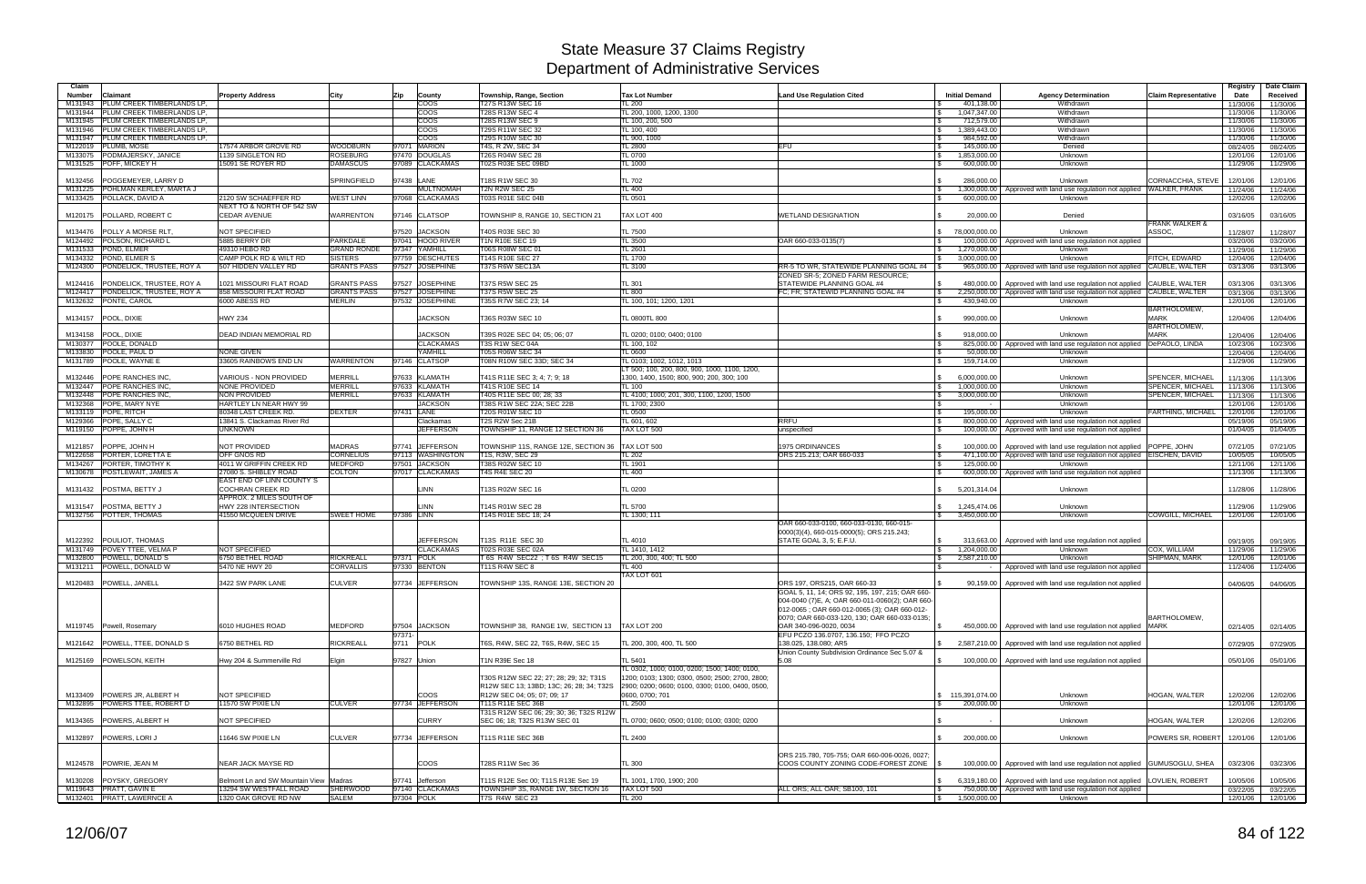| Claim                                                                                 |                                                                  |                                      |            |                                      |                                                                         |                                                         |                                                                                |                                                        |                                                                                                                                        |                                           | Registry             | Date Claim           |
|---------------------------------------------------------------------------------------|------------------------------------------------------------------|--------------------------------------|------------|--------------------------------------|-------------------------------------------------------------------------|---------------------------------------------------------|--------------------------------------------------------------------------------|--------------------------------------------------------|----------------------------------------------------------------------------------------------------------------------------------------|-------------------------------------------|----------------------|----------------------|
| <b>Number</b><br>Claimant                                                             | <b>Property Address</b>                                          | City                                 | Zip        | County                               | Township, Range, Section                                                | <b>Tax Lot Number</b>                                   | <b>Land Use Regulation Cited</b>                                               | <b>Initial Demand</b>                                  | <b>Agency Determination</b>                                                                                                            | <b>Claim Representative</b>               | Date                 | Received             |
| <b>PLUM CREEK TIMBERLANDS LP.</b><br>M131943<br>PLUM CREEK TIMBERLANDS LP.<br>M131944 |                                                                  |                                      |            | COOS<br><b>COOS</b>                  | T27S R13W SEC 16<br><b>T28S R13W SEC 4</b>                              | <b>TL 200</b><br>TL 200, 1000, 1200, 1300               |                                                                                | 401,138.00<br>1,047,347.00<br>$\mathbb{R}$             | Withdrawn<br>Withdrawn                                                                                                                 |                                           | 11/30/06<br>11/30/06 | 11/30/06<br>11/30/06 |
| PLUM CREEK TIMBERLANDS LP.<br>M131945                                                 |                                                                  |                                      |            | coos                                 | <b>T28S R13W SEC 9</b>                                                  | TL 100, 200, 500                                        |                                                                                | 712,579.00                                             | Withdrawn                                                                                                                              |                                           | 11/30/06             | 11/30/06             |
| PLUM CREEK TIMBERLANDS LP.<br>M131946                                                 |                                                                  |                                      |            | coos                                 | T29S R11W SEC 32                                                        | TL 100, 400                                             |                                                                                | 1,389,443.00<br><b>S</b>                               | Withdrawn                                                                                                                              |                                           | 11/30/06             | 11/30/06             |
| PLUM CREEK TIMBERLANDS LP.<br>M131947                                                 |                                                                  |                                      |            | coos<br>97071 MARION                 | T29S R10W SEC 30                                                        | TL 900, 1000                                            | EFU                                                                            | 984,592.00                                             | Withdrawn                                                                                                                              |                                           | 11/30/06             | 11/30/06             |
| PLUMB, MOSE<br>M122019<br>PODMAJERSKY, JANICE<br>M133075                              | 17574 ARBOR GROVE RD<br>1139 SINGLETON RD                        | WOODBURN<br>ROSEBURG                 |            | 97470 DOUGLAS                        | T4S, R 2W, SEC 34<br>T26S R04W SEC 28                                   | <b>TL 2800</b><br><b>TL 0700</b>                        |                                                                                | 145,000.00<br><b>S</b><br>1,853,000.00<br>$\mathbb{S}$ | Denied<br>Unknown                                                                                                                      |                                           | 08/24/05<br>12/01/06 | 08/24/05<br>12/01/06 |
| M131525 POFF, MICKEY H                                                                | 15091 SE ROYER RD                                                | <b>DAMASCUS</b>                      |            | 97089 CLACKAMAS                      | T02S R03E SEC 09BD                                                      | TL 1000                                                 |                                                                                | 600,000.00<br><b>S</b>                                 | Unknown                                                                                                                                |                                           | 11/29/06             | 11/29/06             |
|                                                                                       |                                                                  |                                      |            |                                      |                                                                         |                                                         |                                                                                |                                                        |                                                                                                                                        |                                           |                      |                      |
| POGGEMEYER, LARRY D<br>M132456<br>POHLMAN KERLEY, MARTA J<br>M131225                  |                                                                  | SPRINGFIELD                          | 97438 LANE | <b>MULTNOMAH</b>                     | T18S R1W SEC 30<br><b>T2N R2W SEC 25</b>                                | <b>TL 702</b><br>TL 400                                 |                                                                                | 286.000.00                                             | Unknown<br>1,300,000.00   Approved with land use regulation not applied                                                                | CORNACCHIA, STEVE<br><b>WALKER, FRANK</b> | 12/01/06<br>11/24/06 | 12/01/06<br>11/24/06 |
| M133425 POLLACK, DAVID A                                                              | 2120 SW SCHAEFFER RD                                             | <b>WEST LINN</b>                     |            | 97068 CLACKAMAS                      | T03S R01E SEC 04B                                                       | <b>TL 0501</b>                                          |                                                                                | 600,000.00                                             | Unknown                                                                                                                                |                                           | 12/02/06             | 12/02/06             |
|                                                                                       | NEXT TO & NORTH OF 542 SW                                        |                                      |            |                                      |                                                                         |                                                         |                                                                                |                                                        |                                                                                                                                        |                                           |                      |                      |
| M120175   POLLARD, ROBERT C                                                           | <b>CEDAR AVENUE</b>                                              | WARRENTON                            |            | 97146 CLATSOP                        | TOWNSHIP 8, RANGE 10, SECTION 21                                        | TAX LOT 400                                             | <b>WETLAND DESIGNATION</b>                                                     | 20,000.00                                              | Denied                                                                                                                                 | <b>FRANK WALKER &amp;</b>                 | 03/16/05             | 03/16/05             |
| M134476 POLLY A MORSE RLT.                                                            | <b>NOT SPECIFIED</b>                                             |                                      |            | 97520 JACKSON                        | T40S R03E SEC 30                                                        | <b>TL 7500</b>                                          |                                                                                | 78,000,000.00<br>IS.                                   | Unknown                                                                                                                                | ASSOC,                                    | 11/28/07             | 11/28/07             |
| POLSON, RICHARD L<br>M124492                                                          | 5885 BERRY DR                                                    | <b>PARKDALE</b>                      |            | 97041 HOOD RIVER                     | T1N R10E SEC 19                                                         | <b>TL 3500</b>                                          | OAR 660-033-0135(7)                                                            | <b>S</b>                                               | 100,000.00 Approved with land use regulation not applied                                                                               |                                           | 03/20/06             | 03/20/06             |
| POND, ELMER<br>M131533                                                                | 49310 HEBO RD                                                    | <b>GRAND RONDE</b>                   |            | 97347 YAMHILL                        | T06S R08W SEC 01                                                        | TL 2601                                                 |                                                                                | 1.270.000.00<br>$\mathbb{R}$                           | Unknown                                                                                                                                |                                           | 11/29/06             | 11/29/06             |
| M134332<br><b>POND. ELMER S</b><br>PONDELICK, TRUSTEE, ROY A<br>M124300               | CAMP POLK RD & WILT RD<br>507 HIDDEN VALLEY RD                   | <b>SISTERS</b><br><b>GRANTS PASS</b> |            | 97759 DESCHUTES<br>97527 JOSEPHINE   | T14S R10E SEC 27<br>T37S R6W SEC13A                                     | TL 1700<br>TL 3100                                      | RR-5 TO WR, STATEWIDE PLANNING GOAL #4                                         | 3,000,000.00                                           | Unknown<br>965,000.00 Approved with land use regulation not applied                                                                    | FITCH, EDWARD<br>CAUBLE, WALTER           | 12/04/06<br>03/13/06 | 12/04/06<br>03/13/06 |
|                                                                                       |                                                                  |                                      |            |                                      |                                                                         |                                                         | ZONED SR-5; ZONED FARM RESOURCE                                                |                                                        |                                                                                                                                        |                                           |                      |                      |
| PONDELICK, TRUSTEE, ROY A<br>M124416                                                  | 1021 MISSOURI FLAT ROAD                                          | <b>GRANTS PASS</b>                   |            | 97527 JOSEPHINE                      | <b>T37S R5W SEC 25</b>                                                  | <b>TL 301</b>                                           | STATEWIDE PLANNING GOAL #4                                                     | 480,000.00                                             | Approved with land use regulation not applied                                                                                          | CAUBLE, WALTER                            | 03/13/06             | 03/13/06             |
| PONDELICK, TRUSTEE, ROY A<br>M124417                                                  | 858 MISSOURI FLAT ROAD                                           | <b>GRANTS PASS</b>                   |            | 97527 JOSEPHINE                      | <b>T37S R5W SEC 25</b>                                                  | <b>TL 800</b>                                           | FC: FR: STATEWID PLANNING GOAL #4                                              | $\sqrt{3}$<br>2,250,000.00                             | Approved with land use regulation not applied CAUBLE, WALTER                                                                           |                                           | 03/13/06             | 03/13/06             |
| PONTE, CAROL<br>M132632                                                               | 6000 ABESS RD                                                    | <b>MERLIN</b>                        |            | 97532 JOSEPHINE                      | T35S R7W SEC 23: 14                                                     | TL 100, 101; 1200, 1201                                 |                                                                                | 430,940.00<br><b>S</b>                                 | Unknown                                                                                                                                | <b>BARTHOLOMEW</b>                        | 12/01/06             | 12/01/06             |
| POOL, DIXIE<br>M134157                                                                | <b>HWY 234</b>                                                   |                                      |            | <b>JACKSON</b>                       | T36S R03W SEC 10                                                        | TL 0800TL 800                                           |                                                                                | 990,000.00                                             | Unknown                                                                                                                                | <b>MARK</b>                               | 12/04/06             | 12/04/06             |
|                                                                                       |                                                                  |                                      |            |                                      |                                                                         |                                                         |                                                                                |                                                        |                                                                                                                                        | <b>BARTHOLOMEW</b>                        |                      |                      |
| POOL, DIXIE<br>M134158                                                                | DEAD INDIAN MEMORIAL RD                                          |                                      |            | <b>JACKSON</b>                       | T39S R02E SEC 04: 05: 06: 07                                            | TL 0200; 0100; 0400; 0100                               |                                                                                | 918.000.00                                             | Unknown                                                                                                                                | <b>MARK</b>                               | 12/04/06             | 12/04/06             |
| POOLE, DONALD<br>M130377<br>POOLE, PAUL D<br>M133830                                  | NONE GIVEN                                                       |                                      |            | <b>CLACKAMAS</b><br>YAMHILL          | T3S R1W SEC 04A<br>T05S R06W SEC 34                                     | TL 100, 102<br><b>TL 0600</b>                           |                                                                                | l \$<br>50,000.00                                      | 825,000.00 Approved with land use regulation not applied<br>Unknown                                                                    | DePAOLO, LINDA                            | 10/23/06<br>12/04/06 | 10/23/06<br>12/04/06 |
| M131789 POOLE, WAYNE I                                                                | 33605 RAINBOWS END LN                                            | WARRENTON                            |            | 97146 CLATSOP                        | T08N R10W SEC 33D: SEC 34                                               | TL 0103; 1002, 1012, 1013                               |                                                                                | 159,714.00<br><b>S</b>                                 | Unknown                                                                                                                                |                                           | 11/29/06             | 11/29/06             |
|                                                                                       |                                                                  |                                      |            |                                      |                                                                         | T 500; 100, 200, 800, 900, 1000, 1100, 1200,            |                                                                                |                                                        |                                                                                                                                        |                                           |                      |                      |
| <b>POPE RANCHES INC.</b><br>M132446<br>M132447 POPE RANCHES INC.                      | <b>VARIOUS - NON PROVIDED</b><br>NONE PROVIDED                   | <b>MERRILL</b><br>MERRILL            |            | 97633 KLAMATH<br>97633 KLAMATH       | T41S R11E SEC 3; 4; 7; 9; 18<br>T41S R10E SEC 14                        | 1300, 1400, 1500; 800, 900; 200, 300; 100<br>TL 100     |                                                                                | 6,000,000.00<br>1.000.000.00                           | Unknown<br>Unknown                                                                                                                     | SPENCER, MICHAEL<br>SPENCER, MICHAEL      | 11/13/06             | 11/13/06             |
| M132448 POPE RANCHES INC.                                                             | NON PROVIDED                                                     | <b>MERRILL</b>                       |            | 97633 KLAMATH                        | T40S R11E SEC 00; 28; 33                                                | FL 4100; 1000; 201, 300, 1100, 1200, 1500               |                                                                                | IS.<br>3,000,000.00<br>IS.                             | Unknown                                                                                                                                | SPENCER, MICHAEL                          | 11/13/06<br>11/13/06 | 11/13/06<br>11/13/06 |
| M132368 POPE, MARY NYE                                                                | HARTLEY LN NEAR HWY 99                                           |                                      |            | <b>JACKSON</b>                       | T38S R1W SEC 22A; SEC 22B                                               | TL 1700; 2300                                           |                                                                                |                                                        | Unknown                                                                                                                                |                                           | 12/01/06             | 12/01/06             |
| M133119 POPE, RITCH                                                                   | 80348 LAST CREEK RD.                                             | <b>DEXTER</b>                        | 97431 LANE |                                      | T20S R01W SEC 10                                                        | TL 0500                                                 |                                                                                | 195.000.00                                             | Unknown                                                                                                                                | FARTHING. MICHAEL                         | 12/01/06             | 12/01/06             |
| M129366 POPE, SALLY C<br>M119150 POPPE, JOHN H                                        | 13841 S. Clackamas River Rd<br><b>JNKNOWN</b>                    |                                      |            | Clackamas<br><b>JEFFERSON</b>        | T2S R2W Sec 21B                                                         | TL 601, 602<br>TAX LOT 500                              | <b>RRFU</b>                                                                    | <b>S</b>                                               | 800,000.00 Approved with land use regulation not applied                                                                               |                                           | 05/19/06             | 05/19/06             |
|                                                                                       |                                                                  |                                      |            |                                      | TOWNSHIP 11, RANGE 12 SECTION 36                                        |                                                         | unspecified                                                                    | 100,000.00                                             | Approved with land use regulation not applied                                                                                          |                                           | 01/04/05             | 01/04/05             |
| POPPE, JOHN H<br>M121857                                                              | <b>NOT PROVIDED</b>                                              | <b>MADRAS</b>                        |            | 97741 JEFFERSON                      | TOWNSHIP 11S, RANGE 12E, SECTION 36                                     | TAX LOT 500                                             | <b>1975 ORDINANCES</b>                                                         | 100.000.00                                             | Approved with land use regulation not applied   POPPE, JOHN                                                                            |                                           | 07/21/05             | 07/21/05             |
| PORTER, LORETTA E<br>M122658                                                          | OFF GNOS RD                                                      | <b>CORNELIUS</b>                     |            | 97113 WASHINGTON                     | T1S, R3W, SEC 29                                                        | TL $202$                                                | ORS 215.213; OAR 660-033                                                       | 471.100.00<br><b>S</b>                                 | Approved with land use regulation not applied   EISCHEN, DAVID                                                                         |                                           | 10/05/05             | 10/05/05             |
| PORTER, TIMOTHY K<br>M134267<br>M130678   POSTLEWAIT, JAMES A                         | 4011 W GRIFFIN CREEK RD<br>27080 S. SHIBLEY ROAD                 | <b>MEDFORD</b><br>COLTON             |            | 97501 JACKSON<br>97017 CLACKAMAS     | T38S R02W SEC 10<br><b>T4S R4E SEC 20</b>                               | TL 1901<br><b>TL 400</b>                                |                                                                                | 125.000.00                                             | Unknown<br>600,000.00   Approved with land use regulation not applied                                                                  |                                           | 12/11/06<br>11/13/06 | 12/11/06<br>11/13/06 |
|                                                                                       | EAST END OF LINN COUNTY'S                                        |                                      |            |                                      |                                                                         |                                                         |                                                                                |                                                        |                                                                                                                                        |                                           |                      |                      |
| M131432   POSTMA, BETTY J                                                             | <b>COCHRAN CREEK RD</b>                                          |                                      |            | LINN                                 | T13S R02W SEC 16                                                        | <b>TL 0200</b>                                          |                                                                                | 5,201,314.04<br>$\mathbb{R}$                           | Unknown                                                                                                                                |                                           | 11/28/06             | 11/28/06             |
|                                                                                       | APPROX. 2 MILES SOUTH OF                                         |                                      |            |                                      |                                                                         |                                                         |                                                                                |                                                        |                                                                                                                                        |                                           |                      |                      |
| M131547   POSTMA, BETTY J<br>M132756 POTTER, THOMAS                                   | HWY 228 INTERSECTION<br>41550 MCQUEEN DRIVE                      | <b>SWEET HOME</b>                    | 97386 LINN | LINN                                 | T14S R01W SEC 28<br>T14S R01E SEC 18; 24                                | <b>TL 5700</b><br>TL 1300; 111                          |                                                                                | 1,245,474.06<br>\$3,450,000,00                         | Unknown<br>Unknown                                                                                                                     | COWGILL, MICHAEL                          | 11/29/06<br>12/01/06 | 11/29/06<br>12/01/06 |
|                                                                                       |                                                                  |                                      |            |                                      |                                                                         |                                                         | OAR 660-033-0100, 660-033-0130, 660-015-                                       |                                                        |                                                                                                                                        |                                           |                      |                      |
|                                                                                       |                                                                  |                                      |            |                                      |                                                                         |                                                         | 0000(3)(4), 660-015-0000(5); ORS 215.243;                                      |                                                        |                                                                                                                                        |                                           |                      |                      |
| POULIOT, THOMAS<br>M122392<br>POVEY TTEE, VELMA P<br>M131749                          | NOT SPECIFIED                                                    |                                      |            | <b>JEFFERSON</b><br><b>CLACKAMAS</b> | T13S R11E SEC 30<br>T02S R03E SEC 02A                                   | TL 4010<br><b>FL 1410, 1412</b>                         | STATE GOAL 3, 5; E.F.U.                                                        | <b>\$</b><br>313,663.00<br>1,204,000.00                | Approved with land use regulation not applied<br>Unknown                                                                               | COX, WILLIAM                              | 09/19/05<br>11/29/06 | 09/19/05<br>11/29/06 |
| M132800<br>POWELL, DONALD S                                                           | 6750 BETHEL ROAD                                                 | RICKREALL                            |            | 97371 POLK                           | T6S R4W SEC22 ; T6S R4W SEC15                                           | TL 200, 300, 400; TL 500                                |                                                                                | 2,587,210.00<br><b>S</b>                               | Unknown                                                                                                                                | SHIPMAN, MARK                             | 12/01/06             | 12/01/06             |
| M131211 POWELL, DONALD W                                                              | 5470 NE HWY 20                                                   | <b>CORVALLIS</b>                     |            | 97330 BENTON                         | <b>T11S R4W SEC 8</b>                                                   | TL 400                                                  |                                                                                |                                                        | Approved with land use regulation not applied                                                                                          |                                           | 11/24/06             | 11/24/06             |
|                                                                                       |                                                                  |                                      |            |                                      |                                                                         | TAX LOT 601                                             |                                                                                |                                                        |                                                                                                                                        |                                           |                      |                      |
| M120483 POWELL, JANELL                                                                | 3422 SW PARK LANE                                                | <b>CULVER</b>                        |            | 97734 JEFFERSON                      | TOWNSHIP 13S, RANGE 13E, SECTION 20                                     |                                                         | ORS 197, ORS215, OAR 660-33<br>GOAL 5, 11, 14; ORS 92, 195, 197, 215; OAR 660- | $\sqrt{s}$                                             | 90,159.00 Approved with land use regulation not applied                                                                                |                                           |                      | 04/06/05 04/06/05    |
|                                                                                       |                                                                  |                                      |            |                                      |                                                                         |                                                         | 004-0040 (7)E, A; OAR 660-011-0060(2); OAR 660-                                |                                                        |                                                                                                                                        |                                           |                      |                      |
|                                                                                       |                                                                  |                                      |            |                                      |                                                                         |                                                         | 012-0065; OAR 660-012-0065 (3); OAR 660-012-                                   |                                                        |                                                                                                                                        |                                           |                      |                      |
| M119745 Powell, Rosemary                                                              | 6010 HUGHES ROAD                                                 | MEDFORD                              |            | 97504 JACKSON                        | TOWNSHIP 38, RANGE 1W, SECTION 13                                       | TAX LOT 200                                             | 0070; OAR 660-033-120, 130; OAR 660-033-0135;<br>OAR 340-096-0020, 0034        |                                                        | 450,000.00   Approved with land use regulation not applied MARK                                                                        | <b>BARTHOLOMEW.</b>                       |                      | 02/14/05 02/14/05    |
|                                                                                       |                                                                  |                                      | 97371-     |                                      |                                                                         |                                                         | EFU PCZO 136.0707, 136.150; FFO PCZO                                           |                                                        |                                                                                                                                        |                                           |                      |                      |
| M121642   POWELL, TTEE, DONALD S                                                      | 6750 BETHEL RD                                                   | RICKREALL                            |            | 9711 POLK                            | T6S, R4W, SEC 22, T6S, R4W, SEC 15                                      | TL 200, 300, 400, TL 500                                | 138.025, 138.080; AR5                                                          |                                                        | \$ 2,587,210.00 Approved with land use regulation not applied                                                                          |                                           | 07/29/05             | 07/29/05             |
| M125169 POWELSON, KEITH                                                               |                                                                  |                                      |            |                                      |                                                                         |                                                         | Union County Subdivision Ordinance Sec 5.07 &                                  |                                                        |                                                                                                                                        |                                           |                      |                      |
|                                                                                       | Hwy 204 & Summerville Rd                                         | Elgin                                |            | 97827 Union                          | T1N R39E Sec 18                                                         | TL 5401<br>TL 0302, 1000; 0100, 0200; 1500; 1400; 0100, | 5.08                                                                           | $\mathbb{S}$                                           | 100,000.00   Approved with land use regulation not applied                                                                             |                                           | 05/01/06             | 05/01/06             |
|                                                                                       |                                                                  |                                      |            |                                      | T30S R12W SEC 22; 27; 28; 29; 32; T31S                                  | 1200; 0103; 1300; 0300, 0500; 2500; 2700, 2800;         |                                                                                |                                                        |                                                                                                                                        |                                           |                      |                      |
|                                                                                       |                                                                  |                                      |            |                                      | R12W SEC 13; 13BD; 13C; 26; 28; 34; T32S                                | 2900; 0200; 0600; 0100, 0300; 0100, 0400, 0500,         |                                                                                |                                                        |                                                                                                                                        |                                           |                      |                      |
| M133409 POWERS JR. ALBERT H                                                           | NOT SPECIFIED                                                    |                                      |            | COOS                                 | R12W SEC 04; 05; 07; 09; 17                                             | 0600, 0700; 701                                         |                                                                                | \$ 115,391,074.00                                      | Unknown                                                                                                                                | <b>HOGAN, WALTER</b>                      | 12/02/06             | 12/02/06             |
| M132895 POWERS TTEE, ROBERT D                                                         | 11570 SW PIXIE LN                                                | <b>CULVER</b>                        |            | 97734 JEFFERSON                      | T11S R11E SEC 36B<br>T31S R12W SEC 06; 29; 30; 36; T32S R12W            | TL 2500                                                 |                                                                                | 200,000.00<br><b>\$</b>                                | Unknown                                                                                                                                |                                           | 12/01/06             | 12/01/06             |
| M134365 POWERS, ALBERT H                                                              | NOT SPECIFIED                                                    |                                      |            | <b>CURRY</b>                         | SEC 06; 18; T32S R13W SEC 01                                            | TL 0700; 0600; 0500; 0100; 0100; 0300; 0200             |                                                                                |                                                        | Unknown                                                                                                                                | HOGAN, WALTER                             | 12/02/06             | 12/02/06             |
|                                                                                       |                                                                  |                                      |            |                                      |                                                                         |                                                         |                                                                                |                                                        |                                                                                                                                        |                                           |                      |                      |
| M132897 POWERS, LORIJ                                                                 | 11646 SW PIXIE LN                                                | <b>CULVER</b>                        |            | 97734 JEFFERSON                      | T11S R11E SEC 36B                                                       | <b>TL 2400</b>                                          |                                                                                | 200,000.00<br>$\mathbb{R}$                             | Unknown                                                                                                                                | POWERS SR, ROBERT                         | 12/01/06             | 12/01/06             |
|                                                                                       |                                                                  |                                      |            |                                      |                                                                         |                                                         | ORS 215.780, 705-755; OAR 660-006-0026, 0027;                                  |                                                        |                                                                                                                                        |                                           |                      |                      |
| M124578 POWRIE, JEAN M                                                                | NEAR JACK MAYSE RD                                               |                                      |            | <b>COOS</b>                          | T28S R11W Sec 36                                                        | <b>TL 300</b>                                           | COOS COUNTY ZONING CODE-FOREST ZONE \\$                                        |                                                        | 100,000.00   Approved with land use regulation not applied   GUMUSOGLU, SHEA                                                           |                                           | 03/23/06             | 03/23/06             |
|                                                                                       |                                                                  |                                      |            |                                      |                                                                         |                                                         |                                                                                |                                                        |                                                                                                                                        |                                           |                      |                      |
| M130208 POYSKY, GREGORY<br>M119643 PRATT, GAVIN E                                     | Belmont Ln and SW Mountain View Madras<br>13294 SW WESTFALL ROAD | <b>SHERWOOD</b>                      |            | 97741 Jefferson<br>97140 CLACKAMAS   | T11S R12E Sec 00; T11S R13E Sec 19<br>TOWNSHIP 3S, RANGE 1W, SECTION 16 | TL 1001, 1700, 1900; 200<br>TAX LOT 500                 | ALL ORS; ALL OAR; SB100, 101                                                   | $\mathfrak s$<br>$\sqrt{3}$                            | 6,319,180.00 Approved with land use regulation not applied LOVLIEN, ROBERT<br>750,000.00 Approved with land use regulation not applied |                                           | 10/05/06<br>03/22/05 | 10/05/06<br>03/22/05 |
| M132401 PRATT, LAWERNCE A                                                             | 1320 OAK GROVE RD NW                                             | <b>SALEM</b>                         |            | 97304 POLK                           | T7S R4W SEC 23                                                          | <b>TL 200</b>                                           |                                                                                | 1,500,000.00<br>$\sqrt{3}$                             | Unknown                                                                                                                                |                                           |                      | 12/01/06 12/01/06    |
|                                                                                       |                                                                  |                                      |            |                                      |                                                                         |                                                         |                                                                                |                                                        |                                                                                                                                        |                                           |                      |                      |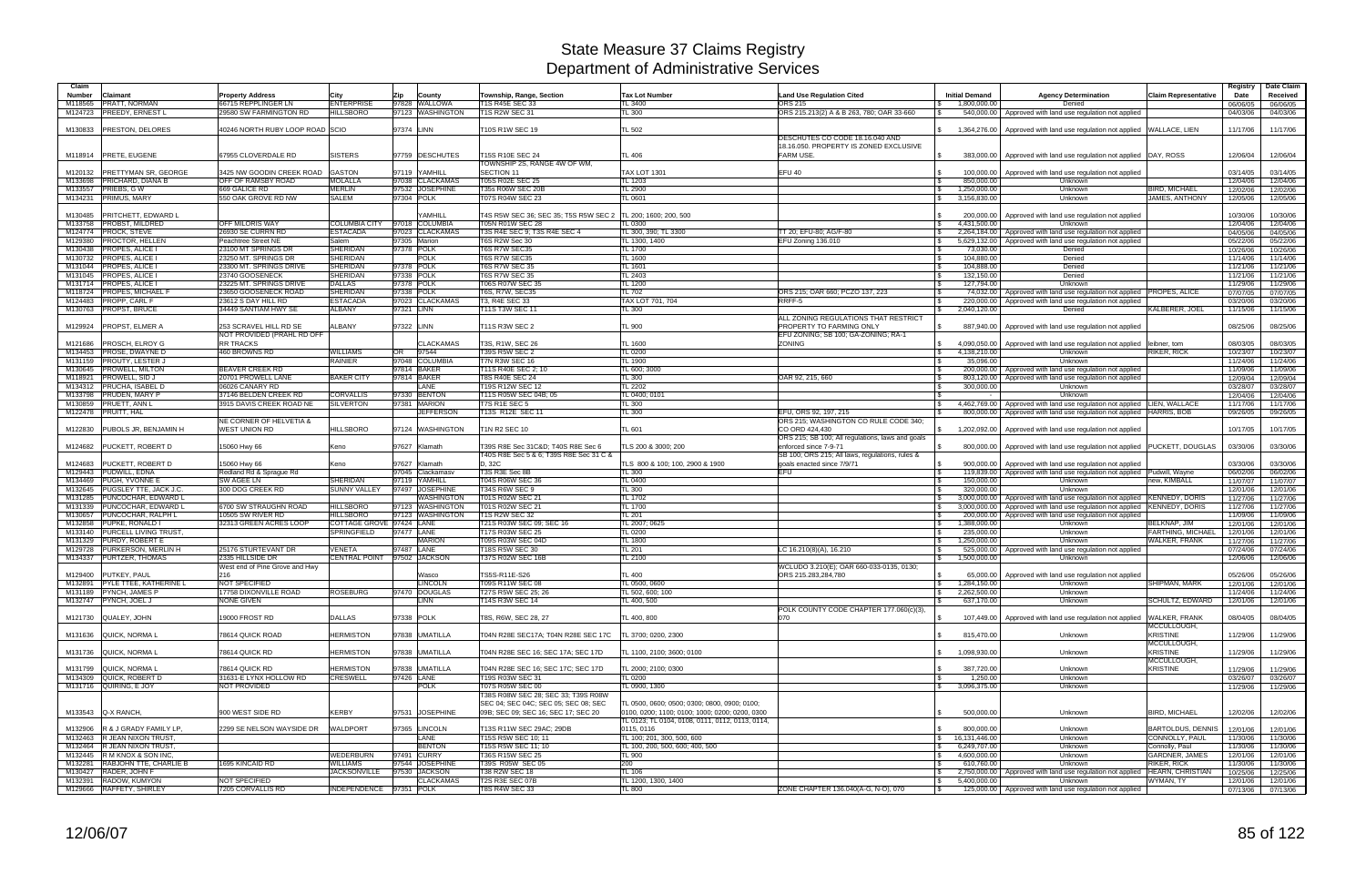| Claim                                                                         |                                                        |                                              |            |                                   |                                                         |                                                               |                                                                           |                                                             |                                                                                |                                  | Registry             | Date Claim           |
|-------------------------------------------------------------------------------|--------------------------------------------------------|----------------------------------------------|------------|-----------------------------------|---------------------------------------------------------|---------------------------------------------------------------|---------------------------------------------------------------------------|-------------------------------------------------------------|--------------------------------------------------------------------------------|----------------------------------|----------------------|----------------------|
| Claimant<br>Number                                                            | <b>Property Address</b>                                | City                                         | Zip        | County                            | Township, Range, Section                                | <b>Tax Lot Number</b>                                         | <b>Land Use Regulation Cited</b>                                          | <b>Initial Demand</b>                                       | <b>Agency Determination</b>                                                    | <b>Claim Representative</b>      | Date                 | Received             |
| <b>PRATT, NORMAN</b><br>M118565<br><b>PREEDY, ERNEST L</b><br>M124723         | 66715 REPPLINGER LN<br>29580 SW FARMINGTON RD          | <b>ENTERPRISE</b><br><b>HILLSBORO</b>        |            | 97828 WALLOWA<br>97123 WASHINGTON | T1S R45E SEC 33<br>T1S R2W SEC 31                       | TL 3400<br><b>TL 300</b>                                      | ORS 215<br>ORS 215.213(2) A & B 263, 780; OAR 33-660                      | 1,800,000.00<br>540,000.00                                  | Denied<br>Approved with land use regulation not applied                        |                                  | 06/06/05<br>04/03/06 | 06/06/05<br>04/03/06 |
|                                                                               |                                                        |                                              |            |                                   |                                                         |                                                               |                                                                           |                                                             |                                                                                |                                  |                      |                      |
| <b>PRESTON, DELORES</b><br>M130833                                            | 40246 NORTH RUBY LOOP ROAD SCIO                        |                                              | 97374 LINN |                                   | T10S R1W SEC 19                                         | <b>TL 502</b>                                                 |                                                                           | 1,364,276.00                                                | Approved with land use regulation not applied WALLACE, LIEN                    |                                  | 11/17/06             | 11/17/06             |
|                                                                               |                                                        |                                              |            |                                   |                                                         |                                                               | DESCHUTES CO CODE 18.16.040 AND<br>18.16.050. PROPERTY IS ZONED EXCLUSIVE |                                                             |                                                                                |                                  |                      |                      |
| M118914 PRETE, EUGENE                                                         | 67955 CLOVERDALE RD                                    | <b>SISTERS</b>                               |            | 97759 DESCHUTES                   | T15S R10E SEC 24                                        | TL 406                                                        | <b>FARM USE.</b>                                                          |                                                             | 383,000.00   Approved with land use regulation not applied DAY, ROSS           |                                  | 12/06/04             | 12/06/04             |
|                                                                               |                                                        |                                              |            |                                   | TOWNSHIP 2S, RANGE 4W OF WM,                            |                                                               |                                                                           |                                                             |                                                                                |                                  |                      |                      |
| M120132<br><b>PRETTYMAN SR, GEORGE</b><br><b>PRICHARD, DIANA B</b><br>M133698 | 3425 NW GOODIN CREEK ROAD<br><b>OFF OF RAMSBY ROAD</b> | <b>GASTON</b><br><b>MOLALLA</b>              |            | 97119 YAMHILL<br>97038 CLACKAMAS  | <b>SECTION 11</b><br>T05S R02E SEC 25                   | TAX LOT 1301<br>TL 1203                                       | <b>EFU 40</b>                                                             | 100,000.00<br><b>S</b><br>850,000.00                        | Approved with land use regulation not applied<br>Unknown                       |                                  | 03/14/05<br>12/04/06 | 03/14/05<br>12/04/06 |
| PRIEBS, GW<br>M133557                                                         | 669 GALICE RD                                          | <b>MERLIN</b>                                |            | 97532 JOSEPHINE                   | T35s R06W SEC 20B                                       | TL 2900                                                       |                                                                           | 1,250,000.00<br>$\sqrt{3}$                                  | Unknown                                                                        | <b>BIRD, MICHAEL</b>             | 12/02/06             | 12/02/06             |
| <b>PRIMUS, MARY</b><br>M134231                                                | 550 OAK GROVE RD NW                                    | SALEM                                        |            | 97304 POLK                        | T07S R04W SEC 23                                        | TL 0601                                                       |                                                                           | 3,156,830.00<br>IS.                                         | Unknown                                                                        | <b>JAMES, ANTHONY</b>            | 12/05/06             | 12/05/06             |
| <b>PRITCHETT, EDWARD L</b><br>M130485                                         |                                                        |                                              |            | YAMHILL                           | T4S R5W SEC 36; SEC 35; T5S R5W SEC 2                   | TL 200; 1600; 200, 500                                        |                                                                           | 200.000.00                                                  | Approved with land use regulation not applied                                  |                                  |                      |                      |
| M133758   PROBST, MILDRED                                                     | OFF MILORIS WAY                                        | <b>COLUMBIA CITY</b>                         |            | 97018 COLUMBIA                    | T05N R01W SEC 28                                        | TL 0300                                                       |                                                                           | 4,431,500.00<br><b>S</b>                                    | Unknown                                                                        |                                  | 10/30/06<br>12/04/06 | 10/30/06<br>12/04/06 |
| <b>PROCK, STEVE</b><br>M124774                                                | 26930 SE CURRN RD                                      | <b>ESTACADA</b>                              |            | 97023 CLACKAMAS                   | T3S R4E SEC 9; T3S R4E SEC 4                            | TL 300, 390; TL 3300                                          | TT 20; EFU-80; AG/F-80                                                    | $\mathfrak s$                                               | 2,264,184.00 Approved with land use regulation not applied                     |                                  | 04/05/06             | 04/05/06             |
| <b>PROCTOR, HELLEN</b><br>M129380                                             | Peachtree Street NE                                    | Salem                                        |            | 97305 Marion                      | <b>T6S R2W Sec 30</b>                                   | TL 1300, 1400                                                 | EFU Zoning 136.010                                                        | 5,629,132.00<br><b>S</b>                                    | Approved with land use regulation not applied                                  |                                  | 05/22/06             | 05/22/06             |
| <b>PROPES, ALICE I</b><br>M130438<br>M130732 PROPES, ALICE                    | 23100 MT SPRINGS DR<br>23250 MT. SPRINGS DR            | SHERIDAN<br><b>SHERIDAN</b>                  |            | 97378 POLK<br><b>POLK</b>         | T6S R7W SEC35<br>T6S R7W SEC35                          | <b>TL 1700</b><br>TL 1600                                     |                                                                           | 73,030.00<br>l \$<br>104.880.00<br>l \$                     | Denied<br>Denied                                                               |                                  | 10/26/06<br>11/14/06 | 10/26/06<br>11/14/06 |
| M131044 PROPES, ALICE I                                                       | 23300 MT. SPRINGS DRIVE                                | <b>SHERIDAN</b>                              |            | 97378 POLK                        | T6S R7W SEC 35                                          | <b>TL 1601</b>                                                |                                                                           | <b>S</b><br>104,888.00                                      | Denied                                                                         |                                  | 11/21/06             | 11/21/06             |
| M131045 PROPES, ALICE I                                                       | 23740 GOOSENECK                                        | SHERIDAN                                     |            | 97338 POLK                        | T6S R7W SEC 35                                          | TL 2403                                                       |                                                                           | 132,150.00<br>l \$                                          | Denied                                                                         |                                  | 11/21/06             | 11/21/06             |
| M131714   PROPES, ALICE I                                                     | 23225 MT. SPRINGS DRIVE                                | <b>DALLAS</b>                                |            | 97378 POLK                        | T06S R07W SEC 35                                        | TL 1200                                                       |                                                                           | 127,794.00                                                  | Unknown                                                                        |                                  | 11/29/06             | 11/29/06             |
| M118724<br><b>PROPES, MICHAEL F</b><br>M124483 PROPP, CARL F                  | 23650 GOOSENECK ROAD<br>23612 S DAY HILL RD            | SHERIDAN<br><b>ESTACADA</b>                  |            | 97338 POLK<br>97023 CLACKAMAS     | <b>T6S, R7W, SEC35</b><br>T3, R4E SEC 33                | <b>TL 702</b><br>TAX LOT 701, 704                             | ORS 215; OAR 660; PCZO 137, 223<br>RRFF-5                                 | 74,032.00<br><b>S</b><br>220,000.00                         | Approved with land use regulation not applied                                  | <b>PROPES, ALICE</b>             | 07/07/05             | 07/07/05             |
| M130763 PROPST, BRUCE                                                         | 34449 SANTIAM HWY SE                                   | ALBANY                                       | 97321 LINN |                                   | T11S T3W SEC 11                                         | TL 300                                                        |                                                                           | 2,040,120.00<br>$\mathsf{S}$                                | Approved with land use regulation not applied<br>Denied                        | KALBERER, JOEL                   | 03/20/06<br>11/15/06 | 03/20/06<br>11/15/06 |
|                                                                               |                                                        |                                              |            |                                   |                                                         |                                                               | ALL ZONING REGULATIONS THAT RESTRICT                                      |                                                             |                                                                                |                                  |                      |                      |
| <b>PROPST, ELMER A</b><br>M129924                                             | 253 SCRAVEL HILL RD SE                                 | ALBANY                                       | 97322 LINN |                                   | <b>T11S R3W SEC 2</b>                                   | <b>TL 900</b>                                                 | PROPERTY TO FARMING ONLY                                                  | 887.940.00<br>$\mathbb{S}$                                  | Approved with land use regulation not applied                                  |                                  | 08/25/06             | 08/25/06             |
| <b>PROSCH, ELROY G</b><br>M121686                                             | NOT PROVIDED (PRAHL RD OFF<br><b>RR TRACKS</b>         |                                              |            | <b>CLACKAMAS</b>                  | T3S, R1W, SEC 26                                        | TL 1600                                                       | EFU ZONING; SB 100; GA-ZONING; RA-1<br><b>ZONING</b>                      | 4,090,050.00                                                | Approved with land use regulation not applied                                  | leibner, tom                     | 08/03/05             | 08/03/05             |
| M134453 PROSE, DWAYNE D                                                       | 460 BROWNS RD                                          | <b>WILLIAMS</b>                              | OR         | 97544                             | T39S R5W SEC 2                                          | TL 0200                                                       |                                                                           | 4,138,210.00<br><b>\$</b>                                   | Unknown                                                                        | RIKER, RICK                      | 10/23/07             | 10/23/07             |
| M131159 PROUTY, LESTER J                                                      |                                                        | <b>RAINIER</b>                               |            | 97048 COLUMBIA                    | T7N R3W SEC 16                                          | TL 1900                                                       |                                                                           | 35.096.00<br><b>S</b>                                       | Unknown                                                                        |                                  | 11/24/06             | 11/24/06             |
| <b>PROWELL, MILTON</b><br>M130645                                             | <b>BEAVER CREEK RD</b>                                 |                                              |            | 97814 BAKER                       | T11S R40E SEC 2; 10                                     | TL 600; 3000                                                  |                                                                           |                                                             | 200,000.00   Approved with land use regulation not applied                     |                                  | 11/09/06             | 11/09/06             |
| <b>PROWELL, SID J</b><br>M118921<br>M134312 PRUCHA, ISABEL D                  | 20701 PROWELL LANE<br>06026 CANARY RD                  | <b>BAKER CITY</b>                            |            | 97814 BAKER<br>LANE               | <b>T8S R40E SEC 24</b><br>T19S R12W SEC 12              | TL 300<br><b>TL 2202</b>                                      | OAR 92, 215, 660                                                          | 803,120.00<br>IS.<br>300,000.00<br>l \$                     | Approved with land use regulation not applied<br>Unknown                       |                                  | 12/09/04             | 12/09/04             |
| <b>PRUDEN, MARY F</b><br>M133798                                              | 37146 BELDEN CREEK RD                                  | CORVALLIS                                    |            | 97330 BENTON                      | T11S R05W SEC 04B: 05                                   | TL 0400; 0101                                                 |                                                                           |                                                             | Unknown                                                                        |                                  | 03/28/07<br>12/04/06 | 03/28/07<br>12/04/06 |
| M130859 PRUETT, ANN L                                                         | 3915 DAVIS CREEK ROAD NE                               | <b>SILVERTON</b>                             |            | 97381 MARION                      | T7S R1E SEC 5                                           | TL 300                                                        |                                                                           |                                                             | 4,462,769.00   Approved with land use regulation not applied LIEN, WALLACE     |                                  | 11/17/06             | 11/17/06             |
| M122478 PRUITT, HAL                                                           |                                                        |                                              |            | <b>JEFFERSON</b>                  | T13S R12E SEC 11                                        | TL 300                                                        | EFU. ORS 92, 197, 215                                                     | 800.000.00                                                  | Approved with land use regulation not applied HARRIS, BOB                      |                                  | 09/26/05             | 09/26/05             |
|                                                                               | NE CORNER OF HELVETIA &                                | <b>HILLSBORO</b>                             |            | 97124 WASHINGTON                  | T1N R2 SEC 10                                           | <b>TL 601</b>                                                 | ORS 215; WASHINGTON CO RULE CODE 340;<br>CO ORD 424,430                   |                                                             |                                                                                |                                  |                      |                      |
| <b>PUBOLS JR. BENJAMIN H</b><br>M122830                                       | <b>WEST UNION RD</b>                                   |                                              |            |                                   |                                                         |                                                               | ORS 215; SB 100; All regulations, laws and goals                          | 1,202,092.00                                                | Approved with land use regulation not applied                                  |                                  | 10/17/05             | 10/17/05             |
| <b>PUCKETT, ROBERT D</b><br>M124682                                           | 5060 Hwy 66                                            | Keno                                         |            | 97627 Klamath                     | T39S R8E Sec 31C&D T40S R8E Sec 6                       | TLS 200 & 3000; 200                                           | enforced since 7-9-71                                                     |                                                             | 800,000.00   Approved with land use regulation not applied   PUCKETT, DOUGLAS  |                                  | 03/30/06             | 03/30/06             |
|                                                                               |                                                        |                                              |            |                                   | T40S R8E Sec 5 & 6; T39S R8E Sec 31 C &                 |                                                               | SB 100; ORS 215; All laws, regulations, rules &                           |                                                             |                                                                                |                                  |                      |                      |
| M124683<br><b>PUCKETT, ROBERT D</b>                                           | 15060 Hwy 66                                           | Keno                                         |            | 97627 Klamath                     | D. 32C                                                  | TLS 800 & 100; 100, 2900 & 1900                               | goals enacted since 7/9/71                                                | l \$                                                        | 900,000.00   Approved with land use regulation not applied                     |                                  | 03/30/06             | 03/30/06             |
| PUDWILL, EDNA<br>M129443<br><b>PUGH, YVONNE E</b><br>M134469                  | Redland Rd & Spraque Rd<br><b>SW AGEE LN</b>           | <b>SHERIDAN</b>                              |            | 97045 Clackamasv<br>97119 YAMHILL | T3S R3E Sec 8B<br>T04S R06W SEC 36                      | TL 300<br>TL 0400                                             | EFU                                                                       | 119.839.00<br>l \$<br>150,000.00<br>l \$                    | Approved with land use regulation not applied Pudwill, Wayne<br>Unknown        | new. KIMBALL                     | 06/02/06<br>11/07/07 | 06/02/06<br>11/07/07 |
| PUGSLEY TTE, JACK J.C.<br>M132645                                             | 300 DOG CREEK RD                                       | SUNNY VALLEY                                 |            | 97497 JOSEPHINE                   | T34S R6W SEC 9                                          | TL 300                                                        |                                                                           | 320.000.00                                                  | Unknown                                                                        |                                  | 12/01/06             | 12/01/06             |
| PUNCOCHAR, EDWARD L<br>M131285                                                |                                                        |                                              |            | <b>WASHINGTON</b>                 | T01S R02W SEC 21                                        | TL 1702                                                       |                                                                           | 3,000,000.00<br><b>S</b>                                    | Approved with land use regulation not applied   KENNEDY, DORIS                 |                                  | 11/27/06             | 11/27/06             |
| M131339<br>PUNCOCHAR, EDWARD L                                                | 6700 SW STRAUGHN ROAD                                  | <b>HILLSBORO</b>                             |            | 97123 WASHINGTON                  | T01S R02W SEC 21                                        | TL 1700                                                       |                                                                           | <b>\$</b><br>3,000,000.00                                   | Approved with land use regulation not applied                                  | <b>KENNEDY, DORIS</b>            | 11/27/06             | 11/27/06             |
| PUNCOCHAR, RALPH L<br>M130657<br>PUPKE, RONALD I<br>M132858                   | 10505 SW RIVER RD<br>32313 GREEN ACRES LOOP            | <b>HILLSBORO</b><br>COTTAGE GROVE 97424 LANE |            | 97123 WASHINGTON                  | <b>T1S R2W SEC 32</b><br>T21S R03W SEC 09; SEC 16       | TL 201<br>TL 2007; 0625                                       |                                                                           | 200,000.00<br>$\mathcal{S}$<br>1,388,000.00                 | Approved with land use regulation not applied<br>Unknown                       | BELKNAP, JIM                     | 11/09/06<br>12/01/06 | 11/09/06<br>12/01/06 |
| <b>PURCELL LIVING TRUST</b><br>M133140                                        |                                                        | SPRINGFIELD                                  | 97477 LANE |                                   | T17S R03W SEC 25                                        | <b>TL 0200</b>                                                |                                                                           | 235,000.00                                                  | Unknown                                                                        | <b>FARTHING, MICHAEL</b>         | 12/01/06             | 12/01/06             |
| M131329 PURDY, ROBERT E                                                       |                                                        |                                              |            | <b>MARION</b>                     | T09S R03W SEC 04D                                       | TL 1800                                                       |                                                                           | $\mathbb{S}$<br>1,250,000.00                                | Unknown                                                                        | <b>WALKER, FRANK</b>             | 11/27/06             | 11/27/06             |
| M129728 PURKERSON, MERLIN H                                                   | 25176 STURTEVANT DR                                    | VENETA                                       | 97487 LANE |                                   | <b>T18S R5W SEC 30</b>                                  | <b>TL 201</b>                                                 | LC 16.210(8)(A), 16.210                                                   | 525,000.00                                                  | Approved with land use regulation not applied                                  |                                  | 07/24/06             | 07/24/06             |
| M134337 PURTZER, THOMAS                                                       | 2335 HILLSIDE DR<br>West end of Pine Grove and Hwy     | CENTRAL POINT 97502 JACKSON                  |            |                                   | T37S R02W SEC 16B                                       | TL 2100                                                       | WCLUDO 3.210(E): OAR 660-033-0135, 0130:                                  | 1,500,000.00                                                | Unknown                                                                        |                                  | 12/06/06             | 12/06/06             |
| M129400 PUTKEY, PAUL                                                          | 216                                                    |                                              |            | Wasco                             | TS5S-R11E-S26                                           | <b>TL 400</b>                                                 | ORS 215.283,284,780                                                       | 65,000,00                                                   | Approved with land use regulation not applied                                  |                                  | 05/26/06             | 05/26/06             |
| M132891 PYLE TTEE, KATHERINE L                                                | NOT SPECIFIED                                          |                                              |            | <b>LINCOLN</b>                    | T09S R11W SEC 08                                        | TL 0500, 0600                                                 |                                                                           | $\mathcal{S}$<br>1,284,150.00                               | Unknown                                                                        | SHIPMAN, MARK                    | 12/01/06             | 12/01/06             |
| M131189 PYNCH, JAMES P                                                        | 17758 DIXONVILLE ROAD                                  | <b>ROSEBURG</b>                              |            | 97470 DOUGLAS                     | T27S R5W SEC 25; 26                                     | TL 502, 600; 100                                              |                                                                           | 2,262,500.00<br>$\sqrt{3}$                                  | Unknown                                                                        |                                  | 11/24/06             | 11/24/06             |
| M132747 PYNCH, JOEL J                                                         | <b>NONE GIVEN</b>                                      |                                              |            | <b>LINN</b>                       | T14S R3W SEC 14                                         | TL 400, 500                                                   | POLK COUNTY CODE CHAPTER 177.060(c)(3),                                   | 637,170.00<br>$\mathsf{S}$                                  | Unknown                                                                        | SCHULTZ, EDWARD                  | 12/01/06             | 12/01/06             |
| M121730 QUALEY, JOHN                                                          | 19000 FROST RD                                         | <b>DALLAS</b>                                |            | 97338 POLK                        | T8S, R6W, SEC 28, 27                                    | TL 400, 800                                                   |                                                                           | <b>S</b>                                                    | 107,449.00   Approved with land use regulation not applied                     | <b>WALKER, FRANK</b>             | 08/04/05             | 08/04/05             |
|                                                                               |                                                        |                                              |            |                                   |                                                         |                                                               |                                                                           |                                                             |                                                                                | MCCULLOUGH,                      |                      |                      |
| M131636 QUICK, NORMA L                                                        | 78614 QUICK ROAD                                       | <b>HERMISTON</b>                             |            | 97838 UMATILLA                    | T04N R28E SEC17A; T04N R28E SEC 17C                     | TL 3700; 0200, 2300                                           |                                                                           | 815,470.00                                                  | Unknown                                                                        | <b>KRISTINE</b>                  | 11/29/06             | 11/29/06             |
| M131736 QUICK, NORMAL                                                         | 78614 QUICK RD                                         | <b>HERMISTON</b>                             |            | 97838 UMATILLA                    | T04N R28E SEC 16; SEC 17A; SEC 17D                      | TL 1100, 2100; 3600; 0100                                     |                                                                           | 1,098,930.00<br>$\mathbb{S}$                                | Unknown                                                                        | MCCULLOUGH,<br><b>KRISTINE</b>   | 11/29/06             | 11/29/06             |
|                                                                               |                                                        |                                              |            |                                   |                                                         |                                                               |                                                                           |                                                             |                                                                                | MCCULLOUGH,                      |                      |                      |
| M131799 QUICK, NORMA L                                                        | 78614 QUICK RD                                         | <b>HERMISTON</b>                             |            | 97838 UMATILLA                    | T04N R28E SEC 16; SEC 17C; SEC 17D                      | TL 2000: 2100: 0300                                           |                                                                           | $\mathbf{s}$<br>387,720.00                                  | Unknown                                                                        | <b>KRISTINE</b>                  | 11/29/06             | 11/29/06             |
| M134309 QUICK, ROBERT D                                                       | 31631-E LYNX HOLLOW RD                                 | CRESWELL                                     |            | 97426 LANE                        | T19S R03W SEC 31                                        | TL 0200                                                       |                                                                           | 1,250.00<br>l \$                                            | Unknown                                                                        |                                  | 03/26/07             | 03/26/07             |
| M131716 QUIRING, E JOY                                                        | NOT PROVIDED                                           |                                              |            | <b>POLK</b>                       | T07S R05W SEC 00<br>T38S R08W SEC 28; SEC 33; T39S R08W | TL 0900, 1300                                                 |                                                                           | 3,096,375.00<br><b>S</b>                                    | Unknown                                                                        |                                  | 11/29/06             | 11/29/06             |
|                                                                               |                                                        |                                              |            |                                   | SEC 04; SEC 04C; SEC 05; SEC 08; SEC                    | TL 0500, 0600; 0500; 0300; 0800, 0900; 0100;                  |                                                                           |                                                             |                                                                                |                                  |                      |                      |
| M133543 Q-X RANCH.                                                            | 900 WEST SIDE RD                                       | <b>KERBY</b>                                 |            | 97531 JOSEPHINE                   | 09B: SEC 09: SEC 16: SEC 17: SEC 20                     | 0100, 0200; 1100; 0100; 1000; 0200; 0200, 0300                |                                                                           | 500,000.00                                                  | Unknown                                                                        | <b>BIRD, MICHAEL</b>             | 12/02/06             | 12/02/06             |
|                                                                               |                                                        |                                              |            |                                   |                                                         | TL 0123; TL 0104, 0108, 0111, 0112, 0113, 0114,               |                                                                           |                                                             |                                                                                |                                  |                      |                      |
| M132906 R & J GRADY FAMILY LP,                                                | 2299 SE NELSON WAYSIDE DR                              | <b>WALDPORT</b>                              |            | 97365 LINCOLN                     | T13S R11W SEC 29AC; 29DB                                | 0115, 0116                                                    |                                                                           | 800,000.00<br><b>S</b>                                      | Unknown                                                                        | <b>BARTOLDUS, DENNIS</b>         | 12/01/06             | 12/01/06             |
| M132463 R JEAN NIXON TRUST,<br>M132464 R JEAN NIXON TRUST,                    |                                                        |                                              |            | LANE<br><b>BENTON</b>             | T15S R5W SEC 10; 11<br>T15S R5W SEC 11; 10              | TL 100; 201, 300, 500, 600<br>TL 100, 200, 500, 600; 400, 500 |                                                                           | 16,131,446.00<br>$\sqrt{3}$<br>6,249,707.00<br>$\mathsf{S}$ | Unknown<br>Unknown                                                             | CONNOLLY, PAUL<br>Connolly, Paul | 11/30/06<br>11/30/06 | 11/30/06<br>11/30/06 |
| M132445 R M KNOX & SON INC.                                                   |                                                        | WEDERBURN                                    |            | 97491 CURRY                       | T36S R15W SEC 25                                        | TL 900                                                        |                                                                           | 4,600,000.00<br>$\mathcal{S}$                               | Unknown                                                                        | GARDNER, JAMES                   | 12/01/06             | 12/01/06             |
| M132281 RABJOHN TTE, CHARLIE B                                                | 1695 KINCAID RD                                        | <b>WILLIAMS</b>                              |            | 97544 JOSEPHINE                   | T39S R05W SEC 05                                        | 200                                                           |                                                                           | 610,760.00                                                  | Unknown                                                                        | <b>RIKER, RICK</b>               | 11/30/06             | 11/30/06             |
| M130427 RADER, JOHN F                                                         |                                                        | <b>JACKSONVILLE</b>                          |            | 97530 JACKSON                     | T38 R2W SEC 18                                          | TL 106                                                        |                                                                           | $\sqrt{5}$                                                  | 2,750,000.00   Approved with land use regulation not applied  HEARN, CHRISTIAN |                                  | 10/25/06             | 12/25/06             |
| M132391 RADOW, KUMYON<br>M129666 RAFFETY, SHIRLEY                             | NOT SPECIFIED                                          |                                              |            | <b>CLACKAMAS</b>                  | T2S R3E SEC 07B                                         | TL 1200, 1300, 1400                                           |                                                                           | 5,400,000.00<br>$\sqrt{5}$                                  | <b>Unknown</b>                                                                 | WYMAN, TY                        | 12/01/06             | 12/01/06             |
|                                                                               | 7205 CORVALLIS RD                                      | INDEPENDENCE 97351 POLK                      |            |                                   | <b>T8S R4W SEC 33</b>                                   | <b>TL 800</b>                                                 | ZONE CHAPTER 136.040(A-G, N-O), 070                                       |                                                             | 125,000.00 Approved with land use regulation not applied                       |                                  |                      | 07/13/06 07/13/06    |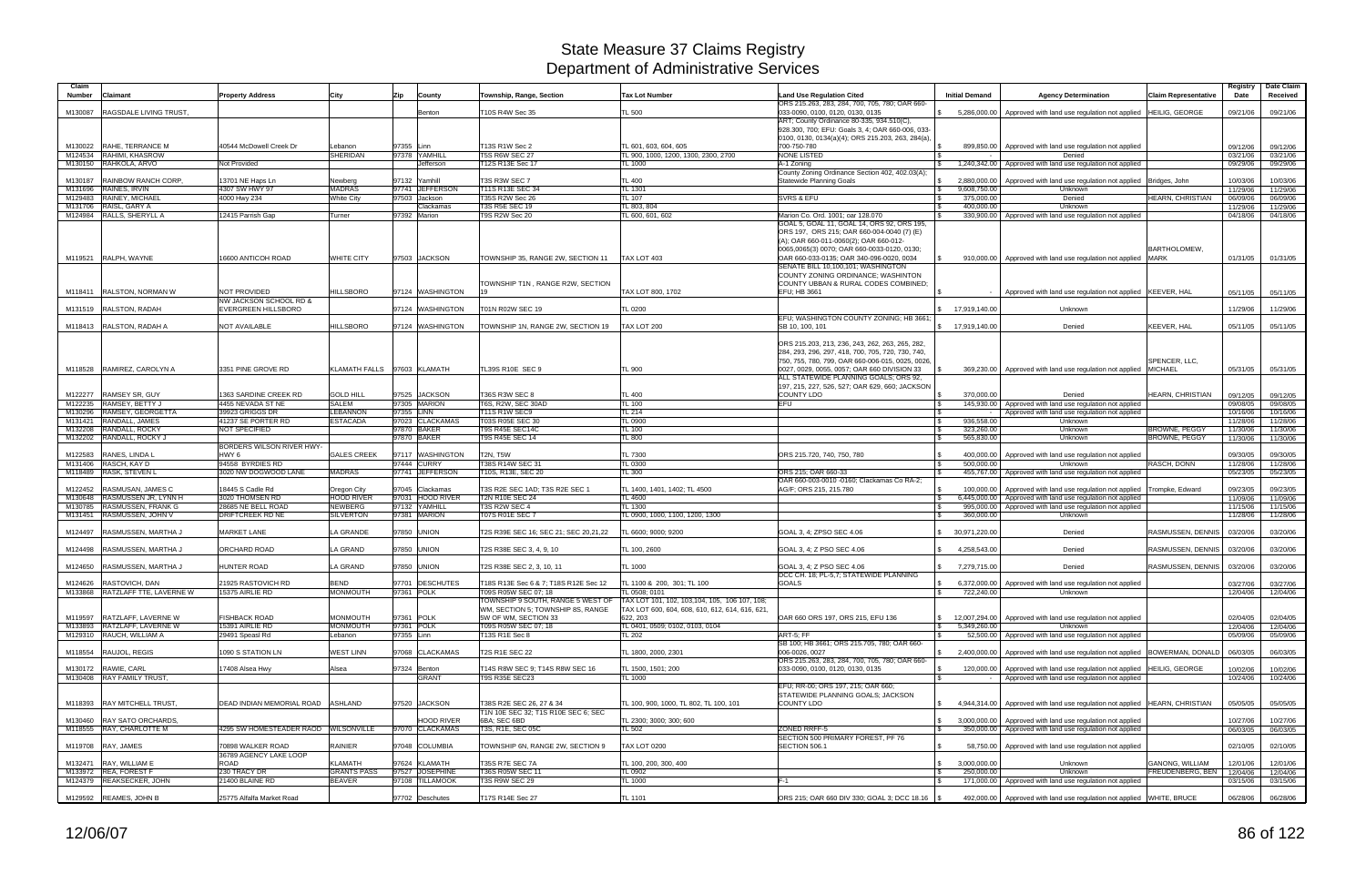| <b>Number</b>      | Claimant                                            | <b>Property Address</b>                              | City                                | Zip<br>County                | Township, Range, Section                                               | <b>Tax Lot Number</b>                                                                             | <b>Land Use Regulation Cited</b><br>ORS 215.263, 283, 284, 700, 705, 780; OAR 660-                                                                                      | <b>Initial Demand</b>         | <b>Agency Determination</b>                                                                                                  | <b>Claim Representative</b> | Registry  <br>Date   | Date Claim<br>Received |
|--------------------|-----------------------------------------------------|------------------------------------------------------|-------------------------------------|------------------------------|------------------------------------------------------------------------|---------------------------------------------------------------------------------------------------|-------------------------------------------------------------------------------------------------------------------------------------------------------------------------|-------------------------------|------------------------------------------------------------------------------------------------------------------------------|-----------------------------|----------------------|------------------------|
| M130087            | <b>RAGSDALE LIVING TRUST.</b>                       |                                                      |                                     | Benton                       | T10S R4W Sec 35                                                        | TL 500                                                                                            | 033-0090, 0100, 0120, 0130, 0135                                                                                                                                        |                               | 5,286,000.00   Approved with land use regulation not applied   HEILIG, GEORGE                                                |                             | 09/21/06             | 09/21/06               |
|                    |                                                     |                                                      |                                     |                              | T13S R1W Sec 2                                                         |                                                                                                   | ART; County Ordinance 80-335, 934.510(C),<br>928.300, 700; EFU: Goals 3, 4; OAR 660-006, 033-<br>0100, 0130, 0134(a)(4); ORS 215.203, 263, 284(a),                      |                               |                                                                                                                              |                             |                      |                        |
|                    | M130022 RAHE, TERRANCE M<br>M124534 RAHIMI, KHASROW | 40544 McDowell Creek Dr                              | _ebanon<br><b>SHERIDAN</b>          | 97355 Linn<br>97378 YAMHILL  | <b>T5S R6W SEC 27</b>                                                  | TL 601, 603, 604, 605<br>TL 900, 1000, 1200, 1300, 2300, 2700                                     | 700-750-780<br><b>NONE LISTED</b>                                                                                                                                       |                               | 899,850.00   Approved with land use regulation not applied<br>Denied                                                         |                             | 09/12/06<br>03/21/06 | 09/12/06<br>03/21/06   |
|                    | M130150 RAHKOLA, ARVO                               | Not Provided                                         |                                     | Jefferson                    | T12S R13E Sec 17                                                       | <b>TL 1000</b>                                                                                    | A-1 Zoning                                                                                                                                                              |                               | 1,240,342.00 Approved with land use regulation not applied                                                                   |                             | 09/29/06             | 09/29/06               |
|                    |                                                     |                                                      |                                     |                              |                                                                        |                                                                                                   | County Zoning Ordinance Section 402, 402.03(A);                                                                                                                         |                               |                                                                                                                              |                             |                      |                        |
| M130187            | RAINBOW RANCH CORP.                                 | 13701 NE Haps Ln                                     | Newberg                             | 97132 Yamhill                | T3S R3W SEC 7                                                          | <b>TL 400</b>                                                                                     | Statewide Planning Goals                                                                                                                                                |                               | 2,880,000.00   Approved with land use regulation not applied   Bridges, John                                                 |                             | 10/03/06             | 10/03/06               |
| M131696            | RAINES, IRVIN                                       | 4307 SW HWY 97                                       | <b>MADRAS</b>                       | 97741 JEFFERSON              | T11S R13E SEC 34                                                       | <b>TL 1301</b>                                                                                    |                                                                                                                                                                         | 9,608,750.00                  | Unknown                                                                                                                      |                             | 11/29/06             | 11/29/06               |
| M129483            | RAINEY, MICHAEL                                     | 4000 Hwy 234                                         | <b>White City</b>                   | 97503 Jackson                | <b>T35S R2W Sec 26</b>                                                 | <b>TL 107</b>                                                                                     | <b>SVRS &amp; EFU</b>                                                                                                                                                   | 375,000.00                    | Denied                                                                                                                       | HEARN, CHRISTIAN            | 06/09/06             | 06/09/06               |
| M131706            | RAISL, GARY A                                       |                                                      |                                     | Clackamas                    | T3S R5E SEC 19                                                         | TL 803, 804                                                                                       |                                                                                                                                                                         | 400,000.00                    | <b>Unknown</b>                                                                                                               |                             | 11/29/06             | 11/29/06               |
|                    | M124984 RALLS, SHERYLL A                            | 12415 Parrish Gap                                    | Turner                              | 97392 Marion                 | T9S R2W Sec 20                                                         | TL 600, 601, 602                                                                                  | Marion Co. Ord. 1001; oar 128.070<br>GOAL 5, GOAL 11, GOAL 14, ORS 92, ORS 195,<br>ORS 197, ORS 215; OAR 660-004-0040 (7) (E)                                           |                               | 330,900.00 Approved with land use regulation not applied                                                                     |                             | 04/18/06             | 04/18/06               |
|                    | M119521 RALPH, WAYNE                                | <b>16600 ANTICOH ROAD</b>                            | <b>WHITE CITY</b>                   | 97503 JACKSON                | TOWNSHIP 35, RANGE 2W, SECTION 11                                      | TAX LOT 403                                                                                       | (A); OAR 660-011-0060(2); OAR 660-012-<br>0065,0065(3) 0070; OAR 660-0033-0120, 0130;<br>OAR 660-033-0135; OAR 340-096-0020, 0034<br>SENATE BILL 10,100,101; WASHINGTON |                               | 910,000.00   Approved with land use regulation not applied MARK                                                              | BARTHOLOMEW.                | 01/31/05             | 01/31/05               |
|                    | M118411 RALSTON, NORMAN W                           | <b>NOT PROVIDED</b>                                  | <b>HILLSBORO</b>                    | 97124 WASHINGTON             | TOWNSHIP T1N, RANGE R2W, SECTION                                       | TAX LOT 800, 1702                                                                                 | COUNTY ZONING ORDINANCE; WASHINTON<br>COUNTY UBBAN & RURAL CODES COMBINED;<br>EFU; HB 3661                                                                              |                               | Approved with land use regulation not applied KEEVER, HAL                                                                    |                             | 05/11/05             | 05/11/05               |
| M131519            | RALSTON, RADAH                                      | NW JACKSON SCHOOL RD &<br><b>EVERGREEN HILLSBORO</b> |                                     | 97124 WASHINGTON             | T01N R02W SEC 19                                                       | <b>TL 0200</b>                                                                                    |                                                                                                                                                                         | \$ 17,919,140.00              | Unknown                                                                                                                      |                             | 11/29/06             | 11/29/06               |
|                    |                                                     |                                                      |                                     |                              |                                                                        |                                                                                                   | EFU; WASHINGTON COUNTY ZONING; HB 3661;                                                                                                                                 |                               |                                                                                                                              |                             |                      |                        |
|                    | M118413 RALSTON, RADAH A                            | <b>NOT AVAILABLE</b>                                 | <b>HILLSBORO</b>                    | 97124 WASHINGTON             | TOWNSHIP 1N, RANGE 2W, SECTION 19                                      | TAX LOT 200                                                                                       | SB 10, 100, 101                                                                                                                                                         | \$ 17,919,140.00              | Denied                                                                                                                       | KEEVER, HAL                 | 05/11/05             | 05/11/05               |
|                    |                                                     |                                                      |                                     |                              |                                                                        |                                                                                                   | ORS 215.203, 213, 236, 243, 262, 263, 265, 282,<br>284, 293, 296, 297, 418, 700, 705, 720, 730, 740,<br>750, 755, 780, 799, OAR 660-006-015, 0025, 0026,                |                               |                                                                                                                              | SPENCER, LLC,               |                      |                        |
|                    | M118528 RAMIREZ, CAROLYN A                          | 3351 PINE GROVE RD                                   |                                     | KLAMATH FALLS 97603 KLAMATH  | TL39S R10E SEC 9                                                       | TL 900                                                                                            | 0027, 0029, 0055, 0057; OAR 660 DIVISION 33                                                                                                                             |                               | 369,230.00 Approved with land use regulation not applied                                                                     | <b>MICHAEL</b>              | 05/31/05             | 05/31/05               |
|                    |                                                     |                                                      |                                     |                              |                                                                        |                                                                                                   | ALL STATEWIDE PLANNING GOALS; ORS 92,                                                                                                                                   |                               |                                                                                                                              |                             |                      |                        |
|                    | <b>RAMSEY SR, GUY</b>                               | 1363 SARDINE CREEK RD                                | <b>GOLD HILL</b>                    | 97525 JACKSON                | T36S R3W SEC 8                                                         | TL 400                                                                                            | 197, 215, 227, 526, 527; OAR 629, 660; JACKSON<br><b>COUNTY LDO</b>                                                                                                     | 370,000.00                    | Denied                                                                                                                       | HEARN, CHRISTIAN            |                      |                        |
| M122277<br>M122235 | RAMSEY, BETTY J                                     | 4455 NEVADA ST NE                                    | <b>SALEM</b>                        | 97305 MARION                 | T6S, R2W, SEC 30AD                                                     | <b>TL 100</b>                                                                                     | <b>EFU</b>                                                                                                                                                              |                               | 145,930.00 Approved with land use regulation not applied                                                                     |                             | 09/12/05<br>09/08/05 | 09/12/05<br>09/08/05   |
| M130296            | RAMSEY, GEORGETTA                                   | 39923 GRIGGS DR                                      | <b>LEBANNON</b>                     | 97355 LINN                   | T11S R1W SEC9                                                          | <b>TL 214</b>                                                                                     |                                                                                                                                                                         |                               | Approved with land use regulation not applied                                                                                |                             | 10/16/06             | 10/16/06               |
| M131421            | RANDALL, JAMES                                      | 41237 SE PORTER RD                                   | <b>ESTACADA</b>                     | 97023 CLACKAMAS              | T03S R05E SEC 30                                                       | <b>TL 0900</b>                                                                                    |                                                                                                                                                                         | 936,558.00                    | Unknown                                                                                                                      |                             | 11/28/06             | 11/28/06               |
| M132208            | RANDALL, ROCKY                                      | NOT SPECIFIED                                        |                                     | 97870 BAKER                  | T9S R45E SEC14C                                                        | <b>TL 100</b>                                                                                     |                                                                                                                                                                         | 323,260.00                    | Unknown                                                                                                                      | <b>BROWNE, PEGGY</b>        | 11/30/06             | 11/30/06               |
| M132202            | RANDALL, ROCKY J                                    |                                                      |                                     | 97870 BAKER                  | T9S R45E SEC 14                                                        | <b>TL 800</b>                                                                                     |                                                                                                                                                                         | 565,830.00                    | Unknown                                                                                                                      | <b>BROWNE, PEGGY</b>        | 11/30/06             | 11/30/06               |
|                    |                                                     | BORDERS WILSON RIVER HWY-                            |                                     |                              |                                                                        |                                                                                                   |                                                                                                                                                                         |                               |                                                                                                                              |                             |                      |                        |
| M122583            | RANES, LINDA L                                      | HWY 6                                                | <b>GALES CREEK</b>                  | 97117 WASHINGTON             | <b>T2N. T5W</b>                                                        | <b>TL 7300</b>                                                                                    | ORS 215.720, 740, 750, 780                                                                                                                                              |                               | 400,000.00   Approved with land use regulation not applied                                                                   |                             | 09/30/05             | 09/30/05               |
|                    | M131406 RASCH, KAY D                                | 94558 BYRDIES RD                                     |                                     | 97444 CURRY                  | T38S R14W SEC 31                                                       | <b>TL 0300</b>                                                                                    |                                                                                                                                                                         | 500,000.00                    | Unknown                                                                                                                      | RASCH, DONN                 | 11/28/06             | 11/28/06               |
|                    | M118489 RASK, STEVEN L                              | 3020 NW DOGWOOD LANE                                 | <b>MADRAS</b>                       | 97741 JEFFERSON              | T10S, R13E, SEC 20                                                     | TL 300                                                                                            | ORS 215: OAR 660-33<br>OAR 660-003-0010 -0160; Clackamas Co RA-2;                                                                                                       |                               | 455,767.00 Approved with land use regulation not applied                                                                     |                             | 05/23/05             | 05/23/05               |
| M122452            | <b>RASMUSAN, JAMES C</b>                            | 18445 S Cadle Rd                                     | Oregon City                         | 97045 Clackamas              | T3S R2E SEC 1AD; T3S R2E SEC 1                                         | TL 1400, 1401, 1402; TL 4500                                                                      | AG/F: ORS 215, 215.780                                                                                                                                                  |                               | 100,000.00   Approved with land use regulation not applied                                                                   | Trompke, Edward             | 09/23/05             | 09/23/05               |
|                    |                                                     |                                                      |                                     | 97031 HOOD RIVER             | <b>T2N R10E SEC 24</b>                                                 | TL 4600                                                                                           |                                                                                                                                                                         |                               | 6,445,000.00   Approved with land use regulation not applied                                                                 |                             |                      | 11/09/06               |
| M130648            |                                                     |                                                      |                                     |                              |                                                                        |                                                                                                   |                                                                                                                                                                         |                               |                                                                                                                              |                             |                      |                        |
| M130785            | RASMUSSEN JR, LYNN H<br>RASMUSSEN, FRANK G          | 3020 THOMSEN RD<br>28685 NE BELL ROAD                | <b>HOOD RIVER</b><br><b>NEWBERG</b> | 97132 YAMHILL                | T3S R2W SEC 4                                                          | <b>TL 1300</b>                                                                                    |                                                                                                                                                                         |                               | 995,000.00   Approved with land use regulation not applied                                                                   |                             | 11/09/06<br>11/15/06 | 11/15/06               |
| M131451            | RASMUSSEN, JOHN V                                   | <b>DRIFTCREEK RD NE</b>                              | <b>SILVERTON</b>                    | 97381 MARION                 | <b>T07S R01E SEC 7</b>                                                 | TL 0900, 1000, 1100, 1200, 1300                                                                   |                                                                                                                                                                         | 360,000.00                    | Unknown                                                                                                                      |                             | 11/28/06             | 11/28/06               |
| M124497            | RASMUSSEN, MARTHA J                                 | <b>MARKET LANE</b>                                   | <b>LA GRANDE</b>                    | 97850 UNION                  | T2S R39E SEC 16; SEC 21; SEC 20,21,22                                  | TL 6600; 9000; 9200                                                                               | GOAL 3, 4; ZPSO SEC 4.06                                                                                                                                                | \$30,971,220.00               | Denied                                                                                                                       | RASMUSSEN, DENNIS           | 03/20/06             | 03/20/06               |
| M124498            | RASMUSSEN, MARTHA J                                 | <b>ORCHARD ROAD</b>                                  | <b>LA GRAND</b>                     | 97850 UNION                  | T2S R38E SEC 3, 4, 9, 10                                               | TL 100, 2600                                                                                      | GOAL 3, 4: Z PSO SEC 4.06                                                                                                                                               | \$ 4,258,543.00               | Denied                                                                                                                       | RASMUSSEN, DENNIS           | 03/20/06             | 03/20/06               |
|                    | M124650 RASMUSSEN, MARTHA J                         | <b>HUNTER ROAD</b>                                   | LA GRAND                            | 97850 UNION                  | T2S R38E SEC 2, 3, 10, 11                                              | <b>TL 1000</b>                                                                                    | GOAL 3, 4; Z PSO SEC 4.06                                                                                                                                               | 7,279,715.00                  | Denied                                                                                                                       | RASMUSSEN, DENNIS           | 03/20/06             | 03/20/06               |
|                    | M124626 RASTOVICH, DAN                              | 21925 RASTOVICH RD                                   | BEND                                | 97701 DESCHUTES              | T18S R13E Sec 6 & 7; T18S R12E Sec 12                                  | TL 1100 & 200, 301; TL 100                                                                        | DCC CH. 18; PL-5,7; STATEWIDE PLANNING<br>GOALS                                                                                                                         | l Si                          | 6,372,000.00   Approved with land use regulation not applied                                                                 |                             | 03/27/06             | 03/27/06               |
|                    | M133868 RATZLAFF TTE, LAVERNE W                     | 15375 AIRLIE RD                                      | MONMOUTH                            | 97361 POLK                   | T09S R05W SEC 07; 18                                                   | TL 0508; 0101                                                                                     |                                                                                                                                                                         | 722,240.00                    | Unknown                                                                                                                      |                             | 12/04/06             | 12/04/06               |
|                    |                                                     |                                                      |                                     |                              | TOWNSHIP 9 SOUTH, RANGE 5 WEST OF<br>WM. SECTION 5: TOWNSHIP 8S, RANGE | TAX LOT 101, 102, 103, 104, 105, 106 107, 108;<br>TAX LOT 600, 604, 608, 610, 612, 614, 616, 621, |                                                                                                                                                                         |                               |                                                                                                                              |                             |                      |                        |
|                    | M119597 RATZLAFF, LAVERNE W                         | <b>FISHBACK ROAD</b>                                 | MONMOUTH                            | 97361 POLK                   | 5W OF WM, SECTION 33                                                   | 622, 203                                                                                          | OAR 660 ORS 197, ORS 215, EFU 136                                                                                                                                       |                               | 12,007,294.00 Approved with land use regulation not applied                                                                  |                             | 02/04/05             | 02/04/05               |
|                    | M133893 RATZLAFF, LAVERNE W                         | 15391 AIRLIE RD                                      | MONMOUTH                            | 97361 POLK                   | T09S R05W SEC 07; 18                                                   | TL 0401, 0509; 0102, 0103, 0104                                                                   |                                                                                                                                                                         | 5,349,260.00<br>$\mathcal{S}$ | Unknown                                                                                                                      |                             | 12/04/06             | 12/04/06               |
|                    | M129310 RAUCH, WILLIAM A                            | 29491 Speasl Rd                                      | Lebanon                             | 97355 Linn                   | T13S R1E Sec 8                                                         | <b>TL 202</b>                                                                                     | ART-5: FF<br>SB 100; HB 3661; ORS 215.705, 780; OAR 660-                                                                                                                |                               | 52,500.00 Approved with land use regulation not applied                                                                      |                             | 05/09/06             | 05/09/06               |
|                    | M118554 RAUJOL, REGIS                               | 1090 S STATION LN                                    | <b>WEST LINN</b>                    | 97068 CLACKAMAS              | T2S R1E SEC 22                                                         | TL 1800, 2000, 2301                                                                               | 006-0026, 0027<br>ORS 215.263, 283, 284, 700, 705, 780; OAR 660-                                                                                                        |                               | \$ 2,400,000.00 Approved with land use regulation not applied BOWERMAN, DONALD                                               |                             | 06/03/05             | 06/03/05               |
|                    | M130172 RAWIE, CARL<br>M130408 RAY FAMILY TRUST,    | 17408 Alsea Hwy                                      | Alsea                               | 97324 Benton<br><b>GRANT</b> | T14S R8W SEC 9; T14S R8W SEC 16<br><b>T9S R35E SEC23</b>               | TL 1500, 1501; 200<br><b>TL 1000</b>                                                              | 033-0090, 0100, 0120, 0130, 0135                                                                                                                                        |                               | 120,000.00   Approved with land use regulation not applied   HEILIG, GEORGE<br>Approved with land use regulation not applied |                             | 10/02/06<br>10/24/06 | 10/02/06<br>10/24/06   |
|                    |                                                     |                                                      |                                     |                              |                                                                        |                                                                                                   | EFU; RR-00; ORS 197, 215; OAR 660;                                                                                                                                      |                               |                                                                                                                              |                             |                      |                        |
|                    | M118393 RAY MITCHELL TRUST,                         | DEAD INDIAN MEMORIAL ROAD ASHLAND                    |                                     | 97520 JACKSON                | T38S R2E SEC 26, 27 & 34                                               | TL 100, 900, 1000, TL 802, TL 100, 101                                                            | STATEWIDE PLANNING GOALS; JACKSON<br><b>COUNTY LDO</b>                                                                                                                  |                               | 4,944,314.00 Approved with land use regulation not applied HEARN, CHRISTIAN                                                  |                             | 05/05/05             | 05/05/05               |
|                    | M130460 RAY SATO ORCHARDS.                          |                                                      |                                     | <b>HOOD RIVER</b>            | T1N 10E SEC 32; T1S R10E SEC 6; SEC<br>6BA; SEC 6BD                    | TL 2300; 3000; 300; 600                                                                           |                                                                                                                                                                         |                               | 3,000,000,00 Approved with land use regulation not applied                                                                   |                             | 10/27/06             | 10/27/06               |
|                    | M118555 RAY, CHARLOTTE M                            | 4295 SW HOMESTEADER RAOD WILSONVILLE                 |                                     | 97070 CLACKAMAS              | T3S, R1E, SEC 05C                                                      | <b>TL 502</b>                                                                                     | <b>ZONED RRFF-5</b><br>SECTION 500 PRIMARY FOREST, PF 76                                                                                                                |                               | 350,000.00 Approved with land use regulation not applied                                                                     |                             | 06/03/05             | 06/03/05               |
|                    | M119708 RAY, JAMES                                  | 70898 WALKER ROAD<br>36789 AGENCY LAKE LOOP          | RAINIER                             | 97048 COLUMBIA               | TOWNSHIP 6N, RANGE 2W, SECTION 9                                       | <b>TAX LOT 0200</b>                                                                               | SECTION 506.1                                                                                                                                                           |                               | 58,750.00   Approved with land use regulation not applied                                                                    |                             | 02/10/05             | 02/10/05               |
|                    | M132471 RAY, WILLIAM E                              | <b>ROAD</b>                                          | KLAMATH                             | 97624 KLAMATH                | T35S R7E SEC 7A                                                        | TL 100, 200, 300, 400                                                                             |                                                                                                                                                                         | 3,000,000.00                  | Unknown                                                                                                                      | GANONG, WILLIAM             | 12/01/06             | 12/01/06               |
|                    | M133972 REA, FOREST F                               | 230 TRACY DR                                         | <b>GRANTS PASS</b>                  | 97527 JOSEPHINE              | T36S R05W SEC 11                                                       | <b>TL 0902</b>                                                                                    |                                                                                                                                                                         | 250,000.00                    | Unknown                                                                                                                      | FREUDENBERG, BEN            | 12/04/06             | 12/04/06               |
|                    | M124379 REAKSECKER, JOHN                            | 21400 BLAINE RD                                      | <b>BEAVER</b>                       | 97108 TILLAMOOK              | T3S R9W SEC 29                                                         | <b>TL 1000</b>                                                                                    | F-1                                                                                                                                                                     |                               | 171,000.00 Approved with land use regulation not applied                                                                     |                             | 03/15/06             | 03/15/06               |
|                    | M129592 REAMES, JOHN B                              | 25775 Alfalfa Market Road                            |                                     | 97702 Deschutes              | T17S R14E Sec 27                                                       | <b>TL 1101</b>                                                                                    | ORS 215; OAR 660 DIV 330; GOAL 3; DCC 18.16 \\$                                                                                                                         |                               | 492,000.00   Approved with land use regulation not applied WHITE, BRUCE                                                      |                             | 06/28/06             | 06/28/06               |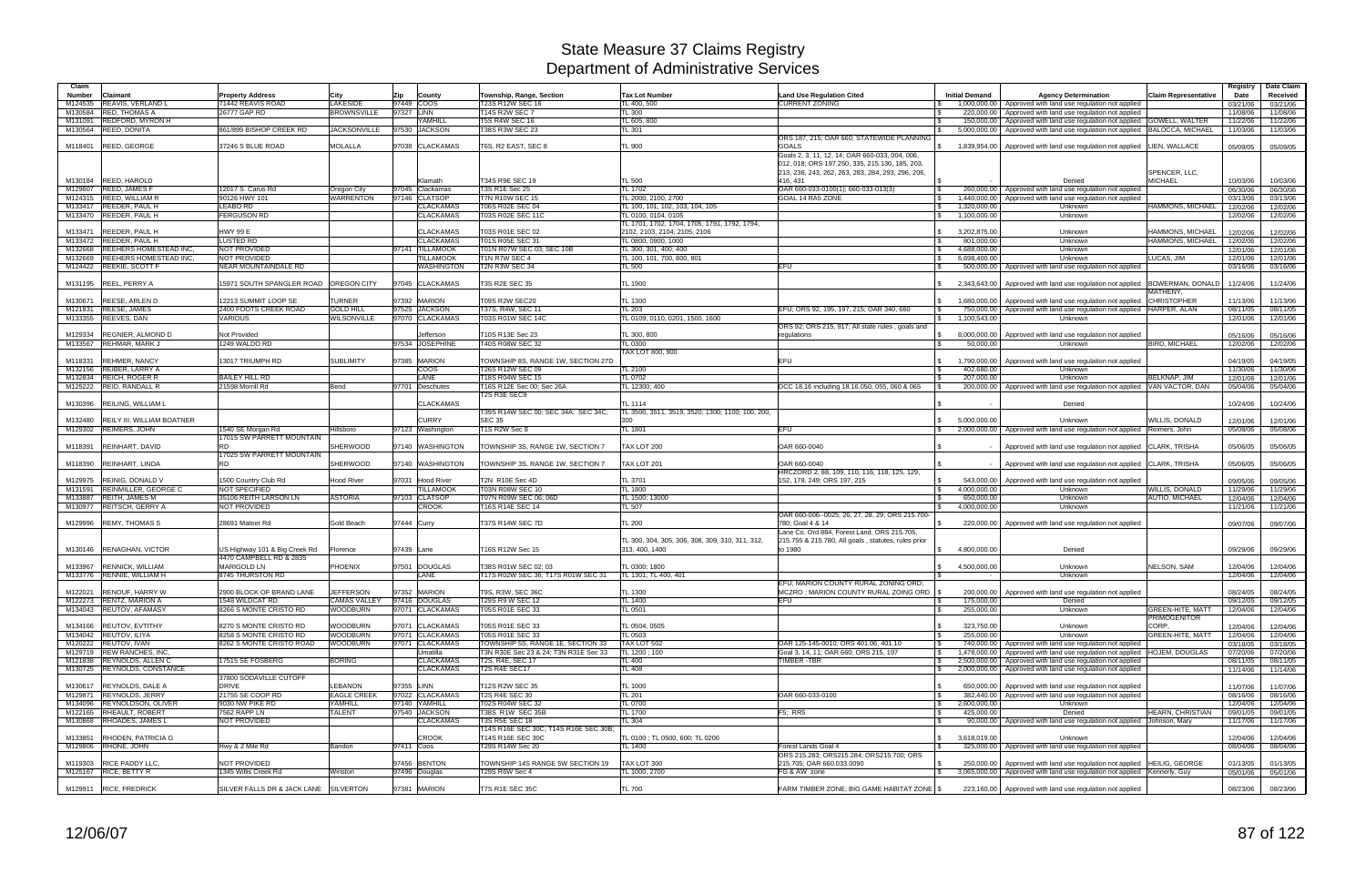| Claim   |                                                          |                                       |                     |             |                              |                                                      |                                                                   |                                                                                                  |                               |                                                                                                                          |                              | Registry             | Date Claim           |
|---------|----------------------------------------------------------|---------------------------------------|---------------------|-------------|------------------------------|------------------------------------------------------|-------------------------------------------------------------------|--------------------------------------------------------------------------------------------------|-------------------------------|--------------------------------------------------------------------------------------------------------------------------|------------------------------|----------------------|----------------------|
| Number  | Claimant                                                 | <b>Property Address</b>               | City                | Zip         | County                       | Township, Range, Section                             | <b>Tax Lot Number</b>                                             | <b>Land Use Regulation Cited</b>                                                                 | <b>Initial Demand</b>         | <b>Agency Determination</b>                                                                                              | <b>Claim Representative</b>  | Date                 | Received             |
| M124535 | <b>REAVIS, VERLAND L</b>                                 | 71442 REAVIS ROAD                     | LAKESIDE            | 97449 COOS  |                              | T23S R12W SEC 16                                     | TL 400, 500                                                       | <b>CURRENT ZONING</b>                                                                            |                               | 1,000,000.00   Approved with land use regulation not applied                                                             |                              | 03/21/06             | 03/21/06             |
| M130584 | <b>RED. THOMAS A</b>                                     | 26777 GAP RD                          | <b>BROWNSVILLE</b>  | 97327 LINN  |                              | <b>T14S R2W SEC 7</b>                                | <b>TL 300</b>                                                     |                                                                                                  | $\mathbf{s}$<br>220.000.00    | Approved with land use regulation not applied                                                                            |                              | 11/08/06             | 11/08/06             |
| M131091 | <b>REDFORD, MYRON H</b>                                  |                                       |                     |             | <b><i><u>KAMHILL</u></i></b> | <b>T5S R4W SEC 16</b>                                | TL 605, 800                                                       |                                                                                                  | 150.000.00                    | Approved with land use regulation not applied GOWELL, WALTER                                                             |                              | 11/22/06             | 11/22/06             |
| M130564 | <b>REED, DONITA</b>                                      | 861/899 BISHOP CREEK RD               | <b>JACKSONVILLE</b> |             | 97530 JACKSON                | T38S R3W SEC 23                                      | TL 301                                                            |                                                                                                  |                               | 5,000,000.00   Approved with land use regulation not applied  BALOCCA, MICHAEL                                           |                              | 11/03/06             | 11/03/06             |
|         |                                                          |                                       |                     |             |                              |                                                      |                                                                   | ORS 187, 215; OAR 660; STATEWIDE PLANNING                                                        |                               |                                                                                                                          |                              |                      |                      |
| M118401 | <b>REED, GEORGE</b>                                      | 37246 S BLUE ROAD                     | <b>MOLALLA</b>      |             | 97038 CLACKAMAS              | T6S, R2 EAST, SEC 8                                  | TL 900                                                            | <b>GOALS</b>                                                                                     | \$<br>1.839.954.00            | Approved with land use regulation not applied   LIEN, WALLACE                                                            |                              | 05/09/05             | 05/09/05             |
|         |                                                          |                                       |                     |             |                              |                                                      |                                                                   | Goals 2, 3, 11, 12, 14; OAR 660-033, 004, 006,<br>012, 018; ORS 197.250, 335, 215.130, 185, 203, |                               |                                                                                                                          |                              |                      |                      |
|         |                                                          |                                       |                     |             |                              |                                                      |                                                                   | 213, 236, 243, 262, 263, 283, 284, 293, 296, 206                                                 |                               |                                                                                                                          | SPENCER, LLC,                |                      |                      |
|         | M130184 REED, HAROLD                                     |                                       |                     |             | Klamath                      | T34S R9E SEC 19                                      | TL 500                                                            | 416, 431                                                                                         |                               | Denied                                                                                                                   | <b>MICHAEL</b>               | 10/03/06             | 10/03/06             |
| M129607 | <b>REED, JAMES F</b>                                     | 12017 S. Carus Rd                     | Oregon City         |             | 97045 Clackamas              | T3S R1E Sec 25                                       | <b>TL 1702</b>                                                    | OAR 660-033-0100(1); 660-033-013(3)                                                              | <b>S</b>                      | 260,000.00   Approved with land use regulation not applied                                                               |                              | 06/30/06             | 06/30/06             |
| M124315 | <b>REED, WILLIAM R</b>                                   | 90126 HWY 101                         | WARRENTON           |             | 97146 CLATSOP                | <b>T7N R10W SEC 15</b>                               | TL 2000, 2100, 2700                                               | GOAL 14 RA5 ZONE                                                                                 | 1.440.000.00<br>$\mathfrak s$ | Approved with land use regulation not applied                                                                            |                              | 03/13/06             | 03/13/06             |
| M133417 | REEDER, PAUL H                                           | <b>LEABO RD</b>                       |                     |             | <b>CLACKAMAS</b>             | T06S R02E SEC 04                                     | TL 100, 101, 102, 103, 104, 105                                   |                                                                                                  | $\mathbb{S}$<br>1.320.000.00  | Unknown                                                                                                                  | HAMMONS, MICHAEL             | 12/02/06             | 12/02/06             |
| M133470 | REEDER, PAUL H                                           | <b>ERGUSON RD</b>                     |                     |             | <b>CLACKAMAS</b>             | T03S R02E SEC 11C                                    | TL 0100, 0104, 0105                                               |                                                                                                  | 1,100,000.00<br>$\mathcal{S}$ | Unknown                                                                                                                  |                              | 12/02/06             | 12/02/06             |
|         |                                                          |                                       |                     |             |                              |                                                      | TL 1701, 1702, 1704, 1705, 1791, 1792, 1794,                      |                                                                                                  |                               |                                                                                                                          |                              |                      |                      |
| M133471 | <b>REEDER, PAUL H</b>                                    | <b>HWY 99 E</b>                       |                     |             | <b>CLACKAMAS</b>             | T03S R01E SEC 02                                     | 2102, 2103, 2104, 2105, 2106                                      |                                                                                                  | 3,202,875.00<br>$\mathbb{S}$  | Unknown                                                                                                                  | HAMMONS, MICHAEL             | 12/02/06             | 12/02/06             |
| M133472 | REEDER, PAUL H                                           | <b>LUSTED RD</b>                      |                     |             | <b>CLACKAMAS</b>             | T01S R05E SEC 31                                     | TL 0800, 0900, 1000                                               |                                                                                                  | 801,000.00<br><b>S</b>        | Unknown                                                                                                                  | HAMMONS, MICHAEL             | 12/02/06             | 12/02/06             |
| M132668 | <b>REEHERS HOMESTEAD INC</b>                             | <b>NOT PROVIDED</b>                   |                     |             | 97141 TILLAMOOK              | T01N R07W SEC 03; SEC 10B                            | TL 300, 301, 400; 400                                             |                                                                                                  | 4,688,000.00<br>$\mathbb{S}$  | Unknown                                                                                                                  |                              | 12/01/06             | 12/01/06             |
| M132669 | <b>REEHERS HOMESTEAD INC.</b>                            | <b>NOT PROVIDED</b>                   |                     |             | <b>TILLAMOOK</b>             | T1N R7W SEC 4                                        | TL 100, 101, 700, 800, 801                                        |                                                                                                  | 6.698.400.00<br>$\mathbb{S}$  | Unknown                                                                                                                  | LUCAS, JIM                   | 12/01/06             | 12/01/06             |
|         | M124422 REEKIE, SCOTT F                                  | <b>NEAR MOUNTAINDALE RD</b>           |                     |             | <b>WASHINGTON</b>            | T2N R3W SEC 34                                       | TL 500                                                            | EFU                                                                                              | <b>S</b>                      | 500,000.00   Approved with land use regulation not applied                                                               |                              | 03/16/06             | 03/16/06             |
|         |                                                          |                                       |                     |             |                              |                                                      |                                                                   |                                                                                                  |                               |                                                                                                                          |                              |                      |                      |
| M131195 | REEL, PERRY A                                            | 15971 SOUTH SPANGLER ROAD             | OREGON CITY         |             | 97045 CLACKAMAS              | T3S R2E SEC 35                                       | <b>TL 1900</b>                                                    |                                                                                                  | 2,343,643.00                  | Approved with land use regulation not applied                                                                            | BOWERMAN, DONALD<br>MATHENY. | 11/24/06             | 11/24/06             |
| M130671 | <b>REESE, ARLEN D</b>                                    | 12213 SUMMIT LOOP SE                  | <b>TURNER</b>       |             | 97392 MARION                 | T09S R2W SEC20                                       | TL 1300                                                           |                                                                                                  | 1,680,000.00                  | Approved with land use regulation not applied                                                                            | <b>CHRISTOPHER</b>           | 11/13/06             | 11/13/06             |
| M121831 | <b>REESE, JAMES</b>                                      | 2400 FOOTS CREEK ROAD                 | <b>GOLD HILL</b>    |             | 97525 JACKSON                | T37S, R4W, SEC 11                                    | TL 203                                                            | EFU: ORS 92, 195, 197, 215; OAR 340, 660                                                         | <b>S</b><br>750,000.00        | Approved with land use regulation not applied  HARPER, ALAN                                                              |                              | 08/11/05             | 08/11/05             |
| M133355 | <b>REEVES, DAN</b>                                       | <b>ARIOUS</b>                         | WILSONVILLE         |             | 97070 CLACKAMAS              | T03S R01W SEC 14C                                    | TL 0109, 0110, 0201, 1500, 1600                                   |                                                                                                  | 1,100,543.00                  | Unknown                                                                                                                  |                              | 12/01/06             | 12/01/06             |
|         |                                                          |                                       |                     |             |                              |                                                      |                                                                   | ORS 92; ORS 215, 917; All state rules, goals and                                                 |                               |                                                                                                                          |                              |                      |                      |
| M129334 | <b>REGNIER, ALMOND D</b>                                 | Not Provided                          |                     |             | Jefferson                    | T10S R13E Sec 23                                     | TL 300, 800                                                       | regulations                                                                                      | 8,000,000.00                  | Approved with land use regulation not applied                                                                            |                              | 05/16/06             | 05/16/06             |
| M133567 | <b>REHMAR, MARK J</b>                                    | 1249 WALDO RD                         |                     |             | 97534 JOSEPHINE              | T40S R08W SEC 32                                     | TL 0300                                                           |                                                                                                  | 50,000.00<br><b>S</b>         | Unknown                                                                                                                  | <b>BIRD, MICHAEL</b>         | 12/02/06             | 12/02/06             |
|         |                                                          |                                       |                     |             |                              |                                                      | <b>TAX LOT 800, 900</b>                                           |                                                                                                  |                               |                                                                                                                          |                              |                      |                      |
| M118331 | <b>REHMER, NANCY</b>                                     | 13017 TRIUMPH RD                      | <b>SUBLIMITY</b>    |             | 97385 MARION                 | TOWNSHIP 8S, RANGE 1W, SECTION 27D                   |                                                                   | EFU                                                                                              | 1,790,000.00                  | Approved with land use regulation not applied                                                                            |                              | 04/19/05             | 04/19/05             |
| M132156 | <b>REIBER, LARRY A</b>                                   |                                       |                     |             | $\overline{COOS}$            | T26S R12W SEC 09                                     | TL 2100                                                           |                                                                                                  | 402,680.00                    | Unknown                                                                                                                  |                              | 11/30/06             | 11/30/06             |
| M132834 | REICH, ROGER R                                           | <b>BAILEY HILL RD</b>                 |                     |             | LANE                         | <b>T18S R04W SEC 15</b>                              | TL 0702                                                           |                                                                                                  | 207,000.00                    | Unknown                                                                                                                  | <b>BELKNAP, JIM</b>          | 12/01/06             | 12/01/06             |
|         | M125222 REID, RANDALL R                                  | 21598 Morrill Rd                      | Bend                |             | 97701 Deschutes              | T16S R12E Sec 00: Sec 26A                            | TL 12300; 400                                                     | DCC 18.16 including 18.16.050, 055, 060 & 065                                                    |                               | 200,000.00   Approved with land use regulation not applied   VAN VACTOR, DAN                                             |                              | 05/04/06             | 05/04/06             |
|         |                                                          |                                       |                     |             |                              | T2S R3E SEC9                                         |                                                                   |                                                                                                  |                               |                                                                                                                          |                              |                      |                      |
| M130396 | REILING, WILLIAM L                                       |                                       |                     |             | <b>CLACKAMAS</b>             |                                                      | <b>TL 1114</b>                                                    |                                                                                                  |                               | Denied                                                                                                                   |                              | 10/24/06             | 10/24/06             |
|         |                                                          |                                       |                     |             | <b>CURRY</b>                 | T39S R14W SEC 00; SEC 34A; SEC 34C;<br><b>SEC 35</b> | FL 3500, 3511, 3519, 3520; 1300; 1100; 100, 200,                  |                                                                                                  |                               |                                                                                                                          |                              |                      |                      |
| M132480 | REILY III, WILLIAM BOATNER<br>M129302 REIMERS, JOHN      | 1540 SE Morgan Rd                     | Hillsboro           |             | 97123 Washington             | T1S R2W Sec 8                                        | 300<br>TL 1801                                                    | <b>EFU</b>                                                                                       | 5.000.000.00                  | Unknown<br>2,000,000.00   Approved with land use regulation not applied Reimers, John                                    | WILLIS, DONALD               | 12/01/06<br>05/08/06 | 12/01/06<br>05/08/06 |
|         |                                                          | 17015 SW PARRETT MOUNTAIN             |                     |             |                              |                                                      |                                                                   |                                                                                                  |                               |                                                                                                                          |                              |                      |                      |
| M118391 | <b>REINHART, DAVID</b>                                   | RD.                                   | SHERWOOD            |             | 97140 WASHINGTON             | TOWNSHIP 3S, RANGE 1W, SECTION 7                     | TAX LOT 200                                                       | OAR 660-0040                                                                                     |                               | Approved with land use regulation not applied                                                                            | <b>CLARK, TRISHA</b>         | 05/06/05             | 05/06/05             |
|         |                                                          | 7025 SW PARRETT MOUNTAIN              |                     |             |                              |                                                      |                                                                   |                                                                                                  |                               |                                                                                                                          |                              |                      |                      |
| M118390 | REINHART, LINDA                                          | RD.                                   | SHERWOOD            |             | 97140 WASHINGTON             | TOWNSHIP 3S, RANGE 1W, SECTION 7                     | TAX LOT 201                                                       | OAR 660-0040                                                                                     |                               | Approved with land use regulation not applied CLARK, TRISHA                                                              |                              | 05/06/05             | 05/06/05             |
|         |                                                          |                                       |                     |             |                              |                                                      |                                                                   | HRCZORD 2, 88, 109, 110, 116, 118, 125, 129,                                                     |                               |                                                                                                                          |                              |                      |                      |
| M129975 | <b>REINIG, DONALD V</b>                                  | 1500 Country Club Rd                  | Hood River          | 97031       | <b>Hood River</b>            | T2N R10E Sec 4D                                      | TL 3701                                                           | 152, 178, 249; ORS 197, 215                                                                      | 543.000.00<br>l \$            | Approved with land use regulation not applied                                                                            |                              | 09/05/06             | 09/05/06             |
| M131591 | REINMILLER, GEORGE C                                     | <b>NOT SPECIFIED</b>                  |                     |             | <b>TILLAMOOK</b>             | T03N R08W SEC 10                                     | <b>TL 1800</b>                                                    |                                                                                                  | 4.000.000.00<br>IS.           | Unknown                                                                                                                  | WILLIS, DONALD               | 11/29/06             | 11/29/06             |
| M133887 | <b>REITH, JAMES M</b>                                    | 35106 REITH LARSON LN                 | <b>ASTORIA</b>      |             | 97103 CLATSOP                | T07N R09W SEC 06; 06D                                | TL 1500: 13000                                                    |                                                                                                  | 650,000.00                    | Unknown                                                                                                                  | <b>AUTIO, MICHAEL</b>        | 12/04/06             | 12/04/06             |
| M130977 | REITSCH, GERRY A                                         | NOT PROVIDED                          |                     |             | <b>CROOK</b>                 | T16S R14E SEC 14                                     | TL 507                                                            |                                                                                                  | 4,000,000.00<br>$\mathcal{S}$ | Unknown                                                                                                                  |                              | 11/21/06             | 11/21/06             |
|         |                                                          |                                       |                     |             |                              |                                                      |                                                                   | OAR 660-006--0025, 26, 27, 28, 29; ORS 215.700-                                                  |                               |                                                                                                                          |                              |                      |                      |
| M129996 | <b>REMY, THOMAS S</b>                                    | 28691 Mateer Rd                       | Gold Beach          | 97444 Curry |                              | <b>T37S R14W SEC 7D</b>                              | <b>TL 200</b>                                                     | 780: Goal 4 & 14                                                                                 |                               | 220,000.00   Approved with land use regulation not applied                                                               |                              | 09/07/06             | 09/07/06             |
|         |                                                          |                                       |                     |             |                              |                                                      |                                                                   | Lane Co. Ord 884, Forest Land, ORS 215.705                                                       |                               |                                                                                                                          |                              |                      |                      |
|         | M130146 RENAGHAN, VICTOR                                 | US Highway 101 & Big Creek Rd         |                     | 97439 Lane  |                              | T16S R12W Sec 15                                     | TL 300, 304, 305, 306, 308, 309, 310, 311, 312,<br>313, 400, 1400 | 215.755 & 215.780, All goals, statutes, rules prior<br>to 1980                                   | 4.800.000.00                  | Denied                                                                                                                   |                              |                      |                      |
|         |                                                          | 4470 CAMPBELL RD & 2835               | Florence            |             |                              |                                                      |                                                                   |                                                                                                  |                               |                                                                                                                          |                              | 09/29/06             | 09/29/06             |
|         | M133967 RENNICK, WILLIAM                                 | <b>MARIGOLD LN</b>                    | PHOENIX             |             | 97501 DOUGLAS                | T38S R01W SEC 02: 03                                 | TL 0300; 1800                                                     |                                                                                                  | 4,500,000.00                  | Unknown                                                                                                                  | NELSON, SAM                  | 12/04/06             | 12/04/06             |
|         | M133776 RENNIE, WILLIAM H                                | 8745 THURSTON RD                      |                     |             | LANE                         | T17S R02W SEC 36; T17S R01W SEC 31                   | TL 1301; TL 400, 401                                              |                                                                                                  |                               | Unknown                                                                                                                  |                              | 12/04/06             | 12/04/06             |
|         |                                                          |                                       |                     |             |                              |                                                      |                                                                   | EFU; MARION COUNTY RURAL ZONING ORD;                                                             |                               |                                                                                                                          |                              |                      |                      |
|         | M122021 RENOUF, HARRY W                                  | 2900 BLOCK OF BRAND LANE              | <b>JEFFERSON</b>    |             | 97352 MARION                 | T9S, R3W, SEC 36C                                    | TL 1300                                                           | MCZRO; MARION COUNTY RURAL ZOING ORD   \$                                                        |                               | 200,000.00   Approved with land use regulation not applied                                                               |                              | 08/24/05             | 08/24/05             |
|         | M122273 RENTZ, MARION A                                  | 1548 WILDCAT RD                       | <b>CAMAS VALLEY</b> |             | 97416 DOUGLAS                | T29S R9 W SEC 12                                     | <b>TL 1400</b>                                                    | <b>EFU</b>                                                                                       | 175,000.00<br>l \$            | Denied                                                                                                                   |                              | 09/12/05             | 09/12/05             |
|         | M134043 REUTOV, AFAMASY                                  | 8266 S MONTE CRISTO RD                | WOODBURN            |             | 97071 CLACKAMAS              | T05S R01E SEC 33                                     | TL 0501                                                           |                                                                                                  | 255,000.00<br>IS.             | Unknown                                                                                                                  | <b>GREEN-HITE, MATT</b>      | 12/04/06             | 12/04/06             |
|         |                                                          |                                       |                     |             |                              |                                                      |                                                                   |                                                                                                  |                               |                                                                                                                          | <b>PRIMOGENITOR</b>          |                      |                      |
|         | M134166 REUTOV, EVTITHY                                  | 8270 S MONTE CRISTO RD                | <b>WOODBURN</b>     |             | 97071 CLACKAMAS              | T05S R01E SEC 33                                     | TL 0504, 0505                                                     |                                                                                                  | 323,750.00<br>$\mathbf{s}$    | Unknown                                                                                                                  | CORP.                        | 12/04/06             | 12/04/06             |
|         | M134042 REUTOV, ILIYA                                    | 8258 S MONTE CRISTO RD                | WOODBURN            |             | 97071 CLACKAMAS              | T05S R01E SEC 33                                     | TL 0503                                                           |                                                                                                  | 255,000.00<br><b>S</b>        | Unknown                                                                                                                  | <b>GREEN-HITE, MATT</b>      | 12/04/06             | 12/04/06             |
|         | M120222 REUTOV, IVAN                                     | 8262 S MONTE CRISTO ROAD              | <b>WOODBURN</b>     |             | 97071 CLACKAMAS              | TOWNSHIP 5S, RANGE 1E, SECTION 33                    | TAX LOT 502                                                       | OAR 125-145-0010: ORS 401.06, 401.10                                                             | l \$                          | 740,000.00 Approved with land use regulation not applied                                                                 |                              | 03/18/05             | 03/18/05             |
|         | M129719 REW RANCHES, INC.                                |                                       |                     |             | Umatilla<br><b>CLACKAMAS</b> | T3N R30E Sec 23 & 24: T3N R31E Sec 33                | TL 1200 ; 100                                                     | Goal 3, 14, 11; OAR 660; ORS 215, 197                                                            | 1,478,000.00<br><b>\$</b>     | Approved with land use regulation not applied HOJEM, DOUGLAS                                                             |                              | 07/20/06             | 07/20/06             |
|         | M121838 REYNOLDS, ALLEN C<br>M130725 REYNOLDS, CONSTANCE | 17515 SE FOSBERG                      | <b>BORING</b>       |             | <b>CLACKAMAS</b>             | T2S, R4E, SEC 17<br>T2S R4E SEC17                    | TL 400<br>TL 408                                                  | <b>TIMBER-TBR</b>                                                                                | $\sqrt{3}$<br>$\mathcal{S}$   | 2,500,000.00 Approved with land use regulation not applied<br>2,000,000.00 Approved with land use regulation not applied |                              | 08/11/05<br>11/14/06 | 08/11/05             |
|         |                                                          | 37800 SODAVILLE CUTOFF                |                     |             |                              |                                                      |                                                                   |                                                                                                  |                               |                                                                                                                          |                              |                      | 11/14/06             |
|         | M130617 REYNOLDS, DALE A                                 | <b>DRIVE</b>                          | <b>LEBANON</b>      | 97355 LINN  |                              | T12S R2W SEC 35                                      | <b>TL 1000</b>                                                    |                                                                                                  |                               | 650,000,00 Approved with land use regulation not applied                                                                 |                              | 11/07/06             | 11/07/06             |
|         | M129871 REYNOLDS, JERRY                                  | 21755 SE COOP RD                      | <b>EAGLE CREEK</b>  |             | 97022 CLACKAMAS              | <b>T2S R4E SEC 30</b>                                | <b>TL 201</b>                                                     | OAR 660-033-0100                                                                                 | <b>S</b>                      | 382.440.00 Approved with land use regulation not applied                                                                 |                              | 08/16/06             | 08/16/06             |
|         | M134096 REYNOLDSON, OLIVER                               | 9030 NW PIKE RD                       | YAMHILL             |             | 97140 YAMHILL                | T02S R04W SEC 32                                     | TL 0700                                                           |                                                                                                  | 2,600,000.00<br>$\sqrt{3}$    | Unknown                                                                                                                  |                              | 12/04/06             | 12/04/06             |
|         | M122165 RHEAULT, ROBERT                                  | 7562 RAPP LN                          | TALENT              |             | 97540 JACKSON                | T38S R1W SEC 35B                                     | TL 1700                                                           | F5; RR5                                                                                          | 425,000.00<br>$\sqrt{3}$      | Denied                                                                                                                   | <b>HEARN, CHRISTIAN</b>      | 09/01/05             | 09/01/05             |
|         | M130868 RHOADES, JAMES L                                 | NOT PROVIDED                          |                     |             | <b>CLACKAMAS</b>             | <b>T3S R5E SEC 18</b>                                | <b>TL 304</b>                                                     |                                                                                                  | $\sqrt{3}$                    | 90,000.00 Approved with land use regulation not applied Johnson, Mary                                                    |                              | 11/17/06             | 11/17/06             |
|         |                                                          |                                       |                     |             |                              | T14S R16E SEC 30C; T14S R16E SEC 30B;                |                                                                   |                                                                                                  |                               |                                                                                                                          |                              |                      |                      |
| M133851 | RHODEN, PATRICIA G                                       |                                       |                     |             | <b>CROOK</b>                 | T14S R16E SEC 30C                                    | TL 0100 ; TL 0500, 600; TL 0200                                   |                                                                                                  | 3,618,019.00<br>$\mathcal{S}$ | Unknown                                                                                                                  |                              | 12/04/06             | 12/04/06             |
|         | M129806 RHONE, JOHN                                      | Hwy & 2 Mile Rd                       | Bandon              | 97411 Coos  |                              | T29S R14W Sec 20                                     | TL 1400                                                           | Forest Lands Goal 4                                                                              |                               | 325,000.00 Approved with land use regulation not applied                                                                 |                              | 08/04/06             | 08/04/06             |
|         |                                                          |                                       |                     |             |                              |                                                      |                                                                   | ORS 215.283; ORS215.284; ORS215.700; ORS                                                         |                               |                                                                                                                          |                              |                      |                      |
|         | M119303 RICE PADDY LLC,                                  | NOT PROVIDED                          |                     |             | 97456 BENTON                 | TOWNSHIP 14S RANGE 5W SECTION 19                     | TAX LOT 300                                                       | 215.705; OAR 660.033.0090                                                                        |                               | 250,000.00   Approved with land use requlation not applied HEILIG, GEORGE                                                |                              | 01/13/05             | 01/13/05             |
|         | M125167 RICE, BETTY R                                    | 1345 Willis Creek Rd                  | Winston             |             | 97496 Douglas                | T29S R6W Sec 4                                       | TL 1000, 2700                                                     | FG & AW zone                                                                                     | $\sqrt{3}$                    | 3,065,000.00 Approved with land use regulation not applied Kennerly, Guy                                                 |                              | 05/01/06             | 05/01/06             |
|         |                                                          |                                       |                     |             |                              |                                                      |                                                                   |                                                                                                  |                               |                                                                                                                          |                              |                      |                      |
|         | M129911 RICE, FREDRICK                                   | SILVER FALLS DR & JACK LANE SILVERTON |                     |             | 97381 MARION                 | T7S R1E SEC 35C                                      | <b>TL 700</b>                                                     | FARM TIMBER ZONE; BIG GAME HABITAT ZONE \$                                                       |                               | 223,160.00 Approved with land use regulation not applied                                                                 |                              | 08/23/06             | 08/23/06             |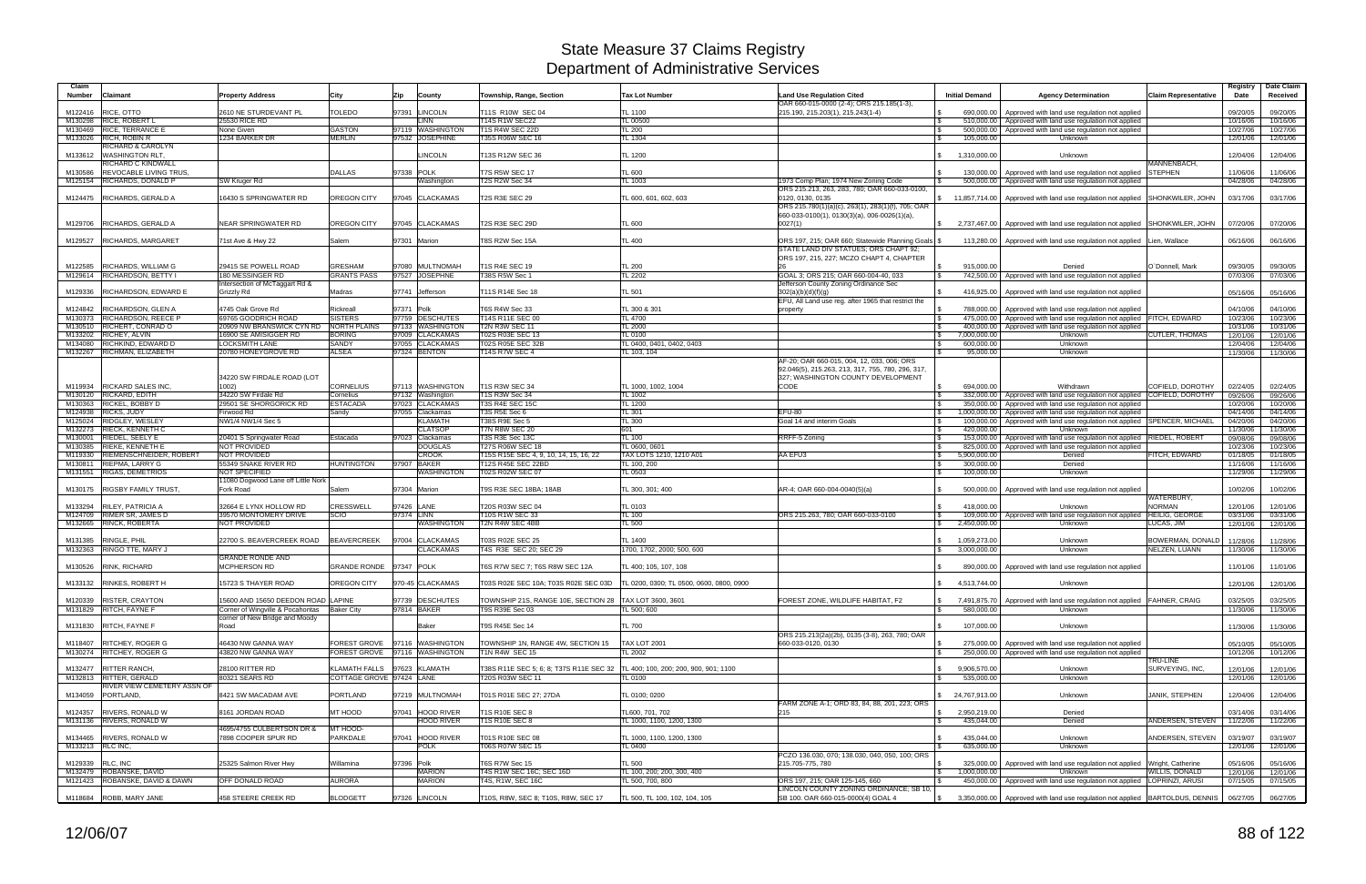| Claim<br><b>Number</b> | <b>Claimant</b>                                      | <b>Property Address</b>                                                       | City                           | <b>Zip</b><br>County                                           | Township, Range, Section                                                        | <b>Tax Lot Number</b>                       | <b>Land Use Regulation Cited</b><br>OAR 660-015-0000 (2-4); ORS 215.185(1-3),                                                         | <b>Initial Demand</b>                              | <b>Agency Determination</b>                                                                                          | <b>Claim Representative</b>   | Registry<br>Date     | Date Claim<br>Received |
|------------------------|------------------------------------------------------|-------------------------------------------------------------------------------|--------------------------------|----------------------------------------------------------------|---------------------------------------------------------------------------------|---------------------------------------------|---------------------------------------------------------------------------------------------------------------------------------------|----------------------------------------------------|----------------------------------------------------------------------------------------------------------------------|-------------------------------|----------------------|------------------------|
| M122416                | RICE, OTTO                                           | 2610 NE STURDEVANT PL                                                         | TOLEDO                         | 97391 LINCOLN                                                  | T11S R10W SEC 04                                                                | TL 1100                                     | 215.190, 215.203(1), 215.243(1-4)                                                                                                     | 690,000,00<br>IS.                                  | Approved with land use regulation not applied                                                                        |                               | 09/20/05             | 09/20/05               |
| M130298                | <b>RICE, ROBERT L</b>                                | 25530 RICE RD                                                                 |                                | LINN                                                           | <b>14S R1W SEC22</b>                                                            | TL 00500                                    |                                                                                                                                       |                                                    | 510,000.00   Approved with land use regulation not applied                                                           |                               | 10/16/06             | 10/16/06               |
| M130469<br>M133026     | <b>RICE, TERRANCE E</b><br><b>RICH, ROBIN F</b>      | None Given<br>1234 BARKER DR                                                  | <b>GASTON</b><br><b>MERLIN</b> | 97119 WASHINGTON<br>97532 JOSEPHINE                            | T1S R4W SEC 22D<br>T35S R06W SEC 16                                             | <b>TL 200</b><br>TL 1304                    |                                                                                                                                       | 500,000.00<br>l \$<br>105,000.00                   | Approved with land use regulation not applied<br>Unknown                                                             |                               | 10/27/06<br>12/01/06 | 10/27/06<br>12/01/06   |
|                        | RICHARD & CAROLYN                                    |                                                                               |                                |                                                                |                                                                                 |                                             |                                                                                                                                       |                                                    |                                                                                                                      |                               |                      |                        |
|                        | M133612 WASHINGTON RLT,                              |                                                                               |                                | <b>LINCOLN</b>                                                 | T13S R12W SEC 36                                                                | TL 1200                                     |                                                                                                                                       | 1,310,000.00<br>$\mathbb{S}$                       | Unknown                                                                                                              |                               | 12/04/06             | 12/04/06               |
| M130586                | RICHARD C KINDWALL<br><b>REVOCABLE LIVING TRUS.</b>  |                                                                               | <b>DALLAS</b>                  | 97338 POLK                                                     | <b>T7S R5W SEC 17</b>                                                           | <b>TL 600</b>                               |                                                                                                                                       | 130.000.00                                         | Approved with land use regulation not applied                                                                        | MANNENBACH.<br><b>STEPHEN</b> | 11/06/06             | 11/06/06               |
|                        | M125154 RICHARDS, DONALD P                           | SW Kruger Rd                                                                  |                                | Washington                                                     | T2S R2W Sec 34                                                                  | TL 1003                                     | 1973 Comp Plan; 1974 New Zoning Code                                                                                                  |                                                    | 500,000.00   Approved with land use regulation not applied                                                           |                               | 04/28/06             | 04/28/06               |
|                        |                                                      |                                                                               |                                |                                                                |                                                                                 |                                             | ORS 215.213, 263, 283, 780; OAR 660-033-0100,                                                                                         |                                                    |                                                                                                                      |                               |                      |                        |
|                        | M124475  RICHARDS, GERALD A                          | 16430 S SPRINGWATER RD                                                        | OREGON CITY                    | 97045 CLACKAMAS                                                | <b>T2S R3E SEC 29</b>                                                           | TL 600, 601, 602, 603                       | 0120, 0130, 0135<br>ORS 215.780(1)(a)(c), 263(1), 283(1)(f), 705; OAR                                                                 | $$ 11,857,714.00 \]$                               | Approved with land use regulation not applied SHONKWILER, JOHN                                                       |                               | 03/17/06             | 03/17/06               |
|                        |                                                      |                                                                               |                                |                                                                |                                                                                 |                                             | $660-033-0100(1), 0130(3)(a), 006-0026(1)(a),$                                                                                        |                                                    |                                                                                                                      |                               |                      |                        |
| M129706                | <b>RICHARDS, GERALD A</b>                            | <b>NEAR SPRINGWATER RD</b>                                                    | OREGON CITY                    | 97045 CLACKAMAS                                                | T2S R3E SEC 29D                                                                 | <b>TL 600</b>                               | 0027(1)                                                                                                                               |                                                    | \$2,737,467.00   Approved with land use regulation not applied SHONKWILER, JOHN                                      |                               | 07/20/06             | 07/20/06               |
| M129527                | <b>RICHARDS, MARGARET</b>                            | 71st Ave & Hwy 22                                                             | Salem                          | 97301 Marion                                                   | T8S R2W Sec 15A                                                                 | TL 400                                      | ORS 197, 215; OAR 660; Statewide Planning Goals \$                                                                                    |                                                    | 113,280.00   Approved with land use regulation not applied Lien, Wallace                                             |                               | 06/16/06             | 06/16/06               |
|                        |                                                      |                                                                               |                                |                                                                |                                                                                 |                                             | STATE LAND DIV STATUES; ORS CHAPT 92;                                                                                                 |                                                    |                                                                                                                      |                               |                      |                        |
|                        |                                                      |                                                                               |                                |                                                                |                                                                                 |                                             | ORS 197, 215, 227; MCZO CHAPT 4, CHAPTER                                                                                              |                                                    |                                                                                                                      | O'Donnell, Mark               |                      |                        |
| M122585                | RICHARDS, WILLIAM G<br>M129614 RICHARDSON, BETTY I   | 29415 SE POWELL ROAD<br>180 MESSINGER RD                                      | GRESHAM<br><b>GRANTS PASS</b>  | 97080 MULTNOMAH<br>97527 JOSEPHNE                              | T1S R4E SEC 19<br>T38S R5W Sec 1                                                | <b>TL 200</b><br><b>TL 2202</b>             | GOAL 3; ORS 215; OAR 660-004-40, 033                                                                                                  | 915,000.00<br>742,500.00<br>l \$                   | Denied<br>Approved with land use regulation not applied                                                              |                               | 09/30/05<br>07/03/06 | 09/30/05<br>07/03/06   |
|                        |                                                      | Intersection of McTaggart Rd &                                                |                                |                                                                |                                                                                 |                                             | Jefferson County Zoning Ordinance Sec                                                                                                 |                                                    |                                                                                                                      |                               |                      |                        |
| M129336                | RICHARDSON, EDWARD E                                 | Grizzly Rd                                                                    | Madras                         | 97741 Jefferson                                                | T11S R14E Sec 18                                                                | <b>TL 501</b>                               | 302(a)(b)(d)(f)(g)                                                                                                                    | 416,925.00                                         | Approved with land use regulation not applied                                                                        |                               | 05/16/06             | 05/16/06               |
| M124842                | <b>RICHARDSON, GLEN A</b>                            | 4745 Oak Grove Rd                                                             | Rickreall                      | 97371 Polk                                                     | T6S R4W Sec 33                                                                  | TL 300 & 301                                | EFU, All Land use reg. after 1965 that restrict the<br>property                                                                       | 788,000.00                                         | Approved with land use regulation not applied                                                                        |                               | 04/10/06             | 04/10/06               |
| M130373                | <b>RICHARDSON, REECE P</b>                           | 69765 GOODRICH ROAD                                                           | <b>SISTERS</b>                 | 97759 DESCHUTES                                                | T14S R11E SEC 00                                                                | <b>TL 4700</b>                              |                                                                                                                                       | 475,000.00<br>l \$                                 | Approved with land use regulation not applied FITCH, EDWARD                                                          |                               | 10/23/06             | 10/23/06               |
| M130510                | RICHERT, CONRAD O                                    | 20909 NW BRANSWICK CYN RD                                                     | <b>NORTH PLAINS</b>            | 97133 WASHINGTON                                               | T2N R3W SEC 11                                                                  | <b>TL 2000</b>                              |                                                                                                                                       | 400,000.00<br>l \$                                 | Approved with land use regulation not applied                                                                        |                               | 10/31/06             | 10/31/06               |
| M133202<br>M134080     | RICHEY, ALVIN<br>RICHKIND, EDWARD D                  | 16900 SE AMISIGGER RD<br><b>LOCKSMITH LANE</b>                                | <b>BORING</b><br>SANDY         | 97009 CLACKAMAS<br>97055 CLACKAMAS                             | T02S R03E SEC 13<br>T02S R05E SEC 32B                                           | <b>TL 0100</b><br>TL 0400, 0401, 0402, 0403 |                                                                                                                                       | 7,000,000.00<br><b>S</b><br>600,000.00<br><b>S</b> | Unknown<br>Unknown                                                                                                   | <b>CUTLER, THOMAS</b>         | 12/01/06<br>12/04/06 | 12/01/06<br>12/04/06   |
| M132267                | RICHMAN, ELIZABETH                                   | 20780 HONEYGROVE RD                                                           | <b>ALSEA</b>                   | 97324 BENTON                                                   | <b>T14S R7W SEC 4</b>                                                           | TL 103, 104                                 |                                                                                                                                       | 95,000.00                                          | Unknown                                                                                                              |                               | 11/30/06             | 11/30/06               |
|                        |                                                      | 34220 SW FIRDALE ROAD (LOT                                                    |                                |                                                                |                                                                                 |                                             | AF-20: OAR 660-015, 004, 12, 033, 006; ORS<br>92.046(5), 215.263, 213, 317, 755, 780, 296, 317,<br>327; WASHINGTON COUNTY DEVELOPMENT |                                                    |                                                                                                                      |                               |                      |                        |
| M119934                | <b>RICKARD SALES INC.</b>                            | 1002                                                                          | <b>CORNELIUS</b>               | 97113 WASHINGTON                                               | <b>T1S R3W SEC 34</b>                                                           | TL 1000, 1002, 1004                         | CODE                                                                                                                                  | 694.000.00<br>l SS                                 | Withdrawn                                                                                                            | COFIELD, DOROTHY              | 02/24/05             | 02/24/05               |
| M130363                | M130120 RICKARD, EDITH<br><b>RICKEL, BOBBY D</b>     | 34220 SW Firdale Rd<br>29501 SE SHORGORICK RD                                 | Cornelius<br><b>ESTACADA</b>   | 97132 Washington<br>97023 CLACKAMAS                            | T1S R3W Sec 34<br>T3S R4E SEC 15C                                               | TL 1002<br>TL 1200                          |                                                                                                                                       | 332,000.00<br>l \$<br>350,000.00<br>1.S            | Approved with land use regulation not applied COFIELD, DOROTHY<br>Approved with land use regulation not applied      |                               | 09/26/06             | 09/26/06               |
| M124938                | <b>RICKS, JUDY</b>                                   | Firwood Rd                                                                    | Sandy                          | 97055 Clackamas                                                | T3S R5E Sec 6                                                                   | TL 301                                      | $EFU-80$                                                                                                                              | 000,000.00.1<br>IS.                                | Approved with land use regulation not applied                                                                        |                               | 10/20/06<br>04/14/06 | 10/20/06<br>04/14/06   |
| M125024                | RIDGLEY, WESLEY                                      | NW1/4 NW1/4 Sec 5                                                             |                                | <b>KLAMATH</b>                                                 | T38S R9E Sec 5                                                                  | TL 300                                      | Goal 14 and interim Goals                                                                                                             | 100,000.00<br><b>S</b>                             | Approved with land use regulation not applied SPENCER, MICHAEL                                                       |                               | 04/20/06             | 04/20/06               |
| M130001                | M132273 RIECK, KENNETH C<br><b>RIEDEL, SEELY E</b>   |                                                                               | Estacada                       | <b>CLATSOP</b><br>97023 Clackamas                              | <b>T7N R8W SEC 20</b><br>T3S R3E Sec 13C                                        | 601<br><b>TL 100</b>                        |                                                                                                                                       | 420,000.00                                         | Unknown<br>153,000.00 Approved with land use regulation not applied RIEDEL, ROBERT                                   |                               | 11/30/06             | 11/30/06<br>09/08/06   |
| M130385                | <b>RIEKE, KENNETH I</b>                              | 20401 S Springwater Road<br><b>NOT PROVIDED</b>                               |                                | <b>DOUGLAS</b>                                                 | T27S R06W SEC 18                                                                | TL 0600, 0601                               | RRFF-5 Zoning                                                                                                                         | l \$<br>825,000.00<br>IS.                          | Approved with land use regulation not applied                                                                        |                               | 09/08/06<br>10/23/06 | 10/23/06               |
| M119330                | RIEMENSCHNEIDER, ROBERT                              | <b>NOT PROVIDED</b>                                                           |                                | <b>CROOK</b>                                                   | T15S R15E SEC 4, 9, 10, 14, 15, 16, 22                                          | TAX LOTS 1210, 1210 A01                     | AA EFU3                                                                                                                               | l \$<br>5,900,000.00                               | Denied                                                                                                               | FITCH, EDWARD                 | 01/18/05             | 01/18/05               |
| M130811                | <b>RIEPMA, LARRY G</b><br>M131551 RIGAS, DEMETRIOS   | 55349 SNAKE RIVER RD<br><b>NOT SPECIFIED</b>                                  | <b>HUNTINGTON</b>              | 97907 BAKER<br><b>WASHINGTON</b>                               | <b>T12S R45E SEC 22BD</b><br>T02S R02W SEC 07                                   | TL 100, 200                                 |                                                                                                                                       | 300,000.00<br>IS.<br><b>S</b>                      | Denied<br>Unknown                                                                                                    |                               | 11/16/06             | 11/16/06               |
|                        |                                                      | 11080 Dogwood Lane off Little Nork                                            |                                |                                                                |                                                                                 | TL 0503                                     |                                                                                                                                       | 100,000.00                                         |                                                                                                                      |                               | 11/29/06             | 11/29/06               |
|                        | M130175 RIGSBY FAMILY TRUST,                         | Fork Road                                                                     | Salem                          | 97304 Marion                                                   | T9S R3E SEC 18BA; 18AB                                                          | TL 300, 301; 400                            | AR-4; OAR 660-004-0040(5)(a)                                                                                                          | 500,000.00                                         | Approved with land use regulation not applied                                                                        | WATERBURY,                    | 10/02/06             | 10/02/06               |
| M133294                | <b>RILEY, PATRICIA A</b>                             | 32664 E LYNX HOLLOW RD                                                        | CRESSWELL                      | 97426 LANE                                                     | T20S R03W SEC 04                                                                | TL 0103                                     |                                                                                                                                       | 418,000.00                                         | Unknown                                                                                                              | <b>NORMAN</b>                 | 12/01/06             | 12/01/06               |
|                        | M124709 RIMER SR, JAMES D                            | 39570 MONTOMERY DRIVE                                                         | <b>SCIO</b>                    | 97374 LINN                                                     | T10S R1W SEC 33                                                                 | <b>TL 100</b>                               | ORS 215.263, 780; OAR 660-033-0100                                                                                                    | $\mathbf{s}$                                       | 109,000.00   Approved with land use regulation not applied   HEILIG, GEORGE                                          |                               | 03/31/06             | 03/31/06               |
| M132665                | <b>RINCK, ROBERTA</b>                                | <b>NOT PROVIDED</b>                                                           |                                | <b>WASHINGTON</b>                                              | T2N R4W SEC 4BB                                                                 | <b>TL 500</b>                               |                                                                                                                                       | 2,450,000.00<br>$\mathcal{S}$                      | Unknown                                                                                                              | LUCAS, JIM                    | 12/01/06             | 12/01/06               |
| M131385                | RINGLE, PHIL                                         | 22700 S. BEAVERCREEK ROAD                                                     | <b>BEAVERCREEK</b>             | 97004 CLACKAMAS                                                | T03S R02E SEC 25                                                                | TL 1400                                     |                                                                                                                                       | 1,059,273.00                                       | Unknown                                                                                                              | BOWERMAN, DONALD              | 11/28/06             | 11/28/06               |
|                        | M132363 RINGO TTE, MARY J                            |                                                                               |                                | <b>CLACKAMAS</b>                                               | T4S R3E SEC 20: SEC 29                                                          | 1700, 1702, 2000; 500, 600                  |                                                                                                                                       | 3,000,000.00                                       | Unknown                                                                                                              | NELZEN, LUANN                 | 11/30/06             | 11/30/06               |
|                        | M130526 RINK, RICHARD                                | <b>GRANDE RONDE AND</b><br>MCPHERSON RD                                       | GRANDE RONDE 97347 POLK        |                                                                | T6S R7W SEC 7; T6S R8W SEC 12A                                                  | TL 400; 105, 107, 108                       |                                                                                                                                       |                                                    | 890,000.00   Approved with land use regulation not applied                                                           |                               | 11/01/06             | 11/01/06               |
|                        |                                                      |                                                                               |                                |                                                                |                                                                                 |                                             |                                                                                                                                       |                                                    |                                                                                                                      |                               |                      |                        |
|                        | M133132 RINKES, ROBERT H                             | 15723 S THAYER ROAD                                                           | OREGON CITY                    | 970-45 CLACKAMAS                                               | T03S R02E SEC 10A; T03S R02E SEC 03D   TL 0200, 0300; TL 0500, 0600, 0800, 0900 |                                             |                                                                                                                                       | $\frac{1}{2}$ 4,513,744.00                         | Unknown                                                                                                              |                               | 12/01/06             | 12/01/06               |
|                        | M120339 RISTER, CRAYTON                              | 15600 AND 15650 DEEDON ROAD LAPINE                                            |                                | 97739 DESCHUTES                                                |                                                                                 |                                             | FOREST ZONE, WILDLIFE HABITAT, F2                                                                                                     | $\mathcal{S}$                                      | 7,491,875.70 Approved with land use regulation not applied FAHNER, CRAIG                                             |                               | 03/25/05             | 03/25/05               |
|                        | M131829 RITCH, FAYNE F                               | Corner of Wingville & Pocahontas Baker City<br>corner of New Bridge and Moody |                                | 97814 BAKER                                                    | T9S R39E Sec 03                                                                 | TL 500; 600                                 |                                                                                                                                       | 580,000.00                                         | Unknown                                                                                                              |                               | 11/30/06             | 11/30/06               |
|                        | M131830 RITCH, FAYNE F                               | Road                                                                          |                                | Baker                                                          | T9S R45E Sec 14                                                                 | <b>TL 700</b>                               |                                                                                                                                       | 107,000.00                                         | Unknown                                                                                                              |                               | 11/30/06             | 11/30/06               |
|                        |                                                      |                                                                               |                                |                                                                |                                                                                 |                                             | ORS 215.213(2a)(2b), 0135 (3-8), 263, 780; OAR                                                                                        |                                                    |                                                                                                                      |                               |                      |                        |
|                        | M118407 RITCHEY, ROGER G                             | 46430 NW GANNA WAY<br>43820 NW GANNA WAY                                      |                                | FOREST GROVE 97116 WASHINGTON<br>FOREST GROVE 97116 WASHINGTON | TOWNSHIP 1N, RANGE 4W, SECTION 15                                               | <b>TAX LOT 2001</b><br><b>TL 2002</b>       | 660-033-0120, 0130                                                                                                                    | <b>S</b><br><b>S</b>                               | 275,000.00 Approved with land use regulation not applied<br>250,000.00 Approved with land use regulation not applied |                               | 05/10/05             | 05/10/05<br>10/12/06   |
|                        | M130274 RITCHEY, ROGER G                             |                                                                               |                                |                                                                | T1N R4W SEC 15                                                                  |                                             |                                                                                                                                       |                                                    |                                                                                                                      | TRU-LINE                      | 10/12/06             |                        |
|                        | M132477 RITTER RANCH,                                | 28100 RITTER RD                                                               |                                | KLAMATH FALLS 97623 KLAMATH                                    | T38S R11E SEC 5; 6; 8; T37S R11E SEC 32                                         | TL 400; 100, 200; 200, 900, 901; 1100       |                                                                                                                                       | 9,906,570.00<br>$\mathbb{S}$                       | Unknown                                                                                                              | SURVEYING, INC.               | 12/01/06             | 12/01/06               |
|                        | M132813 RITTER, GERALD                               | 80321 SEARS RD                                                                | COTTAGE GROVE 97424 LANE       |                                                                | T20S R03W SEC 11                                                                | TL 0100                                     |                                                                                                                                       | 535,000.00                                         | Unknown                                                                                                              |                               | 12/01/06             | 12/01/06               |
|                        | RIVER VIEW CEMETERY ASSN OF<br>M134059 PORTLAND,     | 8421 SW MACADAM AVE                                                           | PORTLAND                       | 97219 MULTNOMAH                                                | T01S R01E SEC 27; 27DA                                                          | TL 0100; 0200                               |                                                                                                                                       | \$24,767,913.00                                    | Unknown                                                                                                              | <b>JANIK, STEPHEN</b>         | 12/04/06             | 12/04/06               |
|                        |                                                      |                                                                               |                                |                                                                |                                                                                 |                                             | FARM ZONE A-1; ORD 83, 84, 88, 201, 223; ORS                                                                                          |                                                    |                                                                                                                      |                               |                      |                        |
|                        | M124357 RIVERS, RONALD W<br>M131136 RIVERS, RONALD W | 8161 JORDAN ROAD                                                              | MT HOOD                        | 97041 HOOD RIVER                                               | T1S R10E SEC 8                                                                  | TL600, 701, 702                             | 215                                                                                                                                   | \$2,950,219.00                                     | Denied                                                                                                               |                               | 03/14/06             | 03/14/06               |
|                        |                                                      | 4695/4755 CULBERTSON DR &                                                     | MT HOOD-                       | <b>HOOD RIVER</b>                                              | T1S R10E SEC 8                                                                  | TL 1000, 1100, 1200, 1300                   |                                                                                                                                       | 435,044.00<br><b>S</b>                             | Denied                                                                                                               | ANDERSEN, STEVEN              | 11/22/06             | 11/22/06               |
|                        | M134465 RIVERS, RONALD W                             | 7898 COOPER SPUR RD                                                           | PARKDALE                       | 97041 HOOD RIVER                                               | T01S R10E SEC 08                                                                | TL 1000, 1100, 1200, 1300                   |                                                                                                                                       | 435,044.00<br>IS.                                  | Unknown                                                                                                              | ANDERSEN, STEVEN              | 03/19/07             | 03/19/07               |
| M133213 RLC INC,       |                                                      |                                                                               |                                | <b>POLK</b>                                                    | T06S R07W SEC 15                                                                | TL 0400                                     |                                                                                                                                       | 635,000.00                                         | Unknown                                                                                                              |                               | 12/01/06             | 12/01/06               |
| M129339 RLC, INC       |                                                      | 25325 Salmon River Hwy                                                        | Nillamina                      | 97396 Polk                                                     | T6S R7W Sec 15                                                                  | <b>TL 500</b>                               | PCZO 136.030, 070; 138.030, 040, 050, 100; ORS<br>215.705-775, 780                                                                    | 325,000.00<br><b>S</b>                             | Approved with land use regulation not applied Wright, Catherine                                                      |                               | 05/16/06             | 05/16/06               |
| M132479                | ROBANSKE, DAVID                                      |                                                                               |                                | <b>MARION</b>                                                  | T4S R1W SEC 16C; SEC 16D                                                        | TL 100, 200; 200, 300, 400                  |                                                                                                                                       | 1,000,000.00<br>l \$                               | Unknown                                                                                                              | WILLIS, DONALD                | 12/01/06             | 12/01/06               |
|                        | M121423 ROBANSKE, DAVID & DAWN                       | OFF DONALD ROAD                                                               | <b>AURORA</b>                  | <b>MARION</b>                                                  | T4S, R1W, SEC 16C                                                               | TL 500, 700, 800                            | ORS 197, 215; OAR 125-145, 660                                                                                                        |                                                    | 450,000.00   Approved with land use regulation not applied LOPRINZI, ARUSI                                           |                               | 07/15/05             | 07/15/05               |
|                        | M118684 ROBB, MARY JANE                              | 458 STEERE CREEK RD                                                           | <b>BLODGETT</b>                | 97326 LINCOLN                                                  | T10S, R8W, SEC 8; T10S, R8W, SEC 17                                             | TL 500, TL 100, 102, 104, 105               | LINCOLN COUNTY ZONING ORDINANCE; SB 10,<br>SB 100. OAR 660-015-0000(4) GOAL 4                                                         | $\mathcal{S}$                                      | 3,350,000.00 Approved with land use regulation not applied  BARTOLDUS, DENNIS   06/27/05                             |                               |                      | 06/27/05               |
|                        |                                                      |                                                                               |                                |                                                                |                                                                                 |                                             |                                                                                                                                       |                                                    |                                                                                                                      |                               |                      |                        |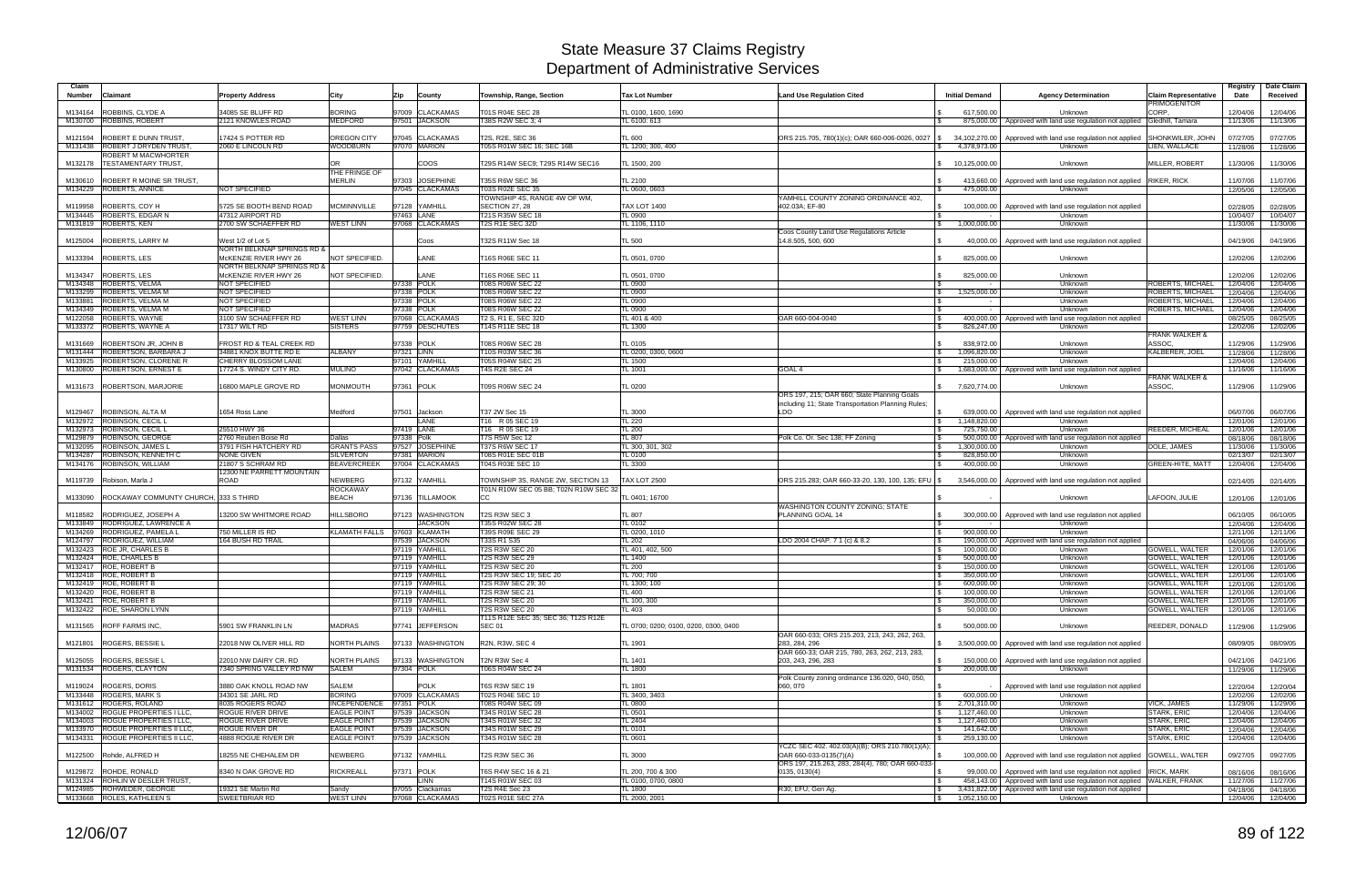| Claim<br><b>Number</b> | Claimant                                                    | <b>Property Address</b>                             | City                                     | Zip<br>County                      | Township, Range, Section                             | <b>Tax Lot Number</b>                 | <b>Land Use Regulation Cited</b>                                                                                             | <b>Initial Demand</b>                            | <b>Agency Determination</b>                                                 | Claim Representative<br><b>PRIMOGENITOR</b> | Registry<br>Date     | <b>Date Claim</b><br>Received |
|------------------------|-------------------------------------------------------------|-----------------------------------------------------|------------------------------------------|------------------------------------|------------------------------------------------------|---------------------------------------|------------------------------------------------------------------------------------------------------------------------------|--------------------------------------------------|-----------------------------------------------------------------------------|---------------------------------------------|----------------------|-------------------------------|
| M134164                | <b>ROBBINS, CLYDE A</b>                                     | 34085 SE BLUFF RD                                   | <b>BORING</b>                            | 97009 CLACKAMAS                    | T01S R04E SEC 28                                     | TL 0100, 1600, 1690                   |                                                                                                                              | 617.500.00                                       | Unknown                                                                     | CORP.                                       | 12/04/06             | 12/04/06                      |
|                        | M130700 ROBBINS, ROBERT                                     | 2121 KNOWLES ROAD                                   | <b>MEDFORD</b>                           | 97501 JACKSON                      | T38S R2W SEC 3:4                                     | TL 6100: 613                          |                                                                                                                              |                                                  | 875,000.00   Approved with land use regulation not applied Gledhill, Tamara |                                             | 11/13/06             | 11/13/06                      |
|                        |                                                             |                                                     |                                          |                                    |                                                      |                                       |                                                                                                                              |                                                  |                                                                             |                                             |                      |                               |
| M121594                | <b>ROBERT E DUNN TRUST</b><br>M131438 ROBERT J DRYDEN TRUST | 17424 S POTTER RD<br>2060 E LINCOLN RD              | <b>OREGON CITY</b><br><b>WOODBURN</b>    | 97045 CLACKAMAS<br>97070 MARION    | T2S, R2E, SEC 36<br>T05S R01W SEC 16; SEC 16B        | TL 600<br>TL 1200; 300, 400           | ORS 215.705, 780(1)(c); OAR 660-006-0026, 0027 \$                                                                            | 34,102,270.00<br>4,378,973.00                    | Approved with land use regulation not applied<br>Unknown                    | SHONKWILER, JOHN<br>LIEN, WALLACE           | 07/27/05<br>11/28/06 | 07/27/05<br>11/28/06          |
|                        | ROBERT M MACWHORTER                                         |                                                     |                                          |                                    |                                                      |                                       |                                                                                                                              |                                                  |                                                                             |                                             |                      |                               |
|                        | M132178   TESTAMENTARY TRUST,                               |                                                     | lOR.<br>THE FRINGE OF                    | <b>COOS</b>                        | T29S R14W SEC9; T29S R14W SEC16                      | TL 1500, 200                          |                                                                                                                              | 10,125,000.00                                    | Unknown                                                                     | MILLER, ROBERT                              | 11/30/06             | 11/30/06                      |
| M130610                | ROBERT R MOINE SR TRUST,                                    |                                                     | <b>MERLIN</b>                            | 97303 JOSEPHINE                    | T35S R6W SEC 36                                      | TL 2100                               |                                                                                                                              | 413,660.00                                       | Approved with land use regulation not applied                               | <b>RIKER, RICK</b>                          | 11/07/06             | 11/07/06                      |
| M134229                | <b>ROBERTS, ANNICE</b>                                      | NOT SPECIFIED                                       |                                          | 97045 CLACKAMAS                    | T03S R02E SEC 35<br>TOWNSHIP 4S, RANGE 4W OF WM,     | TL 0600, 0603                         | YAMHILL COUNTY ZONING ORDINANCE 402.                                                                                         | 475,000.00                                       | Unknown                                                                     |                                             | 12/05/06             | 12/05/06                      |
| M119958                | ROBERTS, COY H                                              | 5725 SE BOOTH BEND ROAD                             | <b>MCMINNVILLE</b>                       | 97128 YAMHILL                      | SECTION 27, 28                                       | <b>TAX LOT 1400</b>                   | 402.03A; EF-80                                                                                                               | 100,000.00<br>l \$                               | Approved with land use regulation not applied                               |                                             | 02/28/05             | 02/28/05                      |
| M134445                | <b>ROBERTS, EDGAR N</b>                                     | 47312 AIRPORT RD                                    |                                          | 97463 LANE                         | T21S R35W SEC 18                                     | TL 0900                               |                                                                                                                              |                                                  | Unknown                                                                     |                                             | 10/04/07             | 10/04/07                      |
| M131819                | <b>ROBERTS, KEN</b>                                         | 2700 SW SCHAEFFER RD                                | <b>WEST LINN</b>                         | 97068 CLACKAMAS                    | T2S R1E SEC 32D                                      | TL 1106, 1110                         |                                                                                                                              | 1,000,000.00<br>l \$                             | Unknown                                                                     |                                             | 11/30/06             | 11/30/06                      |
| M125004                | ROBERTS, LARRY M                                            | West 1/2 of Lot 5                                   |                                          | Coos                               | T32S R11W Sec 18                                     | TL 500                                | Coos County Land Use Regulations Article<br>14.8.505, 500, 600                                                               | 40.000.00                                        | Approved with land use regulation not applied                               |                                             | 04/19/06             | 04/19/06                      |
|                        |                                                             | <b>NORTH BELKNAP SPRINGS RD &amp;</b>               |                                          |                                    |                                                      |                                       |                                                                                                                              |                                                  |                                                                             |                                             |                      |                               |
| M133394                | ROBERTS, LES                                                | McKENZIE RIVER HWY 26                               | NOT SPECIFIED.                           | LANE                               | T16S R06E SEC 11                                     | TL 0501, 0700                         |                                                                                                                              | 825,000.00                                       | Unknown                                                                     |                                             | 12/02/06             | 12/02/06                      |
| M134347                | <b>ROBERTS, LES</b>                                         | NORTH BELKNAP SPRINGS RD &<br>McKENZIE RIVER HWY 26 | NOT SPECIFIED.                           | LANE                               | T16S R06E SEC 11                                     | TL 0501, 0700                         |                                                                                                                              | 825,000.00                                       | Unknown                                                                     |                                             | 12/02/06             | 12/02/06                      |
| M134348                | ROBERTS, VELMA                                              | NOT SPECIFIED                                       |                                          | 97338 POLK                         | T08S R06W SEC 22                                     | TL 0900                               |                                                                                                                              |                                                  | Unknown                                                                     | ROBERTS, MICHAEL                            | 12/04/06             | 12/04/06                      |
| M133299                | <b>ROBERTS, VELMA M</b>                                     | NOT SPECIFIED                                       |                                          | 97338 POLK                         | T08S R06W SEC 22                                     | TL 0900                               |                                                                                                                              | 1,525,000.00                                     | Unknown                                                                     | ROBERTS, MICHAEL                            | 12/04/06             | 12/04/06                      |
| M133881                | <b>ROBERTS, VELMA M</b>                                     | NOT SPECIFIED                                       |                                          | 97338 POLK                         | T08S R06W SEC 22                                     | TL 0900                               |                                                                                                                              |                                                  | Unknown                                                                     | ROBERTS, MICHAEL                            | 12/04/06             | 12/04/06                      |
| M134349                | <b>ROBERTS, VELMA M</b>                                     | NOT SPECIFIED                                       |                                          | 97338 POLK                         | T08S R06W SEC 22                                     | TL 0900                               |                                                                                                                              | - \$                                             | Unknown                                                                     | ROBERTS, MICHAEL                            | 12/04/06             | 12/04/06                      |
| M122058<br>M133372     | <b>ROBERTS, WAYNE</b><br><b>ROBERTS, WAYNE A</b>            | 3100 SW SCHAEFFER RD<br><b>17317 WILT RD</b>        | <b>WEST LINN</b><br><b>SISTERS</b>       | 97068 CLACKAMAS<br>97759 DESCHUTES | T2 S, R1 E, SEC 32D<br>T14S R11E SEC 18              | TL 401 & 400<br><b>TL 1300</b>        | OAR 660-004-0040                                                                                                             | 400,000.00<br>826,247.00<br>- \$                 | Approved with land use regulation not applied<br>Unknown                    |                                             | 08/25/05<br>12/02/06 | 08/25/05<br>12/02/06          |
|                        |                                                             |                                                     |                                          |                                    |                                                      |                                       |                                                                                                                              |                                                  |                                                                             | <b>FRANK WALKER &amp;</b>                   |                      |                               |
| M131669                | ROBERTSON JR, JOHN B                                        | FROST RD & TEAL CREEK RD                            |                                          | 97338 POLK                         | T08S R06W SEC 28                                     | TL 0105                               |                                                                                                                              | 838,972.00                                       | Unknown                                                                     | ASSOC.                                      | 11/29/06             | 11/29/06                      |
|                        | M131444 ROBERTSON, BARBARA J                                | 34881 KNOX BUTTE RD E                               | <b>ALBANY</b>                            | 97321 LINN                         | T10S R03W SEC 36                                     | TL 0200, 0300, 0600                   |                                                                                                                              | 1,096,820.00                                     | Unknown                                                                     | KALBERER, JOEL                              | 11/28/06             | 11/28/06                      |
|                        | M133925 ROBERTSON, CLORENE R<br>M130800 ROBERTSON, ERNEST E | CHERRY BLOSSOM LANE<br>17724 S. WINDY CITY RD.      | <b>MULINO</b>                            | 97101 YAMHILL<br>97042 CLACKAMAS   | T05S R04W SEC 25<br><b>T4S R2E SEC 24</b>            | TL 1500<br>TL 1001                    | GOAL 4                                                                                                                       | 215,000.00                                       | Unknown<br>1,683,000.00 Approved with land use regulation not applied       |                                             | 12/04/06<br>11/16/06 | 12/04/06<br>11/16/06          |
|                        |                                                             |                                                     |                                          |                                    |                                                      |                                       |                                                                                                                              |                                                  |                                                                             | <b>FRANK WALKER &amp;</b>                   |                      |                               |
| M131673                | <b>ROBERTSON, MARJORIE</b>                                  | 16800 MAPLE GROVE RD                                | <b>MONMOUTH</b>                          | 97361 POLK                         | T09S R06W SEC 24                                     | TL 0200                               |                                                                                                                              | 7,620,774.00<br>\$                               | Unknown                                                                     | ASSOC,                                      | 11/29/06             | 11/29/06                      |
|                        |                                                             |                                                     |                                          |                                    |                                                      |                                       | ORS 197, 215; OAR 660; State Planning Goals                                                                                  |                                                  |                                                                             |                                             |                      |                               |
| M129467                | <b>ROBINSON, ALTA M</b>                                     | 1654 Ross Lane                                      | Medford                                  | 97501 Jackson                      | T37 2W Sec 15                                        | TL 3000                               | including 11; State Transportation Planning Rules;<br><b>LDO</b>                                                             | 639,000.00                                       | Approved with land use regulation not applied                               |                                             | 06/07/06             | 06/07/06                      |
| M132972                | <b>ROBINSON, CECIL L</b>                                    |                                                     |                                          | LANE                               | T16 R 05 SEC 19                                      | <b>TL 220</b>                         |                                                                                                                              | 1,148,820.00<br>l \$                             | Unknown                                                                     |                                             | 12/01/06             | 12/01/06                      |
| M132973                | <b>ROBINSON, CECIL L</b>                                    | 25510 HWY 36                                        |                                          | 97419 LANE                         | T16 R 05 SEC 19                                      | <b>TL 200</b>                         |                                                                                                                              | 725,750.00                                       | Unknown                                                                     | REEDER, MICHEAL                             | 12/01/06             | 12/01/06                      |
|                        | M129879 ROBINSON, GEORGE                                    | 2760 Reuben Boise Rd                                | Dallas                                   | 97338 Polk                         | <b>T7S R5W Sec 12</b>                                | <b>TL 807</b>                         | Polk Co. Or. Sec 138; FF Zoning                                                                                              | 500,000.00<br>l \$                               | Approved with land use regulation not applied                               |                                             | 08/18/06             | 08/18/06                      |
| M132095                | <b>ROBINSON, JAMES L</b>                                    | 3791 FISH HATCHERY RD                               | <b>GRANTS PASS</b>                       | 97527 JOSEPHINE                    | <b>T37S R6W SEC 17</b>                               | TL 300, 301, 302                      |                                                                                                                              | 1,300,000.00<br>- S                              | Unknown                                                                     | DOLE, JAMES                                 | 11/30/06             | 11/30/06                      |
| M134287                | ROBINSON, KENNETH C<br>M134176 ROBINSON, WILLIAM            | <b>NONE GIVEN</b><br>21807 S SCHRAM RD              | <b>SILVERTON</b><br><b>BEAVERCREEK</b>   | 97381 MARION<br>97004 CLACKAMAS    | T08S R01E SEC 01B<br>T04S R03E SEC 10                | <b>TL 0100</b><br>TL 3300             |                                                                                                                              | 828,850.00<br>l \$<br>400,000.00                 | Unknown<br>Unknown                                                          | <b>GREEN-HITE, MATT</b>                     | 02/13/07<br>12/04/06 | 02/13/07<br>12/04/06          |
|                        |                                                             | 12300 NE PARRETT MOUNTAIN                           |                                          |                                    |                                                      |                                       |                                                                                                                              |                                                  |                                                                             |                                             |                      |                               |
| M119739                | Robison, Marla J                                            | ROAD                                                | <b>NEWBERG</b>                           | 97132 YAMHILL                      | TOWNSHIP 3S, RANGE 2W, SECTION 13                    | <b>TAX LOT 2500</b>                   | ORS 215.283; OAR 660-33-20, 130, 100, 135; EFU S                                                                             | 3,546,000.00                                     | Approved with land use regulation not applied                               |                                             | 02/14/05             | 02/14/05                      |
|                        | ROCKAWAY COMMUNTY CHURCH, 333 S THIRD                       |                                                     | <b>ROCKAWAY</b><br><b>BEACH</b>          | 97136 TILLAMOOK                    | T01N R10W SEC 05 BB; T02N R10W SEC 32<br>CC.         |                                       |                                                                                                                              |                                                  |                                                                             | LAFOON, JULIE                               |                      |                               |
| M133090                |                                                             |                                                     |                                          |                                    |                                                      | TL 0401; 16700                        | <b>WASHINGTON COUNTY ZONING: STATE</b>                                                                                       |                                                  | Unknown                                                                     |                                             | 12/01/06             | 12/01/06                      |
| M118582                | RODRIGUEZ, JOSEPH A                                         | 13200 SW WHITMORE ROAD                              | <b>HILLSBORO</b>                         | 97123 WASHINGTON                   | T2S R3W SEC 3                                        | <b>TL 807</b>                         | PLANNING GOAL 14                                                                                                             | 300,000.00<br>l \$                               | Approved with land use regulation not applied                               |                                             | 06/10/05             | 06/10/05                      |
| M133849                | RODRIGUEZ, LAWRENCE A                                       |                                                     |                                          | <b>JACKSON</b>                     | <b>T35S R02W SEC 28</b>                              | TL 0102                               |                                                                                                                              | l SS                                             | Unknown                                                                     |                                             | 12/04/06             | 12/04/06                      |
| M134269<br>M124797     | RODRIGUEZ, PAMELA L<br><b>RODRIGUEZ, WILLIAM</b>            | 750 MILLER IS RD<br>164 BUSH RD TRAIL               | <b>KLAMATH FALLS</b>                     | KLAMATH<br>97603<br>97539 JACKSON  | T39S R09E SEC 29<br>T33S R1 S35                      | TL 0200, 1010<br>TL 202               | LDO 2004 CHAP. 7 1 (c) & 8.2                                                                                                 | 900.000.00<br>190,000.00                         | Unknown<br>Approved with land use regulation not applied                    |                                             | 12/11/06<br>04/06/06 | 12/11/06<br>04/06/06          |
| M132423                | <b>ROE JR, CHARLES B</b>                                    |                                                     |                                          | 97119 YAMHILL                      | <b>T2S R3W SEC 20</b>                                | TL 401, 402, 500                      |                                                                                                                              | 100,000.00                                       | Unknown                                                                     | <b>GOWELL, WALTER</b>                       | 12/01/06             | 12/01/06                      |
|                        | M132424 ROE, CHARLES B                                      |                                                     |                                          | 97119 YAMHILL                      | <b>T2S R3W SEC 29</b>                                | <b>TL 1400</b>                        |                                                                                                                              | 500,000.00                                       | Unknown                                                                     | <b>GOWELL, WALTER</b>                       | 12/01/06             | 12/01/06                      |
|                        | M132417 ROE, ROBERT B                                       |                                                     |                                          | 97119 YAMHILI                      | <b>T2S R3W SEC 20</b>                                | <b>TL 200</b>                         |                                                                                                                              | 150,000.00                                       | Unknown                                                                     | <b>GOWELL, WALTER</b>                       | 12/01/06             | 12/01/06                      |
|                        | M132418 ROE, ROBERT B<br>M132419 ROE, ROBERT B              |                                                     |                                          | 97119 YAMHILI<br>97119 YAMHILL     | T2S R3W SEC 19; SEC 20<br>T2S R3W SEC 29; 30         | TL 700; 700<br>TL 1300; 100           |                                                                                                                              | 350,000.00<br>600,000.00                         | Unknown                                                                     | GOWELL, WALTER<br><b>GOWELL, WALTER</b>     | 12/01/06             | 12/01/06                      |
|                        | M132420 ROE, ROBERT B                                       |                                                     |                                          | 97119 YAMHILL                      | <b>T2S R3W SEC 21</b>                                | TL 400                                |                                                                                                                              | - S<br>100,000.00<br><b>S</b>                    | Unknown<br>Unknown                                                          | <b>GOWELL, WALTER</b>                       | 12/01/06<br>12/01/06 | 12/01/06<br>12/01/06          |
|                        | M132421 ROE, ROBERT B                                       |                                                     |                                          | 97119 YAMHILL                      | <b>T2S R3W SEC 20</b>                                | TL 100, 300                           |                                                                                                                              | 350,000.00<br>\$                                 | Unknown                                                                     | <b>GOWELL, WALTER</b>                       | 12/01/06             | 12/01/06                      |
|                        | M132422 ROE, SHARON LYNN                                    |                                                     |                                          | 97119 YAMHILL                      | <b>T2S R3W SEC 20</b>                                | TL 403                                |                                                                                                                              | 50,000.00                                        | Unknown                                                                     | <b>GOWELL, WALTER</b>                       | 12/01/06             | 12/01/06                      |
|                        | M131565 ROFF FARMS INC.                                     | 5901 SW FRANKLIN LN                                 | <b>MADRAS</b>                            | 97741 JEFFERSON                    | T11S R12E SEC 35; SEC 36; T12S R12E<br><b>SEC 01</b> | TL 0700; 0200; 0100, 0200, 0300, 0400 |                                                                                                                              | 500,000.00                                       | Unknown                                                                     | REEDER, DONALD                              | 11/29/06             | 11/29/06                      |
|                        | M121801 ROGERS, BESSIE L                                    | 22018 NW OLIVER HILL RD                             | <b>NORTH PLAINS</b>                      | 97133 WASHINGTON                   | R2N, R3W, SEC 4                                      | TL 1901                               | OAR 660-033: ORS 215.203, 213, 243, 262, 263,<br>283, 284, 296                                                               |                                                  | \$ 3,500,000.00 Approved with land use regulation not applied               |                                             | 08/09/05             | 08/09/05                      |
|                        | M125055 ROGERS, BESSIE L                                    | 22010 NW DAIRY CR. RD                               | <b>NORTH PLAINS</b>                      | 97133 WASHINGTON                   | T2N R3W Sec 4                                        | <b>TL 1401</b>                        | OAR 660-33; OAR 215, 780, 263, 262, 213, 283,<br>203, 243, 296, 283                                                          | l \$                                             | 150,000.00 Approved with land use regulation not applied                    |                                             | 04/21/06             | 04/21/06                      |
|                        | M131534 ROGERS, CLAYTON                                     | 7340 SPRING VALLEY RD NW                            | <b>SALEM</b>                             | 97304 POLK                         | T06S R04W SEC 24                                     | TL 1800                               |                                                                                                                              | 200,000.00<br>$\mathfrak{L}$                     | Unknown                                                                     |                                             | 11/29/06             | 11/29/06                      |
|                        |                                                             |                                                     |                                          |                                    |                                                      |                                       | Polk County zoning ordinance 136.020, 040, 050,                                                                              |                                                  |                                                                             |                                             |                      |                               |
|                        | M119024 ROGERS, DORIS                                       | 3880 OAK KNOLL ROAD NW                              | <b>SALEM</b>                             | <b>POLK</b>                        | <b>T6S R3W SEC 19</b>                                | TL 1801                               | 060, 070                                                                                                                     |                                                  | Approved with land use regulation not applied                               |                                             | 12/20/04             | 12/20/04                      |
|                        | M133448 ROGERS, MARK S<br>M131612 ROGERS, ROLAND            | 34301 SE JARL RD<br>8035 ROGERS ROAD                | <b>BORING</b><br>INCEPENDENCE 97351 POLK | 97009 CLACKAMAS                    | T02S R04E SEC 10<br>T08S R04W SEC 09                 | TL 3400, 3403<br>TL 0800              |                                                                                                                              | l \$<br>600,000.00<br>2,701,310.00<br>$\sqrt{S}$ | <b>Unknown</b><br>Unknown                                                   | VICK, JAMES                                 | 12/02/06<br>11/29/06 | 12/02/06<br>11/29/06          |
|                        | M134002 ROGUE PROPERTIES I LLC,                             | ROGUE RIVER DRIVE                                   | <b>EAGLE POINT</b>                       | 97539 JACKSON                      | T34S R01W SEC 28                                     | TL 0501                               |                                                                                                                              | 1,127,460.00<br>$\mathbb{S}$                     | Unknown                                                                     | <b>STARK, ERIC</b>                          | 12/04/06             | 12/04/06                      |
|                        | M134003 ROGUE PROPERTIES I LLC                              | ROGUE RIVER DRIVE                                   | <b>EAGLE POINT</b>                       | 97539 JACKSON                      | T34S R01W SEC 32                                     | TL 2404                               |                                                                                                                              | 1,127,460.00<br>\$                               | Unknown                                                                     | <b>STARK, ERIC</b>                          | 12/04/06             | 12/04/06                      |
|                        | M133970 ROGUE PROPERTIES II LLC,                            | ROGUE RIVER DR                                      | <b>EAGLE POINT</b>                       | 97539 JACKSON                      | T34S R01W SEC 29                                     | TL 0101                               |                                                                                                                              | 141,642.00<br>l \$                               | Unknown                                                                     | <b>STARK, ERIC</b>                          | 12/04/06             | 12/04/06                      |
|                        | M134331 ROGUE PROPERTIES II LLC.                            | 4888 ROGUE RIVER DR                                 | <b>EAGLE POINT</b>                       | 97539 JACKSON                      | T34S R01W SEC 28                                     | TL 0601                               |                                                                                                                              | 259,130.00<br>l S                                | Unknown                                                                     | <b>STARK, ERIC</b>                          | 12/04/06             | 12/04/06                      |
|                        | M122500 Rohde, ALFRED H                                     | 18255 NE CHEHALEM DR                                | NEWBERG                                  | 97132 YAMHILL                      | T2S R3W SEC 36                                       | TL 3000                               | YCZC SEC 402. 402.03(A)(B); ORS 210.780(1)(A);<br>OAR 660-033-0135(7)(A)<br>ORS 197, 215.263, 283, 284(4), 780; OAR 660-033- | 100.000.00                                       | Approved with land use regulation not applied GOWELL, WALTER                |                                             | 09/27/05             | 09/27/05                      |
|                        | M129872 ROHDE, RONALD                                       | 8340 N OAK GROVE RD                                 | <b>RICKREALL</b>                         | 97371 POLK                         | T6S R4W SEC 16 & 21                                  | TL 200, 700 & 300                     | 0135, 0130(4)                                                                                                                | -\$                                              | 99,000.00 Approved with land use regulation not applied IRICK, MARK         |                                             | 08/16/06             | 08/16/06                      |
|                        | M131324 ROHLIN W DESLER TRUST,                              |                                                     |                                          | <b>LINN</b>                        | T14S R01W SEC 03                                     | TL 0100, 0700, 0800                   |                                                                                                                              |                                                  | 458,143.00 Approved with land use regulation not applied WALKER, FRANK      |                                             | 11/27/06             | 11/27/06                      |
|                        | M124985 ROHWEDER, GEORGE                                    | 19321 SE Martin Rd                                  | Sandy                                    | 97055 Clackamas                    | <b>T2S R4E Sec 23</b>                                | TL 1800                               | R30; EFU; Gen Ag.                                                                                                            | I \$                                             | 3,431,822.00 Approved with land use regulation not applied                  |                                             | 04/18/06             | 04/18/06                      |
|                        | M133668 ROLES, KATHLEEN S                                   | SWEETBRIAR RD                                       | <b>WEST LINN</b>                         | 97068 CLACKAMAS                    | <b>T02S R01E SEC 27A</b>                             | TL 2000, 2001                         |                                                                                                                              | 1,052,150.00<br>$\sqrt{3}$                       | Unknown                                                                     |                                             |                      | 12/04/06 12/04/06             |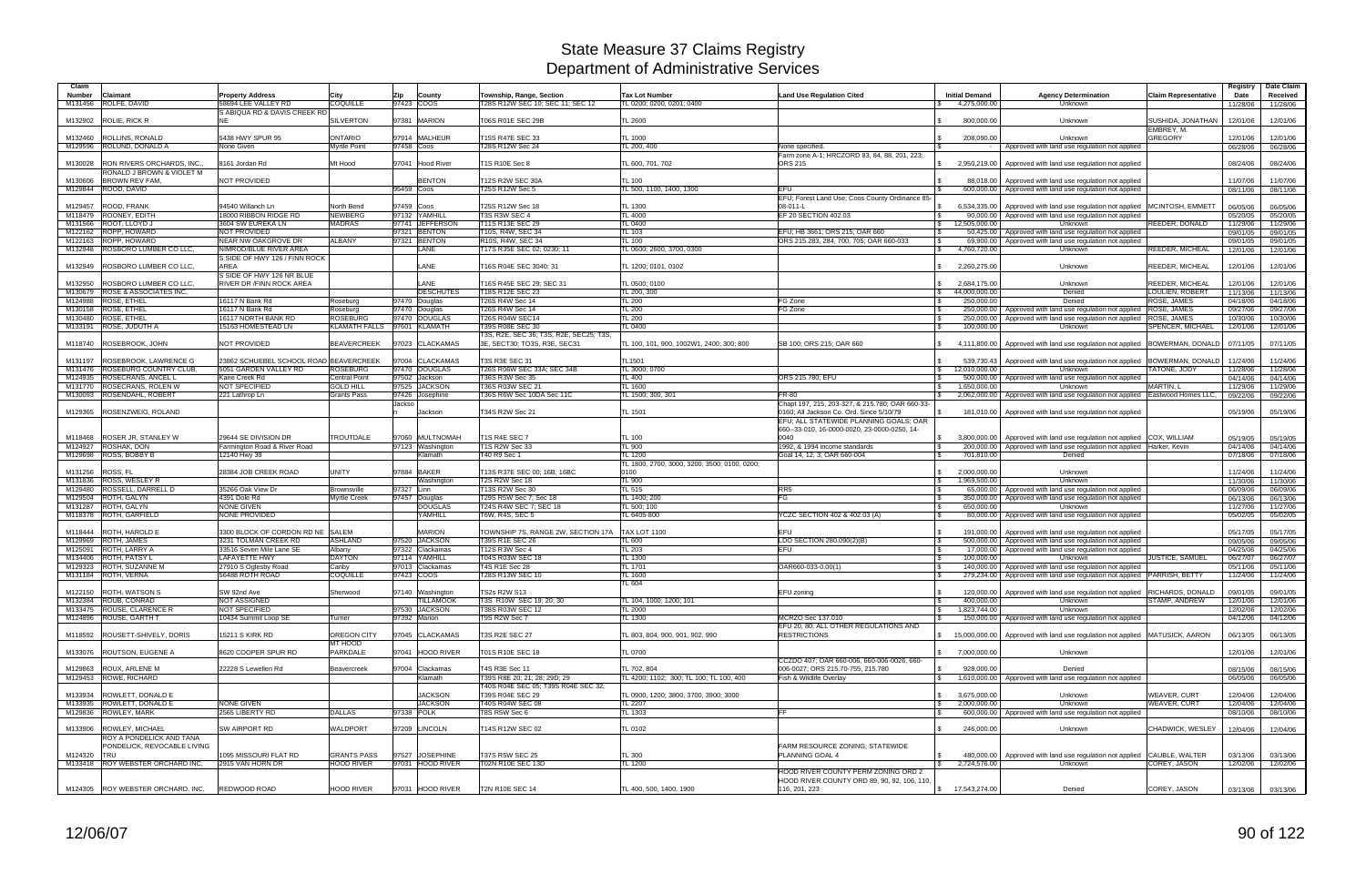| Claim<br><b>Number</b> | Claimant                                            | <b>Property Address</b>                | Citv                          | Zip          | County           | Township, Range, Section                                               | <b>Tax Lot Number</b>                                  | <b>Land Use Regulation Cited</b>                                                                    | <b>Initial Demand</b> | <b>Agency Determination</b>                                                   | <b>Claim Representative</b>     | Registry<br>Date     | Date Claim<br>Received |
|------------------------|-----------------------------------------------------|----------------------------------------|-------------------------------|--------------|------------------|------------------------------------------------------------------------|--------------------------------------------------------|-----------------------------------------------------------------------------------------------------|-----------------------|-------------------------------------------------------------------------------|---------------------------------|----------------------|------------------------|
|                        | M131456 ROLFE, DAVID                                | 58694 LEE VALLEY RD                    | <b>COQUILLE</b>               | 97423 COOS   |                  | T28S R12W SEC 10; SEC 11; SEC 12                                       | TL 0200: 0200. 0201: 0400                              |                                                                                                     | 4,275,000.00          | Unknown                                                                       |                                 | 11/28/06             | 11/28/06               |
| M132902                | ROLIE, RICK R                                       | S ABIQUA RD & DAVIS CREEK RD<br>NE.    | <b>SILVERTON</b>              |              | 97381 MARION     | T06S R01E SEC 29B                                                      | <b>TL 2600</b>                                         |                                                                                                     | 800,000.00            | Unknown                                                                       | SUSHIDA, JONATHAN<br>EMBREY, M. | 12/01/06             | 12/01/06               |
| M132460                | <b>ROLLINS, RONALD</b>                              | 5438 HWY SPUR 95                       | <b>ONTARIO</b>                |              | 97914 MALHEUR    | T15S R47E SEC 33                                                       | TL 1000                                                |                                                                                                     | 208,090.00            | Unknown                                                                       | <b>GREGORY</b>                  | 12/01/06             | 12/01/06               |
| M129596                | ROLUND, DONALD A                                    | None Given                             | <b>Myrtle Point</b>           | 97458 Coos   |                  | T28S R12W Sec 24                                                       | TL 200, 400                                            | None specified.                                                                                     |                       | Approved with land use regulation not applied                                 |                                 | 06/28/06             | 06/28/06               |
| M130028                | <b>RON RIVERS ORCHARDS, INC.</b>                    | 8161 Jordan Rd                         | Mt Hood                       |              | 97041 Hood River | T1S R10E Sec 8                                                         | TL 600, 701, 702                                       | Farm zone A-1; HRCZORD 83, 84, 88, 201, 223;<br><b>ORS 215</b>                                      |                       | 2,950,219.00 Approved with land use regulation not applied                    |                                 | 08/24/06             | 08/24/06               |
| M130606                | RONALD J BROWN & VIOLET M<br><b>BROWN REV FAM.</b>  | <b>NOT PROVIDED</b>                    |                               |              | <b>BENTON</b>    | T12S R2W SEC 30A                                                       | TL 100                                                 |                                                                                                     |                       | 88,018.00   Approved with land use regulation not applied                     |                                 | 11/07/06             | 11/07/06               |
| M129844                | ROOD, DAVID                                         |                                        |                               | 95459 Coos   |                  | T25S R12W Sec 5                                                        | TL 500, 1100, 1400, 1300                               | <b>EFU</b><br>EFU: Forest Land Use; Coos County Ordinance 85-                                       |                       | 600,000.00   Approved with land use regulation not applied                    |                                 | 08/11/06             | 08/11/06               |
| M129457                | ROOD, FRANK                                         | 94540 Willanch Ln                      | North Bend                    | 97459 Coos   |                  | T25S R12W Sec 18                                                       | TL 1300                                                | 08-011-L                                                                                            |                       | 6,534,335.00 Approved with land use regulation not applied                    | MCINTOSH, EMMETT                | 06/05/06             | 06/05/06               |
| M118479                | ROONEY, EDITH                                       | 18000 RIBBON RIDGE RD                  | <b>NEWBERG</b>                | 97132        | YAMHILL          | T3S R3W SEC 4                                                          | <b>TL 4000</b>                                         | EF 20 SECTION 402.03                                                                                |                       | 90,000.00 Approved with land use regulation not applied                       |                                 | 05/20/05             | 05/20/05               |
| M131566                | ROOT, LLOYD J                                       | 3604 SW EUREKA LN                      | <b>MADRAS</b>                 |              | 97741 JEFFERSON  | T11S R13E SEC 29                                                       | <b>TL 0400</b>                                         |                                                                                                     | 12,505,000.00         | Unknown                                                                       | REEDER, DONALD                  | 11/29/06             | 11/29/06               |
|                        | M122162 ROPP, HOWARD                                | NOT PROVIDED                           |                               |              | 97321 BENTON     | T10S, R4W, SEC 34                                                      | TL 103                                                 | EFU; HB 3661; ORS 215; OAR 660                                                                      |                       | 50,425.00 Approved with land use regulation not applied                       |                                 | 09/01/05             | 09/01/05               |
|                        | M122163 ROPP, HOWARD                                | <b>NEAR NW OAKGROVE DR</b>             | <b>ALBANY</b>                 |              | 97321 BENTON     | R10S, R4W, SEC 34                                                      | TL 100                                                 | ORS 215.283, 284, 700, 705; OAR 660-033                                                             |                       | 69,900.00 Approved with land use regulation not applied                       |                                 | 09/01/05             | 09/01/05               |
|                        | M132948 ROSBORO LUMBER CO LLC,                      | NIMROD/BLUE RIVER AREA                 |                               |              | LANE             | T17S R35E SEC 02; 0230; 11                                             | TL 0600: 2600, 3700, 0300                              |                                                                                                     | 4,760,720.00          | Unknown                                                                       | REEDER, MICHEAL                 | 12/01/06             | 12/01/06               |
|                        |                                                     | S SIDE OF HWY 126 / FINN ROCK          |                               |              |                  |                                                                        |                                                        |                                                                                                     |                       |                                                                               |                                 |                      |                        |
| M132949                | ROSBORO LUMBER CO LLC.                              | AREA                                   |                               |              | LANE             | T16S R04E SEC 3040; 31                                                 | TL 1200; 0101, 0102                                    |                                                                                                     | 2,260,275.00          | Unknown                                                                       | <b>REEDER, MICHEAL</b>          | 12/01/06             | 12/01/06               |
|                        |                                                     | S SIDE OF HWY 126 NR BLUE              |                               |              |                  |                                                                        |                                                        |                                                                                                     |                       |                                                                               |                                 |                      |                        |
| M132950                | <b>ROSBORO LUMBER CO LLC</b>                        | <b>RIVER DR / FINN ROCK AREA</b>       |                               |              | <b>ANE</b>       | T16S R45E SEC 29; SEC 31                                               | TL 0500; 0100                                          |                                                                                                     | 2,684,175.00          | Unknown                                                                       | REEDER, MICHEAL                 | 12/01/06             | 12/01/06               |
| M130679                | <b>ROSE &amp; ASSOCIATES INC.</b>                   |                                        |                               |              | <b>DESCHUTES</b> | T18S R12E SEC 23                                                       | TL 200, 300                                            |                                                                                                     | 44,000,000.00         | Denied                                                                        | LOULIEN, ROBERT                 | 11/13/06             | 11/13/06               |
| M124988                | <b>ROSE, ETHEL</b>                                  | 16117 N Bank Rd                        | Roseburg                      |              | 97470 Douglas    | T26S R4W Sec 14                                                        | <b>TL 200</b>                                          | FG Zone                                                                                             | 250,000.00            | Denied                                                                        | ROSE, JAMES                     | 04/18/06             | 04/18/06               |
| M130158                | <b>ROSE, ETHEL</b>                                  | 16117 N Bank Rd                        | Rosebura                      |              | 97470 Douglas    | T26S R4W Sec 14                                                        | <b>TL 200</b>                                          | FG Zone                                                                                             |                       | 250,000,00 Approved with land use regulation not applied                      | <b>ROSE, JAMES</b>              | 09/27/06             | 09/27/06               |
|                        | M130480 ROSE, ETHEL                                 | 16117 NORTH BANK RD                    | <b>ROSEBURG</b>               |              | 97470 DOUGLAS    | <b>T26S R04W SEC14</b>                                                 | <b>TL 200</b>                                          |                                                                                                     |                       | 250,000.00   Approved with land use regulation not applied                    | <b>ROSE, JAMES</b>              | 10/30/06             | 10/30/06               |
| M133191                | <b>ROSE, JUDUTH A</b>                               | 15163 HOMESTEAD LN                     | KLAMATH FALLS 97601 KLAMATH   |              |                  | T39S R08E SEC 30                                                       | TL 0400                                                |                                                                                                     | 100,000.00            | Unknown                                                                       | SPENCER, MICHAEL                | 12/01/06             | 12/01/06               |
| M118740                | ROSEBROOK, JOHN                                     | NOT PROVIDED                           | <b>BEAVERCREEK</b>            |              | 97023 CLACKAMAS  | T3S, R2E, SEC 36; T3S, R2E, SEC25; T3S<br>3E, SECT30; TO3S, R3E, SEC31 | TL 100, 101, 900, 1002W1, 2400; 300; 800               | SB 100; ORS 215; OAR 660                                                                            |                       | 4,111,800.00 Approved with land use regulation not applied                    | BOWERMAN, DONALD                | 07/11/05             | 07/11/05               |
| M131197                | ROSEBROOK, LAWRENCE G                               | 23862 SCHUEBEL SCHOOL ROAD BEAVERCREEK |                               |              | 97004 CLACKAMAS  | T3S R3E SEC 31                                                         | TL1501                                                 |                                                                                                     | 539,730.43            | Approved with land use regulation not applied                                 | <b>BOWERMAN, DONALD</b>         | 11/24/06             | 11/24/06               |
| M131476                | <b>ROSEBURG COUNTRY CLUB,</b>                       | 5051 GARDEN VALLEY RD                  | <b>ROSEBURG</b>               |              | 97470 DOUGLAS    | T26S R06W SEC 33A: SEC 34B                                             | TL 3000; 0700                                          |                                                                                                     | 12,010,000.00         | Unknown                                                                       | <b>ATONE, JODY</b>              | 11/28/06             | 11/28/06               |
| M124935                | ROSECRANS, ANCEL L                                  | Kane Creek Rd                          | <b>Central Point</b>          |              | 97502 Jackson    | T36S R3W Sec 35                                                        | <b>TL 400</b>                                          | ORS 215.780; EFU                                                                                    |                       | 500,000.00 Approved with land use regulation not applied                      |                                 | 04/14/06             | 04/14/06               |
| M131770                | <b>ROSECRANS, ROLEN W</b>                           | <b>NOT SPECIFIED</b>                   | <b>GOLD HILL</b>              |              | 97525 JACKSON    | T36S R03W SEC 21                                                       | <b>TL 1600</b>                                         |                                                                                                     | 1.650.000.00          | Unknown                                                                       | MARTIN, L                       | 11/29/06             | 11/29/06               |
|                        | M130093 ROSENDAHL, ROBERT                           | 221 Lathrop Ln                         | <b>Grants Pass</b>            | 97426        | Josephine        | T36S R6W Sec 10DA Sec 11C                                              | TL 1500; 300, 301                                      | FR-80                                                                                               |                       | 2,062,000.00 Approved with land use regulation not applied                    | Eastwood Homes LLC              | 09/22/06             | 09/22/06               |
| M129365                | ROSENZWEIG, ROLAND                                  |                                        |                               | Jackso       | Jackson          | T34S R2W Sec 21                                                        | <b>TL 1501</b>                                         | Chapt 197, 215, 203-327, & 215.780; OAR 660-33-<br>0160; All Jackson Co. Ord. Since 5/10/79         |                       | 181,010.00   Approved with land use regulation not applied                    |                                 | 05/19/06             | 05/19/06               |
|                        |                                                     |                                        |                               |              |                  |                                                                        |                                                        | EFU; ALL STATEWIDE PLANNING GOALS; OAR<br>660--33-010, 16-0000-0020, 23-0000-0250, 14-              |                       |                                                                               |                                 |                      |                        |
| M118468                | <b>ROSER JR, STANLEY W</b>                          | 29644 SE DIVISION DR                   | <b>TROUTDALE</b>              |              | 97060 MULTNOMAH  | T1S R4E SEC 7                                                          | <b>TL 100</b>                                          | 0040                                                                                                |                       | 3,800,000.00   Approved with land use regulation not applied COX, WILLIAM     |                                 | 05/19/05             | 05/19/05               |
| M124927                | <b>ROSHAK, DON</b>                                  | Farmington Road & River Road           |                               |              | 97123 Washington | <b>T1S R2W Sec 33</b>                                                  | <b>TL 900</b>                                          | 1992, & 1994 income standards                                                                       |                       | 200,000.00   Approved with land use regulation not applied   Harker, Kevin    |                                 | 04/14/06             | 04/14/06               |
|                        | M129698 ROSS, BOBBY B                               | 12140 Hwy 39                           |                               |              | Klamath          | T40 R9 Sec 1                                                           | TL 1200                                                | Goal 14, 12, 3; OAR 660-004                                                                         | 701,810.00            | Denied                                                                        |                                 | 07/18/06             | 07/18/06               |
|                        |                                                     | 28384 JOB CREEK ROAD                   | <b>UNITY</b>                  | 97884        | <b>BAKER</b>     |                                                                        | TL 1800, 2700, 3000, 3200, 3500; 0100, 0200;<br>0100   |                                                                                                     | 2.000.000.00          | Unknown                                                                       |                                 | 11/24/06             | 11/24/06               |
| M131256<br>M131836     | ROSS, FL<br><b>ROSS, WESLEY R</b>                   |                                        |                               |              | Nashington       | T13S R37E SEC 00; 16B; 16BC<br>T2S R2W Sec 18                          | <b>TL 900</b>                                          |                                                                                                     | 1,969,500.00          | Unknown                                                                       |                                 |                      | 11/30/06               |
| M129480                | ROSSELL, DARRELL D                                  | 35266 Oak View Dr                      | <b>Brownsville</b>            | 97327 Linn   |                  | T13S R2W Sec 30                                                        | TL 515                                                 | RR <sub>5</sub>                                                                                     |                       | 65,000.00   Approved with land use regulation not applied                     |                                 | 11/30/06<br>06/09/06 | 06/09/06               |
| M129504                | ROTH, GALYN                                         | 4391 Dole Rd                           | <b>Myrtle Creek</b>           |              | 97457 Douglas    | T29S R5W Sec 7; Sec 18                                                 | TL 1400; 200                                           | FG                                                                                                  |                       | 350,000.00   Approved with land use regulation not applied                    |                                 | 06/13/06             | 06/13/06               |
| M131287                | ROTH, GALYN                                         | <b>NONE GIVEN</b>                      |                               |              | <b>DOUGLAS</b>   | T24S R4W SEC 7; SEC 18                                                 | TL 500: 100                                            |                                                                                                     | 650.000.00            | Unknown                                                                       |                                 | 11/27/06             | 11/27/06               |
|                        | M118378 ROTH, GARFIELD                              | NONE PROVIDED                          |                               |              | YAMHILL          | T6W, R4S, SEC 5                                                        | TL 6405-800                                            | YCZC SECTION 402 & 402.03 (A)                                                                       |                       | 80,000.00   Approved with land use regulation not applied                     |                                 | 05/02/05             | 05/02/05               |
|                        |                                                     |                                        |                               |              |                  |                                                                        |                                                        |                                                                                                     |                       |                                                                               |                                 |                      |                        |
| M118444                | <b>ROTH, HAROLD E</b>                               | 3300 BLOCK OF CORDON RD NE SALEM       |                               |              | <b>MARION</b>    | TOWNSHIP 7S, RANGE 2W, SECTION 17A                                     | <b>TAX LOT 1100</b>                                    | EFU                                                                                                 |                       | 191,000.00   Approved with land use regulation not applied                    |                                 | 05/17/05             | 05/17/05               |
| M129969                | ROTH, JAMES                                         | 3231 TOLMAN CREEK RD                   | <b>ASHLAND</b>                |              | 97520 JACKSON    | T39S R1E SEC 26                                                        | <b>TL 600</b>                                          | LDO SECTION 280.090(2)(B)                                                                           |                       | 500,000.00   Approved with land use regulation not applied                    |                                 | 09/05/06             | 09/05/06               |
| M125091                | ROTH, LARRY A                                       | 33516 Seven Mile Lane SE               | Albany                        | 97322        | Clackamas        | T12S R3W Sec 4                                                         | <b>TL 203</b>                                          | EFU                                                                                                 |                       | 17,000.00   Approved with land use regulation not applied                     |                                 | 04/25/06             | 04/25/06               |
| M134406                | ROTH, PATSY L                                       | <b>LAFAYETTE HWY</b>                   | <b>DAYTON</b>                 |              | 97114 YAMHILL    | T04S R03W SEC 18                                                       | TL 1300                                                |                                                                                                     | 100,000.00            | Unknown                                                                       | JUSTICE, SAMUEL                 | 06/27/07             | 06/27/07               |
| M129323                | ROTH, SUZANNE M                                     | 27910 S Oglesby Road                   | Canby                         |              | 97013 Clackamas  | <b>T4S R1E Sec 28</b>                                                  | TL 1701                                                | OAR660-033-0.00(1)                                                                                  |                       | 140,000.00 Approved with land use regulation not applied                      |                                 | 05/11/06             | 05/11/06               |
|                        | M131184 ROTH, VERNA                                 | 56488 ROTH ROAD                        | <b>COQUILLE</b>               | 97423 COOS   |                  | T28S R13W SEC 10                                                       | <b>TL 1600</b>                                         |                                                                                                     |                       | 279,234.00   Approved with land use regulation not applied   PARRISH, BETTY   |                                 | 11/24/06             | 11/24/06               |
|                        |                                                     |                                        |                               |              |                  |                                                                        | TL 604                                                 |                                                                                                     |                       |                                                                               |                                 |                      |                        |
|                        | M122150 ROTH, WATSON S                              | SW 92nd Ave                            | Sherwood                      |              | 97140 Washington | <b>TS2s R2W S13</b>                                                    |                                                        | EFU zoning                                                                                          |                       | 120,000.00   Approved with land use regulation not applied   RICHARDS, DONALD |                                 | 09/01/05             | 09/01/05               |
|                        | M132384 ROUB, CONRAD                                | <b>NOT ASSIGNED</b>                    |                               |              | <b>TILLAMOOK</b> | T3S R10W SEC 19; 20; 30                                                | TL 104, 1000; 1200; 101                                |                                                                                                     | 400,000.00            | Unknown                                                                       | STAMP, ANDREW                   | 12/01/06             | 12/01/06               |
|                        | M133475 ROUSE, CLARENCE R                           | NOT SPECIFIED                          |                               |              | 97530 JACKSON    | T38S R03W SEC 12                                                       | <b>TL 2000</b>                                         |                                                                                                     | 1,823,744.00          | <b>Unknown</b>                                                                |                                 | 12/02/06             | 12/02/06               |
|                        | M124896 ROUSE, GARTH T                              | 10434 Summit Loop SE                   | Turner                        | 97392 Marion |                  | T9S R2W Sec 7                                                          | <b>TL 1300</b>                                         | MCRZO Sec 137.010                                                                                   |                       | 150,000.00 Approved with land use regulation not applied                      |                                 | 04/12/06             | 04/12/06               |
|                        | M118592 ROUSETT-SHIVELY, DORIS                      | 15211 S KIRK RD                        | <b>OREGON CITY</b><br>MT HOOD |              | 97045 CLACKAMAS  | T3S R2E SEC 27                                                         | TL 803, 804, 900, 901, 902, 990                        | EFU 20, 80; ALL OTHER REGULATIONS AND<br><b>RESTRICTIONS</b>                                        |                       | 15,000,000.00 Approved with land use regulation not applied MATUSICK, AARON   |                                 | 06/13/05             | 06/13/05               |
|                        | M133076 ROUTSON, EUGENE A                           | 8620 COOPER SPUR RD                    | PARKDALE                      |              | 97041 HOOD RIVER | T01S R10E SEC 18                                                       | <b>TL 0700</b>                                         |                                                                                                     | 7,000,000.00          | Unknown                                                                       |                                 | 12/01/06             | 12/01/06               |
|                        |                                                     |                                        |                               |              | 97004 Clackamas  | T4S R3E Sec 11                                                         |                                                        | CCZDO 407; OAR 660-006, 660-006-0026, 660-                                                          |                       |                                                                               |                                 |                      |                        |
|                        | M129863 ROUX, ARLENE M<br>M129453 ROWE, RICHARD     | 22228 S Lewellen Rd                    | Beavercreek                   |              | <b>Klamath</b>   | T39S R8E 20; 21; 28; 29D; 29                                           | TL 702, 804<br>TL 4200; 1102; 300; TL 100; TL 100, 400 | 006-0027; ORS 215.70-755, 215.780<br>Fish & Wildlife Overlay                                        | 928,000.00            | Denied<br>1,610,000.00 Approved with land use regulation not applied          |                                 | 08/15/06             | 08/15/06               |
|                        |                                                     |                                        |                               |              |                  | T40S R04E SEC 05; T39S R04E SEC 32;                                    |                                                        |                                                                                                     |                       |                                                                               |                                 | 06/05/06             | 06/05/06               |
|                        | M133934 ROWLETT, DONALD E                           |                                        |                               |              | <b>JACKSON</b>   | T39S R04E SEC 29                                                       | TL 0900, 1200; 3800, 3700, 3900; 3000                  |                                                                                                     | 3,675,000.00          | Unknown                                                                       | WEAVER, CURT                    | 12/04/06             | 12/04/06               |
|                        | M133935 ROWLETT, DONALD E                           | NONE GIVEN                             |                               |              | <b>JACKSON</b>   | T40S R04W SEC 08                                                       | TL 2207                                                |                                                                                                     | 2,000,000.00          | Unknown                                                                       | WEAVER, CURT                    | 12/04/06             | 12/04/06               |
|                        | M129836 ROWLEY, MARK                                | 2565 LIBERTY RD                        | <b>DALLAS</b>                 | 97338 POLK   |                  | T8S R5W Sec 6                                                          | TL 1303                                                | FF.                                                                                                 |                       | 600,000.00   Approved with land use regulation not applied                    |                                 | 08/10/06             | 08/10/06               |
|                        |                                                     |                                        |                               |              |                  |                                                                        |                                                        |                                                                                                     |                       |                                                                               |                                 |                      |                        |
|                        | M133906 ROWLEY, MICHAEL<br>ROY A PONDELICK AND TANA | SW AIRPORT RD                          | <b>WALDPORT</b>               |              | 97209 LINCOLN    | T14S R12W SEC 02                                                       | <b>TL 0102</b>                                         |                                                                                                     | 246,000.00            | Unknown                                                                       | CHADWICK, WESLEY                | 12/04/06             | 12/04/06               |
|                        | PONDELICK, REVOCABLE LIVING                         |                                        |                               |              |                  |                                                                        |                                                        | FARM RESOURCE ZONING; STATEWIDE                                                                     |                       |                                                                               |                                 |                      |                        |
| M124320 TRU            |                                                     | 1095 MISSOURI FLAT RD                  | <b>GRANTS PASS</b>            |              | 97527 JOSEPHINE  | <b>T37S R5W SEC 25</b>                                                 | <b>TL 300</b>                                          | PLANNING GOAL 4                                                                                     |                       | 480,000.00   Approved with land use regulation not applied CAUBLE, WALTER     |                                 | 03/13/06             | 03/13/06               |
|                        |                                                     |                                        |                               |              |                  |                                                                        |                                                        |                                                                                                     |                       |                                                                               |                                 |                      | 12/02/06               |
|                        |                                                     |                                        |                               |              |                  |                                                                        |                                                        |                                                                                                     |                       |                                                                               |                                 |                      |                        |
|                        | M133418 ROY WEBSTER ORCHARD INC.                    | 2915 VAN HORN DR                       | <b>HOOD RIVER</b>             |              | 97031 HOOD RIVER | T02N R10E SEC 13D                                                      | TL 1200                                                |                                                                                                     | 2,724,576.00          | Unknown                                                                       | COREY, JASON                    | 12/02/06             |                        |
|                        | M124305 ROY WEBSTER ORCHARD, INC,                   | REDWOOD ROAD                           | <b>HOOD RIVER</b>             |              | 97031 HOOD RIVER | <b>T2N R10E SEC 14</b>                                                 | TL 400, 500, 1400, 1900                                | HOOD RIVER COUNTY PERM ZONING ORD 2<br>HOOD RIVER COUNTY ORD 89, 90, 92, 106, 110,<br>116, 201, 223 | \$ 17,543,274.00      | Denied                                                                        | COREY, JASON                    |                      | 03/13/06 03/13/06      |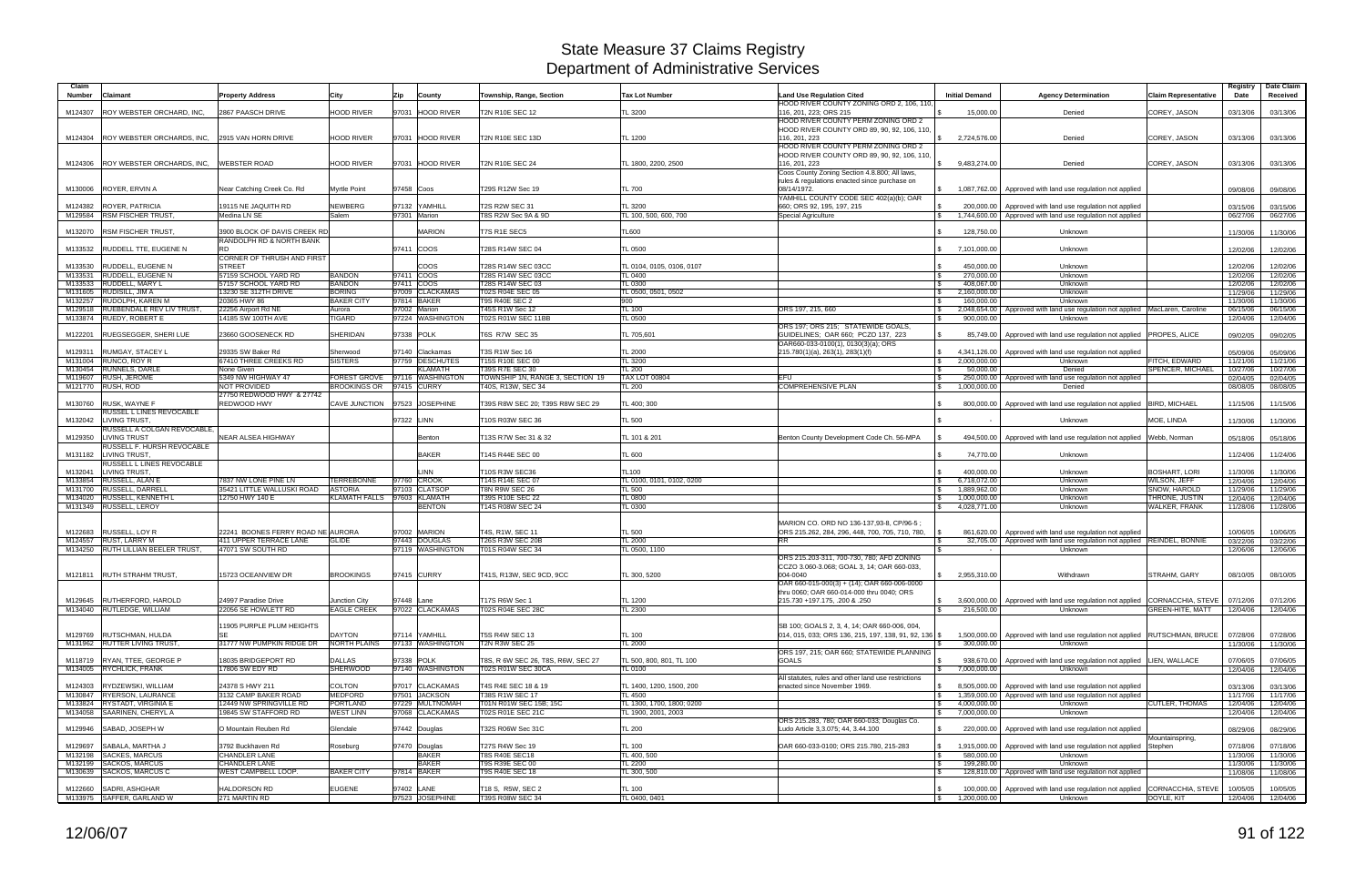| Claim<br>Number    | Claimant                                                    | <b>Property Address</b>                          | City                                           | Zip        | County                   | Township, Range, Section                        | <b>Tax Lot Number</b>           | <b>Land Use Regulation Cited</b>                                                         | <b>Initial Demand</b>    | <b>Agency Determination</b>                                                                | <b>Claim Representative</b>                          | Registry<br>Date     | Date Claim<br>Received |
|--------------------|-------------------------------------------------------------|--------------------------------------------------|------------------------------------------------|------------|--------------------------|-------------------------------------------------|---------------------------------|------------------------------------------------------------------------------------------|--------------------------|--------------------------------------------------------------------------------------------|------------------------------------------------------|----------------------|------------------------|
|                    |                                                             |                                                  |                                                |            |                          |                                                 |                                 | HOOD RIVER COUNTY ZONING ORD 2, 106, 110,                                                |                          |                                                                                            |                                                      |                      |                        |
| M124307            | <b>ROY WEBSTER ORCHARD, INC.</b>                            | 2867 PAASCH DRIVE                                | <b>HOOD RIVER</b>                              |            | 97031 HOOD RIVER         | T2N R10E SEC 12                                 | TL 3200                         | 116, 201, 223; ORS 215<br>HOOD RIVER COUNTY PERM ZONING ORD 2                            | 15,000.00                | Denied                                                                                     | COREY, JASON                                         | 03/13/06             | 03/13/06               |
|                    |                                                             |                                                  |                                                |            |                          |                                                 |                                 | HOOD RIVER COUNTY ORD 89, 90, 92, 106, 110,                                              |                          |                                                                                            |                                                      |                      |                        |
|                    | M124304 ROY WEBSTER ORCHARDS, INC,                          | 2915 VAN HORN DRIVE                              | <b>HOOD RIVER</b>                              |            | 97031 HOOD RIVER         | <b>T2N R10E SEC 13D</b>                         | TL 1200                         | 116, 201, 223                                                                            | 2,724,576.00             | Denied                                                                                     | COREY, JASON                                         | 03/13/06             | 03/13/06               |
|                    |                                                             |                                                  |                                                |            |                          |                                                 |                                 | HOOD RIVER COUNTY PERM ZONING ORD 2                                                      |                          |                                                                                            |                                                      |                      |                        |
|                    | M124306 ROY WEBSTER ORCHARDS, INC,                          | <b>WEBSTER ROAD</b>                              | <b>HOOD RIVER</b>                              |            | 97031 HOOD RIVER         | <b>T2N R10E SEC 24</b>                          | TL 1800, 2200, 2500             | HOOD RIVER COUNTY ORD 89, 90, 92, 106, 110,<br>116, 201, 223                             | 9,483,274.00             | Denied                                                                                     | COREY, JASON                                         | 03/13/06             |                        |
|                    |                                                             |                                                  |                                                |            |                          |                                                 |                                 | Coos County Zoning Section 4.8.800; All laws,                                            |                          |                                                                                            |                                                      |                      | 03/13/06               |
|                    |                                                             |                                                  |                                                |            |                          |                                                 |                                 | rules & regulations enacted since purchase on                                            |                          |                                                                                            |                                                      |                      |                        |
|                    | M130006 ROYER, ERVIN A                                      | Vear Catching Creek Co. Rd                       | <b>Myrtle Point</b>                            | 97458 Coos |                          | T29S R12W Sec 19                                | TL 700                          | 08/14/1972.                                                                              |                          | 1,087,762.00 Approved with land use regulation not applied                                 |                                                      | 09/08/06             | 09/08/06               |
| M124382            | <b>ROYER, PATRICIA</b>                                      | 19115 NE JAQUITH RD                              | NEWBERG                                        |            | 97132 YAMHILL            | <b>T2S R2W SEC 31</b>                           | TL 3200                         | YAMHILL COUNTY CODE SEC 402(a)(b); OAR<br>660; ORS 92, 195, 197, 215                     |                          | 200,000.00   Approved with land use regulation not applied                                 |                                                      | 03/15/06             | 03/15/06               |
|                    | M129584 RSM FISCHER TRUST                                   | Medina LN SE                                     | Salem                                          |            | 97301 Marion             | T8S R2W Sec 9A & 9D                             | TL 100, 500, 600, 700           | Special Agriculture                                                                      |                          | 1,744,600.00   Approved with land use regulation not applied                               |                                                      | 06/27/06             | 06/27/06               |
|                    |                                                             |                                                  |                                                |            |                          |                                                 |                                 |                                                                                          |                          |                                                                                            |                                                      |                      |                        |
|                    | M132070 RSM FISCHER TRUST                                   | 3900 BLOCK OF DAVIS CREEK RD                     |                                                |            | <b>MARION</b>            | T7S R1E SEC5                                    | <b>TL600</b>                    |                                                                                          | 128,750.00               | Unknown                                                                                    |                                                      | 11/30/06             | 11/30/06               |
| M133532            | <b>RUDDELL TTE, EUGENE N</b>                                | RANDOLPH RD & NORTH BANK<br><b>RD</b>            |                                                |            | 97411 COOS               | T28S R14W SEC 04                                | <b>TL 0500</b>                  |                                                                                          | 7,101,000.00             | Unknown                                                                                    |                                                      | 12/02/06             | 12/02/06               |
|                    |                                                             | CORNER OF THRUSH AND FIRST                       |                                                |            |                          |                                                 |                                 |                                                                                          |                          |                                                                                            |                                                      |                      |                        |
| M133530            | RUDDELL, EUGENE N                                           | <b>STREET</b>                                    |                                                |            | <b>COOS</b>              | T28S R14W SEC 03CC                              | TL 0104, 0105, 0106, 0107       |                                                                                          | 450,000.00               | Unknown                                                                                    |                                                      | 12/02/06             | 12/02/06               |
| M133531<br>M133533 | <b>RUDDELL, EUGENE N</b><br><b>RUDDELL, MARY L</b>          | 57159 SCHOOL YARD RD<br>57157 SCHOOL YARD RD     | <b>BANDON</b><br><b>BANDON</b>                 |            | 97411 COOS<br>97411 COOS | T28S R14W SEC 03CC<br>T28S R14W SEC 03          | TL 0400<br><b>TL 0300</b>       |                                                                                          | 270,000.00<br>408,067.00 | Unknown<br>Unknown                                                                         |                                                      | 12/02/06             | 12/02/06               |
| M131605            | RUDISILL, JIM A                                             | 13230 SE 312TH DRIVE                             | <b>BORING</b>                                  |            | 97009 CLACKAMAS          | T02S R04E SEC 05                                | TL 0500, 0501, 0502             |                                                                                          | 2,160,000.00             | Unknown                                                                                    |                                                      | 12/02/06<br>11/29/06 | 12/02/06<br>11/29/06   |
| M132257            | RUDOLPH, KAREN M                                            | 20365 HWY 86                                     | <b>BAKER CITY</b>                              |            | 97814 BAKER              | <b>T9S R40E SEC 2</b>                           | 900                             |                                                                                          | 160,000.00               | Unknown                                                                                    |                                                      | 11/30/06             | 11/30/06               |
|                    | M129518 RUEBENDALE REV LIV TRUST,                           | 22256 Airport Rd NE                              | Aurora                                         |            | 97002 Marion             | T45S R1W Sec 12                                 | <b>TL 100</b>                   | ORS 197, 215, 660                                                                        |                          | 2,048,654.00 Approved with land use regulation not applied MacLaren, Caroline              |                                                      | 06/15/06             | 06/15/06               |
|                    | M133874 RUEDY, ROBERT E                                     | 14185 SW 100TH AVE                               | <b>TIGARD</b>                                  |            | 97224 WASHINGTON         | T02S R01W SEC 11BB                              | TL 0500                         |                                                                                          | 900,000.00               | Unknown                                                                                    |                                                      | 12/04/06             | 12/04/06               |
| M122201            | <b>RUEGSEGGER, SHERI LUE</b>                                | 23660 GOOSENECK RD                               | SHERIDAN                                       | 97338 POLK |                          | T6S R7W SEC 35                                  | TL 705,601                      | ORS 197; ORS 215; STATEWIDE GOALS,<br>GUIDELINES; OAR 660; PCZO 137, 223                 |                          | 85,749.00   Approved with land use regulation not applied PROPES, ALICE                    |                                                      | 09/02/05             | 09/02/05               |
| M129311            | <b>RUMGAY, STACEY L</b>                                     | 29335 SW Baker Rd                                | Sherwood                                       |            | 97140 Clackamas          | T3S R1W Sec 16                                  | TL 2000                         | OAR660-033-0100(1), 0130(3)(a); ORS<br>215.780(1)(a), 263(1), 283(1)(f)                  |                          | 4,341,126.00 Approved with land use regulation not applied                                 |                                                      | 05/09/06             | 05/09/06               |
| M131004            | RUNCO, ROY R                                                | 67410 THREE CREEKS RD                            | <b>SISTERS</b>                                 |            | 97759 DESCHUTES          | T15S R10E SEC 00                                | TL 3200                         |                                                                                          | 2,000,000.00             | Unknown                                                                                    | FITCH, EDWARD                                        | 11/21/06             | 11/21/06               |
| M130454            | <b>RUNNELS, DARLE</b>                                       | None Given                                       |                                                |            | <b>KLAMATH</b>           | T39S R7E SEC 30                                 | <b>TL 200</b>                   |                                                                                          | 50,000.00                | Denied                                                                                     | SPENCER, MICHAEL                                     | 10/27/06             | 10/27/06               |
| M119607            | <b>RUSH, JEROME</b>                                         | 5349 NW HIGHWAY 47                               | FOREST GROVE 97116 WASHINGTON                  |            |                          | TOWNSHIP 1N, RANGE 3, SECTION 19                | <b>TAX LOT 00804</b>            | EFU                                                                                      |                          | 250,000.00   Approved with land use regulation not applied                                 |                                                      | 02/04/05             | 02/04/05               |
|                    | M121770 RUSH, ROD                                           | <b>NOT PROVIDED</b><br>27750 REDWOOD HWY & 27742 | BROOKINGS OR 97415 CURRY                       |            |                          | T40S, R13W, SEC 34                              | <b>TL 200</b>                   | <b>COMPREHENSIVE PLAN</b>                                                                | 1,000,000.00             | Denied                                                                                     |                                                      | 08/08/05             | 08/08/05               |
| M130760            | <b>RUSK, WAYNE F</b>                                        | <b>REDWOOD HWY</b>                               | <b>CAVE JUNCTION</b>                           |            | 97523 JOSEPHINE          | T39S R8W SEC 20; T39S R8W SEC 29                | TL 400; 300                     |                                                                                          |                          | 800,000.00   Approved with land use regulation not applied                                 | <b>BIRD, MICHAEL</b>                                 | 11/15/06             | 11/15/06               |
|                    | RUSSEL L LINES REVOCABLE                                    |                                                  |                                                |            |                          |                                                 |                                 |                                                                                          |                          |                                                                                            |                                                      |                      |                        |
| M132042            | <b>LIVING TRUST</b><br>RUSSELL A COLGAN REVOCABLE.          |                                                  |                                                | 97322 LINN |                          | T10S R03W SEC 36                                | TL 500                          |                                                                                          |                          | Unknown                                                                                    | MOE, LINDA                                           | 11/30/06             | 11/30/06               |
| M129350            | <b>LIVING TRUST</b>                                         | <b>NEAR ALSEA HIGHWAY</b>                        |                                                |            | Benton                   | T13S R7W Sec 31 & 32                            | TL 101 & 201                    | Benton County Development Code Ch. 56-MPA                                                |                          | 494,500.00   Approved with land use regulation not applied   Webb, Norman                  |                                                      | 05/18/06             | 05/18/06               |
|                    | RUSSELL F. HURSH REVOCABLE                                  |                                                  |                                                |            |                          |                                                 |                                 |                                                                                          |                          |                                                                                            |                                                      |                      |                        |
| M131182            | <b>LIVING TRUST.</b><br>RUSSELL L LINES REVOCABLE           |                                                  |                                                |            | <b>BAKER</b>             | T14S R44E SEC 00                                | <b>TL 600</b>                   |                                                                                          | 74,770.00                | Unknown                                                                                    |                                                      | 11/24/06             | 11/24/06               |
| M132041            | <b>LIVING TRUST</b>                                         |                                                  |                                                |            | INN.                     | T10S R3W SEC36                                  | <b>TL100</b>                    |                                                                                          | 400,000.00               | Unknown                                                                                    | <b>BOSHART, LORI</b>                                 | 11/30/06             | 11/30/06               |
|                    | M133854 RUSSELL, ALAN E                                     | 7837 NW LONE PINE LN                             | <b>TERREBONNE</b>                              |            | 97760 CROOK              | T14S R14E SEC 07                                | TL 0100, 0101, 0102, 0200       |                                                                                          | 6,718,072.00             | Unknown                                                                                    | <b>WILSON, JEFF</b>                                  | 12/04/06             | 12/04/06               |
|                    | M131700 RUSSELL, DARRELL                                    | 35421 LITTLE WALLUSKI ROAD                       | <b>ASTORIA</b>                                 | 97103      | <b>CLATSOP</b>           | T8N R9W SEC 26                                  | <b>TL 500</b>                   |                                                                                          | 1,889,962.00             | Unknown                                                                                    | SNOW, HAROLD                                         | 11/29/06             | 11/29/06               |
|                    | M134020 RUSSELL, KENNETH L                                  | 12750 HWY 140 E                                  | KLAMATH FALLS 97603 KLAMATH                    |            | <b>BENTON</b>            | T39S R10E SEC 22                                | <b>TL 0800</b>                  |                                                                                          | 1,000,000.00             | Unknown                                                                                    | <b><i>FHRONE, JUSTIN</i></b><br><b>WALKER, FRANK</b> | 12/04/06<br>11/28/06 | 12/04/06               |
|                    | M131349 RUSSELL, LEROY                                      |                                                  |                                                |            |                          | T14S R08W SEC 24                                | TL 0300                         |                                                                                          | 4,028,771.00             | Unknown                                                                                    |                                                      |                      | 11/28/06               |
|                    |                                                             |                                                  |                                                |            |                          |                                                 |                                 | MARION CO. ORD NO 136-137,93-8, CP/96-5 ;                                                |                          |                                                                                            |                                                      |                      |                        |
| M122683            | <b>RUSSELL, LOY R</b>                                       | 22241 BOONES FERRY ROAD NE AURORA                |                                                |            | 97002 MARION             | T4S, R1W, SEC 11                                | <b>TL 500</b>                   | ORS 215.262, 284, 296, 448, 700, 705, 710, 780,                                          |                          | 861,620.00   Approved with land use regulation not applied                                 |                                                      | 10/06/05             | 10/06/05               |
|                    | M124557 RUST, LARRY M<br>M134250 RUTH LILLIAN BEELER TRUST. | 411 UPPER TERRACE LANE                           | <b>GLIDE</b>                                   |            | 97443 DOUGLAS            | <b>T26S R3W SEC 20B</b>                         | <b>TL 2000</b>                  | RR.                                                                                      |                          | 32,705.00 Approved with land use regulation not applied REINDEL, BONNIE                    |                                                      | 03/22/06             | 03/22/06               |
|                    |                                                             | 47071 SW SOUTH RD                                |                                                |            | 97119 WASHINGTON         | T01S R04W SEC 34                                | TL 0500, 1100                   | ORS 215.203-311, 700-730, 780; AFD ZONING                                                |                          | Unknown                                                                                    |                                                      | 12/06/06             | 12/06/06               |
|                    |                                                             |                                                  |                                                |            |                          |                                                 |                                 | CCZO 3.060-3.068; GOAL 3, 14; OAR 660-033,                                               |                          |                                                                                            |                                                      |                      |                        |
|                    | M121811 RUTH STRAHM TRUST,                                  | 15723 OCEANVIEW DR                               | <b>BROOKINGS</b>                               |            | 97415 CURRY              | T41S, R13W, SEC 9CD, 9CC                        | TL 300, 5200                    | 004-0040                                                                                 | 2,955,310.00             | Withdrawn                                                                                  | <b>STRAHM, GARY</b>                                  | 08/10/05             | 08/10/05               |
|                    |                                                             |                                                  |                                                |            |                          |                                                 |                                 | OAR 660-015-000(3) + (14); OAR 660-006-0000<br>thru 0060; OAR 660-014-000 thru 0040; ORS |                          |                                                                                            |                                                      |                      |                        |
|                    | M129645 RUTHERFORD, HAROLD                                  | 24997 Paradise Drive                             | Junction City                                  | 97448 Lane |                          | T17S R6W Sec 1                                  | <b>TL 1200</b>                  | 215.730 +197.175, .200 & .250                                                            |                          | 3,600,000.00   Approved with land use regulation not applied CORNACCHIA, STEVE   07/12/06  |                                                      |                      | 07/12/06               |
|                    | M134040 RUTLEDGE, WILLIAM                                   | 22056 SE HOWLETT RD                              | <b>EAGLE CREEK</b>                             |            | 97022 CLACKAMAS          | <b>T02S R04E SEC 28C</b>                        | <b>TL 2300</b>                  |                                                                                          | 216,500.00               | Unknown                                                                                    | GREEN-HITE, MATT                                     | 12/04/06             | 12/04/06               |
|                    |                                                             |                                                  |                                                |            |                          |                                                 |                                 |                                                                                          |                          |                                                                                            |                                                      |                      |                        |
|                    |                                                             | 11905 PURPLE PLUM HEIGHTS                        |                                                |            |                          |                                                 |                                 | SB 100; GOALS 2, 3, 4, 14; OAR 660-006, 004,                                             |                          |                                                                                            |                                                      |                      |                        |
|                    | M129769 RUTSCHMAN, HULDA<br>M131962 RUTTER LIVING TRUST.    | 31777 NW PUMPKIN RIDGE DR                        | <b>DAYTON</b><br>NORTH PLAINS 97133 WASHINGTON |            | 97114 YAMHILL            | <b>T5S R4W SEC 13</b><br>T2N R3W SEC 25         | <b>TL 100</b><br><b>TL 2000</b> | 014, 015, 033; ORS 136, 215, 197, 138, 91, 92, 136 \$                                    | 300,000.00               | 1,500,000.00   Approved with land use regulation not applied   RUTSCHMAN, BRUCE<br>Unknown |                                                      | 07/28/06<br>11/30/06 | 07/28/06<br>11/30/06   |
|                    |                                                             |                                                  |                                                |            |                          |                                                 |                                 | ORS 197, 215; OAR 660; STATEWIDE PLANNING                                                |                          |                                                                                            |                                                      |                      |                        |
|                    | M118719 RYAN, TTEE, GEORGE P                                | 18035 BRIDGEPORT RD                              | <b>DALLAS</b>                                  |            | 97338 POLK               | T8S, R 6W SEC 26, T8S, R6W, SEC 27              | TL 500, 800, 801, TL 100        | <b>GOALS</b>                                                                             |                          | 938,670.00 Approved with land use regulation not applied LIEN, WALLACE                     |                                                      | 07/06/05             | 07/06/05               |
|                    | M134005 RYCHLICK, FRANK                                     | 17806 SW EDY RD                                  | SHERWOOD                                       |            | 97140 WASHINGTON         | T02S R01W SEC 30CA                              | <b>TL 0100</b>                  | All statutes, rules and other land use restrictions                                      | 7,000,000.00             | Unknown                                                                                    |                                                      | 12/04/06             | 12/04/06               |
| M124303            | RYDZEWSKI, WILLIAM                                          | 24378 S HWY 211                                  | COLTON                                         |            | 97017 CLACKAMAS          | T4S R4E SEC 18 & 19                             | TL 1400, 1200, 1500, 200        | enacted since November 1969.                                                             |                          | 8,505,000.00 Approved with land use regulation not applied                                 |                                                      | 03/13/06             | 03/13/06               |
|                    | M130847 RYERSON, LAURANCE                                   | 3132 CAMP BAKER ROAD                             | <b>MEDFORD</b>                                 |            | 97501 JACKSON            | <b>T38S R1W SEC 17</b>                          | TL 4500                         |                                                                                          |                          | 1,359,000.00 Approved with land use regulation not applied                                 |                                                      | 11/17/06             | 11/17/06               |
|                    | M133824 RYSTADT, VIRGINIA E                                 | 12449 NW SPRINGVILLE RD                          | PORTLAND                                       |            | 97229 MULTNOMAH          | T01N R01W SEC 15B; 15C                          | TL 1300, 1700, 1800; 0200       |                                                                                          | 4,000,000.00             | Unknown                                                                                    | <b>CUTLER, THOMAS</b>                                | 12/04/06             | 12/04/06               |
|                    | M134058 SAARINEN, CHERYL A                                  | 19845 SW STAFFORD RD                             | <b>WEST LINN</b>                               |            | 97068 CLACKAMAS          | T02S R01E SEC 21C                               | TL 1900, 2001, 2003             | ORS 215.283, 780; OAR 660-033; Douglas Co.                                               | 7,000,000.00             | Unknown                                                                                    |                                                      | 12/04/06             | 12/04/06               |
|                    | M129946 SABAD, JOSEPH W                                     | O Mountain Reuben Rd                             | Glendale                                       |            | 97442 Douglas            | T32S R06W Sec 31C                               | <b>TL 200</b>                   | Ludo Article 3,3.075; 44, 3.44.100                                                       |                          | 220,000.00   Approved with land use regulation not applied                                 |                                                      | 08/29/06             | 08/29/06               |
|                    |                                                             |                                                  |                                                |            |                          |                                                 |                                 |                                                                                          |                          |                                                                                            | Mountainspring,                                      |                      |                        |
|                    | M129697 SABALA, MARTHA J<br>M132198 SACKES, MARCUS          | 3792 Buckhaven Rd<br><b>CHANDLER LANE</b>        | Roseburg                                       |            | 97470 Douglas            | T27S R4W Sec 19                                 | TL 100                          | OAR 660-033-0100; ORS 215.780, 215-283                                                   |                          | 1,915,000.00   Approved with land use regulation not applied Stephen                       |                                                      | 07/18/06             | 07/18/06               |
|                    | M132199 SACKOS, MARCUS                                      | <b>CHANDLER LANE</b>                             |                                                |            | <b>BAKER</b><br>BAKER    | <b>T8S R40E SEC18</b><br><b>T9S R39E SEC 00</b> | TL 400, 500<br><b>TL 2200</b>   |                                                                                          | 580,000.00<br>199,280.00 | Unknown<br>Unknown                                                                         |                                                      | 11/30/06<br>11/30/06 | 11/30/06<br>11/30/06   |
|                    | M130639 SACKOS, MARCUS C                                    | WEST CAMPBELL LOOP.                              | <b>BAKER CITY</b>                              |            | 97814 BAKER              | T9S R40E SEC 18                                 | TL 300, 500                     |                                                                                          |                          | 128,810.00   Approved with land use regulation not applied                                 |                                                      | 11/08/06             | 11/08/06               |
|                    |                                                             |                                                  |                                                |            |                          |                                                 |                                 |                                                                                          |                          |                                                                                            |                                                      |                      |                        |
|                    | M122660 SADRI, ASHGHAR                                      | HALDORSON RD                                     | <b>EUGENE</b>                                  | 97402 LANE | 97523 JOSEPHINE          | T18 S, R5W, SEC 2                               | <b>TL 100</b>                   |                                                                                          | 100,000.00               | Approved with land use regulation not applied CORNACCHIA, STEVE                            |                                                      | 10/05/05             | 10/05/05               |
|                    | M133975 SAFFER, GARLAND W                                   | 271 MARTIN RD                                    |                                                |            |                          | T39S R08W SEC 34                                | TL 0400, 0401                   |                                                                                          | 1,200,000.00             | Unknown                                                                                    | DOYLE, KIT                                           | 12/04/06             | 12/04/06               |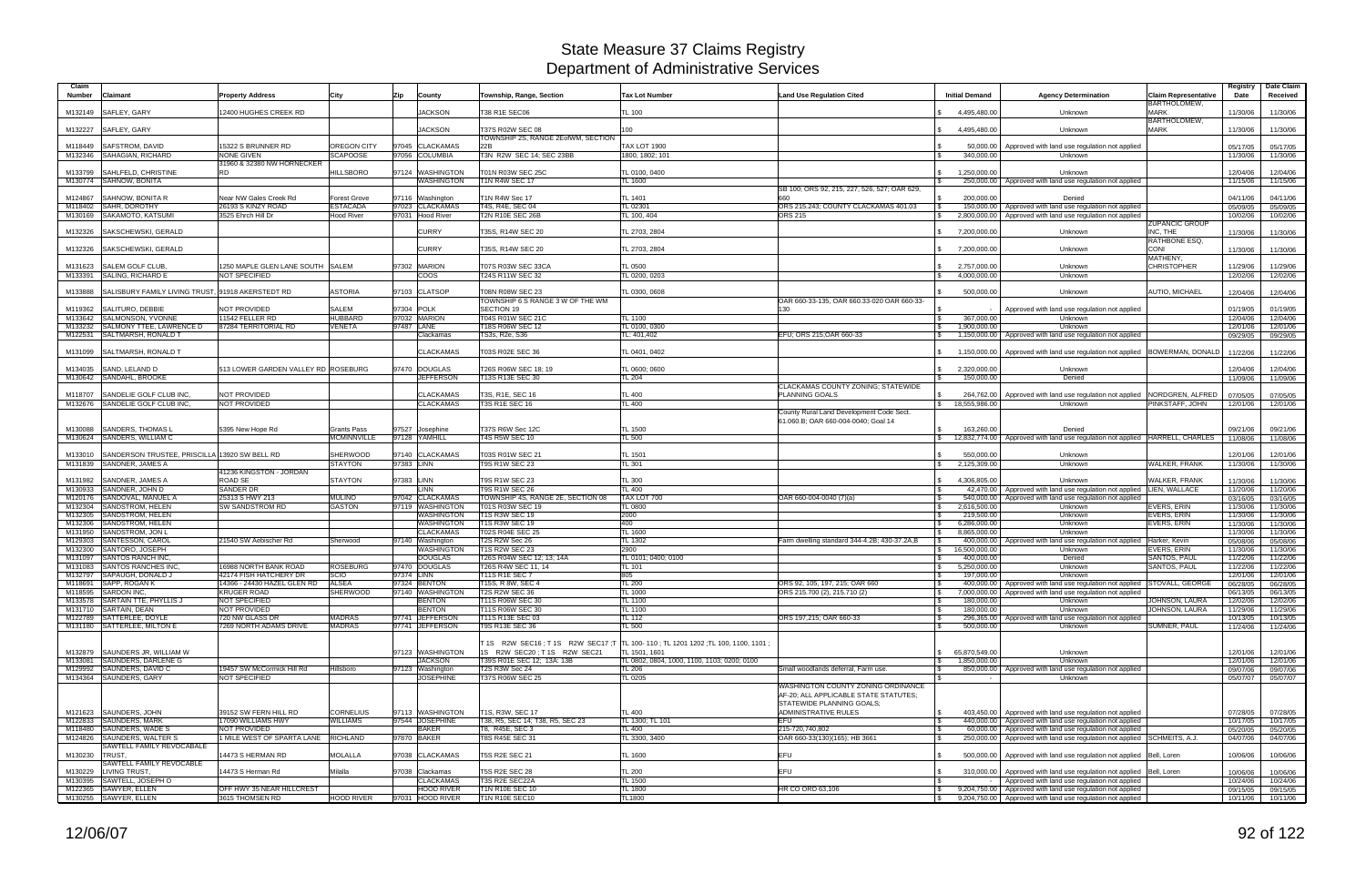| Claim              |                                                           |                                                     |                                 |            |                                       |                                                |                                                              |                                                  |                                                |                                                                                                                                      |                                         | Registry             | Date Claim           |
|--------------------|-----------------------------------------------------------|-----------------------------------------------------|---------------------------------|------------|---------------------------------------|------------------------------------------------|--------------------------------------------------------------|--------------------------------------------------|------------------------------------------------|--------------------------------------------------------------------------------------------------------------------------------------|-----------------------------------------|----------------------|----------------------|
| <b>Number</b>      | Claimant                                                  | <b>Property Address</b>                             | City                            | Zip        | County                                | <b>Township, Range, Section</b>                | <b>Tax Lot Number</b>                                        | <b>Land Use Regulation Cited</b>                 | <b>Initial Demand</b>                          | <b>Agency Determination</b>                                                                                                          | <b>Claim Representative</b>             | Date                 | Received             |
|                    |                                                           |                                                     |                                 |            |                                       |                                                |                                                              |                                                  |                                                |                                                                                                                                      | <b>BARTHOLOMEW.</b>                     |                      |                      |
| M132149            | SAFLEY, GARY                                              | 12400 HUGHES CREEK RD                               |                                 |            | <b>JACKSON</b>                        | T38 R1E SEC06                                  | TL 100                                                       |                                                  | 4.495.480.00                                   | Unknown                                                                                                                              | <b>MARK</b><br><b>BARTHOLOMEW,</b>      | 11/30/06             | 11/30/06             |
| M132227            | SAFLEY, GARY                                              |                                                     |                                 |            | <b>JACKSON</b>                        | T37S R02W SEC 08                               | 100                                                          |                                                  | 4,495,480.00                                   | Unknown                                                                                                                              | <b>MARK</b>                             | 11/30/06             | 11/30/06             |
|                    |                                                           |                                                     |                                 |            |                                       | TOWNSHIP 2S, RANGE 2EofWM, SECTION             |                                                              |                                                  |                                                |                                                                                                                                      |                                         |                      |                      |
| M118449            | <b>SAFSTROM, DAVID</b>                                    | 15322 S BRUNNER RD                                  | <b>OREGON CITY</b>              |            | 97045 CLACKAMAS                       | 22B                                            | <b>TAX LOT 1900</b>                                          |                                                  | 50,000.00                                      | Approved with land use regulation not applied                                                                                        |                                         | 05/17/05             | 05/17/05             |
|                    | M132346 SAHAGIAN, RICHARD                                 | <b>NONE GIVEN</b><br>31960 & 32380 NW HORNECKER     | <b>SCAPOOSE</b>                 |            | 97056 COLUMBIA                        | T3N R2W SEC 14; SEC 23BB                       | 1800, 1802; 101                                              |                                                  | 340,000.00                                     | Unknown                                                                                                                              |                                         | 11/30/06             | 11/30/06             |
| M133799            | <b>SAHLFELD, CHRISTINE</b>                                | <b>RD</b>                                           | <b>HILLSBORO</b>                |            | 97124 WASHINGTON                      | T01N R03W SEC 25C                              | TL 0100, 0400                                                |                                                  | 1.250.000.00                                   | Unknown                                                                                                                              |                                         | 12/04/06             | 12/04/06             |
|                    | M130774 SAHNOW, BONITA                                    |                                                     |                                 |            | WASHINGTON                            | <b>T1N R4W SEC 17</b>                          | L 1600                                                       |                                                  |                                                | 250,000.00   Approved with land use regulation not applied                                                                           |                                         | 11/15/06             | 11/15/06             |
|                    |                                                           | Near NW Gales Creek Rd                              |                                 |            |                                       |                                                |                                                              | SB 100; ORS 92, 215, 227, 526, 527; OAR 629      |                                                |                                                                                                                                      |                                         |                      |                      |
| M124867<br>M118402 | <b>SAHNOW, BONITA R</b><br>SAHR, DOROTHY                  | 26193 S KINZY ROAD                                  | Forest Grove<br><b>ESTACADA</b> |            | 97116 Washington<br>97023 CLACKAMAS   | T1N R4W Sec 17<br>T4S, R4E, SEC 04             | L 1401<br>TL 02301                                           | ORS 215.243; COUNTY CLACKAMAS 401.03             | 200.000.00<br>l \$                             | Denied<br>150,000.00   Approved with land use regulation not applied                                                                 |                                         | 04/11/06<br>05/09/05 | 04/11/06<br>05/09/05 |
|                    | M130169 SAKAMOTO, KATSUMI                                 | 3525 Ehrch Hill Dr                                  | <b>Hood River</b>               |            | 97031 Hood River                      | <b>T2N R10E SEC 26B</b>                        | L 100, 404                                                   | <b>ORS 215</b>                                   | -S                                             | 2,800,000.00   Approved with land use regulation not applied                                                                         |                                         | 10/02/06             | 10/02/06             |
|                    |                                                           |                                                     |                                 |            |                                       |                                                |                                                              |                                                  |                                                |                                                                                                                                      | <b>ZUPANCIC GROUP</b>                   |                      |                      |
| M132326            | SAKSCHEWSKI, GERALD                                       |                                                     |                                 |            | <b>CURRY</b>                          | T35S, R14W SEC 20                              | TL 2703, 2804                                                |                                                  | 7,200,000.00                                   | Unknown                                                                                                                              | INC, THE                                | 11/30/06             | 11/30/06             |
| M132326            | SAKSCHEWSKI, GERALD                                       |                                                     |                                 |            | <b>CURRY</b>                          | T35S, R14W SEC 20                              | TL 2703, 2804                                                |                                                  | 7,200,000.00                                   | Unknown                                                                                                                              | <b>RATHBONE ESQ.</b><br><b>CONI</b>     | 11/30/06             | 11/30/06             |
|                    |                                                           |                                                     |                                 |            |                                       |                                                |                                                              |                                                  |                                                |                                                                                                                                      | MATHENY,                                |                      |                      |
| M131623            | <b>SALEM GOLF CLUB</b>                                    | 1250 MAPLE GLEN LANE SOUTH SALEM                    |                                 |            | 97302 MARION                          | T07S R03W SEC 33CA                             | TL 0500                                                      |                                                  | 2,757,000.00                                   | Unknown                                                                                                                              | <b>CHRISTOPHER</b>                      | 11/29/06             | 11/29/06             |
|                    | M133391 SALING, RICHARD E                                 | <b>NOT SPECIFIED</b>                                |                                 |            | coos                                  | T24S R11W SEC 32                               | TL 0200, 0203                                                |                                                  | 4,000,000.00<br><b>S</b>                       | Unknown                                                                                                                              |                                         | 12/02/06             | 12/02/06             |
| M133888            | SALISBURY FAMILY LIVING TRUST, 91918 AKERSTEDT RD         |                                                     | <b>ASTORIA</b>                  |            | 97103 CLATSOP                         | T08N R08W SEC 23                               | TL 0300, 0608                                                |                                                  | 500,000.00                                     | Unknown                                                                                                                              | <b>AUTIO. MICHAEL</b>                   | 12/04/06             | 12/04/06             |
|                    |                                                           |                                                     |                                 |            |                                       | TOWNSHIP 6 S RANGE 3 W OF THE WM               |                                                              | OAR 660-33-135, OAR 660.33-020 OAR 660-33-       |                                                |                                                                                                                                      |                                         |                      |                      |
| M119362            | SALITURO, DEBBIE                                          | <b>NOT PROVIDED</b>                                 | <b>SALEM</b>                    |            | 97304 POLK                            | <b>SECTION 19</b>                              |                                                              | 130                                              |                                                | Approved with land use regulation not applied                                                                                        |                                         | 01/19/05             | 01/19/05             |
| M133642            | <b>SALMONSON, YVONNE</b>                                  | 11542 FELLER RD                                     | <b>HUBBARD</b>                  |            | 97032 MARION                          | T04S R01W SEC 21C                              | $L$ 1100                                                     |                                                  | 367,000.00<br>l \$                             | Unknown                                                                                                                              |                                         | 12/04/06             | 12/04/06             |
| M133232            | SALMONY TTEE, LAWRENCE D                                  | 87284 TERRITORIAL RD                                | <b>/ENETA</b>                   |            | 97487 LANE                            | T18S R06W SEC 12                               | TL 0100, 0300                                                |                                                  | 1,900,000.00<br>l \$                           | Unknown                                                                                                                              |                                         | 12/01/06             | 12/01/06             |
|                    | M122531 SALTMARSH, RONALD T                               |                                                     |                                 |            | Clackamas                             | TS3s, R2e, S36                                 | L: 401.402                                                   | EFU; ORS 215; OAR 660-33                         | <b>S</b>                                       | 1,150,000.00 Approved with land use regulation not applied                                                                           |                                         | 09/29/05             | 09/29/05             |
| M131099            | SALTMARSH, RONALD T                                       |                                                     |                                 |            | <b>CLACKAMAS</b>                      | T03S R02E SEC 36                               | TL 0401, 0402                                                |                                                  |                                                | 1,150,000.00 Approved with land use regulation not applied BOWERMAN, DONALD                                                          |                                         | 11/22/06             | 11/22/06             |
|                    |                                                           |                                                     |                                 |            |                                       |                                                |                                                              |                                                  |                                                |                                                                                                                                      |                                         |                      |                      |
| M134035            | SAND, LELAND D                                            | 513 LOWER GARDEN VALLEY RD ROSEBURG                 |                                 |            | 97470 DOUGLAS                         | T26S R06W SEC 18; 19                           | TL 0600; 0600                                                |                                                  | 2,320,000.00                                   | Unknown                                                                                                                              |                                         | 12/04/06             | 12/04/06             |
|                    | M130642 SANDAHL, BROOKE                                   |                                                     |                                 |            | <b>JEFFERSON</b>                      | T13S R13E SEC 30                               | $L_{204}$                                                    |                                                  | 150,000.00                                     | Denied                                                                                                                               |                                         | 11/09/06             | 11/09/06             |
|                    |                                                           |                                                     |                                 |            |                                       |                                                |                                                              | CLACKAMAS COUNTY ZONING; STATEWIDE               |                                                |                                                                                                                                      |                                         |                      |                      |
| M118707            | SANDELIE GOLF CLUB INC.<br>M132676 SANDELIE GOLF CLUB INC | NOT PROVIDED<br><b>NOT PROVIDED</b>                 |                                 |            | <b>CLACKAMAS</b><br><b>CLACKAMAS</b>  | T3S, R1E, SEC 16<br><b>T3S R1E SEC 16</b>      | TL 400<br>L 400                                              | <b>PLANNING GOALS</b>                            | 264,762.00<br>18.555.986.00<br>$\mathbb{S}$    | Approved with land use regulation not applied                                                                                        | NORDGREN, ALFRED<br>PINKSTAFF, JOHN     | 07/05/05             | 07/05/05             |
|                    |                                                           |                                                     |                                 |            |                                       |                                                |                                                              | County Rural Land Development Code Sect.         |                                                | Unknown                                                                                                                              |                                         | 12/01/06             | 12/01/06             |
|                    |                                                           |                                                     |                                 |            |                                       |                                                |                                                              | 61.060.B; OAR 660-004-0040; Goal 14              |                                                |                                                                                                                                      |                                         |                      |                      |
| M130088            | <b>SANDERS, THOMAS L</b>                                  | 5395 New Hope Rd                                    | Grants Pass                     |            | 97527 Josephine                       | T37S R6W Sec 12C                               | TL 1500                                                      |                                                  | 163,260.00                                     | Denied                                                                                                                               |                                         | 09/21/06             | 09/21/06             |
|                    | M130624 SANDERS, WILLIAM C                                |                                                     | <b>MCMINNVILLE</b>              |            | 97128 YAMHILL                         | <b>T4S R5W SEC 10</b>                          | TL 500                                                       |                                                  | <b>S</b>                                       | 12,832,774.00   Approved with land use regulation not applied   HARRELL, CHARLES                                                     |                                         | 11/08/06             | 11/08/06             |
|                    |                                                           |                                                     |                                 |            |                                       |                                                |                                                              |                                                  |                                                |                                                                                                                                      |                                         |                      |                      |
| M133010            | SANDERSON TRUSTEE, PRISCILLA 13920 SW BELL RD             |                                                     | <b>SHERWOOD</b>                 |            | 97140 CLACKAMAS                       | T03S R01W SEC 21                               | TL 1501                                                      |                                                  | 550,000.00                                     | Unknown                                                                                                                              |                                         | 12/01/06             | 12/01/06             |
|                    | M131839 SANDNER, JAMES A                                  |                                                     | <b>STAYTON</b>                  | 97383 LINN |                                       | <b>T9S R1W SEC 23</b>                          | $-L$ 301                                                     |                                                  | 2,125,309.00<br>$\mathcal{L}$                  | Unknown                                                                                                                              | <b>WALKER, FRANK</b>                    | 11/30/06             | 11/30/06             |
| M131982            | SANDNER, JAMES A                                          | 41236 KINGSTON - JORDAN<br>ROAD SE                  | <b>STAYTON</b>                  | 97383 LINN |                                       | <b>T9S R1W SEC 23</b>                          | TL 300                                                       |                                                  | 4,306,805.00                                   | Unknown                                                                                                                              | WALKER, FRANK                           | 11/30/06             | 11/30/06             |
| M130933            | SANDNER, JOHN D                                           | <b>SANDER DR</b>                                    |                                 |            | <b>LINN</b>                           | <b>T9S R1W SEC 26</b>                          | L 400                                                        |                                                  |                                                | 42,470.00   Approved with land use regulation not applied   LIEN, WALLACE                                                            |                                         | 11/20/06             | 11/20/06             |
| M120176            | SANDOVAL, MANUEL A                                        | 25313 S HWY 213                                     | <b>MULINO</b>                   |            | 97042 CLACKAMAS                       | TOWNSHIP 4S, RANGE 2E, SECTION 08              | TAX LOT 700                                                  | OAR 660-004-0040 (7)(a)                          |                                                | 540,000.00   Approved with land use regulation not applied                                                                           |                                         | 03/16/05             | 03/16/05             |
| M132304            | <b>SANDSTROM, HELEN</b>                                   | <b>SW SANDSTROM RD</b>                              | <b>GASTON</b>                   |            | 97119 WASHINGTON                      | T01S R03W SEC 19                               | TL 0800                                                      |                                                  | 2,616,500.00<br><b>S</b>                       | Unknown                                                                                                                              | <b>EVERS, ERIN</b>                      | 11/30/06             | 11/30/06             |
| M132305            | <b>SANDSTROM, HELEN</b>                                   |                                                     |                                 |            | <b>WASHINGTON</b>                     | <b>T1S R3W SEC 19</b>                          | 2000                                                         |                                                  | $\sqrt{S}$<br>219,500.00                       | Unknown                                                                                                                              | <b>EVERS, ERIN</b>                      | 11/30/06             | 11/30/06             |
| M132306            | <b>SANDSTROM, HELEN</b>                                   |                                                     |                                 |            | <b>WASHINGTON</b>                     | <b>T1S R3W SEC 19</b>                          | 400                                                          |                                                  | 6.286.000.00<br>l \$                           | Unknown                                                                                                                              | <b>EVERS, ERIN</b>                      | 11/30/06             | 11/30/06             |
| M131950            | <b>SANDSTROM, JON L</b>                                   |                                                     |                                 |            | <b>CLACKAMAS</b><br>97140 Washington  | <b>T02S R04E SEC 25</b>                        | $-L$ 1600                                                    |                                                  | 8.865.000.00<br>l \$                           | <b>Unknown</b>                                                                                                                       |                                         | 11/30/06             | 11/30/06             |
| M129303<br>M132300 | <b>SANTESSON, CAROL</b><br>SANTORO, JOSEPH                | 21540 SW Aebischer Rd                               | Sherwood                        |            | WASHINGTON                            | <b>T2S R2W Sec 26</b><br><b>T1S R2W SEC 23</b> | <b>TL 1302</b><br>2900                                       | Farm dwelling standard 344-4.2B; 430-37.2A,B     | 16,500,000.00                                  | 400,000.00 Approved with land use regulation not applied<br>Unknown                                                                  | Harker, Kevin<br><b>EVERS, ERIN</b>     | 05/08/06<br>11/30/06 | 05/08/06<br>11/30/06 |
| M131097            | <b>SANTOS RANCH INC.</b>                                  |                                                     |                                 |            | <b>DOUGLAS</b>                        | T26S R04W SEC 12; 13; 14A                      | TL 0101: 0400: 0100                                          |                                                  | 400,000.00<br>l \$                             | Denied                                                                                                                               | <b>SANTOS, PAUL</b>                     | 11/22/06             | 11/22/06             |
|                    | M131083 SANTOS RANCHES INC                                | <b>16988 NORTH BANK ROAD</b>                        | <b>ROSEBURG</b>                 |            | 97470 DOUGLAS                         | T26S R4W SEC 11, 14                            | <b>TL 101</b>                                                |                                                  | 5,250,000.00<br>l \$                           | Unknown                                                                                                                              | <b>SANTOS, PAUL</b>                     | 11/22/06             | 11/22/06             |
|                    | M132797 SAPAUGH, DONALD J                                 | 42174 FISH HATCHERY DR                              | SCIO                            | 97374 LINN |                                       | <b>T11S R1E SEC 7</b>                          | 805                                                          |                                                  | 197,000.00                                     | Unknown                                                                                                                              |                                         | 12/01/06             | 12/01/06             |
|                    | M118691 SAPP, ROGAN K                                     | 14366 - 24430 HAZEL GLEN RD ALSEA                   |                                 |            | 97324 BENTON                          | T15S, R 8W, SEC 4                              | $L_{200}$                                                    | ORS 92, 105, 197, 215; OAR 660                   |                                                | 400,000.00   Approved with land use regulation not applied STOVALL, GEORGE                                                           |                                         | 06/28/05             | 06/28/05             |
|                    | M118595 SARDON INC.                                       | <b>KRUGER ROAD</b>                                  | <b>SHERWOOD</b>                 |            | 97140 WASHINGTON                      | T <sub>2</sub> S R <sub>2</sub> W SEC 36       | TL 1000                                                      | ORS 215.700 (2), 215.710 (2)                     | $\sqrt{3}$                                     | 7,000,000,00 Approved with land use regulation not applied                                                                           |                                         | 06/13/05             | 06/13/05             |
|                    | M133578 SARTAIN TTE, PHYLLIS J<br>M131710 SARTAIN, DEAN   | <b>NOT SPECIFIED</b><br>NOT PROVIDED                |                                 |            | <b>BENTON</b><br><b>BENTON</b>        | T11S R06W SEC 30<br>T11S R06W SEC 30           | TL 1100<br>$L$ 1100                                          |                                                  | 180,000.00<br>l \$<br>180,000.00<br>$\sqrt{3}$ | Unknown<br>Unknown                                                                                                                   | JOHNSON, LAURA<br><b>JOHNSON, LAURA</b> | 12/02/06<br>11/29/06 | 12/02/06             |
|                    | M122789 SATTERLEE, DOYLE                                  | 720 NW GLASS DR                                     | <b>MADRAS</b>                   |            | 97741 JEFFERSON                       | T11S R13E SEC 03                               | $TL$ 112                                                     | ORS 197,215; OAR 660-33                          | l \$                                           | 296,365.00 Approved with land use regulation not applied                                                                             |                                         | 10/13/05             | 11/29/06<br>10/13/05 |
|                    | M131180 SATTERLEE, MILTON E                               | 7269 NORTH ADAMS DRIVE                              | <b>MADRAS</b>                   |            | 97741 JEFFERSON                       | T9S R13E SEC 36                                | L 500                                                        |                                                  | 500,000.00                                     | Unknown                                                                                                                              | SUMNER, PAUL                            | 11/24/06             | 11/24/06             |
|                    |                                                           |                                                     |                                 |            |                                       |                                                |                                                              |                                                  |                                                |                                                                                                                                      |                                         |                      |                      |
|                    |                                                           |                                                     |                                 |            |                                       | T 1S R2W SEC16; T 1S R2W SEC17; T              | TL 100-110; TL 1201 1202; TL 100, 1100, 1101                 |                                                  |                                                |                                                                                                                                      |                                         |                      |                      |
|                    | M132879 SAUNDERS JR, WILLIAM W                            |                                                     |                                 |            | 97123 WASHINGTON                      | 1S R2W SEC20: T1S R2W SEC21                    | TL 1501, 1601                                                |                                                  | 65,870,549.00<br>$\mathbb{R}$                  | Unknown                                                                                                                              |                                         | 12/01/06             | 12/01/06             |
|                    | M133081 SAUNDERS, DARLENE G`<br>M129992 SAUNDERS, DAVID C | 19457 SW McCormick Hill Rd                          | Hillsboro                       |            | <b>JACKSON</b><br>97123 Washington    | T39S R01E SEC 12: 13A: 13B<br>T2S R3W Sec 24   | TL 0802, 0804, 1000, 1100, 1103; 0200; 0100<br><b>TL 206</b> | Small woodlands deferral, Farm use.              | 1,850,000.00<br>$\mathbb{S}$<br>l \$           | Unknown<br>850,000.00 Approved with land use regulation not applied                                                                  |                                         | 12/01/06<br>09/07/06 | 12/01/06<br>09/07/06 |
|                    | M134364 SAUNDERS, GARY                                    | NOT SPECIFIED                                       |                                 |            | <b>JOSEPHINE</b>                      | <b>T37S R06W SEC 25</b>                        | TL 0205                                                      |                                                  |                                                | Unknown                                                                                                                              |                                         | 05/07/07             | 05/07/07             |
|                    |                                                           |                                                     |                                 |            |                                       |                                                |                                                              | WASHINGTON COUNTY ZONING ORDINANCE               |                                                |                                                                                                                                      |                                         |                      |                      |
|                    |                                                           |                                                     |                                 |            |                                       |                                                |                                                              | AF-20; ALL APPLICABLE STATE STATUTES;            |                                                |                                                                                                                                      |                                         |                      |                      |
|                    |                                                           |                                                     |                                 |            |                                       |                                                |                                                              | STATEWIDE PLANNING GOALS:                        |                                                |                                                                                                                                      |                                         |                      |                      |
|                    | M121623 SAUNDERS, JOHN                                    | 39152 SW FERN HILL RD                               | <b>CORNELIUS</b>                |            | 97113 WASHINGTON                      | T1S, R3W, SEC 17                               | TL 400                                                       | ADMINISTRATIVE RULES                             |                                                | 403,450.00 Approved with land use regulation not applied                                                                             |                                         | 07/28/05             | 07/28/05             |
|                    | M122833 SAUNDERS, MARK                                    | 17090 WILLIAMS HWY                                  | <b>WILLIAMS</b>                 |            | 97544 JOSEPHINE                       | T38, R5, SEC 14; T38, R5, SEC 23               | TL 1300; TL 101                                              | <b>EFU</b>                                       |                                                | 440,000.00 Approved with land use regulation not applied                                                                             |                                         | 10/17/05             | 10/17/05             |
|                    | M118480 SAUNDERS, WADE S<br>M124826 SAUNDERS, WALTER S    | NOT PROVIDED<br>1 MILE WEST OF SPARTA LANE RICHLAND |                                 |            | <b>BAKER</b><br>97870 BAKER           | T8, R45E, SEC 3<br>T8S R45E SEC 31             | TL400<br>TL 3300, 3400                                       | 215-720,740,802<br>OAR 660-33(130)(165); HB 3661 | $\sqrt{S}$<br>$\sqrt{S}$                       | 60,000.00 Approved with land use regulation not applied<br>250,000.00   Approved with land use regulation not applied SCHMEITS, A.J. |                                         | 05/20/05<br>04/07/06 | 05/20/05<br>04/07/06 |
|                    | SAWTELL FAMILY REVOCABALE                                 |                                                     |                                 |            |                                       |                                                |                                                              |                                                  |                                                |                                                                                                                                      |                                         |                      |                      |
| M130230 TRUST.     |                                                           | 14473 S HERMAN RD                                   | <b>MOLALLA</b>                  |            | 97038 CLACKAMAS                       | <b>T5S R2E SEC 21</b>                          | TL 1600                                                      | EFU                                              | $\mathbb{R}$                                   | 500,000.00   Approved with land use regulation not applied   Bell, Loren                                                             |                                         | 10/06/06             | 10/06/06             |
|                    | SAWTELL FAMILY REVOCABLE                                  |                                                     |                                 |            |                                       |                                                |                                                              |                                                  |                                                |                                                                                                                                      |                                         |                      |                      |
|                    | M130229 LIVING TRUST,                                     | 14473 S Herman Rd                                   | Milalla                         |            | 97038 Clackamas                       | <b>T5S R2E SEC 28</b>                          | <b>TL 200</b>                                                | EFU                                              |                                                | 310,000.00 Approved with land use regulation not applied Bell, Loren                                                                 |                                         | 10/06/06             | 10/06/06             |
|                    | M130395 SAWTELL, JOSEPH O                                 |                                                     |                                 |            | <b>CLACKAMAS</b>                      | T3S R2E SEC22A                                 | $-L$ 1500                                                    |                                                  |                                                | - Approved with land use regulation not applied                                                                                      |                                         | 10/24/06             | 10/24/06             |
|                    | M122365 SAWYER, ELLEN<br>M130255 SAWYER, ELLEN            | OFF HWY 35 NEAR HILLCREST<br>3615 THOMSEN RD        | <b>HOOD RIVER</b>               |            | <b>HOOD RIVER</b><br>97031 HOOD RIVER | <b>T1N R10E SEC 10</b><br>T1N R10E SEC10       | TL 1800                                                      | HR CO ORD 63,106                                 | $\sqrt{S}$                                     | 9,204,750.00 Approved with land use regulation not applied                                                                           |                                         | 09/15/05             | 09/15/05             |
|                    |                                                           |                                                     |                                 |            |                                       |                                                | TL1800                                                       |                                                  | $\sqrt{S}$                                     | 9,204,750.00 Approved with land use regulation not applied                                                                           |                                         | 10/11/06             | 10/11/06             |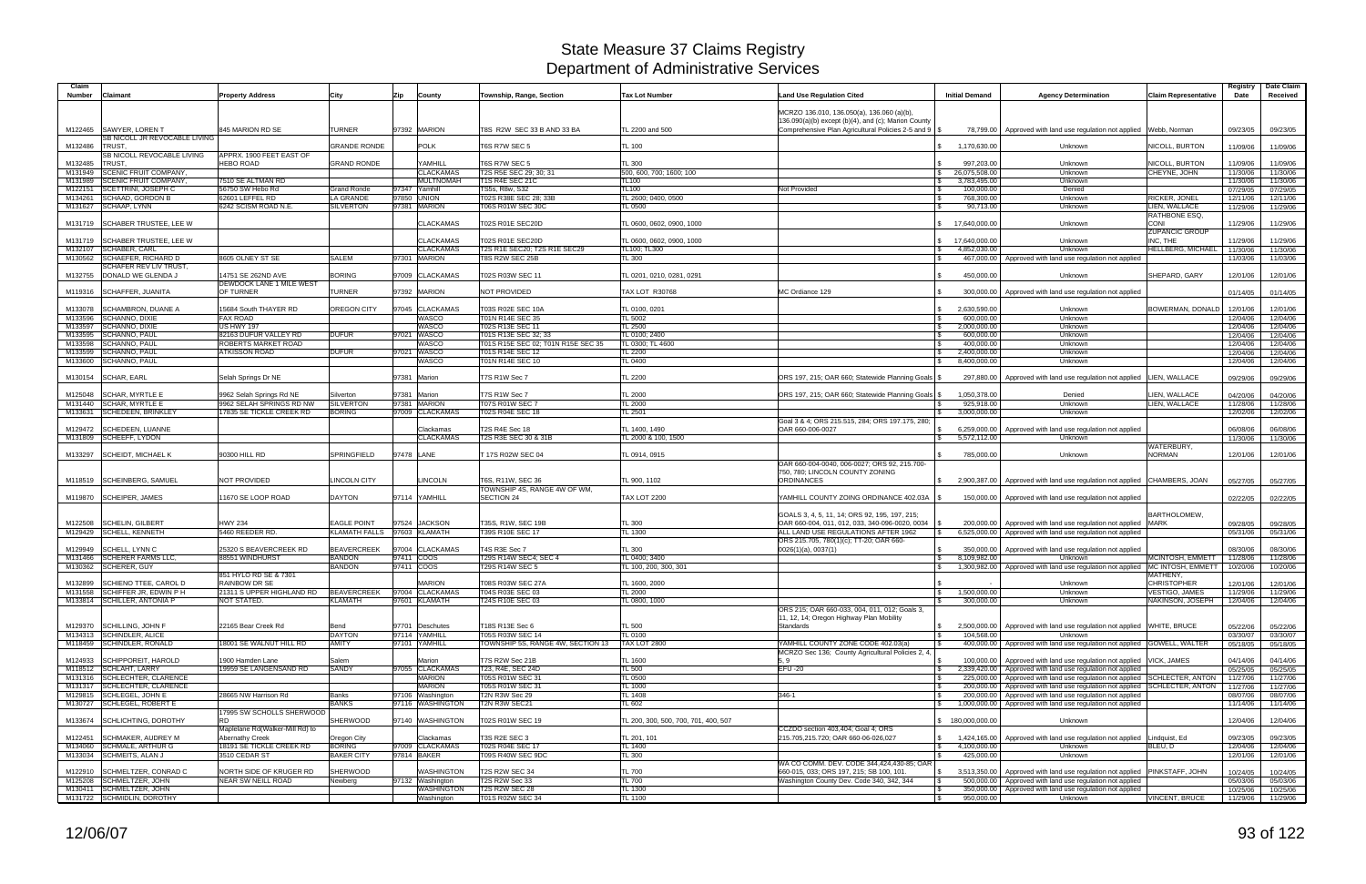| Claim<br>Number    | Claimant                                               | <b>Property Address</b>                                   | City                          | Zip        | County                               | <b>Township, Range, Section</b>                       | <b>Tax Lot Number</b>                    | <b>Land Use Regulation Cited</b>                                                                 | <b>Initial Demand</b>               | <b>Agency Determination</b>                                                                                                        | Claim Representative                 | Registry<br>Date     | Date Claim<br>Received |
|--------------------|--------------------------------------------------------|-----------------------------------------------------------|-------------------------------|------------|--------------------------------------|-------------------------------------------------------|------------------------------------------|--------------------------------------------------------------------------------------------------|-------------------------------------|------------------------------------------------------------------------------------------------------------------------------------|--------------------------------------|----------------------|------------------------|
|                    |                                                        |                                                           |                               |            |                                      |                                                       |                                          |                                                                                                  |                                     |                                                                                                                                    |                                      |                      |                        |
|                    |                                                        |                                                           |                               |            |                                      |                                                       |                                          | MCRZO 136.010, 136.050(a), 136.060 (a)(b)<br>136.090(a)(b) except (b)(4), and (c); Marion County |                                     |                                                                                                                                    |                                      |                      |                        |
| M122465            | SAWYER, LOREN T                                        | 845 MARION RD SE                                          | TURNER                        |            | 97392 MARION                         | T8S R2W SEC 33 B AND 33 BA                            | TL 2200 and 500                          | Comprehensive Plan Agricultural Policies 2-5 and 9   \$                                          |                                     | 78,799.00   Approved with land use regulation not applied Webb, Norman                                                             |                                      | 09/23/05             | 09/23/05               |
|                    | SB NICOLL JR REVOCABLE LIVING                          |                                                           | <b>GRANDE RONDE</b>           |            | <b>POLK</b>                          |                                                       |                                          |                                                                                                  |                                     |                                                                                                                                    |                                      |                      |                        |
| M132486            | TRUST<br>SB NICOLL REVOCABLE LIVING                    | APPRX. 1900 FEET EAST OF                                  |                               |            |                                      | T6S R7W SEC 5                                         | TL 100                                   |                                                                                                  | 1,170,630.00                        | Unknown                                                                                                                            | NICOLL, BURTON                       | 11/09/06             | 11/09/06               |
| M132485            | TRUST,                                                 | <b>HEBO ROAD</b>                                          | <b>GRAND RONDE</b>            |            | YAMHILL                              | T6S R7W SEC 5                                         | TL 300                                   |                                                                                                  | 997,203.00                          | Unknown                                                                                                                            | NICOLL, BURTON                       | 11/09/06             | 11/09/06               |
| M131949<br>M131989 | SCENIC FRUIT COMPANY,<br>SCENIC FRUIT COMPANY,         | 7510 SE ALTMAN RD                                         |                               |            | <b>CLACKAMAS</b><br><b>MULTNOMAH</b> | T2S R5E SEC 29; 30; 31<br>T1S R4E SEC 21C             | 500, 600, 700; 1600; 100<br><b>TL100</b> |                                                                                                  | 26,075,508.00<br>\$<br>3,783,495.00 | Unknown<br>Unknown                                                                                                                 | CHEYNE, JOHN                         | 11/30/06<br>11/30/06 | 11/30/06<br>11/30/06   |
| M122151            | SCETTRINI, JOSEPH C                                    | 56750 SW Hebo Rd                                          | <b>Grand Ronde</b>            |            | 97347 Yamhill                        | TS5s, R8w, S32                                        | TL100                                    | Not Provided                                                                                     | 100,000.00                          | Denied                                                                                                                             |                                      | 07/29/05             | 07/29/05               |
| M134261            | <b>SCHAAD, GORDON B</b>                                | 62601 LEFFEL RD                                           | <b>LA GRANDE</b>              |            | 97850 UNION<br>97381 MARION          | T02S R38E SEC 28; 33B                                 | FL 2600; 0400, 0500                      |                                                                                                  | 768,300.00                          | Unknown                                                                                                                            | RICKER, JONEL                        | 12/11/06             | 12/11/06               |
| M131627            | SCHAAP, LYNN                                           | 6242 SCISM ROAD N.E.                                      | <b>SILVERTON</b>              |            |                                      | T06S R01W SEC 30C                                     | TL 0500                                  | -S                                                                                               | 90,713.00                           | Unknown                                                                                                                            | LIEN, WALLACE<br><b>RATHBONE ESQ</b> | 11/29/06             | 11/29/06               |
| M131719            | <b>SCHABER TRUSTEE, LEE W</b>                          |                                                           |                               |            | <b>CLACKAMAS</b>                     | T02S R01E SEC20D                                      | TL 0600, 0602, 0900, 1000                |                                                                                                  | \$ 17,640,000.00                    | Unknown                                                                                                                            | <b>CONI</b>                          | 11/29/06             | 11/29/06               |
| M131719            | SCHABER TRUSTEE, LEE W                                 |                                                           |                               |            | <b>CLACKAMAS</b>                     | T02S R01E SEC20D                                      | TL 0600, 0602, 0900, 1000                |                                                                                                  | 17,640,000.00                       | Unknown                                                                                                                            | <b>ZUPANCIC GROUP</b><br>INC. THE    | 11/29/06             | 11/29/06               |
| M132107            | <b>SCHABER, CARL</b>                                   |                                                           |                               |            | <b>CLACKAMAS</b>                     | T2S R1E SEC20; T2S R1E SEC29                          | <b>L100; TL300</b>                       |                                                                                                  | 4,852,030.00                        | Unknown                                                                                                                            | <b>HELLBERG, MICHAEL</b>             | 11/30/06             | 11/30/06               |
| M130562            | <b>SCHAEFER, RICHARD D</b>                             | 8605 OLNEY ST SE                                          | SALEM                         |            | 97301 MARION                         | <b>T8S R2W SEC 25B</b>                                | <b>TL 300</b>                            | \$                                                                                               |                                     | 467,000.00   Approved with land use regulation not applied                                                                         |                                      | 11/03/06             | 11/03/06               |
| M132755            | SCHAFER REV LIV TRUST.<br>DONALD WE GLENDA J           | 14751 SE 262ND AVE                                        | <b>BORING</b>                 |            | 97009 CLACKAMAS                      | T02S R03W SEC 11                                      | TL 0201, 0210, 0281, 0291                |                                                                                                  | 450,000.00                          | Unknown                                                                                                                            | SHEPARD, GARY                        | 12/01/06             | 12/01/06               |
|                    |                                                        | <b>DEWDOCK LANE 1 MILE WEST</b>                           |                               |            |                                      |                                                       |                                          |                                                                                                  |                                     |                                                                                                                                    |                                      |                      |                        |
| M119316            | <b>SCHAFFER, JUANITA</b>                               | OF TURNER                                                 | <b>TURNER</b>                 |            | 97392 MARION                         | NOT PROVIDED                                          | <b>TAX LOT R30768</b>                    | MC Ordiance 129                                                                                  | 300,000.00                          | Approved with land use regulation not applied                                                                                      |                                      | 01/14/05             | 01/14/05               |
| M133078            | <b>SCHAMBRON, DUANE A</b>                              | 15684 South THAYER RD                                     | OREGON CITY                   |            | 97045 CLACKAMAS                      | T03S R02E SEC 10A                                     | TL 0100, 0201                            |                                                                                                  | 2,630,590.00                        | Unknown                                                                                                                            | BOWERMAN, DONALD                     | 12/01/06             | 12/01/06               |
| M133596            | <b>SCHANNO, DIXIE</b>                                  | <b>FAX ROAD</b>                                           |                               |            | <b>WASCO</b>                         | T01N R14E SEC 35                                      | <b>TL 5002</b>                           |                                                                                                  | 600,000.00                          | Unknown                                                                                                                            |                                      | 12/04/06             | 12/04/06               |
| M133597<br>M133595 | SCHANNO, DIXIE<br>SCHANNO, PAUL                        | <b>US HWY 197</b><br>82163 DUFUR VALLEY RD                | <b>DUFUR</b>                  |            | WASCO<br>97021 WASCO                 | T02S R13E SEC 11<br>T01S R13E SEC 32; 33              | TL 2500<br>TL 0100; 2400                 |                                                                                                  | 2,000,000.00<br>\$<br>600,000.00    | Unknown<br>Unknown                                                                                                                 |                                      | 12/04/06<br>12/04/06 | 12/04/06<br>12/04/06   |
| M133598            | SCHANNO, PAUL                                          | ROBERTS MARKET ROAD                                       |                               |            | WASCO                                | T01S R15E SEC 02; T01N R15E SEC 35                    | TL 0300; TL 4600                         |                                                                                                  | 400,000.00                          | Unknown                                                                                                                            |                                      | 12/04/06             | 12/04/06               |
| M133599            | <b>SCHANNO, PAUL</b>                                   | <b>ATKISSON ROAD</b>                                      | <b>DUFUR</b>                  |            | 97021 WASCO<br><b>WASCO</b>          | T01S R14E SEC 12<br>T01N R14E SEC 10                  | <b>TL 2200</b>                           |                                                                                                  | 2,400,000.00                        | Unknown                                                                                                                            |                                      | 12/04/06             | 12/04/06               |
| M133600            | <b>SCHANNO, PAUL</b>                                   |                                                           |                               |            |                                      |                                                       | TL 0400                                  |                                                                                                  | 8,400,000.00                        | Unknown                                                                                                                            |                                      | 12/04/06             | 12/04/06               |
| M130154            | <b>SCHAR, EARL</b>                                     | Selah Springs Dr NE                                       |                               |            | 97381 Marion                         | T7S R1W Sec 7                                         | TL 2200                                  | ORS 197, 215; OAR 660; Statewide Planning Goals   \$                                             | 297,880.00                          | Approved with land use regulation not applied LIEN, WALLACE                                                                        |                                      | 09/29/06             | 09/29/06               |
| M125048            | <b>SCHAR, MYRTLE E</b>                                 | 9962 Selah Springs Rd NE                                  | Silverton                     |            | 97381 Marion                         | T7S R1W Sec 7                                         | TL 2000                                  | ORS 197, 215; OAR 660; Statewide Planning Goals   \$                                             | 1,050,378.00                        | Denied                                                                                                                             | LIEN, WALLACE                        | 04/20/06             | 04/20/06               |
| M131440            | <b>SCHAR, MYRTLE E</b>                                 | 9962 SELAH SPRINGS RD NW                                  | <b>SILVERTON</b>              |            | 97381 MARION                         | T07S R01W SEC 7                                       | <b>TL 2000</b>                           |                                                                                                  | 925,918.00                          | Unknown                                                                                                                            | LIEN, WALLACE                        | 11/28/06             | 11/28/06               |
| M133631            | <b>SCHEDEEN, BRINKLEY</b>                              | 17835 SE TICKLE CREEK RD                                  | <b>BORING</b>                 |            | 97009 CLACKAMAS                      | T02S R04E SEC 18                                      | <b>TL 2501</b>                           |                                                                                                  | 3,000,000.00                        | Unknown                                                                                                                            |                                      | 12/02/06             | 12/02/06               |
| M129472            | <b>SCHEDEEN, LUANNE</b>                                |                                                           |                               |            | Clackamas                            | T2S R4E Sec 18                                        | TL 1400, 1490                            | Goal 3 & 4; ORS 215.515, 284; ORS 197.175, 280;<br>OAR 660-006-0027                              | 6,259,000.00                        | Approved with land use regulation not applied                                                                                      |                                      | 06/08/06             | 06/08/06               |
| M131809            | SCHEEFF, LYDON                                         |                                                           |                               |            | <b>CLACKAMAS</b>                     | T2S R3E SEC 30 & 31B                                  | TL 2000 & 100, 1500                      |                                                                                                  | $\mathcal{S}$<br>5,572,112.00       | Unknown                                                                                                                            |                                      | 11/30/06             | 11/30/06               |
| M133297            | <b>SCHEIDT, MICHAEL K</b>                              | 90300 HILL RD                                             | SPRINGFIELD                   | 97478 LANE |                                      | T 17S R02W SEC 04                                     | TL 0914, 0915                            |                                                                                                  | 785,000.00                          | Unknown                                                                                                                            | WATERBURY,<br><b>NORMAN</b>          | 12/01/06             | 12/01/06               |
|                    |                                                        |                                                           |                               |            |                                      |                                                       |                                          | OAR 660-004-0040, 006-0027; ORS 92, 215.700-                                                     |                                     |                                                                                                                                    |                                      |                      |                        |
|                    |                                                        |                                                           |                               |            |                                      |                                                       |                                          | 750, 780; LINCOLN COUNTY ZONING                                                                  |                                     |                                                                                                                                    |                                      |                      |                        |
| M118519            | <b>SCHEINBERG, SAMUEL</b>                              | <b>NOT PROVIDED</b>                                       | <b>INCOLN CITY</b>            |            | LINCOLN                              | T6S, R11W, SEC 36<br>TOWNSHIP 4S, RANGE 4W OF WM,     | TL 900, 1102                             | <b>ORDINANCES</b>                                                                                |                                     | 2,900,387.00 Approved with land use regulation not applied                                                                         | CHAMBERS, JOAN                       | 05/27/05             | 05/27/05               |
|                    | M119870 SCHEIPER, JAMES                                | 11670 SE LOOP ROAD                                        | <b>DAYTON</b>                 |            | 97114 YAMHILL                        | <b>SECTION 24</b>                                     | <b>TAX LOT 2200</b>                      | YAMHILL COUNTY ZOING ORDINANCE 402.03A                                                           |                                     | 150,000.00   Approved with land use regulation not applied                                                                         |                                      | 02/22/05             | 02/22/05               |
|                    |                                                        |                                                           |                               |            |                                      |                                                       |                                          |                                                                                                  |                                     |                                                                                                                                    | <b>BARTHOLOMEW</b>                   |                      |                        |
| M122508            | <b>SCHELIN, GILBERT</b>                                | <b>HWY 234</b>                                            | <b>EAGLE POINT</b>            |            | 97524 JACKSON                        | T35S, R1W, SEC 19B                                    | TL 300                                   | GOALS 3, 4, 5, 11, 14; ORS 92, 195, 197, 215;<br>OAR 660-004, 011, 012, 033, 340-096-0020, 0034  | 200.000.00                          | Approved with land use regulation not applied MARK                                                                                 |                                      | 09/28/05             | 09/28/05               |
|                    | M129429 SCHELL, KENNETH                                | 5460 REEDER RD.                                           | KLAMATH FALLS 97603 KLAMATH   |            |                                      | T39S R10E SEC 17                                      | <b>L</b> 1300                            | ALL LAND USE REGULATIONS AFTER 1962                                                              | $\mathbb{S}$                        | 6,525,000.00 Approved with land use regulation not applied                                                                         |                                      | 05/31/06             | 05/31/06               |
| M129949            | SCHELL, LYNN C                                         | 25320 S BEAVERCREEK RD                                    | <b>BEAVERCREEK</b>            |            | 97004 CLACKAMAS                      | T4S R3E Sec 7                                         | TL 300                                   | ORS 215.705, 780(1)(c); TT-20; OAR 660-<br>$0026(1)(a)$ , $0037(1)$                              | 350,000.00                          | Approved with land use regulation not applied                                                                                      |                                      | 08/30/06             | 08/30/06               |
| M131466            | <b>SCHERER FARMS LLC</b>                               | 88551 WINDHURST                                           | <b>BANDON</b>                 |            | 97411 COOS                           | T29S R14W SEC4; SEC 4                                 | TL 0400; 3400                            | -S                                                                                               | 8,109,982.00                        | Unknown                                                                                                                            | MCINTOSH, EMMETT                     | 11/28/06             | 11/28/06               |
|                    | M130362 SCHERER, GUY                                   |                                                           | <b>BANDON</b>                 |            | 97411 COOS                           | T29S R14W SEC 5                                       | FL 100, 200, 300, 301                    |                                                                                                  |                                     | 1,300,982.00   Approved with land use regulation not applied   MC INTOSH, EMMETT                                                   |                                      | 10/20/06             | 10/20/06               |
|                    | M132899 SCHIENO TTEE, CAROL D                          | 851 HYLO RD SE & 7301<br><b>RAINBOW DR SE</b>             |                               |            | <b>MARION</b>                        | T08S R03W SEC 27A                                     | TL 1600, 2000                            | $\sqrt{3}$                                                                                       |                                     | Unknown                                                                                                                            | MATHENY.<br><b>CHRISTOPHER</b>       | 12/01/06             | 12/01/06               |
|                    | M131558 SCHIFFER JR, EDWIN P H                         | 21311 S UPPER HIGHLAND RD                                 | BEAVERCREEK                   |            | 97004 CLACKAMAS                      | T04S R03E SEC 03                                      | <b>TL 2000</b>                           |                                                                                                  | $\bullet$<br>1,500,000.00           | Unknown                                                                                                                            | <b>VESTIGO, JAMES</b>                | 11/29/06             | 11/29/06               |
|                    | M133814 SCHILLER, ANTONIA P                            | NOT STATED.                                               | KLAMATH                       |            | 97601 KLAMATH                        | T24S R10E SEC 03                                      | TL 0800, 1000                            | ORS 215: OAR 660-033, 004, 011, 012: Goals 3,                                                    | 300,000.00                          | Unknown                                                                                                                            | NAKINSON, JOSEPH                     | 12/04/06             | 12/04/06               |
|                    |                                                        |                                                           |                               |            |                                      |                                                       |                                          | 11, 12, 14; Oregon Highway Plan Mobility                                                         |                                     |                                                                                                                                    |                                      |                      |                        |
|                    | M129370 SCHILLING, JOHN F                              | 22165 Bear Creek Rd                                       | Bend                          |            | 97701 Deschutes                      | T18S R13E Sec 6                                       | TL 500                                   | Standards                                                                                        | 2,500,000.00                        | Approved with land use regulation not applied WHITE, BRUCE                                                                         |                                      | 05/22/06             | 05/22/06               |
|                    | M134313 SCHINDLER, ALICE<br>M118459 SCHINDLER, RONALD  | 18001 SE WALNUT HILL RD                                   | <b>DAYTON</b><br><b>AMITY</b> |            | 97114 YAMHILL<br>97101 YAMHILL       | T05S R03W SEC 14<br>TOWNSHIP 5S, RANGE 4W, SECTION 13 | TL 0100<br><b>TAX LOT 2800</b>           | YAMHILL COUNTY ZONE CODE 402.03(a)                                                               | 104,568.00<br>$\mathcal{S}$         | Unknown<br>400,000.00   Approved with land use regulation not applied GOWELL, WALTER                                               |                                      | 03/30/07<br>05/18/05 | 03/30/07<br>05/18/05   |
|                    |                                                        |                                                           |                               |            |                                      |                                                       |                                          | MCRZO Sec 136; County Agricultural Policies 2, 4,                                                |                                     |                                                                                                                                    |                                      |                      |                        |
|                    | M124933 SCHIPPOREIT, HAROLD<br>M118512 SCHLAHT, LARRY  | 1900 Hamden Lane<br>19959 SE LANGENSAND RD                | Salem<br>SANDY                |            | Marion<br>97055 CLACKAMAS            | T7S R2W Sec 21B<br>T23, R4E, SEC 24D                  | <b>TL 1600</b><br><b>TL 500</b>          | 5.9<br>$EFU - 20$                                                                                | $\mathcal{S}$                       | 100,000.00 Approved with land use regulation not applied VICK, JAMES<br>2,339,420.00 Approved with land use regulation not applied |                                      | 04/14/06<br>05/25/05 | 04/14/06               |
|                    | M131316 SCHLECHTER, CLARENCE                           |                                                           |                               |            | <b>MARION</b>                        | T05S R01W SEC 31                                      | <b>TL 0500</b>                           | -S                                                                                               |                                     | 225,000.00 Approved with land use regulation not applied SCHLECTER, ANTON                                                          |                                      | 11/27/06             | 05/25/05<br>11/27/06   |
|                    | M131317 SCHLECHTER, CLARENCE                           |                                                           |                               |            | <b>MARION</b>                        | T05S R01W SEC 31                                      | TL 1000                                  | $\mathfrak{S}$                                                                                   |                                     | 200,000.00 Approved with land use regulation not applied SCHLECTER, ANTON                                                          |                                      | 11/27/06             | 11/27/06               |
|                    | M129815 SCHLEGEL, JOHN E<br>M130727 SCHLEGEL, ROBERT E | 28665 NW Harrison Rd                                      | Banks<br><b>BANKS</b>         |            | 97106 Washington<br>97116 WASHINGTON | T2N R3W Sec 29<br>T2N R3W SEC21                       | TL 1408<br>TL 602                        | 346-1<br>-S                                                                                      | \$                                  | 200,000.00 Approved with land use regulation not applied<br>1,000,000.00 Approved with land use regulation not applied             |                                      | 08/07/06<br>11/14/06 | 08/07/06<br>11/14/06   |
|                    |                                                        | 17995 SW SCHOLLS SHERWOOD                                 |                               |            |                                      |                                                       |                                          |                                                                                                  |                                     |                                                                                                                                    |                                      |                      |                        |
|                    | M133674 SCHLICHTING, DOROTHY                           | <b>RD</b>                                                 | <b>SHERWOOD</b>               |            | 97140 WASHINGTON                     | T02S R01W SEC 19                                      | TL 200, 300, 500, 700, 701, 400, 507     |                                                                                                  | \$ 180,000,000.00                   | Unknown                                                                                                                            |                                      | 12/04/06             | 12/04/06               |
| M122451            | <b>SCHMAKER, AUDREY M</b>                              | Maplelane Rd(Walker-Mill Rd) to<br><b>Abernathy Creek</b> | Oregon City                   |            | Clackamas                            | T3S R2E SEC 3                                         | TL 201, 101                              | CCZDO section 403,404; Goal 4; ORS<br>215.705,215.720; OAR 660-06-026,027                        |                                     | 1,424,165.00   Approved with land use regulation not applied   Lindquist, Ed                                                       |                                      | 09/23/05             | 09/23/05               |
|                    | M134060 SCHMALE, ARTHUR G                              | 18191 SE TICKLE CREEK RD                                  | <b>BORING</b>                 |            | 97009 CLACKAMAS                      | T02S R04E SEC 17                                      | <b>FL 1400</b>                           |                                                                                                  | $\sqrt{3}$<br>4,100,000.00          | Unknown                                                                                                                            | BLEU, D                              | 12/04/06             | 12/04/06               |
|                    | M133034 SCHMEITS, ALAN J                               | 3510 CEDAR ST                                             | <b>BAKER CITY</b>             |            | 97814 BAKER                          | T09S R40W SEC 9DC                                     | TL 300                                   |                                                                                                  | 425,000.00<br>$\mathbb{S}$          | Unknown                                                                                                                            |                                      | 12/01/06             | 12/01/06               |
|                    | M122910 SCHMELTZER, CONRAD C                           | NORTH SIDE OF KRUGER RD                                   | SHERWOOD                      |            | <b>WASHINGTON</b>                    | <b>T2S R2W SEC 34</b>                                 | <b>TL 700</b>                            | WA CO COMM. DEV. CODE 344,424,430-85; OAR<br>660-015, 033; ORS 197, 215; SB 100, 101.            |                                     | 3,513,350.00   Approved with land use regulation not applied   PINKSTAFF, JOHN                                                     |                                      | 10/24/05             | 10/24/05               |
|                    | M125208 SCHMELTZER, JOHN                               | <b>NEAR SW NEILL ROAD</b>                                 | Newberg                       |            | 97132 Washington                     | T2S R2W Sec 33                                        | <b>TL 700</b>                            | Washington County Dev. Code 340, 342, 344                                                        |                                     | 500,000.00 Approved with land use regulation not applied                                                                           |                                      | 05/03/06             | 05/03/06               |
|                    | M130411 SCHMELTZER, JOHN                               |                                                           |                               |            | <b>WASHINGTON</b>                    | T2S R2W SEC 28                                        | TL 1300                                  |                                                                                                  | $\mathcal{S}$                       | 350,000.00 Approved with land use regulation not applied                                                                           |                                      | 10/25/06             | 10/25/06               |
|                    | M131722 SCHMIDLIN, DOROTHY                             |                                                           |                               |            | Washington                           | T01S R02W SEC 34                                      | TL 1100                                  | $\vert$ \$                                                                                       | 950,000.00                          | Unknown                                                                                                                            | <b>VINCENT, BRUCE</b>                | 11/29/06             | 11/29/06               |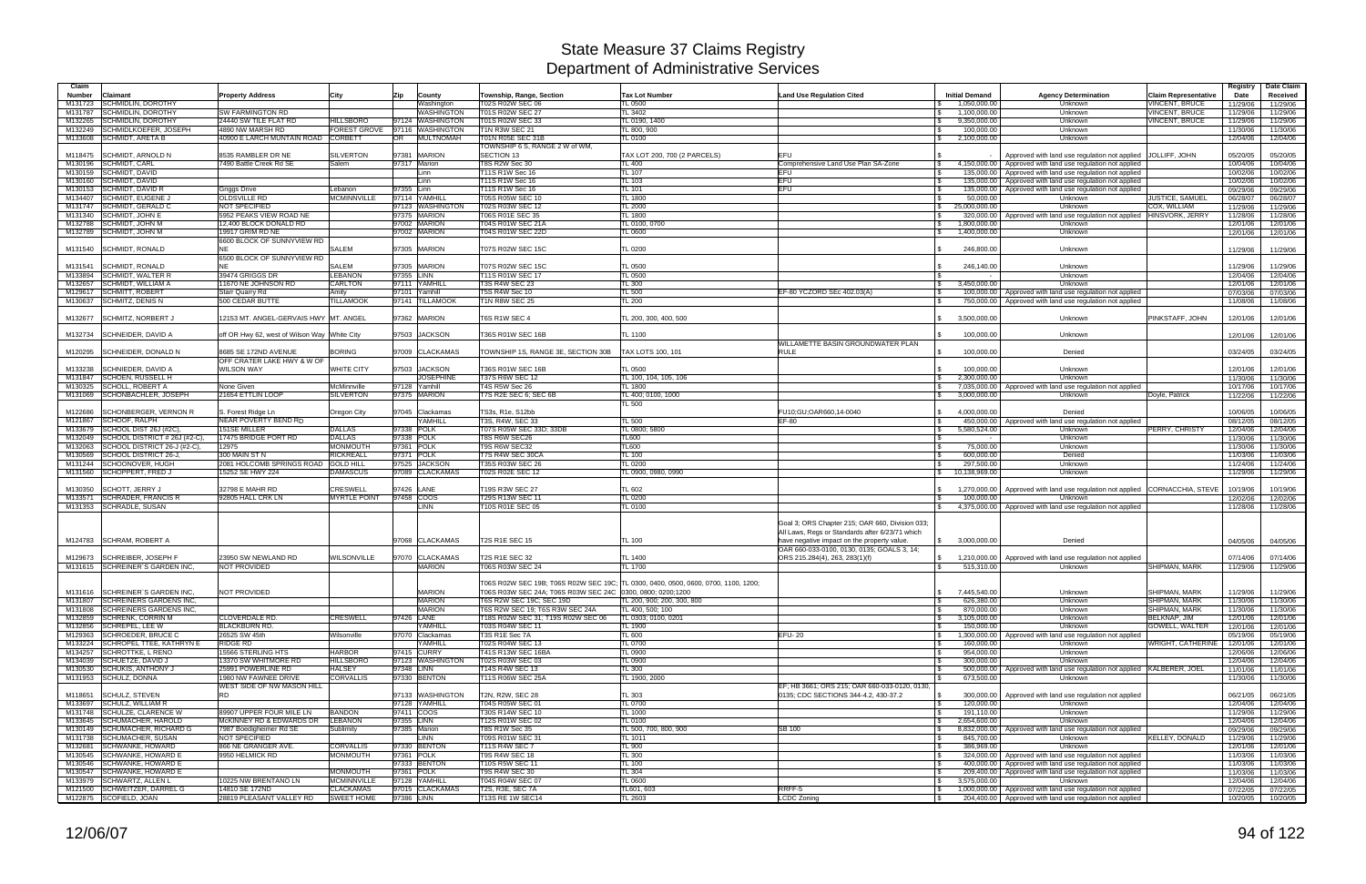| Claim              |                                                                    |                                                 |                                       |                                 |                                                             |                                                                                    |                                                                              |                                             |                                                                                                                        |                                                | Registry             | Date Claim           |
|--------------------|--------------------------------------------------------------------|-------------------------------------------------|---------------------------------------|---------------------------------|-------------------------------------------------------------|------------------------------------------------------------------------------------|------------------------------------------------------------------------------|---------------------------------------------|------------------------------------------------------------------------------------------------------------------------|------------------------------------------------|----------------------|----------------------|
| <b>Number</b>      | Claimant                                                           | <b>Property Address</b>                         | City                                  | Zip<br>County                   | Township, Range, Section                                    | <b>Tax Lot Number</b>                                                              | <b>Land Use Regulation Cited</b>                                             | <b>Initial Demand</b>                       | <b>Agency Determination</b>                                                                                            | <b>Claim Representative</b>                    | Date                 | Received             |
| M131723            | <b>SCHMIDLIN, DOROTHY</b><br><b>SCHMIDLIN, DOROTHY</b>             | <b>SW FARMINGTON RD</b>                         |                                       | Washington<br><b>WASHINGTON</b> | T02S R02W SEC 06<br>T01S R02W SEC 27                        | TL 0500<br>TL 3402                                                                 |                                                                              | 1.050.000.00<br>$\mathcal{S}$               | Unknown<br>Unknown                                                                                                     | <b>VINCENT, BRUCE</b><br><b>VINCENT, BRUCE</b> | 11/29/06             | 11/29/06             |
| M131787<br>M132265 | SCHMIDLIN, DOROTHY                                                 | 24440 SW TILE FLAT RD                           | <b>HILLSBORO</b>                      | 97124 WASHINGTON                | T01S R02W SEC 33                                            | TL 0190, 1400                                                                      |                                                                              | 1,100,000.00<br>9,350,000.00                | Unknown                                                                                                                | VINCENT, BRUCE                                 | 11/29/06<br>11/29/06 | 11/29/06<br>11/29/06 |
| M132249            | SCHMIDLKOEFER, JOSEPH                                              | 4890 NW MARSH RD                                | FOREST GROVE                          | 97116 WASHINGTON                | <b>T1N R3W SEC 21</b>                                       | TL 800, 900                                                                        |                                                                              | 100,000.00<br>$\mathbb{R}$                  | Unknown                                                                                                                |                                                | 11/30/06             | 11/30/06             |
| M133608            | <b>SCHMIDT, ARETA B</b>                                            | 40900 E LARCH MUNTAIN ROAD                      | <b>CORBETT</b>                        | <b>MULTNOMAH</b><br>OR          | T01N R05E SEC 31B                                           | <b>TL 0100</b>                                                                     |                                                                              | 2,100,000.00<br>ISS.                        | Unknown                                                                                                                |                                                | 12/04/06             | 12/04/06             |
|                    |                                                                    |                                                 |                                       |                                 | TOWNSHIP 6 S, RANGE 2 W of WM,                              |                                                                                    |                                                                              |                                             |                                                                                                                        |                                                |                      |                      |
| M118475            | <b>SCHMIDT, ARNOLD N</b>                                           | 8535 RAMBLER DR NE                              | <b>SILVERTON</b>                      | 97381 MARION                    | <b>ISECTION 13</b>                                          | TAX LOT 200, 700 (2 PARCELS)                                                       | <b>EFU</b>                                                                   |                                             | Approved with land use regulation not applied JOLLIFF, JOHN                                                            |                                                | 05/20/05             | 05/20/05             |
|                    | M130196 SCHMIDT, CARL                                              | 7490 Battle Creek Rd SE                         | Salem                                 | 97317 Marion                    | T8S R2W Sec 30                                              | <b>TL 400</b>                                                                      | Comprehensive Land Use Plan SA-Zone                                          | 4,150,000.00<br><b>S</b>                    | Approved with land use regulation not applied                                                                          |                                                | 10/04/06             | 10/04/06             |
|                    | M130159 SCHMIDT, DAVID<br>M130160 SCHMIDT, DAVID                   |                                                 |                                       | Linn<br>Linn                    | T11S R1W Sec 16<br>T11S R1W Sec 16                          | <b>TL 107</b><br><b>TL 103</b>                                                     | <b>EFU</b><br><b>EFU</b>                                                     | 135.000.00<br>IS.<br>135,000.00             | Approved with land use regulation not applied<br>Approved with land use regulation not applied                         |                                                | 10/02/06<br>10/02/06 | 10/02/06<br>10/02/06 |
| M130153            | <b>SCHMIDT, DAVID R</b>                                            | Griggs Drive                                    | _ebanon                               | 97355 Linn                      | T11S R1W Sec 16                                             | TL 101                                                                             | <b>EFU</b>                                                                   | 135,000.00                                  | Approved with land use regulation not applied                                                                          |                                                | 09/29/06             | 09/29/06             |
| M134407            | SCHMIDT, EUGENE J                                                  | <b>OLDSVILLE RD</b>                             | <b>MCMINNVILLE</b>                    | 97114 YAMHILL                   | T05S R05W SEC 10                                            | TL 1800                                                                            |                                                                              | 50,000,00                                   | Unknown                                                                                                                | JUSTICE, SAMUE                                 | 06/28/07             | 06/28/07             |
| M131747            | <b>SCHMIDT, GERALD C</b>                                           | <b>NOT SPECIFIED</b>                            |                                       | 97123 WASHINGTON                | T02S R03W SEC 12                                            | <b>TL 2000</b>                                                                     |                                                                              | 25,000,000.00<br>$\mathbb{S}$               | Unknown                                                                                                                | COX. WILLIAM                                   | 11/29/06             | 11/29/06             |
| M131340            | <b>SCHMIDT. JOHN E</b>                                             | 5952 PEAKS VIEW ROAD NE                         |                                       | 97375 MARION                    | T06S R01E SEC 35                                            | <b>TL 1800</b>                                                                     |                                                                              | 320,000.00                                  | Approved with land use regulation not applied HINSVORK, JERRY                                                          |                                                | 11/28/06             | 11/28/06             |
| M132788            | <b>SCHMIDT, JOHN M</b>                                             | 12,400 BLOCK DONALD RD                          |                                       | 97002 MARION                    | T04S R01W SEC 21A                                           | TL 0100, 0700                                                                      |                                                                              | $\mathbf{s}$<br>1,800,000.00                | Unknown                                                                                                                |                                                | 12/01/06             | 12/01/06             |
| M132789            | SCHMIDT, JOHN M                                                    | 19917 GRIM RD NE                                |                                       | 97002 MARION                    | T04S R01W SEC 22D                                           | TL 0600                                                                            |                                                                              | 1,400,000.00                                | Unknown                                                                                                                |                                                | 12/01/06             | 12/01/06             |
| M131540            | <b>SCHMIDT, RONALD</b>                                             | 6600 BLOCK OF SUNNYVIEW RD                      | <b>SALEM</b>                          | 97305 MARION                    | <b>T07S R02W SEC 15C</b>                                    | TL 0200                                                                            |                                                                              | 246,800.00                                  | Unknown                                                                                                                |                                                | 11/29/06             | 11/29/06             |
|                    |                                                                    | 6500 BLOCK OF SUNNYVIEW RD                      |                                       |                                 |                                                             |                                                                                    |                                                                              |                                             |                                                                                                                        |                                                |                      |                      |
| M131541            | <b>SCHMIDT, RONALD</b>                                             |                                                 | <b>SALEM</b>                          | 97305 MARION                    | <b>T07S R02W SEC 15C</b>                                    | TL 0500                                                                            |                                                                              | 246,140.00                                  | Unknown                                                                                                                |                                                | 11/29/06             | 11/29/06             |
| M133894            | <b>SCHMIDT, WALTER R</b>                                           | 39474 GRIGGS DR                                 | <b>EBANON</b>                         | 97355 LINN                      | T11S R01W SEC 17                                            | <b>TL 0500</b>                                                                     |                                                                              | <b>S</b>                                    | Unknown                                                                                                                |                                                | 12/04/06             | 12/04/06             |
| M132657            | <b>SCHMIDT, WILLIAM A</b>                                          | 11670 NE JOHNSON RD                             | <b>CARLTON</b>                        | 97111 YAMHILL                   | <b>T3S R4W SEC 23</b>                                       | <b>TL 300</b>                                                                      |                                                                              | 3,450,000.00<br>$\mathbb{S}$                | Unknown                                                                                                                |                                                | 12/01/06             | 12/01/06             |
| M129617            | <b>SCHMITT, ROBERT</b>                                             | Starr Quarry Rd                                 | Amitv                                 | 97101 Yamhill                   | T5S R4W Sec 10                                              | <b>TL 500</b>                                                                      | EF-80 YCZORD SEc 402.03(A)                                                   | 100,000.00                                  | Approved with land use regulation not applied                                                                          |                                                | 07/03/06             | 07/03/06             |
|                    | M130637 SCHMITZ, DENIS N                                           | 500 CEDAR BUTTE                                 | <b>TILLAMOOK</b>                      | 97141 TILLAMOOK                 | <b>T1N R8W SEC 25</b>                                       | TL200                                                                              |                                                                              | 750,000.00                                  | Approved with land use regulation not applied                                                                          |                                                | 11/08/06             | 11/08/06             |
| M132677            | SCHMITZ, NORBERT,                                                  | 12153 MT. ANGEL-GERVAIS HWY MT. ANGEL           |                                       | 97362 MARION                    | T6S R1W SEC 4                                               | TL 200, 300, 400, 500                                                              |                                                                              | 3,500,000.00                                | Unknown                                                                                                                | PINKSTAFF, JOHN                                | 12/01/06             | 12/01/06             |
|                    |                                                                    |                                                 |                                       |                                 |                                                             |                                                                                    |                                                                              |                                             |                                                                                                                        |                                                |                      |                      |
| M132734            | <b>SCHNEIDER, DAVID A</b>                                          | off OR Hwy 62, west of Wilson Way White City    |                                       | 97503 JACKSON                   | T36S R01W SEC 16B                                           | <b>TL 1100</b>                                                                     |                                                                              | 100,000.00                                  | Unknown                                                                                                                |                                                | 12/01/06             | 12/01/06             |
|                    |                                                                    |                                                 |                                       |                                 |                                                             |                                                                                    | WILLAMETTE BASIN GROUNDWATER PLAN                                            |                                             |                                                                                                                        |                                                |                      |                      |
| M120295            | <b>SCHNEIDER, DONALD N</b>                                         | 8685 SE 172ND AVENUE                            | <b>BORING</b>                         | 97009 CLACKAMAS                 | TOWNSHIP 1S, RANGE 3E, SECTION 30B                          | TAX LOTS 100, 101                                                                  | <b>RULE</b>                                                                  | 100,000.00                                  | Denied                                                                                                                 |                                                | 03/24/05             | 03/24/05             |
| M133238            | SCHNIEDER, DAVID A                                                 | OFF CRATER LAKE HWY & W OF<br><b>WILSON WAY</b> | <b>WHITE CITY</b>                     | 97503 JACKSON                   | T36S R01W SEC 16B                                           | <b>TL 0500</b>                                                                     |                                                                              | 100.000.00                                  | Unknown                                                                                                                |                                                | 12/01/06             | 12/01/06             |
|                    | M131847 SCHOEN, RUSSELL H                                          |                                                 |                                       | <b>JOSEPHINE</b>                | T37S R6W SEC 12                                             | TL 100, 104, 105, 106                                                              |                                                                              | 2,300,000.00                                | Unknown                                                                                                                |                                                | 11/30/06             | 11/30/06             |
| M130325            | <b>SCHOLL, ROBERT A</b>                                            | None Given                                      | McMinnville                           | 97128 Yamhill                   | T4S R5W Sec 26                                              | <b>TL 1800</b>                                                                     |                                                                              | 7,035,000.00<br>IS.                         | Approved with land use regulation not applied                                                                          |                                                | 10/17/06             | 10/17/06             |
|                    | M131069 SCHONBACHLER, JOSEPH                                       | 21654 ETTLIN LOOP                               | <b>SILVERTON</b>                      | 97375 MARION                    | T7S R2E SEC 6; SEC 6B                                       | TL 400; 0100, 1000                                                                 |                                                                              | $\mathcal{S}$<br>3,000,000.00               | Unknown                                                                                                                | Doyle, Patrick                                 | 11/22/06             | 11/22/06             |
|                    |                                                                    |                                                 |                                       |                                 |                                                             | TL 500                                                                             |                                                                              |                                             |                                                                                                                        |                                                |                      |                      |
| M122686            | <b>SCHONBERGER, VERNON R</b>                                       | S. Forest Ridge Ln                              | <b>Oregon City</b>                    | 97045 Clackamas                 | TS3s, R1e, S12bb                                            |                                                                                    | FU10:GU:OAR660.14-0040                                                       | 4.000.000.00<br>$\mathbb{R}$                | Denied                                                                                                                 |                                                | 10/06/05             | 10/06/05             |
| M121867<br>M133679 | SCHOOF, RALPH<br>SCHOOL DIST 26J (#2C),                            | NEAR POVERTY BEND RD<br><b>151SE MILLER</b>     | <b>DALLAS</b>                         | YAMHILL<br>97338 POLK           | T3S, R4W, SEC 33<br>T07S R05W SEC 33D; 33DB                 | TL 500<br>TL 0800; 5800                                                            | EF-80                                                                        | $\mathbf{s}$<br>450,000.00<br>5,580,524.00  | Approved with land use regulation not applied<br>Unknown                                                               | PERRY, CHRISTY                                 | 08/12/05             | 08/12/05             |
| M132049            | SCHOOL DISTRICT # 26J (#2-C),                                      | 17475 BRIDGE PORT RD                            | <b>DALLAS</b>                         | 97338 POLK                      | T8S R6W SEC26                                               | <b>TL600</b>                                                                       |                                                                              | IS.                                         | Unknown                                                                                                                |                                                | 12/04/06<br>11/30/06 | 12/04/06<br>11/30/06 |
| M132063            | SCHOOL DISTRICT 26-J (#2-C),                                       | 12975                                           | <b>MONMOUTH</b>                       | 97361 POLK                      | T9S R6W SEC32                                               | <b>TL600</b>                                                                       |                                                                              | 75,000.00<br>l Si                           | Unknown                                                                                                                |                                                | 11/30/06             | 11/30/06             |
| M130569            | SCHOOL DISTRICT 26-J.                                              | 300 MAIN ST N                                   | <b>RICKREALL</b>                      | 97371 POLK                      | T7S R4W SEC 30CA                                            | TL 100                                                                             |                                                                              | l \$<br>600.000.00                          | Denied                                                                                                                 |                                                | 11/03/06             | 11/03/06             |
| M131244            | SCHOONOVER, HUGH                                                   | 2081 HOLCOMB SPRINGS ROAD GOLD HILL             |                                       | 97525 JACKSON                   | T35S R03W SEC 26                                            | <b>TL 0200</b>                                                                     |                                                                              | 297,500.00                                  | Unknown                                                                                                                |                                                | 11/24/06             | 11/24/06             |
| M131560            | <b>SCHOPPERT, FRED J</b>                                           | 15252 SE HWY 224                                | <b>DAMASCUS</b>                       | 97089 CLACKAMAS                 | T02S R02E SEC 12                                            | TL 0900, 0980, 0990                                                                |                                                                              | 10,138,969.00                               | Unknown                                                                                                                |                                                | 11/29/06             | 11/29/06             |
|                    |                                                                    | 32798 E MAHR RD                                 | <b>CRESWELL</b>                       | 97426 LANE                      |                                                             | <b>TL 602</b>                                                                      |                                                                              |                                             |                                                                                                                        |                                                |                      |                      |
| M130350<br>M133571 | <b>SCHOTT, JERRY J</b><br><b>SCHRADER, FRANCIS R</b>               | 92805 HALL CRK LN                               | <b>MYRTLE POINT</b>                   | 97458 COOS                      | T19S R3W SEC 27<br>T29S R13W SEC 11                         | <b>TL 0200</b>                                                                     |                                                                              | 1,270,000.00<br>100,000.00                  | Approved with land use regulation not applied CORNACCHIA, STEVE<br>Unknown                                             |                                                | 10/19/06<br>12/02/06 | 10/19/06<br>12/02/06 |
|                    | M131353 SCHRADLE, SUSAN                                            |                                                 |                                       | LINN                            | T10S R01E SEC 05                                            | <b>TL 0100</b>                                                                     |                                                                              | 4,375,000.00<br>IS.                         | Approved with land use regulation not applied                                                                          |                                                | 11/28/06             | 11/28/06             |
|                    |                                                                    |                                                 |                                       |                                 |                                                             |                                                                                    |                                                                              |                                             |                                                                                                                        |                                                |                      |                      |
|                    |                                                                    |                                                 |                                       |                                 |                                                             |                                                                                    | Goal 3; ORS Chapter 215; OAR 660, Division 033;                              |                                             |                                                                                                                        |                                                |                      |                      |
|                    |                                                                    |                                                 |                                       |                                 |                                                             |                                                                                    | All Laws, Regs or Standards after 6/23/71 which                              |                                             |                                                                                                                        |                                                |                      |                      |
|                    | M124783 SCHRAM, ROBERT A                                           |                                                 |                                       | 97068 CLACKAMAS                 | <b>T2S R1E SEC 15</b>                                       | <b>TL 100</b>                                                                      | have negative impact on the property value.                                  | 3.000.000.00<br>$\mathbb{S}$                | Denied                                                                                                                 |                                                | 04/05/06             | 04/05/06             |
| M129673            | <b>SCHREIBER, JOSEPH F</b>                                         | 23950 SW NEWLAND RD                             | <b><i>NILSONVILLE</i></b>             | 97070 CLACKAMAS                 | T2S R1E SEC 32                                              | TL 1400                                                                            | OAR 660-033-0100, 0130, 0135; GOALS 3, 14;<br>ORS 215.284(4), 263, 283(1)(f) | 1,210,000.00                                | Approved with land use regulation not applied                                                                          |                                                | 07/14/06             | 07/14/06             |
|                    | M131615 SCHREINER'S GARDEN INC.                                    | NOT PROVIDED                                    |                                       | <b>MARION</b>                   | T06S R03W SEC 24                                            | TL 1700                                                                            |                                                                              | 515,310.00                                  | Unknown                                                                                                                | SHIPMAN, MARK                                  | 11/29/06             | 11/29/06             |
|                    |                                                                    |                                                 |                                       |                                 |                                                             |                                                                                    |                                                                              |                                             |                                                                                                                        |                                                |                      |                      |
|                    |                                                                    |                                                 |                                       |                                 |                                                             | T06S R02W SEC 19B; T06S R02W SEC 19C; TL 0300, 0400, 0500, 0600, 0700, 1100, 1200; |                                                                              |                                             |                                                                                                                        |                                                |                      |                      |
|                    | M131616 SCHREINER'S GARDEN INC.                                    | <b>NOT PROVIDED</b>                             |                                       | <b>MARION</b>                   | T06S R03W SEC 24A; T06S R03W SEC 24C 0300, 0800; 0200;1200  |                                                                                    |                                                                              | 7,445,540.00<br>$\mathbb{S}$                | Unknown                                                                                                                | SHIPMAN, MARK                                  | 11/29/06             | 11/29/06             |
|                    | M131807 SCHREINERS GARDENS INC.<br>M131808 SCHREINERS GARDENS INC. |                                                 |                                       | <b>MARION</b><br><b>MARION</b>  | T6S R2W SEC 19C: SEC 19D<br>T6S R2W SEC 19; T6S R3W SEC 24A | TL 200, 900; 200, 300, 800<br>TL 400, 500; 100                                     |                                                                              | 626,380.00<br>IS.<br>870,000.00<br><b>S</b> | Unknown<br>Unknown                                                                                                     | <b>SHIPMAN, MARK</b><br>SHIPMAN, MARK          | 11/30/06             | 11/30/06             |
|                    | M132859 SCHRENK, CORRIN M                                          | CLOVERDALE RD.                                  | <b>CRESWELL</b>                       | 97426 LANE                      | T18S R02W SEC 31; T19S R02W SEC 06                          | TL 0303; 0100, 0201                                                                |                                                                              | 3,105,000.00<br>$\mathbb{S}$                | Unknown                                                                                                                | <b>BELKNAP, JIM</b>                            | 11/30/06<br>12/01/06 | 11/30/06<br>12/01/06 |
|                    | M132856 SCHREPEL, LEE W                                            | <b>BLACKBURN RD.</b>                            |                                       | YAMHILL                         | T03S R04W SEC 11                                            | TL 1900                                                                            |                                                                              | 150,000.00<br>l SS                          | Unknown                                                                                                                | <b>GOWELL, WALTER</b>                          | 12/01/06             | 12/01/06             |
|                    | M129363 SCHROEDER, BRUCE C                                         | 26525 SW 45th                                   | Wilsonville                           | 97070 Clackamas                 | T3S R1E Sec 7A                                              | <b>TL 600</b>                                                                      | <b>EFU-20</b>                                                                | <b>S</b><br>1,300,000.00                    | Approved with land use regulation not applied                                                                          |                                                | 05/19/06             | 05/19/06             |
|                    | M133224 SCHROPEL TTEE, KATHRYN E                                   | <b>RIDGE RD</b>                                 |                                       | YAMHILL                         | T02S R04W SEC 13                                            | <b>TL 0700</b>                                                                     |                                                                              | 160,000.00                                  | Unknown                                                                                                                | WRIGHT, CATHERINE                              | 12/01/06             | 12/01/06             |
|                    | M134257 SCHROTTKE, L RENO                                          | 15566 STERLING HTS                              | <b>HARBOR</b>                         | 97415 CURRY                     | T41S R13W SEC 16BA                                          | <b>TL 0900</b>                                                                     |                                                                              | <b>S</b><br>954,000.00                      | Unknown                                                                                                                |                                                | 12/06/06             | 12/06/06             |
|                    | M134039 SCHUETZE, DAVID J                                          | 13370 SW WHITMORE RD                            | <b>HILLSBORO</b>                      | 97123 WASHINGTON                | T02S R03W SEC 03                                            | TL 0900                                                                            |                                                                              | 300,000.00<br>IS.                           | Unknown                                                                                                                |                                                | 12/04/06             | 12/04/06             |
|                    | M130530 SCHUKIS, ANTHONY J<br>M131953 SCHULZ, DONNA                | 25991 POWERLINE RD<br>1980 NW FAWNEE DRIVE      | <b>HALSEY</b><br><b>CORVALLIS</b>     | 97348 LINN<br>97330 BENTON      | T14S R4W SEC 13<br>T11S R06W SEC 25A                        | <b>TL 300</b><br>TL 1900, 2000                                                     |                                                                              | <b>S</b><br>673,500.00                      | 500,000.00   Approved with land use regulation not applied KALBERER, JOEL<br>Unknown                                   |                                                | 11/01/06<br>11/30/06 | 11/01/06             |
|                    |                                                                    | WEST SIDE OF NW MASON HILL                      |                                       |                                 |                                                             |                                                                                    | EF; HB 3661; ORS 215; OAR 660-033-0120, 0130,                                |                                             |                                                                                                                        |                                                |                      | 11/30/06             |
|                    | M118651 SCHULZ, STEVEN                                             | <b>RD</b>                                       |                                       | 97133 WASHINGTON                | T2N, R2W, SEC 28                                            | <b>TL 303</b>                                                                      | 0135; CDC SECTIONS 344-4.2, 430-37.2                                         | l \$<br>300,000.00                          | Approved with land use regulation not applied                                                                          |                                                | 06/21/05             | 06/21/05             |
|                    | M133697 SCHULZ, WILLIAM R                                          |                                                 |                                       | 97128 YAMHILL                   | T04S R05W SEC 01                                            | <b>TL 0700</b>                                                                     |                                                                              | 120,000.00<br>l \$                          | Unknown                                                                                                                |                                                | 12/04/06             | 12/04/06             |
|                    | M131748 SCHULZE, CLARENCE W                                        | 89907 UPPER FOUR MILE LN                        | <b>BANDON</b>                         | 97411 COOS                      | T30S R14W SEC 10                                            | <b>TL 1000</b>                                                                     |                                                                              | 191,110.00<br>l \$                          | Unknown                                                                                                                |                                                | 11/29/06             | 11/29/06             |
|                    | M133645 SCHUMACHER, HAROLD                                         | McKINNEY RD & EDWARDS DR                        | <b>LEBANON</b>                        | 97355 LINN                      | T12S R01W SEC 02                                            | <b>TL 0100</b>                                                                     |                                                                              | 2,654,600.00<br>l \$                        | Unknown                                                                                                                |                                                | 12/04/06             | 12/04/06             |
|                    | M130149 SCHUMACHER, RICHARD G<br>M131738 SCHUMACHER, SUSAN         | 7987 Boedigheimer Rd SE<br><b>NOT SPECIFIED</b> | Sublimity                             | 97385 Marion<br>LINN            | <b>T8S R1W Sec 35</b><br>T09S R01W SEC 31                   | TL 500, 700, 800, 900                                                              | <b>SB 100</b>                                                                | 8,832,000.00<br>l \$<br>845,700.00          | Approved with land use regulation not applied<br>Unknown                                                               |                                                | 09/29/06             | 09/29/06             |
|                    | M132681 SCHWANKE, HOWARD                                           | 866 NE GRANGER AVE.                             | <b>CORVALLIS</b>                      | 97330 BENTON                    | <b>T11S R4W SEC 7</b>                                       | <b>TL 1011</b><br><b>TL 900</b>                                                    |                                                                              | l \$<br>386,969.00<br>  \$                  | Unknown                                                                                                                | <b>KELLEY, DONALD</b>                          | 11/29/06<br>12/01/06 | 11/29/06<br>12/01/06 |
|                    | M130545 SCHWANKE, HOWARD E                                         | 9950 HELMICK RD                                 | <b>MONMOUTH</b>                       | 97361 POLK                      | T9S R4W SEC 18                                              | <b>TL 300</b>                                                                      |                                                                              | l \$                                        | 324,000.00 Approved with land use regulation not applied                                                               |                                                | 11/03/06             | 11/03/06             |
|                    | M130546 SCHWANKE, HOWARD E                                         |                                                 |                                       | 97333 BENTON                    | T10S R5W SEC 11                                             | <b>TL 100</b>                                                                      |                                                                              | <b>S</b>                                    | 400,000.00   Approved with land use regulation not applied                                                             |                                                | 11/03/06             | 11/03/06             |
|                    | M130547 SCHWANKE, HOWARD E                                         |                                                 | <b>MONMOUTH</b>                       | 97361 POLK                      | <b>T9S R4W SEC 30</b>                                       | TL 304                                                                             |                                                                              | l \$                                        | 209,400.00 Approved with land use regulation not applied                                                               |                                                | 11/03/06             | 11/03/06             |
|                    | M133979 SCHWARTZ, ALLEN L                                          | 10225 NW BRENTANO LN                            | <b>MCMINNVILLE</b>                    | 97128 YAMHILL                   | T04S R04W SEC 07                                            | TL 0600                                                                            |                                                                              | 3,575,000.00<br>IS.                         | Unknown                                                                                                                |                                                | 12/04/06             | 12/04/06             |
|                    | M121500 SCHWEITZER, DARREL G<br>M122875 SCOFIELD, JOAN             | 14810 SE 172ND<br>28819 PLEASANT VALLEY RD      | <b>CLACKAMAS</b><br><b>SWEET HOME</b> | 97015 CLACKAMAS<br>97386 LINN   | T2S, R3E, SEC 7A<br>T13S RE 1W SEC14                        | TL601, 603<br>TL 2603                                                              | RRFF-5<br>LCDC Zoning                                                        | $\sqrt{S}$                                  | 1,000,000.00 Approved with land use regulation not applied<br>204,400.00 Approved with land use regulation not applied |                                                | 07/22/05             | 07/22/05             |
|                    |                                                                    |                                                 |                                       |                                 |                                                             |                                                                                    |                                                                              | l \$                                        |                                                                                                                        |                                                | 10/20/05             | 10/20/05             |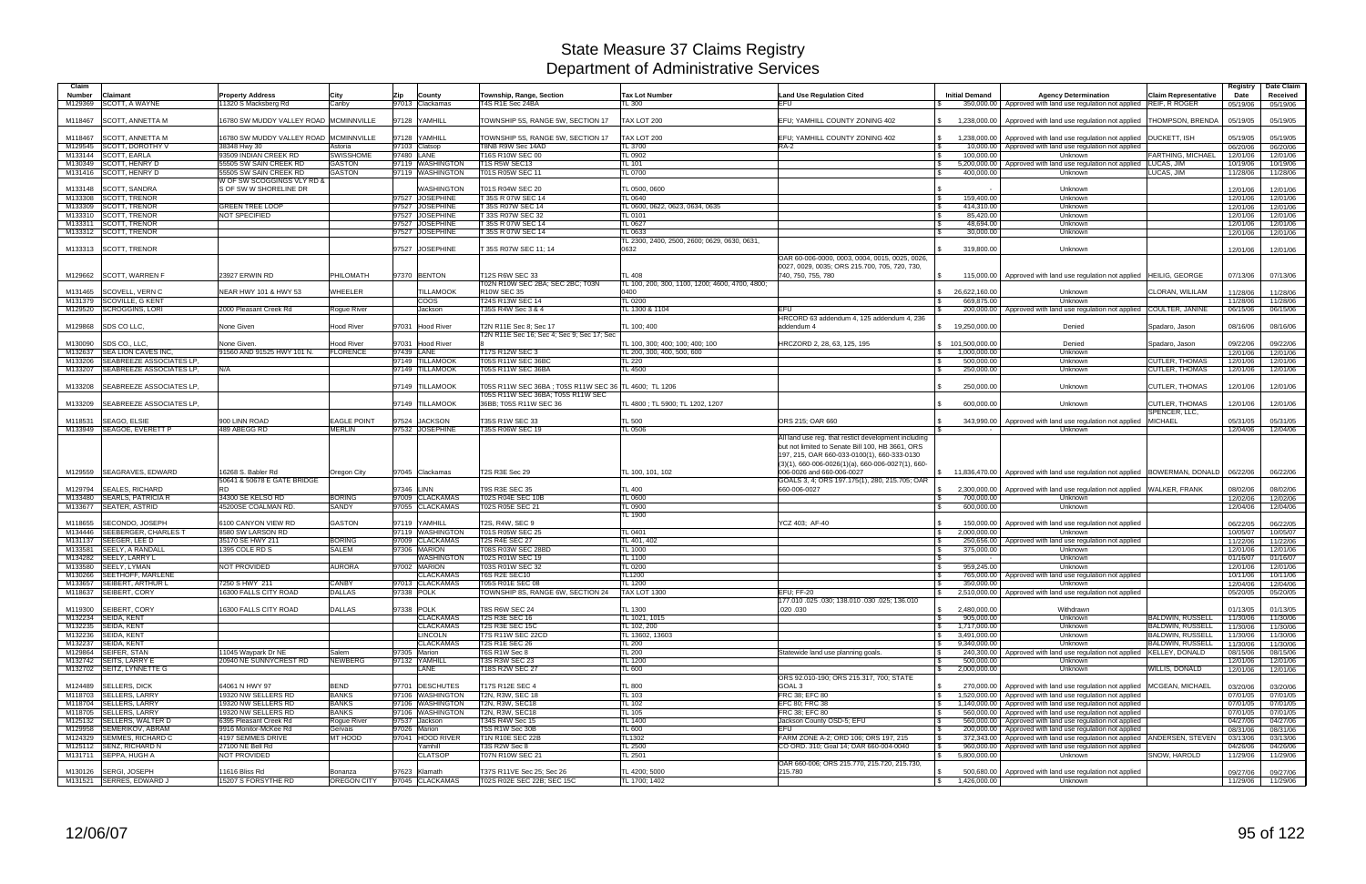| Claim         |                                                       |                                                      |                    |                             |                                                        |                                                 |                                                                                |                                                  |                                                                           |                             | Registry             | Date Claim           |
|---------------|-------------------------------------------------------|------------------------------------------------------|--------------------|-----------------------------|--------------------------------------------------------|-------------------------------------------------|--------------------------------------------------------------------------------|--------------------------------------------------|---------------------------------------------------------------------------|-----------------------------|----------------------|----------------------|
| <b>Number</b> | Claimant                                              | <b>Property Address</b>                              | City               | Zip<br>County               | Township, Range, Section                               | <b>Tax Lot Number</b>                           | <b>Land Use Regulation Cited</b>                                               | <b>Initial Demand</b>                            | <b>Agency Determination</b>                                               | <b>Claim Representative</b> | Date                 | Received             |
| M129369       | SCOTT, A WAYNE                                        | 11320 S Macksberg Rd                                 | Canby              | 97013 Clackamas             | T4S R1E Sec 24BA                                       | TL 300                                          | EFU                                                                            |                                                  | 350,000.00   Approved with land use regulation not applied REIF, R ROGER  |                             | 05/19/06             | 05/19/06             |
|               |                                                       |                                                      |                    |                             |                                                        |                                                 |                                                                                |                                                  |                                                                           |                             |                      |                      |
| M118467       | <b>SCOTT, ANNETTA M</b>                               | 16780 SW MUDDY VALLEY ROAD MCMINNVILLE               |                    | 97128 YAMHILL               | TOWNSHIP 5S, RANGE 5W, SECTION 17                      | TAX LOT 200                                     | EFU; YAMHILL COUNTY ZONING 402                                                 | 1,238,000.00                                     | Approved with land use regulation not applied                             | <b>THOMPSON, BRENDA</b>     | 05/19/05             | 05/19/05             |
|               |                                                       |                                                      |                    |                             |                                                        |                                                 |                                                                                |                                                  |                                                                           |                             |                      |                      |
| M118467       | <b>SCOTT, ANNETTA M</b>                               | 16780 SW MUDDY VALLEY ROAD MCMINNVILLE               |                    | 97128 YAMHILL               | TOWNSHIP 5S, RANGE 5W, SECTION 17                      | TAX LOT 200                                     | EFU: YAMHILL COUNTY ZONING 402                                                 | 1,238,000.00<br>\$                               | Approved with land use regulation not applied  DUCKETT, ISH               |                             | 05/19/05             | 05/19/05             |
| M129545       | <b>SCOTT, DOROTHY V</b>                               | 38348 Hwy 30                                         | Astoria            | 97103 Clatsop               | T8NB R9W Sec 14AD                                      | <b>TL 3700</b>                                  | <b>RA-2</b>                                                                    | l \$<br>10,000.00                                | Approved with land use regulation not applied                             |                             | 06/20/06             | 06/20/06             |
|               | M133144 SCOTT, EARLA                                  | 93509 INDIAN CREEK RD                                | <b>SWISSHOME</b>   | 97480 LANE                  | T16S R10W SEC 00                                       | TL 0902                                         |                                                                                | 100.000.00                                       | Unknown                                                                   | FARTHING, MICHAEL           | 12/01/06             | 12/01/06             |
|               | M130349 SCOTT, HENRY D                                | 55505 SW SAIN CREEK RD                               | <b>GASTON</b>      | 97119 WASHINGTON            | T1S R5W SEC13                                          | TL 101                                          |                                                                                | 5,200,000.00<br>\$                               | Approved with land use regulation not applied                             | LUCAS, JIM                  | 10/19/06             | 10/19/06             |
|               | M131416 SCOTT, HENRY D                                | 55505 SW SAIN CREEK RD                               | <b>GASTON</b>      | 97119 WASHINGTON            | T01S R05W SEC 11                                       | TL 0700                                         |                                                                                | 400,000.00                                       | Unknown                                                                   | LUCAS, JIM                  | 11/28/06             | 11/28/06             |
| M133148       | <b>SCOTT, SANDRA</b>                                  | W OF SW SCOGGINGS VLY RD &<br>S OF SW W SHORELINE DR |                    | <b>WASHINGTON</b>           | T01S R04W SEC 20                                       | TL 0500, 0600                                   |                                                                                |                                                  | Unknown                                                                   |                             |                      |                      |
| M133308       | <b>SCOTT, TRENOR</b>                                  |                                                      |                    | 97527 JOSEPHINE             | 35S R 07W SEC 14                                       | TL 0640                                         |                                                                                | 159,400.00                                       | Unknown                                                                   |                             | 12/01/06<br>12/01/06 | 12/01/06<br>12/01/06 |
| M133309       | <b>SCOTT, TRENOR</b>                                  | <b>GREEN TREE LOOP</b>                               |                    | 97527 JOSEPHINE             | 35S R07W SEC 14                                        | TL 0600, 0622, 0623, 0634, 0635                 |                                                                                | l \$<br>414,310.00                               | Unknown                                                                   |                             | 12/01/06             | 12/01/06             |
| M133310       | <b>SCOTT, TRENOR</b>                                  | <b>NOT SPECIFIED</b>                                 |                    | 97527 JOSEPHINE             | 33S R07W SEC 32                                        | TL 0101                                         |                                                                                | 85,420.00                                        | Unknown                                                                   |                             | 12/01/06             | 12/01/06             |
| M133311       | <b>SCOTT, TRENOR</b>                                  |                                                      |                    | 97527 JOSEPHINE             | 35S R 07W SEC 14                                       | TL 0627                                         |                                                                                | 48,694.00<br>l \$                                | Unknown                                                                   |                             | 12/01/06             | 12/01/06             |
|               | M133312 SCOTT, TRENOR                                 |                                                      |                    | 97527 JOSEPHINE             | 35S R 07W SEC 14                                       | TL 0633                                         |                                                                                | 30,000,00                                        | Unknown                                                                   |                             | 12/01/06             | 12/01/06             |
|               |                                                       |                                                      |                    |                             |                                                        | TL 2300, 2400, 2500, 2600; 0629, 0630, 0631,    |                                                                                |                                                  |                                                                           |                             |                      |                      |
|               | M133313 SCOTT, TRENOR                                 |                                                      |                    | 97527 JOSEPHINE             | 35S R07W SEC 11; 14                                    | 0632                                            |                                                                                | 319,800.00                                       | Unknown                                                                   |                             | 12/01/06             | 12/01/06             |
|               |                                                       |                                                      |                    |                             |                                                        |                                                 | OAR 60-006-0000, 0003, 0004, 0015, 0025, 0026,                                 |                                                  |                                                                           |                             |                      |                      |
|               |                                                       |                                                      |                    |                             |                                                        |                                                 | 0027, 0029, 0035; ORS 215.700, 705, 720, 730,                                  |                                                  |                                                                           |                             |                      |                      |
|               | M129662 SCOTT, WARREN F                               | 23927 ERWIN RD                                       | PHILOMATH          | 97370 BENTON                | T12S R6W SEC 33                                        | TL 408                                          | 740, 750, 755, 780                                                             | 115,000.00<br>- \$                               | Approved with land use regulation not applied   HEILIG, GEORGE            |                             | 07/13/06             | 07/13/06             |
|               |                                                       |                                                      |                    |                             | T02N R10W SEC 2BA; SEC 2BC; T03N                       | TL 100, 200, 300, 1100, 1200; 4600, 4700, 4800; |                                                                                |                                                  |                                                                           |                             |                      |                      |
| M131465       | <b>SCOVELL, VERN C</b>                                | NEAR HWY 101 & HWY 53                                | WHEELER            | <b>TILLAMOOK</b>            | R10W SEC 35                                            | 0400                                            |                                                                                | 26,622,160.00                                    | Unknown                                                                   | CLORAN, WILILAM             | 11/28/06             | 11/28/06             |
|               | M131379 SCOVILLE, G KENT                              |                                                      |                    | <b>COOS</b>                 | T24S R13W SEC 14                                       | TL 0200                                         |                                                                                | 669,875.00                                       | Unknown                                                                   |                             | 11/28/06             | 11/28/06             |
|               | M129520 SCROGGINS, LORI                               | 2000 Pleasant Creek Rd                               | Roque River        | Jackson                     | T35S R4W Sec 3 & 4                                     | TL 1300 & 1104                                  | EFU<br>HRCORD 63 addendum 4, 125 addendum 4, 236                               | $\mathcal{S}$                                    | 200,000,00 Approved with land use regulation not applied COULTER, JANINE  |                             | 06/15/06             | 06/15/06             |
|               |                                                       | None Given                                           | <b>Hood River</b>  | 97031 Hood River            | T2N R11E Sec 8: Sec 17                                 |                                                 | addendum 4                                                                     |                                                  | Denied                                                                    | Spadaro, Jason              |                      | 08/16/06             |
| M129868       | SDS CO LLC.                                           |                                                      |                    |                             | T2N R11E Sec 16; Sec 4; Sec 9; Sec 17; Sec             | TL 100; 400                                     |                                                                                | \$ 19,250,000.00                                 |                                                                           |                             | 08/16/06             |                      |
| M130090       | SDS CO., LLC.                                         | None Given.                                          | <b>Hood River</b>  | 97031 Hood River            |                                                        | TL 100, 300; 400; 100; 400; 100                 | HRCZORD 2, 28, 63, 125, 195                                                    | \$ 101,500,000.00                                | Denied                                                                    | Spadaro, Jason              | 09/22/06             | 09/22/06             |
|               | M132637 SEA LION CAVES INC                            | 91560 AND 91525 HWY 101 N.                           | <b>FLORENCE</b>    | 97439 LANE                  | T17S R12W SEC 3                                        | TL 200, 300, 400, 500, 600                      |                                                                                | 1,000,000.00<br>S.                               | Unknown                                                                   |                             | 12/01/06             | 12/01/06             |
| M133206       | SEABREEZE ASSOCIATES LP.                              |                                                      |                    | 97149 TILLAMOOK             | <b>T05S R11W SEC 36BC</b>                              | TL 220                                          |                                                                                | 500,000.00<br>\$                                 | Unknown                                                                   | <b>CUTLER, THOMAS</b>       | 12/01/06             | 12/01/06             |
| M133207       | SEABREEZE ASSOCIATES LP.                              | N/A                                                  |                    | 97149 TILLAMOOK             | T05S R11W SEC 36BA                                     | <b>TL 4500</b>                                  |                                                                                | 250,000.00                                       | Unknown                                                                   | <b>CUTLER, THOMAS</b>       | 12/01/06             | 12/01/06             |
|               |                                                       |                                                      |                    |                             |                                                        |                                                 |                                                                                |                                                  |                                                                           |                             |                      |                      |
| M133208       | <b>SEABREEZE ASSOCIATES LP.</b>                       |                                                      |                    | 97149 TILLAMOOK             | T05S R11W SEC 36BA ; T05S R11W SEC 36 TL 4600; TL 1206 |                                                 |                                                                                | 250,000.00                                       | Unknown                                                                   | <b>CUTLER, THOMAS</b>       | 12/01/06             | 12/01/06             |
|               |                                                       |                                                      |                    |                             | T05S R11W SEC 36BA; T05S R11W SEC                      |                                                 |                                                                                |                                                  |                                                                           |                             |                      |                      |
| M133209       | <b>SEABREEZE ASSOCIATES LP.</b>                       |                                                      |                    | 97149 TILLAMOOK             | 36BB; T05S R11W SEC 36                                 | TL 4800 ; TL 5900; TL 1202, 1207                |                                                                                | 600.000.00                                       | Unknown                                                                   | <b>CUTLER, THOMAS</b>       | 12/01/06             | 12/01/06             |
|               |                                                       |                                                      |                    |                             |                                                        |                                                 |                                                                                |                                                  |                                                                           | SPENCER, LLC,               |                      |                      |
| M118531       | <b>SEAGO, ELSIE</b>                                   | 900 LINN ROAD                                        | <b>EAGLE POINT</b> | 97524 JACKSON               | T35S R1W SEC 33                                        | TL 500                                          | ORS 215; OAR 660                                                               | 343,990.00                                       | Approved with land use regulation not applied                             | MICHAEL                     | 05/31/05             | 05/31/05             |
|               | M133949 SEAGOE, EVERETT P                             | 489 ABEGG RD                                         | <b>MERLIN</b>      | 97532 JOSEPHINE             | T35S R06W SEC 19                                       | TL 0506                                         |                                                                                |                                                  | Unknown                                                                   |                             | 12/04/06             | 12/04/06             |
|               |                                                       |                                                      |                    |                             |                                                        |                                                 | All land use reg. that restict development including                           |                                                  |                                                                           |                             |                      |                      |
|               |                                                       |                                                      |                    |                             |                                                        |                                                 | but not limited to Senate Bill 100, HB 3661, ORS                               |                                                  |                                                                           |                             |                      |                      |
|               |                                                       |                                                      |                    |                             |                                                        |                                                 | 197, 215, OAR 660-033-0100(1), 660-333-0130                                    |                                                  |                                                                           |                             |                      |                      |
|               |                                                       |                                                      |                    |                             |                                                        |                                                 | $(3)(1)$ , 660-006-0026 $(1)(a)$ , 660-006-0027 $(1)$ , 660-                   |                                                  |                                                                           |                             |                      |                      |
|               | M129559 SEAGRAVES, EDWARD                             | 16268 S. Babler Rd                                   | Oregon City        | 97045 Clackamas             | T2S R3E Sec 29                                         | TL 100, 101, 102                                | 006-0026 and 660-006-0027                                                      | 11.836.470.00                                    | Approved with land use regulation not applied BOWERMAN, DONALD 06/22/06   |                             |                      | 06/22/06             |
|               |                                                       | 50641 & 50678 E GATE BRIDGE                          |                    |                             |                                                        |                                                 | GOALS 3, 4; ORS 197.175(1), 280, 215.705; OAR                                  |                                                  |                                                                           |                             |                      |                      |
| M129794       | <b>SEALES, RICHARD</b>                                | RD.                                                  |                    | 97346 LINN                  | T9S R3E SEC 35                                         | TL 400                                          | 660-006-0027                                                                   | 2,300,000.00<br>S.                               | Approved with land use regulation not applied WALKER, FRANK               |                             | 08/02/06             | 08/02/06             |
| M133480       | <b>SEARLS, PATRICIA R</b>                             | 34300 SE KELSO RD                                    | <b>BORING</b>      | 97009 CLACKAMAS             | T02S R04E SEC 10B                                      | TL 0600                                         |                                                                                | 700,000.00                                       | Unknown                                                                   |                             | 12/02/06             | 12/02/06             |
| M133677       | <b>SEATER, ASTRID</b>                                 | 45200SE COALMAN RD.                                  | <b>SANDY</b>       | 97055 CLACKAMAS             | T02S R05E SEC 21                                       | <b>TL 0900</b>                                  |                                                                                | 600,000.00<br>l S                                | Unknown                                                                   |                             | 12/04/06             | 12/04/06             |
| M118655       | <b>SECONDO, JOSEPH</b>                                | 6100 CANYON VIEW RD                                  | <b>GASTON</b>      | 97119 YAMHILL               | T2S, R4W, SEC 9                                        | TL 1900                                         | YCZ 403: AF-40                                                                 | 150.000.00                                       | Approved with land use regulation not applied                             |                             | 06/22/05             | 06/22/05             |
| M134446       | <b>SEEBERGER, CHARLES T</b>                           | 8580 SW LARSON RD                                    |                    | 97119 WASHINGTON            | T01S R05W SEC 25                                       | <b>L0401</b>                                    |                                                                                | 2.000.000.00                                     | Unknown                                                                   |                             |                      |                      |
| M131137       | SEEGER, LEE D                                         | 35170 SE HWY 211                                     | <b>BORING</b>      | 97009 CLACKAMAS             | <b>T2S R4E SEC 27</b>                                  | TL 401, 402                                     |                                                                                | 250,656.00<br>- \$                               | Approved with land use regulation not applied                             |                             | 10/05/07<br>11/22/06 | 10/05/07             |
| M133581       | <b>SEELY, A RANDALL</b>                               | 1395 COLE RD S                                       | SALEM              | 97306 MARION                | T08S R03W SEC 28BD                                     | TL 1000                                         |                                                                                | 375,000.00                                       | Unknown                                                                   |                             | 12/01/06             | 11/22/06<br>12/01/06 |
| M134282       | <b>SEELY, LARRY L</b>                                 |                                                      |                    | WASHINGTON                  | T02S R01W SEC 19                                       | TL 1100                                         |                                                                                |                                                  | Unknown                                                                   |                             | 01/16/07             | 01/16/07             |
|               | M133580 SEELY, LYMAN                                  | NOT PROVIDED                                         | <b>AURORA</b>      | 97002 MARION                | T03S R01W SEC 32                                       | <b>TL 0200</b>                                  |                                                                                | 959,245.00                                       | Unknown                                                                   |                             | 12/01/06             | 12/01/06             |
|               | M130266 SEETHOFF, MARLENE                             |                                                      |                    | <b>CLACKAMAS</b>            | T6S R2E SEC10                                          | <b>TL1200</b>                                   |                                                                                |                                                  | 765,000.00 Approved with land use regulation not applied                  |                             | 10/11/06             | 10/11/06             |
|               | M133657 SEIBERT, ARTHUR L                             | 7250 S HWY 211                                       | <b>CANBY</b>       | 97013 CLACKAMAS             | <b>T05S R01E SEC 08</b>                                | TL 1200                                         |                                                                                | 350,000.00                                       | Unknown                                                                   |                             | 12/04/06             | 12/04/06             |
|               | M118637 SEIBERT, CORY                                 | 16300 FALLS CITY ROAD                                | <b>DALLAS</b>      | 97338 POLK                  | TOWNSHIP 8S, RANGE 6W, SECTION 24                      | <b>TAX LOT 1300</b>                             | EFU: FF-20                                                                     | $\mathbb{S}$                                     | 2,510,000.00 Approved with land use regulation not applied                |                             | 05/20/05             | 05/20/05             |
|               |                                                       |                                                      |                    |                             |                                                        |                                                 | 177.010.025.138.010.030.025:136.010                                            |                                                  |                                                                           |                             |                      |                      |
|               | M119300 SEIBERT, CORY                                 | 16300 FALLS CITY ROAD                                | <b>DALLAS</b>      | 97338 POLK                  | <b>T8S R6W SEC 24</b>                                  | TL 1300                                         | .020.030                                                                       | 2,480,000.00<br>$\mathbb S$                      | Withdrawn                                                                 |                             | 01/13/05             | 01/13/05             |
|               | M132234 SEIDA, KENT                                   |                                                      |                    | <b>CLACKAMAS</b>            | <b>T2S R3E SEC 16</b>                                  | TL 1021, 1015                                   |                                                                                | 905,000.00<br>$\mathfrak{L}$                     | Unknown                                                                   | BALDWIN, RUSSELL            | 11/30/06             | 11/30/06             |
|               | M132235 SEIDA, KENT                                   |                                                      |                    | <b>CLACKAMAS</b>            | T2S R3E SEC 15C                                        | TL 102, 200                                     |                                                                                | 1,717,000.00<br>\$                               | Unknown                                                                   | <b>BALDWIN, RUSSELL</b>     | 11/30/06             | 11/30/06             |
|               | M132236 SEIDA, KENT                                   |                                                      |                    | <b>LINCOLN</b>              | T7S R11W SEC 22CD                                      | TL 13602, 13603                                 |                                                                                | 3,491,000.00<br>$\sqrt{S}$                       | Unknown                                                                   | BALDWIN, RUSSELL            | 11/30/06             | 11/30/06             |
|               | M132237 SEIDA, KENT                                   |                                                      |                    | <b>CLACKAMAS</b>            | <b>T2S R1E SEC 26</b>                                  | TL 200                                          |                                                                                | 9,340,000.00<br>\$                               | Unknown                                                                   | BALDWIN, RUSSELL            | 11/30/06             | 11/30/06             |
|               | M129864 SEIFER, STAN                                  | 11045 Wavpark Dr NE                                  | Salem              | 97305 Marion                | T6S R1W Sec 8                                          | <b>TL 200</b>                                   | Statewide land use planning goals.                                             | l \$                                             | 240,300.00   Approved with land use regulation not applied KELLEY, DONALD |                             | 08/15/06             | 08/15/06             |
|               | M132742 SEITS, LARRY E                                | 20940 NE SUNNYCREST RD                               | <b>NEWBERG</b>     | 97132 YAMHILL               | <b>T3S R3W SEC 23</b>                                  | <b>TL 1200</b>                                  |                                                                                | 500,000.00<br>\$                                 | Unknown                                                                   |                             | 12/01/06             | 12/01/06             |
|               | M132702 SEITZ, LYNNETTE G                             |                                                      |                    | LANE                        | T18S R2W SEC 27                                        | TL 600                                          |                                                                                | $\frac{1}{2}$<br>2,000,000.00                    | Unknown                                                                   | WILLIS, DONALD              | 12/01/06             | 12/01/06             |
|               |                                                       |                                                      |                    |                             |                                                        |                                                 | ORS 92.010-190; ORS 215.317, 700; STATE                                        |                                                  |                                                                           |                             |                      |                      |
|               | M124489 SELLERS, DICK                                 | 64061 N HWY 97                                       | <b>BEND</b>        | 97701 DESCHUTES             | T17S R12E SEC 4                                        | <b>TL 800</b>                                   | GOAL 3                                                                         | \$<br>270,000.00                                 | Approved with land use regulation not applied   MCGEAN, MICHAEL           |                             | 03/20/06             | 03/20/06             |
|               | M118703 SELLERS, LARRY                                | 19320 NW SELLERS RD                                  | <b>BANKS</b>       | 97106 WASHINGTON            | T2N, R3W, SEC 18                                       | TL 103                                          | FRC 38; EFC 80                                                                 | <b>S</b>                                         | 1,520,000.00 Approved with land use regulation not applied                |                             | 07/01/05             | 07/01/05             |
|               | M118704 SELLERS, LARRY                                | 19320 NW SELLERS RD                                  | <b>BANKS</b>       | 97106 WASHINGTON            | <b>T2N, R3W, SEC18</b>                                 | TL 102                                          | EFC 80; FRC 38                                                                 | \$<br>1,140,000.00                               | Approved with land use regulation not applied                             |                             | 07/01/05             | 07/01/05             |
|               | M118705 SELLERS, LARRY                                | 19320 NW SELLERS RD                                  | <b>BANKS</b>       | 97106 WASHINGTON            | T2N, R3W, SEC18                                        | TL 105                                          | FRC 38; EFC 80                                                                 | l \$                                             | 560,000.00 Approved with land use regulation not applied                  |                             | 07/01/05             | 07/01/05             |
|               | M125132 SELLERS, WALTER D                             | 6395 Pleasant Creek Rd                               | Roque River        | 97537 Jackson               | T34S R4W Sec 15                                        | TL 1400                                         | Jackson County OSD-5; EFU<br><b>EFU</b>                                        | 560,000.00                                       | Approved with land use regulation not applied                             |                             | 04/27/06             | 04/27/06             |
|               | M129958 SEMERIKOV, ABRAM<br>M124329 SEMMES, RICHARD C | 9916 Monitor-McKee Rd                                | Gervais            | 97026 Marion                | T5S R1W Sec 30B                                        | TL 600                                          |                                                                                |                                                  | 200,000.00   Approved with land use regulation not applied                |                             | 08/31/06             | 08/31/06             |
|               | M125112 SENZ, RICHARD N                               | 4197 SEMMES DRIVE                                    | MT HOOD            | 97041 HOOD RIVER<br>Yamhill | T1N R10E SEC 22B<br>T3S R2W Sec 8                      | <b>TL1302</b>                                   | FARM ZONE A-2; ORD 106; ORS 197, 215<br>CO ORD. 310; Goal 14; OAR 660-004-0040 | 372,343.00<br>l \$                               | Approved with land use regulation not applied   ANDERSEN, STEVEN          |                             | 03/13/06             | 03/13/06             |
|               | M131711 SEPPA, HUGH A                                 | 27100 NE Bell Rd<br>NOT PROVIDED                     |                    | <b>CLATSOP</b>              | <b>T07N R10W SEC 21</b>                                | TL 2500<br>TL 2501                              |                                                                                | 960,000.00<br>l \$<br>5,800,000.00<br>$\sqrt{S}$ | Approved with land use regulation not applied<br>Unknown                  | SNOW, HAROLD                | 04/26/06<br>11/29/06 | 04/26/06<br>11/29/06 |
|               |                                                       |                                                      |                    |                             |                                                        |                                                 | OAR 660-006; ORS 215.770, 215.720, 215.730,                                    |                                                  |                                                                           |                             |                      |                      |
|               | M130126 SERGI, JOSEPH                                 | 11616 Bliss Rd                                       | Bonanza            | 97623 Klamath               | T37S R11VE Sec 25; Sec 26                              | TL 4200; 5000                                   | 215.780                                                                        | 500,680.00<br>I \$                               | Approved with land use regulation not applied                             |                             | 09/27/06             | 09/27/06             |
|               | M131521 SERRES, EDWARD J                              | 15207 S FORSYTHE RD                                  | <b>OREGON CITY</b> | 97045 CLACKAMAS             | T02S R02E SEC 22B; SEC 15C                             | TL 1700; 1402                                   |                                                                                | $\sqrt{S}$<br>1,426,000.00                       | Unknown                                                                   |                             |                      | 11/29/06 11/29/06    |
|               |                                                       |                                                      |                    |                             |                                                        |                                                 |                                                                                |                                                  |                                                                           |                             |                      |                      |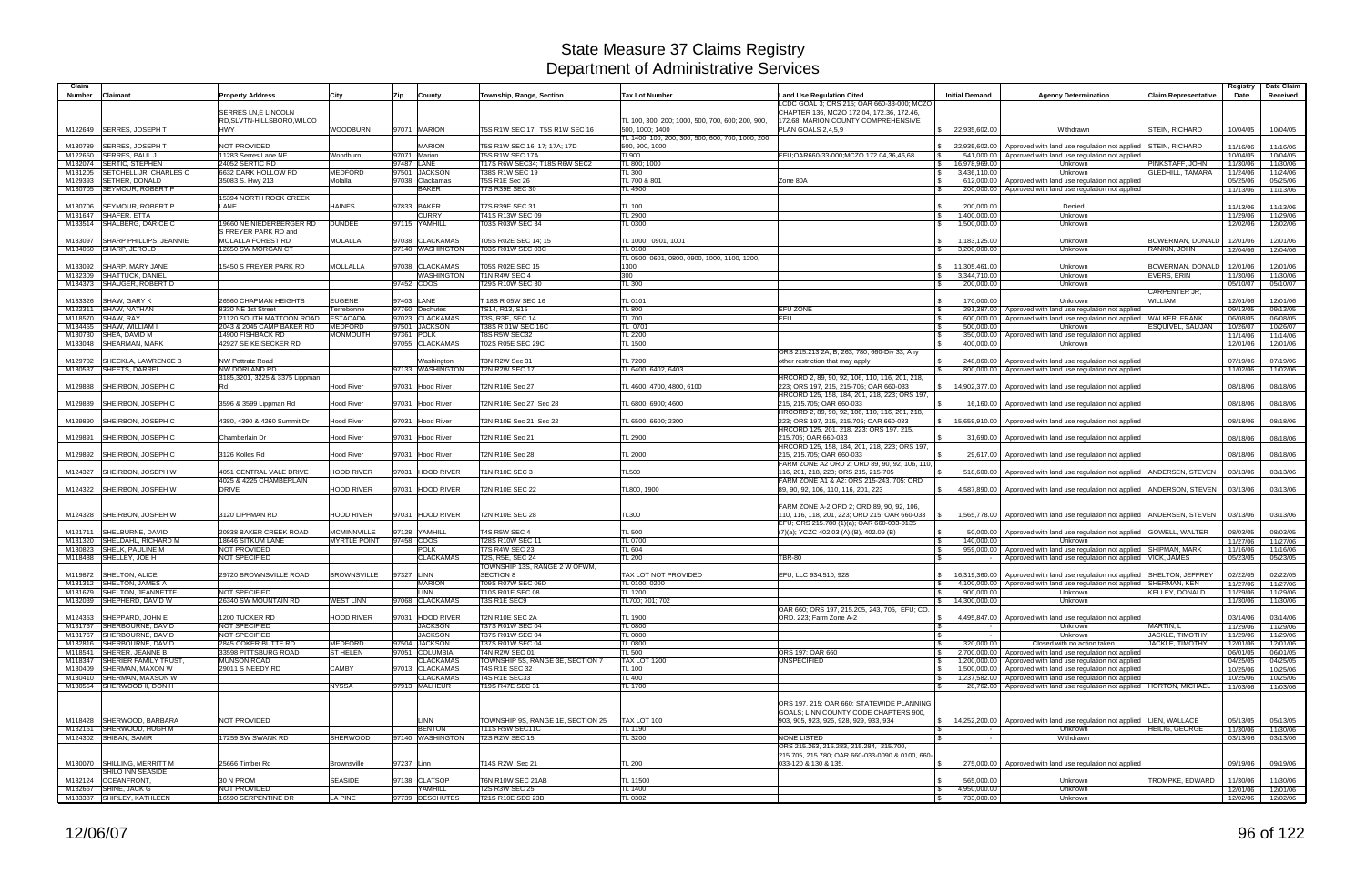| Claim<br>Number | <b>Claimant</b>                                          | <b>Property Address</b>                            | City                        | Zip        | County                            | Township, Range, Section                        | <b>Tax Lot Number</b>                                                | Land Use Regulation Cited                                                        | <b>Initial Demand</b>                                      | <b>Agency Determination</b>                                                           | Claim Representative                      | Registry<br>Date     | Date Claim<br>Received |
|-----------------|----------------------------------------------------------|----------------------------------------------------|-----------------------------|------------|-----------------------------------|-------------------------------------------------|----------------------------------------------------------------------|----------------------------------------------------------------------------------|------------------------------------------------------------|---------------------------------------------------------------------------------------|-------------------------------------------|----------------------|------------------------|
|                 |                                                          |                                                    |                             |            |                                   |                                                 |                                                                      | LCDC GOAL 3; ORS 215; OAR 660-33-000; MCZO                                       |                                                            |                                                                                       |                                           |                      |                        |
|                 |                                                          | SERRES LN, E LINCOLN<br>RD, SLVTN-HILLSBORO, WILCO |                             |            |                                   |                                                 | TL 100, 300, 200; 1000, 500, 700, 600; 200, 900,                     | CHAPTER 136, MCZO 172.04, 172.36, 172.46,<br>172.68; MARION COUNTY COMPREHENSIVE |                                                            |                                                                                       |                                           |                      |                        |
|                 | M122649 SERRES, JOSEPH T                                 | <b>HWY</b>                                         | <b>WOODBURN</b>             |            | 97071 MARION                      | T5S R1W SEC 17; T5S R1W SEC 16                  | 500, 1000; 1400<br>TL 1400; 100, 200, 300; 500, 600, 700, 1000; 200, | PLAN GOALS 2,4,5,9                                                               | \$22,935,602.00                                            | Withdrawn                                                                             | <b>STEIN, RICHARD</b>                     | 10/04/05             | 10/04/05               |
| M130789         | <b>SERRES, JOSEPH T</b>                                  | NOT PROVIDED                                       |                             |            | <b>MARION</b>                     | T5S R1W SEC 16; 17; 17A; 17D                    | 500, 900, 1000                                                       |                                                                                  | 22,935,602.00                                              | Approved with land use regulation not applied                                         | <b>STEIN, RICHARD</b>                     | 11/16/06             | 11/16/06               |
|                 | M122650 SERRES, PAUL J                                   | 11283 Serres Lane NE                               | Woodburn                    |            | 97071 Marion                      | T5S R1W SEC 17A                                 | TL900                                                                | EFU;OAR660-33-000;MCZO 172.04,36,46,68.                                          |                                                            | 541,000.00   Approved with land use regulation not applied                            |                                           | 10/04/05             | 10/04/05               |
|                 | M132074 SERTIC, STEPHEN                                  | 24052 SERTIC RD                                    |                             |            | 97487 LANE                        | T17S R6W SEC34; T18S R6W SEC2                   | TL 800; 1000                                                         |                                                                                  | $\mathcal{S}$<br>16,978,969.00                             | Unknown                                                                               | PINKSTAFF, JOHN                           | 11/30/06             | 11/30/06               |
|                 | M131205 SETCHELL JR. CHARLES C<br>M129393 SETHER, DONALD | 6632 DARK HOLLOW RD<br>35083 S. Hwy 213            | <b>MEDFORD</b><br>Molalla   |            | 97501 JACKSON<br>97038 Clackamas  | T38S R1W SEC 19<br><b>T5S R1E Sec 26</b>        | TL300<br>TL 700 & 801                                                | Zone 80A                                                                         | 3.436.110.00<br>\$                                         | Unknown<br>612,000.00   Approved with land use regulation not applied                 | <b>GLEDHILL, TAMARA</b>                   | 11/24/06<br>05/25/06 | 11/24/06<br>05/25/06   |
|                 | M130705 SEYMOUR, ROBERT P                                |                                                    |                             |            | <b>BAKER</b>                      | <b>T7S R39E SEC 30</b>                          | TL 4900                                                              |                                                                                  |                                                            | 200,000.00 Approved with land use regulation not applied                              |                                           | 11/13/06             | 11/13/06               |
|                 |                                                          | 15394 NORTH ROCK CREEK                             |                             |            |                                   |                                                 |                                                                      |                                                                                  |                                                            |                                                                                       |                                           |                      |                        |
|                 | M130706 SEYMOUR, ROBERT P                                | LANE                                               | <b>HAINES</b>               |            | 97833 BAKER                       | T7S R39E SEC 31                                 | TL 100                                                               |                                                                                  | 200,000.00<br>-S                                           | Denied                                                                                |                                           | 11/13/06             | 11/13/06               |
| M131647         | SHAFER, ETTA<br>M133514 SHALBERG, DARICE C               | 19660 NE NIEDERBERGER RD                           | <b>DUNDEE</b>               |            | <b>CURRY</b><br>97115 YAMHILL     | T41S R13W SEC 09<br>T03S R03W SEC 34            | <b>TL 2900</b><br><b>TL 0300</b>                                     |                                                                                  | 1,400,000.00<br>$\mathbb{S}$<br>1,500,000.00               | Unknown<br>Unknown                                                                    |                                           | 11/29/06<br>12/02/06 | 11/29/06<br>12/02/06   |
|                 |                                                          | S FREYER PARK RD and                               |                             |            |                                   |                                                 |                                                                      |                                                                                  |                                                            |                                                                                       |                                           |                      |                        |
| M133097         | SHARP PHILLIPS, JEANNIE                                  | MOLALLA FOREST RD                                  | <b>MOLALLA</b>              |            | 97038 CLACKAMAS                   | T05S R02E SEC 14; 15                            | TL 1000: 0901, 1001                                                  |                                                                                  | 1,183,125.00                                               | Unknown                                                                               | BOWERMAN, DONALD                          | 12/01/06             | 12/01/06               |
|                 | M134050 SHARP, JEROLD                                    | 12650 SW MORGAN CT                                 |                             |            | 97140 WASHINGTON                  | T03S R01W SEC 03C                               | TL 0100                                                              |                                                                                  | 3,200,000.00                                               | Unknown                                                                               | RANKIN, JOHN                              | 12/04/06             | 12/04/06               |
| M133092         | SHARP, MARY JANE                                         | 15450 S FREYER PARK RD                             | <b>MOLLALLA</b>             |            | 97038 CLACKAMAS                   | T05S R02E SEC 15                                | TL 0500, 0601, 0800, 0900, 1000, 1100, 1200,<br>1300                 |                                                                                  | \$ 11,305,461.00                                           | Unknown                                                                               | BOWERMAN, DONALD                          | 12/01/06             | 12/01/06               |
|                 | M132309 SHATTUCK, DANIEL                                 |                                                    |                             |            | WASHINGTON                        | T1N R4W SEC 4                                   | 300                                                                  |                                                                                  | 3,344,710.00<br>\$                                         | Unknown                                                                               | EVERS, ERIN                               | 11/30/06             | 11/30/06               |
|                 | M134373 SHAUGER, ROBERT D                                |                                                    |                             |            | 97452 COOS                        | T29S R10W SEC 30                                | <b>TL 300</b>                                                        |                                                                                  | 200,000.00<br>-S                                           | Unknown                                                                               |                                           | 05/10/07             | 05/10/07               |
|                 |                                                          |                                                    |                             |            |                                   |                                                 |                                                                      |                                                                                  |                                                            |                                                                                       | CARPENTER JR.                             |                      |                        |
| M133326         | SHAW, GARY K<br>M122311 SHAW, NATHAN                     | 26560 CHAPMAN HEIGHTS<br>8330 NE 1st Street        | <b>EUGENE</b><br>Terrebonne |            | 97403 LANE<br>97760 Dechutes      | T 18S R 05W SEC 16<br>TS14, R13, S15            | TL 0101<br><b>TL 800</b>                                             | EFU ZONE<br><b>S</b>                                                             | 170,000.00                                                 | Unknown<br>291,387.00 Approved with land use regulation not applied                   | WILLIAM                                   | 12/01/06<br>09/13/05 | 12/01/06<br>09/13/05   |
|                 | M118570 SHAW, RAY                                        | 21120 SOUTH MATTOON ROAD                           | <b>ESTACADA</b>             |            | 97023 CLACKAMAS                   | T3S, R3E, SEC 14                                | <b>TL 700</b>                                                        | EFU<br>\$                                                                        | 600,000.00                                                 | Approved with land use regulation not applied WALKER, FRANK                           |                                           | 06/08/05             | 06/08/05               |
|                 | M134455 SHAW, WILLIAM I                                  | 2043 & 2045 CAMP BAKER RD                          | <b>MEDFORD</b>              |            | 97501 JACKSON                     | T38S R 01W SEC 16C                              | TL 0701                                                              |                                                                                  | $\mathbb{S}$<br>500,000.00                                 | Unknown                                                                               | ESQUIVEL, SAL/JAN                         | 10/26/07             | 10/26/07               |
| M130730         | SHEA, DAVID M                                            | 14900 FISHBACK RD                                  | <b>MONMOUTH</b>             |            | 97361 POLK                        | T8S R5W SEC32                                   | <b>TL 2200</b>                                                       |                                                                                  |                                                            | 350,000.00   Approved with land use regulation not applied                            |                                           | 11/14/06             | 11/14/06               |
|                 | M133048 SHEARMAN, MARK                                   | 42927 SE KEISECKER RD                              |                             |            | 97055 CLACKAMAS                   | T02S R05E SEC 29C                               | TL 1500                                                              |                                                                                  | 400,000.00                                                 | Unknown                                                                               |                                           | 12/01/06             | 12/01/06               |
| M129702         | SHECKLA, LAWRENCE B                                      | <b>NW Pottratz Road</b>                            |                             |            | Washington                        | T3N R2W Sec 31                                  | <b>TL 7200</b>                                                       | ORS 215.213 2A, B, 263, 780; 660-Div 33; Any<br>other restriction that may apply | 248,860.00<br><b>S</b>                                     | Approved with land use regulation not applied                                         |                                           | 07/19/06             | 07/19/06               |
|                 | M130537 SHEETS, DARREL                                   | <b>NW DORLAND RD</b>                               |                             |            | 97133 WASHINGTON                  | T2N R2W SEC 17                                  | FL 6400, 6402, 6403                                                  |                                                                                  |                                                            | 800,000.00   Approved with land use regulation not applied                            |                                           | 11/02/06             | 11/02/06               |
|                 |                                                          | 3185,3201, 3225 & 3375 Lippman                     |                             |            |                                   |                                                 |                                                                      | HRCORD 2, 89, 90, 92, 106, 110, 116, 201, 218,                                   |                                                            |                                                                                       |                                           |                      |                        |
| M129888         | <b>SHEIRBON, JOSEPH C</b>                                |                                                    | <b>Hood River</b>           |            | 97031 Hood River                  | T2N R10E Sec 27                                 | TL 4600, 4700, 4800, 6100                                            | 223; ORS 197, 215, 215-705; OAR 660-033                                          | $$ 14,902,377.00 \]$                                       | Approved with land use regulation not applied                                         |                                           | 08/18/06             | 08/18/06               |
|                 |                                                          |                                                    |                             |            |                                   |                                                 | TL 6800, 6900: 4600                                                  | HRCORD 125, 158, 184, 201, 218, 223; ORS 197,                                    |                                                            |                                                                                       |                                           |                      |                        |
|                 | M129889 SHEIRBON, JOSEPH C                               | 3596 & 3599 Lippman Rd                             | <b>Hood River</b>           |            | 97031 Hood River                  | T2N R10E Sec 27; Sec 28                         |                                                                      | 215, 215.705; OAR 660-033<br>HRCORD 2, 89, 90, 92, 106, 110, 116, 201, 218,      |                                                            | 16,160.00   Approved with land use regulation not applied                             |                                           | 08/18/06             | 08/18/06               |
| M129890         | SHEIRBON, JOSEPH C                                       | 4380, 4390 & 4260 Summit Dr                        | <b>Hood River</b>           |            | 97031 Hood River                  | T2N R10E Sec 21; Sec 22                         | TL 6500, 6600; 2300                                                  | 223; ORS 197, 215, 215.705; OAR 660-033                                          |                                                            | \$ 15,659,910.00   Approved with land use regulation not applied                      |                                           | 08/18/06             | 08/18/06               |
|                 |                                                          |                                                    |                             |            |                                   |                                                 |                                                                      | HRCORD 125, 201, 218, 223; ORS 197, 215,                                         |                                                            |                                                                                       |                                           |                      |                        |
|                 | M129891 SHEIRBON, JOSEPH C                               | Chamberlain Dr                                     | <b>Hood River</b>           |            | 97031 Hood River                  | T2N R10E Sec 21                                 | <b>TL 2900</b>                                                       | 215.705; OAR 660-033                                                             |                                                            | 31,690.00   Approved with land use regulation not applied                             |                                           | 08/18/06             | 08/18/06               |
|                 | M129892 SHEIRBON, JOSEPH C                               | 3126 Kolles Rd                                     | <b>Hood River</b>           |            | 97031 Hood River                  | T2N R10E Sec 28                                 | <b>TL 2000</b>                                                       | HRCORD 125, 158, 184, 201, 218, 223; ORS 197,<br>215, 215.705; OAR 660-033       |                                                            | 29,617.00   Approved with land use regulation not applied                             |                                           | 08/18/06             | 08/18/06               |
|                 |                                                          |                                                    |                             |            |                                   |                                                 |                                                                      | FARM ZONE A2 ORD 2; ORD 89, 90, 92, 106, 110,                                    |                                                            |                                                                                       |                                           |                      |                        |
|                 | M124327 SHEIRBON, JOSEPH W                               | 4051 CENTRAL VALE DRIVE                            | <b>HOOD RIVER</b>           |            | 97031 HOOD RIVER                  | T1N R10E SEC 3                                  | <b>TL500</b>                                                         | 116, 201, 218, 223; ORS 215, 215-705                                             |                                                            | 518,600.00   Approved with land use regulation not applied   ANDERSEN, STEVEN         |                                           | 03/13/06             | 03/13/06               |
|                 |                                                          | 4025 & 4225 CHAMBERLAIN                            |                             |            |                                   |                                                 |                                                                      | FARM ZONE A1 & A2; ORS 215-243, 705; ORD                                         |                                                            |                                                                                       |                                           |                      |                        |
|                 | M124322 SHEIRBON, JOSPEH W                               | <b>DRIVE</b>                                       | <b>HOOD RIVER</b>           |            | 97031 HOOD RIVER                  | <b>T2N R10E SEC 22</b>                          | TL800, 1900                                                          | 89, 90, 92, 106, 110, 116, 201, 223                                              |                                                            | 4,587,890.00   Approved with land use regulation not applied   ANDERSON, STEVEN       |                                           | 03/13/06             | 03/13/06               |
|                 |                                                          |                                                    |                             |            |                                   |                                                 |                                                                      | FARM ZONE A-2 ORD 2; ORD 89, 90, 92, 106,                                        |                                                            |                                                                                       |                                           |                      |                        |
|                 | M124328 SHEIRBON, JOSPEH W                               | 3120 LIPPMAN RD                                    | <b>HOOD RIVER</b>           |            | 97031 HOOD RIVER                  | T2N R10E SEC 28                                 | <b>TL300</b>                                                         | 110, 116, 118, 201, 223; ORD 215; OAR 660-033 S                                  |                                                            | 1,565,778.00   Approved with land use regulation not applied   ANDERSEN, STEVEN       |                                           | 03/13/06             | 03/13/06               |
|                 |                                                          |                                                    |                             |            |                                   |                                                 |                                                                      | EFU; ORS 215.780 (1)(a); OAR 660-033-0135                                        |                                                            |                                                                                       |                                           |                      |                        |
| M121711         | SHELBURNE, DAVID                                         | 20838 BAKER CREEK ROAD                             | <b>MCMINNVILLE</b>          |            | 97128 YAMHILI                     | T4S R5W SEC 4                                   | <b>TL 500</b>                                                        | (7)(a); YCZC 402.03 (A),(B), 402.09 (B)                                          | 50,000.00                                                  | Approved with land use regulation not applied GOWELL, WALTER                          |                                           | 08/03/05             | 08/03/05               |
|                 | M131320 SHELDAHL, RICHARD M<br>M130823 SHELK, PAULINE M  | 18646 SITKUM LANE<br><b>NOT PROVIDED</b>           | <b>MYRTLE POINT</b>         |            | 97458 COOS<br><b>POLK</b>         | T28S R10W SEC 11<br><b>T7S R4W SEC 23</b>       | <b>TL 0700</b><br>TL 604                                             |                                                                                  | 140.000.00<br>-S                                           | Unknowr<br>959,000.00   Approved with land use regulation not applied   SHIPMAN, MARK |                                           | 11/27/06<br>11/16/06 | 11/27/06<br>11/16/06   |
|                 | M118488 SHELLEY, JOE H                                   | NOT SPECIFIED                                      |                             |            | <b>CLACKAMAS</b>                  | T2S, R5E, SEC 24                                | <b>TL 200</b>                                                        | <b>TBR-80</b>                                                                    |                                                            | Approved with land use regulation not applied VICK, JAMES                             |                                           | 05/23/05             | 05/23/05               |
|                 |                                                          |                                                    |                             |            |                                   | TOWNSHIP 13S, RANGE 2 W OFWM.                   |                                                                      |                                                                                  |                                                            |                                                                                       |                                           |                      |                        |
|                 | M119872 SHELTON, ALICE                                   | 29720 BROWNSVILLE ROAD                             | <b>BROWNSVILLE</b>          | 97327 LINN |                                   | <b>SECTION 8</b>                                | TAX LOT NOT PROVIDED                                                 | EFU, LLC 934.510, 928                                                            | 16,319,360.00                                              | Approved with land use regulation not applied SHELTON, JEFFREY                        |                                           | 02/22/05             | 02/22/05               |
|                 | M131312 SHELTON, JAMES A                                 | NOT SPECIFIED                                      |                             |            | <b>MARION</b><br><b>LINN</b>      | T09S R07W SEC 06D                               | TL 0100, 0200                                                        |                                                                                  |                                                            | \$4,100,000.00 Approved with land use regulation not applied SHERMAN, KEN             |                                           | 11/27/06             | 11/27/06               |
|                 | M131679 SHELTON, JEANNETTE<br>M132039 SHEPHERD, DAVID W  | 26340 SW MOUNTAIN RD                               | <b>WEST LINN</b>            |            | 97068 CLACKAMAS                   | T10S R01E SEC 08<br>T3S R1E SEC9                | <b>TL 1200</b><br>TL700; 701; 702                                    |                                                                                  | $\mathcal{S}$<br>900,000.00<br>$\frac{1}{2}$ 14,300,000.00 | Unknown<br><b>Unknown</b>                                                             | <b>KELLEY, DONALD</b>                     | 11/29/06<br>11/30/06 | 11/29/06<br>11/30/06   |
|                 |                                                          |                                                    |                             |            |                                   |                                                 |                                                                      | OAR 660: ORS 197, 215, 205, 243, 705, EFU: CO.                                   |                                                            |                                                                                       |                                           |                      |                        |
|                 | M124353 SHEPPARD, JOHN E                                 | 1200 TUCKER RD                                     | <b>HOOD RIVER</b>           |            | 97031 HOOD RIVER                  | <b>T2N R10E SEC 2A</b>                          | TL 1900                                                              | ORD. 223; Farm Zone A-2                                                          |                                                            | 4,495,847.00 Approved with land use regulation not applied                            |                                           | 03/14/06             | 03/14/06               |
|                 | M131767 SHERBOURNE, DAVID                                | NOT SPECIFIED                                      |                             |            | <b>JACKSON</b>                    | T37S R01W SEC 04                                | <b>TL 0800</b>                                                       |                                                                                  | $\sim$ $-$                                                 | Unknown                                                                               | MARTIN, L                                 | 11/29/06             | 11/29/06               |
|                 | M131767 SHERBOURNE, DAVID<br>M132816 SHERBOURNE, DAVID   | NOT SPECIFIED<br>2845 COKER BUTTE RD               | <b>MEDFORD</b>              |            | <b>JACKSON</b><br>97504 JACKSON   | T37S R01W SEC 04<br>T37S R01W SEC 04            | <b>TL 0800</b><br><b>TL 0800</b>                                     |                                                                                  | $\mathfrak{S}$<br>$\sim$ $-$<br>320,000.00                 | Unknown<br>Closed with no action taken                                                | JACKLE, TIMOTHY<br><b>JACKLE, TIMOTHY</b> | 11/29/06<br>12/01/06 | 11/29/06<br>12/01/06   |
|                 | M118541 SHERER, JEANNE B                                 | 33598 PITTSBURG ROAD                               | <b>ST HELEN</b>             |            | 97051 COLUMBIA                    | T4N R2W SEC 01                                  | <b>TL 500</b>                                                        | ORS 197; OAR 660                                                                 | $\mathbb{S}$                                               | 2,700,000.00 Approved with land use regulation not applied                            |                                           | 06/01/05             | 06/01/05               |
|                 | M118347 SHERIER FAMILY TRUST.                            | <b>MUNSON ROAD</b>                                 |                             |            | <b>CLACKAMAS</b>                  | TOWNSHIP 5S, RANGE 3E, SECTION 7                | <b>TAX LOT 1200</b>                                                  | <b>UNSPECIFIED</b>                                                               |                                                            | 1,200,000.00 Approved with land use regulation not applied                            |                                           | 04/25/05             | 04/25/05               |
|                 | M130409 SHERMAN, MAXON W                                 | 29011 S NEEDY RD                                   | <b>CAMBY</b>                |            | 97013 CLACKAMAS                   | T4S R1E SEC 32                                  | <b>TL 100</b>                                                        |                                                                                  | $\mathbb{S}$                                               | 1,500,000.00 Approved with land use regulation not applied                            |                                           | 10/25/06             | 10/25/06               |
|                 | M130410 SHERMAN, MAXSON W                                |                                                    |                             |            | <b>CLACKAMAS</b>                  | <b>T4S R1E SEC33</b>                            | <b>TL 400</b>                                                        |                                                                                  | <b>S</b>                                                   | 1,237,582.00 Approved with land use regulation not applied                            |                                           | 10/25/06             | 10/25/06               |
|                 | M130554 SHERWOOD II, DON H                               |                                                    | <b>NYSSA</b>                |            | 97913 MALHEUR                     | T19S R47E SEC 31                                | <b>TL 1700</b>                                                       |                                                                                  | $\mathcal{S}$                                              | 28,762.00 Approved with land use regulation not applied HORTON, MICHAEL               |                                           | 11/03/06             | 11/03/06               |
|                 |                                                          |                                                    |                             |            |                                   |                                                 |                                                                      | ORS 197, 215; OAR 660; STATEWIDE PLANNING                                        |                                                            |                                                                                       |                                           |                      |                        |
|                 |                                                          |                                                    |                             |            |                                   |                                                 |                                                                      | GOALS; LINN COUNTY CODE CHAPTERS 900,                                            |                                                            |                                                                                       |                                           |                      |                        |
|                 | M118428 SHERWOOD, BARBARA                                | NOT PROVIDED                                       |                             |            | <b>LINN</b>                       | TOWNSHIP 9S, RANGE 1E, SECTION 25               | TAX LOT 100                                                          | 903, 905, 923, 926, 928, 929, 933, 934                                           |                                                            | \$14,252,200.00 Approved with land use regulation not applied LIEN, WALLACE           |                                           | 05/13/05             | 05/13/05               |
|                 | M132151 SHERWOOD, HUGH M<br>M124302 SHIBAN, SAMIR        | 17259 SW SWANK RD                                  | <b>SHERWOOD</b>             |            | <b>BENTON</b><br>97140 WASHINGTON | <b>T11S R5W SEC11C</b><br><b>T2S R2W SEC 15</b> | <b>TL 1190</b><br><b>TL 3200</b>                                     | NONE LISTED                                                                      | $\mathbb{S}$<br>$\sim$ $-$                                 | Unknown<br>Withdrawn                                                                  | <b>HEILIG, GEORGE</b>                     | 11/30/06<br>03/13/06 | 11/30/06               |
|                 |                                                          |                                                    |                             |            |                                   |                                                 |                                                                      | ORS 215.263, 215.283, 215.284, 215.700,                                          |                                                            |                                                                                       |                                           |                      | 03/13/06               |
|                 |                                                          |                                                    |                             |            |                                   |                                                 |                                                                      | 215.705, 215.780; OAR 660-033-0090 & 0100, 660-                                  |                                                            |                                                                                       |                                           |                      |                        |
|                 | M130070 SHILLING, MERRITT M                              | 25666 Timber Rd                                    | <b>Brownsville</b>          | 97237 Linn |                                   | T14S R2W Sec 21                                 | <b>TL 200</b>                                                        | 033-120 & 130 & 135.                                                             | -S                                                         | 275,000.00   Approved with land use regulation not applied                            |                                           | 09/19/06             | 09/19/06               |
|                 | SHILO INN SEASIDE                                        |                                                    |                             |            |                                   |                                                 |                                                                      |                                                                                  |                                                            |                                                                                       |                                           |                      |                        |
|                 | M132124 OCEANFRONT,<br>M132667 SHINE, JACK G             | 30 N PROM<br>NOT PROVIDED                          | <b>SEASIDE</b>              |            | 97138 CLATSOP<br>YAMHILL          | T6N R10W SEC 21AB<br><b>T2S R3W SEC 25</b>      | TL 11500<br>TL 1400                                                  |                                                                                  | 565,000.00<br>-SS<br>4,950,000.00<br>$\sqrt{3}$            | Unknown<br>Unknown                                                                    | TROMPKE, EDWARD                           | 11/30/06<br>12/01/06 | 11/30/06<br>12/01/06   |
|                 | M133387 SHIRLEY, KATHLEEN                                | 16590 SERPENTINE DR                                | <b>LA PINE</b>              |            | 97739 DESCHUTES                   | T21S R10E SEC 23B                               | TL 0302                                                              |                                                                                  | 733,000.00<br>$\vert$ \$                                   | Unknown                                                                               |                                           |                      | 12/02/06 12/02/06      |
|                 |                                                          |                                                    |                             |            |                                   |                                                 |                                                                      |                                                                                  |                                                            |                                                                                       |                                           |                      |                        |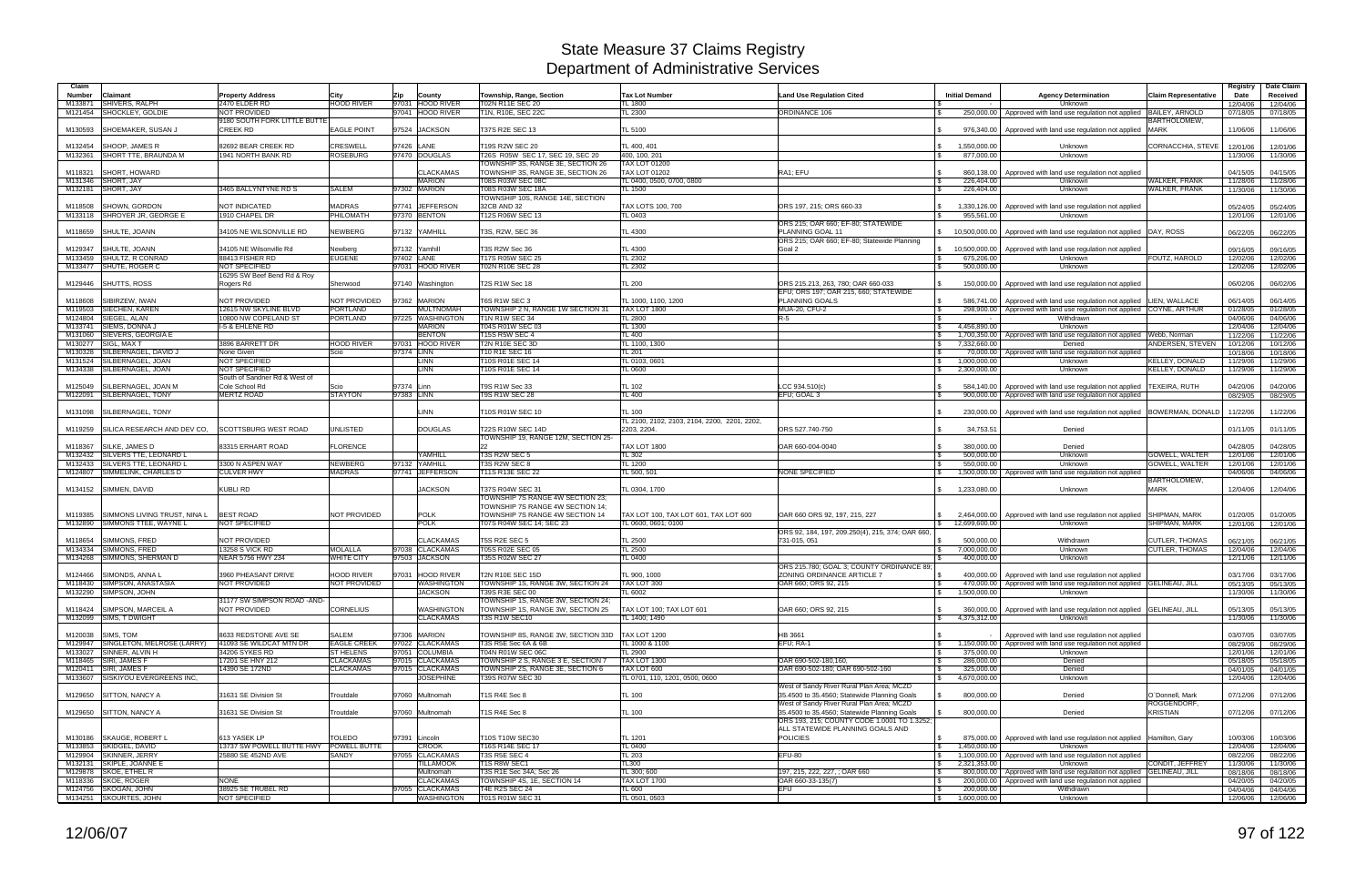| Claim              |                                                              |                                              |                                      |                                                |                                                             |                                                              |                                                                                           |                                                      |                                                                                                                            |                                             | Registry             | Date Claim           |
|--------------------|--------------------------------------------------------------|----------------------------------------------|--------------------------------------|------------------------------------------------|-------------------------------------------------------------|--------------------------------------------------------------|-------------------------------------------------------------------------------------------|------------------------------------------------------|----------------------------------------------------------------------------------------------------------------------------|---------------------------------------------|----------------------|----------------------|
| <b>Number</b>      | Claimant                                                     | <b>Property Address</b>                      | City                                 | Zip<br>County                                  | Township, Range, Section                                    | <b>Tax Lot Number</b>                                        | <b>Land Use Regulation Cited</b>                                                          | <b>Initial Demand</b>                                | <b>Agency Determination</b>                                                                                                | Claim Representative                        | Date                 | Received             |
| M133871            | SHIVERS, RALPH<br>SHOCKLEY, GOLDIE                           | 2470 ELDER RD<br><b>NOT PROVIDED</b>         | <b>HOOD RIVER</b>                    | 97031<br><b>HOOD RIVER</b><br>97041 HOOD RIVER | T02N R11E SEC 20<br>T1N, R10E, SEC 22C                      | TL 1800<br>TL 2300                                           |                                                                                           |                                                      | Unknown                                                                                                                    |                                             | 12/04/06             | 12/04/06             |
| M121454            |                                                              | 9180 SOUTH FORK LITTLE BUTTE                 |                                      |                                                |                                                             |                                                              | <b>ORDINANCE 106</b>                                                                      | 250,000.00                                           | Approved with land use regulation not applied                                                                              | <b>BAILEY, ARNOLD</b><br><b>BARTHOLOMEW</b> | 07/18/05             | 07/18/05             |
| M130593            | SHOEMAKER, SUSAN J                                           | <b>CREEK RD</b>                              | <b>EAGLE POINT</b>                   | 97524 JACKSON                                  | T37S R2E SEC 13                                             | TL 5100                                                      |                                                                                           | 976,340.00                                           | Approved with land use regulation not applied                                                                              | <b>MARK</b>                                 | 11/06/06             | 11/06/06             |
|                    | <b>SHOOP, JAMES R</b>                                        |                                              |                                      |                                                |                                                             |                                                              |                                                                                           |                                                      |                                                                                                                            |                                             |                      |                      |
| M132454            | M132361 SHORT TTE, BRAUNDA M                                 | 82692 BEAR CREEK RD<br>1941 NORTH BANK RD    | <b>CRESWELL</b><br><b>ROSEBURG</b>   | 97426 LANE<br>97470 DOUGLAS                    | T19S R2W SEC 20<br>T26S R05W SEC 17, SEC 19, SEC 20         | TL 400, 401<br>400.100.201                                   |                                                                                           | 1,550,000.00<br>877,000.00                           | Unknown<br>Unknown                                                                                                         | CORNACCHIA, STEVE                           | 12/01/06<br>11/30/06 | 12/01/06<br>11/30/06 |
|                    |                                                              |                                              |                                      |                                                | TOWNSHIP 3S, RANGE 3E, SECTION 26                           | <b>TAX LOT 01200</b>                                         |                                                                                           |                                                      |                                                                                                                            |                                             |                      |                      |
| M118321            | <b>SHORT, HOWARD</b>                                         |                                              |                                      | <b>CLACKAMAS</b>                               | TOWNSHIP 3S, RANGE 3E, SECTION 26                           | <b>TAX LOT 01202</b>                                         | RA1: EFU                                                                                  | 860.138.00                                           | Approved with land use regulation not applied                                                                              |                                             | 04/15/05             | 04/15/05             |
| M132181            | M131346 SHORT, JAY<br>SHORT, JAY                             | 3465 BALLYNTYNE RD S                         | <b>SALEM</b>                         | <b>MARION</b><br>97302 MARION                  | T08S R03W SEC 08C<br>T08S R03W SEC 18A                      | TL 0400, 0500, 0700, 0800<br>TL 1500                         |                                                                                           | 226,404.00<br>226,404.00<br>$\mathcal{L}$            | Unknown<br>Unknown                                                                                                         | WALKER, FRANK<br><b>WALKER, FRANK</b>       | 11/28/06<br>11/30/06 | 11/28/06<br>11/30/06 |
|                    |                                                              |                                              |                                      |                                                | TOWNSHIP 10S, RANGE 14E, SECTION                            |                                                              |                                                                                           |                                                      |                                                                                                                            |                                             |                      |                      |
| M118508            | <b>SHOWN, GORDON</b>                                         | NOT INDICATED                                | <b>MADRAS</b>                        | 97741 JEFFERSON                                | 32CB AND 32                                                 | TAX LOTS 100, 700                                            | ORS 197, 215; ORS 660-33                                                                  | 1,330,126.00<br>\$                                   | Approved with land use regulation not applied                                                                              |                                             | 05/24/05             | 05/24/05             |
|                    | M133118 SHROYER JR, GEORGE E                                 | 1910 CHAPEL DR                               | PHILOMATH                            | 97370 BENTON                                   | T12S R06W SEC 13                                            | TL 0403                                                      | ORS 215; OAR 660; EF-80; STATEWIDE                                                        | 955,561.00                                           | Unknown                                                                                                                    |                                             | 12/01/06             | 12/01/06             |
|                    | M118659 SHULTE, JOANN                                        | 34105 NE WILSONVILLE RD                      | <b>NEWBERG</b>                       | 97132 YAMHILL                                  | T3S, R2W, SEC 36                                            | TL 4300                                                      | PLANNING GOAL 11                                                                          | 10,500,000.00<br>$\mathcal{S}$                       | Approved with land use regulation not applied DAY, ROSS                                                                    |                                             | 06/22/05             | 06/22/05             |
|                    |                                                              |                                              |                                      |                                                |                                                             |                                                              | ORS 215; OAR 660; EF-80; Statewide Planning                                               |                                                      |                                                                                                                            |                                             |                      |                      |
| M129347            | SHULTE, JOANN                                                | 34105 NE Wilsonville Rd                      | Newberg                              | 97132 Yamhill                                  | T3S R2W Sec 36                                              | <b>TL 4300</b>                                               | Goal 2                                                                                    | 10,500,000.00<br>- S                                 | Approved with land use regulation not applied                                                                              |                                             | 09/16/05             | 09/16/05             |
|                    | M133459 SHULTZ, R CONRAD<br>M133477 SHUTE, ROGER C           | 88413 FISHER RD<br><b>NOT SPECIFIED</b>      | <b>EUGENE</b>                        | 97402 LANE<br>97031 HOOD RIVER                 | T17S R05W SEC 25<br><b>T02N R10E SEC 28</b>                 | TL 2302<br>TL 2302                                           |                                                                                           | <b>S</b><br>675,206.00<br>500,000.00<br>- \$         | Unknown<br>Unknown                                                                                                         | FOUTZ, HAROLD                               | 12/02/06<br>12/02/06 | 12/02/06<br>12/02/06 |
|                    |                                                              | 16295 SW Beef Bend Rd & Roy                  |                                      |                                                |                                                             |                                                              |                                                                                           |                                                      |                                                                                                                            |                                             |                      |                      |
|                    | M129446 SHUTTS, ROSS                                         | Rogers Rd                                    | Sherwood                             | 97140 Washington                               | T2S R1W Sec 18                                              | <b>TL 200</b>                                                | ORS 215.213, 263, 780; OAR 660-033                                                        | 150,000.00                                           | Approved with land use regulation not applied                                                                              |                                             | 06/02/06             | 06/02/06             |
| M118608            | SIBIRZEW, IWAN                                               | NOT PROVIDED                                 | NOT PROVIDED                         | 97362 MARION                                   | T6S R1W SEC 3                                               | TL 1000, 1100, 1200                                          | EFU; ORS 197; OAR 215, 660; STATEWIDE<br>PLANNING GOALS                                   | 586.741.00<br>l \$                                   | Approved with land use regulation not applied   LIEN, WALLACE                                                              |                                             | 06/14/05             | 06/14/05             |
| M119503            | <b>SIECHEN, KAREN</b>                                        | 12615 NW SKYLINE BLVD                        | <b>PORTLAND</b>                      | <b>MULTNOMAH</b>                               | TOWNSHIP 2 N, RANGE 1W SECTION 31                           | <b>TAX LOT 1800</b>                                          | MUA-20, CFU-2                                                                             | 298.900.00<br>l \$                                   | Approved with land use regulation not applied COYNE, ARTHUR                                                                |                                             | 01/28/05             | 01/28/05             |
| M124804            | SIEGEL, ALAN                                                 | 10800 NW COPELAND ST                         | PORTLAND                             | 97225 WASHINGTON                               | <b>T1N R1W SEC 34</b>                                       | TL 2800                                                      | R-5                                                                                       |                                                      | Withdrawn                                                                                                                  |                                             | 04/06/06             | 04/06/06             |
| M133741<br>M131060 | SIEMS, DONNA J<br>SIEVERS, GEORGIA E                         | I-5 & EHLENE RD                              |                                      | <b>MARION</b><br><b>BENTON</b>                 | T04S R01W SEC 03<br><b>T15S R5W SEC 4</b>                   | <b>TL 1300</b><br>TL 400                                     |                                                                                           | 4,456,890.00<br>l \$<br>1,700,350.00                 | Unknown<br>Approved with land use regulation not applied                                                                   | Webb, Norman                                | 12/04/06<br>11/22/06 | 12/04/06<br>11/22/06 |
| M130277            | SIGL, MAX T                                                  | 3896 BARRETT DR                              | <b>HOOD RIVER</b>                    | 97031 HOOD RIVER                               | <b>T2N R10E SEC 3D</b>                                      | TL 1100, 1300                                                |                                                                                           | 7,332,660.00<br>$\mathcal{S}$                        | Denied                                                                                                                     | ANDERSEN, STEVEN                            | 10/12/06             | 10/12/06             |
| M130328            | SILBERNAGEL, DAVID J                                         | None Given                                   | Scio                                 | 97374 LINN                                     | T10 R1E SEC 16                                              | <b>TL 201</b>                                                |                                                                                           | 70,000.00                                            | Approved with land use regulation not applied                                                                              |                                             | 10/18/06             | 10/18/06             |
|                    | M131524 SILBERNAGEL, JOAN<br>M134338 SILBERNAGEL, JOAN       | <b>NOT SPECIFIED</b><br><b>NOT SPECIFIED</b> |                                      | <b>LINN</b><br><b>LINN</b>                     | T10S R01E SEC 14<br>T10S R01E SEC 14                        | TL 0103, 0601<br>TL 0600                                     |                                                                                           | 1,000,000.00<br>\$<br>2,300,000.00                   | Unknown<br>Unknown                                                                                                         | KELLEY, DONALD<br><b>KELLEY, DONALD</b>     | 11/29/06<br>11/29/06 | 11/29/06<br>11/29/06 |
|                    |                                                              | South of Sandner Rd & West of                |                                      |                                                |                                                             |                                                              |                                                                                           |                                                      |                                                                                                                            |                                             |                      |                      |
| M125049            | SILBERNAGEL, JOAN M                                          | Cole School Rd                               | Scio                                 | 97374 Linn                                     | T9S R1W Sec 33                                              | <b>TL 102</b>                                                | LCC 934.510(c)                                                                            | 584.140.00                                           | Approved with land use regulation not applied                                                                              | <b>TEXEIRA, RUTH</b>                        | 04/20/06             | 04/20/06             |
|                    | M122091 SILBERNAGEL, TONY                                    | <b>MERTZ ROAD</b>                            | <b>STAYTON</b>                       | 97383 LINN                                     | <b>T9S R1W SEC 28</b>                                       | TL 400                                                       | EFU; GOAL 3                                                                               | 900,000.00<br>- S                                    | Approved with land use regulation not applied                                                                              |                                             | 08/29/05             | 08/29/05             |
| M131098            | SILBERNAGEL, TONY                                            |                                              |                                      | <b>LINN</b>                                    | T10S R01W SEC 10                                            | TL 100                                                       |                                                                                           | 230,000.00                                           | Approved with land use regulation not applied   BOWERMAN, DONALD                                                           |                                             | 11/22/06             | 11/22/06             |
|                    |                                                              |                                              |                                      |                                                |                                                             | TL 2100, 2102, 2103, 2104, 2200, 2201, 2202,                 |                                                                                           |                                                      |                                                                                                                            |                                             |                      |                      |
| M119259            | SILICA RESEARCH AND DEV CO.                                  | <b>SCOTTSBURG WEST ROAD</b>                  | UNLISTED                             | <b>DOUGLAS</b>                                 | T22S R10W SEC 14D                                           | 2203, 2204                                                   | ORS 527.740-750                                                                           | 34,753.51                                            | Denied                                                                                                                     |                                             | 01/11/05             | 01/11/05             |
| M118367            | SILKE, JAMES D                                               | 83315 ERHART ROAD                            | <b>FLORENCE</b>                      |                                                | TOWNSHIP 19, RANGE 12M, SECTION 25-<br>22                   | <b>TAX LOT 1800</b>                                          | OAR 660-004-0040                                                                          | 380,000.00                                           | Denied                                                                                                                     |                                             | 04/28/05             | 04/28/05             |
| M132432            | SILVERS TTE, LEONARD L                                       |                                              |                                      | YAMHILL                                        | T3S R2W SEC 5                                               | <b>TL 302</b>                                                |                                                                                           | 500.000.00<br>$\mathbf{\$}$                          | Unknown                                                                                                                    | <b>GOWELL, WALTER</b>                       | 12/01/06             | 12/01/06             |
| M132433            | <b>SILVERS TTE, LEONARD L</b>                                | 3300 N ASPEN WAY                             | <b>NEWBERG</b>                       | 97132 YAMHILL                                  | T3S R2W SEC 8                                               | <b>TL 1200</b>                                               |                                                                                           | 550,000.00                                           | Unknown                                                                                                                    | <b>GOWELL, WALTER</b>                       | 12/01/06             | 12/01/06             |
| M124807            | <b>SIMMELINK, CHARLES D</b>                                  | <b>CULVER HWY</b>                            | <b>MADRAS</b>                        | 97741 JEFFERSON                                | T11S R13E SEC 22                                            | TL 500, 501                                                  | <b>NONE SPECIFIED</b>                                                                     | 1,500,000.00                                         | Approved with land use regulation not applied                                                                              |                                             | 04/06/06             | 04/06/06             |
|                    | M134152 SIMMEN, DAVID                                        | <b>KUBLI RD</b>                              |                                      | <b>JACKSON</b>                                 | T37S R04W SEC 31                                            | TL 0304, 1700                                                |                                                                                           | $\mathbb{S}$<br>1,233,080.00                         | Unknown                                                                                                                    | BARTHOLOMEW,<br><b>MARK</b>                 | 12/04/06             | 12/04/06             |
|                    |                                                              |                                              |                                      |                                                | TOWNSHIP 7S RANGE 4W SECTION 23;                            |                                                              |                                                                                           |                                                      |                                                                                                                            |                                             |                      |                      |
|                    |                                                              |                                              |                                      |                                                | TOWNSHIP 7S RANGE 4W SECTION 14;                            |                                                              |                                                                                           |                                                      |                                                                                                                            |                                             |                      |                      |
| M119385<br>M132890 | SIMMONS LIVING TRUST, NINA L<br><b>SIMMONS TTEE, WAYNE L</b> | <b>BEST ROAD</b><br><b>NOT SPECIFIED</b>     | NOT PROVIDED                         | <b>POLK</b><br><b>POLK</b>                     | TOWNSHIP 7S RANGE 4W SECTION 14<br>T07S R04W SEC 14; SEC 23 | TAX LOT 100, TAX LOT 601, TAX LOT 600<br>TL 0600, 0601; 0100 | OAR 660 ORS 92, 197, 215, 227                                                             | 2,464,000.00<br>S.<br>12.699.600.00<br>$\mathcal{S}$ | Approved with land use regulation not applied<br>Unknown                                                                   | <b>SHIPMAN, MARK</b><br>SHIPMAN, MARK       | 01/20/05<br>12/01/06 | 01/20/05<br>12/01/06 |
|                    |                                                              |                                              |                                      |                                                |                                                             |                                                              | ORS 92, 184, 197, 209.250(4), 215, 374; OAR 660,                                          |                                                      |                                                                                                                            |                                             |                      |                      |
| M118654            | SIMMONS, FRED                                                | <b>NOT PROVIDED</b>                          |                                      | <b>CLACKAMAS</b>                               | T5S R2E SEC 5                                               | TL 2500                                                      | 731-015, 051                                                                              | 500,000.00                                           | Withdrawn                                                                                                                  | <b>CUTLER, THOMAS</b>                       | 06/21/05             | 06/21/05             |
| M134334<br>M134268 | SIMMONS, FRED<br>SIMMONS, SHERMAN D                          | 13258 S VICK RD<br>NEAR 5756 HWY 234         | <b>MOLALLA</b><br><b>WHITE CITY</b>  | 97038 CLACKAMAS<br>97503 JACKSON               | <b>T05S R02E SEC 05</b><br>T35S R02W SEC 27                 | TL 2500<br>TL 0400                                           |                                                                                           | 7,000,000.00<br>400,000.00                           | Unknown<br>Unknown                                                                                                         | <b>CUTLER, THOMAS</b>                       | 12/04/06<br>12/11/06 | 12/04/06<br>12/11/06 |
|                    |                                                              |                                              |                                      |                                                |                                                             |                                                              | ORS 215.780; GOAL 3; COUNTY ORDINANCE 89;                                                 |                                                      |                                                                                                                            |                                             |                      |                      |
|                    | M124466 SIMONDS, ANNA L                                      | 3960 PHEASANT DRIVE                          | <b>HOOD RIVER</b>                    | 97031 HOOD RIVER                               | <b>T2N R10E SEC 15D</b>                                     | TL 900, 1000                                                 | ZONING ORDINANCE ARTICLE 7                                                                | 400.000.00                                           | Approved with land use regulation not applied                                                                              |                                             | 03/17/06             | 03/17/06             |
|                    | M118430 SIMPSON, ANASTASIA<br>M132290 SIMPSON, JOHN          | NOT PROVIDED                                 | NOT PROVIDED                         | WASHINGTON<br><b>JACKSON</b>                   | TOWNSHIP 1S, RANGE 3W, SECTION 24<br>T39S R3E SEC 00        | TAX LOT 300<br>TL 6002                                       | OAR 660; ORS 92, 215                                                                      | 1,500,000.00<br>\$                                   | 470,000.00   Approved with land use regulation not applied GELINEAU, JILL<br>Unknown                                       |                                             | 05/13/05<br>11/30/06 | 05/13/05<br>11/30/06 |
|                    |                                                              | 31177 SW SIMPSON ROAD - AND-                 |                                      |                                                | TOWNSHIP 1S, RANGE 3W, SECTION 24:                          |                                                              |                                                                                           |                                                      |                                                                                                                            |                                             |                      |                      |
|                    | M118424 SIMPSON, MARCEIL A                                   | NOT PROVIDED                                 | <b>CORNELIUS</b>                     | <b>WASHINGTON</b>                              | TOWNSHIP 1S, RANGE 3W, SECTION 25                           | TAX LOT 100; TAX LOT 601                                     | OAR 660; ORS 92, 215                                                                      | 360,000.00<br>$\mathfrak{L}$                         | Approved with land use regulation not applied GELINEAU, JILL                                                               |                                             | 05/13/05             | 05/13/05             |
|                    | M132099 SIMS, T DWIGHT                                       |                                              |                                      | <b>CLACKAMAS</b>                               | <b>T3S R1W SEC10</b>                                        | TL 1400: 1490                                                |                                                                                           | 4,375,312.00                                         | <b>Unknown</b>                                                                                                             |                                             | 11/30/06             | 11/30/06             |
|                    | M120038 SIMS, TOM                                            | 8633 REDSTONE AVE SE                         | <b>SALEM</b>                         | 97306 MARION                                   | TOWNSHIP 8S, RANGE 3W, SECTION 33D                          | <b>TAX LOT 1200</b>                                          | HB 3661                                                                                   | $\mathfrak{L}$                                       | Approved with land use regulation not applied                                                                              |                                             | 03/07/05             | 03/07/05             |
|                    | M129947 SINGLETON, MELROSE (LARRY)                           | 41093 SE WILDCAT MTN DR                      | <b>EAGLE CREEK</b>                   | 97022 CLACKAMAS                                | T3S R5E Sec 6A & 6B                                         | TL 1000 & 1100                                               | EFU; RA-1                                                                                 | \$                                                   | 1,150,000.00 Approved with land use regulation not applied                                                                 |                                             | 08/29/06             | 08/29/06             |
|                    | M133027 SINNER, ALVIN H<br>M118465 SIRI, JAMES F             | 34206 SYKES RD<br>17201 SE HNY 212           | <b>ST HELENS</b><br><b>CLACKAMAS</b> | 97051 COLUMBIA<br>97015 CLACKAMAS              | T04N R01W SEC 06C<br>TOWNSHIP 2 S. RANGE 3 E. SECTION 7     | TL 2900<br><b>TAX LOT 1300</b>                               | OAR 690-502-180,160,                                                                      | 375,000.00<br>l \$<br>286,000.00<br>\$               | <b>Unknown</b><br>Denied                                                                                                   |                                             | 12/01/06             | 12/01/06             |
|                    | M120411 SIRI, JAMES F                                        | 14390 SE 172ND                               | <b>CLACKAMAS</b>                     | 97015 CLACKAMAS                                | TOWNSHIP 2S, RANGE 3E, SECTION 6                            | TAX LOT 600                                                  | OAR 690-502-180; OAR 690-502-160                                                          | 325,000.00<br>$\mathfrak{L}$                         | Denied                                                                                                                     |                                             | 05/18/05<br>04/01/05 | 05/18/05<br>04/01/05 |
|                    | M133607 SISKIYOU EVERGREENS INC.                             |                                              |                                      | <b>JOSEPHINE</b>                               | T39S R07W SEC 30                                            | TL 0701, 110, 1201, 0500, 0600                               |                                                                                           | 4,670,000.00<br>S.                                   | Unknown                                                                                                                    |                                             | 12/04/06             | 12/04/06             |
|                    |                                                              |                                              |                                      |                                                |                                                             |                                                              | West of Sandy River Rural Plan Area; MCZD                                                 |                                                      |                                                                                                                            |                                             |                      |                      |
|                    | M129650 SITTON, NANCY A                                      | 31631 SE Division St                         | Troutdale                            | 97060 Multnomah                                | T1S R4E Sec 8                                               | TL 100                                                       | 35.4500 to 35.4560; Statewide Planning Goals<br>West of Sandy River Rural Plan Area; MCZD | 800,000.00                                           | Denied                                                                                                                     | O'Donnell, Mark<br>ROGGENDORF.              | 07/12/06             | 07/12/06             |
|                    | M129650 SITTON, NANCY A                                      | 31631 SE Division St                         | Troutdale                            | 97060 Multnomah                                | T1S R4E Sec 8                                               | <b>TL 100</b>                                                | 35.4500 to 35.4560; Statewide Planning Goals                                              | 800,000.00                                           | Denied                                                                                                                     | <b>KRISTIAN</b>                             | 07/12/06             | 07/12/06             |
|                    |                                                              |                                              |                                      |                                                |                                                             |                                                              | ORS 193, 215; COUNTY CODE 1.0001 TO 1.3252;                                               |                                                      |                                                                                                                            |                                             |                      |                      |
|                    | M130186 SKAUGE, ROBERT L                                     | 613 YASEK LP                                 | <b>TOLEDO</b>                        | 97391 Lincoln                                  | T10S T10W SEC30                                             | <b>TL 1201</b>                                               | ALL STATEWIDE PLANNING GOALS AND<br><b>POLICIES</b>                                       | 875,000.00<br>l \$                                   | Approved with land use regulation not applied Hamilton, Gary                                                               |                                             | 10/03/06             | 10/03/06             |
|                    | M133853 SKIDGEL, DAVID                                       | 13737 SW POWELL BUTTE HWY POWELL BUTTE       |                                      | <b>CROOK</b>                                   | T16S R14E SEC 17                                            | <b>TL 0400</b>                                               |                                                                                           | $\sqrt{3}$<br>1,450,000.00                           | Unknown                                                                                                                    |                                             | 12/04/06             | 12/04/06             |
|                    | M129904 SKINNER, JERRY                                       | 25880 SE 452ND AVE                           | SANDY                                | 97055 CLACKAMAS                                | T3S R5E SEC 4                                               | <b>TL 203</b>                                                | EFU-80                                                                                    | 1,100,000.00<br>$\mathbb{S}$                         | Approved with land use regulation not applied                                                                              |                                             | 08/22/06             | 08/22/06             |
|                    | M132131 SKIPLE, JOANNE E<br>M129878 SKOE, ETHEL R            |                                              |                                      | <b>ILLAMOOK</b>                                | T1S R8W SEC1                                                | TL300                                                        |                                                                                           | $\mathbb{S}$<br>2,321,353.00                         | <b>Unknown</b>                                                                                                             | CONDIT, JEFFREY                             | 11/30/06             | 11/30/06             |
|                    | M118336 SKOE, ROGER                                          | <b>NONE</b>                                  |                                      | Multnomah<br><b>CLACKAMAS</b>                  | T3S R1E Sec 34A; Sec 26<br>TOWNSHIP 4S, 1E, SECTION 14      | TL 300; 600<br><b>TAX LOT 1700</b>                           | 197, 215, 222, 227, ; OAR 660<br>OAR 660-33-135(7)                                        | l \$<br>200,000.00<br>- S                            | 800,000.00   Approved with land use regulation not applied GELINEAU, JILL<br>Approved with land use regulation not applied |                                             | 08/18/06<br>04/20/05 | 08/18/06<br>04/20/05 |
|                    | M124756 SKOGAN, JOHN                                         | 38925 SE TRUBEL RD                           |                                      | 97055 CLACKAMAS                                | T4E R2S SEC 24                                              | TL 600                                                       | <b>EFU</b>                                                                                | <b>S</b><br>200,000.00                               | Withdrawn                                                                                                                  |                                             | 04/04/06             | 04/04/06             |
|                    | M134251 SKOURTES, JOHN                                       | NOT SPECIFIED                                |                                      | <b>WASHINGTON</b>                              | T01S R01W SEC 31                                            | TL 0501, 0503                                                |                                                                                           | $\frac{1}{3}$ 1,600,000.00                           | Unknown                                                                                                                    |                                             | 12/06/06             | 12/06/06             |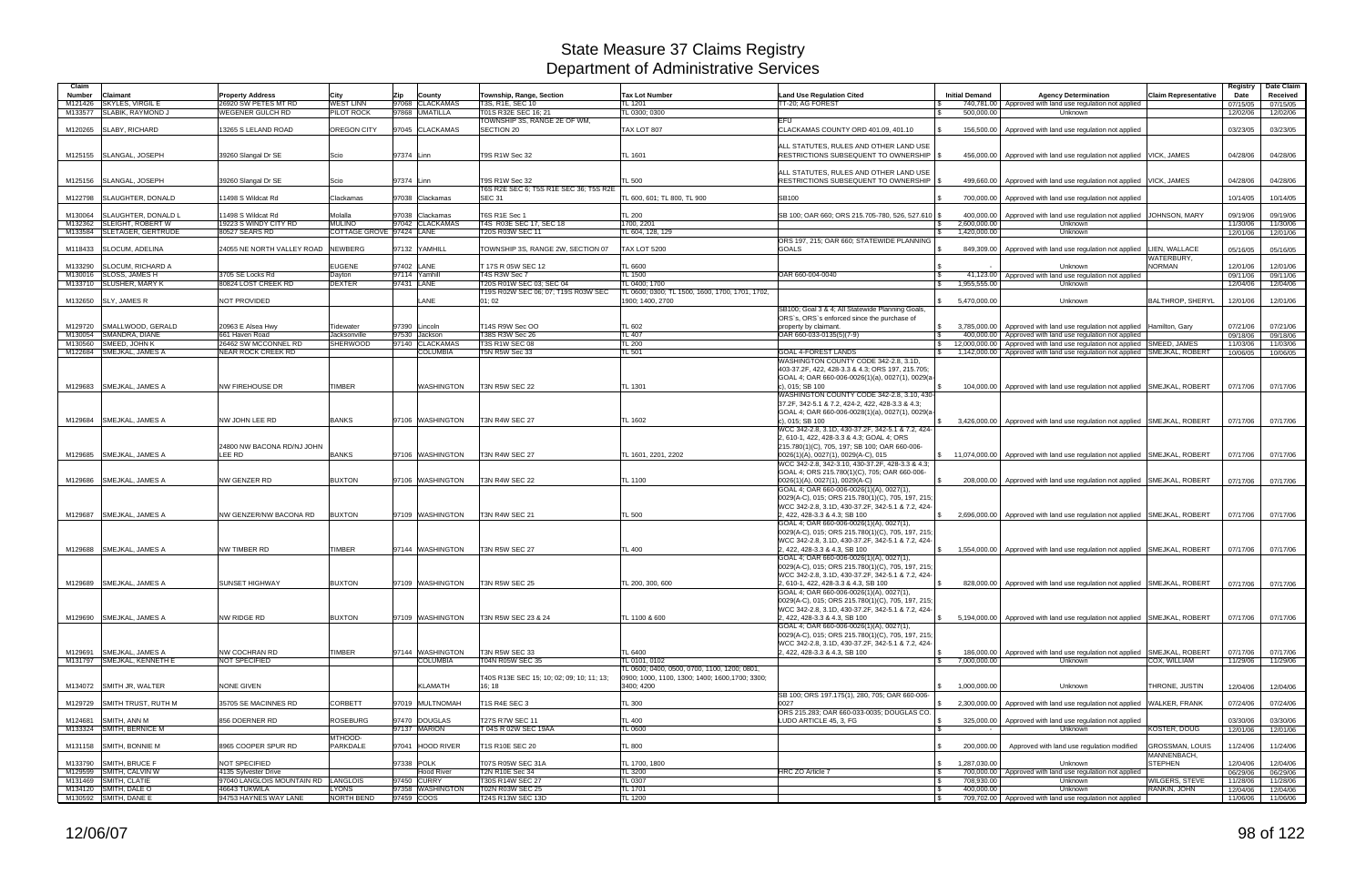| Claim              |                                                        |                                                      |                                           |                                 |                                                      |                                                               |                                                                                                        |                                                |                                                                                                                 |                                | Registry             | Date Claim           |
|--------------------|--------------------------------------------------------|------------------------------------------------------|-------------------------------------------|---------------------------------|------------------------------------------------------|---------------------------------------------------------------|--------------------------------------------------------------------------------------------------------|------------------------------------------------|-----------------------------------------------------------------------------------------------------------------|--------------------------------|----------------------|----------------------|
| <b>Number</b>      | Claimant                                               | <b>Property Address</b>                              | City                                      | <b>Zip</b><br>County            | Township, Range, Section                             | <b>Tax Lot Number</b>                                         | <b>Land Use Regulation Cited</b>                                                                       | <b>Initial Demand</b>                          | <b>Agency Determination</b>                                                                                     | <b>Claim Representative</b>    | Date                 | Received             |
| M121426            | <b>SKYLES, VIRGIL E</b>                                | 26920 SW PETES MT RD                                 | <b>NEST LINN</b>                          | 97068 CLACKAMAS                 | T3S, R1E, SEC 10                                     | TL 1201                                                       | TT-20: AG FOREST                                                                                       |                                                | 740,781.00 Approved with land use regulation not applied                                                        |                                | 07/15/05             | 07/15/05             |
| M133577            | SLABIK, RAYMOND J                                      | <b>WEGENER GULCH RD</b>                              | <b>PILOT ROCK</b>                         | 97868 UMATILLA                  | T01S R32E SEC 16: 21<br>TOWNSHIP 3S. RANGE 2E OF WM. | TL 0300: 0300                                                 |                                                                                                        | 500.000.00                                     | Unknown                                                                                                         |                                | 12/02/06             | 12/02/06             |
| M120265            | SLABY, RICHARD                                         | 13265 S LELAND ROAD                                  | OREGON CITY                               | 97045 CLACKAMAS                 | <b>SECTION 20</b>                                    | TAX LOT 807                                                   | EFU<br>CLACKAMAS COUNTY ORD 401.09, 401.10                                                             |                                                | 156,500.00   Approved with land use regulation not applied                                                      |                                | 03/23/05             | 03/23/05             |
|                    |                                                        |                                                      |                                           |                                 |                                                      |                                                               |                                                                                                        |                                                |                                                                                                                 |                                |                      |                      |
|                    |                                                        |                                                      |                                           |                                 |                                                      |                                                               | ALL STATUTES, RULES AND OTHER LAND USE                                                                 |                                                |                                                                                                                 |                                |                      |                      |
|                    | M125155 SLANGAL, JOSEPH                                | 39260 Slangal Dr SE                                  | Scio                                      | 97374 Linn                      | T9S R1W Sec 32                                       | TL 1601                                                       | RESTRICTIONS SUBSEQUENT TO OWNERSHIP   \$                                                              |                                                | 456,000.00   Approved with land use regulation not applied   VICK, JAMES                                        |                                | 04/28/06             | 04/28/06             |
|                    |                                                        |                                                      |                                           |                                 |                                                      |                                                               |                                                                                                        |                                                |                                                                                                                 |                                |                      |                      |
|                    | M125156 SLANGAL, JOSEPH                                | 39260 Slangal Dr SE                                  | Scio                                      | 97374 Linn                      | <b>T9S R1W Sec 32</b>                                | <b>TL 500</b>                                                 | ALL STATUTES, RULES AND OTHER LAND USE<br>RESTRICTIONS SUBSEQUENT TO OWNERSHIP   \$                    | 499,660.00                                     | Approved with land use regulation not applied VICK, JAMES                                                       |                                | 04/28/06             | 04/28/06             |
|                    |                                                        |                                                      |                                           |                                 | T6S R2E SEC 6: T5S R1E SEC 36: T5S R2E               |                                                               |                                                                                                        |                                                |                                                                                                                 |                                |                      |                      |
| M122798            | SLAUGHTER, DONALD                                      | 11498 S Wildcat Rd                                   | Clackamas                                 | 97038 Clackamas                 | <b>SEC 31</b>                                        | TL 600, 601: TL 800, TL 900                                   | SB100                                                                                                  | 700.000.00                                     | Approved with land use regulation not applied                                                                   |                                | 10/14/05             | 10/14/05             |
|                    |                                                        |                                                      |                                           |                                 |                                                      |                                                               |                                                                                                        |                                                |                                                                                                                 |                                |                      |                      |
| M130064            | SLAUGHTER, DONALD L                                    | 11498 S Wildcat Rd                                   | Molalla                                   | 97038 Clackamas                 | T6S R1E Sec 1                                        | <b>TL 200</b>                                                 | SB 100; OAR 660; ORS 215.705-780, 526, 527.610 \$                                                      | 400,000.00                                     | Approved with land use regulation not applied JOHNSON, MARY                                                     |                                | 09/19/06             | 09/19/06             |
| M132362            | <b>SLEIGHT, ROBERT W</b><br>M133584 SLETAGER, GERTRUDE | 19223 S WINDY CITY RD<br>80527 SEARS RD              | <b>MULINO</b><br>COTTAGE GROVE 97424 LANE | 97042 CLACKAMAS                 | T4S R03E SEC 17, SEC 18<br>T20S R03W SEC 11          | 1700.2201<br>TL 604, 128, 129                                 |                                                                                                        | 2,600,000.00<br>1,420,000.00<br>$\mathbb{R}$   | Unknown<br>Unknown                                                                                              |                                | 11/30/06<br>12/01/06 | 11/30/06<br>12/01/06 |
|                    |                                                        |                                                      |                                           |                                 |                                                      |                                                               | ORS 197, 215; OAR 660; STATEWIDE PLANNING                                                              |                                                |                                                                                                                 |                                |                      |                      |
| M118433            | <b>SLOCUM, ADELINA</b>                                 | 24055 NE NORTH VALLEY ROAD NEWBERG                   |                                           | 97132 YAMHILL                   | TOWNSHIP 3S, RANGE 2W, SECTION 07                    | <b>TAX LOT 5200</b>                                           | <b>GOALS</b>                                                                                           | 849,309.00                                     | Approved with land use regulation not applied   LIEN, WALLACE                                                   |                                | 05/16/05             | 05/16/05             |
|                    |                                                        |                                                      |                                           |                                 |                                                      |                                                               |                                                                                                        |                                                |                                                                                                                 | WATERBURY,                     |                      |                      |
| M133290            | <b>SLOCUM, RICHARD A</b>                               |                                                      | <b>EUGENE</b>                             | 97402 LANE                      | T 17S R 05W SEC 12                                   | <b>TL 6600</b>                                                |                                                                                                        |                                                | Unknown                                                                                                         | <b>NORMAN</b>                  | 12/01/06             | 12/01/06             |
|                    | M130016 SLOSS, JAMES H<br>M133710 SLUSHER, MARY K      | 3705 SE Locks Rd<br>80824 LOST CREEK RD              | Dayton<br><b>DEXTER</b>                   | 97114 Yamhill<br>97431 LANE     | T4S R3W Sec 7<br>T20S R01W SEC 03; SEC 04            | <b>TL 1500</b><br>TL 0400; 1700                               | OAR 660-004-0040                                                                                       | 41,123.00<br><b>S</b><br>1,955,555.00          | Approved with land use regulation not applied<br>Unknown                                                        |                                | 09/11/06<br>12/04/06 | 09/11/06<br>12/04/06 |
|                    |                                                        |                                                      |                                           |                                 | T19S R02W SEC 06; 07; T19S R03W SEC                  | TL 0600; 0300; TL 1500, 1600, 1700, 1701, 1702,               |                                                                                                        |                                                |                                                                                                                 |                                |                      |                      |
|                    | M132650 SLY, JAMES R                                   | NOT PROVIDED                                         |                                           | LANE                            | 01:02                                                | 1900; 1400, 2700                                              |                                                                                                        | \$5,470,000.00                                 | Unknown                                                                                                         | <b>BALTHROP, SHERYL</b>        | 12/01/06             | 12/01/06             |
|                    |                                                        |                                                      |                                           |                                 |                                                      |                                                               | SB100; Goal 3 & 4; All Statewide Planning Goals,                                                       |                                                |                                                                                                                 |                                |                      |                      |
|                    |                                                        |                                                      |                                           |                                 |                                                      |                                                               | ORS's, ORS's enforced since the purchase of                                                            |                                                |                                                                                                                 |                                |                      |                      |
| M129720<br>M130054 | SMALLWOOD, GERALD<br>SMANDRA, DIANE                    | 20963 E Alsea Hwy<br>661 Haven Road                  | Tidewater<br>Jacksonville                 | 97390 Lincoln<br>97530 Jackson  | T14S R9W Sec OO<br>T38S R3W Sec 26                   | TL 602<br><b>TL 407</b>                                       | property by claimant.<br>OAR 660-033-0135(5)(7-9)                                                      | $\frac{1}{3}$ 3,785,000.00<br>400,000.00       | Approved with land use regulation not applied   Hamilton, Gary<br>Approved with land use regulation not applied |                                | 07/21/06<br>09/18/06 | 07/21/06<br>09/18/06 |
| M130560            | SMEED, JOHN K                                          | 26462 SW MCCONNEL RD                                 | <b>SHERWOOD</b>                           | 97140 CLACKAMAS                 | <b>T3S R1W SEC 08</b>                                | <b>TL 200</b>                                                 |                                                                                                        | 12,000,000.00<br>IS.                           | Approved with land use regulation not applied SMEED, JAMES                                                      |                                | 11/03/06             | 11/03/06             |
|                    | M122684 SMEJKAL, JAMES A                               | <b>NEAR ROCK CREEK RD</b>                            |                                           | <b>COLUMBIA</b>                 | T5N R5W Sec 33                                       | TL 501                                                        | <b>GOAL 4-FOREST LANDS</b>                                                                             | 1,142,000.00<br>IS.                            | Approved with land use regulation not applied SMEJKAL, ROBERT                                                   |                                | 10/06/05             | 10/06/05             |
|                    |                                                        |                                                      |                                           |                                 |                                                      |                                                               | WASHINGTON COUNTY CODE 342-2.8, 3.1D,                                                                  |                                                |                                                                                                                 |                                |                      |                      |
|                    |                                                        |                                                      |                                           |                                 |                                                      |                                                               | 403-37.2F, 422, 428-3.3 & 4.3; ORS 197, 215.705;                                                       |                                                |                                                                                                                 |                                |                      |                      |
|                    | M129683 SMEJKAL, JAMES A                               | <b>NW FIREHOUSE DR</b>                               | TIMBER                                    | WASHINGTON                      | T3N R5W SEC 22                                       | TL 1301                                                       | GOAL 4; OAR 660-006-0026(1)(a), 0027(1), 0029(a-<br>c), 015: SB 100                                    |                                                | 104,000.00   Approved with land use regulation not applied SMEJKAL, ROBERT                                      |                                | 07/17/06             | 07/17/06             |
|                    |                                                        |                                                      |                                           |                                 |                                                      |                                                               | WASHINGTON COUNTY CODE 342-2.8, 3.10, 430-                                                             |                                                |                                                                                                                 |                                |                      |                      |
|                    |                                                        |                                                      |                                           |                                 |                                                      |                                                               | 37.2F, 342-5.1 & 7.2, 424-2, 422, 428-3.3 & 4.3;                                                       |                                                |                                                                                                                 |                                |                      |                      |
|                    |                                                        |                                                      |                                           |                                 |                                                      |                                                               | GOAL 4; OAR 660-006-0028(1)(a), 0027(1), 0029(a-                                                       |                                                |                                                                                                                 |                                |                      |                      |
|                    | M129684 SMEJKAL, JAMES A                               | NW JOHN LEE RD                                       | <b>BANKS</b>                              | 97106 WASHINGTON                | T3N R4W SEC 27                                       | TL 1602                                                       | c), 015; SB 100                                                                                        |                                                | 3,426,000.00   Approved with land use regulation not applied SMEJKAL, ROBERT                                    |                                | 07/17/06             | 07/17/06             |
|                    |                                                        |                                                      |                                           |                                 |                                                      |                                                               | WCC 342-2.8, 3.1D, 430-37.2F, 342-5.1 & 7.2, 424-<br>2, 610-1, 422, 428-3.3 & 4.3; GOAL 4; ORS         |                                                |                                                                                                                 |                                |                      |                      |
|                    |                                                        | 24800 NW BACONA RD/NJ JOHN                           |                                           |                                 |                                                      |                                                               | 215.780(1)(C), 705, 197; SB 100; OAR 660-006-                                                          |                                                |                                                                                                                 |                                |                      |                      |
|                    | M129685 SMEJKAL, JAMES A                               | LEE RD                                               | <b>BANKS</b>                              | 97106 WASHINGTON                | T3N R4W SEC 27                                       | TL 1601. 2201. 2202                                           | 0026(1)(A), 0027(1), 0029(A-C), 015                                                                    |                                                | \$11,074,000.00   Approved with land use regulation not applied SMEJKAL, ROBERT                                 |                                | 07/17/06             | 07/17/06             |
|                    |                                                        |                                                      |                                           |                                 |                                                      |                                                               | WCC 342-2.8, 342-3.10, 430-37.2F, 428-3.3 & 4.3;                                                       |                                                |                                                                                                                 |                                |                      |                      |
|                    |                                                        |                                                      |                                           |                                 |                                                      |                                                               | GOAL 4; ORS 215.780(1)(C), 705; OAR 660-006-                                                           |                                                |                                                                                                                 |                                |                      |                      |
|                    | M129686 SMEJKAL, JAMES A                               | <b>NW GENZER RD</b>                                  | <b>BUXTON</b>                             | 97106 WASHINGTON                | <b>T3N R4W SEC 22</b>                                | TL 1100                                                       | 0026(1)(A), 0027(1), 0029(A-C)<br>GOAL 4; OAR 660-006-0026(1)(A), 0027(1),                             | 208.000.00                                     | Approved with land use regulation not applied SMEJKAL, ROBERT                                                   |                                | 07/17/06             | 07/17/06             |
|                    |                                                        |                                                      |                                           |                                 |                                                      |                                                               | 0029(A-C), 015; ORS 215.780(1)(C), 705, 197, 215;                                                      |                                                |                                                                                                                 |                                |                      |                      |
|                    |                                                        |                                                      |                                           |                                 |                                                      |                                                               | WCC 342-2.8, 3.1D, 430-37.2F, 342-5.1 & 7.2, 424-                                                      |                                                |                                                                                                                 |                                |                      |                      |
|                    | M129687 SMEJKAL, JAMES A                               | NW GENZER/NW BACONA RD                               | <b>BUXTON</b>                             | 97109 WASHINGTON                | T3N R4W SEC 21                                       | <b>TL 500</b>                                                 | 2, 422, 428-3.3 & 4.3; SB 100                                                                          |                                                | \$ 2.696,000,00 Approved with land use regulation not applied SMEJKAL, ROBERT                                   |                                | 07/17/06             | 07/17/06             |
|                    |                                                        |                                                      |                                           |                                 |                                                      |                                                               | GOAL 4; OAR 660-006-0026(1)(A), 0027(1),                                                               |                                                |                                                                                                                 |                                |                      |                      |
|                    |                                                        |                                                      |                                           |                                 |                                                      |                                                               | 0029(A-C), 015; ORS 215.780(1)(C), 705, 197, 215;<br>WCC 342-2.8, 3.1D, 430-37.2F, 342-5.1 & 7.2, 424- |                                                |                                                                                                                 |                                |                      |                      |
|                    | M129688 SMEJKAL, JAMES A                               | <b>NW TIMBER RD</b>                                  | <b>TIMBER</b>                             | 97144 WASHINGTON                | <b>T3N R5W SEC 27</b>                                | <b>TL 400</b>                                                 | 2, 422, 428-3.3 & 4.3, SB 100                                                                          |                                                | 1,554,000.00 Approved with land use regulation not applied SMEJKAL, ROBERT                                      |                                | 07/17/06             | 07/17/06             |
|                    |                                                        |                                                      |                                           |                                 |                                                      |                                                               | GOAL 4; OAR 660-006-0026(1)(A), 0027(1),                                                               |                                                |                                                                                                                 |                                |                      |                      |
|                    |                                                        |                                                      |                                           |                                 |                                                      |                                                               | 0029(A-C), 015; ORS 215.780(1)(C), 705, 197, 215;                                                      |                                                |                                                                                                                 |                                |                      |                      |
|                    | M129689 SMEJKAL, JAMES A                               |                                                      |                                           |                                 |                                                      | TL 200, 300, 600                                              | WCC 342-2.8, 3.1D, 430-37.2F, 342-5.1 & 7.2, 424-<br>2, 610-1, 422, 428-3.3 & 4.3, SB 100              | l \$                                           |                                                                                                                 |                                |                      |                      |
|                    |                                                        | <b>SUNSET HIGHWAY</b>                                | <b>BUXTON</b>                             | 97109 WASHINGTON                | T3N R5W SEC 25                                       |                                                               | GOAL 4; OAR 660-006-0026(1)(A), 0027(1),                                                               |                                                | 828,000.00   Approved with land use regulation not applied SMEJKAL, ROBERT                                      |                                | 07/17/06 07/17/06    |                      |
|                    |                                                        |                                                      |                                           |                                 |                                                      |                                                               | 0029(A-C), 015; ORS 215.780(1)(C), 705, 197, 215;                                                      |                                                |                                                                                                                 |                                |                      |                      |
|                    |                                                        |                                                      |                                           |                                 |                                                      |                                                               | WCC 342-2.8, 3.1D, 430-37.2F, 342-5.1 & 7.2, 424-                                                      |                                                |                                                                                                                 |                                |                      |                      |
|                    | M129690 SMEJKAL, JAMES A                               | NW RIDGE RD                                          | <b>BUXTON</b>                             | 97109 WASHINGTON                | T3N R5W SEC 23 & 24                                  | TL 1100 & 600                                                 | 2, 422, 428-3.3 & 4.3, SB 100                                                                          |                                                | 5,194,000.00 Approved with land use requlation not applied SMEJKAL, ROBERT                                      |                                | 07/17/06 07/17/06    |                      |
|                    |                                                        |                                                      |                                           |                                 |                                                      |                                                               | GOAL 4; OAR 660-006-0026(1)(A), 0027(1),<br>0029(A-C), 015; ORS 215.780(1)(C), 705, 197, 215;          |                                                |                                                                                                                 |                                |                      |                      |
|                    |                                                        |                                                      |                                           |                                 |                                                      |                                                               | WCC 342-2.8, 3.1D, 430-37.2F, 342-5.1 & 7.2, 424-                                                      |                                                |                                                                                                                 |                                |                      |                      |
|                    | M129691 SMEJKAL, JAMES A                               | NW COCHRAN RD                                        | <b>TIMBER</b>                             | 97144 WASHINGTON                | T3N R5W SEC 33                                       | <b>TL 6400</b>                                                | 2, 422, 428-3.3 & 4.3, SB 100                                                                          | <b>S</b>                                       | 186,000.00 Approved with land use regulation not applied SMEJKAL, ROBERT                                        |                                | 07/17/06             | 07/17/06             |
|                    | M131797 SMEJKAL, KENNETH E                             | <b>NOT SPECIFIED</b>                                 |                                           | <b>COLUMBIA</b>                 | T04N R05W SEC 35                                     | TL 0101, 0102                                                 |                                                                                                        | 7,000,000.00<br>$\mathbb{S}$                   | Unknown                                                                                                         | COX, WILLIAM                   | 11/29/06             | 11/29/06             |
|                    |                                                        |                                                      |                                           |                                 |                                                      | TL 0600; 0400, 0500, 0700, 1100, 1200; 0801,                  |                                                                                                        |                                                |                                                                                                                 |                                |                      |                      |
|                    | M134072 SMITH JR, WALTER                               | <b>NONE GIVEN</b>                                    |                                           | <b>KLAMATH</b>                  | T40S R13E SEC 15; 10; 02; 09; 10; 11; 13;<br>16; 18  | 0900; 1000, 1100, 1300; 1400; 1600, 1700; 3300;<br>3400; 4200 |                                                                                                        | $\mathcal{S}$<br>1,000,000.00                  | Unknown                                                                                                         | THRONE, JUSTIN                 | 12/04/06             | 12/04/06             |
|                    |                                                        |                                                      |                                           |                                 |                                                      |                                                               | SB 100; ORS 197.175(1), 280, 705; OAR 660-006-                                                         |                                                |                                                                                                                 |                                |                      |                      |
|                    | M129729 SMITH TRUST, RUTH M                            | 35705 SE MACINNES RD                                 | <b>CORBETT</b>                            | 97019 MULTNOMAH                 | T1S R4E SEC 3                                        | <b>TL 300</b>                                                 | 0027                                                                                                   | \$2,300,000.00                                 | Approved with land use regulation not applied WALKER, FRANK                                                     |                                | 07/24/06             | 07/24/06             |
|                    |                                                        |                                                      |                                           |                                 |                                                      |                                                               | ORS 215.283; OAR 660-033-0035; DOUGLAS CO.                                                             |                                                |                                                                                                                 |                                |                      |                      |
|                    | M124681 SMITH, ANN M                                   | 856 DOERNER RD                                       | ROSEBURG                                  | 97470 DOUGLAS                   | <b>T27S R7W SEC 11</b>                               | <b>TL 400</b>                                                 | LUDO ARTICLE 45, 3, FG                                                                                 | 325,000.00                                     | Approved with land use regulation not applied                                                                   |                                | 03/30/06             | 03/30/06             |
|                    | M133324 SMITH, BERNICE M                               |                                                      | MTHOOD-                                   | 97137 MARION                    | T 04S R 02W SEC 19AA                                 | TL 0600                                                       |                                                                                                        |                                                | Unknown                                                                                                         | KOSTER, DOUG                   | 12/01/06             | 12/01/06             |
|                    | M131158 SMITH, BONNIE M                                | 8965 COOPER SPUR RD                                  | PARKDALE                                  | 97041 HOOD RIVER                | T1S R10E SEC 20                                      | <b>TL 800</b>                                                 |                                                                                                        | 200,000.00                                     | Approved with land use regulation modified                                                                      | <b>GROSSMAN, LOUIS</b>         | 11/24/06             | 11/24/06             |
|                    |                                                        |                                                      |                                           |                                 |                                                      |                                                               |                                                                                                        |                                                |                                                                                                                 | MANNENBACH,                    |                      |                      |
|                    | M133790 SMITH, BRUCE F                                 | NOT SPECIFIED                                        |                                           | 97338 POLK                      | T07S R05W SEC 31A                                    | TL 1700, 1800                                                 |                                                                                                        | 1,287,030.00<br>$\mathbb{S}$                   | Unknown                                                                                                         | <b>STEPHEN</b>                 | 12/04/06             | 12/04/06             |
|                    | M129599 SMITH, CALVIN W                                | 4135 Sylvester Drive                                 |                                           | <b>Hood River</b>               | <b>T2N R10E Sec 34</b>                               | <b>TL 3200</b>                                                | HRC ZO Article 7                                                                                       | l \$                                           | 700,000.00 Approved with land use regulation not applied                                                        |                                | 06/29/06             | 06/29/06             |
|                    | M131469 SMITH, CLATIE<br>M134120 SMITH, DALE O         | 97040 LANGLOIS MOUNTAIN RD LANGLOIS<br>46643 TUKWILA | <b>LYONS</b>                              | 97450 CURRY<br>97358 WASHINGTON | T30S R14W SEC 27<br><b>T02N R03W SEC 25</b>          | TL 0307<br>TL 1701                                            |                                                                                                        | 708,930.00<br>l Si<br>400,000.00<br>$\sqrt{3}$ | Unknown<br>Unknown                                                                                              | WILGERS, STEVE<br>RANKIN, JOHN | 11/28/06<br>12/04/06 | 11/28/06<br>12/04/06 |
|                    | M130592 SMITH, DANE E                                  | 94753 HAYNES WAY LANE                                | NORTH BEND                                | 97459 COOS                      | T24S R13W SEC 13D                                    | <b>TL 1200</b>                                                |                                                                                                        | $\sqrt{S}$                                     | 709,702.00 Approved with land use regulation not applied                                                        |                                | 11/06/06             | 11/06/06             |
|                    |                                                        |                                                      |                                           |                                 |                                                      |                                                               |                                                                                                        |                                                |                                                                                                                 |                                |                      |                      |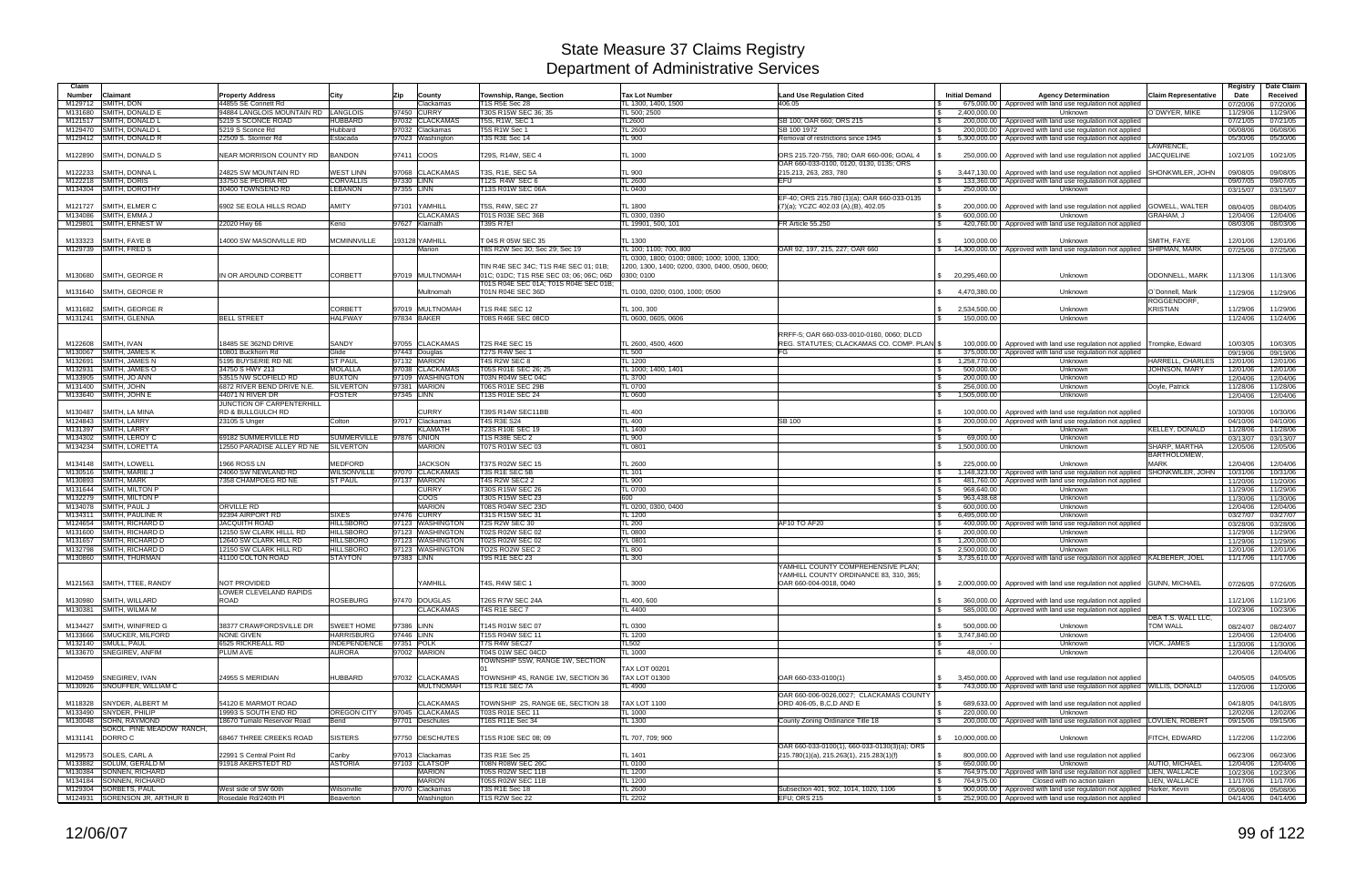| Claim           |                                                    |                                                    |                                      |                                      |                                             |                                                 |                                                   |                                            |                                                                                                |                                   | Registry             | Date Claim           |
|-----------------|----------------------------------------------------|----------------------------------------------------|--------------------------------------|--------------------------------------|---------------------------------------------|-------------------------------------------------|---------------------------------------------------|--------------------------------------------|------------------------------------------------------------------------------------------------|-----------------------------------|----------------------|----------------------|
| <b>Number</b>   | Claimant                                           | <b>Property Address</b>                            | City                                 | Zip<br>County                        | Township, Range, Section                    | <b>Tax Lot Number</b>                           | <b>Land Use Regulation Cited</b>                  | <b>Initial Demand</b>                      | <b>Agency Determination</b>                                                                    | <b>Claim Representative</b>       | Date                 | Received             |
| M129712         | SMITH, DON                                         | 44855 SE Connett Rd                                |                                      | Clackamas                            | <b>T1S R5E Sec 28</b>                       | TL 1300, 1400, 1500                             | 406.05                                            |                                            | 675,000.00   Approved with land use regulation not applied                                     |                                   | 07/20/06             | 07/20/06             |
| M131680         | SMITH, DONALD E                                    | 94884 LANGLOIS MOUNTAIN RD                         | LANGLOIS                             | 97450 CURRY                          | T30S R15W SEC 36; 35                        | TL 500: 2500                                    |                                                   | 2.400.000.00<br>$\mathcal{S}$              | Unknown                                                                                        | O`DWYER, MIKE                     | 11/29/06             | 11/29/06             |
|                 | M121517 SMITH, DONALD L                            | 5219 S SCONCE ROAD                                 | <b>HUBBARD</b>                       | 97032 CLACKAMAS                      | T5S, R1W, SEC 1                             | TL2600                                          | SB 100: OAR 660: ORS 215                          | 200,000.00                                 | Approved with land use regulation not applied                                                  |                                   | 07/21/05             | 07/21/05             |
|                 | M129470 SMITH, DONALD L<br>M129412 SMITH, DONALD R | 5219 S Sconce Rd<br>22509 S. Stormer Rd            | Hubbard<br>Estacada                  | 97032 Clackamas<br>97023 Washington  | T5S R1W Sec 1<br>T3S R3E Sec 14             | <b>TL 2600</b><br>TL 900                        | SB 100 1972<br>Removal of restrictions since 1945 | 200,000.00<br>l \$<br>5,300,000.00<br>IS.  | Approved with land use regulation not applied<br>Approved with land use regulation not applied |                                   | 06/08/06<br>05/30/06 | 06/08/06<br>05/30/06 |
|                 |                                                    |                                                    |                                      |                                      |                                             |                                                 |                                                   |                                            |                                                                                                | LAWRENCE,                         |                      |                      |
|                 | M122890 SMITH, DONALD S                            | NEAR MORRISON COUNTY RD                            | <b>BANDON</b>                        | 97411 COOS                           | T29S, R14W, SEC 4                           | <b>TL 1000</b>                                  | ORS 215.720-755, 780; OAR 660-006; GOAL 4         | 250.000.00                                 | Approved with land use regulation not applied JACQUELINE                                       |                                   | 10/21/05             | 10/21/05             |
|                 |                                                    |                                                    |                                      |                                      |                                             |                                                 | OAR 660-033-0100, 0120, 0130, 0135; ORS           |                                            |                                                                                                |                                   |                      |                      |
| M122233         | <b>SMITH, DONNA L</b>                              | 24825 SW MOUNTAIN RD                               | <b>NEST LINN</b>                     | 97068 CLACKAMAS                      | T3S, R1E, SEC 5A                            | <b>TL 900</b>                                   | 215.213, 263, 283, 780                            | 3.447.130.00                               | Approved with land use regulation not applied                                                  | <b>SHONKWILER, JOHN</b>           | 09/08/05             | 09/08/05             |
|                 | M122218 SMITH, DORIS                               | 33750 SE PEORIA RD                                 | <b>CORVALLIS</b>                     | 97330 LINN                           | T12S R4W SEC 6                              | TL 2600                                         | <b>EFU</b>                                        |                                            | 133,360.00   Approved with land use regulation not applied                                     |                                   | 09/07/05             | 09/07/05             |
|                 | M134304 SMITH, DOROTHY                             | 30400 TOWNSEND RD                                  | LEBANON                              | 97355 LINN                           | T13S R01W SEC 06A                           | <b>TL 0400</b>                                  |                                                   | 250.000.00                                 | Unknown                                                                                        |                                   | 03/15/07             | 03/15/07             |
|                 |                                                    |                                                    |                                      |                                      |                                             |                                                 | EF-40; ORS 215.780 (1)(a); OAR 660-033-0135       |                                            |                                                                                                |                                   |                      |                      |
| M121727         | SMITH, ELMER C<br>M134086 SMITH, EMMA J            | 6902 SE EOLA HILLS ROAD                            | <b>AMITY</b>                         | 97101 YAMHILL<br><b>CLACKAMAS</b>    | T5S, R4W, SEC 27<br>T01S R03E SEC 36B       | <b>TL 1800</b><br>TL 0300, 0390                 | (7)(a); YCZC 402.03 (A),(B), 402.05               | 200,000.00<br>l \$<br>600.000.00           | Approved with land use regulation not applied GOWELL, WALTER<br>Unknown                        | <b>GRAHAM. J</b>                  | 08/04/05<br>12/04/06 | 08/04/05             |
| M129801         | SMITH, ERNEST W                                    | 22020 Hwy 66                                       | Keno                                 | 97627 Klamath                        | T39S R7Ef                                   | TL 19901, 500, 101                              | FR Article 55.250                                 | l Si<br>l \$                               | 420,760.00   Approved with land use regulation not applied                                     |                                   | 08/03/06             | 12/04/06<br>08/03/06 |
|                 |                                                    |                                                    |                                      |                                      |                                             |                                                 |                                                   |                                            |                                                                                                |                                   |                      |                      |
| M133323         | SMITH, FAYE B                                      | 14000 SW MASONVILLE RD                             | <b>MCMINNVILLE</b>                   | 193128 YAMHILL                       | T 04S R 05W SEC 35                          | <b>TL 1300</b>                                  |                                                   | 100.000.00                                 | Unknown                                                                                        | SMITH, FAYE                       | 12/01/06             | 12/01/06             |
|                 | M129739 SMITH, FRED S                              |                                                    |                                      | Marion                               | T8S R2W Sec 30: Sec 29: Sec 19              | TL 100; 1100; 700, 800                          | OAR 92, 197, 215, 227; OAR 660                    | $\mathcal{S}$                              | 14,300,000.00   Approved with land use regulation not applied SHIPMAN, MARK                    |                                   | 07/25/06             | 07/25/06             |
|                 |                                                    |                                                    |                                      |                                      |                                             | TL 0300, 1800; 0100; 0800; 1000; 1000, 1300;    |                                                   |                                            |                                                                                                |                                   |                      |                      |
|                 |                                                    |                                                    |                                      |                                      | TIN R4E SEC 34C; T1S R4E SEC 01; 01B;       | 1200, 1300, 1400; 0200, 0300, 0400, 0500, 0600; |                                                   |                                            |                                                                                                |                                   |                      |                      |
|                 | M130680 SMITH, GEORGE R                            | IN OR AROUND CORBETT                               | <b>CORBETT</b>                       | 97019 MULTNOMAH                      | 01C; 01DC; T1S R5E SEC 03; 06; 06C; 06D     | 0300; 0100                                      |                                                   | \$20,295,460.00                            | Unknown                                                                                        | ODONNELL, MARK                    | 11/13/06             | 11/13/06             |
|                 |                                                    |                                                    |                                      |                                      | T01S R04E SEC 01A; T01S R04E SEC 01B;       |                                                 |                                                   |                                            |                                                                                                |                                   |                      |                      |
|                 | M131640 SMITH, GEORGE R                            |                                                    |                                      | Multnomah                            | T01N R04E SEC 36D                           | TL 0100, 0200; 0100, 1000; 0500                 |                                                   | 4,470,380.00                               | Unknown                                                                                        | O'Donnell, Mark                   | 11/29/06             | 11/29/06             |
|                 | M131682 SMITH, GEORGE R                            |                                                    | <b>CORBETT</b>                       | 97019 MULTNOMAH                      | T1S R4E SEC 12                              | TL 100, 300                                     |                                                   | 2,534,500.00                               | Unknown                                                                                        | ROGGENDORF,<br><b>KRISTIAN</b>    | 11/29/06             | 11/29/06             |
|                 | M131241 SMITH, GLENNA                              | <b>BELL STREET</b>                                 | <b>HALFWAY</b>                       | 97834 BAKER                          | T08S R46E SEC 08CD                          | TL 0600, 0605, 0606                             |                                                   | 150,000.00                                 | Unknown                                                                                        |                                   | 11/24/06             | 11/24/06             |
|                 |                                                    |                                                    |                                      |                                      |                                             |                                                 |                                                   |                                            |                                                                                                |                                   |                      |                      |
|                 |                                                    |                                                    |                                      |                                      |                                             |                                                 | RRFF-5; OAR 660-033-0010-0160, 0060; DLCD         |                                            |                                                                                                |                                   |                      |                      |
| M122608         | SMITH, IVAN                                        | 18485 SE 362ND DRIVE                               | SANDY                                | 97055 CLACKAMAS                      | T2S R4E SEC 15                              | TL 2600, 4500, 4600                             | REG. STATUTES; CLACKAMAS CO. COMP. PLAN \$        |                                            | 100,000.00 Approved with land use regulation not applied                                       | Trompke, Edward                   | 10/03/05             | 10/03/05             |
|                 | M130067 SMITH, JAMES K                             | 10801 Buckhorn Rd                                  | <b>Glide</b>                         | 97443 Douglas                        | T27S R4W Sec 1                              | TL 500                                          | FG                                                | 375,000.00                                 | Approved with land use regulation not applied                                                  |                                   | 09/19/06             | 09/19/06             |
| M132691         | SMITH, JAMES N                                     | 5195 BUYSERIE RD NE                                | <b>ST PAUL</b>                       | 97132 MARION                         | T4S R2W SEC 8                               | <b>TL 1200</b>                                  |                                                   | 1,258,770.00<br>l \$                       | Unknown                                                                                        | HARRELL, CHARLES                  | 12/01/06             | 12/01/06             |
| M132931         | SMITH, JAMES O                                     | 34750 S HWY 213                                    | <b>MOLALLA</b>                       | 97038 CLACKAMAS<br>97109 WASHINGTON  | T05S R01E SEC 26; 25                        | TL 1000: 1400. 1401                             |                                                   | 500,000.00                                 | Unknown                                                                                        | <b>JOHNSON, MARY</b>              | 12/01/06             | 12/01/06             |
|                 | M133905 SMITH, JO ANN<br>M131400 SMITH, JOHN       | 53515 NW SCOFIELD RD<br>6872 RIVER BEND DRIVE N.E. | <b>BUXTON</b><br><b>SILVERTON</b>    | 97381 MARION                         | T03N R04W SEC 04C<br>T06S R01E SEC 29B      | <b>TL 3700</b><br><b>TL 0700</b>                |                                                   | 200,000.00<br>l \$<br>256,000.00           | Unknown<br>Unknown                                                                             | Dovle, Patrick                    | 12/04/06             | 12/04/06             |
|                 | M133640 SMITH, JOHN E                              | 44071 N RIVER DR                                   | <b>FOSTER</b>                        | 97345 LINN                           | T13S R01E SEC 24                            | TL 0600                                         |                                                   | l \$<br>1,505,000.00<br>$\mathbb{S}$       | Unknown                                                                                        |                                   | 11/28/06<br>12/04/06 | 11/28/06<br>12/04/06 |
|                 |                                                    | JUNCTION OF CARPENTERHILL                          |                                      |                                      |                                             |                                                 |                                                   |                                            |                                                                                                |                                   |                      |                      |
| M130487         | <b>SMITH, LA MINA</b>                              | RD & BULLGULCH RD                                  |                                      | <b>CURRY</b>                         | T39S R14W SEC11BB                           | <b>TL 400</b>                                   |                                                   | 100,000.00<br>IS.                          | Approved with land use regulation not applied                                                  |                                   | 10/30/06             | 10/30/06             |
| M124843         | SMITH, LARRY                                       | 23105 S Unger                                      | Colton                               | 97017 Clackamas                      | <b>T4S R3E S24</b>                          | <b>TL 400</b>                                   | <b>SB 100</b>                                     | $\mathbf{s}$<br>200,000.00                 | Approved with land use regulation not applied                                                  |                                   | 04/10/06             | 04/10/06             |
|                 | M131397 SMITH, LARRY                               |                                                    |                                      | <b>KLAMATH</b>                       | T23S R10E SEC 19                            | <b>TL 1400</b>                                  |                                                   |                                            | Unknown                                                                                        | <b>KELLEY, DONALD</b>             | 11/28/06             | 11/28/06             |
|                 | M134302 SMITH, LEROY C                             | 69182 SUMMERVILLE RD                               | <b>SUMMERVILLE</b>                   | 97876 UNION                          | T1S R38E SEC 2                              | <b>TL 900</b>                                   |                                                   | 69,000.00<br><b>S</b>                      | Unknown                                                                                        |                                   | 03/13/07             | 03/13/07             |
|                 | M134234 SMITH, LORETTA                             | 12550 PARADISE ALLEY RD NE                         | <b>SILVERTON</b>                     | <b>MARION</b>                        | T07S R01W SEC 03                            | <b>TL 0801</b>                                  |                                                   | 1,500,000.00<br>IS.                        | Unknown                                                                                        | SHARP, MARTHA                     | 12/05/06             | 12/05/06             |
|                 | M134148 SMITH, LOWELL                              | 1966 ROSS LN                                       | MEDFORD                              | <b>JACKSON</b>                       | T37S R02W SEC 15                            | <b>TL 2600</b>                                  |                                                   | 225,000.00<br><b>S</b>                     | Unknown                                                                                        | <b>BARTHOLOMEW</b><br><b>MARK</b> | 12/04/06             | 12/04/06             |
|                 | M130516 SMITH, MARIE J                             | 24060 SW NEWLAND RD                                | <b><i>NILSONVILLE</i></b>            | 97070 CLACKAMAS                      | T3S R1E SEC 5B                              | TL 101                                          |                                                   | <b>S</b>                                   | 1,148,323.00   Approved with land use regulation not applied                                   | SHONKWILER, JOHN                  | 10/31/06             | 10/31/06             |
|                 | M130893 SMITH, MARK                                | 7358 CHAMPOEG RD NE                                | <b>ST PAUL</b>                       | 97137 MARION                         | <b>T4S R2W SEC2 2</b>                       | <b>TL 900</b>                                   |                                                   |                                            | 481,760.00   Approved with land use regulation not applied                                     |                                   | 11/20/06             | 11/20/06             |
|                 | M131644 SMITH, MILTON P                            |                                                    |                                      | <b>CURRY</b>                         | T30S R15W SEC 26                            | <b>TL 0700</b>                                  |                                                   | 968,640.00<br>l SS                         | Unknown                                                                                        |                                   | 11/29/06             | 11/29/06             |
|                 | M132279 SMITH, MILTON P                            |                                                    |                                      | <b>COOS</b>                          | T30S R15W SEC 23                            | 600                                             |                                                   | 963,438.68<br>l \$                         | Unknown                                                                                        |                                   | 11/30/06             | 11/30/06             |
|                 | M134078 SMITH, PAUL J                              | <b>ORVILLE RD</b>                                  |                                      | <b>MARION</b>                        | <b>T08S R04W SEC 23D</b>                    | TL 0200, 0300, 0400                             |                                                   | 600,000.00<br>l \$                         | Unknown                                                                                        |                                   | 12/04/06             | 12/04/06             |
|                 | M134311 SMITH, PAULINE R                           | 92394 AIRPORT RD                                   | <b>SIXES</b>                         | 97476 CURRY                          | T31S R15W SEC 31                            | TL 1200                                         |                                                   | 6,495,000.00<br>l \$                       | Unknown                                                                                        |                                   | 03/27/07             | 03/27/07             |
| M124654         | SMITH, RICHARD D<br>M131600 SMITH, RICHARD D       | <b>JACQUITH ROAD</b>                               | <b>HILLSBORO</b>                     | 97123 WASHINGTON<br>97123 WASHINGTON | T2S R2W SEC 30                              | <b>TL 200</b>                                   | AF10 TO AF20                                      | 400.000.00<br>∣ \$                         | Approved with land use regulation not applied                                                  |                                   | 03/28/06             | 03/28/06             |
| M131657         | SMITH, RICHARD D                                   | 12150 SW CLARK HILLL RD<br>12640 SW CLARK HILL RD  | <b>HILLSBORO</b><br><b>HILLSBORO</b> | 97123 WASHINGTON                     | T02S R02W SEC 02<br><b>T02S R02W SEC 02</b> | TL 0800<br>YL 0801                              |                                                   | 200,000.00<br>1,200,000.00<br>$\mathbb{S}$ | Unknown<br>Unknown                                                                             |                                   | 11/29/06<br>11/29/06 | 11/29/06             |
| M132798         | SMITH, RICHARD D                                   | 12150 SW CLARK HILL RD                             | <b>HILLSBORO</b>                     | 97123 WASHINGTON                     | TO2S RO2W SEC 2                             | TL 800                                          |                                                   | 2,500,000.00                               | Unknown                                                                                        |                                   | 12/01/06             | 11/29/06<br>12/01/06 |
| M130860         | SMITH, THURMAN                                     | 41100 COLTON ROAD                                  | <b>STAYTON</b>                       | 97383 LINN                           | T9S R1E SEC 23                              | <b>TL 300</b>                                   |                                                   | $\mathcal{S}$                              | 3,735,610.00   Approved with land use regulation not applied KALBERER, JOEL                    |                                   | 11/17/06             | 11/17/06             |
|                 |                                                    |                                                    |                                      |                                      |                                             |                                                 | YAMHILL COUNTY COMPREHENSIVE PLAN;                |                                            |                                                                                                |                                   |                      |                      |
|                 |                                                    |                                                    |                                      |                                      |                                             |                                                 | YAMHILL COUNTY ORDINANCE 83, 310, 365;            |                                            |                                                                                                |                                   |                      |                      |
|                 | M121563 SMITH, TTEE, RANDY                         | NOT PROVIDED                                       |                                      | YAMHILL                              | T4S, R4W SEC 1                              | <b>TL 3000</b>                                  | OAR 660-004-0018, 0040                            |                                            | \$ 2,000,000.00 Approved with land use regulation not applied GUNN, MICHAEL                    |                                   | 07/26/05             | 07/26/05             |
|                 |                                                    | LOWER CLEVELAND RAPIDS                             |                                      |                                      |                                             |                                                 |                                                   |                                            |                                                                                                |                                   |                      |                      |
|                 | M130980 SMITH, WILLARD                             | ROAD                                               | ROSEBURG                             | 97470 DOUGLAS                        | <b>T26S R7W SEC 24A</b>                     | TL 400, 600                                     |                                                   | $\mathbb{S}$                               | 360,000.00 Approved with land use regulation not applied                                       |                                   | 11/21/06             | 11/21/06             |
|                 | M130381 SMITH, WILMA M                             |                                                    |                                      | <b>CLACKAMAS</b>                     | T4S R1E SEC 7                               | TL 4400                                         |                                                   |                                            | 585,000.00 Approved with land use regulation not applied                                       | DBA T.S. WALL LLC,                | 10/23/06             | 10/23/06             |
|                 | M134427 SMITH, WINIFRED G                          | 38377 CRAWFORDSVILLE DR                            | SWEET HOME                           | 97386 LINN                           | T14S R01W SEC 07                            | <b>TL 0300</b>                                  |                                                   | 500,000.00<br><b>S</b>                     | Unknown                                                                                        | <b>TOM WALL</b>                   | 08/24/07             | 08/24/07             |
| M133666         | SMUCKER, MILFORD                                   | <b>NONE GIVEN</b>                                  | <b>HARRISBURG</b>                    | 97446 LINN                           | T15S R04W SEC 11                            | TL 1200                                         |                                                   | 3,747,840.00<br><b>S</b>                   | Unknown                                                                                        |                                   | 12/04/06             | 12/04/06             |
|                 | M132140 SMULL, PAUL                                | 6525 RICKREALL RD                                  | NDEPENDENCE 97351 POLK               |                                      | T7S R4W SEC27                               | <b>TL502</b>                                    |                                                   |                                            | Unknown                                                                                        | <b>VICK, JAMES</b>                | 11/30/06             | 11/30/06             |
|                 | M133670 SNEGIREV, ANFIM                            | PLUM AVE                                           | <b>AURORA</b>                        | 97002 MARION                         | T04S 01W SEC 04CD                           | <b>TL 1000</b>                                  |                                                   | 48,000.00<br>l \$                          | Unknown                                                                                        |                                   | 12/04/06             | 12/04/06             |
|                 |                                                    |                                                    |                                      |                                      | TOWNSHIP 5SW, RANGE 1W, SECTION             |                                                 |                                                   |                                            |                                                                                                |                                   |                      |                      |
|                 |                                                    |                                                    |                                      |                                      |                                             | TAX LOT 00201                                   |                                                   |                                            |                                                                                                |                                   |                      |                      |
|                 | M120459 SNEGIREV, IVAN                             | 24955 S MERIDIAN                                   | <b>HUBBARD</b>                       | 97032 CLACKAMAS                      | TOWNSHIP 4S, RANGE 1W, SECTION 36           | <b>TAX LOT 01300</b>                            | OAR 660-033-0100(1)                               | $\mathbb{S}$                               | 3,450,000.00 Approved with land use regulation not applied                                     |                                   | 04/05/05             | 04/05/05             |
|                 | M130926 SNOUFFER, WILLIAM C                        |                                                    |                                      | <b>MULTNOMAH</b>                     | T1S R1E SEC 7A                              | <b>TL 4900</b>                                  | OAR 660-006-0026,0027; CLACKAMAS COUNTY           |                                            | 743,000.00 Approved with land use regulation not applied WILLIS, DONALD                        |                                   | 11/20/06             | 11/20/06             |
|                 | M118328 SNYDER, ALBERT M                           | 54120 E MARMOT ROAD                                |                                      | <b>CLACKAMAS</b>                     | TOWNSHIP 2S, RANGE 6E, SECTION 18           | <b>TAX LOT 1100</b>                             | ORD 406-05, B,C,D AND E                           | $\mathbf{s}$<br>689,633.00                 | Approved with land use regulation not applied                                                  |                                   | 04/18/05             | 04/18/05             |
|                 | M133490 SNYDER, PHILIP                             | 19993 S SOUTH END RD                               | <b>OREGON CITY</b>                   | 97045 CLACKAMAS                      | T03S R01E SEC 11                            | <b>TL 1000</b>                                  |                                                   | 220,000.00<br>l \$                         | Unknown                                                                                        |                                   | 12/02/06             | 12/02/06             |
|                 | M130048 SOHN, RAYMOND                              | 18670 Tumalo Reservoir Road                        | Bend                                 | 97701 Deschutes                      | T16S R11E Sec 34                            | <b>TL 1300</b>                                  | County Zoning Ordinance Title 18                  | IS.                                        | 200,000.00   Approved with land use regulation not applied LOVLIEN, ROBERT                     |                                   | 09/15/06             | 09/15/06             |
|                 | SOKOL PINE MEADOW RANCH,                           |                                                    |                                      |                                      |                                             |                                                 |                                                   |                                            |                                                                                                |                                   |                      |                      |
| M131141 DORRO C |                                                    | 68467 THREE CREEKS ROAD                            | <b>SISTERS</b>                       | 97750 DESCHUTES                      | T15S R10E SEC 08; 09                        | TL 707, 709; 900                                |                                                   | $\mathbb{S}$<br>10,000,000.00              | Unknown                                                                                        | FITCH, EDWARD                     | 11/22/06             | 11/22/06             |
|                 |                                                    |                                                    |                                      |                                      |                                             |                                                 | OAR 660-033-0100(1), 660-033-0130(3)(a); ORS      |                                            |                                                                                                |                                   |                      |                      |
|                 | M129573 SOLES, CARL A<br>M133882 SOLUM, GERALD M   | 22991 S Central Point Rd<br>91918 AKERSTEDT RD     | Canby<br><b>ASTORIA</b>              | 97013 Clackamas<br>97103 CLATSOP     | T3S R1E Sec 25<br><b>T08N R08W SEC 26C</b>  | <b>TL 1401</b><br><b>TL 0100</b>                | 215.780(1)(a), 215.263(1), 215.283(1)(f)          | I \$                                       | 800,000.00   Approved with land use regulation not applied<br>Unknown                          | <b>AUTIO, MICHAEL</b>             | 06/23/06             | 06/23/06             |
|                 | M130384 SONNEN, RICHARD                            |                                                    |                                      | <b>MARION</b>                        | T05S R02W SEC 11B                           | <b>TL 1200</b>                                  |                                                   | \$<br>650,000.00<br>$\sqrt{3}$             | 764,975.00 Approved with land use regulation not applied LIEN, WALLACE                         |                                   | 12/04/06<br>10/23/06 | 12/04/06<br>10/23/06 |
|                 | M134184 SONNEN, RICHARD                            |                                                    |                                      | <b>MARION</b>                        | <b>T05S R02W SEC 11B</b>                    | <b>TL 1200</b>                                  |                                                   | 764,975.00<br>l Si                         | Closed with no action taken                                                                    | LIEN, WALLACE                     | 11/17/06             | 11/17/06             |
|                 | M129304 SORBETS, PAUL                              | West side of SW 60th                               | Wilsonville                          | 97070 Clackamas                      | T3S R1E Sec 18                              | <b>TL 2600</b>                                  | Subsection 401, 902, 1014, 1020, 1106             | l \$                                       | 900,000.00   Approved with land use regulation not applied   Harker, Kevin                     |                                   | 05/08/06             | 05/08/06             |
|                 |                                                    | Rosedale Rd/240th PI                               | Beaverton                            | Washington                           | <b>T1S R2W Sec 22</b>                       | TL 2202                                         | EFU; ORS 215                                      | <b>S</b>                                   | 252,900.00 Approved with land use regulation not applied                                       |                                   | 04/14/06             | 04/14/06             |
|                 | M124931 SORENSON JR, ARTHUR B                      |                                                    |                                      |                                      |                                             |                                                 |                                                   |                                            |                                                                                                |                                   |                      |                      |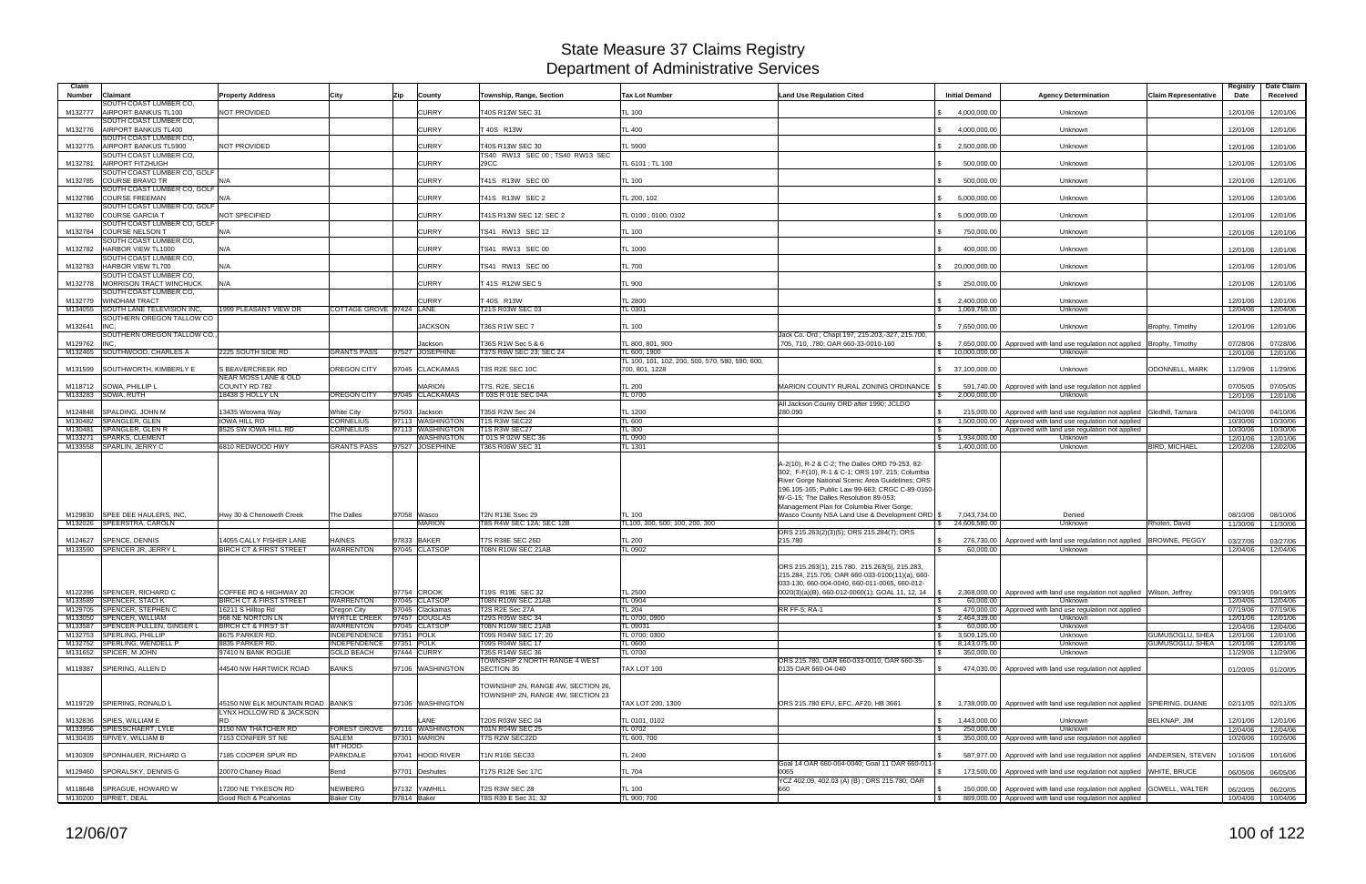| Claim<br><b>Number</b> | Claimant<br>SOUTH COAST LUMBER CO.                           | <b>Property Address</b>                                      | City                                         | Zip<br>County                         | Township, Range, Section                      | <b>Tax Lot Number</b>                                             | <b>Land Use Regulation Cited</b>                                                                                                                                                                                                                                                                                                                 | <b>Initial Demand</b>      | <b>Agency Determination</b><br><b>Claim Representative</b>                                | Date Claim<br>Registry<br>Date<br>Received   |
|------------------------|--------------------------------------------------------------|--------------------------------------------------------------|----------------------------------------------|---------------------------------------|-----------------------------------------------|-------------------------------------------------------------------|--------------------------------------------------------------------------------------------------------------------------------------------------------------------------------------------------------------------------------------------------------------------------------------------------------------------------------------------------|----------------------------|-------------------------------------------------------------------------------------------|----------------------------------------------|
| M132777                | AIRPORT BANKUS TL100                                         | NOT PROVIDED                                                 |                                              | <b>CURRY</b>                          | T40S R13W SEC 31                              | TL 100                                                            |                                                                                                                                                                                                                                                                                                                                                  | 4.000.000.00               | Unknown                                                                                   | 12/01/06<br>12/01/06                         |
| M132776                | SOUTH COAST LUMBER CO,<br>AIRPORT BANKUS TL400               |                                                              |                                              | <b>CURRY</b>                          | T 40S R13W                                    | <b>TL 400</b>                                                     |                                                                                                                                                                                                                                                                                                                                                  | 4,000,000.00               | Unknown                                                                                   | 12/01/06<br>12/01/06                         |
| M132775                | SOUTH COAST LUMBER CO,<br>AIRPORT BANKUS TL5900              | NOT PROVIDED                                                 |                                              | <b>CURRY</b>                          | T40S R13W SEC 30                              | <b>TL 5900</b>                                                    |                                                                                                                                                                                                                                                                                                                                                  | 2,500,000.00               | Unknown                                                                                   | 12/01/06<br>12/01/06                         |
| M132781                | SOUTH COAST LUMBER CO,<br><b>AIRPORT FITZHUGH</b>            |                                                              |                                              | <b>CURRY</b>                          | TS40 RW13 SEC 00: TS40 RW13 SEC<br>29CC       | TL 6101 ; TL 100                                                  |                                                                                                                                                                                                                                                                                                                                                  | 500,000.00                 | Unknown                                                                                   | 12/01/06<br>12/01/06                         |
|                        | SOUTH COAST LUMBER CO. GOLF                                  |                                                              |                                              |                                       |                                               |                                                                   |                                                                                                                                                                                                                                                                                                                                                  |                            |                                                                                           |                                              |
| M132785                | <b>COURSE BRAVO TR</b><br>SOUTH COAST LUMBER CO, GOLF        | N/A                                                          |                                              | <b>CURRY</b>                          | T41S R13W SEC 00                              | <b>TL 100</b>                                                     |                                                                                                                                                                                                                                                                                                                                                  | 500.000.00                 | Unknown                                                                                   | 12/01/06<br>12/01/06                         |
| M132786                | <b>COURSE FREEMAN</b><br>SOUTH COAST LUMBER CO, GOLF         | N/A                                                          |                                              | <b>CURRY</b>                          | T41S R13W SEC 2                               | TL 200, 102                                                       |                                                                                                                                                                                                                                                                                                                                                  | 5,000,000.00               | Unknown                                                                                   | 12/01/06<br>12/01/06                         |
| M132780                | <b>COURSE GARCIA T</b><br>SOUTH COAST LUMBER CO, GOLF        | NOT SPECIFIED                                                |                                              | <b>CURRY</b>                          | T41S R13W SEC 12; SEC 2                       | TL 0100 ; 0100, 0102                                              |                                                                                                                                                                                                                                                                                                                                                  | 5,000,000.00               | Unknown                                                                                   | 12/01/06<br>12/01/06                         |
| M132784                | <b>COURSE NELSON 1</b><br>SOUTH COAST LUMBER CO.             | N/A                                                          |                                              | <b>CURRY</b>                          | TS41 RW13 SEC 12                              | <b>TL 100</b>                                                     |                                                                                                                                                                                                                                                                                                                                                  | 750,000.00                 | Unknown                                                                                   | 12/01/06<br>12/01/06                         |
| M132782                | HARBOR VIEW TL1000<br>SOUTH COAST LUMBER CO,                 | N/A                                                          |                                              | <b>CURRY</b>                          | TS41 RW13 SEC 00                              | TL 1000                                                           |                                                                                                                                                                                                                                                                                                                                                  | 400.000.00                 | Unknown                                                                                   | 12/01/06<br>12/01/06                         |
| M132783                | HARBOR VIEW TL700                                            | N/A                                                          |                                              | <b>CURRY</b>                          | TS41 RW13 SEC 00                              | <b>TL 700</b>                                                     |                                                                                                                                                                                                                                                                                                                                                  | 20.000.000.00              | Unknown                                                                                   | 12/01/06<br>12/01/06                         |
|                        | SOUTH COAST LUMBER CO,<br>M132778 MORRISON TRACT WINCHUCK    | N/A                                                          |                                              | <b>CURRY</b>                          | T 41S R12W SEC 5                              | <b>TL 900</b>                                                     |                                                                                                                                                                                                                                                                                                                                                  | 250,000.00                 | Unknown                                                                                   | 12/01/06<br>12/01/06                         |
| M132779                | SOUTH COAST LUMBER CO.<br><b>WINDHAM TRACT</b>               |                                                              |                                              | <b>CURRY</b>                          | T 40S R13W                                    | <b>TL 2800</b>                                                    |                                                                                                                                                                                                                                                                                                                                                  | 2,400,000.00               | Unknown                                                                                   | 12/01/06<br>12/01/06                         |
| M134055                | SOUTH LANE TELEVISION INC.                                   | 1999 PLEASANT VIEW DR                                        | COTTAGE GROVE 97424 LANE                     |                                       | T21S R03W SEC 03                              | TL 0301                                                           |                                                                                                                                                                                                                                                                                                                                                  | 1,069,750.00               | Unknown                                                                                   | 12/04/06<br>12/04/06                         |
| M132641                | SOUTHERN OREGON TALLOW CO<br>INC.                            |                                                              |                                              | <b>JACKSON</b>                        | <b>T36S R1W SEC 7</b>                         | <b>TL 100</b>                                                     |                                                                                                                                                                                                                                                                                                                                                  | 7.650.000.00               | Unknown<br>Brophy, Timothy                                                                | 12/01/06<br>12/01/06                         |
| M129762                | SOUTHERN OREGON TALLOW CO.,<br><b>INC</b>                    |                                                              |                                              | Jackson                               | T36S R1W Sec 5 & 6                            | TL 800, 801, 900                                                  | Jack Co. Ord; Chapt 197, 215.203,-327, 215.700,<br>705, 710, .780; OAR 660-33-0010-160                                                                                                                                                                                                                                                           |                            | \$7,650,000.00 Approved with land use regulation not applied Brophy, Timothy              | 07/28/06<br>07/28/06                         |
| M132465                | SOUTHWOOD, CHARLES A                                         | 2225 SOUTH SIDE RD                                           | <b>GRANTS PASS</b>                           | 97527 JOSEPHINE                       | T37S R6W SEC 23; SEC 24                       | TL 600: 1900                                                      |                                                                                                                                                                                                                                                                                                                                                  | 10,000,000.00<br>s.        | Unknown                                                                                   | 12/01/06<br>12/01/06                         |
| M131599                | SOUTHWORTH, KIMBERLY E                                       | <b>S BEAVERCREEK RD</b>                                      | OREGON CITY                                  | 97045 CLACKAMAS                       | T3S R2E SEC 10C                               | TL 100, 101, 102, 200, 500, 570, 580, 590, 600,<br>700, 801, 1228 |                                                                                                                                                                                                                                                                                                                                                  | \$ 37,100,000.00           | Unknown<br><b>ODONNELL, MARK</b>                                                          | 11/29/06<br>11/29/06                         |
|                        | M118712 SOWA, PHILLIP L                                      | NEAR MOSS LANE & OLD<br>COUNTY RD 782                        |                                              | <b>MARION</b>                         | T7S, R2E, SEC16                               |                                                                   | MARION COUNTY RURAL ZONING ORDINANCE                                                                                                                                                                                                                                                                                                             |                            |                                                                                           |                                              |
|                        | M133283 SOWA, RUTH                                           | 18438 S HOLLY LN                                             | <b>OREGON CITY</b>                           | 97045 CLACKAMAS                       | T 03S R 01E SEC 04A                           | <b>TL 200</b><br>TL 0700                                          |                                                                                                                                                                                                                                                                                                                                                  | 2,000,000.00               | 591,740.00   Approved with land use regulation not applied<br>Unknown                     | 07/05/05<br>07/05/05<br>12/01/06<br>12/01/06 |
| M124848                | SPALDING, JOHN M                                             | 13435 Weowna Wav                                             | White City                                   | 97503 Jackson                         | T35S R2W Sec 24                               | <b>TL 1200</b>                                                    | All Jackson County ORD after 1990; JCLDO<br>280.090                                                                                                                                                                                                                                                                                              |                            | 215,000.00   Approved with land use regulation not applied Gledhill, Tamara               | 04/10/06<br>04/10/06                         |
| M130482                | SPANGLER, GLEN                                               | <b>IOWA HILL RD</b>                                          | <b>CORNELIUS</b>                             | 97113 WASHINGTON                      | T1S R3W SEC22                                 | <b>TL 600</b>                                                     |                                                                                                                                                                                                                                                                                                                                                  |                            | 1,500,000.00 Approved with land use regulation not applied                                | 10/30/06<br>10/30/06                         |
| M130481<br>M133271     | <b>SPANGLER, GLEN R</b><br><b>SPARKS, CLEMENT</b>            | 8525 SW IOWA HILL RD                                         | <b>CORNELIUS</b>                             | 97113 WASHINGTON<br><b>WASHINGTON</b> | T1S R3W SEC27<br>T 01S R 02W SEC 36           | <b>TL 300</b><br><b>TL 0900</b>                                   |                                                                                                                                                                                                                                                                                                                                                  | 1,934,000.00               | Approved with land use regulation not applied<br>Unknown                                  | 10/30/06<br>10/30/06<br>12/01/06<br>12/01/06 |
|                        | M133558 SPARLIN, JERRY C                                     | 6810 REDWOOD HWY                                             | <b>GRANTS PASS</b>                           | 97527 JOSEPHINE                       | T36S R06W SEC 31                              | <b>TL 1301</b>                                                    |                                                                                                                                                                                                                                                                                                                                                  | 1.400.000.00               | <b>BIRD, MICHAEL</b><br>Unknown                                                           | 12/02/06<br>12/02/06                         |
| M129830                | SPEE DEE HAULERS. INC.                                       | Hwy 30 & Chenoweth Creek                                     | The Dalles                                   | 97058 Wasco                           | T2N R13E Ssec 29                              | <b>TL 100</b>                                                     | A-2(10), R-2 & C-2; The Dalles ORD 79-253, 82-<br>302; F-F(10), R-1 & C-1; ORS 197, 215; Columbia<br>River Gorge National Scenic Area Guidelines; ORS<br>196.105-165; Public Law 99-663; CRGC C-89-0160-<br>W-G-15; The Dalles Resolution 89-053;<br>Management Plan for Columbia River Gorge;<br>Wasco County NSA Land Use & Development ORD \$ | 7,043,734.00               | Denied                                                                                    | 08/10/06<br>08/10/06                         |
|                        | M132026 SPEERSTRA, CAROLN                                    |                                                              |                                              | <b>MARION</b>                         | T8S R4W SEC 12A; SEC 12B                      | TL100, 300, 500: 100, 200, 300                                    |                                                                                                                                                                                                                                                                                                                                                  | 24,606,580.00              | Unknown<br>Rhoten, David                                                                  | 11/30/06<br>11/30/06                         |
|                        | M124627 SPENCE, DENNIS                                       | 14055 CALLY FISHER LANE                                      | <b>HAINES</b>                                | 97833 BAKER                           | T7S R38E SEC 26D                              | <b>TL 200</b>                                                     | ORS 215.263(2)(3)(5); ORS 215.284(7); ORS<br>215.780                                                                                                                                                                                                                                                                                             |                            | 276,730.00   Approved with land use regulation not applied   BROWNE, PEGGY                | 03/27/06<br>03/27/06                         |
|                        | M133590 SPENCER JR, JERRY L                                  | <b>BIRCH CT &amp; FIRST STREET</b>                           | <b>WARRENTON</b>                             | 97045 CLATSOP                         | <b>T08N R10W SEC 21AB</b>                     | <b>TL 0902</b>                                                    |                                                                                                                                                                                                                                                                                                                                                  | 60,000.00                  | Unknown                                                                                   | 12/04/06<br>12/04/06                         |
|                        |                                                              |                                                              |                                              |                                       |                                               |                                                                   | ORS 215.263(1), 215.780, 215.263(5), 215.283,<br>215.284, 215.705; OAR 660-033-0100(11)(a), 660-<br>033-130, 660-004-0040, 660-011-0065, 660-012-                                                                                                                                                                                                |                            |                                                                                           |                                              |
|                        | M122396 SPENCER, RICHARD C<br>M133589 SPENCER, STACI K       | COFFEE RD & HIGHWAY 20<br><b>BIRCH CT &amp; FIRST STREET</b> | <b>CROOK</b><br><b>WARRENTON</b>             | 97754 CROOK<br>97045 CLATSOP          | T19S R19E SEC 32<br><b>T08N R10W SEC 21AB</b> | <b>TL 2500</b><br><b>TL 0904</b>                                  | $ 0020(3)(a)(B), 660-012-0060(1);$ GOAL 11, 12, 14 \\$                                                                                                                                                                                                                                                                                           | 60,000.00                  | 2,368,000.00   Approved with land use regulation not applied   Wilson, Jeffrey<br>Unknown | 09/19/05<br>09/19/05<br>12/04/06<br>12/04/06 |
|                        | M129705 SPENCER, STEPHEN C                                   | 16211 S Hilltop Rd                                           | Oregon City                                  | 97045 Clackamas                       | T2S R2E Sec 27A                               | <b>TL 204</b>                                                     | <b>RR FF-5: RA-1</b>                                                                                                                                                                                                                                                                                                                             |                            | 470,000.00   Approved with land use regulation not applied                                | 07/19/06<br>07/19/06                         |
|                        | M133050 SPENCER, WILLIAM<br>M133587 SPENCER-PULLEN, GINGER L | 968 NE NORTON LN<br><b>BIRCH CT &amp; FIRST ST</b>           | <b>MYRTLE CREEK</b><br>WARRENTON             | 97457 DOUGLAS<br>97045 CLATSOP        | T29S R05W SEC 34<br><b>T08N R10W SEC 21AB</b> | TL 0700, 0900<br>TL 09031                                         |                                                                                                                                                                                                                                                                                                                                                  | 2,464,339.00<br>60,000.00  | Unknown<br>Unknown                                                                        | 12/01/06<br>12/01/06<br>12/04/06<br>12/04/06 |
|                        | M132753 SPERLING, PHILLIP                                    | 8675 PARKER RD.                                              | INDEPENDENCE                                 | 97351 POLK                            | T09S R04W SEC 17; 20                          | TL 0700; 0300                                                     |                                                                                                                                                                                                                                                                                                                                                  | 3,509,125.00               | GUMUSOGLU, SHEA<br>Unknown                                                                | 12/01/06<br>12/01/06                         |
|                        | M132752 SPERLING, WENDELL P<br>M131652 SPICER, M JOHN        | 8835 PARKER RD.<br>97410 N BANK ROGUE                        | INDEPENDENCE 97351 POLK<br><b>GOLD BEACH</b> | 97444 CURRY                           | T09S R04W SEC 17<br>T35S R14W SEC 36          | <b>TL 0600</b><br><b>TL 0700</b>                                  |                                                                                                                                                                                                                                                                                                                                                  | 8,143,075.00<br>350,000.00 | <b>GUMUSOGLU, SHEA</b><br>Unknown<br>Unknown                                              | 12/01/06<br>12/01/06<br>11/29/06<br>11/29/06 |
|                        | M119387 SPIERING, ALLEN D                                    | 44540 NW HARTWICK ROAD                                       | <b>BANKS</b>                                 | 97106 WASHINGTON                      | TOWNSHIP 2 NORTH RANGE 4 WEST<br>SECTION 35   | TAX LOT 100                                                       | ORS 215,780, OAR 660-033-0010, OAR 660-35-<br>0135 OAR 660-04-040                                                                                                                                                                                                                                                                                |                            | 474,030.00 Approved with land use regulation not applied                                  | 01/20/05<br>01/20/05                         |
|                        |                                                              |                                                              |                                              |                                       | TOWNSHIP 2N, RANGE 4W, SECTION 26,            |                                                                   |                                                                                                                                                                                                                                                                                                                                                  |                            |                                                                                           |                                              |
|                        | M119729 SPIERING, RONALD L                                   | 45150 NW ELK MOUNTAIN ROAD BANKS                             |                                              | 97106 WASHINGTON                      | TOWNSHIP 2N, RANGE 4W, SECTION 23             | TAX LOT 200, 1300                                                 | ORS 215.780 EFU, EFC, AF20, HB 3661                                                                                                                                                                                                                                                                                                              |                            | 1,738,000.00 Approved with land use regulation not applied SPIERING, DUANE                | 02/11/05<br>02/11/05                         |
|                        |                                                              | LYNX HOLLOW RD & JACKSON                                     |                                              |                                       |                                               |                                                                   |                                                                                                                                                                                                                                                                                                                                                  |                            |                                                                                           |                                              |
|                        | M132836 SPIES, WILLIAM E<br>M133956 SPIESSCHAERT, LYLE       | <b>RD</b><br>3150 NW THATCHER RD                             | <b>FOREST GROVE</b>                          | LANE<br>97116 WASHINGTON              | T20S R03W SEC 04<br>T01N R04W SEC 25          | TL 0101, 0102<br>TL 0702                                          |                                                                                                                                                                                                                                                                                                                                                  | 1,443,000.00<br>250,000.00 | Unknown<br>BELKNAP, JIM<br>Unknown                                                        | 12/01/06<br>12/01/06<br>12/04/06<br>12/04/06 |
|                        | M130435 SPIVEY, WILLIAM B                                    | 7153 CONIFER ST NE                                           | SALEM                                        | 97301 MARION                          | T7S R2W SEC22D                                | TL 600, 700                                                       |                                                                                                                                                                                                                                                                                                                                                  |                            | 350,000.00 Approved with land use regulation not applied                                  | 10/26/06<br>10/26/06                         |
|                        | M130309 SPONHAUER, RICHARD G                                 | 7185 COOPER SPUR RD                                          | MT HOOD-<br><b>PARKDALE</b>                  | 97041 HOOD RIVER                      | <b>T1N R10E SEC33</b>                         | TL 2400                                                           |                                                                                                                                                                                                                                                                                                                                                  |                            | 587,977.00 Approved with land use regulation not applied ANDERSEN, STEVEN                 | 10/16/06<br>10/16/06                         |
|                        | M129460 SPORALSKY, DENNIS G                                  | 20070 Chaney Road                                            | Bend                                         | 97701 Deshutes                        | T17S R12E Sec 17C                             | <b>TL 704</b>                                                     | Goal 14 OAR 660-004-0040; Goal 11 OAR 660-011<br>0065                                                                                                                                                                                                                                                                                            |                            | 173,500.00   Approved with land use regulation not applied WHITE, BRUCE                   | 06/05/06<br>06/05/06                         |
|                        | M118648 SPRAGUE, HOWARD W                                    | 17200 NE TYKESON RD                                          | <b>NEWBERG</b>                               | 97132 YAMHILL                         | <b>T2S R3W SEC 28</b>                         | <b>TL 100</b>                                                     | YCZ 402.09, 402.03 (A) (B); ORS 215.780; OAR                                                                                                                                                                                                                                                                                                     |                            | 150,000.00   Approved with land use regulation not applied GOWELL, WALTER                 | 06/20/05<br>06/20/05                         |
|                        | M130200 SPRIET, DEAL                                         | Good Rich & Pcahontas                                        | <b>Baker City</b>                            | 97814 Baker                           | T8S R39 E Sec 31; 32                          | TL 900; 700                                                       |                                                                                                                                                                                                                                                                                                                                                  |                            | 889,000.00 Approved with land use regulation not applied                                  | 10/04/06 10/04/06                            |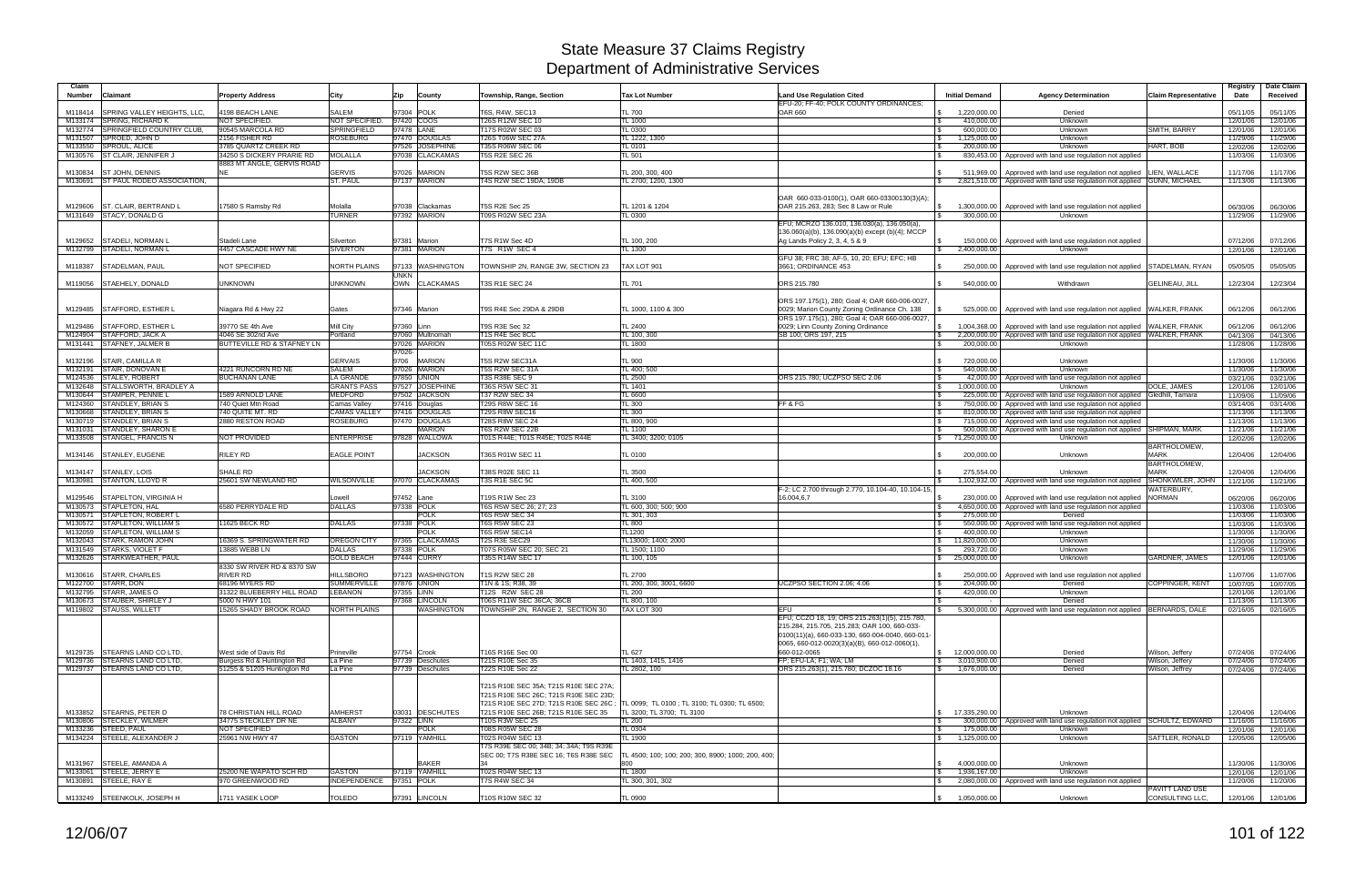| Claim<br><b>Number</b><br><b>Claimant</b>                     | <b>Property Address</b>                        | City                     | Zip          | County                         | Township, Range, Section                                                                                                                                                          | <b>Tax Lot Number</b>                                                               | <b>Land Use Regulation Cited</b><br>EFU-20; FF-40; POLK COUNTY ORDINANCES;                                                                                                                                | <b>Initial Demand</b>                                   | <b>Agency Determination</b>                                                                                                                              | <b>Claim Representative</b>        | Registry<br>Date     | Date Claim<br>Received |
|---------------------------------------------------------------|------------------------------------------------|--------------------------|--------------|--------------------------------|-----------------------------------------------------------------------------------------------------------------------------------------------------------------------------------|-------------------------------------------------------------------------------------|-----------------------------------------------------------------------------------------------------------------------------------------------------------------------------------------------------------|---------------------------------------------------------|----------------------------------------------------------------------------------------------------------------------------------------------------------|------------------------------------|----------------------|------------------------|
| SPRING VALLEY HEIGHTS, LLC,<br>M118414                        | 4198 BEACH LANE                                | SALEM                    | 97304 POLK   |                                | T6S, R4W, SEC13                                                                                                                                                                   | <b>TL 700</b>                                                                       | OAR 660                                                                                                                                                                                                   | 1,220,000.00                                            | Denied                                                                                                                                                   |                                    | 05/11/05             | 05/11/05               |
| M133174 SPRING, RICHARD K                                     | NOT SPECIFIED.                                 | NOT SPECIFIED.           | 97420 COOS   |                                | T26S R12W SEC 10                                                                                                                                                                  | TL 1000                                                                             |                                                                                                                                                                                                           | 410,000.00                                              | Unknown                                                                                                                                                  |                                    | 12/01/06             | 12/01/06               |
| M132774 SPRINGFIELD COUNTRY CLUB,                             | 90545 MARCOLA RD                               | SPRINGFIELD              | 97478 LANE   |                                | T17S R02W SEC 03                                                                                                                                                                  | <b>TL 0300</b>                                                                      |                                                                                                                                                                                                           | 600,000.00<br>l \$                                      | Unknown                                                                                                                                                  | SMITH, BARRY                       | 12/01/06             | 12/01/06               |
| SPROED, JOHN D<br>M131507                                     | 2156 FISHER RD                                 | <b>ROSEBURG</b>          |              | 97470 DOUGLAS                  | <b>T26S T06W SEC 27A</b>                                                                                                                                                          | TL 1222, 1300                                                                       |                                                                                                                                                                                                           | 1,125,000.00<br>l Si                                    | Unknown                                                                                                                                                  |                                    | 11/29/06             | 11/29/06               |
| M133550 SPROUL, ALICE                                         | 3785 QUARTZ CREEK RD                           |                          |              | 97526 JOSEPHINE                | T35S R06W SEC 06                                                                                                                                                                  | TL 0101                                                                             |                                                                                                                                                                                                           | 200,000.00<br>l \$                                      | Unknown                                                                                                                                                  | HART, BOB                          | 12/02/06             | 12/02/06               |
| M130576 ST CLAIR, JENNIFER,                                   | 34250 S DICKERY PRARIE RD                      | <b>MOLALLA</b>           |              | 97038 CLACKAMAS                | <b>T5S R2E SEC 26</b>                                                                                                                                                             | TL 501                                                                              |                                                                                                                                                                                                           |                                                         | 830,453.00   Approved with land use regulation not applied                                                                                               |                                    | 11/03/06             | 11/03/06               |
|                                                               | 8883 MT ANGLE, GERVIS ROAD<br><b>NE</b>        | <b>GERVIS</b>            |              | 97026 MARION                   |                                                                                                                                                                                   |                                                                                     |                                                                                                                                                                                                           |                                                         |                                                                                                                                                          |                                    |                      |                        |
| M130834 ST JOHN, DENNIS<br>M130691 ST PAUL RODEO ASSOCIATION, |                                                | <b>ST. PAUL</b>          |              | 97137 MARION                   | T5S R2W SEC 36B<br>T4S R2W SEC 19DA; 19DB                                                                                                                                         | TL 200, 300, 400<br>FL 2700; 1200, 1300                                             |                                                                                                                                                                                                           | IS.<br>$\mathcal{S}$                                    | 511,969.00   Approved with land use regulation not applied   LIEN, WALLACE<br>2,821,510.00   Approved with land use regulation not applied GUNN, MICHAEL |                                    | 11/17/06<br>11/13/06 | 11/17/06<br>11/13/06   |
|                                                               |                                                |                          |              |                                |                                                                                                                                                                                   |                                                                                     |                                                                                                                                                                                                           |                                                         |                                                                                                                                                          |                                    |                      |                        |
|                                                               |                                                |                          |              |                                |                                                                                                                                                                                   |                                                                                     | OAR 660-033-0100(1), OAR 660-03300130(3)(A);                                                                                                                                                              |                                                         |                                                                                                                                                          |                                    |                      |                        |
| M129606 ST. CLAIR. BERTRAND L                                 | 7580 S Ramsby Rd                               | Molalla                  | 97038        | Clackamas                      | <b>T5S R2E Sec 25</b>                                                                                                                                                             | TL 1201 & 1204                                                                      | OAR 215.263, 283; Sec 8 Law or Rule                                                                                                                                                                       | $\mathsf{S}$<br>1,300,000.00                            | Approved with land use regulation not applied                                                                                                            |                                    | 06/30/06             | 06/30/06               |
| M131649 STACY, DONALD G                                       |                                                | <b>TURNER</b>            |              | 97392 MARION                   | T09S R02W SEC 23A                                                                                                                                                                 | TL 0300                                                                             |                                                                                                                                                                                                           | 300.000.00                                              | Unknown                                                                                                                                                  |                                    | 11/29/06             | 11/29/06               |
|                                                               |                                                |                          |              |                                |                                                                                                                                                                                   |                                                                                     | EFU; MCRZO 136.010, 136.030(a), 136.050(a)                                                                                                                                                                |                                                         |                                                                                                                                                          |                                    |                      |                        |
|                                                               |                                                |                          |              |                                |                                                                                                                                                                                   |                                                                                     | 136.060(a)(b), 136.090(a)(b) except (b)(4); MCCP                                                                                                                                                          |                                                         |                                                                                                                                                          |                                    |                      |                        |
| M129652 STADELI, NORMAN L                                     | Stadeli Lane                                   | Silverton                | 97381        | Marion                         | T7S R1W Sec 4D                                                                                                                                                                    | TL 100, 200                                                                         | Ag Lands Policy 2, 3, 4, 5 & 9                                                                                                                                                                            | 150.000.00                                              | Approved with land use regulation not applied                                                                                                            |                                    | 07/12/06             | 07/12/06               |
| M132799 STADELI, NORMAN L                                     | 4457 CASCADE HWY NE                            | <b>SIVERTON</b>          |              | 97381 MARION                   | T7S R1W SEC 4                                                                                                                                                                     | TL 1300                                                                             |                                                                                                                                                                                                           | 2,400,000.00<br>$\mathbb{S}$                            | Unknown                                                                                                                                                  |                                    | 12/01/06             | 12/01/06               |
|                                                               |                                                |                          |              |                                |                                                                                                                                                                                   |                                                                                     | GFU 38; FRC 38; AF-5, 10, 20; EFU; EFC; HB                                                                                                                                                                |                                                         |                                                                                                                                                          |                                    |                      |                        |
| M118387<br>STADELMAN, PAUL                                    | NOT SPECIFIED                                  | NORTH PLAINS             | 97133        | <b>WASHINGTON</b>              | TOWNSHIP 2N, RANGE 3W, SECTION 23                                                                                                                                                 | <b>FAX LOT 901</b>                                                                  | 3661: ORDINANCE 453                                                                                                                                                                                       | 250.000.00                                              | Approved with land use regulation not applied                                                                                                            | STADELMAN, RYAN                    | 05/05/05             | 05/05/05               |
|                                                               |                                                |                          | <b>UNKN</b>  |                                |                                                                                                                                                                                   |                                                                                     |                                                                                                                                                                                                           |                                                         |                                                                                                                                                          |                                    |                      |                        |
| M119056 STAEHELY, DONALD                                      | <b>UNKNOWN</b>                                 | <b>UNKNOWN</b>           |              | OWN CLACKAMAS                  | T3S R1E SEC 24                                                                                                                                                                    | <b>TL 701</b>                                                                       | ORS 215.780                                                                                                                                                                                               | 540,000.00                                              | Withdrawn                                                                                                                                                | <b>GELINEAU, JILL</b>              | 12/23/04             | 12/23/04               |
|                                                               |                                                |                          |              |                                |                                                                                                                                                                                   |                                                                                     | ORS 197.175(1), 280; Goal 4; OAR 660-006-0027                                                                                                                                                             |                                                         |                                                                                                                                                          |                                    |                      |                        |
| M129485 STAFFORD, ESTHER L                                    | Niagara Rd & Hwy 22                            | Gates                    | 97346 Marion |                                | T9S R4E Sec 29DA & 29DB                                                                                                                                                           | TL 1000, 1100 & 300                                                                 | 0029; Marion County Zoning Ordinance Ch. 138                                                                                                                                                              | 525,000.00                                              | Approved with land use regulation not applied WALKER, FRANK                                                                                              |                                    | 06/12/06             | 06/12/06               |
|                                                               |                                                |                          |              |                                |                                                                                                                                                                                   |                                                                                     | ORS 197.175(1), 280; Goal 4; OAR 660-006-0027                                                                                                                                                             |                                                         |                                                                                                                                                          |                                    |                      |                        |
| <b>STAFFORD, ESTHER L</b><br>M129486                          | 39770 SE 4th Ave                               | Mill City                | 97360 Linn   |                                | T9S R3E Sec 32                                                                                                                                                                    | <b>TL 2400</b>                                                                      | 0029; Linn County Zoning Ordinance                                                                                                                                                                        | $\mathbb{S}$                                            | 1,004,368.00 Approved with land use regulation not applied                                                                                               | <b>WALKER, FRANK</b>               | 06/12/06             | 06/12/06               |
| M124904 STAFFORD, JACK A                                      | 4046 SE 302nd Ave                              | Portland                 |              | 97060 Multnomah                | <b>T1S R4E Sec 8CC</b>                                                                                                                                                            | TL 100, 300                                                                         | SB 100; ORS 197, 215                                                                                                                                                                                      |                                                         | 2,200,000.00   Approved with land use regulation not applied WALKER, FRANK                                                                               |                                    | 04/13/06             | 04/13/06               |
| STAFNEY, JALMER B<br>M131441                                  | BUTTEVILLE RD & STAFNEY LN                     |                          |              | 97026 MARION                   | T05S R02W SEC 11C                                                                                                                                                                 | <b>TL 1800</b>                                                                      |                                                                                                                                                                                                           | 200,000.00<br>l \$                                      | Unknown                                                                                                                                                  |                                    | 11/28/06             | 11/28/06               |
|                                                               |                                                |                          | 97026-       |                                |                                                                                                                                                                                   |                                                                                     |                                                                                                                                                                                                           |                                                         |                                                                                                                                                          |                                    |                      |                        |
| M132196 STAIR, CAMILLA R                                      |                                                | <b>GERVAIS</b>           | 9706         | <b>MARION</b>                  | T5S R2W SEC31A                                                                                                                                                                    | <b>TL 900</b>                                                                       |                                                                                                                                                                                                           | 720,000.00<br><b>S</b>                                  | Unknown                                                                                                                                                  |                                    | 11/30/06             | 11/30/06               |
| M132191 STAIR, DONOVAN E                                      | 4221 RUNCORN RD NE                             | SALEM                    |              | 97026 MARION                   | T5S R2W SEC 31A                                                                                                                                                                   | TL 400: 500                                                                         |                                                                                                                                                                                                           | 540.000.00                                              | Unknown                                                                                                                                                  |                                    | 11/30/06             | 11/30/06               |
| M124536 STALEY, ROBERT                                        | <b>BUCHANAN LANE</b>                           | <b>LA GRANDE</b>         | 97850 UNION  |                                | <b>T3S R38E SEC 9</b>                                                                                                                                                             | TL 2500                                                                             | ORS 215.780; UCZPSO SEC 2.06                                                                                                                                                                              | <b>S</b>                                                | 42,000.00 Approved with land use regulation not applied                                                                                                  |                                    | 03/21/06             | 03/21/06               |
| M132648 STALLSWORTH, BRADLEY A                                |                                                | <b>GRANTS PASS</b>       |              | 97527 JOSEPHINE                | <b>T36S R5W SEC 31</b>                                                                                                                                                            | TL 1401                                                                             |                                                                                                                                                                                                           | 1.000.000.00<br>$\mathsf{S}$                            | Unknown                                                                                                                                                  | DOLE, JAMES                        | 12/01/06             | 12/01/06               |
| M130644 STAMPER, PENNIE L                                     | 1589 ARNOLD LANE                               | <b>MEDFORD</b>           |              | 97502 JACKSON                  | <b>T37 R2W SEC 34</b>                                                                                                                                                             | TL 6600                                                                             |                                                                                                                                                                                                           | 225,000.00                                              | Approved with land use regulation not applied Gledhill, Tamara                                                                                           |                                    | 11/09/06             | 11/09/06               |
| M124360 STANDLEY, BRIAN S                                     | 740 Quiet Mtn Road                             | Camas Valley             |              | 97416 Douglas                  | <b>T29S R8W SEC 16</b>                                                                                                                                                            | TL 300                                                                              | FF & FG                                                                                                                                                                                                   | 750,000.00                                              | Approved with land use regulation not applied                                                                                                            |                                    | 03/14/06             | 03/14/06               |
| M130668 STANDLEY, BRIAN S                                     | 740 QUITE MT. RD<br>2880 RESTON ROAD           | CAMAS VALLEY             |              | 97416 DOUGLAS                  | <b>T29S R8W SEC16</b>                                                                                                                                                             | TL300                                                                               |                                                                                                                                                                                                           | 810,000.00                                              | Approved with land use regulation not applied                                                                                                            |                                    | 11/13/06             | 11/13/06               |
| M130719 STANDLEY, BRIAN S<br>STANDLEY, SHARON E<br>M131031    |                                                | <b>ROSEBURG</b>          |              | 97470 DOUGLAS<br><b>MARION</b> | <b>T28S R8W SEC 24</b><br>T6S R2W SEC 22B                                                                                                                                         | TL 800, 900<br>TL 1100                                                              |                                                                                                                                                                                                           | <b>S</b><br>500,000.00                                  | 715,000.00 Approved with land use regulation not applied<br>Approved with land use regulation not applied SHIPMAN, MARK                                  |                                    | 11/13/06<br>11/21/06 | 11/13/06<br>11/21/06   |
| M133508 STANGEL, FRANCIS N                                    | <b>NOT PROVIDED</b>                            | <b>ENTERPRISE</b>        |              | 97828 WALLOWA                  | T01S R44E; T01S R45E; T02S R44E                                                                                                                                                   | TL 3400; 3200; 0105                                                                 |                                                                                                                                                                                                           | $\frac{1}{2}$ 71,250,000.00                             | Unknown                                                                                                                                                  |                                    | 12/02/06             | 12/02/06               |
|                                                               |                                                |                          |              |                                |                                                                                                                                                                                   |                                                                                     |                                                                                                                                                                                                           |                                                         |                                                                                                                                                          | <b>BARTHOLOMEW</b>                 |                      |                        |
| M134146 STANLEY, EUGENE                                       | RILEY RD                                       | <b>EAGLE POINT</b>       |              | <b>JACKSON</b>                 | T36S R01W SEC 11                                                                                                                                                                  | <b>TL 0100</b>                                                                      |                                                                                                                                                                                                           | 200,000.00                                              | Unknown                                                                                                                                                  | <b>MARK</b>                        | 12/04/06             | 12/04/06               |
|                                                               |                                                |                          |              |                                |                                                                                                                                                                                   |                                                                                     |                                                                                                                                                                                                           |                                                         |                                                                                                                                                          | <b>BARTHOLOMEW,</b>                |                      |                        |
| <b>STANLEY, LOIS</b><br>M134147                               | <b>SHALE RD</b>                                |                          |              | <b>JACKSON</b>                 | T38S R02E SEC 11                                                                                                                                                                  | TL 3500                                                                             |                                                                                                                                                                                                           | 275,554.00                                              | Unknown                                                                                                                                                  | <b>MARK</b>                        | 12/04/06             | 12/04/06               |
| <b>STANTON, LLOYD R</b><br>M130981                            | 25601 SW NEWLAND RD                            | WILSONVILLE              |              | 97070 CLACKAMAS                | T3S R1E SEC 5C                                                                                                                                                                    | <b>TL 400, 500</b>                                                                  |                                                                                                                                                                                                           |                                                         | 1,102,932.00   Approved with land use regulation not applied                                                                                             | SHONKWILER, JOHN                   | 11/21/06             | 11/21/06               |
|                                                               |                                                |                          |              |                                |                                                                                                                                                                                   |                                                                                     | F-2; LC 2.700 through 2.770, 10.104-40, 10.104-15,                                                                                                                                                        |                                                         |                                                                                                                                                          | WATERBURY,                         |                      |                        |
| STAPELTON, VIRGINIA H<br>M129546                              |                                                | Lowell                   | 97452 Lane   |                                | T19S R1W Sec 23                                                                                                                                                                   | TL 3100                                                                             | 16.004,6,7                                                                                                                                                                                                | 230,000.00<br>l \$                                      | Approved with land use regulation not applied                                                                                                            | <b>NORMAN</b>                      | 06/20/06             | 06/20/06               |
| M130573 STAPLETON, HAL<br>M130571 STAPLETON, ROBERT L         | 6580 PERRYDALE RD                              | <b>DALLAS</b>            | 97338 POLK   | <b>POLK</b>                    | T6S R5W SEC 26; 27; 23<br><b>T6S R5W SEC 34</b>                                                                                                                                   | TL 600, 300; 500; 900<br>TL 301, 303                                                |                                                                                                                                                                                                           | 4,650,000.00<br>$\sqrt{3}$<br>275,000.00<br>$\sqrt{3}$  | Approved with land use regulation not applied<br>Denied                                                                                                  |                                    | 11/03/06             | 11/03/06               |
| M130572 STAPLETON, WILLIAM S                                  | 1625 BECK RD                                   | <b>DALLAS</b>            | 97338 POLK   |                                | <b>T6S R5W SEC 23</b>                                                                                                                                                             | TL 800                                                                              |                                                                                                                                                                                                           | ∣ \$                                                    | 550,000,00 Approved with land use regulation not applied                                                                                                 |                                    | 11/03/06<br>11/03/06 | 11/03/06<br>11/03/06   |
| M132059 STAPLETON, WILLIAM S                                  |                                                |                          |              | POLK                           | T6S R5W SEC14                                                                                                                                                                     | <b>L1200</b>                                                                        |                                                                                                                                                                                                           | 400,000.00                                              | Unknown                                                                                                                                                  |                                    | 11/30/06             | 11/30/06               |
| M132043 STARK, RAMON JOHN                                     | 6369 S. SPRINGWATER RD                         | OREGON CITY              |              | 97365 CLACKAMAS                | T2S R3E SEC29                                                                                                                                                                     | TL13000; 1400; 2000                                                                 |                                                                                                                                                                                                           | 11,820,000.00<br>$\mathsf{S}$                           | Unknown                                                                                                                                                  |                                    | 11/30/06             | 11/30/06               |
| M131549 STARKS, VIOLET F                                      | 3885 WEBB LN                                   | <b>DALLAS</b>            | 97338 POLK   |                                | T07S R05W SEC 20; SEC 21                                                                                                                                                          | TL 1500; 1100                                                                       |                                                                                                                                                                                                           | 293,720.00                                              | Unknown                                                                                                                                                  |                                    | 11/29/06             | 11/29/06               |
| M132626 STARKWEATHER, PAUL                                    |                                                | <b>GOLD BEACH</b>        |              | 97444 CURRY                    | T35S R14W SEC 17                                                                                                                                                                  | TL 100, 105                                                                         |                                                                                                                                                                                                           | 25,000,000.00<br>$\mathbb{S}$                           | Unknown                                                                                                                                                  | <b>GARDNER, JAMES</b>              | 12/01/06             | 12/01/06               |
|                                                               | 8330 SW RIVER RD & 8370 SW                     |                          |              |                                |                                                                                                                                                                                   |                                                                                     |                                                                                                                                                                                                           |                                                         |                                                                                                                                                          |                                    |                      |                        |
| M130616 STARR, CHARLES                                        | RIVER RD                                       | <b>HILLSBORO</b>         |              | 97123 WASHINGTON               | T1S R2W SEC 28                                                                                                                                                                    | <b>TL 2700</b>                                                                      |                                                                                                                                                                                                           | 250,000.00                                              | Approved with land use regulation not applied                                                                                                            |                                    | 11/07/06             | 11/07/06               |
| M122700 STARR, DON                                            | 68196 MYERS RD                                 | SUMMERVILLE 97876 UNION  |              |                                | T1N & 1S; R38, 39                                                                                                                                                                 | TL 200, 300, 3001, 6600                                                             | UCZPSO SECTION 2.06; 4.06                                                                                                                                                                                 | 204,000.00<br>IS.                                       | Denied                                                                                                                                                   | <b>COPPINGER, KENT</b>             | 10/07/05             | 10/07/05               |
| M132795 STARR, JAMES O                                        | 31322 BLUEBERRY HILL ROAD                      | LEBANON                  | 97355 LINN   |                                | T12S R2W SEC 28                                                                                                                                                                   | <b>TL 200</b>                                                                       |                                                                                                                                                                                                           | 420,000.00<br>$\sqrt{3}$                                | Unknown                                                                                                                                                  |                                    | 12/01/06             | 12/01/06               |
| M130673 STAUBER SHIRLEY J                                     | 5000 N HWY 101                                 |                          |              | 97368 LINCOLN                  | T06S R11W SEC 36CA: 36CB                                                                                                                                                          | TL 800, 100                                                                         |                                                                                                                                                                                                           | $\sqrt{S}$                                              | Denied                                                                                                                                                   |                                    | 11/13/06             | 11/13/06               |
| M119802 STAUSS, WILLETT                                       | 15265 SHADY BROOK ROAD                         | NORTH PLAINS             |              | <b>WASHINGTON</b>              | TOWNSHIP 2N, RANGE 2, SECTION 30                                                                                                                                                  | TAX LOT 300                                                                         | EFU<br>EFU; CCZO 18, 19; ORS 215.263(1)(5), 215.780,<br>215.284, 215.705, 215.283; OAR 100, 660-033-<br>0100(11)(a), 660-033-130, 660-004-0040, 660-011-<br>0065, 660-012-0020(3)(a)(B), 660-012-0060(1), | $\mathbb{S}$                                            | 5,300,000.00 Approved with land use regulation not applied  BERNARDS, DALE                                                                               |                                    | 02/16/05             | 02/16/05               |
| M129735 STEARNS LAND CO LTD,                                  | West side of Davis Rd                          | Prineville               | 97754 Crook  |                                | T16S R16E Sec 00                                                                                                                                                                  | <b>TL 627</b>                                                                       | 660-012-0065                                                                                                                                                                                              | $\frac{1}{2}$ 12,000,000.00                             | Denied                                                                                                                                                   | Wilson, Jeffery                    | 07/24/06             | 07/24/06               |
| M129736 STEARNS LAND CO LTD,                                  | Burgess Rd & Huntington Rd                     | La Pine                  |              | 97739 Deschutes                | T21S R10E Sec 35                                                                                                                                                                  | TL 1403, 1415, 1416                                                                 | FP: EFU-LA: F1: WA: LM                                                                                                                                                                                    | $\frac{1}{3}$ 3,010,900.00                              | Denied                                                                                                                                                   | Wilson, Jeffery                    | 07/24/06             | 07/24/06               |
| M129737 STEARNS LAND CO LTD,                                  | 51255 & 51205 Huntington Rd                    | La Pine                  |              | 97739 Deschutes                | T22S R10E Sec 22                                                                                                                                                                  | TL 2802, 100                                                                        | ORS 215.263(1), 215.780; DCZOC 18.16                                                                                                                                                                      | \$ 1,676,000.00                                         | Denied                                                                                                                                                   | Wilson, Jeffrey                    | 07/24/06             | 07/24/06               |
| M133852 STEARNS, PETER D<br>M130806 STECKLEY, WILMER          | 78 CHRISTIAN HILL ROAD<br>34775 STECKLEY DR NE | <b>AMHERST</b><br>ALBANY | 97322 LINN   | 03031 DESCHUTES                | T21S R10E SEC 35A; T21S R10E SEC 27A;<br>T21S R10E SEC 26C; T21S R10E SEC 23D;<br>T21S R10E SEC 27D; T21S R10E SEC 26C;<br>T21S R10E SEC 26B; T21S R10E SEC 35<br>T10S R3W SEC 25 | TL 0099; TL 0100; TL 3100; TL 0300; TL 6500;<br>TL 3200; TL 3700; TL 3100<br>TL 200 |                                                                                                                                                                                                           | $\frac{1}{2}$ 17,335,290.00<br>300,000.00<br>$\sqrt{3}$ | Unknown<br>Approved with land use regulation not applied SCHULTZ, EDWARD                                                                                 |                                    | 12/04/06<br>11/16/06 | 12/04/06<br>11/16/06   |
| M133236 STEED, PAUL                                           | NOT SPECIFIED                                  |                          |              | <b>POLK</b>                    | <b>T08S R05W SEC 28</b>                                                                                                                                                           | <b>TL 0304</b>                                                                      |                                                                                                                                                                                                           | $\sqrt{3}$<br>175,000.00                                | Unknown                                                                                                                                                  |                                    | 12/01/06             | 12/01/06               |
| M134224 STEELE, ALEXANDER J                                   | 25961 NW HWY 47                                | <b>GASTON</b>            |              | 97119 YAMHILL                  | T02S R04W SEC 13                                                                                                                                                                  | TL 1900                                                                             |                                                                                                                                                                                                           | 1,125,000.00<br>$\mathbb{S}$                            | Unknown                                                                                                                                                  | SATTLER, RONALD                    | 12/05/06             | 12/05/06               |
|                                                               |                                                |                          |              |                                | T7S R39E SEC 00; 34B; 34; 34A; T9S R39E                                                                                                                                           |                                                                                     |                                                                                                                                                                                                           |                                                         |                                                                                                                                                          |                                    |                      |                        |
|                                                               |                                                |                          |              |                                | SEC 00; T7S R38E SEC 16; T6S R38E SEC                                                                                                                                             | TL 4500; 100; 100; 200; 300, 8900; 1000; 200, 400;                                  |                                                                                                                                                                                                           |                                                         |                                                                                                                                                          |                                    |                      |                        |
| M131967 STEELE, AMANDA A                                      |                                                |                          |              | <b>BAKER</b>                   |                                                                                                                                                                                   | 800                                                                                 |                                                                                                                                                                                                           | 4,000,000.00<br>$\mathbb{S}$                            | Unknown                                                                                                                                                  |                                    | 11/30/06             | 11/30/06               |
| M133061 STEELE, JERRY E                                       | 25200 NE WAPATO SCH RD                         | <b>GASTON</b>            |              | 97119 YAMHILL                  | T02S R04W SEC 13                                                                                                                                                                  | <b>TL 1800</b>                                                                      |                                                                                                                                                                                                           | 1,936,167.00<br>$\sqrt{S}$                              | Unknown                                                                                                                                                  |                                    | 12/01/06             | 12/01/06               |
| M130891 STEELE, RAY E                                         | 970 GREENWOOD RD                               | NDEPENDENCE 97351 POLK   |              |                                | <b>T7S R4W SEC 34</b>                                                                                                                                                             | TL 300, 301, 302                                                                    |                                                                                                                                                                                                           | $\mathcal{S}$                                           | 2,080,000.00 Approved with land use regulation not applied                                                                                               |                                    | 11/20/06             | 11/20/06               |
| M133249 STEENKOLK, JOSEPH H                                   | 1711 YASEK LOOP                                | <b>TOLEDO</b>            |              | 97391 LINCOLN                  | T10S R10W SEC 32                                                                                                                                                                  | <b>TL 0900</b>                                                                      |                                                                                                                                                                                                           | \$ 1,050,000.00                                         | Unknown                                                                                                                                                  | PAVITT LAND USE<br>CONSULTING LLC, | 12/01/06             | 12/01/06               |
|                                                               |                                                |                          |              |                                |                                                                                                                                                                                   |                                                                                     |                                                                                                                                                                                                           |                                                         |                                                                                                                                                          |                                    |                      |                        |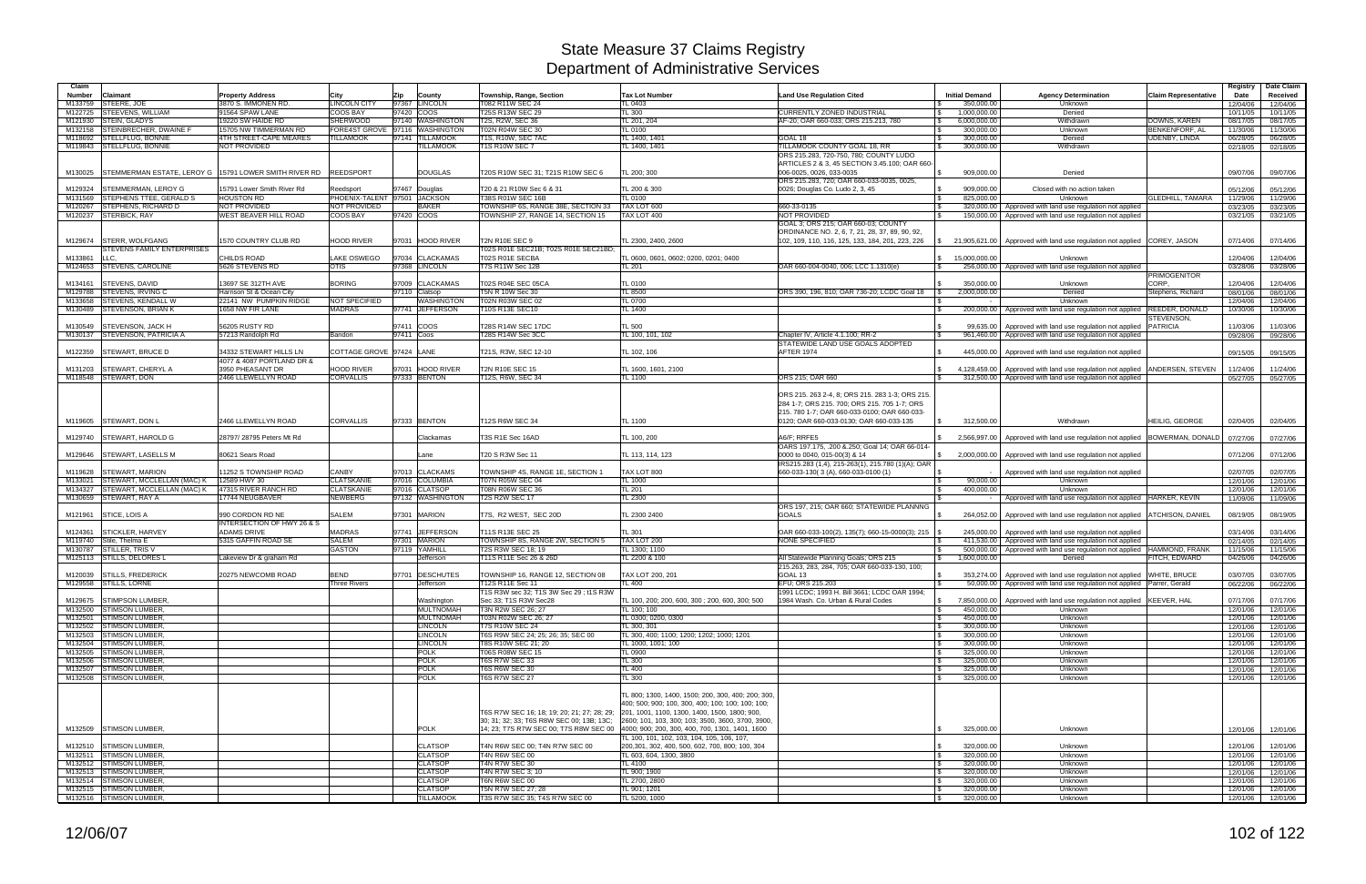| Claim              |                                                         |                                                     |                                   |                                               |                                                                         |                                                                                               |                                                                 |                                  |                                                                                                |                                 | Registry             | Date Claim           |
|--------------------|---------------------------------------------------------|-----------------------------------------------------|-----------------------------------|-----------------------------------------------|-------------------------------------------------------------------------|-----------------------------------------------------------------------------------------------|-----------------------------------------------------------------|----------------------------------|------------------------------------------------------------------------------------------------|---------------------------------|----------------------|----------------------|
| <b>Number</b>      | Claimant                                                | <b>Property Address</b>                             | City                              | Zip<br>County                                 | Township, Range, Section                                                | <b>Tax Lot Number</b>                                                                         | <b>Land Use Regulation Cited</b>                                | <b>Initial Demand</b>            | <b>Agency Determination</b>                                                                    | <b>Claim Representative</b>     | Date                 | Received             |
| M133759            | STEERE, JOE                                             | 3870 S. IMMONEN RD                                  | <b>LINCOLN CITY</b>               | 97367 LINCOLN                                 | T082 R11W SEC 24                                                        | TL 0403                                                                                       |                                                                 | 350,000.00                       | Unknown                                                                                        |                                 | 12/04/06             | 12/04/06             |
| M122725            | <b>STEEVENS, WILLIAM</b>                                | 91564 SPAW LANE                                     | <b>COOS BAY</b>                   | 97420 COOS                                    | T25S R13W SEC 29                                                        | TL 300                                                                                        | CURRENTLY ZONED INDUSTRIAL                                      | 1,000,000.00                     | Denied                                                                                         |                                 | 10/11/05             | 10/11/05             |
| M121930            | STEIN, GLADYS                                           | 19220 SW HAIDE RD                                   | <b>SHERWOOD</b>                   | 97140 WASHINGTON                              | T2S, R2W, SEC 36                                                        | TL 201, 204                                                                                   | AF-20: OAR 660-033; ORS 215.213, 780                            | 6,000,000.00                     | Withdrawn                                                                                      | DOWNS, KAREN                    | 08/17/05             | 08/17/05             |
| M132158<br>M118692 | STEINBRECHER, DWAINE F<br><b>STELLFLUG, BONNIE</b>      | 15705 NW TIMMERMAN RD<br>4TH STREET-CAPE MEARES     | FORE4ST GROVE<br><b>TILLAMOOK</b> | 97116 WASHINGTON<br>97141<br><b>TILLAMOOK</b> | T02N R04W SEC 30<br>T1S, R10W, SEC 7AC                                  | <b>TL 0100</b><br>TL 1400, 140 <sup>-</sup>                                                   | GOAL 18                                                         | 300,000.00<br>l \$<br>300,000.00 | Unknown<br>Denied                                                                              | BENKENFORF, AL<br>UDENBY, LINDA | 11/30/06<br>06/28/05 | 11/30/06<br>06/28/05 |
|                    | M119843 STELLFLUG, BONNIE                               | NOT PROVIDED                                        |                                   | <b>ILLAMOOK</b>                               | <b>T1S R10W SEC 7</b>                                                   | TL 1400, 1401                                                                                 | TILLAMOOK COUNTY GOAL 18, RR                                    | 300,000.00                       | Withdrawn                                                                                      |                                 | 02/18/05             | 02/18/05             |
|                    |                                                         |                                                     |                                   |                                               |                                                                         |                                                                                               | ORS 215.283, 720-750, 780; COUNTY LUDO                          |                                  |                                                                                                |                                 |                      |                      |
|                    |                                                         |                                                     |                                   |                                               |                                                                         |                                                                                               | ARTICLES 2 & 3, 45 SECTION 3.45.100; OAR 660-                   |                                  |                                                                                                |                                 |                      |                      |
| M130025            | STEMMERMAN ESTATE, LEROY G   15791 LOWER SMITH RIVER RD |                                                     | <b>REEDSPORT</b>                  | <b>DOUGLAS</b>                                | T20S R10W SEC 31; T21S R10W SEC 6                                       | TL 200: 300                                                                                   | 006-0025, 0026, 033-0035                                        | 909.000.00                       | Denied                                                                                         |                                 | 09/07/06             | 09/07/06             |
|                    |                                                         |                                                     |                                   |                                               |                                                                         |                                                                                               | ORS 215.283, 720; OAR 660-033-0035, 0025,                       |                                  |                                                                                                |                                 |                      |                      |
| M129324            | <b>STEMMERMAN, LEROY G</b>                              | 15791 Lower Smith River Rd                          | Reedsport                         | 97467 Douglas                                 | T20 & 21 R10W Sec 6 & 31                                                | TL 200 & 300                                                                                  | 0026; Douglas Co. Ludo 2, 3, 45                                 | 909,000.00                       | Closed with no action taken                                                                    |                                 | 05/12/06             | 05/12/06             |
| M131569            | <b>STEPHENS TTEE, GERALD S</b>                          | <b>HOUSTON RD</b>                                   |                                   | PHOENIX-TALENT 97501 JACKSON                  | T38S R01W SEC 16B                                                       | TL 0100                                                                                       |                                                                 | 825.000.00                       | Unknown                                                                                        | <b>GLEDHILL, TAMARA</b>         | 11/29/06             | 11/29/06             |
| M120267<br>M120237 | STEPHENS, RICHARD D<br><b>STERBICK, RAY</b>             | NOT PROVIDED<br><b>WEST BEAVER HILL ROAD</b>        | NOT PROVIDED<br><b>COOS BAY</b>   | <b>BAKER</b><br>97420 COOS                    | TOWNSHIP 6S, RANGE 38E, SECTION 33<br>TOWNSHIP 27, RANGE 14, SECTION 15 | TAX LOT 600<br>TAX LOT 400                                                                    | 660-33-0135<br>NOT PROVIDED                                     | l \$<br>320,000.00<br>150,000.00 | Approved with land use regulation not applied<br>Approved with land use regulation not applied |                                 | 03/23/05<br>03/21/05 | 03/23/05<br>03/21/05 |
|                    |                                                         |                                                     |                                   |                                               |                                                                         |                                                                                               | GOAL 3; ORS 215; OAR 660-03; COUNTY                             |                                  |                                                                                                |                                 |                      |                      |
|                    |                                                         |                                                     |                                   |                                               |                                                                         |                                                                                               | ORDINANCE NO. 2, 6, 7, 21, 28, 37, 89, 90, 92,                  |                                  |                                                                                                |                                 |                      |                      |
| M129674            | <b>STERR, WOLFGANG</b>                                  | 1570 COUNTRY CLUB RD                                | <b>HOOD RIVER</b>                 | 97031 HOOD RIVER                              | <b>T2N R10E SEC 9</b>                                                   | TL 2300, 2400, 2600                                                                           | 102, 109, 110, 116, 125, 133, 184, 201, 223, 226                |                                  | 21,905,621.00   Approved with land use regulation not applied COREY, JASON                     |                                 | 07/14/06             | 07/14/06             |
|                    | STEVENS FAMILY ENTERPRISES                              |                                                     |                                   |                                               | T02S R01E SEC21B; T02S R01E SEC21BD;                                    |                                                                                               |                                                                 |                                  |                                                                                                |                                 |                      |                      |
| M133861            | LLC.                                                    | CHILDS ROAD                                         | LAKE OSWEGO                       | 97034 CLACKAMAS                               | T02S R01E SECBA                                                         | TL 0600, 0601, 0602; 0200, 0201; 0400                                                         |                                                                 | \$ 15,000,000.00                 | Unknown                                                                                        |                                 | 12/04/06             | 12/04/06             |
| M124653            | <b>STEVENS, CAROLINE</b>                                | 5626 STEVENS RD                                     | <b>OTIS</b>                       | 97368 LINCOLN                                 | T7S R11W Sec 12B                                                        | TL 201                                                                                        | OAR 660-004-0040, 006; LCC 1.1310(e)                            | 256,000.00                       | Approved with land use regulation not applied                                                  |                                 | 03/28/06             | 03/28/06             |
|                    |                                                         | 13697 SE 312TH AVE                                  | <b>BORING</b>                     | 97009<br><b>CLACKAMAS</b>                     |                                                                         | <b>TL 0100</b>                                                                                |                                                                 | 350,000.00                       |                                                                                                | <b>PRIMOGENITOR</b><br>CORP.    |                      |                      |
| M134161<br>M129788 | <b>STEVENS, DAVID</b><br><b>STEVENS, IRVING C</b>       | Harrison St & Ocean City                            |                                   | 97110 Clatsop                                 | T02S R04E SEC 05CA<br>T5N R 10W Sec 30                                  | TL 8500                                                                                       | ORS 390, 196, 810; OAR 736-20; LCDC Goal 18                     | 2,000,000.00                     | Unknown<br>Denied                                                                              | Stephens, Richard               | 12/04/06<br>08/01/06 | 12/04/06<br>08/01/06 |
| M133658            | <b>STEVENS, KENDALL W</b>                               | 22141 NW PUMPKIN RIDGE                              | NOT SPECIFIED                     | WASHINGTON                                    | T02N R03W SEC 02                                                        | TL 0700                                                                                       |                                                                 |                                  | Unknown                                                                                        |                                 | 12/04/06             | 12/04/06             |
| M130489            | <b>STEVENSON, BRIAN K</b>                               | 1658 NW FIR LANE                                    | <b>MADRAS</b>                     | 97741 JEFFERSON                               | T10S R13E SEC10                                                         | TL 1400                                                                                       |                                                                 | 200,000.00<br>IS.                | Approved with land use regulation not applied                                                  | <b>REEDER, DONALD</b>           | 10/30/06             | 10/30/06             |
|                    |                                                         |                                                     |                                   |                                               |                                                                         |                                                                                               |                                                                 |                                  |                                                                                                | STEVENSON,                      |                      |                      |
| M130549            | <b>STEVENSON, JACK H</b>                                | 56205 RUSTY RD                                      |                                   | 97411 COOS                                    | T28S R14W SEC 17DC                                                      | TL 500                                                                                        |                                                                 | 99,635.00<br>- \$                | Approved with land use regulation not applied   PATRICIA                                       |                                 | 11/03/06             | 11/03/06             |
|                    | M130137 STEVENSON, PATRICIA A                           | 57213 Randolph Rd                                   | Bandon                            | 97411 Coos                                    | T28S R14W Sec 3CC                                                       | TL 100, 101, 102                                                                              | Chapter IV. Article 4.1.100: RR-2                               | 961,460.00                       | Approved with land use regulation not applied                                                  |                                 | 09/28/06             | 09/28/06             |
|                    |                                                         |                                                     |                                   |                                               |                                                                         |                                                                                               | STATEWIDE LAND USE GOALS ADOPTED                                |                                  |                                                                                                |                                 |                      |                      |
| M122359            | <b>STEWART, BRUCE D</b>                                 | 34332 STEWART HILLS LN<br>4077 & 4087 PORTLAND DR & | COTTAGE GROVE 97424 LANE          |                                               | T21S, R3W, SEC 12-10                                                    | TL 102, 106                                                                                   | AFTER 1974                                                      | 445.000.00                       | Approved with land use regulation not applied                                                  |                                 | 09/15/05             | 09/15/05             |
| M131203            | <b>STEWART, CHERYL A</b>                                | 3950 PHEASANT DR                                    | <b>HOOD RIVER</b>                 | 97031 HOOD RIVER                              | <b>T2N R10E SEC 15</b>                                                  | TL 1600, 1601, 2100                                                                           |                                                                 | 4,128,459.00                     | Approved with land use regulation not applied   ANDERSEN, STEVEN                               |                                 | 11/24/06             | 11/24/06             |
|                    | M118548 STEWART, DON                                    | 2466 LLEWELLYN ROAD                                 | <b>CORVALLIS</b>                  | 97333 BENTON                                  | T12S, R6W, SEC 34                                                       | TL 1100                                                                                       | ORS 215; OAR 660                                                | 312,500.00                       | Approved with land use regulation not applied                                                  |                                 | 05/27/05             | 05/27/05             |
|                    |                                                         |                                                     |                                   |                                               |                                                                         |                                                                                               |                                                                 |                                  |                                                                                                |                                 |                      |                      |
|                    |                                                         |                                                     |                                   |                                               |                                                                         |                                                                                               | ORS 215. 263 2-4, 8; ORS 215. 283 1-3; ORS 215                  |                                  |                                                                                                |                                 |                      |                      |
|                    |                                                         |                                                     |                                   |                                               |                                                                         |                                                                                               | 284 1-7; ORS 215. 700; ORS 215. 705 1-7; ORS                    |                                  |                                                                                                |                                 |                      |                      |
|                    |                                                         |                                                     |                                   |                                               |                                                                         |                                                                                               | 215. 780 1-7; OAR 660-033-0100; OAR 660-033-                    |                                  |                                                                                                |                                 |                      |                      |
|                    | M119605 STEWART, DON L                                  | 2466 LLEWELLYN ROAD                                 | <b>CORVALLIS</b>                  | 97333 BENTON                                  | T12S R6W SEC 34                                                         | <b>TL 1100</b>                                                                                | 0120; OAR 660-033-0130; OAR 660-033-135                         | 312,500.00                       | Withdrawn                                                                                      | HEILIG. GEORGE                  | 02/04/05             | 02/04/05             |
|                    |                                                         |                                                     |                                   |                                               |                                                                         |                                                                                               |                                                                 |                                  |                                                                                                |                                 |                      |                      |
| M129740            | <b>STEWART, HAROLD G</b>                                | 28797/28795 Peters Mt Rd                            |                                   | Clackamas                                     | T3S R1E Sec 16AD                                                        | TL 100, 200                                                                                   | A6/F; RRFE5<br>OARS 197.175, .200 & 250; Goal 14; OAR 66-014-   |                                  | 2,566,997.00 Approved with land use regulation not applied                                     | BOWERMAN, DONALD                | 07/27/06             | 07/27/06             |
| M129646            | <b>STEWART, LASELLS M</b>                               | 80621 Sears Road                                    |                                   | Lane                                          | T20 S R3W Sec 11                                                        | TL 113, 114, 123                                                                              | 0000 to 0040, 015-00(3) & 14                                    | \$2,000,000.00                   | Approved with land use regulation not applied                                                  |                                 | 07/12/06             | 07/12/06             |
|                    |                                                         |                                                     |                                   |                                               |                                                                         |                                                                                               | IRS215.283 (1,4), 215-263(1), 215.780 (1)(A); OAR               |                                  |                                                                                                |                                 |                      |                      |
| M119628            | <b>STEWART, MARION</b>                                  | 1252 S TOWNSHIP ROAD                                | <b>CANBY</b>                      | 97013 CLACKAMS                                | TOWNSHIP 4S, RANGE 1E, SECTION 1                                        | TAX LOT 800                                                                                   | 660-033-130(3(A), 660-033-0100(1)                               |                                  | Approved with land use regulation not applied                                                  |                                 | 02/07/05             | 02/07/05             |
| M133021            | STEWART, MCCLELLAN (MAC) K                              | 12589 HWY 30                                        | <b>CLATSKANIE</b>                 | 97016 COLUMBIA                                | T07N R05W SEC 04                                                        | TL 1000                                                                                       |                                                                 | 90.000.00                        | Unknown                                                                                        |                                 | 12/01/06             | 12/01/06             |
| M134327            | STEWART, MCCLELLAN (MAC) K                              | 47315 RIVER RANCH RD                                | <b>CLATSKANIE</b>                 | 97016 CLATSOP                                 | T08N R06W SEC 36                                                        | TL 201                                                                                        |                                                                 | 400,000.00                       | Unknown                                                                                        |                                 | 12/01/06             | 12/01/06             |
| M130659            | <b>STEWART, RAY A</b>                                   | 17744 NEUGBAVER                                     | <b>NEWBERG</b>                    | 97132 WASHINGTON                              | <b>T2S R2W SEC 17</b>                                                   | TL 2300                                                                                       |                                                                 |                                  | Approved with land use regulation not applied HARKER, KEVIN                                    |                                 | 11/09/06             | 11/09/06             |
|                    |                                                         |                                                     |                                   |                                               |                                                                         |                                                                                               | ORS 197, 215; OAR 660; STATEWIDE PLANNNG                        |                                  |                                                                                                |                                 |                      |                      |
| M121961            | STICE, LOIS A                                           | 990 CORDON RD NE<br>INTERSECTION OF HWY 26 & S      | <b>SALEM</b>                      | 97301 MARION                                  | T7S, R2 WEST, SEC 20D                                                   | TL 2300 2400                                                                                  | <b>GOALS</b>                                                    | 264,052.00                       | Approved with land use regulation not applied ATCHISON, DANIEL                                 |                                 | 08/19/05             | 08/19/05             |
| M124361            | <b>STICKLER, HARVEY</b>                                 | <b>ADAMS DRIVE</b>                                  | <b>MADRAS</b>                     | 97741 JEFFERSON                               | T11S R13E SEC 25                                                        | TL 301                                                                                        | OAR 660-033-100(2), 135(7); 660-15-0000(3); 215   \$            | 245,000.00                       | Approved with land use regulation not applied                                                  |                                 | 03/14/06             | 03/14/06             |
| M119740            | Stile, Thelma E                                         | 5315 GAFFIN ROAD SE                                 | <b>SALEM</b>                      | 97301 MARION                                  | TOWNSHIP 8S, RANGE 2W, SECTION 5                                        | TAX LOT 200                                                                                   | NONE SPECIFIED                                                  | 411,530.00                       | Approved with land use regulation not applied                                                  |                                 | 02/14/05             | 02/14/05             |
| M130787            | <b>STILLER, TRIS V</b>                                  |                                                     | <b>GASTON</b>                     | 97119 YAMHILL                                 | T2S R3W SEC 18; 19                                                      | TL 1300; 1100                                                                                 |                                                                 | 500,000.00                       | Approved with land use regulation not applied HAMMOND, FRANK                                   |                                 | 11/15/06             | 11/15/06             |
|                    | M125113 STILLS, DELORES L                               | Lakeview Dr & graham Rd                             |                                   | Jefferson                                     | T11S R11E Sec 26 & 26D                                                  | TL 2200 & 100                                                                                 | All Statewide Planning Goals; ORS 215                           | 1,600,000.00                     | Denied                                                                                         | FITCH, EDWARD                   | 04/26/06             | 04/26/06             |
|                    |                                                         |                                                     |                                   |                                               |                                                                         |                                                                                               | 215.263, 283, 284, 705; OAR 660-033-130, 100;                   |                                  |                                                                                                |                                 |                      |                      |
|                    | M120039 STILLS, FREDERICK                               | 20275 NEWCOMB ROAD                                  | <b>BEND</b>                       | 97701 DESCHUTES                               | TOWNSHIP 16, RANGE 12, SECTION 08                                       | TAX LOT 200, 201                                                                              | GOAL 13                                                         | 353.274.00                       | Approved with land use regulation not applied                                                  | <b>WHITE, BRUCE</b>             | 03/07/05             | 03/07/05             |
|                    | M129558 STILLS, LORNE                                   |                                                     | Three Rivers                      | Jefferson                                     | T12S R11E Sec 11<br>T1S R3W sec 32; T1S 3W Sec 29 ; t1S R3W             | TL 400                                                                                        | EFU; ORS 215.203<br>1991 LCDC; 1993 H. Bill 3661; LCDC OAR 1994 |                                  | 50,000.00   Approved with land use regulation not applied Parrer, Gerald                       |                                 | 06/22/06             | 06/22/06             |
|                    | M129675 STIMPSON LUMBER                                 |                                                     |                                   | Washington                                    | Sec 33; T1S R3W Sec28                                                   | TL 100, 200; 200, 600, 300 ; 200, 600, 300; 500                                               | 1984 Wash, Co. Urban & Rural Codes                              | 7.850.000.00<br>S.               | Approved with land use regulation not applied KEEVER, HAL                                      |                                 | 07/17/06             | 07/17/06             |
|                    | M132500 STIMSON LUMBER,                                 |                                                     |                                   | <b>MULTNOMAH</b>                              | T3N R2W SEC 26; 27                                                      | TL 100: 100                                                                                   |                                                                 | 450,000.00<br>- S                | Unknown                                                                                        |                                 | 12/01/06             | 12/01/06             |
|                    | M132501 STIMSON LUMBER,                                 |                                                     |                                   | <b>MULTNOMAH</b>                              | T03N R02W SEC 26; 27                                                    | TL 0300; 0200, 0300                                                                           |                                                                 | 450,000.00<br>l \$               | Unknown                                                                                        |                                 | 12/01/06             | 12/01/06             |
|                    | M132502 STIMSON LUMBER,                                 |                                                     |                                   | <b>LINCOLN</b>                                | <b>T7S R10W SEC 24</b>                                                  | TL 300, 301                                                                                   |                                                                 | 300,000.00<br>- 5                | Unknown                                                                                        |                                 | 12/01/06             | 12/01/06             |
|                    | M132503 STIMSON LUMBER,                                 |                                                     |                                   | <b>LINCOLN</b>                                | T6S R9W SEC 24; 25; 26; 35; SEC 00                                      | TL 300, 400; 1100; 1200; 1202; 1000; 1201                                                     |                                                                 | l \$<br>300,000.00               | Unknown                                                                                        |                                 | 12/01/06             | 12/01/06             |
|                    | M132504 STIMSON LUMBER,                                 |                                                     |                                   | <b>LINCOLN</b>                                | T8S R10W SEC 21; 20                                                     | TL 1000, 1001; 100                                                                            |                                                                 | 300,000.00                       | Unknown                                                                                        |                                 | 12/01/06             | 12/01/06             |
|                    | M132505 STIMSON LUMBER,<br>M132506 STIMSON LUMBER.      |                                                     |                                   | <b>POLK</b><br><b>POLK</b>                    | T06S R08W SEC 15<br>T6S R7W SEC 33                                      | <b>TL 0900</b><br>TL 300                                                                      |                                                                 | l \$<br>325,000.00<br>325,000.00 | Unknown<br>Unknown                                                                             |                                 | 12/01/06             | 12/01/06             |
|                    | M132507 STIMSON LUMBER,                                 |                                                     |                                   | <b>POLK</b>                                   | <b>T6S R6W SEC 30</b>                                                   | TL 400                                                                                        |                                                                 | -SS<br>325,000.00                | Unknown                                                                                        |                                 | 12/01/06<br>12/01/06 | 12/01/06<br>12/01/06 |
|                    | M132508 STIMSON LUMBER,                                 |                                                     |                                   | <b>POLK</b>                                   | <b>T6S R7W SEC 27</b>                                                   | TL 300                                                                                        |                                                                 | 325,000.00                       | Unknown                                                                                        |                                 | 12/01/06             | 12/01/06             |
|                    |                                                         |                                                     |                                   |                                               |                                                                         |                                                                                               |                                                                 |                                  |                                                                                                |                                 |                      |                      |
|                    |                                                         |                                                     |                                   |                                               |                                                                         | TL 800; 1300, 1400, 1500; 200, 300, 400; 200; 300                                             |                                                                 |                                  |                                                                                                |                                 |                      |                      |
|                    |                                                         |                                                     |                                   |                                               |                                                                         | 400: 500: 900: 100. 300. 400: 100: 100: 100: 100:                                             |                                                                 |                                  |                                                                                                |                                 |                      |                      |
|                    |                                                         |                                                     |                                   |                                               | T6S R7W SEC 16; 18; 19; 20; 21; 27; 28; 29;                             | 201, 1001, 1100, 1300, 1400, 1500, 1800; 900,                                                 |                                                                 |                                  |                                                                                                |                                 |                      |                      |
|                    |                                                         |                                                     |                                   |                                               | 30; 31; 32; 33; T6S R8W SEC 00; 13B; 13C;                               | 2600; 101, 103, 300; 103; 3500, 3600, 3700, 3900,                                             |                                                                 |                                  |                                                                                                |                                 |                      |                      |
|                    | M132509 STIMSON LUMBER,                                 |                                                     |                                   | <b>POLK</b>                                   |                                                                         | 14; 23; T7S R7W SEC 00; T7S R8W SEC 00 4000; 900; 200, 300, 400, 700, 1301, 1401, 1600        |                                                                 | 325,000.00                       | Unknown                                                                                        |                                 | 12/01/06             | 12/01/06             |
|                    | M132510 STIMSON LUMBER,                                 |                                                     |                                   | <b>CLATSOP</b>                                | T4N R6W SEC 00; T4N R7W SEC 00                                          | TL 100, 101, 102, 103, 104, 105, 106, 107,<br>200,301, 302, 400, 500, 602, 700, 800; 100, 304 |                                                                 | 320,000.00                       | Unknown                                                                                        |                                 | 12/01/06             | 12/01/06             |
|                    | M132511 STIMSON LUMBER,                                 |                                                     |                                   | <b>CLATSOP</b>                                | T4N R6W SEC 00                                                          | TL 603, 604, 1300, 3800                                                                       |                                                                 | 320,000.00<br>l \$               | Unknown                                                                                        |                                 | 12/01/06             | 12/01/06             |
|                    | M132512 STIMSON LUMBER,                                 |                                                     |                                   | <b>CLATSOP</b>                                | T4N R7W SEC 30                                                          | TL 4100                                                                                       |                                                                 | 320,000.00<br>- S                | Unknown                                                                                        |                                 | 12/01/06             | 12/01/06             |
|                    | M132513 STIMSON LUMBER,                                 |                                                     |                                   | <b>CLATSOP</b>                                | T4N R7W SEC 3; 10                                                       | TL 900; 1900                                                                                  |                                                                 | l \$<br>320,000.00               | Unknown                                                                                        |                                 | 12/01/06             | 12/01/06             |
|                    | M132514 STIMSON LUMBER,                                 |                                                     |                                   | <b>CLATSOP</b>                                | T6N R6W SEC 00                                                          | TL 2700, 2800                                                                                 |                                                                 | 320,000.00                       | Unknown                                                                                        |                                 | 12/01/06             | 12/01/06             |
|                    | M132515 STIMSON LUMBER,                                 |                                                     |                                   | <b>CLATSOP</b>                                | T5N R7W SEC 27; 28                                                      | TL 901; 1201                                                                                  |                                                                 | 320,000.00<br>l \$               | Unknown                                                                                        |                                 | 12/01/06             | 12/01/06             |
|                    | M132516 STIMSON LUMBER,                                 |                                                     |                                   | <b>TILLAMOOK</b>                              | T3S R7W SEC 35; T4S R7W SEC 00                                          | TL 5200, 1000                                                                                 |                                                                 | 320,000.00<br><b>S</b>           | Unknown                                                                                        |                                 | 12/01/06             | 12/01/06             |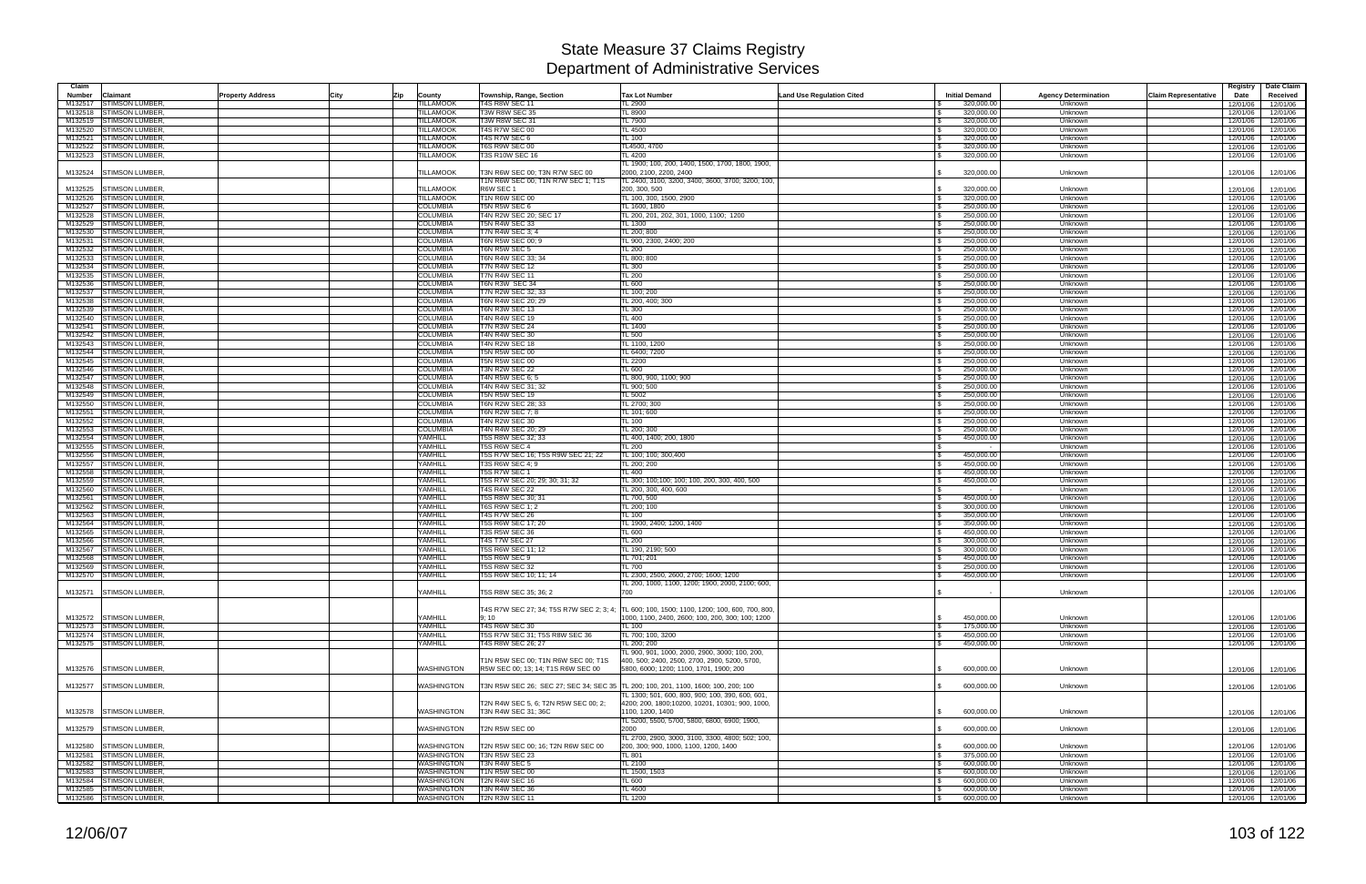| Claim              |                                                |                                    |                                                             |                                                                                                      |                                  |                          |                             | Registry                            | Date Claim           |
|--------------------|------------------------------------------------|------------------------------------|-------------------------------------------------------------|------------------------------------------------------------------------------------------------------|----------------------------------|--------------------------|-----------------------------|-------------------------------------|----------------------|
| Number             | Claimant<br><b>Property Address</b>            | City<br>County<br> Zip             | Township, Range, Section                                    | <b>Tax Lot Number</b>                                                                                | <b>Land Use Regulation Cited</b> | <b>Initial Demand</b>    | <b>Agency Determination</b> | <b>Claim Representative</b><br>Date | Received             |
| M132517            | <b>STIMSON LUMBER</b>                          | <b>ILLAMOOK</b>                    | <b>T4S R8W SEC 11</b>                                       | <b>L 2900</b>                                                                                        |                                  | 320,000.00               | Unknown                     | 12/01/06                            | 12/01/06             |
| M132518            | <b>STIMSON LUMBER</b>                          | <b>TILLAMOOK</b>                   | T3W R8W SEC 35                                              | TL 8900                                                                                              |                                  | 320.000.00               | Unknown                     | 12/01/06                            | 12/01/06             |
| M132519            | <b>STIMSON LUMBER</b>                          | <b><i>FILLAMOOK</i></b>            | T3W R8W SEC 31                                              | TL 7900                                                                                              |                                  | 320,000.00               | Unknown                     | 12/01/06                            | 12/01/06             |
| M132520            | <b>STIMSON LUMBER</b>                          | <b>TILLAMOOK</b>                   | <b>T4S R7W SEC 00</b>                                       | <b>TL 4500</b>                                                                                       |                                  | 320,000.00               | Unknown                     | 12/01/06                            | 12/01/06             |
| M132521            | <b>STIMSON LUMBER</b>                          | <b>TILLAMOOK</b>                   | T4S R7W SEC 6                                               | TL 100                                                                                               |                                  | 320,000.00               | Unknown                     | 12/01/06                            | 12/01/06             |
|                    | M132522 STIMSON LUMBER                         | TILLAMOOK                          | T6S R9W SEC 00                                              | TL4500, 4700<br><b>L4200</b>                                                                         |                                  | 320,000.00               | Unknown                     | 12/01/06                            | 12/01/06             |
|                    | M132523 STIMSON LUMBER                         | TILLAMOOK                          | <b>T3S R10W SEC 16</b>                                      | L 1900; 100, 200, 1400, 1500, 1700, 1800, 1900,                                                      |                                  | 320,000.00               | Unknown                     | 12/01/06                            | 12/01/06             |
| M132524            | <b>STIMSON LUMBER</b>                          | <b>TILLAMOOK</b>                   | T3N R6W SEC 00; T3N R7W SEC 00                              | 2000. 2100. 2200. 2400                                                                               |                                  | 320,000.00               | Unknown                     | 12/01/06                            | 12/01/06             |
|                    |                                                |                                    | T1N R6W SEC 00; T1N R7W SEC 1; T1S                          | TL 2400, 3100, 3200, 3400, 3600, 3700; 3200; 100,                                                    |                                  |                          |                             |                                     |                      |
| M132525            | <b>STIMSON LUMBER</b>                          | <b>TILLAMOOK</b>                   | R6W SEC 1                                                   | 200, 300, 500                                                                                        |                                  | 320,000.00               | Unknown                     | 12/01/06                            | 12/01/06             |
| M132526            | <b>STIMSON LUMBER</b>                          | TILLAMOOK                          | T1N R6W SEC 00                                              | L 100, 300, 1500, 2900                                                                               |                                  | 320,000.00               | Unknown                     | 12/01/06                            | 12/01/06             |
| M132527            | <b>STIMSON LUMBER</b>                          | <b>COLUMBIA</b>                    | T5N R5W SEC 6                                               | TL 1600, 1800                                                                                        |                                  | 250,000.00               | Unknown                     | 12/01/06                            | 12/01/06             |
| M132528            | <b>STIMSON LUMBER</b>                          | <b>COLUMBIA</b>                    | T4N R2W SEC 20; SEC 17                                      | TL 200, 201, 202, 301, 1000, 1100; 1200                                                              |                                  | 250,000.00               | Unknown                     | 12/01/06                            | 12/01/06             |
| M132529            | <b>STIMSON LUMBER</b>                          | <b>COLUMBIA</b>                    | T5N R4W SEC 33                                              | <b>TL 1300</b>                                                                                       |                                  | 250,000.00               | Unknown                     | 12/01/06                            | 12/01/06             |
| M132530            | <b>STIMSON LUMBER</b>                          | <b>COLUMBIA</b>                    | <b>T7N R4W SEC 3:4</b>                                      | TL 200; 800                                                                                          |                                  | 250,000.00               | Unknown                     | 12/01/06                            | 12/01/06             |
| M132531            | <b>STIMSON LUMBER</b>                          | <b>COLUMBIA</b>                    | T6N R5W SEC 00; 9                                           | TL 900, 2300, 2400; 200                                                                              |                                  | 250.000.00               | <b>Unknown</b>              | 12/01/06                            | 12/01/06             |
| M132532            | <b>STIMSON LUMBER</b><br>STIMSON LUMBER        | <b>COLUMBIA</b>                    | T6N R5W SEC 5<br>T6N R4W SEC 33; 34                         | $TL$ 200                                                                                             |                                  | 250,000.00               | Unknown                     | 12/01/06                            | 12/01/06             |
| M132533<br>M132534 | <b>STIMSON LUMBER</b>                          | <b>COLUMBIA</b><br><b>COLUMBIA</b> | <b>T7N R4W SEC 12</b>                                       | TL 800; 800<br>TL 300                                                                                |                                  | 250,000.00<br>250,000.00 | Unknown<br>Unknown          | 12/01/06<br>12/01/06                | 12/01/06<br>12/01/06 |
| M132535            | <b>STIMSON LUMBER</b>                          | <b>COLUMBIA</b>                    | T7N R4W SEC 11                                              | <b>TL 200</b>                                                                                        |                                  | 250,000.00               | Unknown                     | 12/01/06                            | 12/01/06             |
| M132536            | <b>STIMSON LUMBER</b>                          | <b>COLUMBIA</b>                    | T6N R3W SEC 34                                              | TL 600                                                                                               |                                  | 250,000.00               | Unknown                     | 12/01/06                            | 12/01/06             |
| M132537            | <b>STIMSON LUMBER</b>                          | <b>COLUMBIA</b>                    | T7N R2W SEC 32; 33                                          | TL 100; 200                                                                                          |                                  | 250,000.00               | Unknown                     | 12/01/06                            | 12/01/06             |
| M132538            | <b>STIMSON LUMBER</b>                          | <b>COLUMBIA</b>                    | T6N R4W SEC 20: 29                                          | TL 200, 400; 300                                                                                     |                                  | 250,000.00               | Unknown                     | 12/01/06                            | 12/01/06             |
| M132539            | <b>STIMSON LUMBER</b>                          | <b>COLUMBIA</b>                    | T6N R3W SEC 13                                              | <b>TL 300</b>                                                                                        |                                  | 250.000.00               | Unknown                     | 12/01/06                            | 12/01/06             |
| M132540            | <b>STIMSON LUMBER</b>                          | <b>COLUMBIA</b>                    | T4N R4W SEC 19                                              | $-L$ 400                                                                                             |                                  | 250,000.00               | Unknown                     | 12/01/06                            | 12/01/06             |
| M132541            | <b>STIMSON LUMBER</b>                          | <b>COLUMBIA</b>                    | T7N R3W SEC 24                                              | TL 1400                                                                                              |                                  | 250,000.00               | Unknown                     | 12/01/06                            | 12/01/06             |
| M132542            | <b>STIMSON LUMBER</b>                          | <b>COLUMBIA</b>                    | <b>T4N R4W SEC 30</b>                                       | $L$ 500                                                                                              |                                  | 250,000.00               | Unknown                     | 12/01/06                            | 12/01/06             |
| M132543            | <b>STIMSON LUMBER</b>                          | <b>COLUMBIA</b>                    | <b>T4N R2W SEC 18</b>                                       | TL 1100, 1200                                                                                        |                                  | 250,000.00               | Unknown                     | 12/01/06                            | 12/01/06             |
| M132544            | <b>STIMSON LUMBER</b>                          | <b>COLUMBIA</b>                    | T5N R5W SEC 00                                              | TL 6400; 7200                                                                                        |                                  | 250,000.00               | Unknown                     | 12/01/06                            | 12/01/06             |
| M132545            | <b>STIMSON LUMBER</b>                          | <b>COLUMBIA</b>                    | T5N R5W SEC 00                                              | <b>TL 2200</b><br>TL600                                                                              |                                  | 250,000.00               | Unknown                     | 12/01/06                            | 12/01/06             |
| M132546<br>M132547 | <b>STIMSON LUMBER</b><br><b>STIMSON LUMBER</b> | <b>COLUMBIA</b><br><b>COLUMBIA</b> | <b>T3N R2W SEC 22</b><br>T4N R5W SEC 6; 5                   | TL 800, 900, 1100; 900                                                                               |                                  | 250,000.00<br>250,000.00 | Unknown<br>Unknown          | 12/01/06                            | 12/01/06<br>12/01/06 |
|                    | M132548 STIMSON LUMBER                         | <b>COLUMBIA</b>                    | T4N R4W SEC 31; 32                                          | TL 900: 500                                                                                          |                                  | 250.000.00               | Unknown                     | 12/01/06<br>12/01/06                | 12/01/06             |
| M132549            | <b>STIMSON LUMBER</b>                          | <b>COLUMBIA</b>                    | T5N R5W SEC 19                                              | <b>L 5002</b>                                                                                        |                                  | 250,000.00               | Unknown                     | 12/01/06                            | 12/01/06             |
| M132550            | <b>STIMSON LUMBER</b>                          | <b>COLUMBIA</b>                    | T6N R2W SEC 28; 33                                          | TL 2700; 300                                                                                         |                                  | 250,000.00               | Unknown                     | 12/01/06                            | 12/01/06             |
| M132551            | <b>STIMSON LUMBER</b>                          | <b>COLUMBIA</b>                    | T6N R2W SEC 7: 8                                            | TL 101; 600                                                                                          |                                  | 250,000.00               | Unknown                     | 12/01/06                            | 12/01/06             |
| M132552            | <b>STIMSON LUMBER</b>                          | <b>COLUMBIA</b>                    | <b>T4N R2W SEC 30</b>                                       | <b>TL 100</b>                                                                                        |                                  | 250,000.00               | Unknown                     | 12/01/06                            | 12/01/06             |
| M132553            | <b>STIMSON LUMBER</b>                          | <b>COLUMBIA</b>                    | T4N R4W SEC 20; 29                                          | TL 200; 300                                                                                          |                                  | 250,000.00               | Unknown                     | 12/01/06                            | 12/01/06             |
| M132554            | <b>STIMSON LUMBER</b>                          | YAMHILL                            | T5S R8W SEC 32; 33                                          | TL 400, 1400; 200, 1800                                                                              |                                  | 450,000.00               | Unknown                     | 12/01/06                            | 12/01/06             |
| M132555            | <b>STIMSON LUMBER</b>                          | YAMHILL                            | T5S R6W SEC 4                                               | TL 200                                                                                               |                                  |                          | Unknown                     | 12/01/06                            | 12/01/06             |
| M132556            | <b>STIMSON LUMBER</b>                          | YAMHILL                            | T5S R7W SEC 16; T5S R9W SEC 21; 22                          | TL 100; 100; 300,400                                                                                 |                                  | 450,000.00               | <b>Unknown</b>              | 12/01/06                            | 12/01/06             |
| M132557            | <b>STIMSON LUMBER</b>                          | YAMHILL                            | T3S R6W SEC 4: 9                                            | TL 200; 200                                                                                          |                                  | 450,000.00               | Unknown                     | 12/01/06                            | 12/01/06             |
| M132558            | <b>STIMSON LUMBER</b><br><b>STIMSON LUMBER</b> | YAMHILL<br>YAMHILL                 | T5S R7W SEC 1                                               | <b>L 400</b>                                                                                         |                                  | 450,000.00               | Unknown                     | 12/01/06                            | 12/01/06             |
| M132559<br>M132560 | <b>STIMSON LUMBER</b>                          | YAMHILL                            | T5S R7W SEC 20; 29; 30; 31; 32<br><b>T4S R4W SEC 22</b>     | L 300; 100;100; 100; 100, 200, 300, 400, 500<br>TL 200, 300, 400, 600                                |                                  | 450,000.00<br>$\sim$     | Unknown<br>Unknown          | 12/01/06<br>12/01/06                | 12/01/06<br>12/01/06 |
| M132561            | <b>STIMSON LUMBER</b>                          | YAMHILL                            | T5S R8W SEC 30; 31                                          | TL 700, 500                                                                                          |                                  | 450,000.00               | Unknown                     | 12/01/06                            | 12/01/06             |
| M132562            | <b>STIMSON LUMBER</b>                          | YAMHILL                            | T6S R9W SEC 1; 2                                            | TL 200; 100                                                                                          |                                  | 300,000.00               | Unknown                     | 12/01/06                            | 12/01/06             |
| M132563            | <b>STIMSON LUMBER</b>                          | YAMHILL                            | T4S R7W SEC 26                                              | TL 100                                                                                               |                                  | 350,000.00               | Unknown                     | 12/01/06                            | 12/01/06             |
| M132564            | <b>STIMSON LUMBER</b>                          | YAMHILL                            | T5S R6W SEC 17; 20                                          | TL 1900, 2400: 1200, 1400                                                                            |                                  | 350.000.00               | Unknown                     | 12/01/06                            | 12/01/06             |
| M132565            | <b>STIMSON LUMBER</b>                          | YAMHILL                            | <b>T3S R5W SEC 36</b>                                       | TL 600                                                                                               |                                  | 450,000.00               | Unknown                     | 12/01/06                            | 12/01/06             |
| M132566            | <b>STIMSON LUMBER</b>                          | YAMHILL                            | <b>T4S T7W SEC 27</b>                                       | TL 200                                                                                               |                                  | 300,000.00               | Unknown                     | 12/01/06                            | 12/01/06             |
| M132567            | <b>STIMSON LUMBER</b>                          | YAMHILL                            | T5S R6W SEC 11; 12                                          | TL 190, 2190; 500                                                                                    |                                  | 300,000.00               | Unknown                     | 12/01/06                            | 12/01/06             |
| M132568            | <b>STIMSON LUMBER</b>                          | YAMHILI                            | T5S R6W SEC 9                                               | TL 701; 201                                                                                          |                                  | 450,000.00               | Unknown                     | 12/01/06                            | 12/01/06             |
|                    | M132569 STIMSON LUMBER                         | YAMHILI                            | <b>T5S R8W SEC 32</b>                                       | TL 700                                                                                               |                                  | 250,000.00               | Unknown                     | 12/01/06                            | 12/01/06             |
|                    | M132570 STIMSON LUMBER                         | YAMHILL                            | T5S R6W SEC 10; 11; 14                                      | TL 2300, 2500, 2600, 2700; 1600; 1200                                                                |                                  | 450,000.00               | Unknown                     | 12/01/06                            | 12/01/06             |
|                    | M132571 STIMSON LUMBER                         | YAMHILL                            | T5S R8W SEC 35; 36; 2                                       | TL 200, 1000, 1100, 1200; 1900, 2000, 2100; 600,<br>700                                              |                                  | $\sim$                   | Unknown                     | 12/01/06                            |                      |
|                    |                                                |                                    |                                                             |                                                                                                      |                                  |                          |                             |                                     | 12/01/06             |
|                    |                                                |                                    |                                                             | T4S R7W SEC 27; 34; T5S R7W SEC 2; 3; 4; TL 600; 100, 1500; 1100, 1200; 100, 600, 700, 800,          |                                  |                          |                             |                                     |                      |
|                    | M132572 STIMSON LUMBER                         | YAMHILL                            | 9:10                                                        | 1000, 1100, 2400, 2600; 100, 200, 300; 100; 1200                                                     |                                  | 450,000.00               | Unknown                     | 12/01/06                            | 12/01/06             |
|                    | M132573 STIMSON LUMBER                         | YAMHILL                            | T4S R6W SEC 30                                              | TL 100                                                                                               |                                  | 175,000.00               | Unknown                     | 12/01/06                            | 12/01/06             |
|                    | M132574 STIMSON LUMBER                         | YAMHILL                            | T5S R7W SEC 31; T5S R8W SEC 36                              | TL 700; 100, 3200                                                                                    |                                  | 450,000.00               | Unknown                     | 12/01/06                            | 12/01/06             |
|                    | M132575 STIMSON LUMBER,                        | YAMHILL                            | T4S R8W SEC 26; 27                                          | TL 200; 200                                                                                          |                                  | 450,000.00               | Unknown                     | 12/01/06                            | 12/01/06             |
|                    |                                                |                                    |                                                             | TL 900, 901, 1000, 2000, 2900, 3000; 100, 200,                                                       |                                  |                          |                             |                                     |                      |
|                    |                                                |                                    | T1N R5W SEC 00; T1N R6W SEC 00; T1S                         | 400, 500; 2400, 2500, 2700, 2900, 5200, 5700,                                                        |                                  |                          |                             |                                     |                      |
|                    | M132576 STIMSON LUMBER                         | WASHINGTON                         | R5W SEC 00; 13; 14; T1S R6W SEC 00                          | 5800, 6000; 1200; 1100, 1701, 1900; 200                                                              |                                  | 600,000.00               | Unknown                     | 12/01/06                            | 12/01/06             |
|                    |                                                |                                    |                                                             |                                                                                                      |                                  |                          |                             |                                     |                      |
|                    | M132577 STIMSON LUMBER                         | <b>WASHINGTON</b>                  |                                                             | T3N R5W SEC 26; SEC 27; SEC 34; SEC 35 TL 200; 100, 201, 1100, 1600; 100, 200; 100                   |                                  | 600,000.00               | Unknown                     | 12/01/06                            | 12/01/06             |
|                    |                                                |                                    |                                                             | [L 1300; 501, 600, 800, 900; 100, 390, 600, 601,<br>4200; 200, 1800; 10200, 10201, 10301; 900, 1000, |                                  |                          |                             |                                     |                      |
|                    | M132578 STIMSON LUMBER,                        | WASHINGTON                         | T2N R4W SEC 5, 6; T2N R5W SEC 00; 2;<br>T3N R4W SEC 31; 36C | 1100, 1200, 1400                                                                                     |                                  | 600,000.00               | Unknown                     | 12/01/06                            | 12/01/06             |
|                    |                                                |                                    |                                                             | TL 5200, 5500, 5700, 5800, 6800, 6900; 1900,                                                         |                                  |                          |                             |                                     |                      |
|                    | M132579 STIMSON LUMBER,                        | <b>WASHINGTON</b>                  | T2N R5W SEC 00                                              | 2000                                                                                                 |                                  | 600,000.00               | Unknown                     | 12/01/06                            | 12/01/06             |
|                    |                                                |                                    |                                                             | TL 2700, 2900, 3000, 3100, 3300, 4800; 502; 100,                                                     |                                  |                          |                             |                                     |                      |
|                    | M132580 STIMSON LUMBER                         | WASHINGTON                         | T2N R5W SEC 00; 16; T2N R6W SEC 00                          | 200, 300; 900, 1000, 1100, 1200, 1400                                                                |                                  | 600.000.00               | Unknown                     | 12/01/06                            | 12/01/06             |
|                    | M132581 STIMSON LUMBER                         | WASHINGTON                         | T3N R5W SEC 23                                              | <b>TL 801</b>                                                                                        |                                  | 375,000.00               | Unknown                     | 12/01/06                            | 12/01/06             |
|                    | M132582 STIMSON LUMBER                         | WASHINGTON                         | T3N R4W SEC 5                                               | TL 2100                                                                                              |                                  | 600,000.00               | Unknown                     | 12/01/06                            | 12/01/06             |
|                    | M132583 STIMSON LUMBER                         | WASHINGTON                         | T1N R5W SEC 00                                              | TL 1500, 1503                                                                                        |                                  | 600,000.00               | Unknown                     | 12/01/06                            | 12/01/06             |
|                    | M132584 STIMSON LUMBER                         | WASHINGTON                         | T2N R4W SEC 16                                              | <b>TL 600</b>                                                                                        |                                  | 600,000.00               | Unknown                     | 12/01/06                            | 12/01/06             |
|                    | M132585 STIMSON LUMBER                         | WASHINGTON                         | T3N R4W SEC 36                                              | <b>TL 4600</b>                                                                                       |                                  | 600,000.00               | Unknown                     | 12/01/06                            | 12/01/06             |
|                    | M132586 STIMSON LUMBER                         | <b>WASHINGTON</b>                  | T2N R3W SEC 11                                              | <b>TL 1200</b>                                                                                       |                                  | 600,000.00               | Unknown                     | 12/01/06                            | 12/01/06             |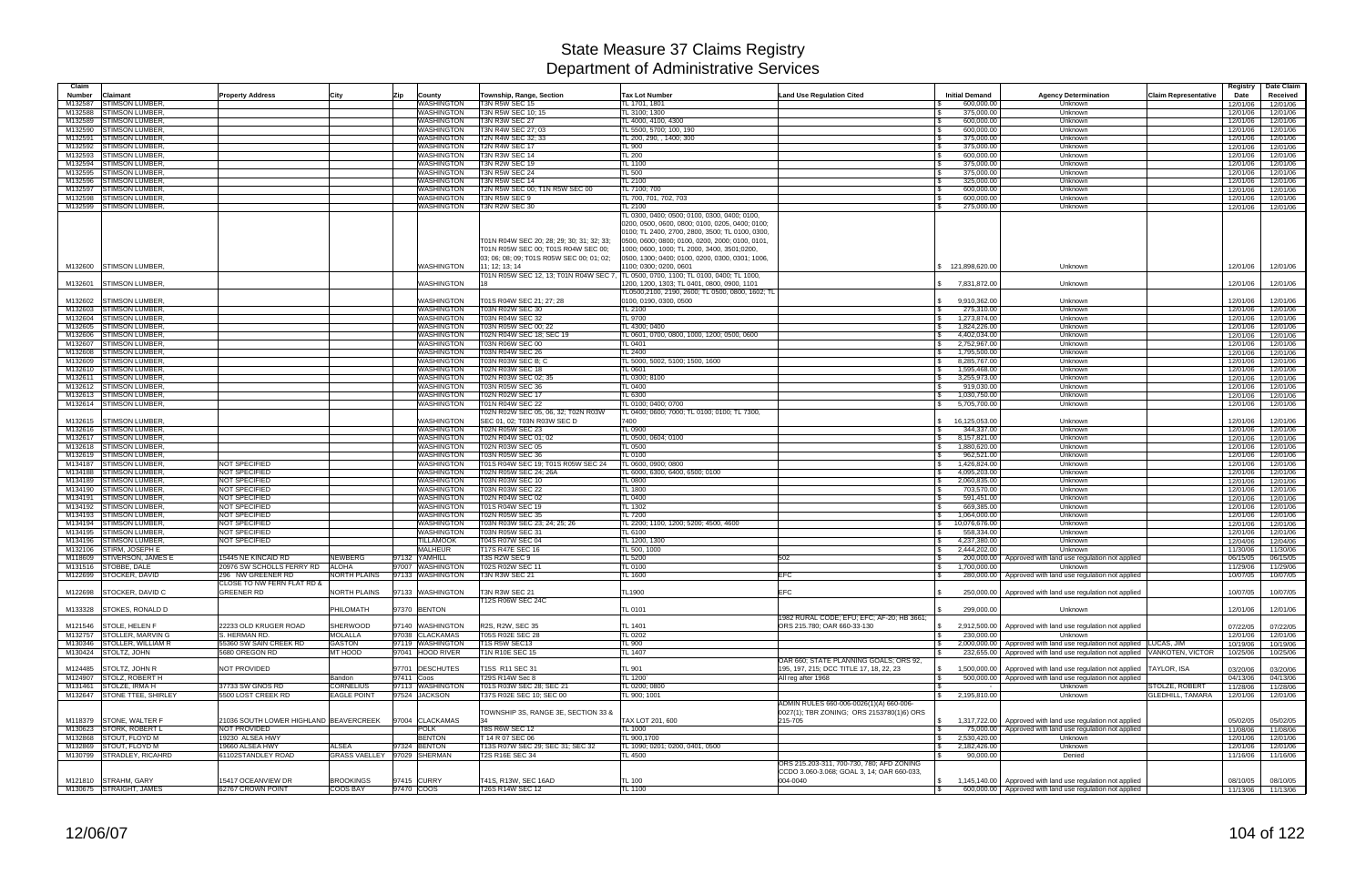| Claim<br>Number | <b>Claimant</b>             | <b>Property Address</b>                         | City                | Zip<br><b>County</b>        | Township, Range, Section                                                                                                      | <b>Tax Lot Number</b>                                                                                                                                                                                                                                   | Land Use Regulation Cited                  | <b>Initial Demand</b> | <b>Agency Determination</b>                                              | <b>Claim Representative</b> | Registry<br>Date | Date Claim<br>Received |
|-----------------|-----------------------------|-------------------------------------------------|---------------------|-----------------------------|-------------------------------------------------------------------------------------------------------------------------------|---------------------------------------------------------------------------------------------------------------------------------------------------------------------------------------------------------------------------------------------------------|--------------------------------------------|-----------------------|--------------------------------------------------------------------------|-----------------------------|------------------|------------------------|
| M132587         | <b>STIMSON LUMBER</b>       |                                                 |                     | WASHINGTON                  | T3N R5W SEC 15                                                                                                                | TL 1701, 1801                                                                                                                                                                                                                                           |                                            | 600,000.00            | Unknown                                                                  |                             | 12/01/06         | 12/01/06               |
| M132588         | <b>STIMSON LUMBER</b>       |                                                 |                     | <b>WASHINGTON</b>           | T3N R5W SEC 10; 15                                                                                                            | TL 3100; 1300                                                                                                                                                                                                                                           |                                            | 375,000.00            | Unknown                                                                  |                             | 12/01/06         | 12/01/06               |
| M132589         | <b>STIMSON LUMBER</b>       |                                                 |                     | <b>WASHINGTON</b>           | T3N R3W SEC 27                                                                                                                | TL 4000, 4100, 4300                                                                                                                                                                                                                                     |                                            | 600,000.00            | Unknown                                                                  |                             | 12/01/06         | 12/01/06               |
| M132590         | <b>STIMSON LUMBER</b>       |                                                 |                     | <b>WASHINGTON</b>           | T3N R4W SEC 27; 03                                                                                                            | TL 5500, 5700; 100, 190                                                                                                                                                                                                                                 |                                            | 600,000.00            | Unknown                                                                  |                             | 12/01/06         | 12/01/06               |
| M132591         | <b>STIMSON LUMBER</b>       |                                                 |                     | WASHINGTON                  | T2N R4W SEC 32; 33                                                                                                            | TL 200, 290, , 1400; 300                                                                                                                                                                                                                                |                                            | 375,000.00            | Unknown                                                                  |                             | 12/01/06         | 12/01/06               |
| M132592         | <b>STIMSON LUMBER</b>       |                                                 |                     | WASHINGTON                  | T2N R4W SEC 17                                                                                                                | <b>TL 900</b>                                                                                                                                                                                                                                           |                                            | 375,000.00            | Unknown                                                                  |                             | 12/01/06         | 12/01/06               |
| M132593         | <b>STIMSON LUMBER</b>       |                                                 |                     | WASHINGTON                  | T3N R3W SEC 14                                                                                                                | <b>TL 200</b>                                                                                                                                                                                                                                           |                                            | 600,000.00            | Unknown                                                                  |                             | 12/01/06         | 12/01/06               |
| M132594         | <b>STIMSON LUMBER</b>       |                                                 |                     | <b>WASHINGTON</b>           | <b>T3N R2W SEC 19</b>                                                                                                         | <b>TL 1100</b>                                                                                                                                                                                                                                          |                                            | 375,000.00            | Unknown                                                                  |                             | 12/01/06         | 12/01/06               |
| M132595         | <b>STIMSON LUMBER</b>       |                                                 |                     | WASHINGTON                  | 3N R5W SEC 24                                                                                                                 | <b>TL 500</b>                                                                                                                                                                                                                                           |                                            | 375,000.00            | Unknown                                                                  |                             | 12/01/06         | 12/01/06               |
| M132596         | <b>STIMSON LUMBER</b>       |                                                 |                     | WASHINGTON                  | T3N R5W SEC 14                                                                                                                | TL 2100                                                                                                                                                                                                                                                 |                                            | 325,000.00            | Unknown                                                                  |                             | 12/01/06         | 12/01/06               |
| M132597         | <b>STIMSON LUMBER</b>       |                                                 |                     | WASHINGTON                  | T2N R5W SEC 00; T1N R5W SEC 00                                                                                                | TL 7100; 700                                                                                                                                                                                                                                            |                                            | 600,000.00            | Unknown                                                                  |                             | 12/01/06         | 12/01/06               |
| M132598         | <b>STIMSON LUMBER</b>       |                                                 |                     | <b>WASHINGTON</b>           | T3N R5W SEC 9                                                                                                                 | TL 700, 701, 702, 703                                                                                                                                                                                                                                   |                                            | 600,000.00            | Unknown                                                                  |                             | 12/01/06         | 12/01/06               |
| M132599         | <b>STIMSON LUMBER</b>       |                                                 |                     | <b>WASHINGTON</b>           | T3N R2W SEC 30                                                                                                                | TL 2100                                                                                                                                                                                                                                                 |                                            | 275,000.00            | Unknown                                                                  |                             | 12/01/06         | 12/01/06               |
|                 |                             |                                                 |                     |                             |                                                                                                                               | TL 0300, 0400; 0500; 0100, 0300, 0400; 0100,                                                                                                                                                                                                            |                                            |                       |                                                                          |                             |                  |                        |
|                 |                             |                                                 |                     |                             | T01N R04W SEC 20; 28; 29; 30; 31; 32; 33;<br>T01N R05W SEC 00; T01S R04W SEC 00;<br>03; 06; 08; 09; T01S R05W SEC 00; 01; 02; | 0200, 0500, 0600, 0800; 0100, 0205, 0400; 0100;<br>0100; TL 2400, 2700, 2800, 3500; TL 0100, 0300,<br>0500, 0600; 0800; 0100, 0200, 2000; 0100, 0101,<br>1000; 0600, 1000; TL 2000, 3400, 3501;0200,<br>0500, 1300; 0400; 0100, 0200, 0300, 0301; 1006, |                                            |                       |                                                                          |                             |                  |                        |
|                 | M132600 STIMSON LUMBER      |                                                 |                     | WASHINGTON                  | 11; 12; 13; 14                                                                                                                | 1100; 0300; 0200, 0601                                                                                                                                                                                                                                  |                                            | \$121,898,620.00      | Unknown                                                                  |                             | 12/01/06         | 12/01/06               |
|                 |                             |                                                 |                     |                             | T01N R05W SEC 12, 13; T01N R04W SEC 7                                                                                         | TL 0500, 0700, 1100; TL 0100, 0400; TL 1000,                                                                                                                                                                                                            |                                            |                       |                                                                          |                             |                  |                        |
| M132601         | <b>STIMSON LUMBER</b>       |                                                 |                     | WASHINGTON                  |                                                                                                                               | 1200, 1200, 1303; TL 0401, 0800, 0900, 1101<br>TL0500,2100, 2190, 2600; TL 0500, 0800, 1602; TL                                                                                                                                                         |                                            | 7,831,872.00          | Unknown                                                                  |                             | 12/01/06         | 12/01/06               |
| M132602         | <b>STIMSON LUMBER</b>       |                                                 |                     | WASHINGTON                  | T01S R04W SEC 21; 27; 28                                                                                                      | 0100, 0190, 0300, 0500                                                                                                                                                                                                                                  |                                            | 9,910,362.00          | Unknown                                                                  |                             | 12/01/06         | 12/01/06               |
| M132603         | <b>STIMSON LUMBER</b>       |                                                 |                     | <b>WASHINGTON</b>           | 03N R02W SEC 30                                                                                                               | TL 2100                                                                                                                                                                                                                                                 |                                            | 275,310.00            | Unknown                                                                  |                             | 12/01/06         | 12/01/06               |
| M132604         | <b>STIMSON LUMBER</b>       |                                                 |                     | <b>WASHINGTON</b>           | 03N R04W SEC 32                                                                                                               | <b>TL 9700</b>                                                                                                                                                                                                                                          |                                            | 1,273,874.00          | Unknown                                                                  |                             | 12/01/06         | 12/01/06               |
| M132605         | <b>STIMSON LUMBER</b>       |                                                 |                     | <b>WASHINGTON</b>           | T03N R05W SEC 00; 22                                                                                                          | TL 4300; 0400                                                                                                                                                                                                                                           |                                            | 1,824,226.00          | Unknown                                                                  |                             | 12/01/06         | 12/01/06               |
| M132606         | <b>STIMSON LUMBER</b>       |                                                 |                     | <b>WASHINGTON</b>           | 02N R04W SEC 18; SEC 19                                                                                                       | TL 0601, 0700, 0800, 1000, 1200; 0500, 0600                                                                                                                                                                                                             |                                            | 4,402,034.00          | Unknown                                                                  |                             | 12/01/06         | 12/01/06               |
| M132607         | <b>STIMSON LUMBER</b>       |                                                 |                     | <b>WASHINGTON</b>           | 03N R06W SEC 00                                                                                                               | TL 0401                                                                                                                                                                                                                                                 |                                            | 2,752,967.00          | Unknown                                                                  |                             | 12/01/06         | 12/01/06               |
| M132608         | <b>STIMSON LUMBER</b>       |                                                 |                     | <b>WASHINGTON</b>           | 03N R04W SEC 26                                                                                                               | <b>TL 2400</b>                                                                                                                                                                                                                                          |                                            | 1,795,500.00          | Unknown                                                                  |                             | 12/01/06         | 12/01/06               |
|                 | M132609 STIMSON LUMBER      |                                                 |                     | WASHINGTON                  | <b>T03N R03W SEC B; C</b>                                                                                                     | TL 5000, 5002, 5100; 1500, 1600                                                                                                                                                                                                                         |                                            | 8,285,767.00          | Unknown                                                                  |                             | 12/01/06         | 12/01/06               |
|                 | M132610 STIMSON LUMBER      |                                                 |                     | WASHINGTON                  | 02N R03W SEC 18                                                                                                               | <b>TL 0601</b>                                                                                                                                                                                                                                          |                                            | 1,595,468.00          | Unknown                                                                  |                             | 12/01/06         | 12/01/06               |
| M132611         | <b>STIMSON LUMBER</b>       |                                                 |                     | <b>WASHINGTON</b>           | T02N R03W SEC 02; 35                                                                                                          | TL 0300; 8100                                                                                                                                                                                                                                           |                                            | 3,255,973.00          | Unknown                                                                  |                             | 12/01/06         | 12/01/06               |
|                 | M132612 STIMSON LUMBER      |                                                 |                     | <b>WASHINGTON</b>           | <b>T03N R05W SEC 36</b>                                                                                                       | <b>TL 0400</b>                                                                                                                                                                                                                                          |                                            | 919,030.00            | Unknown                                                                  |                             | 12/01/06         | 12/01/06               |
|                 | M132613 STIMSON LUMBER      |                                                 |                     | <b>WASHINGTON</b>           | 02N R02W SEC 17                                                                                                               | <b>TL 6300</b>                                                                                                                                                                                                                                          |                                            | 1,030,750.00          | Unknown                                                                  |                             | 12/01/06         | 12/01/06               |
|                 | M132614 STIMSON LUMBER      |                                                 |                     | <b>WASHINGTON</b>           | T01N R04W SEC 22                                                                                                              | TL 0100; 0400; 0700                                                                                                                                                                                                                                     |                                            | 5,705,700.00          | Unknown                                                                  |                             | 12/01/06         | 12/01/06               |
|                 |                             |                                                 |                     |                             | 02N R02W SEC 05, 06, 32; T02N R03W                                                                                            | TL 0400; 0600; 7000; TL 0100; 0100; TL 7300,                                                                                                                                                                                                            |                                            |                       |                                                                          |                             |                  |                        |
| M132615         | <b>STIMSON LUMBER</b>       |                                                 |                     | WASHINGTON                  | SEC 01, 02: T03N R03W SEC D                                                                                                   | 7400                                                                                                                                                                                                                                                    |                                            | 16,125,053.00         | Unknown                                                                  |                             | 12/01/06         | 12/01/06               |
|                 | M132616 STIMSON LUMBER      |                                                 |                     | <b>WASHINGTON</b>           | 02N R05W SEC 23                                                                                                               | <b>TL 0900</b>                                                                                                                                                                                                                                          |                                            | 344,337.00            | Unknown                                                                  |                             | 12/01/06         | 12/01/06               |
| M132617         | <b>STIMSON LUMBER</b>       |                                                 |                     | <b>WASHINGTON</b>           | 02N R04W SEC 01; 02                                                                                                           | TL 0500, 0604; 0100                                                                                                                                                                                                                                     |                                            | 8,157,821.00          | Unknown                                                                  |                             | 12/01/06         | 12/01/06               |
| M132618         | <b>STIMSON LUMBER</b>       |                                                 |                     | WASHINGTON                  | 02N R03W SEC 05                                                                                                               | <b>TL 0500</b>                                                                                                                                                                                                                                          |                                            | 1,880,620.00          | Unknown                                                                  |                             | 12/01/06         | 12/01/06               |
| M132619         | <b>STIMSON LUMBER</b>       |                                                 |                     | WASHINGTON                  | T03N R05W SEC 36                                                                                                              | <b>TL 0100</b>                                                                                                                                                                                                                                          |                                            | 962,521.00            | Unknown                                                                  |                             | 12/01/06         | 12/01/06               |
| M134187         | <b>STIMSON LUMBER</b>       | <b>NOT SPECIFIED</b>                            |                     | WASHINGTON                  | 01S R04W SEC 19; T01S R05W SEC 24                                                                                             | TL 0600, 0900; 0800                                                                                                                                                                                                                                     |                                            | 1,426,824.00          | Unknown                                                                  |                             | 12/01/06         | 12/01/06               |
| M134188         | <b>STIMSON LUMBER</b>       | NOT SPECIFIED                                   |                     | WASHINGTON                  | 02N R05W SEC 24; 26A                                                                                                          | TL 6000, 6300, 6400, 6500; 0100                                                                                                                                                                                                                         |                                            | 4,095,203.00          | Unknown                                                                  |                             | 12/01/06         | 12/01/06               |
| M134189         | <b>STIMSON LUMBER</b>       | <b>NOT SPECIFIED</b>                            |                     | WASHINGTON                  | 03N R03W SEC 10                                                                                                               | <b>TL 0800</b>                                                                                                                                                                                                                                          |                                            | 2,060,835.00          | Unknown                                                                  |                             | 12/01/06         | 12/01/06               |
| M134190         | <b>STIMSON LUMBER</b>       | NOT SPECIFIED                                   |                     | <b>WASHINGTON</b>           | T03N R03W SEC 22                                                                                                              | <b>TL 1800</b>                                                                                                                                                                                                                                          |                                            | 703,570.00            | Unknown                                                                  |                             | 12/01/06         | 12/01/06               |
| M134191         | <b>STIMSON LUMBER</b>       | <b>NOT SPECIFIED</b>                            |                     | <b>WASHINGTON</b>           | 02N R04W SEC 02                                                                                                               | <b>TL 0400</b>                                                                                                                                                                                                                                          |                                            | 591,451.00            | Unknown                                                                  |                             | 12/01/06         | 12/01/06               |
| M134192         | <b>STIMSON LUMBER</b>       | NOT SPECIFIED                                   |                     | WASHINGTON                  | T01S R04W SEC 19                                                                                                              | <b>TL 1302</b>                                                                                                                                                                                                                                          |                                            | 669,385.00            | Unknown                                                                  |                             | 12/01/06         | 12/01/06               |
| M134193         | <b>STIMSON LUMBER</b>       | <b>NOT SPECIFIED</b>                            |                     | WASHINGTON                  | 02N R05W SEC 35                                                                                                               | <b>TL 7200</b>                                                                                                                                                                                                                                          |                                            | 1,064,000.00          | Unknown                                                                  |                             | 12/01/06         | 12/01/06               |
| M134194         | <b>STIMSON LUMBER</b>       | NOT SPECIFIED                                   |                     | <b>WASHINGTON</b>           | T03N R03W SEC 23; 24; 25; 26                                                                                                  | TL 2200; 1100, 1200; 5200; 4500, 4600                                                                                                                                                                                                                   |                                            | 10,076,676.00         | Unknown                                                                  |                             | 12/01/06         | 12/01/06               |
| M134195         | <b>STIMSON LUMBER</b>       | NOT SPECIFIED                                   |                     | WASHINGTON                  | T03N R05W SEC 31                                                                                                              | TL 6100                                                                                                                                                                                                                                                 |                                            | 558,334.00            | Unknown                                                                  |                             | 12/01/06         | 12/01/06               |
| M134196         | <b>STIMSON LUMBER</b>       | NOT SPECIFIED                                   |                     | <b>TILLAMOOK</b>            | T04S R07W SEC 04                                                                                                              | TL 1200, 1300                                                                                                                                                                                                                                           |                                            | 4,237,380.00          |                                                                          |                             | 12/04/06         | 12/04/06               |
|                 |                             |                                                 |                     | <b>MALHEUR</b>              |                                                                                                                               |                                                                                                                                                                                                                                                         |                                            |                       | Unknown                                                                  |                             |                  |                        |
|                 | M132106 STIRM, JOSEPH E     | 15445 NE KINCAID RD                             |                     | 97132 YAMHILL               | T17S R47E SEC 16<br>T3S R2W SEC 9                                                                                             | TL 500, 1000                                                                                                                                                                                                                                            |                                            | 2,444,202.00          | Unknown                                                                  |                             | 11/30/06         | 11/30/06               |
|                 | M118609 STIVERSON, JAMES    |                                                 | <b>NEWBERG</b>      |                             |                                                                                                                               | <b>TL 5200</b>                                                                                                                                                                                                                                          | 502                                        |                       | 200,000.00   Approved with land use regulation not applied               |                             | 06/15/05         | 06/15/05               |
|                 | M131516 STOBBE, DALE        | 20976 SW SCHOLLS FERRY RD                       | <b>ALOHA</b>        | 97007 WASHINGTON            | T02S R02W SEC 11<br>T3N R3W SEC 21                                                                                            | <b>TL 0100</b>                                                                                                                                                                                                                                          |                                            | 1,700,000.00          | Unknown                                                                  |                             | 11/29/06         | 11/29/06               |
|                 | M122699 STOCKER, DAVID      | 296 NW GREENER RD                               | <b>NORTH PLAINS</b> | 97133 WASHINGTON            |                                                                                                                               | <b>TL 1600</b>                                                                                                                                                                                                                                          | EFC                                        |                       | 280,000.00   Approved with land use regulation not applied               |                             | 10/07/05         | 10/07/05               |
|                 | M122698 STOCKER, DAVID C    | CLOSE TO NW FERN FLAT RD &<br><b>GREENER RD</b> | NORTH PLAINS        | 97133 WASHINGTON            | T3N R3W SEC 21                                                                                                                | <b>TL1900</b>                                                                                                                                                                                                                                           | <b>EFC</b>                                 |                       | 250,000.00 Approved with land use regulation not applied                 |                             | 10/07/05         | 10/07/05               |
|                 |                             |                                                 |                     |                             | T12S R06W SEC 24C                                                                                                             |                                                                                                                                                                                                                                                         |                                            |                       |                                                                          |                             |                  |                        |
|                 | M133328 STOKES, RONALD D    |                                                 | PHILOMATH           | 97370 BENTON                |                                                                                                                               | TL 0101                                                                                                                                                                                                                                                 |                                            | 299,000.00            | Unknown                                                                  |                             | 12/01/06         | 12/01/06               |
|                 |                             |                                                 |                     |                             |                                                                                                                               |                                                                                                                                                                                                                                                         | 1982 RURAL CODE; EFU; EFC; AF-20; HB 3661; |                       |                                                                          |                             |                  |                        |
|                 | M121546 STOLE, HELEN F      | 22233 OLD KRUGER ROAD                           | SHERWOOD            | 97140 WASHINGTON            | R2S, R2W, SEC 35                                                                                                              | <b>TL 1401</b>                                                                                                                                                                                                                                          | ORS 215.780; OAR 660-33-130                |                       | 2,912,500.00 Approved with land use regulation not applied               |                             | 07/22/05         | 07/22/05               |
|                 | M132757 STOLLER, MARVIN G   | S. HERMAN RD.                                   | <b>MOLALLA</b>      | 97038 CLACKAMAS             | <b>T05S R02E SEC 28</b>                                                                                                       | <b>TL 0202</b>                                                                                                                                                                                                                                          |                                            | 230,000,00            | Unknown                                                                  |                             | 12/01/06         | 12/01/06               |
|                 | M130346 STOLLER, WILLIAM R  | 55360 SW SAIN CREEK RD                          | <b>GASTON</b>       | 97119 WASHINGTON            | T1S R5W SEC13                                                                                                                 | <b>TL 900</b>                                                                                                                                                                                                                                           |                                            |                       | 2,000,000.00   Approved with land use regulation not applied LUCAS, JIM  |                             | 10/19/06         | 10/19/06               |
|                 | M130424 STOLTZ, JOHN        | 5680 OREGON RD                                  | MT HOOD             | 97041 HOOD RIVER            | T1N R10E SEC 15                                                                                                               | <b>TL 1407</b>                                                                                                                                                                                                                                          |                                            |                       | 232.655.00 Approved with land use regulation not applied                 | VANKOTEN, VICTOR            | 10/25/06         | 10/25/06               |
|                 |                             |                                                 |                     |                             |                                                                                                                               |                                                                                                                                                                                                                                                         | OAR 660; STATE PLANNING GOALS; ORS 92,     |                       |                                                                          |                             |                  |                        |
|                 | M124485 STOLTZ, JOHN R      | NOT PROVIDED                                    |                     | 97701 DESCHUTES             | T15S R11 SEC 31                                                                                                               | <b>TL 901</b>                                                                                                                                                                                                                                           | 195, 197, 215; DCC TITLE 17, 18, 22, 23    |                       | 1,500,000.00   Approved with land use regulation not applied TAYLOR, ISA |                             | 03/20/06         | 03/20/06               |
|                 | M124907 STOLZ, ROBERT H     |                                                 | Bandon              | 97411 Coos                  | T29S R14W Sec 8                                                                                                               | TL 1200                                                                                                                                                                                                                                                 | All reg after 1968                         |                       | 500,000.00 Approved with land use regulation not applied                 |                             | 04/13/06         | 04/13/06               |
| M131461         | STOLZE, IRMA H              | 37733 SW GNOS RD                                | <b>CORNELIUS</b>    | 97113 WASHINGTON            | T01S R03W SEC 28; SEC 21                                                                                                      | TL 0200; 0800                                                                                                                                                                                                                                           |                                            |                       | Unknown                                                                  | STOLZE, ROBERT              | 11/28/06         | 11/28/06               |
|                 | M132647 STONE TTEE, SHIRLEY | 5500 LOST CREEK RD                              | <b>EAGLE POINT</b>  | 97524 JACKSON               | T37S R02E SEC 10; SEC 00                                                                                                      | TL 900; 1001                                                                                                                                                                                                                                            |                                            | 2,195,810.00<br>\$    | Unknown                                                                  | <b>GLEDHILL, TAMARA</b>     | 12/01/06         | 12/01/06               |
|                 |                             |                                                 |                     |                             |                                                                                                                               |                                                                                                                                                                                                                                                         | ADMIN RULES 660-006-0026(1)(A) 660-006-    |                       |                                                                          |                             |                  |                        |
|                 |                             |                                                 |                     |                             | TOWNSHIP 3S, RANGE 3E, SECTION 33 &                                                                                           |                                                                                                                                                                                                                                                         | 0027(1): TBR ZONING: ORS 2153780(1)6) ORS  |                       |                                                                          |                             |                  |                        |
|                 | M118379 STONE, WALTER F     | 21036 SOUTH LOWER HIGHLAND BEAVERCREEK          |                     | 97004 CLACKAMAS             |                                                                                                                               | TAX LOT 201, 600                                                                                                                                                                                                                                        | 215-705                                    |                       | 1,317,722.00 Approved with land use regulation not applied               |                             | 05/02/05         | 05/02/05               |
|                 | M130623 STORK, ROBERT L     | NOT PROVIDED                                    |                     | <b>POLK</b>                 | T8S R6W SEC 12                                                                                                                | <b>TL 1000</b>                                                                                                                                                                                                                                          |                                            |                       | 75,000.00 Approved with land use regulation not applied                  |                             | 11/08/06         | 11/08/06               |
|                 | M132868 STOUT, FLOYD M      | 19230 ALSEA HWY                                 |                     | <b>BENTON</b>               | T 14 R 07 SEC 06                                                                                                              | TL 900,1700                                                                                                                                                                                                                                             |                                            | 2,530,420.00          | Unknown                                                                  |                             | 12/01/06         | 12/01/06               |
|                 | M132869 STOUT, FLOYD M      | 19660 ALSEA HWY                                 | <b>ALSEA</b>        | 97324 BENTON                | T13S R07W SEC 29; SEC 31; SEC 32                                                                                              | TL 1090; 0201; 0200, 0401, 0500                                                                                                                                                                                                                         |                                            | 2,182,426.00          | Unknown                                                                  |                             | 12/01/06         | 12/01/06               |
|                 | M130799 STRADLEY, RICAHRD   | 61102STANDLEY ROAD                              |                     | GRASS VAELLEY 97029 SHERMAN | T2S R16E SEC 34                                                                                                               | <b>TL 4500</b>                                                                                                                                                                                                                                          |                                            | 90,000.00             | Denied                                                                   |                             | 11/16/06         | 11/16/06               |
|                 |                             |                                                 |                     |                             |                                                                                                                               |                                                                                                                                                                                                                                                         | ORS 215.203-311, 700-730, 780; AFD ZONING  |                       |                                                                          |                             |                  |                        |
|                 |                             |                                                 |                     |                             |                                                                                                                               |                                                                                                                                                                                                                                                         | CCDO 3.060-3.068; GOAL 3, 14; OAR 660-033, |                       |                                                                          |                             |                  |                        |
|                 | M121810 STRAHM, GARY        | 15417 OCEANVIEW DR                              | <b>BROOKINGS</b>    | 97415 CURRY                 | T41S, R13W, SEC 16AD                                                                                                          | <b>TL 100</b>                                                                                                                                                                                                                                           | 004-0040                                   | $\mathcal{S}$         | 1,145,140.00 Approved with land use regulation not applied               |                             | 08/10/05         | 08/10/05               |
|                 | M130675 STRAIGHT, JAMES     | 62767 CROWN POINT                               | COOS BAY            | 97470 COOS                  | T26S R14W SEC 12                                                                                                              | <b>TL 1100</b>                                                                                                                                                                                                                                          |                                            |                       | 600,000.00   Approved with land use regulation not applied               |                             |                  | 11/13/06 11/13/06      |
|                 |                             |                                                 |                     |                             |                                                                                                                               |                                                                                                                                                                                                                                                         |                                            |                       |                                                                          |                             |                  |                        |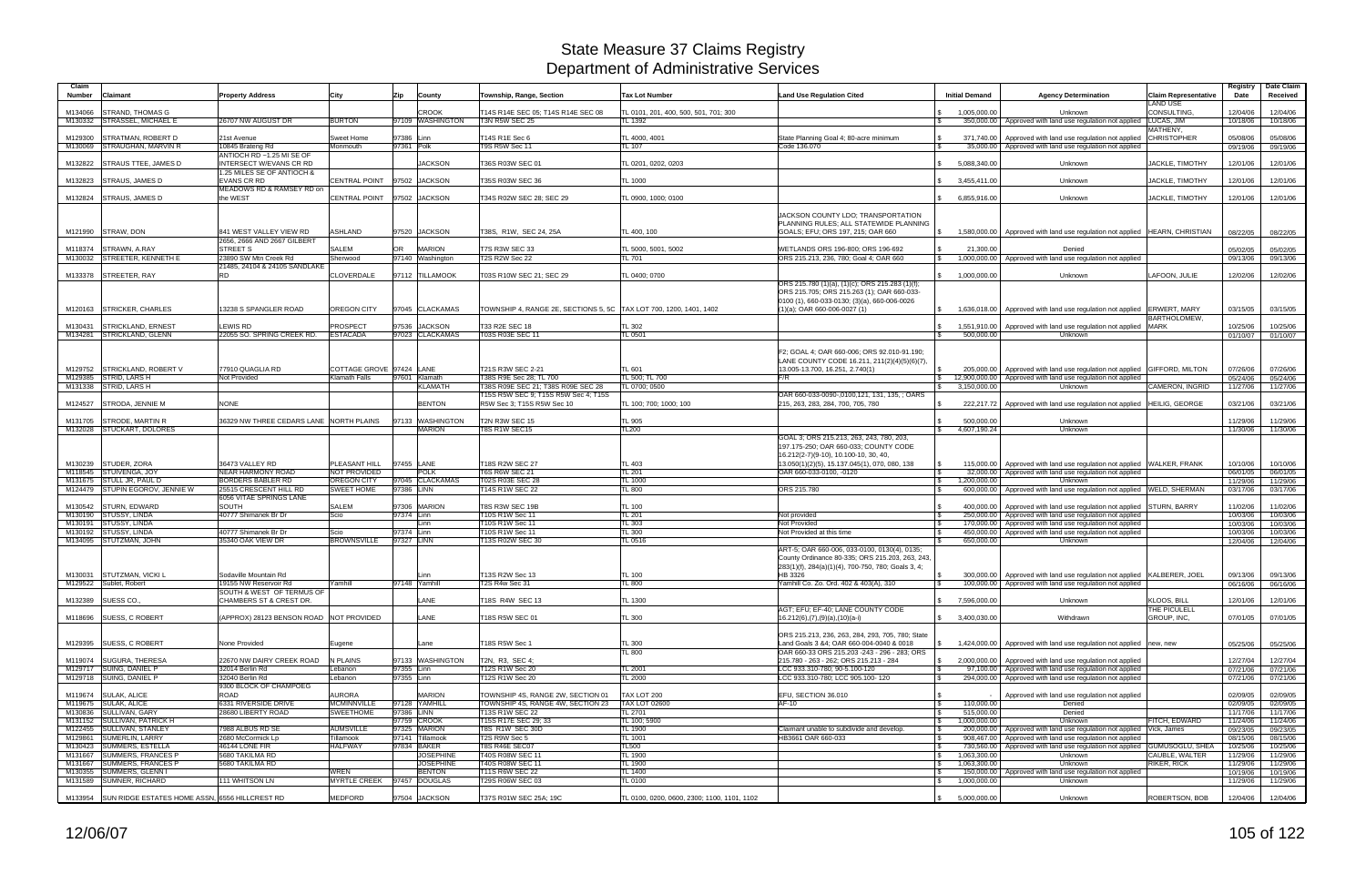| Claim<br><b>Number</b> | <b>Claimant</b>                                        | <b>Property Address</b>                                                            | City                                | Zip<br>County                               | Township, Range, Section                                               | <b>Tax Lot Number</b>                       | <b>Land Use Regulation Cited</b>                                                                                           | <b>Initial Demand</b>               | <b>Agency Determination</b>                                                                                                               | <b>Claim Representative</b><br><b>LAND USE</b> | Registry<br>Date     | Date Claim<br>Received |
|------------------------|--------------------------------------------------------|------------------------------------------------------------------------------------|-------------------------------------|---------------------------------------------|------------------------------------------------------------------------|---------------------------------------------|----------------------------------------------------------------------------------------------------------------------------|-------------------------------------|-------------------------------------------------------------------------------------------------------------------------------------------|------------------------------------------------|----------------------|------------------------|
| M134066                | <b>STRAND, THOMAS G</b>                                |                                                                                    |                                     | <b>CROOK</b>                                | T14S R14E SEC 05; T14S R14E SEC 08                                     | TL 0101, 201, 400, 500, 501, 701; 300       |                                                                                                                            | 1,005,000.00                        | Unknown                                                                                                                                   | CONSULTING.                                    | 12/04/06             | 12/04/06               |
|                        | M130332 STRASSEL, MICHAEL E                            | 26707 NW AUGUST DR                                                                 | <b>BURTON</b>                       | 97109 WASHINGTON                            | <b>T3N R5W SEC 25</b>                                                  | TL 1392                                     |                                                                                                                            | 350,000.00                          | Approved with land use regulation not applied LUCAS, JIM                                                                                  |                                                | 10/18/06             | 10/18/06               |
| M129300                | <b>STRATMAN, ROBERT D</b>                              | 21st Avenue                                                                        | Sweet Home                          | 97386 Linn                                  | T14S R1E Sec 6                                                         | TL 4000, 4001                               | State Planning Goal 4; 80-acre minimum                                                                                     | 371,740.00                          | Approved with land use regulation not applied                                                                                             | MATHENY,<br><b>CHRISTOPHER</b>                 | 05/08/06             | 05/08/06               |
|                        | M130069 STRAUGHAN, MARVIN R                            | 10845 Brateng Rd                                                                   | Monmouth                            | 97361 Polk                                  | T9S R5W Sec 11                                                         | <b>TL 107</b>                               | Code 136.070                                                                                                               | $\mathfrak{L}$<br>35,000.00         | Approved with land use regulation not applied                                                                                             |                                                | 09/19/06             | 09/19/06               |
| M132822                | <b>STRAUS TTEE, JAMES D</b>                            | ANTIOCH RD ~1.25 MI SE OF<br>INTERSECT W/EVANS CR RD<br>1.25 MILES SE OF ANTIOCH & |                                     | <b>JACKSON</b>                              | T36S R03W SEC 01                                                       | TL 0201, 0202, 0203                         |                                                                                                                            | 5,088,340.00<br>$\mathcal{S}$       | Unknown                                                                                                                                   | <b>JACKLE, TIMOTHY</b>                         | 12/01/06             | 12/01/06               |
| M132823                | <b>STRAUS, JAMES D</b>                                 | <b>EVANS CR RD</b>                                                                 |                                     | CENTRAL POINT 97502 JACKSON                 | T35S R03W SEC 36                                                       | <b>TL 1000</b>                              |                                                                                                                            | 3,455,411.00<br>$\mathcal{S}$       | Unknown                                                                                                                                   | <b>JACKLE, TIMOTHY</b>                         | 12/01/06             | 12/01/06               |
|                        | M132824 STRAUS, JAMES D                                | MEADOWS RD & RAMSEY RD on<br>the WEST                                              |                                     | CENTRAL POINT 97502 JACKSON                 | T34S R02W SEC 28; SEC 29                                               | TL 0900, 1000; 0100                         |                                                                                                                            | 6,855,916.00                        | Unknown                                                                                                                                   | <b>JACKLE, TIMOTHY</b>                         | 12/01/06             | 12/01/06               |
|                        |                                                        |                                                                                    |                                     |                                             |                                                                        |                                             | JACKSON COUNTY LDO; TRANSPORTATION                                                                                         |                                     |                                                                                                                                           |                                                |                      |                        |
|                        | M121990 STRAW, DON                                     | 841 WEST VALLEY VIEW RD<br>2656, 2666 AND 2667 GILBERT                             | <b>ASHLAND</b>                      | 97520 JACKSON                               | T38S, R1W, SEC 24, 25A                                                 | TL 400, 100                                 | PLANNING RULES; ALL STATEWIDE PLANNING<br>GOALS; EFU; ORS 197, 215; OAR 660                                                | $\mathbb{S}$<br>1,580,000.00        | Approved with land use regulation not applied HEARN, CHRISTIAN                                                                            |                                                | 08/22/05             | 08/22/05               |
| M118374                | STRAWN, A.RAY                                          | <b>STREET S</b>                                                                    | <b>SALEM</b>                        | <b>MARION</b><br><b>OR</b>                  | T7S R3W SEC 33                                                         | TL 5000, 5001, 5002                         | WETLANDS ORS 196-800; ORS 196-692                                                                                          | 21,300.00                           | Denied                                                                                                                                    |                                                | 05/02/05             | 05/02/05               |
|                        | M130032 STREETER, KENNETH E                            | 23890 SW Mtn Creek Rd                                                              | Sherwood                            | 97140 Washington                            | T2S R2W Sec 22                                                         | TL 701                                      | ORS 215.213, 236, 780; Goal 4; OAR 660                                                                                     | 1,000,000.00<br>\$                  | Approved with land use regulation not applied                                                                                             |                                                | 09/13/06             | 09/13/06               |
|                        | M133378 STREETER, RAY                                  | 21485, 24104 & 24105 SANDLAKE<br><b>RD</b>                                         | <b>CLOVERDALE</b>                   | 97112 TILLAMOOK                             | T03S R10W SEC 21; SEC 29                                               | TL 0400; 0700                               |                                                                                                                            | \$ 1,000,000.00                     | Unknown                                                                                                                                   | LAFOON, JULIE                                  | 12/02/06             | 12/02/06               |
|                        |                                                        |                                                                                    |                                     |                                             |                                                                        |                                             | ORS 215.780 (1)(a), (1)(c); ORS 215.283 (1)(f);<br>ORS 215.705; ORS 215.263 (1); OAR 660-033-                              |                                     |                                                                                                                                           |                                                |                      |                        |
|                        | M120163 STRICKER, CHARLES                              | 13238 S SPANGLER ROAD                                                              | <b>OREGON CITY</b>                  | 97045 CLACKAMAS                             | TOWNSHIP 4, RANGE 2E, SECTIONS 5, 5C   TAX LOT 700, 1200, 1401, 1402   |                                             | 0100 (1), 660-033-0130; (3)(a), 660-006-0026<br>$(1)(a)$ : OAR 660-006-0027 (1)                                            | 1,636,018.00                        | Approved with land use regulation not applied ERWERT, MARY                                                                                |                                                | 03/15/05             | 03/15/05               |
|                        |                                                        |                                                                                    |                                     |                                             |                                                                        |                                             |                                                                                                                            |                                     |                                                                                                                                           | <b>BARTHOLOMEW</b>                             |                      |                        |
| M130431                | <b>STRICKLAND, ERNEST</b>                              | <b>LEWIS RD</b>                                                                    | <b>PROSPECT</b>                     | 97536 JACKSON                               | T33 R2E SEC 18                                                         | <b>TL 302</b>                               |                                                                                                                            | 1,551,910.00<br>\$                  | Approved with land use regulation not applied MARK                                                                                        |                                                | 10/25/06             | 10/25/06               |
|                        | M134281 STRICKLAND, GLENN                              | 22055 SO, SPRING CREEK RD.                                                         | <b>ESTACADA</b>                     | 97023 CLACKAMAS                             | T03S R03E SEC 11                                                       | TL 0501                                     |                                                                                                                            | 500,000.00                          | Unknown                                                                                                                                   |                                                | 01/10/07             | 01/10/07               |
|                        |                                                        |                                                                                    |                                     |                                             |                                                                        |                                             | F2; GOAL 4; OAR 660-006; ORS 92.010-91.190;<br>LANE COUNTY CODE 16.211, 211(2)(4)(5)(6)(7)                                 |                                     |                                                                                                                                           |                                                |                      |                        |
|                        | M129752 STRICKLAND, ROBERT V<br>M129385 STRID, LARS H  | 77910 QUAGLIA RD<br>Not Provided                                                   | COTTAGE GROVE 97424 LANE            | 97601 Klamath                               | T21S R3W SEC 2-21<br>T38S R9E Sec 28; TL 700                           | <b>TL 601</b><br>TL 500; TL 700             | 13.005-13.700, 16.251, 2.740(1)<br>F/R                                                                                     |                                     | 205,000.00   Approved with land use regulation not applied GIFFORD, MILTON<br>12,900,000,00 Approved with land use regulation not applied |                                                | 07/26/06             | 07/26/06               |
|                        | M131338 STRID, LARS H                                  |                                                                                    | Klamath Falls                       | <b>KLAMATH</b>                              | T38S R09E SEC 21; T38S R09E SEC 28                                     | TL 0700; 0500                               |                                                                                                                            | I \$<br>3,150,000.00<br>\$          | Unknown                                                                                                                                   | CAMERON, INGRID                                | 05/24/06<br>11/27/06 | 05/24/06<br>11/27/06   |
|                        |                                                        |                                                                                    |                                     |                                             | T15S R5W SEC 9; T15S R5W Sec 4; T15S                                   |                                             | OAR 660-033-0090-,0100,121, 131, 135, ; OARS                                                                               |                                     |                                                                                                                                           |                                                |                      |                        |
| M124527                | <b>STRODA, JENNIE M</b>                                | <b>NONE</b>                                                                        |                                     | <b>BENTON</b>                               | R5W Sec 3; T15S R5W Sec 10                                             | TL 100; 700; 1000; 100                      | 215, 263, 283, 284, 700, 705, 780                                                                                          | $\mathcal{S}$                       | 222,217.72 Approved with land use regulation not applied  HEILIG, GEORGE                                                                  |                                                | 03/21/06             | 03/21/06               |
| M131705                | <b>STRODE, MARTIN R</b>                                | 36329 NW THREE CEDARS LANE NORTH PLAINS                                            |                                     | 97133 WASHINGTON                            | <b>T2N R3W SEC 15</b>                                                  | <b>TL 905</b>                               |                                                                                                                            | 500,000.00                          | Unknown                                                                                                                                   |                                                | 11/29/06             | 11/29/06               |
|                        | M132028 STUCKART, DOLORES                              |                                                                                    |                                     | <b>MARION</b>                               | T8S R1W SEC15                                                          | <b>TL200</b>                                |                                                                                                                            | 4,607,190.24<br>S.                  | Unknown                                                                                                                                   |                                                | 11/30/06             | 11/30/06               |
|                        |                                                        |                                                                                    |                                     |                                             |                                                                        |                                             | GOAL 3; ORS 215.213, 263, 243, 780, 203,<br>197.175-250; OAR 660-033; COUNTY CODE<br>16.212(2-7)(9-10), 10.100-10, 30, 40, |                                     |                                                                                                                                           |                                                |                      |                        |
|                        | M130239 STUDER, ZORA                                   | 36473 VALLEY RD                                                                    | <b>PLEASANT HILL</b>                | 97455 LANE                                  | T18S R2W SEC 27                                                        | <b>TL 403</b>                               | 13.050(1)(2)(5), 15.137.045(1), 070, 080, 138                                                                              | l S                                 | 115,000.00   Approved with land use regulation not applied WALKER, FRANK                                                                  |                                                | 10/10/06             | 10/10/06               |
|                        | M118545 STUIVENGA, JOY<br>M131675 STULL JR, PAUL D     | <b>NEAR HARMONY ROAD</b><br><b>BORDERS BABLER RD</b>                               | NOT PROVIDED<br><b>OREGON CITY</b>  | <b>POLK</b><br>97045 CLACKAMAS              | <b>T6S R6W SEC 21</b><br>T02S R03E SEC 28                              | <b>TL 201</b>                               | OAR 660-033-0100, -0120                                                                                                    | 32,000.00<br>$\mathcal{S}$          | Approved with land use regulation not applied<br>Unknown                                                                                  |                                                | 06/01/05             | 06/01/05               |
|                        | M124479 STUPIN EGOROV, JENNIE W                        | 25515 CRESCENT HILL RD                                                             | <b>SWEET HOME</b>                   | 97386 LINN                                  | T14S R1W SEC 22                                                        | TL 1000<br>TL 800                           | ORS 215.780                                                                                                                | 1,200,000.00<br>600,000.00          | Approved with land use regulation not applied WELD, SHERMAN                                                                               |                                                | 11/29/06<br>03/17/06 | 11/29/06<br>03/17/06   |
|                        |                                                        | 6056 VITAE SPRINGS LANE                                                            |                                     |                                             |                                                                        |                                             |                                                                                                                            |                                     |                                                                                                                                           |                                                |                      |                        |
|                        | M130542 STURN, EDWARD<br>M130190 STUSSY, LINDA         | SOUTH<br>40777 Shimanek Br Dr                                                      | <b>SALEM</b><br>Scio                | 97306 MARION<br>97374 Linn                  | T8S R3W SEC 19B<br>T10S R1W Sec 11                                     | <b>TL 100</b><br><b>TL 201</b>              | Not provided                                                                                                               | 400.000.00<br>l \$<br>250,000.00    | Approved with land use regulation not applied STURN, BARRY<br>Approved with land use regulation not applied                               |                                                | 11/02/06<br>10/03/06 | 11/02/06<br>10/03/06   |
| M130191                | <b>STUSSY, LINDA</b>                                   |                                                                                    |                                     | Linn                                        | T10S R1W Sec 11                                                        | TL 303                                      | Not Provided                                                                                                               | 170,000.00<br>1.S                   | Approved with land use regulation not applied                                                                                             |                                                | 10/03/06             | 10/03/06               |
|                        | M130192 STUSSY, LINDA                                  | 40777 Shimanek Br Dr                                                               | Scio                                | 97374 Linn                                  | T10S R1W Sec 11                                                        | TL 300                                      | Not Provided at this time                                                                                                  | 450,000.00                          | Approved with land use regulation not applied                                                                                             |                                                | 10/03/06             | 10/03/06               |
|                        | M134095 STUTZMAN, JOHN                                 | 35340 OAK VIEW DR                                                                  | <b>BROWNSVILLE</b>                  | 97327 LINN                                  | T13S R02W SEC 30                                                       | TL 0516                                     | ART-5; OAR 660-006, 033-0100, 0130(4), 0135;<br>County Ordinance 80-335; ORS 215.203, 263, 243,                            | 650,000.00                          | Unknown                                                                                                                                   |                                                | 12/04/06             | 12/04/06               |
|                        | M130031 STUTZMAN, VICKI L                              | Sodaville Mountain Rd                                                              |                                     | Linn                                        | T13S R2W Sec 13                                                        | <b>TL 100</b>                               | 283(1)(f), 284(a)(1)(4), 700-750, 780; Goals 3, 4;<br>HB 3326                                                              |                                     | 300,000.00   Approved with land use regulation not applied KALBERER, JOEL                                                                 |                                                | 09/13/06             | 09/13/06               |
|                        | M129522 Sublet, Robert                                 | 19155 NW Reservoir Rd                                                              | Yamhill                             | 97148 Yamhill                               | T2S R4w Sec 31                                                         | TL 800                                      | Yamhill Co. Zo. Ord. 402 & 403(A), 310                                                                                     |                                     | 100,000.00   Approved with land use regulation not applied                                                                                |                                                | 06/16/06             | 06/16/06               |
|                        |                                                        | SOUTH & WEST OF TERMUS OF                                                          |                                     |                                             |                                                                        |                                             |                                                                                                                            |                                     |                                                                                                                                           |                                                |                      |                        |
|                        | M132389 SUESS CO.                                      | CHAMBERS ST & CREST DR.                                                            |                                     | LANE                                        | T18S R4W SEC 13                                                        | <b>TL 1300</b>                              | AGT: EFU: EF-40: LANE COUNTY CODE                                                                                          | 7,596,000.00<br>\$                  | Unknown                                                                                                                                   | KLOOS, BILL<br>THE PICULELL                    | 12/01/06             | 12/01/06               |
|                        | M118696 SUESS, C ROBERT                                | (APPROX) 28123 BENSON ROAD NOT PROVIDED                                            |                                     | LANE                                        | T18S R5W SEC 01                                                        | <b>TL 300</b>                               | 16.212(6),(7),(9)(a),(10)(a-i)                                                                                             | \$3,400,030.00                      | Withdrawn                                                                                                                                 | GROUP, INC.                                    | 07/01/05             | 07/01/05               |
|                        | M129395 SUESS, C ROBERT                                | None Provided                                                                      | Eugene                              | Lane                                        | T18S R5W Sec 1                                                         | <b>TL 300</b>                               | ORS 215.213, 236, 263, 284, 293, 705, 780; State<br>Land Goals 3 &4; OAR 660-004-0040 & 0018                               |                                     | $\frac{1}{2}$ 1,424,000.00 Approved with land use regulation not applied new, new                                                         |                                                | 05/25/06             | 05/25/06               |
|                        |                                                        |                                                                                    |                                     |                                             |                                                                        | TL 800                                      | OAR 660-33 ORS 215.203 -243 - 296 - 283; ORS                                                                               |                                     |                                                                                                                                           |                                                |                      |                        |
|                        | M119074 SUGURA, THERESA<br>M129717 SUING, DANIEL P     | 22670 NW DAIRY CREEK ROAD<br>32014 Berlin Rd                                       | N PLAINS<br>Lebanon                 | 97133 WASHINGTON<br>97355 Linn              | T2N, R3, SEC 4;<br>T12S R1W Sec 20                                     | TL 2001                                     | 215.780 - 263 - 262; ORS 215.213 - 284<br>LCC 933.310-780; 90-5.100-120                                                    | l \$                                | \$ 2,000,000.00 Approved with land use regulation not applied<br>97,100.00 Approved with land use regulation not applied                  |                                                | 12/27/04<br>07/21/06 | 12/27/04<br>07/21/06   |
|                        | M129718 SUING, DANIEL P                                | 32040 Berlin Rd                                                                    | Lebanon                             | 97355 Linn                                  | T12S R1W Sec 20                                                        | <b>TL 2000</b>                              | LCC 933.310-780: LCC 905.100-120                                                                                           | IS.                                 | 294,000.00 Approved with land use regulation not applied                                                                                  |                                                | 07/21/06             | 07/21/06               |
|                        |                                                        | 9300 BLOCK OF CHAMPOEG                                                             |                                     |                                             |                                                                        |                                             |                                                                                                                            |                                     |                                                                                                                                           |                                                |                      |                        |
|                        | M119674 SULAK, ALICE<br>M119675 SULAK, ALICE           | ROAD<br>6331 RIVERSIDE DRIVE                                                       | <b>AURORA</b><br><b>MCMINNVILLE</b> | <b>MARION</b><br>97128 YAMHILL              | TOWNSHIP 4S, RANGE 2W, SECTION 01<br>TOWNSHIP 4S, RANGE 4W, SECTION 23 | TAX LOT 200<br><b>TAX LOT 02600</b>         | EFU, SECTION 36.010<br>AF-10                                                                                               | 110,000.00<br>l \$                  | Approved with land use regulation not applied<br>Denied                                                                                   |                                                | 02/09/05<br>02/09/05 | 02/09/05<br>02/09/05   |
|                        | M130836 SULLIVAN, GARY                                 | 28680 LIBERTY ROAD                                                                 | <b>SWEETHOME</b>                    | 97386 LINN                                  | T13S R1W SEC 22                                                        | TL 2701                                     |                                                                                                                            | 515,000.00<br>l \$                  | Denied                                                                                                                                    |                                                | 11/17/06             | 11/17/06               |
|                        | M131152 SULLIVAN, PATRICK H                            |                                                                                    |                                     | 97759 CROOK                                 | T15S R17E SEC 29; 33                                                   | TL 100; 5900                                |                                                                                                                            | 1,000,000.00<br>\$                  | Unknown                                                                                                                                   | FITCH, EDWARD                                  | 11/24/06             | 11/24/06               |
|                        | M122455 SULLIVAN, STANLEY<br>M129861 SUMERLIN, LARRY   | 7988 ALBUS RD SE<br>2680 McCormick Lp                                              | <b>AUMSVILLE</b><br>Tillamook       | 97325 MARION<br>97141 Tillamook             | T8S R1W SEC 30D<br>T2S R9W Sec 5                                       | TL 1900<br><b>TL 1001</b>                   | Claimant unable to subdivide and develop.<br>HB3661 OAR 660-033                                                            | <b>S</b>                            | 200,000.00   Approved with land use regulation not applied Vick, James<br>908,467.00 Approved with land use regulation not applied        |                                                | 09/23/05<br>08/15/06 | 09/23/05<br>08/15/06   |
|                        | M130423 SUMMERS, ESTELLA                               | 46144 LONE FIR                                                                     | <b>HALFWAY</b>                      | 97834 BAKER                                 | <b>T8S R46E SEC07</b>                                                  | TL500                                       |                                                                                                                            | <b>S</b><br>730,560.00              | Approved with land use regulation not applied GUMUSOGLU, SHEA                                                                             |                                                | 10/25/06             | 10/25/06               |
|                        | M131667 SUMMERS, FRANCES P                             | 5680 TAKILMA RD                                                                    |                                     | <b>JOSEPHINE</b>                            | T40S R08W SEC 11                                                       | <b>TL 1900</b>                              |                                                                                                                            | $\sqrt{S}$<br>1,063,300.00          | <b>Unknown</b>                                                                                                                            | CAUBLE, WALTER                                 | 11/29/06             | 11/29/06               |
|                        | M131667 SUMMERS, FRANCES P                             | 5680 TAKILMA RD                                                                    |                                     | <b>JOSEPHINE</b>                            | T40S R08W SEC 11                                                       | TL 1900                                     |                                                                                                                            | 1,063,300.00<br>\$                  | Unknown                                                                                                                                   | <b>RIKER, RICK</b>                             | 11/29/06             | 11/29/06               |
|                        | M130355 SUMMERS, GLENN I<br>M131589 SUMNER, RICHARD    | 111 WHITSON LN                                                                     | <b>WREN</b>                         | <b>BENTON</b><br>MYRTLE CREEK 97457 DOUGLAS | T11S R6W SEC 22<br>T29S R06W SEC 03                                    | <b>TL 1400</b><br><b>TL 0100</b>            |                                                                                                                            | $\mathcal{L}$<br>1,000,000.00<br>S. | 150,000.00   Approved with land use regulation not applied<br>Unknown                                                                     |                                                | 10/19/06<br>11/29/06 | 10/19/06<br>11/29/06   |
|                        |                                                        |                                                                                    |                                     |                                             |                                                                        |                                             |                                                                                                                            |                                     |                                                                                                                                           |                                                |                      |                        |
|                        | M133954 SUN RIDGE ESTATES HOME ASSN, 6556 HILLCREST RD |                                                                                    | <b>MEDFORD</b>                      | 97504 JACKSON                               | T37S R01W SEC 25A; 19C                                                 | TL 0100, 0200, 0600, 2300; 1100, 1101, 1102 |                                                                                                                            | \$5,000,000.00                      | Unknown                                                                                                                                   | ROBERTSON, BOB                                 | 12/04/06             | 12/04/06               |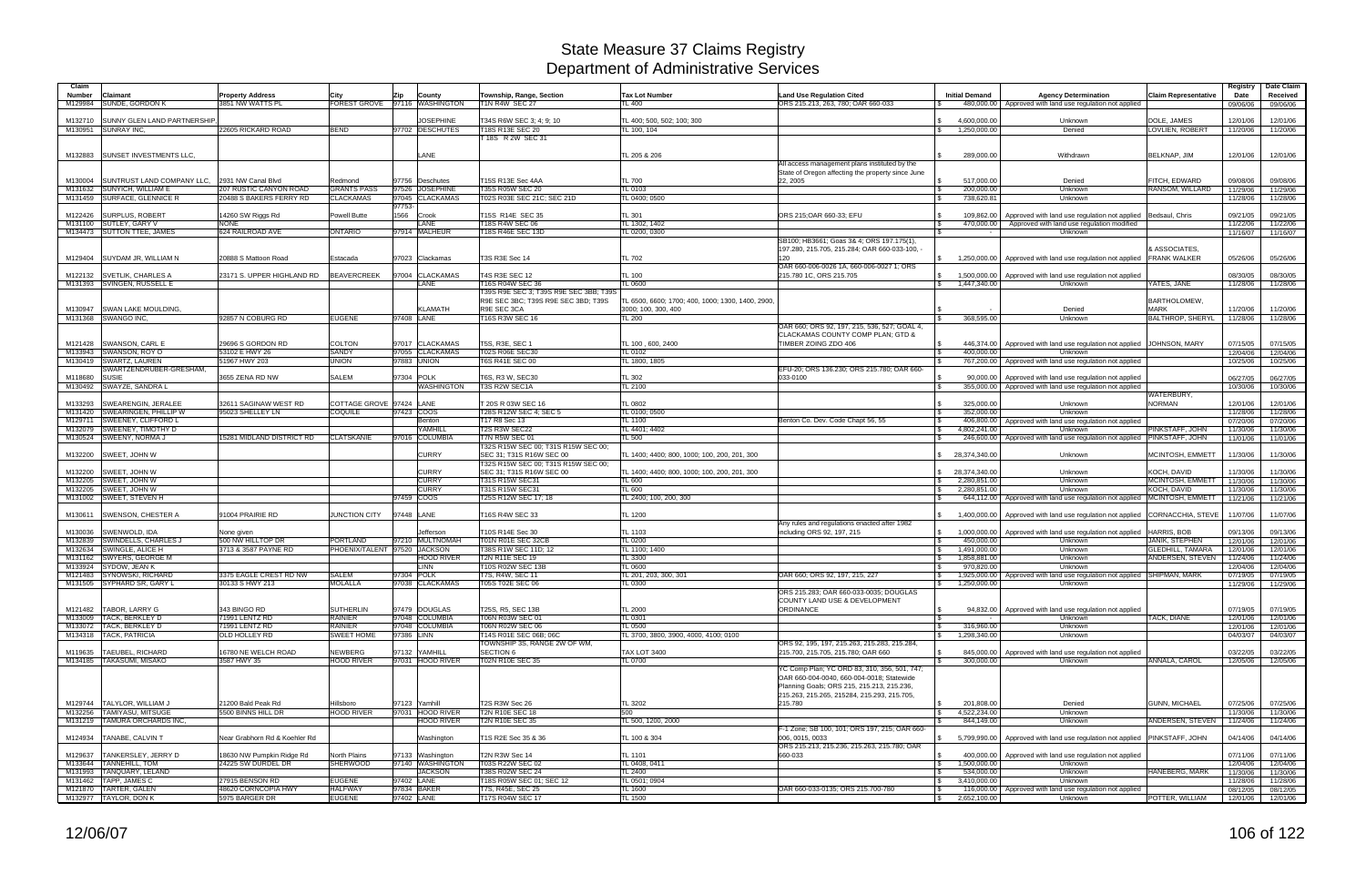| Claim              |                                                      |                                                 |                                 |                                           |                                                                 |                                                                         |                                                                                           |                                                     |                                                                                                |                                      | Registry             | Date Claim           |
|--------------------|------------------------------------------------------|-------------------------------------------------|---------------------------------|-------------------------------------------|-----------------------------------------------------------------|-------------------------------------------------------------------------|-------------------------------------------------------------------------------------------|-----------------------------------------------------|------------------------------------------------------------------------------------------------|--------------------------------------|----------------------|----------------------|
| Number             | <b>Claimant</b>                                      | <b>Property Address</b>                         | <b>City</b>                     | County<br>Zip                             | Township, Range, Section                                        | <b>Tax Lot Number</b>                                                   | <b>Land Use Regulation Cited</b>                                                          | <b>Initial Demand</b>                               | <b>Agency Determination</b>                                                                    | <b>Claim Representative</b>          | Date                 | Received             |
| M129984            | <b>SUNDE, GORDON K</b>                               | 3851 NW WATTS PL                                |                                 | FOREST GROVE 97116 WASHINGTON             | <b>T1N R4W SEC 27</b>                                           | L 400                                                                   | ORS 215.213, 263, 780; OAR 660-033                                                        |                                                     | 480,000.00   Approved with land use regulation not applied                                     |                                      | 09/06/06             | 09/06/06             |
|                    |                                                      |                                                 |                                 |                                           |                                                                 |                                                                         |                                                                                           |                                                     |                                                                                                |                                      |                      |                      |
| M132710            | <b>SUNNY GLEN LAND PARTNERSHIP</b>                   |                                                 |                                 | <b>JOSEPHINE</b>                          | T34S R6W SEC 3; 4; 9; 10                                        | TL 400; 500, 502; 100; 300                                              |                                                                                           | 4,600,000.00                                        | Unknown                                                                                        | DOLE, JAMES                          | 12/01/06             | 12/01/06             |
| M130951            | <b>SUNRAY INC</b>                                    | 22605 RICKARD ROAD                              | <b>BEND</b>                     | 97702 DESCHUTES                           | T18S R13E SEC 20                                                | TL 100, 104                                                             |                                                                                           | 1,250,000.00<br>\$                                  | Denied                                                                                         | LOVLIEN, ROBERT                      | 11/20/06             | 11/20/06             |
|                    |                                                      |                                                 |                                 |                                           | 18S R 2W SEC 31                                                 |                                                                         |                                                                                           |                                                     |                                                                                                |                                      |                      |                      |
|                    | M132883 SUNSET INVESTMENTS LLC.                      |                                                 |                                 | LANE                                      |                                                                 | TL 205 & 206                                                            |                                                                                           | 289,000.00                                          | Withdrawn                                                                                      | BELKNAP, JIM                         | 12/01/06             | 12/01/06             |
|                    |                                                      |                                                 |                                 |                                           |                                                                 |                                                                         | All access management plans instituted by the                                             |                                                     |                                                                                                |                                      |                      |                      |
|                    |                                                      |                                                 |                                 |                                           |                                                                 |                                                                         | State of Oregon affecting the property since June                                         |                                                     |                                                                                                |                                      |                      |                      |
| M130004            | SUNTRUST LAND COMPANY LLC.                           | 2931 NW Canal Blvd                              | Redmond                         | 97756 Deschutes                           | T15S R13E Sec 4AA                                               | <b>TL 700</b>                                                           | 22.2005                                                                                   | 517.000.00                                          | Denied                                                                                         | FITCH, EDWARD                        | 09/08/06             | 09/08/06             |
| M131632            | <b>SUNYICH, WILLIAM E</b>                            | 207 RUSTIC CANYON ROAD                          | <b>GRANTS PASS</b>              | <b>JOSEPHINE</b><br>97526                 | T35S R05W SEC 20                                                | TL 0103                                                                 |                                                                                           | 200,000.00<br>1 S                                   | Unknown                                                                                        | RANSOM, WILLARD                      | 11/29/06             | 11/29/06             |
| M131459            | <b>SURFACE, GLENNICE R</b>                           | 20488 S BAKERS FERRY RD                         | <b>CLACKAMAS</b>                | <b>CLACKAMAS</b><br>97045                 | T02S R03E SEC 21C: SEC 21D                                      | TL 0400; 0500                                                           |                                                                                           | 738,620.81                                          | Unknown                                                                                        |                                      | 11/28/06             | 11/28/06             |
|                    |                                                      |                                                 |                                 | 97753-                                    |                                                                 |                                                                         |                                                                                           |                                                     |                                                                                                |                                      |                      |                      |
| M122426            | <b>SURPLUS, ROBERT</b>                               | 14260 SW Riggs Rd                               | Powell Butte                    | 1566 Crook                                | T15S R14E SEC 35                                                | TL 301                                                                  | ORS 215:OAR 660-33: EFU                                                                   | 109.862.00                                          | Approved with land use regulation not applied Bedsaul, Chris                                   |                                      | 09/21/05             | 09/21/05             |
|                    | M131100 SUTLEY, GARY V<br>M134473 SUTTON TTEE, JAMES | <b>NONE</b><br>624 RAILROAD AVE                 | <b>ONTARIO</b>                  | LANE<br>97914 MALHEUR                     | T18S R4W SEC 06<br>18S R46E SEC 13D                             | TL 1302, 1402<br>TL 0200, 0300                                          |                                                                                           | 470,000.00<br>l \$                                  | Approved with land use regulation modified<br>Unknown                                          |                                      | 11/22/06<br>11/16/07 | 11/22/06<br>11/16/07 |
|                    |                                                      |                                                 |                                 |                                           |                                                                 |                                                                         | SB100; HB3661; Goas 3& 4; ORS 197.175(1),                                                 |                                                     |                                                                                                |                                      |                      |                      |
|                    |                                                      |                                                 |                                 |                                           |                                                                 |                                                                         | 197.280, 215.705, 215.284; OAR 660-033-100,                                               |                                                     |                                                                                                | <b>ASSOCIATES.</b>                   |                      |                      |
|                    | M129404 SUYDAM JR, WILLIAM N                         | 20888 S Mattoon Road                            | Estacada                        | 97023 Clackamas                           | T3S R3E Sec 14                                                  | TL 702                                                                  | 120                                                                                       | 1,250,000.00                                        | Approved with land use regulation not applied                                                  | <b>FRANK WALKER</b>                  | 05/26/06             | 05/26/06             |
|                    |                                                      |                                                 |                                 |                                           |                                                                 |                                                                         | OAR 660-006-0026 1A, 660-006-0027 1; ORS                                                  |                                                     |                                                                                                |                                      |                      |                      |
|                    | M122132 SVETLIK, CHARLES A                           | 23171 S. UPPER HIGHLAND RD                      | <b>BEAVERCREEK</b>              | 97004 CLACKAMAS                           | T4S R3E SEC 12                                                  | TL 100                                                                  | 215.780 1C, ORS 215.705                                                                   | 1,500,000.00<br>\$                                  | Approved with land use regulation not applied                                                  |                                      | 08/30/05             | 08/30/05             |
|                    | M131393 SVINGEN, RUSSELL E                           |                                                 |                                 | <b>ANE</b>                                | T16S R04W SEC 36                                                | TL 0600                                                                 |                                                                                           | 1,447,340.00<br>$\sqrt{S}$                          | Unknown                                                                                        | YATES, JANE                          | 11/28/06             | 11/28/06             |
|                    |                                                      |                                                 |                                 |                                           | T39S R9E SEC 3; T39S R9E SEC 3BB; T39S                          |                                                                         |                                                                                           |                                                     |                                                                                                |                                      |                      |                      |
| M130947            | <b>ISWAN LAKE MOULDING.</b>                          |                                                 |                                 | <b>KLAMATH</b>                            | R9E SEC 3BC; T39S R9E SEC 3BD; T39S<br>R9E SEC 3CA              | TL 6500, 6600; 1700; 400, 1000; 1300, 1400, 2900<br>3000; 100, 300, 400 |                                                                                           |                                                     | Denied                                                                                         | <b>BARTHOLOMEW</b><br><b>MARK</b>    | 11/20/06             | 11/20/06             |
|                    | M131368 SWANGO INC,                                  | 92857 N COBURG RD                               | <b>EUGENE</b>                   | 97408 LANE                                | T16S R3W SEC 16                                                 | TL 200                                                                  |                                                                                           | 368,595.00                                          | Unknown                                                                                        | BALTHROP, SHERYL                     | 11/28/06             | 11/28/06             |
|                    |                                                      |                                                 |                                 |                                           |                                                                 |                                                                         | OAR 660; ORS 92, 197, 215, 536, 527; GOAL 4,                                              |                                                     |                                                                                                |                                      |                      |                      |
|                    |                                                      |                                                 |                                 |                                           |                                                                 |                                                                         | CLACKAMAS COUNTY COMP PLAN; GTD &                                                         |                                                     |                                                                                                |                                      |                      |                      |
|                    | M121428 SWANSON, CARL E                              | 29696 S GORDON RD                               | <b>COLTON</b>                   | 97017 CLACKAMAS                           | T5S, R3E, SEC 1                                                 | TL 100 . 600. 2400                                                      | TIMBER ZOING ZDO 406                                                                      | 446.374.00                                          | Approved with land use regulation not applied JOHNSON, MARY                                    |                                      | 07/15/05             | 07/15/05             |
|                    | M133943 SWANSON, ROY O                               | 53102 E HWY 26                                  | SANDY                           | 97055 CLACKAMAS                           | T02S R06E SEC30                                                 | <b>TL 0102</b>                                                          |                                                                                           | 400,000.00                                          | Unknown                                                                                        |                                      | 12/04/06             | 12/04/06             |
|                    | M130419 SWARTZ, LAUREN                               | 51967 HWY 203                                   | <b>UNION</b>                    | 97883 UNION                               | <b>T6S R41E SEC 00</b>                                          | TL 1800, 1805                                                           |                                                                                           | 767,200.00                                          | Approved with land use regulation not applied                                                  |                                      | 10/25/06             | 10/25/06             |
|                    | SWARTZENDRUBER-GRESHAM.                              |                                                 |                                 |                                           |                                                                 |                                                                         | EFU-20; ORS 136.230; ORS 215.780; OAR 660-                                                |                                                     |                                                                                                |                                      |                      |                      |
| M118680<br>M130492 | <b>SUSIE</b><br>SWAYZE, SANDRA L                     | 3655 ZENA RD NW                                 | <b>SALEM</b>                    | 97304<br><b>POLK</b><br><b>WASHINGTON</b> | T6S, R3 W, SEC30<br>T3S R2W SEC1A                               | TL 302<br><b>TL 2100</b>                                                | 033-0100                                                                                  | 90,000.00<br>355,000.00<br>-S                       | Approved with land use regulation not applied<br>Approved with land use regulation not applied |                                      | 06/27/05             | 06/27/05             |
|                    |                                                      |                                                 |                                 |                                           |                                                                 |                                                                         |                                                                                           |                                                     |                                                                                                | WATERBURY,                           | 10/30/06             | 10/30/06             |
| M133293            | <b>SWEARENGIN, JERALEE</b>                           | 32611 SAGINAW WEST RD                           | COTTAGE GROVE 97424 LANE        |                                           | T 20S R 03W SEC 16                                              | TL 0802                                                                 |                                                                                           | 325,000.00                                          | Unknown                                                                                        | <b>NORMAN</b>                        | 12/01/06             | 12/01/06             |
| M131420            | SWEARINGEN, PHILLIP W                                | 95023 SHELLEY LN                                | <b>COQUILE</b>                  | 97423 COOS                                | 28S R12W SEC 4; SEC 5                                           | TL 0100: 0500                                                           |                                                                                           | 352,000.00                                          | Unknown                                                                                        |                                      | 11/28/06             | 11/28/06             |
| M129711            | <b>SWEENEY, CLIFFORD L</b>                           |                                                 |                                 | Benton                                    | T17 R8 Sec 13                                                   | <b>TL 1100</b>                                                          | Benton Co. Dev. Code Chapt 56, 55                                                         | 406,800.00                                          | Approved with land use regulation not applied                                                  |                                      | 07/20/06             | 07/20/06             |
|                    | M132079 SWEENEY, TIMOTHY D                           |                                                 |                                 | YAMHILL                                   | T2S R3W SEC22                                                   | TL 4401; 4402                                                           |                                                                                           | 4,802,241.00                                        | Unknown                                                                                        | PINKSTAFF, JOHN                      | 11/30/06             | 11/30/06             |
|                    | M130524 SWEENY, NORMA J                              | 15281 MIDLAND DISTRICT RD                       | <b>CLATSKANIE</b>               | 97016 COLUMBIA                            | <b>T7N R5W SEC 01</b>                                           | <b>TL 500</b>                                                           |                                                                                           | -\$                                                 | 246,600.00 Approved with land use regulation not applied                                       | PINKSTAFF, JOHN                      | 11/01/06             | 11/01/06             |
|                    |                                                      |                                                 |                                 |                                           | T32S R15W SEC 00; T31S R15W SEC 00;                             |                                                                         |                                                                                           |                                                     |                                                                                                |                                      |                      |                      |
| M132200            | SWEET, JOHN W                                        |                                                 |                                 | <b>CURRY</b>                              | SEC 31: T31S R16W SEC 00<br>T32S R15W SEC 00; T31S R15W SEC 00; | TL 1400: 4400: 800, 1000: 100, 200, 201, 300                            |                                                                                           | \$ 28,374,340.00                                    | Unknown                                                                                        | MCINTOSH, EMMETT                     | 11/30/06             | 11/30/06             |
| M132200            | SWEET, JOHN W                                        |                                                 |                                 | <b>CURRY</b>                              | SEC 31; T31S R16W SEC 00                                        | TL 1400; 4400; 800, 1000; 100, 200, 201, 300                            |                                                                                           | 28,374,340.00                                       | Unknown                                                                                        | KOCH, DAVID                          | 11/30/06             | 11/30/06             |
|                    | M132205 SWEET, JOHN W                                |                                                 |                                 | <b>CURRY</b>                              | T31S R15W SEC31                                                 | TL 600                                                                  |                                                                                           | 2,280,851.00<br>$\mathcal{S}$                       | Unknown                                                                                        | MCINTOSH, EMMETT                     | 11/30/06             | 11/30/06             |
|                    | M132205 SWEET, JOHN W                                |                                                 |                                 | <b>CURRY</b>                              | T31S R15W SEC31                                                 | TL 600                                                                  |                                                                                           | 2,280,851.00                                        | Unknown                                                                                        | KOCH, DAVID                          | 11/30/06             | 11/30/06             |
|                    | M131002 SWEET, STEVEN H                              |                                                 |                                 | <b>COOS</b><br>97459                      | T25S R12W SEC 17; 18                                            | TL 2400; 100, 200, 300                                                  |                                                                                           | 644,112.00                                          | Approved with land use regulation not applied   MCINTOSH, EMMETT                               |                                      | 11/21/06             | 11/21/06             |
|                    |                                                      |                                                 |                                 |                                           |                                                                 |                                                                         |                                                                                           |                                                     |                                                                                                |                                      |                      |                      |
| M130611            | <b>SWENSON, CHESTER A</b>                            | 91004 PRAIRIE RD                                | JUNCTION CITY                   | 97448 LANE                                | T16S R4W SEC 33                                                 | TL 1200                                                                 |                                                                                           | $\mathbb{S}$<br>1,400,000.00                        | Approved with land use regulation not applied                                                  | CORNACCHIA, STEVE                    | 11/07/06             | 11/07/06             |
|                    |                                                      |                                                 |                                 |                                           |                                                                 |                                                                         | Any rules and regulations enacted after 1982                                              |                                                     |                                                                                                |                                      |                      |                      |
| M130036            | SWENWOLD, IDA<br>SWINDELLS, CHARLES J                | None given<br>500 NW HILLTOP DR                 | <b>PORTLAND</b>                 | Jefferson<br>97210 MULTNOMAH              | T10S R14E Sec 30<br>T01N R01E SEC 32CB                          | TL 1103<br>TL 0200                                                      | including ORS 92, 197, 215                                                                | 1,000,000.00<br>-SS<br>450,000.00<br>$\mathfrak{L}$ | Approved with land use regulation not applied<br>Unknown                                       | HARRIS, BOB<br><b>JANIK, STEPHEN</b> | 09/13/06<br>12/01/06 | 09/13/06             |
| M132839<br>M132634 | SWINGLE, ALICE H                                     | 3713 & 3587 PAYNE RD                            |                                 | PHOENIX/TALENT 97520 JACKSON              | T38S R1W SEC 11D; 12                                            | TL 1100: 1400                                                           |                                                                                           | 1,491,000.00                                        | Unknown                                                                                        | GLEDHILL, TAMARA                     | 12/01/06             | 12/01/06<br>12/01/06 |
| M131162            | <b>SWYERS, GEORGE M</b>                              |                                                 |                                 | <b>HOOD RIVER</b>                         | T2N R11E SEC 19                                                 | TL 3300                                                                 |                                                                                           | 1,858,881.00                                        | Unknown                                                                                        | ANDERSEN, STEVEN                     | 11/24/06             | 11/24/06             |
|                    | M133924 SYDOW, JEAN K                                |                                                 |                                 | <b>LINN</b>                               | T10S R02W SEC 13B                                               | TL 0600                                                                 |                                                                                           | 970,820.00                                          | Unknown                                                                                        |                                      | 12/04/06             | 12/04/06             |
|                    | M121483 SYNOWSKI, RICHARD                            | 3375 EAGLE CREST RD NW                          | <b>SALEM</b>                    | 97304 POLK                                | T7S, R4W, SEC 11                                                | TL 201, 203, 300, 301                                                   | OAR 660: ORS 92, 197, 215, 227                                                            | 1,925,000.00                                        | Approved with land use regulation not applied SHIPMAN, MARK                                    |                                      | 07/19/05             | 07/19/05             |
|                    | M131505 SYPHARD SR. GARY L                           | 30133 S HWY 213                                 | <b>MOLALLA</b>                  | 97038 CLACKAMAS                           | T05S T02E SEC 06                                                | TL 0300                                                                 |                                                                                           | \$ 1,250,000.00                                     | Unknown                                                                                        |                                      |                      | 11/29/06 11/29/06    |
|                    |                                                      |                                                 |                                 |                                           |                                                                 |                                                                         | ORS 215.283: OAR 660-033-0035: DOUGLAS                                                    |                                                     |                                                                                                |                                      |                      |                      |
|                    | M121482 TABOR, LARRY G                               | 343 BINGO RD                                    | <b>SUTHERLIN</b>                | 97479 DOUGLAS                             | T25S, R5, SEC 13B                                               | TL 2000                                                                 | COUNTY LAND USE & DEVELOPMENT<br>ORDINANCE                                                | -S                                                  | 94,832.00 Approved with land use regulation not applied                                        |                                      |                      |                      |
|                    | M133009 TACK, BERKLEY D                              | 71991 LENTZ RD                                  | <b>RAINIER</b>                  | 97048 COLUMBIA                            | <b>T06N R03W SEC 01</b>                                         | <b>TL 0301</b>                                                          |                                                                                           |                                                     | Unknown                                                                                        | <b>TACK, DIANE</b>                   | 07/19/05<br>12/01/06 | 07/19/05<br>12/01/06 |
|                    | M133072 TACK, BERKLEY D                              | 71991 LENTZ RD                                  | <b>RAINIER</b>                  | 97048 COLUMBIA                            | T06N R02W SEC 06                                                | TL 0500                                                                 |                                                                                           | 316,960.00<br>S.                                    | Unknown                                                                                        |                                      | 12/01/06             | 12/01/06             |
|                    | M134318   TACK, PATRICIA                             | OLD HOLLEY RD                                   | SWEET HOME                      | 97386 LINN                                | T14S R01E SEC 06B; 06C                                          | TL 3700, 3800, 3900, 4000, 4100; 0100                                   |                                                                                           | 1,298,340.00<br>$\mathbb{S}$                        | Unknown                                                                                        |                                      | 04/03/07             | 04/03/07             |
|                    |                                                      |                                                 |                                 |                                           | TOWNSHIP 3S, RANGE 2W OF WM.                                    |                                                                         | ORS 92, 195, 197, 215.263, 215.283, 215.284,                                              |                                                     |                                                                                                |                                      |                      |                      |
|                    | M119635 TAEUBEL, RICHARD                             | 16780 NE WELCH ROAD                             | <b>NEWBERG</b>                  | 97132 YAMHILL                             | <b>SECTION 6</b>                                                | <b>TAX LOT 3400</b>                                                     | 215.700, 215.705, 215.780; OAR 660                                                        | -S                                                  | 845,000.00 Approved with land use regulation not applied                                       |                                      | 03/22/05             | 03/22/05             |
|                    | M134185 TAKASUMI, MISAKO                             | 3587 HWY 35                                     | <b>HOOD RIVER</b>               | 97031 HOOD RIVER                          | T02N R10E SEC 35                                                | <b>TL 0700</b>                                                          |                                                                                           | 300,000.00<br>$\mathcal{S}$                         | Unknown                                                                                        | ANNALA, CAROL                        | 12/05/06             | 12/05/06             |
|                    |                                                      |                                                 |                                 |                                           |                                                                 |                                                                         | YC Comp Plan; YC ORD 83, 310, 356, 501, 747;                                              |                                                     |                                                                                                |                                      |                      |                      |
|                    |                                                      |                                                 |                                 |                                           |                                                                 |                                                                         | OAR 660-004-0040, 660-004-0018; Statewide                                                 |                                                     |                                                                                                |                                      |                      |                      |
|                    |                                                      |                                                 |                                 |                                           |                                                                 |                                                                         | Planning Goals; ORS 215, 215.213, 215.236,<br>215.263, 215.265, 215284, 215.293, 215.705, |                                                     |                                                                                                |                                      |                      |                      |
|                    | M129744   TALYLOR, WILLIAM J                         | 21200 Bald Peak Rd                              | Hillsboro                       | 97123 Yamhill                             | <b>T2S R3W Sec 26</b>                                           | TL 3202                                                                 | 215.780                                                                                   | 201,808.00                                          | Denied                                                                                         | <b>GUNN, MICHAEL</b>                 | 07/25/06             | 07/25/06             |
|                    | M132256 TAMIYASU, MITSUGE                            | 5500 BINNS HILL DR                              | <b>HOOD RIVER</b>               | 97031 HOOD RIVER                          | <b>T2N R10E SEC 18</b>                                          | 500                                                                     |                                                                                           | 4,522,234.00<br>l \$                                | Unknown                                                                                        |                                      | 11/30/06             | 11/30/06             |
|                    | M131219 TAMURA ORCHARDS INC.                         |                                                 |                                 | <b>HOOD RIVER</b>                         | T2N R10E SEC 35                                                 | TL 500, 1200, 2000                                                      |                                                                                           | 844,149.00                                          | Unknown                                                                                        | ANDERSEN, STEVEN                     | 11/24/06             | 11/24/06             |
|                    |                                                      |                                                 |                                 |                                           |                                                                 |                                                                         | F-1 Zone; SB 100, 101; ORS 197, 215; OAR 660-                                             |                                                     |                                                                                                |                                      |                      |                      |
|                    | M124934 TANABE, CALVIN T                             | Near Grabhorn Rd & Koehler Rd                   |                                 | Washington                                | T1S R2E Sec 35 & 36                                             | TL 100 & 304                                                            | 006, 0015, 0033                                                                           |                                                     | 5,799,990.00   Approved with land use regulation not applied   PINKSTAFF, JOHN                 |                                      | 04/14/06             | 04/14/06             |
|                    |                                                      |                                                 |                                 |                                           |                                                                 |                                                                         | ORS 215.213, 215.236, 215.263, 215.780; OAR                                               |                                                     |                                                                                                |                                      |                      |                      |
| M129637            | TANKERSLEY, JERRY D<br>M133644 TANNEHILL, TOM        | 18630 NW Pumpkin Ridge Rd<br>24225 SW DURDEL DR | North Plains<br><b>SHERWOOD</b> | 97133 Washington<br>97140 WASHINGTON      | T2N R3W Sec 14<br>T03S R22W SEC 02                              | TL 1101                                                                 | 660-033                                                                                   | 400,000.00<br>I \$<br>1,500,000.00                  | Approved with land use regulation not applied<br>Unknown                                       |                                      | 07/11/06             | 07/11/06             |
|                    | M131993 TANQUARY, LELAND                             |                                                 |                                 | <b>JACKSON</b>                            | T38S R02W SEC 24                                                | TL 0408, 0411<br>TL 2400                                                |                                                                                           | <b>S</b><br>534,000.00<br>l \$                      | Unknown                                                                                        | HANEBERG, MARK                       | 12/04/06<br>11/30/06 | 12/04/06<br>11/30/06 |
|                    | M131462 TAPP, JAMES C                                | 27915 BENSON RD                                 | <b>EUGENE</b>                   | 97402 LANE                                | T18S R05W SEC 01; SEC 12                                        | TL 0501; 0904                                                           |                                                                                           | 3,410,000.00<br>S.                                  | Unknown                                                                                        |                                      | 11/28/06             | 11/28/06             |
|                    | M121870 TARTER, GALEN                                | 48620 CORNCOPIA HWY                             | <b>HALFWAY</b>                  | 97834 BAKER                               | T7S, R45E, SEC 25                                               | TL 1600                                                                 | OAR 660-033-0135; ORS 215.700-780                                                         | l S                                                 | 116,000.00   Approved with land use regulation not applied                                     |                                      | 08/12/05             | 08/12/05             |
|                    | M132977 TAYLOR, DON K                                | 5975 BARGER DR                                  | <b>EUGENE</b>                   | 97402 LANE                                | <b>T17S R04W SEC 17</b>                                         | <b>TL 1500</b>                                                          |                                                                                           | 2,652,100.00<br>$\frac{1}{2}$                       | Unknown                                                                                        | POTTER, WILLIAM                      | 12/01/06             | 12/01/06             |
|                    |                                                      |                                                 |                                 |                                           |                                                                 |                                                                         |                                                                                           |                                                     |                                                                                                |                                      |                      |                      |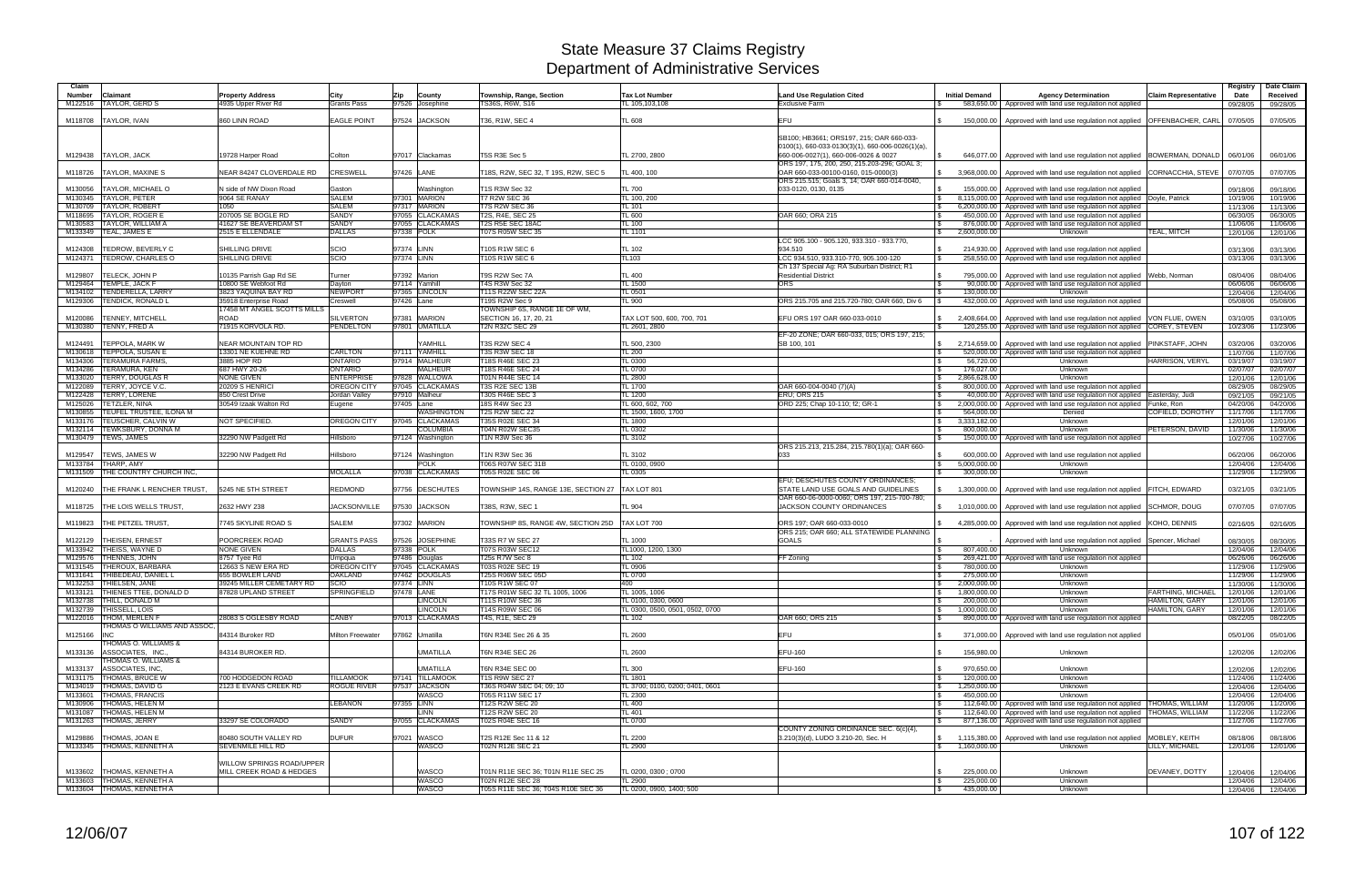| Township, Range, Section<br><b>Land Use Regulation Cited</b><br>Number<br>Claimant<br><b>Property Address</b><br><b>Tax Lot Number</b><br><b>Initial Demand</b><br>City<br>Zip<br>County<br><b>TAYLOR, GERD S</b><br>4935 Upper River Rd<br><b>Grants Pass</b><br>97526 Josephine<br><b>TS36S, R6W, S16</b><br>TL 105,103,108<br><b>Exclusive Farm</b><br>M122516 | <b>Agency Determination</b><br><b>Claim Representative</b><br>583,650.00 Approved with land use regulation not applied | Date<br>Received<br>09/28/05<br>09/28/05     |
|-------------------------------------------------------------------------------------------------------------------------------------------------------------------------------------------------------------------------------------------------------------------------------------------------------------------------------------------------------------------|------------------------------------------------------------------------------------------------------------------------|----------------------------------------------|
|                                                                                                                                                                                                                                                                                                                                                                   |                                                                                                                        |                                              |
| 97524 JACKSON<br>TAYLOR, IVAN<br>860 LINN ROAD<br><b>EAGLE POINT</b><br>T36, R1W, SEC 4<br><b>TL 608</b><br>EFU<br>M118708                                                                                                                                                                                                                                        | 150,000.00   Approved with land use regulation not applied   OFFENBACHER, CARL                                         | 07/05/05<br>07/05/05                         |
| SB100; HB3661; ORS197, 215; OAR 660-033-                                                                                                                                                                                                                                                                                                                          |                                                                                                                        |                                              |
| 0100(1), 660-033-0130(3)(1), 660-006-0026(1)(a),                                                                                                                                                                                                                                                                                                                  |                                                                                                                        |                                              |
| T5S R3E Sec 5<br>TL 2700, 2800<br>M129438<br><b>TAYLOR, JACK</b><br>19728 Harper Road<br>97017 Clackamas<br>660-006-0027(1), 660-006-0026 & 0027<br>Colton                                                                                                                                                                                                        | 646,077.00 Approved with land use regulation not applied BOWERMAN, DONALD                                              | 06/01/06<br>06/01/06                         |
| ORS 197, 175, 200, 250, 215.203-296; GOAL 3;                                                                                                                                                                                                                                                                                                                      |                                                                                                                        |                                              |
| <b>TAYLOR, MAXINE S</b><br>NEAR 84247 CLOVERDALE RD<br>CRESWELL<br>97426 LANE<br>T18S, R2W, SEC 32, T 19S, R2W, SEC 5<br>OAR 660-033-00100-0160, 015-0000(3)<br>M118726<br>TL 400, 100<br>ORS 215.515; Goals 3, 14; OAR 660-014-0040,                                                                                                                             | 3,968,000.00   Approved with land use regulation not applied CORNACCHIA, STEVE                                         | 07/07/05<br>07/07/05                         |
| TAYLOR. MICHAEL O<br>N side of NW Dixon Road<br>T1S R3W Sec 32<br>TL 700<br>033-0120, 0130, 0135<br>M130056<br>Gaston<br>Washington<br>155.000.00                                                                                                                                                                                                                 | Approved with land use regulation not applied                                                                          | 09/18/06<br>09/18/06                         |
| <b>TAYLOR, PETER</b><br>9064 SE RANAY<br><b>SALEM</b><br>7301 MARION<br><b>T7 R2W SEC 36</b><br>TL 100, 200<br>M130345                                                                                                                                                                                                                                            | 8,115,000.00   Approved with land use regulation not applied   Doyle, Patrick                                          | 10/19/06<br>10/19/06                         |
| <b>SALEM</b><br>T7S R2W SEC 36<br>TAYLOR, ROBERT<br>97317 MARION<br><b>TL 101</b><br>M130709<br>1050                                                                                                                                                                                                                                                              | 6,200,000.00 Approved with land use regulation not applied                                                             | 11/13/06<br>11/13/06                         |
| T2S, R4E, SEC 25<br><b>TAYLOR, ROGER E</b><br><b>SANDY</b><br>97055 CLACKAMAS<br>207005 SE BOGLE RD<br>TL 600<br>OAR 660: ORA 215<br>M118695<br>TAYLOR, WILLIAM A<br>41627 SE BEAVERDAM ST<br>SANDY<br>97055 CLACKAMAS<br>T2S R5E SEC 18AC<br><b>TL 100</b><br>M130583<br>876,000.00                                                                              | 450,000.00   Approved with land use regulation not applied<br>Approved with land use regulation not applied            | 06/30/05<br>06/30/05<br>11/06/06<br>11/06/06 |
| <b>DALLAS</b><br>97338 POLK<br><b>TEAL, JAMES E</b><br>2515 E ELLENDALE<br><b>T07S R05W SEC 35</b><br><b>TL 1101</b><br>M133349<br>2,600,000.00                                                                                                                                                                                                                   | <b>TEAL, MITCH</b><br>Unknown                                                                                          | 12/01/06<br>12/01/06                         |
| LCC 905.100 - 905.120, 933.310 - 933.770                                                                                                                                                                                                                                                                                                                          |                                                                                                                        |                                              |
| TEDROW, BEVERLY C<br>SHILLING DRIVE<br>SCIO<br>97374 LINN<br>T10S R1W SEC 6<br><b>TL 102</b><br>934.510<br>214,930.00<br>M124308<br><b>SCIO</b><br>97374 LINN<br><b>TL103</b><br>TEDROW, CHARLES O<br>SHILLING DRIVE<br>T10S R1W SEC 6<br>LCC 934.510, 933.310-770, 905.100-120                                                                                   | Approved with land use regulation not applied                                                                          | 03/13/06<br>03/13/06<br>03/13/06             |
| M124371<br>Ch 137 Special Ag: RA Suburban District; R1                                                                                                                                                                                                                                                                                                            | 258,550.00   Approved with land use regulation not applied                                                             | 03/13/06                                     |
| 10135 Parrish Gap Rd SE<br>97392 Marion<br>T9S R2W Sec 7A<br><b>TL 400</b><br>M129807<br><b><i>FELECK, JOHN P</i></b><br><b>Residential District</b><br>Turner<br>795,000.00                                                                                                                                                                                      | Approved with land use regulation not applied Webb, Norman                                                             | 08/04/06<br>08/04/06                         |
| ORS<br>T4S R3W Sec 32<br><b>TL 1500</b><br><b>TEMPLE, JACK F</b><br>97114 Yamhill<br>M129464<br>10800 SE Webfoot Rd<br>Dayton                                                                                                                                                                                                                                     | 90,000.00   Approved with land use regulation not applied                                                              | 06/06/06<br>06/06/06                         |
| TENDERELLA, LARRY<br>3823 YAQUINA BAY RD<br><b>NEWPORT</b><br>97365 LINCOLN<br>T11S R22W SEC 22A<br>M134102<br>TL 0501<br>130.000.00<br><b>TENDICK, RONALD L</b><br>ORS 215.705 and 215.720-780; OAR 660, Div 6<br>M129306<br>35918 Enterprise Road<br>Creswell<br>97426 Lane<br>T19S R2W Sec 9<br>TL 900                                                         | Unknown<br>432,000.00 Approved with land use regulation not applied                                                    | 12/04/06<br>12/04/06<br>05/08/06<br>05/08/06 |
| 17458 MT ANGEL SCOTTS MILLS<br>TOWNSHIP 6S, RANGE 1E OF WM.                                                                                                                                                                                                                                                                                                       |                                                                                                                        |                                              |
| TENNEY, MITCHELL<br><b>ROAD</b><br><b>SILVERTON</b><br>97381 MARION<br>SECTION 16, 17, 20, 21<br>TAX LOT 500, 600, 700, 701<br>EFU ORS 197 OAR 660-033-0010<br>M120086<br>2.408.664.00                                                                                                                                                                            | Approved with land use regulation not applied<br>VON FLUE, OWEN                                                        | 03/10/05<br>03/10/05                         |
| TENNY, FRED A<br>71915 KORVOLA RD.<br>PENDELTON<br>97801 UMATILLA<br>T2N R32C SEC 29<br>TL 2601, 2800<br>M130380                                                                                                                                                                                                                                                  | 120,255.00 Approved with land use regulation not applied<br><b>COREY, STEVEN</b>                                       | 11/23/06<br>10/23/06                         |
| EF-20 ZONE; OAR 660-033, 015; ORS 197, 215;<br>YAMHILL<br><b>NEAR MOUNTAIN TOP RD</b><br><b>T3S R2W SEC 4</b><br>TL 500, 2300<br>SB 100, 101<br>M124491<br>TEPPOLA, MARK W<br>2,714,659.00                                                                                                                                                                        | Approved with land use regulation not applied<br>PINKSTAFF, JOHN                                                       | 03/20/06<br>03/20/06                         |
| T3S R3W SEC 18<br><b>TEPPOLA, SUSAN E</b><br><b>CARLTON</b><br>13301 NE KUEHNE RD<br>97111 YAMHILL<br><b>TL 200</b><br>M130618                                                                                                                                                                                                                                    | 520,000.00 Approved with land use regulation not applied                                                               | 11/07/06<br>11/07/06                         |
| <b>ONTARIO</b><br>97914 MALHEUR<br>TERAMURA FARMS,<br>3885 HOP RD<br>T18S R46E SEC 23<br><b>TL 0300</b><br>M134306<br>56,720.00                                                                                                                                                                                                                                   | Unknown<br>HARRISON, VERYL                                                                                             | 03/19/07<br>03/19/07                         |
| <b>ONTARIO</b><br><b>TERAMURA, KEN</b><br>687 HWY 20-26<br><b>MALHEUR</b><br>T18S R46E SEC 24<br><b>TL 0700</b><br>176,027.00<br>M134286                                                                                                                                                                                                                          | Unknown                                                                                                                | 02/07/07<br>02/07/07                         |
| <b>TERRY, DOUGLAS R</b><br><b>NONE GIVEN</b><br><b>ENTERPRISE</b><br>97828 WALLOWA<br>T01N R44E SEC 14<br><b>TL 2800</b><br>M133020<br>2,866,628.00<br>97045 CLACKAMAS<br>T3S R2E SEC 13B<br>TERRY, JOYCE V.C.<br>20209 S HENRICI<br><b>OREGON CITY</b><br><b>TL 1700</b><br>M122089<br>OAR 660-004-0040 (7)(A)                                                   | Unknown<br>800,000.00   Approved with land use regulation not applied                                                  | 12/01/06<br>12/01/06                         |
| <b>TERRY, LORENE</b><br>97910 Malheur<br>T30S R46E SEC 3<br><b>TL 1200</b><br>ERU; ORS 215<br>M122428<br>850 Crest Drive<br>Jordan Valley                                                                                                                                                                                                                         | 40,000.00   Approved with land use regulation not applied   Easterday, Judi                                            | 08/29/05<br>08/29/05<br>09/21/05<br>09/21/05 |
| 30549 Izaak Walton Rd<br>97405 Lane<br>18S R4W Sec 23<br>TL 600, 602, 700<br>ORD 225; Chap 10-110; f2; GR-1<br>M125026<br><b>TETZLER, NINA</b><br>Eugene<br>2,000,000.00                                                                                                                                                                                          | Funke, Ron<br>Approved with land use regulation not applied                                                            | 04/20/06<br>04/20/06                         |
| WASHINGTON<br><b>T2S R2W SEC 22</b><br>TEUFEL TRUSTEE, ILONA M<br>TL 1500, 1600, 1700<br>564,000.00<br>M130855                                                                                                                                                                                                                                                    | COFIELD, DOROTHY<br>Denied                                                                                             | 11/17/06<br>11/17/06                         |
| NOT SPECIFIED.<br>97045 CLACKAMAS<br>T35S R02E SEC 34<br>TEUSCHER, CALVIN W<br><b>TL 1800</b><br>3.333.182.00<br>M133176<br><b>OREGON CITY</b><br>T04N R02W SEC35                                                                                                                                                                                                 | Unknown                                                                                                                | 12/01/06<br>12/01/06                         |
| TEWKSBURY, DONNA M<br><b>COLUMBIA</b><br><b>TL 0302</b><br>M132114<br>800,000.00<br><b>TEWS, JAMES</b><br>T1N R3W Sec 36<br>TL 3102<br>M130479<br>32290 NW Padgett Rd<br>97124 Washington<br>Hillsboro                                                                                                                                                            | Unknown<br><b>PETERSON, DAVID</b><br>150,000.00   Approved with land use regulation not applied                        | 11/30/06<br>11/30/06<br>10/27/06<br>10/27/06 |
| ORS 215.213, 215.284, 215.780(1)(a); OAR 660-                                                                                                                                                                                                                                                                                                                     |                                                                                                                        |                                              |
| TEWS, JAMES W<br>T1N R3W Sec 36<br>TL 3102<br>M129547<br>32290 NW Padgett Rd<br>Hillsboro<br>97124 Washington<br>033                                                                                                                                                                                                                                              | 600,000.00   Approved with land use regulation not applied                                                             | 06/20/06<br>06/20/06                         |
| THARP, AMY<br><b>POLK</b><br>T06S R07W SEC 31B<br>TL 0100, 0900<br>5,000,000.00<br>M133784<br>97038 CLACKAMAS<br>T05S R02E SEC 06<br>THE COUNTRY CHURCH INC,<br>TL 0305<br>300,000.00                                                                                                                                                                             | Unknown<br>Unknown                                                                                                     | 12/04/06<br>12/04/06<br>11/29/06             |
| M131509<br><b>MOLALLA</b><br>EFU; DESCHUTES COUNTY ORDINANCES;                                                                                                                                                                                                                                                                                                    |                                                                                                                        | 11/29/06                                     |
| <b>REDMOND</b><br>STATE LAND USE GOALS AND GUIDELINES<br>THE FRANK L RENCHER TRUST.<br>5245 NE 5TH STREET<br>97756 DESCHUTES<br>TOWNSHIP 14S, RANGE 13E, SECTION 27 TAX LOT 801<br>M120240                                                                                                                                                                        | 1,300,000.00 Approved with land use regulation not applied<br>FITCH, EDWARD                                            | 03/21/05<br>03/21/05                         |
| OAR 660-06-0000-0060; ORS 197, 215-700-780;                                                                                                                                                                                                                                                                                                                       |                                                                                                                        |                                              |
| <b>JACKSONVILLE</b><br>97530 JACKSON<br>TL 904<br>JACKSON COUNTY ORDINANCES<br>M118725<br>THE LOIS WELLS TRUST<br>2632 HWY 238<br>T38S, R3W, SEC 1                                                                                                                                                                                                                | 1,010,000.00   Approved with land use regulation not applied SCHMOR, DOUG                                              | 07/07/05<br>07/07/05                         |
| THE PETZEL TRUST,<br>7745 SKYLINE ROAD S<br>SALEM<br>97302 MARION<br>TOWNSHIP 8S, RANGE 4W, SECTION 25D<br>TAX LOT 700<br>M119823<br>4,285,000.00<br>ORS 197; OAR 660-033-0010                                                                                                                                                                                    | Approved with land use regulation not applied KOHO, DENNIS                                                             | 02/16/05<br>02/16/05                         |
| ORS 215; OAR 660; ALL STATEWIDE PLANNING                                                                                                                                                                                                                                                                                                                          |                                                                                                                        |                                              |
| <b>GOALS</b><br>POORCREEK ROAD<br><b>GRANTS PASS</b><br>97526 JOSEPHINE<br>T33S R7 W SEC 27<br><b>TL 1000</b><br>THEISEN, ERNEST<br>M122129                                                                                                                                                                                                                       | Approved with land use regulation not applied Spencer, Michael                                                         | 08/30/05<br>08/30/05                         |
| THEISS, WAYNE D<br><b>NONE GIVEN</b><br><b>DALLAS</b><br>97338 POLK<br><b>T07S R03W SEC12</b><br>TL1000. 1200. 1300<br>807.400.00<br>M133942<br>8757 Tyee Rd<br>97486 Douglas<br>T25s R7W Sec 8<br><b>TL 102</b><br>269,421.00<br>M129576<br><b>THENNES, JOHN</b><br>Umpqua<br>FF Zoning                                                                          | Unknown<br>Approved with land use regulation not applied                                                               | 12/04/06<br>12/04/06<br>06/26/06<br>06/26/06 |
| <b>OREGON CITY</b><br>97045 CLACKAMAS<br>T03S R02E SEC 19<br><b>TL 0906</b><br>THEROUX, BARBARA<br>12663 S NEW ERA RD<br>780,000.00<br>M131545                                                                                                                                                                                                                    | Unknown                                                                                                                | 11/29/06<br>11/29/06                         |
| <b>TL 0700</b><br>THIBEDEAU, DANIEL I<br><b>OAKLAND</b><br>97462 DOUGLAS<br>275,000.00<br>M131641<br>655 BOWLER LAND<br>T25S R06W SEC 05D                                                                                                                                                                                                                         | Unknown                                                                                                                | 11/29/06<br>11/29/06                         |
| M132253   I HIELSEN, JANE<br>39245 MILLER CEMETARY RD<br>iscio<br>97374 LINN<br>110S R1W SEC 07<br>400<br>2,000,000.00                                                                                                                                                                                                                                            | Unknown                                                                                                                | 11/30/06 11/30/06                            |
| M133121 THIENES TTEE, DONALD D<br>87828 UPLAND STREET<br>SPRINGFIELD<br>97478 LANE<br>T17S R01W SEC 32 TL 1005, 1006<br>TL 1005, 1006<br>1,800,000.00<br>$\mathcal{S}$                                                                                                                                                                                            | FARTHING, MICHAEL  <br>Unknown                                                                                         | 12/01/06<br>12/01/06                         |
| M132738 THILL, DONALD M<br><b>LINCOLN</b><br>T11S R10W SEC 36<br>TL 0100, 0300, 0600<br>200,000.00                                                                                                                                                                                                                                                                | <b>HAMILTON, GARY</b><br>Unknown                                                                                       | 12/01/06<br>12/01/06                         |
| M132739 THISSELL, LOIS<br><b>LINCOLN</b><br>T14S R09W SEC 06<br>TL 0300, 0500, 0501, 0502, 0700<br>1,000,000.00                                                                                                                                                                                                                                                   | HAMILTON, GARY<br>Unknown                                                                                              | 12/01/06<br>12/01/06                         |
| M122016 THOM, MERLEN F<br>97013 CLACKAMAS<br>OAR 660: ORS 215<br>28083 S OGLESBY ROAD<br><b>CANBY</b><br>T4S, R1E, SEC 29<br>TL 102<br>THOMAS O WILLIAMS AND ASSOC,                                                                                                                                                                                               | 890,000.00   Approved with land use regulation not applied                                                             | 08/22/05<br>08/22/05                         |
| 97862 Umatilla<br>M125166 INC<br>84314 Buroker RD<br>Milton Freewater<br>T6N R34E Sec 26 & 35<br><b>TL 2600</b><br>EFU                                                                                                                                                                                                                                            | 371,000.00 Approved with land use regulation not applied                                                               | 05/01/06<br>05/01/06                         |
| <b>FHOMAS O. WILLIAMS &amp;</b>                                                                                                                                                                                                                                                                                                                                   |                                                                                                                        |                                              |
| ASSOCIATES, INC.,<br>84314 BUROKER RD.<br>T6N R34E SEC 26<br><b>EFU-160</b><br>156,980.00<br>M133136<br><b>UMATILLA</b><br><b>TL 2600</b>                                                                                                                                                                                                                         | Unknown                                                                                                                | 12/02/06<br>12/02/06                         |
| <b>FHOMAS O. WILLIAMS &amp;</b><br>M133137 ASSOCIATES, INC.<br><b>UMATILLA</b><br>T6N R34E SEC 00<br>EFU-160<br><b>TL 300</b><br>970,650.00                                                                                                                                                                                                                       | Unknown                                                                                                                | 12/02/06<br>12/02/06                         |
| M131175 THOMAS, BRUCE W<br>700 HODGEDON ROAD<br><b>TILLAMOOK</b><br>97141 TILLAMOOK<br>T1S R9W SEC 27<br><b>TL 1801</b><br>120,000.00                                                                                                                                                                                                                             | Unknown                                                                                                                | 11/24/06<br>11/24/06                         |
| 97537 JACKSON<br>M134019 THOMAS, DAVID G<br>2123 E EVANS CREEK RD<br><b>ROGUE RIVER</b><br>TL 3700; 0100, 0200; 0401, 0601<br>1,250,000.00<br>T36S R04W SEC 04; 09; 10                                                                                                                                                                                            | Unknown                                                                                                                | 12/04/06<br>12/04/06                         |
| M133601 THOMAS, FRANCIS<br>WASCO<br>450,000.00<br>T05S R11W SEC 17<br><b>TL 2300</b>                                                                                                                                                                                                                                                                              | Unknown                                                                                                                | 12/04/06<br>12/04/06                         |
| M130906 THOMAS, HELEN M<br>LEBANON<br>97355 LINN<br>T12S R2W SEC 20<br><b>TL 400</b>                                                                                                                                                                                                                                                                              | 112,640.00   Approved with land use regulation not applied   THOMAS, WILLIAM                                           | 11/20/06<br>11/20/06                         |
| M131087   THOMAS, HELEN M<br>LINN<br>T12S R2W SEC 20<br>TL 401                                                                                                                                                                                                                                                                                                    | 112,640.00   Approved with land use regulation not applied   THOMAS, WILLIAM                                           | 11/22/06<br>11/22/06                         |
| M131263 THOMAS, JERRY<br>33297 SE COLORADO<br>SANDY<br>97055 CLACKAMAS<br>T02S R04E SEC 16<br><b>TL 0700</b><br>COUNTY ZONING ORDINANCE SEC. 6(c)(4),                                                                                                                                                                                                             | 877,136.00 Approved with land use regulation not applied                                                               | 11/27/06<br>11/27/06                         |
| 97021 WASCO<br>3.210(3)(d), LUDO 3.210-20, Sec. H<br>M129886 THOMAS, JOAN E<br>80480 SOUTH VALLEY RD<br><b>DUFUR</b><br>T2S R12E Sec 11 & 12<br><b>TL 2200</b>                                                                                                                                                                                                    | 1,115,380.00   Approved with land use regulation not applied MOBLEY, KEITH                                             | 08/18/06<br>08/18/06                         |
| M133345   THOMAS, KENNETH A<br><b>SEVENMILE HILL RD</b><br>WASCO<br>T02N R12E SEC 21<br>1,160,000.00<br>TL 2900                                                                                                                                                                                                                                                   | LILLY, MICHAEL<br>Unknown                                                                                              | 12/01/06<br>12/01/06                         |
|                                                                                                                                                                                                                                                                                                                                                                   |                                                                                                                        |                                              |
| WILLOW SPRINGS ROAD/UPPER<br>MILL CREEK ROAD & HEDGES<br>WASCO<br>M133602   THOMAS, KENNETH A<br>T01N R11E SEC 36; T01N R11E SEC 25<br>TL 0200, 0300; 0700<br>225,000.00                                                                                                                                                                                          | Unknown<br>DEVANEY, DOTTY                                                                                              | 12/04/06<br>12/04/06                         |
| M133603 THOMAS, KENNETH A<br>WASCO<br>T02N R12E SEC 28<br><b>TL 2900</b><br>225,000.00                                                                                                                                                                                                                                                                            | Unknown                                                                                                                | 12/04/06<br>12/04/06                         |
| M133604 THOMAS, KENNETH A<br><b>WASCO</b><br>T05S R11E SEC 36; T04S R10E SEC 36<br>TL 0200, 0900, 1400; 500<br>435,000.00                                                                                                                                                                                                                                         | Unknown                                                                                                                | 12/04/06 12/04/06                            |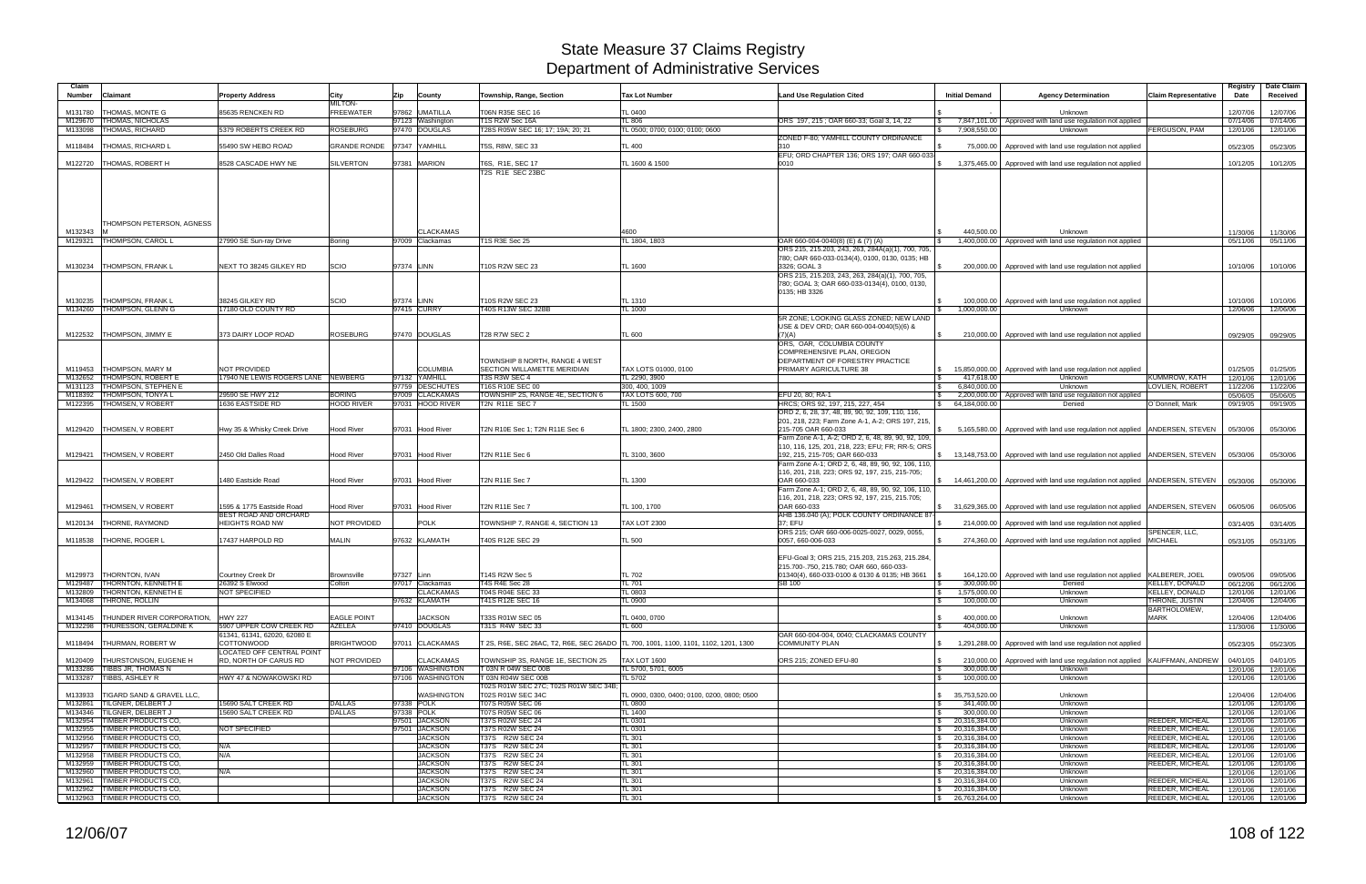| Claim<br><b>Number</b><br>Claimant                                         | <b>Property Address</b>                                   | City                               | Zip                      | County                             | Township, Range, Section                                    | <b>Tax Lot Number</b>                                                                        | <b>Land Use Regulation Cited</b>                                                                                              | <b>Initial Demand</b>                                      | <b>Agency Determination</b>                                                                  | <b>Claim Representative</b>                      | Registry<br>Date     | Date Claim<br>Received |
|----------------------------------------------------------------------------|-----------------------------------------------------------|------------------------------------|--------------------------|------------------------------------|-------------------------------------------------------------|----------------------------------------------------------------------------------------------|-------------------------------------------------------------------------------------------------------------------------------|------------------------------------------------------------|----------------------------------------------------------------------------------------------|--------------------------------------------------|----------------------|------------------------|
| <b>THOMAS, MONTE G</b><br>M131780                                          | 85635 RENCKEN RD                                          | <b>MILTON-</b><br><b>FREEWATER</b> |                          | 97862 UMATILLA                     | T06N R35E SEC 16                                            | TL 0400                                                                                      |                                                                                                                               |                                                            | Unknown                                                                                      |                                                  | 12/07/06             | 12/07/06               |
| <b>THOMAS, NICHOLAS</b><br>M129670                                         |                                                           |                                    |                          | 97123 Washington                   | <b>F1S R2W Sec 16A</b>                                      | <b>TL 806</b>                                                                                | ORS 197, 215; OAR 660-33; Goal 3, 14, 22                                                                                      | 7,847,101.00                                               | Approved with land use regulation not applied                                                |                                                  | 07/14/06             | 07/14/06               |
| <b>THOMAS, RICHARD</b><br>M133098                                          | 5379 ROBERTS CREEK RD                                     | <b>ROSEBURG</b>                    |                          | 97470 DOUGLAS                      | T28S R05W SEC 16; 17; 19A; 20; 21                           | TL 0500; 0700; 0100; 0100; 0600                                                              |                                                                                                                               | 7,908,550.00<br>$\mathbb{R}$                               | Unknown                                                                                      | <b>FERGUSON, PAM</b>                             | 12/01/06             | 12/01/06               |
| <b>THOMAS, RICHARD L</b><br>M118484                                        | 55490 SW HEBO ROAD                                        | <b>GRANDE RONDE</b>                |                          | 97347 YAMHILL                      | T5S, R8W, SEC 33                                            | TL 400                                                                                       | ZONED F-80: YAMHILL COUNTY ORDINANCE<br>310                                                                                   | 75,000.00                                                  | Approved with land use regulation not applied                                                |                                                  | 05/23/05             | 05/23/05               |
| M122720 THOMAS, ROBERT H                                                   | 8528 CASCADE HWY NE                                       | <b>SILVERTON</b>                   |                          | 97381 MARION                       | T6S, R1E, SEC 17<br>T2S R1E SEC 23BC                        | TL 1600 & 1500                                                                               | EFU; ORD CHAPTER 136; ORS 197; OAR 660-033<br>0010                                                                            | <b>S</b>                                                   | 1,375,465.00 Approved with land use regulation not applied                                   |                                                  | 10/12/05             | 10/12/05               |
|                                                                            |                                                           |                                    |                          |                                    |                                                             |                                                                                              |                                                                                                                               |                                                            |                                                                                              |                                                  |                      |                        |
| THOMPSON PETERSON, AGNESS<br>M132343                                       |                                                           |                                    |                          | <b>CLACKAMAS</b>                   |                                                             | 4600                                                                                         |                                                                                                                               | 440.500.00                                                 | Unknown                                                                                      |                                                  | 11/30/06             | 11/30/06               |
| M129321 THOMPSON, CAROL L                                                  | 27990 SE Sun-ray Drive                                    | Boring                             |                          | 97009 Clackamas                    | T1S R3E Sec 25                                              | TL 1804, 1803                                                                                | OAR 660-004-0040(8) (E) & (7) (A)<br>ORS 215, 215.203, 243, 263, 284A(a)(1), 700, 705,                                        | $\sqrt{S}$                                                 | 1,400,000.00 Approved with land use regulation not applied                                   |                                                  | 05/11/06             | 05/11/06               |
| M130234<br><b>THOMPSON, FRANK L</b>                                        | NEXT TO 38245 GILKEY RD                                   | SCIO                               | 97374 LINN               |                                    | T10S R2W SEC 23                                             | TL 1600                                                                                      | 780; OAR 660-033-0134(4), 0100, 0130, 0135; HB<br>3326; GOAL 3                                                                |                                                            | 200,000.00   Approved with land use regulation not applied                                   |                                                  | 10/10/06             | 10/10/06               |
|                                                                            |                                                           |                                    |                          |                                    |                                                             |                                                                                              | ORS 215, 215.203, 243, 263, 284(a)(1), 700, 705,<br>780; GOAL 3; OAR 660-033-0134(4), 0100, 0130,                             |                                                            |                                                                                              |                                                  |                      |                        |
| <b>THOMPSON, FRANK L</b><br>M130235                                        | 38245 GILKEY RD                                           | SCIO                               | 97374 LINN               |                                    | T10S R2W SEC 23                                             | TL 1310                                                                                      | 0135; HB 3326                                                                                                                 | IS.                                                        | 100,000.00   Approved with land use regulation not applied                                   |                                                  | 10/10/06             | 10/10/06               |
| <b>THOMPSON, GLENN G</b><br>M134260                                        | 17180 OLD COUNTY RD                                       |                                    |                          | 97415 CURRY                        | T40S R13W SEC 32BB                                          | <b>TL 1000</b>                                                                               |                                                                                                                               | 1.000.000.00<br>$\sqrt{S}$                                 | Unknown                                                                                      |                                                  | 12/06/06             | 12/06/06               |
|                                                                            |                                                           |                                    |                          |                                    |                                                             |                                                                                              | 5R ZONE: LOOKING GLASS ZONED: NEW LAND<br>USE & DEV ORD; OAR 660-004-0040(5)(6) &                                             |                                                            |                                                                                              |                                                  |                      |                        |
| <b>THOMPSON, JIMMY E</b><br>M122532                                        | 373 DAIRY LOOP ROAD                                       | ROSEBURG                           |                          | 97470 DOUGLAS                      | <b>T28 R7W SEC 2</b>                                        | TL 600                                                                                       | (7)(A)<br>ORS, OAR, COLUMBIA COUNTY                                                                                           |                                                            | 210,000.00 Approved with land use regulation not applied                                     |                                                  | 09/29/05             | 09/29/05               |
|                                                                            |                                                           |                                    |                          |                                    | TOWNSHIP 8 NORTH, RANGE 4 WEST                              |                                                                                              | COMPREHENSIVE PLAN, OREGON<br>DEPARTMENT OF FORESTRY PRACTICE                                                                 |                                                            |                                                                                              |                                                  |                      |                        |
| <b>THOMPSON, MARY M</b><br>M119453<br><b>THOMPSON, ROBERT E</b><br>M132652 | <b>NOT PROVIDED</b><br>17940 NE LEWIS ROGERS LANE NEWBERG |                                    |                          | <b>COLUMBIA</b><br>97132 YAMHILL   | SECTION WILLAMETTE MERIDIAN<br>T3S R3W SEC 4                | TAX LOTS 01000, 0100<br>TL 2290, 3900                                                        | PRIMARY AGRICULTURE 38                                                                                                        | $\sqrt{3}$<br>417,618.00                                   | \\ \ \ \ 15,850,000.00 \ \ \ Approved with land use regulation not applied<br><b>Unknown</b> | KUMMROW, KATH                                    | 01/25/05<br>12/01/06 | 01/25/05<br>12/01/06   |
| <b>THOMPSON, STEPHEN E</b><br>M131123<br>M118392 THOMPSON, TONYA L         | 29590 SE HWY 212                                          | <b>BORING</b>                      |                          | 97759 DESCHUTES<br>97009 CLACKAMAS | T16S R10E SEC 00                                            | 300, 400, 1009                                                                               | EFU 20, 80: RA-1                                                                                                              | 6.840.000.00<br>$\mathbb{S}$                               | Unknown                                                                                      | <b>LOVLIEN, ROBERT</b>                           | 11/22/06             | 11/22/06               |
| M122395   THOMSEN, V ROBERT                                                | <b>1636 EASTSIDE RD</b>                                   | <b>HOOD RIVER</b>                  |                          | 97031 HOOD RIVER                   | TOWNSHIP 2S, RANGE 4E, SECTION 6<br><b>T2N R11E SEC 7</b>   | TAX LOTS 600, 700<br>TL 1500                                                                 | HRCS; ORS 92, 197, 215, 227, 454                                                                                              | $\mathbb{S}$<br>64,184,000.00                              | 2,200,000.00 Approved with land use regulation not applied<br>Denied                         | O'Donnell, Mark                                  | 05/06/05<br>09/19/05 | 05/06/05<br>09/19/05   |
|                                                                            |                                                           |                                    |                          |                                    |                                                             |                                                                                              | ORD 2, 6, 28, 37, 48, 89, 90, 92, 109, 110, 116,                                                                              |                                                            |                                                                                              |                                                  |                      |                        |
| M129420   THOMSEN, V ROBERT                                                | Hwy 35 & Whisky Creek Drive                               | Hood River                         |                          | 97031 Hood River                   | T2N R10E Sec 1; T2N R11E Sec 6                              | TL 1800; 2300, 2400, 2800                                                                    | 201, 218, 223; Farm Zone A-1, A-2; ORS 197, 215,<br>215-705 OAR 660-033<br>Farm Zone A-1, A-2; ORD 2, 6, 48, 89, 90, 92, 109, |                                                            | 5,165,580.00 Approved with land use regulation not applied ANDERSEN, STEVEN                  |                                                  | 05/30/06             | 05/30/06               |
| <b>THOMSEN, V ROBERT</b><br>M129421                                        | 2450 Old Dalles Road                                      | Hood River                         |                          | 97031 Hood River                   | T2N R11E Sec 6                                              | TL 3100, 3600                                                                                | 110, 116, 125, 201, 218, 223; EFU; FR; RR-5; ORS<br>192, 215, 215-705; OAR 660-033                                            |                                                            | \$ 13,148,753.00 Approved with land use regulation not applied ANDERSEN, STEVEN              |                                                  | 05/30/06             | 05/30/06               |
|                                                                            |                                                           |                                    |                          |                                    |                                                             |                                                                                              | Farm Zone A-1; ORD 2, 6, 48, 89, 90, 92, 106, 110,<br>116, 201, 218, 223; ORS 92, 197, 215, 215-705;                          |                                                            |                                                                                              |                                                  |                      |                        |
| M129422<br><b>THOMSEN, V ROBERT</b>                                        | 1480 Eastside Road                                        | Hood River                         |                          | 97031 Hood River                   | T2N R11E Sec 7                                              | TL 1300                                                                                      | OAR 660-033<br>Farm Zone A-1; ORD 2, 6, 48, 89, 90, 92, 106, 110,                                                             |                                                            | \$ 14,461,200.00   Approved with land use regulation not applied   ANDERSEN, STEVEN          |                                                  | 05/30/06             | 05/30/06               |
| M129461<br><b>THOMSEN, V ROBERT</b>                                        | 1595 & 1775 Eastside Road                                 | <b>Hood River</b>                  |                          | 97031 Hood River                   | <b>T2N R11E Sec 7</b>                                       | TL 100, 1700                                                                                 | 116, 201, 218, 223; ORS 92, 197, 215, 215.705;<br>OAR 660-033                                                                 | \$31,629,365.00                                            | Approved with land use regulation not applied   ANDERSEN, STEVEN                             |                                                  | 06/05/06             | 06/05/06               |
| <b>THORNE, RAYMOND</b><br>M120134                                          | BEST ROAD AND ORCHARD<br><b>HEIGHTS ROAD NW</b>           | NOT PROVIDED                       |                          | <b>POLK</b>                        | TOWNSHIP 7, RANGE 4, SECTION 13                             | <b>TAX LOT 2300</b>                                                                          | AHB 136.040 (A); POLK COUNTY ORDINANCE 87<br>37: EFU                                                                          |                                                            | 214,000,00 Approved with land use regulation not applied                                     |                                                  | 03/14/05             | 03/14/05               |
| M118538   THORNE, ROGER L                                                  | 7437 HARPOLD RD                                           | MALIN                              |                          | 97632 KLAMATH                      | T40S R12E SEC 29                                            | TL 500                                                                                       | ORS 215; OAR 660-006-0025-0027, 0029, 0055,<br>0057, 660-006-033                                                              |                                                            | 274,360.00 Approved with land use regulation not applied                                     | SPENCER, LLC,<br><b>MICHAEL</b>                  | 05/31/05             | 05/31/05               |
|                                                                            |                                                           |                                    |                          |                                    |                                                             |                                                                                              | EFU-Goal 3; ORS 215, 215.203, 215.263, 215.284,<br>215.700-.750, 215.780; OAR 660, 660-033-                                   |                                                            |                                                                                              |                                                  |                      |                        |
| M129973 THORNTON, IVAN<br>M129487   THORNTON, KENNETH E                    | Courtney Creek Dr<br>26392 S Elwood                       | <b>Brownsville</b><br>Colton       | 97327 Linn               | 97017 Clackamas                    | T14S R2W Sec 5<br>T4S R4E Sec 28                            | <b>TL 702</b><br><b>TL 701</b>                                                               | 01340(4), 660-033-0100 & 0130 & 0135; HB 3661<br><b>SB 100</b>                                                                | 300,000.00<br>IS.                                          | 164,120.00   Approved with land use regulation not applied KALBERER, JOEL<br>Denied          | <b>KELLEY, DONALD</b>                            | 09/05/06<br>06/12/06 | 09/05/06<br>06/12/06   |
| M132809 THORNTON, KENNETH E                                                | NOT SPECIFIED                                             |                                    |                          | <b>CLACKAMAS</b>                   | T04S R04E SEC 33                                            | TL 0803                                                                                      |                                                                                                                               | 1,575,000.00<br>$\sqrt{3}$                                 | Unknown                                                                                      | <b>KELLEY, DONALD</b>                            | 12/01/06             | 12/01/06               |
| M134068 THRONE, ROLLIN                                                     |                                                           |                                    |                          | 97632 KLAMATH                      | T41S R12E SEC 16                                            | TL 0900                                                                                      |                                                                                                                               | 100,000.00<br>IS.                                          | Unknown                                                                                      | THRONE, JUSTIN                                   | 12/04/06             | 12/04/06               |
| M134145   THUNDER RIVER CORPORATION,<br>M132298 THURESSON, GERALDINE K     | <b>HWY 227</b><br>5907 UPPER COW CREEK RD                 | <b>EAGLE POINT</b><br>AZELEA       |                          | <b>JACKSON</b><br>97410 DOUGLAS    | T33S R01W SEC 05<br>T31S R4W SEC 33                         | TL 0400, 0700                                                                                |                                                                                                                               | 400,000.00<br>404,000.00                                   | Unknown<br>Unknown                                                                           | <b>BARTHOLOMEW,</b><br><b>MARK</b>               | 12/04/06             | 12/04/06               |
| M118494   THURMAN, ROBERT W                                                | 61341, 61341, 62020, 62080 E<br><b>COTTONWOOD</b>         | <b>BRIGHTWOOD</b>                  |                          | 97011 CLACKAMAS                    |                                                             | TL 600<br>T 2S, R6E, SEC 26AC, T2, R6E, SEC 26ADO TL 700, 1001, 1100, 1101, 1102, 1201, 1300 | OAR 660-004-004, 0040; CLACKAMAS COUNTY<br><b>COMMUNITY PLAN</b>                                                              | $\mathbb{S}$                                               | 1,291,288.00 Approved with land use regulation not applied                                   |                                                  | 11/30/06<br>05/23/05 | 11/30/06<br>05/23/05   |
| M120409   THURSTONSON, EUGENE H                                            | <b>LOCATED OFF CENTRAL POINT</b><br>RD, NORTH OF CARUS RD | NOT PROVIDED                       |                          | <b>CLACKAMAS</b>                   | TOWNSHIP 3S, RANGE 1E, SECTION 25                           | <b>TAX LOT 1600</b>                                                                          | ORS 215; ZONED EFU-80                                                                                                         | <b>S</b>                                                   | 210,000,00 Approved with land use regulation not applied KAUFFMAN, ANDREW                    |                                                  | 04/01/05             | 04/01/05               |
| M133286 TIBBS JR. THOMAS N                                                 |                                                           |                                    |                          | 97106 WASHINGTON                   | T 03N R 04W SEC 00B                                         | TL 5700, 5701, 6005                                                                          |                                                                                                                               | 300.000.00<br><b>S</b>                                     | Unknown                                                                                      |                                                  | 12/01/06             | 12/01/06               |
| M133287 TIBBS, ASHLEY R                                                    | HWY 47 & NOWAKOWSKI RD                                    |                                    |                          | 97106 WASHINGTON                   | T 03N R04W SEC 00B<br>T02S R01W SEC 27C; T02S R01W SEC 34B; | TL 5702                                                                                      |                                                                                                                               | 100,000.00<br>$\mathbb{R}$                                 | Unknown                                                                                      |                                                  | 12/01/06             | 12/01/06               |
| M133933   TIGARD SAND & GRAVEL LLC,                                        |                                                           |                                    |                          | <b>WASHINGTON</b>                  | T02S R01W SEC 34C                                           | TL 0900, 0300, 0400; 0100, 0200, 0800; 0500                                                  |                                                                                                                               | \$35,753,520.00                                            | Unknown                                                                                      |                                                  | 12/04/06             | 12/04/06               |
| M132861 TILGNER, DELBERT J<br>M134346 TILGNER, DELBERT J                   | 15690 SALT CREEK RD<br>15690 SALT CREEK RD                | <b>DALLAS</b><br><b>DALLAS</b>     | 97338 POLK<br>97338 POLK |                                    | T07S R05W SEC 06<br>T07S R05W SEC 06                        | <b>TL 0800</b><br>TL 1400                                                                    |                                                                                                                               | 341,400.00<br><b>S</b><br>300,000.00<br><b>S</b>           | Unknown<br>Unknown                                                                           |                                                  | 12/01/06<br>12/01/06 | 12/01/06<br>12/01/06   |
| M132954 TIMBER PRODUCTS CO.                                                |                                                           |                                    |                          | 97501 JACKSON                      | T37S R02W SEC 24                                            | TL 0301                                                                                      |                                                                                                                               | $\frac{1}{2}$ 20,316,384.00                                | Unknown                                                                                      | REEDER, MICHEAL                                  | 12/01/06             | 12/01/06               |
| M132955 TIMBER PRODUCTS CO.                                                | NOT SPECIFIED                                             |                                    |                          | 97501 JACKSON                      | T37S R02W SEC 24                                            | TL 0301                                                                                      |                                                                                                                               | $\frac{1}{2}$ 20,316,384.00                                | Unknown                                                                                      | <b>REEDER, MICHEAL</b>                           | 12/01/06             | 12/01/06               |
| M132956 TIMBER PRODUCTS CO.                                                |                                                           |                                    |                          | <b>JACKSON</b>                     | T37S R2W SEC 24                                             | TL 301                                                                                       |                                                                                                                               | $\frac{1}{2}$ 20,316,384.00                                | Unknown                                                                                      | <b>REEDER, MICHEAL</b>                           | 12/01/06             | 12/01/06               |
| M132957 TIMBER PRODUCTS CO,<br>M132958 TIMBER PRODUCTS CO.                 | N/A<br>N/A                                                |                                    |                          | <b>JACKSON</b><br><b>JACKSON</b>   | T37S R2W SEC 24<br>T37S R2W SEC 24                          | <b>TL 301</b><br>TL 301                                                                      |                                                                                                                               | $\frac{1}{2}$ 20,316,384.00<br>$\frac{1}{2}$ 20,316,384.00 | Unknown<br>Unknown                                                                           | <b>REEDER, MICHEAL</b><br><b>REEDER, MICHEAL</b> | 12/01/06<br>12/01/06 | 12/01/06<br>12/01/06   |
| M132959 TIMBER PRODUCTS CO,                                                |                                                           |                                    |                          | <b>JACKSON</b>                     | T37S R2W SEC 24                                             | TL 301                                                                                       |                                                                                                                               | $\frac{1}{2}$ 20,316,384.00                                | Unknown                                                                                      | REEDER, MICHEAL                                  | 12/01/06             | 12/01/06               |
| M132960 TIMBER PRODUCTS CO,                                                | N/A                                                       |                                    |                          | <b>JACKSON</b>                     | T37S R2W SEC 24                                             | TL 301                                                                                       |                                                                                                                               | \$20,316,384.00                                            | Unknown                                                                                      |                                                  | 12/01/06             | 12/01/06               |
| M132961 TIMBER PRODUCTS CO,<br>M132962 TIMBER PRODUCTS CO,                 |                                                           |                                    |                          | <b>JACKSON</b><br><b>JACKSON</b>   | T37S R2W SEC 24<br>T37S R2W SEC 24                          | <b>TL 301</b><br>TL 301                                                                      |                                                                                                                               | $\frac{1}{2}$ 20,316,384.00<br>\$20,316,384.00             | Unknown<br>Unknown                                                                           | REEDER, MICHEAL<br><b>REEDER, MICHEAL</b>        | 12/01/06<br>12/01/06 | 12/01/06<br>12/01/06   |
| M132963 TIMBER PRODUCTS CO,                                                |                                                           |                                    |                          | <b>JACKSON</b>                     | T37S R2W SEC 24                                             | TL 301                                                                                       |                                                                                                                               | $\frac{1}{26}$ 26,763,264.00                               | Unknown                                                                                      | <b>REEDER, MICHEAL</b>                           |                      | 12/01/06 12/01/06      |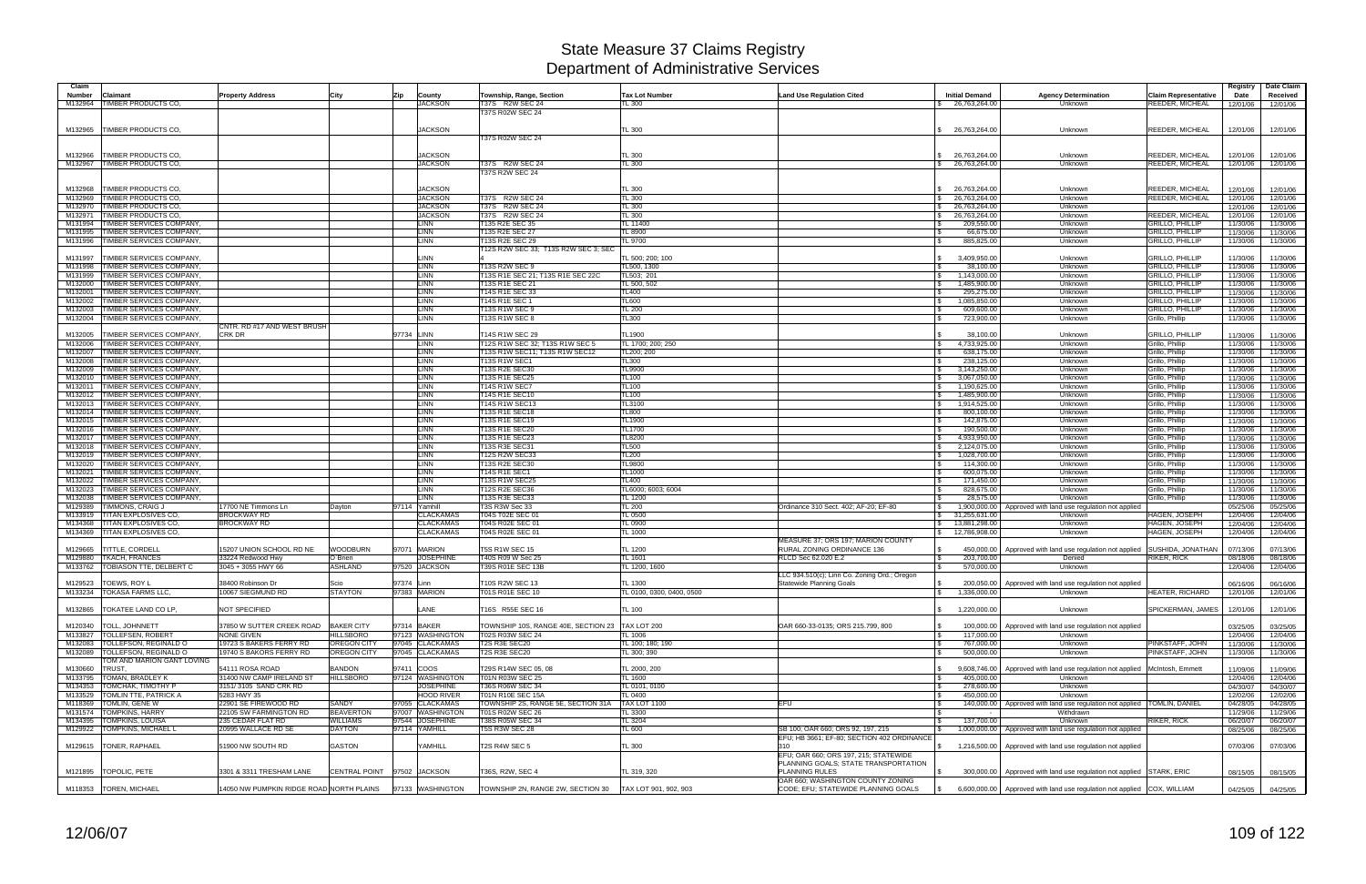| Claim              |                                                             |                                                   |                        |                                      |                                                   |                                      |                                                     |                                      |                                                                               |                                                  | Registry             | Date Claim           |
|--------------------|-------------------------------------------------------------|---------------------------------------------------|------------------------|--------------------------------------|---------------------------------------------------|--------------------------------------|-----------------------------------------------------|--------------------------------------|-------------------------------------------------------------------------------|--------------------------------------------------|----------------------|----------------------|
| <b>Number</b>      | <b>Claimant</b>                                             | <b>Property Address</b>                           | City                   | Zip<br>County                        | Township, Range, Section                          | <b>Tax Lot Number</b>                | <b>Land Use Regulation Cited</b>                    | <b>Initial Demand</b>                | <b>Agency Determination</b>                                                   | <b>Claim Representative</b>                      | Date                 | Received             |
|                    | M132964 TIMBER PRODUCTS CO.                                 |                                                   |                        | <b>JACKSON</b>                       | T37S R2W SEC 24<br>T37S R02W SEC 24               | TL 300                               |                                                     | \$ 26,763,264.00                     | <b>Unknown</b>                                                                | REEDER, MICHEAL                                  | 12/01/06             | 12/01/06             |
|                    |                                                             |                                                   |                        |                                      |                                                   |                                      |                                                     |                                      |                                                                               |                                                  |                      |                      |
|                    | M132965   TIMBER PRODUCTS CO                                |                                                   |                        | <b>JACKSON</b>                       |                                                   | <b>TL 300</b>                        |                                                     | \$26,763,264.00                      | Unknown                                                                       | <b>REEDER, MICHEAL</b>                           | 12/01/06             | 12/01/06             |
|                    |                                                             |                                                   |                        |                                      | T37S R02W SEC 24                                  |                                      |                                                     |                                      |                                                                               |                                                  |                      |                      |
|                    |                                                             |                                                   |                        |                                      |                                                   |                                      |                                                     |                                      |                                                                               |                                                  |                      |                      |
|                    | M132966   TIMBER PRODUCTS CO                                |                                                   |                        | <b>JACKSON</b>                       |                                                   | <b>TL 300</b>                        |                                                     | 26,763,264.00                        | Unknown                                                                       | REEDER, MICHEAL                                  | 12/01/06             | 12/01/06             |
|                    | M132967 TIMBER PRODUCTS CO,                                 |                                                   |                        | <b>JACKSON</b>                       | T37S R2W SEC 24                                   | <b>TL 300</b>                        |                                                     | \$26,763,264.00                      | Unknown                                                                       | <b>REEDER, MICHEAL</b>                           | 12/01/06             | 12/01/06             |
|                    |                                                             |                                                   |                        |                                      | <b>T37S R2W SEC 24</b>                            |                                      |                                                     |                                      |                                                                               |                                                  |                      |                      |
|                    |                                                             |                                                   |                        |                                      |                                                   |                                      |                                                     |                                      |                                                                               |                                                  |                      |                      |
| M132968<br>M132969 | <b>TIMBER PRODUCTS CO</b><br><b>TIMBER PRODUCTS CO.</b>     |                                                   |                        | <b>JACKSON</b><br><b>JACKSON</b>     | T37S R2W SEC 24                                   | <b>TL 300</b><br><b>TL 300</b>       |                                                     | 26,763,264.00                        | Unknown<br>Unknown                                                            | <b>REEDER, MICHEAL</b><br>REEDER, MICHEAL        | 12/01/06             | 12/01/06             |
| M132970            | <b>TIMBER PRODUCTS CO</b>                                   |                                                   |                        | <b>JACKSON</b>                       | T37S R2W SEC 24                                   | <b>TL 300</b>                        |                                                     | 26,763,264.00<br>26,763,264.00<br>\$ | Unknown                                                                       |                                                  | 12/01/06<br>12/01/06 | 12/01/06<br>12/01/06 |
| M132971            | <b>TIMBER PRODUCTS CO</b>                                   |                                                   |                        | <b>JACKSON</b>                       | T37S R2W SEC 24                                   | <b>TL 300</b>                        |                                                     | 26,763,264.00<br>S.                  | Unknown                                                                       | REEDER, MICHEAI                                  | 12/01/06             | 12/01/06             |
| M131994            | TIMBER SERVICES COMPANY                                     |                                                   |                        | <b>LINN</b>                          | T135 R2E SEC 35                                   | TL 11400                             |                                                     | 209,550.00                           | Unknown                                                                       | <b>GRILLO, PHILLIP</b>                           | 11/30/06             | 11/30/06             |
| M131995            | TIMBER SERVICES COMPANY,                                    |                                                   |                        | <b>LINN</b>                          | T135 R2E SEC 27                                   | <b>TL 8900</b>                       |                                                     | 66,675.00                            | Unknown                                                                       | <b>GRILLO, PHILLIP</b>                           | 11/30/06             | 11/30/06             |
| M131996            | <b>TIMBER SERVICES COMPANY.</b>                             |                                                   |                        | <b>LINN</b>                          | T13S R2E SEC 29                                   | TL 9700                              |                                                     | 885,825.00                           | Unknown                                                                       | <b>GRILLO, PHILLIP</b>                           | 11/30/06             | 11/30/06             |
|                    |                                                             |                                                   |                        |                                      | T12S R2W SEC 33; T13S R2W SEC 3; SEC              |                                      |                                                     |                                      |                                                                               |                                                  |                      |                      |
| M131997            | TIMBER SERVICES COMPANY.                                    |                                                   |                        | LINN                                 |                                                   | TL 500; 200; 100                     |                                                     | 3,409,950.00                         | Unknown                                                                       | <b>GRILLO, PHILLIP</b>                           | 11/30/06             | 11/30/06             |
| M131998            | TIMBER SERVICES COMPANY.                                    |                                                   |                        | <b>LINN</b>                          | <b>T13S R2W SEC 9</b>                             | TL500, 1300                          |                                                     | 38,100.00                            | Unknown                                                                       | <b>GRILLO, PHILLIP</b>                           | 11/30/06             | 11/30/06             |
| M131999            | TIMBER SERVICES COMPANY,                                    |                                                   |                        | LINN                                 | T13S R1E SEC 21; T13S R1E SEC 22C                 | TL503; 201                           |                                                     | 1,143,000.00                         | Unknown                                                                       | <b>GRILLO, PHILLIP</b>                           | 11/30/06             | 11/30/06             |
| M132000            | <b>TIMBER SERVICES COMPANY,</b>                             |                                                   |                        | <b>LINN</b>                          | T13S R1E SEC 21                                   | TL 500, 502                          |                                                     | 1,485,900.00                         | Unknown                                                                       | <b>GRILLO, PHILLIP</b>                           | 11/30/06             | 11/30/06             |
| M132001<br>M132002 | TIMBER SERVICES COMPANY,<br>TIMBER SERVICES COMPANY,        |                                                   |                        | LINN<br><b>LINN</b>                  | T14S R1E SEC 33<br>T14S R1E SEC 1                 | <b>TL400</b><br><b>TL600</b>         |                                                     | 295,275.00<br>1,085,850.00           | Unknown<br>Unknown                                                            | <b>GRILLO, PHILLIP</b><br><b>GRILLO, PHILLIP</b> | 11/30/06<br>11/30/06 | 11/30/06<br>11/30/06 |
| M132003            | <b>TIMBER SERVICES COMPANY</b>                              |                                                   |                        | <b>LINN</b>                          | T13S R1W SEC 9                                    | <b>TL 200</b>                        |                                                     | 609,600.00                           | Unknown                                                                       | <b>GRILLO, PHILLIP</b>                           | 11/30/06             | 11/30/06             |
|                    | M132004   TIMBER SERVICES COMPANY,                          |                                                   |                        | <b>LINN</b>                          | <b>T13S R1W SEC 8</b>                             | <b>TL300</b>                         |                                                     | 723,900.00                           | Unknown                                                                       | Grillo, Phillip                                  | 11/30/06             | 11/30/06             |
|                    |                                                             | CNTR. RD #17 AND WEST BRUSH                       |                        |                                      |                                                   |                                      |                                                     |                                      |                                                                               |                                                  |                      |                      |
| M132005            | <b>TIMBER SERVICES COMPANY</b>                              | CRK DR                                            |                        | 97734 LINN                           | T14S R1W SEC 29                                   | <b>TL1900</b>                        |                                                     | 38,100.00                            | Unknown                                                                       | <b>GRILLO, PHILLIP</b>                           | 11/30/06             | 11/30/06             |
| M132006            | <b>TIMBER SERVICES COMPANY</b>                              |                                                   |                        | <b>LINN</b>                          | T12S R1W SEC 32; T13S R1W SEC 5                   | TL 1700; 200; 250                    |                                                     | 4,733,925.00                         | Unknown                                                                       | Grillo, Phillip                                  | 11/30/06             | 11/30/06             |
| M132007            | TIMBER SERVICES COMPANY,                                    |                                                   |                        | <b>LINN</b>                          | T13S R1W SEC11: T13S R1W SEC12                    | TL200; 200                           |                                                     | 638,175.00                           | Unknown                                                                       | Grillo, Phillip                                  | 11/30/06             | 11/30/06             |
| M132008            | TIMBER SERVICES COMPANY,                                    |                                                   |                        | <b>LINN</b>                          | T13S R1W SEC1                                     | <b>TL300</b>                         |                                                     | 238,125.00                           | Unknown                                                                       | Grillo, Phillip                                  | 11/30/06             | 11/30/06             |
| M132009            | <b>TIMBER SERVICES COMPANY</b>                              |                                                   |                        | <b>LINN</b>                          | <b>T13S R2E SEC30</b>                             | <b>TL9900</b>                        |                                                     | 3,143,250.00                         | Unknown                                                                       | Grillo, Phillip                                  | 11/30/06             | 11/30/06             |
| M132010<br>M132011 | TIMBER SERVICES COMPANY,<br><b>TIMBER SERVICES COMPANY</b>  |                                                   |                        | <b>LINN</b><br><b>LINN</b>           | <b>T13S R1E SEC25</b><br>T14S R1W SEC7            | <b>TL100</b><br><b>TL100</b>         |                                                     | 3,067,050.00<br>l \$<br>1,190,625.00 | Unknown<br>Unknown                                                            | Grillo, Phillip                                  | 11/30/06             | 11/30/06             |
|                    | M132012   TIMBER SERVICES COMPANY                           |                                                   |                        | <b>LINN</b>                          | T14S R1E SEC10                                    | <b>TL100</b>                         |                                                     | 1,485,900.00                         | Unknown                                                                       | Grillo, Phillip<br>Grillo, Phillip               | 11/30/06<br>11/30/06 | 11/30/06<br>11/30/06 |
|                    | M132013   TIMBER SERVICES COMPANY                           |                                                   |                        | <b>LINN</b>                          | T14S R1W SEC13                                    | <b>TL3100</b>                        |                                                     | 1,914,525.00                         | Unknown                                                                       | Grillo, Phillip                                  | 11/30/06             | 11/30/06             |
|                    | M132014   TIMBER SERVICES COMPANY,                          |                                                   |                        | <b>LINN</b>                          | <b>T13S R1E SEC18</b>                             | <b>TL800</b>                         |                                                     | 800,100.00                           | Unknown                                                                       | Grillo, Phillip                                  | 11/30/06             | 11/30/06             |
| M132015            | <b>TIMBER SERVICES COMPANY</b>                              |                                                   |                        | <b>LINN</b>                          | T13S R1E SEC19                                    | <b>TL1900</b>                        |                                                     | 142,875.00                           | Unknown                                                                       | Grillo, Phillip                                  | 11/30/06             | 11/30/06             |
| M132016            | <b>TIMBER SERVICES COMPANY</b>                              |                                                   |                        | LINN                                 | <b>T13S R1E SEC20</b>                             | <b>TL1700</b>                        |                                                     | 190,500.00                           | Unknown                                                                       | Grillo, Phillip                                  | 11/30/06             | 11/30/06             |
| M132017            | TIMBER SERVICES COMPANY                                     |                                                   |                        | <b>LINN</b>                          | T13S R1E SEC23                                    | <b>TL8200</b>                        |                                                     | 4,933,950.00                         | Unknown                                                                       | Grillo, Phillip                                  | 11/30/06             | 11/30/06             |
| M132018            | <b>TIMBER SERVICES COMPANY,</b>                             |                                                   |                        | <b>LINN</b>                          | <b>T13S R3E SEC31</b>                             | <b>TL500</b>                         |                                                     | 2,124,075.00                         | Unknown                                                                       | Grillo, Phillip                                  | 11/30/06             | 11/30/06             |
| M132019            | TIMBER SERVICES COMPANY,                                    |                                                   |                        | LINN                                 | T12S R2W SEC33                                    | <b>TL200</b>                         | l SS                                                | 1,028,700.00                         | Unknown                                                                       | Grillo, Phillip                                  | 11/30/06             | 11/30/06             |
| M132020            | <b>TIMBER SERVICES COMPANY</b>                              |                                                   |                        | <b>LINN</b>                          | <b>T13S R2E SEC30</b>                             | <b>TL9800</b>                        |                                                     | 114,300.00                           | Unknown                                                                       | Grillo, Phillip                                  | 11/30/06             | 11/30/06             |
| M132021            | TIMBER SERVICES COMPANY,                                    |                                                   |                        | <b>LINN</b>                          | T14S R1E SEC1                                     | <b>TL1000</b>                        |                                                     | 600,075.00                           | Unknown                                                                       | Grillo, Phillip                                  | 11/30/06             | 11/30/06             |
| M132022            | TIMBER SERVICES COMPANY                                     |                                                   |                        | LINN                                 | 13S R1W SEC25                                     | <b>TL400</b>                         |                                                     | 171,450.00                           | Unknown                                                                       | Grillo, Phillip                                  | 11/30/06             | 11/30/06             |
| M132023<br>M132038 | <b>TIMBER SERVICES COMPANY,</b><br>TIMBER SERVICES COMPANY, |                                                   |                        | <b>LINN</b><br><b>LINN</b>           | T12S R2E SEC36<br>T13S R3E SEC33                  | TL6000; 6003; 6004<br><b>TL 1200</b> |                                                     | 828,675.00<br>28,575.00              | Unknown<br>Unknown                                                            | Grillo, Phillip<br>Grillo, Phillip               | 11/30/06<br>11/30/06 | 11/30/06<br>11/30/06 |
| M129389            | TIMMONS, CRAIG J                                            | 17700 NE Timmons Ln                               | Dayton                 | 97114 Yamhill                        | T3S R3W Sec 33                                    | <b>TL 200</b>                        | Ordinance 310 Sect. 402; AF-20; EF-80               | - \$                                 | 1,900,000.00   Approved with land use regulation not applied                  |                                                  | 05/25/06             | 05/25/06             |
| M133919            | <b>TITAN EXPLOSIVES CO.</b>                                 | <b>BROCKWAY RD</b>                                |                        | <b>CLACKAMAS</b>                     | T04S T02E SEC 01                                  | <b>TL 0500</b>                       |                                                     | \$31,255,631.00                      | Unknown                                                                       | HAGEN, JOSEPH                                    | 12/04/06             | 12/04/06             |
| M134368            | <b>TITAN EXPLOSIVES CO.</b>                                 | <b>BROCKWAY RD</b>                                |                        | <b>CLACKAMAS</b>                     | T04S R02E SEC 01                                  | <b>TL 0900</b>                       |                                                     | \$ 13,881,298.00                     | Unknown                                                                       | HAGEN, JOSEPH                                    | 12/04/06             | 12/04/06             |
|                    | M134369 TITAN EXPLOSIVES CO,                                |                                                   |                        | <b>CLACKAMAS</b>                     | T04S R02E SEC 01                                  | <b>TL 1000</b>                       |                                                     | $\frac{1}{2}$ 12,786,908.00          | Unknown                                                                       | HAGEN, JOSEPH                                    | 12/04/06             | 12/04/06             |
|                    |                                                             |                                                   |                        |                                      |                                                   |                                      | MEASURE 37; ORS 197; MARION COUNTY                  |                                      |                                                                               |                                                  |                      |                      |
| M129665            | <b>TITTLE, CORDELL</b>                                      | 15207 UNION SCHOOL RD NE                          | WOODBURN               | 97071 MARION                         | <b>T5S R1W SEC 15</b>                             | <b>TL 1200</b>                       | RURAL ZONING ORDINANCE 136                          |                                      | 450,000.00 Approved with land use regulation not applied                      | SUSHIDA, JONATHAN                                | 07/13/06             | 07/13/06             |
| M129880            | <b>TKACH, FRANCES</b>                                       | 33224 Redwood Hwy                                 | O'Brien                | <b>JOSEPHINE</b>                     | T40S R09 W Sec 25                                 | <b>TL 1601</b>                       | RLCD Sec 62.020 E.2                                 | 203,700.00                           | Denied                                                                        | RIKER, RICK                                      | 08/18/06             | 08/18/06             |
|                    | M133762   TOBIASON TTE, DELBERT C                           | 3045 + 3055 HWY 66                                | <b>ASHLAND</b>         | 97520 JACKSON                        | T39S R01E SEC 13E                                 | TL 1200, 1600                        |                                                     | 570,000.00                           | Unknown                                                                       |                                                  | 12/04/06             | 12/04/06             |
|                    |                                                             |                                                   |                        |                                      |                                                   |                                      | LLC 934.510(c); Linn Co. Zoning Ord.; Oregon        |                                      |                                                                               |                                                  |                      |                      |
|                    | M129523   TOEWS, ROY L<br>M133234   TOKASA FARMS LLC,       | 38400 Robinson Dr<br>10067 SIEGMUND RD            | Scio<br><b>STAYTON</b> | 197374 Linn<br>97383 MARION          | <b>T10S R2W SEC 13</b><br>T01S R01E SEC 10        | TL 1300<br>TL 0100, 0300, 0400, 0500 | Statewide Planning Goals                            | 1,336,000.00                         | 200,050.00   Approved with land use regulation not applied<br>Unknown         | HEATER, RICHARD                                  | 06/16/06<br>12/01/06 | 06/16/06<br>12/01/06 |
|                    |                                                             |                                                   |                        |                                      |                                                   |                                      |                                                     |                                      |                                                                               |                                                  |                      |                      |
|                    | M132865 TOKATEE LAND CO LP.                                 | NOT SPECIFIED                                     |                        | LANE                                 | T16S R55E SEC 16                                  | <b>TL 100</b>                        |                                                     | 1,220,000.00                         | Unknown                                                                       | SPICKERMAN, JAMES                                | 12/01/06             | 12/01/06             |
|                    |                                                             |                                                   |                        |                                      |                                                   |                                      |                                                     |                                      |                                                                               |                                                  |                      |                      |
|                    | M120340  TOLL, JOHNNETT                                     | 37850 W SUTTER CREEK ROAD                         | <b>BAKER CITY</b>      | 97314 BAKER                          | TOWNSHIP 10S, RANGE 40E, SECTION 23   TAX LOT 200 |                                      | OAR 660-33-0135; ORS 215.799, 800                   |                                      | 100,000.00   Approved with land use regulation not applied                    |                                                  | 03/25/05             | 03/25/05             |
| M133827            | <b>TOLLEFSEN, ROBERT</b>                                    | NONE GIVEN                                        | <b>HILLSBORO</b>       | 97123 WASHINGTON                     | T02S R03W SEC 24                                  | <b>TL 1006</b>                       |                                                     | 117,000.00                           | Unknown                                                                       |                                                  | 12/04/06             | 12/04/06             |
|                    | M132083 TOLLEFSON, REGINALD O                               | 19723 S BAKERS FERRY RD                           | <b>OREGON CITY</b>     | 97045 CLACKAMAS                      | T2S R3E SEC20                                     | TL 100; 180; 190                     |                                                     | 767,000.00                           | Unknown                                                                       | PINKSTAFF, JOHN                                  | 11/30/06             | 11/30/06             |
|                    | M132089   TOLLEFSON, REGINALD O                             | 19740 S BAKORS FERRY RD                           | <b>OREGON CITY</b>     | 97045 CLACKAMAS                      | T2S R3E SEC20                                     | TL 300; 390                          |                                                     | 500,000.00                           | Unknown                                                                       | PINKSTAFF, JOHN                                  | 11/30/06             | 11/30/06             |
|                    | TOM AND MARION GANT LOVING                                  |                                                   |                        |                                      |                                                   |                                      |                                                     |                                      |                                                                               |                                                  |                      |                      |
| M130660            | TRUST.                                                      | 54111 ROSA ROAD                                   | <b>BANDON</b>          | 97411 COOS                           | T29S R14W SEC 05, 08                              | TL 2000, 200                         |                                                     |                                      | 9,608,746.00   Approved with land use regulation not applied McIntosh, Emmett |                                                  | 11/09/06             | 11/09/06             |
|                    | M133795 TOMAN, BRADLEY K<br>M134353 TOMCHAK, TIMOTHY P      | 31400 NW CAMP IRELAND ST<br>3151/3105 SAND CRK RD | <b>HILLSBORO</b>       | 97124 WASHINGTON<br><b>JOSEPHINE</b> | T01N R03W SEC 25<br>T36S R06W SEC 34              | <b>TL 1600</b><br>TL 0101, 0100      |                                                     | 405,000.00<br>278,600.00             | Unknown<br>Unknown                                                            |                                                  | 12/04/06<br>04/30/07 | 12/04/06<br>04/30/07 |
|                    | M133529 TOMLIN TTE, PATRICK A                               | 5283 HWY 35                                       |                        | <b>HOOD RIVER</b>                    | T01N R10E SEC 15A                                 | <b>TL 0400</b>                       |                                                     | 450,000.00                           | Unknown                                                                       |                                                  | 12/02/06             | 12/02/06             |
|                    | M118369 TOMLIN, GENE W                                      | 22901 SE FIREWOOD RD                              | SANDY                  | 97055 CLACKAMAS                      | TOWNSHIP 2S, RANGE 5E, SECTION 31A                | <b>TAX LOT 1100</b>                  | EFU                                                 |                                      | 140,000.00   Approved with land use regulation not applied   TOMLIN, DANIEL   |                                                  | 04/28/05             | 04/28/05             |
|                    | M131574   TOMPKINS, HARRY                                   | 22105 SW FARMINGTON RD                            | <b>BEAVERTON</b>       | 97007 WASHINGTON                     | T01S R02W SEC 26                                  | TL 3300                              |                                                     |                                      | Withdrawn                                                                     |                                                  | 11/29/06             | 11/29/06             |
|                    | M134395 TOMPKINS, LOUISA                                    | 235 CEDAR FLAT RD                                 | <b>WILLIAMS</b>        | 97544 JOSEPHINE                      | T38S R05W SEC 34                                  | TL 3204                              |                                                     | 137,700.00                           | Unknown                                                                       | RIKER, RICK                                      | 06/20/07             | 06/20/07             |
|                    | M129922 TOMPKINS, MICHAEL L                                 | 20995 WALLACE RD SE                               | <b>DAYTON</b>          | 97114 YAMHILL                        | <b>T5S R3W SEC 28</b>                             | <b>TL 600</b>                        | SB 100; OAR 660; ORS 92, 197, 215                   |                                      | 1,000,000.00   Approved with land use regulation not applied                  |                                                  | 08/25/06             | 08/25/06             |
|                    |                                                             |                                                   |                        |                                      |                                                   |                                      | EFU; HB 3661; EF-80; SECTION 402 ORDINANCE          |                                      |                                                                               |                                                  |                      |                      |
|                    | M129615 TONER, RAPHAEL                                      | 51900 NW SOUTH RD                                 | <b>GASTON</b>          | YAMHILL                              | T2S R4W SEC 5                                     | <b>TL 300</b>                        | 310                                                 |                                      | 1,216,500.00 Approved with land use regulation not applied                    |                                                  | 07/03/06             | 07/03/06             |
|                    |                                                             |                                                   |                        |                                      |                                                   |                                      | EFU; OAR 660; ORS 197, 215; STATEWIDE               |                                      |                                                                               |                                                  |                      |                      |
|                    |                                                             |                                                   |                        |                                      |                                                   |                                      | PLANNING GOALS; STATE TRANSPORTATION                |                                      |                                                                               |                                                  |                      |                      |
|                    | M121895 TOPOLIC, PETE                                       | 3301 & 3311 TRESHAM LANE                          |                        | CENTRAL POINT 97502 JACKSON          | T36S, R2W, SEC 4                                  | TL 319, 320                          | PLANNING RULES<br>OAR 660; WASHINGTON COUNTY ZONING |                                      | 300,000.00   Approved with land use regulation not applied STARK, ERIC        |                                                  | 08/15/05             | 08/15/05             |
|                    | M118353 TOREN, MICHAEL                                      | 14050 NW PUMPKIN RIDGE ROAD NORTH PLAINS          |                        | 97133 WASHINGTON                     | TOWNSHIP 2N, RANGE 2W, SECTION 30                 | TAX LOT 901, 902, 903                | CODE; EFU; STATEWIDE PLANNING GOALS                 |                                      | 6,600,000.00   Approved with land use regulation not applied COX, WILLIAM     |                                                  |                      | 04/25/05 04/25/05    |
|                    |                                                             |                                                   |                        |                                      |                                                   |                                      |                                                     |                                      |                                                                               |                                                  |                      |                      |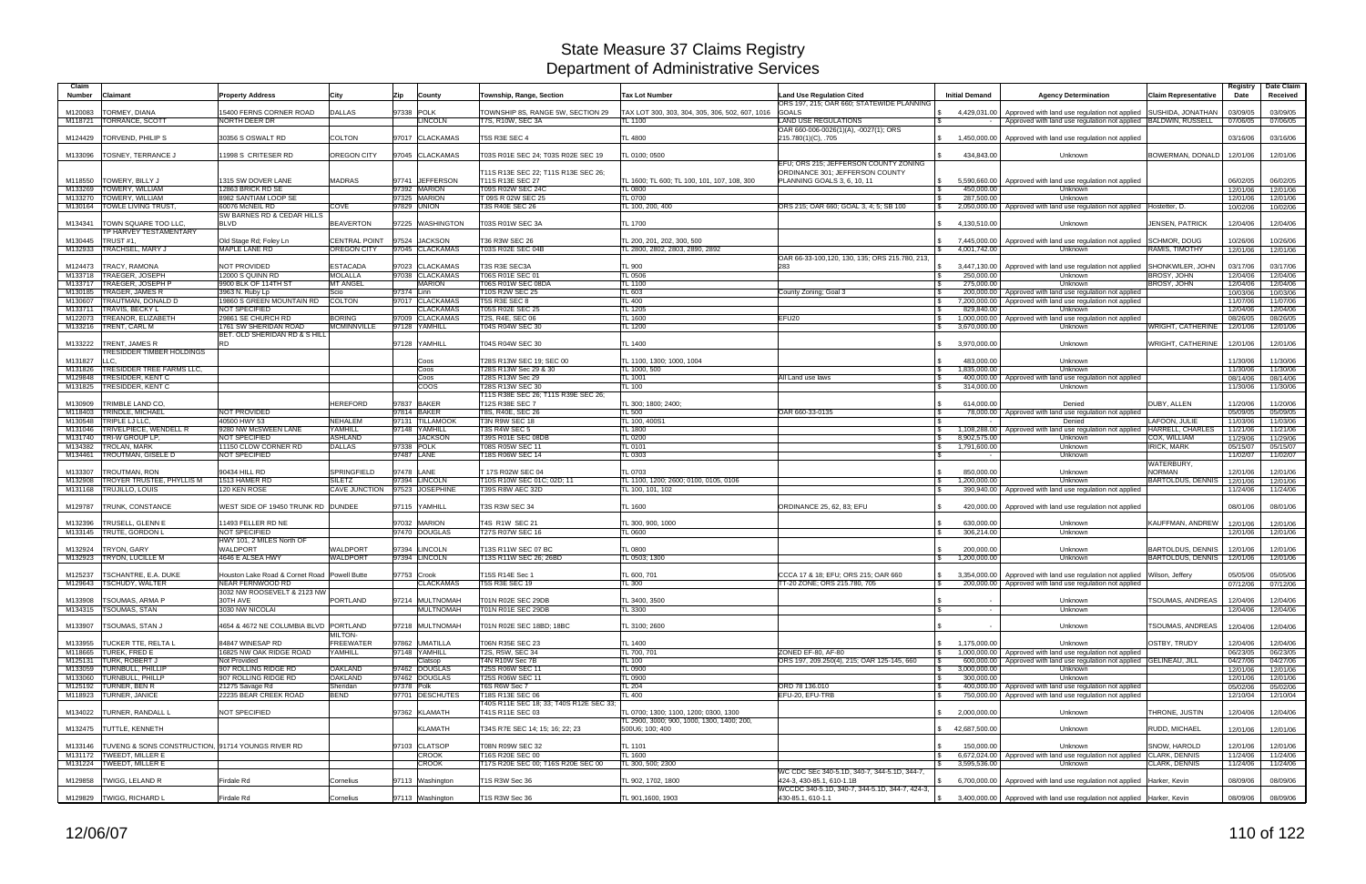| Claim<br><b>Number</b> | Claimant                                              | <b>Property Address</b>                    | City                 | Zip<br><b>County</b>            | Township, Range, Section                                    | <b>Tax Lot Number</b>                                         | <b>Land Use Regulation Cited</b><br>ORS 197, 215; OAR 660; STATEWIDE PLANNING | <b>Initial Demand</b> | <b>Agency Determination</b>                                                     | <b>Claim Representative</b> | Registry<br>Date | Date Claim<br>Received |
|------------------------|-------------------------------------------------------|--------------------------------------------|----------------------|---------------------------------|-------------------------------------------------------------|---------------------------------------------------------------|-------------------------------------------------------------------------------|-----------------------|---------------------------------------------------------------------------------|-----------------------------|------------------|------------------------|
| M120083                | TORMEY, DIANA                                         | 15400 FERNS CORNER ROAD                    | <b>DALLAS</b>        | 97338 POLK                      | TOWNSHIP 8S, RANGE 5W, SECTION 29                           | TAX LOT 300, 303, 304, 305, 306, 502, 607, 1016               | <b>GOALS</b>                                                                  | 4,429,031.00          | Approved with land use regulation not applied                                   | <b>SUSHIDA, JONATHAN</b>    | 03/09/05         | 03/09/05               |
| M118721                | <b>TORRANCE, SCOTT</b>                                | NORTH DEER DR                              |                      | <b>LINCOLN</b>                  | T7S, R10W, SEC 3A                                           | TL 1100                                                       | <b>LAND USE REGULATIONS</b>                                                   |                       | Approved with land use regulation not applied BALDWIN, RUSSELL                  |                             | 07/06/05         | 07/06/05               |
| M124429                | TORVEND, PHILIP S                                     | 30356 S OSWALT RD                          | <b>COLTON</b>        | 97017 CLACKAMAS                 | T5S R3E SEC 4                                               | <b>TL 4800</b>                                                | OAR 660-006-0026(1)(A), -0027(1); ORS<br>215.780(1)(C), .705                  |                       | 1,450,000.00 Approved with land use regulation not applied                      |                             | 03/16/06         | 03/16/06               |
| M133096                | <b>TOSNEY, TERRANCE J</b>                             | 11998 S CRITESER RD                        | OREGON CITY          | 97045 CLACKAMAS                 | T03S R01E SEC 24; T03S R02E SEC 19                          | TL 0100; 0500                                                 |                                                                               | 434,843.00            | Unknown                                                                         | BOWERMAN, DONALD            | 12/01/06         | 12/01/06               |
|                        |                                                       |                                            | <b>MADRAS</b>        |                                 | T11S R13E SEC 22; T11S R13E SEC 26;                         |                                                               | EFU; ORS 215; JEFFERSON COUNTY ZONING<br>ORDINANCE 301; JEFFERSON COUNTY      |                       |                                                                                 |                             |                  |                        |
| M118550                | TOWERY, BILLY J                                       | 1315 SW DOVER LANE                         |                      | 97741 JEFFERSON<br>97392 MARION | T11S R13E SEC 27                                            | TL 1600; TL 600; TL 100, 101, 107, 108, 300                   | PLANNING GOALS 3, 6, 10, 11                                                   |                       | 5,590,660.00   Approved with land use regulation not applied                    |                             | 06/02/05         | 06/02/05               |
| M133269                | TOWERY, WILLIAM                                       | 12863 BRICK RD SE<br>8982 SANTIAM LOOP SE  |                      | 97325 MARION                    | T09S R02W SEC 24C                                           | <b>TL 0800</b>                                                |                                                                               | 450,000.00            | Unknown                                                                         |                             | 12/01/06         | 12/01/06               |
| M133270                | TOWERY, WILLIAM                                       | 60076 McNEIL RD                            |                      |                                 | T 09S R 02W SEC 25                                          | <b>TL 0700</b>                                                |                                                                               | 287,500.00            | Unknown                                                                         |                             | 12/01/06         | 12/01/06               |
| M130164                | TOWLE LIVING TRUST.                                   | SW BARNES RD & CEDAR HILLS                 | COVE                 | 97829 UNION                     | T3S R40E SEC 26                                             | TL 100, 200, 400                                              | ORS 215; OAR 660; GOAL 3, 4; 5; SB 100                                        |                       | 2,050,000.00   Approved with land use regulation not applied   Hostetter, D.    |                             | 10/02/06         | 10/02/06               |
| M134341                | TOWN SQUARE TOO LLC,<br><b>TP HARVEY TESTAMENTARY</b> | <b>BLVD</b>                                | <b>BEAVERTON</b>     | 97225 WASHINGTON                | <b>T03S R01W SEC 3A</b>                                     | <b>TL 1700</b>                                                |                                                                               | 4,130,510.00          | Unknown                                                                         | <b>JENSEN, PATRICK</b>      | 12/04/06         | 12/04/06               |
| M130445                | TRUST #1.                                             | Old Stage Rd; Foley Ln                     | <b>CENTRAL POINT</b> | 97524 JACKSON                   | T36 R3W SEC 26                                              | TL 200, 201, 202, 300, 500                                    |                                                                               | 7,445,000.00          | Approved with land use regulation not applied                                   | <b>SCHMOR, DOUG</b>         | 10/26/06         | 10/26/06               |
| M132933                | TRACHSEL, MARY J                                      | MAPLE LANE RD                              | <b>OREGON CITY</b>   | 97045 CLACKAMAS                 | T03S R02E SEC 04B                                           | TL 2800, 2802, 2803, 2890, 2892                               |                                                                               | 4,001,742.00          | Unknown                                                                         | RAMIS, TIMOTHY              | 12/01/06         | 12/01/06               |
|                        |                                                       |                                            |                      |                                 |                                                             |                                                               | OAR 66-33-100,120, 130, 135; ORS 215.780, 213,                                |                       |                                                                                 |                             |                  |                        |
| M124473                | TRACY, RAMONA                                         | NOT PROVIDED                               | <b>ESTACADA</b>      | 97023 CLACKAMAS                 | T3S R3E SEC3A                                               | TL 900                                                        | 283                                                                           |                       | 3,447,130.00 Approved with land use regulation not applied                      | SHONKWILER, JOHN            | 03/17/06         | 03/17/06               |
| M133718                | <b>TRAEGER, JOSEPH</b>                                | 12000 S QUINN RD                           | <b>MOLALLA</b>       | 97038 CLACKAMAS                 | T06S R01E SEC 01                                            | <b>TL 0506</b>                                                |                                                                               | 250,000.00            | Unknown                                                                         | <b>BROSY, JOHN</b>          | 12/04/06         | 12/04/06               |
| M133717                | TRAEGER, JOSEPH P                                     | 9900 BLK OF 114TH ST                       | <b>MT ANGEL</b>      | <b>MARION</b>                   | T06S R01W SEC 08DA                                          | <b>TL 1100</b>                                                |                                                                               | 275,000.00            | Unknown                                                                         | <b>BROSY, JOHN</b>          | 12/04/06         | 12/04/06               |
| M130185                | <b>TRAGER, JAMES R</b>                                | 3963 N. Ruby Lp                            | Scio                 | 97374 Linn                      | T10S R2W SEC 25                                             | TL 603                                                        | County Zoning; Goal 3                                                         |                       | 200,000.00 Approved with land use regulation not applied                        |                             | 10/03/06         | 10/03/06               |
| M130607                | TRAUTMAN, DONALD D                                    | 19860 S GREEN MOUNTAIN RD                  | <b>COLTON</b>        | 97017 CLACKAMAS                 | T5S R3E SEC 8                                               | <b>TL 400</b>                                                 |                                                                               |                       | 7,200,000.00 Approved with land use regulation not applied                      |                             | 11/07/06         | 11/07/06               |
| M133711                | <b>TRAVIS, BECKY L</b>                                | <b>NOT SPECIFIED</b>                       |                      | <b>CLACKAMAS</b>                | <b>T05S R02E SEC 25</b>                                     | <b>TL 1205</b>                                                |                                                                               | 829.840.00            | Unknown                                                                         |                             | 12/04/06         | 12/04/06               |
| M122073                | TREANOR, ELIZABETH                                    | 29861 SE CHURCH RD                         | <b>BORING</b>        | 97009 CLACKAMAS                 | T2S, R4E, SEC 06                                            | <b>TL 1600</b>                                                | EFU <sub>20</sub>                                                             |                       | 1,000,000.00 Approved with land use regulation not applied                      |                             | 08/26/05         | 08/26/05               |
| M133216                | TRENT, CARL M                                         | 1761 SW SHERIDAN ROAD                      | <b>MCMINNVILLE</b>   | 97128 YAMHILL                   | T04S R04W SEC 30                                            | <b>TL 1200</b>                                                |                                                                               | 3.670.000.00          | Unknown                                                                         | <b>WRIGHT, CATHERINE</b>    | 12/01/06         | 12/01/06               |
| M133222                | TRENT, JAMES R                                        | BET. OLD SHERIDAN RD & S HILL<br><b>RD</b> |                      | 97128 YAMHILL                   | T04S R04W SEC 30                                            | <b>TL 1400</b>                                                |                                                                               | 3,970,000.00          | Unknown                                                                         | WRIGHT, CATHERINE           | 12/01/06         | 12/01/06               |
|                        | <b>TRESIDDER TIMBER HOLDINGS</b>                      |                                            |                      |                                 |                                                             |                                                               |                                                                               |                       |                                                                                 |                             |                  |                        |
| M131827                | LLC.                                                  |                                            |                      | Coos                            | T28S R13W SEC 19; SEC 00                                    | TL 1100, 1300: 1000, 1004                                     |                                                                               | 483,000.00            | Unknown                                                                         |                             | 11/30/06         | 11/30/06               |
| M131826                | TRESIDDER TREE FARMS LLC,                             |                                            |                      | Coos                            | T28S R13W Sec 29 & 30                                       | TL 1000, 500                                                  |                                                                               | 1,835,000.00          | Unknown                                                                         |                             | 11/30/06         | 11/30/06               |
| M <sub>129848</sub>    | TRESIDDER, KENT C                                     |                                            |                      | Coos                            | T28S R13W Sec 29                                            | <b>TL 1001</b>                                                | All Land use laws                                                             |                       | 400,000,00 Approved with land use regulation not applied                        |                             | 08/14/06         | 08/14/06               |
| M131825                | <b>TRESIDDER, KENT C</b>                              |                                            |                      | <b>COOS</b>                     | T28S R13W SEC 30                                            | <b>TL 100</b>                                                 |                                                                               | 314.000.00            | Unknown                                                                         |                             | 11/30/06         | 11/30/06               |
|                        |                                                       |                                            |                      |                                 | T11S R38E SEC 26; T11S R39E SEC 26;                         |                                                               |                                                                               |                       |                                                                                 |                             |                  |                        |
| M130909                | TRIMBLE LAND CO.                                      |                                            | <b>HEREFORD</b>      | 97837 BAKER                     | T12S R38E SEC 7                                             | TL 300; 1800; 2400;                                           |                                                                               | 614.000.00            | Denied                                                                          | <b>DUBY, ALLEN</b>          | 11/20/06         | 11/20/06               |
| M118403                | TRINDLE, MICHAEL                                      | <b>NOT PROVIDED</b>                        |                      | 97814 BAKER                     | T8S, R40E, SEC 26                                           | TL 500                                                        | OAR 660-33-0135                                                               |                       | 78,000.00 Approved with land use regulation not applied                         |                             | 05/09/05         | 05/09/05               |
| M130548                | TRIPLE LJ LLC,                                        | 40500 HWY 53                               | <b>NEHALEM</b>       | 97131 TILLAMOOK                 | T3N R9W SEC 18                                              | TL 100, 400S1                                                 |                                                                               |                       | Denied                                                                          | LAFOON, JULIE               | 11/03/06         | 11/03/06               |
| M131046                | TRIVELPIECE, WENDELL R                                | 9280 NW McSWEEN LANE                       | YAMHILL              | 97148 YAMHILL                   | T3S R4W SEC 5                                               | <b>TL 1800</b>                                                |                                                                               | 1,108,288.00          | Approved with land use regulation not applied                                   | HARRELL, CHARLES            | 11/21/06         | 11/21/06               |
| M131740                | TRI-W GROUP LP,                                       | <b>NOT SPECIFIED</b>                       | <b>ASHLAND</b>       | <b>JACKSON</b>                  | T39S R01E SEC 08DB                                          | <b>TL 0200</b>                                                |                                                                               | 8,902,575.00          | Unknown                                                                         | COX, WILLIAM                | 11/29/06         | 11/29/06               |
| M134382                | <b>TROLAN, MARK</b>                                   | 11150 CLOW CORNER RD                       | <b>DALLAS</b>        | 97338 POLK                      | T08S R05W SEC 11                                            | <b>TL 0101</b>                                                |                                                                               | 1,791,600.00          | Unknown                                                                         | <b>IRICK, MARK</b>          | 05/15/07         | 05/15/07               |
| M134461                | TROUTMAN, GISELE D                                    | NOT SPECIFIED                              |                      | 97487 LANE                      | T18S R06W SEC 14                                            | TL 0303                                                       |                                                                               |                       | Unknown                                                                         |                             | 11/02/07         | 11/02/07               |
|                        |                                                       |                                            |                      |                                 |                                                             |                                                               |                                                                               |                       |                                                                                 | WATERBURY,                  |                  |                        |
| M133307                | TROUTMAN, RON                                         | 90434 HILL RD                              | <b>SPRINGFIELD</b>   | 97478 LANE                      | T 17S R02W SEC 04                                           | TL 0703                                                       |                                                                               | 850,000.00            | Unknown                                                                         | <b>NORMAN</b>               | 12/01/06         | 12/01/06               |
| M132908                | TROYER TRUSTEE, PHYLLIS M                             | 1513 HAMER RD                              | <b>SILETZ</b>        | 97394 LINCOLN                   | T10S R10W SEC 01C; 02D; 11                                  | TL 1100, 1200; 2600; 0100, 0105, 0106                         |                                                                               | 1,200,000.00          | Unknown                                                                         | <b>BARTOLDUS, DENNIS</b>    | 12/01/06         | 12/01/06               |
| M131168                | TRUJILLO, LOUIS                                       | 120 KEN ROSE                               |                      | CAVE JUNCTION 97523 JOSEPHINE   | T39S R8W AEC 32D                                            | TL 100, 101, 102                                              |                                                                               |                       | 390,940.00   Approved with land use regulation not applied                      |                             | 11/24/06         | 11/24/06               |
| M129787                | TRUNK, CONSTANCE                                      | WEST SIDE OF 19450 TRUNK RD   DUNDEE       |                      | 97115 YAMHILL                   | T3S R3W SEC 34                                              | TL 1600                                                       | ORDINANCE 25, 62, 83; EFU                                                     |                       | 420,000.00   Approved with land use regulation not applied                      |                             | 08/01/06         | 08/01/06               |
| M132396                | TRUSELL, GLENN E                                      | 11493 FELLER RD NE                         |                      | 97032 MARION                    | T4S R1W SEC 21                                              | TL 300, 900, 1000                                             |                                                                               | 630.000.00            | Unknown                                                                         | <b>KAUFFMAN, ANDREW</b>     | 12/01/06         | 12/01/06               |
|                        | M133145   TRUTE, GORDON L                             | <b>NOT SPECIFIED</b>                       |                      | 97470 DOUGLAS                   | <b>T27S R07W SEC 16</b>                                     | <b>TL 0600</b>                                                |                                                                               | 306,214.00            | <b>Unknown</b>                                                                  |                             | 12/01/06         | 12/01/06               |
|                        |                                                       | HWY 101, 2 MILES North OF                  |                      |                                 |                                                             |                                                               |                                                                               |                       |                                                                                 |                             |                  |                        |
| M132924                | TRYON, GARY                                           | <b>WALDPORT</b>                            | <b>NALDPORT</b>      | 97394 LINCOLN                   | T13S R11W SEC 07 BC                                         | <b>TL 0800</b>                                                |                                                                               | 200,000.00            | Unknown                                                                         | <b>BARTOLDUS, DENNIS</b>    | 12/01/06         | 12/01/06               |
| M132923                | TRYON, LUCILLE M                                      | 4646 E ALSEA HWY                           | WALDPORT             | 97394 LINCOLN                   | T13S R11W SEC 26: 26BD                                      | TL 0503; 1300                                                 |                                                                               | 1,200,000.00          | Unknown                                                                         | <b>BARTOLDUS, DENNIS</b>    | 12/01/06         | 12/01/06               |
|                        |                                                       |                                            |                      |                                 |                                                             |                                                               |                                                                               |                       |                                                                                 |                             |                  |                        |
| M125237                | TSCHANTRE, E.A. DUKE                                  | Houston Lake Road & Cornet Road            | Powell Butte         | 97753 Crook                     | T15S R14E Sec 1                                             | TL 600, 701                                                   | CCCA 17 & 18: EFU: ORS 215: OAR 660                                           |                       | 3,354,000.00 Approved with land use regulation not applied Wilson, Jeffery      |                             | 05/05/06         | 05/05/06               |
|                        | M129643  TSCHUDY, WALTER                              | NEAR FERNWOOD RD                           |                      | <b>CLACKAMAS</b>                | T5S R3E SEC 19                                              | TL 300                                                        | T-20 ZONE; ORS 215.780, 705                                                   |                       | 200,000.00   Approved with land use regulation not applied                      |                             | 07/12/06         | 07/12/06               |
|                        |                                                       | 3032 NW ROOSEVELT & 2123 NW                |                      |                                 |                                                             |                                                               |                                                                               |                       |                                                                                 |                             |                  |                        |
|                        | M133908 TSOUMAS, ARMA P                               | 30TH AVE                                   | PORTLAND             | 97214 MULTNOMAH                 | T01N R02E SEC 29DB                                          | TL 3400, 3500                                                 |                                                                               |                       | Unknown                                                                         | TSOUMAS, ANDREAS            | 12/04/06         | 12/04/06               |
|                        | M134315 TSOUMAS, STAN                                 | 3030 NW NICOLAI                            |                      | <b>MULTNOMAH</b>                | T01N R01E SEC 29DB                                          | TL 3300                                                       |                                                                               |                       | Unknown                                                                         |                             | 12/04/06         | 12/04/06               |
|                        | M133907   TSOUMAS, STAN J                             | 4654 & 4672 NE COLUMBIA BLVD   PORTLAND    |                      | 97218 MULTNOMAH                 | T01N R02E SEC 18BD; 18BC                                    | TL 3100; 2600                                                 |                                                                               |                       | Unknown                                                                         | TSOUMAS, ANDREAS            | 12/04/06         | 12/04/06               |
|                        |                                                       |                                            | <b>MILTON-</b>       |                                 |                                                             |                                                               |                                                                               |                       |                                                                                 |                             |                  |                        |
|                        | M133955   TUCKER TTE, RELTA L                         | 84847 WINESAP RD                           | <b>FREEWATER</b>     | 97862 UMATILLA                  | T06N R35E SEC 23                                            | <b>TL 1400</b>                                                |                                                                               | 1,175,000.00          | Unknown                                                                         | <b>OSTBY, TRUDY</b>         | 12/04/06         | 12/04/06               |
|                        | M118665 TUREK, FRED E                                 | 16825 NW OAK RIDGE ROAD                    | YAMHILL              | 97148 YAMHILL                   | T2S, R5W, SEC 34                                            | TL 700, 701                                                   | ZONED EF-80, AF-80                                                            | $\mathbb{S}$          | 1,000,000,00 Approved with land use regulation not applied                      |                             | 06/23/05         | 06/23/05               |
|                        | M125131 TURK, ROBERT J                                | Not Provided                               |                      | Clatsop                         | T4N R10W Sec 7B                                             | <b>TL 100</b>                                                 | ORS 197, 209.250(4), 215; OAR 125-145, 660                                    |                       | 600,000.00 Approved with land use regulation not applied GELINEAU, JILL         |                             | 04/27/06         | 04/27/06               |
|                        | M133059 TURNBULL, PHILLIP                             | 907 ROLLING RIDGE RD                       | <b>OAKLAND</b>       | 97462 DOUGLAS                   | T25S R06W SEC 11                                            | <b>TL 0900</b>                                                |                                                                               | 3,000,000.00          | <b>Unknown</b>                                                                  |                             | 12/01/06         | 12/01/06               |
|                        | M133060 TURNBULL, PHILLP                              | 907 ROLLING RIDGE RD                       | <b>OAKLAND</b>       | 7462 DOUGLAS                    | T25S R06W SEC 11                                            | <b>TL 0900</b>                                                |                                                                               | 300,000.00            | Unknown                                                                         |                             | 12/01/06         | 12/01/06               |
|                        | M125192 TURNER, BEN R                                 | 21275 Savage Rd                            | Sheridan             | 97378 Polk                      | T6S R6W Sec 7                                               | <b>TL 204</b>                                                 | ORD 78 136.010                                                                |                       | 400,000.00 Approved with land use regulation not applied                        |                             | 05/02/06         | 05/02/06               |
|                        | M118923 TURNER, JANICE                                | 22235 BEAR CREEK ROAD                      | BEND                 | 97701 DESCHUTES                 | T18S R13E SEC 06                                            | TL 400                                                        | EFU-20, EFU-TRB                                                               |                       | 750,000.00 Approved with land use regulation not applied                        |                             | 12/10/04         | 12/10/04               |
| M134022                | TURNER, RANDALL L                                     | NOT SPECIFIED                              |                      | 97362 KLAMATH                   | T40S R11E SEC 18; 33; T40S R12E SEC 33;<br>T41S R11E SEC 03 | TL 0700; 1300; 1100, 1200; 0300, 1300                         |                                                                               | 2,000,000.00          | Unknown                                                                         | THRONE, JUSTIN              | 12/04/06         | 12/04/06               |
|                        | M132475 TUTTLE, KENNETH                               |                                            |                      | <b>KLAMATH</b>                  | T34S R7E SEC 14; 15; 16; 22; 23                             | TL 2900, 3000; 900, 1000, 1300, 1400; 200,<br>500U6; 100; 400 |                                                                               | \$ 42,687,500.00      | Unknown                                                                         | RUDD, MICHAEL               | 12/01/06         | 12/01/06               |
|                        |                                                       |                                            |                      |                                 |                                                             |                                                               |                                                                               |                       |                                                                                 |                             |                  |                        |
| M133146                | TUVENG & SONS CONSTRUCTION, 91714 YOUNGS RIVER RD     |                                            |                      | 97103 CLATSOP                   | T08N R09W SEC 32                                            | <b>TL 1101</b>                                                |                                                                               | 150,000.00            | Unknown                                                                         | SNOW, HAROLD                | 12/01/06         | 12/01/06               |
|                        | M131172 TWEEDT, MILLER E                              |                                            |                      | <b>CROOK</b>                    | T16S R20E SEC 00                                            | TL 1600                                                       |                                                                               |                       | 6,672,024.00 Approved with land use regulation not applied                      | CLARK, DENNIS               | 11/24/06         | 11/24/06               |
|                        | M131224 TWEEDT, MILLER E                              |                                            |                      | <b>CROOK</b>                    | T17S R20E SEC 00; T16S R20E SEC 00                          | TL 300, 500; 2300                                             |                                                                               | 3,595,536.00          | Unknown                                                                         | CLARK, DENNIS               | 11/24/06         | 11/24/06               |
|                        | M129858 TWIGG, LELAND R                               | Firdale Rd                                 | Cornelius            |                                 |                                                             |                                                               | WC CDC SEc 340-5.1D, 340-7, 344-5.1D, 344-7,<br>424-3, 430-85.1, 610-1.1B     |                       |                                                                                 |                             |                  |                        |
|                        |                                                       |                                            |                      | 97113 Washington                | T1S R3W Sec 36                                              | TL 902, 1702, 1800                                            | WCCDC 340-5.1D, 340-7, 344-5.1D, 344-7, 424-3,                                |                       | 6,700,000.00 Approved with land use regulation not applied Harker, Kevin        |                             | 08/09/06         | 08/09/06               |
|                        | M129829 TWIGG, RICHARD L                              | Firdale Rd                                 | Cornelius            | 97113 Washington                | T1S R3W Sec 36                                              | TL 901,1600, 1903                                             | 430-85.1, 610-1.1                                                             |                       | \$ 3,400,000.00   Approved with land use regulation not applied   Harker, Kevin |                             | 08/09/06         | 08/09/06               |
|                        |                                                       |                                            |                      |                                 |                                                             |                                                               |                                                                               |                       |                                                                                 |                             |                  |                        |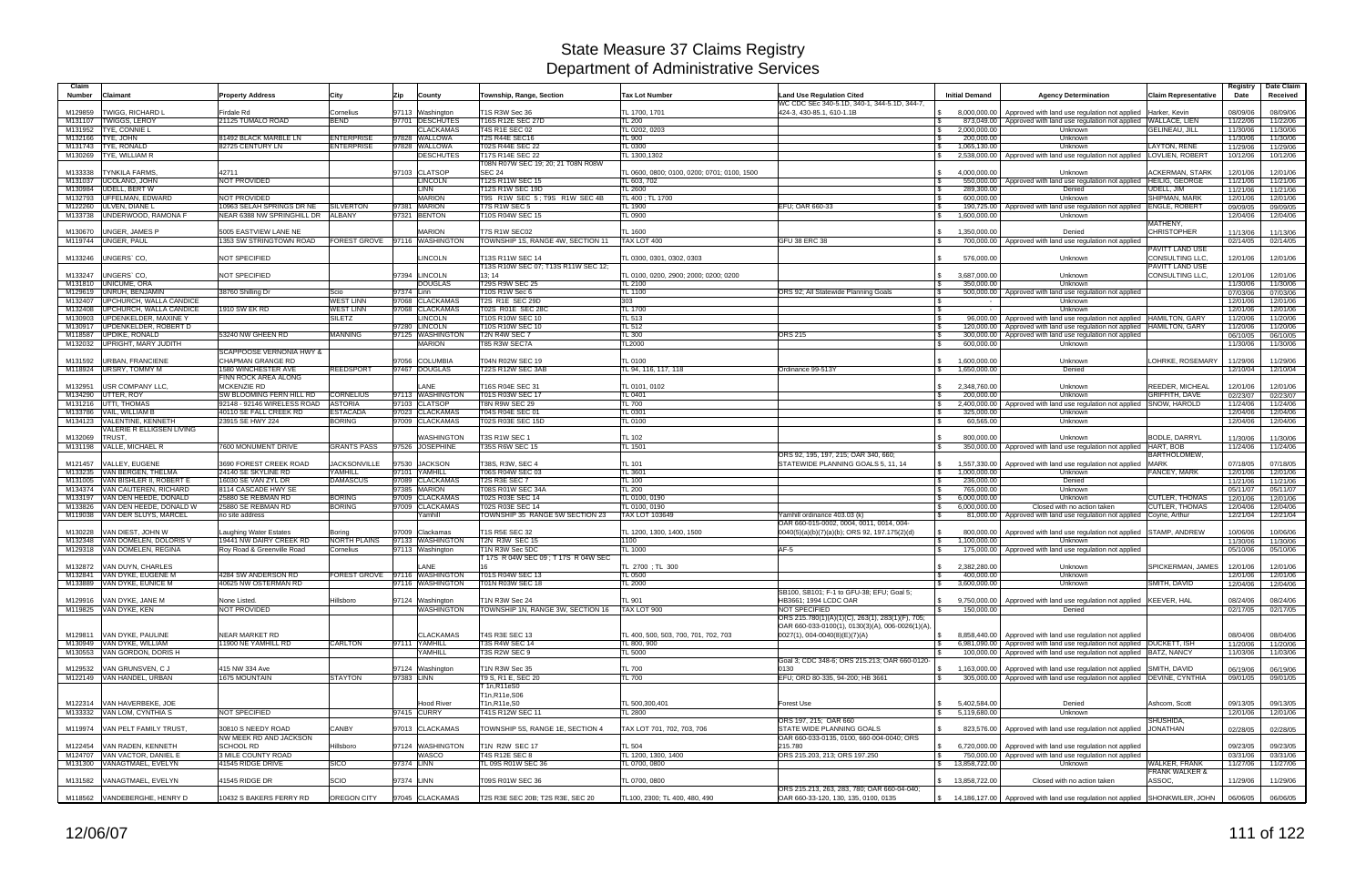| Claim<br><b>Number</b><br>Claimant                                | <b>Property Address</b>                            | City                                   | Zip        | County                                | Township, Range, Section                            | <b>Tax Lot Number</b>                            | <b>Land Use Regulation Cited</b><br>WC CDC SEc 340-5.1D, 340-1, 344-5.1D, 344-7, | <b>Initial Demand</b>                         | <b>Agency Determination</b>                                                                    | <b>Claim Representative</b>    | Registry<br>Date     | Date Claim<br>Received |
|-------------------------------------------------------------------|----------------------------------------------------|----------------------------------------|------------|---------------------------------------|-----------------------------------------------------|--------------------------------------------------|----------------------------------------------------------------------------------|-----------------------------------------------|------------------------------------------------------------------------------------------------|--------------------------------|----------------------|------------------------|
| M129859<br><b>TWIGG, RICHARD L</b>                                | Firdale Rd                                         | Cornelius                              |            | 97113 Washington                      | T1S R3W Sec 36                                      | TL 1700, 1701                                    | 424-3, 430-85.1, 610-1.1B                                                        | 8.000.000.00                                  | Approved with land use regulation not applied                                                  | Harker, Kevin                  | 08/09/06             | 08/09/06               |
| <b>TWIGGS, LEROY</b><br>M131107                                   | 21125 TUMALO ROAD                                  | <b>BEND</b>                            |            | 97701 DESCHUTES                       | <b>T16S R12E SEC 27D</b>                            | <b>TL 200</b>                                    |                                                                                  |                                               | 873,049.00   Approved with land use regulation not applied WALLACE, LIEN                       |                                | 11/22/06             | 11/22/06               |
| TYE, CONNIE L<br>M131952                                          |                                                    |                                        |            | <b>CLACKAMAS</b>                      | <b>T4S R1E SEC 02</b>                               | TL 0202, 0203                                    |                                                                                  | 2,000,000.00<br><b>S</b>                      | Unknown                                                                                        | <b>GELINEAU, JILL</b>          | 11/30/06             | 11/30/06               |
| M132166<br>TYE, JOHN<br>TYE, RONALD<br>M131743                    | 81492 BLACK MARBLE LN<br>82725 CENTURY LN          | <b>ENTERPRISE</b><br><b>ENTERPRISE</b> |            | 97828 WALLOWA<br>97828 WALLOWA        | T2S R44E SEC16<br>T02S R44E SEC 22                  | TL 900<br><b>TL 0300</b>                         |                                                                                  | 200,000.00<br>1,065,130.00<br><b>\$</b>       | Unknown<br>Unknown                                                                             | LAYTON, RENE                   | 11/30/06<br>11/29/06 | 11/30/06<br>11/29/06   |
| TYE, WILLIAM R<br>M130269                                         |                                                    |                                        |            | <b>DESCHUTES</b>                      | T17S R14E SEC 22                                    | TL 1300,1302                                     |                                                                                  | IS.                                           | 2,538,000.00   Approved with land use regulation not applied LOVLIEN, ROBERT                   |                                | 10/12/06             | 10/12/06               |
|                                                                   |                                                    |                                        |            |                                       | T08N R07W SEC 19; 20; 21 T08N R08W                  |                                                  |                                                                                  |                                               |                                                                                                |                                |                      |                        |
| <b>TYNKILA FARMS</b><br>M133338                                   | 42711                                              |                                        |            | 97103 CLATSOP                         | <b>SEC 24</b>                                       | TL 0600, 0800: 0100, 0200: 0701: 0100, 1500      |                                                                                  | 4.000.000.00<br><b>S</b>                      | Unknown                                                                                        | ACKERMAN, STARK                | 12/01/06             | 12/01/06               |
| UCOLANO, JOHN<br>M131037<br><b>UDELL, BERT W</b><br>M130984       | NOT PROVIDED                                       |                                        |            | <b>INCOLN</b><br><b>LINN</b>          | T12S R11W SEC 15<br>T12S R1W SEC 19D                | TL 603, 702<br>TL 2600                           |                                                                                  | 289,300.00                                    | 550,000.00   Approved with land use regulation not applied   HEILIG, GEORGE<br>Denied          | UDELL, JIM                     | 11/21/06             | 11/21/06               |
| M132793 UFFELMAN, EDWARD                                          | NOT PROVIDED                                       |                                        |            | <b>MARION</b>                         | T9S R1W SEC 5: T9S R1W SEC 4B                       | TL 400 ; TL 1700                                 |                                                                                  | 600,000.00                                    | Unknown                                                                                        | <b>SHIPMAN, MARK</b>           | 11/21/06<br>12/01/06 | 11/21/06<br>12/01/06   |
| M122260 ULVEN, DIANE L                                            | 10963 SELAH SPRINGS DR NE                          | <b>SILVERTON</b>                       |            | 97381 MARION                          | T7S R1W SEC 5                                       | TL 1900                                          | EFU; OAR 660-33                                                                  | IS.                                           | 190,725.00   Approved with land use regulation not applied                                     | <b>ENGLE, ROBERT</b>           | 09/09/05             | 09/09/05               |
| M133738 UNDERWOOD, RAMONA F                                       | NEAR 6388 NW SPRINGHILL DR ALBANY                  |                                        |            | 97321 BENTON                          | T10S R04W SEC 15                                    | TL 0900                                          |                                                                                  | 1,600,000.00                                  | Unknown                                                                                        |                                | 12/04/06             | 12/04/06               |
|                                                                   |                                                    |                                        |            |                                       |                                                     |                                                  |                                                                                  |                                               |                                                                                                | MATHENY,<br><b>CHRISTOPHER</b> |                      |                        |
| <b>UNGER, JAMES P</b><br>M130670<br>M119744 UNGER, PAUL           | 5005 EASTVIEW LANE NE<br>1353 SW STRINGTOWN ROAD   | FOREST GROVE 97116 WASHINGTON          |            | <b>MARION</b>                         | T7S R1W SEC02<br>TOWNSHIP 1S, RANGE 4W, SECTION 11  | TL 1600<br>TAX LOT 400                           | <b>GFU 38 ERC 38</b>                                                             | 1,350,000.00<br><b>S</b>                      | Denied<br>700,000.00 Approved with land use regulation not applied                             |                                | 11/13/06<br>02/14/05 | 11/13/06<br>02/14/05   |
|                                                                   |                                                    |                                        |            |                                       |                                                     |                                                  |                                                                                  |                                               |                                                                                                | <b>PAVITT LAND USE</b>         |                      |                        |
| UNGERS' CO.<br>M133246                                            | <b>NOT SPECIFIED</b>                               |                                        |            | <b>INCOLN</b>                         | T13S R11W SEC 14                                    | TL 0300, 0301, 0302, 0303                        |                                                                                  | 576,000.00                                    | Unknown                                                                                        | CONSULTING LLC.                | 12/01/06             | 12/01/06               |
|                                                                   |                                                    |                                        |            |                                       | T13S R10W SEC 07; T13S R11W SEC 12;                 |                                                  |                                                                                  |                                               |                                                                                                | PAVITT LAND USE                |                      |                        |
| M133247<br>UNGERS' CO.<br>UNICUME, ORA<br>M131810                 | NOT SPECIFIED                                      |                                        |            | 97394 LINCOLN<br><b>DOUGLAS</b>       | 13:14<br><b>T29S R9W SEC 25</b>                     | TL 0100, 0200, 2900; 2000; 0200; 0200<br>TL 2100 |                                                                                  | 3,687,000.00<br>350,000.00                    | Unknown<br>Unknown                                                                             | CONSULTING LLC,                | 12/01/06             | 12/01/06<br>11/30/06   |
| UNRUH, BENJAMIN<br>M129619                                        | 38760 Shilling Dr                                  | Scio                                   | 97374 Linn |                                       | T10S R1W Sec 6                                      | TL 1100                                          | ORS 92; All Statewide Planning Goals                                             | 500,000.00<br><b>S</b>                        | Approved with land use regulation not applied                                                  |                                | 11/30/06<br>07/03/06 | 07/03/06               |
| UPCHURCH, WALLA CANDICE<br>M132407                                |                                                    | <b>WEST LINN</b>                       |            | 97068 CLACKAMAS                       | <b>T2S R1E SEC 29D</b>                              | 303                                              |                                                                                  | $\mathbf{s}$                                  | Unknown                                                                                        |                                | 12/01/06             | 12/01/06               |
| UPCHURCH, WALLA CANDICE<br>M132408                                | 1910 SW EK RD                                      | <b>WEST LINN</b>                       |            | 97068 CLACKAMAS                       | T02S R01E SEC 28C                                   | <b>TL 1700</b>                                   |                                                                                  | l \$                                          | Unknown                                                                                        |                                | 12/01/06             | 12/01/06               |
| UPDENKELDER, MAXINE Y<br>M130903                                  |                                                    | SILETZ                                 |            | <b>LINCOLN</b>                        | <b>T10S R10W SEC 10</b>                             | TL 513                                           |                                                                                  |                                               | 96,000.00 Approved with land use regulation not applied HAMILTON, GARY                         |                                | 11/20/06             | 11/20/06               |
| UPDENKELDER, ROBERT D<br>M130917<br>UPDIKE, RONALD<br>M118587     | 53240 NW GHEEN RD                                  | MANNING                                |            | 97280 LINCOLN<br>97125 WASHINGTON     | <b>T10S R10W SEC 10</b><br>T2N R4W SEC 7            | TL 512<br><b>TL 300</b>                          | ORS 215                                                                          | $\mathbb{R}$<br>120.000.00<br>300,000.00      | Approved with land use regulation not applied<br>Approved with land use regulation not applied | <b>HAMILTON, GARY</b>          | 11/20/06<br>06/10/05 | 11/20/06<br>06/10/05   |
| UPRIGHT, MARY JUDITH<br>M132032                                   |                                                    |                                        |            | <b>MARION</b>                         | T85 R3W SEC7A                                       | TL2000                                           |                                                                                  | 600,000.00<br>$\mathbb{R}$                    | Unknown                                                                                        |                                | 11/30/06             | 11/30/06               |
|                                                                   | <b>SCAPPOOSE VERNONIA HWY &amp;</b>                |                                        |            |                                       |                                                     |                                                  |                                                                                  |                                               |                                                                                                |                                |                      |                        |
| <b>URBAN, FRANCIENE</b><br>M131592                                | CHAPMAN GRANGE RD                                  |                                        | 97056      | <b>COLUMBIA</b>                       | T04N R02W SEC 19                                    | TL 0100                                          |                                                                                  | 1,600,000.00                                  | Unknown                                                                                        | LOHRKE, ROSEMARY               | 11/29/06             | 11/29/06               |
| M118924 URSRY, TOMMY M                                            | 1580 WINCHESTER AVE<br><b>FINN ROCK AREA ALONG</b> | REEDSPORT                              |            | 97467 DOUGLAS                         | T22S R12W SEC 3AB                                   | TL 94, 116, 117, 118                             | Ordinance 99-513Y                                                                | 1,650,000.00                                  | Denied                                                                                         |                                | 12/10/04             | 12/10/04               |
| <b>USR COMPANY LLC.</b><br>M132951                                | MCKENZIE RD                                        |                                        |            | <b>ANE</b>                            | T16S R04E SEC 31                                    | TL 0101, 0102                                    |                                                                                  | 2.348.760.00                                  | Unknown                                                                                        | REEDER, MICHEAL                | 12/01/06             | 12/01/06               |
| M134290 UTTER, ROY                                                | SW BLOOMING FERN HILL RD                           | <b>CORNELIUS</b>                       |            | 97113 WASHINGTON                      | T01S R03W SEC 17                                    | TL 0401                                          |                                                                                  | 200,000.00                                    | Unknown                                                                                        | <b>GRIFFITH, DAVE</b>          | 02/23/07             | 02/23/07               |
| M131216 UTTI, THOMAS                                              | 92148 - 92146 WIRELESS ROAD                        | <b>ASTORIA</b>                         |            | 97103 CLATSOP                         | T8N R9W SEC 29                                      | TL 700                                           |                                                                                  |                                               | 2,400,000.00   Approved with land use regulation not applied SNOW, HAROLD                      |                                | 11/24/06             | 11/24/06               |
| M133786 VAIL, WILLIAM B                                           | 40110 SE FALL CREEK RD                             | <b>ESTACADA</b>                        |            | 97023 CLACKAMAS                       | T04S R04E SEC 01                                    | TL 0301                                          |                                                                                  | 325,000.00                                    | Unknown                                                                                        |                                | 12/04/06             | 12/04/06               |
| M134123<br>VALENTINE, KENNETH<br>VALERIE R ELLIGSEN LIVING        | 23915 SE HWY 224                                   | <b>BORING</b>                          |            | 97009 CLACKAMAS                       | T02S R03E SEC 15D                                   | TL 0100                                          |                                                                                  | 60,565.00<br><b>S</b>                         | Unknown                                                                                        |                                | 12/04/06             | 12/04/06               |
| M132069<br><b>TRUST</b>                                           |                                                    |                                        |            | WASHINGTON                            | T3S R1W SEC 1                                       | <b>TL 102</b>                                    |                                                                                  | 800,000.00                                    | Unknown                                                                                        | <b>BODLE, DARRYL</b>           | 11/30/06             | 11/30/06               |
| VALLE, MICHAEL R<br>M131198                                       | <b>7600 MONUMENT DRIVE</b>                         | <b>GRANTS PASS</b>                     |            | 97526 JOSEPHINE                       | <b>T35S R6W SEC 15</b>                              | <b>TL 1501</b>                                   |                                                                                  | 350,000.00                                    | Approved with land use regulation not applied HART, BOB                                        |                                | 11/24/06             | 11/24/06               |
|                                                                   |                                                    |                                        |            |                                       |                                                     |                                                  | ORS 92, 195, 197, 215; OAR 340, 660;                                             |                                               |                                                                                                | <b>BARTHOLOMEW</b>             |                      |                        |
| M121457<br>VALLEY, EUGENE                                         | 3690 FOREST CREEK ROAD                             | <b>JACKSONVILLE</b>                    |            | 97530 JACKSON                         | T38S, R3W, SEC 4                                    | <b>TL 101</b>                                    | STATEWIDE PLANNING GOALS 5, 11, 14                                               | 1,557,330.00<br>$\mathbb{S}$                  | Approved with land use regulation not applied                                                  | <b>MARK</b>                    | 07/18/05             | 07/18/05               |
| VAN BERGEN, THELMA<br>M133235<br>M131005 VAN BISHLER II, ROBERT E | 24140 SE SKYLINE RD<br>16030 SE VAN ZYL DR         | <b>AMHILL</b><br><b>DAMASCUS</b>       |            | 97101 YAMHILL<br>97089 CLACKAMAS      | T06S R04W SEC 03<br>T2S R3E SEC 7                   | TL 3601<br>TL 100                                |                                                                                  | 1,000,000.00<br><b>S</b><br>236,000.00        | Unknown<br>Denied                                                                              | FANCEY, MARK                   | 12/01/06<br>11/21/06 | 12/01/06<br>11/21/06   |
| M134374 VAN CAUTEREN, RICHARD                                     | 8114 CASCADE HWY SE                                |                                        |            | 97385 MARION                          | T08S R01W SEC 34A                                   | <b>TL 200</b>                                    |                                                                                  | 765,000.00<br>l \$                            | Unknown                                                                                        |                                | 05/11/07             | 05/11/07               |
| VAN DEN HEEDE, DONALD<br>M133197                                  | 25880 SE REBMAN RD                                 | <b>BORING</b>                          |            | 97009 CLACKAMAS                       | T02S R03E SEC 14                                    | TL 0100, 0190                                    |                                                                                  | 6,000,000.00<br>IS.                           | Unknown                                                                                        | <b>CUTLER, THOMAS</b>          | 12/01/06             | 12/01/06               |
| VAN DEN HEEDE, DONALD W<br>M133826                                | 25880 SE REBMAN RD                                 | <b>BORING</b>                          |            | 97009 CLACKAMAS                       | <b>T02S R03E SEC 14</b>                             | TL 0100, 0190                                    |                                                                                  | 6.000.000.00<br>IS.                           | Closed with no action taken                                                                    | <b>CUTLER, THOMAS</b>          | 12/04/06             | 12/04/06               |
| M119038 VAN DER SLUYS, MARCEL                                     | no site address                                    |                                        |            | <b>Yamhill</b>                        | TOWNSHIP 35 RANGE 5W SECTION 23                     | <b>TAX LOT 103649</b>                            | Yamhill ordinance 403.03 (k)<br>OAR 660-015-0002, 0004, 0011, 0014, 004-         | <b>S</b>                                      | 81,000.00 Approved with land use regulation not applied Coyne, Arthur                          |                                | 12/21/04             | 12/21/04               |
| VAN DIEST, JOHN W<br>M130228                                      | aughing Water Estates                              | Boring                                 |            | 97009 Clackamas                       | T1S R5E SEC 32                                      | TL 1200, 1300, 1400, 1500                        | 0040(5)(a)(b)(7)(a)(b); ORS 92, 197.175(2)(d)                                    | 800.000.00                                    | Approved with land use regulation not applied STAMP, ANDREV                                    |                                | 10/06/06             | 10/06/06               |
| M132348 VAN DOMELEN, DOLORIS \                                    | 19441 NW DAIRY CREEK RD                            | NORTH PLAINS                           |            | 97133 WASHINGTON                      | T2N R3W SEC 15                                      | 1100                                             |                                                                                  | $\sqrt{3}$<br>1,100,000.00                    | Unknown                                                                                        |                                | 11/30/06             | 11/30/06               |
| M129318 VAN DOMELEN, REGINA                                       | Roy Road & Greenville Road                         | Cornelius                              |            | 97113 Washington                      | T1N R3W Sec 5DC                                     | TL 1000                                          | AF-5                                                                             | 175,000.00                                    | Approved with land use regulation not applied                                                  |                                | 05/10/06             | 05/10/06               |
| M132872 VAN DUYN, CHARLES                                         |                                                    |                                        |            | _ANE                                  | T 17S R 04W SEC 09 ; T 17S R 04W SEC                | TL 2700 ; TL 300                                 |                                                                                  | 2,382,280.00                                  |                                                                                                | SPICKERMAN, JAMES              |                      |                        |
| M132841 VAN DYKE, EUGENE M                                        | 4284 SW ANDERSON RD                                | FOREST GROVE 97116 WASHINGTON          |            |                                       | T01S R04W SEC 13                                    | <b>TL 0500</b>                                   |                                                                                  | 400,000.00                                    | Unknown<br>Unknown                                                                             |                                | 12/01/06<br>12/01/06 | 12/01/06<br>12/01/06   |
| M133889 VAN DYKE, EUNICE M                                        | 40625 NW OSTERMAN RD                               |                                        |            | 97116 WASHINGTON                      | T01N R03W SEC 18                                    | <b>FL 2000</b>                                   |                                                                                  | \$3,600,000.00                                | Unknown                                                                                        | SMITH, DAVID                   | 12/04/06             | 12/04/06               |
|                                                                   |                                                    |                                        |            |                                       |                                                     |                                                  | SB100, SB101; F-1 to GFU-38; EFU; Goal 5;                                        |                                               |                                                                                                |                                |                      |                        |
| M129916 VAN DYKE, JANE M<br>M119825 VAN DYKE, KEN                 | None Listed.<br>NOT PROVIDED                       | Hillsboro                              |            | 97124 Washington<br><b>WASHINGTON</b> | T1N R3W Sec 24<br>TOWNSHIP 1N, RANGE 3W, SECTION 16 | <b>TL 901</b><br>TAX LOT 900                     | HB3661: 1994 LCDC OAR<br>NOT SPECIFIED                                           | 9,750,000.00<br>$\mathbb{S}$                  | Approved with land use regulation not applied KEEVER, HAL<br>Denied                            |                                | 08/24/06             | 08/24/06               |
|                                                                   |                                                    |                                        |            |                                       |                                                     |                                                  | ORS 215.780(1)(A)(1)(C), 263(1), 283(1)(F), 705;                                 | 150,000.00                                    |                                                                                                |                                | 02/17/05             | 02/17/05               |
|                                                                   |                                                    |                                        |            |                                       |                                                     |                                                  | OAR 660-033-0100(1), 0130(3)(A), 006-0026(1)(A),                                 |                                               |                                                                                                |                                |                      |                        |
| M129811 VAN DYKE, PAULINE                                         | <b>NEAR MARKET RD</b>                              |                                        |            | <b>CLACKAMAS</b>                      | T4S R3E SEC 13                                      | TL 400, 500, 503, 700, 701, 702, 703             | 0027(1), 004-0040(8)(E)(7)(A)                                                    |                                               | $\frac{1}{3}$ 8,858,440.00 Approved with land use regulation not applied                       |                                | 08/04/06             | 08/04/06               |
| M130949 VAN DYKE, WILLIAM                                         | 1900 NE YAMHILL RD                                 | CARLTON                                |            | 97111 YAMHILL                         | <b>T3S R4W SEC 14</b>                               | TL 800, 900                                      |                                                                                  | <b>\$</b>                                     | 6,981,090.00   Approved with land use regulation not applied   DUCKETT, ISH                    |                                | 11/20/06             | 11/20/06               |
| M130553 VAN GORDON, DORIS H                                       |                                                    |                                        |            | YAMHILL                               | T3S R2W SEC 9                                       | <b>TL 5000</b>                                   | Goal 3; CDC 348-6; ORS 215.213; OAR 660-0120-                                    | $\sqrt{3}$                                    | 100,000.00   Approved with land use regulation not applied   BATZ, NANCY                       |                                | 11/03/06             | 11/03/06               |
| VAN GRUNSVEN, C J<br>M129532                                      | 415 NW 334 Ave                                     |                                        |            | 97124 Washington                      | T1N R3W Sec 35                                      | <b>TL 700</b>                                    | 0130                                                                             | 1.163.000.00<br>$\mathbb{S}$                  | Approved with land use regulation not applied SMITH, DAVID                                     |                                | 06/19/06             | 06/19/06               |
| M122149 VAN HANDEL, URBAN                                         | <b>1675 MOUNTAIN</b>                               | <b>STAYTON</b>                         | 97383 LINN |                                       | T9 S, R1 E, SEC 20                                  | <b>TL 700</b>                                    | EFU; ORD 80-335, 94-200; HB 3661                                                 | $\sqrt{S}$                                    | 305,000,00 Approved with land use regulation not applied DEVINE, CYNTHIA                       |                                | 09/01/05             | 09/01/05               |
|                                                                   |                                                    |                                        |            |                                       | T 1n, R11eS0                                        |                                                  |                                                                                  |                                               |                                                                                                |                                |                      |                        |
|                                                                   |                                                    |                                        |            |                                       | T1n,R11e,S06                                        |                                                  |                                                                                  | $$^{\circ}$                                   |                                                                                                |                                |                      |                        |
| M122314   VAN HAVERBEKE, JOE<br>M133332 VAN LOM, CYNTHIA S        | NOT SPECIFIED                                      |                                        |            | Hood River<br>97415 CURRY             | T1n,R11e,S0<br>T41S R12W SEC 11                     | TL 500,300,401<br><b>TL 2800</b>                 | Forest Use                                                                       | 5,402,584.00<br>5,119,680.00<br>$\mathcal{S}$ | Denied<br>Unknown                                                                              | Ashcom, Scott                  | 09/13/05<br>12/01/06 | 09/13/05<br>12/01/06   |
|                                                                   |                                                    |                                        |            |                                       |                                                     |                                                  | ORS 197, 215; OAR 660                                                            |                                               |                                                                                                | SHUSHIDA,                      |                      |                        |
| M119974<br>VAN PELT FAMILY TRUST,                                 | 30810 S NEEDY ROAD                                 | CANBY                                  |            | 97013 CLACKAMAS                       | TOWNSHIP 5S, RANGE 1E, SECTION 4                    | TAX LOT 701, 702, 703, 706                       | STATE WIDE PLANNING GOALS                                                        | $\mathbb{S}$                                  | 823,576.00 Approved with land use regulation not applied                                       | JONATHAN                       | 02/28/05             | 02/28/05               |
|                                                                   | NW MEEK RD AND JACKSON                             |                                        |            |                                       |                                                     |                                                  | OAR 660-033-0135, 0100, 660-004-0040; ORS                                        |                                               |                                                                                                |                                |                      |                        |
| VAN RADEN, KENNETH<br>M122454                                     | <b>SCHOOL RD</b><br>3 MILE COUNTY ROAD             | Hillsboro                              |            | 97124 WASHINGTON                      | T1N R2W SEC 17                                      | <b>TL 504</b>                                    | 215.780                                                                          | $\mathcal{S}$                                 | 6,720,000.00 Approved with land use regulation not applied                                     |                                | 09/23/05             | 09/23/05               |
| M124707 VAN VACTOR, DANIEL E<br>M131300 VANAGTMAEL, EVELYN        | 41545 RIDGE DRIVE                                  | <b>SICO</b>                            | 97374 LINN | WASCO                                 | T4S R12E SEC 8<br>TL 09S R01W SEC 36                | TL 1200, 1300, 1400<br>TL 0700, 0800             | ORS 215.203, 213; ORS 197.250                                                    | $\sqrt{S}$<br>\$ 13,858,722.00                | 750,000.00 Approved with land use regulation not applied<br>Unknown                            | WALKER, FRANK                  | 03/31/06<br>11/27/06 | 03/31/06<br>11/27/06   |
|                                                                   |                                                    |                                        |            |                                       |                                                     |                                                  |                                                                                  |                                               |                                                                                                | FRANK WALKER &                 |                      |                        |
| M131582 VANAGTMAEL, EVELYN                                        | 41545 RIDGE DR                                     | SCIO                                   | 97374 LINN |                                       | T09S R01W SEC 36                                    | TL 0700, 0800                                    |                                                                                  | \$ 13,858,722.00                              | Closed with no action taken                                                                    | ASSOC,                         | 11/29/06             | 11/29/06               |
|                                                                   |                                                    |                                        |            |                                       |                                                     |                                                  | ORS 215.213, 263, 283, 780; OAR 660-04-040;                                      |                                               |                                                                                                |                                |                      |                        |
| M118562 VANDEBERGHE, HENRY D                                      | 10432 S BAKERS FERRY RD                            | OREGON CITY                            |            | 97045 CLACKAMAS                       | T2S R3E SEC 20B; T2S R3E, SEC 20                    | TL100, 2300; TL 400, 480, 490                    | OAR 660-33-120, 130, 135, 0100, 0135                                             |                                               | \$14,186,127.00 Approved with land use regulation not applied SHONKWILER, JOHN                 |                                | 06/06/05             | 06/06/05               |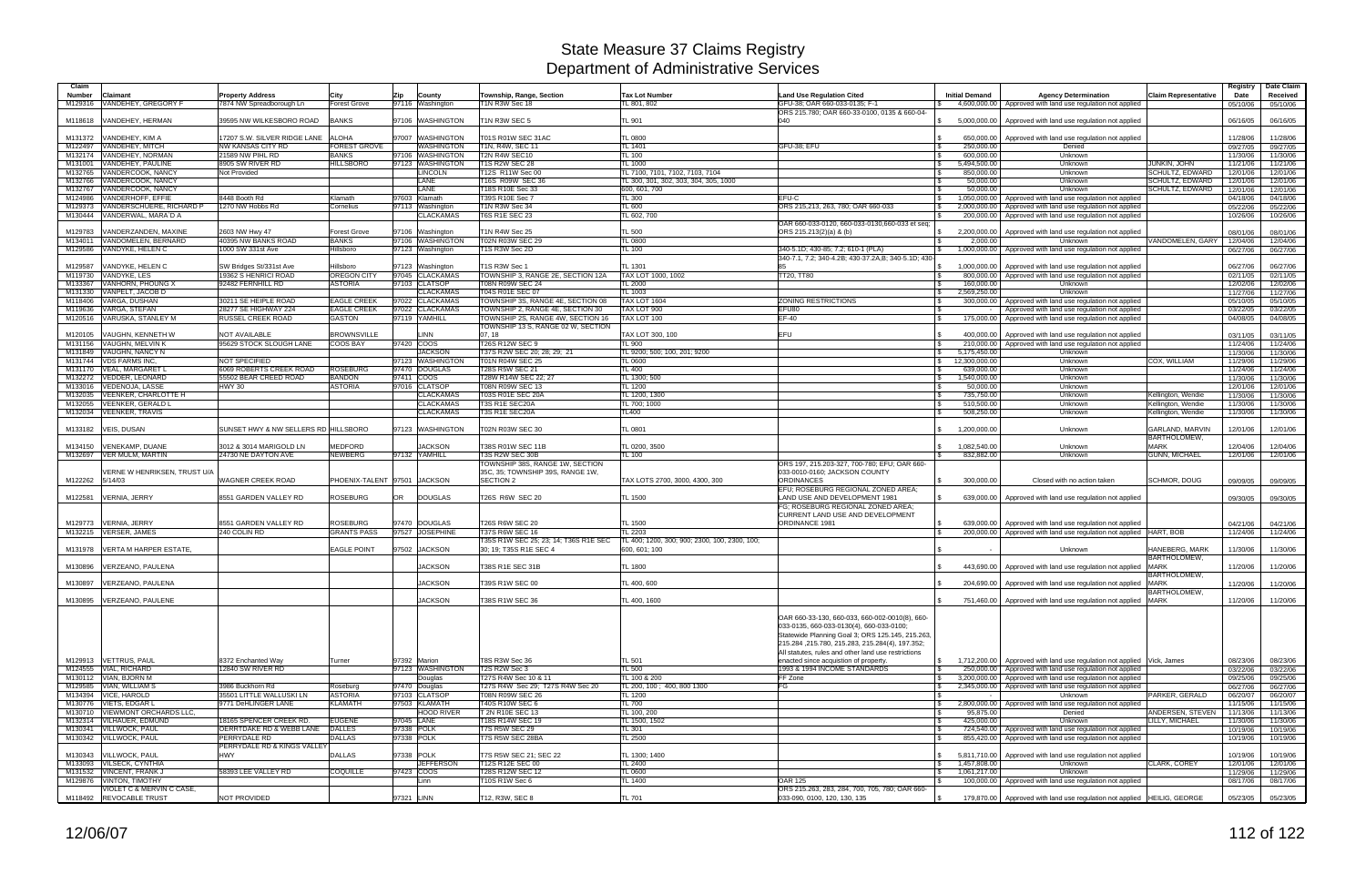| Claim              |                                |                                      |                     |                              |                                       |                                               |                                                     |                                  |                                                                                                                       |                             | Registry             | Date Claim           |
|--------------------|--------------------------------|--------------------------------------|---------------------|------------------------------|---------------------------------------|-----------------------------------------------|-----------------------------------------------------|----------------------------------|-----------------------------------------------------------------------------------------------------------------------|-----------------------------|----------------------|----------------------|
| <b>Number</b>      | Claimant                       | <b>Property Address</b>              | City                | Zip<br>County                | Township, Range, Section              | <b>Tax Lot Number</b>                         | <b>Land Use Regulation Cited</b>                    | <b>Initial Demand</b>            | <b>Agency Determination</b>                                                                                           | <b>Claim Representative</b> | Date                 | Received             |
| M129316            | VANDEHEY, GREGORY F            | 7874 NW Spreadborough Ln             | <b>Forest Grove</b> | 97116 Washington             | <b>1N R3W Sec 18</b>                  | TL 801, 802                                   | GFU-38: OAR 660-033-0135: F-1                       |                                  | 4,600,000.00 Approved with land use regulation not applied                                                            |                             | 05/10/06             | 05/10/06             |
|                    |                                |                                      |                     |                              |                                       |                                               | ORS 215.780; OAR 660-33-0100, 0135 & 660-04         |                                  |                                                                                                                       |                             |                      |                      |
| M118618            | VANDEHEY, HERMAN               | 39595 NW WILKESBORO ROAD             | <b>BANKS</b>        | 97106 WASHINGTON             | 1N R3W SEC 5                          | TL 901                                        | 040                                                 | 5,000,000.00                     | Approved with land use regulation not applied                                                                         |                             | 06/16/05             | 06/16/05             |
|                    | VANDEHEY, KIM A                | 17207 S.W. SILVER RIDGE LANE         | <b>ALOHA</b>        | 97007 WASHINGTON             | T01S R01W SEC 31AC                    | TL 0800                                       |                                                     |                                  | Approved with land use regulation not applied                                                                         |                             |                      |                      |
| M131372<br>M122497 | VANDEHEY, MITCH                | <b>NW KANSAS CITY RD</b>             | <b>FOREST GROVE</b> | WASHINGTON                   | T1N, R4W, SEC 11                      | TL 1401                                       | GFU-38; EFU                                         | 650,000.00<br>l \$<br>250,000.00 | Denied                                                                                                                |                             | 11/28/06<br>09/27/05 | 11/28/06<br>09/27/05 |
| M132174            | VANDEHEY, NORMAN               | 21589 NW PIHL RD                     | <b>BANKS</b>        | 97106 WASHINGTON             | T2N R4W SEC10                         | <b>TL 100</b>                                 |                                                     | 600.000.00                       | Unknown                                                                                                               |                             | 11/30/06             | 11/30/06             |
| M131001            | VANDEHEY, PAULINE              | 8905 SW RIVER RD                     | <b>HILLSBORO</b>    | 97123 WASHINGTON             | <b>T1S R2W SEC 28</b>                 | TL 1000                                       |                                                     | \$<br>5,494,500.00               | Unknown                                                                                                               | JUNKIN, JOHN                | 11/21/06             | 11/21/06             |
| M132765            | VANDERCOOK, NANCY              | Not Provided                         |                     | <b>LINCOLN</b>               | T12S R11W Sec 00                      | TL 7100, 7101, 7102, 7103, 7104               |                                                     | 850.000.00                       | Unknown                                                                                                               | <b>SCHULTZ, EDWARD</b>      | 12/01/06             | 12/01/06             |
| M132766            | VANDERCOOK, NANCY              |                                      |                     | LANE                         | T16S R09W SEC 36                      | TL 300, 301, 302, 303, 304, 305, 1000         |                                                     | 50,000.00                        | Unknown                                                                                                               | <b>SCHULTZ, EDWARD</b>      | 12/01/06             | 12/01/06             |
| M132767            | VANDERCOOK, NANCY              |                                      |                     | LANE                         | T18S R10E Sec 33                      | 600, 601, 700                                 | $\mathcal{F}$                                       | 50,000.00                        | Unknown                                                                                                               | SCHULTZ, EDWARD             | 12/01/06             | 12/01/06             |
| M124986            | VANDERHOFF, EFFIE              | 3448 Booth Rd                        | Klamath             | 97603 Klamath                | T39S R10E Sec 7                       | TL 300                                        | EFU-C                                               | 1,050,000.00                     | Approved with land use regulation not applied                                                                         |                             | 04/18/06             | 04/18/06             |
| M129373            | VANDERSCHUERE, RICHARD P       | 1270 NW Hobbs Rd                     | Cornelius           | 97113 Washington             | T1N R3W Sec 34                        | <b>TL 600</b>                                 | ORS 215,213, 263, 780; OAR 660-033                  | 2,000,000.00<br>- \$             | Approved with land use regulation not applied                                                                         |                             | 05/22/06             | 05/22/06             |
| M130444            | VANDERWAL, MARA`D A            |                                      |                     | <b>CLACKAMAS</b>             | <b>T6S R1E SEC 23</b>                 | TL 602, 700                                   |                                                     | 200,000.00                       | Approved with land use regulation not applied                                                                         |                             | 10/26/06             | 10/26/06             |
|                    |                                |                                      |                     |                              |                                       |                                               | OAR 660-033-0120, 660-033-0130,660-033 et seg:      |                                  |                                                                                                                       |                             |                      |                      |
| M129783            | VANDERZANDEN, MAXINE           | 2603 NW Hwy 47                       | <b>Forest Grove</b> | 97106 Washington             | T1N R4W Sec 25                        | TL 500                                        | ORS 215.213(2)(a) & (b)                             | 2,200,000.00                     | Approved with land use regulation not applied                                                                         |                             | 08/01/06             | 08/01/06             |
| M134011            | VANDOMELEN, BERNARD            | 40395 NW BANKS ROAD                  | <b>BANKS</b>        | 97106 WASHINGTON             | T02N R03W SEC 29                      | <b>TL 0800</b>                                |                                                     | 2.000.00                         | Unknown                                                                                                               | VANDOMELEN, GARY            | 12/04/06             | 12/04/06             |
| M129586            | VANDYKE, HELEN C               | 1000 SW 331st Ave                    | Hillsboro           | 97123 Washington             | T1S R3W Sec 2D                        | TL 100                                        | 340-5.1D; 430-85; 7.2; 610-1 (PLA)                  | 1.000.000.00                     | Approved with land use regulation not applied                                                                         |                             | 06/27/06             | 06/27/06             |
|                    |                                |                                      |                     |                              |                                       |                                               | 340-7.1, 7.2; 340-4.2B; 430-37.2A,B; 340-5.1D; 430- |                                  |                                                                                                                       |                             |                      |                      |
| M129587            | /ANDYKE, HELEN C               | SW Bridges St/331st Ave              | Hillsboro           | 97123 Washington             | T1S R3W Sec 1                         | TL 1301                                       |                                                     | 1,000,000.00                     | Approved with land use regulation not applied                                                                         |                             | 06/27/06             | 06/27/06             |
| M119730            | VANDYKE, LES                   | 19362 S HENRICI ROAD                 | OREGON CITY         | 97045 CLACKAMAS              | TOWNSHIP 3, RANGE 2E, SECTION 12A     | TAX LOT 1000, 1002                            | TT20, TT80<br>-\$                                   | 800,000.00                       | Approved with land use regulation not applied                                                                         |                             | 02/11/05             | 02/11/05             |
| M133367            | VANHORN, PHOUNG X              | 92482 FERNHILL RD                    | <b>ASTORIA</b>      | 97103 CLATSOP                | T08N R09W SEC 24                      | TL 2000                                       |                                                     | 160,000.00                       | Unknown                                                                                                               |                             | 12/02/06             | 12/02/06             |
| M131330            | VANPELT, JACOB D               |                                      |                     | <b>CLACKAMAS</b>             | T04S R01E SEC 07                      | TL 1003                                       |                                                     | 2,569,250.00                     | Unknown                                                                                                               |                             | 11/27/06             | 11/27/06             |
|                    | M118406 VARGA, DUSHAN          | 30211 SE HEIPLE ROAD                 | <b>EAGLE CREEK</b>  | 97022 CLACKAMAS              | TOWNSHIP 3S, RANGE 4E, SECTION 08     | TAX LOT 1604                                  | <b>ZONING RESTRICTIONS</b>                          | 300,000.00                       | Approved with land use regulation not applied                                                                         |                             | 05/10/05             | 05/10/05             |
| M119636            | VARGA, STEFAN                  | 28277 SE HIGHWAY 224                 | <b>EAGLE CREEK</b>  | 97022 CLACKAMAS              | TOWNSHIP 2, RANGE 4E, SECTION 30      | TAX LOT 900                                   | EFU80<br>l SS                                       |                                  | Approved with land use regulation not applied                                                                         |                             | 03/22/05             | 03/22/05             |
|                    | M120516 VARUSKA, STANLEY M     | <b>RUSSEL CREEK ROAD</b>             | <b>GASTON</b>       | 97119 YAMHILL                | TOWNSHIP 2S. RANGE 4W. SECTION 16     | TAX LOT 100                                   | $EF-40$                                             | 175,000.00                       | Approved with land use regulation not applied                                                                         |                             | 04/08/05             | 04/08/05             |
|                    |                                |                                      |                     |                              | TOWNSHIP 13 S, RANGE 02 W, SECTION    |                                               |                                                     |                                  |                                                                                                                       |                             |                      |                      |
| M120105            | /AUGHN, KENNETH W              | <b>NOT AVAILABLE</b>                 | <b>BROWNSVILLE</b>  | LINN                         | 07.18                                 | TAX LOT 300, 100                              | EFU                                                 | 400,000.00                       | Approved with land use regulation not applied                                                                         |                             | 03/11/05             | 03/11/05             |
| M131156            | VAUGHN, MELVIN K               | 95629 STOCK SLOUGH LANE              | <b>COOS BAY</b>     | 97420 COOS                   | T26S R12W SEC 9                       | TL 900                                        |                                                     | 210,000.00                       | Approved with land use regulation not applied                                                                         |                             | 11/24/06             | 11/24/06             |
| M131849            | VAUGHN, NANCY N                |                                      |                     | <b>JACKSON</b>               | T37S R2W SEC 20; 28; 29; 21           | TL 9200; 500; 100, 201; 9200                  |                                                     | 5,175,450.00                     | Unknown                                                                                                               |                             | 11/30/06             | 11/30/06             |
|                    | M131744 VDS FARMS INC.         | NOT SPECIFIED                        |                     | 97123 WASHINGTON             | T01N R04W SEC 25                      | TL 0600                                       |                                                     | 12,300,000.00<br>\$              | Unknown                                                                                                               | COX, WILLIAM                | 11/29/06             | 11/29/06             |
| M131170            | VEAL, MARGARET                 | 6069 ROBERTS CREEK ROAD              | <b>ROSEBURG</b>     | 97470 DOUGLAS                | <b>T28S R5W SEC 21</b>                | TL 400                                        |                                                     | 639,000.00                       | Unknown                                                                                                               |                             | 11/24/06             | 11/24/06             |
|                    | M132272 VEDDER, LEONARD        | 55502 BEAR CREED ROAD                | <b>BANDON</b>       | 97411 COOS                   | T28W R14W SEC 22: 27                  | TL 1300; 500                                  |                                                     | 1,540,000.00<br>- S              | Unknown                                                                                                               |                             | 11/30/06             | 11/30/06             |
| M133016            | <b>VEDENOJA, LASSE</b>         | <b>HWY 30</b>                        | <b>ASTORIA</b>      | 97016 CLATSOP                | T08N R09W SEC 13                      | <b>TL 1200</b>                                | - \$                                                | 50,000.00                        | Unknown                                                                                                               |                             | 12/01/06             | 12/01/06             |
| M132035            | <b>VEENKER, CHARLOTTE H</b>    |                                      |                     | <b>CLACKAMAS</b>             | T03S R01E SEC 20A                     | TL 1200, 1300                                 | -\$                                                 | 735,750.00                       | Unknown                                                                                                               | Kellington, Wendie          | 11/30/06             | 11/30/06             |
| M132055            | <b>VEENKER, GERALD L</b>       |                                      |                     | <b>CLACKAMAS</b>             | T3S R1E SEC20A                        | TL 700: 1000                                  |                                                     | 510,500.00                       | Unknown                                                                                                               | Kellington, Wendie          | 11/30/06             | 11/30/06             |
| M132034            | <b>VEENKER, TRAVIS</b>         |                                      |                     | <b>CLACKAMAS</b>             | T3S R1E SEC20A                        | TL400                                         |                                                     | 508,250.00                       | Unknown                                                                                                               | Kellington, Wendie          | 11/30/06             | 11/30/06             |
|                    |                                |                                      |                     |                              |                                       |                                               |                                                     |                                  |                                                                                                                       |                             |                      |                      |
| M133182            | <b>VEIS, DUSAN</b>             | SUNSET HWY & NW SELLERS RD HILLSBORO |                     | 97123 WASHINGTON             | T02N R03W SEC 30                      | TL 0801                                       |                                                     | 1,200,000.00                     | Unknown                                                                                                               | GARLAND, MARVIN             | 12/01/06             | 12/01/06             |
|                    |                                |                                      |                     |                              |                                       |                                               |                                                     |                                  |                                                                                                                       | <b>BARTHOLOMEW</b>          |                      |                      |
| M134150            | <b>VENEKAMP, DUANE</b>         | 3012 & 3014 MARIGOLD LN              | <b>MEDFORD</b>      | <b>JACKSON</b>               | T38S R01W SEC 11B                     | TL 0200, 3500                                 |                                                     | 1,082,540.00                     | Unknown                                                                                                               | <b>MARK</b>                 | 12/04/06             | 12/04/06             |
|                    | M132697 VER MULM, MARTIN       | 24730 NE DAYTON AVE                  | <b>NEWBERG</b>      | 97132 YAMHILL                | T3S R2W SEC 30B                       | TL 100                                        |                                                     | 832,882.00<br>$\mathcal{L}$      | Unknown                                                                                                               | GUNN, MICHAEL               | 12/01/06             | 12/01/06             |
|                    |                                |                                      |                     |                              | TOWNSHIP 38S. RANGE 1W. SECTION       |                                               | ORS 197, 215.203-327, 700-780; EFU; OAR 660-        |                                  |                                                                                                                       |                             |                      |                      |
|                    | /ERNE W HENRIKSEN, TRUST U/A   |                                      |                     |                              | 35C, 35; TOWNSHIP 39S, RANGE 1W,      |                                               | 033-0010-0160; JACKSON COUNTY                       |                                  |                                                                                                                       |                             |                      |                      |
| M122262            | 5/14/03                        | <b>WAGNER CREEK ROAD</b>             |                     | PHOENIX-TALENT 97501 JACKSON | SECTION 2                             | TAX LOTS 2700, 3000, 4300, 300                | <b>ORDINANCES</b>                                   | 300,000.00                       | Closed with no action taken                                                                                           | SCHMOR, DOUG                | 09/09/05             | 09/09/05             |
|                    |                                |                                      |                     |                              |                                       |                                               | EFU; ROSEBURG REGIONAL ZONED AREA;                  |                                  |                                                                                                                       |                             |                      |                      |
| M122581            | VERNIA, JERRY                  | 8551 GARDEN VALLEY RD                | <b>ROSEBURG</b>     | <b>DOUGLAS</b><br>OR         | T26S R6W SEC 20                       | <b>TL 1500</b>                                | LAND USE AND DEVELOPMENT 1981                       |                                  | 639,000.00   Approved with land use regulation not applied                                                            |                             | 09/30/05             | 09/30/05             |
|                    |                                |                                      |                     |                              |                                       |                                               | FG; ROSEBURG REGIONAL ZONED AREA;                   |                                  |                                                                                                                       |                             |                      |                      |
| M129773            | VERNIA, JERRY                  | 8551 GARDEN VALLEY RD                | <b>ROSEBURG</b>     | 97470 DOUGLAS                | T26S R6W SEC 20                       | <b>TL 1500</b>                                | CURRENT LAND USE AND DEVELOPMENT<br>ORDINANCE 1981  | 639.000.00                       |                                                                                                                       |                             | 04/21/06             | 04/21/06             |
|                    | M132215 VERSER, JAMES          | 240 COLIN RD                         | <b>GRANTS PASS</b>  | 97527 JOSEPHINE              | T37S R6W SEC 16                       | <b>L2203</b>                                  |                                                     |                                  | Approved with land use regulation not applied<br>200,000.00   Approved with land use regulation not applied HART, BOB |                             | 11/24/06             | 11/24/06             |
|                    |                                |                                      |                     |                              | T35S R1W SEC 25; 23; 14; T36S R1E SEC | TL 400; 1200, 300; 900; 2300, 100, 2300, 100; |                                                     |                                  |                                                                                                                       |                             |                      |                      |
| M131978            | <b>VERTA M HARPER ESTATE,</b>  |                                      | <b>EAGLE POINT</b>  | 97502 JACKSON                | 30; 19; T35S R1E SEC 4                | 600, 601; 100                                 |                                                     |                                  | Unknown                                                                                                               | HANEBERG, MARK              | 11/30/06             | 11/30/06             |
|                    |                                |                                      |                     |                              |                                       |                                               |                                                     |                                  |                                                                                                                       | <b>BARTHOLOMEW</b>          |                      |                      |
|                    | M130896 VERZEANO, PAULENA      |                                      |                     | <b>JACKSON</b>               | T38S R1E SEC 31B                      | <b>TL 1800</b>                                |                                                     |                                  | 443,690.00 Approved with land use regulation not applied                                                              | <b>MARK</b>                 | 11/20/06             | 11/20/06             |
|                    |                                |                                      |                     |                              |                                       |                                               |                                                     |                                  |                                                                                                                       | <b>BARTHOLOMEW</b>          |                      |                      |
|                    | M130897 VERZEANO, PAULENA      |                                      |                     | <b>JACKSON</b>               | T39S R1W SEC 00                       | TL 400, 600                                   |                                                     | l \$                             | 204,690.00   Approved with land use regulation not applied MARK                                                       |                             | 11/20/06             | 11/20/06             |
|                    |                                |                                      |                     |                              |                                       |                                               |                                                     |                                  |                                                                                                                       | <b>BARTHOLOMEW</b>          |                      |                      |
|                    | M130895 VERZEANO, PAULENE      |                                      |                     | <b>JACKSON</b>               | T38S R1W SEC 36                       | TL 400, 1600                                  |                                                     | $\mathcal{L}$                    | 751,460.00 Approved with land use regulation not applied MARK                                                         |                             | 11/20/06             | 11/20/06             |
|                    |                                |                                      |                     |                              |                                       |                                               |                                                     |                                  |                                                                                                                       |                             |                      |                      |
|                    |                                |                                      |                     |                              |                                       |                                               | OAR 660-33-130, 660-033, 660-002-0010(8), 660-      |                                  |                                                                                                                       |                             |                      |                      |
|                    |                                |                                      |                     |                              |                                       |                                               | 033-0135, 660-033-0130(4), 660-033-0100;            |                                  |                                                                                                                       |                             |                      |                      |
|                    |                                |                                      |                     |                              |                                       |                                               | Statewide Planning Goal 3; ORS 125.145, 215.263,    |                                  |                                                                                                                       |                             |                      |                      |
|                    |                                |                                      |                     |                              |                                       |                                               | 215.284, 215.780, 215.283, 215.284(4), 197.352;     |                                  |                                                                                                                       |                             |                      |                      |
|                    |                                |                                      |                     |                              |                                       |                                               | All statutes, rules and other land use restrictions |                                  |                                                                                                                       |                             |                      |                      |
|                    | M129913 VETTRUS, PAUL          | 8372 Enchanted Way                   | Turner              | 97392 Marion                 | T8S R3W Sec 36                        | <b>TL 501</b>                                 | enacted since acquistion of property.               | $\mathbb S$                      | 1,712,200.00   Approved with land use regulation not applied Vick, James                                              |                             | 08/23/06             | 08/23/06             |
|                    | M124555 VIAL, RICHARD          | 12840 SW RIVER RD                    |                     | 97123 WASHINGTON             | T2S R2W Sec 3                         | TL 500                                        | 1993 & 1994 INCOME STANDARDS                        | l \$                             | 250,000.00 Approved with land use regulation not applied                                                              |                             | 03/22/06             | 03/22/06             |
|                    | M130112 VIAN, BJORN M          |                                      |                     | Douglas                      | T27S R4W Sec 10 & 11                  | TL 100 & 200                                  | FF Zone                                             | \$                               | 3,200,000.00 Approved with land use regulation not applied                                                            |                             | 09/25/06             | 09/25/06             |
|                    | M129585 VIAN, WILLIAM S        | 3986 Buckhorn Rd                     | Roseburg            | 97470 Douglas                | T27S R4W Sec 29; T27S R4W Sec 20      | TL 200, 100; 400, 800 1300                    | FG                                                  | 2,345,000.00<br>\$               | Approved with land use regulation not applied                                                                         |                             | 06/27/06             | 06/27/06             |
|                    | M134394 VICE, HAROLD           | 35501 LITTLE WALLUSKI LN             | <b>ASTORIA</b>      | 97103 CLATSOP                | T08N R09W SEC 26                      | TL 1200                                       |                                                     | \$                               | <b>Unknown</b>                                                                                                        | PARKER, GERALD              | 06/20/07             | 06/20/07             |
|                    | M130776 VIETS, EDGAR L         | 9771 DeHLINGER LANE                  | <b>KLAMATH</b>      | 97503 KLAMATH                | T40S R10W SEC 6                       | <b>TL 700</b>                                 |                                                     | 2,800,000.00<br>$\mathbb{S}$     | Approved with land use regulation not applied                                                                         |                             | 11/15/06             | 11/15/06             |
|                    | M130710 VIEWMONT ORCHARDS LLC, |                                      |                     | <b>HOOD RIVER</b>            | T 2N R10E SEC 13                      | TL 100, 200                                   |                                                     | 95,875.00<br>- \$                | Denied                                                                                                                | ANDERSEN, STEVEN            | 11/13/06             | 11/13/06             |
|                    | M132314 VILHAUER, EDMUND       | 18165 SPENCER CREEK RD.              | <b>EUGENE</b>       | 97045 LANE                   | T18S R14W SEC 19                      | TL 1500, 1502                                 |                                                     | 425,000.00<br>\$                 | Unknown                                                                                                               | LILLY, MICHAEL              | 11/30/06             | 11/30/06             |
|                    | M130341 VILLWOCK, PAUL         | OERRTDAKE RD & WEBB LANE DALLES      |                     | 97338 POLK                   | <b>T7S R5W SEC 29</b>                 | TL 301                                        |                                                     | l \$                             | 724,540.00 Approved with land use regulation not applied                                                              |                             | 10/19/06             | 10/19/06             |
|                    | M130342 VILLWOCK, PAUL         | PERRYDALE RD                         | <b>DALLAS</b>       | 97338 POLK                   | T7S R5W SEC 28BA                      | TL 2500                                       |                                                     | l S                              | 855,420.00 Approved with land use regulation not applied                                                              |                             | 10/19/06             | 10/19/06             |
|                    |                                | PERRYDALE RD & KINGS VALLEY          |                     |                              |                                       |                                               |                                                     |                                  |                                                                                                                       |                             |                      |                      |
| M130343            | <b>VILLWOCK, PAUL</b>          | <b>HWY</b>                           | <b>DALLAS</b>       | 97338 POLK                   | T7S R5W SEC 21; SEC 22                | TL 1300: 1400                                 |                                                     | \$                               | 5,811,710.00   Approved with land use regulation not applied                                                          |                             | 10/19/06             | 10/19/06             |
|                    | M133093 VILSECK, CYNTHIA       |                                      |                     | <b>JEFFERSON</b>             | T12S R12E SEC 00                      | TL 2400                                       |                                                     | 1,457,808.00<br>\$               | <b>Unknown</b>                                                                                                        | <b>CLARK, COREY</b>         | 12/01/06             | 12/01/06             |
|                    | M131532 VINCENT, FRANK J       | 58393 LEE VALLEY RD                  | <b>COQUILLE</b>     | 97423 COOS                   | T28S R12W SEC 12                      | TL 0600                                       |                                                     | 1,061,217.00<br>$\mathbb{S}$     | Unknown                                                                                                               |                             | 11/29/06             | 11/29/06             |
|                    | M129876 VINTON, TIMOTHY        |                                      |                     | Linn                         | T10S R1W Sec 6                        | TL 1400                                       | <b>OAR 125</b>                                      |                                  | 100,000.00 Approved with land use regulation not applied                                                              |                             | 08/17/06             | 08/17/06             |
|                    | VIOLET C & MERVIN C CASE,      |                                      |                     |                              |                                       |                                               | ORS 215.263, 283, 284, 700, 705, 780; OAR 660-      |                                  |                                                                                                                       |                             |                      |                      |
|                    | M118492 REVOCABLE TRUST        | NOT PROVIDED                         |                     | 97321 LINN                   | T12, R3W, SEC 8                       | <b>TL 701</b>                                 | 033-090, 0100, 120, 130, 135                        |                                  | 179,870.00   Approved with land use regulation not applied   HEILIG, GEORGE                                           |                             | 05/23/05             | 05/23/05             |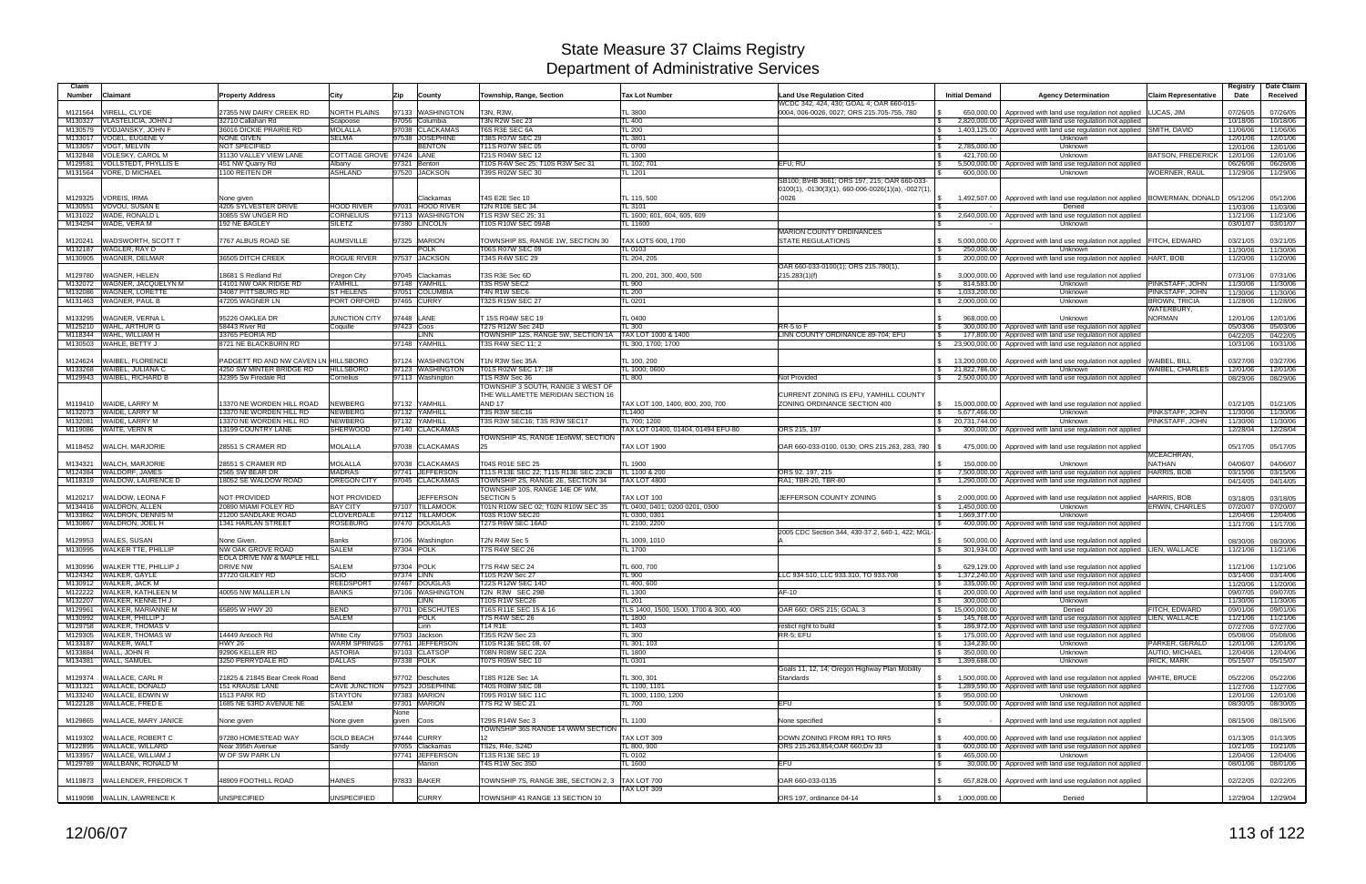| Claim<br><b>Number</b><br>Claimant                             | <b>Property Address</b>                                          | City                                       | Zip          | County                              | Township, Range, Section                                                | <b>Tax Lot Number</b>                         | <b>Land Use Regulation Cited</b><br>WCDC 342, 424, 430; GOAL 4; OAR 660-015- | <b>Initial Demand</b>                              | <b>Agency Determination</b>                                                                                                             | <b>Claim Representative</b>          | Registry<br>Date     | Date Claim<br>Received |
|----------------------------------------------------------------|------------------------------------------------------------------|--------------------------------------------|--------------|-------------------------------------|-------------------------------------------------------------------------|-----------------------------------------------|------------------------------------------------------------------------------|----------------------------------------------------|-----------------------------------------------------------------------------------------------------------------------------------------|--------------------------------------|----------------------|------------------------|
| VIRELL, CLYDE<br>M121564                                       | 27355 NW DAIRY CREEK RD                                          | <b>NORTH PLAINS</b>                        |              | 97133 WASHINGTON                    | T3N, R3W.                                                               | TL 3800                                       | 0004, 006-0026, 0027; ORS 215.705-755, 780                                   |                                                    | 650,000.00   Approved with land use regulation not applied                                                                              | LUCAS, JIM                           | 07/26/05             | 07/26/05               |
| VLASTELICIA, JOHN J<br>M130327                                 | 32710 Callahan Rd                                                | Scapoose                                   |              | 97056 Columbia                      | T3N R2W Sec 23                                                          | TL 400                                        |                                                                              | IS.                                                | 2,820,000.00 Approved with land use regulation not applied                                                                              |                                      | 10/18/06             | 10/18/06               |
| VODJANSKY, JOHN F<br>M130579<br>VOGEL, EUGENE V                | 36016 DICKIE PRAIRIE RD<br><b>NONE GIVEN</b>                     | <b>MOLALLA</b><br><b>SELMA</b>             |              | 97038 CLACKAMAS<br>97538 JOSEPHINE  | T6S R3E SEC 6A<br>T38S R07W SEC 29                                      | <b>TL 200</b><br>TL 3801                      |                                                                              |                                                    | 1,403,125.00   Approved with land use regulation not applied SMITH, DAVID                                                               |                                      | 11/06/06             | 11/06/06               |
| M133017<br>VOGT, MELVIN<br>M133057                             | <b>NOT SPECIFIED</b>                                             |                                            |              | <b>BENTON</b>                       | T11S R07W SEC 05                                                        | <b>TL 0700</b>                                |                                                                              | 2,785,000.00<br><b>\$</b>                          | Unknown<br>Unknown                                                                                                                      |                                      | 12/01/06<br>12/01/06 | 12/01/06<br>12/01/06   |
| <b>VOLESKY, CAROL M</b><br>M132848                             | 31130 VALLEY VIEW LANE                                           | COTTAGE GROVE 97424 LANE                   |              |                                     | T21S R04W SEC 12                                                        | <b>TL 1300</b>                                |                                                                              | 421,700.00                                         | Unknown                                                                                                                                 | <b>BATSON, FREDERICK</b>             | 12/01/06             | 12/01/06               |
| <b>VOLLSTEDT, PHYLLIS E</b><br>M129581                         | 451 NW Quarry Rd                                                 | Albany                                     | 97321 Benton |                                     | T10S R4W Sec 25; T10S R3W Sec 31                                        | TL 102; 701                                   | EFU: RU                                                                      |                                                    | 5,500,000.00 Approved with land use regulation not applied                                                                              |                                      | 06/26/06             | 06/26/06               |
| <b>VORE, D MICHAEL</b><br>M131564                              | 1100 REITEN DR                                                   | ASHLAND                                    |              | 97520 JACKSON                       | T39S R02W SEC 30                                                        | TL 1201                                       | SB100; B\HB 3661; ORS 197, 215; OAR 660-033-                                 | 600,000.00                                         | Unknown                                                                                                                                 | WOERNER, RAUL                        | 11/29/06             | 11/29/06               |
| M129325<br><b>VOREIS, IRMA</b>                                 | None given                                                       |                                            |              | Clackamas                           | T4S E2E Sec 10                                                          | TL 115, 500                                   | $0100(1)$ , $-0130(3)(1)$ , 660 $-006-0026(1)(a)$ , $-0027(1)$ ,<br>$-0026$  | 1,492,507.00                                       | Approved with land use regulation not applied  BOWERMAN, DONALD                                                                         |                                      | 05/12/06             | 05/12/06               |
| <b>VOVOU, SUSAN E</b><br>M130551                               | 4205 SYLVESTER DRIVE                                             | <b>HOOD RIVER</b>                          |              | 97031 HOOD RIVER                    | <b>T2N R10E SEC 34</b>                                                  | TL 3101                                       |                                                                              |                                                    | Denied                                                                                                                                  |                                      | 11/03/06             | 11/03/06               |
| WADE, RONALD L<br>M131022                                      | 30855 SW UNGER RD                                                | <b>CORNELIUS</b>                           |              | 97113 WASHINGTON                    | T1S R3W SEC 25; 31                                                      | TL 1600; 601, 604, 605, 609                   |                                                                              | 2,640,000.00<br>IS.                                | Approved with land use regulation not applied                                                                                           |                                      | 11/21/06             | 11/21/06               |
| WADE, VERA M<br>M134294                                        | 192 NE BAGLEY                                                    | <b>SILETZ</b>                              |              | 97380 LINCOLN                       | T10S R10W SEC 09AB                                                      | TL 11600                                      | <b>MARION COUNTY ORDINANCES</b>                                              | <b>S</b>                                           | Unknown                                                                                                                                 |                                      | 03/01/07             | 03/01/07               |
| WADSWORTH, SCOTT T<br>M120241                                  | 7767 ALBUS ROAD SE                                               | <b>AUMSVILLE</b>                           |              | 97325 MARION                        | TOWNSHIP 8S, RANGE 1W, SECTION 30                                       | TAX LOTS 600, 1700                            | <b>STATE REGULATIONS</b>                                                     | 5.000.000.00                                       | Approved with land use regulation not applied FITCH, EDWARD                                                                             |                                      | 03/21/05             | 03/21/05               |
| WAGLER, RAY D<br>M132187                                       |                                                                  |                                            |              | $\overline{OCK}$                    | T06S R07W SEC 09                                                        | TL 0103                                       |                                                                              | 250.000.00                                         | Unknown                                                                                                                                 |                                      | 11/30/06             | 11/30/06               |
| M130905 WAGNER, DELMAR                                         | 36505 DITCH CREEK                                                | ROGUE RIVER                                |              | 97537 JACKSON                       | T34S R4W SEC 29                                                         | TL 204, 205                                   |                                                                              |                                                    | 200,000.00   Approved with land use regulation not applied   HART, BOB                                                                  |                                      | 11/20/06             | 11/20/06               |
| <b>WAGNER, HELEN</b><br>M129780                                | 18681 S Redland Rd                                               | Oregon City                                |              | 97045 Clackamas                     | T3S R3E Sec 6D                                                          | TL 200, 201, 300, 400, 500                    | OAR 660-033-0100(1); ORS 215.780(1),<br>215.283(1)(f)                        | 3,000,000.00<br>$\mathbb{S}$                       | Approved with land use regulation not applied                                                                                           |                                      | 07/31/06             | 07/31/06               |
| WAGNER, JACQUELYN M<br>M132072                                 | 14101 NW OAK RIDGE RD                                            | YAMHILL                                    |              | 97148 YAMHILL                       | T3S R5W SEC2                                                            | TL 900                                        |                                                                              | <b>S</b><br>814,583.00                             | Unknown                                                                                                                                 | PINKSTAFF, JOHN                      | 11/30/06             | 11/30/06               |
| <b>WAGNER, LORETTE</b><br>M132086                              | 34087 PITTSBURG RD                                               | <b>ST HELENS</b>                           |              | 97051 COLUMBIA                      | T4N R1W SEC6                                                            | <b>TL 200</b>                                 |                                                                              | 1,033,200.00<br><b>\$</b>                          | Unknown                                                                                                                                 | PINKSTAFF, JOHN                      | 11/30/06             | 11/30/06               |
| M131463 WAGNER, PAUL B                                         | 47205 WAGNER LN                                                  | PORT ORFORD                                |              | 97465 CURRY                         | T32S R15W SEC 27                                                        | TL 0201                                       |                                                                              | 2,000,000.00<br>$\mathfrak{S}$                     | Unknown                                                                                                                                 | <b>BROWN, TRICIA</b>                 | 11/28/06             | 11/28/06               |
| M133295<br>WAGNER, VERNA L                                     | 95226 OAKLEA DR                                                  | <b>JUNCTION CITY</b>                       | 97448 LANE   |                                     | T 15S R04W SEC 19                                                       | <b>TL 0400</b>                                |                                                                              | 968.000.00<br><b>S</b>                             | Unknown                                                                                                                                 | WATERBURY,<br><b>NORMAN</b>          | 12/01/06             | 12/01/06               |
| M125210<br>WAHL, ARTHUR G                                      | 58443 River Rd                                                   | Coquille                                   | 97423 Coos   |                                     | T27S R12W Sec 24D                                                       | TL 300                                        | RR-5 to I                                                                    | $\mathbb{R}$                                       | 300,000.00 Approved with land use regulation not applied                                                                                |                                      | 05/03/06             | 05/03/06               |
| M118344 WAHL, WILLIAM H                                        | 33765 PEORIA RD                                                  |                                            |              | <b>LINN</b>                         | TOWNSHIP 12S, RANGE 5W, SECTION 1A                                      | TAX LOT 1000 & 1400                           | LINN COUNTY ORDINANCE 89-704: EFU                                            | 177,800.00                                         | Approved with land use regulation not applied                                                                                           |                                      | 04/22/05             | 04/22/05               |
| WAHLE, BETTY J<br>M130503                                      | 8721 NE BLACKBURN RD                                             |                                            |              | 97148 YAMHILL                       | T3S R4W SEC 11; 2                                                       | TL 300, 1700: 1700                            |                                                                              | 23,900,000.00<br>$\mathbb{S}$                      | Approved with land use regulation not applied                                                                                           |                                      | 10/31/06             | 10/31/06               |
| M124624                                                        |                                                                  |                                            |              | 97124 WASHINGTON                    |                                                                         |                                               |                                                                              | $\mathbb{S}$                                       |                                                                                                                                         | <b>WAIBEL, BILL</b>                  |                      |                        |
| <b>WAIBEL, FLORENCE</b><br>M133268 WAIBEL, JULIANA C           | PADGETT RD AND NW CAVEN LN HILLSBORO<br>4250 SW MINTER BRIDGE RD | <b>HILLSBORO</b>                           |              | 97123 WASHINGTON                    | T1N R3W Sec 35A<br>T01S R02W SEC 17; 18                                 | TL 100, 200<br>TL 1000; 0600                  |                                                                              | 13,200,000.00<br>\$21.822.786.00                   | Approved with land use regulation not applied<br>Unknown                                                                                | WAIBEL, CHARLES                      | 03/27/06<br>12/01/06 | 03/27/06<br>12/01/06   |
| M129943 WAIBEL, RICHARD B                                      | 32395 Sw Firedale Rd                                             | Cornelius                                  |              | 97113 Washington                    | T1S R3W Sec 36                                                          | TL 800                                        | Not Provided                                                                 | $\sqrt{5}$                                         | 2,500,000.00 Approved with land use regulation not applied                                                                              |                                      | 08/29/06             | 08/29/06               |
|                                                                |                                                                  |                                            |              |                                     | TOWNSHIP 3 SOUTH, RANGE 3 WEST OF<br>THE WILLAMETTE MERIDIAN SECTION 16 |                                               | CURRENT ZONING IS EFU, YAMHILL COUNTY                                        |                                                    |                                                                                                                                         |                                      |                      |                        |
| M119410<br>WAIDE, LARRY M                                      | 13370 NE WORDEN HILL ROAD                                        | <b>NEWBERG</b><br><b>NEWBERG</b>           |              | 97132 YAMHILL                       | AND <sub>17</sub><br>T3S R3W SEC16                                      | TAX LOT 100, 1400, 800, 200, 700              | ZONING ORDINANCE SECTION 400                                                 | 15,000,000.00                                      | Approved with land use regulation not applied                                                                                           |                                      | 01/21/05             | 01/21/05               |
| M132073 WAIDE, LARRY M<br>M132081 WAIDE, LARRY M               | 13370 NE WORDEN HILL RD<br>13370 NE WORDEN HILL RD               | <b>NEWBERG</b>                             |              | 97132 YAMHILL<br>97132 YAMHILL      | T3S R3W SEC16; T3S R3W SEC17                                            | TL1400<br>TL 700; 1200                        |                                                                              | 5,677,466.00<br>IS.<br>$\sqrt{3}$<br>20,731,744.00 | Unknown<br>Unknown                                                                                                                      | PINKSTAFF, JOHN<br>PINKSTAFF, JOHN   | 11/30/06<br>11/30/06 | 11/30/06<br>11/30/06   |
| M119086 WAITE, VERN R                                          | 13199 COUNTRY LANE                                               | <b>SHERWOOD</b>                            |              | 97140 CLACKAMAS                     |                                                                         | TAX LOT 01400, 01404, 01494 EFU-80            | ORS 215, 197                                                                 | 300,000.00                                         | Approved with land use regulation not applied                                                                                           |                                      | 12/28/04             | 12/28/04               |
|                                                                |                                                                  |                                            |              |                                     | TOWNSHIP 4S, RANGE 1EofWM, SECTION                                      |                                               |                                                                              |                                                    |                                                                                                                                         |                                      |                      |                        |
| <b>WALCH, MARJORIE</b><br>M118452                              | 28551 S CRAMER RD                                                | <b>MOLALLA</b>                             |              | 97038 CLACKAMAS                     | 25                                                                      | <b>TAX LOT 1900</b>                           | OAR 660-033-0100, 0130; ORS 215.263, 283, 780                                | 475,000.00                                         | Approved with land use regulation not applied                                                                                           |                                      | 05/17/05             | 05/17/05               |
| M134321<br><b>WALCH, MARJORIE</b>                              | 28551 S CRAMER RD                                                | <b>MOLALLA</b>                             |              | 97038 CLACKAMAS                     | T04S R01E SEC 25                                                        | TL 1900                                       |                                                                              | 150.000.00                                         | Unknown                                                                                                                                 | MCEACHRAN,<br><b>NATHAN</b>          | 04/06/07             | 04/06/07               |
| WALDORF, JAMES<br>M124384                                      | 2565 SW BEAR DR                                                  | <b>MADRAS</b>                              |              | 97741 JEFFERSON                     | T11S R13E SEC 22; T11S R13E SEC 23CB                                    | TL 1100 & 200                                 | ORS 92, 197, 215                                                             | 7,500,000.00<br><b>S</b>                           | Approved with land use regulation not applied                                                                                           | <b>HARRIS, BOB</b>                   | 03/15/06             | 03/15/06               |
| <b>WALDOW, LAURENCE D</b><br>M118319                           | 8052 SE WALDOW ROAD                                              | <b>OREGON CITY</b>                         |              | 97045 CLACKAMAS                     | TOWNSHIP 2S, RANGE 2E, SECTION 34                                       | TAX LOT 4800                                  | RA1: TBR-20, TBR-80                                                          | 1,290,000.00                                       | Approved with land use regulation not applied                                                                                           |                                      | 04/14/05             | 04/14/05               |
|                                                                |                                                                  |                                            |              |                                     | TOWNSHIP 10S, RANGE 14E OF WM,                                          |                                               |                                                                              |                                                    |                                                                                                                                         |                                      |                      |                        |
| M120217<br>WALDOW, LEONA F<br><b>WALDRON, ALLEN</b><br>M134416 | NOT PROVIDED<br>20890 MIAMI FOLEY RD                             | NOT PROVIDED<br><b>BAY CITY</b>            |              | <b>JEFFERSON</b><br>97107 TILLAMOOK | <b>SECTION 5</b><br>T01N R10W SEC 02; T02N R10W SEC 35                  | TAX LOT 100<br>TL 0400, 0401; 0200 0201, 0300 | JEFFERSON COUNTY ZONING                                                      | 2,000,000.00<br>1,450,000.00<br><b>\$</b>          | Approved with land use regulation not applied<br>Unknown                                                                                | HARRIS, BOB<br><b>ERWIN, CHARLES</b> | 03/18/05<br>07/20/07 | 03/18/05<br>07/20/07   |
| <b>WALDRON, DENNIS M</b><br>M133862                            | 21200 SANDLAKE ROAD                                              | <b>CLOVERDALE</b>                          |              | 97112 TILLAMOOK                     | T03S R10W SEC20                                                         | TL 0300, 0301                                 |                                                                              | 1,669,377.00<br>$\sqrt{3}$                         | Unknown                                                                                                                                 |                                      | 12/04/06             | 12/04/06               |
| WALDRON, JOEL H<br>M130867                                     | 1341 HARLAN STREET                                               | <b>ROSEBURG</b>                            |              | 97470 DOUGLAS                       | T27S R6W SEC 16AD                                                       | TL 2100, 2200                                 |                                                                              |                                                    | 400,000,00 Approved with land use regulation not applied                                                                                |                                      | 11/17/06             | 11/17/06               |
|                                                                |                                                                  |                                            |              |                                     |                                                                         |                                               | 2005 CDC Section 344, 430-37.2, 640-1, 422; MGL-                             |                                                    |                                                                                                                                         |                                      |                      |                        |
| WALES, SUSAN<br>M129953<br>M130995 WALKER TTE, PHILLIP         | None Given.<br>NW OAK GROVE ROAD                                 | Banks<br>SALEM                             | 97304 POLK   | 97106 Washington                    | T2N R4W Sec 5<br><b>T7S R4W SEC 26</b>                                  | TL 1009, 1010<br>TL 1700                      |                                                                              | 500,000.00<br>301,934.00                           | Approved with land use regulation not applied<br>Approved with land use regulation not applied LIEN, WALLACE                            |                                      | 08/30/06<br>11/21/06 | 08/30/06<br>11/21/06   |
|                                                                | EOLA DRIVE NW & MAPLE HILL                                       |                                            |              |                                     |                                                                         |                                               |                                                                              |                                                    |                                                                                                                                         |                                      |                      |                        |
| M130996 WALKER TTE, PHILLIP J                                  | <b>DRIVE NW</b>                                                  | SALEM                                      | 97304 POLK   |                                     | <b>T7S R4W SEC 24</b>                                                   | TL 600, 700                                   |                                                                              |                                                    | 629,129.00   Approved with land use regulation not applied                                                                              |                                      | 11/21/06             | 11/21/06               |
| M124342 WALKER, GAYLE                                          | 37720 GILKEY RD                                                  | SCIO                                       | 97374 LINN   |                                     | T10S R2W Sec 27                                                         | <b>TL 900</b>                                 | LLC 934.510, LLC 933.310, TO 933.708                                         |                                                    | 1,372,240.00   Approved with land use regulation not applied                                                                            |                                      | 03/14/06             | 03/14/06               |
| M130912 WALKER, JACK M<br>M122222 WALKER, KATHLEEN M           | 40055 NW MALLER LN                                               | REEDSPORT<br><b>BANKS</b>                  |              | 97467 DOUGLAS<br>97106 WASHINGTON   | <b>T22S R12W SEC 14D</b><br>T2N R3W SEC 29B                             | TL 400, 600<br><b>TL 1300</b>                 | $AF-10$                                                                      | IS.<br><b>\$</b>                                   | 335,000.00   Approved with land use regulation not applied<br>200,000.00   Approved with land use regulation not applied                |                                      | 11/20/06<br>09/07/05 | 11/20/06<br>09/07/05   |
| M132207 WALKER, KENNETH J                                      |                                                                  |                                            |              | <b>LINN</b>                         | <b>T10S R1W SEC26</b>                                                   | TL 201                                        |                                                                              | 300,000.00<br><b>S</b>                             | Unknown                                                                                                                                 |                                      | 11/30/06             | 11/30/06               |
| M129961 WALKER, MARIANNE M                                     | 65895 W HWY 20                                                   | <b>BEND</b>                                |              | 97701 DESCHUTES                     | T16S R11E SEC 15 & 16                                                   | TLS 1400, 1500, 1500, 1700 & 300, 400         | OAR 660; ORS 215; GOAL 3                                                     | 15,000,000.00<br>$\sqrt{5}$                        | Denied                                                                                                                                  | FITCH, EDWARD                        | 09/01/06             | 09/01/06               |
| M130992 WALKER, PHILLIP J                                      |                                                                  | SALEM                                      |              | <b>POLK</b>                         | <b>T7S R4W SEC 26</b>                                                   | TL 1800                                       |                                                                              | IS.                                                | 145,768.00 Approved with land use regulation not applied LIEN, WALLACE                                                                  |                                      | 11/21/06             | 11/21/06               |
| M129758 WALKER, THOMAS V<br>M129305 WALKER, THOMAS W           |                                                                  |                                            |              | Linn                                | T14 R1E                                                                 | TL 1403                                       | restict right to build                                                       | l \$                                               | 186,972.00 Approved with land use regulation not applied                                                                                |                                      | 07/27/06             | 07/27/06               |
| M133187 WALKER, WALT                                           | 14449 Antioch Rd<br><b>HWY 26</b>                                | White City<br>WARM SPRINGS 97761 JEFFERSON |              | 97503 Jackson                       | T35S R2W Sec 23<br>T10S R13E SEC 08, 07                                 | <b>TL 300</b><br>TL 301; 103                  | RR-5; EFU                                                                    | $\sqrt{3}$<br>134,230.00<br><b>S</b>               | 175,000.00   Approved with land use regulation not applied<br>Unknown                                                                   | PARKER, GERALD                       | 05/08/06<br>12/01/06 | 05/08/06<br>12/01/06   |
| M133884 WALL, JOHN R                                           | 92906 KELLER RD                                                  | <b>ASTORIA</b>                             |              | 97103 CLATSOP                       | <b>T08N R08W SEC 22A</b>                                                | <b>TL 1800</b>                                |                                                                              | $\sqrt{3}$<br>350,000.00                           | Unknown                                                                                                                                 | <b>AUTIO, MICHAEL</b>                | 12/04/06             | 12/04/06               |
| M134381 WALL, SAMUEL                                           | 3250 PERRYDALE RD                                                | <b>DALLAS</b>                              | 97338 POLK   |                                     | T07S R05W SEC 10                                                        | TL 0301                                       |                                                                              | 1,399,688.00<br>$\mathbb{S}$                       | Unknown                                                                                                                                 | <b>IRICK, MARK</b>                   | 05/15/07             | 05/15/07               |
|                                                                |                                                                  |                                            |              |                                     |                                                                         |                                               | Goals 11, 12, 14; Oregon Highway Plan Mobility                               |                                                    |                                                                                                                                         |                                      |                      |                        |
| M129374 WALLACE, CARL R<br>M131321 WALLACE, DONALD             | 21825 & 21845 Bear Creek Road<br><b>151 KRAUSE LANE</b>          | Bend<br>CAVE JUNCTION 97523 JOSEPHINE      |              | 97702 Deschutes                     | T18S R12E Sec 1A<br>T40S R08W SEC 08                                    | TL 300, 301<br>TL 1100. 1101                  | <b>Standards</b>                                                             | $\mathbb{S}$                                       | 1,500,000.00   Approved with land use regulation not applied WHITE, BRUCE<br>1,289,590.00 Approved with land use regulation not applied |                                      | 05/22/06             | 05/22/06               |
| M133240 WALLACE, EDWIN W                                       | 1513 PARK RD                                                     | <b>STAYTON</b>                             |              | 97383 MARION                        | T09S R01W SEC 11C                                                       | TL 1000, 1100, 1200                           |                                                                              | $\sqrt{3}$<br>950,000.00<br><b>\$</b>              | Unknown                                                                                                                                 |                                      | 11/27/06<br>12/01/06 | 11/27/06<br>12/01/06   |
| M122128 WALLACE, FRED E                                        | 1685 NE 63RD AVENUE NE                                           | SALEM                                      |              | 97301 MARION                        | T7S R2 W SEC 21                                                         | TL 700                                        | EFU                                                                          | $\sqrt{3}$                                         | 500,000.00 Approved with land use regulation not applied                                                                                |                                      | 08/30/05             | 08/30/05               |
|                                                                |                                                                  |                                            | None         |                                     |                                                                         |                                               |                                                                              |                                                    |                                                                                                                                         |                                      |                      |                        |
| M129865 WALLACE, MARY JANICE                                   | None given                                                       | None given                                 | given Coos   |                                     | T29S R14W Sec 3<br>TOWNSHIP 36S RANGE 14 WWM SECTION                    | TL 1100                                       | None specified                                                               | $\mathbf{s}$                                       | Approved with land use regulation not applied                                                                                           |                                      | 08/15/06             | 08/15/06               |
| M119302 WALLACE, ROBERT C                                      | 97280 HOMESTEAD WAY                                              | <b>GOLD BEACH</b>                          |              | 97444 CURRY                         |                                                                         | TAX LOT 309                                   | DOWN ZONING FROM RR1 TO RR5                                                  | $\mathbb{R}$                                       | 400,000.00   Approved with land use regulation not applied                                                                              |                                      | 01/13/05             | 01/13/05               |
| M122895 WALLACE, WILLARD                                       | Near 395th Avenue                                                | Sandy                                      |              | 97055 Clackamas                     | TS2s, R4e, S24D                                                         | TL 800, 900                                   | ORS 215.263,854;OAR 660;Div 33                                               | $\sqrt{3}$                                         | 600,000.00   Approved with land use regulation not applied                                                                              |                                      | 10/21/05             | 10/21/05               |
| M133957 WALLACE, WILLIAM J                                     | W OF SW PARK LN                                                  |                                            |              | 97741 JEFFERSON                     | T13S R13E SEC 19                                                        | TL 0102                                       |                                                                              | 465,000.00<br>$\sqrt{3}$                           | Unknown                                                                                                                                 |                                      | 12/04/06             | 12/04/06               |
| M129789 WALLBANK, RONALD M                                     |                                                                  |                                            |              | Marion                              | T4S R1W Sec 35D                                                         | TL 1600                                       | EFU                                                                          | <b>S</b>                                           | 30,000.00   Approved with land use regulation not applied                                                                               |                                      | 08/01/06             | 08/01/06               |
| M119873 WALLENDER, FREDRICK T                                  | 48909 FOOTHILL ROAD                                              | HAINES                                     |              | 97833 BAKER                         | TOWNSHIP 7S, RANGE 38E, SECTION 2, 3 TAX LOT 700                        | TAX LOT 309                                   | OAR 660-033-0135                                                             |                                                    | 657,828.00   Approved with land use regulation not applied                                                                              |                                      | 02/22/05             | 02/22/05               |
| M119098 WALLIN, LAWRENCE K                                     | <b>UNSPECIFIED</b>                                               | <b>UNSPECIFIED</b>                         |              | <b>CURRY</b>                        | TOWNSHIP 41 RANGE 13 SECTION 10                                         |                                               | ORS 197, ordinance 04-14                                                     | \$ 1,000,000.00                                    | Denied                                                                                                                                  |                                      | 12/29/04             | 12/29/04               |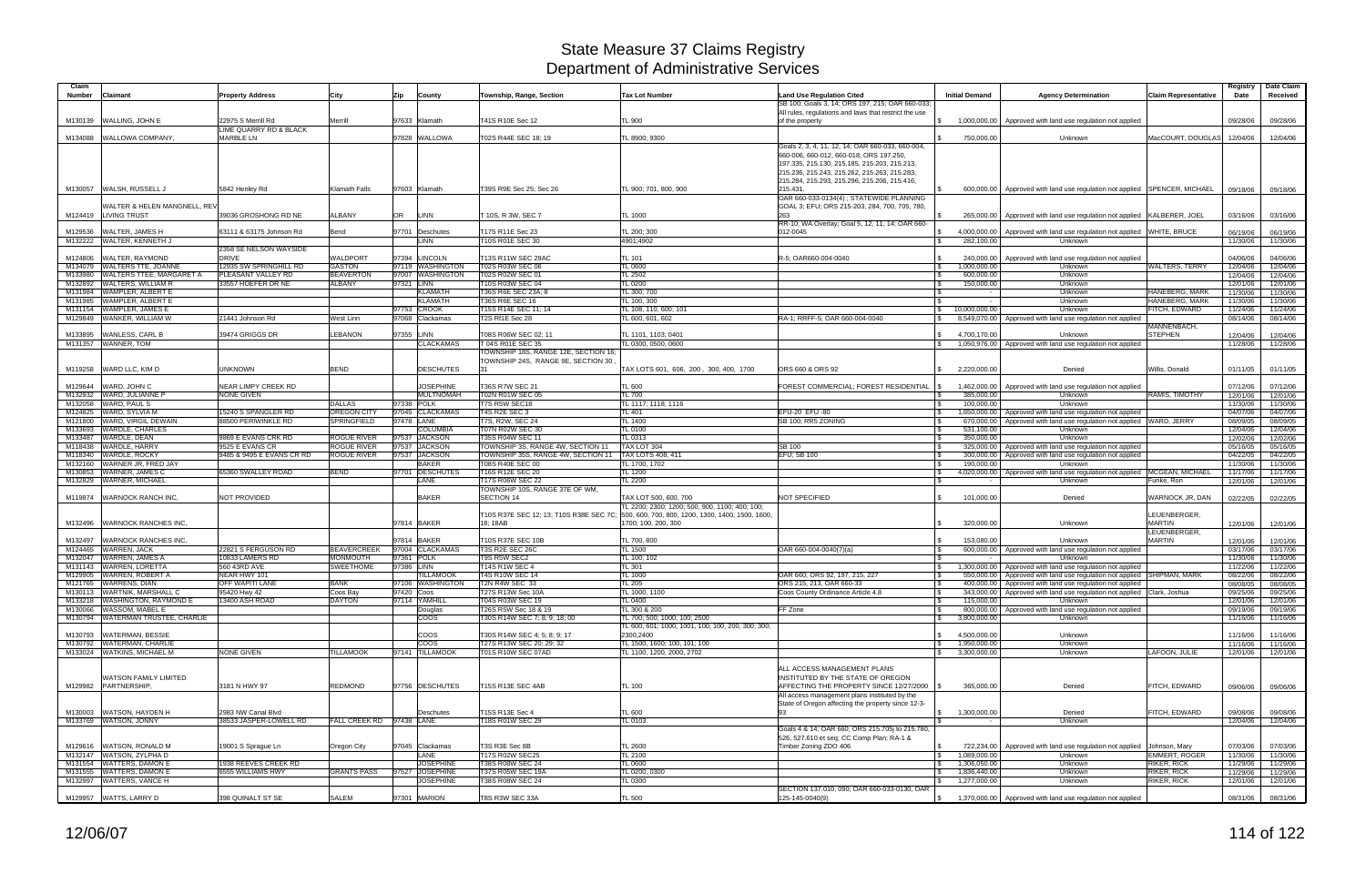| Claim              |                                                              |                                            |                                     |                                         |                                                                            |                                                                         |                                                                                                     |                                                            |                                                                                                                           |                                            | Registry             | Date Claim           |
|--------------------|--------------------------------------------------------------|--------------------------------------------|-------------------------------------|-----------------------------------------|----------------------------------------------------------------------------|-------------------------------------------------------------------------|-----------------------------------------------------------------------------------------------------|------------------------------------------------------------|---------------------------------------------------------------------------------------------------------------------------|--------------------------------------------|----------------------|----------------------|
| <b>Number</b>      | <b>Claimant</b>                                              | <b>Property Address</b>                    | City                                | Zip<br>County                           | Township, Range, Section                                                   | <b>Tax Lot Number</b>                                                   | <b>Land Use Regulation Cited</b><br>SB 100; Goals 3, 14; ORS 197, 215; OAR 660-033;                 | <b>Initial Demand</b>                                      | <b>Agency Determination</b>                                                                                               | <b>Claim Representative</b>                | Date                 | Received             |
|                    | M130139 WALLING, JOHN E                                      | 22975 S Merrill Rd                         | Merrill                             | 97633 Klamath                           | T41S R10E Sec 12                                                           | TL 900                                                                  | All rules, regulations and laws that restrict the use<br>of the property                            | 1,000,000.00                                               | Approved with land use regulation not applied                                                                             |                                            | 09/28/06             | 09/28/06             |
|                    | M134088 WALLOWA COMPANY.                                     | LIME QUARRY RD & BLACK<br><b>MARBLE LN</b> |                                     |                                         |                                                                            |                                                                         |                                                                                                     |                                                            |                                                                                                                           |                                            |                      |                      |
|                    |                                                              |                                            |                                     | 97828 WALLOWA                           | T02S R44E SEC 18; 19                                                       | TL 8900; 9300                                                           | Goals 2, 3, 4, 11, 12, 14; OAR 660-033, 660-004                                                     | 750,000.00                                                 | Unknown                                                                                                                   | MacCOURT, DOUGLAS 12/04/06                 |                      | 12/04/06             |
|                    |                                                              |                                            |                                     |                                         |                                                                            |                                                                         | 660-006, 660-012, 660-018; ORS 197.250,<br>197.335, 215.130, 215.185, 215.203, 215.213,             |                                                            |                                                                                                                           |                                            |                      |                      |
|                    |                                                              |                                            |                                     |                                         |                                                                            |                                                                         | 215.236, 215.243, 215.262, 215.263, 215.283,                                                        |                                                            |                                                                                                                           |                                            |                      |                      |
|                    | M130057 WALSH, RUSSELL J                                     | 5842 Henley Rd                             | <b>Klamath Falls</b>                | 97603 Klamath                           | T39S R9E Sec 25: Sec 26                                                    | TL 900; 701, 800, 900                                                   | 215.284, 215.293, 215.296, 215.206, 215.416.<br>215.431                                             | 600,000.00                                                 | Approved with land use regulation not applied SPENCER, MICHAEL                                                            |                                            | 09/18/06             | 09/18/06             |
|                    | <b>NALTER &amp; HELEN MANGNELL, REV</b>                      |                                            |                                     |                                         |                                                                            |                                                                         | OAR 660-033-0134(4); STATEWIDE PLANNING                                                             |                                                            |                                                                                                                           |                                            |                      |                      |
|                    | M124419 LIVING TRUST                                         | 39036 GROSHONG RD NE                       | ALBANY                              | OR<br><b>LINN</b>                       | T 10S. R 3W. SEC 7                                                         | TL 1000                                                                 | GOAL 3; EFU; ORS 215-203, 284, 700, 705, 780,<br>263                                                | 265,000.00                                                 | Approved with land use regulation not applied KALBERER, JOEL                                                              |                                            | 03/16/06             | 03/16/06             |
| M129536            | <b>WALTER, JAMES H</b>                                       | 63111 & 63175 Johnson Rd                   | Bend                                | 97701 Deschutes                         | T17S R11E Sec 23                                                           | TL 200; 300                                                             | RR-10; WA Overlay; Goal 5, 12, 11, 14; OAR 660-<br>012-0045                                         | 4,000,000.00<br>\$                                         | Approved with land use regulation not applied                                                                             | <b>WHITE, BRUCE</b>                        | 06/19/06             | 06/19/06             |
|                    | M132222 WALTER, KENNETH J                                    |                                            |                                     | LINN                                    | T10S R01E SEC 30                                                           | 4901;4902                                                               |                                                                                                     | $\mathfrak{L}$<br>282,100.00                               | Unknown                                                                                                                   |                                            | 11/30/06             | 11/30/06             |
| M124806            | <b>WALTER, RAYMOND</b>                                       | 2358 SE NELSON WAYSIDE<br><b>DRIVE</b>     | <b>WALDPORT</b>                     | 97394 LINCOLN                           | T13S R11W SEC 29AC                                                         | TL 101                                                                  | R-5: OAR660-004-0040                                                                                | 240,000.00                                                 | Approved with land use regulation not applied                                                                             |                                            | 04/06/06             | 04/06/06             |
|                    | M134079 WALTERS TTE, JOANNE                                  | 12935 SW SPRINGHILL RD                     | <b>GASTON</b>                       | 97119 WASHINGTON                        | T02S R03W SEC 06                                                           | TL 0600                                                                 |                                                                                                     | 1,000,000.00<br>\$                                         | Unknown                                                                                                                   | <b>WALTERS, TERRY</b>                      | 12/04/06             | 12/04/06             |
| M133980<br>M132892 | <b>WALTERS TTEE, MARGARET A</b><br><b>WALTERS, WILLIAM R</b> | PLEASANT VALLEY RD<br>33557 HOEFER DR NE   | <b>BEAVERTON</b><br><b>ALBANY</b>   | 97007 WASHINGTON<br>97321 LINN          | T02S R02W SEC 01<br>T10S R03W SEC 04                                       | TL 2502<br>TL 0200                                                      |                                                                                                     | 600,000.00<br>-\$<br>150,000.00<br>$\mathcal{F}$           | Unknown<br>Unknown                                                                                                        |                                            | 12/04/06<br>12/01/06 | 12/04/06<br>12/01/06 |
| M131984            | WAMPLER, ALBERT E                                            |                                            |                                     | <b>KLAMATH</b>                          | T36S R6E SEC 23A; 8                                                        | TL 300; 700                                                             |                                                                                                     |                                                            | Unknown                                                                                                                   | HANEBERG, MARK                             | 11/30/06             | 11/30/06             |
|                    | M131985 WAMPLER, ALBERT E                                    |                                            |                                     | <b>KLAMATH</b>                          | T36S R6E SEC 16                                                            | TL 100, 300                                                             |                                                                                                     |                                                            | Unknown                                                                                                                   | HANEBERG, MARK                             | 11/30/06             | 11/30/06             |
|                    | M131154 WAMPLER, JAMES E                                     |                                            |                                     | 97753 CROOK                             | T15S R14E SEC 11; 14                                                       | TL 108, 110, 600; 101                                                   |                                                                                                     | 10,000,000.00<br>IS.                                       | Unknown                                                                                                                   | FITCH, EDWARD                              | 11/24/06             | 11/24/06             |
|                    | M129849 WANKER, WILLIAM W                                    | 21441 Johnson Rd                           | West Linn                           | 97068 Clackamas                         | T2S Rf1E Sec 28                                                            | TL 600, 601, 602                                                        | RA-1: RRFF-5: OAR 660-004-0040                                                                      |                                                            | 8,549,070.00 Approved with land use regulation not applied                                                                |                                            | 08/14/06             | 08/14/06             |
| M133895            | <b>WANLESS, CARL B</b>                                       | 39474 GRIGGS DR                            | LEBANON                             | 97355 LINN                              | T08S R06W SEC 02; 11                                                       | TL 1101, 1103; 0401                                                     |                                                                                                     | 4,700,170.00<br>$\mathcal{S}$                              | Unknown                                                                                                                   | MANNENBACH,<br><b>STEPHEN</b>              | 12/04/06             | 12/04/06             |
| M131357            | WANNER, TOM                                                  |                                            |                                     | <b>CLACKAMAS</b>                        | T 04S R01E SEC 35                                                          | TL 0300, 0500, 0600                                                     |                                                                                                     | $\mathbb{S}$                                               | 1,050,976.00 Approved with land use regulation not applied                                                                |                                            | 11/28/06             | 11/28/06             |
|                    |                                                              |                                            |                                     |                                         | TOWNSHIP 18S, RANGE 12E, SECTION 16:<br>TOWNSHIP 24S, RANGE 9E, SECTION 30 |                                                                         |                                                                                                     |                                                            |                                                                                                                           |                                            |                      |                      |
|                    | M119258 WARD LLC, KIM D                                      | <b>UNKNOWN</b>                             | <b>BEND</b>                         | <b>DESCHUTES</b>                        |                                                                            | TAX LOTS 601, 606, 200, 300, 400, 1700                                  | ORS 660 & ORS 92                                                                                    | 2,220,000.00                                               | Denied                                                                                                                    | Willis, Donald                             | 01/11/05             | 01/11/05             |
| M129644            | WARD, JOHN C                                                 | NEAR LIMPY CREEK RD                        |                                     | <b>JOSEPHINE</b>                        | T36S R7W SEC 21                                                            | TL 600                                                                  | FOREST COMMERCIAL; FOREST RESIDENTIAL                                                               | 1,462,000.00                                               | Approved with land use regulation not applied                                                                             |                                            | 07/12/06             | 07/12/06             |
| M132932            | WARD, JULIANNE P                                             | <b>NONE GIVEN</b>                          |                                     | <b>MULTNOMAH</b>                        | T02N R01W SEC 05                                                           | <b>TL 700</b>                                                           |                                                                                                     | 385,000.00                                                 | Unknown                                                                                                                   | RAMIS, TIMOTHY                             | 12/01/06             | 12/01/06             |
| M132058            | <b>WARD, PAUL S</b>                                          | 15240 S SPANGLER RD                        | <b>DALLAS</b><br><b>OREGON CITY</b> | 97338 POLK<br>97045<br><b>CLACKAMAS</b> | T7S R5W SEC18<br>T4S R2E SEC 3                                             | TL 1117; 1118; 1116                                                     | EFU-20 EFU-80                                                                                       | 100.000.00<br>I S                                          | Unknown                                                                                                                   |                                            | 11/30/06             | 11/30/06             |
| M124825<br>M121800 | WARD, SYLVIA M<br>WARD, VIRGIL DEWAIN                        | 88500 PERIWINKLE RD                        | <b>SPRINGFIELD</b>                  | 97478 LANE                              | T7S, R2W, SEC 24                                                           | TL 401<br>TL 1400                                                       | SB 100; RR5 ZONING                                                                                  | 1,650,000.00<br>670,000.00<br>- \$                         | Approved with land use regulation not applied<br>Approved with land use regulation not applied WARD, JERRY                |                                            | 04/07/06<br>08/09/05 | 04/07/06<br>08/09/05 |
| M133693            | <b>WARDLE, CHARLES</b>                                       |                                            |                                     | <b>COLUMBIA</b>                         | T07N R02W SEC 30                                                           | TL 0100                                                                 |                                                                                                     | 531,100.00                                                 | Unknown                                                                                                                   |                                            | 12/04/06             | 12/04/06             |
| M133487            | WARDLE, DEAN                                                 | 9869 E EVANS CRK RD                        | <b>ROGUE RIVER</b>                  | 97537 JACKSON                           | T35S R04W SEC 11                                                           | TL 0313                                                                 |                                                                                                     | l \$<br>350,000.00                                         | Unknown                                                                                                                   |                                            | 12/02/06             | 12/02/06             |
| M118438            | <b>WARDLE, HARRY</b>                                         | 9525 E EVANS CR                            | <b>ROGUE RIVER</b>                  | 97537 JACKSON                           | TOWNSHIP 3S, RANGE 4W, SECTION 11                                          | TAX LOT 304                                                             | SB 100                                                                                              | 325,000.00<br>- \$                                         | Approved with land use regulation not applied                                                                             |                                            | 05/16/05             | 05/16/05             |
| M118340            | <b>WARDLE, ROCKY</b>                                         | 9485 & 9495 E EVANS CR RD                  | <b>ROGUE RIVER</b>                  | 97537 JACKSON                           | TOWNSHIP 35S, RANGE 4W, SECTION 11                                         | <b>TAX LOTS 408, 411</b>                                                | EFU; SB 100                                                                                         | 300.000.00<br>l \$                                         | Approved with land use regulation not applied                                                                             |                                            | 04/22/05             | 04/22/05             |
| M132160<br>M130853 | WARNER JR, FRED JAY<br><b>WARNER, JAMES C</b>                | 65360 SWALLEY ROAD                         | <b>BEND</b>                         | <b>BAKER</b><br>97701 DESCHUTES         | T08S R40E SEC 00<br>T16S R12E SEC 20                                       | TL 1700, 1702<br>TL 1200                                                |                                                                                                     | 190,000.00<br>4,020,000.00                                 | Unknown<br>Approved with land use regulation not applied MCGEAN, MICHAEL                                                  |                                            | 11/30/06<br>11/17/06 | 11/30/06<br>11/17/06 |
| M132829            | <b>WARNER, MICHAEL</b>                                       |                                            |                                     | <b>LANE</b>                             | T17S R06W SEC 22                                                           | <b>TL 2200</b>                                                          |                                                                                                     |                                                            | Unknown                                                                                                                   | Funke, Ron                                 | 12/01/06             | 12/01/06             |
|                    |                                                              |                                            |                                     |                                         | TOWNSHIP 10S, RANGE 37E OF WM,                                             |                                                                         |                                                                                                     |                                                            |                                                                                                                           |                                            |                      |                      |
|                    | M119874 WARNOCK RANCH INC.                                   | NOT PROVIDED                               |                                     | <b>BAKER</b>                            | <b>SECTION 14</b>                                                          | TAX LOT 500, 600, 700<br>TL 2200; 2300; 1200; 500, 900, 1100; 400; 100; | NOT SPECIFIED                                                                                       | 101,000.00                                                 | Denied                                                                                                                    | WARNOCK JR, DAN                            | 02/22/05             | 02/22/05             |
|                    |                                                              |                                            |                                     |                                         | T10S R37E SEC 12; 13; T10S R38E SEC 7C;                                    | 500, 600, 700, 800, 1200, 1300, 1400, 1500, 1600,                       |                                                                                                     |                                                            |                                                                                                                           | LEUENBERGER,                               |                      |                      |
| M132496            | <b>WARNOCK RANCHES INC.</b>                                  |                                            |                                     | 97814 BAKER                             | 18: 18AB                                                                   | 1700; 100, 200, 300                                                     |                                                                                                     | 320,000.00                                                 | Unknown                                                                                                                   | <b>MARTIN</b><br>LEUENBERGER.              | 12/01/06             | 12/01/06             |
| M132497            | <b>WARNOCK RANCHES INC.</b>                                  |                                            |                                     | 97814 BAKER                             | T10S R37E SEC 10B                                                          | TL 700, 800                                                             |                                                                                                     | 153,080.00                                                 | Unknown                                                                                                                   | <b>MARTIN</b>                              | 12/01/06             | 12/01/06             |
| M124465            | <b>WARREN, JACK</b>                                          | 22821 S FERGUSON RD                        | <b>BEAVERCREEK</b>                  | 97004 CLACKAMAS                         | <b>T3S R2E SEC 26C</b>                                                     | <b>L 1500</b>                                                           | OAR 660-004-0040(7)(a)                                                                              | 600,000.00                                                 | Approved with land use regulation not applied                                                                             |                                            | 03/17/06             | 03/17/06             |
| M132047            | <b>WARREN, JAMES A</b>                                       | 10833 LAMERS RD                            | <b>MONMOUTH</b>                     | 97361 POLK                              | T9S R5W SEC2                                                               | TL 100; 102                                                             |                                                                                                     |                                                            | Unknown                                                                                                                   |                                            | 11/30/06             | 11/30/06             |
|                    | M131143 WARREN, LORETTA<br>M129905 WARREN, ROBERT A          | 560 43RD AVE<br>NEAR HWY 101               | <b>SWEETHOME</b>                    | 97386 LINN                              | T14S R1W SEC 4<br><b>T4S R10W SEC 14</b>                                   | TL 301                                                                  |                                                                                                     | 1,300,000.00                                               | Approved with land use regulation not applied                                                                             |                                            | 11/22/06             | 11/22/06             |
|                    | M121765 WARRENS, DIAN                                        | <b>OFF WAPITI LANE</b>                     | <b>BANK</b>                         | <b>TILLAMOOK</b><br>97106 WASHINGTON    | T2N R4W SEC 33                                                             | <b>TL 1000</b><br><b>TL 205</b>                                         | OAR 660; ORS 92, 197, 215, 227<br>ORS 215, 213, OAR 660-33                                          | 550,000,00                                                 | Approved with land use regulation not applied SHIPMAN, MARK<br>400,000.00   Approved with land use regulation not applied |                                            | 08/22/06<br>08/08/05 | 08/22/06<br>08/08/05 |
|                    | M130113 WARTNIK, MARSHALL C                                  | 95420 Hwy 42                               | Coos Bay                            | 97420 Coos                              | T27S R13W Sec 10A                                                          | TL 1000, 1100                                                           | Coos County Ordinance Article 4.8                                                                   | l \$                                                       | 343,000.00   Approved with land use regulation not applied Clark, Joshua                                                  |                                            | 09/25/06             | 09/25/06             |
|                    | M133218 WASHINGTON, RAYMOND E                                | 13400 ASH ROAD                             | <b>DAYTON</b>                       | 97114 YAMHILL                           | T04S R03W SEC 19                                                           | TL 0400                                                                 |                                                                                                     | 115,000.00<br>\$                                           | Unknown                                                                                                                   |                                            | 12/01/06             | 12/01/06             |
|                    | M130066 WASSOM, MABEL E                                      |                                            |                                     | Douglas                                 | T26S R5W Sec 18 & 19                                                       | TL 300 & 200                                                            | FF Zone                                                                                             | \$                                                         | 800,000.00 Approved with land use regulation not applied                                                                  |                                            | 09/19/06             | 09/19/06             |
|                    | M130794 WATERMAN TRUSTEE, CHARLIE                            |                                            |                                     | <b>COOS</b>                             | T30S R14W SEC 7; 8; 9; 18; 00                                              | TL 700; 500; 1000; 100; 2500                                            |                                                                                                     | 3,800,000.00<br>\$                                         | Unknown                                                                                                                   |                                            | 11/16/06             | 11/16/06             |
|                    | M130793 WATERMAN, BESSIE                                     |                                            |                                     | <b>COOS</b>                             | T30S R14W SEC 4; 5; 8; 9; 17                                               | TL 600, 601; 1000, 1001, 100; 100, 200, 300; 300;<br>2300,2400          |                                                                                                     | 4,500,000.00<br>$\mathbb{S}$                               | Unknown                                                                                                                   |                                            | 11/16/06             | 11/16/06             |
|                    | M130792 WATERMAN, CHARLIE                                    |                                            |                                     | <b>COOS</b>                             | T27S R13W SEC 20; 29; 32                                                   | TL 1500, 1600; 100, 101; 100                                            |                                                                                                     | 1,950,000.00<br>\$                                         | Unknown                                                                                                                   |                                            | 11/16/06             | 11/16/06             |
|                    | M133024 WATKINS, MICHAEL M                                   | <b>NONE GIVEN</b>                          | <b>TILLAMOOK</b>                    | 97141 TILLAMOOK                         | T01S R10W SEC 07AD                                                         | TL 1100, 1200, 2000, 2702                                               |                                                                                                     | \$3,300,000.00                                             | Unknown                                                                                                                   | LAFOON, JULIE                              | 12/01/06             | 12/01/06             |
|                    |                                                              |                                            |                                     |                                         |                                                                            |                                                                         | ALL ACCESS MANAGEMENT PLANS                                                                         |                                                            |                                                                                                                           |                                            |                      |                      |
|                    | <b>WATSON FAMILY LIMITED</b>                                 |                                            |                                     |                                         |                                                                            |                                                                         | INSTITUTED BY THE STATE OF OREGON                                                                   |                                                            |                                                                                                                           |                                            |                      |                      |
|                    | M129982 PARTNERSHIP.                                         | 3181 N HWY 97                              | <b>REDMOND</b>                      | 97756 DESCHUTES                         | T15S R13E SEC 4AB                                                          | TL 100                                                                  | AFFECTING THE PROPERTY SINCE 12/27/2000 S                                                           | 365,000.00                                                 | Denied                                                                                                                    | FITCH, EDWARD                              | 09/06/06             | 09/06/06             |
|                    |                                                              |                                            |                                     |                                         |                                                                            |                                                                         | All access management plans instituted by the<br>State of Oregon affecting the property since 12-3- |                                                            |                                                                                                                           |                                            |                      |                      |
|                    | M130003 WATSON, HAYDEN H                                     | 2983 NW Canal Blvd                         |                                     | Deschutes                               | T15S R13E Sec 4                                                            | <b>TL 600</b>                                                           | 93                                                                                                  | \$ 1,300,000.00                                            | Denied                                                                                                                    | FITCH, EDWARD                              | 09/08/06             | 09/08/06             |
|                    | M133769 WATSON, JONNY                                        | 38533 JASPER-LOWELL RD                     | FALL CREEK RD 97438 LANE            |                                         | T18S R01W SEC 29                                                           | TL 0103                                                                 | Goals 4 & 14; OAR 660; ORS 215.705j to 215.780,                                                     |                                                            | Unknown                                                                                                                   |                                            | 12/04/06             | 12/04/06             |
|                    |                                                              |                                            |                                     |                                         |                                                                            |                                                                         | 526, 527.610 et seq; CC Comp Plan; RA-1 &                                                           |                                                            |                                                                                                                           |                                            |                      |                      |
|                    | M129616 WATSON, RONALD M                                     | 19001 S Sprague Ln                         | Oregon City                         | 97045 Clackamas                         | T3S R3E Sec 8B                                                             | <b>TL 2600</b>                                                          | Timber Zoning ZDO 406                                                                               | \$                                                         | 722,234.00   Approved with land use regulation not applied   Johnson, Mary                                                |                                            | 07/03/06             | 07/03/06             |
|                    | M132147 WATSON, ZYLPHA D<br>M131554 WATTERS, DAMON E         | 1938 REEVES CREEK RD                       |                                     | LANE<br><b>JOSEPHINE</b>                | <b>T17S R02W SEC25</b><br>T38S R08W SEC 24                                 | <b>TL 2100</b><br>TL 0600                                               |                                                                                                     | $\sqrt{5}$<br>1,089,000.00<br>$\mathbb{S}$<br>1,306,050.00 | Unknown<br>Unknown                                                                                                        | <b>EMMERT, ROGER</b><br><b>RIKER, RICK</b> | 11/30/06<br>11/29/06 | 11/30/06<br>11/29/06 |
|                    | M131555 WATTERS, DAMON E                                     | 6555 WILLIAMS HWY                          | <b>GRANTS PASS</b>                  | 97527 JOSEPHINE                         | T37S R05W SEC 19A                                                          | TL 0200, 0300                                                           |                                                                                                     | 1,836,440.00<br>$\mathbb{S}$                               | Unknown                                                                                                                   | RIKER, RICK                                | 11/29/06             | 11/29/06             |
|                    | M132997 WATTERS, VANCE H                                     |                                            |                                     | <b>JOSEPHINE</b>                        | T38S R08W SEC 24                                                           | TL 0300                                                                 | SECTION 137.010, 090; OAR 660-033-0130, OAR                                                         | 1,277,000.00<br>S.                                         | Unknown                                                                                                                   | <b>RIKER, RICK</b>                         | 12/01/06             | 12/01/06             |
|                    | M129957 WATTS, LARRY D                                       | 398 QUINALT ST SE                          | <b>SALEM</b>                        | 97301 MARION                            | T8S R3W SEC 33A                                                            | <b>TL 500</b>                                                           | 125-145-0040(9)                                                                                     |                                                            | $\frac{1}{3}$ 1,370,000.00 Approved with land use regulation not applied                                                  |                                            | 08/31/06             | 08/31/06             |
|                    |                                                              |                                            |                                     |                                         |                                                                            |                                                                         |                                                                                                     |                                                            |                                                                                                                           |                                            |                      |                      |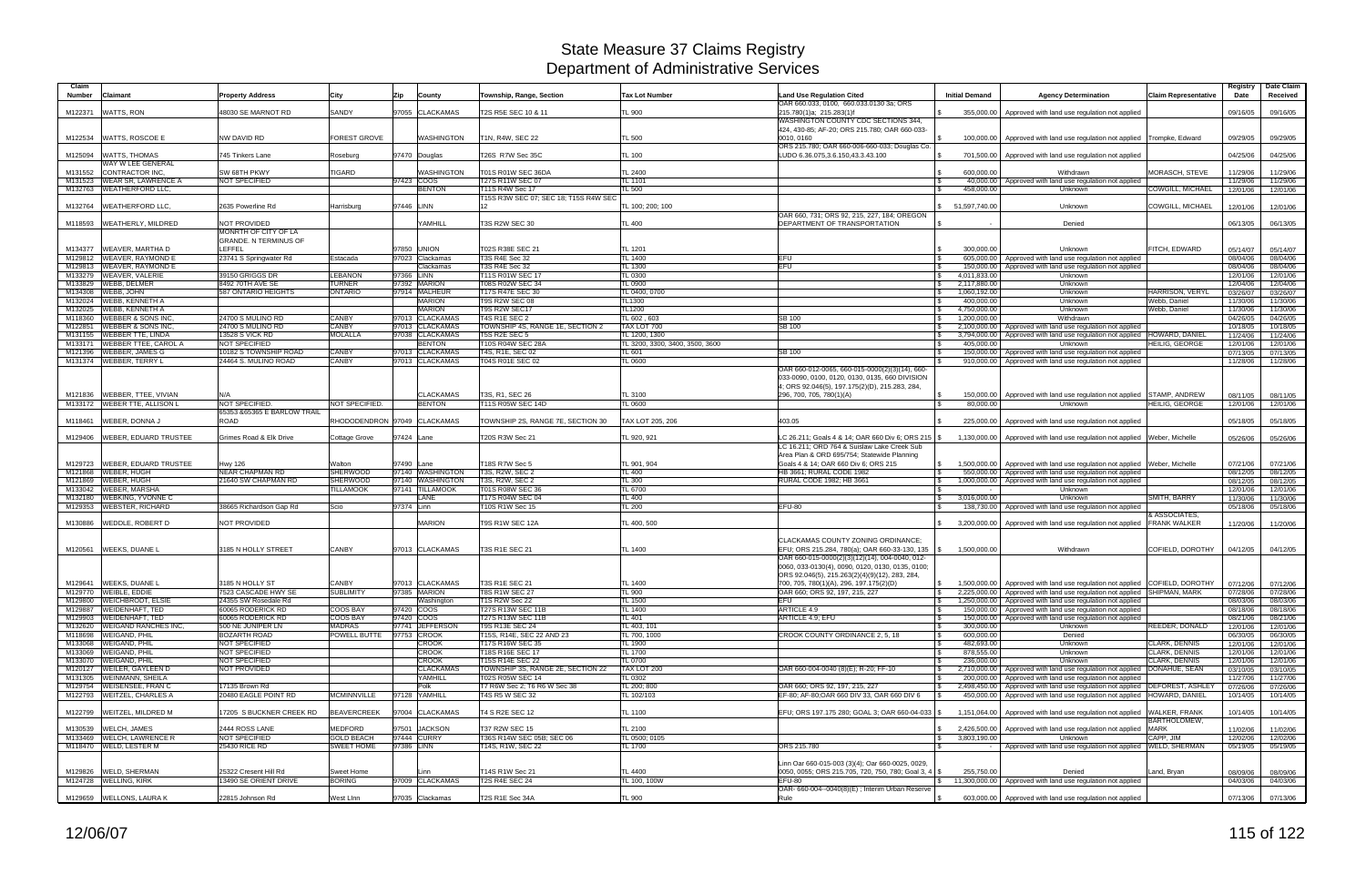| Claim<br><b>Number</b><br><b>Claimant</b>                                            | <b>Property Address</b>                       | City                                   | Zip        | County                               | Township, Range, Section                              | <b>Tax Lot Number</b>           | <b>Land Use Regulation Cited</b>                                                                    | <b>Initial Demand</b>                                   | <b>Agency Determination</b>                                                                                                                               | <b>Claim Representative</b> | Registry<br>Date     | Date Claim<br>Received |
|--------------------------------------------------------------------------------------|-----------------------------------------------|----------------------------------------|------------|--------------------------------------|-------------------------------------------------------|---------------------------------|-----------------------------------------------------------------------------------------------------|---------------------------------------------------------|-----------------------------------------------------------------------------------------------------------------------------------------------------------|-----------------------------|----------------------|------------------------|
| WATTS, RON<br>M122371                                                                | 48030 SE MARNOT RD                            | SANDY                                  |            | 97055 CLACKAMAS                      | T2S R5E SEC 10 & 11                                   | <b>TL 900</b>                   | OAR 660.033, 0100, 660.033.0130 3a; ORS<br>215.780(1)a: 215.283(1)f                                 |                                                         |                                                                                                                                                           |                             | 09/16/05             | 09/16/05               |
|                                                                                      |                                               |                                        |            |                                      |                                                       |                                 | WASHINGTON COUNTY CDC SECTIONS 344,                                                                 |                                                         | 355,000.00   Approved with land use regulation not applied                                                                                                |                             |                      |                        |
|                                                                                      |                                               |                                        |            |                                      |                                                       |                                 | 424, 430-85; AF-20; ORS 215.780; OAR 660-033-                                                       |                                                         |                                                                                                                                                           |                             |                      |                        |
| M122534 WATTS, ROSCOE E                                                              | NW DAVID RD                                   | FOREST GROVE                           |            | <b>WASHINGTON</b>                    | T1N, R4W, SEC 22                                      | TL 500                          | 0010, 0160<br>ORS 215.780; OAR 660-006-660-033; Douglas Co.                                         | 100,000.00                                              | Approved with land use regulation not applied Trompke, Edward                                                                                             |                             | 09/29/05             | 09/29/05               |
| <b>WATTS, THOMAS</b><br>M125094                                                      | 745 Tinkers Lane                              | Roseburg                               |            | 97470 Douglas                        | T26S R7W Sec 35C                                      | <b>TL 100</b>                   | LUDO 6.36.075,3.6.150,43.3.43.100                                                                   | l \$                                                    | 701,500.00 Approved with land use regulation not applied                                                                                                  |                             | 04/25/06             | 04/25/06               |
| WAY W LEE GENERAL                                                                    |                                               |                                        |            |                                      |                                                       |                                 |                                                                                                     |                                                         |                                                                                                                                                           |                             |                      |                        |
| CONTRACTOR INC.<br>M131552<br>M131523 WEAR SR, LAWRENCE A                            | <b>SW 68TH PKWY</b><br><b>NOT SPECIFIED</b>   | <b>TIGARD</b>                          |            | <b>WASHINGTON</b><br>97423 COOS      | T01S R01W SEC 36DA<br>T27S R11W SEC 07                | TL 2400<br>TL 1101              |                                                                                                     | 600.000.00<br><b>S</b>                                  | Withdrawn<br>40,000.00   Approved with land use regulation not applied                                                                                    | MORASCH, STEVE              | 11/29/06<br>11/29/06 | 11/29/06<br>11/29/06   |
| M132763 WEATHERFORD LLC.                                                             |                                               |                                        |            | <b>BENTON</b>                        | <b>T11S R4W Sec 17</b>                                | TL 500                          |                                                                                                     | 458.000.00                                              | Unknown                                                                                                                                                   | COWGILL, MICHAEL            | 12/01/06             | 12/01/06               |
|                                                                                      |                                               |                                        |            |                                      | T15S R3W SEC 07; SEC 18; T15S R4W SEC                 |                                 |                                                                                                     |                                                         |                                                                                                                                                           |                             |                      |                        |
| <b>WEATHERFORD LLC,</b><br>M132764                                                   | 2635 Powerline Rd                             | Harrisburg                             | 97446 LINN |                                      | 12                                                    | TL 100; 200; 100                | OAR 660, 731; ORS 92, 215, 227, 184; OREGON                                                         | \$ 51,597,740.00                                        | Unknown                                                                                                                                                   | <b>COWGILL, MICHAEL</b>     | 12/01/06             | 12/01/06               |
| WEATHERLY, MILDRED<br>M118593                                                        | <b>NOT PROVIDED</b>                           |                                        |            | YAMHILL                              | <b>T3S R2W SEC 30</b>                                 | <b>TL 400</b>                   | DEPARTMENT OF TRANSPORTATION                                                                        |                                                         | Denied                                                                                                                                                    |                             | 06/13/05             | 06/13/05               |
|                                                                                      | MONRTH OF CITY OF LA                          |                                        |            |                                      |                                                       |                                 |                                                                                                     |                                                         |                                                                                                                                                           |                             |                      |                        |
| M134377<br>WEAVER, MARTHA D                                                          | <b>GRANDE, N TERMINUS OF</b><br>LEFFEL        |                                        |            | 97850 UNION                          | T02S R38E SEC 21                                      | TL 1201                         |                                                                                                     | $\mathbb{R}$<br>300.000.00                              | Unknown                                                                                                                                                   | <b>FITCH, EDWARD</b>        | 05/14/07             | 05/14/07               |
| M129812 WEAVER, RAYMOND E                                                            | 23741 S Springwater Rd                        | Estacada                               |            | 97023 Clackamas                      | T3S R4E Sec 32                                        | TL 1400                         | EFU                                                                                                 |                                                         | 605,000.00   Approved with land use regulation not applied                                                                                                |                             | 08/04/06             | 08/04/06               |
| M129813 WEAVER, RAYMOND E                                                            |                                               |                                        |            | Clackamas                            | T3S R4E Sec 32                                        | TL 1300                         | <b>EFU</b>                                                                                          |                                                         | 150,000.00 Approved with land use regulation not applied                                                                                                  |                             | 08/04/06             | 08/04/06               |
| M133279 WEAVER, VALERIE                                                              | 39150 GRIGGS DR                               | LEBANON                                | 97366 LINN |                                      | T11S R01W SEC 17                                      | <b>TL 0300</b>                  |                                                                                                     | 4,011,833.00<br><b>\$</b>                               | Unknown                                                                                                                                                   |                             | 12/01/06             | 12/01/06               |
| M133829 WEBB, DELMER<br>WEBB, JOHN<br>M134308                                        | 8492 70TH AVE SE<br>587 ONTARIO HEIGHTS       | <b>TURNER</b><br><b>ONTARIO</b>        |            | 97392 MARION<br>97914 MALHEUR        | T08S R02W SEC 34<br>T17S R47E SEC 30                  | TL 0900<br>TL 0400, 0700        |                                                                                                     | 2,117,880.00<br><b>\$</b><br>1,060,192.00<br>$\sqrt{3}$ | Unknown<br>Unknown                                                                                                                                        | HARRISON, VERYL             | 12/04/06<br>03/26/07 | 12/04/06<br>03/26/07   |
| M132024 WEBB, KENNETH A                                                              |                                               |                                        |            | <b>MARION</b>                        | <b>T9S R2W SEC 08</b>                                 | <b>TL1300</b>                   |                                                                                                     | 400,000.00<br>$\sqrt{3}$                                | Unknown                                                                                                                                                   | Webb, Daniel                | 11/30/06             | 11/30/06               |
| <b>WEBB, KENNETH A</b><br>M132025                                                    |                                               |                                        |            | <b>MARION</b>                        | T9S R2W SEC17                                         | <b>TL1200</b>                   |                                                                                                     | 4.750.000.00<br>$\mathsf{S}$                            | Unknown                                                                                                                                                   | Webb, Daniel                | 11/30/06             | 11/30/06               |
| <b>WEBBER &amp; SONS INC.</b><br>M118360<br><b>WEBBER &amp; SONS INC.</b><br>M122851 | 24700 S MULINO RD<br>24700 S MULINO RD        | CANBY<br>CANBY                         |            | 97013 CLACKAMAS<br>97013 CLACKAMAS   | T4S R1E SEC 2<br>TOWNSHIP 4S, RANGE 1E, SECTION 2     | TL602.603<br>TAX LOT 700        | <b>SB 100</b><br><b>SB 100</b>                                                                      | 1.200.000.00<br><b>\$</b><br><b>S</b>                   | Withdrawn<br>2,100,000.00 Approved with land use regulation not applied                                                                                   |                             | 04/26/05<br>10/18/05 | 04/26/05<br>10/18/05   |
| M131155 WEBBER TTE, LINDA                                                            | <b>13528 S VICK RD</b>                        | <b>MOLALLA</b>                         |            | 97038 CLACKAMAS                      | T5S R2E SEC 5                                         | TL 1200, 1300                   |                                                                                                     | 3,794,000.00                                            | Approved with land use regulation not applied  HOWARD, DANIEL                                                                                             |                             | 11/24/06             | 11/24/06               |
| M133171<br><b>WEBBER TTEE, CAROL A</b>                                               | NOT SPECIFIED                                 |                                        |            | BENTON                               | T10S R04W SEC 28A                                     | TL 3200, 3300, 3400, 3500, 3600 |                                                                                                     | 405,000.00<br>l \$                                      | Unknown                                                                                                                                                   | <b>HEILIG. GEORGE</b>       | 12/01/06             | 12/01/06               |
| M121396 WEBBER, JAMES G                                                              | 10182 S TOWNSHIP ROAD                         | CANBY                                  |            | 97013 CLACKAMAS                      | T4S, R1E, SEC 02                                      | TL 601                          | <b>SB 100</b>                                                                                       | 150,000.00<br>l S                                       | Approved with land use regulation not applied                                                                                                             |                             | 07/13/05             | 07/13/05               |
| M131374 WEBBER, TERRY L                                                              | 24464 S. MULINO ROAD                          | <b>CANBY</b>                           |            | 97013 CLACKAMAS                      | T04S R01E SEC 02                                      | TL 0600                         | OAR 660-012-0065, 660-015-0000(2)(3)(14), 660-                                                      | 910,000.00                                              | Approved with land use regulation not applied                                                                                                             |                             | 11/28/06             | 11/28/06               |
|                                                                                      |                                               |                                        |            |                                      |                                                       |                                 | 033-0090, 0100, 0120, 0130, 0135, 660 DIVISION                                                      |                                                         |                                                                                                                                                           |                             |                      |                        |
|                                                                                      |                                               |                                        |            |                                      |                                                       |                                 | 4; ORS 92.046(5), 197.175(2)(D), 215.283, 284,                                                      |                                                         |                                                                                                                                                           |                             |                      |                        |
| WEBBER, TTEE, VIVIAN<br>M121836<br>M133172 WEBER TTE, ALLISON L                      | N/A<br>NOT SPECIFIED.                         | NOT SPECIFIED.                         |            | <b>CLACKAMAS</b><br><b>BENTON</b>    | T3S, R1, SEC 26<br><b>T11S R05W SEC 14D</b>           | TL 3100<br>TL 0600              | 296, 700, 705, 780(1)(A)                                                                            | 150,000.00<br>l \$<br>80.000.00                         | Approved with land use regulation not applied STAMP, ANDREW<br>Unknown                                                                                    | <b>HEILIG, GEORGE</b>       | 08/11/05             | 08/11/05               |
|                                                                                      | 65353 & 65365 E BARLOW TRAIL                  |                                        |            |                                      |                                                       |                                 |                                                                                                     |                                                         |                                                                                                                                                           |                             | 12/01/06             | 12/01/06               |
| WEBER, DONNA J<br>M118461                                                            | ROAD                                          | RHODODENDRON 97049 CLACKAMAS           |            |                                      | TOWNSHIP 2S, RANGE 7E, SECTION 30                     | TAX LOT 205, 206                | 403.05                                                                                              | 225,000.00                                              | Approved with land use regulation not applied                                                                                                             |                             | 05/18/05             | 05/18/05               |
|                                                                                      |                                               |                                        |            |                                      |                                                       |                                 |                                                                                                     |                                                         |                                                                                                                                                           |                             |                      |                        |
| <b>WEBER, EDUARD TRUSTEE</b><br>M129406                                              | Grimes Road & Elk Drive                       | Cottage Grove                          | 97424 Lane |                                      | T20S R3W Sec 21                                       | TL 920, 921                     | LC 26.211; Goals 4 & 14; OAR 660 Div 6; ORS 215   \$<br>LC 16.211; ORD 764 & Suislaw Lake Creek Sub |                                                         | 1,130,000.00 Approved with land use regulation not applied Weber, Michelle                                                                                |                             | 05/26/06             | 05/26/06               |
|                                                                                      |                                               |                                        |            |                                      |                                                       |                                 | Area Plan & ORD 695/754; Statewide Planning                                                         |                                                         |                                                                                                                                                           |                             |                      |                        |
| M129723<br><b>WEBER, EDUARD TRUSTEE</b>                                              | <b>Hwy 126</b>                                | Walton                                 | 97490 Lane |                                      | T18S R7W Sec 5                                        | TL 901, 904                     | Goals 4 & 14; OAR 660 Div 6; ORS 215                                                                | $\mathbf{\hat{s}}$                                      | 1,500,000.00 Approved with land use regulation not applied Weber, Michelle                                                                                |                             | 07/21/06             | 07/21/06               |
| M121868 WEBER, HUGH<br>M121869 WEBER, HUGH                                           | <b>NEAR CHAPMAN RD</b><br>1640 SW CHAPMAN RD  | <b>SHERWOOD</b><br><b>SHERWOOD</b>     |            | 97140 WASHINGTON<br>97140 WASHINGTON | T3S, R2W, SEC 2<br><b>T3S, R2W, SEC 2</b>             | TL 400<br>TL 300                | HB 3661: RURAL CODE 1982<br>RURAL CODE 1982; HB 3661                                                | 550,000.00                                              | Approved with land use regulation not applied<br>1,000,000.00 Approved with land use regulation not applied                                               |                             | 08/12/05             | 08/12/05               |
| <b>WEBER, MARSHA</b><br>M133042                                                      |                                               | <b>TILLAMOOK</b>                       |            | 97141 TILLAMOOK                      | T01S R08W SEC 36                                      | TL 6700                         |                                                                                                     |                                                         | Unknown                                                                                                                                                   |                             | 08/12/05<br>12/01/06 | 08/12/05<br>12/01/06   |
| <b>WEBKING, YVONNE C</b><br>M132180                                                  |                                               |                                        |            | LANE                                 | T17S R04W SEC 04                                      | TL 400                          |                                                                                                     | 3,016,000.00<br>$\mathbb{R}$                            | Unknown                                                                                                                                                   | SMITH, BARRY                | 11/30/06             | 11/30/06               |
| <b>WEBSTER, RICHARD</b><br>M129353                                                   | 38665 Richardson Gap Rd                       | Scio                                   | 97374 Linn |                                      | T10S R1W Sec 15                                       | <b>TL 200</b>                   | <b>EFU-80</b>                                                                                       | 138,730.00<br>IS.                                       | Approved with land use regulation not applied                                                                                                             |                             | 05/18/06             | 05/18/06               |
| WEDDLE, ROBERT D<br>M130886                                                          | <b>NOT PROVIDED</b>                           |                                        |            | <b>MARION</b>                        | <b>T9S R1W SEC 12A</b>                                | TL 400, 500                     |                                                                                                     | 3,200,000.00                                            | Approved with land use regulation not applied FRANK WALKER                                                                                                | & ASSOCIATES.               | 11/20/06             | 11/20/06               |
|                                                                                      |                                               |                                        |            |                                      |                                                       |                                 |                                                                                                     |                                                         |                                                                                                                                                           |                             |                      |                        |
|                                                                                      |                                               |                                        |            |                                      |                                                       |                                 | CLACKAMAS COUNTY ZONING ORDINANCE;                                                                  |                                                         |                                                                                                                                                           |                             |                      |                        |
| M120561 WEEKS, DUANE L                                                               | 3185 N HOLLY STREET                           | CANBY                                  |            | 97013 CLACKAMAS                      | T3S R1E SEC 21                                        | TL 1400                         | EFU; ORS 215.284, 780(a); OAR 660-33-130, 135 \\$<br>OAR 660-015-0000(2)(3)(12)(14), 004-0040, 012- | 1,500,000.00                                            | Withdrawn                                                                                                                                                 | COFIELD, DOROTHY            | 04/12/05             | 04/12/05               |
|                                                                                      |                                               |                                        |            |                                      |                                                       |                                 | 0060, 033-0130(4), 0090, 0120, 0130, 0135, 0100;                                                    |                                                         |                                                                                                                                                           |                             |                      |                        |
|                                                                                      |                                               |                                        |            |                                      |                                                       |                                 | ORS 92.046(5), 215.263(2)(4)(9)(12), 283, 284,                                                      |                                                         |                                                                                                                                                           |                             |                      |                        |
| M129641 WEEKS, DUANE L<br>M129770 WEIBLE, EDDIE                                      | 3185 N HOLLY ST<br>7523 CASCADE HWY SE        | <b>CANBY</b><br><b>SUBLIMITY</b>       |            | 97013 CLACKAMAS<br>97385 MARION      | <b>T3S R1E SEC 21</b><br><b>T8S R1W SEC 27</b>        | <b>TL 1400</b><br>TL 900        | 700, 705, 780(1)(A), 296, 197.175(2)(D)<br>OAR 660; ORS 92, 197, 215, 227                           | $\mathsf{S}$<br>$\sqrt{S}$                              | 1,500,000.00 Approved with land use regulation not applied COFIELD, DOROTHY<br>2,225,000.00   Approved with land use regulation not applied SHIPMAN, MARK |                             | 07/12/06<br>07/28/06 | 07/12/06<br>07/28/06   |
| M129800 WEICHBRODT, ELSIE                                                            | 24355 SW Rosedale Rd                          |                                        |            | Washington                           | <b>T1S R2W Sec 22</b>                                 | TL 1500                         | <b>EFU</b>                                                                                          | $\mathcal{S}$                                           | 1.250,000,00 Approved with land use regulation not applied                                                                                                |                             | 08/03/06             | 08/03/06               |
| M129887 WEIDENHAFT, TED                                                              | 60065 RODERICK RD                             | <b>COOS BAY</b>                        |            | 97420 COOS                           | T27S R13W SEC 11B                                     | TL 1400                         | ARTICLE 4.9                                                                                         | $\sqrt{3}$                                              | 150,000,00 Approved with land use regulation not applied                                                                                                  |                             | 08/18/06             | 08/18/06               |
| M129903 WEIDENHAFT, TED<br>M132620 WEIGAND RANCHES INC.                              | 60065 RODERICK RD<br>500 NE JUNIPER LN        | <b>COOS BAY</b><br><b>MADRAS</b>       |            | 97420 COOS<br>97741 JEFFERSON        | <b>T27S R13W SEC 11B</b>                              | TL 401                          | ARTICLE 4.9; EFU                                                                                    | l \$                                                    | 150,000.00   Approved with land use regulation not applied                                                                                                | REEDER, DONALD              | 08/21/06             | 08/21/06               |
| M118698 WEIGAND, PHIL                                                                | BOZARTH ROAD                                  | POWELL BUTTE 97753 CROOK               |            |                                      | T9S R13E SEC 24<br>T15S, R14E, SEC 22 AND 23          | TL 403, 101<br>TL 700, 1000     | CROOK COUNTY ORDINANCE 2, 5, 18                                                                     | 300,000.00<br>l SS<br>$\sqrt{3}$<br>600,000.00          | Unknown<br>Denied                                                                                                                                         |                             | 12/01/06<br>06/30/05 | 12/01/06<br>06/30/05   |
| M133068 WEIGAND, PHIL                                                                | NOT SPECIFIED                                 |                                        |            | <b>CROOK</b>                         | T17S R16W SEC 35                                      | TL 1900                         |                                                                                                     | 482,693.00<br>l \$                                      | Unknown                                                                                                                                                   | CLARK, DENNIS               | 12/01/06             | 12/01/06               |
| M133069 WEIGAND, PHIL                                                                | NOT SPECIFIED                                 |                                        |            | <b>CROOK</b>                         | T18S R16E SEC 17                                      | <b>TL 1700</b>                  |                                                                                                     | $\sqrt{3}$<br>878,555.00                                | Unknown                                                                                                                                                   | <b>CLARK, DENNIS</b>        | 12/01/06             | 12/01/06               |
| M133070 WEIGAND, PHIL<br>M120127 WEILER, GAYLEEN D                                   | NOT SPECIFIED<br>NOT PROVIDED                 |                                        |            | <b>CROOK</b><br><b>CLACKAMAS</b>     | T15S R14E SEC 22<br>TOWNSHIP 3S, RANGE 2E, SECTION 22 | <b>TL 0700</b><br>TAX LOT 200   | OAR 660-004-0040 (8)(E); R-20; FF-10                                                                | 236,000.00<br>$\sqrt{3}$<br>$\mathcal{S}$               | Unknown<br>2,710,000.00   Approved with land use regulation not applied   DONAHUE, SEAN                                                                   | <b>CLARK, DENNIS</b>        | 12/01/06<br>03/10/05 | 12/01/06<br>03/10/05   |
| M131305 WEINMANN, SHEILA                                                             |                                               |                                        |            | YAMHILL                              | T02S R05W SEC 14                                      | TL 0302                         |                                                                                                     |                                                         | 200,000.00 Approved with land use regulation not applied                                                                                                  |                             | 11/27/06             | 11/27/06               |
| M129754 WEISENSEE, FRAN C                                                            | 17135 Brown Rd                                |                                        |            | Polk                                 | T7 R6W Sec 2; T6 R6 W Sec 38                          | TL 200; 800                     | OAR 660; ORS 92, 197, 215, 227                                                                      | $\sqrt{3}$                                              | 2,498,450.00   Approved with land use regulation not applied   DEFOREST, ASHLEY                                                                           |                             | 07/26/06             | 07/26/06               |
| M122793 WEITZEL, CHARLES A                                                           | 20480 EAGLE POINT RD                          | <b>MCMINNVILLE</b>                     |            | 97128 YAMHILL                        | T4S R5 W SEC 32                                       | TL 102/103                      | EF-80; AF-80; OAR 660 DIV 33, OAR 660 DIV 6                                                         |                                                         | 450,000.00   Approved with land use regulation not applied   HOWARD, DANIEL                                                                               |                             | 10/14/05             | 10/14/05               |
| M122799   WEITZEL, MILDRED M                                                         | 17205 S BUCKNER CREEK RD                      | <b>BEAVERCREEK</b>                     |            | 97004 CLACKAMAS                      | T4 S R2E SEC 12                                       | <b>TL 1100</b>                  | EFU; ORS 197.175 280; GOAL 3; OAR 660-04-033 \$                                                     |                                                         | 1,151,064.00 Approved with land use regulation not applied WALKER, FRANK                                                                                  |                             | 10/14/05             | 10/14/05               |
|                                                                                      |                                               |                                        |            |                                      |                                                       |                                 |                                                                                                     |                                                         |                                                                                                                                                           | <b>BARTHOLOMEW.</b>         |                      |                        |
| M130539 WELCH, JAMES                                                                 | 2444 ROSS LANE                                | MEDFORD                                |            | 97501 JACKSON                        | T37 R2W SEC 15                                        | TL 2100                         |                                                                                                     |                                                         | \$ 2,426,500.00 Approved with land use regulation not applied MARK                                                                                        |                             | 11/02/06             | 11/02/06               |
| M133469 WELCH, LAWRENCE R<br>M118470 WELD, LESTER M                                  | NOT SPECIFIED<br>25430 RICE RD                | <b>GOLD BEACH</b><br><b>SWEET HOME</b> | 97386 LINN | 97444 CURRY                          | T36S R14W SEC 05B; SEC 06<br>T14S, R1W, SEC 22        | TL 0500; 0105<br>TL 1700        | ORS 215.780                                                                                         | 3.803.190.00<br>$\mathsf{S}$<br>l \$                    | Unknown<br>Approved with land use regulation not applied WELD, SHERMAN                                                                                    | CAPP, JIM                   | 12/02/06<br>05/19/05 | 12/02/06<br>05/19/05   |
|                                                                                      |                                               |                                        |            |                                      |                                                       |                                 |                                                                                                     |                                                         |                                                                                                                                                           |                             |                      |                        |
|                                                                                      |                                               |                                        |            |                                      |                                                       |                                 | Linn Oar 660-015-003 (3)(4); Oar 660-0025, 0029,                                                    |                                                         |                                                                                                                                                           |                             |                      |                        |
| M129826 WELD, SHERMAN<br>M124728 WELLING, KIRK                                       | 25322 Cresent Hill Rd<br>3490 SE ORIENT DRIVE | Sweet Home<br><b>BORING</b>            |            | Linn<br>97009 CLACKAMAS              | T14S R1W Sec 21<br><b>T2S R4E SEC 24</b>              | TL 4400<br>TL 100, 100W         | 0050, 0055; ORS 215.705, 720, 750, 780; Goal 3, 4 \$<br>EFU-80                                      | 255,750.00<br>S.                                        | Denied<br>11,300,000.00 Approved with land use regulation not applied                                                                                     | Land, Bryan                 | 08/09/06<br>04/03/06 | 08/09/06<br>04/03/06   |
|                                                                                      |                                               |                                        |            |                                      |                                                       |                                 | OAR- 660-004--0040(8)(E); Interim Urban Reserve                                                     |                                                         |                                                                                                                                                           |                             |                      |                        |
| M129659 WELLONS, LAURA K                                                             | 22815 Johnson Rd                              | West Linn                              |            | 97035 Clackamas                      | T2S R1E Sec 34A                                       | <b>TL 900</b>                   | Rule                                                                                                | <b>S</b>                                                | 603,000.00 Approved with land use regulation not applied                                                                                                  |                             | 07/13/06             | 07/13/06               |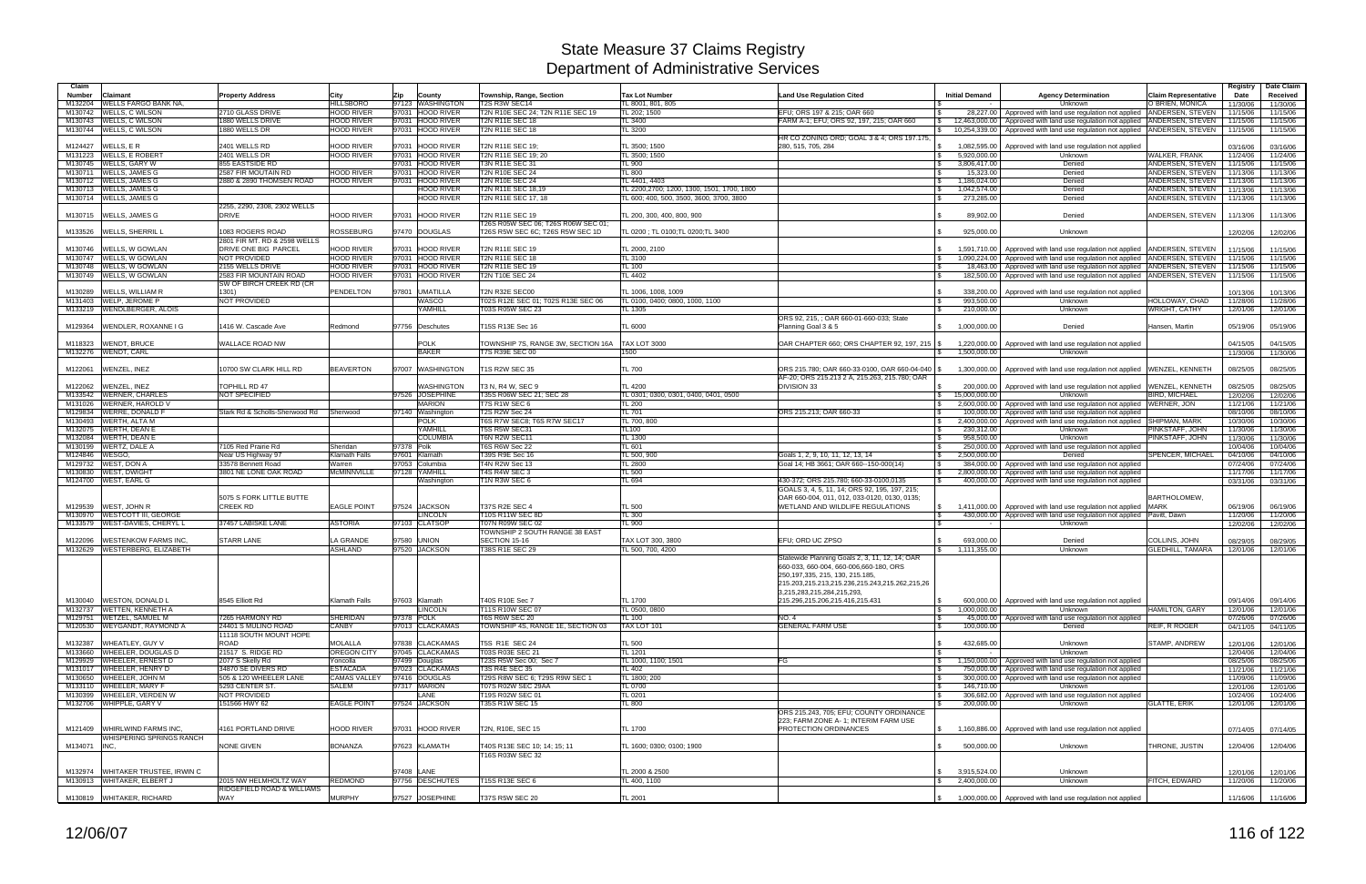| Claim              |                                         |                                                     |                           |                                   |                                                                         |                                            |                                                               |                                  |                                                                                        |                                                | Registry             | Date Claim           |
|--------------------|-----------------------------------------|-----------------------------------------------------|---------------------------|-----------------------------------|-------------------------------------------------------------------------|--------------------------------------------|---------------------------------------------------------------|----------------------------------|----------------------------------------------------------------------------------------|------------------------------------------------|----------------------|----------------------|
| <b>Number</b>      | Claimant<br><b>WELLS FARGO BANK NA.</b> | <b>Property Address</b>                             | City<br><b>HILLSBORO</b>  | Zip<br>County<br>97123 WASHINGTON | Township, Range, Section<br>T2S R3W SEC14                               | <b>Tax Lot Number</b><br>TL 8001, 801, 805 | <b>Land Use Regulation Cited</b>                              | <b>Initial Demand</b>            | <b>Agency Determination</b>                                                            | <b>Claim Representative</b><br>O`BRIEN. MONICA | Date                 | Received             |
| M132204<br>M130742 | WELLS, C WILSON                         | 2710 GLASS DRIVE                                    | <b>HOOD RIVER</b>         | 97031 HOOD RIVER                  | T2N R10E SEC 24: T2N R11E SEC 19                                        | TL 202: 1500                               | EFU; ORS 197 & 215; OAR 660                                   | 28,227.00<br>∣ \$                | Unknown<br>Approved with land use regulation not applied ANDERSEN, STEVEN              |                                                | 11/30/06<br>11/15/06 | 11/30/06<br>11/15/06 |
| M130743            | <b>WELLS, C WILSON</b>                  | 1880 WELLS DRIVE                                    | <b>HOOD RIVER</b>         | 97031 HOOD RIVER                  | <b>T2N R11E SEC 18</b>                                                  | TL 3400                                    | FARM A-1: EFU: ORS 92, 197, 215; OAR 660                      | 12.463.000.00                    | Approved with land use regulation not applied ANDERSEN, STEVEN                         |                                                | 11/15/06             | 11/15/06             |
| M130744            | WELLS, C WILSON                         | 1880 WELLS DR                                       | <b>HOOD RIVER</b>         | 97031 HOOD RIVER                  | T2N R11E SEC 18                                                         | TL 3200                                    |                                                               | 10.254.339.00                    | Approved with land use regulation not applied ANDERSEN, STEVEN                         |                                                | 11/15/06             | 11/15/06             |
|                    |                                         |                                                     |                           |                                   |                                                                         |                                            | HR CO ZONING ORD; GOAL 3 & 4; ORS 197.175.                    |                                  |                                                                                        |                                                |                      |                      |
| M124427            | WELLS, E R                              | 2401 WELLS RD                                       | <b>HOOD RIVER</b>         | 97031 HOOD RIVER                  | T2N R11E SEC 19;                                                        | TL 3500; 1500                              | 280, 515, 705, 284                                            | $\mathbb{S}$<br>1,082,595.00     | Approved with land use regulation not applied                                          |                                                | 03/16/06             | 03/16/06             |
| M131223            | <b>WELLS, E ROBERT</b>                  | 2401 WELLS DR                                       | <b>HOOD RIVER</b>         | 97031 HOOD RIVER                  | T2N R11E SEC 19; 20                                                     | TL 3500: 1500                              |                                                               | 5.920.000.00<br>$\mathbb{S}$     | Unknown                                                                                | <b>WALKER, FRANK</b>                           | 11/24/06             | 11/24/06             |
|                    | M130745 WELLS, GARY W                   | 855 EASTSIDE RD                                     |                           | 97031 HOOD RIVER                  | <b>T3N R11E SEC 31</b>                                                  | <b>TL 900</b>                              |                                                               | 3,806,417.00<br>$\mathcal{S}$    | Denied                                                                                 | ANDERSEN, STEVEN                               | 11/15/06             | 11/15/06             |
|                    | M130711 WELLS, JAMES G                  | 2587 FIR MOUTAIN RD                                 | <b>HOOD RIVER</b>         | 97031 HOOD RIVER                  | <b>T2N R10E SEC 24</b>                                                  | <b>TL 800</b>                              |                                                               | 15.323.00                        | Denied                                                                                 | ANDERSEN, STEVEN                               | 11/13/06             | 11/13/06             |
|                    | M130712 WELLS, JAMES G                  | 2880 & 2890 THOMSEN ROAD                            | <b>HOOD RIVER</b>         | 97031 HOOD RIVER                  | <b>T2N R10E SEC 24</b>                                                  | TL 4401, 4403                              |                                                               | 1,186,024.00<br>$\mathbb{S}$     | Denied                                                                                 | ANDERSEN, STEVEN 11/13/06                      |                      | 11/13/06             |
|                    | M130713 WELLS, JAMES G                  |                                                     |                           | <b>HOOD RIVER</b>                 | T2N R11E SEC 18,19                                                      | TL 2200,2700; 1200, 1300, 1501, 1700, 1800 |                                                               | 1,042,574.00<br>$\mathbb{S}$     | Denied                                                                                 | ANDERSEN, STEVEN                               | 11/13/06             | 11/13/06             |
|                    | M130714 WELLS, JAMES G                  |                                                     |                           | <b>HOOD RIVER</b>                 | T2N R11E SEC 17, 18                                                     | FL 600: 400, 500, 3500, 3600, 3700, 3800   |                                                               | 273,285.00                       | Denied                                                                                 | ANDERSEN, STEVEN                               | 11/13/06             | 11/13/06             |
|                    |                                         | 2255, 2290, 2308, 2302 WELLS<br><b>DRIVE</b>        | <b>HOOD RIVER</b>         |                                   |                                                                         | TL 200, 300, 400, 800, 900                 |                                                               |                                  |                                                                                        |                                                |                      |                      |
|                    | M130715 WELLS, JAMES G                  |                                                     |                           | 97031 HOOD RIVER                  | T2N R11E SEC 19                                                         |                                            |                                                               | 89,902.00                        | Denied                                                                                 | ANDERSEN, STEVEN                               | 11/13/06             | 11/13/06             |
| M133526            | <b>WELLS, SHERRIL L</b>                 | 1083 ROGERS ROAD                                    | <b>ROSSEBURG</b>          | 97470 DOUGLAS                     | T26S R05W SEC 06; T26S R06W SEC 01:<br>T26S R5W SEC 6C; T26S R5W SEC 1D | TL 0200 ; TL 0100; TL 0200; TL 3400        |                                                               | 925.000.00                       | Unknown                                                                                |                                                | 12/02/06             | 12/02/06             |
|                    |                                         | 2801 FIR MT. RD & 2598 WELLS                        |                           |                                   |                                                                         |                                            |                                                               |                                  |                                                                                        |                                                |                      |                      |
| M130746            | WELLS, W GOWLAN                         | DRIVE ONE BIG PARCEL                                | <b>HOOD RIVER</b>         | 97031 HOOD RIVER                  | T2N R11E SEC 19                                                         | TL 2000, 2100                              |                                                               |                                  | 1,591,710.00   Approved with land use regulation not applied   ANDERSEN, STEVEN        |                                                | 11/15/06             | 11/15/06             |
|                    | M130747 WELLS, W GOWLAN                 | <b>NOT PROVIDED</b>                                 | <b>HOOD RIVER</b>         | 97031 HOOD RIVER                  | T2N R11E SEC 18                                                         | TL 3100                                    |                                                               | <b>S</b>                         | 1,090,224.00 Approved with land use regulation not applied ANDERSEN, STEVEN   11/15/06 |                                                |                      | 11/15/06             |
| M130748            | <b>WELLS, W GOWLAN</b>                  | 2155 WELLS DRIVE                                    | <b>HOOD RIVER</b>         | 97031 HOOD RIVER                  | <b>T2N R11E SEC 19</b>                                                  | <b>TL 100</b>                              |                                                               | 18,463.00<br><b>S</b>            | Approved with land use regulation not applied ANDERSEN, STEVEN                         |                                                | 11/15/06             | 11/15/06             |
| M130749            | WELLS, W GOWLAN                         | 2583 FIR MOUNTAIN ROAD                              | <b>HOOD RIVER</b>         | 97031 HOOD RIVER                  | <b>T2N T10E SEC 24</b>                                                  | <b>TL 4402</b>                             |                                                               | l \$<br>182.500.00               | Approved with land use regulation not applied ANDERSEN, STEVEN                         |                                                | 11/15/06             | 11/15/06             |
|                    |                                         | SW OF BIRCH CREEK RD (CR                            |                           |                                   |                                                                         |                                            |                                                               |                                  |                                                                                        |                                                |                      |                      |
| M130289            | <b>WELLS, WILLIAM R</b>                 | 1301)                                               | <b>PENDELTON</b>          | 97801 UMATILLA                    | <b>T2N R32E SEC00</b>                                                   | TL 1006, 1008, 1009                        |                                                               | 338,200.00                       | Approved with land use regulation not applied                                          |                                                | 10/13/06             | 10/13/06             |
|                    | M131403 WELP, JEROME P                  | NOT PROVIDED                                        |                           | <b>WASCO</b>                      | T02S R12E SEC 01; T02S R13E SEC 06                                      | TL 0100, 0400; 0800, 1000, 1100            |                                                               | 993,500.00                       | Unknown                                                                                | HOLLOWAY, CHAD                                 | 11/28/06             | 11/28/06             |
|                    | M133219 WENDLBERGER, ALOIS              |                                                     |                           | YAMHILL                           | T03S R05W SEC 23                                                        | TL 1305                                    |                                                               | 210,000.00<br>l Si               | Unknown                                                                                | <b>WRIGHT, CATHY</b>                           | 12/01/06             | 12/01/06             |
|                    |                                         |                                                     |                           |                                   |                                                                         |                                            | ORS 92, 215, ; OAR 660-01-660-033; State                      |                                  |                                                                                        |                                                |                      |                      |
| M129364            | WENDLER, ROXANNE I G                    | 1416 W. Cascade Ave                                 | Redmond                   | 97756 Deschutes                   | T15S R13E Sec 16                                                        | <b>TL 6000</b>                             | Planning Goal 3 & 5                                           | 1,000,000.00                     | Denied                                                                                 | Hansen, Martin                                 | 05/19/06             | 05/19/06             |
|                    |                                         |                                                     |                           |                                   |                                                                         |                                            |                                                               |                                  |                                                                                        |                                                |                      |                      |
| M118323            | WENDT, BRUCE                            | WALLACE ROAD NW                                     |                           | <b>POLK</b>                       | TOWNSHIP 7S, RANGE 3W, SECTION 16A                                      | <b>TAX LOT 3000</b>                        | OAR CHAPTER 660; ORS CHAPTER 92, 197, 215   \$                | 1,220,000.00                     | Approved with land use regulation not applied                                          |                                                | 04/15/05             | 04/15/05             |
|                    | M132276 WENDT, CARL                     |                                                     |                           | <b>BAKER</b>                      | <b>7S R39E SEC 00</b>                                                   | 1500                                       |                                                               | 1,500,000.00                     | Unknown                                                                                |                                                | 11/30/06             | 11/30/06             |
|                    |                                         |                                                     |                           |                                   |                                                                         |                                            |                                                               |                                  |                                                                                        |                                                |                      |                      |
| M122061            | WENZEL, INEZ                            | 10700 SW CLARK HILL RD                              | <b>BEAVERTON</b>          | 97007 WASHINGTON                  | T1S R2W SEC 35                                                          | <b>TL 700</b>                              | ORS 215.780; OAR 660-33-0100, OAR 660-04-040 \$               | 1.300.000.00                     | Approved with land use regulation not applied WENZEL, KENNETH                          |                                                | 08/25/05             | 08/25/05             |
|                    |                                         |                                                     |                           |                                   |                                                                         |                                            | AF-20: ORS 215.213 2 A. 215.263, 215.780; OAR                 |                                  |                                                                                        |                                                |                      |                      |
| M122062            | WENZEL, INEZ                            | <b>TOPHILL RD 47</b>                                |                           | <b>WASHINGTON</b>                 | T3 N. R4 W. SEC 9                                                       | TL 4200                                    | DIVISION 33                                                   | 200.000.00                       | Approved with land use regulation not applied WENZEL, KENNETH                          |                                                | 08/25/05             | 08/25/05             |
| M133542            | <b>WERNER, CHARLES</b>                  | <b>NOT SPECIFIED</b>                                |                           | 97526 JOSEPHINE                   | T35S R06W SEC 21: SEC 28                                                | TL 0301: 0300, 0301, 0400, 0401, 0500      |                                                               | 15,000,000.00<br><b>S</b>        | Unknown                                                                                | BIRD, MICHAEL                                  | 12/02/06             | 12/02/06             |
| M131026            | <b>WERNER, HAROLD V</b>                 |                                                     |                           | <b>MARION</b>                     | T7S R1W SEC 6                                                           | TL 200                                     |                                                               | l \$                             | 2,600,000.00   Approved with land use regulation not applied WERNER, JON               |                                                | 11/21/06             | 11/21/06             |
| M129834            | <b>WERRE, DONALD F</b>                  | Stark Rd & Scholls-Sherwood Rd                      | Sherwood                  | 97140 Washington                  | T2S R2W Sec 24                                                          | <b>TL 701</b>                              | ORS 215.213: OAR 660-33                                       | 100,000.00                       | Approved with land use regulation not applied                                          |                                                | 08/10/06             | 08/10/06             |
| M130493            | <b>WERTH, ALTA M</b>                    |                                                     |                           | <b>POLK</b>                       | T6S R7W SEC8; T6S R7W SEC17<br>T5S R5W SEC31                            | TL 700, 800                                |                                                               | 2,400,000.00<br>$\mathbb{S}$     | Approved with land use regulation not applied                                          | <b>SHIPMAN, MARK</b>                           | 10/30/06             | 10/30/06             |
|                    | M132075 WERTH, DEAN E                   |                                                     |                           | YAMHILL                           |                                                                         | <b>TL100</b>                               |                                                               | 230,312.00                       | Unknown                                                                                | PINKSTAFF, JOHN                                | 11/30/06             | 11/30/06             |
|                    | M132084 WERTH, DEAN E<br>WERTZ, DALE A  | 7105 Red Prairie Rd                                 |                           | <b>COLUMBIA</b><br>97378 Polk     | T6N R2W SEC11<br>T6S R6W Sec 22                                         | <b>TL 1300</b><br>TL 601                   |                                                               | 958,500.00<br>l \$<br>250,000.00 | Unknown<br>Approved with land use regulation not applied                               | PINKSTAFF, JOHN                                | 11/30/06             | 11/30/06             |
| M130199<br>M124846 | WESGO.                                  | Near US Highway 97                                  | Sheridan<br>Klamath Falls | 97601 Klamath                     | T39S R9E Sec 16                                                         | TL 500, 900                                | Goals 1, 2, 9, 10, 11, 12, 13, 14                             | IS.<br>l \$<br>2.500.000.00      | Denied                                                                                 | SPENCER, MICHAEL                               | 10/04/06<br>04/10/06 | 10/04/06<br>04/10/06 |
| M129732            | <b>WEST, DON A</b>                      | 33578 Bennett Road                                  | Narren                    | 97053 Columbia                    | T4N R2W Sec 13                                                          | <b>TL 2800</b>                             | Goal 14; HB 3661; OAR 660--150-000(14)                        | 384.000.00<br>l Si               | Approved with land use regulation not applied                                          |                                                | 07/24/06             | 07/24/06             |
| M130830            | <b>WEST, DWIGHT</b>                     | 3801 NE LONE OAK ROAD                               | <b>McMINNVILLE</b>        | 97128 YAMHILL                     | T4S R4W SEC 3                                                           | <b>TL 500</b>                              |                                                               | $\mathfrak{S}$<br>2,800,000.00   | Approved with land use regulation not applied                                          |                                                | 11/17/06             | 11/17/06             |
| M124700            | <b>WEST, EARL G</b>                     |                                                     |                           | Washington                        | T1N R3W SEC 6                                                           | TL 694                                     | 430-372; ORS 215.780; 660-33-0100,0135                        | 400,000.00                       | Approved with land use regulation not applied                                          |                                                | 03/31/06             | 03/31/06             |
|                    |                                         |                                                     |                           |                                   |                                                                         |                                            | GOALS 3, 4, 5, 11, 14; ORS 92, 195, 197, 215;                 |                                  |                                                                                        |                                                |                      |                      |
|                    |                                         | 5075 S FORK LITTLE BUTTE                            |                           |                                   |                                                                         |                                            | OAR 660-004, 011, 012, 033-0120, 0130, 0135;                  |                                  |                                                                                        | <b>BARTHOLOMEW</b>                             |                      |                      |
| M129539            | <b>WEST, JOHN R</b>                     | <b>CREEK RD</b>                                     | <b>EAGLE POINT</b>        | 97524 JACKSON                     | <b>T37S R2E SEC 4</b>                                                   | <b>TL 500</b>                              | WETLAND AND WILDLIFE REGULATIONS                              | 1,411,000.00<br>IS.              | Approved with land use regulation not applied MARK                                     |                                                | 06/19/06             | 06/19/06             |
| M130970            | <b>WESTCOTT III, GEORGE</b>             |                                                     |                           | <b>LINCOLN</b>                    | T10S R11W SEC 8D                                                        | <b>TL 300</b>                              |                                                               | $\sqrt{s}$                       | 430,000,00 Approved with land use regulation not applied Pavitt. Dawn                  |                                                | 11/20/06             | 11/20/06             |
| M133579            | <b>WEST-DAVIES, CHERYL L</b>            | 37457 LABISKE LANE                                  | <b>ASTORIA</b>            | 97103 CLATSOP                     | <b>T07N R09W SEC 02</b>                                                 | <b>TL 900</b>                              |                                                               | $\mathbb{R}$                     | Unknown                                                                                |                                                | 12/02/06             | 12/02/06             |
|                    |                                         |                                                     |                           |                                   | TOWNSHIP 2 SOUTH RANGE 38 EAST                                          |                                            |                                                               |                                  |                                                                                        |                                                |                      |                      |
| M122096            | <b>WESTENKOW FARMS INC.</b>             | <b>STARR LANE</b>                                   | A GRANDE                  | 97580 UNION                       | SECTION 15-16                                                           | TAX LOT 300, 3800                          | EFU: ORD UC ZPSO                                              | 693,000.00                       | Denied                                                                                 | COLLINS, JOHN                                  | 08/29/05             | 08/29/05             |
|                    | M132629 WESTERBERG, ELIZABETH           |                                                     | <b>ASHLAND</b>            | 97520 JACKSON                     | <b>T38S R1E SEC 29</b>                                                  | TL 500, 700, 4200                          |                                                               | 1,111,355.00                     | Unknown                                                                                | <b>GLEDHILL, TAMARA</b>                        | 12/01/06             | 12/01/06             |
|                    |                                         |                                                     |                           |                                   |                                                                         |                                            | Statewide Planning Goals 2, 3, 11, 12, 14; OAR                |                                  |                                                                                        |                                                |                      |                      |
|                    |                                         |                                                     |                           |                                   |                                                                         |                                            | 660-033, 660-004, 660-006, 660-180, ORS                       |                                  |                                                                                        |                                                |                      |                      |
|                    |                                         |                                                     |                           |                                   |                                                                         |                                            | 250, 197, 335, 215, 130, 215. 185.                            |                                  |                                                                                        |                                                |                      |                      |
|                    |                                         |                                                     |                           |                                   |                                                                         |                                            | 215.203,215.213,215.236,215.243,215.262,215,26                |                                  |                                                                                        |                                                |                      |                      |
|                    | M130040 WESTON, DONALD L                | 8545 Elliott Rd                                     | Klamath Falls             | 97603 Klamath                     | T40S R10E Sec 7                                                         | TL 1700                                    | 3,215,283,215,284,215,293,<br>215.296.215.206.215.416.215.431 | <b>S</b>                         |                                                                                        |                                                |                      |                      |
|                    | M132737 WETTEN, KENNETH A               |                                                     |                           | <b>LINCOLN</b>                    | <b>T11S R10W SEC 07</b>                                                 | TL 0500, 0800                              |                                                               | 1,000,000.00<br>$\sqrt{3}$       | 600,000.00   Approved with land use regulation not applied<br>Unknown                  | <b>HAMILTON, GARY</b>                          | 09/14/06<br>12/01/06 | 09/14/06<br>12/01/06 |
|                    | M129751 WETZEL, SAMUEL M                | 7265 HARMONY RD                                     | <b>SHERIDAN</b>           | 97378 POLK                        | T6S R6W SEC 20                                                          | <b>TL 100</b>                              | <b>NO.4</b>                                                   | l \$                             | 45,000.00 Approved with land use regulation not applied                                |                                                | 07/26/06             | 07/26/06             |
|                    | M120530 WEYGANDT, RAYMOND A             | 24401 S MULINO ROAD                                 | CANBY                     | 97013 CLACKAMAS                   | TOWNSHIP 4S, RANGE 1E, SECTION 03                                       | TAX LOT 101                                | <b>GENERAL FARM USE</b>                                       | 100,000.00<br>IS.                | Denied                                                                                 | REIF, R ROGER                                  | 04/11/05             | 04/11/05             |
|                    |                                         | 11118 SOUTH MOUNT HOPE                              |                           |                                   |                                                                         |                                            |                                                               |                                  |                                                                                        |                                                |                      |                      |
| M132387            | WHEATLEY, GUY V                         | ROAD                                                | <b>MOLALLA</b>            | 97838 CLACKAMAS                   | T5S R1E SEC 24                                                          | <b>TL 500</b>                              |                                                               | 432,685.00<br><b>S</b>           | Unknown                                                                                | STAMP, ANDREW                                  | 12/01/06             | 12/01/06             |
|                    | M133660 WHEELER, DOUGLAS D              | 21517 S. RIDGE RD                                   | OREGON CITY               | 97045 CLACKAMAS                   | T03S R03E SEC 21                                                        | TL 1201                                    |                                                               | l \$                             | Unknown                                                                                |                                                | 12/04/06             | 12/04/06             |
|                    | M129929 WHEELER, ERNEST D               | 2077 S Skelly Rd                                    | Yoncolla                  | 97499 Douglas                     | T23S R5W Sec 00; Sec 7                                                  | TL 1000, 1100; 1501                        | FG                                                            | <b>S</b>                         | 1,150,000.00 Approved with land use regulation not applied                             |                                                | 08/25/06             | 08/25/06             |
|                    | M131017 WHEELER, HENRY D                | 34870 SE DIVERS RD                                  | <b>ESTACADA</b>           | 97023 CLACKAMAS                   | T3S R4E SEC 35                                                          | <b>TL 402</b>                              |                                                               | l \$                             | 750,000.00 Approved with land use regulation not applied                               |                                                | 11/21/06             | 11/21/06             |
|                    | M130650 WHEELER, JOHN M                 | 505 & 120 WHEELER LANE                              | <b>CAMAS VALLEY</b>       | 97416 DOUGLAS                     | T29S R8W SEC 6; T29S R9W SEC 1                                          | TL 1800; 200                               |                                                               | l \$                             | 300,000.00 Approved with land use regulation not applied                               |                                                | 11/09/06             | 11/09/06             |
|                    | M133110 WHEELER, MARY F                 | 5293 CENTER ST.                                     | <b>SALEM</b>              | 97317 MARION                      | T07S R02W SEC 29AA                                                      | <b>TL 0700</b>                             |                                                               | 146,710.00<br>l \$               | Unknown                                                                                |                                                | 12/01/06             | 12/01/06             |
|                    | M130399 WHEELER, VERDEN W               | NOT PROVIDED                                        |                           | LANE                              | T19S R02W SEC 01                                                        | TL 0201                                    |                                                               | l \$                             | 306,682.00 Approved with land use regulation not applied                               |                                                | 10/24/06             | 10/24/06             |
|                    | M132706 WHIPPLE, GARY V                 | 151566 HWY 62                                       | <b>EAGLE POINT</b>        | 97524 JACKSON                     | T35S R1W SEC 15                                                         | <b>TL 800</b>                              |                                                               | l \$<br>200,000.00               | Unknown                                                                                | <b>GLATTE, ERIK</b>                            | 12/01/06             | 12/01/06             |
|                    |                                         |                                                     |                           |                                   |                                                                         |                                            | ORS 215.243, 705; EFU; COUNTY ORDINANCE                       |                                  |                                                                                        |                                                |                      |                      |
|                    |                                         |                                                     |                           |                                   |                                                                         |                                            | 223: FARM ZONE A-1: INTERIM FARM USE                          |                                  |                                                                                        |                                                |                      |                      |
|                    | M121409 WHIRLWIND FARMS INC.            | 4161 PORTLAND DRIVE                                 | HOOD RIVER                | 97031 HOOD RIVER                  | T2N, R10E, SEC 15                                                       | TL 1700                                    | <b>PROTECTION ORDINANCES</b>                                  |                                  | \$ 1,160,886.00 Approved with land use regulation not applied                          |                                                | 07/14/05             | 07/14/05             |
|                    | <b><i>NHISPERING SPRINGS RANCH</i></b>  |                                                     |                           |                                   |                                                                         |                                            |                                                               |                                  |                                                                                        |                                                |                      |                      |
| M134071 INC.       |                                         | <b>NONE GIVEN</b>                                   | <b>BONANZA</b>            | 97623 KLAMATH                     | T40S R13E SEC 10; 14; 15; 11                                            | TL 1600; 0300; 0100; 1900                  |                                                               | 500,000.00<br>$\mathfrak{S}$     | Unknown                                                                                | THRONE, JUSTIN                                 | 12/04/06             | 12/04/06             |
|                    |                                         |                                                     |                           |                                   | T16S R03W SEC 32                                                        |                                            |                                                               |                                  |                                                                                        |                                                |                      |                      |
|                    |                                         |                                                     |                           |                                   |                                                                         |                                            |                                                               |                                  |                                                                                        |                                                |                      |                      |
|                    | M132974 WHITAKER TRUSTEE, IRWIN C       |                                                     |                           | 97408 LANE                        |                                                                         | TL 2000 & 2500                             |                                                               | 3,915,524.00<br>$\mathcal{S}$    | Unknown                                                                                |                                                | 12/01/06             | 12/01/06             |
|                    | M130913 WHITAKER, ELBERT J              | 2015 NW HELMHOLTZ WAY<br>RIDGEFIELD ROAD & WILLIAMS | REDMOND                   | 97756 DESCHUTES                   | [15S R13E SEC 6]                                                        | TL 400, 1100                               |                                                               | 2,400,000.00<br>S.               | Unknown                                                                                | FITCH, EDWARD                                  | 11/20/06             | 11/20/06             |
|                    | M130819 WHITAKER, RICHARD               | WAY                                                 | <b>MURPHY</b>             | 97527 JOSEPHINE                   | T37S R5W SEC 20                                                         | <b>TL 2001</b>                             |                                                               |                                  | 1,000,000.00 Approved with land use regulation not applied                             |                                                | 11/16/06             | 11/16/06             |
|                    |                                         |                                                     |                           |                                   |                                                                         |                                            |                                                               |                                  |                                                                                        |                                                |                      |                      |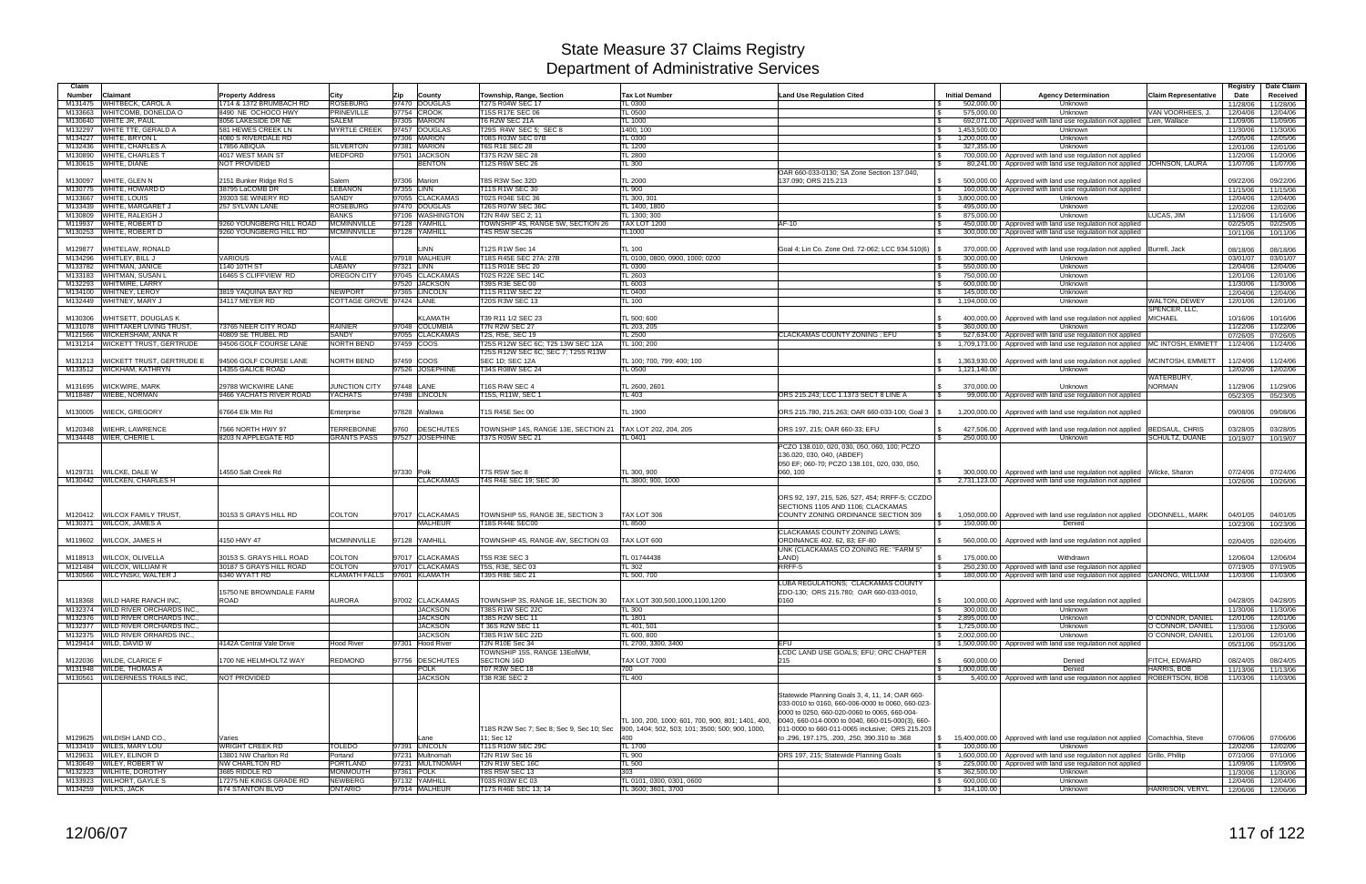| Claim              |                                                                        |                                                    |                                                |                                   |                                                                         |                                                   |                                                                                                  |                                                   |                                                                                                                          |                                      | Registry             | Date Claim           |
|--------------------|------------------------------------------------------------------------|----------------------------------------------------|------------------------------------------------|-----------------------------------|-------------------------------------------------------------------------|---------------------------------------------------|--------------------------------------------------------------------------------------------------|---------------------------------------------------|--------------------------------------------------------------------------------------------------------------------------|--------------------------------------|----------------------|----------------------|
| Number             | Claimant                                                               | <b>Property Address</b>                            | City                                           | Zip<br>County                     | Township, Range, Section                                                | <b>Tax Lot Number</b>                             | <b>Land Use Regulation Cited</b>                                                                 | <b>Initial Demand</b>                             | <b>Agency Determination</b>                                                                                              | <b>Claim Representative</b>          | Date                 | Received             |
| M131475<br>M133663 | WHITBECK, CAROL A<br>WHITCOMB, DONELDA O                               | 1714 & 1372 BRUMBACH RD<br>8490 NE OCHOCO HWY      | <b>ROSEBURG</b><br><b>PRINEVILLE</b>           | 97470 DOUGLAS<br>97754 CROOK      | T27S R04W SEC 17<br>T15S R17E SEC 06                                    | <b>TL 0300</b><br>TL 0500                         |                                                                                                  | 502,000.00<br>575,000.00<br>$\mathbf{s}$          | Unknown<br>Unknown                                                                                                       | VAN VOORHEES, J.                     | 11/28/06<br>12/04/06 | 11/28/06<br>12/04/06 |
| M130640            | WHITE JR, PAUL                                                         | 8056 LAKESIDE DR NE                                | SALEM                                          | 97305 MARION                      | T6 R2W SEC 21A                                                          | TL 1000                                           |                                                                                                  |                                                   | 692,071.00   Approved with land use regulation not applied Lien, Wallace                                                 |                                      | 11/09/06             | 11/09/06             |
| M132297            | WHITE TTE, GERALD A                                                    | 581 HEWES CREEK LN                                 | <b>MYRTLE CREEK</b>                            | 97457 DOUGLAS                     | T29S R4W SEC 5; SEC 8                                                   | 1400.100                                          |                                                                                                  | 1,453,500.00<br><b>S</b>                          | Unknown                                                                                                                  |                                      | 11/30/06             | 11/30/06             |
| M134227            | WHITE, BRYON L                                                         | 4080 S RIVERDALE RD                                |                                                | 97306 MARION                      | <b>T08S R03W SEC 07B</b>                                                | <b>TL 0300</b>                                    |                                                                                                  | 1,200,000.00<br><b>S</b>                          | Unknown                                                                                                                  |                                      | 12/05/06             | 12/05/06             |
| M130890            | M132436 WHITE, CHARLES A<br><b>WHITE, CHARLES T</b>                    | 17856 ABIQUA<br>4017 WEST MAIN ST                  | <b>SILVERTON</b><br><b>MEDFORD</b>             | 97381 MARION<br>97501 JACKSON     | <b>T6S R1E SEC 28</b><br><b>T37S R2W SEC 28</b>                         | <b>TL 1200</b><br><b>TL 2800</b>                  |                                                                                                  | 327,355.00<br>700,000.00                          | Unknown<br>Approved with land use regulation not applied                                                                 |                                      | 12/01/06<br>11/20/06 | 12/01/06<br>11/20/06 |
| M130615            | WHITE, DIANE                                                           | NOT PROVIDED                                       |                                                | <b>BENTON</b>                     | T12S R6W SEC 26                                                         | TL 300                                            |                                                                                                  | 80,241.00                                         | Approved with land use regulation not applied JOHNSON, LAURA                                                             |                                      | 11/07/06             | 11/07/06             |
|                    |                                                                        |                                                    |                                                |                                   |                                                                         |                                                   | OAR 660-033-0130; SA Zone Section 137.040,                                                       |                                                   |                                                                                                                          |                                      |                      |                      |
| M130097            | WHITE, GLEN N                                                          | 2151 Bunker Ridge Rd S                             | Salem                                          | 97306 Marion                      | T8S R3W Sec 32D                                                         | <b>TL 2000</b>                                    | 137.090; ORS 215.213                                                                             | 500,000.00<br>l \$                                | Approved with land use regulation not applied                                                                            |                                      | 09/22/06             | 09/22/06             |
| M130775<br>M133667 | WHITE, HOWARD D<br>WHITE, LOUIS                                        | 38795 LaCOMB DR<br>39303 SE WINERY RD              | <b>LEBANON</b><br>SANDY                        | 97355 LINN<br>97055 CLACKAMAS     | T11S R1W SEC 30<br>T02S R04E SEC 36                                     | <b>TL 900</b><br>TL 300, 301                      |                                                                                                  | ا ۶.<br>160.000.00<br>3,800,000.00                | Approved with land use regulation not applied<br>Unknown                                                                 |                                      | 11/15/06<br>12/04/06 | 11/15/06<br>12/04/06 |
| M133439            | WHITE, MARGARET J                                                      | <b>257 SYLVAN LANE</b>                             | <b>ROSEBURG</b>                                | 97470 DOUGLAS                     | <b>T26S R07W SEC 36C</b>                                                | TL 1400, 1800                                     |                                                                                                  | 495,000.00<br>l \$                                | Unknown                                                                                                                  |                                      | 12/02/06             | 12/02/06             |
| M130809            | WHITE, RALEIGH J                                                       |                                                    | <b>BANKS</b>                                   | 97106 WASHINGTON                  | T2N R4W SEC 2; 11                                                       | TL 1300; 300                                      |                                                                                                  | 875.000.00<br>l \$                                | Unknown                                                                                                                  | LUCAS, JIM                           | 11/16/06             | 11/16/06             |
| M119937<br>M130253 | WHITE, ROBERT D<br>WHITE, ROBERT D                                     | 9260 YOUNGBERG HILL ROAD<br>9260 YOUNGBERG HILL RD | <b>MCMINNVILLE</b><br><b>MCMINNVILLE</b>       | 97128 YAMHILL<br>97128 YAMHILL    | TOWNSHIP 4S, RANGE 5W, SECTION 26<br>T4S R5W SEC26                      | <b>TAX LOT 1200</b><br>TL1000                     | AF-10                                                                                            | 450,000.00<br>l \$<br>300,000.00                  | Approved with land use regulation not applied<br>Approved with land use regulation not applied                           |                                      | 02/25/05<br>10/11/06 | 02/25/05             |
|                    |                                                                        |                                                    |                                                |                                   |                                                                         |                                                   |                                                                                                  |                                                   |                                                                                                                          |                                      |                      | 10/11/06             |
| M129877            | WHITELAW, RONALD                                                       |                                                    |                                                | LINN                              | T12S R1W Sec 14                                                         | TL 100                                            | Goal 4; Lin Co. Zone Ord. 72-062; LCC 934.510(6)                                                 | 370,000.00                                        | Approved with land use regulation not applied Burrell, Jack                                                              |                                      | 08/18/06             | 08/18/06             |
|                    | M134296 WHITLEY, BILL J                                                | <b>VARIOUS</b>                                     | VALE                                           | 97918 MALHEUR                     | T18S R45E SEC 27A: 27B                                                  | TL 0100, 0800, 0900, 1000; 0200                   |                                                                                                  | 300,000.00                                        | Unknown                                                                                                                  |                                      | 03/01/07             | 03/01/07             |
| M133782<br>M133183 | <b>WHITMAN, JANICE</b><br>WHITMAN, SUSAN L                             | 1140 10TH ST<br>16465 S CLIFFVIEW RD               | LABANY<br>OREGON CITY                          | 97321 LINN<br>97045 CLACKAMAS     | T11S R01E SEC 20<br>T02S R22E SEC 14C                                   | <b>TL 0300</b><br>TL 2603                         |                                                                                                  | 550,000.00<br>l \$<br>750,000.00<br>l \$          | Unknown<br>Unknown                                                                                                       |                                      | 12/04/06<br>12/01/06 | 12/04/06<br>12/01/06 |
| M132293            | WHITMIRE, LARRY                                                        |                                                    |                                                | 97520 JACKSON                     | T39S R3E SEC 00                                                         | TL 6003                                           |                                                                                                  | 600,000.00<br>$\sqrt{3}$                          | Unknown                                                                                                                  |                                      | 11/30/06             | 11/30/06             |
| M134100            | <b>WHITNEY, LEROY</b>                                                  | 3819 YAQUINA BAY RD                                | <b>NEWPORT</b>                                 | 97365 LINCOLN                     | T11S R11W SEC 22                                                        | <b>TL 0400</b>                                    |                                                                                                  | 145,000.00<br>l \$                                | Unknown                                                                                                                  |                                      | 12/04/06             | 12/04/06             |
|                    | M132449 WHITNEY, MARY J                                                | 34117 MEYER RD                                     | COTTAGE GROVE 97424 LANE                       |                                   | <b>T20S R3W SEC 13</b>                                                  | <b>TL 100</b>                                     |                                                                                                  | 1,194,000.00<br>IS.                               | Unknown                                                                                                                  | <b>WALTON, DEWEY</b>                 | 12/01/06             | 12/01/06             |
| M130306            | <b>WHITSETT, DOUGLAS K</b>                                             |                                                    |                                                | <b>KLAMATH</b>                    | T39 R11 1/2 SEC 23                                                      | TL 500; 600                                       |                                                                                                  | 400,000.00                                        | Approved with land use regulation not applied                                                                            | SPENCER, LLC,<br><b>MICHAEL</b>      | 10/16/06             | 10/16/06             |
| M131078            | <b>WHITTAKER LIVING TRUST</b>                                          | 73765 NEER CITY ROAD                               | <b>RAINIER</b>                                 | 97048 COLUMBIA                    | T7N R2W SEC 27                                                          | TL 203, 205                                       |                                                                                                  | l \$<br>360,000.00                                | Unknown                                                                                                                  |                                      | 11/22/06             | 11/22/06             |
| M121566            | WICKERSHAM, ANNA F                                                     | 40809 SE TRUBEL RD                                 | SANDY                                          | 97055 CLACKAMAS                   | T2S, R5E, SEC 19                                                        | <b>TL 2500</b>                                    | CLACKAMAS COUNTY ZONING ; EFU                                                                    | 527,634.00                                        | Approved with land use regulation not applied                                                                            |                                      | 07/26/05             | 07/26/05             |
| M131214            | <b>WICKETT TRUST, GERTRUDE</b>                                         | 94506 GOLF COURSE LANE                             | <b>NORTH BEND</b>                              | 97459 COOS                        | T25S R12W SEC 6C; T25 13W SEC 12A<br>T25S R12W SEC 6C; SEC 7; T25S R13W | TL 100; 200                                       |                                                                                                  | l \$<br>1,709,173.00                              | Approved with land use regulation not applied   MC INTOSH, EMMETT                                                        |                                      | 11/24/06             | 11/24/06             |
| M131213            | WICKETT TRUST, GERTRUDE E                                              | 94506 GOLF COURSE LANE                             | <b>VORTH BEND</b>                              | 97459 COOS                        | SEC 1D; SEC 12A                                                         | TL 100; 700, 799; 400; 100                        |                                                                                                  | 1,363,930.00                                      | Approved with land use regulation not applied                                                                            | MCINTOSH, EMMETT                     | 11/24/06             | 11/24/06             |
| M133512            | WICKHAM, KATHRYN                                                       | 14355 GALICE ROAD                                  |                                                | 97526 JOSEPHINE                   | T34S R08W SEC 24                                                        | TL 0500                                           |                                                                                                  | 1,121,140.00                                      | Unknown                                                                                                                  |                                      | 12/02/06             | 12/02/06             |
|                    |                                                                        |                                                    |                                                |                                   |                                                                         |                                                   |                                                                                                  |                                                   |                                                                                                                          | WATERBURY.                           |                      |                      |
| M131695            | WICKWIRE, MARK<br>M118487 WIEBE, NORMAN                                | 29788 WICKWIRE LANE<br>9466 YACHATS RIVER ROAD     | <b>JUNCTION CITY</b><br>YACHATS                | 97448 LANE<br>97498 LINCOLN       | T16S R4W SEC 4<br>T15S, R11W, SEC 1                                     | TL 2600, 260<br>TL 403                            | ORS 215.243; LCC 1.1373 SECT 8 LINE A                                                            | 370,000.00<br>99,000.00                           | Unknown<br>Approved with land use regulation not applied                                                                 | <b>NORMAN</b>                        | 11/29/06<br>05/23/05 | 11/29/06<br>05/23/05 |
|                    |                                                                        |                                                    |                                                |                                   |                                                                         |                                                   |                                                                                                  |                                                   |                                                                                                                          |                                      |                      |                      |
| M130005            | <b>WIECK, GREGORY</b>                                                  | 67664 Elk Mtn Rd                                   | Enterprise                                     | 97828 Wallowa                     | T1S R45E Sec 00                                                         | TL 1900                                           | ORS 215.780, 215.263; OAR 660-033-100; Goal 3                                                    | 1,200,000.00                                      | Approved with land use regulation not applied                                                                            |                                      | 09/08/06             | 09/08/06             |
|                    |                                                                        |                                                    |                                                |                                   |                                                                         |                                                   |                                                                                                  |                                                   |                                                                                                                          |                                      |                      |                      |
| M120348            | WIEHR. LAWRENCE<br>M134448 WIER, CHERIE L                              | 7566 NORTH HWY 97<br>8203 N APPLEGATE RD           | <b><i>TERREBONNE</i></b><br><b>GRANTS PASS</b> | 9760 DESCHUTES<br>97527 JOSEPHINE | TOWNSHIP 14S, RANGE 13E, SECTION 21<br>T37S R05W SEC 21                 | TAX LOT 202, 204, 205<br>TL 0401                  | ORS 197, 215; OAR 660-33; EFU                                                                    | 427.506.00<br>250,000.00                          | Approved with land use regulation not applied   BEDSAUL, CHRIS<br>Unknown                                                | <b>SCHULTZ, DUANE</b>                | 03/28/05<br>10/19/07 | 03/28/05<br>10/19/07 |
|                    |                                                                        |                                                    |                                                |                                   |                                                                         |                                                   | PCZO 138.010, 020, 030, 050, 060, 100; PCZO                                                      |                                                   |                                                                                                                          |                                      |                      |                      |
|                    |                                                                        |                                                    |                                                |                                   |                                                                         |                                                   | 136.020, 030, 040, (ABDEF)                                                                       |                                                   |                                                                                                                          |                                      |                      |                      |
|                    | <b>WILCKE, DALE W</b>                                                  |                                                    |                                                |                                   |                                                                         |                                                   | 050 EF; 060-70; PCZO 138.101, 020, 030, 050,                                                     |                                                   |                                                                                                                          |                                      |                      |                      |
| M129731            | M130442 WILCKEN, CHARLES H                                             | 14550 Salt Creek Rd                                |                                                | 97330 Polk<br><b>CLACKAMAS</b>    | T7S R5W Sec 8<br>T4S R4E SEC 19: SEC 30                                 | TL 300, 900<br>TL 3800: 900, 1000                 | 060, 100                                                                                         | $\mathbb{S}$                                      | 300,000.00   Approved with land use regulation not applied<br>2,731,123.00 Approved with land use regulation not applied | Wilcke, Sharon                       | 07/24/06<br>10/26/06 | 07/24/06<br>10/26/06 |
|                    |                                                                        |                                                    |                                                |                                   |                                                                         |                                                   |                                                                                                  |                                                   |                                                                                                                          |                                      |                      |                      |
|                    |                                                                        |                                                    |                                                |                                   |                                                                         |                                                   | ORS 92, 197, 215, 526, 527, 454; RRFF-5; CCZDO                                                   |                                                   |                                                                                                                          |                                      |                      |                      |
| M120412            | <b>WILCOX FAMILY TRUST,</b>                                            | 30153 S GRAYS HILL RD                              | COLTON                                         | 97017 CLACKAMAS                   | TOWNSHIP 5S, RANGE 3E, SECTION 3                                        | TAX LOT 306                                       | SECTIONS 1105 AND 1106; CLACKAMAS<br>COUNTY ZONING ORDINANCE SECTION 309                         | 1,050,000.00                                      | Approved with land use regulation not applied   ODONNELL, MARK                                                           |                                      | 04/01/05             | 04/01/05             |
| M130371            | <b>WILCOX, JAMES A</b>                                                 |                                                    |                                                | <b>MALHEUR</b>                    | <b>T18S R44E SEC00</b>                                                  | <b>TL 8500</b>                                    |                                                                                                  | 150,000.00<br>l \$                                | Denied                                                                                                                   |                                      | 10/23/06             | 10/23/06             |
|                    |                                                                        |                                                    |                                                |                                   |                                                                         |                                                   | <b>CLACKAMAS COUNTY ZONING LAWS;</b>                                                             |                                                   |                                                                                                                          |                                      |                      |                      |
| M119602            | WILCOX, JAMES H                                                        | 4150 HWY 47                                        | <b>MCMINNVILLE</b>                             | 97128 YAMHILL                     | TOWNSHIP 4S, RANGE 4W, SECTION 03                                       | TAX LOT 600                                       | ORDINANCE 402. 62, 83; EF-80<br>UNK (CLACKAMAS CO ZONING RE: "FARM 5"                            | 560,000.00<br>$\hat{A}$                           | Approved with land use regulation not applied                                                                            |                                      | 02/04/05             | 02/04/05             |
| M118913            | WILCOX, OLIVELLA                                                       | 30153 S. GRAYS HILL ROAD                           | COLTON                                         | 97017 CLACKAMAS                   | T5S R3E SEC 3                                                           | TL 01744438                                       | LAND)                                                                                            | 175,000.00                                        | Withdrawn                                                                                                                |                                      | 12/06/04             | 12/06/04             |
|                    | M121484 WILCOX, WILLIAM R                                              | 30187 S GRAYS HILL ROAD                            | <b>COLTON</b>                                  | 97017 CLACKAMAS                   | T5S, R3E, SEC 03                                                        | <b>TL 302</b>                                     | RRFF-5                                                                                           |                                                   | 250,230.00 Approved with land use regulation not applied                                                                 |                                      | 07/19/05             | 07/19/05             |
|                    | M130566 WILCYNSKI, WALTER J                                            | 6340 WYATT RD                                      |                                                | KLAMATH FALLS   97601   KLAMATH   | T39S R8E SEC 21                                                         | TL 500, 700                                       |                                                                                                  |                                                   | 180,000.00 Approved with land use regulation not applied GANONG, WILLIAM                                                 |                                      | 11/03/06             | 11/03/06             |
|                    |                                                                        | 15750 NE BROWNDALE FARM                            |                                                |                                   |                                                                         |                                                   | LUBA REGULATIONS; CLACKAMAS COUNTY<br>ZDO-130; ORS 215.780; OAR 660-033-0010,                    |                                                   |                                                                                                                          |                                      |                      |                      |
|                    | M118368 WILD HARE RANCH INC.                                           | <b>ROAD</b>                                        | <b>AURORA</b>                                  | 97002 CLACKAMAS                   | TOWNSHIP 3S, RANGE 1E, SECTION 30                                       | TAX LOT 300.500.1000.1100.1200                    | 0160                                                                                             | $\sqrt{3}$                                        | 100,000.00 Approved with land use regulation not applied                                                                 |                                      | 04/28/05             | 04/28/05             |
|                    | M132374 WILD RIVER ORCHARDS INC.                                       |                                                    |                                                | <b>JACKSON</b>                    | T38S R1W SEC 22C                                                        | <b>TL 300</b>                                     |                                                                                                  | 300,000.00<br>l \$                                | Unknown                                                                                                                  |                                      | 11/30/06             | 11/30/06             |
|                    | M132376 WILD RIVER ORCHARDS INC.,<br>M132377 WILD RIVER ORCHARDS INC., |                                                    |                                                | <b>JACKSON</b><br><b>JACKSON</b>  | T38S R2W SEC 11                                                         | <b>TL 1801</b><br>TL 401, 501                     |                                                                                                  | 2,895,000.00<br>l \$                              | Unknown<br>Unknown                                                                                                       | O'CONNOR, DANIEL<br>O'CONNOR, DANIEL | 12/01/06             | 12/01/06             |
|                    | M132375 WILD RIVER ORHARDS INC.,                                       |                                                    |                                                | <b>JACKSON</b>                    | T36S R2W SEC 11<br><b>T38S R1W SEC 22D</b>                              | TL 600, 800                                       |                                                                                                  | 1,725,000.00<br>IS.<br>2,002,000.00<br>$\sqrt{3}$ | Unknown                                                                                                                  | O`CONNOR, DANIEL                     | 11/30/06<br>12/01/06 | 11/30/06<br>12/01/06 |
|                    | M129414 WILD, DAVID W                                                  | 4142A Central Vale Drive                           | <b>Hood River</b>                              | 97301 Hood River                  | T2N R10E Sec 34                                                         | TL 2700, 3300, 3400                               | EFU                                                                                              | IS.                                               | 1,500,000.00 Approved with land use regulation not applied                                                               |                                      | 05/31/06             | 05/31/06             |
|                    |                                                                        |                                                    |                                                |                                   | TOWNSHIP 15S, RANGE 13EofWM,                                            |                                                   | LCDC LAND USE GOALS; EFU; ORC CHAPTER                                                            |                                                   |                                                                                                                          |                                      |                      |                      |
| M122036            | <b>WILDE, CLARICE F</b><br>M131948 WILDE, THOMAS A                     | 1700 NE HELMHOLTZ WAY                              | <b>REDMOND</b>                                 | 97756 DESCHUTES<br><b>POLK</b>    | SECTION 16D<br>T07 R3W SEC 18                                           | <b>TAX LOT 7000</b><br>700                        | 215                                                                                              | 600,000.00<br>l \$<br>1,000,000.00<br>l \$        | Denied<br>Denied                                                                                                         | FITCH, EDWARD<br>HARRIS, BOB         | 08/24/05<br>11/13/06 | 08/24/05<br>11/13/06 |
|                    | M130561 WILDERNESS TRAILS INC.                                         | NOT PROVIDED                                       |                                                | <b>JACKSON</b>                    | T38 R3E SEC 2                                                           | <b>TL 400</b>                                     |                                                                                                  | 1.S                                               | 5,400.00   Approved with land use regulation not applied   ROBERTSON, BOB                                                |                                      | 11/03/06             | 11/03/06             |
|                    |                                                                        |                                                    |                                                |                                   |                                                                         |                                                   |                                                                                                  |                                                   |                                                                                                                          |                                      |                      |                      |
|                    |                                                                        |                                                    |                                                |                                   |                                                                         |                                                   | Statewide Planning Goals 3, 4, 11, 14; OAR 660-                                                  |                                                   |                                                                                                                          |                                      |                      |                      |
|                    |                                                                        |                                                    |                                                |                                   |                                                                         |                                                   | 033-0010 to 0160, 660-006-0000 to 0060, 660-023-<br>0000 to 0250, 660-020-0060 to 0065, 660-004- |                                                   |                                                                                                                          |                                      |                      |                      |
|                    |                                                                        |                                                    |                                                |                                   |                                                                         | TL 100, 200, 1000; 601, 700, 900, 801; 1401, 400, | 0040, 660-014-0000 to 0040, 660-015-000(3), 660-                                                 |                                                   |                                                                                                                          |                                      |                      |                      |
|                    |                                                                        |                                                    |                                                |                                   | T18S R2W Sec 7; Sec 8; Sec 9, Sec 10; Sec                               | 900, 1404; 502, 503; 101; 3500; 500; 900, 1000,   | 011-0000 to 660-011-0065 inclusive; ORS 215.203                                                  |                                                   |                                                                                                                          |                                      |                      |                      |
|                    | M129625 WILDISH LAND CO.,<br>M133419 WILES, MARY LOU                   | Varies<br><b>WRIGHT CREEK RD</b>                   | <b>TOLEDO</b>                                  | Lane<br>97391 LINCOLN             | 11; Sec 12<br>T11S R10W SEC 29C                                         | 400<br><b>TL 1700</b>                             | to .296, 197.175, .200, .250, 390.310 to .368                                                    | I S<br>100,000.00<br>I \$                         | 15,400,000.00   Approved with land use regulation not applied Cornachhia, Steve<br>Unknown                               |                                      | 07/06/06<br>12/02/06 | 07/06/06<br>12/02/06 |
|                    | M129631 WILEY, ELINOR D                                                | 13801 NW Charlton Rd                               | Portand                                        | 97231 Multnomah                   | T2N R1W Sec 16                                                          | <b>TL 900</b>                                     | ORS 197, 215; Statewide Planning Goals                                                           | $\sqrt{S}$                                        | 1,600,000.00   Approved with land use regulation not applied Grillo, Phillip                                             |                                      | 07/10/06             | 07/10/06             |
|                    | M130649 WILEY, ROBERT W                                                | <b>NW CHARLTON RD</b>                              | <b>PORTLAND</b>                                | 97231 MULTNOMAH                   | T2N R1W SEC 16C                                                         | TL 500                                            |                                                                                                  | l \$                                              | 225,000.00 Approved with land use regulation not applied                                                                 |                                      | 11/09/06             | 11/09/06             |
|                    | M132323 WILHITE, DOROTHY<br>M133923 WILHORT, GAYLE S                   | 3685 RIDDLE RD                                     | <b>MONMOUTH</b><br><b>NEWBERG</b>              | 97361 POLK<br>97132 YAMHILL       | <b>T8S R5W SEC 13</b>                                                   | 303<br>TL 0101, 0300, 0301, 0600                  |                                                                                                  | $\sqrt{3}$<br>362,500.00                          | Unknown                                                                                                                  |                                      | 11/30/06             | 11/30/06             |
|                    | M134259 WILKS, JACK                                                    | 17275 NE KINGS GRADE RD<br>674 STANTON BLVD        | <b>ONTARIO</b>                                 | 97914 MALHEUR                     | T03S R03W EC 03<br>T17S R46E SEC 13; 14                                 | TL 3600; 3601, 3700                               |                                                                                                  | 600,000.00<br>l \$<br>$\sqrt{s}$<br>314,100.00    | Unknown<br>Unknown                                                                                                       | HARRISON, VERYL                      | 12/04/06<br>12/06/06 | 12/04/06<br>12/06/06 |
|                    |                                                                        |                                                    |                                                |                                   |                                                                         |                                                   |                                                                                                  |                                                   |                                                                                                                          |                                      |                      |                      |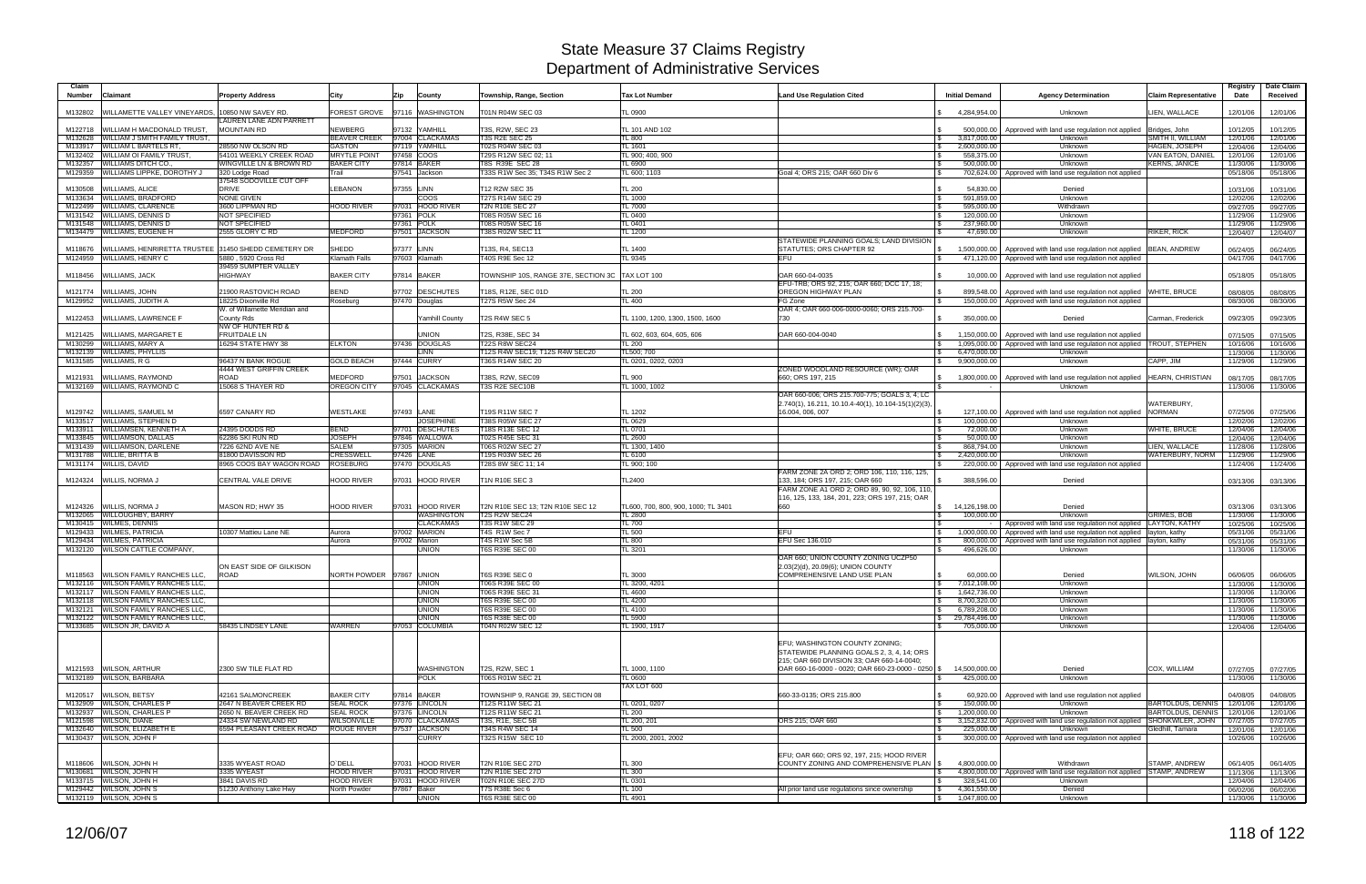| Claim              |                                                                          |                                                        |                                      |                                 |                                                 |                                     |                                                                             |                                             |                                                                            |                                           | Registry             | Date Claim           |
|--------------------|--------------------------------------------------------------------------|--------------------------------------------------------|--------------------------------------|---------------------------------|-------------------------------------------------|-------------------------------------|-----------------------------------------------------------------------------|---------------------------------------------|----------------------------------------------------------------------------|-------------------------------------------|----------------------|----------------------|
| <b>Number</b>      | Claimant                                                                 | <b>Property Address</b>                                | City                                 | Zip<br>County                   | Township, Range, Section                        | <b>Tax Lot Number</b>               | <b>Land Use Regulation Cited</b>                                            | <b>Initial Demand</b>                       | <b>Agency Determination</b>                                                | Claim Representative                      | Date                 | Received             |
| M132802            | WILLAMETTE VALLEY VINEYARDS,                                             | 10850 NW SAVEY RD.                                     | <b>FOREST GROVE</b>                  | 97116 WASHINGTON                | T01N R04W SEC 03                                | TL 0900                             |                                                                             | 4.284.954.00                                | Unknown                                                                    | LIEN. WALLACE                             | 12/01/06             | 12/01/06             |
|                    |                                                                          | <b>LAUREN LANE ADN PARRETT</b>                         |                                      |                                 |                                                 |                                     |                                                                             |                                             |                                                                            |                                           |                      |                      |
| M122718            | WILLIAM H MACDONALD TRUST,                                               | <b>MOUNTAIN RD</b>                                     | <b>NEWBERG</b>                       | 97132 YAMHILL                   | T3S, R2W, SEC 23                                | TL 101 AND 102                      |                                                                             | 500,000.00                                  | Approved with land use regulation not applied                              | Bridges, John                             | 10/12/05             | 10/12/05             |
| M132628            | WILLIAM J SMITH FAMILY TRUST,                                            |                                                        | <b>BEAVER CREEK</b>                  | 97004 CLACKAMAS                 | <b>T3S R2E SEC 25</b>                           | TL 800                              |                                                                             | 3,817,000.00                                | Unknown                                                                    | SMITH II, WILLIAM                         | 12/01/06             | 12/01/06             |
| M133917<br>M132402 | <b>WILLIAM L BARTELS RT</b><br><b>WILLIAM OI FAMILY TRUST</b>            | 28550 NW OLSON RD<br>54101 WEEKLY CREEK ROAD           | <b>GASTON</b><br><b>MRYTLE POINT</b> | 97119 YAMHILL<br>97458 COOS     | T02S R04W SEC 03<br>T29S R12W SEC 02; 11        | TL 1601<br>TL 900; 400, 900         |                                                                             | 2,600,000.00<br>\$<br>558,375.00            | Unknown<br>Unknown                                                         | HAGEN, JOSEPH<br><b>VAN EATON, DANIEL</b> | 12/04/06<br>12/01/06 | 12/04/06<br>12/01/06 |
| M132357            | <b>WILLIAMS DITCH CO.</b>                                                | WINGVILLE LN & BROWN RD                                | <b>BAKER CITY</b>                    | 97814 BAKER                     | T8S R39E SEC 28                                 | TL 6900                             | \$                                                                          | 500,000.00                                  | Unknown                                                                    | <b>KERNS, JANICE</b>                      | 11/30/06             | 11/30/06             |
| M129359            | <b>WILLIAMS LIPPKE, DOROTHY J</b>                                        | 320 Lodge Road                                         | Trail                                | 97541 Jackson                   | T33S R1W Sec 35; T34S R1W Sec 2                 | TL 600; 1103                        | Goal 4: ORS 215: OAR 660 Div 6                                              | 702,624.00                                  | Approved with land use regulation not applied                              |                                           | 05/18/06             | 05/18/06             |
|                    | <b>WILLIAMS, ALICE</b>                                                   | 37548 SODOVILLE CUT OFF<br><b>DRIVE</b>                | <b>LEBANON</b>                       | 97355 LINN                      |                                                 |                                     |                                                                             |                                             |                                                                            |                                           |                      |                      |
| M130508<br>M133634 | <b>WILLIAMS, BRADFORD</b>                                                | <b>NONE GIVEN</b>                                      |                                      | <b>COOS</b>                     | T12 R2W SEC 35<br>T27S R14W SEC 29              | TL 200<br>TL 1000                   |                                                                             | 54,830.00<br>591,859.00                     | Denied<br>Unknown                                                          |                                           | 10/31/06<br>12/02/06 | 10/31/06<br>12/02/06 |
| M122499            | <b>WILLIAMS, CLARENCE</b>                                                | 3600 LIPPMAN RD                                        | <b>HOOD RIVER</b>                    | 97031 HOOD RIVER                | T2N R10E SEC 27                                 | <b>TL 7000</b>                      | \$                                                                          | 595,000.00                                  | Withdrawn                                                                  |                                           | 09/27/05             | 09/27/05             |
| M131542            | <b>WILLIAMS, DENNIS D</b>                                                | NOT SPECIFIED                                          |                                      | 97361 POLK                      | T08S R05W SEC 16                                | TL 0400                             |                                                                             | 120,000.00                                  | Unknown                                                                    |                                           | 11/29/06             | 11/29/06             |
| M131548            | <b>WILLIAMS, DENNIS D</b><br>M134479 WILLIAMS, EUGENE H                  | NOT SPECIFIED<br>2555 GLORY C RD                       | <b>MEDFORD</b>                       | 97361 POLK<br>97501 JACKSON     | T08S R05W SEC 16<br>T38S R02W SEC 11            | TL 0401<br>TL 1200                  | $\mathfrak{L}$                                                              | 237,960.00<br>47.690.00                     | Unknown<br>Unknown                                                         | RIKER, RICK                               | 11/29/06             | 11/29/06             |
|                    |                                                                          |                                                        |                                      |                                 |                                                 |                                     | STATEWIDE PLANNING GOALS; LAND DIVISION                                     |                                             |                                                                            |                                           | 12/04/07             | 12/04/07             |
| M118676            | WILLIAMS, HENRIRETTA TRUSTEE                                             | 31450 SHEDD CEMETERY DR                                | <b>SHEDD</b>                         | 97377 LINN                      | T13S, R4, SEC13                                 | <b>TL 1400</b>                      | STATUTES; ORS CHAPTER 92                                                    | 1,500,000.00                                | Approved with land use regulation not applied                              | <b>BEAN, ANDREW</b>                       | 06/24/05             | 06/24/05             |
|                    | M124959 WILLIAMS, HENRY C                                                | 5880, 5920 Cross Rd                                    | <b>Klamath Falls</b>                 | 97603 Klamath                   | T40S R9E Sec 12                                 | TL 9345                             | EFU<br>\$                                                                   | 471,120.00                                  | Approved with land use regulation not applied                              |                                           | 04/17/06             | 04/17/06             |
| M118456            | <b>WILLIAMS, JACK</b>                                                    | 39459 SUMPTER VALLEY<br><b>HIGHWAY</b>                 | <b>BAKER CITY</b>                    | 97814 BAKER                     | TOWNSHIP 10S, RANGE 37E, SECTION 3C TAX LOT 100 |                                     | OAR 660-04-0035<br>- \$                                                     | 10,000.00                                   | Approved with land use regulation not applied                              |                                           | 05/18/05             | 05/18/05             |
|                    |                                                                          |                                                        |                                      |                                 |                                                 |                                     | EFU-TRB; ORS 92, 215; OAR 660; DCC 17, 18;                                  |                                             |                                                                            |                                           |                      |                      |
|                    | M121774 WILLIAMS, JOHN                                                   | 21900 RASTOVICH ROAD                                   | <b>BEND</b>                          | 97702 DESCHUTES                 | T18S, R12E, SEC 01D                             | <b>TL 200</b>                       | OREGON HIGHWAY PLAN                                                         | 899.548.00                                  | Approved with land use regulation not applied                              | WHITE, BRUCE                              | 08/08/05             | 08/08/05             |
|                    | M129952 WILLIAMS, JUDITH A                                               | 18225 Dixonville Rd                                    | Roseburg                             | 97470 Douglas                   | T27S R5W Sec 24                                 | TL 400                              | FG Zone                                                                     |                                             | 150,000.00 Approved with land use regulation not applied                   |                                           | 08/30/06             | 08/30/06             |
| M122453            | <b>WILLIAMS, LAWRENCE F</b>                                              | W. of Willamette Meridian and<br>County Rds            |                                      | <b>Yamhill County</b>           | T2S R4W SEC 5                                   | TL 1100, 1200, 1300, 1500, 1600     | OAR 4; OAR 660-006-0000-0060; ORS 215.700-<br>730                           | 350,000.00                                  | Denied                                                                     | Carman, Frederick                         |                      |                      |
|                    |                                                                          | <b>NW OF HUNTER RD &amp;</b>                           |                                      |                                 |                                                 |                                     |                                                                             |                                             |                                                                            |                                           | 09/23/05             | 09/23/05             |
| M121425            | WILLIAMS, MARGARET E                                                     | <b>FRUITDALE LN</b>                                    |                                      | <b>JNION</b>                    | T2S, R38E, SEC 34                               | TL 602, 603, 604, 605, 606          | OAR 660-004-0040                                                            | 1,150,000.00                                | Approved with land use regulation not applied                              |                                           | 07/15/05             | 07/15/05             |
| M130299            | WILLIAMS, MARY A                                                         | 16294 STATE HWY 38                                     | <b>ELKTON</b>                        | 97436 DOUGLAS                   | <b>T22S R8W SEC24</b>                           | TL 200                              | $\mathcal{L}$                                                               | 1,095,000.00                                | Approved with land use regulation not applied   TROUT, STEPHEN             |                                           | 10/16/06             | 10/16/06             |
|                    | M132139 WILLIAMS, PHYLLIS                                                |                                                        |                                      | LINN                            | T12S R4W SEC19; T12S R4W SEC20                  | TL500; 700                          |                                                                             | 6,470,000.00<br>S.                          | Unknown                                                                    |                                           | 11/30/06             | 11/30/06             |
|                    | M131585 WILLIAMS, R G                                                    | 96437 N BANK ROGUE<br>4444 WEST GRIFFIN CREEK          | <b>GOLD BEACH</b>                    | 97444 CURRY                     | T36S R14W SEC 20                                | TL 0201, 0202, 0203                 | ZONED WOODLAND RESOURCE (WR): OAR                                           | $\mathbb{S}$<br>9,900,000.00                | Unknown                                                                    | CAPP, JIM                                 | 11/29/06             | 11/29/06             |
| M121931            | WILLIAMS, RAYMOND                                                        | ROAD                                                   | MEDFORD                              | 97501 JACKSON                   | T38S, R2W, SEC09                                | <b>TL 900</b>                       | 660; ORS 197, 215                                                           | 1,800,000.00                                | Approved with land use regulation not applied                              | <b>HEARN, CHRISTIAN</b>                   | 08/17/05             | 08/17/05             |
|                    | M132169 WILLIAMS, RAYMOND C                                              | 15068 S THAYER RD                                      | <b>OREGON CITY</b>                   | 97045 CLACKAMAS                 | T3S R2E SEC10B                                  | TL 1000, 1002                       | - S                                                                         |                                             | Unknown                                                                    |                                           | 11/30/06             | 11/30/06             |
|                    |                                                                          |                                                        |                                      |                                 |                                                 |                                     | OAR 660-006; ORS 215.700-775; GOALS 3, 4; LC                                |                                             |                                                                            |                                           |                      |                      |
| M129742            | WILLIAMS, SAMUEL M                                                       | 6597 CANARY RD                                         | <b>WESTLAKE</b>                      | 97493 LANE                      | T19S R11W SEC 7                                 | TL 1202                             | 2.740(1), 16.211, 10.10.4-40(1), 10.104-15(1)(2)(3),<br>16.004, 006, 007    | 127,100.00                                  | Approved with land use regulation not applied                              | WATERBURY,<br><b>NORMAN</b>               | 07/25/06             | 07/25/06             |
|                    | M133517 WILLIAMS, STEPHEN D                                              |                                                        |                                      | <b>JOSEPHINE</b>                | T38S R05W SEC 27                                | TL 0629                             |                                                                             | 100,000.00                                  | Unknown                                                                    |                                           | 12/02/06             | 12/02/06             |
| M133911            | <b>WILLIAMSEN, KENNETH A</b>                                             | 24395 DODDS RD                                         | <b>BEND</b>                          | 97701 DESCHUTES                 | T18S R13E SEC 12                                | TL 0701                             |                                                                             | 72,000.00                                   | Unknown                                                                    | <b>WHITE, BRUCE</b>                       | 12/04/06             | 12/04/06             |
| M133845            | <b>WILLIAMSON, DALLAS</b>                                                | 62286 SKI RUN RD                                       | <b>JOSEPH</b>                        | 97846 WALLOWA                   | T02S R45E SEC 31                                | <b>TL 2600</b>                      | l \$                                                                        | 50,000.00                                   | Unknown                                                                    |                                           | 12/04/06             | 12/04/06             |
| M131439            | <b>WILLIAMSON, DARLENE</b>                                               | 7226 62ND AVE NE                                       | <b>SALEM</b>                         | 97305 MARION                    | T06S R02W SEC 27                                | TL 1300, 1400                       | - \$                                                                        | 868,794.00                                  | Unknown                                                                    | LIEN, WALLACE                             | 11/28/06             | 11/28/06             |
| M131788            | <b>WILLIE, BRITTA B</b><br>M131174 WILLIS, DAVID                         | 81800 DAVISSON RD<br>8965 COOS BAY WAGON ROAD ROSEBURG | <b>CRESSWELL</b>                     | 97426 LANE<br>97470 DOUGLAS     | T19S R03W SEC 26<br>T28S 8W SEC 11; 14          | <b>TL 6100</b><br>TL 900; 100       | l \$                                                                        | 2,420,000.00<br>220,000.00                  | Unknown<br>Approved with land use regulation not applied                   | WATERBURY, NORM                           | 11/29/06<br>11/24/06 | 11/29/06<br>11/24/06 |
|                    |                                                                          |                                                        |                                      |                                 |                                                 |                                     | FARM ZONE 2A ORD 2; ORD 106, 110, 116, 125,                                 |                                             |                                                                            |                                           |                      |                      |
| M124324            | WILLIS, NORMA .                                                          | <b>CENTRAL VALE DRIVE</b>                              | <b>HOOD RIVER</b>                    | 97031 HOOD RIVER                | 1N R10E SEC 3                                   | TL2400                              | 133, 184; ORS 197, 215; OAR 660                                             | 388,596.00                                  | Denied                                                                     |                                           | 03/13/06             | 03/13/06             |
|                    |                                                                          |                                                        |                                      |                                 |                                                 |                                     | FARM ZONE A1 ORD 2; ORD 89, 90, 92, 106, 110,                               |                                             |                                                                            |                                           |                      |                      |
| M124326            | <b>WILLIS, NORMA J</b>                                                   | MASON RD; HWY 35                                       | <b>HOOD RIVER</b>                    | 97031 HOOD RIVER                | T2N R10E SEC 13; T2N R10E SEC 12                | TL600, 700, 800, 900, 1000; TL 3401 | 116, 125, 133, 184, 201, 223; ORS 197, 215; OAR<br>660                      | 14,126,198.00                               | Denied                                                                     |                                           | 03/13/06             | 03/13/06             |
|                    | M132065 WILLOUGHBY, BARRY                                                |                                                        |                                      | WASHINGTON                      | T2S R2W SEC24                                   | <b>TL 2800</b>                      | $\mathbf{\$}$                                                               | 100,000.00                                  | Unknown                                                                    | <b>GRIMES, BOB</b>                        | 11/30/06             | 11/30/06             |
| M130415            | <b>WILMES, DENNIS</b>                                                    |                                                        |                                      | <b>CLACKAMAS</b>                | T3S R1W SEC 29                                  | <b>TL 700</b>                       | $\mathcal{F}$                                                               |                                             | Approved with land use regulation not applied   LAYTON, KATHY              |                                           | 10/25/06             | 10/25/06             |
| M129433            | <b>WILMES, PATRICIA</b>                                                  | 10307 Mattieu Lane NE                                  | Aurora                               | 97002 MARION                    | T4S R1W Sec 7                                   | TL 500                              | EFU                                                                         | 1,000,000.00                                | Approved with land use regulation not applied   layton, kathy              |                                           | 05/31/06             | 05/31/06             |
|                    | M129434 WILMES, PATRICIA                                                 |                                                        | Aurora                               | 97002 Marion                    | T4S R1W Sec 5B                                  | <b>TL 800</b>                       | EFU Sec 136.010                                                             | 800,000.00                                  | Approved with land use regulation not applied   layton, kathy              |                                           | 05/31/06             | 05/31/06             |
|                    | M132120 WILSON CATTLE COMPANY,                                           |                                                        |                                      | UNION                           | <b>T6S R39E SEC 00</b>                          | TL 3201                             | OAR 660; UNION COUNTY ZONING UCZP50                                         | 496,626.00                                  | Unknown                                                                    |                                           | 11/30/06             | 11/30/06             |
|                    |                                                                          | ON EAST SIDE OF GILKISON                               |                                      |                                 |                                                 |                                     | 2.03(2)(d), 20.09(6); UNION COUNTY                                          |                                             |                                                                            |                                           |                      |                      |
|                    | M118563 WILSON FAMILY RANCHES LLC.                                       | ROAD                                                   | NORTH POWDER 97867 UNION             |                                 | T6S R39E SEC 0                                  | <b>TL 3000</b>                      | COMPREHENSIVE LAND USE PLAN                                                 | 60.000.00                                   | Denied                                                                     | WILSON, JOHN                              | 06/06/05             | 06/06/05             |
|                    | M132116 WILSON FAMILY RANCHES LLC.                                       |                                                        |                                      | <b>UNION</b>                    | T06S R39E SEC 00                                | TL 3200, 4201                       |                                                                             | \$7,012,108.00                              | Unknown                                                                    |                                           | 11/30/06             | 11/30/06             |
|                    | M132117 WILSON FAMILY RANCHES LLC.<br>M132118 WILSON FAMILY RANCHES LLC. |                                                        |                                      | <b>UNION</b><br><b>UNION</b>    | T06S R39E SEC 31<br><b>T6S R39E SEC 00</b>      | TL 4600<br>TL 4200                  |                                                                             | $\frac{1}{2}$ 1,642,736.00<br>8,700,320.00  | Unknown<br>Unknown                                                         |                                           | 11/30/06             | 11/30/06             |
|                    | M132121 WILSON FAMILY RANCHES LLC.                                       |                                                        |                                      | <b>UNION</b>                    | <b>T6S R39E SEC 00</b>                          | TL 4100                             |                                                                             | $\mathbb{S}$<br>6,789,208.00<br>$\mathbb S$ | Unknown                                                                    |                                           | 11/30/06<br>11/30/06 | 11/30/06<br>11/30/06 |
|                    | M132122 WILSON FAMILY RANCHES LLC,                                       |                                                        |                                      | <b>UNION</b>                    | <b>T6S R38E SEC 00</b>                          | TL 5900                             |                                                                             | $\frac{1}{2}$ 29,784,496.00                 | Unknown                                                                    |                                           | 11/30/06             | 11/30/06             |
|                    | M133685 WILSON JR, DAVID A                                               | 58435 LINDSEY LANE                                     | <b>WARREN</b>                        | 97053 COLUMBIA                  | T04N R02W SEC 12                                | TL 1900, 1917                       |                                                                             | 705,000.00<br>S.                            | Unknown                                                                    |                                           | 12/04/06             | 12/04/06             |
|                    |                                                                          |                                                        |                                      |                                 |                                                 |                                     |                                                                             |                                             |                                                                            |                                           |                      |                      |
|                    |                                                                          |                                                        |                                      |                                 |                                                 |                                     | EFU; WASHINGTON COUNTY ZONING;<br>STATEWIDE PLANNING GOALS 2, 3, 4, 14; ORS |                                             |                                                                            |                                           |                      |                      |
|                    |                                                                          |                                                        |                                      |                                 |                                                 |                                     | 215; OAR 660 DIVISION 33; OAR 660-14-0040;                                  |                                             |                                                                            |                                           |                      |                      |
|                    | M121593 WILSON, ARTHUR                                                   | 2300 SW TILE FLAT RD                                   |                                      | <b>WASHINGTON</b>               | T2S, R2W, SEC 1                                 | TL 1000, 1100                       | OAR 660-16-0000 - 0020; OAR 660-23-0000 - 0250 \$                           | 14,500,000.00                               | Denied                                                                     | COX, WILLIAM                              | 07/27/05             | 07/27/05             |
|                    | M132189 WILSON, BARBARA                                                  |                                                        |                                      | <b>POLK</b>                     | T06S R01W SEC 21                                | TL 0600                             |                                                                             | 425,000,00                                  | Unknown                                                                    |                                           | 11/30/06             | 11/30/06             |
|                    | M120517 WILSON, BETSY                                                    | 42161 SALMONCREEK                                      | <b>BAKER CITY</b>                    | 97814 BAKER                     | TOWNSHIP 9, RANGE 39, SECTION 08                | TAX LOT 600                         | 660-33-0135; ORS 215.800                                                    | 60,920.00                                   | Approved with land use regulation not applied                              |                                           | 04/08/05             | 04/08/05             |
|                    | M132909 WILSON, CHARLES P                                                | 2647 N BEAVER CREEK RD                                 | <b>SEAL ROCK</b>                     | 97376 LINCOLN                   | T12S R11W SEC 21                                | TL 0201, 0207                       | -\$                                                                         | 150,000.00                                  | Unknown                                                                    | BARTOLDUS, DENNIS 12/01/06                |                      | 12/01/06             |
|                    | M132937 WILSON, CHARLES P                                                | 2650 N. BEAVER CREEK RD                                | <b>SEAL ROCK</b>                     | 97376 LINCOLN                   | T12S R11W SEC 21                                | <b>TL 200</b>                       | l \$                                                                        | 1,200,000.00                                | <b>Unknown</b>                                                             | <b>BARTOLDUS, DENNIS</b>                  | 12/01/06             | 12/01/06             |
|                    | M121598 WILSON, DIANE                                                    | 24334 SW NEWLAND RD                                    | <b>WILSONVILLE</b>                   | 97070 CLACKAMAS                 | T3S, R1E, SEC 5B                                | TL 200, 201                         | ORS 215; OAR 660                                                            | 3,152,832.00<br>\$                          | Approved with land use regulation not applied SHONKWILER, JOHN             |                                           | 07/27/05             | 07/27/05             |
|                    | M132640 WILSON, ELIZABETH E                                              | 6594 PLEASANT CREEK ROAD                               | ROUGE RIVER                          | 97537 JACKSON                   | T34S R4W SEC 14                                 | <b>TL 500</b>                       |                                                                             | 225,000.00                                  | Unknown                                                                    | Gledhill, Tamara                          | 12/01/06             | 12/01/06             |
|                    | M130437 WILSON, JOHN F                                                   |                                                        |                                      | <b>CURRY</b>                    | T32S R15W SEC 10                                | TL 2000, 2001, 2002                 | $\mathsf{S}$                                                                |                                             | 300,000.00 Approved with land use regulation not applied                   |                                           | 10/26/06             | 10/26/06             |
|                    |                                                                          |                                                        |                                      |                                 |                                                 |                                     | EFU; OAR 660; ORS 92, 197, 215; HOOD RIVER                                  |                                             |                                                                            |                                           |                      |                      |
|                    | M118606 WILSON, JOHN H                                                   | 3335 WYEAST ROAD                                       | O'DELL                               | 97031 HOOD RIVER                | <b>T2N R10E SEC 27D</b>                         | <b>TL 300</b>                       | COUNTY ZONING AND COMPREHENSIVE PLAN   \$                                   | 4,800,000.00                                | Withdrawn                                                                  | STAMP. ANDREW                             | 06/14/05             | 06/14/05             |
|                    | M130681 WILSON, JOHN H                                                   | 3335 WYEAST                                            | <b>HOOD RIVER</b>                    | 97031 HOOD RIVER                | <b>T2N R10E SEC 27D</b>                         | <b>TL 300</b>                       |                                                                             |                                             | 4,800,000.00   Approved with land use regulation not applied STAMP, ANDREW |                                           | 11/13/06             | 11/13/06             |
|                    | M133715 WILSON, JOHN H<br>M129442 WILSON, JOHN S                         | 3841 DAVIS RD<br>51230 Anthony Lake Hwy                | <b>HOOD RIVER</b><br>North Powder    | 97031 HOOD RIVER<br>97867 Baker | <b>T02N R10E SEC 27D</b><br>T7S R38E Sec 6      | TL 0301<br><b>TL 100</b>            | All prior land use regulations since ownership<br>l S                       | 328,541.00<br>4,361,550.00                  | Unknown<br>Denied                                                          |                                           | 12/04/06<br>06/02/06 | 12/04/06<br>06/02/06 |
|                    | M132119 WILSON, JOHN S                                                   |                                                        |                                      | <b>UNION</b>                    | <b>T6S R38E SEC 00</b>                          | TL 4901                             |                                                                             | $\frac{1}{3}$ 1,047,800.00                  | Unknown                                                                    |                                           | 11/30/06             | 11/30/06             |
|                    |                                                                          |                                                        |                                      |                                 |                                                 |                                     |                                                                             |                                             |                                                                            |                                           |                      |                      |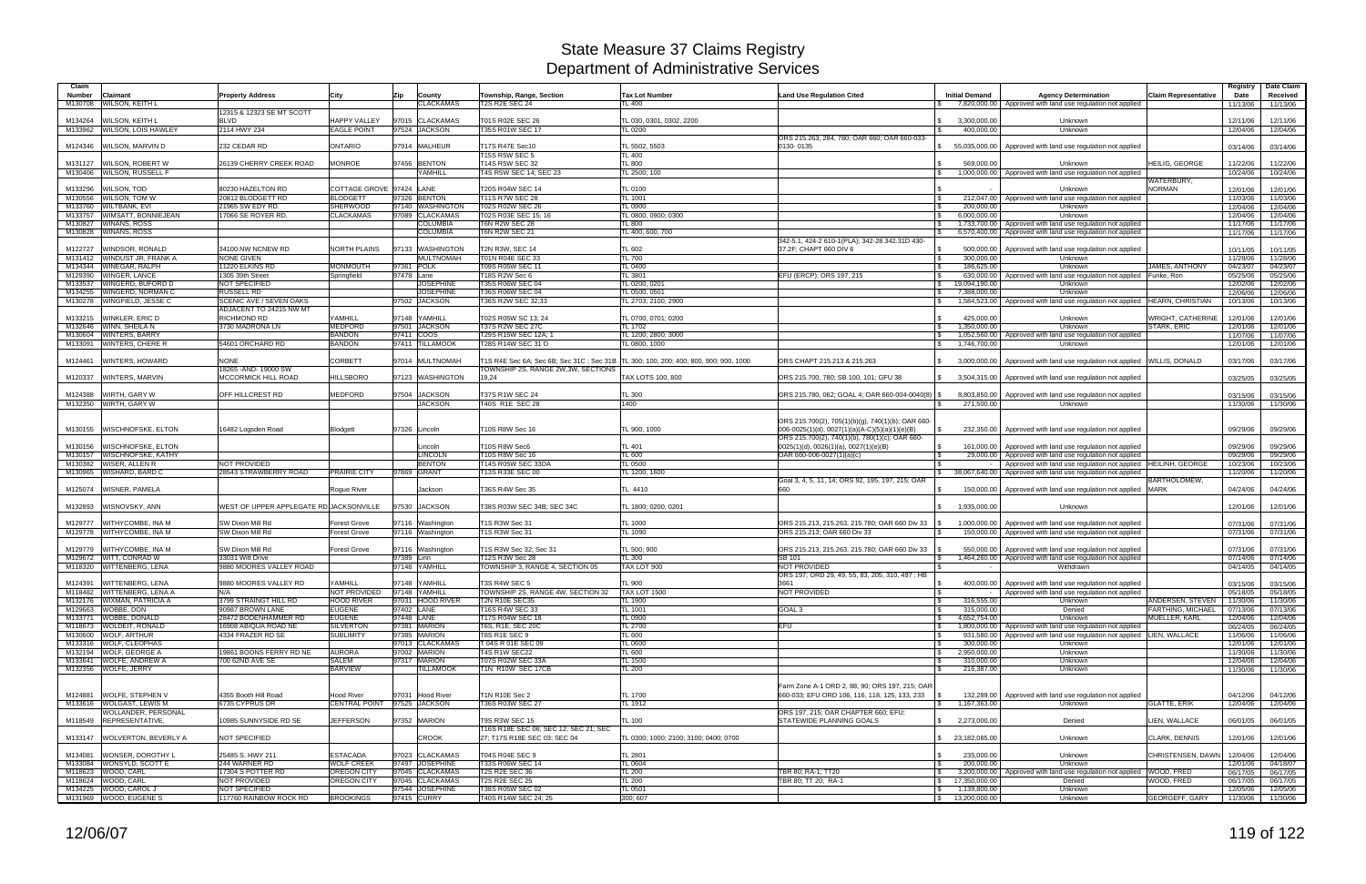| Claim<br><b>Number</b> | Claimant                                                 | <b>Property Address</b>                       | City                              | Zip<br>County                        | Township, Range, Section                                                                                                     | <b>Tax Lot Number</b>                 | <b>Land Use Regulation Cited</b>                                                                                                                      | <b>Initial Demand</b>                                | <b>Agency Determination</b>                                                                                    | <b>Claim Representative</b> | Registry<br>Date     | Date Claim<br>Received |
|------------------------|----------------------------------------------------------|-----------------------------------------------|-----------------------------------|--------------------------------------|------------------------------------------------------------------------------------------------------------------------------|---------------------------------------|-------------------------------------------------------------------------------------------------------------------------------------------------------|------------------------------------------------------|----------------------------------------------------------------------------------------------------------------|-----------------------------|----------------------|------------------------|
| M130708                | <b>WILSON, KEITH L</b>                                   |                                               |                                   | <b>CLACKAMAS</b>                     | <b>T2S R2E SEC 24</b>                                                                                                        | TL 400                                |                                                                                                                                                       |                                                      | 7,820,000.00 Approved with land use regulation not applied                                                     |                             | 11/13/06             | 11/13/06               |
| M134264                | WILSON, KEITH L                                          | 12315 & 12323 SE MT SCOTT<br><b>BLVD</b>      | HAPPY VALLEY                      | 97015 CLACKAMAS                      | T01S R02E SEC 26                                                                                                             | TL 030, 0301, 0302, 2200              |                                                                                                                                                       | 3,300,000.00                                         | Unknown                                                                                                        |                             | 12/11/06             | 12/11/06               |
| M133962                | <b>WILSON, LOIS HAWLEY</b>                               | 2114 HWY 234                                  | <b>EAGLE POINT</b>                | 97524 JACKSON                        | T35S R01W SEC 17                                                                                                             | <b>TL 0200</b>                        |                                                                                                                                                       | 400,000.00                                           | Unknown                                                                                                        |                             | 12/04/06             | 12/04/06               |
| M124346                | WILSON, MARVIN D                                         | 232 CEDAR RD                                  | ONTARIO                           | 97914 MALHEUR                        | T17S R47E Sec10                                                                                                              | TL 5502, 5503                         | ORS 215,263, 284, 780; OAR 660; OAR 660-033-<br>0130-0135                                                                                             | 55,035,000.00                                        | Approved with land use regulation not applied                                                                  |                             | 03/14/06             | 03/14/06               |
| M131127                | WILSON, ROBERT W                                         | 26139 CHERRY CREEK ROAD                       | <b>MONROE</b>                     | 97456 BENTON                         | <b>T15S R5W SEC 5</b><br>T14S R5W SEC 32                                                                                     | TL400<br><b>TL 800</b>                |                                                                                                                                                       | 569,000.00                                           | Unknown                                                                                                        | <b>HEILIG, GEORGE</b>       | 11/22/06             | 11/22/06               |
| M130406                | <b>WILSON, RUSSELL F</b>                                 |                                               |                                   | YAMHILL                              | T4S R5W SEC 14: SEC 23                                                                                                       | TL 2500: 100                          |                                                                                                                                                       | 1.000.000.00                                         | Approved with land use regulation not applied                                                                  |                             | 10/24/06             | 10/24/06               |
|                        |                                                          |                                               | COTTAGE GROVE 97424 LANE          |                                      |                                                                                                                              |                                       |                                                                                                                                                       |                                                      |                                                                                                                | WATERBURY,<br><b>NORMAN</b> |                      |                        |
| M133296<br>M130556     | WILSON, TOD<br>WILSON, TOM W                             | 80230 HAZELTON RD<br>20812 BLODGETT RD        | <b>BLODGETT</b>                   | 97326 BENTON                         | T20S R04W SEC 14<br><b>T11S R7W SEC 28</b>                                                                                   | <b>TL 0100</b><br>TL 1001             |                                                                                                                                                       | 212,047.00                                           | Unknown<br>Approved with land use regulation not applied                                                       |                             | 12/01/06<br>11/03/06 | 12/01/06<br>11/03/06   |
| M133760                | WILTBANK, EVI                                            | 21965 SW EDY RD.                              | SHERWOOD                          | 97140 WASHINGTON                     | T02S R02W SEC 26                                                                                                             | <b>TL 0900</b>                        |                                                                                                                                                       | l \$<br>200,000.00                                   | Unknown                                                                                                        |                             | 12/04/06             | 12/04/06               |
| M133757<br>M130827     | WIMSATT, BONNIEJEAN<br><b>WINANS, ROSS</b>               | 17066 SE ROYER RD.                            | CLACKAMAS                         | 97089 CLACKAMAS<br><b>COLUMBIA</b>   | T02S R03E SEC 15; 16<br><b>T6N R2W SEC 28</b>                                                                                | TL 0800, 0900; 0300<br><b>TL 800</b>  |                                                                                                                                                       | 6,000,000.00<br>l \$                                 | Unknown                                                                                                        |                             | 12/04/06             | 12/04/06               |
| M130828                | <b>WINANS, ROSS</b>                                      |                                               |                                   | <b>COLUMBIA</b>                      | <b>T6N R2W SEC 21</b>                                                                                                        | TL 400, 600, 700                      |                                                                                                                                                       | 1,733,700.00<br>6,570,400.00                         | Approved with land use regulation not applied<br>Approved with land use regulation not applied                 |                             | 11/17/06<br>11/17/06 | 11/17/06<br>11/17/06   |
|                        |                                                          |                                               |                                   |                                      |                                                                                                                              |                                       | 342-5.1, 424-2 610-1(PLA); 342-28 342.31D 430                                                                                                         |                                                      |                                                                                                                |                             |                      |                        |
| M122727<br>M131412     | WINDSOR, RONALD<br>WINDUST JR. FRANK A                   | 34100 NW NCNEW RD<br><b>NONE GIVEN</b>        | <b>VORTH PLAINS</b>               | 97133 WASHINGTON<br><b>MULTNOMAH</b> | <b>T2N R3W, SEC 14</b><br>T01N R04E SEC 33                                                                                   | <b>TL 602</b><br><b>TL 700</b>        | 37.2F; CHAPT 660 DIV 6                                                                                                                                | 500,000.00<br>IS.<br>300,000.00<br>l \$              | Approved with land use regulation not applied<br>Unknown                                                       |                             | 10/11/05<br>11/28/06 | 10/11/05<br>11/28/06   |
| M134344                | WINEGAR, RALPH                                           | 11220 ELKINS RD                               | <b>MONMOUTH</b>                   | 97361 POLK                           | T09S R05W SEC 11                                                                                                             | TL 0400                               |                                                                                                                                                       | 186,625.00<br>IS.                                    | Unknown                                                                                                        | <b>JAMES, ANTHONY</b>       | 04/23/07             | 04/23/07               |
| M129390                | WINGER, LANCE                                            | 1305 39th Street                              | Springfield                       | 97478 Lane                           | T18S R2W Sec 6                                                                                                               | TL 3801                               | EFU (ERCP); ORS 197, 215                                                                                                                              | 630,000.00<br><b>S</b>                               | Approved with land use regulation not applied Funke, Ron                                                       |                             | 05/25/06             | 05/25/06               |
| M133537<br>M134255     | WINGERD, BUFORD D<br>WINGERD, NORMAN C                   | <b>NOT SPECIFIED</b><br><b>RUSSELL RD</b>     |                                   | <b>JOSEPHINE</b><br><b>JOSEPHINE</b> | T35S R06W SEC 04<br>T36S R06W SEC 04                                                                                         | TL 0200, 0201<br>TL 0500, 0501        |                                                                                                                                                       | 19,094,190.00<br>$\mathbb{S}$<br>7.388.000.00<br>IS. | Unknown<br>Unknown                                                                                             |                             | 12/02/06<br>12/06/06 | 12/02/06<br>12/06/06   |
|                        | M130278 WINGFIELD, JESSE C                               | <b>SCENIC AVE / SEVEN OAKS</b>                |                                   | 97502 JACKSON                        | T36S R2W SEC 32:33                                                                                                           | TL 2703; 2100, 2900                   |                                                                                                                                                       |                                                      | 1,584,523.00 Approved with land use regulation not applied HEARN, CHRISTIAN                                    |                             | 10/13/06             | 10/13/06               |
| M133215                | WINKLER, ERIC D                                          | ADJACENT TO 24215 NW MT<br><b>RICHMOND RD</b> | YAMHILL                           | 97148 YAMHILL                        | T02S R05W SC 13; 24                                                                                                          | TL 0700, 0701; 0200                   |                                                                                                                                                       | 425,000.00                                           | Unknown                                                                                                        | <b>WRIGHT, CATHERINE</b>    |                      |                        |
| M132646                | WINN, SHEILA N                                           | 3730 MADRONA LN                               | <b>MEDFORD</b>                    | 97501 JACKSON                        | <b>T37S R2W SEC 27C</b>                                                                                                      | TL 1702                               |                                                                                                                                                       | 1,350,000.00<br>l \$                                 | Unknown                                                                                                        | <b>STARK, ERIC</b>          | 12/01/06<br>12/01/06 | 12/01/06<br>12/01/06   |
| M130604                | <b>WINTERS, BARRY</b>                                    |                                               | <b>BANDON</b>                     | 97411 COOS                           | T29S R15W SEC 12A; 1                                                                                                         | TL 1200; 2800, 3000                   |                                                                                                                                                       | 1,052,560.00                                         | Approved with land use regulation not applied                                                                  |                             | 11/07/06             | 11/07/06               |
| M133091                | <b>WINTERS, CHERE R</b>                                  | 54601 ORCHARD RD                              | <b>BANDON</b>                     | 97411 TILLAMOOK                      | T28S R14W SEC 31 D                                                                                                           | TL 0800, 1000                         |                                                                                                                                                       | $\mathbb{S}$<br>1,746,700.00                         | Unknown                                                                                                        |                             | 12/01/06             | 12/01/06               |
| M124461                | <b>WINTERS, HOWARD</b>                                   | <b>NONE</b><br>18265 - AND- 19000 SW          | <b>CORBETT</b>                    | 97014 MULTNOMAH                      | T1S R4E Sec 6A; Sec 6B; Sec 31C ; Sec 31B  TL 300; 100, 200; 400; 800, 900; 900, 1000<br>TOWNSHIP 2S, RANGE 2W, 3W, SECTIONS |                                       | ORS CHAPT 215.213 & 215.263                                                                                                                           | 3,000,000.00                                         | Approved with land use regulation not applied                                                                  | <b>WILLIS, DONALD</b>       | 03/17/06             | 03/17/06               |
| M120337                | WINTERS, MARVIN                                          | MCCORMICK HILL ROAD                           | <b>HILLSBORO</b>                  | 97123 WASHINGTON                     | 19,24                                                                                                                        | <b>TAX LOTS 100, 800</b>              | ORS 215.700, 780; SB 100, 101; GFU 38                                                                                                                 | 3,504,315.00                                         | Approved with land use regulation not applied                                                                  |                             | 03/25/05             | 03/25/05               |
| M124388                | WIRTH, GARY W                                            | OFF HILLCREST RD                              | <b>MEDFORD</b>                    | 97504 JACKSON                        | T37S R1W SEC 24                                                                                                              | <b>TL 300</b>                         | ORS 215.780, 062: GOAL 4: OAR 660-004-0040(8) S                                                                                                       | 8,803,850.00                                         | Approved with land use regulation not applied                                                                  |                             | 03/15/06             | 03/15/06               |
| M132350                | WIRTH, GARY W                                            |                                               |                                   | <b>JACKSON</b>                       | T40S R1E SEC 28                                                                                                              | 1400                                  |                                                                                                                                                       | 271,500.00                                           | Unknown                                                                                                        |                             | 11/30/06             | 11/30/06               |
| M130155                | <b>WISCHNOFSKE, ELTON</b>                                | 16482 Logsden Road                            | Blodgett                          | 97326 Lincoln                        | T10S R8W Sec 16                                                                                                              | TL 900, 1000                          | ORS 215.700(2), 705(1)(b)(g), 740(1)(b); OAR 660-<br>006-0025(1)(d), 0027(1)(a)(A-C)(5)(a)(1)(e)(B)<br>ORS 215.700(2), 740(1)(b), 780(1)(c); OAR 660- | 232,350.00<br>1.S                                    | Approved with land use regulation not applied                                                                  |                             | 09/29/06             | 09/29/06               |
| M130156                | <b>WISCHNOFSKE, ELTON</b>                                |                                               |                                   | Lincoln                              | T10S R8W Sec6                                                                                                                | TL 401                                | $ 0025(1)(d), 0026(1)(a), 0027(1)(e)(B) $                                                                                                             | 161,000.00                                           | Approved with land use regulation not applied                                                                  |                             | 09/29/06             | 09/29/06               |
| M130157<br>M130382     | <b>WISCHNOFSKE, KATHY</b><br><b>WISER, ALLEN R</b>       | <b>NOT PROVIDED</b>                           |                                   | LINCOLN<br><b>BENTON</b>             | T10S R8W Sec 16<br><b>T14S R05W SEC 33DA</b>                                                                                 | <b>TL 600</b><br><b>TL 0500</b>       | OAR 660-006-0027(1)(a)(c)                                                                                                                             | 29,000.00<br>l \$                                    | Approved with land use regulation not applied<br>Approved with land use regulation not applied HEILINH, GEORGE |                             | 09/29/06<br>10/23/06 | 09/29/06<br>10/23/06   |
| M130965                | WISHARD, BARD C                                          | 28543 STRAWBERRY ROAD                         | PRAIRIE CITY                      | 97869 GRANT                          | T13S R33E SEC 00                                                                                                             | TL 1200, 1600                         |                                                                                                                                                       | 38.067.640.00                                        | Approved with land use regulation not applied                                                                  |                             | 11/20/06             | 11/20/06               |
| M125074                | WISNER, PAMELA                                           |                                               | Roque River                       | Jackson                              | T36S R4W Sec 35                                                                                                              | TL 4410                               | Goal 3, 4, 5, 11, 14; ORS 92, 195, 197, 215; OAR<br>660                                                                                               | 150,000.00                                           | Approved with land use regulation not applied MARK                                                             | <b>BARTHOLOMEW.</b>         | 04/24/06             | 04/24/06               |
| M132893                | WISNOVSKY, ANN                                           | WEST OF UPPER APPLEGATE RD JACKSONVILLE       |                                   | 97530 JACKSON                        | T38S R03W SEC 34B; SEC 34C                                                                                                   | TL 1800; 0200, 0201                   |                                                                                                                                                       | 1,935,000.00                                         | Unknown                                                                                                        |                             | 12/01/06             | 12/01/06               |
| M129777                | WITHYCOMBE. INA M                                        | SW Dixon Mill Rd                              | Forest Grove                      | 97116 Washington                     | T1S R3W Sec 31                                                                                                               | <b>TL 1000</b>                        | ORS 215.213, 215.263, 215.780; OAR 660 Div 33                                                                                                         | 1.000.000.00                                         | Approved with land use regulation not applied                                                                  |                             | 07/31/06             | 07/31/06               |
|                        | M129778 WITHYCOMBE, INA M                                | SW Dixon Mill Rd                              | Forest Grove                      | 97116 Washington                     | T1S R3W Sec 31                                                                                                               | TL 1090                               | ORS 215.213; OAR 660 Div 33                                                                                                                           | l \$                                                 | 150,000.00   Approved with land use regulation not applied                                                     |                             | 07/31/06             | 07/31/06               |
| M129779                | WITHYCOMBE, INA M                                        | SW Dixon Mill Rd                              | Forest Grove                      | 97116 Washington                     | T1S R3W Sec 32: Sec 31                                                                                                       | TL 500; 900                           | ORS 215.213, 215.263, 215.780; OAR 660 Div 33                                                                                                         | 550,000.00                                           | Approved with land use regulation not applied                                                                  |                             | 07/31/06             | 07/31/06               |
| M129672                | WITT, CONRAD W                                           | 33031 Witt Drive<br>9880 MOORES VALLEY ROAD   |                                   | 97389 Linn<br>97148 YAMHILL          | T12S R3W Sec 28                                                                                                              | <b>TL 300</b><br>TAX LOT 900          | <b>SB 101</b><br><b>NOT PROVIDED</b>                                                                                                                  | 1,464,260.00                                         | Approved with land use regulation not applied<br>Withdrawn                                                     |                             | 07/14/06             | 07/14/06               |
|                        | M118320 WITTENBERG, LENA                                 |                                               |                                   |                                      | TOWNSHIP 3, RANGE 4, SECTION 05                                                                                              |                                       | ORS 197; ORD 29, 49, 55, 83, 205, 310, 497; HB                                                                                                        |                                                      |                                                                                                                |                             | 04/14/05             | 04/14/05               |
|                        | M124391 WITTENBERG, LENA                                 | 9880 MOORES VALLEY RD                         | YAMHILL                           | 97148 YAMHILL                        | T3S R4W SEC 5                                                                                                                | <b>TL 900</b>                         | 3661                                                                                                                                                  | l \$                                                 | 400,000.00 Approved with land use regulation not applied                                                       |                             | 03/15/06             | 03/15/06               |
|                        | M118482 WITTENBERG, LENA A<br>M132176 WIXMAN, PATRICIA A | N/A<br>3799 STRAINGT HILL RD                  | NOT PROVIDED<br><b>HOOD RIVER</b> | 97148 YAMHILL<br>97031 HOOD RIVER    | TOWNSHIP 2S, RANGE 4W, SECTION 32<br><b>T2N R10E SEC35</b>                                                                   | TAX LOT 1500<br><b>TL 1900</b>        | <b>NOT PROVIDED</b>                                                                                                                                   | l \$<br>l \$<br>316,555.00                           | Approved with land use regulation not applied<br>Unknown                                                       | ANDERSEN, STEVEN            | 05/18/05<br>11/30/06 | 05/18/05<br>11/30/06   |
|                        | M129663 WOBBE, DON                                       | 90987 BROWN LANE                              | <b>EUGENE</b>                     | 97402 LANE                           | <b>T16S R4W SEC 33</b>                                                                                                       | TL 1001                               | GOAL <sub>3</sub>                                                                                                                                     | 315,000.00<br>$\mathsf{s}$                           | Denied                                                                                                         | FARTHING, MICHAEL           | 07/13/06             | 07/13/06               |
|                        | M133771 WOBBE, DONALD<br>M118673 WOLDEIT, RONALD         | 28472 BODENHAMMER RD<br>16908 ABIQUA ROAD NE  | <b>EUGENE</b><br><b>SILVERTON</b> | 97448 LANE<br>97381 MARION           | T17S R04W SEC 18<br>T6S, R1E, SEC 20C                                                                                        | <b>TL 0900</b><br><b>TL 2700</b>      | <b>EFU</b>                                                                                                                                            | 4,652,754.00<br>$\mathbb{S}$                         | Unknown<br>Approved with land use regulation not applied                                                       | <b>MUELLER, KARL</b>        | 12/04/06             | 12/04/06               |
|                        | M130600 WOLF, ARTHUR                                     | 4334 FRAZER RD SE                             | <b>SUBLIMITY</b>                  | 97385 MARION                         | <b>T8S R1E SEC 9</b>                                                                                                         | <b>TL 600</b>                         |                                                                                                                                                       | 1,800,000.00<br>IS.<br>l \$<br>931,580.00            | Approved with land use regulation not applied   LIEN, WALLACE                                                  |                             | 06/24/05<br>11/06/06 | 06/24/05<br>11/06/06   |
|                        | M133316 WOLF, CLEOPHAS                                   |                                               |                                   | 97013 CLACKAMAS                      | T 04S R 01E SEC 09                                                                                                           | TL 0600                               |                                                                                                                                                       | 300,000.00                                           | Unknown                                                                                                        |                             | 12/01/06             | 12/01/06               |
|                        | M132194 WOLF, GEORGE A<br>M133641 WOLFE, ANDREW A        | 19861 BOONS FERRY RD NE<br>700 62ND AVE SE    | <b>AURORA</b><br>SALEM            | 97002 MARION<br>97317 MARION         | T4S R1W SEC22<br>T07S R02W SEC 33A                                                                                           | <b>TL 600</b><br>TL 1500              |                                                                                                                                                       | 2,950,000.00<br><b>S</b><br>310,000.00<br>IS.        | Unknown<br>Unknown                                                                                             |                             | 11/30/06<br>12/04/06 | 11/30/06<br>12/04/06   |
|                        | M132356 WOLFE, JERRY                                     |                                               | <b>BARVIEW</b>                    | <b>TILLAMOOK</b>                     | T1N R10W SEC 17CB                                                                                                            | <b>TL 200</b>                         |                                                                                                                                                       | 216,387.00<br>$\mathfrak s$                          | Unknown                                                                                                        |                             | 11/30/06             | 11/30/06               |
|                        |                                                          |                                               |                                   |                                      |                                                                                                                              |                                       |                                                                                                                                                       |                                                      |                                                                                                                |                             |                      |                        |
|                        | M124881 WOLFE, STEPHEN V                                 | 4355 Booth Hill Road                          | Hood River                        | 97031 Hood River                     | T1N R10E Sec 2                                                                                                               | <b>TL 1700</b>                        | Farm Zone A-1 ORD 2, 88, 90; ORS 197, 215; OAR<br>660-033; EFU ORD 106, 116, 118, 125, 133, 233                                                       |                                                      | 132,289.00   Approved with land use regulation not applied                                                     |                             | 04/12/06             | 04/12/06               |
|                        | M133616 WOLGAST, LEWIS M<br>WOLLANDER, PERSONAL          | 6735 CYPRUS DR                                |                                   | CENTRAL POINT 97525 JACKSON          | T36S R03W SEC 27                                                                                                             | <b>TL 1912</b>                        | ORS 197, 215; OAR CHAPTER 660; EFU;                                                                                                                   | 1,167,363.00<br><b>S</b>                             | Unknown                                                                                                        | <b>GLATTE, ERIK</b>         | 12/04/06             | 12/04/06               |
|                        | M118549 REPRESENTATIVE,                                  | 10985 SUNNYSIDE RD SE                         | <b>JEFFERSON</b>                  | 97352 MARION                         | <b>T9S R3W SEC 15</b><br>T16S R18E SEC 06; SEC 12; SEC 21; SEC                                                               | TL 100                                | STATEWIDE PLANNING GOALS                                                                                                                              | \$2,273,000.00                                       | Denied                                                                                                         | LIEN, WALLACE               | 06/01/05             | 06/01/05               |
|                        | M133147 WOLVERTON, BEVERLY A                             | NOT SPECIFIED                                 |                                   | <b>CROOK</b>                         | 27; T17S R18E SEC 03; SEC 04                                                                                                 | TL 0300; 1000; 2100; 3100; 0400; 0700 |                                                                                                                                                       | \$23,182,085.00                                      | Unknown                                                                                                        | <b>CLARK, DENNIS</b>        | 12/01/06             | 12/01/06               |
| M134081                | WONSER, DOROTHY L                                        | 25485 S. HWY 211                              | <b>ESTACADA</b>                   | 97023 CLACKAMAS                      | T04S R04E SEC 9                                                                                                              | TL 2801                               |                                                                                                                                                       | 235,000.00<br>l \$                                   | Unknown                                                                                                        | CHRISTENSEN, DAWN           | 12/04/06             | 12/04/06               |
|                        | M133084 WONSYLD, SCOTT E<br>M118623 WOOD, CARL           | 244 WARNER RD<br>17304 S POTTER RD            | <b>NOLF CREEK</b><br>OREGON CITY  | 97497 JOSEPHINE<br>97045 CLACKAMAS   | T33S R06W SEC 14<br><b>T2S R2E SEC 36</b>                                                                                    | <b>TL 0604</b><br><b>TL 200</b>       | TBR 80; RA-1; TT20                                                                                                                                    | 200,000.00<br><b>S</b><br>$\mathbb{S}$               | Unknown<br>3,200,000.00 Approved with land use regulation not applied                                          | WOOD, FRED                  | 12/01/06<br>06/17/05 | 04/18/07<br>06/17/05   |
|                        | M118624 WOOD, CARL                                       | NOT PROVIDED                                  | <b>OREGON CITY</b>                | 97045 CLACKAMAS                      | <b>T2S R2E SEC 25</b>                                                                                                        | <b>TL 200</b>                         | TBR 80; TT 20; RA-1                                                                                                                                   | $\frac{1}{2}$ 17,350,000.00                          | Denied                                                                                                         | WOOD, FRED                  | 06/17/05             | 06/17/05               |
|                        | M134225 WOOD, CAROL J                                    | NOT SPECIFIED                                 |                                   | 97544 JOSEPHINE                      | T38S R05W SEC 02                                                                                                             | TL 0501                               |                                                                                                                                                       | $\frac{1}{3}$ 1,139,800.00                           | Unknown                                                                                                        |                             | 12/05/06             | 12/05/06               |
|                        | M131969 WOOD, EUGENE S                                   | 117760 RAINBOW ROCK RD                        | <b>BROOKINGS</b>                  | 97415 CURRY                          | T40S R14W SEC 24; 25                                                                                                         | 300; 607                              |                                                                                                                                                       | $\frac{1}{2}$ 13,200,000.00                          | Unknown                                                                                                        | GEORGEFF, GARY              | 11/30/06             | 11/30/06               |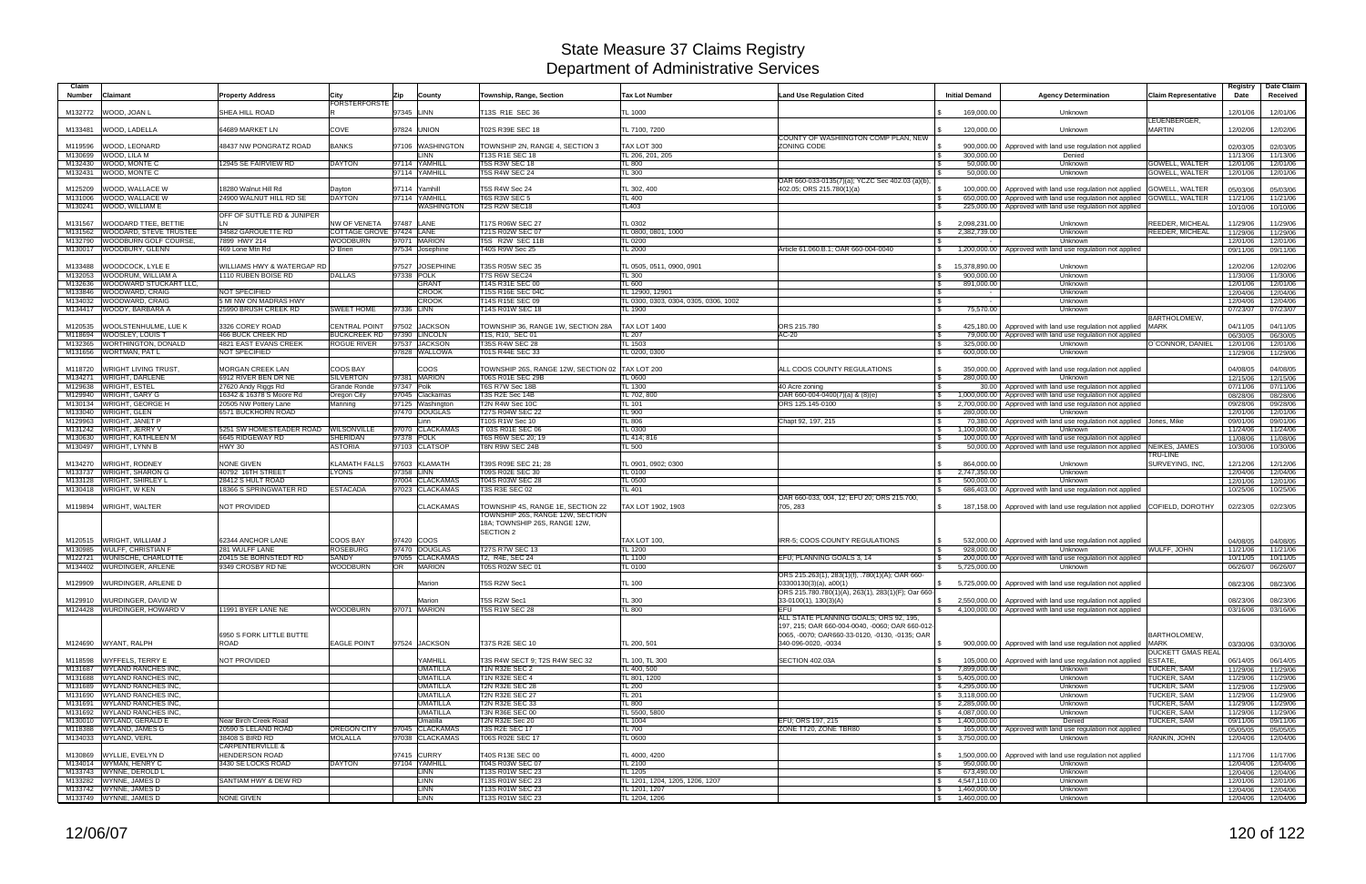| Claim<br><b>Number</b><br>Claimant                                               | <b>Property Address</b>                              | City                         | Zip         | County                             | Township, Range, Section                                                              | <b>Tax Lot Number</b>                      | <b>Land Use Regulation Cited</b>                                                                        | <b>Initial Demand</b>                                          | <b>Agency Determination</b>                                                                                                           | <b>Claim Representative</b>              | Registry<br>Date     | Date Claim<br>Received |
|----------------------------------------------------------------------------------|------------------------------------------------------|------------------------------|-------------|------------------------------------|---------------------------------------------------------------------------------------|--------------------------------------------|---------------------------------------------------------------------------------------------------------|----------------------------------------------------------------|---------------------------------------------------------------------------------------------------------------------------------------|------------------------------------------|----------------------|------------------------|
| M132772<br>WOOD, JOAN L                                                          | SHEA HILL ROAD                                       | <b>FORSTERFORSTE</b>         | 97345 LINN  |                                    | T13S R1E SEC 36                                                                       | <b>TL 1000</b>                             |                                                                                                         | 169.000.00                                                     | Unknown                                                                                                                               |                                          | 12/01/06             | 12/01/06               |
|                                                                                  |                                                      |                              |             |                                    |                                                                                       |                                            |                                                                                                         |                                                                |                                                                                                                                       | LEUENBERGER,                             |                      |                        |
| M133481<br>WOOD, LADELLA                                                         | 64689 MARKET LN                                      | COVE                         |             | 97824 UNION                        | T02S R39E SEC 18                                                                      | TL 7100, 7200                              | COUNTY OF WASHIINGTON COMP PLAN, NEW                                                                    | 120,000.00                                                     | Unknown                                                                                                                               | <b>MARTIN</b>                            | 12/02/06             | 12/02/06               |
| WOOD, LEONARD<br>M119596                                                         | 48437 NW PONGRATZ ROAD                               | <b>BANKS</b>                 |             | 97106 WASHINGTON                   | TOWNSHIP 2N, RANGE 4, SECTION 3                                                       | TAX LOT 300                                | ZONING CODE                                                                                             | 900,000.00<br><b>S</b>                                         | Approved with land use regulation not applied                                                                                         |                                          | 02/03/05             | 02/03/05               |
| WOOD, LILA M<br>M130699<br>WOOD, MONTE C<br>M132430                              | 12945 SE FAIRVIEW RD                                 | <b>DAYTON</b>                |             | <b>INN</b><br>97114 YAMHILL        | T13S R1E SEC 18<br><b>T5S R3W SEC 18</b>                                              | TL 206, 201, 205<br>TL 800                 |                                                                                                         | 300,000.00<br>50,000.00<br>l S                                 | Denied<br>Unknown                                                                                                                     | GOWELL, WALTER                           | 11/13/06<br>12/01/06 | 11/13/06               |
| WOOD, MONTE C<br>M132431                                                         |                                                      |                              |             | 97114 YAMHILL                      | <b>T5S R4W SEC 24</b>                                                                 | TL 300                                     |                                                                                                         | 50,000,00                                                      | Unknown                                                                                                                               | <b>GOWELL, WALTER</b>                    | 12/01/06             | 12/01/06<br>12/01/06   |
|                                                                                  |                                                      |                              |             |                                    |                                                                                       |                                            | OAR 660-033-0135(7)(a); YCZC Sec 402.03 (a)(b),                                                         |                                                                |                                                                                                                                       |                                          |                      |                        |
| M125209<br>WOOD, WALLACE W<br>WOOD, WALLACE W<br>M131006                         | 18280 Walnut Hill Rd<br>24900 WALNUT HILL RD SE      | Dayton<br><b>DAYTON</b>      | 97114       | Yamhill<br>97114 YAMHILL           | <b>T5S R4W Sec 24</b><br><b>T6S R3W SEC 5</b>                                         | TL 302, 400<br><b>TL 400</b>               | 402.05; ORS 215.780(1)(a)                                                                               |                                                                | 100,000.00 Approved with land use regulation not applied<br>650,000.00   Approved with land use regulation not applied GOWELL, WALTER | <b>GOWELL, WALTER</b>                    | 05/03/06<br>11/21/06 | 05/03/06<br>11/21/06   |
| WOOD, WILLIAM E<br>M130241                                                       |                                                      |                              |             | WASHINGTON                         | T2S R2W SEC18                                                                         | TL403                                      |                                                                                                         |                                                                | 225,000.00   Approved with land use regulation not applied                                                                            |                                          | 10/10/06             | 10/10/06               |
| WOODARD TTEE, BETTIE<br>M131567                                                  | OFF OF SUTTLE RD & JUNIPER                           | NW OF VENETA                 | 97487 LANE  |                                    | T17S R06W SEC 27                                                                      | TL 0302                                    |                                                                                                         | 2,098,231.00<br>$\mathbb{S}$                                   | Unknown                                                                                                                               | <b>REEDER, MICHEAL</b>                   | 11/29/06             | 11/29/06               |
| WOODARD, STEVE TRUSTEE<br>M131562                                                | 34582 GAROUETTE RD                                   | COTTAGE GROVE 97424 LANE     |             |                                    | T21S R02W SEC 07                                                                      | TL 0800, 0801, 1000                        |                                                                                                         | 2,382,739.00<br><b>S</b>                                       | Unknown                                                                                                                               | REEDER, MICHEAL                          | 11/29/06             | 11/29/06               |
| WOODBURN GOLF COURSE,<br>M132790                                                 | 7899 HWY 214                                         | WOODBURN                     |             | 97071 MARION                       | T5S R2W SEC 11B                                                                       | <b>TL 0200</b>                             |                                                                                                         |                                                                | Unknown                                                                                                                               |                                          | 12/01/06             | 12/01/06               |
| WOODBURY, GLENN<br>M130017                                                       | 469 Lone Mtn Rd                                      | O`Brien                      |             | 97534 Josephine                    | T40S R9W Sec 25                                                                       | TL 2000                                    | Article 61.060.B.1: OAR 660-004-0040                                                                    |                                                                | 1,200,000.00 Approved with land use regulation not applied                                                                            |                                          | 09/11/06             | 09/11/06               |
| WOODCOCK, LYLE E<br>M133488                                                      | WILLIAMS HWY & WATERGAP RD                           |                              |             | 97527 JOSEPHINE                    | T35S R05W SEC 35                                                                      | TL 0505, 0511, 0900, 0901                  |                                                                                                         | 15,378,890.00<br>$\mathcal{S}$                                 | Unknown                                                                                                                               |                                          | 12/02/06             | 12/02/06               |
| <b>WOODRUM, WILLIAM A</b><br>M132053<br><b>WOODWARD STUCKART LLC,</b><br>M132636 | 1110 RUBEN BOISE RD                                  | DALLAS                       | 97338 POLK  | <b>GRANT</b>                       | T7S R6W SEC24<br>T14S R31E SEC 00                                                     | TL 300<br>TL 600                           |                                                                                                         | 900,000.00<br>l \$<br><b>S</b><br>891,000.00                   | Unknown<br>Unknown                                                                                                                    |                                          | 11/30/06<br>12/01/06 | 11/30/06<br>12/01/06   |
| WOODWARD, CRAIG<br>M133846                                                       | <b>NOT SPECIFIED</b>                                 |                              |             | <b>CROOK</b>                       | T15S R16E SEC 04C                                                                     | TL 12900, 12901                            |                                                                                                         | IS.                                                            | Unknown                                                                                                                               |                                          | 12/04/06             | 12/04/06               |
| WOODWARD, CRAIG<br>M134032                                                       | 5 MI NW ON MADRAS HWY                                |                              |             | <b>CROOK</b>                       | T14S R15E SEC 09                                                                      | TL 0300, 0303, 0304, 0305, 0306, 1002      |                                                                                                         |                                                                | Unknown                                                                                                                               |                                          | 12/04/06             | 12/04/06               |
| WOODY, BARBARA A<br>M134417                                                      | 25990 BRUSH CREEK RD                                 | <b>SWEET HOME</b>            | 97336 LINN  |                                    | T14S R01W SEC 18                                                                      | TL 1900                                    |                                                                                                         | 75,570.00<br>l \$                                              | Unknown                                                                                                                               | <b>BARTHOLOMEW</b>                       | 07/23/07             | 07/23/07               |
| WOOLSTENHULME, LUE K<br>M120535                                                  | 3326 COREY ROAD                                      | <b>CENTRAL POINT</b>         | 97502       | <b>JACKSON</b>                     | TOWNSHIP 36, RANGE 1W, SECTION 28A                                                    | <b>TAX LOT 1400</b>                        | ORS 215.780                                                                                             | 425,180.00                                                     | Approved with land use regulation not applied                                                                                         | <b>MARK</b>                              | 04/11/05             | 04/11/05               |
| WOOSLEY, LOUIS T<br>M118694                                                      | <b>466 BUCK CREEK RD</b>                             | BUCKCREEK RD 97390 LINCOLN   |             |                                    | T1S, R10, SEC 01                                                                      | <b>TL 207</b>                              | $AC-20$                                                                                                 | 79,000.00                                                      | Approved with land use regulation not applied                                                                                         |                                          | 06/30/05             | 06/30/05               |
| WORTHINGTON, DONALD<br>M132365<br>WORTMAN, PAT L<br>M131656                      | 4821 EAST EVANS CREEK<br>NOT SPECIFIED               | ROGUE RIVER                  |             | 97537 JACKSON<br>97828 WALLOWA     | T35S R4W SEC 28<br>T01S R44E SEC 33                                                   | TL 1503<br>TL 0200, 0300                   |                                                                                                         | 325,000.00<br>l \$<br>600,000.00                               | Unknown<br>Unknown                                                                                                                    | O`CONNOR, DANIEL                         | 12/01/06<br>11/29/06 | 12/01/06<br>11/29/06   |
|                                                                                  |                                                      |                              |             |                                    |                                                                                       |                                            |                                                                                                         |                                                                |                                                                                                                                       |                                          |                      |                        |
| <b>WRIGHT LIVING TRUST,</b><br>M118720<br><b>WRIGHT, DARLENE</b><br>M134271      | MORGAN CREEK LAN<br>6912 RIVER BEN DR NE             | COOS BAY<br><b>SILVERTON</b> |             | coos<br>97381 MARION               | TOWNSHIP 26S, RANGE 12W, SECTION 02  TAX LOT 200<br>T06S R01E SEC 29B                 | <b>TL 0600</b>                             | ALL COOS COUNTY REGULATIONS                                                                             | <b>S</b><br>350,000.00<br>280,000.00<br><b>S</b>               | Approved with land use regulation not applied<br>Unknown                                                                              |                                          | 04/08/05<br>12/15/06 | 04/08/05<br>12/15/06   |
| <b>WRIGHT, ESTEL</b><br>M129638                                                  | 27620 Andy Riggs Rd                                  | <b>Grande Ronde</b>          | 97347 Polk  |                                    | T6S R7W Sec 18B                                                                       | TL 1300                                    | 40 Acre zoning                                                                                          | l \$                                                           | 30.00 Approved with land use regulation not applied                                                                                   |                                          | 07/11/06             | 07/11/06               |
| <b>WRIGHT, GARY G</b><br>M129940                                                 | 16342 & 16378 S Moore Rd                             | Oregon City                  |             | 97045 Clackamas                    | T3S R2E Sec 14B                                                                       | TL 702, 800                                | OAR 660-004-0400(7)(a) & (8)(e)                                                                         | 1,000,000.00                                                   | Approved with land use regulation not applied                                                                                         |                                          | 08/28/06             | 08/28/06               |
| <b>WRIGHT, GEORGE H</b><br>M130134<br><b>WRIGHT, GLEN</b><br>M133040             | 20505 NW Pottery Lane<br>6571 BUCKHORN ROAD          | Manning                      |             | 97125 Washington<br>97470 DOUGLAS  | T2N R4W Sec 10C<br>T27S R04W SEC 22                                                   | TL 101<br><b>TL 900</b>                    | ORS 125.145-0100                                                                                        | 2,700,000.00<br>280,000.00                                     | Approved with land use regulation not applied<br>Unknown                                                                              |                                          | 09/28/06<br>12/01/06 | 09/28/06<br>12/01/06   |
| WRIGHT, JANET P<br>M129963                                                       |                                                      |                              |             | Linn                               | T10S R1W Sec 10                                                                       | <b>TL 806</b>                              | Chapt 92, 197, 215                                                                                      | <b>S</b><br>70,380.00                                          | Approved with land use regulation not applied Jones, Mike                                                                             |                                          | 09/01/06             | 09/01/06               |
| <b>WRIGHT, JERRY V</b><br>M131242                                                | 5251 SW HOMESTEADER ROAD                             | <b>WILSONVILLE</b>           |             | 97070 CLACKAMAS                    | T 03S R01E SEC 06                                                                     | TL 0300                                    |                                                                                                         | 1,100,000.00<br>IS.                                            | Unknown                                                                                                                               |                                          | 11/24/06             | 11/24/06               |
| <b>WRIGHT, KATHLEEN M</b><br>M130630<br><b>WRIGHT, LYNN B</b><br>M130497         | 6645 RIDGEWAY RD<br><b>HWY 30</b>                    | SHERIDAN<br><b>ASTORIA</b>   | 97378 POLK  | 97103 CLATSOP                      | T6S R6W SEC 20; 19<br>T8N R9W SEC 24B                                                 | TL 414; 816<br><b>TL 500</b>               |                                                                                                         | <b>S</b><br>50,000.00                                          | 100,000.00 Approved with land use regulation not applied<br>Approved with land use regulation not applied NEIKES, JAMES               |                                          | 11/08/06<br>10/30/06 | 11/08/06<br>10/30/06   |
|                                                                                  |                                                      |                              |             |                                    |                                                                                       |                                            |                                                                                                         |                                                                |                                                                                                                                       | TRU-LINE                                 |                      |                        |
| M134270<br><b>WRIGHT, RODNEY</b>                                                 | <b>NONE GIVEN</b>                                    | KLAMATH FALLS                |             | 97603 KLAMATH                      | T39S R09E SEC 21; 28<br>T09S R02E SEC 30                                              | TL 0901, 0902; 0300                        |                                                                                                         | 864.000.00                                                     | Unknown                                                                                                                               | SURVEYING, INC.                          | 12/12/06             | 12/12/06               |
| <b>WRIGHT, SHARON G</b><br>M133737<br>M133128 WRIGHT, SHIRLEY L                  | 40792 16TH STREET<br>28412 S HULT ROAD               | LYONS                        | 97358 LINN  | 97004 CLACKAMAS                    | T04S R03W SEC 28                                                                      | TL 0100<br>TL 0500                         |                                                                                                         | 2,747,350.00<br>IS.<br>500,000.00                              | Unknown<br>Unknown                                                                                                                    |                                          | 12/04/06<br>12/01/06 | 12/04/06<br>12/01/06   |
| M130418 WRIGHT, W KEN                                                            | 8366 S SPRINGWATER RD                                | <b>ESTACADA</b>              |             | 97023 CLACKAMAS                    | T3S R3E SEC 02                                                                        | TL 401                                     |                                                                                                         | IS.                                                            | 686,403.00   Approved with land use regulation not applied                                                                            |                                          | 10/25/06             | 10/25/06               |
| M119894<br><b>WRIGHT, WALTER</b>                                                 | <b>NOT PROVIDED</b>                                  |                              |             | <b>CLACKAMAS</b>                   | TOWNSHIP 4S, RANGE 1E, SECTION 22                                                     | AX LOT 1902, 1903                          | OAR 660-033, 004, 12; EFU 20; ORS 215.700,<br>705, 283                                                  | 187,158.00                                                     | Approved with land use regulation not applied COFIELD, DOROTHY                                                                        |                                          | 02/23/05             | 02/23/05               |
|                                                                                  |                                                      |                              |             |                                    | TOWNSHIP 26S, RANGE 12W, SECTION<br>18A; TOWNSHIP 26S, RANGE 12W,<br><b>SECTION 2</b> |                                            |                                                                                                         |                                                                |                                                                                                                                       |                                          |                      |                        |
| WRIGHT, WILLIAM J<br>M120515                                                     | 62344 ANCHOR LANE                                    | COOS BAY                     |             | 97420 COOS                         |                                                                                       | TAX LOT 100.                               | IRR-5; COOS COUNTY REGULATIONS                                                                          | 532,000.00                                                     | Approved with land use regulation not applied                                                                                         |                                          | 04/08/05             | 04/08/05               |
| M130985 WULFF, CHRISTIAN F                                                       | 281 WULFF LANE                                       | <b>ROSEBURG</b>              |             | 97470 DOUGLAS                      | T27S R7W SEC 13                                                                       | TL 1200                                    |                                                                                                         | 928.000.00                                                     | Unknown                                                                                                                               | WULFF, JOHN                              | 11/21/06             | 11/21/06               |
| <b>WUNISCHE, CHARLOTTE</b><br>M122721<br>M134402 WURDINGER, ARLENE               | 20415 SE BORNSTEDT RD<br>9349 CROSBY RD NE           | SANDY<br>WOODBURN            | 97055<br>OR | <b>CLACKAMAS</b><br><b>MARION</b>  | T2, R4E, SEC 24<br>T05S R02W SEC 01                                                   | TL 1100<br>TL 0100                         | EFU; PLANNING GOALS 3, 14                                                                               | 200,000.00<br>l \$<br>5,725,000.00                             | Approved with land use regulation not applied<br>Unknown                                                                              |                                          | 10/11/05<br>06/26/07 | 10/11/05<br>06/26/07   |
|                                                                                  |                                                      |                              |             |                                    |                                                                                       |                                            | ORS 215.263(1), 283(1)(f), .780(1)(A); OAR 660-                                                         |                                                                |                                                                                                                                       |                                          |                      |                        |
| M129909 WURDINGER, ARLENE D                                                      |                                                      |                              |             | Marion                             | T5S R2W Sec1                                                                          | TL 100                                     | $03300130(3)(a)$ , a $00(1)$<br>ORS 215.780.780(1)(A), 263(1), 283(1)(F); Oar 660-                      | $\mathbb{S}$                                                   | 5,725,000.00 Approved with land use regulation not applied                                                                            |                                          | 08/23/06             | 08/23/06               |
| M129910 WURDINGER, DAVID W                                                       |                                                      |                              |             | Marion                             | T5S R2W Sec1                                                                          | <b>TL 300</b>                              | 33-0100(1), 130(3)(A)                                                                                   |                                                                | S 2.550,000,00 Approved with land use regulation not applied                                                                          |                                          | 08/23/06             | 08/23/06               |
| M124428 WURDINGER, HOWARD V                                                      | 1991 BYER LANE NE                                    | WOODBURN                     |             | 97071 MARION                       | <b>T5S R1W SEC 28</b>                                                                 | <b>TL 800</b>                              | <b>EFU</b><br>ALL STATE PLANNING GOALS: ORS 92, 195.<br>197, 215; OAR 660-004-0040, -0060; OAR 660-012- | S.                                                             | 4,100,000.00 Approved with land use regulation not applied                                                                            |                                          | 03/16/06             | 03/16/06               |
| M124690 WYANT, RALPH                                                             | 6950 S FORK LITTLE BUTTE<br>ROAD                     | <b>EAGLE POINT</b>           |             | 97524 JACKSON                      | T37S R2E SEC 10                                                                       | TL 200, 501                                | 0065, -0070; OAR660-33-0120, -0130, -0135; OAR<br>340-096-0020, -0034                                   |                                                                | 900,000.00   Approved with land use regulation not applied MARK                                                                       | BARTHOLOMEW,<br><b>DUCKETT GMAS REAL</b> | 03/30/06             | 03/30/06               |
| M118598 WYFFELS, TERRY E                                                         | NOT PROVIDED                                         |                              |             | <b>YAMHILL</b>                     | T3S R4W SECT 9; T2S R4W SEC 32                                                        | TL 100, TL 300                             | SECTION 402.03A                                                                                         | <b>S</b>                                                       | 105,000.00   Approved with land use regulation not applied                                                                            | ESTATE.                                  | 06/14/05             | 06/14/05               |
| M131687 WYLAND RANCHES INC.<br>M131688 WYLAND RANCHES INC.                       |                                                      |                              |             | <b>UMATILLA</b>                    | T1N R32E SEC 2                                                                        | TL 400, 500                                |                                                                                                         | $\sqrt{3}$<br>7,899,000.00                                     | Unknown                                                                                                                               | TUCKER, SAM                              | 11/29/06             | 11/29/06               |
| M131689 WYLAND RANCHES INC.                                                      |                                                      |                              |             | <b>UMATILLA</b><br><b>UMATILLA</b> | <b>T1N R32E SEC 4</b><br><b>T2N R32E SEC 28</b>                                       | TL 801, 1200<br>TL 200                     |                                                                                                         | 5,405,000.00<br>S.<br>4,295,000.00<br>$\sqrt{3}$               | Unknown<br>Unknown                                                                                                                    | TUCKER, SAM<br>TUCKER, SAM               | 11/29/06<br>11/29/06 | 11/29/06<br>11/29/06   |
| M131690 WYLAND RANCHES INC,                                                      |                                                      |                              |             | <b>UMATILLA</b>                    | <b>T2N R32E SEC 27</b>                                                                | <b>TL 201</b>                              |                                                                                                         | 3,118,000.00<br>$\mathcal{S}$                                  | Unknown                                                                                                                               | TUCKER, SAM                              | 11/29/06             | 11/29/06               |
| M131691 WYLAND RANCHES INC.                                                      |                                                      |                              |             | <b>UMATILLA</b>                    | T2N R32E SEC 33                                                                       | <b>TL 800</b>                              |                                                                                                         | 2,285,000.00<br>$\mathcal{S}$                                  | Unknown                                                                                                                               | TUCKER, SAM                              | 11/29/06             | 11/29/06               |
| M131692 WYLAND RANCHES INC.<br>M130010 WYLAND, GERALD E                          | Near Birch Creek Road                                |                              |             | <b>UMATILLA</b><br>Umatilla        | T3N R36E SEC 00<br><b>T2N R32E Sec 20</b>                                             | TL 5500, 5800<br><b>TL 1004</b>            | EFU; ORS 197, 215                                                                                       | 4,087,000.00<br>$\mathcal{S}$<br>1,400,000.00<br>$\mathcal{S}$ | Unknown<br>Denied                                                                                                                     | <b>TUCKER, SAM</b><br>TUCKER, SAM        | 11/29/06<br>09/11/06 | 11/29/06<br>09/11/06   |
| M118388 WYLAND, JAMES G                                                          | 20590 S LELAND ROAD                                  | <b>OREGON CITY</b>           |             | 97045 CLACKAMAS                    | <b>T3S R2E SEC 17</b>                                                                 | <b>TL 700</b>                              | ZONE TT20, ZONE TBR80                                                                                   | $\mathbf{\hat{s}}$                                             | 165,000.00   Approved with land use regulation not applied                                                                            |                                          | 05/05/05             | 05/05/05               |
| M134033 WYLAND, VERL                                                             | 38408 S BIRD RD                                      | <b>MOLALLA</b>               |             | 97038 CLACKAMAS                    | T06S R02E SEC 17                                                                      | TL 0600                                    |                                                                                                         | 3,750,000.00<br>$\mathbb{S}$                                   | Unknown                                                                                                                               | RANKIN, JOHN                             | 12/04/06             | 12/04/06               |
| M130869 WYLLIE, EVELYN D                                                         | <b>CARPENTERVILLE &amp;</b><br><b>HENDERSON ROAD</b> |                              |             | 97415 CURRY                        | T40S R13E SEC 00                                                                      | TL 4000, 4200                              |                                                                                                         | 1,500,000.00<br><b>S</b>                                       | Approved with land use regulation not applied                                                                                         |                                          | 11/17/06             | 11/17/06               |
| M134014 WYMAN, HENRY C                                                           | 3430 SE LOCKS ROAD                                   | <b>DAYTON</b>                |             | 97104 YAMHILL                      | T04S R03W SEC 07                                                                      | TL 2100                                    |                                                                                                         | 950,000.00                                                     | Unknown                                                                                                                               |                                          | 12/04/06             | 12/04/06               |
| M133743 WYNNE, DEROLD L<br>M133282 WYNNE, JAMES D                                | SANTIAM HWY & DEW RD                                 |                              |             | LINN<br><b>LINN</b>                | T13S R01W SEC 23<br>T13S R01W SEC 23                                                  | TL 1205<br>TL 1201, 1204, 1205, 1206, 1207 |                                                                                                         | 673,490.00<br>$\sqrt{3}$<br>4,547,110.00<br>$\sqrt{3}$         | Unknown<br>Unknown                                                                                                                    |                                          | 12/04/06<br>12/01/06 | 12/04/06<br>12/01/06   |
| M133742 WYNNE, JAMES D                                                           |                                                      |                              |             | LINN                               | T13S R01W SEC 23                                                                      | TL 1201, 1207                              |                                                                                                         | $\sqrt{3}$<br>1,460,000.00                                     | Unknown                                                                                                                               |                                          | 12/04/06             | 12/04/06               |
| M133749 WYNNE, JAMES D                                                           | <b>NONE GIVEN</b>                                    |                              |             | <b>LINN</b>                        | T13S R01W SEC 23                                                                      | TL 1204, 1206                              |                                                                                                         | $\frac{1}{3}$ 1,460,000.00                                     | Unknown                                                                                                                               |                                          | 12/04/06             | 12/04/06               |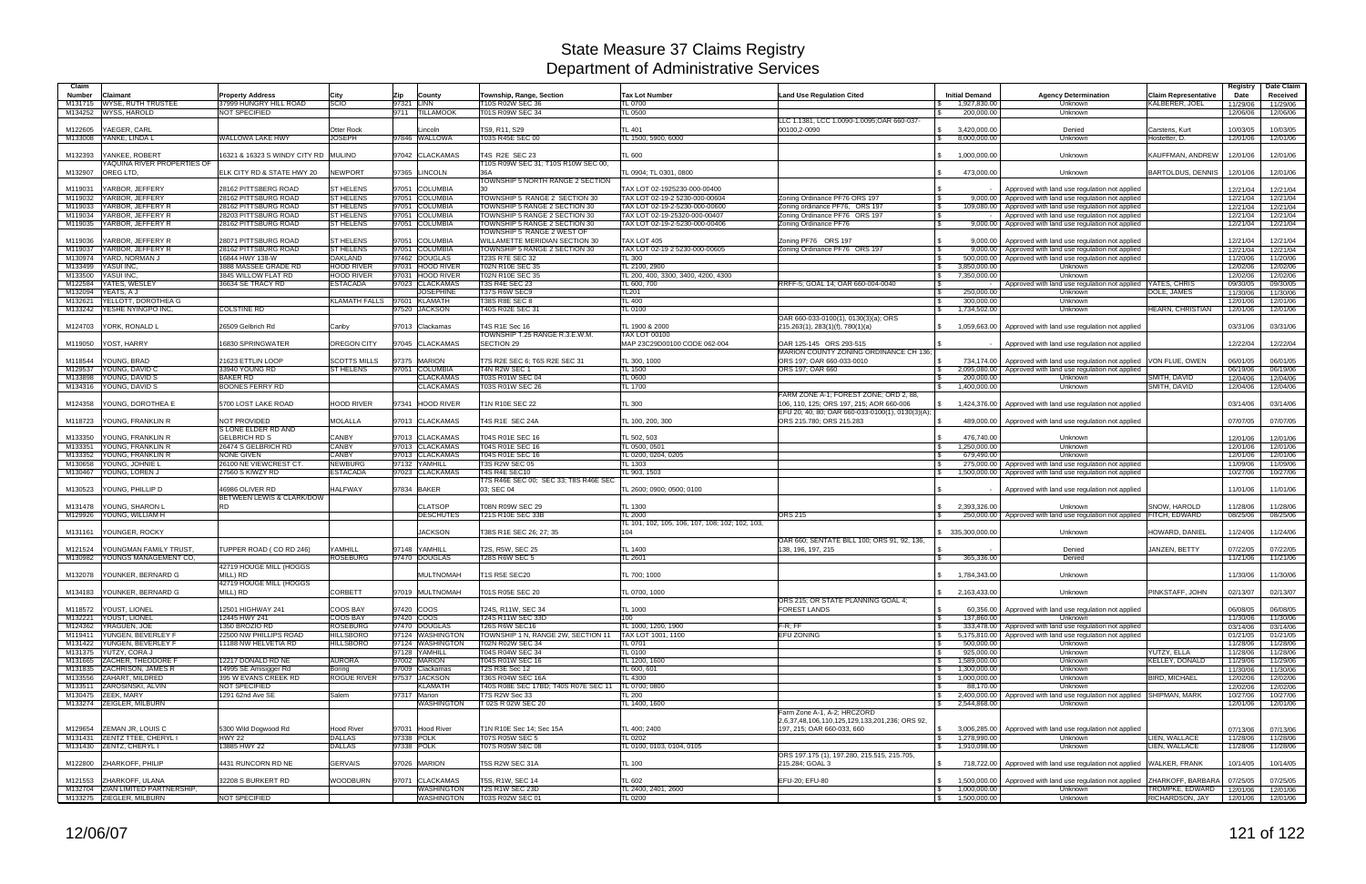| Claim              |                                                           |                                                |                                      |                                        |                                                                       |                                                                |                                                      |                                                        |                                                                                                |                             | Registry             | Date Claim           |
|--------------------|-----------------------------------------------------------|------------------------------------------------|--------------------------------------|----------------------------------------|-----------------------------------------------------------------------|----------------------------------------------------------------|------------------------------------------------------|--------------------------------------------------------|------------------------------------------------------------------------------------------------|-----------------------------|----------------------|----------------------|
| <b>Number</b>      | Claimant                                                  | <b>Property Address</b>                        | City                                 | Zip<br>County                          | Township, Range, Section                                              | <b>Tax Lot Number</b>                                          | <b>Land Use Regulation Cited</b>                     | <b>Initial Demand</b>                                  | <b>Agency Determination</b>                                                                    | <b>Claim Representative</b> | Date                 | Received             |
| M131715<br>M134252 | <b>WYSE, RUTH TRUSTEE</b><br>WYSS, HAROLD                 | 37999 HUNGRY HILL ROAD<br><b>NOT SPECIFIED</b> | <b>SCIO</b>                          | 97321 LINN<br>9711<br><b>TILLAMOOK</b> | T10S R02W SEC 36<br>T01S R09W SEC 34                                  | TL 0700<br>TL 0500                                             |                                                      | 1,927,830.00<br>200,000.00                             | Unknown<br>Unknown                                                                             | KALBERER, JOEL              | 11/29/06<br>12/06/06 | 11/29/06<br>12/06/06 |
|                    |                                                           |                                                |                                      |                                        |                                                                       |                                                                | LLC 1.1381, LCC 1.0090-1.0095;OAR 660-037            |                                                        |                                                                                                |                             |                      |                      |
| M122605            | YAEGER, CARL                                              |                                                | Otter Rock                           | Lincoln                                | TS9, R11, S29                                                         | TL 401                                                         | 00100,2-0090                                         | 3,420,000.00<br>\$                                     | Denied                                                                                         | Carstens, Kurt              | 10/03/05             | 10/03/05             |
| M133008            | YANKE, LINDA L                                            | WALLOWA LAKE HWY                               | <b>JOSEPH</b>                        | 97846 WALLOWA                          | T03S R45E SEC 00                                                      | TL 1500, 5900, 6000                                            |                                                      | 8,000,000.00<br>\$                                     | Unknown                                                                                        | Hostetter, D.               | 12/01/06             | 12/01/06             |
| M132393            | YANKEE, ROBERT                                            | 16321 & 16323 S WINDY CITY RD MULINO           |                                      | 97042 CLACKAMAS                        | T4S R2E SEC 23                                                        | TL 600                                                         |                                                      | 1,000,000.00<br>$\mathbb{S}$                           | Unknown                                                                                        | KAUFFMAN, ANDREW            | 12/01/06             | 12/01/06             |
|                    | YAQUINA RIVER PROPERTIES OF                               |                                                |                                      |                                        | T10S R09W SEC 31; T10S R10W SEC 00.                                   |                                                                |                                                      |                                                        |                                                                                                |                             |                      |                      |
| M132907            | OREG LTD.                                                 | ELK CITY RD & STATE HWY 20                     | <b>NEWPORT</b>                       | 97365 LINCOLN                          | 36A                                                                   | TL 0904: TL 0301. 0800                                         |                                                      | 473,000.00                                             | Unknown                                                                                        | <b>BARTOLDUS, DENNIS</b>    | 12/01/06             | 12/01/06             |
|                    |                                                           |                                                |                                      |                                        | <b>TOWNSHIP 5 NORTH RANGE 2 SECTION</b>                               |                                                                |                                                      |                                                        |                                                                                                |                             |                      |                      |
| M119031            | YARBOR, JEFFERY                                           | 28162 PITTSBERG ROAD<br>28162 PITTSBURG ROAD   | <b>ST HELENS</b><br><b>ST HELENS</b> | 97051 COLUMBIA<br>97051 COLUMBIA       |                                                                       | TAX LOT 02-1925230-000-00400<br>TAX LOT 02-19-2 5230-000-00604 | Zoning Ordinance PF76 ORS 197                        |                                                        | Approved with land use regulation not applied                                                  |                             | 12/21/04             | 12/21/04             |
| M119032<br>M119033 | YARBOR, JEFFERY<br>YARBOR, JEFFERY R                      | 28162 PITTSBURG ROAD                           | <b>ST HELENS</b>                     | 97051 COLUMBIA                         | TOWNSHIP 5 RANGE 2 SECTION 30<br>TOWNSHIP 5 RANGE 2 SECTION 30        | TAX LOT 02-19-2-5230-000-00600                                 | Zoning ordinance PF76, ORS 197                       | 9,000.00<br>l \$<br>109,080.00                         | Approved with land use regulation not applied<br>Approved with land use regulation not applied |                             | 12/21/04<br>12/21/04 | 12/21/04<br>12/21/04 |
| M119034            | YARBOR, JEFFERY R                                         | 28203 PITTSBURG ROAD                           | <b>ST HELENS</b>                     | 97051 COLUMBIA                         | TOWNSHIP 5 RANGE 2 SECTION 30                                         | TAX LOT 02-19-25320-000-00407                                  | Zoning Ordinance PF76 ORS 197                        |                                                        | Approved with land use regulation not applied                                                  |                             | 12/21/04             | 12/21/04             |
| M119035            | YARBOR, JEFFERY R                                         | 28162 PITTSBURG ROAD                           | <b>ST HELENS</b>                     | 97051 COLUMBIA                         | TOWNSHIP 5 RANGE 2 SECTION 30                                         | TAX LOT 02-19-2-5230-000-00406                                 | Zoning Ordinance PF76                                | l \$<br>9.000.00                                       | Approved with land use regulation not applied                                                  |                             | 12/21/04             | 12/21/04             |
|                    |                                                           |                                                |                                      |                                        | TOWNSHIP 5 RANGE 2 WEST OF                                            |                                                                |                                                      |                                                        |                                                                                                |                             |                      |                      |
| M119036<br>M119037 | YARBOR, JEFFERY R<br>YARBOR, JEFFERY R                    | 28071 PITTSBURG ROAD<br>28162 PITTSBURG ROAD   | <b>ST HELENS</b><br><b>ST HELENS</b> | 97051 COLUMBIA<br>97051 COLUMBIA       | WILLAMETTE MERIDIAN SECTION 30<br>TOWNSHIP 5 RANGE 2 SECTION 30       | TAX LOT 405<br>TAX LOT 02-19 2 5230-000-00605                  | Zoning PF76 ORS 197<br>Zoning Ordinance PF76 ORS 197 | 9.000.00<br>9.000.00                                   | Approved with land use regulation not applied<br>Approved with land use regulation not applied |                             | 12/21/04<br>12/21/04 | 12/21/04<br>12/21/04 |
| M130974            | YARD, NORMAN J                                            | 16844 HWY 138-W                                | <b>OAKLAND</b>                       | 97462 DOUGLAS                          | T23S R7E SEC 32                                                       | TL 300                                                         |                                                      | 500,000.00<br>\$                                       | Approved with land use regulation not applied                                                  |                             | 11/20/06             | 11/20/06             |
| M133499            | YASUI INC,                                                | 3888 MASSEE GRADE RD                           | <b>HOOD RIVER</b>                    | 97031 HOOD RIVER                       | T02N R10E SEC 35                                                      | TL 2100, 2900                                                  |                                                      | 3,850,000.00<br>\$                                     | Unknown                                                                                        |                             | 12/02/06             | 12/02/06             |
| M133500            | YASUI INC.                                                | 3845 WILLOW FLAT RD                            | <b>HOOD RIVER</b>                    | 97031 HOOD RIVER                       | T02N R10E SEC 35                                                      | TL 200, 400, 3300, 3400, 4200, 4300                            |                                                      | 7,350,000.00<br>- \$                                   | Unknown                                                                                        |                             | 12/02/06             | 12/02/06             |
| M122584<br>M132094 | YATES, WESLEY<br>YEATS, A J                               | 36634 SE TRACY RD                              | <b>ESTACADA</b>                      | 97023 CLACKAMAS<br><b>JOSEPHINE</b>    | <b>T3S R4E SEC 23</b><br>T37S R6W SEC9                                | TL 600, 700<br>TL201                                           | RRFF-5; GOAL 14; OAR 660-004-0040                    | 250,000.00                                             | Approved with land use regulation not applied<br>Unknown                                       | YATES, CHRIS<br>DOLE, JAMES | 09/30/05<br>11/30/06 | 09/30/05<br>11/30/06 |
| M132621            | YELLOTT, DOROTHEA G                                       |                                                |                                      | KLAMATH FALLS 97601 KLAMATH            | <b>T38S R8E SEC 8</b>                                                 | TL 400                                                         |                                                      | 300,000.00                                             | Unknown                                                                                        |                             | 12/01/06             | 12/01/06             |
| M133242            | YESHE NYINGPO INC,                                        | <b>COLSTINE RD</b>                             |                                      | 97520 JACKSON                          | T40S R02E SEC 31                                                      | TL 0100                                                        |                                                      | 1,734,502.00<br>S.                                     | Unknown                                                                                        | HEARN, CHRISTIAN            | 12/01/06             | 12/01/06             |
|                    |                                                           |                                                |                                      |                                        |                                                                       |                                                                | OAR 660-033-0100(1), 0130(3)(a); ORS                 |                                                        |                                                                                                |                             |                      |                      |
| M124703            | YORK, RONALD L                                            | 26509 Gelbrich Rd                              | Canby                                | 97013 Clackamas                        | T4S R1E Sec 16<br>TOWNSHIP T.25 RANGE R.3.E.W.M.                      | TL 1900 & 2000<br><b>TAX LOT 00100</b>                         | 215.263(1), 283(1)(f), 780(1)(a)                     | 1,059,663.00                                           | Approved with land use regulation not applied                                                  |                             | 03/31/06             | 03/31/06             |
| M119050            | YOST, HARRY                                               | 16830 SPRINGWATER                              | <b>OREGON CITY</b>                   | 97045 CLACKAMAS                        | <b>SECTION 29</b>                                                     | MAP 23C29D00100 CODE 062-004                                   | OAR 125-145 ORS 293-515                              |                                                        | Approved with land use regulation not applied                                                  |                             | 12/22/04             | 12/22/04             |
|                    |                                                           |                                                |                                      |                                        |                                                                       |                                                                | MARION COUNTY ZONING ORDINANCE CH 136;               |                                                        |                                                                                                |                             |                      |                      |
| M118544            | YOUNG, BRAD                                               | 21623 ETTLIN LOOP                              | <b>SCOTTS MILLS</b>                  | 97375 MARION                           | T7S R2E SEC 6; T6S R2E SEC 31                                         | TL 300, 1000                                                   | ORS 197; OAR 660-033-0010                            | 734.174.00<br>-SS                                      | Approved with land use regulation not applied                                                  | VON FLUE, OWEN              | 06/01/05             | 06/01/05             |
| M129537            | YOUNG, DAVID C<br>YOUNG, DAVID S                          | 33940 YOUNG RD<br><b>BAKER RD</b>              | <b>ST HELENS</b>                     | 97051 COLUMBIA<br><b>CLACKAMAS</b>     | T4N R2W SEC 1<br>T03S R01W SEC 04                                     | TL 1500<br>TL 0600                                             | ORS 197: OAR 660                                     | 2,095,080.00                                           | Approved with land use regulation not applied<br><b>Unknown</b>                                | SMITH, DAVID                | 06/19/06             | 06/19/06             |
| M133898<br>M134316 | YOUNG, DAVID S                                            | <b>BOONES FERRY RD</b>                         |                                      | <b>CLACKAMAS</b>                       | <b>T03S R01W SEC 26</b>                                               | TL 1700                                                        |                                                      | 200,000.00<br>1,400,000.00<br>\$                       | Unknown                                                                                        | SMITH, DAVID                | 12/04/06<br>12/04/06 | 12/04/06<br>12/04/06 |
|                    |                                                           |                                                |                                      |                                        |                                                                       |                                                                | FARM ZONE A-1; FOREST ZONE; ORD 2, 88,               |                                                        |                                                                                                |                             |                      |                      |
| M124358            | YOUNG, DOROTHEA E                                         | 5700 LOST LAKE ROAD                            | <b>HOOD RIVER</b>                    | 97341 HOOD RIVER                       | 1N R10E SEC 22                                                        | TL 300                                                         | 106, 110, 125; ORS 197, 215; AOR 660-006             | 1,424,376.00                                           | Approved with land use regulation not applied                                                  |                             | 03/14/06             | 03/14/06             |
|                    |                                                           |                                                |                                      |                                        |                                                                       |                                                                | EFU 20, 40, 80; OAR 660-033-0100(1), 0130(3)(A);     |                                                        |                                                                                                |                             |                      |                      |
| M118723            | YOUNG, FRANKLIN R                                         | NOT PROVIDED<br>S LONE ELDER RD AND            | <b>MOLALLA</b>                       | 97013 CLACKAMAS                        | T4S R1E SEC 24A                                                       | TL 100, 200, 300                                               | ORS 215.780; ORS 215.283                             | 489.000.00                                             | Approved with land use regulation not applied                                                  |                             | 07/07/05             | 07/07/05             |
| M133350            | YOUNG, FRANKLIN R                                         | <b>GELBRICH RD S</b>                           | <b>CANBY</b>                         | 97013 CLACKAMAS                        | T04S R01E SEC 16                                                      | TL 502, 503                                                    |                                                      | 476,740.00                                             | Unknown                                                                                        |                             | 12/01/06             | 12/01/06             |
| M133351            | YOUNG, FRANKLIN R                                         | 26474 S GELBRICH RD                            | <b>CANBY</b>                         | 97013 CLACKAMAS                        | T04S R01E SEC 16                                                      | TL 0500, 0501                                                  |                                                      | 1,250,000.00<br>- S                                    | Unknown                                                                                        |                             | 12/01/06             | 12/01/06             |
| M133352            | YOUNG, FRANKLIN R                                         | <b>NONE GIVEN</b>                              | <b>CANBY</b>                         | 97013 CLACKAMAS                        | T04S R01E SEC 16                                                      | TL 0200, 0204, 0205                                            |                                                      | 679.490.00<br>l \$                                     | Unknown                                                                                        |                             | 12/01/06             | 12/01/06             |
| M130658            | YOUNG, JOHNIE L                                           | 26100 NE VIEWCREST CT.                         | <b>NEWBURG</b><br><b>ESTACADA</b>    | 97132 YAMHILL<br>97023 CLACKAMAS       | <b>T3S R2W SEC 05</b><br>T4S R4E SEC10                                | TL 1303                                                        |                                                      | 275,000.00                                             | Approved with land use regulation not applied                                                  |                             | 11/09/06             | 11/09/06             |
| M130467            | YOUNG, LOREN J                                            | 27560 S KIWZY RD                               |                                      |                                        | T7S R46E SEC 00; SEC 33; T8S R46E SEC                                 | TL 903, 1503                                                   |                                                      | 1,500,000.00                                           | Approved with land use regulation not applied                                                  |                             | 10/27/06             | 10/27/06             |
| M130523            | YOUNG, PHILLIP D                                          | 46986 OLIVER RD                                | <b>HALFWAY</b>                       | 97834 BAKER                            | 03; SEC 04                                                            | TL 2600; 0900; 0500; 0100                                      |                                                      |                                                        | Approved with land use regulation not applied                                                  |                             | 11/01/06             | 11/01/06             |
|                    |                                                           | BETWEEN LEWIS & CLARK/DOW                      |                                      |                                        |                                                                       |                                                                |                                                      |                                                        |                                                                                                |                             |                      |                      |
| M131478<br>M129926 | YOUNG, SHARON L<br>YOUNG, WILLIAM H                       | <b>RD</b>                                      |                                      | <b>CLATSOP</b><br><b>DESCHUTES</b>     | T08N R09W SEC 29<br>T21S R10E SEC 33B                                 | TL 1300<br>TL 2000                                             | <b>ORS 215</b>                                       | 2,393,326.00                                           | Unknown<br>250,000.00   Approved with land use regulation not applied FITCH, EDWARD            | SNOW, HAROLD                | 11/28/06<br>08/25/06 | 11/28/06<br>08/25/06 |
|                    |                                                           |                                                |                                      |                                        |                                                                       | TL 101, 102, 105, 106, 107, 108; 102; 102, 103,                |                                                      |                                                        |                                                                                                |                             |                      |                      |
| M131161            | YOUNGER, ROCKY                                            |                                                |                                      | <b>JACKSON</b>                         | T38S R1E SEC 26; 27; 35                                               | 104                                                            |                                                      | \$335,300,000.00                                       | Unknown                                                                                        | HOWARD, DANIEI              | 11/24/06             | 11/24/06             |
|                    |                                                           |                                                |                                      |                                        |                                                                       |                                                                | OAR 660: SENTATE BILL 100: ORS 91, 92, 136           |                                                        |                                                                                                |                             |                      |                      |
| M121524            | YOUNGMAN FAMILY TRUST                                     | TUPPER ROAD (CO RD 246)                        | <b><i>CAMHILL</i></b>                | 97148 YAMHILL<br>97470 DOUGLAS         | T2S, R5W, SEC 25<br><b>T28S R6W SEC 5</b>                             | TL 1400                                                        | 138, 196, 197, 215                                   |                                                        | Denied                                                                                         | JANZEN, BETTY               | 07/22/05             | 07/22/05             |
| M130982            | YOUNGS MANAGEMENT CO,                                     | 42719 HOUGE MILL (HOGGS                        | <b>ROSEBURG</b>                      |                                        |                                                                       | TL 2601                                                        |                                                      | 365,336.00                                             | Denied                                                                                         |                             | 11/21/06             | 11/21/06             |
|                    | M132078 YOUNKER, BERNARD G                                | MILL) RD                                       |                                      | <b>MULTNOMAH</b>                       | T1S R5E SEC20                                                         | TL 700; 1000                                                   |                                                      | 1.784.343.00                                           | Unknown                                                                                        |                             | 11/30/06             | 11/30/06             |
|                    |                                                           | 42719 HOUGE MILL (HOGGS                        |                                      |                                        |                                                                       |                                                                |                                                      |                                                        |                                                                                                |                             |                      |                      |
|                    | M134183 YOUNKER, BERNARD G                                | MILL) RD                                       | <b>CORBETT</b>                       | 97019 MULTNOMAH                        | T01S R05E SEC 20                                                      | TL 0700, 1000                                                  | ORS 215; OR STATE PLANNING GOAL 4;                   | \$2,163,433.00                                         | Unknown                                                                                        | PINKSTAFF, JOHN             | 02/13/07             | 02/13/07             |
| M118572            | YOUST, LIONEL                                             | 12501 HIGHWAY 241                              | COOS BAY                             | 97420 COOS                             | T24S, R11W, SEC 34                                                    | <b>TL 1000</b>                                                 | <b>FOREST LANDS</b>                                  | 60,356.00                                              | Approved with land use regulation not applied                                                  |                             | 06/08/05             | 06/08/05             |
| M132221            | <b>YOUST, LIONEL</b>                                      | 12445 HWY 241                                  | <b>COOS BAY</b>                      | 97420 COOS                             | T24S R11W SEC 33D                                                     | 100                                                            |                                                      | 137,860.00<br>l \$                                     | <b>Unknown</b>                                                                                 |                             | 11/30/06             | 11/30/06             |
| M124362            | YRAGUEN, JOE                                              | 1350 BROZIO RD                                 | <b>ROSEBURG</b>                      | 97470 DOUGLAS                          | <b>T26S R6W SEC16</b>                                                 | TL 1000, 1200, 1900                                            | $F-R$ : $FF$                                         | 333,478.00<br>\$                                       | Approved with land use regulation not applied                                                  |                             | 03/14/06             | 03/14/06             |
| M119411<br>M131422 | YUNGEN, BEVERLEY F<br>YUNGEN, BEVERLEY F                  | 22500 NW PHILLIPS ROAD<br>11188 NW HELVETIA RD | <b>HILLSBORO</b><br><b>HILLSBORO</b> | 97124 WASHINGTON<br>97124 WASHINGTON   | TOWNSHIP 1 N, RANGE 2W, SECTION 11<br>T02N R02W SEC 34                | TAX LOT 1001, 1100<br>TL 0701                                  | EFU ZONING                                           | l \$<br>5,175,810.00<br>500,000.00                     | Approved with land use regulation not applied<br>Unknown                                       |                             | 01/21/05             | 01/21/05<br>11/28/06 |
|                    | M131375 YUTZY, CORA J                                     |                                                |                                      | 97128 YAMHILL                          | T04S R04W SEC 34                                                      | <b>TL 0100</b>                                                 |                                                      | 925,000.00<br>l \$                                     | Unknown                                                                                        | YUTZY, ELLA                 | 11/28/06<br>11/28/06 | 11/28/06             |
|                    | M131665 ZACHER, THEODORE F                                | 12217 DONALD RD NE                             | <b>AURORA</b>                        | 97002 MARION                           | T04S R01W SEC 16                                                      | TL 1200, 1600                                                  |                                                      | 1,589,000.00<br>\$                                     | Unknown                                                                                        | <b>KELLEY, DONALD</b>       | 11/29/06             | 11/29/06             |
|                    | M131835 ZACHRISON, JAMES R                                | 14995 SE Amisigger Rd                          | Boring                               | 97009 Clackamas                        | T2S R3E Sec 12                                                        | TL 600, 601                                                    |                                                      | l \$<br>1,300,000.00                                   | Unknown                                                                                        |                             | 11/30/06             | 11/30/06             |
|                    | M133556 ZAHART, MILDRED                                   | 395 W EVANS CREEK RD                           | <b>ROGUE RIVER</b>                   | 97537 JACKSON                          | T36S R04W SEC 16A                                                     | TL 4300                                                        |                                                      | 1,000,000.00<br>\$                                     | Unknown                                                                                        | <b>BIRD, MICHAEL</b>        | 12/02/06             | 12/02/06             |
|                    | M133511 ZAROSINSKI, ALVIN<br>M130475 ZEEK, MARY           | NOT SPECIFIED<br>1291 62nd Ave SE              | Salem                                | <b>KLAMATH</b><br>97317 Marion         | T40S R08E SEC 17BD; T40S R07E SEC 11  TL 0700; 0800<br>T7S R2W Sec 33 | TL 200                                                         |                                                      | 88,170.00<br>\$<br>\$                                  | Unknown<br>2,400,000.00 Approved with land use regulation not applied SHIPMAN, MARK            |                             | 12/02/06<br>10/27/06 | 12/02/06<br>10/27/06 |
|                    | M133274 ZEIGLER, MILBURN                                  |                                                |                                      | <b><i>NASHINGTON</i></b>               | T 02S R 02W SEC 20                                                    | TL 1400, 1600                                                  |                                                      | 2,544,868.00<br>\$                                     | Unknown                                                                                        |                             | 12/01/06             | 12/01/06             |
|                    |                                                           |                                                |                                      |                                        |                                                                       |                                                                | Farm Zone A-1, A-2; HRCZORD                          |                                                        |                                                                                                |                             |                      |                      |
|                    |                                                           |                                                |                                      |                                        |                                                                       |                                                                | 2.6.37.48.106.110.125.129.133.201.236: ORS 92.       |                                                        |                                                                                                |                             |                      |                      |
|                    | M129654 ZEMAN JR, LOUIS C<br>M131431 ZENTZ TTEE, CHERYL I | 5300 Wild Dogwood Rd<br><b>HWY 22</b>          | <b>Hood River</b><br><b>DALLAS</b>   | 97031 Hood River<br>97338 POLK         | T1N R10E Sec 14; Sec 15A<br>T07S R05W SEC 5                           | TL 400; 2400<br><b>TL 0202</b>                                 | 197, 215; OAR 660-033, 660                           | $\frac{1}{2}$ 3,006,285.00<br>1,278,990.00<br><b>S</b> | Approved with land use regulation not applied<br>Unknown                                       | LIEN, WALLACE               | 07/13/06<br>11/28/06 | 07/13/06<br>11/28/06 |
|                    | M131430 ZENTZ, CHERYLI                                    | 13885 HWY 22                                   | <b>DALLAS</b>                        | 97338 POLK                             | T07S R05W SEC 08                                                      | TL 0100, 0103, 0104, 0105                                      |                                                      | 1,910,098.00<br>$\mathcal{S}$                          | Unknown                                                                                        | LIEN, WALLACE               | 11/28/06             | 11/28/06             |
|                    |                                                           |                                                |                                      |                                        |                                                                       |                                                                | ORS 197.175 (1), 197.280, 215.515, 215.705,          |                                                        |                                                                                                |                             |                      |                      |
|                    | M122800 ZHARKOFF, PHILIP                                  | 4431 RUNCORN RD NE                             | <b>GERVAIS</b>                       | 97026 MARION                           | T5S R2W SEC 31A                                                       | TL 100                                                         | 215.284; GOAL 3                                      | I S                                                    | 718,722.00   Approved with land use regulation not applied WALKER, FRANK                       |                             | 10/14/05             | 10/14/05             |
|                    | M121553 ZHARKOFF, ULANA                                   | 32208 S BURKERT RD                             | <b>WOODBURN</b>                      | 97071 CLACKAMAS                        | T5S, R1W, SEC 14                                                      | TL 602                                                         | EFU-20; EFU-80                                       | 1,500,000.00<br>$\mathbb{S}$                           | Approved with land use regulation not applied                                                  | ZHARKOFF, BARBARA           | 07/25/05             | 07/25/05             |
|                    | M132704 ZIAN LIMITED PARTNERSHIP,                         |                                                |                                      | <b>WASHINGTON</b>                      | T2S R1W SEC 23D                                                       | TL 2400, 2401, 2600                                            |                                                      | 1,000,000.00<br>$\sqrt{S}$                             | Unknown                                                                                        | TROMPKE, EDWARD             | 12/01/06             | 12/01/06             |
|                    | M133275 ZIEGLER, MILBURN                                  | NOT SPECIFIED                                  |                                      | <b>WASHINGTON</b>                      | T03S R02W SEC 01                                                      | <b>TL 0200</b>                                                 |                                                      | $\frac{1}{3}$ 1,500,000.00                             | Unknown                                                                                        | RICHARDSON, JAY             | 12/01/06 12/01/06    |                      |